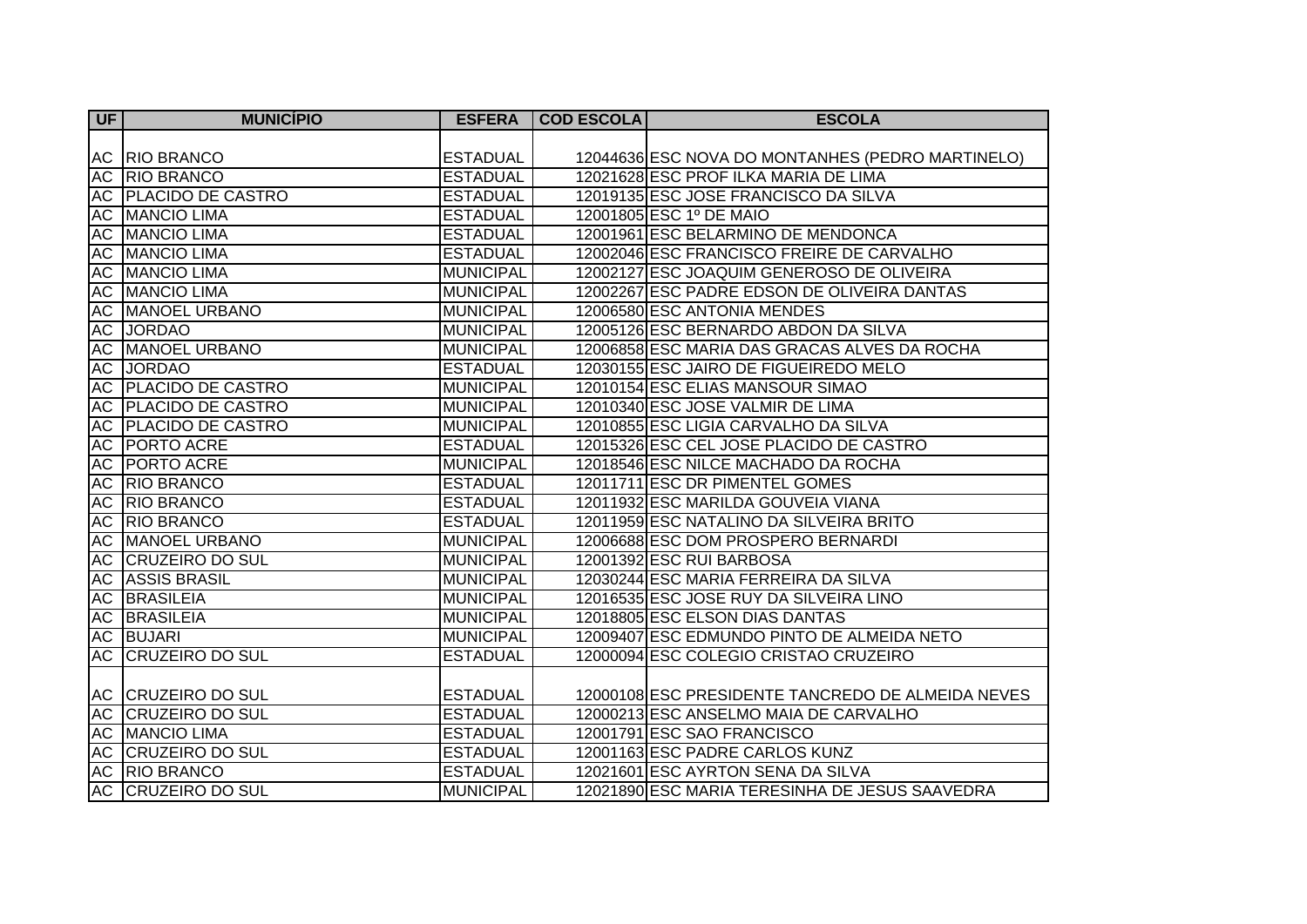| $U$ F     | <b>MUNICÍPIO</b>          | <b>ESFERA</b>    | <b>COD ESCOLA</b> | <b>ESCOLA</b>                                     |
|-----------|---------------------------|------------------|-------------------|---------------------------------------------------|
|           |                           |                  |                   |                                                   |
|           | <b>AC RIO BRANCO</b>      | <b>ESTADUAL</b>  |                   | 12044636 ESC NOVA DO MONTANHES (PEDRO MARTINELO)  |
|           | <b>AC RIO BRANCO</b>      | <b>ESTADUAL</b>  |                   | 12021628 ESC PROF ILKA MARIA DE LIMA              |
|           | AC PLACIDO DE CASTRO      | <b>ESTADUAL</b>  |                   | 12019135 ESC JOSE FRANCISCO DA SILVA              |
|           | <b>AC MANCIO LIMA</b>     | <b>ESTADUAL</b>  |                   | 12001805 ESC 1º DE MAIO                           |
|           | <b>AC MANCIO LIMA</b>     | <b>ESTADUAL</b>  |                   | 12001961 ESC BELARMINO DE MENDONCA                |
|           | AC MANCIO LIMA            | <b>ESTADUAL</b>  |                   | 12002046 ESC FRANCISCO FREIRE DE CARVALHO         |
|           | <b>AC MANCIO LIMA</b>     | <b>MUNICIPAL</b> |                   | 12002127 ESC JOAQUIM GENEROSO DE OLIVEIRA         |
|           | AC MANCIO LIMA            | <b>MUNICIPAL</b> |                   | 12002267 ESC PADRE EDSON DE OLIVEIRA DANTAS       |
|           | <b>AC MANOEL URBANO</b>   | <b>MUNICIPAL</b> |                   | 12006580 ESC ANTONIA MENDES                       |
|           | AC JORDAO                 | <b>MUNICIPAL</b> |                   | 12005126 ESC BERNARDO ABDON DA SILVA              |
|           | AC MANOEL URBANO          | <b>MUNICIPAL</b> |                   | 12006858 ESC MARIA DAS GRACAS ALVES DA ROCHA      |
|           | AC JORDAO                 | <b>ESTADUAL</b>  |                   | 12030155 ESC JAIRO DE FIGUEIREDO MELO             |
|           | AC   PLACIDO DE CASTRO    | <b>MUNICIPAL</b> |                   | 12010154 ESC ELIAS MANSOUR SIMAO                  |
|           | AC PLACIDO DE CASTRO      | <b>MUNICIPAL</b> |                   | 12010340 ESC JOSE VALMIR DE LIMA                  |
| AC        | <b>PLACIDO DE CASTRO</b>  | <b>MUNICIPAL</b> |                   | 12010855 ESC LIGIA CARVALHO DA SILVA              |
|           | AC   PORTO ACRE           | <b>ESTADUAL</b>  |                   | 12015326 ESC CEL JOSE PLACIDO DE CASTRO           |
|           | <b>AC PORTO ACRE</b>      | <b>MUNICIPAL</b> |                   | 12018546 ESC NILCE MACHADO DA ROCHA               |
|           | AC RIO BRANCO             | <b>ESTADUAL</b>  |                   | 12011711 ESC DR PIMENTEL GOMES                    |
|           | AC RIO BRANCO             | <b>ESTADUAL</b>  |                   | 12011932 ESC MARILDA GOUVEIA VIANA                |
|           | <b>AC RIO BRANCO</b>      | <b>ESTADUAL</b>  |                   | 12011959 ESC NATALINO DA SILVEIRA BRITO           |
|           | <b>AC MANOEL URBANO</b>   | <b>MUNICIPAL</b> |                   | 12006688 ESC DOM PROSPERO BERNARDI                |
|           | AC CRUZEIRO DO SUL        | <b>MUNICIPAL</b> |                   | 12001392 ESC RUI BARBOSA                          |
| <b>AC</b> | <b>ASSIS BRASIL</b>       | <b>MUNICIPAL</b> |                   | 12030244 ESC MARIA FERREIRA DA SILVA              |
| AC        | <b>BRASILEIA</b>          | <b>MUNICIPAL</b> |                   | 12016535 ESC JOSE RUY DA SILVEIRA LINO            |
| AC        | <b>BRASILEIA</b>          | <b>MUNICIPAL</b> |                   | 12018805 ESC ELSON DIAS DANTAS                    |
|           | <b>AC BUJARI</b>          | <b>MUNICIPAL</b> |                   | 12009407 ESC EDMUNDO PINTO DE ALMEIDA NETO        |
| AC        | <b>CRUZEIRO DO SUL</b>    | <b>ESTADUAL</b>  |                   | 12000094 ESC COLEGIO CRISTAO CRUZEIRO             |
|           |                           |                  |                   |                                                   |
|           | AC CRUZEIRO DO SUL        | <b>ESTADUAL</b>  |                   | 12000108 ESC PRESIDENTE TANCREDO DE ALMEIDA NEVES |
|           | AC CRUZEIRO DO SUL        | <b>ESTADUAL</b>  |                   | 12000213 ESC ANSELMO MAIA DE CARVALHO             |
|           | AC MANCIO LIMA            | <b>ESTADUAL</b>  |                   | 12001791 ESC SAO FRANCISCO                        |
|           | <b>AC CRUZEIRO DO SUL</b> | <b>ESTADUAL</b>  |                   | 12001163 ESC PADRE CARLOS KUNZ                    |
|           | AC RIO BRANCO             | <b>ESTADUAL</b>  |                   | 12021601 ESC AYRTON SENA DA SILVA                 |
|           | <b>AC CRUZEIRO DO SUL</b> | <b>MUNICIPAL</b> |                   | 12021890 ESC MARIA TERESINHA DE JESUS SAAVEDRA    |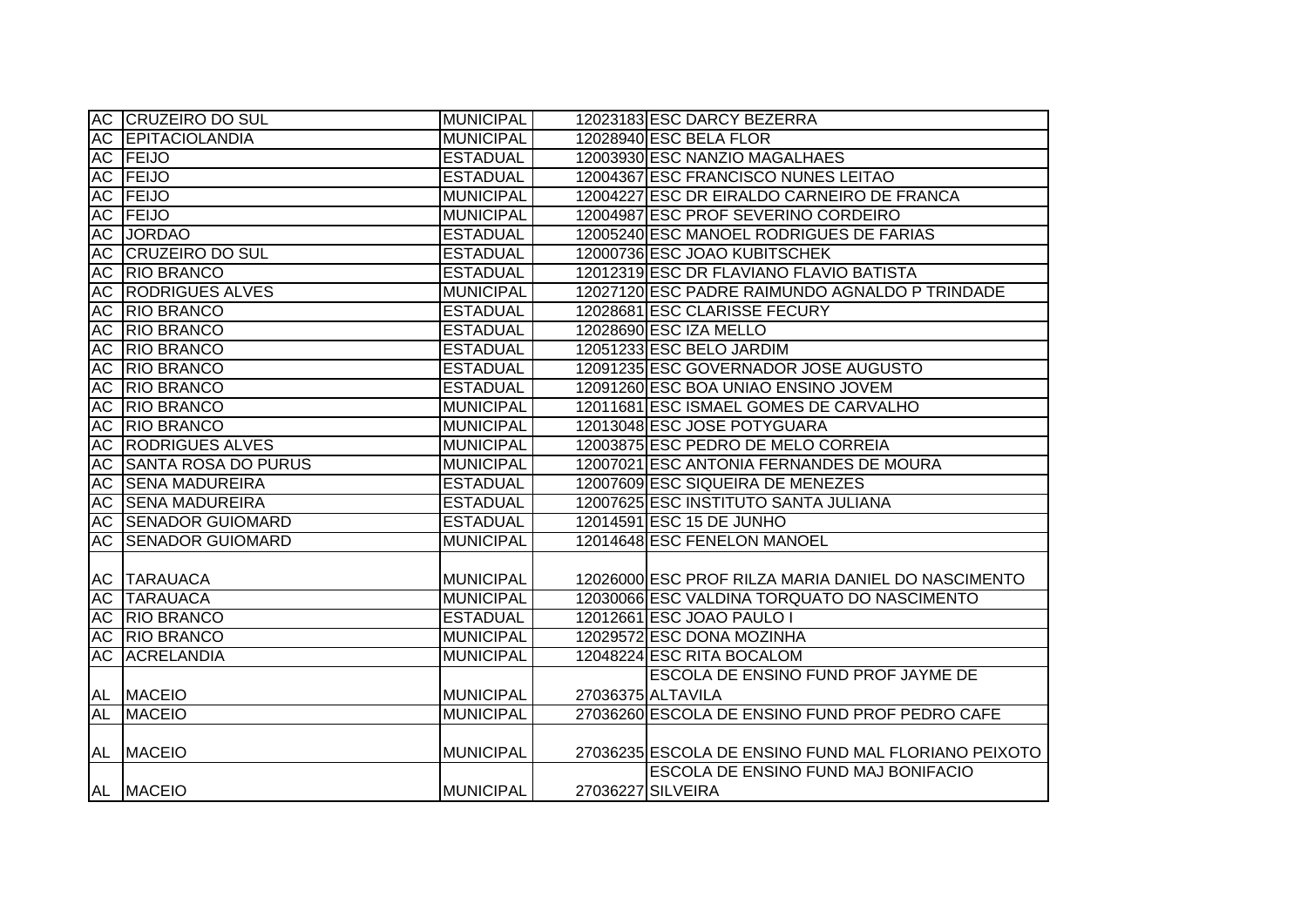|    | <b>AC CRUZEIRO DO SUL</b>  | <b>MUNICIPAL</b> | 12023183 ESC DARCY BEZERRA                          |
|----|----------------------------|------------------|-----------------------------------------------------|
|    | <b>AC EPITACIOLANDIA</b>   | <b>MUNICIPAL</b> | 12028940 ESC BELA FLOR                              |
|    | AC FEIJO                   | <b>ESTADUAL</b>  | 12003930 ESC NANZIO MAGALHAES                       |
|    | AC FEIJO                   | <b>ESTADUAL</b>  | 12004367 ESC FRANCISCO NUNES LEITAO                 |
|    | AC FEIJO                   | <b>MUNICIPAL</b> | 12004227 ESC DR EIRALDO CARNEIRO DE FRANCA          |
|    | AC FEIJO                   | <b>MUNICIPAL</b> | 12004987 ESC PROF SEVERINO CORDEIRO                 |
|    | AC JORDAO                  | <b>ESTADUAL</b>  | 12005240 ESC MANOEL RODRIGUES DE FARIAS             |
|    | <b>AC CRUZEIRO DO SUL</b>  | <b>ESTADUAL</b>  | 12000736 ESC JOAO KUBITSCHEK                        |
|    | AC RIO BRANCO              | <b>ESTADUAL</b>  | 12012319 ESC DR FLAVIANO FLAVIO BATISTA             |
|    | <b>AC RODRIGUES ALVES</b>  | <b>MUNICIPAL</b> | 12027120 ESC PADRE RAIMUNDO AGNALDO P TRINDADE      |
|    | AC RIO BRANCO              | <b>ESTADUAL</b>  | 12028681 ESC CLARISSE FECURY                        |
| AC | <b>RIO BRANCO</b>          | <b>ESTADUAL</b>  | 12028690 ESC IZA MELLO                              |
| AC | <b>RIO BRANCO</b>          | <b>ESTADUAL</b>  | 12051233 ESC BELO JARDIM                            |
| AC | <b>RIO BRANCO</b>          | <b>ESTADUAL</b>  | 12091235 ESC GOVERNADOR JOSE AUGUSTO                |
| AC | <b>RIO BRANCO</b>          | <b>ESTADUAL</b>  | 12091260 ESC BOA UNIAO ENSINO JOVEM                 |
| AC | <b>RIO BRANCO</b>          | <b>MUNICIPAL</b> | 12011681 ESC ISMAEL GOMES DE CARVALHO               |
| AC | <b>RIO BRANCO</b>          | <b>MUNICIPAL</b> | 12013048 ESC JOSE POTYGUARA                         |
| AC | <b>RODRIGUES ALVES</b>     | <b>MUNICIPAL</b> | 12003875 ESC PEDRO DE MELO CORREIA                  |
| AC | <b>SANTA ROSA DO PURUS</b> | <b>MUNICIPAL</b> | 12007021 ESC ANTONIA FERNANDES DE MOURA             |
|    | <b>AC SENA MADUREIRA</b>   | <b>ESTADUAL</b>  | 12007609 ESC SIQUEIRA DE MENEZES                    |
|    | <b>AC SENA MADUREIRA</b>   | <b>ESTADUAL</b>  | 12007625 ESC INSTITUTO SANTA JULIANA                |
|    | <b>AC SENADOR GUIOMARD</b> | <b>ESTADUAL</b>  | 12014591 ESC 15 DE JUNHO                            |
|    | <b>AC SENADOR GUIOMARD</b> | <b>MUNICIPAL</b> | 12014648 ESC FENELON MANOEL                         |
|    |                            |                  |                                                     |
|    | AC TARAUACA                | <b>MUNICIPAL</b> | 12026000 ESC PROF RILZA MARIA DANIEL DO NASCIMENTO  |
|    | <b>AC ITARAUACA</b>        | <b>MUNICIPAL</b> | 12030066 ESC VALDINA TORQUATO DO NASCIMENTO         |
|    | AC RIO BRANCO              | <b>ESTADUAL</b>  | 12012661 ESC JOAO PAULO I                           |
|    | AC RIO BRANCO              | <b>MUNICIPAL</b> | 12029572 ESC DONA MOZINHA                           |
| AC | <b>ACRELANDIA</b>          | <b>MUNICIPAL</b> | 12048224 ESC RITA BOCALOM                           |
|    |                            |                  | ESCOLA DE ENSINO FUND PROF JAYME DE                 |
|    | AL MACEIO                  | <b>MUNICIPAL</b> | 27036375 ALTAVILA                                   |
| AL | <b>MACEIO</b>              | <b>MUNICIPAL</b> | 27036260 ESCOLA DE ENSINO FUND PROF PEDRO CAFE      |
|    |                            |                  |                                                     |
|    | AL MACEIO                  | <b>MUNICIPAL</b> | 27036235 ESCOLA DE ENSINO FUND MAL FLORIANO PEIXOTO |
|    |                            |                  | ESCOLA DE ENSINO FUND MAJ BONIFACIO                 |
|    | AL MACEIO                  | <b>MUNICIPAL</b> | 27036227 SILVEIRA                                   |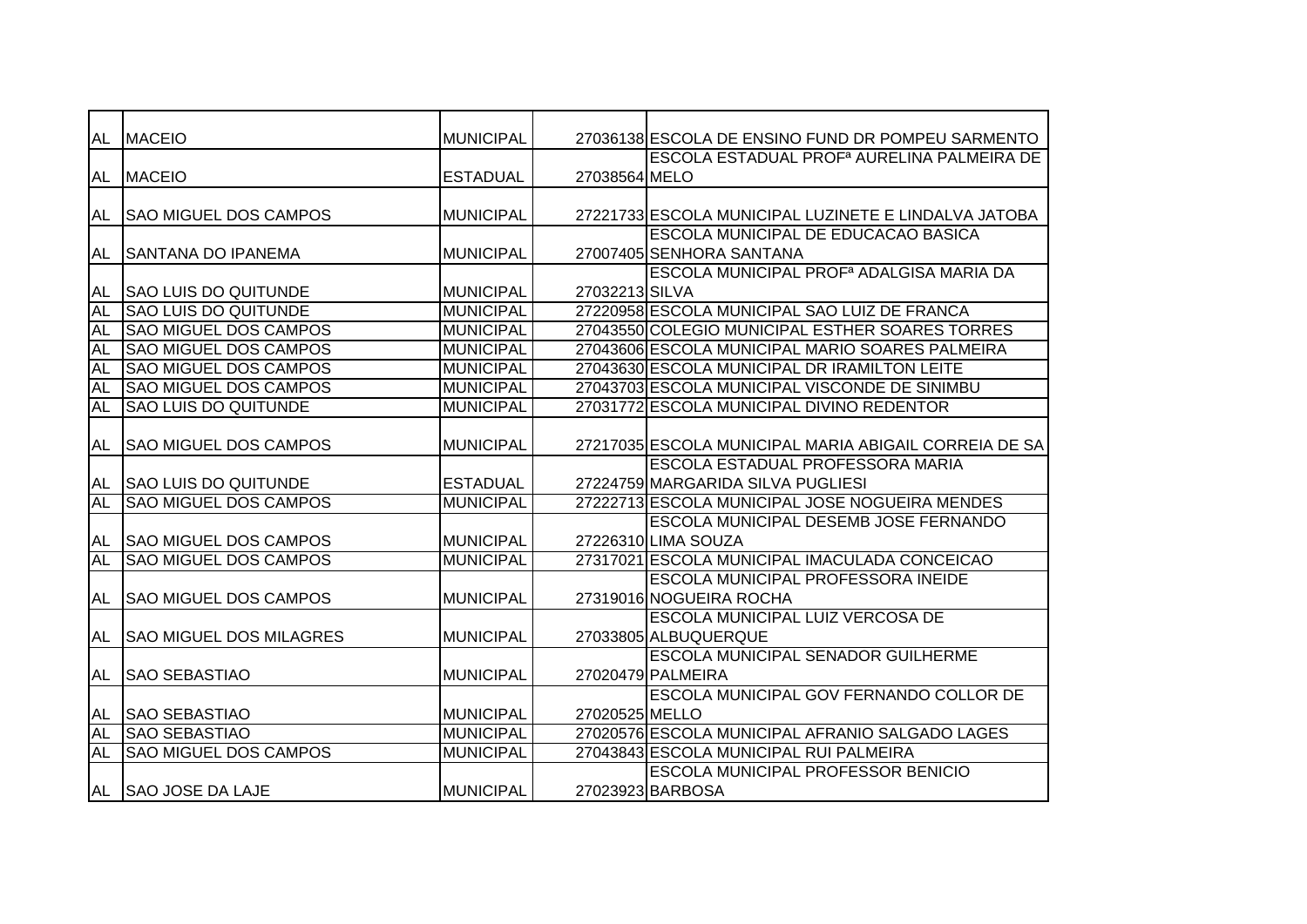| AL        | <b>MACEIO</b>                  | <b>MUNICIPAL</b> |                | 27036138 ESCOLA DE ENSINO FUND DR POMPEU SARMENTO      |
|-----------|--------------------------------|------------------|----------------|--------------------------------------------------------|
|           |                                |                  |                | ESCOLA ESTADUAL PROF <sup>a</sup> AURELINA PALMEIRA DE |
|           | AL MACEIO                      | <b>ESTADUAL</b>  | 27038564 MELO  |                                                        |
|           |                                |                  |                |                                                        |
| AL        | <b>SAO MIGUEL DOS CAMPOS</b>   | <b>MUNICIPAL</b> |                | 27221733 ESCOLA MUNICIPAL LUZINETE E LINDALVA JATOBA   |
|           |                                |                  |                | ESCOLA MUNICIPAL DE EDUCACAO BASICA                    |
| AL        | <b>SANTANA DO IPANEMA</b>      | <b>MUNICIPAL</b> |                | 27007405 SENHORA SANTANA                               |
|           |                                |                  |                | ESCOLA MUNICIPAL PROF <sup>a</sup> ADALGISA MARIA DA   |
| <b>AL</b> | <b>SAO LUIS DO QUITUNDE</b>    | <b>MUNICIPAL</b> | 27032213 SILVA |                                                        |
| <b>AL</b> | <b>SAO LUIS DO QUITUNDE</b>    | <b>MUNICIPAL</b> |                | 27220958 ESCOLA MUNICIPAL SAO LUIZ DE FRANCA           |
| <b>AL</b> | <b>SAO MIGUEL DOS CAMPOS</b>   | <b>MUNICIPAL</b> |                | 27043550 COLEGIO MUNICIPAL ESTHER SOARES TORRES        |
| <b>AL</b> | <b>SAO MIGUEL DOS CAMPOS</b>   | <b>MUNICIPAL</b> |                | 27043606 ESCOLA MUNICIPAL MARIO SOARES PALMEIRA        |
| <b>AL</b> | <b>SAO MIGUEL DOS CAMPOS</b>   | <b>MUNICIPAL</b> |                | 27043630 ESCOLA MUNICIPAL DR IRAMILTON LEITE           |
| <b>AL</b> | <b>SAO MIGUEL DOS CAMPOS</b>   | <b>MUNICIPAL</b> |                | 27043703 ESCOLA MUNICIPAL VISCONDE DE SINIMBU          |
| <b>AL</b> | <b>SAO LUIS DO QUITUNDE</b>    | <b>MUNICIPAL</b> |                | 27031772 ESCOLA MUNICIPAL DIVINO REDENTOR              |
|           |                                |                  |                |                                                        |
| AL        | <b>SAO MIGUEL DOS CAMPOS</b>   | <b>MUNICIPAL</b> |                | 27217035 ESCOLA MUNICIPAL MARIA ABIGAIL CORREIA DE SA  |
|           |                                |                  |                | <b>ESCOLA ESTADUAL PROFESSORA MARIA</b>                |
| AL        | <b>ISAO LUIS DO QUITUNDE</b>   | <b>ESTADUAL</b>  |                | 27224759 MARGARIDA SILVA PUGLIESI                      |
| AL        | <b>SAO MIGUEL DOS CAMPOS</b>   | <b>MUNICIPAL</b> |                | 27222713 ESCOLA MUNICIPAL JOSE NOGUEIRA MENDES         |
|           |                                |                  |                | ESCOLA MUNICIPAL DESEMB JOSE FERNANDO                  |
| AL        | <b>SAO MIGUEL DOS CAMPOS</b>   | <b>MUNICIPAL</b> |                | 27226310 LIMA SOUZA                                    |
| <b>AL</b> | <b>SAO MIGUEL DOS CAMPOS</b>   | <b>MUNICIPAL</b> |                | 27317021 ESCOLA MUNICIPAL IMACULADA CONCEICAO          |
|           |                                |                  |                | <b>ESCOLA MUNICIPAL PROFESSORA INEIDE</b>              |
| AL        | <b>SAO MIGUEL DOS CAMPOS</b>   | <b>MUNICIPAL</b> |                | 27319016 NOGUEIRA ROCHA                                |
|           |                                |                  |                | <b>ESCOLA MUNICIPAL LUIZ VERCOSA DE</b>                |
| <b>AL</b> | <b>SAO MIGUEL DOS MILAGRES</b> | <b>MUNICIPAL</b> |                | 27033805 ALBUQUERQUE                                   |
|           |                                |                  |                | <b>ESCOLA MUNICIPAL SENADOR GUILHERME</b>              |
| AL        | <b>SAO SEBASTIAO</b>           | <b>MUNICIPAL</b> |                | 27020479 PALMEIRA                                      |
|           |                                |                  |                | <b>ESCOLA MUNICIPAL GOV FERNANDO COLLOR DE</b>         |
| AL        | <b>SAO SEBASTIAO</b>           | <b>MUNICIPAL</b> | 27020525 MELLO |                                                        |
| AL        | <b>SAO SEBASTIAO</b>           | <b>MUNICIPAL</b> |                | 27020576 ESCOLA MUNICIPAL AFRANIO SALGADO LAGES        |
| <b>AL</b> | <b>SAO MIGUEL DOS CAMPOS</b>   | <b>MUNICIPAL</b> |                | 27043843 ESCOLA MUNICIPAL RUI PALMEIRA                 |
|           |                                |                  |                | <b>ESCOLA MUNICIPAL PROFESSOR BENICIO</b>              |
|           | AL SAO JOSE DA LAJE            | <b>MUNICIPAL</b> |                | 27023923 BARBOSA                                       |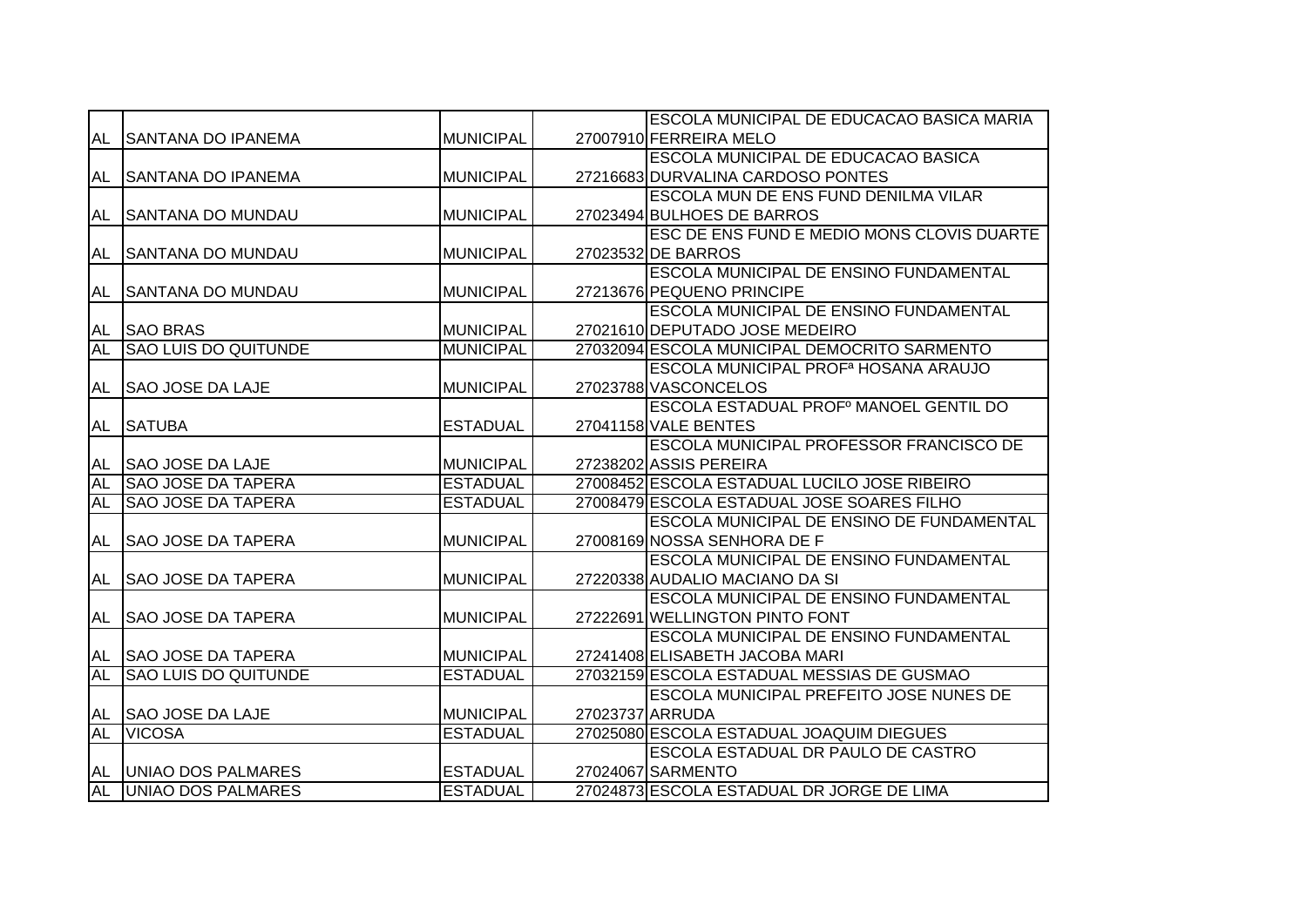|           |                             |                  | ESCOLA MUNICIPAL DE EDUCACAO BASICA MARIA              |
|-----------|-----------------------------|------------------|--------------------------------------------------------|
| AL        | <b>SANTANA DO IPANEMA</b>   | <b>MUNICIPAL</b> | 27007910 FERREIRA MELO                                 |
|           |                             |                  | ESCOLA MUNICIPAL DE EDUCACAO BASICA                    |
| AL        | <b>SANTANA DO IPANEMA</b>   | <b>MUNICIPAL</b> | 27216683 DURVALINA CARDOSO PONTES                      |
|           |                             |                  | ESCOLA MUN DE ENS FUND DENILMA VILAR                   |
| AL        | <b>SANTANA DO MUNDAU</b>    | <b>MUNICIPAL</b> | 27023494 BULHOES DE BARROS                             |
|           |                             |                  | ESC DE ENS FUND E MEDIO MONS CLOVIS DUARTE             |
| AL        | <b>SANTANA DO MUNDAU</b>    | <b>MUNICIPAL</b> | 27023532 DE BARROS                                     |
|           |                             |                  | ESCOLA MUNICIPAL DE ENSINO FUNDAMENTAL                 |
| <b>AL</b> | <b>SANTANA DO MUNDAU</b>    | <b>MUNICIPAL</b> | 27213676 PEQUENO PRINCIPE                              |
|           |                             |                  | <b>ESCOLA MUNICIPAL DE ENSINO FUNDAMENTAL</b>          |
| AL        | <b>SAO BRAS</b>             | <b>MUNICIPAL</b> | 27021610 DEPUTADO JOSE MEDEIRO                         |
| <b>AL</b> | <b>SAO LUIS DO QUITUNDE</b> | <b>MUNICIPAL</b> | 27032094 ESCOLA MUNICIPAL DEMOCRITO SARMENTO           |
|           |                             |                  | <b>ESCOLA MUNICIPAL PROF<sup>a</sup> HOSANA ARAUJO</b> |
| AL        | <b>SAO JOSE DA LAJE</b>     | <b>MUNICIPAL</b> | 27023788 VASCONCELOS                                   |
|           |                             |                  | ESCOLA ESTADUAL PROFº MANOEL GENTIL DO                 |
| AL        | <b>SATUBA</b>               | <b>ESTADUAL</b>  | 27041158 VALE BENTES                                   |
|           |                             |                  | ESCOLA MUNICIPAL PROFESSOR FRANCISCO DE                |
| AL        | <b>SAO JOSE DA LAJE</b>     | <b>MUNICIPAL</b> | 27238202 ASSIS PEREIRA                                 |
| <b>AL</b> | <b>SAO JOSE DA TAPERA</b>   | <b>ESTADUAL</b>  | 27008452 ESCOLA ESTADUAL LUCILO JOSE RIBEIRO           |
| AL        | <b>SAO JOSE DA TAPERA</b>   | <b>ESTADUAL</b>  | 27008479 ESCOLA ESTADUAL JOSE SOARES FILHO             |
|           |                             |                  | ESCOLA MUNICIPAL DE ENSINO DE FUNDAMENTAL              |
| AL        | <b>SAO JOSE DA TAPERA</b>   | <b>MUNICIPAL</b> | 27008169 NOSSA SENHORA DE F                            |
|           |                             |                  | ESCOLA MUNICIPAL DE ENSINO FUNDAMENTAL                 |
| AL        | <b>SAO JOSE DA TAPERA</b>   | <b>MUNICIPAL</b> | 27220338 AUDALIO MACIANO DA SI                         |
|           |                             |                  | <b>ESCOLA MUNICIPAL DE ENSINO FUNDAMENTAL</b>          |
| AL        | <b>SAO JOSE DA TAPERA</b>   | <b>MUNICIPAL</b> | 27222691 WELLINGTON PINTO FONT                         |
|           |                             |                  | <b>ESCOLA MUNICIPAL DE ENSINO FUNDAMENTAL</b>          |
| AL        | <b>SAO JOSE DA TAPERA</b>   | <b>MUNICIPAL</b> | 27241408 ELISABETH JACOBA MARI                         |
| <b>AL</b> | <b>SAO LUIS DO QUITUNDE</b> | <b>ESTADUAL</b>  | 27032159 ESCOLA ESTADUAL MESSIAS DE GUSMAO             |
|           |                             |                  | ESCOLA MUNICIPAL PREFEITO JOSE NUNES DE                |
| AL        | <b>SAO JOSE DA LAJE</b>     | <b>MUNICIPAL</b> | 27023737 ARRUDA                                        |
| <b>AL</b> | <b>VICOSA</b>               | <b>ESTADUAL</b>  | 27025080 ESCOLA ESTADUAL JOAQUIM DIEGUES               |
|           |                             |                  | ESCOLA ESTADUAL DR PAULO DE CASTRO                     |
| AL        | <b>UNIAO DOS PALMARES</b>   | <b>ESTADUAL</b>  | 27024067 SARMENTO                                      |
| <b>AL</b> | UNIAO DOS PALMARES          | <b>ESTADUAL</b>  | 27024873 ESCOLA ESTADUAL DR JORGE DE LIMA              |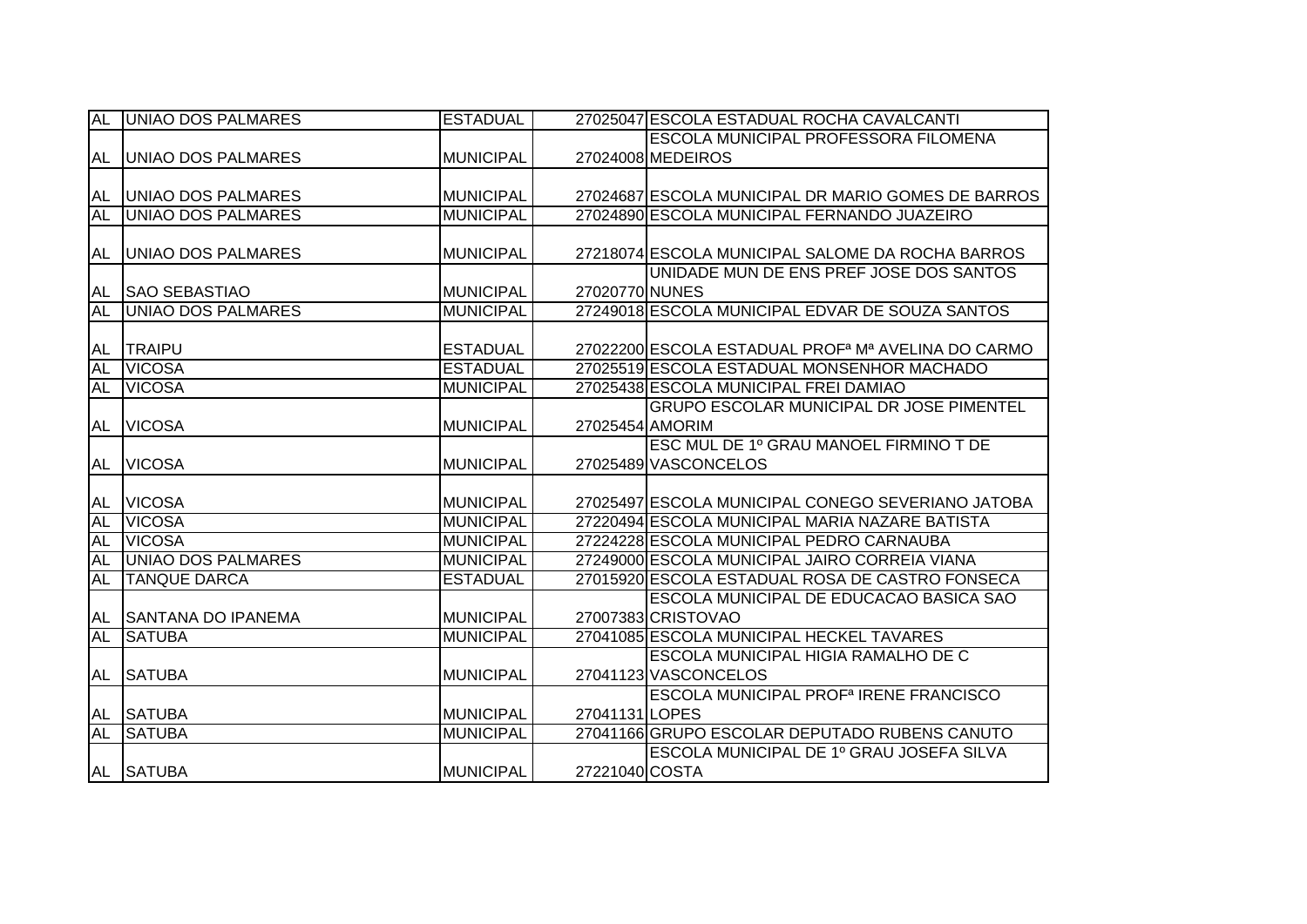| <b>AL</b> | <b>UNIAO DOS PALMARES</b> | <b>ESTADUAL</b>  |                 | 27025047 ESCOLA ESTADUAL ROCHA CAVALCANTI                      |
|-----------|---------------------------|------------------|-----------------|----------------------------------------------------------------|
|           |                           |                  |                 | <b>IESCOLA MUNICIPAL PROFESSORA FILOMENA</b>                   |
|           | AL UNIAO DOS PALMARES     | <b>MUNICIPAL</b> |                 | 27024008 MEDEIROS                                              |
|           |                           |                  |                 |                                                                |
| AL        | <b>UNIAO DOS PALMARES</b> | <b>MUNICIPAL</b> |                 | 27024687 ESCOLA MUNICIPAL DR MARIO GOMES DE BARROS             |
| AL        | <b>UNIAO DOS PALMARES</b> | <b>MUNICIPAL</b> |                 | 27024890 ESCOLA MUNICIPAL FERNANDO JUAZEIRO                    |
|           |                           |                  |                 |                                                                |
| AL        | <b>UNIAO DOS PALMARES</b> | <b>MUNICIPAL</b> |                 | 27218074 ESCOLA MUNICIPAL SALOME DA ROCHA BARROS               |
|           |                           |                  |                 | UNIDADE MUN DE ENS PREF JOSE DOS SANTOS                        |
| AL        | <b>SAO SEBASTIAO</b>      | <b>MUNICIPAL</b> | 27020770 NUNES  |                                                                |
| <b>AL</b> | UNIAO DOS PALMARES        | <b>MUNICIPAL</b> |                 | 27249018 ESCOLA MUNICIPAL EDVAR DE SOUZA SANTOS                |
|           |                           |                  |                 |                                                                |
| AL        | <b>TRAIPU</b>             | <b>ESTADUAL</b>  |                 | 27022200 ESCOLA ESTADUAL PROF <sup>a</sup> Mª AVELINA DO CARMO |
| <b>AL</b> | <b>VICOSA</b>             | <b>ESTADUAL</b>  |                 | 27025519 ESCOLA ESTADUAL MONSENHOR MACHADO                     |
| <b>AL</b> | <b>VICOSA</b>             | <b>MUNICIPAL</b> |                 | 27025438 ESCOLA MUNICIPAL FREI DAMIAO                          |
|           |                           |                  |                 | <b>GRUPO ESCOLAR MUNICIPAL DR JOSE PIMENTEL</b>                |
| AL        | <b>VICOSA</b>             | <b>MUNICIPAL</b> | 27025454 AMORIM |                                                                |
|           |                           |                  |                 | ESC MUL DE 1º GRAU MANOEL FIRMINO T DE                         |
| <b>AL</b> | <b>VICOSA</b>             | <b>MUNICIPAL</b> |                 | 27025489 VASCONCELOS                                           |
|           |                           |                  |                 |                                                                |
| AL        | <b>VICOSA</b>             | <b>MUNICIPAL</b> |                 | 27025497 ESCOLA MUNICIPAL CONEGO SEVERIANO JATOBA              |
| <b>AL</b> | <b>VICOSA</b>             | <b>MUNICIPAL</b> |                 | 27220494 ESCOLA MUNICIPAL MARIA NAZARE BATISTA                 |
| <b>AL</b> | <b>VICOSA</b>             | <b>MUNICIPAL</b> |                 | 27224228 ESCOLA MUNICIPAL PEDRO CARNAUBA                       |
| <b>AL</b> | <b>UNIAO DOS PALMARES</b> | <b>MUNICIPAL</b> |                 | 27249000 ESCOLA MUNICIPAL JAIRO CORREIA VIANA                  |
| <b>AL</b> | <b>TANQUE DARCA</b>       | <b>ESTADUAL</b>  |                 | 27015920 ESCOLA ESTADUAL ROSA DE CASTRO FONSECA                |
|           |                           |                  |                 | ESCOLA MUNICIPAL DE EDUCACAO BASICA SAO                        |
| AL        | <b>SANTANA DO IPANEMA</b> | <b>MUNICIPAL</b> |                 | 27007383 CRISTOVAO                                             |
| AL        | <b>SATUBA</b>             | <b>MUNICIPAL</b> |                 | 27041085 ESCOLA MUNICIPAL HECKEL TAVARES                       |
|           |                           |                  |                 | <b>ESCOLA MUNICIPAL HIGIA RAMALHO DE C</b>                     |
| AL        | <b>SATUBA</b>             | <b>MUNICIPAL</b> |                 | 27041123 VASCONCELOS                                           |
|           |                           |                  |                 | ESCOLA MUNICIPAL PROF <sup>a</sup> IRENE FRANCISCO             |
|           | AL SATUBA                 | <b>MUNICIPAL</b> | 27041131LOPES   |                                                                |
| AL        | <b>SATUBA</b>             | <b>MUNICIPAL</b> |                 | 27041166 GRUPO ESCOLAR DEPUTADO RUBENS CANUTO                  |
|           |                           |                  |                 | ESCOLA MUNICIPAL DE 1º GRAU JOSEFA SILVA                       |
|           | AL SATUBA                 | <b>MUNICIPAL</b> | 27221040 COSTA  |                                                                |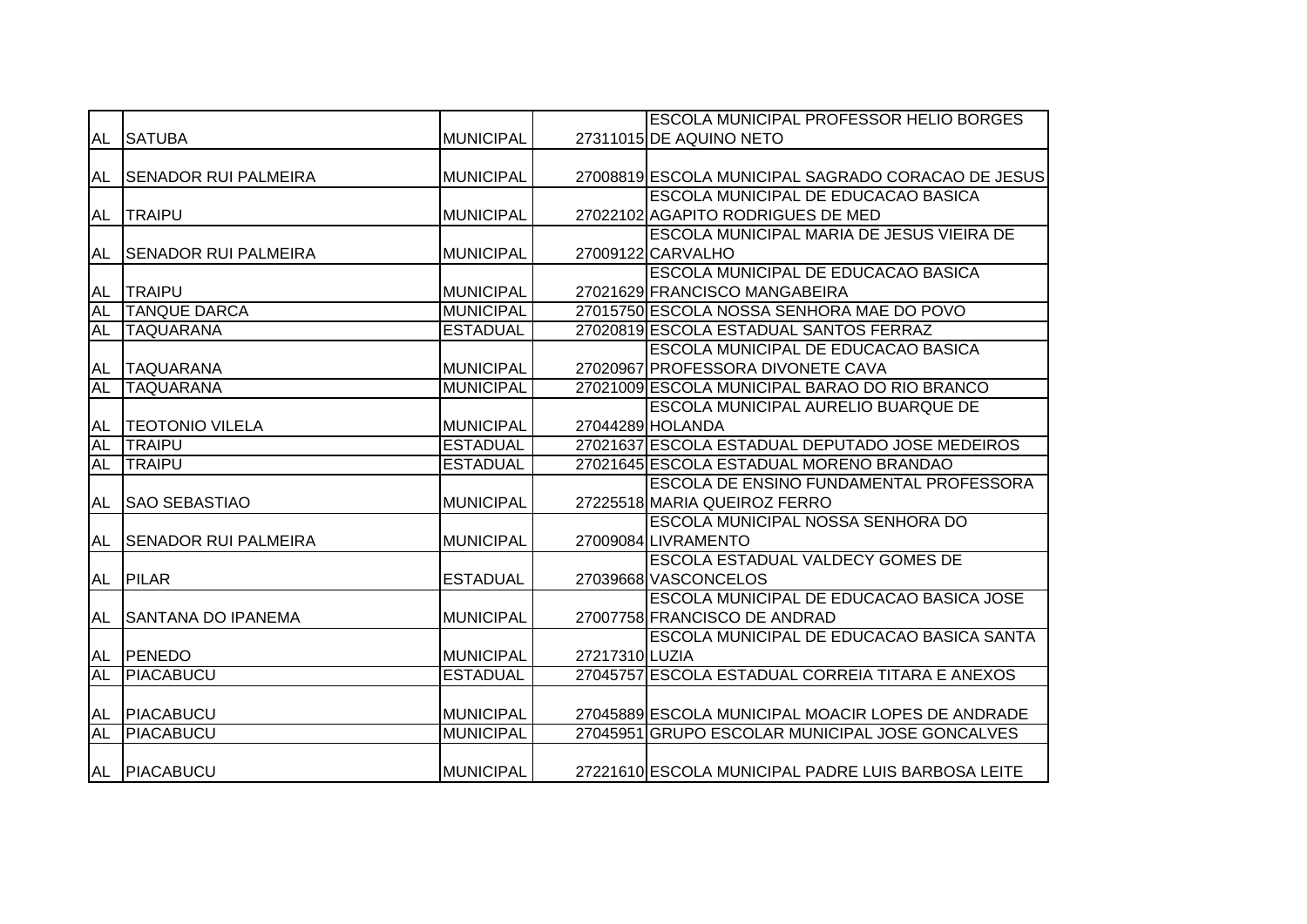|           |                             |                  |                | <b>ESCOLA MUNICIPAL PROFESSOR HELIO BORGES</b>     |
|-----------|-----------------------------|------------------|----------------|----------------------------------------------------|
| AL        | <b>SATUBA</b>               | <b>MUNICIPAL</b> |                | 27311015 DE AQUINO NETO                            |
|           |                             |                  |                |                                                    |
| AL        | <b>SENADOR RUI PALMEIRA</b> | <b>MUNICIPAL</b> |                | 27008819 ESCOLA MUNICIPAL SAGRADO CORACAO DE JESUS |
|           |                             |                  |                | ESCOLA MUNICIPAL DE EDUCACAO BASICA                |
| AL        | <b>TRAIPU</b>               | <b>MUNICIPAL</b> |                | 27022102 AGAPITO RODRIGUES DE MED                  |
|           |                             |                  |                | ESCOLA MUNICIPAL MARIA DE JESUS VIEIRA DE          |
| AL        | <b>SENADOR RUI PALMEIRA</b> | <b>MUNICIPAL</b> |                | 27009122 CARVALHO                                  |
|           |                             |                  |                | ESCOLA MUNICIPAL DE EDUCACAO BASICA                |
| AL        | <b>TRAIPU</b>               | <b>MUNICIPAL</b> |                | 27021629 FRANCISCO MANGABEIRA                      |
| <b>AL</b> | <b>TANQUE DARCA</b>         | <b>MUNICIPAL</b> |                | 27015750 ESCOLA NOSSA SENHORA MAE DO POVO          |
| <b>AL</b> | <b>TAQUARANA</b>            | <b>ESTADUAL</b>  |                | 27020819 ESCOLA ESTADUAL SANTOS FERRAZ             |
|           |                             |                  |                | <b>ESCOLA MUNICIPAL DE EDUCACAO BASICA</b>         |
| AL        | <b>TAQUARANA</b>            | <b>MUNICIPAL</b> |                | 27020967 PROFESSORA DIVONETE CAVA                  |
| <b>AL</b> | <b>TAQUARANA</b>            | <b>MUNICIPAL</b> |                | 27021009 ESCOLA MUNICIPAL BARAO DO RIO BRANCO      |
|           |                             |                  |                | <b>ESCOLA MUNICIPAL AURELIO BUARQUE DE</b>         |
| AL        | <b>TEOTONIO VILELA</b>      | <b>MUNICIPAL</b> |                | 27044289 HOLANDA                                   |
| <b>AL</b> | <b>TRAIPU</b>               | <b>ESTADUAL</b>  |                | 27021637 ESCOLA ESTADUAL DEPUTADO JOSE MEDEIROS    |
| <b>AL</b> | <b>TRAIPU</b>               | <b>ESTADUAL</b>  |                | 27021645 ESCOLA ESTADUAL MORENO BRANDAO            |
|           |                             |                  |                | <b>ESCOLA DE ENSINO FUNDAMENTAL PROFESSORA</b>     |
| <b>AL</b> | <b>SAO SEBASTIAO</b>        | <b>MUNICIPAL</b> |                | 27225518 MARIA QUEIROZ FERRO                       |
|           |                             |                  |                | <b>ESCOLA MUNICIPAL NOSSA SENHORA DO</b>           |
| AL        | <b>SENADOR RUI PALMEIRA</b> | <b>MUNICIPAL</b> |                | 27009084 LIVRAMENTO                                |
|           |                             |                  |                | ESCOLA ESTADUAL VALDECY GOMES DE                   |
| AL        | <b>PILAR</b>                | <b>ESTADUAL</b>  |                | 27039668 VASCONCELOS                               |
|           |                             |                  |                | ESCOLA MUNICIPAL DE EDUCACAO BASICA JOSE           |
| AL        | <b>SANTANA DO IPANEMA</b>   | <b>MUNICIPAL</b> |                | 27007758 FRANCISCO DE ANDRAD                       |
|           |                             |                  |                | ESCOLA MUNICIPAL DE EDUCACAO BASICA SANTA          |
| AL        | PENEDO                      | <b>MUNICIPAL</b> | 27217310 LUZIA |                                                    |
| <b>AL</b> | PIACABUCU                   | <b>ESTADUAL</b>  |                | 27045757 ESCOLA ESTADUAL CORREIA TITARA E ANEXOS   |
|           |                             |                  |                |                                                    |
| AL        | <b>PIACABUCU</b>            | <b>MUNICIPAL</b> |                | 27045889 ESCOLA MUNICIPAL MOACIR LOPES DE ANDRADE  |
| <b>AL</b> | <b>PIACABUCU</b>            | <b>MUNICIPAL</b> |                | 27045951 GRUPO ESCOLAR MUNICIPAL JOSE GONCALVES    |
|           | AL PIACABUCU                | <b>MUNICIPAL</b> |                | 27221610 ESCOLA MUNICIPAL PADRE LUIS BARBOSA LEITE |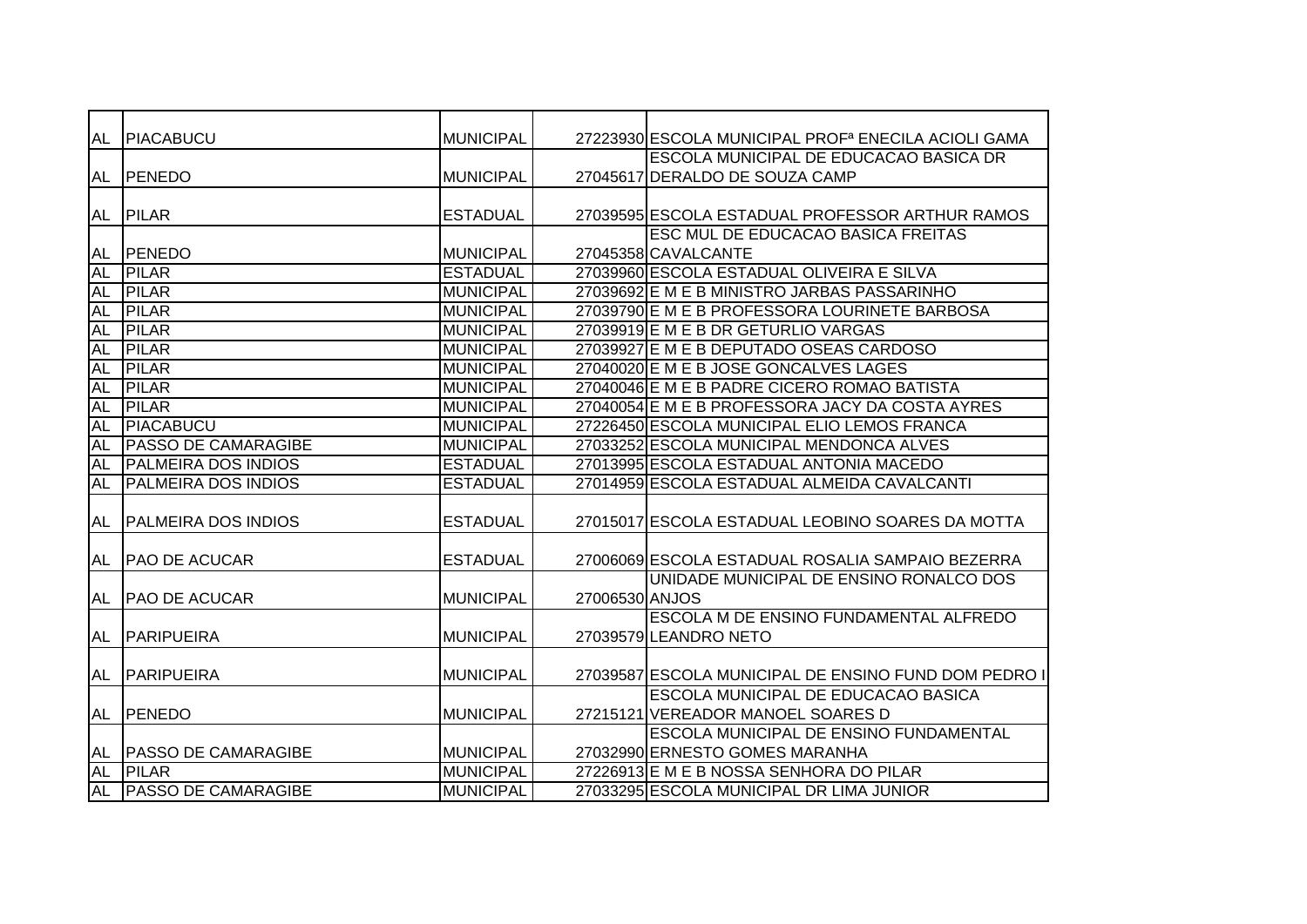| AL        | <b>PIACABUCU</b>           | <b>MUNICIPAL</b> |                | 27223930 ESCOLA MUNICIPAL PROF <sup>a</sup> ENECILA ACIOLI GAMA |
|-----------|----------------------------|------------------|----------------|-----------------------------------------------------------------|
|           |                            |                  |                | ESCOLA MUNICIPAL DE EDUCACAO BASICA DR                          |
| AL        | <b>PENEDO</b>              | <b>MUNICIPAL</b> |                | 27045617 DERALDO DE SOUZA CAMP                                  |
|           |                            |                  |                |                                                                 |
|           | AL PILAR                   | <b>ESTADUAL</b>  |                | 27039595 ESCOLA ESTADUAL PROFESSOR ARTHUR RAMOS                 |
|           |                            |                  |                | ESC MUL DE EDUCACAO BASICA FREITAS                              |
| AL        | PENEDO                     | <b>MUNICIPAL</b> |                | 27045358 CAVALCANTE                                             |
| <b>AL</b> | <b>PILAR</b>               | <b>ESTADUAL</b>  |                | 27039960 ESCOLA ESTADUAL OLIVEIRA E SILVA                       |
| <b>AL</b> | <b>PILAR</b>               | <b>MUNICIPAL</b> |                | 27039692 E M E B MINISTRO JARBAS PASSARINHO                     |
| <b>AL</b> | PILAR                      | <b>MUNICIPAL</b> |                | 27039790 E M E B PROFESSORA LOURINETE BARBOSA                   |
| <b>AL</b> | <b>PILAR</b>               | <b>MUNICIPAL</b> |                | 27039919 E M E B DR GETURLIO VARGAS                             |
| <b>AL</b> | <b>PILAR</b>               | <b>MUNICIPAL</b> |                | 27039927 E M E B DEPUTADO OSEAS CARDOSO                         |
| <b>AL</b> | PILAR                      | <b>MUNICIPAL</b> |                | 27040020 E M E B JOSE GONCALVES LAGES                           |
| <b>AL</b> | <b>PILAR</b>               | <b>MUNICIPAL</b> |                | 27040046 E M E B PADRE CICERO ROMAO BATISTA                     |
| <b>AL</b> | <b>PILAR</b>               | <b>MUNICIPAL</b> |                | 27040054 E M E B PROFESSORA JACY DA COSTA AYRES                 |
| <b>AL</b> | PIACABUCU                  | <b>MUNICIPAL</b> |                | 27226450 ESCOLA MUNICIPAL ELIO LEMOS FRANCA                     |
| <b>AL</b> | <b>PASSO DE CAMARAGIBE</b> | <b>MUNICIPAL</b> |                | 27033252 ESCOLA MUNICIPAL MENDONCA ALVES                        |
| <b>AL</b> | <b>PALMEIRA DOS INDIOS</b> | <b>ESTADUAL</b>  |                | 27013995 ESCOLA ESTADUAL ANTONIA MACEDO                         |
| <b>AL</b> | <b>PALMEIRA DOS INDIOS</b> | <b>ESTADUAL</b>  |                | 27014959 ESCOLA ESTADUAL ALMEIDA CAVALCANTI                     |
|           |                            |                  |                |                                                                 |
| <b>AL</b> | <b>PALMEIRA DOS INDIOS</b> | <b>ESTADUAL</b>  |                | 27015017 ESCOLA ESTADUAL LEOBINO SOARES DA MOTTA                |
|           |                            |                  |                |                                                                 |
| AL        | <b>PAO DE ACUCAR</b>       | <b>ESTADUAL</b>  |                | 27006069 ESCOLA ESTADUAL ROSALIA SAMPAIO BEZERRA                |
|           |                            |                  |                | UNIDADE MUNICIPAL DE ENSINO RONALCO DOS                         |
|           | AL   PAO DE ACUCAR         | <b>MUNICIPAL</b> | 27006530 ANJOS |                                                                 |
|           |                            |                  |                | ESCOLA M DE ENSINO FUNDAMENTAL ALFREDO                          |
| AL        | <b>PARIPUEIRA</b>          | <b>MUNICIPAL</b> |                | 27039579 LEANDRO NETO                                           |
|           |                            |                  |                |                                                                 |
| AL        | <b>PARIPUEIRA</b>          | <b>MUNICIPAL</b> |                | 27039587 ESCOLA MUNICIPAL DE ENSINO FUND DOM PEDRO I            |
|           |                            |                  |                | ESCOLA MUNICIPAL DE EDUCACAO BASICA                             |
|           | AL PENEDO                  | <b>MUNICIPAL</b> |                | 27215121 VEREADOR MANOEL SOARES D                               |
|           |                            |                  |                | ESCOLA MUNICIPAL DE ENSINO FUNDAMENTAL                          |
| AL        | <b>PASSO DE CAMARAGIBE</b> | <b>MUNICIPAL</b> |                | 27032990 ERNESTO GOMES MARANHA                                  |
| <b>AL</b> | <b>PILAR</b>               | <b>MUNICIPAL</b> |                | 27226913 E M E B NOSSA SENHORA DO PILAR                         |
| AL        | <b>PASSO DE CAMARAGIBE</b> | <b>MUNICIPAL</b> |                | 27033295 ESCOLA MUNICIPAL DR LIMA JUNIOR                        |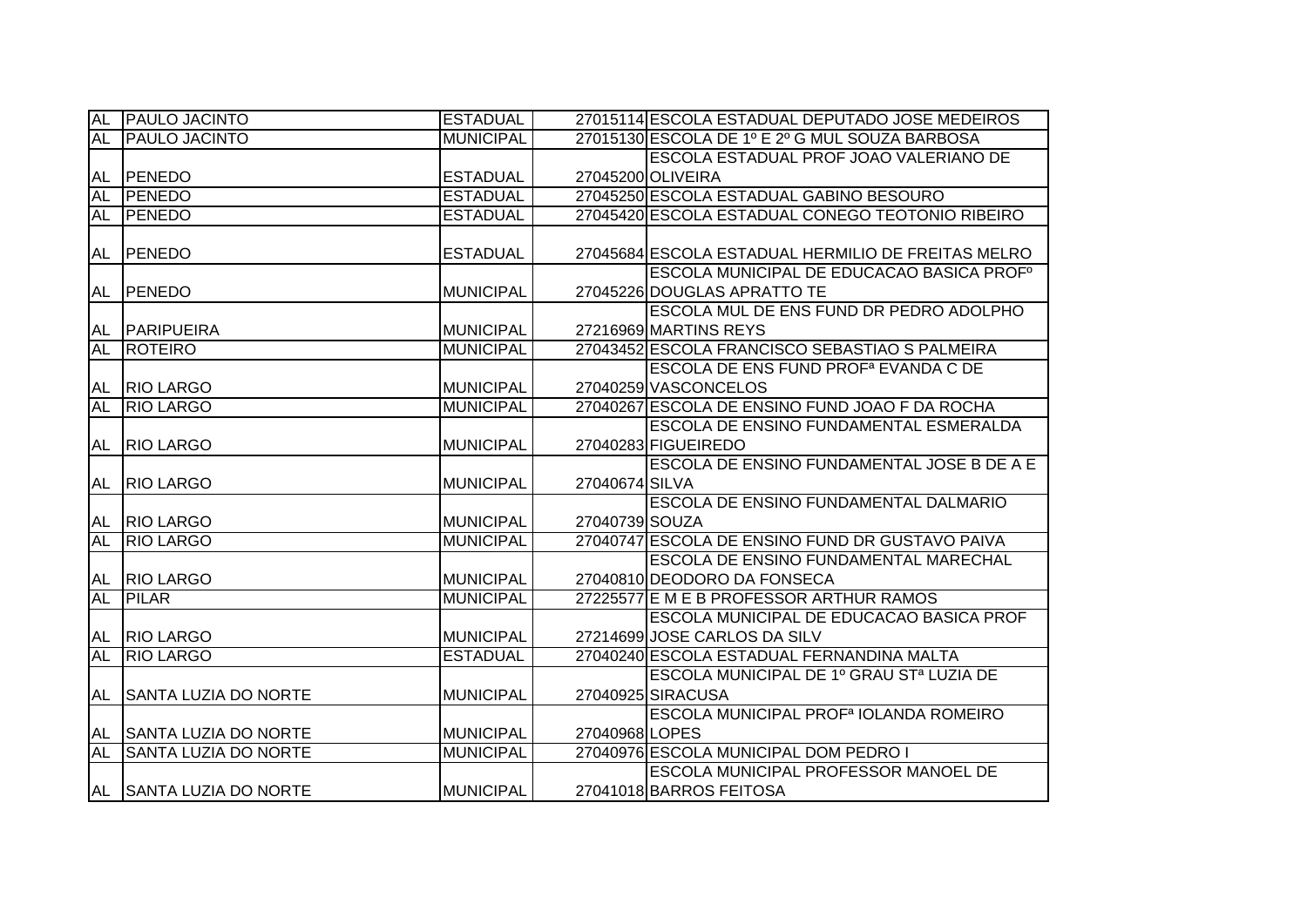| <b>AL</b> | <b>PAULO JACINTO</b>         | <b>ESTADUAL</b>  |                | 27015114 ESCOLA ESTADUAL DEPUTADO JOSE MEDEIROS                 |
|-----------|------------------------------|------------------|----------------|-----------------------------------------------------------------|
| <b>AL</b> | <b>PAULO JACINTO</b>         | <b>MUNICIPAL</b> |                | 27015130 ESCOLA DE 1º E 2º G MUL SOUZA BARBOSA                  |
|           |                              |                  |                | ESCOLA ESTADUAL PROF JOAO VALERIANO DE                          |
| AL        | PENEDO                       | <b>ESTADUAL</b>  |                | 27045200 OLIVEIRA                                               |
| <b>AL</b> | <b>PENEDO</b>                | <b>ESTADUAL</b>  |                | 27045250 ESCOLA ESTADUAL GABINO BESOURO                         |
| AL        | <b>PENEDO</b>                | <b>ESTADUAL</b>  |                | 27045420 ESCOLA ESTADUAL CONEGO TEOTONIO RIBEIRO                |
| AL        | PENEDO                       | <b>ESTADUAL</b>  |                | 27045684 ESCOLA ESTADUAL HERMILIO DE FREITAS MELRO              |
|           |                              |                  |                | ESCOLA MUNICIPAL DE EDUCACAO BASICA PROFº                       |
|           | AL PENEDO                    | <b>MUNICIPAL</b> |                | 27045226 DOUGLAS APRATTO TE                                     |
|           |                              |                  |                | ESCOLA MUL DE ENS FUND DR PEDRO ADOLPHO                         |
| AL        | <b>PARIPUEIRA</b>            | <b>MUNICIPAL</b> |                | 27216969 MARTINS REYS                                           |
| <b>AL</b> | <b>ROTEIRO</b>               | <b>MUNICIPAL</b> |                | 27043452 ESCOLA FRANCISCO SEBASTIAO S PALMEIRA                  |
|           |                              |                  |                | ESCOLA DE ENS FUND PROF <sup>a</sup> EVANDA C DE                |
| AL        | <b>RIO LARGO</b>             | <b>MUNICIPAL</b> |                | 27040259 VASCONCELOS                                            |
| <b>AL</b> | <b>RIO LARGO</b>             | <b>MUNICIPAL</b> |                | 27040267 ESCOLA DE ENSINO FUND JOAO F DA ROCHA                  |
|           |                              |                  |                | ESCOLA DE ENSINO FUNDAMENTAL ESMERALDA                          |
| AL        | <b>RIO LARGO</b>             | <b>MUNICIPAL</b> |                | 27040283 FIGUEIREDO                                             |
|           |                              |                  |                |                                                                 |
|           |                              |                  |                | ESCOLA DE ENSINO FUNDAMENTAL JOSE B DE A E                      |
|           | AL RIO LARGO                 | <b>MUNICIPAL</b> | 27040674 SILVA |                                                                 |
|           |                              |                  |                | ESCOLA DE ENSINO FUNDAMENTAL DALMARIO                           |
| AL        | <b>RIO LARGO</b>             | <b>MUNICIPAL</b> | 27040739 SOUZA |                                                                 |
| <b>AL</b> | <b>RIO LARGO</b>             | <b>MUNICIPAL</b> |                | 27040747 ESCOLA DE ENSINO FUND DR GUSTAVO PAIVA                 |
|           |                              |                  |                | ESCOLA DE ENSINO FUNDAMENTAL MARECHAL                           |
| AL        | <b>RIO LARGO</b>             | <b>MUNICIPAL</b> |                | 27040810 DEODORO DA FONSECA                                     |
| <b>AL</b> | <b>PILAR</b>                 | <b>MUNICIPAL</b> |                | 27225577 E M E B PROFESSOR ARTHUR RAMOS                         |
|           |                              |                  |                | <b>ESCOLA MUNICIPAL DE EDUCACAO BASICA PROF</b>                 |
| AL        | <b>RIO LARGO</b>             | <b>MUNICIPAL</b> |                | 27214699 JOSE CARLOS DA SILV                                    |
| <b>AL</b> | <b>RIO LARGO</b>             | <b>ESTADUAL</b>  |                | 27040240 ESCOLA ESTADUAL FERNANDINA MALTA                       |
|           |                              |                  |                | ESCOLA MUNICIPAL DE 1º GRAU STª LUZIA DE                        |
| AL        | <b>ISANTA LUZIA DO NORTE</b> | <b>MUNICIPAL</b> |                | 27040925 SIRACUSA                                               |
|           |                              |                  |                | ESCOLA MUNICIPAL PROF <sup>a</sup> IOLANDA ROMEIRO              |
|           | AL SANTA LUZIA DO NORTE      | <b>MUNICIPAL</b> | 27040968 LOPES |                                                                 |
| <b>AL</b> | <b>SANTA LUZIA DO NORTE</b>  | <b>MUNICIPAL</b> |                | 27040976 ESCOLA MUNICIPAL DOM PEDRO I                           |
|           | AL SANTA LUZIA DO NORTE      | <b>MUNICIPAL</b> |                | ESCOLA MUNICIPAL PROFESSOR MANOEL DE<br>27041018 BARROS FEITOSA |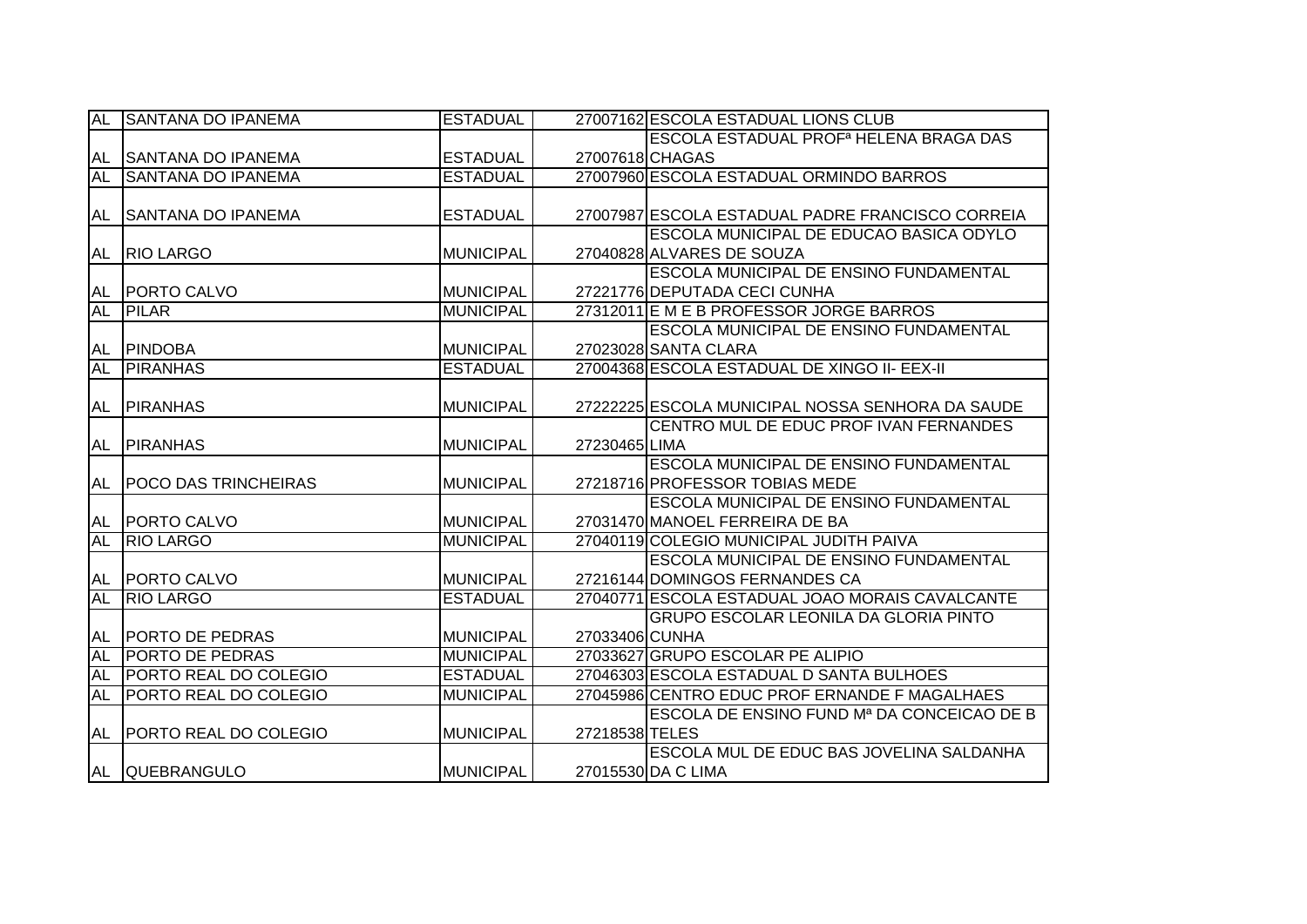| <b>AL</b> | <b>SANTANA DO IPANEMA</b>    | <b>ESTADUAL</b>  |                 | 27007162 ESCOLA ESTADUAL LIONS CLUB                |
|-----------|------------------------------|------------------|-----------------|----------------------------------------------------|
|           |                              |                  |                 | ESCOLA ESTADUAL PROF <sup>a</sup> HELENA BRAGA DAS |
| AL        | <b>SANTANA DO IPANEMA</b>    | <b>ESTADUAL</b>  | 27007618 CHAGAS |                                                    |
| <b>AL</b> | <b>SANTANA DO IPANEMA</b>    | <b>ESTADUAL</b>  |                 | 27007960 ESCOLA ESTADUAL ORMINDO BARROS            |
|           |                              |                  |                 |                                                    |
| AL        | <b>SANTANA DO IPANEMA</b>    | <b>ESTADUAL</b>  |                 | 27007987 ESCOLA ESTADUAL PADRE FRANCISCO CORREIA   |
|           |                              |                  |                 | ESCOLA MUNICIPAL DE EDUCAO BASICA ODYLO            |
| AL        | <b>RIO LARGO</b>             | <b>MUNICIPAL</b> |                 | 27040828 ALVARES DE SOUZA                          |
|           |                              |                  |                 | <b>ESCOLA MUNICIPAL DE ENSINO FUNDAMENTAL</b>      |
| AL        | <b>PORTO CALVO</b>           | <b>MUNICIPAL</b> |                 | 27221776 DEPUTADA CECI CUNHA                       |
| <b>AL</b> | <b>PILAR</b>                 | <b>MUNICIPAL</b> |                 | 27312011 E M E B PROFESSOR JORGE BARROS            |
|           |                              |                  |                 | <b>ESCOLA MUNICIPAL DE ENSINO FUNDAMENTAL</b>      |
| AL        | <b>PINDOBA</b>               | <b>MUNICIPAL</b> |                 | 27023028 SANTA CLARA                               |
| <b>AL</b> | <b>PIRANHAS</b>              | <b>ESTADUAL</b>  |                 | 27004368 ESCOLA ESTADUAL DE XINGO II- EEX-II       |
|           |                              |                  |                 |                                                    |
| AL        | <b>PIRANHAS</b>              | <b>MUNICIPAL</b> |                 | 27222225 ESCOLA MUNICIPAL NOSSA SENHORA DA SAUDE   |
|           |                              |                  |                 | CENTRO MUL DE EDUC PROF IVAN FERNANDES             |
| AL        | <b>PIRANHAS</b>              | <b>MUNICIPAL</b> | 27230465 LIMA   |                                                    |
|           |                              |                  |                 | <b>ESCOLA MUNICIPAL DE ENSINO FUNDAMENTAL</b>      |
| AL        | <b>POCO DAS TRINCHEIRAS</b>  | <b>MUNICIPAL</b> |                 | 27218716 PROFESSOR TOBIAS MEDE                     |
|           |                              |                  |                 | <b>ESCOLA MUNICIPAL DE ENSINO FUNDAMENTAL</b>      |
| <b>AL</b> | <b>PORTO CALVO</b>           | MUNICIPAL        |                 | 27031470 MANOEL FERREIRA DE BA                     |
| <b>AL</b> | <b>RIO LARGO</b>             | <b>MUNICIPAL</b> |                 | 27040119 COLEGIO MUNICIPAL JUDITH PAIVA            |
|           |                              |                  |                 | <b>ESCOLA MUNICIPAL DE ENSINO FUNDAMENTAL</b>      |
| AL        | <b>PORTO CALVO</b>           | <b>MUNICIPAL</b> |                 | 27216144 DOMINGOS FERNANDES CA                     |
| <b>AL</b> | <b>RIO LARGO</b>             | <b>ESTADUAL</b>  |                 | 27040771 ESCOLA ESTADUAL JOAO MORAIS CAVALCANTE    |
|           |                              |                  |                 | <b>GRUPO ESCOLAR LEONILA DA GLORIA PINTO</b>       |
| AL        | <b>PORTO DE PEDRAS</b>       | <b>MUNICIPAL</b> | 27033406 CUNHA  |                                                    |
| <b>AL</b> | <b>PORTO DE PEDRAS</b>       | <b>MUNICIPAL</b> |                 | 27033627 GRUPO ESCOLAR PE ALIPIO                   |
| AL        | <b>PORTO REAL DO COLEGIO</b> | <b>ESTADUAL</b>  |                 | 27046303 ESCOLA ESTADUAL D SANTA BULHOES           |
| <b>AL</b> | <b>PORTO REAL DO COLEGIO</b> | <b>MUNICIPAL</b> |                 | 27045986 CENTRO EDUC PROF ERNANDE F MAGALHAES      |
|           |                              |                  |                 | ESCOLA DE ENSINO FUND Mª DA CONCEICAO DE B         |
| AL        | <b>PORTO REAL DO COLEGIO</b> | <b>MUNICIPAL</b> | 27218538 TELES  |                                                    |
|           |                              |                  |                 | ESCOLA MUL DE EDUC BAS JOVELINA SALDANHA           |
|           | AL QUEBRANGULO               | <b>MUNICIPAL</b> |                 | 27015530 DA C LIMA                                 |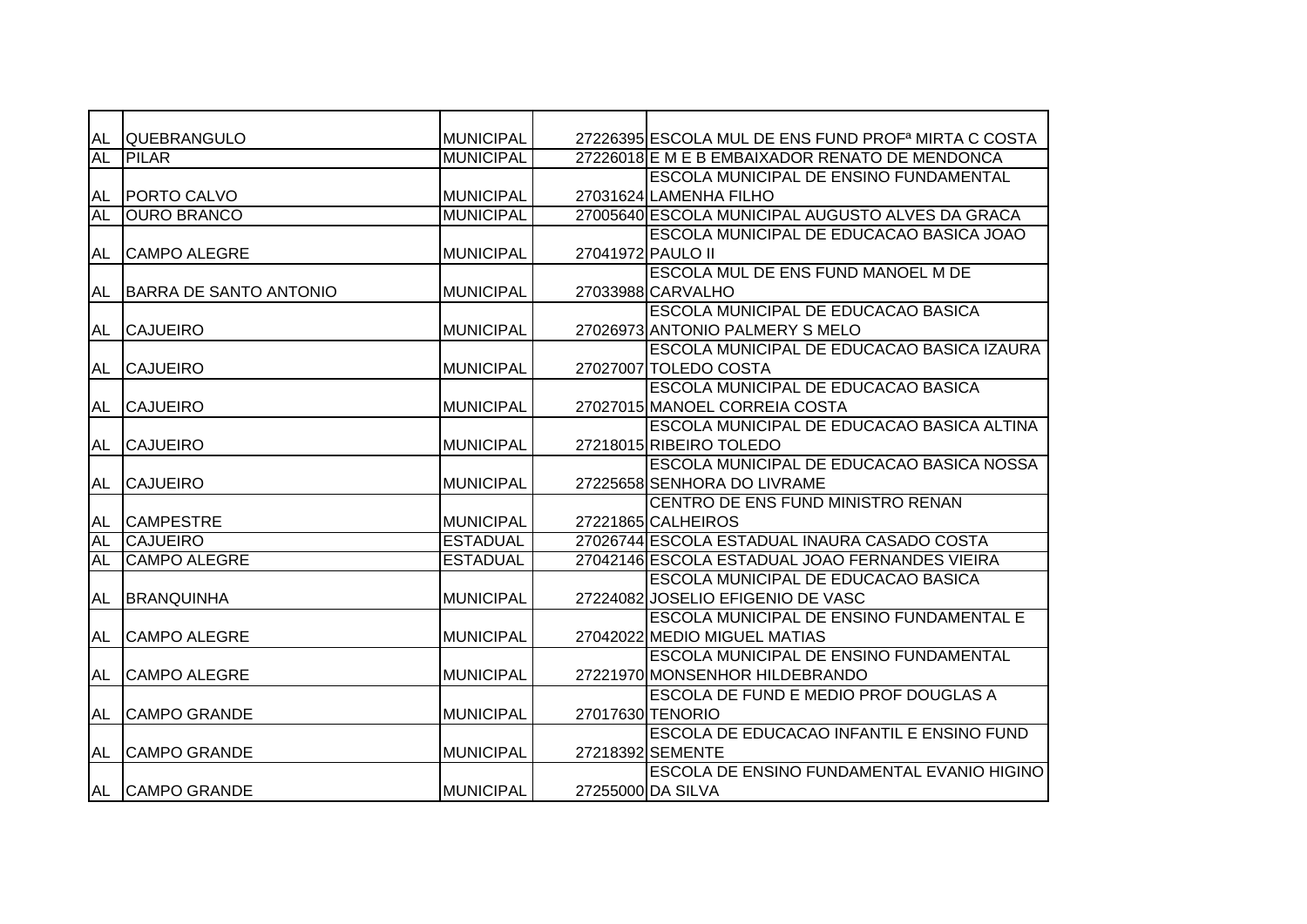| AL        | <b>QUEBRANGULO</b>     | <b>MUNICIPAL</b> |                   | 27226395 ESCOLA MUL DE ENS FUND PROF <sup>a</sup> MIRTA C COSTA |
|-----------|------------------------|------------------|-------------------|-----------------------------------------------------------------|
| <b>AL</b> | <b>PILAR</b>           | <b>MUNICIPAL</b> |                   | 27226018 E M E B EMBAIXADOR RENATO DE MENDONCA                  |
|           |                        |                  |                   | <b>ESCOLA MUNICIPAL DE ENSINO FUNDAMENTAL</b>                   |
| AL        | <b>PORTO CALVO</b>     | <b>MUNICIPAL</b> |                   | 27031624 LAMENHA FILHO                                          |
| <b>AL</b> | <b>OURO BRANCO</b>     | <b>MUNICIPAL</b> |                   | 27005640 ESCOLA MUNICIPAL AUGUSTO ALVES DA GRACA                |
|           |                        |                  |                   | ESCOLA MUNICIPAL DE EDUCACAO BASICA JOAO                        |
| <b>AL</b> | <b>CAMPO ALEGRE</b>    | <b>MUNICIPAL</b> | 27041972 PAULO II |                                                                 |
|           |                        |                  |                   | ESCOLA MUL DE ENS FUND MANOEL M DE                              |
| AL        | BARRA DE SANTO ANTONIO | <b>MUNICIPAL</b> |                   | 27033988 CARVALHO                                               |
|           |                        |                  |                   | <b>ESCOLA MUNICIPAL DE EDUCACAO BASICA</b>                      |
| AL        | <b>CAJUEIRO</b>        | <b>MUNICIPAL</b> |                   | 27026973 ANTONIO PALMERY S MELO                                 |
|           |                        |                  |                   | ESCOLA MUNICIPAL DE EDUCACAO BASICA IZAURA                      |
| <b>AL</b> | <b>CAJUEIRO</b>        | <b>MUNICIPAL</b> |                   | 27027007 TOLEDO COSTA                                           |
|           |                        |                  |                   | ESCOLA MUNICIPAL DE EDUCACAO BASICA                             |
| <b>AL</b> | <b>CAJUEIRO</b>        | <b>MUNICIPAL</b> |                   | 27027015 MANOEL CORREIA COSTA                                   |
|           |                        |                  |                   | ESCOLA MUNICIPAL DE EDUCACAO BASICA ALTINA                      |
| <b>AL</b> | <b>CAJUEIRO</b>        | <b>MUNICIPAL</b> |                   | 27218015 RIBEIRO TOLEDO                                         |
|           |                        |                  |                   | ESCOLA MUNICIPAL DE EDUCACAO BASICA NOSSA                       |
| <b>AL</b> | <b>CAJUEIRO</b>        | <b>MUNICIPAL</b> |                   | 27225658 SENHORA DO LIVRAME                                     |
|           |                        |                  |                   | CENTRO DE ENS FUND MINISTRO RENAN                               |
| AL        | <b>CAMPESTRE</b>       | <b>MUNICIPAL</b> |                   | 27221865 CALHEIROS                                              |
| <b>AL</b> | <b>CAJUEIRO</b>        | <b>ESTADUAL</b>  |                   | 27026744 ESCOLA ESTADUAL INAURA CASADO COSTA                    |
| <b>AL</b> | <b>CAMPO ALEGRE</b>    | <b>ESTADUAL</b>  |                   | 27042146 ESCOLA ESTADUAL JOAO FERNANDES VIEIRA                  |
|           |                        |                  |                   | ESCOLA MUNICIPAL DE EDUCACAO BASICA                             |
| AL        | <b>BRANQUINHA</b>      | <b>MUNICIPAL</b> |                   | 27224082 JOSELIO EFIGENIO DE VASC                               |
|           |                        |                  |                   | <b>ESCOLA MUNICIPAL DE ENSINO FUNDAMENTAL E</b>                 |
| AL        | <b>CAMPO ALEGRE</b>    | <b>MUNICIPAL</b> |                   | 27042022 MEDIO MIGUEL MATIAS                                    |
|           |                        |                  |                   | ESCOLA MUNICIPAL DE ENSINO FUNDAMENTAL                          |
| AL        | <b>CAMPO ALEGRE</b>    | <b>MUNICIPAL</b> |                   | 27221970 MONSENHOR HILDEBRANDO                                  |
|           |                        |                  |                   | ESCOLA DE FUND E MEDIO PROF DOUGLAS A                           |
| <b>AL</b> | <b>CAMPO GRANDE</b>    | <b>MUNICIPAL</b> |                   | 27017630 TENORIO                                                |
|           |                        |                  |                   | ESCOLA DE EDUCACAO INFANTIL E ENSINO FUND                       |
| AL        | <b>CAMPO GRANDE</b>    | <b>MUNICIPAL</b> |                   | 27218392 SEMENTE                                                |
|           |                        |                  |                   | ESCOLA DE ENSINO FUNDAMENTAL EVANIO HIGINO                      |
|           | AL CAMPO GRANDE        | <b>MUNICIPAL</b> |                   | 27255000 DA SILVA                                               |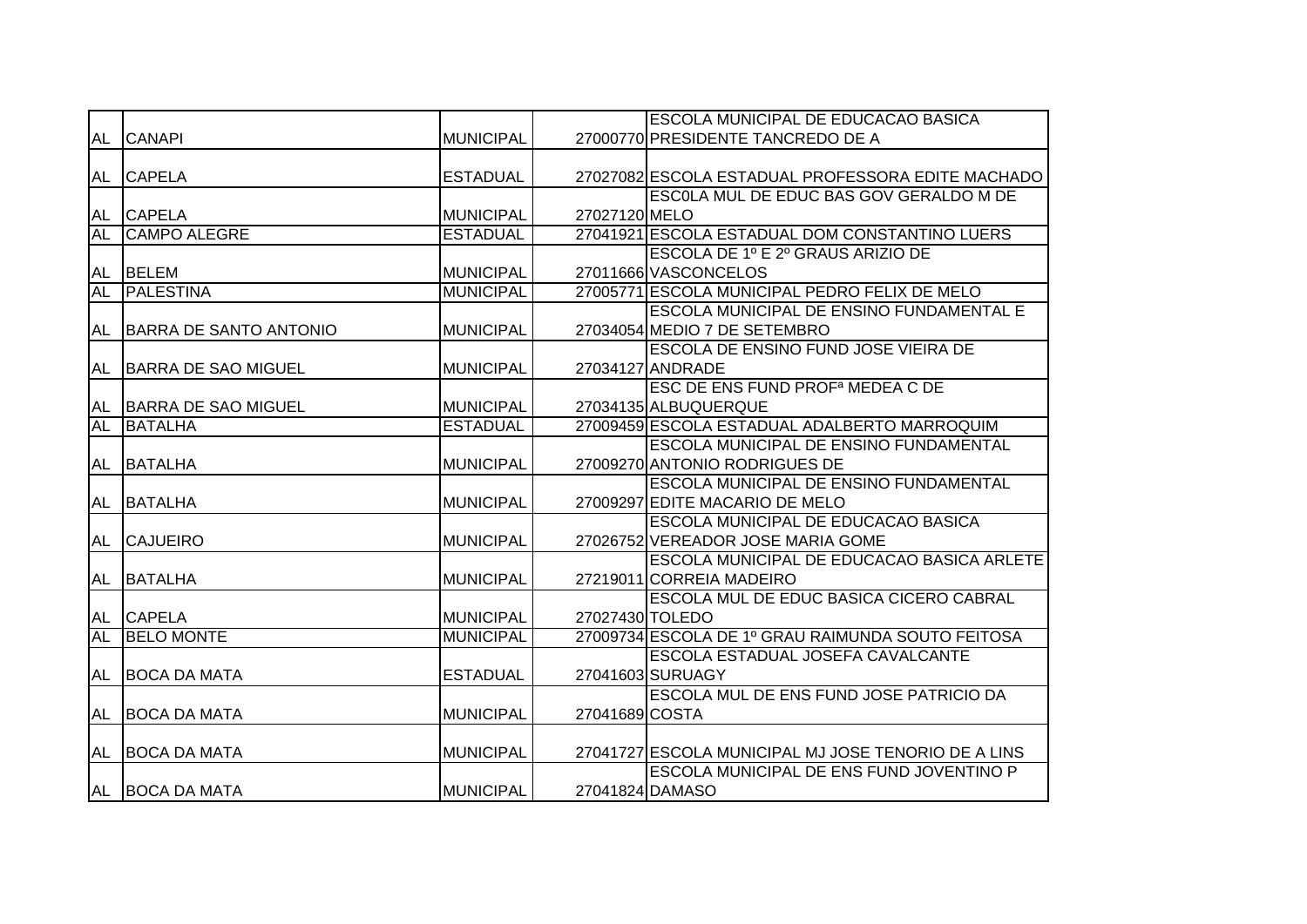|           |                            |                  |                | ESCOLA MUNICIPAL DE EDUCACAO BASICA                 |
|-----------|----------------------------|------------------|----------------|-----------------------------------------------------|
| AL        | <b>CANAPI</b>              | <b>MUNICIPAL</b> |                | 27000770 PRESIDENTE TANCREDO DE A                   |
|           |                            |                  |                |                                                     |
|           | AL CAPELA                  | <b>ESTADUAL</b>  |                | 27027082 ESCOLA ESTADUAL PROFESSORA EDITE MACHADO   |
|           |                            |                  |                | <b>ESCOLA MUL DE EDUC BAS GOV GERALDO M DE</b>      |
| AL        | <b>CAPELA</b>              | <b>MUNICIPAL</b> | 27027120 MELO  |                                                     |
| <b>AL</b> | <b>CAMPO ALEGRE</b>        | <b>ESTADUAL</b>  |                | 27041921 ESCOLA ESTADUAL DOM CONSTANTINO LUERS      |
|           |                            |                  |                | ESCOLA DE 1º E 2º GRAUS ARIZIO DE                   |
| <b>AL</b> | <b>BELEM</b>               | <b>MUNICIPAL</b> |                | 27011666 VASCONCELOS                                |
| <b>AL</b> | PALESTINA                  | <b>MUNICIPAL</b> |                | 27005771 ESCOLA MUNICIPAL PEDRO FELIX DE MELO       |
|           |                            |                  |                | ESCOLA MUNICIPAL DE ENSINO FUNDAMENTAL E            |
| AL        | BARRA DE SANTO ANTONIO     | <b>MUNICIPAL</b> |                | 27034054 MEDIO 7 DE SETEMBRO                        |
|           |                            |                  |                | <b>ESCOLA DE ENSINO FUND JOSE VIEIRA DE</b>         |
| AL        | <b>BARRA DE SAO MIGUEL</b> | <b>MUNICIPAL</b> |                | 27034127 ANDRADE                                    |
|           |                            |                  |                | ESC DE ENS FUND PROF <sup>a</sup> MEDEA C DE        |
| AL        | BARRA DE SAO MIGUEL        | <b>MUNICIPAL</b> |                | 27034135 ALBUQUERQUE                                |
| <b>AL</b> | <b>BATALHA</b>             | <b>ESTADUAL</b>  |                | 27009459 ESCOLA ESTADUAL ADALBERTO MARROQUIM        |
|           |                            |                  |                | <b>ESCOLA MUNICIPAL DE ENSINO FUNDAMENTAL</b>       |
| AL        | <b>BATALHA</b>             | <b>MUNICIPAL</b> |                | 27009270 ANTONIO RODRIGUES DE                       |
|           |                            |                  |                | ESCOLA MUNICIPAL DE ENSINO FUNDAMENTAL              |
| AL        | <b>BATALHA</b>             | <b>MUNICIPAL</b> |                | 27009297 EDITE MACARIO DE MELO                      |
|           |                            |                  |                | ESCOLA MUNICIPAL DE EDUCACAO BASICA                 |
| <b>AL</b> | <b>CAJUEIRO</b>            | <b>MUNICIPAL</b> |                | 27026752 VEREADOR JOSE MARIA GOME                   |
|           |                            |                  |                | ESCOLA MUNICIPAL DE EDUCACAO BASICA ARLETE          |
|           | AL BATALHA                 | <b>MUNICIPAL</b> |                | 27219011 CORREIA MADEIRO                            |
|           |                            |                  |                | ESCOLA MUL DE EDUC BASICA CICERO CABRAL             |
|           | AL CAPELA                  | <b>MUNICIPAL</b> |                | 27027430 TOLEDO                                     |
| <b>AL</b> | <b>BELO MONTE</b>          | <b>MUNICIPAL</b> |                | 27009734 ESCOLA DE 1º GRAU RAIMUNDA SOUTO FEITOSA   |
|           |                            |                  |                | ESCOLA ESTADUAL JOSEFA CAVALCANTE                   |
| AL        | <b>BOCA DA MATA</b>        | <b>ESTADUAL</b>  |                | 27041603 SURUAGY                                    |
|           |                            |                  |                | ESCOLA MUL DE ENS FUND JOSE PATRICIO DA             |
| AL        | <b>BOCA DA MATA</b>        | <b>MUNICIPAL</b> | 27041689 COSTA |                                                     |
|           |                            |                  |                |                                                     |
| AL        | <b>BOCA DA MATA</b>        | <b>MUNICIPAL</b> |                | 27041727 ESCOLA MUNICIPAL MJ JOSE TENORIO DE A LINS |
|           |                            |                  |                | ESCOLA MUNICIPAL DE ENS FUND JOVENTINO P            |
|           | AL BOCA DA MATA            | <b>MUNICIPAL</b> |                | 27041824 DAMASO                                     |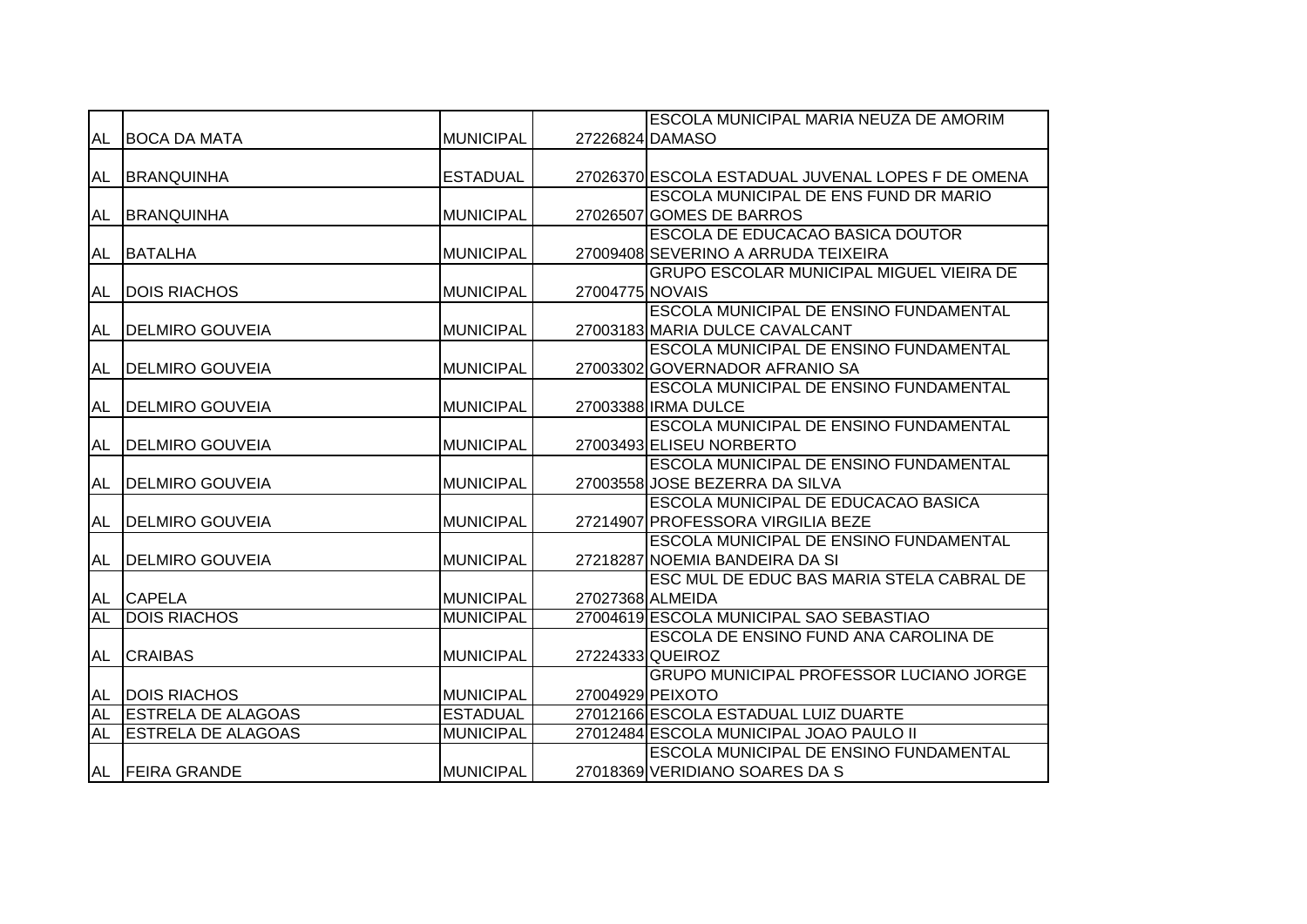|           |                           |                  |                 | ESCOLA MUNICIPAL MARIA NEUZA DE AMORIM            |
|-----------|---------------------------|------------------|-----------------|---------------------------------------------------|
| AL        | <b>BOCA DA MATA</b>       | <b>MUNICIPAL</b> |                 | 27226824 DAMASO                                   |
|           |                           |                  |                 |                                                   |
| AL        | <b>BRANQUINHA</b>         | <b>ESTADUAL</b>  |                 | 27026370 ESCOLA ESTADUAL JUVENAL LOPES F DE OMENA |
|           |                           |                  |                 | ESCOLA MUNICIPAL DE ENS FUND DR MARIO             |
| AL        | <b>BRANQUINHA</b>         | <b>MUNICIPAL</b> |                 | 27026507 GOMES DE BARROS                          |
|           |                           |                  |                 | ESCOLA DE EDUCACAO BASICA DOUTOR                  |
| AL        | <b>BATALHA</b>            | <b>MUNICIPAL</b> |                 | 27009408 SEVERINO A ARRUDA TEIXEIRA               |
|           |                           |                  |                 | <b>GRUPO ESCOLAR MUNICIPAL MIGUEL VIEIRA DE</b>   |
| AL        | <b>DOIS RIACHOS</b>       | <b>MUNICIPAL</b> | 27004775 NOVAIS |                                                   |
|           |                           |                  |                 | <b>ESCOLA MUNICIPAL DE ENSINO FUNDAMENTAL</b>     |
| AL        | <b>DELMIRO GOUVEIA</b>    | <b>MUNICIPAL</b> |                 | 27003183 MARIA DULCE CAVALCANT                    |
|           |                           |                  |                 | ESCOLA MUNICIPAL DE ENSINO FUNDAMENTAL            |
| AL        | <b>DELMIRO GOUVEIA</b>    | <b>MUNICIPAL</b> |                 | 27003302 GOVERNADOR AFRANIO SA                    |
|           |                           |                  |                 | ESCOLA MUNICIPAL DE ENSINO FUNDAMENTAL            |
| AL        | <b>DELMIRO GOUVEIA</b>    | <b>MUNICIPAL</b> |                 | 27003388 IRMA DULCE                               |
|           |                           |                  |                 | ESCOLA MUNICIPAL DE ENSINO FUNDAMENTAL            |
| <b>AL</b> | <b>DELMIRO GOUVEIA</b>    | <b>MUNICIPAL</b> |                 | 27003493 ELISEU NORBERTO                          |
|           |                           |                  |                 | ESCOLA MUNICIPAL DE ENSINO FUNDAMENTAL            |
| <b>AL</b> | <b>DELMIRO GOUVEIA</b>    | <b>MUNICIPAL</b> |                 | 27003558 JOSE BEZERRA DA SILVA                    |
|           |                           |                  |                 | ESCOLA MUNICIPAL DE EDUCACAO BASICA               |
| <b>AL</b> | <b>IDELMIRO GOUVEIA</b>   | <b>MUNICIPAL</b> |                 | 27214907 PROFESSORA VIRGILIA BEZE                 |
|           |                           |                  |                 | <b>ESCOLA MUNICIPAL DE ENSINO FUNDAMENTAL</b>     |
| AL        | <b>DELMIRO GOUVEIA</b>    | <b>MUNICIPAL</b> |                 | 27218287 NOEMIA BANDEIRA DA SI                    |
|           |                           |                  |                 | ESC MUL DE EDUC BAS MARIA STELA CABRAL DE         |
| AL        | <b>CAPELA</b>             | <b>MUNICIPAL</b> |                 | 27027368 ALMEIDA                                  |
| AL        | <b>DOIS RIACHOS</b>       | <b>MUNICIPAL</b> |                 | 27004619 ESCOLA MUNICIPAL SAO SEBASTIAO           |
|           |                           |                  |                 | ESCOLA DE ENSINO FUND ANA CAROLINA DE             |
| AL        | <b>CRAIBAS</b>            | <b>MUNICIPAL</b> |                 | 27224333 QUEIROZ                                  |
|           |                           |                  |                 | GRUPO MUNICIPAL PROFESSOR LUCIANO JORGE           |
| AL        | <b>DOIS RIACHOS</b>       | <b>MUNICIPAL</b> |                 | 27004929 PEIXOTO                                  |
| <b>AL</b> | <b>ESTRELA DE ALAGOAS</b> | <b>ESTADUAL</b>  |                 | 27012166 ESCOLA ESTADUAL LUIZ DUARTE              |
| <b>AL</b> | <b>ESTRELA DE ALAGOAS</b> | <b>MUNICIPAL</b> |                 | 27012484 ESCOLA MUNICIPAL JOAO PAULO II           |
|           |                           |                  |                 | ESCOLA MUNICIPAL DE ENSINO FUNDAMENTAL            |
|           | AL FEIRA GRANDE           | <b>MUNICIPAL</b> |                 | 27018369 VERIDIANO SOARES DA S                    |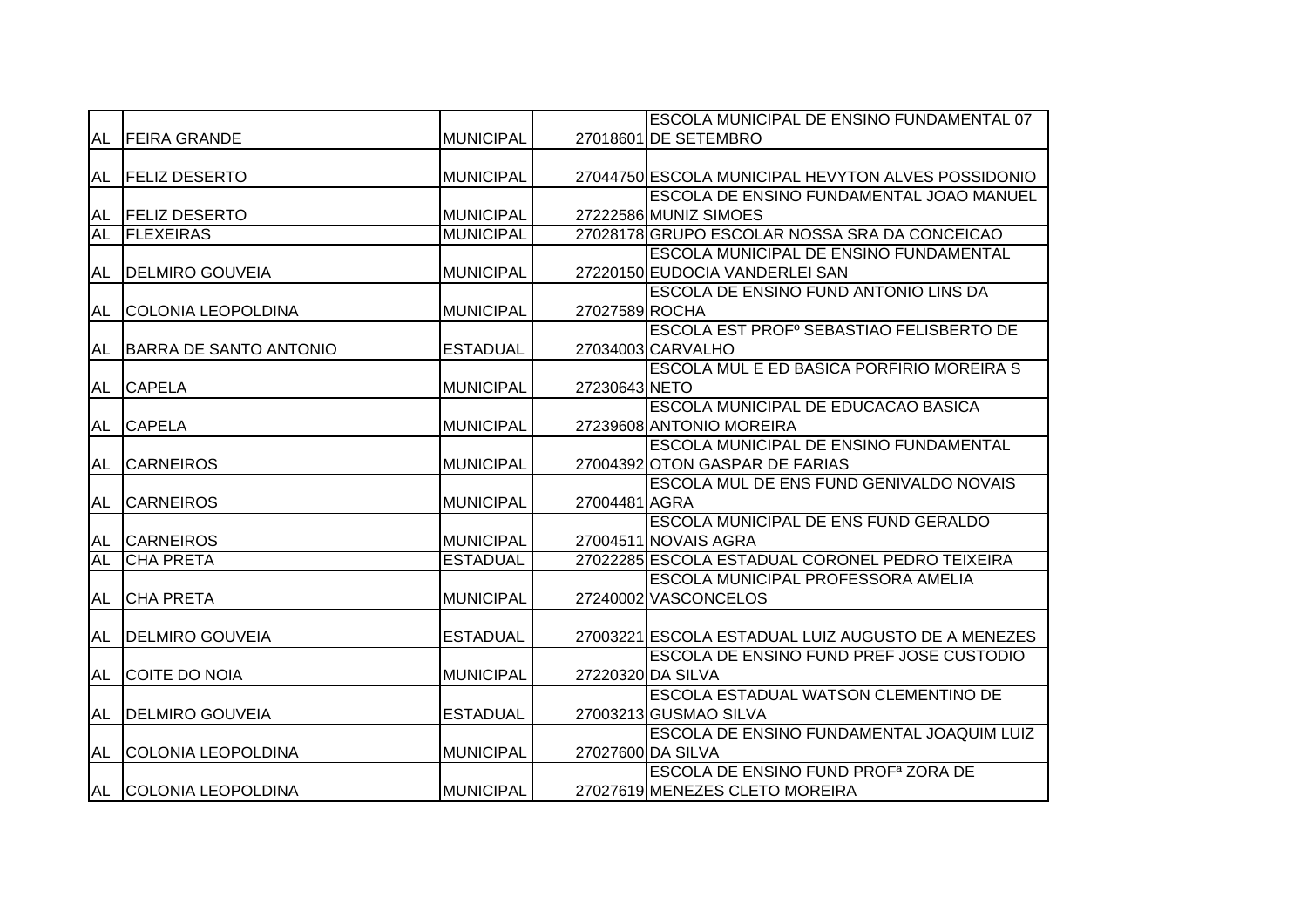|           |                           |                  |                | <b>ESCOLA MUNICIPAL DE ENSINO FUNDAMENTAL 07</b>     |
|-----------|---------------------------|------------------|----------------|------------------------------------------------------|
| <b>AL</b> | <b>FEIRA GRANDE</b>       | <b>MUNICIPAL</b> |                | 27018601 DE SETEMBRO                                 |
|           |                           |                  |                |                                                      |
| AL        | <b>FELIZ DESERTO</b>      | <b>MUNICIPAL</b> |                | 27044750 ESCOLA MUNICIPAL HEVYTON ALVES POSSIDONIO   |
|           |                           |                  |                | ESCOLA DE ENSINO FUNDAMENTAL JOAO MANUEL             |
| AL        | <b>FELIZ DESERTO</b>      | <b>MUNICIPAL</b> |                | 27222586 MUNIZ SIMOES                                |
| <b>AL</b> | <b>FLEXEIRAS</b>          | <b>MUNICIPAL</b> |                | 27028178 GRUPO ESCOLAR NOSSA SRA DA CONCEICAO        |
|           |                           |                  |                | ESCOLA MUNICIPAL DE ENSINO FUNDAMENTAL               |
| <b>AL</b> | <b>DELMIRO GOUVEIA</b>    | <b>MUNICIPAL</b> |                | 27220150 EUDOCIA VANDERLEI SAN                       |
|           |                           |                  |                | ESCOLA DE ENSINO FUND ANTONIO LINS DA                |
| <b>AL</b> | <b>COLONIA LEOPOLDINA</b> | <b>MUNICIPAL</b> | 27027589 ROCHA |                                                      |
|           |                           |                  |                | ESCOLA EST PROF <sup>°</sup> SEBASTIAO FELISBERTO DE |
| <b>AL</b> | BARRA DE SANTO ANTONIO    | <b>ESTADUAL</b>  |                | 27034003 CARVALHO                                    |
|           |                           |                  |                | ESCOLA MUL E ED BASICA PORFIRIO MOREIRA S            |
| <b>AL</b> | <b>CAPELA</b>             | <b>MUNICIPAL</b> | 27230643 NETO  |                                                      |
|           |                           |                  |                | ESCOLA MUNICIPAL DE EDUCACAO BASICA                  |
| <b>AL</b> | <b>CAPELA</b>             | <b>MUNICIPAL</b> |                | 27239608 ANTONIO MOREIRA                             |
|           |                           |                  |                | ESCOLA MUNICIPAL DE ENSINO FUNDAMENTAL               |
| <b>AL</b> | <b>CARNEIROS</b>          | <b>MUNICIPAL</b> |                | 27004392 OTON GASPAR DE FARIAS                       |
|           |                           |                  |                | ESCOLA MUL DE ENS FUND GENIVALDO NOVAIS              |
| <b>AL</b> | <b>CARNEIROS</b>          | <b>MUNICIPAL</b> | 27004481 AGRA  |                                                      |
|           |                           |                  |                | ESCOLA MUNICIPAL DE ENS FUND GERALDO                 |
| AL        | <b>CARNEIROS</b>          | <b>MUNICIPAL</b> |                | 27004511 NOVAIS AGRA                                 |
| <b>AL</b> | <b>CHA PRETA</b>          | <b>ESTADUAL</b>  |                | 27022285 ESCOLA ESTADUAL CORONEL PEDRO TEIXEIRA      |
|           |                           |                  |                | ESCOLA MUNICIPAL PROFESSORA AMELIA                   |
| AL        | <b>CHA PRETA</b>          | <b>MUNICIPAL</b> |                | 27240002 VASCONCELOS                                 |
|           |                           |                  |                |                                                      |
| AL        | <b>DELMIRO GOUVEIA</b>    | <b>ESTADUAL</b>  |                | 27003221 ESCOLA ESTADUAL LUIZ AUGUSTO DE A MENEZES   |
|           |                           |                  |                | ESCOLA DE ENSINO FUND PREF JOSE CUSTODIO             |
| AL        | COITE DO NOIA             | <b>MUNICIPAL</b> |                | 27220320 DA SILVA                                    |
|           |                           |                  |                | ESCOLA ESTADUAL WATSON CLEMENTINO DE                 |
| <b>AL</b> | <b>DELMIRO GOUVEIA</b>    | <b>ESTADUAL</b>  |                | 27003213 GUSMAO SILVA                                |
|           |                           |                  |                | ESCOLA DE ENSINO FUNDAMENTAL JOAQUIM LUIZ            |
| <b>AL</b> | <b>COLONIA LEOPOLDINA</b> | <b>MUNICIPAL</b> |                | 27027600 DA SILVA                                    |
|           |                           |                  |                | ESCOLA DE ENSINO FUND PROF <sup>a</sup> ZORA DE      |
|           | AL COLONIA LEOPOLDINA     | <b>MUNICIPAL</b> |                | 27027619 MENEZES CLETO MOREIRA                       |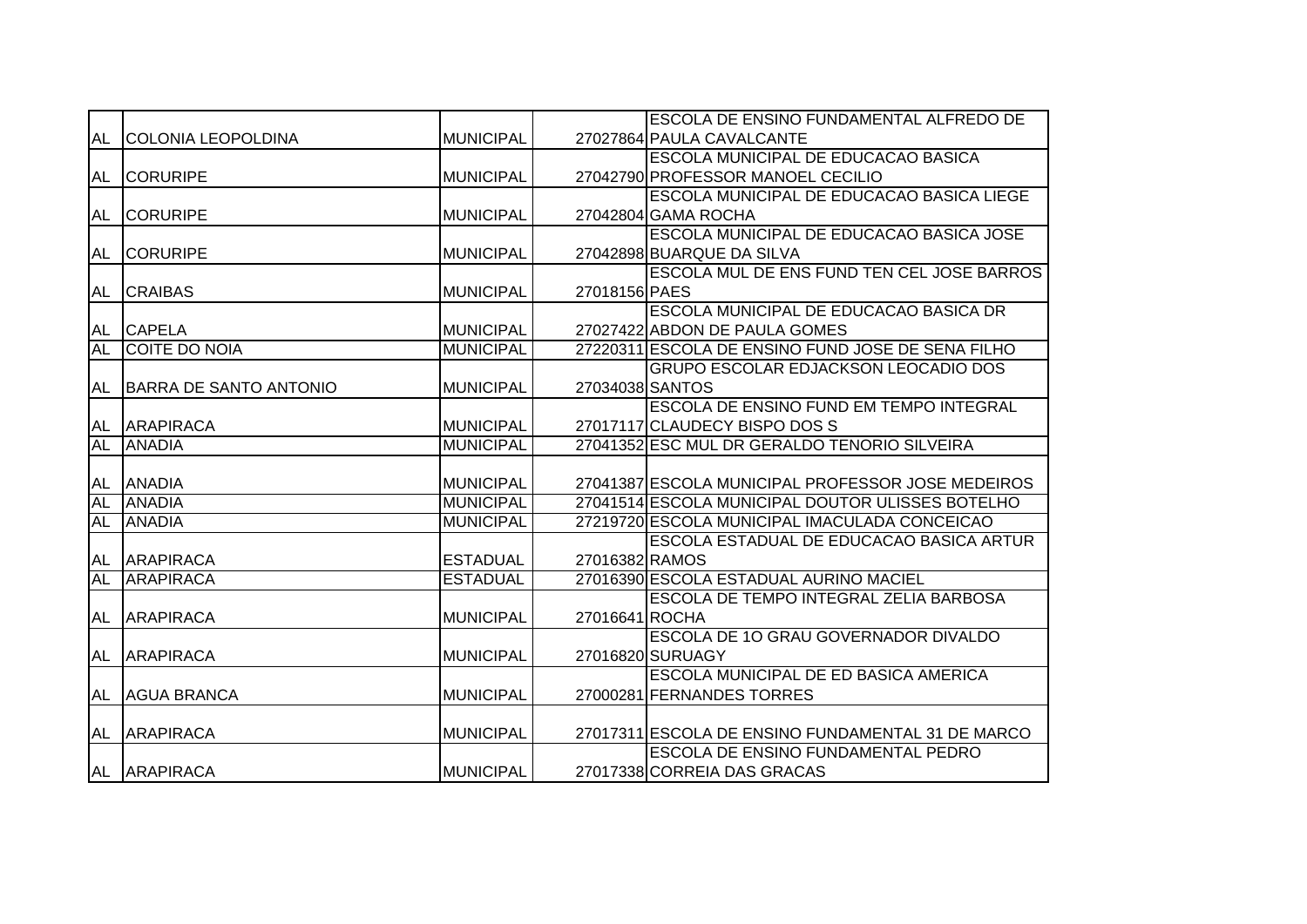|           |                           |                  |                | ESCOLA DE ENSINO FUNDAMENTAL ALFREDO DE           |
|-----------|---------------------------|------------------|----------------|---------------------------------------------------|
| AL        | <b>COLONIA LEOPOLDINA</b> | <b>MUNICIPAL</b> |                | 27027864 PAULA CAVALCANTE                         |
|           |                           |                  |                | ESCOLA MUNICIPAL DE EDUCACAO BASICA               |
| <b>AL</b> | <b>CORURIPE</b>           | <b>MUNICIPAL</b> |                | 27042790 PROFESSOR MANOEL CECILIO                 |
|           |                           |                  |                | ESCOLA MUNICIPAL DE EDUCACAO BASICA LIEGE         |
| AL        | <b>CORURIPE</b>           | <b>MUNICIPAL</b> |                | 27042804 GAMA ROCHA                               |
|           |                           |                  |                | ESCOLA MUNICIPAL DE EDUCACAO BASICA JOSE          |
| AL        | <b>CORURIPE</b>           | <b>MUNICIPAL</b> |                | 27042898 BUARQUE DA SILVA                         |
|           |                           |                  |                | ESCOLA MUL DE ENS FUND TEN CEL JOSE BARROS        |
| <b>AL</b> | <b>CRAIBAS</b>            | <b>MUNICIPAL</b> | 27018156 PAES  |                                                   |
|           |                           |                  |                | ESCOLA MUNICIPAL DE EDUCACAO BASICA DR            |
| AL        | <b>CAPELA</b>             | <b>MUNICIPAL</b> |                | 27027422 ABDON DE PAULA GOMES                     |
| <b>AL</b> | COITE DO NOIA             | <b>MUNICIPAL</b> |                | 27220311 ESCOLA DE ENSINO FUND JOSE DE SENA FILHO |
|           |                           |                  |                | <b>GRUPO ESCOLAR EDJACKSON LEOCADIO DOS</b>       |
| AL        | BARRA DE SANTO ANTONIO    | <b>MUNICIPAL</b> |                | 27034038 SANTOS                                   |
|           |                           |                  |                | ESCOLA DE ENSINO FUND EM TEMPO INTEGRAL           |
| AL        | <b>ARAPIRACA</b>          | <b>MUNICIPAL</b> |                | 27017117 CLAUDECY BISPO DOS S                     |
| AL        | <b>ANADIA</b>             | <b>MUNICIPAL</b> |                | 27041352 ESC MUL DR GERALDO TENORIO SILVEIRA      |
|           |                           |                  |                |                                                   |
| <b>AL</b> | <b>ANADIA</b>             | <b>MUNICIPAL</b> |                | 27041387 ESCOLA MUNICIPAL PROFESSOR JOSE MEDEIROS |
| <b>AL</b> | <b>ANADIA</b>             | <b>MUNICIPAL</b> |                | 27041514 ESCOLA MUNICIPAL DOUTOR ULISSES BOTELHO  |
| <b>AL</b> | <b>ANADIA</b>             | <b>MUNICIPAL</b> |                | 27219720 ESCOLA MUNICIPAL IMACULADA CONCEICAO     |
|           |                           |                  |                | ESCOLA ESTADUAL DE EDUCACAO BASICA ARTUR          |
| AL        | <b>ARAPIRACA</b>          | <b>ESTADUAL</b>  | 27016382 RAMOS |                                                   |
| <b>AL</b> | <b>ARAPIRACA</b>          | <b>ESTADUAL</b>  |                | 27016390 ESCOLA ESTADUAL AURINO MACIEL            |
|           |                           |                  |                | ESCOLA DE TEMPO INTEGRAL ZELIA BARBOSA            |
| <b>AL</b> | <b>ARAPIRACA</b>          | <b>MUNICIPAL</b> | 27016641 ROCHA |                                                   |
|           |                           |                  |                | ESCOLA DE 10 GRAU GOVERNADOR DIVALDO              |
| AL        | <b>ARAPIRACA</b>          | <b>MUNICIPAL</b> |                | 27016820 SURUAGY                                  |
|           |                           |                  |                | ESCOLA MUNICIPAL DE ED BASICA AMERICA             |
| <b>AL</b> | <b>AGUA BRANCA</b>        | <b>MUNICIPAL</b> |                | 27000281 FERNANDES TORRES                         |
|           |                           |                  |                |                                                   |
| <b>AL</b> | <b>ARAPIRACA</b>          | <b>MUNICIPAL</b> |                | 27017311 ESCOLA DE ENSINO FUNDAMENTAL 31 DE MARCO |
|           |                           |                  |                | ESCOLA DE ENSINO FUNDAMENTAL PEDRO                |
|           | AL ARAPIRACA              | <b>MUNICIPAL</b> |                | 27017338 CORREIA DAS GRACAS                       |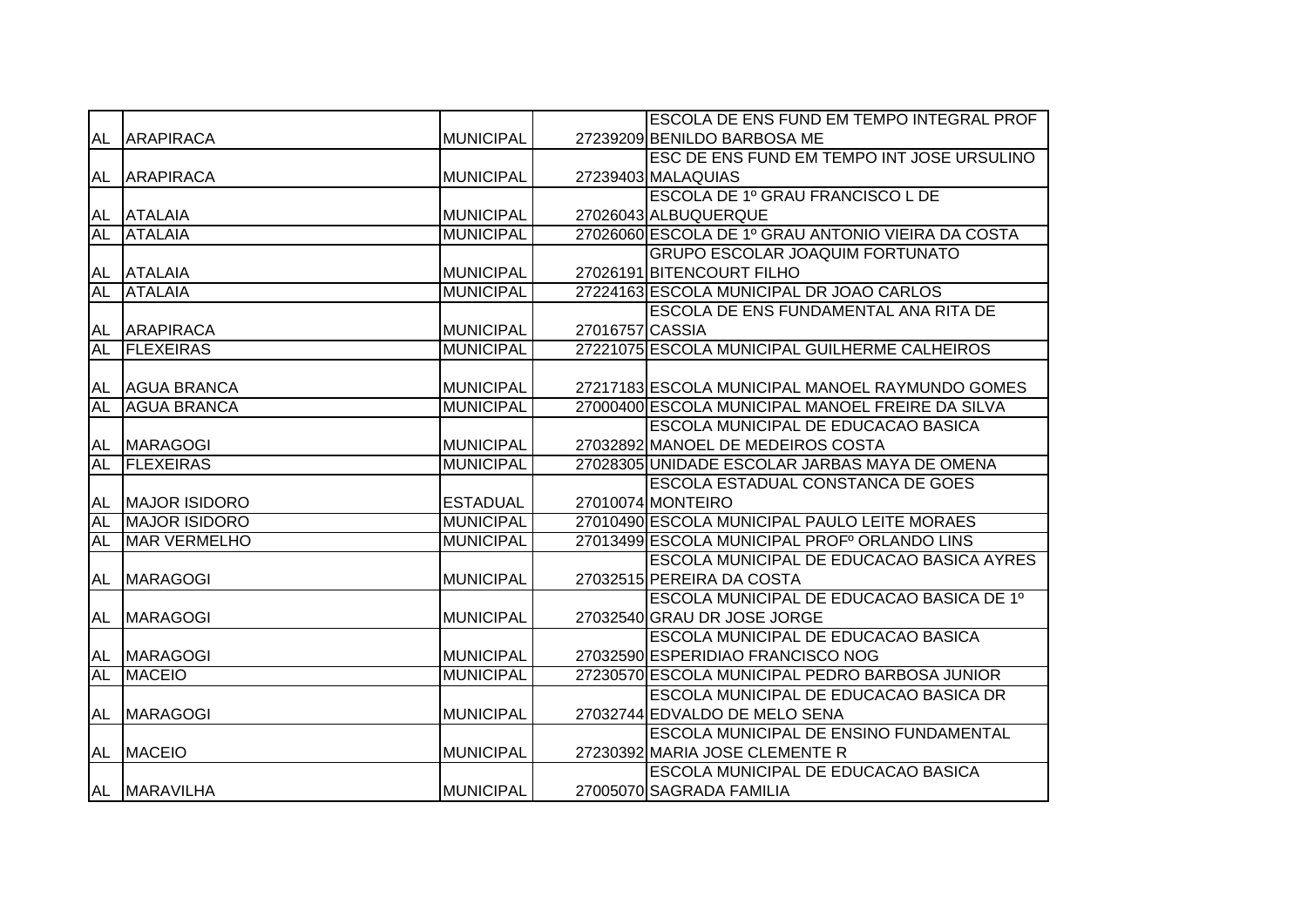|           |                      |                  |                 | <b>ESCOLA DE ENS FUND EM TEMPO INTEGRAL PROF</b>   |
|-----------|----------------------|------------------|-----------------|----------------------------------------------------|
| AL        | <b>ARAPIRACA</b>     | <b>MUNICIPAL</b> |                 | 27239209 BENILDO BARBOSA ME                        |
|           |                      |                  |                 | ESC DE ENS FUND EM TEMPO INT JOSE URSULINO         |
| AL        | <b>ARAPIRACA</b>     | <b>MUNICIPAL</b> |                 | 27239403 MALAQUIAS                                 |
|           |                      |                  |                 | ESCOLA DE 1º GRAU FRANCISCO L DE                   |
| AL        | <b>ATALAIA</b>       | <b>MUNICIPAL</b> |                 | 27026043 ALBUQUERQUE                               |
| <b>AL</b> | <b>ATALAIA</b>       | <b>MUNICIPAL</b> |                 | 27026060 ESCOLA DE 1º GRAU ANTONIO VIEIRA DA COSTA |
|           |                      |                  |                 | <b>GRUPO ESCOLAR JOAQUIM FORTUNATO</b>             |
| <b>AL</b> | <b>ATALAIA</b>       | <b>MUNICIPAL</b> |                 | 27026191 BITENCOURT FILHO                          |
| <b>AL</b> | <b>TATALAIA</b>      | <b>MUNICIPAL</b> |                 | 27224163 ESCOLA MUNICIPAL DR JOAO CARLOS           |
|           |                      |                  |                 | <b>ESCOLA DE ENS FUNDAMENTAL ANA RITA DE</b>       |
| AL        | <b>ARAPIRACA</b>     | MUNICIPAL        | 27016757 CASSIA |                                                    |
| <b>AL</b> | <b>FLEXEIRAS</b>     | <b>MUNICIPAL</b> |                 | 27221075 ESCOLA MUNICIPAL GUILHERME CALHEIROS      |
|           |                      |                  |                 |                                                    |
| AL        | <b>AGUA BRANCA</b>   | <b>MUNICIPAL</b> |                 | 27217183 ESCOLA MUNICIPAL MANOEL RAYMUNDO GOMES    |
| <b>AL</b> | <b>AGUA BRANCA</b>   | <b>MUNICIPAL</b> |                 | 27000400 ESCOLA MUNICIPAL MANOEL FREIRE DA SILVA   |
|           |                      |                  |                 | <b>ESCOLA MUNICIPAL DE EDUCACAO BASICA</b>         |
| AL        | MARAGOGI             | MUNICIPAL        |                 | 27032892 MANOEL DE MEDEIROS COSTA                  |
| AL        | <b>IFLEXEIRAS</b>    | <b>MUNICIPAL</b> |                 | 27028305 UNIDADE ESCOLAR JARBAS MAYA DE OMENA      |
|           |                      |                  |                 | ESCOLA ESTADUAL CONSTANCA DE GOES                  |
| AL        | MAJOR ISIDORO        | <b>ESTADUAL</b>  |                 | 27010074 MONTEIRO                                  |
| <b>AL</b> | <b>MAJOR ISIDORO</b> | <b>MUNICIPAL</b> |                 | 27010490 ESCOLA MUNICIPAL PAULO LEITE MORAES       |
| <b>AL</b> | <b>MAR VERMELHO</b>  | <b>MUNICIPAL</b> |                 | 27013499 ESCOLA MUNICIPAL PROFº ORLANDO LINS       |
|           |                      |                  |                 | ESCOLA MUNICIPAL DE EDUCACAO BASICA AYRES          |
| AL        | <b>MARAGOGI</b>      | <b>MUNICIPAL</b> |                 | 27032515 PEREIRA DA COSTA                          |
|           |                      |                  |                 | ESCOLA MUNICIPAL DE EDUCACAO BASICA DE 1º          |
| AL        | <b>MARAGOGI</b>      | <b>MUNICIPAL</b> |                 | 27032540 GRAU DR JOSE JORGE                        |
|           |                      |                  |                 | ESCOLA MUNICIPAL DE EDUCACAO BASICA                |
| AL        | <b>MARAGOGI</b>      | <b>MUNICIPAL</b> |                 | 27032590 ESPERIDIAO FRANCISCO NOG                  |
| <b>AL</b> | <b>MACEIO</b>        | <b>MUNICIPAL</b> |                 | 27230570 ESCOLA MUNICIPAL PEDRO BARBOSA JUNIOR     |
|           |                      |                  |                 | <b>ESCOLA MUNICIPAL DE EDUCACAO BASICA DR</b>      |
| AL        | <b>MARAGOGI</b>      | <b>MUNICIPAL</b> |                 | 27032744 EDVALDO DE MELO SENA                      |
|           |                      |                  |                 | ESCOLA MUNICIPAL DE ENSINO FUNDAMENTAL             |
| AL        | <b>MACEIO</b>        | <b>MUNICIPAL</b> |                 | 27230392 MARIA JOSE CLEMENTE R                     |
|           |                      |                  |                 | ESCOLA MUNICIPAL DE EDUCACAO BASICA                |
|           | AL MARAVILHA         | <b>MUNICIPAL</b> |                 | 27005070 SAGRADA FAMILIA                           |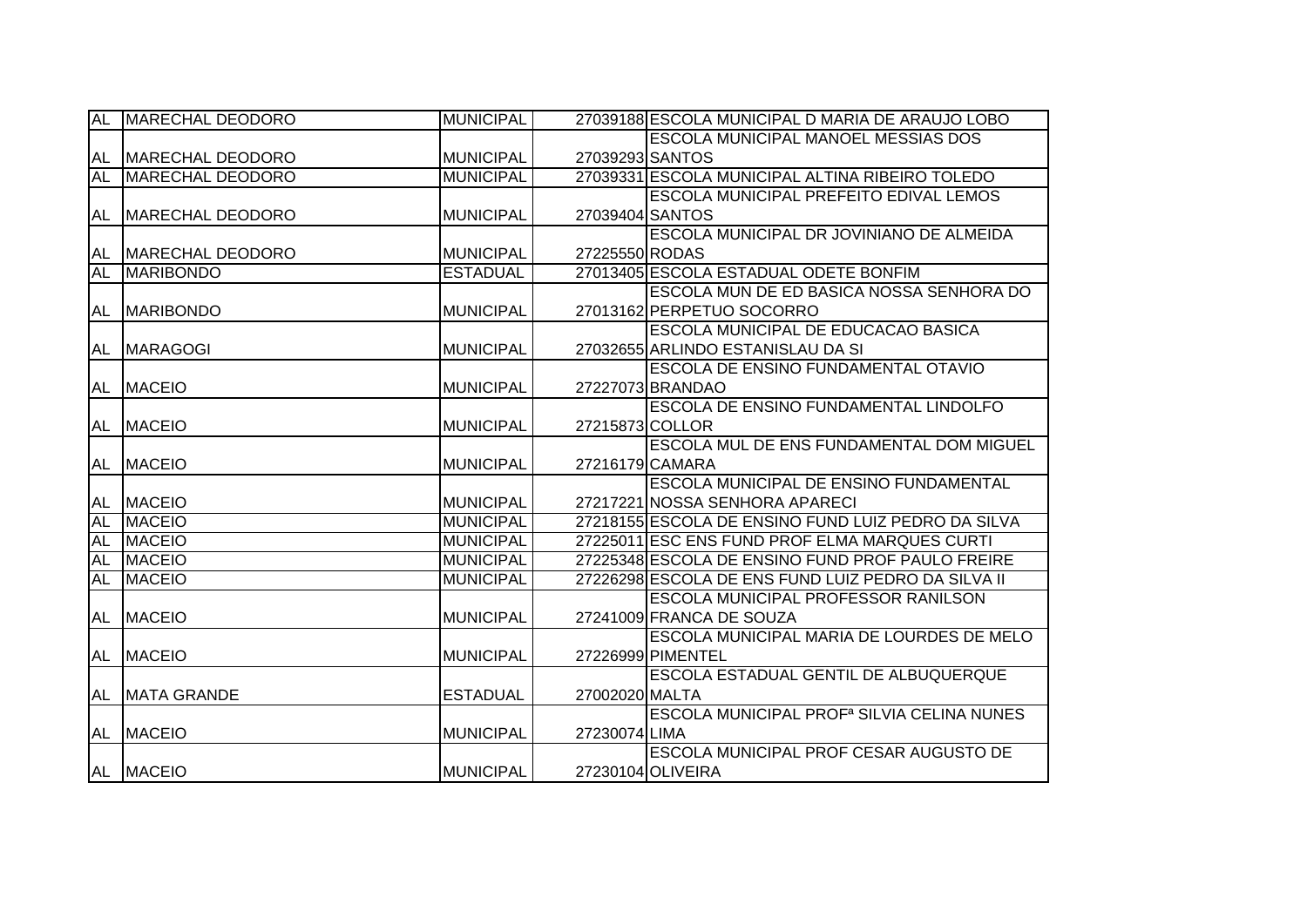| <b>AL</b> | <b>MARECHAL DEODORO</b> | <b>MUNICIPAL</b> |                 | 27039188 ESCOLA MUNICIPAL D MARIA DE ARAUJO LOBO       |
|-----------|-------------------------|------------------|-----------------|--------------------------------------------------------|
|           |                         |                  |                 | <b>ESCOLA MUNICIPAL MANOEL MESSIAS DOS</b>             |
| AL        | MARECHAL DEODORO        | <b>MUNICIPAL</b> | 27039293 SANTOS |                                                        |
| <b>AL</b> | <b>MARECHAL DEODORO</b> | <b>MUNICIPAL</b> |                 | 27039331 ESCOLA MUNICIPAL ALTINA RIBEIRO TOLEDO        |
|           |                         |                  |                 | <b>ESCOLA MUNICIPAL PREFEITO EDIVAL LEMOS</b>          |
| AL        | MARECHAL DEODORO        | <b>MUNICIPAL</b> |                 | 27039404 SANTOS                                        |
|           |                         |                  |                 | ESCOLA MUNICIPAL DR JOVINIANO DE ALMEIDA               |
| AL        | MARECHAL DEODORO        | <b>MUNICIPAL</b> | 27225550 RODAS  |                                                        |
| <b>AL</b> | <b>MARIBONDO</b>        | <b>ESTADUAL</b>  |                 | 27013405 ESCOLA ESTADUAL ODETE BONFIM                  |
|           |                         |                  |                 | ESCOLA MUN DE ED BASICA NOSSA SENHORA DO               |
| AL        | <b>MARIBONDO</b>        | <b>MUNICIPAL</b> |                 | 27013162 PERPETUO SOCORRO                              |
|           |                         |                  |                 | ESCOLA MUNICIPAL DE EDUCACAO BASICA                    |
| AL        | <b>MARAGOGI</b>         | <b>MUNICIPAL</b> |                 | 27032655 ARLINDO ESTANISLAU DA SI                      |
|           |                         |                  |                 | ESCOLA DE ENSINO FUNDAMENTAL OTAVIO                    |
| AL        | <b>MACEIO</b>           | <b>MUNICIPAL</b> |                 | 27227073 BRANDAO                                       |
|           |                         |                  |                 | ESCOLA DE ENSINO FUNDAMENTAL LINDOLFO                  |
| AL        | <b>MACEIO</b>           | <b>MUNICIPAL</b> |                 | 27215873 COLLOR                                        |
|           |                         |                  |                 | ESCOLA MUL DE ENS FUNDAMENTAL DOM MIGUEL               |
| AL        | <b>MACEIO</b>           | <b>MUNICIPAL</b> |                 | 27216179 CAMARA                                        |
|           |                         |                  |                 | ESCOLA MUNICIPAL DE ENSINO FUNDAMENTAL                 |
| AL        | <b>MACEIO</b>           | <b>MUNICIPAL</b> |                 | 27217221 NOSSA SENHORA APARECI                         |
| <b>AL</b> | <b>MACEIO</b>           | <b>MUNICIPAL</b> |                 | 27218155 ESCOLA DE ENSINO FUND LUIZ PEDRO DA SILVA     |
| <b>AL</b> | <b>MACEIO</b>           | <b>MUNICIPAL</b> |                 | 27225011 ESC ENS FUND PROF ELMA MARQUES CURTI          |
| <b>AL</b> | <b>MACEIO</b>           | <b>MUNICIPAL</b> |                 | 27225348 ESCOLA DE ENSINO FUND PROF PAULO FREIRE       |
| <b>AL</b> | <b>MACEIO</b>           | <b>MUNICIPAL</b> |                 | 27226298 ESCOLA DE ENS FUND LUIZ PEDRO DA SILVA II     |
|           |                         |                  |                 | ESCOLA MUNICIPAL PROFESSOR RANILSON                    |
| AL        | <b>MACEIO</b>           | <b>MUNICIPAL</b> |                 | 27241009 FRANCA DE SOUZA                               |
|           |                         |                  |                 | ESCOLA MUNICIPAL MARIA DE LOURDES DE MELO              |
| AL        | <b>MACEIO</b>           | <b>MUNICIPAL</b> |                 | 27226999 PIMENTEL                                      |
|           |                         |                  |                 | <b>ESCOLA ESTADUAL GENTIL DE ALBUQUERQUE</b>           |
| AL        | <b>IMATA GRANDE</b>     | <b>ESTADUAL</b>  | 27002020 MALTA  |                                                        |
|           |                         |                  |                 | ESCOLA MUNICIPAL PROF <sup>a</sup> SILVIA CELINA NUNES |
| AL        | <b>MACEIO</b>           | <b>MUNICIPAL</b> | 27230074 LIMA   |                                                        |
|           |                         |                  |                 | <b>ESCOLA MUNICIPAL PROF CESAR AUGUSTO DE</b>          |
|           | AL MACEIO               | <b>MUNICIPAL</b> |                 | 27230104 OLIVEIRA                                      |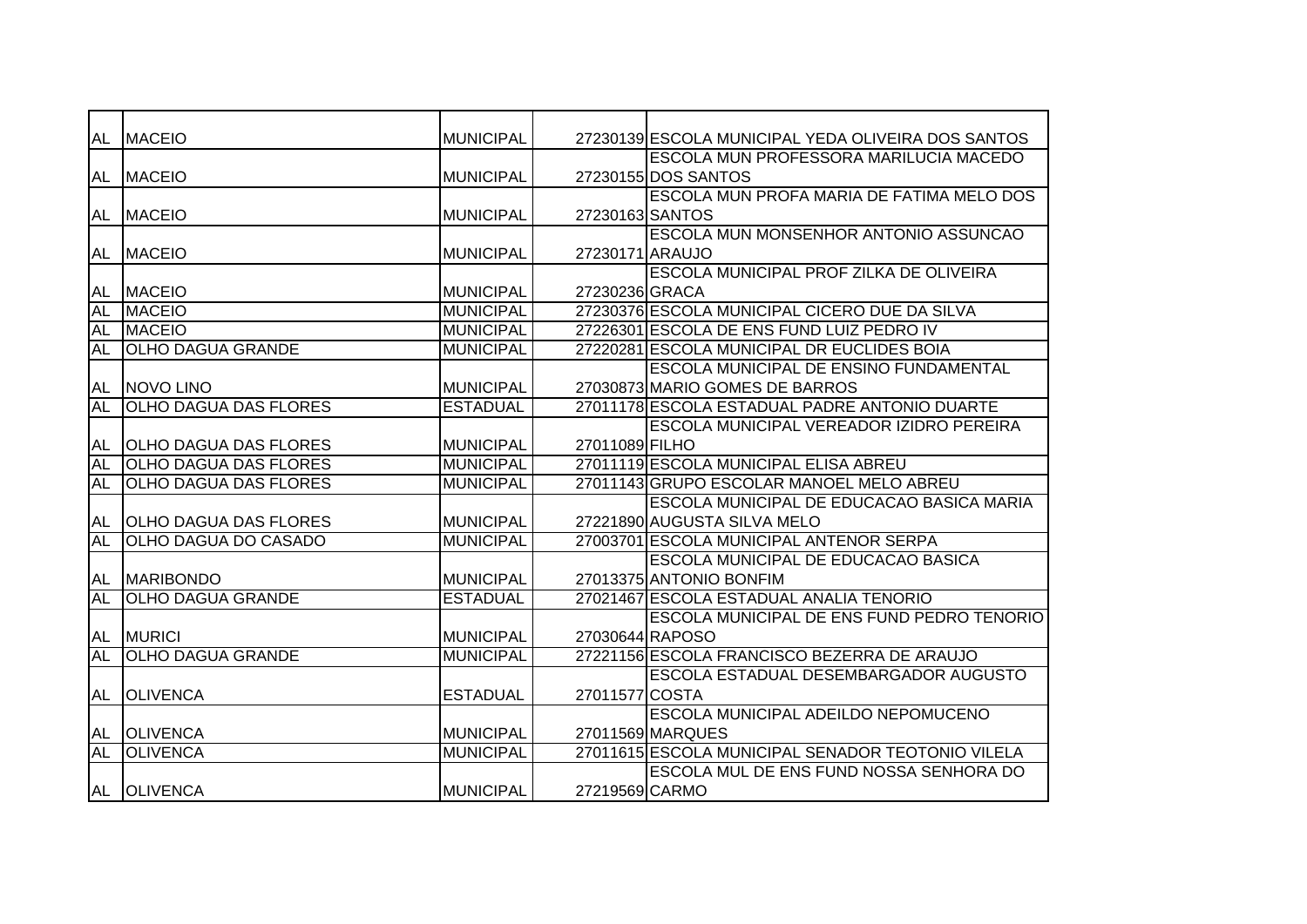| AL        | <b>MACEIO</b>                | <b>MUNICIPAL</b> |                 | 27230139 ESCOLA MUNICIPAL YEDA OLIVEIRA DOS SANTOS |
|-----------|------------------------------|------------------|-----------------|----------------------------------------------------|
|           |                              |                  |                 | <b>ESCOLA MUN PROFESSORA MARILUCIA MACEDO</b>      |
| AL        | <b>MACEIO</b>                | <b>MUNICIPAL</b> |                 | 27230155 DOS SANTOS                                |
|           |                              |                  |                 | ESCOLA MUN PROFA MARIA DE FATIMA MELO DOS          |
| AL        | <b>MACEIO</b>                | <b>MUNICIPAL</b> | 27230163 SANTOS |                                                    |
|           |                              |                  |                 | ESCOLA MUN MONSENHOR ANTONIO ASSUNCAO              |
| AL        | <b>MACEIO</b>                | <b>MUNICIPAL</b> | 27230171 ARAUJO |                                                    |
|           |                              |                  |                 | ESCOLA MUNICIPAL PROF ZILKA DE OLIVEIRA            |
| <b>AL</b> | <b>MACEIO</b>                | <b>MUNICIPAL</b> | 27230236 GRACA  |                                                    |
| <b>AL</b> | <b>MACEIO</b>                | <b>MUNICIPAL</b> |                 | 27230376 ESCOLA MUNICIPAL CICERO DUE DA SILVA      |
| <b>AL</b> | <b>MACEIO</b>                | <b>MUNICIPAL</b> |                 | 27226301 ESCOLA DE ENS FUND LUIZ PEDRO IV          |
| <b>AL</b> | <b>OLHO DAGUA GRANDE</b>     | <b>MUNICIPAL</b> |                 | 27220281 ESCOLA MUNICIPAL DR EUCLIDES BOIA         |
|           |                              |                  |                 | <b>ESCOLA MUNICIPAL DE ENSINO FUNDAMENTAL</b>      |
| AL        | NOVO LINO                    | <b>MUNICIPAL</b> |                 | 27030873 MARIO GOMES DE BARROS                     |
| <b>AL</b> | <b>OLHO DAGUA DAS FLORES</b> | <b>ESTADUAL</b>  |                 | 27011178 ESCOLA ESTADUAL PADRE ANTONIO DUARTE      |
|           |                              |                  |                 | ESCOLA MUNICIPAL VEREADOR IZIDRO PEREIRA           |
| AL        | <b>OLHO DAGUA DAS FLORES</b> | <b>MUNICIPAL</b> | 27011089 FILHO  |                                                    |
| AL        | <b>OLHO DAGUA DAS FLORES</b> | <b>MUNICIPAL</b> |                 | 27011119 ESCOLA MUNICIPAL ELISA ABREU              |
| <b>AL</b> | <b>OLHO DAGUA DAS FLORES</b> | <b>MUNICIPAL</b> |                 | 27011143 GRUPO ESCOLAR MANOEL MELO ABREU           |
|           |                              |                  |                 | ESCOLA MUNICIPAL DE EDUCACAO BASICA MARIA          |
| AL        | <b>OLHO DAGUA DAS FLORES</b> | <b>MUNICIPAL</b> |                 | 27221890 AUGUSTA SILVA MELO                        |
| <b>AL</b> | <b>OLHO DAGUA DO CASADO</b>  | <b>MUNICIPAL</b> |                 | 27003701 ESCOLA MUNICIPAL ANTENOR SERPA            |
|           |                              |                  |                 | ESCOLA MUNICIPAL DE EDUCACAO BASICA                |
| AL        | <b>MARIBONDO</b>             | <b>MUNICIPAL</b> |                 | 27013375 ANTONIO BONFIM                            |
| <b>AL</b> | <b>OLHO DAGUA GRANDE</b>     | <b>ESTADUAL</b>  |                 | 27021467 ESCOLA ESTADUAL ANALIA TENORIO            |
|           |                              |                  |                 | ESCOLA MUNICIPAL DE ENS FUND PEDRO TENORIO         |
| AL        | <b>MURICI</b>                | MUNICIPAL        |                 | 27030644 RAPOSO                                    |
| <b>AL</b> | <b>OLHO DAGUA GRANDE</b>     | <b>MUNICIPAL</b> |                 | 27221156 ESCOLA FRANCISCO BEZERRA DE ARAUJO        |
|           |                              |                  |                 | <b>ESCOLA ESTADUAL DESEMBARGADOR AUGUSTO</b>       |
| AL        | <b>OLIVENCA</b>              | <b>ESTADUAL</b>  | 27011577 COSTA  |                                                    |
|           |                              |                  |                 | ESCOLA MUNICIPAL ADEILDO NEPOMUCENO                |
| AL        | <b>OLIVENCA</b>              | <b>MUNICIPAL</b> |                 | 27011569 MARQUES                                   |
| <b>AL</b> | <b>OLIVENCA</b>              | <b>MUNICIPAL</b> |                 | 27011615 ESCOLA MUNICIPAL SENADOR TEOTONIO VILELA  |
|           |                              |                  |                 | ESCOLA MUL DE ENS FUND NOSSA SENHORA DO            |
|           | AL OLIVENCA                  | <b>MUNICIPAL</b> | 27219569 CARMO  |                                                    |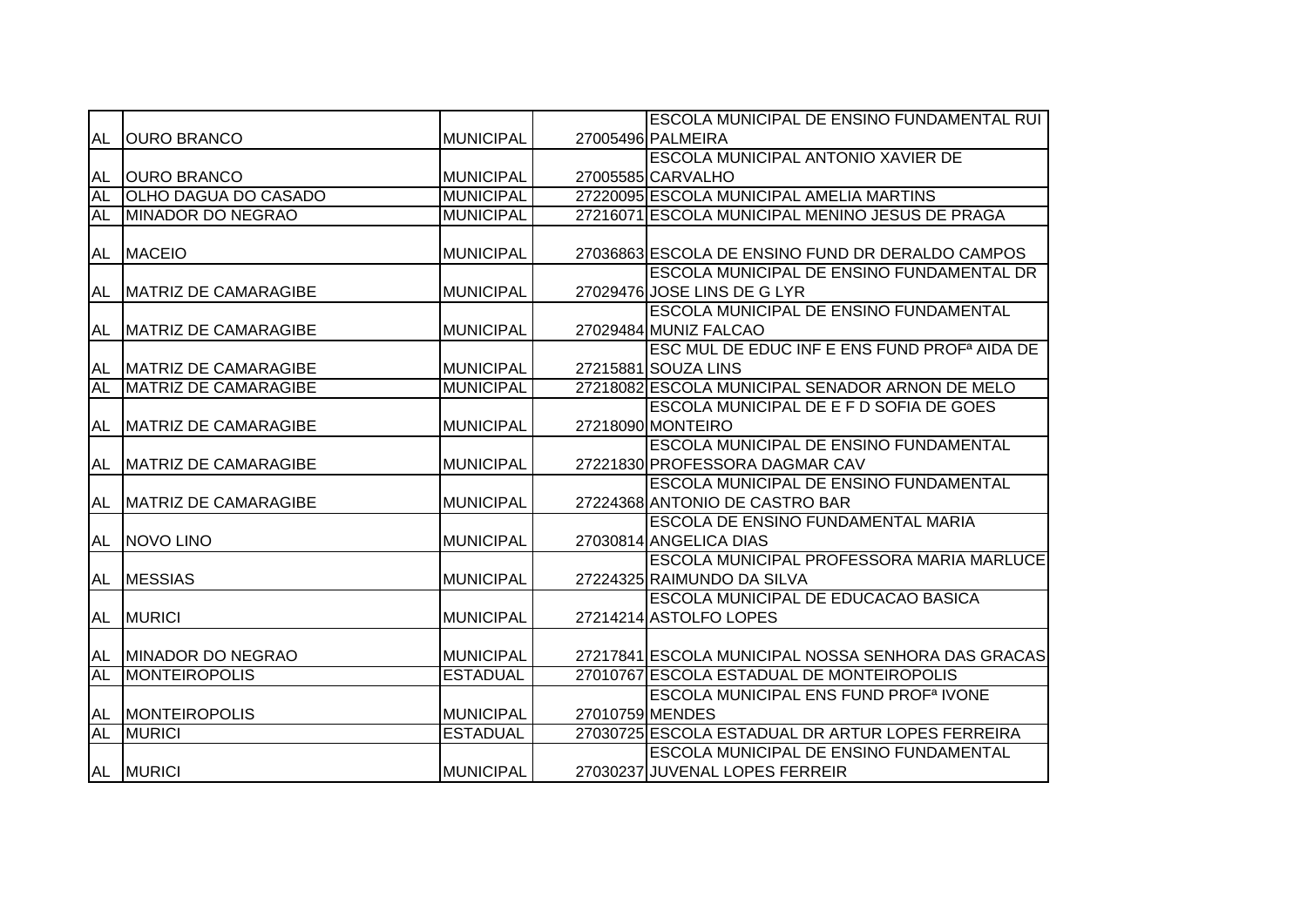|           |                                |                  |                 | <b>ESCOLA MUNICIPAL DE ENSINO FUNDAMENTAL RUI</b>        |
|-----------|--------------------------------|------------------|-----------------|----------------------------------------------------------|
| AL        | <b>JOURO BRANCO</b>            | <b>MUNICIPAL</b> |                 | 27005496 PALMEIRA                                        |
|           |                                |                  |                 | <b>ESCOLA MUNICIPAL ANTONIO XAVIER DE</b>                |
| AL        | <b>OURO BRANCO</b>             | <b>MUNICIPAL</b> |                 | 27005585 CARVALHO                                        |
| AL        | <b>OLHO DAGUA DO CASADO</b>    | <b>MUNICIPAL</b> |                 | 27220095 ESCOLA MUNICIPAL AMELIA MARTINS                 |
| AL        | MINADOR DO NEGRAO              | <b>MUNICIPAL</b> |                 | 27216071 ESCOLA MUNICIPAL MENINO JESUS DE PRAGA          |
|           |                                |                  |                 |                                                          |
| AL        | <b>MACEIO</b>                  | <b>MUNICIPAL</b> |                 | 27036863 ESCOLA DE ENSINO FUND DR DERALDO CAMPOS         |
|           |                                |                  |                 | ESCOLA MUNICIPAL DE ENSINO FUNDAMENTAL DR                |
|           | AL MATRIZ DE CAMARAGIBE        | <b>MUNICIPAL</b> |                 | 27029476 JOSE LINS DE G LYR                              |
|           |                                |                  |                 | <b>ESCOLA MUNICIPAL DE ENSINO FUNDAMENTAL</b>            |
|           | AL   MATRIZ DE CAMARAGIBE      | <b>MUNICIPAL</b> |                 | 27029484 MUNIZ FALCAO                                    |
|           |                                |                  |                 | ESC MUL DE EDUC INF E ENS FUND PROF <sup>a</sup> AIDA DE |
|           | <b>AL MATRIZ DE CAMARAGIBE</b> | <b>MUNICIPAL</b> |                 | 27215881 SOUZA LINS                                      |
| <b>AL</b> | MATRIZ DE CAMARAGIBE           | <b>MUNICIPAL</b> |                 | 27218082 ESCOLA MUNICIPAL SENADOR ARNON DE MELO          |
|           |                                |                  |                 | <b>ESCOLA MUNICIPAL DE E F D SOFIA DE GOES</b>           |
| AL        | <b>IMATRIZ DE CAMARAGIBE</b>   | <b>MUNICIPAL</b> |                 | 27218090 MONTEIRO                                        |
|           |                                |                  |                 | ESCOLA MUNICIPAL DE ENSINO FUNDAMENTAL                   |
| AL        | <b>MATRIZ DE CAMARAGIBE</b>    | <b>MUNICIPAL</b> |                 | 27221830 PROFESSORA DAGMAR CAV                           |
|           |                                |                  |                 | ESCOLA MUNICIPAL DE ENSINO FUNDAMENTAL                   |
| <b>AL</b> | MATRIZ DE CAMARAGIBE           | <b>MUNICIPAL</b> |                 | 27224368 ANTONIO DE CASTRO BAR                           |
|           |                                |                  |                 | <b>ESCOLA DE ENSINO FUNDAMENTAL MARIA</b>                |
| AL        | NOVO LINO                      | <b>MUNICIPAL</b> |                 | 27030814 ANGELICA DIAS                                   |
|           |                                |                  |                 | <b>ESCOLA MUNICIPAL PROFESSORA MARIA MARLUCE</b>         |
| AL        | <b>MESSIAS</b>                 | <b>MUNICIPAL</b> |                 | 27224325 RAIMUNDO DA SILVA                               |
|           |                                |                  |                 | ESCOLA MUNICIPAL DE EDUCACAO BASICA                      |
| AL        | <b>MURICI</b>                  | <b>MUNICIPAL</b> |                 | 27214214 ASTOLFO LOPES                                   |
|           |                                |                  |                 |                                                          |
|           | AL MINADOR DO NEGRAO           | <b>MUNICIPAL</b> |                 | 27217841 ESCOLA MUNICIPAL NOSSA SENHORA DAS GRACAS       |
| <b>AL</b> | <b>MONTEIROPOLIS</b>           | <b>ESTADUAL</b>  |                 | 27010767 ESCOLA ESTADUAL DE MONTEIROPOLIS                |
|           |                                |                  |                 | <b>ESCOLA MUNICIPAL ENS FUND PROF<sup>a</sup> IVONE</b>  |
|           | AL MONTEIROPOLIS               | <b>MUNICIPAL</b> | 27010759 MENDES |                                                          |
| <b>AL</b> | <b>MURICI</b>                  | <b>ESTADUAL</b>  |                 | 27030725 ESCOLA ESTADUAL DR ARTUR LOPES FERREIRA         |
|           |                                |                  |                 | ESCOLA MUNICIPAL DE ENSINO FUNDAMENTAL                   |
|           | AL MURICI                      | <b>MUNICIPAL</b> |                 | 27030237 JUVENAL LOPES FERREIR                           |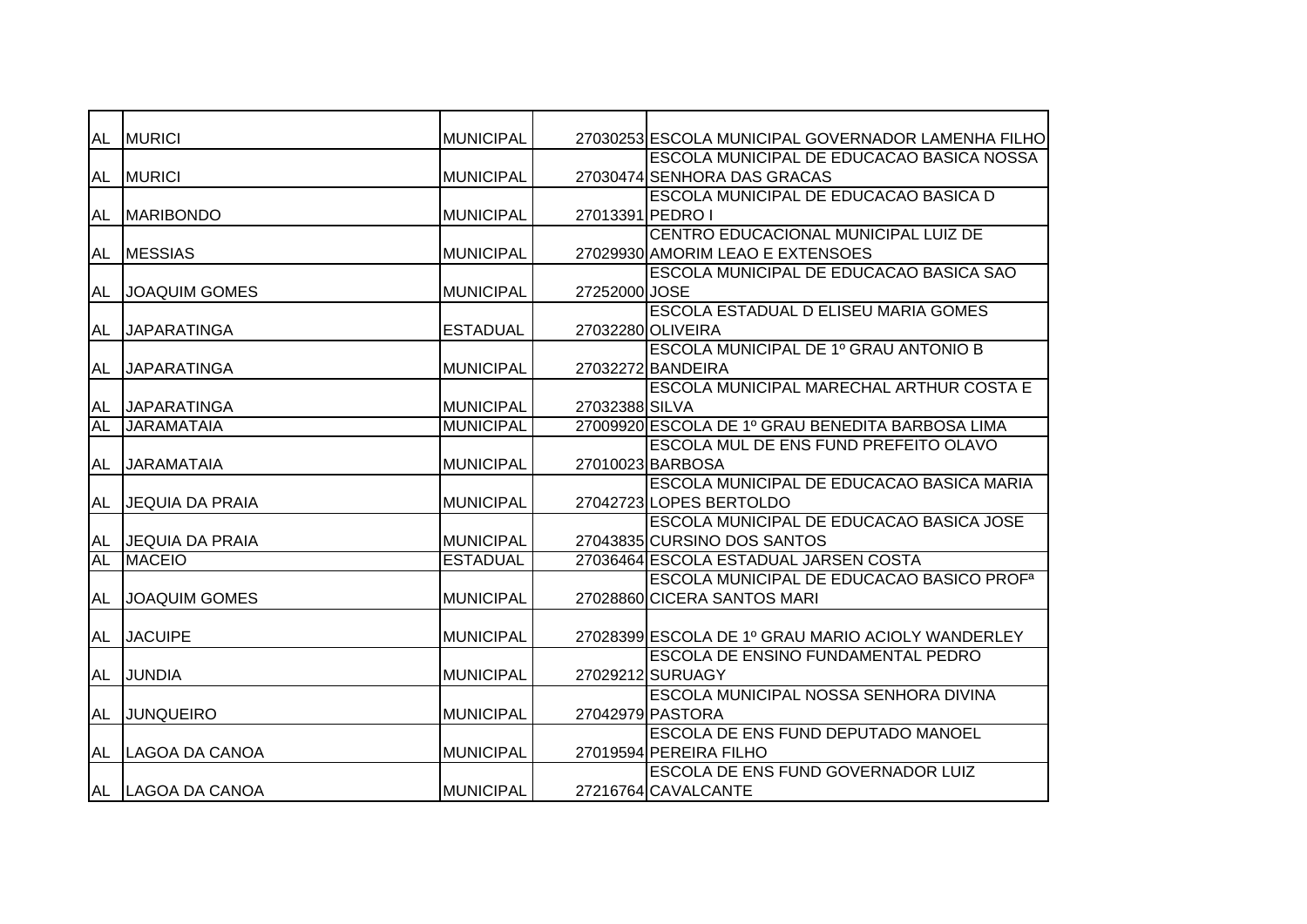| <b>AL</b> | <b>MURICI</b>          | <b>MUNICIPAL</b> |                  | 27030253 ESCOLA MUNICIPAL GOVERNADOR LAMENHA FILHO    |
|-----------|------------------------|------------------|------------------|-------------------------------------------------------|
|           |                        |                  |                  | ESCOLA MUNICIPAL DE EDUCACAO BASICA NOSSA             |
| AL        | <b>MURICI</b>          | <b>MUNICIPAL</b> |                  | 27030474 SENHORA DAS GRACAS                           |
|           |                        |                  |                  | ESCOLA MUNICIPAL DE EDUCACAO BASICA D                 |
| AL        | <b>IMARIBONDO</b>      | <b>MUNICIPAL</b> | 27013391 PEDRO I |                                                       |
|           |                        |                  |                  | CENTRO EDUCACIONAL MUNICIPAL LUIZ DE                  |
| AL        | <b>MESSIAS</b>         | <b>MUNICIPAL</b> |                  | 27029930 AMORIM LEAO E EXTENSOES                      |
|           |                        |                  |                  | <b>ESCOLA MUNICIPAL DE EDUCACAO BASICA SAO</b>        |
| <b>AL</b> | <b>JOAQUIM GOMES</b>   | <b>MUNICIPAL</b> | 27252000 JOSE    |                                                       |
|           |                        |                  |                  | <b>ESCOLA ESTADUAL D ELISEU MARIA GOMES</b>           |
| AL        | <b>JAPARATINGA</b>     | <b>ESTADUAL</b>  |                  | 27032280 OLIVEIRA                                     |
|           |                        |                  |                  | <b>ESCOLA MUNICIPAL DE 1º GRAU ANTONIO B</b>          |
| AL        | <b>JAPARATINGA</b>     | <b>MUNICIPAL</b> |                  | 27032272 BANDEIRA                                     |
|           |                        |                  |                  | <b>ESCOLA MUNICIPAL MARECHAL ARTHUR COSTA E</b>       |
| AL        | <b>JAPARATINGA</b>     | <b>MUNICIPAL</b> | 27032388 SILVA   |                                                       |
| <b>AL</b> | <b>JARAMATAIA</b>      | <b>MUNICIPAL</b> |                  | 27009920 ESCOLA DE 1º GRAU BENEDITA BARBOSA LIMA      |
|           |                        |                  |                  | ESCOLA MUL DE ENS FUND PREFEITO OLAVO                 |
| AL        | <b>JARAMATAIA</b>      | <b>MUNICIPAL</b> |                  | 27010023 BARBOSA                                      |
|           |                        |                  |                  | ESCOLA MUNICIPAL DE EDUCACAO BASICA MARIA             |
| AL        | <b>JEQUIA DA PRAIA</b> | <b>MUNICIPAL</b> |                  | 27042723 LOPES BERTOLDO                               |
|           |                        |                  |                  | ESCOLA MUNICIPAL DE EDUCACAO BASICA JOSE              |
| AL        | <b>JEQUIA DA PRAIA</b> | <b>MUNICIPAL</b> |                  | 27043835 CURSINO DOS SANTOS                           |
| <b>AL</b> | <b>MACEIO</b>          | <b>ESTADUAL</b>  |                  | 27036464 ESCOLA ESTADUAL JARSEN COSTA                 |
|           |                        |                  |                  | ESCOLA MUNICIPAL DE EDUCACAO BASICO PROF <sup>a</sup> |
| AL        | <b>JOAQUIM GOMES</b>   | <b>MUNICIPAL</b> |                  | 27028860 CICERA SANTOS MARI                           |
|           |                        |                  |                  |                                                       |
| AL        | <b>JACUIPE</b>         | <b>MUNICIPAL</b> |                  | 27028399 ESCOLA DE 1º GRAU MARIO ACIOLY WANDERLEY     |
|           |                        |                  |                  | <b>ESCOLA DE ENSINO FUNDAMENTAL PEDRO</b>             |
| AL        | <b>JUNDIA</b>          | <b>MUNICIPAL</b> |                  | 27029212 SURUAGY                                      |
|           |                        |                  |                  | ESCOLA MUNICIPAL NOSSA SENHORA DIVINA                 |
| AL        | <b>JUNQUEIRO</b>       | <b>MUNICIPAL</b> |                  | 27042979 PASTORA                                      |
|           |                        |                  |                  | ESCOLA DE ENS FUND DEPUTADO MANOEL                    |
| AL        | LAGOA DA CANOA         | <b>MUNICIPAL</b> |                  | 27019594 PEREIRA FILHO                                |
|           |                        |                  |                  | ESCOLA DE ENS FUND GOVERNADOR LUIZ                    |
|           | AL LAGOA DA CANOA      | <b>MUNICIPAL</b> |                  | 27216764 CAVALCANTE                                   |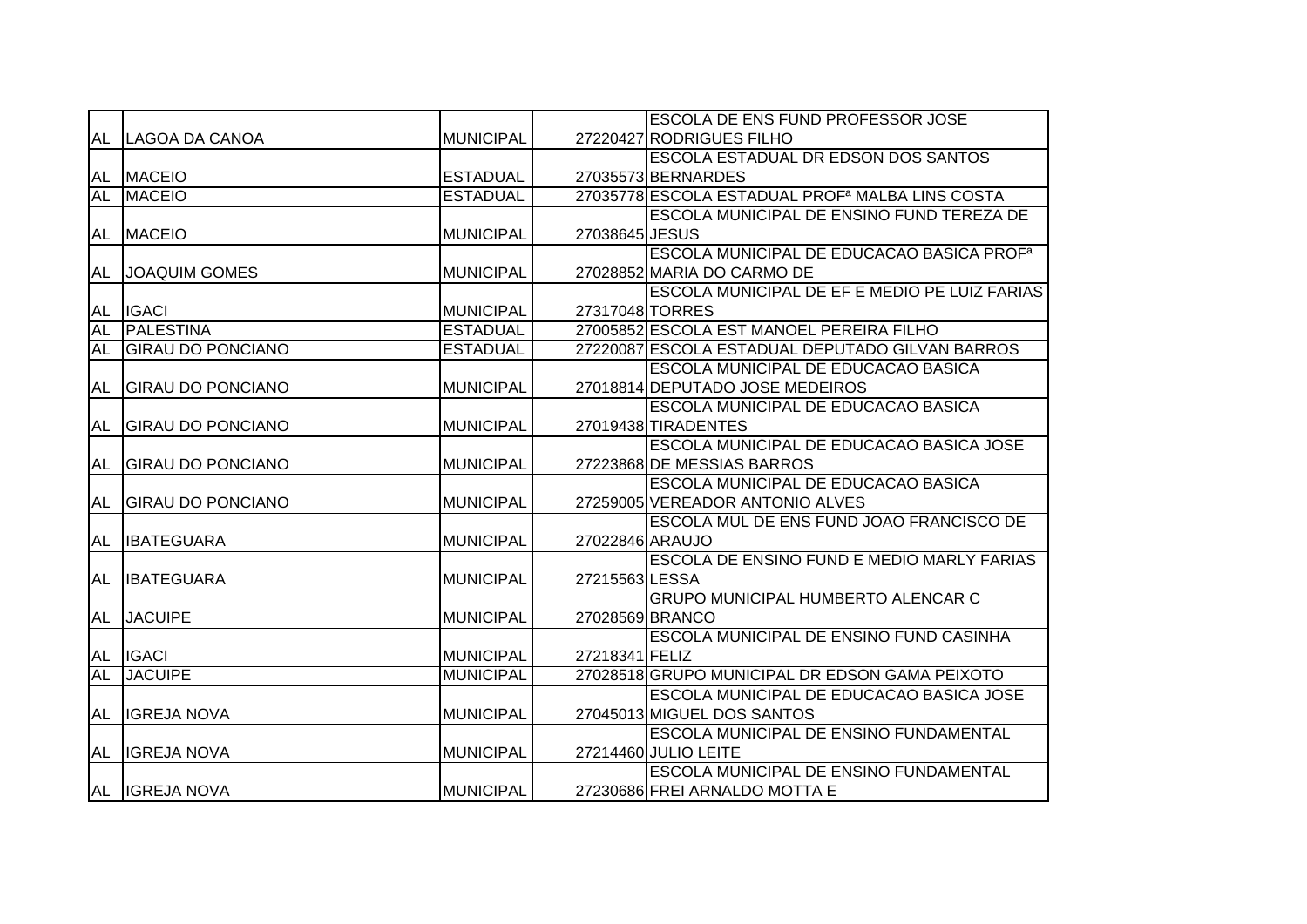|           |                          |                  |                 | <b>ESCOLA DE ENS FUND PROFESSOR JOSE</b>                    |
|-----------|--------------------------|------------------|-----------------|-------------------------------------------------------------|
|           | AL LAGOA DA CANOA        | <b>MUNICIPAL</b> |                 | 27220427 RODRIGUES FILHO                                    |
|           |                          |                  |                 | ESCOLA ESTADUAL DR EDSON DOS SANTOS                         |
|           | AL MACEIO                | <b>ESTADUAL</b>  |                 | 27035573 BERNARDES                                          |
| <b>AL</b> | <b>MACEIO</b>            | <b>ESTADUAL</b>  |                 | 27035778 ESCOLA ESTADUAL PROF <sup>a</sup> MALBA LINS COSTA |
|           |                          |                  |                 | ESCOLA MUNICIPAL DE ENSINO FUND TEREZA DE                   |
|           | AL MACEIO                | <b>MUNICIPAL</b> | 27038645 JESUS  |                                                             |
|           |                          |                  |                 | <b>ESCOLA MUNICIPAL DE EDUCACAO BASICA PROF<sup>a</sup></b> |
| AL        | <b>JOAQUIM GOMES</b>     | <b>MUNICIPAL</b> |                 | 27028852 MARIA DO CARMO DE                                  |
|           |                          |                  |                 | ESCOLA MUNICIPAL DE EF E MEDIO PE LUIZ FARIAS               |
| <b>AL</b> | <b>IGACI</b>             | <b>MUNICIPAL</b> |                 | 27317048 TORRES                                             |
| <b>AL</b> | <b>PALESTINA</b>         | <b>ESTADUAL</b>  |                 | 27005852 ESCOLA EST MANOEL PEREIRA FILHO                    |
| <b>AL</b> | <b>GIRAU DO PONCIANO</b> | <b>ESTADUAL</b>  |                 | 27220087 ESCOLA ESTADUAL DEPUTADO GILVAN BARROS             |
|           |                          |                  |                 | <b>ESCOLA MUNICIPAL DE EDUCACAO BASICA</b>                  |
| AL        | <b>GIRAU DO PONCIANO</b> | <b>MUNICIPAL</b> |                 | 27018814 DEPUTADO JOSE MEDEIROS                             |
|           |                          |                  |                 | <b>ESCOLA MUNICIPAL DE EDUCACAO BASICA</b>                  |
| AL        | <b>GIRAU DO PONCIANO</b> | <b>MUNICIPAL</b> |                 | 27019438 TIRADENTES                                         |
|           |                          |                  |                 | <b>ESCOLA MUNICIPAL DE EDUCACAO BASICA JOSE</b>             |
|           | AL GIRAU DO PONCIANO     | <b>MUNICIPAL</b> |                 | 27223868 DE MESSIAS BARROS                                  |
|           |                          |                  |                 | ESCOLA MUNICIPAL DE EDUCACAO BASICA                         |
| <b>AL</b> | <b>GIRAU DO PONCIANO</b> | <b>MUNICIPAL</b> |                 | 27259005 VEREADOR ANTONIO ALVES                             |
|           |                          |                  |                 | ESCOLA MUL DE ENS FUND JOAO FRANCISCO DE                    |
| AL        | <b>IBATEGUARA</b>        | <b>MUNICIPAL</b> | 27022846 ARAUJO |                                                             |
|           |                          |                  |                 | ESCOLA DE ENSINO FUND E MEDIO MARLY FARIAS                  |
| AL        | <b>IBATEGUARA</b>        | <b>MUNICIPAL</b> | 27215563 LESSA  |                                                             |
|           |                          |                  |                 | <b>GRUPO MUNICIPAL HUMBERTO ALENCAR C</b>                   |
| AL        | <b>JACUIPE</b>           | <b>MUNICIPAL</b> |                 | 27028569 BRANCO                                             |
|           |                          |                  |                 | ESCOLA MUNICIPAL DE ENSINO FUND CASINHA                     |
|           | AL IGACI                 | <b>MUNICIPAL</b> | 27218341 FELIZ  |                                                             |
| AL        | <b>JACUIPE</b>           | <b>MUNICIPAL</b> |                 | 27028518 GRUPO MUNICIPAL DR EDSON GAMA PEIXOTO              |
|           |                          |                  |                 | ESCOLA MUNICIPAL DE EDUCACAO BASICA JOSE                    |
| AL        | <b>IIGREJA NOVA</b>      | <b>MUNICIPAL</b> |                 | 27045013 MIGUEL DOS SANTOS                                  |
|           |                          |                  |                 | <b>ESCOLA MUNICIPAL DE ENSINO FUNDAMENTAL</b>               |
| AL        | <b>IGREJA NOVA</b>       | <b>MUNICIPAL</b> |                 | 27214460 JULIO LEITE                                        |
|           |                          |                  |                 | ESCOLA MUNICIPAL DE ENSINO FUNDAMENTAL                      |
|           | AL IGREJA NOVA           | <b>MUNICIPAL</b> |                 | 27230686 FREI ARNALDO MOTTA E                               |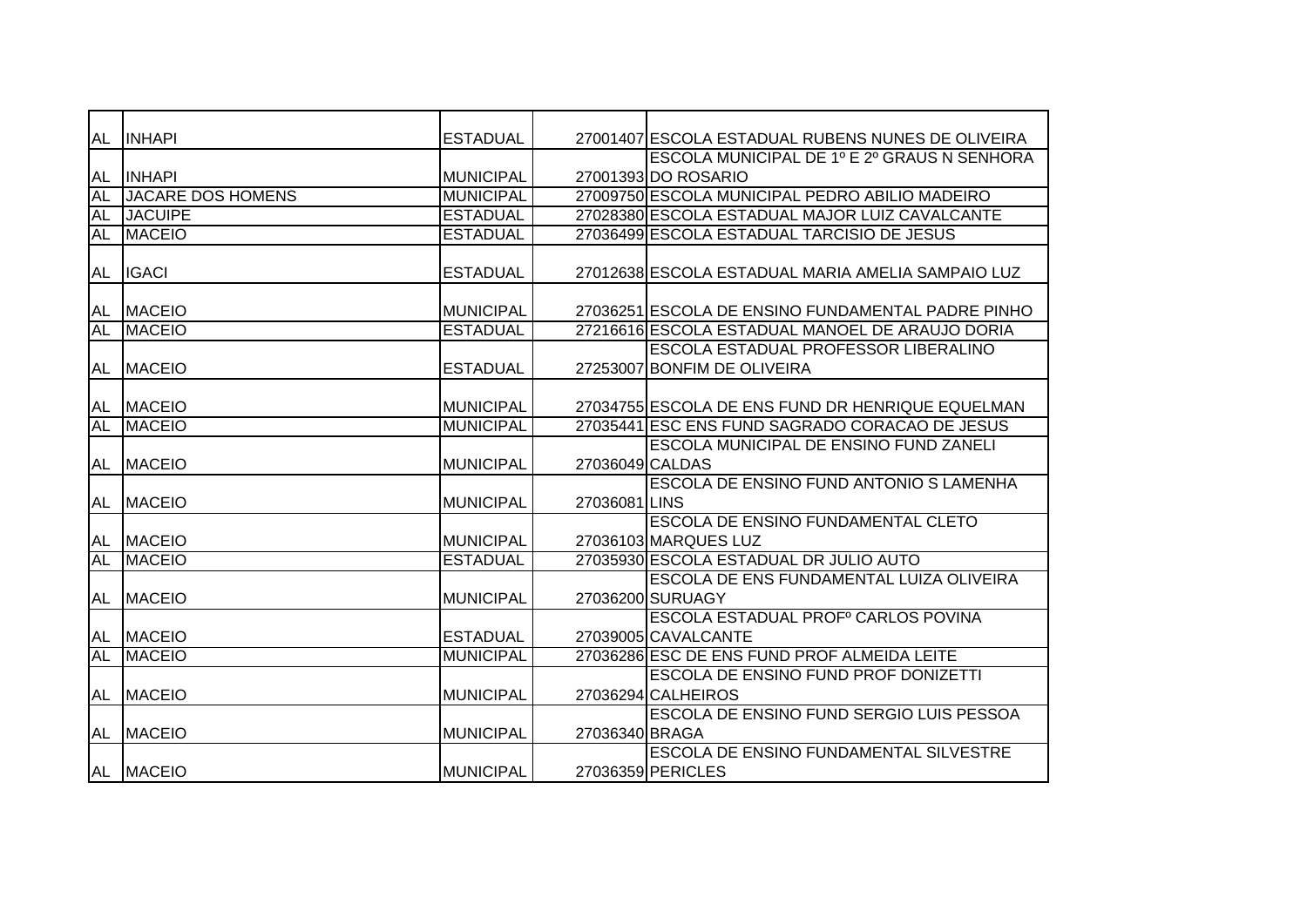| <b>AL</b> | <b>INHAPI</b>            | <b>ESTADUAL</b>  |                 | 27001407 ESCOLA ESTADUAL RUBENS NUNES DE OLIVEIRA |
|-----------|--------------------------|------------------|-----------------|---------------------------------------------------|
|           |                          |                  |                 | ESCOLA MUNICIPAL DE 1º E 2º GRAUS N SENHORA       |
| AL        | <b>INHAPI</b>            | <b>MUNICIPAL</b> |                 | 27001393 DO ROSARIO                               |
| <b>AL</b> | <b>JACARE DOS HOMENS</b> | <b>MUNICIPAL</b> |                 | 27009750 ESCOLA MUNICIPAL PEDRO ABILIO MADEIRO    |
| <b>AL</b> | <b>JACUIPE</b>           | <b>ESTADUAL</b>  |                 | 27028380 ESCOLA ESTADUAL MAJOR LUIZ CAVALCANTE    |
| AL        | <b>MACEIO</b>            | <b>ESTADUAL</b>  |                 | 27036499 ESCOLA ESTADUAL TARCISIO DE JESUS        |
|           |                          |                  |                 |                                                   |
| AL        | <b>IGACI</b>             | <b>ESTADUAL</b>  |                 | 27012638 ESCOLA ESTADUAL MARIA AMELIA SAMPAIO LUZ |
|           |                          |                  |                 |                                                   |
| AL        | <b>MACEIO</b>            | MUNICIPAL        |                 | 27036251 ESCOLA DE ENSINO FUNDAMENTAL PADRE PINHO |
| AL        | <b>MACEIO</b>            | <b>ESTADUAL</b>  |                 | 27216616 ESCOLA ESTADUAL MANOEL DE ARAUJO DORIA   |
|           |                          |                  |                 | ESCOLA ESTADUAL PROFESSOR LIBERALINO              |
| AL        | <b>MACEIO</b>            | <b>ESTADUAL</b>  |                 | 27253007 BONFIM DE OLIVEIRA                       |
|           |                          |                  |                 |                                                   |
| AL        | <b>MACEIO</b>            | <b>MUNICIPAL</b> |                 | 27034755 ESCOLA DE ENS FUND DR HENRIQUE EQUELMAN  |
| AL        | <b>MACEIO</b>            | <b>MUNICIPAL</b> |                 | 27035441 ESC ENS FUND SAGRADO CORACAO DE JESUS    |
|           |                          |                  |                 | ESCOLA MUNICIPAL DE ENSINO FUND ZANELI            |
| <b>AL</b> | <b>MACEIO</b>            | <b>MUNICIPAL</b> | 27036049 CALDAS |                                                   |
|           |                          |                  |                 | ESCOLA DE ENSINO FUND ANTONIO S LAMENHA           |
| AL        | <b>MACEIO</b>            | <b>MUNICIPAL</b> | 27036081 LINS   |                                                   |
|           |                          |                  |                 | <b>ESCOLA DE ENSINO FUNDAMENTAL CLETO</b>         |
| AL        | <b>MACEIO</b>            | <b>MUNICIPAL</b> |                 | 27036103 MARQUES LUZ                              |
| <b>AL</b> | <b>MACEIO</b>            | <b>ESTADUAL</b>  |                 | 27035930 ESCOLA ESTADUAL DR JULIO AUTO            |
|           |                          |                  |                 | <b>ESCOLA DE ENS FUNDAMENTAL LUIZA OLIVEIRA</b>   |
| AL        | <b>MACEIO</b>            | <b>MUNICIPAL</b> |                 | 27036200 SURUAGY                                  |
|           |                          |                  |                 | ESCOLA ESTADUAL PROFº CARLOS POVINA               |
| AL        | <b>MACEIO</b>            | <b>ESTADUAL</b>  |                 | 27039005 CAVALCANTE                               |
| AL        | <b>MACEIO</b>            | <b>MUNICIPAL</b> |                 | 27036286 ESC DE ENS FUND PROF ALMEIDA LEITE       |
|           |                          |                  |                 | <b>ESCOLA DE ENSINO FUND PROF DONIZETTI</b>       |
| AL        | <b>MACEIO</b>            | <b>MUNICIPAL</b> |                 | 27036294 CALHEIROS                                |
|           |                          |                  |                 | ESCOLA DE ENSINO FUND SERGIO LUIS PESSOA          |
| AL        | <b>MACEIO</b>            | <b>MUNICIPAL</b> | 27036340 BRAGA  |                                                   |
|           |                          |                  |                 | <b>ESCOLA DE ENSINO FUNDAMENTAL SILVESTRE</b>     |
|           | AL MACEIO                | <b>MUNICIPAL</b> |                 | 27036359 PERICLES                                 |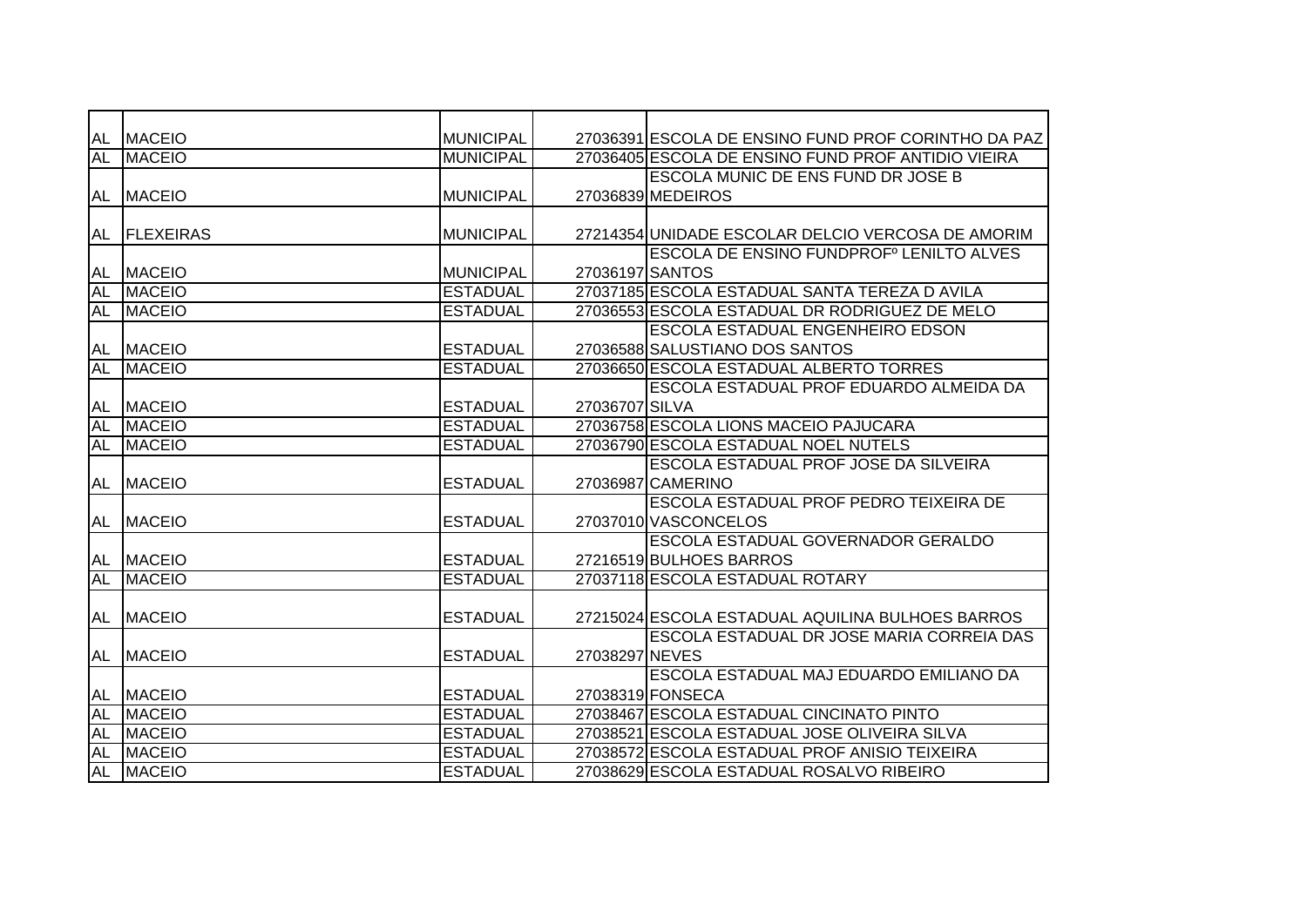| AL        | <b>MACEIO</b>     | <b>MUNICIPAL</b> |                 | 27036391 ESCOLA DE ENSINO FUND PROF CORINTHO DA PAZ |
|-----------|-------------------|------------------|-----------------|-----------------------------------------------------|
| <b>AL</b> | <b>MACEIO</b>     | <b>MUNICIPAL</b> |                 | 27036405 ESCOLA DE ENSINO FUND PROF ANTIDIO VIEIRA  |
|           |                   |                  |                 | <b>ESCOLA MUNIC DE ENS FUND DR JOSE B</b>           |
| AL        | <b>MACEIO</b>     | <b>MUNICIPAL</b> |                 | 27036839 MEDEIROS                                   |
|           |                   |                  |                 |                                                     |
| AL        | <b>IFLEXEIRAS</b> | <b>MUNICIPAL</b> |                 | 27214354 UNIDADE ESCOLAR DELCIO VERCOSA DE AMORIM   |
|           |                   |                  |                 | <b>ESCOLA DE ENSINO FUNDPROFº LENILTO ALVES</b>     |
| AL        | <b>MACEIO</b>     | <b>MUNICIPAL</b> | 27036197 SANTOS |                                                     |
| <b>AL</b> | <b>MACEIO</b>     | <b>ESTADUAL</b>  |                 | 27037185 ESCOLA ESTADUAL SANTA TEREZA DAVILA        |
| <b>AL</b> | <b>MACEIO</b>     | <b>ESTADUAL</b>  |                 | 27036553 ESCOLA ESTADUAL DR RODRIGUEZ DE MELO       |
|           |                   |                  |                 | <b>ESCOLA ESTADUAL ENGENHEIRO EDSON</b>             |
| AL        | <b>MACEIO</b>     | <b>ESTADUAL</b>  |                 | 27036588 SALUSTIANO DOS SANTOS                      |
| <b>AL</b> | <b>MACEIO</b>     | <b>ESTADUAL</b>  |                 | 27036650 ESCOLA ESTADUAL ALBERTO TORRES             |
|           |                   |                  |                 | ESCOLA ESTADUAL PROF EDUARDO ALMEIDA DA             |
| AL        | <b>MACEIO</b>     | <b>ESTADUAL</b>  | 27036707 SILVA  |                                                     |
| <b>AL</b> | <b>MACEIO</b>     | <b>ESTADUAL</b>  |                 | 27036758 ESCOLA LIONS MACEIO PAJUCARA               |
| AL        | <b>MACEIO</b>     | <b>ESTADUAL</b>  |                 | 27036790 ESCOLA ESTADUAL NOEL NUTELS                |
|           |                   |                  |                 | ESCOLA ESTADUAL PROF JOSE DA SILVEIRA               |
| AL        | <b>MACEIO</b>     | <b>ESTADUAL</b>  |                 | 27036987 CAMERINO                                   |
|           |                   |                  |                 | ESCOLA ESTADUAL PROF PEDRO TEIXEIRA DE              |
| <b>AL</b> | <b>MACEIO</b>     | <b>ESTADUAL</b>  |                 | 27037010 VASCONCELOS                                |
|           |                   |                  |                 | ESCOLA ESTADUAL GOVERNADOR GERALDO                  |
| AL        | <b>MACEIO</b>     | <b>ESTADUAL</b>  |                 | 27216519 BULHOES BARROS                             |
| <b>AL</b> | <b>MACEIO</b>     | <b>ESTADUAL</b>  |                 | 27037118 ESCOLA ESTADUAL ROTARY                     |
|           |                   |                  |                 |                                                     |
| AL        | <b>MACEIO</b>     | <b>ESTADUAL</b>  |                 | 27215024 ESCOLA ESTADUAL AQUILINA BULHOES BARROS    |
|           |                   |                  |                 | ESCOLA ESTADUAL DR JOSE MARIA CORREIA DAS           |
| AL        | <b>IMACEIO</b>    | <b>ESTADUAL</b>  | 27038297 NEVES  |                                                     |
|           |                   |                  |                 | ESCOLA ESTADUAL MAJ EDUARDO EMILIANO DA             |
| AL        | <b>MACEIO</b>     | <b>ESTADUAL</b>  |                 | 27038319 FONSECA                                    |
| <b>AL</b> | <b>MACEIO</b>     | <b>ESTADUAL</b>  |                 | 27038467 ESCOLA ESTADUAL CINCINATO PINTO            |
| <b>AL</b> | <b>MACEIO</b>     | <b>ESTADUAL</b>  |                 | 27038521 ESCOLA ESTADUAL JOSE OLIVEIRA SILVA        |
| <b>AL</b> | <b>MACEIO</b>     | <b>ESTADUAL</b>  |                 | 27038572 ESCOLA ESTADUAL PROF ANISIO TEIXEIRA       |
| <b>AL</b> | <b>MACEIO</b>     | <b>ESTADUAL</b>  |                 | 27038629 ESCOLA ESTADUAL ROSALVO RIBEIRO            |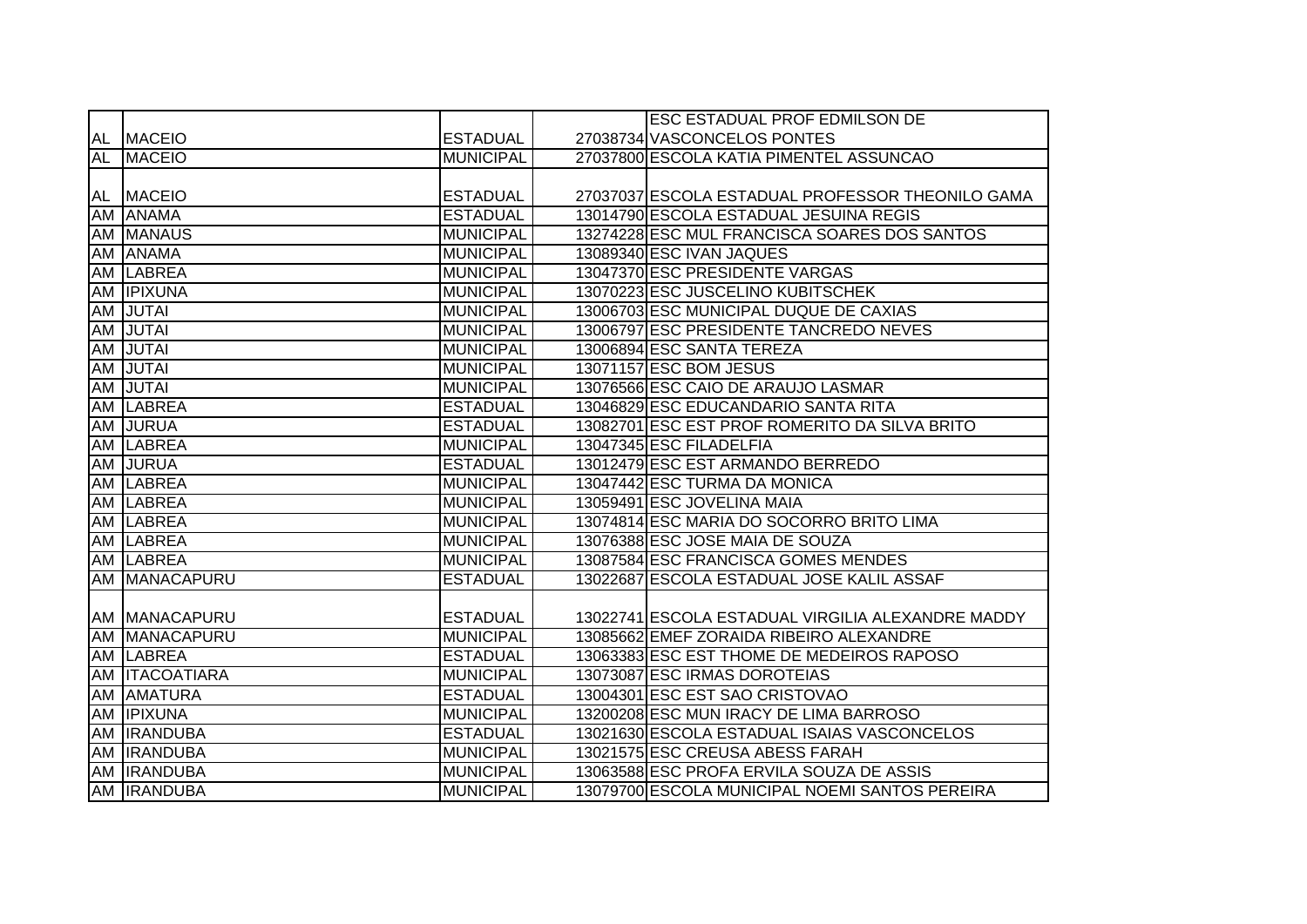|    |                    |                  | <b>ESC ESTADUAL PROF EDMILSON DE</b>              |
|----|--------------------|------------------|---------------------------------------------------|
|    | AL MACEIO          | <b>ESTADUAL</b>  | 27038734 VASCONCELOS PONTES                       |
| AL | <b>MACEIO</b>      | <b>MUNICIPAL</b> | 27037800 ESCOLA KATIA PIMENTEL ASSUNCAO           |
|    |                    |                  |                                                   |
|    | AL MACEIO          | <b>ESTADUAL</b>  | 27037037 ESCOLA ESTADUAL PROFESSOR THEONILO GAMA  |
|    | AM ANAMA           | <b>ESTADUAL</b>  | 13014790 ESCOLA ESTADUAL JESUINA REGIS            |
|    | <b>AM MANAUS</b>   | <b>MUNICIPAL</b> | 13274228 ESC MUL FRANCISCA SOARES DOS SANTOS      |
| AM | <b>ANAMA</b>       | <b>MUNICIPAL</b> | 13089340 ESC IVAN JAQUES                          |
| AM | <b>LABREA</b>      | <b>MUNICIPAL</b> | 13047370 ESC PRESIDENTE VARGAS                    |
|    | AM <b>IPIXUNA</b>  | <b>MUNICIPAL</b> | 13070223 ESC JUSCELINO KUBITSCHEK                 |
| AM | JUTAI              | <b>MUNICIPAL</b> | 13006703 ESC MUNICIPAL DUQUE DE CAXIAS            |
| AM | JUTAI              | <b>MUNICIPAL</b> | 13006797 ESC PRESIDENTE TANCREDO NEVES            |
| AM | JUTAI              | <b>MUNICIPAL</b> | 13006894 ESC SANTA TEREZA                         |
| AM | JUTAI              | <b>MUNICIPAL</b> | 13071157 ESC BOM JESUS                            |
| AM | <b>JUTAI</b>       | <b>MUNICIPAL</b> | 13076566 ESC CAIO DE ARAUJO LASMAR                |
| AM | <b>LABREA</b>      | <b>ESTADUAL</b>  | 13046829 ESC EDUCANDARIO SANTA RITA               |
|    | AM JURUA           | <b>ESTADUAL</b>  | 13082701 ESC EST PROF ROMERITO DA SILVA BRITO     |
|    | AM LABREA          | <b>MUNICIPAL</b> | 13047345 ESC FILADELFIA                           |
|    | AM JURUA           | <b>ESTADUAL</b>  | 13012479 ESC EST ARMANDO BERREDO                  |
|    | AM LABREA          | <b>MUNICIPAL</b> | 13047442 ESC TURMA DA MONICA                      |
|    | AM LABREA          | <b>MUNICIPAL</b> | 13059491 ESC JOVELINA MAIA                        |
|    | AM LABREA          | <b>MUNICIPAL</b> | 13074814 ESC MARIA DO SOCORRO BRITO LIMA          |
|    | AM LABREA          | <b>MUNICIPAL</b> | 13076388 ESC JOSE MAIA DE SOUZA                   |
|    | AM LABREA          | <b>MUNICIPAL</b> | 13087584 ESC FRANCISCA GOMES MENDES               |
| AM | MANACAPURU         | <b>ESTADUAL</b>  | 13022687 ESCOLA ESTADUAL JOSE KALIL ASSAF         |
|    |                    |                  |                                                   |
|    | AM MANACAPURU      | <b>ESTADUAL</b>  | 13022741 ESCOLA ESTADUAL VIRGILIA ALEXANDRE MADDY |
| AM | <b>MANACAPURU</b>  | <b>MUNICIPAL</b> | 13085662 EMEF ZORAIDA RIBEIRO ALEXANDRE           |
|    | AM LABREA          | <b>ESTADUAL</b>  | 13063383 ESC EST THOME DE MEDEIROS RAPOSO         |
|    | AM ITACOATIARA     | <b>MUNICIPAL</b> | 13073087 ESC IRMAS DOROTEIAS                      |
|    | AM AMATURA         | <b>ESTADUAL</b>  | 13004301 ESC EST SAO CRISTOVAO                    |
| AM | <b>IPIXUNA</b>     | <b>MUNICIPAL</b> | 13200208 ESC MUN IRACY DE LIMA BARROSO            |
|    | AM <b>IRANDUBA</b> | <b>ESTADUAL</b>  | 13021630 ESCOLA ESTADUAL ISAIAS VASCONCELOS       |
|    | AM <b>IRANDUBA</b> | <b>MUNICIPAL</b> | 13021575 ESC CREUSA ABESS FARAH                   |
|    | AM <b>IRANDUBA</b> | <b>MUNICIPAL</b> | 13063588 ESC PROFA ERVILA SOUZA DE ASSIS          |
|    | AM <b>IRANDUBA</b> | <b>MUNICIPAL</b> | 13079700 ESCOLA MUNICIPAL NOEMI SANTOS PEREIRA    |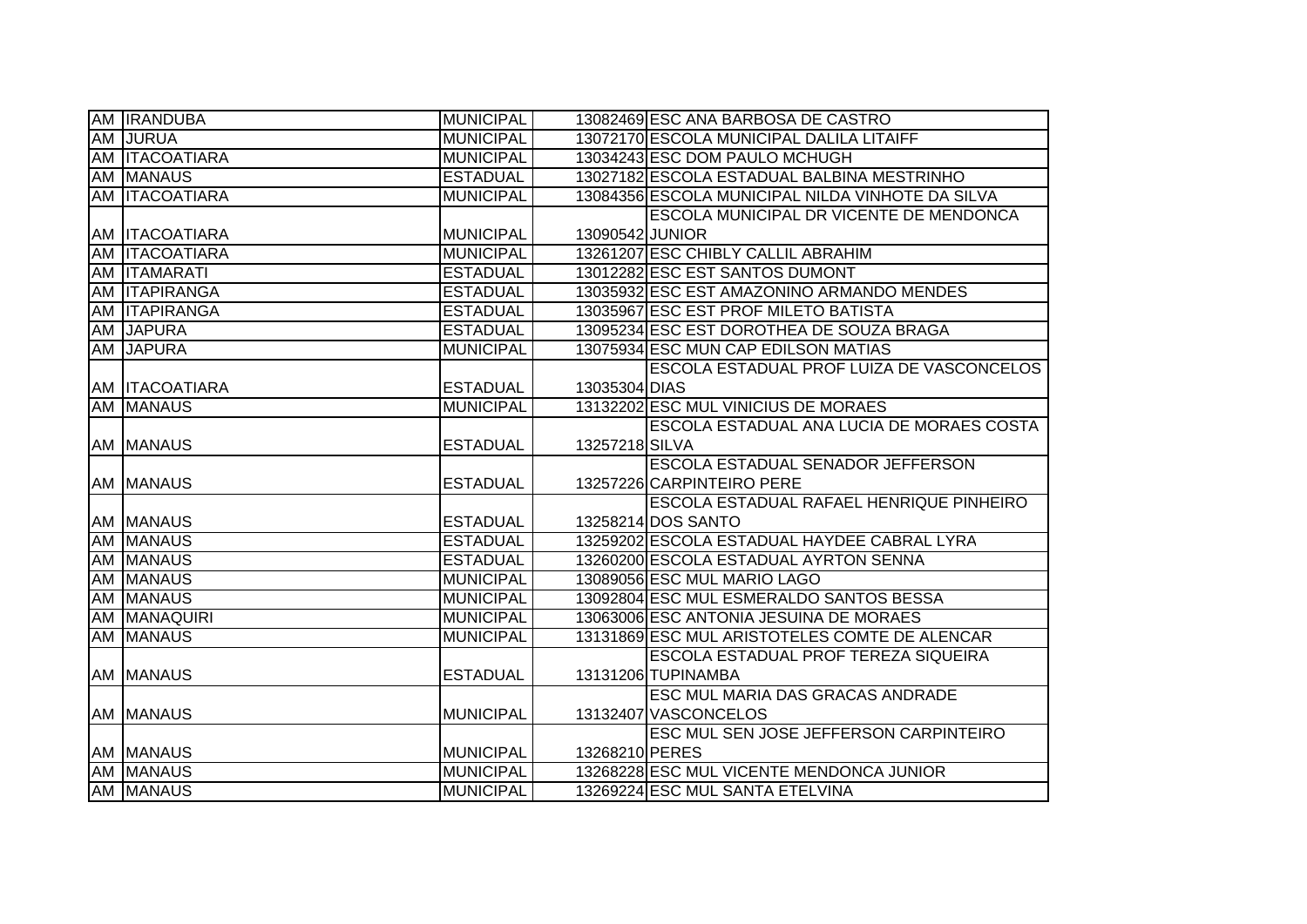| <b>AM IRANDUBA</b>                   | <b>MUNICIPAL</b> |                 | 13082469 ESC ANA BARBOSA DE CASTRO                                          |
|--------------------------------------|------------------|-----------------|-----------------------------------------------------------------------------|
| AM JURUA                             | <b>MUNICIPAL</b> |                 | 13072170 ESCOLA MUNICIPAL DALILA LITAIFF                                    |
| AM ITACOATIARA                       | <b>MUNICIPAL</b> |                 | 13034243 ESC DOM PAULO MCHUGH                                               |
| AM MANAUS                            | <b>ESTADUAL</b>  |                 | 13027182 ESCOLA ESTADUAL BALBINA MESTRINHO                                  |
| <b>AM ITACOATIARA</b>                | <b>MUNICIPAL</b> |                 | 13084356 ESCOLA MUNICIPAL NILDA VINHOTE DA SILVA                            |
|                                      |                  |                 | ESCOLA MUNICIPAL DR VICENTE DE MENDONCA                                     |
| AM ITACOATIARA                       | <b>MUNICIPAL</b> | 13090542 JUNIOR |                                                                             |
| AM ITACOATIARA                       | <b>MUNICIPAL</b> |                 | 13261207 ESC CHIBLY CALLIL ABRAHIM                                          |
| AM ITAMARATI                         | <b>ESTADUAL</b>  |                 | 13012282 ESC EST SANTOS DUMONT                                              |
| AM ITAPIRANGA                        | <b>ESTADUAL</b>  |                 | 13035932 ESC EST AMAZONINO ARMANDO MENDES                                   |
| AM ITAPIRANGA                        | <b>ESTADUAL</b>  |                 | 13035967 ESC EST PROF MILETO BATISTA                                        |
| AM JAPURA                            | <b>ESTADUAL</b>  |                 | 13095234 ESC EST DOROTHEA DE SOUZA BRAGA                                    |
| AM JAPURA                            | <b>MUNICIPAL</b> |                 | 13075934 ESC MUN CAP EDILSON MATIAS                                         |
|                                      |                  |                 | ESCOLA ESTADUAL PROF LUIZA DE VASCONCELOS                                   |
| AM ITACOATIARA                       | <b>ESTADUAL</b>  | 13035304 DIAS   |                                                                             |
| AM MANAUS                            | <b>MUNICIPAL</b> |                 | 13132202 ESC MUL VINICIUS DE MORAES                                         |
|                                      |                  |                 | ESCOLA ESTADUAL ANA LUCIA DE MORAES COSTA                                   |
| <b>AM MANAUS</b>                     | <b>ESTADUAL</b>  | 13257218 SILVA  |                                                                             |
|                                      |                  |                 |                                                                             |
|                                      |                  |                 | ESCOLA ESTADUAL SENADOR JEFFERSON                                           |
| AM MANAUS                            | <b>ESTADUAL</b>  |                 | 13257226 CARPINTEIRO PERE                                                   |
|                                      |                  |                 | ESCOLA ESTADUAL RAFAEL HENRIQUE PINHEIRO                                    |
| AM MANAUS                            | <b>ESTADUAL</b>  |                 | 13258214 DOS SANTO                                                          |
| <b>AM MANAUS</b>                     | <b>ESTADUAL</b>  |                 | 13259202 ESCOLA ESTADUAL HAYDEE CABRAL LYRA                                 |
| AM MANAUS                            | <b>ESTADUAL</b>  |                 | 13260200 ESCOLA ESTADUAL AYRTON SENNA                                       |
| <b>AM MANAUS</b>                     | <b>MUNICIPAL</b> |                 | 13089056 ESC MUL MARIO LAGO                                                 |
| <b>AM MANAUS</b>                     | <b>MUNICIPAL</b> |                 | 13092804 ESC MUL ESMERALDO SANTOS BESSA                                     |
| AM MANAQUIRI                         | <b>MUNICIPAL</b> |                 | 13063006 ESC ANTONIA JESUINA DE MORAES                                      |
| <b>AM MANAUS</b>                     | <b>MUNICIPAL</b> |                 | 13131869 ESC MUL ARISTOTELES COMTE DE ALENCAR                               |
|                                      |                  |                 | ESCOLA ESTADUAL PROF TEREZA SIQUEIRA                                        |
| <b>AM MANAUS</b>                     | <b>ESTADUAL</b>  |                 | 13131206 TUPINAMBA                                                          |
|                                      |                  |                 | ESC MUL MARIA DAS GRACAS ANDRADE                                            |
| AM MANAUS                            | <b>MUNICIPAL</b> |                 | 13132407 VASCONCELOS                                                        |
|                                      |                  |                 | ESC MUL SEN JOSE JEFFERSON CARPINTEIRO                                      |
| AM MANAUS                            | <b>MUNICIPAL</b> | 13268210 PERES  |                                                                             |
| <b>AM MANAUS</b><br><b>AM MANAUS</b> | <b>MUNICIPAL</b> |                 | 13268228 ESC MUL VICENTE MENDONCA JUNIOR<br>13269224 ESC MUL SANTA ETELVINA |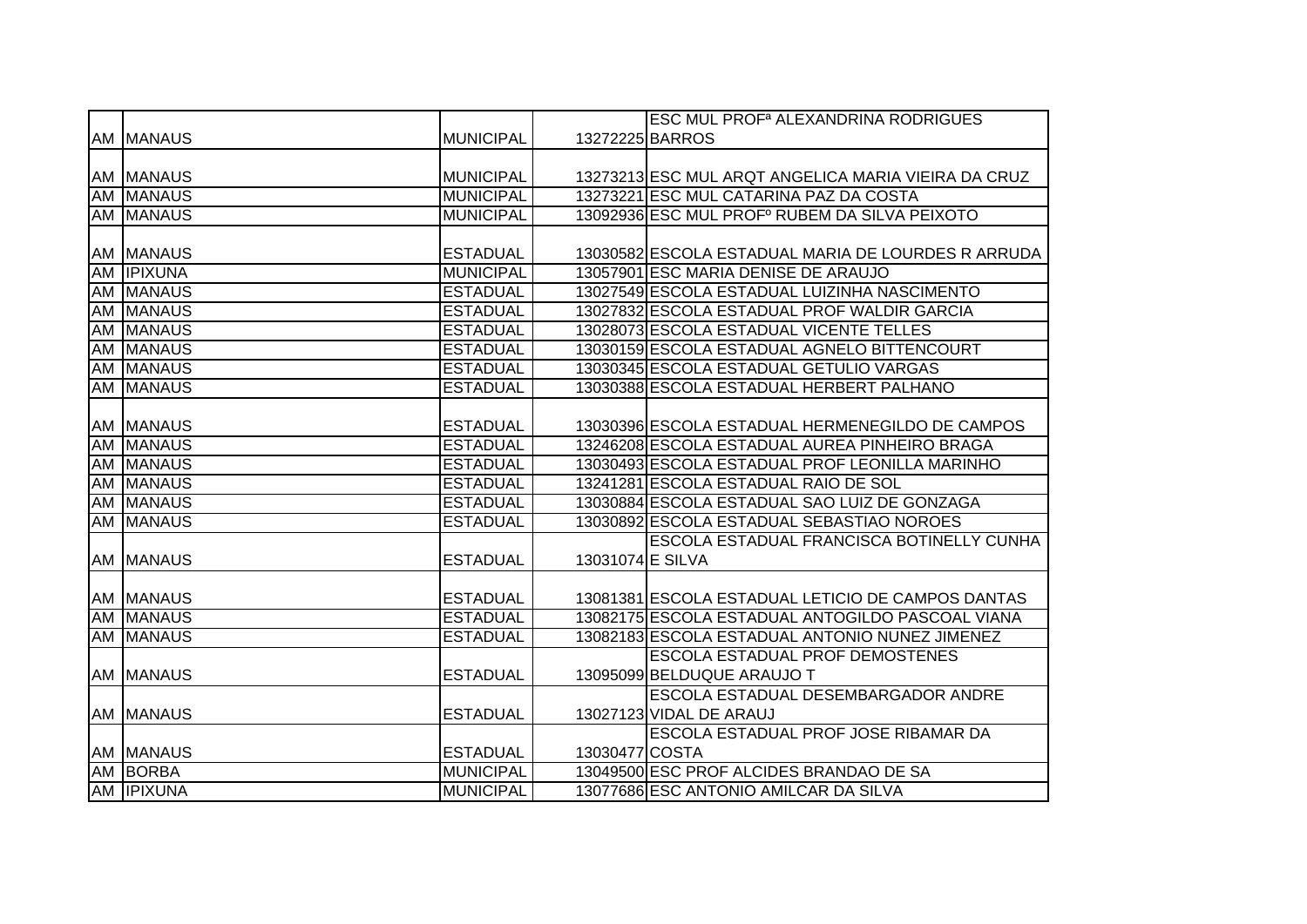|    |                   |                  |                  | <b>ESC MUL PROF<sup>ª</sup> ALEXANDRINA RODRIGUES</b> |
|----|-------------------|------------------|------------------|-------------------------------------------------------|
|    | AM MANAUS         | <b>MUNICIPAL</b> |                  | 13272225 BARROS                                       |
|    |                   |                  |                  |                                                       |
|    | <b>AM MANAUS</b>  | <b>MUNICIPAL</b> |                  | 13273213 ESC MUL ARQT ANGELICA MARIA VIEIRA DA CRUZ   |
|    | <b>AM MANAUS</b>  | <b>MUNICIPAL</b> |                  | 13273221 ESC MUL CATARINA PAZ DA COSTA                |
|    | <b>AM MANAUS</b>  | <b>MUNICIPAL</b> |                  | 13092936 ESC MUL PROFº RUBEM DA SILVA PEIXOTO         |
|    |                   |                  |                  |                                                       |
|    | AM MANAUS         | <b>ESTADUAL</b>  |                  | 13030582 ESCOLA ESTADUAL MARIA DE LOURDES RARRUDA     |
|    | AM <b>IPIXUNA</b> | <b>MUNICIPAL</b> |                  | 13057901 ESC MARIA DENISE DE ARAUJO                   |
|    | <b>AM MANAUS</b>  | <b>ESTADUAL</b>  |                  | 13027549 ESCOLA ESTADUAL LUIZINHA NASCIMENTO          |
|    | <b>AM MANAUS</b>  | <b>ESTADUAL</b>  |                  | 13027832 ESCOLA ESTADUAL PROF WALDIR GARCIA           |
|    | AM MANAUS         | <b>ESTADUAL</b>  |                  | 13028073 ESCOLA ESTADUAL VICENTE TELLES               |
| AM | <b>MANAUS</b>     | <b>ESTADUAL</b>  |                  | 13030159 ESCOLA ESTADUAL AGNELO BITTENCOURT           |
|    | AM MANAUS         | <b>ESTADUAL</b>  |                  | 13030345 ESCOLA ESTADUAL GETULIO VARGAS               |
|    | <b>AM MANAUS</b>  | <b>ESTADUAL</b>  |                  | 13030388 ESCOLA ESTADUAL HERBERT PALHANO              |
|    |                   |                  |                  |                                                       |
|    | AM MANAUS         | <b>ESTADUAL</b>  |                  | 13030396 ESCOLA ESTADUAL HERMENEGILDO DE CAMPOS       |
|    | AM MANAUS         | <b>ESTADUAL</b>  |                  | 13246208 ESCOLA ESTADUAL AUREA PINHEIRO BRAGA         |
|    | <b>AM MANAUS</b>  | <b>ESTADUAL</b>  |                  | 13030493 ESCOLA ESTADUAL PROF LEONILLA MARINHO        |
|    | <b>AM MANAUS</b>  | <b>ESTADUAL</b>  |                  | 13241281 ESCOLA ESTADUAL RAIO DE SOL                  |
|    | <b>AM MANAUS</b>  | <b>ESTADUAL</b>  |                  | 13030884 ESCOLA ESTADUAL SAO LUIZ DE GONZAGA          |
|    | AM MANAUS         | <b>ESTADUAL</b>  |                  | 13030892 ESCOLA ESTADUAL SEBASTIAO NOROES             |
|    |                   |                  |                  | ESCOLA ESTADUAL FRANCISCA BOTINELLY CUNHA             |
|    | <b>AM MANAUS</b>  | <b>ESTADUAL</b>  | 13031074 E SILVA |                                                       |
|    |                   |                  |                  |                                                       |
|    | AM MANAUS         | <b>ESTADUAL</b>  |                  | 13081381 ESCOLA ESTADUAL LETICIO DE CAMPOS DANTAS     |
|    | AM MANAUS         | <b>ESTADUAL</b>  |                  | 13082175 ESCOLA ESTADUAL ANTOGILDO PASCOAL VIANA      |
|    | <b>AM MANAUS</b>  | <b>ESTADUAL</b>  |                  | 13082183 ESCOLA ESTADUAL ANTONIO NUNEZ JIMENEZ        |
|    |                   |                  |                  | <b>ESCOLA ESTADUAL PROF DEMOSTENES</b>                |
|    | AM MANAUS         | <b>ESTADUAL</b>  |                  | 13095099 BELDUQUE ARAUJO T                            |
|    |                   |                  |                  | ESCOLA ESTADUAL DESEMBARGADOR ANDRE                   |
|    | <b>AM MANAUS</b>  | <b>ESTADUAL</b>  |                  | 13027123 VIDAL DE ARAUJ                               |
|    |                   |                  |                  | ESCOLA ESTADUAL PROF JOSE RIBAMAR DA                  |
|    | AM MANAUS         | <b>ESTADUAL</b>  | 13030477 COSTA   |                                                       |
|    | AM BORBA          | <b>MUNICIPAL</b> |                  | 13049500 ESC PROF ALCIDES BRANDAO DE SA               |
|    | AM <b>IPIXUNA</b> | <b>MUNICIPAL</b> |                  | 13077686 ESC ANTONIO AMILCAR DA SILVA                 |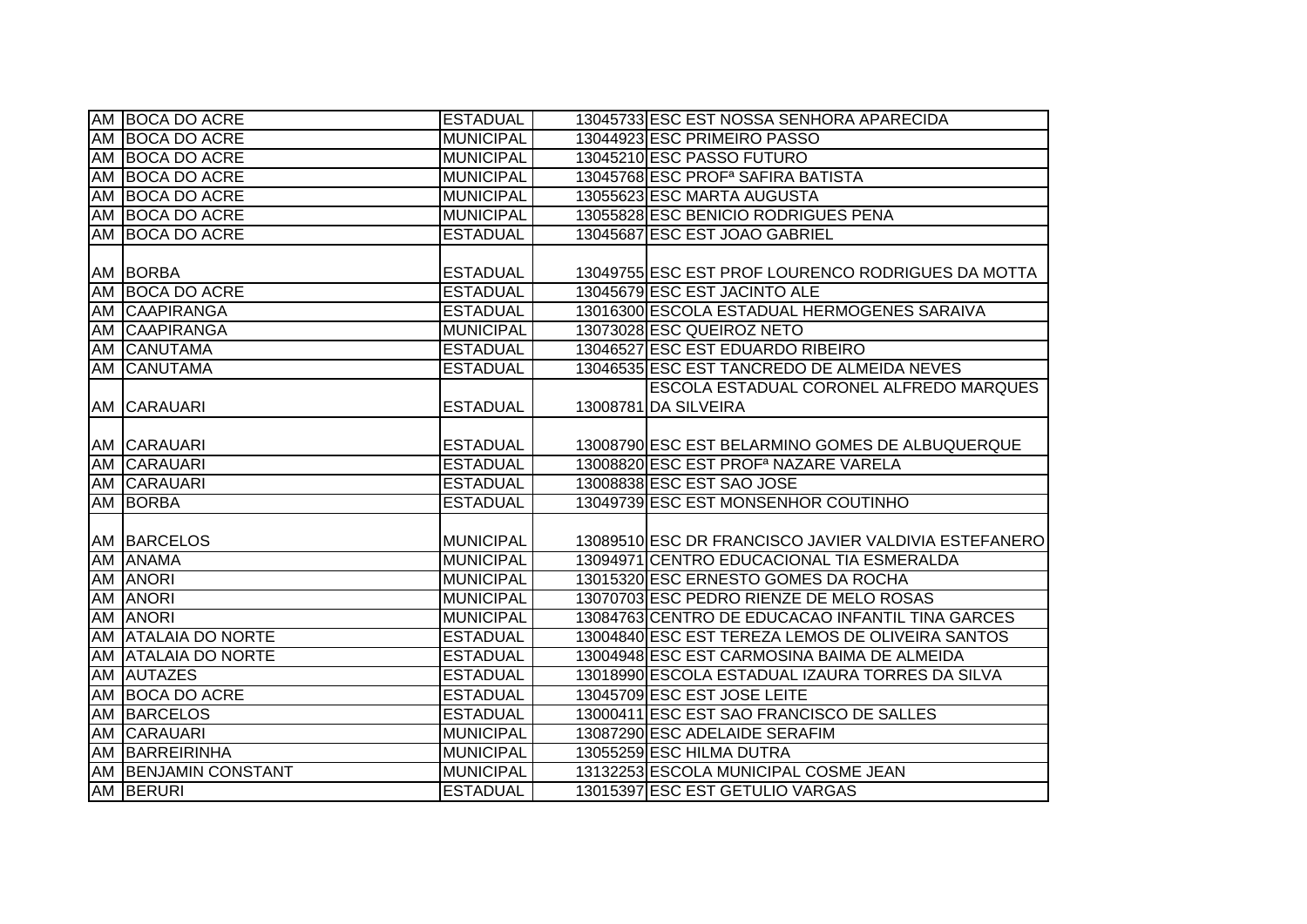|    | AM BOCA DO ACRE            | <b>ESTADUAL</b>                     | 13045733 ESC EST NOSSA SENHORA APARECIDA                                                            |
|----|----------------------------|-------------------------------------|-----------------------------------------------------------------------------------------------------|
|    | AM BOCA DO ACRE            | <b>MUNICIPAL</b>                    | 13044923 ESC PRIMEIRO PASSO                                                                         |
|    | AM BOCA DO ACRE            | <b>MUNICIPAL</b>                    | 13045210 ESC PASSO FUTURO                                                                           |
|    | AM BOCA DO ACRE            | <b>MUNICIPAL</b>                    | 13045768 ESC PROF <sup>a</sup> SAFIRA BATISTA                                                       |
| AM | <b>BOCA DO ACRE</b>        | <b>MUNICIPAL</b>                    | 13055623 ESC MARTA AUGUSTA                                                                          |
|    | AM BOCA DO ACRE            | <b>MUNICIPAL</b>                    | 13055828 ESC BENICIO RODRIGUES PENA                                                                 |
|    | AM BOCA DO ACRE            | <b>ESTADUAL</b>                     | 13045687 ESC EST JOAO GABRIEL                                                                       |
|    |                            |                                     |                                                                                                     |
|    | AM BORBA                   | <b>ESTADUAL</b>                     | 13049755 ESC EST PROF LOURENCO RODRIGUES DA MOTTA                                                   |
|    | AM BOCA DO ACRE            | <b>ESTADUAL</b>                     | 13045679 ESC EST JACINTO ALE                                                                        |
|    | AM CAAPIRANGA              | <b>ESTADUAL</b>                     | 13016300 ESCOLA ESTADUAL HERMOGENES SARAIVA                                                         |
|    | AM CAAPIRANGA              | <b>MUNICIPAL</b>                    | 13073028 ESC QUEIROZ NETO                                                                           |
|    | AM CANUTAMA                | <b>ESTADUAL</b>                     | 13046527 ESC EST EDUARDO RIBEIRO                                                                    |
|    | AM CANUTAMA                | <b>ESTADUAL</b>                     | 13046535 ESC EST TANCREDO DE ALMEIDA NEVES                                                          |
|    |                            |                                     | ESCOLA ESTADUAL CORONEL ALFREDO MARQUES                                                             |
|    | AM CARAUARI                | <b>ESTADUAL</b>                     | 13008781 DA SILVEIRA                                                                                |
|    |                            |                                     |                                                                                                     |
|    | AM CARAUARI                | <b>ESTADUAL</b>                     | 13008790 ESC EST BELARMINO GOMES DE ALBUQUERQUE                                                     |
|    |                            |                                     |                                                                                                     |
|    | AM CARAUARI                | <b>ESTADUAL</b>                     | 13008820 ESC EST PROF <sup>a</sup> NAZARE VARELA                                                    |
|    | AM CARAUARI                | <b>ESTADUAL</b>                     | 13008838 ESC EST SAO JOSE                                                                           |
|    | AM BORBA                   | <b>ESTADUAL</b>                     | 13049739 ESC EST MONSENHOR COUTINHO                                                                 |
|    |                            |                                     |                                                                                                     |
|    | AM BARCELOS                | <b>MUNICIPAL</b>                    |                                                                                                     |
|    | AM ANAMA                   | <b>MUNICIPAL</b>                    | 13094971 CENTRO EDUCACIONAL TIA ESMERALDA                                                           |
|    | <b>AM ANORI</b>            | <b>MUNICIPAL</b>                    | 13015320 ESC ERNESTO GOMES DA ROCHA                                                                 |
|    | <b>AM ANORI</b>            | <b>MUNICIPAL</b>                    | 13070703 ESC PEDRO RIENZE DE MELO ROSAS                                                             |
|    | <b>AM ANORI</b>            | <b>MUNICIPAL</b>                    | 13084763 CENTRO DE EDUCACAO INFANTIL TINA GARCES                                                    |
|    | AM ATALAIA DO NORTE        | <b>ESTADUAL</b>                     | 13004840 ESC EST TEREZA LEMOS DE OLIVEIRA SANTOS                                                    |
|    | <b>AM ATALAIA DO NORTE</b> | <b>ESTADUAL</b>                     | 13089510 ESC DR FRANCISCO JAVIER VALDIVIA ESTEFANERO<br>13004948 ESC EST CARMOSINA BAIMA DE ALMEIDA |
|    | AM AUTAZES                 | <b>ESTADUAL</b>                     | 13018990 ESCOLA ESTADUAL IZAURA TORRES DA SILVA                                                     |
| AM | <b>BOCA DO ACRE</b>        | <b>ESTADUAL</b>                     | 13045709 ESC EST JOSE LEITE                                                                         |
|    | <b>AM BARCELOS</b>         | <b>ESTADUAL</b>                     | 13000411 ESC EST SAO FRANCISCO DE SALLES                                                            |
|    | AM CARAUARI                | <b>MUNICIPAL</b>                    | 13087290 ESC ADELAIDE SERAFIM                                                                       |
|    | <b>AM BARREIRINHA</b>      | <b>MUNICIPAL</b>                    | 13055259 ESC HILMA DUTRA                                                                            |
|    | AM BENJAMIN CONSTANT       | <b>MUNICIPAL</b><br><b>ESTADUAL</b> | 13132253 ESCOLA MUNICIPAL COSME JEAN<br>13015397 ESC EST GETULIO VARGAS                             |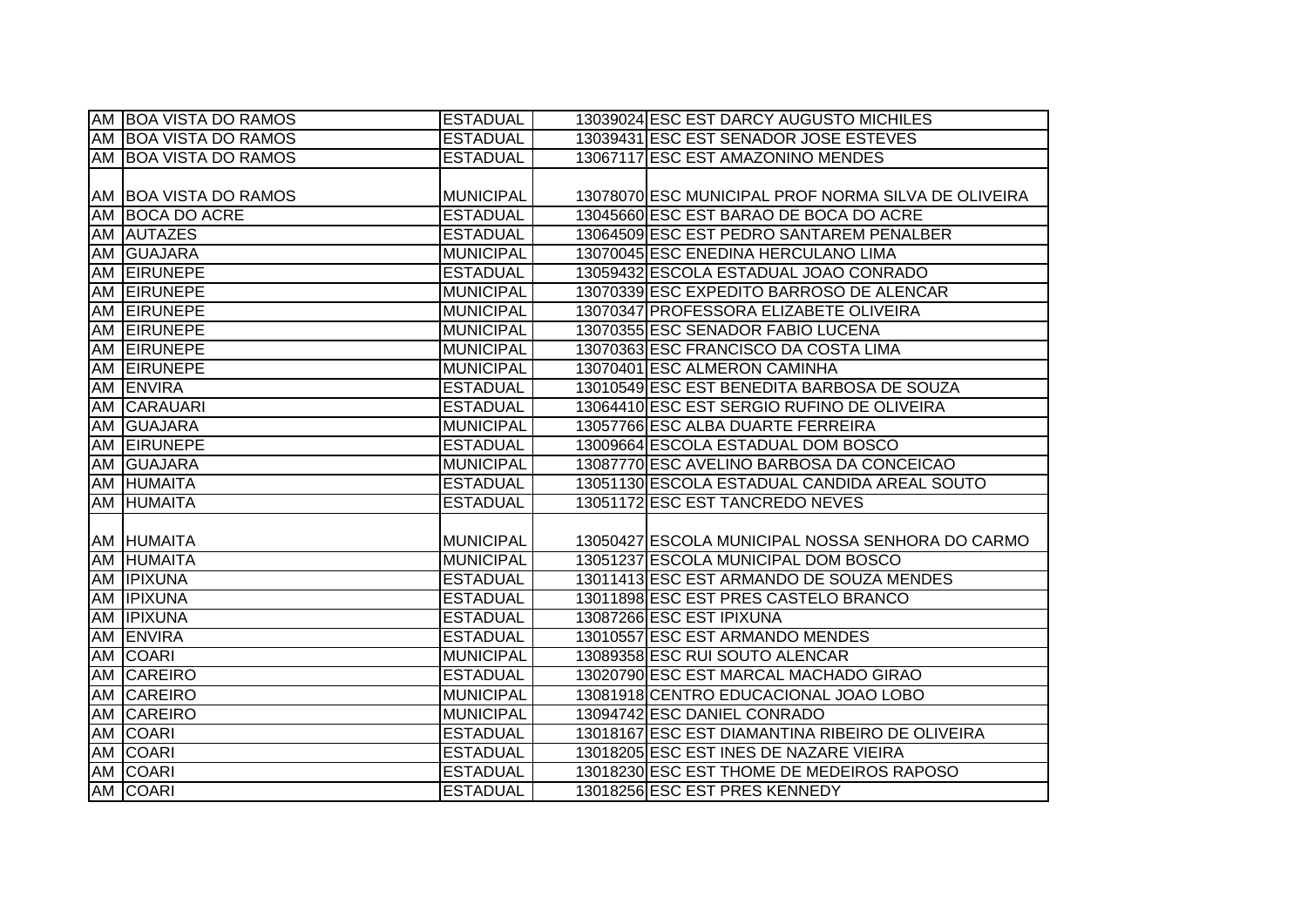| AM BOA VISTA DO RAMOS | <b>ESTADUAL</b>  | 13039024 ESC EST DARCY AUGUSTO MICHILES             |
|-----------------------|------------------|-----------------------------------------------------|
| AM BOA VISTA DO RAMOS | <b>ESTADUAL</b>  | 13039431 ESC EST SENADOR JOSE ESTEVES               |
| AM BOA VISTA DO RAMOS | <b>ESTADUAL</b>  | 13067117 ESC EST AMAZONINO MENDES                   |
|                       |                  |                                                     |
| AM BOA VISTA DO RAMOS | <b>MUNICIPAL</b> | 13078070 ESC MUNICIPAL PROF NORMA SILVA DE OLIVEIRA |
| AM BOCA DO ACRE       | <b>ESTADUAL</b>  | 13045660 ESC EST BARAO DE BOCA DO ACRE              |
| AM AUTAZES            | <b>ESTADUAL</b>  | 13064509 ESC EST PEDRO SANTAREM PENALBER            |
| AM GUAJARA            | <b>MUNICIPAL</b> | 13070045 ESC ENEDINA HERCULANO LIMA                 |
| AM EIRUNEPE           | <b>ESTADUAL</b>  | 13059432 ESCOLA ESTADUAL JOAO CONRADO               |
| AM EIRUNEPE           | <b>MUNICIPAL</b> | 13070339 ESC EXPEDITO BARROSO DE ALENCAR            |
| AM EIRUNEPE           | <b>MUNICIPAL</b> | 13070347 PROFESSORA ELIZABETE OLIVEIRA              |
| AM EIRUNEPE           | <b>MUNICIPAL</b> | 13070355 ESC SENADOR FABIO LUCENA                   |
| AM EIRUNEPE           | <b>MUNICIPAL</b> | 13070363 ESC FRANCISCO DA COSTA LIMA                |
| AM EIRUNEPE           | <b>MUNICIPAL</b> | 13070401 ESC ALMERON CAMINHA                        |
| AM ENVIRA             | <b>ESTADUAL</b>  | 13010549 ESC EST BENEDITA BARBOSA DE SOUZA          |
| AM CARAUARI           | <b>ESTADUAL</b>  | 13064410 ESC EST SERGIO RUFINO DE OLIVEIRA          |
| AM GUAJARA            | <b>MUNICIPAL</b> | 13057766 ESC ALBA DUARTE FERREIRA                   |
| AM EIRUNEPE           | <b>ESTADUAL</b>  | 13009664 ESCOLA ESTADUAL DOM BOSCO                  |
| AM GUAJARA            | <b>MUNICIPAL</b> | 13087770 ESC AVELINO BARBOSA DA CONCEICAO           |
| AM HUMAITA            | <b>ESTADUAL</b>  | 13051130 ESCOLA ESTADUAL CANDIDA AREAL SOUTO        |
| AM HUMAITA            | <b>ESTADUAL</b>  | 13051172 ESC EST TANCREDO NEVES                     |
|                       |                  |                                                     |
| AM HUMAITA            | <b>MUNICIPAL</b> | 13050427 ESCOLA MUNICIPAL NOSSA SENHORA DO CARMO    |
| AM HUMAITA            | <b>MUNICIPAL</b> | 13051237 ESCOLA MUNICIPAL DOM BOSCO                 |
| AM <b>IPIXUNA</b>     | <b>ESTADUAL</b>  | 13011413 ESC EST ARMANDO DE SOUZA MENDES            |
| AM <b>IPIXUNA</b>     | <b>ESTADUAL</b>  | 13011898 ESC EST PRES CASTELO BRANCO                |
| AM <b>IPIXUNA</b>     | <b>ESTADUAL</b>  | 13087266 ESC EST IPIXUNA                            |
| AM ENVIRA             | <b>ESTADUAL</b>  | 13010557 ESC EST ARMANDO MENDES                     |
| AM COARI              | <b>MUNICIPAL</b> | 13089358 ESC RUI SOUTO ALENCAR                      |
| AM CAREIRO            | <b>ESTADUAL</b>  | 13020790 ESC EST MARCAL MACHADO GIRAO               |
| AM CAREIRO            | <b>MUNICIPAL</b> | 13081918 CENTRO EDUCACIONAL JOAO LOBO               |
| AM CAREIRO            | <b>MUNICIPAL</b> | 13094742 ESC DANIEL CONRADO                         |
| AM COARI              | <b>ESTADUAL</b>  | 13018167 ESC EST DIAMANTINA RIBEIRO DE OLIVEIRA     |
| AM COARI              | <b>ESTADUAL</b>  | 13018205 ESC EST INES DE NAZARE VIEIRA              |
| AM COARI              | <b>ESTADUAL</b>  | 13018230 ESC EST THOME DE MEDEIROS RAPOSO           |
| AM COARI              | <b>ESTADUAL</b>  | 13018256 ESC EST PRES KENNEDY                       |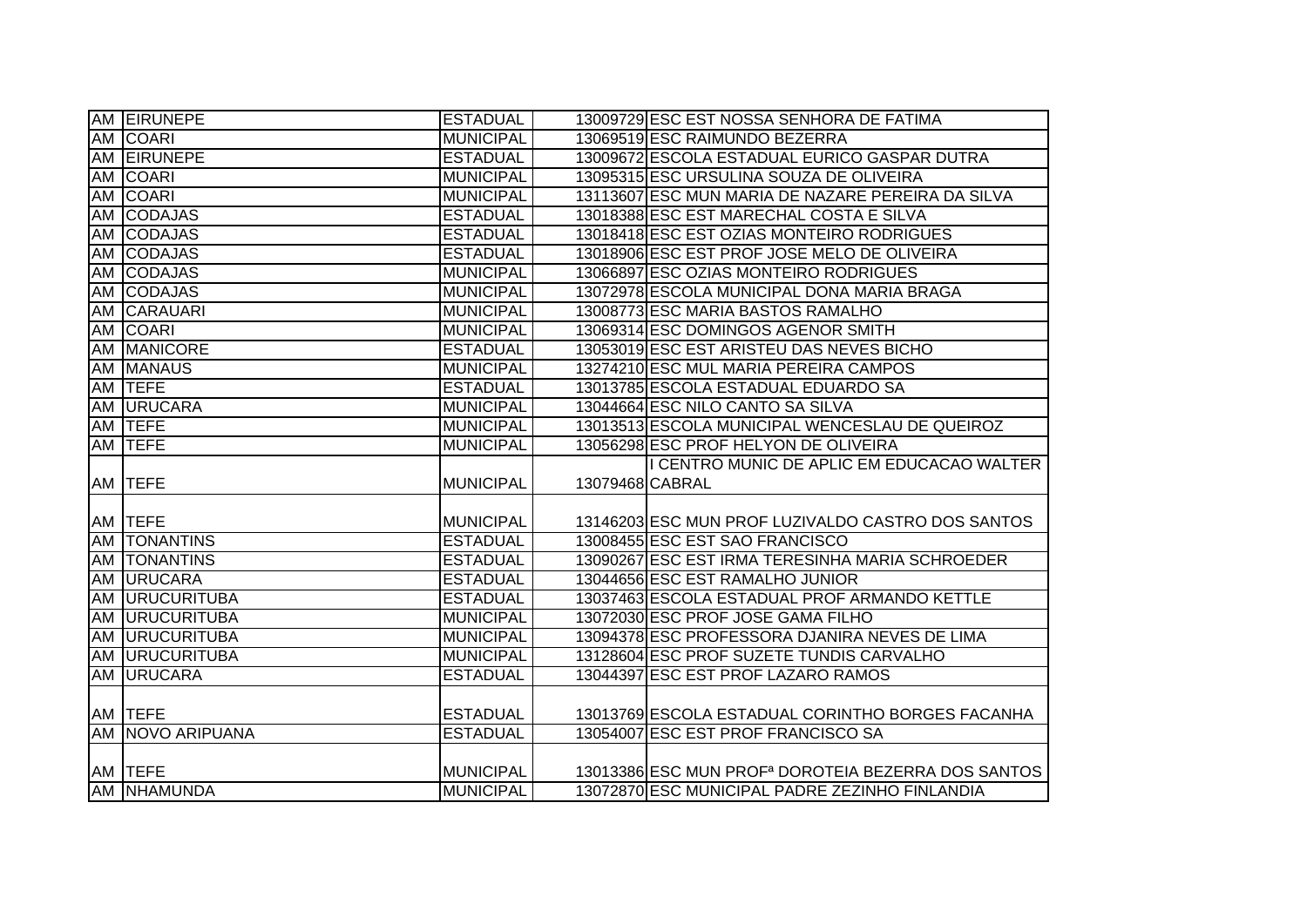| AM EIRUNEPE            | <b>ESTADUAL</b>                      |                 | 13009729 ESC EST NOSSA SENHORA DE FATIMA                                                                         |
|------------------------|--------------------------------------|-----------------|------------------------------------------------------------------------------------------------------------------|
| AM COARI               | <b>MUNICIPAL</b>                     |                 | 13069519 ESC RAIMUNDO BEZERRA                                                                                    |
| AM EIRUNEPE            | <b>ESTADUAL</b>                      |                 | 13009672 ESCOLA ESTADUAL EURICO GASPAR DUTRA                                                                     |
| AM COARI               | <b>MUNICIPAL</b>                     |                 | 13095315 ESC URSULINA SOUZA DE OLIVEIRA                                                                          |
| AM COARI               | <b>MUNICIPAL</b>                     |                 | 13113607 ESC MUN MARIA DE NAZARE PEREIRA DA SILVA                                                                |
| AM CODAJAS             | <b>ESTADUAL</b>                      |                 | 13018388 ESC EST MARECHAL COSTA E SILVA                                                                          |
| AM CODAJAS             | <b>ESTADUAL</b>                      |                 | 13018418 ESC EST OZIAS MONTEIRO RODRIGUES                                                                        |
| AM CODAJAS             | <b>ESTADUAL</b>                      |                 | 13018906 ESC EST PROF JOSE MELO DE OLIVEIRA                                                                      |
| AM CODAJAS             | <b>MUNICIPAL</b>                     |                 | 13066897 ESC OZIAS MONTEIRO RODRIGUES                                                                            |
| AM CODAJAS             | <b>MUNICIPAL</b>                     |                 | 13072978 ESCOLA MUNICIPAL DONA MARIA BRAGA                                                                       |
| AM CARAUARI            | <b>MUNICIPAL</b>                     |                 | 13008773 ESC MARIA BASTOS RAMALHO                                                                                |
| AM COARI               | <b>MUNICIPAL</b>                     |                 | 13069314 ESC DOMINGOS AGENOR SMITH                                                                               |
| AM MANICORE            | <b>ESTADUAL</b>                      |                 | 13053019 ESC EST ARISTEU DAS NEVES BICHO                                                                         |
| AM MANAUS              | <b>MUNICIPAL</b>                     |                 | 13274210 ESC MUL MARIA PEREIRA CAMPOS                                                                            |
| AM TEFE                | <b>ESTADUAL</b>                      |                 | 13013785 ESCOLA ESTADUAL EDUARDO SA                                                                              |
| AM URUCARA             | <b>MUNICIPAL</b>                     |                 | 13044664 ESC NILO CANTO SA SILVA                                                                                 |
| AM <b>TEFE</b>         | <b>MUNICIPAL</b>                     |                 | 13013513 ESCOLA MUNICIPAL WENCESLAU DE QUEIROZ                                                                   |
| AM TEFE                | <b>MUNICIPAL</b>                     |                 | 13056298 ESC PROF HELYON DE OLIVEIRA                                                                             |
|                        |                                      |                 |                                                                                                                  |
|                        |                                      |                 | I CENTRO MUNIC DE APLIC EM EDUCACAO WALTER                                                                       |
| AM <b>ITEFE</b>        | <b>MUNICIPAL</b>                     | 13079468 CABRAL |                                                                                                                  |
|                        |                                      |                 |                                                                                                                  |
| AM TEFE                | <b>MUNICIPAL</b>                     |                 | 13146203 ESC MUN PROF LUZIVALDO CASTRO DOS SANTOS                                                                |
| AM TONANTINS           | <b>ESTADUAL</b>                      |                 | 13008455 ESC EST SAO FRANCISCO                                                                                   |
| AM   TONANTINS         | <b>ESTADUAL</b>                      |                 | 13090267 ESC EST IRMA TERESINHA MARIA SCHROEDER                                                                  |
| AM URUCARA             | <b>ESTADUAL</b>                      |                 | 13044656 ESC EST RAMALHO JUNIOR                                                                                  |
| <b>AM URUCURITUBA</b>  | <b>ESTADUAL</b>                      |                 | 13037463 ESCOLA ESTADUAL PROF ARMANDO KETTLE                                                                     |
| <b>AM URUCURITUBA</b>  | <b>MUNICIPAL</b>                     |                 | 13072030 ESC PROF JOSE GAMA FILHO                                                                                |
| <b>AM URUCURITUBA</b>  | <b>MUNICIPAL</b>                     |                 | 13094378 ESC PROFESSORA DJANIRA NEVES DE LIMA                                                                    |
| <b>AM URUCURITUBA</b>  | <b>MUNICIPAL</b>                     |                 | 13128604 ESC PROF SUZETE TUNDIS CARVALHO                                                                         |
| AM URUCARA             | <b>ESTADUAL</b>                      |                 | 13044397 ESC EST PROF LAZARO RAMOS                                                                               |
|                        |                                      |                 |                                                                                                                  |
| AM TEFE                | <b>ESTADUAL</b>                      |                 | 13013769 ESCOLA ESTADUAL CORINTHO BORGES FACANHA                                                                 |
| AM NOVO ARIPUANA       | <b>ESTADUAL</b>                      |                 | 13054007 ESC EST PROF FRANCISCO SA                                                                               |
|                        |                                      |                 |                                                                                                                  |
| AM TEFE<br>AM NHAMUNDA | <b>MUNICIPAL</b><br><b>MUNICIPAL</b> |                 | 13013386 ESC MUN PROF <sup>a</sup> DOROTEIA BEZERRA DOS SANTOS<br>13072870 ESC MUNICIPAL PADRE ZEZINHO FINLANDIA |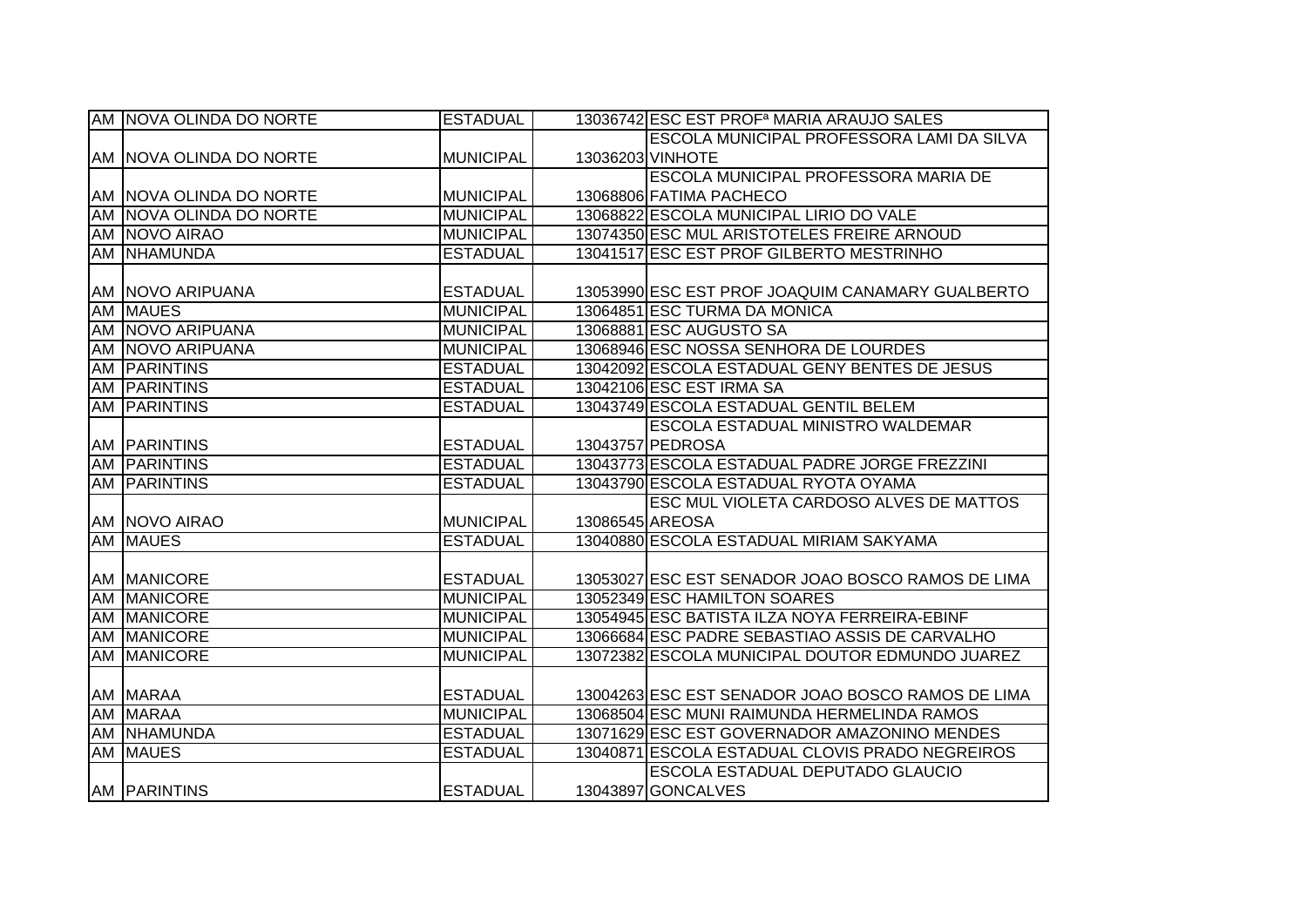|    | AM NOVA OLINDA DO NORTE | <b>ESTADUAL</b>  |                 | 13036742 ESC EST PROF <sup>a</sup> MARIA ARAUJO SALES |
|----|-------------------------|------------------|-----------------|-------------------------------------------------------|
|    |                         |                  |                 | <b>ESCOLA MUNICIPAL PROFESSORA LAMI DA SILVA</b>      |
|    | AM NOVA OLINDA DO NORTE | <b>MUNICIPAL</b> |                 | 13036203 VINHOTE                                      |
|    |                         |                  |                 | <b>ESCOLA MUNICIPAL PROFESSORA MARIA DE</b>           |
|    | AM NOVA OLINDA DO NORTE | <b>MUNICIPAL</b> |                 | 13068806 FATIMA PACHECO                               |
|    | AM NOVA OLINDA DO NORTE | <b>MUNICIPAL</b> |                 | 13068822 ESCOLA MUNICIPAL LIRIO DO VALE               |
|    | AM NOVO AIRAO           | <b>MUNICIPAL</b> |                 | 13074350 ESC MUL ARISTOTELES FREIRE ARNOUD            |
|    | AM NHAMUNDA             | <b>ESTADUAL</b>  |                 | 13041517 ESC EST PROF GILBERTO MESTRINHO              |
|    |                         |                  |                 |                                                       |
|    | AM   NOVO ARIPUANA      | <b>ESTADUAL</b>  |                 | 13053990 ESC EST PROF JOAQUIM CANAMARY GUALBERTO      |
|    | AM MAUES                | <b>MUNICIPAL</b> |                 | 13064851 ESC TURMA DA MONICA                          |
|    | AM NOVO ARIPUANA        | <b>MUNICIPAL</b> |                 | 13068881 ESC AUGUSTO SA                               |
|    | AM NOVO ARIPUANA        | <b>MUNICIPAL</b> |                 | 13068946 ESC NOSSA SENHORA DE LOURDES                 |
| AM | <b>PARINTINS</b>        | <b>ESTADUAL</b>  |                 | 13042092 ESCOLA ESTADUAL GENY BENTES DE JESUS         |
|    | AM PARINTINS            | <b>ESTADUAL</b>  |                 | 13042106 ESC EST IRMA SA                              |
|    | AM PARINTINS            | <b>ESTADUAL</b>  |                 | 13043749 ESCOLA ESTADUAL GENTIL BELEM                 |
|    |                         |                  |                 | <b>ESCOLA ESTADUAL MINISTRO WALDEMAR</b>              |
|    | <b>AM PARINTINS</b>     | <b>ESTADUAL</b>  |                 | 13043757 PEDROSA                                      |
|    | <b>AM PARINTINS</b>     | <b>ESTADUAL</b>  |                 | 13043773 ESCOLA ESTADUAL PADRE JORGE FREZZINI         |
|    | <b>AM PARINTINS</b>     | <b>ESTADUAL</b>  |                 | 13043790 ESCOLA ESTADUAL RYOTA OYAMA                  |
|    |                         |                  |                 | ESC MUL VIOLETA CARDOSO ALVES DE MATTOS               |
|    | AM NOVO AIRAO           | <b>MUNICIPAL</b> | 13086545 AREOSA |                                                       |
|    | <b>AM MAUES</b>         | <b>ESTADUAL</b>  |                 | 13040880 ESCOLA ESTADUAL MIRIAM SAKYAMA               |
|    |                         |                  |                 |                                                       |
|    | <b>AM MANICORE</b>      | <b>ESTADUAL</b>  |                 | 13053027 ESC EST SENADOR JOAO BOSCO RAMOS DE LIMA     |
|    | AM MANICORE             | <b>MUNICIPAL</b> |                 | 13052349 ESC HAMILTON SOARES                          |
|    | AM MANICORE             | <b>MUNICIPAL</b> |                 | 13054945 ESC BATISTA ILZA NOYA FERREIRA-EBINF         |
|    | AM MANICORE             | <b>MUNICIPAL</b> |                 | 13066684 ESC PADRE SEBASTIAO ASSIS DE CARVALHO        |
|    | AM MANICORE             | <b>MUNICIPAL</b> |                 | 13072382 ESCOLA MUNICIPAL DOUTOR EDMUNDO JUAREZ       |
|    |                         |                  |                 |                                                       |
|    | AM MARAA                | <b>ESTADUAL</b>  |                 | 13004263 ESC EST SENADOR JOAO BOSCO RAMOS DE LIMA     |
|    | AM MARAA                | <b>MUNICIPAL</b> |                 | 13068504 ESC MUNI RAIMUNDA HERMELINDA RAMOS           |
|    | AM NHAMUNDA             | <b>ESTADUAL</b>  |                 | 13071629 ESC EST GOVERNADOR AMAZONINO MENDES          |
|    | <b>AM MAUES</b>         | <b>ESTADUAL</b>  |                 | 13040871 ESCOLA ESTADUAL CLOVIS PRADO NEGREIROS       |
|    |                         |                  |                 | ESCOLA ESTADUAL DEPUTADO GLAUCIO                      |
|    | <b>AM PARINTINS</b>     | <b>ESTADUAL</b>  |                 | 13043897 GONCALVES                                    |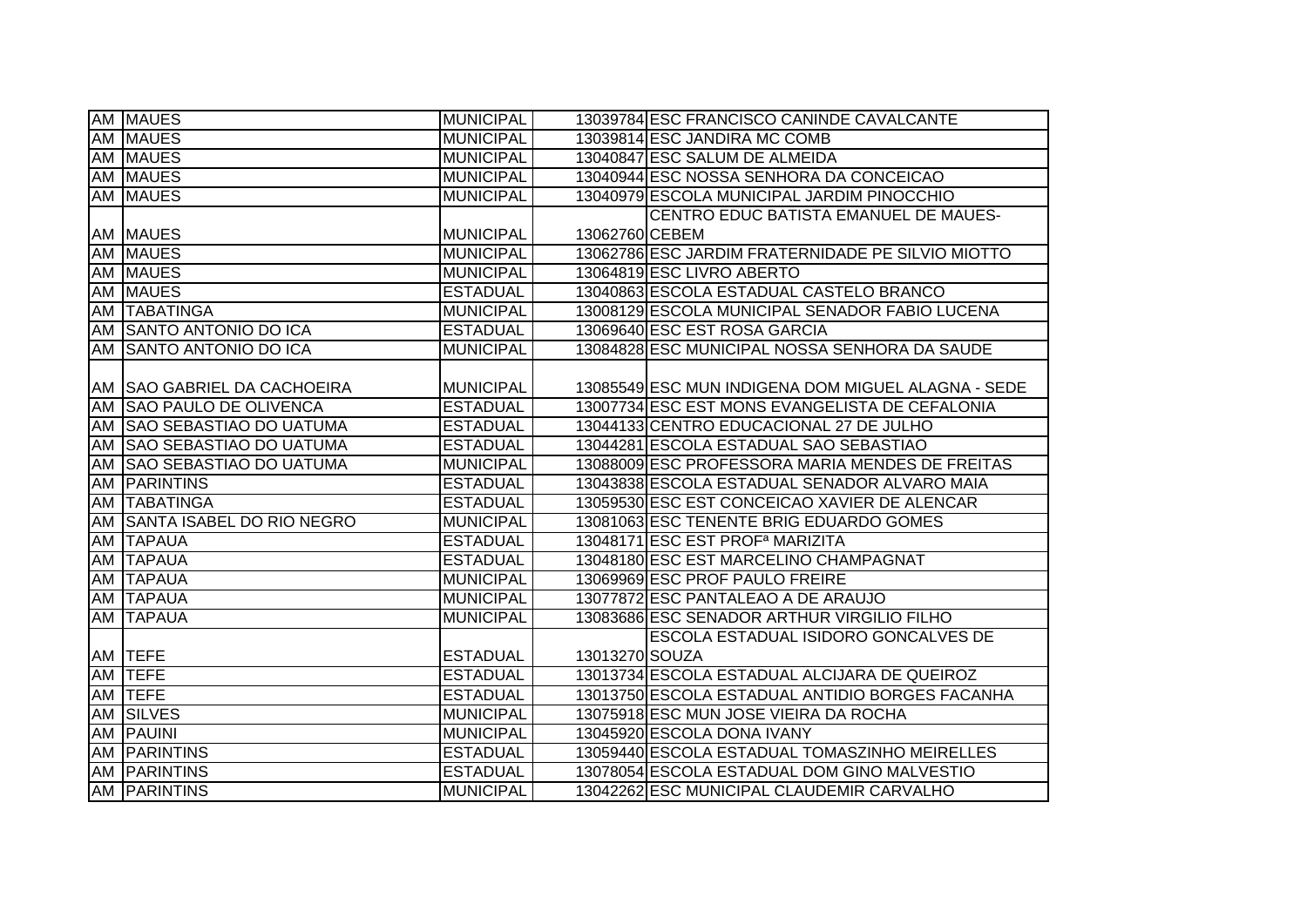|    | <b>AM MAUES</b>                | <b>MUNICIPAL</b> |                | 13039784 ESC FRANCISCO CANINDE CAVALCANTE          |
|----|--------------------------------|------------------|----------------|----------------------------------------------------|
|    | <b>AM MAUES</b>                | <b>MUNICIPAL</b> |                | 13039814 ESC JANDIRA MC COMB                       |
|    | <b>AM MAUES</b>                | <b>MUNICIPAL</b> |                | 13040847 ESC SALUM DE ALMEIDA                      |
|    | AM MAUES                       | <b>MUNICIPAL</b> |                | 13040944 ESC NOSSA SENHORA DA CONCEICAO            |
|    | AM MAUES                       | <b>MUNICIPAL</b> |                | 13040979 ESCOLA MUNICIPAL JARDIM PINOCCHIO         |
|    |                                |                  |                | CENTRO EDUC BATISTA EMANUEL DE MAUES-              |
|    | <b>AM MAUES</b>                | <b>MUNICIPAL</b> | 13062760 CEBEM |                                                    |
|    | AM MAUES                       | <b>MUNICIPAL</b> |                | 13062786 ESC JARDIM FRATERNIDADE PE SILVIO MIOTTO  |
|    | AM MAUES                       | <b>MUNICIPAL</b> |                | 13064819 ESC LIVRO ABERTO                          |
|    | AM MAUES                       | <b>ESTADUAL</b>  |                | 13040863 ESCOLA ESTADUAL CASTELO BRANCO            |
| AM | <b>TABATINGA</b>               | <b>MUNICIPAL</b> |                | 13008129 ESCOLA MUNICIPAL SENADOR FABIO LUCENA     |
|    | AM SANTO ANTONIO DO ICA        | <b>ESTADUAL</b>  |                | 13069640 ESC EST ROSA GARCIA                       |
|    | AM SANTO ANTONIO DO ICA        | <b>MUNICIPAL</b> |                | 13084828 ESC MUNICIPAL NOSSA SENHORA DA SAUDE      |
|    |                                |                  |                |                                                    |
|    | AM SAO GABRIEL DA CACHOEIRA    | <b>MUNICIPAL</b> |                | 13085549 ESC MUN INDIGENA DOM MIGUEL ALAGNA - SEDE |
| AM | <b>SAO PAULO DE OLIVENCA</b>   | <b>ESTADUAL</b>  |                | 13007734 ESC EST MONS EVANGELISTA DE CEFALONIA     |
| AM | <b>SAO SEBASTIAO DO UATUMA</b> | <b>ESTADUAL</b>  |                | 13044133 CENTRO EDUCACIONAL 27 DE JULHO            |
| AM | <b>SAO SEBASTIAO DO UATUMA</b> | <b>ESTADUAL</b>  |                | 13044281 ESCOLA ESTADUAL SAO SEBASTIAO             |
| AM | <b>SAO SEBASTIAO DO UATUMA</b> | <b>MUNICIPAL</b> |                | 13088009 ESC PROFESSORA MARIA MENDES DE FREITAS    |
| AM | <b>PARINTINS</b>               | <b>ESTADUAL</b>  |                | 13043838 ESCOLA ESTADUAL SENADOR ALVARO MAIA       |
|    | AM TABATINGA                   | <b>ESTADUAL</b>  |                | 13059530 ESC EST CONCEICAO XAVIER DE ALENCAR       |
| AM | SANTA ISABEL DO RIO NEGRO      | <b>MUNICIPAL</b> |                | 13081063 ESC TENENTE BRIG EDUARDO GOMES            |
|    | AM TAPAUA                      | <b>ESTADUAL</b>  |                | 13048171 ESC EST PROF <sup>a</sup> MARIZITA        |
| AM | <b>TAPAUA</b>                  | <b>ESTADUAL</b>  |                | 13048180 ESC EST MARCELINO CHAMPAGNAT              |
|    | <b>AM TAPAUA</b>               | <b>MUNICIPAL</b> |                | 13069969 ESC PROF PAULO FREIRE                     |
|    | AM TAPAUA                      | <b>MUNICIPAL</b> |                | 13077872 ESC PANTALEAO A DE ARAUJO                 |
| AM | <b>TAPAUA</b>                  | <b>MUNICIPAL</b> |                | 13083686 ESC SENADOR ARTHUR VIRGILIO FILHO         |
|    |                                |                  |                | ESCOLA ESTADUAL ISIDORO GONCALVES DE               |
|    | AM TEFE                        | <b>ESTADUAL</b>  | 13013270 SOUZA |                                                    |
| AM | <b>TEFE</b>                    | <b>ESTADUAL</b>  |                | 13013734 ESCOLA ESTADUAL ALCIJARA DE QUEIROZ       |
| AM | <b>TEFE</b>                    | <b>ESTADUAL</b>  |                | 13013750 ESCOLA ESTADUAL ANTIDIO BORGES FACANHA    |
|    | AM SILVES                      | <b>MUNICIPAL</b> |                | 13075918 ESC MUN JOSE VIEIRA DA ROCHA              |
|    | AM PAUINI                      | <b>MUNICIPAL</b> |                | 13045920 ESCOLA DONA IVANY                         |
| AM | <b>PARINTINS</b>               | <b>ESTADUAL</b>  |                | 13059440 ESCOLA ESTADUAL TOMASZINHO MEIRELLES      |
|    | AM PARINTINS                   | <b>ESTADUAL</b>  |                | 13078054 ESCOLA ESTADUAL DOM GINO MALVESTIO        |
|    | <b>AM PARINTINS</b>            | <b>MUNICIPAL</b> |                | 13042262 ESC MUNICIPAL CLAUDEMIR CARVALHO          |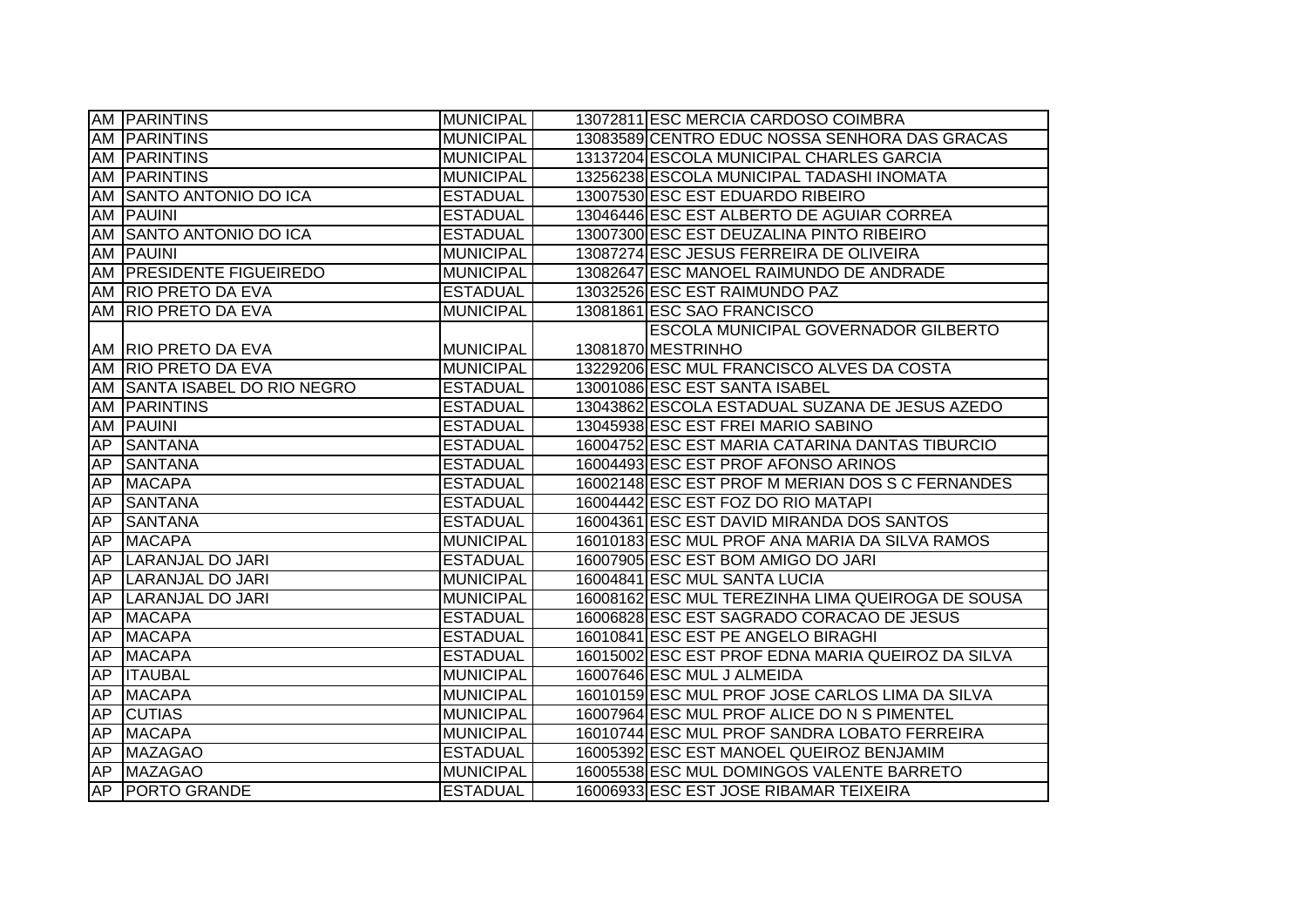|     | <b>AM PARINTINS</b>          | <b>MUNICIPAL</b> | 13072811 ESC MERCIA CARDOSO COIMBRA               |
|-----|------------------------------|------------------|---------------------------------------------------|
|     | <b>AM PARINTINS</b>          | <b>MUNICIPAL</b> | 13083589 CENTRO EDUC NOSSA SENHORA DAS GRACAS     |
|     | AM PARINTINS                 | <b>MUNICIPAL</b> | 13137204 ESCOLA MUNICIPAL CHARLES GARCIA          |
|     | <b>AM PARINTINS</b>          | <b>MUNICIPAL</b> | 13256238 ESCOLA MUNICIPAL TADASHI INOMATA         |
|     | AM SANTO ANTONIO DO ICA      | <b>ESTADUAL</b>  | 13007530 ESC EST EDUARDO RIBEIRO                  |
|     | <b>AM PAUINI</b>             | <b>ESTADUAL</b>  | 13046446 ESC EST ALBERTO DE AGUIAR CORREA         |
|     | AM SANTO ANTONIO DO ICA      | <b>ESTADUAL</b>  | 13007300 ESC EST DEUZALINA PINTO RIBEIRO          |
|     | AM PAUINI                    | <b>MUNICIPAL</b> | 13087274 ESC JESUS FERREIRA DE OLIVEIRA           |
|     | AM PRESIDENTE FIGUEIREDO     | <b>MUNICIPAL</b> | 13082647 ESC MANOEL RAIMUNDO DE ANDRADE           |
|     | AM RIO PRETO DA EVA          | <b>ESTADUAL</b>  | 13032526 ESC EST RAIMUNDO PAZ                     |
|     | AM RIO PRETO DA EVA          | <b>MUNICIPAL</b> | 13081861 ESC SAO FRANCISCO                        |
|     |                              |                  | <b>ESCOLA MUNICIPAL GOVERNADOR GILBERTO</b>       |
|     | AM   RIO PRETO DA EVA        | <b>MUNICIPAL</b> | 13081870 MESTRINHO                                |
|     | AM RIO PRETO DA EVA          | <b>MUNICIPAL</b> | 13229206 ESC MUL FRANCISCO ALVES DA COSTA         |
|     | AM SANTA ISABEL DO RIO NEGRO | <b>ESTADUAL</b>  | 13001086 ESC EST SANTA ISABEL                     |
|     | AM PARINTINS                 | <b>ESTADUAL</b>  | 13043862 ESCOLA ESTADUAL SUZANA DE JESUS AZEDO    |
| AM  | <b>PAUINI</b>                | <b>ESTADUAL</b>  | 13045938 ESC EST FREI MARIO SABINO                |
| AP  | <b>SANTANA</b>               | <b>ESTADUAL</b>  | 16004752 ESC EST MARIA CATARINA DANTAS TIBURCIO   |
| AP  | <b>SANTANA</b>               | <b>ESTADUAL</b>  | 16004493 ESC EST PROF AFONSO ARINOS               |
| AP  | <b>MACAPA</b>                | <b>ESTADUAL</b>  | 16002148 ESC EST PROF M MERIAN DOS S C FERNANDES  |
| AP  | <b>SANTANA</b>               | <b>ESTADUAL</b>  | 16004442 ESC EST FOZ DO RIO MATAPI                |
| AP  | <b>SANTANA</b>               | <b>ESTADUAL</b>  | 16004361 ESC EST DAVID MIRANDA DOS SANTOS         |
| AP  | <b>MACAPA</b>                | <b>MUNICIPAL</b> | 16010183 ESC MUL PROF ANA MARIA DA SILVA RAMOS    |
| AP  | <b>LARANJAL DO JARI</b>      | <b>ESTADUAL</b>  | 16007905 ESC EST BOM AMIGO DO JARI                |
| AP  | LARANJAL DO JARI             | <b>MUNICIPAL</b> | 16004841 ESC MUL SANTA LUCIA                      |
| AP  | LARANJAL DO JARI             | <b>MUNICIPAL</b> | 16008162 ESC MUL TEREZINHA LIMA QUEIROGA DE SOUSA |
| AP  | <b>MACAPA</b>                | <b>ESTADUAL</b>  | 16006828 ESC EST SAGRADO CORACAO DE JESUS         |
| AP  | <b>MACAPA</b>                | <b>ESTADUAL</b>  | 16010841 ESC EST PE ANGELO BIRAGHI                |
| AP  | <b>MACAPA</b>                | <b>ESTADUAL</b>  | 16015002 ESC EST PROF EDNA MARIA QUEIROZ DA SILVA |
| AP  | <b>ITAUBAL</b>               | <b>MUNICIPAL</b> | 16007646 ESC MUL J ALMEIDA                        |
|     | AP MACAPA                    | <b>MUNICIPAL</b> | 16010159 ESC MUL PROF JOSE CARLOS LIMA DA SILVA   |
|     | AP CUTIAS                    | <b>MUNICIPAL</b> | 16007964 ESC MUL PROF ALICE DO N S PIMENTEL       |
| AP. | <b>MACAPA</b>                | <b>MUNICIPAL</b> | 16010744 ESC MUL PROF SANDRA LOBATO FERREIRA      |
|     | AP MAZAGAO                   | <b>ESTADUAL</b>  | 16005392 ESC EST MANOEL QUEIROZ BENJAMIM          |
| AP  | <b>MAZAGAO</b>               | <b>MUNICIPAL</b> | 16005538 ESC MUL DOMINGOS VALENTE BARRETO         |
|     | AP PORTO GRANDE              | <b>ESTADUAL</b>  | 16006933 ESC EST JOSE RIBAMAR TEIXEIRA            |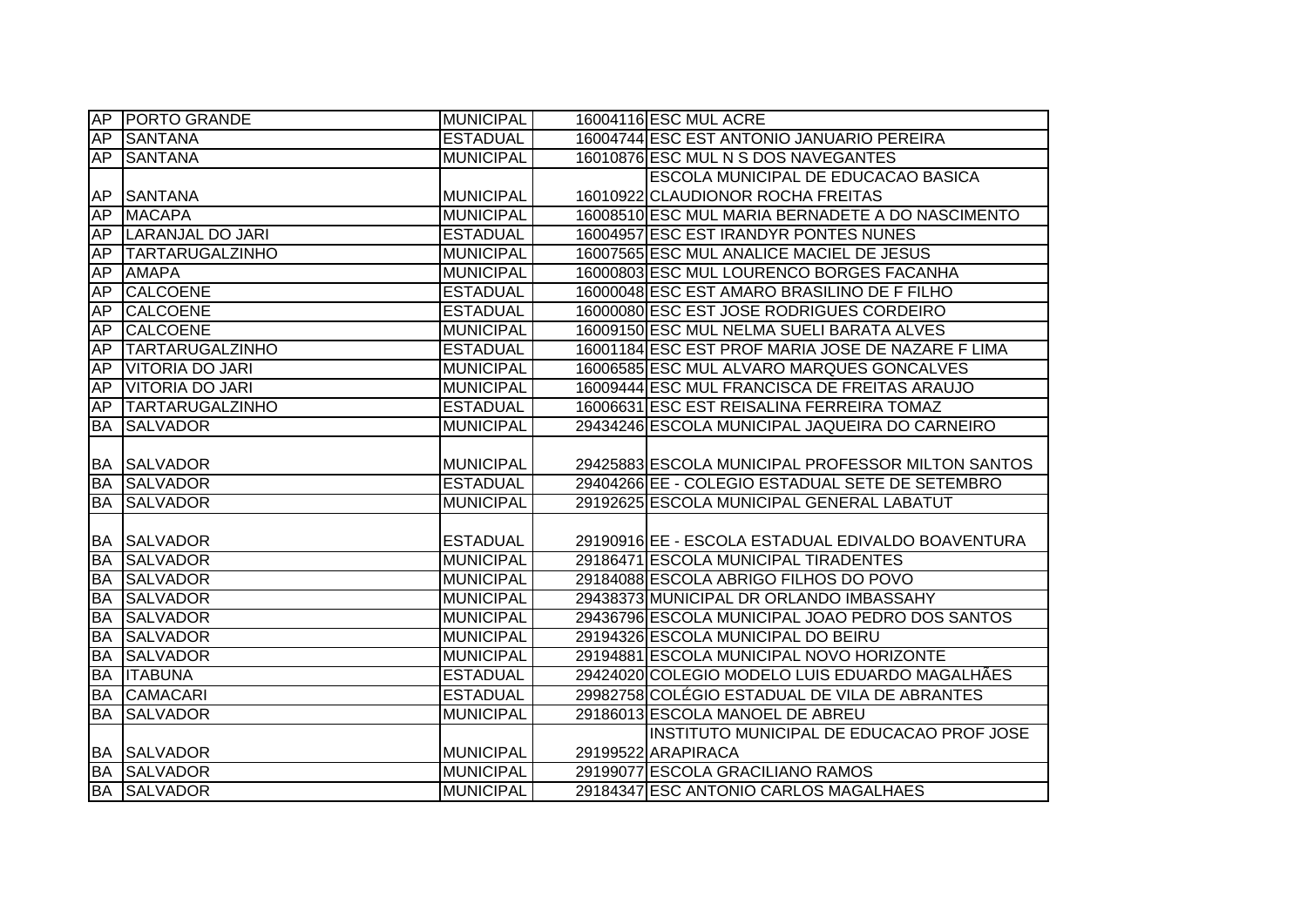|           | AP PORTO GRANDE        | <b>MUNICIPAL</b> | 16004116 ESC MUL ACRE                             |
|-----------|------------------------|------------------|---------------------------------------------------|
| AP        | <b>SANTANA</b>         | <b>ESTADUAL</b>  | 16004744 ESC EST ANTONIO JANUARIO PEREIRA         |
| AP        | <b>SANTANA</b>         | <b>MUNICIPAL</b> | 16010876 ESC MUL N S DOS NAVEGANTES               |
|           |                        |                  | <b>ESCOLA MUNICIPAL DE EDUCACAO BASICA</b>        |
| AP        | <b>SANTANA</b>         | <b>MUNICIPAL</b> | 16010922 CLAUDIONOR ROCHA FREITAS                 |
| AP        | <b>MACAPA</b>          | <b>MUNICIPAL</b> | 16008510 ESC MUL MARIA BERNADETE A DO NASCIMENTO  |
| AP        | LARANJAL DO JARI       | <b>ESTADUAL</b>  | 16004957 ESC EST IRANDYR PONTES NUNES             |
| AP        | <b>TARTARUGALZINHO</b> | <b>MUNICIPAL</b> | 16007565 ESC MUL ANALICE MACIEL DE JESUS          |
| AP        | <b>AMAPA</b>           | <b>MUNICIPAL</b> | 16000803 ESC MUL LOURENCO BORGES FACANHA          |
| <b>AP</b> | <b>CALCOENE</b>        | <b>ESTADUAL</b>  | 16000048 ESC EST AMARO BRASILINO DE F FILHO       |
| AP        | <b>CALCOENE</b>        | <b>ESTADUAL</b>  | 16000080 ESC EST JOSE RODRIGUES CORDEIRO          |
| AP        | <b>CALCOENE</b>        | <b>MUNICIPAL</b> | 16009150 ESC MUL NELMA SUELI BARATA ALVES         |
| <b>AP</b> | TARTARUGALZINHO        | <b>ESTADUAL</b>  | 16001184 ESC EST PROF MARIA JOSE DE NAZARE F LIMA |
| AP        | <b>VITORIA DO JARI</b> | <b>MUNICIPAL</b> | 16006585 ESC MUL ALVARO MARQUES GONCALVES         |
| AP        | VITORIA DO JARI        | <b>MUNICIPAL</b> | 16009444 ESC MUL FRANCISCA DE FREITAS ARAUJO      |
| AP        | <b>TARTARUGALZINHO</b> | <b>ESTADUAL</b>  | 16006631 ESC EST REISALINA FERREIRA TOMAZ         |
| <b>BA</b> | <b>SALVADOR</b>        | <b>MUNICIPAL</b> | 29434246 ESCOLA MUNICIPAL JAQUEIRA DO CARNEIRO    |
|           |                        |                  |                                                   |
|           | <b>BA SALVADOR</b>     | MUNICIPAL        | 29425883 ESCOLA MUNICIPAL PROFESSOR MILTON SANTOS |
| <b>BA</b> | <b>SALVADOR</b>        | <b>ESTADUAL</b>  | 29404266 EE - COLEGIO ESTADUAL SETE DE SETEMBRO   |
| <b>BA</b> | <b>SALVADOR</b>        | <b>MUNICIPAL</b> | 29192625 ESCOLA MUNICIPAL GENERAL LABATUT         |
|           |                        |                  |                                                   |
|           | <b>BA SALVADOR</b>     | <b>ESTADUAL</b>  | 29190916 EE - ESCOLA ESTADUAL EDIVALDO BOAVENTURA |
| <b>BA</b> | <b>SALVADOR</b>        | <b>MUNICIPAL</b> | 29186471 ESCOLA MUNICIPAL TIRADENTES              |
| <b>BA</b> | <b>SALVADOR</b>        | <b>MUNICIPAL</b> | 29184088 ESCOLA ABRIGO FILHOS DO POVO             |
| <b>BA</b> | <b>ISALVADOR</b>       | <b>MUNICIPAL</b> | 29438373 MUNICIPAL DR ORLANDO IMBASSAHY           |
| <b>BA</b> | <b>SALVADOR</b>        | <b>MUNICIPAL</b> | 29436796 ESCOLA MUNICIPAL JOAO PEDRO DOS SANTOS   |
| <b>BA</b> | <b>SALVADOR</b>        | <b>MUNICIPAL</b> | 29194326 ESCOLA MUNICIPAL DO BEIRU                |
| <b>BA</b> | <b>SALVADOR</b>        | <b>MUNICIPAL</b> | 29194881 ESCOLA MUNICIPAL NOVO HORIZONTE          |
| <b>BA</b> | <b>ITABUNA</b>         | <b>ESTADUAL</b>  | 29424020 COLEGIO MODELO LUIS EDUARDO MAGALHÃES    |
| <b>BA</b> | <b>CAMACARI</b>        | <b>ESTADUAL</b>  | 29982758 COLÉGIO ESTADUAL DE VILA DE ABRANTES     |
| <b>BA</b> | <b>SALVADOR</b>        | <b>MUNICIPAL</b> | 29186013 ESCOLA MANOEL DE ABREU                   |
|           |                        |                  | INSTITUTO MUNICIPAL DE EDUCACAO PROF JOSE         |
|           | <b>BA SALVADOR</b>     | <b>MUNICIPAL</b> | 29199522 ARAPIRACA                                |
| BA        | <b>SALVADOR</b>        | <b>MUNICIPAL</b> | 29199077 ESCOLA GRACILIANO RAMOS                  |
| <b>BA</b> | <b>SALVADOR</b>        | <b>MUNICIPAL</b> | 29184347 ESC ANTONIO CARLOS MAGALHAES             |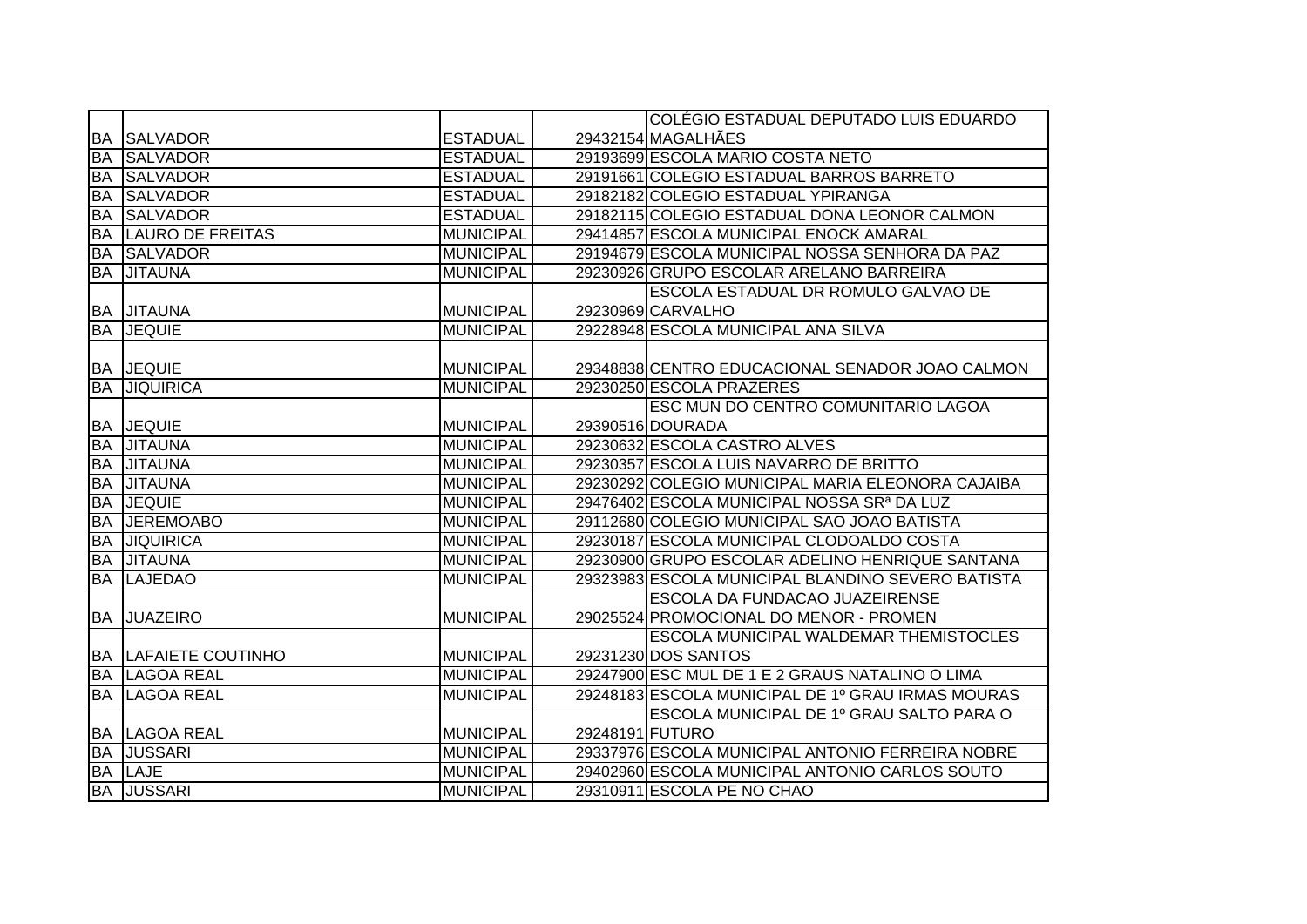|           |                             |                  |                 | COLÉGIO ESTADUAL DEPUTADO LUIS EDUARDO            |
|-----------|-----------------------------|------------------|-----------------|---------------------------------------------------|
| BA        | <b>SALVADOR</b>             | <b>ESTADUAL</b>  |                 | 29432154 MAGALHÃES                                |
| <b>BA</b> | <b>SALVADOR</b>             | <b>ESTADUAL</b>  |                 | 29193699 ESCOLA MARIO COSTA NETO                  |
| <b>BA</b> | <b>SALVADOR</b>             | <b>ESTADUAL</b>  |                 | 29191661 COLEGIO ESTADUAL BARROS BARRETO          |
| <b>BA</b> | <b>SALVADOR</b>             | <b>ESTADUAL</b>  |                 | 29182182 COLEGIO ESTADUAL YPIRANGA                |
| <b>BA</b> | <b>SALVADOR</b>             | <b>ESTADUAL</b>  |                 | 29182115 COLEGIO ESTADUAL DONA LEONOR CALMON      |
| <b>BA</b> | <b>LAURO DE FREITAS</b>     | <b>MUNICIPAL</b> |                 | 29414857 ESCOLA MUNICIPAL ENOCK AMARAL            |
| <b>BA</b> | <b>SALVADOR</b>             | <b>MUNICIPAL</b> |                 | 29194679 ESCOLA MUNICIPAL NOSSA SENHORA DA PAZ    |
| <b>BA</b> | <b>JITAUNA</b>              | <b>MUNICIPAL</b> |                 | 29230926 GRUPO ESCOLAR ARELANO BARREIRA           |
|           |                             |                  |                 | ESCOLA ESTADUAL DR ROMULO GALVAO DE               |
|           | <b>BA JITAUNA</b>           | <b>MUNICIPAL</b> |                 | 29230969 CARVALHO                                 |
| <b>BA</b> | <b>JEQUIE</b>               | <b>MUNICIPAL</b> |                 | 29228948 ESCOLA MUNICIPAL ANA SILVA               |
|           |                             |                  |                 |                                                   |
|           | <b>BA JEQUIE</b>            | <b>MUNICIPAL</b> |                 | 29348838 CENTRO EDUCACIONAL SENADOR JOAO CALMON   |
| <b>BA</b> | <b>JIQUIRICA</b>            | <b>MUNICIPAL</b> |                 | 29230250 ESCOLA PRAZERES                          |
|           |                             |                  |                 | ESC MUN DO CENTRO COMUNITARIO LAGOA               |
|           | <b>BA JEQUIE</b>            | <b>MUNICIPAL</b> |                 | 29390516 DOURADA                                  |
|           | <b>BA JITAUNA</b>           | <b>MUNICIPAL</b> |                 | 29230632 ESCOLA CASTRO ALVES                      |
|           | <b>BA JITAUNA</b>           | <b>MUNICIPAL</b> |                 | 29230357 ESCOLA LUIS NAVARRO DE BRITTO            |
| <b>BA</b> | <b>JITAUNA</b>              | <b>MUNICIPAL</b> |                 | 29230292 COLEGIO MUNICIPAL MARIA ELEONORA CAJAIBA |
| <b>BA</b> | <b>JEQUIE</b>               | <b>MUNICIPAL</b> |                 | 29476402 ESCOLA MUNICIPAL NOSSA SRª DA LUZ        |
| <b>BA</b> | <b>JEREMOABO</b>            | <b>MUNICIPAL</b> |                 | 29112680 COLEGIO MUNICIPAL SAO JOAO BATISTA       |
| <b>BA</b> | <b>JIQUIRICA</b>            | <b>MUNICIPAL</b> |                 | 29230187 ESCOLA MUNICIPAL CLODOALDO COSTA         |
| <b>BA</b> | <b>JITAUNA</b>              | <b>MUNICIPAL</b> |                 | 29230900 GRUPO ESCOLAR ADELINO HENRIQUE SANTANA   |
| <b>BA</b> | <b>LAJEDAO</b>              | <b>MUNICIPAL</b> |                 | 29323983 ESCOLA MUNICIPAL BLANDINO SEVERO BATISTA |
|           |                             |                  |                 | ESCOLA DA FUNDACAO JUAZEIRENSE                    |
|           | <b>BA JUAZEIRO</b>          | <b>MUNICIPAL</b> |                 | 29025524 PROMOCIONAL DO MENOR - PROMEN            |
|           |                             |                  |                 | ESCOLA MUNICIPAL WALDEMAR THEMISTOCLES            |
|           | <b>BA LAFAIETE COUTINHO</b> | <b>MUNICIPAL</b> |                 | 29231230 DOS SANTOS                               |
| <b>BA</b> | <b>LAGOA REAL</b>           | <b>MUNICIPAL</b> |                 | 29247900 ESC MUL DE 1 E 2 GRAUS NATALINO O LIMA   |
| <b>BA</b> | <b>LAGOA REAL</b>           | <b>MUNICIPAL</b> |                 | 29248183 ESCOLA MUNICIPAL DE 1º GRAU IRMAS MOURAS |
|           |                             |                  |                 | ESCOLA MUNICIPAL DE 1º GRAU SALTO PARA O          |
|           | <b>BA LAGOA REAL</b>        | <b>MUNICIPAL</b> | 29248191 FUTURO |                                                   |
| <b>BA</b> | <b>JUSSARI</b>              | <b>MUNICIPAL</b> |                 | 29337976 ESCOLA MUNICIPAL ANTONIO FERREIRA NOBRE  |
|           | <b>BA LAJE</b>              | <b>MUNICIPAL</b> |                 | 29402960 ESCOLA MUNICIPAL ANTONIO CARLOS SOUTO    |
|           | <b>BA JUSSARI</b>           | <b>MUNICIPAL</b> |                 | 29310911 ESCOLA PE NO CHAO                        |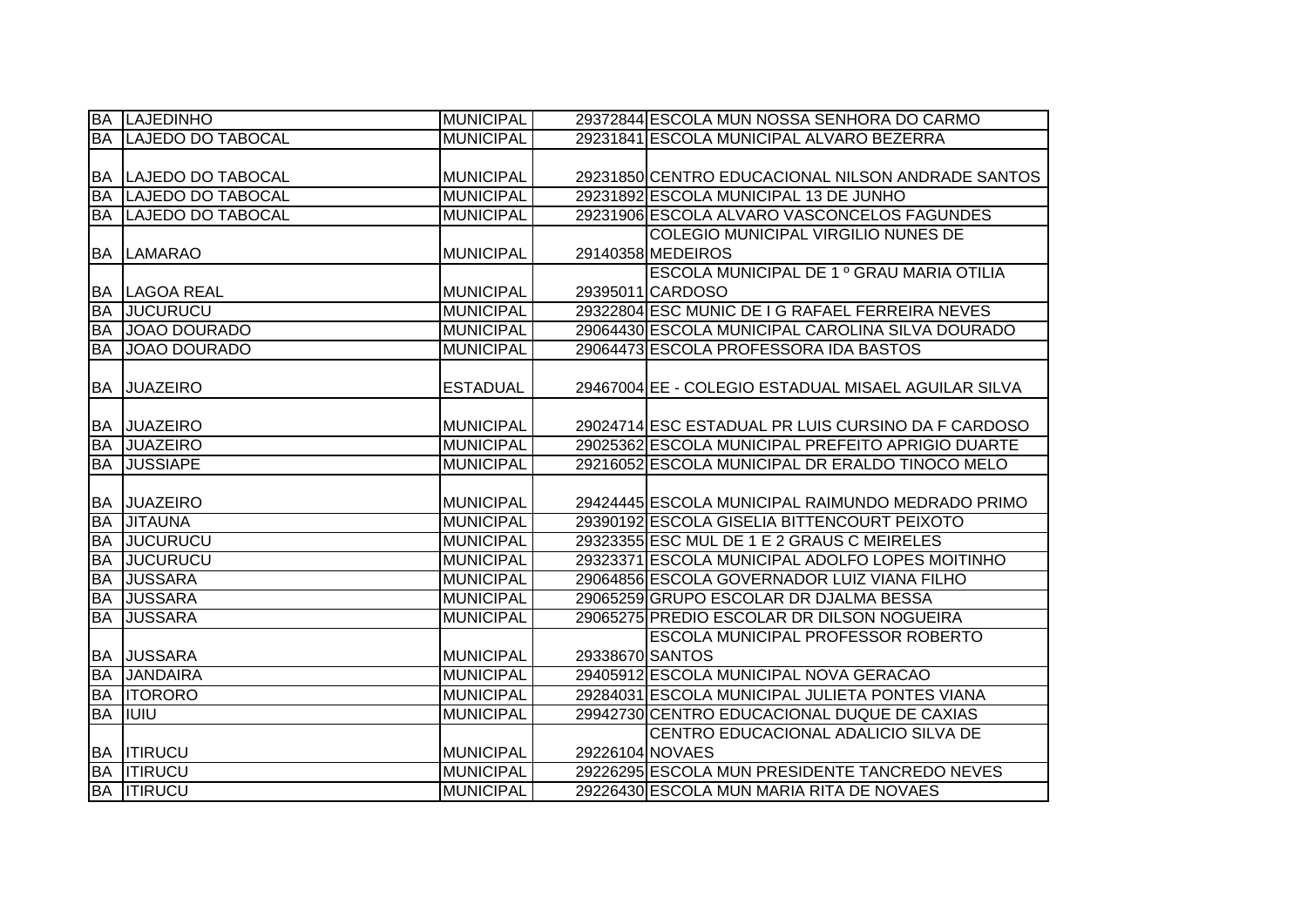|           | <b>BA LAJEDINHO</b>         | <b>MUNICIPAL</b> |                 | 29372844 ESCOLA MUN NOSSA SENHORA DO CARMO          |
|-----------|-----------------------------|------------------|-----------------|-----------------------------------------------------|
| <b>BA</b> | <b>LAJEDO DO TABOCAL</b>    | <b>MUNICIPAL</b> |                 | 29231841 ESCOLA MUNICIPAL ALVARO BEZERRA            |
|           |                             |                  |                 |                                                     |
|           | <b>BA LAJEDO DO TABOCAL</b> | <b>MUNICIPAL</b> |                 | 29231850 CENTRO EDUCACIONAL NILSON ANDRADE SANTOS   |
| <b>BA</b> | <b>LAJEDO DO TABOCAL</b>    | <b>MUNICIPAL</b> |                 | 29231892 ESCOLA MUNICIPAL 13 DE JUNHO               |
|           | <b>BA LAJEDO DO TABOCAL</b> | <b>MUNICIPAL</b> |                 | 29231906 ESCOLA ALVARO VASCONCELOS FAGUNDES         |
|           |                             |                  |                 | <b>COLEGIO MUNICIPAL VIRGILIO NUNES DE</b>          |
| <b>BA</b> | <b>LAMARAO</b>              | <b>MUNICIPAL</b> |                 | 29140358 MEDEIROS                                   |
|           |                             |                  |                 | ESCOLA MUNICIPAL DE 1 º GRAU MARIA OTILIA           |
| BA        | LAGOA REAL                  | <b>MUNICIPAL</b> |                 | 29395011 CARDOSO                                    |
| <b>BA</b> | <b>JUCURUCU</b>             | <b>MUNICIPAL</b> |                 | 29322804 ESC MUNIC DE I G RAFAEL FERREIRA NEVES     |
| <b>BA</b> | JOAO DOURADO                | <b>MUNICIPAL</b> |                 | 29064430 ESCOLA MUNICIPAL CAROLINA SILVA DOURADO    |
| <b>BA</b> | JOAO DOURADO                | <b>MUNICIPAL</b> |                 | 29064473 ESCOLA PROFESSORA IDA BASTOS               |
|           |                             |                  |                 |                                                     |
| <b>BA</b> | <b>JUAZEIRO</b>             | <b>ESTADUAL</b>  |                 | 29467004 EE - COLEGIO ESTADUAL MISAEL AGUILAR SILVA |
|           |                             |                  |                 |                                                     |
| <b>BA</b> | <b>JUAZEIRO</b>             | <b>MUNICIPAL</b> |                 | 29024714 ESC ESTADUAL PR LUIS CURSINO DA F CARDOSO  |
| <b>BA</b> | <b>JUAZEIRO</b>             | <b>MUNICIPAL</b> |                 | 29025362 ESCOLA MUNICIPAL PREFEITO APRIGIO DUARTE   |
| <b>BA</b> | <b>JUSSIAPE</b>             | <b>MUNICIPAL</b> |                 | 29216052 ESCOLA MUNICIPAL DR ERALDO TINOCO MELO     |
|           |                             |                  |                 |                                                     |
| BA        | <b>JUAZEIRO</b>             | <b>MUNICIPAL</b> |                 | 29424445 ESCOLA MUNICIPAL RAIMUNDO MEDRADO PRIMO    |
| <b>BA</b> | <b>JITAUNA</b>              | <b>MUNICIPAL</b> |                 | 29390192 ESCOLA GISELIA BITTENCOURT PEIXOTO         |
| <b>BA</b> | <b>JUCURUCU</b>             | <b>MUNICIPAL</b> |                 | 29323355 ESC MUL DE 1 E 2 GRAUS C MEIRELES          |
| <b>BA</b> | <b>JUCURUCU</b>             | <b>MUNICIPAL</b> |                 | 29323371 ESCOLA MUNICIPAL ADOLFO LOPES MOITINHO     |
| <b>BA</b> | <b>JUSSARA</b>              | <b>MUNICIPAL</b> |                 | 29064856 ESCOLA GOVERNADOR LUIZ VIANA FILHO         |
| <b>BA</b> | <b>JUSSARA</b>              | <b>MUNICIPAL</b> |                 | 29065259 GRUPO ESCOLAR DR DJALMA BESSA              |
| <b>BA</b> | <b>JUSSARA</b>              | <b>MUNICIPAL</b> |                 | 29065275 PREDIO ESCOLAR DR DILSON NOGUEIRA          |
|           |                             |                  |                 | ESCOLA MUNICIPAL PROFESSOR ROBERTO                  |
| <b>BA</b> | <b>JUSSARA</b>              | <b>MUNICIPAL</b> | 29338670 SANTOS |                                                     |
| <b>BA</b> | <b>JANDAIRA</b>             | <b>MUNICIPAL</b> |                 | 29405912 ESCOLA MUNICIPAL NOVA GERACAO              |
| <b>BA</b> | <b>ITORORO</b>              | <b>MUNICIPAL</b> |                 | 29284031 ESCOLA MUNICIPAL JULIETA PONTES VIANA      |
| <b>BA</b> | <b>IIUIU</b>                | <b>MUNICIPAL</b> |                 | 29942730 CENTRO EDUCACIONAL DUQUE DE CAXIAS         |
|           |                             |                  |                 | CENTRO EDUCACIONAL ADALICIO SILVA DE                |
|           | <b>BA ITIRUCU</b>           | <b>MUNICIPAL</b> | 29226104 NOVAES |                                                     |
| <b>BA</b> | <b>ITIRUCU</b>              | <b>MUNICIPAL</b> |                 | 29226295 ESCOLA MUN PRESIDENTE TANCREDO NEVES       |
|           | <b>BA ITIRUCU</b>           | <b>MUNICIPAL</b> |                 | 29226430 ESCOLA MUN MARIA RITA DE NOVAES            |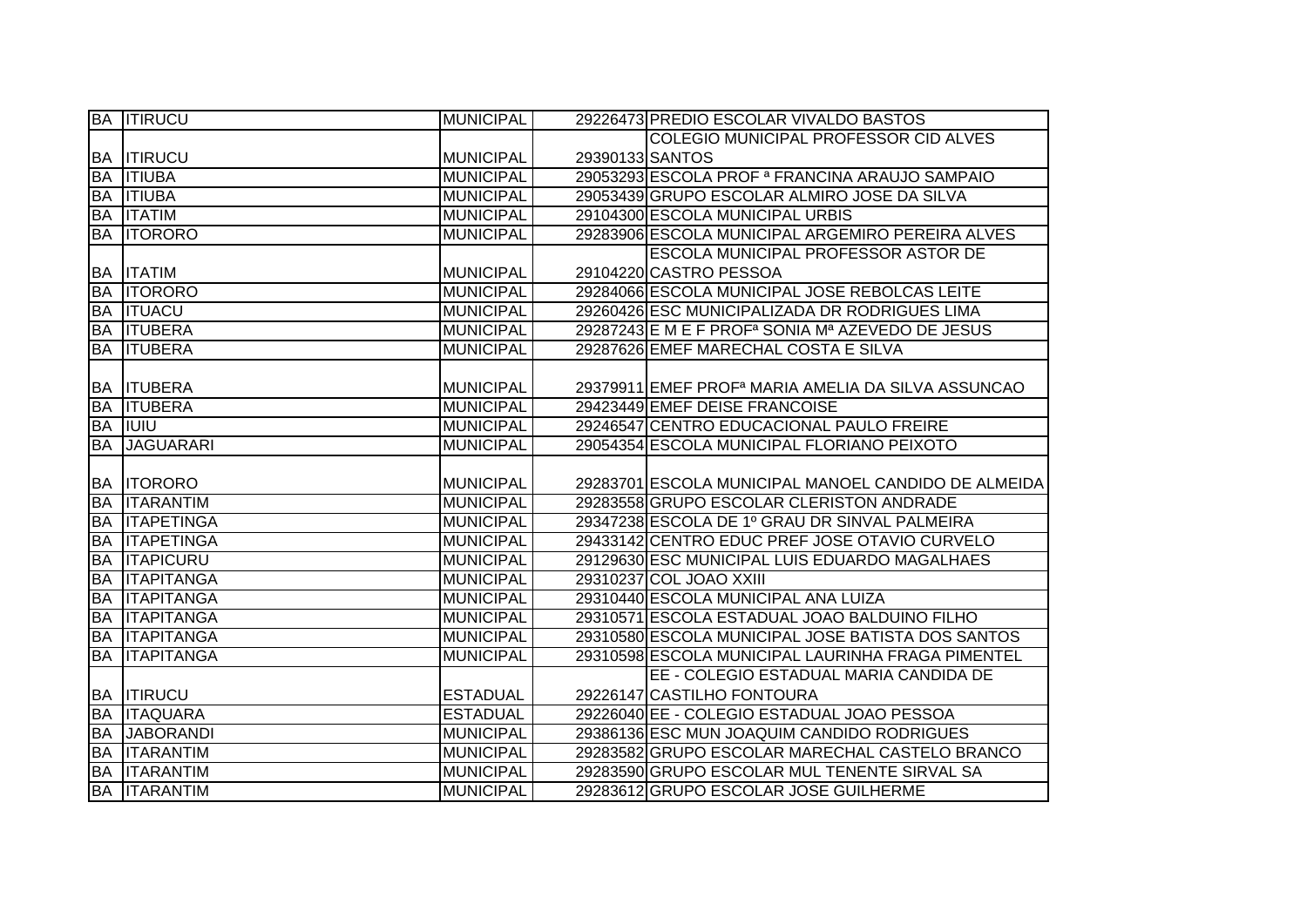|           | <b>BA ITIRUCU</b>    | <b>MUNICIPAL</b> |                 | 29226473 PREDIO ESCOLAR VIVALDO BASTOS                                                |
|-----------|----------------------|------------------|-----------------|---------------------------------------------------------------------------------------|
|           |                      |                  |                 | COLEGIO MUNICIPAL PROFESSOR CID ALVES                                                 |
|           | <b>BA ITIRUCU</b>    | <b>MUNICIPAL</b> | 29390133 SANTOS |                                                                                       |
|           | <b>BA ITIUBA</b>     | <b>MUNICIPAL</b> |                 | 29053293 ESCOLA PROF <sup>ª</sup> FRANCINA ARAUJO SAMPAIO                             |
|           | <b>BA ITIUBA</b>     | <b>MUNICIPAL</b> |                 | 29053439 GRUPO ESCOLAR ALMIRO JOSE DA SILVA                                           |
|           | <b>BA ITATIM</b>     | <b>MUNICIPAL</b> |                 | 29104300 ESCOLA MUNICIPAL URBIS                                                       |
|           | <b>BA ITORORO</b>    | <b>MUNICIPAL</b> |                 | 29283906 ESCOLA MUNICIPAL ARGEMIRO PEREIRA ALVES                                      |
|           |                      |                  |                 | <b>ESCOLA MUNICIPAL PROFESSOR ASTOR DE</b>                                            |
|           | <b>BA ITATIM</b>     | <b>MUNICIPAL</b> |                 | 29104220 CASTRO PESSOA                                                                |
|           | <b>BA ITORORO</b>    | <b>MUNICIPAL</b> |                 | 29284066 ESCOLA MUNICIPAL JOSE REBOLCAS LEITE                                         |
|           | <b>BA ITUACU</b>     | <b>MUNICIPAL</b> |                 | 29260426 ESC MUNICIPALIZADA DR RODRIGUES LIMA                                         |
|           | <b>BA ITUBERA</b>    | <b>MUNICIPAL</b> |                 | 29287243 E M E F PROF <sup>a</sup> SONIA M <sup>a</sup> AZEVEDO DE JESUS              |
|           | <b>BA ITUBERA</b>    | <b>MUNICIPAL</b> |                 | 29287626 EMEF MARECHAL COSTA E SILVA                                                  |
|           |                      |                  |                 |                                                                                       |
|           | <b>BA ITUBERA</b>    | <b>MUNICIPAL</b> |                 | 29379911 EMEF PROF <sup>a</sup> MARIA AMELIA DA SILVA ASSUNCAO                        |
|           | <b>BA ITUBERA</b>    | <b>MUNICIPAL</b> |                 | 29423449 EMEF DEISE FRANCOISE                                                         |
|           | <b>BA IUIU</b>       | <b>MUNICIPAL</b> |                 | 29246547 CENTRO EDUCACIONAL PAULO FREIRE                                              |
| <b>BA</b> | <b>JAGUARARI</b>     | <b>MUNICIPAL</b> |                 | 29054354 ESCOLA MUNICIPAL FLORIANO PEIXOTO                                            |
|           |                      |                  |                 |                                                                                       |
|           |                      |                  |                 |                                                                                       |
|           | <b>BA ITORORO</b>    | <b>MUNICIPAL</b> |                 | 29283701 ESCOLA MUNICIPAL MANOEL CANDIDO DE ALMEIDA                                   |
|           | <b>BA ITARANTIM</b>  | <b>MUNICIPAL</b> |                 | 29283558 GRUPO ESCOLAR CLERISTON ANDRADE                                              |
|           | <b>BA ITAPETINGA</b> | <b>MUNICIPAL</b> |                 | 29347238 ESCOLA DE 1º GRAU DR SINVAL PALMEIRA                                         |
|           | <b>BA ITAPETINGA</b> | <b>MUNICIPAL</b> |                 | 29433142 CENTRO EDUC PREF JOSE OTAVIO CURVELO                                         |
| <b>BA</b> | <b>ITAPICURU</b>     | <b>MUNICIPAL</b> |                 | 29129630 ESC MUNICIPAL LUIS EDUARDO MAGALHAES                                         |
| <b>BA</b> | <b>ITAPITANGA</b>    | <b>MUNICIPAL</b> |                 | 29310237 COL JOAO XXIII                                                               |
| <b>BA</b> | <b>ITAPITANGA</b>    | <b>MUNICIPAL</b> |                 | 29310440 ESCOLA MUNICIPAL ANA LUIZA                                                   |
| <b>BA</b> | <b>ITAPITANGA</b>    | <b>MUNICIPAL</b> |                 | 29310571 ESCOLA ESTADUAL JOAO BALDUINO FILHO                                          |
|           | <b>BA ITAPITANGA</b> | <b>MUNICIPAL</b> |                 | 29310580 ESCOLA MUNICIPAL JOSE BATISTA DOS SANTOS                                     |
| <b>BA</b> | <b>ITAPITANGA</b>    | <b>MUNICIPAL</b> |                 | 29310598 ESCOLA MUNICIPAL LAURINHA FRAGA PIMENTEL                                     |
|           |                      |                  |                 | EE - COLEGIO ESTADUAL MARIA CANDIDA DE                                                |
|           | <b>BA ITIRUCU</b>    | <b>ESTADUAL</b>  |                 | 29226147 CASTILHO FONTOURA                                                            |
|           | <b>BA ITAQUARA</b>   | <b>ESTADUAL</b>  |                 | 29226040 EE - COLEGIO ESTADUAL JOAO PESSOA                                            |
|           | <b>BA JABORANDI</b>  | <b>MUNICIPAL</b> |                 | 29386136 ESC MUN JOAQUIM CANDIDO RODRIGUES                                            |
|           | <b>BA ITARANTIM</b>  | <b>MUNICIPAL</b> |                 | 29283582 GRUPO ESCOLAR MARECHAL CASTELO BRANCO                                        |
|           | <b>BA ITARANTIM</b>  | <b>MUNICIPAL</b> |                 | 29283590 GRUPO ESCOLAR MUL TENENTE SIRVAL SA<br>29283612 GRUPO ESCOLAR JOSE GUILHERME |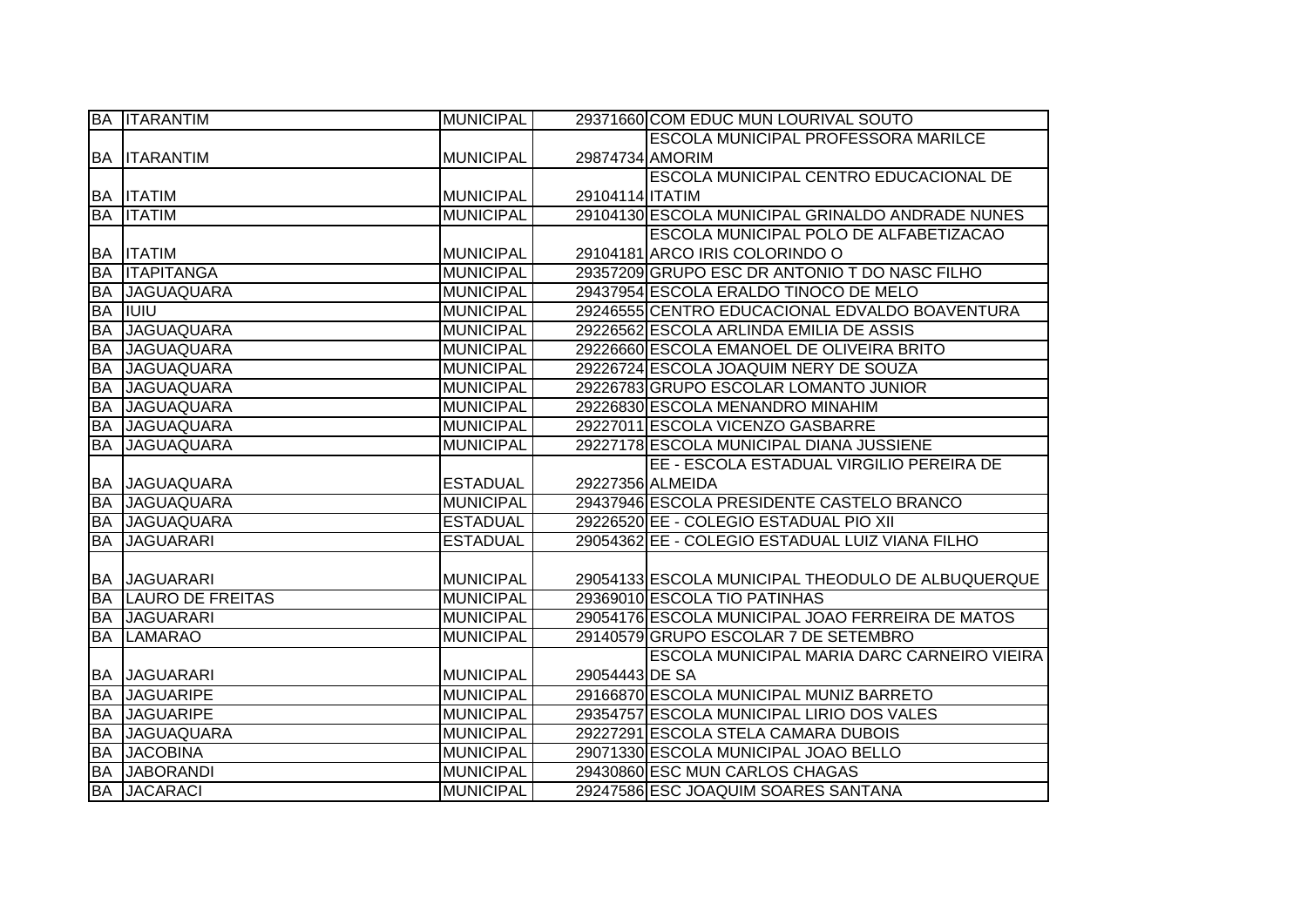|           | <b>BA ITARANTIM</b>     | <b>MUNICIPAL</b> |                 | 29371660 COM EDUC MUN LOURIVAL SOUTO              |
|-----------|-------------------------|------------------|-----------------|---------------------------------------------------|
|           |                         |                  |                 | ESCOLA MUNICIPAL PROFESSORA MARILCE               |
|           | <b>BA ITARANTIM</b>     | <b>MUNICIPAL</b> | 29874734 AMORIM |                                                   |
|           |                         |                  |                 | ESCOLA MUNICIPAL CENTRO EDUCACIONAL DE            |
|           | <b>BA ITATIM</b>        | <b>MUNICIPAL</b> | 29104114 ITATIM |                                                   |
|           | <b>BA ITATIM</b>        | <b>MUNICIPAL</b> |                 | 29104130 ESCOLA MUNICIPAL GRINALDO ANDRADE NUNES  |
|           |                         |                  |                 | ESCOLA MUNICIPAL POLO DE ALFABETIZACAO            |
|           | <b>BA ITATIM</b>        | <b>MUNICIPAL</b> |                 | 29104181 ARCO IRIS COLORINDO O                    |
| <b>BA</b> | <b>ITAPITANGA</b>       | <b>MUNICIPAL</b> |                 | 29357209 GRUPO ESC DR ANTONIO T DO NASC FILHO     |
| <b>BA</b> | <b>JAGUAQUARA</b>       | <b>MUNICIPAL</b> |                 | 29437954 ESCOLA ERALDO TINOCO DE MELO             |
| <b>BA</b> | IUIU                    | <b>MUNICIPAL</b> |                 | 29246555 CENTRO EDUCACIONAL EDVALDO BOAVENTURA    |
| <b>BA</b> | <b>JAGUAQUARA</b>       | <b>MUNICIPAL</b> |                 | 29226562 ESCOLA ARLINDA EMILIA DE ASSIS           |
| <b>BA</b> | <b>JAGUAQUARA</b>       | <b>MUNICIPAL</b> |                 | 29226660 ESCOLA EMANOEL DE OLIVEIRA BRITO         |
| <b>BA</b> | <b>JAGUAQUARA</b>       | <b>MUNICIPAL</b> |                 | 29226724 ESCOLA JOAQUIM NERY DE SOUZA             |
| <b>BA</b> | <b>JAGUAQUARA</b>       | <b>MUNICIPAL</b> |                 | 29226783 GRUPO ESCOLAR LOMANTO JUNIOR             |
| <b>BA</b> | <b>JAGUAQUARA</b>       | <b>MUNICIPAL</b> |                 | 29226830 ESCOLA MENANDRO MINAHIM                  |
| <b>BA</b> | <b>JAGUAQUARA</b>       | <b>MUNICIPAL</b> |                 | 29227011 ESCOLA VICENZO GASBARRE                  |
| <b>BA</b> | <b>JAGUAQUARA</b>       | <b>MUNICIPAL</b> |                 | 29227178 ESCOLA MUNICIPAL DIANA JUSSIENE          |
|           |                         |                  |                 | EE - ESCOLA ESTADUAL VIRGILIO PEREIRA DE          |
|           | <b>BA JAGUAQUARA</b>    | <b>ESTADUAL</b>  |                 | 29227356 ALMEIDA                                  |
| <b>BA</b> | <b>JAGUAQUARA</b>       | <b>MUNICIPAL</b> |                 | 29437946 ESCOLA PRESIDENTE CASTELO BRANCO         |
| <b>BA</b> | <b>JAGUAQUARA</b>       | <b>ESTADUAL</b>  |                 | 29226520 EE - COLEGIO ESTADUAL PIO XII            |
| <b>BA</b> | <b>JAGUARARI</b>        | <b>ESTADUAL</b>  |                 | 29054362 EE - COLEGIO ESTADUAL LUIZ VIANA FILHO   |
|           |                         |                  |                 |                                                   |
|           | <b>BA JAGUARARI</b>     | <b>MUNICIPAL</b> |                 | 29054133 ESCOLA MUNICIPAL THEODULO DE ALBUQUERQUE |
| <b>BA</b> | <b>LAURO DE FREITAS</b> | <b>MUNICIPAL</b> |                 | 29369010 ESCOLA TIO PATINHAS                      |
| <b>BA</b> | <b>JAGUARARI</b>        | <b>MUNICIPAL</b> |                 | 29054176 ESCOLA MUNICIPAL JOAO FERREIRA DE MATOS  |
| <b>BA</b> | <b>LAMARAO</b>          | <b>MUNICIPAL</b> |                 | 29140579 GRUPO ESCOLAR 7 DE SETEMBRO              |
|           |                         |                  |                 | ESCOLA MUNICIPAL MARIA DARC CARNEIRO VIEIRA       |
|           | <b>BA JAGUARARI</b>     | <b>MUNICIPAL</b> | 29054443 DE SA  |                                                   |
| BA        | <b>JAGUARIPE</b>        | <b>MUNICIPAL</b> |                 | 29166870 ESCOLA MUNICIPAL MUNIZ BARRETO           |
| <b>BA</b> | <b>JAGUARIPE</b>        | <b>MUNICIPAL</b> |                 | 29354757 ESCOLA MUNICIPAL LIRIO DOS VALES         |
| <b>BA</b> | <b>JAGUAQUARA</b>       | <b>MUNICIPAL</b> |                 | 29227291 ESCOLA STELA CAMARA DUBOIS               |
| <b>BA</b> | <b>JACOBINA</b>         | <b>MUNICIPAL</b> |                 | 29071330 ESCOLA MUNICIPAL JOAO BELLO              |
| <b>BA</b> | <b>JABORANDI</b>        | <b>MUNICIPAL</b> |                 | 29430860 ESC MUN CARLOS CHAGAS                    |
|           | <b>BA JACARACI</b>      | <b>MUNICIPAL</b> |                 | 29247586 ESC JOAQUIM SOARES SANTANA               |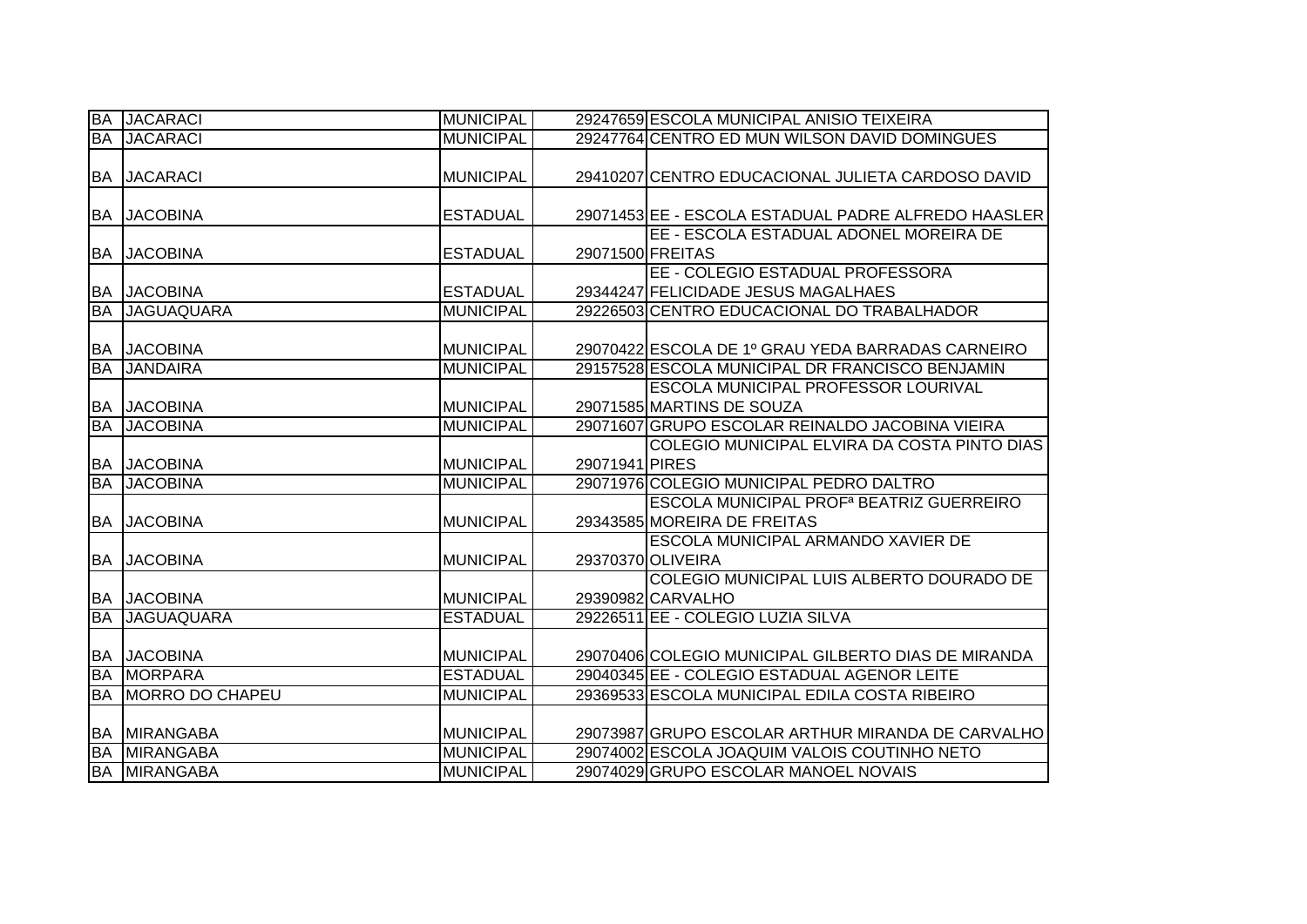| <b>BA</b> | <b>JACARACI</b>     | <b>MUNICIPAL</b> |                  | 29247659 ESCOLA MUNICIPAL ANISIO TEIXEIRA            |
|-----------|---------------------|------------------|------------------|------------------------------------------------------|
|           | <b>BA JACARACI</b>  | <b>MUNICIPAL</b> |                  | 29247764 CENTRO ED MUN WILSON DAVID DOMINGUES        |
|           |                     |                  |                  |                                                      |
|           | <b>BA JACARACI</b>  | <b>MUNICIPAL</b> |                  | 29410207 CENTRO EDUCACIONAL JULIETA CARDOSO DAVID    |
|           |                     |                  |                  |                                                      |
|           | <b>BA JACOBINA</b>  | <b>ESTADUAL</b>  |                  | 29071453 EE - ESCOLA ESTADUAL PADRE ALFREDO HAASLER  |
|           |                     |                  |                  | EE - ESCOLA ESTADUAL ADONEL MOREIRA DE               |
|           | <b>BA JACOBINA</b>  | <b>ESTADUAL</b>  | 29071500 FREITAS |                                                      |
|           |                     |                  |                  | EE - COLEGIO ESTADUAL PROFESSORA                     |
|           | <b>BA JACOBINA</b>  | <b>ESTADUAL</b>  |                  | 29344247 FELICIDADE JESUS MAGALHAES                  |
| BA        | <b>JAGUAQUARA</b>   | <b>MUNICIPAL</b> |                  | 29226503 CENTRO EDUCACIONAL DO TRABALHADOR           |
|           |                     |                  |                  |                                                      |
|           | <b>BA JACOBINA</b>  | <b>MUNICIPAL</b> |                  | 29070422 ESCOLA DE 1º GRAU YEDA BARRADAS CARNEIRO    |
| <b>BA</b> | <b>JANDAIRA</b>     | <b>MUNICIPAL</b> |                  | 29157528 ESCOLA MUNICIPAL DR FRANCISCO BENJAMIN      |
|           |                     |                  |                  | <b>ESCOLA MUNICIPAL PROFESSOR LOURIVAL</b>           |
|           | <b>BA JACOBINA</b>  | <b>MUNICIPAL</b> |                  | 29071585 MARTINS DE SOUZA                            |
| <b>BA</b> | <b>JACOBINA</b>     | <b>MUNICIPAL</b> |                  | 29071607 GRUPO ESCOLAR REINALDO JACOBINA VIEIRA      |
|           |                     |                  |                  | COLEGIO MUNICIPAL ELVIRA DA COSTA PINTO DIAS         |
|           | <b>BA JACOBINA</b>  | <b>MUNICIPAL</b> | 29071941 PIRES   |                                                      |
| <b>BA</b> | <b>JACOBINA</b>     | <b>MUNICIPAL</b> |                  | 29071976 COLEGIO MUNICIPAL PEDRO DALTRO              |
|           |                     |                  |                  | ESCOLA MUNICIPAL PROF <sup>ª</sup> BEATRIZ GUERREIRO |
| <b>BA</b> | <b>JACOBINA</b>     | <b>MUNICIPAL</b> |                  | 29343585 MOREIRA DE FREITAS                          |
|           |                     |                  |                  | ESCOLA MUNICIPAL ARMANDO XAVIER DE                   |
|           | <b>BA JACOBINA</b>  | <b>MUNICIPAL</b> |                  | 29370370 OLIVEIRA                                    |
|           |                     |                  |                  | COLEGIO MUNICIPAL LUIS ALBERTO DOURADO DE            |
|           | <b>BA JACOBINA</b>  | <b>MUNICIPAL</b> |                  | 29390982 CARVALHO                                    |
| <b>BA</b> | <b>JAGUAQUARA</b>   | <b>ESTADUAL</b>  |                  | 29226511 EE - COLEGIO LUZIA SILVA                    |
|           |                     |                  |                  |                                                      |
|           | <b>BA JACOBINA</b>  | <b>MUNICIPAL</b> |                  | 29070406 COLEGIO MUNICIPAL GILBERTO DIAS DE MIRANDA  |
| <b>BA</b> | <b>MORPARA</b>      | <b>ESTADUAL</b>  |                  | 29040345 EE - COLEGIO ESTADUAL AGENOR LEITE          |
| <b>BA</b> | MORRO DO CHAPEU     | <b>MUNICIPAL</b> |                  | 29369533 ESCOLA MUNICIPAL EDILA COSTA RIBEIRO        |
|           |                     |                  |                  |                                                      |
|           | <b>BA MIRANGABA</b> | <b>MUNICIPAL</b> |                  | 29073987 GRUPO ESCOLAR ARTHUR MIRANDA DE CARVALHO    |
|           | <b>BA MIRANGABA</b> | <b>MUNICIPAL</b> |                  | 29074002 ESCOLA JOAQUIM VALOIS COUTINHO NETO         |
|           | <b>BA MIRANGABA</b> | <b>MUNICIPAL</b> |                  | 29074029 GRUPO ESCOLAR MANOEL NOVAIS                 |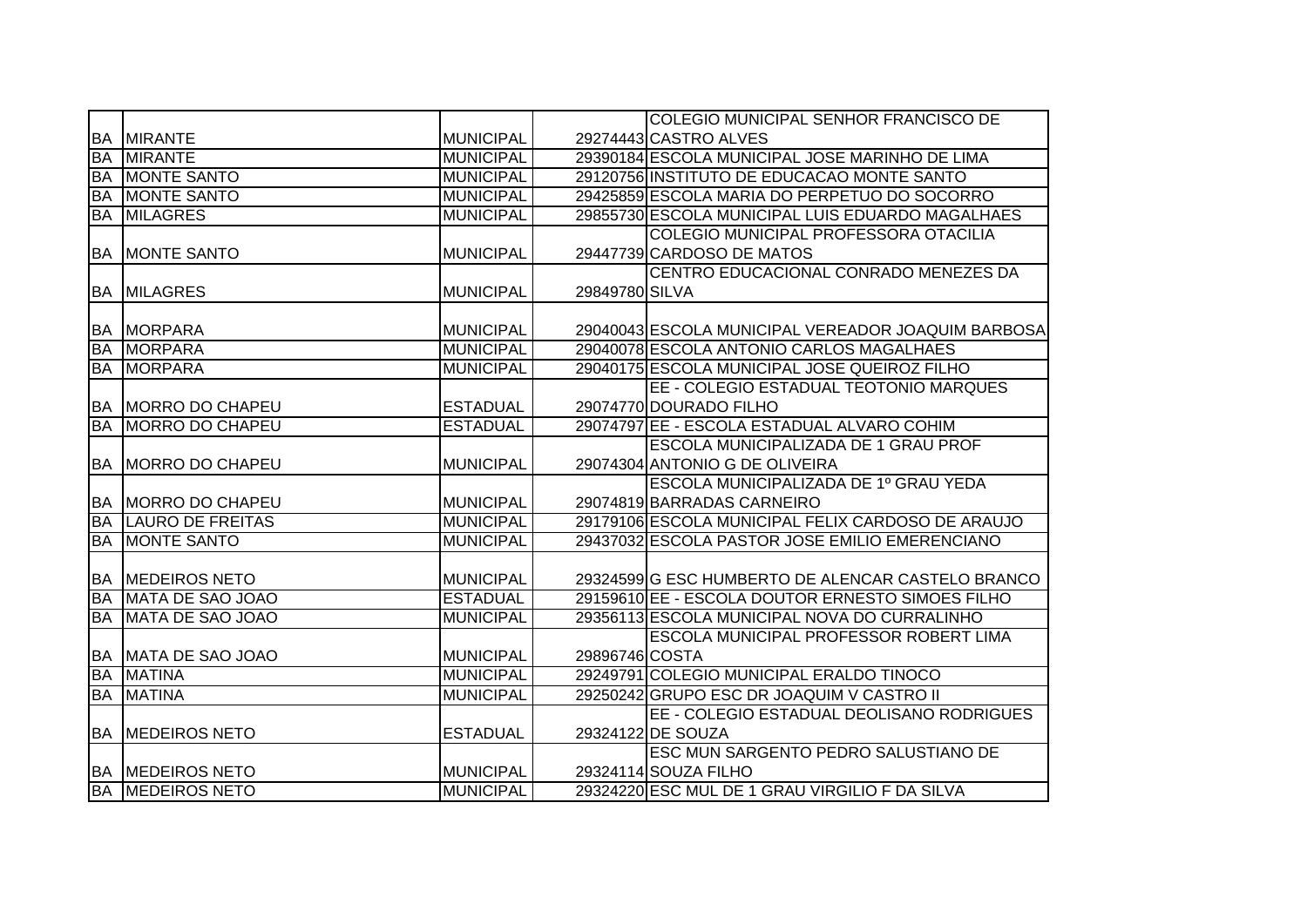|           |                            |                  |                | COLEGIO MUNICIPAL SENHOR FRANCISCO DE              |
|-----------|----------------------------|------------------|----------------|----------------------------------------------------|
|           | <b>BA MIRANTE</b>          | <b>MUNICIPAL</b> |                | 29274443 CASTRO ALVES                              |
| <b>BA</b> | <b>MIRANTE</b>             | <b>MUNICIPAL</b> |                | 29390184 ESCOLA MUNICIPAL JOSE MARINHO DE LIMA     |
|           | <b>BA MONTE SANTO</b>      | <b>MUNICIPAL</b> |                | 29120756 INSTITUTO DE EDUCACAO MONTE SANTO         |
| <b>BA</b> | MONTE SANTO                | <b>MUNICIPAL</b> |                | 29425859 ESCOLA MARIA DO PERPETUO DO SOCORRO       |
| BA        | <b>MILAGRES</b>            | <b>MUNICIPAL</b> |                | 29855730 ESCOLA MUNICIPAL LUIS EDUARDO MAGALHAES   |
|           |                            |                  |                | COLEGIO MUNICIPAL PROFESSORA OTACILIA              |
|           | <b>BA MONTE SANTO</b>      | <b>MUNICIPAL</b> |                | 29447739 CARDOSO DE MATOS                          |
|           |                            |                  |                | CENTRO EDUCACIONAL CONRADO MENEZES DA              |
| <b>BA</b> | <b>MILAGRES</b>            | <b>MUNICIPAL</b> | 29849780 SILVA |                                                    |
|           |                            |                  |                |                                                    |
| <b>BA</b> | <b>MORPARA</b>             | <b>MUNICIPAL</b> |                | 29040043 ESCOLA MUNICIPAL VEREADOR JOAQUIM BARBOSA |
| <b>BA</b> | <b>MORPARA</b>             | <b>MUNICIPAL</b> |                | 29040078 ESCOLA ANTONIO CARLOS MAGALHAES           |
| <b>BA</b> | <b>IMORPARA</b>            | MUNICIPAL        |                | 29040175 ESCOLA MUNICIPAL JOSE QUEIROZ FILHO       |
|           |                            |                  |                | EE - COLEGIO ESTADUAL TEOTONIO MARQUES             |
|           | BA MORRO DO CHAPEU         | <b>ESTADUAL</b>  |                | 29074770 DOURADO FILHO                             |
| <b>BA</b> | <b>MORRO DO CHAPEU</b>     | <b>ESTADUAL</b>  |                | 29074797 EE - ESCOLA ESTADUAL ALVARO COHIM         |
|           |                            |                  |                | ESCOLA MUNICIPALIZADA DE 1 GRAU PROF               |
|           | BA MORRO DO CHAPEU         | <b>MUNICIPAL</b> |                | 29074304 ANTONIO G DE OLIVEIRA                     |
|           |                            |                  |                | ESCOLA MUNICIPALIZADA DE 1º GRAU YEDA              |
|           | BA MORRO DO CHAPEU         | <b>MUNICIPAL</b> |                | 29074819 BARRADAS CARNEIRO                         |
|           | <b>BA LAURO DE FREITAS</b> | <b>MUNICIPAL</b> |                | 29179106 ESCOLA MUNICIPAL FELIX CARDOSO DE ARAUJO  |
| <b>BA</b> | <b>MONTE SANTO</b>         | <b>MUNICIPAL</b> |                | 29437032 ESCOLA PASTOR JOSE EMILIO EMERENCIANO     |
|           |                            |                  |                |                                                    |
|           | <b>BA MEDEIROS NETO</b>    | <b>MUNICIPAL</b> |                | 29324599 G ESC HUMBERTO DE ALENCAR CASTELO BRANCO  |
| <b>BA</b> | MATA DE SAO JOAO           | <b>ESTADUAL</b>  |                | 29159610 EE - ESCOLA DOUTOR ERNESTO SIMOES FILHO   |
| BA        | MATA DE SAO JOAO           | <b>MUNICIPAL</b> |                | 29356113 ESCOLA MUNICIPAL NOVA DO CURRALINHO       |
|           |                            |                  |                | ESCOLA MUNICIPAL PROFESSOR ROBERT LIMA             |
|           | <b>BA MATA DE SAO JOAO</b> | <b>MUNICIPAL</b> | 29896746 COSTA |                                                    |
| <b>BA</b> | <b>MATINA</b>              | <b>MUNICIPAL</b> |                | 29249791 COLEGIO MUNICIPAL ERALDO TINOCO           |
|           | <b>BA MATINA</b>           | <b>MUNICIPAL</b> |                | 29250242 GRUPO ESC DR JOAQUIM V CASTRO II          |
|           |                            |                  |                | EE - COLEGIO ESTADUAL DEOLISANO RODRIGUES          |
|           | <b>BA MEDEIROS NETO</b>    | <b>ESTADUAL</b>  |                | 29324122 DE SOUZA                                  |
|           |                            |                  |                | ESC MUN SARGENTO PEDRO SALUSTIANO DE               |
|           | <b>BA MEDEIROS NETO</b>    | <b>MUNICIPAL</b> |                | 29324114 SOUZA FILHO                               |
|           | <b>BA MEDEIROS NETO</b>    | <b>MUNICIPAL</b> |                | 29324220 ESC MUL DE 1 GRAU VIRGILIO F DA SILVA     |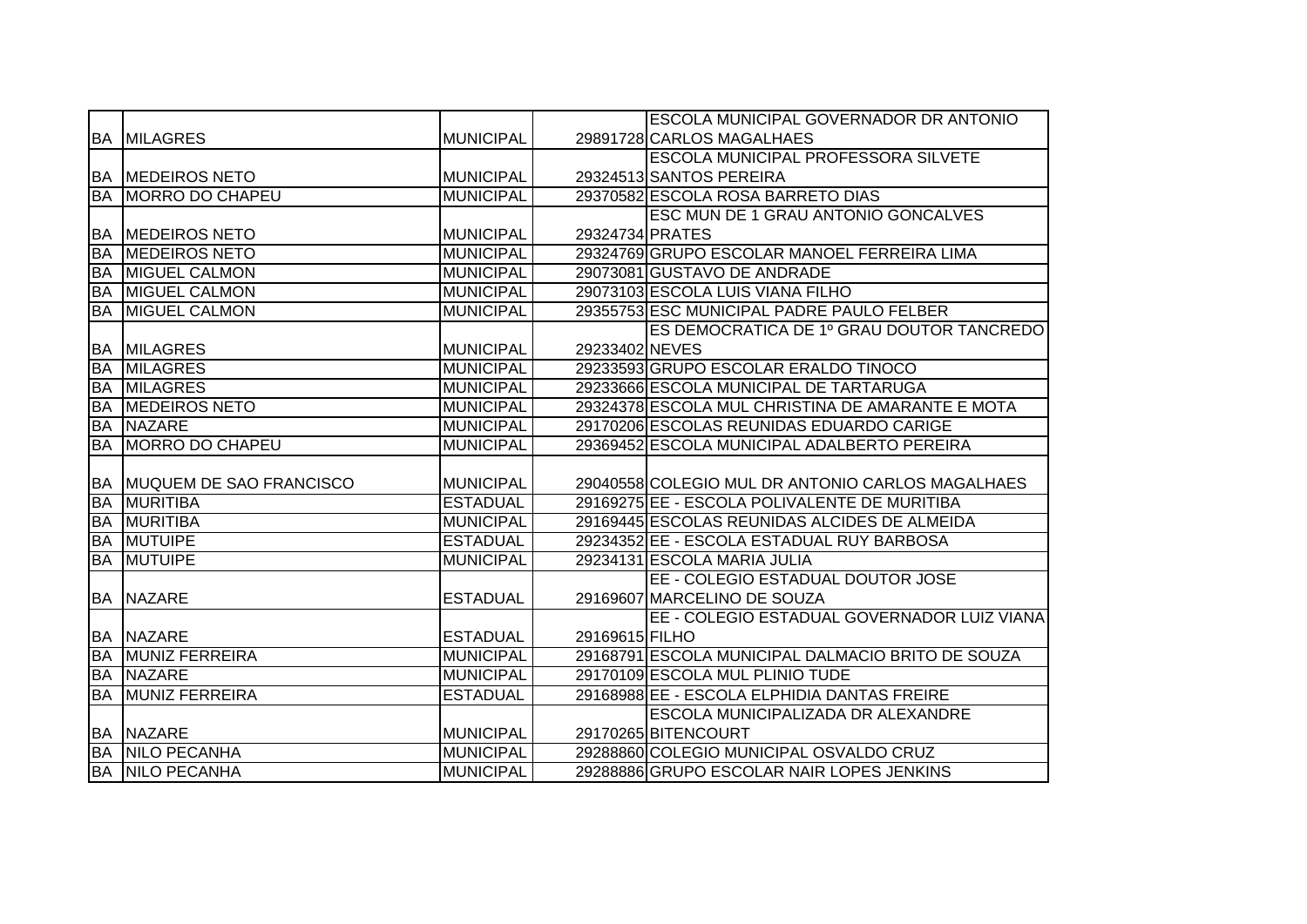|           |                                   |                  |                 | <b>ESCOLA MUNICIPAL GOVERNADOR DR ANTONIO</b>     |
|-----------|-----------------------------------|------------------|-----------------|---------------------------------------------------|
|           | <b>BA MILAGRES</b>                | <b>MUNICIPAL</b> |                 | 29891728 CARLOS MAGALHAES                         |
|           |                                   |                  |                 | <b>ESCOLA MUNICIPAL PROFESSORA SILVETE</b>        |
|           | <b>BA MEDEIROS NETO</b>           | <b>MUNICIPAL</b> |                 | 29324513 SANTOS PEREIRA                           |
| <b>BA</b> | <b>MORRO DO CHAPEU</b>            | <b>MUNICIPAL</b> |                 | 29370582 ESCOLA ROSA BARRETO DIAS                 |
|           |                                   |                  |                 | ESC MUN DE 1 GRAU ANTONIO GONCALVES               |
|           | <b>BA MEDEIROS NETO</b>           | <b>MUNICIPAL</b> | 29324734 PRATES |                                                   |
| <b>BA</b> | <b>MEDEIROS NETO</b>              | <b>MUNICIPAL</b> |                 | 29324769 GRUPO ESCOLAR MANOEL FERREIRA LIMA       |
| BA        | <b>MIGUEL CALMON</b>              | <b>MUNICIPAL</b> |                 | 29073081 GUSTAVO DE ANDRADE                       |
| <b>BA</b> | <b>MIGUEL CALMON</b>              | <b>MUNICIPAL</b> |                 | 29073103 ESCOLA LUIS VIANA FILHO                  |
| <b>BA</b> | <b>MIGUEL CALMON</b>              | <b>MUNICIPAL</b> |                 | 29355753 ESC MUNICIPAL PADRE PAULO FELBER         |
|           |                                   |                  |                 | ES DEMOCRATICA DE 1º GRAU DOUTOR TANCREDO         |
|           | <b>BA MILAGRES</b>                | <b>MUNICIPAL</b> | 29233402 NEVES  |                                                   |
| <b>BA</b> | <b>IMILAGRES</b>                  | <b>MUNICIPAL</b> |                 | 29233593 GRUPO ESCOLAR ERALDO TINOCO              |
|           | <b>BA MILAGRES</b>                | <b>MUNICIPAL</b> |                 | 29233666 ESCOLA MUNICIPAL DE TARTARUGA            |
| <b>BA</b> | <b>MEDEIROS NETO</b>              | <b>MUNICIPAL</b> |                 | 29324378 ESCOLA MUL CHRISTINA DE AMARANTE E MOTA  |
|           | <b>BA NAZARE</b>                  | <b>MUNICIPAL</b> |                 | 29170206 ESCOLAS REUNIDAS EDUARDO CARIGE          |
|           | <b>BA MORRO DO CHAPEU</b>         | <b>MUNICIPAL</b> |                 | 29369452 ESCOLA MUNICIPAL ADALBERTO PEREIRA       |
|           |                                   |                  |                 |                                                   |
|           | <b>BA MUQUEM DE SAO FRANCISCO</b> | <b>MUNICIPAL</b> |                 | 29040558 COLEGIO MUL DR ANTONIO CARLOS MAGALHAES  |
| BA        | <b>MURITIBA</b>                   | <b>ESTADUAL</b>  |                 | 29169275 EE - ESCOLA POLIVALENTE DE MURITIBA      |
| <b>BA</b> | <b>MURITIBA</b>                   | <b>MUNICIPAL</b> |                 | 29169445 ESCOLAS REUNIDAS ALCIDES DE ALMEIDA      |
| <b>BA</b> | <b>MUTUIPE</b>                    | <b>ESTADUAL</b>  |                 | 29234352 EE - ESCOLA ESTADUAL RUY BARBOSA         |
| <b>BA</b> | <b>IMUTUIPE</b>                   | <b>MUNICIPAL</b> |                 | 29234131 ESCOLA MARIA JULIA                       |
|           |                                   |                  |                 | EE - COLEGIO ESTADUAL DOUTOR JOSE                 |
|           | <b>BA NAZARE</b>                  | <b>ESTADUAL</b>  |                 | 29169607 MARCELINO DE SOUZA                       |
|           |                                   |                  |                 | EE - COLEGIO ESTADUAL GOVERNADOR LUIZ VIANA       |
|           | <b>BA NAZARE</b>                  | <b>ESTADUAL</b>  | 29169615 FILHO  |                                                   |
|           | <b>BA MUNIZ FERREIRA</b>          | <b>MUNICIPAL</b> |                 | 29168791 ESCOLA MUNICIPAL DALMACIO BRITO DE SOUZA |
| BA        | <b>NAZARE</b>                     | <b>MUNICIPAL</b> |                 | 29170109 ESCOLA MUL PLINIO TUDE                   |
| BA        | <b>MUNIZ FERREIRA</b>             | <b>ESTADUAL</b>  |                 | 29168988 EE - ESCOLA ELPHIDIA DANTAS FREIRE       |
|           |                                   |                  |                 | ESCOLA MUNICIPALIZADA DR ALEXANDRE                |
|           | <b>BA NAZARE</b>                  | <b>MUNICIPAL</b> |                 | 29170265 BITENCOURT                               |
|           | <b>BA NILO PECANHA</b>            | <b>MUNICIPAL</b> |                 | 29288860 COLEGIO MUNICIPAL OSVALDO CRUZ           |
|           | <b>BA NILO PECANHA</b>            | <b>MUNICIPAL</b> |                 | 29288886 GRUPO ESCOLAR NAIR LOPES JENKINS         |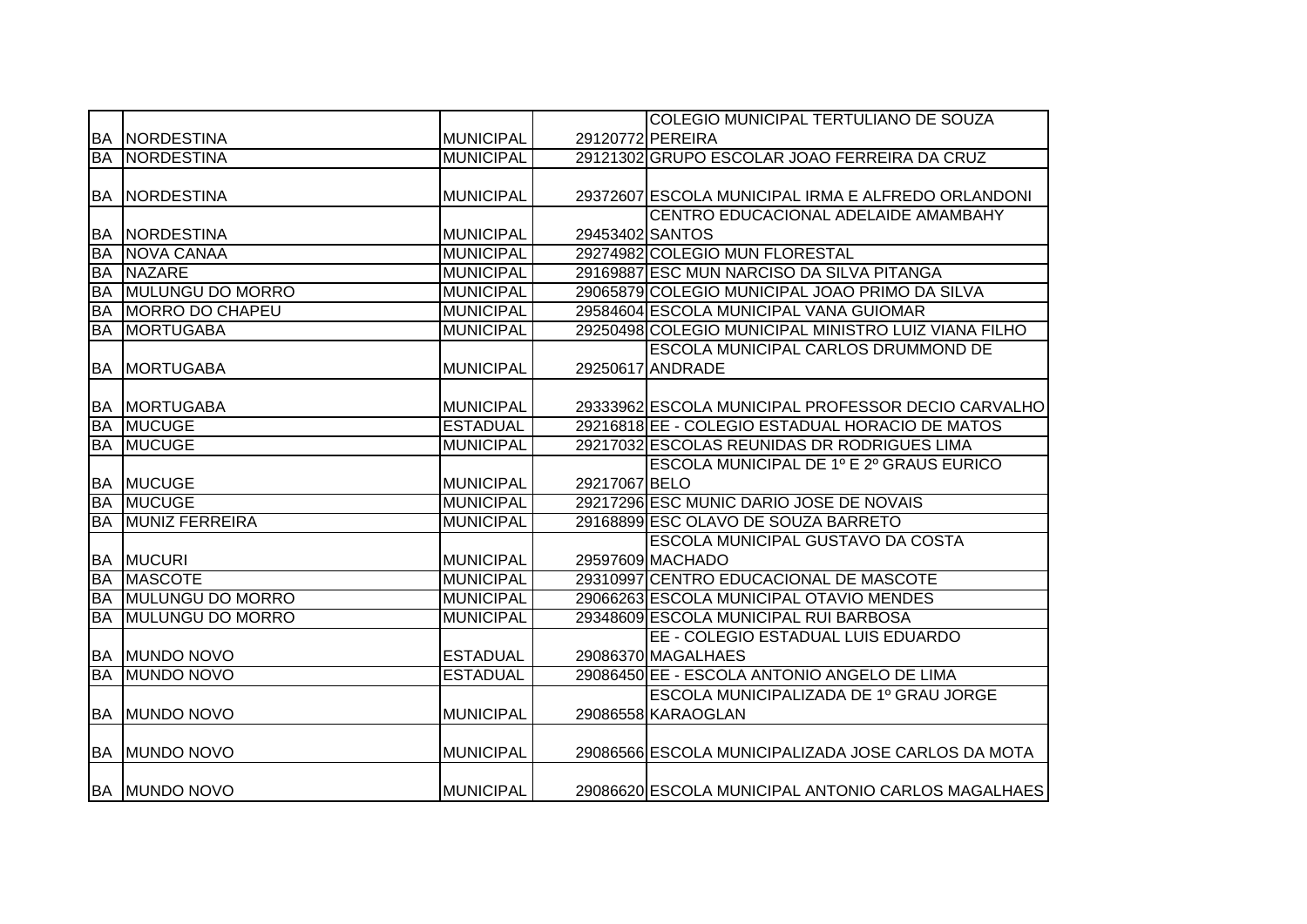|           |                         |                  |                 | COLEGIO MUNICIPAL TERTULIANO DE SOUZA                |
|-----------|-------------------------|------------------|-----------------|------------------------------------------------------|
|           | <b>BA NORDESTINA</b>    | <b>MUNICIPAL</b> |                 | 29120772 PEREIRA                                     |
| BA        | <b>NORDESTINA</b>       | <b>MUNICIPAL</b> |                 | 29121302 GRUPO ESCOLAR JOAO FERREIRA DA CRUZ         |
|           |                         |                  |                 |                                                      |
|           | <b>BA NORDESTINA</b>    | <b>MUNICIPAL</b> |                 | 29372607 ESCOLA MUNICIPAL IRMA E ALFREDO ORLANDONI   |
|           |                         |                  |                 | CENTRO EDUCACIONAL ADELAIDE AMAMBAHY                 |
|           | <b>BA NORDESTINA</b>    | <b>MUNICIPAL</b> | 29453402 SANTOS |                                                      |
| <b>BA</b> | NOVA CANAA              | <b>MUNICIPAL</b> |                 | 29274982 COLEGIO MUN FLORESTAL                       |
| <b>BA</b> | <b>NAZARE</b>           | <b>MUNICIPAL</b> |                 | 29169887 ESC MUN NARCISO DA SILVA PITANGA            |
| <b>BA</b> | MULUNGU DO MORRO        | <b>MUNICIPAL</b> |                 | 29065879 COLEGIO MUNICIPAL JOAO PRIMO DA SILVA       |
| <b>BA</b> | MORRO DO CHAPEU         | <b>MUNICIPAL</b> |                 | 29584604 ESCOLA MUNICIPAL VANA GUIOMAR               |
| <b>BA</b> | <b>MORTUGABA</b>        | <b>MUNICIPAL</b> |                 | 29250498 COLEGIO MUNICIPAL MINISTRO LUIZ VIANA FILHO |
|           |                         |                  |                 | <b>ESCOLA MUNICIPAL CARLOS DRUMMOND DE</b>           |
| BA        | <b>MORTUGABA</b>        | <b>MUNICIPAL</b> |                 | 29250617 ANDRADE                                     |
|           |                         |                  |                 |                                                      |
|           | <b>BA MORTUGABA</b>     | <b>MUNICIPAL</b> |                 | 29333962 ESCOLA MUNICIPAL PROFESSOR DECIO CARVALHO   |
| <b>BA</b> | <b>MUCUGE</b>           | <b>ESTADUAL</b>  |                 | 29216818 EE - COLEGIO ESTADUAL HORACIO DE MATOS      |
| <b>BA</b> | <b>MUCUGE</b>           | <b>MUNICIPAL</b> |                 | 29217032 ESCOLAS REUNIDAS DR RODRIGUES LIMA          |
|           |                         |                  |                 | ESCOLA MUNICIPAL DE 1º E 2º GRAUS EURICO             |
|           | <b>BA MUCUGE</b>        | <b>MUNICIPAL</b> | 29217067 BELO   |                                                      |
| <b>BA</b> | <b>MUCUGE</b>           | <b>MUNICIPAL</b> |                 | 29217296 ESC MUNIC DARIO JOSE DE NOVAIS              |
| <b>BA</b> | <b>MUNIZ FERREIRA</b>   | <b>MUNICIPAL</b> |                 | 29168899 ESC OLAVO DE SOUZA BARRETO                  |
|           |                         |                  |                 | ESCOLA MUNICIPAL GUSTAVO DA COSTA                    |
|           | <b>BA MUCURI</b>        | <b>MUNICIPAL</b> |                 | 29597609 MACHADO                                     |
| <b>BA</b> | <b>MASCOTE</b>          | <b>MUNICIPAL</b> |                 | 29310997 CENTRO EDUCACIONAL DE MASCOTE               |
| <b>BA</b> | <b>MULUNGU DO MORRO</b> | <b>MUNICIPAL</b> |                 | 29066263 ESCOLA MUNICIPAL OTAVIO MENDES              |
| <b>BA</b> | <b>MULUNGU DO MORRO</b> | <b>MUNICIPAL</b> |                 | 29348609 ESCOLA MUNICIPAL RUI BARBOSA                |
|           |                         |                  |                 | EE - COLEGIO ESTADUAL LUIS EDUARDO                   |
|           | <b>BA MUNDO NOVO</b>    | <b>ESTADUAL</b>  |                 | 29086370 MAGALHAES                                   |
| <b>BA</b> | <b>MUNDO NOVO</b>       | <b>ESTADUAL</b>  |                 | 29086450 EE - ESCOLA ANTONIO ANGELO DE LIMA          |
|           |                         |                  |                 | ESCOLA MUNICIPALIZADA DE 1º GRAU JORGE               |
|           | <b>BA MUNDO NOVO</b>    | <b>MUNICIPAL</b> |                 | 29086558 KARAOGLAN                                   |
|           |                         |                  |                 |                                                      |
|           | <b>BA MUNDO NOVO</b>    | <b>MUNICIPAL</b> |                 | 29086566 ESCOLA MUNICIPALIZADA JOSE CARLOS DA MOTA   |
|           |                         |                  |                 |                                                      |
|           | <b>BA MUNDO NOVO</b>    | <b>MUNICIPAL</b> |                 | 29086620 ESCOLA MUNICIPAL ANTONIO CARLOS MAGALHAES   |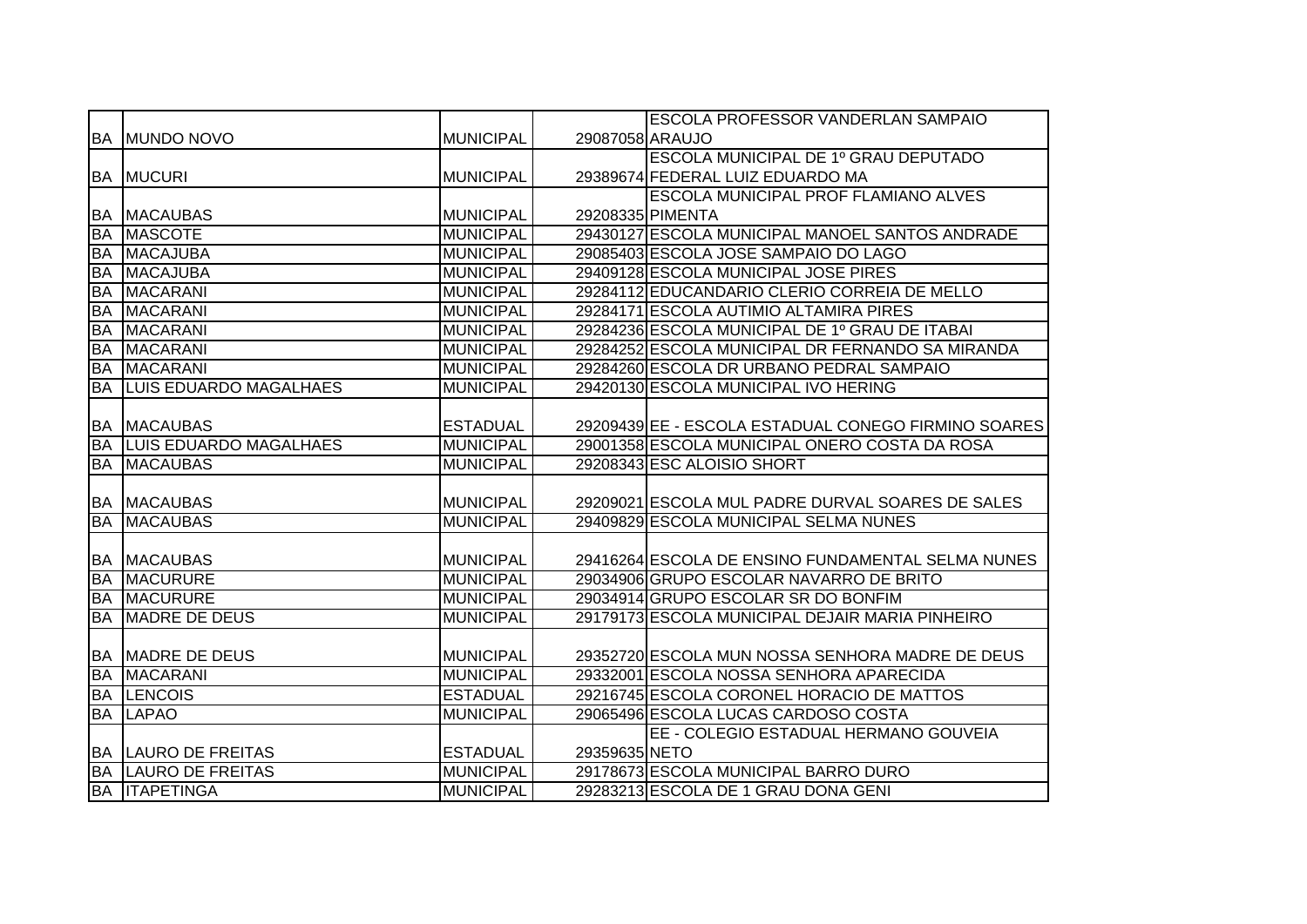|           |                                                    |                  |                 | <b>ESCOLA PROFESSOR VANDERLAN SAMPAIO</b>           |
|-----------|----------------------------------------------------|------------------|-----------------|-----------------------------------------------------|
|           | <b>BA MUNDO NOVO</b>                               | <b>MUNICIPAL</b> | 29087058 ARAUJO |                                                     |
|           |                                                    |                  |                 | ESCOLA MUNICIPAL DE 1º GRAU DEPUTADO                |
|           | <b>BA MUCURI</b>                                   | <b>MUNICIPAL</b> |                 | 29389674 FEDERAL LUIZ EDUARDO MA                    |
|           |                                                    |                  |                 | ESCOLA MUNICIPAL PROF FLAMIANO ALVES                |
|           | <b>BA MACAUBAS</b>                                 | <b>MUNICIPAL</b> |                 | 29208335 PIMENTA                                    |
| <b>BA</b> | <b>MASCOTE</b>                                     | <b>MUNICIPAL</b> |                 | 29430127 ESCOLA MUNICIPAL MANOEL SANTOS ANDRADE     |
| <b>BA</b> | <b>MACAJUBA</b>                                    | <b>MUNICIPAL</b> |                 | 29085403 ESCOLA JOSE SAMPAIO DO LAGO                |
| <b>BA</b> | MACAJUBA                                           | <b>MUNICIPAL</b> |                 | 29409128 ESCOLA MUNICIPAL JOSE PIRES                |
| <b>BA</b> | <b>MACARANI</b>                                    | <b>MUNICIPAL</b> |                 | 29284112 EDUCANDARIO CLERIO CORREIA DE MELLO        |
| BA        | <b>MACARANI</b>                                    | <b>MUNICIPAL</b> |                 | 29284171 ESCOLA AUTIMIO ALTAMIRA PIRES              |
| <b>BA</b> | <b>MACARANI</b>                                    | <b>MUNICIPAL</b> |                 | 29284236 ESCOLA MUNICIPAL DE 1º GRAU DE ITABAI      |
| <b>BA</b> | <b>MACARANI</b>                                    | <b>MUNICIPAL</b> |                 | 29284252 ESCOLA MUNICIPAL DR FERNANDO SA MIRANDA    |
| <b>BA</b> | MACARANI                                           | <b>MUNICIPAL</b> |                 | 29284260 ESCOLA DR URBANO PEDRAL SAMPAIO            |
| <b>BA</b> | LUIS EDUARDO MAGALHAES                             | <b>MUNICIPAL</b> |                 | 29420130 ESCOLA MUNICIPAL IVO HERING                |
|           |                                                    |                  |                 |                                                     |
|           | <b>BA MACAUBAS</b>                                 | <b>ESTADUAL</b>  |                 | 29209439 EE - ESCOLA ESTADUAL CONEGO FIRMINO SOARES |
|           | <b>BA LUIS EDUARDO MAGALHAES</b>                   | <b>MUNICIPAL</b> |                 | 29001358 ESCOLA MUNICIPAL ONERO COSTA DA ROSA       |
|           |                                                    |                  |                 |                                                     |
| <b>BA</b> | <b>MACAUBAS</b>                                    | <b>MUNICIPAL</b> |                 | 29208343 ESC ALOISIO SHORT                          |
|           |                                                    |                  |                 |                                                     |
|           | <b>BA MACAUBAS</b>                                 | <b>MUNICIPAL</b> |                 | 29209021 ESCOLA MUL PADRE DURVAL SOARES DE SALES    |
| <b>BA</b> | <b>MACAUBAS</b>                                    | <b>MUNICIPAL</b> |                 | 29409829 ESCOLA MUNICIPAL SELMA NUNES               |
|           |                                                    |                  |                 |                                                     |
|           | <b>BA MACAUBAS</b>                                 | <b>MUNICIPAL</b> |                 | 29416264 ESCOLA DE ENSINO FUNDAMENTAL SELMA NUNES   |
| <b>BA</b> | <b>MACURURE</b>                                    | <b>MUNICIPAL</b> |                 | 29034906 GRUPO ESCOLAR NAVARRO DE BRITO             |
|           | <b>BA MACURURE</b>                                 | <b>MUNICIPAL</b> |                 | 29034914 GRUPO ESCOLAR SR DO BONFIM                 |
| <b>BA</b> | <b>MADRE DE DEUS</b>                               | <b>MUNICIPAL</b> |                 | 29179173 ESCOLA MUNICIPAL DEJAIR MARIA PINHEIRO     |
|           |                                                    |                  |                 |                                                     |
|           | <b>BA MADRE DE DEUS</b>                            | <b>MUNICIPAL</b> |                 | 29352720 ESCOLA MUN NOSSA SENHORA MADRE DE DEUS     |
| <b>BA</b> | <b>MACARANI</b>                                    | <b>MUNICIPAL</b> |                 | 29332001 ESCOLA NOSSA SENHORA APARECIDA             |
| BA        | <b>LENCOIS</b>                                     | <b>ESTADUAL</b>  |                 | 29216745 ESCOLA CORONEL HORACIO DE MATTOS           |
| <b>BA</b> | <b>LAPAO</b>                                       | <b>MUNICIPAL</b> |                 | 29065496 ESCOLA LUCAS CARDOSO COSTA                 |
|           |                                                    |                  |                 | EE - COLEGIO ESTADUAL HERMANO GOUVEIA               |
|           | <b>BA LAURO DE FREITAS</b>                         | <b>ESTADUAL</b>  | 29359635 NETO   |                                                     |
|           | <b>BA LAURO DE FREITAS</b><br><b>BA ITAPETINGA</b> | <b>MUNICIPAL</b> |                 | 29178673 ESCOLA MUNICIPAL BARRO DURO                |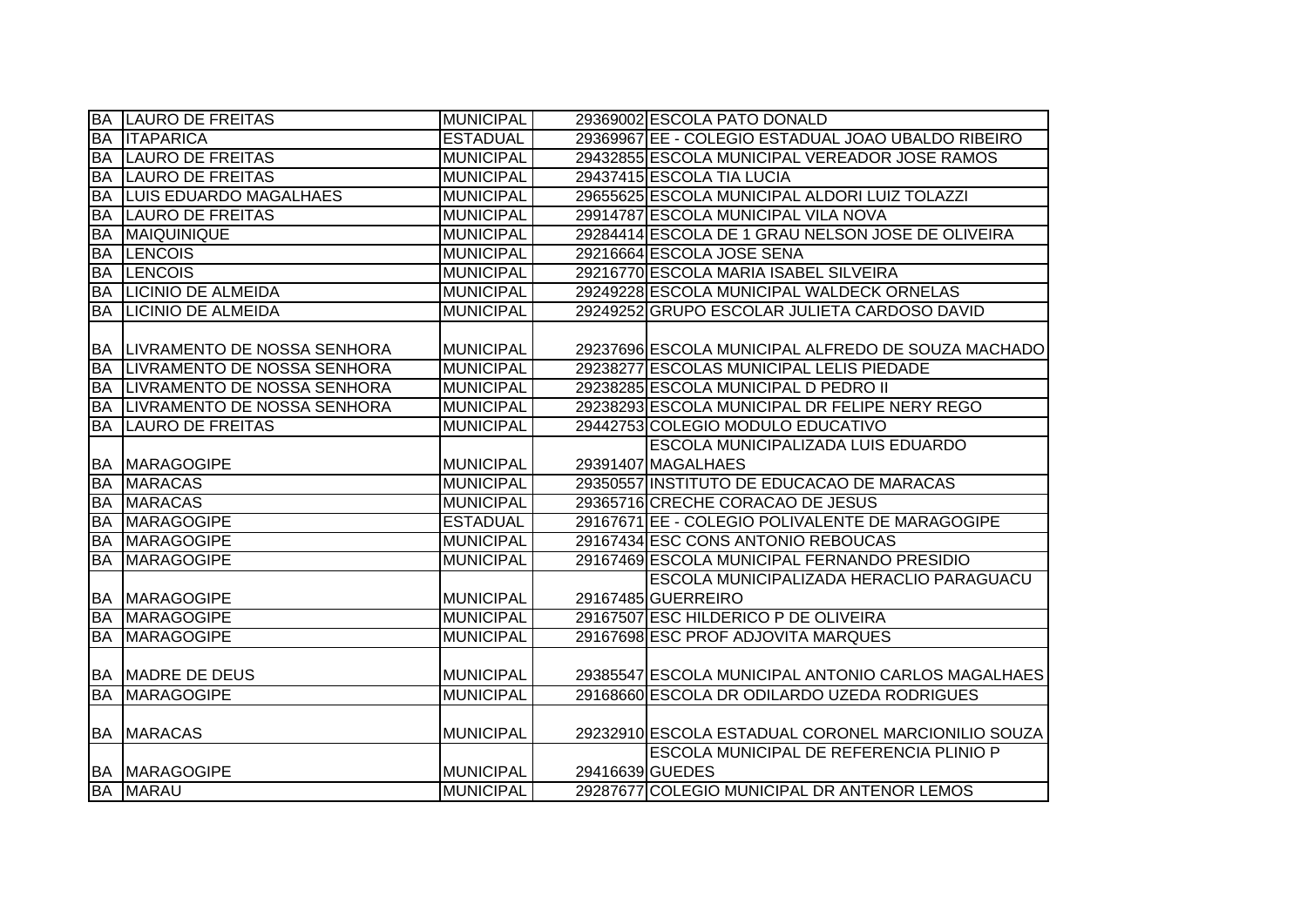|           | <b>BA LAURO DE FREITAS</b>            | <b>MUNICIPAL</b> | 29369002 ESCOLA PATO DONALD                        |
|-----------|---------------------------------------|------------------|----------------------------------------------------|
| <b>BA</b> | <b>ITAPARICA</b>                      | <b>ESTADUAL</b>  | 29369967 EE - COLEGIO ESTADUAL JOAO UBALDO RIBEIRO |
|           | <b>BA LAURO DE FREITAS</b>            | <b>MUNICIPAL</b> | 29432855 ESCOLA MUNICIPAL VEREADOR JOSE RAMOS      |
| <b>BA</b> | <b>LAURO DE FREITAS</b>               | <b>MUNICIPAL</b> | 29437415 ESCOLA TIA LUCIA                          |
| <b>BA</b> | LUIS EDUARDO MAGALHAES                | <b>MUNICIPAL</b> | 29655625 ESCOLA MUNICIPAL ALDORI LUIZ TOLAZZI      |
|           | <b>BA LAURO DE FREITAS</b>            | <b>MUNICIPAL</b> | 29914787 ESCOLA MUNICIPAL VILA NOVA                |
|           | <b>BA MAIQUINIQUE</b>                 | <b>MUNICIPAL</b> | 29284414 ESCOLA DE 1 GRAU NELSON JOSE DE OLIVEIRA  |
| <b>BA</b> | <b>LENCOIS</b>                        | <b>MUNICIPAL</b> | 29216664 ESCOLA JOSE SENA                          |
|           | <b>BA LENCOIS</b>                     | <b>MUNICIPAL</b> | 29216770 ESCOLA MARIA ISABEL SILVEIRA              |
|           | <b>BA LICINIO DE ALMEIDA</b>          | <b>MUNICIPAL</b> | 29249228 ESCOLA MUNICIPAL WALDECK ORNELAS          |
|           | <b>BA LICINIO DE ALMEIDA</b>          | <b>MUNICIPAL</b> | 29249252 GRUPO ESCOLAR JULIETA CARDOSO DAVID       |
|           |                                       |                  |                                                    |
|           | <b>BA LIVRAMENTO DE NOSSA SENHORA</b> | <b>MUNICIPAL</b> | 29237696 ESCOLA MUNICIPAL ALFREDO DE SOUZA MACHADO |
| <b>BA</b> | LIVRAMENTO DE NOSSA SENHORA           | <b>MUNICIPAL</b> | 29238277 ESCOLAS MUNICIPAL LELIS PIEDADE           |
| BA        | LIVRAMENTO DE NOSSA SENHORA           | <b>MUNICIPAL</b> | 29238285 ESCOLA MUNICIPAL D PEDRO II               |
| <b>BA</b> | LIVRAMENTO DE NOSSA SENHORA           | <b>MUNICIPAL</b> | 29238293 ESCOLA MUNICIPAL DR FELIPE NERY REGO      |
| <b>BA</b> | <b>LAURO DE FREITAS</b>               | <b>MUNICIPAL</b> | 29442753 COLEGIO MODULO EDUCATIVO                  |
|           |                                       |                  | ESCOLA MUNICIPALIZADA LUIS EDUARDO                 |
|           | <b>BA MARAGOGIPE</b>                  | <b>MUNICIPAL</b> | 29391407 MAGALHAES                                 |
|           | <b>BA MARACAS</b>                     | <b>MUNICIPAL</b> | 29350557 INSTITUTO DE EDUCACAO DE MARACAS          |
|           | <b>BA MARACAS</b>                     | <b>MUNICIPAL</b> | 29365716 CRECHE CORACAO DE JESUS                   |
| BA        | <b>MARAGOGIPE</b>                     | <b>ESTADUAL</b>  | 29167671 EE - COLEGIO POLIVALENTE DE MARAGOGIPE    |
| <b>BA</b> | <b>MARAGOGIPE</b>                     | <b>MUNICIPAL</b> | 29167434 ESC CONS ANTONIO REBOUCAS                 |
| <b>BA</b> | <b>MARAGOGIPE</b>                     | <b>MUNICIPAL</b> | 29167469 ESCOLA MUNICIPAL FERNANDO PRESIDIO        |
|           |                                       |                  | ESCOLA MUNICIPALIZADA HERACLIO PARAGUACU           |
|           | <b>BA MARAGOGIPE</b>                  | <b>MUNICIPAL</b> | 29167485 GUERREIRO                                 |
|           | <b>BA MARAGOGIPE</b>                  | <b>MUNICIPAL</b> | 29167507 ESC HILDERICO P DE OLIVEIRA               |
| <b>BA</b> | <b>MARAGOGIPE</b>                     | <b>MUNICIPAL</b> | 29167698 ESC PROF ADJOVITA MARQUES                 |
|           |                                       |                  |                                                    |
|           | <b>BA MADRE DE DEUS</b>               | <b>MUNICIPAL</b> | 29385547 ESCOLA MUNICIPAL ANTONIO CARLOS MAGALHAES |
|           | <b>BA MARAGOGIPE</b>                  | <b>MUNICIPAL</b> | 29168660 ESCOLA DR ODILARDO UZEDA RODRIGUES        |
|           |                                       |                  |                                                    |
|           | <b>BA MARACAS</b>                     | <b>MUNICIPAL</b> | 29232910 ESCOLA ESTADUAL CORONEL MARCIONILIO SOUZA |
|           |                                       |                  | ESCOLA MUNICIPAL DE REFERENCIA PLINIO P            |
|           | <b>BA MARAGOGIPE</b>                  | <b>MUNICIPAL</b> | 29416639 GUEDES                                    |
|           | <b>BA MARAU</b>                       | <b>MUNICIPAL</b> | 29287677 COLEGIO MUNICIPAL DR ANTENOR LEMOS        |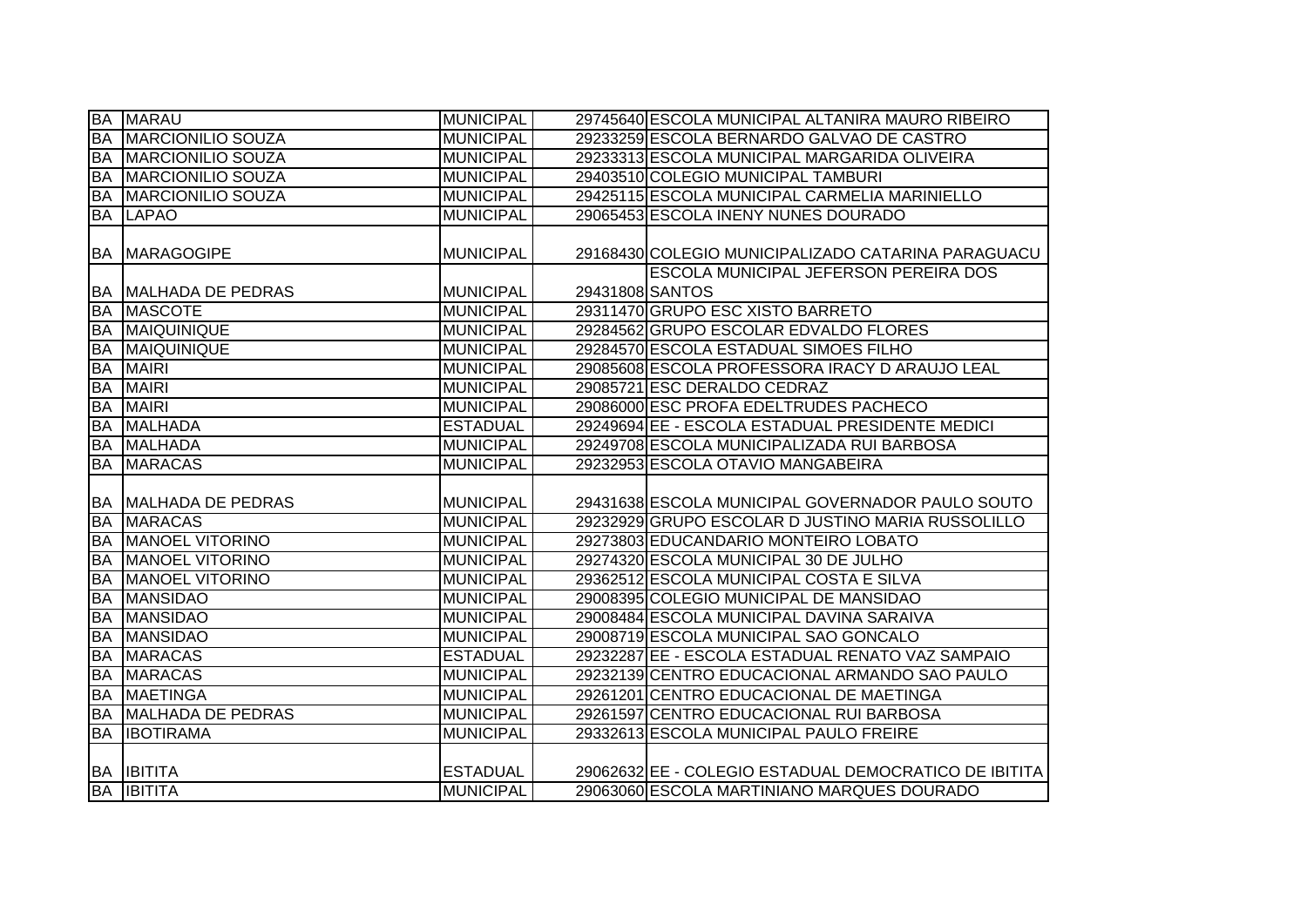|           | <b>BA MARAU</b>                       | <b>MUNICIPAL</b>                    |                 | 29745640 ESCOLA MUNICIPAL ALTANIRA MAURO RIBEIRO                                                    |
|-----------|---------------------------------------|-------------------------------------|-----------------|-----------------------------------------------------------------------------------------------------|
| <b>BA</b> | <b>MARCIONILIO SOUZA</b>              | <b>MUNICIPAL</b>                    |                 | 29233259 ESCOLA BERNARDO GALVAO DE CASTRO                                                           |
| <b>BA</b> | MARCIONILIO SOUZA                     | <b>MUNICIPAL</b>                    |                 | 29233313 ESCOLA MUNICIPAL MARGARIDA OLIVEIRA                                                        |
| BA        | <b>MARCIONILIO SOUZA</b>              | <b>MUNICIPAL</b>                    |                 | 29403510 COLEGIO MUNICIPAL TAMBURI                                                                  |
| <b>BA</b> | MARCIONILIO SOUZA                     | <b>MUNICIPAL</b>                    |                 | 29425115 ESCOLA MUNICIPAL CARMELIA MARINIELLO                                                       |
|           | <b>BA LAPAO</b>                       | <b>MUNICIPAL</b>                    |                 | 29065453 ESCOLA INENY NUNES DOURADO                                                                 |
|           | <b>BA MARAGOGIPE</b>                  | <b>MUNICIPAL</b>                    |                 | 29168430 COLEGIO MUNICIPALIZADO CATARINA PARAGUACU                                                  |
| <b>BA</b> | MALHADA DE PEDRAS                     | <b>MUNICIPAL</b>                    | 29431808 SANTOS | <b>ESCOLA MUNICIPAL JEFERSON PEREIRA DOS</b>                                                        |
| <b>BA</b> | <b>MASCOTE</b>                        | <b>MUNICIPAL</b>                    |                 | 29311470 GRUPO ESC XISTO BARRETO                                                                    |
| <b>BA</b> | MAIQUINIQUE                           | <b>MUNICIPAL</b>                    |                 | 29284562 GRUPO ESCOLAR EDVALDO FLORES                                                               |
| <b>BA</b> | MAIQUINIQUE                           | <b>MUNICIPAL</b>                    |                 | 29284570 ESCOLA ESTADUAL SIMOES FILHO                                                               |
| <b>BA</b> | <b>MAIRI</b>                          | <b>MUNICIPAL</b>                    |                 | 29085608 ESCOLA PROFESSORA IRACY D ARAUJO LEAL                                                      |
| <b>BA</b> | <b>MAIRI</b>                          | <b>MUNICIPAL</b>                    |                 | 29085721 ESC DERALDO CEDRAZ                                                                         |
| <b>BA</b> | <b>MAIRI</b>                          | <b>MUNICIPAL</b>                    |                 | 29086000 ESC PROFA EDELTRUDES PACHECO                                                               |
| <b>BA</b> | <b>MALHADA</b>                        | <b>ESTADUAL</b>                     |                 | 29249694 EE - ESCOLA ESTADUAL PRESIDENTE MEDICI                                                     |
| <b>BA</b> | <b>MALHADA</b>                        | <b>MUNICIPAL</b>                    |                 | 29249708 ESCOLA MUNICIPALIZADA RUI BARBOSA                                                          |
| <b>BA</b> | <b>MARACAS</b>                        | <b>MUNICIPAL</b>                    |                 | 29232953 ESCOLA OTAVIO MANGABEIRA                                                                   |
|           | <b>BA MALHADA DE PEDRAS</b>           | <b>MUNICIPAL</b>                    |                 | 29431638 ESCOLA MUNICIPAL GOVERNADOR PAULO SOUTO                                                    |
| <b>BA</b> | <b>MARACAS</b>                        | <b>MUNICIPAL</b>                    |                 | 29232929 GRUPO ESCOLAR D JUSTINO MARIA RUSSOLILLO                                                   |
| <b>BA</b> | <b>MANOEL VITORINO</b>                | <b>MUNICIPAL</b>                    |                 | 29273803 EDUCANDARIO MONTEIRO LOBATO                                                                |
| <b>BA</b> | <b>MANOEL VITORINO</b>                | <b>MUNICIPAL</b>                    |                 | 29274320 ESCOLA MUNICIPAL 30 DE JULHO                                                               |
| <b>BA</b> | <b>MANOEL VITORINO</b>                | <b>MUNICIPAL</b>                    |                 | 29362512 ESCOLA MUNICIPAL COSTA E SILVA                                                             |
| <b>BA</b> | <b>MANSIDAO</b>                       | <b>MUNICIPAL</b>                    |                 | 29008395 COLEGIO MUNICIPAL DE MANSIDAO                                                              |
| <b>BA</b> | <b>MANSIDAO</b>                       | <b>MUNICIPAL</b>                    |                 | 29008484 ESCOLA MUNICIPAL DAVINA SARAIVA                                                            |
| <b>BA</b> | <b>MANSIDAO</b>                       | <b>MUNICIPAL</b>                    |                 | 29008719 ESCOLA MUNICIPAL SAO GONCALO                                                               |
| <b>BA</b> | <b>MARACAS</b>                        | <b>ESTADUAL</b>                     |                 | 29232287 EE - ESCOLA ESTADUAL RENATO VAZ SAMPAIO                                                    |
| <b>BA</b> | <b>MARACAS</b>                        | <b>MUNICIPAL</b>                    |                 | 29232139 CENTRO EDUCACIONAL ARMANDO SAO PAULO                                                       |
| <b>BA</b> | <b>MAETINGA</b>                       | <b>MUNICIPAL</b>                    |                 | 29261201 CENTRO EDUCACIONAL DE MAETINGA                                                             |
| <b>BA</b> | <b>MALHADA DE PEDRAS</b>              | <b>MUNICIPAL</b>                    |                 | 29261597 CENTRO EDUCACIONAL RUI BARBOSA                                                             |
| <b>BA</b> | <b>IBOTIRAMA</b>                      | <b>MUNICIPAL</b>                    |                 | 29332613 ESCOLA MUNICIPAL PAULO FREIRE                                                              |
|           | <b>BA IBITITA</b><br><b>BA BITITA</b> | <b>ESTADUAL</b><br><b>MUNICIPAL</b> |                 | 29062632 EE - COLEGIO ESTADUAL DEMOCRATICO DE IBITITA<br>29063060 ESCOLA MARTINIANO MARQUES DOURADO |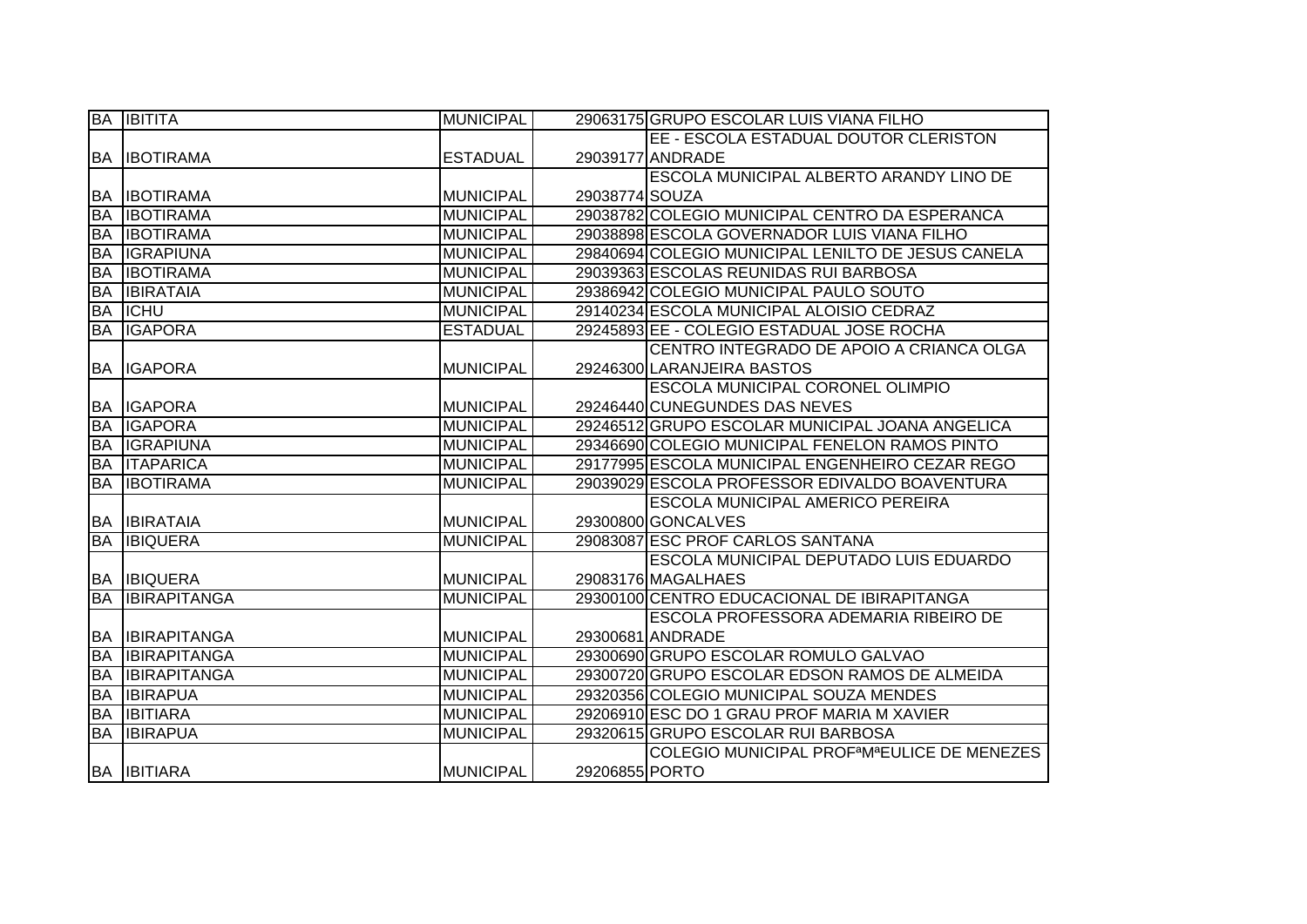|           | <b>BA IBITITA</b>   | <b>MUNICIPAL</b> |                | 29063175 GRUPO ESCOLAR LUIS VIANA FILHO                              |
|-----------|---------------------|------------------|----------------|----------------------------------------------------------------------|
|           |                     |                  |                | EE - ESCOLA ESTADUAL DOUTOR CLERISTON                                |
|           | <b>BA IBOTIRAMA</b> | <b>ESTADUAL</b>  |                | 29039177 ANDRADE                                                     |
|           |                     |                  |                | ESCOLA MUNICIPAL ALBERTO ARANDY LINO DE                              |
| <b>BA</b> | <b>IBOTIRAMA</b>    | <b>MUNICIPAL</b> | 29038774 SOUZA |                                                                      |
| <b>BA</b> | <b>IBOTIRAMA</b>    | <b>MUNICIPAL</b> |                | 29038782 COLEGIO MUNICIPAL CENTRO DA ESPERANCA                       |
| <b>BA</b> | <b>IBOTIRAMA</b>    | <b>MUNICIPAL</b> |                | 29038898 ESCOLA GOVERNADOR LUIS VIANA FILHO                          |
| <b>BA</b> | <b>IGRAPIUNA</b>    | <b>MUNICIPAL</b> |                | 29840694 COLEGIO MUNICIPAL LENILTO DE JESUS CANELA                   |
| <b>BA</b> | <b>IBOTIRAMA</b>    | <b>MUNICIPAL</b> |                | 29039363 ESCOLAS REUNIDAS RUI BARBOSA                                |
| <b>BA</b> | <b>IBIRATAIA</b>    | <b>MUNICIPAL</b> |                | 29386942 COLEGIO MUNICIPAL PAULO SOUTO                               |
| <b>BA</b> | <b>ICHU</b>         | <b>MUNICIPAL</b> |                | 29140234 ESCOLA MUNICIPAL ALOISIO CEDRAZ                             |
| <b>BA</b> | <b>IGAPORA</b>      | <b>ESTADUAL</b>  |                | 29245893 EE - COLEGIO ESTADUAL JOSE ROCHA                            |
|           |                     |                  |                | CENTRO INTEGRADO DE APOIO A CRIANCA OLGA                             |
|           | <b>BA IGAPORA</b>   | <b>MUNICIPAL</b> |                | 29246300 LARANJEIRA BASTOS                                           |
|           |                     |                  |                | <b>ESCOLA MUNICIPAL CORONEL OLIMPIO</b>                              |
|           | <b>BA IGAPORA</b>   | <b>MUNICIPAL</b> |                | 29246440 CUNEGUNDES DAS NEVES                                        |
| <b>BA</b> | <b>IGAPORA</b>      | <b>MUNICIPAL</b> |                | 29246512 GRUPO ESCOLAR MUNICIPAL JOANA ANGELICA                      |
|           | <b>BA IGRAPIUNA</b> | <b>MUNICIPAL</b> |                | 29346690 COLEGIO MUNICIPAL FENELON RAMOS PINTO                       |
| BA        | <b>ITAPARICA</b>    | <b>MUNICIPAL</b> |                | 29177995 ESCOLA MUNICIPAL ENGENHEIRO CEZAR REGO                      |
| <b>BA</b> | <b>IBOTIRAMA</b>    | <b>MUNICIPAL</b> |                | 29039029 ESCOLA PROFESSOR EDIVALDO BOAVENTURA                        |
|           |                     |                  |                | <b>ESCOLA MUNICIPAL AMERICO PEREIRA</b>                              |
| <b>BA</b> | <b>IBIRATAIA</b>    | MUNICIPAL        |                | 29300800 GONCALVES                                                   |
| <b>BA</b> | <b>IBIQUERA</b>     | <b>MUNICIPAL</b> |                | 29083087 ESC PROF CARLOS SANTANA                                     |
|           |                     |                  |                | <b>ESCOLA MUNICIPAL DEPUTADO LUIS EDUARDO</b>                        |
|           | <b>BA IBIQUERA</b>  | <b>MUNICIPAL</b> |                | 29083176 MAGALHAES                                                   |
| <b>BA</b> | <b>IBIRAPITANGA</b> | <b>MUNICIPAL</b> |                | 29300100 CENTRO EDUCACIONAL DE IBIRAPITANGA                          |
|           |                     |                  |                | ESCOLA PROFESSORA ADEMARIA RIBEIRO DE                                |
| IBA.      | <b>IBIRAPITANGA</b> | <b>MUNICIPAL</b> |                | 29300681 ANDRADE                                                     |
| <b>BA</b> | <b>IBIRAPITANGA</b> | <b>MUNICIPAL</b> |                | 29300690 GRUPO ESCOLAR ROMULO GALVAO                                 |
| <b>BA</b> | <b>IBIRAPITANGA</b> | <b>MUNICIPAL</b> |                | 29300720 GRUPO ESCOLAR EDSON RAMOS DE ALMEIDA                        |
| <b>BA</b> | <b>IBIRAPUA</b>     | <b>MUNICIPAL</b> |                | 29320356 COLEGIO MUNICIPAL SOUZA MENDES                              |
| <b>BA</b> | <b>IBITIARA</b>     | <b>MUNICIPAL</b> |                | 29206910 ESC DO 1 GRAU PROF MARIA M XAVIER                           |
| <b>BA</b> | <b>IBIRAPUA</b>     | <b>MUNICIPAL</b> |                | 29320615 GRUPO ESCOLAR RUI BARBOSA                                   |
|           |                     |                  |                | COLEGIO MUNICIPAL PROF <sup>a</sup> M <sup>a</sup> EULICE DE MENEZES |
|           | <b>BA IBITIARA</b>  | <b>MUNICIPAL</b> | 29206855 PORTO |                                                                      |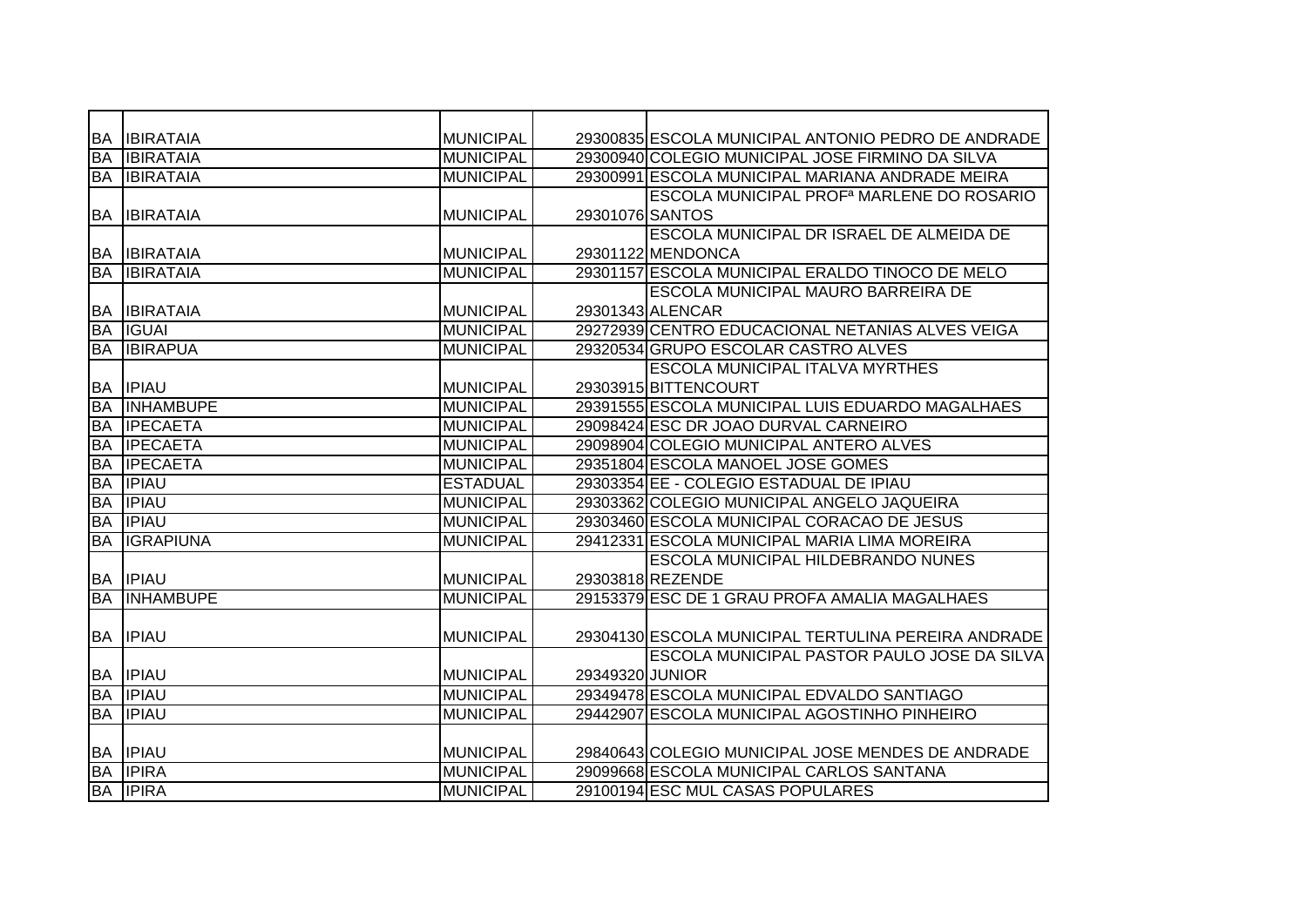| <b>BA</b> | <b>IBIRATAIA</b> | <b>MUNICIPAL</b> |                 | 29300835 ESCOLA MUNICIPAL ANTONIO PEDRO DE ANDRADE          |
|-----------|------------------|------------------|-----------------|-------------------------------------------------------------|
| <b>BA</b> | <b>IBIRATAIA</b> | <b>MUNICIPAL</b> |                 | 29300940 COLEGIO MUNICIPAL JOSE FIRMINO DA SILVA            |
| <b>BA</b> | <b>IBIRATAIA</b> | <b>MUNICIPAL</b> |                 | 29300991 ESCOLA MUNICIPAL MARIANA ANDRADE MEIRA             |
|           |                  |                  |                 | <b>ESCOLA MUNICIPAL PROF<sup>a</sup> MARLENE DO ROSARIO</b> |
| <b>BA</b> | <b>IBIRATAIA</b> | <b>MUNICIPAL</b> | 29301076 SANTOS |                                                             |
|           |                  |                  |                 | ESCOLA MUNICIPAL DR ISRAEL DE ALMEIDA DE                    |
| <b>BA</b> | <b>IBIRATAIA</b> | <b>MUNICIPAL</b> |                 | 29301122 MENDONCA                                           |
| <b>BA</b> | <b>IBIRATAIA</b> | <b>MUNICIPAL</b> |                 | 29301157 ESCOLA MUNICIPAL ERALDO TINOCO DE MELO             |
|           |                  |                  |                 | <b>ESCOLA MUNICIPAL MAURO BARREIRA DE</b>                   |
| <b>BA</b> | <b>IBIRATAIA</b> | <b>MUNICIPAL</b> |                 | 29301343 ALENCAR                                            |
| <b>BA</b> | <b>IGUAI</b>     | <b>MUNICIPAL</b> |                 | 29272939 CENTRO EDUCACIONAL NETANIAS ALVES VEIGA            |
| <b>BA</b> | <b>IBIRAPUA</b>  | <b>MUNICIPAL</b> |                 | 29320534 GRUPO ESCOLAR CASTRO ALVES                         |
|           |                  |                  |                 | <b>ESCOLA MUNICIPAL ITALVA MYRTHES</b>                      |
| <b>BA</b> | <b>IPIAU</b>     | <b>MUNICIPAL</b> |                 | 29303915 BITTENCOURT                                        |
| <b>BA</b> | <b>INHAMBUPE</b> | <b>MUNICIPAL</b> |                 | 29391555 ESCOLA MUNICIPAL LUIS EDUARDO MAGALHAES            |
| <b>BA</b> | <b>IPECAETA</b>  | <b>MUNICIPAL</b> |                 | 29098424 ESC DR JOAO DURVAL CARNEIRO                        |
| <b>BA</b> | <b>IPECAETA</b>  | <b>MUNICIPAL</b> |                 | 29098904 COLEGIO MUNICIPAL ANTERO ALVES                     |
| <b>BA</b> | <b>IPECAETA</b>  | <b>MUNICIPAL</b> |                 | 29351804 ESCOLA MANOEL JOSE GOMES                           |
| <b>BA</b> | <b>IPIAU</b>     | <b>ESTADUAL</b>  |                 | 29303354 EE - COLEGIO ESTADUAL DE IPIAU                     |
| <b>BA</b> | <b>IPIAU</b>     | <b>MUNICIPAL</b> |                 | 29303362 COLEGIO MUNICIPAL ANGELO JAQUEIRA                  |
| <b>BA</b> | <b>IPIAU</b>     | <b>MUNICIPAL</b> |                 | 29303460 ESCOLA MUNICIPAL CORACAO DE JESUS                  |
| <b>BA</b> | <b>IGRAPIUNA</b> | <b>MUNICIPAL</b> |                 | 29412331 ESCOLA MUNICIPAL MARIA LIMA MOREIRA                |
|           |                  |                  |                 | ESCOLA MUNICIPAL HILDEBRANDO NUNES                          |
| <b>BA</b> | <b>IPIAU</b>     | MUNICIPAL        |                 | 29303818 REZENDE                                            |
| <b>BA</b> | <b>INHAMBUPE</b> | <b>MUNICIPAL</b> |                 | 29153379 ESC DE 1 GRAU PROFA AMALIA MAGALHAES               |
|           |                  |                  |                 |                                                             |
| <b>BA</b> | <b>IPIAU</b>     | <b>MUNICIPAL</b> |                 | 29304130 ESCOLA MUNICIPAL TERTULINA PEREIRA ANDRADE         |
|           |                  |                  |                 | <b>ESCOLA MUNICIPAL PASTOR PAULO JOSE DA SILVA</b>          |
|           | <b>BA IPIAU</b>  | <b>MUNICIPAL</b> | 29349320 JUNIOR |                                                             |
| <b>BA</b> | <b>IPIAU</b>     | <b>MUNICIPAL</b> |                 | 29349478 ESCOLA MUNICIPAL EDVALDO SANTIAGO                  |
| <b>BA</b> | <b>IPIAU</b>     | <b>MUNICIPAL</b> |                 | 29442907 ESCOLA MUNICIPAL AGOSTINHO PINHEIRO                |
|           |                  |                  |                 |                                                             |
|           | <b>BA IPIAU</b>  | <b>MUNICIPAL</b> |                 | 29840643 COLEGIO MUNICIPAL JOSE MENDES DE ANDRADE           |
| <b>BA</b> | <b>IPIRA</b>     | <b>MUNICIPAL</b> |                 | 29099668 ESCOLA MUNICIPAL CARLOS SANTANA                    |
|           | <b>BA IPIRA</b>  | <b>MUNICIPAL</b> |                 | 29100194 ESC MUL CASAS POPULARES                            |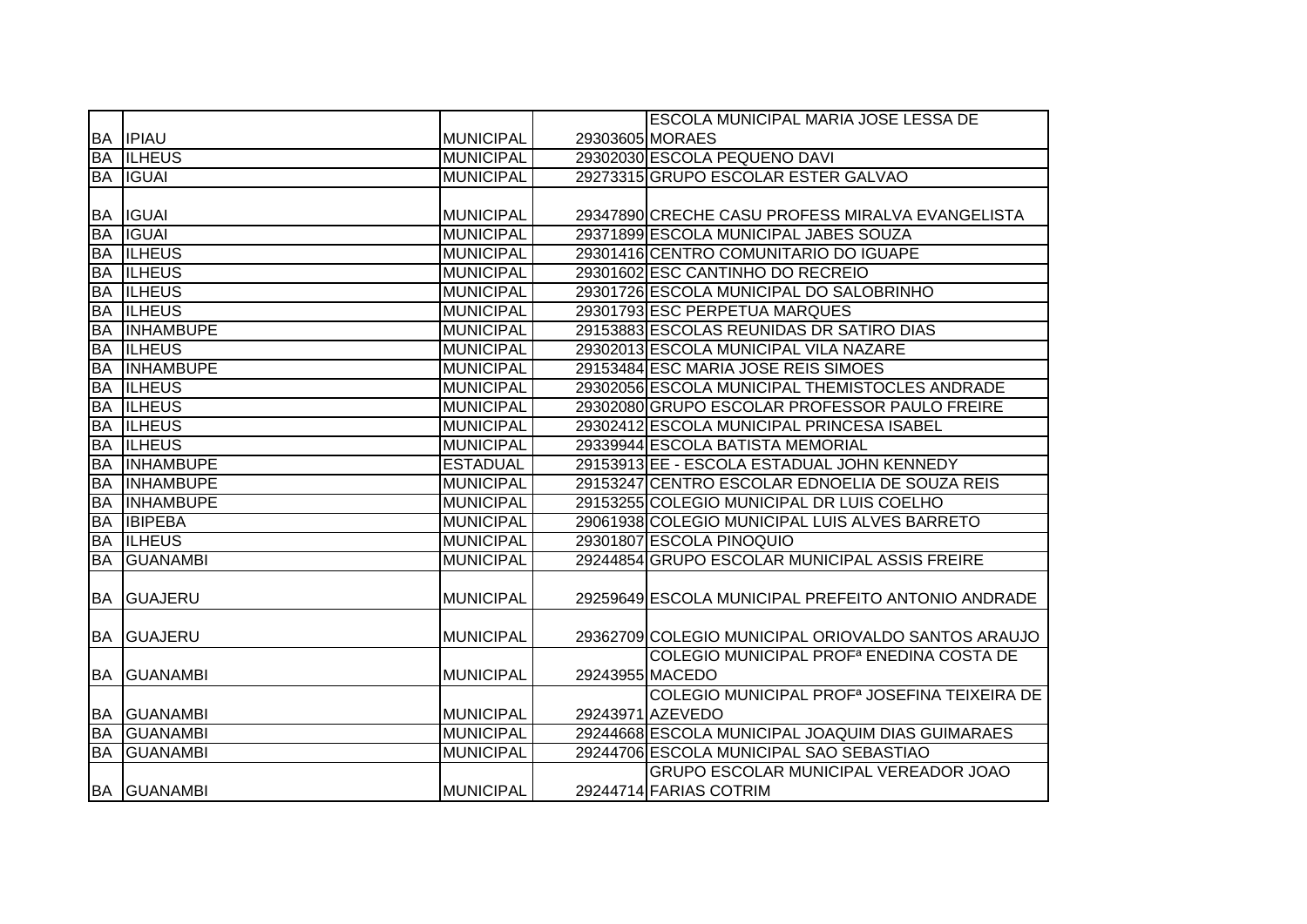|           |                    |                  | <b>ESCOLA MUNICIPAL MARIA JOSE LESSA DE</b>              |
|-----------|--------------------|------------------|----------------------------------------------------------|
|           | <b>BA IPIAU</b>    | <b>MUNICIPAL</b> | 29303605 MORAES                                          |
| <b>BA</b> | <b>ILHEUS</b>      | <b>MUNICIPAL</b> | 29302030 ESCOLA PEQUENO DAVI                             |
|           | <b>BA IGUAI</b>    | <b>MUNICIPAL</b> | 29273315 GRUPO ESCOLAR ESTER GALVAO                      |
|           |                    |                  |                                                          |
|           | <b>BA IGUAI</b>    | <b>MUNICIPAL</b> | 29347890 CRECHE CASU PROFESS MIRALVA EVANGELISTA         |
| <b>BA</b> | <b>IGUAI</b>       | <b>MUNICIPAL</b> | 29371899 ESCOLA MUNICIPAL JABES SOUZA                    |
|           | <b>BA ILHEUS</b>   | <b>MUNICIPAL</b> | 29301416 CENTRO COMUNITARIO DO IGUAPE                    |
| <b>BA</b> | <b>ILHEUS</b>      | <b>MUNICIPAL</b> | 29301602 ESC CANTINHO DO RECREIO                         |
| <b>BA</b> | <b>ILHEUS</b>      | <b>MUNICIPAL</b> | 29301726 ESCOLA MUNICIPAL DO SALOBRINHO                  |
| <b>BA</b> | <b>ILHEUS</b>      | <b>MUNICIPAL</b> | 29301793 ESC PERPETUA MARQUES                            |
| <b>BA</b> | <b>INHAMBUPE</b>   | <b>MUNICIPAL</b> | 29153883 ESCOLAS REUNIDAS DR SATIRO DIAS                 |
| <b>BA</b> | <b>ILHEUS</b>      | <b>MUNICIPAL</b> | 29302013 ESCOLA MUNICIPAL VILA NAZARE                    |
| <b>BA</b> | <b>INHAMBUPE</b>   | <b>MUNICIPAL</b> | 29153484 ESC MARIA JOSE REIS SIMOES                      |
| <b>BA</b> | <b>ILHEUS</b>      | <b>MUNICIPAL</b> | 29302056 ESCOLA MUNICIPAL THEMISTOCLES ANDRADE           |
| <b>BA</b> | <b>ILHEUS</b>      | <b>MUNICIPAL</b> | 29302080 GRUPO ESCOLAR PROFESSOR PAULO FREIRE            |
| <b>BA</b> | <b>ILHEUS</b>      | <b>MUNICIPAL</b> | 29302412 ESCOLA MUNICIPAL PRINCESA ISABEL                |
| <b>BA</b> | <b>ILHEUS</b>      | <b>MUNICIPAL</b> | 29339944 ESCOLA BATISTA MEMORIAL                         |
| <b>BA</b> | <b>INHAMBUPE</b>   | <b>ESTADUAL</b>  | 29153913 EE - ESCOLA ESTADUAL JOHN KENNEDY               |
| <b>BA</b> | <b>INHAMBUPE</b>   | <b>MUNICIPAL</b> | 29153247 CENTRO ESCOLAR EDNOELIA DE SOUZA REIS           |
| <b>BA</b> | <b>INHAMBUPE</b>   | <b>MUNICIPAL</b> | 29153255 COLEGIO MUNICIPAL DR LUIS COELHO                |
| <b>BA</b> | <b>IBIPEBA</b>     | <b>MUNICIPAL</b> | 29061938 COLEGIO MUNICIPAL LUIS ALVES BARRETO            |
| <b>BA</b> | <b>ILHEUS</b>      | <b>MUNICIPAL</b> | 29301807 ESCOLA PINOQUIO                                 |
| <b>BA</b> | <b>GUANAMBI</b>    | <b>MUNICIPAL</b> | 29244854 GRUPO ESCOLAR MUNICIPAL ASSIS FREIRE            |
|           |                    |                  |                                                          |
| BA        | <b>GUAJERU</b>     | <b>MUNICIPAL</b> | 29259649 ESCOLA MUNICIPAL PREFEITO ANTONIO ANDRADE       |
|           |                    |                  |                                                          |
|           | <b>BA GUAJERU</b>  | <b>MUNICIPAL</b> | 29362709 COLEGIO MUNICIPAL ORIOVALDO SANTOS ARAUJO       |
|           |                    |                  | COLEGIO MUNICIPAL PROF <sup>a</sup> ENEDINA COSTA DE     |
| <b>BA</b> | <b>GUANAMBI</b>    | <b>MUNICIPAL</b> | 29243955 MACEDO                                          |
|           |                    |                  | COLEGIO MUNICIPAL PROF <sup>a</sup> JOSEFINA TEIXEIRA DE |
|           | <b>BA GUANAMBI</b> | <b>MUNICIPAL</b> | 29243971 AZEVEDO                                         |
| <b>BA</b> | <b>GUANAMBI</b>    | <b>MUNICIPAL</b> | 29244668 ESCOLA MUNICIPAL JOAQUIM DIAS GUIMARAES         |
| <b>BA</b> | <b>GUANAMBI</b>    | <b>MUNICIPAL</b> | 29244706 ESCOLA MUNICIPAL SAO SEBASTIAO                  |
|           |                    |                  | <b>GRUPO ESCOLAR MUNICIPAL VEREADOR JOAO</b>             |
|           | <b>BA GUANAMBI</b> | <b>MUNICIPAL</b> | 29244714 FARIAS COTRIM                                   |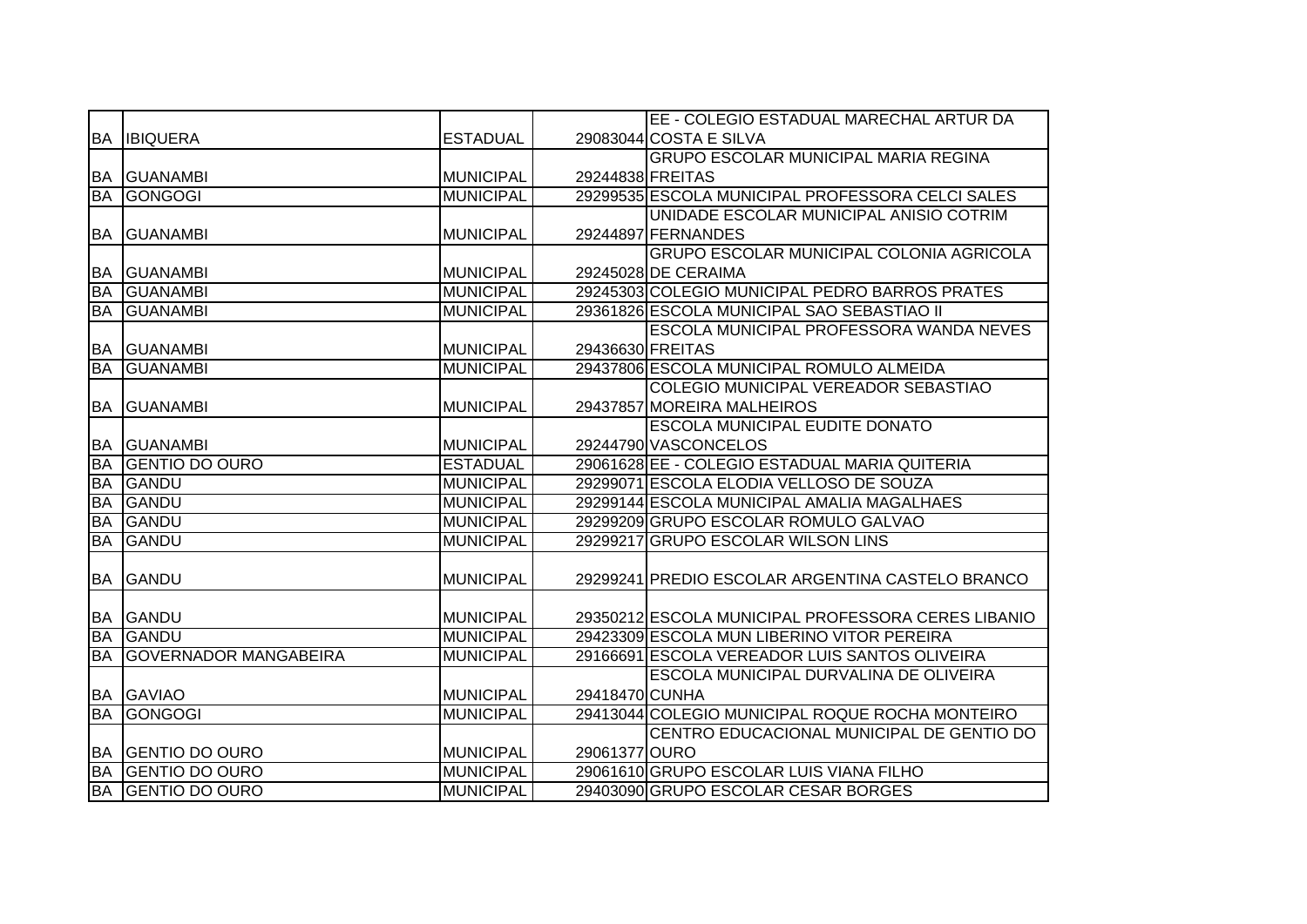|                        |                                                |                  |                  | EE - COLEGIO ESTADUAL MARECHAL ARTUR DA                                        |
|------------------------|------------------------------------------------|------------------|------------------|--------------------------------------------------------------------------------|
| BA                     | <b>IBIQUERA</b>                                | <b>ESTADUAL</b>  |                  | 29083044 COSTA E SILVA                                                         |
|                        |                                                |                  |                  | <b>GRUPO ESCOLAR MUNICIPAL MARIA REGINA</b>                                    |
| BA                     | <b>GUANAMBI</b>                                | <b>MUNICIPAL</b> | 29244838 FREITAS |                                                                                |
| <b>BA</b>              | <b>GONGOGI</b>                                 | <b>MUNICIPAL</b> |                  | 29299535 ESCOLA MUNICIPAL PROFESSORA CELCI SALES                               |
|                        |                                                |                  |                  | UNIDADE ESCOLAR MUNICIPAL ANISIO COTRIM                                        |
| <b>BA</b>              | <b>GUANAMBI</b>                                | <b>MUNICIPAL</b> |                  | 29244897 FERNANDES                                                             |
|                        |                                                |                  |                  | <b>GRUPO ESCOLAR MUNICIPAL COLONIA AGRICOLA</b>                                |
| <b>BA</b>              | <b>GUANAMBI</b>                                | <b>MUNICIPAL</b> |                  | 29245028 DE CERAIMA                                                            |
| <b>BA</b>              | <b>GUANAMBI</b>                                | <b>MUNICIPAL</b> |                  | 29245303 COLEGIO MUNICIPAL PEDRO BARROS PRATES                                 |
| <b>BA</b>              | <b>GUANAMBI</b>                                | <b>MUNICIPAL</b> |                  | 29361826 ESCOLA MUNICIPAL SAO SEBASTIAO II                                     |
|                        |                                                |                  |                  | <b>ESCOLA MUNICIPAL PROFESSORA WANDA NEVES</b>                                 |
| <b>BA</b>              | <b>GUANAMBI</b>                                | <b>MUNICIPAL</b> | 29436630 FREITAS |                                                                                |
| <b>BA</b>              | <b>GUANAMBI</b>                                | <b>MUNICIPAL</b> |                  | 29437806 ESCOLA MUNICIPAL ROMULO ALMEIDA                                       |
|                        |                                                |                  |                  | COLEGIO MUNICIPAL VEREADOR SEBASTIAO                                           |
| <b>BA</b>              | <b>GUANAMBI</b>                                | <b>MUNICIPAL</b> |                  | 29437857 MOREIRA MALHEIROS                                                     |
|                        |                                                |                  |                  | <b>ESCOLA MUNICIPAL EUDITE DONATO</b>                                          |
| BA                     | <b>GUANAMBI</b>                                | <b>MUNICIPAL</b> |                  | 29244790 VASCONCELOS                                                           |
| <b>BA</b>              | <b>GENTIO DO OURO</b>                          | <b>ESTADUAL</b>  |                  | 29061628 EE - COLEGIO ESTADUAL MARIA QUITERIA                                  |
| <b>BA</b>              | GANDU                                          | <b>MUNICIPAL</b> |                  | 29299071 ESCOLA ELODIA VELLOSO DE SOUZA                                        |
| <b>BA</b>              | <b>GANDU</b>                                   | <b>MUNICIPAL</b> |                  | 29299144 ESCOLA MUNICIPAL AMALIA MAGALHAES                                     |
| <b>BA</b>              | GANDU                                          | <b>MUNICIPAL</b> |                  | 29299209 GRUPO ESCOLAR ROMULO GALVAO                                           |
| <b>BA</b>              | GANDU                                          | <b>MUNICIPAL</b> |                  | 29299217 GRUPO ESCOLAR WILSON LINS                                             |
|                        |                                                |                  |                  |                                                                                |
| BA                     | GANDU                                          | <b>MUNICIPAL</b> |                  | 29299241 PREDIO ESCOLAR ARGENTINA CASTELO BRANCO                               |
|                        |                                                |                  |                  |                                                                                |
| BA                     | GANDU                                          | <b>MUNICIPAL</b> |                  | 29350212 ESCOLA MUNICIPAL PROFESSORA CERES LIBANIO                             |
| <b>BA</b>              | GANDU                                          | <b>MUNICIPAL</b> |                  | 29423309 ESCOLA MUN LIBERINO VITOR PEREIRA                                     |
| <b>BA</b>              | <b>GOVERNADOR MANGABEIRA</b>                   | <b>MUNICIPAL</b> |                  | 29166691 ESCOLA VEREADOR LUIS SANTOS OLIVEIRA                                  |
|                        |                                                |                  |                  | ESCOLA MUNICIPAL DURVALINA DE OLIVEIRA                                         |
| BA                     | <b>GAVIAO</b>                                  | <b>MUNICIPAL</b> | 29418470 CUNHA   |                                                                                |
| <b>BA</b>              | GONGOGI                                        | <b>MUNICIPAL</b> |                  | 29413044 COLEGIO MUNICIPAL ROQUE ROCHA MONTEIRO                                |
|                        |                                                |                  |                  | CENTRO EDUCACIONAL MUNICIPAL DE GENTIO DO                                      |
| <b>BA</b>              | <b>GENTIO DO OURO</b>                          | <b>MUNICIPAL</b> | 29061377 OURO    |                                                                                |
|                        |                                                |                  |                  |                                                                                |
| <b>BA</b><br><b>BA</b> | <b>GENTIO DO OURO</b><br><b>GENTIO DO OURO</b> | <b>MUNICIPAL</b> |                  | 29061610 GRUPO ESCOLAR LUIS VIANA FILHO<br>29403090 GRUPO ESCOLAR CESAR BORGES |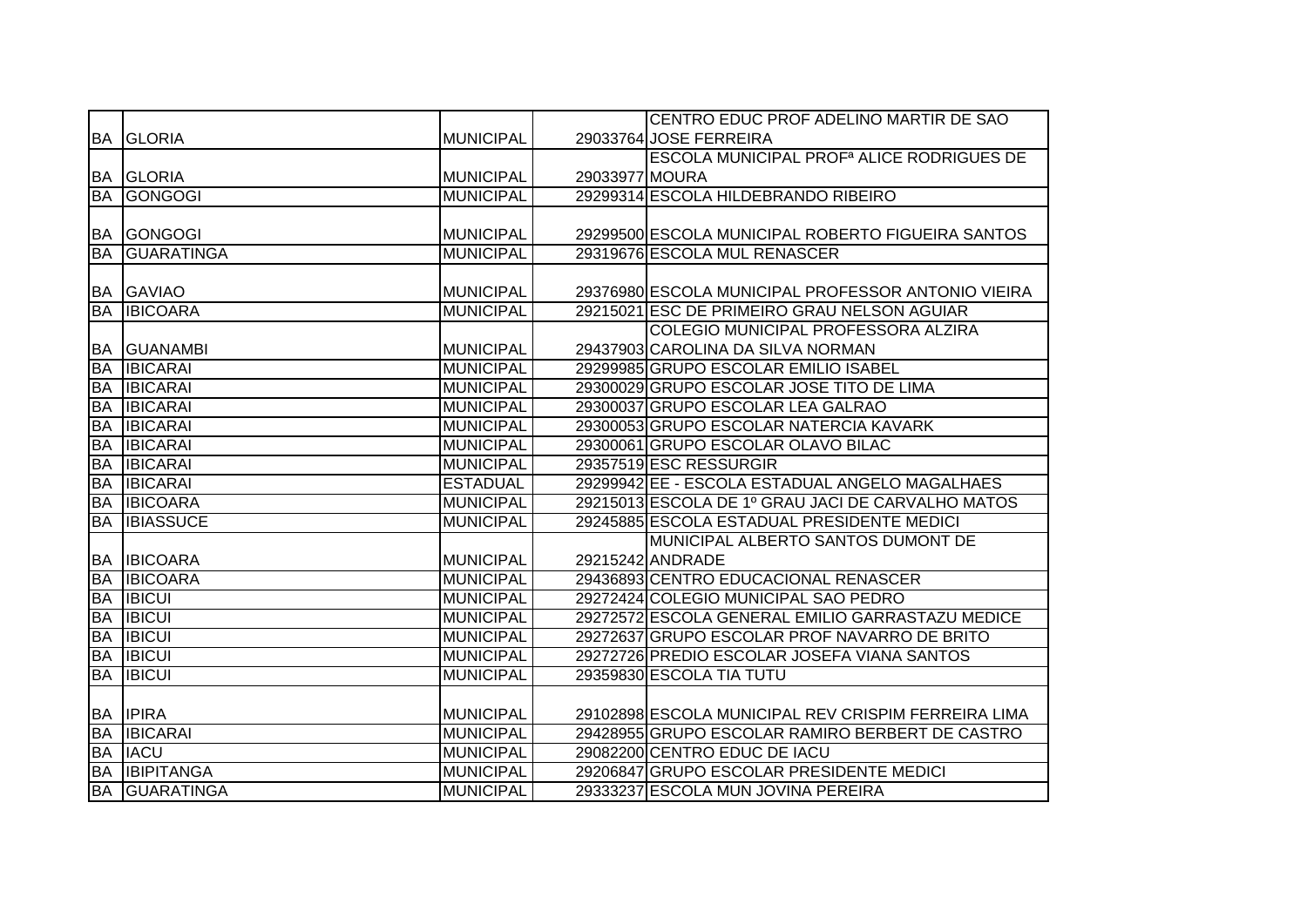|           |                      |                  |                | CENTRO EDUC PROF ADELINO MARTIR DE SAO                |
|-----------|----------------------|------------------|----------------|-------------------------------------------------------|
|           | <b>BA GLORIA</b>     | <b>MUNICIPAL</b> |                | 29033764 JOSE FERREIRA                                |
|           |                      |                  |                | ESCOLA MUNICIPAL PROF <sup>a</sup> ALICE RODRIGUES DE |
|           | <b>BA GLORIA</b>     | <b>MUNICIPAL</b> | 29033977 MOURA |                                                       |
|           | <b>BA GONGOGI</b>    | <b>MUNICIPAL</b> |                | 29299314 ESCOLA HILDEBRANDO RIBEIRO                   |
|           |                      |                  |                |                                                       |
|           | <b>BA GONGOGI</b>    | <b>MUNICIPAL</b> |                | 29299500 ESCOLA MUNICIPAL ROBERTO FIGUEIRA SANTOS     |
| <b>BA</b> | <b>GUARATINGA</b>    | <b>MUNICIPAL</b> |                | 29319676 ESCOLA MUL RENASCER                          |
|           |                      |                  |                |                                                       |
|           | <b>BA GAVIAO</b>     | <b>MUNICIPAL</b> |                | 29376980 ESCOLA MUNICIPAL PROFESSOR ANTONIO VIEIRA    |
| <b>BA</b> | <b>IBICOARA</b>      | <b>MUNICIPAL</b> |                | 29215021 ESC DE PRIMEIRO GRAU NELSON AGUIAR           |
|           |                      |                  |                | COLEGIO MUNICIPAL PROFESSORA ALZIRA                   |
|           | <b>BA GUANAMBI</b>   | <b>MUNICIPAL</b> |                | 29437903 CAROLINA DA SILVA NORMAN                     |
| BA        | <b>IBICARAI</b>      | <b>MUNICIPAL</b> |                | 29299985 GRUPO ESCOLAR EMILIO ISABEL                  |
| <b>BA</b> | <b>IBICARAI</b>      | <b>MUNICIPAL</b> |                | 29300029 GRUPO ESCOLAR JOSE TITO DE LIMA              |
| BA        | <b>IBICARAI</b>      | <b>MUNICIPAL</b> |                | 29300037 GRUPO ESCOLAR LEA GALRAO                     |
| <b>BA</b> | <b>IBICARAI</b>      | <b>MUNICIPAL</b> |                | 29300053 GRUPO ESCOLAR NATERCIA KAVARK                |
| <b>BA</b> | <b>IBICARAI</b>      | <b>MUNICIPAL</b> |                | 29300061 GRUPO ESCOLAR OLAVO BILAC                    |
| <b>BA</b> | <b>IBICARAI</b>      | <b>MUNICIPAL</b> |                | 29357519 ESC RESSURGIR                                |
| <b>BA</b> | <b>IBICARAI</b>      | <b>ESTADUAL</b>  |                | 29299942 EE - ESCOLA ESTADUAL ANGELO MAGALHAES        |
| BA        | <b>IBICOARA</b>      | <b>MUNICIPAL</b> |                | 29215013 ESCOLA DE 1º GRAU JACI DE CARVALHO MATOS     |
| <b>BA</b> | <b>IBIASSUCE</b>     | <b>MUNICIPAL</b> |                | 29245885 ESCOLA ESTADUAL PRESIDENTE MEDICI            |
|           |                      |                  |                | MUNICIPAL ALBERTO SANTOS DUMONT DE                    |
|           | <b>BA IBICOARA</b>   | <b>MUNICIPAL</b> |                | 29215242 ANDRADE                                      |
| <b>BA</b> | <b>IBICOARA</b>      | <b>MUNICIPAL</b> |                | 29436893 CENTRO EDUCACIONAL RENASCER                  |
| <b>BA</b> | <b>IBICUI</b>        | <b>MUNICIPAL</b> |                | 29272424 COLEGIO MUNICIPAL SAO PEDRO                  |
| <b>BA</b> | <b>IBICUI</b>        | <b>MUNICIPAL</b> |                | 29272572 ESCOLA GENERAL EMILIO GARRASTAZU MEDICE      |
| <b>BA</b> | <b>IBICUI</b>        | <b>MUNICIPAL</b> |                | 29272637 GRUPO ESCOLAR PROF NAVARRO DE BRITO          |
| <b>BA</b> | <b>IBICUI</b>        | <b>MUNICIPAL</b> |                | 29272726 PREDIO ESCOLAR JOSEFA VIANA SANTOS           |
| <b>BA</b> | <b>IBICUI</b>        | <b>MUNICIPAL</b> |                | 29359830 ESCOLA TIA TUTU                              |
|           |                      |                  |                |                                                       |
|           | <b>BA IPIRA</b>      | <b>MUNICIPAL</b> |                | 29102898 ESCOLA MUNICIPAL REV CRISPIM FERREIRA LIMA   |
| <b>BA</b> | <b>IBICARAI</b>      | <b>MUNICIPAL</b> |                | 29428955 GRUPO ESCOLAR RAMIRO BERBERT DE CASTRO       |
| <b>BA</b> | <b>IACU</b>          | <b>MUNICIPAL</b> |                | 29082200 CENTRO EDUC DE IACU                          |
| <b>BA</b> | <b>IBIPITANGA</b>    | <b>MUNICIPAL</b> |                | 29206847 GRUPO ESCOLAR PRESIDENTE MEDICI              |
|           | <b>BA GUARATINGA</b> | <b>MUNICIPAL</b> |                | 29333237 ESCOLA MUN JOVINA PEREIRA                    |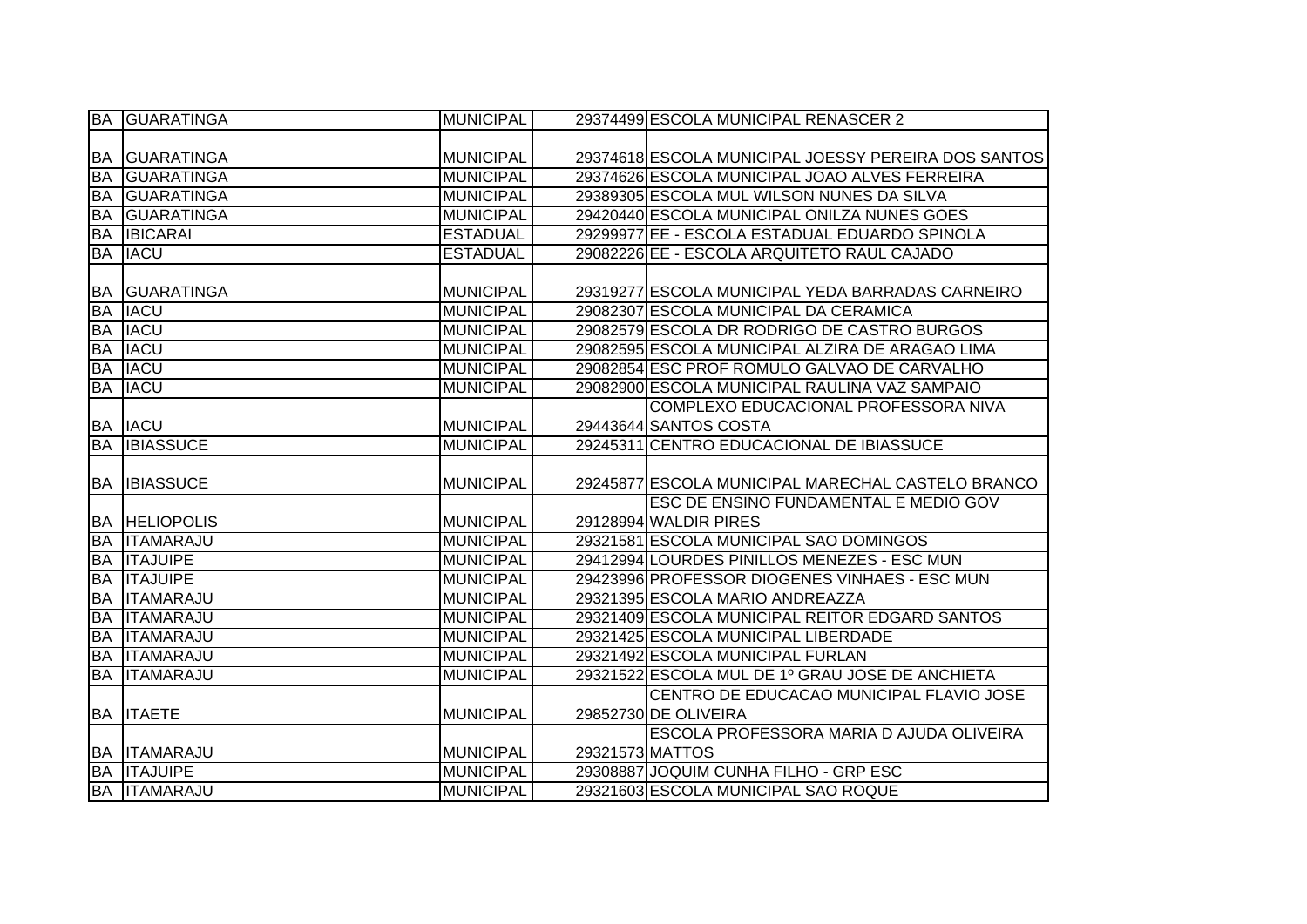|           | <b>BA GUARATINGA</b> | <b>MUNICIPAL</b> |                 | 29374499 ESCOLA MUNICIPAL RENASCER 2                |
|-----------|----------------------|------------------|-----------------|-----------------------------------------------------|
|           |                      |                  |                 |                                                     |
|           | <b>BA GUARATINGA</b> | <b>MUNICIPAL</b> |                 | 29374618 ESCOLA MUNICIPAL JOESSY PEREIRA DOS SANTOS |
| <b>BA</b> | <b>GUARATINGA</b>    | <b>MUNICIPAL</b> |                 | 29374626 ESCOLA MUNICIPAL JOAO ALVES FERREIRA       |
| <b>BA</b> | <b>GUARATINGA</b>    | <b>MUNICIPAL</b> |                 | 29389305 ESCOLA MUL WILSON NUNES DA SILVA           |
| <b>BA</b> | <b>GUARATINGA</b>    | <b>MUNICIPAL</b> |                 | 29420440 ESCOLA MUNICIPAL ONILZA NUNES GOES         |
| <b>BA</b> | <b>IBICARAI</b>      | <b>ESTADUAL</b>  |                 | 29299977 EE - ESCOLA ESTADUAL EDUARDO SPINOLA       |
| <b>BA</b> | <b>IACU</b>          | <b>ESTADUAL</b>  |                 | 29082226 EE - ESCOLA ARQUITETO RAUL CAJADO          |
|           |                      |                  |                 |                                                     |
| <b>BA</b> | <b>IGUARATINGA</b>   | <b>MUNICIPAL</b> |                 | 29319277 ESCOLA MUNICIPAL YEDA BARRADAS CARNEIRO    |
| <b>BA</b> | <b>IACU</b>          | <b>MUNICIPAL</b> |                 | 29082307 ESCOLA MUNICIPAL DA CERAMICA               |
| <b>BA</b> | <b>IACU</b>          | <b>MUNICIPAL</b> |                 | 29082579 ESCOLA DR RODRIGO DE CASTRO BURGOS         |
| <b>BA</b> | <b>IACU</b>          | <b>MUNICIPAL</b> |                 | 29082595 ESCOLA MUNICIPAL ALZIRA DE ARAGAO LIMA     |
| <b>BA</b> | <b>IACU</b>          | <b>MUNICIPAL</b> |                 | 29082854 ESC PROF ROMULO GALVAO DE CARVALHO         |
| <b>BA</b> | <b>IACU</b>          | <b>MUNICIPAL</b> |                 | 29082900 ESCOLA MUNICIPAL RAULINA VAZ SAMPAIO       |
|           |                      |                  |                 | COMPLEXO EDUCACIONAL PROFESSORA NIVA                |
|           | <b>BA IACU</b>       | <b>MUNICIPAL</b> |                 | 29443644 SANTOS COSTA                               |
| <b>BA</b> | <b>IBIASSUCE</b>     | <b>MUNICIPAL</b> |                 | 29245311 CENTRO EDUCACIONAL DE IBIASSUCE            |
|           |                      |                  |                 |                                                     |
|           |                      |                  |                 |                                                     |
| IBA I     | <b>IBIASSUCE</b>     | <b>MUNICIPAL</b> |                 | 29245877 ESCOLA MUNICIPAL MARECHAL CASTELO BRANCO   |
|           |                      |                  |                 | ESC DE ENSINO FUNDAMENTAL E MEDIO GOV               |
|           | <b>BA HELIOPOLIS</b> | <b>MUNICIPAL</b> |                 | 29128994 WALDIR PIRES                               |
| <b>BA</b> | <b>ITAMARAJU</b>     | <b>MUNICIPAL</b> |                 | 29321581 ESCOLA MUNICIPAL SAO DOMINGOS              |
|           | <b>BA ITAJUIPE</b>   | <b>MUNICIPAL</b> |                 | 29412994 LOURDES PINILLOS MENEZES - ESC MUN         |
| <b>BA</b> | <b>ITAJUIPE</b>      | <b>MUNICIPAL</b> |                 | 29423996 PROFESSOR DIOGENES VINHAES - ESC MUN       |
| <b>BA</b> | <b>ITAMARAJU</b>     | <b>MUNICIPAL</b> |                 | 29321395 ESCOLA MARIO ANDREAZZA                     |
| <b>BA</b> | <b>ITAMARAJU</b>     | <b>MUNICIPAL</b> |                 | 29321409 ESCOLA MUNICIPAL REITOR EDGARD SANTOS      |
| <b>BA</b> | <b>ITAMARAJU</b>     | <b>MUNICIPAL</b> |                 | 29321425 ESCOLA MUNICIPAL LIBERDADE                 |
| <b>BA</b> | <b>ITAMARAJU</b>     | <b>MUNICIPAL</b> |                 | 29321492 ESCOLA MUNICIPAL FURLAN                    |
|           | <b>BA ITAMARAJU</b>  | <b>MUNICIPAL</b> |                 | 29321522 ESCOLA MUL DE 1º GRAU JOSE DE ANCHIETA     |
|           |                      |                  |                 | CENTRO DE EDUCACAO MUNICIPAL FLAVIO JOSE            |
|           | <b>BA ITAETE</b>     | <b>MUNICIPAL</b> |                 | 29852730 DE OLIVEIRA                                |
|           |                      |                  |                 | <b>ESCOLA PROFESSORA MARIA D AJUDA OLIVEIRA</b>     |
|           | <b>BA ITAMARAJU</b>  | <b>MUNICIPAL</b> | 29321573 MATTOS |                                                     |
|           | <b>BA ITAJUIPE</b>   | <b>MUNICIPAL</b> |                 | 29308887 JOQUIM CUNHA FILHO - GRP ESC               |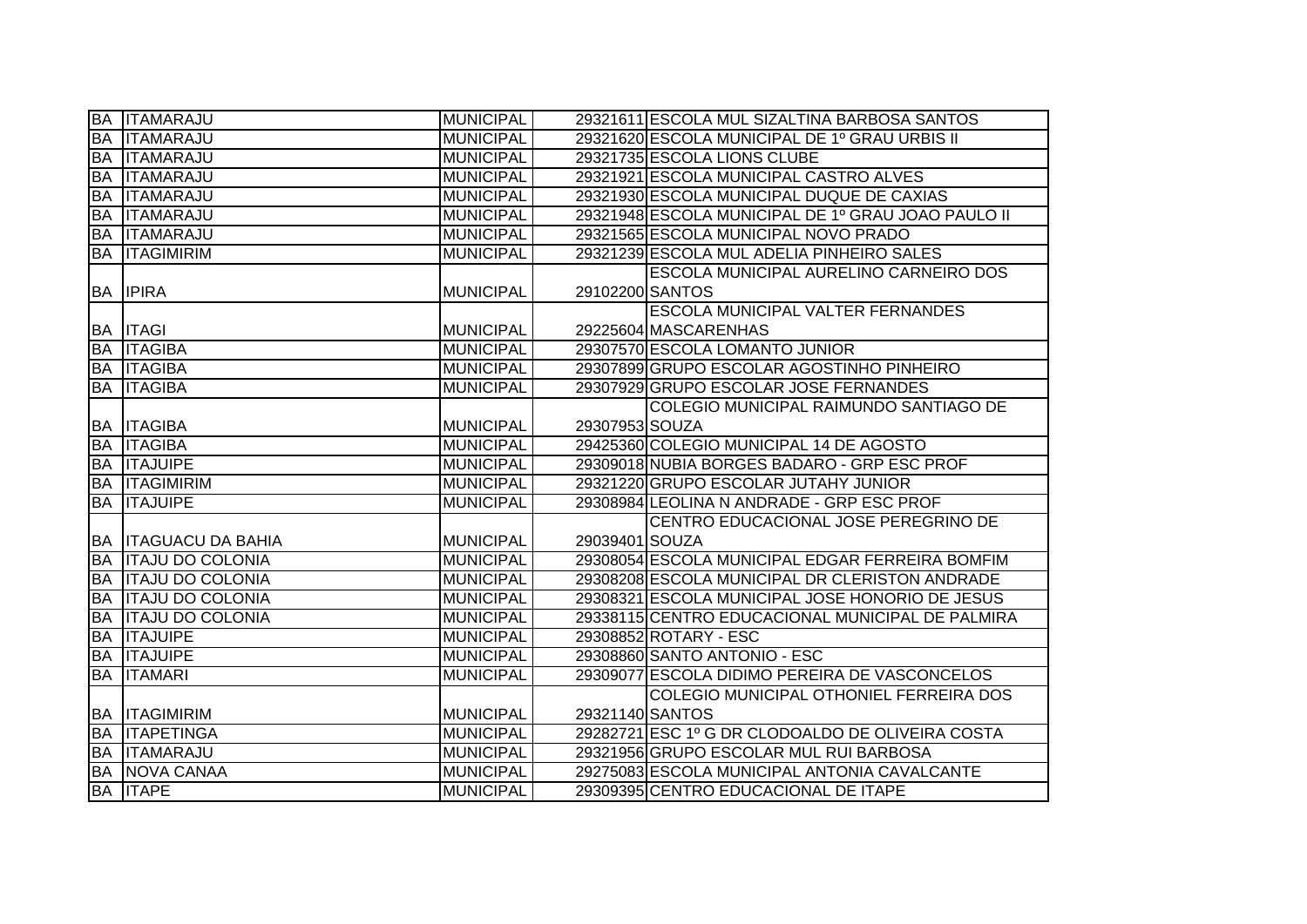|           | <b>BA ITAMARAJU</b>         | <b>MUNICIPAL</b> |                 | 29321611 ESCOLA MUL SIZALTINA BARBOSA SANTOS       |
|-----------|-----------------------------|------------------|-----------------|----------------------------------------------------|
|           | <b>BA ITAMARAJU</b>         | <b>MUNICIPAL</b> |                 | 29321620 ESCOLA MUNICIPAL DE 1º GRAU URBIS II      |
|           | <b>BA ITAMARAJU</b>         | <b>MUNICIPAL</b> |                 | 29321735 ESCOLA LIONS CLUBE                        |
| <b>BA</b> | <b>ITAMARAJU</b>            | <b>MUNICIPAL</b> |                 | 29321921 ESCOLA MUNICIPAL CASTRO ALVES             |
| <b>BA</b> | <b>ITAMARAJU</b>            | <b>MUNICIPAL</b> |                 | 29321930 ESCOLA MUNICIPAL DUQUE DE CAXIAS          |
| <b>BA</b> | <b>ITAMARAJU</b>            | <b>MUNICIPAL</b> |                 | 29321948 ESCOLA MUNICIPAL DE 1º GRAU JOAO PAULO II |
|           | <b>BA ITAMARAJU</b>         | <b>MUNICIPAL</b> |                 | 29321565 ESCOLA MUNICIPAL NOVO PRADO               |
|           | <b>BA ITAGIMIRIM</b>        | <b>MUNICIPAL</b> |                 | 29321239 ESCOLA MUL ADELIA PINHEIRO SALES          |
|           |                             |                  |                 | <b>ESCOLA MUNICIPAL AURELINO CARNEIRO DOS</b>      |
|           | <b>BA IPIRA</b>             | <b>MUNICIPAL</b> | 29102200 SANTOS |                                                    |
|           |                             |                  |                 | <b>ESCOLA MUNICIPAL VALTER FERNANDES</b>           |
|           | <b>BA ITAGI</b>             | <b>MUNICIPAL</b> |                 | 29225604 MASCARENHAS                               |
|           | <b>BA ITAGIBA</b>           | <b>MUNICIPAL</b> |                 | 29307570 ESCOLA LOMANTO JUNIOR                     |
|           | <b>BA ITAGIBA</b>           | <b>MUNICIPAL</b> |                 | 29307899 GRUPO ESCOLAR AGOSTINHO PINHEIRO          |
|           | <b>BA ITAGIBA</b>           | <b>MUNICIPAL</b> |                 | 29307929 GRUPO ESCOLAR JOSE FERNANDES              |
|           |                             |                  |                 | COLEGIO MUNICIPAL RAIMUNDO SANTIAGO DE             |
|           | <b>BA ITAGIBA</b>           | <b>MUNICIPAL</b> | 29307953 SOUZA  |                                                    |
|           | <b>BA ITAGIBA</b>           | <b>MUNICIPAL</b> |                 | 29425360 COLEGIO MUNICIPAL 14 DE AGOSTO            |
|           | <b>BA ITAJUIPE</b>          | <b>MUNICIPAL</b> |                 | 29309018 NUBIA BORGES BADARO - GRP ESC PROF        |
|           | <b>BA ITAGIMIRIM</b>        | <b>MUNICIPAL</b> |                 | 29321220 GRUPO ESCOLAR JUTAHY JUNIOR               |
|           | <b>BA ITAJUIPE</b>          | <b>MUNICIPAL</b> |                 | 29308984 LEOLINA N ANDRADE - GRP ESC PROF          |
|           |                             |                  |                 | CENTRO EDUCACIONAL JOSE PEREGRINO DE               |
|           | <b>BA ITAGUACU DA BAHIA</b> | <b>MUNICIPAL</b> | 29039401 SOUZA  |                                                    |
|           | <b>BA ITAJU DO COLONIA</b>  | <b>MUNICIPAL</b> |                 | 29308054 ESCOLA MUNICIPAL EDGAR FERREIRA BOMFIM    |
|           | <b>BA ITAJU DO COLONIA</b>  | <b>MUNICIPAL</b> |                 | 29308208 ESCOLA MUNICIPAL DR CLERISTON ANDRADE     |
| <b>BA</b> | <b>ITAJU DO COLONIA</b>     | <b>MUNICIPAL</b> |                 | 29308321 ESCOLA MUNICIPAL JOSE HONORIO DE JESUS    |
| <b>BA</b> | <b>ITAJU DO COLONIA</b>     | <b>MUNICIPAL</b> |                 | 29338115 CENTRO EDUCACIONAL MUNICIPAL DE PALMIRA   |
| <b>BA</b> | <b>ITAJUIPE</b>             | <b>MUNICIPAL</b> |                 | 29308852 ROTARY - ESC                              |
|           | <b>BA ITAJUIPE</b>          | <b>MUNICIPAL</b> |                 | 29308860 SANTO ANTONIO - ESC                       |
|           | <b>BA ITAMARI</b>           | <b>MUNICIPAL</b> |                 | 29309077 ESCOLA DIDIMO PEREIRA DE VASCONCELOS      |
|           |                             |                  |                 | COLEGIO MUNICIPAL OTHONIEL FERREIRA DOS            |
|           | <b>BA ITAGIMIRIM</b>        | <b>MUNICIPAL</b> | 29321140 SANTOS |                                                    |
|           | <b>BA ITAPETINGA</b>        | <b>MUNICIPAL</b> |                 | 29282721 ESC 1º G DR CLODOALDO DE OLIVEIRA COSTA   |
|           | <b>BA ITAMARAJU</b>         | <b>MUNICIPAL</b> |                 | 29321956 GRUPO ESCOLAR MUL RUI BARBOSA             |
|           | <b>BA NOVA CANAA</b>        | <b>MUNICIPAL</b> |                 | 29275083 ESCOLA MUNICIPAL ANTONIA CAVALCANTE       |
|           | <b>BA ITAPE</b>             | <b>MUNICIPAL</b> |                 | 29309395 CENTRO EDUCACIONAL DE ITAPE               |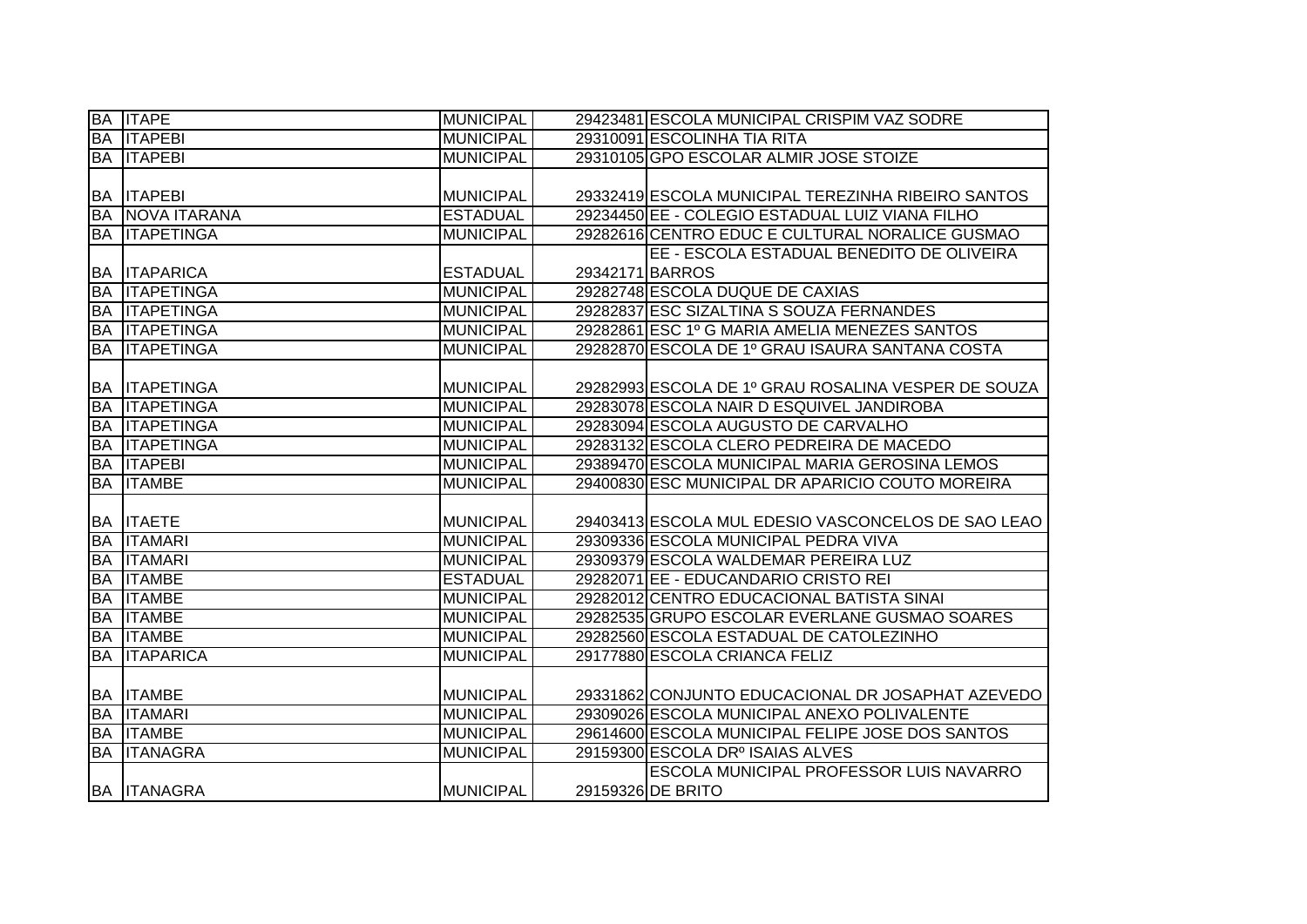| <b>BA ITAPE</b>        | <b>MUNICIPAL</b> |                 | 29423481 ESCOLA MUNICIPAL CRISPIM VAZ SODRE         |
|------------------------|------------------|-----------------|-----------------------------------------------------|
| <b>BA ITAPEBI</b>      | <b>MUNICIPAL</b> |                 | 29310091 ESCOLINHA TIA RITA                         |
| <b>BA ITAPEBI</b>      | <b>MUNICIPAL</b> |                 | 29310105 GPO ESCOLAR ALMIR JOSE STOIZE              |
|                        |                  |                 |                                                     |
| <b>BA ITAPEBI</b>      | <b>MUNICIPAL</b> |                 | 29332419 ESCOLA MUNICIPAL TEREZINHA RIBEIRO SANTOS  |
| <b>BA NOVA ITARANA</b> | <b>ESTADUAL</b>  |                 | 29234450 EE - COLEGIO ESTADUAL LUIZ VIANA FILHO     |
| <b>BA ITAPETINGA</b>   | <b>MUNICIPAL</b> |                 | 29282616 CENTRO EDUC E CULTURAL NORALICE GUSMAO     |
|                        |                  |                 | EE - ESCOLA ESTADUAL BENEDITO DE OLIVEIRA           |
| <b>BA ITAPARICA</b>    | <b>ESTADUAL</b>  | 29342171 BARROS |                                                     |
| <b>BA ITAPETINGA</b>   | <b>MUNICIPAL</b> |                 | 29282748 ESCOLA DUQUE DE CAXIAS                     |
| <b>BA ITAPETINGA</b>   | <b>MUNICIPAL</b> |                 | 29282837 ESC SIZALTINA S SOUZA FERNANDES            |
| <b>BA ITAPETINGA</b>   | <b>MUNICIPAL</b> |                 | 29282861 ESC 1º G MARIA AMELIA MENEZES SANTOS       |
| <b>BA ITAPETINGA</b>   | <b>MUNICIPAL</b> |                 | 29282870 ESCOLA DE 1º GRAU ISAURA SANTANA COSTA     |
|                        |                  |                 |                                                     |
| <b>BA ITAPETINGA</b>   | <b>MUNICIPAL</b> |                 | 29282993 ESCOLA DE 1º GRAU ROSALINA VESPER DE SOUZA |
| <b>BA ITAPETINGA</b>   | <b>MUNICIPAL</b> |                 | 29283078 ESCOLA NAIR D ESQUIVEL JANDIROBA           |
| <b>BA ITAPETINGA</b>   | <b>MUNICIPAL</b> |                 | 29283094 ESCOLA AUGUSTO DE CARVALHO                 |
| <b>BA ITAPETINGA</b>   | <b>MUNICIPAL</b> |                 | 29283132 ESCOLA CLERO PEDREIRA DE MACEDO            |
| <b>BA ITAPEBI</b>      | <b>MUNICIPAL</b> |                 | 29389470 ESCOLA MUNICIPAL MARIA GEROSINA LEMOS      |
|                        |                  |                 |                                                     |
| <b>BA ITAMBE</b>       | <b>MUNICIPAL</b> |                 | 29400830 ESC MUNICIPAL DR APARICIO COUTO MOREIRA    |
|                        |                  |                 |                                                     |
| <b>BA ITAETE</b>       | <b>MUNICIPAL</b> |                 | 29403413 ESCOLA MUL EDESIO VASCONCELOS DE SAO LEAO  |
| <b>BA ITAMARI</b>      | <b>MUNICIPAL</b> |                 | 29309336 ESCOLA MUNICIPAL PEDRA VIVA                |
| <b>BA ITAMARI</b>      | <b>MUNICIPAL</b> |                 | 29309379 ESCOLA WALDEMAR PEREIRA LUZ                |
| <b>BA ITAMBE</b>       | <b>ESTADUAL</b>  |                 | 29282071 EE - EDUCANDARIO CRISTO REI                |
| <b>BA ITAMBE</b>       | <b>MUNICIPAL</b> |                 | 29282012 CENTRO EDUCACIONAL BATISTA SINAI           |
| <b>BA ITAMBE</b>       | <b>MUNICIPAL</b> |                 | 29282535 GRUPO ESCOLAR EVERLANE GUSMAO SOARES       |
| <b>BA ITAMBE</b>       | <b>MUNICIPAL</b> |                 | 29282560 ESCOLA ESTADUAL DE CATOLEZINHO             |
| <b>BA ITAPARICA</b>    | <b>MUNICIPAL</b> |                 | 29177880 ESCOLA CRIANCA FELIZ                       |
|                        |                  |                 |                                                     |
| <b>BA ITAMBE</b>       | <b>MUNICIPAL</b> |                 | 29331862 CONJUNTO EDUCACIONAL DR JOSAPHAT AZEVEDO   |
| <b>BA ITAMARI</b>      | <b>MUNICIPAL</b> |                 | 29309026 ESCOLA MUNICIPAL ANEXO POLIVALENTE         |
| <b>BA ITAMBE</b>       | <b>MUNICIPAL</b> |                 | 29614600 ESCOLA MUNICIPAL FELIPE JOSE DOS SANTOS    |
| <b>BA ITANAGRA</b>     | <b>MUNICIPAL</b> |                 | 29159300 ESCOLA DRº ISAIAS ALVES                    |
|                        |                  |                 | ESCOLA MUNICIPAL PROFESSOR LUIS NAVARRO             |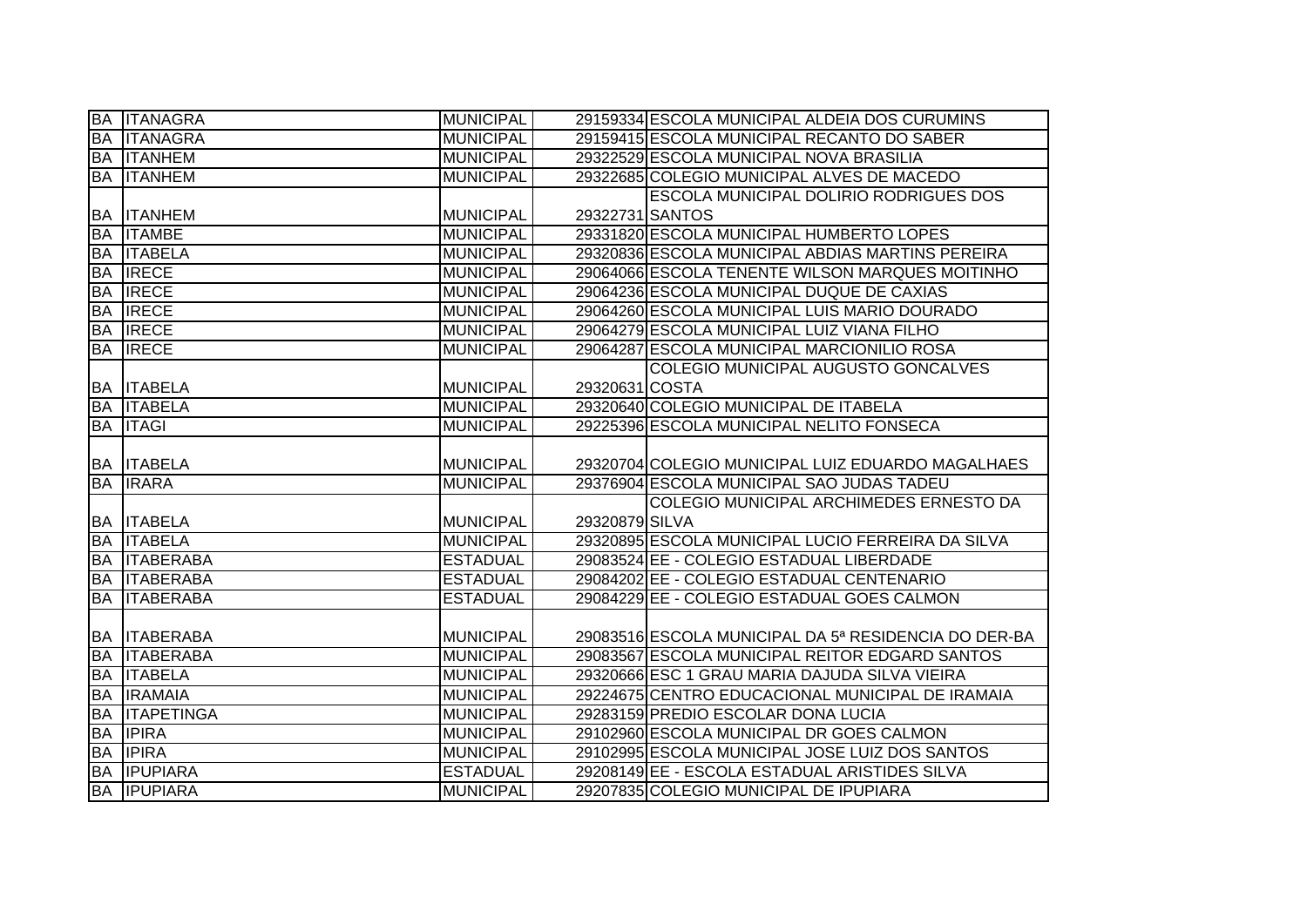|           | <b>BA ITANAGRA</b>  | MUNICIPAL        |                 | 29159334 ESCOLA MUNICIPAL ALDEIA DOS CURUMINS        |
|-----------|---------------------|------------------|-----------------|------------------------------------------------------|
|           | <b>BA ITANAGRA</b>  | <b>MUNICIPAL</b> |                 | 29159415 ESCOLA MUNICIPAL RECANTO DO SABER           |
|           | <b>BA ITANHEM</b>   | <b>MUNICIPAL</b> |                 | 29322529 ESCOLA MUNICIPAL NOVA BRASILIA              |
|           | <b>BA ITANHEM</b>   | <b>MUNICIPAL</b> |                 | 29322685 COLEGIO MUNICIPAL ALVES DE MACEDO           |
|           |                     |                  |                 | <b>ESCOLA MUNICIPAL DOLIRIO RODRIGUES DOS</b>        |
|           | <b>BA ITANHEM</b>   | <b>MUNICIPAL</b> | 29322731 SANTOS |                                                      |
| <b>BA</b> | <b>ITAMBE</b>       | <b>MUNICIPAL</b> |                 | 29331820 ESCOLA MUNICIPAL HUMBERTO LOPES             |
|           | <b>BA ITABELA</b>   | <b>MUNICIPAL</b> |                 | 29320836 ESCOLA MUNICIPAL ABDIAS MARTINS PEREIRA     |
| <b>BA</b> | <b>IRECE</b>        | <b>MUNICIPAL</b> |                 | 29064066 ESCOLA TENENTE WILSON MARQUES MOITINHO      |
| <b>BA</b> | <b>IRECE</b>        | <b>MUNICIPAL</b> |                 | 29064236 ESCOLA MUNICIPAL DUQUE DE CAXIAS            |
| <b>BA</b> | <b>IRECE</b>        | <b>MUNICIPAL</b> |                 | 29064260 ESCOLA MUNICIPAL LUIS MARIO DOURADO         |
| <b>BA</b> | <b>IRECE</b>        | <b>MUNICIPAL</b> |                 | 29064279 ESCOLA MUNICIPAL LUIZ VIANA FILHO           |
| <b>BA</b> | <b>IRECE</b>        | <b>MUNICIPAL</b> |                 | 29064287 ESCOLA MUNICIPAL MARCIONILIO ROSA           |
|           |                     |                  |                 | COLEGIO MUNICIPAL AUGUSTO GONCALVES                  |
|           | <b>BA ITABELA</b>   | <b>MUNICIPAL</b> | 29320631 COSTA  |                                                      |
| <b>BA</b> | <b>ITABELA</b>      | <b>MUNICIPAL</b> |                 | 29320640 COLEGIO MUNICIPAL DE ITABELA                |
| <b>BA</b> | <b>ITAGI</b>        | <b>MUNICIPAL</b> |                 | 29225396 ESCOLA MUNICIPAL NELITO FONSECA             |
|           |                     |                  |                 |                                                      |
|           | <b>BA ITABELA</b>   | <b>MUNICIPAL</b> |                 | 29320704 COLEGIO MUNICIPAL LUIZ EDUARDO MAGALHAES    |
|           | <b>BA IRARA</b>     | <b>MUNICIPAL</b> |                 | 29376904 ESCOLA MUNICIPAL SAO JUDAS TADEU            |
|           |                     |                  |                 | COLEGIO MUNICIPAL ARCHIMEDES ERNESTO DA              |
|           | <b>BA ITABELA</b>   | <b>MUNICIPAL</b> | 29320879 SILVA  |                                                      |
|           | <b>BA ITABELA</b>   | <b>MUNICIPAL</b> |                 | 29320895 ESCOLA MUNICIPAL LUCIO FERREIRA DA SILVA    |
| <b>BA</b> | <b>ITABERABA</b>    | <b>ESTADUAL</b>  |                 | 29083524 EE - COLEGIO ESTADUAL LIBERDADE             |
| <b>BA</b> | <b>ITABERABA</b>    | <b>ESTADUAL</b>  |                 | 29084202 EE - COLEGIO ESTADUAL CENTENARIO            |
| <b>BA</b> | <b>ITABERABA</b>    | <b>ESTADUAL</b>  |                 | 29084229 EE - COLEGIO ESTADUAL GOES CALMON           |
|           |                     |                  |                 |                                                      |
|           | <b>BA ITABERABA</b> | <b>MUNICIPAL</b> |                 | 29083516 ESCOLA MUNICIPAL DA 5ª RESIDENCIA DO DER-BA |
| <b>BA</b> | <b>ITABERABA</b>    | <b>MUNICIPAL</b> |                 | 29083567 ESCOLA MUNICIPAL REITOR EDGARD SANTOS       |
| <b>BA</b> | <b>IITABELA</b>     | <b>MUNICIPAL</b> |                 | 29320666 ESC 1 GRAU MARIA DAJUDA SILVA VIEIRA        |
| <b>BA</b> | <b>IRAMAIA</b>      | <b>MUNICIPAL</b> |                 | 29224675 CENTRO EDUCACIONAL MUNICIPAL DE IRAMAIA     |
| <b>BA</b> | <b>ITAPETINGA</b>   | <b>MUNICIPAL</b> |                 | 29283159 PREDIO ESCOLAR DONA LUCIA                   |
| <b>BA</b> | <b>IPIRA</b>        | <b>MUNICIPAL</b> |                 | 29102960 ESCOLA MUNICIPAL DR GOES CALMON             |
| BA        | <b>IPIRA</b>        | <b>MUNICIPAL</b> |                 | 29102995 ESCOLA MUNICIPAL JOSE LUIZ DOS SANTOS       |
| <b>BA</b> | <b>IPUPIARA</b>     | <b>ESTADUAL</b>  |                 | 29208149 EE - ESCOLA ESTADUAL ARISTIDES SILVA        |
|           | <b>BA IPUPIARA</b>  | <b>MUNICIPAL</b> |                 | 29207835 COLEGIO MUNICIPAL DE IPUPIARA               |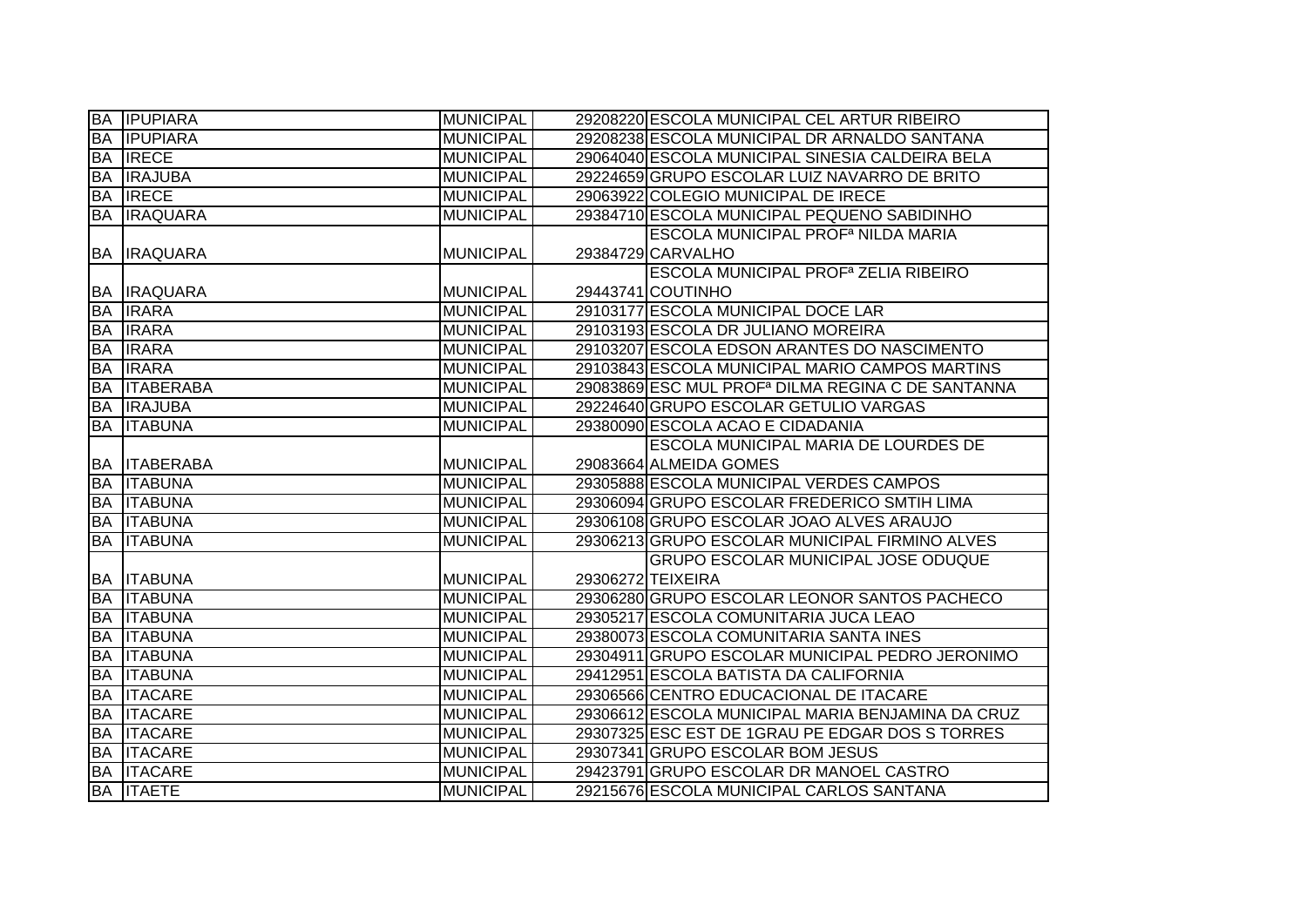|           | <b>BA IPUPIARA</b>  | <b>MUNICIPAL</b> | 29208220 ESCOLA MUNICIPAL CEL ARTUR RIBEIRO                   |
|-----------|---------------------|------------------|---------------------------------------------------------------|
| BA        | <b>IPUPIARA</b>     | <b>MUNICIPAL</b> | 29208238 ESCOLA MUNICIPAL DR ARNALDO SANTANA                  |
| BA        | <b>IRECE</b>        | <b>MUNICIPAL</b> | 29064040 ESCOLA MUNICIPAL SINESIA CALDEIRA BELA               |
| BA        | <b>IRAJUBA</b>      | <b>MUNICIPAL</b> | 29224659 GRUPO ESCOLAR LUIZ NAVARRO DE BRITO                  |
| <b>BA</b> | <b>IRECE</b>        | <b>MUNICIPAL</b> | 29063922 COLEGIO MUNICIPAL DE IRECE                           |
|           | <b>BA IRAQUARA</b>  | <b>MUNICIPAL</b> | 29384710 ESCOLA MUNICIPAL PEQUENO SABIDINHO                   |
|           |                     |                  | <b>ESCOLA MUNICIPAL PROF<sup>a</sup> NILDA MARIA</b>          |
|           | <b>BA IRAQUARA</b>  | <b>MUNICIPAL</b> | 29384729 CARVALHO                                             |
|           |                     |                  | <b>ESCOLA MUNICIPAL PROF<sup>a</sup> ZELIA RIBEIRO</b>        |
|           | <b>BA IRAQUARA</b>  | <b>MUNICIPAL</b> | 29443741 COUTINHO                                             |
| <b>BA</b> | <b>IRARA</b>        | <b>MUNICIPAL</b> | 29103177 ESCOLA MUNICIPAL DOCE LAR                            |
| <b>BA</b> | <b>IRARA</b>        | <b>MUNICIPAL</b> | 29103193 ESCOLA DR JULIANO MOREIRA                            |
| <b>BA</b> | <b>IRARA</b>        | <b>MUNICIPAL</b> | 29103207 ESCOLA EDSON ARANTES DO NASCIMENTO                   |
| <b>BA</b> | <b>IRARA</b>        | <b>MUNICIPAL</b> | 29103843 ESCOLA MUNICIPAL MARIO CAMPOS MARTINS                |
| <b>BA</b> | <b>ITABERABA</b>    | <b>MUNICIPAL</b> | 29083869 ESC MUL PROF <sup>a</sup> DILMA REGINA C DE SANTANNA |
| <b>BA</b> | <b>IRAJUBA</b>      | <b>MUNICIPAL</b> | 29224640 GRUPO ESCOLAR GETULIO VARGAS                         |
| BA        | <b>IITABUNA</b>     | <b>MUNICIPAL</b> | 29380090 ESCOLA ACAO E CIDADANIA                              |
|           |                     |                  | ESCOLA MUNICIPAL MARIA DE LOURDES DE                          |
|           | <b>BA ITABERABA</b> | MUNICIPAL        | 29083664 ALMEIDA GOMES                                        |
|           | <b>BA ITABUNA</b>   | <b>MUNICIPAL</b> | 29305888 ESCOLA MUNICIPAL VERDES CAMPOS                       |
|           | <b>BA ITABUNA</b>   | <b>MUNICIPAL</b> | 29306094 GRUPO ESCOLAR FREDERICO SMTIH LIMA                   |
|           | <b>BA ITABUNA</b>   | <b>MUNICIPAL</b> | 29306108 GRUPO ESCOLAR JOAO ALVES ARAUJO                      |
| <b>BA</b> | <b>ITABUNA</b>      | <b>MUNICIPAL</b> | 29306213 GRUPO ESCOLAR MUNICIPAL FIRMINO ALVES                |
|           |                     |                  | <b>GRUPO ESCOLAR MUNICIPAL JOSE ODUQUE</b>                    |
|           | <b>BA ITABUNA</b>   | MUNICIPAL        | 29306272 TEIXEIRA                                             |
|           | <b>BA ITABUNA</b>   | <b>MUNICIPAL</b> | 29306280 GRUPO ESCOLAR LEONOR SANTOS PACHECO                  |
|           | <b>BA ITABUNA</b>   | <b>MUNICIPAL</b> | 29305217 ESCOLA COMUNITARIA JUCA LEAO                         |
| <b>BA</b> | <b>ITABUNA</b>      | <b>MUNICIPAL</b> | 29380073 ESCOLA COMUNITARIA SANTA INES                        |
| <b>BA</b> | <b>ITABUNA</b>      | <b>MUNICIPAL</b> | 29304911 GRUPO ESCOLAR MUNICIPAL PEDRO JERONIMO               |
| <b>BA</b> | <b>ITABUNA</b>      | <b>MUNICIPAL</b> | 29412951 ESCOLA BATISTA DA CALIFORNIA                         |
| <b>BA</b> | <b>ITACARE</b>      | <b>MUNICIPAL</b> | 29306566 CENTRO EDUCACIONAL DE ITACARE                        |
| <b>BA</b> | <b>ITACARE</b>      | <b>MUNICIPAL</b> | 29306612 ESCOLA MUNICIPAL MARIA BENJAMINA DA CRUZ             |
| <b>BA</b> | <b>ITACARE</b>      | <b>MUNICIPAL</b> | 29307325 ESC EST DE 1 GRAU PE EDGAR DOS STORRES               |
|           | <b>BA ITACARE</b>   | <b>MUNICIPAL</b> | 29307341 GRUPO ESCOLAR BOM JESUS                              |
|           | <b>BA ITACARE</b>   | <b>MUNICIPAL</b> | 29423791 GRUPO ESCOLAR DR MANOEL CASTRO                       |
|           | <b>BA ITAETE</b>    | <b>MUNICIPAL</b> | 29215676 ESCOLA MUNICIPAL CARLOS SANTANA                      |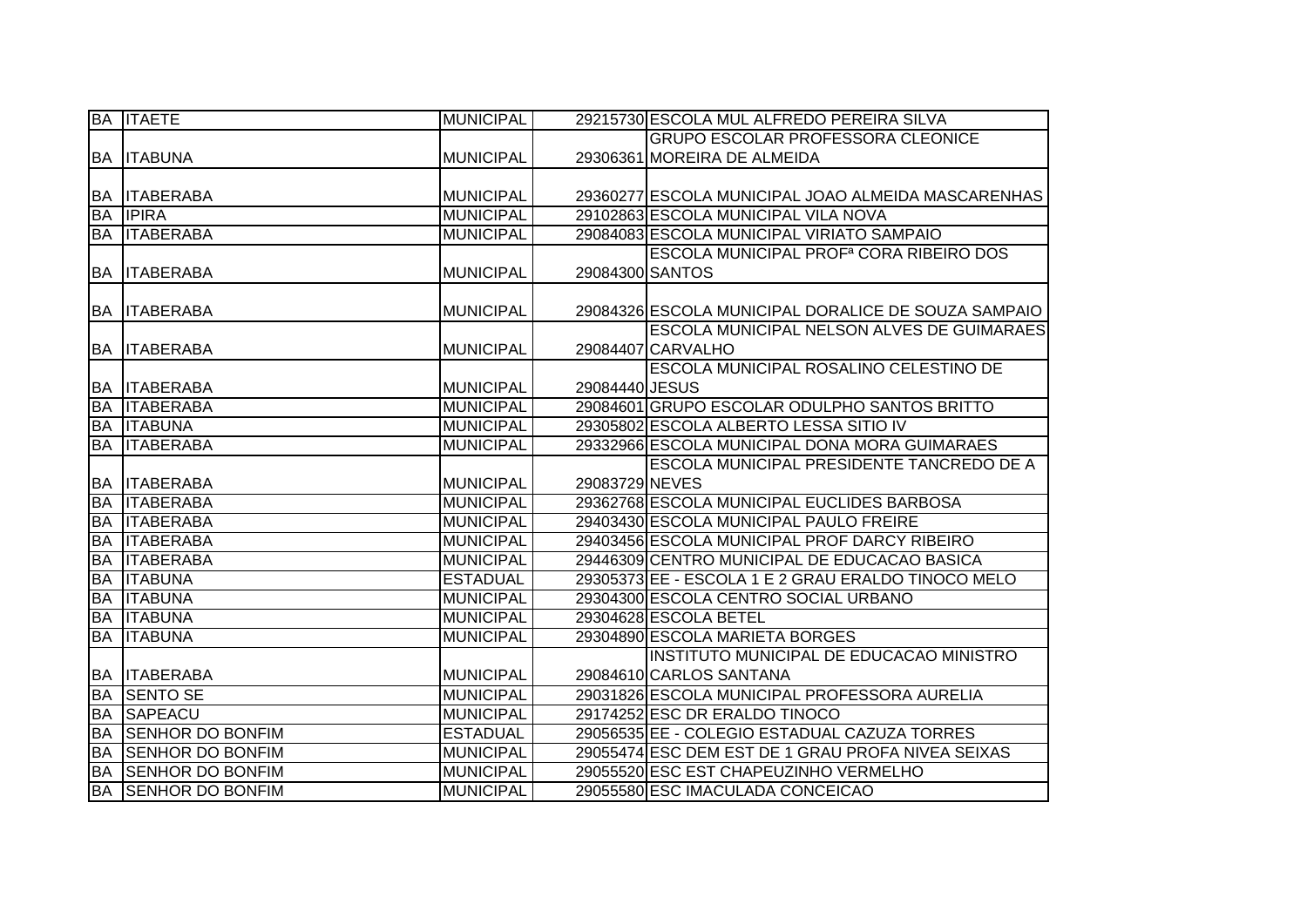|           | <b>BA ITAETE</b>        | <b>MUNICIPAL</b> |                 | 29215730 ESCOLA MUL ALFREDO PEREIRA SILVA           |
|-----------|-------------------------|------------------|-----------------|-----------------------------------------------------|
|           |                         |                  |                 | <b>GRUPO ESCOLAR PROFESSORA CLEONICE</b>            |
|           | <b>BA ITABUNA</b>       | <b>MUNICIPAL</b> |                 | 29306361 MOREIRA DE ALMEIDA                         |
|           |                         |                  |                 |                                                     |
|           | <b>BA ITABERABA</b>     | <b>MUNICIPAL</b> |                 | 29360277 ESCOLA MUNICIPAL JOAO ALMEIDA MASCARENHAS  |
| <b>BA</b> | <b>IPIRA</b>            | <b>MUNICIPAL</b> |                 | 29102863 ESCOLA MUNICIPAL VILA NOVA                 |
|           | <b>BA ITABERABA</b>     | <b>MUNICIPAL</b> |                 | 29084083 ESCOLA MUNICIPAL VIRIATO SAMPAIO           |
|           |                         |                  |                 | ESCOLA MUNICIPAL PROF <sup>a</sup> CORA RIBEIRO DOS |
| <b>BA</b> | <b>ITABERABA</b>        | <b>MUNICIPAL</b> | 29084300 SANTOS |                                                     |
|           |                         |                  |                 |                                                     |
| <b>BA</b> | <b>ITABERABA</b>        | <b>MUNICIPAL</b> |                 | 29084326 ESCOLA MUNICIPAL DORALICE DE SOUZA SAMPAIO |
|           |                         |                  |                 | <b>ESCOLA MUNICIPAL NELSON ALVES DE GUIMARAES</b>   |
| BA        | <b>ITABERABA</b>        | <b>MUNICIPAL</b> |                 | 29084407 CARVALHO                                   |
|           |                         |                  |                 | ESCOLA MUNICIPAL ROSALINO CELESTINO DE              |
| <b>BA</b> | <b>ITABERABA</b>        | <b>MUNICIPAL</b> | 29084440 JESUS  |                                                     |
| <b>BA</b> | <b>ITABERABA</b>        | <b>MUNICIPAL</b> |                 | 29084601 GRUPO ESCOLAR ODULPHO SANTOS BRITTO        |
| <b>BA</b> | <b>ITABUNA</b>          | <b>MUNICIPAL</b> |                 | 29305802 ESCOLA ALBERTO LESSA SITIO IV              |
| <b>BA</b> | <b>ITABERABA</b>        | <b>MUNICIPAL</b> |                 | 29332966 ESCOLA MUNICIPAL DONA MORA GUIMARAES       |
|           |                         |                  |                 | ESCOLA MUNICIPAL PRESIDENTE TANCREDO DE A           |
|           | <b>BA ITABERABA</b>     | <b>MUNICIPAL</b> | 29083729 NEVES  |                                                     |
| <b>BA</b> | <b>ITABERABA</b>        | <b>MUNICIPAL</b> |                 | 29362768 ESCOLA MUNICIPAL EUCLIDES BARBOSA          |
| <b>BA</b> | <b>ITABERABA</b>        | <b>MUNICIPAL</b> |                 | 29403430 ESCOLA MUNICIPAL PAULO FREIRE              |
| <b>BA</b> | <b>ITABERABA</b>        | <b>MUNICIPAL</b> |                 | 29403456 ESCOLA MUNICIPAL PROF DARCY RIBEIRO        |
| <b>BA</b> | <b>ITABERABA</b>        | <b>MUNICIPAL</b> |                 | 29446309 CENTRO MUNICIPAL DE EDUCACAO BASICA        |
| <b>BA</b> | <b>ITABUNA</b>          | <b>ESTADUAL</b>  |                 | 29305373 EE - ESCOLA 1 E 2 GRAU ERALDO TINOCO MELO  |
| <b>BA</b> | <b>ITABUNA</b>          | <b>MUNICIPAL</b> |                 | 29304300 ESCOLA CENTRO SOCIAL URBANO                |
| <b>BA</b> | <b>ITABUNA</b>          | <b>MUNICIPAL</b> |                 | 29304628 ESCOLA BETEL                               |
| <b>BA</b> | <b>ITABUNA</b>          | <b>MUNICIPAL</b> |                 | 29304890 ESCOLA MARIETA BORGES                      |
|           |                         |                  |                 | INSTITUTO MUNICIPAL DE EDUCACAO MINISTRO            |
| BA        | <b>ITABERABA</b>        | <b>MUNICIPAL</b> |                 | 29084610 CARLOS SANTANA                             |
| <b>BA</b> | <b>SENTO SE</b>         | <b>MUNICIPAL</b> |                 | 29031826 ESCOLA MUNICIPAL PROFESSORA AURELIA        |
| <b>BA</b> | SAPEACU                 | <b>MUNICIPAL</b> |                 | 29174252 ESC DR ERALDO TINOCO                       |
| <b>BA</b> | <b>SENHOR DO BONFIM</b> | <b>ESTADUAL</b>  |                 | 29056535 EE - COLEGIO ESTADUAL CAZUZA TORRES        |
| <b>BA</b> | <b>SENHOR DO BONFIM</b> | <b>MUNICIPAL</b> |                 | 29055474 ESC DEM EST DE 1 GRAU PROFA NIVEA SEIXAS   |
| <b>BA</b> | <b>SENHOR DO BONFIM</b> | <b>MUNICIPAL</b> |                 | 29055520 ESC EST CHAPEUZINHO VERMELHO               |
| <b>BA</b> | <b>SENHOR DO BONFIM</b> | <b>MUNICIPAL</b> |                 | 29055580 ESC IMACULADA CONCEICAO                    |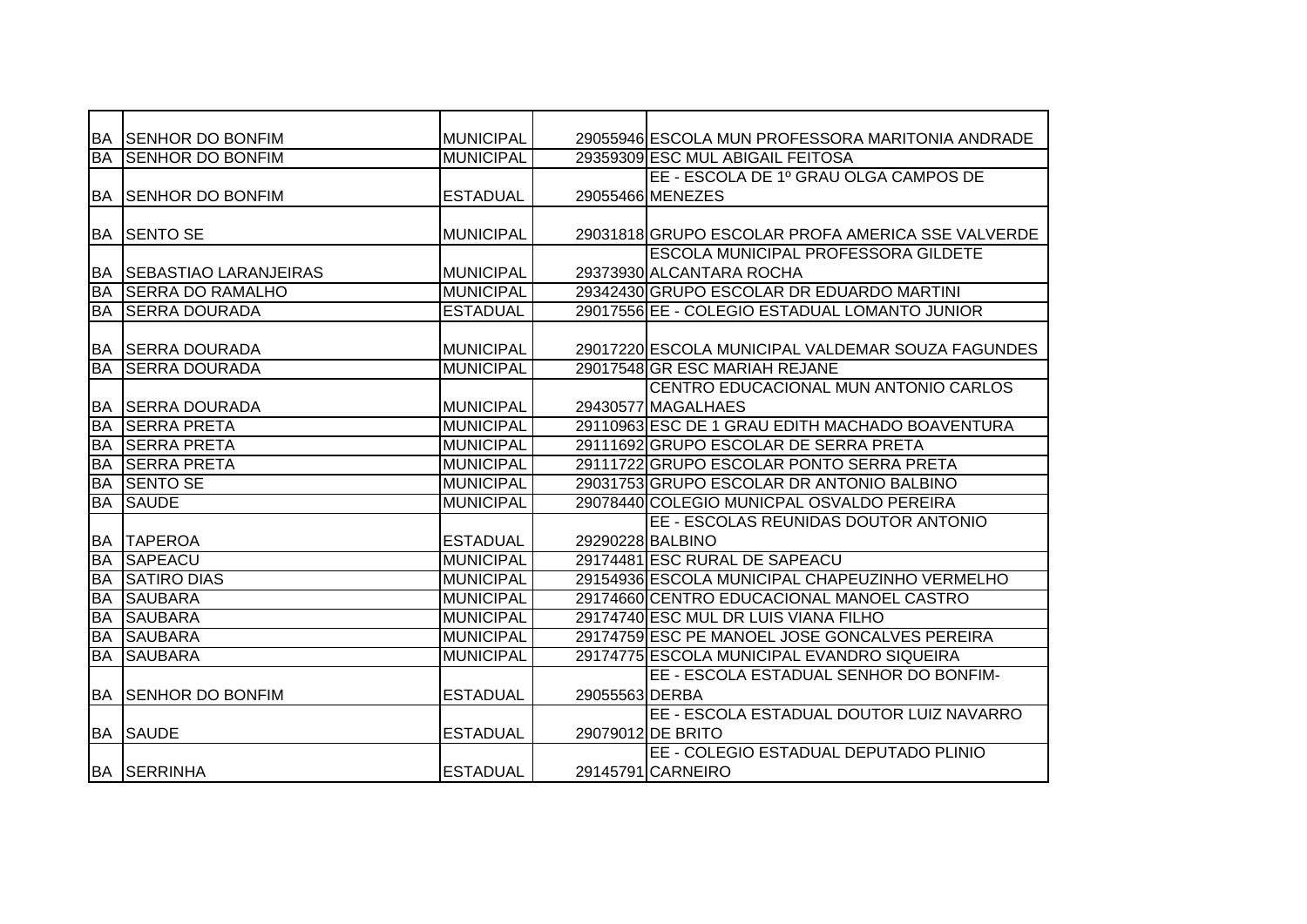|           | IBA ISENHOR DO BONFIM        | <b>MUNICIPAL</b> |                | 29055946 ESCOLA MUN PROFESSORA MARITONIA ANDRADE  |
|-----------|------------------------------|------------------|----------------|---------------------------------------------------|
| <b>BA</b> | <b>SENHOR DO BONFIM</b>      | <b>MUNICIPAL</b> |                | 29359309 ESC MUL ABIGAIL FEITOSA                  |
|           |                              |                  |                | EE - ESCOLA DE 1º GRAU OLGA CAMPOS DE             |
|           | <b>BA SENHOR DO BONFIM</b>   | <b>ESTADUAL</b>  |                | 29055466 MENEZES                                  |
|           |                              |                  |                |                                                   |
|           | IBA ISENTO SE                | <b>MUNICIPAL</b> |                | 29031818 GRUPO ESCOLAR PROFA AMERICA SSE VALVERDE |
|           |                              |                  |                | <b>ESCOLA MUNICIPAL PROFESSORA GILDETE</b>        |
| BA        | <b>SEBASTIAO LARANJEIRAS</b> | <b>MUNICIPAL</b> |                | 29373930 ALCANTARA ROCHA                          |
| BA        | <b>ISERRA DO RAMALHO</b>     | <b>MUNICIPAL</b> |                | 29342430 GRUPO ESCOLAR DR EDUARDO MARTINI         |
| <b>BA</b> | <b>SERRA DOURADA</b>         | <b>ESTADUAL</b>  |                | 29017556 EE - COLEGIO ESTADUAL LOMANTO JUNIOR     |
|           |                              |                  |                |                                                   |
|           | <b>BA ISERRA DOURADA</b>     | <b>MUNICIPAL</b> |                | 29017220 ESCOLA MUNICIPAL VALDEMAR SOUZA FAGUNDES |
| <b>BA</b> | <b>SERRA DOURADA</b>         | <b>MUNICIPAL</b> |                | 29017548 GR ESC MARIAH REJANE                     |
|           |                              |                  |                | CENTRO EDUCACIONAL MUN ANTONIO CARLOS             |
|           | <b>BA SERRA DOURADA</b>      | <b>MUNICIPAL</b> |                | 29430577 MAGALHAES                                |
| <b>BA</b> | <b>SERRA PRETA</b>           | <b>MUNICIPAL</b> |                | 29110963 ESC DE 1 GRAU EDITH MACHADO BOAVENTURA   |
| <b>BA</b> | <b>SERRA PRETA</b>           | <b>MUNICIPAL</b> |                | 29111692 GRUPO ESCOLAR DE SERRA PRETA             |
| <b>BA</b> | <b>SERRA PRETA</b>           | <b>MUNICIPAL</b> |                | 29111722 GRUPO ESCOLAR PONTO SERRA PRETA          |
| <b>BA</b> | <b>SENTO SE</b>              | <b>MUNICIPAL</b> |                | 29031753 GRUPO ESCOLAR DR ANTONIO BALBINO         |
| <b>BA</b> | <b>SAUDE</b>                 | <b>MUNICIPAL</b> |                | 29078440 COLEGIO MUNICPAL OSVALDO PEREIRA         |
|           |                              |                  |                | EE - ESCOLAS REUNIDAS DOUTOR ANTONIO              |
| <b>BA</b> | <b>TAPEROA</b>               | <b>ESTADUAL</b>  |                | 29290228 BALBINO                                  |
| <b>BA</b> | <b>SAPEACU</b>               | <b>MUNICIPAL</b> |                | 29174481 ESC RURAL DE SAPEACU                     |
| <b>BA</b> | <b>SATIRO DIAS</b>           | <b>MUNICIPAL</b> |                | 29154936 ESCOLA MUNICIPAL CHAPEUZINHO VERMELHO    |
| <b>BA</b> | <b>SAUBARA</b>               | <b>MUNICIPAL</b> |                | 29174660 CENTRO EDUCACIONAL MANOEL CASTRO         |
| <b>BA</b> | <b>SAUBARA</b>               | <b>MUNICIPAL</b> |                | 29174740 ESC MUL DR LUIS VIANA FILHO              |
| <b>BA</b> | <b>SAUBARA</b>               | <b>MUNICIPAL</b> |                | 29174759 ESC PE MANOEL JOSE GONCALVES PEREIRA     |
| <b>BA</b> | <b>SAUBARA</b>               | <b>MUNICIPAL</b> |                | 29174775 ESCOLA MUNICIPAL EVANDRO SIQUEIRA        |
|           |                              |                  |                | EE - ESCOLA ESTADUAL SENHOR DO BONFIM-            |
| <b>BA</b> | <b>ISENHOR DO BONFIM</b>     | <b>ESTADUAL</b>  | 29055563 DERBA |                                                   |
|           |                              |                  |                | EE - ESCOLA ESTADUAL DOUTOR LUIZ NAVARRO          |
|           | <b>BA SAUDE</b>              | <b>ESTADUAL</b>  |                | 29079012 DE BRITO                                 |
|           |                              |                  |                | EE - COLEGIO ESTADUAL DEPUTADO PLINIO             |
|           | <b>BA SERRINHA</b>           | <b>ESTADUAL</b>  |                | 29145791 CARNEIRO                                 |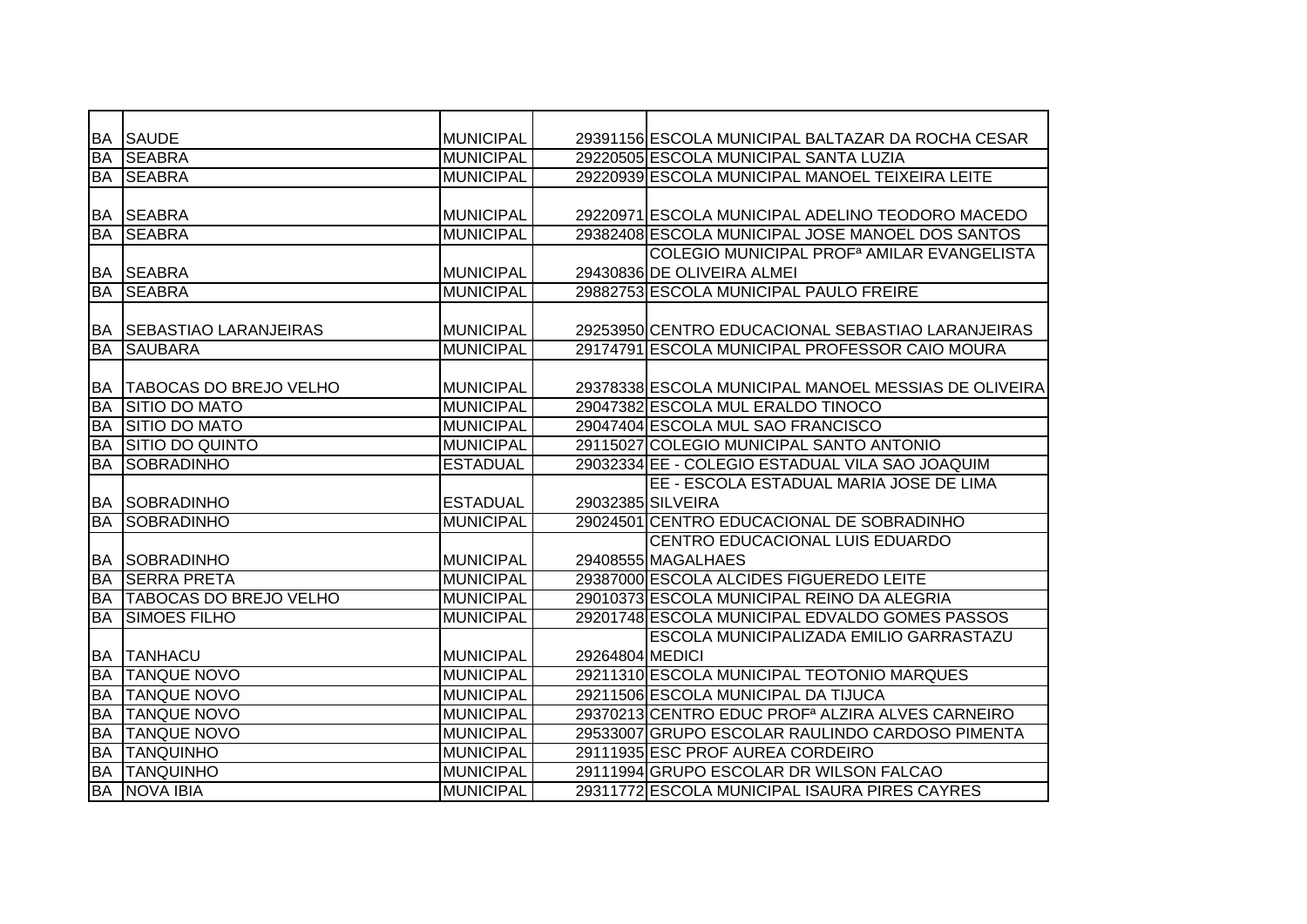| BA        | <b>SAUDE</b>                   | <b>MUNICIPAL</b> |                 | 29391156 ESCOLA MUNICIPAL BALTAZAR DA ROCHA CESAR            |
|-----------|--------------------------------|------------------|-----------------|--------------------------------------------------------------|
| <b>BA</b> | <b>SEABRA</b>                  | <b>MUNICIPAL</b> |                 | 29220505 ESCOLA MUNICIPAL SANTA LUZIA                        |
| BA        | <b>SEABRA</b>                  | <b>MUNICIPAL</b> |                 | 29220939 ESCOLA MUNICIPAL MANOEL TEIXEIRA LEITE              |
|           |                                |                  |                 |                                                              |
| BA        | <b>SEABRA</b>                  | <b>MUNICIPAL</b> |                 | 29220971 ESCOLA MUNICIPAL ADELINO TEODORO MACEDO             |
| <b>BA</b> | <b>SEABRA</b>                  | <b>MUNICIPAL</b> |                 | 29382408 ESCOLA MUNICIPAL JOSE MANOEL DOS SANTOS             |
|           |                                |                  |                 | COLEGIO MUNICIPAL PROF <sup>a</sup> AMILAR EVANGELISTA       |
| <b>BA</b> | <b>SEABRA</b>                  | <b>MUNICIPAL</b> |                 | 29430836 DE OLIVEIRA ALMEI                                   |
| <b>BA</b> | <b>SEABRA</b>                  | <b>MUNICIPAL</b> |                 | 29882753 ESCOLA MUNICIPAL PAULO FREIRE                       |
|           |                                |                  |                 |                                                              |
| <b>BA</b> | <b>SEBASTIAO LARANJEIRAS</b>   | <b>MUNICIPAL</b> |                 | 29253950 CENTRO EDUCACIONAL SEBASTIAO LARANJEIRAS            |
| <b>BA</b> | <b>SAUBARA</b>                 | <b>MUNICIPAL</b> |                 | 29174791 ESCOLA MUNICIPAL PROFESSOR CAIO MOURA               |
|           |                                |                  |                 |                                                              |
| <b>BA</b> | <b>TABOCAS DO BREJO VELHO</b>  | <b>MUNICIPAL</b> |                 | 29378338 ESCOLA MUNICIPAL MANOEL MESSIAS DE OLIVEIRA         |
| <b>BA</b> | <b>SITIO DO MATO</b>           | <b>MUNICIPAL</b> |                 | 29047382 ESCOLA MUL ERALDO TINOCO                            |
| <b>BA</b> | <b>SITIO DO MATO</b>           | <b>MUNICIPAL</b> |                 | 29047404 ESCOLA MUL SAO FRANCISCO                            |
| <b>BA</b> | <b>SITIO DO QUINTO</b>         | <b>MUNICIPAL</b> |                 | 29115027 COLEGIO MUNICIPAL SANTO ANTONIO                     |
| <b>BA</b> | <b>SOBRADINHO</b>              | <b>ESTADUAL</b>  |                 | 29032334 EE - COLEGIO ESTADUAL VILA SAO JOAQUIM              |
|           |                                |                  |                 | EE - ESCOLA ESTADUAL MARIA JOSE DE LIMA                      |
| <b>BA</b> | SOBRADINHO                     | <b>ESTADUAL</b>  |                 | 29032385 SILVEIRA                                            |
| <b>BA</b> | <b>SOBRADINHO</b>              | <b>MUNICIPAL</b> |                 | 29024501 CENTRO EDUCACIONAL DE SOBRADINHO                    |
|           |                                |                  |                 | CENTRO EDUCACIONAL LUIS EDUARDO                              |
| <b>BA</b> | <b>SOBRADINHO</b>              | <b>MUNICIPAL</b> |                 | 29408555 MAGALHAES                                           |
| <b>BA</b> | <b>SERRA PRETA</b>             | <b>MUNICIPAL</b> |                 | 29387000 ESCOLA ALCIDES FIGUEREDO LEITE                      |
| BA        | <b>ITABOCAS DO BREJO VELHO</b> | <b>MUNICIPAL</b> |                 | 29010373 ESCOLA MUNICIPAL REINO DA ALEGRIA                   |
| <b>BA</b> | <b>SIMOES FILHO</b>            | <b>MUNICIPAL</b> |                 | 29201748 ESCOLA MUNICIPAL EDVALDO GOMES PASSOS               |
|           |                                |                  |                 | ESCOLA MUNICIPALIZADA EMILIO GARRASTAZU                      |
| BA        | <b>TANHACU</b>                 | <b>MUNICIPAL</b> | 29264804 MEDICI |                                                              |
| <b>BA</b> | <b>TANQUE NOVO</b>             | <b>MUNICIPAL</b> |                 | 29211310 ESCOLA MUNICIPAL TEOTONIO MARQUES                   |
| <b>BA</b> | <b>TANQUE NOVO</b>             | <b>MUNICIPAL</b> |                 | 29211506 ESCOLA MUNICIPAL DA TIJUCA                          |
| <b>BA</b> | <b>TANQUE NOVO</b>             | <b>MUNICIPAL</b> |                 | 29370213 CENTRO EDUC PROF <sup>a</sup> ALZIRA ALVES CARNEIRO |
| <b>BA</b> | <b>TANQUE NOVO</b>             | <b>MUNICIPAL</b> |                 | 29533007 GRUPO ESCOLAR RAULINDO CARDOSO PIMENTA              |
| <b>BA</b> | <b>TANQUINHO</b>               | <b>MUNICIPAL</b> |                 | 29111935 ESC PROF AUREA CORDEIRO                             |
| <b>BA</b> | <b>TANQUINHO</b>               | <b>MUNICIPAL</b> |                 | 29111994 GRUPO ESCOLAR DR WILSON FALCAO                      |
| <b>BA</b> | NOVA IBIA                      | <b>MUNICIPAL</b> |                 | 29311772 ESCOLA MUNICIPAL ISAURA PIRES CAYRES                |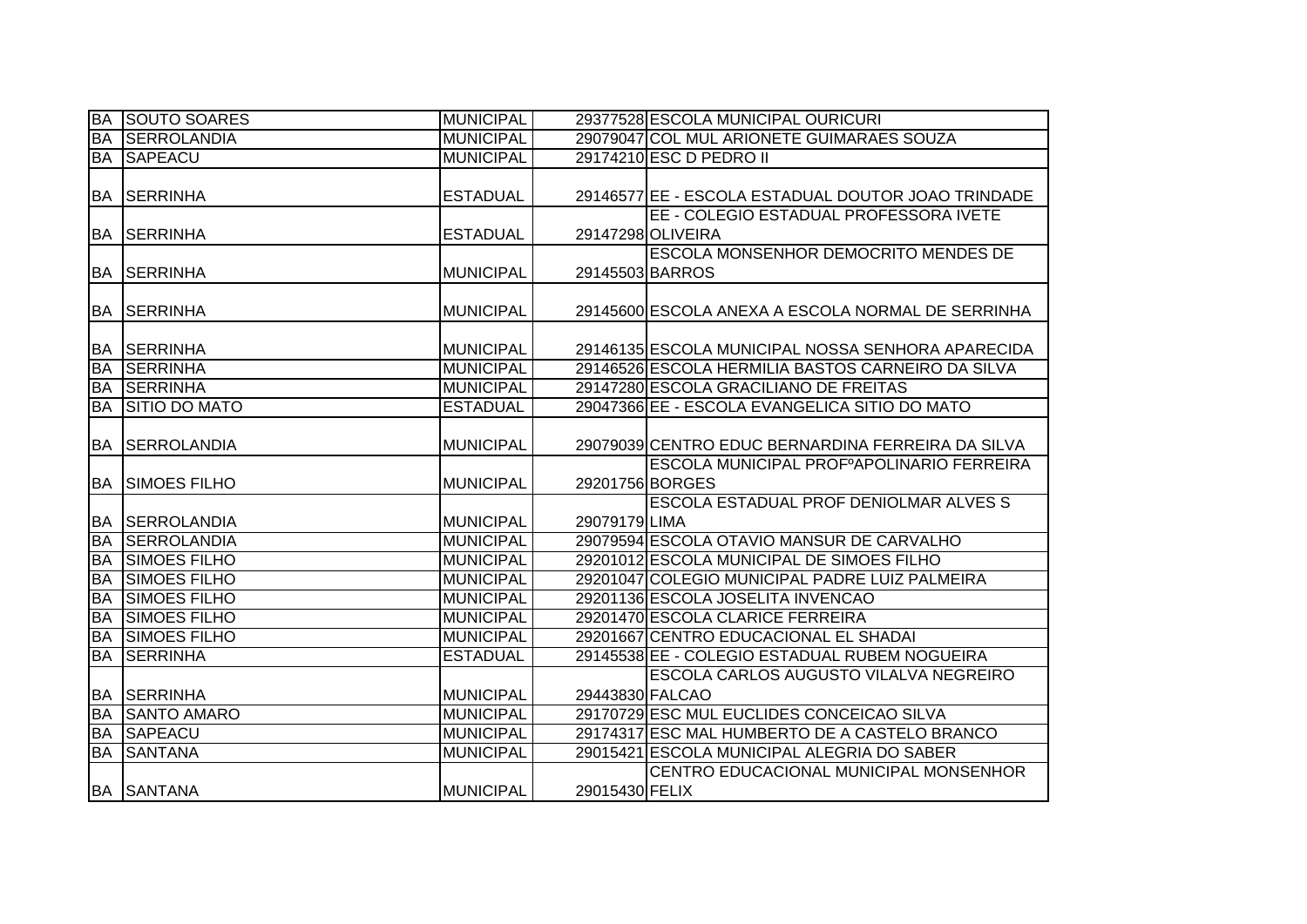| <b>BA</b> | <b>SOUTO SOARES</b>    | <b>MUNICIPAL</b> |                 | 29377528 ESCOLA MUNICIPAL OURICURI                 |
|-----------|------------------------|------------------|-----------------|----------------------------------------------------|
| <b>BA</b> | <b>SERROLANDIA</b>     | <b>MUNICIPAL</b> |                 | 29079047 COL MUL ARIONETE GUIMARAES SOUZA          |
|           | <b>BA SAPEACU</b>      | <b>MUNICIPAL</b> |                 | 29174210 ESC D PEDRO II                            |
|           |                        |                  |                 |                                                    |
|           | IBA ISERRINHA          | <b>ESTADUAL</b>  |                 | 29146577 EE - ESCOLA ESTADUAL DOUTOR JOAO TRINDADE |
|           |                        |                  |                 | EE - COLEGIO ESTADUAL PROFESSORA IVETE             |
|           | <b>BA SERRINHA</b>     | <b>ESTADUAL</b>  |                 | 29147298 OLIVEIRA                                  |
|           |                        |                  |                 | <b>ESCOLA MONSENHOR DEMOCRITO MENDES DE</b>        |
|           | <b>BA SERRINHA</b>     | <b>MUNICIPAL</b> | 29145503 BARROS |                                                    |
|           |                        |                  |                 |                                                    |
| <b>BA</b> | <b>SERRINHA</b>        | <b>MUNICIPAL</b> |                 | 29145600 ESCOLA ANEXA A ESCOLA NORMAL DE SERRINHA  |
|           |                        |                  |                 |                                                    |
| BA        | <b>SERRINHA</b>        | <b>MUNICIPAL</b> |                 | 29146135 ESCOLA MUNICIPAL NOSSA SENHORA APARECIDA  |
| <b>BA</b> | <b>SERRINHA</b>        | <b>MUNICIPAL</b> |                 | 29146526 ESCOLA HERMILIA BASTOS CARNEIRO DA SILVA  |
| <b>BA</b> | <b>SERRINHA</b>        | <b>MUNICIPAL</b> |                 | 29147280 ESCOLA GRACILIANO DE FREITAS              |
| <b>BA</b> | <b>SITIO DO MATO</b>   | <b>ESTADUAL</b>  |                 | 29047366 EE - ESCOLA EVANGELICA SITIO DO MATO      |
|           |                        |                  |                 |                                                    |
| <b>BA</b> | <b>SERROLANDIA</b>     | <b>MUNICIPAL</b> |                 | 29079039 CENTRO EDUC BERNARDINA FERREIRA DA SILVA  |
|           |                        |                  |                 | ESCOLA MUNICIPAL PROFºAPOLINARIO FERREIRA          |
|           | <b>BA SIMOES FILHO</b> | <b>MUNICIPAL</b> | 29201756 BORGES |                                                    |
|           |                        |                  |                 | ESCOLA ESTADUAL PROF DENIOLMAR ALVES S             |
|           | BA SERROLANDIA         | <b>MUNICIPAL</b> | 29079179 LIMA   |                                                    |
| <b>BA</b> | <b>SERROLANDIA</b>     | <b>MUNICIPAL</b> |                 | 29079594 ESCOLA OTAVIO MANSUR DE CARVALHO          |
| BA        | <b>SIMOES FILHO</b>    | <b>MUNICIPAL</b> |                 | 29201012 ESCOLA MUNICIPAL DE SIMOES FILHO          |
| <b>BA</b> | <b>SIMOES FILHO</b>    | <b>MUNICIPAL</b> |                 | 29201047 COLEGIO MUNICIPAL PADRE LUIZ PALMEIRA     |
| <b>BA</b> | <b>SIMOES FILHO</b>    | <b>MUNICIPAL</b> |                 | 29201136 ESCOLA JOSELITA INVENCAO                  |
| <b>BA</b> | <b>SIMOES FILHO</b>    | <b>MUNICIPAL</b> |                 | 29201470 ESCOLA CLARICE FERREIRA                   |
| <b>BA</b> | <b>SIMOES FILHO</b>    | <b>MUNICIPAL</b> |                 | 29201667 CENTRO EDUCACIONAL EL SHADAI              |
| <b>BA</b> | <b>SERRINHA</b>        | <b>ESTADUAL</b>  |                 | 29145538 EE - COLEGIO ESTADUAL RUBEM NOGUEIRA      |
|           |                        |                  |                 | ESCOLA CARLOS AUGUSTO VILALVA NEGREIRO             |
|           | <b>BA SERRINHA</b>     | <b>MUNICIPAL</b> | 29443830 FALCAO |                                                    |
| <b>BA</b> | <b>SANTO AMARO</b>     | <b>MUNICIPAL</b> |                 | 29170729 ESC MUL EUCLIDES CONCEICAO SILVA          |
| BA        | SAPEACU                | <b>MUNICIPAL</b> |                 | 29174317 ESC MAL HUMBERTO DE A CASTELO BRANCO      |
| <b>BA</b> | <b>SANTANA</b>         | <b>MUNICIPAL</b> |                 | 29015421 ESCOLA MUNICIPAL ALEGRIA DO SABER         |
|           |                        |                  |                 | CENTRO EDUCACIONAL MUNICIPAL MONSENHOR             |
|           | <b>BA SANTANA</b>      | <b>MUNICIPAL</b> | 29015430 FELIX  |                                                    |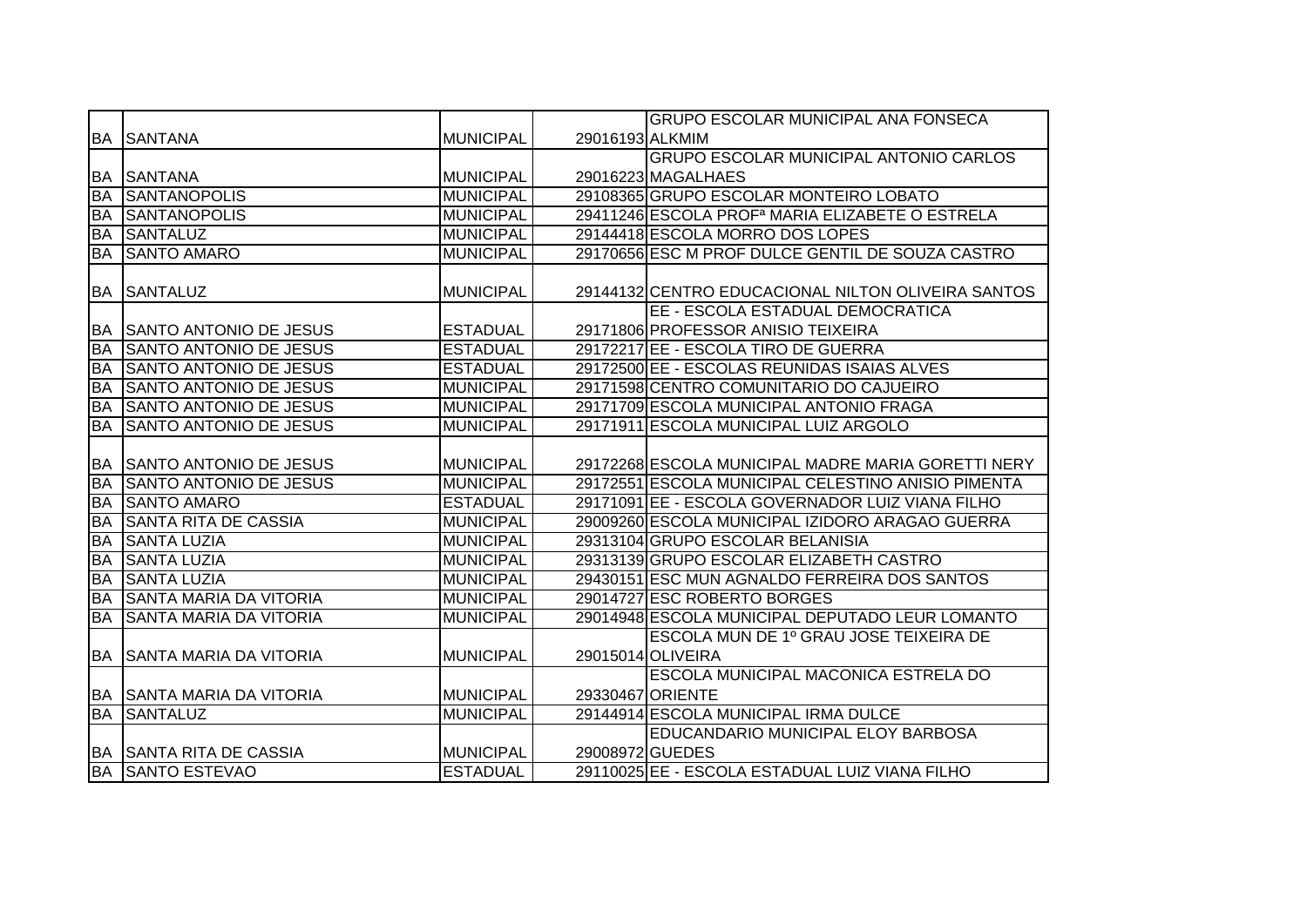|           |                                |                  |                 | <b>GRUPO ESCOLAR MUNICIPAL ANA FONSECA</b>                  |
|-----------|--------------------------------|------------------|-----------------|-------------------------------------------------------------|
| BA        | <b>SANTANA</b>                 | <b>MUNICIPAL</b> | 29016193 ALKMIM |                                                             |
|           |                                |                  |                 | <b>GRUPO ESCOLAR MUNICIPAL ANTONIO CARLOS</b>               |
|           | <b>BA SANTANA</b>              | <b>MUNICIPAL</b> |                 | 29016223 MAGALHAES                                          |
| <b>BA</b> | <b>SANTANOPOLIS</b>            | <b>MUNICIPAL</b> |                 | 29108365 GRUPO ESCOLAR MONTEIRO LOBATO                      |
| <b>BA</b> | <b>SANTANOPOLIS</b>            | <b>MUNICIPAL</b> |                 | 29411246 ESCOLA PROF <sup>a</sup> MARIA ELIZABETE O ESTRELA |
| <b>BA</b> | <b>SANTALUZ</b>                | <b>MUNICIPAL</b> |                 | 29144418 ESCOLA MORRO DOS LOPES                             |
| <b>BA</b> | <b>SANTO AMARO</b>             | <b>MUNICIPAL</b> |                 | 29170656 ESC M PROF DULCE GENTIL DE SOUZA CASTRO            |
|           |                                |                  |                 |                                                             |
|           | <b>BA SANTALUZ</b>             | <b>MUNICIPAL</b> |                 | 29144132 CENTRO EDUCACIONAL NILTON OLIVEIRA SANTOS          |
|           |                                |                  |                 | EE - ESCOLA ESTADUAL DEMOCRATICA                            |
|           | BA SANTO ANTONIO DE JESUS      | <b>ESTADUAL</b>  |                 | 29171806 PROFESSOR ANISIO TEIXEIRA                          |
| <b>BA</b> | <b>SANTO ANTONIO DE JESUS</b>  | <b>ESTADUAL</b>  |                 | 29172217 EE - ESCOLA TIRO DE GUERRA                         |
| <b>BA</b> | <b>ISANTO ANTONIO DE JESUS</b> | <b>ESTADUAL</b>  |                 | 29172500 EE - ESCOLAS REUNIDAS ISAIAS ALVES                 |
| <b>BA</b> | <b>SANTO ANTONIO DE JESUS</b>  | <b>MUNICIPAL</b> |                 | 29171598 CENTRO COMUNITARIO DO CAJUEIRO                     |
| <b>BA</b> | SANTO ANTONIO DE JESUS         | <b>MUNICIPAL</b> |                 | 29171709 ESCOLA MUNICIPAL ANTONIO FRAGA                     |
| <b>BA</b> | <b>SANTO ANTONIO DE JESUS</b>  | <b>MUNICIPAL</b> |                 | 29171911 ESCOLA MUNICIPAL LUIZ ARGOLO                       |
|           |                                |                  |                 |                                                             |
| <b>BA</b> | <b>SANTO ANTONIO DE JESUS</b>  | <b>MUNICIPAL</b> |                 | 29172268 ESCOLA MUNICIPAL MADRE MARIA GORETTI NERY          |
| <b>BA</b> | <b>SANTO ANTONIO DE JESUS</b>  | <b>MUNICIPAL</b> |                 | 29172551 ESCOLA MUNICIPAL CELESTINO ANISIO PIMENTA          |
| <b>BA</b> | <b>SANTO AMARO</b>             | <b>ESTADUAL</b>  |                 | 29171091 EE - ESCOLA GOVERNADOR LUIZ VIANA FILHO            |
| <b>BA</b> | <b>SANTA RITA DE CASSIA</b>    | <b>MUNICIPAL</b> |                 | 29009260 ESCOLA MUNICIPAL IZIDORO ARAGAO GUERRA             |
| <b>BA</b> | <b>SANTA LUZIA</b>             | <b>MUNICIPAL</b> |                 | 29313104 GRUPO ESCOLAR BELANISIA                            |
| BA        | <b>SANTA LUZIA</b>             | <b>MUNICIPAL</b> |                 | 29313139 GRUPO ESCOLAR ELIZABETH CASTRO                     |
| <b>BA</b> | <b>SANTA LUZIA</b>             | <b>MUNICIPAL</b> |                 | 29430151 ESC MUN AGNALDO FERREIRA DOS SANTOS                |
| <b>BA</b> | <b>SANTA MARIA DA VITORIA</b>  | <b>MUNICIPAL</b> |                 | 29014727 ESC ROBERTO BORGES                                 |
| <b>BA</b> | <b>SANTA MARIA DA VITORIA</b>  | <b>MUNICIPAL</b> |                 | 29014948 ESCOLA MUNICIPAL DEPUTADO LEUR LOMANTO             |
|           |                                |                  |                 | ESCOLA MUN DE 1º GRAU JOSE TEIXEIRA DE                      |
| <b>BA</b> | <b>SANTA MARIA DA VITORIA</b>  | <b>MUNICIPAL</b> |                 | 29015014 OLIVEIRA                                           |
|           |                                |                  |                 | ESCOLA MUNICIPAL MACONICA ESTRELA DO                        |
|           | BA SANTA MARIA DA VITORIA      | <b>MUNICIPAL</b> |                 | 29330467 ORIENTE                                            |
| <b>BA</b> | <b>SANTALUZ</b>                | <b>MUNICIPAL</b> |                 | 29144914 ESCOLA MUNICIPAL IRMA DULCE                        |
|           |                                |                  |                 | <b>EDUCANDARIO MUNICIPAL ELOY BARBOSA</b>                   |
|           | <b>BA SANTA RITA DE CASSIA</b> | <b>MUNICIPAL</b> | 29008972 GUEDES |                                                             |
|           | <b>BA SANTO ESTEVAO</b>        | <b>ESTADUAL</b>  |                 | 29110025 EE - ESCOLA ESTADUAL LUIZ VIANA FILHO              |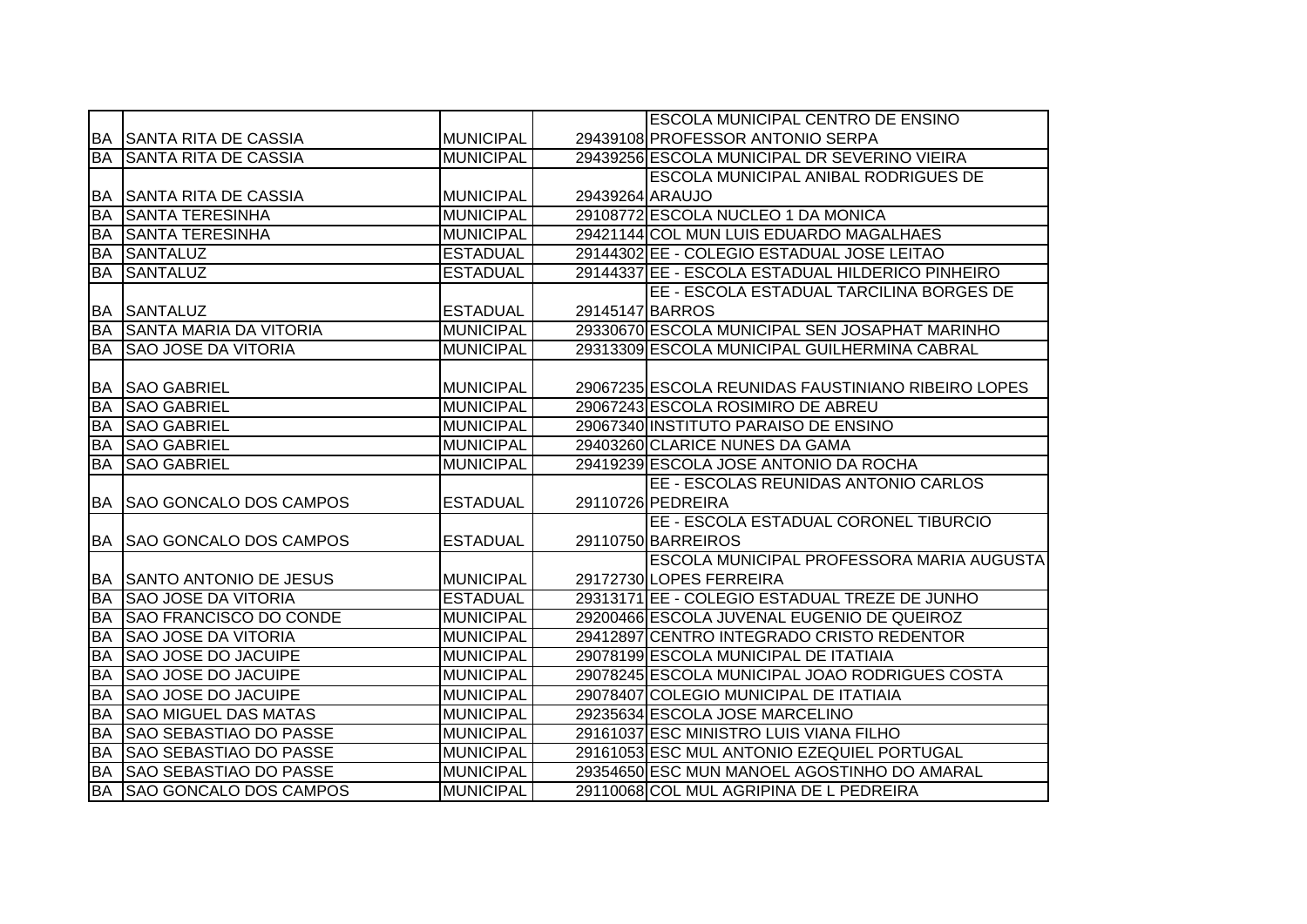|                        |                                  |                  |                 | <b>ESCOLA MUNICIPAL CENTRO DE ENSINO</b>           |
|------------------------|----------------------------------|------------------|-----------------|----------------------------------------------------|
|                        | <b>BA SANTA RITA DE CASSIA</b>   | <b>MUNICIPAL</b> |                 | 29439108 PROFESSOR ANTONIO SERPA                   |
| <b>BA</b>              | <b>SANTA RITA DE CASSIA</b>      | <b>MUNICIPAL</b> |                 | 29439256 ESCOLA MUNICIPAL DR SEVERINO VIEIRA       |
|                        |                                  |                  |                 | <b>ESCOLA MUNICIPAL ANIBAL RODRIGUES DE</b>        |
| BA                     | <b>SANTA RITA DE CASSIA</b>      | <b>MUNICIPAL</b> | 29439264 ARAUJO |                                                    |
| <b>BA</b>              | <b>SANTA TERESINHA</b>           | <b>MUNICIPAL</b> |                 | 29108772 ESCOLA NUCLEO 1 DA MONICA                 |
| <b>BA</b>              | <b>SANTA TERESINHA</b>           | <b>MUNICIPAL</b> |                 | 29421144 COL MUN LUIS EDUARDO MAGALHAES            |
| <b>BA</b>              | <b>SANTALUZ</b>                  | <b>ESTADUAL</b>  |                 | 29144302 EE - COLEGIO ESTADUAL JOSE LEITAO         |
| <b>BA</b>              | <b>SANTALUZ</b>                  | <b>ESTADUAL</b>  |                 | 29144337 EE - ESCOLA ESTADUAL HILDERICO PINHEIRO   |
|                        |                                  |                  |                 | EE - ESCOLA ESTADUAL TARCILINA BORGES DE           |
| IBA.                   | <b>SANTALUZ</b>                  | <b>ESTADUAL</b>  |                 | 29145147 BARROS                                    |
| <b>BA</b>              | <b>SANTA MARIA DA VITORIA</b>    | <b>MUNICIPAL</b> |                 | 29330670 ESCOLA MUNICIPAL SEN JOSAPHAT MARINHO     |
| <b>BA</b>              | <b>SAO JOSE DA VITORIA</b>       | <b>MUNICIPAL</b> |                 | 29313309 ESCOLA MUNICIPAL GUILHERMINA CABRAL       |
|                        |                                  |                  |                 |                                                    |
| BA                     | <b>SAO GABRIEL</b>               | <b>MUNICIPAL</b> |                 | 29067235 ESCOLA REUNIDAS FAUSTINIANO RIBEIRO LOPES |
| BA                     | <b>SAO GABRIEL</b>               | <b>MUNICIPAL</b> |                 | 29067243 ESCOLA ROSIMIRO DE ABREU                  |
| BA                     | <b>SAO GABRIEL</b>               | <b>MUNICIPAL</b> |                 | 29067340 INSTITUTO PARAISO DE ENSINO               |
| <b>BA</b>              | <b>SAO GABRIEL</b>               | <b>MUNICIPAL</b> |                 | 29403260 CLARICE NUNES DA GAMA                     |
| <b>BA</b>              | <b>SAO GABRIEL</b>               | <b>MUNICIPAL</b> |                 | 29419239 ESCOLA JOSE ANTONIO DA ROCHA              |
|                        |                                  |                  |                 | EE - ESCOLAS REUNIDAS ANTONIO CARLOS               |
| BA                     | <b>SAO GONCALO DOS CAMPOS</b>    | <b>ESTADUAL</b>  |                 | 29110726 PEDREIRA                                  |
|                        |                                  |                  |                 | EE - ESCOLA ESTADUAL CORONEL TIBURCIO              |
|                        | <b>BA SAO GONCALO DOS CAMPOS</b> | <b>ESTADUAL</b>  |                 | 29110750 BARREIROS                                 |
|                        |                                  |                  |                 | ESCOLA MUNICIPAL PROFESSORA MARIA AUGUSTA          |
| BA                     | <b>SANTO ANTONIO DE JESUS</b>    | <b>MUNICIPAL</b> |                 | 29172730 LOPES FERREIRA                            |
| <b>BA</b>              | <b>ISAO JOSE DA VITORIA</b>      | <b>ESTADUAL</b>  |                 | 29313171 EE - COLEGIO ESTADUAL TREZE DE JUNHO      |
| <b>BA</b>              | <b>SAO FRANCISCO DO CONDE</b>    | <b>MUNICIPAL</b> |                 | 29200466 ESCOLA JUVENAL EUGENIO DE QUEIROZ         |
| <b>BA</b>              | <b>SAO JOSE DA VITORIA</b>       | <b>MUNICIPAL</b> |                 | 29412897 CENTRO INTEGRADO CRISTO REDENTOR          |
| <b>BA</b>              | <b>SAO JOSE DO JACUIPE</b>       | <b>MUNICIPAL</b> |                 | 29078199 ESCOLA MUNICIPAL DE ITATIAIA              |
| <b>BA</b>              | <b>SAO JOSE DO JACUIPE</b>       | <b>MUNICIPAL</b> |                 | 29078245 ESCOLA MUNICIPAL JOAO RODRIGUES COSTA     |
| <b>BA</b>              | <b>SAO JOSE DO JACUIPE</b>       | <b>MUNICIPAL</b> |                 | 29078407 COLEGIO MUNICIPAL DE ITATIAIA             |
| <b>BA</b>              | <b>SAO MIGUEL DAS MATAS</b>      | <b>MUNICIPAL</b> |                 | 29235634 ESCOLA JOSE MARCELINO                     |
| <b>BA</b>              | <b>SAO SEBASTIAO DO PASSE</b>    | <b>MUNICIPAL</b> |                 | 29161037 ESC MINISTRO LUIS VIANA FILHO             |
| <b>BA</b>              | <b>SAO SEBASTIAO DO PASSE</b>    | <b>MUNICIPAL</b> |                 | 29161053 ESC MUL ANTONIO EZEQUIEL PORTUGAL         |
|                        |                                  |                  |                 |                                                    |
| <b>BA</b><br><b>BA</b> | <b>SAO SEBASTIAO DO PASSE</b>    | <b>MUNICIPAL</b> |                 | 29354650 ESC MUN MANOEL AGOSTINHO DO AMARAL        |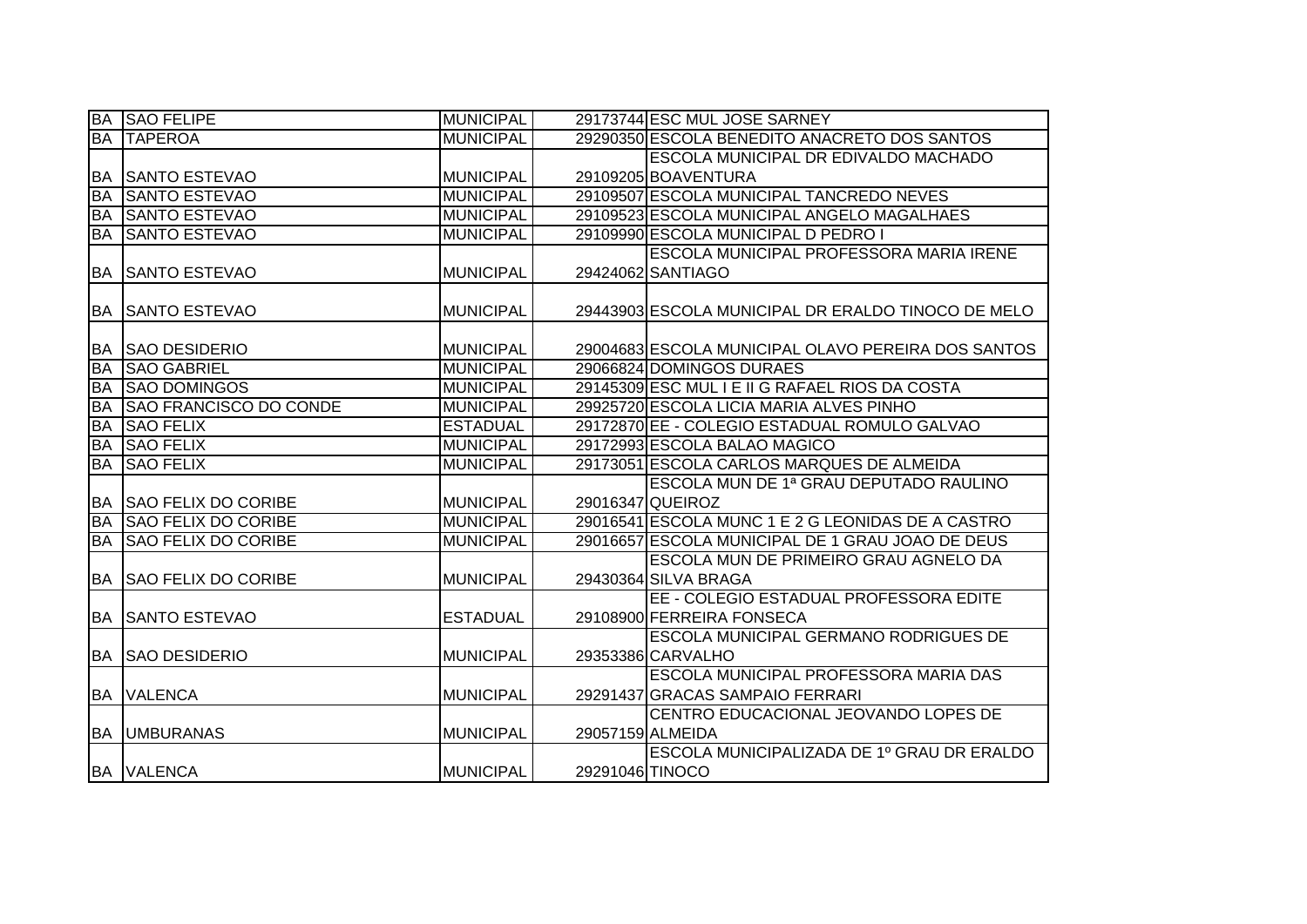|           | <b>BA SAO FELIPE</b>          | <b>MUNICIPAL</b> |                 | 29173744 ESC MUL JOSE SARNEY                       |
|-----------|-------------------------------|------------------|-----------------|----------------------------------------------------|
| <b>BA</b> | <b>TAPEROA</b>                | <b>MUNICIPAL</b> |                 | 29290350 ESCOLA BENEDITO ANACRETO DOS SANTOS       |
|           |                               |                  |                 | <b>ESCOLA MUNICIPAL DR EDIVALDO MACHADO</b>        |
| BA        | <b>SANTO ESTEVAO</b>          | <b>MUNICIPAL</b> |                 | 29109205 BOAVENTURA                                |
| <b>BA</b> | <b>SANTO ESTEVAO</b>          | <b>MUNICIPAL</b> |                 | 29109507 ESCOLA MUNICIPAL TANCREDO NEVES           |
| <b>BA</b> | <b>SANTO ESTEVAO</b>          | <b>MUNICIPAL</b> |                 | 29109523 ESCOLA MUNICIPAL ANGELO MAGALHAES         |
| <b>BA</b> | <b>SANTO ESTEVAO</b>          | <b>MUNICIPAL</b> |                 | 29109990 ESCOLA MUNICIPAL D PEDRO I                |
|           |                               |                  |                 | <b>ESCOLA MUNICIPAL PROFESSORA MARIA IRENE</b>     |
|           | <b>BA SANTO ESTEVAO</b>       | <b>MUNICIPAL</b> |                 | 29424062 SANTIAGO                                  |
|           |                               |                  |                 |                                                    |
|           | <b>BA SANTO ESTEVAO</b>       | <b>MUNICIPAL</b> |                 | 29443903 ESCOLA MUNICIPAL DR ERALDO TINOCO DE MELO |
|           |                               |                  |                 |                                                    |
| <b>BA</b> | <b>SAO DESIDERIO</b>          | <b>MUNICIPAL</b> |                 | 29004683 ESCOLA MUNICIPAL OLAVO PEREIRA DOS SANTOS |
| <b>BA</b> | <b>SAO GABRIEL</b>            | <b>MUNICIPAL</b> |                 | 29066824 DOMINGOS DURAES                           |
| <b>BA</b> | <b>SAO DOMINGOS</b>           | <b>MUNICIPAL</b> |                 | 29145309 ESC MUL I E II G RAFAEL RIOS DA COSTA     |
| <b>BA</b> | <b>SAO FRANCISCO DO CONDE</b> | <b>MUNICIPAL</b> |                 | 29925720 ESCOLA LICIA MARIA ALVES PINHO            |
| <b>BA</b> | <b>SAO FELIX</b>              | <b>ESTADUAL</b>  |                 | 29172870 EE - COLEGIO ESTADUAL ROMULO GALVAO       |
| <b>BA</b> | <b>SAO FELIX</b>              | <b>MUNICIPAL</b> |                 | 29172993 ESCOLA BALAO MAGICO                       |
| <b>BA</b> | <b>SAO FELIX</b>              | <b>MUNICIPAL</b> |                 | 29173051 ESCOLA CARLOS MARQUES DE ALMEIDA          |
|           |                               |                  |                 | ESCOLA MUN DE 1ª GRAU DEPUTADO RAULINO             |
| <b>BA</b> | <b>SAO FELIX DO CORIBE</b>    | <b>MUNICIPAL</b> |                 | 29016347 QUEIROZ                                   |
| BA        | <b>SAO FELIX DO CORIBE</b>    | <b>MUNICIPAL</b> |                 | 29016541 ESCOLA MUNC 1 E 2 G LEONIDAS DE A CASTRO  |
| <b>BA</b> | <b>SAO FELIX DO CORIBE</b>    | <b>MUNICIPAL</b> |                 | 29016657 ESCOLA MUNICIPAL DE 1 GRAU JOAO DE DEUS   |
|           |                               |                  |                 | ESCOLA MUN DE PRIMEIRO GRAU AGNELO DA              |
|           | <b>BA SAO FELIX DO CORIBE</b> | <b>MUNICIPAL</b> |                 | 29430364 SILVA BRAGA                               |
|           |                               |                  |                 | EE - COLEGIO ESTADUAL PROFESSORA EDITE             |
| <b>BA</b> | <b>SANTO ESTEVAO</b>          | <b>ESTADUAL</b>  |                 | 29108900 FERREIRA FONSECA                          |
|           |                               |                  |                 | <b>ESCOLA MUNICIPAL GERMANO RODRIGUES DE</b>       |
| <b>BA</b> | <b>ISAO DESIDERIO</b>         | <b>MUNICIPAL</b> |                 | 29353386 CARVALHO                                  |
|           |                               |                  |                 | <b>ESCOLA MUNICIPAL PROFESSORA MARIA DAS</b>       |
|           | <b>BA VALENCA</b>             | <b>MUNICIPAL</b> |                 | 29291437 GRACAS SAMPAIO FERRARI                    |
|           |                               |                  |                 | CENTRO EDUCACIONAL JEOVANDO LOPES DE               |
|           | <b>BA UMBURANAS</b>           | <b>MUNICIPAL</b> |                 | 29057159 ALMEIDA                                   |
|           |                               |                  |                 | ESCOLA MUNICIPALIZADA DE 1º GRAU DR ERALDO         |
|           | <b>BA VALENCA</b>             | <b>MUNICIPAL</b> | 29291046 TINOCO |                                                    |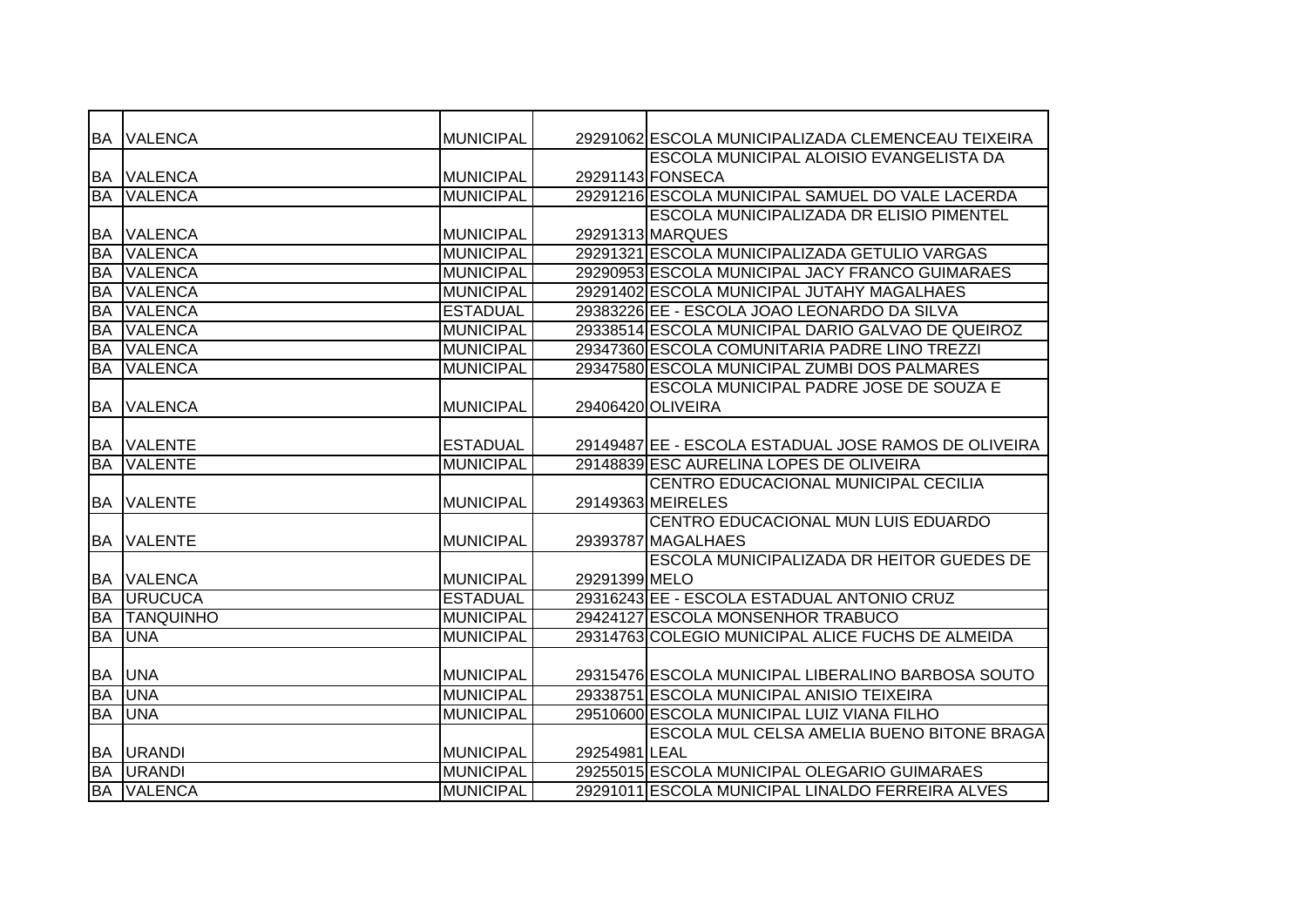| <b>BA</b> | <b>VALENCA</b>   | <b>MUNICIPAL</b> |               | 29291062 ESCOLA MUNICIPALIZADA CLEMENCEAU TEIXEIRA   |
|-----------|------------------|------------------|---------------|------------------------------------------------------|
|           |                  |                  |               | <b>ESCOLA MUNICIPAL ALOISIO EVANGELISTA DA</b>       |
| BA        | <b>VALENCA</b>   | <b>MUNICIPAL</b> |               | 29291143 FONSECA                                     |
| <b>BA</b> | <b>VALENCA</b>   | <b>MUNICIPAL</b> |               | 29291216 ESCOLA MUNICIPAL SAMUEL DO VALE LACERDA     |
|           |                  |                  |               | <b>ESCOLA MUNICIPALIZADA DR ELISIO PIMENTEL</b>      |
| <b>BA</b> | <b>VALENCA</b>   | <b>MUNICIPAL</b> |               | 29291313 MARQUES                                     |
| <b>BA</b> | <b>VALENCA</b>   | <b>MUNICIPAL</b> |               | 29291321 ESCOLA MUNICIPALIZADA GETULIO VARGAS        |
| <b>BA</b> | <b>VALENCA</b>   | <b>MUNICIPAL</b> |               | 29290953 ESCOLA MUNICIPAL JACY FRANCO GUIMARAES      |
| <b>BA</b> | <b>VALENCA</b>   | <b>MUNICIPAL</b> |               | 29291402 ESCOLA MUNICIPAL JUTAHY MAGALHAES           |
| <b>BA</b> | <b>VALENCA</b>   | <b>ESTADUAL</b>  |               | 29383226 EE - ESCOLA JOAO LEONARDO DA SILVA          |
| <b>BA</b> | <b>VALENCA</b>   | <b>MUNICIPAL</b> |               | 29338514 ESCOLA MUNICIPAL DARIO GALVAO DE QUEIROZ    |
| <b>BA</b> | <b>VALENCA</b>   | <b>MUNICIPAL</b> |               | 29347360 ESCOLA COMUNITARIA PADRE LINO TREZZI        |
| <b>BA</b> | <b>VALENCA</b>   | <b>MUNICIPAL</b> |               | 29347580 ESCOLA MUNICIPAL ZUMBI DOS PALMARES         |
|           |                  |                  |               | <b>ESCOLA MUNICIPAL PADRE JOSE DE SOUZA E</b>        |
| BA        | <b>VALENCA</b>   | <b>MUNICIPAL</b> |               | 29406420 OLIVEIRA                                    |
|           |                  |                  |               |                                                      |
| <b>BA</b> | <b>VALENTE</b>   | <b>ESTADUAL</b>  |               | 29149487 EE - ESCOLA ESTADUAL JOSE RAMOS DE OLIVEIRA |
| <b>BA</b> | <b>VALENTE</b>   | <b>MUNICIPAL</b> |               | 29148839 ESC AURELINA LOPES DE OLIVEIRA              |
|           |                  |                  |               | CENTRO EDUCACIONAL MUNICIPAL CECILIA                 |
| <b>BA</b> | <b>VALENTE</b>   | <b>MUNICIPAL</b> |               | 29149363 MEIRELES                                    |
|           |                  |                  |               | CENTRO EDUCACIONAL MUN LUIS EDUARDO                  |
| <b>BA</b> | <b>VALENTE</b>   | <b>MUNICIPAL</b> |               | 29393787 MAGALHAES                                   |
|           |                  |                  |               | <b>ESCOLA MUNICIPALIZADA DR HEITOR GUEDES DE</b>     |
| <b>BA</b> | <b>VALENCA</b>   | MUNICIPAL        | 29291399 MELO |                                                      |
| <b>BA</b> | <b>URUCUCA</b>   | <b>ESTADUAL</b>  |               | 29316243 EE - ESCOLA ESTADUAL ANTONIO CRUZ           |
| <b>BA</b> | <b>TANQUINHO</b> | <b>MUNICIPAL</b> |               | 29424127 ESCOLA MONSENHOR TRABUCO                    |
| <b>BA</b> | <b>UNA</b>       | <b>MUNICIPAL</b> |               | 29314763 COLEGIO MUNICIPAL ALICE FUCHS DE ALMEIDA    |
|           |                  |                  |               |                                                      |
| <b>BA</b> | <b>UNA</b>       | <b>MUNICIPAL</b> |               | 29315476 ESCOLA MUNICIPAL LIBERALINO BARBOSA SOUTO   |
| <b>BA</b> | <b>UNA</b>       | <b>MUNICIPAL</b> |               | 29338751 ESCOLA MUNICIPAL ANISIO TEIXEIRA            |
| <b>BA</b> | <b>UNA</b>       | <b>MUNICIPAL</b> |               | 29510600 ESCOLA MUNICIPAL LUIZ VIANA FILHO           |
|           |                  |                  |               | ESCOLA MUL CELSA AMELIA BUENO BITONE BRAGA           |
| BA        | <b>URANDI</b>    | <b>MUNICIPAL</b> | 29254981 LEAL |                                                      |
| <b>BA</b> | <b>URANDI</b>    | <b>MUNICIPAL</b> |               | 29255015 ESCOLA MUNICIPAL OLEGARIO GUIMARAES         |
| <b>BA</b> | <b>VALENCA</b>   | <b>MUNICIPAL</b> |               | 29291011 ESCOLA MUNICIPAL LINALDO FERREIRA ALVES     |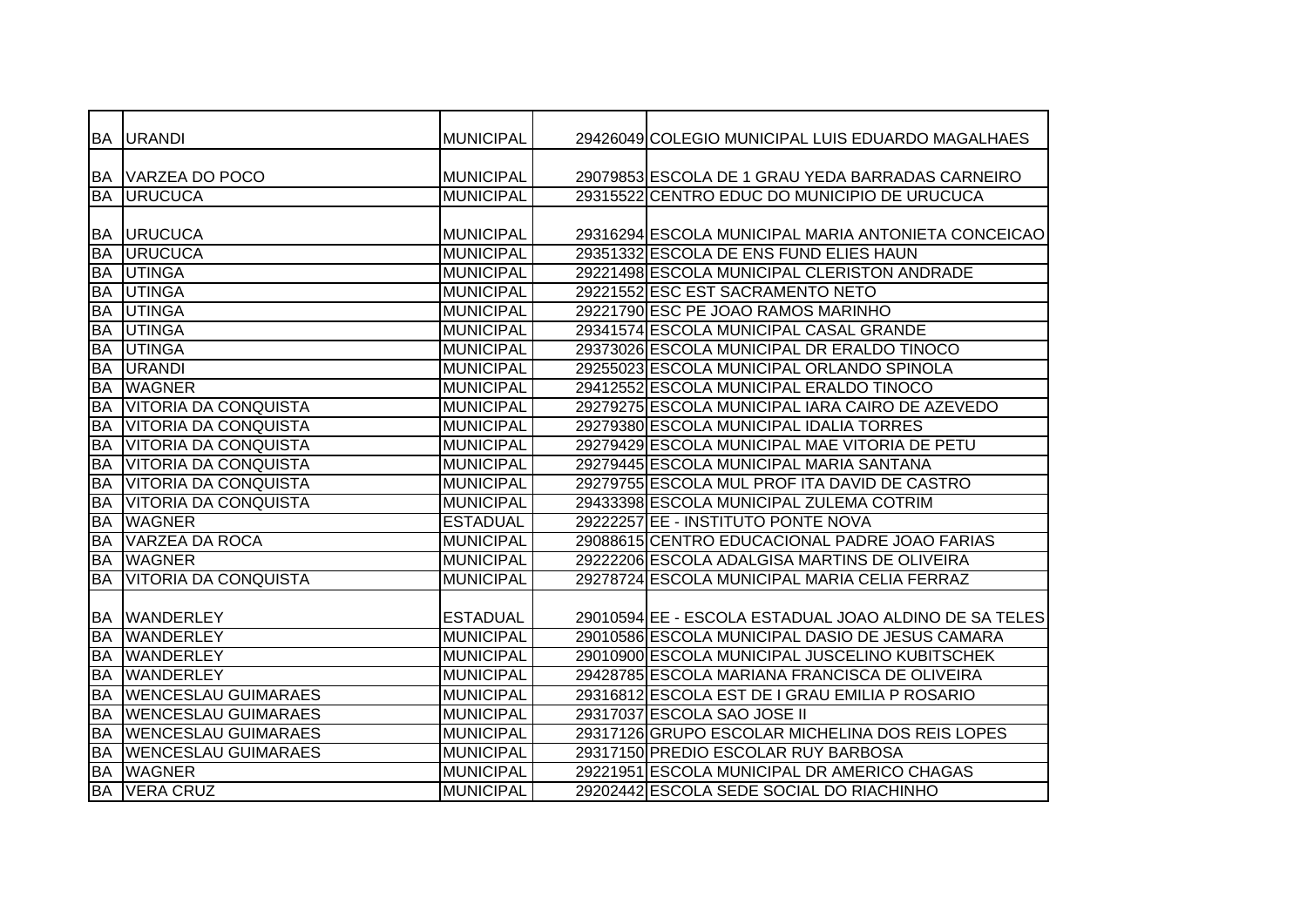|           | BA URANDI                   | <b>MUNICIPAL</b> | 29426049 COLEGIO MUNICIPAL LUIS EDUARDO MAGALHAES     |
|-----------|-----------------------------|------------------|-------------------------------------------------------|
|           |                             |                  |                                                       |
|           | IBA IVARZEA DO POCO         | <b>MUNICIPAL</b> | 29079853 ESCOLA DE 1 GRAU YEDA BARRADAS CARNEIRO      |
| <b>BA</b> | <b>URUCUCA</b>              | <b>MUNICIPAL</b> | 29315522 CENTRO EDUC DO MUNICIPIO DE URUCUCA          |
|           |                             |                  |                                                       |
| <b>BA</b> | <b>URUCUCA</b>              | <b>MUNICIPAL</b> | 29316294 ESCOLA MUNICIPAL MARIA ANTONIETA CONCEICAO   |
| <b>BA</b> | <b>URUCUCA</b>              | <b>MUNICIPAL</b> | 29351332 ESCOLA DE ENS FUND ELIES HAUN                |
| <b>BA</b> | <b>UTINGA</b>               | <b>MUNICIPAL</b> | 29221498 ESCOLA MUNICIPAL CLERISTON ANDRADE           |
| <b>BA</b> | <b>UTINGA</b>               | <b>MUNICIPAL</b> | 29221552 ESC EST SACRAMENTO NETO                      |
| <b>BA</b> | <b>UTINGA</b>               | <b>MUNICIPAL</b> | 29221790 ESC PE JOAO RAMOS MARINHO                    |
| <b>BA</b> | <b>UTINGA</b>               | <b>MUNICIPAL</b> | 29341574 ESCOLA MUNICIPAL CASAL GRANDE                |
| <b>BA</b> | <b>UTINGA</b>               | <b>MUNICIPAL</b> | 29373026 ESCOLA MUNICIPAL DR ERALDO TINOCO            |
| <b>BA</b> | <b>URANDI</b>               | <b>MUNICIPAL</b> | 29255023 ESCOLA MUNICIPAL ORLANDO SPINOLA             |
| <b>BA</b> | <b>WAGNER</b>               | <b>MUNICIPAL</b> | 29412552 ESCOLA MUNICIPAL ERALDO TINOCO               |
| <b>BA</b> | <b>VITORIA DA CONQUISTA</b> | <b>MUNICIPAL</b> | 29279275 ESCOLA MUNICIPAL IARA CAIRO DE AZEVEDO       |
| <b>BA</b> | <b>VITORIA DA CONQUISTA</b> | <b>MUNICIPAL</b> | 29279380 ESCOLA MUNICIPAL IDALIA TORRES               |
| <b>BA</b> | <b>VITORIA DA CONQUISTA</b> | <b>MUNICIPAL</b> | 29279429 ESCOLA MUNICIPAL MAE VITORIA DE PETU         |
| <b>BA</b> | <b>VITORIA DA CONQUISTA</b> | <b>MUNICIPAL</b> | 29279445 ESCOLA MUNICIPAL MARIA SANTANA               |
| <b>BA</b> | <b>VITORIA DA CONQUISTA</b> | <b>MUNICIPAL</b> | 29279755 ESCOLA MUL PROF ITA DAVID DE CASTRO          |
| <b>BA</b> | <b>VITORIA DA CONQUISTA</b> | <b>MUNICIPAL</b> | 29433398 ESCOLA MUNICIPAL ZULEMA COTRIM               |
| BA        | <b>WAGNER</b>               | <b>ESTADUAL</b>  | 29222257 EE - INSTITUTO PONTE NOVA                    |
| <b>BA</b> | <b>VARZEA DA ROCA</b>       | <b>MUNICIPAL</b> | 29088615 CENTRO EDUCACIONAL PADRE JOAO FARIAS         |
| <b>BA</b> | <b>WAGNER</b>               | <b>MUNICIPAL</b> | 29222206 ESCOLA ADALGISA MARTINS DE OLIVEIRA          |
| <b>BA</b> | <b>VITORIA DA CONQUISTA</b> | <b>MUNICIPAL</b> | 29278724 ESCOLA MUNICIPAL MARIA CELIA FERRAZ          |
|           |                             |                  |                                                       |
| <b>BA</b> | <b>WANDERLEY</b>            | <b>ESTADUAL</b>  | 29010594 EE - ESCOLA ESTADUAL JOAO ALDINO DE SA TELES |
| <b>BA</b> | <b>WANDERLEY</b>            | <b>MUNICIPAL</b> | 29010586 ESCOLA MUNICIPAL DASIO DE JESUS CAMARA       |
| BA        | <b>WANDERLEY</b>            | <b>MUNICIPAL</b> | 29010900 ESCOLA MUNICIPAL JUSCELINO KUBITSCHEK        |
| <b>BA</b> | <b>WANDERLEY</b>            | <b>MUNICIPAL</b> | 29428785 ESCOLA MARIANA FRANCISCA DE OLIVEIRA         |
| <b>BA</b> | <b>WENCESLAU GUIMARAES</b>  | <b>MUNICIPAL</b> | 29316812 ESCOLA EST DE I GRAU EMILIA P ROSARIO        |
| <b>BA</b> | <b>WENCESLAU GUIMARAES</b>  | <b>MUNICIPAL</b> | 29317037 ESCOLA SAO JOSE II                           |
| <b>BA</b> | <b>WENCESLAU GUIMARAES</b>  | <b>MUNICIPAL</b> | 29317126 GRUPO ESCOLAR MICHELINA DOS REIS LOPES       |
| <b>BA</b> | <b>WENCESLAU GUIMARAES</b>  | <b>MUNICIPAL</b> | 29317150 PREDIO ESCOLAR RUY BARBOSA                   |
| <b>BA</b> | <b>WAGNER</b>               | <b>MUNICIPAL</b> | 29221951 ESCOLA MUNICIPAL DR AMERICO CHAGAS           |
|           | <b>BA VERA CRUZ</b>         | <b>MUNICIPAL</b> | 29202442 ESCOLA SEDE SOCIAL DO RIACHINHO              |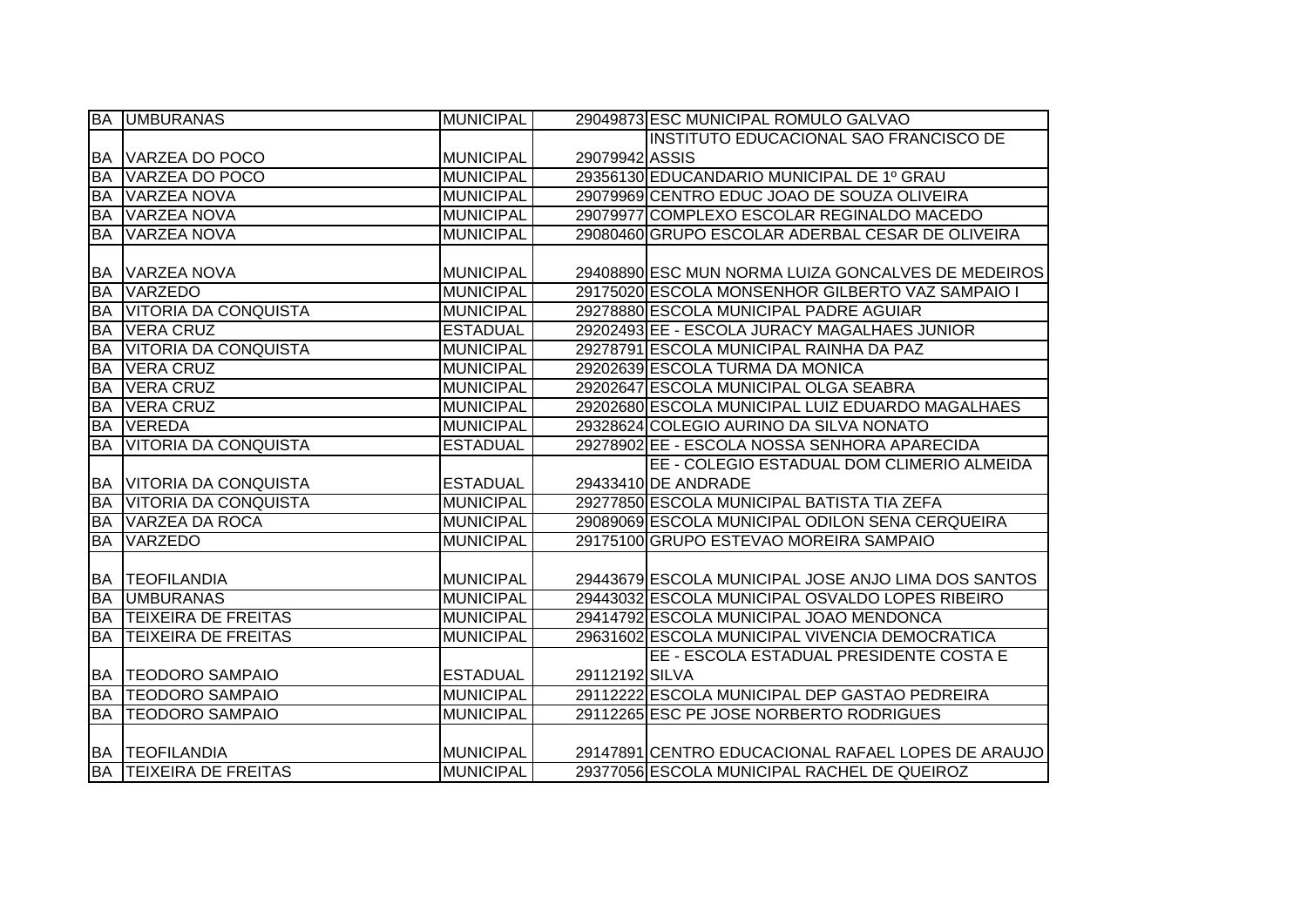|           | <b>BA UMBURANAS</b>           | <b>MUNICIPAL</b> |                | 29049873 ESC MUNICIPAL ROMULO GALVAO                |
|-----------|-------------------------------|------------------|----------------|-----------------------------------------------------|
|           |                               |                  |                | INSTITUTO EDUCACIONAL SAO FRANCISCO DE              |
|           | <b>BA VARZEA DO POCO</b>      | <b>MUNICIPAL</b> | 29079942 ASSIS |                                                     |
| <b>BA</b> | VARZEA DO POCO                | <b>MUNICIPAL</b> |                | 29356130 EDUCANDARIO MUNICIPAL DE 1º GRAU           |
| <b>BA</b> | VARZEA NOVA                   | <b>MUNICIPAL</b> |                | 29079969 CENTRO EDUC JOAO DE SOUZA OLIVEIRA         |
| <b>BA</b> | <b>VARZEA NOVA</b>            | <b>MUNICIPAL</b> |                | 29079977 COMPLEXO ESCOLAR REGINALDO MACEDO          |
| <b>BA</b> | <b>VARZEA NOVA</b>            | <b>MUNICIPAL</b> |                | 29080460 GRUPO ESCOLAR ADERBAL CESAR DE OLIVEIRA    |
|           |                               |                  |                |                                                     |
| <b>BA</b> | <b>VARZEA NOVA</b>            | <b>MUNICIPAL</b> |                | 29408890 ESC MUN NORMA LUIZA GONCALVES DE MEDEIROS  |
| <b>BA</b> | <b>VARZEDO</b>                | <b>MUNICIPAL</b> |                | 29175020 ESCOLA MONSENHOR GILBERTO VAZ SAMPAIO I    |
| <b>BA</b> | <b>VITORIA DA CONQUISTA</b>   | <b>MUNICIPAL</b> |                | 29278880 ESCOLA MUNICIPAL PADRE AGUIAR              |
| <b>BA</b> | <b>VERA CRUZ</b>              | <b>ESTADUAL</b>  |                | 29202493 EE - ESCOLA JURACY MAGALHAES JUNIOR        |
| <b>BA</b> | <b>VITORIA DA CONQUISTA</b>   | <b>MUNICIPAL</b> |                | 29278791 ESCOLA MUNICIPAL RAINHA DA PAZ             |
| <b>BA</b> | <b>VERA CRUZ</b>              | <b>MUNICIPAL</b> |                | 29202639 ESCOLA TURMA DA MONICA                     |
| <b>BA</b> | <b>VERA CRUZ</b>              | <b>MUNICIPAL</b> |                | 29202647 ESCOLA MUNICIPAL OLGA SEABRA               |
| <b>BA</b> | <b>VERA CRUZ</b>              | <b>MUNICIPAL</b> |                | 29202680 ESCOLA MUNICIPAL LUIZ EDUARDO MAGALHAES    |
| <b>BA</b> | <b>VEREDA</b>                 | <b>MUNICIPAL</b> |                | 29328624 COLEGIO AURINO DA SILVA NONATO             |
| <b>BA</b> | <b>VITORIA DA CONQUISTA</b>   | <b>ESTADUAL</b>  |                | 29278902 EE - ESCOLA NOSSA SENHORA APARECIDA        |
|           |                               |                  |                | EE - COLEGIO ESTADUAL DOM CLIMERIO ALMEIDA          |
| <b>BA</b> | <b>VITORIA DA CONQUISTA</b>   | <b>ESTADUAL</b>  |                | 29433410 DE ANDRADE                                 |
| <b>BA</b> | <b>VITORIA DA CONQUISTA</b>   | <b>MUNICIPAL</b> |                | 29277850 ESCOLA MUNICIPAL BATISTA TIA ZEFA          |
| <b>BA</b> | <b>VARZEA DA ROCA</b>         | <b>MUNICIPAL</b> |                | 29089069 ESCOLA MUNICIPAL ODILON SENA CERQUEIRA     |
| <b>BA</b> | <b>VARZEDO</b>                | <b>MUNICIPAL</b> |                | 29175100 GRUPO ESTEVAO MOREIRA SAMPAIO              |
|           |                               |                  |                |                                                     |
| IBA.      | <b>TEOFILANDIA</b>            | <b>MUNICIPAL</b> |                | 29443679 ESCOLA MUNICIPAL JOSE ANJO LIMA DOS SANTOS |
| <b>BA</b> | <b>UMBURANAS</b>              | <b>MUNICIPAL</b> |                | 29443032 ESCOLA MUNICIPAL OSVALDO LOPES RIBEIRO     |
| <b>BA</b> | <b>TEIXEIRA DE FREITAS</b>    | <b>MUNICIPAL</b> |                | 29414792 ESCOLA MUNICIPAL JOAO MENDONCA             |
| <b>BA</b> | <b>TEIXEIRA DE FREITAS</b>    | <b>MUNICIPAL</b> |                | 29631602 ESCOLA MUNICIPAL VIVENCIA DEMOCRATICA      |
|           |                               |                  |                | EE - ESCOLA ESTADUAL PRESIDENTE COSTA E             |
| <b>BA</b> | <b>TEODORO SAMPAIO</b>        | <b>ESTADUAL</b>  | 29112192 SILVA |                                                     |
| <b>BA</b> | <b>TEODORO SAMPAIO</b>        | <b>MUNICIPAL</b> |                | 29112222 ESCOLA MUNICIPAL DEP GASTAO PEDREIRA       |
| <b>BA</b> | <b>TEODORO SAMPAIO</b>        | <b>MUNICIPAL</b> |                | 29112265 ESC PE JOSE NORBERTO RODRIGUES             |
|           |                               |                  |                |                                                     |
|           | <b>BA TEOFILANDIA</b>         | <b>MUNICIPAL</b> |                | 29147891 CENTRO EDUCACIONAL RAFAEL LOPES DE ARAUJO  |
|           | <b>BA TEIXEIRA DE FREITAS</b> | <b>MUNICIPAL</b> |                | 29377056 ESCOLA MUNICIPAL RACHEL DE QUEIROZ         |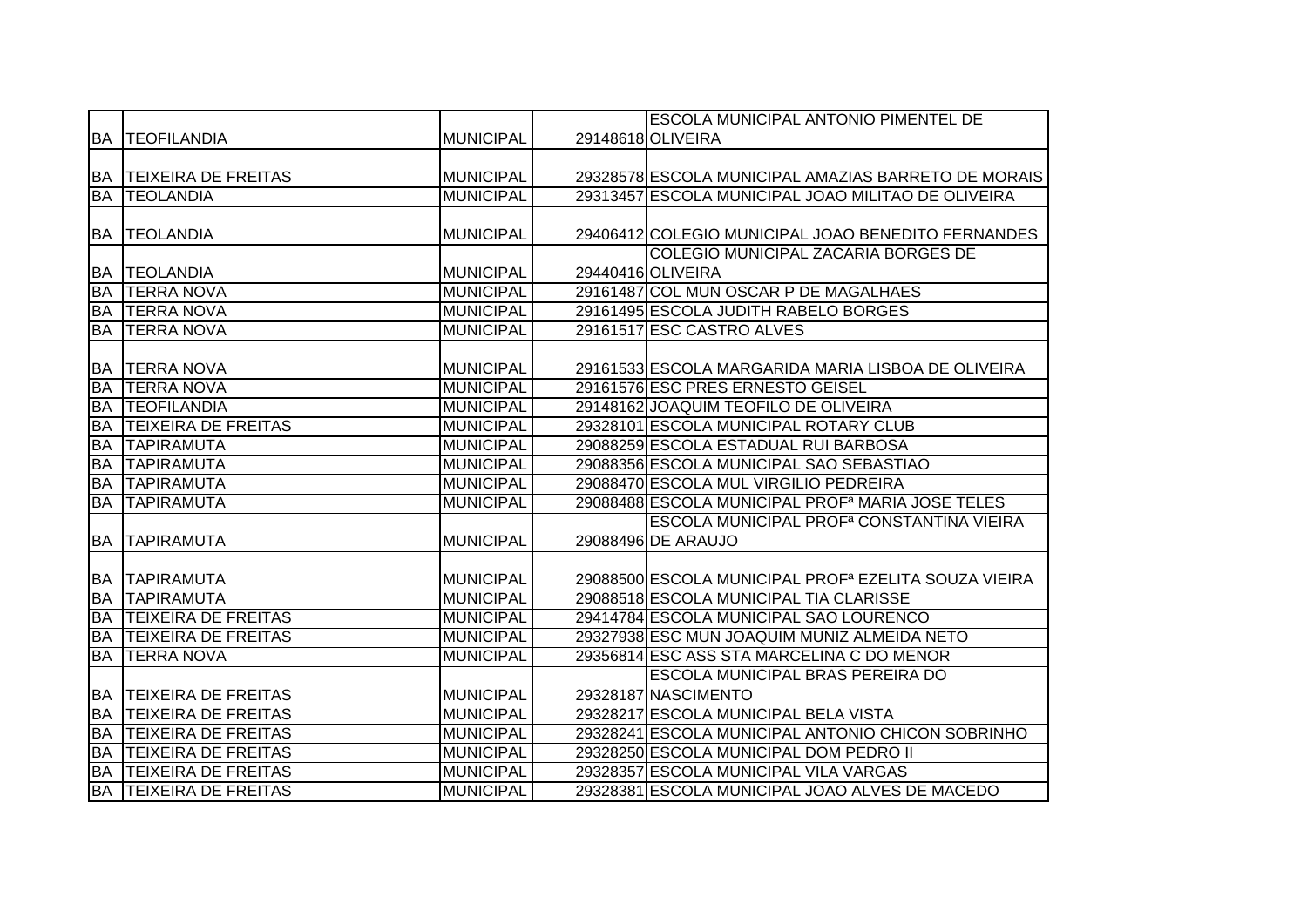|           |                            |                  | <b>ESCOLA MUNICIPAL ANTONIO PIMENTEL DE</b>                      |
|-----------|----------------------------|------------------|------------------------------------------------------------------|
|           | <b>BA TEOFILANDIA</b>      | <b>MUNICIPAL</b> | 29148618 OLIVEIRA                                                |
|           |                            |                  |                                                                  |
|           | BA TEIXEIRA DE FREITAS     | <b>MUNICIPAL</b> | 29328578 ESCOLA MUNICIPAL AMAZIAS BARRETO DE MORAIS              |
| <b>BA</b> | <b>TEOLANDIA</b>           | <b>MUNICIPAL</b> | 29313457 ESCOLA MUNICIPAL JOAO MILITAO DE OLIVEIRA               |
|           |                            |                  |                                                                  |
| <b>BA</b> | <b>TEOLANDIA</b>           | MUNICIPAL        | 29406412 COLEGIO MUNICIPAL JOAO BENEDITO FERNANDES               |
|           |                            |                  | COLEGIO MUNICIPAL ZACARIA BORGES DE                              |
| <b>BA</b> | <b>TEOLANDIA</b>           | <b>MUNICIPAL</b> | 29440416 OLIVEIRA                                                |
| <b>BA</b> | <b>TERRA NOVA</b>          | <b>MUNICIPAL</b> | 29161487 COL MUN OSCAR P DE MAGALHAES                            |
| <b>BA</b> | <b>TERRA NOVA</b>          | <b>MUNICIPAL</b> | 29161495 ESCOLA JUDITH RABELO BORGES                             |
| <b>BA</b> | <b>TERRA NOVA</b>          | <b>MUNICIPAL</b> | 29161517 ESC CASTRO ALVES                                        |
|           |                            |                  |                                                                  |
| <b>BA</b> | <b>TERRA NOVA</b>          | <b>MUNICIPAL</b> | 29161533 ESCOLA MARGARIDA MARIA LISBOA DE OLIVEIRA               |
| <b>BA</b> | <b>TERRA NOVA</b>          | <b>MUNICIPAL</b> | 29161576 ESC PRES ERNESTO GEISEL                                 |
| <b>BA</b> | <b>TEOFILANDIA</b>         | <b>MUNICIPAL</b> | 29148162 JOAQUIM TEOFILO DE OLIVEIRA                             |
| <b>BA</b> | <b>TEIXEIRA DE FREITAS</b> | <b>MUNICIPAL</b> | 29328101 ESCOLA MUNICIPAL ROTARY CLUB                            |
| <b>BA</b> | <b>TAPIRAMUTA</b>          | <b>MUNICIPAL</b> | 29088259 ESCOLA ESTADUAL RUI BARBOSA                             |
| <b>BA</b> | <b>TAPIRAMUTA</b>          | <b>MUNICIPAL</b> | 29088356 ESCOLA MUNICIPAL SAO SEBASTIAO                          |
| <b>BA</b> | <b>TAPIRAMUTA</b>          | <b>MUNICIPAL</b> | 29088470 ESCOLA MUL VIRGILIO PEDREIRA                            |
| <b>BA</b> | <b>TAPIRAMUTA</b>          | <b>MUNICIPAL</b> | 29088488 ESCOLA MUNICIPAL PROF <sup>a</sup> MARIA JOSE TELES     |
|           |                            |                  | ESCOLA MUNICIPAL PROF <sup>a</sup> CONSTANTINA VIEIRA            |
| <b>BA</b> | <b>TAPIRAMUTA</b>          | <b>MUNICIPAL</b> | 29088496 DE ARAUJO                                               |
|           |                            |                  |                                                                  |
| <b>BA</b> | <b>TAPIRAMUTA</b>          | <b>MUNICIPAL</b> | 29088500 ESCOLA MUNICIPAL PROF <sup>a</sup> EZELITA SOUZA VIEIRA |
| <b>BA</b> | <b>TAPIRAMUTA</b>          | <b>MUNICIPAL</b> | 29088518 ESCOLA MUNICIPAL TIA CLARISSE                           |
| <b>BA</b> | <b>TEIXEIRA DE FREITAS</b> | <b>MUNICIPAL</b> | 29414784 ESCOLA MUNICIPAL SAO LOURENCO                           |
| <b>BA</b> | <b>TEIXEIRA DE FREITAS</b> | <b>MUNICIPAL</b> | 29327938 ESC MUN JOAQUIM MUNIZ ALMEIDA NETO                      |
| <b>BA</b> | <b>TERRA NOVA</b>          | <b>MUNICIPAL</b> | 29356814 ESC ASS STA MARCELINA C DO MENOR                        |
|           |                            |                  | ESCOLA MUNICIPAL BRAS PEREIRA DO                                 |
| <b>BA</b> | <b>TEIXEIRA DE FREITAS</b> | <b>MUNICIPAL</b> | 29328187 NASCIMENTO                                              |
| <b>BA</b> | <b>TEIXEIRA DE FREITAS</b> | <b>MUNICIPAL</b> | 29328217 ESCOLA MUNICIPAL BELA VISTA                             |
| <b>BA</b> | <b>TEIXEIRA DE FREITAS</b> | <b>MUNICIPAL</b> | 29328241 ESCOLA MUNICIPAL ANTONIO CHICON SOBRINHO                |
| <b>BA</b> | <b>TEIXEIRA DE FREITAS</b> | <b>MUNICIPAL</b> | 29328250 ESCOLA MUNICIPAL DOM PEDRO II                           |
| <b>BA</b> | <b>TEIXEIRA DE FREITAS</b> | <b>MUNICIPAL</b> | 29328357 ESCOLA MUNICIPAL VILA VARGAS                            |
| BA        | <b>TEIXEIRA DE FREITAS</b> | <b>MUNICIPAL</b> | 29328381 ESCOLA MUNICIPAL JOAO ALVES DE MACEDO                   |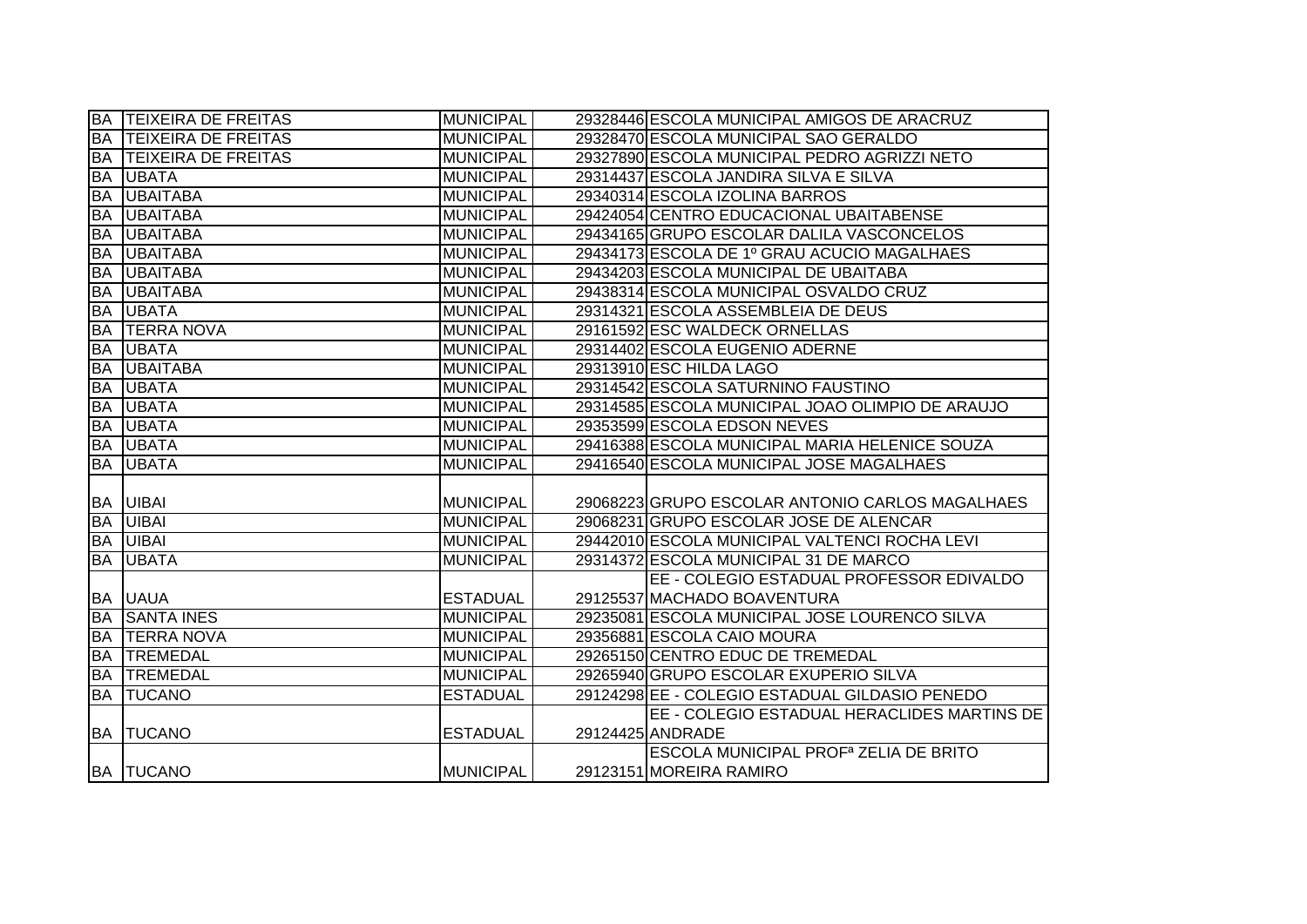|           | <b>BA TEIXEIRA DE FREITAS</b> | <b>MUNICIPAL</b> | 29328446 ESCOLA MUNICIPAL AMIGOS DE ARACRUZ             |
|-----------|-------------------------------|------------------|---------------------------------------------------------|
| BA        | <b>TEIXEIRA DE FREITAS</b>    | <b>MUNICIPAL</b> | 29328470 ESCOLA MUNICIPAL SAO GERALDO                   |
| BA        | <b>TEIXEIRA DE FREITAS</b>    | <b>MUNICIPAL</b> | 29327890 ESCOLA MUNICIPAL PEDRO AGRIZZI NETO            |
| <b>BA</b> | <b>IUBATA</b>                 | <b>MUNICIPAL</b> | 29314437 ESCOLA JANDIRA SILVA E SILVA                   |
| <b>BA</b> | <b>UBAITABA</b>               | <b>MUNICIPAL</b> | 29340314 ESCOLA IZOLINA BARROS                          |
| <b>BA</b> | <b>UBAITABA</b>               | <b>MUNICIPAL</b> | 29424054 CENTRO EDUCACIONAL UBAITABENSE                 |
| <b>BA</b> | <b>UBAITABA</b>               | <b>MUNICIPAL</b> | 29434165 GRUPO ESCOLAR DALILA VASCONCELOS               |
| <b>BA</b> | <b>UBAITABA</b>               | <b>MUNICIPAL</b> | 29434173 ESCOLA DE 1º GRAU ACUCIO MAGALHAES             |
| <b>BA</b> | <b>UBAITABA</b>               | <b>MUNICIPAL</b> | 29434203 ESCOLA MUNICIPAL DE UBAITABA                   |
| <b>BA</b> | <b>UBAITABA</b>               | <b>MUNICIPAL</b> | 29438314 ESCOLA MUNICIPAL OSVALDO CRUZ                  |
| BA        | <b>UBATA</b>                  | <b>MUNICIPAL</b> | 29314321 ESCOLA ASSEMBLEIA DE DEUS                      |
| <b>BA</b> | <b>TERRA NOVA</b>             | <b>MUNICIPAL</b> | 29161592 ESC WALDECK ORNELLAS                           |
| <b>BA</b> | <b>UBATA</b>                  | MUNICIPAL        | 29314402 ESCOLA EUGENIO ADERNE                          |
| <b>BA</b> | <b>UBAITABA</b>               | <b>MUNICIPAL</b> | 29313910 ESC HILDA LAGO                                 |
| BA        | <b>UBATA</b>                  | <b>MUNICIPAL</b> | 29314542 ESCOLA SATURNINO FAUSTINO                      |
| <b>BA</b> | <b>UBATA</b>                  | <b>MUNICIPAL</b> | 29314585 ESCOLA MUNICIPAL JOAO OLIMPIO DE ARAUJO        |
| <b>BA</b> | <b>UBATA</b>                  | <b>MUNICIPAL</b> | 29353599 ESCOLA EDSON NEVES                             |
|           | <b>BA UBATA</b>               | <b>MUNICIPAL</b> | 29416388 ESCOLA MUNICIPAL MARIA HELENICE SOUZA          |
| <b>BA</b> | <b>UBATA</b>                  | <b>MUNICIPAL</b> | 29416540 ESCOLA MUNICIPAL JOSE MAGALHAES                |
|           |                               |                  |                                                         |
| BA        | <b>UIBAI</b>                  | <b>MUNICIPAL</b> | 29068223 GRUPO ESCOLAR ANTONIO CARLOS MAGALHAES         |
| <b>BA</b> | <b>UIBAI</b>                  | <b>MUNICIPAL</b> | 29068231 GRUPO ESCOLAR JOSE DE ALENCAR                  |
| <b>BA</b> | <b>UIBAI</b>                  | <b>MUNICIPAL</b> | 29442010 ESCOLA MUNICIPAL VALTENCI ROCHA LEVI           |
| <b>BA</b> | <b>UBATA</b>                  | <b>MUNICIPAL</b> | 29314372 ESCOLA MUNICIPAL 31 DE MARCO                   |
|           |                               |                  | EE - COLEGIO ESTADUAL PROFESSOR EDIVALDO                |
|           | <b>BA UAUA</b>                | <b>ESTADUAL</b>  | 29125537 MACHADO BOAVENTURA                             |
| <b>BA</b> | <b>SANTA INES</b>             | <b>MUNICIPAL</b> | 29235081 ESCOLA MUNICIPAL JOSE LOURENCO SILVA           |
| <b>BA</b> | <b>ITERRA NOVA</b>            | <b>MUNICIPAL</b> | 29356881 ESCOLA CAIO MOURA                              |
| <b>BA</b> | <b>TREMEDAL</b>               | <b>MUNICIPAL</b> | 29265150 CENTRO EDUC DE TREMEDAL                        |
| <b>BA</b> | <b>TREMEDAL</b>               | <b>MUNICIPAL</b> | 29265940 GRUPO ESCOLAR EXUPERIO SILVA                   |
| <b>BA</b> | <b>TUCANO</b>                 | <b>ESTADUAL</b>  | 29124298 EE - COLEGIO ESTADUAL GILDASIO PENEDO          |
|           |                               |                  | EE - COLEGIO ESTADUAL HERACLIDES MARTINS DE             |
|           | <b>BA TUCANO</b>              | <b>ESTADUAL</b>  | 29124425 ANDRADE                                        |
|           |                               |                  | <b>ESCOLA MUNICIPAL PROF<sup>a</sup> ZELIA DE BRITO</b> |
|           | <b>BA TUCANO</b>              | <b>MUNICIPAL</b> | 29123151 MOREIRA RAMIRO                                 |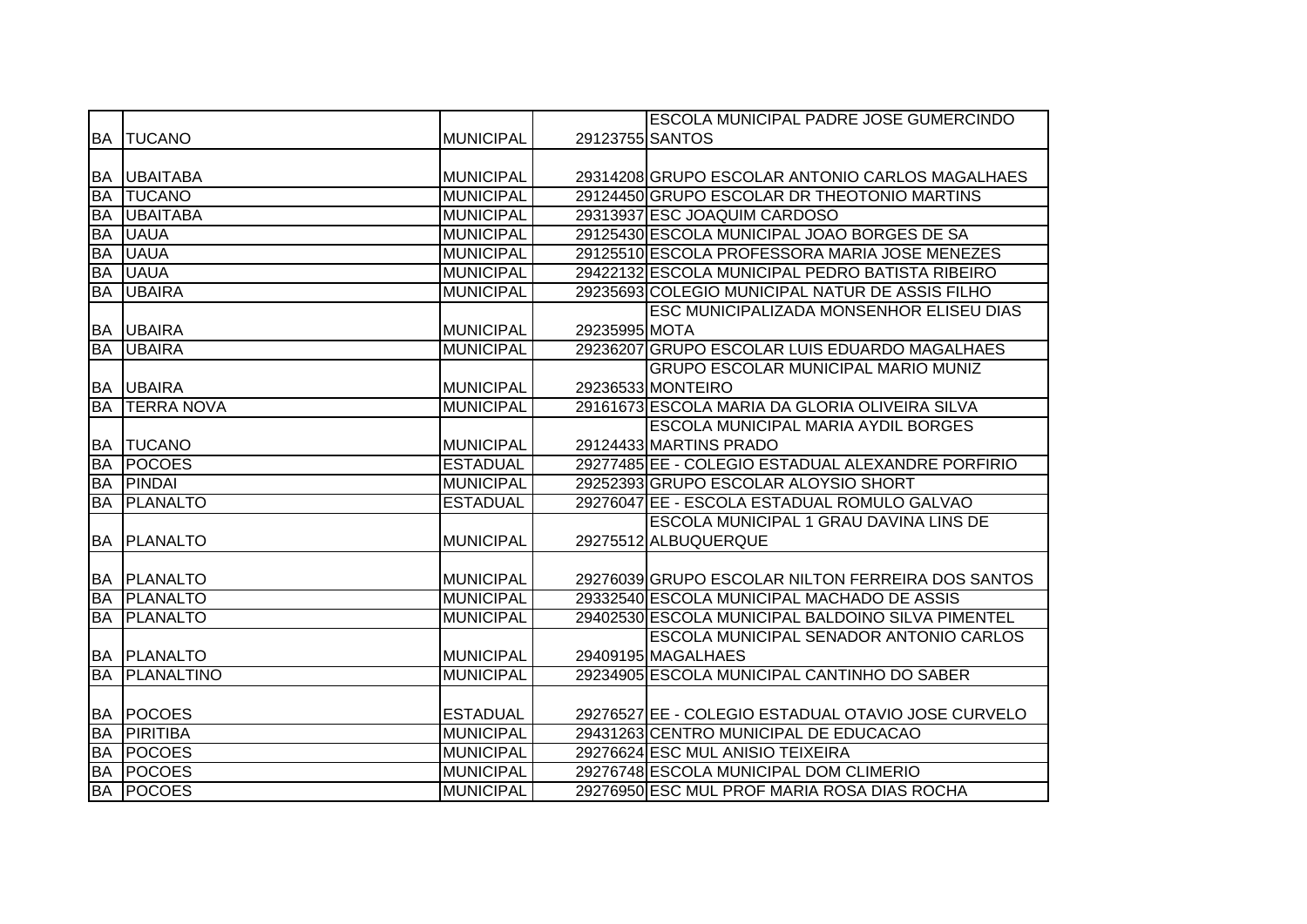|           |                      |                  |                 | <b>ESCOLA MUNICIPAL PADRE JOSE GUMERCINDO</b>      |
|-----------|----------------------|------------------|-----------------|----------------------------------------------------|
|           | <b>BA TUCANO</b>     | <b>MUNICIPAL</b> | 29123755 SANTOS |                                                    |
|           |                      |                  |                 |                                                    |
|           | <b>BA UBAITABA</b>   | <b>MUNICIPAL</b> |                 | 29314208 GRUPO ESCOLAR ANTONIO CARLOS MAGALHAES    |
| <b>BA</b> | <b>ITUCANO</b>       | <b>MUNICIPAL</b> |                 | 29124450 GRUPO ESCOLAR DR THEOTONIO MARTINS        |
| <b>BA</b> | <b>UBAITABA</b>      | <b>MUNICIPAL</b> |                 | 29313937 ESC JOAQUIM CARDOSO                       |
| <b>BA</b> | <b>UAUA</b>          | <b>MUNICIPAL</b> |                 | 29125430 ESCOLA MUNICIPAL JOAO BORGES DE SA        |
| <b>BA</b> | <b>UAUA</b>          | <b>MUNICIPAL</b> |                 | 29125510 ESCOLA PROFESSORA MARIA JOSE MENEZES      |
| <b>BA</b> | <b>UAUA</b>          | <b>MUNICIPAL</b> |                 | 29422132 ESCOLA MUNICIPAL PEDRO BATISTA RIBEIRO    |
| <b>BA</b> | <b>UBAIRA</b>        | <b>MUNICIPAL</b> |                 | 29235693 COLEGIO MUNICIPAL NATUR DE ASSIS FILHO    |
|           |                      |                  |                 | <b>ESC MUNICIPALIZADA MONSENHOR ELISEU DIAS</b>    |
|           | <b>BA UBAIRA</b>     | <b>MUNICIPAL</b> | 29235995 MOTA   |                                                    |
| <b>BA</b> | <b>UBAIRA</b>        | <b>MUNICIPAL</b> |                 | 29236207 GRUPO ESCOLAR LUIS EDUARDO MAGALHAES      |
|           |                      |                  |                 | GRUPO ESCOLAR MUNICIPAL MARIO MUNIZ                |
|           | <b>BA UBAIRA</b>     | <b>MUNICIPAL</b> |                 | 29236533 MONTEIRO                                  |
|           | <b>BA TERRA NOVA</b> | <b>MUNICIPAL</b> |                 | 29161673 ESCOLA MARIA DA GLORIA OLIVEIRA SILVA     |
|           |                      |                  |                 | <b>ESCOLA MUNICIPAL MARIA AYDIL BORGES</b>         |
| <b>BA</b> | <b>TUCANO</b>        | <b>MUNICIPAL</b> |                 | 29124433 MARTINS PRADO                             |
| <b>BA</b> | <b>POCOES</b>        | <b>ESTADUAL</b>  |                 | 29277485 EE - COLEGIO ESTADUAL ALEXANDRE PORFIRIO  |
| <b>BA</b> | <b>PINDAI</b>        | <b>MUNICIPAL</b> |                 | 29252393 GRUPO ESCOLAR ALOYSIO SHORT               |
| <b>BA</b> | <b>PLANALTO</b>      | <b>ESTADUAL</b>  |                 | 29276047 EE - ESCOLA ESTADUAL ROMULO GALVAO        |
|           |                      |                  |                 | ESCOLA MUNICIPAL 1 GRAU DAVINA LINS DE             |
|           | <b>BA PLANALTO</b>   | <b>MUNICIPAL</b> |                 | 29275512 ALBUQUERQUE                               |
|           |                      |                  |                 |                                                    |
|           | <b>BA PLANALTO</b>   | <b>MUNICIPAL</b> |                 | 29276039 GRUPO ESCOLAR NILTON FERREIRA DOS SANTOS  |
| <b>BA</b> | <b>PLANALTO</b>      | <b>MUNICIPAL</b> |                 | 29332540 ESCOLA MUNICIPAL MACHADO DE ASSIS         |
| <b>BA</b> | <b>PLANALTO</b>      | <b>MUNICIPAL</b> |                 | 29402530 ESCOLA MUNICIPAL BALDOINO SILVA PIMENTEL  |
|           |                      |                  |                 | ESCOLA MUNICIPAL SENADOR ANTONIO CARLOS            |
|           | <b>BA PLANALTO</b>   | <b>MUNICIPAL</b> |                 | 29409195 MAGALHAES                                 |
| BA        | <b>PLANALTINO</b>    | <b>MUNICIPAL</b> |                 | 29234905 ESCOLA MUNICIPAL CANTINHO DO SABER        |
|           |                      |                  |                 |                                                    |
|           | <b>BA POCOES</b>     | <b>ESTADUAL</b>  |                 | 29276527 EE - COLEGIO ESTADUAL OTAVIO JOSE CURVELO |
| <b>BA</b> | <b>PIRITIBA</b>      | <b>MUNICIPAL</b> |                 | 29431263 CENTRO MUNICIPAL DE EDUCACAO              |
| <b>BA</b> | <b>POCOES</b>        | <b>MUNICIPAL</b> |                 | 29276624 ESC MUL ANISIO TEIXEIRA                   |
| BA        | <b>POCOES</b>        | <b>MUNICIPAL</b> |                 | 29276748 ESCOLA MUNICIPAL DOM CLIMERIO             |
|           | <b>BA POCOES</b>     | <b>MUNICIPAL</b> |                 | 29276950 ESC MUL PROF MARIA ROSA DIAS ROCHA        |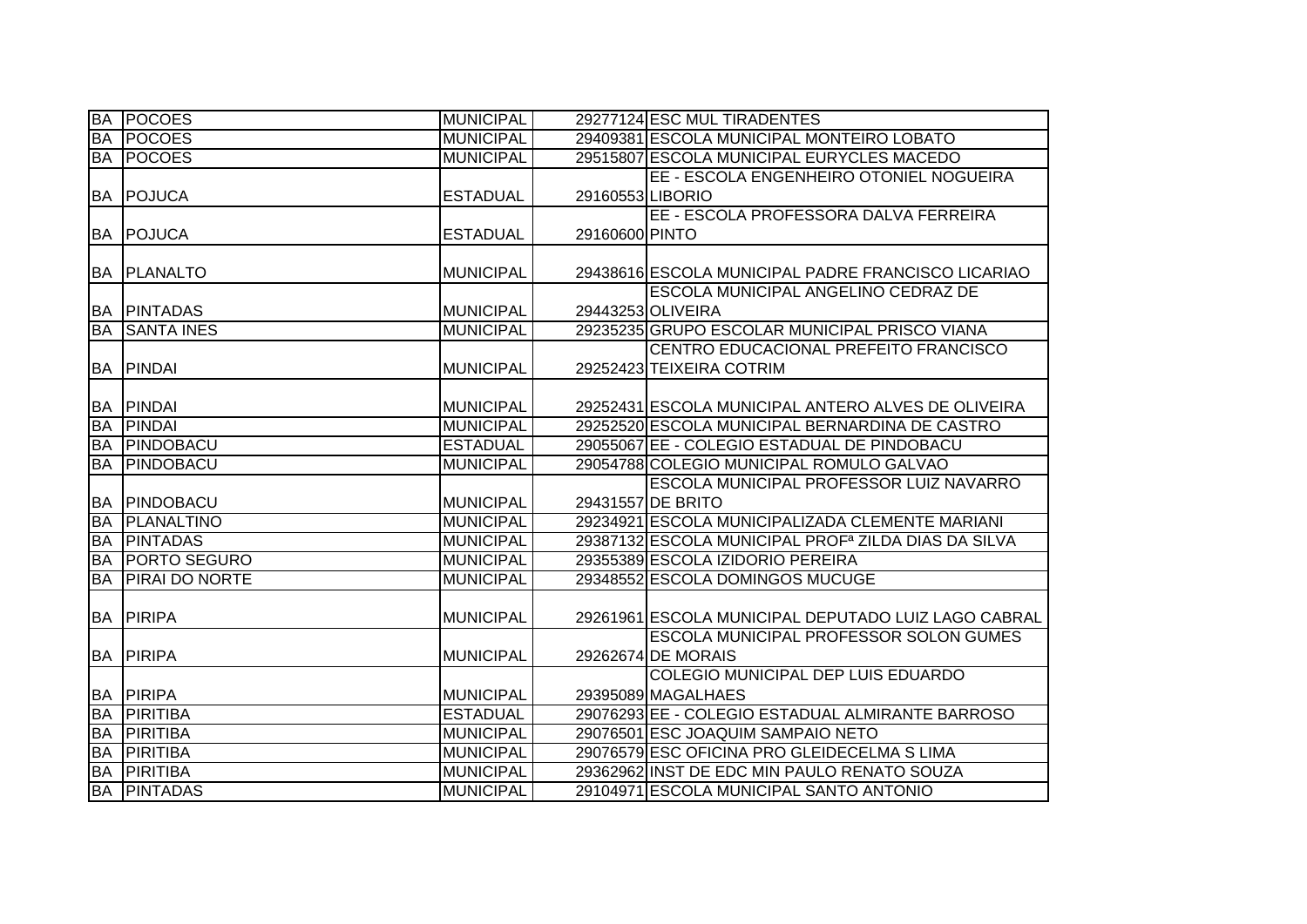| <b>BA</b> | <b>POCOES</b>        | <b>MUNICIPAL</b> |                 | 29277124 ESC MUL TIRADENTES                                     |
|-----------|----------------------|------------------|-----------------|-----------------------------------------------------------------|
| <b>BA</b> | <b>POCOES</b>        | <b>MUNICIPAL</b> |                 | 29409381 ESCOLA MUNICIPAL MONTEIRO LOBATO                       |
| <b>BA</b> | <b>POCOES</b>        | <b>MUNICIPAL</b> |                 | 29515807 ESCOLA MUNICIPAL EURYCLES MACEDO                       |
|           |                      |                  |                 | EE - ESCOLA ENGENHEIRO OTONIEL NOGUEIRA                         |
| <b>BA</b> | POJUCA               | <b>ESTADUAL</b>  | 29160553LIBORIO |                                                                 |
|           |                      |                  |                 | EE - ESCOLA PROFESSORA DALVA FERREIRA                           |
| BA        | <b>POJUCA</b>        | <b>ESTADUAL</b>  | 29160600 PINTO  |                                                                 |
|           |                      |                  |                 |                                                                 |
| <b>BA</b> | <b>PLANALTO</b>      | <b>MUNICIPAL</b> |                 | 29438616 ESCOLA MUNICIPAL PADRE FRANCISCO LICARIAO              |
|           |                      |                  |                 | <b>ESCOLA MUNICIPAL ANGELINO CEDRAZ DE</b>                      |
| BA        | <b>PINTADAS</b>      | <b>MUNICIPAL</b> |                 | 29443253 OLIVEIRA                                               |
| <b>BA</b> | <b>SANTA INES</b>    | <b>MUNICIPAL</b> |                 | 29235235 GRUPO ESCOLAR MUNICIPAL PRISCO VIANA                   |
|           |                      |                  |                 | CENTRO EDUCACIONAL PREFEITO FRANCISCO                           |
| <b>BA</b> | PINDAI               | <b>MUNICIPAL</b> |                 | 29252423 TEIXEIRA COTRIM                                        |
|           |                      |                  |                 |                                                                 |
| BA        | <b>PINDAI</b>        | <b>MUNICIPAL</b> |                 | 29252431 ESCOLA MUNICIPAL ANTERO ALVES DE OLIVEIRA              |
| <b>BA</b> | <b>PINDAI</b>        | <b>MUNICIPAL</b> |                 | 29252520 ESCOLA MUNICIPAL BERNARDINA DE CASTRO                  |
| <b>BA</b> | PINDOBACU            | <b>ESTADUAL</b>  |                 | 29055067 EE - COLEGIO ESTADUAL DE PINDOBACU                     |
| <b>BA</b> | PINDOBACU            | <b>MUNICIPAL</b> |                 | 29054788 COLEGIO MUNICIPAL ROMULO GALVAO                        |
|           |                      |                  |                 | ESCOLA MUNICIPAL PROFESSOR LUIZ NAVARRO                         |
| <b>BA</b> | PINDOBACU            | <b>MUNICIPAL</b> |                 | 29431557 DE BRITO                                               |
| <b>BA</b> | <b>PLANALTINO</b>    | <b>MUNICIPAL</b> |                 | 29234921 ESCOLA MUNICIPALIZADA CLEMENTE MARIANI                 |
| <b>BA</b> | <b>PINTADAS</b>      | <b>MUNICIPAL</b> |                 | 29387132 ESCOLA MUNICIPAL PROF <sup>a</sup> ZILDA DIAS DA SILVA |
| <b>BA</b> | <b>PORTO SEGURO</b>  | <b>MUNICIPAL</b> |                 | 29355389 ESCOLA IZIDORIO PEREIRA                                |
| <b>BA</b> | <b>PIRALDO NORTE</b> | <b>MUNICIPAL</b> |                 | 29348552 ESCOLA DOMINGOS MUCUGE                                 |
|           |                      |                  |                 |                                                                 |
| <b>BA</b> | PIRIPA               | <b>MUNICIPAL</b> |                 | 29261961 ESCOLA MUNICIPAL DEPUTADO LUIZ LAGO CABRAL             |
|           |                      |                  |                 | <b>ESCOLA MUNICIPAL PROFESSOR SOLON GUMES</b>                   |
|           | <b>BA PIRIPA</b>     | <b>MUNICIPAL</b> |                 | 29262674 DE MORAIS                                              |
|           |                      |                  |                 | COLEGIO MUNICIPAL DEP LUIS EDUARDO                              |
|           | <b>BA PIRIPA</b>     | <b>MUNICIPAL</b> |                 | 29395089 MAGALHAES                                              |
| <b>BA</b> | <b>PIRITIBA</b>      | <b>ESTADUAL</b>  |                 | 29076293 EE - COLEGIO ESTADUAL ALMIRANTE BARROSO                |
| <b>BA</b> | <b>PIRITIBA</b>      | <b>MUNICIPAL</b> |                 | 29076501 ESC JOAQUIM SAMPAIO NETO                               |
| <b>BA</b> | <b>PIRITIBA</b>      | <b>MUNICIPAL</b> |                 | 29076579 ESC OFICINA PRO GLEIDECELMA S LIMA                     |
| <b>BA</b> | <b>PIRITIBA</b>      | <b>MUNICIPAL</b> |                 | 29362962 INST DE EDC MIN PAULO RENATO SOUZA                     |
| <b>BA</b> | <b>PINTADAS</b>      | <b>MUNICIPAL</b> |                 | 29104971 ESCOLA MUNICIPAL SANTO ANTONIO                         |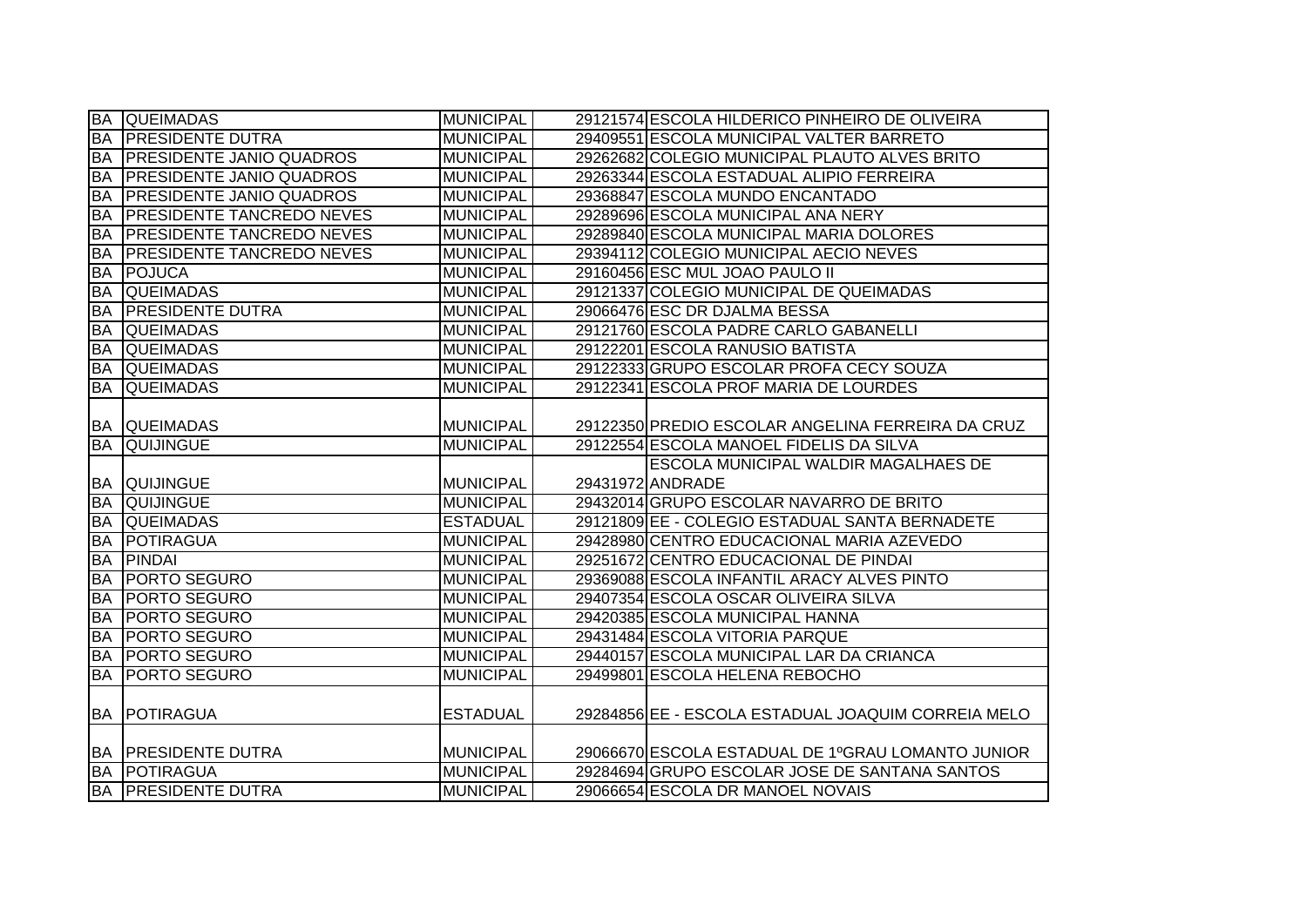|                        | <b>BA QUEIMADAS</b>                               | <b>MUNICIPAL</b>                    | 29121574 ESCOLA HILDERICO PINHEIRO DE OLIVEIRA                                               |
|------------------------|---------------------------------------------------|-------------------------------------|----------------------------------------------------------------------------------------------|
|                        | <b>BA PRESIDENTE DUTRA</b>                        | <b>MUNICIPAL</b>                    | 29409551 ESCOLA MUNICIPAL VALTER BARRETO                                                     |
| <b>BA</b>              | <b>PRESIDENTE JANIO QUADROS</b>                   | <b>MUNICIPAL</b>                    | 29262682 COLEGIO MUNICIPAL PLAUTO ALVES BRITO                                                |
| <b>BA</b>              | <b>PRESIDENTE JANIO QUADROS</b>                   | <b>MUNICIPAL</b>                    | 29263344 ESCOLA ESTADUAL ALIPIO FERREIRA                                                     |
| <b>BA</b>              | <b>PRESIDENTE JANIO QUADROS</b>                   | <b>MUNICIPAL</b>                    | 29368847 ESCOLA MUNDO ENCANTADO                                                              |
| BA                     | <b>PRESIDENTE TANCREDO NEVES</b>                  | <b>MUNICIPAL</b>                    | 29289696 ESCOLA MUNICIPAL ANA NERY                                                           |
| <b>BA</b>              | <b>PRESIDENTE TANCREDO NEVES</b>                  | <b>MUNICIPAL</b>                    | 29289840 ESCOLA MUNICIPAL MARIA DOLORES                                                      |
| <b>BA</b>              | <b>PRESIDENTE TANCREDO NEVES</b>                  | MUNICIPAL                           | 29394112 COLEGIO MUNICIPAL AECIO NEVES                                                       |
| <b>BA</b>              | <b>POJUCA</b>                                     | <b>MUNICIPAL</b>                    | 29160456 ESC MUL JOAO PAULO II                                                               |
| <b>BA</b>              | <b>QUEIMADAS</b>                                  | <b>MUNICIPAL</b>                    | 29121337 COLEGIO MUNICIPAL DE QUEIMADAS                                                      |
| <b>BA</b>              | <b>PRESIDENTE DUTRA</b>                           | <b>MUNICIPAL</b>                    | 29066476 ESC DR DJALMA BESSA                                                                 |
| <b>BA</b>              | <b>QUEIMADAS</b>                                  | <b>MUNICIPAL</b>                    | 29121760 ESCOLA PADRE CARLO GABANELLI                                                        |
| <b>BA</b>              | <b>QUEIMADAS</b>                                  | <b>MUNICIPAL</b>                    | 29122201 ESCOLA RANUSIO BATISTA                                                              |
| BA                     | <b>QUEIMADAS</b>                                  | <b>MUNICIPAL</b>                    | 29122333 GRUPO ESCOLAR PROFA CECY SOUZA                                                      |
| <b>BA</b>              | <b>QUEIMADAS</b>                                  | <b>MUNICIPAL</b>                    | 29122341 ESCOLA PROF MARIA DE LOURDES                                                        |
| <b>BA</b>              | <b>BA QUEIMADAS</b><br><b>QUIJINGUE</b>           | MUNICIPAL<br><b>MUNICIPAL</b>       | 29122350 PREDIO ESCOLAR ANGELINA FERREIRA DA CRUZ<br>29122554 ESCOLA MANOEL FIDELIS DA SILVA |
|                        |                                                   |                                     |                                                                                              |
|                        |                                                   |                                     |                                                                                              |
|                        |                                                   |                                     | <b>ESCOLA MUNICIPAL WALDIR MAGALHAES DE</b>                                                  |
|                        | <b>BA QUIJINGUE</b>                               | <b>MUNICIPAL</b>                    | 29431972 ANDRADE                                                                             |
| <b>BA</b>              | <b>QUIJINGUE</b><br><b>QUEIMADAS</b>              | <b>MUNICIPAL</b>                    | 29432014 GRUPO ESCOLAR NAVARRO DE BRITO                                                      |
| <b>BA</b><br><b>BA</b> | POTIRAGUA                                         | <b>ESTADUAL</b><br><b>MUNICIPAL</b> | 29121809 EE - COLEGIO ESTADUAL SANTA BERNADETE<br>29428980 CENTRO EDUCACIONAL MARIA AZEVEDO  |
| <b>BA</b>              | <b>PINDAI</b>                                     | <b>MUNICIPAL</b>                    |                                                                                              |
| <b>BA</b>              | <b>PORTO SEGURO</b>                               | <b>MUNICIPAL</b>                    | 29251672 CENTRO EDUCACIONAL DE PINDAI<br>29369088 ESCOLA INFANTIL ARACY ALVES PINTO          |
| <b>BA</b>              | <b>PORTO SEGURO</b>                               | <b>MUNICIPAL</b>                    | 29407354 ESCOLA OSCAR OLIVEIRA SILVA                                                         |
|                        | <b>PORTO SEGURO</b>                               | <b>MUNICIPAL</b>                    | 29420385 ESCOLA MUNICIPAL HANNA                                                              |
| <b>БА</b><br><b>BA</b> | <b>PORTO SEGURO</b>                               | <b>MUNICIPAL</b>                    | 29431484 ESCOLA VITORIA PARQUE                                                               |
| <b>BA</b>              | <b>PORTO SEGURO</b>                               | <b>MUNICIPAL</b>                    | 29440157 ESCOLA MUNICIPAL LAR DA CRIANCA                                                     |
| ĪВA                    | <b>PORTO SEGURO</b>                               | <b>MUNICIPAL</b>                    | 29499801 ESCOLA HELENA REBOCHO                                                               |
|                        | <b>BA IPOTIRAGUA</b>                              | <b>ESTADUAL</b>                     | 29284856 EE - ESCOLA ESTADUAL JOAQUIM CORREIA MELO                                           |
|                        | <b>BA PRESIDENTE DUTRA</b>                        | <b>MUNICIPAL</b>                    | 29066670 ESCOLA ESTADUAL DE 1ºGRAU LOMANTO JUNIOR                                            |
|                        | <b>BA POTIRAGUA</b><br><b>BA PRESIDENTE DUTRA</b> | <b>MUNICIPAL</b><br>MUNICIPAL       | 29284694 GRUPO ESCOLAR JOSE DE SANTANA SANTOS<br>29066654 ESCOLA DR MANOEL NOVAIS            |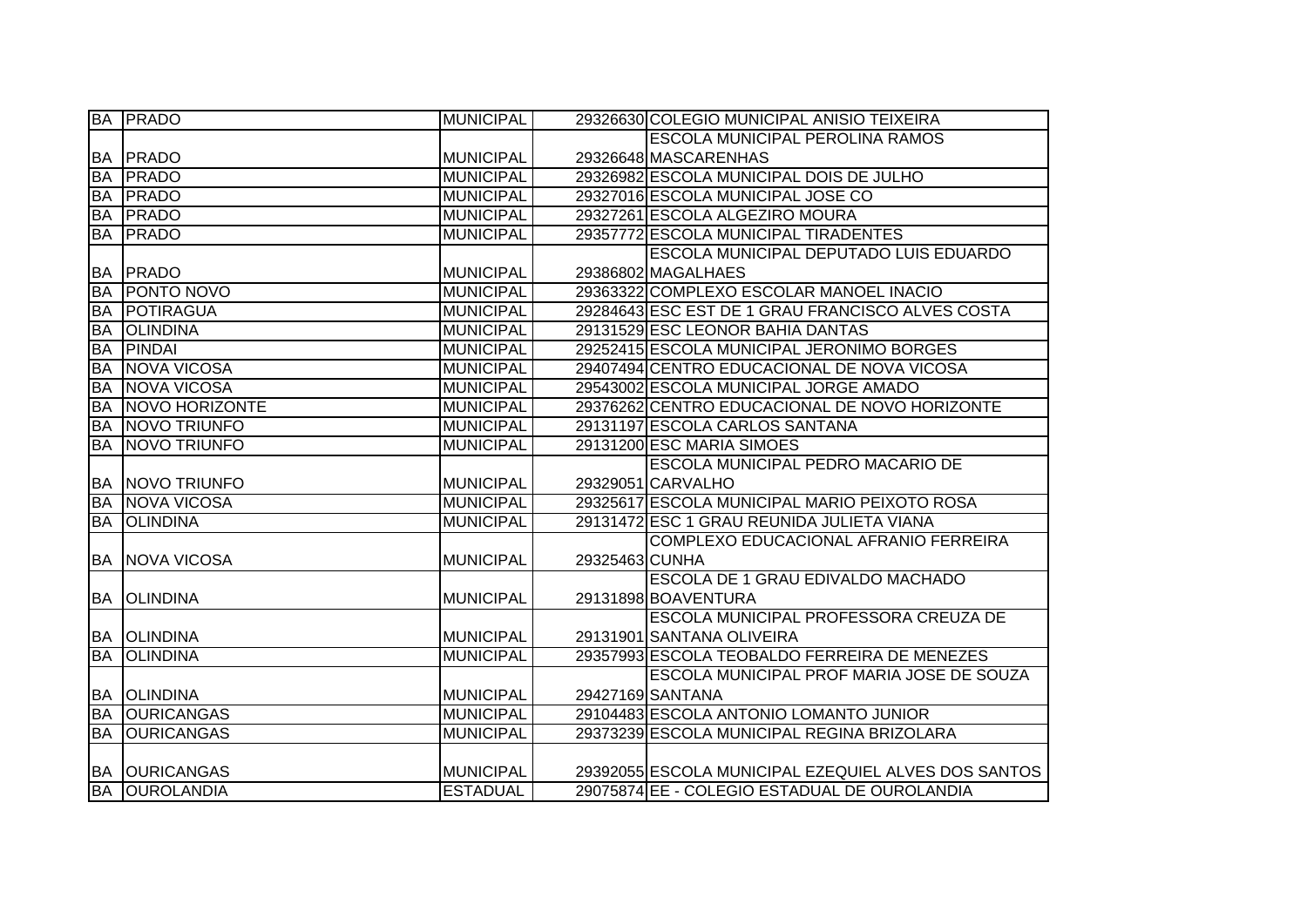| <b>BA</b> | <b>PRADO</b>                              | <b>MUNICIPAL</b> |                | 29326630 COLEGIO MUNICIPAL ANISIO TEIXEIRA          |
|-----------|-------------------------------------------|------------------|----------------|-----------------------------------------------------|
|           |                                           |                  |                | <b>ESCOLA MUNICIPAL PEROLINA RAMOS</b>              |
|           | <b>BA PRADO</b>                           | <b>MUNICIPAL</b> |                | 29326648 MASCARENHAS                                |
| <b>BA</b> | <b>PRADO</b>                              | <b>MUNICIPAL</b> |                | 29326982 ESCOLA MUNICIPAL DOIS DE JULHO             |
| <b>BA</b> | <b>PRADO</b>                              | <b>MUNICIPAL</b> |                | 29327016 ESCOLA MUNICIPAL JOSE CO                   |
| <b>BA</b> | <b>PRADO</b>                              | <b>MUNICIPAL</b> |                | 29327261 ESCOLA ALGEZIRO MOURA                      |
| <b>BA</b> | <b>PRADO</b>                              | <b>MUNICIPAL</b> |                | 29357772 ESCOLA MUNICIPAL TIRADENTES                |
|           |                                           |                  |                | <b>ESCOLA MUNICIPAL DEPUTADO LUIS EDUARDO</b>       |
| <b>BA</b> | PRADO                                     | <b>MUNICIPAL</b> |                | 29386802 MAGALHAES                                  |
| <b>BA</b> | <b>PONTO NOVO</b>                         | <b>MUNICIPAL</b> |                | 29363322 COMPLEXO ESCOLAR MANOEL INACIO             |
| <b>BA</b> | POTIRAGUA                                 | <b>MUNICIPAL</b> |                | 29284643 ESC EST DE 1 GRAU FRANCISCO ALVES COSTA    |
| <b>BA</b> | <b>OLINDINA</b>                           | <b>MUNICIPAL</b> |                | 29131529 ESC LEONOR BAHIA DANTAS                    |
| <b>BA</b> | PINDAI                                    | <b>MUNICIPAL</b> |                | 29252415 ESCOLA MUNICIPAL JERONIMO BORGES           |
| <b>BA</b> | <b>NOVA VICOSA</b>                        | <b>MUNICIPAL</b> |                | 29407494 CENTRO EDUCACIONAL DE NOVA VICOSA          |
| <b>BA</b> | <b>NOVA VICOSA</b>                        | <b>MUNICIPAL</b> |                | 29543002 ESCOLA MUNICIPAL JORGE AMADO               |
| <b>BA</b> | NOVO HORIZONTE                            | <b>MUNICIPAL</b> |                | 29376262 CENTRO EDUCACIONAL DE NOVO HORIZONTE       |
| <b>BA</b> | <b>NOVO TRIUNFO</b>                       | <b>MUNICIPAL</b> |                | 29131197 ESCOLA CARLOS SANTANA                      |
| <b>BA</b> | <b>NOVO TRIUNFO</b>                       | <b>MUNICIPAL</b> |                | 29131200 ESC MARIA SIMOES                           |
|           |                                           |                  |                | ESCOLA MUNICIPAL PEDRO MACARIO DE                   |
|           | <b>BA NOVO TRIUNFO</b>                    | <b>MUNICIPAL</b> |                | 29329051 CARVALHO                                   |
| <b>BA</b> | NOVA VICOSA                               | <b>MUNICIPAL</b> |                | 29325617 ESCOLA MUNICIPAL MARIO PEIXOTO ROSA        |
| <b>BA</b> | <b>OLINDINA</b>                           | <b>MUNICIPAL</b> |                | 29131472 ESC 1 GRAU REUNIDA JULIETA VIANA           |
|           |                                           |                  |                | COMPLEXO EDUCACIONAL AFRANIO FERREIRA               |
|           | <b>BA NOVA VICOSA</b>                     | <b>MUNICIPAL</b> | 29325463 CUNHA |                                                     |
|           |                                           |                  |                | ESCOLA DE 1 GRAU EDIVALDO MACHADO                   |
| BA        | <b>OLINDINA</b>                           | <b>MUNICIPAL</b> |                | 29131898 BOAVENTURA                                 |
|           |                                           |                  |                | ESCOLA MUNICIPAL PROFESSORA CREUZA DE               |
| BA        | <b>OLINDINA</b>                           | <b>MUNICIPAL</b> |                | 29131901 SANTANA OLIVEIRA                           |
| <b>BA</b> |                                           |                  |                |                                                     |
|           | <b>OLINDINA</b>                           | <b>MUNICIPAL</b> |                | 29357993 ESCOLA TEOBALDO FERREIRA DE MENEZES        |
|           |                                           |                  |                | ESCOLA MUNICIPAL PROF MARIA JOSE DE SOUZA           |
| BA        | <b>OLINDINA</b>                           | <b>MUNICIPAL</b> |                | 29427169 SANTANA                                    |
| <b>BA</b> | <b>OURICANGAS</b>                         | <b>MUNICIPAL</b> |                | 29104483 ESCOLA ANTONIO LOMANTO JUNIOR              |
| <b>BA</b> | <b>OURICANGAS</b>                         | <b>MUNICIPAL</b> |                | 29373239 ESCOLA MUNICIPAL REGINA BRIZOLARA          |
|           |                                           |                  |                |                                                     |
| <b>BA</b> | <b>OURICANGAS</b><br><b>BA OUROLANDIA</b> | <b>MUNICIPAL</b> |                | 29392055 ESCOLA MUNICIPAL EZEQUIEL ALVES DOS SANTOS |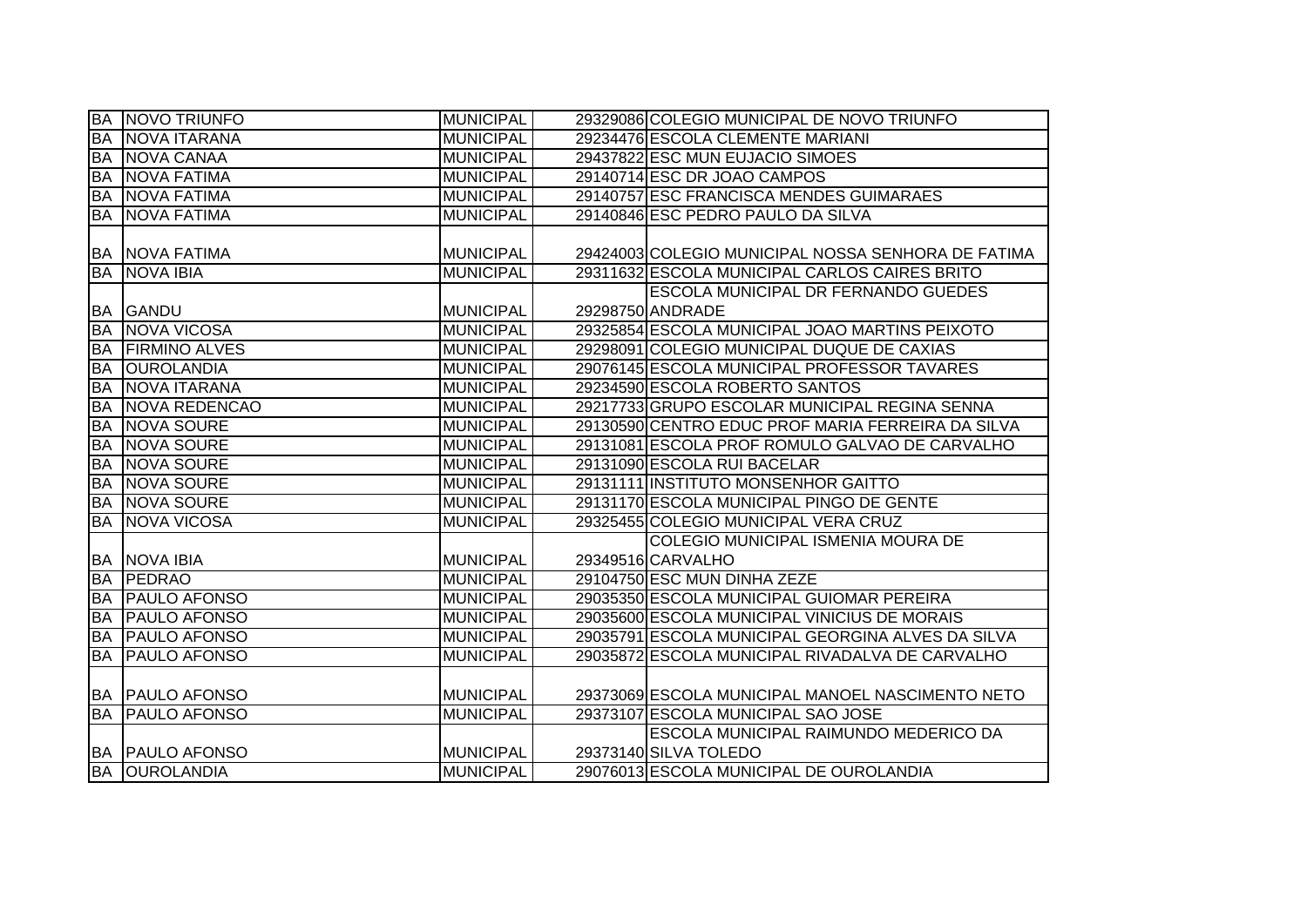|           | <b>BA NOVO TRIUNFO</b> | <b>MUNICIPAL</b> | 29329086 COLEGIO MUNICIPAL DE NOVO TRIUNFO         |
|-----------|------------------------|------------------|----------------------------------------------------|
| <b>BA</b> | NOVA ITARANA           | <b>MUNICIPAL</b> | 29234476 ESCOLA CLEMENTE MARIANI                   |
| <b>BA</b> | NOVA CANAA             | <b>MUNICIPAL</b> | 29437822 ESC MUN EUJACIO SIMOES                    |
| <b>BA</b> | <b>NOVA FATIMA</b>     | <b>MUNICIPAL</b> | 29140714 ESC DR JOAO CAMPOS                        |
| <b>BA</b> | <b>NOVA FATIMA</b>     | <b>MUNICIPAL</b> | 29140757 ESC FRANCISCA MENDES GUIMARAES            |
| BA        | <b>NOVA FATIMA</b>     | <b>MUNICIPAL</b> | 29140846 ESC PEDRO PAULO DA SILVA                  |
|           |                        |                  |                                                    |
|           | <b>BA NOVA FATIMA</b>  | <b>MUNICIPAL</b> | 29424003 COLEGIO MUNICIPAL NOSSA SENHORA DE FATIMA |
|           | <b>BA NOVA IBIA</b>    | <b>MUNICIPAL</b> | 29311632 ESCOLA MUNICIPAL CARLOS CAIRES BRITO      |
|           |                        |                  | ESCOLA MUNICIPAL DR FERNANDO GUEDES                |
|           | <b>BA GANDU</b>        | <b>MUNICIPAL</b> | 29298750 ANDRADE                                   |
| <b>BA</b> | NOVA VICOSA            | <b>MUNICIPAL</b> | 29325854 ESCOLA MUNICIPAL JOAO MARTINS PEIXOTO     |
| BA        | <b>FIRMINO ALVES</b>   | <b>MUNICIPAL</b> | 29298091 COLEGIO MUNICIPAL DUQUE DE CAXIAS         |
| <b>BA</b> | <b>OUROLANDIA</b>      | <b>MUNICIPAL</b> | 29076145 ESCOLA MUNICIPAL PROFESSOR TAVARES        |
| <b>BA</b> | NOVA ITARANA           | <b>MUNICIPAL</b> | 29234590 ESCOLA ROBERTO SANTOS                     |
| <b>BA</b> | NOVA REDENCAO          | <b>MUNICIPAL</b> | 29217733 GRUPO ESCOLAR MUNICIPAL REGINA SENNA      |
| <b>BA</b> | <b>NOVA SOURE</b>      | <b>MUNICIPAL</b> | 29130590 CENTRO EDUC PROF MARIA FERREIRA DA SILVA  |
| <b>BA</b> | NOVA SOURE             | <b>MUNICIPAL</b> | 29131081 ESCOLA PROF ROMULO GALVAO DE CARVALHO     |
| <b>BA</b> | NOVA SOURE             | <b>MUNICIPAL</b> | 29131090 ESCOLA RUI BACELAR                        |
| <b>BA</b> | NOVA SOURE             | <b>MUNICIPAL</b> | 29131111 INSTITUTO MONSENHOR GAITTO                |
| <b>BA</b> | NOVA SOURE             | <b>MUNICIPAL</b> | 29131170 ESCOLA MUNICIPAL PINGO DE GENTE           |
| <b>BA</b> | NOVA VICOSA            | <b>MUNICIPAL</b> | 29325455 COLEGIO MUNICIPAL VERA CRUZ               |
|           |                        |                  | <b>COLEGIO MUNICIPAL ISMENIA MOURA DE</b>          |
|           | <b>BA NOVA IBIA</b>    | <b>MUNICIPAL</b> | 29349516 CARVALHO                                  |
|           | <b>BA PEDRAO</b>       | <b>MUNICIPAL</b> | 29104750 ESC MUN DINHA ZEZE                        |
| <b>BA</b> | <b>PAULO AFONSO</b>    | <b>MUNICIPAL</b> | 29035350 ESCOLA MUNICIPAL GUIOMAR PEREIRA          |
| <b>BA</b> | <b>PAULO AFONSO</b>    | <b>MUNICIPAL</b> | 29035600 ESCOLA MUNICIPAL VINICIUS DE MORAIS       |
| <b>BA</b> | <b>PAULO AFONSO</b>    | <b>MUNICIPAL</b> | 29035791 ESCOLA MUNICIPAL GEORGINA ALVES DA SILVA  |
| <b>BA</b> | <b>PAULO AFONSO</b>    | <b>MUNICIPAL</b> | 29035872 ESCOLA MUNICIPAL RIVADALVA DE CARVALHO    |
|           |                        |                  |                                                    |
|           | <b>BA PAULO AFONSO</b> | <b>MUNICIPAL</b> | 29373069 ESCOLA MUNICIPAL MANOEL NASCIMENTO NETO   |
| <b>BA</b> | <b>PAULO AFONSO</b>    | <b>MUNICIPAL</b> | 29373107 ESCOLA MUNICIPAL SAO JOSE                 |
|           |                        |                  | <b>ESCOLA MUNICIPAL RAIMUNDO MEDERICO DA</b>       |
|           | <b>BA PAULO AFONSO</b> | <b>MUNICIPAL</b> | 29373140 SILVA TOLEDO                              |
|           | <b>BA OUROLANDIA</b>   | <b>MUNICIPAL</b> | 29076013 ESCOLA MUNICIPAL DE OUROLANDIA            |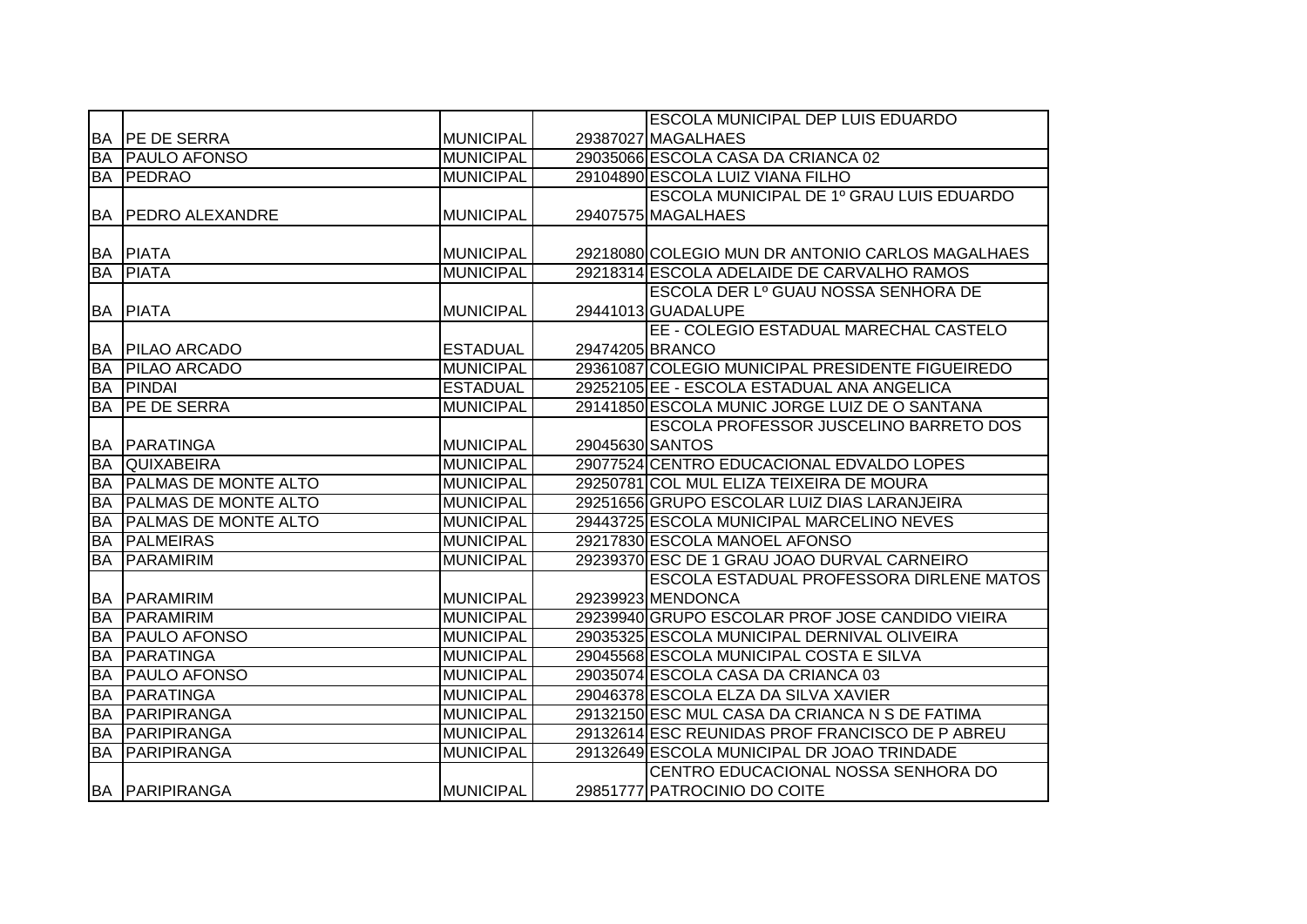|           |                             |                  |                 | <b>ESCOLA MUNICIPAL DEP LUIS EDUARDO</b>         |
|-----------|-----------------------------|------------------|-----------------|--------------------------------------------------|
|           | <b>BA IPE DE SERRA</b>      | <b>MUNICIPAL</b> |                 | 29387027 MAGALHAES                               |
| <b>BA</b> | <b>PAULO AFONSO</b>         | <b>MUNICIPAL</b> |                 | 29035066 ESCOLA CASA DA CRIANCA 02               |
| BA        | PEDRAO                      | <b>MUNICIPAL</b> |                 | 29104890 ESCOLA LUIZ VIANA FILHO                 |
|           |                             |                  |                 | ESCOLA MUNICIPAL DE 1º GRAU LUIS EDUARDO         |
|           | <b>BA PEDRO ALEXANDRE</b>   | <b>MUNICIPAL</b> |                 | 29407575 MAGALHAES                               |
|           |                             |                  |                 |                                                  |
|           | <b>BA PIATA</b>             | <b>MUNICIPAL</b> |                 | 29218080 COLEGIO MUN DR ANTONIO CARLOS MAGALHAES |
| <b>BA</b> | <b>PIATA</b>                | <b>MUNICIPAL</b> |                 | 29218314 ESCOLA ADELAIDE DE CARVALHO RAMOS       |
|           |                             |                  |                 | ESCOLA DER Lº GUAU NOSSA SENHORA DE              |
| <b>BA</b> | <b>PIATA</b>                | <b>MUNICIPAL</b> |                 | 29441013 GUADALUPE                               |
|           |                             |                  |                 | EE - COLEGIO ESTADUAL MARECHAL CASTELO           |
| <b>BA</b> | <b>PILAO ARCADO</b>         | <b>ESTADUAL</b>  |                 | 29474205 BRANCO                                  |
| <b>BA</b> | <b>PILAO ARCADO</b>         | <b>MUNICIPAL</b> |                 | 29361087 COLEGIO MUNICIPAL PRESIDENTE FIGUEIREDO |
| BA        | <b>PINDAI</b>               | <b>ESTADUAL</b>  |                 | 29252105 EE - ESCOLA ESTADUAL ANA ANGELICA       |
| <b>BA</b> | <b>IPE DE SERRA</b>         | <b>MUNICIPAL</b> |                 | 29141850 ESCOLA MUNIC JORGE LUIZ DE O SANTANA    |
|           |                             |                  |                 | ESCOLA PROFESSOR JUSCELINO BARRETO DOS           |
| <b>BA</b> | PARATINGA                   | <b>MUNICIPAL</b> | 29045630 SANTOS |                                                  |
| <b>BA</b> | <b>QUIXABEIRA</b>           | <b>MUNICIPAL</b> |                 | 29077524 CENTRO EDUCACIONAL EDVALDO LOPES        |
| <b>BA</b> | <b>PALMAS DE MONTE ALTO</b> | <b>MUNICIPAL</b> |                 | 29250781 COL MUL ELIZA TEIXEIRA DE MOURA         |
| <b>BA</b> | <b>PALMAS DE MONTE ALTO</b> | <b>MUNICIPAL</b> |                 | 29251656 GRUPO ESCOLAR LUIZ DIAS LARANJEIRA      |
| <b>BA</b> | <b>PALMAS DE MONTE ALTO</b> | <b>MUNICIPAL</b> |                 | 29443725 ESCOLA MUNICIPAL MARCELINO NEVES        |
| <b>BA</b> | <b>PALMEIRAS</b>            | <b>MUNICIPAL</b> |                 | 29217830 ESCOLA MANOEL AFONSO                    |
| <b>BA</b> | PARAMIRIM                   | <b>MUNICIPAL</b> |                 | 29239370 ESC DE 1 GRAU JOAO DURVAL CARNEIRO      |
|           |                             |                  |                 | <b>ESCOLA ESTADUAL PROFESSORA DIRLENE MATOS</b>  |
| IBA.      | <b>PARAMIRIM</b>            | <b>MUNICIPAL</b> |                 | 29239923 MENDONCA                                |
| <b>BA</b> | <b>PARAMIRIM</b>            | <b>MUNICIPAL</b> |                 | 29239940 GRUPO ESCOLAR PROF JOSE CANDIDO VIEIRA  |
| <b>BA</b> | <b>PAULO AFONSO</b>         | <b>MUNICIPAL</b> |                 | 29035325 ESCOLA MUNICIPAL DERNIVAL OLIVEIRA      |
| <b>BA</b> | PARATINGA                   | <b>MUNICIPAL</b> |                 | 29045568 ESCOLA MUNICIPAL COSTA E SILVA          |
| <b>BA</b> | <b>PAULO AFONSO</b>         | <b>MUNICIPAL</b> |                 | 29035074 ESCOLA CASA DA CRIANCA 03               |
| <b>BA</b> | PARATINGA                   | <b>MUNICIPAL</b> |                 | 29046378 ESCOLA ELZA DA SILVA XAVIER             |
| <b>BA</b> | PARIPIRANGA                 | <b>MUNICIPAL</b> |                 | 29132150 ESC MUL CASA DA CRIANCA N S DE FATIMA   |
| <b>BA</b> | <b>PARIPIRANGA</b>          | <b>MUNICIPAL</b> |                 | 29132614 ESC REUNIDAS PROF FRANCISCO DE PABREU   |
| <b>BA</b> | PARIPIRANGA                 | <b>MUNICIPAL</b> |                 | 29132649 ESCOLA MUNICIPAL DR JOAO TRINDADE       |
|           |                             |                  |                 | CENTRO EDUCACIONAL NOSSA SENHORA DO              |
|           | <b>BA PARIPIRANGA</b>       | <b>MUNICIPAL</b> |                 | 29851777 PATROCINIO DO COITE                     |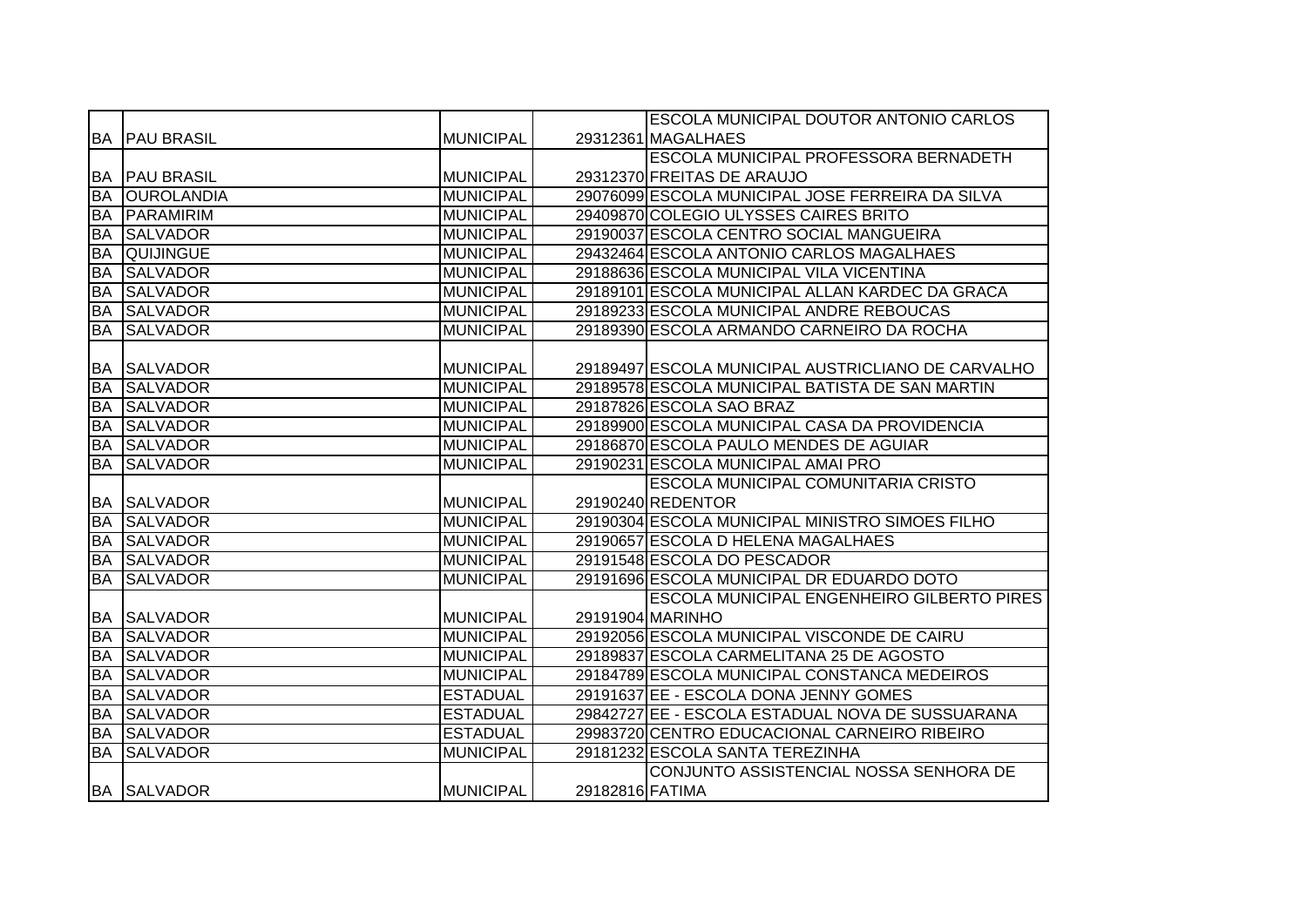|           |                      |                  |                 | <b>ESCOLA MUNICIPAL DOUTOR ANTONIO CARLOS</b>      |
|-----------|----------------------|------------------|-----------------|----------------------------------------------------|
|           | <b>BA PAU BRASIL</b> | <b>MUNICIPAL</b> |                 | 29312361 MAGALHAES                                 |
|           |                      |                  |                 | ESCOLA MUNICIPAL PROFESSORA BERNADETH              |
|           | <b>BA PAU BRASIL</b> | <b>MUNICIPAL</b> |                 | 29312370 FREITAS DE ARAUJO                         |
| <b>BA</b> | <b>OUROLANDIA</b>    | <b>MUNICIPAL</b> |                 | 29076099 ESCOLA MUNICIPAL JOSE FERREIRA DA SILVA   |
| <b>BA</b> | PARAMIRIM            | <b>MUNICIPAL</b> |                 | 29409870 COLEGIO ULYSSES CAIRES BRITO              |
| <b>BA</b> | <b>SALVADOR</b>      | <b>MUNICIPAL</b> |                 | 29190037 ESCOLA CENTRO SOCIAL MANGUEIRA            |
| <b>BA</b> | <b>QUIJINGUE</b>     | <b>MUNICIPAL</b> |                 | 29432464 ESCOLA ANTONIO CARLOS MAGALHAES           |
| <b>BA</b> | <b>SALVADOR</b>      | <b>MUNICIPAL</b> |                 | 29188636 ESCOLA MUNICIPAL VILA VICENTINA           |
| <b>BA</b> | <b>SALVADOR</b>      | <b>MUNICIPAL</b> |                 | 29189101 ESCOLA MUNICIPAL ALLAN KARDEC DA GRACA    |
| <b>BA</b> | <b>SALVADOR</b>      | <b>MUNICIPAL</b> |                 | 29189233 ESCOLA MUNICIPAL ANDRE REBOUCAS           |
| <b>BA</b> | <b>SALVADOR</b>      | <b>MUNICIPAL</b> |                 | 29189390 ESCOLA ARMANDO CARNEIRO DA ROCHA          |
|           |                      |                  |                 |                                                    |
| BA        | <b>SALVADOR</b>      | <b>MUNICIPAL</b> |                 | 29189497 ESCOLA MUNICIPAL AUSTRICLIANO DE CARVALHO |
| <b>BA</b> | <b>SALVADOR</b>      | <b>MUNICIPAL</b> |                 | 29189578 ESCOLA MUNICIPAL BATISTA DE SAN MARTIN    |
| BA        | <b>SALVADOR</b>      | <b>MUNICIPAL</b> |                 | 29187826 ESCOLA SAO BRAZ                           |
| <b>BA</b> | <b>SALVADOR</b>      | <b>MUNICIPAL</b> |                 | 29189900 ESCOLA MUNICIPAL CASA DA PROVIDENCIA      |
| <b>BA</b> | <b>SALVADOR</b>      | <b>MUNICIPAL</b> |                 | 29186870 ESCOLA PAULO MENDES DE AGUIAR             |
| <b>BA</b> | <b>SALVADOR</b>      | <b>MUNICIPAL</b> |                 | 29190231 ESCOLA MUNICIPAL AMAI PRO                 |
|           |                      |                  |                 | ESCOLA MUNICIPAL COMUNITARIA CRISTO                |
|           | <b>BA SALVADOR</b>   | <b>MUNICIPAL</b> |                 | 29190240 REDENTOR                                  |
| <b>BA</b> | <b>SALVADOR</b>      | <b>MUNICIPAL</b> |                 | 29190304 ESCOLA MUNICIPAL MINISTRO SIMOES FILHO    |
| <b>BA</b> | <b>SALVADOR</b>      | <b>MUNICIPAL</b> |                 | 29190657 ESCOLA D HELENA MAGALHAES                 |
| <b>BA</b> | <b>SALVADOR</b>      | <b>MUNICIPAL</b> |                 | 29191548 ESCOLA DO PESCADOR                        |
| <b>BA</b> | <b>SALVADOR</b>      | <b>MUNICIPAL</b> |                 | 29191696 ESCOLA MUNICIPAL DR EDUARDO DOTO          |
|           |                      |                  |                 | <b>ESCOLA MUNICIPAL ENGENHEIRO GILBERTO PIRES</b>  |
| BA        | <b>SALVADOR</b>      | <b>MUNICIPAL</b> |                 | 29191904 MARINHO                                   |
| <b>BA</b> | <b>SALVADOR</b>      | <b>MUNICIPAL</b> |                 | 29192056 ESCOLA MUNICIPAL VISCONDE DE CAIRU        |
| BA        | <b>SALVADOR</b>      | <b>MUNICIPAL</b> |                 | 29189837 ESCOLA CARMELITANA 25 DE AGOSTO           |
| <b>BA</b> | <b>SALVADOR</b>      | <b>MUNICIPAL</b> |                 | 29184789 ESCOLA MUNICIPAL CONSTANCA MEDEIROS       |
| <b>BA</b> | <b>SALVADOR</b>      | <b>ESTADUAL</b>  |                 | 29191637 EE - ESCOLA DONA JENNY GOMES              |
| <b>BA</b> | <b>SALVADOR</b>      | <b>ESTADUAL</b>  |                 | 29842727 EE - ESCOLA ESTADUAL NOVA DE SUSSUARANA   |
| <b>BA</b> | <b>SALVADOR</b>      | <b>ESTADUAL</b>  |                 | 29983720 CENTRO EDUCACIONAL CARNEIRO RIBEIRO       |
| <b>BA</b> | <b>SALVADOR</b>      | <b>MUNICIPAL</b> |                 | 29181232 ESCOLA SANTA TEREZINHA                    |
|           |                      |                  |                 | CONJUNTO ASSISTENCIAL NOSSA SENHORA DE             |
|           | <b>BA SALVADOR</b>   | <b>MUNICIPAL</b> | 29182816 FATIMA |                                                    |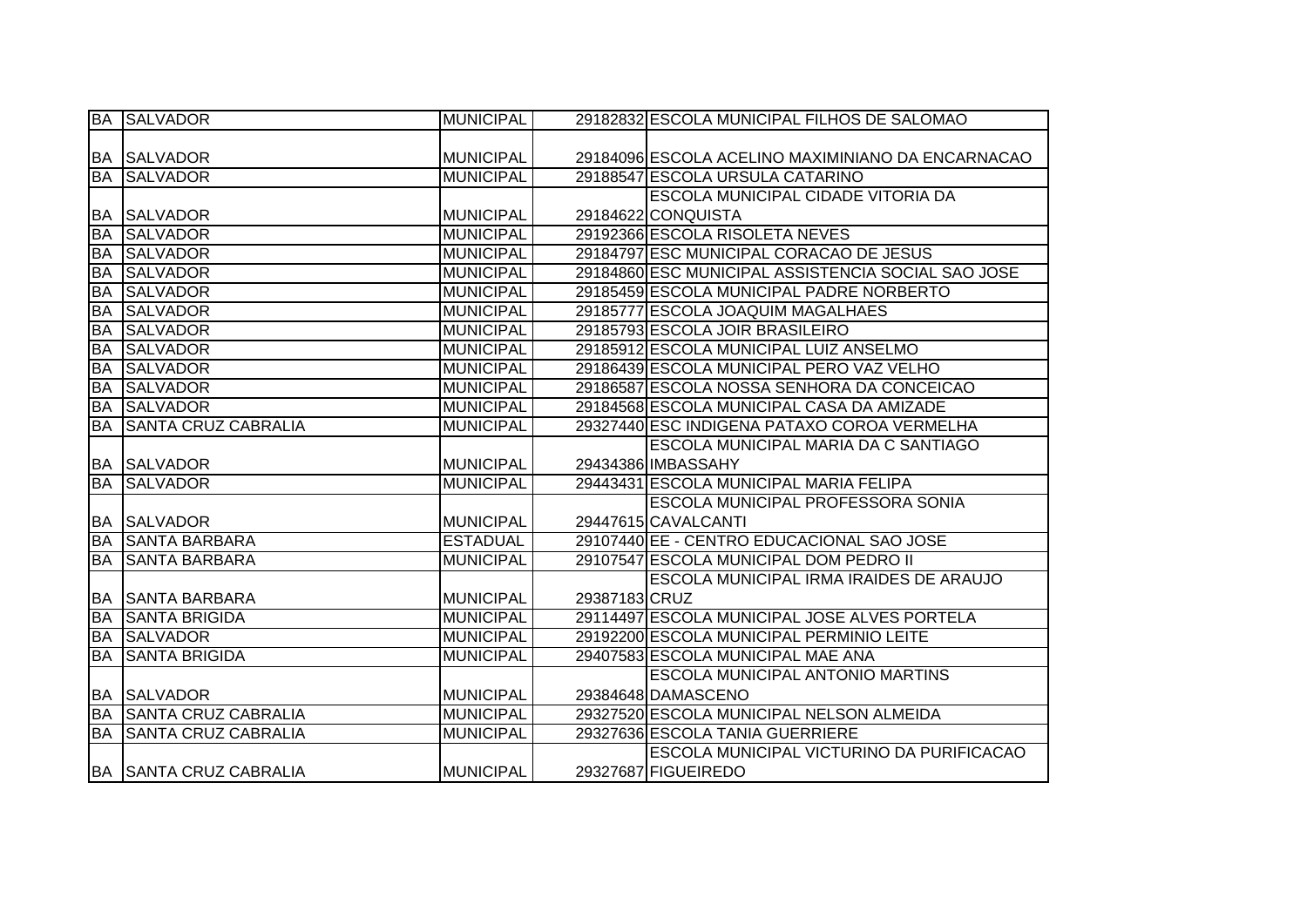|           | <b>BA SALVADOR</b>            | <b>MUNICIPAL</b> |               | 29182832 ESCOLA MUNICIPAL FILHOS DE SALOMAO        |
|-----------|-------------------------------|------------------|---------------|----------------------------------------------------|
|           |                               |                  |               |                                                    |
|           | <b>BA SALVADOR</b>            | <b>MUNICIPAL</b> |               | 29184096 ESCOLA ACELINO MAXIMINIANO DA ENCARNACAO  |
| <b>BA</b> | <b>SALVADOR</b>               | <b>MUNICIPAL</b> |               | 29188547 ESCOLA URSULA CATARINO                    |
|           |                               |                  |               | ESCOLA MUNICIPAL CIDADE VITORIA DA                 |
| <b>BA</b> | <b>SALVADOR</b>               | <b>MUNICIPAL</b> |               | 29184622 CONQUISTA                                 |
| <b>BA</b> | <b>SALVADOR</b>               | <b>MUNICIPAL</b> |               | 29192366 ESCOLA RISOLETA NEVES                     |
| <b>BA</b> | <b>SALVADOR</b>               | <b>MUNICIPAL</b> |               | 29184797 ESC MUNICIPAL CORACAO DE JESUS            |
| <b>BA</b> | <b>SALVADOR</b>               | <b>MUNICIPAL</b> |               | 29184860 ESC MUNICIPAL ASSISTENCIA SOCIAL SAO JOSE |
| <b>BA</b> | <b>SALVADOR</b>               | <b>MUNICIPAL</b> |               | 29185459 ESCOLA MUNICIPAL PADRE NORBERTO           |
| <b>BA</b> | <b>SALVADOR</b>               | <b>MUNICIPAL</b> |               | 29185777 ESCOLA JOAQUIM MAGALHAES                  |
| <b>BA</b> | <b>SALVADOR</b>               | <b>MUNICIPAL</b> |               | 29185793 ESCOLA JOIR BRASILEIRO                    |
| <b>BA</b> | <b>SALVADOR</b>               | <b>MUNICIPAL</b> |               | 29185912 ESCOLA MUNICIPAL LUIZ ANSELMO             |
| <b>BA</b> | <b>SALVADOR</b>               | <b>MUNICIPAL</b> |               | 29186439 ESCOLA MUNICIPAL PERO VAZ VELHO           |
| <b>BA</b> | <b>SALVADOR</b>               | <b>MUNICIPAL</b> |               | 29186587 ESCOLA NOSSA SENHORA DA CONCEICAO         |
| <b>BA</b> | <b>SALVADOR</b>               | <b>MUNICIPAL</b> |               | 29184568 ESCOLA MUNICIPAL CASA DA AMIZADE          |
| <b>BA</b> | <b>SANTA CRUZ CABRALIA</b>    | <b>MUNICIPAL</b> |               | 29327440 ESC INDIGENA PATAXO COROA VERMELHA        |
|           |                               |                  |               | <b>ESCOLA MUNICIPAL MARIA DA C SANTIAGO</b>        |
|           | <b>BA SALVADOR</b>            | MUNICIPAL        |               | 29434386 IMBASSAHY                                 |
| <b>BA</b> | <b>SALVADOR</b>               | <b>MUNICIPAL</b> |               | 29443431 ESCOLA MUNICIPAL MARIA FELIPA             |
|           |                               |                  |               | <b>ESCOLA MUNICIPAL PROFESSORA SONIA</b>           |
| <b>BA</b> | <b>SALVADOR</b>               | <b>MUNICIPAL</b> |               | 29447615 CAVALCANTI                                |
| <b>BA</b> | <b>SANTA BARBARA</b>          | <b>ESTADUAL</b>  |               | 29107440 EE - CENTRO EDUCACIONAL SAO JOSE          |
| <b>BA</b> | <b>SANTA BARBARA</b>          | <b>MUNICIPAL</b> |               | 29107547 ESCOLA MUNICIPAL DOM PEDRO II             |
|           |                               |                  |               | <b>ESCOLA MUNICIPAL IRMA IRAIDES DE ARAUJO</b>     |
|           | <b>BA SANTA BARBARA</b>       | MUNICIPAL        | 29387183 CRUZ |                                                    |
| <b>BA</b> | <b>SANTA BRIGIDA</b>          | <b>MUNICIPAL</b> |               | 29114497 ESCOLA MUNICIPAL JOSE ALVES PORTELA       |
| <b>BA</b> | <b>SALVADOR</b>               | <b>MUNICIPAL</b> |               | 29192200 ESCOLA MUNICIPAL PERMINIO LEITE           |
| <b>BA</b> | <b>SANTA BRIGIDA</b>          | <b>MUNICIPAL</b> |               | 29407583 ESCOLA MUNICIPAL MAE ANA                  |
|           |                               |                  |               | <b>ESCOLA MUNICIPAL ANTONIO MARTINS</b>            |
|           | <b>BA SALVADOR</b>            | <b>MUNICIPAL</b> |               | 29384648 DAMASCENO                                 |
|           | <b>BA SANTA CRUZ CABRALIA</b> | <b>MUNICIPAL</b> |               | 29327520 ESCOLA MUNICIPAL NELSON ALMEIDA           |
| <b>BA</b> | <b>SANTA CRUZ CABRALIA</b>    | <b>MUNICIPAL</b> |               | 29327636 ESCOLA TANIA GUERRIERE                    |
|           |                               |                  |               | <b>ESCOLA MUNICIPAL VICTURINO DA PURIFICACAO</b>   |
|           | BA SANTA CRUZ CABRALIA        | <b>MUNICIPAL</b> |               | 29327687 FIGUEIREDO                                |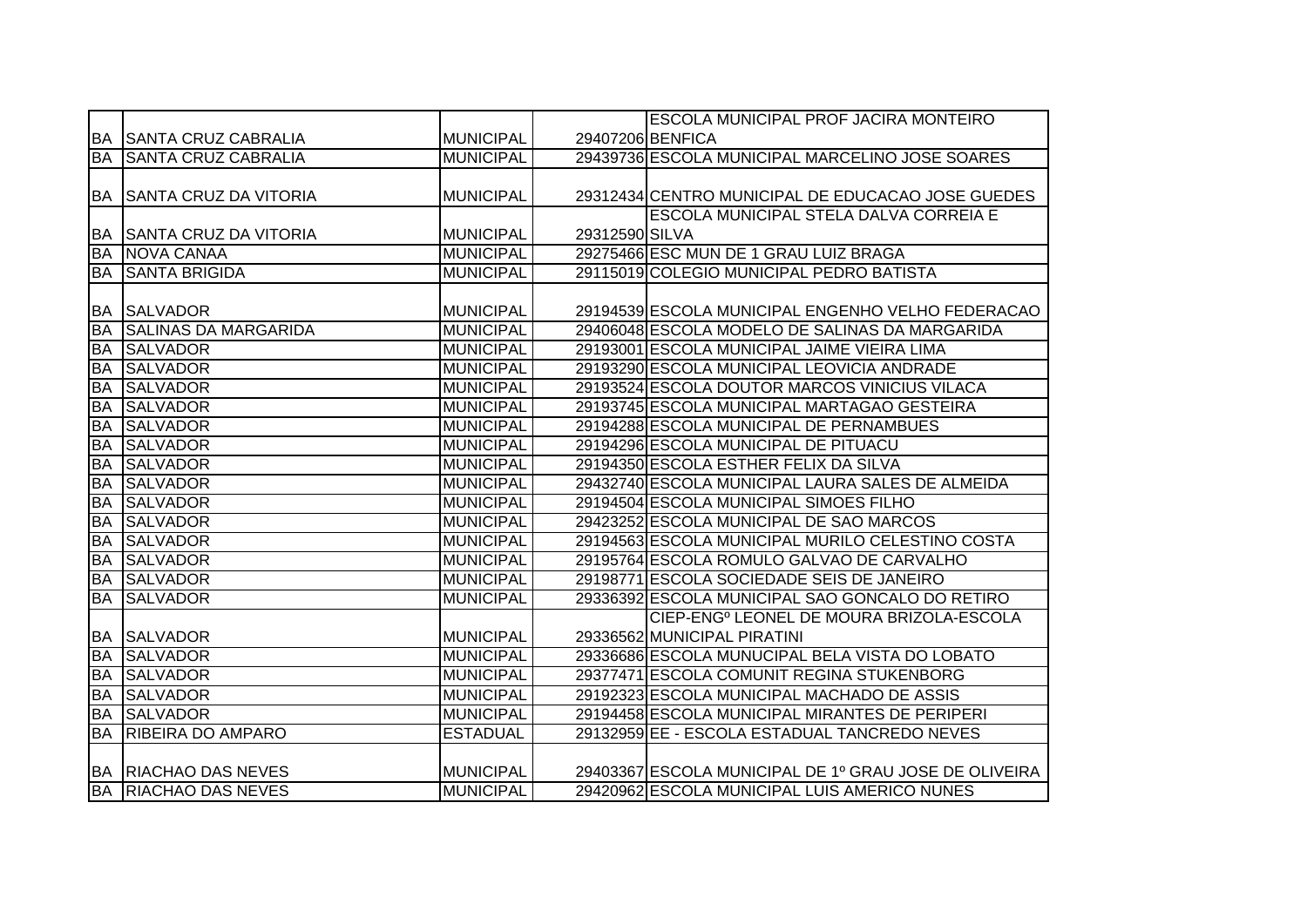|           |                                 |                  |                | <b>ESCOLA MUNICIPAL PROF JACIRA MONTEIRO</b>          |
|-----------|---------------------------------|------------------|----------------|-------------------------------------------------------|
|           | <b>BA SANTA CRUZ CABRALIA</b>   | <b>MUNICIPAL</b> |                | 29407206 BENFICA                                      |
| <b>BA</b> | <b>SANTA CRUZ CABRALIA</b>      | <b>MUNICIPAL</b> |                | 29439736 ESCOLA MUNICIPAL MARCELINO JOSE SOARES       |
|           |                                 |                  |                |                                                       |
|           | <b>BA SANTA CRUZ DA VITORIA</b> | <b>MUNICIPAL</b> |                | 29312434 CENTRO MUNICIPAL DE EDUCACAO JOSE GUEDES     |
|           |                                 |                  |                | ESCOLA MUNICIPAL STELA DALVA CORREIA E                |
| <b>BA</b> | <b>SANTA CRUZ DA VITORIA</b>    | <b>MUNICIPAL</b> | 29312590 SILVA |                                                       |
| <b>BA</b> | NOVA CANAA                      | <b>MUNICIPAL</b> |                | 29275466 ESC MUN DE 1 GRAU LUIZ BRAGA                 |
| <b>BA</b> | <b>SANTA BRIGIDA</b>            | <b>MUNICIPAL</b> |                | 29115019 COLEGIO MUNICIPAL PEDRO BATISTA              |
|           |                                 |                  |                |                                                       |
| BA        | <b>SALVADOR</b>                 | <b>MUNICIPAL</b> |                | 29194539 ESCOLA MUNICIPAL ENGENHO VELHO FEDERACAO     |
| <b>BA</b> | <b>SALINAS DA MARGARIDA</b>     | <b>MUNICIPAL</b> |                | 29406048 ESCOLA MODELO DE SALINAS DA MARGARIDA        |
| <b>BA</b> | <b>SALVADOR</b>                 | <b>MUNICIPAL</b> |                | 29193001 ESCOLA MUNICIPAL JAIME VIEIRA LIMA           |
| <b>BA</b> | <b>SALVADOR</b>                 | <b>MUNICIPAL</b> |                | 29193290 ESCOLA MUNICIPAL LEOVICIA ANDRADE            |
| <b>BA</b> | <b>SALVADOR</b>                 | <b>MUNICIPAL</b> |                | 29193524 ESCOLA DOUTOR MARCOS VINICIUS VILACA         |
| BA        | <b>SALVADOR</b>                 | <b>MUNICIPAL</b> |                | 29193745 ESCOLA MUNICIPAL MARTAGAO GESTEIRA           |
| BA        | <b>SALVADOR</b>                 | <b>MUNICIPAL</b> |                | 29194288 ESCOLA MUNICIPAL DE PERNAMBUES               |
| <b>BA</b> | <b>SALVADOR</b>                 | <b>MUNICIPAL</b> |                | 29194296 ESCOLA MUNICIPAL DE PITUACU                  |
| <b>BA</b> | <b>SALVADOR</b>                 | <b>MUNICIPAL</b> |                | 29194350 ESCOLA ESTHER FELIX DA SILVA                 |
| <b>BA</b> | <b>SALVADOR</b>                 | <b>MUNICIPAL</b> |                | 29432740 ESCOLA MUNICIPAL LAURA SALES DE ALMEIDA      |
| <b>BA</b> | <b>SALVADOR</b>                 | <b>MUNICIPAL</b> |                | 29194504 ESCOLA MUNICIPAL SIMOES FILHO                |
| <b>BA</b> | <b>SALVADOR</b>                 | <b>MUNICIPAL</b> |                | 29423252 ESCOLA MUNICIPAL DE SAO MARCOS               |
| <b>BA</b> | <b>SALVADOR</b>                 | <b>MUNICIPAL</b> |                | 29194563 ESCOLA MUNICIPAL MURILO CELESTINO COSTA      |
| <b>BA</b> | <b>SALVADOR</b>                 | <b>MUNICIPAL</b> |                | 29195764 ESCOLA ROMULO GALVAO DE CARVALHO             |
| <b>BA</b> | <b>SALVADOR</b>                 | <b>MUNICIPAL</b> |                | 29198771 ESCOLA SOCIEDADE SEIS DE JANEIRO             |
| <b>BA</b> | <b>SALVADOR</b>                 | <b>MUNICIPAL</b> |                | 29336392 ESCOLA MUNICIPAL SAO GONCALO DO RETIRO       |
|           |                                 |                  |                | CIEP-ENG <sup>®</sup> LEONEL DE MOURA BRIZOLA-ESCOLA  |
| BA        | <b>SALVADOR</b>                 | <b>MUNICIPAL</b> |                | 29336562 MUNICIPAL PIRATINI                           |
| <b>BA</b> | <b>SALVADOR</b>                 | <b>MUNICIPAL</b> |                | 29336686 ESCOLA MUNUCIPAL BELA VISTA DO LOBATO        |
| BA        | <b>SALVADOR</b>                 | <b>MUNICIPAL</b> |                | 29377471 ESCOLA COMUNIT REGINA STUKENBORG             |
| BA        | <b>SALVADOR</b>                 | <b>MUNICIPAL</b> |                | 29192323 ESCOLA MUNICIPAL MACHADO DE ASSIS            |
| <b>BA</b> | <b>SALVADOR</b>                 | <b>MUNICIPAL</b> |                | 29194458 ESCOLA MUNICIPAL MIRANTES DE PERIPERI        |
| <b>BA</b> | <b>RIBEIRA DO AMPARO</b>        | <b>ESTADUAL</b>  |                | 29132959 EE - ESCOLA ESTADUAL TANCREDO NEVES          |
|           |                                 |                  |                |                                                       |
|           | <b>BA RIACHAO DAS NEVES</b>     | <b>MUNICIPAL</b> |                | 29403367 ESCOLA MUNICIPAL DE 1º GRAU JOSE DE OLIVEIRA |
|           | <b>BA RIACHAO DAS NEVES</b>     | <b>MUNICIPAL</b> |                | 29420962 ESCOLA MUNICIPAL LUIS AMERICO NUNES          |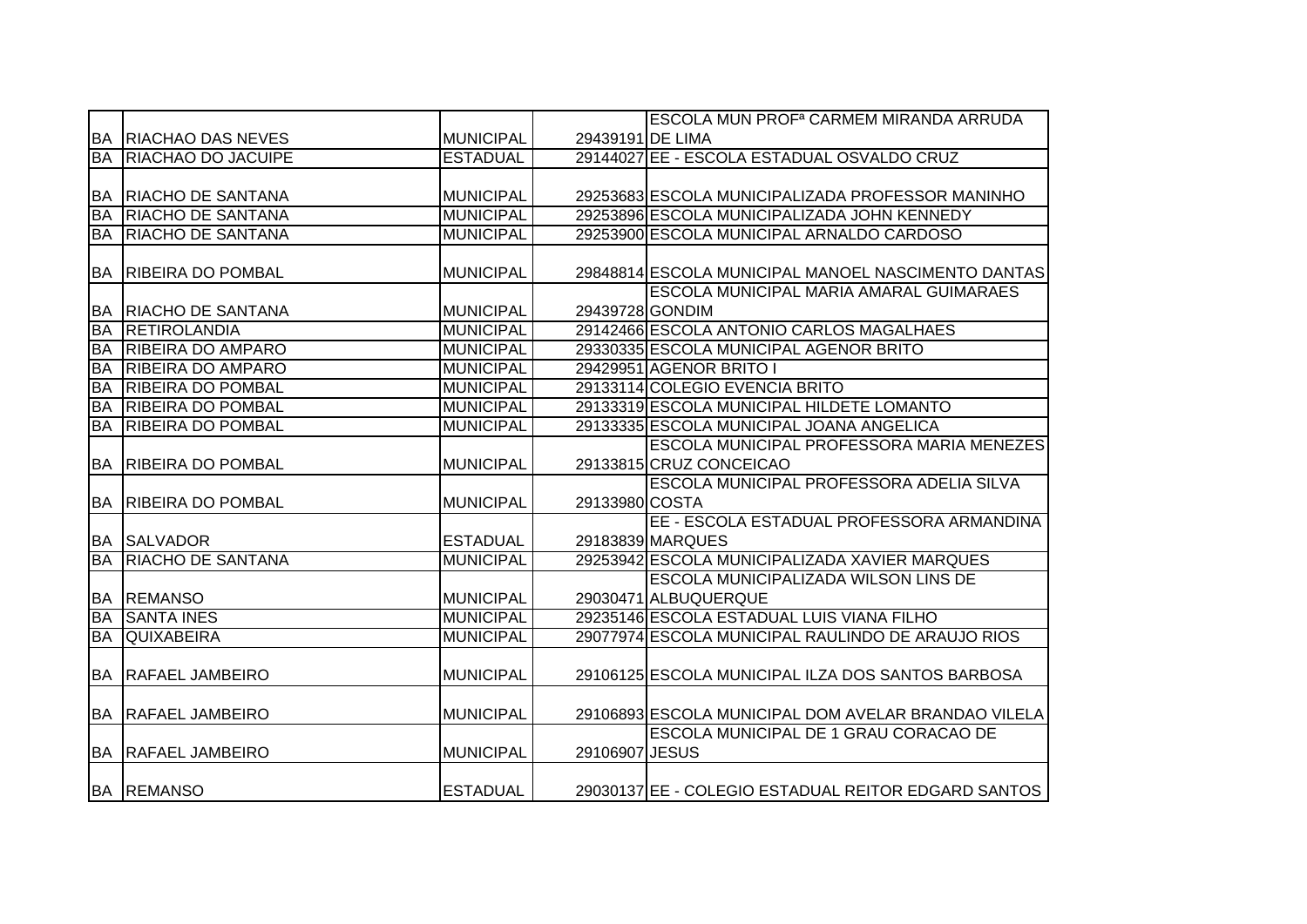|           |                             |                  |                  | <b>ESCOLA MUN PROF<sup>a</sup> CARMEM MIRANDA ARRUDA</b> |
|-----------|-----------------------------|------------------|------------------|----------------------------------------------------------|
|           | <b>BA RIACHAO DAS NEVES</b> | <b>MUNICIPAL</b> | 29439191 DE LIMA |                                                          |
| BA        | <b>RIACHAO DO JACUIPE</b>   | <b>ESTADUAL</b>  |                  | 29144027 EE - ESCOLA ESTADUAL OSVALDO CRUZ               |
|           |                             |                  |                  |                                                          |
| BA        | <b>RIACHO DE SANTANA</b>    | <b>MUNICIPAL</b> |                  | 29253683 ESCOLA MUNICIPALIZADA PROFESSOR MANINHO         |
| <b>BA</b> | <b>RIACHO DE SANTANA</b>    | <b>MUNICIPAL</b> |                  | 29253896 ESCOLA MUNICIPALIZADA JOHN KENNEDY              |
| <b>BA</b> | <b>RIACHO DE SANTANA</b>    | <b>MUNICIPAL</b> |                  | 29253900 ESCOLA MUNICIPAL ARNALDO CARDOSO                |
|           |                             |                  |                  |                                                          |
| <b>BA</b> | <b>RIBEIRA DO POMBAL</b>    | <b>MUNICIPAL</b> |                  | 29848814 ESCOLA MUNICIPAL MANOEL NASCIMENTO DANTAS       |
|           |                             |                  |                  | ESCOLA MUNICIPAL MARIA AMARAL GUIMARAES                  |
| BA        | <b>RIACHO DE SANTANA</b>    | <b>MUNICIPAL</b> | 29439728 GONDIM  |                                                          |
| <b>BA</b> | <b>RETIROLANDIA</b>         | <b>MUNICIPAL</b> |                  | 29142466 ESCOLA ANTONIO CARLOS MAGALHAES                 |
| <b>BA</b> | <b>RIBEIRA DO AMPARO</b>    | <b>MUNICIPAL</b> |                  | 29330335 ESCOLA MUNICIPAL AGENOR BRITO                   |
| <b>BA</b> | <b>RIBEIRA DO AMPARO</b>    | <b>MUNICIPAL</b> |                  | 29429951 AGENOR BRITO I                                  |
| BA        | <b>RIBEIRA DO POMBAL</b>    | <b>MUNICIPAL</b> |                  | 29133114 COLEGIO EVENCIA BRITO                           |
| <b>BA</b> | <b>RIBEIRA DO POMBAL</b>    | <b>MUNICIPAL</b> |                  | 29133319 ESCOLA MUNICIPAL HILDETE LOMANTO                |
| <b>BA</b> | <b>RIBEIRA DO POMBAL</b>    | <b>MUNICIPAL</b> |                  | 29133335 ESCOLA MUNICIPAL JOANA ANGELICA                 |
|           |                             |                  |                  | ESCOLA MUNICIPAL PROFESSORA MARIA MENEZES                |
|           | BA RIBEIRA DO POMBAL        | <b>MUNICIPAL</b> |                  | 29133815 CRUZ CONCEICAO                                  |
|           |                             |                  |                  | ESCOLA MUNICIPAL PROFESSORA ADELIA SILVA                 |
| <b>BA</b> | <b>RIBEIRA DO POMBAL</b>    | <b>MUNICIPAL</b> | 29133980 COSTA   |                                                          |
|           |                             |                  |                  | EE - ESCOLA ESTADUAL PROFESSORA ARMANDINA                |
|           | <b>BA SALVADOR</b>          | <b>ESTADUAL</b>  |                  | 29183839 MARQUES                                         |
| <b>BA</b> | <b>RIACHO DE SANTANA</b>    | <b>MUNICIPAL</b> |                  | 29253942 ESCOLA MUNICIPALIZADA XAVIER MARQUES            |
|           |                             |                  |                  | ESCOLA MUNICIPALIZADA WILSON LINS DE                     |
|           | <b>BA REMANSO</b>           | <b>MUNICIPAL</b> |                  | 29030471 ALBUQUERQUE                                     |
| <b>BA</b> | <b>SANTA INES</b>           | <b>MUNICIPAL</b> |                  | 29235146 ESCOLA ESTADUAL LUIS VIANA FILHO                |
| BA        | <b>QUIXABEIRA</b>           | <b>MUNICIPAL</b> |                  | 29077974 ESCOLA MUNICIPAL RAULINDO DE ARAUJO RIOS        |
|           |                             |                  |                  |                                                          |
|           | <b>BA RAFAEL JAMBEIRO</b>   | <b>MUNICIPAL</b> |                  | 29106125 ESCOLA MUNICIPAL ILZA DOS SANTOS BARBOSA        |
|           |                             |                  |                  |                                                          |
| BA        | <b>RAFAEL JAMBEIRO</b>      | <b>MUNICIPAL</b> |                  | 29106893 ESCOLA MUNICIPAL DOM AVELAR BRANDAO VILELA      |
|           |                             |                  |                  | <b>ESCOLA MUNICIPAL DE 1 GRAU CORACAO DE</b>             |
|           | <b>BA RAFAEL JAMBEIRO</b>   | <b>MUNICIPAL</b> | 29106907 JESUS   |                                                          |
|           |                             |                  |                  |                                                          |
|           | <b>BA REMANSO</b>           | <b>ESTADUAL</b>  |                  | 29030137 EE - COLEGIO ESTADUAL REITOR EDGARD SANTOS      |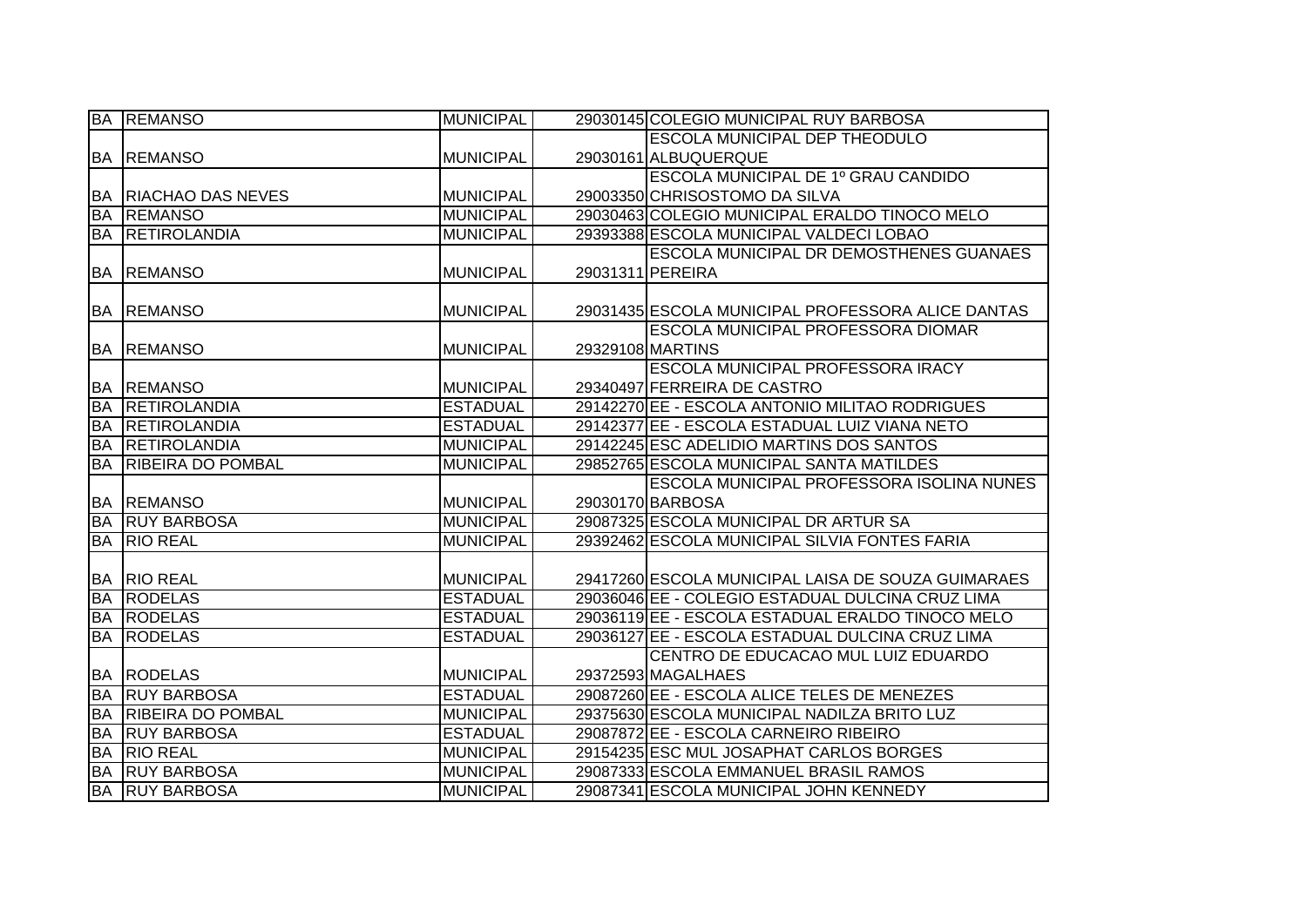|           | <b>BA REMANSO</b>        | <b>MUNICIPAL</b> | 29030145 COLEGIO MUNICIPAL RUY BARBOSA             |
|-----------|--------------------------|------------------|----------------------------------------------------|
|           |                          |                  | <b>ESCOLA MUNICIPAL DEP THEODULO</b>               |
|           | <b>BA REMANSO</b>        | <b>MUNICIPAL</b> | 29030161 ALBUQUERQUE                               |
|           |                          |                  | ESCOLA MUNICIPAL DE 1º GRAU CANDIDO                |
| BA        | <b>RIACHAO DAS NEVES</b> | <b>MUNICIPAL</b> | 29003350 CHRISOSTOMO DA SILVA                      |
| <b>BA</b> | <b>REMANSO</b>           | <b>MUNICIPAL</b> | 29030463 COLEGIO MUNICIPAL ERALDO TINOCO MELO      |
| <b>BA</b> | RETIROLANDIA             | <b>MUNICIPAL</b> | 29393388 ESCOLA MUNICIPAL VALDECI LOBAO            |
|           |                          |                  | <b>ESCOLA MUNICIPAL DR DEMOSTHENES GUANAES</b>     |
| <b>BA</b> | <b>REMANSO</b>           | <b>MUNICIPAL</b> | 29031311 PEREIRA                                   |
|           |                          |                  |                                                    |
| <b>BA</b> | <b>REMANSO</b>           | <b>MUNICIPAL</b> | 29031435 ESCOLA MUNICIPAL PROFESSORA ALICE DANTAS  |
|           |                          |                  | <b>ESCOLA MUNICIPAL PROFESSORA DIOMAR</b>          |
| <b>BA</b> | <b>REMANSO</b>           | <b>MUNICIPAL</b> | 29329108 MARTINS                                   |
|           |                          |                  | <b>ESCOLA MUNICIPAL PROFESSORA IRACY</b>           |
| <b>BA</b> | <b>REMANSO</b>           | <b>MUNICIPAL</b> | 29340497 FERREIRA DE CASTRO                        |
| <b>BA</b> | <b>RETIROLANDIA</b>      | <b>ESTADUAL</b>  | 29142270 EE - ESCOLA ANTONIO MILITAO RODRIGUES     |
| <b>BA</b> | RETIROLANDIA             | <b>ESTADUAL</b>  | 29142377 EE - ESCOLA ESTADUAL LUIZ VIANA NETO      |
| <b>BA</b> | RETIROLANDIA             | <b>MUNICIPAL</b> | 29142245 ESC ADELIDIO MARTINS DOS SANTOS           |
| <b>BA</b> | <b>RIBEIRA DO POMBAL</b> | <b>MUNICIPAL</b> | 29852765 ESCOLA MUNICIPAL SANTA MATILDES           |
|           |                          |                  | ESCOLA MUNICIPAL PROFESSORA ISOLINA NUNES          |
|           | <b>BA REMANSO</b>        | <b>MUNICIPAL</b> | 29030170 BARBOSA                                   |
| <b>BA</b> | <b>RUY BARBOSA</b>       | <b>MUNICIPAL</b> | 29087325 ESCOLA MUNICIPAL DR ARTUR SA              |
| <b>BA</b> | <b>RIO REAL</b>          | <b>MUNICIPAL</b> | 29392462 ESCOLA MUNICIPAL SILVIA FONTES FARIA      |
|           |                          |                  |                                                    |
| BA        | <b>RIO REAL</b>          | <b>MUNICIPAL</b> | 29417260 ESCOLA MUNICIPAL LAISA DE SOUZA GUIMARAES |
| <b>BA</b> | <b>RODELAS</b>           | <b>ESTADUAL</b>  | 29036046 EE - COLEGIO ESTADUAL DULCINA CRUZ LIMA   |
| <b>BA</b> | <b>RODELAS</b>           | <b>ESTADUAL</b>  | 29036119 EE - ESCOLA ESTADUAL ERALDO TINOCO MELO   |
| <b>BA</b> | <b>RODELAS</b>           | <b>ESTADUAL</b>  | 29036127 EE - ESCOLA ESTADUAL DULCINA CRUZ LIMA    |
|           |                          |                  | CENTRO DE EDUCACAO MUL LUIZ EDUARDO                |
| BA        | <b>RODELAS</b>           | <b>MUNICIPAL</b> | 29372593 MAGALHAES                                 |
| <b>BA</b> | <b>RUY BARBOSA</b>       | <b>ESTADUAL</b>  | 29087260 EE - ESCOLA ALICE TELES DE MENEZES        |
| <b>BA</b> | <b>RIBEIRA DO POMBAL</b> | <b>MUNICIPAL</b> | 29375630 ESCOLA MUNICIPAL NADILZA BRITO LUZ        |
| <b>BA</b> | <b>RUY BARBOSA</b>       | <b>ESTADUAL</b>  | 29087872 EE - ESCOLA CARNEIRO RIBEIRO              |
| <b>BA</b> | <b>RIO REAL</b>          | <b>MUNICIPAL</b> | 29154235 ESC MUL JOSAPHAT CARLOS BORGES            |
| <b>BA</b> | <b>RUY BARBOSA</b>       | <b>MUNICIPAL</b> | 29087333 ESCOLA EMMANUEL BRASIL RAMOS              |
| <b>BA</b> | <b>RUY BARBOSA</b>       | <b>MUNICIPAL</b> | 29087341 ESCOLA MUNICIPAL JOHN KENNEDY             |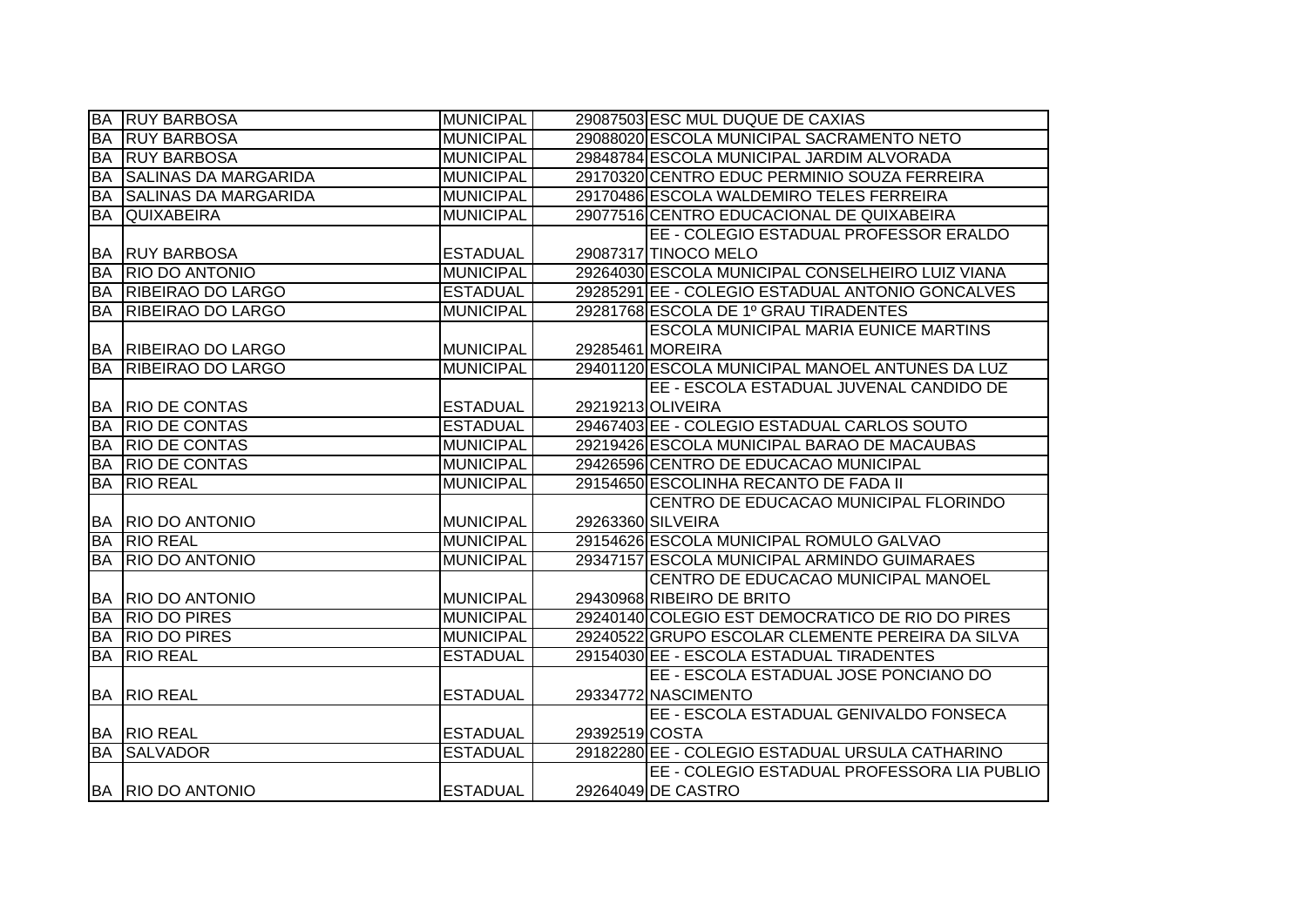| <b>BA</b> | <b>RUY BARBOSA</b>          | <b>MUNICIPAL</b> |                | 29087503 ESC MUL DUQUE DE CAXIAS                 |
|-----------|-----------------------------|------------------|----------------|--------------------------------------------------|
| BA        | <b>RUY BARBOSA</b>          | <b>MUNICIPAL</b> |                | 29088020 ESCOLA MUNICIPAL SACRAMENTO NETO        |
| <b>BA</b> | <b>RUY BARBOSA</b>          | <b>MUNICIPAL</b> |                | 29848784 ESCOLA MUNICIPAL JARDIM ALVORADA        |
| <b>BA</b> | <b>SALINAS DA MARGARIDA</b> | <b>MUNICIPAL</b> |                | 29170320 CENTRO EDUC PERMINIO SOUZA FERREIRA     |
| BA        | <b>SALINAS DA MARGARIDA</b> | <b>MUNICIPAL</b> |                | 29170486 ESCOLA WALDEMIRO TELES FERREIRA         |
| <b>BA</b> | <b>QUIXABEIRA</b>           | <b>MUNICIPAL</b> |                | 29077516 CENTRO EDUCACIONAL DE QUIXABEIRA        |
|           |                             |                  |                | EE - COLEGIO ESTADUAL PROFESSOR ERALDO           |
| BA        | <b>RUY BARBOSA</b>          | <b>ESTADUAL</b>  |                | 29087317 TINOCO MELO                             |
| <b>BA</b> | <b>RIO DO ANTONIO</b>       | <b>MUNICIPAL</b> |                | 29264030 ESCOLA MUNICIPAL CONSELHEIRO LUIZ VIANA |
| <b>BA</b> | RIBEIRAO DO LARGO           | <b>ESTADUAL</b>  |                | 29285291 EE - COLEGIO ESTADUAL ANTONIO GONCALVES |
| <b>BA</b> | RIBEIRAO DO LARGO           | <b>MUNICIPAL</b> |                | 29281768 ESCOLA DE 1º GRAU TIRADENTES            |
|           |                             |                  |                | <b>ESCOLA MUNICIPAL MARIA EUNICE MARTINS</b>     |
|           | BA RIBEIRAO DO LARGO        | <b>MUNICIPAL</b> |                | 29285461 MOREIRA                                 |
| <b>BA</b> | <b>RIBEIRAO DO LARGO</b>    | <b>MUNICIPAL</b> |                | 29401120 ESCOLA MUNICIPAL MANOEL ANTUNES DA LUZ  |
|           |                             |                  |                | EE - ESCOLA ESTADUAL JUVENAL CANDIDO DE          |
|           | <b>BA RIO DE CONTAS</b>     | <b>ESTADUAL</b>  |                | 29219213 OLIVEIRA                                |
| <b>BA</b> | <b>RIO DE CONTAS</b>        | <b>ESTADUAL</b>  |                | 29467403 EE - COLEGIO ESTADUAL CARLOS SOUTO      |
| <b>BA</b> | <b>RIO DE CONTAS</b>        | <b>MUNICIPAL</b> |                | 29219426 ESCOLA MUNICIPAL BARAO DE MACAUBAS      |
| <b>BA</b> | <b>RIO DE CONTAS</b>        | <b>MUNICIPAL</b> |                | 29426596 CENTRO DE EDUCACAO MUNICIPAL            |
| <b>BA</b> | <b>RIO REAL</b>             | <b>MUNICIPAL</b> |                | 29154650 ESCOLINHA RECANTO DE FADA II            |
|           |                             |                  |                | CENTRO DE EDUCACAO MUNICIPAL FLORINDO            |
|           | BA RIO DO ANTONIO           | <b>MUNICIPAL</b> |                | 29263360 SILVEIRA                                |
| BA        | <b>RIO REAL</b>             | <b>MUNICIPAL</b> |                | 29154626 ESCOLA MUNICIPAL ROMULO GALVAO          |
| <b>BA</b> | <b>RIO DO ANTONIO</b>       | <b>MUNICIPAL</b> |                | 29347157 ESCOLA MUNICIPAL ARMINDO GUIMARAES      |
|           |                             |                  |                | CENTRO DE EDUCACAO MUNICIPAL MANOEL              |
|           | <b>BA RIO DO ANTONIO</b>    | <b>MUNICIPAL</b> |                | 29430968 RIBEIRO DE BRITO                        |
| <b>BA</b> | <b>RIO DO PIRES</b>         | <b>MUNICIPAL</b> |                | 29240140 COLEGIO EST DEMOCRATICO DE RIO DO PIRES |
| <b>BA</b> | <b>RIO DO PIRES</b>         | <b>MUNICIPAL</b> |                | 29240522 GRUPO ESCOLAR CLEMENTE PEREIRA DA SILVA |
| <b>BA</b> | <b>RIO REAL</b>             | <b>ESTADUAL</b>  |                | 29154030 EE - ESCOLA ESTADUAL TIRADENTES         |
|           |                             |                  |                | EE - ESCOLA ESTADUAL JOSE PONCIANO DO            |
|           | <b>BA RIO REAL</b>          | <b>ESTADUAL</b>  |                | 29334772 NASCIMENTO                              |
|           |                             |                  |                | EE - ESCOLA ESTADUAL GENIVALDO FONSECA           |
|           | <b>BA RIO REAL</b>          | <b>ESTADUAL</b>  | 29392519 COSTA |                                                  |
| <b>BA</b> | <b>SALVADOR</b>             | <b>ESTADUAL</b>  |                | 29182280 EE - COLEGIO ESTADUAL URSULA CATHARINO  |
|           |                             |                  |                | EE - COLEGIO ESTADUAL PROFESSORA LIA PUBLIO      |
|           | BA RIO DO ANTONIO           | <b>ESTADUAL</b>  |                | 29264049 DE CASTRO                               |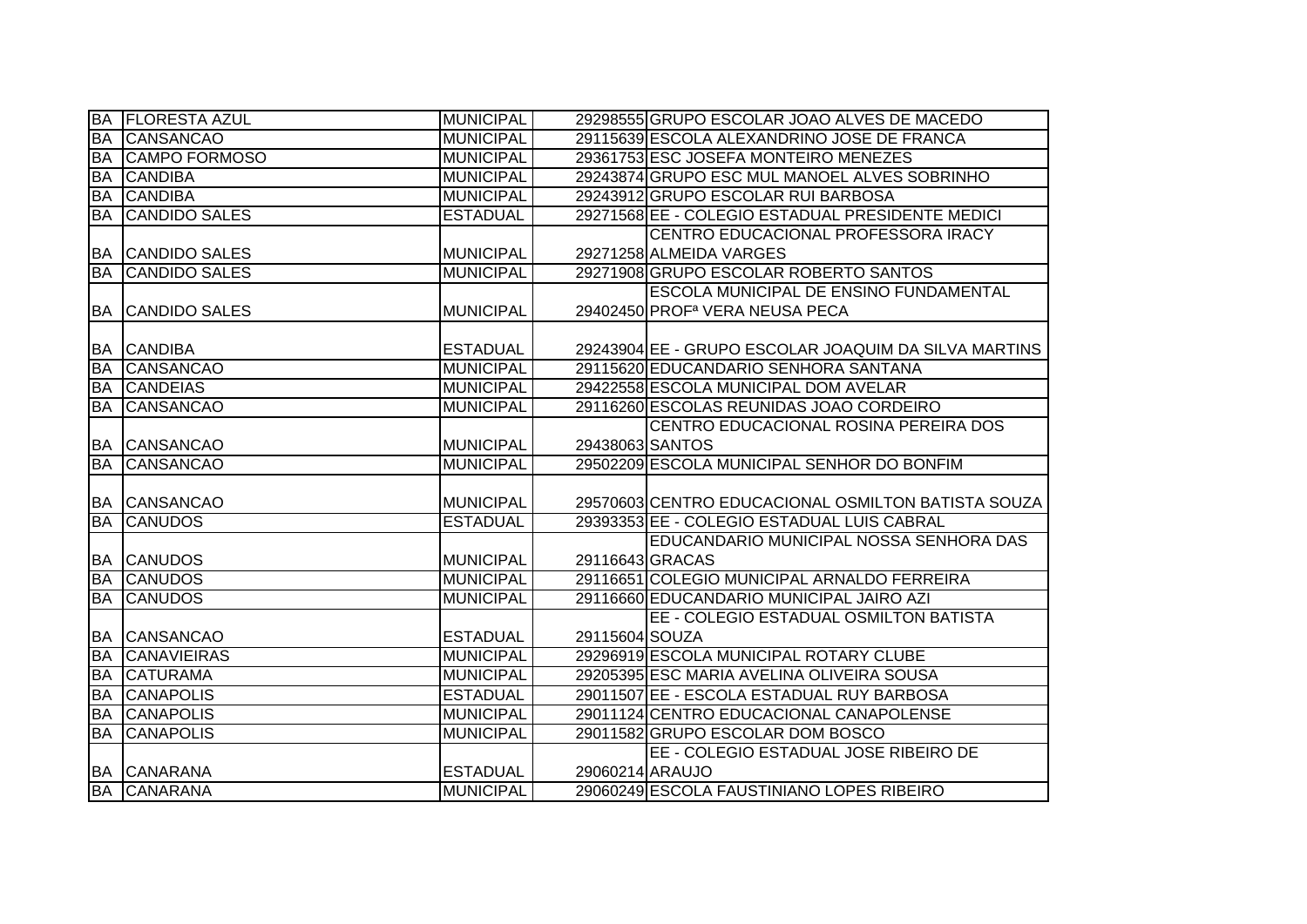| <b>BA</b> | <b>FLORESTA AZUL</b>    | <b>MUNICIPAL</b> |                 | 29298555 GRUPO ESCOLAR JOAO ALVES DE MACEDO          |
|-----------|-------------------------|------------------|-----------------|------------------------------------------------------|
| <b>BA</b> | <b>CANSANCAO</b>        | <b>MUNICIPAL</b> |                 | 29115639 ESCOLA ALEXANDRINO JOSE DE FRANCA           |
| <b>BA</b> | <b>CAMPO FORMOSO</b>    | <b>MUNICIPAL</b> |                 | 29361753 ESC JOSEFA MONTEIRO MENEZES                 |
| <b>BA</b> | <b>CANDIBA</b>          | <b>MUNICIPAL</b> |                 | 29243874 GRUPO ESC MUL MANOEL ALVES SOBRINHO         |
| <b>BA</b> | <b>CANDIBA</b>          | <b>MUNICIPAL</b> |                 | 29243912 GRUPO ESCOLAR RUI BARBOSA                   |
| <b>BA</b> | <b>CANDIDO SALES</b>    | <b>ESTADUAL</b>  |                 | 29271568 EE - COLEGIO ESTADUAL PRESIDENTE MEDICI     |
|           |                         |                  |                 | CENTRO EDUCACIONAL PROFESSORA IRACY                  |
|           | <b>BA CANDIDO SALES</b> | <b>MUNICIPAL</b> |                 | 29271258 ALMEIDA VARGES                              |
| <b>BA</b> | <b>CANDIDO SALES</b>    | <b>MUNICIPAL</b> |                 | 29271908 GRUPO ESCOLAR ROBERTO SANTOS                |
|           |                         |                  |                 | ESCOLA MUNICIPAL DE ENSINO FUNDAMENTAL               |
| <b>BA</b> | <b>CANDIDO SALES</b>    | <b>MUNICIPAL</b> |                 | 29402450 PROF <sup>a</sup> VERA NEUSA PECA           |
|           |                         |                  |                 |                                                      |
| <b>BA</b> | <b>CANDIBA</b>          | <b>ESTADUAL</b>  |                 | 29243904 EE - GRUPO ESCOLAR JOAQUIM DA SILVA MARTINS |
| <b>BA</b> | <b>CANSANCAO</b>        | <b>MUNICIPAL</b> |                 | 29115620 EDUCANDARIO SENHORA SANTANA                 |
| BA        | <b>CANDEIAS</b>         | <b>MUNICIPAL</b> |                 | 29422558 ESCOLA MUNICIPAL DOM AVELAR                 |
| <b>BA</b> | <b>CANSANCAO</b>        | <b>MUNICIPAL</b> |                 | 29116260 ESCOLAS REUNIDAS JOAO CORDEIRO              |
|           |                         |                  |                 | CENTRO EDUCACIONAL ROSINA PEREIRA DOS                |
|           | <b>BA CANSANCAO</b>     | <b>MUNICIPAL</b> | 29438063 SANTOS |                                                      |
|           |                         |                  |                 |                                                      |
| <b>BA</b> | <b>CANSANCAO</b>        | <b>MUNICIPAL</b> |                 | 29502209 ESCOLA MUNICIPAL SENHOR DO BONFIM           |
|           |                         |                  |                 |                                                      |
|           | <b>BA CANSANCAO</b>     | <b>MUNICIPAL</b> |                 | 29570603 CENTRO EDUCACIONAL OSMILTON BATISTA SOUZA   |
| <b>BA</b> | <b>CANUDOS</b>          | <b>ESTADUAL</b>  |                 | 29393353 EE - COLEGIO ESTADUAL LUIS CABRAL           |
|           |                         |                  |                 | EDUCANDARIO MUNICIPAL NOSSA SENHORA DAS              |
| <b>BA</b> | <b>CANUDOS</b>          | <b>MUNICIPAL</b> | 29116643 GRACAS |                                                      |
| <b>BA</b> | <b>CANUDOS</b>          | <b>MUNICIPAL</b> |                 | 29116651 COLEGIO MUNICIPAL ARNALDO FERREIRA          |
| BA        | <b>CANUDOS</b>          | <b>MUNICIPAL</b> |                 | 29116660 EDUCANDARIO MUNICIPAL JAIRO AZI             |
|           |                         |                  |                 | EE - COLEGIO ESTADUAL OSMILTON BATISTA               |
|           | <b>BA CANSANCAO</b>     | <b>ESTADUAL</b>  | 29115604 SOUZA  |                                                      |
| <b>BA</b> | <b>CANAVIEIRAS</b>      | <b>MUNICIPAL</b> |                 | 29296919 ESCOLA MUNICIPAL ROTARY CLUBE               |
| <b>BA</b> | <b>CATURAMA</b>         | <b>MUNICIPAL</b> |                 | 29205395 ESC MARIA AVELINA OLIVEIRA SOUSA            |
| <b>BA</b> | <b>CANAPOLIS</b>        | <b>ESTADUAL</b>  |                 | 29011507 EE - ESCOLA ESTADUAL RUY BARBOSA            |
| <b>BA</b> | <b>CANAPOLIS</b>        | <b>MUNICIPAL</b> |                 | 29011124 CENTRO EDUCACIONAL CANAPOLENSE              |
| <b>BA</b> | <b>CANAPOLIS</b>        | <b>MUNICIPAL</b> |                 | 29011582 GRUPO ESCOLAR DOM BOSCO                     |
|           |                         |                  |                 | EE - COLEGIO ESTADUAL JOSE RIBEIRO DE                |
|           | <b>BA CANARANA</b>      | <b>ESTADUAL</b>  | 29060214 ARAUJO |                                                      |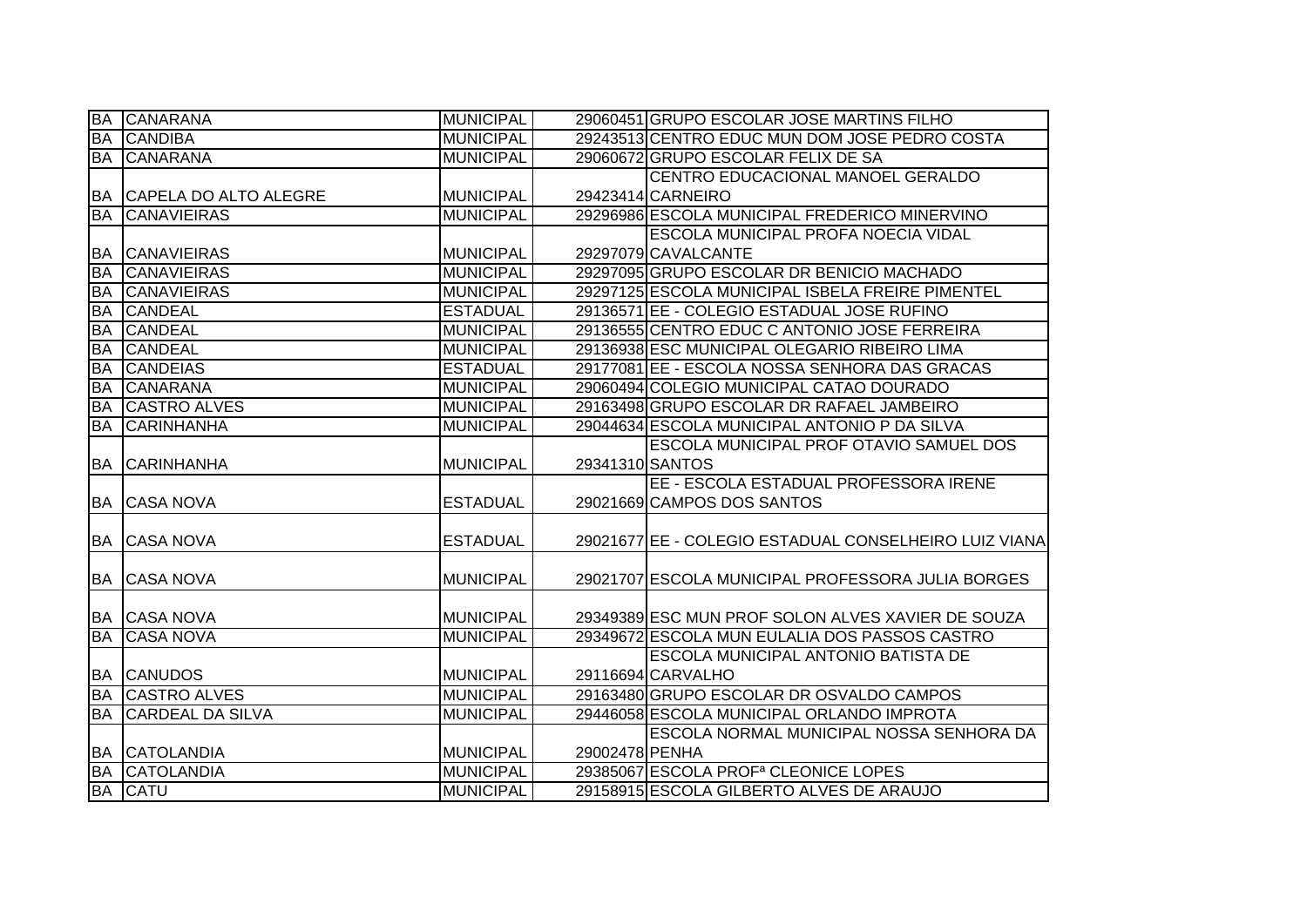| <b>BA</b> | <b>CANARANA</b>          | <b>MUNICIPAL</b> |                 | 29060451 GRUPO ESCOLAR JOSE MARTINS FILHO             |
|-----------|--------------------------|------------------|-----------------|-------------------------------------------------------|
| <b>BA</b> | <b>CANDIBA</b>           | <b>MUNICIPAL</b> |                 | 29243513 CENTRO EDUC MUN DOM JOSE PEDRO COSTA         |
| <b>BA</b> | <b>CANARANA</b>          | <b>MUNICIPAL</b> |                 | 29060672 GRUPO ESCOLAR FELIX DE SA                    |
|           |                          |                  |                 | CENTRO EDUCACIONAL MANOEL GERALDO                     |
|           | BA CAPELA DO ALTO ALEGRE | <b>MUNICIPAL</b> |                 | 29423414 CARNEIRO                                     |
| <b>BA</b> | <b>CANAVIEIRAS</b>       | <b>MUNICIPAL</b> |                 | 29296986 ESCOLA MUNICIPAL FREDERICO MINERVINO         |
|           |                          |                  |                 | ESCOLA MUNICIPAL PROFA NOECIA VIDAL                   |
| <b>BA</b> | <b>CANAVIEIRAS</b>       | <b>MUNICIPAL</b> |                 | 29297079 CAVALCANTE                                   |
| <b>BA</b> | <b>CANAVIEIRAS</b>       | <b>MUNICIPAL</b> |                 | 29297095 GRUPO ESCOLAR DR BENICIO MACHADO             |
| <b>BA</b> | <b>CANAVIEIRAS</b>       | <b>MUNICIPAL</b> |                 | 29297125 ESCOLA MUNICIPAL ISBELA FREIRE PIMENTEL      |
| <b>BA</b> | <b>CANDEAL</b>           | <b>ESTADUAL</b>  |                 | 29136571 EE - COLEGIO ESTADUAL JOSE RUFINO            |
| <b>BA</b> | <b>CANDEAL</b>           | <b>MUNICIPAL</b> |                 | 29136555 CENTRO EDUC C ANTONIO JOSE FERREIRA          |
| <b>BA</b> | <b>CANDEAL</b>           | <b>MUNICIPAL</b> |                 | 29136938 ESC MUNICIPAL OLEGARIO RIBEIRO LIMA          |
| <b>BA</b> | <b>CANDEIAS</b>          | <b>ESTADUAL</b>  |                 | 29177081 EE - ESCOLA NOSSA SENHORA DAS GRACAS         |
| <b>BA</b> | <b>CANARANA</b>          | <b>MUNICIPAL</b> |                 | 29060494 COLEGIO MUNICIPAL CATAO DOURADO              |
| <b>BA</b> | <b>CASTRO ALVES</b>      | <b>MUNICIPAL</b> |                 | 29163498 GRUPO ESCOLAR DR RAFAEL JAMBEIRO             |
| <b>BA</b> | <b>CARINHANHA</b>        | <b>MUNICIPAL</b> |                 | 29044634 ESCOLA MUNICIPAL ANTONIO P DA SILVA          |
|           |                          |                  |                 | ESCOLA MUNICIPAL PROF OTAVIO SAMUEL DOS               |
|           | <b>BA CARINHANHA</b>     | <b>MUNICIPAL</b> | 29341310 SANTOS |                                                       |
|           |                          |                  |                 | EE - ESCOLA ESTADUAL PROFESSORA IRENE                 |
|           | <b>BA CASA NOVA</b>      | <b>ESTADUAL</b>  |                 | 29021669 CAMPOS DOS SANTOS                            |
|           |                          |                  |                 |                                                       |
|           | <b>BA CASA NOVA</b>      | <b>ESTADUAL</b>  |                 | 29021677 EE - COLEGIO ESTADUAL CONSELHEIRO LUIZ VIANA |
|           |                          |                  |                 |                                                       |
| <b>BA</b> | <b>CASA NOVA</b>         | <b>MUNICIPAL</b> |                 | 29021707 ESCOLA MUNICIPAL PROFESSORA JULIA BORGES     |
|           |                          |                  |                 |                                                       |
|           | <b>BA CASA NOVA</b>      | <b>MUNICIPAL</b> |                 | 29349389 ESC MUN PROF SOLON ALVES XAVIER DE SOUZA     |
| <b>BA</b> | <b>CASA NOVA</b>         | <b>MUNICIPAL</b> |                 | 29349672 ESCOLA MUN EULALIA DOS PASSOS CASTRO         |
|           |                          |                  |                 | ESCOLA MUNICIPAL ANTONIO BATISTA DE                   |
|           | <b>BA CANUDOS</b>        | <b>MUNICIPAL</b> |                 | 29116694 CARVALHO                                     |
| <b>BA</b> | <b>CASTRO ALVES</b>      | <b>MUNICIPAL</b> |                 | 29163480 GRUPO ESCOLAR DR OSVALDO CAMPOS              |
| <b>BA</b> | <b>CARDEAL DA SILVA</b>  | <b>MUNICIPAL</b> |                 | 29446058 ESCOLA MUNICIPAL ORLANDO IMPROTA             |
|           |                          |                  |                 | ESCOLA NORMAL MUNICIPAL NOSSA SENHORA DA              |
|           | <b>BA CATOLANDIA</b>     | <b>MUNICIPAL</b> | 29002478 PENHA  |                                                       |
| <b>BA</b> | <b>CATOLANDIA</b>        | <b>MUNICIPAL</b> |                 | 29385067 ESCOLA PROF <sup>a</sup> CLEONICE LOPES      |
|           | <b>BA CATU</b>           | <b>MUNICIPAL</b> |                 | 29158915 ESCOLA GILBERTO ALVES DE ARAUJO              |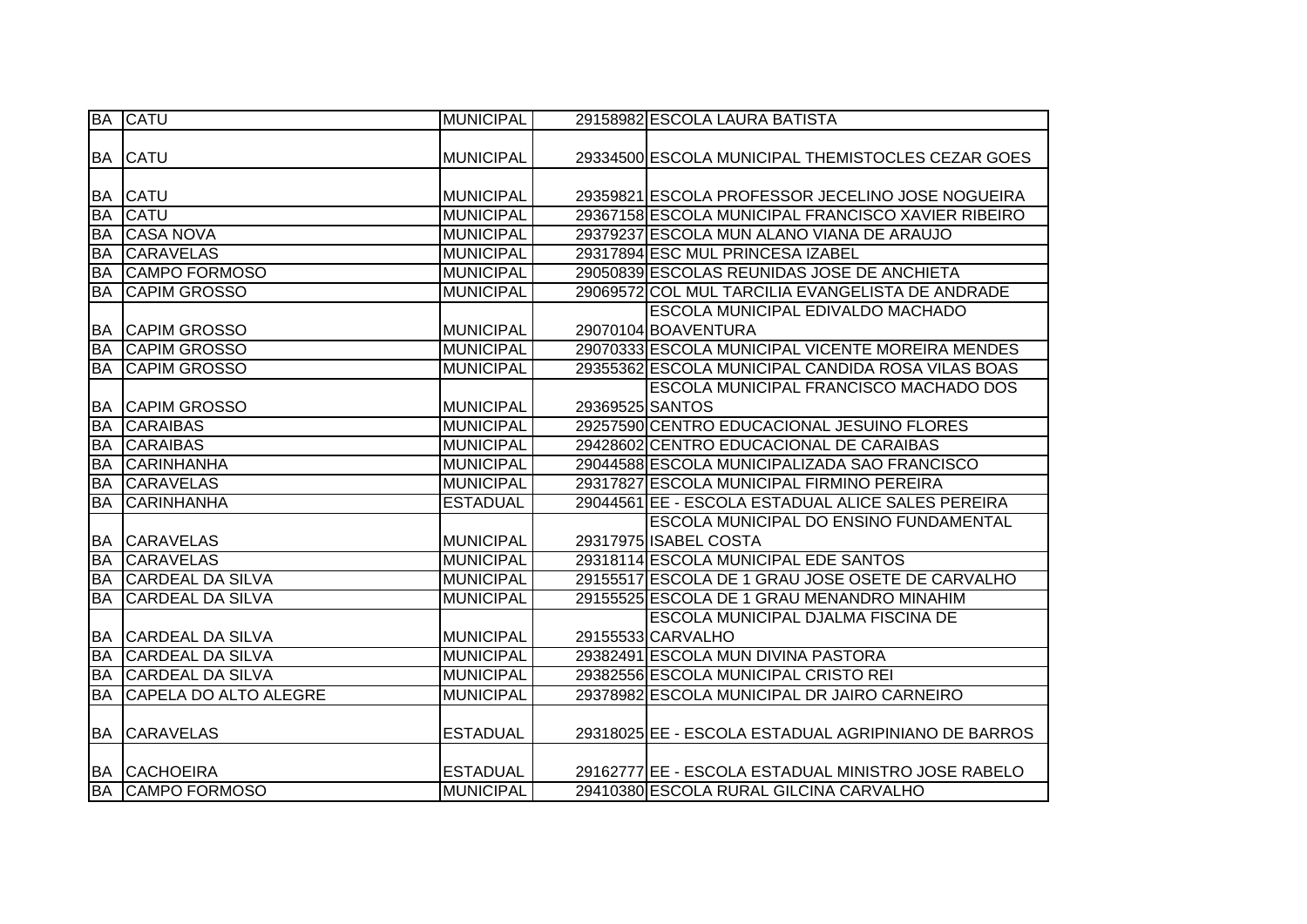|           | <b>BA CATU</b>               | <b>MUNICIPAL</b> |                 | 29158982 ESCOLA LAURA BATISTA                       |
|-----------|------------------------------|------------------|-----------------|-----------------------------------------------------|
|           |                              |                  |                 |                                                     |
|           | <b>BA CATU</b>               | <b>MUNICIPAL</b> |                 | 29334500 ESCOLA MUNICIPAL THEMISTOCLES CEZAR GOES   |
|           |                              |                  |                 |                                                     |
|           | <b>BA CATU</b>               | <b>MUNICIPAL</b> |                 | 29359821 ESCOLA PROFESSOR JECELINO JOSE NOGUEIRA    |
| <b>BA</b> | <b>CATU</b>                  | <b>MUNICIPAL</b> |                 | 29367158 ESCOLA MUNICIPAL FRANCISCO XAVIER RIBEIRO  |
| <b>BA</b> | <b>CASA NOVA</b>             | <b>MUNICIPAL</b> |                 | 29379237 ESCOLA MUN ALANO VIANA DE ARAUJO           |
| <b>BA</b> | <b>CARAVELAS</b>             | <b>MUNICIPAL</b> |                 | 29317894 ESC MUL PRINCESA IZABEL                    |
| <b>BA</b> | CAMPO FORMOSO                | <b>MUNICIPAL</b> |                 | 29050839 ESCOLAS REUNIDAS JOSE DE ANCHIETA          |
| <b>BA</b> | <b>CAPIM GROSSO</b>          | <b>MUNICIPAL</b> |                 | 29069572 COL MUL TARCILIA EVANGELISTA DE ANDRADE    |
|           |                              |                  |                 | <b>ESCOLA MUNICIPAL EDIVALDO MACHADO</b>            |
| <b>BA</b> | <b>CAPIM GROSSO</b>          | <b>MUNICIPAL</b> |                 | 29070104 BOAVENTURA                                 |
| <b>BA</b> | <b>CAPIM GROSSO</b>          | <b>MUNICIPAL</b> |                 | 29070333 ESCOLA MUNICIPAL VICENTE MOREIRA MENDES    |
| BA        | <b>CAPIM GROSSO</b>          | <b>MUNICIPAL</b> |                 | 29355362 ESCOLA MUNICIPAL CANDIDA ROSA VILAS BOAS   |
|           |                              |                  |                 | ESCOLA MUNICIPAL FRANCISCO MACHADO DOS              |
|           | <b>BA CAPIM GROSSO</b>       | <b>MUNICIPAL</b> | 29369525 SANTOS |                                                     |
| <b>BA</b> | <b>CARAIBAS</b>              | <b>MUNICIPAL</b> |                 | 29257590 CENTRO EDUCACIONAL JESUINO FLORES          |
| <b>BA</b> | <b>CARAIBAS</b>              | <b>MUNICIPAL</b> |                 | 29428602 CENTRO EDUCACIONAL DE CARAIBAS             |
| <b>BA</b> | <b>CARINHANHA</b>            | <b>MUNICIPAL</b> |                 | 29044588 ESCOLA MUNICIPALIZADA SAO FRANCISCO        |
| <b>BA</b> | <b>CARAVELAS</b>             | <b>MUNICIPAL</b> |                 | 29317827 ESCOLA MUNICIPAL FIRMINO PEREIRA           |
| <b>BA</b> | <b>CARINHANHA</b>            | <b>ESTADUAL</b>  |                 | 29044561 EE - ESCOLA ESTADUAL ALICE SALES PEREIRA   |
|           |                              |                  |                 | ESCOLA MUNICIPAL DO ENSINO FUNDAMENTAL              |
| IBA I     | <b>CARAVELAS</b>             | <b>MUNICIPAL</b> |                 | 29317975 ISABEL COSTA                               |
| <b>BA</b> | <b>CARAVELAS</b>             | <b>MUNICIPAL</b> |                 | 29318114 ESCOLA MUNICIPAL EDE SANTOS                |
| <b>BA</b> | <b>CARDEAL DA SILVA</b>      | <b>MUNICIPAL</b> |                 | 29155517 ESCOLA DE 1 GRAU JOSE OSETE DE CARVALHO    |
| <b>BA</b> | <b>CARDEAL DA SILVA</b>      | <b>MUNICIPAL</b> |                 | 29155525 ESCOLA DE 1 GRAU MENANDRO MINAHIM          |
|           |                              |                  |                 | <b>ESCOLA MUNICIPAL DJALMA FISCINA DE</b>           |
|           | <b>BA CARDEAL DA SILVA</b>   | <b>MUNICIPAL</b> |                 | 29155533 CARVALHO                                   |
| <b>BA</b> | <b>CARDEAL DA SILVA</b>      | <b>MUNICIPAL</b> |                 | 29382491 ESCOLA MUN DIVINA PASTORA                  |
| <b>BA</b> | <b>CARDEAL DA SILVA</b>      | <b>MUNICIPAL</b> |                 | 29382556 ESCOLA MUNICIPAL CRISTO REI                |
| <b>BA</b> | <b>CAPELA DO ALTO ALEGRE</b> | <b>MUNICIPAL</b> |                 | 29378982 ESCOLA MUNICIPAL DR JAIRO CARNEIRO         |
|           |                              |                  |                 |                                                     |
| <b>BA</b> | <b>CARAVELAS</b>             | <b>ESTADUAL</b>  |                 | 29318025 EE - ESCOLA ESTADUAL AGRIPINIANO DE BARROS |
|           |                              |                  |                 |                                                     |
|           | <b>BA CACHOEIRA</b>          | <b>ESTADUAL</b>  |                 | 29162777 EE - ESCOLA ESTADUAL MINISTRO JOSE RABELO  |
|           | <b>BA CAMPO FORMOSO</b>      | <b>MUNICIPAL</b> |                 | 29410380 ESCOLA RURAL GILCINA CARVALHO              |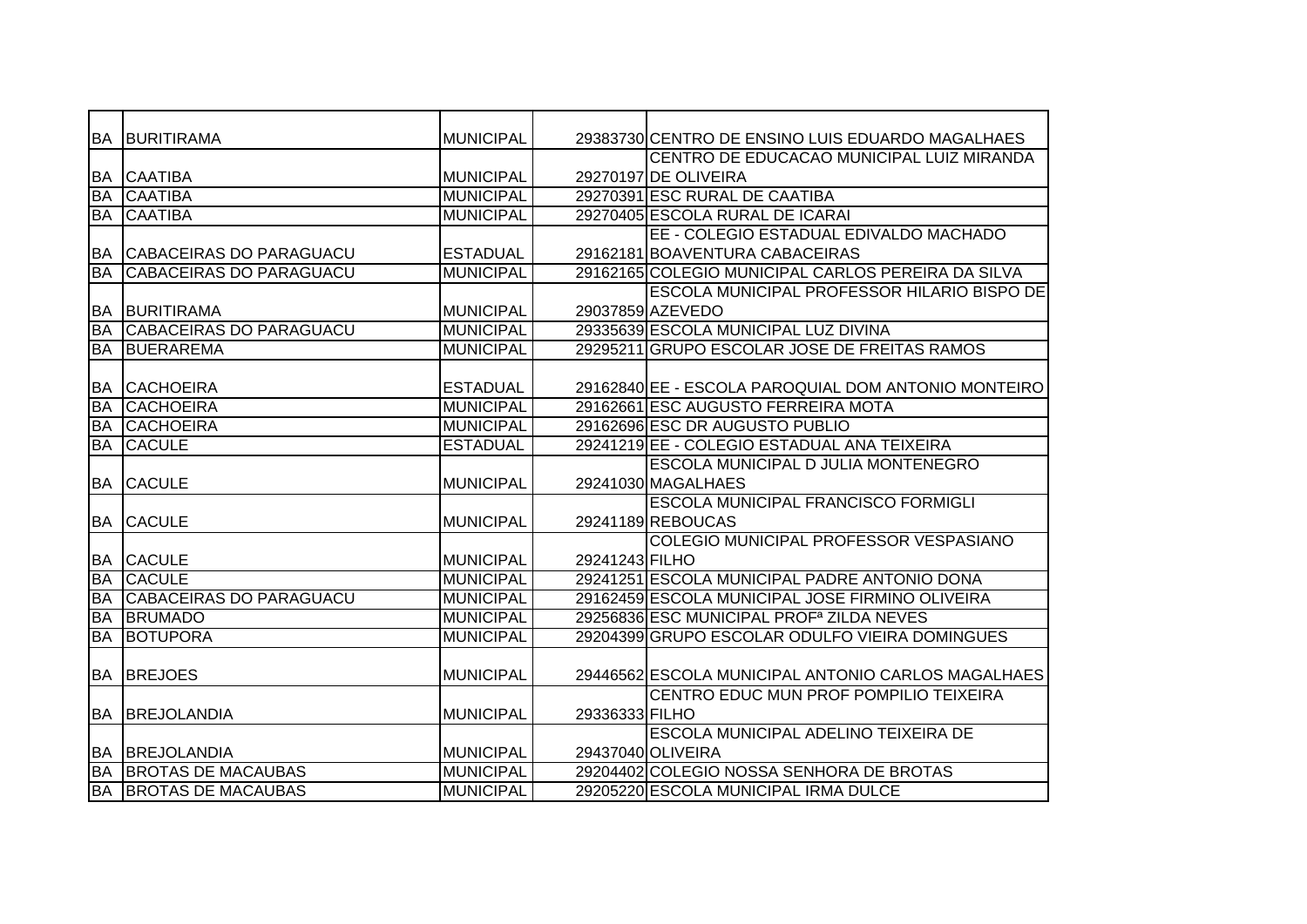|           | <b>BA BURITIRAMA</b>           | <b>MUNICIPAL</b> |                | 29383730 CENTRO DE ENSINO LUIS EDUARDO MAGALHAES     |
|-----------|--------------------------------|------------------|----------------|------------------------------------------------------|
|           |                                |                  |                | CENTRO DE EDUCACAO MUNICIPAL LUIZ MIRANDA            |
|           | <b>BA CAATIBA</b>              | <b>MUNICIPAL</b> |                | 29270197 DE OLIVEIRA                                 |
| <b>BA</b> | <b>CAATIBA</b>                 | <b>MUNICIPAL</b> |                | 29270391 ESC RURAL DE CAATIBA                        |
| <b>BA</b> | <b>CAATIBA</b>                 | <b>MUNICIPAL</b> |                | 29270405 ESCOLA RURAL DE ICARAI                      |
|           |                                |                  |                | EE - COLEGIO ESTADUAL EDIVALDO MACHADO               |
| <b>BA</b> | CABACEIRAS DO PARAGUACU        | <b>ESTADUAL</b>  |                | 29162181 BOAVENTURA CABACEIRAS                       |
| <b>BA</b> | CABACEIRAS DO PARAGUACU        | <b>MUNICIPAL</b> |                | 29162165 COLEGIO MUNICIPAL CARLOS PEREIRA DA SILVA   |
|           |                                |                  |                | ESCOLA MUNICIPAL PROFESSOR HILARIO BISPO DE          |
| <b>BA</b> | <b>BURITIRAMA</b>              | <b>MUNICIPAL</b> |                | 29037859 AZEVEDO                                     |
| <b>BA</b> | <b>CABACEIRAS DO PARAGUACU</b> | <b>MUNICIPAL</b> |                | 29335639 ESCOLA MUNICIPAL LUZ DIVINA                 |
| <b>BA</b> | <b>BUERAREMA</b>               | <b>MUNICIPAL</b> |                | 29295211 GRUPO ESCOLAR JOSE DE FREITAS RAMOS         |
|           |                                |                  |                |                                                      |
| <b>BA</b> | <b>CACHOEIRA</b>               | <b>ESTADUAL</b>  |                | 29162840 EE - ESCOLA PAROQUIAL DOM ANTONIO MONTEIRO  |
| <b>BA</b> | <b>CACHOEIRA</b>               | <b>MUNICIPAL</b> |                | 29162661 ESC AUGUSTO FERREIRA MOTA                   |
| <b>BA</b> | <b>CACHOEIRA</b>               | <b>MUNICIPAL</b> |                | 29162696 ESC DR AUGUSTO PUBLIO                       |
| <b>BA</b> | <b>CACULE</b>                  | <b>ESTADUAL</b>  |                | 29241219 EE - COLEGIO ESTADUAL ANA TEIXEIRA          |
|           |                                |                  |                | ESCOLA MUNICIPAL D JULIA MONTENEGRO                  |
|           | <b>BA CACULE</b>               | <b>MUNICIPAL</b> |                | 29241030 MAGALHAES                                   |
|           |                                |                  |                | <b>ESCOLA MUNICIPAL FRANCISCO FORMIGLI</b>           |
|           | <b>BA CACULE</b>               | <b>MUNICIPAL</b> |                | 29241189 REBOUCAS                                    |
|           |                                |                  |                | COLEGIO MUNICIPAL PROFESSOR VESPASIANO               |
|           | <b>BA CACULE</b>               | <b>MUNICIPAL</b> | 29241243 FILHO |                                                      |
| BA        | <b>CACULE</b>                  | <b>MUNICIPAL</b> |                | 29241251 ESCOLA MUNICIPAL PADRE ANTONIO DONA         |
| <b>BA</b> | <b>CABACEIRAS DO PARAGUACU</b> | <b>MUNICIPAL</b> |                | 29162459 ESCOLA MUNICIPAL JOSE FIRMINO OLIVEIRA      |
| <b>BA</b> | <b>BRUMADO</b>                 | <b>MUNICIPAL</b> |                | 29256836 ESC MUNICIPAL PROF <sup>a</sup> ZILDA NEVES |
| <b>BA</b> | <b>BOTUPORA</b>                | <b>MUNICIPAL</b> |                | 29204399 GRUPO ESCOLAR ODULFO VIEIRA DOMINGUES       |
|           |                                |                  |                |                                                      |
|           | <b>BA BREJOES</b>              | <b>MUNICIPAL</b> |                | 29446562 ESCOLA MUNICIPAL ANTONIO CARLOS MAGALHAES   |
|           |                                |                  |                | CENTRO EDUC MUN PROF POMPILIO TEIXEIRA               |
| <b>BA</b> | <b>BREJOLANDIA</b>             | <b>MUNICIPAL</b> | 29336333 FILHO |                                                      |
|           |                                |                  |                | <b>ESCOLA MUNICIPAL ADELINO TEIXEIRA DE</b>          |
|           | <b>BA BREJOLANDIA</b>          | <b>MUNICIPAL</b> |                | 29437040 OLIVEIRA                                    |
| <b>BA</b> | <b>BROTAS DE MACAUBAS</b>      | <b>MUNICIPAL</b> |                | 29204402 COLEGIO NOSSA SENHORA DE BROTAS             |
|           | <b>BA BROTAS DE MACAUBAS</b>   | <b>MUNICIPAL</b> |                | 29205220 ESCOLA MUNICIPAL IRMA DULCE                 |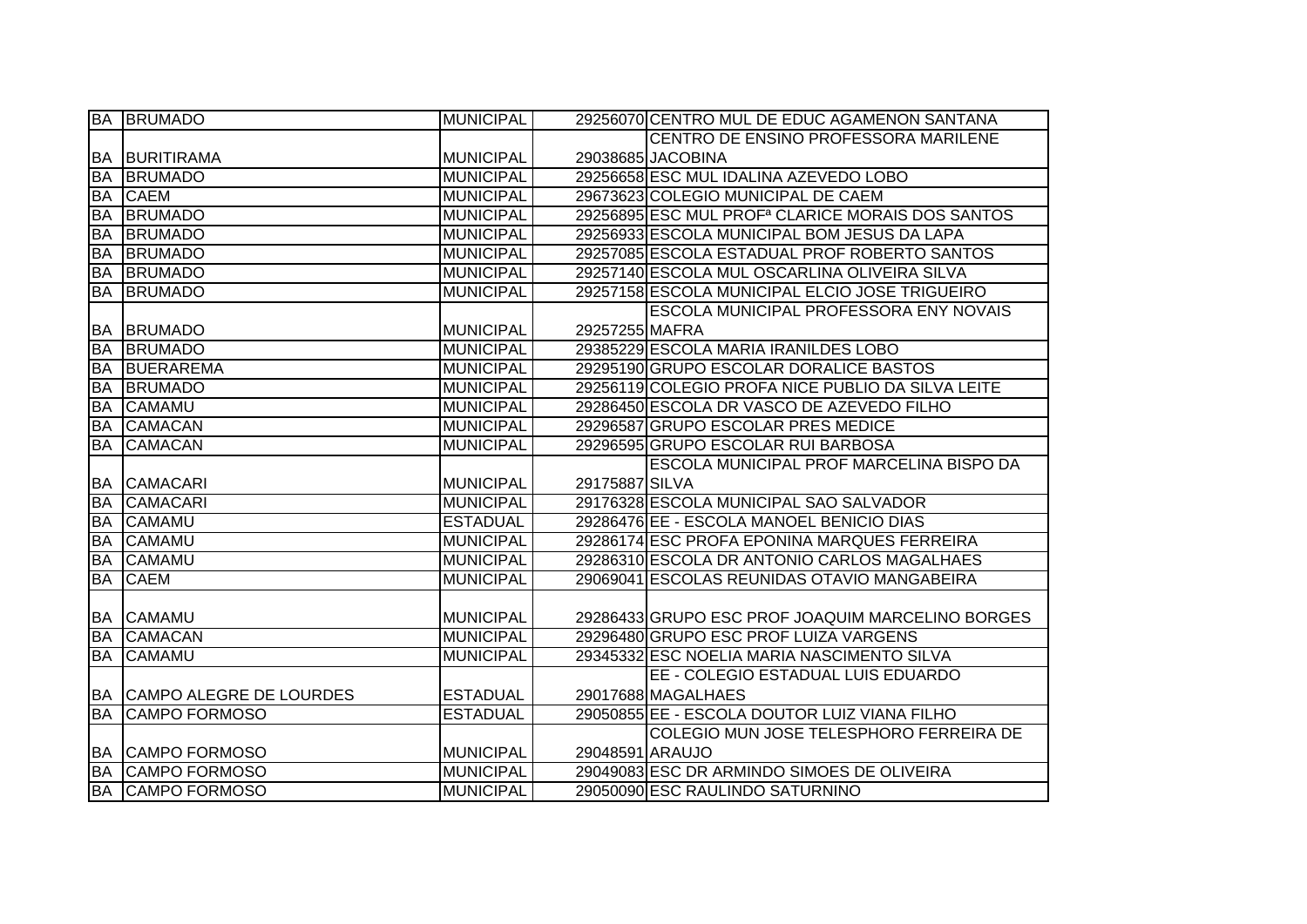|           | <b>BA BRUMADO</b>          | <b>MUNICIPAL</b> |                 | 29256070 CENTRO MUL DE EDUC AGAMENON SANTANA                 |
|-----------|----------------------------|------------------|-----------------|--------------------------------------------------------------|
|           |                            |                  |                 | CENTRO DE ENSINO PROFESSORA MARILENE                         |
|           | <b>BA BURITIRAMA</b>       | <b>MUNICIPAL</b> |                 | 29038685 JACOBINA                                            |
| BA        | <b>BRUMADO</b>             | <b>MUNICIPAL</b> |                 | 29256658 ESC MUL IDALINA AZEVEDO LOBO                        |
| <b>BA</b> | <b>CAEM</b>                | <b>MUNICIPAL</b> |                 | 29673623 COLEGIO MUNICIPAL DE CAEM                           |
| <b>BA</b> | <b>BRUMADO</b>             | <b>MUNICIPAL</b> |                 | 29256895 ESC MUL PROF <sup>a</sup> CLARICE MORAIS DOS SANTOS |
| <b>BA</b> | <b>BRUMADO</b>             | <b>MUNICIPAL</b> |                 | 29256933 ESCOLA MUNICIPAL BOM JESUS DA LAPA                  |
| <b>BA</b> | <b>BRUMADO</b>             | <b>MUNICIPAL</b> |                 | 29257085 ESCOLA ESTADUAL PROF ROBERTO SANTOS                 |
| <b>BA</b> | <b>BRUMADO</b>             | <b>MUNICIPAL</b> |                 | 29257140 ESCOLA MUL OSCARLINA OLIVEIRA SILVA                 |
| <b>BA</b> | <b>BRUMADO</b>             | <b>MUNICIPAL</b> |                 | 29257158 ESCOLA MUNICIPAL ELCIO JOSE TRIGUEIRO               |
|           |                            |                  |                 | ESCOLA MUNICIPAL PROFESSORA ENY NOVAIS                       |
|           | <b>BA BRUMADO</b>          | <b>MUNICIPAL</b> | 29257255 MAFRA  |                                                              |
| <b>BA</b> | <b>BRUMADO</b>             | <b>MUNICIPAL</b> |                 | 29385229 ESCOLA MARIA IRANILDES LOBO                         |
| <b>BA</b> | <b>BUERAREMA</b>           | <b>MUNICIPAL</b> |                 | 29295190 GRUPO ESCOLAR DORALICE BASTOS                       |
| <b>BA</b> | <b>BRUMADO</b>             | <b>MUNICIPAL</b> |                 | 29256119 COLEGIO PROFA NICE PUBLIO DA SILVA LEITE            |
| <b>BA</b> | <b>CAMAMU</b>              | <b>MUNICIPAL</b> |                 | 29286450 ESCOLA DR VASCO DE AZEVEDO FILHO                    |
| <b>BA</b> | <b>CAMACAN</b>             | <b>MUNICIPAL</b> |                 | 29296587 GRUPO ESCOLAR PRES MEDICE                           |
| <b>BA</b> | <b>CAMACAN</b>             | <b>MUNICIPAL</b> |                 | 29296595 GRUPO ESCOLAR RUI BARBOSA                           |
|           |                            |                  |                 | ESCOLA MUNICIPAL PROF MARCELINA BISPO DA                     |
|           | <b>BA CAMACARI</b>         | <b>MUNICIPAL</b> | 29175887 SILVA  |                                                              |
| <b>BA</b> | <b>CAMACARI</b>            | <b>MUNICIPAL</b> |                 | 29176328 ESCOLA MUNICIPAL SAO SALVADOR                       |
| <b>BA</b> | <b>CAMAMU</b>              | <b>ESTADUAL</b>  |                 | 29286476 EE - ESCOLA MANOEL BENICIO DIAS                     |
| <b>BA</b> | <b>CAMAMU</b>              | <b>MUNICIPAL</b> |                 | 29286174 ESC PROFA EPONINA MARQUES FERREIRA                  |
| <b>BA</b> | <b>CAMAMU</b>              | <b>MUNICIPAL</b> |                 | 29286310 ESCOLA DR ANTONIO CARLOS MAGALHAES                  |
| <b>BA</b> | <b>CAEM</b>                | <b>MUNICIPAL</b> |                 | 29069041 ESCOLAS REUNIDAS OTAVIO MANGABEIRA                  |
|           |                            |                  |                 |                                                              |
| BA        | <b>CAMAMU</b>              | <b>MUNICIPAL</b> |                 | 29286433 GRUPO ESC PROF JOAQUIM MARCELINO BORGES             |
| <b>BA</b> | <b>CAMACAN</b>             | <b>MUNICIPAL</b> |                 | 29296480 GRUPO ESC PROF LUIZA VARGENS                        |
| <b>BA</b> | <b>CAMAMU</b>              | <b>MUNICIPAL</b> |                 | 29345332 ESC NOELIA MARIA NASCIMENTO SILVA                   |
|           |                            |                  |                 | EE - COLEGIO ESTADUAL LUIS EDUARDO                           |
|           | BA CAMPO ALEGRE DE LOURDES | <b>ESTADUAL</b>  |                 | 29017688 MAGALHAES                                           |
| <b>BA</b> | <b>CAMPO FORMOSO</b>       | <b>ESTADUAL</b>  |                 | 29050855 EE - ESCOLA DOUTOR LUIZ VIANA FILHO                 |
|           |                            |                  |                 | COLEGIO MUN JOSE TELESPHORO FERREIRA DE                      |
|           | <b>BA CAMPO FORMOSO</b>    | <b>MUNICIPAL</b> | 29048591 ARAUJO |                                                              |
| <b>BA</b> | <b>CAMPO FORMOSO</b>       | <b>MUNICIPAL</b> |                 | 29049083 ESC DR ARMINDO SIMOES DE OLIVEIRA                   |
|           | <b>BA CAMPO FORMOSO</b>    | <b>MUNICIPAL</b> |                 | 29050090 ESC RAULINDO SATURNINO                              |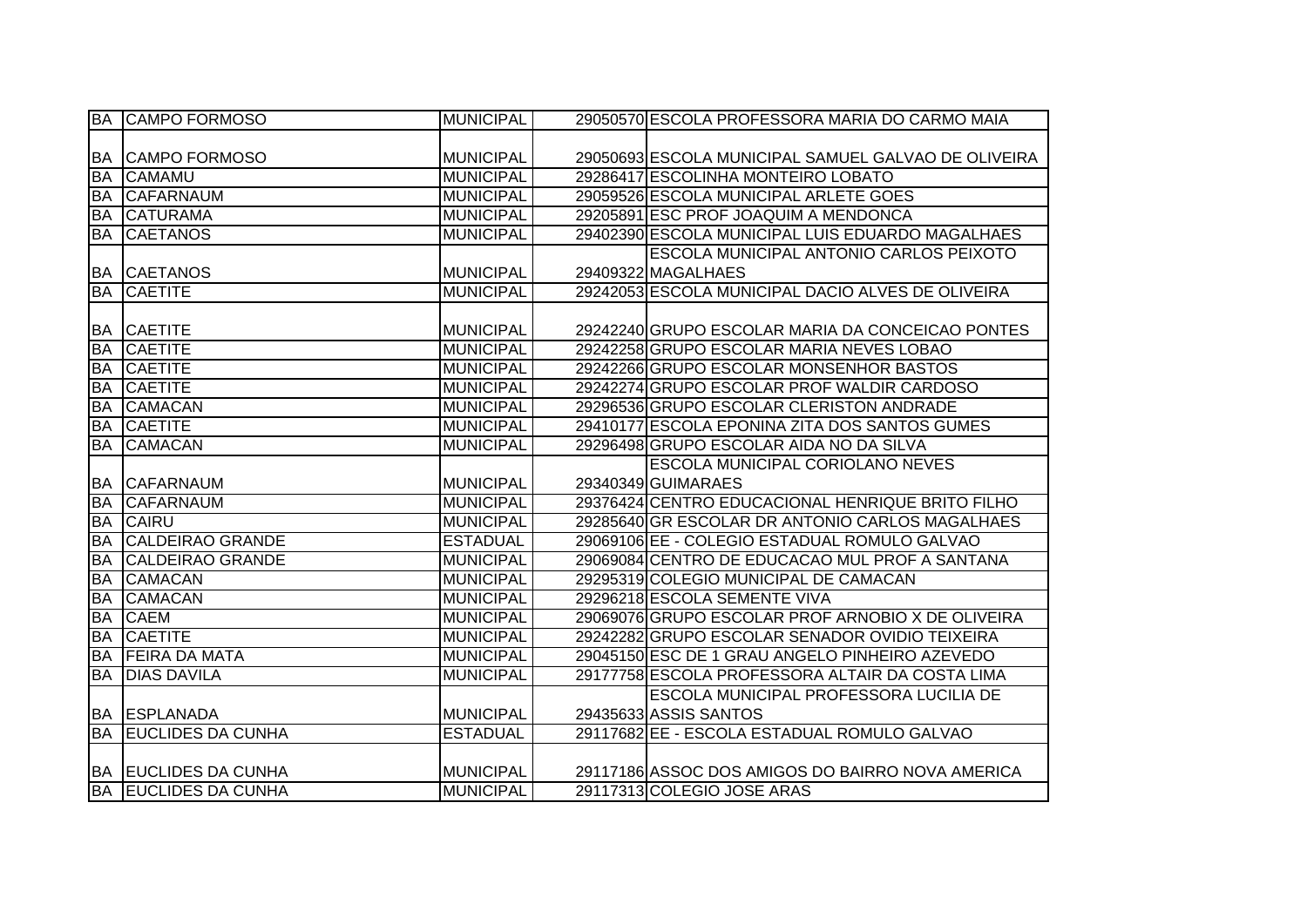|           | <b>BA CAMPO FORMOSO</b>     | <b>MUNICIPAL</b> | 29050570 ESCOLA PROFESSORA MARIA DO CARMO MAIA      |
|-----------|-----------------------------|------------------|-----------------------------------------------------|
|           |                             |                  |                                                     |
|           | <b>BA CAMPO FORMOSO</b>     | <b>MUNICIPAL</b> | 29050693 ESCOLA MUNICIPAL SAMUEL GALVAO DE OLIVEIRA |
| <b>BA</b> | <b>CAMAMU</b>               | <b>MUNICIPAL</b> | 29286417 ESCOLINHA MONTEIRO LOBATO                  |
| <b>BA</b> | <b>CAFARNAUM</b>            | <b>MUNICIPAL</b> | 29059526 ESCOLA MUNICIPAL ARLETE GOES               |
| <b>BA</b> | <b>CATURAMA</b>             | <b>MUNICIPAL</b> | 29205891 ESC PROF JOAQUIM A MENDONCA                |
| <b>BA</b> | <b>CAETANOS</b>             | <b>MUNICIPAL</b> | 29402390 ESCOLA MUNICIPAL LUIS EDUARDO MAGALHAES    |
|           |                             |                  | <b>ESCOLA MUNICIPAL ANTONIO CARLOS PEIXOTO</b>      |
|           | <b>BA CAETANOS</b>          | <b>MUNICIPAL</b> | 29409322 MAGALHAES                                  |
| <b>BA</b> | <b>CAETITE</b>              | <b>MUNICIPAL</b> | 29242053 ESCOLA MUNICIPAL DACIO ALVES DE OLIVEIRA   |
|           |                             |                  |                                                     |
| BA        | <b>CAETITE</b>              | <b>MUNICIPAL</b> | 29242240 GRUPO ESCOLAR MARIA DA CONCEICAO PONTES    |
| <b>BA</b> | <b>CAETITE</b>              | <b>MUNICIPAL</b> | 29242258 GRUPO ESCOLAR MARIA NEVES LOBAO            |
| <b>BA</b> | <b>CAETITE</b>              | <b>MUNICIPAL</b> | 29242266 GRUPO ESCOLAR MONSENHOR BASTOS             |
| <b>BA</b> | <b>CAETITE</b>              | <b>MUNICIPAL</b> | 29242274 GRUPO ESCOLAR PROF WALDIR CARDOSO          |
| <b>BA</b> | <b>CAMACAN</b>              | <b>MUNICIPAL</b> | 29296536 GRUPO ESCOLAR CLERISTON ANDRADE            |
| <b>BA</b> | <b>CAETITE</b>              | <b>MUNICIPAL</b> | 29410177 ESCOLA EPONINA ZITA DOS SANTOS GUMES       |
| <b>BA</b> | <b>CAMACAN</b>              | <b>MUNICIPAL</b> | 29296498 GRUPO ESCOLAR AIDA NO DA SILVA             |
|           |                             |                  | <b>ESCOLA MUNICIPAL CORIOLANO NEVES</b>             |
|           | <b>BA CAFARNAUM</b>         | <b>MUNICIPAL</b> | 29340349 GUIMARAES                                  |
| <b>BA</b> | <b>CAFARNAUM</b>            | <b>MUNICIPAL</b> | 29376424 CENTRO EDUCACIONAL HENRIQUE BRITO FILHO    |
| <b>BA</b> | <b>CAIRU</b>                | <b>MUNICIPAL</b> | 29285640 GR ESCOLAR DR ANTONIO CARLOS MAGALHAES     |
| <b>BA</b> | <b>CALDEIRAO GRANDE</b>     | <b>ESTADUAL</b>  | 29069106 EE - COLEGIO ESTADUAL ROMULO GALVAO        |
| <b>BA</b> | <b>CALDEIRAO GRANDE</b>     | <b>MUNICIPAL</b> | 29069084 CENTRO DE EDUCACAO MUL PROF A SANTANA      |
| <b>BA</b> | <b>CAMACAN</b>              | <b>MUNICIPAL</b> | 29295319 COLEGIO MUNICIPAL DE CAMACAN               |
| <b>BA</b> | <b>CAMACAN</b>              | <b>MUNICIPAL</b> | 29296218 ESCOLA SEMENTE VIVA                        |
| <b>BA</b> | <b>CAEM</b>                 | <b>MUNICIPAL</b> | 29069076 GRUPO ESCOLAR PROF ARNOBIO X DE OLIVEIRA   |
| <b>BA</b> | <b>CAETITE</b>              | <b>MUNICIPAL</b> | 29242282 GRUPO ESCOLAR SENADOR OVIDIO TEIXEIRA      |
| <b>БА</b> | <b>FEIRA DA MATA</b>        | <b>MUNICIPAL</b> | 29045150 ESC DE 1 GRAU ANGELO PINHEIRO AZEVEDO      |
| <b>BA</b> | <b>DIAS DAVILA</b>          | <b>MUNICIPAL</b> | 29177758 ESCOLA PROFESSORA ALTAIR DA COSTA LIMA     |
|           |                             |                  | ESCOLA MUNICIPAL PROFESSORA LUCILIA DE              |
|           | BA ESPLANADA                | <b>MUNICIPAL</b> | 29435633 ASSIS SANTOS                               |
| <b>BA</b> | <b>EUCLIDES DA CUNHA</b>    | <b>ESTADUAL</b>  | 29117682 EE - ESCOLA ESTADUAL ROMULO GALVAO         |
|           |                             |                  |                                                     |
|           | BA EUCLIDES DA CUNHA        | <b>MUNICIPAL</b> | 29117186 ASSOC DOS AMIGOS DO BAIRRO NOVA AMERICA    |
|           | <b>BA EUCLIDES DA CUNHA</b> | <b>MUNICIPAL</b> | 29117313 COLEGIO JOSE ARAS                          |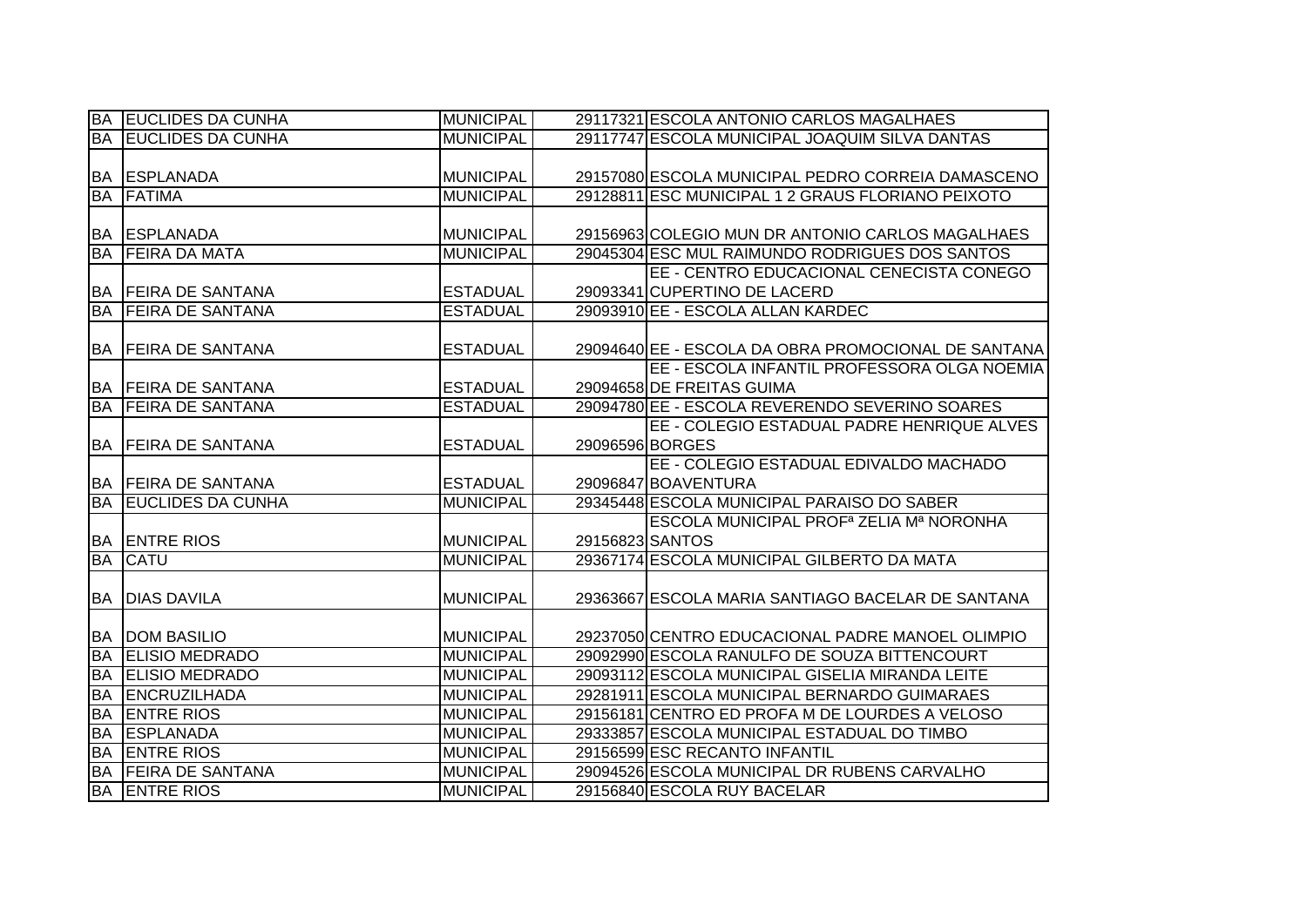|           | <b>BA EUCLIDES DA CUNHA</b> | <b>MUNICIPAL</b> |                 | 29117321 ESCOLA ANTONIO CARLOS MAGALHAES            |
|-----------|-----------------------------|------------------|-----------------|-----------------------------------------------------|
| <b>BA</b> | <b>EUCLIDES DA CUNHA</b>    | <b>MUNICIPAL</b> |                 | 29117747 ESCOLA MUNICIPAL JOAQUIM SILVA DANTAS      |
|           |                             |                  |                 |                                                     |
|           | <b>BA ESPLANADA</b>         | <b>MUNICIPAL</b> |                 | 29157080 ESCOLA MUNICIPAL PEDRO CORREIA DAMASCENO   |
| <b>BA</b> | <b>FATIMA</b>               | <b>MUNICIPAL</b> |                 | 29128811 ESC MUNICIPAL 1 2 GRAUS FLORIANO PEIXOTO   |
|           |                             |                  |                 |                                                     |
|           | <b>BA ESPLANADA</b>         | <b>MUNICIPAL</b> |                 | 29156963 COLEGIO MUN DR ANTONIO CARLOS MAGALHAES    |
| <b>BA</b> | <b>FEIRA DA MATA</b>        | <b>MUNICIPAL</b> |                 | 29045304 ESC MUL RAIMUNDO RODRIGUES DOS SANTOS      |
|           |                             |                  |                 | EE - CENTRO EDUCACIONAL CENECISTA CONEGO            |
| <b>BA</b> | <b>FEIRA DE SANTANA</b>     | <b>ESTADUAL</b>  |                 | 29093341 CUPERTINO DE LACERD                        |
| <b>BA</b> | <b>FEIRA DE SANTANA</b>     | <b>ESTADUAL</b>  |                 | 29093910 EE - ESCOLA ALLAN KARDEC                   |
|           |                             |                  |                 |                                                     |
| <b>BA</b> | <b>FEIRA DE SANTANA</b>     | <b>ESTADUAL</b>  |                 | 29094640 EE - ESCOLA DA OBRA PROMOCIONAL DE SANTANA |
|           |                             |                  |                 | EE - ESCOLA INFANTIL PROFESSORA OLGA NOEMIA         |
| BA        | <b>FEIRA DE SANTANA</b>     | <b>ESTADUAL</b>  |                 | 29094658 DE FREITAS GUIMA                           |
| <b>BA</b> | <b>FEIRA DE SANTANA</b>     | <b>ESTADUAL</b>  |                 | 29094780 EE - ESCOLA REVERENDO SEVERINO SOARES      |
|           |                             |                  |                 | EE - COLEGIO ESTADUAL PADRE HENRIQUE ALVES          |
| BA        | <b>FEIRA DE SANTANA</b>     | <b>ESTADUAL</b>  | 29096596 BORGES |                                                     |
|           |                             |                  |                 | EE - COLEGIO ESTADUAL EDIVALDO MACHADO              |
|           | <b>BA FEIRA DE SANTANA</b>  | <b>ESTADUAL</b>  |                 | 29096847 BOAVENTURA                                 |
| <b>BA</b> | <b>EUCLIDES DA CUNHA</b>    | <b>MUNICIPAL</b> |                 | 29345448 ESCOLA MUNICIPAL PARAISO DO SABER          |
|           |                             |                  |                 | ESCOLA MUNICIPAL PROF <sup>a</sup> ZELIA Mª NORONHA |
| BA        | <b>ENTRE RIOS</b>           | <b>MUNICIPAL</b> | 29156823 SANTOS |                                                     |
| <b>BA</b> | <b>CATU</b>                 | <b>MUNICIPAL</b> |                 | 29367174 ESCOLA MUNICIPAL GILBERTO DA MATA          |
|           |                             |                  |                 |                                                     |
| <b>BA</b> | <b>DIAS DAVILA</b>          | <b>MUNICIPAL</b> |                 | 29363667 ESCOLA MARIA SANTIAGO BACELAR DE SANTANA   |
|           |                             |                  |                 |                                                     |
| <b>BA</b> | <b>DOM BASILIO</b>          | <b>MUNICIPAL</b> |                 | 29237050 CENTRO EDUCACIONAL PADRE MANOEL OLIMPIO    |
| <b>BA</b> | <b>ELISIO MEDRADO</b>       | <b>MUNICIPAL</b> |                 | 29092990 ESCOLA RANULFO DE SOUZA BITTENCOURT        |
| <b>BA</b> | <b>ELISIO MEDRADO</b>       | <b>MUNICIPAL</b> |                 | 29093112 ESCOLA MUNICIPAL GISELIA MIRANDA LEITE     |
| <b>BA</b> | ENCRUZILHADA                | <b>MUNICIPAL</b> |                 | 29281911 ESCOLA MUNICIPAL BERNARDO GUIMARAES        |
| <b>BA</b> | <b>ENTRE RIOS</b>           | <b>MUNICIPAL</b> |                 | 29156181 CENTRO ED PROFA M DE LOURDES A VELOSO      |
| <b>BA</b> | <b>ESPLANADA</b>            | <b>MUNICIPAL</b> |                 | 29333857 ESCOLA MUNICIPAL ESTADUAL DO TIMBO         |
| <b>BA</b> | <b>ENTRE RIOS</b>           | <b>MUNICIPAL</b> |                 | 29156599 ESC RECANTO INFANTIL                       |
| <b>BA</b> | <b>FEIRA DE SANTANA</b>     | <b>MUNICIPAL</b> |                 | 29094526 ESCOLA MUNICIPAL DR RUBENS CARVALHO        |
| <b>BA</b> | <b>ENTRE RIOS</b>           | <b>MUNICIPAL</b> |                 | 29156840 ESCOLA RUY BACELAR                         |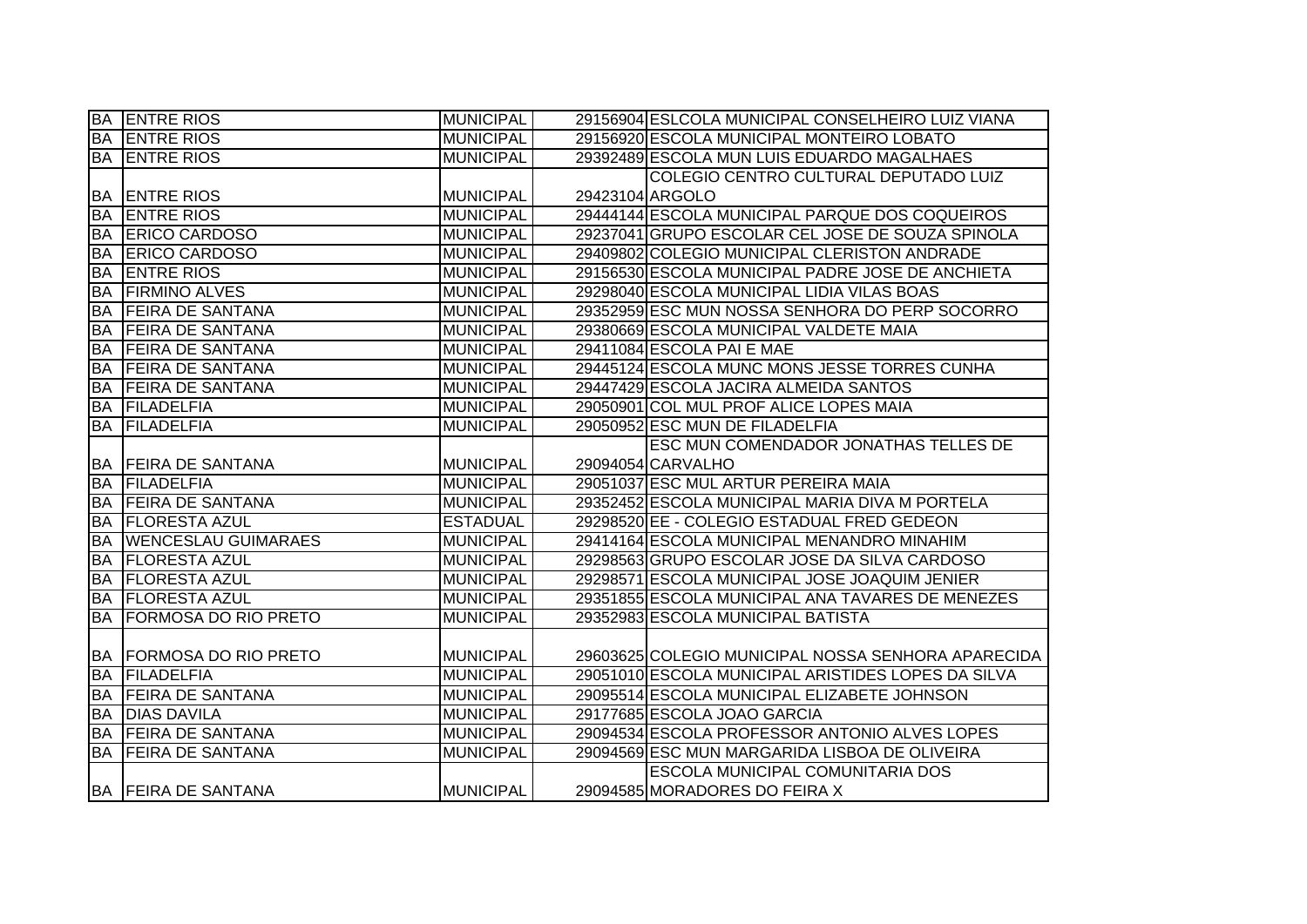|           | <b>BA ENTRE RIOS</b>           | <b>MUNICIPAL</b> |                 | 29156904 ESLCOLA MUNICIPAL CONSELHEIRO LUIZ VIANA  |
|-----------|--------------------------------|------------------|-----------------|----------------------------------------------------|
| <b>BA</b> | <b>ENTRE RIOS</b>              | <b>MUNICIPAL</b> |                 | 29156920 ESCOLA MUNICIPAL MONTEIRO LOBATO          |
| <b>BA</b> | <b>ENTRE RIOS</b>              | <b>MUNICIPAL</b> |                 | 29392489 ESCOLA MUN LUIS EDUARDO MAGALHAES         |
|           |                                |                  |                 | COLEGIO CENTRO CULTURAL DEPUTADO LUIZ              |
| BA        | <b>ENTRE RIOS</b>              | <b>MUNICIPAL</b> | 29423104 ARGOLO |                                                    |
| <b>BA</b> | <b>ENTRE RIOS</b>              | <b>MUNICIPAL</b> |                 | 29444144 ESCOLA MUNICIPAL PARQUE DOS COQUEIROS     |
| <b>BA</b> | <b>ERICO CARDOSO</b>           | <b>MUNICIPAL</b> |                 | 29237041 GRUPO ESCOLAR CEL JOSE DE SOUZA SPINOLA   |
| <b>BA</b> | <b>ERICO CARDOSO</b>           | <b>MUNICIPAL</b> |                 | 29409802 COLEGIO MUNICIPAL CLERISTON ANDRADE       |
| <b>BA</b> | <b>ENTRE RIOS</b>              | <b>MUNICIPAL</b> |                 | 29156530 ESCOLA MUNICIPAL PADRE JOSE DE ANCHIETA   |
| <b>BA</b> | <b>FIRMINO ALVES</b>           | <b>MUNICIPAL</b> |                 | 29298040 ESCOLA MUNICIPAL LIDIA VILAS BOAS         |
| <b>BA</b> | <b>FEIRA DE SANTANA</b>        | <b>MUNICIPAL</b> |                 | 29352959 ESC MUN NOSSA SENHORA DO PERP SOCORRO     |
| <b>BA</b> | <b>FEIRA DE SANTANA</b>        | <b>MUNICIPAL</b> |                 | 29380669 ESCOLA MUNICIPAL VALDETE MAIA             |
| <b>BA</b> | <b>FEIRA DE SANTANA</b>        | <b>MUNICIPAL</b> |                 | 29411084 ESCOLA PAI E MAE                          |
| <b>BA</b> | <b>FEIRA DE SANTANA</b>        | <b>MUNICIPAL</b> |                 | 29445124 ESCOLA MUNC MONS JESSE TORRES CUNHA       |
| <b>BA</b> | <b>FEIRA DE SANTANA</b>        | <b>MUNICIPAL</b> |                 | 29447429 ESCOLA JACIRA ALMEIDA SANTOS              |
| <b>BA</b> | <b>FILADELFIA</b>              | <b>MUNICIPAL</b> |                 | 29050901 COL MUL PROF ALICE LOPES MAIA             |
| BA        | <b>FILADELFIA</b>              | <b>MUNICIPAL</b> |                 | 29050952 ESC MUN DE FILADELFIA                     |
|           |                                |                  |                 | ESC MUN COMENDADOR JONATHAS TELLES DE              |
|           | <b>BA FEIRA DE SANTANA</b>     | <b>MUNICIPAL</b> |                 | 29094054 CARVALHO                                  |
| <b>BA</b> | <b>IFILADELFIA</b>             | <b>MUNICIPAL</b> |                 | 29051037 ESC MUL ARTUR PEREIRA MAIA                |
| <b>BA</b> | <b>FEIRA DE SANTANA</b>        | <b>MUNICIPAL</b> |                 | 29352452 ESCOLA MUNICIPAL MARIA DIVA M PORTELA     |
| <b>BA</b> | <b>FLORESTA AZUL</b>           | <b>ESTADUAL</b>  |                 | 29298520 EE - COLEGIO ESTADUAL FRED GEDEON         |
| <b>BA</b> | <b>WENCESLAU GUIMARAES</b>     | <b>MUNICIPAL</b> |                 | 29414164 ESCOLA MUNICIPAL MENANDRO MINAHIM         |
| <b>BA</b> | <b>FLORESTA AZUL</b>           | <b>MUNICIPAL</b> |                 | 29298563 GRUPO ESCOLAR JOSE DA SILVA CARDOSO       |
| <b>BA</b> | <b>FLORESTA AZUL</b>           | <b>MUNICIPAL</b> |                 | 29298571 ESCOLA MUNICIPAL JOSE JOAQUIM JENIER      |
| <b>BA</b> | <b>FLORESTA AZUL</b>           | <b>MUNICIPAL</b> |                 | 29351855 ESCOLA MUNICIPAL ANA TAVARES DE MENEZES   |
| <b>BA</b> | <b>FORMOSA DO RIO PRETO</b>    | <b>MUNICIPAL</b> |                 | 29352983 ESCOLA MUNICIPAL BATISTA                  |
|           |                                |                  |                 |                                                    |
|           | <b>BA FORMOSA DO RIO PRETO</b> | <b>MUNICIPAL</b> |                 | 29603625 COLEGIO MUNICIPAL NOSSA SENHORA APARECIDA |
| BA        | <b>IFILADELFIA</b>             | <b>MUNICIPAL</b> |                 | 29051010 ESCOLA MUNICIPAL ARISTIDES LOPES DA SILVA |
| <b>BA</b> | <b>FEIRA DE SANTANA</b>        | <b>MUNICIPAL</b> |                 | 29095514 ESCOLA MUNICIPAL ELIZABETE JOHNSON        |
| <b>BA</b> | <b>DIAS DAVILA</b>             | <b>MUNICIPAL</b> |                 | 29177685 ESCOLA JOAO GARCIA                        |
| <b>BA</b> | <b>FEIRA DE SANTANA</b>        | <b>MUNICIPAL</b> |                 | 29094534 ESCOLA PROFESSOR ANTONIO ALVES LOPES      |
| <b>BA</b> | <b>FEIRA DE SANTANA</b>        | <b>MUNICIPAL</b> |                 | 29094569 ESC MUN MARGARIDA LISBOA DE OLIVEIRA      |
|           |                                |                  |                 | ESCOLA MUNICIPAL COMUNITARIA DOS                   |
|           | <b>BA FEIRA DE SANTANA</b>     | <b>MUNICIPAL</b> |                 | 29094585 MORADORES DO FEIRA X                      |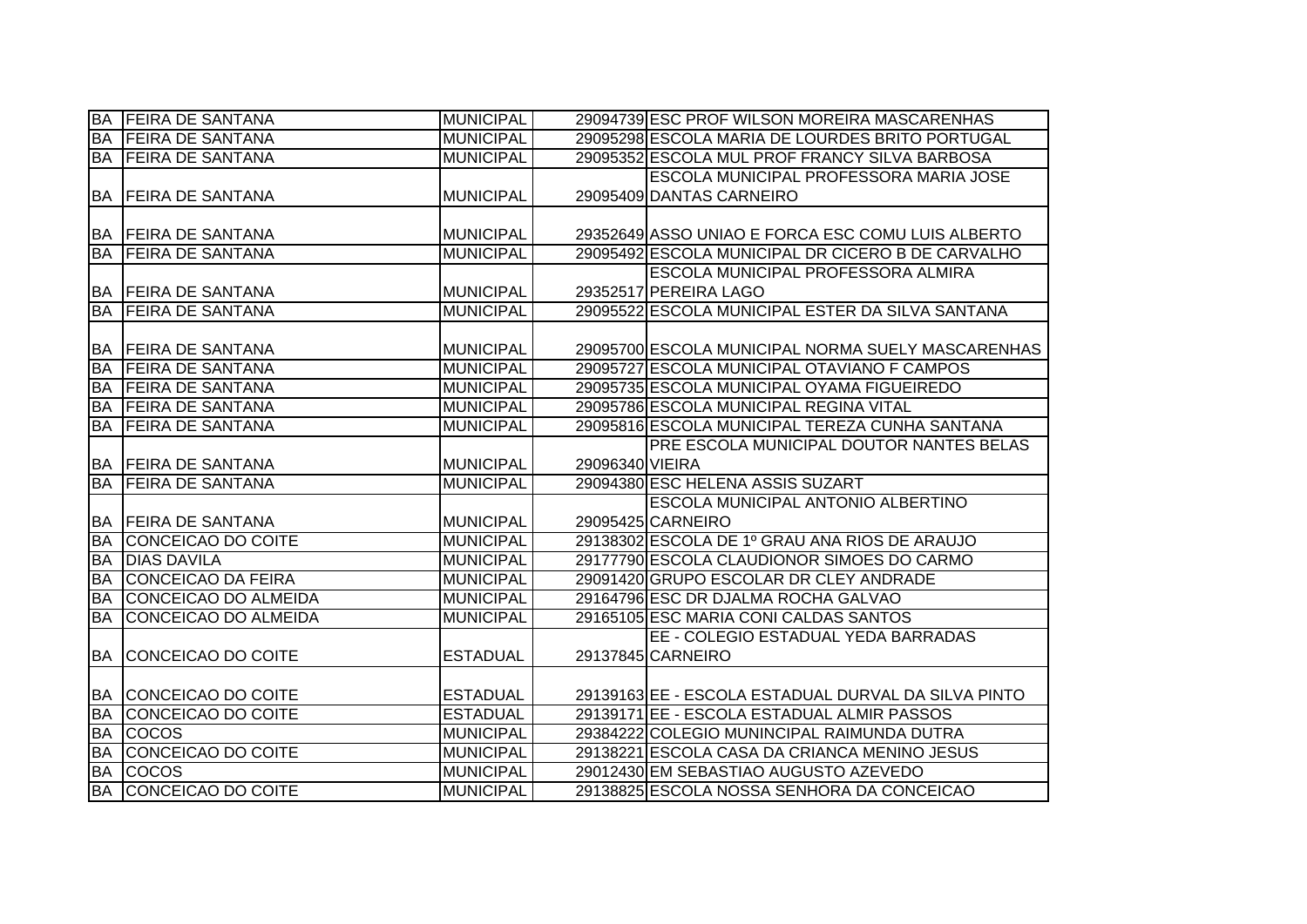| <b>BA</b> | <b>FEIRA DE SANTANA</b>    | <b>MUNICIPAL</b> |                 | 29094739 ESC PROF WILSON MOREIRA MASCARENHAS        |
|-----------|----------------------------|------------------|-----------------|-----------------------------------------------------|
| <b>BA</b> | <b>FEIRA DE SANTANA</b>    | <b>MUNICIPAL</b> |                 | 29095298 ESCOLA MARIA DE LOURDES BRITO PORTUGAL     |
|           | <b>BA FEIRA DE SANTANA</b> | <b>MUNICIPAL</b> |                 | 29095352 ESCOLA MUL PROF FRANCY SILVA BARBOSA       |
|           |                            |                  |                 | <b>ESCOLA MUNICIPAL PROFESSORA MARIA JOSE</b>       |
|           | <b>BA FEIRA DE SANTANA</b> | <b>MUNICIPAL</b> |                 | 29095409 DANTAS CARNEIRO                            |
|           |                            |                  |                 |                                                     |
|           | <b>BA FEIRA DE SANTANA</b> | <b>MUNICIPAL</b> |                 | 29352649 ASSO UNIAO E FORCA ESC COMU LUIS ALBERTO   |
| <b>BA</b> | <b>FEIRA DE SANTANA</b>    | <b>MUNICIPAL</b> |                 | 29095492 ESCOLA MUNICIPAL DR CICERO B DE CARVALHO   |
|           |                            |                  |                 | ESCOLA MUNICIPAL PROFESSORA ALMIRA                  |
|           | <b>BA FEIRA DE SANTANA</b> | <b>MUNICIPAL</b> |                 | 29352517 PEREIRA LAGO                               |
| <b>BA</b> | <b>FEIRA DE SANTANA</b>    | <b>MUNICIPAL</b> |                 | 29095522 ESCOLA MUNICIPAL ESTER DA SILVA SANTANA    |
|           |                            |                  |                 |                                                     |
| <b>BA</b> | <b>FEIRA DE SANTANA</b>    | <b>MUNICIPAL</b> |                 | 29095700 ESCOLA MUNICIPAL NORMA SUELY MASCARENHAS   |
| <b>BA</b> | <b>IFEIRA DE SANTANA</b>   | <b>MUNICIPAL</b> |                 | 29095727 ESCOLA MUNICIPAL OTAVIANO F CAMPOS         |
| <b>BA</b> | <b>FEIRA DE SANTANA</b>    | <b>MUNICIPAL</b> |                 | 29095735 ESCOLA MUNICIPAL OYAMA FIGUEIREDO          |
| <b>BA</b> | <b>FEIRA DE SANTANA</b>    | <b>MUNICIPAL</b> |                 | 29095786 ESCOLA MUNICIPAL REGINA VITAL              |
| <b>BA</b> | <b>FEIRA DE SANTANA</b>    | <b>MUNICIPAL</b> |                 | 29095816 ESCOLA MUNICIPAL TEREZA CUNHA SANTANA      |
|           |                            |                  |                 | PRE ESCOLA MUNICIPAL DOUTOR NANTES BELAS            |
|           | BA FEIRA DE SANTANA        | <b>MUNICIPAL</b> | 29096340 VIEIRA |                                                     |
|           | <b>BA FEIRA DE SANTANA</b> | <b>MUNICIPAL</b> |                 | 29094380 ESC HELENA ASSIS SUZART                    |
|           |                            |                  |                 | ESCOLA MUNICIPAL ANTONIO ALBERTINO                  |
|           | <b>BA FEIRA DE SANTANA</b> | <b>MUNICIPAL</b> |                 | 29095425 CARNEIRO                                   |
| <b>BA</b> | <b>ICONCEICAO DO COITE</b> | <b>MUNICIPAL</b> |                 | 29138302 ESCOLA DE 1º GRAU ANA RIOS DE ARAUJO       |
| <b>BA</b> | <b>DIAS DAVILA</b>         | <b>MUNICIPAL</b> |                 | 29177790 ESCOLA CLAUDIONOR SIMOES DO CARMO          |
| <b>BA</b> | <b>CONCEICAO DA FEIRA</b>  | <b>MUNICIPAL</b> |                 | 29091420 GRUPO ESCOLAR DR CLEY ANDRADE              |
| <b>BA</b> | CONCEICAO DO ALMEIDA       | <b>MUNICIPAL</b> |                 | 29164796 ESC DR DJALMA ROCHA GALVAO                 |
| <b>BA</b> | CONCEICAO DO ALMEIDA       | <b>MUNICIPAL</b> |                 | 29165105 ESC MARIA CONI CALDAS SANTOS               |
|           |                            |                  |                 | EE - COLEGIO ESTADUAL YEDA BARRADAS                 |
|           | BA CONCEICAO DO COITE      | <b>ESTADUAL</b>  |                 | 29137845 CARNEIRO                                   |
|           |                            |                  |                 |                                                     |
|           | BA CONCEICAO DO COITE      | <b>ESTADUAL</b>  |                 | 29139163 EE - ESCOLA ESTADUAL DURVAL DA SILVA PINTO |
| <b>BA</b> | CONCEICAO DO COITE         | <b>ESTADUAL</b>  |                 | 29139171 EE - ESCOLA ESTADUAL ALMIR PASSOS          |
| <b>BA</b> | <b>COCOS</b>               | <b>MUNICIPAL</b> |                 | 29384222 COLEGIO MUNINCIPAL RAIMUNDA DUTRA          |
| <b>BA</b> | CONCEICAO DO COITE         | <b>MUNICIPAL</b> |                 | 29138221 ESCOLA CASA DA CRIANCA MENINO JESUS        |
| <b>BA</b> | <b>COCOS</b>               | <b>MUNICIPAL</b> |                 | 29012430 EM SEBASTIAO AUGUSTO AZEVEDO               |
| <b>BA</b> | CONCEICAO DO COITE         | <b>MUNICIPAL</b> |                 | 29138825 ESCOLA NOSSA SENHORA DA CONCEICAO          |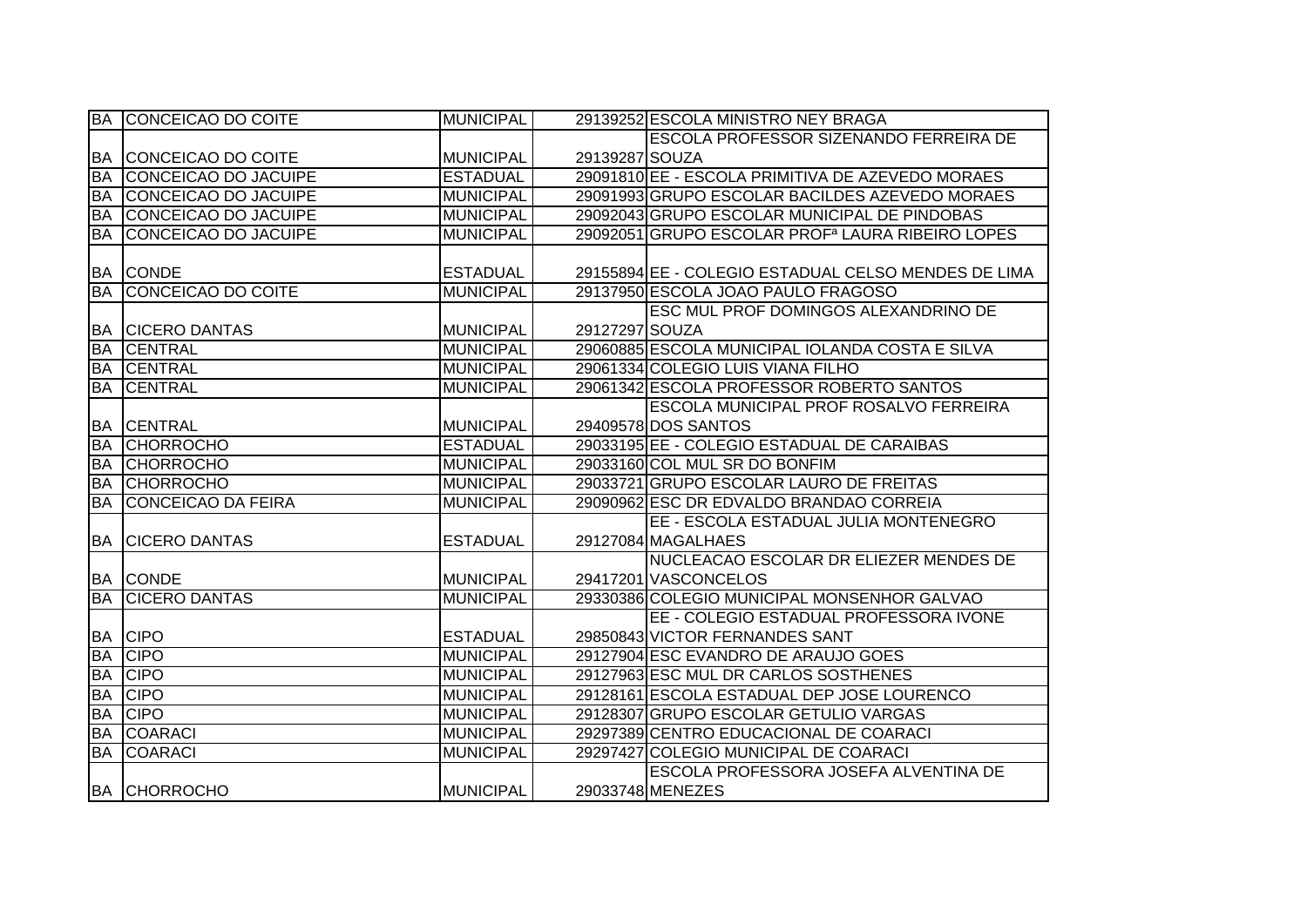|           | BA CONCEICAO DO COITE     | <b>MUNICIPAL</b> |                | 29139252 ESCOLA MINISTRO NEY BRAGA                           |
|-----------|---------------------------|------------------|----------------|--------------------------------------------------------------|
|           |                           |                  |                | ESCOLA PROFESSOR SIZENANDO FERREIRA DE                       |
| <b>BA</b> | CONCEICAO DO COITE        | <b>MUNICIPAL</b> | 29139287 SOUZA |                                                              |
| <b>BA</b> | CONCEICAO DO JACUIPE      | <b>ESTADUAL</b>  |                | 29091810 EE - ESCOLA PRIMITIVA DE AZEVEDO MORAES             |
| <b>BA</b> | CONCEICAO DO JACUIPE      | <b>MUNICIPAL</b> |                | 29091993 GRUPO ESCOLAR BACILDES AZEVEDO MORAES               |
| <b>BA</b> | CONCEICAO DO JACUIPE      | <b>MUNICIPAL</b> |                | 29092043 GRUPO ESCOLAR MUNICIPAL DE PINDOBAS                 |
| <b>BA</b> | CONCEICAO DO JACUIPE      | <b>MUNICIPAL</b> |                | 29092051 GRUPO ESCOLAR PROF <sup>a</sup> LAURA RIBEIRO LOPES |
|           |                           |                  |                |                                                              |
|           | <b>BA CONDE</b>           | <b>ESTADUAL</b>  |                | 29155894 EE - COLEGIO ESTADUAL CELSO MENDES DE LIMA          |
| <b>BA</b> | CONCEICAO DO COITE        | <b>MUNICIPAL</b> |                | 29137950 ESCOLA JOAO PAULO FRAGOSO                           |
|           |                           |                  |                | <b>ESC MUL PROF DOMINGOS ALEXANDRINO DE</b>                  |
| BA        | <b>CICERO DANTAS</b>      | <b>MUNICIPAL</b> | 29127297 SOUZA |                                                              |
| <b>BA</b> | <b>CENTRAL</b>            | <b>MUNICIPAL</b> |                | 29060885 ESCOLA MUNICIPAL IOLANDA COSTA E SILVA              |
| <b>BA</b> | <b>CENTRAL</b>            | <b>MUNICIPAL</b> |                | 29061334 COLEGIO LUIS VIANA FILHO                            |
| BA        | <b>CENTRAL</b>            | <b>MUNICIPAL</b> |                | 29061342 ESCOLA PROFESSOR ROBERTO SANTOS                     |
|           |                           |                  |                | <b>ESCOLA MUNICIPAL PROF ROSALVO FERREIRA</b>                |
| <b>BA</b> | <b>CENTRAL</b>            | <b>MUNICIPAL</b> |                | 29409578 DOS SANTOS                                          |
| <b>BA</b> | <b>CHORROCHO</b>          | <b>ESTADUAL</b>  |                | 29033195 EE - COLEGIO ESTADUAL DE CARAIBAS                   |
| <b>BA</b> | <b>CHORROCHO</b>          | <b>MUNICIPAL</b> |                | 29033160 COL MUL SR DO BONFIM                                |
| <b>BA</b> | <b>CHORROCHO</b>          | <b>MUNICIPAL</b> |                | 29033721 GRUPO ESCOLAR LAURO DE FREITAS                      |
| <b>BA</b> | <b>CONCEICAO DA FEIRA</b> | <b>MUNICIPAL</b> |                | 29090962 ESC DR EDVALDO BRANDAO CORREIA                      |
|           |                           |                  |                | EE - ESCOLA ESTADUAL JULIA MONTENEGRO                        |
| <b>BA</b> | <b>CICERO DANTAS</b>      | <b>ESTADUAL</b>  |                | 29127084 MAGALHAES                                           |
|           |                           |                  |                | NUCLEACAO ESCOLAR DR ELIEZER MENDES DE                       |
|           | <b>BA CONDE</b>           | <b>MUNICIPAL</b> |                | 29417201 VASCONCELOS                                         |
| <b>BA</b> | <b>CICERO DANTAS</b>      | <b>MUNICIPAL</b> |                | 29330386 COLEGIO MUNICIPAL MONSENHOR GALVAO                  |
|           |                           |                  |                | EE - COLEGIO ESTADUAL PROFESSORA IVONE                       |
|           | <b>BA CIPO</b>            | <b>ESTADUAL</b>  |                | 29850843 VICTOR FERNANDES SANT                               |
| <b>BA</b> | <b>CIPO</b>               | <b>MUNICIPAL</b> |                | 29127904 ESC EVANDRO DE ARAUJO GOES                          |
| <b>BA</b> | <b>CIPO</b>               | <b>MUNICIPAL</b> |                | 29127963 ESC MUL DR CARLOS SOSTHENES                         |
| <b>BA</b> | <b>CIPO</b>               | <b>MUNICIPAL</b> |                | 29128161 ESCOLA ESTADUAL DEP JOSE LOURENCO                   |
| <b>BA</b> | <b>CIPO</b>               | <b>MUNICIPAL</b> |                | 29128307 GRUPO ESCOLAR GETULIO VARGAS                        |
| <b>BA</b> | <b>COARACI</b>            | <b>MUNICIPAL</b> |                | 29297389 CENTRO EDUCACIONAL DE COARACI                       |
| <b>BA</b> | <b>COARACI</b>            | <b>MUNICIPAL</b> |                | 29297427 COLEGIO MUNICIPAL DE COARACI                        |
|           |                           |                  |                | ESCOLA PROFESSORA JOSEFA ALVENTINA DE                        |
|           | <b>BA CHORROCHO</b>       | <b>MUNICIPAL</b> |                | 29033748 MENEZES                                             |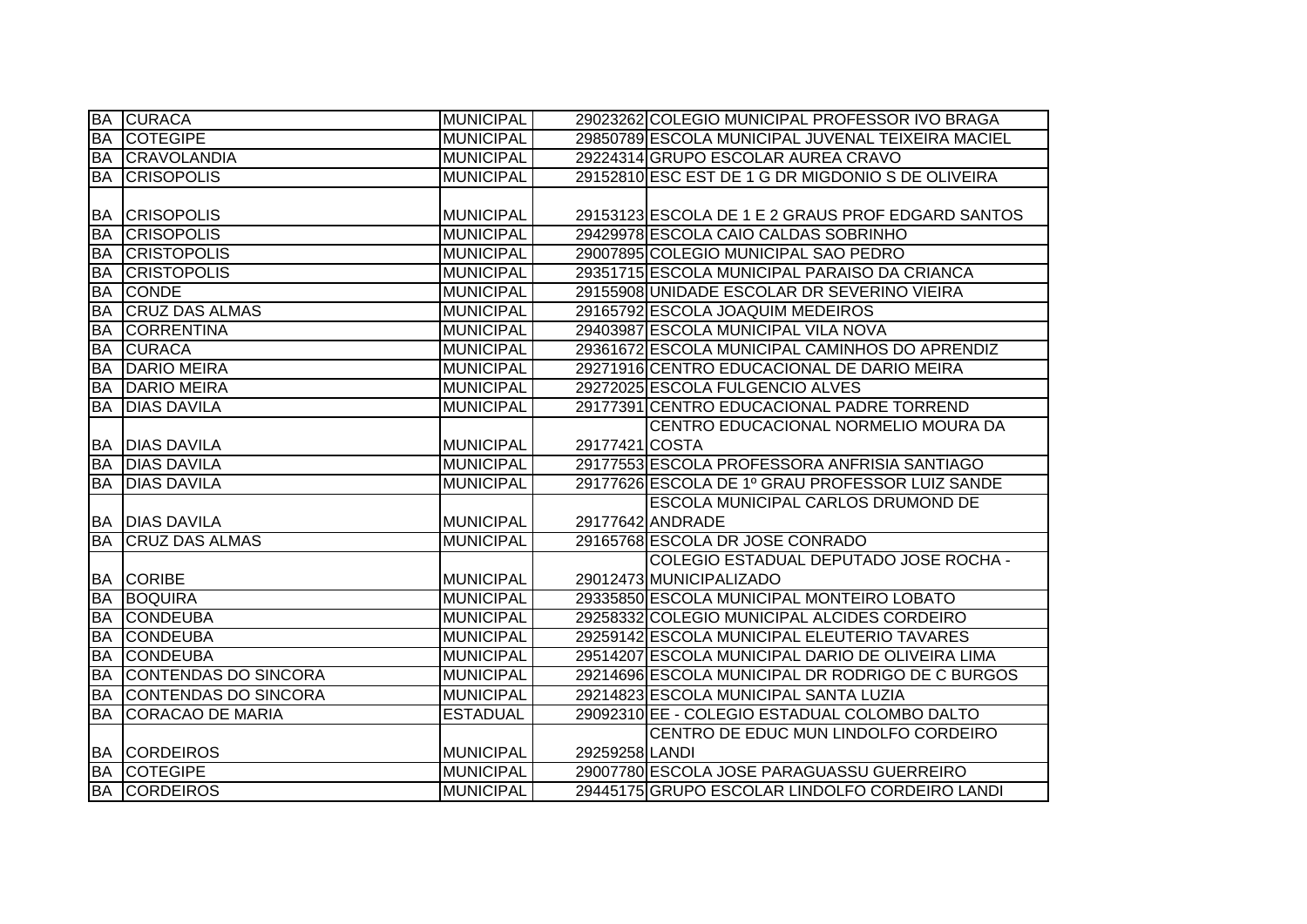| <b>BA</b> | <b>CURACA</b>           | <b>MUNICIPAL</b> |                | 29023262 COLEGIO MUNICIPAL PROFESSOR IVO BRAGA    |
|-----------|-------------------------|------------------|----------------|---------------------------------------------------|
| <b>BA</b> | <b>COTEGIPE</b>         | <b>MUNICIPAL</b> |                | 29850789 ESCOLA MUNICIPAL JUVENAL TEIXEIRA MACIEL |
| <b>BA</b> | <b>CRAVOLANDIA</b>      | <b>MUNICIPAL</b> |                | 29224314 GRUPO ESCOLAR AUREA CRAVO                |
| <b>BA</b> | <b>CRISOPOLIS</b>       | <b>MUNICIPAL</b> |                | 29152810 ESC EST DE 1 G DR MIGDONIO S DE OLIVEIRA |
|           |                         |                  |                |                                                   |
|           | <b>BA CRISOPOLIS</b>    | <b>MUNICIPAL</b> |                | 29153123 ESCOLA DE 1 E 2 GRAUS PROF EDGARD SANTOS |
| <b>BA</b> | <b>CRISOPOLIS</b>       | <b>MUNICIPAL</b> |                | 29429978 ESCOLA CAIO CALDAS SOBRINHO              |
| <b>BA</b> | <b>CRISTOPOLIS</b>      | <b>MUNICIPAL</b> |                | 29007895 COLEGIO MUNICIPAL SAO PEDRO              |
| <b>BA</b> | <b>CRISTOPOLIS</b>      | <b>MUNICIPAL</b> |                | 29351715 ESCOLA MUNICIPAL PARAISO DA CRIANCA      |
| <b>BA</b> | <b>CONDE</b>            | <b>MUNICIPAL</b> |                | 29155908 UNIDADE ESCOLAR DR SEVERINO VIEIRA       |
| BA        | <b>CRUZ DAS ALMAS</b>   | <b>MUNICIPAL</b> |                | 29165792 ESCOLA JOAQUIM MEDEIROS                  |
| <b>BA</b> | <b>CORRENTINA</b>       | <b>MUNICIPAL</b> |                | 29403987 ESCOLA MUNICIPAL VILA NOVA               |
| <b>BA</b> | <b>CURACA</b>           | <b>MUNICIPAL</b> |                | 29361672 ESCOLA MUNICIPAL CAMINHOS DO APRENDIZ    |
| <b>BA</b> | <b>DARIO MEIRA</b>      | <b>MUNICIPAL</b> |                | 29271916 CENTRO EDUCACIONAL DE DARIO MEIRA        |
| <b>BA</b> | <b>DARIO MEIRA</b>      | <b>MUNICIPAL</b> |                | 29272025 ESCOLA FULGENCIO ALVES                   |
| BA        | <b>DIAS DAVILA</b>      | <b>MUNICIPAL</b> |                | 29177391 CENTRO EDUCACIONAL PADRE TORREND         |
|           |                         |                  |                | CENTRO EDUCACIONAL NORMELIO MOURA DA              |
|           | <b>BA DIAS DAVILA</b>   | <b>MUNICIPAL</b> | 29177421 COSTA |                                                   |
|           | <b>BA DIAS DAVILA</b>   | <b>MUNICIPAL</b> |                | 29177553 ESCOLA PROFESSORA ANFRISIA SANTIAGO      |
|           | <b>BA DIAS DAVILA</b>   | <b>MUNICIPAL</b> |                | 29177626 ESCOLA DE 1º GRAU PROFESSOR LUIZ SANDE   |
|           |                         |                  |                |                                                   |
|           |                         |                  |                | ESCOLA MUNICIPAL CARLOS DRUMOND DE                |
|           | <b>BA DIAS DAVILA</b>   | <b>MUNICIPAL</b> |                | 29177642 ANDRADE                                  |
| <b>BA</b> | <b>CRUZ DAS ALMAS</b>   | <b>MUNICIPAL</b> |                | 29165768 ESCOLA DR JOSE CONRADO                   |
|           |                         |                  |                | <b>COLEGIO ESTADUAL DEPUTADO JOSE ROCHA -</b>     |
|           | <b>BA CORIBE</b>        | <b>MUNICIPAL</b> |                | 29012473 MUNICIPALIZADO                           |
| <b>BA</b> | <b>BOQUIRA</b>          | <b>MUNICIPAL</b> |                | 29335850 ESCOLA MUNICIPAL MONTEIRO LOBATO         |
| <b>BA</b> | <b>CONDEUBA</b>         | <b>MUNICIPAL</b> |                | 29258332 COLEGIO MUNICIPAL ALCIDES CORDEIRO       |
| <b>BA</b> | <b>CONDEUBA</b>         | <b>MUNICIPAL</b> |                | 29259142 ESCOLA MUNICIPAL ELEUTERIO TAVARES       |
| <b>BA</b> | <b>CONDEUBA</b>         | <b>MUNICIPAL</b> |                | 29514207 ESCOLA MUNICIPAL DARIO DE OLIVEIRA LIMA  |
| <b>BA</b> | CONTENDAS DO SINCORA    | <b>MUNICIPAL</b> |                | 29214696 ESCOLA MUNICIPAL DR RODRIGO DE C BURGOS  |
| <b>BA</b> | CONTENDAS DO SINCORA    | <b>MUNICIPAL</b> |                | 29214823 ESCOLA MUNICIPAL SANTA LUZIA             |
| <b>BA</b> | <b>CORACAO DE MARIA</b> | <b>ESTADUAL</b>  |                | 29092310 EE - COLEGIO ESTADUAL COLOMBO DALTO      |
|           |                         |                  |                | CENTRO DE EDUC MUN LINDOLFO CORDEIRO              |
|           | <b>BA CORDEIROS</b>     | <b>MUNICIPAL</b> | 29259258 LANDI |                                                   |
| <b>BA</b> | <b>COTEGIPE</b>         | <b>MUNICIPAL</b> |                | 29007780 ESCOLA JOSE PARAGUASSU GUERREIRO         |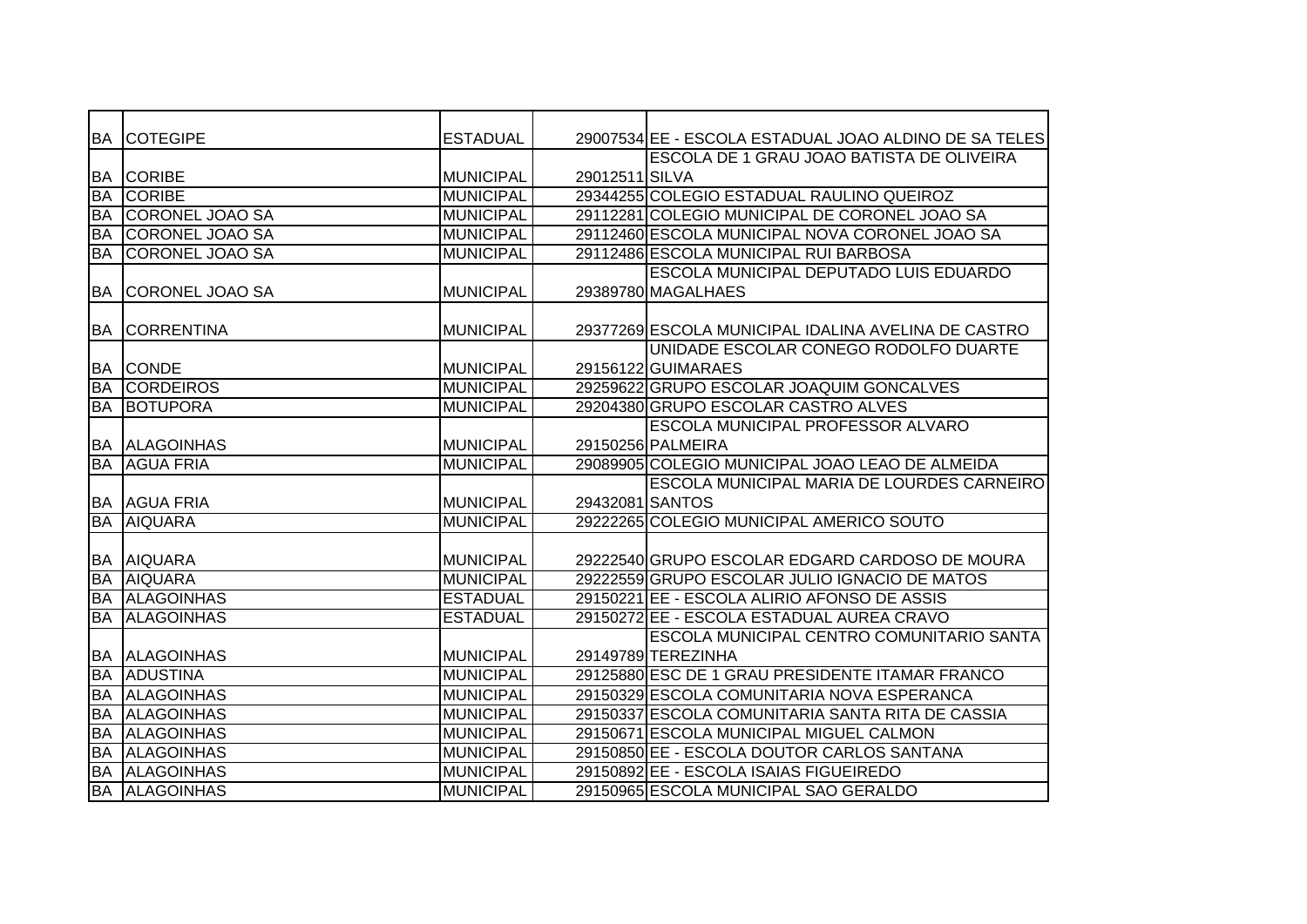|           | <b>BA COTEGIPE</b>     | <b>ESTADUAL</b>  |                 | 29007534 EE - ESCOLA ESTADUAL JOAO ALDINO DE SA TELES |
|-----------|------------------------|------------------|-----------------|-------------------------------------------------------|
|           |                        |                  |                 | ESCOLA DE 1 GRAU JOAO BATISTA DE OLIVEIRA             |
|           | <b>BA CORIBE</b>       | <b>MUNICIPAL</b> | 29012511 SILVA  |                                                       |
| <b>BA</b> | <b>CORIBE</b>          | <b>MUNICIPAL</b> |                 | 29344255 COLEGIO ESTADUAL RAULINO QUEIROZ             |
| <b>BA</b> | <b>CORONEL JOAO SA</b> | <b>MUNICIPAL</b> |                 | 29112281 COLEGIO MUNICIPAL DE CORONEL JOAO SA         |
| <b>BA</b> | <b>CORONEL JOAO SA</b> | <b>MUNICIPAL</b> |                 | 29112460 ESCOLA MUNICIPAL NOVA CORONEL JOAO SA        |
| <b>BA</b> | CORONEL JOAO SA        | <b>MUNICIPAL</b> |                 | 29112486 ESCOLA MUNICIPAL RUI BARBOSA                 |
|           |                        |                  |                 | <b>ESCOLA MUNICIPAL DEPUTADO LUIS EDUARDO</b>         |
| <b>BA</b> | CORONEL JOAO SA        | MUNICIPAL        |                 | 29389780 MAGALHAES                                    |
|           |                        |                  |                 |                                                       |
| <b>BA</b> | <b>CORRENTINA</b>      | <b>MUNICIPAL</b> |                 | 29377269 ESCOLA MUNICIPAL IDALINA AVELINA DE CASTRO   |
|           |                        |                  |                 | UNIDADE ESCOLAR CONEGO RODOLFO DUARTE                 |
| <b>BA</b> | <b>CONDE</b>           | MUNICIPAL        |                 | 29156122 GUIMARAES                                    |
| BA        | <b>CORDEIROS</b>       | <b>MUNICIPAL</b> |                 | 29259622 GRUPO ESCOLAR JOAQUIM GONCALVES              |
| <b>BA</b> | <b>BOTUPORA</b>        | <b>MUNICIPAL</b> |                 | 29204380 GRUPO ESCOLAR CASTRO ALVES                   |
|           |                        |                  |                 | ESCOLA MUNICIPAL PROFESSOR ALVARO                     |
|           | <b>BA ALAGOINHAS</b>   | <b>MUNICIPAL</b> |                 | 29150256 PALMEIRA                                     |
| <b>BA</b> | <b>AGUA FRIA</b>       | <b>MUNICIPAL</b> |                 | 29089905 COLEGIO MUNICIPAL JOAO LEAO DE ALMEIDA       |
|           |                        |                  |                 | ESCOLA MUNICIPAL MARIA DE LOURDES CARNEIRO            |
|           | <b>BA AGUA FRIA</b>    | MUNICIPAL        | 29432081 SANTOS |                                                       |
| <b>BA</b> | <b>AIQUARA</b>         | <b>MUNICIPAL</b> |                 | 29222265 COLEGIO MUNICIPAL AMERICO SOUTO              |
|           |                        |                  |                 |                                                       |
| <b>BA</b> | <b>AIQUARA</b>         | <b>MUNICIPAL</b> |                 | 29222540 GRUPO ESCOLAR EDGARD CARDOSO DE MOURA        |
| <b>BA</b> | <b>AIQUARA</b>         | <b>MUNICIPAL</b> |                 | 29222559 GRUPO ESCOLAR JULIO IGNACIO DE MATOS         |
| BA        | <b>ALAGOINHAS</b>      | <b>ESTADUAL</b>  |                 | 29150221 EE - ESCOLA ALIRIO AFONSO DE ASSIS           |
| <b>BA</b> | <b>ALAGOINHAS</b>      | <b>ESTADUAL</b>  |                 | 29150272 EE - ESCOLA ESTADUAL AUREA CRAVO             |
|           |                        |                  |                 | ESCOLA MUNICIPAL CENTRO COMUNITARIO SANTA             |
| BA        | <b>ALAGOINHAS</b>      | MUNICIPAL        |                 | 29149789 TEREZINHA                                    |
| <b>BA</b> | <b>ADUSTINA</b>        | <b>MUNICIPAL</b> |                 | 29125880 ESC DE 1 GRAU PRESIDENTE ITAMAR FRANCO       |
| <b>BA</b> | <b>ALAGOINHAS</b>      | <b>MUNICIPAL</b> |                 | 29150329 ESCOLA COMUNITARIA NOVA ESPERANCA            |
| <b>BA</b> | <b>ALAGOINHAS</b>      | MUNICIPAL        |                 | 29150337 ESCOLA COMUNITARIA SANTA RITA DE CASSIA      |
| <b>BA</b> | <b>ALAGOINHAS</b>      | <b>MUNICIPAL</b> |                 | 29150671 ESCOLA MUNICIPAL MIGUEL CALMON               |
| <b>BA</b> | <b>ALAGOINHAS</b>      | <b>MUNICIPAL</b> |                 | 29150850 EE - ESCOLA DOUTOR CARLOS SANTANA            |
| <b>BA</b> | <b>ALAGOINHAS</b>      | <b>MUNICIPAL</b> |                 | 29150892 EE - ESCOLA ISAIAS FIGUEIREDO                |
|           | <b>BA ALAGOINHAS</b>   | MUNICIPAL        |                 | 29150965 ESCOLA MUNICIPAL SAO GERALDO                 |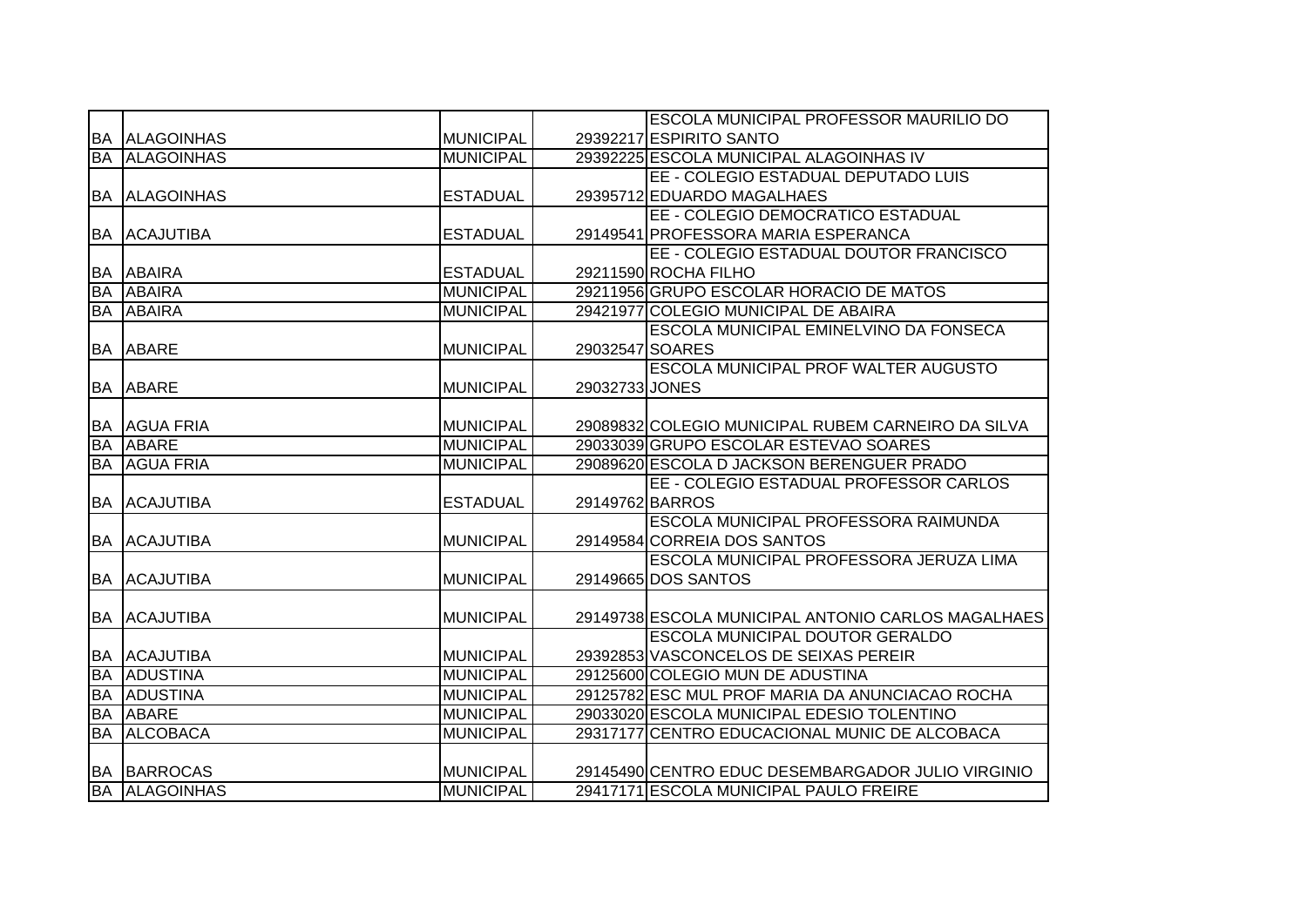|           |                   |                  |                 | <b>ESCOLA MUNICIPAL PROFESSOR MAURILIO DO</b>      |
|-----------|-------------------|------------------|-----------------|----------------------------------------------------|
| BA        | <b>ALAGOINHAS</b> | <b>MUNICIPAL</b> |                 | 29392217 ESPIRITO SANTO                            |
| <b>BA</b> | <b>ALAGOINHAS</b> | <b>MUNICIPAL</b> |                 | 29392225 ESCOLA MUNICIPAL ALAGOINHAS IV            |
|           |                   |                  |                 | EE - COLEGIO ESTADUAL DEPUTADO LUIS                |
| BA        | <b>ALAGOINHAS</b> | <b>ESTADUAL</b>  |                 | 29395712 EDUARDO MAGALHAES                         |
|           |                   |                  |                 | EE - COLEGIO DEMOCRATICO ESTADUAL                  |
| <b>BA</b> | <b>ACAJUTIBA</b>  | <b>ESTADUAL</b>  |                 | 29149541 PROFESSORA MARIA ESPERANCA                |
|           |                   |                  |                 | EE - COLEGIO ESTADUAL DOUTOR FRANCISCO             |
| <b>BA</b> | <b>ABAIRA</b>     | <b>ESTADUAL</b>  |                 | 29211590 ROCHA FILHO                               |
| <b>BA</b> | <b>ABAIRA</b>     | <b>MUNICIPAL</b> |                 | 29211956 GRUPO ESCOLAR HORACIO DE MATOS            |
| <b>BA</b> | <b>ABAIRA</b>     | <b>MUNICIPAL</b> |                 | 29421977 COLEGIO MUNICIPAL DE ABAIRA               |
|           |                   |                  |                 | <b>ESCOLA MUNICIPAL EMINELVINO DA FONSECA</b>      |
| <b>BA</b> | <b>ABARE</b>      | <b>MUNICIPAL</b> | 29032547 SOARES |                                                    |
|           |                   |                  |                 | <b>ESCOLA MUNICIPAL PROF WALTER AUGUSTO</b>        |
| <b>BA</b> | <b>ABARE</b>      | <b>MUNICIPAL</b> | 29032733 JONES  |                                                    |
|           |                   |                  |                 |                                                    |
| <b>BA</b> | <b>AGUA FRIA</b>  | <b>MUNICIPAL</b> |                 | 29089832 COLEGIO MUNICIPAL RUBEM CARNEIRO DA SILVA |
| <b>BA</b> | <b>ABARE</b>      | <b>MUNICIPAL</b> |                 | 29033039 GRUPO ESCOLAR ESTEVAO SOARES              |
| <b>BA</b> | <b>AGUA FRIA</b>  | <b>MUNICIPAL</b> |                 | 29089620 ESCOLA D JACKSON BERENGUER PRADO          |
|           |                   |                  |                 | EE - COLEGIO ESTADUAL PROFESSOR CARLOS             |
| <b>BA</b> | <b>ACAJUTIBA</b>  | <b>ESTADUAL</b>  | 29149762 BARROS |                                                    |
|           |                   |                  |                 | ESCOLA MUNICIPAL PROFESSORA RAIMUNDA               |
| BA        | <b>ACAJUTIBA</b>  | MUNICIPAL        |                 | 29149584 CORREIA DOS SANTOS                        |
|           |                   |                  |                 | ESCOLA MUNICIPAL PROFESSORA JERUZA LIMA            |
| <b>BA</b> | <b>ACAJUTIBA</b>  | <b>MUNICIPAL</b> |                 | 29149665 DOS SANTOS                                |
|           |                   |                  |                 |                                                    |
| BA        | <b>ACAJUTIBA</b>  | <b>MUNICIPAL</b> |                 | 29149738 ESCOLA MUNICIPAL ANTONIO CARLOS MAGALHAES |
|           |                   |                  |                 | <b>ESCOLA MUNICIPAL DOUTOR GERALDO</b>             |
| BA        | <b>ACAJUTIBA</b>  | MUNICIPAL        |                 | 29392853 VASCONCELOS DE SEIXAS PEREIR              |
| <b>BA</b> | <b>ADUSTINA</b>   | <b>MUNICIPAL</b> |                 | 29125600 COLEGIO MUN DE ADUSTINA                   |
| <b>BA</b> | ADUSTINA          | <b>MUNICIPAL</b> |                 | 29125782 ESC MUL PROF MARIA DA ANUNCIACAO ROCHA    |
| <b>BA</b> | <b>ABARE</b>      | <b>MUNICIPAL</b> |                 | 29033020 ESCOLA MUNICIPAL EDESIO TOLENTINO         |
| <b>BA</b> | <b>ALCOBACA</b>   | <b>MUNICIPAL</b> |                 | 29317177 CENTRO EDUCACIONAL MUNIC DE ALCOBACA      |
|           |                   |                  |                 |                                                    |
| <b>BA</b> | <b>BARROCAS</b>   | MUNICIPAL        |                 | 29145490 CENTRO EDUC DESEMBARGADOR JULIO VIRGINIO  |
| BA        | <b>ALAGOINHAS</b> | <b>MUNICIPAL</b> |                 | 29417171 ESCOLA MUNICIPAL PAULO FREIRE             |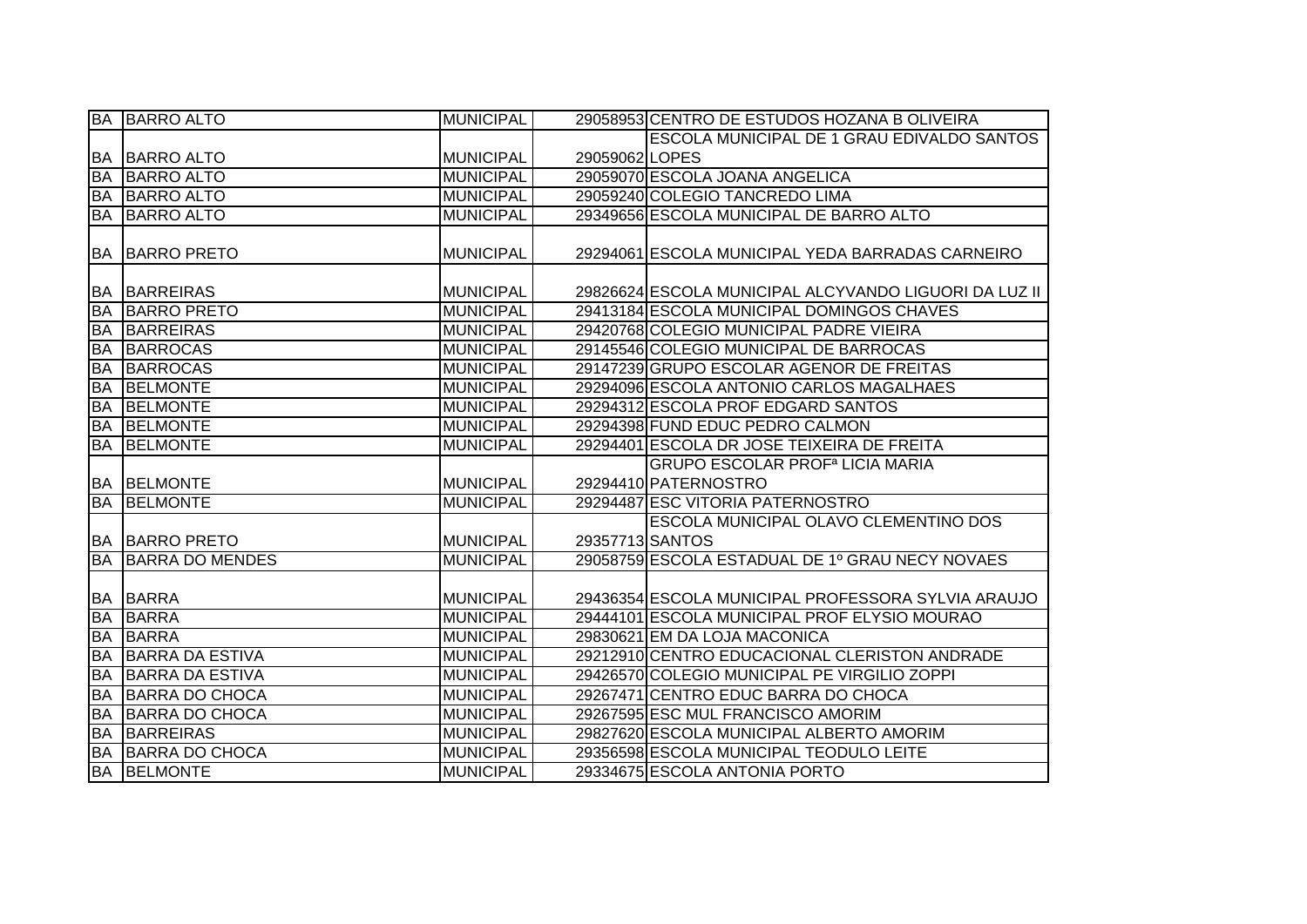|           | <b>BA BARRO ALTO</b>   | <b>MUNICIPAL</b> |                 | 29058953 CENTRO DE ESTUDOS HOZANA BOLIVEIRA           |
|-----------|------------------------|------------------|-----------------|-------------------------------------------------------|
|           |                        |                  |                 | ESCOLA MUNICIPAL DE 1 GRAU EDIVALDO SANTOS            |
|           | <b>BA BARRO ALTO</b>   | <b>MUNICIPAL</b> | 29059062 LOPES  |                                                       |
| <b>BA</b> | <b>BARRO ALTO</b>      | <b>MUNICIPAL</b> |                 | 29059070 ESCOLA JOANA ANGELICA                        |
| <b>BA</b> | <b>BARRO ALTO</b>      | <b>MUNICIPAL</b> |                 | 29059240 COLEGIO TANCREDO LIMA                        |
| <b>BA</b> | <b>BARRO ALTO</b>      | <b>MUNICIPAL</b> |                 | 29349656 ESCOLA MUNICIPAL DE BARRO ALTO               |
|           |                        |                  |                 |                                                       |
| <b>BA</b> | <b>BARRO PRETO</b>     | MUNICIPAL        |                 | 29294061 ESCOLA MUNICIPAL YEDA BARRADAS CARNEIRO      |
|           |                        |                  |                 |                                                       |
|           | <b>BA BARREIRAS</b>    | <b>MUNICIPAL</b> |                 | 29826624 ESCOLA MUNICIPAL ALCYVANDO LIGUORI DA LUZ II |
| <b>BA</b> | <b>BARRO PRETO</b>     | <b>MUNICIPAL</b> |                 | 29413184 ESCOLA MUNICIPAL DOMINGOS CHAVES             |
| <b>BA</b> | BARREIRAS              | <b>MUNICIPAL</b> |                 | 29420768 COLEGIO MUNICIPAL PADRE VIEIRA               |
| <b>BA</b> | BARROCAS               | <b>MUNICIPAL</b> |                 | 29145546 COLEGIO MUNICIPAL DE BARROCAS                |
| <b>BA</b> | <b>BARROCAS</b>        | <b>MUNICIPAL</b> |                 | 29147239 GRUPO ESCOLAR AGENOR DE FREITAS              |
| <b>BA</b> | <b>BELMONTE</b>        | <b>MUNICIPAL</b> |                 | 29294096 ESCOLA ANTONIO CARLOS MAGALHAES              |
| <b>BA</b> | <b>BELMONTE</b>        | <b>MUNICIPAL</b> |                 | 29294312 ESCOLA PROF EDGARD SANTOS                    |
| <b>BA</b> | <b>BELMONTE</b>        | <b>MUNICIPAL</b> |                 | 29294398 FUND EDUC PEDRO CALMON                       |
| <b>BA</b> | <b>BELMONTE</b>        | <b>MUNICIPAL</b> |                 | 29294401 ESCOLA DR JOSE TEIXEIRA DE FREITA            |
|           |                        |                  |                 | <b>GRUPO ESCOLAR PROF<sup>a</sup> LICIA MARIA</b>     |
|           | <b>BA BELMONTE</b>     | MUNICIPAL        |                 | 29294410 PATERNOSTRO                                  |
| <b>BA</b> | <b>BELMONTE</b>        | <b>MUNICIPAL</b> |                 | 29294487 ESC VITORIA PATERNOSTRO                      |
|           |                        |                  |                 | <b>ESCOLA MUNICIPAL OLAVO CLEMENTINO DOS</b>          |
|           | <b>BA BARRO PRETO</b>  | <b>MUNICIPAL</b> | 29357713 SANTOS |                                                       |
| <b>BA</b> | <b>BARRA DO MENDES</b> | <b>MUNICIPAL</b> |                 | 29058759 ESCOLA ESTADUAL DE 1º GRAU NECY NOVAES       |
|           |                        |                  |                 |                                                       |
|           | <b>BA BARRA</b>        | <b>MUNICIPAL</b> |                 | 29436354 ESCOLA MUNICIPAL PROFESSORA SYLVIA ARAUJO    |
| <b>BA</b> | <b>BARRA</b>           | <b>MUNICIPAL</b> |                 | 29444101 ESCOLA MUNICIPAL PROF ELYSIO MOURAO          |
| <b>BA</b> | <b>BARRA</b>           | <b>MUNICIPAL</b> |                 | 29830621 EM DA LOJA MACONICA                          |
| <b>BA</b> | <b>BARRA DA ESTIVA</b> | <b>MUNICIPAL</b> |                 | 29212910 CENTRO EDUCACIONAL CLERISTON ANDRADE         |
| <b>BA</b> | <b>BARRA DA ESTIVA</b> | <b>MUNICIPAL</b> |                 | 29426570 COLEGIO MUNICIPAL PE VIRGILIO ZOPPI          |
| <b>BA</b> | <b>BARRA DO CHOCA</b>  | <b>MUNICIPAL</b> |                 | 29267471 CENTRO EDUC BARRA DO CHOCA                   |
| <b>BA</b> | BARRA DO CHOCA         | <b>MUNICIPAL</b> |                 | 29267595 ESC MUL FRANCISCO AMORIM                     |
| <b>BA</b> | BARREIRAS              | <b>MUNICIPAL</b> |                 | 29827620 ESCOLA MUNICIPAL ALBERTO AMORIM              |
| <b>BA</b> | BARRA DO CHOCA         | <b>MUNICIPAL</b> |                 | 29356598 ESCOLA MUNICIPAL TEODULO LEITE               |
|           | <b>BA BELMONTE</b>     | <b>MUNICIPAL</b> |                 | 29334675 ESCOLA ANTONIA PORTO                         |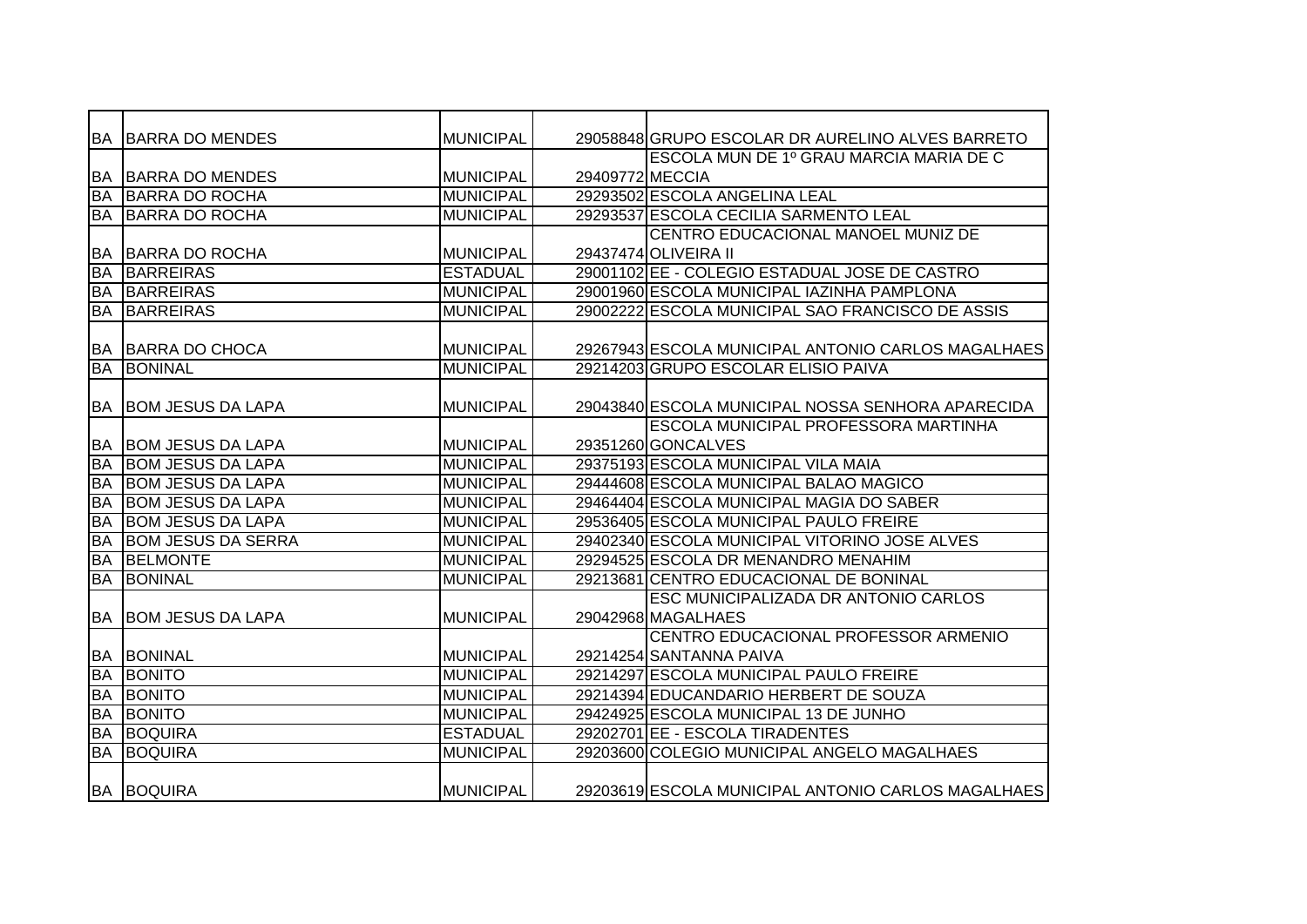|           | <b>BA BARRA DO MENDES</b>   | MUNICIPAL        |                 | 29058848 GRUPO ESCOLAR DR AURELINO ALVES BARRETO   |
|-----------|-----------------------------|------------------|-----------------|----------------------------------------------------|
|           |                             |                  |                 | ESCOLA MUN DE 1º GRAU MARCIA MARIA DE C            |
|           | <b>BA BARRA DO MENDES</b>   | MUNICIPAL        | 29409772 MECCIA |                                                    |
| <b>BA</b> | <b>IBARRA DO ROCHA</b>      | <b>MUNICIPAL</b> |                 | 29293502 ESCOLA ANGELINA LEAL                      |
| BA        | <b>BARRA DO ROCHA</b>       | <b>MUNICIPAL</b> |                 | 29293537 ESCOLA CECILIA SARMENTO LEAL              |
|           |                             |                  |                 | CENTRO EDUCACIONAL MANOEL MUNIZ DE                 |
| BA        | <b>BARRA DO ROCHA</b>       | MUNICIPAL        |                 | 29437474 OLIVEIRA II                               |
| <b>BA</b> | <b>BARREIRAS</b>            | <b>ESTADUAL</b>  |                 | 29001102 EE - COLEGIO ESTADUAL JOSE DE CASTRO      |
| <b>BA</b> | <b>BARREIRAS</b>            | MUNICIPAL        |                 | 29001960 ESCOLA MUNICIPAL IAZINHA PAMPLONA         |
| <b>BA</b> | <b>BARREIRAS</b>            | <b>MUNICIPAL</b> |                 | 29002222 ESCOLA MUNICIPAL SAO FRANCISCO DE ASSIS   |
|           |                             |                  |                 |                                                    |
|           | <b>BA BARRA DO CHOCA</b>    | MUNICIPAL        |                 | 29267943 ESCOLA MUNICIPAL ANTONIO CARLOS MAGALHAES |
| <b>BA</b> | <b>BONINAL</b>              | <b>MUNICIPAL</b> |                 | 29214203 GRUPO ESCOLAR ELISIO PAIVA                |
|           |                             |                  |                 |                                                    |
| BA        | <b>BOM JESUS DA LAPA</b>    | <b>MUNICIPAL</b> |                 | 29043840 ESCOLA MUNICIPAL NOSSA SENHORA APARECIDA  |
|           |                             |                  |                 | <b>ESCOLA MUNICIPAL PROFESSORA MARTINHA</b>        |
|           | <b>BA BOM JESUS DA LAPA</b> | MUNICIPAL        |                 | 29351260 GONCALVES                                 |
| <b>BA</b> | <b>BOM JESUS DA LAPA</b>    | <b>MUNICIPAL</b> |                 | 29375193 ESCOLA MUNICIPAL VILA MAIA                |
| <b>BA</b> | <b>BOM JESUS DA LAPA</b>    | <b>MUNICIPAL</b> |                 | 29444608 ESCOLA MUNICIPAL BALAO MAGICO             |
| <b>BA</b> | <b>BOM JESUS DA LAPA</b>    | <b>MUNICIPAL</b> |                 | 29464404 ESCOLA MUNICIPAL MAGIA DO SABER           |
| <b>BA</b> | <b>BOM JESUS DA LAPA</b>    | <b>MUNICIPAL</b> |                 | 29536405 ESCOLA MUNICIPAL PAULO FREIRE             |
| <b>BA</b> | <b>BOM JESUS DA SERRA</b>   | <b>MUNICIPAL</b> |                 | 29402340 ESCOLA MUNICIPAL VITORINO JOSE ALVES      |
| <b>BA</b> | <b>BELMONTE</b>             | <b>MUNICIPAL</b> |                 | 29294525 ESCOLA DR MENANDRO MENAHIM                |
| <b>BA</b> | <b>BONINAL</b>              | <b>MUNICIPAL</b> |                 | 29213681 CENTRO EDUCACIONAL DE BONINAL             |
|           |                             |                  |                 | ESC MUNICIPALIZADA DR ANTONIO CARLOS               |
| BA        | <b>BOM JESUS DA LAPA</b>    | <b>MUNICIPAL</b> |                 | 29042968 MAGALHAES                                 |
|           |                             |                  |                 | CENTRO EDUCACIONAL PROFESSOR ARMENIO               |
|           | <b>BA BONINAL</b>           | MUNICIPAL        |                 | 29214254 SANTANNA PAIVA                            |
| BA        | <b>BONITO</b>               | <b>MUNICIPAL</b> |                 | 29214297 ESCOLA MUNICIPAL PAULO FREIRE             |
| BA        | <b>BONITO</b>               | <b>MUNICIPAL</b> |                 | 29214394 EDUCANDARIO HERBERT DE SOUZA              |
| <b>BA</b> | <b>BONITO</b>               | <b>MUNICIPAL</b> |                 | 29424925 ESCOLA MUNICIPAL 13 DE JUNHO              |
| <b>BA</b> | <b>BOQUIRA</b>              | <b>ESTADUAL</b>  |                 | 29202701 EE - ESCOLA TIRADENTES                    |
| <b>BA</b> | <b>BOQUIRA</b>              | <b>MUNICIPAL</b> |                 | 29203600 COLEGIO MUNICIPAL ANGELO MAGALHAES        |
|           |                             |                  |                 |                                                    |
|           | <b>BA BOQUIRA</b>           | <b>MUNICIPAL</b> |                 | 29203619 ESCOLA MUNICIPAL ANTONIO CARLOS MAGALHAES |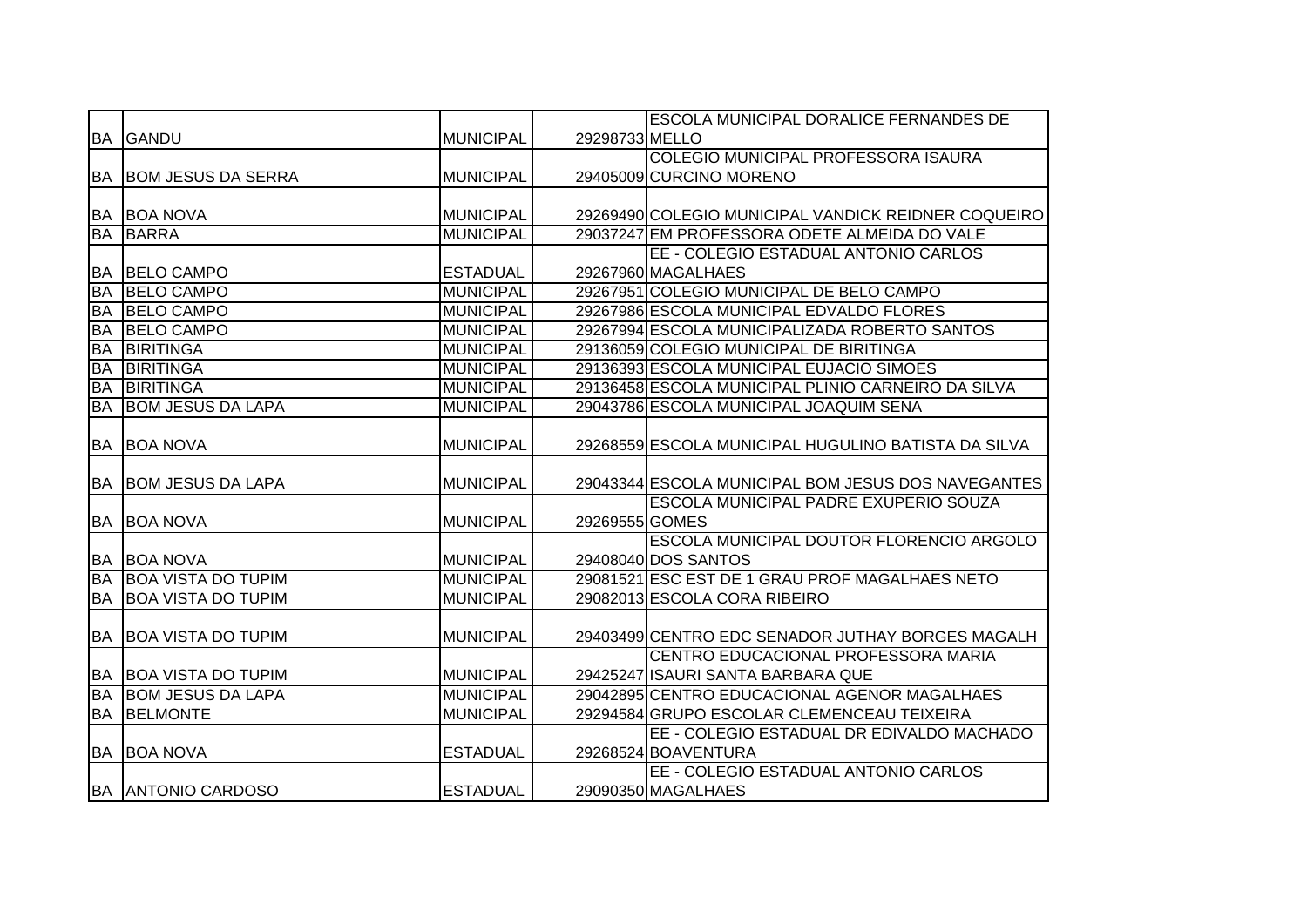|           |                           |                  |                | <b>ESCOLA MUNICIPAL DORALICE FERNANDES DE</b>       |
|-----------|---------------------------|------------------|----------------|-----------------------------------------------------|
|           | <b>BA GANDU</b>           | <b>MUNICIPAL</b> | 29298733 MELLO |                                                     |
|           |                           |                  |                | COLEGIO MUNICIPAL PROFESSORA ISAURA                 |
| BA        | <b>BOM JESUS DA SERRA</b> | <b>MUNICIPAL</b> |                | 29405009 CURCINO MORENO                             |
|           |                           |                  |                |                                                     |
| BA        | <b>BOA NOVA</b>           | <b>MUNICIPAL</b> |                | 29269490 COLEGIO MUNICIPAL VANDICK REIDNER COQUEIRO |
| <b>BA</b> | <b>BARRA</b>              | <b>MUNICIPAL</b> |                | 29037247 EM PROFESSORA ODETE ALMEIDA DO VALE        |
|           |                           |                  |                | EE - COLEGIO ESTADUAL ANTONIO CARLOS                |
| <b>BA</b> | <b>BELO CAMPO</b>         | <b>ESTADUAL</b>  |                | 29267960 MAGALHAES                                  |
| <b>BA</b> | <b>BELO CAMPO</b>         | <b>MUNICIPAL</b> |                | 29267951 COLEGIO MUNICIPAL DE BELO CAMPO            |
| <b>BA</b> | <b>BELO CAMPO</b>         | <b>MUNICIPAL</b> |                | 29267986 ESCOLA MUNICIPAL EDVALDO FLORES            |
| <b>BA</b> | <b>BELO CAMPO</b>         | <b>MUNICIPAL</b> |                | 29267994 ESCOLA MUNICIPALIZADA ROBERTO SANTOS       |
| <b>BA</b> | <b>BIRITINGA</b>          | <b>MUNICIPAL</b> |                | 29136059 COLEGIO MUNICIPAL DE BIRITINGA             |
| <b>BA</b> | <b>BIRITINGA</b>          | <b>MUNICIPAL</b> |                | 29136393 ESCOLA MUNICIPAL EUJACIO SIMOES            |
| <b>BA</b> | <b>BIRITINGA</b>          | <b>MUNICIPAL</b> |                | 29136458 ESCOLA MUNICIPAL PLINIO CARNEIRO DA SILVA  |
| <b>BA</b> | <b>BOM JESUS DA LAPA</b>  | <b>MUNICIPAL</b> |                | 29043786 ESCOLA MUNICIPAL JOAQUIM SENA              |
|           |                           |                  |                |                                                     |
| <b>BA</b> | <b>BOA NOVA</b>           | <b>MUNICIPAL</b> |                | 29268559 ESCOLA MUNICIPAL HUGULINO BATISTA DA SILVA |
|           |                           |                  |                |                                                     |
|           |                           |                  |                |                                                     |
| BA        | <b>BOM JESUS DA LAPA</b>  | <b>MUNICIPAL</b> |                | 29043344 ESCOLA MUNICIPAL BOM JESUS DOS NAVEGANTES  |
|           |                           |                  |                | ESCOLA MUNICIPAL PADRE EXUPERIO SOUZA               |
| <b>BA</b> | <b>BOA NOVA</b>           | <b>MUNICIPAL</b> | 29269555 GOMES |                                                     |
|           |                           |                  |                | ESCOLA MUNICIPAL DOUTOR FLORENCIO ARGOLO            |
| <b>BA</b> | <b>BOA NOVA</b>           | <b>MUNICIPAL</b> |                | 29408040 DOS SANTOS                                 |
| <b>BA</b> | <b>BOA VISTA DO TUPIM</b> | <b>MUNICIPAL</b> |                | 29081521 ESC EST DE 1 GRAU PROF MAGALHAES NETO      |
| <b>BA</b> | <b>BOA VISTA DO TUPIM</b> | <b>MUNICIPAL</b> |                | 29082013 ESCOLA CORA RIBEIRO                        |
|           |                           |                  |                |                                                     |
| <b>BA</b> | <b>BOA VISTA DO TUPIM</b> | <b>MUNICIPAL</b> |                | 29403499 CENTRO EDC SENADOR JUTHAY BORGES MAGALH    |
|           |                           |                  |                | CENTRO EDUCACIONAL PROFESSORA MARIA                 |
| <b>BA</b> | <b>BOA VISTA DO TUPIM</b> | <b>MUNICIPAL</b> |                | 29425247 ISAURI SANTA BARBARA QUE                   |
| <b>BA</b> | <b>BOM JESUS DA LAPA</b>  | <b>MUNICIPAL</b> |                | 29042895 CENTRO EDUCACIONAL AGENOR MAGALHAES        |
| <b>BA</b> | <b>BELMONTE</b>           | <b>MUNICIPAL</b> |                | 29294584 GRUPO ESCOLAR CLEMENCEAU TEIXEIRA          |
|           |                           |                  |                | EE - COLEGIO ESTADUAL DR EDIVALDO MACHADO           |
| <b>BA</b> | <b>BOA NOVA</b>           | <b>ESTADUAL</b>  |                | 29268524 BOAVENTURA                                 |
|           |                           |                  |                | EE - COLEGIO ESTADUAL ANTONIO CARLOS                |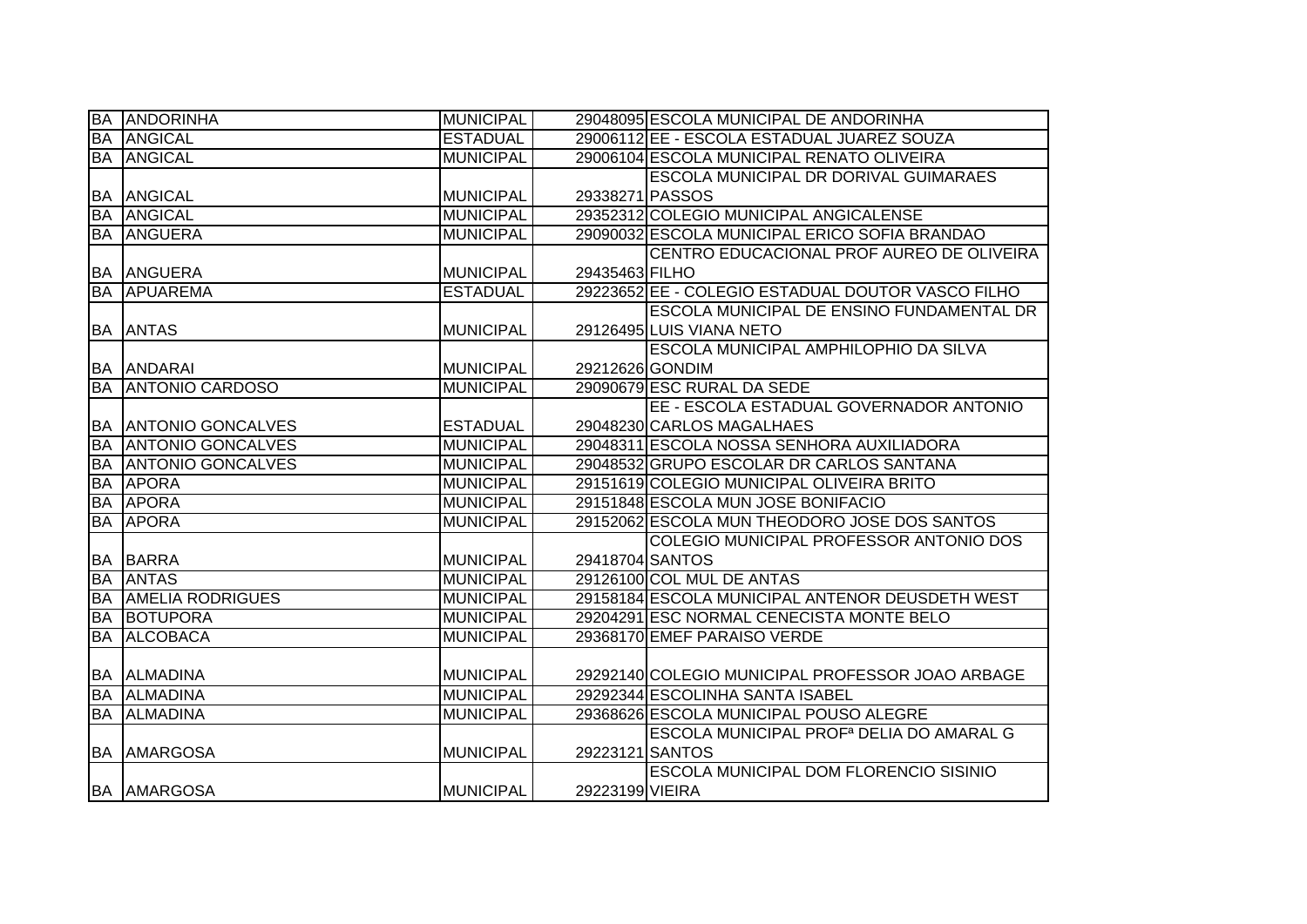| BA        | <b>ANDORINHA</b>         | <b>MUNICIPAL</b> |                 | 29048095 ESCOLA MUNICIPAL DE ANDORINHA               |
|-----------|--------------------------|------------------|-----------------|------------------------------------------------------|
| <b>BA</b> | <b>ANGICAL</b>           | <b>ESTADUAL</b>  |                 | 29006112 EE - ESCOLA ESTADUAL JUAREZ SOUZA           |
| <b>BA</b> | <b>ANGICAL</b>           | <b>MUNICIPAL</b> |                 | 29006104 ESCOLA MUNICIPAL RENATO OLIVEIRA            |
|           |                          |                  |                 | ESCOLA MUNICIPAL DR DORIVAL GUIMARAES                |
| <b>BA</b> | <b>ANGICAL</b>           | <b>MUNICIPAL</b> | 29338271 PASSOS |                                                      |
| <b>BA</b> | <b>ANGICAL</b>           | <b>MUNICIPAL</b> |                 | 29352312 COLEGIO MUNICIPAL ANGICALENSE               |
| <b>BA</b> | <b>ANGUERA</b>           | <b>MUNICIPAL</b> |                 | 29090032 ESCOLA MUNICIPAL ERICO SOFIA BRANDAO        |
|           |                          |                  |                 | CENTRO EDUCACIONAL PROF AUREO DE OLIVEIRA            |
| <b>BA</b> | ANGUERA                  | <b>MUNICIPAL</b> | 29435463 FILHO  |                                                      |
| <b>BA</b> | APUAREMA                 | <b>ESTADUAL</b>  |                 | 29223652 EE - COLEGIO ESTADUAL DOUTOR VASCO FILHO    |
|           |                          |                  |                 | <b>ESCOLA MUNICIPAL DE ENSINO FUNDAMENTAL DR</b>     |
| BA        | <b>ANTAS</b>             | <b>MUNICIPAL</b> |                 | 29126495 LUIS VIANA NETO                             |
|           |                          |                  |                 | <b>ESCOLA MUNICIPAL AMPHILOPHIO DA SILVA</b>         |
| <b>BA</b> | <b>ANDARAI</b>           | <b>MUNICIPAL</b> | 29212626 GONDIM |                                                      |
| <b>BA</b> | <b>ANTONIO CARDOSO</b>   | <b>MUNICIPAL</b> |                 | 29090679 ESC RURAL DA SEDE                           |
|           |                          |                  |                 | EE - ESCOLA ESTADUAL GOVERNADOR ANTONIO              |
| <b>BA</b> | <b>ANTONIO GONCALVES</b> | <b>ESTADUAL</b>  |                 | 29048230 CARLOS MAGALHAES                            |
| <b>BA</b> | <b>ANTONIO GONCALVES</b> | <b>MUNICIPAL</b> |                 | 29048311 ESCOLA NOSSA SENHORA AUXILIADORA            |
| <b>BA</b> | <b>ANTONIO GONCALVES</b> | <b>MUNICIPAL</b> |                 | 29048532 GRUPO ESCOLAR DR CARLOS SANTANA             |
| <b>BA</b> | <b>APORA</b>             | <b>MUNICIPAL</b> |                 | 29151619 COLEGIO MUNICIPAL OLIVEIRA BRITO            |
| <b>BA</b> | <b>APORA</b>             | <b>MUNICIPAL</b> |                 | 29151848 ESCOLA MUN JOSE BONIFACIO                   |
| <b>BA</b> | <b>APORA</b>             | <b>MUNICIPAL</b> |                 | 29152062 ESCOLA MUN THEODORO JOSE DOS SANTOS         |
|           |                          |                  |                 | COLEGIO MUNICIPAL PROFESSOR ANTONIO DOS              |
| BA        | <b>BARRA</b>             | <b>MUNICIPAL</b> | 29418704 SANTOS |                                                      |
| <b>BA</b> | <b>ANTAS</b>             | <b>MUNICIPAL</b> |                 | 29126100 COL MUL DE ANTAS                            |
| <b>BA</b> | <b>AMELIA RODRIGUES</b>  | <b>MUNICIPAL</b> |                 | 29158184 ESCOLA MUNICIPAL ANTENOR DEUSDETH WEST      |
| <b>BA</b> | BOTUPORA                 | <b>MUNICIPAL</b> |                 | 29204291 ESC NORMAL CENECISTA MONTE BELO             |
| <b>BA</b> | <b>ALCOBACA</b>          | <b>MUNICIPAL</b> |                 | 29368170 EMEF PARAISO VERDE                          |
|           |                          |                  |                 |                                                      |
| <b>BA</b> | <b>ALMADINA</b>          | <b>MUNICIPAL</b> |                 | 29292140 COLEGIO MUNICIPAL PROFESSOR JOAO ARBAGE     |
| <b>BA</b> | <b>ALMADINA</b>          | <b>MUNICIPAL</b> |                 | 29292344 ESCOLINHA SANTA ISABEL                      |
| <b>BA</b> | <b>ALMADINA</b>          | <b>MUNICIPAL</b> |                 | 29368626 ESCOLA MUNICIPAL POUSO ALEGRE               |
|           |                          |                  |                 | ESCOLA MUNICIPAL PROF <sup>a</sup> DELIA DO AMARAL G |
| <b>BA</b> | <b>AMARGOSA</b>          | <b>MUNICIPAL</b> | 29223121 SANTOS |                                                      |
|           |                          |                  |                 | ESCOLA MUNICIPAL DOM FLORENCIO SISINIO               |
|           | <b>BA AMARGOSA</b>       | <b>MUNICIPAL</b> | 29223199 VIEIRA |                                                      |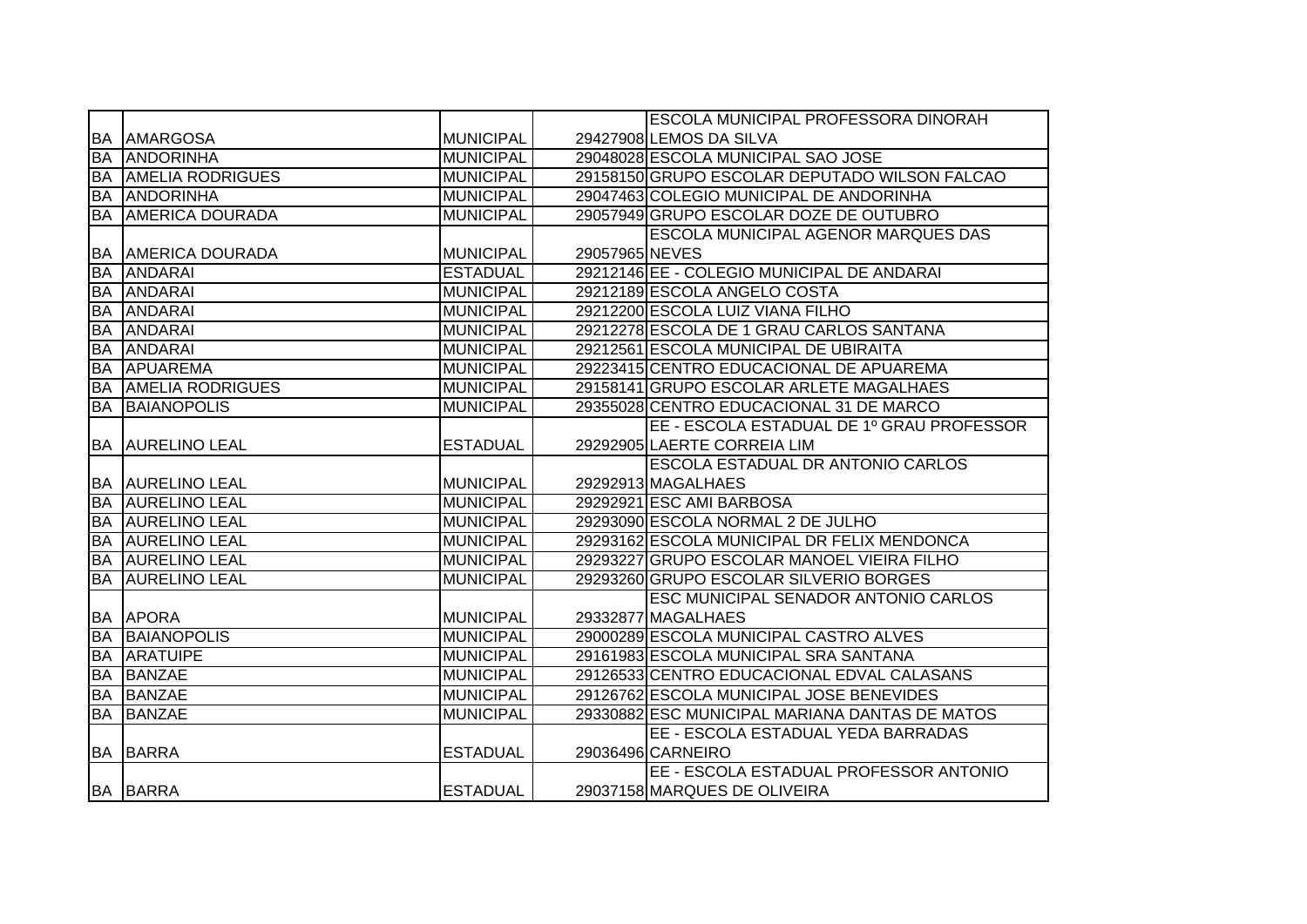|           |                           |                  |                | <b>ESCOLA MUNICIPAL PROFESSORA DINORAH</b>     |
|-----------|---------------------------|------------------|----------------|------------------------------------------------|
|           | <b>BA AMARGOSA</b>        | <b>MUNICIPAL</b> |                | 29427908 LEMOS DA SILVA                        |
| <b>BA</b> | <b>ANDORINHA</b>          | <b>MUNICIPAL</b> |                | 29048028 ESCOLA MUNICIPAL SAO JOSE             |
| BA        | <b>AMELIA RODRIGUES</b>   | <b>MUNICIPAL</b> |                | 29158150 GRUPO ESCOLAR DEPUTADO WILSON FALCAO  |
| <b>BA</b> | <b>ANDORINHA</b>          | <b>MUNICIPAL</b> |                | 29047463 COLEGIO MUNICIPAL DE ANDORINHA        |
|           | <b>BA AMERICA DOURADA</b> | <b>MUNICIPAL</b> |                | 29057949 GRUPO ESCOLAR DOZE DE OUTUBRO         |
|           |                           |                  |                | ESCOLA MUNICIPAL AGENOR MARQUES DAS            |
|           | <b>BA AMERICA DOURADA</b> | <b>MUNICIPAL</b> | 29057965 NEVES |                                                |
| <b>BA</b> | <b>TANDARAI</b>           | <b>ESTADUAL</b>  |                | 29212146 EE - COLEGIO MUNICIPAL DE ANDARAI     |
| <b>BA</b> | <b>ANDARAI</b>            | <b>MUNICIPAL</b> |                | 29212189 ESCOLA ANGELO COSTA                   |
| <b>BA</b> | <b>ANDARAI</b>            | <b>MUNICIPAL</b> |                | 29212200 ESCOLA LUIZ VIANA FILHO               |
| <b>BA</b> | <b>ANDARAI</b>            | <b>MUNICIPAL</b> |                | 29212278 ESCOLA DE 1 GRAU CARLOS SANTANA       |
| <b>BA</b> | <b>ANDARAI</b>            | <b>MUNICIPAL</b> |                | 29212561 ESCOLA MUNICIPAL DE UBIRAITA          |
| <b>BA</b> | <b>APUAREMA</b>           | <b>MUNICIPAL</b> |                | 29223415 CENTRO EDUCACIONAL DE APUAREMA        |
| <b>BA</b> | <b>AMELIA RODRIGUES</b>   | <b>MUNICIPAL</b> |                | 29158141 GRUPO ESCOLAR ARLETE MAGALHAES        |
| <b>BA</b> | <b>BAIANOPOLIS</b>        | <b>MUNICIPAL</b> |                | 29355028 CENTRO EDUCACIONAL 31 DE MARCO        |
|           |                           |                  |                | EE - ESCOLA ESTADUAL DE 1º GRAU PROFESSOR      |
|           | <b>BA AURELINO LEAL</b>   | <b>ESTADUAL</b>  |                | 29292905 LAERTE CORREIA LIM                    |
|           |                           |                  |                | ESCOLA ESTADUAL DR ANTONIO CARLOS              |
|           | <b>BA AURELINO LEAL</b>   | <b>MUNICIPAL</b> |                | 29292913 MAGALHAES                             |
|           | <b>BA AURELINO LEAL</b>   | <b>MUNICIPAL</b> |                | 29292921 ESC AMI BARBOSA                       |
|           | <b>BA AURELINO LEAL</b>   | <b>MUNICIPAL</b> |                | 29293090 ESCOLA NORMAL 2 DE JULHO              |
|           | <b>BA AURELINO LEAL</b>   | <b>MUNICIPAL</b> |                | 29293162 ESCOLA MUNICIPAL DR FELIX MENDONCA    |
|           | <b>BA AURELINO LEAL</b>   | <b>MUNICIPAL</b> |                | 29293227 GRUPO ESCOLAR MANOEL VIEIRA FILHO     |
|           | <b>BA AURELINO LEAL</b>   | <b>MUNICIPAL</b> |                | 29293260 GRUPO ESCOLAR SILVERIO BORGES         |
|           |                           |                  |                | ESC MUNICIPAL SENADOR ANTONIO CARLOS           |
|           | <b>BA APORA</b>           | <b>MUNICIPAL</b> |                | 29332877 MAGALHAES                             |
| <b>BA</b> | <b>BAIANOPOLIS</b>        | <b>MUNICIPAL</b> |                | 29000289 ESCOLA MUNICIPAL CASTRO ALVES         |
| BA        | <b>ARATUIPE</b>           | <b>MUNICIPAL</b> |                | 29161983 ESCOLA MUNICIPAL SRA SANTANA          |
| <b>BA</b> | <b>BANZAE</b>             | <b>MUNICIPAL</b> |                | 29126533 CENTRO EDUCACIONAL EDVAL CALASANS     |
|           | <b>BA BANZAE</b>          | <b>MUNICIPAL</b> |                | 29126762 ESCOLA MUNICIPAL JOSE BENEVIDES       |
| <b>BA</b> | <b>BANZAE</b>             | <b>MUNICIPAL</b> |                | 29330882 ESC MUNICIPAL MARIANA DANTAS DE MATOS |
|           |                           |                  |                | EE - ESCOLA ESTADUAL YEDA BARRADAS             |
|           | <b>BA BARRA</b>           | <b>ESTADUAL</b>  |                | 29036496 CARNEIRO                              |
|           |                           |                  |                | EE - ESCOLA ESTADUAL PROFESSOR ANTONIO         |
|           | <b>BA BARRA</b>           | <b>ESTADUAL</b>  |                | 29037158 MARQUES DE OLIVEIRA                   |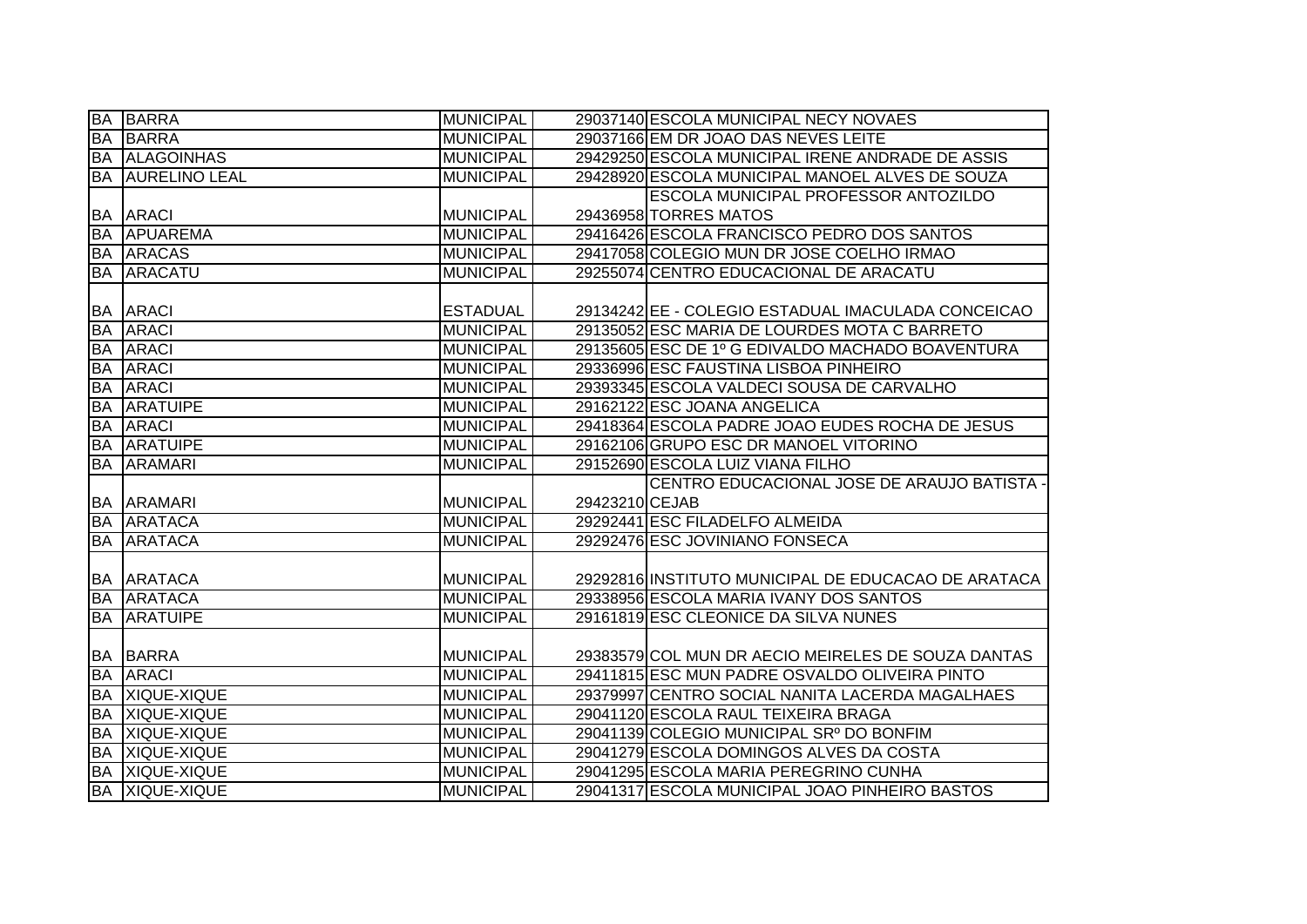|           | <b>BA BARRA</b>         | <b>MUNICIPAL</b> |                | 29037140 ESCOLA MUNICIPAL NECY NOVAES               |
|-----------|-------------------------|------------------|----------------|-----------------------------------------------------|
| <b>BA</b> | <b>BARRA</b>            | <b>MUNICIPAL</b> |                | 29037166 EM DR JOAO DAS NEVES LEITE                 |
|           | <b>BA ALAGOINHAS</b>    | <b>MUNICIPAL</b> |                | 29429250 ESCOLA MUNICIPAL IRENE ANDRADE DE ASSIS    |
|           | <b>BA AURELINO LEAL</b> | <b>MUNICIPAL</b> |                | 29428920 ESCOLA MUNICIPAL MANOEL ALVES DE SOUZA     |
|           |                         |                  |                | <b>ESCOLA MUNICIPAL PROFESSOR ANTOZILDO</b>         |
|           | <b>BA ARACI</b>         | MUNICIPAL        |                | 29436958 TORRES MATOS                               |
|           | <b>BA APUAREMA</b>      | <b>MUNICIPAL</b> |                | 29416426 ESCOLA FRANCISCO PEDRO DOS SANTOS          |
|           | <b>BA ARACAS</b>        | <b>MUNICIPAL</b> |                | 29417058 COLEGIO MUN DR JOSE COELHO IRMAO           |
|           | <b>BA ARACATU</b>       | <b>MUNICIPAL</b> |                | 29255074 CENTRO EDUCACIONAL DE ARACATU              |
|           |                         |                  |                |                                                     |
|           | <b>BA ARACI</b>         | <b>ESTADUAL</b>  |                | 29134242 EE - COLEGIO ESTADUAL IMACULADA CONCEICAO  |
| <b>BA</b> | <b>ARACI</b>            | <b>MUNICIPAL</b> |                | 29135052 ESC MARIA DE LOURDES MOTA C BARRETO        |
|           | <b>BA ARACI</b>         | <b>MUNICIPAL</b> |                | 29135605 ESC DE 1º G EDIVALDO MACHADO BOAVENTURA    |
| <b>BA</b> | <b>ARACI</b>            | <b>MUNICIPAL</b> |                | 29336996 ESC FAUSTINA LISBOA PINHEIRO               |
| <b>BA</b> | <b>ARACI</b>            | <b>MUNICIPAL</b> |                | 29393345 ESCOLA VALDECI SOUSA DE CARVALHO           |
| <b>BA</b> | <b>ARATUIPE</b>         | <b>MUNICIPAL</b> |                | 29162122 ESC JOANA ANGELICA                         |
| <b>BA</b> | <b>ARACI</b>            | <b>MUNICIPAL</b> |                | 29418364 ESCOLA PADRE JOAO EUDES ROCHA DE JESUS     |
| <b>BA</b> | <b>ARATUIPE</b>         | <b>MUNICIPAL</b> |                | 29162106 GRUPO ESC DR MANOEL VITORINO               |
|           |                         |                  |                |                                                     |
| <b>BA</b> | ARAMARI                 | <b>MUNICIPAL</b> |                | 29152690 ESCOLA LUIZ VIANA FILHO                    |
|           |                         |                  |                | CENTRO EDUCACIONAL JOSE DE ARAUJO BATISTA -         |
|           | <b>BA ARAMARI</b>       | <b>MUNICIPAL</b> | 29423210 CEJAB |                                                     |
|           | <b>BA ARATACA</b>       | <b>MUNICIPAL</b> |                | 29292441 ESC FILADELFO ALMEIDA                      |
| <b>BA</b> | <b>ARATACA</b>          | <b>MUNICIPAL</b> |                | 29292476 ESC JOVINIANO FONSECA                      |
|           |                         |                  |                |                                                     |
|           | <b>BA ARATACA</b>       | <b>MUNICIPAL</b> |                | 29292816 INSTITUTO MUNICIPAL DE EDUCACAO DE ARATACA |
|           | <b>BA ARATACA</b>       | <b>MUNICIPAL</b> |                | 29338956 ESCOLA MARIA IVANY DOS SANTOS              |
| <b>BA</b> | <b>ARATUIPE</b>         | <b>MUNICIPAL</b> |                | 29161819 ESC CLEONICE DA SILVA NUNES                |
|           |                         |                  |                |                                                     |
|           | <b>BA BARRA</b>         | MUNICIPAL        |                | 29383579 COL MUN DR AECIO MEIRELES DE SOUZA DANTAS  |
|           | <b>BA ARACI</b>         | <b>MUNICIPAL</b> |                | 29411815 ESC MUN PADRE OSVALDO OLIVEIRA PINTO       |
|           | <b>BA XIQUE-XIQUE</b>   | <b>MUNICIPAL</b> |                | 29379997 CENTRO SOCIAL NANITA LACERDA MAGALHAES     |
| <b>BA</b> | XIQUE-XIQUE             | <b>MUNICIPAL</b> |                | 29041120 ESCOLA RAUL TEIXEIRA BRAGA                 |
| <b>BA</b> | XIQUE-XIQUE             | <b>MUNICIPAL</b> |                | 29041139 COLEGIO MUNICIPAL SRº DO BONFIM            |
| <b>BA</b> | XIQUE-XIQUE             | <b>MUNICIPAL</b> |                | 29041279 ESCOLA DOMINGOS ALVES DA COSTA             |
|           | BA XIQUE-XIQUE          | <b>MUNICIPAL</b> |                | 29041295 ESCOLA MARIA PEREGRINO CUNHA               |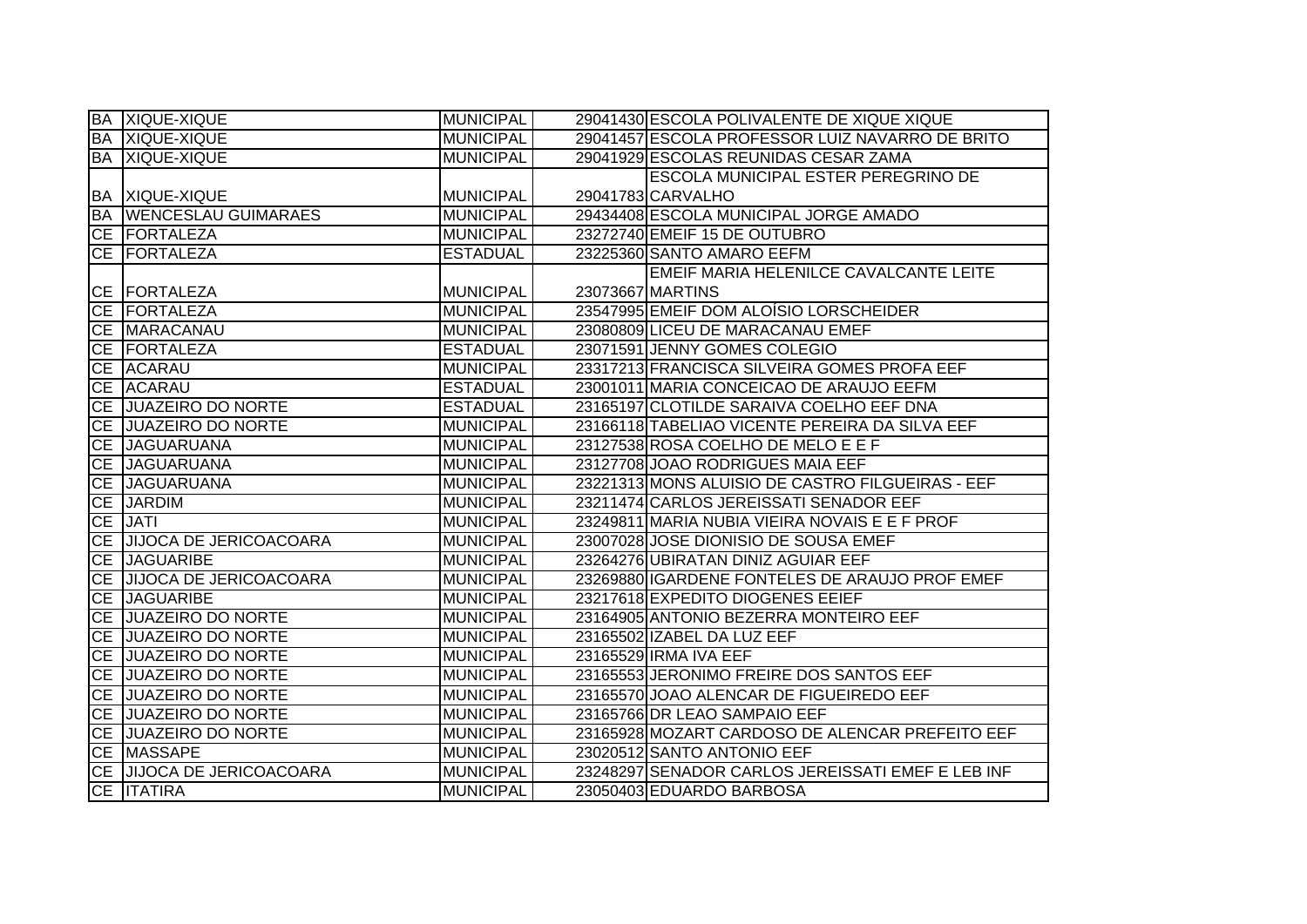|           | <b>BA XIQUE-XIQUE</b>       | <b>MUNICIPAL</b> | 29041430 ESCOLA POLIVALENTE DE XIQUE XIQUE        |
|-----------|-----------------------------|------------------|---------------------------------------------------|
|           | <b>BA XIQUE-XIQUE</b>       | <b>MUNICIPAL</b> | 29041457 ESCOLA PROFESSOR LUIZ NAVARRO DE BRITO   |
|           | <b>BA XIQUE-XIQUE</b>       | <b>MUNICIPAL</b> | 29041929 ESCOLAS REUNIDAS CESAR ZAMA              |
|           |                             |                  | <b>ESCOLA MUNICIPAL ESTER PEREGRINO DE</b>        |
|           | BA XIQUE-XIQUE              | <b>MUNICIPAL</b> | 29041783 CARVALHO                                 |
|           | BA   WENCESLAU GUIMARAES    | <b>MUNICIPAL</b> | 29434408 ESCOLA MUNICIPAL JORGE AMADO             |
|           | CE   FORTALEZA              | <b>MUNICIPAL</b> | 23272740 EMEIF 15 DE OUTUBRO                      |
|           | <b>CE FORTALEZA</b>         | <b>ESTADUAL</b>  | 23225360 SANTO AMARO EEFM                         |
|           |                             |                  | EMEIF MARIA HELENILCE CAVALCANTE LEITE            |
|           | CE FORTALEZA                | <b>MUNICIPAL</b> | 23073667 MARTINS                                  |
|           | CE FORTALEZA                | <b>MUNICIPAL</b> | 23547995 EMEIF DOM ALOÍSIO LORSCHEIDER            |
|           | CE MARACANAU                | <b>MUNICIPAL</b> | 23080809 LICEU DE MARACANAU EMEF                  |
|           | CE FORTALEZA                | <b>ESTADUAL</b>  | 23071591 JENNY GOMES COLEGIO                      |
|           | CE ACARAU                   | <b>MUNICIPAL</b> | 23317213 FRANCISCA SILVEIRA GOMES PROFA EEF       |
|           | CE ACARAU                   | <b>ESTADUAL</b>  | 23001011 MARIA CONCEICAO DE ARAUJO EEFM           |
|           | CE JUAZEIRO DO NORTE        | <b>ESTADUAL</b>  | 23165197 CLOTILDE SARAIVA COELHO EEF DNA          |
| <b>CE</b> | <b>JUAZEIRO DO NORTE</b>    | <b>MUNICIPAL</b> | 23166118 TABELIAO VICENTE PEREIRA DA SILVA EEF    |
|           | CE JAGUARUANA               | <b>MUNICIPAL</b> | 23127538 ROSA COELHO DE MELO E E F                |
|           | CE JAGUARUANA               | <b>MUNICIPAL</b> | 23127708 JOAO RODRIGUES MAIA EEF                  |
|           | CE JAGUARUANA               | <b>MUNICIPAL</b> | 23221313 MONS ALUISIO DE CASTRO FILGUEIRAS - EEF  |
|           | <b>CE JARDIM</b>            | <b>MUNICIPAL</b> | 23211474 CARLOS JEREISSATI SENADOR EEF            |
|           |                             |                  |                                                   |
|           | CE JATI                     | <b>MUNICIPAL</b> | 23249811 MARIA NUBIA VIEIRA NOVAIS E E F PROF     |
|           | CE JJIJOCA DE JERICOACOARA  | <b>MUNICIPAL</b> | 23007028 JOSE DIONISIO DE SOUSA EMEF              |
|           | CE JAGUARIBE                | <b>MUNICIPAL</b> | 23264276 UBIRATAN DINIZ AGUIAR EEF                |
|           | CE JIJOCA DE JERICOACOARA   | <b>MUNICIPAL</b> | 23269880 IGARDENE FONTELES DE ARAUJO PROF EMEF    |
| CE        | <b>JAGUARIBE</b>            | <b>MUNICIPAL</b> | 23217618 EXPEDITO DIOGENES EEIEF                  |
|           | CE JUAZEIRO DO NORTE        | <b>MUNICIPAL</b> | 23164905 ANTONIO BEZERRA MONTEIRO EEF             |
|           | <b>CE JUAZEIRO DO NORTE</b> | <b>MUNICIPAL</b> | 23165502 IZABEL DA LUZ EEF                        |
| <b>CE</b> | <b>JUAZEIRO DO NORTE</b>    | <b>MUNICIPAL</b> | 23165529 IRMA IVA EEF                             |
| <b>CE</b> | <b>JUAZEIRO DO NORTE</b>    | <b>MUNICIPAL</b> | 23165553 JERONIMO FREIRE DOS SANTOS EEF           |
|           | <b>CE JUAZEIRO DO NORTE</b> | <b>MUNICIPAL</b> | 23165570 JOAO ALENCAR DE FIGUEIREDO EEF           |
|           | CE JUAZEIRO DO NORTE        | <b>MUNICIPAL</b> | 23165766 DR LEAO SAMPAIO EEF                      |
|           | <b>CE JUAZEIRO DO NORTE</b> | <b>MUNICIPAL</b> | 23165928 MOZART CARDOSO DE ALENCAR PREFEITO EEF   |
|           | <b>CE MASSAPE</b>           | <b>MUNICIPAL</b> | 23020512 SANTO ANTONIO EEF                        |
|           | CE JJJOCA DE JERICOACOARA   | <b>MUNICIPAL</b> | 23248297 SENADOR CARLOS JEREISSATI EMEF E LEB INF |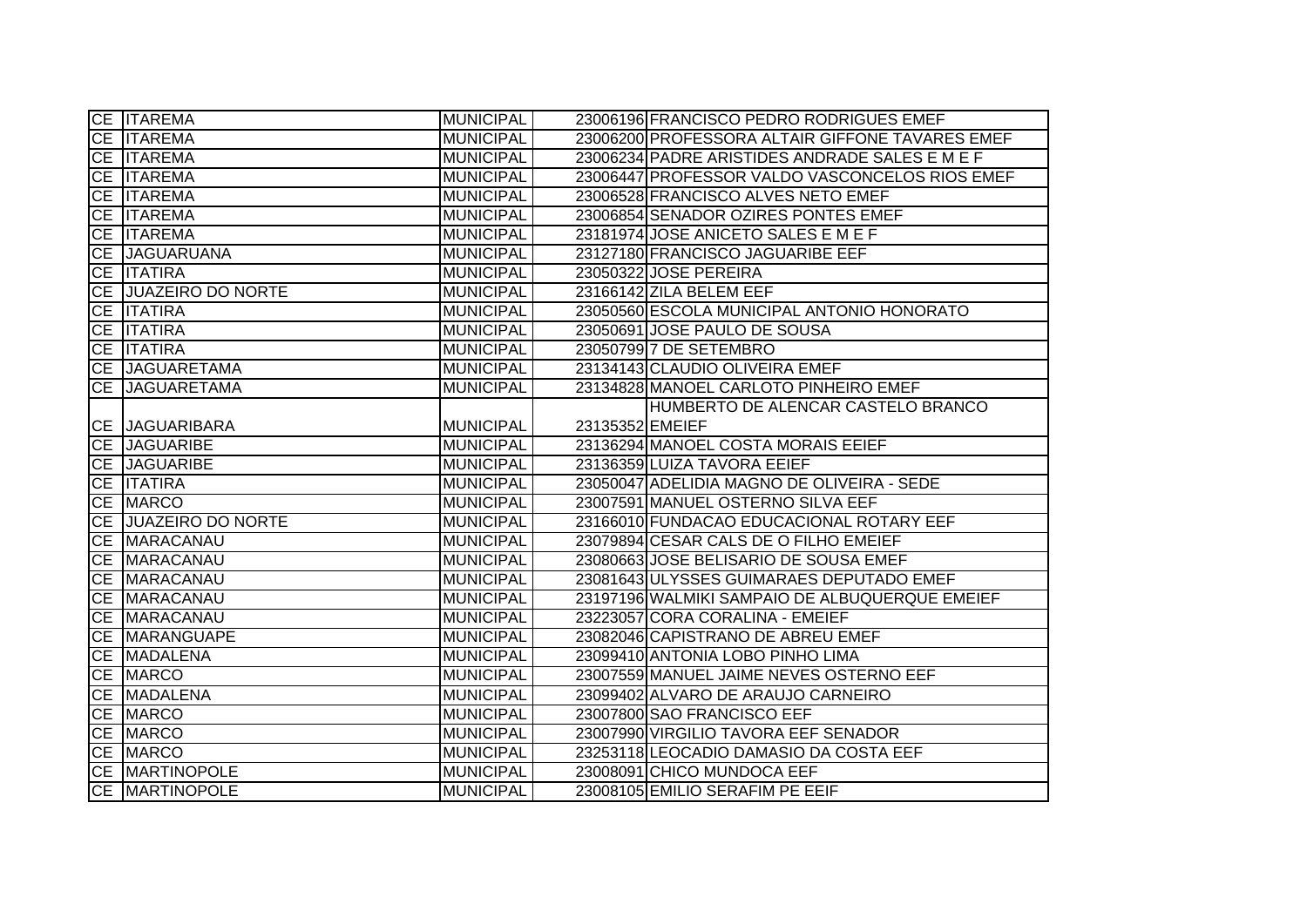| CE   ITAREMA                            | <b>MUNICIPAL</b> | 23006196 FRANCISCO PEDRO RODRIGUES EMEF         |
|-----------------------------------------|------------------|-------------------------------------------------|
| CE ITAREMA                              | <b>MUNICIPAL</b> | 23006200 PROFESSORA ALTAIR GIFFONE TAVARES EMEF |
| <b>CE ITAREMA</b>                       | <b>MUNICIPAL</b> | 23006234 PADRE ARISTIDES ANDRADE SALES E M E F  |
| CE <b>ITAREMA</b>                       | <b>MUNICIPAL</b> | 23006447 PROFESSOR VALDO VASCONCELOS RIOS EMEF  |
| CE ITAREMA                              | <b>MUNICIPAL</b> | 23006528 FRANCISCO ALVES NETO EMEF              |
| CE ITAREMA                              | <b>MUNICIPAL</b> | 23006854 SENADOR OZIRES PONTES EMEF             |
| <b>CE ITAREMA</b>                       | <b>MUNICIPAL</b> | 23181974 JOSE ANICETO SALES E M E F             |
| CE JAGUARUANA                           | <b>MUNICIPAL</b> | 23127180 FRANCISCO JAGUARIBE EEF                |
| CE <b>ITATIRA</b>                       | <b>MUNICIPAL</b> | 23050322 JOSE PEREIRA                           |
| CE JUAZEIRO DO NORTE                    | <b>MUNICIPAL</b> | 23166142 ZILA BELEM EEF                         |
| <b>CE ITATIRA</b>                       | <b>MUNICIPAL</b> | 23050560 ESCOLA MUNICIPAL ANTONIO HONORATO      |
| CE <b>ITATIRA</b>                       | <b>MUNICIPAL</b> | 23050691 JOSE PAULO DE SOUSA                    |
| CE <b>ITATIRA</b>                       | <b>MUNICIPAL</b> | 23050799 7 DE SETEMBRO                          |
| CE JAGUARETAMA                          | <b>MUNICIPAL</b> | 23134143 CLAUDIO OLIVEIRA EMEF                  |
| CE JAGUARETAMA                          | <b>MUNICIPAL</b> | 23134828 MANOEL CARLOTO PINHEIRO EMEF           |
|                                         |                  | HUMBERTO DE ALENCAR CASTELO BRANCO              |
| CE JAGUARIBARA                          | <b>MUNICIPAL</b> | 23135352 EMEIEF                                 |
| CE JAGUARIBE                            | <b>MUNICIPAL</b> | 23136294 MANOEL COSTA MORAIS EEIEF              |
|                                         |                  |                                                 |
| CE JAGUARIBE                            | <b>MUNICIPAL</b> | 23136359 LUIZA TAVORA EEIEF                     |
| CE <b>ITATIRA</b>                       | <b>MUNICIPAL</b> | 23050047 ADELIDIA MAGNO DE OLIVEIRA - SEDE      |
| CE MARCO                                | <b>MUNICIPAL</b> | 23007591 MANUEL OSTERNO SILVA EEF               |
| CE JUAZEIRO DO NORTE                    | <b>MUNICIPAL</b> | 23166010 FUNDACAO EDUCACIONAL ROTARY EEF        |
| CE MARACANAU                            | <b>MUNICIPAL</b> | 23079894 CESAR CALS DE O FILHO EMEIEF           |
| CE MARACANAU                            | <b>MUNICIPAL</b> | 23080663 JOSE BELISARIO DE SOUSA EMEF           |
| CE MARACANAU                            | <b>MUNICIPAL</b> | 23081643 ULYSSES GUIMARAES DEPUTADO EMEF        |
| CE MARACANAU                            | <b>MUNICIPAL</b> | 23197196 WALMIKI SAMPAIO DE ALBUQUERQUE EMEIEF  |
| CE MARACANAU                            | <b>MUNICIPAL</b> | 23223057 CORA CORALINA - EMEIEF                 |
| <b>CE MARANGUAPE</b>                    | <b>MUNICIPAL</b> | 23082046 CAPISTRANO DE ABREU EMEF               |
| CE MADALENA                             | <b>MUNICIPAL</b> | 23099410 ANTONIA LOBO PINHO LIMA                |
| CE MARCO                                | <b>MUNICIPAL</b> | 23007559 MANUEL JAIME NEVES OSTERNO EEF         |
| CE MADALENA                             | <b>MUNICIPAL</b> | 23099402 ALVARO DE ARAUJO CARNEIRO              |
| CE MARCO                                | <b>MUNICIPAL</b> | 23007800 SAO FRANCISCO EEF                      |
| CE MARCO                                | <b>MUNICIPAL</b> | 23007990 VIRGILIO TAVORA EEF SENADOR            |
| CE MARCO                                | <b>MUNICIPAL</b> | 23253118 LEOCADIO DAMASIO DA COSTA EEF          |
| CE MARTINOPOLE<br><b>CE MARTINOPOLE</b> | <b>MUNICIPAL</b> | 23008091 CHICO MUNDOCA EEF                      |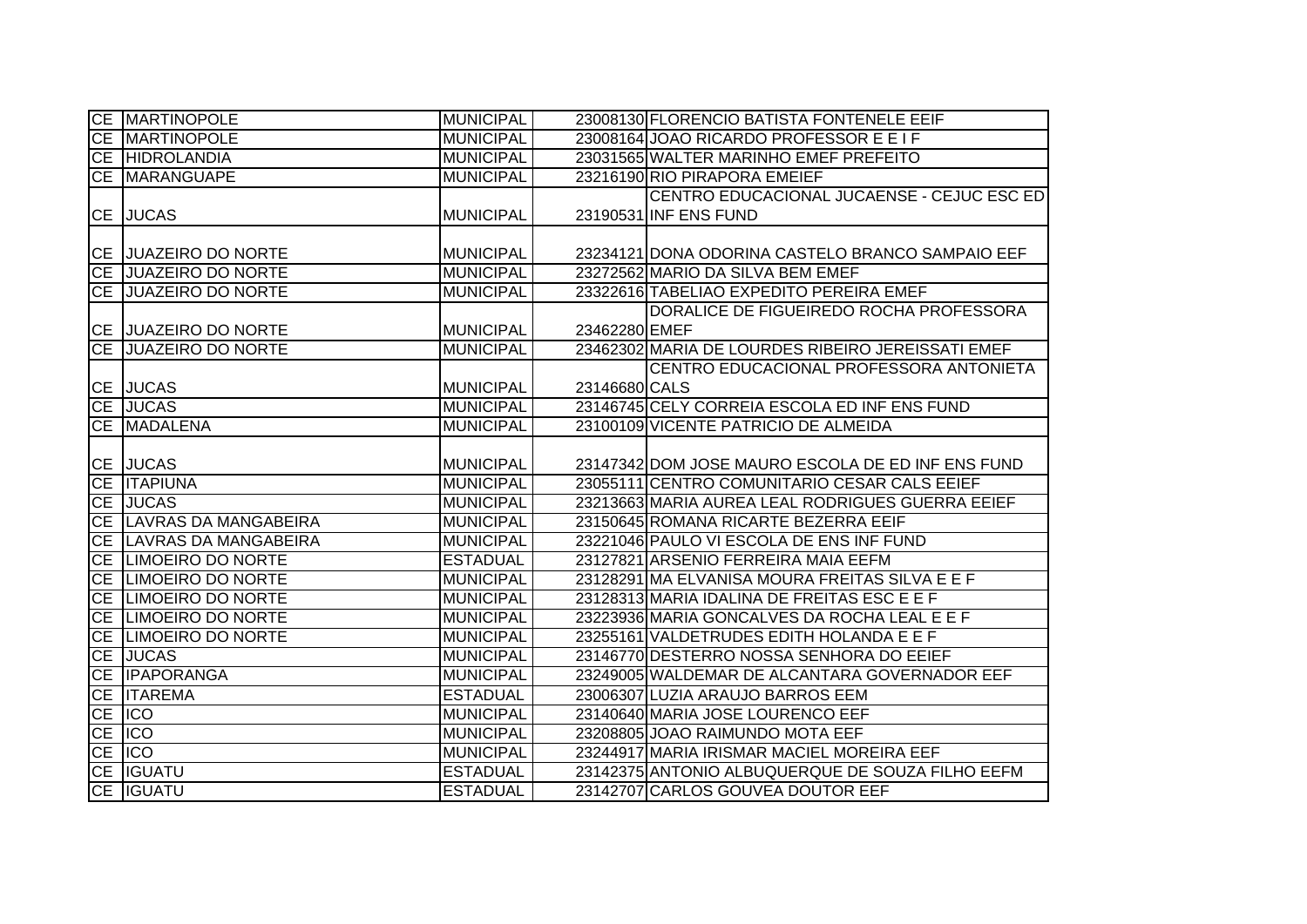| <b>CE MARTINOPOLE</b>       | <b>MUNICIPAL</b> |               | 23008130 FLORENCIO BATISTA FONTENELE EEIF         |
|-----------------------------|------------------|---------------|---------------------------------------------------|
| <b>CE MARTINOPOLE</b>       | <b>MUNICIPAL</b> |               | 23008164 JOAO RICARDO PROFESSOR E E I F           |
| <b>CE HIDROLANDIA</b>       | <b>MUNICIPAL</b> |               | 23031565 WALTER MARINHO EMEF PREFEITO             |
| CE MARANGUAPE               | <b>MUNICIPAL</b> |               | 23216190 RIO PIRAPORA EMEIEF                      |
|                             |                  |               | CENTRO EDUCACIONAL JUCAENSE - CEJUC ESC ED        |
| <b>CE JUCAS</b>             | <b>MUNICIPAL</b> |               | 23190531 INF ENS FUND                             |
|                             |                  |               |                                                   |
| CE JUAZEIRO DO NORTE        | <b>MUNICIPAL</b> |               | 23234121 DONA ODORINA CASTELO BRANCO SAMPAIO EEF  |
| <b>CE JUAZEIRO DO NORTE</b> | <b>MUNICIPAL</b> |               | 23272562 MARIO DA SILVA BEM EMEF                  |
| <b>CE JUAZEIRO DO NORTE</b> | <b>MUNICIPAL</b> |               | 23322616 TABELIAO EXPEDITO PEREIRA EMEF           |
|                             |                  |               | DORALICE DE FIGUEIREDO ROCHA PROFESSORA           |
| CE JUAZEIRO DO NORTE        | <b>MUNICIPAL</b> | 23462280 EMEF |                                                   |
| <b>CE JUAZEIRO DO NORTE</b> | <b>MUNICIPAL</b> |               | 23462302 MARIA DE LOURDES RIBEIRO JEREISSATI EMEF |
|                             |                  |               | CENTRO EDUCACIONAL PROFESSORA ANTONIETA           |
| CE JUCAS                    | <b>MUNICIPAL</b> | 23146680 CALS |                                                   |
| CE JUCAS                    | <b>MUNICIPAL</b> |               | 23146745 CELY CORREIA ESCOLA ED INF ENS FUND      |
| CE MADALENA                 | <b>MUNICIPAL</b> |               | 23100109 VICENTE PATRICIO DE ALMEIDA              |
|                             |                  |               |                                                   |
| CE JUCAS                    | <b>MUNICIPAL</b> |               | 23147342 DOM JOSE MAURO ESCOLA DE ED INF ENS FUND |
| <b>CE ITAPIUNA</b>          | <b>MUNICIPAL</b> |               | 23055111 CENTRO COMUNITARIO CESAR CALS EEIEF      |
| CE JUCAS                    | <b>MUNICIPAL</b> |               | 23213663 MARIA AUREA LEAL RODRIGUES GUERRA EEIEF  |
| CE LAVRAS DA MANGABEIRA     | <b>MUNICIPAL</b> |               | 23150645 ROMANA RICARTE BEZERRA EEIF              |
| CE LAVRAS DA MANGABEIRA     | <b>MUNICIPAL</b> |               | 23221046 PAULO VI ESCOLA DE ENS INF FUND          |
| CE LIMOEIRO DO NORTE        | <b>ESTADUAL</b>  |               | 23127821 ARSENIO FERREIRA MAIA EEFM               |
| CE LIMOEIRO DO NORTE        | <b>MUNICIPAL</b> |               | 23128291 MA ELVANISA MOURA FREITAS SILVA E E F    |
| CE LIMOEIRO DO NORTE        | <b>MUNICIPAL</b> |               | 23128313 MARIA IDALINA DE FREITAS ESCEEF          |
| CE LIMOEIRO DO NORTE        | <b>MUNICIPAL</b> |               | 23223936 MARIA GONCALVES DA ROCHA LEAL E E F      |
| CE LIMOEIRO DO NORTE        | <b>MUNICIPAL</b> |               | 23255161 VALDETRUDES EDITH HOLANDA E E F          |
| CE JUCAS                    | <b>MUNICIPAL</b> |               | 23146770 DESTERRO NOSSA SENHORA DO EEIEF          |
| CE <b>IPAPORANGA</b>        | <b>MUNICIPAL</b> |               | 23249005 WALDEMAR DE ALCANTARA GOVERNADOR EEF     |
| CE ITAREMA                  | <b>ESTADUAL</b>  |               | 23006307 LUZIA ARAUJO BARROS EEM                  |
| CE ICO                      | <b>MUNICIPAL</b> |               | 23140640 MARIA JOSE LOURENCO EEF                  |
| CE ICO                      | <b>MUNICIPAL</b> |               | 23208805 JOAO RAIMUNDO MOTA EEF                   |
| CE ICO                      | <b>MUNICIPAL</b> |               | 23244917 MARIA IRISMAR MACIEL MOREIRA EEF         |
| <b>CE IGUATU</b>            | <b>ESTADUAL</b>  |               | 23142375 ANTONIO ALBUQUERQUE DE SOUZA FILHO EEFM  |
| CE IGUATU                   | <b>ESTADUAL</b>  |               | 23142707 CARLOS GOUVEA DOUTOR EEF                 |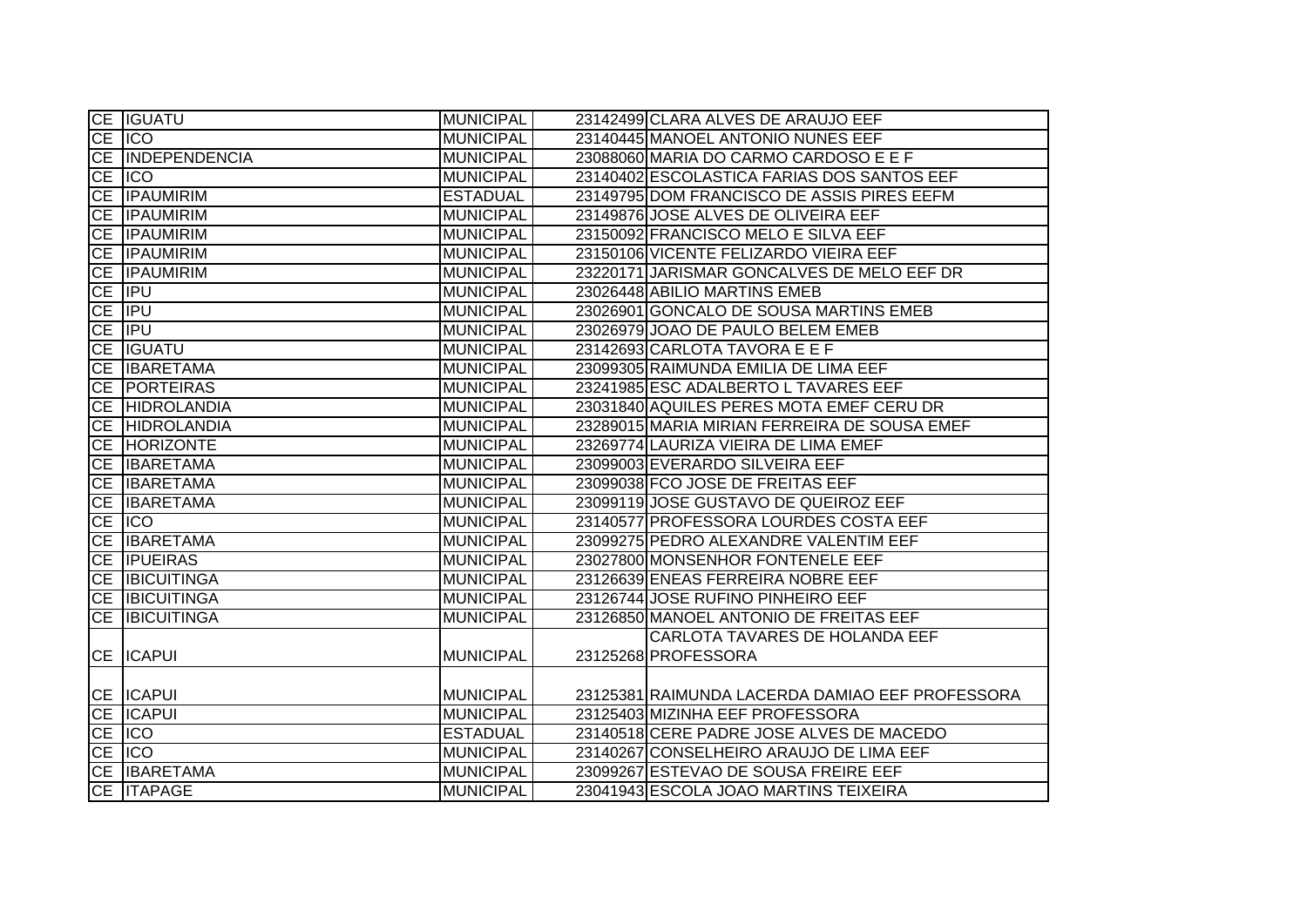|           | CE IGUATU             | <b>MUNICIPAL</b> | 23142499 CLARA ALVES DE ARAUJO EEF              |
|-----------|-----------------------|------------------|-------------------------------------------------|
|           | CE ICO                | <b>MUNICIPAL</b> | 23140445 MANOEL ANTONIO NUNES EEF               |
|           | CE INDEPENDENCIA      | <b>MUNICIPAL</b> | 23088060 MARIA DO CARMO CARDOSO E E F           |
| <b>CE</b> | <b>IICO</b>           | <b>MUNICIPAL</b> | 23140402 ESCOLASTICA FARIAS DOS SANTOS EEF      |
| <b>CE</b> | <b>IPAUMIRIM</b>      | <b>ESTADUAL</b>  | 23149795 DOM FRANCISCO DE ASSIS PIRES EEFM      |
| <b>CE</b> | <b>IPAUMIRIM</b>      | <b>MUNICIPAL</b> | 23149876 JOSE ALVES DE OLIVEIRA EEF             |
|           | <b>CE IPAUMIRIM</b>   | <b>MUNICIPAL</b> | 23150092 FRANCISCO MELO E SILVA EEF             |
|           | CE IPAUMIRIM          | <b>MUNICIPAL</b> | 23150106 VICENTE FELIZARDO VIEIRA EEF           |
|           | <b>CE IPAUMIRIM</b>   | <b>MUNICIPAL</b> | 23220171 JARISMAR GONCALVES DE MELO EEF DR      |
|           | CE IPU                | <b>MUNICIPAL</b> | 23026448 ABILIO MARTINS EMEB                    |
|           | CE IPU                | <b>MUNICIPAL</b> | 23026901 GONCALO DE SOUSA MARTINS EMEB          |
|           | CE <b>IPU</b>         | <b>MUNICIPAL</b> | 23026979 JOAO DE PAULO BELEM EMEB               |
| CE        | <b>IGUATU</b>         | <b>MUNICIPAL</b> | 23142693 CARLOTA TAVORA E E F                   |
| <b>CE</b> | <b>IBARETAMA</b>      | <b>MUNICIPAL</b> | 23099305 RAIMUNDA EMILIA DE LIMA EEF            |
| <b>CE</b> | <b>PORTEIRAS</b>      | <b>MUNICIPAL</b> | 23241985 ESC ADALBERTO L TAVARES EEF            |
| <b>CE</b> | <b>HIDROLANDIA</b>    | <b>MUNICIPAL</b> | 23031840 AQUILES PERES MOTA EMEF CERU DR        |
| <b>CE</b> | <b>HIDROLANDIA</b>    | <b>MUNICIPAL</b> | 23289015 MARIA MIRIAN FERREIRA DE SOUSA EMEF    |
| <b>CE</b> | <b>HORIZONTE</b>      | <b>MUNICIPAL</b> | 23269774 LAURIZA VIEIRA DE LIMA EMEF            |
| <b>CE</b> | <b>IBARETAMA</b>      | <b>MUNICIPAL</b> | 23099003 EVERARDO SILVEIRA EEF                  |
|           | CE IBARETAMA          | <b>MUNICIPAL</b> | 23099038 FCO JOSE DE FREITAS EEF                |
| CE        | <b>IBARETAMA</b>      | <b>MUNICIPAL</b> | 23099119 JOSE GUSTAVO DE QUEIROZ EEF            |
| <b>CE</b> | <b>IICO</b>           | <b>MUNICIPAL</b> | 23140577 PROFESSORA LOURDES COSTA EEF           |
| CE        | <b>IBARETAMA</b>      | <b>MUNICIPAL</b> | 23099275 PEDRO ALEXANDRE VALENTIM EEF           |
| CE        | <b>IPUEIRAS</b>       | <b>MUNICIPAL</b> | 23027800 MONSENHOR FONTENELE EEF                |
|           | CE <b>IBICUITINGA</b> | <b>MUNICIPAL</b> | 23126639 ENEAS FERREIRA NOBRE EEF               |
|           | CE <b>IBICUITINGA</b> | <b>MUNICIPAL</b> | 23126744 JOSE RUFINO PINHEIRO EEF               |
| <b>CE</b> | <b>IBICUITINGA</b>    | <b>MUNICIPAL</b> | 23126850 MANOEL ANTONIO DE FREITAS EEF          |
|           |                       |                  | CARLOTA TAVARES DE HOLANDA EEF                  |
| CE        | <b>ICAPUI</b>         | <b>MUNICIPAL</b> | 23125268 PROFESSORA                             |
|           |                       |                  |                                                 |
|           | <b>CE ICAPUI</b>      | <b>MUNICIPAL</b> | 23125381 RAIMUNDA LACERDA DAMIAO EEF PROFESSORA |
|           | CE <b>ICAPUI</b>      | <b>MUNICIPAL</b> | 23125403 MIZINHA EEF PROFESSORA                 |
|           | CE ICO                | <b>ESTADUAL</b>  | 23140518 CERE PADRE JOSE ALVES DE MACEDO        |
|           | CE ICO                | <b>MUNICIPAL</b> | 23140267 CONSELHEIRO ARAUJO DE LIMA EEF         |
|           | CE IBARETAMA          | <b>MUNICIPAL</b> | 23099267 ESTEVAO DE SOUSA FREIRE EEF            |
|           | CE ITAPAGE            | <b>MUNICIPAL</b> | 23041943 ESCOLA JOAO MARTINS TEIXEIRA           |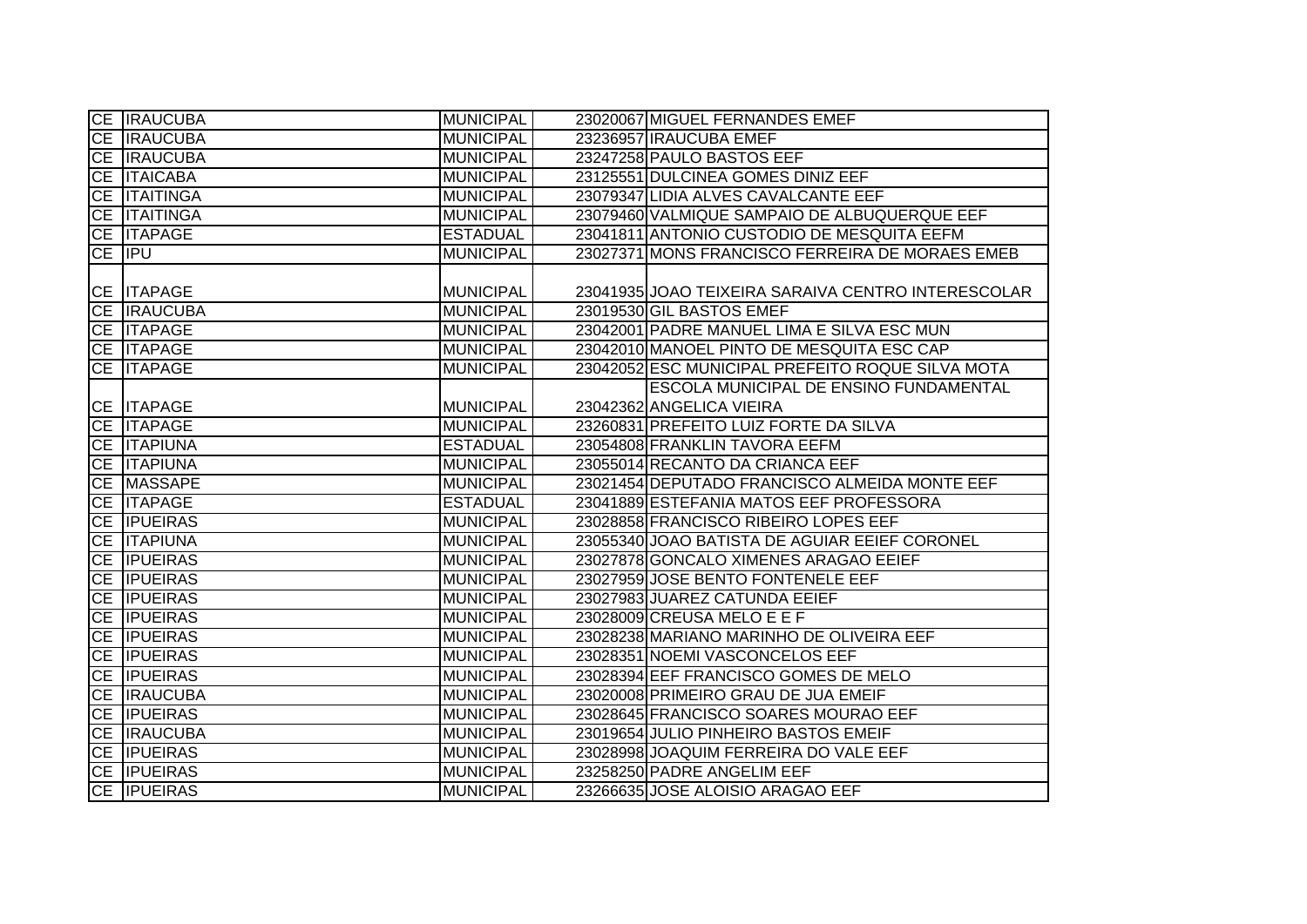| <b>CE IRAUCUBA</b>  | <b>MUNICIPAL</b> | 23020067 MIGUEL FERNANDES EMEF                     |
|---------------------|------------------|----------------------------------------------------|
| CE <b>IRAUCUBA</b>  | <b>MUNICIPAL</b> | 23236957 IRAUCUBA EMEF                             |
| <b>CE IRAUCUBA</b>  | <b>MUNICIPAL</b> | 23247258 PAULO BASTOS EEF                          |
| CE <b>ITAICABA</b>  | <b>MUNICIPAL</b> | 23125551 DULCINEA GOMES DINIZ EEF                  |
| CE <b>ITAITINGA</b> | <b>MUNICIPAL</b> | 23079347 LIDIA ALVES CAVALCANTE EEF                |
| CE <b>ITAITINGA</b> | <b>MUNICIPAL</b> | 23079460 VALMIQUE SAMPAIO DE ALBUQUERQUE EEF       |
| CE <b>ITAPAGE</b>   | <b>ESTADUAL</b>  | 23041811 ANTONIO CUSTODIO DE MESQUITA EEFM         |
| CE IPU              | <b>MUNICIPAL</b> | 23027371 MONS FRANCISCO FERREIRA DE MORAES EMEB    |
|                     |                  |                                                    |
| CE <b>ITAPAGE</b>   | <b>MUNICIPAL</b> | 23041935 JOAO TEIXEIRA SARAIVA CENTRO INTERESCOLAR |
| CE <b>IRAUCUBA</b>  | <b>MUNICIPAL</b> | 23019530 GIL BASTOS EMEF                           |
| CE <b>ITAPAGE</b>   | <b>MUNICIPAL</b> | 23042001 PADRE MANUEL LIMA E SILVA ESC MUN         |
| CE <b>ITAPAGE</b>   | <b>MUNICIPAL</b> | 23042010 MANOEL PINTO DE MESQUITA ESC CAP          |
| CE   ITAPAGE        | <b>MUNICIPAL</b> | 23042052 ESC MUNICIPAL PREFEITO ROQUE SILVA MOTA   |
|                     |                  | ESCOLA MUNICIPAL DE ENSINO FUNDAMENTAL             |
| CE   ITAPAGE        | <b>MUNICIPAL</b> | 23042362 ANGELICA VIEIRA                           |
| CE <b>ITAPAGE</b>   | <b>MUNICIPAL</b> | 23260831 PREFEITO LUIZ FORTE DA SILVA              |
| <b>CE ITAPIUNA</b>  | <b>ESTADUAL</b>  | 23054808 FRANKLIN TAVORA EEFM                      |
| CE <b>ITAPIUNA</b>  | <b>MUNICIPAL</b> | 23055014 RECANTO DA CRIANCA EEF                    |
| CE MASSAPE          | <b>MUNICIPAL</b> | 23021454 DEPUTADO FRANCISCO ALMEIDA MONTE EEF      |
| <b>CE ITAPAGE</b>   | <b>ESTADUAL</b>  | 23041889 ESTEFANIA MATOS EEF PROFESSORA            |
| <b>CE IPUEIRAS</b>  | <b>MUNICIPAL</b> | 23028858 FRANCISCO RIBEIRO LOPES EEF               |
| <b>CE ITAPIUNA</b>  | <b>MUNICIPAL</b> | 23055340 JOAO BATISTA DE AGUIAR EEIEF CORONEL      |
| CE <b>IPUEIRAS</b>  | <b>MUNICIPAL</b> | 23027878 GONCALO XIMENES ARAGAO EEIEF              |
| CE <b>IPUEIRAS</b>  | <b>MUNICIPAL</b> | 23027959 JOSE BENTO FONTENELE EEF                  |
| CE <b>IPUEIRAS</b>  | <b>MUNICIPAL</b> | 23027983 JUAREZ CATUNDA EEIEF                      |
| CE <b>IPUEIRAS</b>  | <b>MUNICIPAL</b> | 23028009 CREUSA MELO E E F                         |
| CE <b>IPUEIRAS</b>  | <b>MUNICIPAL</b> | 23028238 MARIANO MARINHO DE OLIVEIRA EEF           |
| CE <b>IPUEIRAS</b>  | <b>MUNICIPAL</b> | 23028351 NOEMI VASCONCELOS EEF                     |
| CE <b>IPUEIRAS</b>  | <b>MUNICIPAL</b> | 23028394 EEF FRANCISCO GOMES DE MELO               |
| CE <b>IRAUCUBA</b>  | <b>MUNICIPAL</b> | 23020008 PRIMEIRO GRAU DE JUA EMEIF                |
| CE <b>IPUEIRAS</b>  | <b>MUNICIPAL</b> | 23028645 FRANCISCO SOARES MOURAO EEF               |
| CE <b>IRAUCUBA</b>  | <b>MUNICIPAL</b> | 23019654 JULIO PINHEIRO BASTOS EMEIF               |
| CE <b>IPUEIRAS</b>  | <b>MUNICIPAL</b> | 23028998 JOAQUIM FERREIRA DO VALE EEF              |
| CE <b>IPUEIRAS</b>  | <b>MUNICIPAL</b> | 23258250 PADRE ANGELIM EEF                         |
| CE <b>IPUEIRAS</b>  | <b>MUNICIPAL</b> | 23266635 JOSE ALOISIO ARAGAO EEF                   |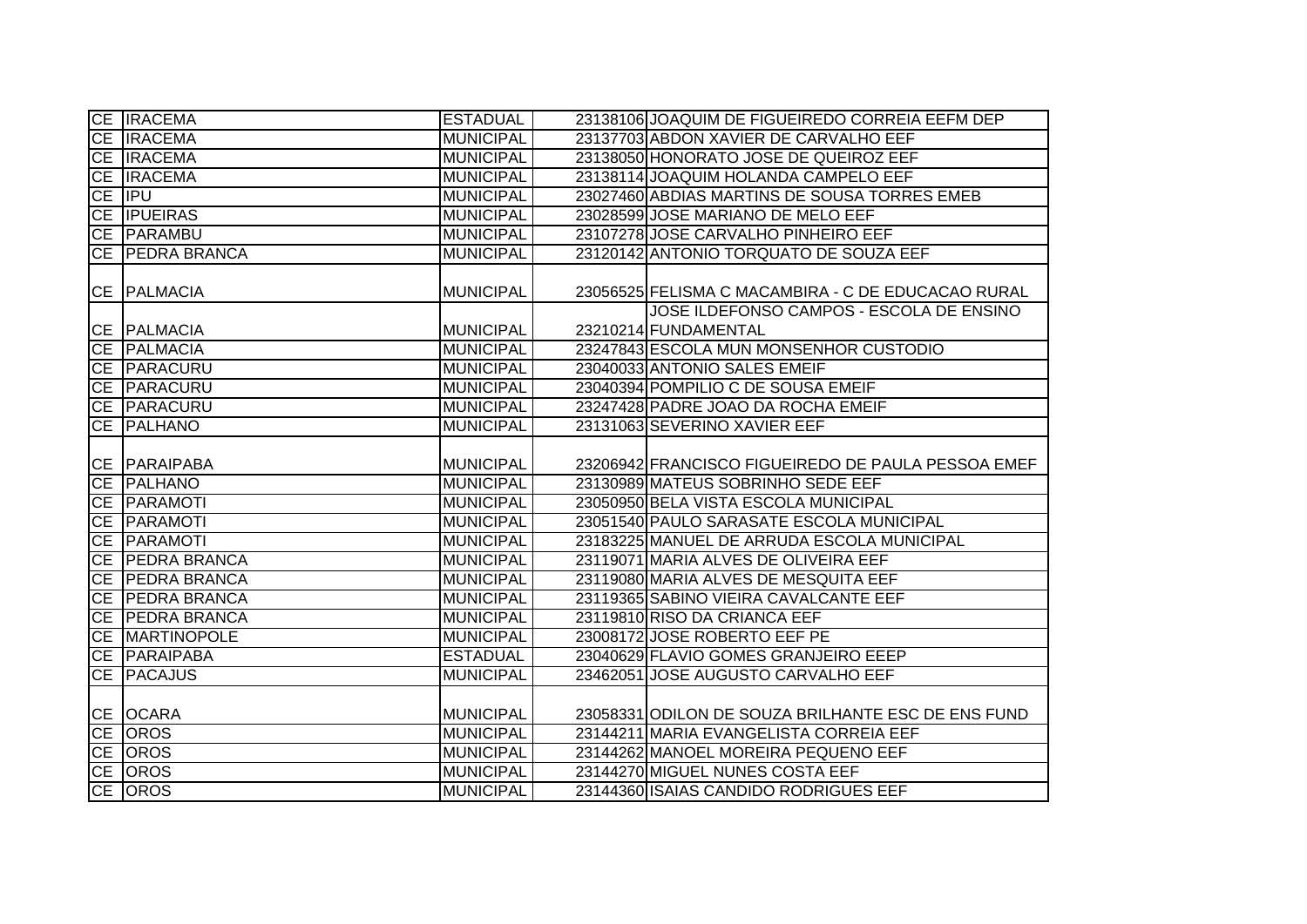|    | CE <b>IRACEMA</b>      | <b>ESTADUAL</b>  | 23138106 JOAQUIM DE FIGUEIREDO CORREIA EEFM DEP    |
|----|------------------------|------------------|----------------------------------------------------|
|    | CE <b>IRACEMA</b>      | <b>MUNICIPAL</b> | 23137703 ABDON XAVIER DE CARVALHO EEF              |
|    | CE <b>IRACEMA</b>      | <b>MUNICIPAL</b> | 23138050 HONORATO JOSE DE QUEIROZ EEF              |
|    | CE <b>IRACEMA</b>      | <b>MUNICIPAL</b> | 23138114 JOAQUIM HOLANDA CAMPELO EEF               |
|    | CE <b>IPU</b>          | <b>MUNICIPAL</b> | 23027460 ABDIAS MARTINS DE SOUSA TORRES EMEB       |
|    | <b>CE IPUEIRAS</b>     | <b>MUNICIPAL</b> | 23028599 JOSE MARIANO DE MELO EEF                  |
|    | CE PARAMBU             | <b>MUNICIPAL</b> | 23107278 JOSE CARVALHO PINHEIRO EEF                |
|    | CE PEDRA BRANCA        | <b>MUNICIPAL</b> | 23120142 ANTONIO TORQUATO DE SOUZA EEF             |
|    |                        |                  |                                                    |
|    | CE PALMACIA            | <b>MUNICIPAL</b> | 23056525 FELISMA C MACAMBIRA - C DE EDUCACAO RURAL |
|    |                        |                  | JOSE ILDEFONSO CAMPOS - ESCOLA DE ENSINO           |
|    | CE PALMACIA            | <b>MUNICIPAL</b> | 23210214 FUNDAMENTAL                               |
|    | CE PALMACIA            | <b>MUNICIPAL</b> | 23247843 ESCOLA MUN MONSENHOR CUSTODIO             |
|    | CE PARACURU            | <b>MUNICIPAL</b> | 23040033 ANTONIO SALES EMEIF                       |
|    | CE PARACURU            | <b>MUNICIPAL</b> | 23040394 POMPILIO C DE SOUSA EMEIF                 |
|    | CE   PARACURU          | <b>MUNICIPAL</b> | 23247428 PADRE JOAO DA ROCHA EMEIF                 |
|    | CE PALHANO             | <b>MUNICIPAL</b> | 23131063 SEVERINO XAVIER EEF                       |
|    |                        |                  |                                                    |
|    | CE PARAIPABA           | <b>MUNICIPAL</b> | 23206942 FRANCISCO FIGUEIREDO DE PAULA PESSOA EMEF |
|    | CE PALHANO             | <b>MUNICIPAL</b> | 23130989 MATEUS SOBRINHO SEDE EEF                  |
|    | CE PARAMOTI            | <b>MUNICIPAL</b> | 23050950 BELA VISTA ESCOLA MUNICIPAL               |
|    | CE PARAMOTI            | <b>MUNICIPAL</b> | 23051540 PAULO SARASATE ESCOLA MUNICIPAL           |
|    | CE PARAMOTI            | <b>MUNICIPAL</b> | 23183225 MANUEL DE ARRUDA ESCOLA MUNICIPAL         |
|    | CE PEDRA BRANCA        | <b>MUNICIPAL</b> | 23119071 MARIA ALVES DE OLIVEIRA EEF               |
|    | <b>CE PEDRA BRANCA</b> | <b>MUNICIPAL</b> | 23119080 MARIA ALVES DE MESQUITA EEF               |
|    | CE PEDRA BRANCA        | <b>MUNICIPAL</b> | 23119365 SABINO VIEIRA CAVALCANTE EEF              |
|    | CE PEDRA BRANCA        | <b>MUNICIPAL</b> | 23119810 RISO DA CRIANCA EEF                       |
|    | CE MARTINOPOLE         | <b>MUNICIPAL</b> | 23008172 JOSE ROBERTO EEF PE                       |
|    | CE PARAIPABA           | <b>ESTADUAL</b>  | 23040629 FLAVIO GOMES GRANJEIRO EEEP               |
| CE | <b>PACAJUS</b>         | <b>MUNICIPAL</b> | 23462051 JOSE AUGUSTO CARVALHO EEF                 |
|    |                        |                  |                                                    |
|    | CE OCARA               | <b>MUNICIPAL</b> | 23058331 ODILON DE SOUZA BRILHANTE ESC DE ENS FUND |
|    | CE OROS                | <b>MUNICIPAL</b> | 23144211 MARIA EVANGELISTA CORREIA EEF             |
|    | CE OROS                | <b>MUNICIPAL</b> | 23144262 MANOEL MOREIRA PEQUENO EEF                |
|    | CE OROS                | <b>MUNICIPAL</b> | 23144270 MIGUEL NUNES COSTA EEF                    |
|    | CE OROS                | <b>MUNICIPAL</b> | 23144360 ISAIAS CANDIDO RODRIGUES EEF              |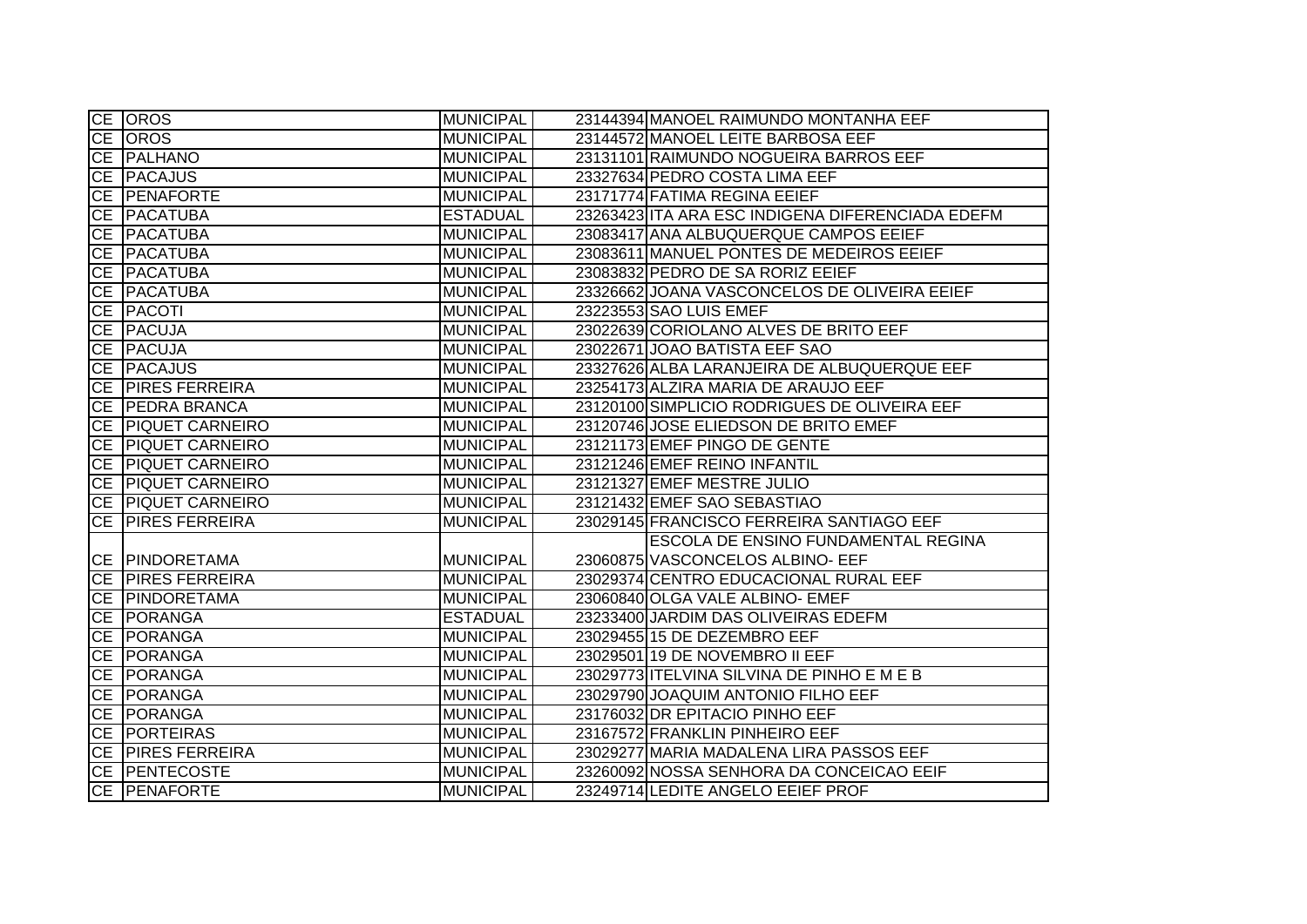|           | <b>CE OROS</b>         | <b>MUNICIPAL</b> | 23144394 MANOEL RAIMUNDO MONTANHA EEF            |
|-----------|------------------------|------------------|--------------------------------------------------|
|           | CE OROS                | <b>MUNICIPAL</b> | 23144572 MANOEL LEITE BARBOSA EEF                |
|           | CE PALHANO             | <b>MUNICIPAL</b> | 23131101 RAIMUNDO NOGUEIRA BARROS EEF            |
|           | CE PACAJUS             | <b>MUNICIPAL</b> | 23327634 PEDRO COSTA LIMA EEF                    |
| CE        | <b>PENAFORTE</b>       | <b>MUNICIPAL</b> | 23171774 FATIMA REGINA EEIEF                     |
| CE        | <b>PACATUBA</b>        | <b>ESTADUAL</b>  | 23263423 ITA ARA ESC INDIGENA DIFERENCIADA EDEFM |
|           | CE <b>PACATUBA</b>     | <b>MUNICIPAL</b> | 23083417 ANA ALBUQUERQUE CAMPOS EEIEF            |
|           | CE PACATUBA            | <b>MUNICIPAL</b> | 23083611 MANUEL PONTES DE MEDEIROS EEIEF         |
|           | CE PACATUBA            | <b>MUNICIPAL</b> | 23083832 PEDRO DE SA RORIZ EEIEF                 |
|           | CE PACATUBA            | <b>MUNICIPAL</b> | 23326662 JOANA VASCONCELOS DE OLIVEIRA EEIEF     |
|           | <b>CE PACOTI</b>       | <b>MUNICIPAL</b> | 23223553 SAO LUIS EMEF                           |
|           | CE PACUJA              | <b>MUNICIPAL</b> | 23022639 CORIOLANO ALVES DE BRITO EEF            |
|           | CE PACUJA              | <b>MUNICIPAL</b> | 23022671 JOAO BATISTA EEF SAO                    |
|           | CE <b>PACAJUS</b>      | <b>MUNICIPAL</b> | 23327626 ALBA LARANJEIRA DE ALBUQUERQUE EEF      |
|           | CE PIRES FERREIRA      | <b>MUNICIPAL</b> | 23254173 ALZIRA MARIA DE ARAUJO EEF              |
|           | <b>CE PEDRA BRANCA</b> | <b>MUNICIPAL</b> | 23120100 SIMPLICIO RODRIGUES DE OLIVEIRA EEF     |
|           | CE PIQUET CARNEIRO     | <b>MUNICIPAL</b> | 23120746 JOSE ELIEDSON DE BRITO EMEF             |
|           | CE PIQUET CARNEIRO     | <b>MUNICIPAL</b> | 23121173 EMEF PINGO DE GENTE                     |
| CE        | <b>PIQUET CARNEIRO</b> | <b>MUNICIPAL</b> | 23121246 EMEF REINO INFANTIL                     |
|           | CE PIQUET CARNEIRO     | <b>MUNICIPAL</b> | 23121327 EMEF MESTRE JULIO                       |
|           | CE PIQUET CARNEIRO     | <b>MUNICIPAL</b> | 23121432 EMEF SAO SEBASTIAO                      |
|           | CE PIRES FERREIRA      | <b>MUNICIPAL</b> | 23029145 FRANCISCO FERREIRA SANTIAGO EEF         |
|           |                        |                  | ESCOLA DE ENSINO FUNDAMENTAL REGINA              |
|           | CE PINDORETAMA         | <b>MUNICIPAL</b> | 23060875 VASCONCELOS ALBINO- EEF                 |
|           | CE PIRES FERREIRA      | <b>MUNICIPAL</b> | 23029374 CENTRO EDUCACIONAL RURAL EEF            |
|           | CE PINDORETAMA         | <b>MUNICIPAL</b> | 23060840 OLGA VALE ALBINO- EMEF                  |
|           | CE PORANGA             | <b>ESTADUAL</b>  | 23233400 JARDIM DAS OLIVEIRAS EDEFM              |
|           | CE PORANGA             | <b>MUNICIPAL</b> | 23029455 15 DE DEZEMBRO EEF                      |
|           | CE PORANGA             | <b>MUNICIPAL</b> | 23029501 19 DE NOVEMBRO II EEF                   |
|           | <b>CE PORANGA</b>      | <b>MUNICIPAL</b> | 23029773 ITELVINA SILVINA DE PINHO E M E B       |
| <b>CE</b> | PORANGA                | <b>MUNICIPAL</b> | 23029790 JOAQUIM ANTONIO FILHO EEF               |
|           | CE PORANGA             | <b>MUNICIPAL</b> | 23176032 DR EPITACIO PINHO EEF                   |
|           | <b>CE PORTEIRAS</b>    | <b>MUNICIPAL</b> | 23167572 FRANKLIN PINHEIRO EEF                   |
|           | CE PIRES FERREIRA      | <b>MUNICIPAL</b> | 23029277 MARIA MADALENA LIRA PASSOS EEF          |
|           | CE PENTECOSTE          | <b>MUNICIPAL</b> | 23260092 NOSSA SENHORA DA CONCEICAO EEIF         |
|           | CE PENAFORTE           | <b>MUNICIPAL</b> | 23249714 LEDITE ANGELO EEIEF PROF                |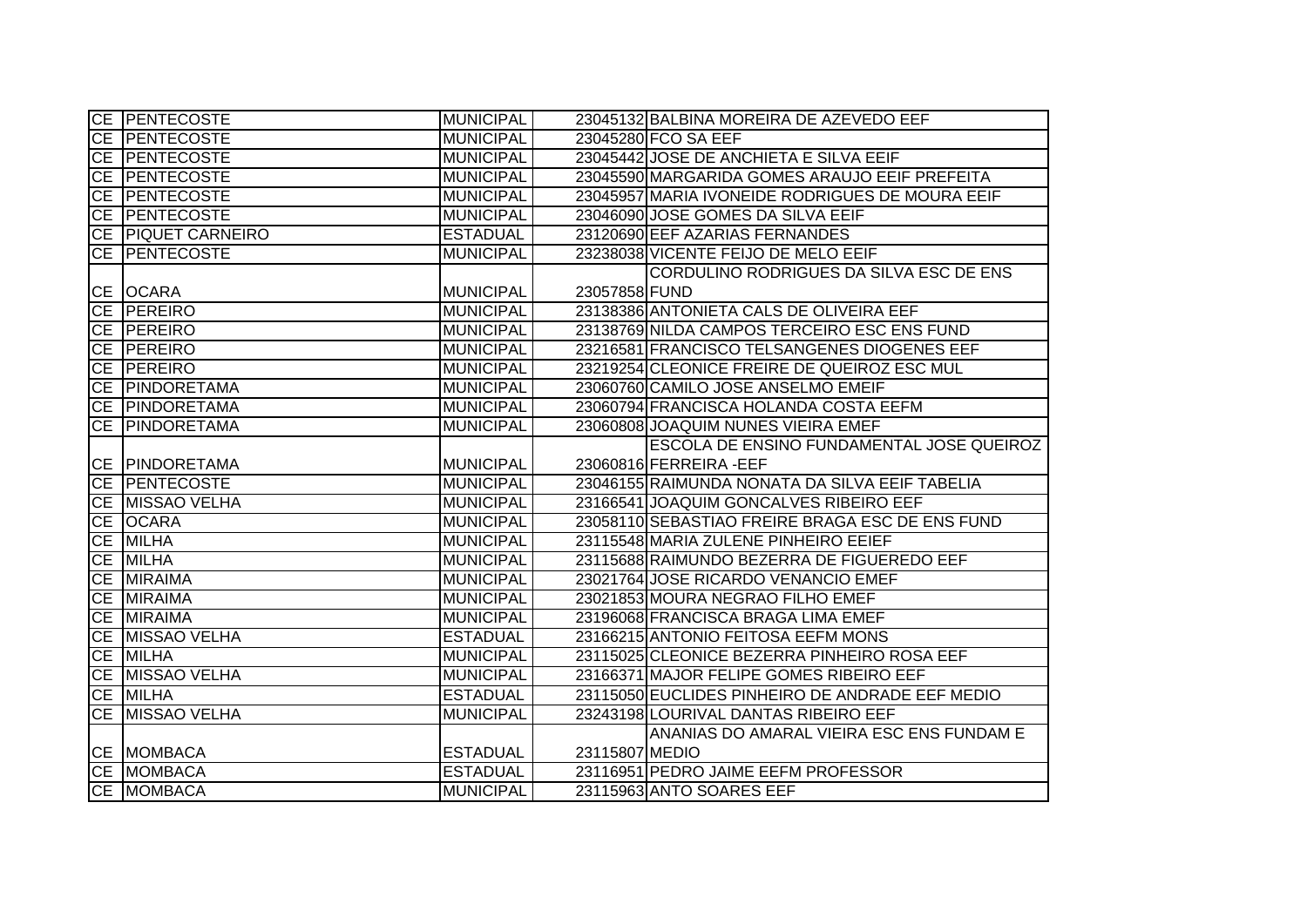| <b>CE PENTECOSTE</b>  | <b>MUNICIPAL</b> |                | 23045132 BALBINA MOREIRA DE AZEVEDO EEF         |
|-----------------------|------------------|----------------|-------------------------------------------------|
| <b>CE PENTECOSTE</b>  | <b>MUNICIPAL</b> |                | 23045280 FCO SA EEF                             |
| CE PENTECOSTE         | <b>MUNICIPAL</b> |                | 23045442 JOSE DE ANCHIETA E SILVA EEIF          |
| <b>CE PENTECOSTE</b>  | <b>MUNICIPAL</b> |                | 23045590 MARGARIDA GOMES ARAUJO EEIF PREFEITA   |
| CE <b>PENTECOSTE</b>  | <b>MUNICIPAL</b> |                | 23045957 MARIA IVONEIDE RODRIGUES DE MOURA EEIF |
| CE <b>PENTECOSTE</b>  | <b>MUNICIPAL</b> |                | 23046090 JOSE GOMES DA SILVA EEIF               |
| CE PIQUET CARNEIRO    | <b>ESTADUAL</b>  |                | 23120690 EEF AZARIAS FERNANDES                  |
| CE PENTECOSTE         | <b>MUNICIPAL</b> |                | 23238038 VICENTE FEIJO DE MELO EEIF             |
|                       |                  |                | CORDULINO RODRIGUES DA SILVA ESC DE ENS         |
| CE OCARA              | <b>MUNICIPAL</b> | 23057858 FUND  |                                                 |
| CE PEREIRO            | <b>MUNICIPAL</b> |                | 23138386 ANTONIETA CALS DE OLIVEIRA EEF         |
| CE PEREIRO            | <b>MUNICIPAL</b> |                | 23138769 NILDA CAMPOS TERCEIRO ESC ENS FUND     |
| CE PEREIRO            | <b>MUNICIPAL</b> |                | 23216581 FRANCISCO TELSANGENES DIOGENES EEF     |
| CE PEREIRO            | <b>MUNICIPAL</b> |                | 23219254 CLEONICE FREIRE DE QUEIROZ ESC MUL     |
| CE   PINDORETAMA      | <b>MUNICIPAL</b> |                | 23060760 CAMILO JOSE ANSELMO EMEIF              |
| CE PINDORETAMA        | <b>MUNICIPAL</b> |                | 23060794 FRANCISCA HOLANDA COSTA EEFM           |
| CE PINDORETAMA        | <b>MUNICIPAL</b> |                | 23060808 JOAQUIM NUNES VIEIRA EMEF              |
|                       |                  |                | ESCOLA DE ENSINO FUNDAMENTAL JOSE QUEIROZ       |
| <b>CE PINDORETAMA</b> | <b>MUNICIPAL</b> |                | 23060816 FERREIRA-EEF                           |
| <b>CE PENTECOSTE</b>  | <b>MUNICIPAL</b> |                | 23046155 RAIMUNDA NONATA DA SILVA EEIF TABELIA  |
| CE MISSAO VELHA       | <b>MUNICIPAL</b> |                | 23166541 JOAQUIM GONCALVES RIBEIRO EEF          |
| CE OCARA              | <b>MUNICIPAL</b> |                | 23058110 SEBASTIAO FREIRE BRAGA ESC DE ENS FUND |
| CE MILHA              | <b>MUNICIPAL</b> |                | 23115548 MARIA ZULENE PINHEIRO EEIEF            |
| CE MILHA              | <b>MUNICIPAL</b> |                | 23115688 RAIMUNDO BEZERRA DE FIGUEREDO EEF      |
| CE MIRAIMA            | <b>MUNICIPAL</b> |                | 23021764 JOSE RICARDO VENANCIO EMEF             |
| CE MIRAIMA            | <b>MUNICIPAL</b> |                | 23021853 MOURA NEGRAO FILHO EMEF                |
| CE MIRAIMA            | <b>MUNICIPAL</b> |                | 23196068 FRANCISCA BRAGA LIMA EMEF              |
| CE MISSAO VELHA       | <b>ESTADUAL</b>  |                | 23166215 ANTONIO FEITOSA EEFM MONS              |
| CE MILHA              | <b>MUNICIPAL</b> |                | 23115025 CLEONICE BEZERRA PINHEIRO ROSA EEF     |
| CE MISSAO VELHA       | <b>MUNICIPAL</b> |                | 23166371 MAJOR FELIPE GOMES RIBEIRO EEF         |
| CE MILHA              | <b>ESTADUAL</b>  |                | 23115050 EUCLIDES PINHEIRO DE ANDRADE EEF MEDIO |
| CE MISSAO VELHA       | <b>MUNICIPAL</b> |                | 23243198 LOURIVAL DANTAS RIBEIRO EEF            |
|                       |                  |                | ANANIAS DO AMARAL VIEIRA ESC ENS FUNDAM E       |
| CE MOMBACA            | <b>ESTADUAL</b>  | 23115807 MEDIO |                                                 |
| CE MOMBACA            | <b>ESTADUAL</b>  |                | 23116951 PEDRO JAIME EEFM PROFESSOR             |
| CE MOMBACA            | <b>MUNICIPAL</b> |                | 23115963 ANTO SOARES EEF                        |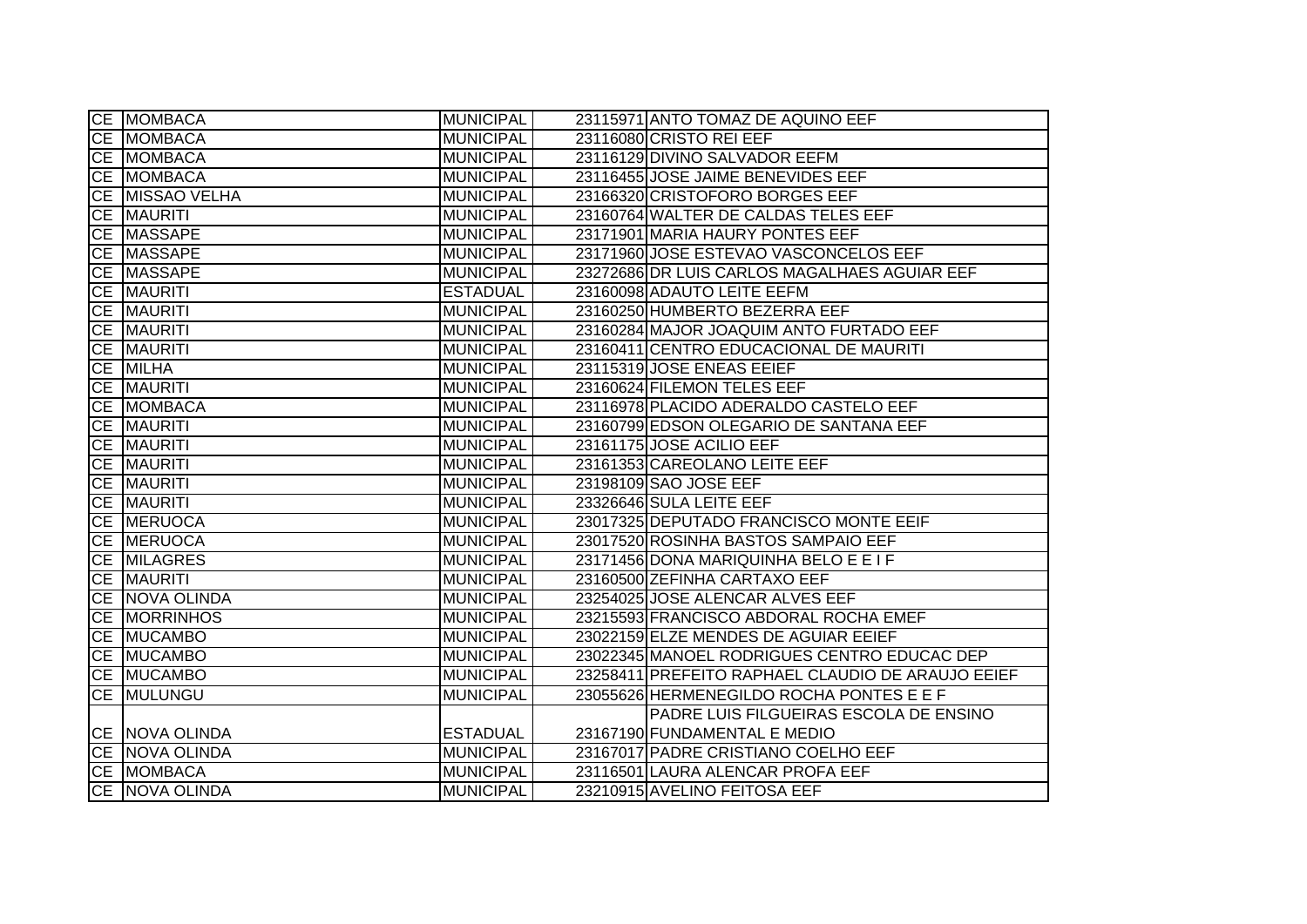|    | CE MOMBACA            | MUNICIPAL        | 23115971 ANTO TOMAZ DE AQUINO EEF                 |
|----|-----------------------|------------------|---------------------------------------------------|
|    | CE MOMBACA            | <b>MUNICIPAL</b> | 23116080 CRISTO REI EEF                           |
|    | CE MOMBACA            | <b>MUNICIPAL</b> | 23116129 DIVINO SALVADOR EEFM                     |
|    | CE MOMBACA            | <b>MUNICIPAL</b> | 23116455 JOSE JAIME BENEVIDES EEF                 |
|    | CE MISSAO VELHA       | <b>MUNICIPAL</b> | 23166320 CRISTOFORO BORGES EEF                    |
| CE | <b>MAURITI</b>        | <b>MUNICIPAL</b> | 23160764 WALTER DE CALDAS TELES EEF               |
|    | CE MASSAPE            | <b>MUNICIPAL</b> | 23171901 MARIA HAURY PONTES EEF                   |
|    | CE MASSAPE            | <b>MUNICIPAL</b> | 23171960 JOSE ESTEVAO VASCONCELOS EEF             |
|    | CE MASSAPE            | <b>MUNICIPAL</b> | 23272686 DR LUIS CARLOS MAGALHAES AGUIAR EEF      |
|    | CE MAURITI            | <b>ESTADUAL</b>  | 23160098 ADAUTO LEITE EEFM                        |
|    | CE MAURITI            | <b>MUNICIPAL</b> | 23160250 HUMBERTO BEZERRA EEF                     |
|    | CE MAURITI            | <b>MUNICIPAL</b> | 23160284 MAJOR JOAQUIM ANTO FURTADO EEF           |
|    | CE MAURITI            | <b>MUNICIPAL</b> | 23160411 CENTRO EDUCACIONAL DE MAURITI            |
|    | CE MILHA              | <b>MUNICIPAL</b> | 23115319 JOSE ENEAS EEIEF                         |
|    | CE MAURITI            | <b>MUNICIPAL</b> | 23160624 FILEMON TELES EEF                        |
|    | CE MOMBACA            | <b>MUNICIPAL</b> | 23116978 PLACIDO ADERALDO CASTELO EEF             |
|    | CE MAURITI            | <b>MUNICIPAL</b> | 23160799 EDSON OLEGARIO DE SANTANA EEF            |
| CE | MAURITI               | <b>MUNICIPAL</b> | 23161175 JOSE ACILIO EEF                          |
| CE | <b>MAURITI</b>        | <b>MUNICIPAL</b> | 23161353 CAREOLANO LEITE EEF                      |
|    | CE MAURITI            | <b>MUNICIPAL</b> | 23198109 SAO JOSE EEF                             |
|    | <b>CE MAURITI</b>     | <b>MUNICIPAL</b> | 23326646 SULA LEITE EEF                           |
|    | <b>CE MERUOCA</b>     | <b>MUNICIPAL</b> | 23017325 DEPUTADO FRANCISCO MONTE EEIF            |
|    | CE MERUOCA            | <b>MUNICIPAL</b> | 23017520 ROSINHA BASTOS SAMPAIO EEF               |
|    | <b>CE MILAGRES</b>    | <b>MUNICIPAL</b> | 23171456 DONA MARIQUINHA BELO E E I F             |
|    | CE MAURITI            | <b>MUNICIPAL</b> | 23160500 ZEFINHA CARTAXO EEF                      |
|    | CE NOVA OLINDA        | <b>MUNICIPAL</b> | 23254025 JOSE ALENCAR ALVES EEF                   |
|    | CE MORRINHOS          | <b>MUNICIPAL</b> | 23215593 FRANCISCO ABDORAL ROCHA EMEF             |
|    | CE MUCAMBO            | <b>MUNICIPAL</b> | 23022159 ELZE MENDES DE AGUIAR EEIEF              |
|    | CE MUCAMBO            | <b>MUNICIPAL</b> | 23022345 MANOEL RODRIGUES CENTRO EDUCAC DEP       |
|    | CE MUCAMBO            | <b>MUNICIPAL</b> | 23258411 PREFEITO RAPHAEL CLAUDIO DE ARAUJO EEIEF |
| CE | MULUNGU               | <b>MUNICIPAL</b> | 23055626 HERMENEGILDO ROCHA PONTES E E F          |
|    |                       |                  | PADRE LUIS FILGUEIRAS ESCOLA DE ENSINO            |
|    | CE NOVA OLINDA        | <b>ESTADUAL</b>  | 23167190 FUNDAMENTAL E MEDIO                      |
|    | <b>CE NOVA OLINDA</b> | <b>MUNICIPAL</b> | 23167017 PADRE CRISTIANO COELHO EEF               |
|    | CE MOMBACA            | <b>MUNICIPAL</b> | 23116501 LAURA ALENCAR PROFA EEF                  |
|    | CE NOVA OLINDA        | <b>MUNICIPAL</b> | 23210915 AVELINO FEITOSA EEF                      |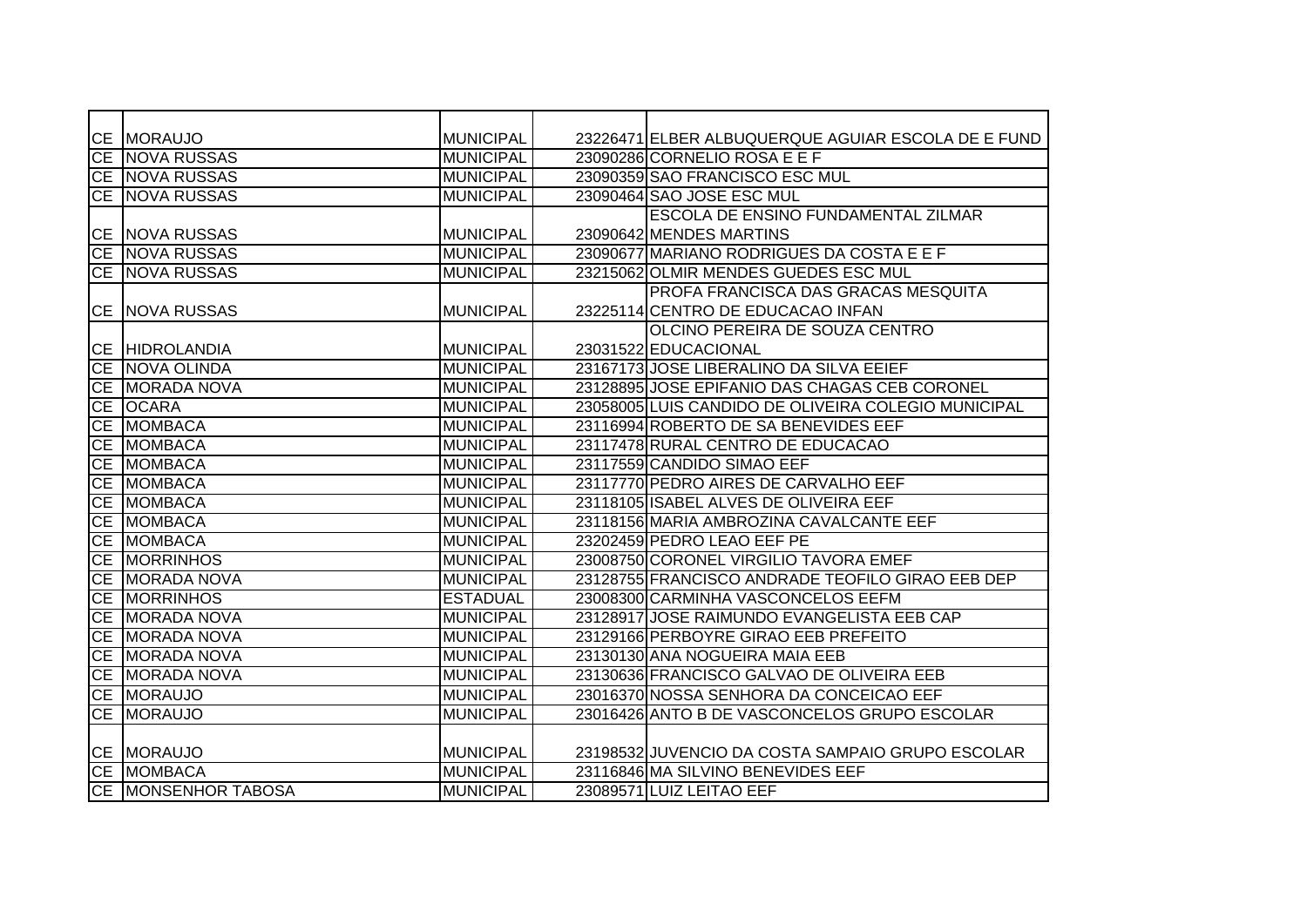|           | CE MORAUJO                 | MUNICIPAL        | 23226471 ELBER ALBUQUERQUE AGUIAR ESCOLA DE E FUND  |
|-----------|----------------------------|------------------|-----------------------------------------------------|
|           | CE NOVA RUSSAS             | <b>MUNICIPAL</b> | 23090286 CORNELIO ROSA E E F                        |
|           | CE NOVA RUSSAS             | <b>MUNICIPAL</b> | 23090359 SAO FRANCISCO ESC MUL                      |
|           | <b>CE NOVA RUSSAS</b>      | <b>MUNICIPAL</b> | 23090464 SAO JOSE ESC MUL                           |
|           |                            |                  | ESCOLA DE ENSINO FUNDAMENTAL ZILMAR                 |
|           | CE   NOVA RUSSAS           | MUNICIPAL        | 23090642 MENDES MARTINS                             |
|           | CE NOVA RUSSAS             | MUNICIPAL        | 23090677 MARIANO RODRIGUES DA COSTA E E F           |
|           | <b>CE NOVA RUSSAS</b>      | <b>MUNICIPAL</b> | 23215062 OLMIR MENDES GUEDES ESC MUL                |
|           |                            |                  | PROFA FRANCISCA DAS GRACAS MESQUITA                 |
|           | CE NOVA RUSSAS             | MUNICIPAL        | 23225114 CENTRO DE EDUCACAO INFAN                   |
|           |                            |                  | OLCINO PEREIRA DE SOUZA CENTRO                      |
|           | <b>CE HIDROLANDIA</b>      | <b>MUNICIPAL</b> | 23031522 EDUCACIONAL                                |
|           | CE NOVA OLINDA             | MUNICIPAL        | 23167173 JOSE LIBERALINO DA SILVA EEIEF             |
|           | CE MORADA NOVA             | <b>MUNICIPAL</b> | 23128895 JOSE EPIFANIO DAS CHAGAS CEB CORONEL       |
|           | CE OCARA                   | <b>MUNICIPAL</b> | 23058005 LUIS CANDIDO DE OLIVEIRA COLEGIO MUNICIPAL |
|           | CE MOMBACA                 | <b>MUNICIPAL</b> | 23116994 ROBERTO DE SA BENEVIDES EEF                |
| CE        | <b>MOMBACA</b>             | <b>MUNICIPAL</b> | 23117478 RURAL CENTRO DE EDUCACAO                   |
| CE        | <b>MOMBACA</b>             | <b>MUNICIPAL</b> | 23117559 CANDIDO SIMAO EEF                          |
|           | CE MOMBACA                 | MUNICIPAL        | 23117770 PEDRO AIRES DE CARVALHO EEF                |
|           | CE MOMBACA                 | <b>MUNICIPAL</b> | 23118105 ISABEL ALVES DE OLIVEIRA EEF               |
|           | CE MOMBACA                 | <b>MUNICIPAL</b> | 23118156 MARIA AMBROZINA CAVALCANTE EEF             |
|           | CE MOMBACA                 | <b>MUNICIPAL</b> | 23202459 PEDRO LEAO EEF PE                          |
| CE        | <b>MORRINHOS</b>           | <b>MUNICIPAL</b> | 23008750 CORONEL VIRGILIO TAVORA EMEF               |
| CE        | <b>MORADA NOVA</b>         | <b>MUNICIPAL</b> | 23128755 FRANCISCO ANDRADE TEOFILO GIRAO EEB DEP    |
| CE        | <b>MORRINHOS</b>           | <b>ESTADUAL</b>  | 23008300 CARMINHA VASCONCELOS EEFM                  |
| <b>CE</b> | <b>MORADA NOVA</b>         | <b>MUNICIPAL</b> | 23128917 JOSE RAIMUNDO EVANGELISTA EEB CAP          |
| <b>CE</b> | <b>MORADA NOVA</b>         | <b>MUNICIPAL</b> | 23129166 PERBOYRE GIRAO EEB PREFEITO                |
| <b>CE</b> | <b>MORADA NOVA</b>         | <b>MUNICIPAL</b> | 23130130 ANA NOGUEIRA MAIA EEB                      |
| CE        | <b>MORADA NOVA</b>         | <b>MUNICIPAL</b> | 23130636 FRANCISCO GALVAO DE OLIVEIRA EEB           |
|           | CE MORAUJO                 | <b>MUNICIPAL</b> | 23016370 NOSSA SENHORA DA CONCEICAO EEF             |
| <b>CE</b> | <b>MORAUJO</b>             | <b>MUNICIPAL</b> | 23016426 ANTO B DE VASCONCELOS GRUPO ESCOLAR        |
|           |                            |                  |                                                     |
|           | CE MORAUJO                 | <b>MUNICIPAL</b> | 23198532 JUVENCIO DA COSTA SAMPAIO GRUPO ESCOLAR    |
|           | CE MOMBACA                 | MUNICIPAL        | 23116846 MA SILVINO BENEVIDES EEF                   |
|           | <b>CE MONSENHOR TABOSA</b> | MUNICIPAL        | 23089571 LUIZ LEITAO EEF                            |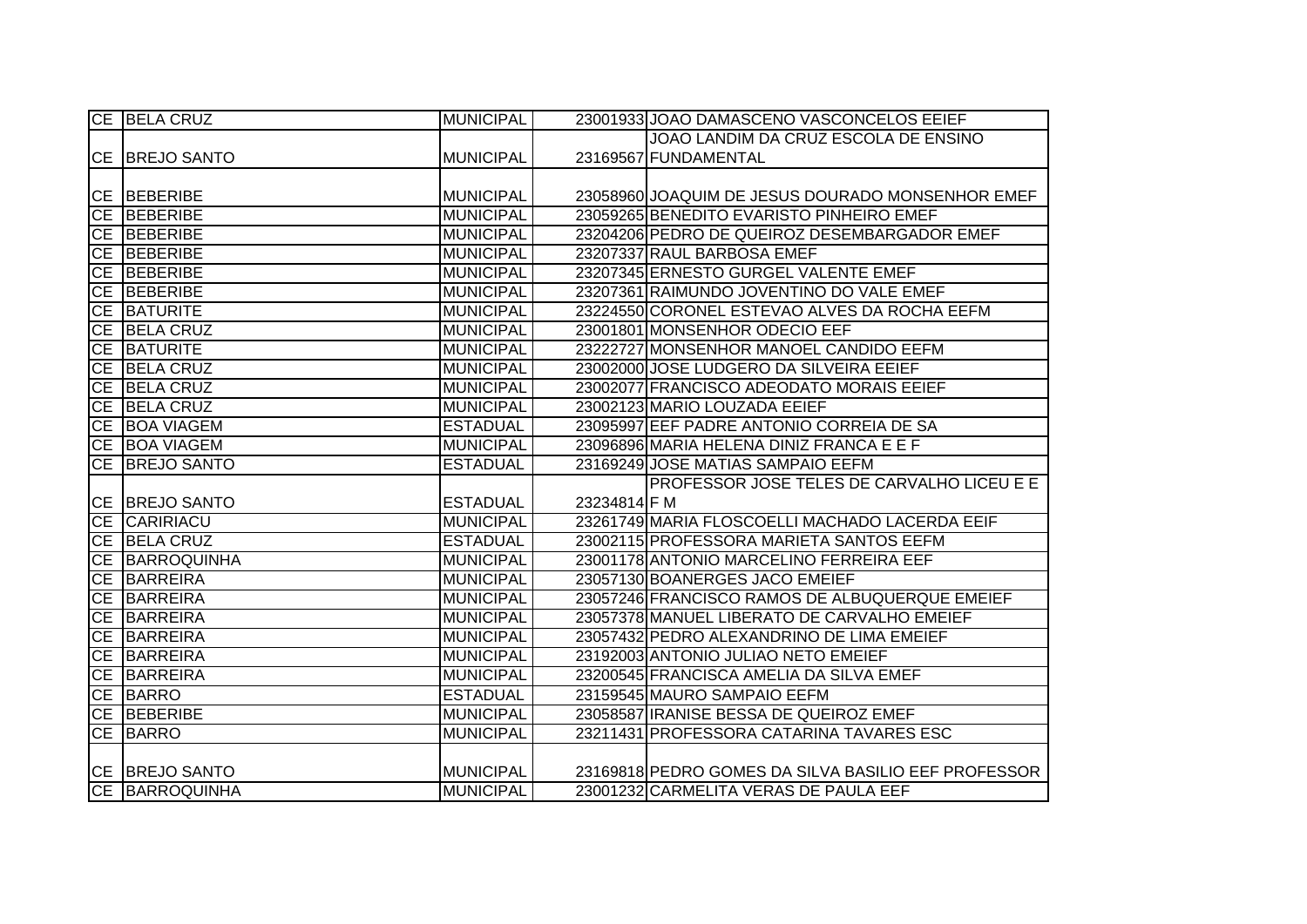|           | CE BELA CRUZ                            | <b>MUNICIPAL</b> |              | 23001933 JOAO DAMASCENO VASCONCELOS EEIEF           |
|-----------|-----------------------------------------|------------------|--------------|-----------------------------------------------------|
|           |                                         |                  |              | JOAO LANDIM DA CRUZ ESCOLA DE ENSINO                |
|           | CE BREJO SANTO                          | <b>MUNICIPAL</b> |              | 23169567 FUNDAMENTAL                                |
|           |                                         |                  |              |                                                     |
|           | <b>CE BEBERIBE</b>                      | <b>MUNICIPAL</b> |              | 23058960 JOAQUIM DE JESUS DOURADO MONSENHOR EMEF    |
|           | CE BEBERIBE                             | <b>MUNICIPAL</b> |              | 23059265 BENEDITO EVARISTO PINHEIRO EMEF            |
|           | CE BEBERIBE                             | <b>MUNICIPAL</b> |              | 23204206 PEDRO DE QUEIROZ DESEMBARGADOR EMEF        |
|           | CE BEBERIBE                             | <b>MUNICIPAL</b> |              | 23207337 RAUL BARBOSA EMEF                          |
|           | CE BEBERIBE                             | <b>MUNICIPAL</b> |              | 23207345 ERNESTO GURGEL VALENTE EMEF                |
|           | CE BEBERIBE                             | <b>MUNICIPAL</b> |              | 23207361 RAIMUNDO JOVENTINO DO VALE EMEF            |
|           | CE BATURITE                             | <b>MUNICIPAL</b> |              | 23224550 CORONEL ESTEVAO ALVES DA ROCHA EEFM        |
|           | CE BELA CRUZ                            | <b>MUNICIPAL</b> |              | 23001801 MONSENHOR ODECIO EEF                       |
| CE        | <b>BATURITE</b>                         | <b>MUNICIPAL</b> |              | 23222727 MONSENHOR MANOEL CANDIDO EEFM              |
|           | CE BELA CRUZ                            | <b>MUNICIPAL</b> |              | 23002000 JOSE LUDGERO DA SILVEIRA EEIEF             |
|           | CE BELA CRUZ                            | <b>MUNICIPAL</b> |              | 23002077 FRANCISCO ADEODATO MORAIS EEIEF            |
|           | CE BELA CRUZ                            | <b>MUNICIPAL</b> |              | 23002123 MARIO LOUZADA EEIEF                        |
|           | CE BOA VIAGEM                           | <b>ESTADUAL</b>  |              | 23095997 EEF PADRE ANTONIO CORREIA DE SA            |
|           | CE BOA VIAGEM                           | <b>MUNICIPAL</b> |              | 23096896 MARIA HELENA DINIZ FRANCA E E F            |
|           | CE BREJO SANTO                          | <b>ESTADUAL</b>  |              | 23169249 JOSE MATIAS SAMPAIO EEFM                   |
|           |                                         |                  |              | PROFESSOR JOSE TELES DE CARVALHO LICEU E E          |
|           | CE BREJO SANTO                          |                  | 23234814 F M |                                                     |
|           |                                         | <b>ESTADUAL</b>  |              |                                                     |
|           | CE CARIRIACU                            | <b>MUNICIPAL</b> |              | 23261749 MARIA FLOSCOELLI MACHADO LACERDA EEIF      |
|           | CE BELA CRUZ                            | <b>ESTADUAL</b>  |              | 23002115 PROFESSORA MARIETA SANTOS EEFM             |
|           | <b>CE BARROQUINHA</b>                   | <b>MUNICIPAL</b> |              | 23001178 ANTONIO MARCELINO FERREIRA EEF             |
| CE        | BARREIRA                                | <b>MUNICIPAL</b> |              | 23057130 BOANERGES JACO EMEIEF                      |
|           | CE BARREIRA                             | <b>MUNICIPAL</b> |              | 23057246 FRANCISCO RAMOS DE ALBUQUERQUE EMEIEF      |
| <b>CE</b> | BARREIRA                                | <b>MUNICIPAL</b> |              | 23057378 MANUEL LIBERATO DE CARVALHO EMEIEF         |
| CE        | BARREIRA                                | <b>MUNICIPAL</b> |              | 23057432 PEDRO ALEXANDRINO DE LIMA EMEIEF           |
|           | CE BARREIRA                             | <b>MUNICIPAL</b> |              | 23192003 ANTONIO JULIAO NETO EMEIEF                 |
|           | CE BARREIRA                             | <b>MUNICIPAL</b> |              | 23200545 FRANCISCA AMELIA DA SILVA EMEF             |
|           | CE BARRO                                | <b>ESTADUAL</b>  |              | 23159545 MAURO SAMPAIO EEFM                         |
|           | CE BEBERIBE                             | <b>MUNICIPAL</b> |              | 23058587 IRANISE BESSA DE QUEIROZ EMEF              |
|           | CE BARRO                                | <b>MUNICIPAL</b> |              | 23211431 PROFESSORA CATARINA TAVARES ESC            |
|           |                                         |                  |              |                                                     |
|           | CE BREJO SANTO<br><b>CE BARROQUINHA</b> | <b>MUNICIPAL</b> |              | 23169818 PEDRO GOMES DA SILVA BASILIO EEF PROFESSOR |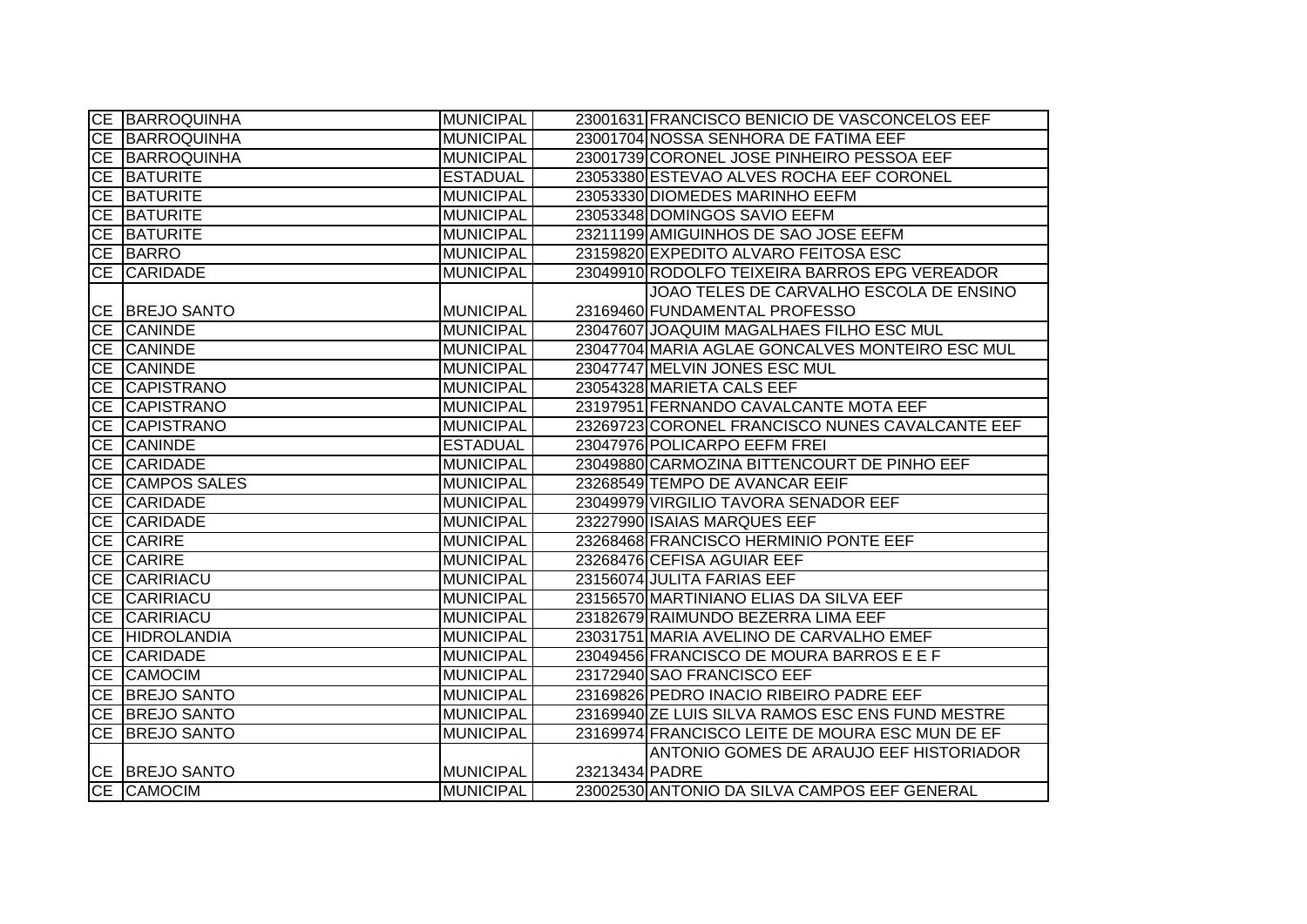| <b>CE BARROQUINHA</b> | <b>MUNICIPAL</b> |                | 23001631 FRANCISCO BENICIO DE VASCONCELOS EEF    |
|-----------------------|------------------|----------------|--------------------------------------------------|
| CE BARROQUINHA        | <b>MUNICIPAL</b> |                | 23001704 NOSSA SENHORA DE FATIMA EEF             |
| <b>CE BARROQUINHA</b> | <b>MUNICIPAL</b> |                | 23001739 CORONEL JOSE PINHEIRO PESSOA EEF        |
| <b>CE BATURITE</b>    | <b>ESTADUAL</b>  |                | 23053380 ESTEVAO ALVES ROCHA EEF CORONEL         |
| CE BATURITE           | <b>MUNICIPAL</b> |                | 23053330 DIOMEDES MARINHO EEFM                   |
| CE BATURITE           | <b>MUNICIPAL</b> |                | 23053348 DOMINGOS SAVIO EEFM                     |
| <b>CE BATURITE</b>    | <b>MUNICIPAL</b> |                | 23211199 AMIGUINHOS DE SAO JOSE EEFM             |
| CE BARRO              | <b>MUNICIPAL</b> |                | 23159820 EXPEDITO ALVARO FEITOSA ESC             |
| CE CARIDADE           | <b>MUNICIPAL</b> |                | 23049910 RODOLFO TEIXEIRA BARROS EPG VEREADOR    |
|                       |                  |                | JOAO TELES DE CARVALHO ESCOLA DE ENSINO          |
| CE BREJO SANTO        | <b>MUNICIPAL</b> |                | 23169460 FUNDAMENTAL PROFESSO                    |
| CE CANINDE            | <b>MUNICIPAL</b> |                | 23047607 JOAQUIM MAGALHAES FILHO ESC MUL         |
| CE CANINDE            | <b>MUNICIPAL</b> |                | 23047704 MARIA AGLAE GONCALVES MONTEIRO ESC MUL  |
| CE CANINDE            | <b>MUNICIPAL</b> |                | 23047747 MELVIN JONES ESC MUL                    |
| CE CAPISTRANO         | <b>MUNICIPAL</b> |                | 23054328 MARIETA CALS EEF                        |
| CE CAPISTRANO         | <b>MUNICIPAL</b> |                | 23197951 FERNANDO CAVALCANTE MOTA EEF            |
| CE CAPISTRANO         | <b>MUNICIPAL</b> |                | 23269723 CORONEL FRANCISCO NUNES CAVALCANTE EEF  |
| CE CANINDE            | <b>ESTADUAL</b>  |                | 23047976 POLICARPO EEFM FREI                     |
| CE CARIDADE           | <b>MUNICIPAL</b> |                | 23049880 CARMOZINA BITTENCOURT DE PINHO EEF      |
| CE CAMPOS SALES       | <b>MUNICIPAL</b> |                | 23268549 TEMPO DE AVANCAR EEIF                   |
| CE CARIDADE           | <b>MUNICIPAL</b> |                | 23049979 VIRGILIO TAVORA SENADOR EEF             |
| CE CARIDADE           | <b>MUNICIPAL</b> |                | 23227990 ISAIAS MARQUES EEF                      |
| <b>CE CARIRE</b>      | <b>MUNICIPAL</b> |                | 23268468 FRANCISCO HERMINIO PONTE EEF            |
| CE CARIRE             | <b>MUNICIPAL</b> |                | 23268476 CEFISA AGUIAR EEF                       |
| CE CARIRIACU          | <b>MUNICIPAL</b> |                | 23156074 JULITA FARIAS EEF                       |
| CE CARIRIACU          | <b>MUNICIPAL</b> |                | 23156570 MARTINIANO ELIAS DA SILVA EEF           |
| CE CARIRIACU          | <b>MUNICIPAL</b> |                | 23182679 RAIMUNDO BEZERRA LIMA EEF               |
| <b>CE HIDROLANDIA</b> | <b>MUNICIPAL</b> |                | 23031751 MARIA AVELINO DE CARVALHO EMEF          |
| CE CARIDADE           | <b>MUNICIPAL</b> |                | 23049456 FRANCISCO DE MOURA BARROS E E F         |
| CE CAMOCIM            | <b>MUNICIPAL</b> |                | 23172940 SAO FRANCISCO EEF                       |
| CE BREJO SANTO        | <b>MUNICIPAL</b> |                | 23169826 PEDRO INACIO RIBEIRO PADRE EEF          |
| CE BREJO SANTO        | <b>MUNICIPAL</b> |                | 23169940 ZE LUIS SILVA RAMOS ESC ENS FUND MESTRE |
| CE BREJO SANTO        | <b>MUNICIPAL</b> |                | 23169974 FRANCISCO LEITE DE MOURA ESC MUN DE EF  |
|                       |                  |                | ANTONIO GOMES DE ARAUJO EEF HISTORIADOR          |
| CE BREJO SANTO        | <b>MUNICIPAL</b> | 23213434 PADRE |                                                  |
| CE CAMOCIM            | MUNICIPAL        |                | 23002530 ANTONIO DA SILVA CAMPOS EEF GENERAL     |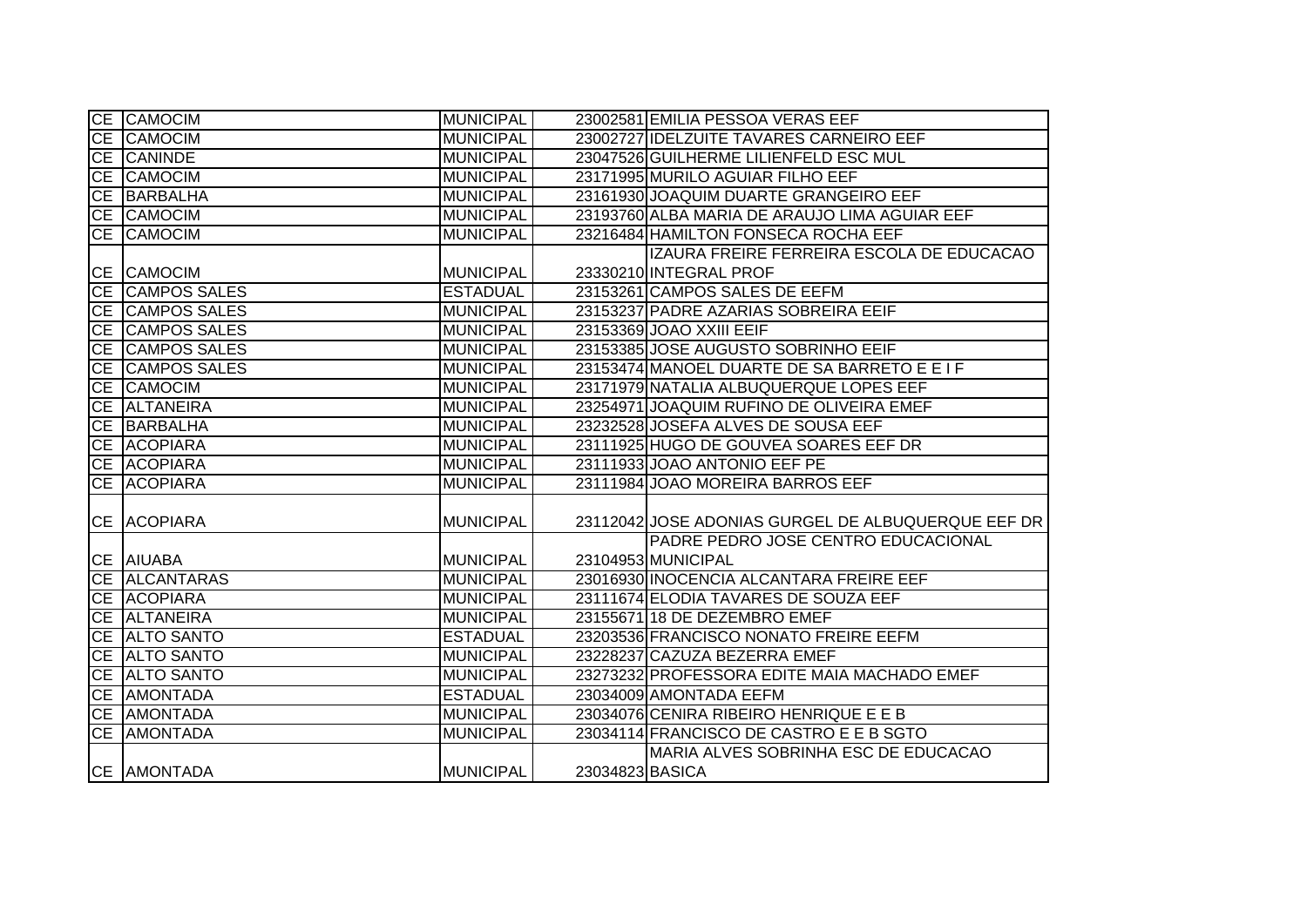|           | CE CAMOCIM          | MUNICIPAL        |                 | 23002581 EMILIA PESSOA VERAS EEF                   |
|-----------|---------------------|------------------|-----------------|----------------------------------------------------|
|           | CE CAMOCIM          | <b>MUNICIPAL</b> |                 | 23002727 IDELZUITE TAVARES CARNEIRO EEF            |
|           | CE CANINDE          | <b>MUNICIPAL</b> |                 | 23047526 GUILHERME LILIENFELD ESC MUL              |
|           | CE CAMOCIM          | <b>MUNICIPAL</b> |                 | 23171995 MURILO AGUIAR FILHO EEF                   |
|           | CE BARBALHA         | <b>MUNICIPAL</b> |                 | 23161930 JOAQUIM DUARTE GRANGEIRO EEF              |
|           | CE CAMOCIM          | <b>MUNICIPAL</b> |                 | 23193760 ALBA MARIA DE ARAUJO LIMA AGUIAR EEF      |
| CE        | <b>CAMOCIM</b>      | <b>MUNICIPAL</b> |                 | 23216484 HAMILTON FONSECA ROCHA EEF                |
|           |                     |                  |                 | IZAURA FREIRE FERREIRA ESCOLA DE EDUCACAO          |
|           | CE CAMOCIM          | <b>MUNICIPAL</b> |                 | 23330210 INTEGRAL PROF                             |
|           | CE CAMPOS SALES     | <b>ESTADUAL</b>  |                 | 23153261 CAMPOS SALES DE EEFM                      |
|           | CE CAMPOS SALES     | <b>MUNICIPAL</b> |                 | 23153237 PADRE AZARIAS SOBREIRA EEIF               |
|           | CE CAMPOS SALES     | <b>MUNICIPAL</b> |                 | 23153369 JOAO XXIII EEIF                           |
|           | CE CAMPOS SALES     | <b>MUNICIPAL</b> |                 | 23153385 JOSE AUGUSTO SOBRINHO EEIF                |
| <b>CE</b> | <b>CAMPOS SALES</b> | <b>MUNICIPAL</b> |                 | 23153474 MANOEL DUARTE DE SA BARRETO E E I F       |
|           | CE CAMOCIM          | <b>MUNICIPAL</b> |                 | 23171979 NATALIA ALBUQUERQUE LOPES EEF             |
|           | CE ALTANEIRA        | <b>MUNICIPAL</b> |                 | 23254971 JOAQUIM RUFINO DE OLIVEIRA EMEF           |
|           | CE BARBALHA         | <b>MUNICIPAL</b> |                 | 23232528 JOSEFA ALVES DE SOUSA EEF                 |
|           | CE ACOPIARA         | <b>MUNICIPAL</b> |                 | 23111925 HUGO DE GOUVEA SOARES EEF DR              |
|           | CE ACOPIARA         | <b>MUNICIPAL</b> |                 | 23111933 JOAO ANTONIO EEF PE                       |
|           | CE ACOPIARA         | <b>MUNICIPAL</b> |                 | 23111984 JOAO MOREIRA BARROS EEF                   |
|           |                     |                  |                 |                                                    |
|           | CE ACOPIARA         | <b>MUNICIPAL</b> |                 | 23112042 JOSE ADONIAS GURGEL DE ALBUQUERQUE EEF DR |
|           |                     |                  |                 | PADRE PEDRO JOSE CENTRO EDUCACIONAL                |
|           | CE AIUABA           | <b>MUNICIPAL</b> |                 | 23104953 MUNICIPAL                                 |
|           | CE ALCANTARAS       | <b>MUNICIPAL</b> |                 | 23016930 INOCENCIA ALCANTARA FREIRE EEF            |
|           | CE ACOPIARA         | <b>MUNICIPAL</b> |                 | 23111674 ELODIA TAVARES DE SOUZA EEF               |
|           | CE ALTANEIRA        | <b>MUNICIPAL</b> |                 | 23155671 18 DE DEZEMBRO EMEF                       |
|           | CE ALTO SANTO       | <b>ESTADUAL</b>  |                 | 23203536 FRANCISCO NONATO FREIRE EEFM              |
|           | CE ALTO SANTO       | <b>MUNICIPAL</b> |                 | 23228237 CAZUZA BEZERRA EMEF                       |
|           | CE ALTO SANTO       | <b>MUNICIPAL</b> |                 | 23273232 PROFESSORA EDITE MAIA MACHADO EMEF        |
|           | CE AMONTADA         | <b>ESTADUAL</b>  |                 | 23034009 AMONTADA EEFM                             |
|           | CE AMONTADA         | <b>MUNICIPAL</b> |                 | 23034076 CENIRA RIBEIRO HENRIQUE E E B             |
|           | CE AMONTADA         | <b>MUNICIPAL</b> |                 | 23034114 FRANCISCO DE CASTRO E E B SGTO            |
|           |                     |                  |                 | MARIA ALVES SOBRINHA ESC DE EDUCACAO               |
|           | CE AMONTADA         | <b>MUNICIPAL</b> | 23034823 BASICA |                                                    |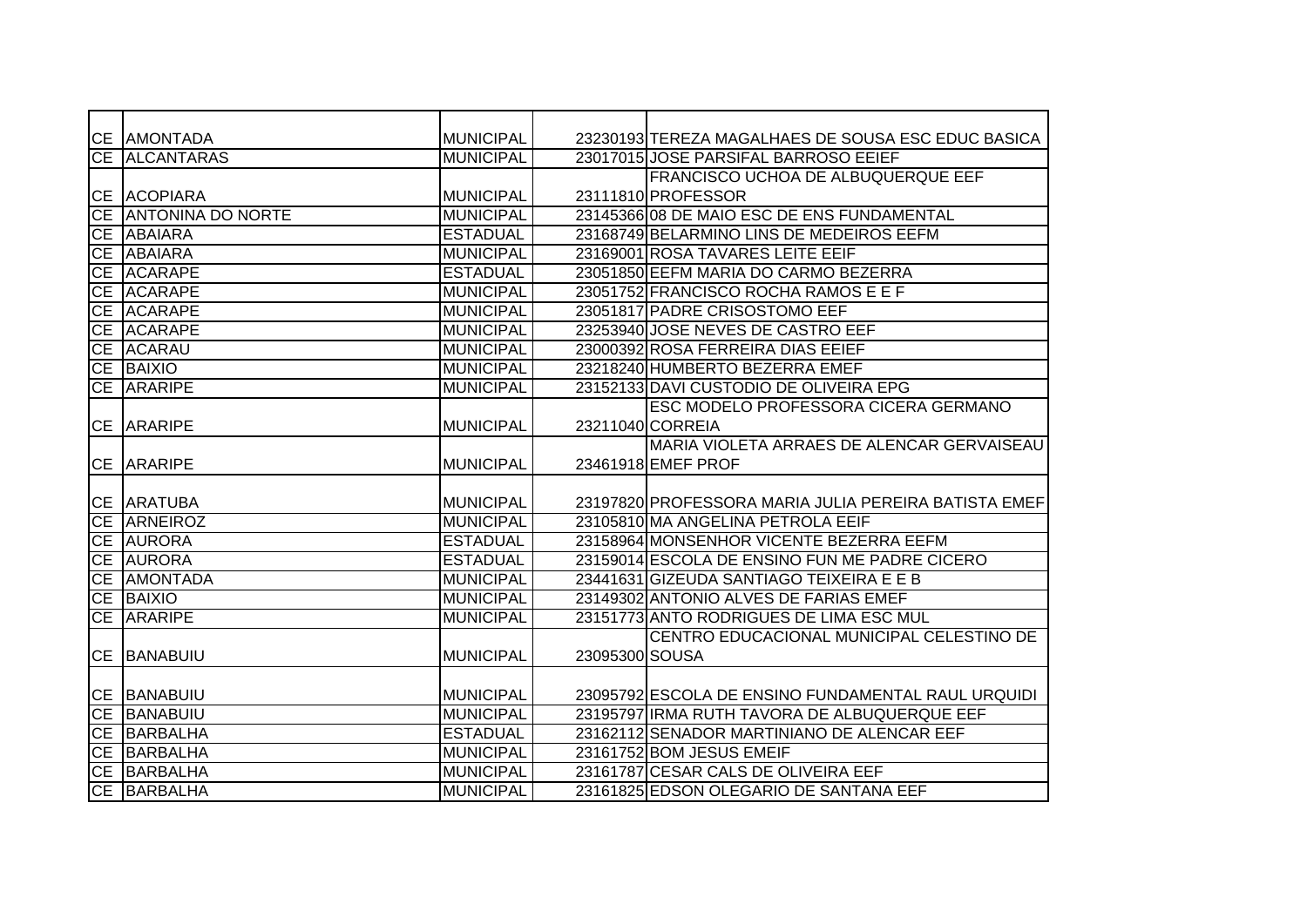|           | <b>CE AMONTADA</b>   | <b>MUNICIPAL</b> |                | 23230193 TEREZA MAGALHAES DE SOUSA ESC EDUC BASICA   |
|-----------|----------------------|------------------|----------------|------------------------------------------------------|
|           | CE ALCANTARAS        | <b>MUNICIPAL</b> |                | 23017015 JOSE PARSIFAL BARROSO EEIEF                 |
|           |                      |                  |                | FRANCISCO UCHOA DE ALBUQUERQUE EEF                   |
|           | CE ACOPIARA          | <b>MUNICIPAL</b> |                | 23111810 PROFESSOR                                   |
|           | CE ANTONINA DO NORTE | <b>MUNICIPAL</b> |                | 23145366 08 DE MAIO ESC DE ENS FUNDAMENTAL           |
|           | CE ABAIARA           | <b>ESTADUAL</b>  |                | 23168749 BELARMINO LINS DE MEDEIROS EEFM             |
|           | CE ABAIARA           | <b>MUNICIPAL</b> |                | 23169001 ROSA TAVARES LEITE EEIF                     |
|           | CE ACARAPE           | <b>ESTADUAL</b>  |                | 23051850 EEFM MARIA DO CARMO BEZERRA                 |
| CE        | <b>ACARAPE</b>       | <b>MUNICIPAL</b> |                | 23051752 FRANCISCO ROCHA RAMOS E E F                 |
| CE        | <b>ACARAPE</b>       | <b>MUNICIPAL</b> |                | 23051817 PADRE CRISOSTOMO EEF                        |
| <b>CE</b> | <b>ACARAPE</b>       | <b>MUNICIPAL</b> |                | 23253940 JOSE NEVES DE CASTRO EEF                    |
| <b>CE</b> | <b>ACARAU</b>        | <b>MUNICIPAL</b> |                | 23000392 ROSA FERREIRA DIAS EEIEF                    |
|           | <b>CE BAIXIO</b>     | <b>MUNICIPAL</b> |                | 23218240 HUMBERTO BEZERRA EMEF                       |
|           | CE ARARIPE           | <b>MUNICIPAL</b> |                | 23152133 DAVI CUSTODIO DE OLIVEIRA EPG               |
|           |                      |                  |                | ESC MODELO PROFESSORA CICERA GERMANO                 |
|           | <b>CE ARARIPE</b>    | <b>MUNICIPAL</b> |                | 23211040 CORREIA                                     |
|           |                      |                  |                | MARIA VIOLETA ARRAES DE ALENCAR GERVAISEAU           |
|           | <b>CE ARARIPE</b>    | <b>MUNICIPAL</b> |                | 23461918 EMEF PROF                                   |
|           |                      |                  |                |                                                      |
|           | <b>CE ARATUBA</b>    | <b>MUNICIPAL</b> |                | 23197820 PROFESSORA MARIA JULIA PEREIRA BATISTA EMEF |
|           | <b>CE ARNEIROZ</b>   | <b>MUNICIPAL</b> |                | 23105810 MA ANGELINA PETROLA EEIF                    |
|           | <b>CE AURORA</b>     | <b>ESTADUAL</b>  |                | 23158964 MONSENHOR VICENTE BEZERRA EEFM              |
|           | <b>CE AURORA</b>     | <b>ESTADUAL</b>  |                | 23159014 ESCOLA DE ENSINO FUN ME PADRE CICERO        |
| CE        | <b>AMONTADA</b>      | <b>MUNICIPAL</b> |                | 23441631 GIZEUDA SANTIAGO TEIXEIRA E E B             |
| <b>CE</b> | <b>BAIXIO</b>        | <b>MUNICIPAL</b> |                | 23149302 ANTONIO ALVES DE FARIAS EMEF                |
| CE        | <b>ARARIPE</b>       | <b>MUNICIPAL</b> |                | 23151773 ANTO RODRIGUES DE LIMA ESC MUL              |
|           |                      |                  |                | CENTRO EDUCACIONAL MUNICIPAL CELESTINO DE            |
|           | <b>CE BANABUIU</b>   | <b>MUNICIPAL</b> | 23095300 SOUSA |                                                      |
|           |                      |                  |                |                                                      |
|           | <b>CE BANABUIU</b>   | <b>MUNICIPAL</b> |                | 23095792 ESCOLA DE ENSINO FUNDAMENTAL RAUL URQUIDI   |
|           | <b>CE BANABUIU</b>   | <b>MUNICIPAL</b> |                | 23195797 IRMA RUTH TAVORA DE ALBUQUERQUE EEF         |
|           | CE BARBALHA          | <b>ESTADUAL</b>  |                | 23162112 SENADOR MARTINIANO DE ALENCAR EEF           |
|           | CE BARBALHA          | <b>MUNICIPAL</b> |                | 23161752 BOM JESUS EMEIF                             |
|           | CE BARBALHA          | <b>MUNICIPAL</b> |                | 23161787 CESAR CALS DE OLIVEIRA EEF                  |
|           | CE BARBALHA          | <b>MUNICIPAL</b> |                | 23161825 EDSON OLEGARIO DE SANTANA EEF               |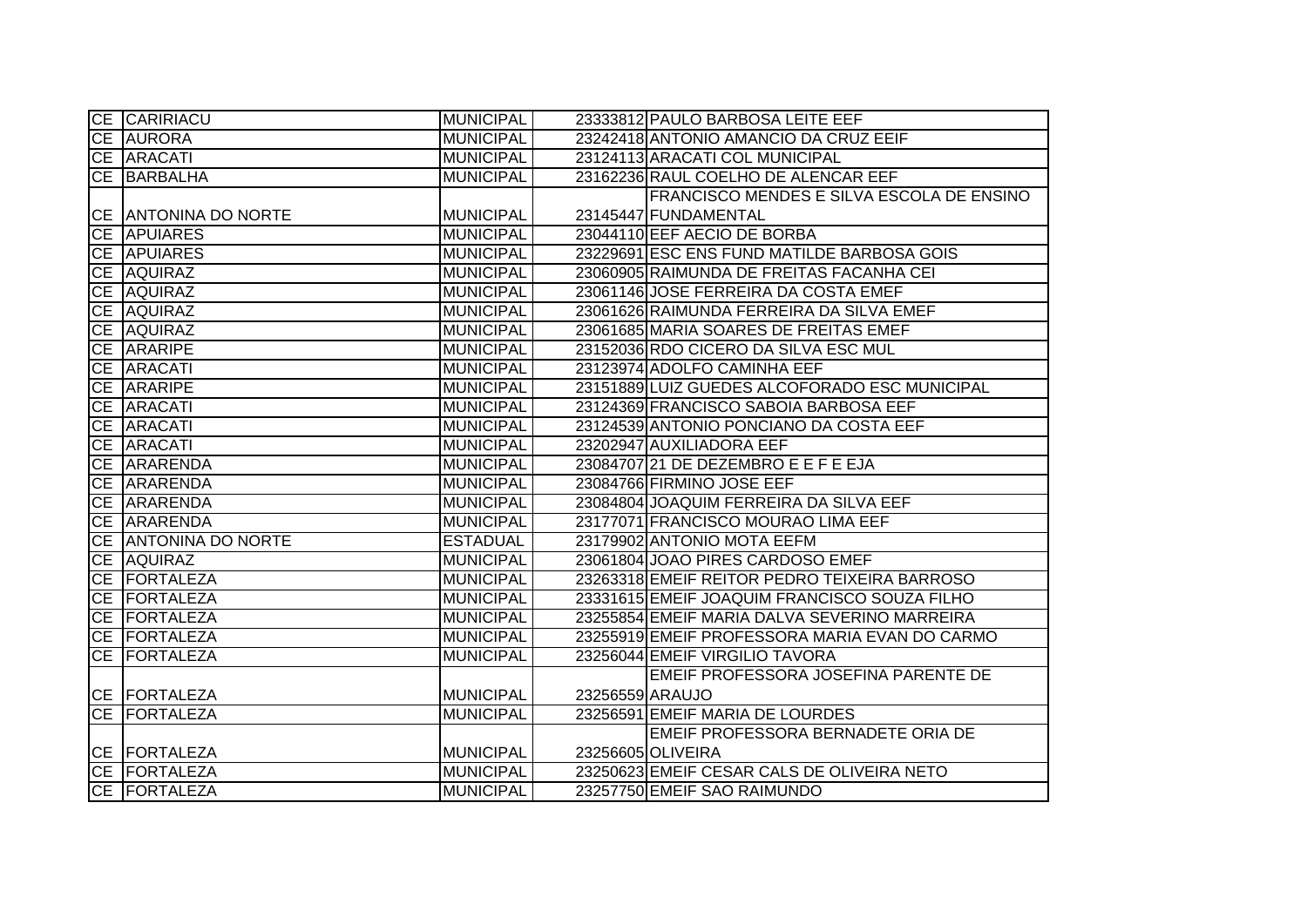|           | CE CARIRIACU         | <b>MUNICIPAL</b> |                 | 23333812 PAULO BARBOSA LEITE EEF              |
|-----------|----------------------|------------------|-----------------|-----------------------------------------------|
|           | CE AURORA            | <b>MUNICIPAL</b> |                 | 23242418 ANTONIO AMANCIO DA CRUZ EEIF         |
|           | CE ARACATI           | <b>MUNICIPAL</b> |                 | 23124113 ARACATI COL MUNICIPAL                |
|           | CE BARBALHA          | <b>MUNICIPAL</b> |                 | 23162236 RAUL COELHO DE ALENCAR EEF           |
|           |                      |                  |                 | FRANCISCO MENDES E SILVA ESCOLA DE ENSINO     |
|           | CE ANTONINA DO NORTE | <b>MUNICIPAL</b> |                 | 23145447 FUNDAMENTAL                          |
|           | <b>CE APUIARES</b>   | <b>MUNICIPAL</b> |                 | 23044110 EEF AECIO DE BORBA                   |
|           | <b>CE APUIARES</b>   | MUNICIPAL        |                 | 23229691 ESC ENS FUND MATILDE BARBOSA GOIS    |
|           | CE AQUIRAZ           | <b>MUNICIPAL</b> |                 | 23060905 RAIMUNDA DE FREITAS FACANHA CEI      |
|           | CE AQUIRAZ           | <b>MUNICIPAL</b> |                 | 23061146 JOSE FERREIRA DA COSTA EMEF          |
|           | CE AQUIRAZ           | <b>MUNICIPAL</b> |                 | 23061626 RAIMUNDA FERREIRA DA SILVA EMEF      |
|           | CE AQUIRAZ           | <b>MUNICIPAL</b> |                 | 23061685 MARIA SOARES DE FREITAS EMEF         |
|           | CE ARARIPE           | <b>MUNICIPAL</b> |                 | 23152036 RDO CICERO DA SILVA ESC MUL          |
|           | CE ARACATI           | <b>MUNICIPAL</b> |                 | 23123974 ADOLFO CAMINHA EEF                   |
|           | CE ARARIPE           | <b>MUNICIPAL</b> |                 | 23151889 LUIZ GUEDES ALCOFORADO ESC MUNICIPAL |
|           | CE ARACATI           | <b>MUNICIPAL</b> |                 | 23124369 FRANCISCO SABOIA BARBOSA EEF         |
|           | CE ARACATI           | <b>MUNICIPAL</b> |                 | 23124539 ANTONIO PONCIANO DA COSTA EEF        |
|           | CE ARACATI           | <b>MUNICIPAL</b> |                 | 23202947 AUXILIADORA EEF                      |
|           | CE ARARENDA          | <b>MUNICIPAL</b> |                 | 23084707 21 DE DEZEMBRO E E F E EJA           |
|           | CE ARARENDA          | <b>MUNICIPAL</b> |                 | 23084766 FIRMINO JOSE EEF                     |
|           | CE ARARENDA          | <b>MUNICIPAL</b> |                 | 23084804 JOAQUIM FERREIRA DA SILVA EEF        |
|           | CE ARARENDA          | <b>MUNICIPAL</b> |                 | 23177071 FRANCISCO MOURAO LIMA EEF            |
|           | CE ANTONINA DO NORTE | <b>ESTADUAL</b>  |                 | 23179902 ANTONIO MOTA EEFM                    |
|           | CE AQUIRAZ           | <b>MUNICIPAL</b> |                 | 23061804 JOAO PIRES CARDOSO EMEF              |
|           | CE FORTALEZA         | <b>MUNICIPAL</b> |                 | 23263318 EMEIF REITOR PEDRO TEIXEIRA BARROSO  |
|           | <b>CE FORTALEZA</b>  | <b>MUNICIPAL</b> |                 | 23331615 EMEIF JOAQUIM FRANCISCO SOUZA FILHO  |
|           | CE FORTALEZA         | <b>MUNICIPAL</b> |                 | 23255854 EMEIF MARIA DALVA SEVERINO MARREIRA  |
|           | CE FORTALEZA         | <b>MUNICIPAL</b> |                 | 23255919 EMEIF PROFESSORA MARIA EVAN DO CARMO |
| <b>CE</b> | <b>FORTALEZA</b>     | <b>MUNICIPAL</b> |                 | 23256044 EMEIF VIRGILIO TAVORA                |
|           |                      |                  |                 | EMEIF PROFESSORA JOSEFINA PARENTE DE          |
|           | CE FORTALEZA         | <b>MUNICIPAL</b> | 23256559 ARAUJO |                                               |
|           | <b>CE FORTALEZA</b>  | <b>MUNICIPAL</b> |                 | 23256591 EMEIF MARIA DE LOURDES               |
|           |                      |                  |                 | EMEIF PROFESSORA BERNADETE ORIA DE            |
|           | <b>CE FORTALEZA</b>  | <b>MUNICIPAL</b> |                 | 23256605 OLIVEIRA                             |
|           | <b>CE FORTALEZA</b>  | <b>MUNICIPAL</b> |                 | 23250623 EMEIF CESAR CALS DE OLIVEIRA NETO    |
|           | CE FORTALEZA         | MUNICIPAL        |                 | 23257750 EMEIF SAO RAIMUNDO                   |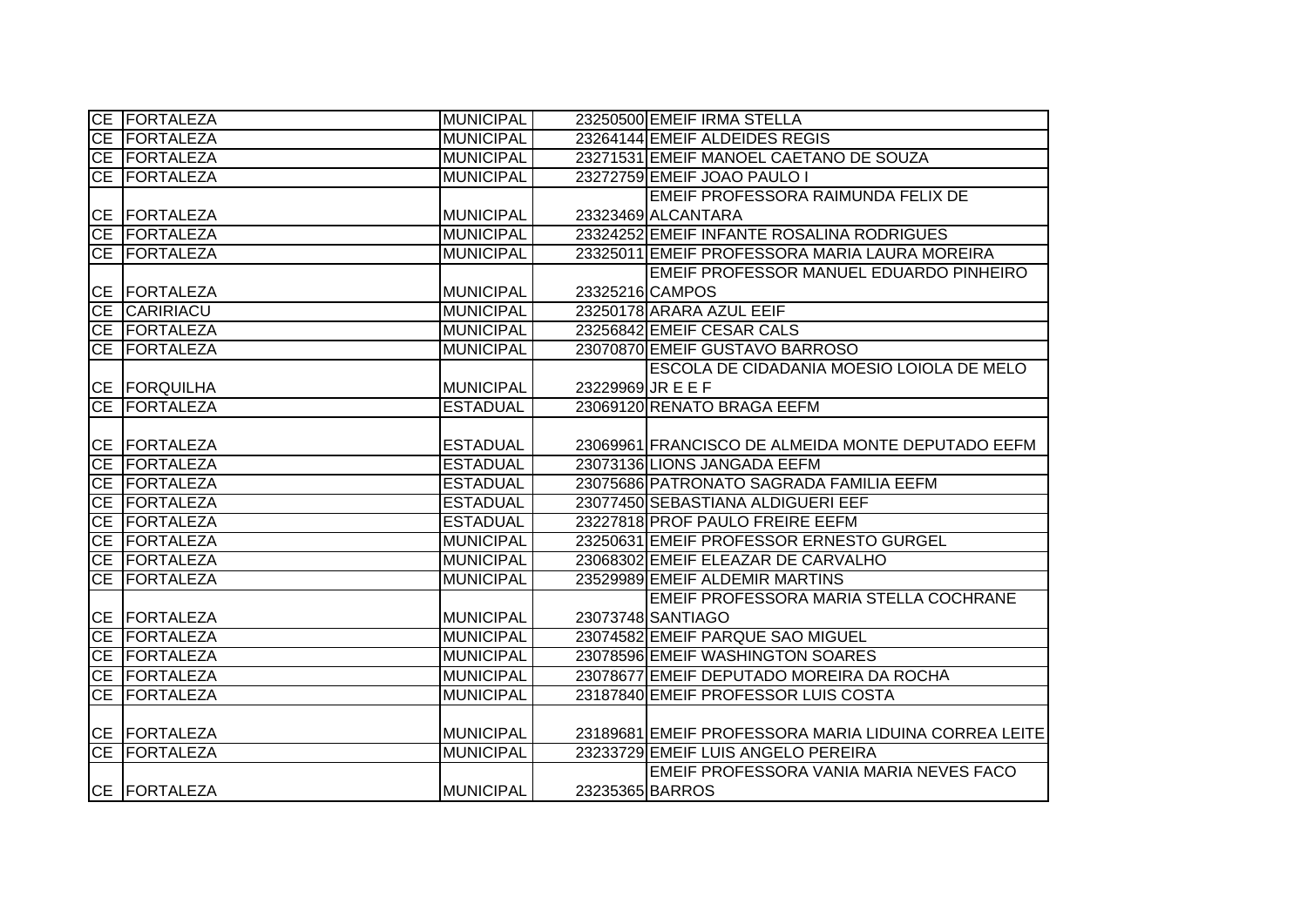| CE FORTALEZA        | MUNICIPAL        |                   | 23250500 EMEIF IRMA STELLA                           |
|---------------------|------------------|-------------------|------------------------------------------------------|
| CE FORTALEZA        | <b>MUNICIPAL</b> |                   | 23264144 EMEIF ALDEIDES REGIS                        |
| CE FORTALEZA        | <b>MUNICIPAL</b> |                   | 23271531 EMEIF MANOEL CAETANO DE SOUZA               |
| CE FORTALEZA        | <b>MUNICIPAL</b> |                   | 23272759 EMEIF JOAO PAULO I                          |
|                     |                  |                   | EMEIF PROFESSORA RAIMUNDA FELIX DE                   |
| <b>CE FORTALEZA</b> | <b>MUNICIPAL</b> |                   | 23323469 ALCANTARA                                   |
| CE FORTALEZA        | <b>MUNICIPAL</b> |                   | 23324252 EMEIF INFANTE ROSALINA RODRIGUES            |
| CE FORTALEZA        | <b>MUNICIPAL</b> |                   | 23325011 EMEIF PROFESSORA MARIA LAURA MOREIRA        |
|                     |                  |                   | EMEIF PROFESSOR MANUEL EDUARDO PINHEIRO              |
| CE FORTALEZA        | <b>MUNICIPAL</b> |                   | 23325216 CAMPOS                                      |
| CE CARIRIACU        | <b>MUNICIPAL</b> |                   | 23250178 ARARA AZUL EEIF                             |
| CE FORTALEZA        | <b>MUNICIPAL</b> |                   | 23256842 EMEIF CESAR CALS                            |
| CE FORTALEZA        | <b>MUNICIPAL</b> |                   | 23070870 EMEIF GUSTAVO BARROSO                       |
|                     |                  |                   | ESCOLA DE CIDADANIA MOESIO LOIOLA DE MELO            |
| CE FORQUILHA        | <b>MUNICIPAL</b> | 23229969 JR E E F |                                                      |
| CE FORTALEZA        | <b>ESTADUAL</b>  |                   | 23069120 RENATO BRAGA EEFM                           |
|                     |                  |                   |                                                      |
| CE FORTALEZA        | <b>ESTADUAL</b>  |                   | 23069961 FRANCISCO DE ALMEIDA MONTE DEPUTADO EEFM    |
| CE FORTALEZA        | <b>ESTADUAL</b>  |                   | 23073136 LIONS JANGADA EEFM                          |
| CE FORTALEZA        | <b>ESTADUAL</b>  |                   | 23075686 PATRONATO SAGRADA FAMILIA EEFM              |
| CE FORTALEZA        | <b>ESTADUAL</b>  |                   | 23077450 SEBASTIANA ALDIGUERI EEF                    |
| CE FORTALEZA        | <b>ESTADUAL</b>  |                   | 23227818 PROF PAULO FREIRE EEFM                      |
| CE FORTALEZA        | <b>MUNICIPAL</b> |                   | 23250631 EMEIF PROFESSOR ERNESTO GURGEL              |
| CE FORTALEZA        | <b>MUNICIPAL</b> |                   | 23068302 EMEIF ELEAZAR DE CARVALHO                   |
| CE FORTALEZA        | <b>MUNICIPAL</b> |                   | 23529989 EMEIF ALDEMIR MARTINS                       |
|                     |                  |                   | EMEIF PROFESSORA MARIA STELLA COCHRANE               |
| CE FORTALEZA        | <b>MUNICIPAL</b> |                   | 23073748 SANTIAGO                                    |
| CE FORTALEZA        | <b>MUNICIPAL</b> |                   | 23074582 EMEIF PARQUE SAO MIGUEL                     |
| CE FORTALEZA        | <b>MUNICIPAL</b> |                   | 23078596 EMEIF WASHINGTON SOARES                     |
| CE FORTALEZA        | <b>MUNICIPAL</b> |                   | 23078677 EMEIF DEPUTADO MOREIRA DA ROCHA             |
| CE FORTALEZA        | <b>MUNICIPAL</b> |                   | 23187840 EMEIF PROFESSOR LUIS COSTA                  |
|                     |                  |                   |                                                      |
| CE FORTALEZA        | <b>MUNICIPAL</b> |                   | 23189681 EMEIF PROFESSORA MARIA LIDUINA CORREA LEITE |
| CE FORTALEZA        | <b>MUNICIPAL</b> |                   | 23233729 EMEIF LUIS ANGELO PEREIRA                   |
|                     |                  |                   | EMEIF PROFESSORA VANIA MARIA NEVES FACO              |
| CE FORTALEZA        | <b>MUNICIPAL</b> | 23235365 BARROS   |                                                      |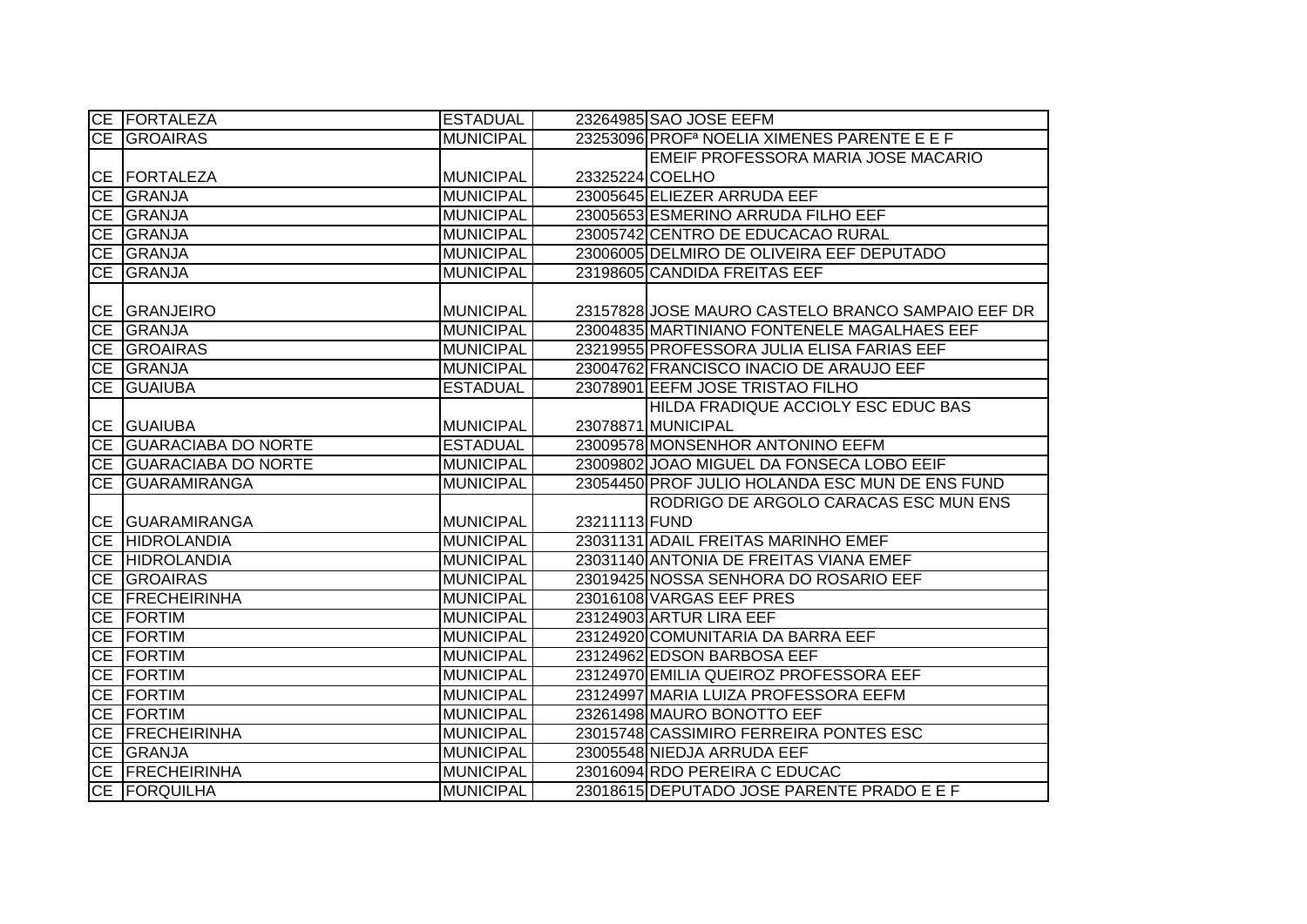| CE FORTALEZA           | <b>ESTADUAL</b>  |                 | 23264985 SAO JOSE EEFM                                  |
|------------------------|------------------|-----------------|---------------------------------------------------------|
| <b>CE GROAIRAS</b>     | <b>MUNICIPAL</b> |                 | 23253096 PROF <sup>a</sup> NOELIA XIMENES PARENTE E E F |
|                        |                  |                 | EMEIF PROFESSORA MARIA JOSE MACARIO                     |
| CE FORTALEZA           | <b>MUNICIPAL</b> | 23325224 COELHO |                                                         |
| CE GRANJA              | <b>MUNICIPAL</b> |                 | 23005645 ELIEZER ARRUDA EEF                             |
| CE GRANJA              | <b>MUNICIPAL</b> |                 | 23005653 ESMERINO ARRUDA FILHO EEF                      |
| CE GRANJA              | <b>MUNICIPAL</b> |                 | 23005742 CENTRO DE EDUCACAO RURAL                       |
| CE GRANJA              | <b>MUNICIPAL</b> |                 | 23006005 DELMIRO DE OLIVEIRA EEF DEPUTADO               |
| CE GRANJA              | <b>MUNICIPAL</b> |                 | 23198605 CANDIDA FREITAS EEF                            |
|                        |                  |                 |                                                         |
| CE GRANJEIRO           | <b>MUNICIPAL</b> |                 | 23157828 JOSE MAURO CASTELO BRANCO SAMPAIO EEF DR       |
| CE GRANJA              | <b>MUNICIPAL</b> |                 | 23004835 MARTINIANO FONTENELE MAGALHAES EEF             |
| CE GROAIRAS            | <b>MUNICIPAL</b> |                 | 23219955 PROFESSORA JULIA ELISA FARIAS EEF              |
| CE GRANJA              | <b>MUNICIPAL</b> |                 | 23004762 FRANCISCO INACIO DE ARAUJO EEF                 |
| CE GUAIUBA             | <b>ESTADUAL</b>  |                 | 23078901 EEFM JOSE TRISTAO FILHO                        |
|                        |                  |                 | HILDA FRADIQUE ACCIOLY ESC EDUC BAS                     |
| CE GUAIUBA             | <b>MUNICIPAL</b> |                 | 23078871 MUNICIPAL                                      |
| CE GUARACIABA DO NORTE | <b>ESTADUAL</b>  |                 | 23009578 MONSENHOR ANTONINO EEFM                        |
| CE GUARACIABA DO NORTE | <b>MUNICIPAL</b> |                 | 23009802 JOAO MIGUEL DA FONSECA LOBO EEIF               |
| CE GUARAMIRANGA        | <b>MUNICIPAL</b> |                 | 23054450 PROF JULIO HOLANDA ESC MUN DE ENS FUND         |
|                        |                  |                 | RODRIGO DE ARGOLO CARACAS ESC MUN ENS                   |
| CE GUARAMIRANGA        | <b>MUNICIPAL</b> | 23211113 FUND   |                                                         |
| <b>CE HIDROLANDIA</b>  | <b>MUNICIPAL</b> |                 | 23031131 ADAIL FREITAS MARINHO EMEF                     |
| CE HIDROLANDIA         | <b>MUNICIPAL</b> |                 | 23031140 ANTONIA DE FREITAS VIANA EMEF                  |
| CE GROAIRAS            | <b>MUNICIPAL</b> |                 | 23019425 NOSSA SENHORA DO ROSARIO EEF                   |
| CE FRECHEIRINHA        | <b>MUNICIPAL</b> |                 | 23016108 VARGAS EEF PRES                                |
| CE FORTIM              | <b>MUNICIPAL</b> |                 | 23124903 ARTUR LIRA EEF                                 |
| CE FORTIM              | <b>MUNICIPAL</b> |                 | 23124920 COMUNITARIA DA BARRA EEF                       |
| CE FORTIM              | <b>MUNICIPAL</b> |                 | 23124962 EDSON BARBOSA EEF                              |
| CE FORTIM              | <b>MUNICIPAL</b> |                 | 23124970 EMILIA QUEIROZ PROFESSORA EEF                  |
| CE FORTIM              | <b>MUNICIPAL</b> |                 | 23124997 MARIA LUIZA PROFESSORA EEFM                    |
| CE FORTIM              | <b>MUNICIPAL</b> |                 | 23261498 MAURO BONOTTO EEF                              |
| CE <b>FRECHEIRINHA</b> | <b>MUNICIPAL</b> |                 | 23015748 CASSIMIRO FERREIRA PONTES ESC                  |
| CE GRANJA              | <b>MUNICIPAL</b> |                 | 23005548 NIEDJA ARRUDA EEF                              |
| CE FRECHEIRINHA        | <b>MUNICIPAL</b> |                 | 23016094 RDO PEREIRA C EDUCAC                           |
| <b>CE FORQUILHA</b>    | <b>MUNICIPAL</b> |                 | 23018615 DEPUTADO JOSE PARENTE PRADO E E F              |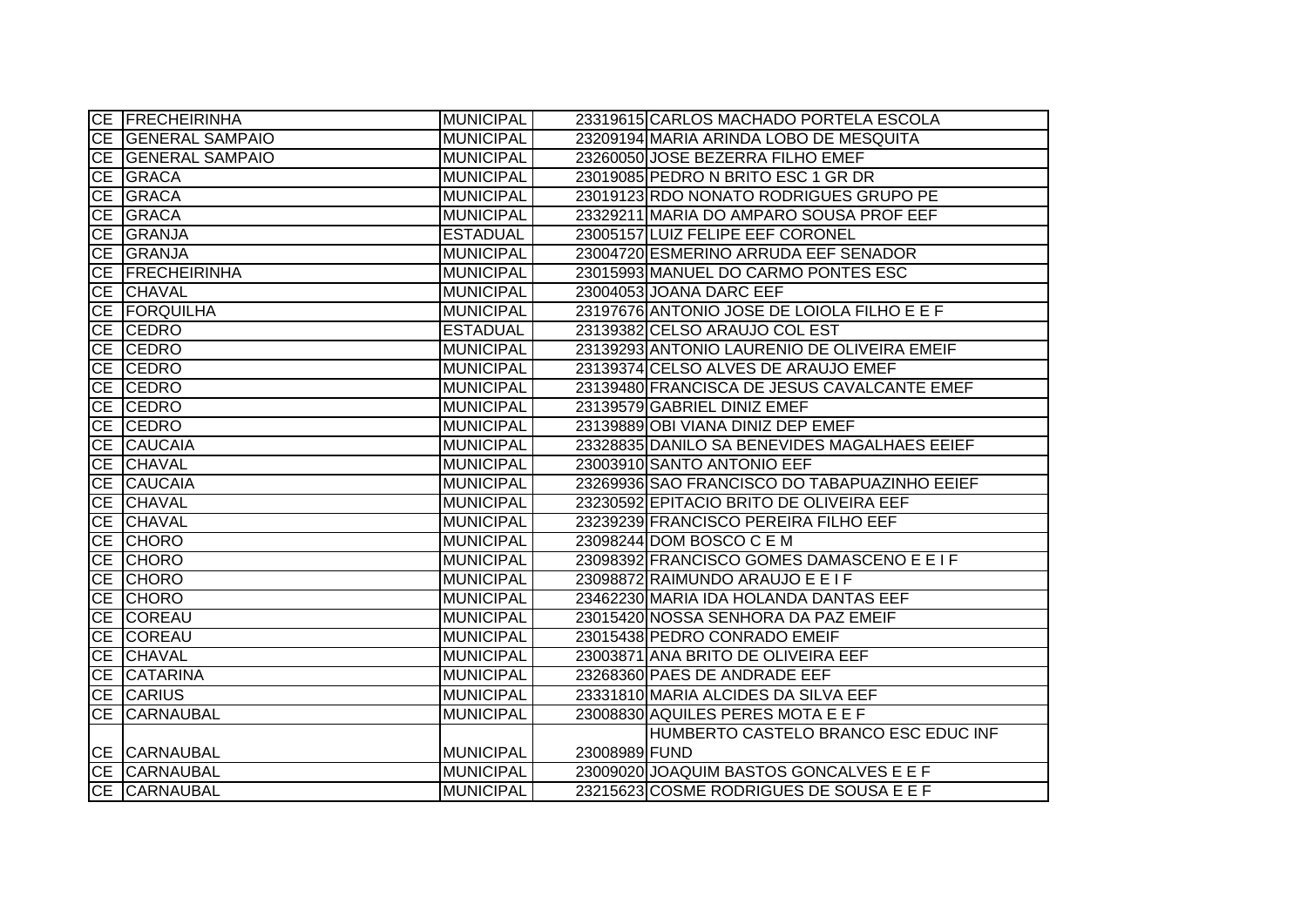|           | CE FRECHEIRINHA     | <b>MUNICIPAL</b> |               | 23319615 CARLOS MACHADO PORTELA ESCOLA       |
|-----------|---------------------|------------------|---------------|----------------------------------------------|
|           | CE GENERAL SAMPAIO  | <b>MUNICIPAL</b> |               | 23209194 MARIA ARINDA LOBO DE MESQUITA       |
|           | CE GENERAL SAMPAIO  | <b>MUNICIPAL</b> |               | 23260050 JOSE BEZERRA FILHO EMEF             |
|           | CE GRACA            | <b>MUNICIPAL</b> |               | 23019085 PEDRO N BRITO ESC 1 GR DR           |
|           | CE GRACA            | <b>MUNICIPAL</b> |               | 23019123 RDO NONATO RODRIGUES GRUPO PE       |
|           | CE GRACA            | <b>MUNICIPAL</b> |               | 23329211 MARIA DO AMPARO SOUSA PROF EEF      |
|           | CE GRANJA           | <b>ESTADUAL</b>  |               | 23005157 LUIZ FELIPE EEF CORONEL             |
|           | CE GRANJA           | <b>MUNICIPAL</b> |               | 23004720 ESMERINO ARRUDA EEF SENADOR         |
|           | CE FRECHEIRINHA     | <b>MUNICIPAL</b> |               | 23015993 MANUEL DO CARMO PONTES ESC          |
|           | CE CHAVAL           | <b>MUNICIPAL</b> |               | 23004053 JOANA DARC EEF                      |
|           | <b>CE FORQUILHA</b> | <b>MUNICIPAL</b> |               | 23197676 ANTONIO JOSE DE LOIOLA FILHO E E F  |
|           | CE CEDRO            | <b>ESTADUAL</b>  |               | 23139382 CELSO ARAUJO COL EST                |
|           | CE CEDRO            | <b>MUNICIPAL</b> |               | 23139293 ANTONIO LAURENIO DE OLIVEIRA EMEIF  |
|           | CE CEDRO            | <b>MUNICIPAL</b> |               | 23139374 CELSO ALVES DE ARAUJO EMEF          |
|           | CE CEDRO            | <b>MUNICIPAL</b> |               | 23139480 FRANCISCA DE JESUS CAVALCANTE EMEF  |
|           | CE CEDRO            | <b>MUNICIPAL</b> |               | 23139579 GABRIEL DINIZ EMEF                  |
|           | CE CEDRO            | <b>MUNICIPAL</b> |               | 23139889 OBI VIANA DINIZ DEP EMEF            |
|           | CE CAUCAIA          | <b>MUNICIPAL</b> |               | 23328835 DANILO SA BENEVIDES MAGALHAES EEIEF |
|           | CE CHAVAL           | <b>MUNICIPAL</b> |               | 23003910 SANTO ANTONIO EEF                   |
|           | CE CAUCAIA          | <b>MUNICIPAL</b> |               | 23269936 SAO FRANCISCO DO TABAPUAZINHO EEIEF |
|           | CE CHAVAL           | <b>MUNICIPAL</b> |               | 23230592 EPITACIO BRITO DE OLIVEIRA EEF      |
|           | CE CHAVAL           | <b>MUNICIPAL</b> |               | 23239239 FRANCISCO PEREIRA FILHO EEF         |
|           | CE CHORO            | <b>MUNICIPAL</b> |               | 23098244 DOM BOSCO C E M                     |
|           | CE CHORO            | <b>MUNICIPAL</b> |               | 23098392 FRANCISCO GOMES DAMASCENO E E I F   |
|           | CE CHORO            | <b>MUNICIPAL</b> |               | 23098872 RAIMUNDO ARAUJO E E I F             |
|           | CE CHORO            | <b>MUNICIPAL</b> |               | 23462230 MARIA IDA HOLANDA DANTAS EEF        |
|           | CE COREAU           | <b>MUNICIPAL</b> |               | 23015420 NOSSA SENHORA DA PAZ EMEIF          |
|           | CE COREAU           | <b>MUNICIPAL</b> |               | 23015438 PEDRO CONRADO EMEIF                 |
|           | CE CHAVAL           | <b>MUNICIPAL</b> |               | 23003871 ANA BRITO DE OLIVEIRA EEF           |
|           | CE CATARINA         | <b>MUNICIPAL</b> |               | 23268360 PAES DE ANDRADE EEF                 |
|           | CE CARIUS           | <b>MUNICIPAL</b> |               | 23331810 MARIA ALCIDES DA SILVA EEF          |
| <b>CE</b> | <b>CARNAUBAL</b>    | <b>MUNICIPAL</b> |               | 23008830 AQUILES PERES MOTA E E F            |
|           |                     |                  |               | HUMBERTO CASTELO BRANCO ESC EDUC INF         |
|           | CE CARNAUBAL        | <b>MUNICIPAL</b> | 23008989 FUND |                                              |
|           | CE CARNAUBAL        | <b>MUNICIPAL</b> |               | 23009020 JOAQUIM BASTOS GONCALVES E E F      |
|           | CE CARNAUBAL        | <b>MUNICIPAL</b> |               | 23215623 COSME RODRIGUES DE SOUSA E E F      |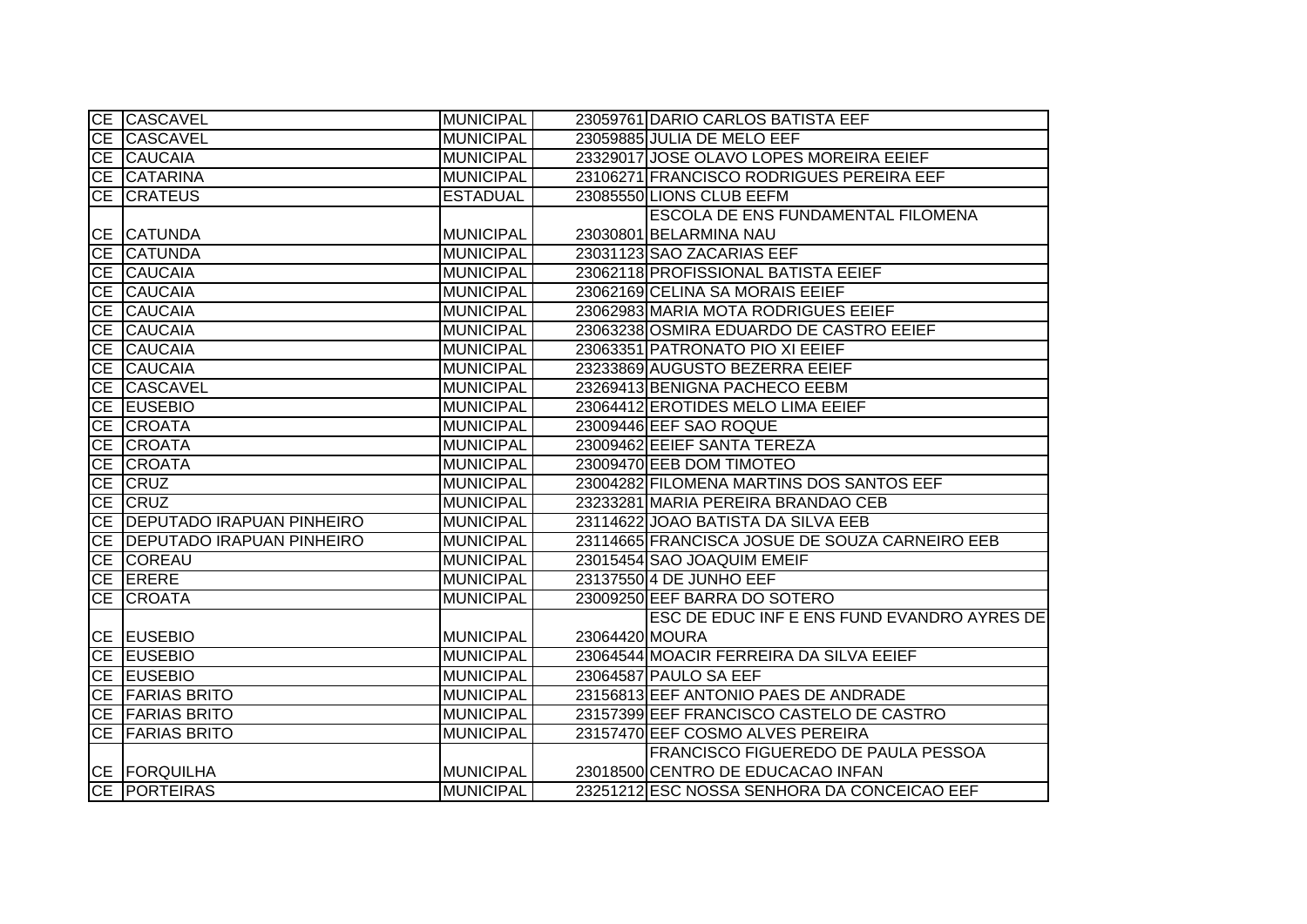|           | CE CASCAVEL                    | <b>MUNICIPAL</b> |                | 23059761 DARIO CARLOS BATISTA EEF              |
|-----------|--------------------------------|------------------|----------------|------------------------------------------------|
|           | CE CASCAVEL                    | <b>MUNICIPAL</b> |                | 23059885 JULIA DE MELO EEF                     |
|           | CE CAUCAIA                     | <b>MUNICIPAL</b> |                | 23329017 JOSE OLAVO LOPES MOREIRA EEIEF        |
|           | <b>CE CATARINA</b>             | <b>MUNICIPAL</b> |                | 23106271 FRANCISCO RODRIGUES PEREIRA EEF       |
| CE        | <b>CRATEUS</b>                 | <b>ESTADUAL</b>  |                | 23085550 LIONS CLUB EEFM                       |
|           |                                |                  |                | <b>ESCOLA DE ENS FUNDAMENTAL FILOMENA</b>      |
|           | <b>CE CATUNDA</b>              | <b>MUNICIPAL</b> |                | 23030801 BELARMINA NAU                         |
|           | CE CATUNDA                     | <b>MUNICIPAL</b> |                | 23031123 SAO ZACARIAS EEF                      |
|           | CE CAUCAIA                     | <b>MUNICIPAL</b> |                | 23062118 PROFISSIONAL BATISTA EEIEF            |
|           | CE CAUCAIA                     | <b>MUNICIPAL</b> |                | 23062169 CELINA SA MORAIS EEIEF                |
|           | CE CAUCAIA                     | <b>MUNICIPAL</b> |                | 23062983 MARIA MOTA RODRIGUES EEIEF            |
| <b>CE</b> | <b>CAUCAIA</b>                 | <b>MUNICIPAL</b> |                | 23063238 OSMIRA EDUARDO DE CASTRO EEIEF        |
|           | CE CAUCAIA                     | <b>MUNICIPAL</b> |                | 23063351 PATRONATO PIO XI EEIEF                |
|           | CE CAUCAIA                     | <b>MUNICIPAL</b> |                | 23233869 AUGUSTO BEZERRA EEIEF                 |
|           | CE CASCAVEL                    | <b>MUNICIPAL</b> |                | 23269413 BENIGNA PACHECO EEBM                  |
|           | CE EUSEBIO                     | <b>MUNICIPAL</b> |                | 23064412 EROTIDES MELO LIMA EEIEF              |
|           | CE CROATA                      | <b>MUNICIPAL</b> |                | 23009446 EEF SAO ROQUE                         |
|           | CE CROATA                      | <b>MUNICIPAL</b> |                | 23009462 EEIEF SANTA TEREZA                    |
|           | CE CROATA                      | <b>MUNICIPAL</b> |                | 23009470 EEB DOM TIMOTEO                       |
|           | CE CRUZ                        | <b>MUNICIPAL</b> |                | 23004282 FILOMENA MARTINS DOS SANTOS EEF       |
|           | CE CRUZ                        | <b>MUNICIPAL</b> |                | 23233281 MARIA PEREIRA BRANDAO CEB             |
|           | CE   DEPUTADO IRAPUAN PINHEIRO | <b>MUNICIPAL</b> |                | 23114622 JOAO BATISTA DA SILVA EEB             |
|           | CE   DEPUTADO IRAPUAN PINHEIRO | <b>MUNICIPAL</b> |                | 23114665 FRANCISCA JOSUE DE SOUZA CARNEIRO EEB |
|           | CE COREAU                      | <b>MUNICIPAL</b> |                | 23015454 SAO JOAQUIM EMEIF                     |
|           | CE ERERE                       | <b>MUNICIPAL</b> |                | 23137550 4 DE JUNHO EEF                        |
|           | CE CROATA                      | <b>MUNICIPAL</b> |                | 23009250 EEF BARRA DO SOTERO                   |
|           |                                |                  |                | ESC DE EDUC INF E ENS FUND EVANDRO AYRES DE    |
|           | CE EUSEBIO                     | <b>MUNICIPAL</b> | 23064420 MOURA |                                                |
|           | CE EUSEBIO                     | <b>MUNICIPAL</b> |                | 23064544 MOACIR FERREIRA DA SILVA EEIEF        |
|           | CE EUSEBIO                     | <b>MUNICIPAL</b> |                | 23064587 PAULO SA EEF                          |
|           | <b>CE FARIAS BRITO</b>         | <b>MUNICIPAL</b> |                | 23156813 EEF ANTONIO PAES DE ANDRADE           |
|           | CE FARIAS BRITO                | <b>MUNICIPAL</b> |                | 23157399 EEF FRANCISCO CASTELO DE CASTRO       |
|           | CE FARIAS BRITO                | <b>MUNICIPAL</b> |                | 23157470 EEF COSMO ALVES PEREIRA               |
|           |                                |                  |                | FRANCISCO FIGUEREDO DE PAULA PESSOA            |
|           | CE FORQUILHA                   | <b>MUNICIPAL</b> |                | 23018500 CENTRO DE EDUCACAO INFAN              |
|           | <b>CE PORTEIRAS</b>            | <b>MUNICIPAL</b> |                | 23251212 ESC NOSSA SENHORA DA CONCEICAO EEF    |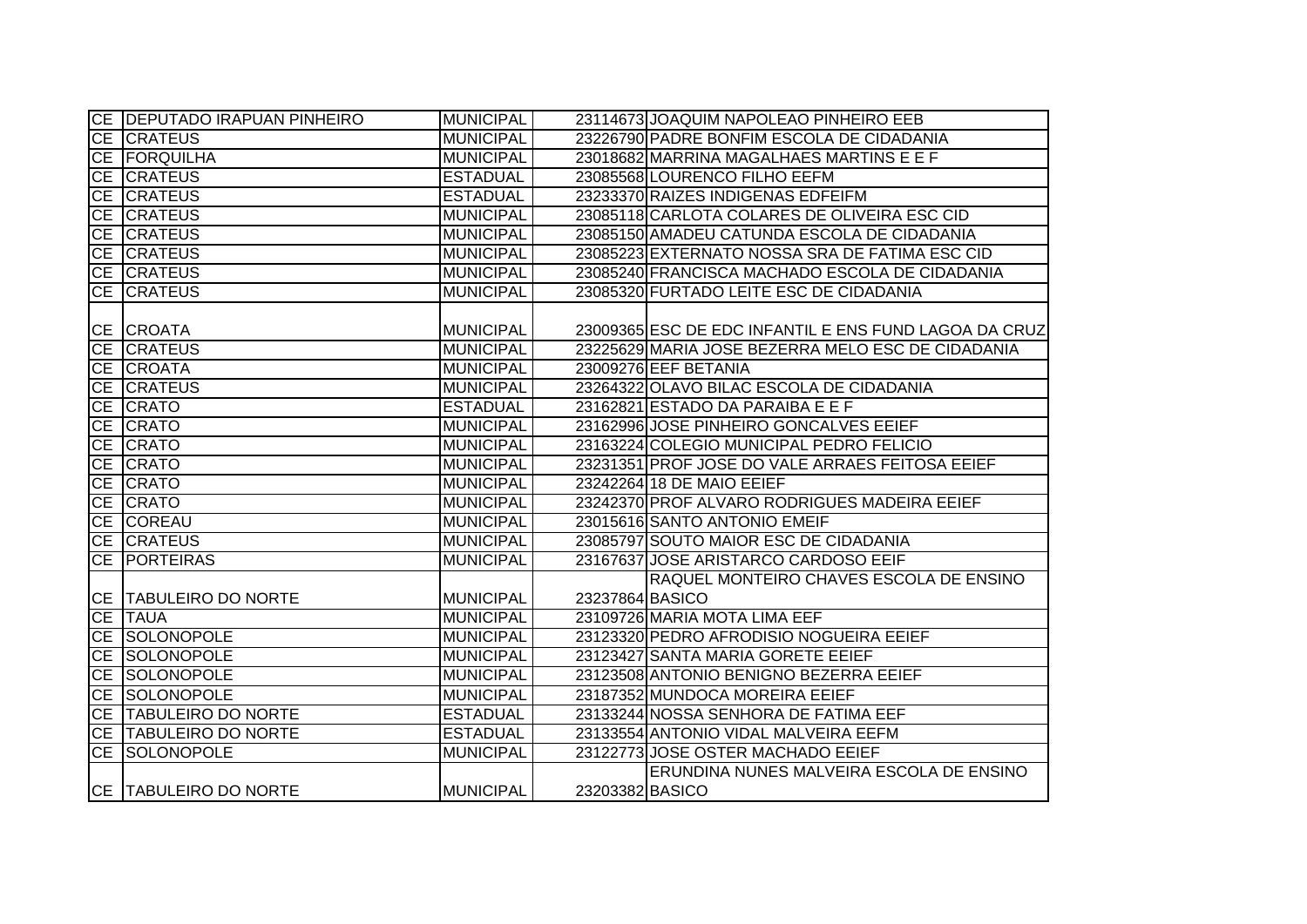|    | CE   DEPUTADO IRAPUAN PINHEIRO | <b>MUNICIPAL</b> |                 | 23114673 JOAQUIM NAPOLEAO PINHEIRO EEB                |
|----|--------------------------------|------------------|-----------------|-------------------------------------------------------|
|    | CE CRATEUS                     | <b>MUNICIPAL</b> |                 | 23226790 PADRE BONFIM ESCOLA DE CIDADANIA             |
|    | <b>CE FORQUILHA</b>            | <b>MUNICIPAL</b> |                 | 23018682 MARRINA MAGALHAES MARTINS E E F              |
|    | CE CRATEUS                     | <b>ESTADUAL</b>  |                 | 23085568 LOURENCO FILHO EEFM                          |
|    | CE CRATEUS                     | <b>ESTADUAL</b>  |                 | 23233370 RAIZES INDIGENAS EDFEIFM                     |
|    | CE CRATEUS                     | <b>MUNICIPAL</b> |                 | 23085118 CARLOTA COLARES DE OLIVEIRA ESC CID          |
|    | CE CRATEUS                     | <b>MUNICIPAL</b> |                 | 23085150 AMADEU CATUNDA ESCOLA DE CIDADANIA           |
|    | CE CRATEUS                     | MUNICIPAL        |                 | 23085223 EXTERNATO NOSSA SRA DE FATIMA ESC CID        |
|    | CE CRATEUS                     | MUNICIPAL        |                 | 23085240 FRANCISCA MACHADO ESCOLA DE CIDADANIA        |
|    | CE CRATEUS                     | <b>MUNICIPAL</b> |                 | 23085320 FURTADO LEITE ESC DE CIDADANIA               |
|    |                                |                  |                 |                                                       |
|    | CE CROATA                      | MUNICIPAL        |                 | 23009365 ESC DE EDC INFANTIL E ENS FUND LAGOA DA CRUZ |
|    | CE CRATEUS                     | <b>MUNICIPAL</b> |                 | 23225629 MARIA JOSE BEZERRA MELO ESC DE CIDADANIA     |
|    | CE CROATA                      | <b>MUNICIPAL</b> |                 | 23009276 EEF BETANIA                                  |
|    | CE CRATEUS                     | <b>MUNICIPAL</b> |                 | 23264322 OLAVO BILAC ESCOLA DE CIDADANIA              |
|    | CE CRATO                       | <b>ESTADUAL</b>  |                 | 23162821 ESTADO DA PARAIBA E E F                      |
|    | CE CRATO                       | <b>MUNICIPAL</b> |                 | 23162996 JOSE PINHEIRO GONCALVES EEIEF                |
|    | CE CRATO                       | <b>MUNICIPAL</b> |                 | 23163224 COLEGIO MUNICIPAL PEDRO FELICIO              |
|    | CE CRATO                       | <b>MUNICIPAL</b> |                 | 23231351 PROF JOSE DO VALE ARRAES FEITOSA EEIEF       |
|    | CE CRATO                       | <b>MUNICIPAL</b> |                 | 23242264 18 DE MAIO EEIEF                             |
|    | CE CRATO                       | <b>MUNICIPAL</b> |                 | 23242370 PROF ALVARO RODRIGUES MADEIRA EEIEF          |
|    | CE COREAU                      | <b>MUNICIPAL</b> |                 | 23015616 SANTO ANTONIO EMEIF                          |
|    | CE CRATEUS                     | <b>MUNICIPAL</b> |                 | 23085797 SOUTO MAIOR ESC DE CIDADANIA                 |
|    | CE PORTEIRAS                   | <b>MUNICIPAL</b> |                 | 23167637 JOSE ARISTARCO CARDOSO EEIF                  |
|    |                                |                  |                 | RAQUEL MONTEIRO CHAVES ESCOLA DE ENSINO               |
|    | CE TABULEIRO DO NORTE          | <b>MUNICIPAL</b> | 23237864 BASICO |                                                       |
|    | CE TAUA                        | <b>MUNICIPAL</b> |                 | 23109726 MARIA MOTA LIMA EEF                          |
|    | CE SOLONOPOLE                  | <b>MUNICIPAL</b> |                 | 23123320 PEDRO AFRODISIO NOGUEIRA EEIEF               |
|    | CE SOLONOPOLE                  | <b>MUNICIPAL</b> |                 | 23123427 SANTA MARIA GORETE EEIEF                     |
| CE | <b>SOLONOPOLE</b>              | <b>MUNICIPAL</b> |                 | 23123508 ANTONIO BENIGNO BEZERRA EEIEF                |
|    | <b>CE SOLONOPOLE</b>           | <b>MUNICIPAL</b> |                 | 23187352 MUNDOCA MOREIRA EEIEF                        |
|    | CE TABULEIRO DO NORTE          | <b>ESTADUAL</b>  |                 | 23133244 NOSSA SENHORA DE FATIMA EEF                  |
|    | CE TABULEIRO DO NORTE          | <b>ESTADUAL</b>  |                 | 23133554 ANTONIO VIDAL MALVEIRA EEFM                  |
|    | <b>CE SOLONOPOLE</b>           | <b>MUNICIPAL</b> |                 | 23122773 JOSE OSTER MACHADO EEIEF                     |
|    |                                |                  |                 | ERUNDINA NUNES MALVEIRA ESCOLA DE ENSINO              |
|    | CE TABULEIRO DO NORTE          | <b>MUNICIPAL</b> | 23203382 BASICO |                                                       |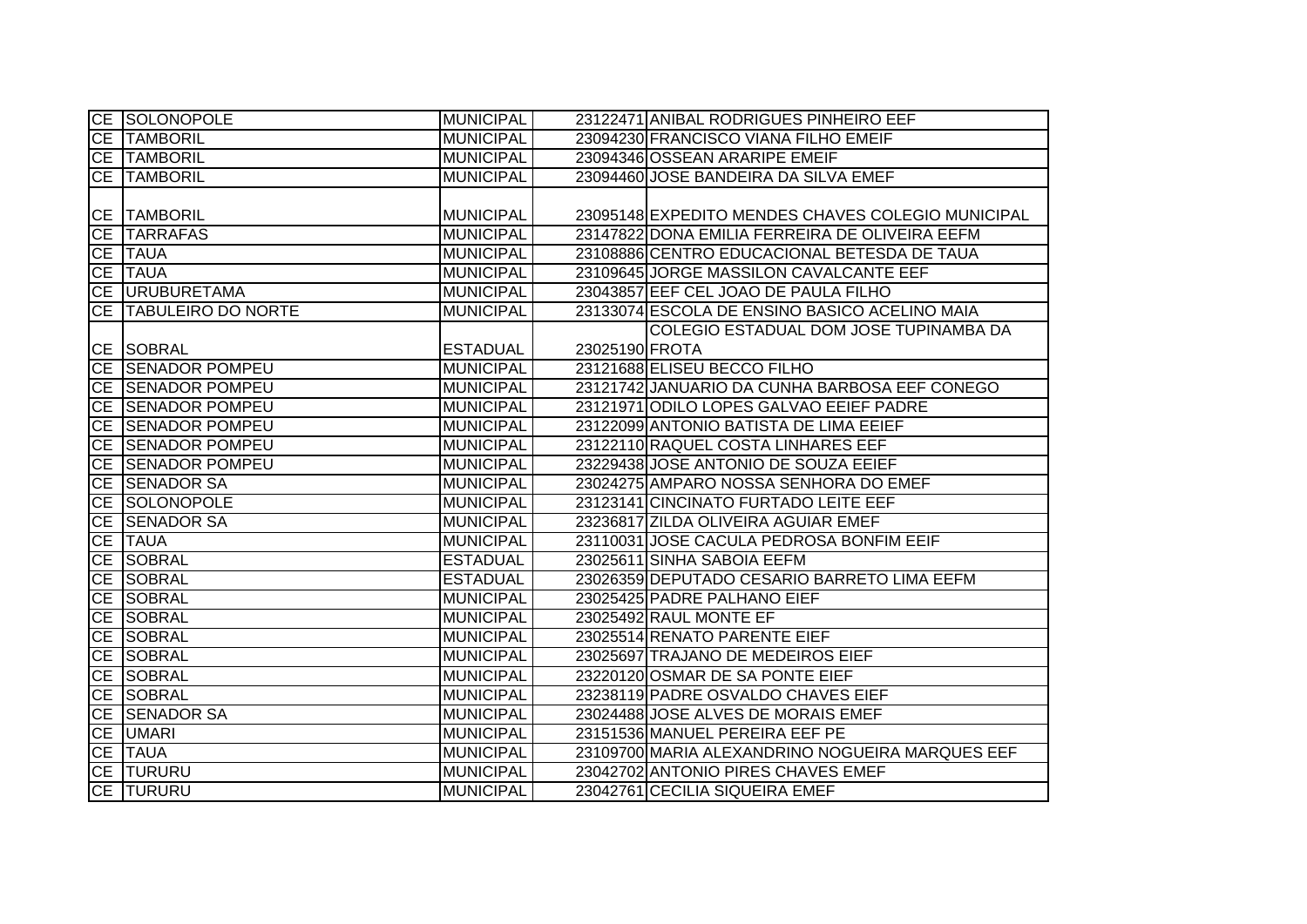| <b>CE SOLONOPOLE</b>         | <b>MUNICIPAL</b> |                | 23122471 ANIBAL RODRIGUES PINHEIRO EEF            |
|------------------------------|------------------|----------------|---------------------------------------------------|
| <b>CE TAMBORIL</b>           | <b>MUNICIPAL</b> |                | 23094230 FRANCISCO VIANA FILHO EMEIF              |
| CE TAMBORIL                  | MUNICIPAL        |                | 23094346 OSSEAN ARARIPE EMEIF                     |
| CE TAMBORIL                  | <b>MUNICIPAL</b> |                | 23094460 JOSE BANDEIRA DA SILVA EMEF              |
|                              |                  |                |                                                   |
| <b>CE TAMBORIL</b>           | <b>MUNICIPAL</b> |                | 23095148 EXPEDITO MENDES CHAVES COLEGIO MUNICIPAL |
| CE TARRAFAS                  | <b>MUNICIPAL</b> |                | 23147822 DONA EMILIA FERREIRA DE OLIVEIRA EEFM    |
| CE TAUA                      | MUNICIPAL        |                | 23108886 CENTRO EDUCACIONAL BETESDA DE TAUA       |
| CE TAUA                      | MUNICIPAL        |                | 23109645 JORGE MASSILON CAVALCANTE EEF            |
| CE URUBURETAMA               | MUNICIPAL        |                | 23043857 EEF CEL JOAO DE PAULA FILHO              |
| <b>CE TABULEIRO DO NORTE</b> | <b>MUNICIPAL</b> |                | 23133074 ESCOLA DE ENSINO BASICO ACELINO MAIA     |
|                              |                  |                | COLEGIO ESTADUAL DOM JOSE TUPINAMBA DA            |
| CE SOBRAL                    | <b>ESTADUAL</b>  | 23025190 FROTA |                                                   |
| CE SENADOR POMPEU            | <b>MUNICIPAL</b> |                | 23121688 ELISEU BECCO FILHO                       |
| CE SENADOR POMPEU            | <b>MUNICIPAL</b> |                | 23121742 JANUARIO DA CUNHA BARBOSA EEF CONEGO     |
| CE SENADOR POMPEU            | <b>MUNICIPAL</b> |                | 23121971 ODILO LOPES GALVAO EEIEF PADRE           |
| <b>CE SENADOR POMPEU</b>     | <b>MUNICIPAL</b> |                | 23122099 ANTONIO BATISTA DE LIMA EEIEF            |
| CE SENADOR POMPEU            | <b>MUNICIPAL</b> |                | 23122110 RAQUEL COSTA LINHARES EEF                |
| <b>CE SENADOR POMPEU</b>     | MUNICIPAL        |                | 23229438 JOSE ANTONIO DE SOUZA EEIEF              |
| CE SENADOR SA                | <b>MUNICIPAL</b> |                | 23024275 AMPARO NOSSA SENHORA DO EMEF             |
| CE SOLONOPOLE                | MUNICIPAL        |                | 23123141 CINCINATO FURTADO LEITE EEF              |
| CE SENADOR SA                | MUNICIPAL        |                | 23236817 ZILDA OLIVEIRA AGUIAR EMEF               |
| CE TAUA                      | MUNICIPAL        |                | 23110031 JOSE CACULA PEDROSA BONFIM EEIF          |
| <b>CE SOBRAL</b>             | <b>ESTADUAL</b>  |                | 23025611 SINHA SABOIA EEFM                        |
| CE SOBRAL                    | <b>ESTADUAL</b>  |                | 23026359 DEPUTADO CESARIO BARRETO LIMA EEFM       |
| CE SOBRAL                    | <b>MUNICIPAL</b> |                | 23025425 PADRE PALHANO EIEF                       |
| CE SOBRAL                    | <b>MUNICIPAL</b> |                | 23025492 RAUL MONTE EF                            |
| CE SOBRAL                    | <b>MUNICIPAL</b> |                | 23025514 RENATO PARENTE EIEF                      |
| <b>CE SOBRAL</b>             | <b>MUNICIPAL</b> |                | 23025697 TRAJANO DE MEDEIROS EIEF                 |
| CE SOBRAL                    | <b>MUNICIPAL</b> |                | 23220120 OSMAR DE SA PONTE EIEF                   |
| <b>CE SOBRAL</b>             | <b>MUNICIPAL</b> |                | 23238119 PADRE OSVALDO CHAVES EIEF                |
| <b>CE SENADOR SA</b>         | MUNICIPAL        |                | 23024488 JOSE ALVES DE MORAIS EMEF                |
| CE UMARI                     | MUNICIPAL        |                | 23151536 MANUEL PEREIRA EEF PE                    |
| CE TAUA                      | MUNICIPAL        |                | 23109700 MARIA ALEXANDRINO NOGUEIRA MARQUES EEF   |
| CE TURURU                    | MUNICIPAL        |                | 23042702 ANTONIO PIRES CHAVES EMEF                |
| <b>CE TURURU</b>             | <b>MUNICIPAL</b> |                | 23042761 CECILIA SIQUEIRA EMEF                    |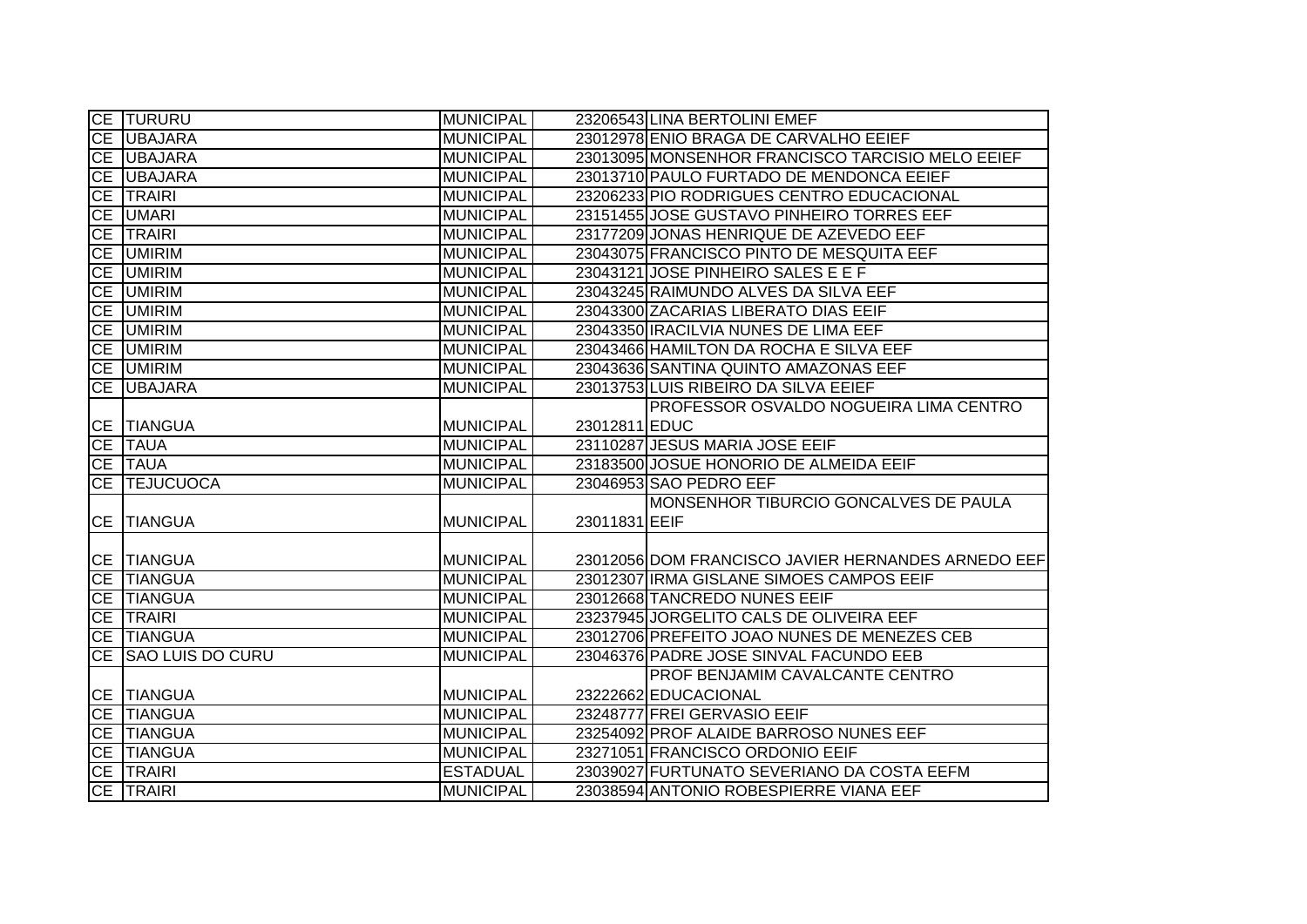|           | CE TURURU               | <b>MUNICIPAL</b> |               | 23206543 LINA BERTOLINI EMEF                       |
|-----------|-------------------------|------------------|---------------|----------------------------------------------------|
|           | CE UBAJARA              | <b>MUNICIPAL</b> |               | 23012978 ENIO BRAGA DE CARVALHO EEIEF              |
|           | CE UBAJARA              | <b>MUNICIPAL</b> |               | 23013095 MONSENHOR FRANCISCO TARCISIO MELO EEIEF   |
| <b>CE</b> | <b>UBAJARA</b>          | <b>MUNICIPAL</b> |               | 23013710 PAULO FURTADO DE MENDONCA EEIEF           |
| <b>CE</b> | <b>TRAIRI</b>           | <b>MUNICIPAL</b> |               | 23206233 PIO RODRIGUES CENTRO EDUCACIONAL          |
| <b>CE</b> | <b>UMARI</b>            | <b>MUNICIPAL</b> |               | 23151455 JOSE GUSTAVO PINHEIRO TORRES EEF          |
| CE        | <b>TRAIRI</b>           | <b>MUNICIPAL</b> |               | 23177209 JONAS HENRIQUE DE AZEVEDO EEF             |
|           | <b>CE UMIRIM</b>        | <b>MUNICIPAL</b> |               | 23043075 FRANCISCO PINTO DE MESQUITA EEF           |
|           | CE UMIRIM               | <b>MUNICIPAL</b> |               | 23043121 JOSE PINHEIRO SALES E E F                 |
|           | CE UMIRIM               | <b>MUNICIPAL</b> |               | 23043245 RAIMUNDO ALVES DA SILVA EEF               |
| CE        | <b>UMIRIM</b>           | <b>MUNICIPAL</b> |               | 23043300 ZACARIAS LIBERATO DIAS EEIF               |
|           | CE UMIRIM               | <b>MUNICIPAL</b> |               | 23043350 IRACILVIA NUNES DE LIMA EEF               |
|           | <b>CE UMIRIM</b>        | <b>MUNICIPAL</b> |               | 23043466 HAMILTON DA ROCHA E SILVA EEF             |
|           | <b>CE UMIRIM</b>        | <b>MUNICIPAL</b> |               | 23043636 SANTINA QUINTO AMAZONAS EEF               |
| <b>CE</b> | <b>UBAJARA</b>          | <b>MUNICIPAL</b> |               | 23013753 LUIS RIBEIRO DA SILVA EEIEF               |
|           |                         |                  |               | PROFESSOR OSVALDO NOGUEIRA LIMA CENTRO             |
|           | CE TIANGUA              | <b>MUNICIPAL</b> | 23012811 EDUC |                                                    |
|           | <b>CE TAUA</b>          | <b>MUNICIPAL</b> |               | 23110287 JESUS MARIA JOSE EEIF                     |
|           | CE TAUA                 | <b>MUNICIPAL</b> |               | 23183500 JOSUE HONORIO DE ALMEIDA EEIF             |
|           | CE TEJUCUOCA            | <b>MUNICIPAL</b> |               | 23046953 SAO PEDRO EEF                             |
|           |                         |                  |               | MONSENHOR TIBURCIO GONCALVES DE PAULA              |
|           | CE TIANGUA              | <b>MUNICIPAL</b> | 23011831 EEIF |                                                    |
|           |                         |                  |               |                                                    |
|           | <b>CE TIANGUA</b>       | <b>MUNICIPAL</b> |               | 23012056 DOM FRANCISCO JAVIER HERNANDES ARNEDO EEF |
|           | <b>CE TIANGUA</b>       | <b>MUNICIPAL</b> |               | 23012307 IRMA GISLANE SIMOES CAMPOS EEIF           |
|           | CE TIANGUA              | <b>MUNICIPAL</b> |               | 23012668 TANCREDO NUNES EEIF                       |
| <b>CE</b> | <b>TRAIRI</b>           | <b>MUNICIPAL</b> |               | 23237945 JORGELITO CALS DE OLIVEIRA EEF            |
| <b>CE</b> | <b>TIANGUA</b>          | <b>MUNICIPAL</b> |               | 23012706 PREFEITO JOAO NUNES DE MENEZES CEB        |
| CE        | <b>SAO LUIS DO CURU</b> | <b>MUNICIPAL</b> |               | 23046376 PADRE JOSE SINVAL FACUNDO EEB             |
|           |                         |                  |               | PROF BENJAMIM CAVALCANTE CENTRO                    |
|           | <b>CE TIANGUA</b>       | <b>MUNICIPAL</b> |               | 23222662 EDUCACIONAL                               |
|           | CE TIANGUA              | <b>MUNICIPAL</b> |               | 23248777 FREI GERVASIO EEIF                        |
|           | <b>CE TIANGUA</b>       | <b>MUNICIPAL</b> |               | 23254092 PROF ALAIDE BARROSO NUNES EEF             |
|           | CE TIANGUA              | <b>MUNICIPAL</b> |               | 23271051 FRANCISCO ORDONIO EEIF                    |
|           | CE TRAIRI               | <b>ESTADUAL</b>  |               | 23039027 FURTUNATO SEVERIANO DA COSTA EEFM         |
|           | CE TRAIRI               | <b>MUNICIPAL</b> |               | 23038594 ANTONIO ROBESPIERRE VIANA EEF             |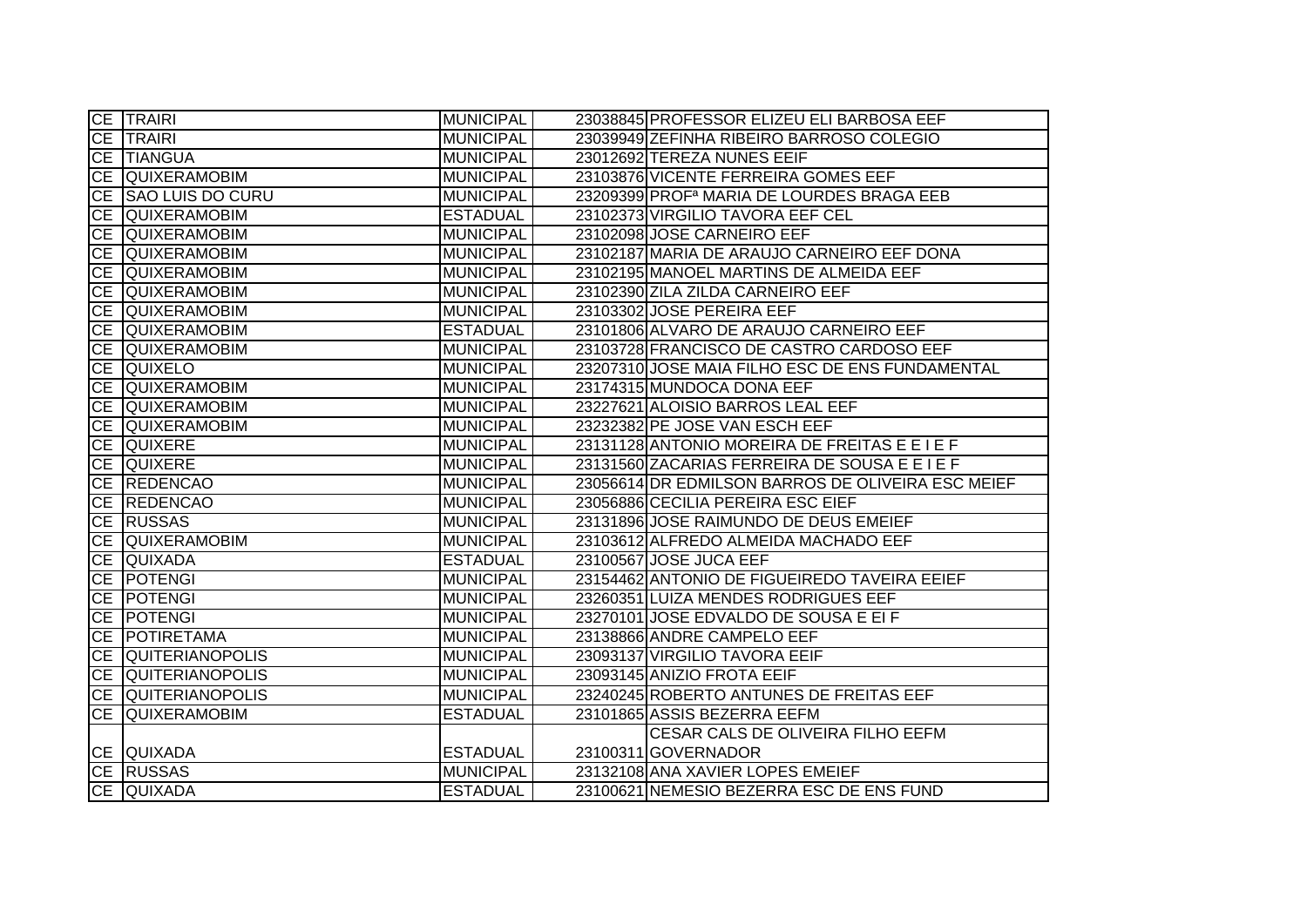|           | <b>CE TRAIRI</b>        | <b>MUNICIPAL</b> | 23038845 PROFESSOR ELIZEU ELI BARBOSA EEF             |
|-----------|-------------------------|------------------|-------------------------------------------------------|
|           | <b>CE TRAIRI</b>        | <b>MUNICIPAL</b> | 23039949 ZEFINHA RIBEIRO BARROSO COLEGIO              |
|           | CE TIANGUA              | <b>MUNICIPAL</b> | 23012692 TEREZA NUNES EEIF                            |
|           | CE QUIXERAMOBIM         | <b>MUNICIPAL</b> | 23103876 VICENTE FERREIRA GOMES EEF                   |
| <b>CE</b> | <b>SAO LUIS DO CURU</b> | <b>MUNICIPAL</b> | 23209399 PROF <sup>a</sup> MARIA DE LOURDES BRAGA EEB |
| <b>CE</b> | <b>QUIXERAMOBIM</b>     | <b>ESTADUAL</b>  | 23102373 VIRGILIO TAVORA EEF CEL                      |
| <b>CE</b> | <b>QUIXERAMOBIM</b>     | <b>MUNICIPAL</b> | 23102098 JOSE CARNEIRO EEF                            |
|           | CE QUIXERAMOBIM         | <b>MUNICIPAL</b> | 23102187 MARIA DE ARAUJO CARNEIRO EEF DONA            |
|           | CE QUIXERAMOBIM         | <b>MUNICIPAL</b> | 23102195 MANOEL MARTINS DE ALMEIDA EEF                |
|           | CE QUIXERAMOBIM         | <b>MUNICIPAL</b> | 23102390 ZILA ZILDA CARNEIRO EEF                      |
|           | CE QUIXERAMOBIM         | <b>MUNICIPAL</b> | 23103302 JOSE PEREIRA EEF                             |
| CE        | <b>QUIXERAMOBIM</b>     | <b>ESTADUAL</b>  | 23101806 ALVARO DE ARAUJO CARNEIRO EEF                |
|           | CE QUIXERAMOBIM         | <b>MUNICIPAL</b> | 23103728 FRANCISCO DE CASTRO CARDOSO EEF              |
|           | CE QUIXELO              | <b>MUNICIPAL</b> | 23207310 JOSE MAIA FILHO ESC DE ENS FUNDAMENTAL       |
| <b>CE</b> | <b>QUIXERAMOBIM</b>     | <b>MUNICIPAL</b> | 23174315 MUNDOCA DONA EEF                             |
| CE        | QUIXERAMOBIM            | <b>MUNICIPAL</b> | 23227621 ALOISIO BARROS LEAL EEF                      |
|           | CE QUIXERAMOBIM         | <b>MUNICIPAL</b> | 23232382 PE JOSE VAN ESCH EEF                         |
|           | <b>CE QUIXERE</b>       | <b>MUNICIPAL</b> | 23131128 ANTONIO MOREIRA DE FREITAS E E I E F         |
|           | <b>CE QUIXERE</b>       | <b>MUNICIPAL</b> | 23131560 ZACARIAS FERREIRA DE SOUSA E E I E F         |
|           | CE REDENCAO             | <b>MUNICIPAL</b> | 23056614 DR EDMILSON BARROS DE OLIVEIRA ESC MEIEF     |
|           | CE REDENCAO             | <b>MUNICIPAL</b> | 23056886 CECILIA PEREIRA ESC EIEF                     |
|           | CE RUSSAS               | <b>MUNICIPAL</b> | 23131896 JOSE RAIMUNDO DE DEUS EMEIEF                 |
|           | CE QUIXERAMOBIM         | <b>MUNICIPAL</b> | 23103612 ALFREDO ALMEIDA MACHADO EEF                  |
|           | CE QUIXADA              | <b>ESTADUAL</b>  | 23100567 JOSE JUCA EEF                                |
|           | CE POTENGI              | <b>MUNICIPAL</b> | 23154462 ANTONIO DE FIGUEIREDO TAVEIRA EEIEF          |
|           | CE POTENGI              | <b>MUNICIPAL</b> | 23260351 LUIZA MENDES RODRIGUES EEF                   |
| <b>CE</b> | <b>POTENGI</b>          | <b>MUNICIPAL</b> | 23270101 JOSE EDVALDO DE SOUSA E EI F                 |
| CE        | POTIRETAMA              | <b>MUNICIPAL</b> | 23138866 ANDRE CAMPELO EEF                            |
|           | CE QUITERIANOPOLIS      | <b>MUNICIPAL</b> | 23093137 VIRGILIO TAVORA EEIF                         |
|           | CE QUITERIANOPOLIS      | <b>MUNICIPAL</b> | 23093145 ANIZIO FROTA EEIF                            |
|           | CE QUITERIANOPOLIS      | <b>MUNICIPAL</b> | 23240245 ROBERTO ANTUNES DE FREITAS EEF               |
| <b>CE</b> | QUIXERAMOBIM            | <b>ESTADUAL</b>  | 23101865 ASSIS BEZERRA EEFM                           |
|           |                         |                  | CESAR CALS DE OLIVEIRA FILHO EEFM                     |
|           | CE QUIXADA              | <b>ESTADUAL</b>  | 23100311 GOVERNADOR                                   |
|           | CE RUSSAS               | <b>MUNICIPAL</b> | 23132108 ANA XAVIER LOPES EMEIEF                      |
|           | CE QUIXADA              | <b>ESTADUAL</b>  | 23100621 NEMESIO BEZERRA ESC DE ENS FUND              |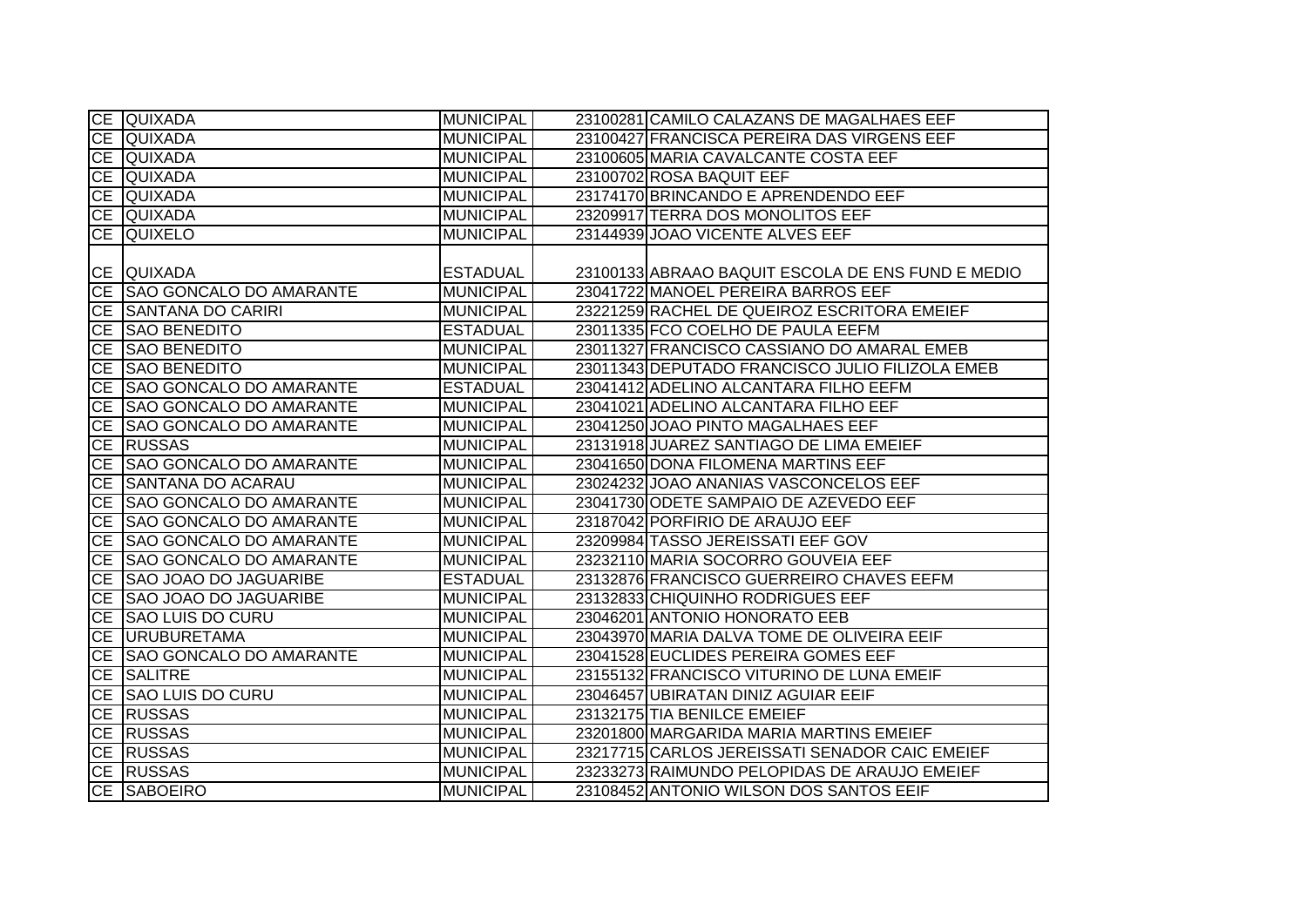|           | CE QUIXADA                     | <b>MUNICIPAL</b> | 23100281 CAMILO CALAZANS DE MAGALHAES EEF         |
|-----------|--------------------------------|------------------|---------------------------------------------------|
|           | CE QUIXADA                     | <b>MUNICIPAL</b> | 23100427 FRANCISCA PEREIRA DAS VIRGENS EEF        |
|           | CE QUIXADA                     | <b>MUNICIPAL</b> | 23100605 MARIA CAVALCANTE COSTA EEF               |
|           | CE QUIXADA                     | <b>MUNICIPAL</b> | 23100702 ROSA BAQUIT EEF                          |
|           | CE QUIXADA                     | <b>MUNICIPAL</b> | 23174170 BRINCANDO E APRENDENDO EEF               |
|           | CE QUIXADA                     | <b>MUNICIPAL</b> | 23209917 TERRA DOS MONOLITOS EEF                  |
|           | CE QUIXELO                     | <b>MUNICIPAL</b> | 23144939 JOAO VICENTE ALVES EEF                   |
|           |                                |                  |                                                   |
|           | CE QUIXADA                     | <b>ESTADUAL</b>  | 23100133 ABRAAO BAQUIT ESCOLA DE ENS FUND E MEDIO |
|           | CE SAO GONCALO DO AMARANTE     | <b>MUNICIPAL</b> | 23041722 MANOEL PEREIRA BARROS EEF                |
|           | CE SANTANA DO CARIRI           | <b>MUNICIPAL</b> | 23221259 RACHEL DE QUEIROZ ESCRITORA EMEIEF       |
|           | CE SAO BENEDITO                | <b>ESTADUAL</b>  | 23011335 FCO COELHO DE PAULA EEFM                 |
|           | CE SAO BENEDITO                | <b>MUNICIPAL</b> | 23011327 FRANCISCO CASSIANO DO AMARAL EMEB        |
| CE        | <b>SAO BENEDITO</b>            | <b>MUNICIPAL</b> | 23011343 DEPUTADO FRANCISCO JULIO FILIZOLA EMEB   |
|           | CE SAO GONCALO DO AMARANTE     | <b>ESTADUAL</b>  | 23041412 ADELINO ALCANTARA FILHO EEFM             |
|           | CE SAO GONCALO DO AMARANTE     | <b>MUNICIPAL</b> | 23041021 ADELINO ALCANTARA FILHO EEF              |
| <b>CE</b> | <b>SAO GONCALO DO AMARANTE</b> | <b>MUNICIPAL</b> | 23041250 JOAO PINTO MAGALHAES EEF                 |
|           | CE RUSSAS                      | <b>MUNICIPAL</b> | 23131918 JUAREZ SANTIAGO DE LIMA EMEIEF           |
|           | CE SAO GONCALO DO AMARANTE     | <b>MUNICIPAL</b> | 23041650 DONA FILOMENA MARTINS EEF                |
|           | CE SANTANA DO ACARAU           | <b>MUNICIPAL</b> | 23024232 JOAO ANANIAS VASCONCELOS EEF             |
|           | CE SAO GONCALO DO AMARANTE     | <b>MUNICIPAL</b> | 23041730 ODETE SAMPAIO DE AZEVEDO EEF             |
|           | CE SAO GONCALO DO AMARANTE     | <b>MUNICIPAL</b> | 23187042 PORFIRIO DE ARAUJO EEF                   |
| CE        | <b>SAO GONCALO DO AMARANTE</b> | <b>MUNICIPAL</b> | 23209984 TASSO JEREISSATI EEF GOV                 |
|           | CE SAO GONCALO DO AMARANTE     | <b>MUNICIPAL</b> | 23232110 MARIA SOCORRO GOUVEIA EEF                |
|           | CE SAO JOAO DO JAGUARIBE       | <b>ESTADUAL</b>  | 23132876 FRANCISCO GUERREIRO CHAVES EEFM          |
|           | CE SAO JOAO DO JAGUARIBE       | <b>MUNICIPAL</b> | 23132833 CHIQUINHO RODRIGUES EEF                  |
| CE        | <b>SAO LUIS DO CURU</b>        | <b>MUNICIPAL</b> | 23046201 ANTONIO HONORATO EEB                     |
|           | CE URUBURETAMA                 | <b>MUNICIPAL</b> | 23043970 MARIA DALVA TOME DE OLIVEIRA EEIF        |
| CE        | <b>SAO GONCALO DO AMARANTE</b> | <b>MUNICIPAL</b> | 23041528 EUCLIDES PEREIRA GOMES EEF               |
|           | CE SALITRE                     | <b>MUNICIPAL</b> | 23155132 FRANCISCO VITURINO DE LUNA EMEIF         |
|           | CE SAO LUIS DO CURU            | <b>MUNICIPAL</b> | 23046457 UBIRATAN DINIZ AGUIAR EEIF               |
|           | CE RUSSAS                      | <b>MUNICIPAL</b> | 23132175 TIA BENILCE EMEIEF                       |
|           | CE RUSSAS                      | <b>MUNICIPAL</b> | 23201800 MARGARIDA MARIA MARTINS EMEIEF           |
|           | CE RUSSAS                      | <b>MUNICIPAL</b> | 23217715 CARLOS JEREISSATI SENADOR CAIC EMEIEF    |
|           | CE RUSSAS                      | <b>MUNICIPAL</b> | 23233273 RAIMUNDO PELOPIDAS DE ARAUJO EMEIEF      |
|           | <b>CE SABOEIRO</b>             | <b>MUNICIPAL</b> | 23108452 ANTONIO WILSON DOS SANTOS EEIF           |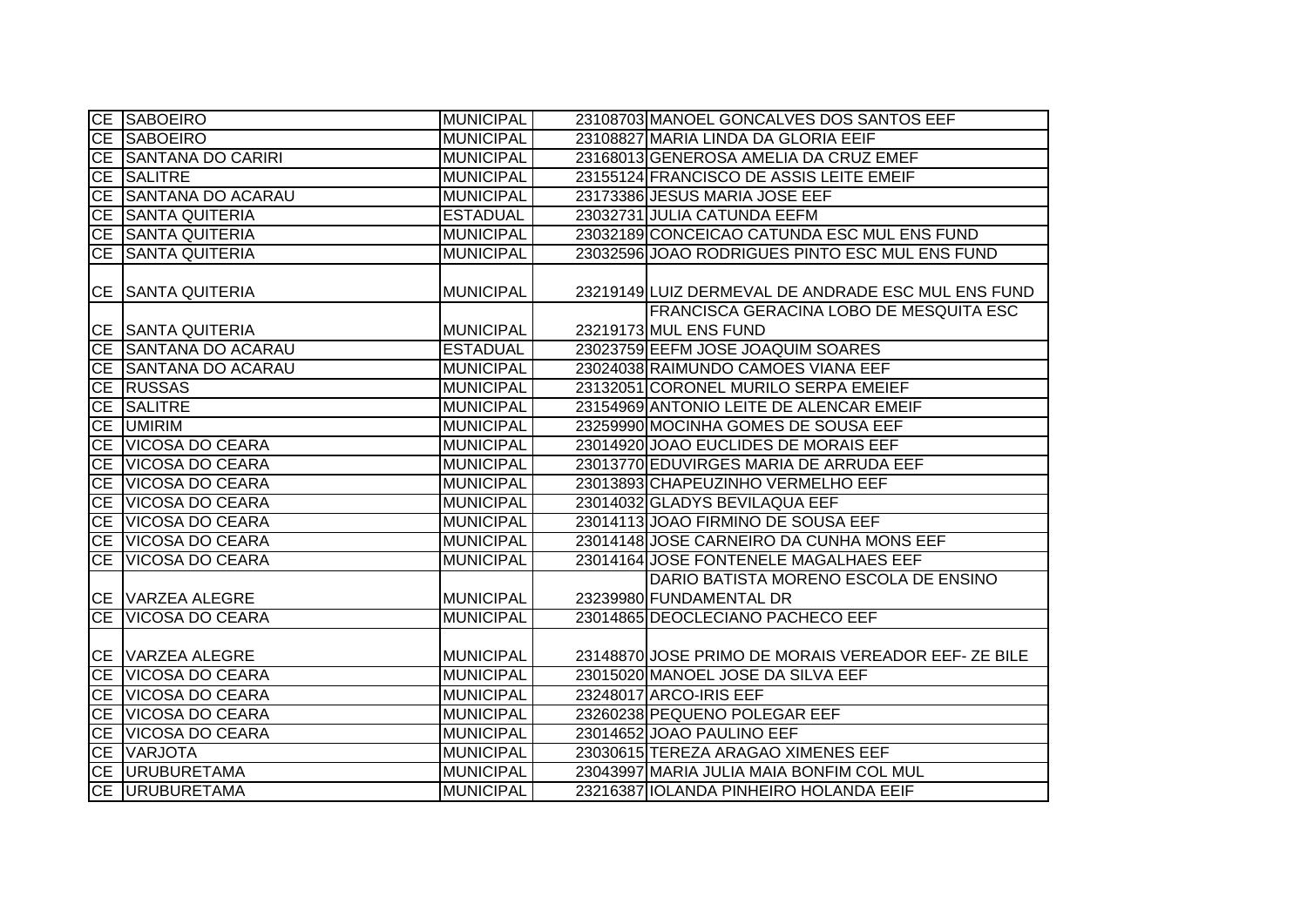|           | CE SABOEIRO             | <b>MUNICIPAL</b> | 23108703 MANOEL GONCALVES DOS SANTOS EEF           |
|-----------|-------------------------|------------------|----------------------------------------------------|
|           | <b>CE SABOEIRO</b>      | <b>MUNICIPAL</b> | 23108827 MARIA LINDA DA GLORIA EEIF                |
|           | CE SANTANA DO CARIRI    | <b>MUNICIPAL</b> | 23168013 GENEROSA AMELIA DA CRUZ EMEF              |
|           | CE SALITRE              | <b>MUNICIPAL</b> | 23155124 FRANCISCO DE ASSIS LEITE EMEIF            |
|           | CE SANTANA DO ACARAU    | <b>MUNICIPAL</b> | 23173386 JESUS MARIA JOSE EEF                      |
|           | CE SANTA QUITERIA       | <b>ESTADUAL</b>  | 23032731 JULIA CATUNDA EEFM                        |
|           | CE SANTA QUITERIA       | <b>MUNICIPAL</b> | 23032189 CONCEICAO CATUNDA ESC MUL ENS FUND        |
|           | CE SANTA QUITERIA       | <b>MUNICIPAL</b> | 23032596 JOAO RODRIGUES PINTO ESC MUL ENS FUND     |
|           |                         |                  |                                                    |
|           | CE SANTA QUITERIA       | <b>MUNICIPAL</b> | 23219149 LUIZ DERMEVAL DE ANDRADE ESC MUL ENS FUND |
|           |                         |                  | <b>FRANCISCA GERACINA LOBO DE MESQUITA ESC</b>     |
|           | CE SANTA QUITERIA       | <b>MUNICIPAL</b> | 23219173 MUL ENS FUND                              |
|           | CE SANTANA DO ACARAU    | <b>ESTADUAL</b>  | 23023759 EEFM JOSE JOAQUIM SOARES                  |
|           | CE SANTANA DO ACARAU    | <b>MUNICIPAL</b> | 23024038 RAIMUNDO CAMOES VIANA EEF                 |
|           | CE RUSSAS               | <b>MUNICIPAL</b> | 23132051 CORONEL MURILO SERPA EMEIEF               |
|           | CE SALITRE              | <b>MUNICIPAL</b> | 23154969 ANTONIO LEITE DE ALENCAR EMEIF            |
| CE        | <b>UMIRIM</b>           | <b>MUNICIPAL</b> | 23259990 MOCINHA GOMES DE SOUSA EEF                |
| <b>CE</b> | VICOSA DO CEARA         | <b>MUNICIPAL</b> | 23014920 JOAO EUCLIDES DE MORAIS EEF               |
|           | CE VICOSA DO CEARA      | <b>MUNICIPAL</b> | 23013770 EDUVIRGES MARIA DE ARRUDA EEF             |
|           | CE VICOSA DO CEARA      | <b>MUNICIPAL</b> | 23013893 CHAPEUZINHO VERMELHO EEF                  |
|           | CE VICOSA DO CEARA      | <b>MUNICIPAL</b> | 23014032 GLADYS BEVILAQUA EEF                      |
|           | CE VICOSA DO CEARA      | <b>MUNICIPAL</b> | 23014113 JOAO FIRMINO DE SOUSA EEF                 |
|           | CE VICOSA DO CEARA      | <b>MUNICIPAL</b> | 23014148 JOSE CARNEIRO DA CUNHA MONS EEF           |
| <b>CE</b> | VICOSA DO CEARA         | <b>MUNICIPAL</b> | 23014164 JOSE FONTENELE MAGALHAES EEF              |
|           |                         |                  | DARIO BATISTA MORENO ESCOLA DE ENSINO              |
|           | <b>CE VARZEA ALEGRE</b> | <b>MUNICIPAL</b> | 23239980 FUNDAMENTAL DR                            |
| CE        | <b>VICOSA DO CEARA</b>  | <b>MUNICIPAL</b> | 23014865 DEOCLECIANO PACHECO EEF                   |
|           |                         |                  |                                                    |
|           | CE VARZEA ALEGRE        | <b>MUNICIPAL</b> | 23148870 JOSE PRIMO DE MORAIS VEREADOR EEF-ZE BILE |
|           | CE VICOSA DO CEARA      | <b>MUNICIPAL</b> | 23015020 MANOEL JOSE DA SILVA EEF                  |
|           | CE VICOSA DO CEARA      | <b>MUNICIPAL</b> | 23248017 ARCO-IRIS EEF                             |
|           | CE VICOSA DO CEARA      | <b>MUNICIPAL</b> | 23260238 PEQUENO POLEGAR EEF                       |
|           | CE VICOSA DO CEARA      | <b>MUNICIPAL</b> | 23014652 JOAO PAULINO EEF                          |
|           | CE VARJOTA              | <b>MUNICIPAL</b> | 23030615 TEREZA ARAGAO XIMENES EEF                 |
|           | CE URUBURETAMA          | <b>MUNICIPAL</b> | 23043997 MARIA JULIA MAIA BONFIM COL MUL           |
|           | CE URUBURETAMA          | <b>MUNICIPAL</b> | 23216387 IOLANDA PINHEIRO HOLANDA EEIF             |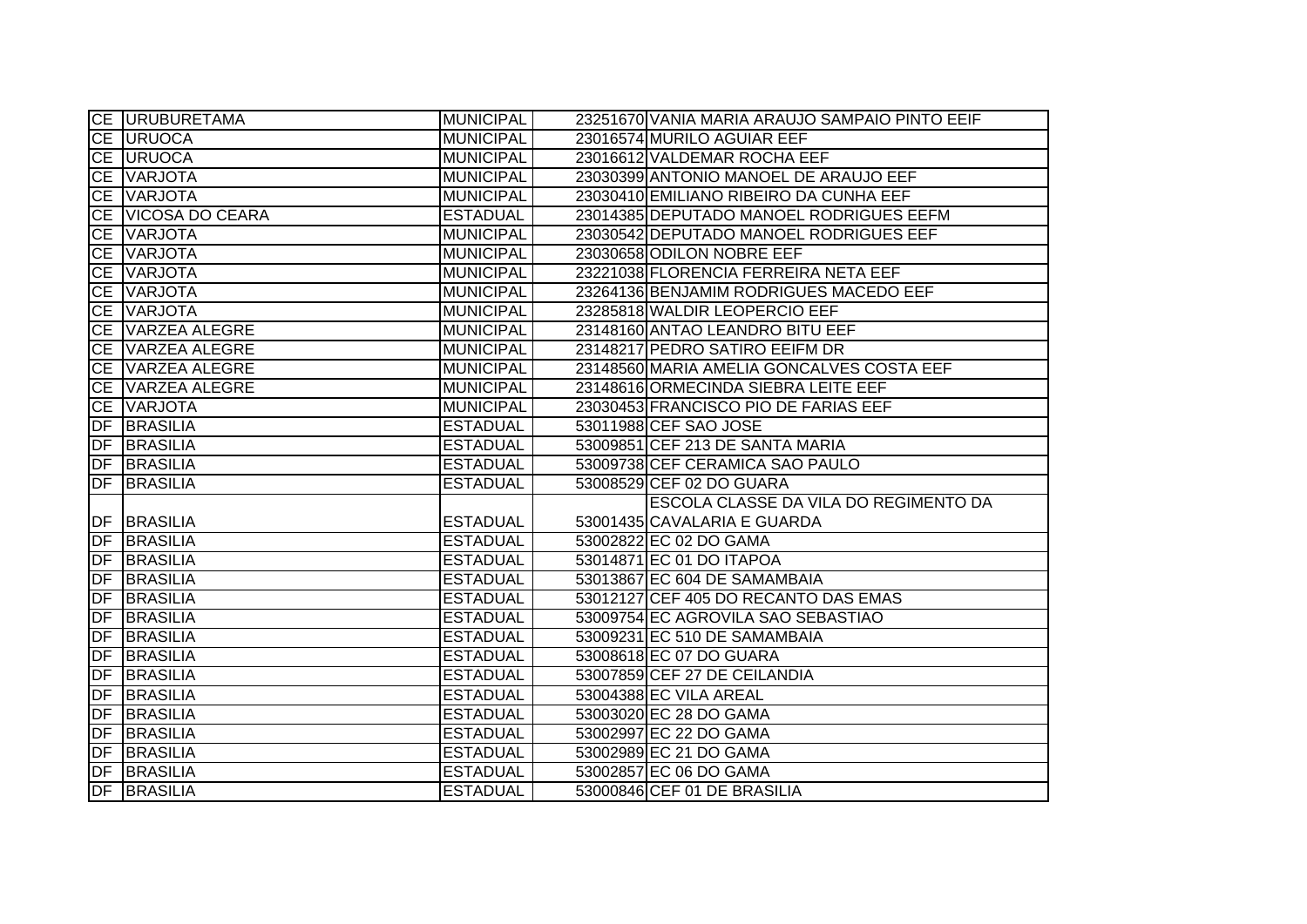|    | <b>CE URUBURETAMA</b>                 | <b>MUNICIPAL</b> | 23251670 VANIA MARIA ARAUJO SAMPAIO PINTO EEIF |
|----|---------------------------------------|------------------|------------------------------------------------|
|    | <b>CE URUOCA</b>                      | <b>MUNICIPAL</b> | 23016574 MURILO AGUIAR EEF                     |
|    | <b>CE URUOCA</b>                      | <b>MUNICIPAL</b> | 23016612 VALDEMAR ROCHA EEF                    |
|    | CE VARJOTA                            | <b>MUNICIPAL</b> | 23030399 ANTONIO MANOEL DE ARAUJO EEF          |
|    | CE VARJOTA                            | <b>MUNICIPAL</b> | 23030410 EMILIANO RIBEIRO DA CUNHA EEF         |
|    | CE VICOSA DO CEARA                    | <b>ESTADUAL</b>  | 23014385 DEPUTADO MANOEL RODRIGUES EEFM        |
|    | CE VARJOTA                            | <b>MUNICIPAL</b> | 23030542 DEPUTADO MANOEL RODRIGUES EEF         |
|    | CE VARJOTA                            | <b>MUNICIPAL</b> | 23030658 ODILON NOBRE EEF                      |
|    | CE VARJOTA                            | <b>MUNICIPAL</b> | 23221038 FLORENCIA FERREIRA NETA EEF           |
|    | CE VARJOTA                            | <b>MUNICIPAL</b> | 23264136 BENJAMIM RODRIGUES MACEDO EEF         |
|    | CE VARJOTA                            | <b>MUNICIPAL</b> | 23285818 WALDIR LEOPERCIO EEF                  |
|    | CE VARZEA ALEGRE                      | <b>MUNICIPAL</b> | 23148160 ANTAO LEANDRO BITU EEF                |
|    | CE VARZEA ALEGRE                      | <b>MUNICIPAL</b> | 23148217 PEDRO SATIRO EEIFM DR                 |
|    | CE VARZEA ALEGRE                      | <b>MUNICIPAL</b> | 23148560 MARIA AMELIA GONCALVES COSTA EEF      |
|    | CE VARZEA ALEGRE                      | <b>MUNICIPAL</b> | 23148616 ORMECINDA SIEBRA LEITE EEF            |
|    | CE VARJOTA                            | <b>MUNICIPAL</b> | 23030453 FRANCISCO PIO DE FARIAS EEF           |
|    | <b>DF BRASILIA</b>                    | <b>ESTADUAL</b>  | 53011988 CEF SAO JOSE                          |
| DF | <b>BRASILIA</b>                       | <b>ESTADUAL</b>  | 53009851 CEF 213 DE SANTA MARIA                |
|    |                                       |                  |                                                |
|    | <b>DF BRASILIA</b>                    | <b>ESTADUAL</b>  | 53009738 CEF CERAMICA SAO PAULO                |
|    | <b>DF BRASILIA</b>                    | <b>ESTADUAL</b>  | 53008529 CEF 02 DO GUARA                       |
|    |                                       |                  | ESCOLA CLASSE DA VILA DO REGIMENTO DA          |
|    | DF BRASILIA                           | <b>ESTADUAL</b>  | 53001435 CAVALARIA E GUARDA                    |
|    | <b>DF BRASILIA</b>                    | <b>ESTADUAL</b>  | 53002822 EC 02 DO GAMA                         |
|    | <b>DF BRASILIA</b>                    | <b>ESTADUAL</b>  | 53014871 EC 01 DO ITAPOA                       |
|    | <b>DF BRASILIA</b>                    | <b>ESTADUAL</b>  | 53013867 EC 604 DE SAMAMBAIA                   |
|    | <b>DF BRASILIA</b>                    | <b>ESTADUAL</b>  | 53012127 CEF 405 DO RECANTO DAS EMAS           |
|    | <b>DF BRASILIA</b>                    | <b>ESTADUAL</b>  | 53009754 EC AGROVILA SAO SEBASTIAO             |
|    | <b>DF BRASILIA</b>                    | <b>ESTADUAL</b>  | 53009231 EC 510 DE SAMAMBAIA                   |
| DF | <b>BRASILIA</b>                       | <b>ESTADUAL</b>  | 53008618 EC 07 DO GUARA                        |
|    | <b>DF BRASILIA</b>                    | <b>ESTADUAL</b>  | 53007859 CEF 27 DE CEILANDIA                   |
|    | <b>DF BRASILIA</b>                    | <b>ESTADUAL</b>  | 53004388 EC VILA AREAL                         |
|    | <b>DF BRASILIA</b>                    | <b>ESTADUAL</b>  | 53003020 EC 28 DO GAMA                         |
|    | <b>DF BRASILIA</b>                    | <b>ESTADUAL</b>  | 53002997 EC 22 DO GAMA                         |
|    | <b>DF BRASILIA</b>                    | <b>ESTADUAL</b>  | 53002989 EC 21 DO GAMA                         |
| DF | <b>BRASILIA</b><br><b>DF BRASILIA</b> | <b>ESTADUAL</b>  | 53002857 EC 06 DO GAMA                         |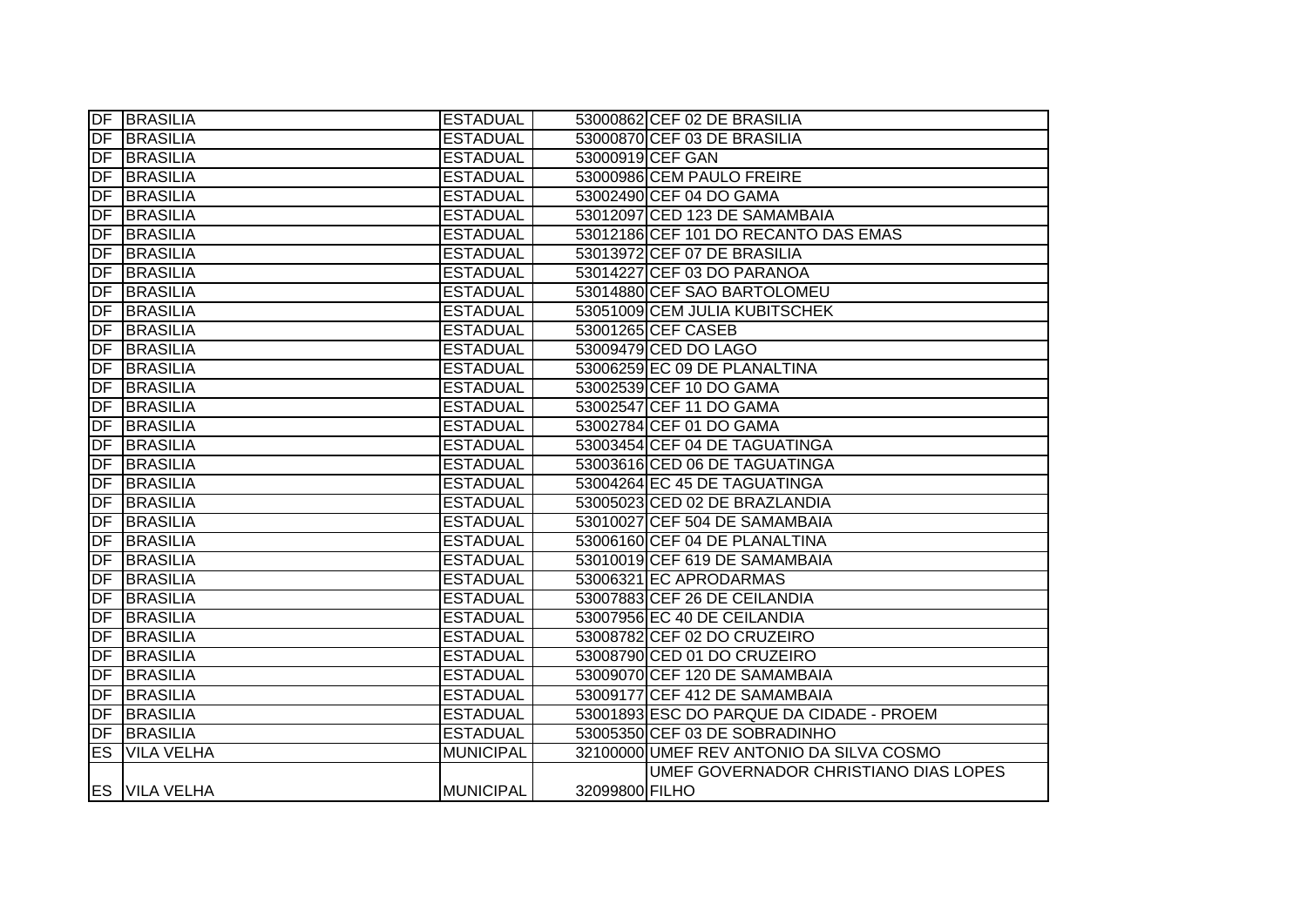|           | <b>DF BRASILIA</b>   | <b>ESTADUAL</b>  |                | 53000862 CEF 02 DE BRASILIA              |
|-----------|----------------------|------------------|----------------|------------------------------------------|
|           | <b>DF BRASILIA</b>   | <b>ESTADUAL</b>  |                | 53000870 CEF 03 DE BRASILIA              |
|           | <b>DF BRASILIA</b>   | <b>ESTADUAL</b>  |                | 53000919 CEF GAN                         |
| DF        | <b>BRASILIA</b>      | <b>ESTADUAL</b>  |                | 53000986 CEM PAULO FREIRE                |
| DF        | <b>BRASILIA</b>      | <b>ESTADUAL</b>  |                | 53002490 CEF 04 DO GAMA                  |
| DF        | <b>BRASILIA</b>      | <b>ESTADUAL</b>  |                | 53012097 CED 123 DE SAMAMBAIA            |
| DF        | <b>BRASILIA</b>      | <b>ESTADUAL</b>  |                | 53012186 CEF 101 DO RECANTO DAS EMAS     |
| DF        | BRASILIA             | <b>ESTADUAL</b>  |                | 53013972 CEF 07 DE BRASILIA              |
| DF        | BRASILIA             | <b>ESTADUAL</b>  |                | 53014227 CEF 03 DO PARANOA               |
| DF        | <b>BRASILIA</b>      | <b>ESTADUAL</b>  |                | 53014880 CEF SAO BARTOLOMEU              |
| DF        | <b>BRASILIA</b>      | <b>ESTADUAL</b>  |                | 53051009 CEM JULIA KUBITSCHEK            |
| DF        | <b>BRASILIA</b>      | <b>ESTADUAL</b>  |                | 53001265 CEF CASEB                       |
| <b>DF</b> | <b>BRASILIA</b>      | <b>ESTADUAL</b>  |                | 53009479 CED DO LAGO                     |
| DF        | BRASILIA             | <b>ESTADUAL</b>  |                | 53006259 EC 09 DE PLANALTINA             |
| DF        | <b>BRASILIA</b>      | <b>ESTADUAL</b>  |                | 53002539 CEF 10 DO GAMA                  |
| DF        | <b>BRASILIA</b>      | <b>ESTADUAL</b>  |                | 53002547 CEF 11 DO GAMA                  |
| DF        | <b>BRASILIA</b>      | <b>ESTADUAL</b>  |                | 53002784 CEF 01 DO GAMA                  |
| DF        | <b>BRASILIA</b>      | <b>ESTADUAL</b>  |                | 53003454 CEF 04 DE TAGUATINGA            |
| DF        | <b>BRASILIA</b>      | <b>ESTADUAL</b>  |                | 53003616 CED 06 DE TAGUATINGA            |
| DF        | <b>BRASILIA</b>      | <b>ESTADUAL</b>  |                | 53004264 EC 45 DE TAGUATINGA             |
| DF        | BRASILIA             | <b>ESTADUAL</b>  |                | 53005023 CED 02 DE BRAZLANDIA            |
| DF        | BRASILIA             | <b>ESTADUAL</b>  |                | 53010027 CEF 504 DE SAMAMBAIA            |
| DF        | <b>BRASILIA</b>      | <b>ESTADUAL</b>  |                | 53006160 CEF 04 DE PLANALTINA            |
| DF        | <b>BRASILIA</b>      | <b>ESTADUAL</b>  |                | 53010019 CEF 619 DE SAMAMBAIA            |
| DF        | <b>BRASILIA</b>      | <b>ESTADUAL</b>  |                | 53006321 EC APRODARMAS                   |
| DF        | <b>BRASILIA</b>      | <b>ESTADUAL</b>  |                | 53007883 CEF 26 DE CEILANDIA             |
| DF        | <b>BRASILIA</b>      | <b>ESTADUAL</b>  |                | 53007956 EC 40 DE CEILANDIA              |
| DF        | <b>BRASILIA</b>      | <b>ESTADUAL</b>  |                | 53008782 CEF 02 DO CRUZEIRO              |
| DF        | <b>BRASILIA</b>      | <b>ESTADUAL</b>  |                | 53008790 CED 01 DO CRUZEIRO              |
| DF        | <b>BRASILIA</b>      | <b>ESTADUAL</b>  |                | 53009070 CEF 120 DE SAMAMBAIA            |
| DF        | <b>BRASILIA</b>      | <b>ESTADUAL</b>  |                | 53009177 CEF 412 DE SAMAMBAIA            |
| DF        | <b>BRASILIA</b>      | <b>ESTADUAL</b>  |                | 53001893 ESC DO PARQUE DA CIDADE - PROEM |
|           | DF BRASILIA          | <b>ESTADUAL</b>  |                | 53005350 CEF 03 DE SOBRADINHO            |
| ES        | <b>VILA VELHA</b>    | <b>MUNICIPAL</b> |                | 32100000 UMEF REV ANTONIO DA SILVA COSMO |
|           |                      |                  |                | UMEF GOVERNADOR CHRISTIANO DIAS LOPES    |
|           | <b>ES VILA VELHA</b> | <b>MUNICIPAL</b> | 32099800 FILHO |                                          |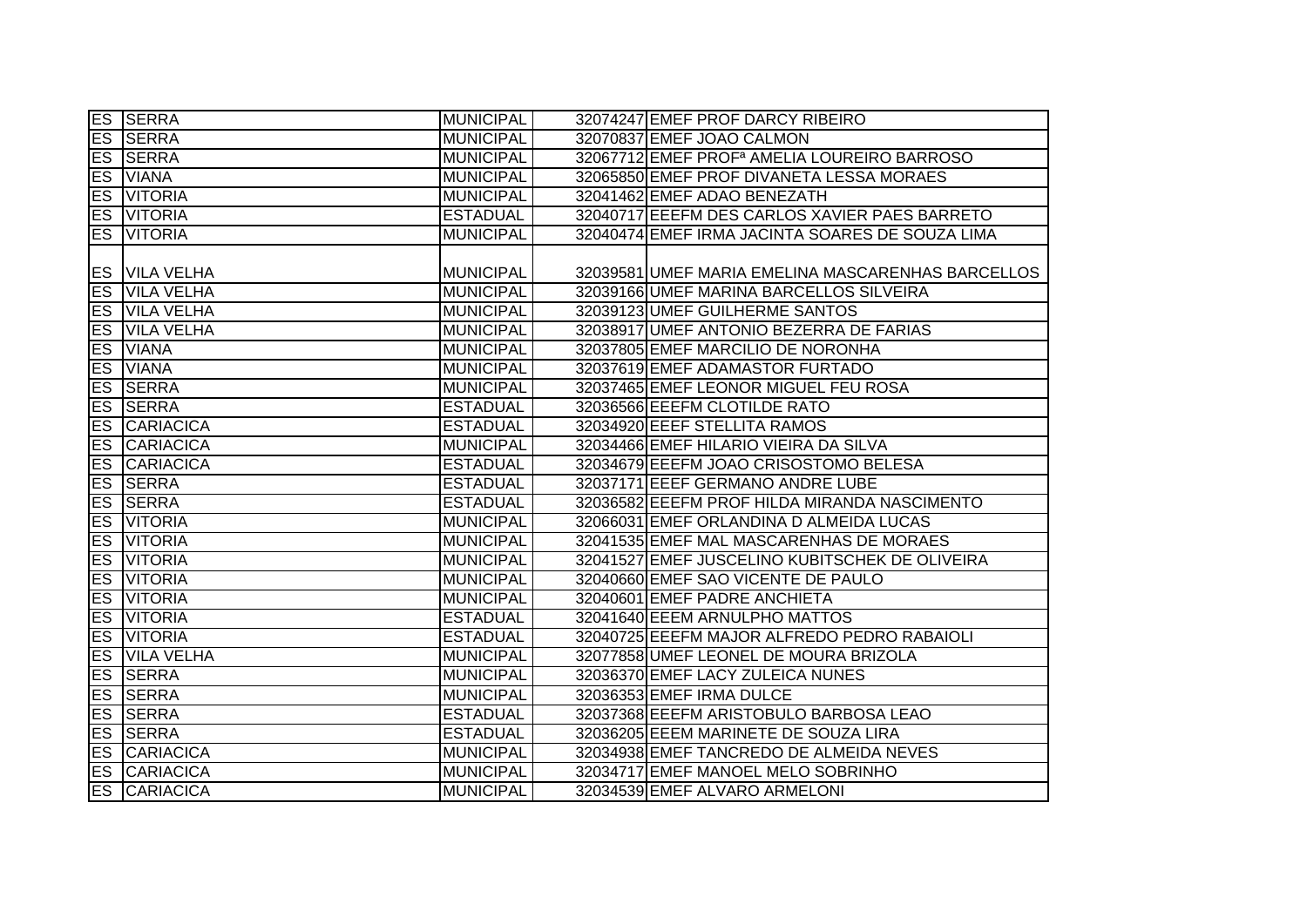|                        | <b>ES SERRA</b>     | <b>MUNICIPAL</b> | 32074247 EMEF PROF DARCY RIBEIRO                        |
|------------------------|---------------------|------------------|---------------------------------------------------------|
|                        | <b>ES SERRA</b>     | <b>MUNICIPAL</b> | 32070837 EMEF JOAO CALMON                               |
|                        | <b>ES SERRA</b>     | <b>MUNICIPAL</b> | 32067712 EMEF PROF <sup>a</sup> AMELIA LOUREIRO BARROSO |
|                        | <b>ES</b> VIANA     | <b>MUNICIPAL</b> | 32065850 EMEF PROF DIVANETA LESSA MORAES                |
|                        | <b>ES VITORIA</b>   | <b>MUNICIPAL</b> | 32041462 EMEF ADAO BENEZATH                             |
|                        | <b>ES VITORIA</b>   | <b>ESTADUAL</b>  | 32040717 EEEFM DES CARLOS XAVIER PAES BARRETO           |
|                        | <b>ES VITORIA</b>   | <b>MUNICIPAL</b> | 32040474 EMEF IRMA JACINTA SOARES DE SOUZA LIMA         |
|                        |                     |                  |                                                         |
|                        | ES VILA VELHA       | <b>MUNICIPAL</b> | 32039581 UMEF MARIA EMELINA MASCARENHAS BARCELLOS       |
| ES                     | <b>VILA VELHA</b>   | <b>MUNICIPAL</b> | 32039166 UMEF MARINA BARCELLOS SILVEIRA                 |
| <b>ES</b>              | <b>VILA VELHA</b>   | <b>MUNICIPAL</b> | 32039123 UMEF GUILHERME SANTOS                          |
|                        | ES VILA VELHA       | <b>MUNICIPAL</b> | 32038917 UMEF ANTONIO BEZERRA DE FARIAS                 |
| <b>ES</b>              | <b>VIANA</b>        | <b>MUNICIPAL</b> | 32037805 EMEF MARCILIO DE NORONHA                       |
| <b>ES</b>              | <b>VIANA</b>        | <b>MUNICIPAL</b> | 32037619 EMEF ADAMASTOR FURTADO                         |
| ES                     | <b>SERRA</b>        | <b>MUNICIPAL</b> | 32037465 EMEF LEONOR MIGUEL FEU ROSA                    |
|                        | <b>ES SERRA</b>     | <b>ESTADUAL</b>  | 32036566 EEEFM CLOTILDE RATO                            |
| ES                     | <b>CARIACICA</b>    | <b>ESTADUAL</b>  | 32034920 EEEF STELLITA RAMOS                            |
|                        | <b>ES CARIACICA</b> | <b>MUNICIPAL</b> | 32034466 EMEF HILARIO VIEIRA DA SILVA                   |
|                        | <b>ES CARIACICA</b> | <b>ESTADUAL</b>  | 32034679 EEEFM JOAO CRISOSTOMO BELESA                   |
|                        | <b>ES SERRA</b>     | <b>ESTADUAL</b>  | 32037171 EEEF GERMANO ANDRE LUBE                        |
|                        | <b>ES SERRA</b>     | <b>ESTADUAL</b>  | 32036582 EEEFM PROF HILDA MIRANDA NASCIMENTO            |
| ES                     | <b>VITORIA</b>      | <b>MUNICIPAL</b> | 32066031 EMEF ORLANDINA D ALMEIDA LUCAS                 |
| $\overline{\text{ES}}$ | <b>VITORIA</b>      | <b>MUNICIPAL</b> | 32041535 EMEF MAL MASCARENHAS DE MORAES                 |
| ES                     | <b>VITORIA</b>      | <b>MUNICIPAL</b> | 32041527 EMEF JUSCELINO KUBITSCHEK DE OLIVEIRA          |
|                        | <b>ES VITORIA</b>   | <b>MUNICIPAL</b> | 32040660 EMEF SAO VICENTE DE PAULO                      |
| ES                     | <b>VITORIA</b>      | <b>MUNICIPAL</b> | 32040601 EMEF PADRE ANCHIETA                            |
| ES                     | <b>VITORIA</b>      | <b>ESTADUAL</b>  | 32041640 EEEM ARNULPHO MATTOS                           |
| ES                     | <b>VITORIA</b>      | <b>ESTADUAL</b>  | 32040725 EEEFM MAJOR ALFREDO PEDRO RABAIOLI             |
| <b>ES</b>              | <b>VILA VELHA</b>   | <b>MUNICIPAL</b> | 32077858 UMEF LEONEL DE MOURA BRIZOLA                   |
|                        | <b>ES SERRA</b>     | <b>MUNICIPAL</b> | 32036370 EMEF LACY ZULEICA NUNES                        |
|                        | <b>ES SERRA</b>     | <b>MUNICIPAL</b> | 32036353 EMEF IRMA DULCE                                |
|                        | <b>ES SERRA</b>     | <b>ESTADUAL</b>  | 32037368 EEEFM ARISTOBULO BARBOSA LEAO                  |
|                        | <b>ES SERRA</b>     | <b>ESTADUAL</b>  | 32036205 EEEM MARINETE DE SOUZA LIRA                    |
|                        | <b>ES CARIACICA</b> | <b>MUNICIPAL</b> | 32034938 EMEF TANCREDO DE ALMEIDA NEVES                 |
|                        | <b>ES CARIACICA</b> | <b>MUNICIPAL</b> | 32034717 EMEF MANOEL MELO SOBRINHO                      |
|                        | <b>ES CARIACICA</b> | <b>MUNICIPAL</b> | 32034539 EMEF ALVARO ARMELONI                           |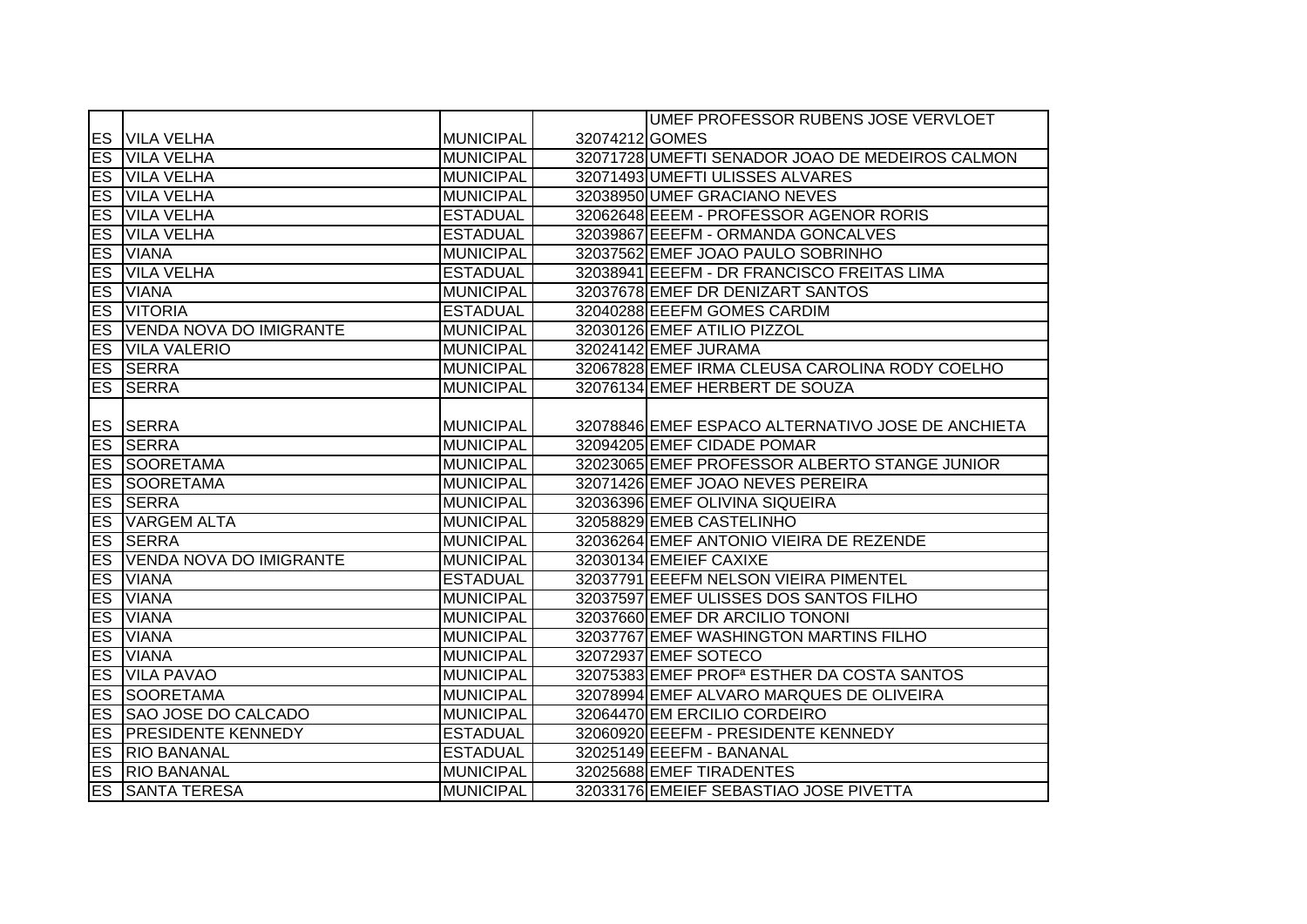|           |                                |                  |                | UMEF PROFESSOR RUBENS JOSE VERVLOET                    |
|-----------|--------------------------------|------------------|----------------|--------------------------------------------------------|
|           | <b>ES VILA VELHA</b>           | MUNICIPAL        | 32074212 GOMES |                                                        |
|           | <b>ES VILA VELHA</b>           | <b>MUNICIPAL</b> |                | 32071728 UMEFTI SENADOR JOAO DE MEDEIROS CALMON        |
|           | <b>ES VILA VELHA</b>           | <b>MUNICIPAL</b> |                | 32071493 UMEFTI ULISSES ALVARES                        |
| <b>ES</b> | <b>VILA VELHA</b>              | <b>MUNICIPAL</b> |                | 32038950 UMEF GRACIANO NEVES                           |
| ES        | <b>VILA VELHA</b>              | <b>ESTADUAL</b>  |                | 32062648 EEEM - PROFESSOR AGENOR RORIS                 |
| ES        | <b>VILA VELHA</b>              | <b>ESTADUAL</b>  |                | 32039867 EEEFM - ORMANDA GONCALVES                     |
| ES        | <b>VIANA</b>                   | <b>MUNICIPAL</b> |                | 32037562 EMEF JOAO PAULO SOBRINHO                      |
| <b>ES</b> | <b>VILA VELHA</b>              | <b>ESTADUAL</b>  |                | 32038941 EEEFM - DR FRANCISCO FREITAS LIMA             |
| <b>ES</b> | <b>VIANA</b>                   | <b>MUNICIPAL</b> |                | 32037678 EMEF DR DENIZART SANTOS                       |
| ES        | <b>VITORIA</b>                 | <b>ESTADUAL</b>  |                | 32040288 EEEFM GOMES CARDIM                            |
| <b>ES</b> | <b>VENDA NOVA DO IMIGRANTE</b> | MUNICIPAL        |                | 32030126 EMEF ATILIO PIZZOL                            |
| <b>ES</b> | <b>VILA VALERIO</b>            | MUNICIPAL        |                | 32024142 EMEF JURAMA                                   |
|           | <b>ES SERRA</b>                | MUNICIPAL        |                | 32067828 EMEF IRMA CLEUSA CAROLINA RODY COELHO         |
| ES        | <b>SERRA</b>                   | <b>MUNICIPAL</b> |                | 32076134 EMEF HERBERT DE SOUZA                         |
|           |                                |                  |                |                                                        |
|           | ES SERRA                       | MUNICIPAL        |                | 32078846 EMEF ESPACO ALTERNATIVO JOSE DE ANCHIETA      |
|           | <b>ES SERRA</b>                | <b>MUNICIPAL</b> |                | 32094205 EMEF CIDADE POMAR                             |
|           | <b>ES SOORETAMA</b>            | MUNICIPAL        |                | 32023065 EMEF PROFESSOR ALBERTO STANGE JUNIOR          |
|           | <b>ES SOORETAMA</b>            | MUNICIPAL        |                | 32071426 EMEF JOAO NEVES PEREIRA                       |
|           | <b>ES SERRA</b>                | MUNICIPAL        |                | 32036396 EMEF OLIVINA SIQUEIRA                         |
| <b>ES</b> | <b>VARGEM ALTA</b>             | <b>MUNICIPAL</b> |                | 32058829 EMEB CASTELINHO                               |
| ES        | <b>SERRA</b>                   | <b>MUNICIPAL</b> |                | 32036264 EMEF ANTONIO VIEIRA DE REZENDE                |
| <b>ES</b> | <b>VENDA NOVA DO IMIGRANTE</b> | MUNICIPAL        |                | 32030134 EMEIEF CAXIXE                                 |
| ES        | <b>VIANA</b>                   | <b>ESTADUAL</b>  |                | 32037791 EEEFM NELSON VIEIRA PIMENTEL                  |
| ES        | <b>VIANA</b>                   | <b>MUNICIPAL</b> |                | 32037597 EMEF ULISSES DOS SANTOS FILHO                 |
| ES        | <b>VIANA</b>                   | MUNICIPAL        |                | 32037660 EMEF DR ARCILIO TONONI                        |
| ES        | <b>VIANA</b>                   | MUNICIPAL        |                | 32037767 EMEF WASHINGTON MARTINS FILHO                 |
| ES        | <b>VIANA</b>                   | <b>MUNICIPAL</b> |                | 32072937 EMEF SOTECO                                   |
| ES        | <b>VILA PAVAO</b>              | <b>MUNICIPAL</b> |                | 32075383 EMEF PROF <sup>a</sup> ESTHER DA COSTA SANTOS |
| <b>ES</b> | SOORETAMA                      | MUNICIPAL        |                | 32078994 EMEF ALVARO MARQUES DE OLIVEIRA               |
|           | ES SAO JOSE DO CALCADO         | MUNICIPAL        |                | 32064470 EM ERCILIO CORDEIRO                           |
|           | <b>ES PRESIDENTE KENNEDY</b>   | <b>IESTADUAL</b> |                | 32060920 EEEFM - PRESIDENTE KENNEDY                    |
|           | <b>ES RIO BANANAL</b>          | <b>ESTADUAL</b>  |                | 32025149 EEEFM - BANANAL                               |
|           | <b>ES RIO BANANAL</b>          | MUNICIPAL        |                | 32025688 EMEF TIRADENTES                               |
|           | <b>ES SANTA TERESA</b>         | <b>MUNICIPAL</b> |                | 32033176 EMEIEF SEBASTIAO JOSE PIVETTA                 |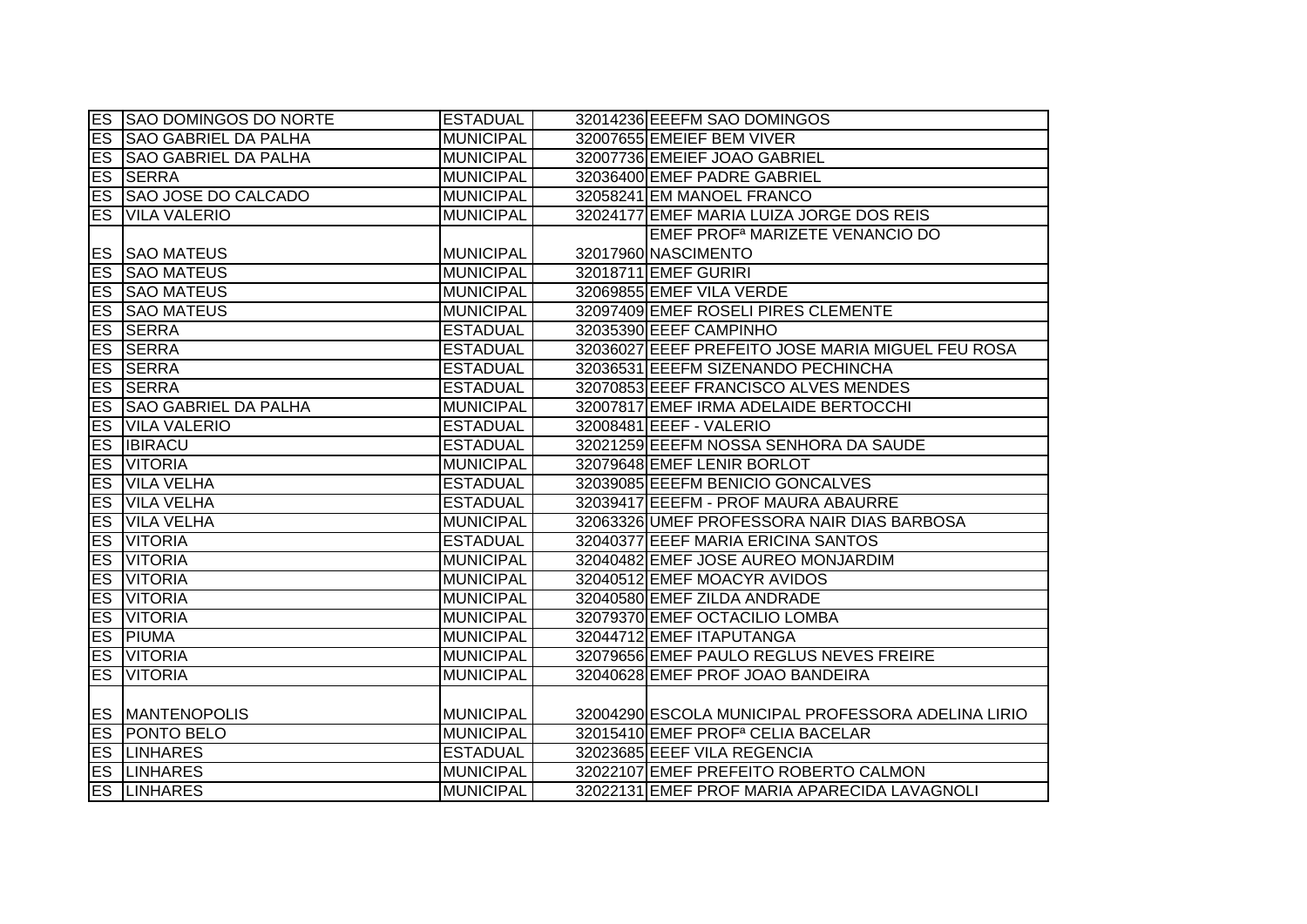|           | <b>ES SAO DOMINGOS DO NORTE</b> | <b>ESTADUAL</b>  | 32014236 EEEFM SAO DOMINGOS                        |
|-----------|---------------------------------|------------------|----------------------------------------------------|
|           | <b>ES SAO GABRIEL DA PALHA</b>  | <b>MUNICIPAL</b> | 32007655 EMEIEF BEM VIVER                          |
|           | <b>ES SAO GABRIEL DA PALHA</b>  | <b>MUNICIPAL</b> | 32007736 EMEIEF JOAO GABRIEL                       |
|           | <b>ES SERRA</b>                 | <b>MUNICIPAL</b> | 32036400 EMEF PADRE GABRIEL                        |
|           | <b>ES SAO JOSE DO CALCADO</b>   | <b>MUNICIPAL</b> | 32058241 EM MANOEL FRANCO                          |
|           | <b>ES VILA VALERIO</b>          | <b>MUNICIPAL</b> | 32024177 EMEF MARIA LUIZA JORGE DOS REIS           |
|           |                                 |                  | EMEF PROF <sup>a</sup> MARIZETE VENANCIO DO        |
|           | <b>ES SAO MATEUS</b>            | <b>MUNICIPAL</b> | 32017960 NASCIMENTO                                |
|           | <b>ES SAO MATEUS</b>            | <b>MUNICIPAL</b> | 32018711 EMEF GURIRI                               |
|           | <b>ES SAO MATEUS</b>            | <b>MUNICIPAL</b> | 32069855 EMEF VILA VERDE                           |
| ES        | <b>SAO MATEUS</b>               | <b>MUNICIPAL</b> | 32097409 EMEF ROSELI PIRES CLEMENTE                |
| ES        | <b>SERRA</b>                    | <b>ESTADUAL</b>  | 32035390 EEEF CAMPINHO                             |
| <b>ES</b> | <b>SERRA</b>                    | <b>ESTADUAL</b>  | 32036027 EEEF PREFEITO JOSE MARIA MIGUEL FEU ROSA  |
|           | <b>ES SERRA</b>                 | <b>ESTADUAL</b>  | 32036531 EEEFM SIZENANDO PECHINCHA                 |
|           | <b>ES SERRA</b>                 | <b>ESTADUAL</b>  | 32070853 EEEF FRANCISCO ALVES MENDES               |
|           | <b>ES SAO GABRIEL DA PALHA</b>  | <b>MUNICIPAL</b> | 32007817 EMEF IRMA ADELAIDE BERTOCCHI              |
| ES        | <b>VILA VALERIO</b>             | <b>ESTADUAL</b>  | 32008481 EEEF - VALERIO                            |
|           | <b>ES IBIRACU</b>               | <b>ESTADUAL</b>  | 32021259 EEEFM NOSSA SENHORA DA SAUDE              |
|           | <b>ES VITORIA</b>               | <b>MUNICIPAL</b> | 32079648 EMEF LENIR BORLOT                         |
|           | <b>ES VILA VELHA</b>            | <b>ESTADUAL</b>  | 32039085 EEEFM BENICIO GONCALVES                   |
|           | <b>ES VILA VELHA</b>            | <b>ESTADUAL</b>  | 32039417 EEEFM - PROF MAURA ABAURRE                |
| ES        | <b>VILA VELHA</b>               | <b>MUNICIPAL</b> | 32063326 UMEF PROFESSORA NAIR DIAS BARBOSA         |
| ES        | <b>VITORIA</b>                  | <b>ESTADUAL</b>  | 32040377 EEEF MARIA ERICINA SANTOS                 |
| ES        | <b>VITORIA</b>                  | <b>MUNICIPAL</b> | 32040482 EMEF JOSE AUREO MONJARDIM                 |
| ES        | <b>VITORIA</b>                  | <b>MUNICIPAL</b> | 32040512 EMEF MOACYR AVIDOS                        |
|           | <b>ES VITORIA</b>               | <b>MUNICIPAL</b> | 32040580 EMEF ZILDA ANDRADE                        |
| <b>ES</b> | <b>VITORIA</b>                  | <b>MUNICIPAL</b> | 32079370 EMEF OCTACILIO LOMBA                      |
| ES        | <b>PIUMA</b>                    | <b>MUNICIPAL</b> | 32044712 EMEF ITAPUTANGA                           |
|           | <b>ES VITORIA</b>               | <b>MUNICIPAL</b> | 32079656 EMEF PAULO REGLUS NEVES FREIRE            |
|           | <b>ES VITORIA</b>               | <b>MUNICIPAL</b> | 32040628 EMEF PROF JOAO BANDEIRA                   |
|           |                                 |                  |                                                    |
|           | <b>ES MANTENOPOLIS</b>          | <b>MUNICIPAL</b> | 32004290 ESCOLA MUNICIPAL PROFESSORA ADELINA LIRIO |
|           | <b>ES PONTO BELO</b>            | <b>MUNICIPAL</b> | 32015410 EMEF PROF <sup>a</sup> CELIA BACELAR      |
|           | <b>ES LINHARES</b>              | <b>ESTADUAL</b>  | 32023685 EEEF VILA REGENCIA                        |
|           | <b>ES LINHARES</b>              | <b>MUNICIPAL</b> | 32022107 EMEF PREFEITO ROBERTO CALMON              |
|           | <b>ES LINHARES</b>              | <b>MUNICIPAL</b> | 32022131 EMEF PROF MARIA APARECIDA LAVAGNOLI       |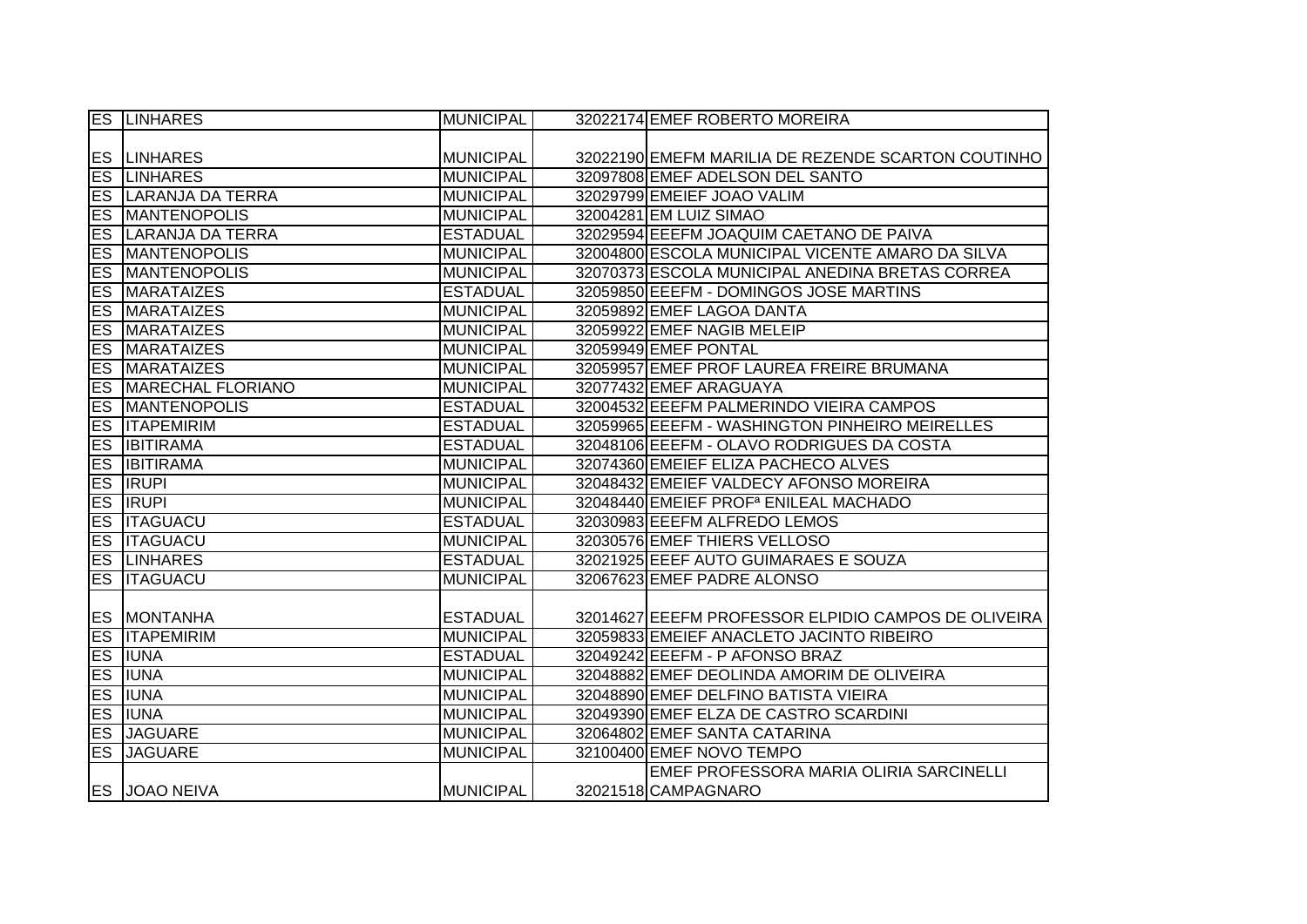|           | <b>ES LINHARES</b>         | <b>MUNICIPAL</b> | 32022174 EMEF ROBERTO MOREIRA                       |
|-----------|----------------------------|------------------|-----------------------------------------------------|
|           |                            |                  |                                                     |
|           | <b>ES LINHARES</b>         | <b>MUNICIPAL</b> | 32022190 EMEFM MARILIA DE REZENDE SCARTON COUTINHO  |
|           | <b>ES LINHARES</b>         | <b>MUNICIPAL</b> | 32097808 EMEF ADELSON DEL SANTO                     |
|           | <b>ES LARANJA DA TERRA</b> | <b>MUNICIPAL</b> | 32029799 EMEIEF JOAO VALIM                          |
|           | <b>ES MANTENOPOLIS</b>     | <b>MUNICIPAL</b> | 32004281 EM LUIZ SIMAO                              |
|           | ES LARANJA DA TERRA        | <b>ESTADUAL</b>  | 32029594 EEEFM JOAQUIM CAETANO DE PAIVA             |
|           | <b>ES MANTENOPOLIS</b>     | <b>MUNICIPAL</b> | 32004800 ESCOLA MUNICIPAL VICENTE AMARO DA SILVA    |
|           | <b>ES MANTENOPOLIS</b>     | <b>MUNICIPAL</b> | 32070373 ESCOLA MUNICIPAL ANEDINA BRETAS CORREA     |
| ES        | <b>MARATAIZES</b>          | <b>ESTADUAL</b>  | 32059850 EEEFM - DOMINGOS JOSE MARTINS              |
| <b>ES</b> | <b>MARATAIZES</b>          | <b>MUNICIPAL</b> | 32059892 EMEF LAGOA DANTA                           |
| ES        | <b>MARATAIZES</b>          | <b>MUNICIPAL</b> | 32059922 EMEF NAGIB MELEIP                          |
| <b>ES</b> | <b>MARATAIZES</b>          | <b>MUNICIPAL</b> | 32059949 EMEF PONTAL                                |
| <b>ES</b> | <b>MARATAIZES</b>          | <b>MUNICIPAL</b> | 32059957 EMEF PROF LAUREA FREIRE BRUMANA            |
| ES        | MARECHAL FLORIANO          | <b>MUNICIPAL</b> | 32077432 EMEF ARAGUAYA                              |
| ES        | <b>MANTENOPOLIS</b>        | <b>ESTADUAL</b>  | 32004532 EEEFM PALMERINDO VIEIRA CAMPOS             |
| ES        | <b>ITAPEMIRIM</b>          | <b>ESTADUAL</b>  | 32059965 EEEFM - WASHINGTON PINHEIRO MEIRELLES      |
|           | <b>ES IBITIRAMA</b>        | <b>ESTADUAL</b>  | 32048106 EEEFM - OLAVO RODRIGUES DA COSTA           |
|           | <b>ES IBITIRAMA</b>        | <b>MUNICIPAL</b> | 32074360 EMEIEF ELIZA PACHECO ALVES                 |
|           | <b>ES RUPI</b>             | <b>MUNICIPAL</b> | 32048432 EMEIEF VALDECY AFONSO MOREIRA              |
|           | <b>ES RUPI</b>             | <b>MUNICIPAL</b> | 32048440 EMEIEF PROF <sup>a</sup> ENILEAL MACHADO   |
|           | <b>ES ITAGUACU</b>         | <b>ESTADUAL</b>  | 32030983 EEEFM ALFREDO LEMOS                        |
| ES        | <b>ITAGUACU</b>            | <b>MUNICIPAL</b> | 32030576 EMEF THIERS VELLOSO                        |
|           | <b>ES LINHARES</b>         | <b>ESTADUAL</b>  | 32021925 EEEF AUTO GUIMARAES E SOUZA                |
|           | <b>ES ITAGUACU</b>         | <b>MUNICIPAL</b> | 32067623 EMEF PADRE ALONSO                          |
|           |                            |                  |                                                     |
|           | <b>ES MONTANHA</b>         | <b>ESTADUAL</b>  | 32014627 EEEFM PROFESSOR ELPIDIO CAMPOS DE OLIVEIRA |
|           | <b>ES ITAPEMIRIM</b>       | <b>MUNICIPAL</b> | 32059833 EMEIEF ANACLETO JACINTO RIBEIRO            |
|           | <b>ES IUNA</b>             | <b>ESTADUAL</b>  | 32049242 EEEFM - P AFONSO BRAZ                      |
|           | <b>ES IUNA</b>             | <b>MUNICIPAL</b> | 32048882 EMEF DEOLINDA AMORIM DE OLIVEIRA           |
|           | <b>ES IUNA</b>             | <b>MUNICIPAL</b> | 32048890 EMEF DELFINO BATISTA VIEIRA                |
|           | <b>ES IUNA</b>             | <b>MUNICIPAL</b> | 32049390 EMEF ELZA DE CASTRO SCARDINI               |
|           | <b>ES JAGUARE</b>          | <b>MUNICIPAL</b> | 32064802 EMEF SANTA CATARINA                        |
|           | <b>ES JAGUARE</b>          | <b>MUNICIPAL</b> | 32100400 EMEF NOVO TEMPO                            |
|           |                            |                  | EMEF PROFESSORA MARIA OLIRIA SARCINELLI             |
|           | <b>ES JOAO NEIVA</b>       | <b>MUNICIPAL</b> | 32021518 CAMPAGNARO                                 |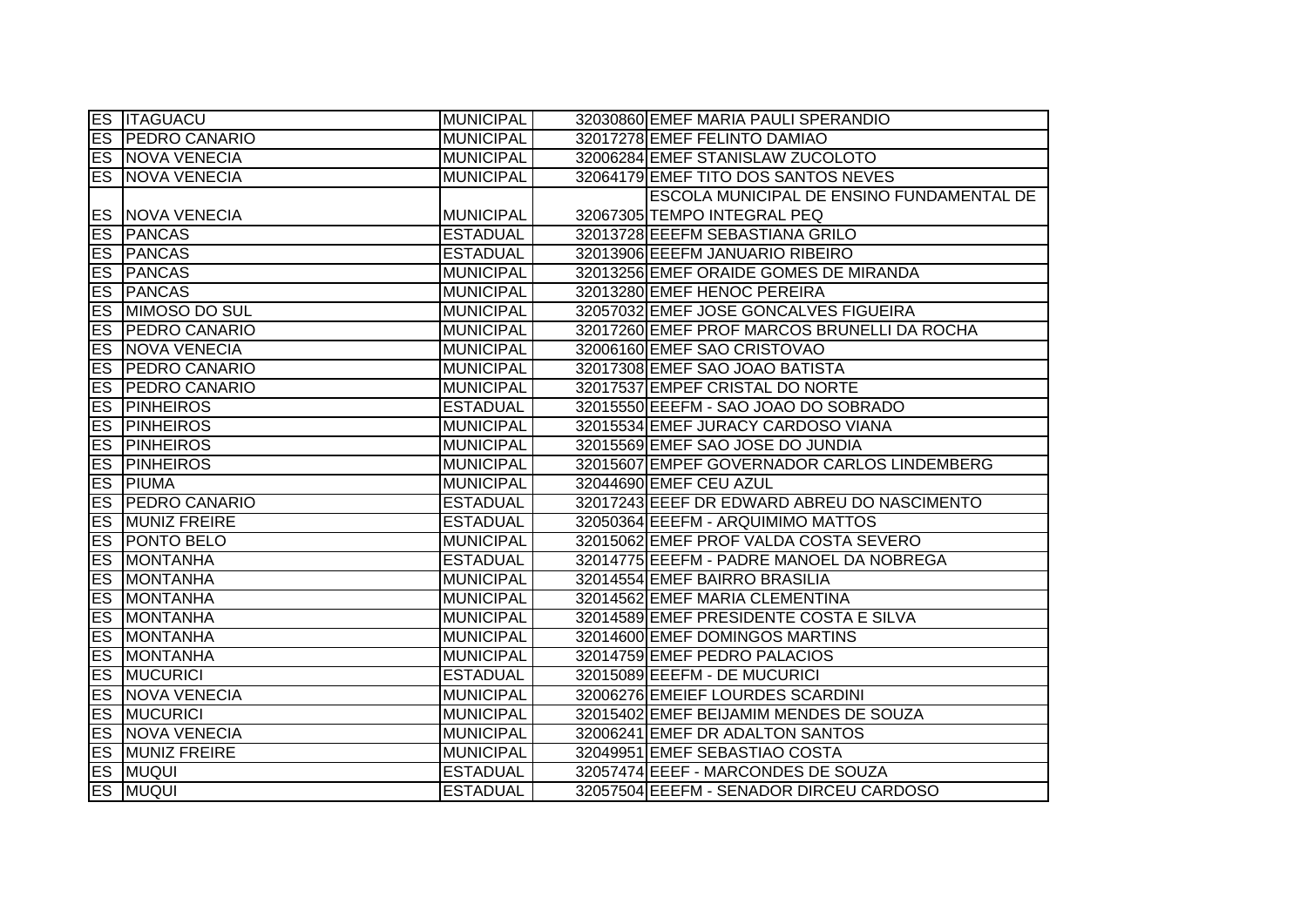|    | <b>ES ITAGUACU</b>      | <b>MUNICIPAL</b> | 32030860 EMEF MARIA PAULI SPERANDIO         |
|----|-------------------------|------------------|---------------------------------------------|
|    | <b>ES PEDRO CANARIO</b> | <b>MUNICIPAL</b> | 32017278 EMEF FELINTO DAMIAO                |
|    | <b>ES NOVA VENECIA</b>  | <b>MUNICIPAL</b> | 32006284 EMEF STANISLAW ZUCOLOTO            |
|    | <b>ES NOVA VENECIA</b>  | <b>MUNICIPAL</b> | 32064179 EMEF TITO DOS SANTOS NEVES         |
|    |                         |                  | ESCOLA MUNICIPAL DE ENSINO FUNDAMENTAL DE   |
|    | <b>ES NOVA VENECIA</b>  | <b>MUNICIPAL</b> | 32067305 TEMPO INTEGRAL PEQ                 |
|    | <b>ES PANCAS</b>        | <b>ESTADUAL</b>  | 32013728 EEEFM SEBASTIANA GRILO             |
|    | <b>ES PANCAS</b>        | <b>ESTADUAL</b>  | 32013906 EEEFM JANUARIO RIBEIRO             |
|    | <b>ES PANCAS</b>        | <b>MUNICIPAL</b> | 32013256 EMEF ORAIDE GOMES DE MIRANDA       |
|    | <b>ES PANCAS</b>        | <b>MUNICIPAL</b> | 32013280 EMEF HENOC PEREIRA                 |
|    | <b>ES MIMOSO DO SUL</b> | <b>MUNICIPAL</b> | 32057032 EMEF JOSE GONCALVES FIGUEIRA       |
|    | <b>ES PEDRO CANARIO</b> | <b>MUNICIPAL</b> | 32017260 EMEF PROF MARCOS BRUNELLI DA ROCHA |
|    | <b>ES NOVA VENECIA</b>  | <b>MUNICIPAL</b> | 32006160 EMEF SAO CRISTOVAO                 |
|    | <b>ES PEDRO CANARIO</b> | <b>MUNICIPAL</b> | 32017308 EMEF SAO JOAO BATISTA              |
|    | <b>ES PEDRO CANARIO</b> | <b>MUNICIPAL</b> | 32017537 EMPEF CRISTAL DO NORTE             |
|    | <b>ES PINHEIROS</b>     | <b>ESTADUAL</b>  | 32015550 EEEFM - SAO JOAO DO SOBRADO        |
| ES | <b>PINHEIROS</b>        | <b>MUNICIPAL</b> | 32015534 EMEF JURACY CARDOSO VIANA          |
|    | <b>ES PINHEIROS</b>     | <b>MUNICIPAL</b> | 32015569 EMEF SAO JOSE DO JUNDIA            |
|    | <b>ES PINHEIROS</b>     | <b>MUNICIPAL</b> | 32015607 EMPEF GOVERNADOR CARLOS LINDEMBERG |
|    | <b>ES PIUMA</b>         | <b>MUNICIPAL</b> | 32044690 EMEF CEU AZUL                      |
|    | <b>ES PEDRO CANARIO</b> | <b>ESTADUAL</b>  | 32017243 EEEF DR EDWARD ABREU DO NASCIMENTO |
|    | <b>ES MUNIZ FREIRE</b>  | <b>ESTADUAL</b>  | 32050364 EEEFM - ARQUIMIMO MATTOS           |
|    | <b>ES PONTO BELO</b>    | <b>MUNICIPAL</b> | 32015062 EMEF PROF VALDA COSTA SEVERO       |
|    | <b>ES MONTANHA</b>      | <b>ESTADUAL</b>  | 32014775 EEEFM - PADRE MANOEL DA NOBREGA    |
|    | <b>ES MONTANHA</b>      | <b>MUNICIPAL</b> | 32014554 EMEF BAIRRO BRASILIA               |
|    | <b>ES MONTANHA</b>      | <b>MUNICIPAL</b> | 32014562 EMEF MARIA CLEMENTINA              |
|    | <b>ES MONTANHA</b>      | <b>MUNICIPAL</b> | 32014589 EMEF PRESIDENTE COSTA E SILVA      |
|    | <b>ES MONTANHA</b>      | <b>MUNICIPAL</b> | 32014600 EMEF DOMINGOS MARTINS              |
| ES | <b>MONTANHA</b>         | <b>MUNICIPAL</b> | 32014759 EMEF PEDRO PALACIOS                |
|    | <b>ES MUCURICI</b>      | <b>ESTADUAL</b>  | 32015089 EEEFM - DE MUCURICI                |
|    | <b>ES NOVA VENECIA</b>  | <b>MUNICIPAL</b> | 32006276 EMEIEF LOURDES SCARDINI            |
|    | <b>ES MUCURICI</b>      | <b>MUNICIPAL</b> | 32015402 EMEF BEIJAMIM MENDES DE SOUZA      |
|    | <b>ES NOVA VENECIA</b>  | <b>MUNICIPAL</b> | 32006241 EMEF DR ADALTON SANTOS             |
|    | <b>ES MUNIZ FREIRE</b>  | <b>MUNICIPAL</b> | 32049951 EMEF SEBASTIAO COSTA               |
|    | <b>ES MUQUI</b>         | <b>ESTADUAL</b>  | 32057474 EEEF - MARCONDES DE SOUZA          |
|    | <b>ES MUQUI</b>         | <b>ESTADUAL</b>  | 32057504 EEEFM - SENADOR DIRCEU CARDOSO     |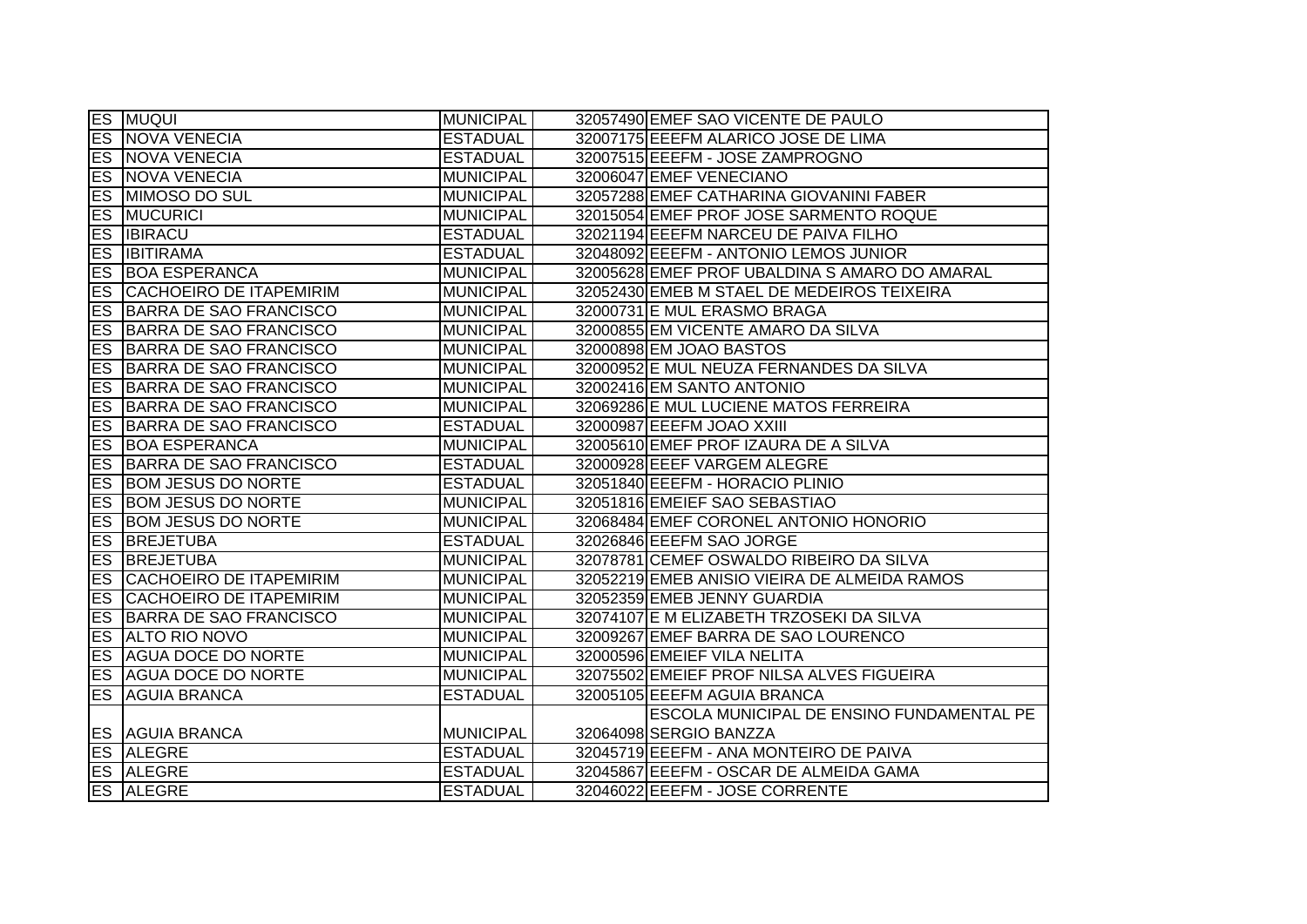|            | <b>ES MUQUI</b>                   | <b>MUNICIPAL</b> | 32057490 EMEF SAO VICENTE DE PAULO            |
|------------|-----------------------------------|------------------|-----------------------------------------------|
|            | <b>ES NOVA VENECIA</b>            | <b>ESTADUAL</b>  | 32007175 EEEFM ALARICO JOSE DE LIMA           |
|            | <b>ES NOVA VENECIA</b>            | <b>ESTADUAL</b>  | 32007515 EEEFM - JOSE ZAMPROGNO               |
|            | <b>ES NOVA VENECIA</b>            | <b>MUNICIPAL</b> | 32006047 EMEF VENECIANO                       |
| ES         | <b>MIMOSO DO SUL</b>              | <b>MUNICIPAL</b> | 32057288 EMEF CATHARINA GIOVANINI FABER       |
|            | <b>ES MUCURICI</b>                | <b>MUNICIPAL</b> | 32015054 EMEF PROF JOSE SARMENTO ROQUE        |
|            | <b>ES IBIRACU</b>                 | <b>ESTADUAL</b>  | 32021194 EEEFM NARCEU DE PAIVA FILHO          |
| ES         | <b>IBITIRAMA</b>                  | <b>ESTADUAL</b>  | 32048092 EEEFM - ANTONIO LEMOS JUNIOR         |
| ES         | <b>BOA ESPERANCA</b>              | <b>MUNICIPAL</b> | 32005628 EMEF PROF UBALDINA S AMARO DO AMARAL |
| ES         | <b>CACHOEIRO DE ITAPEMIRIM</b>    | <b>MUNICIPAL</b> | 32052430 EMEB M STAEL DE MEDEIROS TEIXEIRA    |
| ES         | BARRA DE SAO FRANCISCO            | <b>MUNICIPAL</b> | 32000731 E MUL ERASMO BRAGA                   |
| ES         | BARRA DE SAO FRANCISCO            | <b>MUNICIPAL</b> | 32000855 EM VICENTE AMARO DA SILVA            |
| ES         | <b>BARRA DE SAO FRANCISCO</b>     | <b>MUNICIPAL</b> | 32000898 EM JOAO BASTOS                       |
| Es         | BARRA DE SAO FRANCISCO            | <b>MUNICIPAL</b> | 32000952 E MUL NEUZA FERNANDES DA SILVA       |
|            | <b>ES BARRA DE SAO FRANCISCO</b>  | <b>MUNICIPAL</b> | 32002416 EM SANTO ANTONIO                     |
|            | <b>ES BARRA DE SAO FRANCISCO</b>  | <b>MUNICIPAL</b> | 32069286 E MUL LUCIENE MATOS FERREIRA         |
|            | <b>ES BARRA DE SAO FRANCISCO</b>  | <b>ESTADUAL</b>  | 32000987 EEEFM JOAO XXIII                     |
|            | <b>ES BOA ESPERANCA</b>           | <b>MUNICIPAL</b> | 32005610 EMEF PROF IZAURA DE A SILVA          |
|            | <b>ES BARRA DE SAO FRANCISCO</b>  | <b>ESTADUAL</b>  | 32000928 EEEF VARGEM ALEGRE                   |
|            | <b>ES BOM JESUS DO NORTE</b>      | <b>ESTADUAL</b>  | 32051840 EEEFM - HORACIO PLINIO               |
|            | <b>ES BOM JESUS DO NORTE</b>      | <b>MUNICIPAL</b> | 32051816 EMEIEF SAO SEBASTIAO                 |
|            | <b>ES BOM JESUS DO NORTE</b>      | <b>MUNICIPAL</b> | 32068484 EMEF CORONEL ANTONIO HONORIO         |
| <b>ES</b>  | <b>BREJETUBA</b>                  | <b>ESTADUAL</b>  | 32026846 EEEFM SAO JORGE                      |
| ES         | <b>BREJETUBA</b>                  | <b>MUNICIPAL</b> | 32078781 CEMEF OSWALDO RIBEIRO DA SILVA       |
|            | <b>ES CACHOEIRO DE ITAPEMIRIM</b> | <b>MUNICIPAL</b> | 32052219 EMEB ANISIO VIEIRA DE ALMEIDA RAMOS  |
| les.       | <b>CACHOEIRO DE ITAPEMIRIM</b>    | <b>MUNICIPAL</b> | 32052359 EMEB JENNY GUARDIA                   |
| <b>IES</b> | BARRA DE SAO FRANCISCO            | <b>MUNICIPAL</b> | 32074107 E M ELIZABETH TRZOSEKI DA SILVA      |
|            | <b>ES ALTO RIO NOVO</b>           | <b>MUNICIPAL</b> | 32009267 EMEF BARRA DE SAO LOURENCO           |
| ES         | <b>AGUA DOCE DO NORTE</b>         | <b>MUNICIPAL</b> | 32000596 EMEIEF VILA NELITA                   |
|            | <b>ES AGUA DOCE DO NORTE</b>      | <b>MUNICIPAL</b> | 32075502 EMEIEF PROF NILSA ALVES FIGUEIRA     |
| ES         | <b>AGUIA BRANCA</b>               | <b>ESTADUAL</b>  | 32005105 EEEFM AGUIA BRANCA                   |
|            |                                   |                  | ESCOLA MUNICIPAL DE ENSINO FUNDAMENTAL PE     |
|            | <b>ES AGUIA BRANCA</b>            | <b>MUNICIPAL</b> | 32064098 SERGIO BANZZA                        |
|            | <b>ES ALEGRE</b>                  | <b>ESTADUAL</b>  | 32045719 EEEFM - ANA MONTEIRO DE PAIVA        |
|            | <b>ES ALEGRE</b>                  | <b>ESTADUAL</b>  | 32045867 EEEFM - OSCAR DE ALMEIDA GAMA        |
|            | <b>ES ALEGRE</b>                  | <b>ESTADUAL</b>  | 32046022 EEEFM - JOSE CORRENTE                |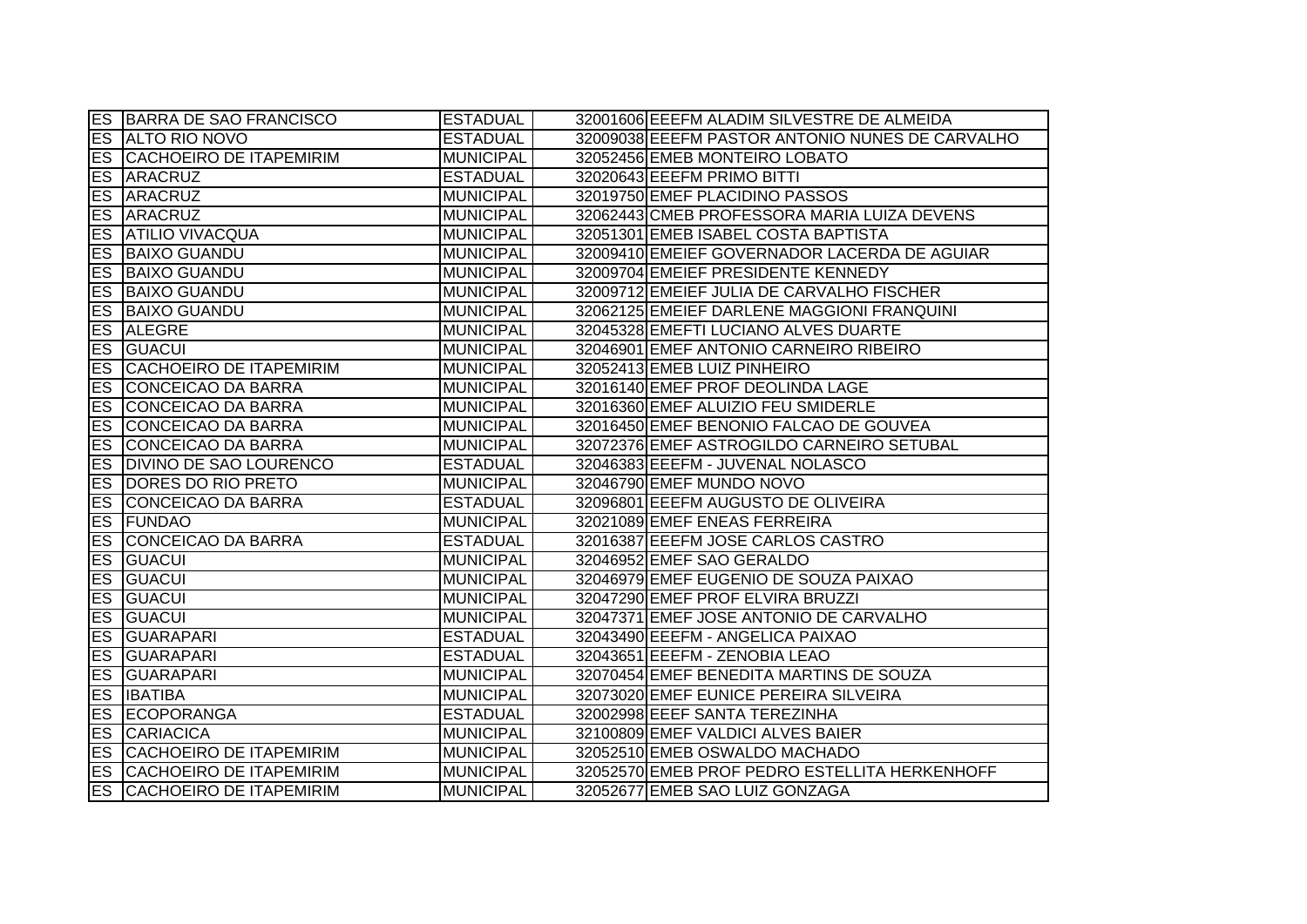|           | <b>ES BARRA DE SAO FRANCISCO</b>  | <b>ESTADUAL</b>  | 32001606 EEEFM ALADIM SILVESTRE DE ALMEIDA      |
|-----------|-----------------------------------|------------------|-------------------------------------------------|
|           | <b>ES ALTO RIO NOVO</b>           | <b>ESTADUAL</b>  | 32009038 EEEFM PASTOR ANTONIO NUNES DE CARVALHO |
|           | <b>ES CACHOEIRO DE ITAPEMIRIM</b> | <b>MUNICIPAL</b> | 32052456 EMEB MONTEIRO LOBATO                   |
|           | <b>ES ARACRUZ</b>                 | <b>ESTADUAL</b>  | 32020643 EEEFM PRIMO BITTI                      |
| ES        | ARACRUZ                           | <b>MUNICIPAL</b> | 32019750 EMEF PLACIDINO PASSOS                  |
| ES        | <b>ARACRUZ</b>                    | <b>MUNICIPAL</b> | 32062443 CMEB PROFESSORA MARIA LUIZA DEVENS     |
|           | <b>ES ATILIO VIVACQUA</b>         | <b>MUNICIPAL</b> | 32051301 EMEB ISABEL COSTA BAPTISTA             |
|           | <b>ES BAIXO GUANDU</b>            | <b>MUNICIPAL</b> | 32009410 EMEIEF GOVERNADOR LACERDA DE AGUIAR    |
|           | <b>ES BAIXO GUANDU</b>            | <b>MUNICIPAL</b> | 32009704 EMEIEF PRESIDENTE KENNEDY              |
| ES        | <b>BAIXO GUANDU</b>               | <b>MUNICIPAL</b> | 32009712 EMEIEF JULIA DE CARVALHO FISCHER       |
| <b>ES</b> | <b>BAIXO GUANDU</b>               | <b>MUNICIPAL</b> | 32062125 EMEIEF DARLENE MAGGIONI FRANQUINI      |
| <b>ES</b> | <b>ALEGRE</b>                     | <b>MUNICIPAL</b> | 32045328 EMEFTI LUCIANO ALVES DUARTE            |
| ES        | <b>GUACUI</b>                     | <b>MUNICIPAL</b> | 32046901 EMEF ANTONIO CARNEIRO RIBEIRO          |
| ES        | CACHOEIRO DE ITAPEMIRIM           | <b>MUNICIPAL</b> | 32052413 EMEB LUIZ PINHEIRO                     |
| <b>ES</b> | CONCEICAO DA BARRA                | <b>MUNICIPAL</b> | 32016140 EMEF PROF DEOLINDA LAGE                |
| ES        | CONCEICAO DA BARRA                | <b>MUNICIPAL</b> | 32016360 EMEF ALUIZIO FEU SMIDERLE              |
| ES        | CONCEICAO DA BARRA                | <b>MUNICIPAL</b> | 32016450 EMEF BENONIO FALCAO DE GOUVEA          |
| ES        | CONCEICAO DA BARRA                | <b>MUNICIPAL</b> | 32072376 EMEF ASTROGILDO CARNEIRO SETUBAL       |
| ES        | <b>DIVINO DE SAO LOURENCO</b>     | <b>ESTADUAL</b>  | 32046383 EEEFM - JUVENAL NOLASCO                |
|           | <b>ES DORES DO RIO PRETO</b>      | <b>MUNICIPAL</b> | 32046790 EMEF MUNDO NOVO                        |
|           | ES CONCEICAO DA BARRA             | <b>ESTADUAL</b>  | 32096801 EEEFM AUGUSTO DE OLIVEIRA              |
|           | <b>ES FUNDAO</b>                  | <b>MUNICIPAL</b> | 32021089 EMEF ENEAS FERREIRA                    |
| ES        | CONCEICAO DA BARRA                | <b>ESTADUAL</b>  | 32016387 EEEFM JOSE CARLOS CASTRO               |
| ES        | <b>GUACUI</b>                     | <b>MUNICIPAL</b> | 32046952 EMEF SAO GERALDO                       |
| ES        | <b>GUACUI</b>                     | <b>MUNICIPAL</b> | 32046979 EMEF EUGENIO DE SOUZA PAIXAO           |
| ES        | <b>GUACUI</b>                     | <b>MUNICIPAL</b> | 32047290 EMEF PROF ELVIRA BRUZZI                |
| ES.       | <b>GUACUI</b>                     | <b>MUNICIPAL</b> | 32047371 EMEF JOSE ANTONIO DE CARVALHO          |
| <b>ES</b> | <b>GUARAPARI</b>                  | <b>ESTADUAL</b>  | 32043490 EEEFM - ANGELICA PAIXAO                |
| ES        | GUARAPARI                         | <b>ESTADUAL</b>  | 32043651 EEEFM - ZENOBIA LEAO                   |
| ES        | GUARAPARI                         | <b>MUNICIPAL</b> | 32070454 EMEF BENEDITA MARTINS DE SOUZA         |
|           | <b>ES IBATIBA</b>                 | <b>MUNICIPAL</b> | 32073020 EMEF EUNICE PEREIRA SILVEIRA           |
|           | <b>ES ECOPORANGA</b>              | <b>ESTADUAL</b>  | 32002998 EEEF SANTA TEREZINHA                   |
|           | <b>ES CARIACICA</b>               | <b>MUNICIPAL</b> | 32100809 EMEF VALDICI ALVES BAIER               |
|           | <b>ES CACHOEIRO DE ITAPEMIRIM</b> | <b>MUNICIPAL</b> | 32052510 EMEB OSWALDO MACHADO                   |
|           | ES CACHOEIRO DE ITAPEMIRIM        | <b>MUNICIPAL</b> | 32052570 EMEB PROF PEDRO ESTELLITA HERKENHOFF   |
| ES        | CACHOEIRO DE ITAPEMIRIM           | <b>MUNICIPAL</b> | 32052677 EMEB SAO LUIZ GONZAGA                  |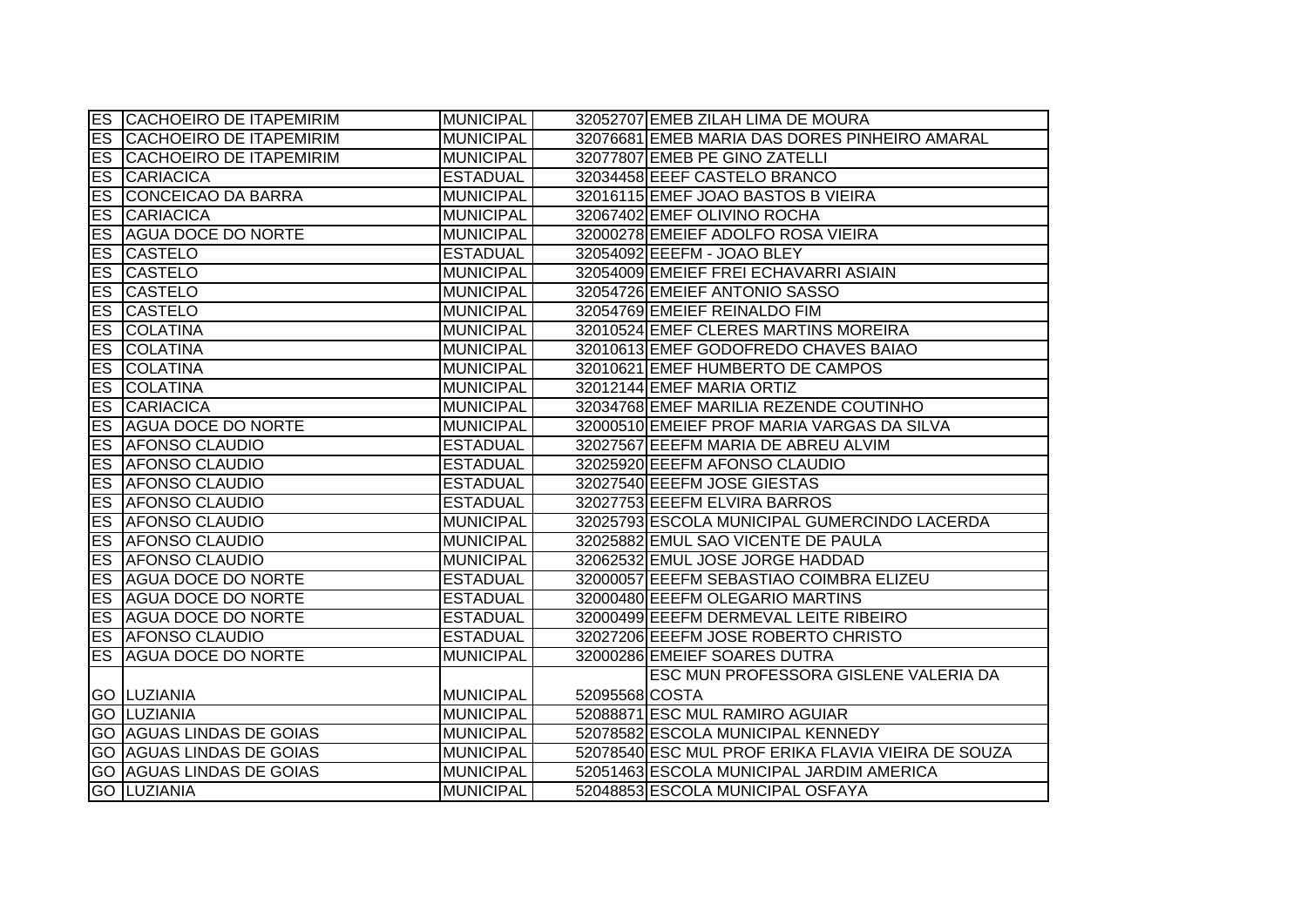|                          | ES CACHOEIRO DE ITAPEMIRIM      | <b>MUNICIPAL</b> |                | 32052707 EMEB ZILAH LIMA DE MOURA                  |
|--------------------------|---------------------------------|------------------|----------------|----------------------------------------------------|
| <b>ES</b>                | <b>CACHOEIRO DE ITAPEMIRIM</b>  | <b>MUNICIPAL</b> |                | 32076681 EMEB MARIA DAS DORES PINHEIRO AMARAL      |
| ES                       | CACHOEIRO DE ITAPEMIRIM         | <b>MUNICIPAL</b> |                | 32077807 EMEB PE GINO ZATELLI                      |
| ES                       | <b>CARIACICA</b>                | <b>ESTADUAL</b>  |                | 32034458 EEEF CASTELO BRANCO                       |
| $\overline{\mathsf{ES}}$ | <b>CONCEICAO DA BARRA</b>       | <b>MUNICIPAL</b> |                | 32016115 EMEF JOAO BASTOS B VIEIRA                 |
| <b>ES</b>                | <b>CARIACICA</b>                | <b>MUNICIPAL</b> |                | 32067402 EMEF OLIVINO ROCHA                        |
|                          | <b>ES AGUA DOCE DO NORTE</b>    | <b>MUNICIPAL</b> |                | 32000278 EMEIEF ADOLFO ROSA VIEIRA                 |
|                          | <b>ES CASTELO</b>               | <b>ESTADUAL</b>  |                | 32054092 EEEFM - JOAO BLEY                         |
|                          | <b>ES CASTELO</b>               | <b>MUNICIPAL</b> |                | 32054009 EMEIEF FREI ECHAVARRI ASIAIN              |
| ES                       | <b>CASTELO</b>                  | <b>MUNICIPAL</b> |                | 32054726 EMEIEF ANTONIO SASSO                      |
| ES                       | <b>CASTELO</b>                  | <b>MUNICIPAL</b> |                | 32054769 EMEIEF REINALDO FIM                       |
| ES                       | <b>COLATINA</b>                 | <b>MUNICIPAL</b> |                | 32010524 EMEF CLERES MARTINS MOREIRA               |
| <b>ES</b>                | <b>COLATINA</b>                 | <b>MUNICIPAL</b> |                | 32010613 EMEF GODOFREDO CHAVES BAIAO               |
| <b>ES</b>                | <b>COLATINA</b>                 | <b>MUNICIPAL</b> |                | 32010621 EMEF HUMBERTO DE CAMPOS                   |
| ES                       | <b>COLATINA</b>                 | <b>MUNICIPAL</b> |                | 32012144 EMEF MARIA ORTIZ                          |
| ES                       | <b>CARIACICA</b>                | <b>MUNICIPAL</b> |                | 32034768 EMEF MARILIA REZENDE COUTINHO             |
| ES                       | <b>AGUA DOCE DO NORTE</b>       | <b>MUNICIPAL</b> |                | 32000510 EMEIEF PROF MARIA VARGAS DA SILVA         |
| $\overline{\mathsf{ES}}$ | <b>AFONSO CLAUDIO</b>           | <b>ESTADUAL</b>  |                | 32027567 EEEFM MARIA DE ABREU ALVIM                |
| ES                       | <b>AFONSO CLAUDIO</b>           | <b>ESTADUAL</b>  |                | 32025920 EEEFM AFONSO CLAUDIO                      |
|                          | <b>ES AFONSO CLAUDIO</b>        | <b>ESTADUAL</b>  |                | 32027540 EEEFM JOSE GIESTAS                        |
|                          | <b>ES AFONSO CLAUDIO</b>        | <b>ESTADUAL</b>  |                | 32027753 EEEFM ELVIRA BARROS                       |
|                          | <b>ES AFONSO CLAUDIO</b>        | <b>MUNICIPAL</b> |                | 32025793 ESCOLA MUNICIPAL GUMERCINDO LACERDA       |
|                          | <b>ES AFONSO CLAUDIO</b>        | <b>MUNICIPAL</b> |                | 32025882 EMUL SAO VICENTE DE PAULA                 |
| ES                       | <b>AFONSO CLAUDIO</b>           | <b>MUNICIPAL</b> |                | 32062532 EMUL JOSE JORGE HADDAD                    |
| ES                       | <b>AGUA DOCE DO NORTE</b>       | <b>ESTADUAL</b>  |                | 32000057 EEEFM SEBASTIAO COIMBRA ELIZEU            |
|                          | <b>ES AGUA DOCE DO NORTE</b>    | <b>ESTADUAL</b>  |                | 32000480 EEEFM OLEGARIO MARTINS                    |
|                          | <b>ES AGUA DOCE DO NORTE</b>    | <b>ESTADUAL</b>  |                | 32000499 EEEFM DERMEVAL LEITE RIBEIRO              |
|                          | <b>ES AFONSO CLAUDIO</b>        | <b>ESTADUAL</b>  |                | 32027206 EEEFM JOSE ROBERTO CHRISTO                |
| <b>ES</b>                | <b>AGUA DOCE DO NORTE</b>       | <b>MUNICIPAL</b> |                | 32000286 EMEIEF SOARES DUTRA                       |
|                          |                                 |                  |                | ESC MUN PROFESSORA GISLENE VALERIA DA              |
|                          | <b>GO LUZIANIA</b>              | <b>MUNICIPAL</b> | 52095568 COSTA |                                                    |
|                          | <b>GO LUZIANIA</b>              | <b>MUNICIPAL</b> |                | 52088871 ESC MUL RAMIRO AGUIAR                     |
|                          | <b>GO AGUAS LINDAS DE GOIAS</b> | <b>MUNICIPAL</b> |                | 52078582 ESCOLA MUNICIPAL KENNEDY                  |
|                          | <b>GO AGUAS LINDAS DE GOIAS</b> | <b>MUNICIPAL</b> |                | 52078540 ESC MUL PROF ERIKA FLAVIA VIEIRA DE SOUZA |
|                          | <b>GO AGUAS LINDAS DE GOIAS</b> | <b>MUNICIPAL</b> |                | 52051463 ESCOLA MUNICIPAL JARDIM AMERICA           |
|                          | <b>GO LUZIANIA</b>              | <b>MUNICIPAL</b> |                | 52048853 ESCOLA MUNICIPAL OSFAYA                   |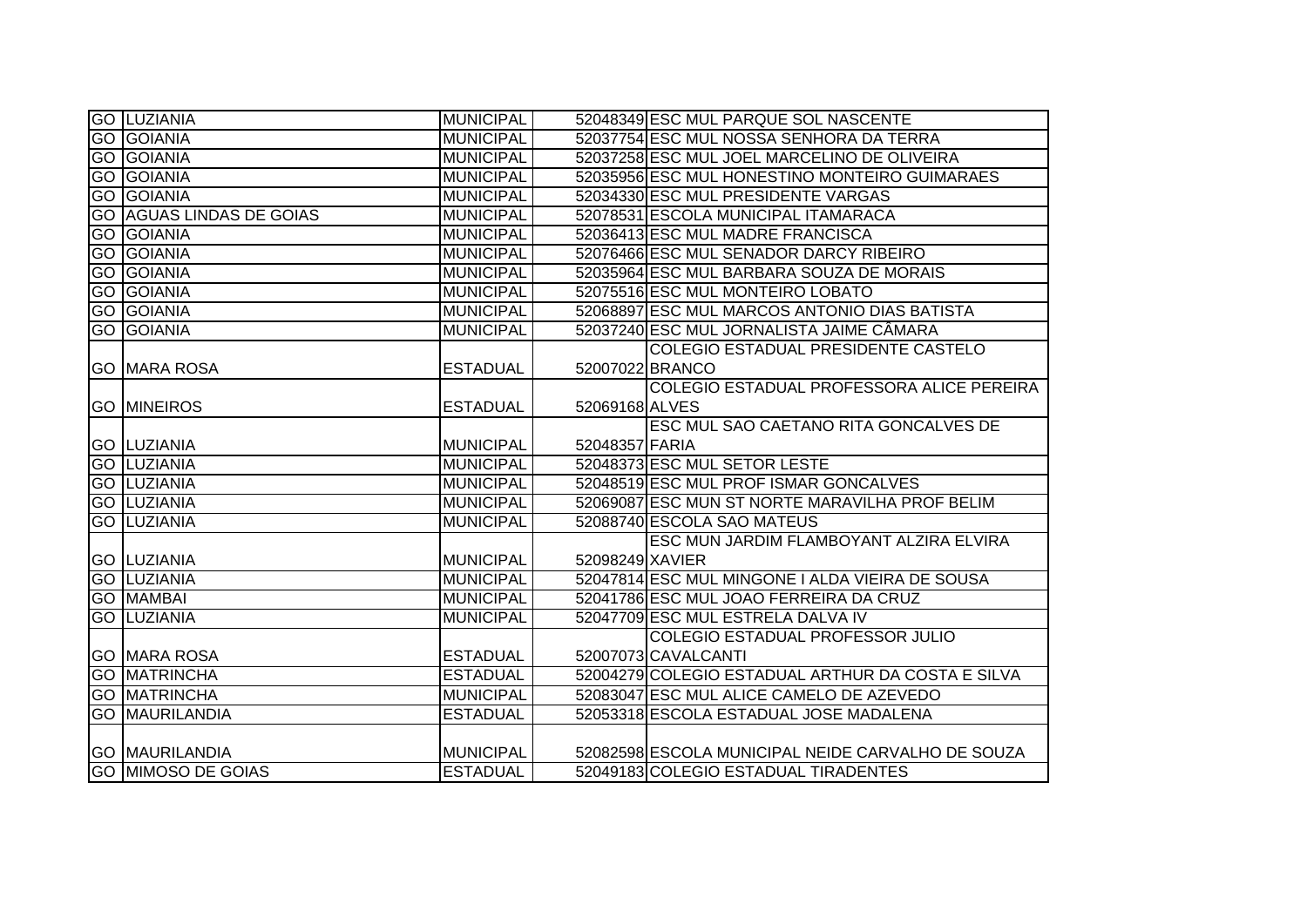| <b>GO LUZIANIA</b>              | <b>MUNICIPAL</b> |                 | 52048349 ESC MUL PARQUE SOL NASCENTE              |
|---------------------------------|------------------|-----------------|---------------------------------------------------|
| <b>GO GOIANIA</b>               | <b>MUNICIPAL</b> |                 | 52037754 ESC MUL NOSSA SENHORA DA TERRA           |
| <b>GO GOIANIA</b>               | <b>MUNICIPAL</b> |                 | 52037258 ESC MUL JOEL MARCELINO DE OLIVEIRA       |
| <b>GO GOIANIA</b>               | <b>MUNICIPAL</b> |                 | 52035956 ESC MUL HONESTINO MONTEIRO GUIMARAES     |
| <b>GO GOIANIA</b>               | <b>MUNICIPAL</b> |                 | 52034330 ESC MUL PRESIDENTE VARGAS                |
| <b>GO AGUAS LINDAS DE GOIAS</b> | <b>MUNICIPAL</b> |                 | 52078531 ESCOLA MUNICIPAL ITAMARACA               |
| <b>GO GOIANIA</b>               | <b>MUNICIPAL</b> |                 | 52036413 ESC MUL MADRE FRANCISCA                  |
| <b>GO GOIANIA</b>               | <b>MUNICIPAL</b> |                 | 52076466 ESC MUL SENADOR DARCY RIBEIRO            |
| <b>GO GOIANIA</b>               | <b>MUNICIPAL</b> |                 | 52035964 ESC MUL BARBARA SOUZA DE MORAIS          |
| <b>GO GOIANIA</b>               | <b>MUNICIPAL</b> |                 | 52075516 ESC MUL MONTEIRO LOBATO                  |
| <b>GO GOIANIA</b>               | <b>MUNICIPAL</b> |                 | 52068897 ESC MUL MARCOS ANTONIO DIAS BATISTA      |
| <b>GO GOIANIA</b>               | <b>MUNICIPAL</b> |                 | 52037240 ESC MUL JORNALISTA JAIME CÂMARA          |
|                                 |                  |                 | COLEGIO ESTADUAL PRESIDENTE CASTELO               |
| <b>GO MARA ROSA</b>             | <b>ESTADUAL</b>  |                 | 52007022 BRANCO                                   |
|                                 |                  |                 | COLEGIO ESTADUAL PROFESSORA ALICE PEREIRA         |
| <b>GO MINEIROS</b>              | <b>ESTADUAL</b>  | 52069168 ALVES  |                                                   |
|                                 |                  |                 | <b>ESC MUL SAO CAETANO RITA GONCALVES DE</b>      |
| <b>GO LUZIANIA</b>              | <b>MUNICIPAL</b> | 52048357 FARIA  |                                                   |
| <b>GO LUZIANIA</b>              | <b>MUNICIPAL</b> |                 | 52048373 ESC MUL SETOR LESTE                      |
| <b>GO LUZIANIA</b>              | <b>MUNICIPAL</b> |                 | 52048519 ESC MUL PROF ISMAR GONCALVES             |
| <b>GO LUZIANIA</b>              | <b>MUNICIPAL</b> |                 | 52069087 ESC MUN ST NORTE MARAVILHA PROF BELIM    |
| <b>GO LUZIANIA</b>              | <b>MUNICIPAL</b> |                 | 52088740 ESCOLA SAO MATEUS                        |
|                                 |                  |                 | ESC MUN JARDIM FLAMBOYANT ALZIRA ELVIRA           |
| <b>GO LUZIANIA</b>              | <b>MUNICIPAL</b> | 52098249 XAVIER |                                                   |
| <b>GO LUZIANIA</b>              | <b>MUNICIPAL</b> |                 | 52047814 ESC MUL MINGONE I ALDA VIEIRA DE SOUSA   |
| <b>GO MAMBAI</b>                | <b>MUNICIPAL</b> |                 | 52041786 ESC MUL JOAO FERREIRA DA CRUZ            |
| <b>GO LUZIANIA</b>              | <b>MUNICIPAL</b> |                 | 52047709 ESC MUL ESTRELA DALVA IV                 |
|                                 |                  |                 | COLEGIO ESTADUAL PROFESSOR JULIO                  |
| <b>GO MARA ROSA</b>             | <b>ESTADUAL</b>  |                 | 52007073 CAVALCANTI                               |
| <b>GO MATRINCHA</b>             | <b>ESTADUAL</b>  |                 | 52004279 COLEGIO ESTADUAL ARTHUR DA COSTA E SILVA |
| <b>GO MATRINCHA</b>             | <b>MUNICIPAL</b> |                 | 52083047 ESC MUL ALICE CAMELO DE AZEVEDO          |
| <b>GO MAURILANDIA</b>           | <b>ESTADUAL</b>  |                 | 52053318 ESCOLA ESTADUAL JOSE MADALENA            |
|                                 |                  |                 |                                                   |
| <b>GO MAURILANDIA</b>           | <b>MUNICIPAL</b> |                 | 52082598 ESCOLA MUNICIPAL NEIDE CARVALHO DE SOUZA |
| <b>GO MIMOSO DE GOIAS</b>       | <b>ESTADUAL</b>  |                 | 52049183 COLEGIO ESTADUAL TIRADENTES              |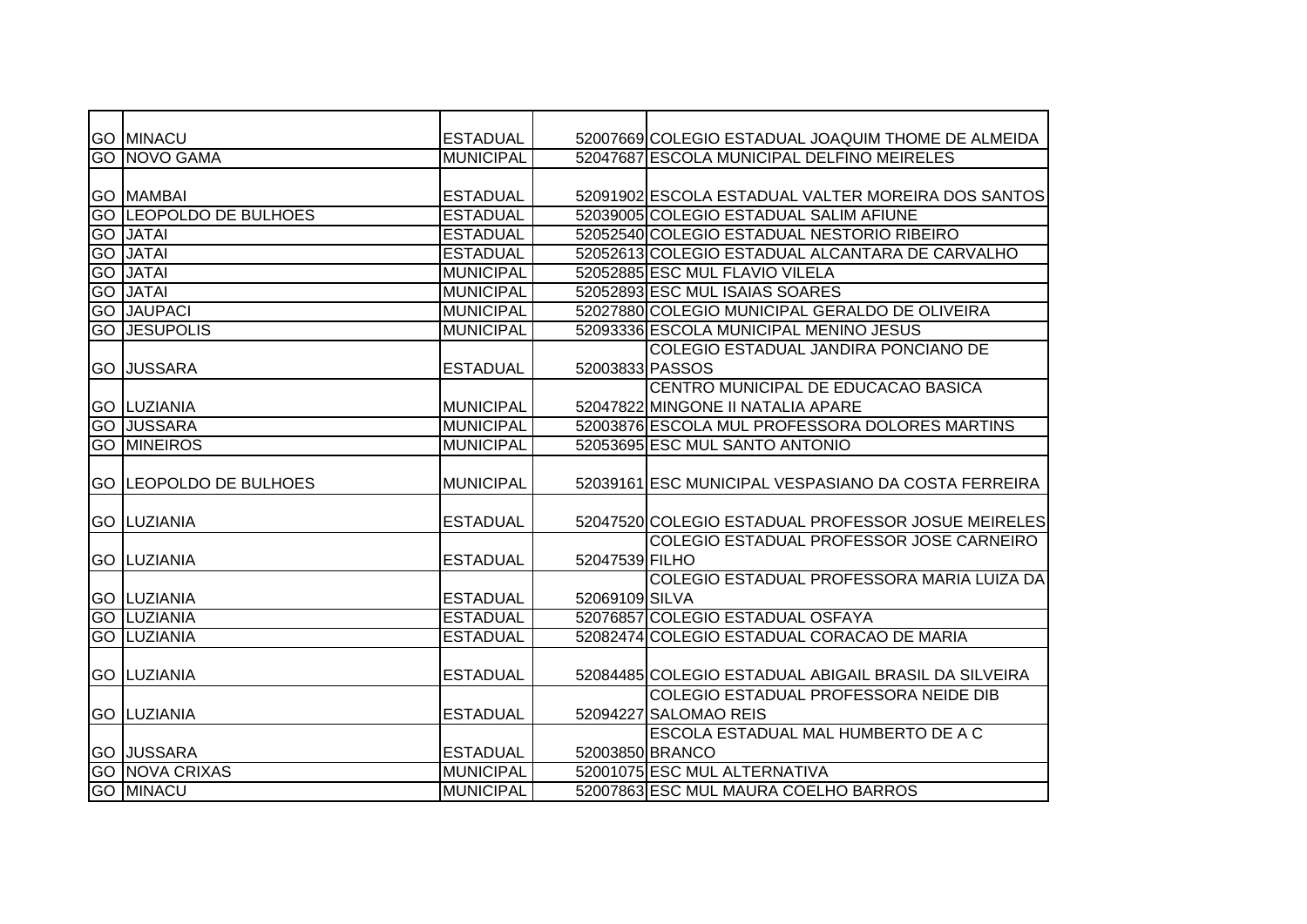|    | <b>GO MINACU</b>              | <b>ESTADUAL</b>  |                 | 52007669 COLEGIO ESTADUAL JOAQUIM THOME DE ALMEIDA   |
|----|-------------------------------|------------------|-----------------|------------------------------------------------------|
|    | <b>GO NOVO GAMA</b>           | <b>MUNICIPAL</b> |                 | 52047687 ESCOLA MUNICIPAL DELFINO MEIRELES           |
|    |                               |                  |                 |                                                      |
|    | <b>GO MAMBAI</b>              | <b>ESTADUAL</b>  |                 | 52091902 ESCOLA ESTADUAL VALTER MOREIRA DOS SANTOS   |
|    | <b>GO LEOPOLDO DE BULHOES</b> | <b>ESTADUAL</b>  |                 | 52039005 COLEGIO ESTADUAL SALIM AFIUNE               |
|    | <b>GO JATAI</b>               | <b>ESTADUAL</b>  |                 | 52052540 COLEGIO ESTADUAL NESTORIO RIBEIRO           |
|    | <b>GO JATAI</b>               | <b>ESTADUAL</b>  |                 | 52052613 COLEGIO ESTADUAL ALCANTARA DE CARVALHO      |
| GO | <b>JATAI</b>                  | <b>MUNICIPAL</b> |                 | 52052885 ESC MUL FLAVIO VILELA                       |
| GO | <b>JATAI</b>                  | <b>MUNICIPAL</b> |                 | 52052893 ESC MUL ISAIAS SOARES                       |
|    | <b>GO JAUPACI</b>             | <b>MUNICIPAL</b> |                 | 52027880 COLEGIO MUNICIPAL GERALDO DE OLIVEIRA       |
|    | <b>GO JESUPOLIS</b>           | <b>MUNICIPAL</b> |                 | 52093336 ESCOLA MUNICIPAL MENINO JESUS               |
|    |                               |                  |                 | COLEGIO ESTADUAL JANDIRA PONCIANO DE                 |
|    | <b>GO JUSSARA</b>             | <b>ESTADUAL</b>  | 52003833 PASSOS |                                                      |
|    |                               |                  |                 | CENTRO MUNICIPAL DE EDUCACAO BASICA                  |
|    | <b>GO LUZIANIA</b>            | <b>MUNICIPAL</b> |                 | 52047822 MINGONE II NATALIA APARE                    |
|    | <b>GO JUSSARA</b>             | <b>MUNICIPAL</b> |                 | 52003876 ESCOLA MUL PROFESSORA DOLORES MARTINS       |
|    | <b>GO MINEIROS</b>            | <b>MUNICIPAL</b> |                 | 52053695 ESC MUL SANTO ANTONIO                       |
|    |                               |                  |                 |                                                      |
|    | <b>GO LEOPOLDO DE BULHOES</b> | <b>MUNICIPAL</b> |                 | 52039161 ESC MUNICIPAL VESPASIANO DA COSTA FERREIRA  |
|    |                               |                  |                 |                                                      |
|    | <b>GO LUZIANIA</b>            | <b>ESTADUAL</b>  |                 | 52047520 COLEGIO ESTADUAL PROFESSOR JOSUE MEIRELES   |
|    |                               |                  |                 | COLEGIO ESTADUAL PROFESSOR JOSE CARNEIRO             |
|    | <b>GO LUZIANIA</b>            | <b>ESTADUAL</b>  | 52047539 FILHO  |                                                      |
|    |                               |                  |                 | COLEGIO ESTADUAL PROFESSORA MARIA LUIZA DA           |
|    | <b>GO LUZIANIA</b>            | <b>ESTADUAL</b>  | 52069109 SILVA  |                                                      |
|    | <b>GO LUZIANIA</b>            | <b>ESTADUAL</b>  |                 | 52076857 COLEGIO ESTADUAL OSFAYA                     |
|    | <b>GO LUZIANIA</b>            | <b>ESTADUAL</b>  |                 | 52082474 COLEGIO ESTADUAL CORACAO DE MARIA           |
|    |                               |                  |                 |                                                      |
|    | <b>GO LUZIANIA</b>            | <b>ESTADUAL</b>  |                 | 52084485 COLEGIO ESTADUAL ABIGAIL BRASIL DA SILVEIRA |
|    |                               |                  |                 | COLEGIO ESTADUAL PROFESSORA NEIDE DIB                |
|    | <b>GO LUZIANIA</b>            | <b>ESTADUAL</b>  |                 | 52094227 SALOMAO REIS                                |
|    |                               |                  |                 | <b>ESCOLA ESTADUAL MAL HUMBERTO DE A C</b>           |
|    | <b>GO JUSSARA</b>             | <b>ESTADUAL</b>  | 52003850 BRANCO |                                                      |
|    | <b>GO NOVA CRIXAS</b>         | <b>MUNICIPAL</b> |                 | 52001075 ESC MUL ALTERNATIVA                         |
|    | <b>GO MINACU</b>              | <b>MUNICIPAL</b> |                 | 52007863 ESC MUL MAURA COELHO BARROS                 |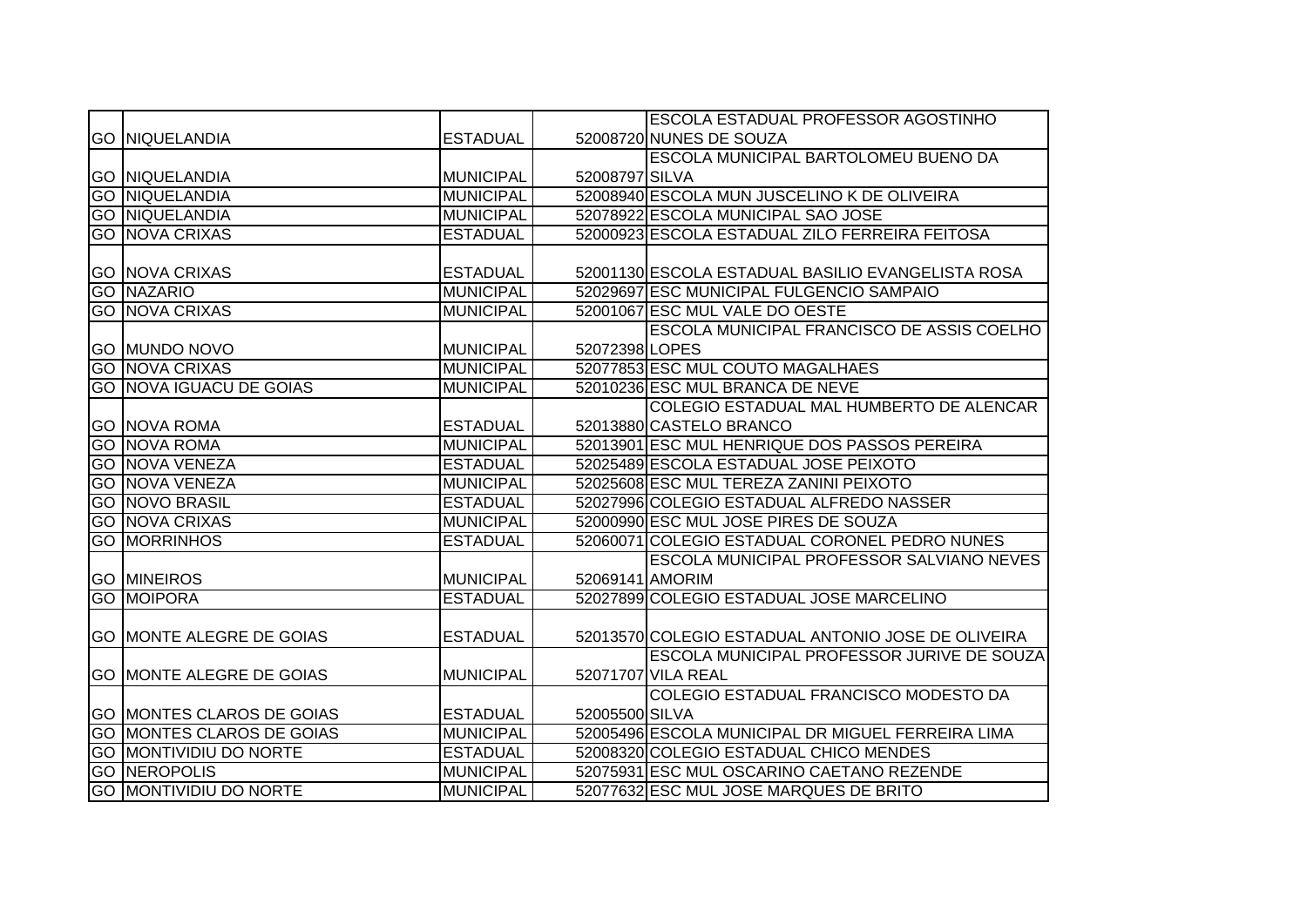|                                  |                  |                 | ESCOLA ESTADUAL PROFESSOR AGOSTINHO                |
|----------------------------------|------------------|-----------------|----------------------------------------------------|
| <b>GO INIQUELANDIA</b>           | <b>ESTADUAL</b>  |                 | 52008720 NUNES DE SOUZA                            |
|                                  |                  |                 | ESCOLA MUNICIPAL BARTOLOMEU BUENO DA               |
| <b>GO NIQUELANDIA</b>            | <b>MUNICIPAL</b> | 52008797 SILVA  |                                                    |
| <b>GO NIQUELANDIA</b>            | <b>MUNICIPAL</b> |                 | 52008940 ESCOLA MUN JUSCELINO K DE OLIVEIRA        |
| <b>GO NIQUELANDIA</b>            | <b>MUNICIPAL</b> |                 | 52078922 ESCOLA MUNICIPAL SAO JOSE                 |
| <b>GO NOVA CRIXAS</b>            | <b>ESTADUAL</b>  |                 | 52000923 ESCOLA ESTADUAL ZILO FERREIRA FEITOSA     |
|                                  |                  |                 |                                                    |
| <b>GO NOVA CRIXAS</b>            | <b>ESTADUAL</b>  |                 | 52001130 ESCOLA ESTADUAL BASILIO EVANGELISTA ROSA  |
| <b>GO NAZARIO</b>                | <b>MUNICIPAL</b> |                 | 52029697 ESC MUNICIPAL FULGENCIO SAMPAIO           |
| <b>GO NOVA CRIXAS</b>            | <b>MUNICIPAL</b> |                 | 52001067 ESC MUL VALE DO OESTE                     |
|                                  |                  |                 | <b>ESCOLA MUNICIPAL FRANCISCO DE ASSIS COELHO</b>  |
| <b>GO MUNDO NOVO</b>             | <b>MUNICIPAL</b> | 52072398 LOPES  |                                                    |
| <b>GO NOVA CRIXAS</b>            | <b>MUNICIPAL</b> |                 | 52077853 ESC MUL COUTO MAGALHAES                   |
| <b>GO NOVA IGUACU DE GOIAS</b>   | <b>MUNICIPAL</b> |                 | 52010236 ESC MUL BRANCA DE NEVE                    |
|                                  |                  |                 | COLEGIO ESTADUAL MAL HUMBERTO DE ALENCAR           |
| <b>GO NOVA ROMA</b>              | <b>ESTADUAL</b>  |                 | 52013880 CASTELO BRANCO                            |
| <b>GO NOVA ROMA</b>              | <b>MUNICIPAL</b> |                 | 52013901 ESC MUL HENRIQUE DOS PASSOS PEREIRA       |
| <b>GO NOVA VENEZA</b>            | <b>ESTADUAL</b>  |                 | 52025489 ESCOLA ESTADUAL JOSE PEIXOTO              |
| <b>GO NOVA VENEZA</b>            | <b>MUNICIPAL</b> |                 | 52025608 ESC MUL TEREZA ZANINI PEIXOTO             |
| <b>GO NOVO BRASIL</b>            | <b>ESTADUAL</b>  |                 | 52027996 COLEGIO ESTADUAL ALFREDO NASSER           |
| <b>GO NOVA CRIXAS</b>            | <b>MUNICIPAL</b> |                 | 52000990 ESC MUL JOSE PIRES DE SOUZA               |
| <b>GO MORRINHOS</b>              | <b>ESTADUAL</b>  |                 | 52060071 COLEGIO ESTADUAL CORONEL PEDRO NUNES      |
|                                  |                  |                 | ESCOLA MUNICIPAL PROFESSOR SALVIANO NEVES          |
| <b>GO MINEIROS</b>               | <b>MUNICIPAL</b> | 52069141 AMORIM |                                                    |
| <b>GO MOIPORA</b>                | <b>ESTADUAL</b>  |                 | 52027899 COLEGIO ESTADUAL JOSE MARCELINO           |
|                                  |                  |                 |                                                    |
| <b>GO MONTE ALEGRE DE GOIAS</b>  | <b>ESTADUAL</b>  |                 | 52013570 COLEGIO ESTADUAL ANTONIO JOSE DE OLIVEIRA |
|                                  |                  |                 | <b>ESCOLA MUNICIPAL PROFESSOR JURIVE DE SOUZA</b>  |
| <b>GO MONTE ALEGRE DE GOIAS</b>  | <b>MUNICIPAL</b> |                 | 52071707 VILA REAL                                 |
|                                  |                  |                 | COLEGIO ESTADUAL FRANCISCO MODESTO DA              |
| <b>GO MONTES CLAROS DE GOIAS</b> | <b>ESTADUAL</b>  | 52005500 SILVA  |                                                    |
| <b>GO MONTES CLAROS DE GOIAS</b> | <b>MUNICIPAL</b> |                 | 52005496 ESCOLA MUNICIPAL DR MIGUEL FERREIRA LIMA  |
| <b>GO MONTIVIDIU DO NORTE</b>    | <b>ESTADUAL</b>  |                 | 52008320 COLEGIO ESTADUAL CHICO MENDES             |
| <b>GO NEROPOLIS</b>              | <b>MUNICIPAL</b> |                 | 52075931 ESC MUL OSCARINO CAETANO REZENDE          |
| <b>GO MONTIVIDIU DO NORTE</b>    | <b>MUNICIPAL</b> |                 | 52077632 ESC MUL JOSE MARQUES DE BRITO             |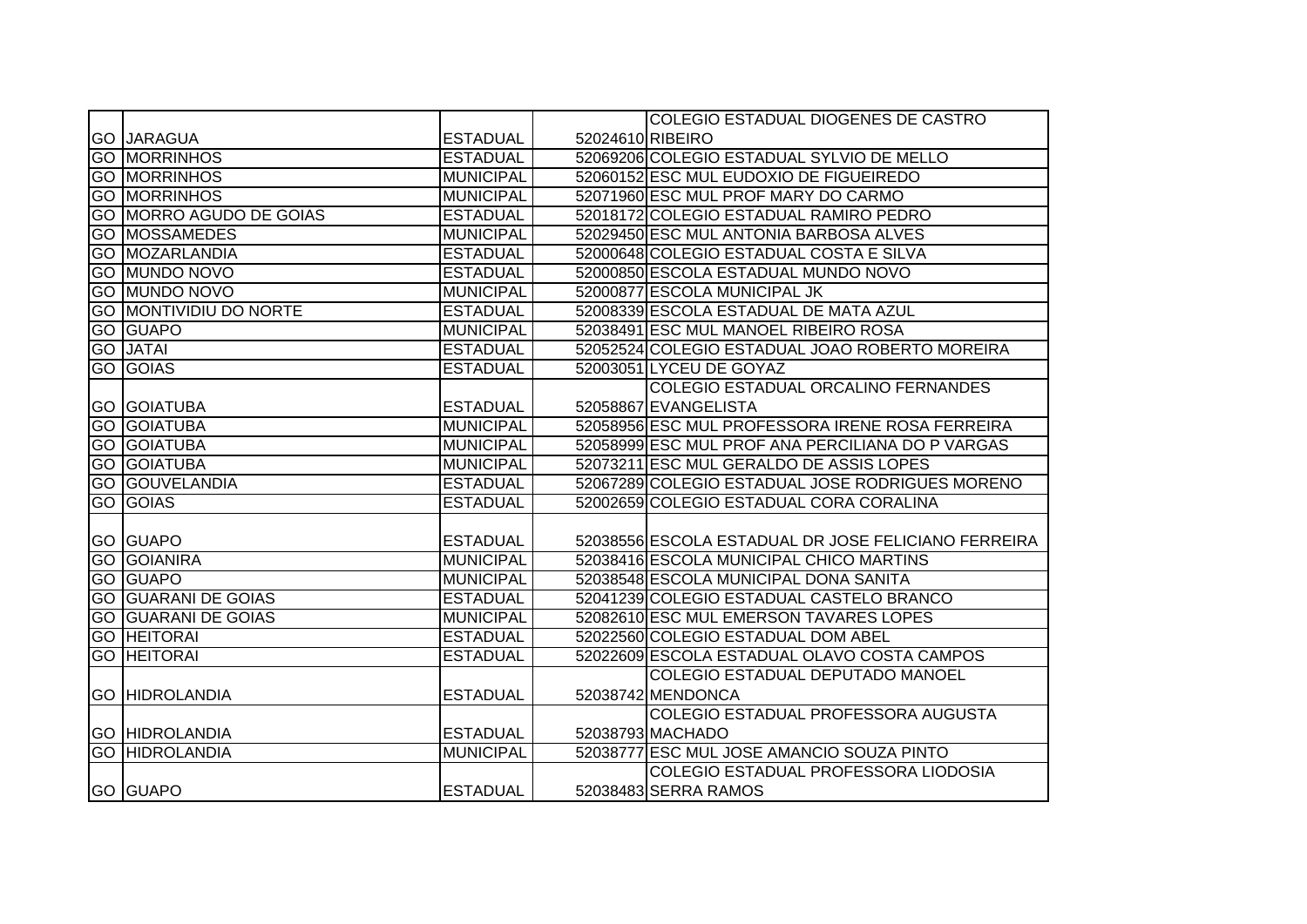|    |                                |                  |                  | COLEGIO ESTADUAL DIOGENES DE CASTRO                 |
|----|--------------------------------|------------------|------------------|-----------------------------------------------------|
|    | <b>GO JARAGUA</b>              | <b>ESTADUAL</b>  | 52024610 RIBEIRO |                                                     |
|    | <b>GO MORRINHOS</b>            | <b>ESTADUAL</b>  |                  | 52069206 COLEGIO ESTADUAL SYLVIO DE MELLO           |
|    | <b>GO MORRINHOS</b>            | <b>MUNICIPAL</b> |                  | 52060152 ESC MUL EUDOXIO DE FIGUEIREDO              |
|    | <b>GO MORRINHOS</b>            | <b>MUNICIPAL</b> |                  | 52071960 ESC MUL PROF MARY DO CARMO                 |
|    | <b>GO MORRO AGUDO DE GOIAS</b> | <b>ESTADUAL</b>  |                  | 52018172 COLEGIO ESTADUAL RAMIRO PEDRO              |
|    | <b>GO MOSSAMEDES</b>           | <b>MUNICIPAL</b> |                  | 52029450 ESC MUL ANTONIA BARBOSA ALVES              |
|    | <b>GO MOZARLANDIA</b>          | <b>ESTADUAL</b>  |                  | 52000648 COLEGIO ESTADUAL COSTA E SILVA             |
| GO | MUNDO NOVO                     | <b>ESTADUAL</b>  |                  | 52000850 ESCOLA ESTADUAL MUNDO NOVO                 |
|    | <b>GO MUNDO NOVO</b>           | <b>MUNICIPAL</b> |                  | 52000877 ESCOLA MUNICIPAL JK                        |
|    | <b>GO MONTIVIDIU DO NORTE</b>  | <b>ESTADUAL</b>  |                  | 52008339 ESCOLA ESTADUAL DE MATA AZUL               |
|    | <b>GO GUAPO</b>                | <b>MUNICIPAL</b> |                  | 52038491 ESC MUL MANOEL RIBEIRO ROSA                |
|    | <b>GO JATAI</b>                | <b>ESTADUAL</b>  |                  | 52052524 COLEGIO ESTADUAL JOAO ROBERTO MOREIRA      |
|    | <b>GO GOIAS</b>                | <b>ESTADUAL</b>  |                  | 52003051 LYCEU DE GOYAZ                             |
|    |                                |                  |                  | COLEGIO ESTADUAL ORCALINO FERNANDES                 |
|    | <b>GO GOIATUBA</b>             | <b>ESTADUAL</b>  |                  | 52058867 EVANGELISTA                                |
|    | <b>GO GOIATUBA</b>             | <b>MUNICIPAL</b> |                  | 52058956 ESC MUL PROFESSORA IRENE ROSA FERREIRA     |
|    | <b>GO GOIATUBA</b>             | <b>MUNICIPAL</b> |                  | 52058999 ESC MUL PROF ANA PERCILIANA DO P VARGAS    |
|    | <b>GO GOIATUBA</b>             | <b>MUNICIPAL</b> |                  | 52073211 ESC MUL GERALDO DE ASSIS LOPES             |
|    | <b>GO GOUVELANDIA</b>          | <b>ESTADUAL</b>  |                  | 52067289 COLEGIO ESTADUAL JOSE RODRIGUES MORENO     |
|    | <b>GO GOIAS</b>                | <b>ESTADUAL</b>  |                  | 52002659 COLEGIO ESTADUAL CORA CORALINA             |
|    |                                |                  |                  |                                                     |
|    | <b>GO GUAPO</b>                | <b>ESTADUAL</b>  |                  | 52038556 ESCOLA ESTADUAL DR JOSE FELICIANO FERREIRA |
|    | <b>GO GOIANIRA</b>             | <b>MUNICIPAL</b> |                  | 52038416 ESCOLA MUNICIPAL CHICO MARTINS             |
|    | <b>GO GUAPO</b>                | <b>MUNICIPAL</b> |                  | 52038548 ESCOLA MUNICIPAL DONA SANITA               |
|    | <b>GO GUARANI DE GOIAS</b>     | <b>ESTADUAL</b>  |                  | 52041239 COLEGIO ESTADUAL CASTELO BRANCO            |
|    | <b>GO GUARANI DE GOIAS</b>     | <b>MUNICIPAL</b> |                  | 52082610 ESC MUL EMERSON TAVARES LOPES              |
|    | <b>GO HEITORAI</b>             | <b>ESTADUAL</b>  |                  | 52022560 COLEGIO ESTADUAL DOM ABEL                  |
|    | <b>GO HEITORAI</b>             | <b>ESTADUAL</b>  |                  | 52022609 ESCOLA ESTADUAL OLAVO COSTA CAMPOS         |
|    |                                |                  |                  | <b>COLEGIO ESTADUAL DEPUTADO MANOEL</b>             |
|    | <b>GO HIDROLANDIA</b>          | <b>ESTADUAL</b>  |                  | 52038742 MENDONCA                                   |
|    |                                |                  |                  | COLEGIO ESTADUAL PROFESSORA AUGUSTA                 |
|    | <b>GO HIDROLANDIA</b>          | <b>ESTADUAL</b>  |                  | 52038793 MACHADO                                    |
|    | <b>GO HIDROLANDIA</b>          | <b>MUNICIPAL</b> |                  | 52038777 ESC MUL JOSE AMANCIO SOUZA PINTO           |
|    |                                |                  |                  | COLEGIO ESTADUAL PROFESSORA LIODOSIA                |
|    | <b>GO GUAPO</b>                | <b>ESTADUAL</b>  |                  | 52038483 SERRA RAMOS                                |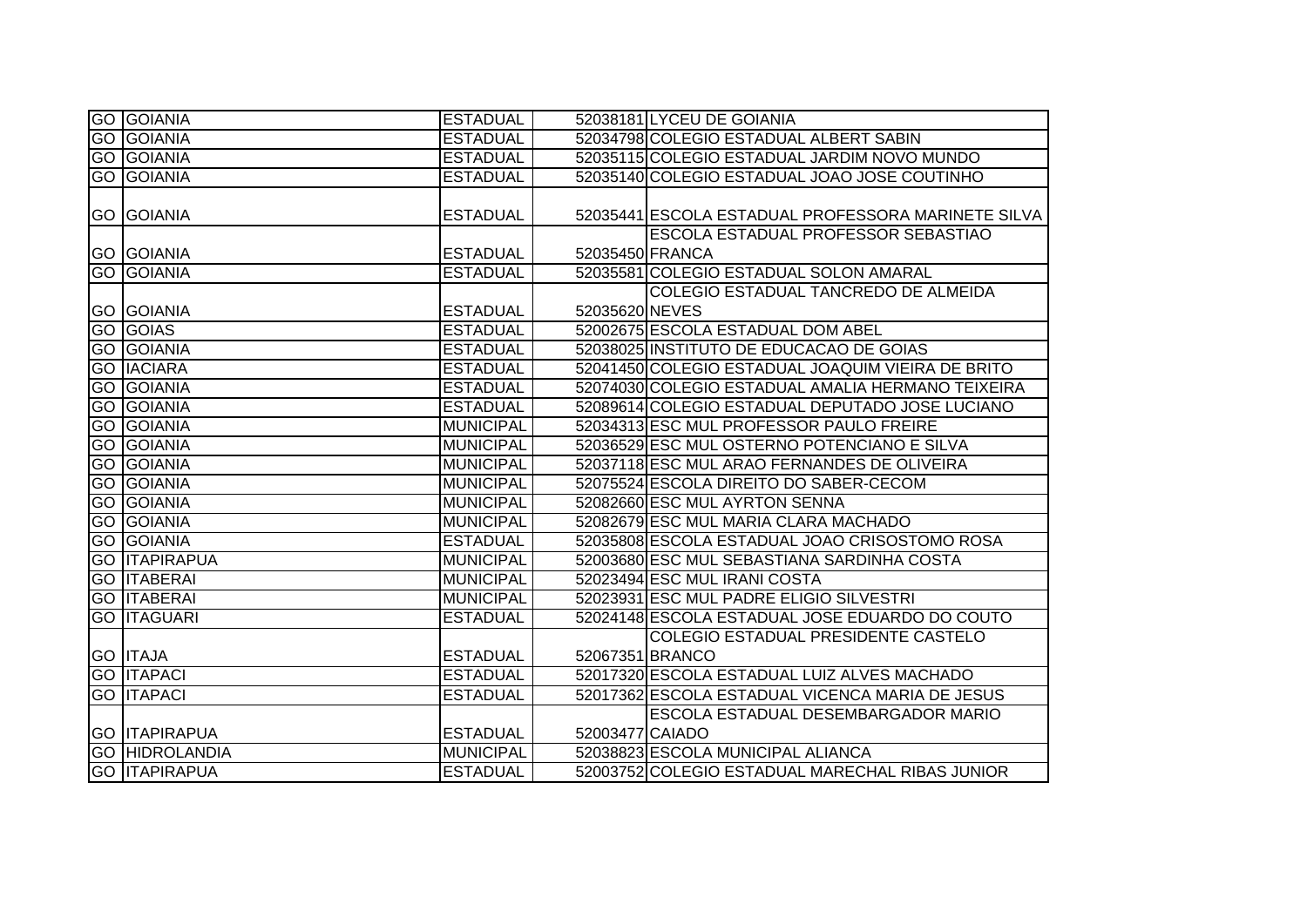| <b>GO GOIANIA</b>     | <b>ESTADUAL</b>  |                 | 52038181 LYCEU DE GOIANIA                          |
|-----------------------|------------------|-----------------|----------------------------------------------------|
| <b>GO GOIANIA</b>     | <b>ESTADUAL</b>  |                 | 52034798 COLEGIO ESTADUAL ALBERT SABIN             |
| <b>GO GOIANIA</b>     | <b>ESTADUAL</b>  |                 | 52035115 COLEGIO ESTADUAL JARDIM NOVO MUNDO        |
| <b>GO GOIANIA</b>     | <b>ESTADUAL</b>  |                 | 52035140 COLEGIO ESTADUAL JOAO JOSE COUTINHO       |
|                       |                  |                 |                                                    |
| <b>GO GOIANIA</b>     | <b>ESTADUAL</b>  |                 | 52035441 ESCOLA ESTADUAL PROFESSORA MARINETE SILVA |
|                       |                  |                 | ESCOLA ESTADUAL PROFESSOR SEBASTIAO                |
| <b>GO GOIANIA</b>     | <b>ESTADUAL</b>  | 52035450 FRANCA |                                                    |
| <b>GO GOIANIA</b>     | <b>ESTADUAL</b>  |                 | 52035581 COLEGIO ESTADUAL SOLON AMARAL             |
|                       |                  |                 | COLEGIO ESTADUAL TANCREDO DE ALMEIDA               |
| <b>GO GOIANIA</b>     | <b>ESTADUAL</b>  | 52035620 NEVES  |                                                    |
| <b>GO GOIAS</b>       | <b>ESTADUAL</b>  |                 | 52002675 ESCOLA ESTADUAL DOM ABEL                  |
| <b>GO GOIANIA</b>     | <b>ESTADUAL</b>  |                 | 52038025 INSTITUTO DE EDUCACAO DE GOIAS            |
| <b>GO IACIARA</b>     | <b>ESTADUAL</b>  |                 | 52041450 COLEGIO ESTADUAL JOAQUIM VIEIRA DE BRITO  |
| <b>GO GOIANIA</b>     | <b>ESTADUAL</b>  |                 | 52074030 COLEGIO ESTADUAL AMALIA HERMANO TEIXEIRA  |
| <b>GO GOIANIA</b>     | <b>ESTADUAL</b>  |                 | 52089614 COLEGIO ESTADUAL DEPUTADO JOSE LUCIANO    |
| <b>GO GOIANIA</b>     | <b>MUNICIPAL</b> |                 | 52034313 ESC MUL PROFESSOR PAULO FREIRE            |
| <b>GO GOIANIA</b>     | <b>MUNICIPAL</b> |                 | 52036529 ESC MUL OSTERNO POTENCIANO E SILVA        |
| <b>GO GOIANIA</b>     | <b>MUNICIPAL</b> |                 | 52037118 ESC MUL ARAO FERNANDES DE OLIVEIRA        |
| <b>GO GOIANIA</b>     | <b>MUNICIPAL</b> |                 | 52075524 ESCOLA DIREITO DO SABER-CECOM             |
| <b>GO GOIANIA</b>     | <b>MUNICIPAL</b> |                 | 52082660 ESC MUL AYRTON SENNA                      |
| <b>GO GOIANIA</b>     | <b>MUNICIPAL</b> |                 | 52082679 ESC MUL MARIA CLARA MACHADO               |
| <b>GO GOIANIA</b>     | <b>ESTADUAL</b>  |                 | 52035808 ESCOLA ESTADUAL JOAO CRISOSTOMO ROSA      |
| <b>GO ITAPIRAPUA</b>  | <b>MUNICIPAL</b> |                 | 52003680 ESC MUL SEBASTIANA SARDINHA COSTA         |
| <b>GO ITABERAI</b>    | <b>MUNICIPAL</b> |                 | 52023494 ESC MUL IRANI COSTA                       |
| <b>GO ITABERAI</b>    | <b>MUNICIPAL</b> |                 | 52023931 ESC MUL PADRE ELIGIO SILVESTRI            |
| <b>GO ITAGUARI</b>    | <b>ESTADUAL</b>  |                 | 52024148 ESCOLA ESTADUAL JOSE EDUARDO DO COUTO     |
|                       |                  |                 | COLEGIO ESTADUAL PRESIDENTE CASTELO                |
| <b>GO ITAJA</b>       | <b>ESTADUAL</b>  |                 | 52067351 BRANCO                                    |
| <b>GO ITAPACI</b>     | <b>ESTADUAL</b>  |                 | 52017320 ESCOLA ESTADUAL LUIZ ALVES MACHADO        |
| <b>GO ITAPACI</b>     | <b>ESTADUAL</b>  |                 | 52017362 ESCOLA ESTADUAL VICENCA MARIA DE JESUS    |
|                       |                  |                 | <b>ESCOLA ESTADUAL DESEMBARGADOR MARIO</b>         |
| <b>GO ITAPIRAPUA</b>  | <b>ESTADUAL</b>  | 52003477 CAIADO |                                                    |
| <b>GO HIDROLANDIA</b> | <b>MUNICIPAL</b> |                 | 52038823 ESCOLA MUNICIPAL ALIANCA                  |
| <b>GO ITAPIRAPUA</b>  | <b>ESTADUAL</b>  |                 | 52003752 COLEGIO ESTADUAL MARECHAL RIBAS JUNIOR    |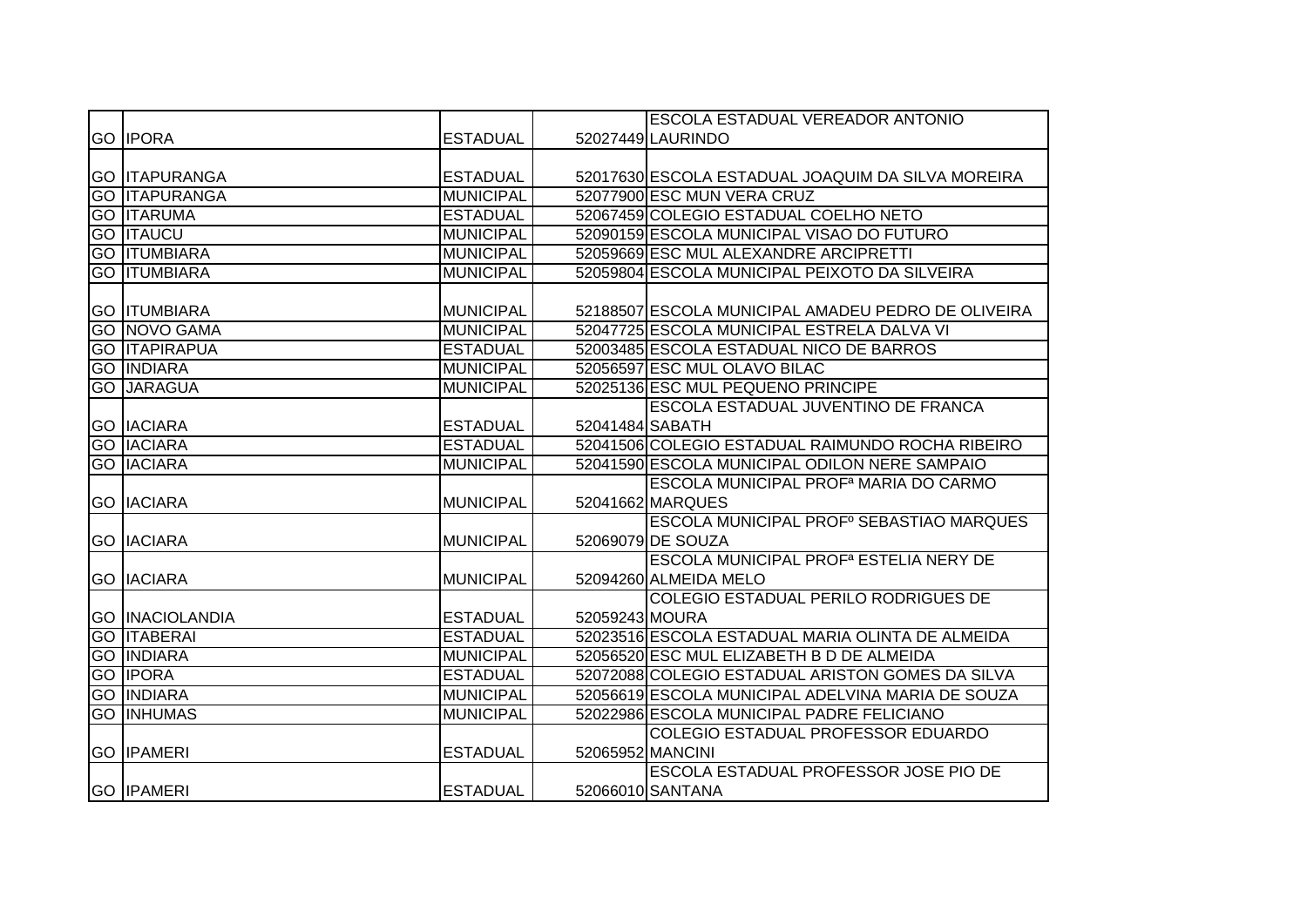|                        |                  |                  | <b>ESCOLA ESTADUAL VEREADOR ANTONIO</b>                  |
|------------------------|------------------|------------------|----------------------------------------------------------|
| <b>GO IPORA</b>        | <b>ESTADUAL</b>  |                  | 52027449 LAURINDO                                        |
|                        |                  |                  |                                                          |
| <b>GO ITAPURANGA</b>   | <b>ESTADUAL</b>  |                  | 52017630 ESCOLA ESTADUAL JOAQUIM DA SILVA MOREIRA        |
| <b>GO ITAPURANGA</b>   | <b>MUNICIPAL</b> |                  | 52077900 ESC MUN VERA CRUZ                               |
| <b>GO ITARUMA</b>      | <b>ESTADUAL</b>  |                  | 52067459 COLEGIO ESTADUAL COELHO NETO                    |
| <b>GO ITAUCU</b>       | <b>MUNICIPAL</b> |                  | 52090159 ESCOLA MUNICIPAL VISAO DO FUTURO                |
| <b>GO ITUMBIARA</b>    | <b>MUNICIPAL</b> |                  | 52059669 ESC MUL ALEXANDRE ARCIPRETTI                    |
| <b>GO ITUMBIARA</b>    | <b>MUNICIPAL</b> |                  | 52059804 ESCOLA MUNICIPAL PEIXOTO DA SILVEIRA            |
|                        |                  |                  |                                                          |
| <b>GO ITUMBIARA</b>    | <b>MUNICIPAL</b> |                  | 52188507 ESCOLA MUNICIPAL AMADEU PEDRO DE OLIVEIRA       |
| <b>GO NOVO GAMA</b>    | <b>MUNICIPAL</b> |                  | 52047725 ESCOLA MUNICIPAL ESTRELA DALVA VI               |
| <b>GO ITAPIRAPUA</b>   | <b>ESTADUAL</b>  |                  | 52003485 ESCOLA ESTADUAL NICO DE BARROS                  |
| <b>GO INDIARA</b>      | <b>MUNICIPAL</b> |                  | 52056597 ESC MUL OLAVO BILAC                             |
| <b>GO JARAGUA</b>      | <b>MUNICIPAL</b> |                  | 52025136 ESC MUL PEQUENO PRINCIPE                        |
|                        |                  |                  | <b>ESCOLA ESTADUAL JUVENTINO DE FRANCA</b>               |
| <b>GO IACIARA</b>      | <b>ESTADUAL</b>  | 52041484 SABATH  |                                                          |
| <b>GO IACIARA</b>      | <b>ESTADUAL</b>  |                  | 52041506 COLEGIO ESTADUAL RAIMUNDO ROCHA RIBEIRO         |
| <b>GO IACIARA</b>      | <b>MUNICIPAL</b> |                  | 52041590 ESCOLA MUNICIPAL ODILON NERE SAMPAIO            |
|                        |                  |                  | ESCOLA MUNICIPAL PROF <sup>a</sup> MARIA DO CARMO        |
| <b>GO IACIARA</b>      | <b>MUNICIPAL</b> |                  | 52041662 MARQUES                                         |
|                        |                  |                  | ESCOLA MUNICIPAL PROF <sup>°</sup> SEBASTIAO MARQUES     |
| <b>GO IACIARA</b>      | <b>MUNICIPAL</b> |                  | 52069079 DE SOUZA                                        |
|                        |                  |                  | <b>ESCOLA MUNICIPAL PROF<sup>a</sup> ESTELIA NERY DE</b> |
| <b>GO IACIARA</b>      | <b>MUNICIPAL</b> |                  | 52094260 ALMEIDA MELO                                    |
|                        |                  |                  | <b>COLEGIO ESTADUAL PERILO RODRIGUES DE</b>              |
| <b>GO INACIOLANDIA</b> | <b>ESTADUAL</b>  | 52059243 MOURA   |                                                          |
| <b>GO ITABERAI</b>     | <b>ESTADUAL</b>  |                  | 52023516 ESCOLA ESTADUAL MARIA OLINTA DE ALMEIDA         |
| <b>GO INDIARA</b>      | <b>MUNICIPAL</b> |                  | 52056520 ESC MUL ELIZABETH B D DE ALMEIDA                |
| <b>GO IPORA</b>        | <b>ESTADUAL</b>  |                  | 52072088 COLEGIO ESTADUAL ARISTON GOMES DA SILVA         |
| <b>GO INDIARA</b>      | <b>MUNICIPAL</b> |                  | 52056619 ESCOLA MUNICIPAL ADELVINA MARIA DE SOUZA        |
| <b>GO INHUMAS</b>      | <b>MUNICIPAL</b> |                  | 52022986 ESCOLA MUNICIPAL PADRE FELICIANO                |
|                        |                  |                  | COLEGIO ESTADUAL PROFESSOR EDUARDO                       |
| <b>GO IPAMERI</b>      | <b>ESTADUAL</b>  | 52065952 MANCINI |                                                          |
|                        |                  |                  | <b>ESCOLA ESTADUAL PROFESSOR JOSE PIO DE</b>             |
| <b>GO IPAMERI</b>      | <b>ESTADUAL</b>  |                  | 52066010 SANTANA                                         |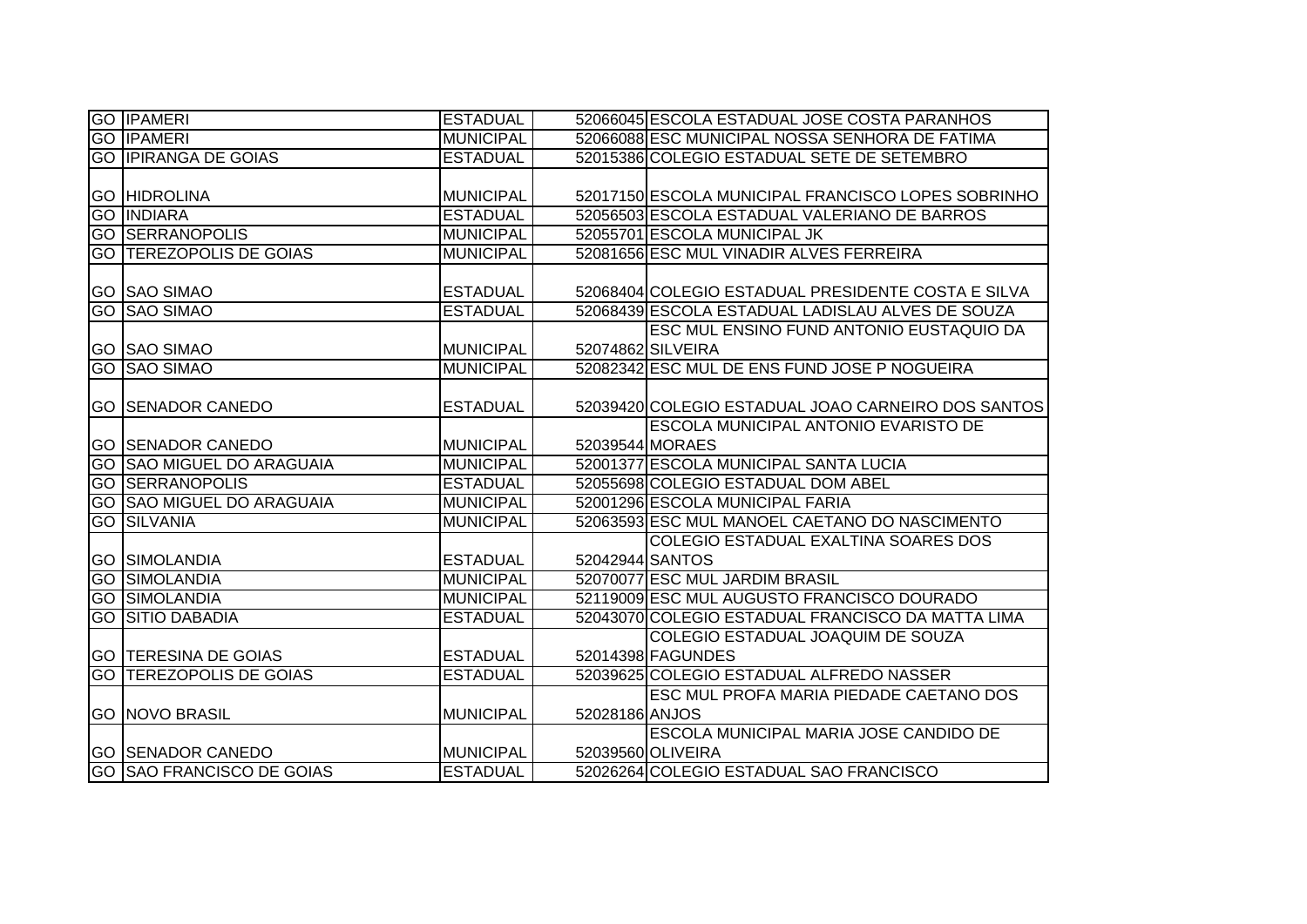| <b>GO IPAMERI</b>                | <b>ESTADUAL</b>  |                | 52066045 ESCOLA ESTADUAL JOSE COSTA PARANHOS       |
|----------------------------------|------------------|----------------|----------------------------------------------------|
| <b>GO IPAMERI</b>                | <b>MUNICIPAL</b> |                | 52066088 ESC MUNICIPAL NOSSA SENHORA DE FATIMA     |
| <b>GO IPIRANGA DE GOIAS</b>      | <b>ESTADUAL</b>  |                | 52015386 COLEGIO ESTADUAL SETE DE SETEMBRO         |
|                                  |                  |                |                                                    |
| <b>GO HIDROLINA</b>              | <b>MUNICIPAL</b> |                | 52017150 ESCOLA MUNICIPAL FRANCISCO LOPES SOBRINHO |
| <b>GO INDIARA</b>                | <b>ESTADUAL</b>  |                | 52056503 ESCOLA ESTADUAL VALERIANO DE BARROS       |
| <b>GO SERRANOPOLIS</b>           | <b>MUNICIPAL</b> |                | 52055701 ESCOLA MUNICIPAL JK                       |
| GO TEREZOPOLIS DE GOIAS          | <b>MUNICIPAL</b> |                | 52081656 ESC MUL VINADIR ALVES FERREIRA            |
|                                  |                  |                |                                                    |
| <b>GO SAO SIMAO</b>              | <b>ESTADUAL</b>  |                | 52068404 COLEGIO ESTADUAL PRESIDENTE COSTA E SILVA |
| <b>GO SAO SIMAO</b>              | <b>ESTADUAL</b>  |                | 52068439 ESCOLA ESTADUAL LADISLAU ALVES DE SOUZA   |
|                                  |                  |                | <b>ESC MUL ENSINO FUND ANTONIO EUSTAQUIO DA</b>    |
| <b>GO SAO SIMAO</b>              | <b>MUNICIPAL</b> |                | 52074862 SILVEIRA                                  |
| <b>GO SAO SIMAO</b>              | <b>MUNICIPAL</b> |                | 52082342 ESC MUL DE ENS FUND JOSE P NOGUEIRA       |
|                                  |                  |                |                                                    |
| <b>GO SENADOR CANEDO</b>         | <b>ESTADUAL</b>  |                | 52039420 COLEGIO ESTADUAL JOAO CARNEIRO DOS SANTOS |
|                                  |                  |                | <b>ESCOLA MUNICIPAL ANTONIO EVARISTO DE</b>        |
| <b>GO SENADOR CANEDO</b>         | <b>MUNICIPAL</b> |                | 52039544 MORAES                                    |
| <b>GO SAO MIGUEL DO ARAGUAIA</b> | <b>MUNICIPAL</b> |                | 52001377 ESCOLA MUNICIPAL SANTA LUCIA              |
| <b>GO SERRANOPOLIS</b>           | <b>ESTADUAL</b>  |                | 52055698 COLEGIO ESTADUAL DOM ABEL                 |
| <b>GO SAO MIGUEL DO ARAGUAIA</b> | <b>MUNICIPAL</b> |                | 52001296 ESCOLA MUNICIPAL FARIA                    |
| <b>GO SILVANIA</b>               | <b>MUNICIPAL</b> |                | 52063593 ESC MUL MANOEL CAETANO DO NASCIMENTO      |
|                                  |                  |                | COLEGIO ESTADUAL EXALTINA SOARES DOS               |
| <b>GO SIMOLANDIA</b>             | <b>ESTADUAL</b>  |                | 52042944 SANTOS                                    |
| <b>GO SIMOLANDIA</b>             | <b>MUNICIPAL</b> |                | 52070077 ESC MUL JARDIM BRASIL                     |
| <b>GO SIMOLANDIA</b>             | <b>MUNICIPAL</b> |                | 52119009 ESC MUL AUGUSTO FRANCISCO DOURADO         |
| <b>GO SITIO DABADIA</b>          | <b>ESTADUAL</b>  |                | 52043070 COLEGIO ESTADUAL FRANCISCO DA MATTA LIMA  |
|                                  |                  |                | COLEGIO ESTADUAL JOAQUIM DE SOUZA                  |
| <b>GO TERESINA DE GOIAS</b>      | <b>ESTADUAL</b>  |                | 52014398 FAGUNDES                                  |
| <b>GO TEREZOPOLIS DE GOIAS</b>   | <b>ESTADUAL</b>  |                | 52039625 COLEGIO ESTADUAL ALFREDO NASSER           |
|                                  |                  |                | ESC MUL PROFA MARIA PIEDADE CAETANO DOS            |
| <b>GO INOVO BRASIL</b>           | <b>MUNICIPAL</b> | 52028186 ANJOS |                                                    |
|                                  |                  |                | ESCOLA MUNICIPAL MARIA JOSE CANDIDO DE             |
| <b>GO SENADOR CANEDO</b>         | <b>MUNICIPAL</b> |                | 52039560 OLIVEIRA                                  |
| <b>GO SAO FRANCISCO DE GOIAS</b> | <b>ESTADUAL</b>  |                | 52026264 COLEGIO ESTADUAL SAO FRANCISCO            |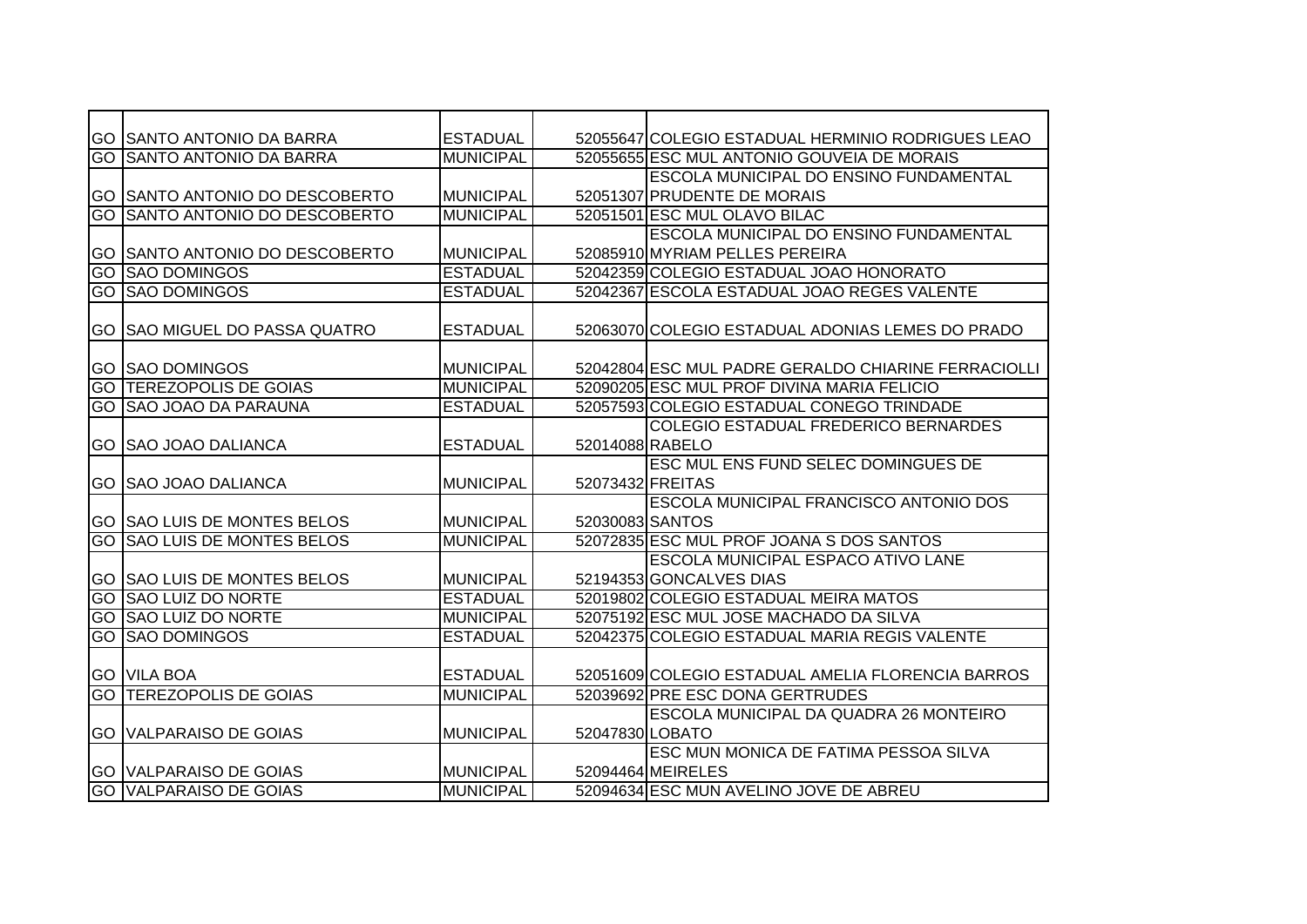|     | <b>GO SANTO ANTONIO DA BARRA</b>      | <b>ESTADUAL</b>  |                  | 52055647 COLEGIO ESTADUAL HERMINIO RODRIGUES LEAO   |
|-----|---------------------------------------|------------------|------------------|-----------------------------------------------------|
| GO  | <b>SANTO ANTONIO DA BARRA</b>         | <b>MUNICIPAL</b> |                  | 52055655 ESC MUL ANTONIO GOUVEIA DE MORAIS          |
|     |                                       |                  |                  | <b>ESCOLA MUNICIPAL DO ENSINO FUNDAMENTAL</b>       |
|     | GO SSANTO ANTONIO DO DESCOBERTO       | <b>MUNICIPAL</b> |                  | 52051307 PRUDENTE DE MORAIS                         |
|     | <b>GO SANTO ANTONIO DO DESCOBERTO</b> | <b>MUNICIPAL</b> |                  | 52051501 ESC MUL OLAVO BILAC                        |
|     |                                       |                  |                  | ESCOLA MUNICIPAL DO ENSINO FUNDAMENTAL              |
|     | GO SAANTO ANTONIO DO DESCOBERTO       | <b>MUNICIPAL</b> |                  | 52085910 MYRIAM PELLES PEREIRA                      |
| GO  | <b>SAO DOMINGOS</b>                   | <b>ESTADUAL</b>  |                  | 52042359 COLEGIO ESTADUAL JOAO HONORATO             |
| GO  | <b>SAO DOMINGOS</b>                   | <b>ESTADUAL</b>  |                  | 52042367 ESCOLA ESTADUAL JOAO REGES VALENTE         |
|     |                                       |                  |                  |                                                     |
|     | <b>GO SAO MIGUEL DO PASSA QUATRO</b>  | <b>ESTADUAL</b>  |                  | 52063070 COLEGIO ESTADUAL ADONIAS LEMES DO PRADO    |
|     |                                       |                  |                  |                                                     |
|     | <b>GO SAO DOMINGOS</b>                | <b>MUNICIPAL</b> |                  | 52042804 ESC MUL PADRE GERALDO CHIARINE FERRACIOLLI |
|     | <b>GO TEREZOPOLIS DE GOIAS</b>        | <b>MUNICIPAL</b> |                  | 52090205 ESC MUL PROF DIVINA MARIA FELICIO          |
|     | <b>GO SAO JOAO DA PARAUNA</b>         | <b>ESTADUAL</b>  |                  | 52057593 COLEGIO ESTADUAL CONEGO TRINDADE           |
|     |                                       |                  |                  | COLEGIO ESTADUAL FREDERICO BERNARDES                |
|     | <b>GO SAO JOAO DALIANCA</b>           | <b>ESTADUAL</b>  | 52014088 RABELO  |                                                     |
|     |                                       |                  |                  | ESC MUL ENS FUND SELEC DOMINGUES DE                 |
|     | <b>IGO ISAO JOAO DALIANCA</b>         | <b>MUNICIPAL</b> | 52073432 FREITAS |                                                     |
|     |                                       |                  |                  | ESCOLA MUNICIPAL FRANCISCO ANTONIO DOS              |
|     | <b>GO SAO LUIS DE MONTES BELOS</b>    | <b>MUNICIPAL</b> | 52030083 SANTOS  |                                                     |
| Ю   | <b>SAO LUIS DE MONTES BELOS</b>       | <b>MUNICIPAL</b> |                  | 52072835 ESC MUL PROF JOANA S DOS SANTOS            |
|     |                                       |                  |                  | ESCOLA MUNICIPAL ESPACO ATIVO LANE                  |
|     | GO SAO LUIS DE MONTES BELOS           | <b>MUNICIPAL</b> |                  | 52194353 GONCALVES DIAS                             |
| Ю   | <b>SAO LUIZ DO NORTE</b>              | <b>ESTADUAL</b>  |                  | 52019802 COLEGIO ESTADUAL MEIRA MATOS               |
| GO. | <b>SAO LUIZ DO NORTE</b>              | <b>MUNICIPAL</b> |                  | 52075192 ESC MUL JOSE MACHADO DA SILVA              |
| GO  | <b>SAO DOMINGOS</b>                   | <b>ESTADUAL</b>  |                  | 52042375 COLEGIO ESTADUAL MARIA REGIS VALENTE       |
|     |                                       |                  |                  |                                                     |
|     | <b>GO VILA BOA</b>                    | <b>ESTADUAL</b>  |                  | 52051609 COLEGIO ESTADUAL AMELIA FLORENCIA BARROS   |
| GO  | <b>TEREZOPOLIS DE GOIAS</b>           | <b>MUNICIPAL</b> |                  | 52039692 PRE ESC DONA GERTRUDES                     |
|     |                                       |                  |                  | ESCOLA MUNICIPAL DA QUADRA 26 MONTEIRO              |
|     | <b>GO VALPARAISO DE GOIAS</b>         | <b>MUNICIPAL</b> | 52047830 LOBATO  |                                                     |
|     |                                       |                  |                  | ESC MUN MONICA DE FATIMA PESSOA SILVA               |
|     | <b>GO VALPARAISO DE GOIAS</b>         | <b>MUNICIPAL</b> |                  | 52094464 MEIRELES                                   |
|     | <b>GO VALPARAISO DE GOIAS</b>         | <b>MUNICIPAL</b> |                  | 52094634 ESC MUN AVELINO JOVE DE ABREU              |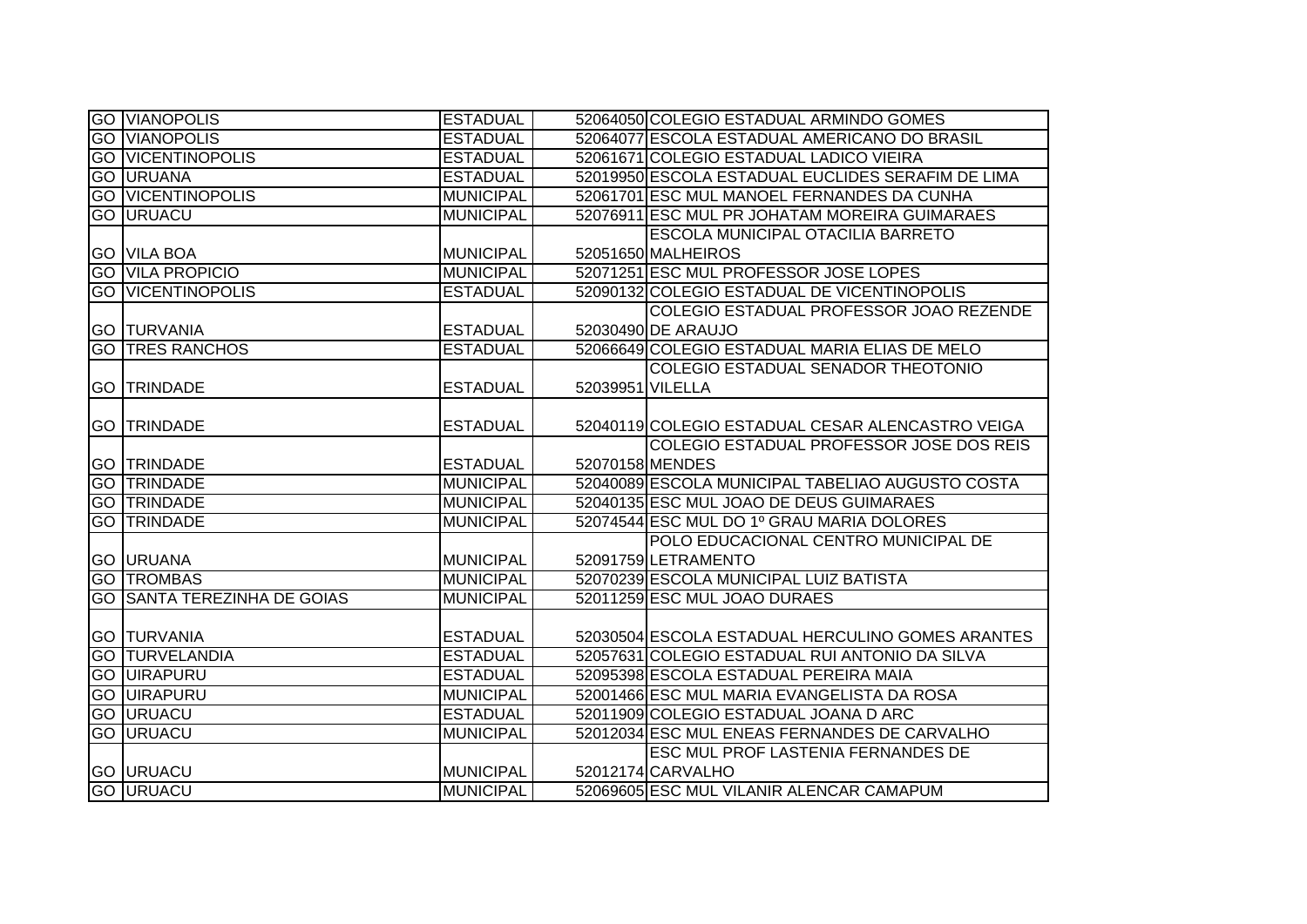| <b>GO VIANOPOLIS</b>               | <b>ESTADUAL</b>  |                  | 52064050 COLEGIO ESTADUAL ARMINDO GOMES           |
|------------------------------------|------------------|------------------|---------------------------------------------------|
| <b>GO VIANOPOLIS</b>               | <b>ESTADUAL</b>  |                  | 52064077 ESCOLA ESTADUAL AMERICANO DO BRASIL      |
| <b>GO VICENTINOPOLIS</b>           | <b>ESTADUAL</b>  |                  | 52061671 COLEGIO ESTADUAL LADICO VIEIRA           |
| <b>GO URUANA</b>                   | <b>ESTADUAL</b>  |                  | 52019950 ESCOLA ESTADUAL EUCLIDES SERAFIM DE LIMA |
| <b>GO VICENTINOPOLIS</b>           | <b>MUNICIPAL</b> |                  | 52061701 ESC MUL MANOEL FERNANDES DA CUNHA        |
| <b>GO URUACU</b>                   | <b>MUNICIPAL</b> |                  | 52076911 ESC MUL PR JOHATAM MOREIRA GUIMARAES     |
|                                    |                  |                  | <b>ESCOLA MUNICIPAL OTACILIA BARRETO</b>          |
| <b>GO VILA BOA</b>                 | <b>MUNICIPAL</b> |                  | 52051650 MALHEIROS                                |
| <b>GO VILA PROPICIO</b>            | <b>MUNICIPAL</b> |                  | 52071251 ESC MUL PROFESSOR JOSE LOPES             |
| <b>GO VICENTINOPOLIS</b>           | <b>ESTADUAL</b>  |                  | 52090132 COLEGIO ESTADUAL DE VICENTINOPOLIS       |
|                                    |                  |                  | COLEGIO ESTADUAL PROFESSOR JOAO REZENDE           |
| <b>GO TURVANIA</b>                 | <b>ESTADUAL</b>  |                  | 52030490 DE ARAUJO                                |
| <b>GO TRES RANCHOS</b>             | <b>ESTADUAL</b>  |                  | 52066649 COLEGIO ESTADUAL MARIA ELIAS DE MELO     |
|                                    |                  |                  | COLEGIO ESTADUAL SENADOR THEOTONIO                |
| <b>GO TRINDADE</b>                 | <b>ESTADUAL</b>  | 52039951 VILELLA |                                                   |
|                                    |                  |                  |                                                   |
| <b>GO TRINDADE</b>                 | <b>ESTADUAL</b>  |                  | 52040119 COLEGIO ESTADUAL CESAR ALENCASTRO VEIGA  |
|                                    |                  |                  | COLEGIO ESTADUAL PROFESSOR JOSE DOS REIS          |
| <b>GO TRINDADE</b>                 | <b>ESTADUAL</b>  |                  | 52070158 MENDES                                   |
| <b>GO TRINDADE</b>                 | <b>MUNICIPAL</b> |                  | 52040089 ESCOLA MUNICIPAL TABELIAO AUGUSTO COSTA  |
| <b>GO TRINDADE</b>                 | <b>MUNICIPAL</b> |                  | 52040135 ESC MUL JOAO DE DEUS GUIMARAES           |
| <b>GO TRINDADE</b>                 | <b>MUNICIPAL</b> |                  | 52074544 ESC MUL DO 1º GRAU MARIA DOLORES         |
|                                    |                  |                  | POLO EDUCACIONAL CENTRO MUNICIPAL DE              |
| <b>GO URUANA</b>                   | <b>MUNICIPAL</b> |                  | 52091759 LETRAMENTO                               |
| <b>GO TROMBAS</b>                  | <b>MUNICIPAL</b> |                  | 52070239 ESCOLA MUNICIPAL LUIZ BATISTA            |
| <b>GO SANTA TEREZINHA DE GOIAS</b> | <b>MUNICIPAL</b> |                  | 52011259 ESC MUL JOAO DURAES                      |
|                                    |                  |                  |                                                   |
| <b>GO TURVANIA</b>                 | <b>ESTADUAL</b>  |                  | 52030504 ESCOLA ESTADUAL HERCULINO GOMES ARANTES  |
| <b>GO TURVELANDIA</b>              | <b>ESTADUAL</b>  |                  | 52057631 COLEGIO ESTADUAL RUI ANTONIO DA SILVA    |
| <b>GO UIRAPURU</b>                 | <b>ESTADUAL</b>  |                  | 52095398 ESCOLA ESTADUAL PEREIRA MAIA             |
| <b>GO UIRAPURU</b>                 | <b>MUNICIPAL</b> |                  | 52001466 ESC MUL MARIA EVANGELISTA DA ROSA        |
| <b>GO URUACU</b>                   | <b>ESTADUAL</b>  |                  | 52011909 COLEGIO ESTADUAL JOANA D ARC             |
| <b>GO URUACU</b>                   | <b>MUNICIPAL</b> |                  | 52012034 ESC MUL ENEAS FERNANDES DE CARVALHO      |
|                                    |                  |                  | ESC MUL PROF LASTENIA FERNANDES DE                |
| <b>GO URUACU</b>                   | <b>MUNICIPAL</b> |                  | 52012174 CARVALHO                                 |
| <b>GO URUACU</b>                   | <b>MUNICIPAL</b> |                  | 52069605 ESC MUL VILANIR ALENCAR CAMAPUM          |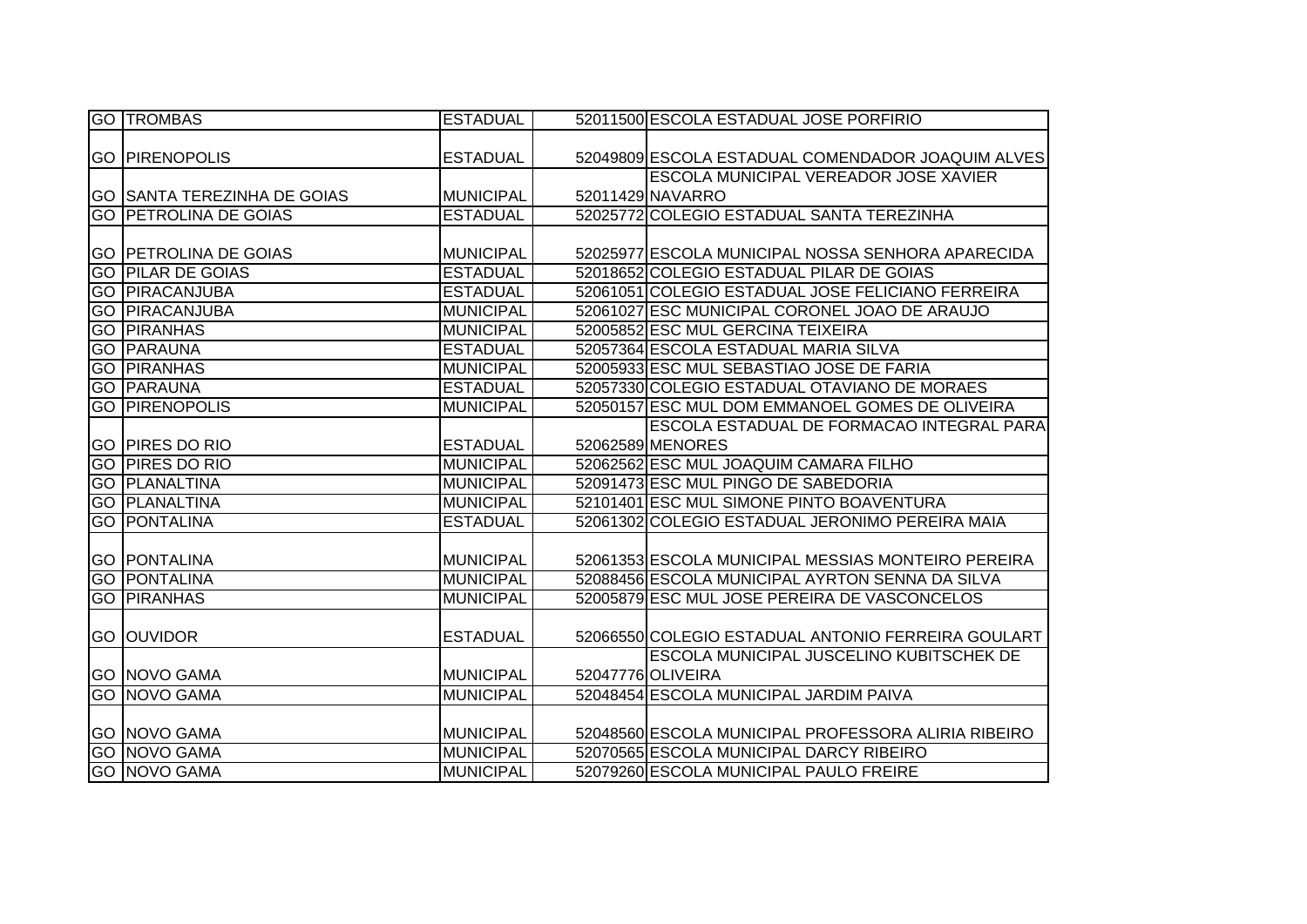|    | <b>GO TROMBAS</b>                  | <b>ESTADUAL</b>  | 52011500 ESCOLA ESTADUAL JOSE PORFIRIO              |
|----|------------------------------------|------------------|-----------------------------------------------------|
|    |                                    |                  |                                                     |
|    | <b>GO PIRENOPOLIS</b>              | <b>ESTADUAL</b>  | 52049809 ESCOLA ESTADUAL COMENDADOR JOAQUIM ALVES   |
|    |                                    |                  | <b>ESCOLA MUNICIPAL VEREADOR JOSE XAVIER</b>        |
|    | <b>GO SANTA TEREZINHA DE GOIAS</b> | <b>MUNICIPAL</b> | 52011429 NAVARRO                                    |
|    | <b>GO PETROLINA DE GOIAS</b>       | <b>ESTADUAL</b>  | 52025772 COLEGIO ESTADUAL SANTA TEREZINHA           |
|    |                                    |                  |                                                     |
|    | <b>GO PETROLINA DE GOIAS</b>       | <b>MUNICIPAL</b> | 52025977 ESCOLA MUNICIPAL NOSSA SENHORA APARECIDA   |
|    | <b>GO PILAR DE GOIAS</b>           | <b>ESTADUAL</b>  | 52018652 COLEGIO ESTADUAL PILAR DE GOIAS            |
|    | <b>GO PIRACANJUBA</b>              | <b>ESTADUAL</b>  | 52061051 COLEGIO ESTADUAL JOSE FELICIANO FERREIRA   |
|    | <b>GO PIRACANJUBA</b>              | <b>MUNICIPAL</b> | 52061027 ESC MUNICIPAL CORONEL JOAO DE ARAUJO       |
| GO | <b>PIRANHAS</b>                    | <b>MUNICIPAL</b> | 52005852 ESC MUL GERCINA TEIXEIRA                   |
|    | <b>GO PARAUNA</b>                  | <b>ESTADUAL</b>  | 52057364 ESCOLA ESTADUAL MARIA SILVA                |
|    | <b>GO PIRANHAS</b>                 | <b>MUNICIPAL</b> | 52005933 ESC MUL SEBASTIAO JOSE DE FARIA            |
|    | <b>GO PARAUNA</b>                  | <b>ESTADUAL</b>  | 52057330 COLEGIO ESTADUAL OTAVIANO DE MORAES        |
|    | <b>GO PIRENOPOLIS</b>              | <b>MUNICIPAL</b> | 52050157 ESC MUL DOM EMMANOEL GOMES DE OLIVEIRA     |
|    |                                    |                  | ESCOLA ESTADUAL DE FORMACAO INTEGRAL PARA           |
|    | <b>GO PIRES DO RIO</b>             | <b>ESTADUAL</b>  | 52062589 MENORES                                    |
|    | <b>GO PIRES DO RIO</b>             | <b>MUNICIPAL</b> | 52062562 ESC MUL JOAQUIM CAMARA FILHO               |
|    | <b>GO PLANALTINA</b>               | <b>MUNICIPAL</b> | 52091473 ESC MUL PINGO DE SABEDORIA                 |
|    | <b>GO PLANALTINA</b>               | <b>MUNICIPAL</b> | 52101401 ESC MUL SIMONE PINTO BOAVENTURA            |
|    | <b>GO PONTALINA</b>                | <b>ESTADUAL</b>  | 52061302 COLEGIO ESTADUAL JERONIMO PEREIRA MAIA     |
|    |                                    |                  |                                                     |
|    | <b>GO PONTALINA</b>                | <b>MUNICIPAL</b> | 52061353 ESCOLA MUNICIPAL MESSIAS MONTEIRO PEREIRA  |
|    | <b>GO PONTALINA</b>                | <b>MUNICIPAL</b> | 52088456 ESCOLA MUNICIPAL AYRTON SENNA DA SILVA     |
|    | <b>GO PIRANHAS</b>                 | <b>MUNICIPAL</b> | 52005879 ESC MUL JOSE PEREIRA DE VASCONCELOS        |
|    |                                    |                  |                                                     |
|    | <b>GO OUVIDOR</b>                  | <b>ESTADUAL</b>  | 52066550 COLEGIO ESTADUAL ANTONIO FERREIRA GOULART  |
|    |                                    |                  | <b>ESCOLA MUNICIPAL JUSCELINO KUBITSCHEK DE</b>     |
|    | <b>GO NOVO GAMA</b>                | <b>MUNICIPAL</b> | 52047776 OLIVEIRA                                   |
|    | <b>GO NOVO GAMA</b>                | <b>MUNICIPAL</b> | 52048454 ESCOLA MUNICIPAL JARDIM PAIVA              |
|    |                                    |                  |                                                     |
|    | <b>GO NOVO GAMA</b>                | <b>MUNICIPAL</b> | 52048560 ESCOLA MUNICIPAL PROFESSORA ALIRIA RIBEIRO |
|    | <b>GO NOVO GAMA</b>                | <b>MUNICIPAL</b> | 52070565 ESCOLA MUNICIPAL DARCY RIBEIRO             |
|    | <b>GO NOVO GAMA</b>                | <b>MUNICIPAL</b> | 52079260 ESCOLA MUNICIPAL PAULO FREIRE              |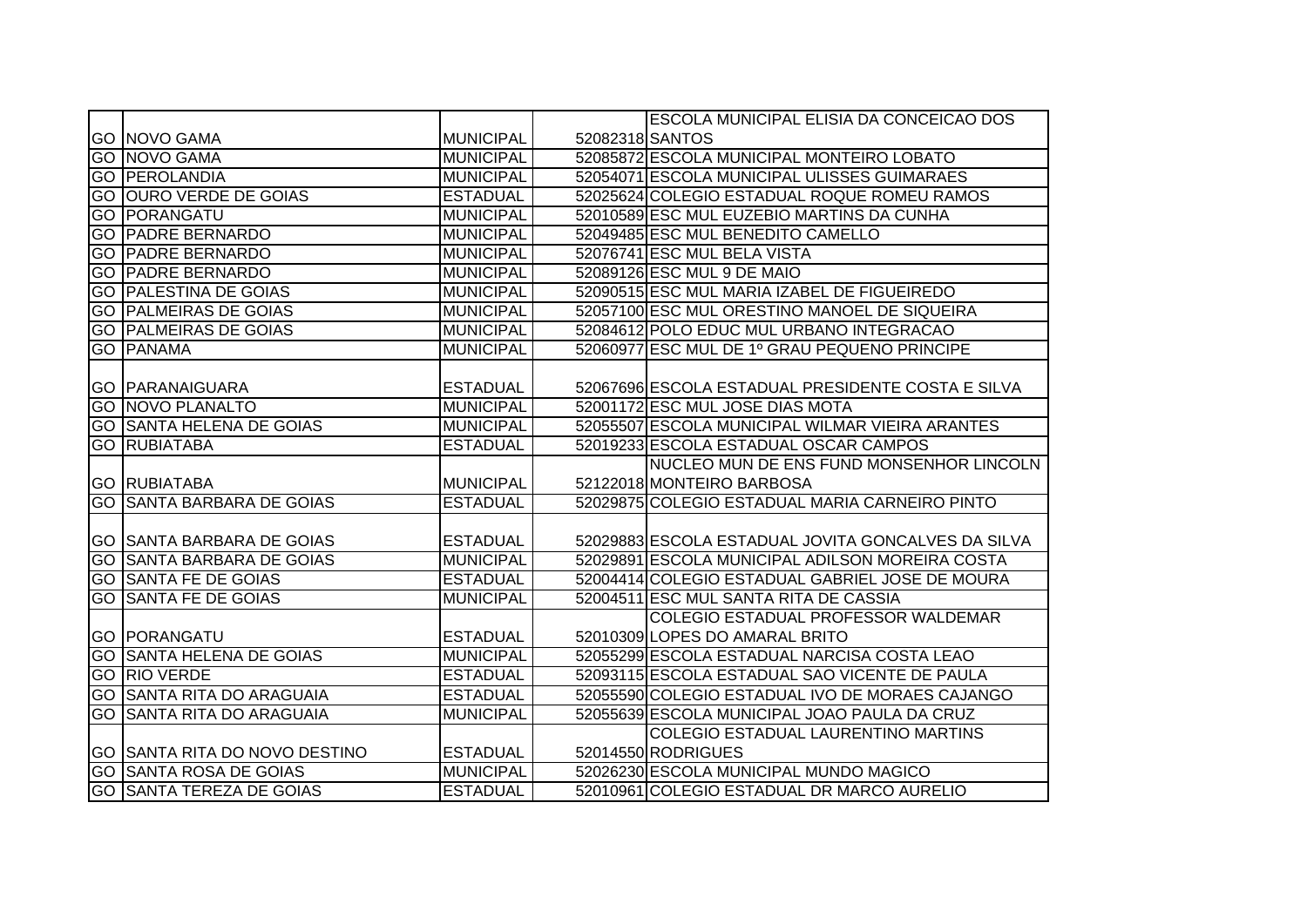|    |                                  |                  |                 | ESCOLA MUNICIPAL ELISIA DA CONCEICAO DOS           |
|----|----------------------------------|------------------|-----------------|----------------------------------------------------|
|    | <b>GO NOVO GAMA</b>              | <b>MUNICIPAL</b> | 52082318 SANTOS |                                                    |
|    | <b>GO NOVO GAMA</b>              | <b>MUNICIPAL</b> |                 | 52085872 ESCOLA MUNICIPAL MONTEIRO LOBATO          |
|    | <b>GO PEROLANDIA</b>             | <b>MUNICIPAL</b> |                 | 52054071 ESCOLA MUNICIPAL ULISSES GUIMARAES        |
|    | <b>GO OURO VERDE DE GOIAS</b>    | <b>ESTADUAL</b>  |                 | 52025624 COLEGIO ESTADUAL ROQUE ROMEU RAMOS        |
|    | <b>GO PORANGATU</b>              | <b>MUNICIPAL</b> |                 | 52010589 ESC MUL EUZEBIO MARTINS DA CUNHA          |
| GO | <b>PADRE BERNARDO</b>            | <b>MUNICIPAL</b> |                 | 52049485 ESC MUL BENEDITO CAMELLO                  |
| GO | <b>PADRE BERNARDO</b>            | <b>MUNICIPAL</b> |                 | 52076741 ESC MUL BELA VISTA                        |
| GO | <b>PADRE BERNARDO</b>            | <b>MUNICIPAL</b> |                 | 52089126 ESC MUL 9 DE MAIO                         |
| GO | <b>PALESTINA DE GOIAS</b>        | <b>MUNICIPAL</b> |                 | 52090515 ESC MUL MARIA IZABEL DE FIGUEIREDO        |
| GO | <b>PALMEIRAS DE GOIAS</b>        | <b>MUNICIPAL</b> |                 | 52057100 ESC MUL ORESTINO MANOEL DE SIQUEIRA       |
|    | <b>GO PALMEIRAS DE GOIAS</b>     | <b>MUNICIPAL</b> |                 | 52084612 POLO EDUC MUL URBANO INTEGRACAO           |
|    | <b>GO PANAMA</b>                 | <b>MUNICIPAL</b> |                 | 52060977 ESC MUL DE 1º GRAU PEQUENO PRINCIPE       |
|    |                                  |                  |                 |                                                    |
|    | <b>GO PARANAIGUARA</b>           | <b>ESTADUAL</b>  |                 | 52067696 ESCOLA ESTADUAL PRESIDENTE COSTA E SILVA  |
|    | <b>GO NOVO PLANALTO</b>          | <b>MUNICIPAL</b> |                 | 52001172 ESC MUL JOSE DIAS MOTA                    |
|    | <b>GO SANTA HELENA DE GOIAS</b>  | <b>MUNICIPAL</b> |                 | 52055507 ESCOLA MUNICIPAL WILMAR VIEIRA ARANTES    |
|    | <b>GO RUBIATABA</b>              | <b>ESTADUAL</b>  |                 | 52019233 ESCOLA ESTADUAL OSCAR CAMPOS              |
|    |                                  |                  |                 | NUCLEO MUN DE ENS FUND MONSENHOR LINCOLN           |
|    | <b>GO RUBIATABA</b>              | <b>MUNICIPAL</b> |                 | 52122018 MONTEIRO BARBOSA                          |
|    | <b>GO SANTA BARBARA DE GOIAS</b> | <b>ESTADUAL</b>  |                 | 52029875 COLEGIO ESTADUAL MARIA CARNEIRO PINTO     |
|    |                                  |                  |                 |                                                    |
|    | <b>GO SANTA BARBARA DE GOIAS</b> | <b>ESTADUAL</b>  |                 | 52029883 ESCOLA ESTADUAL JOVITA GONCALVES DA SILVA |
|    | <b>GO SANTA BARBARA DE GOIAS</b> | <b>MUNICIPAL</b> |                 | 52029891 ESCOLA MUNICIPAL ADILSON MOREIRA COSTA    |
|    | <b>GO SANTA FE DE GOIAS</b>      | <b>ESTADUAL</b>  |                 | 52004414 COLEGIO ESTADUAL GABRIEL JOSE DE MOURA    |
| GO | <b>SANTA FE DE GOIAS</b>         | <b>MUNICIPAL</b> |                 | 52004511 ESC MUL SANTA RITA DE CASSIA              |
|    |                                  |                  |                 | COLEGIO ESTADUAL PROFESSOR WALDEMAR                |
|    | <b>GO PORANGATU</b>              | <b>ESTADUAL</b>  |                 | 52010309 LOPES DO AMARAL BRITO                     |
| GO | <b>SANTA HELENA DE GOIAS</b>     | <b>MUNICIPAL</b> |                 | 52055299 ESCOLA ESTADUAL NARCISA COSTA LEAO        |
|    | <b>GO RIO VERDE</b>              | <b>ESTADUAL</b>  |                 | 52093115 ESCOLA ESTADUAL SAO VICENTE DE PAULA      |
|    | <b>GO SANTA RITA DO ARAGUAIA</b> | <b>ESTADUAL</b>  |                 | 52055590 COLEGIO ESTADUAL IVO DE MORAES CAJANGO    |
|    | <b>GO SANTA RITA DO ARAGUAIA</b> | <b>MUNICIPAL</b> |                 | 52055639 ESCOLA MUNICIPAL JOAO PAULA DA CRUZ       |
|    |                                  |                  |                 | COLEGIO ESTADUAL LAURENTINO MARTINS                |
|    | GO SANTA RITA DO NOVO DESTINO    | <b>ESTADUAL</b>  |                 | 52014550 RODRIGUES                                 |
|    | <b>GO SANTA ROSA DE GOIAS</b>    | <b>MUNICIPAL</b> |                 | 52026230 ESCOLA MUNICIPAL MUNDO MAGICO             |
|    | <b>GO SANTA TEREZA DE GOIAS</b>  | <b>ESTADUAL</b>  |                 | 52010961 COLEGIO ESTADUAL DR MARCO AURELIO         |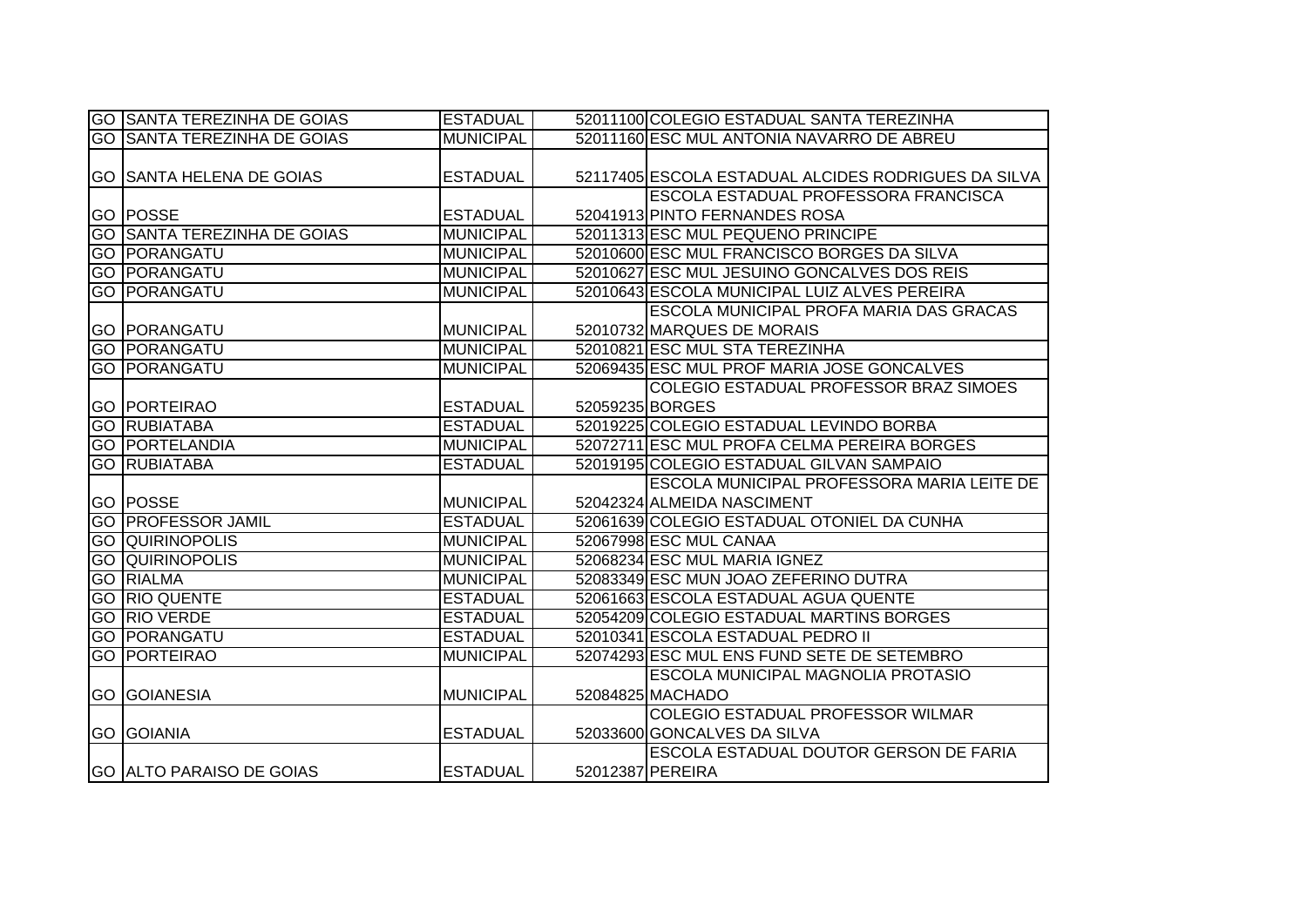| GO ISANTA TEREZINHA DE GOIAS       | <b>ESTADUAL</b>  | 52011100 COLEGIO ESTADUAL SANTA TEREZINHA           |
|------------------------------------|------------------|-----------------------------------------------------|
| <b>GO SANTA TEREZINHA DE GOIAS</b> | <b>MUNICIPAL</b> | 52011160 ESC MUL ANTONIA NAVARRO DE ABREU           |
|                                    |                  |                                                     |
| <b>GO SANTA HELENA DE GOIAS</b>    | <b>ESTADUAL</b>  | 52117405 ESCOLA ESTADUAL ALCIDES RODRIGUES DA SILVA |
|                                    |                  | ESCOLA ESTADUAL PROFESSORA FRANCISCA                |
| <b>GO POSSE</b>                    | <b>ESTADUAL</b>  | 52041913 PINTO FERNANDES ROSA                       |
| <b>GO SANTA TEREZINHA DE GOIAS</b> | <b>MUNICIPAL</b> | 52011313 ESC MUL PEQUENO PRINCIPE                   |
| <b>GO PORANGATU</b>                | <b>MUNICIPAL</b> | 52010600 ESC MUL FRANCISCO BORGES DA SILVA          |
| <b>GO  PORANGATU</b>               | <b>MUNICIPAL</b> | 52010627 ESC MUL JESUINO GONCALVES DOS REIS         |
| <b>GO PORANGATU</b>                | <b>MUNICIPAL</b> | 52010643 ESCOLA MUNICIPAL LUIZ ALVES PEREIRA        |
|                                    |                  | <b>ESCOLA MUNICIPAL PROFA MARIA DAS GRACAS</b>      |
| <b>GO PORANGATU</b>                | <b>MUNICIPAL</b> | 52010732 MARQUES DE MORAIS                          |
| <b>GO PORANGATU</b>                | <b>MUNICIPAL</b> | 52010821 ESC MUL STA TEREZINHA                      |
| <b>GO  PORANGATU</b>               | <b>MUNICIPAL</b> | 52069435 ESC MUL PROF MARIA JOSE GONCALVES          |
|                                    |                  | COLEGIO ESTADUAL PROFESSOR BRAZ SIMOES              |
| <b>GO PORTEIRAO</b>                | <b>ESTADUAL</b>  | 52059235 BORGES                                     |
| <b>GO RUBIATABA</b>                | <b>IESTADUAL</b> | 52019225 COLEGIO ESTADUAL LEVINDO BORBA             |
| <b>GO PORTELANDIA</b>              | <b>MUNICIPAL</b> | 52072711 ESC MUL PROFA CELMA PEREIRA BORGES         |
| <b>GO RUBIATABA</b>                | <b>ESTADUAL</b>  | 52019195 COLEGIO ESTADUAL GILVAN SAMPAIO            |
|                                    |                  | ESCOLA MUNICIPAL PROFESSORA MARIA LEITE DE          |
| <b>GO POSSE</b>                    | <b>MUNICIPAL</b> | 52042324 ALMEIDA NASCIMENT                          |
| <b>GO PROFESSOR JAMIL</b>          | <b>ESTADUAL</b>  | 52061639 COLEGIO ESTADUAL OTONIEL DA CUNHA          |
| <b>GO QUIRINOPOLIS</b>             | <b>MUNICIPAL</b> | 52067998 ESC MUL CANAA                              |
| <b>GO QUIRINOPOLIS</b>             | <b>MUNICIPAL</b> | 52068234 ESC MUL MARIA IGNEZ                        |
| <b>GO RIALMA</b>                   | <b>MUNICIPAL</b> | 52083349 ESC MUN JOAO ZEFERINO DUTRA                |
| <b>GO RIO QUENTE</b>               | <b>ESTADUAL</b>  | 52061663 ESCOLA ESTADUAL AGUA QUENTE                |
| <b>GO RIO VERDE</b>                | <b>ESTADUAL</b>  | 52054209 COLEGIO ESTADUAL MARTINS BORGES            |
| <b>GO PORANGATU</b>                | <b>ESTADUAL</b>  | 52010341 ESCOLA ESTADUAL PEDRO II                   |
| <b>GO PORTEIRAO</b>                | <b>MUNICIPAL</b> | 52074293 ESC MUL ENS FUND SETE DE SETEMBRO          |
|                                    |                  | <b>ESCOLA MUNICIPAL MAGNOLIA PROTASIO</b>           |
| <b>GO GOIANESIA</b>                | <b>MUNICIPAL</b> | 52084825 MACHADO                                    |
|                                    |                  | <b>COLEGIO ESTADUAL PROFESSOR WILMAR</b>            |
| <b>GO GOIANIA</b>                  | <b>ESTADUAL</b>  | 52033600 GONCALVES DA SILVA                         |
|                                    |                  | ESCOLA ESTADUAL DOUTOR GERSON DE FARIA              |
| <b>GO ALTO PARAISO DE GOIAS</b>    | <b>ESTADUAL</b>  | 52012387 PEREIRA                                    |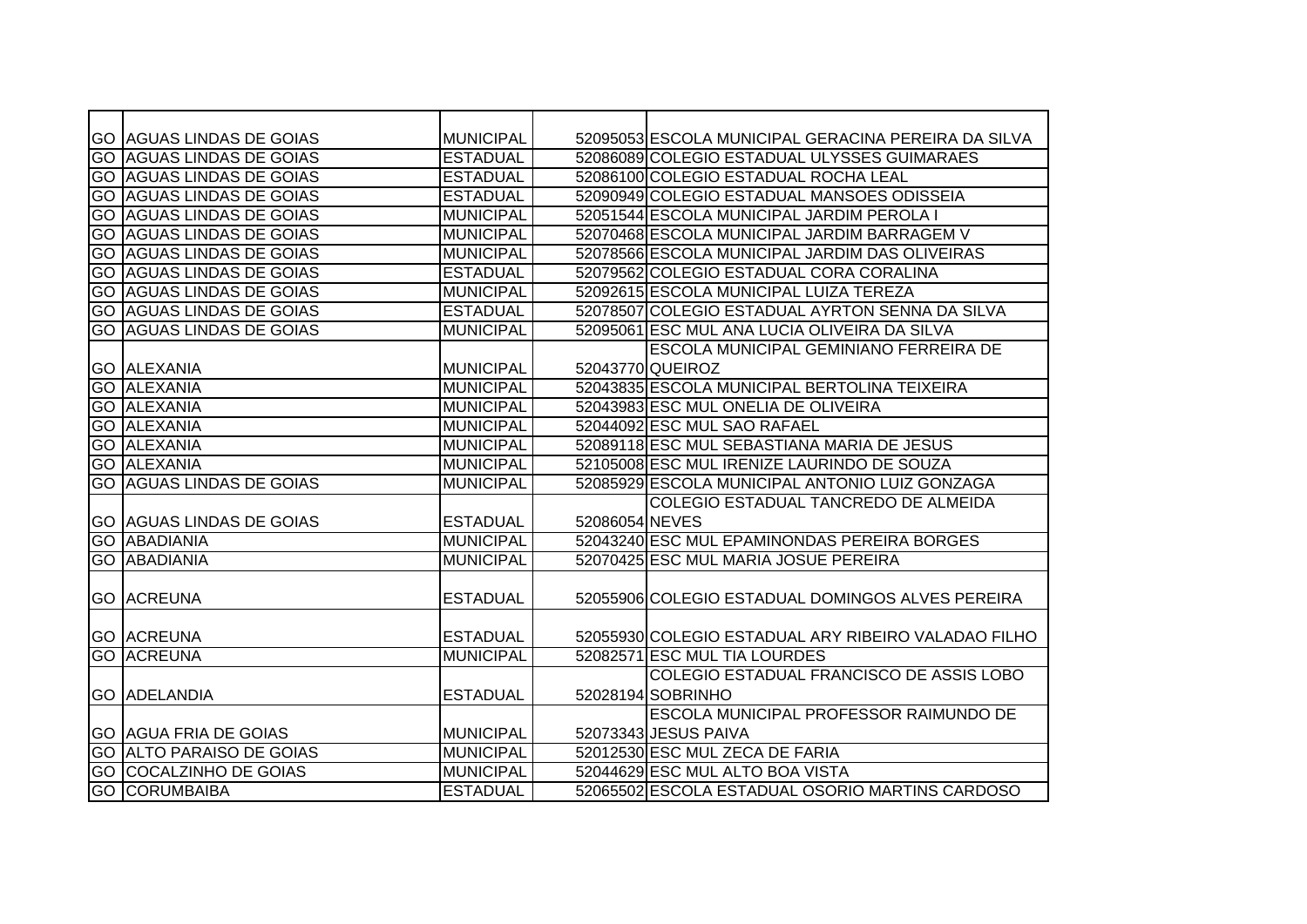|    | <b>GO AGUAS LINDAS DE GOIAS</b> | <b>MUNICIPAL</b> |                | 52095053 ESCOLA MUNICIPAL GERACINA PEREIRA DA SILVA |
|----|---------------------------------|------------------|----------------|-----------------------------------------------------|
|    | <b>GO AGUAS LINDAS DE GOIAS</b> | <b>ESTADUAL</b>  |                | 52086089 COLEGIO ESTADUAL ULYSSES GUIMARAES         |
|    | <b>GO AGUAS LINDAS DE GOIAS</b> | <b>ESTADUAL</b>  |                | 52086100 COLEGIO ESTADUAL ROCHA LEAL                |
|    | <b>GO AGUAS LINDAS DE GOIAS</b> | <b>ESTADUAL</b>  |                | 52090949 COLEGIO ESTADUAL MANSOES ODISSEIA          |
|    | <b>GO AGUAS LINDAS DE GOIAS</b> | <b>MUNICIPAL</b> |                | 52051544 ESCOLA MUNICIPAL JARDIM PEROLA I           |
|    | <b>GO AGUAS LINDAS DE GOIAS</b> | <b>MUNICIPAL</b> |                | 52070468 ESCOLA MUNICIPAL JARDIM BARRAGEM V         |
| GO | <b>AGUAS LINDAS DE GOIAS</b>    | MUNICIPAL        |                | 52078566 ESCOLA MUNICIPAL JARDIM DAS OLIVEIRAS      |
| GO | <b>AGUAS LINDAS DE GOIAS</b>    | <b>ESTADUAL</b>  |                | 52079562 COLEGIO ESTADUAL CORA CORALINA             |
| GO | <b>AGUAS LINDAS DE GOIAS</b>    | <b>MUNICIPAL</b> |                | 52092615 ESCOLA MUNICIPAL LUIZA TEREZA              |
|    | <b>GO AGUAS LINDAS DE GOIAS</b> | <b>ESTADUAL</b>  |                | 52078507 COLEGIO ESTADUAL AYRTON SENNA DA SILVA     |
|    | <b>GO AGUAS LINDAS DE GOIAS</b> | <b>MUNICIPAL</b> |                | 52095061 ESC MUL ANA LUCIA OLIVEIRA DA SILVA        |
|    |                                 |                  |                | <b>ESCOLA MUNICIPAL GEMINIANO FERREIRA DE</b>       |
|    | <b>GO ALEXANIA</b>              | <b>MUNICIPAL</b> |                | 52043770 QUEIROZ                                    |
|    | <b>GO ALEXANIA</b>              | MUNICIPAL        |                | 52043835 ESCOLA MUNICIPAL BERTOLINA TEIXEIRA        |
|    | <b>GO ALEXANIA</b>              | <b>MUNICIPAL</b> |                | 52043983 ESC MUL ONELIA DE OLIVEIRA                 |
| GO | <b>ALEXANIA</b>                 | <b>MUNICIPAL</b> |                | 52044092 ESC MUL SAO RAFAEL                         |
| GO | <b>ALEXANIA</b>                 | <b>MUNICIPAL</b> |                | 52089118 ESC MUL SEBASTIANA MARIA DE JESUS          |
|    | <b>GO ALEXANIA</b>              | <b>MUNICIPAL</b> |                | 52105008 ESC MUL IRENIZE LAURINDO DE SOUZA          |
|    | <b>GO AGUAS LINDAS DE GOIAS</b> | <b>MUNICIPAL</b> |                | 52085929 ESCOLA MUNICIPAL ANTONIO LUIZ GONZAGA      |
|    |                                 |                  |                | COLEGIO ESTADUAL TANCREDO DE ALMEIDA                |
|    | <b>GO AGUAS LINDAS DE GOIAS</b> | <b>ESTADUAL</b>  | 52086054 NEVES |                                                     |
|    | <b>GO IABADIANIA</b>            | <b>MUNICIPAL</b> |                | 52043240 ESC MUL EPAMINONDAS PEREIRA BORGES         |
| GO | ABADIANIA                       | <b>MUNICIPAL</b> |                | 52070425 ESC MUL MARIA JOSUE PEREIRA                |
|    |                                 |                  |                |                                                     |
|    | <b>GO ACREUNA</b>               | <b>ESTADUAL</b>  |                | 52055906 COLEGIO ESTADUAL DOMINGOS ALVES PEREIRA    |
|    |                                 |                  |                |                                                     |
|    | <b>GO ACREUNA</b>               | <b>ESTADUAL</b>  |                | 52055930 COLEGIO ESTADUAL ARY RIBEIRO VALADAO FILHO |
|    | <b>GO ACREUNA</b>               | <b>MUNICIPAL</b> |                | 52082571 ESC MUL TIA LOURDES                        |
|    |                                 |                  |                | COLEGIO ESTADUAL FRANCISCO DE ASSIS LOBO            |
|    | <b>GO ADELANDIA</b>             | <b>ESTADUAL</b>  |                | 52028194 SOBRINHO                                   |
|    |                                 |                  |                | <b>ESCOLA MUNICIPAL PROFESSOR RAIMUNDO DE</b>       |
|    | <b>GO AGUA FRIA DE GOIAS</b>    | <b>MUNICIPAL</b> |                | 52073343 JESUS PAIVA                                |
|    | <b>GO ALTO PARAISO DE GOIAS</b> | <b>MUNICIPAL</b> |                | 52012530 ESC MUL ZECA DE FARIA                      |
|    | <b>GO COCALZINHO DE GOIAS</b>   | MUNICIPAL        |                | 52044629 ESC MUL ALTO BOA VISTA                     |
|    | <b>GO CORUMBAIBA</b>            | <b>ESTADUAL</b>  |                | 52065502 ESCOLA ESTADUAL OSORIO MARTINS CARDOSO     |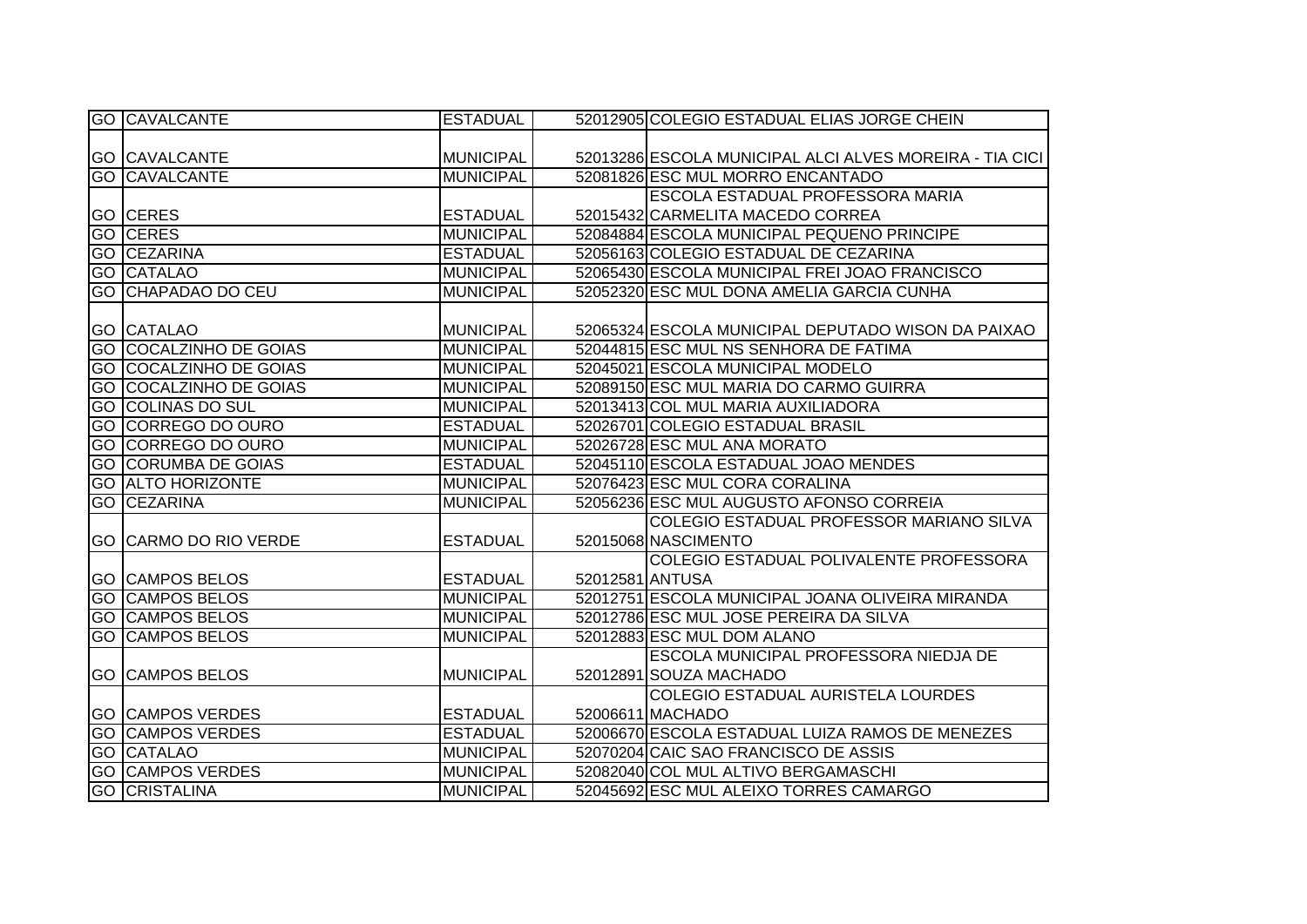| <b>GO CAVALCANTE</b>          | <b>ESTADUAL</b>  | 52012905 COLEGIO ESTADUAL ELIAS JORGE CHEIN             |
|-------------------------------|------------------|---------------------------------------------------------|
|                               |                  |                                                         |
| <b>GO CAVALCANTE</b>          | <b>MUNICIPAL</b> | 52013286 ESCOLA MUNICIPAL ALCI ALVES MOREIRA - TIA CICI |
| <b>GO CAVALCANTE</b>          | <b>MUNICIPAL</b> | 52081826 ESC MUL MORRO ENCANTADO                        |
|                               |                  | ESCOLA ESTADUAL PROFESSORA MARIA                        |
| <b>GO CERES</b>               | <b>ESTADUAL</b>  | 52015432 CARMELITA MACEDO CORREA                        |
| <b>GO CERES</b>               | <b>MUNICIPAL</b> | 52084884 ESCOLA MUNICIPAL PEQUENO PRINCIPE              |
| GO CEZARINA                   | <b>ESTADUAL</b>  | 52056163 COLEGIO ESTADUAL DE CEZARINA                   |
| <b>GO CATALAO</b>             | <b>MUNICIPAL</b> | 52065430 ESCOLA MUNICIPAL FREI JOAO FRANCISCO           |
| <b>GO CHAPADAO DO CEU</b>     | <b>MUNICIPAL</b> | 52052320 ESC MUL DONA AMELIA GARCIA CUNHA               |
|                               |                  |                                                         |
| <b>GO CATALAO</b>             | <b>MUNICIPAL</b> | 52065324 ESCOLA MUNICIPAL DEPUTADO WISON DA PAIXAO      |
| <b>GO COCALZINHO DE GOIAS</b> | <b>MUNICIPAL</b> | 52044815 ESC MUL NS SENHORA DE FATIMA                   |
| <b>GO COCALZINHO DE GOIAS</b> | <b>MUNICIPAL</b> | 52045021 ESCOLA MUNICIPAL MODELO                        |
| <b>GO COCALZINHO DE GOIAS</b> | <b>MUNICIPAL</b> | 52089150 ESC MUL MARIA DO CARMO GUIRRA                  |
| <b>GO COLINAS DO SUL</b>      | <b>MUNICIPAL</b> | 52013413 COL MUL MARIA AUXILIADORA                      |
| <b>GO CORREGO DO OURO</b>     | <b>ESTADUAL</b>  | 52026701 COLEGIO ESTADUAL BRASIL                        |
| <b>GO CORREGO DO OURO</b>     | <b>MUNICIPAL</b> | 52026728 ESC MUL ANA MORATO                             |
| <b>GO CORUMBA DE GOIAS</b>    | <b>ESTADUAL</b>  | 52045110 ESCOLA ESTADUAL JOAO MENDES                    |
| <b>GO ALTO HORIZONTE</b>      | <b>MUNICIPAL</b> | 52076423 ESC MUL CORA CORALINA                          |
| <b>GO CEZARINA</b>            | <b>MUNICIPAL</b> | 52056236 ESC MUL AUGUSTO AFONSO CORREIA                 |
|                               |                  | COLEGIO ESTADUAL PROFESSOR MARIANO SILVA                |
| <b>GO CARMO DO RIO VERDE</b>  | <b>ESTADUAL</b>  | 52015068 NASCIMENTO                                     |
|                               |                  | COLEGIO ESTADUAL POLIVALENTE PROFESSORA                 |
| <b>GO CAMPOS BELOS</b>        | <b>ESTADUAL</b>  | 52012581 ANTUSA                                         |
| <b>GO CAMPOS BELOS</b>        | <b>MUNICIPAL</b> | 52012751 ESCOLA MUNICIPAL JOANA OLIVEIRA MIRANDA        |
| <b>GO CAMPOS BELOS</b>        | <b>MUNICIPAL</b> | 52012786 ESC MUL JOSE PEREIRA DA SILVA                  |
| <b>GO CAMPOS BELOS</b>        | <b>MUNICIPAL</b> | 52012883 ESC MUL DOM ALANO                              |
|                               |                  | ESCOLA MUNICIPAL PROFESSORA NIEDJA DE                   |
| <b>GO CAMPOS BELOS</b>        | <b>MUNICIPAL</b> | 52012891 SOUZA MACHADO                                  |
|                               |                  | <b>COLEGIO ESTADUAL AURISTELA LOURDES</b>               |
| <b>GO CAMPOS VERDES</b>       | <b>ESTADUAL</b>  | 52006611 MACHADO                                        |
| <b>GO CAMPOS VERDES</b>       | <b>ESTADUAL</b>  | 52006670 ESCOLA ESTADUAL LUIZA RAMOS DE MENEZES         |
| <b>GO CATALAO</b>             | <b>MUNICIPAL</b> | 52070204 CAIC SAO FRANCISCO DE ASSIS                    |
| <b>GO CAMPOS VERDES</b>       | <b>MUNICIPAL</b> | 52082040 COL MUL ALTIVO BERGAMASCHI                     |
| <b>GO CRISTALINA</b>          | <b>MUNICIPAL</b> | 52045692 ESC MUL ALEIXO TORRES CAMARGO                  |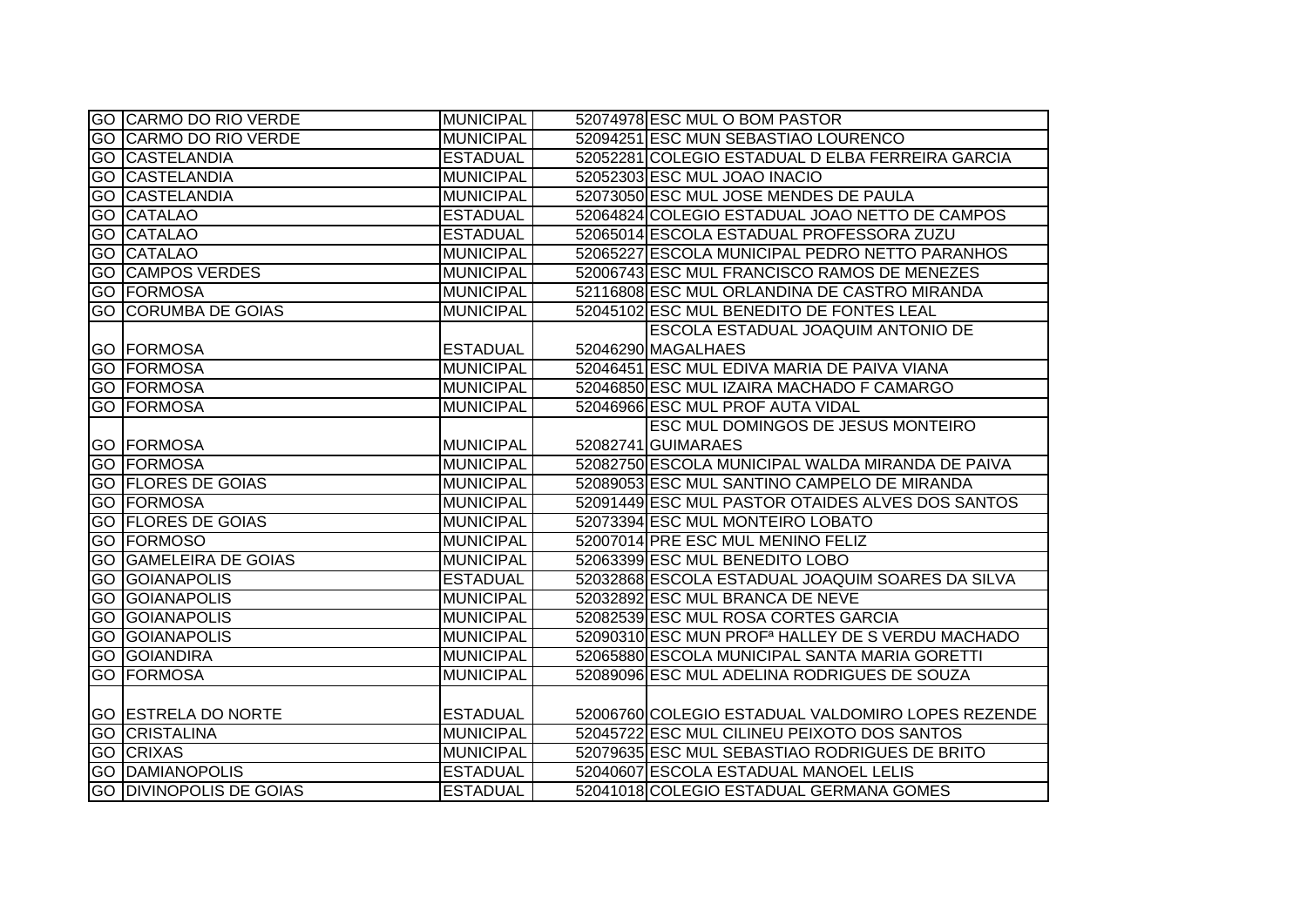|      | GO CARMO DO RIO VERDE          | MUNICIPAL        | 52074978 ESC MUL O BOM PASTOR                                |
|------|--------------------------------|------------------|--------------------------------------------------------------|
|      | <b>GO CARMO DO RIO VERDE</b>   | <b>MUNICIPAL</b> | 52094251 ESC MUN SEBASTIAO LOURENCO                          |
|      | <b>GO CASTELANDIA</b>          | <b>ESTADUAL</b>  | 52052281 COLEGIO ESTADUAL D ELBA FERREIRA GARCIA             |
| IGO. | <b>CASTELANDIA</b>             | <b>MUNICIPAL</b> | 52052303 ESC MUL JOAO INACIO                                 |
| GO   | <b>CASTELANDIA</b>             | <b>MUNICIPAL</b> | 52073050 ESC MUL JOSE MENDES DE PAULA                        |
|      | <b>GO CATALAO</b>              | <b>ESTADUAL</b>  | 52064824 COLEGIO ESTADUAL JOAO NETTO DE CAMPOS               |
|      | <b>GO CATALAO</b>              | <b>ESTADUAL</b>  | 52065014 ESCOLA ESTADUAL PROFESSORA ZUZU                     |
| GO   | <b>CATALAO</b>                 | <b>MUNICIPAL</b> | 52065227 ESCOLA MUNICIPAL PEDRO NETTO PARANHOS               |
| GO   | <b>CAMPOS VERDES</b>           | <b>MUNICIPAL</b> | 52006743 ESC MUL FRANCISCO RAMOS DE MENEZES                  |
|      | <b>GO FORMOSA</b>              | <b>MUNICIPAL</b> | 52116808 ESC MUL ORLANDINA DE CASTRO MIRANDA                 |
|      | <b>GO CORUMBA DE GOIAS</b>     | <b>MUNICIPAL</b> | 52045102 ESC MUL BENEDITO DE FONTES LEAL                     |
|      |                                |                  | ESCOLA ESTADUAL JOAQUIM ANTONIO DE                           |
|      | <b>GO FORMOSA</b>              | <b>ESTADUAL</b>  | 52046290 MAGALHAES                                           |
|      | <b>GO FORMOSA</b>              | <b>MUNICIPAL</b> | 52046451 ESC MUL EDIVA MARIA DE PAIVA VIANA                  |
|      | <b>GO FORMOSA</b>              | <b>MUNICIPAL</b> | 52046850 ESC MUL IZAIRA MACHADO F CAMARGO                    |
|      | <b>GO FORMOSA</b>              | <b>MUNICIPAL</b> | 52046966 ESC MUL PROF AUTA VIDAL                             |
|      |                                |                  | ESC MUL DOMINGOS DE JESUS MONTEIRO                           |
|      | <b>GO FORMOSA</b>              | <b>MUNICIPAL</b> | 52082741 GUIMARAES                                           |
|      | <b>GO FORMOSA</b>              | <b>MUNICIPAL</b> | 52082750 ESCOLA MUNICIPAL WALDA MIRANDA DE PAIVA             |
|      | <b>GO FLORES DE GOIAS</b>      | <b>MUNICIPAL</b> | 52089053 ESC MUL SANTINO CAMPELO DE MIRANDA                  |
|      | <b>GO FORMOSA</b>              | <b>MUNICIPAL</b> | 52091449 ESC MUL PASTOR OTAIDES ALVES DOS SANTOS             |
|      | <b>GO FLORES DE GOIAS</b>      | <b>MUNICIPAL</b> | 52073394 ESC MUL MONTEIRO LOBATO                             |
|      | <b>GO FORMOSO</b>              | <b>MUNICIPAL</b> | 52007014 PRE ESC MUL MENINO FELIZ                            |
| GO   | <b>GAMELEIRA DE GOIAS</b>      | <b>MUNICIPAL</b> | 52063399 ESC MUL BENEDITO LOBO                               |
|      | <b>GO GOIANAPOLIS</b>          | <b>ESTADUAL</b>  | 52032868 ESCOLA ESTADUAL JOAQUIM SOARES DA SILVA             |
| GO   | <b>IGOIANAPOLIS</b>            | <b>MUNICIPAL</b> | 52032892 ESC MUL BRANCA DE NEVE                              |
| GO   | <b>GOIANAPOLIS</b>             | <b>MUNICIPAL</b> | 52082539 ESC MUL ROSA CORTES GARCIA                          |
| GO.  | <b>GOIANAPOLIS</b>             | <b>MUNICIPAL</b> | 52090310 ESC MUN PROF <sup>a</sup> HALLEY DE S VERDU MACHADO |
|      | <b>GO GOIANDIRA</b>            | <b>MUNICIPAL</b> | 52065880 ESCOLA MUNICIPAL SANTA MARIA GORETTI                |
|      | <b>GO FORMOSA</b>              | <b>MUNICIPAL</b> | 52089096 ESC MUL ADELINA RODRIGUES DE SOUZA                  |
|      |                                |                  |                                                              |
|      | <b>GO ESTRELA DO NORTE</b>     | <b>ESTADUAL</b>  | 52006760 COLEGIO ESTADUAL VALDOMIRO LOPES REZENDE            |
|      | <b>GO CRISTALINA</b>           | <b>MUNICIPAL</b> | 52045722 ESC MUL CILINEU PEIXOTO DOS SANTOS                  |
|      | <b>GO CRIXAS</b>               | <b>MUNICIPAL</b> | 52079635 ESC MUL SEBASTIAO RODRIGUES DE BRITO                |
|      | <b>GO DAMIANOPOLIS</b>         | <b>ESTADUAL</b>  | 52040607 ESCOLA ESTADUAL MANOEL LELIS                        |
|      | <b>GO DIVINOPOLIS DE GOIAS</b> | <b>ESTADUAL</b>  | 52041018 COLEGIO ESTADUAL GERMANA GOMES                      |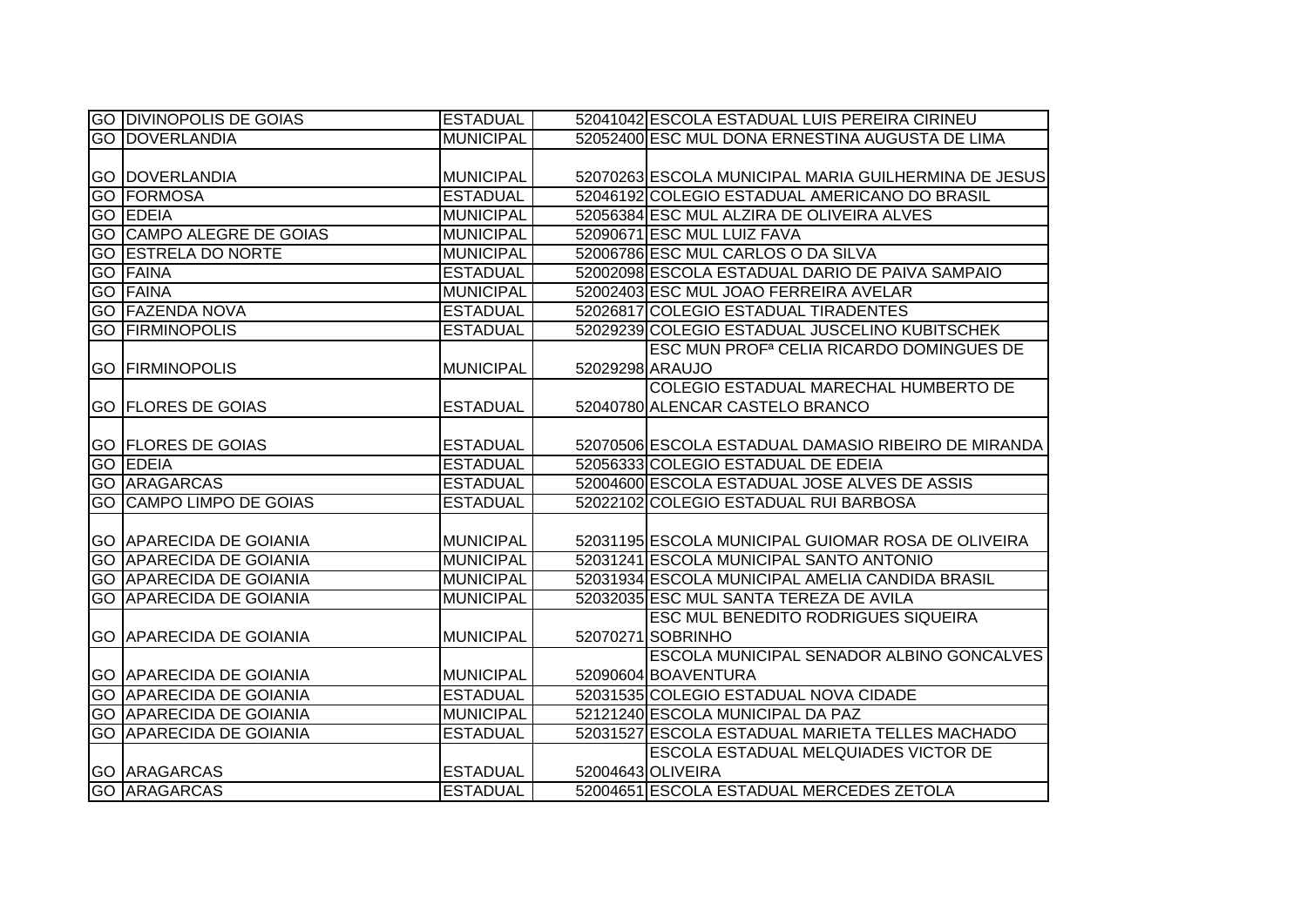| <b>GO DIVINOPOLIS DE GOIAS</b>  | <b>ESTADUAL</b>  |                 | 52041042 ESCOLA ESTADUAL LUIS PEREIRA CIRINEU        |
|---------------------------------|------------------|-----------------|------------------------------------------------------|
| <b>GO DOVERLANDIA</b>           | <b>MUNICIPAL</b> |                 | 52052400 ESC MUL DONA ERNESTINA AUGUSTA DE LIMA      |
|                                 |                  |                 |                                                      |
| <b>GO DOVERLANDIA</b>           | <b>MUNICIPAL</b> |                 | 52070263 ESCOLA MUNICIPAL MARIA GUILHERMINA DE JESUS |
| <b>GO FORMOSA</b>               | <b>ESTADUAL</b>  |                 | 52046192 COLEGIO ESTADUAL AMERICANO DO BRASIL        |
| <b>GO EDEIA</b>                 | <b>MUNICIPAL</b> |                 | 52056384 ESC MUL ALZIRA DE OLIVEIRA ALVES            |
| <b>GO CAMPO ALEGRE DE GOIAS</b> | <b>MUNICIPAL</b> |                 | 52090671 ESC MUL LUIZ FAVA                           |
| <b>GO ESTRELA DO NORTE</b>      | <b>MUNICIPAL</b> |                 | 52006786 ESC MUL CARLOS O DA SILVA                   |
| <b>GO FAINA</b>                 | <b>ESTADUAL</b>  |                 | 52002098 ESCOLA ESTADUAL DARIO DE PAIVA SAMPAIO      |
| <b>GO FAINA</b>                 | <b>MUNICIPAL</b> |                 | 52002403 ESC MUL JOAO FERREIRA AVELAR                |
| <b>GO FAZENDA NOVA</b>          | <b>ESTADUAL</b>  |                 | 52026817 COLEGIO ESTADUAL TIRADENTES                 |
| <b>GO FIRMINOPOLIS</b>          | <b>ESTADUAL</b>  |                 | 52029239 COLEGIO ESTADUAL JUSCELINO KUBITSCHEK       |
|                                 |                  |                 | ESC MUN PROF <sup>a</sup> CELIA RICARDO DOMINGUES DE |
| <b>GO FIRMINOPOLIS</b>          | <b>MUNICIPAL</b> | 52029298 ARAUJO |                                                      |
|                                 |                  |                 | COLEGIO ESTADUAL MARECHAL HUMBERTO DE                |
| <b>GO FLORES DE GOIAS</b>       | <b>ESTADUAL</b>  |                 | 52040780 ALENCAR CASTELO BRANCO                      |
|                                 |                  |                 |                                                      |
| <b>GO FLORES DE GOIAS</b>       | <b>ESTADUAL</b>  |                 | 52070506 ESCOLA ESTADUAL DAMASIO RIBEIRO DE MIRANDA  |
| <b>GO EDEIA</b>                 | <b>ESTADUAL</b>  |                 | 52056333 COLEGIO ESTADUAL DE EDEIA                   |
| <b>GO ARAGARCAS</b>             | <b>ESTADUAL</b>  |                 | 52004600 ESCOLA ESTADUAL JOSE ALVES DE ASSIS         |
| <b>GO CAMPO LIMPO DE GOIAS</b>  | <b>ESTADUAL</b>  |                 | 52022102 COLEGIO ESTADUAL RUI BARBOSA                |
|                                 |                  |                 |                                                      |
| <b>GO APARECIDA DE GOIANIA</b>  | <b>MUNICIPAL</b> |                 | 52031195 ESCOLA MUNICIPAL GUIOMAR ROSA DE OLIVEIRA   |
| <b>GO APARECIDA DE GOIANIA</b>  | <b>MUNICIPAL</b> |                 | 52031241 ESCOLA MUNICIPAL SANTO ANTONIO              |
| <b>GO APARECIDA DE GOIANIA</b>  | <b>MUNICIPAL</b> |                 | 52031934 ESCOLA MUNICIPAL AMELIA CANDIDA BRASIL      |
| <b>GO APARECIDA DE GOIANIA</b>  | <b>MUNICIPAL</b> |                 | 52032035 ESC MUL SANTA TEREZA DE AVILA               |
|                                 |                  |                 | <b>ESC MUL BENEDITO RODRIGUES SIQUEIRA</b>           |
| <b>GO APARECIDA DE GOIANIA</b>  | <b>MUNICIPAL</b> |                 | 52070271 SOBRINHO                                    |
|                                 |                  |                 | ESCOLA MUNICIPAL SENADOR ALBINO GONCALVES            |
| <b>GO APARECIDA DE GOIANIA</b>  | <b>MUNICIPAL</b> |                 | 52090604 BOAVENTURA                                  |
| <b>GO APARECIDA DE GOIANIA</b>  | <b>ESTADUAL</b>  |                 | 52031535 COLEGIO ESTADUAL NOVA CIDADE                |
| <b>GO APARECIDA DE GOIANIA</b>  | <b>MUNICIPAL</b> |                 | 52121240 ESCOLA MUNICIPAL DA PAZ                     |
| <b>GO APARECIDA DE GOIANIA</b>  | <b>ESTADUAL</b>  |                 | 52031527 ESCOLA ESTADUAL MARIETA TELLES MACHADO      |
|                                 |                  |                 | <b>ESCOLA ESTADUAL MELQUIADES VICTOR DE</b>          |
| <b>GO ARAGARCAS</b>             | <b>ESTADUAL</b>  |                 | 52004643 OLIVEIRA                                    |
| <b>GO ARAGARCAS</b>             | <b>ESTADUAL</b>  |                 | 52004651 ESCOLA ESTADUAL MERCEDES ZETOLA             |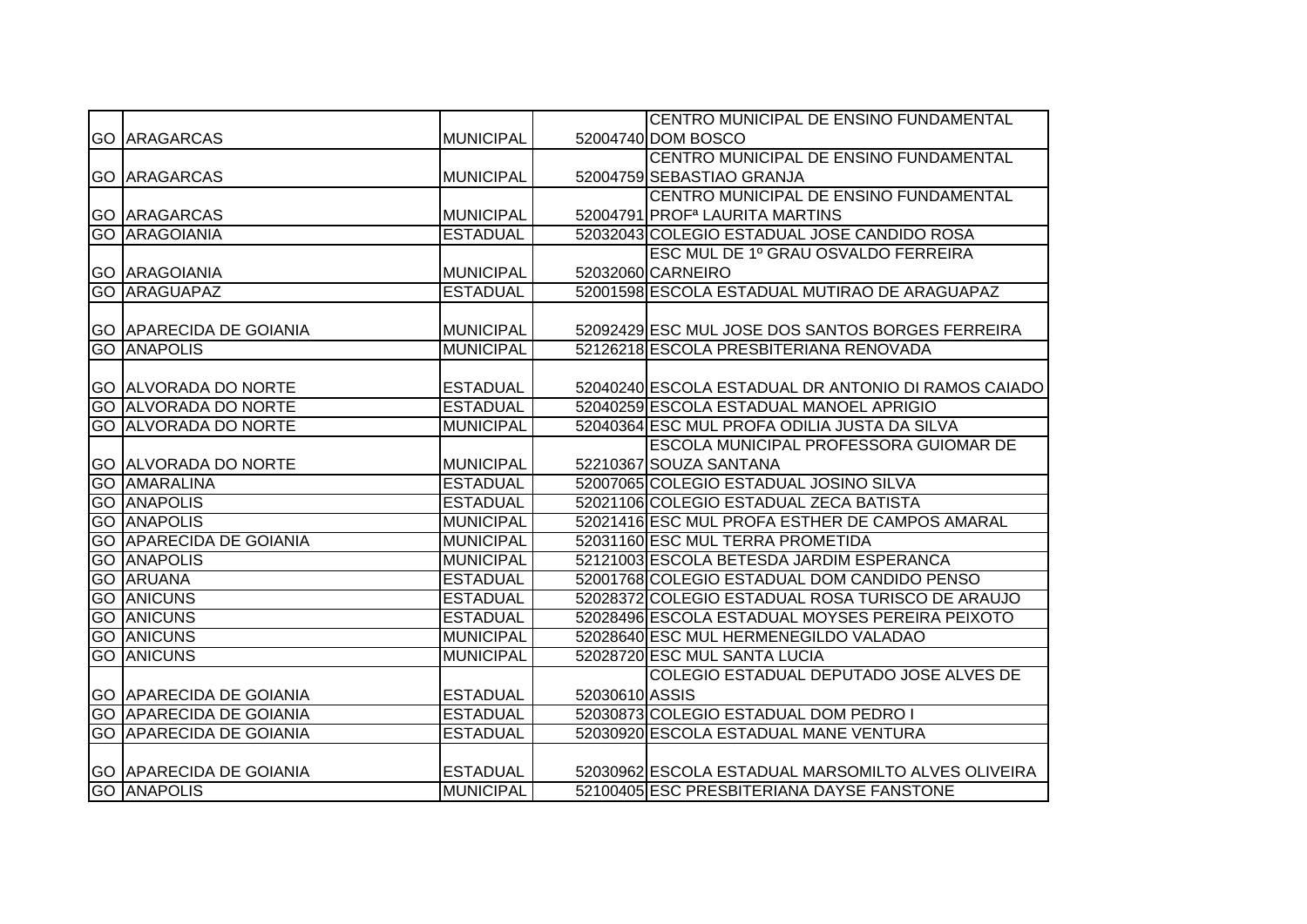|                                |                  |                | CENTRO MUNICIPAL DE ENSINO FUNDAMENTAL              |
|--------------------------------|------------------|----------------|-----------------------------------------------------|
| <b>GO ARAGARCAS</b>            | <b>MUNICIPAL</b> |                | 52004740 DOM BOSCO                                  |
|                                |                  |                | CENTRO MUNICIPAL DE ENSINO FUNDAMENTAL              |
| <b>GO ARAGARCAS</b>            | <b>MUNICIPAL</b> |                | 52004759 SEBASTIAO GRANJA                           |
|                                |                  |                | CENTRO MUNICIPAL DE ENSINO FUNDAMENTAL              |
| <b>GO ARAGARCAS</b>            | <b>MUNICIPAL</b> |                | 52004791 PROF <sup>a</sup> LAURITA MARTINS          |
| <b>GO ARAGOIANIA</b>           | <b>ESTADUAL</b>  |                | 52032043 COLEGIO ESTADUAL JOSE CANDIDO ROSA         |
|                                |                  |                | ESC MUL DE 1º GRAU OSVALDO FERREIRA                 |
| <b>GO ARAGOIANIA</b>           | <b>MUNICIPAL</b> |                | 52032060 CARNEIRO                                   |
| <b>GO ARAGUAPAZ</b>            | <b>ESTADUAL</b>  |                | 52001598 ESCOLA ESTADUAL MUTIRAO DE ARAGUAPAZ       |
|                                |                  |                |                                                     |
| <b>GO APARECIDA DE GOIANIA</b> | <b>MUNICIPAL</b> |                | 52092429 ESC MUL JOSE DOS SANTOS BORGES FERREIRA    |
| <b>GO ANAPOLIS</b>             | <b>MUNICIPAL</b> |                | 52126218 ESCOLA PRESBITERIANA RENOVADA              |
|                                |                  |                |                                                     |
| <b>GO ALVORADA DO NORTE</b>    | <b>ESTADUAL</b>  |                | 52040240 ESCOLA ESTADUAL DR ANTONIO DI RAMOS CAIADO |
| <b>GO ALVORADA DO NORTE</b>    | <b>ESTADUAL</b>  |                | 52040259 ESCOLA ESTADUAL MANOEL APRIGIO             |
| <b>GO ALVORADA DO NORTE</b>    | <b>MUNICIPAL</b> |                | 52040364 ESC MUL PROFA ODILIA JUSTA DA SILVA        |
|                                |                  |                | ESCOLA MUNICIPAL PROFESSORA GUIOMAR DE              |
| <b>GO ALVORADA DO NORTE</b>    | <b>MUNICIPAL</b> |                | 52210367 SOUZA SANTANA                              |
| <b>GO AMARALINA</b>            | <b>ESTADUAL</b>  |                | 52007065 COLEGIO ESTADUAL JOSINO SILVA              |
| <b>GO ANAPOLIS</b>             | <b>ESTADUAL</b>  |                | 52021106 COLEGIO ESTADUAL ZECA BATISTA              |
| <b>GO ANAPOLIS</b>             | <b>MUNICIPAL</b> |                | 52021416 ESC MUL PROFA ESTHER DE CAMPOS AMARAL      |
| <b>GO APARECIDA DE GOIANIA</b> | <b>MUNICIPAL</b> |                | 52031160 ESC MUL TERRA PROMETIDA                    |
| <b>GO ANAPOLIS</b>             | <b>MUNICIPAL</b> |                | 52121003 ESCOLA BETESDA JARDIM ESPERANCA            |
| <b>GO ARUANA</b>               | <b>ESTADUAL</b>  |                | 52001768 COLEGIO ESTADUAL DOM CANDIDO PENSO         |
| <b>GO ANICUNS</b>              | <b>ESTADUAL</b>  |                | 52028372 COLEGIO ESTADUAL ROSA TURISCO DE ARAUJO    |
| <b>GO ANICUNS</b>              | <b>ESTADUAL</b>  |                | 52028496 ESCOLA ESTADUAL MOYSES PEREIRA PEIXOTO     |
| <b>GO ANICUNS</b>              | <b>MUNICIPAL</b> |                | 52028640 ESC MUL HERMENEGILDO VALADAO               |
| <b>GO ANICUNS</b>              | <b>MUNICIPAL</b> |                | 52028720 ESC MUL SANTA LUCIA                        |
|                                |                  |                | COLEGIO ESTADUAL DEPUTADO JOSE ALVES DE             |
| <b>GO APARECIDA DE GOIANIA</b> | <b>ESTADUAL</b>  | 52030610 ASSIS |                                                     |
| <b>GO APARECIDA DE GOIANIA</b> | <b>ESTADUAL</b>  |                | 52030873 COLEGIO ESTADUAL DOM PEDRO I               |
| <b>GO APARECIDA DE GOIANIA</b> | <b>ESTADUAL</b>  |                | 52030920 ESCOLA ESTADUAL MANE VENTURA               |
|                                |                  |                |                                                     |
| <b>GO APARECIDA DE GOIANIA</b> | <b>ESTADUAL</b>  |                | 52030962 ESCOLA ESTADUAL MARSOMILTO ALVES OLIVEIRA  |
| <b>GO ANAPOLIS</b>             | <b>MUNICIPAL</b> |                | 52100405 ESC PRESBITERIANA DAYSE FANSTONE           |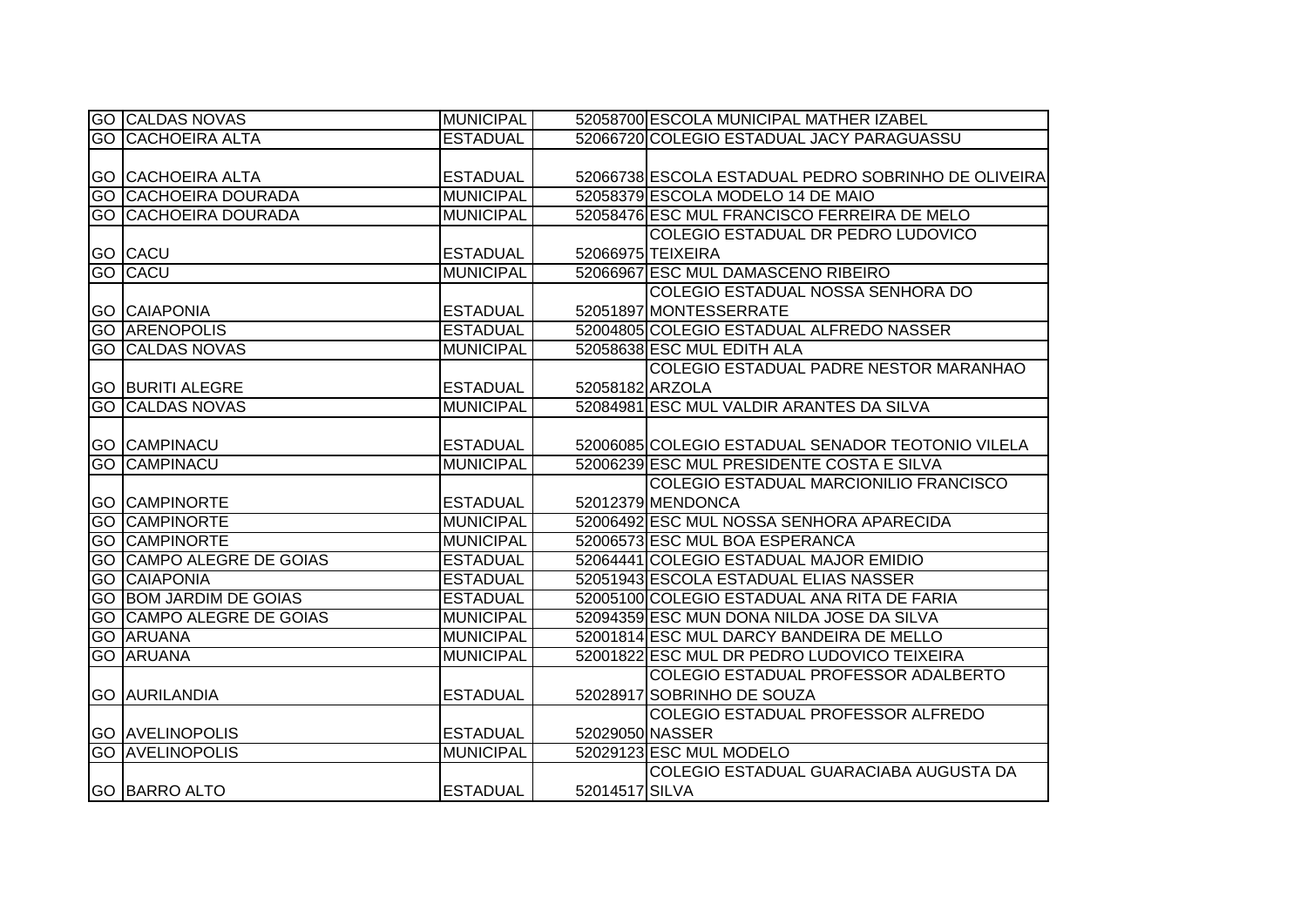| <b>GO CALDAS NOVAS</b>          | <b>MUNICIPAL</b> |                 | 52058700 ESCOLA MUNICIPAL MATHER IZABEL             |
|---------------------------------|------------------|-----------------|-----------------------------------------------------|
| <b>GO CACHOEIRA ALTA</b>        | <b>ESTADUAL</b>  |                 | 52066720 COLEGIO ESTADUAL JACY PARAGUASSU           |
|                                 |                  |                 |                                                     |
| <b>GO CACHOEIRA ALTA</b>        | <b>ESTADUAL</b>  |                 | 52066738 ESCOLA ESTADUAL PEDRO SOBRINHO DE OLIVEIRA |
| <b>GO CACHOEIRA DOURADA</b>     | <b>MUNICIPAL</b> |                 | 52058379 ESCOLA MODELO 14 DE MAIO                   |
| <b>GO CACHOEIRA DOURADA</b>     | <b>MUNICIPAL</b> |                 | 52058476 ESC MUL FRANCISCO FERREIRA DE MELO         |
|                                 |                  |                 | COLEGIO ESTADUAL DR PEDRO LUDOVICO                  |
| GO CACU                         | <b>ESTADUAL</b>  |                 | 52066975 TEIXEIRA                                   |
| <b>GO CACU</b>                  | <b>MUNICIPAL</b> |                 | 52066967 ESC MUL DAMASCENO RIBEIRO                  |
|                                 |                  |                 | COLEGIO ESTADUAL NOSSA SENHORA DO                   |
| <b>GO CAIAPONIA</b>             | <b>ESTADUAL</b>  |                 | 52051897 MONTESSERRATE                              |
| <b>GO ARENOPOLIS</b>            | <b>ESTADUAL</b>  |                 | 52004805 COLEGIO ESTADUAL ALFREDO NASSER            |
| <b>GO CALDAS NOVAS</b>          | <b>MUNICIPAL</b> |                 | 52058638 ESC MUL EDITH ALA                          |
|                                 |                  |                 | COLEGIO ESTADUAL PADRE NESTOR MARANHAO              |
| <b>GO BURITI ALEGRE</b>         | <b>ESTADUAL</b>  | 52058182 ARZOLA |                                                     |
| <b>GO CALDAS NOVAS</b>          | <b>MUNICIPAL</b> |                 | 52084981 ESC MUL VALDIR ARANTES DA SILVA            |
|                                 |                  |                 |                                                     |
| <b>GO CAMPINACU</b>             | <b>ESTADUAL</b>  |                 | 52006085 COLEGIO ESTADUAL SENADOR TEOTONIO VILELA   |
| <b>GO CAMPINACU</b>             | <b>MUNICIPAL</b> |                 | 52006239 ESC MUL PRESIDENTE COSTA E SILVA           |
|                                 |                  |                 | COLEGIO ESTADUAL MARCIONILIO FRANCISCO              |
| <b>GO CAMPINORTE</b>            | <b>ESTADUAL</b>  |                 | 52012379 MENDONCA                                   |
| <b>GO CAMPINORTE</b>            | <b>MUNICIPAL</b> |                 | 52006492 ESC MUL NOSSA SENHORA APARECIDA            |
| <b>GO CAMPINORTE</b>            | <b>MUNICIPAL</b> |                 | 52006573 ESC MUL BOA ESPERANCA                      |
| <b>GO CAMPO ALEGRE DE GOIAS</b> | <b>ESTADUAL</b>  |                 | 52064441 COLEGIO ESTADUAL MAJOR EMIDIO              |
| <b>GO CAIAPONIA</b>             | <b>ESTADUAL</b>  |                 | 52051943 ESCOLA ESTADUAL ELIAS NASSER               |
| <b>GO BOM JARDIM DE GOIAS</b>   | <b>ESTADUAL</b>  |                 | 52005100 COLEGIO ESTADUAL ANA RITA DE FARIA         |
| <b>GO CAMPO ALEGRE DE GOIAS</b> | <b>MUNICIPAL</b> |                 | 52094359 ESC MUN DONA NILDA JOSE DA SILVA           |
| <b>GO ARUANA</b>                | <b>MUNICIPAL</b> |                 | 52001814 ESC MUL DARCY BANDEIRA DE MELLO            |
| <b>GO ARUANA</b>                | <b>MUNICIPAL</b> |                 | 52001822 ESC MUL DR PEDRO LUDOVICO TEIXEIRA         |
|                                 |                  |                 | COLEGIO ESTADUAL PROFESSOR ADALBERTO                |
| <b>GO AURILANDIA</b>            | <b>ESTADUAL</b>  |                 | 52028917 SOBRINHO DE SOUZA                          |
|                                 |                  |                 | COLEGIO ESTADUAL PROFESSOR ALFREDO                  |
| <b>GO AVELINOPOLIS</b>          | <b>ESTADUAL</b>  | 52029050 NASSER |                                                     |
| <b>GO AVELINOPOLIS</b>          | <b>MUNICIPAL</b> |                 | 52029123 ESC MUL MODELO                             |
|                                 |                  |                 | COLEGIO ESTADUAL GUARACIABA AUGUSTA DA              |
| <b>GO BARRO ALTO</b>            | <b>ESTADUAL</b>  | 52014517 SILVA  |                                                     |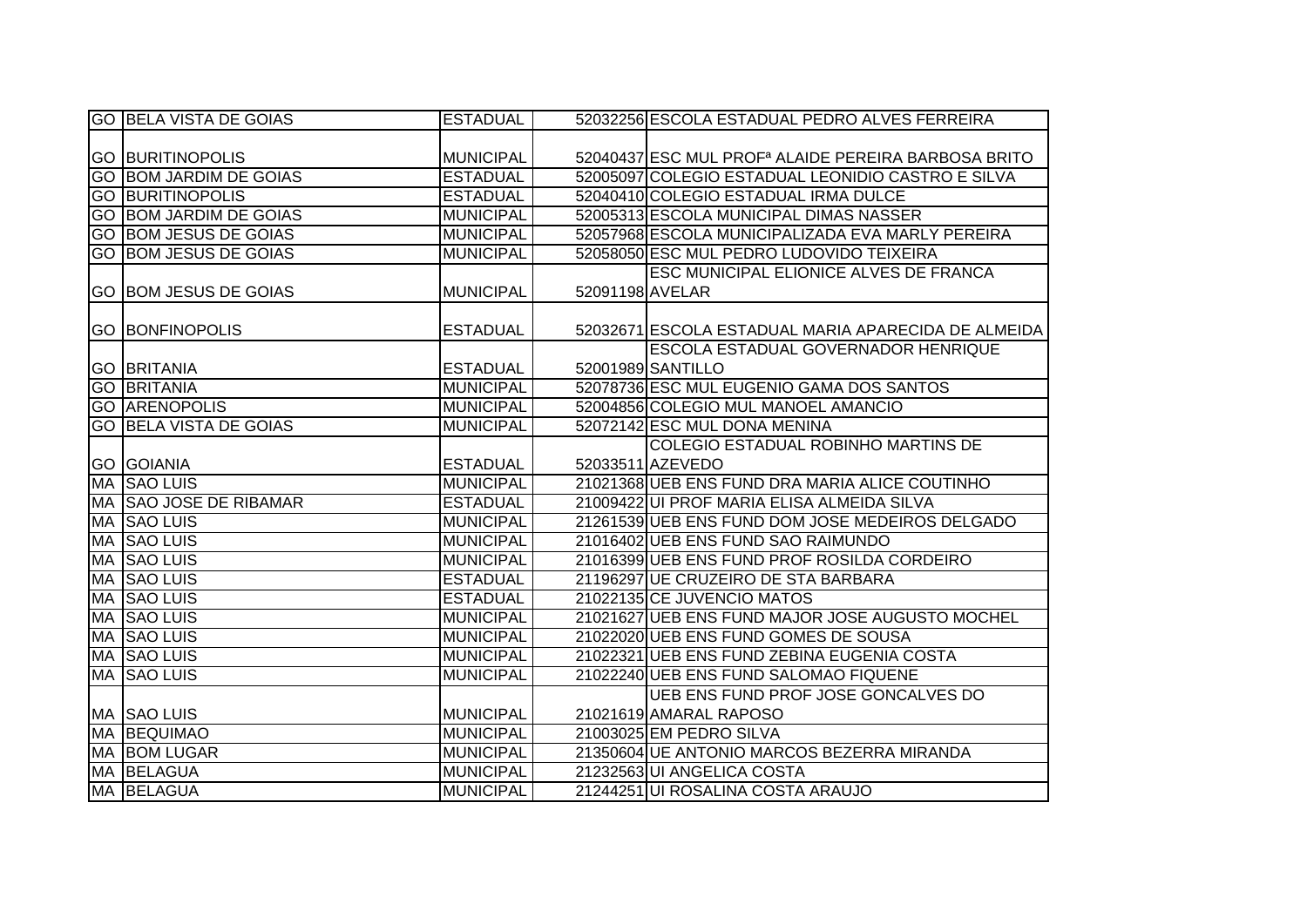|    | <b>GO BELA VISTA DE GOIAS</b> | <b>ESTADUAL</b>  |                 | 52032256 ESCOLA ESTADUAL PEDRO ALVES FERREIRA                   |
|----|-------------------------------|------------------|-----------------|-----------------------------------------------------------------|
|    |                               |                  |                 |                                                                 |
|    | <b>GO BURITINOPOLIS</b>       | <b>MUNICIPAL</b> |                 | 52040437 ESC MUL PROF <sup>a</sup> ALAIDE PEREIRA BARBOSA BRITO |
|    | <b>GO BOM JARDIM DE GOIAS</b> | <b>ESTADUAL</b>  |                 | 52005097 COLEGIO ESTADUAL LEONIDIO CASTRO E SILVA               |
|    | <b>GO BURITINOPOLIS</b>       | <b>ESTADUAL</b>  |                 | 52040410 COLEGIO ESTADUAL IRMA DULCE                            |
|    | <b>GO BOM JARDIM DE GOIAS</b> | <b>MUNICIPAL</b> |                 | 52005313 ESCOLA MUNICIPAL DIMAS NASSER                          |
|    | <b>GO BOM JESUS DE GOIAS</b>  | <b>MUNICIPAL</b> |                 | 52057968 ESCOLA MUNICIPALIZADA EVA MARLY PEREIRA                |
|    | GO BOM JESUS DE GOIAS         | <b>MUNICIPAL</b> |                 | 52058050 ESC MUL PEDRO LUDOVIDO TEIXEIRA                        |
|    |                               |                  |                 | <b>ESC MUNICIPAL ELIONICE ALVES DE FRANCA</b>                   |
|    | GO BOM JESUS DE GOIAS         | <b>MUNICIPAL</b> | 52091198 AVELAR |                                                                 |
|    |                               |                  |                 |                                                                 |
|    | <b>GO BONFINOPOLIS</b>        | <b>ESTADUAL</b>  |                 | 52032671 ESCOLA ESTADUAL MARIA APARECIDA DE ALMEIDA             |
|    |                               |                  |                 | <b>ESCOLA ESTADUAL GOVERNADOR HENRIQUE</b>                      |
|    | <b>GO BRITANIA</b>            | <b>ESTADUAL</b>  |                 | 52001989 SANTILLO                                               |
|    | <b>GO BRITANIA</b>            | <b>MUNICIPAL</b> |                 | 52078736 ESC MUL EUGENIO GAMA DOS SANTOS                        |
|    | <b>GO ARENOPOLIS</b>          | <b>MUNICIPAL</b> |                 | 52004856 COLEGIO MUL MANOEL AMANCIO                             |
|    | <b>GO BELA VISTA DE GOIAS</b> | <b>MUNICIPAL</b> |                 | 52072142 ESC MUL DONA MENINA                                    |
|    |                               |                  |                 | COLEGIO ESTADUAL ROBINHO MARTINS DE                             |
|    | <b>GO GOIANIA</b>             | <b>ESTADUAL</b>  |                 | 52033511 AZEVEDO                                                |
|    | MA SAO LUIS                   | <b>MUNICIPAL</b> |                 | 21021368 UEB ENS FUND DRA MARIA ALICE COUTINHO                  |
|    | MA SAO JOSE DE RIBAMAR        | <b>ESTADUAL</b>  |                 | 21009422 UI PROF MARIA ELISA ALMEIDA SILVA                      |
|    | <b>MA SAO LUIS</b>            | <b>MUNICIPAL</b> |                 | 21261539 UEB ENS FUND DOM JOSE MEDEIROS DELGADO                 |
|    | MA SAO LUIS                   | <b>MUNICIPAL</b> |                 | 21016402 UEB ENS FUND SAO RAIMUNDO                              |
|    | MA SAO LUIS                   | <b>MUNICIPAL</b> |                 | 21016399 UEB ENS FUND PROF ROSILDA CORDEIRO                     |
|    | <b>MA SAO LUIS</b>            | <b>ESTADUAL</b>  |                 | 21196297 UE CRUZEIRO DE STA BARBARA                             |
|    | <b>MA SAO LUIS</b>            | <b>ESTADUAL</b>  |                 | 21022135 CE JUVENCIO MATOS                                      |
| MA | <b>SAO LUIS</b>               | <b>MUNICIPAL</b> |                 | 21021627 UEB ENS FUND MAJOR JOSE AUGUSTO MOCHEL                 |
|    | MA SAO LUIS                   | <b>MUNICIPAL</b> |                 | 21022020 UEB ENS FUND GOMES DE SOUSA                            |
|    | MA SAO LUIS                   | <b>MUNICIPAL</b> |                 | 21022321 UEB ENS FUND ZEBINA EUGENIA COSTA                      |
|    | <b>MA SAO LUIS</b>            | <b>MUNICIPAL</b> |                 | 21022240 UEB ENS FUND SALOMAO FIQUENE                           |
|    |                               |                  |                 | UEB ENS FUND PROF JOSE GONCALVES DO                             |
|    | MA SAO LUIS                   | <b>MUNICIPAL</b> |                 | 21021619 AMARAL RAPOSO                                          |
|    | <b>MA BEQUIMAO</b>            | <b>MUNICIPAL</b> |                 | 21003025 EM PEDRO SILVA                                         |
|    | <b>MA BOM LUGAR</b>           | <b>MUNICIPAL</b> |                 | 21350604 UE ANTONIO MARCOS BEZERRA MIRANDA                      |
|    | MA BELAGUA                    | <b>MUNICIPAL</b> |                 | 21232563 UI ANGELICA COSTA                                      |
|    | MA BELAGUA                    | <b>MUNICIPAL</b> |                 | 21244251 UI ROSALINA COSTA ARAUJO                               |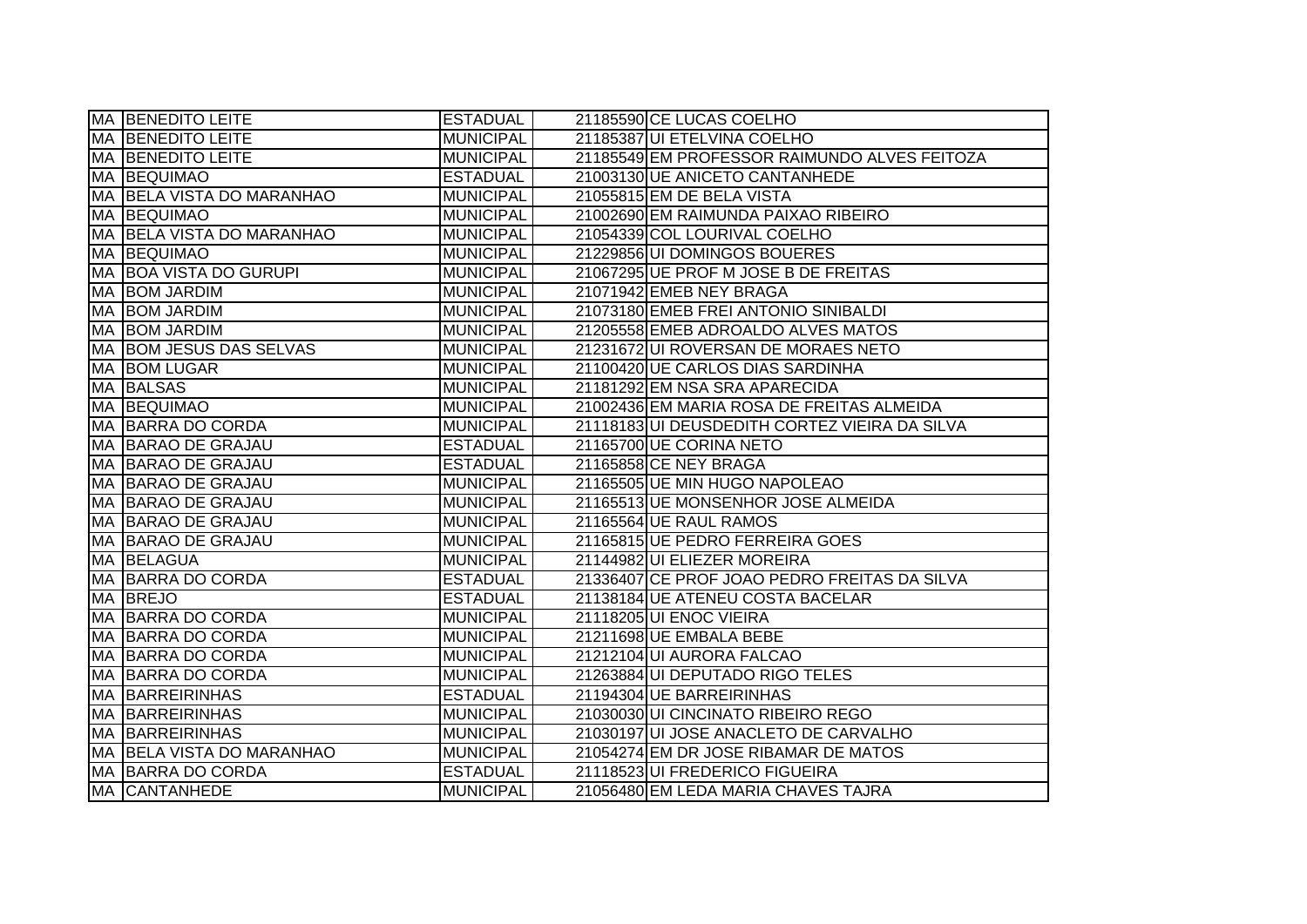| MA BENEDITO LEITE         | <b>ESTADUAL</b>  | 21185590 CE LUCAS COELHO                     |
|---------------------------|------------------|----------------------------------------------|
| <b>MA BENEDITO LEITE</b>  | <b>MUNICIPAL</b> | 21185387 UI ETELVINA COELHO                  |
| MA BENEDITO LEITE         | <b>MUNICIPAL</b> | 21185549 EM PROFESSOR RAIMUNDO ALVES FEITOZA |
| <b>MA BEQUIMAO</b>        | <b>ESTADUAL</b>  | 21003130 UE ANICETO CANTANHEDE               |
| MA BELA VISTA DO MARANHAO | <b>MUNICIPAL</b> | 21055815 EM DE BELA VISTA                    |
| <b>MA BEQUIMAO</b>        | <b>MUNICIPAL</b> | 21002690 EM RAIMUNDA PAIXAO RIBEIRO          |
| MA BELA VISTA DO MARANHAO | <b>MUNICIPAL</b> | 21054339 COL LOURIVAL COELHO                 |
| <b>MA BEQUIMAO</b>        | <b>MUNICIPAL</b> | 21229856 UI DOMINGOS BOUERES                 |
| MA BOA VISTA DO GURUPI    | <b>MUNICIPAL</b> | 21067295 UE PROF M JOSE B DE FREITAS         |
| MA BOM JARDIM             | <b>MUNICIPAL</b> | 21071942 EMEB NEY BRAGA                      |
| MA BOM JARDIM             | <b>MUNICIPAL</b> | 21073180 EMEB FREI ANTONIO SINIBALDI         |
| MA BOM JARDIM             | <b>MUNICIPAL</b> | 21205558 EMEB ADROALDO ALVES MATOS           |
| MA BOM JESUS DAS SELVAS   | <b>MUNICIPAL</b> | 21231672UI ROVERSAN DE MORAES NETO           |
| MA BOM LUGAR              | <b>MUNICIPAL</b> | 21100420 UE CARLOS DIAS SARDINHA             |
| MA BALSAS                 | <b>MUNICIPAL</b> | 21181292 EM NSA SRA APARECIDA                |
| MA BEQUIMAO               | <b>MUNICIPAL</b> | 21002436 EM MARIA ROSA DE FREITAS ALMEIDA    |
| MA BARRA DO CORDA         | <b>MUNICIPAL</b> | 21118183UI DEUSDEDITH CORTEZ VIEIRA DA SILVA |
| MA BARAO DE GRAJAU        | <b>ESTADUAL</b>  | 21165700 UE CORINA NETO                      |
| MA BARAO DE GRAJAU        | <b>ESTADUAL</b>  | 21165858 CE NEY BRAGA                        |
| MA BARAO DE GRAJAU        | <b>MUNICIPAL</b> | 21165505 UE MIN HUGO NAPOLEAO                |
| MA BARAO DE GRAJAU        | <b>MUNICIPAL</b> | 21165513 UE MONSENHOR JOSE ALMEIDA           |
| MA BARAO DE GRAJAU        | <b>MUNICIPAL</b> | 21165564 UE RAUL RAMOS                       |
| MA BARAO DE GRAJAU        | <b>MUNICIPAL</b> | 21165815 UE PEDRO FERREIRA GOES              |
| MA BELAGUA                | <b>MUNICIPAL</b> | 21144982 UI ELIEZER MOREIRA                  |
| MA BARRA DO CORDA         | <b>ESTADUAL</b>  | 21336407 CE PROF JOAO PEDRO FREITAS DA SILVA |
| MA BREJO                  | <b>ESTADUAL</b>  | 21138184 UE ATENEU COSTA BACELAR             |
| MA BARRA DO CORDA         | <b>MUNICIPAL</b> | 21118205 UI ENOC VIEIRA                      |
| MA BARRA DO CORDA         | <b>MUNICIPAL</b> | 21211698 UE EMBALA BEBE                      |
| MA BARRA DO CORDA         | <b>MUNICIPAL</b> | 21212104 UI AURORA FALCAO                    |
| MA BARRA DO CORDA         | <b>MUNICIPAL</b> | 21263884 UI DEPUTADO RIGO TELES              |
| <b>MA BARREIRINHAS</b>    | <b>ESTADUAL</b>  | 21194304 UE BARREIRINHAS                     |
| <b>MA BARREIRINHAS</b>    | <b>MUNICIPAL</b> | 21030030 UI CINCINATO RIBEIRO REGO           |
| <b>MA BARREIRINHAS</b>    | <b>MUNICIPAL</b> | 21030197UI JOSE ANACLETO DE CARVALHO         |
| MA BELA VISTA DO MARANHAO | <b>MUNICIPAL</b> | 21054274 EM DR JOSE RIBAMAR DE MATOS         |
| MA BARRA DO CORDA         | <b>ESTADUAL</b>  | 21118523 UI FREDERICO FIGUEIRA               |
| MA CANTANHEDE             | <b>MUNICIPAL</b> | 21056480 EM LEDA MARIA CHAVES TAJRA          |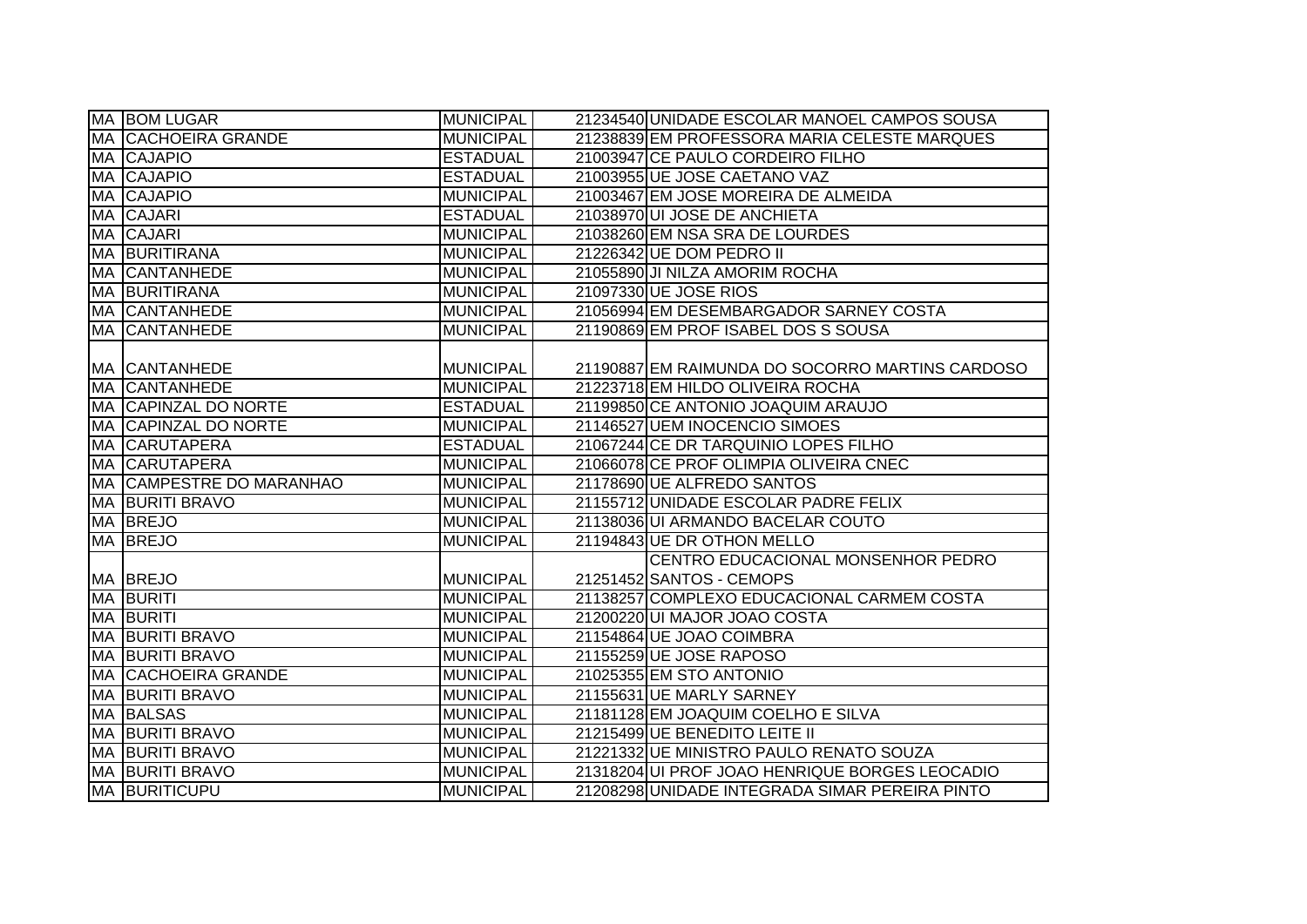|    | MA BOM LUGAR               | <b>MUNICIPAL</b> | 21234540 UNIDADE ESCOLAR MANOEL CAMPOS SOUSA    |
|----|----------------------------|------------------|-------------------------------------------------|
|    | <b>MA CACHOEIRA GRANDE</b> | <b>MUNICIPAL</b> | 21238839 EM PROFESSORA MARIA CELESTE MARQUES    |
|    | MA CAJAPIO                 | <b>ESTADUAL</b>  | 21003947 CE PAULO CORDEIRO FILHO                |
|    | MA CAJAPIO                 | <b>ESTADUAL</b>  | 21003955 UE JOSE CAETANO VAZ                    |
|    | <b>MA CAJAPIO</b>          | <b>MUNICIPAL</b> | 21003467 EM JOSE MOREIRA DE ALMEIDA             |
|    | MA CAJARI                  | <b>ESTADUAL</b>  | 21038970 UI JOSE DE ANCHIETA                    |
|    | MA CAJARI                  | <b>MUNICIPAL</b> | 21038260 EM NSA SRA DE LOURDES                  |
|    | MA BURITIRANA              | <b>MUNICIPAL</b> | 21226342 UE DOM PEDRO II                        |
|    | <b>MA CANTANHEDE</b>       | <b>MUNICIPAL</b> | 21055890 JI NILZA AMORIM ROCHA                  |
|    | MA BURITIRANA              | <b>MUNICIPAL</b> | 21097330 UE JOSE RIOS                           |
|    | <b>MA CANTANHEDE</b>       | <b>MUNICIPAL</b> | 21056994 EM DESEMBARGADOR SARNEY COSTA          |
|    | MA CANTANHEDE              | <b>MUNICIPAL</b> | 21190869 EM PROF ISABEL DOS S SOUSA             |
|    |                            |                  |                                                 |
|    | MA CANTANHEDE              | <b>MUNICIPAL</b> | 21190887 EM RAIMUNDA DO SOCORRO MARTINS CARDOSO |
|    | <b>MA CANTANHEDE</b>       | <b>MUNICIPAL</b> | 21223718 EM HILDO OLIVEIRA ROCHA                |
|    | MA CAPINZAL DO NORTE       | <b>ESTADUAL</b>  | 21199850 CE ANTONIO JOAQUIM ARAUJO              |
|    | MA CAPINZAL DO NORTE       | <b>MUNICIPAL</b> | 21146527 UEM INOCENCIO SIMOES                   |
|    | MA CARUTAPERA              | <b>ESTADUAL</b>  | 21067244 CE DR TARQUINIO LOPES FILHO            |
|    | MA CARUTAPERA              | <b>MUNICIPAL</b> | 21066078 CE PROF OLIMPIA OLIVEIRA CNEC          |
|    | MA CAMPESTRE DO MARANHAO   | <b>MUNICIPAL</b> | 21178690 UE ALFREDO SANTOS                      |
|    | MA BURITI BRAVO            | <b>MUNICIPAL</b> | 21155712 UNIDADE ESCOLAR PADRE FELIX            |
|    | MA BREJO                   | <b>MUNICIPAL</b> | 21138036 UI ARMANDO BACELAR COUTO               |
|    | MA BREJO                   | <b>MUNICIPAL</b> | 21194843 UE DR OTHON MELLO                      |
|    |                            |                  | CENTRO EDUCACIONAL MONSENHOR PEDRO              |
|    | MA BREJO                   | <b>MUNICIPAL</b> | 21251452 SANTOS - CEMOPS                        |
|    | MA BURITI                  | <b>MUNICIPAL</b> | 21138257 COMPLEXO EDUCACIONAL CARMEM COSTA      |
|    | <b>MA BURITI</b>           | <b>MUNICIPAL</b> | 21200220 UI MAJOR JOAO COSTA                    |
|    | MA BURITI BRAVO            | <b>MUNICIPAL</b> | 21154864 UE JOAO COIMBRA                        |
|    | <b>MA BURITI BRAVO</b>     | <b>MUNICIPAL</b> | 21155259 UE JOSE RAPOSO                         |
|    | <b>MA CACHOEIRA GRANDE</b> | <b>MUNICIPAL</b> | 21025355 EM STO ANTONIO                         |
| МA | <b>BURITI BRAVO</b>        | <b>MUNICIPAL</b> | 21155631 UE MARLY SARNEY                        |
|    | <b>MA BALSAS</b>           | <b>MUNICIPAL</b> | 21181128 EM JOAQUIM COELHO E SILVA              |
|    | <b>MA BURITI BRAVO</b>     | <b>MUNICIPAL</b> | 21215499 UE BENEDITO LEITE II                   |
|    | <b>MA BURITI BRAVO</b>     | <b>MUNICIPAL</b> | 21221332 UE MINISTRO PAULO RENATO SOUZA         |
|    | <b>MA BURITI BRAVO</b>     | <b>MUNICIPAL</b> | 21318204 UI PROF JOAO HENRIQUE BORGES LEOCADIO  |
|    | MA BURITICUPU              | <b>MUNICIPAL</b> | 21208298 UNIDADE INTEGRADA SIMAR PEREIRA PINTO  |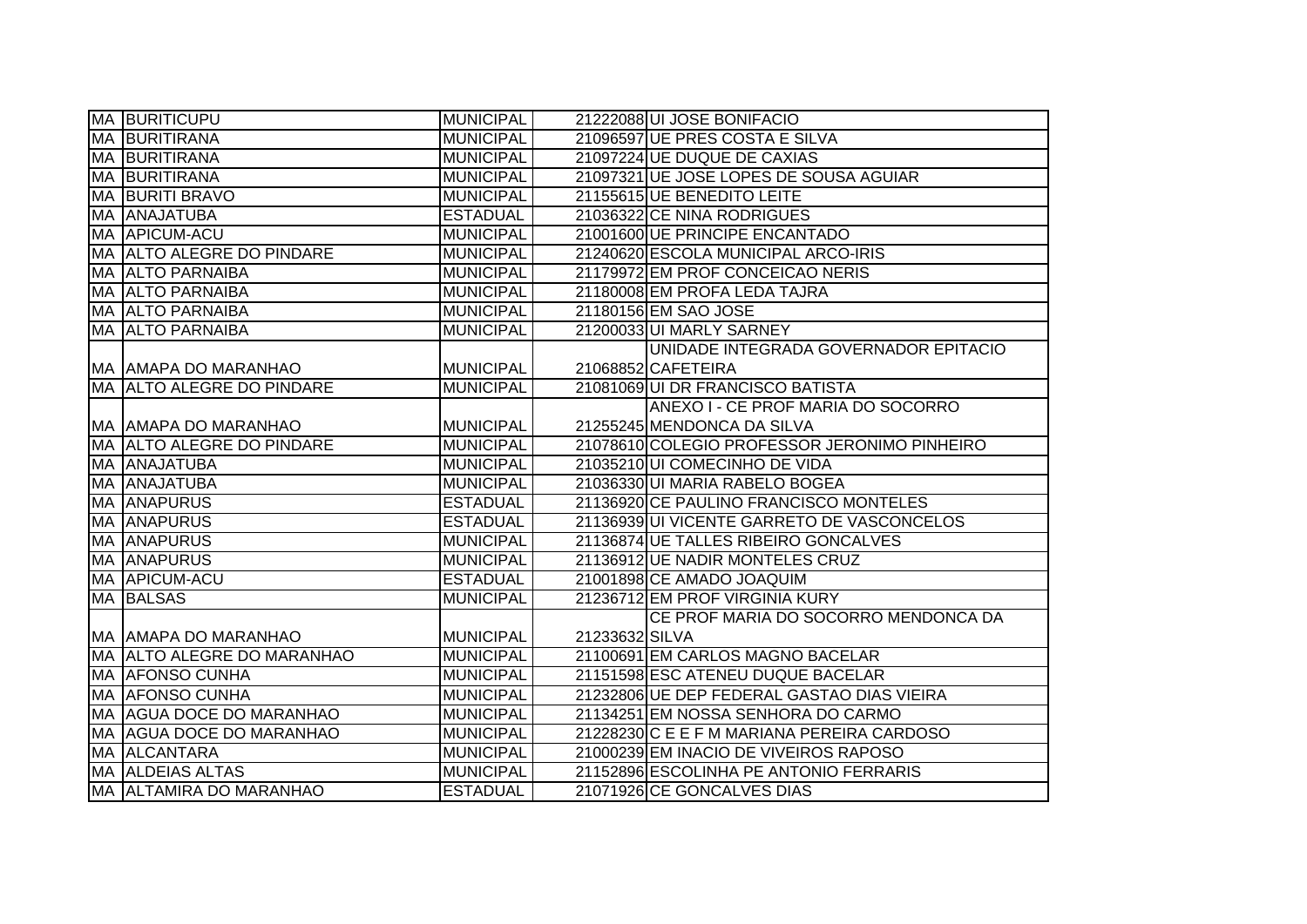|    | <b>MA BURITICUPU</b>       | <b>MUNICIPAL</b> |                | 21222088 UI JOSE BONIFACIO                   |
|----|----------------------------|------------------|----------------|----------------------------------------------|
|    | <b>MA BURITIRANA</b>       | <b>MUNICIPAL</b> |                | 21096597 UE PRES COSTA E SILVA               |
|    | <b>MA BURITIRANA</b>       | <b>MUNICIPAL</b> |                | 21097224 UE DUQUE DE CAXIAS                  |
|    | <b>MA BURITIRANA</b>       | <b>MUNICIPAL</b> |                | 21097321 UE JOSE LOPES DE SOUSA AGUIAR       |
| MA | <b>BURITI BRAVO</b>        | <b>MUNICIPAL</b> |                | 21155615 UE BENEDITO LEITE                   |
|    | MA ANAJATUBA               | <b>ESTADUAL</b>  |                | 21036322 CE NINA RODRIGUES                   |
|    | MA APICUM-ACU              | <b>MUNICIPAL</b> |                | 21001600 UE PRINCIPE ENCANTADO               |
|    | MA ALTO ALEGRE DO PINDARE  | <b>MUNICIPAL</b> |                | 21240620 ESCOLA MUNICIPAL ARCO-IRIS          |
| MA | <b>ALTO PARNAIBA</b>       | <b>MUNICIPAL</b> |                | 21179972 EM PROF CONCEICAO NERIS             |
|    | <b>MA ALTO PARNAIBA</b>    | <b>MUNICIPAL</b> |                | 21180008 EM PROFA LEDA TAJRA                 |
|    | <b>MA ALTO PARNAIBA</b>    | <b>MUNICIPAL</b> |                | 21180156 EM SAO JOSE                         |
|    | MA ALTO PARNAIBA           | <b>MUNICIPAL</b> |                | 21200033 UI MARLY SARNEY                     |
|    |                            |                  |                | UNIDADE INTEGRADA GOVERNADOR EPITACIO        |
|    | MA AMAPA DO MARANHAO       | <b>MUNICIPAL</b> |                | 21068852 CAFETEIRA                           |
|    | MA ALTO ALEGRE DO PINDARE  | <b>MUNICIPAL</b> |                | 21081069 UI DR FRANCISCO BATISTA             |
|    |                            |                  |                | ANEXO I - CE PROF MARIA DO SOCORRO           |
|    | MA AMAPA DO MARANHAO       | <b>MUNICIPAL</b> |                | 21255245 MENDONCA DA SILVA                   |
|    | MA ALTO ALEGRE DO PINDARE  | <b>MUNICIPAL</b> |                | 21078610 COLEGIO PROFESSOR JERONIMO PINHEIRO |
|    | MA ANAJATUBA               | <b>MUNICIPAL</b> |                | 21035210 UI COMECINHO DE VIDA                |
|    | MA ANAJATUBA               | <b>MUNICIPAL</b> |                | 21036330 UI MARIA RABELO BOGEA               |
|    | <b>MA ANAPURUS</b>         | <b>ESTADUAL</b>  |                | 21136920 CE PAULINO FRANCISCO MONTELES       |
|    | <b>MA ANAPURUS</b>         | <b>ESTADUAL</b>  |                | 21136939 UI VICENTE GARRETO DE VASCONCELOS   |
|    | <b>MA ANAPURUS</b>         | <b>MUNICIPAL</b> |                | 21136874 UE TALLES RIBEIRO GONCALVES         |
|    | <b>MA ANAPURUS</b>         | <b>MUNICIPAL</b> |                | 21136912 UE NADIR MONTELES CRUZ              |
|    | <b>MA APICUM-ACU</b>       | <b>ESTADUAL</b>  |                | 21001898 CE AMADO JOAQUIM                    |
|    | <b>MA BALSAS</b>           | <b>MUNICIPAL</b> |                | 21236712 EM PROF VIRGINIA KURY               |
|    |                            |                  |                | CE PROF MARIA DO SOCORRO MENDONCA DA         |
|    | MA AMAPA DO MARANHAO       | <b>MUNICIPAL</b> | 21233632 SILVA |                                              |
|    | MA ALTO ALEGRE DO MARANHAO | <b>MUNICIPAL</b> |                | 21100691 EM CARLOS MAGNO BACELAR             |
|    | <b>MA AFONSO CUNHA</b>     | <b>MUNICIPAL</b> |                | 21151598 ESC ATENEU DUQUE BACELAR            |
|    | <b>MA AFONSO CUNHA</b>     | <b>MUNICIPAL</b> |                | 21232806 UE DEP FEDERAL GASTAO DIAS VIEIRA   |
|    | MA AGUA DOCE DO MARANHAO   | <b>MUNICIPAL</b> |                | 21134251 EM NOSSA SENHORA DO CARMO           |
|    | MA AGUA DOCE DO MARANHAO   | <b>MUNICIPAL</b> |                | 21228230 C E E F M MARIANA PEREIRA CARDOSO   |
|    | MA ALCANTARA               | <b>MUNICIPAL</b> |                | 21000239 EM INACIO DE VIVEIROS RAPOSO        |
|    | <b>MA ALDEIAS ALTAS</b>    | <b>MUNICIPAL</b> |                | 21152896 ESCOLINHA PE ANTONIO FERRARIS       |
|    | MA ALTAMIRA DO MARANHAO    | <b>ESTADUAL</b>  |                | 21071926 CE GONCALVES DIAS                   |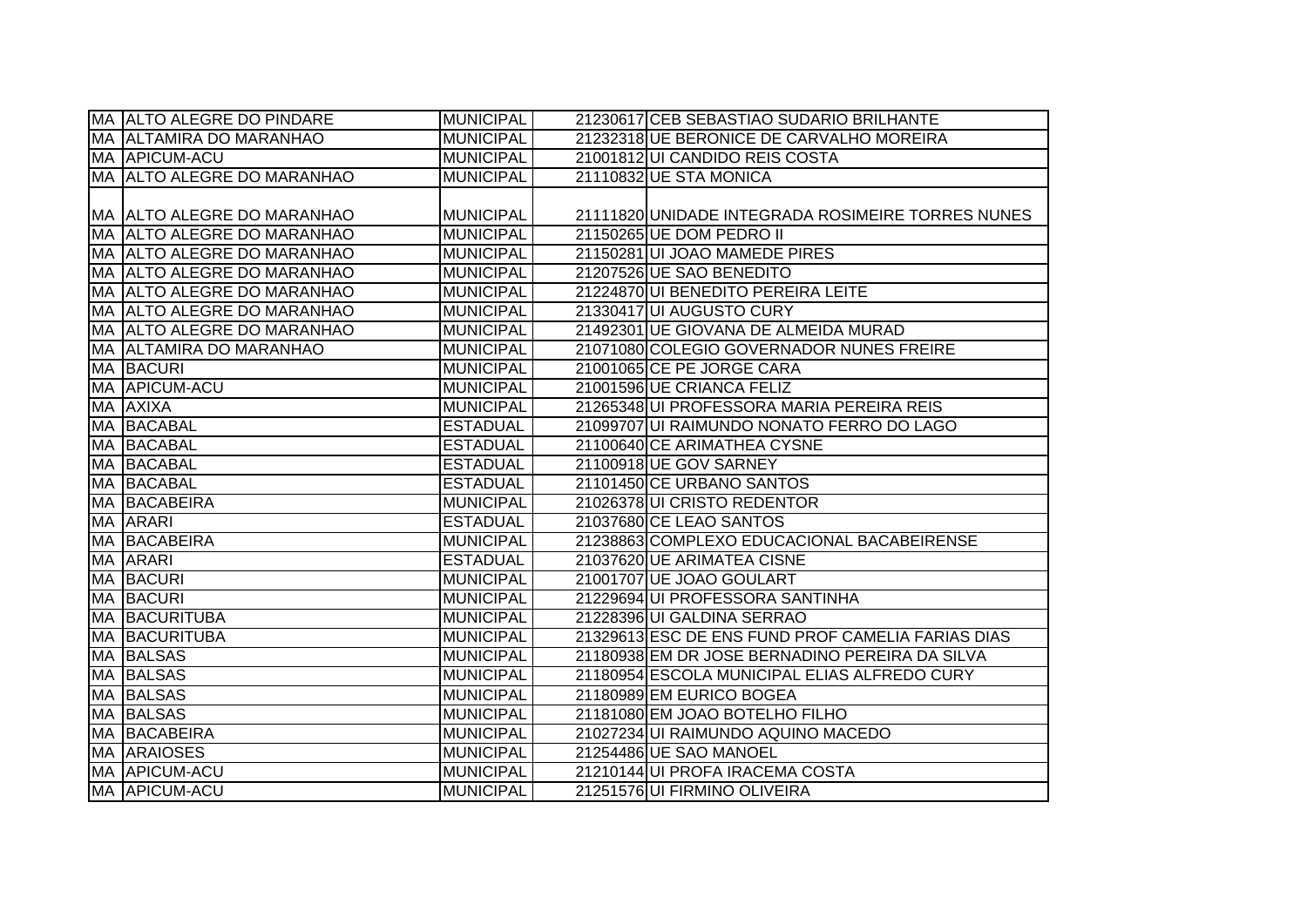|    | MA ALTO ALEGRE DO PINDARE   | <b>MUNICIPAL</b> | 21230617 CEB SEBASTIAO SUDARIO BRILHANTE          |
|----|-----------------------------|------------------|---------------------------------------------------|
|    | MA ALTAMIRA DO MARANHAO     | <b>MUNICIPAL</b> | 21232318 UE BERONICE DE CARVALHO MOREIRA          |
|    | MA APICUM-ACU               | <b>MUNICIPAL</b> | 21001812 UI CANDIDO REIS COSTA                    |
|    | MA ALTO ALEGRE DO MARANHAO  | <b>MUNICIPAL</b> | 21110832 UE STA MONICA                            |
|    |                             |                  |                                                   |
|    | MA  ALTO ALEGRE DO MARANHAO | <b>MUNICIPAL</b> | 21111820 UNIDADE INTEGRADA ROSIMEIRE TORRES NUNES |
|    | MA ALTO ALEGRE DO MARANHAO  | <b>MUNICIPAL</b> | 21150265 UE DOM PEDRO II                          |
|    | MA ALTO ALEGRE DO MARANHAO  | <b>MUNICIPAL</b> | 21150281 UI JOAO MAMEDE PIRES                     |
|    | MA ALTO ALEGRE DO MARANHAO  | <b>MUNICIPAL</b> | 21207526 UE SAO BENEDITO                          |
|    | MA ALTO ALEGRE DO MARANHAO  | <b>MUNICIPAL</b> | 21224870 UI BENEDITO PEREIRA LEITE                |
|    | MA ALTO ALEGRE DO MARANHAO  | <b>MUNICIPAL</b> | 21330417 UI AUGUSTO CURY                          |
|    | MA ALTO ALEGRE DO MARANHAO  | <b>MUNICIPAL</b> | 21492301 UE GIOVANA DE ALMEIDA MURAD              |
|    | MA ALTAMIRA DO MARANHAO     | <b>MUNICIPAL</b> | 21071080 COLEGIO GOVERNADOR NUNES FREIRE          |
|    | <b>MA BACURI</b>            | <b>MUNICIPAL</b> | 21001065 CE PE JORGE CARA                         |
|    | MA APICUM-ACU               | <b>MUNICIPAL</b> | 21001596 UE CRIANCA FELIZ                         |
|    | MA AXIXA                    | <b>MUNICIPAL</b> | 21265348 UI PROFESSORA MARIA PEREIRA REIS         |
| MA | <b>BACABAL</b>              | <b>ESTADUAL</b>  | 21099707 UI RAIMUNDO NONATO FERRO DO LAGO         |
|    | MA BACABAL                  | <b>ESTADUAL</b>  | 21100640 CE ARIMATHEA CYSNE                       |
|    | MA BACABAL                  | <b>ESTADUAL</b>  | 21100918 UE GOV SARNEY                            |
|    | MA BACABAL                  | <b>ESTADUAL</b>  | 21101450 CE URBANO SANTOS                         |
|    | MA BACABEIRA                | <b>MUNICIPAL</b> | 21026378 UI CRISTO REDENTOR                       |
|    | <b>MA ARARI</b>             | <b>ESTADUAL</b>  | 21037680 CE LEAO SANTOS                           |
|    | MA BACABEIRA                | <b>MUNICIPAL</b> | 21238863 COMPLEXO EDUCACIONAL BACABEIRENSE        |
|    | MA ARARI                    | <b>ESTADUAL</b>  | 21037620 UE ARIMATEA CISNE                        |
|    | <b>MA BACURI</b>            | <b>MUNICIPAL</b> | 21001707 UE JOAO GOULART                          |
|    | <b>MA BACURI</b>            | <b>MUNICIPAL</b> | 21229694 UI PROFESSORA SANTINHA                   |
|    | MA BACURITUBA               | <b>MUNICIPAL</b> | 21228396 UI GALDINA SERRAO                        |
|    | <b>MA BACURITUBA</b>        | <b>MUNICIPAL</b> | 21329613 ESC DE ENS FUND PROF CAMELIA FARIAS DIAS |
| MA | <b>BALSAS</b>               | <b>MUNICIPAL</b> | 21180938 EM DR JOSE BERNADINO PEREIRA DA SILVA    |
|    | MA BALSAS                   | <b>MUNICIPAL</b> | 21180954 ESCOLA MUNICIPAL ELIAS ALFREDO CURY      |
|    | <b>MA BALSAS</b>            | <b>MUNICIPAL</b> | 21180989 EM EURICO BOGEA                          |
|    | <b>MA BALSAS</b>            | <b>MUNICIPAL</b> | 21181080 EM JOAO BOTELHO FILHO                    |
|    | MA BACABEIRA                | <b>MUNICIPAL</b> | 21027234 UI RAIMUNDO AQUINO MACEDO                |
|    | <b>MA ARAIOSES</b>          | <b>MUNICIPAL</b> | 21254486 UE SAO MANOEL                            |
|    | MA APICUM-ACU               | <b>MUNICIPAL</b> | 21210144 UI PROFA IRACEMA COSTA                   |
|    | MA APICUM-ACU               | <b>MUNICIPAL</b> | 21251576 UI FIRMINO OLIVEIRA                      |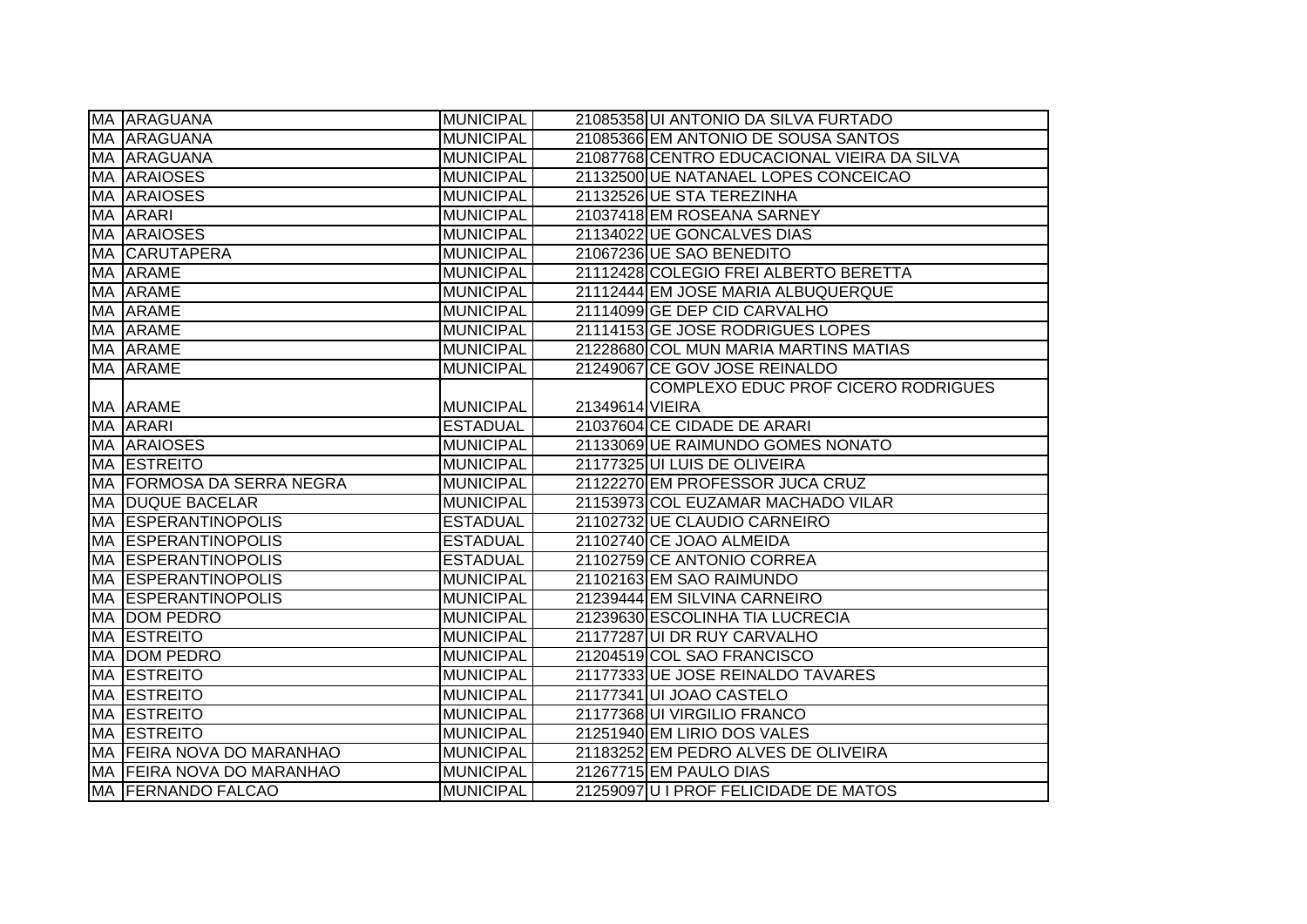|           | MA ARAGUANA                | <b>MUNICIPAL</b> |                 | 21085358 UI ANTONIO DA SILVA FURTADO        |
|-----------|----------------------------|------------------|-----------------|---------------------------------------------|
|           | <b>MA ARAGUANA</b>         | <b>MUNICIPAL</b> |                 | 21085366 EM ANTONIO DE SOUSA SANTOS         |
|           | MA ARAGUANA                | <b>MUNICIPAL</b> |                 | 21087768 CENTRO EDUCACIONAL VIEIRA DA SILVA |
|           | <b>MA ARAIOSES</b>         | <b>MUNICIPAL</b> |                 | 21132500 UE NATANAEL LOPES CONCEICAO        |
| MA        | <b>ARAIOSES</b>            | <b>MUNICIPAL</b> |                 | 21132526 UE STA TEREZINHA                   |
|           | MA ARARI                   | <b>MUNICIPAL</b> |                 | 21037418 EM ROSEANA SARNEY                  |
|           | MA ARAIOSES                | <b>MUNICIPAL</b> |                 | 21134022 UE GONCALVES DIAS                  |
|           | <b>MA CARUTAPERA</b>       | <b>MUNICIPAL</b> |                 | 21067236 UE SAO BENEDITO                    |
|           | MA ARAME                   | <b>MUNICIPAL</b> |                 | 21112428 COLEGIO FREI ALBERTO BERETTA       |
|           | MA ARAME                   | <b>MUNICIPAL</b> |                 | 21112444 EM JOSE MARIA ALBUQUERQUE          |
|           | MA ARAME                   | <b>MUNICIPAL</b> |                 | 21114099 GE DEP CID CARVALHO                |
|           | MA ARAME                   | <b>MUNICIPAL</b> |                 | 21114153 GE JOSE RODRIGUES LOPES            |
|           | MA ARAME                   | <b>MUNICIPAL</b> |                 | 21228680 COL MUN MARIA MARTINS MATIAS       |
|           | MA ARAME                   | <b>MUNICIPAL</b> |                 | 21249067 CE GOV JOSE REINALDO               |
|           |                            |                  |                 | COMPLEXO EDUC PROF CICERO RODRIGUES         |
|           | MA ARAME                   | <b>MUNICIPAL</b> | 21349614 VIEIRA |                                             |
|           | MA ARARI                   | <b>ESTADUAL</b>  |                 | 21037604 CE CIDADE DE ARARI                 |
|           | <b>MA ARAIOSES</b>         | <b>MUNICIPAL</b> |                 | 21133069 UE RAIMUNDO GOMES NONATO           |
|           | <b>MA ESTREITO</b>         | <b>MUNICIPAL</b> |                 | 21177325 UI LUIS DE OLIVEIRA                |
|           | MA FORMOSA DA SERRA NEGRA  | <b>MUNICIPAL</b> |                 | 21122270 EM PROFESSOR JUCA CRUZ             |
|           | MA DUQUE BACELAR           | <b>MUNICIPAL</b> |                 | 21153973 COL EUZAMAR MACHADO VILAR          |
|           | <b>MA ESPERANTINOPOLIS</b> | <b>ESTADUAL</b>  |                 | 21102732 UE CLAUDIO CARNEIRO                |
|           | <b>MA ESPERANTINOPOLIS</b> | <b>ESTADUAL</b>  |                 | 21102740 CE JOAO ALMEIDA                    |
|           | <b>MA ESPERANTINOPOLIS</b> | <b>ESTADUAL</b>  |                 | 21102759 CE ANTONIO CORREA                  |
|           | <b>MA ESPERANTINOPOLIS</b> | <b>MUNICIPAL</b> |                 | 21102163 EM SAO RAIMUNDO                    |
|           | <b>MA ESPERANTINOPOLIS</b> | <b>MUNICIPAL</b> |                 | 21239444 EM SILVINA CARNEIRO                |
|           | MA DOM PEDRO               | <b>MUNICIPAL</b> |                 | 21239630 ESCOLINHA TIA LUCRECIA             |
| <b>MA</b> | <b>ESTREITO</b>            | <b>MUNICIPAL</b> |                 | 21177287 UI DR RUY CARVALHO                 |
| MA        | <b>DOM PEDRO</b>           | <b>MUNICIPAL</b> |                 | 21204519 COL SAO FRANCISCO                  |
| MA        | <b>ESTREITO</b>            | <b>MUNICIPAL</b> |                 | 21177333 UE JOSE REINALDO TAVARES           |
| MA        | <b>ESTREITO</b>            | <b>MUNICIPAL</b> |                 | 21177341 UI JOAO CASTELO                    |
|           | <b>MA ESTREITO</b>         | <b>MUNICIPAL</b> |                 | 21177368 UI VIRGILIO FRANCO                 |
|           | MA ESTREITO                | <b>MUNICIPAL</b> |                 | 21251940 EM LIRIO DOS VALES                 |
|           | MA FEIRA NOVA DO MARANHAO  | <b>MUNICIPAL</b> |                 | 21183252 EM PEDRO ALVES DE OLIVEIRA         |
|           | MA FEIRA NOVA DO MARANHAO  | <b>MUNICIPAL</b> |                 | 21267715 EM PAULO DIAS                      |
|           | MA FERNANDO FALCAO         | <b>MUNICIPAL</b> |                 | 21259097U I PROF FELICIDADE DE MATOS        |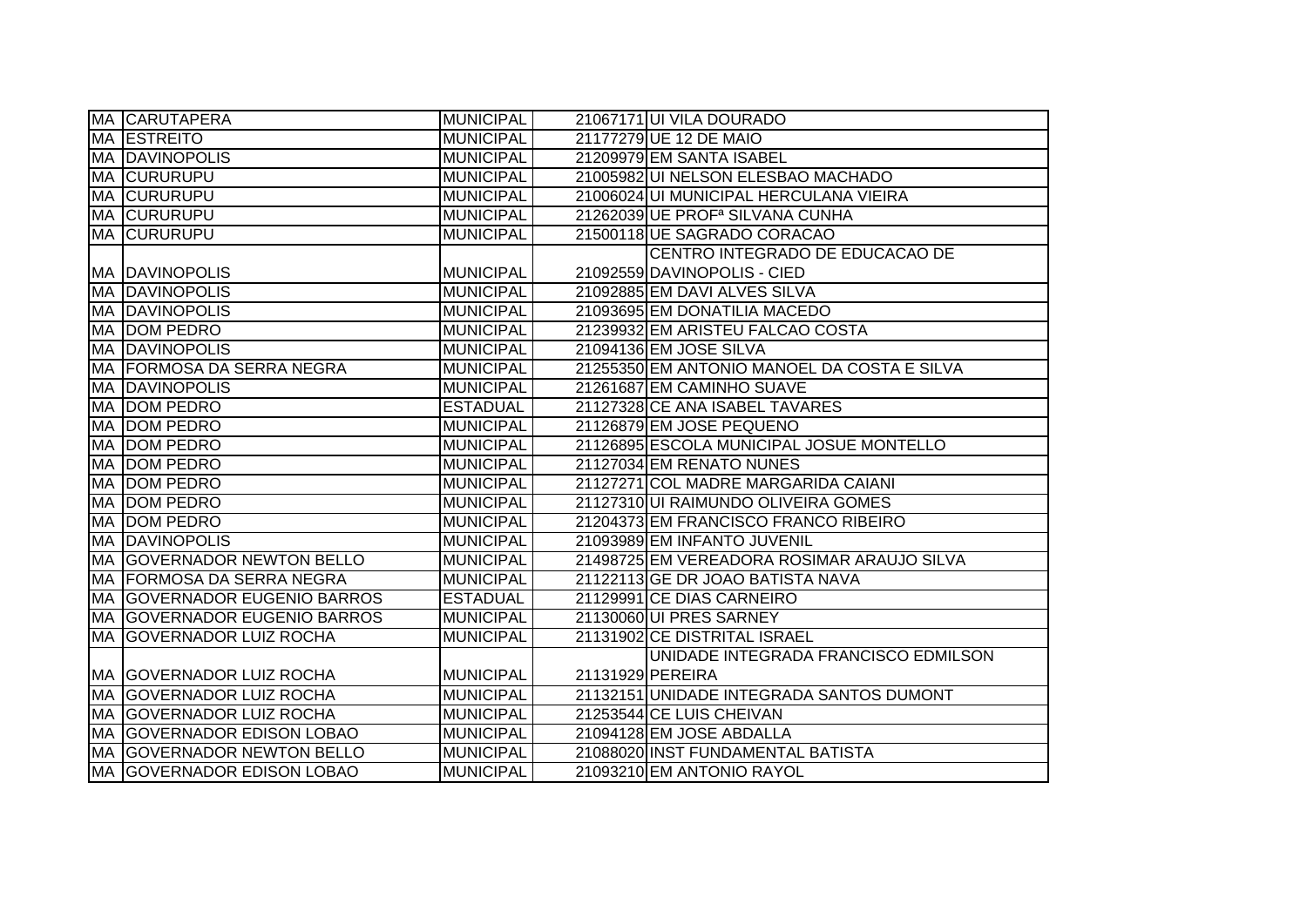|    | MA CARUTAPERA                     | <b>MUNICIPAL</b> |                  | 21067171UI VILA DOURADO                     |
|----|-----------------------------------|------------------|------------------|---------------------------------------------|
|    | <b>MA ESTREITO</b>                | <b>MUNICIPAL</b> |                  | 21177279 UE 12 DE MAIO                      |
|    | <b>MA DAVINOPOLIS</b>             | <b>MUNICIPAL</b> |                  | 21209979 EM SANTA ISABEL                    |
|    | <b>MA CURURUPU</b>                | <b>MUNICIPAL</b> |                  | 21005982 UI NELSON ELESBAO MACHADO          |
|    | <b>MA CURURUPU</b>                | <b>MUNICIPAL</b> |                  | 21006024 UI MUNICIPAL HERCULANA VIEIRA      |
|    | <b>MA CURURUPU</b>                | <b>MUNICIPAL</b> |                  | 21262039 UE PROF <sup>a</sup> SILVANA CUNHA |
|    | <b>MA CURURUPU</b>                | <b>MUNICIPAL</b> |                  | 21500118UE SAGRADO CORACAO                  |
|    |                                   |                  |                  | CENTRO INTEGRADO DE EDUCACAO DE             |
|    | <b>MA DAVINOPOLIS</b>             | <b>MUNICIPAL</b> |                  | 21092559 DAVINOPOLIS - CIED                 |
|    | <b>MA DAVINOPOLIS</b>             | <b>MUNICIPAL</b> |                  | 21092885 EM DAVI ALVES SILVA                |
|    | <b>MA DAVINOPOLIS</b>             | <b>MUNICIPAL</b> |                  | 21093695 EM DONATILIA MACEDO                |
|    | <b>MA DOM PEDRO</b>               | <b>MUNICIPAL</b> |                  | 21239932 EM ARISTEU FALCAO COSTA            |
|    | <b>MA DAVINOPOLIS</b>             | <b>MUNICIPAL</b> |                  | 21094136 EM JOSE SILVA                      |
|    | MA  FORMOSA DA SERRA NEGRA        | <b>MUNICIPAL</b> |                  | 21255350 EM ANTONIO MANOEL DA COSTA E SILVA |
|    | <b>MA DAVINOPOLIS</b>             | <b>MUNICIPAL</b> |                  | 21261687 EM CAMINHO SUAVE                   |
|    | MA DOM PEDRO                      | <b>ESTADUAL</b>  |                  | 21127328 CE ANA ISABEL TAVARES              |
| МA | <b>DOM PEDRO</b>                  | <b>MUNICIPAL</b> |                  | 21126879 EM JOSE PEQUENO                    |
|    | MA DOM PEDRO                      | <b>MUNICIPAL</b> |                  | 21126895 ESCOLA MUNICIPAL JOSUE MONTELLO    |
|    | <b>MA DOM PEDRO</b>               | <b>MUNICIPAL</b> |                  | 21127034 EM RENATO NUNES                    |
|    | MA DOM PEDRO                      | <b>MUNICIPAL</b> |                  | 21127271 COL MADRE MARGARIDA CAIANI         |
|    | MA DOM PEDRO                      | <b>MUNICIPAL</b> |                  | 21127310 UI RAIMUNDO OLIVEIRA GOMES         |
|    | MA DOM PEDRO                      | <b>MUNICIPAL</b> |                  | 21204373 EM FRANCISCO FRANCO RIBEIRO        |
|    | <b>MA DAVINOPOLIS</b>             | <b>MUNICIPAL</b> |                  | 21093989 EM INFANTO JUVENIL                 |
|    | <b>MA GOVERNADOR NEWTON BELLO</b> | <b>MUNICIPAL</b> |                  | 21498725 EM VEREADORA ROSIMAR ARAUJO SILVA  |
|    | MA FORMOSA DA SERRA NEGRA         | <b>MUNICIPAL</b> |                  | 21122113 GE DR JOAO BATISTA NAVA            |
|    | MA GOVERNADOR EUGENIO BARROS      | <b>ESTADUAL</b>  |                  | 21129991 CE DIAS CARNEIRO                   |
|    | MA GOVERNADOR EUGENIO BARROS      | <b>MUNICIPAL</b> |                  | 21130060 UI PRES SARNEY                     |
|    | MA  GOVERNADOR LUIZ ROCHA         | <b>MUNICIPAL</b> |                  | 21131902 CE DISTRITAL ISRAEL                |
|    |                                   |                  |                  | UNIDADE INTEGRADA FRANCISCO EDMILSON        |
|    | <b>MA GOVERNADOR LUIZ ROCHA</b>   | <b>MUNICIPAL</b> | 21131929 PEREIRA |                                             |
|    | MA  GOVERNADOR LUIZ ROCHA         | <b>MUNICIPAL</b> |                  | 21132151 UNIDADE INTEGRADA SANTOS DUMONT    |
|    | MA GOVERNADOR LUIZ ROCHA          | <b>MUNICIPAL</b> |                  | 21253544 CE LUIS CHEIVAN                    |
|    | MA GOVERNADOR EDISON LOBAO        | <b>MUNICIPAL</b> |                  | 21094128 EM JOSE ABDALLA                    |
|    | MA GOVERNADOR NEWTON BELLO        | <b>MUNICIPAL</b> |                  | 21088020 INST FUNDAMENTAL BATISTA           |
|    | MA GOVERNADOR EDISON LOBAO        | <b>MUNICIPAL</b> |                  | 21093210 EM ANTONIO RAYOL                   |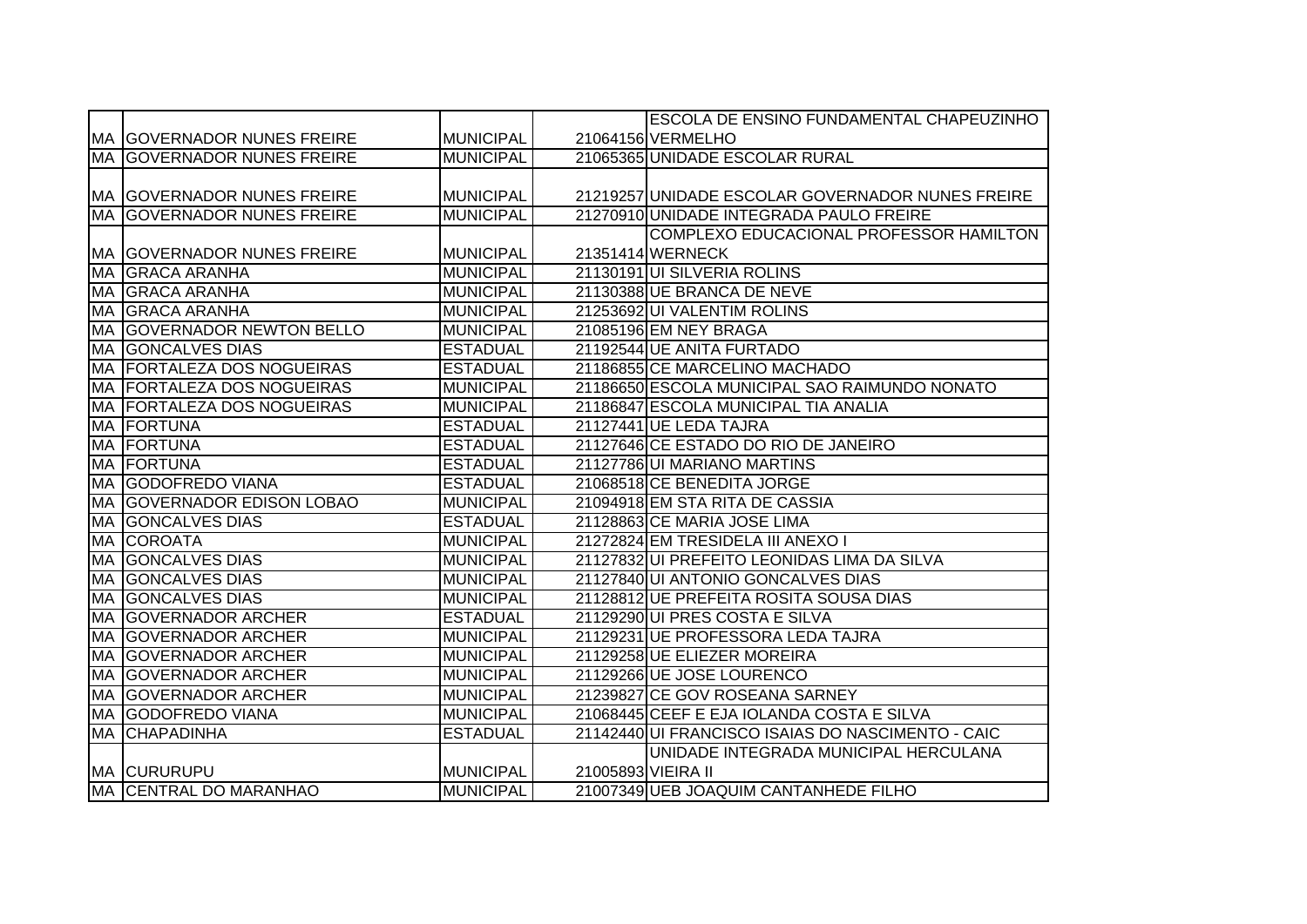|           |                                     |                  |                    | ESCOLA DE ENSINO FUNDAMENTAL CHAPEUZINHO          |
|-----------|-------------------------------------|------------------|--------------------|---------------------------------------------------|
|           | <b>IMA IGOVERNADOR NUNES FREIRE</b> | <b>MUNICIPAL</b> |                    | 21064156 VERMELHO                                 |
|           | <b>MA GOVERNADOR NUNES FREIRE</b>   | <b>MUNICIPAL</b> |                    | 21065365 UNIDADE ESCOLAR RURAL                    |
|           |                                     |                  |                    |                                                   |
|           | <b>IMA IGOVERNADOR NUNES FREIRE</b> | <b>MUNICIPAL</b> |                    | 21219257 UNIDADE ESCOLAR GOVERNADOR NUNES FREIRE  |
|           | <b>MA GOVERNADOR NUNES FREIRE</b>   | <b>MUNICIPAL</b> |                    | 21270910 UNIDADE INTEGRADA PAULO FREIRE           |
|           |                                     |                  |                    | COMPLEXO EDUCACIONAL PROFESSOR HAMILTON           |
|           | <b>MA GOVERNADOR NUNES FREIRE</b>   | <b>MUNICIPAL</b> |                    | 21351414 WERNECK                                  |
| <b>MA</b> | <b>GRACA ARANHA</b>                 | <b>MUNICIPAL</b> |                    | 21130191 UI SILVERIA ROLINS                       |
| <b>MA</b> | <b>GRACA ARANHA</b>                 | <b>MUNICIPAL</b> |                    | 21130388 UE BRANCA DE NEVE                        |
|           | MA GRACA ARANHA                     | <b>MUNICIPAL</b> |                    | 21253692 UI VALENTIM ROLINS                       |
| MA        | <b>GOVERNADOR NEWTON BELLO</b>      | <b>MUNICIPAL</b> |                    | 21085196 EM NEY BRAGA                             |
| <b>MA</b> | <b>GONCALVES DIAS</b>               | <b>ESTADUAL</b>  |                    | 21192544 UE ANITA FURTADO                         |
| <b>MA</b> | <b>FORTALEZA DOS NOGUEIRAS</b>      | <b>ESTADUAL</b>  |                    | 21186855 CE MARCELINO MACHADO                     |
| <b>MA</b> | <b>FORTALEZA DOS NOGUEIRAS</b>      | <b>MUNICIPAL</b> |                    | 21186650 ESCOLA MUNICIPAL SAO RAIMUNDO NONATO     |
| <b>MA</b> | <b>FORTALEZA DOS NOGUEIRAS</b>      | <b>MUNICIPAL</b> |                    | 21186847 ESCOLA MUNICIPAL TIA ANALIA              |
|           | MA FORTUNA                          | <b>ESTADUAL</b>  |                    | 21127441 UE LEDA TAJRA                            |
| MA        | FORTUNA                             | <b>ESTADUAL</b>  |                    | 21127646 CE ESTADO DO RIO DE JANEIRO              |
|           | <b>MA FORTUNA</b>                   | <b>ESTADUAL</b>  |                    | 21127786 UI MARIANO MARTINS                       |
|           | MA GODOFREDO VIANA                  | <b>ESTADUAL</b>  |                    | 21068518 CE BENEDITA JORGE                        |
|           | MA GOVERNADOR EDISON LOBAO          | <b>MUNICIPAL</b> |                    | 21094918 EM STA RITA DE CASSIA                    |
|           | <b>MA GONCALVES DIAS</b>            | <b>ESTADUAL</b>  |                    | 21128863 CE MARIA JOSE LIMA                       |
|           | <b>MA COROATA</b>                   | <b>MUNICIPAL</b> |                    | 21272824 EM TRESIDELA III ANEXO I                 |
|           | MA GONCALVES DIAS                   | <b>MUNICIPAL</b> |                    | 21127832 UI PREFEITO LEONIDAS LIMA DA SILVA       |
|           | <b>MA GONCALVES DIAS</b>            | <b>MUNICIPAL</b> |                    | 21127840 UI ANTONIO GONCALVES DIAS                |
|           | <b>MA GONCALVES DIAS</b>            | <b>MUNICIPAL</b> |                    | 21128812 UE PREFEITA ROSITA SOUSA DIAS            |
| MA        | <b>GOVERNADOR ARCHER</b>            | <b>ESTADUAL</b>  |                    | 21129290 UI PRES COSTA E SILVA                    |
| MA        | <b>GOVERNADOR ARCHER</b>            | <b>MUNICIPAL</b> |                    | 21129231 UE PROFESSORA LEDA TAJRA                 |
| MA        | <b>GOVERNADOR ARCHER</b>            | <b>MUNICIPAL</b> |                    | 21129258 UE ELIEZER MOREIRA                       |
| MA        | <b>GOVERNADOR ARCHER</b>            | <b>MUNICIPAL</b> |                    | 21129266 UE JOSE LOURENCO                         |
| <b>MA</b> | <b>GOVERNADOR ARCHER</b>            | <b>MUNICIPAL</b> |                    | 21239827 CE GOV ROSEANA SARNEY                    |
|           | MA GODOFREDO VIANA                  | <b>MUNICIPAL</b> |                    | 21068445 CEEF E EJA IOLANDA COSTA E SILVA         |
|           | <b>MA CHAPADINHA</b>                | <b>ESTADUAL</b>  |                    | 21142440 UI FRANCISCO ISAIAS DO NASCIMENTO - CAIC |
|           |                                     |                  |                    | UNIDADE INTEGRADA MUNICIPAL HERCULANA             |
|           | <b>MA CURURUPU</b>                  | <b>MUNICIPAL</b> | 21005893 VIEIRA II |                                                   |
|           | MA CENTRAL DO MARANHAO              | <b>MUNICIPAL</b> |                    | 21007349 UEB JOAQUIM CANTANHEDE FILHO             |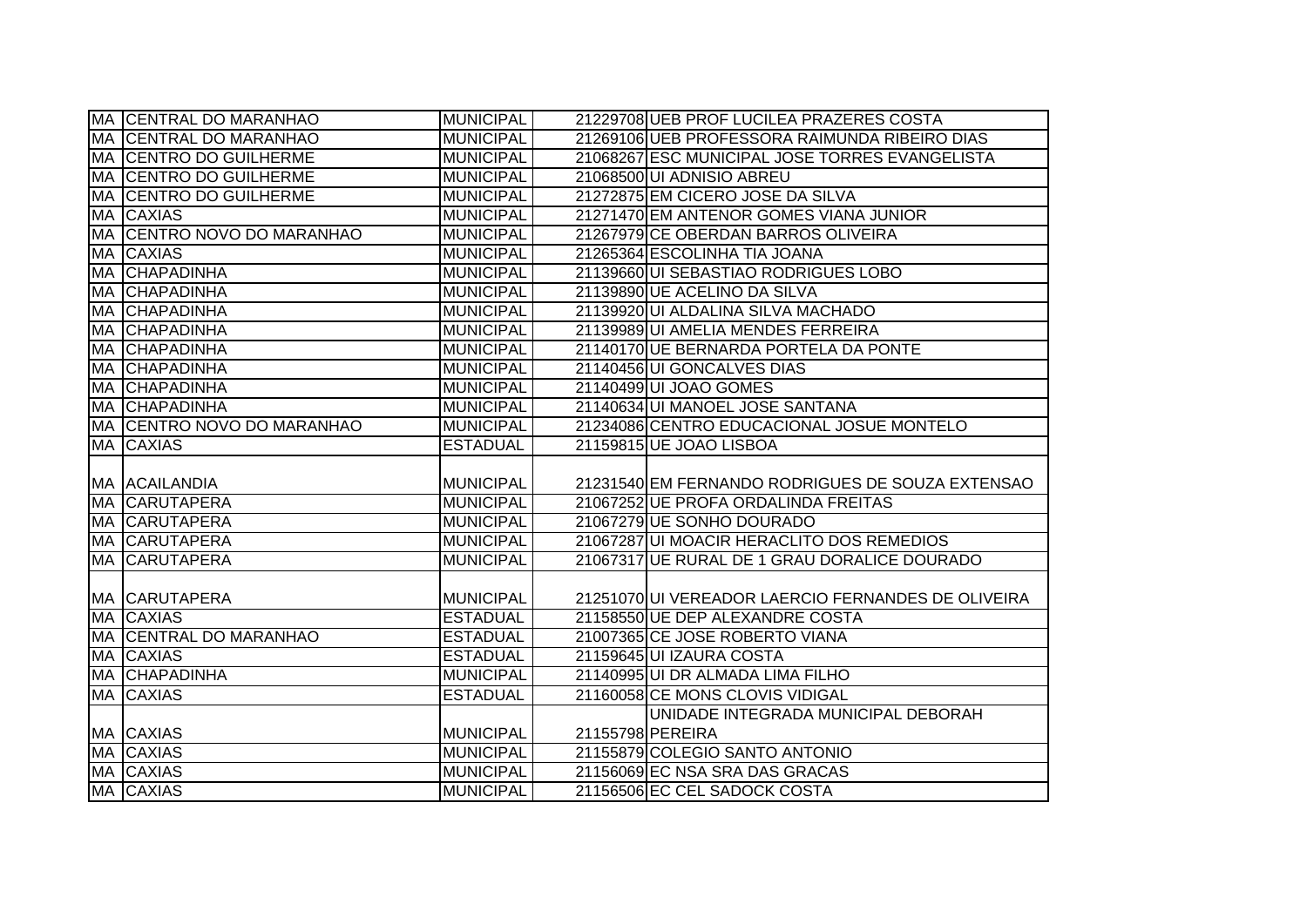|           | MA CENTRAL DO MARANHAO               | <b>MUNICIPAL</b>                     | 21229708 UEB PROF LUCILEA PRAZERES COSTA                       |
|-----------|--------------------------------------|--------------------------------------|----------------------------------------------------------------|
|           | MA CENTRAL DO MARANHAO               | <b>MUNICIPAL</b>                     | 21269106 UEB PROFESSORA RAIMUNDA RIBEIRO DIAS                  |
|           | MA CENTRO DO GUILHERME               | <b>MUNICIPAL</b>                     | 21068267 ESC MUNICIPAL JOSE TORRES EVANGELISTA                 |
|           | <b>MA CENTRO DO GUILHERME</b>        | <b>MUNICIPAL</b>                     | 21068500 UI ADNISIO ABREU                                      |
| <b>MA</b> | <b>CENTRO DO GUILHERME</b>           | <b>MUNICIPAL</b>                     | 21272875 EM CICERO JOSE DA SILVA                               |
|           | MA CAXIAS                            | <b>MUNICIPAL</b>                     | 21271470 EM ANTENOR GOMES VIANA JUNIOR                         |
|           | MA CENTRO NOVO DO MARANHAO           | <b>MUNICIPAL</b>                     | 21267979 CE OBERDAN BARROS OLIVEIRA                            |
| MA        | <b>CAXIAS</b>                        | <b>MUNICIPAL</b>                     | 21265364 ESCOLINHA TIA JOANA                                   |
|           | MA CHAPADINHA                        | <b>MUNICIPAL</b>                     | 21139660 UI SEBASTIAO RODRIGUES LOBO                           |
| <b>MA</b> | <b>CHAPADINHA</b>                    | <b>MUNICIPAL</b>                     | 21139890 UE ACELINO DA SILVA                                   |
| <b>MA</b> | <b>CHAPADINHA</b>                    | <b>MUNICIPAL</b>                     | 21139920 UI ALDALINA SILVA MACHADO                             |
| MA        | <b>CHAPADINHA</b>                    | <b>MUNICIPAL</b>                     | 21139989 UI AMELIA MENDES FERREIRA                             |
| MA        | <b>CHAPADINHA</b>                    | <b>MUNICIPAL</b>                     | 21140170 UE BERNARDA PORTELA DA PONTE                          |
| MA        | <b>CHAPADINHA</b>                    | <b>MUNICIPAL</b>                     | 21140456 UI GONCALVES DIAS                                     |
| MA        | <b>CHAPADINHA</b>                    | <b>MUNICIPAL</b>                     | 21140499UI JOAO GOMES                                          |
| MA        | <b>CHAPADINHA</b>                    | <b>MUNICIPAL</b>                     | 21140634 UI MANOEL JOSE SANTANA                                |
|           | MA CENTRO NOVO DO MARANHAO           | <b>MUNICIPAL</b>                     | 21234086 CENTRO EDUCACIONAL JOSUE MONTELO                      |
| MA        | <b>CAXIAS</b>                        | <b>ESTADUAL</b>                      | 21159815 UE JOAO LISBOA                                        |
|           |                                      |                                      |                                                                |
|           | MA  ACAILANDIA                       | <b>MUNICIPAL</b>                     | 21231540 EM FERNANDO RODRIGUES DE SOUZA EXTENSAO               |
|           | <b>MA CARUTAPERA</b>                 | <b>MUNICIPAL</b>                     | 21067252 UE PROFA ORDALINDA FREITAS                            |
|           | <b>MA CARUTAPERA</b>                 | <b>MUNICIPAL</b>                     | 21067279 UE SONHO DOURADO                                      |
|           | <b>MA CARUTAPERA</b>                 | <b>MUNICIPAL</b>                     | 21067287 UI MOACIR HERACLITO DOS REMEDIOS                      |
| <b>MA</b> | <b>CARUTAPERA</b>                    | <b>MUNICIPAL</b>                     | 21067317 UE RURAL DE 1 GRAU DORALICE DOURADO                   |
|           | MA CARUTAPERA                        | <b>MUNICIPAL</b>                     | 21251070 UI VEREADOR LAERCIO FERNANDES DE OLIVEIRA             |
| MA        | <b>CAXIAS</b>                        | <b>ESTADUAL</b>                      | 21158550 UE DEP ALEXANDRE COSTA                                |
|           | MA CENTRAL DO MARANHAO               | <b>ESTADUAL</b>                      | 21007365 CE JOSE ROBERTO VIANA                                 |
| MA        | <b>CAXIAS</b>                        | <b>ESTADUAL</b>                      | 21159645 UI IZAURA COSTA                                       |
|           | MA CHAPADINHA                        | <b>MUNICIPAL</b>                     | 21140995 UI DR ALMADA LIMA FILHO                               |
|           | <b>MA CAXIAS</b>                     | <b>ESTADUAL</b>                      | 21160058 CE MONS CLOVIS VIDIGAL                                |
|           |                                      |                                      | UNIDADE INTEGRADA MUNICIPAL DEBORAH                            |
|           | MA CAXIAS                            | <b>MUNICIPAL</b>                     | 21155798 PEREIRA                                               |
|           | <b>MA CAXIAS</b>                     | <b>MUNICIPAL</b>                     | 21155879 COLEGIO SANTO ANTONIO                                 |
|           | <b>MA CAXIAS</b><br><b>MA CAXIAS</b> | <b>MUNICIPAL</b><br><b>MUNICIPAL</b> | 21156069 EC NSA SRA DAS GRACAS<br>21156506 EC CEL SADOCK COSTA |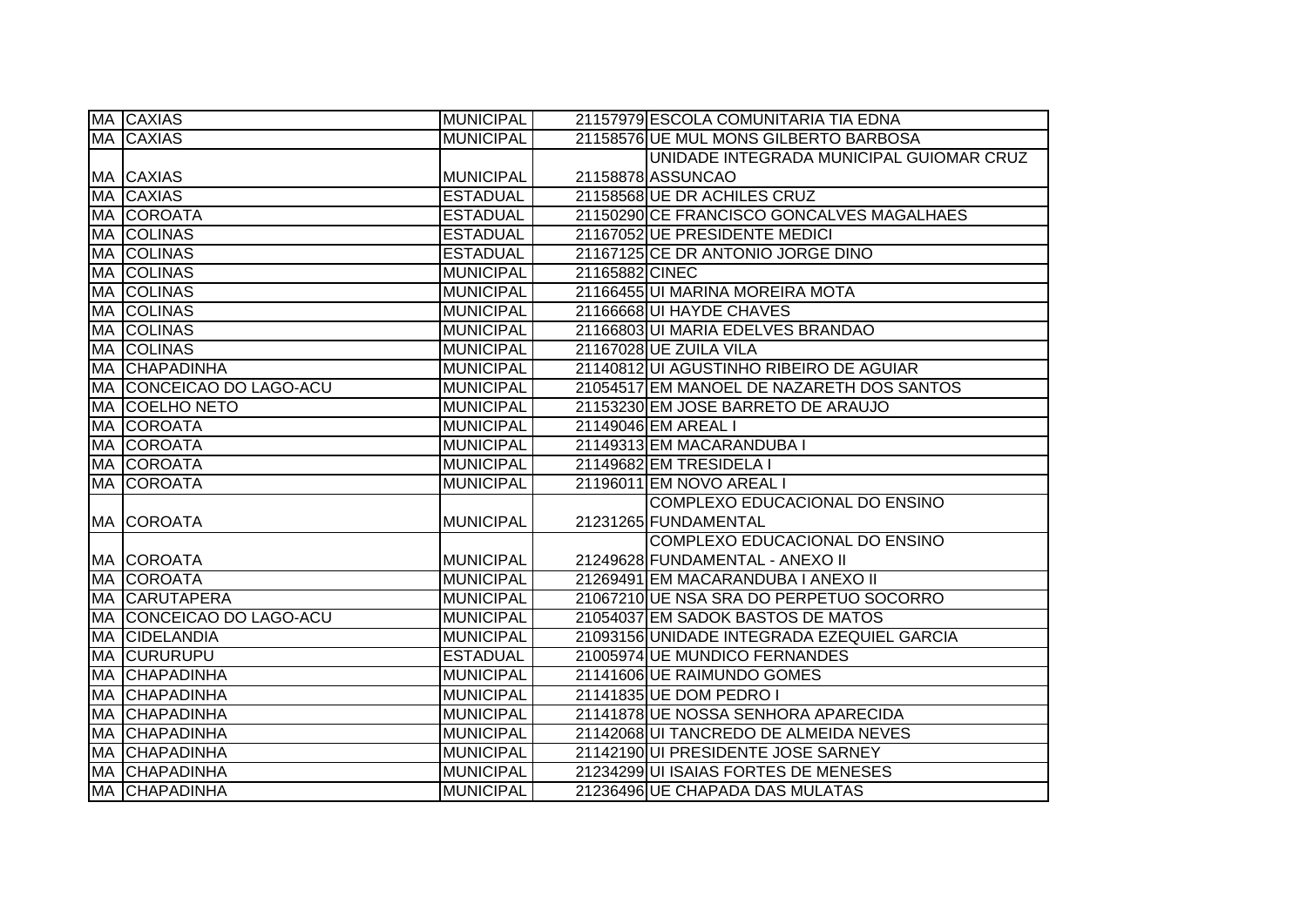| MA CAXIAS                 | <b>MUNICIPAL</b> | 21157979 ESCOLA COMUNITARIA TIA EDNA       |
|---------------------------|------------------|--------------------------------------------|
| <b>MA CAXIAS</b>          | <b>MUNICIPAL</b> | 21158576 UE MUL MONS GILBERTO BARBOSA      |
|                           |                  | UNIDADE INTEGRADA MUNICIPAL GUIOMAR CRUZ   |
| MA CAXIAS                 | <b>MUNICIPAL</b> | 21158878 ASSUNCAO                          |
| <b>MA CAXIAS</b>          | <b>ESTADUAL</b>  | 21158568 UE DR ACHILES CRUZ                |
| MA COROATA                | <b>ESTADUAL</b>  | 21150290 CE FRANCISCO GONCALVES MAGALHAES  |
| <b>MA COLINAS</b>         | <b>ESTADUAL</b>  | 21167052 UE PRESIDENTE MEDICI              |
| MA COLINAS                | <b>ESTADUAL</b>  | 21167125 CE DR ANTONIO JORGE DINO          |
| <b>MA COLINAS</b>         | <b>MUNICIPAL</b> | 21165882 CINEC                             |
| <b>MA COLINAS</b>         | <b>MUNICIPAL</b> | 21166455 UI MARINA MOREIRA MOTA            |
| MA COLINAS                | <b>MUNICIPAL</b> | 21166668 UI HAYDE CHAVES                   |
| <b>MA COLINAS</b>         | <b>MUNICIPAL</b> | 21166803 UI MARIA EDELVES BRANDAO          |
| <b>MA COLINAS</b>         | <b>MUNICIPAL</b> | 21167028 UE ZUILA VILA                     |
| <b>MA CHAPADINHA</b>      | <b>MUNICIPAL</b> | 21140812 UI AGUSTINHO RIBEIRO DE AGUIAR    |
| MA  CONCEICAO DO LAGO-ACU | <b>MUNICIPAL</b> | 21054517 EM MANOEL DE NAZARETH DOS SANTOS  |
| <b>MA COELHO NETO</b>     | <b>MUNICIPAL</b> | 21153230 EM JOSE BARRETO DE ARAUJO         |
| MA COROATA                | <b>MUNICIPAL</b> | 21149046 EM AREAL I                        |
| MA COROATA                | <b>MUNICIPAL</b> | 21149313 EM MACARANDUBA I                  |
| MA COROATA                | <b>MUNICIPAL</b> | 21149682 EM TRESIDELA I                    |
| <b>MA COROATA</b>         | <b>MUNICIPAL</b> | 21196011 EM NOVO AREAL I                   |
|                           |                  | COMPLEXO EDUCACIONAL DO ENSINO             |
| <b>MA COROATA</b>         | <b>MUNICIPAL</b> | 21231265 FUNDAMENTAL                       |
|                           |                  | COMPLEXO EDUCACIONAL DO ENSINO             |
| MA COROATA                | <b>MUNICIPAL</b> | 21249628 FUNDAMENTAL - ANEXO II            |
| <b>MA COROATA</b>         | <b>MUNICIPAL</b> | 21269491 EM MACARANDUBA I ANEXO II         |
| <b>MA CARUTAPERA</b>      | <b>MUNICIPAL</b> | 21067210 UE NSA SRA DO PERPETUO SOCORRO    |
| MA  CONCEICAO DO LAGO-ACU | <b>MUNICIPAL</b> | 21054037 EM SADOK BASTOS DE MATOS          |
| MA CIDELANDIA             | <b>MUNICIPAL</b> | 21093156 UNIDADE INTEGRADA EZEQUIEL GARCIA |
| <b>MA CURURUPU</b>        | <b>ESTADUAL</b>  | 21005974 UE MUNDICO FERNANDES              |
| <b>MA CHAPADINHA</b>      | <b>MUNICIPAL</b> | 21141606 UE RAIMUNDO GOMES                 |
| <b>MA CHAPADINHA</b>      | <b>MUNICIPAL</b> | 21141835 UE DOM PEDRO I                    |
| <b>MA CHAPADINHA</b>      | <b>MUNICIPAL</b> | 21141878 UE NOSSA SENHORA APARECIDA        |
| <b>MA CHAPADINHA</b>      | <b>MUNICIPAL</b> | 21142068 UI TANCREDO DE ALMEIDA NEVES      |
| <b>MA CHAPADINHA</b>      | <b>MUNICIPAL</b> | 21142190 UI PRESIDENTE JOSE SARNEY         |
| MA CHAPADINHA             | <b>MUNICIPAL</b> | 21234299 UI ISAIAS FORTES DE MENESES       |
| <b>MA CHAPADINHA</b>      | <b>MUNICIPAL</b> | 21236496 UE CHAPADA DAS MULATAS            |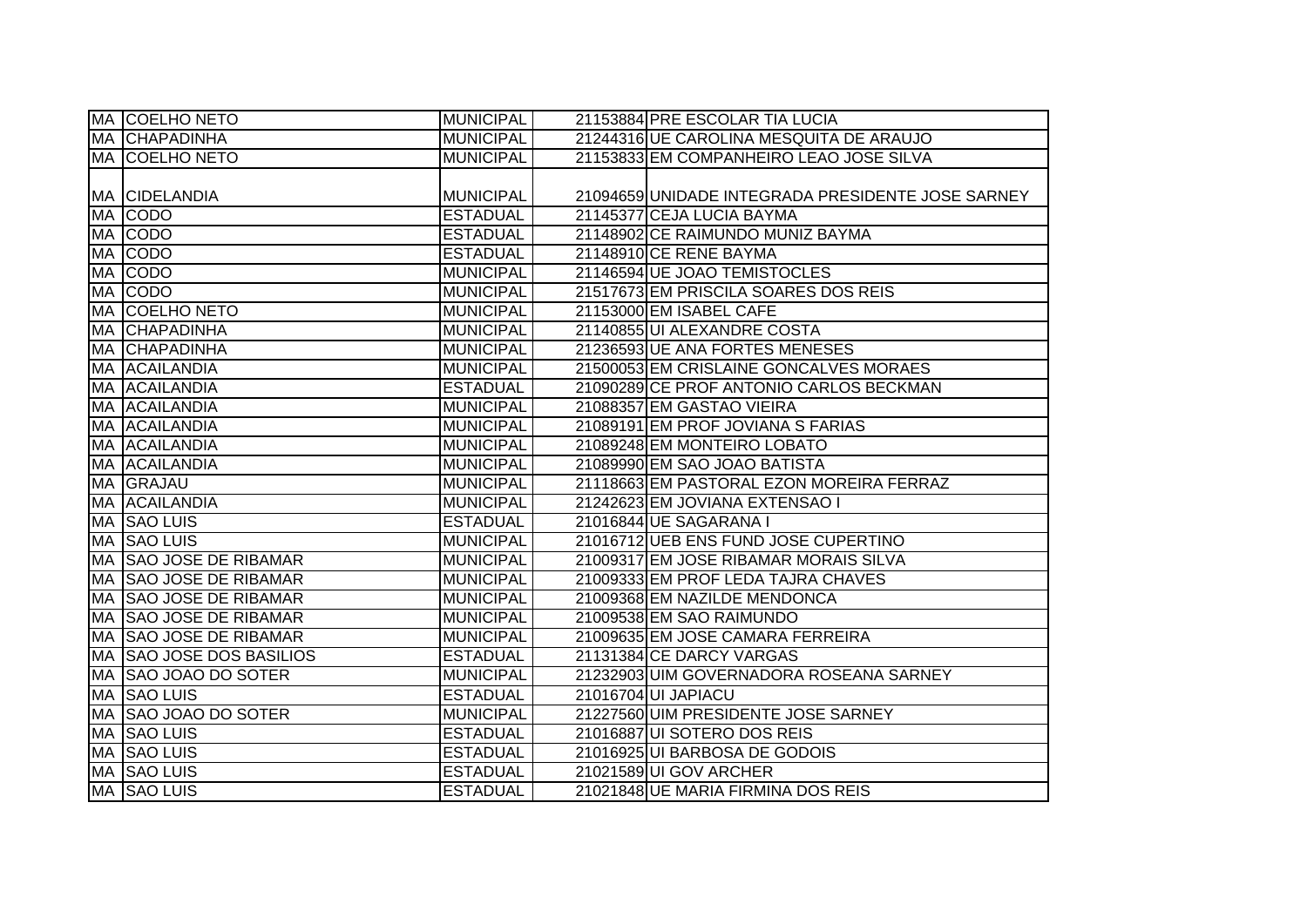|           | MA COELHO NETO           | <b>MUNICIPAL</b> | 21153884 PRE ESCOLAR TIA LUCIA                    |
|-----------|--------------------------|------------------|---------------------------------------------------|
|           | <b>MA CHAPADINHA</b>     | <b>MUNICIPAL</b> | 21244316 UE CAROLINA MESQUITA DE ARAUJO           |
|           | MA COELHO NETO           | <b>MUNICIPAL</b> | 21153833 EM COMPANHEIRO LEAO JOSE SILVA           |
|           |                          |                  |                                                   |
|           | <b>MA CIDELANDIA</b>     | MUNICIPAL        | 21094659 UNIDADE INTEGRADA PRESIDENTE JOSE SARNEY |
|           | MA CODO                  | <b>ESTADUAL</b>  | 21145377 CEJA LUCIA BAYMA                         |
|           | MA CODO                  | <b>ESTADUAL</b>  | 21148902 CE RAIMUNDO MUNIZ BAYMA                  |
|           | MA CODO                  | <b>ESTADUAL</b>  | 21148910 CE RENE BAYMA                            |
|           | MA CODO                  | MUNICIPAL        | 21146594 UE JOAO TEMISTOCLES                      |
|           | MA CODO                  | MUNICIPAL        | 21517673 EM PRISCILA SOARES DOS REIS              |
|           | <b>MA COELHO NETO</b>    | <b>MUNICIPAL</b> | 21153000 EM ISABEL CAFE                           |
|           | <b>MA CHAPADINHA</b>     | <b>MUNICIPAL</b> | 21140855 UI ALEXANDRE COSTA                       |
| <b>MA</b> | <b>CHAPADINHA</b>        | <b>MUNICIPAL</b> | 21236593 UE ANA FORTES MENESES                    |
|           | MA ACAILANDIA            | <b>MUNICIPAL</b> | 21500053 EM CRISLAINE GONCALVES MORAES            |
| MA        | ACAILANDIA               | <b>ESTADUAL</b>  | 21090289 CE PROF ANTONIO CARLOS BECKMAN           |
|           | MA ACAILANDIA            | <b>MUNICIPAL</b> | 21088357 EM GASTAO VIEIRA                         |
|           | MA ACAILANDIA            | <b>MUNICIPAL</b> | 21089191 EM PROF JOVIANA S FARIAS                 |
|           | MA ACAILANDIA            | <b>MUNICIPAL</b> | 21089248 EM MONTEIRO LOBATO                       |
|           | MA ACAILANDIA            | <b>MUNICIPAL</b> | 21089990 EM SAO JOAO BATISTA                      |
|           | MA GRAJAU                | <b>MUNICIPAL</b> | 21118663 EM PASTORAL EZON MOREIRA FERRAZ          |
|           | <b>MA ACAILANDIA</b>     | MUNICIPAL        | 21242623 EM JOVIANA EXTENSAO I                    |
|           | MA SAO LUIS              | <b>ESTADUAL</b>  | 21016844 UE SAGARANA I                            |
|           | MA SAO LUIS              | <b>MUNICIPAL</b> | 21016712 UEB ENS FUND JOSE CUPERTINO              |
|           | MA SAO JOSE DE RIBAMAR   | <b>MUNICIPAL</b> | 21009317 EM JOSE RIBAMAR MORAIS SILVA             |
|           | MA SAO JOSE DE RIBAMAR   | <b>MUNICIPAL</b> | 21009333 EM PROF LEDA TAJRA CHAVES                |
|           | MA SAO JOSE DE RIBAMAR   | <b>MUNICIPAL</b> | 21009368 EM NAZILDE MENDONCA                      |
|           | MA SAO JOSE DE RIBAMAR   | <b>MUNICIPAL</b> | 21009538 EM SAO RAIMUNDO                          |
|           | MA SAO JOSE DE RIBAMAR   | <b>MUNICIPAL</b> | 21009635 EM JOSE CAMARA FERREIRA                  |
|           | MA SAO JOSE DOS BASILIOS | <b>ESTADUAL</b>  | 21131384 CE DARCY VARGAS                          |
|           | MA  SAO JOAO DO SOTER    | <b>MUNICIPAL</b> | 21232903 UIM GOVERNADORA ROSEANA SARNEY           |
|           | MA SAO LUIS              | <b>ESTADUAL</b>  | 21016704 UI JAPIACU                               |
|           | MA SAO JOAO DO SOTER     | <b>MUNICIPAL</b> | 21227560 UIM PRESIDENTE JOSE SARNEY               |
|           | MA SAO LUIS              | <b>ESTADUAL</b>  | 21016887 UI SOTERO DOS REIS                       |
|           | MA SAO LUIS              | <b>ESTADUAL</b>  | 21016925 UI BARBOSA DE GODOIS                     |
|           | <b>MA SAO LUIS</b>       | <b>ESTADUAL</b>  | 21021589 UI GOV ARCHER                            |
|           | <b>MA SAO LUIS</b>       | <b>ESTADUAL</b>  | 21021848 UE MARIA FIRMINA DOS REIS                |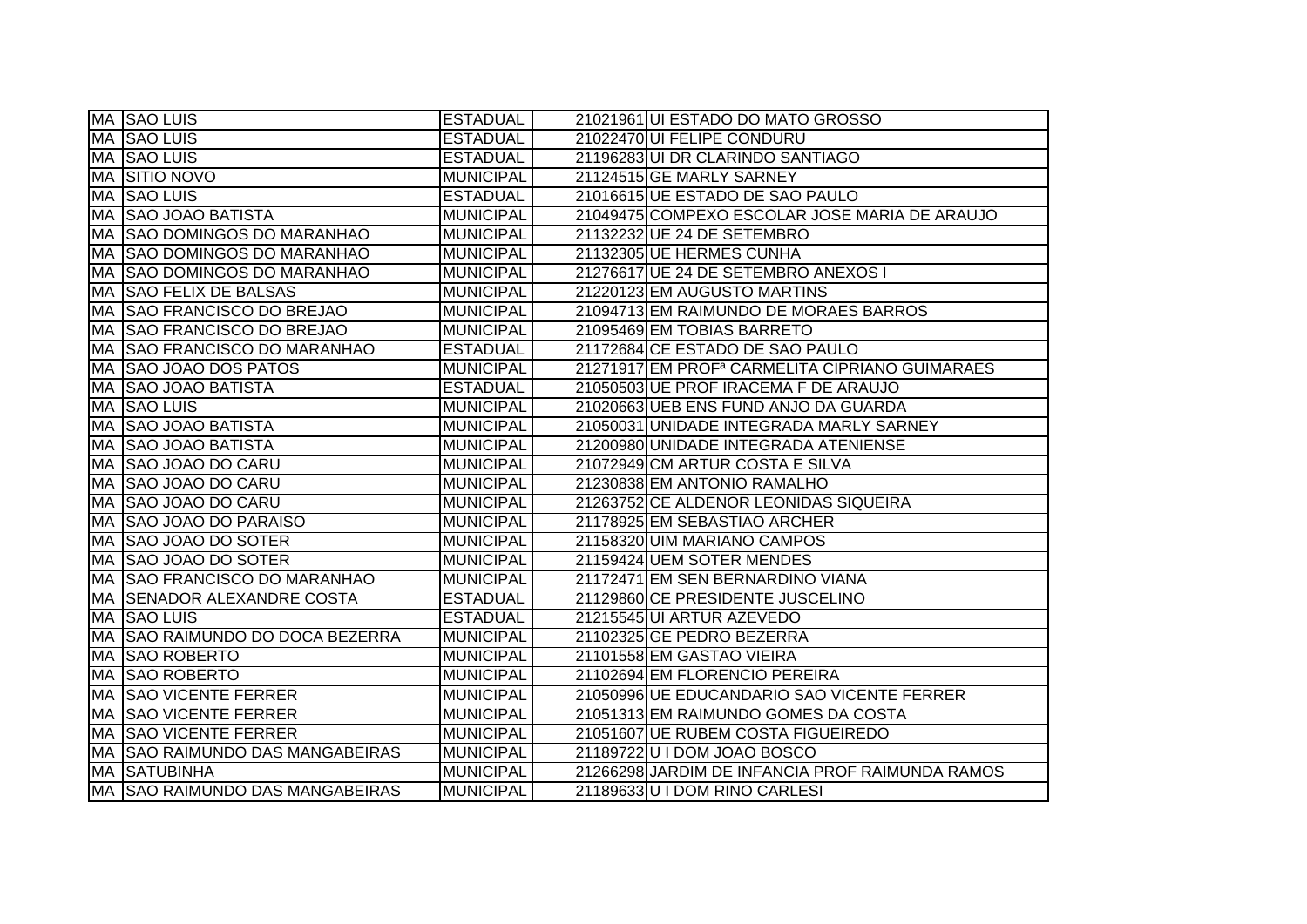|           | MA SAO LUIS                         | <b>ESTADUAL</b>  | 21021961 UI ESTADO DO MATO GROSSO                          |
|-----------|-------------------------------------|------------------|------------------------------------------------------------|
|           | MA SAO LUIS                         | <b>ESTADUAL</b>  | 21022470 UI FELIPE CONDURU                                 |
| МA        | <b>SAO LUIS</b>                     | <b>ESTADUAL</b>  | 21196283 UI DR CLARINDO SANTIAGO                           |
| MA        | <b>SITIO NOVO</b>                   | <b>MUNICIPAL</b> | 21124515 GE MARLY SARNEY                                   |
| MA        | <b>SAO LUIS</b>                     | <b>ESTADUAL</b>  | 21016615 UE ESTADO DE SAO PAULO                            |
| MA        | <b>SAO JOAO BATISTA</b>             | <b>MUNICIPAL</b> | 21049475 COMPEXO ESCOLAR JOSE MARIA DE ARAUJO              |
| MA        | <b>SAO DOMINGOS DO MARANHAO</b>     | <b>MUNICIPAL</b> | 21132232 UE 24 DE SETEMBRO                                 |
| MA        | <b>SAO DOMINGOS DO MARANHAO</b>     | <b>MUNICIPAL</b> | 21132305 UE HERMES CUNHA                                   |
| MA        | <b>SAO DOMINGOS DO MARANHAO</b>     | <b>MUNICIPAL</b> | 21276617 UE 24 DE SETEMBRO ANEXOS I                        |
| MA        | <b>SAO FELIX DE BALSAS</b>          | <b>MUNICIPAL</b> | 21220123 EM AUGUSTO MARTINS                                |
| МA        | <b>SAO FRANCISCO DO BREJAO</b>      | <b>MUNICIPAL</b> | 21094713 EM RAIMUNDO DE MORAES BARROS                      |
| MA        | <b>SAO FRANCISCO DO BREJAO</b>      | <b>MUNICIPAL</b> | 21095469 EM TOBIAS BARRETO                                 |
| MA        | <b>SAO FRANCISCO DO MARANHAO</b>    | <b>ESTADUAL</b>  | 21172684 CE ESTADO DE SAO PAULO                            |
| МA        | <b>SAO JOAO DOS PATOS</b>           | <b>MUNICIPAL</b> | 21271917 EM PROF <sup>a</sup> CARMELITA CIPRIANO GUIMARAES |
| MA        | <b>SAO JOAO BATISTA</b>             | <b>ESTADUAL</b>  | 21050503 UE PROF IRACEMA F DE ARAUJO                       |
| MA        | <b>SAO LUIS</b>                     | <b>MUNICIPAL</b> | 21020663 UEB ENS FUND ANJO DA GUARDA                       |
| <b>MA</b> | <b>SAO JOAO BATISTA</b>             | <b>MUNICIPAL</b> | 21050031 UNIDADE INTEGRADA MARLY SARNEY                    |
| MA        | <b>SAO JOAO BATISTA</b>             | <b>MUNICIPAL</b> | 21200980 UNIDADE INTEGRADA ATENIENSE                       |
| MA        | <b>SAO JOAO DO CARU</b>             | <b>MUNICIPAL</b> | 21072949 CM ARTUR COSTA E SILVA                            |
| МA        | <b>SAO JOAO DO CARU</b>             | <b>MUNICIPAL</b> | 21230838 EM ANTONIO RAMALHO                                |
| МA        | SAO JOAO DO CARU                    | <b>MUNICIPAL</b> | 21263752 CE ALDENOR LEONIDAS SIQUEIRA                      |
| MA        | <b>SAO JOAO DO PARAISO</b>          | <b>MUNICIPAL</b> | 21178925 EM SEBASTIAO ARCHER                               |
| MA        | <b>SAO JOAO DO SOTER</b>            | <b>MUNICIPAL</b> | 21158320 UIM MARIANO CAMPOS                                |
| МA        | <b>SAO JOAO DO SOTER</b>            | <b>MUNICIPAL</b> | 21159424 UEM SOTER MENDES                                  |
|           | MA SAO FRANCISCO DO MARANHAO        | <b>MUNICIPAL</b> | 21172471 EM SEN BERNARDINO VIANA                           |
| МA        | <b>SENADOR ALEXANDRE COSTA</b>      | <b>ESTADUAL</b>  | 21129860 CE PRESIDENTE JUSCELINO                           |
| MA        | <b>SAO LUIS</b>                     | <b>ESTADUAL</b>  | 21215545 UI ARTUR AZEVEDO                                  |
| MA        | SAO RAIMUNDO DO DOCA BEZERRA        | <b>MUNICIPAL</b> | 21102325 GE PEDRO BEZERRA                                  |
| <b>MA</b> | <b>SAO ROBERTO</b>                  | <b>MUNICIPAL</b> | 21101558 EM GASTAO VIEIRA                                  |
| MA        | <b>SAO ROBERTO</b>                  | <b>MUNICIPAL</b> | 21102694 EM FLORENCIO PEREIRA                              |
| MA        | <b>SAO VICENTE FERRER</b>           | <b>MUNICIPAL</b> | 21050996 UE EDUCANDARIO SAO VICENTE FERRER                 |
| MA        | <b>SAO VICENTE FERRER</b>           | <b>MUNICIPAL</b> | 21051313 EM RAIMUNDO GOMES DA COSTA                        |
| МA        | <b>SAO VICENTE FERRER</b>           | <b>MUNICIPAL</b> | 21051607 UE RUBEM COSTA FIGUEIREDO                         |
| MA        | <b>SAO RAIMUNDO DAS MANGABEIRAS</b> | <b>MUNICIPAL</b> | 21189722 U I DOM JOAO BOSCO                                |
| MA        | <b>SATUBINHA</b>                    | <b>MUNICIPAL</b> | 21266298 JARDIM DE INFANCIA PROF RAIMUNDA RAMOS            |
|           | MA SAO RAIMUNDO DAS MANGABEIRAS     | <b>MUNICIPAL</b> | 21189633 U I DOM RINO CARLESI                              |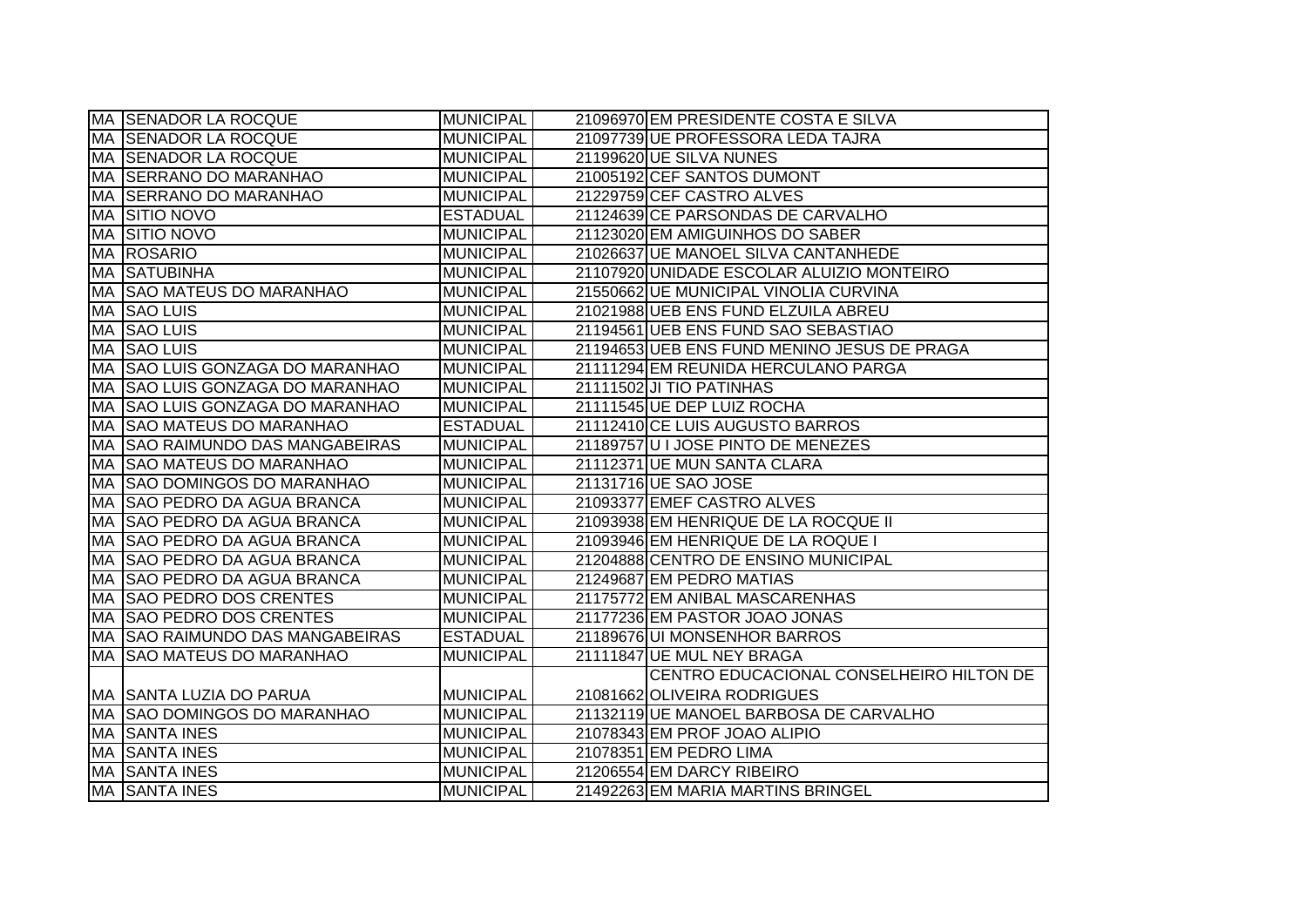|           | <b>MA SENADOR LA ROCQUE</b>          | <b>MUNICIPAL</b> | 21096970 EM PRESIDENTE COSTA E SILVA        |
|-----------|--------------------------------------|------------------|---------------------------------------------|
|           | <b>MA SENADOR LA ROCQUE</b>          | <b>MUNICIPAL</b> | 21097739 UE PROFESSORA LEDA TAJRA           |
|           | MA SENADOR LA ROCQUE                 | <b>MUNICIPAL</b> | 21199620 UE SILVA NUNES                     |
|           | MA SERRANO DO MARANHAO               | <b>MUNICIPAL</b> | 21005192 CEF SANTOS DUMONT                  |
|           | MA  SERRANO DO MARANHAO              | <b>MUNICIPAL</b> | 21229759 CEF CASTRO ALVES                   |
|           | <b>MA SITIO NOVO</b>                 | <b>ESTADUAL</b>  | 21124639 CE PARSONDAS DE CARVALHO           |
|           | MA SITIO NOVO                        | <b>MUNICIPAL</b> | 21123020 EM AMIGUINHOS DO SABER             |
|           | MA ROSARIO                           | <b>MUNICIPAL</b> | 21026637 UE MANOEL SILVA CANTANHEDE         |
|           | <b>MA SATUBINHA</b>                  | <b>MUNICIPAL</b> | 21107920 UNIDADE ESCOLAR ALUIZIO MONTEIRO   |
|           | MA SAO MATEUS DO MARANHAO            | MUNICIPAL        | 21550662 UE MUNICIPAL VINOLIA CURVINA       |
| MA        | <b>SAO LUIS</b>                      | <b>MUNICIPAL</b> | 21021988 UEB ENS FUND ELZUILA ABREU         |
| MA        | <b>SAO LUIS</b>                      | <b>MUNICIPAL</b> | 21194561 UEB ENS FUND SAO SEBASTIAO         |
| <b>MA</b> | <b>SAO LUIS</b>                      | <b>MUNICIPAL</b> | 21194653 UEB ENS FUND MENINO JESUS DE PRAGA |
| МA        | <b>SAO LUIS GONZAGA DO MARANHAO</b>  | <b>MUNICIPAL</b> | 21111294 EM REUNIDA HERCULANO PARGA         |
| MA        | <b>SAO LUIS GONZAGA DO MARANHAO</b>  | MUNICIPAL        | 21111502 JI TIO PATINHAS                    |
| MA        | <b>SAO LUIS GONZAGA DO MARANHAO</b>  | <b>MUNICIPAL</b> | 21111545 UE DEP LUIZ ROCHA                  |
| MA        | <b>SAO MATEUS DO MARANHAO</b>        | <b>ESTADUAL</b>  | 21112410 CE LUIS AUGUSTO BARROS             |
| МA        | <b>SAO RAIMUNDO DAS MANGABEIRAS</b>  | <b>MUNICIPAL</b> | 21189757 U I JOSE PINTO DE MENEZES          |
|           | MA SAO MATEUS DO MARANHAO            | <b>MUNICIPAL</b> | 21112371 UE MUN SANTA CLARA                 |
|           | MA SAO DOMINGOS DO MARANHAO          | MUNICIPAL        | 21131716 UE SAO JOSE                        |
|           | MA  SAO PEDRO DA AGUA BRANCA         | MUNICIPAL        | 21093377 EMEF CASTRO ALVES                  |
|           | <b>IMA ISAO PEDRO DA AGUA BRANCA</b> | MUNICIPAL        | 21093938 EM HENRIQUE DE LA ROCQUE II        |
|           | MA  SAO PEDRO DA AGUA BRANCA         | MUNICIPAL        | 21093946 EM HENRIQUE DE LA ROQUE I          |
|           | MA  SAO PEDRO DA AGUA BRANCA         | <b>MUNICIPAL</b> | 21204888 CENTRO DE ENSINO MUNICIPAL         |
|           | MA  SAO PEDRO DA AGUA BRANCA         | <b>MUNICIPAL</b> | 21249687 EM PEDRO MATIAS                    |
| МA        | <b>SAO PEDRO DOS CRENTES</b>         | <b>MUNICIPAL</b> | 21175772 EM ANIBAL MASCARENHAS              |
| MA        | <b>SAO PEDRO DOS CRENTES</b>         | MUNICIPAL        | 21177236 EM PASTOR JOAO JONAS               |
|           | MA SAO RAIMUNDO DAS MANGABEIRAS      | <b>ESTADUAL</b>  | 21189676 UI MONSENHOR BARROS                |
| MA        | <b>SAO MATEUS DO MARANHAO</b>        | <b>MUNICIPAL</b> | 21111847 UE MUL NEY BRAGA                   |
|           |                                      |                  | CENTRO EDUCACIONAL CONSELHEIRO HILTON DE    |
|           | MA SANTA LUZIA DO PARUA              | <b>MUNICIPAL</b> | 21081662 OLIVEIRA RODRIGUES                 |
|           | <b>MA SAO DOMINGOS DO MARANHAO</b>   | MUNICIPAL        | 21132119 UE MANOEL BARBOSA DE CARVALHO      |
|           | MA SANTA INES                        | <b>MUNICIPAL</b> | 21078343 EM PROF JOAO ALIPIO                |
|           | MA SANTA INES                        | MUNICIPAL        | 21078351 EM PEDRO LIMA                      |
|           | <b>MA SANTA INES</b>                 | MUNICIPAL        | 21206554 EM DARCY RIBEIRO                   |
|           | <b>MA SANTA INES</b>                 | <b>MUNICIPAL</b> | 21492263 EM MARIA MARTINS BRINGEL           |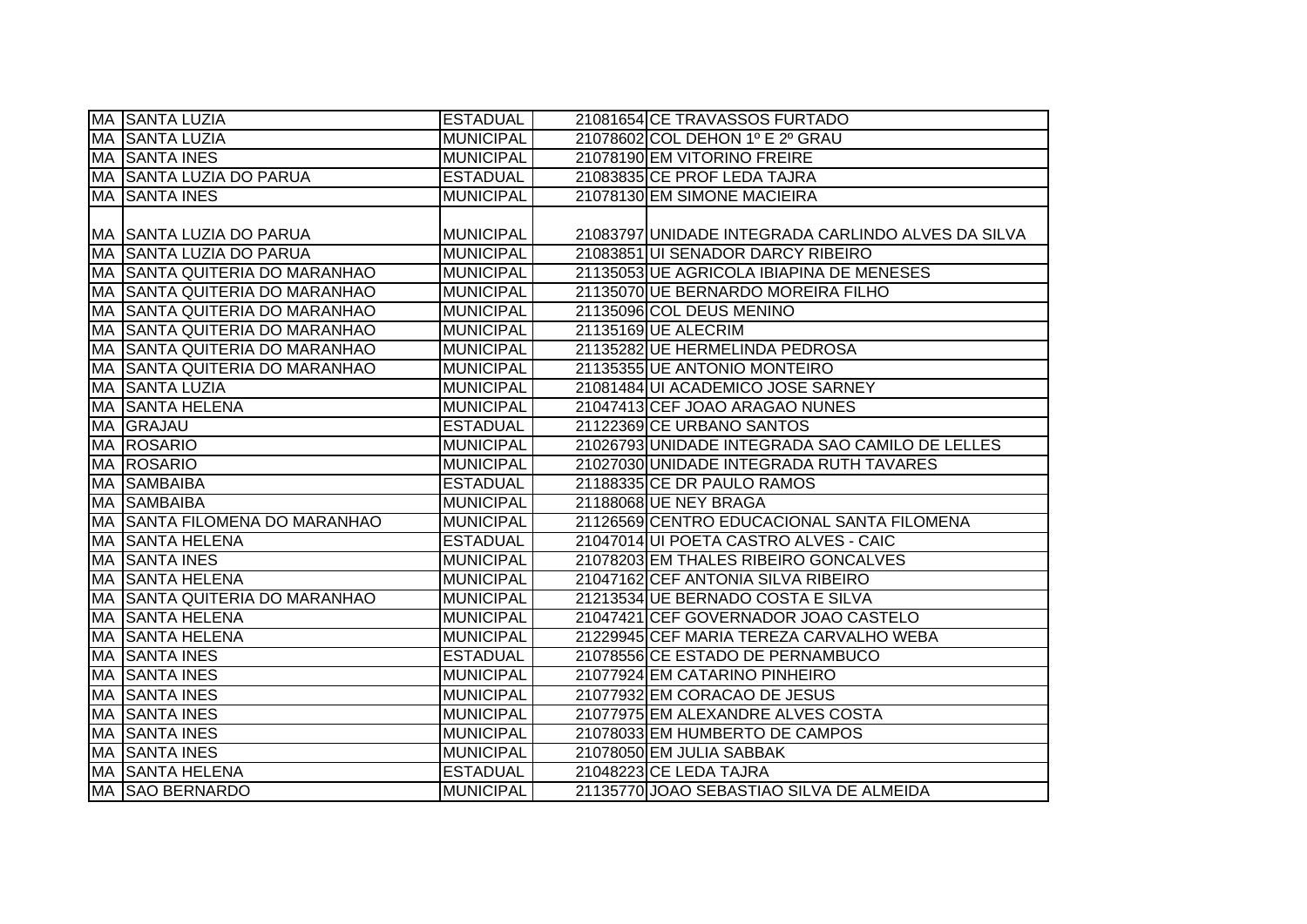|           | MA SANTA LUZIA                       | <b>ESTADUAL</b>  | 21081654 CE TRAVASSOS FURTADO                      |
|-----------|--------------------------------------|------------------|----------------------------------------------------|
|           | MA SANTA LUZIA                       | <b>MUNICIPAL</b> | 21078602 COL DEHON 1º E 2º GRAU                    |
|           | MA SANTA INES                        | <b>MUNICIPAL</b> | 21078190 EM VITORINO FREIRE                        |
|           | MA SSANTA LUZIA DO PARUA             | <b>ESTADUAL</b>  | 21083835 CE PROF LEDA TAJRA                        |
|           | <b>MA SANTA INES</b>                 | <b>MUNICIPAL</b> | 21078130 EM SIMONE MACIEIRA                        |
|           |                                      |                  |                                                    |
|           | MA  SANTA LUZIA DO PARUA             | <b>MUNICIPAL</b> | 21083797 UNIDADE INTEGRADA CARLINDO ALVES DA SILVA |
|           | MA SANTA LUZIA DO PARUA              | <b>MUNICIPAL</b> | 21083851 UI SENADOR DARCY RIBEIRO                  |
|           | MA SSANTA QUITERIA DO MARANHAO       | <b>MUNICIPAL</b> | 21135053 UE AGRICOLA IBIAPINA DE MENESES           |
| МA        | <b>SANTA QUITERIA DO MARANHAO</b>    | <b>MUNICIPAL</b> | 21135070 UE BERNARDO MOREIRA FILHO                 |
| IMA.      | <b>ISANTA QUITERIA DO MARANHAO</b>   | <b>MUNICIPAL</b> | 21135096 COL DEUS MENINO                           |
| МA        | <b>SANTA QUITERIA DO MARANHAO</b>    | <b>MUNICIPAL</b> | 21135169 UE ALECRIM                                |
| МA        | <b>SANTA QUITERIA DO MARANHAO</b>    | <b>MUNICIPAL</b> | 21135282 UE HERMELINDA PEDROSA                     |
| <b>MA</b> | <b>SANTA QUITERIA DO MARANHAO</b>    | <b>MUNICIPAL</b> | 21135355 UE ANTONIO MONTEIRO                       |
| <b>MA</b> | <b>SANTA LUZIA</b>                   | <b>MUNICIPAL</b> | 21081484 UI ACADEMICO JOSE SARNEY                  |
| MA        | <b>SANTA HELENA</b>                  | <b>MUNICIPAL</b> | 21047413 CEF JOAO ARAGAO NUNES                     |
|           | MA GRAJAU                            | <b>ESTADUAL</b>  | 21122369 CE URBANO SANTOS                          |
|           | MA ROSARIO                           | <b>MUNICIPAL</b> | 21026793 UNIDADE INTEGRADA SAO CAMILO DE LELLES    |
|           | MA ROSARIO                           | <b>MUNICIPAL</b> | 21027030 UNIDADE INTEGRADA RUTH TAVARES            |
|           | MA SAMBAIBA                          | <b>ESTADUAL</b>  | 21188335 CE DR PAULO RAMOS                         |
|           | MA SAMBAIBA                          | <b>MUNICIPAL</b> | 21188068 UE NEY BRAGA                              |
|           | IMA ISANTA FILOMENA DO MARANHAO      | <b>MUNICIPAL</b> | 21126569 CENTRO EDUCACIONAL SANTA FILOMENA         |
|           | MA SANTA HELENA                      | <b>ESTADUAL</b>  | 21047014 UI POETA CASTRO ALVES - CAIC              |
|           | MA SANTA INES                        | <b>MUNICIPAL</b> | 21078203 EM THALES RIBEIRO GONCALVES               |
|           | MA SANTA HELENA                      | <b>MUNICIPAL</b> | 21047162 CEF ANTONIA SILVA RIBEIRO                 |
|           | <b>MA SANTA QUITERIA DO MARANHAO</b> | <b>MUNICIPAL</b> | 21213534 UE BERNADO COSTA E SILVA                  |
| MA        | <b>SANTA HELENA</b>                  | <b>MUNICIPAL</b> | 21047421 CEF GOVERNADOR JOAO CASTELO               |
| MA        | <b>SANTA HELENA</b>                  | <b>MUNICIPAL</b> | 21229945 CEF MARIA TEREZA CARVALHO WEBA            |
| MA        | <b>SANTA INES</b>                    | <b>ESTADUAL</b>  | 21078556 CE ESTADO DE PERNAMBUCO                   |
| МA        | <b>SANTA INES</b>                    | <b>MUNICIPAL</b> | 21077924 EM CATARINO PINHEIRO                      |
|           | MA SANTA INES                        | <b>MUNICIPAL</b> | 21077932 EM CORACAO DE JESUS                       |
|           | <b>MA SANTA INES</b>                 | <b>MUNICIPAL</b> | 21077975 EM ALEXANDRE ALVES COSTA                  |
|           | MA SANTA INES                        | <b>MUNICIPAL</b> | 21078033 EM HUMBERTO DE CAMPOS                     |
|           | MA SANTA INES                        | <b>MUNICIPAL</b> | 21078050 EM JULIA SABBAK                           |
|           | <b>MA SANTA HELENA</b>               | <b>ESTADUAL</b>  | 21048223 CE LEDA TAJRA                             |
|           | MA SAO BERNARDO                      | <b>MUNICIPAL</b> | 21135770 JOAO SEBASTIAO SILVA DE ALMEIDA           |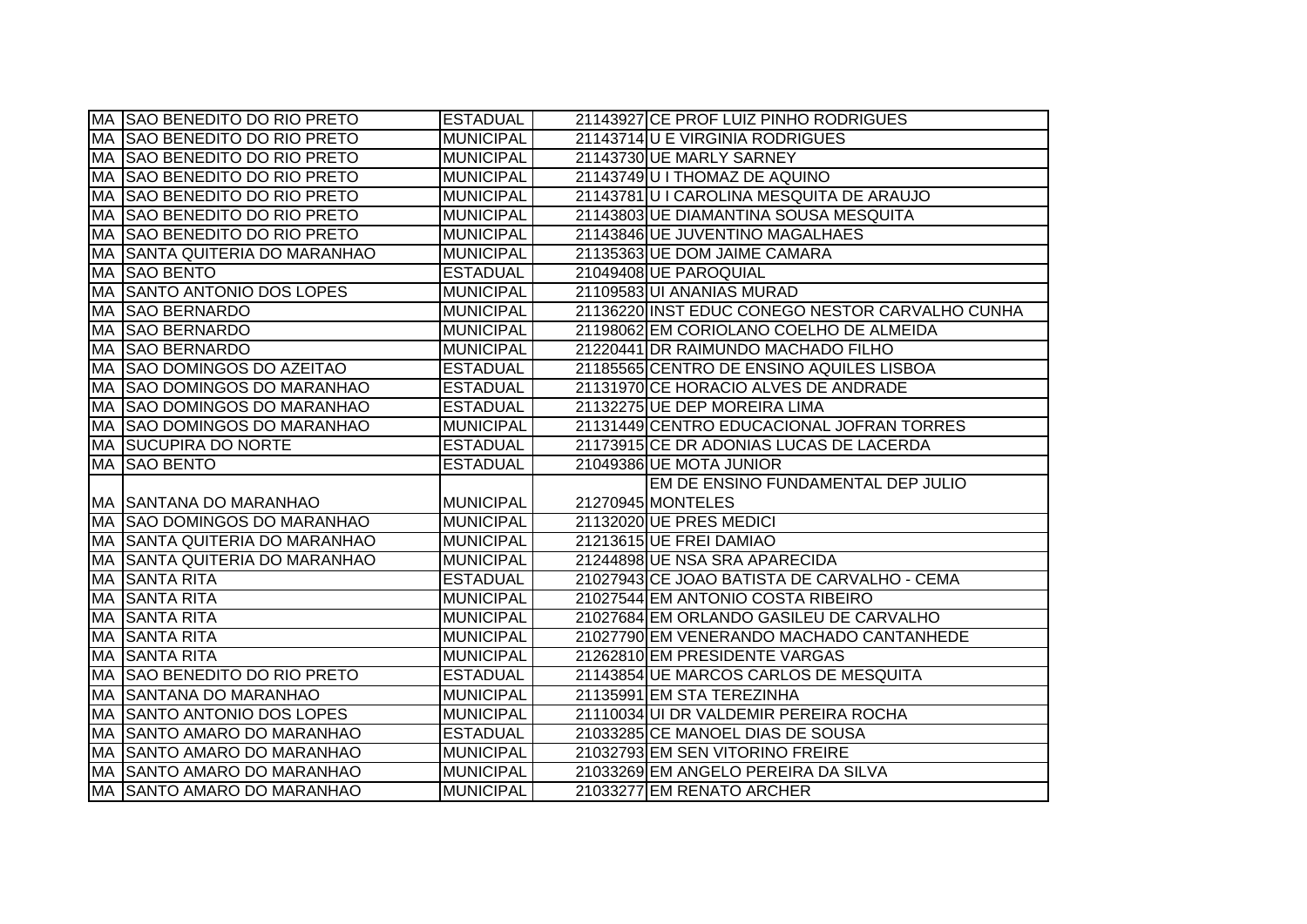|           | MA SAO BENEDITO DO RIO PRETO         | <b>ESTADUAL</b>  | 21143927 CE PROF LUIZ PINHO RODRIGUES           |
|-----------|--------------------------------------|------------------|-------------------------------------------------|
| MA        | SAO BENEDITO DO RIO PRETO            | <b>MUNICIPAL</b> | 21143714 U E VIRGINIA RODRIGUES                 |
| <b>MA</b> | SAO BENEDITO DO RIO PRETO            | <b>MUNICIPAL</b> | 21143730 UE MARLY SARNEY                        |
| <b>MA</b> | <b>SAO BENEDITO DO RIO PRETO</b>     | <b>MUNICIPAL</b> | 21143749 U I THOMAZ DE AQUINO                   |
| MA        | SAO BENEDITO DO RIO PRETO            | <b>MUNICIPAL</b> | 21143781U I CAROLINA MESQUITA DE ARAUJO         |
| MA        | SAO BENEDITO DO RIO PRETO            | <b>MUNICIPAL</b> | 21143803 UE DIAMANTINA SOUSA MESQUITA           |
| МA        | SAO BENEDITO DO RIO PRETO            | <b>MUNICIPAL</b> | 21143846 UE JUVENTINO MAGALHAES                 |
| <b>MA</b> | <b>SANTA QUITERIA DO MARANHAO</b>    | <b>MUNICIPAL</b> | 21135363 UE DOM JAIME CAMARA                    |
| MA        | <b>SAO BENTO</b>                     | <b>ESTADUAL</b>  | 21049408 UE PAROQUIAL                           |
| MA        | <b>SANTO ANTONIO DOS LOPES</b>       | <b>MUNICIPAL</b> | 21109583 UI ANANIAS MURAD                       |
| MA        | <b>ISAO BERNARDO</b>                 | <b>MUNICIPAL</b> | 21136220 INST EDUC CONEGO NESTOR CARVALHO CUNHA |
| MA        | <b>SAO BERNARDO</b>                  | <b>MUNICIPAL</b> | 21198062 EM CORIOLANO COELHO DE ALMEIDA         |
| MA        | <b>SAO BERNARDO</b>                  | <b>MUNICIPAL</b> | 21220441 DR RAIMUNDO MACHADO FILHO              |
| <b>MA</b> | <b>SAO DOMINGOS DO AZEITAO</b>       | <b>ESTADUAL</b>  | 21185565 CENTRO DE ENSINO AQUILES LISBOA        |
| МA        | <b>SAO DOMINGOS DO MARANHAO</b>      | <b>ESTADUAL</b>  | 21131970 CE HORACIO ALVES DE ANDRADE            |
| <b>MA</b> | <b>SAO DOMINGOS DO MARANHAO</b>      | <b>ESTADUAL</b>  | 21132275 UE DEP MOREIRA LIMA                    |
| MA        | <b>SAO DOMINGOS DO MARANHAO</b>      | <b>MUNICIPAL</b> | 21131449 CENTRO EDUCACIONAL JOFRAN TORRES       |
| <b>MA</b> | <b>SUCUPIRA DO NORTE</b>             | <b>ESTADUAL</b>  | 21173915 CE DR ADONIAS LUCAS DE LACERDA         |
|           | MA SAO BENTO                         | <b>ESTADUAL</b>  | 21049386 UE MOTA JUNIOR                         |
|           |                                      |                  | EM DE ENSINO FUNDAMENTAL DEP JULIO              |
|           | MA SSANTANA DO MARANHAO              | <b>MUNICIPAL</b> | 21270945 MONTELES                               |
|           | MA SAO DOMINGOS DO MARANHAO          | <b>MUNICIPAL</b> | 21132020 UE PRES MEDICI                         |
|           | <b>MA SANTA QUITERIA DO MARANHAO</b> | <b>MUNICIPAL</b> | 21213615 UE FREI DAMIAO                         |
| <b>MA</b> | <b>SANTA QUITERIA DO MARANHAO</b>    | <b>MUNICIPAL</b> | 21244898 UE NSA SRA APARECIDA                   |
| МA        | <b>SANTA RITA</b>                    | <b>ESTADUAL</b>  | 21027943 CE JOAO BATISTA DE CARVALHO - CEMA     |
| MA        | <b>SANTA RITA</b>                    | <b>MUNICIPAL</b> | 21027544 EM ANTONIO COSTA RIBEIRO               |
| <b>MA</b> | <b>SANTA RITA</b>                    | <b>MUNICIPAL</b> | 21027684 EM ORLANDO GASILEU DE CARVALHO         |
| MA        | <b>SANTA RITA</b>                    | <b>MUNICIPAL</b> | 21027790 EM VENERANDO MACHADO CANTANHEDE        |
| МA        | <b>SANTA RITA</b>                    | <b>MUNICIPAL</b> | 21262810 EM PRESIDENTE VARGAS                   |
| MA        | <b>SAO BENEDITO DO RIO PRETO</b>     | <b>ESTADUAL</b>  | 21143854 UE MARCOS CARLOS DE MESQUITA           |
| MA        | <b>SANTANA DO MARANHAO</b>           | <b>MUNICIPAL</b> | 21135991 EM STA TEREZINHA                       |
| МA        | SANTO ANTONIO DOS LOPES              | <b>MUNICIPAL</b> | 21110034 UI DR VALDEMIR PEREIRA ROCHA           |
| MA        | <b>SANTO AMARO DO MARANHAO</b>       |                  | 21033285 CE MANOEL DIAS DE SOUSA                |
|           |                                      | <b>ESTADUAL</b>  |                                                 |
|           | MA SANTO AMARO DO MARANHAO           | <b>MUNICIPAL</b> | 21032793 EM SEN VITORINO FREIRE                 |
|           | MA SANTO AMARO DO MARANHAO           | <b>MUNICIPAL</b> | 21033269 EM ANGELO PEREIRA DA SILVA             |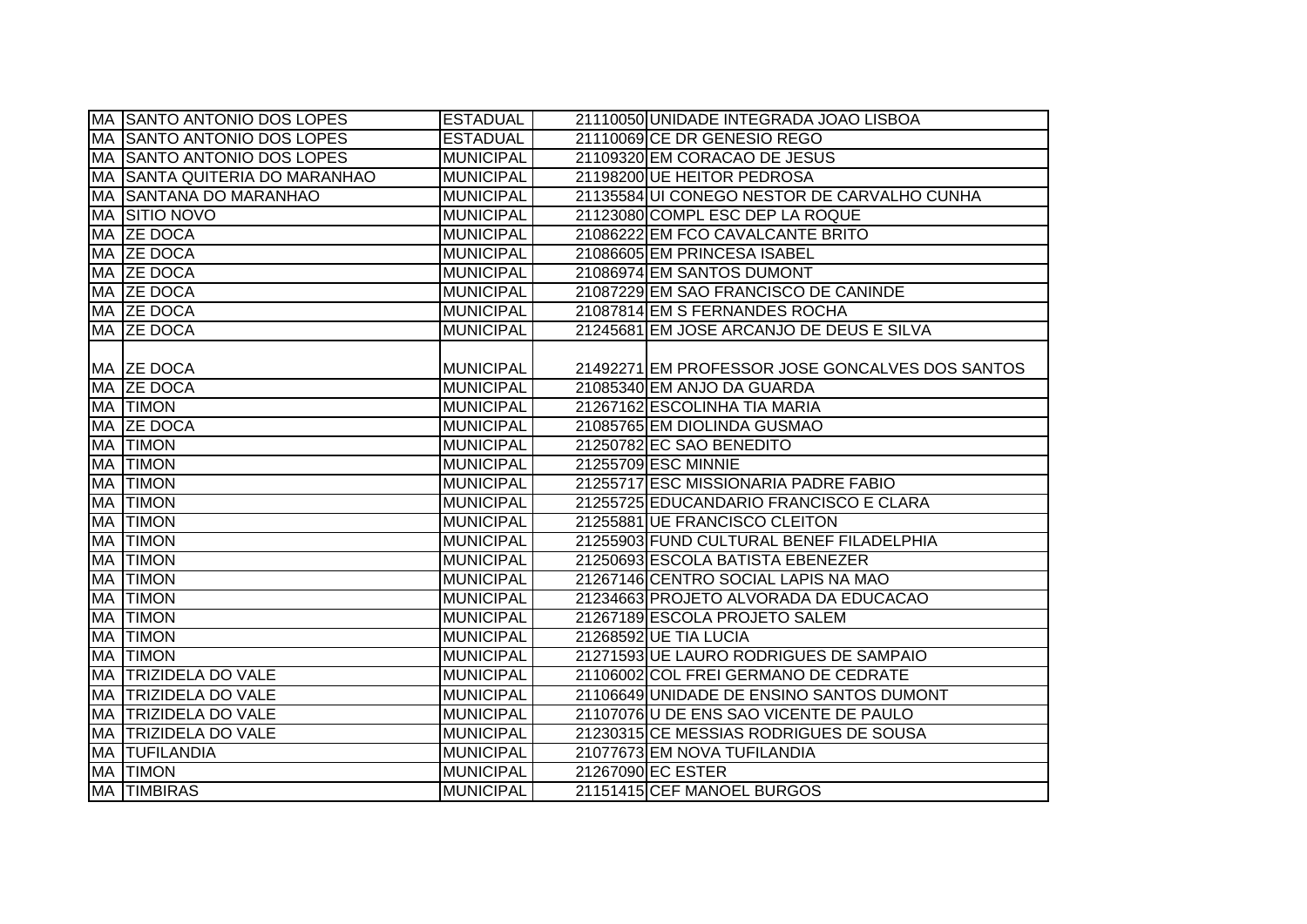|    | <b>MA SANTO ANTONIO DOS LOPES</b> | <b>ESTADUAL</b>  | 21110050 UNIDADE INTEGRADA JOAO LISBOA          |
|----|-----------------------------------|------------------|-------------------------------------------------|
|    | MA SAANTO ANTONIO DOS LOPES       | <b>ESTADUAL</b>  | 21110069 CE DR GENESIO REGO                     |
|    | MA SANTO ANTONIO DOS LOPES        | <b>MUNICIPAL</b> | 21109320 EM CORACAO DE JESUS                    |
|    | MA SANTA QUITERIA DO MARANHAO     | <b>MUNICIPAL</b> | 21198200 UE HEITOR PEDROSA                      |
|    | MA SANTANA DO MARANHAO            | <b>MUNICIPAL</b> | 21135584 UI CONEGO NESTOR DE CARVALHO CUNHA     |
|    | <b>MA SITIO NOVO</b>              | <b>MUNICIPAL</b> | 21123080 COMPL ESC DEP LA ROQUE                 |
|    | MA ZE DOCA                        | <b>MUNICIPAL</b> | 21086222 EM FCO CAVALCANTE BRITO                |
|    | MA ZE DOCA                        | <b>MUNICIPAL</b> | 21086605 EM PRINCESA ISABEL                     |
|    | MA ZE DOCA                        | <b>MUNICIPAL</b> | 21086974 EM SANTOS DUMONT                       |
|    | MA ZE DOCA                        | <b>MUNICIPAL</b> | 21087229 EM SAO FRANCISCO DE CANINDE            |
|    | MA ZE DOCA                        | <b>MUNICIPAL</b> | 21087814 EM S FERNANDES ROCHA                   |
|    | MA ZE DOCA                        | <b>MUNICIPAL</b> | 21245681 EM JOSE ARCANJO DE DEUS E SILVA        |
|    |                                   |                  |                                                 |
|    | MA ZE DOCA                        | <b>MUNICIPAL</b> | 21492271 EM PROFESSOR JOSE GONCALVES DOS SANTOS |
|    | MA ZE DOCA                        | <b>MUNICIPAL</b> | 21085340 EM ANJO DA GUARDA                      |
|    | <b>MA TIMON</b>                   | <b>MUNICIPAL</b> | 21267162 ESCOLINHA TIA MARIA                    |
| MA | <b>ZE DOCA</b>                    | <b>MUNICIPAL</b> | 21085765 EM DIOLINDA GUSMAO                     |
|    | MA TIMON                          | <b>MUNICIPAL</b> | 21250782 EC SAO BENEDITO                        |
|    | <b>MA TIMON</b>                   | <b>MUNICIPAL</b> | 21255709 ESC MINNIE                             |
| MA | <b>TIMON</b>                      | <b>MUNICIPAL</b> | 21255717 ESC MISSIONARIA PADRE FABIO            |
| MA | <b>TIMON</b>                      | <b>MUNICIPAL</b> | 21255725 EDUCANDARIO FRANCISCO E CLARA          |
| MA | <b>TIMON</b>                      | <b>MUNICIPAL</b> | 21255881 UE FRANCISCO CLEITON                   |
| MA | <b>TIMON</b>                      | <b>MUNICIPAL</b> | 21255903 FUND CULTURAL BENEF FILADELPHIA        |
| MA | <b>TIMON</b>                      | <b>MUNICIPAL</b> | 21250693 ESCOLA BATISTA EBENEZER                |
| MA | <b>TIMON</b>                      | <b>MUNICIPAL</b> | 21267146 CENTRO SOCIAL LAPIS NA MAO             |
| MA | <b>TIMON</b>                      | <b>MUNICIPAL</b> | 21234663 PROJETO ALVORADA DA EDUCACAO           |
| MA | <b>TIMON</b>                      | <b>MUNICIPAL</b> | 21267189 ESCOLA PROJETO SALEM                   |
| MA | <b>TIMON</b>                      | <b>MUNICIPAL</b> | 21268592 UE TIA LUCIA                           |
| MA | <b>TIMON</b>                      | <b>MUNICIPAL</b> | 21271593 UE LAURO RODRIGUES DE SAMPAIO          |
| MA | <b>TRIZIDELA DO VALE</b>          | <b>MUNICIPAL</b> | 21106002 COL FREI GERMANO DE CEDRATE            |
|    | MA TRIZIDELA DO VALE              | <b>MUNICIPAL</b> | 21106649 UNIDADE DE ENSINO SANTOS DUMONT        |
| MA | <b>TRIZIDELA DO VALE</b>          | <b>MUNICIPAL</b> | 21107076 U DE ENS SAO VICENTE DE PAULO          |
|    | MA TRIZIDELA DO VALE              | <b>MUNICIPAL</b> | 21230315 CE MESSIAS RODRIGUES DE SOUSA          |
|    | <b>MA TUFILANDIA</b>              | <b>MUNICIPAL</b> | 21077673 EM NOVA TUFILANDIA                     |
|    | <b>MA TIMON</b>                   | <b>MUNICIPAL</b> | 21267090 EC ESTER                               |
|    | <b>MA TIMBIRAS</b>                | <b>MUNICIPAL</b> | 21151415 CEF MANOEL BURGOS                      |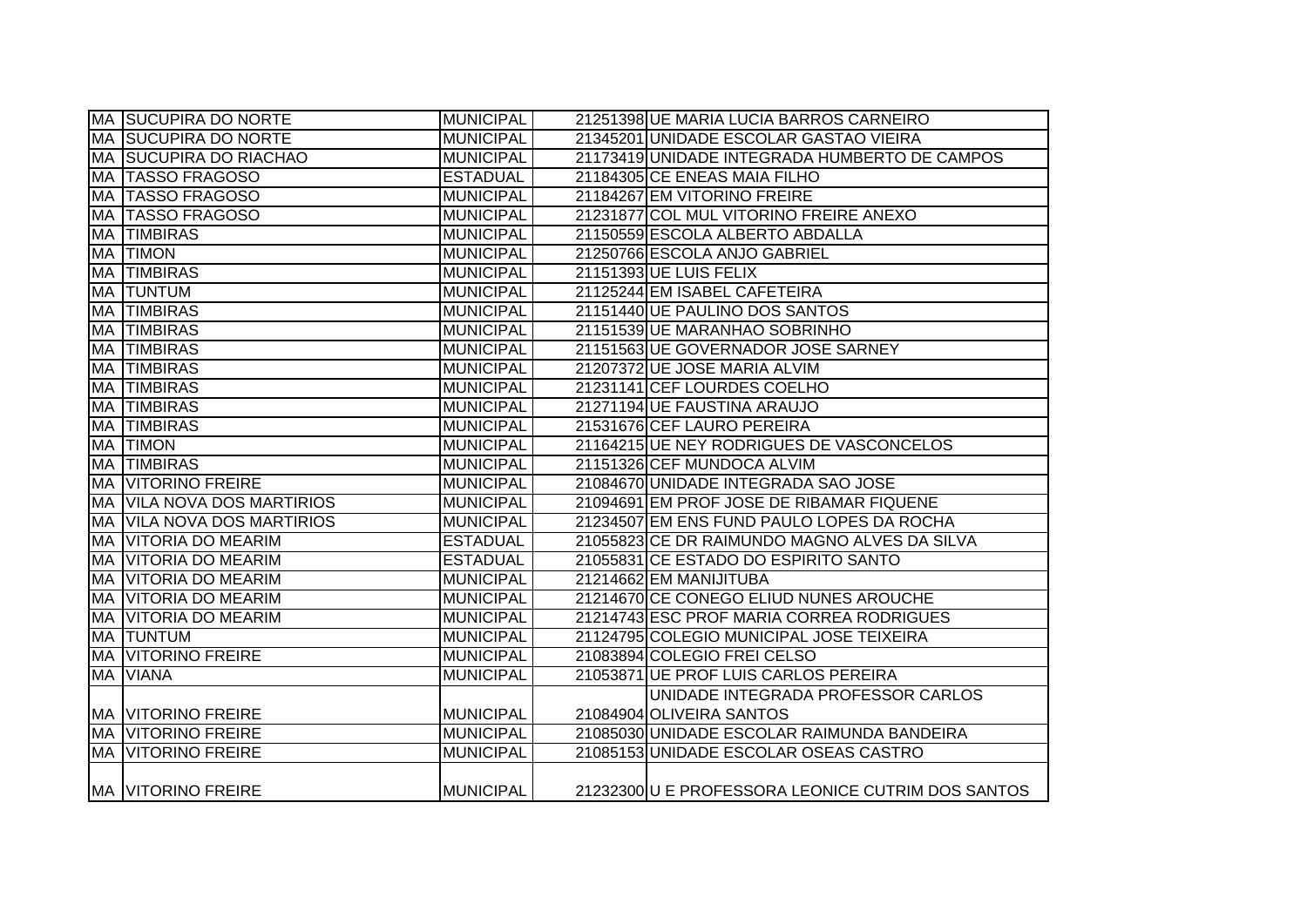|           | <b>MA SUCUPIRA DO NORTE</b>       | <b>MUNICIPAL</b> | 21251398 UE MARIA LUCIA BARROS CARNEIRO           |
|-----------|-----------------------------------|------------------|---------------------------------------------------|
|           | <b>MA SUCUPIRA DO NORTE</b>       | <b>MUNICIPAL</b> | 21345201 UNIDADE ESCOLAR GASTAO VIEIRA            |
|           | <b>MA SUCUPIRA DO RIACHAO</b>     | <b>MUNICIPAL</b> | 21173419 UNIDADE INTEGRADA HUMBERTO DE CAMPOS     |
|           | MA TASSO FRAGOSO                  | <b>ESTADUAL</b>  | 21184305 CE ENEAS MAIA FILHO                      |
|           | MA TASSO FRAGOSO                  | <b>MUNICIPAL</b> | 21184267 EM VITORINO FREIRE                       |
|           | <b>MA TASSO FRAGOSO</b>           | <b>MUNICIPAL</b> | 21231877 COL MUL VITORINO FREIRE ANEXO            |
|           | <b>MA TIMBIRAS</b>                | <b>MUNICIPAL</b> | 21150559 ESCOLA ALBERTO ABDALLA                   |
|           | <b>MA TIMON</b>                   | MUNICIPAL        | 21250766 ESCOLA ANJO GABRIEL                      |
|           | <b>MA TIMBIRAS</b>                | MUNICIPAL        | 21151393 UE LUIS FELIX                            |
|           | <b>MA TUNTUM</b>                  | MUNICIPAL        | 21125244 EM ISABEL CAFETEIRA                      |
|           | <b>MA TIMBIRAS</b>                | <b>MUNICIPAL</b> | 21151440 UE PAULINO DOS SANTOS                    |
| МA        | <b>TIMBIRAS</b>                   | <b>MUNICIPAL</b> | 21151539 UE MARANHAO SOBRINHO                     |
| MA        | <b>TIMBIRAS</b>                   | <b>MUNICIPAL</b> | 21151563 UE GOVERNADOR JOSE SARNEY                |
| MA        | <b>TIMBIRAS</b>                   | <b>MUNICIPAL</b> | 21207372 UE JOSE MARIA ALVIM                      |
| MA        | <b>TIMBIRAS</b>                   | <b>MUNICIPAL</b> | 21231141 CEF LOURDES COELHO                       |
| <b>MA</b> | <b>TIMBIRAS</b>                   | <b>MUNICIPAL</b> | 21271194 UE FAUSTINA ARAUJO                       |
| <b>MA</b> | <b>TIMBIRAS</b>                   | <b>MUNICIPAL</b> | 21531676 CEF LAURO PEREIRA                        |
| <b>MA</b> | <b>TIMON</b>                      | <b>MUNICIPAL</b> | 21164215 UE NEY RODRIGUES DE VASCONCELOS          |
| MA        | <b>TIMBIRAS</b>                   | <b>MUNICIPAL</b> | 21151326 CEF MUNDOCA ALVIM                        |
|           | <b>MA VITORINO FREIRE</b>         | <b>MUNICIPAL</b> | 21084670 UNIDADE INTEGRADA SAO JOSE               |
|           | <b>MA VILA NOVA DOS MARTIRIOS</b> | <b>MUNICIPAL</b> | 21094691 EM PROF JOSE DE RIBAMAR FIQUENE          |
|           | <b>MA VILA NOVA DOS MARTIRIOS</b> | MUNICIPAL        | 21234507 EM ENS FUND PAULO LOPES DA ROCHA         |
|           | <b>MA VITORIA DO MEARIM</b>       | <b>ESTADUAL</b>  | 21055823 CE DR RAIMUNDO MAGNO ALVES DA SILVA      |
|           | MA VITORIA DO MEARIM              | <b>ESTADUAL</b>  | 21055831 CE ESTADO DO ESPIRITO SANTO              |
|           | <b>MA VITORIA DO MEARIM</b>       | <b>MUNICIPAL</b> | 21214662 EM MANIJITUBA                            |
|           | <b>MA VITORIA DO MEARIM</b>       | <b>MUNICIPAL</b> | 21214670 CE CONEGO ELIUD NUNES AROUCHE            |
|           | <b>MA VITORIA DO MEARIM</b>       | <b>MUNICIPAL</b> | 21214743 ESC PROF MARIA CORREA RODRIGUES          |
|           | <b>MA TUNTUM</b>                  | <b>MUNICIPAL</b> | 21124795 COLEGIO MUNICIPAL JOSE TEIXEIRA          |
|           | <b>MA VITORINO FREIRE</b>         | <b>MUNICIPAL</b> | 21083894 COLEGIO FREI CELSO                       |
|           | <b>MA VIANA</b>                   | <b>MUNICIPAL</b> | 21053871 UE PROF LUIS CARLOS PEREIRA              |
|           |                                   |                  | UNIDADE INTEGRADA PROFESSOR CARLOS                |
|           | <b>MA VITORINO FREIRE</b>         | <b>MUNICIPAL</b> | 21084904 OLIVEIRA SANTOS                          |
|           | <b>MA VITORINO FREIRE</b>         | <b>MUNICIPAL</b> | 21085030 UNIDADE ESCOLAR RAIMUNDA BANDEIRA        |
|           | <b>MA VITORINO FREIRE</b>         | <b>MUNICIPAL</b> | 21085153 UNIDADE ESCOLAR OSEAS CASTRO             |
|           | <b>MA VITORINO FREIRE</b>         | <b>MUNICIPAL</b> | 21232300 U E PROFESSORA LEONICE CUTRIM DOS SANTOS |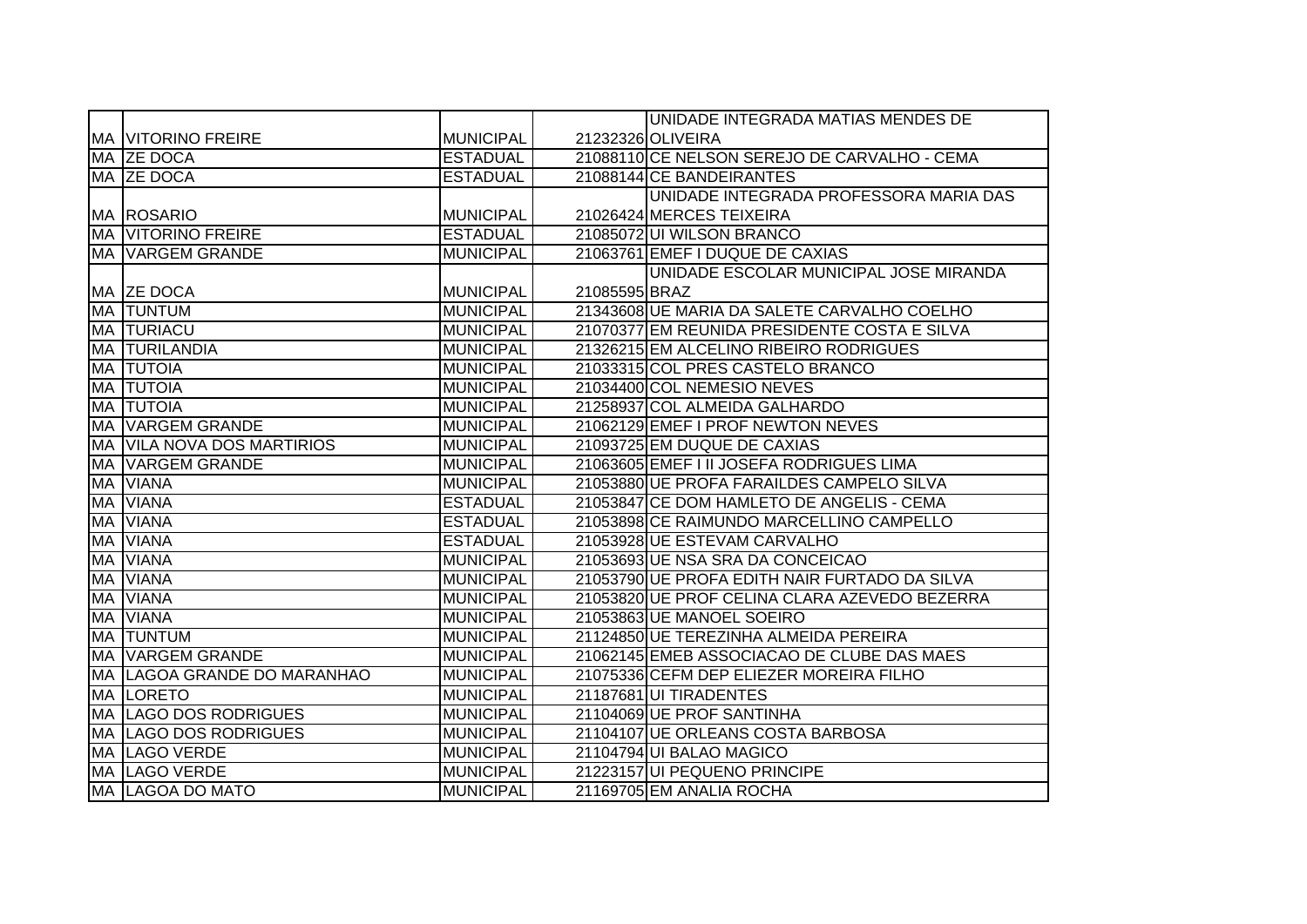|           |                                   |                  |               | UNIDADE INTEGRADA MATIAS MENDES DE            |
|-----------|-----------------------------------|------------------|---------------|-----------------------------------------------|
|           | <b>MA VITORINO FREIRE</b>         | <b>MUNICIPAL</b> |               | 21232326 OLIVEIRA                             |
|           | MA ZE DOCA                        | <b>ESTADUAL</b>  |               | 21088110 CE NELSON SEREJO DE CARVALHO - CEMA  |
|           | MA ZE DOCA                        | <b>ESTADUAL</b>  |               | 21088144 CE BANDEIRANTES                      |
|           |                                   |                  |               | UNIDADE INTEGRADA PROFESSORA MARIA DAS        |
|           | MA ROSARIO                        | <b>MUNICIPAL</b> |               | 21026424 MERCES TEIXEIRA                      |
|           | <b>MA VITORINO FREIRE</b>         | <b>ESTADUAL</b>  |               | 21085072 UI WILSON BRANCO                     |
|           | MA VARGEM GRANDE                  | <b>MUNICIPAL</b> |               | 21063761 EMEF I DUQUE DE CAXIAS               |
|           |                                   |                  |               | UNIDADE ESCOLAR MUNICIPAL JOSE MIRANDA        |
|           | MA ZE DOCA                        | <b>MUNICIPAL</b> | 21085595 BRAZ |                                               |
|           | <b>MA TUNTUM</b>                  | <b>MUNICIPAL</b> |               | 21343608 UE MARIA DA SALETE CARVALHO COELHO   |
|           | <b>MA TURIACU</b>                 | <b>MUNICIPAL</b> |               | 21070377 EM REUNIDA PRESIDENTE COSTA E SILVA  |
|           | MA TURILANDIA                     | <b>MUNICIPAL</b> |               | 21326215 EM ALCELINO RIBEIRO RODRIGUES        |
| <b>MA</b> | <b>TUTOIA</b>                     | <b>MUNICIPAL</b> |               | 21033315 COL PRES CASTELO BRANCO              |
| MA        | <b>TUTOIA</b>                     | <b>MUNICIPAL</b> |               | 21034400 COL NEMESIO NEVES                    |
| MA        | <b>TUTOIA</b>                     | <b>MUNICIPAL</b> |               | 21258937 COL ALMEIDA GALHARDO                 |
| <b>MA</b> | <b>VARGEM GRANDE</b>              | <b>MUNICIPAL</b> |               | 21062129 EMEF I PROF NEWTON NEVES             |
|           | <b>MA VILA NOVA DOS MARTIRIOS</b> | <b>MUNICIPAL</b> |               | 21093725 EM DUQUE DE CAXIAS                   |
|           | <b>MA VARGEM GRANDE</b>           | <b>MUNICIPAL</b> |               | 21063605 EMEF I II JOSEFA RODRIGUES LIMA      |
| MA        | <b>VIANA</b>                      | <b>MUNICIPAL</b> |               | 21053880 UE PROFA FARAILDES CAMPELO SILVA     |
| <b>MA</b> | <b>VIANA</b>                      | <b>ESTADUAL</b>  |               | 21053847 CE DOM HAMLETO DE ANGELIS - CEMA     |
| MA        | <b>VIANA</b>                      | <b>ESTADUAL</b>  |               | 21053898 CE RAIMUNDO MARCELLINO CAMPELLO      |
| MA        | <b>VIANA</b>                      | <b>ESTADUAL</b>  |               | 21053928 UE ESTEVAM CARVALHO                  |
| MA        | <b>VIANA</b>                      | <b>MUNICIPAL</b> |               | 21053693 UE NSA SRA DA CONCEICAO              |
| <b>MA</b> | <b>VIANA</b>                      | <b>MUNICIPAL</b> |               | 21053790 UE PROFA EDITH NAIR FURTADO DA SILVA |
| MA        | <b>VIANA</b>                      | <b>MUNICIPAL</b> |               | 21053820 UE PROF CELINA CLARA AZEVEDO BEZERRA |
| MA        | <b>VIANA</b>                      | <b>MUNICIPAL</b> |               | 21053863 UE MANOEL SOEIRO                     |
| MA        | <b>TUNTUM</b>                     | <b>MUNICIPAL</b> |               | 21124850 UE TEREZINHA ALMEIDA PEREIRA         |
| MA        | <b>VARGEM GRANDE</b>              | <b>MUNICIPAL</b> |               | 21062145 EMEB ASSOCIACAO DE CLUBE DAS MAES    |
|           | MA ILAGOA GRANDE DO MARANHAO      | <b>MUNICIPAL</b> |               | 21075336 CEFM DEP ELIEZER MOREIRA FILHO       |
|           | <b>MA LORETO</b>                  | <b>MUNICIPAL</b> |               | 21187681 UI TIRADENTES                        |
|           | MA LAGO DOS RODRIGUES             | <b>MUNICIPAL</b> |               | 21104069 UE PROF SANTINHA                     |
|           | <b>MA LAGO DOS RODRIGUES</b>      | <b>MUNICIPAL</b> |               | 21104107 UE ORLEANS COSTA BARBOSA             |
|           | MA LAGO VERDE                     | <b>MUNICIPAL</b> |               | 21104794 UI BALAO MAGICO                      |
|           | MA LAGO VERDE                     | <b>MUNICIPAL</b> |               | 21223157 UI PEQUENO PRINCIPE                  |
|           | MA LAGOA DO MATO                  | <b>MUNICIPAL</b> |               | 21169705 EM ANALIA ROCHA                      |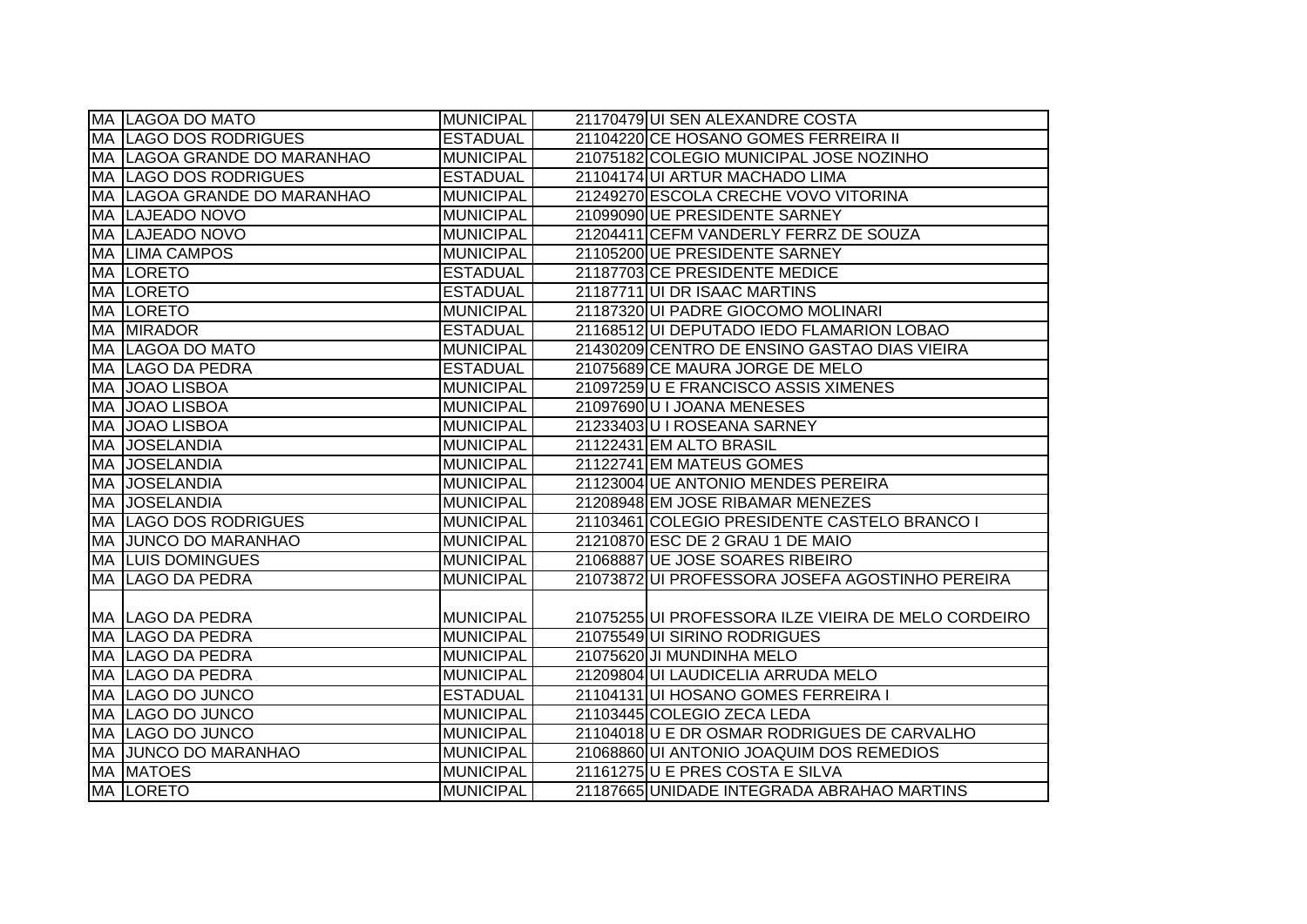|     | <b>MA LAGOA DO MATO</b>            | <b>MUNICIPAL</b> | 21170479 UI SEN ALEXANDRE COSTA                     |
|-----|------------------------------------|------------------|-----------------------------------------------------|
|     | MA LAGO DOS RODRIGUES              | <b>ESTADUAL</b>  | 21104220 CE HOSANO GOMES FERREIRA II                |
|     | MA LAGOA GRANDE DO MARANHAO        | <b>MUNICIPAL</b> | 21075182 COLEGIO MUNICIPAL JOSE NOZINHO             |
|     | MA LAGO DOS RODRIGUES              | <b>ESTADUAL</b>  | 21104174 UI ARTUR MACHADO LIMA                      |
|     | <b>MA LAGOA GRANDE DO MARANHAO</b> | <b>MUNICIPAL</b> | 21249270 ESCOLA CRECHE VOVO VITORINA                |
|     | MA LAJEADO NOVO                    | <b>MUNICIPAL</b> | 21099090 UE PRESIDENTE SARNEY                       |
|     | MA LAJEADO NOVO                    | <b>MUNICIPAL</b> | 21204411 CEFM VANDERLY FERRZ DE SOUZA               |
|     | <b>MA LIMA CAMPOS</b>              | <b>MUNICIPAL</b> | 21105200 UE PRESIDENTE SARNEY                       |
|     | <b>MA LORETO</b>                   | <b>ESTADUAL</b>  | 21187703 CE PRESIDENTE MEDICE                       |
|     | MA LORETO                          | <b>ESTADUAL</b>  | 21187711 UI DR ISAAC MARTINS                        |
|     | <b>MA ILORETO</b>                  | <b>MUNICIPAL</b> | 21187320UI PADRE GIOCOMO MOLINARI                   |
|     | <b>MA MIRADOR</b>                  | <b>ESTADUAL</b>  | 21168512 UI DEPUTADO IEDO FLAMARION LOBAO           |
|     | MA LAGOA DO MATO                   | <b>MUNICIPAL</b> | 21430209 CENTRO DE ENSINO GASTAO DIAS VIEIRA        |
| MA  | LAGO DA PEDRA                      | <b>ESTADUAL</b>  | 21075689 CE MAURA JORGE DE MELO                     |
| MA. | <b>JOAO LISBOA</b>                 | <b>MUNICIPAL</b> | 21097259 U E FRANCISCO ASSIS XIMENES                |
|     | MA JOAO LISBOA                     | <b>MUNICIPAL</b> | 21097690 U I JOANA MENESES                          |
|     | MA JOAO LISBOA                     | <b>MUNICIPAL</b> | 21233403U I ROSEANA SARNEY                          |
| MA  | <b>JOSELANDIA</b>                  | <b>MUNICIPAL</b> | 21122431 EM ALTO BRASIL                             |
|     | MA JOSELANDIA                      | MUNICIPAL        | 21122741 EM MATEUS GOMES                            |
|     | MA JOSELANDIA                      | <b>MUNICIPAL</b> | 21123004 UE ANTONIO MENDES PEREIRA                  |
|     | MA JOSELANDIA                      | MUNICIPAL        | 21208948 EM JOSE RIBAMAR MENEZES                    |
|     | MA  LAGO DOS RODRIGUES             | <b>MUNICIPAL</b> | 21103461 COLEGIO PRESIDENTE CASTELO BRANCO I        |
|     | MA JUNCO DO MARANHAO               | <b>MUNICIPAL</b> | 21210870 ESC DE 2 GRAU 1 DE MAIO                    |
|     | <b>MA LUIS DOMINGUES</b>           | <b>MUNICIPAL</b> | 21068887 UE JOSE SOARES RIBEIRO                     |
|     | MA LAGO DA PEDRA                   | <b>MUNICIPAL</b> | 21073872 UI PROFESSORA JOSEFA AGOSTINHO PEREIRA     |
|     |                                    |                  |                                                     |
|     | MA LAGO DA PEDRA                   | MUNICIPAL        | 21075255 UI PROFESSORA ILZE VIEIRA DE MELO CORDEIRO |
|     | MA LAGO DA PEDRA                   | MUNICIPAL        | 21075549UI SIRINO RODRIGUES                         |
|     | MA LAGO DA PEDRA                   | <b>MUNICIPAL</b> | 21075620 JI MUNDINHA MELO                           |
|     | MA LAGO DA PEDRA                   | <b>MUNICIPAL</b> | 21209804 UI LAUDICELIA ARRUDA MELO                  |
|     | MA LAGO DO JUNCO                   | <b>ESTADUAL</b>  | 21104131 UI HOSANO GOMES FERREIRA I                 |
|     | MA LAGO DO JUNCO                   | <b>MUNICIPAL</b> | 21103445 COLEGIO ZECA LEDA                          |
|     | MA LAGO DO JUNCO                   | MUNICIPAL        | 21104018 U E DR OSMAR RODRIGUES DE CARVALHO         |
|     | MA JUNCO DO MARANHAO               | MUNICIPAL        | 21068860 UI ANTONIO JOAQUIM DOS REMEDIOS            |
|     | <b>MA MATOES</b>                   | MUNICIPAL        | 21161275U E PRES COSTA E SILVA                      |
|     | <b>MA LORETO</b>                   | <b>MUNICIPAL</b> | 21187665 UNIDADE INTEGRADA ABRAHAO MARTINS          |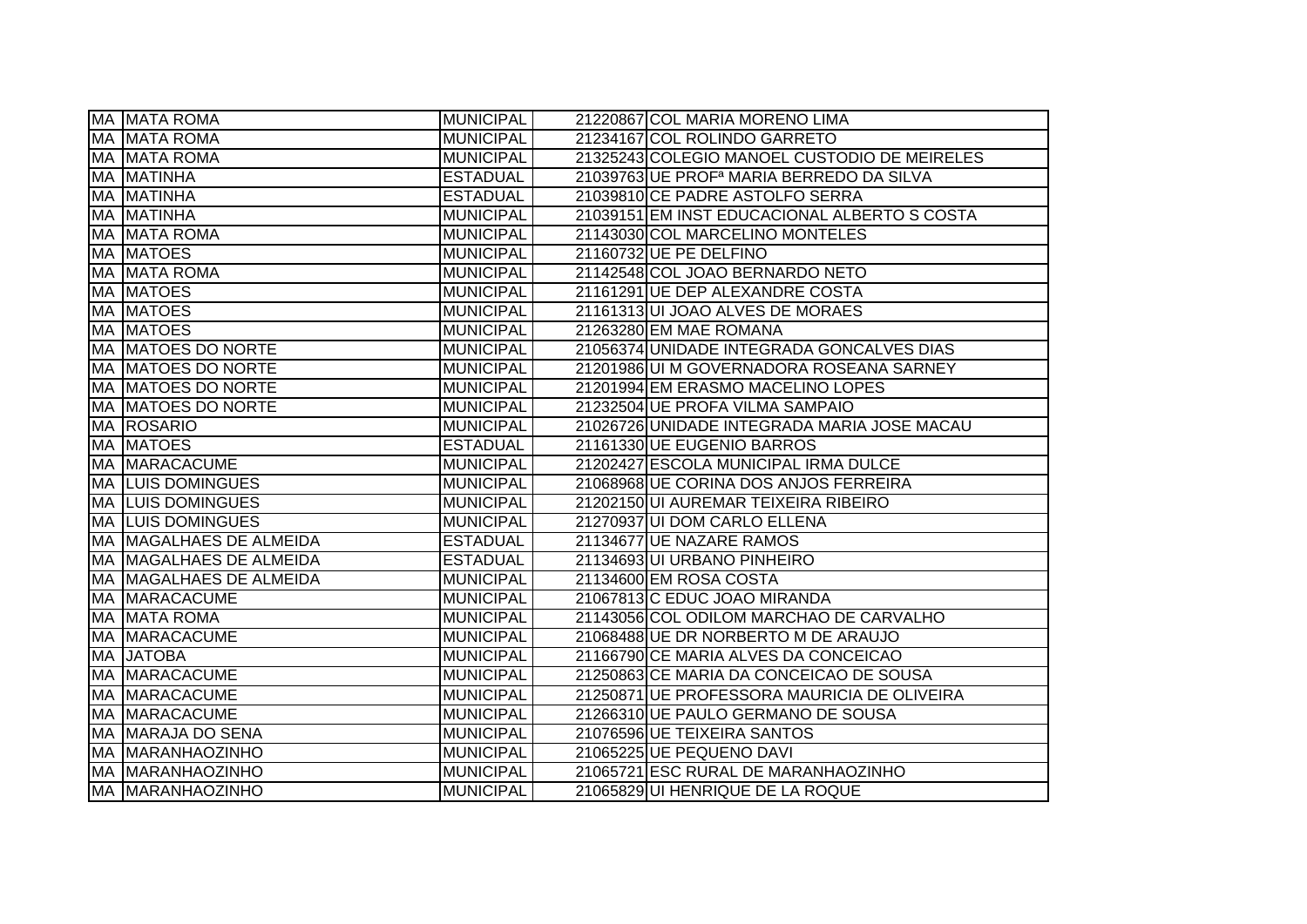| MA MATA ROMA              | <b>MUNICIPAL</b> | 21220867 COL MARIA MORENO LIMA                       |
|---------------------------|------------------|------------------------------------------------------|
| <b>MA MATA ROMA</b>       | <b>MUNICIPAL</b> | 21234167 COL ROLINDO GARRETO                         |
| <b>MA MATA ROMA</b>       | <b>MUNICIPAL</b> | 21325243 COLEGIO MANOEL CUSTODIO DE MEIRELES         |
| MA MATINHA                | <b>ESTADUAL</b>  | 21039763 UE PROF <sup>a</sup> MARIA BERREDO DA SILVA |
| MA MATINHA                | <b>ESTADUAL</b>  | 21039810 CE PADRE ASTOLFO SERRA                      |
| <b>MA MATINHA</b>         | <b>MUNICIPAL</b> | 21039151 EM INST EDUCACIONAL ALBERTO S COSTA         |
| <b>MA MATA ROMA</b>       | <b>MUNICIPAL</b> | 21143030 COL MARCELINO MONTELES                      |
| MA MATOES                 | <b>MUNICIPAL</b> | 21160732 UE PE DELFINO                               |
| MA MATA ROMA              | <b>MUNICIPAL</b> | 21142548 COL JOAO BERNARDO NETO                      |
| <b>MA MATOES</b>          | <b>MUNICIPAL</b> | 21161291 UE DEP ALEXANDRE COSTA                      |
| <b>MA MATOES</b>          | <b>MUNICIPAL</b> | 21161313UI JOAO ALVES DE MORAES                      |
| <b>MA MATOES</b>          | <b>MUNICIPAL</b> | 21263280 EM MAE ROMANA                               |
| <b>MA MATOES DO NORTE</b> | <b>MUNICIPAL</b> | 21056374 UNIDADE INTEGRADA GONCALVES DIAS            |
| <b>MA MATOES DO NORTE</b> | <b>MUNICIPAL</b> | 21201986 UI M GOVERNADORA ROSEANA SARNEY             |
| <b>MA MATOES DO NORTE</b> | <b>MUNICIPAL</b> | 21201994 EM ERASMO MACELINO LOPES                    |
| MA MATOES DO NORTE        | <b>MUNICIPAL</b> | 21232504 UE PROFA VILMA SAMPAIO                      |
| MA ROSARIO                | <b>MUNICIPAL</b> | 21026726 UNIDADE INTEGRADA MARIA JOSE MACAU          |
| MA MATOES                 | <b>ESTADUAL</b>  | 21161330 UE EUGENIO BARROS                           |
| MA MARACACUME             | <b>MUNICIPAL</b> | 21202427 ESCOLA MUNICIPAL IRMA DULCE                 |
| <b>MA LUIS DOMINGUES</b>  | <b>MUNICIPAL</b> | 21068968 UE CORINA DOS ANJOS FERREIRA                |
| <b>MA LUIS DOMINGUES</b>  | <b>MUNICIPAL</b> | 21202150 UI AUREMAR TEIXEIRA RIBEIRO                 |
| <b>MA LUIS DOMINGUES</b>  | <b>MUNICIPAL</b> | 21270937 UI DOM CARLO ELLENA                         |
| MA MAGALHAES DE ALMEIDA   | <b>ESTADUAL</b>  | 21134677 UE NAZARE RAMOS                             |
| MA MAGALHAES DE ALMEIDA   | <b>ESTADUAL</b>  | 21134693 UI URBANO PINHEIRO                          |
| MA MAGALHAES DE ALMEIDA   | <b>MUNICIPAL</b> | 21134600 EM ROSA COSTA                               |
| MA MARACACUME             | <b>MUNICIPAL</b> | 21067813 C EDUC JOAO MIRANDA                         |
| <b>MA MATA ROMA</b>       | <b>MUNICIPAL</b> | 21143056 COL ODILOM MARCHAO DE CARVALHO              |
| <b>MA MARACACUME</b>      | <b>MUNICIPAL</b> | 21068488 UE DR NORBERTO M DE ARAUJO                  |
| MA JATOBA                 | <b>MUNICIPAL</b> | 21166790 CE MARIA ALVES DA CONCEICAO                 |
| MA MARACACUME             | <b>MUNICIPAL</b> | 21250863 CE MARIA DA CONCEICAO DE SOUSA              |
| MA MARACACUME             | <b>MUNICIPAL</b> | 21250871 UE PROFESSORA MAURICIA DE OLIVEIRA          |
| MA MARACACUME             | <b>MUNICIPAL</b> | 21266310 UE PAULO GERMANO DE SOUSA                   |
| MA MARAJA DO SENA         | <b>MUNICIPAL</b> | 21076596 UE TEIXEIRA SANTOS                          |
| <b>MA MARANHAOZINHO</b>   | <b>MUNICIPAL</b> | 21065225 UE PEQUENO DAVI                             |
| <b>MA MARANHAOZINHO</b>   | <b>MUNICIPAL</b> | 21065721 ESC RURAL DE MARANHAOZINHO                  |
| MA MARANHAOZINHO          | <b>MUNICIPAL</b> | 21065829UI HENRIQUE DE LA ROQUE                      |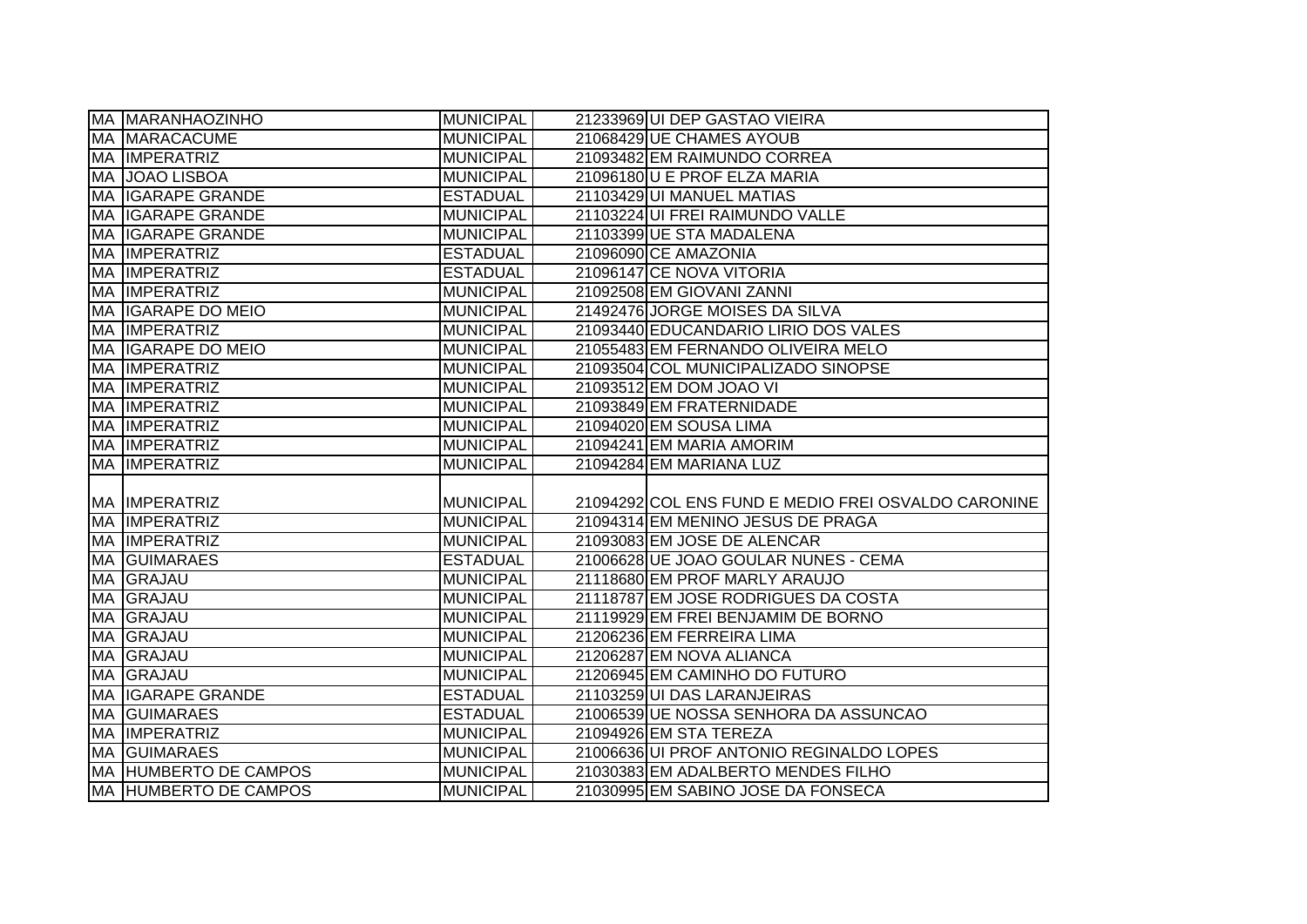|     | <b>MA MARANHAOZINHO</b>                        | <b>MUNICIPAL</b> | 21233969 UI DEP GASTAO VIEIRA                       |
|-----|------------------------------------------------|------------------|-----------------------------------------------------|
|     | MA MARACACUME                                  | <b>MUNICIPAL</b> | 21068429 UE CHAMES AYOUB                            |
|     | MA IMPERATRIZ                                  | <b>MUNICIPAL</b> | 21093482 EM RAIMUNDO CORREA                         |
|     | MA JOAO LISBOA                                 | <b>MUNICIPAL</b> | 21096180 U E PROF ELZA MARIA                        |
|     | <b>MA IGARAPE GRANDE</b>                       | <b>ESTADUAL</b>  | 21103429UI MANUEL MATIAS                            |
|     | MA IGARAPE GRANDE                              | <b>MUNICIPAL</b> | 21103224 UI FREI RAIMUNDO VALLE                     |
|     | MA IGARAPE GRANDE                              | <b>MUNICIPAL</b> | 21103399 UE STA MADALENA                            |
|     | MA IMPERATRIZ                                  | <b>ESTADUAL</b>  | 21096090 CE AMAZONIA                                |
|     | <b>MA IMPERATRIZ</b>                           | <b>ESTADUAL</b>  | 21096147 CE NOVA VITORIA                            |
| MA  | <b>IMPERATRIZ</b>                              | <b>MUNICIPAL</b> | 21092508 EM GIOVANI ZANNI                           |
|     | MA IGARAPE DO MEIO                             | <b>MUNICIPAL</b> | 21492476 JORGE MOISES DA SILVA                      |
|     | <b>MA IMPERATRIZ</b>                           | <b>MUNICIPAL</b> | 21093440 EDUCANDARIO LIRIO DOS VALES                |
|     | MA IGARAPE DO MEIO                             | <b>MUNICIPAL</b> | 21055483 EM FERNANDO OLIVEIRA MELO                  |
|     | <b>MA IMPERATRIZ</b>                           | <b>MUNICIPAL</b> | 21093504 COL MUNICIPALIZADO SINOPSE                 |
| MA  | <b>IMPERATRIZ</b>                              | <b>MUNICIPAL</b> | 21093512 EM DOM JOAO VI                             |
| MA  | <b>IMPERATRIZ</b>                              | <b>MUNICIPAL</b> | 21093849 EM FRATERNIDADE                            |
| MA  | <b>IMPERATRIZ</b>                              | <b>MUNICIPAL</b> | 21094020 EM SOUSA LIMA                              |
| MA. | <b>IMPERATRIZ</b>                              | <b>MUNICIPAL</b> | 21094241 EM MARIA AMORIM                            |
|     |                                                |                  |                                                     |
| MA  | <b>IMPERATRIZ</b>                              | <b>MUNICIPAL</b> | 21094284 EM MARIANA LUZ                             |
|     |                                                |                  |                                                     |
|     | <b>MA IMPERATRIZ</b>                           | <b>MUNICIPAL</b> | 21094292 COL ENS FUND E MEDIO FREI OSVALDO CARONINE |
|     | <b>MA IMPERATRIZ</b>                           | <b>MUNICIPAL</b> | 21094314 EM MENINO JESUS DE PRAGA                   |
|     | <b>MA IMPERATRIZ</b>                           | <b>MUNICIPAL</b> | 21093083 EM JOSE DE ALENCAR                         |
|     | <b>MA GUIMARAES</b>                            | <b>ESTADUAL</b>  | 21006628 UE JOAO GOULAR NUNES - CEMA                |
|     | MA GRAJAU                                      | <b>MUNICIPAL</b> | 21118680 EM PROF MARLY ARAUJO                       |
|     | MA GRAJAU                                      | <b>MUNICIPAL</b> | 21118787 EM JOSE RODRIGUES DA COSTA                 |
| MA  | GRAJAU                                         | <b>MUNICIPAL</b> | 21119929 EM FREI BENJAMIM DE BORNO                  |
| MA  | GRAJAU                                         | <b>MUNICIPAL</b> | 21206236 EM FERREIRA LIMA                           |
| MA  | GRAJAU                                         | <b>MUNICIPAL</b> | 21206287 EM NOVA ALIANCA                            |
| МA  | <b>GRAJAU</b>                                  | <b>MUNICIPAL</b> | 21206945 EM CAMINHO DO FUTURO                       |
| MA  | <b>IGARAPE GRANDE</b>                          | <b>ESTADUAL</b>  | 21103259 UI DAS LARANJEIRAS                         |
|     | <b>MA GUIMARAES</b>                            | <b>ESTADUAL</b>  | 21006539 UE NOSSA SENHORA DA ASSUNCAO               |
|     | <b>MA IMPERATRIZ</b>                           | <b>MUNICIPAL</b> | 21094926 EM STA TEREZA                              |
|     | <b>MA GUIMARAES</b>                            | <b>MUNICIPAL</b> | 21006636 UI PROF ANTONIO REGINALDO LOPES            |
|     | MA HUMBERTO DE CAMPOS<br>MA HUMBERTO DE CAMPOS | <b>MUNICIPAL</b> | 21030383 EM ADALBERTO MENDES FILHO                  |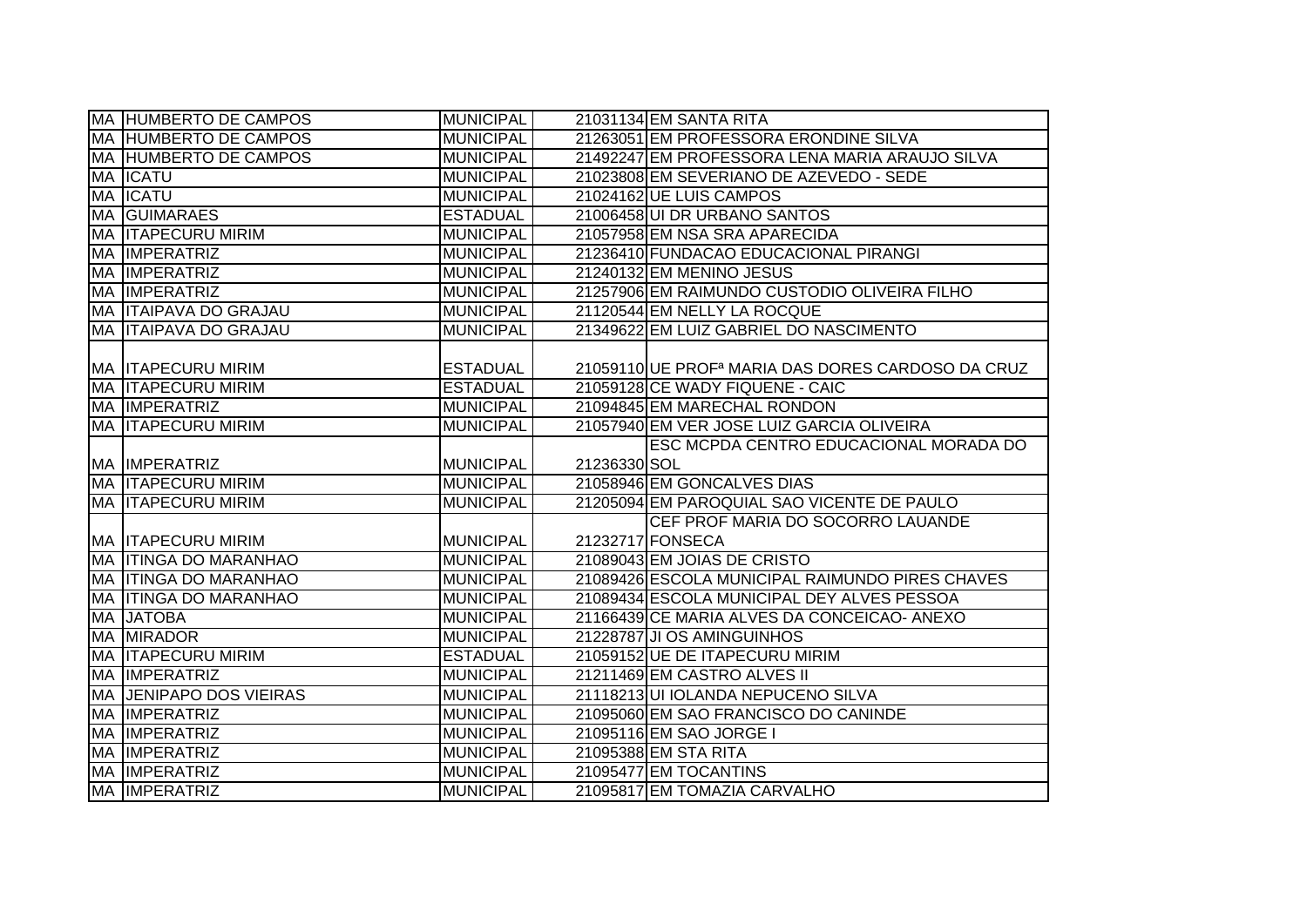| <b>MA HUMBERTO DE CAMPOS</b>   | <b>MUNICIPAL</b> |              | 21031134 EM SANTA RITA                                        |
|--------------------------------|------------------|--------------|---------------------------------------------------------------|
| MA HUMBERTO DE CAMPOS          | <b>MUNICIPAL</b> |              | 21263051 EM PROFESSORA ERONDINE SILVA                         |
| <b>MA HUMBERTO DE CAMPOS</b>   | <b>MUNICIPAL</b> |              | 21492247 EM PROFESSORA LENA MARIA ARAUJO SILVA                |
| MA <b>ICATU</b>                | <b>MUNICIPAL</b> |              | 21023808 EM SEVERIANO DE AZEVEDO - SEDE                       |
| <b>MA ICATU</b>                | <b>MUNICIPAL</b> |              | 21024162 UE LUIS CAMPOS                                       |
| <b>MA GUIMARAES</b>            | <b>ESTADUAL</b>  |              | 21006458 UI DR URBANO SANTOS                                  |
| <b>MA ITAPECURU MIRIM</b>      | <b>MUNICIPAL</b> |              | 21057958 EM NSA SRA APARECIDA                                 |
| MA IMPERATRIZ                  | MUNICIPAL        |              | 21236410 FUNDACAO EDUCACIONAL PIRANGI                         |
| MA IMPERATRIZ                  | MUNICIPAL        |              | 21240132 EM MENINO JESUS                                      |
| MA IMPERATRIZ                  | <b>MUNICIPAL</b> |              | 21257906 EM RAIMUNDO CUSTODIO OLIVEIRA FILHO                  |
| MA ITAIPAVA DO GRAJAU          | <b>MUNICIPAL</b> |              | 21120544 EM NELLY LA ROCQUE                                   |
| MA ITAIPAVA DO GRAJAU          | <b>MUNICIPAL</b> |              | 21349622 EM LUIZ GABRIEL DO NASCIMENTO                        |
|                                |                  |              |                                                               |
| <b>MA ITAPECURU MIRIM</b>      | <b>ESTADUAL</b>  |              | 21059110 UE PROF <sup>a</sup> MARIA DAS DORES CARDOSO DA CRUZ |
| <b>MA ITAPECURU MIRIM</b>      | <b>ESTADUAL</b>  |              | 21059128 CE WADY FIQUENE - CAIC                               |
| MA IMPERATRIZ                  | MUNICIPAL        |              | 21094845 EM MARECHAL RONDON                                   |
| MA ITAPECURU MIRIM             | <b>MUNICIPAL</b> |              | 21057940 EM VER JOSE LUIZ GARCIA OLIVEIRA                     |
|                                |                  |              | ESC MCPDA CENTRO EDUCACIONAL MORADA DO                        |
|                                |                  |              |                                                               |
| <b>MA IMPERATRIZ</b>           | <b>MUNICIPAL</b> | 21236330 SOL |                                                               |
| <b>MA ITAPECURU MIRIM</b>      | <b>MUNICIPAL</b> |              | 21058946 EM GONCALVES DIAS                                    |
| <b>MA ITAPECURU MIRIM</b>      | <b>MUNICIPAL</b> |              | 21205094 EM PAROQUIAL SAO VICENTE DE PAULO                    |
|                                |                  |              | CEF PROF MARIA DO SOCORRO LAUANDE                             |
| <b>MA ITAPECURU MIRIM</b>      | <b>MUNICIPAL</b> |              | 21232717 FONSECA                                              |
| <b>MA ITINGA DO MARANHAO</b>   | <b>MUNICIPAL</b> |              | 21089043 EM JOIAS DE CRISTO                                   |
| MA ITINGA DO MARANHAO          | <b>MUNICIPAL</b> |              | 21089426 ESCOLA MUNICIPAL RAIMUNDO PIRES CHAVES               |
| <b>MA ITINGA DO MARANHAO</b>   | <b>MUNICIPAL</b> |              | 21089434 ESCOLA MUNICIPAL DEY ALVES PESSOA                    |
| MA JATOBA                      | <b>MUNICIPAL</b> |              | 21166439 CE MARIA ALVES DA CONCEICAO-ANEXO                    |
| MA MIRADOR                     | <b>MUNICIPAL</b> |              | 21228787 JI OS AMINGUINHOS                                    |
| <b>MA ITAPECURU MIRIM</b>      | <b>ESTADUAL</b>  |              | 21059152 UE DE ITAPECURU MIRIM                                |
| MA IMPERATRIZ                  | <b>MUNICIPAL</b> |              | 21211469 EM CASTRO ALVES II                                   |
| <b>MA JENIPAPO DOS VIEIRAS</b> | <b>MUNICIPAL</b> |              | 21118213 UI IOLANDA NEPUCENO SILVA                            |
| MA IMPERATRIZ                  | MUNICIPAL        |              | 21095060 EM SAO FRANCISCO DO CANINDE                          |
| MA IMPERATRIZ                  | <b>MUNICIPAL</b> |              | 21095116 EM SAO JORGE I                                       |
| MA IMPERATRIZ                  | MUNICIPAL        |              | 21095388 EM STA RITA                                          |
| MA IMPERATRIZ                  | MUNICIPAL        |              | 21095477 EM TOCANTINS                                         |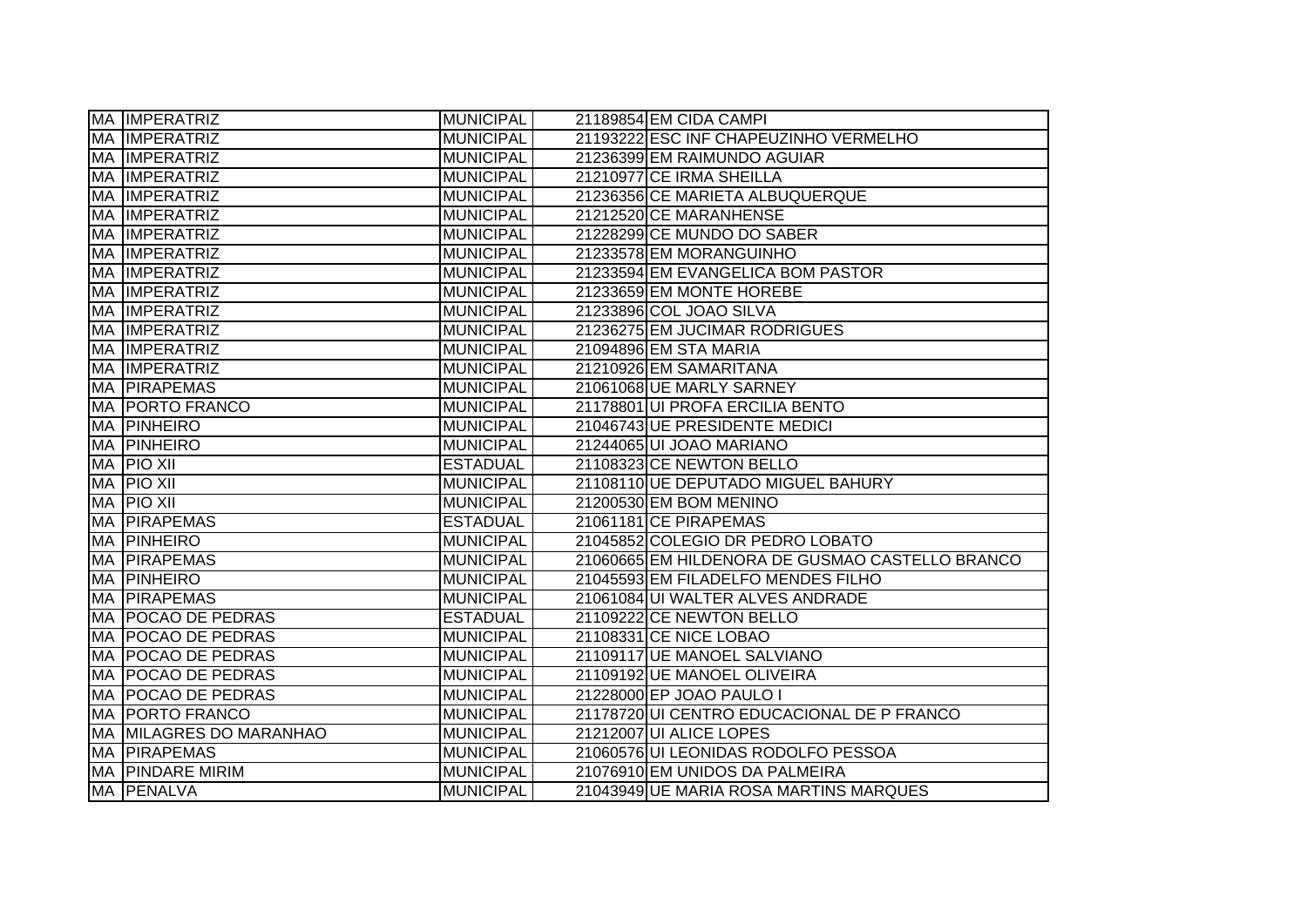|           | <b>MA IMPERATRIZ</b>        | <b>MUNICIPAL</b> | 21189854 EM CIDA CAMPI                          |  |
|-----------|-----------------------------|------------------|-------------------------------------------------|--|
|           | <b>MA IMPERATRIZ</b>        | <b>MUNICIPAL</b> | 21193222 ESC INF CHAPEUZINHO VERMELHO           |  |
| <b>MA</b> | <b>IMPERATRIZ</b>           | <b>MUNICIPAL</b> | 21236399 EM RAIMUNDO AGUIAR                     |  |
| MA        | <b>IMPERATRIZ</b>           | <b>MUNICIPAL</b> | 21210977 CE IRMA SHEILLA                        |  |
| MA        | <b>IMPERATRIZ</b>           | <b>MUNICIPAL</b> | 21236356 CE MARIETA ALBUQUERQUE                 |  |
| MA        | <b>IMPERATRIZ</b>           | <b>MUNICIPAL</b> | 21212520 CE MARANHENSE                          |  |
| МA        | <b>IMPERATRIZ</b>           | <b>MUNICIPAL</b> | 21228299 CE MUNDO DO SABER                      |  |
| МA        | <b>IMPERATRIZ</b>           | <b>MUNICIPAL</b> | 21233578 EM MORANGUINHO                         |  |
| МA        | <b>IMPERATRIZ</b>           | MUNICIPAL        | 21233594 EM EVANGELICA BOM PASTOR               |  |
| MA        | <b>IMPERATRIZ</b>           | MUNICIPAL        | 21233659 EM MONTE HOREBE                        |  |
| MA        | <b>IMPERATRIZ</b>           | <b>MUNICIPAL</b> | 21233896 COL JOAO SILVA                         |  |
| MA        | <b>IMPERATRIZ</b>           | <b>MUNICIPAL</b> | 21236275 EM JUCIMAR RODRIGUES                   |  |
| MA        | <b>IMPERATRIZ</b>           | <b>MUNICIPAL</b> | 21094896 EM STA MARIA                           |  |
| <b>MA</b> | <b>IMPERATRIZ</b>           | <b>MUNICIPAL</b> | 21210926 EM SAMARITANA                          |  |
| MA        | <b>PIRAPEMAS</b>            | <b>MUNICIPAL</b> | 21061068 UE MARLY SARNEY                        |  |
| <b>MA</b> | <b>PORTO FRANCO</b>         | <b>MUNICIPAL</b> | 21178801 UI PROFA ERCILIA BENTO                 |  |
| MA        | PINHEIRO                    | <b>MUNICIPAL</b> | 21046743 UE PRESIDENTE MEDICI                   |  |
| MA        | PINHEIRO                    | <b>MUNICIPAL</b> | 21244065 UI JOAO MARIANO                        |  |
| MA        | <b>PIO XII</b>              | <b>ESTADUAL</b>  | 21108323 CE NEWTON BELLO                        |  |
| MA        | <b>PIO XII</b>              | <b>MUNICIPAL</b> | 21108110 UE DEPUTADO MIGUEL BAHURY              |  |
| MA        | <b>PIO XII</b>              | <b>MUNICIPAL</b> | 21200530 EM BOM MENINO                          |  |
| MA        | <b>PIRAPEMAS</b>            | <b>ESTADUAL</b>  | 21061181 CE PIRAPEMAS                           |  |
| MA        | PINHEIRO                    | <b>MUNICIPAL</b> | 21045852 COLEGIO DR PEDRO LOBATO                |  |
| MA        | <b>PIRAPEMAS</b>            | <b>MUNICIPAL</b> | 21060665 EM HILDENORA DE GUSMAO CASTELLO BRANCO |  |
| MA        | PINHEIRO                    | <b>MUNICIPAL</b> | 21045593 EM FILADELFO MENDES FILHO              |  |
| MA        | <b>PIRAPEMAS</b>            | <b>MUNICIPAL</b> | 21061084 UI WALTER ALVES ANDRADE                |  |
| MA        | <b>POCAO DE PEDRAS</b>      | <b>ESTADUAL</b>  | 21109222 CE NEWTON BELLO                        |  |
| MA        | <b>POCAO DE PEDRAS</b>      | <b>MUNICIPAL</b> | 21108331 CE NICE LOBAO                          |  |
| MA        | <b>POCAO DE PEDRAS</b>      | <b>MUNICIPAL</b> | 21109117 UE MANOEL SALVIANO                     |  |
| MA        | <b>POCAO DE PEDRAS</b>      | <b>MUNICIPAL</b> | 21109192 UE MANOEL OLIVEIRA                     |  |
| MA        | <b>POCAO DE PEDRAS</b>      | <b>MUNICIPAL</b> | 21228000 EP JOAO PAULO I                        |  |
| MA        | <b>PORTO FRANCO</b>         | <b>MUNICIPAL</b> | 21178720 UI CENTRO EDUCACIONAL DE P FRANCO      |  |
| MA        | <b>MILAGRES DO MARANHAO</b> | MUNICIPAL        | 21212007 UI ALICE LOPES                         |  |
| MA        | <b>PIRAPEMAS</b>            | <b>MUNICIPAL</b> | 21060576 UI LEONIDAS RODOLFO PESSOA             |  |
| MA        | <b>PINDARE MIRIM</b>        | MUNICIPAL        | 21076910 EM UNIDOS DA PALMEIRA                  |  |
|           | MA PENALVA                  | <b>MUNICIPAL</b> | 21043949 UE MARIA ROSA MARTINS MARQUES          |  |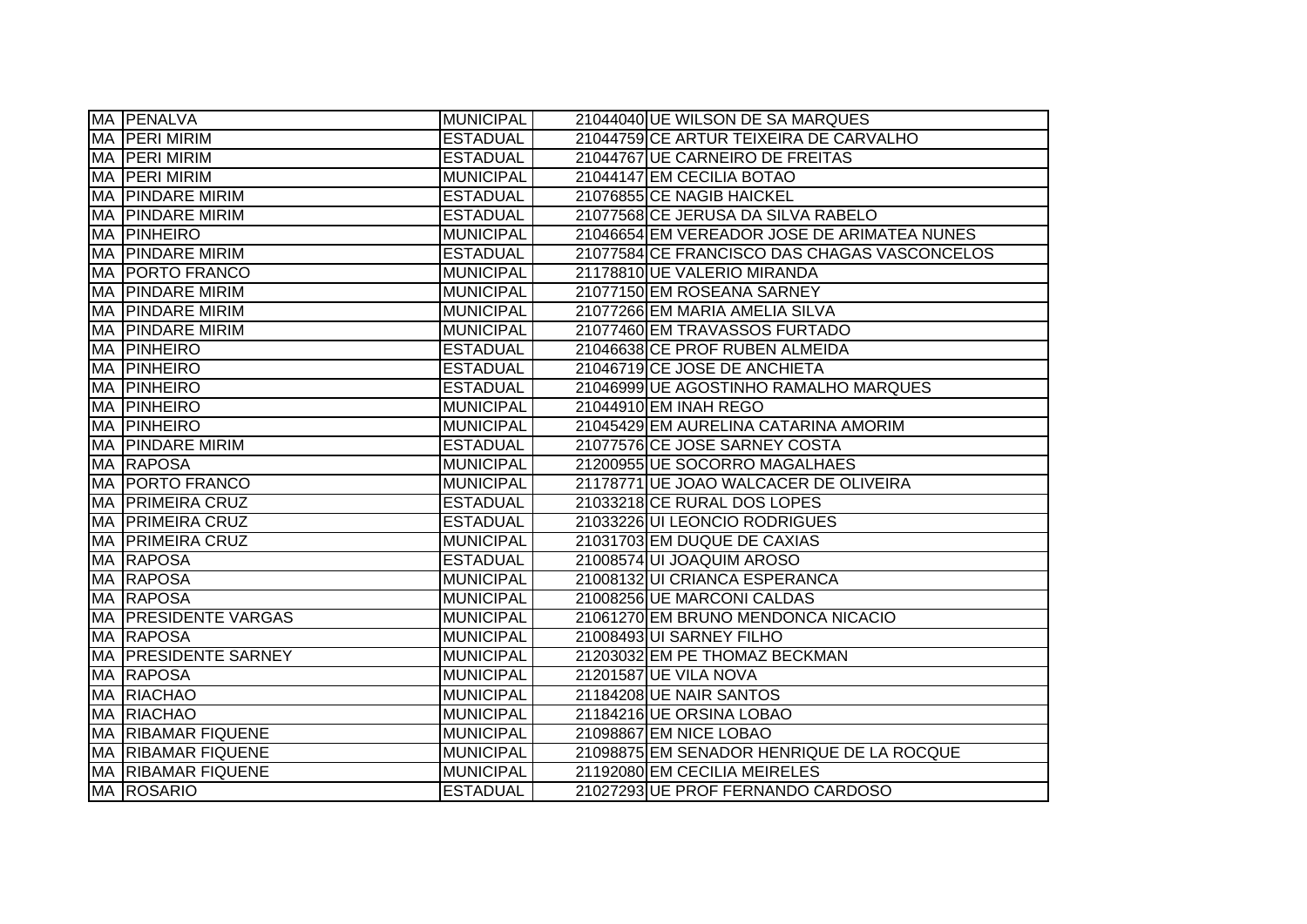| MA PENALVA                  | <b>MUNICIPAL</b> | 21044040 UE WILSON DE SA MARQUES             |
|-----------------------------|------------------|----------------------------------------------|
| MA PERI MIRIM               | <b>ESTADUAL</b>  | 21044759 CE ARTUR TEIXEIRA DE CARVALHO       |
| <b>MA PERI MIRIM</b>        | <b>ESTADUAL</b>  | 21044767 UE CARNEIRO DE FREITAS              |
| <b>MA PERI MIRIM</b>        | <b>MUNICIPAL</b> | 21044147 EM CECILIA BOTAO                    |
| <b>MA PINDARE MIRIM</b>     | <b>ESTADUAL</b>  | 21076855 CE NAGIB HAICKEL                    |
| IMA IPINDARE MIRIM          | <b>ESTADUAL</b>  | 21077568 CE JERUSA DA SILVA RABELO           |
| <b>MA PINHEIRO</b>          | <b>MUNICIPAL</b> | 21046654 EM VEREADOR JOSE DE ARIMATEA NUNES  |
| <b>MA PINDARE MIRIM</b>     | <b>ESTADUAL</b>  | 21077584 CE FRANCISCO DAS CHAGAS VASCONCELOS |
| <b>MA PORTO FRANCO</b>      | <b>MUNICIPAL</b> | 21178810 UE VALERIO MIRANDA                  |
| <b>MA PINDARE MIRIM</b>     | <b>MUNICIPAL</b> | 21077150 EM ROSEANA SARNEY                   |
| <b>MA PINDARE MIRIM</b>     | <b>MUNICIPAL</b> | 21077266 EM MARIA AMELIA SILVA               |
| <b>MA PINDARE MIRIM</b>     | <b>MUNICIPAL</b> | 21077460 EM TRAVASSOS FURTADO                |
| <b>MA PINHEIRO</b>          | <b>ESTADUAL</b>  | 21046638 CE PROF RUBEN ALMEIDA               |
| <b>MA PINHEIRO</b>          | <b>ESTADUAL</b>  | 21046719 CE JOSE DE ANCHIETA                 |
| <b>MA PINHEIRO</b>          | <b>ESTADUAL</b>  | 21046999 UE AGOSTINHO RAMALHO MARQUES        |
| <b>MA PINHEIRO</b>          | <b>MUNICIPAL</b> | 21044910 EM INAH REGO                        |
| <b>MA PINHEIRO</b>          | <b>MUNICIPAL</b> | 21045429 EM AURELINA CATARINA AMORIM         |
| <b>MA PINDARE MIRIM</b>     | <b>ESTADUAL</b>  | 21077576 CE JOSE SARNEY COSTA                |
| <b>MA RAPOSA</b>            | <b>MUNICIPAL</b> | 21200955 UE SOCORRO MAGALHAES                |
| <b>MA PORTO FRANCO</b>      | <b>MUNICIPAL</b> | 21178771 UE JOAO WALCACER DE OLIVEIRA        |
| <b>MA PRIMEIRA CRUZ</b>     | <b>ESTADUAL</b>  | 21033218 CE RURAL DOS LOPES                  |
| <b>MA PRIMEIRA CRUZ</b>     | <b>ESTADUAL</b>  | 21033226 UI LEONCIO RODRIGUES                |
| <b>MA PRIMEIRA CRUZ</b>     | <b>MUNICIPAL</b> | 21031703 EM DUQUE DE CAXIAS                  |
| <b>MA RAPOSA</b>            | <b>ESTADUAL</b>  | 21008574 UI JOAQUIM AROSO                    |
| MA RAPOSA                   | <b>MUNICIPAL</b> | 21008132 UI CRIANCA ESPERANCA                |
| <b>MA RAPOSA</b>            | <b>MUNICIPAL</b> | 21008256 UE MARCONI CALDAS                   |
| <b>MA PRESIDENTE VARGAS</b> | <b>MUNICIPAL</b> | 21061270 EM BRUNO MENDONCA NICACIO           |
| MA RAPOSA                   | <b>MUNICIPAL</b> | 21008493 UI SARNEY FILHO                     |
| MA PRESIDENTE SARNEY        | <b>MUNICIPAL</b> | 21203032 EM PE THOMAZ BECKMAN                |
| <b>MA RAPOSA</b>            | <b>MUNICIPAL</b> | 21201587 UE VILA NOVA                        |
| <b>MA RIACHAO</b>           | <b>MUNICIPAL</b> | 21184208 UE NAIR SANTOS                      |
| <b>MA RIACHAO</b>           | <b>MUNICIPAL</b> | 21184216 UE ORSINA LOBAO                     |
| MA RIBAMAR FIQUENE          | <b>MUNICIPAL</b> | 21098867 EM NICE LOBAO                       |
| MA RIBAMAR FIQUENE          | <b>MUNICIPAL</b> | 21098875 EM SENADOR HENRIQUE DE LA ROCQUE    |
| <b>MA RIBAMAR FIQUENE</b>   | <b>MUNICIPAL</b> | 21192080 EM CECILIA MEIRELES                 |
| <b>MA ROSARIO</b>           | <b>ESTADUAL</b>  | 21027293 UE PROF FERNANDO CARDOSO            |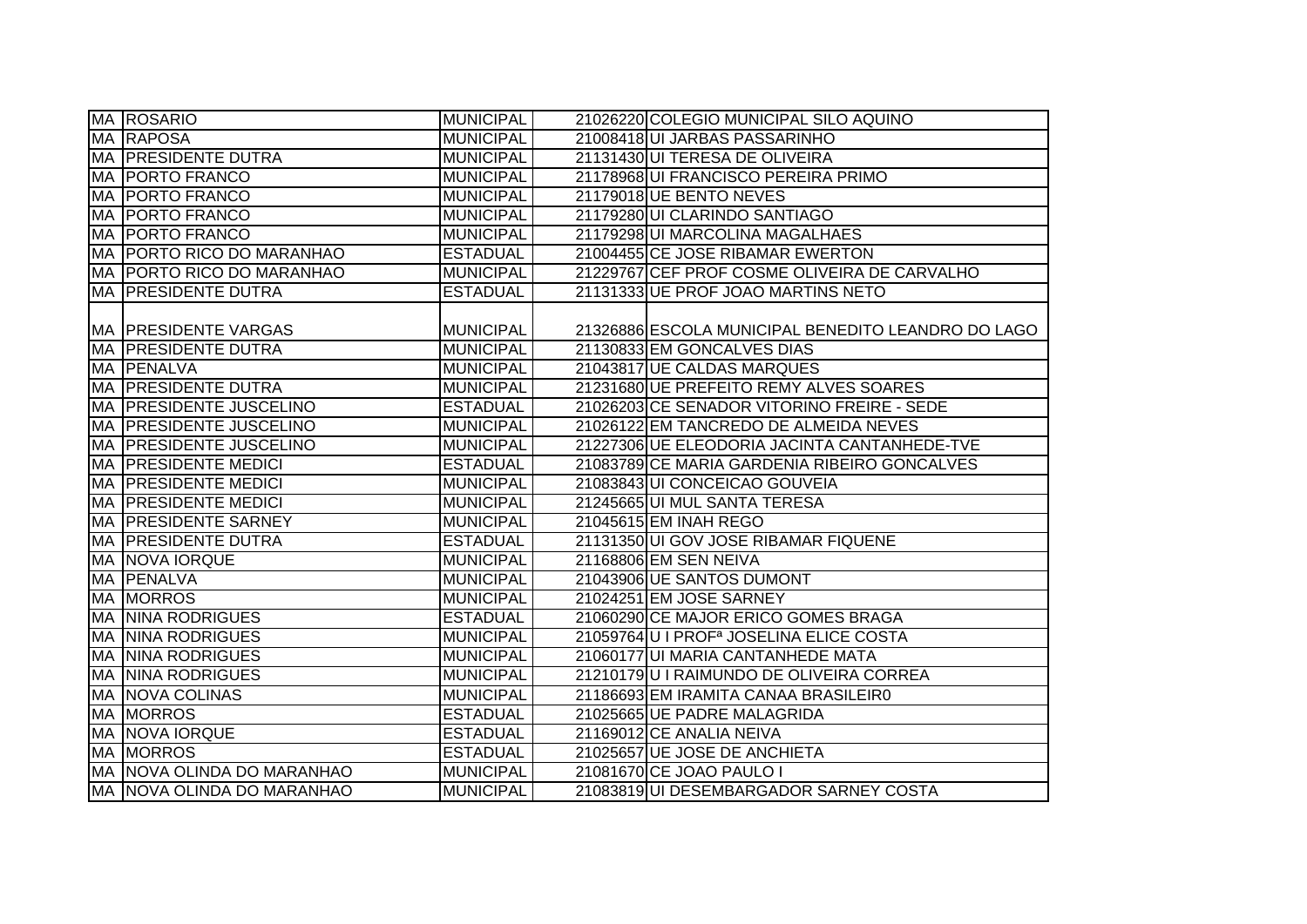|           | MA ROSARIO                  | <b>MUNICIPAL</b> | 21026220 COLEGIO MUNICIPAL SILO AQUINO              |
|-----------|-----------------------------|------------------|-----------------------------------------------------|
|           | <b>MA RAPOSA</b>            | <b>MUNICIPAL</b> | 21008418UI JARBAS PASSARINHO                        |
|           | MA PRESIDENTE DUTRA         | <b>MUNICIPAL</b> | 21131430 UI TERESA DE OLIVEIRA                      |
|           | MA   PORTO FRANCO           | <b>MUNICIPAL</b> | 21178968 UI FRANCISCO PEREIRA PRIMO                 |
|           | MA   PORTO FRANCO           | <b>MUNICIPAL</b> | 21179018 UE BENTO NEVES                             |
|           | MA   PORTO FRANCO           | <b>MUNICIPAL</b> | 21179280 UI CLARINDO SANTIAGO                       |
|           | <b>MA PORTO FRANCO</b>      | <b>MUNICIPAL</b> | 21179298UI MARCOLINA MAGALHAES                      |
|           | MA PORTO RICO DO MARANHAO   | <b>ESTADUAL</b>  | 21004455 CE JOSE RIBAMAR EWERTON                    |
|           | MA PORTO RICO DO MARANHAO   | <b>MUNICIPAL</b> | 21229767 CEF PROF COSME OLIVEIRA DE CARVALHO        |
|           | MA PRESIDENTE DUTRA         | <b>ESTADUAL</b>  | 21131333 UE PROF JOAO MARTINS NETO                  |
|           |                             |                  |                                                     |
|           | <b>MA PRESIDENTE VARGAS</b> | <b>MUNICIPAL</b> | 21326886 ESCOLA MUNICIPAL BENEDITO LEANDRO DO LAGO  |
|           | <b>MA PRESIDENTE DUTRA</b>  | <b>MUNICIPAL</b> | 21130833 EM GONCALVES DIAS                          |
|           | MA PENALVA                  | <b>MUNICIPAL</b> | 21043817 UE CALDAS MARQUES                          |
| <b>MA</b> | <b>PRESIDENTE DUTRA</b>     | <b>MUNICIPAL</b> | 21231680 UE PREFEITO REMY ALVES SOARES              |
| МA        | <b>PRESIDENTE JUSCELINO</b> | <b>ESTADUAL</b>  | 21026203 CE SENADOR VITORINO FREIRE - SEDE          |
| MA        | <b>PRESIDENTE JUSCELINO</b> | <b>MUNICIPAL</b> | 21026122 EM TANCREDO DE ALMEIDA NEVES               |
| MA        | <b>PRESIDENTE JUSCELINO</b> | <b>MUNICIPAL</b> | 21227306 UE ELEODORIA JACINTA CANTANHEDE-TVE        |
|           | MA PRESIDENTE MEDICI        | <b>ESTADUAL</b>  | 21083789 CE MARIA GARDENIA RIBEIRO GONCALVES        |
|           | <b>MA PRESIDENTE MEDICI</b> | <b>MUNICIPAL</b> | 21083843 UI CONCEICAO GOUVEIA                       |
|           | <b>MA PRESIDENTE MEDICI</b> | <b>MUNICIPAL</b> | 21245665 UI MUL SANTA TERESA                        |
|           | MA PRESIDENTE SARNEY        | <b>MUNICIPAL</b> | 21045615 EM INAH REGO                               |
|           | <b>MA PRESIDENTE DUTRA</b>  | <b>ESTADUAL</b>  | 21131350 UI GOV JOSE RIBAMAR FIQUENE                |
|           | <b>MA NOVA IORQUE</b>       | <b>MUNICIPAL</b> | 21168806 EM SEN NEIVA                               |
|           | MA PENALVA                  | <b>MUNICIPAL</b> | 21043906 UE SANTOS DUMONT                           |
|           | <b>MA MORROS</b>            | <b>MUNICIPAL</b> | 21024251 EM JOSE SARNEY                             |
|           | <b>MA NINA RODRIGUES</b>    | <b>ESTADUAL</b>  | 21060290 CE MAJOR ERICO GOMES BRAGA                 |
| MA        | <b>NINA RODRIGUES</b>       | <b>MUNICIPAL</b> | 21059764 U I PROF <sup>a</sup> JOSELINA ELICE COSTA |
| МA        | <b>NINA RODRIGUES</b>       | <b>MUNICIPAL</b> | 21060177 UI MARIA CANTANHEDE MATA                   |
|           | <b>MA NINA RODRIGUES</b>    | <b>MUNICIPAL</b> | 21210179U I RAIMUNDO DE OLIVEIRA CORREA             |
|           | <b>MA NOVA COLINAS</b>      | <b>MUNICIPAL</b> | 21186693 EM IRAMITA CANAA BRASILEIRO                |
|           | MA MORROS                   | <b>ESTADUAL</b>  | 21025665 UE PADRE MALAGRIDA                         |
|           | <b>MA NOVA IORQUE</b>       | <b>ESTADUAL</b>  | 21169012 CE ANALIA NEIVA                            |
|           | <b>MA MORROS</b>            | <b>ESTADUAL</b>  | 21025657 UE JOSE DE ANCHIETA                        |
|           | MA NOVA OLINDA DO MARANHAO  | <b>MUNICIPAL</b> | 21081670 CE JOAO PAULO I                            |
|           | MA NOVA OLINDA DO MARANHAO  | <b>MUNICIPAL</b> | 21083819UI DESEMBARGADOR SARNEY COSTA               |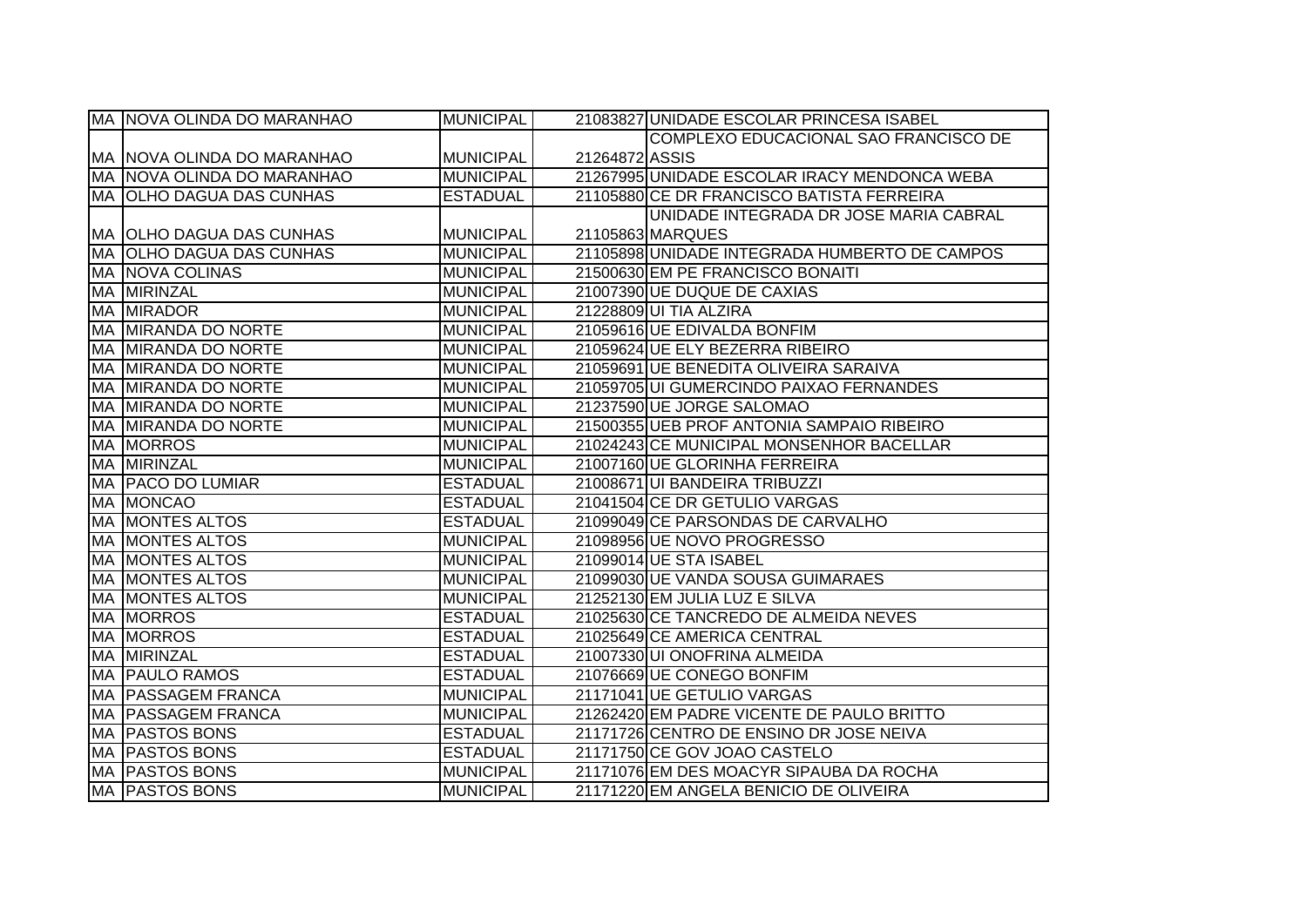| MA NOVA OLINDA DO MARANHAO        | <b>MUNICIPAL</b> |                | 21083827 UNIDADE ESCOLAR PRINCESA ISABEL      |
|-----------------------------------|------------------|----------------|-----------------------------------------------|
|                                   |                  |                | COMPLEXO EDUCACIONAL SAO FRANCISCO DE         |
| <b>MA NOVA OLINDA DO MARANHAO</b> | <b>MUNICIPAL</b> | 21264872 ASSIS |                                               |
| IMA INOVA OLINDA DO MARANHAO      | <b>MUNICIPAL</b> |                | 21267995 UNIDADE ESCOLAR IRACY MENDONCA WEBA  |
| MA  OLHO DAGUA DAS CUNHAS         | <b>ESTADUAL</b>  |                | 21105880 CE DR FRANCISCO BATISTA FERREIRA     |
|                                   |                  |                | UNIDADE INTEGRADA DR JOSE MARIA CABRAL        |
| <b>MA OLHO DAGUA DAS CUNHAS</b>   | <b>MUNICIPAL</b> |                | 21105863 MARQUES                              |
| MA OLHO DAGUA DAS CUNHAS          | <b>MUNICIPAL</b> |                | 21105898 UNIDADE INTEGRADA HUMBERTO DE CAMPOS |
| <b>MA NOVA COLINAS</b>            | <b>MUNICIPAL</b> |                | 21500630 EM PE FRANCISCO BONAITI              |
| MA MIRINZAL                       | <b>MUNICIPAL</b> |                | 21007390 UE DUQUE DE CAXIAS                   |
| <b>MA MIRADOR</b>                 | <b>MUNICIPAL</b> |                | 21228809 UI TIA ALZIRA                        |
| MA MIRANDA DO NORTE               | <b>MUNICIPAL</b> |                | 21059616 UE EDIVALDA BONFIM                   |
| MA MIRANDA DO NORTE               | <b>MUNICIPAL</b> |                | 21059624 UE ELY BEZERRA RIBEIRO               |
| MA MIRANDA DO NORTE               | <b>MUNICIPAL</b> |                | 21059691 UE BENEDITA OLIVEIRA SARAIVA         |
| <b>MA MIRANDA DO NORTE</b>        | <b>MUNICIPAL</b> |                | 21059705 UI GUMERCINDO PAIXAO FERNANDES       |
| MA MIRANDA DO NORTE               | <b>MUNICIPAL</b> |                | 21237590 UE JORGE SALOMAO                     |
| MA MIRANDA DO NORTE               | <b>MUNICIPAL</b> |                | 21500355 UEB PROF ANTONIA SAMPAIO RIBEIRO     |
| <b>MA MORROS</b>                  | <b>MUNICIPAL</b> |                | 21024243 CE MUNICIPAL MONSENHOR BACELLAR      |
| <b>MA MIRINZAL</b>                | <b>MUNICIPAL</b> |                | 21007160 UE GLORINHA FERREIRA                 |
| MA PACO DO LUMIAR                 | <b>ESTADUAL</b>  |                | 21008671 UI BANDEIRA TRIBUZZI                 |
| <b>MA MONCAO</b>                  | <b>ESTADUAL</b>  |                | 21041504 CE DR GETULIO VARGAS                 |
| <b>MA MONTES ALTOS</b>            | <b>ESTADUAL</b>  |                | 21099049 CE PARSONDAS DE CARVALHO             |
| <b>MA MONTES ALTOS</b>            | <b>MUNICIPAL</b> |                | 21098956 UE NOVO PROGRESSO                    |
| <b>MA MONTES ALTOS</b>            | <b>MUNICIPAL</b> |                | 21099014 UE STA ISABEL                        |
| <b>MA MONTES ALTOS</b>            | <b>MUNICIPAL</b> |                | 21099030 UE VANDA SOUSA GUIMARAES             |
| <b>MA MONTES ALTOS</b>            | <b>MUNICIPAL</b> |                | 21252130 EM JULIA LUZ E SILVA                 |
| <b>MA MORROS</b>                  | <b>ESTADUAL</b>  |                | 21025630 CE TANCREDO DE ALMEIDA NEVES         |
| <b>MA MORROS</b>                  | <b>ESTADUAL</b>  |                | 21025649 CE AMERICA CENTRAL                   |
| MA MIRINZAL                       | <b>ESTADUAL</b>  |                | 21007330 UI ONOFRINA ALMEIDA                  |
| <b>MA PAULO RAMOS</b>             | <b>ESTADUAL</b>  |                | 21076669 UE CONEGO BONFIM                     |
| MA PASSAGEM FRANCA                | <b>MUNICIPAL</b> |                | 21171041 UE GETULIO VARGAS                    |
| MA PASSAGEM FRANCA                | <b>MUNICIPAL</b> |                | 21262420 EM PADRE VICENTE DE PAULO BRITTO     |
| MA PASTOS BONS                    | <b>ESTADUAL</b>  |                | 21171726 CENTRO DE ENSINO DR JOSE NEIVA       |
| <b>MA PASTOS BONS</b>             | <b>ESTADUAL</b>  |                | 21171750 CE GOV JOAO CASTELO                  |
| <b>MA PASTOS BONS</b>             | <b>MUNICIPAL</b> |                | 21171076 EM DES MOACYR SIPAUBA DA ROCHA       |
| <b>MA PASTOS BONS</b>             | <b>MUNICIPAL</b> |                | 21171220 EM ANGELA BENICIO DE OLIVEIRA        |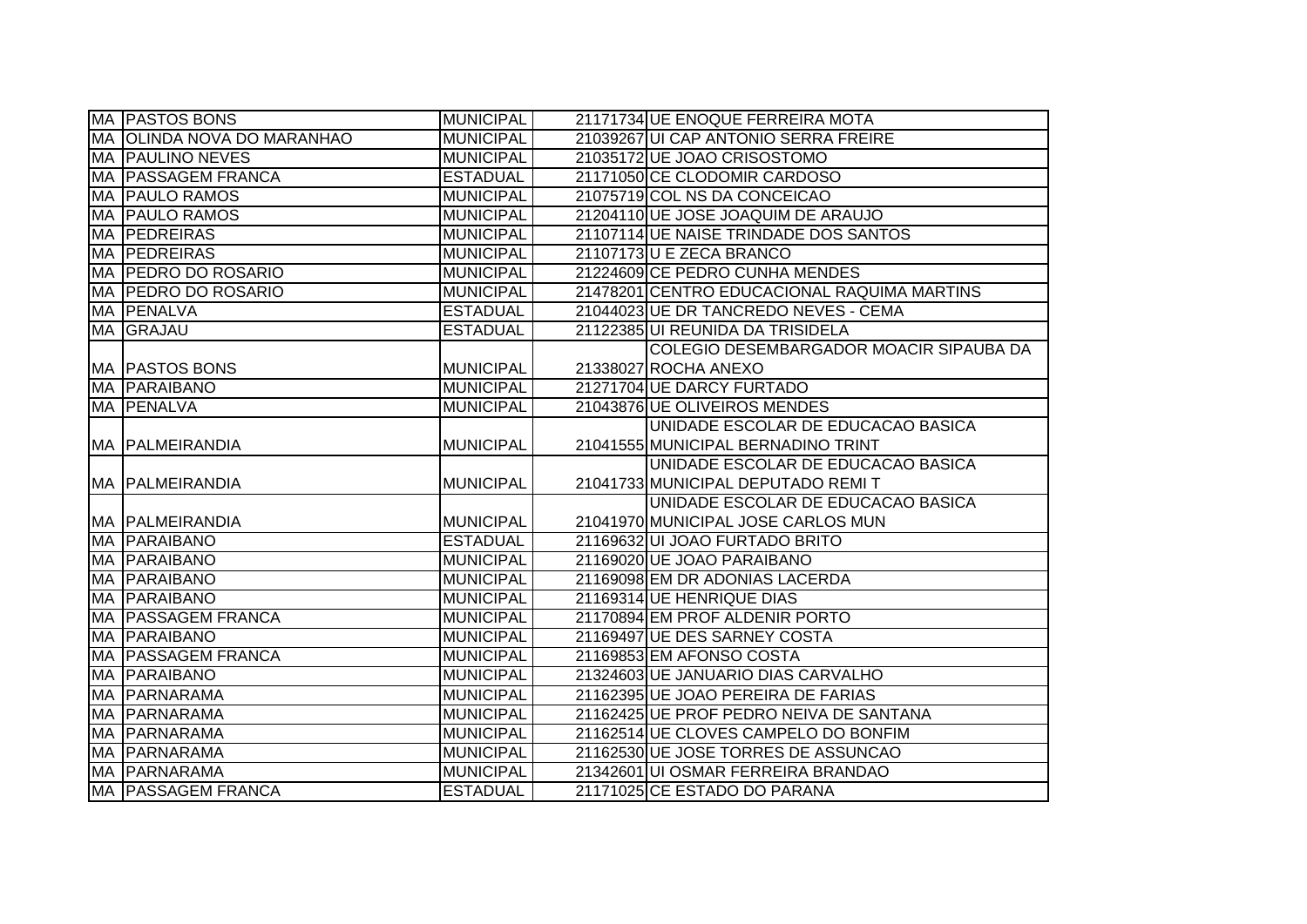| MA PASTOS BONS             | <b>MUNICIPAL</b> | 21171734 UE ENOQUE FERREIRA MOTA            |
|----------------------------|------------------|---------------------------------------------|
| MA OLINDA NOVA DO MARANHAO | <b>MUNICIPAL</b> | 21039267 UI CAP ANTONIO SERRA FREIRE        |
| MA PAULINO NEVES           | <b>MUNICIPAL</b> | 21035172 UE JOAO CRISOSTOMO                 |
| MA PASSAGEM FRANCA         | <b>ESTADUAL</b>  | 21171050 CE CLODOMIR CARDOSO                |
| <b>MA PAULO RAMOS</b>      | <b>MUNICIPAL</b> | 21075719 COL NS DA CONCEICAO                |
| <b>MA PAULO RAMOS</b>      | <b>MUNICIPAL</b> | 21204110 UE JOSE JOAQUIM DE ARAUJO          |
| <b>MA PEDREIRAS</b>        | <b>MUNICIPAL</b> | 21107114 UE NAISE TRINDADE DOS SANTOS       |
| <b>MA PEDREIRAS</b>        | <b>MUNICIPAL</b> | 21107173 U E ZECA BRANCO                    |
| MA PEDRO DO ROSARIO        | MUNICIPAL        | 21224609 CE PEDRO CUNHA MENDES              |
| MA PEDRO DO ROSARIO        | MUNICIPAL        | 21478201 CENTRO EDUCACIONAL RAQUIMA MARTINS |
| MA PENALVA                 | <b>ESTADUAL</b>  | 21044023 UE DR TANCREDO NEVES - CEMA        |
| MA GRAJAU                  | <b>ESTADUAL</b>  | 21122385 UI REUNIDA DA TRISIDELA            |
|                            |                  | COLEGIO DESEMBARGADOR MOACIR SIPAUBA DA     |
| MA PASTOS BONS             | MUNICIPAL        | 21338027 ROCHA ANEXO                        |
| <b>MA PARAIBANO</b>        | MUNICIPAL        | 21271704 UE DARCY FURTADO                   |
| MA PENALVA                 | <b>MUNICIPAL</b> | 21043876 UE OLIVEIROS MENDES                |
|                            |                  | UNIDADE ESCOLAR DE EDUCACAO BASICA          |
| MA PALMEIRANDIA            | MUNICIPAL        | 21041555 MUNICIPAL BERNADINO TRINT          |
|                            |                  | UNIDADE ESCOLAR DE EDUCACAO BASICA          |
| MA PALMEIRANDIA            | <b>MUNICIPAL</b> | 21041733 MUNICIPAL DEPUTADO REMIT           |
|                            |                  | UNIDADE ESCOLAR DE EDUCACAO BASICA          |
| MA PALMEIRANDIA            | <b>MUNICIPAL</b> | 21041970 MUNICIPAL JOSE CARLOS MUN          |
| <b>MA PARAIBANO</b>        | <b>ESTADUAL</b>  | 21169632 UI JOAO FURTADO BRITO              |
| MA PARAIBANO               | <b>MUNICIPAL</b> | 21169020 UE JOAO PARAIBANO                  |
| MA PARAIBANO               | <b>MUNICIPAL</b> | 21169098 EM DR ADONIAS LACERDA              |
| <b>MA PARAIBANO</b>        | <b>MUNICIPAL</b> | 21169314 UE HENRIQUE DIAS                   |
| MA PASSAGEM FRANCA         | <b>MUNICIPAL</b> | 21170894 EM PROF ALDENIR PORTO              |
| <b>MA PARAIBANO</b>        | <b>MUNICIPAL</b> | 21169497 UE DES SARNEY COSTA                |
| MA PASSAGEM FRANCA         | MUNICIPAL        | 21169853 EM AFONSO COSTA                    |
| MA PARAIBANO               | <b>MUNICIPAL</b> | 21324603 UE JANUARIO DIAS CARVALHO          |
| MA PARNARAMA               | <b>MUNICIPAL</b> | 21162395 UE JOAO PEREIRA DE FARIAS          |
| MA PARNARAMA               | <b>MUNICIPAL</b> | 21162425 UE PROF PEDRO NEIVA DE SANTANA     |
| MA PARNARAMA               | <b>MUNICIPAL</b> | 21162514 UE CLOVES CAMPELO DO BONFIM        |
| <b>MA PARNARAMA</b>        | <b>MUNICIPAL</b> | 21162530 UE JOSE TORRES DE ASSUNCAO         |
| MA PARNARAMA               | MUNICIPAL        | 21342601 UI OSMAR FERREIRA BRANDAO          |
| MA PASSAGEM FRANCA         | <b>ESTADUAL</b>  | 21171025 CE ESTADO DO PARANA                |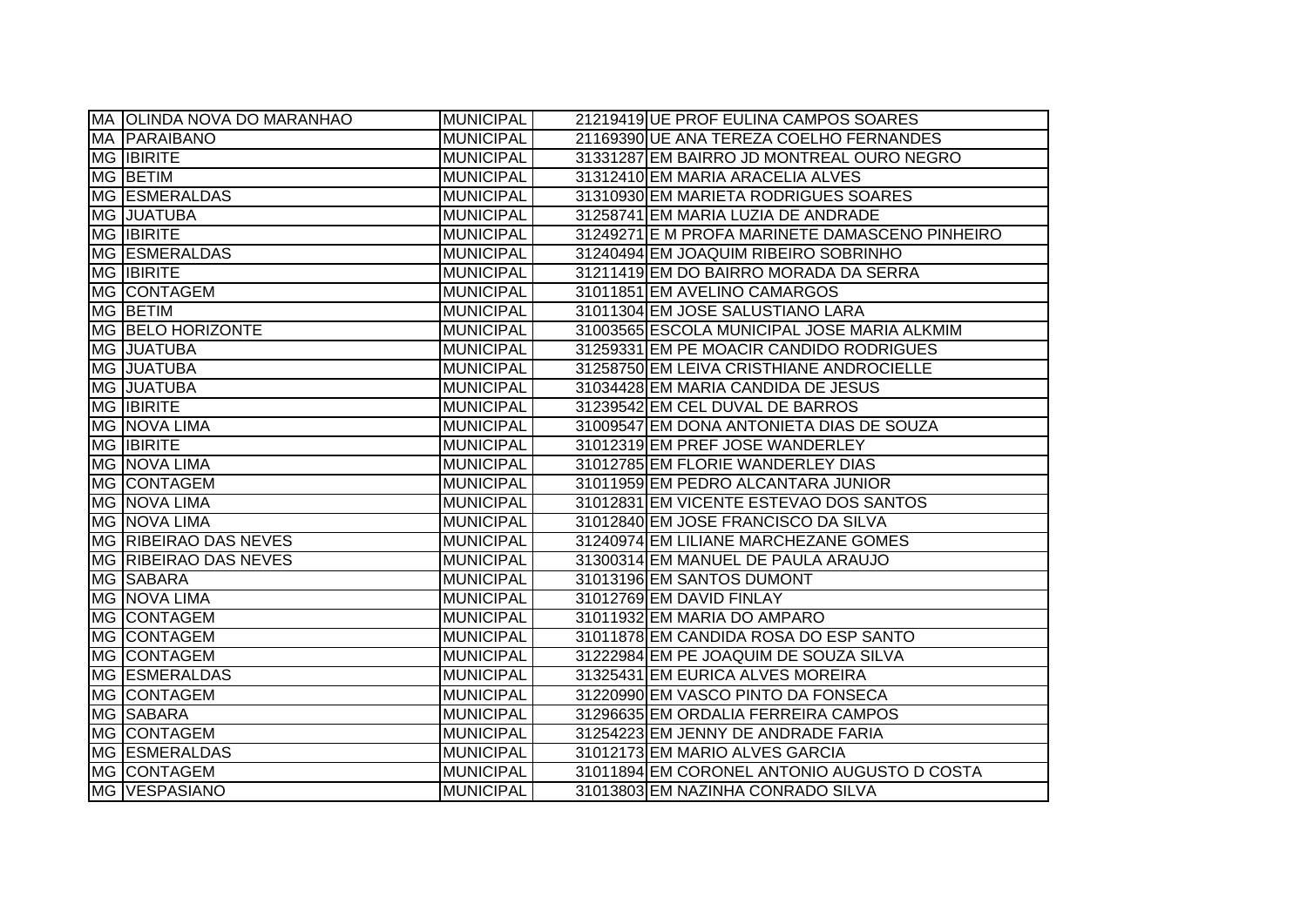| MA OLINDA NOVA DO MARANHAO | <b>MUNICIPAL</b> | 21219419 UE PROF EULINA CAMPOS SOARES          |
|----------------------------|------------------|------------------------------------------------|
| <b>MA PARAIBANO</b>        | <b>MUNICIPAL</b> | 21169390 UE ANA TEREZA COELHO FERNANDES        |
| <b>MG IBIRITE</b>          | <b>MUNICIPAL</b> | 31331287 EM BAIRRO JD MONTREAL OURO NEGRO      |
| MG BETIM                   | <b>MUNICIPAL</b> | 31312410 EM MARIA ARACELIA ALVES               |
| MG ESMERALDAS              | <b>MUNICIPAL</b> | 31310930 EM MARIETA RODRIGUES SOARES           |
| <b>MG JUATUBA</b>          | <b>MUNICIPAL</b> | 31258741 EM MARIA LUZIA DE ANDRADE             |
| <b>MG IBIRITE</b>          | <b>MUNICIPAL</b> | 31249271 E M PROFA MARINETE DAMASCENO PINHEIRO |
| <b>MG ESMERALDAS</b>       | <b>MUNICIPAL</b> | 31240494 EM JOAQUIM RIBEIRO SOBRINHO           |
| <b>MG IBIRITE</b>          | <b>MUNICIPAL</b> | 31211419 EM DO BAIRRO MORADA DA SERRA          |
| MG CONTAGEM                | <b>MUNICIPAL</b> | 31011851 EM AVELINO CAMARGOS                   |
| MG BETIM                   | <b>MUNICIPAL</b> | 31011304 EM JOSE SALUSTIANO LARA               |
| MG BELO HORIZONTE          | <b>MUNICIPAL</b> | 31003565 ESCOLA MUNICIPAL JOSE MARIA ALKMIM    |
| MG JUATUBA                 | <b>MUNICIPAL</b> | 31259331 EM PE MOACIR CANDIDO RODRIGUES        |
| MG JUATUBA                 | <b>MUNICIPAL</b> | 31258750 EM LEIVA CRISTHIANE ANDROCIELLE       |
| MG JUATUBA                 | <b>MUNICIPAL</b> | 31034428 EM MARIA CANDIDA DE JESUS             |
| <b>MG IBIRITE</b>          | <b>MUNICIPAL</b> | 31239542 EM CEL DUVAL DE BARROS                |
| MG NOVA LIMA               | <b>MUNICIPAL</b> | 31009547 EM DONA ANTONIETA DIAS DE SOUZA       |
| <b>MG IBIRITE</b>          | <b>MUNICIPAL</b> | 31012319 EM PREF JOSE WANDERLEY                |
| MG NOVA LIMA               | <b>MUNICIPAL</b> | 31012785 EM FLORIE WANDERLEY DIAS              |
| MG CONTAGEM                | <b>MUNICIPAL</b> | 31011959 EM PEDRO ALCANTARA JUNIOR             |
| MG NOVA LIMA               | <b>MUNICIPAL</b> | 31012831 EM VICENTE ESTEVAO DOS SANTOS         |
| MG NOVA LIMA               | <b>MUNICIPAL</b> | 31012840 EM JOSE FRANCISCO DA SILVA            |
| MG RIBEIRAO DAS NEVES      | <b>MUNICIPAL</b> | 31240974 EM LILIANE MARCHEZANE GOMES           |
| MG RIBEIRAO DAS NEVES      | <b>MUNICIPAL</b> | 31300314 EM MANUEL DE PAULA ARAUJO             |
| MG SABARA                  | <b>MUNICIPAL</b> | 31013196 EM SANTOS DUMONT                      |
| MG NOVA LIMA               | <b>MUNICIPAL</b> | 31012769 EM DAVID FINLAY                       |
| <b>MG CONTAGEM</b>         | <b>MUNICIPAL</b> | 31011932 EM MARIA DO AMPARO                    |
| MG CONTAGEM                | <b>MUNICIPAL</b> | 31011878 EM CANDIDA ROSA DO ESP SANTO          |
| MG CONTAGEM                | <b>MUNICIPAL</b> | 31222984 EM PE JOAQUIM DE SOUZA SILVA          |
| MG ESMERALDAS              | <b>MUNICIPAL</b> | 31325431 EM EURICA ALVES MOREIRA               |
| MG CONTAGEM                | <b>MUNICIPAL</b> | 31220990 EM VASCO PINTO DA FONSECA             |
| MG SABARA                  | <b>MUNICIPAL</b> | 31296635 EM ORDALIA FERREIRA CAMPOS            |
| MG CONTAGEM                | <b>MUNICIPAL</b> | 31254223 EM JENNY DE ANDRADE FARIA             |
| MG ESMERALDAS              | <b>MUNICIPAL</b> | 31012173 EM MARIO ALVES GARCIA                 |
| MG CONTAGEM                | <b>MUNICIPAL</b> | 31011894 EM CORONEL ANTONIO AUGUSTO D COSTA    |
| MG VESPASIANO              | <b>MUNICIPAL</b> | 31013803 EM NAZINHA CONRADO SILVA              |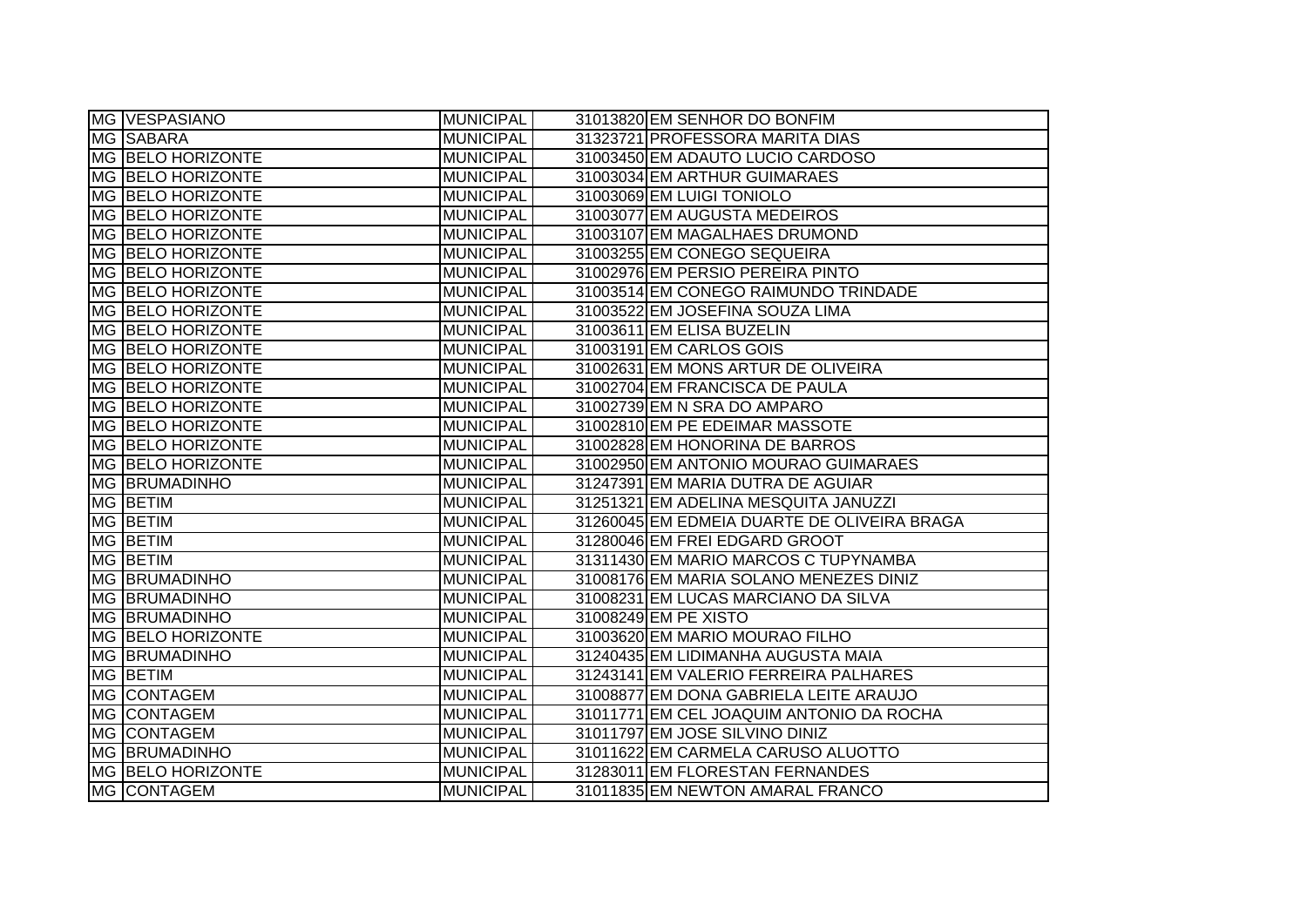| MG VESPASIANO            | <b>MUNICIPAL</b> | 31013820 EM SENHOR DO BONFIM                |
|--------------------------|------------------|---------------------------------------------|
| MG SABARA                | <b>MUNICIPAL</b> | 31323721 PROFESSORA MARITA DIAS             |
| MG BELO HORIZONTE        | <b>MUNICIPAL</b> | 31003450 EM ADAUTO LUCIO CARDOSO            |
| MG BELO HORIZONTE        | <b>MUNICIPAL</b> | 31003034 EM ARTHUR GUIMARAES                |
| MG BELO HORIZONTE        | <b>MUNICIPAL</b> | 31003069 EM LUIGI TONIOLO                   |
| MG BELO HORIZONTE        | <b>MUNICIPAL</b> | 31003077 EM AUGUSTA MEDEIROS                |
| MG BELO HORIZONTE        | <b>MUNICIPAL</b> | 31003107 EM MAGALHAES DRUMOND               |
| MG BELO HORIZONTE        | <b>MUNICIPAL</b> | 31003255 EM CONEGO SEQUEIRA                 |
| MG BELO HORIZONTE        | <b>MUNICIPAL</b> | 31002976 EM PERSIO PEREIRA PINTO            |
| MG BELO HORIZONTE        | <b>MUNICIPAL</b> | 31003514 EM CONEGO RAIMUNDO TRINDADE        |
| MG BELO HORIZONTE        | <b>MUNICIPAL</b> | 31003522 EM JOSEFINA SOUZA LIMA             |
| MG BELO HORIZONTE        | <b>MUNICIPAL</b> | 31003611 EM ELISA BUZELIN                   |
| MG BELO HORIZONTE        | <b>MUNICIPAL</b> | 31003191 EM CARLOS GOIS                     |
| MG BELO HORIZONTE        | <b>MUNICIPAL</b> | 31002631 EM MONS ARTUR DE OLIVEIRA          |
| <b>MG BELO HORIZONTE</b> | <b>MUNICIPAL</b> | 31002704 EM FRANCISCA DE PAULA              |
| MG BELO HORIZONTE        | <b>MUNICIPAL</b> | 31002739 EM N SRA DO AMPARO                 |
| MG BELO HORIZONTE        | <b>MUNICIPAL</b> | 31002810 EM PE EDEIMAR MASSOTE              |
| MG BELO HORIZONTE        | <b>MUNICIPAL</b> | 31002828 EM HONORINA DE BARROS              |
| MG BELO HORIZONTE        | <b>MUNICIPAL</b> | 31002950 EM ANTONIO MOURAO GUIMARAES        |
| <b>MG BRUMADINHO</b>     | <b>MUNICIPAL</b> | 31247391 EM MARIA DUTRA DE AGUIAR           |
| MG BETIM                 | <b>MUNICIPAL</b> | 31251321 EM ADELINA MESQUITA JANUZZI        |
| MG BETIM                 | <b>MUNICIPAL</b> | 31260045 EM EDMEIA DUARTE DE OLIVEIRA BRAGA |
| MG BETIM                 | MUNICIPAL        | 31280046 EM FREI EDGARD GROOT               |
| MG BETIM                 | <b>MUNICIPAL</b> | 31311430 EM MARIO MARCOS C TUPYNAMBA        |
| <b>MG BRUMADINHO</b>     | <b>MUNICIPAL</b> | 31008176 EM MARIA SOLANO MENEZES DINIZ      |
| <b>MG BRUMADINHO</b>     | <b>MUNICIPAL</b> | 31008231 EM LUCAS MARCIANO DA SILVA         |
| <b>MG BRUMADINHO</b>     | <b>MUNICIPAL</b> | 31008249 EM PE XISTO                        |
| MG BELO HORIZONTE        | <b>MUNICIPAL</b> | 31003620 EM MARIO MOURAO FILHO              |
| <b>MG BRUMADINHO</b>     | <b>MUNICIPAL</b> | 31240435 EM LIDIMANHA AUGUSTA MAIA          |
| MG BETIM                 | <b>MUNICIPAL</b> | 31243141 EM VALERIO FERREIRA PALHARES       |
| <b>MG CONTAGEM</b>       | <b>MUNICIPAL</b> | 31008877 EM DONA GABRIELA LEITE ARAUJO      |
| MG CONTAGEM              | <b>MUNICIPAL</b> | 31011771 EM CEL JOAQUIM ANTONIO DA ROCHA    |
| MG CONTAGEM              | <b>MUNICIPAL</b> | 31011797 EM JOSE SILVINO DINIZ              |
| <b>MG BRUMADINHO</b>     | <b>MUNICIPAL</b> | 31011622 EM CARMELA CARUSO ALUOTTO          |
| MG BELO HORIZONTE        | <b>MUNICIPAL</b> | 31283011 EM FLORESTAN FERNANDES             |
| MG CONTAGEM              | MUNICIPAL        | 31011835 EM NEWTON AMARAL FRANCO            |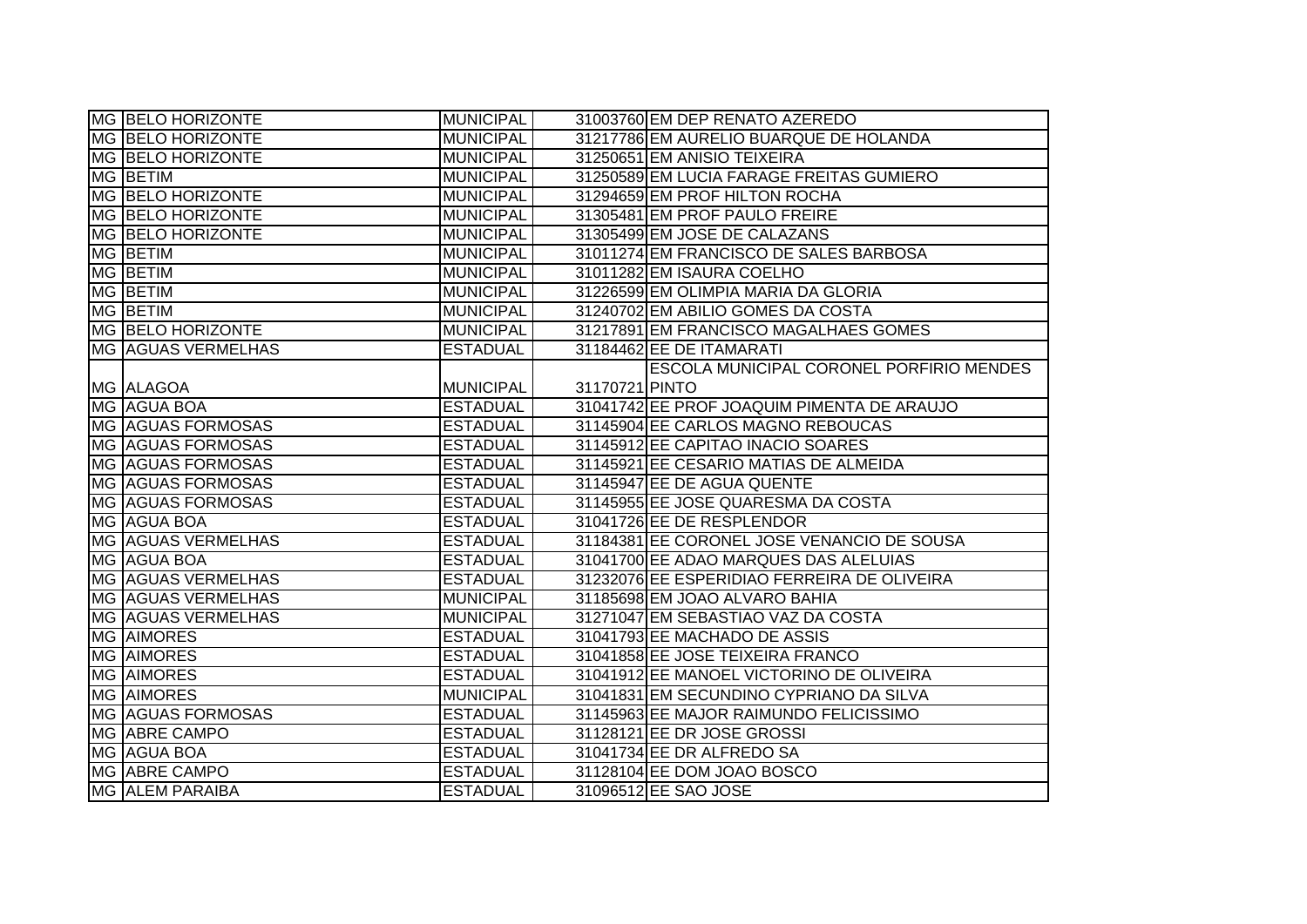| <b>MG BELO HORIZONTE</b>  | <b>MUNICIPAL</b> |                | 31003760 EM DEP RENATO AZEREDO                  |
|---------------------------|------------------|----------------|-------------------------------------------------|
| MG BELO HORIZONTE         | <b>MUNICIPAL</b> |                | 31217786 EM AURELIO BUARQUE DE HOLANDA          |
| MG BELO HORIZONTE         | <b>MUNICIPAL</b> |                | 31250651 EM ANISIO TEIXEIRA                     |
| <b>MG BETIM</b>           | <b>MUNICIPAL</b> |                | 31250589 EM LUCIA FARAGE FREITAS GUMIERO        |
| MG BELO HORIZONTE         | <b>MUNICIPAL</b> |                | 31294659 EM PROF HILTON ROCHA                   |
| MG BELO HORIZONTE         | <b>MUNICIPAL</b> |                | 31305481 EM PROF PAULO FREIRE                   |
| MG BELO HORIZONTE         | <b>MUNICIPAL</b> |                | 31305499 EM JOSE DE CALAZANS                    |
| MG BETIM                  | <b>MUNICIPAL</b> |                | 31011274 EM FRANCISCO DE SALES BARBOSA          |
| MG BETIM                  | <b>MUNICIPAL</b> |                | 31011282 EM ISAURA COELHO                       |
| MG BETIM                  | <b>MUNICIPAL</b> |                | 31226599 EM OLIMPIA MARIA DA GLORIA             |
| MG BETIM                  | <b>MUNICIPAL</b> |                | 31240702 EM ABILIO GOMES DA COSTA               |
| MG BELO HORIZONTE         | <b>MUNICIPAL</b> |                | 31217891 EM FRANCISCO MAGALHAES GOMES           |
| <b>MG AGUAS VERMELHAS</b> | <b>ESTADUAL</b>  |                | 31184462 EE DE ITAMARATI                        |
|                           |                  |                | <b>ESCOLA MUNICIPAL CORONEL PORFIRIO MENDES</b> |
| MG ALAGOA                 | <b>MUNICIPAL</b> | 31170721 PINTO |                                                 |
| MG AGUA BOA               | <b>ESTADUAL</b>  |                | 31041742 EE PROF JOAQUIM PIMENTA DE ARAUJO      |
| MG AGUAS FORMOSAS         | <b>ESTADUAL</b>  |                | 31145904 EE CARLOS MAGNO REBOUCAS               |
| MG AGUAS FORMOSAS         | <b>ESTADUAL</b>  |                | 31145912 EE CAPITAO INACIO SOARES               |
| MG AGUAS FORMOSAS         | <b>ESTADUAL</b>  |                | 31145921 EE CESARIO MATIAS DE ALMEIDA           |
| MG AGUAS FORMOSAS         | <b>ESTADUAL</b>  |                | 31145947 EE DE AGUA QUENTE                      |
| MG AGUAS FORMOSAS         | <b>ESTADUAL</b>  |                | 31145955 EE JOSE QUARESMA DA COSTA              |
| MG AGUA BOA               | <b>ESTADUAL</b>  |                | 31041726 EE DE RESPLENDOR                       |
| MG AGUAS VERMELHAS        | <b>ESTADUAL</b>  |                | 31184381 EE CORONEL JOSE VENANCIO DE SOUSA      |
| MG AGUA BOA               | <b>ESTADUAL</b>  |                | 31041700 EE ADAO MARQUES DAS ALELUIAS           |
| <b>MG AGUAS VERMELHAS</b> | <b>ESTADUAL</b>  |                | 31232076 EE ESPERIDIAO FERREIRA DE OLIVEIRA     |
| <b>MG AGUAS VERMELHAS</b> | <b>MUNICIPAL</b> |                | 31185698 EM JOAO ALVARO BAHIA                   |
| MG AGUAS VERMELHAS        | <b>MUNICIPAL</b> |                | 31271047 EM SEBASTIAO VAZ DA COSTA              |
| MG AIMORES                | <b>ESTADUAL</b>  |                | 31041793 EE MACHADO DE ASSIS                    |
| <b>MG AIMORES</b>         | <b>ESTADUAL</b>  |                | 31041858 EE JOSE TEIXEIRA FRANCO                |
| MG AIMORES                | <b>ESTADUAL</b>  |                | 31041912 EE MANOEL VICTORINO DE OLIVEIRA        |
| <b>MG AIMORES</b>         | <b>MUNICIPAL</b> |                | 31041831 EM SECUNDINO CYPRIANO DA SILVA         |
| MG AGUAS FORMOSAS         | <b>ESTADUAL</b>  |                | 31145963 EE MAJOR RAIMUNDO FELICISSIMO          |
| MG ABRE CAMPO             | <b>ESTADUAL</b>  |                | 31128121 EE DR JOSE GROSSI                      |
| MG AGUA BOA               | <b>ESTADUAL</b>  |                | 31041734 EE DR ALFREDO SA                       |
| MG ABRE CAMPO             | <b>ESTADUAL</b>  |                | 31128104 EE DOM JOAO BOSCO                      |
| MG ALEM PARAIBA           | <b>ESTADUAL</b>  |                | 31096512 EE SAO JOSE                            |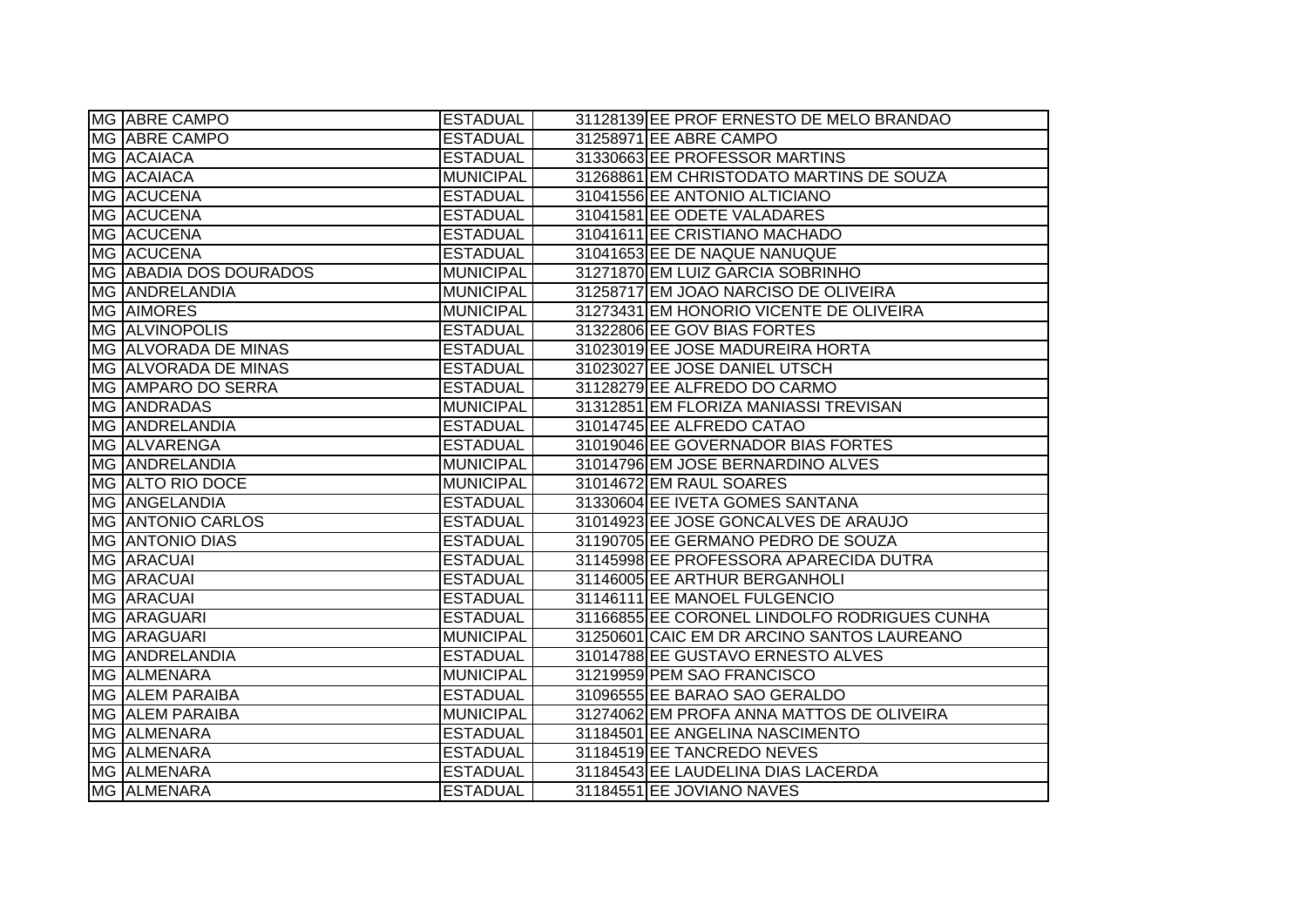| MG ABRE CAMPO                 | <b>ESTADUAL</b>  | 31128139 EE PROF ERNESTO DE MELO BRANDAO     |
|-------------------------------|------------------|----------------------------------------------|
| MG ABRE CAMPO                 | <b>ESTADUAL</b>  | 31258971 EE ABRE CAMPO                       |
| MG ACAIACA                    | <b>ESTADUAL</b>  | 31330663 EE PROFESSOR MARTINS                |
| MG ACAIACA                    | <b>MUNICIPAL</b> | 31268861 EM CHRISTODATO MARTINS DE SOUZA     |
| MG ACUCENA                    | <b>ESTADUAL</b>  | 31041556 EE ANTONIO ALTICIANO                |
| MG ACUCENA                    | <b>ESTADUAL</b>  | 31041581 EE ODETE VALADARES                  |
| MG ACUCENA                    | <b>ESTADUAL</b>  | 31041611 EE CRISTIANO MACHADO                |
| MG ACUCENA                    | <b>ESTADUAL</b>  | 31041653 EE DE NAQUE NANUQUE                 |
| <b>MG ABADIA DOS DOURADOS</b> | <b>MUNICIPAL</b> | 31271870 EM LUIZ GARCIA SOBRINHO             |
| MG ANDRELANDIA                | <b>MUNICIPAL</b> | 31258717 EM JOAO NARCISO DE OLIVEIRA         |
| MG AIMORES                    | <b>MUNICIPAL</b> | 31273431 EM HONORIO VICENTE DE OLIVEIRA      |
| <b>MG ALVINOPOLIS</b>         | <b>ESTADUAL</b>  | 31322806 EE GOV BIAS FORTES                  |
| MG ALVORADA DE MINAS          | <b>ESTADUAL</b>  | 31023019 EE JOSE MADUREIRA HORTA             |
| MG ALVORADA DE MINAS          | <b>ESTADUAL</b>  | 31023027 EE JOSE DANIEL UTSCH                |
| MG AMPARO DO SERRA            | <b>ESTADUAL</b>  | 31128279 EE ALFREDO DO CARMO                 |
| MG ANDRADAS                   | <b>MUNICIPAL</b> | 31312851 EM FLORIZA MANIASSI TREVISAN        |
| MG ANDRELANDIA                | <b>ESTADUAL</b>  | 31014745 EE ALFREDO CATAO                    |
| MG ALVARENGA                  | <b>ESTADUAL</b>  | 31019046 EE GOVERNADOR BIAS FORTES           |
| MG ANDRELANDIA                | <b>MUNICIPAL</b> | 31014796 EM JOSE BERNARDINO ALVES            |
| MG ALTO RIO DOCE              | <b>MUNICIPAL</b> | 31014672 EM RAUL SOARES                      |
| MG ANGELANDIA                 | <b>ESTADUAL</b>  | 31330604 EE IVETA GOMES SANTANA              |
| <b>MG ANTONIO CARLOS</b>      | <b>ESTADUAL</b>  | 31014923 EE JOSE GONCALVES DE ARAUJO         |
| <b>MG ANTONIO DIAS</b>        | <b>ESTADUAL</b>  | 31190705 EE GERMANO PEDRO DE SOUZA           |
| MG ARACUAI                    | <b>ESTADUAL</b>  | 31145998 EE PROFESSORA APARECIDA DUTRA       |
| MG ARACUAI                    | <b>ESTADUAL</b>  | 31146005 EE ARTHUR BERGANHOLI                |
| <b>MG ARACUAL</b>             | <b>ESTADUAL</b>  | 31146111 EE MANOEL FULGENCIO                 |
| MG ARAGUARI                   | <b>ESTADUAL</b>  | 31166855 EE CORONEL LINDOLFO RODRIGUES CUNHA |
| MG ARAGUARI                   | <b>MUNICIPAL</b> | 31250601 CAIC EM DR ARCINO SANTOS LAUREANO   |
| MG ANDRELANDIA                | <b>ESTADUAL</b>  | 31014788 EE GUSTAVO ERNESTO ALVES            |
| MG ALMENARA                   | <b>MUNICIPAL</b> | 31219959 PEM SAO FRANCISCO                   |
| MG ALEM PARAIBA               | <b>ESTADUAL</b>  | 31096555 EE BARAO SAO GERALDO                |
| MG ALEM PARAIBA               | <b>MUNICIPAL</b> | 31274062 EM PROFA ANNA MATTOS DE OLIVEIRA    |
| MG ALMENARA                   | <b>ESTADUAL</b>  | 31184501 EE ANGELINA NASCIMENTO              |
| MG ALMENARA                   | <b>ESTADUAL</b>  | 31184519 EE TANCREDO NEVES                   |
| MG ALMENARA                   | <b>ESTADUAL</b>  | 31184543 EE LAUDELINA DIAS LACERDA           |
| MG ALMENARA                   | <b>ESTADUAL</b>  | 31184551 EE JOVIANO NAVES                    |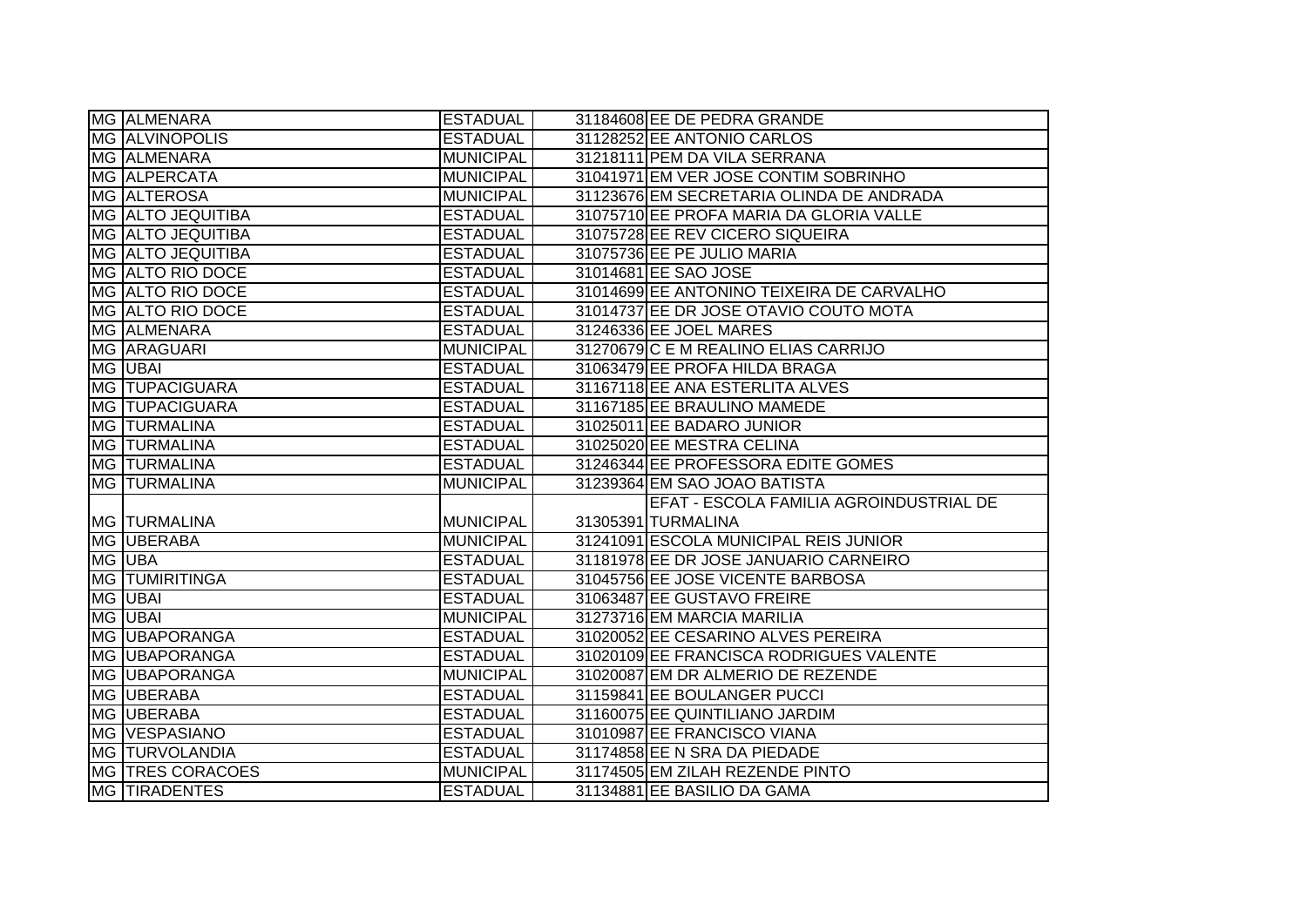| MG ALMENARA           | <b>ESTADUAL</b>  | 31184608 EE DE PEDRA GRANDE               |
|-----------------------|------------------|-------------------------------------------|
| <b>MG ALVINOPOLIS</b> | <b>ESTADUAL</b>  | 31128252 EE ANTONIO CARLOS                |
| MG ALMENARA           | <b>MUNICIPAL</b> | 31218111 PEM DA VILA SERRANA              |
| MG ALPERCATA          | <b>MUNICIPAL</b> | 31041971 EM VER JOSE CONTIM SOBRINHO      |
| MG ALTEROSA           | <b>MUNICIPAL</b> | 31123676 EM SECRETARIA OLINDA DE ANDRADA  |
| MG ALTO JEQUITIBA     | <b>ESTADUAL</b>  | 31075710 EE PROFA MARIA DA GLORIA VALLE   |
| MG ALTO JEQUITIBA     | <b>ESTADUAL</b>  | 31075728 EE REV CICERO SIQUEIRA           |
| MG ALTO JEQUITIBA     | <b>ESTADUAL</b>  | 31075736 EE PE JULIO MARIA                |
| MG ALTO RIO DOCE      | <b>ESTADUAL</b>  | 31014681 EE SAO JOSE                      |
| MG ALTO RIO DOCE      | <b>ESTADUAL</b>  | 31014699 EE ANTONINO TEIXEIRA DE CARVALHO |
| MG ALTO RIO DOCE      | <b>ESTADUAL</b>  | 31014737 EE DR JOSE OTAVIO COUTO MOTA     |
| MG ALMENARA           | <b>ESTADUAL</b>  | 31246336 EE JOEL MARES                    |
| MG ARAGUARI           | <b>MUNICIPAL</b> | 31270679 C E M REALINO ELIAS CARRIJO      |
| <b>MG UBAI</b>        | <b>ESTADUAL</b>  | 31063479 EE PROFA HILDA BRAGA             |
| <b>MG TUPACIGUARA</b> | <b>ESTADUAL</b>  | 31167118 EE ANA ESTERLITA ALVES           |
| <b>MG TUPACIGUARA</b> | <b>ESTADUAL</b>  | 31167185 EE BRAULINO MAMEDE               |
| <b>MG TURMALINA</b>   | <b>ESTADUAL</b>  | 31025011 EE BADARO JUNIOR                 |
| MG TURMALINA          | <b>ESTADUAL</b>  | 31025020 EE MESTRA CELINA                 |
| MG TURMALINA          | <b>ESTADUAL</b>  | 31246344 EE PROFESSORA EDITE GOMES        |
| MG TURMALINA          | <b>MUNICIPAL</b> | 31239364 EM SAO JOAO BATISTA              |
|                       |                  | EFAT - ESCOLA FAMILIA AGROINDUSTRIAL DE   |
| MG TURMALINA          | <b>MUNICIPAL</b> | 31305391 TURMALINA                        |
| MG UBERABA            | <b>MUNICIPAL</b> | 31241091 ESCOLA MUNICIPAL REIS JUNIOR     |
| MG UBA                | <b>ESTADUAL</b>  | 31181978 EE DR JOSE JANUARIO CARNEIRO     |
| <b>MG TUMIRITINGA</b> | <b>ESTADUAL</b>  | 31045756 EE JOSE VICENTE BARBOSA          |
| MG UBAI               | <b>ESTADUAL</b>  | 31063487 EE GUSTAVO FREIRE                |
| MG UBAI               | <b>MUNICIPAL</b> | 31273716 EM MARCIA MARILIA                |
| MG UBAPORANGA         | <b>ESTADUAL</b>  | 31020052 EE CESARINO ALVES PEREIRA        |
| MG UBAPORANGA         | <b>ESTADUAL</b>  | 31020109 EE FRANCISCA RODRIGUES VALENTE   |
| <b>MG UBAPORANGA</b>  | <b>MUNICIPAL</b> | 31020087 EM DR ALMERIO DE REZENDE         |
| MG UBERABA            | <b>ESTADUAL</b>  | 31159841 EE BOULANGER PUCCI               |
| MG UBERABA            | <b>ESTADUAL</b>  | 31160075 EE QUINTILIANO JARDIM            |
| MG VESPASIANO         | <b>ESTADUAL</b>  | 31010987 EE FRANCISCO VIANA               |
| MG TURVOLANDIA        | <b>ESTADUAL</b>  | 31174858 EE N SRA DA PIEDADE              |
| MG TRES CORACOES      | <b>MUNICIPAL</b> | 31174505 EM ZILAH REZENDE PINTO           |
| <b>MG TIRADENTES</b>  | <b>ESTADUAL</b>  | 31134881 EE BASILIO DA GAMA               |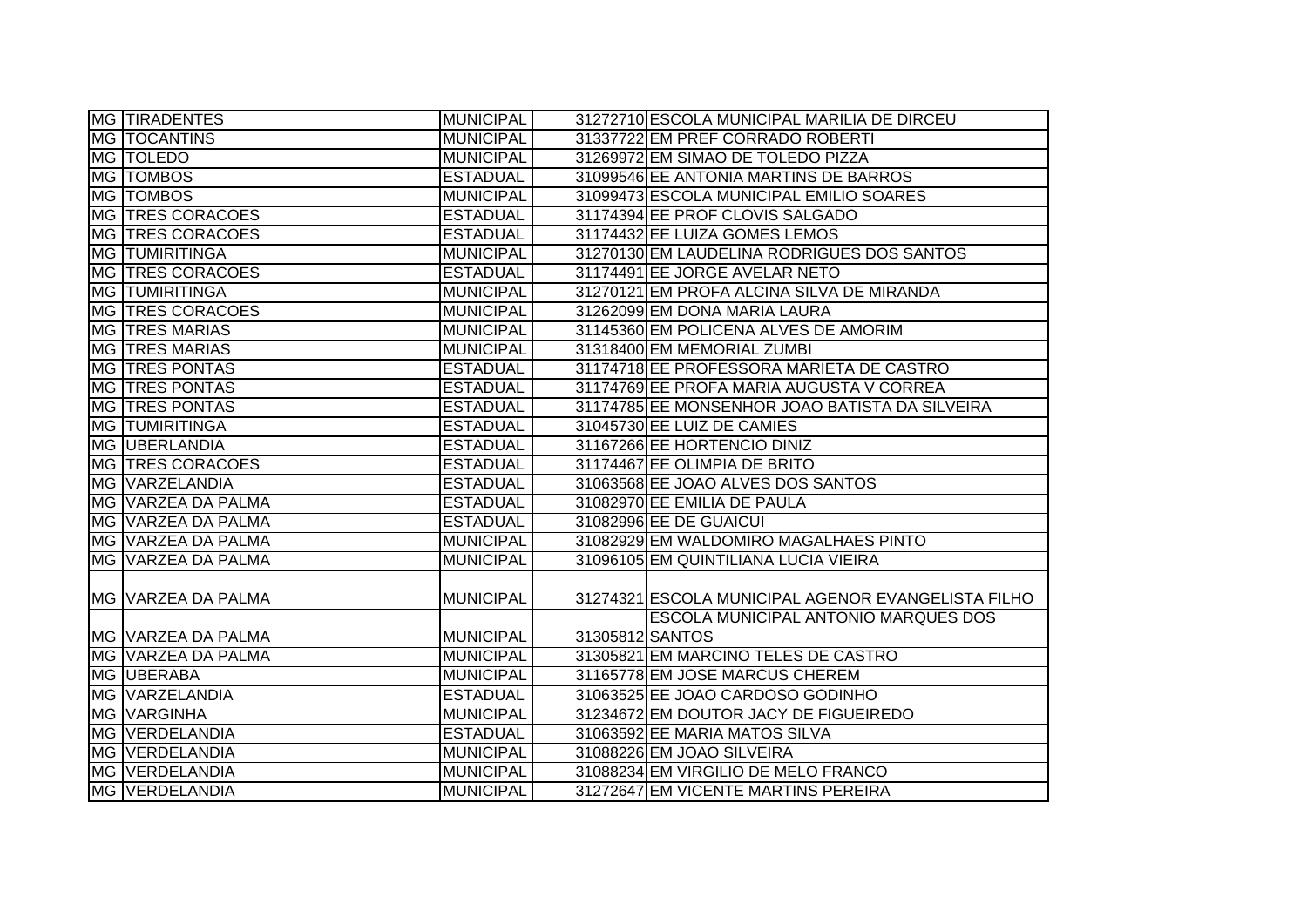| <b>MG TIRADENTES</b>      | <b>MUNICIPAL</b> |                 | 31272710 ESCOLA MUNICIPAL MARILIA DE DIRCEU        |
|---------------------------|------------------|-----------------|----------------------------------------------------|
| <b>MG TOCANTINS</b>       | <b>MUNICIPAL</b> |                 | 31337722 EM PREF CORRADO ROBERTI                   |
| MG   TOLEDO               | <b>MUNICIPAL</b> |                 | 31269972 EM SIMAO DE TOLEDO PIZZA                  |
| MG   TOMBOS               | <b>ESTADUAL</b>  |                 | 31099546 EE ANTONIA MARTINS DE BARROS              |
| MG   TOMBOS               | <b>MUNICIPAL</b> |                 | 31099473 ESCOLA MUNICIPAL EMILIO SOARES            |
| MG TRES CORACOES          | <b>ESTADUAL</b>  |                 | 31174394 EE PROF CLOVIS SALGADO                    |
| <b>MG TRES CORACOES</b>   | <b>ESTADUAL</b>  |                 | 31174432 EE LUIZA GOMES LEMOS                      |
| MG TUMIRITINGA            | <b>MUNICIPAL</b> |                 | 31270130 EM LAUDELINA RODRIGUES DOS SANTOS         |
| MG TRES CORACOES          | <b>ESTADUAL</b>  |                 | 31174491 EE JORGE AVELAR NETO                      |
| <b>MG TUMIRITINGA</b>     | <b>MUNICIPAL</b> |                 | 31270121 EM PROFA ALCINA SILVA DE MIRANDA          |
| MG TRES CORACOES          | <b>MUNICIPAL</b> |                 | 31262099 EM DONA MARIA LAURA                       |
| <b>MG TRES MARIAS</b>     | <b>MUNICIPAL</b> |                 | 31145360 EM POLICENA ALVES DE AMORIM               |
| <b>MG TRES MARIAS</b>     | <b>MUNICIPAL</b> |                 | 31318400 EM MEMORIAL ZUMBI                         |
| <b>MG TRES PONTAS</b>     | <b>ESTADUAL</b>  |                 | 31174718 EE PROFESSORA MARIETA DE CASTRO           |
| <b>MG TRES PONTAS</b>     | <b>ESTADUAL</b>  |                 | 31174769 EE PROFA MARIA AUGUSTA V CORREA           |
| <b>MG TRES PONTAS</b>     | <b>ESTADUAL</b>  |                 | 31174785 EE MONSENHOR JOAO BATISTA DA SILVEIRA     |
| <b>MG TUMIRITINGA</b>     | <b>ESTADUAL</b>  |                 | 31045730 EE LUIZ DE CAMIES                         |
| MG UBERLANDIA             | <b>ESTADUAL</b>  |                 | 31167266 EE HORTENCIO DINIZ                        |
| MG TRES CORACOES          | <b>ESTADUAL</b>  |                 | 31174467 EE OLIMPIA DE BRITO                       |
| MG VARZELANDIA            | <b>ESTADUAL</b>  |                 | 31063568 EE JOAO ALVES DOS SANTOS                  |
| MG VARZEA DA PALMA        | <b>ESTADUAL</b>  |                 | 31082970 EE EMILIA DE PAULA                        |
| MG VARZEA DA PALMA        | <b>ESTADUAL</b>  |                 | 31082996 EE DE GUAICUI                             |
| MG VARZEA DA PALMA        | <b>MUNICIPAL</b> |                 | 31082929 EM WALDOMIRO MAGALHAES PINTO              |
| MG VARZEA DA PALMA        | <b>MUNICIPAL</b> |                 | 31096105 EM QUINTILIANA LUCIA VIEIRA               |
| <b>MG VARZEA DA PALMA</b> | <b>MUNICIPAL</b> |                 | 31274321 ESCOLA MUNICIPAL AGENOR EVANGELISTA FILHO |
|                           |                  |                 | ESCOLA MUNICIPAL ANTONIO MARQUES DOS               |
| MG VARZEA DA PALMA        | <b>MUNICIPAL</b> | 31305812 SANTOS |                                                    |
| MG VARZEA DA PALMA        | <b>MUNICIPAL</b> |                 | 31305821 EM MARCINO TELES DE CASTRO                |
| MG UBERABA                | <b>MUNICIPAL</b> |                 | 31165778 EM JOSE MARCUS CHEREM                     |
| MG VARZELANDIA            | <b>ESTADUAL</b>  |                 | 31063525 EE JOAO CARDOSO GODINHO                   |
| MG VARGINHA               | <b>MUNICIPAL</b> |                 | 31234672 EM DOUTOR JACY DE FIGUEIREDO              |
| MG VERDELANDIA            | <b>ESTADUAL</b>  |                 | 31063592 EE MARIA MATOS SILVA                      |
| MG VERDELANDIA            | <b>MUNICIPAL</b> |                 | 31088226 EM JOAO SILVEIRA                          |
| MG VERDELANDIA            | <b>MUNICIPAL</b> |                 | 31088234 EM VIRGILIO DE MELO FRANCO                |
| MG VERDELANDIA            | <b>MUNICIPAL</b> |                 | 31272647 EM VICENTE MARTINS PEREIRA                |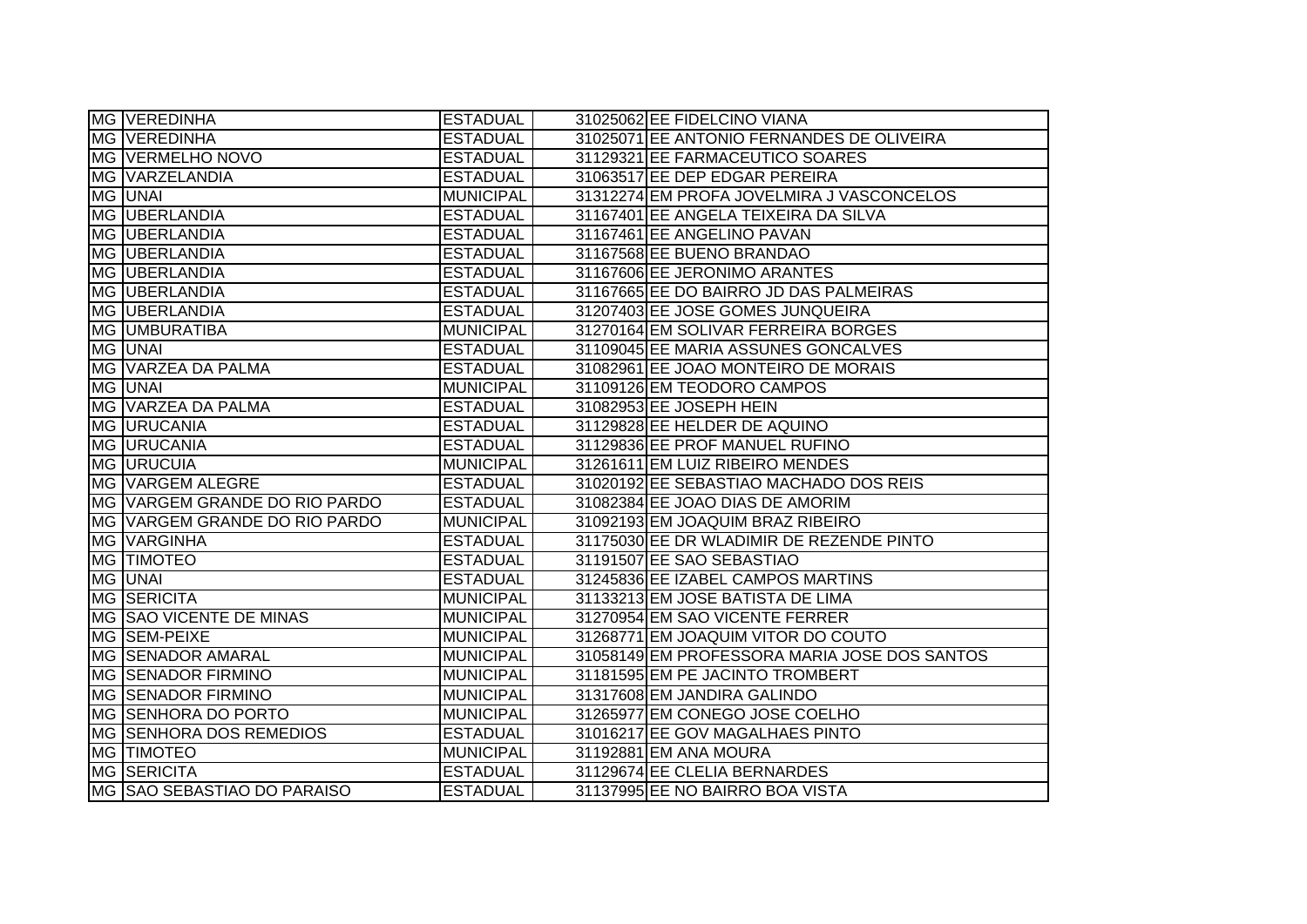|    | MG VEREDINHA                  | <b>ESTADUAL</b>  | 31025062 EE FIDELCINO VIANA                  |
|----|-------------------------------|------------------|----------------------------------------------|
|    | MG VEREDINHA                  | <b>ESTADUAL</b>  | 31025071 EE ANTONIO FERNANDES DE OLIVEIRA    |
|    | MG VERMELHO NOVO              | <b>ESTADUAL</b>  | 31129321 EE FARMACEUTICO SOARES              |
|    | MG VARZELANDIA                | <b>ESTADUAL</b>  | 31063517 EE DEP EDGAR PEREIRA                |
|    | MG UNAI                       | <b>MUNICIPAL</b> | 31312274 EM PROFA JOVELMIRA J VASCONCELOS    |
|    | MG UBERLANDIA                 | <b>ESTADUAL</b>  | 31167401 EE ANGELA TEIXEIRA DA SILVA         |
|    | MG UBERLANDIA                 | <b>ESTADUAL</b>  | 31167461 EE ANGELINO PAVAN                   |
|    | MG UBERLANDIA                 | <b>ESTADUAL</b>  | 31167568 EE BUENO BRANDAO                    |
|    | MG UBERLANDIA                 | <b>ESTADUAL</b>  | 31167606 EE JERONIMO ARANTES                 |
|    | MG UBERLANDIA                 | <b>ESTADUAL</b>  | 31167665 EE DO BAIRRO JD DAS PALMEIRAS       |
|    | MG UBERLANDIA                 | <b>ESTADUAL</b>  | 31207403 EE JOSE GOMES JUNQUEIRA             |
|    | MG UMBURATIBA                 | <b>MUNICIPAL</b> | 31270164 EM SOLIVAR FERREIRA BORGES          |
|    | MG UNAI                       | <b>ESTADUAL</b>  | 31109045 EE MARIA ASSUNES GONCALVES          |
|    | MG VARZEA DA PALMA            | <b>ESTADUAL</b>  | 31082961 EE JOAO MONTEIRO DE MORAIS          |
|    | MG UNAI                       | <b>MUNICIPAL</b> | 31109126 EM TEODORO CAMPOS                   |
|    | MG VARZEA DA PALMA            | <b>ESTADUAL</b>  | 31082953 EE JOSEPH HEIN                      |
|    | MG URUCANIA                   | <b>ESTADUAL</b>  | 31129828 EE HELDER DE AQUINO                 |
| MG | <b>URUCANIA</b>               | <b>ESTADUAL</b>  | 31129836 EE PROF MANUEL RUFINO               |
|    | MG URUCUIA                    | <b>MUNICIPAL</b> | 31261611 EM LUIZ RIBEIRO MENDES              |
|    | MG VARGEM ALEGRE              | <b>ESTADUAL</b>  | 31020192 EE SEBASTIAO MACHADO DOS REIS       |
|    | MG VARGEM GRANDE DO RIO PARDO | <b>ESTADUAL</b>  | 31082384 EE JOAO DIAS DE AMORIM              |
|    | MG VARGEM GRANDE DO RIO PARDO | <b>MUNICIPAL</b> | 31092193 EM JOAQUIM BRAZ RIBEIRO             |
|    | MG VARGINHA                   | <b>ESTADUAL</b>  | 31175030 EE DR WLADIMIR DE REZENDE PINTO     |
|    | MG TIMOTEO                    | <b>ESTADUAL</b>  | 31191507 EE SAO SEBASTIAO                    |
|    | MG UNAI                       | <b>ESTADUAL</b>  | 31245836 EE IZABEL CAMPOS MARTINS            |
|    | MG SERICITA                   | <b>MUNICIPAL</b> | 31133213 EM JOSE BATISTA DE LIMA             |
|    | MG SAO VICENTE DE MINAS       | <b>MUNICIPAL</b> | 31270954 EM SAO VICENTE FERRER               |
|    | MG SEM-PEIXE                  | <b>MUNICIPAL</b> | 31268771 EM JOAQUIM VITOR DO COUTO           |
|    | MG SENADOR AMARAL             | <b>MUNICIPAL</b> | 31058149 EM PROFESSORA MARIA JOSE DOS SANTOS |
|    | <b>MG SENADOR FIRMINO</b>     | <b>MUNICIPAL</b> | 31181595 EM PE JACINTO TROMBERT              |
|    | <b>MG SENADOR FIRMINO</b>     | <b>MUNICIPAL</b> | 31317608 EM JANDIRA GALINDO                  |
|    | <b>MG SENHORA DO PORTO</b>    | <b>MUNICIPAL</b> | 31265977 EM CONEGO JOSE COELHO               |
|    | MG SENHORA DOS REMEDIOS       | <b>ESTADUAL</b>  | 31016217 EE GOV MAGALHAES PINTO              |
|    | MG TIMOTEO                    | <b>MUNICIPAL</b> | 31192881 EM ANA MOURA                        |
|    | MG SERICITA                   | <b>ESTADUAL</b>  | 31129674 EE CLELIA BERNARDES                 |
|    | MG SAO SEBASTIAO DO PARAISO   | <b>ESTADUAL</b>  | 31137995 EE NO BAIRRO BOA VISTA              |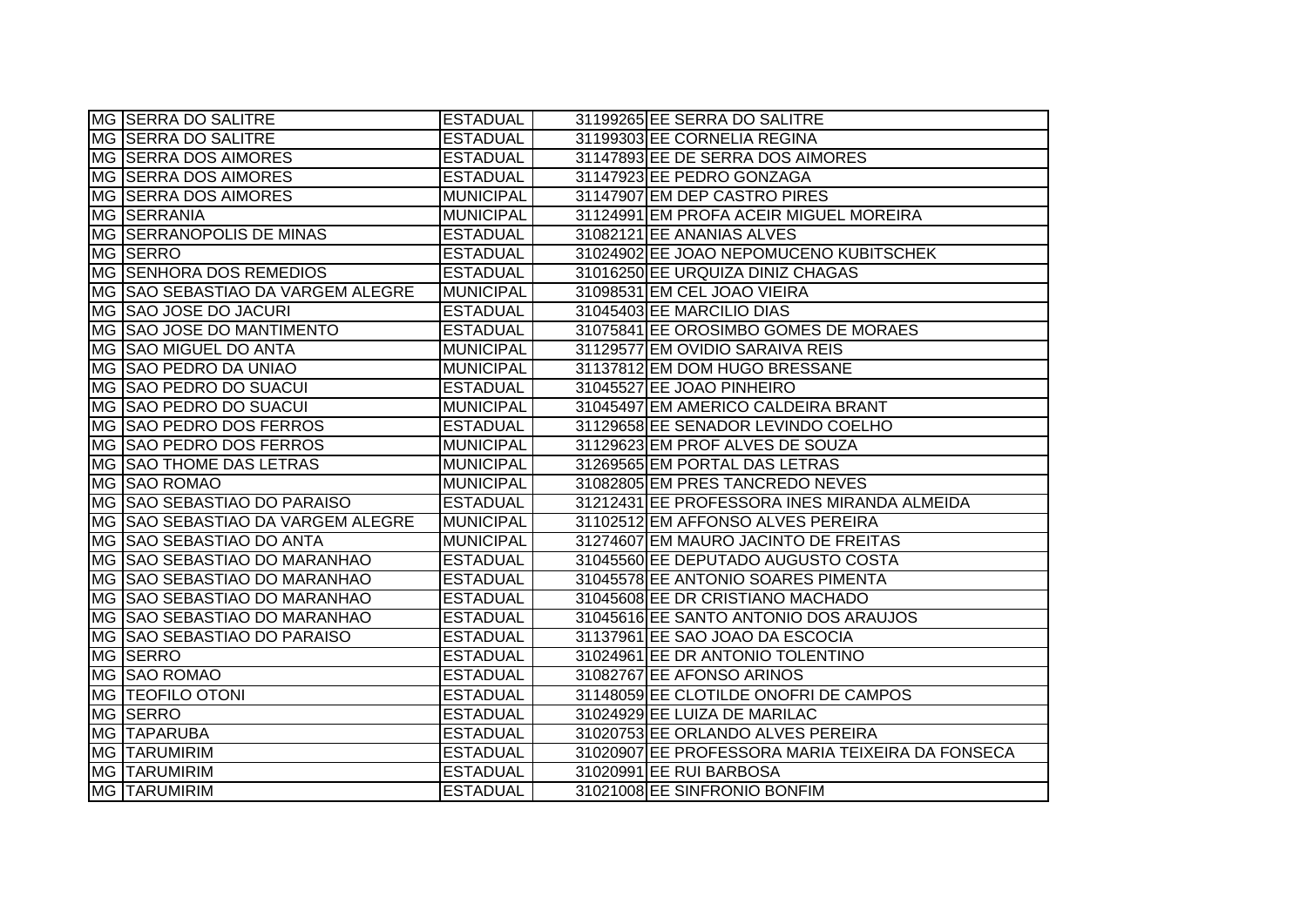| MG SERRA DO SALITRE               | <b>ESTADUAL</b>  | 31199265 EE SERRA DO SALITRE                     |
|-----------------------------------|------------------|--------------------------------------------------|
| MG SERRA DO SALITRE               | <b>ESTADUAL</b>  | 31199303 EE CORNELIA REGINA                      |
| MG SERRA DOS AIMORES              | <b>ESTADUAL</b>  | 31147893 EE DE SERRA DOS AIMORES                 |
| MG SERRA DOS AIMORES              | <b>ESTADUAL</b>  | 31147923 EE PEDRO GONZAGA                        |
| <b>MG SERRA DOS AIMORES</b>       | <b>MUNICIPAL</b> | 31147907 EM DEP CASTRO PIRES                     |
| MG SERRANIA                       | <b>MUNICIPAL</b> | 31124991 EM PROFA ACEIR MIGUEL MOREIRA           |
| MG SERRANOPOLIS DE MINAS          | <b>ESTADUAL</b>  | 31082121 EE ANANIAS ALVES                        |
| MG SERRO                          | <b>ESTADUAL</b>  | 31024902 EE JOAO NEPOMUCENO KUBITSCHEK           |
| MG SENHORA DOS REMEDIOS           | <b>ESTADUAL</b>  | 31016250 EE URQUIZA DINIZ CHAGAS                 |
| MG SAO SEBASTIAO DA VARGEM ALEGRE | MUNICIPAL        | 31098531 EM CEL JOAO VIEIRA                      |
| MG SAO JOSE DO JACURI             | <b>ESTADUAL</b>  | 31045403 EE MARCILIO DIAS                        |
| MG SAO JOSE DO MANTIMENTO         | <b>ESTADUAL</b>  | 31075841 EE OROSIMBO GOMES DE MORAES             |
| MG SAO MIGUEL DO ANTA             | <b>MUNICIPAL</b> | 31129577 EM OVIDIO SARAIVA REIS                  |
| MG SAO PEDRO DA UNIAO             | <b>MUNICIPAL</b> | 31137812 EM DOM HUGO BRESSANE                    |
| MG SAO PEDRO DO SUACUI            | <b>ESTADUAL</b>  | 31045527 EE JOAO PINHEIRO                        |
| MG SAO PEDRO DO SUACUI            | <b>MUNICIPAL</b> | 31045497 EM AMERICO CALDEIRA BRANT               |
| <b>MG SAO PEDRO DOS FERROS</b>    | <b>ESTADUAL</b>  | 31129658 EE SENADOR LEVINDO COELHO               |
| MG SAO PEDRO DOS FERROS           | <b>MUNICIPAL</b> | 31129623 EM PROF ALVES DE SOUZA                  |
| MG SAO THOME DAS LETRAS           | <b>MUNICIPAL</b> | 31269565 EM PORTAL DAS LETRAS                    |
| MG SAO ROMAO                      | <b>MUNICIPAL</b> | 31082805 EM PRES TANCREDO NEVES                  |
| MG SAO SEBASTIAO DO PARAISO       | <b>ESTADUAL</b>  | 31212431 EE PROFESSORA INES MIRANDA ALMEIDA      |
| MG SAO SEBASTIAO DA VARGEM ALEGRE | MUNICIPAL        | 31102512 EM AFFONSO ALVES PEREIRA                |
| <b>MG SAO SEBASTIAO DO ANTA</b>   | MUNICIPAL        | 31274607 EM MAURO JACINTO DE FREITAS             |
| MG SAO SEBASTIAO DO MARANHAO      | <b>ESTADUAL</b>  | 31045560 EE DEPUTADO AUGUSTO COSTA               |
| MG SAO SEBASTIAO DO MARANHAO      | <b>ESTADUAL</b>  | 31045578 EE ANTONIO SOARES PIMENTA               |
| MG SAO SEBASTIAO DO MARANHAO      | <b>ESTADUAL</b>  | 31045608 EE DR CRISTIANO MACHADO                 |
| MG SAO SEBASTIAO DO MARANHAO      | <b>ESTADUAL</b>  | 31045616 EE SANTO ANTONIO DOS ARAUJOS            |
| MG SAO SEBASTIAO DO PARAISO       | <b>ESTADUAL</b>  | 31137961 EE SAO JOAO DA ESCOCIA                  |
| MG SERRO                          | <b>ESTADUAL</b>  | 31024961 EE DR ANTONIO TOLENTINO                 |
| MG SAO ROMAO                      | <b>ESTADUAL</b>  | 31082767 EE AFONSO ARINOS                        |
| MG   TEOFILO OTONI                | <b>ESTADUAL</b>  | 31148059 EE CLOTILDE ONOFRI DE CAMPOS            |
| MG SERRO                          | <b>ESTADUAL</b>  | 31024929 EE LUIZA DE MARILAC                     |
| MG TAPARUBA                       | <b>ESTADUAL</b>  | 31020753 EE ORLANDO ALVES PEREIRA                |
| <b>MG TARUMIRIM</b>               | <b>ESTADUAL</b>  | 31020907 EE PROFESSORA MARIA TEIXEIRA DA FONSECA |
| <b>MG TARUMIRIM</b>               | <b>ESTADUAL</b>  | 31020991 EE RUI BARBOSA                          |
| <b>MG TARUMIRIM</b>               | <b>ESTADUAL</b>  | 31021008 EE SINFRONIO BONFIM                     |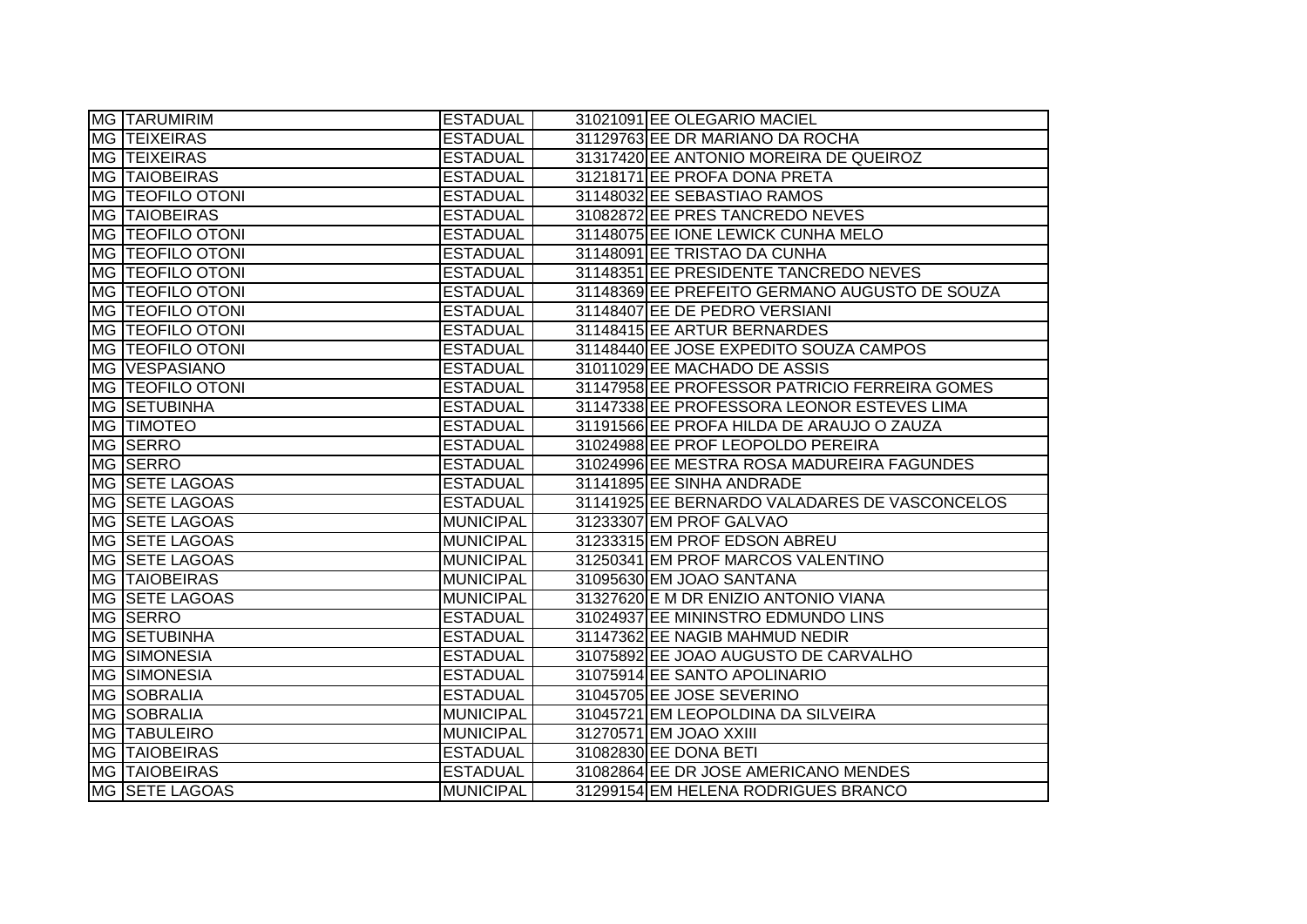| <b>MG TARUMIRIM</b>   | <b>ESTADUAL</b>  | 31021091 EE OLEGARIO MACIEL                   |
|-----------------------|------------------|-----------------------------------------------|
| <b>MG TEIXEIRAS</b>   | <b>ESTADUAL</b>  | 31129763 EE DR MARIANO DA ROCHA               |
| MG TEIXEIRAS          | <b>ESTADUAL</b>  | 31317420 EE ANTONIO MOREIRA DE QUEIROZ        |
| <b>MG TAIOBEIRAS</b>  | <b>ESTADUAL</b>  | 31218171 EE PROFA DONA PRETA                  |
| MG   TEOFILO OTONI    | <b>ESTADUAL</b>  | 31148032 EE SEBASTIAO RAMOS                   |
| MG TAIOBEIRAS         | <b>ESTADUAL</b>  | 31082872 EE PRES TANCREDO NEVES               |
| MG   TEOFILO OTONI    | <b>ESTADUAL</b>  | 31148075 EE IONE LEWICK CUNHA MELO            |
| MG   TEOFILO OTONI    | <b>ESTADUAL</b>  | 31148091 EE TRISTAO DA CUNHA                  |
| MG   TEOFILO OTONI    | <b>ESTADUAL</b>  | 31148351 EE PRESIDENTE TANCREDO NEVES         |
| MG   TEOFILO OTONI    | <b>ESTADUAL</b>  | 31148369 EE PREFEITO GERMANO AUGUSTO DE SOUZA |
| MG   TEOFILO OTONI    | <b>ESTADUAL</b>  | 31148407 EE DE PEDRO VERSIANI                 |
| MG   TEOFILO OTONI    | <b>ESTADUAL</b>  | 31148415 EE ARTUR BERNARDES                   |
| MG   TEOFILO OTONI    | <b>ESTADUAL</b>  | 31148440 EE JOSE EXPEDITO SOUZA CAMPOS        |
| MG VESPASIANO         | <b>ESTADUAL</b>  | 31011029 EE MACHADO DE ASSIS                  |
| MG   TEOFILO OTONI    | <b>ESTADUAL</b>  | 31147958 EE PROFESSOR PATRICIO FERREIRA GOMES |
| MG SETUBINHA          | <b>ESTADUAL</b>  | 31147338 EE PROFESSORA LEONOR ESTEVES LIMA    |
| MG TIMOTEO            | <b>ESTADUAL</b>  | 31191566 EE PROFA HILDA DE ARAUJO O ZAUZA     |
| MG SERRO              | <b>ESTADUAL</b>  | 31024988 EE PROF LEOPOLDO PEREIRA             |
| MG SERRO              | <b>ESTADUAL</b>  | 31024996 EE MESTRA ROSA MADUREIRA FAGUNDES    |
| <b>MG SETE LAGOAS</b> | <b>ESTADUAL</b>  | 31141895 EE SINHA ANDRADE                     |
| MG SETE LAGOAS        | <b>ESTADUAL</b>  | 31141925 EE BERNARDO VALADARES DE VASCONCELOS |
| MG SETE LAGOAS        | MUNICIPAL        | 31233307 EM PROF GALVAO                       |
| MG SETE LAGOAS        | MUNICIPAL        | 31233315 EM PROF EDSON ABREU                  |
| MG SETE LAGOAS        | <b>MUNICIPAL</b> | 31250341 EM PROF MARCOS VALENTINO             |
| <b>MG TAIOBEIRAS</b>  | <b>MUNICIPAL</b> | 31095630 EM JOAO SANTANA                      |
| MG SETE LAGOAS        | <b>MUNICIPAL</b> | 31327620 E M DR ENIZIO ANTONIO VIANA          |
| <b>MG SERRO</b>       | <b>ESTADUAL</b>  | 31024937 EE MININSTRO EDMUNDO LINS            |
| MG SETUBINHA          | <b>ESTADUAL</b>  | 31147362 EE NAGIB MAHMUD NEDIR                |
| <b>MG SIMONESIA</b>   | <b>ESTADUAL</b>  | 31075892 EE JOAO AUGUSTO DE CARVALHO          |
| <b>MG SIMONESIA</b>   | <b>ESTADUAL</b>  | 31075914 EE SANTO APOLINARIO                  |
| MG SOBRALIA           | <b>ESTADUAL</b>  | 31045705 EE JOSE SEVERINO                     |
| MG SOBRALIA           | <b>MUNICIPAL</b> | 31045721 EM LEOPOLDINA DA SILVEIRA            |
| <b>MG TABULEIRO</b>   | <b>MUNICIPAL</b> | 31270571 EM JOAO XXIII                        |
| <b>MG TAIOBEIRAS</b>  | <b>ESTADUAL</b>  | 31082830 EE DONA BETI                         |
| <b>MG TAIOBEIRAS</b>  | <b>ESTADUAL</b>  | 31082864 EE DR JOSE AMERICANO MENDES          |
| MG SETE LAGOAS        | MUNICIPAL        | 31299154 EM HELENA RODRIGUES BRANCO           |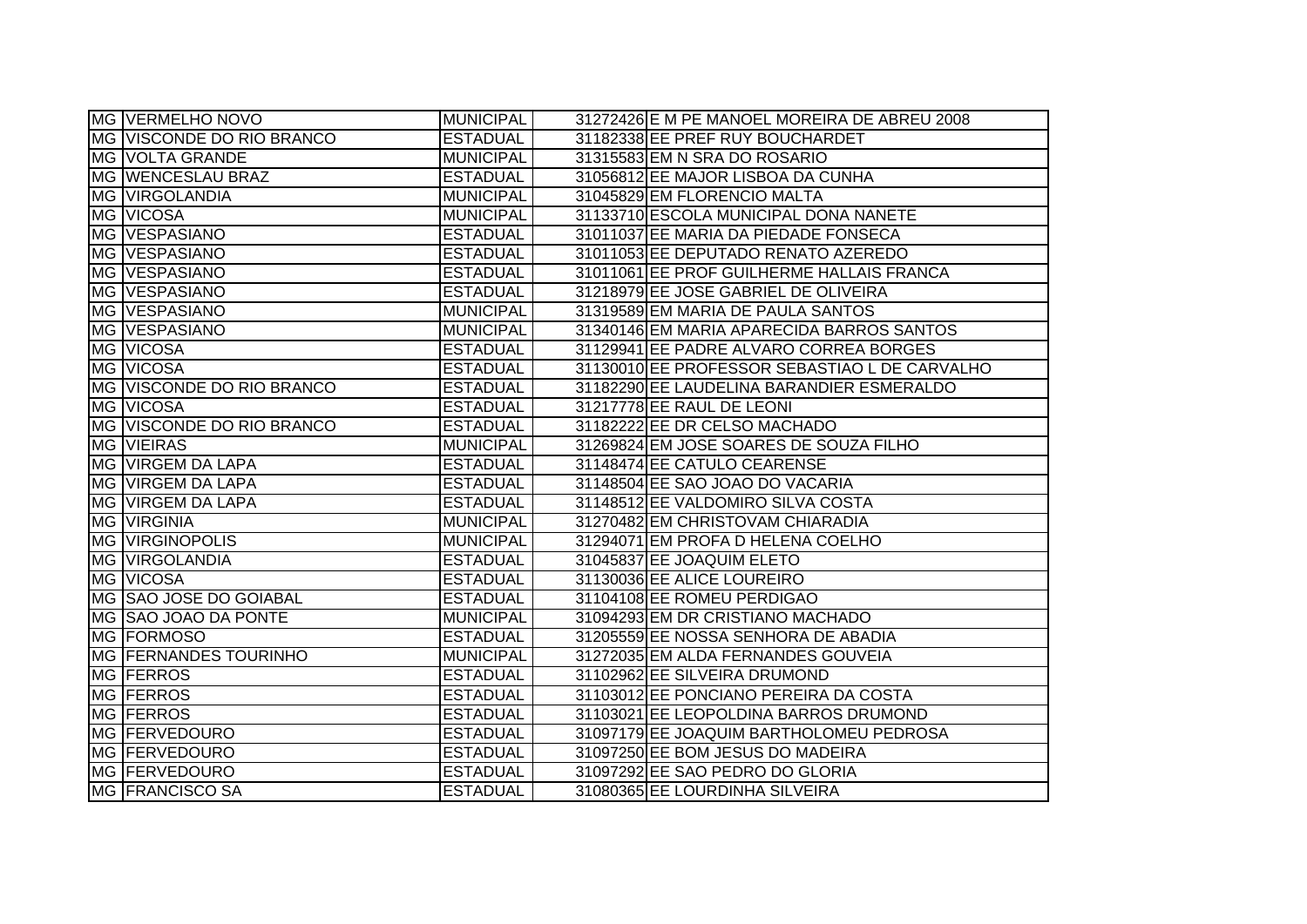| <b>MG VERMELHO NOVO</b>          | <b>MUNICIPAL</b> | 31272426 E M PE MANOEL MOREIRA DE ABREU 2008  |
|----------------------------------|------------------|-----------------------------------------------|
| IMG IVISCONDE DO RIO BRANCO      | <b>ESTADUAL</b>  | 31182338 EE PREF RUY BOUCHARDET               |
| <b>MG VOLTA GRANDE</b>           | <b>MUNICIPAL</b> | 31315583 EM N SRA DO ROSARIO                  |
| MG WENCESLAU BRAZ                | <b>ESTADUAL</b>  | 31056812 EE MAJOR LISBOA DA CUNHA             |
| <b>MG VIRGOLANDIA</b>            | <b>MUNICIPAL</b> | 31045829 EM FLORENCIO MALTA                   |
| MG VICOSA                        | <b>MUNICIPAL</b> | 31133710 ESCOLA MUNICIPAL DONA NANETE         |
| MG VESPASIANO                    | <b>ESTADUAL</b>  | 31011037 EE MARIA DA PIEDADE FONSECA          |
| MG VESPASIANO                    | <b>ESTADUAL</b>  | 31011053 EE DEPUTADO RENATO AZEREDO           |
| MG VESPASIANO                    | <b>ESTADUAL</b>  | 31011061 EE PROF GUILHERME HALLAIS FRANCA     |
| MG VESPASIANO                    | <b>ESTADUAL</b>  | 31218979 EE JOSE GABRIEL DE OLIVEIRA          |
| MG VESPASIANO                    | <b>MUNICIPAL</b> | 31319589 EM MARIA DE PAULA SANTOS             |
| <b>MG VESPASIANO</b>             | <b>MUNICIPAL</b> | 31340146 EM MARIA APARECIDA BARROS SANTOS     |
| MG VICOSA                        | <b>ESTADUAL</b>  | 31129941 EE PADRE ALVARO CORREA BORGES        |
| MG VICOSA                        | <b>ESTADUAL</b>  | 31130010 EE PROFESSOR SEBASTIAO L DE CARVALHO |
| <b>MG VISCONDE DO RIO BRANCO</b> | <b>ESTADUAL</b>  | 31182290 EE LAUDELINA BARANDIER ESMERALDO     |
| MG VICOSA                        | <b>ESTADUAL</b>  | 31217778 EE RAUL DE LEONI                     |
| MG VISCONDE DO RIO BRANCO        | <b>ESTADUAL</b>  | 31182222 EE DR CELSO MACHADO                  |
| <b>MG VIEIRAS</b>                | <b>MUNICIPAL</b> | 31269824 EM JOSE SOARES DE SOUZA FILHO        |
| MG VIRGEM DA LAPA                | <b>ESTADUAL</b>  | 31148474 EE CATULO CEARENSE                   |
| MG VIRGEM DA LAPA                | <b>ESTADUAL</b>  | 31148504 EE SAO JOAO DO VACARIA               |
| MG VIRGEM DA LAPA                | <b>ESTADUAL</b>  | 31148512 EE VALDOMIRO SILVA COSTA             |
| MG VIRGINIA                      | <b>MUNICIPAL</b> | 31270482 EM CHRISTOVAM CHIARADIA              |
| <b>MG VIRGINOPOLIS</b>           | <b>MUNICIPAL</b> | 31294071 EM PROFA D HELENA COELHO             |
| MG VIRGOLANDIA                   | <b>ESTADUAL</b>  | 31045837 EE JOAQUIM ELETO                     |
| MG VICOSA                        | <b>ESTADUAL</b>  | 31130036 EE ALICE LOUREIRO                    |
| MG SAO JOSE DO GOIABAL           | <b>ESTADUAL</b>  | 31104108 EE ROMEU PERDIGAO                    |
| MG SAO JOAO DA PONTE             | <b>MUNICIPAL</b> | 31094293 EM DR CRISTIANO MACHADO              |
| MG FORMOSO                       | <b>ESTADUAL</b>  | 31205559 EE NOSSA SENHORA DE ABADIA           |
| MG FERNANDES TOURINHO            | <b>MUNICIPAL</b> | 31272035 EM ALDA FERNANDES GOUVEIA            |
| <b>MG FERROS</b>                 | <b>ESTADUAL</b>  | 31102962 EE SILVEIRA DRUMOND                  |
| <b>MG FERROS</b>                 | <b>ESTADUAL</b>  | 31103012 EE PONCIANO PEREIRA DA COSTA         |
| MG <b>FERROS</b>                 | <b>ESTADUAL</b>  | 31103021 EE LEOPOLDINA BARROS DRUMOND         |
| MG <b>FERVEDOURO</b>             | <b>ESTADUAL</b>  | 31097179 EE JOAQUIM BARTHOLOMEU PEDROSA       |
| MG FERVEDOURO                    | <b>ESTADUAL</b>  | 31097250 EE BOM JESUS DO MADEIRA              |
| MG FERVEDOURO                    | <b>ESTADUAL</b>  | 31097292 EE SAO PEDRO DO GLORIA               |
| MG FRANCISCO SA                  | <b>ESTADUAL</b>  | 31080365 EE LOURDINHA SILVEIRA                |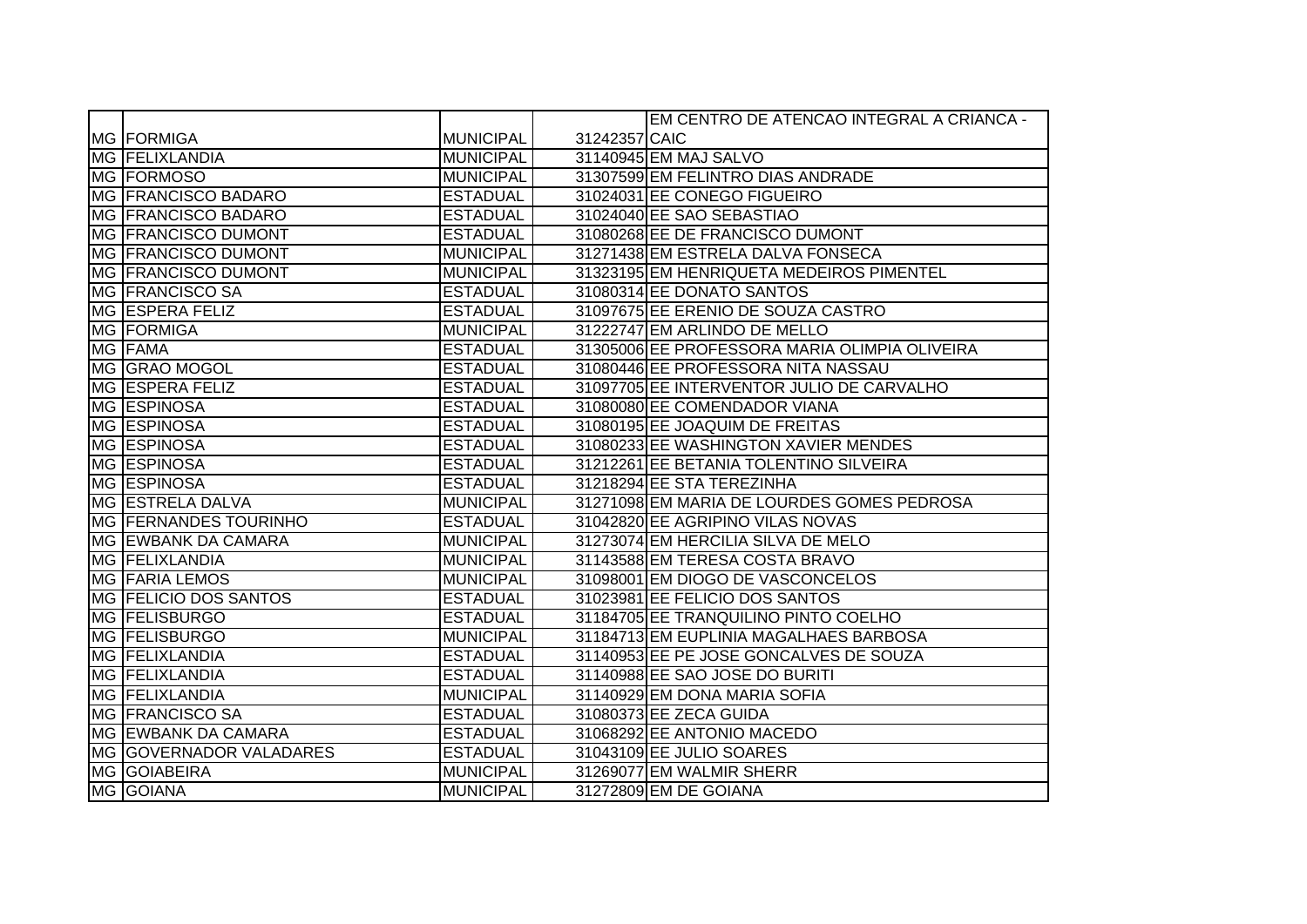|                              |                  |               | EM CENTRO DE ATENCAO INTEGRAL A CRIANCA -     |
|------------------------------|------------------|---------------|-----------------------------------------------|
| MG FORMIGA                   | <b>MUNICIPAL</b> | 31242357 CAIC |                                               |
| MG FELIXLANDIA               | <b>MUNICIPAL</b> |               | 31140945 EM MAJ SALVO                         |
| MG FORMOSO                   | <b>MUNICIPAL</b> |               | 31307599 EM FELINTRO DIAS ANDRADE             |
| MG FRANCISCO BADARO          | <b>ESTADUAL</b>  |               | 31024031 EE CONEGO FIGUEIRO                   |
| MG FRANCISCO BADARO          | <b>ESTADUAL</b>  |               | 31024040 EE SAO SEBASTIAO                     |
| MG FRANCISCO DUMONT          | <b>ESTADUAL</b>  |               | 31080268 EE DE FRANCISCO DUMONT               |
| MG FRANCISCO DUMONT          | <b>MUNICIPAL</b> |               | 31271438 EM ESTRELA DALVA FONSECA             |
| MG FRANCISCO DUMONT          | <b>MUNICIPAL</b> |               | 31323195 EM HENRIQUETA MEDEIROS PIMENTEL      |
| MG FRANCISCO SA              | <b>ESTADUAL</b>  |               | 31080314 EE DONATO SANTOS                     |
| <b>MG ESPERA FELIZ</b>       | <b>ESTADUAL</b>  |               | 31097675 EE ERENIO DE SOUZA CASTRO            |
| MG FORMIGA                   | <b>MUNICIPAL</b> |               | 31222747 EM ARLINDO DE MELLO                  |
| MG FAMA                      | <b>ESTADUAL</b>  |               | 31305006 EE PROFESSORA MARIA OLIMPIA OLIVEIRA |
| MG GRAO MOGOL                | <b>ESTADUAL</b>  |               | 31080446 EE PROFESSORA NITA NASSAU            |
| MG ESPERA FELIZ              | <b>ESTADUAL</b>  |               | 31097705 EE INTERVENTOR JULIO DE CARVALHO     |
| MG ESPINOSA                  | <b>ESTADUAL</b>  |               | 31080080 EE COMENDADOR VIANA                  |
| MG ESPINOSA                  | <b>ESTADUAL</b>  |               | 31080195 EE JOAQUIM DE FREITAS                |
| MG ESPINOSA                  | <b>ESTADUAL</b>  |               | 31080233 EE WASHINGTON XAVIER MENDES          |
| MG ESPINOSA                  | <b>ESTADUAL</b>  |               | 31212261 EE BETANIA TOLENTINO SILVEIRA        |
| MG ESPINOSA                  | <b>ESTADUAL</b>  |               | 31218294 EE STA TEREZINHA                     |
| MG ESTRELA DALVA             | <b>MUNICIPAL</b> |               | 31271098 EM MARIA DE LOURDES GOMES PEDROSA    |
| MG FERNANDES TOURINHO        | <b>ESTADUAL</b>  |               | 31042820 EE AGRIPINO VILAS NOVAS              |
| MG EWBANK DA CAMARA          | <b>MUNICIPAL</b> |               | 31273074 EM HERCILIA SILVA DE MELO            |
| MG FELIXLANDIA               | <b>MUNICIPAL</b> |               | 31143588 EM TERESA COSTA BRAVO                |
| <b>MG FARIA LEMOS</b>        | <b>MUNICIPAL</b> |               | 31098001 EM DIOGO DE VASCONCELOS              |
| <b>MG FELICIO DOS SANTOS</b> | <b>ESTADUAL</b>  |               | 31023981 EE FELICIO DOS SANTOS                |
| MG <b>FELISBURGO</b>         | <b>ESTADUAL</b>  |               | 31184705 EE TRANQUILINO PINTO COELHO          |
| MG <b>FELISBURGO</b>         | <b>MUNICIPAL</b> |               | 31184713 EM EUPLINIA MAGALHAES BARBOSA        |
| <b>MG FELIXLANDIA</b>        | <b>ESTADUAL</b>  |               | 31140953 EE PE JOSE GONCALVES DE SOUZA        |
| MG FELIXLANDIA               | <b>ESTADUAL</b>  |               | 31140988 EE SAO JOSE DO BURITI                |
| MG FELIXLANDIA               | <b>MUNICIPAL</b> |               | 31140929 EM DONA MARIA SOFIA                  |
| MG FRANCISCO SA              | <b>ESTADUAL</b>  |               | 31080373 EE ZECA GUIDA                        |
| MG EWBANK DA CAMARA          | <b>ESTADUAL</b>  |               | 31068292 EE ANTONIO MACEDO                    |
| MG GOVERNADOR VALADARES      | <b>ESTADUAL</b>  |               | 31043109 EE JULIO SOARES                      |
| MG GOIABEIRA                 | <b>MUNICIPAL</b> |               | 31269077 EM WALMIR SHERR                      |
| MG GOIANA                    | <b>MUNICIPAL</b> |               | 31272809 EM DE GOIANA                         |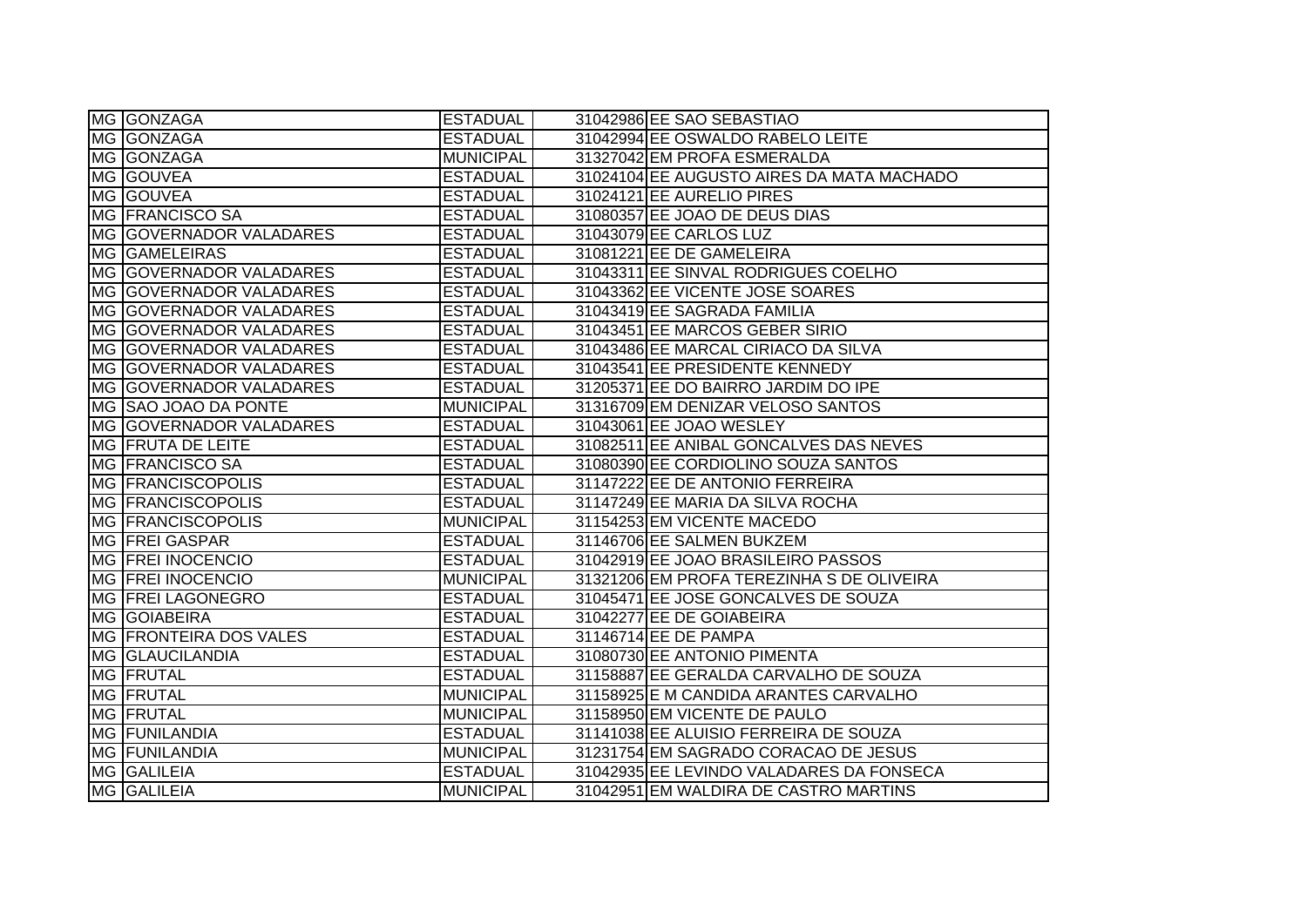| MG GONZAGA                     | <b>ESTADUAL</b>  | 31042986 EE SAO SEBASTIAO                 |
|--------------------------------|------------------|-------------------------------------------|
| MG GONZAGA                     | <b>ESTADUAL</b>  | 31042994 EE OSWALDO RABELO LEITE          |
| MG GONZAGA                     | <b>MUNICIPAL</b> | 31327042 EM PROFA ESMERALDA               |
| MG GOUVEA                      | <b>ESTADUAL</b>  | 31024104 EE AUGUSTO AIRES DA MATA MACHADO |
| MG GOUVEA                      | <b>ESTADUAL</b>  | 31024121 EE AURELIO PIRES                 |
| MG FRANCISCO SA                | <b>ESTADUAL</b>  | 31080357 EE JOAO DE DEUS DIAS             |
| MG GOVERNADOR VALADARES        | <b>ESTADUAL</b>  | 31043079 EE CARLOS LUZ                    |
| MG GAMELEIRAS                  | <b>ESTADUAL</b>  | 31081221 EE DE GAMELEIRA                  |
| MG GOVERNADOR VALADARES        | <b>ESTADUAL</b>  | 31043311 EE SINVAL RODRIGUES COELHO       |
| MG GOVERNADOR VALADARES        | <b>ESTADUAL</b>  | 31043362 EE VICENTE JOSE SOARES           |
| MG GOVERNADOR VALADARES        | <b>ESTADUAL</b>  | 31043419 EE SAGRADA FAMILIA               |
| MG GOVERNADOR VALADARES        | <b>ESTADUAL</b>  | 31043451 EE MARCOS GEBER SIRIO            |
| MG GOVERNADOR VALADARES        | <b>ESTADUAL</b>  | 31043486 EE MARCAL CIRIACO DA SILVA       |
| MG GOVERNADOR VALADARES        | <b>ESTADUAL</b>  | 31043541 EE PRESIDENTE KENNEDY            |
| <b>MG GOVERNADOR VALADARES</b> | <b>ESTADUAL</b>  | 31205371 EE DO BAIRRO JARDIM DO IPE       |
| MG SAO JOAO DA PONTE           | <b>MUNICIPAL</b> | 31316709 EM DENIZAR VELOSO SANTOS         |
| MG GOVERNADOR VALADARES        | <b>ESTADUAL</b>  | 31043061 EE JOAO WESLEY                   |
| MG FRUTA DE LEITE              | <b>ESTADUAL</b>  | 31082511 EE ANIBAL GONCALVES DAS NEVES    |
| MG <b>FRANCISCO SA</b>         | <b>ESTADUAL</b>  | 31080390 EE CORDIOLINO SOUZA SANTOS       |
| <b>MG FRANCISCOPOLIS</b>       | <b>ESTADUAL</b>  | 31147222 EE DE ANTONIO FERREIRA           |
| MG FRANCISCOPOLIS              | <b>ESTADUAL</b>  | 31147249 EE MARIA DA SILVA ROCHA          |
| <b>MG FRANCISCOPOLIS</b>       | MUNICIPAL        | 31154253 EM VICENTE MACEDO                |
| <b>MG FREI GASPAR</b>          | <b>ESTADUAL</b>  | 31146706 EE SALMEN BUKZEM                 |
| MG FREI INOCENCIO              | <b>ESTADUAL</b>  | 31042919 EE JOAO BRASILEIRO PASSOS        |
| <b>MG FREI INOCENCIO</b>       | <b>MUNICIPAL</b> | 31321206 EM PROFA TEREZINHA S DE OLIVEIRA |
| MG <b>FREI LAGONEGRO</b>       | <b>ESTADUAL</b>  | 31045471 EE JOSE GONCALVES DE SOUZA       |
| MG GOIABEIRA                   | <b>ESTADUAL</b>  | 31042277 EE DE GOIABEIRA                  |
| MG FRONTEIRA DOS VALES         | <b>ESTADUAL</b>  | 31146714 EE DE PAMPA                      |
| MG GLAUCILANDIA                | <b>ESTADUAL</b>  | 31080730 EE ANTONIO PIMENTA               |
| MG <b>FRUTAL</b>               | <b>ESTADUAL</b>  | 31158887 EE GERALDA CARVALHO DE SOUZA     |
| MG <b>FRUTAL</b>               | <b>MUNICIPAL</b> | 31158925 E M CANDIDA ARANTES CARVALHO     |
| MG <b>FRUTAL</b>               | <b>MUNICIPAL</b> | 31158950 EM VICENTE DE PAULO              |
| <b>MG FUNILANDIA</b>           | <b>ESTADUAL</b>  | 31141038 EE ALUISIO FERREIRA DE SOUZA     |
| MG FUNILANDIA                  | MUNICIPAL        | 31231754 EM SAGRADO CORACAO DE JESUS      |
| MG GALILEIA                    | <b>ESTADUAL</b>  | 31042935 EE LEVINDO VALADARES DA FONSECA  |
| MG GALILEIA                    | <b>MUNICIPAL</b> | 31042951 EM WALDIRA DE CASTRO MARTINS     |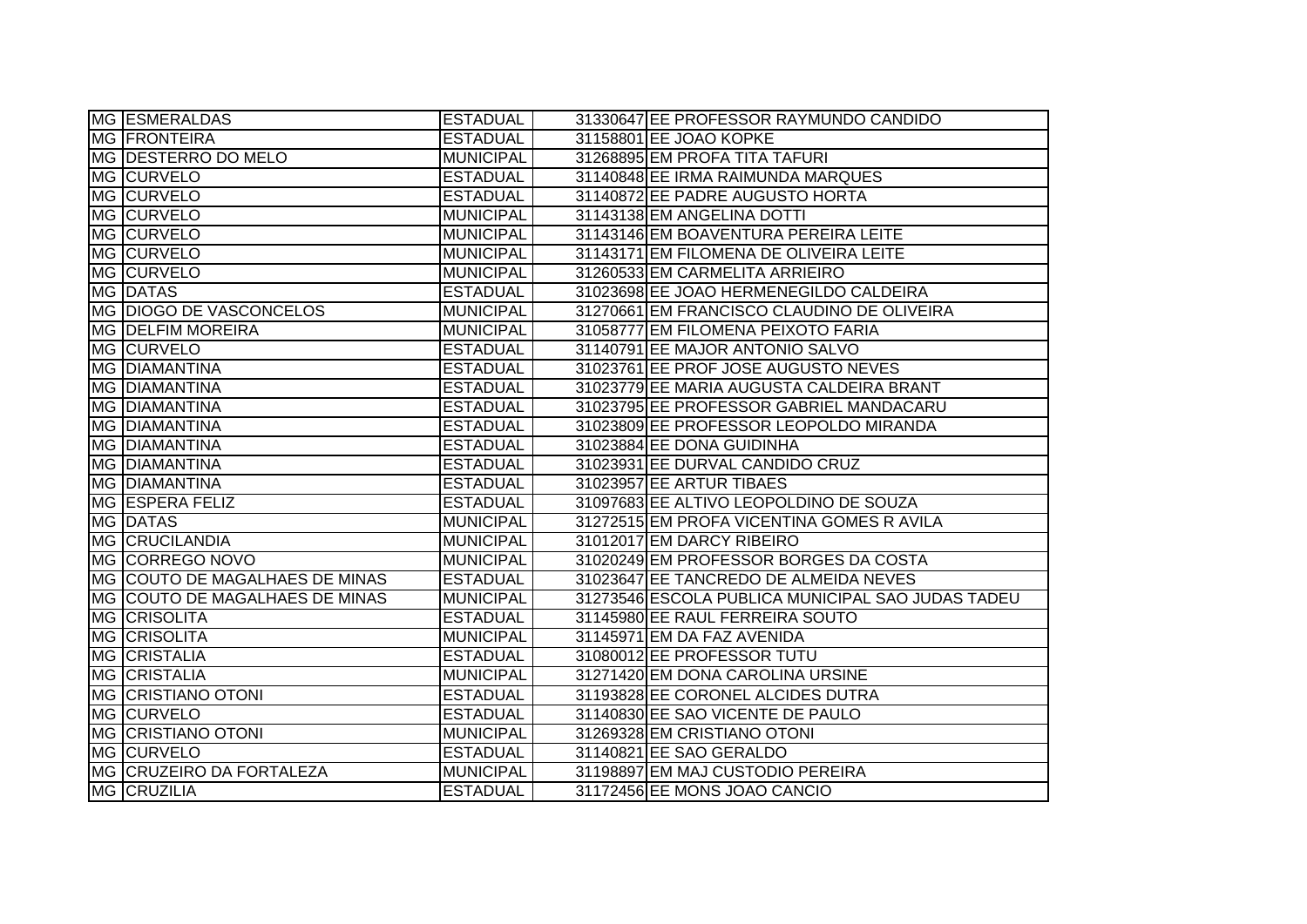| MG ESMERALDAS                  | <b>ESTADUAL</b>  | 31330647 EE PROFESSOR RAYMUNDO CANDIDO            |
|--------------------------------|------------------|---------------------------------------------------|
| <b>MG FRONTEIRA</b>            | <b>ESTADUAL</b>  | 31158801 EE JOAO KOPKE                            |
| MG DESTERRO DO MELO            | <b>MUNICIPAL</b> | 31268895 EM PROFA TITA TAFURI                     |
| MG CURVELO                     | <b>ESTADUAL</b>  | 31140848 EE IRMA RAIMUNDA MARQUES                 |
| MG CURVELO                     | <b>ESTADUAL</b>  | 31140872 EE PADRE AUGUSTO HORTA                   |
| MG CURVELO                     | <b>MUNICIPAL</b> | 31143138 EM ANGELINA DOTTI                        |
| <b>MG CURVELO</b>              | <b>MUNICIPAL</b> | 31143146 EM BOAVENTURA PEREIRA LEITE              |
| MG CURVELO                     | <b>MUNICIPAL</b> | 31143171 EM FILOMENA DE OLIVEIRA LEITE            |
| MG CURVELO                     | <b>MUNICIPAL</b> | 31260533 EM CARMELITA ARRIEIRO                    |
| MG DATAS                       | <b>ESTADUAL</b>  | 31023698 EE JOAO HERMENEGILDO CALDEIRA            |
| MG DIOGO DE VASCONCELOS        | <b>MUNICIPAL</b> | 31270661 EM FRANCISCO CLAUDINO DE OLIVEIRA        |
| <b>MG DELFIM MOREIRA</b>       | <b>MUNICIPAL</b> | 31058777 EM FILOMENA PEIXOTO FARIA                |
| MG CURVELO                     | <b>ESTADUAL</b>  | 31140791 EE MAJOR ANTONIO SALVO                   |
| <b>MG DIAMANTINA</b>           | <b>ESTADUAL</b>  | 31023761 EE PROF JOSE AUGUSTO NEVES               |
| MG DIAMANTINA                  | <b>ESTADUAL</b>  | 31023779 EE MARIA AUGUSTA CALDEIRA BRANT          |
| MG DIAMANTINA                  | <b>ESTADUAL</b>  | 31023795 EE PROFESSOR GABRIEL MANDACARU           |
| <b>MG DIAMANTINA</b>           | <b>ESTADUAL</b>  | 31023809 EE PROFESSOR LEOPOLDO MIRANDA            |
| MG DIAMANTINA                  | <b>ESTADUAL</b>  | 31023884 EE DONA GUIDINHA                         |
| MG DIAMANTINA                  | <b>ESTADUAL</b>  | 31023931 EE DURVAL CANDIDO CRUZ                   |
| MG DIAMANTINA                  | <b>ESTADUAL</b>  | 31023957 EE ARTUR TIBAES                          |
| MG ESPERA FELIZ                | <b>ESTADUAL</b>  | 31097683 EE ALTIVO LEOPOLDINO DE SOUZA            |
| MG DATAS                       | <b>MUNICIPAL</b> | 31272515 EM PROFA VICENTINA GOMES R AVILA         |
| MG CRUCILANDIA                 | <b>MUNICIPAL</b> | 31012017 EM DARCY RIBEIRO                         |
| MG CORREGO NOVO                | <b>MUNICIPAL</b> | 31020249 EM PROFESSOR BORGES DA COSTA             |
| MG COUTO DE MAGALHAES DE MINAS | <b>ESTADUAL</b>  | 31023647 EE TANCREDO DE ALMEIDA NEVES             |
| MG COUTO DE MAGALHAES DE MINAS | <b>MUNICIPAL</b> | 31273546 ESCOLA PUBLICA MUNICIPAL SAO JUDAS TADEU |
| <b>MG CRISOLITA</b>            | <b>ESTADUAL</b>  | 31145980 EE RAUL FERREIRA SOUTO                   |
| MG CRISOLITA                   | <b>MUNICIPAL</b> | 31145971 EM DA FAZ AVENIDA                        |
| MG CRISTALIA                   | <b>ESTADUAL</b>  | 31080012 EE PROFESSOR TUTU                        |
| MG CRISTALIA                   | <b>MUNICIPAL</b> | 31271420 EM DONA CAROLINA URSINE                  |
| <b>MG CRISTIANO OTONI</b>      | <b>ESTADUAL</b>  | 31193828 EE CORONEL ALCIDES DUTRA                 |
| MG CURVELO                     | <b>ESTADUAL</b>  | 31140830 EE SAO VICENTE DE PAULO                  |
| <b>MG CRISTIANO OTONI</b>      | <b>MUNICIPAL</b> | 31269328 EM CRISTIANO OTONI                       |
| MG CURVELO                     | <b>ESTADUAL</b>  | 31140821 EE SAO GERALDO                           |
| MG CRUZEIRO DA FORTALEZA       | <b>MUNICIPAL</b> | 31198897 EM MAJ CUSTODIO PEREIRA                  |
| MG CRUZILIA                    | <b>ESTADUAL</b>  | 31172456 EE MONS JOAO CANCIO                      |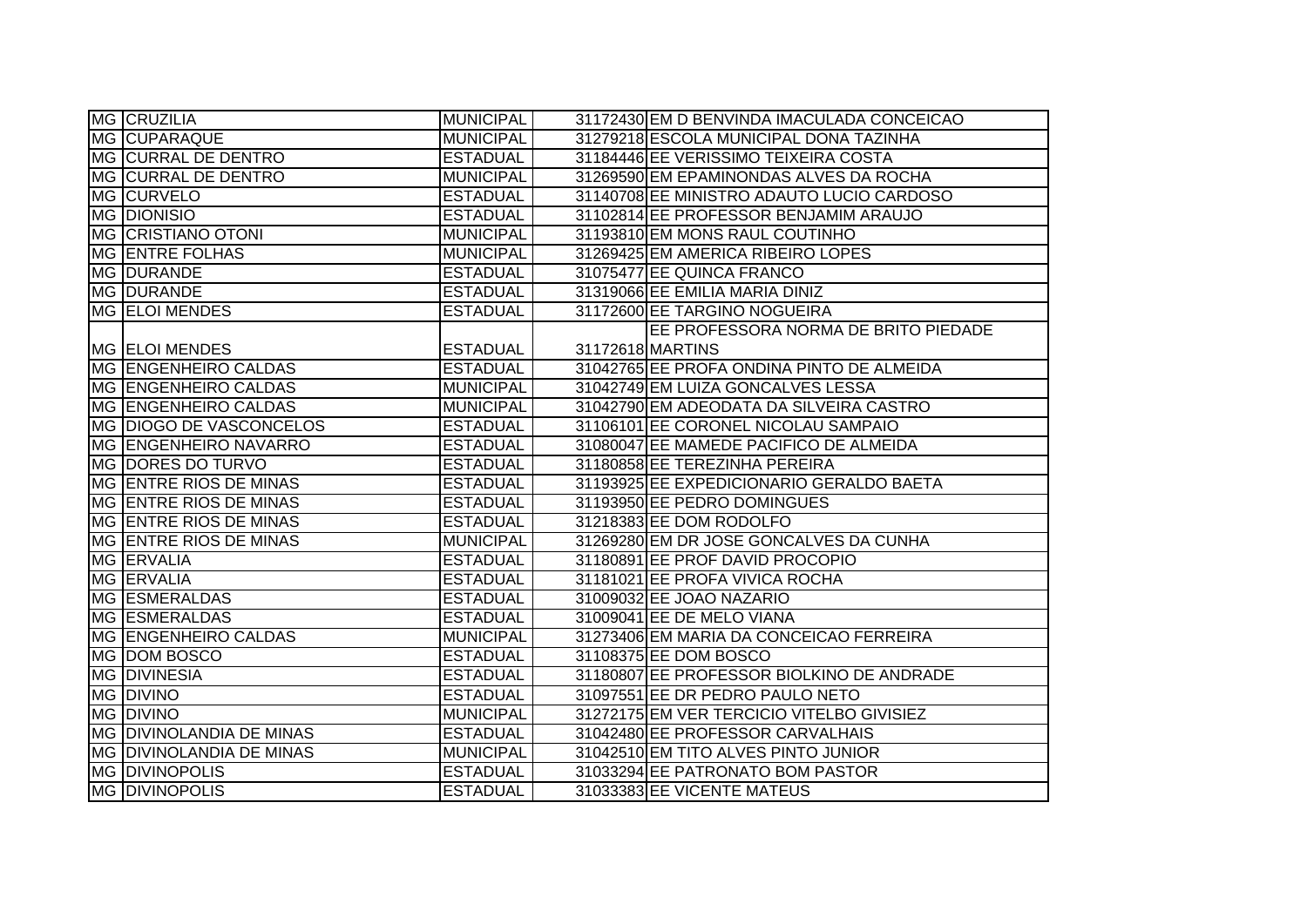| <b>MG CRUZILIA</b>              | MUNICIPAL        | 31172430 EM D BENVINDA IMACULADA CONCEICAO |
|---------------------------------|------------------|--------------------------------------------|
| MG CUPARAQUE                    | <b>MUNICIPAL</b> | 31279218 ESCOLA MUNICIPAL DONA TAZINHA     |
| MG CURRAL DE DENTRO             | <b>ESTADUAL</b>  | 31184446 EE VERISSIMO TEIXEIRA COSTA       |
| <b>MG CURRAL DE DENTRO</b>      | <b>MUNICIPAL</b> | 31269590 EM EPAMINONDAS ALVES DA ROCHA     |
| MG CURVELO                      | <b>ESTADUAL</b>  | 31140708 EE MINISTRO ADAUTO LUCIO CARDOSO  |
| <b>MG DIONISIO</b>              | <b>ESTADUAL</b>  | 31102814 EE PROFESSOR BENJAMIM ARAUJO      |
| <b>MG CRISTIANO OTONI</b>       | <b>MUNICIPAL</b> | 31193810 EM MONS RAUL COUTINHO             |
| <b>MG ENTRE FOLHAS</b>          | <b>MUNICIPAL</b> | 31269425 EM AMERICA RIBEIRO LOPES          |
| MG DURANDE                      | <b>ESTADUAL</b>  | 31075477 EE QUINCA FRANCO                  |
| MG DURANDE                      | <b>ESTADUAL</b>  | 31319066 EE EMILIA MARIA DINIZ             |
| MG ELOI MENDES                  | <b>ESTADUAL</b>  | 31172600 EE TARGINO NOGUEIRA               |
|                                 |                  | EE PROFESSORA NORMA DE BRITO PIEDADE       |
| MG ELOI MENDES                  | <b>ESTADUAL</b>  | 31172618 MARTINS                           |
| MG ENGENHEIRO CALDAS            | <b>ESTADUAL</b>  | 31042765 EE PROFA ONDINA PINTO DE ALMEIDA  |
| MG ENGENHEIRO CALDAS            | <b>MUNICIPAL</b> | 31042749 EM LUIZA GONCALVES LESSA          |
| MG ENGENHEIRO CALDAS            | <b>MUNICIPAL</b> | 31042790 EM ADEODATA DA SILVEIRA CASTRO    |
| MG DIOGO DE VASCONCELOS         | <b>ESTADUAL</b>  | 31106101 EE CORONEL NICOLAU SAMPAIO        |
| <b>MG ENGENHEIRO NAVARRO</b>    | <b>ESTADUAL</b>  | 31080047 EE MAMEDE PACIFICO DE ALMEIDA     |
| MG DORES DO TURVO               | <b>ESTADUAL</b>  | 31180858 EE TEREZINHA PEREIRA              |
| MG ENTRE RIOS DE MINAS          | <b>ESTADUAL</b>  | 31193925 EE EXPEDICIONARIO GERALDO BAETA   |
| MG ENTRE RIOS DE MINAS          | <b>ESTADUAL</b>  | 31193950 EE PEDRO DOMINGUES                |
| <b>IMG ENTRE RIOS DE MINAS</b>  | <b>ESTADUAL</b>  | 31218383 EE DOM RODOLFO                    |
| <b>MG ENTRE RIOS DE MINAS</b>   | <b>MUNICIPAL</b> | 31269280 EM DR JOSE GONCALVES DA CUNHA     |
| MG ERVALIA                      | <b>ESTADUAL</b>  | 31180891 EE PROF DAVID PROCOPIO            |
| MG ERVALIA                      | <b>ESTADUAL</b>  | 31181021 EE PROFA VIVICA ROCHA             |
| MG ESMERALDAS                   | <b>ESTADUAL</b>  | 31009032 EE JOAO NAZARIO                   |
| <b>MG ESMERALDAS</b>            | <b>ESTADUAL</b>  | 31009041 EE DE MELO VIANA                  |
| MG ENGENHEIRO CALDAS            | <b>MUNICIPAL</b> | 31273406 EM MARIA DA CONCEICAO FERREIRA    |
| MG DOM BOSCO                    | <b>ESTADUAL</b>  | 31108375 EE DOM BOSCO                      |
| <b>MG DIVINESIA</b>             | <b>ESTADUAL</b>  | 31180807 EE PROFESSOR BIOLKINO DE ANDRADE  |
| MG DIVINO                       | <b>ESTADUAL</b>  | 31097551 EE DR PEDRO PAULO NETO            |
| MG DIVINO                       | <b>MUNICIPAL</b> | 31272175 EM VER TERCICIO VITELBO GIVISIEZ  |
| <b>MG DIVINOLANDIA DE MINAS</b> | <b>ESTADUAL</b>  | 31042480 EE PROFESSOR CARVALHAIS           |
| MG DIVINOLANDIA DE MINAS        | MUNICIPAL        | 31042510 EM TITO ALVES PINTO JUNIOR        |
| MG DIVINOPOLIS                  | <b>ESTADUAL</b>  | 31033294 EE PATRONATO BOM PASTOR           |
| <b>MG DIVINOPOLIS</b>           | <b>ESTADUAL</b>  | 31033383 EE VICENTE MATEUS                 |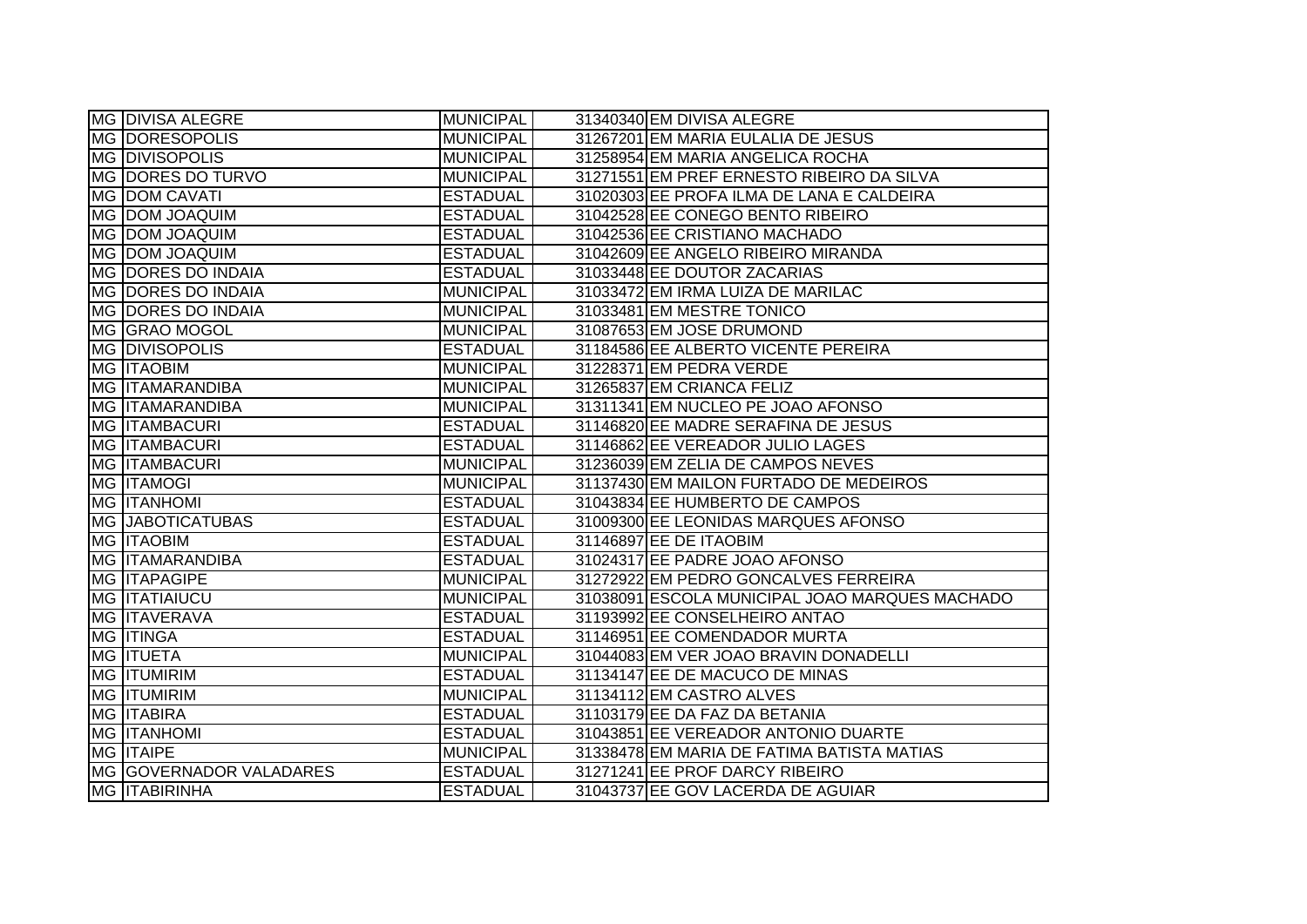| MG DIVISA ALEGRE          | <b>MUNICIPAL</b> | 31340340 EM DIVISA ALEGRE                      |
|---------------------------|------------------|------------------------------------------------|
| <b>MG DORESOPOLIS</b>     | <b>MUNICIPAL</b> | 31267201 EM MARIA EULALIA DE JESUS             |
| MG DIVISOPOLIS            | <b>MUNICIPAL</b> | 31258954 EM MARIA ANGELICA ROCHA               |
| MG DORES DO TURVO         | <b>MUNICIPAL</b> | 31271551 EM PREF ERNESTO RIBEIRO DA SILVA      |
| MG DOM CAVATI             | <b>ESTADUAL</b>  | 31020303 EE PROFA ILMA DE LANA E CALDEIRA      |
| MG DOM JOAQUIM            | <b>ESTADUAL</b>  | 31042528 EE CONEGO BENTO RIBEIRO               |
| MG DOM JOAQUIM            | <b>ESTADUAL</b>  | 31042536 EE CRISTIANO MACHADO                  |
| <b>MG DOM JOAQUIM</b>     | <b>ESTADUAL</b>  | 31042609 EE ANGELO RIBEIRO MIRANDA             |
| MG DORES DO INDAIA        | <b>ESTADUAL</b>  | 31033448 EE DOUTOR ZACARIAS                    |
| <b>MG DORES DO INDAIA</b> | MUNICIPAL        | 31033472 EM IRMA LUIZA DE MARILAC              |
| MG DORES DO INDAIA        | <b>MUNICIPAL</b> | 31033481 EM MESTRE TONICO                      |
| MG GRAO MOGOL             | <b>MUNICIPAL</b> | 31087653 EM JOSE DRUMOND                       |
| <b>MG DIVISOPOLIS</b>     | <b>ESTADUAL</b>  | 31184586 EE ALBERTO VICENTE PEREIRA            |
| MG <b>ITAOBIM</b>         | <b>MUNICIPAL</b> | 31228371 EM PEDRA VERDE                        |
| <b>MG ITAMARANDIBA</b>    | <b>MUNICIPAL</b> | 31265837 EM CRIANCA FELIZ                      |
| MG ITAMARANDIBA           | <b>MUNICIPAL</b> | 31311341 EM NUCLEO PE JOAO AFONSO              |
| MG <b>ITAMBACURI</b>      | <b>ESTADUAL</b>  | 31146820 EE MADRE SERAFINA DE JESUS            |
| MG ITAMBACURI             | <b>ESTADUAL</b>  | 31146862 EE VEREADOR JULIO LAGES               |
| MG ITAMBACURI             | <b>MUNICIPAL</b> | 31236039 EM ZELIA DE CAMPOS NEVES              |
| MG <b>ITAMOGI</b>         | <b>MUNICIPAL</b> | 31137430 EM MAILON FURTADO DE MEDEIROS         |
| <b>MG ITANHOMI</b>        | <b>ESTADUAL</b>  | 31043834 EE HUMBERTO DE CAMPOS                 |
| MG JABOTICATUBAS          | <b>ESTADUAL</b>  | 31009300 EE LEONIDAS MARQUES AFONSO            |
| <b>MG ITAOBIM</b>         | <b>ESTADUAL</b>  | 31146897 EE DE ITAOBIM                         |
| <b>MG ITAMARANDIBA</b>    | <b>ESTADUAL</b>  | 31024317 EE PADRE JOAO AFONSO                  |
| MG ITAPAGIPE              | <b>MUNICIPAL</b> | 31272922 EM PEDRO GONCALVES FERREIRA           |
| <b>MG ITATIAIUCU</b>      | <b>MUNICIPAL</b> | 31038091 ESCOLA MUNICIPAL JOAO MARQUES MACHADO |
| MG <b>ITAVERAVA</b>       | <b>ESTADUAL</b>  | 31193992 EE CONSELHEIRO ANTAO                  |
| <b>MG ITINGA</b>          | <b>ESTADUAL</b>  | 31146951 EE COMENDADOR MURTA                   |
| MG <b>ITUETA</b>          | <b>MUNICIPAL</b> | 31044083 EM VER JOAO BRAVIN DONADELLI          |
| MG <b>ITUMIRIM</b>        | <b>ESTADUAL</b>  | 31134147 EE DE MACUCO DE MINAS                 |
| MG <b>ITUMIRIM</b>        | <b>MUNICIPAL</b> | 31134112 EM CASTRO ALVES                       |
| MG <b>ITABIRA</b>         | <b>ESTADUAL</b>  | 31103179 EE DA FAZ DA BETANIA                  |
| <b>MG ITANHOMI</b>        | <b>ESTADUAL</b>  | 31043851 EE VEREADOR ANTONIO DUARTE            |
| <b>MG ITAIPE</b>          | <b>MUNICIPAL</b> | 31338478 EM MARIA DE FATIMA BATISTA MATIAS     |
| MG GOVERNADOR VALADARES   | <b>ESTADUAL</b>  | 31271241 EE PROF DARCY RIBEIRO                 |
| MG <b>ITABIRINHA</b>      | <b>ESTADUAL</b>  | 31043737 EE GOV LACERDA DE AGUIAR              |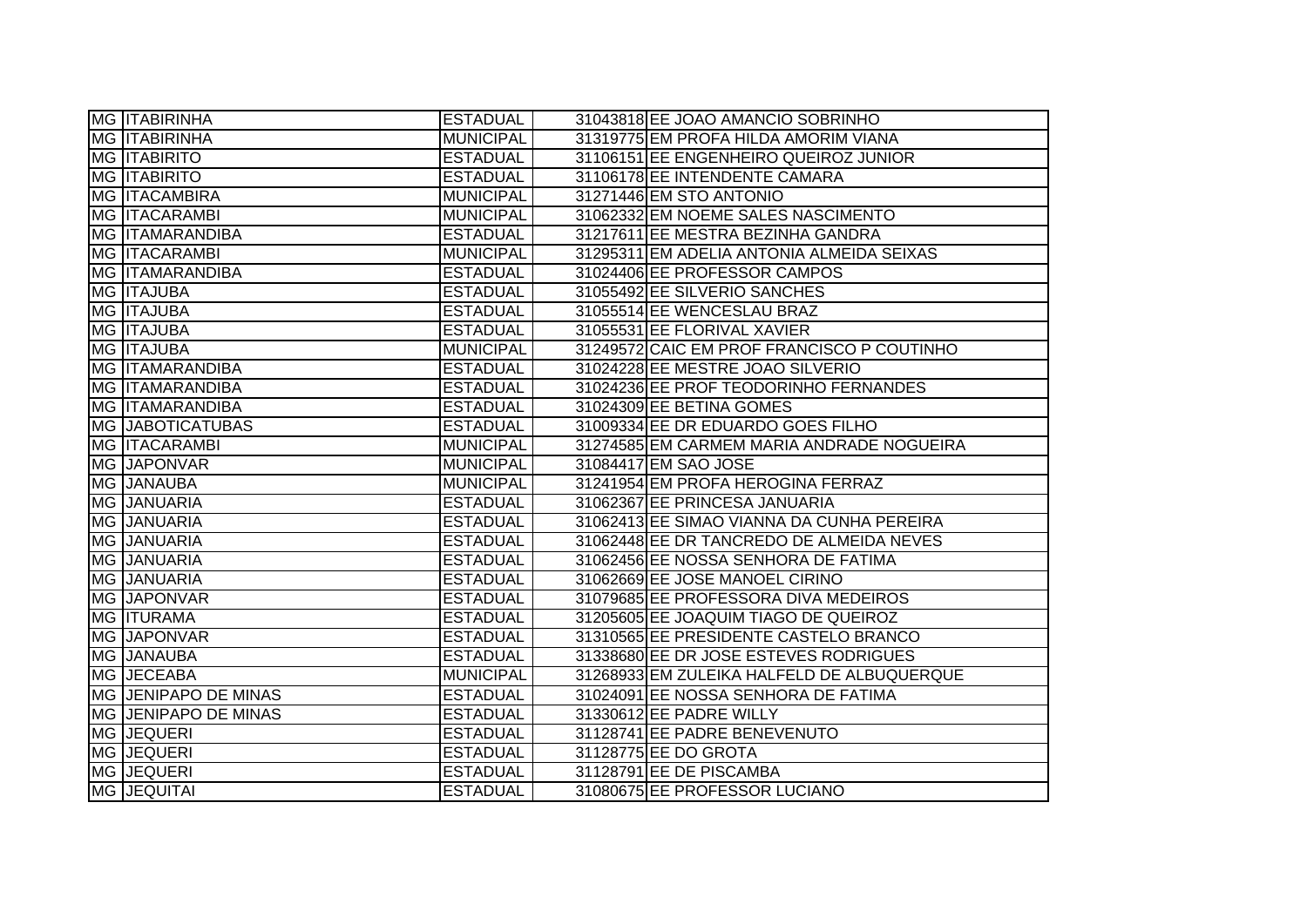| MG <b>ITABIRINHA</b>        | <b>ESTADUAL</b>  | 31043818 EE JOAO AMANCIO SOBRINHO          |
|-----------------------------|------------------|--------------------------------------------|
| <b>MG ITABIRINHA</b>        | <b>MUNICIPAL</b> | 31319775 EM PROFA HILDA AMORIM VIANA       |
| <b>MG ITABIRITO</b>         | <b>ESTADUAL</b>  | 31106151 EE ENGENHEIRO QUEIROZ JUNIOR      |
| <b>MG ITABIRITO</b>         | <b>ESTADUAL</b>  | 31106178 EE INTENDENTE CAMARA              |
| MG <b>ITACAMBIRA</b>        | <b>MUNICIPAL</b> | 31271446 EM STO ANTONIO                    |
| <b>MG ITACARAMBI</b>        | <b>MUNICIPAL</b> | 31062332 EM NOEME SALES NASCIMENTO         |
| MG ITAMARANDIBA             | <b>ESTADUAL</b>  | 31217611 EE MESTRA BEZINHA GANDRA          |
| <b>MG ITACARAMBI</b>        | <b>MUNICIPAL</b> | 31295311 EM ADELIA ANTONIA ALMEIDA SEIXAS  |
| MG ITAMARANDIBA             | <b>ESTADUAL</b>  | 31024406 EE PROFESSOR CAMPOS               |
| MG <b>ITAJUBA</b>           | <b>ESTADUAL</b>  | 31055492 EE SILVERIO SANCHES               |
| <b>MG ITAJUBA</b>           | <b>ESTADUAL</b>  | 31055514 EE WENCESLAU BRAZ                 |
| MG ITAJUBA                  | <b>ESTADUAL</b>  | 31055531 EE FLORIVAL XAVIER                |
| MG <b>ITAJUBA</b>           | <b>MUNICIPAL</b> | 31249572 CAIC EM PROF FRANCISCO P COUTINHO |
| MG ITAMARANDIBA             | <b>ESTADUAL</b>  | 31024228 EE MESTRE JOAO SILVERIO           |
| MG ITAMARANDIBA             | <b>ESTADUAL</b>  | 31024236 EE PROF TEODORINHO FERNANDES      |
| <b>MG ITAMARANDIBA</b>      | <b>ESTADUAL</b>  | 31024309 EE BETINA GOMES                   |
| MG JABOTICATUBAS            | <b>ESTADUAL</b>  | 31009334 EE DR EDUARDO GOES FILHO          |
| MG ITACARAMBI               | <b>MUNICIPAL</b> | 31274585 EM CARMEM MARIA ANDRADE NOGUEIRA  |
| MG JAPONVAR                 | <b>MUNICIPAL</b> | 31084417 EM SAO JOSE                       |
| MG JANAUBA                  | MUNICIPAL        | 31241954 EM PROFA HEROGINA FERRAZ          |
| MG JANUARIA                 | <b>ESTADUAL</b>  | 31062367 EE PRINCESA JANUARIA              |
| MG JANUARIA                 | <b>ESTADUAL</b>  | 31062413 EE SIMAO VIANNA DA CUNHA PEREIRA  |
| MG JANUARIA                 | <b>ESTADUAL</b>  | 31062448 EE DR TANCREDO DE ALMEIDA NEVES   |
| <b>MG JANUARIA</b>          | <b>ESTADUAL</b>  | 31062456 EE NOSSA SENHORA DE FATIMA        |
| MG JANUARIA                 | <b>ESTADUAL</b>  | 31062669 EE JOSE MANOEL CIRINO             |
| MG JAPONVAR                 | <b>ESTADUAL</b>  | 31079685 EE PROFESSORA DIVA MEDEIROS       |
| MG <b>ITURAMA</b>           | <b>ESTADUAL</b>  | 31205605 EE JOAQUIM TIAGO DE QUEIROZ       |
| MG JAPONVAR                 |                  |                                            |
|                             | <b>ESTADUAL</b>  | 31310565 EE PRESIDENTE CASTELO BRANCO      |
| MG JANAUBA                  | <b>ESTADUAL</b>  | 31338680 EE DR JOSE ESTEVES RODRIGUES      |
| MG JECEABA                  | <b>MUNICIPAL</b> | 31268933 EM ZULEIKA HALFELD DE ALBUQUERQUE |
| MG JENIPAPO DE MINAS        | <b>ESTADUAL</b>  | 31024091 EE NOSSA SENHORA DE FATIMA        |
| <b>MG JENIPAPO DE MINAS</b> | <b>ESTADUAL</b>  | 31330612 EE PADRE WILLY                    |
| MG JEQUERI                  | <b>ESTADUAL</b>  | 31128741 EE PADRE BENEVENUTO               |
| <b>MG JEQUERI</b>           | <b>ESTADUAL</b>  | 31128775 EE DO GROTA                       |
| MG JEQUERI                  | <b>ESTADUAL</b>  | 31128791 EE DE PISCAMBA                    |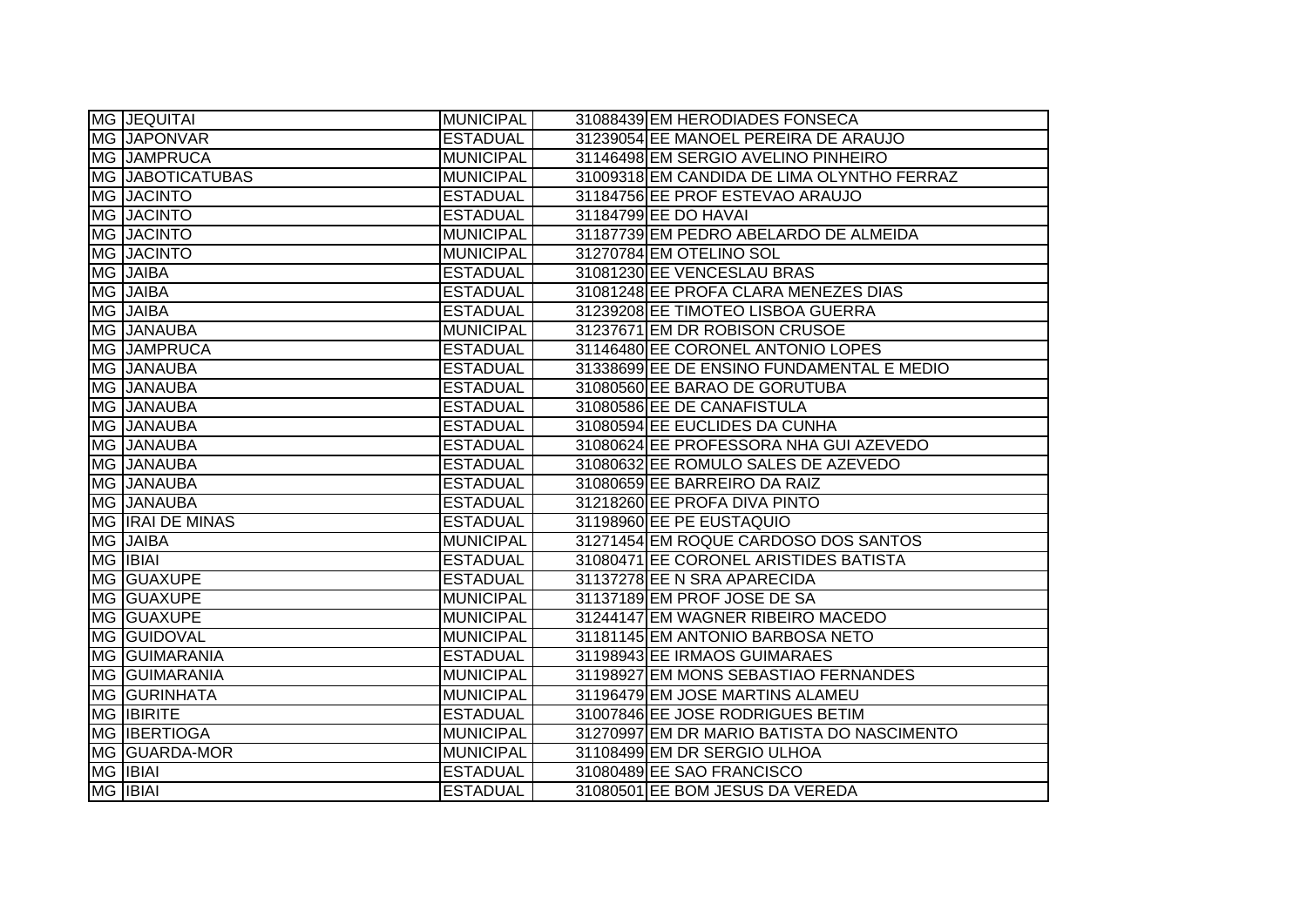| MG JEQUITAI             | <b>MUNICIPAL</b> | 31088439 EM HERODIADES FONSECA             |
|-------------------------|------------------|--------------------------------------------|
| MG JAPONVAR             | <b>ESTADUAL</b>  | 31239054 EE MANOEL PEREIRA DE ARAUJO       |
| MG JAMPRUCA             | <b>MUNICIPAL</b> | 31146498 EM SERGIO AVELINO PINHEIRO        |
| <b>MG JABOTICATUBAS</b> | <b>MUNICIPAL</b> | 31009318 EM CANDIDA DE LIMA OLYNTHO FERRAZ |
| MG JACINTO              | <b>ESTADUAL</b>  | 31184756 EE PROF ESTEVAO ARAUJO            |
| MG JACINTO              | <b>ESTADUAL</b>  | 31184799 EE DO HAVAI                       |
| <b>MG JACINTO</b>       | <b>MUNICIPAL</b> | 31187739 EM PEDRO ABELARDO DE ALMEIDA      |
| MG JACINTO              | <b>MUNICIPAL</b> | 31270784 EM OTELINO SOL                    |
| MG JAIBA                | <b>ESTADUAL</b>  | 31081230 EE VENCESLAU BRAS                 |
| MG JAIBA                | <b>ESTADUAL</b>  | 31081248 EE PROFA CLARA MENEZES DIAS       |
| MG JAIBA                | <b>ESTADUAL</b>  | 31239208 EE TIMOTEO LISBOA GUERRA          |
| MG JANAUBA              | <b>MUNICIPAL</b> | 31237671 EM DR ROBISON CRUSOE              |
| MG JAMPRUCA             | <b>ESTADUAL</b>  | 31146480 EE CORONEL ANTONIO LOPES          |
| MG JANAUBA              | <b>ESTADUAL</b>  | 31338699 EE DE ENSINO FUNDAMENTAL E MEDIO  |
| MG JANAUBA              | <b>ESTADUAL</b>  | 31080560 EE BARAO DE GORUTUBA              |
| MG JANAUBA              | <b>ESTADUAL</b>  | 31080586 EE DE CANAFISTULA                 |
| MG JANAUBA              | <b>ESTADUAL</b>  | 31080594 EE EUCLIDES DA CUNHA              |
| MG JANAUBA              | <b>ESTADUAL</b>  | 31080624 EE PROFESSORA NHA GUI AZEVEDO     |
| MG JANAUBA              | <b>ESTADUAL</b>  | 31080632 EE ROMULO SALES DE AZEVEDO        |
| MG JANAUBA              | <b>ESTADUAL</b>  | 31080659 EE BARREIRO DA RAIZ               |
| MG JANAUBA              | <b>ESTADUAL</b>  | 31218260 EE PROFA DIVA PINTO               |
| MG IRAI DE MINAS        | <b>ESTADUAL</b>  | 31198960 EE PE EUSTAQUIO                   |
| MG JAIBA                | <b>MUNICIPAL</b> | 31271454 EM ROQUE CARDOSO DOS SANTOS       |
| MG IBIAI                | <b>ESTADUAL</b>  | 31080471 EE CORONEL ARISTIDES BATISTA      |
| MG GUAXUPE              | <b>ESTADUAL</b>  | 31137278 EE N SRA APARECIDA                |
| MG GUAXUPE              | <b>MUNICIPAL</b> | 31137189 EM PROF JOSE DE SA                |
| MG GUAXUPE              | <b>MUNICIPAL</b> | 31244147 EM WAGNER RIBEIRO MACEDO          |
| MG GUIDOVAL             | <b>MUNICIPAL</b> | 31181145 EM ANTONIO BARBOSA NETO           |
| MG GUIMARANIA           | <b>ESTADUAL</b>  | 31198943 EE IRMAOS GUIMARAES               |
| <b>MG GUIMARANIA</b>    | <b>MUNICIPAL</b> | 31198927 EM MONS SEBASTIAO FERNANDES       |
| MG GURINHATA            | <b>MUNICIPAL</b> | 31196479 EM JOSE MARTINS ALAMEU            |
| <b>MG IBIRITE</b>       | <b>ESTADUAL</b>  | 31007846 EE JOSE RODRIGUES BETIM           |
| MG IBERTIOGA            | <b>MUNICIPAL</b> | 31270997 EM DR MARIO BATISTA DO NASCIMENTO |
| MG GUARDA-MOR           | <b>MUNICIPAL</b> | 31108499 EM DR SERGIO ULHOA                |
| <b>MG IBIAI</b>         | <b>ESTADUAL</b>  | 31080489 EE SAO FRANCISCO                  |
| <b>MG IBIAI</b>         | <b>ESTADUAL</b>  | 31080501 EE BOM JESUS DA VEREDA            |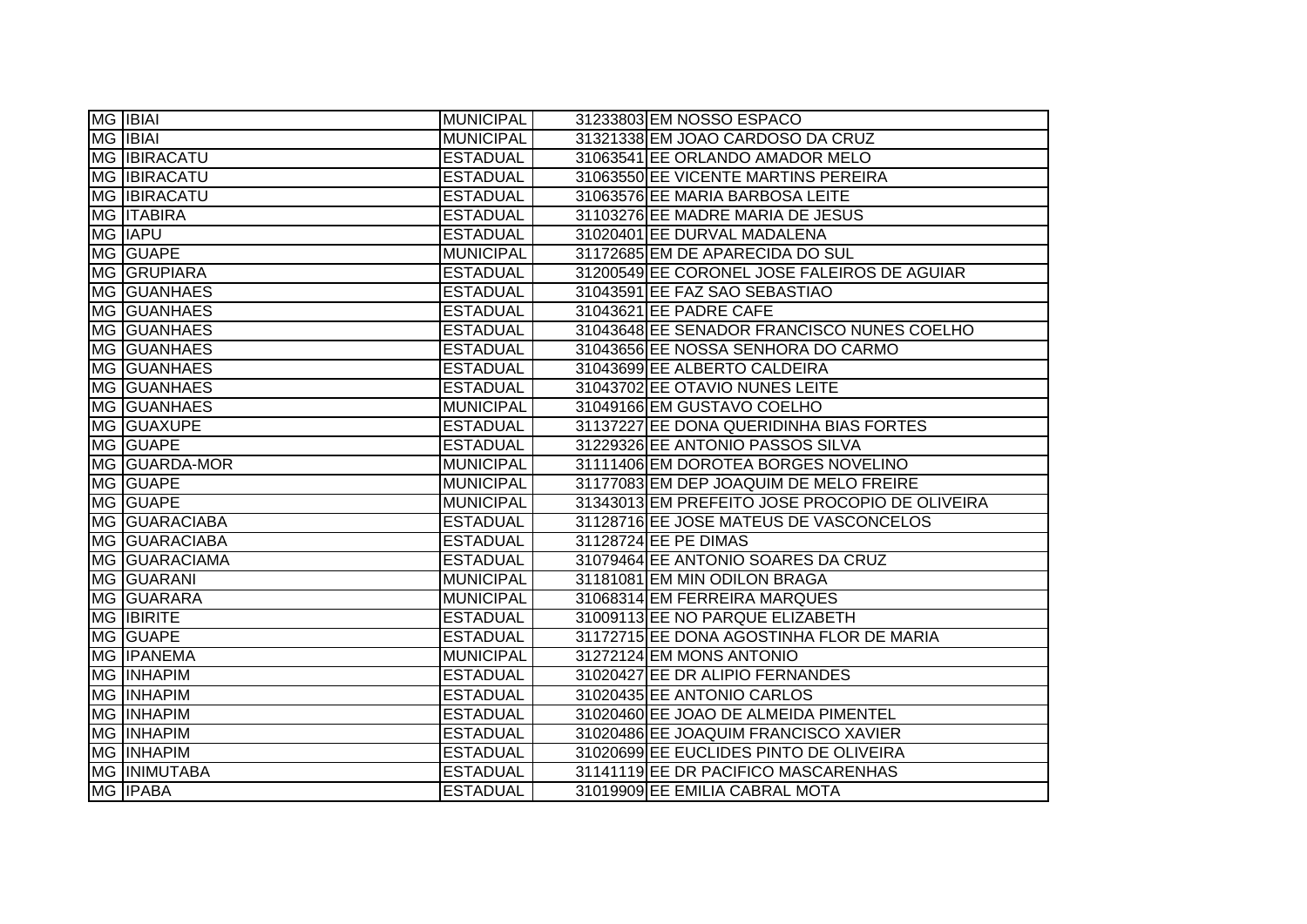| MG IBIAI            | MUNICIPAL        | 31233803 EM NOSSO ESPACO                       |
|---------------------|------------------|------------------------------------------------|
| <b>MG IBIAI</b>     | <b>MUNICIPAL</b> | 31321338 EM JOAO CARDOSO DA CRUZ               |
| <b>MG IBIRACATU</b> | <b>ESTADUAL</b>  | 31063541 EE ORLANDO AMADOR MELO                |
| <b>MG IBIRACATU</b> | <b>ESTADUAL</b>  | 31063550 EE VICENTE MARTINS PEREIRA            |
| <b>MG IBIRACATU</b> | <b>ESTADUAL</b>  | 31063576 EE MARIA BARBOSA LEITE                |
| <b>MG ITABIRA</b>   | <b>ESTADUAL</b>  | 31103276 EE MADRE MARIA DE JESUS               |
| <b>MG IAPU</b>      | <b>ESTADUAL</b>  | 31020401 EE DURVAL MADALENA                    |
| MG GUAPE            | <b>MUNICIPAL</b> | 31172685 EM DE APARECIDA DO SUL                |
| MG GRUPIARA         | <b>ESTADUAL</b>  | 31200549 EE CORONEL JOSE FALEIROS DE AGUIAR    |
| MG GUANHAES         | <b>ESTADUAL</b>  | 31043591 EE FAZ SAO SEBASTIAO                  |
| MG GUANHAES         | <b>ESTADUAL</b>  | 31043621 EE PADRE CAFE                         |
| MG GUANHAES         | <b>ESTADUAL</b>  | 31043648 EE SENADOR FRANCISCO NUNES COELHO     |
| MG GUANHAES         | <b>ESTADUAL</b>  | 31043656 EE NOSSA SENHORA DO CARMO             |
| MG GUANHAES         | <b>ESTADUAL</b>  | 31043699 EE ALBERTO CALDEIRA                   |
| MG GUANHAES         | <b>ESTADUAL</b>  | 31043702 EE OTAVIO NUNES LEITE                 |
| MG GUANHAES         | <b>MUNICIPAL</b> | 31049166 EM GUSTAVO COELHO                     |
| MG GUAXUPE          | <b>ESTADUAL</b>  | 31137227 EE DONA QUERIDINHA BIAS FORTES        |
| MG GUAPE            | <b>ESTADUAL</b>  | 31229326 EE ANTONIO PASSOS SILVA               |
| MG GUARDA-MOR       | <b>MUNICIPAL</b> | 31111406 EM DOROTEA BORGES NOVELINO            |
| MG GUAPE            | <b>MUNICIPAL</b> | 31177083 EM DEP JOAQUIM DE MELO FREIRE         |
| MG GUAPE            | <b>MUNICIPAL</b> | 31343013 EM PREFEITO JOSE PROCOPIO DE OLIVEIRA |
| MG GUARACIABA       | <b>ESTADUAL</b>  | 31128716 EE JOSE MATEUS DE VASCONCELOS         |
| MG GUARACIABA       | <b>ESTADUAL</b>  | 31128724 EE PE DIMAS                           |
| MG GUARACIAMA       | <b>ESTADUAL</b>  | 31079464 EE ANTONIO SOARES DA CRUZ             |
| MG GUARANI          | <b>MUNICIPAL</b> | 31181081 EM MIN ODILON BRAGA                   |
| <b>MG GUARARA</b>   | <b>MUNICIPAL</b> | 31068314 EM FERREIRA MARQUES                   |
| <b>MG IBIRITE</b>   | <b>ESTADUAL</b>  | 31009113 EE NO PARQUE ELIZABETH                |
| MG GUAPE            | <b>ESTADUAL</b>  | 31172715 EE DONA AGOSTINHA FLOR DE MARIA       |
| <b>MG IPANEMA</b>   | <b>MUNICIPAL</b> | 31272124 EM MONS ANTONIO                       |
| MG INHAPIM          | <b>ESTADUAL</b>  | 31020427 EE DR ALIPIO FERNANDES                |
| <b>MG INHAPIM</b>   | <b>ESTADUAL</b>  | 31020435 EE ANTONIO CARLOS                     |
| <b>MG INHAPIM</b>   | <b>ESTADUAL</b>  | 31020460 EE JOAO DE ALMEIDA PIMENTEL           |
| <b>MG INHAPIM</b>   | <b>ESTADUAL</b>  | 31020486 EE JOAQUIM FRANCISCO XAVIER           |
| <b>MG INHAPIM</b>   | <b>ESTADUAL</b>  | 31020699 EE EUCLIDES PINTO DE OLIVEIRA         |
| MG INIMUTABA        | <b>ESTADUAL</b>  | 31141119 EE DR PACIFICO MASCARENHAS            |
| <b>MG IPABA</b>     | <b>ESTADUAL</b>  | 31019909 EE EMILIA CABRAL MOTA                 |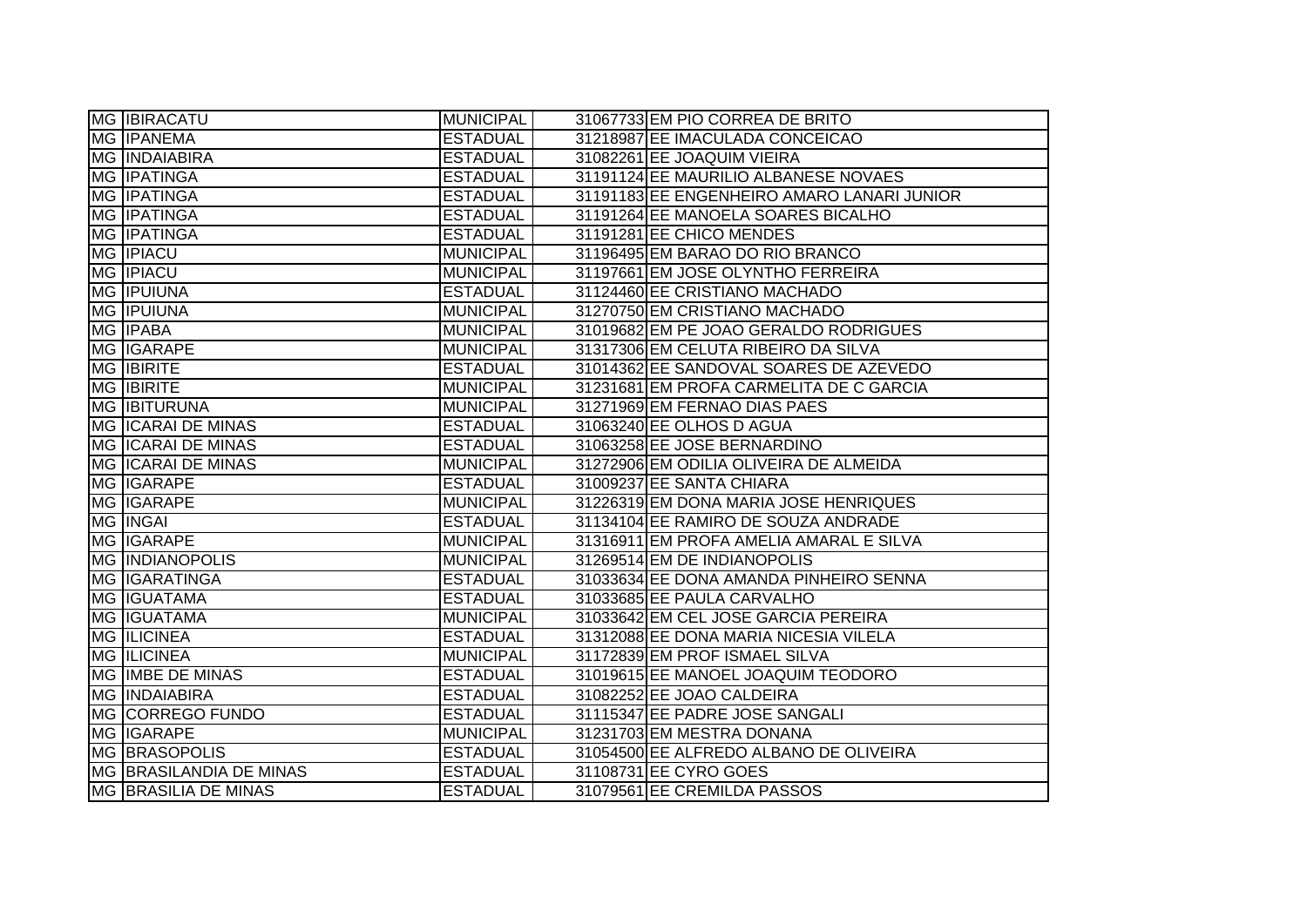| <b>MG IBIRACATU</b>         | <b>MUNICIPAL</b> | 31067733 EM PIO CORREA DE BRITO            |
|-----------------------------|------------------|--------------------------------------------|
| <b>MG IPANEMA</b>           | <b>ESTADUAL</b>  | 31218987 EE IMACULADA CONCEICAO            |
| <b>MG INDAIABIRA</b>        | <b>ESTADUAL</b>  | 31082261 EE JOAQUIM VIEIRA                 |
| MG <b>IPATINGA</b>          | <b>ESTADUAL</b>  | 31191124 EE MAURILIO ALBANESE NOVAES       |
| MG <b>IPATINGA</b>          | <b>ESTADUAL</b>  | 31191183 EE ENGENHEIRO AMARO LANARI JUNIOR |
| <b>MG IPATINGA</b>          | <b>ESTADUAL</b>  | 31191264 EE MANOELA SOARES BICALHO         |
| MG IPATINGA                 | <b>ESTADUAL</b>  | 31191281 EE CHICO MENDES                   |
| <b>MG IPIACU</b>            | <b>MUNICIPAL</b> | 31196495 EM BARAO DO RIO BRANCO            |
| <b>MG IPIACU</b>            | <b>MUNICIPAL</b> | 31197661 EM JOSE OLYNTHO FERREIRA          |
| MG <b>IPUIUNA</b>           | <b>ESTADUAL</b>  | 31124460 EE CRISTIANO MACHADO              |
| MG <b>IPUIUNA</b>           | <b>MUNICIPAL</b> | 31270750 EM CRISTIANO MACHADO              |
| MG IPABA                    | <b>MUNICIPAL</b> | 31019682 EM PE JOAO GERALDO RODRIGUES      |
| <b>MG IGARAPE</b>           | <b>MUNICIPAL</b> | 31317306 EM CELUTA RIBEIRO DA SILVA        |
| <b>MG IBIRITE</b>           | <b>ESTADUAL</b>  | 31014362 EE SANDOVAL SOARES DE AZEVEDO     |
| <b>MG IBIRITE</b>           | <b>MUNICIPAL</b> | 31231681 EM PROFA CARMELITA DE C GARCIA    |
| <b>MG IBITURUNA</b>         | <b>MUNICIPAL</b> | 31271969 EM FERNAO DIAS PAES               |
| MG ICARAI DE MINAS          | <b>ESTADUAL</b>  | 31063240 EE OLHOS D AGUA                   |
| MG ICARAI DE MINAS          | <b>ESTADUAL</b>  | 31063258 EE JOSE BERNARDINO                |
| MG ICARAI DE MINAS          | <b>MUNICIPAL</b> | 31272906 EM ODILIA OLIVEIRA DE ALMEIDA     |
| MG IGARAPE                  | <b>ESTADUAL</b>  | 31009237 EE SANTA CHIARA                   |
| MG IGARAPE                  | <b>MUNICIPAL</b> | 31226319 EM DONA MARIA JOSE HENRIQUES      |
| MG INGAI                    | <b>ESTADUAL</b>  | 31134104 EE RAMIRO DE SOUZA ANDRADE        |
| MG IGARAPE                  | <b>MUNICIPAL</b> | 31316911 EM PROFA AMELIA AMARAL E SILVA    |
| <b>MG INDIANOPOLIS</b>      | <b>MUNICIPAL</b> | 31269514 EM DE INDIANOPOLIS                |
| MG IGARATINGA               | <b>ESTADUAL</b>  | 31033634 EE DONA AMANDA PINHEIRO SENNA     |
| MG IGUATAMA                 | <b>ESTADUAL</b>  | 31033685 EE PAULA CARVALHO                 |
| <b>MG IGUATAMA</b>          | <b>MUNICIPAL</b> | 31033642 EM CEL JOSE GARCIA PEREIRA        |
| <b>MG ILICINEA</b>          | <b>ESTADUAL</b>  | 31312088 EE DONA MARIA NICESIA VILELA      |
| <b>MG ILICINEA</b>          | <b>MUNICIPAL</b> | 31172839 EM PROF ISMAEL SILVA              |
| MG IMBE DE MINAS            | <b>ESTADUAL</b>  | 31019615 EE MANOEL JOAQUIM TEODORO         |
| <b>MG INDAIABIRA</b>        | <b>ESTADUAL</b>  | 31082252 EE JOAO CALDEIRA                  |
| MG CORREGO FUNDO            | <b>ESTADUAL</b>  | 31115347 EE PADRE JOSE SANGALI             |
| MG IGARAPE                  | <b>MUNICIPAL</b> | 31231703 EM MESTRA DONANA                  |
| <b>MG BRASOPOLIS</b>        | <b>ESTADUAL</b>  | 31054500 EE ALFREDO ALBANO DE OLIVEIRA     |
| MG BRASILANDIA DE MINAS     | <b>ESTADUAL</b>  | 31108731 EE CYRO GOES                      |
| <b>MG BRASILIA DE MINAS</b> | <b>ESTADUAL</b>  | 31079561 EE CREMILDA PASSOS                |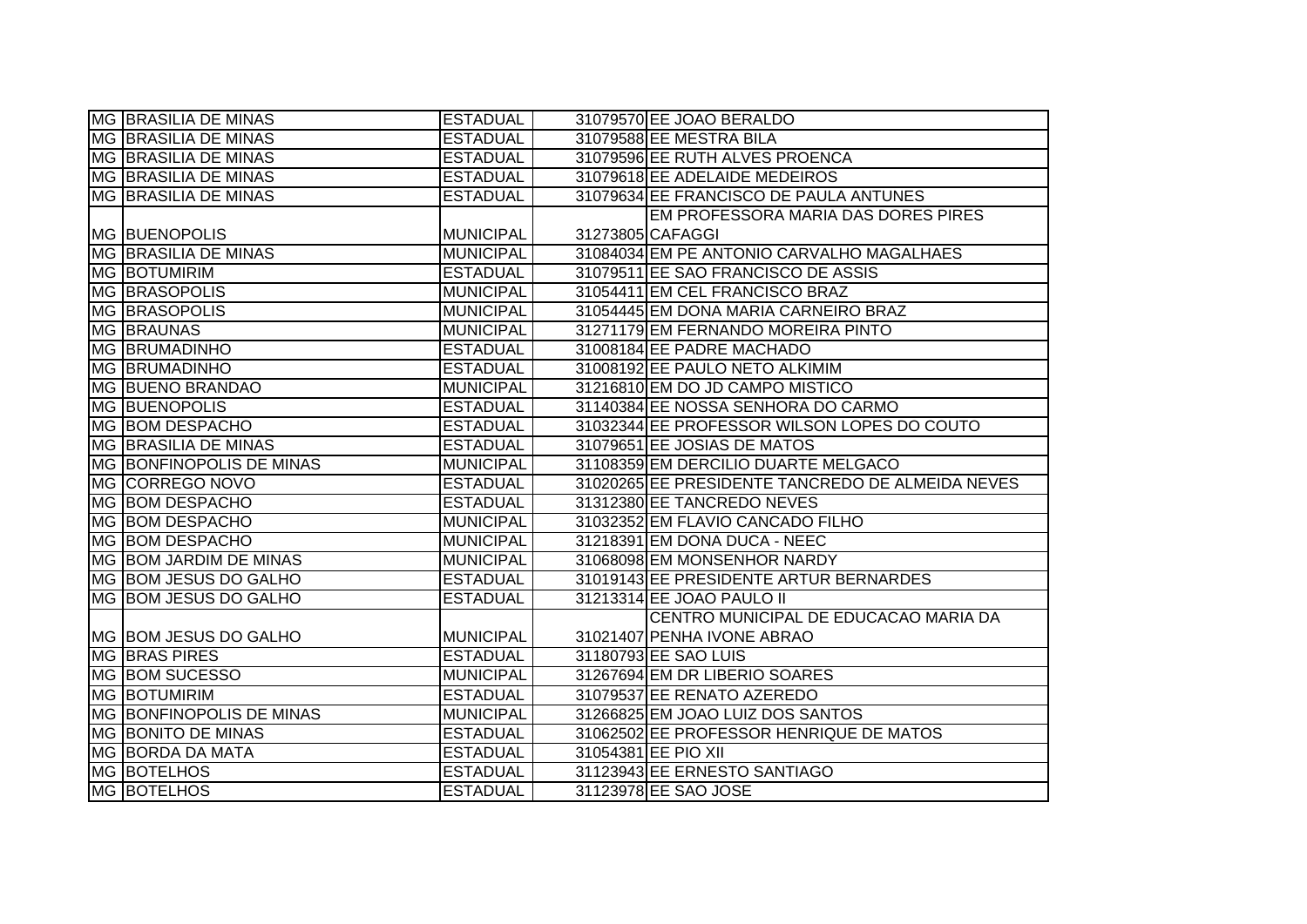| <b>MG BRASILIA DE MINAS</b>     | <b>ESTADUAL</b>  | 31079570 EE JOAO BERALDO                         |
|---------------------------------|------------------|--------------------------------------------------|
| <b>MG BRASILIA DE MINAS</b>     | <b>ESTADUAL</b>  | 31079588 EE MESTRA BILA                          |
| MG BRASILIA DE MINAS            | <b>ESTADUAL</b>  | 31079596 EE RUTH ALVES PROENCA                   |
| MG BRASILIA DE MINAS            | <b>ESTADUAL</b>  | 31079618 EE ADELAIDE MEDEIROS                    |
| <b>MG BRASILIA DE MINAS</b>     | <b>ESTADUAL</b>  | 31079634 EE FRANCISCO DE PAULA ANTUNES           |
|                                 |                  | EM PROFESSORA MARIA DAS DORES PIRES              |
| <b>MG BUENOPOLIS</b>            | <b>MUNICIPAL</b> | 31273805 CAFAGGI                                 |
| <b>IMG BRASILIA DE MINAS</b>    | <b>MUNICIPAL</b> | 31084034 EM PE ANTONIO CARVALHO MAGALHAES        |
| MG BOTUMIRIM                    | <b>ESTADUAL</b>  | 31079511 EE SAO FRANCISCO DE ASSIS               |
| <b>MG BRASOPOLIS</b>            | <b>MUNICIPAL</b> | 31054411 EM CEL FRANCISCO BRAZ                   |
| <b>MG BRASOPOLIS</b>            | <b>MUNICIPAL</b> | 31054445 EM DONA MARIA CARNEIRO BRAZ             |
| MG BRAUNAS                      | <b>MUNICIPAL</b> | 31271179 EM FERNANDO MOREIRA PINTO               |
| <b>MG BRUMADINHO</b>            | <b>ESTADUAL</b>  | 31008184 EE PADRE MACHADO                        |
| <b>MG BRUMADINHO</b>            | <b>ESTADUAL</b>  | 31008192 EE PAULO NETO ALKIMIM                   |
| MG BUENO BRANDAO                | <b>MUNICIPAL</b> | 31216810 EM DO JD CAMPO MISTICO                  |
| <b>MG BUENOPOLIS</b>            | <b>ESTADUAL</b>  | 31140384 EE NOSSA SENHORA DO CARMO               |
| MG BOM DESPACHO                 | <b>ESTADUAL</b>  | 31032344 EE PROFESSOR WILSON LOPES DO COUTO      |
| <b>MG BRASILIA DE MINAS</b>     | <b>ESTADUAL</b>  | 31079651 EE JOSIAS DE MATOS                      |
|                                 |                  |                                                  |
| <b>MG BONFINOPOLIS DE MINAS</b> | <b>MUNICIPAL</b> | 31108359 EM DERCILIO DUARTE MELGACO              |
| MG CORREGO NOVO                 | <b>ESTADUAL</b>  | 31020265 EE PRESIDENTE TANCREDO DE ALMEIDA NEVES |
| MG BOM DESPACHO                 | <b>ESTADUAL</b>  | 31312380 EE TANCREDO NEVES                       |
| MG BOM DESPACHO                 | <b>MUNICIPAL</b> | 31032352 EM FLAVIO CANCADO FILHO                 |
| MG BOM DESPACHO                 | <b>MUNICIPAL</b> | 31218391 EM DONA DUCA - NEEC                     |
| MG BOM JARDIM DE MINAS          | <b>MUNICIPAL</b> | 31068098 EM MONSENHOR NARDY                      |
| MG BOM JESUS DO GALHO           | <b>ESTADUAL</b>  | 31019143 EE PRESIDENTE ARTUR BERNARDES           |
| MG BOM JESUS DO GALHO           | <b>ESTADUAL</b>  | 31213314 EE JOAO PAULO II                        |
|                                 |                  | CENTRO MUNICIPAL DE EDUCACAO MARIA DA            |
| MG BOM JESUS DO GALHO           | <b>MUNICIPAL</b> | 31021407 PENHA IVONE ABRAO                       |
| <b>MG BRAS PIRES</b>            | <b>ESTADUAL</b>  | 31180793 EE SAO LUIS                             |
| MG BOM SUCESSO                  | <b>MUNICIPAL</b> | 31267694 EM DR LIBERIO SOARES                    |
| MG BOTUMIRIM                    | <b>ESTADUAL</b>  | 31079537 EE RENATO AZEREDO                       |
| MG BONFINOPOLIS DE MINAS        | <b>MUNICIPAL</b> | 31266825 EM JOAO LUIZ DOS SANTOS                 |
| <b>MG BONITO DE MINAS</b>       | <b>ESTADUAL</b>  | 31062502 EE PROFESSOR HENRIQUE DE MATOS          |
| MG BORDA DA MATA                | <b>ESTADUAL</b>  | 31054381 EE PIO XII                              |
| <b>MG BOTELHOS</b>              | <b>ESTADUAL</b>  | 31123943 EE ERNESTO SANTIAGO                     |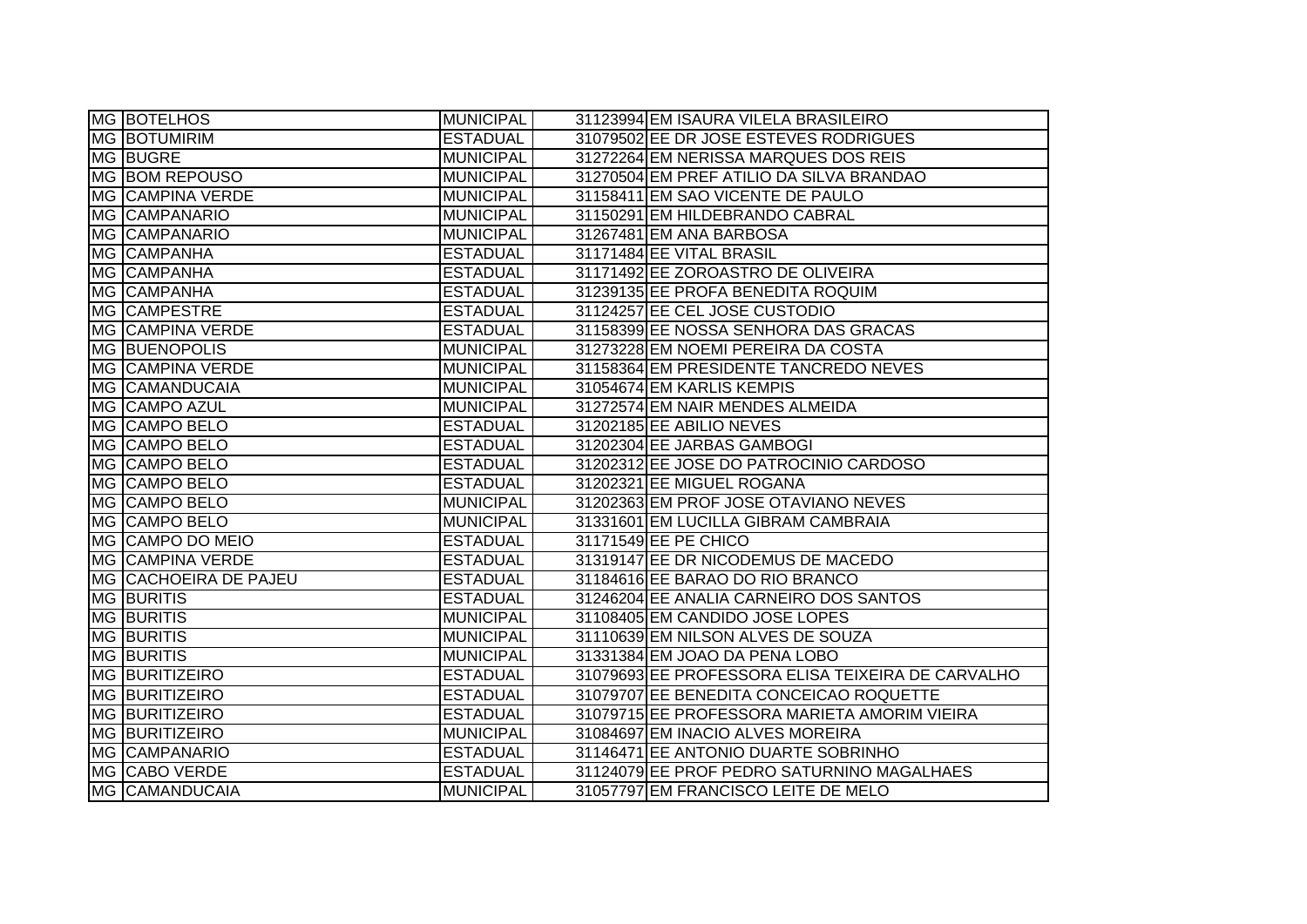| MG BOTELHOS                  | <b>MUNICIPAL</b> | 31123994 EM ISAURA VILELA BRASILEIRO              |
|------------------------------|------------------|---------------------------------------------------|
| <b>MG BOTUMIRIM</b>          | <b>ESTADUAL</b>  | 31079502 EE DR JOSE ESTEVES RODRIGUES             |
| <b>MG BUGRE</b>              | <b>MUNICIPAL</b> | 31272264 EM NERISSA MARQUES DOS REIS              |
| MG BOM REPOUSO               | <b>MUNICIPAL</b> | 31270504 EM PREF ATILIO DA SILVA BRANDAO          |
| <b>MG CAMPINA VERDE</b>      | <b>MUNICIPAL</b> | 31158411 EM SAO VICENTE DE PAULO                  |
| MG CAMPANARIO                | <b>MUNICIPAL</b> | 31150291 EM HILDEBRANDO CABRAL                    |
| MG CAMPANARIO                | <b>MUNICIPAL</b> | 31267481 EM ANA BARBOSA                           |
| MG CAMPANHA                  | <b>ESTADUAL</b>  | 31171484 EE VITAL BRASIL                          |
| MG CAMPANHA                  | <b>ESTADUAL</b>  | 31171492 EE ZOROASTRO DE OLIVEIRA                 |
| MG CAMPANHA                  | <b>ESTADUAL</b>  | 31239135 EE PROFA BENEDITA ROQUIM                 |
| MG CAMPESTRE                 | <b>ESTADUAL</b>  | 31124257 EE CEL JOSE CUSTODIO                     |
| <b>MG CAMPINA VERDE</b>      | <b>ESTADUAL</b>  | 31158399 EE NOSSA SENHORA DAS GRACAS              |
| MG BUENOPOLIS                | <b>MUNICIPAL</b> | 31273228 EM NOEMI PEREIRA DA COSTA                |
| <b>MG CAMPINA VERDE</b>      | <b>MUNICIPAL</b> | 31158364 EM PRESIDENTE TANCREDO NEVES             |
| MG CAMANDUCAIA               | <b>MUNICIPAL</b> | 31054674 EM KARLIS KEMPIS                         |
| MG CAMPO AZUL                | <b>MUNICIPAL</b> | 31272574 EM NAIR MENDES ALMEIDA                   |
| MG CAMPO BELO                | <b>ESTADUAL</b>  | 31202185 EE ABILIO NEVES                          |
| MG CAMPO BELO                | <b>ESTADUAL</b>  | 31202304 EE JARBAS GAMBOGI                        |
| MG CAMPO BELO                | <b>ESTADUAL</b>  | 31202312 EE JOSE DO PATROCINIO CARDOSO            |
| MG CAMPO BELO                | <b>ESTADUAL</b>  | 31202321 EE MIGUEL ROGANA                         |
| MG CAMPO BELO                | MUNICIPAL        | 31202363 EM PROF JOSE OTAVIANO NEVES              |
| MG CAMPO BELO                | MUNICIPAL        | 31331601 EM LUCILLA GIBRAM CAMBRAIA               |
| MG CAMPO DO MEIO             | <b>ESTADUAL</b>  | 31171549 EE PE CHICO                              |
| <b>MG CAMPINA VERDE</b>      | <b>ESTADUAL</b>  | 31319147 EE DR NICODEMUS DE MACEDO                |
| <b>MG CACHOEIRA DE PAJEU</b> | <b>ESTADUAL</b>  | 31184616 EE BARAO DO RIO BRANCO                   |
| <b>MG BURITIS</b>            | <b>ESTADUAL</b>  | 31246204 EE ANALIA CARNEIRO DOS SANTOS            |
| <b>MG BURITIS</b>            | <b>MUNICIPAL</b> | 31108405 EM CANDIDO JOSE LOPES                    |
| <b>MG BURITIS</b>            | <b>MUNICIPAL</b> | 31110639 EM NILSON ALVES DE SOUZA                 |
| <b>MG BURITIS</b>            | <b>MUNICIPAL</b> | 31331384 EM JOAO DA PENA LOBO                     |
| <b>MG BURITIZEIRO</b>        | <b>ESTADUAL</b>  | 31079693 EE PROFESSORA ELISA TEIXEIRA DE CARVALHO |
| <b>MG BURITIZEIRO</b>        | <b>ESTADUAL</b>  | 31079707 EE BENEDITA CONCEICAO ROQUETTE           |
| MG BURITIZEIRO               | <b>ESTADUAL</b>  | 31079715 EE PROFESSORA MARIETA AMORIM VIEIRA      |
| MG BURITIZEIRO               | MUNICIPAL        | 31084697 EM INACIO ALVES MOREIRA                  |
| <b>MG CAMPANARIO</b>         | <b>ESTADUAL</b>  | 31146471 EE ANTONIO DUARTE SOBRINHO               |
| MG CABO VERDE                | <b>ESTADUAL</b>  | 31124079 EE PROF PEDRO SATURNINO MAGALHAES        |
| MG CAMANDUCAIA               | <b>MUNICIPAL</b> | 31057797 EM FRANCISCO LEITE DE MELO               |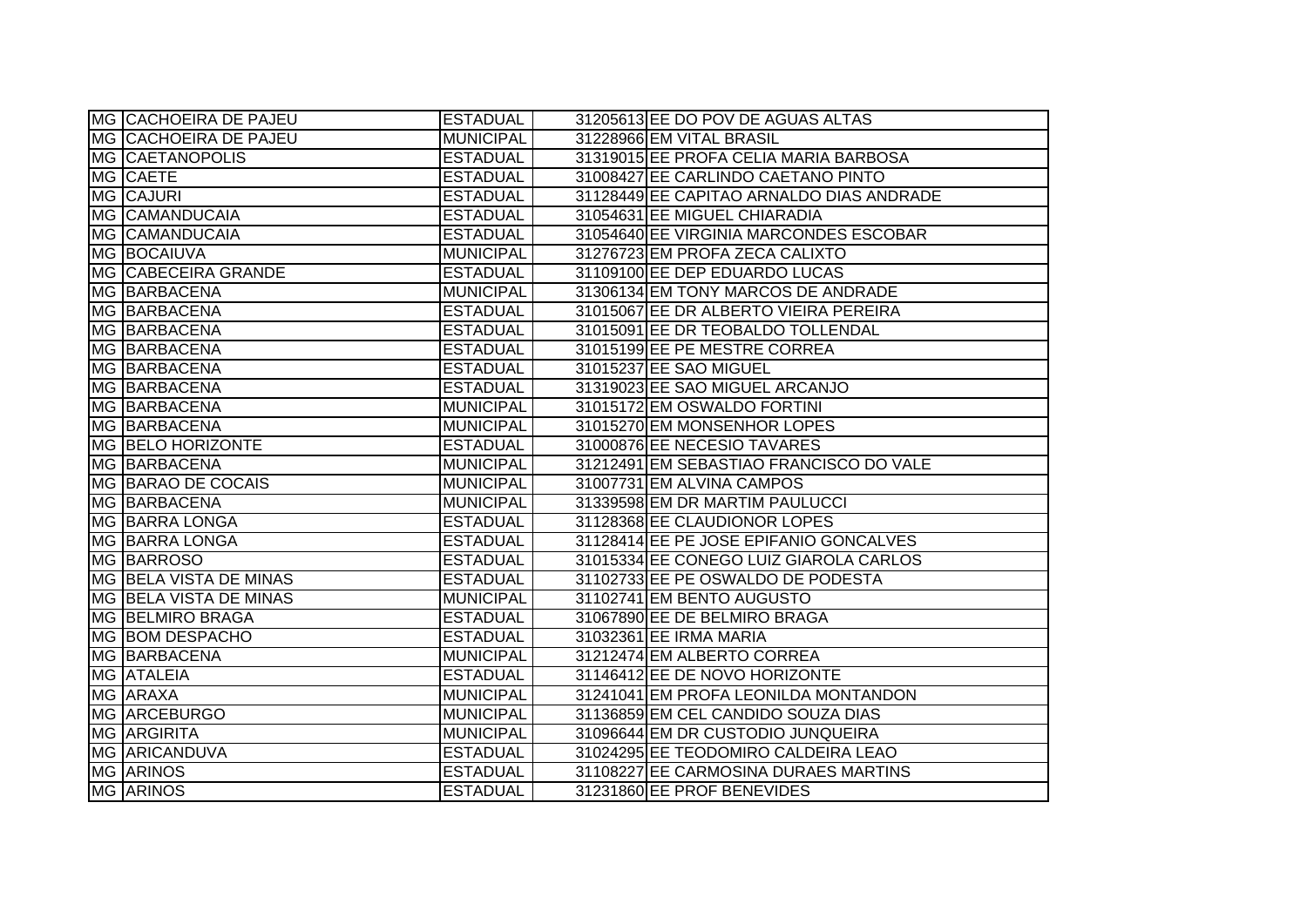| MG CACHOEIRA DE PAJEU         | <b>ESTADUAL</b>  | 31205613 EE DO POV DE AGUAS ALTAS        |
|-------------------------------|------------------|------------------------------------------|
| MG CACHOEIRA DE PAJEU         | <b>MUNICIPAL</b> | 31228966 EM VITAL BRASIL                 |
| <b>MG CAETANOPOLIS</b>        | <b>ESTADUAL</b>  | 31319015 EE PROFA CELIA MARIA BARBOSA    |
| MG CAETE                      | <b>ESTADUAL</b>  | 31008427 EE CARLINDO CAETANO PINTO       |
| MG CAJURI                     | <b>ESTADUAL</b>  | 31128449 EE CAPITAO ARNALDO DIAS ANDRADE |
| MG CAMANDUCAIA                | <b>ESTADUAL</b>  | 31054631 EE MIGUEL CHIARADIA             |
| MG CAMANDUCAIA                | <b>ESTADUAL</b>  | 31054640 EE VIRGINIA MARCONDES ESCOBAR   |
| MG BOCAIUVA                   | <b>MUNICIPAL</b> | 31276723 EM PROFA ZECA CALIXTO           |
| MG CABECEIRA GRANDE           | <b>ESTADUAL</b>  | 31109100 EE DEP EDUARDO LUCAS            |
| MG BARBACENA                  | <b>MUNICIPAL</b> | 31306134 EM TONY MARCOS DE ANDRADE       |
| MG BARBACENA                  | <b>ESTADUAL</b>  | 31015067 EE DR ALBERTO VIEIRA PEREIRA    |
| MG BARBACENA                  | <b>ESTADUAL</b>  | 31015091 EE DR TEOBALDO TOLLENDAL        |
| MG BARBACENA                  | <b>ESTADUAL</b>  | 31015199 EE PE MESTRE CORREA             |
| MG BARBACENA                  | <b>ESTADUAL</b>  | 31015237 EE SAO MIGUEL                   |
| MG BARBACENA                  | <b>ESTADUAL</b>  | 31319023 EE SAO MIGUEL ARCANJO           |
| MG BARBACENA                  | <b>MUNICIPAL</b> | 31015172 EM OSWALDO FORTINI              |
| MG BARBACENA                  | <b>MUNICIPAL</b> | 31015270 EM MONSENHOR LOPES              |
| MG BELO HORIZONTE             | <b>ESTADUAL</b>  | 31000876 EE NECESIO TAVARES              |
| MG BARBACENA                  | <b>MUNICIPAL</b> | 31212491 EM SEBASTIAO FRANCISCO DO VALE  |
| MG BARAO DE COCAIS            | <b>MUNICIPAL</b> | 31007731 EM ALVINA CAMPOS                |
| MG BARBACENA                  | <b>MUNICIPAL</b> | 31339598 EM DR MARTIM PAULUCCI           |
| MG BARRA LONGA                | <b>ESTADUAL</b>  | 31128368 EE CLAUDIONOR LOPES             |
| MG BARRA LONGA                | <b>ESTADUAL</b>  | 31128414 EE PE JOSE EPIFANIO GONCALVES   |
| MG BARROSO                    | <b>ESTADUAL</b>  | 31015334 EE CONEGO LUIZ GIAROLA CARLOS   |
| MG BELA VISTA DE MINAS        | <b>ESTADUAL</b>  | 31102733 EE PE OSWALDO DE PODESTA        |
| <b>MG BELA VISTA DE MINAS</b> | <b>MUNICIPAL</b> | 31102741 EM BENTO AUGUSTO                |
| <b>MG BELMIRO BRAGA</b>       | <b>ESTADUAL</b>  | 31067890 EE DE BELMIRO BRAGA             |
| MG BOM DESPACHO               | <b>ESTADUAL</b>  | 31032361 EE IRMA MARIA                   |
| MG BARBACENA                  | <b>MUNICIPAL</b> | 31212474 EM ALBERTO CORREA               |
| MG ATALEIA                    | <b>ESTADUAL</b>  | 31146412 EE DE NOVO HORIZONTE            |
| MG ARAXA                      | <b>MUNICIPAL</b> | 31241041 EM PROFA LEONILDA MONTANDON     |
| MG ARCEBURGO                  | <b>MUNICIPAL</b> | 31136859 EM CEL CANDIDO SOUZA DIAS       |
| MG ARGIRITA                   | <b>MUNICIPAL</b> | 31096644 EM DR CUSTODIO JUNQUEIRA        |
| MG ARICANDUVA                 | <b>ESTADUAL</b>  | 31024295 EE TEODOMIRO CALDEIRA LEAO      |
| <b>MG ARINOS</b>              | <b>ESTADUAL</b>  | 31108227 EE CARMOSINA DURAES MARTINS     |
| <b>MG ARINOS</b>              | <b>ESTADUAL</b>  | 31231860 EE PROF BENEVIDES               |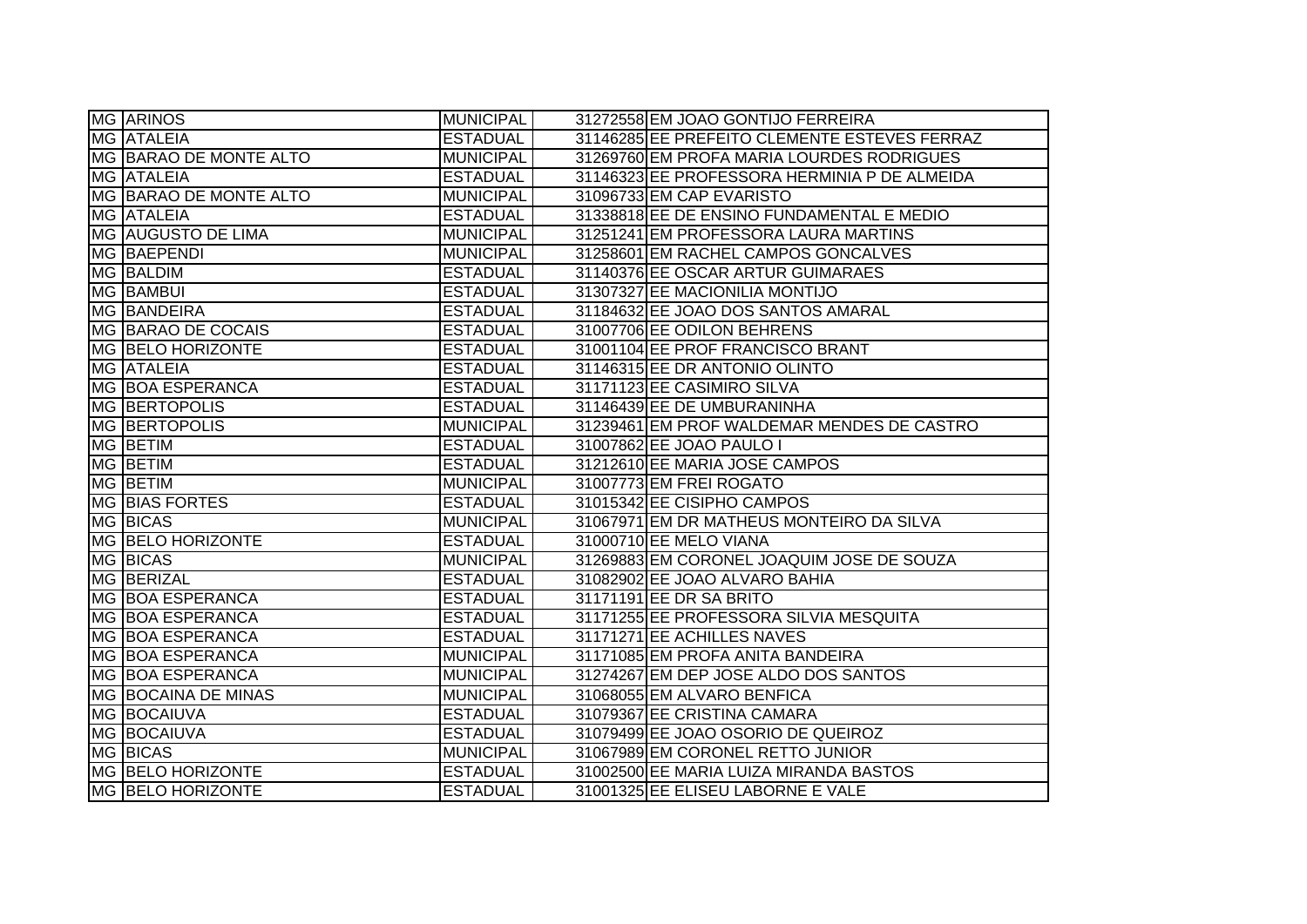| <b>MG ARINOS</b>               | <b>MUNICIPAL</b> | 31272558 EM JOAO GONTIJO FERREIRA            |
|--------------------------------|------------------|----------------------------------------------|
| <b>MG ATALEIA</b>              | <b>ESTADUAL</b>  | 31146285 EE PREFEITO CLEMENTE ESTEVES FERRAZ |
| <b>IMG BARAO DE MONTE ALTO</b> | <b>MUNICIPAL</b> | 31269760 EM PROFA MARIA LOURDES RODRIGUES    |
| <b>MG ATALEIA</b>              | <b>ESTADUAL</b>  | 31146323 EE PROFESSORA HERMINIA P DE ALMEIDA |
| MG BARAO DE MONTE ALTO         | <b>MUNICIPAL</b> | 31096733 EM CAP EVARISTO                     |
| MG ATALEIA                     | <b>ESTADUAL</b>  | 31338818 EE DE ENSINO FUNDAMENTAL E MEDIO    |
| MG AUGUSTO DE LIMA             | <b>MUNICIPAL</b> | 31251241 EM PROFESSORA LAURA MARTINS         |
| MG BAEPENDI                    | <b>MUNICIPAL</b> | 31258601 EM RACHEL CAMPOS GONCALVES          |
| MG BALDIM                      | <b>ESTADUAL</b>  | 31140376 EE OSCAR ARTUR GUIMARAES            |
| MG BAMBUI                      | <b>ESTADUAL</b>  | 31307327 EE MACIONILIA MONTIJO               |
| <b>IMG BAANDEIRA</b>           | <b>ESTADUAL</b>  | 31184632 EE JOAO DOS SANTOS AMARAL           |
| MG BARAO DE COCAIS             | <b>ESTADUAL</b>  | 31007706 EE ODILON BEHRENS                   |
| MG BELO HORIZONTE              | <b>ESTADUAL</b>  | 31001104 EE PROF FRANCISCO BRANT             |
| MG ATALEIA                     | <b>ESTADUAL</b>  | 31146315 EE DR ANTONIO OLINTO                |
| MG BOA ESPERANCA               | <b>ESTADUAL</b>  | 31171123 EE CASIMIRO SILVA                   |
| MG BERTOPOLIS                  | <b>ESTADUAL</b>  | 31146439 EE DE UMBURANINHA                   |
| MG BERTOPOLIS                  | <b>MUNICIPAL</b> | 31239461 EM PROF WALDEMAR MENDES DE CASTRO   |
| MG BETIM                       | <b>ESTADUAL</b>  | 31007862 EE JOAO PAULO I                     |
| MG BETIM                       | <b>ESTADUAL</b>  | 31212610 EE MARIA JOSE CAMPOS                |
| MG BETIM                       | <b>MUNICIPAL</b> | 31007773 EM FREI ROGATO                      |
| MG BIAS FORTES                 | <b>ESTADUAL</b>  | 31015342 EE CISIPHO CAMPOS                   |
| <b>MG BICAS</b>                | <b>MUNICIPAL</b> | 31067971 EM DR MATHEUS MONTEIRO DA SILVA     |
| <b>MG BELO HORIZONTE</b>       | <b>ESTADUAL</b>  | 31000710 EE MELO VIANA                       |
| MG BICAS                       | <b>MUNICIPAL</b> | 31269883 EM CORONEL JOAQUIM JOSE DE SOUZA    |
| MG BERIZAL                     | <b>ESTADUAL</b>  | 31082902 EE JOAO ALVARO BAHIA                |
| MG BOA ESPERANCA               | <b>ESTADUAL</b>  | 31171191 EE DR SA BRITO                      |
| MG BOA ESPERANCA               | <b>ESTADUAL</b>  | 31171255 EE PROFESSORA SILVIA MESQUITA       |
| MG BOA ESPERANCA               | <b>ESTADUAL</b>  | 31171271 EE ACHILLES NAVES                   |
| MG BOA ESPERANCA               | <b>MUNICIPAL</b> | 31171085 EM PROFA ANITA BANDEIRA             |
| MG BOA ESPERANCA               | <b>MUNICIPAL</b> | 31274267 EM DEP JOSE ALDO DOS SANTOS         |
| MG BOCAINA DE MINAS            | <b>MUNICIPAL</b> | 31068055 EM ALVARO BENFICA                   |
| MG BOCAIUVA                    | <b>ESTADUAL</b>  | 31079367 EE CRISTINA CAMARA                  |
| MG BOCAIUVA                    | <b>ESTADUAL</b>  | 31079499 EE JOAO OSORIO DE QUEIROZ           |
| MG BICAS                       | <b>MUNICIPAL</b> | 31067989 EM CORONEL RETTO JUNIOR             |
| MG BELO HORIZONTE              | <b>ESTADUAL</b>  | 31002500 EE MARIA LUIZA MIRANDA BASTOS       |
| MG BELO HORIZONTE              | <b>ESTADUAL</b>  | 31001325 EE ELISEU LABORNE E VALE            |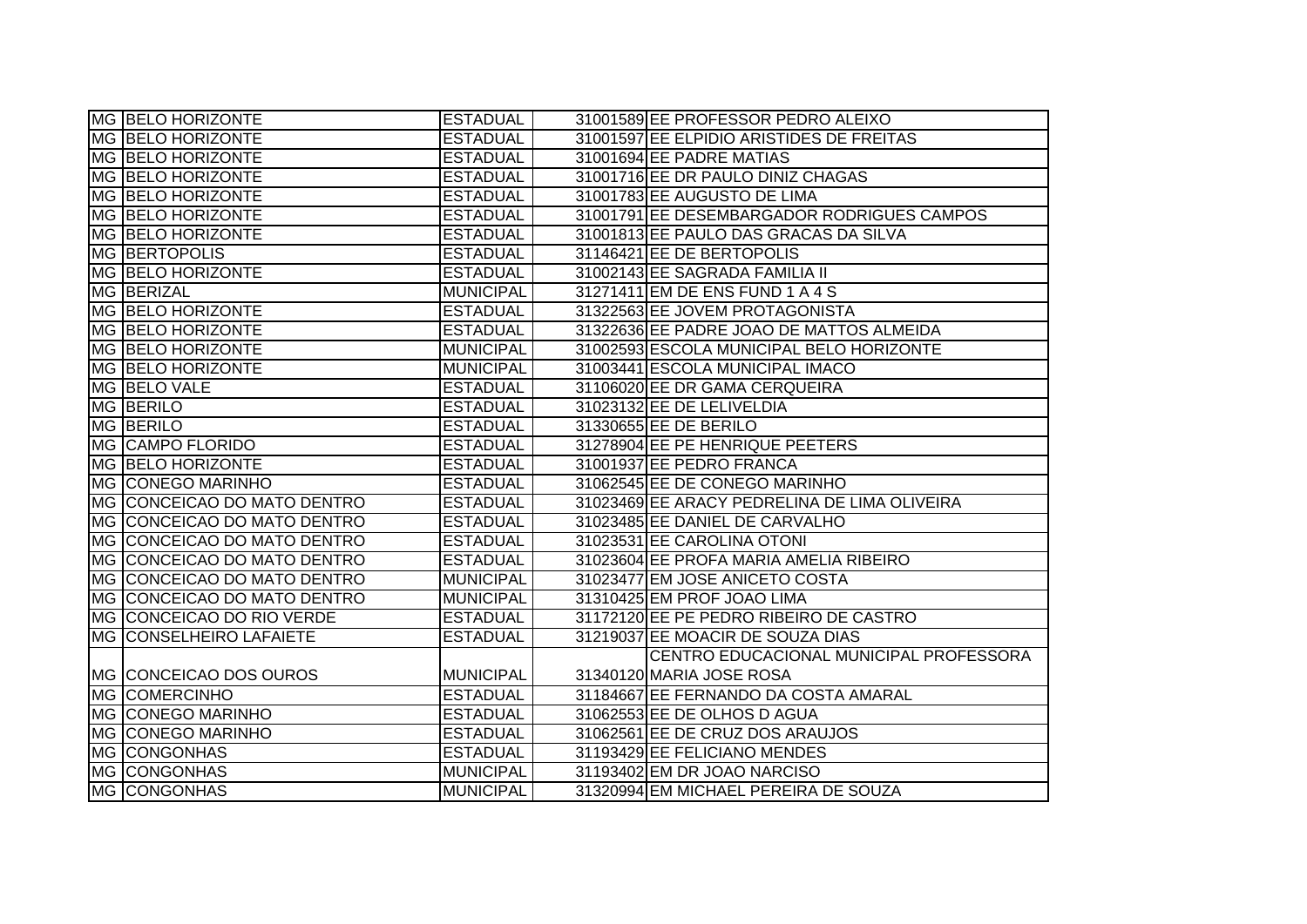| MG BELO HORIZONTE           | <b>ESTADUAL</b>  | 31001589 EE PROFESSOR PEDRO ALEIXO           |
|-----------------------------|------------------|----------------------------------------------|
| <b>MG BELO HORIZONTE</b>    | <b>ESTADUAL</b>  | 31001597 EE ELPIDIO ARISTIDES DE FREITAS     |
| MG BELO HORIZONTE           | <b>ESTADUAL</b>  | 31001694 EE PADRE MATIAS                     |
| <b>MG BELO HORIZONTE</b>    | <b>ESTADUAL</b>  | 31001716 EE DR PAULO DINIZ CHAGAS            |
| MG BELO HORIZONTE           | <b>ESTADUAL</b>  | 31001783 EE AUGUSTO DE LIMA                  |
| MG BELO HORIZONTE           | <b>ESTADUAL</b>  | 31001791 EE DESEMBARGADOR RODRIGUES CAMPOS   |
| MG BELO HORIZONTE           | <b>ESTADUAL</b>  | 31001813 EE PAULO DAS GRACAS DA SILVA        |
| <b>MG BERTOPOLIS</b>        | <b>ESTADUAL</b>  | 31146421 EE DE BERTOPOLIS                    |
| MG BELO HORIZONTE           | <b>ESTADUAL</b>  | 31002143 EE SAGRADA FAMILIA II               |
| MG BERIZAL                  | <b>MUNICIPAL</b> | 31271411 EM DE ENS FUND 1 A 4 S              |
| MG BELO HORIZONTE           | <b>ESTADUAL</b>  | 31322563 EE JOVEM PROTAGONISTA               |
| MG BELO HORIZONTE           | <b>ESTADUAL</b>  | 31322636 EE PADRE JOAO DE MATTOS ALMEIDA     |
| MG BELO HORIZONTE           | <b>MUNICIPAL</b> | 31002593 ESCOLA MUNICIPAL BELO HORIZONTE     |
| <b>MG BELO HORIZONTE</b>    | <b>MUNICIPAL</b> | 31003441 ESCOLA MUNICIPAL IMACO              |
| MG BELO VALE                | <b>ESTADUAL</b>  | 31106020 EE DR GAMA CERQUEIRA                |
| <b>MG BERILO</b>            | <b>ESTADUAL</b>  | 31023132 EE DE LELIVELDIA                    |
| MG BERILO                   | <b>ESTADUAL</b>  | 31330655 EE DE BERILO                        |
| MG CAMPO FLORIDO            | <b>ESTADUAL</b>  | 31278904 EE PE HENRIQUE PEETERS              |
| MG BELO HORIZONTE           | <b>ESTADUAL</b>  | 31001937 EE PEDRO FRANCA                     |
| MG CONEGO MARINHO           | <b>ESTADUAL</b>  | 31062545 EE DE CONEGO MARINHO                |
| MG CONCEICAO DO MATO DENTRO | <b>ESTADUAL</b>  | 31023469 EE ARACY PEDRELINA DE LIMA OLIVEIRA |
| MG CONCEICAO DO MATO DENTRO | <b>ESTADUAL</b>  | 31023485 EE DANIEL DE CARVALHO               |
| MG CONCEICAO DO MATO DENTRO | <b>ESTADUAL</b>  | 31023531 EE CAROLINA OTONI                   |
| MG CONCEICAO DO MATO DENTRO | <b>ESTADUAL</b>  | 31023604 EE PROFA MARIA AMELIA RIBEIRO       |
| MG CONCEICAO DO MATO DENTRO | <b>MUNICIPAL</b> | 31023477 EM JOSE ANICETO COSTA               |
| MG CONCEICAO DO MATO DENTRO | <b>MUNICIPAL</b> | 31310425 EM PROF JOAO LIMA                   |
| MG CONCEICAO DO RIO VERDE   | <b>ESTADUAL</b>  | 31172120 EE PE PEDRO RIBEIRO DE CASTRO       |
| MG CONSELHEIRO LAFAIETE     | <b>ESTADUAL</b>  | 31219037 EE MOACIR DE SOUZA DIAS             |
|                             |                  | CENTRO EDUCACIONAL MUNICIPAL PROFESSORA      |
| MG CONCEICAO DOS OUROS      | <b>MUNICIPAL</b> | 31340120 MARIA JOSE ROSA                     |
| MG COMERCINHO               | <b>ESTADUAL</b>  | 31184667 EE FERNANDO DA COSTA AMARAL         |
| MG CONEGO MARINHO           | <b>ESTADUAL</b>  | 31062553 EE DE OLHOS D AGUA                  |
| <b>MG CONEGO MARINHO</b>    | <b>ESTADUAL</b>  | 31062561 EE DE CRUZ DOS ARAUJOS              |
| <b>MG CONGONHAS</b>         | <b>ESTADUAL</b>  | 31193429 EE FELICIANO MENDES                 |
| <b>MG CONGONHAS</b>         | <b>MUNICIPAL</b> | 31193402 EM DR JOAO NARCISO                  |
| <b>MG CONGONHAS</b>         | <b>MUNICIPAL</b> | 31320994 EM MICHAEL PEREIRA DE SOUZA         |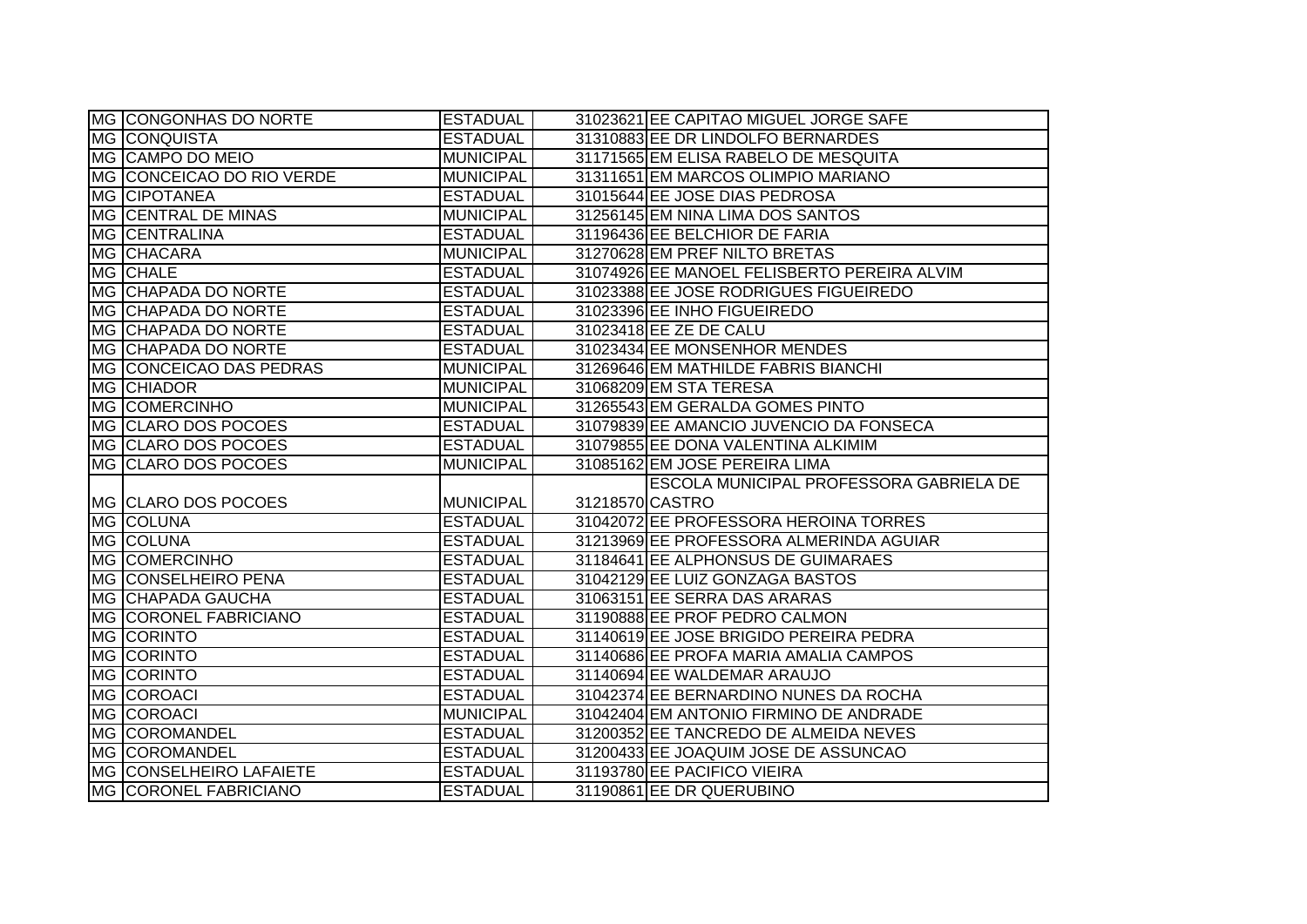| IMG CONGONHAS DO NORTE                                  | <b>ESTADUAL</b>                    | 31023621 EE CAPITAO MIGUEL JORGE SAFE                   |
|---------------------------------------------------------|------------------------------------|---------------------------------------------------------|
| <b>MG CONQUISTA</b>                                     | <b>ESTADUAL</b>                    | 31310883 EE DR LINDOLFO BERNARDES                       |
| MG CAMPO DO MEIO                                        | <b>MUNICIPAL</b>                   | 31171565 EM ELISA RABELO DE MESQUITA                    |
| MG CONCEICAO DO RIO VERDE                               | <b>MUNICIPAL</b>                   | 31311651 EM MARCOS OLIMPIO MARIANO                      |
| MG CIPOTANEA                                            | <b>ESTADUAL</b>                    | 31015644 EE JOSE DIAS PEDROSA                           |
| MG CENTRAL DE MINAS                                     | <b>MUNICIPAL</b>                   | 31256145 EM NINA LIMA DOS SANTOS                        |
| <b>MG CENTRALINA</b>                                    | <b>ESTADUAL</b>                    | 31196436 EE BELCHIOR DE FARIA                           |
| MG CHACARA                                              | MUNICIPAL                          | 31270628 EM PREF NILTO BRETAS                           |
| MG CHALE                                                | <b>ESTADUAL</b>                    | 31074926 EE MANOEL FELISBERTO PEREIRA ALVIM             |
| MG CHAPADA DO NORTE                                     | <b>ESTADUAL</b>                    | 31023388 EE JOSE RODRIGUES FIGUEIREDO                   |
| MG CHAPADA DO NORTE                                     | <b>ESTADUAL</b>                    | 31023396 EE INHO FIGUEIREDO                             |
| MG CHAPADA DO NORTE                                     | <b>ESTADUAL</b>                    | 31023418 EE ZE DE CALU                                  |
| MG CHAPADA DO NORTE                                     | <b>ESTADUAL</b>                    | 31023434 EE MONSENHOR MENDES                            |
| MG CONCEICAO DAS PEDRAS                                 | <b>MUNICIPAL</b>                   | 31269646 EM MATHILDE FABRIS BIANCHI                     |
| MG CHIADOR                                              | <b>MUNICIPAL</b>                   | 31068209 EM STA TERESA                                  |
| MG COMERCINHO                                           | <b>MUNICIPAL</b>                   | 31265543 EM GERALDA GOMES PINTO                         |
| MG CLARO DOS POCOES                                     | <b>ESTADUAL</b>                    | 31079839 EE AMANCIO JUVENCIO DA FONSECA                 |
| MG CLARO DOS POCOES                                     | <b>ESTADUAL</b>                    | 31079855 EE DONA VALENTINA ALKIMIM                      |
|                                                         |                                    |                                                         |
| MG CLARO DOS POCOES                                     | <b>MUNICIPAL</b>                   | 31085162 EM JOSE PEREIRA LIMA                           |
|                                                         |                                    | ESCOLA MUNICIPAL PROFESSORA GABRIELA DE                 |
| MG  CLARO DOS POCOES                                    | MUNICIPAL                          | 31218570 CASTRO                                         |
| MG COLUNA                                               | <b>ESTADUAL</b>                    | 31042072 EE PROFESSORA HEROINA TORRES                   |
| MG COLUNA                                               | <b>ESTADUAL</b>                    | 31213969 EE PROFESSORA ALMERINDA AGUIAR                 |
| <b>MG COMERCINHO</b>                                    | <b>ESTADUAL</b>                    | 31184641 EE ALPHONSUS DE GUIMARAES                      |
| MG CONSELHEIRO PENA                                     | <b>ESTADUAL</b>                    | 31042129 EE LUIZ GONZAGA BASTOS                         |
| MG CHAPADA GAUCHA                                       | <b>ESTADUAL</b>                    | 31063151 EE SERRA DAS ARARAS                            |
| MG CORONEL FABRICIANO                                   | <b>ESTADUAL</b>                    | 31190888 EE PROF PEDRO CALMON                           |
| MG CORINTO                                              | <b>ESTADUAL</b>                    | 31140619 EE JOSE BRIGIDO PEREIRA PEDRA                  |
| MG CORINTO                                              | <b>ESTADUAL</b>                    | 31140686 EE PROFA MARIA AMALIA CAMPOS                   |
| MG CORINTO                                              | <b>ESTADUAL</b>                    | 31140694 EE WALDEMAR ARAUJO                             |
| MG COROACI                                              | <b>ESTADUAL</b>                    | 31042374 EE BERNARDINO NUNES DA ROCHA                   |
| MG COROACI                                              | MUNICIPAL                          | 31042404 EM ANTONIO FIRMINO DE ANDRADE                  |
| MG COROMANDEL                                           | <b>ESTADUAL</b>                    | 31200352 EE TANCREDO DE ALMEIDA NEVES                   |
| MG COROMANDEL                                           | <b>ESTADUAL</b>                    | 31200433 EE JOAQUIM JOSE DE ASSUNCAO                    |
| <b>MG CONSELHEIRO LAFAIETE</b><br>MG CORONEL FABRICIANO | <b>ESTADUAL</b><br><b>ESTADUAL</b> | 31193780 EE PACIFICO VIEIRA<br>31190861 EE DR QUERUBINO |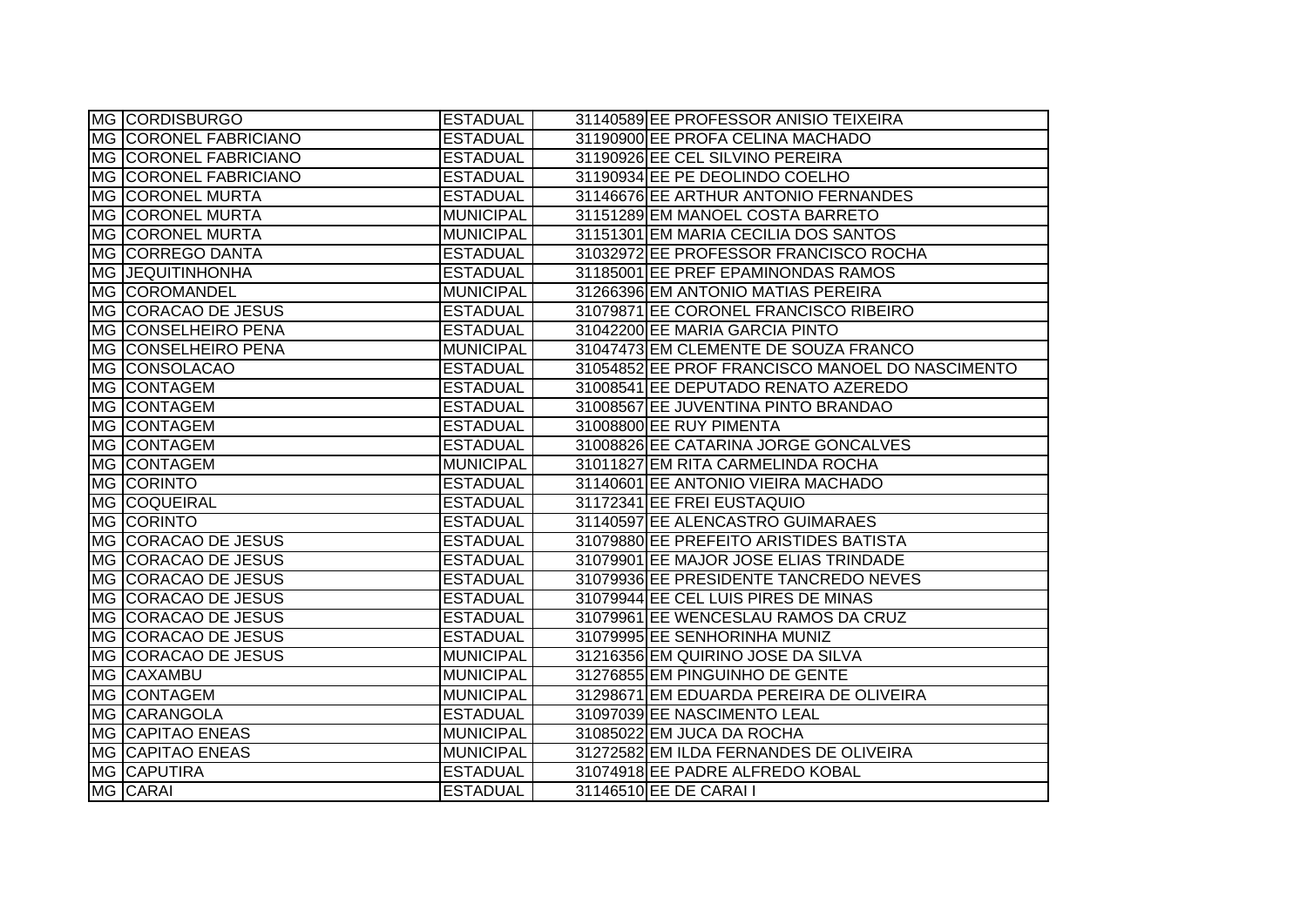| MG CORDISBURGO               | <b>ESTADUAL</b>  | 31140589 EE PROFESSOR ANISIO TEIXEIRA           |
|------------------------------|------------------|-------------------------------------------------|
| <b>MG CORONEL FABRICIANO</b> | <b>ESTADUAL</b>  | 31190900 EE PROFA CELINA MACHADO                |
| MG CORONEL FABRICIANO        | <b>ESTADUAL</b>  | 31190926 EE CEL SILVINO PEREIRA                 |
| MG CORONEL FABRICIANO        | <b>ESTADUAL</b>  | 31190934 EE PE DEOLINDO COELHO                  |
| MG CORONEL MURTA             | <b>ESTADUAL</b>  | 31146676 EE ARTHUR ANTONIO FERNANDES            |
| <b>MG CORONEL MURTA</b>      | <b>MUNICIPAL</b> | 31151289 EM MANOEL COSTA BARRETO                |
| <b>MG CORONEL MURTA</b>      | <b>MUNICIPAL</b> | 31151301 EM MARIA CECILIA DOS SANTOS            |
| MG CORREGO DANTA             | <b>ESTADUAL</b>  | 31032972 EE PROFESSOR FRANCISCO ROCHA           |
| <b>MG JEQUITINHONHA</b>      | <b>ESTADUAL</b>  | 31185001 EE PREF EPAMINONDAS RAMOS              |
| MG COROMANDEL                | <b>MUNICIPAL</b> | 31266396 EM ANTONIO MATIAS PEREIRA              |
| MG CORACAO DE JESUS          | <b>ESTADUAL</b>  | 31079871 EE CORONEL FRANCISCO RIBEIRO           |
| MG CONSELHEIRO PENA          | <b>ESTADUAL</b>  | 31042200 EE MARIA GARCIA PINTO                  |
| MG CONSELHEIRO PENA          | <b>MUNICIPAL</b> | 31047473 EM CLEMENTE DE SOUZA FRANCO            |
| MG CONSOLACAO                | <b>ESTADUAL</b>  | 31054852 EE PROF FRANCISCO MANOEL DO NASCIMENTO |
| MG CONTAGEM                  | <b>ESTADUAL</b>  | 31008541 EE DEPUTADO RENATO AZEREDO             |
| MG CONTAGEM                  | <b>ESTADUAL</b>  | 31008567 EE JUVENTINA PINTO BRANDAO             |
| MG CONTAGEM                  | <b>ESTADUAL</b>  | 31008800 EE RUY PIMENTA                         |
| MG CONTAGEM                  | <b>ESTADUAL</b>  | 31008826 EE CATARINA JORGE GONCALVES            |
| MG CONTAGEM                  | <b>MUNICIPAL</b> | 31011827 EM RITA CARMELINDA ROCHA               |
| MG CORINTO                   | <b>ESTADUAL</b>  | 31140601 EE ANTONIO VIEIRA MACHADO              |
| MG COQUEIRAL                 | <b>ESTADUAL</b>  | 31172341 EE FREI EUSTAQUIO                      |
| <b>MG CORINTO</b>            | <b>ESTADUAL</b>  | 31140597 EE ALENCASTRO GUIMARAES                |
| MG CORACAO DE JESUS          | <b>ESTADUAL</b>  | 31079880 EE PREFEITO ARISTIDES BATISTA          |
| MG CORACAO DE JESUS          | <b>ESTADUAL</b>  | 31079901 EE MAJOR JOSE ELIAS TRINDADE           |
| MG CORACAO DE JESUS          | <b>ESTADUAL</b>  | 31079936 EE PRESIDENTE TANCREDO NEVES           |
| MG CORACAO DE JESUS          | <b>ESTADUAL</b>  | 31079944 EE CEL LUIS PIRES DE MINAS             |
| MG CORACAO DE JESUS          | <b>ESTADUAL</b>  | 31079961 EE WENCESLAU RAMOS DA CRUZ             |
| <b>MG CORACAO DE JESUS</b>   | <b>ESTADUAL</b>  | 31079995 EE SENHORINHA MUNIZ                    |
| MG CORACAO DE JESUS          | <b>MUNICIPAL</b> | 31216356 EM QUIRINO JOSE DA SILVA               |
| MG CAXAMBU                   | <b>MUNICIPAL</b> | 31276855 EM PINGUINHO DE GENTE                  |
| MG CONTAGEM                  | <b>MUNICIPAL</b> | 31298671 EM EDUARDA PEREIRA DE OLIVEIRA         |
| MG CARANGOLA                 | <b>ESTADUAL</b>  | 31097039 EE NASCIMENTO LEAL                     |
| MG CAPITAO ENEAS             | <b>MUNICIPAL</b> | 31085022 EM JUCA DA ROCHA                       |
| <b>MG CAPITAO ENEAS</b>      | <b>MUNICIPAL</b> | 31272582 EM ILDA FERNANDES DE OLIVEIRA          |
| <b>MG CAPUTIRA</b>           | <b>ESTADUAL</b>  | 31074918 EE PADRE ALFREDO KOBAL                 |
| MG CARAI                     | <b>ESTADUAL</b>  | 31146510 EE DE CARAI I                          |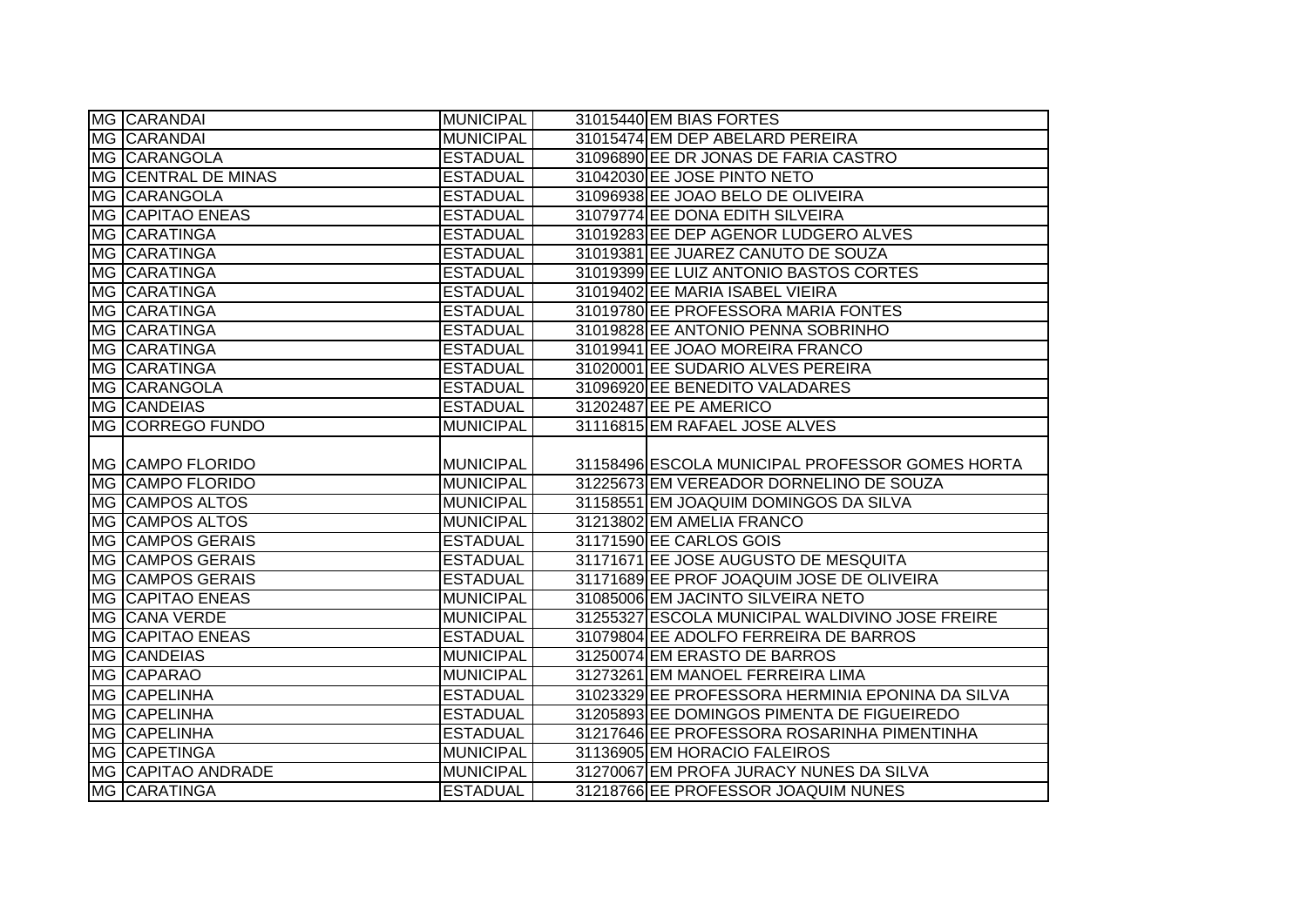| MG CARANDAI                               | MUNICIPAL                           | 31015440 EM BIAS FORTES                                                        |
|-------------------------------------------|-------------------------------------|--------------------------------------------------------------------------------|
| MG CARANDAI                               | <b>MUNICIPAL</b>                    | 31015474 EM DEP ABELARD PEREIRA                                                |
| MG CARANGOLA                              | <b>ESTADUAL</b>                     | 31096890 EE DR JONAS DE FARIA CASTRO                                           |
| MG CENTRAL DE MINAS                       | <b>ESTADUAL</b>                     | 31042030 EE JOSE PINTO NETO                                                    |
| MG CARANGOLA                              | <b>ESTADUAL</b>                     | 31096938 EE JOAO BELO DE OLIVEIRA                                              |
| <b>MG CAPITAO ENEAS</b>                   | <b>ESTADUAL</b>                     | 31079774 EE DONA EDITH SILVEIRA                                                |
| MG CARATINGA                              | <b>ESTADUAL</b>                     | 31019283 EE DEP AGENOR LUDGERO ALVES                                           |
| MG CARATINGA                              | <b>ESTADUAL</b>                     | 31019381 EE JUAREZ CANUTO DE SOUZA                                             |
| MG CARATINGA                              | <b>ESTADUAL</b>                     | 31019399 EE LUIZ ANTONIO BASTOS CORTES                                         |
| MG CARATINGA                              | <b>ESTADUAL</b>                     | 31019402 EE MARIA ISABEL VIEIRA                                                |
| MG CARATINGA                              | <b>ESTADUAL</b>                     | 31019780 EE PROFESSORA MARIA FONTES                                            |
| MG CARATINGA                              | <b>ESTADUAL</b>                     | 31019828 EE ANTONIO PENNA SOBRINHO                                             |
| MG CARATINGA                              | <b>ESTADUAL</b>                     | 31019941 EE JOAO MOREIRA FRANCO                                                |
| <b>MG CARATINGA</b>                       | <b>ESTADUAL</b>                     | 31020001 EE SUDARIO ALVES PEREIRA                                              |
| MG CARANGOLA                              | <b>ESTADUAL</b>                     | 31096920 EE BENEDITO VALADARES                                                 |
| <b>MG CANDEIAS</b>                        | <b>ESTADUAL</b>                     | 31202487 EE PE AMERICO                                                         |
| MG CORREGO FUNDO                          | <b>MUNICIPAL</b>                    | 31116815 EM RAFAEL JOSE ALVES                                                  |
|                                           |                                     |                                                                                |
| MG CAMPO FLORIDO                          | <b>MUNICIPAL</b>                    | 31158496 ESCOLA MUNICIPAL PROFESSOR GOMES HORTA                                |
| MG CAMPO FLORIDO                          | <b>MUNICIPAL</b>                    | 31225673 EM VEREADOR DORNELINO DE SOUZA                                        |
| <b>MG CAMPOS ALTOS</b>                    | <b>MUNICIPAL</b>                    | 31158551 EM JOAQUIM DOMINGOS DA SILVA                                          |
| <b>MG CAMPOS ALTOS</b>                    | <b>MUNICIPAL</b>                    | 31213802 EM AMELIA FRANCO                                                      |
| MG CAMPOS GERAIS                          | <b>ESTADUAL</b>                     | 31171590 EE CARLOS GOIS                                                        |
| <b>MG CAMPOS GERAIS</b>                   | <b>ESTADUAL</b>                     | 31171671 EE JOSE AUGUSTO DE MESQUITA                                           |
| MG CAMPOS GERAIS                          | <b>ESTADUAL</b>                     | 31171689 EE PROF JOAQUIM JOSE DE OLIVEIRA                                      |
| <b>MG CAPITAO ENEAS</b>                   | <b>MUNICIPAL</b>                    | 31085006 EM JACINTO SILVEIRA NETO                                              |
| MG CANA VERDE                             | <b>MUNICIPAL</b>                    | 31255327 ESCOLA MUNICIPAL WALDIVINO JOSE FREIRE                                |
| <b>MG CAPITAO ENEAS</b>                   | <b>ESTADUAL</b>                     | 31079804 EE ADOLFO FERREIRA DE BARROS                                          |
| <b>MG CANDEIAS</b>                        | <b>MUNICIPAL</b>                    | 31250074 EM ERASTO DE BARROS                                                   |
| MG CAPARAO                                | <b>MUNICIPAL</b>                    | 31273261 EM MANOEL FERREIRA LIMA                                               |
| MG CAPELINHA                              | <b>ESTADUAL</b>                     | 31023329 EE PROFESSORA HERMINIA EPONINA DA SILVA                               |
|                                           |                                     |                                                                                |
| MG CAPELINHA                              | <b>ESTADUAL</b>                     | 31205893 EE DOMINGOS PIMENTA DE FIGUEIREDO                                     |
| <b>MG CAPELINHA</b>                       | <b>ESTADUAL</b>                     | 31217646 EE PROFESSORA ROSARINHA PIMENTINHA                                    |
| <b>MG CAPETINGA</b>                       | <b>MUNICIPAL</b>                    | 31136905 EM HORACIO FALEIROS                                                   |
| MG CAPITAO ANDRADE<br><b>MG CARATINGA</b> | <b>MUNICIPAL</b><br><b>ESTADUAL</b> | 31270067 EM PROFA JURACY NUNES DA SILVA<br>31218766 EE PROFESSOR JOAQUIM NUNES |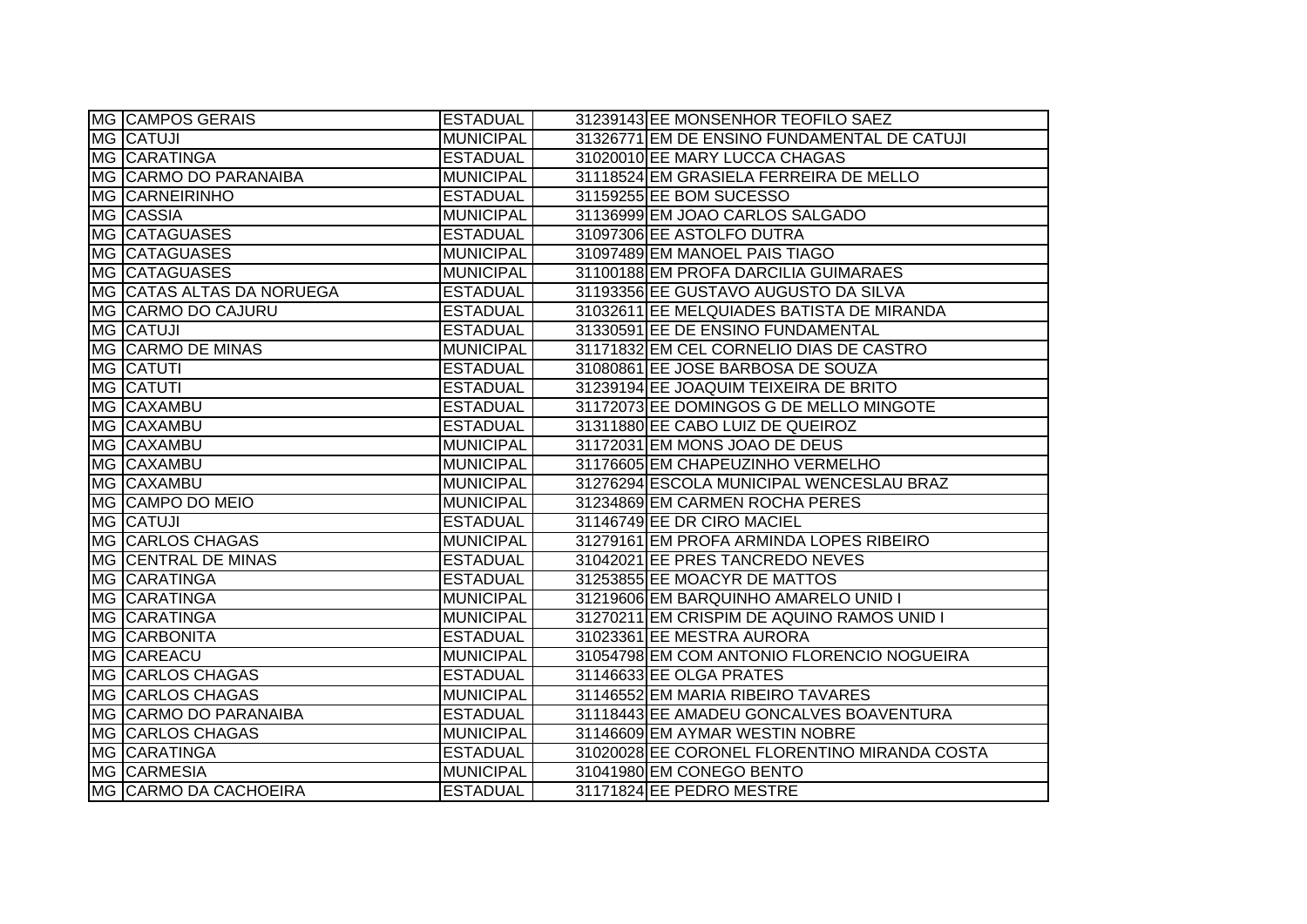|    | <b>MG CAMPOS GERAIS</b>   | <b>ESTADUAL</b>  | 31239143 EE MONSENHOR TEOFILO SAEZ           |
|----|---------------------------|------------------|----------------------------------------------|
|    | <b>MG CATUJI</b>          | <b>MUNICIPAL</b> | 31326771 EM DE ENSINO FUNDAMENTAL DE CATUJI  |
|    | <b>MG CARATINGA</b>       | <b>ESTADUAL</b>  | 31020010 EE MARY LUCCA CHAGAS                |
|    | MG CARMO DO PARANAIBA     | <b>MUNICIPAL</b> | 31118524 EM GRASIELA FERREIRA DE MELLO       |
|    | <b>MG CARNEIRINHO</b>     | <b>ESTADUAL</b>  | 31159255 EE BOM SUCESSO                      |
|    | MG CASSIA                 | <b>MUNICIPAL</b> | 31136999 EM JOAO CARLOS SALGADO              |
|    | <b>MG CATAGUASES</b>      | <b>ESTADUAL</b>  | 31097306 EE ASTOLFO DUTRA                    |
|    | MG CATAGUASES             | <b>MUNICIPAL</b> | 31097489 EM MANOEL PAIS TIAGO                |
|    | MG CATAGUASES             | MUNICIPAL        | 31100188 EM PROFA DARCILIA GUIMARAES         |
|    | MG CATAS ALTAS DA NORUEGA | <b>ESTADUAL</b>  | 31193356 EE GUSTAVO AUGUSTO DA SILVA         |
|    | MG CARMO DO CAJURU        | <b>ESTADUAL</b>  | 31032611 EE MELQUIADES BATISTA DE MIRANDA    |
|    | MG CATUJI                 | <b>ESTADUAL</b>  | 31330591 EE DE ENSINO FUNDAMENTAL            |
|    | MG CARMO DE MINAS         | <b>MUNICIPAL</b> | 31171832 EM CEL CORNELIO DIAS DE CASTRO      |
|    | MG CATUTI                 | <b>ESTADUAL</b>  | 31080861 EE JOSE BARBOSA DE SOUZA            |
|    | MG CATUTI                 | <b>ESTADUAL</b>  | 31239194 EE JOAQUIM TEIXEIRA DE BRITO        |
|    | MG CAXAMBU                | <b>ESTADUAL</b>  | 31172073 EE DOMINGOS G DE MELLO MINGOTE      |
|    | MG CAXAMBU                | <b>ESTADUAL</b>  | 31311880 EE CABO LUIZ DE QUEIROZ             |
| MG | <b>CAXAMBU</b>            | <b>MUNICIPAL</b> | 31172031 EM MONS JOAO DE DEUS                |
|    | MG CAXAMBU                | <b>MUNICIPAL</b> | 31176605 EM CHAPEUZINHO VERMELHO             |
|    | MG CAXAMBU                | <b>MUNICIPAL</b> | 31276294 ESCOLA MUNICIPAL WENCESLAU BRAZ     |
|    | MG CAMPO DO MEIO          | <b>MUNICIPAL</b> | 31234869 EM CARMEN ROCHA PERES               |
|    | MG CATUJI                 | <b>ESTADUAL</b>  | 31146749 EE DR CIRO MACIEL                   |
|    | MG CARLOS CHAGAS          | <b>MUNICIPAL</b> | 31279161 EM PROFA ARMINDA LOPES RIBEIRO      |
|    | MG CENTRAL DE MINAS       | <b>ESTADUAL</b>  | 31042021 EE PRES TANCREDO NEVES              |
|    | MG CARATINGA              | <b>ESTADUAL</b>  | 31253855 EE MOACYR DE MATTOS                 |
|    | MG CARATINGA              | <b>MUNICIPAL</b> | 31219606 EM BARQUINHO AMARELO UNID I         |
|    | MG CARATINGA              | <b>MUNICIPAL</b> | 31270211 EM CRISPIM DE AQUINO RAMOS UNID I   |
|    | <b>MG CARBONITA</b>       | <b>ESTADUAL</b>  | 31023361 EE MESTRA AURORA                    |
|    | MG CAREACU                | <b>MUNICIPAL</b> | 31054798 EM COM ANTONIO FLORENCIO NOGUEIRA   |
|    | <b>MG CARLOS CHAGAS</b>   | <b>ESTADUAL</b>  | 31146633 EE OLGA PRATES                      |
|    | MG CARLOS CHAGAS          | <b>MUNICIPAL</b> | 31146552 EM MARIA RIBEIRO TAVARES            |
|    | MG CARMO DO PARANAIBA     | <b>ESTADUAL</b>  | 31118443 EE AMADEU GONCALVES BOAVENTURA      |
|    | MG CARLOS CHAGAS          | MUNICIPAL        | 31146609 EM AYMAR WESTIN NOBRE               |
|    | <b>MG CARATINGA</b>       | <b>ESTADUAL</b>  | 31020028 EE CORONEL FLORENTINO MIRANDA COSTA |
|    | MG CARMESIA               | MUNICIPAL        | 31041980 EM CONEGO BENTO                     |
|    | MG CARMO DA CACHOEIRA     | <b>ESTADUAL</b>  | 31171824 EE PEDRO MESTRE                     |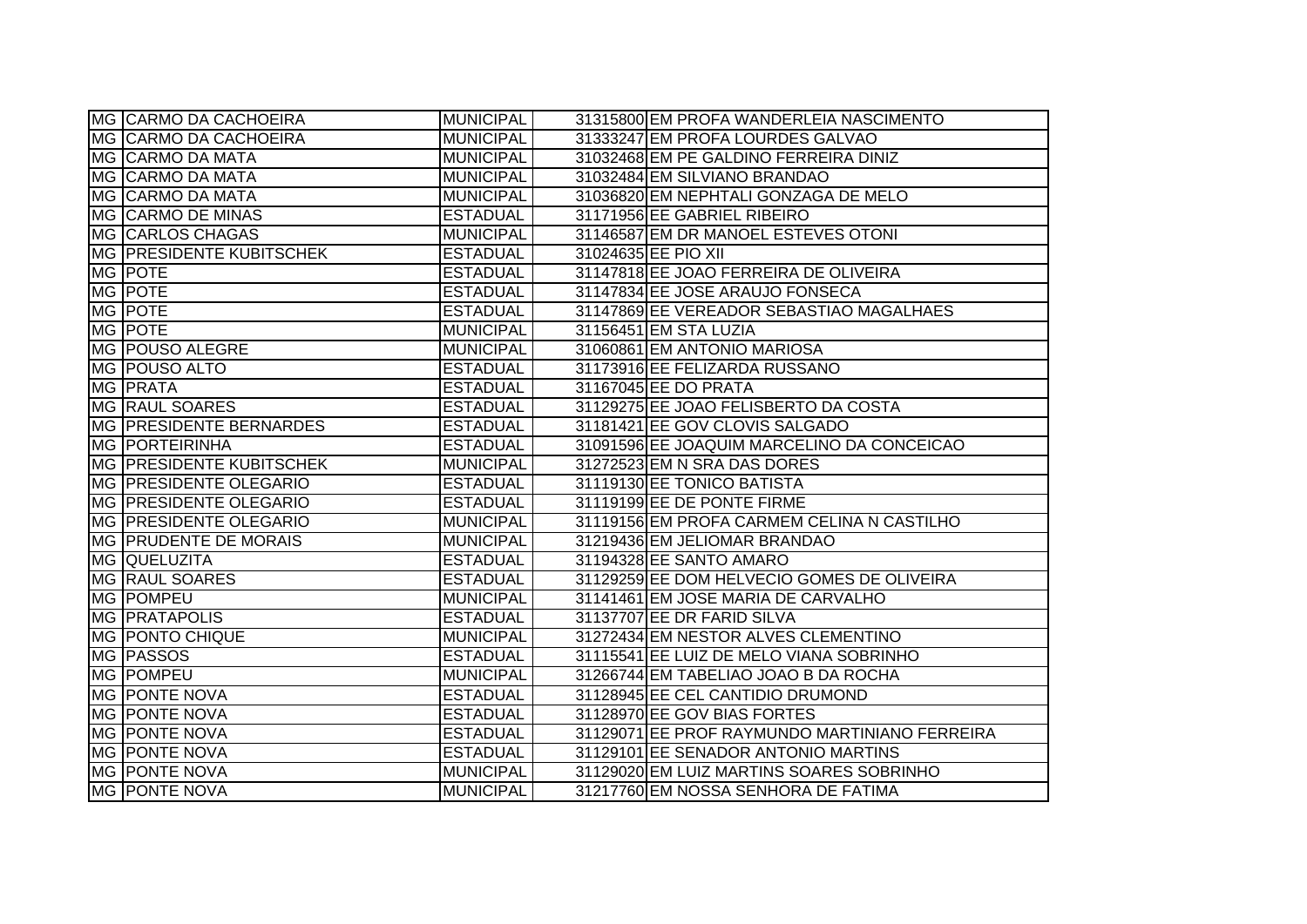| <b>MG CARMO DA CACHOEIRA</b>   | <b>MUNICIPAL</b> | 31315800 EM PROFA WANDERLEIA NASCIMENTO       |
|--------------------------------|------------------|-----------------------------------------------|
| MG CARMO DA CACHOEIRA          | <b>MUNICIPAL</b> | 31333247 EM PROFA LOURDES GALVAO              |
| MG CARMO DA MATA               | <b>MUNICIPAL</b> | 31032468 EM PE GALDINO FERREIRA DINIZ         |
| MG CARMO DA MATA               | <b>MUNICIPAL</b> | 31032484 EM SILVIANO BRANDAO                  |
| MG CARMO DA MATA               | <b>MUNICIPAL</b> | 31036820 EM NEPHTALI GONZAGA DE MELO          |
| MG CARMO DE MINAS              | <b>ESTADUAL</b>  | 31171956 EE GABRIEL RIBEIRO                   |
| MG CARLOS CHAGAS               | <b>MUNICIPAL</b> | 31146587 EM DR MANOEL ESTEVES OTONI           |
| MG PRESIDENTE KUBITSCHEK       | <b>ESTADUAL</b>  | 31024635 EE PIO XII                           |
| MG POTE                        | <b>ESTADUAL</b>  | 31147818 EE JOAO FERREIRA DE OLIVEIRA         |
| MG POTE                        | <b>ESTADUAL</b>  | 31147834 EE JOSE ARAUJO FONSECA               |
| MG POTE                        | <b>ESTADUAL</b>  | 31147869 EE VEREADOR SEBASTIAO MAGALHAES      |
| MG POTE                        | <b>MUNICIPAL</b> | 31156451 EM STA LUZIA                         |
| MG   POUSO ALEGRE              | <b>MUNICIPAL</b> | 31060861 EM ANTONIO MARIOSA                   |
| MG POUSO ALTO                  | <b>ESTADUAL</b>  | 31173916 EE FELIZARDA RUSSANO                 |
| MG <b>PRATA</b>                | <b>ESTADUAL</b>  | 31167045 EE DO PRATA                          |
| MG RAUL SOARES                 | <b>ESTADUAL</b>  | 31129275 EE JOAO FELISBERTO DA COSTA          |
| <b>MG PRESIDENTE BERNARDES</b> | <b>ESTADUAL</b>  | 31181421 EE GOV CLOVIS SALGADO                |
| <b>MG PORTEIRINHA</b>          | <b>ESTADUAL</b>  | 31091596 EE JOAQUIM MARCELINO DA CONCEICAO    |
| MG PRESIDENTE KUBITSCHEK       | <b>MUNICIPAL</b> | 31272523 EM N SRA DAS DORES                   |
| MG PRESIDENTE OLEGARIO         | <b>ESTADUAL</b>  | 31119130 EE TONICO BATISTA                    |
| MG PRESIDENTE OLEGARIO         | <b>ESTADUAL</b>  | 31119199 EE DE PONTE FIRME                    |
| MG PRESIDENTE OLEGARIO         | <b>MUNICIPAL</b> | 31119156 EM PROFA CARMEM CELINA N CASTILHO    |
| <b>MG PRUDENTE DE MORAIS</b>   | <b>MUNICIPAL</b> | 31219436 EM JELIOMAR BRANDAO                  |
| MG QUELUZITA                   | <b>ESTADUAL</b>  | 31194328 EE SANTO AMARO                       |
| <b>MG RAUL SOARES</b>          | <b>ESTADUAL</b>  | 31129259 EE DOM HELVECIO GOMES DE OLIVEIRA    |
| MG POMPEU                      | <b>MUNICIPAL</b> | 31141461 EM JOSE MARIA DE CARVALHO            |
| MG <b>PRATAPOLIS</b>           | <b>ESTADUAL</b>  | 31137707 EE DR FARID SILVA                    |
| <b>MG PONTO CHIQUE</b>         | <b>MUNICIPAL</b> | 31272434 EM NESTOR ALVES CLEMENTINO           |
| MG PASSOS                      | <b>ESTADUAL</b>  | 31115541 EE LUIZ DE MELO VIANA SOBRINHO       |
| MG POMPEU                      | <b>MUNICIPAL</b> | 31266744 EM TABELIAO JOAO B DA ROCHA          |
| MG PONTE NOVA                  | <b>ESTADUAL</b>  | 31128945 EE CEL CANTIDIO DRUMOND              |
| MG PONTE NOVA                  | <b>ESTADUAL</b>  | 31128970 EE GOV BIAS FORTES                   |
| MG PONTE NOVA                  | <b>ESTADUAL</b>  | 31129071 EE PROF RAYMUNDO MARTINIANO FERREIRA |
| <b>MG PONTE NOVA</b>           | <b>ESTADUAL</b>  | 31129101 EE SENADOR ANTONIO MARTINS           |
| <b>MG PONTE NOVA</b>           | <b>MUNICIPAL</b> | 31129020 EM LUIZ MARTINS SOARES SOBRINHO      |
| MG PONTE NOVA                  | <b>MUNICIPAL</b> | 31217760 EM NOSSA SENHORA DE FATIMA           |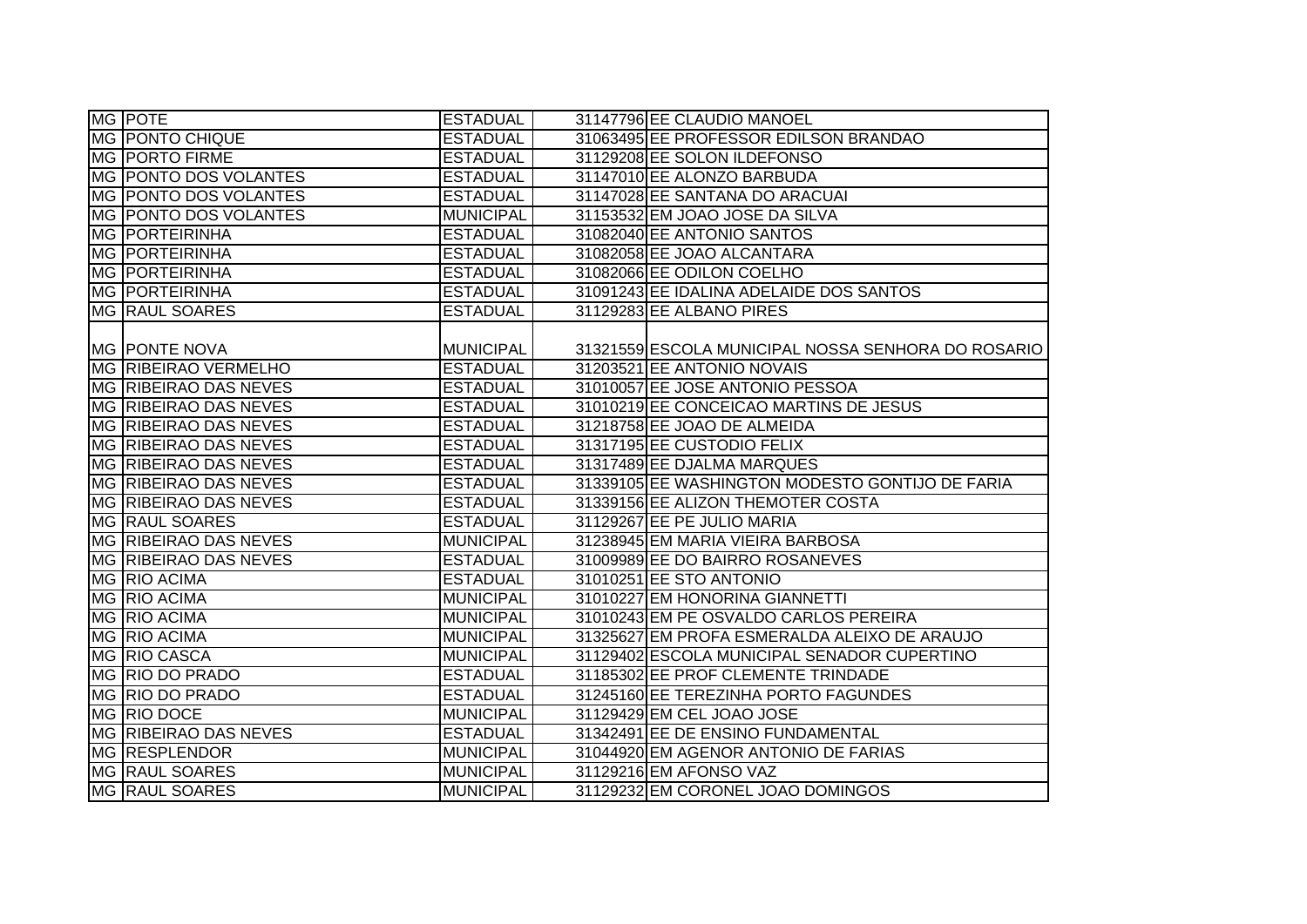| MG POTE                      | <b>ESTADUAL</b>  | 31147796 EE CLAUDIO MANOEL                         |
|------------------------------|------------------|----------------------------------------------------|
| <b>MG PONTO CHIQUE</b>       | <b>ESTADUAL</b>  | 31063495 EE PROFESSOR EDILSON BRANDAO              |
| MG PORTO FIRME               | <b>ESTADUAL</b>  | 31129208 EE SOLON ILDEFONSO                        |
| MG PONTO DOS VOLANTES        | <b>ESTADUAL</b>  | 31147010 EE ALONZO BARBUDA                         |
| MG PONTO DOS VOLANTES        | <b>ESTADUAL</b>  | 31147028 EE SANTANA DO ARACUAI                     |
| MG PONTO DOS VOLANTES        | <b>MUNICIPAL</b> | 31153532 EM JOAO JOSE DA SILVA                     |
| <b>MG PORTEIRINHA</b>        | <b>ESTADUAL</b>  | 31082040 EE ANTONIO SANTOS                         |
| <b>MG PORTEIRINHA</b>        | <b>ESTADUAL</b>  | 31082058 EE JOAO ALCANTARA                         |
| <b>MG PORTEIRINHA</b>        | <b>ESTADUAL</b>  | 31082066 EE ODILON COELHO                          |
| <b>MG PORTEIRINHA</b>        | <b>ESTADUAL</b>  | 31091243 EE IDALINA ADELAIDE DOS SANTOS            |
| MG RAUL SOARES               | <b>ESTADUAL</b>  | 31129283 EE ALBANO PIRES                           |
|                              |                  |                                                    |
| MG PONTE NOVA                | MUNICIPAL        | 31321559 ESCOLA MUNICIPAL NOSSA SENHORA DO ROSARIO |
| <b>MG RIBEIRAO VERMELHO</b>  | <b>ESTADUAL</b>  | 31203521 EE ANTONIO NOVAIS                         |
| MG RIBEIRAO DAS NEVES        | <b>ESTADUAL</b>  | 31010057 EE JOSE ANTONIO PESSOA                    |
| MG RIBEIRAO DAS NEVES        | <b>ESTADUAL</b>  | 31010219 EE CONCEICAO MARTINS DE JESUS             |
| MG RIBEIRAO DAS NEVES        | <b>ESTADUAL</b>  | 31218758 EE JOAO DE ALMEIDA                        |
| MG RIBEIRAO DAS NEVES        | <b>ESTADUAL</b>  | 31317195 EE CUSTODIO FELIX                         |
| <b>MG RIBEIRAO DAS NEVES</b> | <b>ESTADUAL</b>  | 31317489 EE DJALMA MARQUES                         |
| MG RIBEIRAO DAS NEVES        | <b>ESTADUAL</b>  | 31339105 EE WASHINGTON MODESTO GONTIJO DE FARIA    |
| MG RIBEIRAO DAS NEVES        | <b>ESTADUAL</b>  | 31339156 EE ALIZON THEMOTER COSTA                  |
| MG RAUL SOARES               | <b>ESTADUAL</b>  | 31129267 EE PE JULIO MARIA                         |
| MG RIBEIRAO DAS NEVES        | <b>MUNICIPAL</b> | 31238945 EM MARIA VIEIRA BARBOSA                   |
| MG RIBEIRAO DAS NEVES        | <b>ESTADUAL</b>  | 31009989 EE DO BAIRRO ROSANEVES                    |
| MG RIO ACIMA                 | <b>ESTADUAL</b>  | 31010251 EE STO ANTONIO                            |
| MG RIO ACIMA                 | <b>MUNICIPAL</b> | 31010227 EM HONORINA GIANNETTI                     |
| MG RIO ACIMA                 | <b>MUNICIPAL</b> | 31010243 EM PE OSVALDO CARLOS PEREIRA              |
| MG RIO ACIMA                 | <b>MUNICIPAL</b> | 31325627 EM PROFA ESMERALDA ALEIXO DE ARAUJO       |
| MG RIO CASCA                 | <b>MUNICIPAL</b> | 31129402 ESCOLA MUNICIPAL SENADOR CUPERTINO        |
| MG RIO DO PRADO              | <b>ESTADUAL</b>  | 31185302 EE PROF CLEMENTE TRINDADE                 |
| MG RIO DO PRADO              | <b>ESTADUAL</b>  | 31245160 EE TEREZINHA PORTO FAGUNDES               |
| MG RIO DOCE                  | <b>MUNICIPAL</b> | 31129429 EM CEL JOAO JOSE                          |
| MG RIBEIRAO DAS NEVES        | <b>ESTADUAL</b>  | 31342491 EE DE ENSINO FUNDAMENTAL                  |
| <b>MG RESPLENDOR</b>         | MUNICIPAL        | 31044920 EM AGENOR ANTONIO DE FARIAS               |
| <b>MG RAUL SOARES</b>        | MUNICIPAL        | 31129216 EM AFONSO VAZ                             |
| MG RAUL SOARES               | <b>MUNICIPAL</b> | 31129232 EM CORONEL JOAO DOMINGOS                  |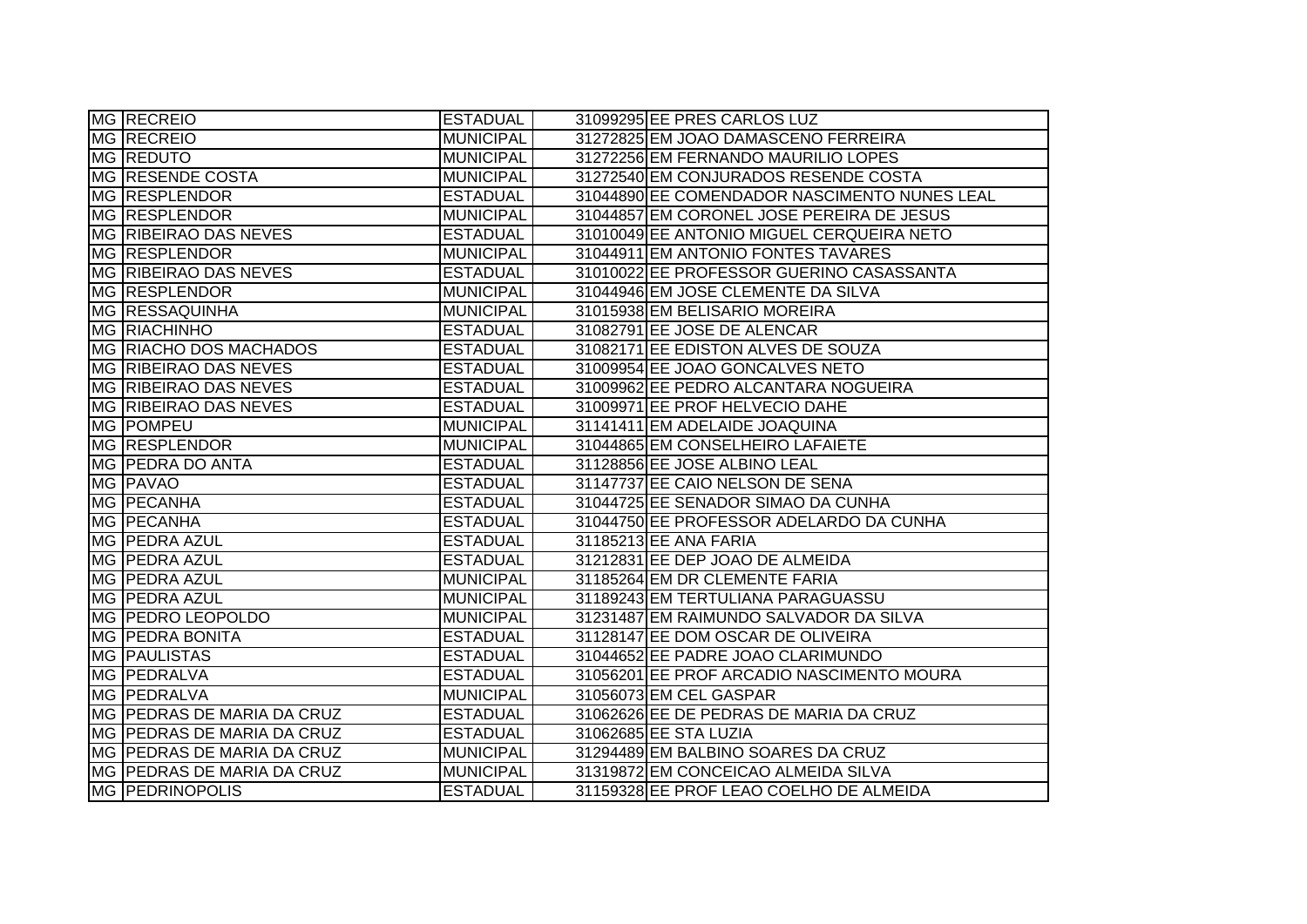| MG RECREIO                 | <b>ESTADUAL</b>  | 31099295 EE PRES CARLOS LUZ                  |
|----------------------------|------------------|----------------------------------------------|
| <b>MG RECREIO</b>          | <b>MUNICIPAL</b> | 31272825 EM JOAO DAMASCENO FERREIRA          |
| MG REDUTO                  | <b>MUNICIPAL</b> | 31272256 EM FERNANDO MAURILIO LOPES          |
| MG RESENDE COSTA           | <b>MUNICIPAL</b> | 31272540 EM CONJURADOS RESENDE COSTA         |
| MG RESPLENDOR              | <b>ESTADUAL</b>  | 31044890 EE COMENDADOR NASCIMENTO NUNES LEAL |
| MG RESPLENDOR              | <b>MUNICIPAL</b> | 31044857 EM CORONEL JOSE PEREIRA DE JESUS    |
| MG RIBEIRAO DAS NEVES      | <b>ESTADUAL</b>  | 31010049 EE ANTONIO MIGUEL CERQUEIRA NETO    |
| MG RESPLENDOR              | <b>MUNICIPAL</b> | 31044911 EM ANTONIO FONTES TAVARES           |
| MG RIBEIRAO DAS NEVES      | <b>ESTADUAL</b>  | 31010022 EE PROFESSOR GUERINO CASASSANTA     |
| MG RESPLENDOR              | <b>MUNICIPAL</b> | 31044946 EM JOSE CLEMENTE DA SILVA           |
| <b>MG RESSAQUINHA</b>      | <b>MUNICIPAL</b> | 31015938 EM BELISARIO MOREIRA                |
| <b>MG RIACHINHO</b>        | <b>ESTADUAL</b>  | 31082791 EE JOSE DE ALENCAR                  |
| MG RIACHO DOS MACHADOS     | <b>ESTADUAL</b>  | 31082171 EE EDISTON ALVES DE SOUZA           |
| MG RIBEIRAO DAS NEVES      | <b>ESTADUAL</b>  | 31009954 EE JOAO GONCALVES NETO              |
| MG RIBEIRAO DAS NEVES      | <b>ESTADUAL</b>  | 31009962 EE PEDRO ALCANTARA NOGUEIRA         |
| MG RIBEIRAO DAS NEVES      | <b>ESTADUAL</b>  | 31009971 EE PROF HELVECIO DAHE               |
| MG   POMPEU                | <b>MUNICIPAL</b> | 31141411 EM ADELAIDE JOAQUINA                |
| MG RESPLENDOR              | <b>MUNICIPAL</b> | 31044865 EM CONSELHEIRO LAFAIETE             |
| MG PEDRA DO ANTA           | <b>ESTADUAL</b>  | 31128856 EE JOSE ALBINO LEAL                 |
| MG <b>PAVAO</b>            | <b>ESTADUAL</b>  | 31147737 EE CAIO NELSON DE SENA              |
| MG PECANHA                 | <b>ESTADUAL</b>  | 31044725 EE SENADOR SIMAO DA CUNHA           |
| MG PECANHA                 | <b>ESTADUAL</b>  | 31044750 EE PROFESSOR ADELARDO DA CUNHA      |
| MG   PEDRA AZUL            | <b>ESTADUAL</b>  | 31185213 EE ANA FARIA                        |
| MG PEDRA AZUL              | <b>ESTADUAL</b>  | 31212831 EE DEP JOAO DE ALMEIDA              |
| MG   PEDRA AZUL            | <b>MUNICIPAL</b> | 31185264 EM DR CLEMENTE FARIA                |
| MG PEDRA AZUL              | <b>MUNICIPAL</b> | 31189243 EM TERTULIANA PARAGUASSU            |
| MG PEDRO LEOPOLDO          | <b>MUNICIPAL</b> | 31231487 EM RAIMUNDO SALVADOR DA SILVA       |
| <b>MG PEDRA BONITA</b>     | <b>ESTADUAL</b>  | 31128147 EE DOM OSCAR DE OLIVEIRA            |
| MG <b>PAULISTAS</b>        | <b>ESTADUAL</b>  | 31044652 EE PADRE JOAO CLARIMUNDO            |
| MG <b>PEDRALVA</b>         | <b>ESTADUAL</b>  | 31056201 EE PROF ARCADIO NASCIMENTO MOURA    |
| MG PEDRALVA                | <b>MUNICIPAL</b> | 31056073 EM CEL GASPAR                       |
| MG PEDRAS DE MARIA DA CRUZ | <b>ESTADUAL</b>  | 31062626 EE DE PEDRAS DE MARIA DA CRUZ       |
| MG PEDRAS DE MARIA DA CRUZ | <b>ESTADUAL</b>  | 31062685 EE STA LUZIA                        |
| MG PEDRAS DE MARIA DA CRUZ | <b>MUNICIPAL</b> | 31294489 EM BALBINO SOARES DA CRUZ           |
| MG PEDRAS DE MARIA DA CRUZ | <b>MUNICIPAL</b> | 31319872 EM CONCEICAO ALMEIDA SILVA          |
| <b>MG PEDRINOPOLIS</b>     | <b>ESTADUAL</b>  | 31159328 EE PROF LEAO COELHO DE ALMEIDA      |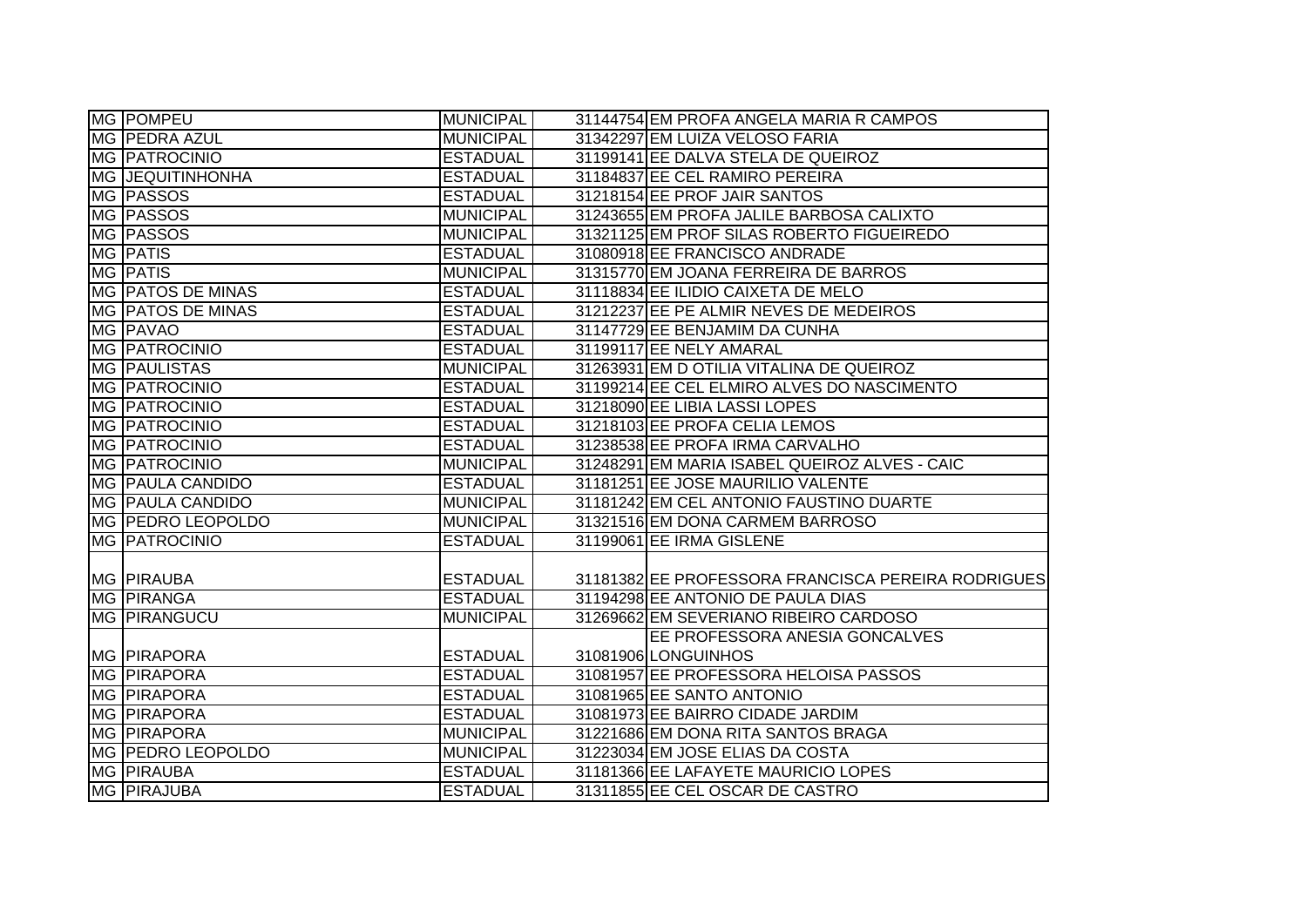| MG POMPEU               | <b>MUNICIPAL</b> | 31144754 EM PROFA ANGELA MARIA R CAMPOS            |
|-------------------------|------------------|----------------------------------------------------|
| MG PEDRA AZUL           | <b>MUNICIPAL</b> | 31342297 EM LUIZA VELOSO FARIA                     |
| <b>MG PATROCINIO</b>    | <b>ESTADUAL</b>  | 31199141 EE DALVA STELA DE QUEIROZ                 |
| <b>MG JEQUITINHONHA</b> | <b>ESTADUAL</b>  | 31184837 EE CEL RAMIRO PEREIRA                     |
| MG PASSOS               | <b>ESTADUAL</b>  | 31218154 EE PROF JAIR SANTOS                       |
| MG PASSOS               | <b>MUNICIPAL</b> | 31243655 EM PROFA JALILE BARBOSA CALIXTO           |
| MG PASSOS               | <b>MUNICIPAL</b> | 31321125 EM PROF SILAS ROBERTO FIGUEIREDO          |
| MG PATIS                | <b>ESTADUAL</b>  | 31080918 EE FRANCISCO ANDRADE                      |
| MG PATIS                | MUNICIPAL        | 31315770 EM JOANA FERREIRA DE BARROS               |
| MG PATOS DE MINAS       | <b>ESTADUAL</b>  | 31118834 EE ILIDIO CAIXETA DE MELO                 |
| MG   PATOS DE MINAS     | <b>ESTADUAL</b>  | 31212237 EE PE ALMIR NEVES DE MEDEIROS             |
| MG PAVAO                | <b>ESTADUAL</b>  | 31147729 EE BENJAMIM DA CUNHA                      |
| <b>MG PATROCINIO</b>    | <b>ESTADUAL</b>  | 31199117 EE NELY AMARAL                            |
| <b>MG PAULISTAS</b>     | <b>MUNICIPAL</b> | 31263931 EM D OTILIA VITALINA DE QUEIROZ           |
| <b>MG PATROCINIO</b>    | <b>ESTADUAL</b>  | 31199214 EE CEL ELMIRO ALVES DO NASCIMENTO         |
| <b>MG PATROCINIO</b>    | <b>ESTADUAL</b>  | 31218090 EE LIBIA LASSI LOPES                      |
| <b>MG PATROCINIO</b>    | <b>ESTADUAL</b>  | 31218103 EE PROFA CELIA LEMOS                      |
| <b>MG PATROCINIO</b>    | <b>ESTADUAL</b>  | 31238538 EE PROFA IRMA CARVALHO                    |
| <b>MG PATROCINIO</b>    | <b>MUNICIPAL</b> | 31248291 EM MARIA ISABEL QUEIROZ ALVES - CAIC      |
| <b>MG PAULA CANDIDO</b> | <b>ESTADUAL</b>  | 31181251 EE JOSE MAURILIO VALENTE                  |
| <b>MG PAULA CANDIDO</b> | <b>MUNICIPAL</b> | 31181242 EM CEL ANTONIO FAUSTINO DUARTE            |
| MG PEDRO LEOPOLDO       | MUNICIPAL        | 31321516 EM DONA CARMEM BARROSO                    |
| <b>MG PATROCINIO</b>    | <b>ESTADUAL</b>  | 31199061 EE IRMA GISLENE                           |
|                         |                  |                                                    |
| <b>MG PIRAUBA</b>       | <b>ESTADUAL</b>  | 31181382 EE PROFESSORA FRANCISCA PEREIRA RODRIGUES |
| MG PIRANGA              | <b>ESTADUAL</b>  | 31194298 EE ANTONIO DE PAULA DIAS                  |
| <b>MG PIRANGUCU</b>     | <b>MUNICIPAL</b> | 31269662 EM SEVERIANO RIBEIRO CARDOSO              |
|                         |                  | EE PROFESSORA ANESIA GONCALVES                     |
| <b>MG PIRAPORA</b>      | <b>ESTADUAL</b>  | 31081906 LONGUINHOS                                |
| <b>IMG PIRAPORA</b>     | <b>ESTADUAL</b>  | 31081957 EE PROFESSORA HELOISA PASSOS              |
| <b>MG PIRAPORA</b>      | <b>ESTADUAL</b>  | 31081965 EE SANTO ANTONIO                          |
| <b>MG PIRAPORA</b>      | <b>ESTADUAL</b>  | 31081973 EE BAIRRO CIDADE JARDIM                   |
| <b>MG PIRAPORA</b>      | MUNICIPAL        | 31221686 EM DONA RITA SANTOS BRAGA                 |
| MG PEDRO LEOPOLDO       | MUNICIPAL        | 31223034 EM JOSE ELIAS DA COSTA                    |
| <b>MG PIRAUBA</b>       | <b>ESTADUAL</b>  | 31181366 EE LAFAYETE MAURICIO LOPES                |
| <b>MG PIRAJUBA</b>      | <b>ESTADUAL</b>  | 31311855 EE CEL OSCAR DE CASTRO                    |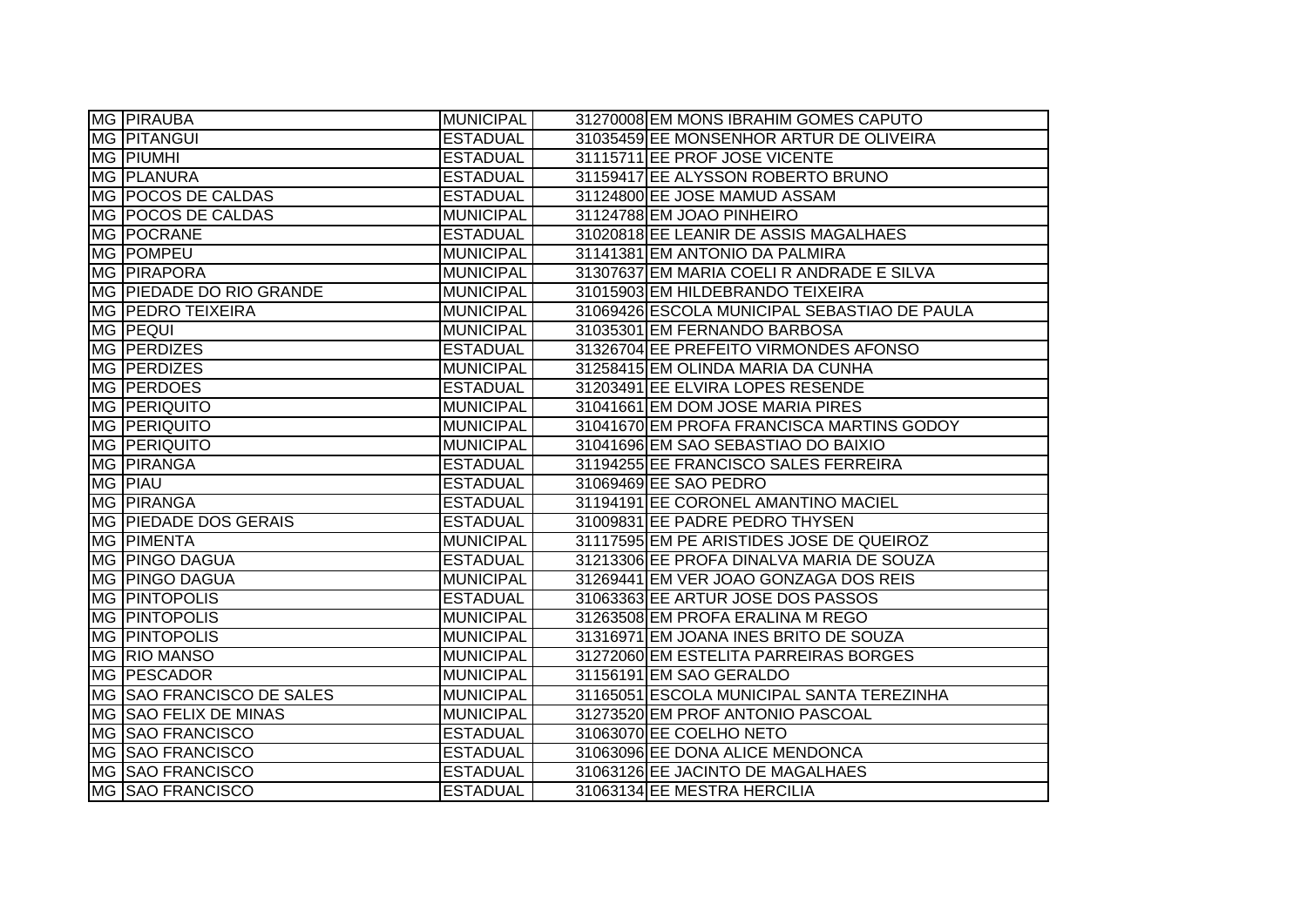| MG PIRAUBA                | <b>MUNICIPAL</b> | 31270008 EM MONS IBRAHIM GOMES CAPUTO        |
|---------------------------|------------------|----------------------------------------------|
| <b>MG PITANGUI</b>        | <b>ESTADUAL</b>  | 31035459 EE MONSENHOR ARTUR DE OLIVEIRA      |
| <b>MG PIUMHI</b>          | <b>ESTADUAL</b>  | 31115711 EE PROF JOSE VICENTE                |
| MG PLANURA                | <b>ESTADUAL</b>  | 31159417 EE ALYSSON ROBERTO BRUNO            |
| MG POCOS DE CALDAS        | <b>ESTADUAL</b>  | 31124800 EE JOSE MAMUD ASSAM                 |
| MG POCOS DE CALDAS        | <b>MUNICIPAL</b> | 31124788 EM JOAO PINHEIRO                    |
| MG   POCRANE              | <b>ESTADUAL</b>  | 31020818 EE LEANIR DE ASSIS MAGALHAES        |
| MG POMPEU                 | <b>MUNICIPAL</b> | 31141381 EM ANTONIO DA PALMIRA               |
| MG PIRAPORA               | <b>MUNICIPAL</b> | 31307637 EM MARIA COELI R ANDRADE E SILVA    |
| MG PIEDADE DO RIO GRANDE  | <b>MUNICIPAL</b> | 31015903 EM HILDEBRANDO TEIXEIRA             |
| <b>MG PEDRO TEIXEIRA</b>  | <b>MUNICIPAL</b> | 31069426 ESCOLA MUNICIPAL SEBASTIAO DE PAULA |
| <b>MG PEQUI</b>           | <b>MUNICIPAL</b> | 31035301 EM FERNANDO BARBOSA                 |
| MG <b>PERDIZES</b>        | <b>ESTADUAL</b>  | 31326704 EE PREFEITO VIRMONDES AFONSO        |
| MG PERDIZES               | <b>MUNICIPAL</b> | 31258415 EM OLINDA MARIA DA CUNHA            |
| MG PERDOES                | <b>ESTADUAL</b>  | 31203491 EE ELVIRA LOPES RESENDE             |
| MG PERIQUITO              | <b>MUNICIPAL</b> | 31041661 EM DOM JOSE MARIA PIRES             |
| <b>MG PERIQUITO</b>       | <b>MUNICIPAL</b> | 31041670 EM PROFA FRANCISCA MARTINS GODOY    |
| <b>MG PERIQUITO</b>       | <b>MUNICIPAL</b> | 31041696 EM SAO SEBASTIAO DO BAIXIO          |
| MG PIRANGA                | <b>ESTADUAL</b>  | 31194255 EE FRANCISCO SALES FERREIRA         |
| <b>MG PIAU</b>            | <b>ESTADUAL</b>  | 31069469 EE SAO PEDRO                        |
| MG PIRANGA                | <b>ESTADUAL</b>  | 31194191 EE CORONEL AMANTINO MACIEL          |
| MG PIEDADE DOS GERAIS     | <b>ESTADUAL</b>  | 31009831 EE PADRE PEDRO THYSEN               |
| <b>MG PIMENTA</b>         | <b>MUNICIPAL</b> | 31117595 EM PE ARISTIDES JOSE DE QUEIROZ     |
| MG   PINGO DAGUA          | <b>ESTADUAL</b>  | 31213306 EE PROFA DINALVA MARIA DE SOUZA     |
| <b>MG PINGO DAGUA</b>     | <b>MUNICIPAL</b> | 31269441 EM VER JOAO GONZAGA DOS REIS        |
| <b>MG PINTOPOLIS</b>      | <b>ESTADUAL</b>  | 31063363 EE ARTUR JOSE DOS PASSOS            |
| <b>MG PINTOPOLIS</b>      | <b>MUNICIPAL</b> | 31263508 EM PROFA ERALINA M REGO             |
| <b>MG PINTOPOLIS</b>      | <b>MUNICIPAL</b> | 31316971 EM JOANA INES BRITO DE SOUZA        |
| MG RIO MANSO              | <b>MUNICIPAL</b> | 31272060 EM ESTELITA PARREIRAS BORGES        |
| MG   PESCADOR             | <b>MUNICIPAL</b> | 31156191 EM SAO GERALDO                      |
| MG SAO FRANCISCO DE SALES | <b>MUNICIPAL</b> | 31165051 ESCOLA MUNICIPAL SANTA TEREZINHA    |
| MG SAO FELIX DE MINAS     | <b>MUNICIPAL</b> | 31273520 EM PROF ANTONIO PASCOAL             |
| MG SAO FRANCISCO          | <b>ESTADUAL</b>  | 31063070 EE COELHO NETO                      |
| MG SAO FRANCISCO          | <b>ESTADUAL</b>  | 31063096 EE DONA ALICE MENDONCA              |
| MG SAO FRANCISCO          | <b>ESTADUAL</b>  | 31063126 EE JACINTO DE MAGALHAES             |
| MG SAO FRANCISCO          | <b>ESTADUAL</b>  | 31063134 EE MESTRA HERCILIA                  |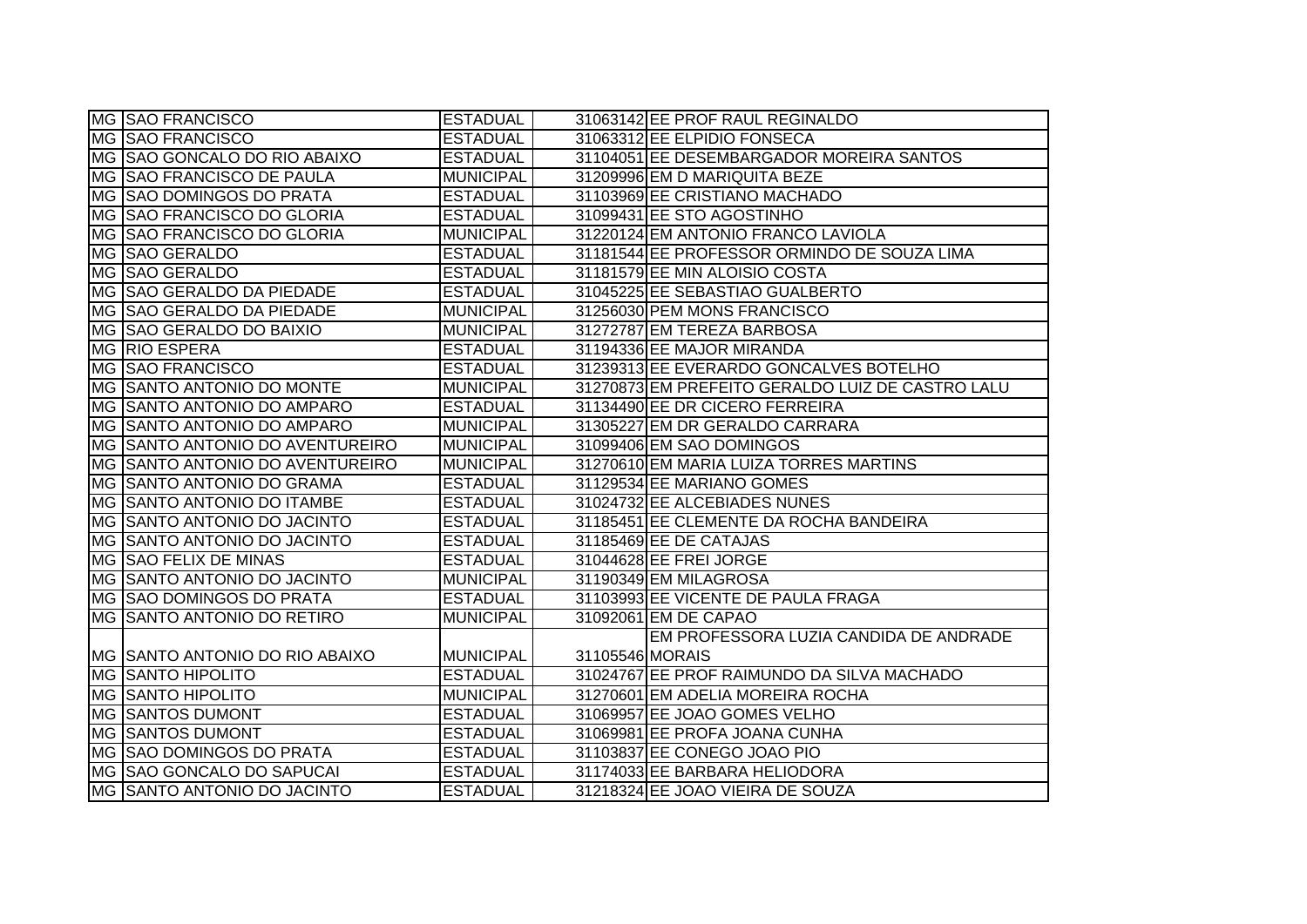| MG SAO FRANCISCO                        | <b>ESTADUAL</b>  |                 | 31063142 EE PROF RAUL REGINALDO                  |
|-----------------------------------------|------------------|-----------------|--------------------------------------------------|
| <b>MG SAO FRANCISCO</b>                 | <b>ESTADUAL</b>  |                 | 31063312 EE ELPIDIO FONSECA                      |
| MG SAO GONCALO DO RIO ABAIXO            | <b>ESTADUAL</b>  |                 | 31104051 EE DESEMBARGADOR MOREIRA SANTOS         |
| <b>IMG ISAO FRANCISCO DE PAULA</b>      | <b>MUNICIPAL</b> |                 | 31209996 EM D MARIQUITA BEZE                     |
| IMG ISAO DOMINGOS DO PRATA              | <b>ESTADUAL</b>  |                 | 31103969 EE CRISTIANO MACHADO                    |
| MG  SAO FRANCISCO DO GLORIA             | <b>ESTADUAL</b>  |                 | 31099431 EE STO AGOSTINHO                        |
| MG SAO FRANCISCO DO GLORIA              | <b>MUNICIPAL</b> |                 | 31220124 EM ANTONIO FRANCO LAVIOLA               |
| MG SAO GERALDO                          | <b>ESTADUAL</b>  |                 | 31181544 EE PROFESSOR ORMINDO DE SOUZA LIMA      |
| MG SAO GERALDO                          | <b>ESTADUAL</b>  |                 | 31181579 EE MIN ALOISIO COSTA                    |
| <b>IMG SSAO GERALDO DA PIEDADE</b>      | <b>ESTADUAL</b>  |                 | 31045225 EE SEBASTIAO GUALBERTO                  |
| MG SAO GERALDO DA PIEDADE               | <b>MUNICIPAL</b> |                 | 31256030 PEM MONS FRANCISCO                      |
| MG SAO GERALDO DO BAIXIO                | <b>MUNICIPAL</b> |                 | 31272787 EM TEREZA BARBOSA                       |
| MG RIO ESPERA                           | <b>ESTADUAL</b>  |                 | 31194336 EE MAJOR MIRANDA                        |
| MG SAO FRANCISCO                        | <b>ESTADUAL</b>  |                 | 31239313 EE EVERARDO GONCALVES BOTELHO           |
| <b>IMG SSANTO ANTONIO DO MONTE</b>      | <b>MUNICIPAL</b> |                 | 31270873 EM PREFEITO GERALDO LUIZ DE CASTRO LALU |
| <b>IMG SAANTO ANTONIO DO AMPARO</b>     | <b>ESTADUAL</b>  |                 | 31134490 EE DR CICERO FERREIRA                   |
| <b>IMG SAANTO ANTONIO DO AMPARO</b>     | <b>MUNICIPAL</b> |                 | 31305227 EM DR GERALDO CARRARA                   |
| <b>IMG SANTO ANTONIO DO AVENTUREIRO</b> | <b>MUNICIPAL</b> |                 | 31099406 EM SAO DOMINGOS                         |
| MG SANTO ANTONIO DO AVENTUREIRO         | <b>MUNICIPAL</b> |                 | 31270610 EM MARIA LUIZA TORRES MARTINS           |
| IMG ISANTO ANTONIO DO GRAMA             | <b>ESTADUAL</b>  |                 | 31129534 EE MARIANO GOMES                        |
| MG SANTO ANTONIO DO ITAMBE              | <b>ESTADUAL</b>  |                 | 31024732 EE ALCEBIADES NUNES                     |
| <b>IMG SANTO ANTONIO DO JACINTO</b>     | <b>ESTADUAL</b>  |                 | 31185451 EE CLEMENTE DA ROCHA BANDEIRA           |
| <b>IMG SAANTO ANTONIO DO JACINTO</b>    | <b>ESTADUAL</b>  |                 | 31185469 EE DE CATAJAS                           |
| MG SAO FELIX DE MINAS                   | <b>ESTADUAL</b>  |                 | 31044628 EE FREI JORGE                           |
| MG SANTO ANTONIO DO JACINTO             | <b>MUNICIPAL</b> |                 | 31190349 EM MILAGROSA                            |
| MG SAO DOMINGOS DO PRATA                | <b>ESTADUAL</b>  |                 | 31103993 EE VICENTE DE PAULA FRAGA               |
| <b>MG SANTO ANTONIO DO RETIRO</b>       | <b>MUNICIPAL</b> |                 | 31092061 EM DE CAPAO                             |
|                                         |                  |                 | EM PROFESSORA LUZIA CANDIDA DE ANDRADE           |
| <b>IMG SANTO ANTONIO DO RIO ABAIXO</b>  | <b>MUNICIPAL</b> | 31105546 MORAIS |                                                  |
| <b>MG SANTO HIPOLITO</b>                | <b>ESTADUAL</b>  |                 | 31024767 EE PROF RAIMUNDO DA SILVA MACHADO       |
| <b>MG SANTO HIPOLITO</b>                | <b>MUNICIPAL</b> |                 | 31270601 EM ADELIA MOREIRA ROCHA                 |
| MG SANTOS DUMONT                        | <b>ESTADUAL</b>  |                 | 31069957 EE JOAO GOMES VELHO                     |
| MG SANTOS DUMONT                        | <b>ESTADUAL</b>  |                 | 31069981 EE PROFA JOANA CUNHA                    |
| <b>IMG SAO DOMINGOS DO PRATA</b>        | <b>ESTADUAL</b>  |                 | 31103837 EE CONEGO JOAO PIO                      |
| MG SAO GONCALO DO SAPUCAI               | <b>ESTADUAL</b>  |                 | 31174033 EE BARBARA HELIODORA                    |
| MG SANTO ANTONIO DO JACINTO             | <b>ESTADUAL</b>  |                 | 31218324 EE JOAO VIEIRA DE SOUZA                 |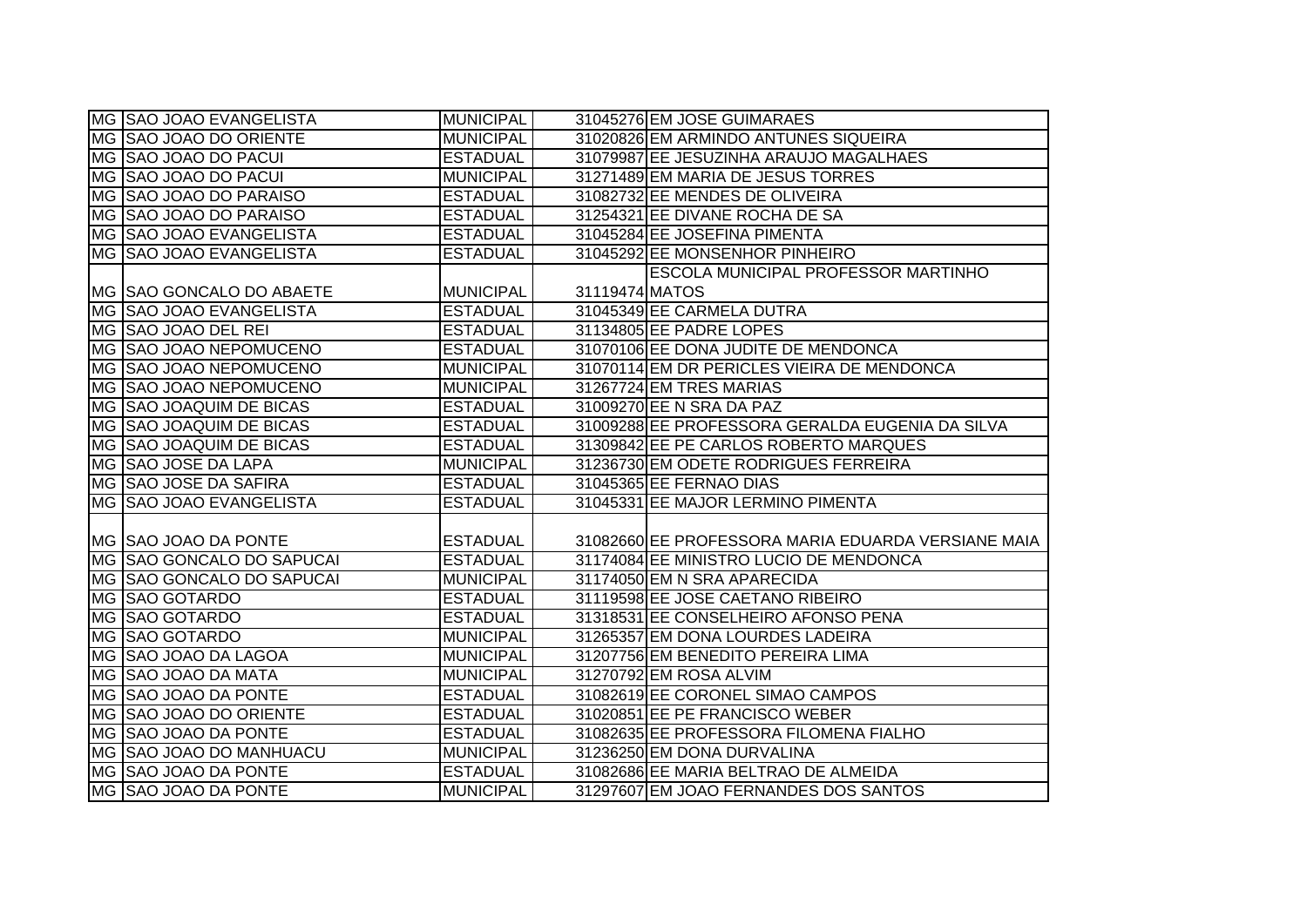| MG SAO JOAO EVANGELISTA   | <b>MUNICIPAL</b> |                | 31045276 EM JOSE GUIMARAES                         |
|---------------------------|------------------|----------------|----------------------------------------------------|
| MG SAO JOAO DO ORIENTE    | <b>MUNICIPAL</b> |                | 31020826 EM ARMINDO ANTUNES SIQUEIRA               |
| MG SAO JOAO DO PACUI      | <b>ESTADUAL</b>  |                | 31079987 EE JESUZINHA ARAUJO MAGALHAES             |
| MG SAO JOAO DO PACUI      | <b>MUNICIPAL</b> |                | 31271489 EM MARIA DE JESUS TORRES                  |
| MG SAO JOAO DO PARAISO    | <b>ESTADUAL</b>  |                | 31082732 EE MENDES DE OLIVEIRA                     |
| MG SAO JOAO DO PARAISO    | <b>ESTADUAL</b>  |                | 31254321 EE DIVANE ROCHA DE SA                     |
| MG SAO JOAO EVANGELISTA   | <b>ESTADUAL</b>  |                | 31045284 EE JOSEFINA PIMENTA                       |
| MG SAO JOAO EVANGELISTA   | <b>ESTADUAL</b>  |                | 31045292 EE MONSENHOR PINHEIRO                     |
|                           |                  |                | ESCOLA MUNICIPAL PROFESSOR MARTINHO                |
| MG  SAO GONCALO DO ABAETE | MUNICIPAL        | 31119474 MATOS |                                                    |
| MG SAO JOAO EVANGELISTA   | <b>ESTADUAL</b>  |                | 31045349 EE CARMELA DUTRA                          |
| MG SAO JOAO DEL REI       | <b>ESTADUAL</b>  |                | 31134805 EE PADRE LOPES                            |
| MG SAO JOAO NEPOMUCENO    | <b>ESTADUAL</b>  |                | 31070106 EE DONA JUDITE DE MENDONCA                |
| MG SAO JOAO NEPOMUCENO    | <b>MUNICIPAL</b> |                | 31070114 EM DR PERICLES VIEIRA DE MENDONCA         |
| MG SAO JOAO NEPOMUCENO    | <b>MUNICIPAL</b> |                | 31267724 EM TRES MARIAS                            |
| MG SAO JOAQUIM DE BICAS   | <b>ESTADUAL</b>  |                | 31009270 EE N SRA DA PAZ                           |
| MG SAO JOAQUIM DE BICAS   | <b>ESTADUAL</b>  |                | 31009288 EE PROFESSORA GERALDA EUGENIA DA SILVA    |
| MG SAO JOAQUIM DE BICAS   | <b>ESTADUAL</b>  |                | 31309842 EE PE CARLOS ROBERTO MARQUES              |
| MG SAO JOSE DA LAPA       | <b>MUNICIPAL</b> |                | 31236730 EM ODETE RODRIGUES FERREIRA               |
| MG SAO JOSE DA SAFIRA     | <b>ESTADUAL</b>  |                | 31045365 EE FERNAO DIAS                            |
| MG SAO JOAO EVANGELISTA   | <b>ESTADUAL</b>  |                | 31045331 EE MAJOR LERMINO PIMENTA                  |
|                           |                  |                |                                                    |
| MG SAO JOAO DA PONTE      | <b>ESTADUAL</b>  |                | 31082660 EE PROFESSORA MARIA EDUARDA VERSIANE MAIA |
| MG SAO GONCALO DO SAPUCAI | <b>ESTADUAL</b>  |                | 31174084 EE MINISTRO LUCIO DE MENDONCA             |
| MG SAO GONCALO DO SAPUCAI | <b>MUNICIPAL</b> |                | 31174050 EM N SRA APARECIDA                        |
| MG SAO GOTARDO            | <b>ESTADUAL</b>  |                | 31119598 EE JOSE CAETANO RIBEIRO                   |
| MG SAO GOTARDO            | <b>ESTADUAL</b>  |                | 31318531 EE CONSELHEIRO AFONSO PENA                |
| MG SAO GOTARDO            | <b>MUNICIPAL</b> |                | 31265357 EM DONA LOURDES LADEIRA                   |
| MG SAO JOAO DA LAGOA      | <b>MUNICIPAL</b> |                | 31207756 EM BENEDITO PEREIRA LIMA                  |
| MG SAO JOAO DA MATA       | <b>MUNICIPAL</b> |                | 31270792 EM ROSA ALVIM                             |
| MG SAO JOAO DA PONTE      | <b>ESTADUAL</b>  |                | 31082619 EE CORONEL SIMAO CAMPOS                   |
| MG SAO JOAO DO ORIENTE    | <b>ESTADUAL</b>  |                | 31020851 EE PE FRANCISCO WEBER                     |
| MG SAO JOAO DA PONTE      | <b>ESTADUAL</b>  |                | 31082635 EE PROFESSORA FILOMENA FIALHO             |
| MG  SAO JOAO DO MANHUACU  | MUNICIPAL        |                | 31236250 EM DONA DURVALINA                         |
| MG SAO JOAO DA PONTE      | <b>ESTADUAL</b>  |                | 31082686 EE MARIA BELTRAO DE ALMEIDA               |
| MG SAO JOAO DA PONTE      | <b>MUNICIPAL</b> |                | 31297607 EM JOAO FERNANDES DOS SANTOS              |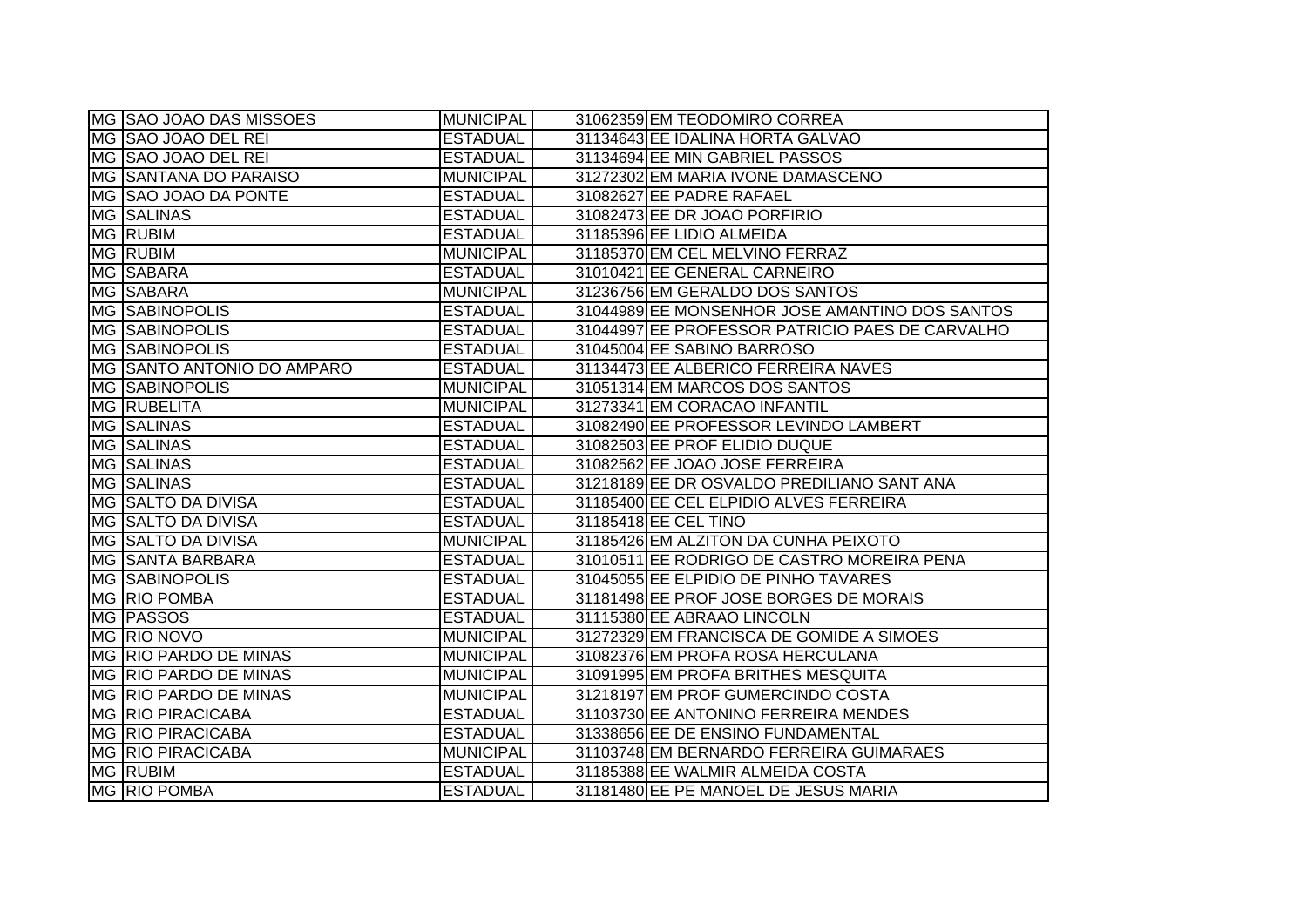| MG SAO JOAO DAS MISSOES      | <b>MUNICIPAL</b> | 31062359 EM TEODOMIRO CORREA                    |
|------------------------------|------------------|-------------------------------------------------|
| MG SAO JOAO DEL REI          | <b>ESTADUAL</b>  | 31134643 EE IDALINA HORTA GALVAO                |
| MG SAO JOAO DEL REI          | <b>ESTADUAL</b>  | 31134694 EE MIN GABRIEL PASSOS                  |
| <b>MG SANTANA DO PARAISO</b> | <b>MUNICIPAL</b> | 31272302 EM MARIA IVONE DAMASCENO               |
| MG SAO JOAO DA PONTE         | <b>ESTADUAL</b>  | 31082627 EE PADRE RAFAEL                        |
| <b>MG SALINAS</b>            | <b>ESTADUAL</b>  | 31082473 EE DR JOAO PORFIRIO                    |
| MG RUBIM                     | <b>ESTADUAL</b>  | 31185396 EE LIDIO ALMEIDA                       |
| MG RUBIM                     | <b>MUNICIPAL</b> | 31185370 EM CEL MELVINO FERRAZ                  |
| MG SABARA                    | <b>ESTADUAL</b>  | 31010421 EE GENERAL CARNEIRO                    |
| MG SABARA                    | <b>MUNICIPAL</b> | 31236756 EM GERALDO DOS SANTOS                  |
| MG SABINOPOLIS               | <b>ESTADUAL</b>  | 31044989 EE MONSENHOR JOSE AMANTINO DOS SANTOS  |
| <b>MG SABINOPOLIS</b>        | <b>ESTADUAL</b>  | 31044997 EE PROFESSOR PATRICIO PAES DE CARVALHO |
| <b>MG SABINOPOLIS</b>        | <b>ESTADUAL</b>  | 31045004 EE SABINO BARROSO                      |
| MG SANTO ANTONIO DO AMPARO   | <b>ESTADUAL</b>  | 31134473 EE ALBERICO FERREIRA NAVES             |
| <b>MG SABINOPOLIS</b>        | <b>MUNICIPAL</b> | 31051314 EM MARCOS DOS SANTOS                   |
| MG RUBELITA                  | <b>MUNICIPAL</b> | 31273341 EM CORACAO INFANTIL                    |
| <b>MG SALINAS</b>            | <b>ESTADUAL</b>  | 31082490 EE PROFESSOR LEVINDO LAMBERT           |
| <b>MG SALINAS</b>            | <b>ESTADUAL</b>  | 31082503 EE PROF ELIDIO DUQUE                   |
| MG SALINAS                   | <b>ESTADUAL</b>  | 31082562 EE JOAO JOSE FERREIRA                  |
| MG SALINAS                   | <b>ESTADUAL</b>  | 31218189 EE DR OSVALDO PREDILIANO SANT ANA      |
| MG SALTO DA DIVISA           | <b>ESTADUAL</b>  | 31185400 EE CEL ELPIDIO ALVES FERREIRA          |
| MG SALTO DA DIVISA           | <b>ESTADUAL</b>  | 31185418 EE CEL TINO                            |
| MG SALTO DA DIVISA           | <b>MUNICIPAL</b> | 31185426 EM ALZITON DA CUNHA PEIXOTO            |
| <b>MG SANTA BARBARA</b>      | <b>ESTADUAL</b>  | 31010511 EE RODRIGO DE CASTRO MOREIRA PENA      |
| MG SABINOPOLIS               | <b>ESTADUAL</b>  | 31045055 EE ELPIDIO DE PINHO TAVARES            |
| MG RIO POMBA                 | <b>ESTADUAL</b>  | 31181498 EE PROF JOSE BORGES DE MORAIS          |
| MG PASSOS                    | <b>ESTADUAL</b>  | 31115380 EE ABRAAO LINCOLN                      |
| MG RIO NOVO                  | <b>MUNICIPAL</b> | 31272329 EM FRANCISCA DE GOMIDE A SIMOES        |
| MG RIO PARDO DE MINAS        | <b>MUNICIPAL</b> | 31082376 EM PROFA ROSA HERCULANA                |
| MG RIO PARDO DE MINAS        | <b>MUNICIPAL</b> | 31091995 EM PROFA BRITHES MESQUITA              |
| MG RIO PARDO DE MINAS        | <b>MUNICIPAL</b> | 31218197 EM PROF GUMERCINDO COSTA               |
| <b>MG RIO PIRACICABA</b>     | <b>ESTADUAL</b>  | 31103730 EE ANTONINO FERREIRA MENDES            |
| <b>MG RIO PIRACICABA</b>     | <b>ESTADUAL</b>  | 31338656 EE DE ENSINO FUNDAMENTAL               |
| <b>MG RIO PIRACICABA</b>     | <b>MUNICIPAL</b> | 31103748 EM BERNARDO FERREIRA GUIMARAES         |
| <b>MG RUBIM</b>              | <b>ESTADUAL</b>  | 31185388 EE WALMIR ALMEIDA COSTA                |
| MG RIO POMBA                 | <b>ESTADUAL</b>  | 31181480 EE PE MANOEL DE JESUS MARIA            |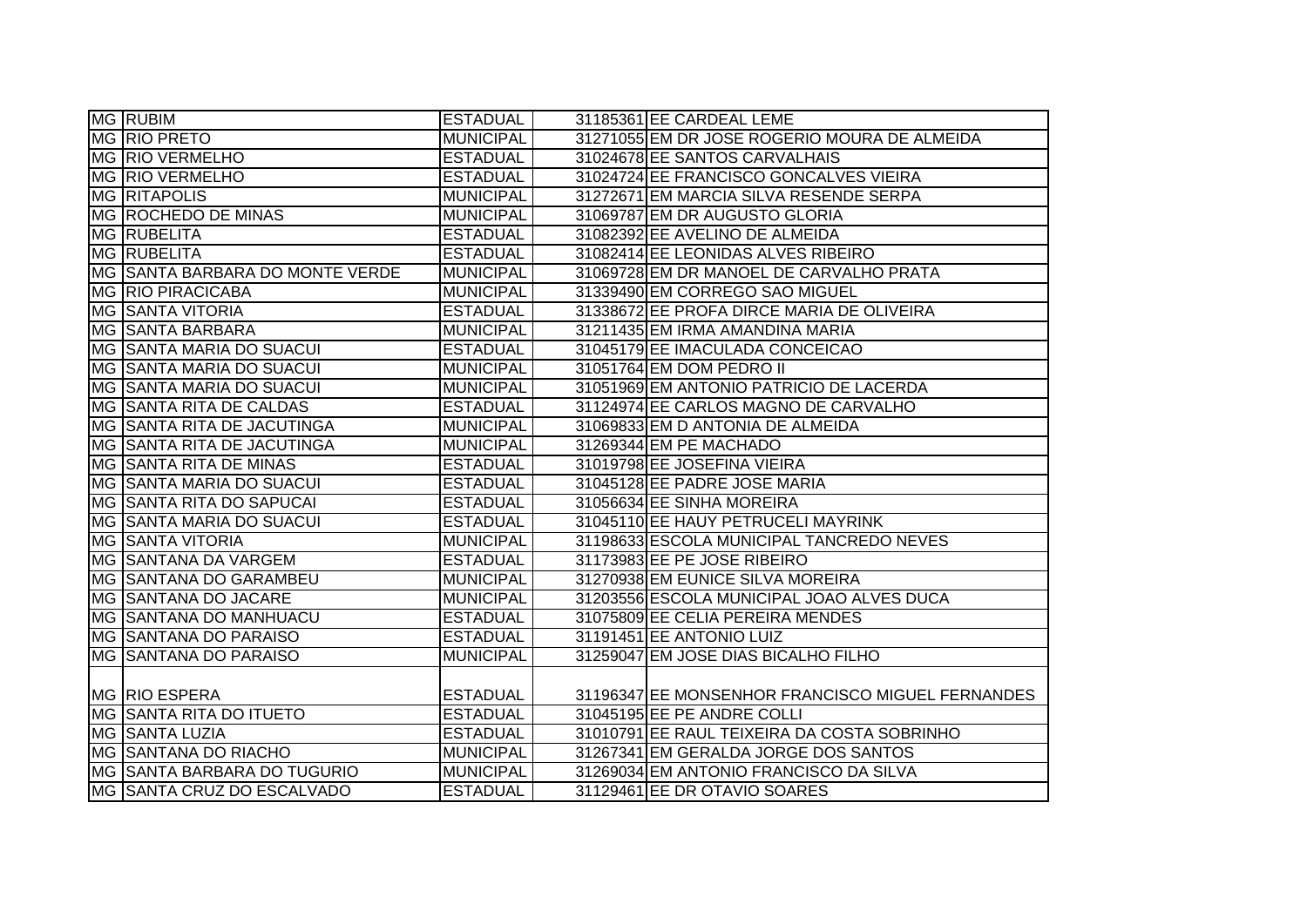| <b>MG RUBIM</b>                      | <b>ESTADUAL</b>  | 31185361 EE CARDEAL LEME                         |
|--------------------------------------|------------------|--------------------------------------------------|
| MG RIO PRETO                         | <b>MUNICIPAL</b> | 31271055 EM DR JOSE ROGERIO MOURA DE ALMEIDA     |
| MG RIO VERMELHO                      | <b>ESTADUAL</b>  | 31024678 EE SANTOS CARVALHAIS                    |
| MG RIO VERMELHO                      | <b>ESTADUAL</b>  | 31024724 EE FRANCISCO GONCALVES VIEIRA           |
| <b>MG RITAPOLIS</b>                  | <b>MUNICIPAL</b> | 31272671 EM MARCIA SILVA RESENDE SERPA           |
| MG ROCHEDO DE MINAS                  | <b>MUNICIPAL</b> | 31069787 EM DR AUGUSTO GLORIA                    |
| MG RUBELITA                          | <b>ESTADUAL</b>  | 31082392 EE AVELINO DE ALMEIDA                   |
| MG RUBELITA                          | <b>ESTADUAL</b>  | 31082414 EE LEONIDAS ALVES RIBEIRO               |
| MG SANTA BARBARA DO MONTE VERDE      | MUNICIPAL        | 31069728 EM DR MANOEL DE CARVALHO PRATA          |
| <b>MG RIO PIRACICABA</b>             | <b>MUNICIPAL</b> | 31339490 EM CORREGO SAO MIGUEL                   |
| <b>MG SAANTA VITORIA</b>             | <b>ESTADUAL</b>  | 31338672 EE PROFA DIRCE MARIA DE OLIVEIRA        |
| MG SANTA BARBARA                     | <b>MUNICIPAL</b> | 31211435 EM IRMA AMANDINA MARIA                  |
| <b>IMG SSANTA MARIA DO SUACUI</b>    | <b>ESTADUAL</b>  | 31045179 EE IMACULADA CONCEICAO                  |
| MG SSANTA MARIA DO SUACUI            | <b>MUNICIPAL</b> | 31051764 EM DOM PEDRO II                         |
| MG SSANTA MARIA DO SUACUI            | <b>MUNICIPAL</b> | 31051969 EM ANTONIO PATRICIO DE LACERDA          |
| MG SANTA RITA DE CALDAS              | <b>ESTADUAL</b>  | 31124974 EE CARLOS MAGNO DE CARVALHO             |
| <b>IMG ISANTA RITA DE JACUTINGA</b>  | <b>MUNICIPAL</b> | 31069833 EM D ANTONIA DE ALMEIDA                 |
| MG  SANTA RITA DE JACUTINGA          | <b>MUNICIPAL</b> | 31269344 EM PE MACHADO                           |
| <b>MG SANTA RITA DE MINAS</b>        | <b>ESTADUAL</b>  | 31019798 EE JOSEFINA VIEIRA                      |
| <b>IMG SANTA MARIA DO SUACUI</b>     | <b>ESTADUAL</b>  | 31045128 EE PADRE JOSE MARIA                     |
| MG  SANTA RITA DO SAPUCAI            | <b>ESTADUAL</b>  | 31056634 EE SINHA MOREIRA                        |
| <b>IMG SANTA MARIA DO SUACUI</b>     | <b>ESTADUAL</b>  | 31045110 EE HAUY PETRUCELI MAYRINK               |
| <b>MG SAANTA VITORIA</b>             | <b>MUNICIPAL</b> | 31198633 ESCOLA MUNICIPAL TANCREDO NEVES         |
| <b>MG SANTANA DA VARGEM</b>          | <b>ESTADUAL</b>  | 31173983 EE PE JOSE RIBEIRO                      |
| <b>IMG SSANTANA DO GARAMBEU</b>      | <b>MUNICIPAL</b> | 31270938 EM EUNICE SILVA MOREIRA                 |
| <b>MG SANTANA DO JACARE</b>          | <b>MUNICIPAL</b> | 31203556 ESCOLA MUNICIPAL JOAO ALVES DUCA        |
| <b>IMG SSANTANA DO MANHUACU</b>      | <b>ESTADUAL</b>  | 31075809 EE CELIA PEREIRA MENDES                 |
| MG SANTANA DO PARAISO                | <b>ESTADUAL</b>  | 31191451 EE ANTONIO LUIZ                         |
| <b>IMG SAANTANA DO PARAISO</b>       | <b>MUNICIPAL</b> | 31259047 EM JOSE DIAS BICALHO FILHO              |
|                                      |                  |                                                  |
| MG RIO ESPERA                        | <b>ESTADUAL</b>  | 31196347 EE MONSENHOR FRANCISCO MIGUEL FERNANDES |
| IMG ISANTA RITA DO ITUETO            | <b>ESTADUAL</b>  | 31045195 EE PE ANDRE COLLI                       |
| <b>MG SANTA LUZIA</b>                | <b>ESTADUAL</b>  | 31010791 EE RAUL TEIXEIRA DA COSTA SOBRINHO      |
| <b>MG SANTANA DO RIACHO</b>          | MUNICIPAL        | 31267341 EM GERALDA JORGE DOS SANTOS             |
| <b>IMG SSANTA BARBARA DO TUGURIO</b> | MUNICIPAL        | 31269034 EM ANTONIO FRANCISCO DA SILVA           |
| MG SANTA CRUZ DO ESCALVADO           | <b>ESTADUAL</b>  | 31129461 EE DR OTAVIO SOARES                     |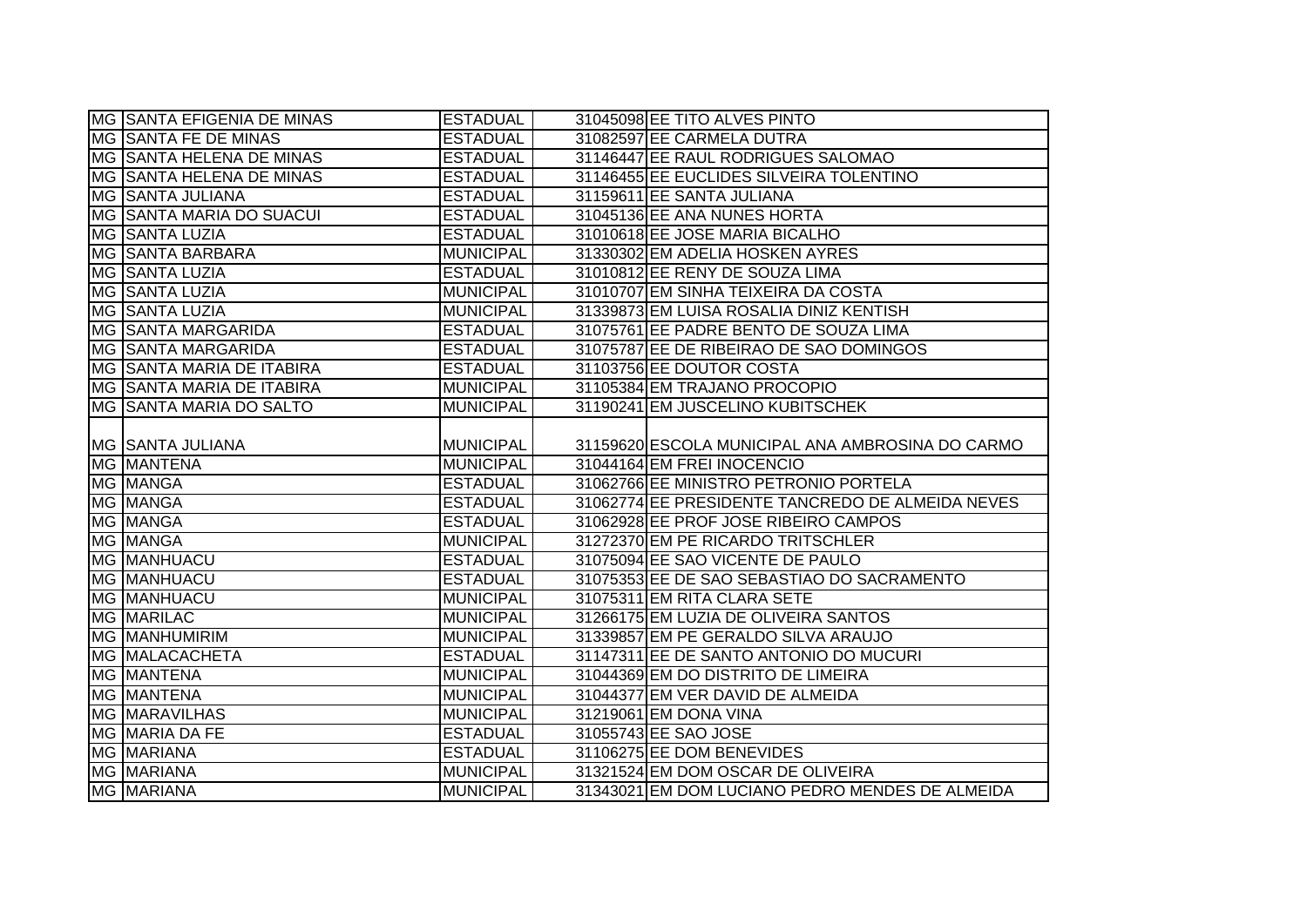| MG SANTA EFIGENIA DE MINAS       | <b>ESTADUAL</b>  | 31045098 EE TITO ALVES PINTO                     |
|----------------------------------|------------------|--------------------------------------------------|
| MG SANTA FE DE MINAS             | <b>ESTADUAL</b>  | 31082597 EE CARMELA DUTRA                        |
| <b>MG SANTA HELENA DE MINAS</b>  | <b>ESTADUAL</b>  | 31146447 EE RAUL RODRIGUES SALOMAO               |
| <b>MG SANTA HELENA DE MINAS</b>  | <b>ESTADUAL</b>  | 31146455 EE EUCLIDES SILVEIRA TOLENTINO          |
| MG SANTA JULIANA                 | <b>ESTADUAL</b>  | 31159611 EE SANTA JULIANA                        |
| MG SANTA MARIA DO SUACUI         | <b>ESTADUAL</b>  | 31045136 EE ANA NUNES HORTA                      |
| MG SANTA LUZIA                   | <b>ESTADUAL</b>  | 31010618 EE JOSE MARIA BICALHO                   |
| MG SANTA BARBARA                 | <b>MUNICIPAL</b> | 31330302 EM ADELIA HOSKEN AYRES                  |
| MG SANTA LUZIA                   | <b>ESTADUAL</b>  | 31010812 EE RENY DE SOUZA LIMA                   |
| MG SANTA LUZIA                   | <b>MUNICIPAL</b> | 31010707 EM SINHA TEIXEIRA DA COSTA              |
| MG SANTA LUZIA                   | <b>MUNICIPAL</b> | 31339873 EM LUISA ROSALIA DINIZ KENTISH          |
| MG SANTA MARGARIDA               | <b>ESTADUAL</b>  | 31075761 EE PADRE BENTO DE SOUZA LIMA            |
| MG SANTA MARGARIDA               | <b>ESTADUAL</b>  | 31075787 EE DE RIBEIRAO DE SAO DOMINGOS          |
| <b>MG SANTA MARIA DE ITABIRA</b> | <b>ESTADUAL</b>  | 31103756 EE DOUTOR COSTA                         |
| MG SANTA MARIA DE ITABIRA        | <b>MUNICIPAL</b> | 31105384 EM TRAJANO PROCOPIO                     |
| <b>IMG SSANTA MARIA DO SALTO</b> | <b>MUNICIPAL</b> | 31190241 EM JUSCELINO KUBITSCHEK                 |
|                                  |                  |                                                  |
| MG SANTA JULIANA                 | <b>MUNICIPAL</b> | 31159620 ESCOLA MUNICIPAL ANA AMBROSINA DO CARMO |
|                                  |                  |                                                  |
| <b>MG MANTENA</b>                | <b>MUNICIPAL</b> | 31044164 EM FREI INOCENCIO                       |
| MG MANGA                         | <b>ESTADUAL</b>  | 31062766 EE MINISTRO PETRONIO PORTELA            |
| MG MANGA                         | <b>ESTADUAL</b>  | 31062774 EE PRESIDENTE TANCREDO DE ALMEIDA NEVES |
| <b>MG MANGA</b>                  | <b>ESTADUAL</b>  | 31062928 EE PROF JOSE RIBEIRO CAMPOS             |
| <b>MG MANGA</b>                  | <b>MUNICIPAL</b> | 31272370 EM PE RICARDO TRITSCHLER                |
| <b>MG MANHUACU</b>               | <b>ESTADUAL</b>  | 31075094 EE SAO VICENTE DE PAULO                 |
| <b>MG MANHUACU</b>               | <b>ESTADUAL</b>  | 31075353 EE DE SAO SEBASTIAO DO SACRAMENTO       |
| MG MANHUACU                      | <b>MUNICIPAL</b> | 31075311 EM RITA CLARA SETE                      |
| <b>MG MARILAC</b>                | <b>MUNICIPAL</b> | 31266175 EM LUZIA DE OLIVEIRA SANTOS             |
| <b>MG MANHUMIRIM</b>             | <b>MUNICIPAL</b> | 31339857 EM PE GERALDO SILVA ARAUJO              |
| MG MALACACHETA                   | <b>ESTADUAL</b>  | 31147311 EE DE SANTO ANTONIO DO MUCURI           |
| <b>MG MANTENA</b>                | <b>MUNICIPAL</b> | 31044369 EM DO DISTRITO DE LIMEIRA               |
| MG MANTENA                       | <b>MUNICIPAL</b> | 31044377 EM VER DAVID DE ALMEIDA                 |
| <b>MG MARAVILHAS</b>             | <b>MUNICIPAL</b> | 31219061 EM DONA VINA                            |
| MG MARIA DA FE                   | <b>ESTADUAL</b>  | 31055743 EE SAO JOSE                             |
| MG MARIANA                       | <b>ESTADUAL</b>  | 31106275 EE DOM BENEVIDES                        |
| <b>MG MARIANA</b><br>MG MARIANA  | <b>MUNICIPAL</b> | 31321524 EM DOM OSCAR DE OLIVEIRA                |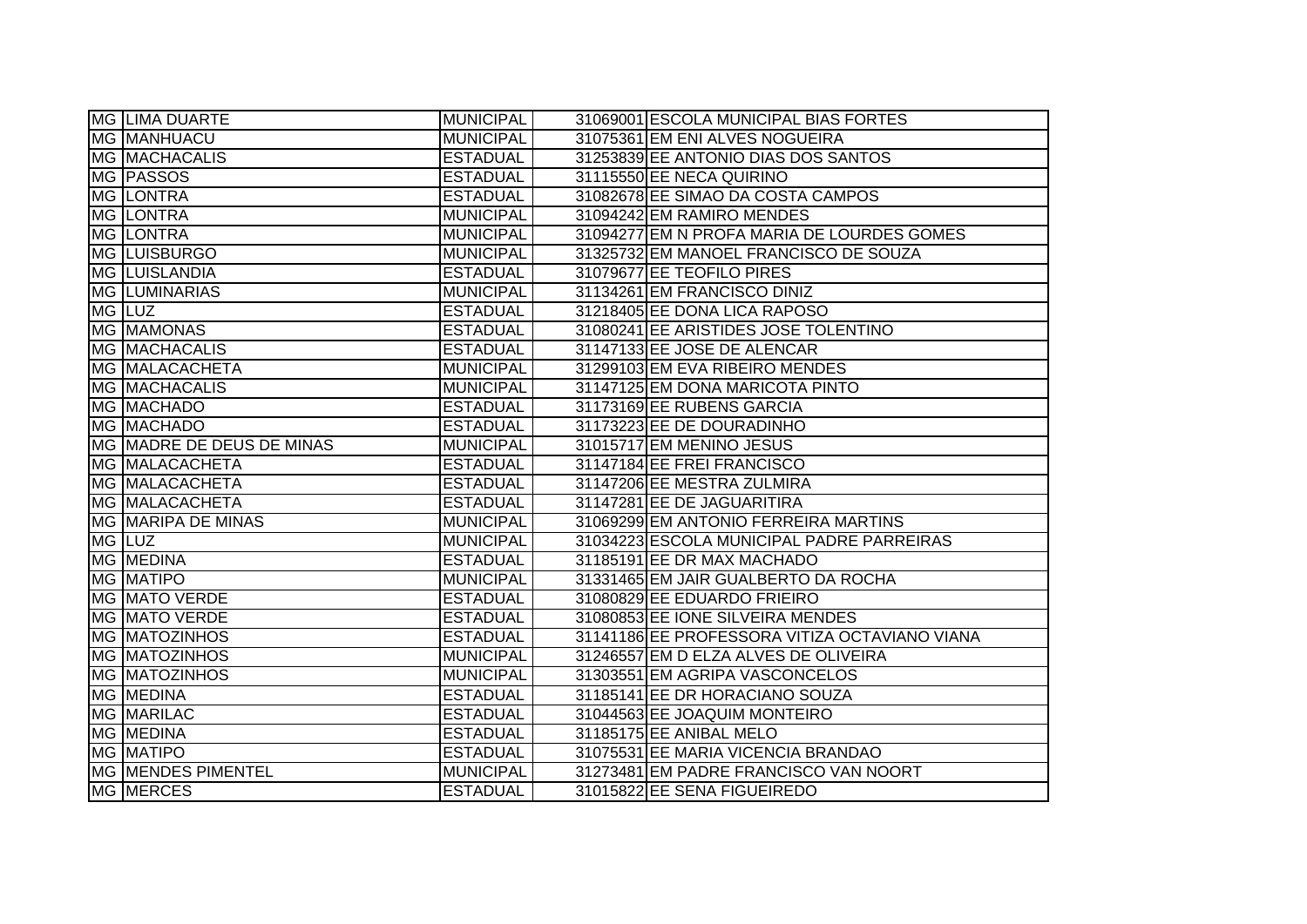|                      | <b>MG LIMA DUARTE</b>     | <b>MUNICIPAL</b> | 31069001 ESCOLA MUNICIPAL BIAS FORTES         |
|----------------------|---------------------------|------------------|-----------------------------------------------|
| <b>MG MANHUACU</b>   |                           | <b>MUNICIPAL</b> | 31075361 EM ENI ALVES NOGUEIRA                |
|                      | <b>MG MACHACALIS</b>      | <b>ESTADUAL</b>  | 31253839 EE ANTONIO DIAS DOS SANTOS           |
| MG PASSOS            |                           | <b>ESTADUAL</b>  | 31115550 EE NECA QUIRINO                      |
| MG LONTRA            |                           | <b>ESTADUAL</b>  | 31082678 EE SIMAO DA COSTA CAMPOS             |
| <b>MG LONTRA</b>     |                           | <b>MUNICIPAL</b> | 31094242 EM RAMIRO MENDES                     |
| MG LONTRA            |                           | <b>MUNICIPAL</b> | 31094277 EM N PROFA MARIA DE LOURDES GOMES    |
| MG LUISBURGO         |                           | <b>MUNICIPAL</b> | 31325732 EM MANOEL FRANCISCO DE SOUZA         |
| <b>MG LUISLANDIA</b> |                           | <b>ESTADUAL</b>  | 31079677 EE TEOFILO PIRES                     |
|                      | MG LUMINARIAS             | MUNICIPAL        | 31134261 EM FRANCISCO DINIZ                   |
| MG LUZ               |                           | <b>ESTADUAL</b>  | 31218405 EE DONA LICA RAPOSO                  |
| MG MAMONAS           |                           | <b>ESTADUAL</b>  | 31080241 EE ARISTIDES JOSE TOLENTINO          |
|                      | <b>MG MACHACALIS</b>      | <b>ESTADUAL</b>  | 31147133 EE JOSE DE ALENCAR                   |
|                      | MG MALACACHETA            | <b>MUNICIPAL</b> | 31299103 EM EVA RIBEIRO MENDES                |
|                      | MG MACHACALIS             | <b>MUNICIPAL</b> | 31147125 EM DONA MARICOTA PINTO               |
| MG MACHADO           |                           | <b>ESTADUAL</b>  | 31173169 EE RUBENS GARCIA                     |
| MG MACHADO           |                           | <b>ESTADUAL</b>  | 31173223 EE DE DOURADINHO                     |
|                      | MG MADRE DE DEUS DE MINAS | <b>MUNICIPAL</b> | 31015717 EM MENINO JESUS                      |
|                      | MG MALACACHETA            | <b>ESTADUAL</b>  | 31147184 EE FREI FRANCISCO                    |
|                      | MG MALACACHETA            | <b>ESTADUAL</b>  | 31147206 EE MESTRA ZULMIRA                    |
|                      | MG MALACACHETA            | <b>ESTADUAL</b>  | 31147281 EE DE JAGUARITIRA                    |
|                      | MG MARIPA DE MINAS        | MUNICIPAL        | 31069299 EM ANTONIO FERREIRA MARTINS          |
| MG LUZ               |                           | MUNICIPAL        | 31034223 ESCOLA MUNICIPAL PADRE PARREIRAS     |
| MG MEDINA            |                           | <b>ESTADUAL</b>  | 31185191 EE DR MAX MACHADO                    |
| MG MATIPO            |                           | <b>MUNICIPAL</b> | 31331465 EM JAIR GUALBERTO DA ROCHA           |
|                      | <b>MG MATO VERDE</b>      | <b>ESTADUAL</b>  | 31080829 EE EDUARDO FRIEIRO                   |
|                      | <b>MG MATO VERDE</b>      | <b>ESTADUAL</b>  | 31080853 EE IONE SILVEIRA MENDES              |
|                      | <b>MG MATOZINHOS</b>      | <b>ESTADUAL</b>  | 31141186 EE PROFESSORA VITIZA OCTAVIANO VIANA |
|                      | <b>MG MATOZINHOS</b>      | <b>MUNICIPAL</b> | 31246557 EM D ELZA ALVES DE OLIVEIRA          |
|                      | <b>MG MATOZINHOS</b>      | <b>MUNICIPAL</b> | 31303551 EM AGRIPA VASCONCELOS                |
| MG MEDINA            |                           | <b>ESTADUAL</b>  | 31185141 EE DR HORACIANO SOUZA                |
| MG MARILAC           |                           | <b>ESTADUAL</b>  | 31044563 EE JOAQUIM MONTEIRO                  |
| MG MEDINA            |                           | <b>ESTADUAL</b>  | 31185175 EE ANIBAL MELO                       |
| <b>MG MATIPO</b>     |                           | <b>ESTADUAL</b>  | 31075531 EE MARIA VICENCIA BRANDAO            |
|                      | MG MENDES PIMENTEL        | MUNICIPAL        | 31273481 EM PADRE FRANCISCO VAN NOORT         |
| MG MERCES            |                           | <b>ESTADUAL</b>  | 31015822 EE SENA FIGUEIREDO                   |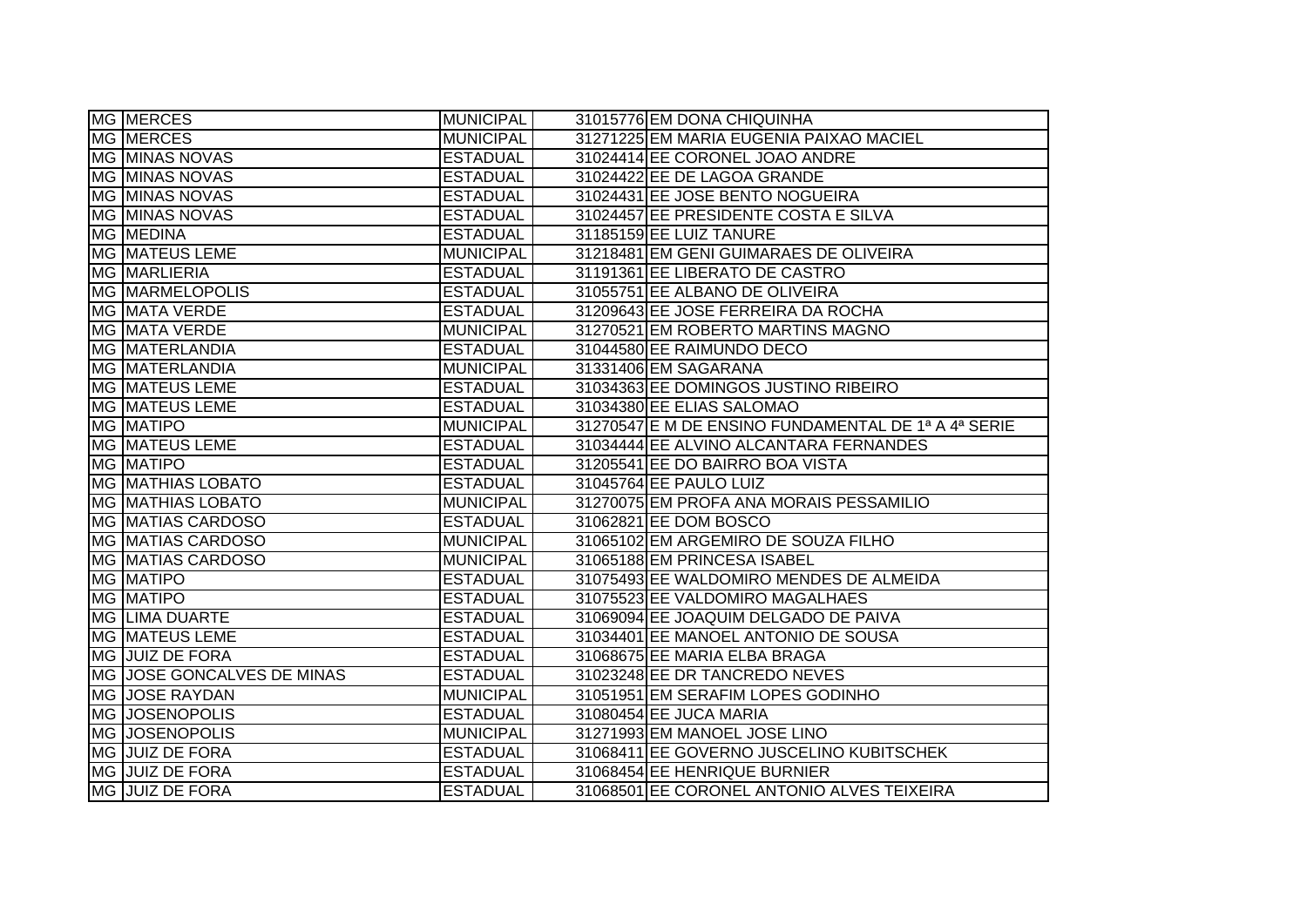| MG MERCES                  | <b>MUNICIPAL</b> | 31015776 EM DONA CHIQUINHA                          |
|----------------------------|------------------|-----------------------------------------------------|
| <b>MG MERCES</b>           | <b>MUNICIPAL</b> | 31271225 EM MARIA EUGENIA PAIXAO MACIEL             |
| <b>MG MINAS NOVAS</b>      | <b>ESTADUAL</b>  | 31024414 EE CORONEL JOAO ANDRE                      |
| MG MINAS NOVAS             | <b>ESTADUAL</b>  | 31024422 EE DE LAGOA GRANDE                         |
| MG MINAS NOVAS             | <b>ESTADUAL</b>  | 31024431 EE JOSE BENTO NOGUEIRA                     |
| <b>MG MINAS NOVAS</b>      | <b>ESTADUAL</b>  | 31024457 EE PRESIDENTE COSTA E SILVA                |
| <b>MG MEDINA</b>           | <b>ESTADUAL</b>  | 31185159 EE LUIZ TANURE                             |
| MG MATEUS LEME             | <b>MUNICIPAL</b> | 31218481 EM GENI GUIMARAES DE OLIVEIRA              |
| MG MARLIERIA               | <b>ESTADUAL</b>  | 31191361 EE LIBERATO DE CASTRO                      |
| <b>MG MARMELOPOLIS</b>     | <b>ESTADUAL</b>  | 31055751 EE ALBANO DE OLIVEIRA                      |
| <b>MG MATA VERDE</b>       | <b>ESTADUAL</b>  | 31209643 EE JOSE FERREIRA DA ROCHA                  |
| MG MATA VERDE              | <b>MUNICIPAL</b> | 31270521 EM ROBERTO MARTINS MAGNO                   |
| MG MATERLANDIA             | <b>ESTADUAL</b>  | 31044580 EE RAIMUNDO DECO                           |
| MG MATERLANDIA             | <b>MUNICIPAL</b> | 31331406 EM SAGARANA                                |
| <b>MG MATEUS LEME</b>      | <b>ESTADUAL</b>  | 31034363 EE DOMINGOS JUSTINO RIBEIRO                |
| <b>MG MATEUS LEME</b>      | <b>ESTADUAL</b>  | 31034380 EE ELIAS SALOMAO                           |
| <b>MG MATIPO</b>           | <b>MUNICIPAL</b> | 31270547 E M DE ENSINO FUNDAMENTAL DE 1ª A 4ª SERIE |
| MG MATEUS LEME             | <b>ESTADUAL</b>  | 31034444 EE ALVINO ALCANTARA FERNANDES              |
| <b>MG MATIPO</b>           | <b>ESTADUAL</b>  | 31205541 EE DO BAIRRO BOA VISTA                     |
| <b>MG MATHIAS LOBATO</b>   | <b>ESTADUAL</b>  | 31045764 EE PAULO LUIZ                              |
| <b>MG MATHIAS LOBATO</b>   | <b>MUNICIPAL</b> | 31270075 EM PROFA ANA MORAIS PESSAMILIO             |
| MG MATIAS CARDOSO          | <b>ESTADUAL</b>  | 31062821 EE DOM BOSCO                               |
| <b>MG MATIAS CARDOSO</b>   | <b>MUNICIPAL</b> | 31065102 EM ARGEMIRO DE SOUZA FILHO                 |
| <b>MG MATIAS CARDOSO</b>   | <b>MUNICIPAL</b> | 31065188 EM PRINCESA ISABEL                         |
| MG MATIPO                  | <b>ESTADUAL</b>  | 31075493 EE WALDOMIRO MENDES DE ALMEIDA             |
| <b>MG MATIPO</b>           | <b>ESTADUAL</b>  | 31075523 EE VALDOMIRO MAGALHAES                     |
| <b>MG LIMA DUARTE</b>      | <b>ESTADUAL</b>  | 31069094 EE JOAQUIM DELGADO DE PAIVA                |
| MG MATEUS LEME             | <b>ESTADUAL</b>  | 31034401 EE MANOEL ANTONIO DE SOUSA                 |
| MG JUIZ DE FORA            | <b>ESTADUAL</b>  | 31068675 EE MARIA ELBA BRAGA                        |
| MG JOSE GONCALVES DE MINAS | <b>ESTADUAL</b>  | 31023248 EE DR TANCREDO NEVES                       |
| MG JOSE RAYDAN             | <b>MUNICIPAL</b> | 31051951 EM SERAFIM LOPES GODINHO                   |
| <b>MG JOSENOPOLIS</b>      | <b>ESTADUAL</b>  | 31080454 EE JUCA MARIA                              |
| <b>MG JOSENOPOLIS</b>      | <b>MUNICIPAL</b> | 31271993 EM MANOEL JOSE LINO                        |
| MG JUIZ DE FORA            | <b>ESTADUAL</b>  | 31068411 EE GOVERNO JUSCELINO KUBITSCHEK            |
| MG JUIZ DE FORA            | <b>ESTADUAL</b>  | 31068454 EE HENRIQUE BURNIER                        |
| MG JUIZ DE FORA            | <b>ESTADUAL</b>  | 31068501 EE CORONEL ANTONIO ALVES TEIXEIRA          |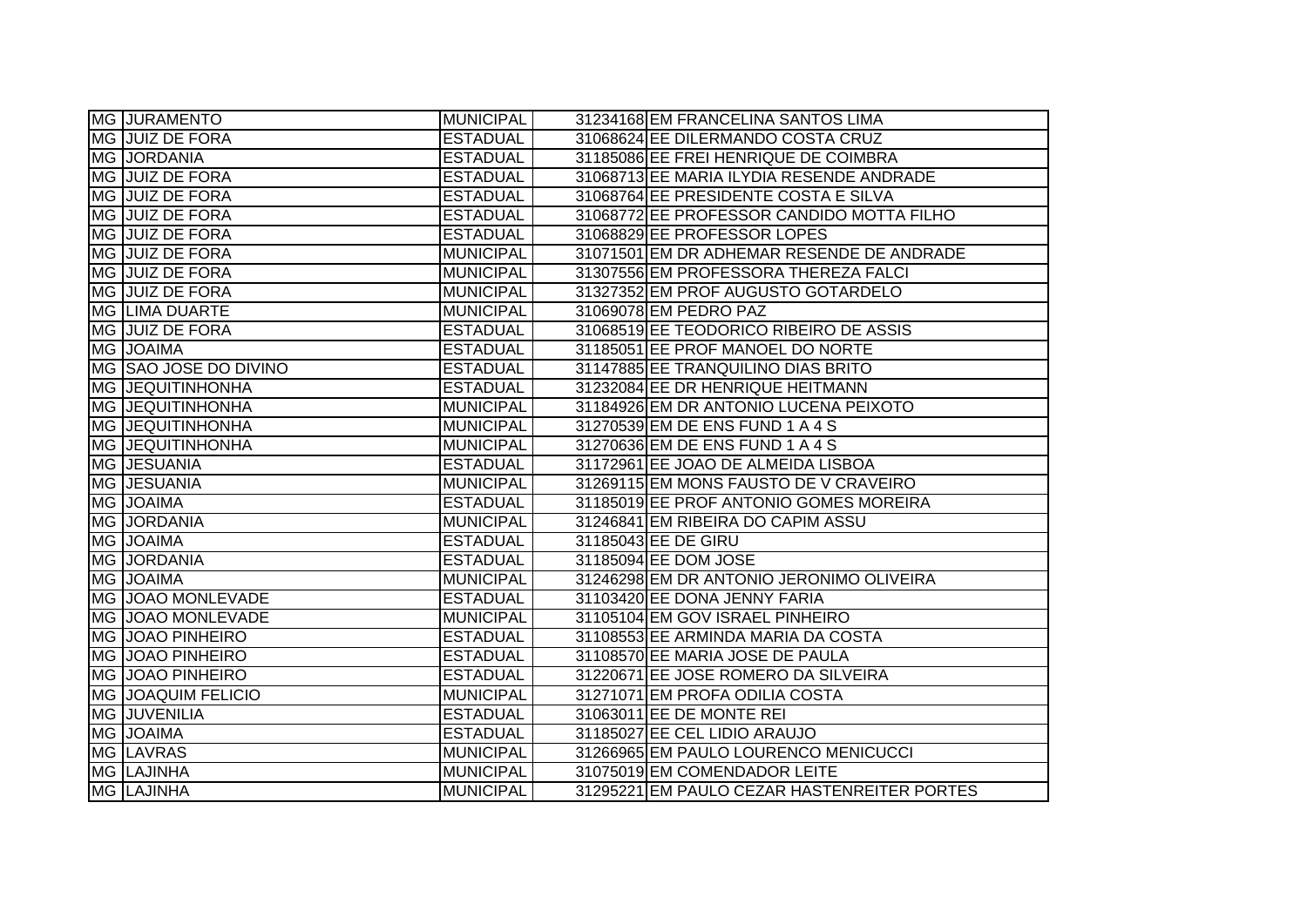|           | MG JURAMENTO              | <b>MUNICIPAL</b> | 31234168 EM FRANCELINA SANTOS LIMA          |
|-----------|---------------------------|------------------|---------------------------------------------|
|           | MG JUIZ DE FORA           | <b>ESTADUAL</b>  | 31068624 EE DILERMANDO COSTA CRUZ           |
|           | <b>MG JORDANIA</b>        | <b>ESTADUAL</b>  | 31185086 EE FREI HENRIQUE DE COIMBRA        |
|           | MG JUIZ DE FORA           | <b>ESTADUAL</b>  | 31068713 EE MARIA ILYDIA RESENDE ANDRADE    |
|           | MG JUIZ DE FORA           | <b>ESTADUAL</b>  | 31068764 EE PRESIDENTE COSTA E SILVA        |
|           | MG JUIZ DE FORA           | <b>ESTADUAL</b>  | 31068772 EE PROFESSOR CANDIDO MOTTA FILHO   |
|           | MG JUIZ DE FORA           | <b>ESTADUAL</b>  | 31068829 EE PROFESSOR LOPES                 |
|           | MG JUIZ DE FORA           | <b>MUNICIPAL</b> | 31071501 EM DR ADHEMAR RESENDE DE ANDRADE   |
|           | <b>MG JUIZ DE FORA</b>    | <b>MUNICIPAL</b> | 31307556 EM PROFESSORA THEREZA FALCI        |
|           | MG JUIZ DE FORA           | <b>MUNICIPAL</b> | 31327352 EM PROF AUGUSTO GOTARDELO          |
|           | MG LIMA DUARTE            | <b>MUNICIPAL</b> | 31069078 EM PEDRO PAZ                       |
|           | MG JUIZ DE FORA           | <b>ESTADUAL</b>  | 31068519 EE TEODORICO RIBEIRO DE ASSIS      |
|           | MG JOAIMA                 | <b>ESTADUAL</b>  | 31185051 EE PROF MANOEL DO NORTE            |
|           | MG SAO JOSE DO DIVINO     | <b>ESTADUAL</b>  | 31147885 EE TRANQUILINO DIAS BRITO          |
|           | <b>MG JEQUITINHONHA</b>   | <b>ESTADUAL</b>  | 31232084 EE DR HENRIQUE HEITMANN            |
| <b>MG</b> | <b>JEQUITINHONHA</b>      | <b>MUNICIPAL</b> | 31184926 EM DR ANTONIO LUCENA PEIXOTO       |
| <b>MG</b> | <b>JEQUITINHONHA</b>      | <b>MUNICIPAL</b> | 31270539 EM DE ENS FUND 1 A 4 S             |
|           | <b>MG JEQUITINHONHA</b>   | <b>MUNICIPAL</b> | 31270636 EM DE ENS FUND 1 A 4 S             |
|           | MG JESUANIA               | <b>ESTADUAL</b>  | 31172961 EE JOAO DE ALMEIDA LISBOA          |
|           | MG JESUANIA               | <b>MUNICIPAL</b> | 31269115 EM MONS FAUSTO DE V CRAVEIRO       |
|           | MG JOAIMA                 | <b>ESTADUAL</b>  | 31185019 EE PROF ANTONIO GOMES MOREIRA      |
|           | MG JORDANIA               | <b>MUNICIPAL</b> | 31246841 EM RIBEIRA DO CAPIM ASSU           |
|           | MG JOAIMA                 | <b>ESTADUAL</b>  | 31185043 EE DE GIRU                         |
|           | MG JORDANIA               | <b>ESTADUAL</b>  | 31185094 EE DOM JOSE                        |
|           | MG JOAIMA                 | <b>MUNICIPAL</b> | 31246298 EM DR ANTONIO JERONIMO OLIVEIRA    |
|           | MG JOAO MONLEVADE         | <b>ESTADUAL</b>  | 31103420 EE DONA JENNY FARIA                |
|           | MG JOAO MONLEVADE         | <b>MUNICIPAL</b> | 31105104 EM GOV ISRAEL PINHEIRO             |
|           | <b>MG JOAO PINHEIRO</b>   | <b>ESTADUAL</b>  | 31108553 EE ARMINDA MARIA DA COSTA          |
|           | <b>MG JOAO PINHEIRO</b>   | <b>ESTADUAL</b>  | 31108570 EE MARIA JOSE DE PAULA             |
|           | MG JOAO PINHEIRO          | <b>ESTADUAL</b>  | 31220671 EE JOSE ROMERO DA SILVEIRA         |
|           | <b>MG JOAQUIM FELICIO</b> | <b>MUNICIPAL</b> | 31271071 EM PROFA ODILIA COSTA              |
|           | MG JUVENILIA              | <b>ESTADUAL</b>  | 31063011 EE DE MONTE REI                    |
|           | MG JOAIMA                 | <b>ESTADUAL</b>  | 31185027 EE CEL LIDIO ARAUJO                |
|           | MG LAVRAS                 | <b>MUNICIPAL</b> | 31266965 EM PAULO LOURENCO MENICUCCI        |
|           | MG LAJINHA                | <b>MUNICIPAL</b> | 31075019 EM COMENDADOR LEITE                |
|           | <b>MG LAJINHA</b>         | <b>MUNICIPAL</b> | 31295221 EM PAULO CEZAR HASTENREITER PORTES |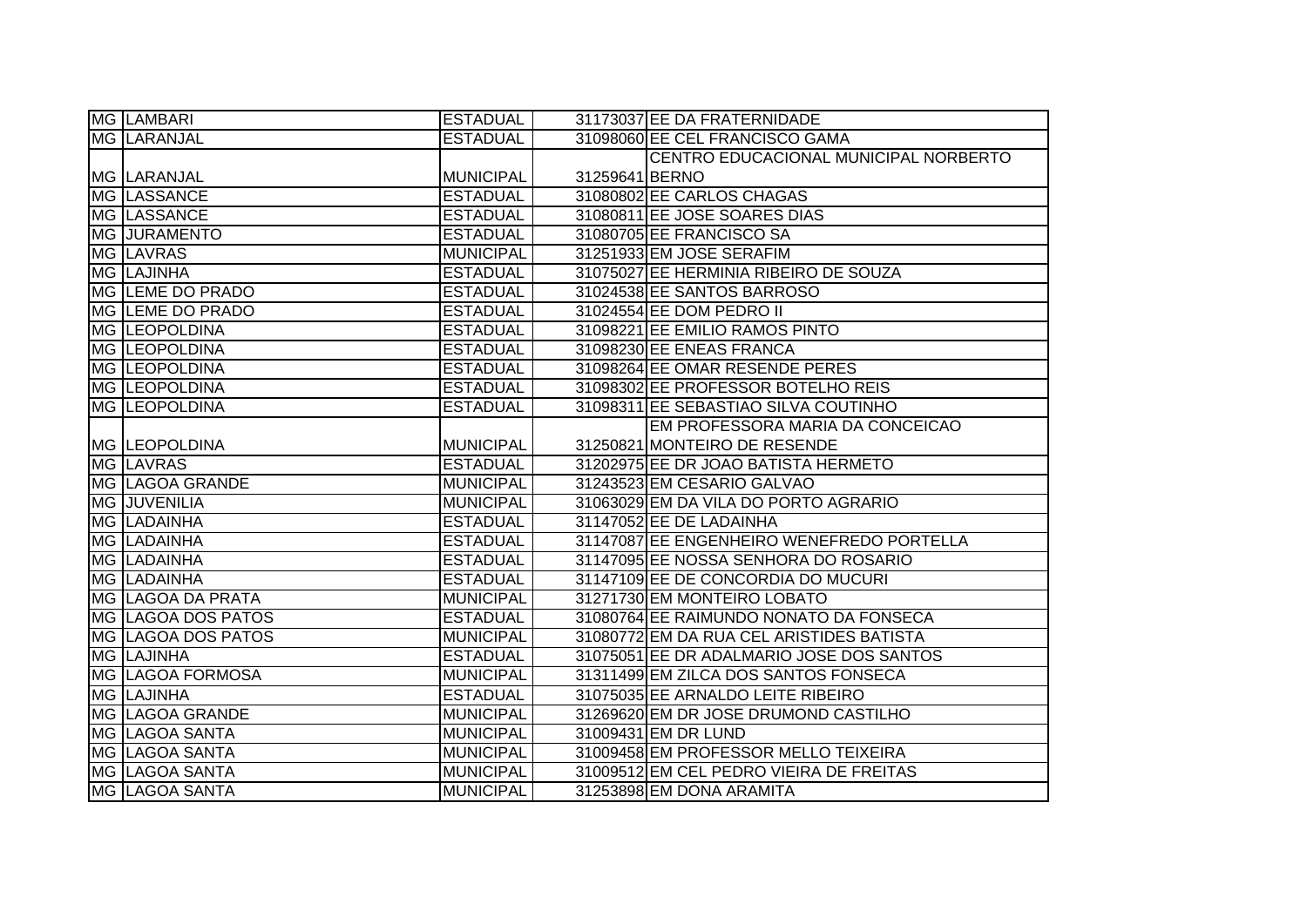| <b>MG LAMBARI</b>       | <b>ESTADUAL</b>  |                | 31173037 EE DA FRATERNIDADE               |
|-------------------------|------------------|----------------|-------------------------------------------|
| <b>MG LARANJAL</b>      | <b>ESTADUAL</b>  |                | 31098060 EE CEL FRANCISCO GAMA            |
|                         |                  |                | CENTRO EDUCACIONAL MUNICIPAL NORBERTO     |
| IMG ILARANJAL           | <b>MUNICIPAL</b> | 31259641 BERNO |                                           |
| <b>MG LASSANCE</b>      | <b>ESTADUAL</b>  |                | 31080802 EE CARLOS CHAGAS                 |
| MG LASSANCE             | <b>ESTADUAL</b>  |                | 31080811 EE JOSE SOARES DIAS              |
| <b>MG JURAMENTO</b>     | <b>ESTADUAL</b>  |                | 31080705 EE FRANCISCO SA                  |
| MG LAVRAS               | <b>MUNICIPAL</b> |                | 31251933 EM JOSE SERAFIM                  |
| MG LAJINHA              | <b>ESTADUAL</b>  |                | 31075027 EE HERMINIA RIBEIRO DE SOUZA     |
| <b>MG LEME DO PRADO</b> | <b>ESTADUAL</b>  |                | 31024538 EE SANTOS BARROSO                |
| MG LEME DO PRADO        | <b>ESTADUAL</b>  |                | 31024554 EE DOM PEDRO II                  |
| MG LEOPOLDINA           | <b>ESTADUAL</b>  |                | 31098221 EE EMILIO RAMOS PINTO            |
| MG LEOPOLDINA           | <b>ESTADUAL</b>  |                | 31098230 EE ENEAS FRANCA                  |
| <b>MG LEOPOLDINA</b>    | <b>ESTADUAL</b>  |                | 31098264 EE OMAR RESENDE PERES            |
| MG LEOPOLDINA           | <b>ESTADUAL</b>  |                | 31098302 EE PROFESSOR BOTELHO REIS        |
| <b>MG LEOPOLDINA</b>    | <b>ESTADUAL</b>  |                | 31098311 EE SEBASTIAO SILVA COUTINHO      |
|                         |                  |                | EM PROFESSORA MARIA DA CONCEICAO          |
| MG LEOPOLDINA           | <b>MUNICIPAL</b> |                | 31250821 MONTEIRO DE RESENDE              |
| MG LAVRAS               | <b>ESTADUAL</b>  |                | 31202975 EE DR JOAO BATISTA HERMETO       |
| MG LAGOA GRANDE         | <b>MUNICIPAL</b> |                | 31243523 EM CESARIO GALVAO                |
| MG JUVENILIA            | <b>MUNICIPAL</b> |                | 31063029 EM DA VILA DO PORTO AGRARIO      |
| MG LADAINHA             | <b>ESTADUAL</b>  |                | 31147052 EE DE LADAINHA                   |
| MG LADAINHA             | <b>ESTADUAL</b>  |                | 31147087 EE ENGENHEIRO WENEFREDO PORTELLA |
| <b>MG LADAINHA</b>      | <b>ESTADUAL</b>  |                | 31147095 EE NOSSA SENHORA DO ROSARIO      |
| <b>MG LADAINHA</b>      | <b>ESTADUAL</b>  |                | 31147109 EE DE CONCORDIA DO MUCURI        |
| MG LAGOA DA PRATA       | <b>MUNICIPAL</b> |                | 31271730 EM MONTEIRO LOBATO               |
| MG LAGOA DOS PATOS      | <b>ESTADUAL</b>  |                | 31080764 EE RAIMUNDO NONATO DA FONSECA    |
| MG LAGOA DOS PATOS      | <b>MUNICIPAL</b> |                | 31080772 EM DA RUA CEL ARISTIDES BATISTA  |
| <b>MG LAJINHA</b>       | <b>ESTADUAL</b>  |                | 31075051 EE DR ADALMARIO JOSE DOS SANTOS  |
| MG LAGOA FORMOSA        | <b>MUNICIPAL</b> |                | 31311499 EM ZILCA DOS SANTOS FONSECA      |
| <b>MG LAJINHA</b>       | <b>ESTADUAL</b>  |                | 31075035 EE ARNALDO LEITE RIBEIRO         |
| MG LAGOA GRANDE         | <b>MUNICIPAL</b> |                | 31269620 EM DR JOSE DRUMOND CASTILHO      |
| MG LAGOA SANTA          | <b>MUNICIPAL</b> |                | 31009431 EM DR LUND                       |
| <b>MG LAGOA SANTA</b>   | <b>MUNICIPAL</b> |                | 31009458 EM PROFESSOR MELLO TEIXEIRA      |
| MG LAGOA SANTA          | <b>MUNICIPAL</b> |                | 31009512 EM CEL PEDRO VIEIRA DE FREITAS   |
| MG LAGOA SANTA          | <b>MUNICIPAL</b> |                | 31253898 EM DONA ARAMITA                  |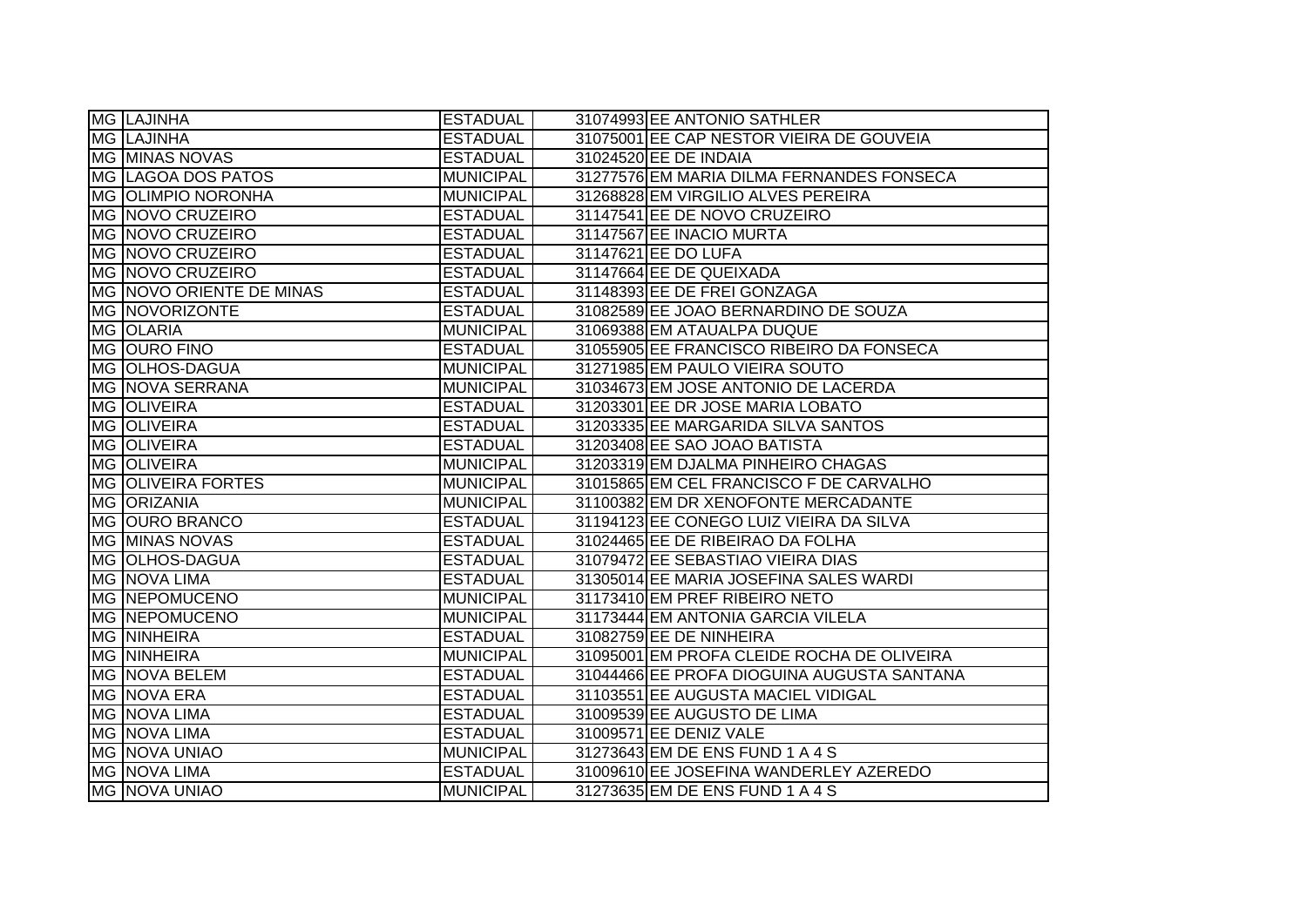| MG LAJINHA                | <b>ESTADUAL</b>  | 31074993 EE ANTONIO SATHLER                |
|---------------------------|------------------|--------------------------------------------|
| <b>MG LAJINHA</b>         | <b>ESTADUAL</b>  | 31075001 EE CAP NESTOR VIEIRA DE GOUVEIA   |
| <b>MG MINAS NOVAS</b>     | <b>ESTADUAL</b>  | 31024520 EE DE INDAIA                      |
| <b>MG LAGOA DOS PATOS</b> | <b>MUNICIPAL</b> | 31277576 EM MARIA DILMA FERNANDES FONSECA  |
| <b>MG OLIMPIO NORONHA</b> | <b>MUNICIPAL</b> | 31268828 EM VIRGILIO ALVES PEREIRA         |
| MG NOVO CRUZEIRO          | <b>ESTADUAL</b>  | 31147541 EE DE NOVO CRUZEIRO               |
| MG NOVO CRUZEIRO          | <b>ESTADUAL</b>  | 31147567 EE INACIO MURTA                   |
| MG NOVO CRUZEIRO          | <b>ESTADUAL</b>  | 31147621 EE DO LUFA                        |
| MG NOVO CRUZEIRO          | <b>ESTADUAL</b>  | 31147664 EE DE QUEIXADA                    |
| MG NOVO ORIENTE DE MINAS  | <b>ESTADUAL</b>  | 31148393 EE DE FREI GONZAGA                |
| MG NOVORIZONTE            | <b>ESTADUAL</b>  | 31082589 EE JOAO BERNARDINO DE SOUZA       |
| MG OLARIA                 | <b>MUNICIPAL</b> | 31069388 EM ATAUALPA DUQUE                 |
| MG OURO FINO              | <b>ESTADUAL</b>  | 31055905 EE FRANCISCO RIBEIRO DA FONSECA   |
| MG OLHOS-DAGUA            | <b>MUNICIPAL</b> | 31271985 EM PAULO VIEIRA SOUTO             |
| MG NOVA SERRANA           | <b>MUNICIPAL</b> | 31034673 EM JOSE ANTONIO DE LACERDA        |
| <b>MG OLIVEIRA</b>        | <b>ESTADUAL</b>  | 31203301 EE DR JOSE MARIA LOBATO           |
| MG OLIVEIRA               | <b>ESTADUAL</b>  | 31203335 EE MARGARIDA SILVA SANTOS         |
| MG OLIVEIRA               | <b>ESTADUAL</b>  | 31203408 EE SAO JOAO BATISTA               |
| <b>MG OLIVEIRA</b>        | <b>MUNICIPAL</b> | 31203319 EM DJALMA PINHEIRO CHAGAS         |
| <b>MG OLIVEIRA FORTES</b> | <b>MUNICIPAL</b> | 31015865 EM CEL FRANCISCO F DE CARVALHO    |
| <b>MG ORIZANIA</b>        | <b>MUNICIPAL</b> | 31100382 EM DR XENOFONTE MERCADANTE        |
| MG OURO BRANCO            | <b>ESTADUAL</b>  | 31194123 EE CONEGO LUIZ VIEIRA DA SILVA    |
| <b>MG MINAS NOVAS</b>     | <b>ESTADUAL</b>  | 31024465 EE DE RIBEIRAO DA FOLHA           |
| MG OLHOS-DAGUA            | <b>ESTADUAL</b>  | 31079472 EE SEBASTIAO VIEIRA DIAS          |
| MG NOVA LIMA              | <b>ESTADUAL</b>  | 31305014 EE MARIA JOSEFINA SALES WARDI     |
| <b>MG NEPOMUCENO</b>      | <b>MUNICIPAL</b> | 31173410 EM PREF RIBEIRO NETO              |
| <b>MG NEPOMUCENO</b>      | <b>MUNICIPAL</b> | 31173444 EM ANTONIA GARCIA VILELA          |
| <b>MG NINHEIRA</b>        | <b>ESTADUAL</b>  | 31082759 EE DE NINHEIRA                    |
| <b>MG NINHEIRA</b>        | <b>MUNICIPAL</b> | 31095001 EM PROFA CLEIDE ROCHA DE OLIVEIRA |
| MG NOVA BELEM             | <b>ESTADUAL</b>  | 31044466 EE PROFA DIOGUINA AUGUSTA SANTANA |
| MG NOVA ERA               | <b>ESTADUAL</b>  | 31103551 EE AUGUSTA MACIEL VIDIGAL         |
| MG NOVA LIMA              | <b>ESTADUAL</b>  | 31009539 EE AUGUSTO DE LIMA                |
| MG NOVA LIMA              | <b>ESTADUAL</b>  | 31009571 EE DENIZ VALE                     |
| MG NOVA UNIAO             | <b>MUNICIPAL</b> | 31273643 EM DE ENS FUND 1 A 4 S            |
| <b>MG NOVA LIMA</b>       | <b>ESTADUAL</b>  | 31009610 EE JOSEFINA WANDERLEY AZEREDO     |
| <b>MG NOVA UNIAO</b>      | <b>MUNICIPAL</b> | 31273635 EM DE ENS FUND 1 A 4 S            |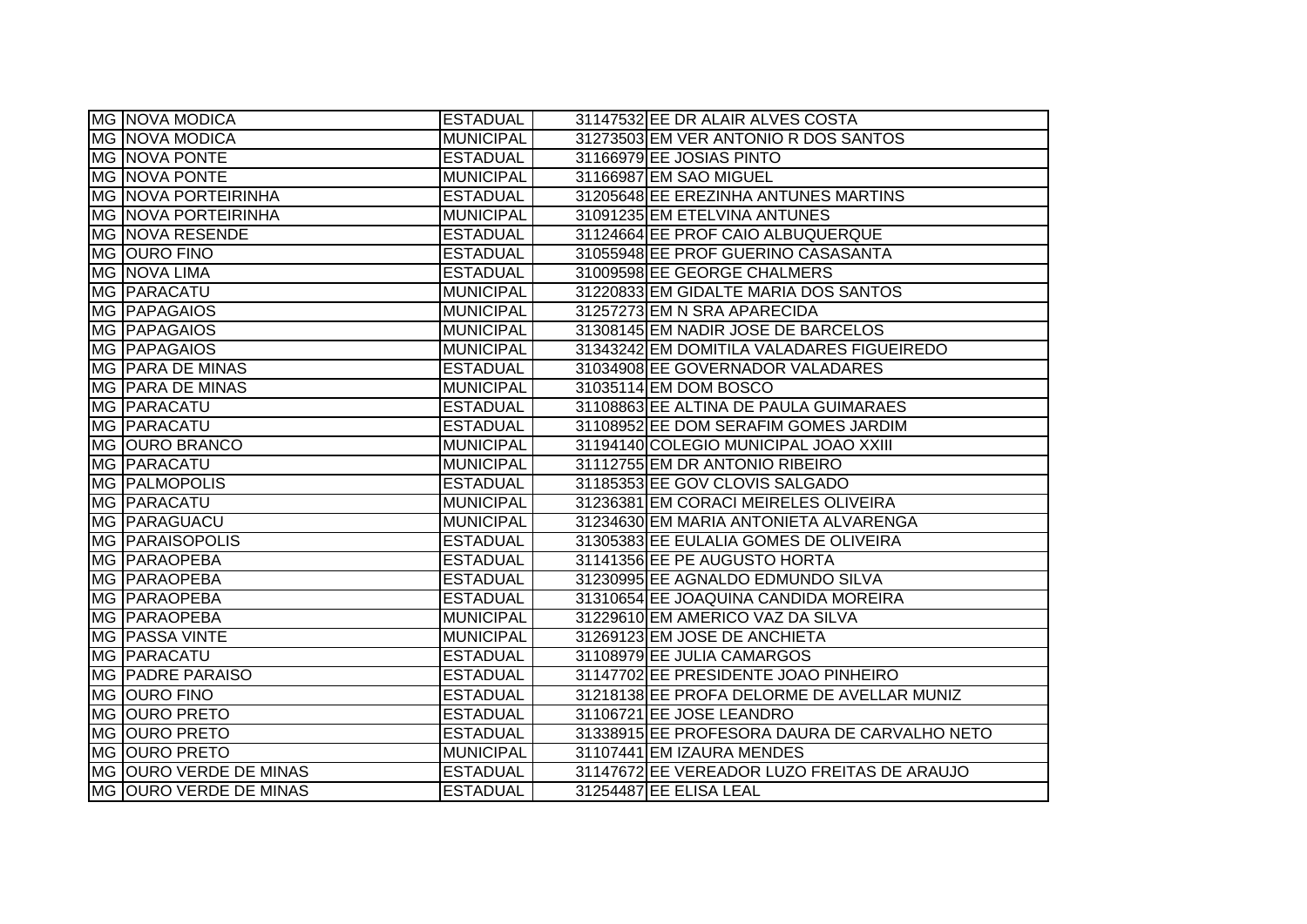| <b>MG NOVA MODICA</b>      | <b>ESTADUAL</b>  | 31147532 EE DR ALAIR ALVES COSTA             |
|----------------------------|------------------|----------------------------------------------|
| <b>MG NOVA MODICA</b>      | <b>MUNICIPAL</b> | 31273503 EM VER ANTONIO R DOS SANTOS         |
| <b>MG NOVA PONTE</b>       | <b>ESTADUAL</b>  | 31166979 EE JOSIAS PINTO                     |
| <b>MG NOVA PONTE</b>       | <b>MUNICIPAL</b> | 31166987 EM SAO MIGUEL                       |
| <b>MG NOVA PORTEIRINHA</b> | <b>ESTADUAL</b>  | 31205648 EE EREZINHA ANTUNES MARTINS         |
| <b>MG NOVA PORTEIRINHA</b> | <b>MUNICIPAL</b> | 31091235 EM ETELVINA ANTUNES                 |
| <b>MG NOVA RESENDE</b>     | <b>ESTADUAL</b>  | 31124664 EE PROF CAIO ALBUQUERQUE            |
| MG OURO FINO               | <b>ESTADUAL</b>  | 31055948 EE PROF GUERINO CASASANTA           |
| MG NOVA LIMA               | <b>ESTADUAL</b>  | 31009598 EE GEORGE CHALMERS                  |
| MG PARACATU                | <b>MUNICIPAL</b> | 31220833 EM GIDALTE MARIA DOS SANTOS         |
| MG PAPAGAIOS               | <b>MUNICIPAL</b> | 31257273 EM N SRA APARECIDA                  |
| MG PAPAGAIOS               | <b>MUNICIPAL</b> | 31308145 EM NADIR JOSE DE BARCELOS           |
| MG PAPAGAIOS               | <b>MUNICIPAL</b> | 31343242 EM DOMITILA VALADARES FIGUEIREDO    |
| MG PARA DE MINAS           | <b>ESTADUAL</b>  | 31034908 EE GOVERNADOR VALADARES             |
| MG PARA DE MINAS           | <b>MUNICIPAL</b> | 31035114 EM DOM BOSCO                        |
| MG PARACATU                | <b>ESTADUAL</b>  | 31108863 EE ALTINA DE PAULA GUIMARAES        |
| MG PARACATU                | <b>ESTADUAL</b>  | 31108952 EE DOM SERAFIM GOMES JARDIM         |
| MG OURO BRANCO             | <b>MUNICIPAL</b> | 31194140 COLEGIO MUNICIPAL JOAO XXIII        |
| MG PARACATU                | <b>MUNICIPAL</b> | 31112755 EM DR ANTONIO RIBEIRO               |
| <b>MG PALMOPOLIS</b>       | <b>ESTADUAL</b>  | 31185353 EE GOV CLOVIS SALGADO               |
| MG PARACATU                | <b>MUNICIPAL</b> | 31236381 EM CORACI MEIRELES OLIVEIRA         |
| MG PARAGUACU               | <b>MUNICIPAL</b> | 31234630 EM MARIA ANTONIETA ALVARENGA        |
| <b>MG PARAISOPOLIS</b>     | <b>ESTADUAL</b>  | 31305383 EE EULALIA GOMES DE OLIVEIRA        |
| MG PARAOPEBA               | <b>ESTADUAL</b>  | 31141356 EE PE AUGUSTO HORTA                 |
| MG PARAOPEBA               | <b>ESTADUAL</b>  | 31230995 EE AGNALDO EDMUNDO SILVA            |
| MG PARAOPEBA               | <b>ESTADUAL</b>  | 31310654 EE JOAQUINA CANDIDA MOREIRA         |
| MG PARAOPEBA               | <b>MUNICIPAL</b> | 31229610 EM AMERICO VAZ DA SILVA             |
| MG PASSA VINTE             | <b>MUNICIPAL</b> | 31269123 EM JOSE DE ANCHIETA                 |
| MG PARACATU                | <b>ESTADUAL</b>  | 31108979 EE JULIA CAMARGOS                   |
| <b>MG PADRE PARAISO</b>    | <b>ESTADUAL</b>  | 31147702 EE PRESIDENTE JOAO PINHEIRO         |
| MG OURO FINO               | <b>ESTADUAL</b>  | 31218138 EE PROFA DELORME DE AVELLAR MUNIZ   |
| <b>MG OURO PRETO</b>       | <b>ESTADUAL</b>  | 31106721 EE JOSE LEANDRO                     |
| MG OURO PRETO              | <b>ESTADUAL</b>  | 31338915 EE PROFESORA DAURA DE CARVALHO NETO |
| MG OURO PRETO              | <b>MUNICIPAL</b> | 31107441 EM IZAURA MENDES                    |
| MG OURO VERDE DE MINAS     | <b>ESTADUAL</b>  | 31147672 EE VEREADOR LUZO FREITAS DE ARAUJO  |
| MG OURO VERDE DE MINAS     | <b>ESTADUAL</b>  | 31254487 EE ELISA LEAL                       |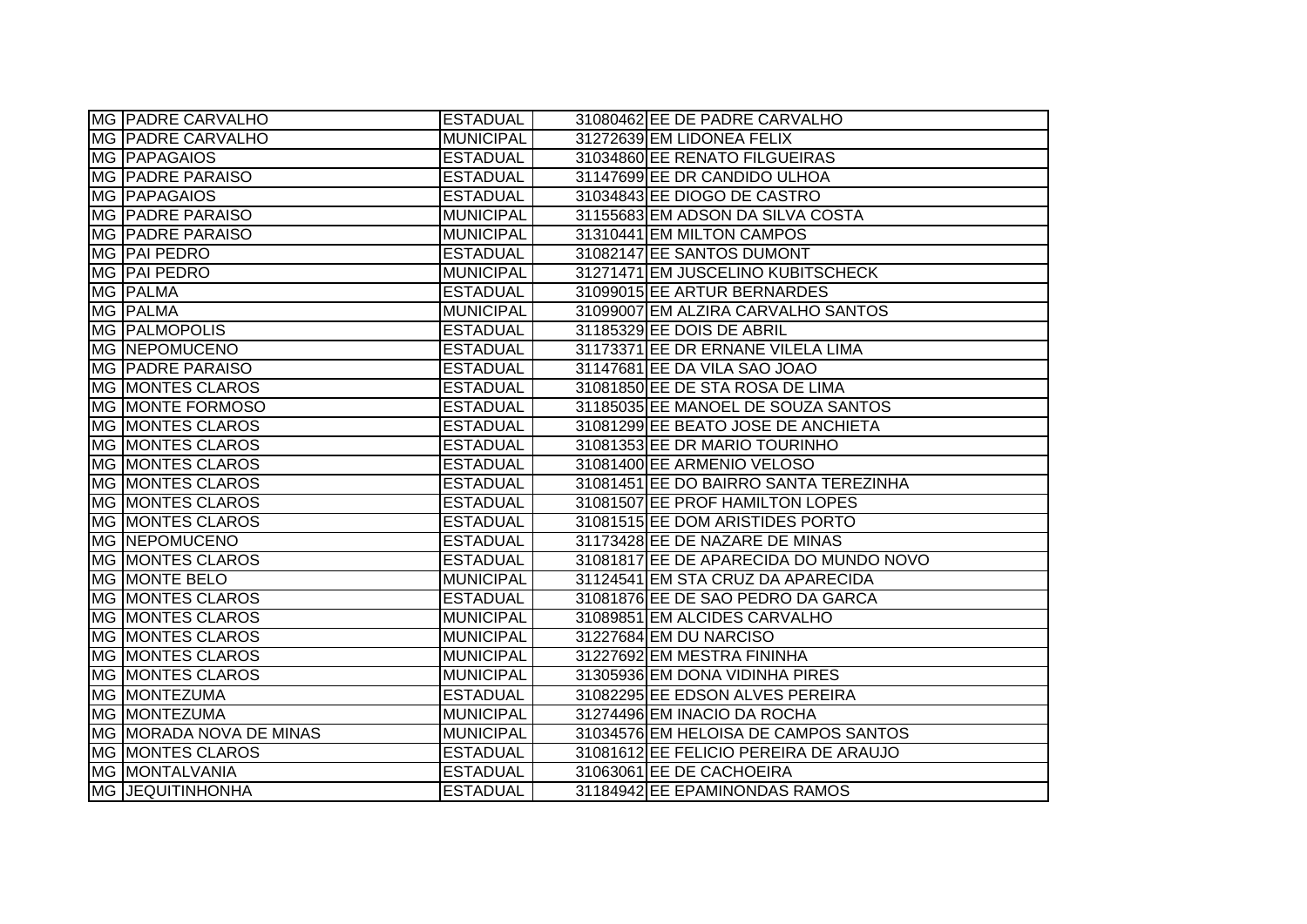| MG PADRE CARVALHO       | <b>ESTADUAL</b>  | 31080462 EE DE PADRE CARVALHO          |
|-------------------------|------------------|----------------------------------------|
| MG PADRE CARVALHO       | MUNICIPAL        | 31272639 EM LIDONEA FELIX              |
| <b>MG PAPAGAIOS</b>     | <b>ESTADUAL</b>  | 31034860 EE RENATO FILGUEIRAS          |
| <b>MG PADRE PARAISO</b> | <b>ESTADUAL</b>  | 31147699 EE DR CANDIDO ULHOA           |
| MG PAPAGAIOS            | <b>ESTADUAL</b>  | 31034843 EE DIOGO DE CASTRO            |
| <b>MG PADRE PARAISO</b> | <b>MUNICIPAL</b> | 31155683 EM ADSON DA SILVA COSTA       |
| MG PADRE PARAISO        | <b>MUNICIPAL</b> | 31310441 EM MILTON CAMPOS              |
| MG PAI PEDRO            | <b>ESTADUAL</b>  | 31082147 EE SANTOS DUMONT              |
| MG PAI PEDRO            | MUNICIPAL        | 31271471 EM JUSCELINO KUBITSCHECK      |
| MG PALMA                | <b>ESTADUAL</b>  | 31099015 EE ARTUR BERNARDES            |
| MG PALMA                | <b>MUNICIPAL</b> | 31099007 EM ALZIRA CARVALHO SANTOS     |
| MG PALMOPOLIS           | <b>ESTADUAL</b>  | 31185329 EE DOIS DE ABRIL              |
| <b>MG NEPOMUCENO</b>    | <b>ESTADUAL</b>  | 31173371 EE DR ERNANE VILELA LIMA      |
| <b>MG PADRE PARAISO</b> | <b>ESTADUAL</b>  | 31147681 EE DA VILA SAO JOAO           |
| MG MONTES CLAROS        | <b>ESTADUAL</b>  | 31081850 EE DE STA ROSA DE LIMA        |
| MG MONTE FORMOSO        | <b>ESTADUAL</b>  | 31185035 EE MANOEL DE SOUZA SANTOS     |
| MG MONTES CLAROS        | <b>ESTADUAL</b>  | 31081299 EE BEATO JOSE DE ANCHIETA     |
| MG MONTES CLAROS        | <b>ESTADUAL</b>  | 31081353 EE DR MARIO TOURINHO          |
| MG MONTES CLAROS        | <b>ESTADUAL</b>  | 31081400 EE ARMENIO VELOSO             |
| MG MONTES CLAROS        | <b>ESTADUAL</b>  | 31081451 EE DO BAIRRO SANTA TEREZINHA  |
| MG MONTES CLAROS        | <b>ESTADUAL</b>  | 31081507 EE PROF HAMILTON LOPES        |
| MG MONTES CLAROS        | <b>ESTADUAL</b>  | 31081515 EE DOM ARISTIDES PORTO        |
| <b>MG NEPOMUCENO</b>    | <b>ESTADUAL</b>  | 31173428 EE DE NAZARE DE MINAS         |
| MG MONTES CLAROS        | <b>ESTADUAL</b>  | 31081817 EE DE APARECIDA DO MUNDO NOVO |
| MG MONTE BELO           | <b>MUNICIPAL</b> | 31124541 EM STA CRUZ DA APARECIDA      |
| <b>MG MONTES CLAROS</b> | <b>ESTADUAL</b>  | 31081876 EE DE SAO PEDRO DA GARCA      |
| MG MONTES CLAROS        | <b>MUNICIPAL</b> | 31089851 EM ALCIDES CARVALHO           |
| MG MONTES CLAROS        | <b>MUNICIPAL</b> | 31227684 EM DU NARCISO                 |
| MG MONTES CLAROS        | <b>MUNICIPAL</b> | 31227692 EM MESTRA FININHA             |
| MG MONTES CLAROS        | MUNICIPAL        | 31305936 EM DONA VIDINHA PIRES         |
| MG MONTEZUMA            | <b>ESTADUAL</b>  | 31082295 EE EDSON ALVES PEREIRA        |
| <b>MG MONTEZUMA</b>     | MUNICIPAL        | 31274496 EM INACIO DA ROCHA            |
| MG MORADA NOVA DE MINAS | <b>MUNICIPAL</b> | 31034576 EM HELOISA DE CAMPOS SANTOS   |
| MG MONTES CLAROS        | <b>ESTADUAL</b>  | 31081612 EE FELICIO PEREIRA DE ARAUJO  |
| MG MONTALVANIA          | <b>ESTADUAL</b>  | 31063061 EE DE CACHOEIRA               |
| <b>MG JEQUITINHONHA</b> | <b>ESTADUAL</b>  | 31184942 EE EPAMINONDAS RAMOS          |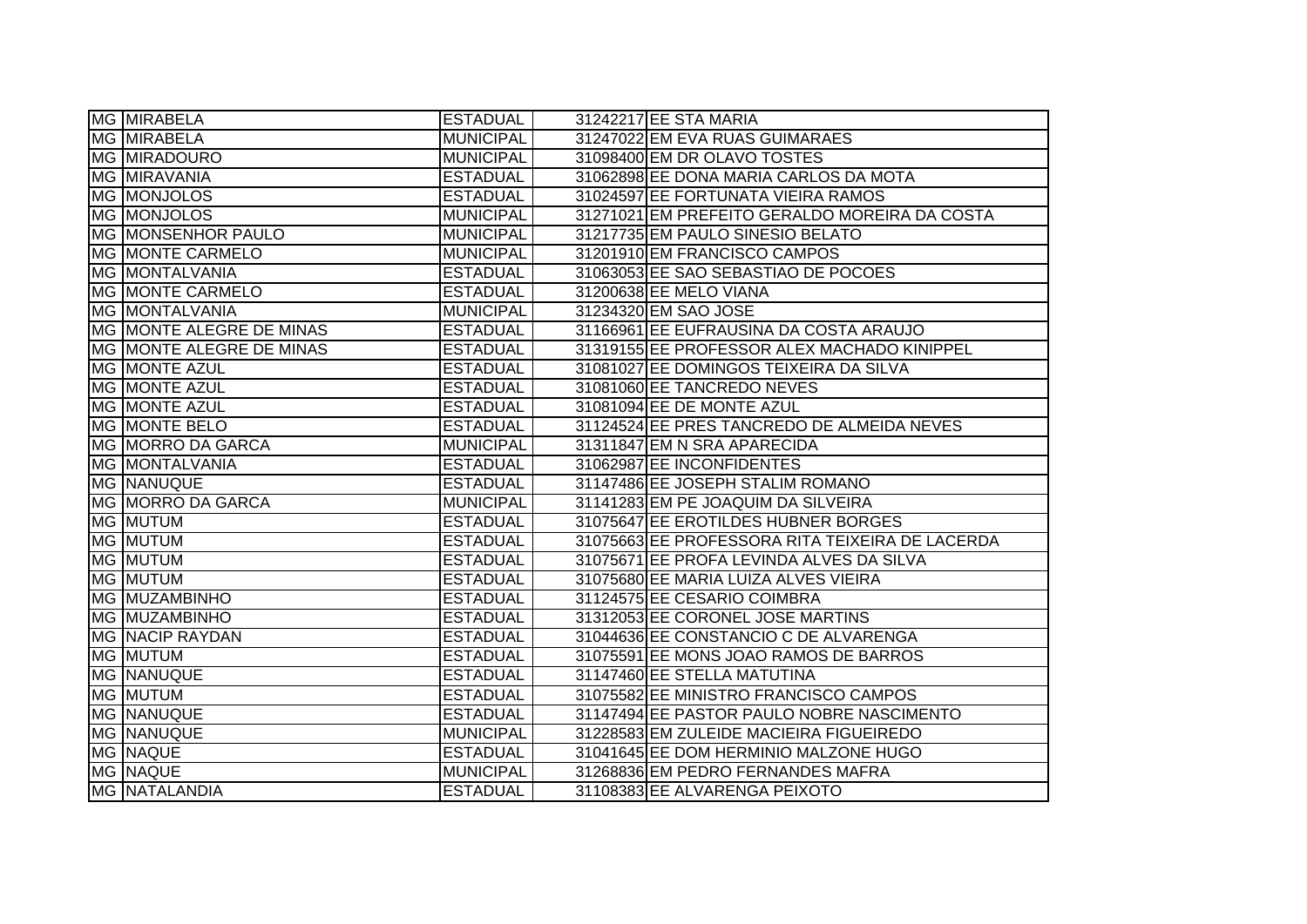| MG MIRABELA              | <b>ESTADUAL</b>  | 31242217 EE STA MARIA                           |
|--------------------------|------------------|-------------------------------------------------|
| MG MIRABELA              | <b>MUNICIPAL</b> | 31247022 EM EVA RUAS GUIMARAES                  |
| <b>MG MIRADOURO</b>      | <b>MUNICIPAL</b> | 31098400 EM DR OLAVO TOSTES                     |
| MG MIRAVANIA             | <b>ESTADUAL</b>  | 31062898 EE DONA MARIA CARLOS DA MOTA           |
| MG MONJOLOS              | <b>ESTADUAL</b>  | 31024597 EE FORTUNATA VIEIRA RAMOS              |
| MG MONJOLOS              | <b>MUNICIPAL</b> | 31271021 EM PREFEITO GERALDO MOREIRA DA COSTA   |
| MG MONSENHOR PAULO       | <b>MUNICIPAL</b> | 31217735 EM PAULO SINESIO BELATO                |
| <b>MG MONTE CARMELO</b>  | MUNICIPAL        | 31201910 EM FRANCISCO CAMPOS                    |
| MG MONTALVANIA           | <b>ESTADUAL</b>  | 31063053 EE SAO SEBASTIAO DE POCOES             |
| MG MONTE CARMELO         | <b>ESTADUAL</b>  | 31200638 EE MELO VIANA                          |
| MG MONTALVANIA           | <b>MUNICIPAL</b> | 31234320 EM SAO JOSE                            |
| MG MONTE ALEGRE DE MINAS | <b>ESTADUAL</b>  | 31166961 EE EUFRAUSINA DA COSTA ARAUJO          |
| MG MONTE ALEGRE DE MINAS | <b>ESTADUAL</b>  | 31319155 EE PROFESSOR ALEX MACHADO KINIPPEL     |
| MG MONTE AZUL            | <b>ESTADUAL</b>  | 31081027 EE DOMINGOS TEIXEIRA DA SILVA          |
| MG MONTE AZUL            | <b>ESTADUAL</b>  | 31081060 EE TANCREDO NEVES                      |
| MG MONTE AZUL            | <b>ESTADUAL</b>  | 31081094 EE DE MONTE AZUL                       |
| <b>MG MONTE BELO</b>     | <b>ESTADUAL</b>  | 31124524 EE PRES TANCREDO DE ALMEIDA NEVES      |
| MG MORRO DA GARCA        | <b>MUNICIPAL</b> | 31311847 EM N SRA APARECIDA                     |
| MG MONTALVANIA           | <b>ESTADUAL</b>  | 31062987 EE INCONFIDENTES                       |
| MG NANUQUE               | <b>ESTADUAL</b>  | 31147486 EE JOSEPH STALIM ROMANO                |
| MG MORRO DA GARCA        | <b>MUNICIPAL</b> | 31141283 EM PE JOAQUIM DA SILVEIRA              |
| MG MUTUM                 | <b>ESTADUAL</b>  | 31075647 EE EROTILDES HUBNER BORGES             |
| MG MUTUM                 | <b>ESTADUAL</b>  | 31075663 EE PROFESSORA RITA TEIXEIRA DE LACERDA |
| <b>MG MUTUM</b>          | <b>ESTADUAL</b>  | 31075671 EE PROFA LEVINDA ALVES DA SILVA        |
| <b>MG MUTUM</b>          | <b>ESTADUAL</b>  | 31075680 EE MARIA LUIZA ALVES VIEIRA            |
| <b>MG MUZAMBINHO</b>     | <b>ESTADUAL</b>  | 31124575 EE CESARIO COIMBRA                     |
| MG MUZAMBINHO            | <b>ESTADUAL</b>  | 31312053 EE CORONEL JOSE MARTINS                |
| <b>MG NACIP RAYDAN</b>   | <b>ESTADUAL</b>  | 31044636 EE CONSTANCIO C DE ALVARENGA           |
| MG MUTUM                 | <b>ESTADUAL</b>  | 31075591 EE MONS JOAO RAMOS DE BARROS           |
| MG NANUQUE               | <b>ESTADUAL</b>  | 31147460 EE STELLA MATUTINA                     |
| MG MUTUM                 | <b>ESTADUAL</b>  | 31075582 EE MINISTRO FRANCISCO CAMPOS           |
| <b>MG NANUQUE</b>        | <b>ESTADUAL</b>  | 31147494 EE PASTOR PAULO NOBRE NASCIMENTO       |
| MG NANUQUE               | MUNICIPAL        | 31228583 EM ZULEIDE MACIEIRA FIGUEIREDO         |
| <b>MG NAQUE</b>          | <b>ESTADUAL</b>  | 31041645 EE DOM HERMINIO MALZONE HUGO           |
| <b>MG NAQUE</b>          | <b>MUNICIPAL</b> | 31268836 EM PEDRO FERNANDES MAFRA               |
| MG NATALANDIA            | <b>ESTADUAL</b>  | 31108383 EE ALVARENGA PEIXOTO                   |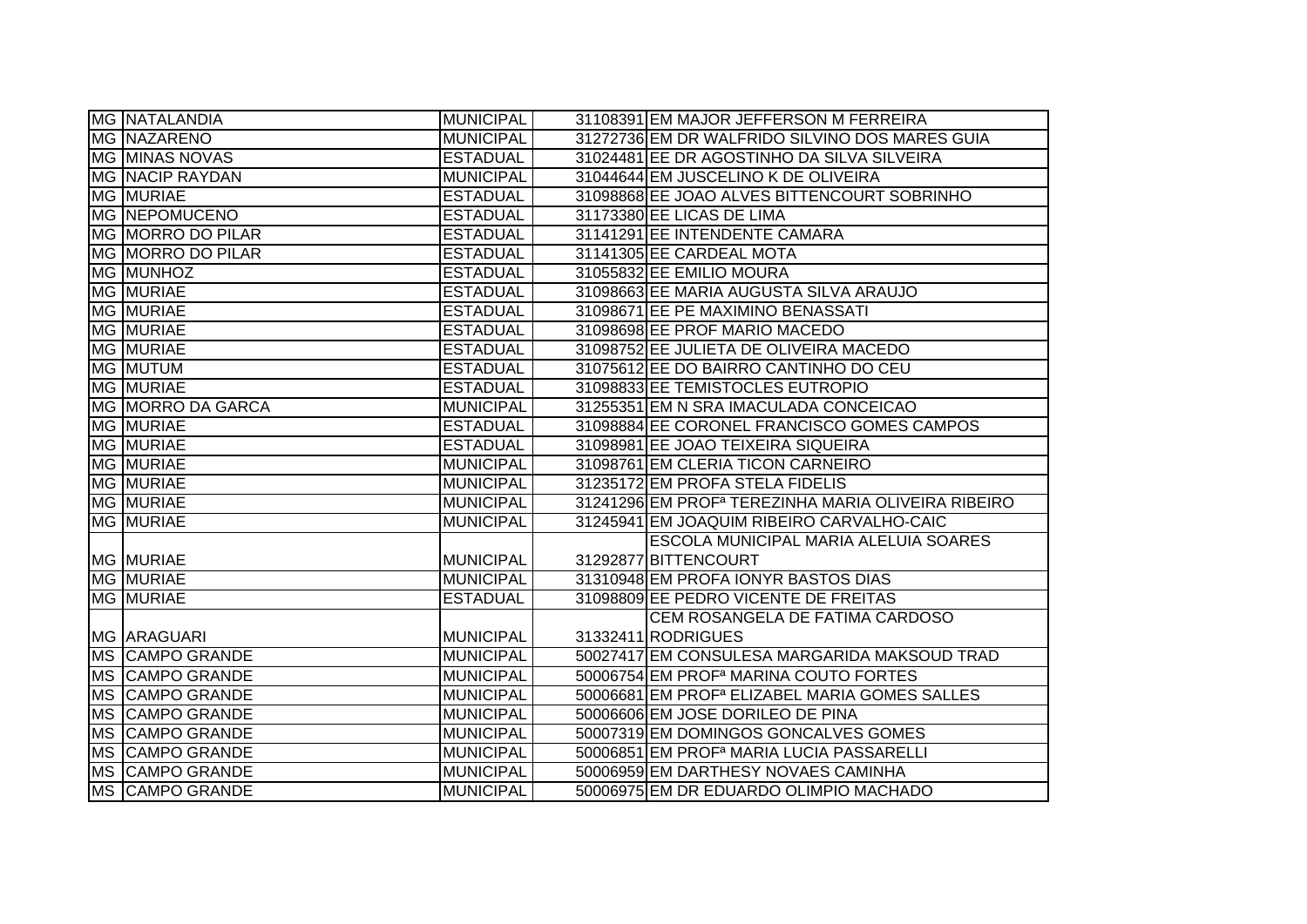| MG NATALANDIA          | <b>MUNICIPAL</b> | 31108391 EM MAJOR JEFFERSON M FERREIRA                         |
|------------------------|------------------|----------------------------------------------------------------|
| <b>MG NAZARENO</b>     | <b>MUNICIPAL</b> | 31272736 EM DR WALFRIDO SILVINO DOS MARES GUIA                 |
| MG MINAS NOVAS         | <b>ESTADUAL</b>  | 31024481 EE DR AGOSTINHO DA SILVA SILVEIRA                     |
| <b>MG NACIP RAYDAN</b> | <b>MUNICIPAL</b> | 31044644 EM JUSCELINO K DE OLIVEIRA                            |
| MG MURIAE              | <b>ESTADUAL</b>  | 31098868 EE JOAO ALVES BITTENCOURT SOBRINHO                    |
| <b>MG NEPOMUCENO</b>   | <b>ESTADUAL</b>  | 31173380 EE LICAS DE LIMA                                      |
| MG MORRO DO PILAR      | <b>ESTADUAL</b>  | 31141291 EE INTENDENTE CAMARA                                  |
| MG MORRO DO PILAR      | <b>ESTADUAL</b>  | 31141305 EE CARDEAL MOTA                                       |
| MG MUNHOZ              | <b>ESTADUAL</b>  | 31055832 EE EMILIO MOURA                                       |
| MG MURIAE              | <b>ESTADUAL</b>  | 31098663 EE MARIA AUGUSTA SILVA ARAUJO                         |
| MG MURIAE              | <b>ESTADUAL</b>  | 31098671 EE PE MAXIMINO BENASSATI                              |
| MG MURIAE              | <b>ESTADUAL</b>  | 31098698 EE PROF MARIO MACEDO                                  |
| <b>MG MURIAE</b>       | <b>ESTADUAL</b>  | 31098752 EE JULIETA DE OLIVEIRA MACEDO                         |
| MG MUTUM               | <b>ESTADUAL</b>  | 31075612 EE DO BAIRRO CANTINHO DO CEU                          |
| MG MURIAE              | <b>ESTADUAL</b>  | 31098833 EE TEMISTOCLES EUTROPIO                               |
| MG MORRO DA GARCA      | <b>MUNICIPAL</b> | 31255351 EM N SRA IMACULADA CONCEICAO                          |
| MG MURIAE              | <b>ESTADUAL</b>  | 31098884 EE CORONEL FRANCISCO GOMES CAMPOS                     |
| MG MURIAE              | <b>ESTADUAL</b>  | 31098981 EE JOAO TEIXEIRA SIQUEIRA                             |
| MG MURIAE              | <b>MUNICIPAL</b> | 31098761 EM CLERIA TICON CARNEIRO                              |
| <b>MG MURIAE</b>       | <b>MUNICIPAL</b> | 31235172 EM PROFA STELA FIDELIS                                |
| MG MURIAE              | <b>MUNICIPAL</b> | 31241296 EM PROF <sup>a</sup> TEREZINHA MARIA OLIVEIRA RIBEIRO |
| <b>MG MURIAE</b>       | <b>MUNICIPAL</b> | 31245941 EM JOAQUIM RIBEIRO CARVALHO-CAIC                      |
|                        |                  | ESCOLA MUNICIPAL MARIA ALELUIA SOARES                          |
| <b>MG MURIAE</b>       | <b>MUNICIPAL</b> | 31292877 BITTENCOURT                                           |
| <b>MG MURIAE</b>       | <b>MUNICIPAL</b> | 31310948 EM PROFA IONYR BASTOS DIAS                            |
| <b>MG MURIAE</b>       | <b>ESTADUAL</b>  | 31098809 EE PEDRO VICENTE DE FREITAS                           |
|                        |                  | CEM ROSANGELA DE FATIMA CARDOSO                                |
| MG ARAGUARI            | <b>MUNICIPAL</b> | 31332411 RODRIGUES                                             |
| <b>MS CAMPO GRANDE</b> | <b>MUNICIPAL</b> | 50027417 EM CONSULESA MARGARIDA MAKSOUD TRAD                   |
| MS CAMPO GRANDE        | <b>MUNICIPAL</b> | 50006754 EM PROF <sup>a</sup> MARINA COUTO FORTES              |
| MS CAMPO GRANDE        | <b>MUNICIPAL</b> | 50006681 EM PROF <sup>a</sup> ELIZABEL MARIA GOMES SALLES      |
| MS CAMPO GRANDE        |                  |                                                                |
|                        | <b>MUNICIPAL</b> | 50006606 EM JOSE DORILEO DE PINA                               |
| MS CAMPO GRANDE        | <b>MUNICIPAL</b> | 50007319 EM DOMINGOS GONCALVES GOMES                           |
| MS CAMPO GRANDE        | <b>MUNICIPAL</b> | 50006851 EM PROF <sup>a</sup> MARIA LUCIA PASSARELLI           |
| MS CAMPO GRANDE        | <b>MUNICIPAL</b> | 50006959 EM DARTHESY NOVAES CAMINHA                            |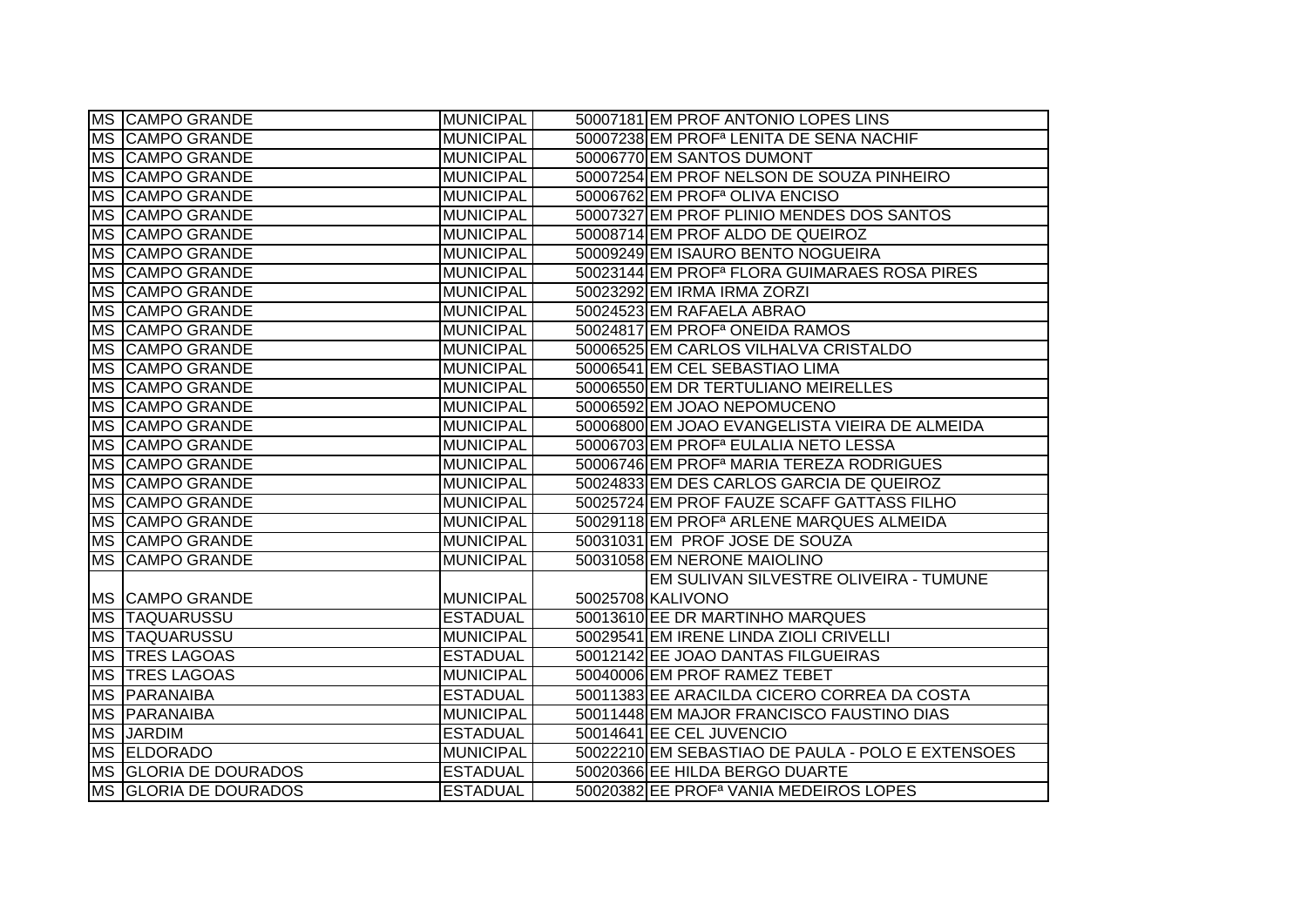|           | MS CAMPO GRANDE         | <b>MUNICIPAL</b> | 50007181 EM PROF ANTONIO LOPES LINS                      |
|-----------|-------------------------|------------------|----------------------------------------------------------|
|           | <b>MS CAMPO GRANDE</b>  | <b>MUNICIPAL</b> | 50007238 EM PROF <sup>a</sup> LENITA DE SENA NACHIF      |
|           | <b>MS CAMPO GRANDE</b>  | <b>MUNICIPAL</b> | 50006770 EM SANTOS DUMONT                                |
|           | <b>MS CAMPO GRANDE</b>  | <b>MUNICIPAL</b> | 50007254 EM PROF NELSON DE SOUZA PINHEIRO                |
|           | MS CAMPO GRANDE         | <b>MUNICIPAL</b> | 50006762 EM PROF <sup>a</sup> OLIVA ENCISO               |
|           | MS CAMPO GRANDE         | <b>MUNICIPAL</b> | 50007327 EM PROF PLINIO MENDES DOS SANTOS                |
|           | <b>MS CAMPO GRANDE</b>  | <b>MUNICIPAL</b> | 50008714 EM PROF ALDO DE QUEIROZ                         |
|           | MS CAMPO GRANDE         | <b>MUNICIPAL</b> | 50009249 EM ISAURO BENTO NOGUEIRA                        |
|           | MS CAMPO GRANDE         | <b>MUNICIPAL</b> | 50023144 EM PROF <sup>a</sup> FLORA GUIMARAES ROSA PIRES |
|           | MS CAMPO GRANDE         | <b>MUNICIPAL</b> | 50023292 EM IRMA IRMA ZORZI                              |
|           | MS CAMPO GRANDE         | <b>MUNICIPAL</b> | 50024523 EM RAFAELA ABRAO                                |
|           | MS CAMPO GRANDE         | <b>MUNICIPAL</b> | 50024817 EM PROF <sup>a</sup> ONEIDA RAMOS               |
|           | MS CAMPO GRANDE         | <b>MUNICIPAL</b> | 50006525 EM CARLOS VILHALVA CRISTALDO                    |
|           | MS CAMPO GRANDE         | <b>MUNICIPAL</b> | 50006541 EM CEL SEBASTIAO LIMA                           |
|           | MS CAMPO GRANDE         | <b>MUNICIPAL</b> | 50006550 EM DR TERTULIANO MEIRELLES                      |
| <b>MS</b> | <b>CAMPO GRANDE</b>     | <b>MUNICIPAL</b> | 50006592 EM JOAO NEPOMUCENO                              |
|           | MS CAMPO GRANDE         | <b>MUNICIPAL</b> | 50006800 EM JOAO EVANGELISTA VIEIRA DE ALMEIDA           |
| <b>MS</b> | <b>CAMPO GRANDE</b>     | <b>MUNICIPAL</b> | 50006703 EM PROF <sup>a</sup> EULALIA NETO LESSA         |
|           | MS CAMPO GRANDE         | <b>MUNICIPAL</b> | 50006746 EM PROF <sup>a</sup> MARIA TEREZA RODRIGUES     |
|           | MS CAMPO GRANDE         | <b>MUNICIPAL</b> | 50024833 EM DES CARLOS GARCIA DE QUEIROZ                 |
|           | MS CAMPO GRANDE         | <b>MUNICIPAL</b> | 50025724 EM PROF FAUZE SCAFF GATTASS FILHO               |
|           | MS CAMPO GRANDE         | <b>MUNICIPAL</b> | 50029118 EM PROF <sup>a</sup> ARLENE MARQUES ALMEIDA     |
|           | <b>MS CAMPO GRANDE</b>  | <b>MUNICIPAL</b> | 50031031 EM PROF JOSE DE SOUZA                           |
|           | MS CAMPO GRANDE         | <b>MUNICIPAL</b> | 50031058 EM NERONE MAIOLINO                              |
|           |                         |                  | EM SULIVAN SILVESTRE OLIVEIRA - TUMUNE                   |
|           | <b>IMS CAMPO GRANDE</b> | <b>MUNICIPAL</b> | 50025708 KALIVONO                                        |
|           | <b>MS TAQUARUSSU</b>    | <b>ESTADUAL</b>  | 50013610 EE DR MARTINHO MARQUES                          |
|           | <b>MS TAQUARUSSU</b>    | <b>MUNICIPAL</b> | 50029541 EM IRENE LINDA ZIOLI CRIVELLI                   |
|           | MS TRES LAGOAS          | <b>ESTADUAL</b>  | 50012142 EE JOAO DANTAS FILGUEIRAS                       |
|           | <b>MS TRES LAGOAS</b>   | <b>MUNICIPAL</b> | 50040006 EM PROF RAMEZ TEBET                             |
|           | MS PARANAIBA            | <b>ESTADUAL</b>  | 50011383 EE ARACILDA CICERO CORREA DA COSTA              |
|           | <b>MS PARANAIBA</b>     | <b>MUNICIPAL</b> | 50011448 EM MAJOR FRANCISCO FAUSTINO DIAS                |
|           | <b>MS JARDIM</b>        | <b>ESTADUAL</b>  | 50014641 EE CEL JUVENCIO                                 |
|           | MS ELDORADO             | <b>MUNICIPAL</b> | 50022210 EM SEBASTIAO DE PAULA - POLO E EXTENSOES        |
|           | MS GLORIA DE DOURADOS   | <b>ESTADUAL</b>  | 50020366 EE HILDA BERGO DUARTE                           |
|           | MS GLORIA DE DOURADOS   | <b>ESTADUAL</b>  | 50020382 EE PROF <sup>a</sup> VANIA MEDEIROS LOPES       |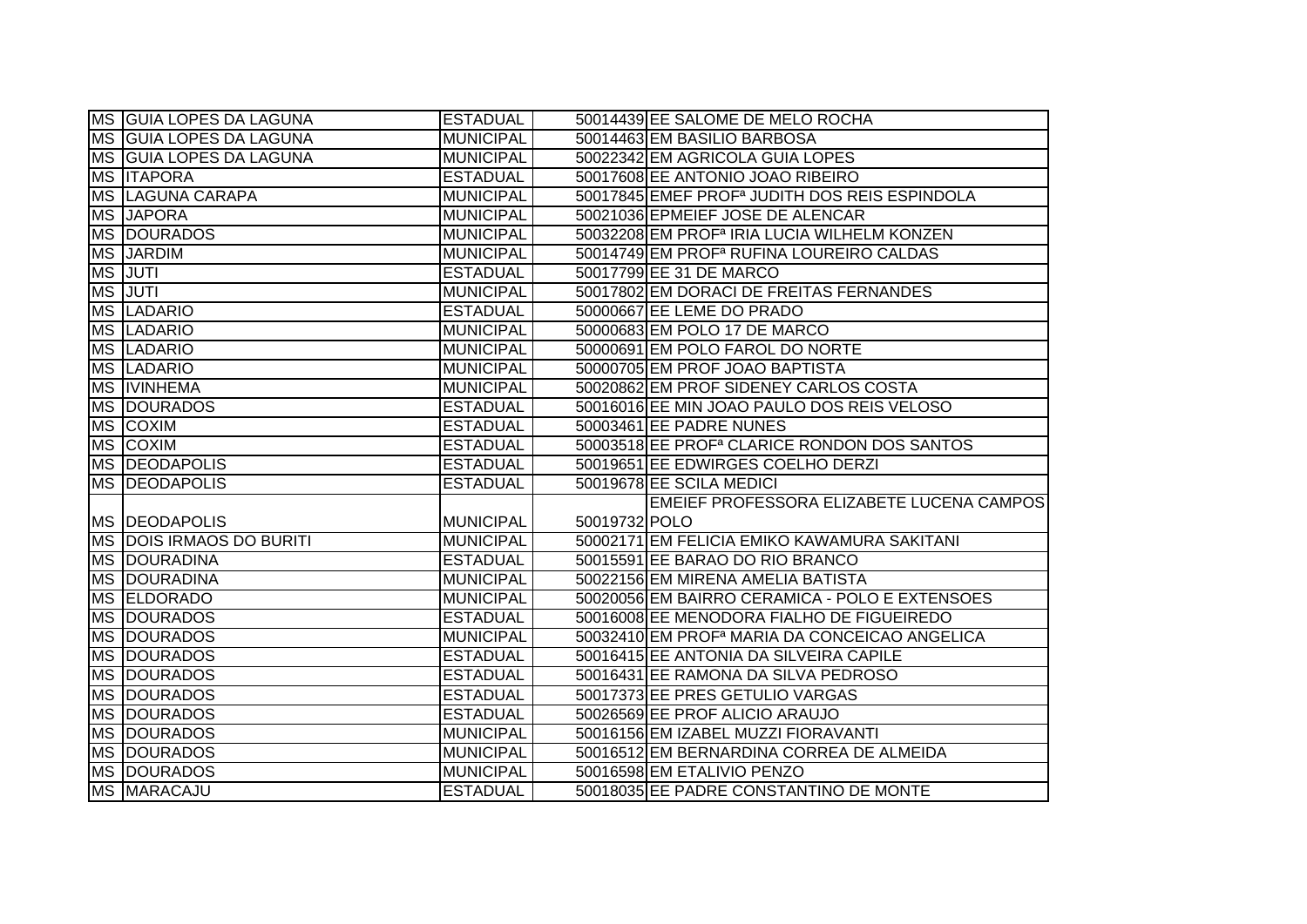|           | <b>IMS GUIA LOPES DA LAGUNA</b>          | <b>ESTADUAL</b>                     | 50014439 EE SALOME DE MELO ROCHA                                     |
|-----------|------------------------------------------|-------------------------------------|----------------------------------------------------------------------|
|           | MS GUIA LOPES DA LAGUNA                  | <b>MUNICIPAL</b>                    | 50014463 EM BASILIO BARBOSA                                          |
|           | MS GUIA LOPES DA LAGUNA                  | <b>MUNICIPAL</b>                    | 50022342 EM AGRICOLA GUIA LOPES                                      |
|           | <b>MS ITAPORA</b>                        | <b>ESTADUAL</b>                     | 50017608 EE ANTONIO JOAO RIBEIRO                                     |
|           | <b>MS LAGUNA CARAPA</b>                  | <b>MUNICIPAL</b>                    | 50017845 EMEF PROF <sup>a</sup> JUDITH DOS REIS ESPINDOLA            |
|           | MS JAPORA                                | <b>MUNICIPAL</b>                    | 50021036 EPMEIEF JOSE DE ALENCAR                                     |
|           | <b>MS DOURADOS</b>                       | <b>MUNICIPAL</b>                    | 50032208 EM PROF <sup>a</sup> IRIA LUCIA WILHELM KONZEN              |
|           | <b>MS JARDIM</b>                         | <b>MUNICIPAL</b>                    | 50014749 EM PROF <sup>a</sup> RUFINA LOUREIRO CALDAS                 |
|           | MS JUTI                                  | <b>ESTADUAL</b>                     | 50017799 EE 31 DE MARCO                                              |
|           | <b>MS JUTI</b>                           | <b>MUNICIPAL</b>                    | 50017802 EM DORACI DE FREITAS FERNANDES                              |
|           | MS LADARIO                               | <b>ESTADUAL</b>                     | 50000667 EE LEME DO PRADO                                            |
|           | MS LADARIO                               | <b>MUNICIPAL</b>                    | 50000683 EM POLO 17 DE MARCO                                         |
|           | MS LADARIO                               | <b>MUNICIPAL</b>                    | 50000691 EM POLO FAROL DO NORTE                                      |
|           | MS LADARIO                               | <b>MUNICIPAL</b>                    | 50000705 EM PROF JOAO BAPTISTA                                       |
|           | MS IVINHEMA                              | <b>MUNICIPAL</b>                    | 50020862 EM PROF SIDENEY CARLOS COSTA                                |
|           | MS DOURADOS                              | <b>ESTADUAL</b>                     | 50016016 EE MIN JOAO PAULO DOS REIS VELOSO                           |
| MS        | <b>COXIM</b>                             | <b>ESTADUAL</b>                     | 50003461 EE PADRE NUNES                                              |
|           | MS COXIM                                 | <b>ESTADUAL</b>                     | 50003518 EE PROF <sup>a</sup> CLARICE RONDON DOS SANTOS              |
|           |                                          |                                     |                                                                      |
|           | MS DEODAPOLIS                            | <b>ESTADUAL</b>                     | 50019651 EE EDWIRGES COELHO DERZI                                    |
|           | <b>MS DEODAPOLIS</b>                     | <b>ESTADUAL</b>                     | 50019678 EE SCILA MEDICI                                             |
|           |                                          |                                     | EMEIEF PROFESSORA ELIZABETE LUCENA CAMPOS                            |
|           | <b>MS DEODAPOLIS</b>                     | <b>MUNICIPAL</b>                    | 50019732 POLO                                                        |
|           | MS DOIS IRMAOS DO BURITI                 | <b>MUNICIPAL</b>                    | 50002171 EM FELICIA EMIKO KAWAMURA SAKITANI                          |
|           | <b>MS DOURADINA</b>                      | <b>ESTADUAL</b>                     | 50015591 EE BARAO DO RIO BRANCO                                      |
|           | <b>MS DOURADINA</b>                      | <b>MUNICIPAL</b>                    | 50022156 EM MIRENA AMELIA BATISTA                                    |
|           | MS ELDORADO                              | <b>MUNICIPAL</b>                    | 50020056 EM BAIRRO CERAMICA - POLO E EXTENSOES                       |
|           | <b>MS DOURADOS</b>                       | <b>ESTADUAL</b>                     | 50016008 EE MENODORA FIALHO DE FIGUEIREDO                            |
|           | <b>MS DOURADOS</b>                       | <b>MUNICIPAL</b>                    | 50032410 EM PROF <sup>a</sup> MARIA DA CONCEICAO ANGELICA            |
| <b>MS</b> | <b>DOURADOS</b>                          | <b>ESTADUAL</b>                     | 50016415 EE ANTONIA DA SILVEIRA CAPILE                               |
|           | <b>MS DOURADOS</b>                       | <b>ESTADUAL</b>                     | 50016431 EE RAMONA DA SILVA PEDROSO                                  |
|           | <b>MS DOURADOS</b>                       | <b>ESTADUAL</b>                     | 50017373 EE PRES GETULIO VARGAS                                      |
|           | <b>MS DOURADOS</b>                       | <b>ESTADUAL</b>                     | 50026569 EE PROF ALICIO ARAUJO                                       |
|           | MS DOURADOS                              | <b>MUNICIPAL</b>                    | 50016156 EM IZABEL MUZZI FIORAVANTI                                  |
|           | <b>MS DOURADOS</b>                       | <b>MUNICIPAL</b>                    | 50016512 EM BERNARDINA CORREA DE ALMEIDA                             |
|           | <b>MS DOURADOS</b><br><b>MS MARACAJU</b> | <b>MUNICIPAL</b><br><b>ESTADUAL</b> | 50016598 EM ETALIVIO PENZO<br>50018035 EE PADRE CONSTANTINO DE MONTE |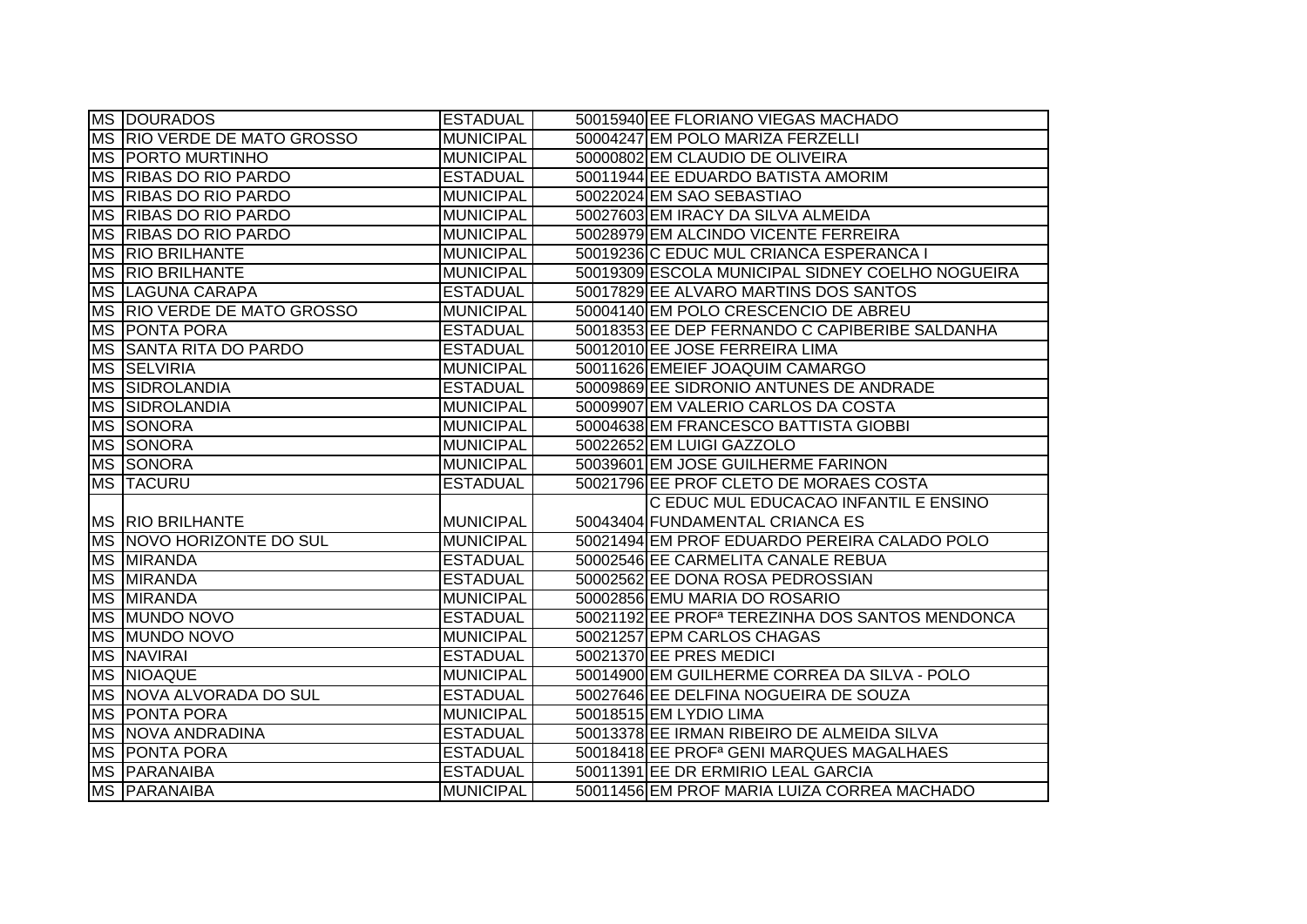|           | <b>MS DOURADOS</b>          | <b>ESTADUAL</b>  | 50015940 EE FLORIANO VIEGAS MACHADO                         |
|-----------|-----------------------------|------------------|-------------------------------------------------------------|
|           | MS RIO VERDE DE MATO GROSSO | <b>MUNICIPAL</b> | 50004247 EM POLO MARIZA FERZELLI                            |
|           | <b>MS PORTO MURTINHO</b>    | <b>MUNICIPAL</b> | 50000802 EM CLAUDIO DE OLIVEIRA                             |
| <b>MS</b> | <b>RIBAS DO RIO PARDO</b>   | <b>ESTADUAL</b>  | 50011944 EE EDUARDO BATISTA AMORIM                          |
|           | MS RIBAS DO RIO PARDO       | <b>MUNICIPAL</b> | 50022024 EM SAO SEBASTIAO                                   |
|           | MS RIBAS DO RIO PARDO       | <b>MUNICIPAL</b> | 50027603 EM IRACY DA SILVA ALMEIDA                          |
|           | MS RIBAS DO RIO PARDO       | <b>MUNICIPAL</b> | 50028979 EM ALCINDO VICENTE FERREIRA                        |
| <b>MS</b> | <b>RIO BRILHANTE</b>        | <b>MUNICIPAL</b> | 50019236 C EDUC MUL CRIANCA ESPERANCA I                     |
|           | <b>MS RIO BRILHANTE</b>     | <b>MUNICIPAL</b> | 50019309 ESCOLA MUNICIPAL SIDNEY COELHO NOGUEIRA            |
|           | MS LAGUNA CARAPA            | <b>ESTADUAL</b>  | 50017829 EE ALVARO MARTINS DOS SANTOS                       |
|           | MS RIO VERDE DE MATO GROSSO | <b>MUNICIPAL</b> | 50004140 EM POLO CRESCENCIO DE ABREU                        |
|           | <b>MS PONTA PORA</b>        | <b>ESTADUAL</b>  | 50018353 EE DEP FERNANDO C CAPIBERIBE SALDANHA              |
| <b>MS</b> | <b>SANTA RITA DO PARDO</b>  | <b>ESTADUAL</b>  | 50012010 EE JOSE FERREIRA LIMA                              |
|           | MS SELVIRIA                 | <b>MUNICIPAL</b> | 50011626 EMEIEF JOAQUIM CAMARGO                             |
| <b>MS</b> | SIDROLANDIA                 | <b>ESTADUAL</b>  | 50009869 EE SIDRONIO ANTUNES DE ANDRADE                     |
| <b>MS</b> | SIDROLANDIA                 | <b>MUNICIPAL</b> | 50009907 EM VALERIO CARLOS DA COSTA                         |
| <b>MS</b> | <b>SONORA</b>               | <b>MUNICIPAL</b> | 50004638 EM FRANCESCO BATTISTA GIOBBI                       |
| <b>MS</b> | SONORA                      | <b>MUNICIPAL</b> | 50022652 EM LUIGI GAZZOLO                                   |
|           | MS SONORA                   | <b>MUNICIPAL</b> | 50039601 EM JOSE GUILHERME FARINON                          |
|           | MS <b>TACURU</b>            | <b>ESTADUAL</b>  | 50021796 EE PROF CLETO DE MORAES COSTA                      |
|           |                             |                  | C EDUC MUL EDUCACAO INFANTIL E ENSINO                       |
|           | <b>MS RIO BRILHANTE</b>     | <b>MUNICIPAL</b> | 50043404 FUNDAMENTAL CRIANCA ES                             |
|           | MS NOVO HORIZONTE DO SUL    | <b>MUNICIPAL</b> | 50021494 EM PROF EDUARDO PEREIRA CALADO POLO                |
|           | <b>MS MIRANDA</b>           | <b>ESTADUAL</b>  | 50002546 EE CARMELITA CANALE REBUA                          |
|           | MS MIRANDA                  | <b>ESTADUAL</b>  | 50002562 EE DONA ROSA PEDROSSIAN                            |
|           | <b>MS MIRANDA</b>           | <b>MUNICIPAL</b> | 50002856 EMU MARIA DO ROSARIO                               |
| <b>MS</b> | <b>MUNDO NOVO</b>           | <b>ESTADUAL</b>  | 50021192 EE PROF <sup>a</sup> TEREZINHA DOS SANTOS MENDONCA |
| <b>MS</b> | <b>MUNDO NOVO</b>           | <b>MUNICIPAL</b> | 50021257 EPM CARLOS CHAGAS                                  |
| MS        | <b>NAVIRAI</b>              | <b>ESTADUAL</b>  | 50021370 EE PRES MEDICI                                     |
|           | MS NIOAQUE                  | <b>MUNICIPAL</b> | 50014900 EM GUILHERME CORREA DA SILVA - POLO                |
|           | MS NOVA ALVORADA DO SUL     | <b>ESTADUAL</b>  | 50027646 EE DELFINA NOGUEIRA DE SOUZA                       |
|           | <b>MS PONTA PORA</b>        | <b>MUNICIPAL</b> | 50018515 EM LYDIO LIMA                                      |
|           |                             | <b>ESTADUAL</b>  | 50013378 EE IRMAN RIBEIRO DE ALMEIDA SILVA                  |
|           | <b>MS NOVA ANDRADINA</b>    |                  |                                                             |
|           | <b>MS PONTA PORA</b>        | <b>ESTADUAL</b>  | 50018418 EE PROF <sup>a</sup> GENI MARQUES MAGALHAES        |
| <b>MS</b> | <b>PARANAIBA</b>            | <b>ESTADUAL</b>  | 50011391 EE DR ERMIRIO LEAL GARCIA                          |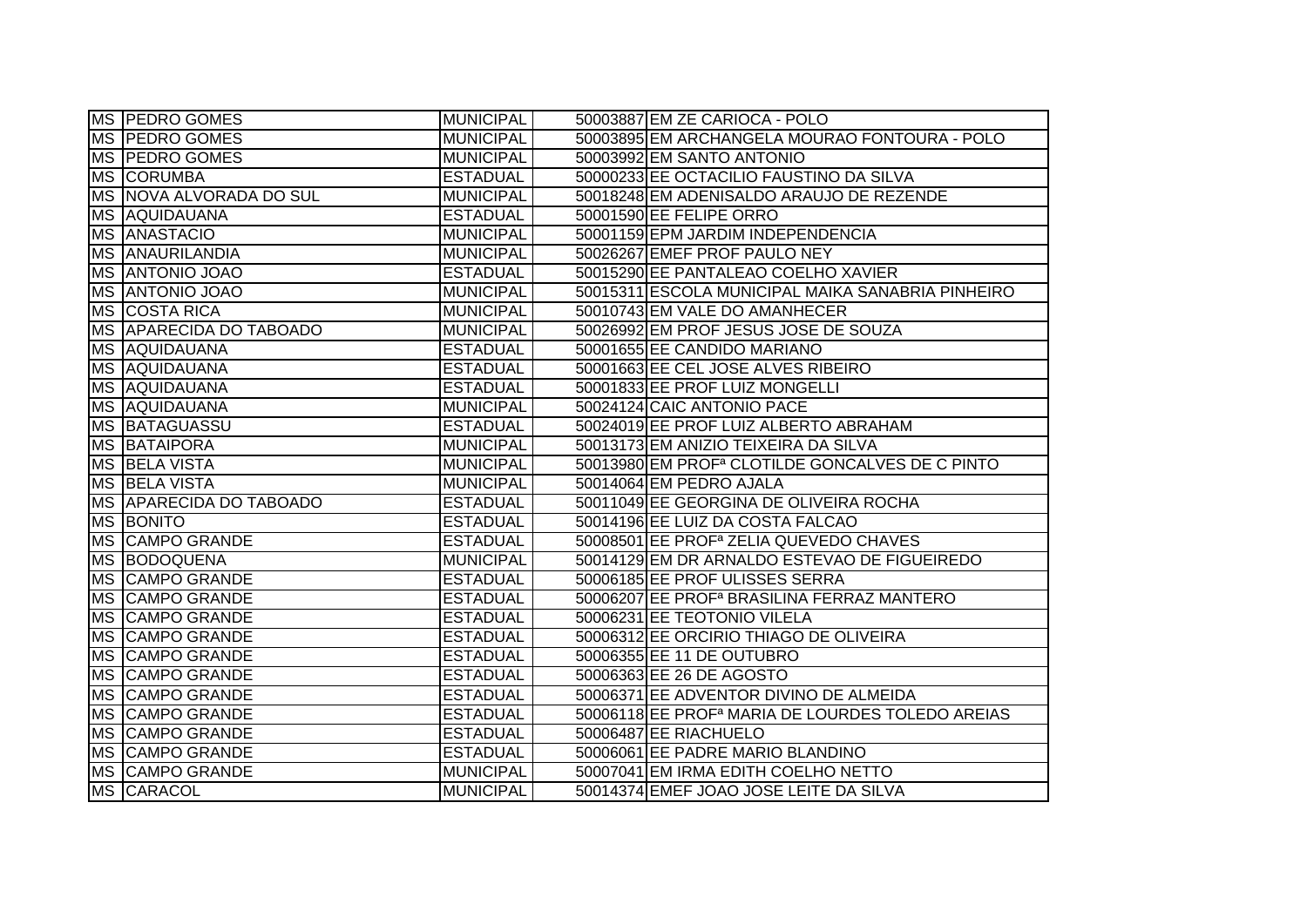|           | MS PEDRO GOMES                 | <b>MUNICIPAL</b> | 50003887 EM ZE CARIOCA - POLO                                |
|-----------|--------------------------------|------------------|--------------------------------------------------------------|
|           | MS PEDRO GOMES                 | <b>MUNICIPAL</b> | 50003895 EM ARCHANGELA MOURAO FONTOURA - POLO                |
|           | MS   PEDRO GOMES               | <b>MUNICIPAL</b> | 50003992 EM SANTO ANTONIO                                    |
|           | MS CORUMBA                     | <b>ESTADUAL</b>  | 50000233 EE OCTACILIO FAUSTINO DA SILVA                      |
|           | MS NOVA ALVORADA DO SUL        | <b>MUNICIPAL</b> | 50018248 EM ADENISALDO ARAUJO DE REZENDE                     |
|           | <b>MS AQUIDAUANA</b>           | <b>ESTADUAL</b>  | 50001590 EE FELIPE ORRO                                      |
|           | <b>MS ANASTACIO</b>            | <b>MUNICIPAL</b> | 50001159 EPM JARDIM INDEPENDENCIA                            |
|           | <b>MS ANAURILANDIA</b>         | <b>MUNICIPAL</b> | 50026267 EMEF PROF PAULO NEY                                 |
|           | <b>MS ANTONIO JOAO</b>         | <b>ESTADUAL</b>  | 50015290 EE PANTALEAO COELHO XAVIER                          |
|           | <b>MS ANTONIO JOAO</b>         | <b>MUNICIPAL</b> | 50015311 ESCOLA MUNICIPAL MAIKA SANABRIA PINHEIRO            |
|           | MS COSTA RICA                  | <b>MUNICIPAL</b> | 50010743 EM VALE DO AMANHECER                                |
|           | <b>MS APARECIDA DO TABOADO</b> | <b>MUNICIPAL</b> | 50026992 EM PROF JESUS JOSE DE SOUZA                         |
|           | <b>MS AQUIDAUANA</b>           | <b>ESTADUAL</b>  | 50001655 EE CANDIDO MARIANO                                  |
|           | <b>MS AQUIDAUANA</b>           | <b>ESTADUAL</b>  | 50001663 EE CEL JOSE ALVES RIBEIRO                           |
| MS        | AQUIDAUANA                     | <b>ESTADUAL</b>  | 50001833 EE PROF LUIZ MONGELLI                               |
| <b>MS</b> | AQUIDAUANA                     | <b>MUNICIPAL</b> | 50024124 CAIC ANTONIO PACE                                   |
| <b>MS</b> | BATAGUASSU                     | <b>ESTADUAL</b>  | 50024019 EE PROF LUIZ ALBERTO ABRAHAM                        |
| <b>MS</b> | BATAIPORA                      | <b>MUNICIPAL</b> | 50013173 EM ANIZIO TEIXEIRA DA SILVA                         |
|           | MS BELA VISTA                  | <b>MUNICIPAL</b> | 50013980 EM PROF <sup>a</sup> CLOTILDE GONCALVES DE C PINTO  |
|           | MS BELA VISTA                  | <b>MUNICIPAL</b> | 50014064 EM PEDRO AJALA                                      |
|           | <b>MS APARECIDA DO TABOADO</b> | <b>ESTADUAL</b>  | 50011049 EE GEORGINA DE OLIVEIRA ROCHA                       |
|           | <b>MS BONITO</b>               | <b>ESTADUAL</b>  | 50014196 EE LUIZ DA COSTA FALCAO                             |
|           | MS CAMPO GRANDE                | <b>ESTADUAL</b>  | 50008501 EE PROF <sup>a</sup> ZELIA QUEVEDO CHAVES           |
|           | MS BODOQUENA                   | <b>MUNICIPAL</b> | 50014129 EM DR ARNALDO ESTEVAO DE FIGUEIREDO                 |
|           | <b>MS CAMPO GRANDE</b>         | <b>ESTADUAL</b>  | 50006185 EE PROF ULISSES SERRA                               |
|           | MS CAMPO GRANDE                | <b>ESTADUAL</b>  | 50006207 EE PROF <sup>a</sup> BRASILINA FERRAZ MANTERO       |
| <b>MS</b> | <b>CAMPO GRANDE</b>            | <b>ESTADUAL</b>  | 50006231 EE TEOTONIO VILELA                                  |
| <b>MS</b> | <b>CAMPO GRANDE</b>            | <b>ESTADUAL</b>  | 50006312 EE ORCIRIO THIAGO DE OLIVEIRA                       |
| <b>MS</b> | <b>CAMPO GRANDE</b>            | <b>ESTADUAL</b>  | 50006355 EE 11 DE OUTUBRO                                    |
| <b>MS</b> | <b>CAMPO GRANDE</b>            | <b>ESTADUAL</b>  | 50006363 EE 26 DE AGOSTO                                     |
|           | MS CAMPO GRANDE                | <b>ESTADUAL</b>  | 50006371 EE ADVENTOR DIVINO DE ALMEIDA                       |
|           | MS CAMPO GRANDE                | <b>ESTADUAL</b>  | 50006118 EE PROF <sup>a</sup> MARIA DE LOURDES TOLEDO AREIAS |
|           | MS CAMPO GRANDE                | <b>ESTADUAL</b>  | 50006487 EE RIACHUELO                                        |
|           | MS CAMPO GRANDE                | <b>ESTADUAL</b>  | 50006061 EE PADRE MARIO BLANDINO                             |
|           | MS CAMPO GRANDE                | <b>MUNICIPAL</b> | 50007041 EM IRMA EDITH COELHO NETTO                          |
|           | MS CARACOL                     | <b>MUNICIPAL</b> | 50014374 EMEF JOAO JOSE LEITE DA SILVA                       |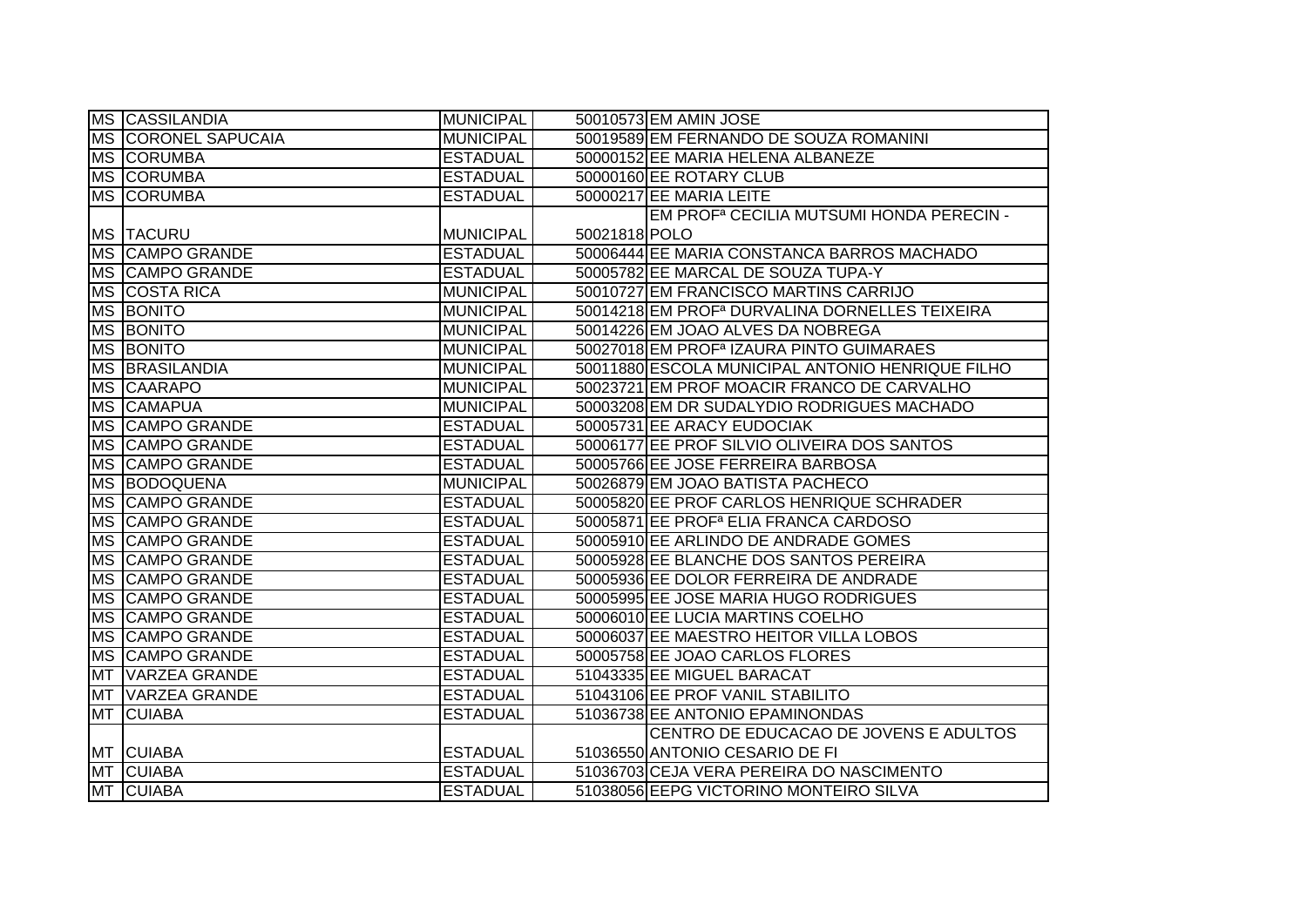|           | MS CASSILANDIA             | <b>MUNICIPAL</b> |               | 50010573 EM AMIN JOSE                                      |
|-----------|----------------------------|------------------|---------------|------------------------------------------------------------|
|           | <b>MS CORONEL SAPUCAIA</b> | <b>MUNICIPAL</b> |               | 50019589 EM FERNANDO DE SOUZA ROMANINI                     |
|           | <b>MS CORUMBA</b>          | <b>ESTADUAL</b>  |               | 50000152 EE MARIA HELENA ALBANEZE                          |
|           | <b>MS CORUMBA</b>          | <b>ESTADUAL</b>  |               | 50000160 EE ROTARY CLUB                                    |
|           | <b>MS CORUMBA</b>          | <b>ESTADUAL</b>  |               | 50000217 EE MARIA LEITE                                    |
|           |                            |                  |               | EM PROF <sup>a</sup> CECILIA MUTSUMI HONDA PERECIN -       |
|           | <b>MS TACURU</b>           | MUNICIPAL        | 50021818 POLO |                                                            |
|           | MS CAMPO GRANDE            | <b>ESTADUAL</b>  |               | 50006444 EE MARIA CONSTANCA BARROS MACHADO                 |
|           | <b>MS CAMPO GRANDE</b>     | <b>ESTADUAL</b>  |               | 50005782 EE MARCAL DE SOUZA TUPA-Y                         |
|           | MS COSTA RICA              | MUNICIPAL        |               | 50010727 EM FRANCISCO MARTINS CARRIJO                      |
|           | MS BONITO                  | <b>MUNICIPAL</b> |               | 50014218 EM PROF <sup>a</sup> DURVALINA DORNELLES TEIXEIRA |
|           | <b>MS BONITO</b>           | <b>MUNICIPAL</b> |               | 50014226 EM JOAO ALVES DA NOBREGA                          |
|           | <b>MS BONITO</b>           | <b>MUNICIPAL</b> |               | 50027018 EM PROF <sup>a</sup> IZAURA PINTO GUIMARAES       |
|           | <b>MS BRASILANDIA</b>      | <b>MUNICIPAL</b> |               | 50011880 ESCOLA MUNICIPAL ANTONIO HENRIQUE FILHO           |
|           | MS CAARAPO                 | <b>MUNICIPAL</b> |               | 50023721 EM PROF MOACIR FRANCO DE CARVALHO                 |
|           | MS CAMAPUA                 | <b>MUNICIPAL</b> |               | 50003208 EM DR SUDALYDIO RODRIGUES MACHADO                 |
|           | <b>MS CAMPO GRANDE</b>     | <b>ESTADUAL</b>  |               | 50005731 EE ARACY EUDOCIAK                                 |
|           | MS CAMPO GRANDE            | <b>ESTADUAL</b>  |               | 50006177 EE PROF SILVIO OLIVEIRA DOS SANTOS                |
|           | <b>MS CAMPO GRANDE</b>     | <b>ESTADUAL</b>  |               | 50005766 EE JOSE FERREIRA BARBOSA                          |
|           | MS BODOQUENA               | <b>MUNICIPAL</b> |               | 50026879 EM JOAO BATISTA PACHECO                           |
|           | MS CAMPO GRANDE            | <b>ESTADUAL</b>  |               | 50005820 EE PROF CARLOS HENRIQUE SCHRADER                  |
|           | MS CAMPO GRANDE            | <b>ESTADUAL</b>  |               | 50005871 EE PROF <sup>a</sup> ELIA FRANCA CARDOSO          |
|           | MS CAMPO GRANDE            | <b>ESTADUAL</b>  |               | 50005910 EE ARLINDO DE ANDRADE GOMES                       |
|           | MS CAMPO GRANDE            | <b>ESTADUAL</b>  |               | 50005928 EE BLANCHE DOS SANTOS PEREIRA                     |
|           | MS CAMPO GRANDE            | <b>ESTADUAL</b>  |               | 50005936 EE DOLOR FERREIRA DE ANDRADE                      |
|           | <b>MS CAMPO GRANDE</b>     | <b>ESTADUAL</b>  |               | 50005995 EE JOSE MARIA HUGO RODRIGUES                      |
|           | MS CAMPO GRANDE            | <b>ESTADUAL</b>  |               | 50006010 EE LUCIA MARTINS COELHO                           |
|           | MS CAMPO GRANDE            | <b>ESTADUAL</b>  |               | 50006037 EE MAESTRO HEITOR VILLA LOBOS                     |
|           | <b>MS CAMPO GRANDE</b>     | <b>ESTADUAL</b>  |               | 50005758 EE JOAO CARLOS FLORES                             |
| MT        | <b>VARZEA GRANDE</b>       | <b>ESTADUAL</b>  |               | 51043335 EE MIGUEL BARACAT                                 |
| <b>MT</b> | VARZEA GRANDE              | <b>ESTADUAL</b>  |               | 51043106 EE PROF VANIL STABILITO                           |
| <b>MT</b> | <b>CUIABA</b>              | <b>ESTADUAL</b>  |               | 51036738 EE ANTONIO EPAMINONDAS                            |
|           |                            |                  |               | CENTRO DE EDUCACAO DE JOVENS E ADULTOS                     |
|           | MT CUIABA                  | <b>ESTADUAL</b>  |               | 51036550 ANTONIO CESARIO DE FI                             |
|           | MT CUIABA                  | <b>ESTADUAL</b>  |               | 51036703 CEJA VERA PEREIRA DO NASCIMENTO                   |
|           | MT CUIABA                  | <b>ESTADUAL</b>  |               | 51038056 EEPG VICTORINO MONTEIRO SILVA                     |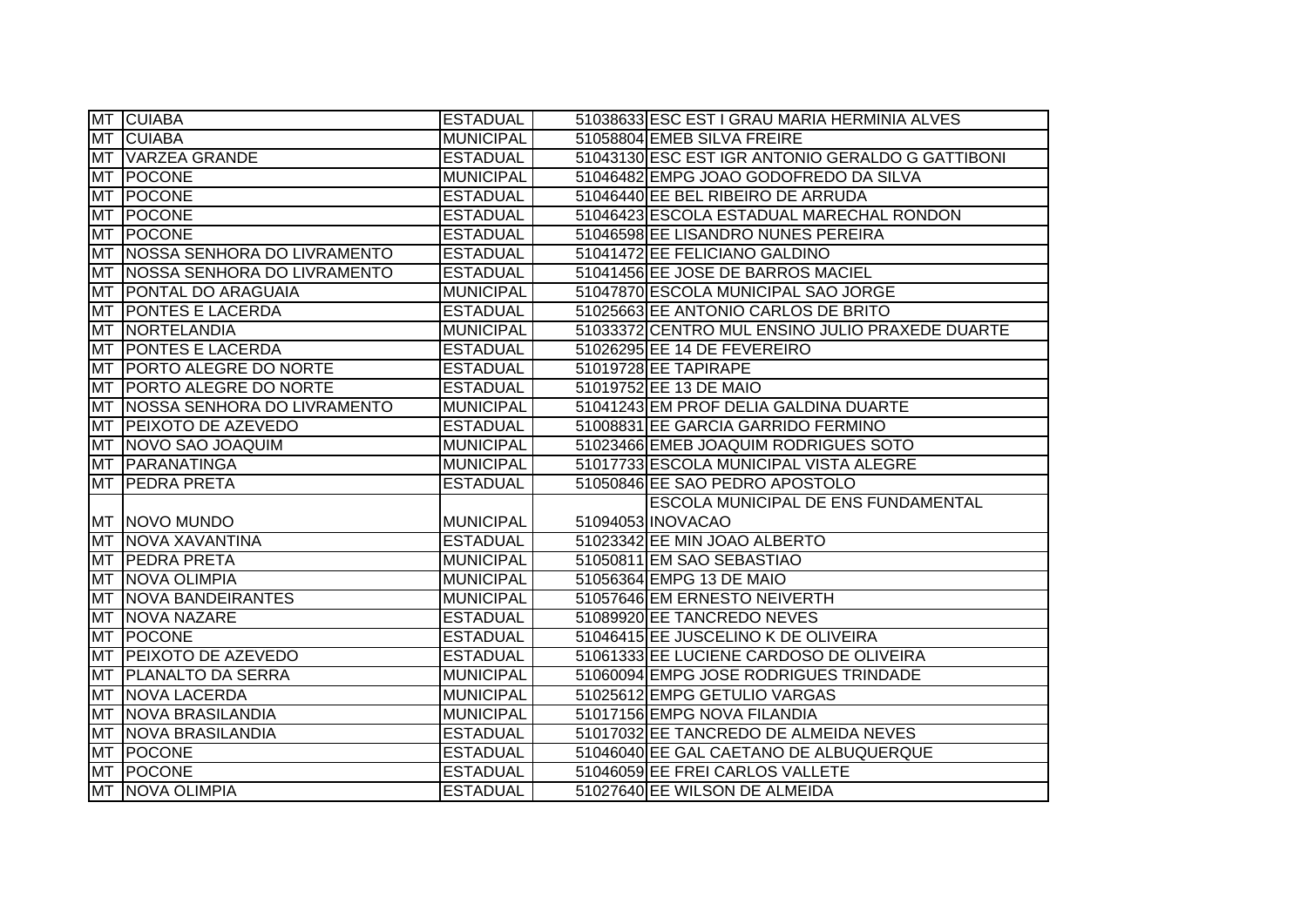|           | MT CUIABA                       | <b>ESTADUAL</b>  | 51038633 ESC EST I GRAU MARIA HERMINIA ALVES     |
|-----------|---------------------------------|------------------|--------------------------------------------------|
|           | MT CUIABA                       | <b>MUNICIPAL</b> | 51058804 EMEB SILVA FREIRE                       |
|           | MT VARZEA GRANDE                | <b>ESTADUAL</b>  | 51043130 ESC EST IGR ANTONIO GERALDO G GATTIBONI |
|           | MT POCONE                       | <b>MUNICIPAL</b> | 51046482 EMPG JOAO GODOFREDO DA SILVA            |
|           | <b>MT POCONE</b>                | <b>ESTADUAL</b>  | 51046440 EE BEL RIBEIRO DE ARRUDA                |
|           | MT POCONE                       | <b>ESTADUAL</b>  | 51046423 ESCOLA ESTADUAL MARECHAL RONDON         |
|           | <b>MT POCONE</b>                | <b>ESTADUAL</b>  | 51046598 EE LISANDRO NUNES PEREIRA               |
|           | MT INOSSA SENHORA DO LIVRAMENTO | <b>ESTADUAL</b>  | 51041472 EE FELICIANO GALDINO                    |
|           | MT NOSSA SENHORA DO LIVRAMENTO  | <b>ESTADUAL</b>  | 51041456 EE JOSE DE BARROS MACIEL                |
| <b>MT</b> | <b>PONTAL DO ARAGUAIA</b>       | <b>MUNICIPAL</b> | 51047870 ESCOLA MUNICIPAL SAO JORGE              |
| MT        | <b>PONTES E LACERDA</b>         | <b>ESTADUAL</b>  | 51025663 EE ANTONIO CARLOS DE BRITO              |
| <b>MT</b> | NORTELANDIA                     | <b>MUNICIPAL</b> | 51033372 CENTRO MUL ENSINO JULIO PRAXEDE DUARTE  |
| <b>MT</b> | <b>PONTES E LACERDA</b>         | <b>ESTADUAL</b>  | 51026295 EE 14 DE FEVEREIRO                      |
| MT        | <b>PORTO ALEGRE DO NORTE</b>    | <b>ESTADUAL</b>  | 51019728 EE TAPIRAPE                             |
|           | MT PORTO ALEGRE DO NORTE        | <b>ESTADUAL</b>  | 51019752 EE 13 DE MAIO                           |
| <b>MT</b> | NOSSA SENHORA DO LIVRAMENTO     | <b>MUNICIPAL</b> | 51041243 EM PROF DELIA GALDINA DUARTE            |
| MT        | <b>PEIXOTO DE AZEVEDO</b>       | <b>ESTADUAL</b>  | 51008831 EE GARCIA GARRIDO FERMINO               |
| <b>MT</b> | NOVO SAO JOAQUIM                | <b>MUNICIPAL</b> | 51023466 EMEB JOAQUIM RODRIGUES SOTO             |
|           | MT PARANATINGA                  | <b>MUNICIPAL</b> | 51017733 ESCOLA MUNICIPAL VISTA ALEGRE           |
|           | MT PEEDRA PRETA                 | <b>ESTADUAL</b>  | 51050846 EE SAO PEDRO APOSTOLO                   |
|           |                                 |                  | ESCOLA MUNICIPAL DE ENS FUNDAMENTAL              |
|           | MT NOVO MUNDO                   | <b>MUNICIPAL</b> | 51094053 INOVACAO                                |
|           | MT NOVA XAVANTINA               | <b>ESTADUAL</b>  | 51023342 EE MIN JOAO ALBERTO                     |
|           | MT PEDRA PRETA                  | <b>MUNICIPAL</b> | 51050811 EM SAO SEBASTIAO                        |
|           | MT NOVA OLIMPIA                 | <b>MUNICIPAL</b> | 51056364 EMPG 13 DE MAIO                         |
|           | <b>MT NOVA BANDEIRANTES</b>     | <b>MUNICIPAL</b> | 51057646 EM ERNESTO NEIVERTH                     |
| <b>MT</b> | NOVA NAZARE                     | <b>ESTADUAL</b>  | 51089920 EE TANCREDO NEVES                       |
| <b>MT</b> | POCONE                          | <b>ESTADUAL</b>  | 51046415 EE JUSCELINO K DE OLIVEIRA              |
| <b>MT</b> | <b>PEIXOTO DE AZEVEDO</b>       | <b>ESTADUAL</b>  | 51061333 EE LUCIENE CARDOSO DE OLIVEIRA          |
| <b>MT</b> | <b>PLANALTO DA SERRA</b>        | <b>MUNICIPAL</b> | 51060094 EMPG JOSE RODRIGUES TRINDADE            |
|           | MT NOVA LACERDA                 | <b>MUNICIPAL</b> | 51025612 EMPG GETULIO VARGAS                     |
|           | MT NOVA BRASILANDIA             | <b>MUNICIPAL</b> | 51017156 EMPG NOVA FILANDIA                      |
|           | MT NOVA BRASILANDIA             | <b>ESTADUAL</b>  | 51017032 EE TANCREDO DE ALMEIDA NEVES            |
|           | MT POCONE                       | <b>ESTADUAL</b>  | 51046040 EE GAL CAETANO DE ALBUQUERQUE           |
|           | MT POCONE                       | <b>ESTADUAL</b>  | 51046059 EE FREI CARLOS VALLETE                  |
|           | MT NOVA OLIMPIA                 | <b>ESTADUAL</b>  | 51027640 EE WILSON DE ALMEIDA                    |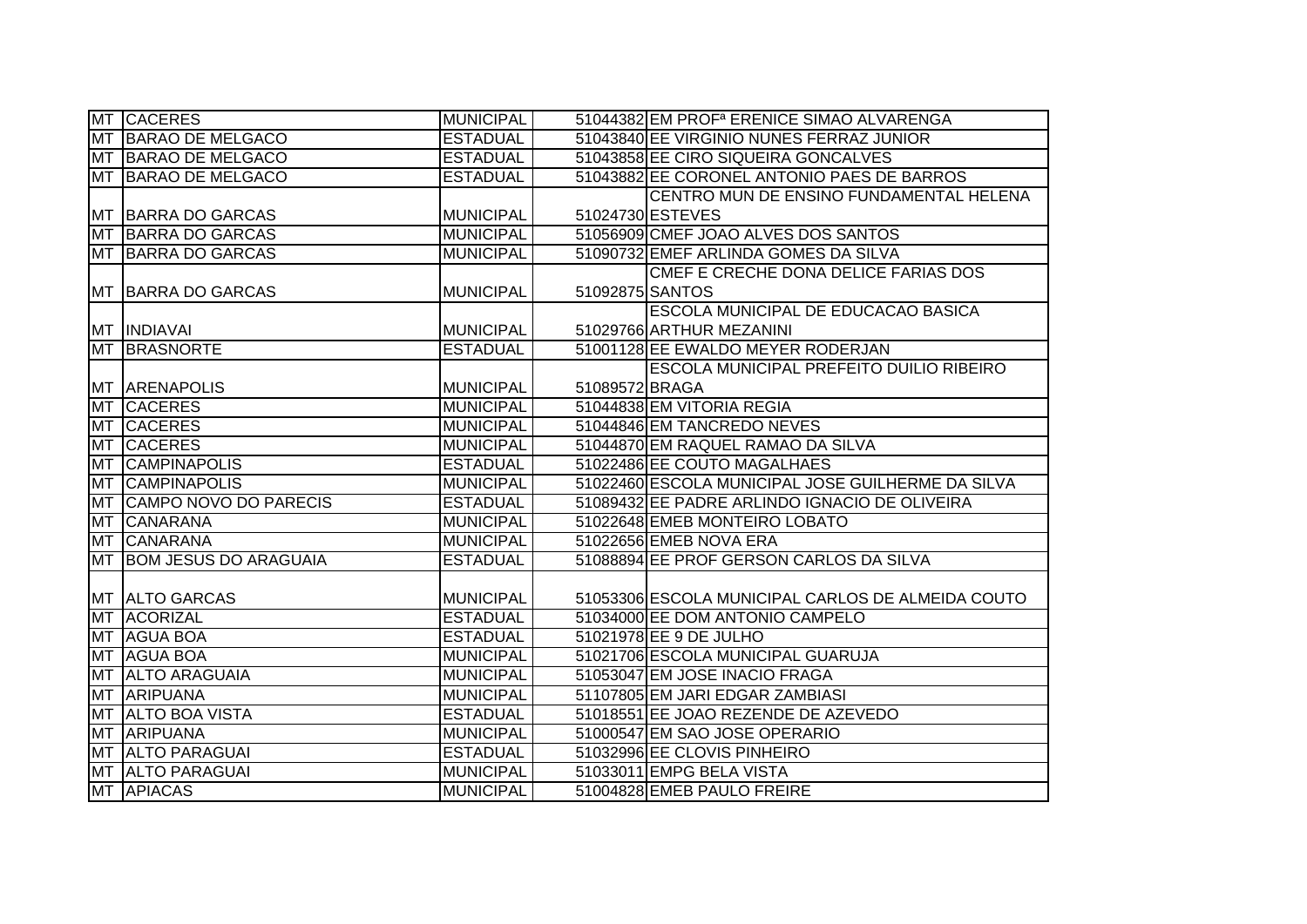|           | MT CACERES                   | <b>MUNICIPAL</b> |                 | 51044382 EM PROF <sup>a</sup> ERENICE SIMAO ALVARENGA |
|-----------|------------------------------|------------------|-----------------|-------------------------------------------------------|
| <b>MT</b> | BARAO DE MELGACO             | <b>ESTADUAL</b>  |                 | 51043840 EE VIRGINIO NUNES FERRAZ JUNIOR              |
|           | MT BARAO DE MELGACO          | <b>ESTADUAL</b>  |                 | 51043858 EE CIRO SIQUEIRA GONCALVES                   |
| <b>MT</b> | BARAO DE MELGACO             | <b>ESTADUAL</b>  |                 | 51043882 EE CORONEL ANTONIO PAES DE BARROS            |
|           |                              |                  |                 | CENTRO MUN DE ENSINO FUNDAMENTAL HELENA               |
|           | <b>MT BARRA DO GARCAS</b>    | <b>MUNICIPAL</b> |                 | 51024730 ESTEVES                                      |
| MT        | <b>BARRA DO GARCAS</b>       | <b>MUNICIPAL</b> |                 | 51056909 CMEF JOAO ALVES DOS SANTOS                   |
| <b>MT</b> | BARRA DO GARCAS              | <b>MUNICIPAL</b> |                 | 51090732 EMEF ARLINDA GOMES DA SILVA                  |
|           |                              |                  |                 | CMEF E CRECHE DONA DELICE FARIAS DOS                  |
|           | MT BARRA DO GARCAS           | <b>MUNICIPAL</b> | 51092875 SANTOS |                                                       |
|           |                              |                  |                 | ESCOLA MUNICIPAL DE EDUCACAO BASICA                   |
|           | MT INDIAVAI                  | <b>MUNICIPAL</b> |                 | 51029766 ARTHUR MEZANINI                              |
| <b>MT</b> | <b>BRASNORTE</b>             | <b>ESTADUAL</b>  |                 | 51001128 EE EWALDO MEYER RODERJAN                     |
|           |                              |                  |                 | ESCOLA MUNICIPAL PREFEITO DUILIO RIBEIRO              |
|           | <b>MT ARENAPOLIS</b>         | <b>MUNICIPAL</b> | 51089572 BRAGA  |                                                       |
| <b>MT</b> | <b>CACERES</b>               | <b>MUNICIPAL</b> |                 | 51044838 EM VITORIA REGIA                             |
| <b>MT</b> | <b>CACERES</b>               | <b>MUNICIPAL</b> |                 | 51044846 EM TANCREDO NEVES                            |
| <b>MT</b> | <b>CACERES</b>               | <b>MUNICIPAL</b> |                 | 51044870 EM RAQUEL RAMAO DA SILVA                     |
| MT        | <b>CAMPINAPOLIS</b>          | <b>ESTADUAL</b>  |                 | 51022486 EE COUTO MAGALHAES                           |
|           | MT CAMPINAPOLIS              | <b>MUNICIPAL</b> |                 | 51022460 ESCOLA MUNICIPAL JOSE GUILHERME DA SILVA     |
| <b>MT</b> | CAMPO NOVO DO PARECIS        | <b>ESTADUAL</b>  |                 | 51089432 EE PADRE ARLINDO IGNACIO DE OLIVEIRA         |
| MT        | <b>CANARANA</b>              | <b>MUNICIPAL</b> |                 | 51022648 EMEB MONTEIRO LOBATO                         |
| <b>MT</b> | <b>CANARANA</b>              | <b>MUNICIPAL</b> |                 | 51022656 EMEB NOVA ERA                                |
| <b>MT</b> | <b>BOM JESUS DO ARAGUAIA</b> | <b>ESTADUAL</b>  |                 | 51088894 EE PROF GERSON CARLOS DA SILVA               |
|           |                              |                  |                 |                                                       |
|           | <b>MT ALTO GARCAS</b>        | <b>MUNICIPAL</b> |                 | 51053306 ESCOLA MUNICIPAL CARLOS DE ALMEIDA COUTO     |
| <b>MT</b> | <b>ACORIZAL</b>              | <b>ESTADUAL</b>  |                 | 51034000 EE DOM ANTONIO CAMPELO                       |
| <b>MT</b> | <b>AGUA BOA</b>              | <b>ESTADUAL</b>  |                 | 51021978 EE 9 DE JULHO                                |
| <b>MT</b> | <b>AGUA BOA</b>              | <b>MUNICIPAL</b> |                 | 51021706 ESCOLA MUNICIPAL GUARUJA                     |
| <b>MT</b> | <b>ALTO ARAGUAIA</b>         | <b>MUNICIPAL</b> |                 | 51053047 EM JOSE INACIO FRAGA                         |
| <b>MT</b> | <b>ARIPUANA</b>              | <b>MUNICIPAL</b> |                 | 51107805 EM JARI EDGAR ZAMBIASI                       |
| <b>MT</b> | <b>ALTO BOA VISTA</b>        | <b>ESTADUAL</b>  |                 | 51018551 EE JOAO REZENDE DE AZEVEDO                   |
| <b>MT</b> | <b>ARIPUANA</b>              | <b>MUNICIPAL</b> |                 | 51000547 EM SAO JOSE OPERARIO                         |
|           | MT ALTO PARAGUAI             | <b>ESTADUAL</b>  |                 | 51032996 EE CLOVIS PINHEIRO                           |
|           | MT ALTO PARAGUAI             | <b>MUNICIPAL</b> |                 | 51033011 EMPG BELA VISTA                              |
|           | MT APIACAS                   | <b>MUNICIPAL</b> |                 | 51004828 EMEB PAULO FREIRE                            |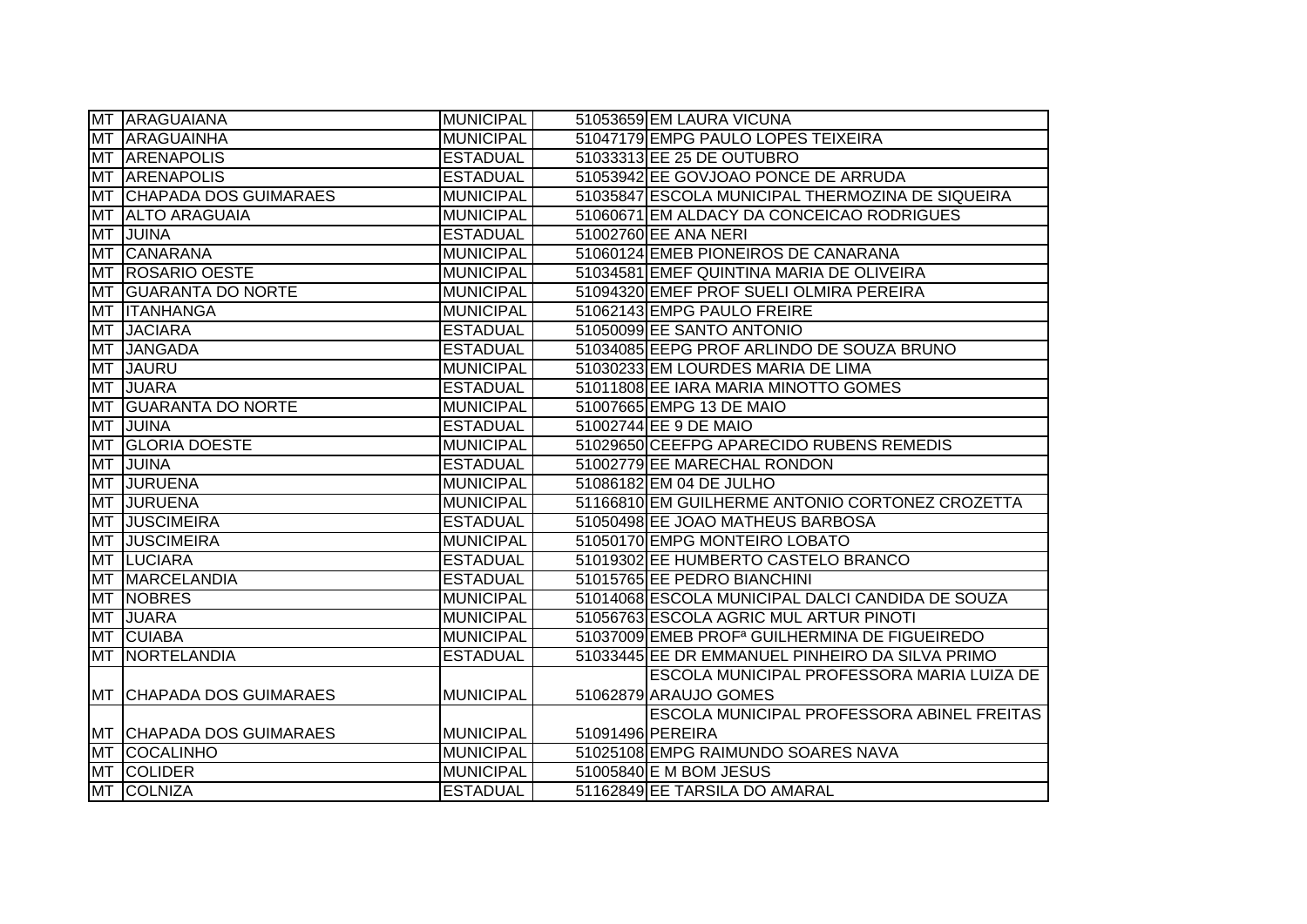|           | MT ARAGUAIANA                | <b>MUNICIPAL</b> |                  | 51053659 EM LAURA VICUNA                                  |
|-----------|------------------------------|------------------|------------------|-----------------------------------------------------------|
|           | MT ARAGUAINHA                | <b>MUNICIPAL</b> |                  | 51047179 EMPG PAULO LOPES TEIXEIRA                        |
|           | MT ARENAPOLIS                | <b>ESTADUAL</b>  |                  | 51033313 EE 25 DE OUTUBRO                                 |
| <b>MT</b> | <b>ARENAPOLIS</b>            | <b>ESTADUAL</b>  |                  | 51053942 EE GOVJOAO PONCE DE ARRUDA                       |
| <b>MT</b> | <b>CHAPADA DOS GUIMARAES</b> | <b>MUNICIPAL</b> |                  | 51035847 ESCOLA MUNICIPAL THERMOZINA DE SIQUEIRA          |
| MT        | <b>ALTO ARAGUAIA</b>         | <b>MUNICIPAL</b> |                  | 51060671 EM ALDACY DA CONCEICAO RODRIGUES                 |
| <b>MT</b> | JUINA                        | <b>ESTADUAL</b>  |                  | 51002760 EE ANA NERI                                      |
| <b>MT</b> | CANARANA                     | <b>MUNICIPAL</b> |                  | 51060124 EMEB PIONEIROS DE CANARANA                       |
| <b>MT</b> | <b>ROSARIO OESTE</b>         | <b>MUNICIPAL</b> |                  | 51034581 EMEF QUINTINA MARIA DE OLIVEIRA                  |
| <b>MT</b> | <b>GUARANTA DO NORTE</b>     | <b>MUNICIPAL</b> |                  | 51094320 EMEF PROF SUELI OLMIRA PEREIRA                   |
| MT        | <b>ITANHANGA</b>             | <b>MUNICIPAL</b> |                  | 51062143 EMPG PAULO FREIRE                                |
| MT        | <b>JACIARA</b>               | <b>ESTADUAL</b>  |                  | 51050099 EE SANTO ANTONIO                                 |
| <b>MT</b> | <b>JANGADA</b>               | <b>ESTADUAL</b>  |                  | 51034085 EEPG PROF ARLINDO DE SOUZA BRUNO                 |
| <b>MT</b> | <b>JAURU</b>                 | <b>MUNICIPAL</b> |                  | 51030233 EM LOURDES MARIA DE LIMA                         |
| MT        | <b>JUARA</b>                 | <b>ESTADUAL</b>  |                  | 51011808 EE IARA MARIA MINOTTO GOMES                      |
| <b>MT</b> | <b>GUARANTA DO NORTE</b>     | <b>MUNICIPAL</b> |                  | 51007665 EMPG 13 DE MAIO                                  |
| <b>MT</b> | <b>JUINA</b>                 | <b>ESTADUAL</b>  |                  | 51002744 EE 9 DE MAIO                                     |
| <b>MT</b> | <b>GLORIA DOESTE</b>         | <b>MUNICIPAL</b> |                  | 51029650 CEEFPG APARECIDO RUBENS REMEDIS                  |
| MT        | <b>JUINA</b>                 | <b>ESTADUAL</b>  |                  | 51002779 EE MARECHAL RONDON                               |
|           | MT JURUENA                   | <b>MUNICIPAL</b> |                  | 51086182 EM 04 DE JULHO                                   |
|           | MT JURUENA                   | <b>MUNICIPAL</b> |                  | 51166810 EM GUILHERME ANTONIO CORTONEZ CROZETTA           |
|           | MT JUSCIMEIRA                | <b>ESTADUAL</b>  |                  | 51050498 EE JOAO MATHEUS BARBOSA                          |
|           | MT JUSCIMEIRA                | <b>MUNICIPAL</b> |                  | 51050170 EMPG MONTEIRO LOBATO                             |
|           | MT LUCIARA                   | <b>ESTADUAL</b>  |                  | 51019302 EE HUMBERTO CASTELO BRANCO                       |
|           | MT MARCELANDIA               | <b>ESTADUAL</b>  |                  | 51015765 EE PEDRO BIANCHINI                               |
|           | <b>MT NOBRES</b>             | <b>MUNICIPAL</b> |                  | 51014068 ESCOLA MUNICIPAL DALCI CANDIDA DE SOUZA          |
| MT        | <b>JUARA</b>                 | <b>MUNICIPAL</b> |                  | 51056763 ESCOLA AGRIC MUL ARTUR PINOTI                    |
| <b>MT</b> | <b>CUIABA</b>                | <b>MUNICIPAL</b> |                  | 51037009 EMEB PROF <sup>a</sup> GUILHERMINA DE FIGUEIREDO |
| <b>MT</b> | NORTELANDIA                  | <b>ESTADUAL</b>  |                  | 51033445 EE DR EMMANUEL PINHEIRO DA SILVA PRIMO           |
|           |                              |                  |                  | ESCOLA MUNICIPAL PROFESSORA MARIA LUIZA DE                |
|           | MT CHHAPADA DOS GUIMARAES    | <b>MUNICIPAL</b> |                  | 51062879 ARAUJO GOMES                                     |
|           |                              |                  |                  | ESCOLA MUNICIPAL PROFESSORA ABINEL FREITAS                |
|           | MT CHAPADA DOS GUIMARAES     | <b>MUNICIPAL</b> | 51091496 PEREIRA |                                                           |
|           | <b>MT COCALINHO</b>          | <b>MUNICIPAL</b> |                  | 51025108 EMPG RAIMUNDO SOARES NAVA                        |
| <b>MT</b> | <b>COLIDER</b>               | <b>MUNICIPAL</b> |                  | 51005840 E M BOM JESUS                                    |
|           | MT COLNIZA                   | <b>ESTADUAL</b>  |                  | 51162849 EE TARSILA DO AMARAL                             |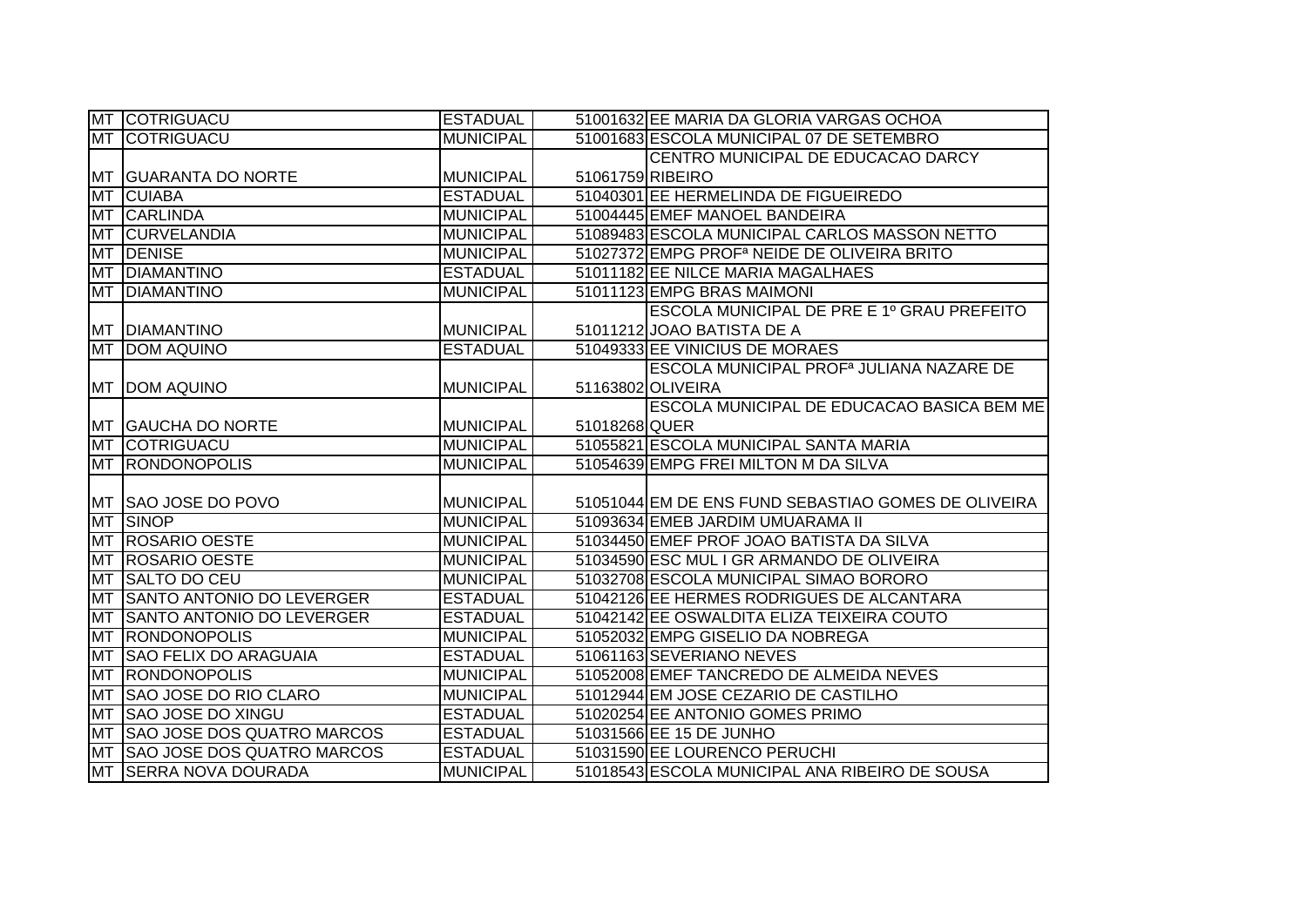|           | MT COTRIGUACU                     | <b>ESTADUAL</b>  |                  | 51001632 EE MARIA DA GLORIA VARGAS OCHOA                |
|-----------|-----------------------------------|------------------|------------------|---------------------------------------------------------|
|           | <b>MT COTRIGUACU</b>              | <b>MUNICIPAL</b> |                  | 51001683 ESCOLA MUNICIPAL 07 DE SETEMBRO                |
|           |                                   |                  |                  | CENTRO MUNICIPAL DE EDUCACAO DARCY                      |
|           | <b>IMT GUARANTA DO NORTE</b>      | <b>MUNICIPAL</b> | 51061759 RIBEIRO |                                                         |
| <b>MT</b> | <b>CUIABA</b>                     | <b>ESTADUAL</b>  |                  | 51040301 EE HERMELINDA DE FIGUEIREDO                    |
| <b>MT</b> | <b>CARLINDA</b>                   | <b>MUNICIPAL</b> |                  | 51004445 EMEF MANOEL BANDEIRA                           |
| <b>MT</b> | <b>CURVELANDIA</b>                | <b>MUNICIPAL</b> |                  | 51089483 ESCOLA MUNICIPAL CARLOS MASSON NETTO           |
| <b>MT</b> | <b>DENISE</b>                     | <b>MUNICIPAL</b> |                  | 51027372 EMPG PROF <sup>a</sup> NEIDE DE OLIVEIRA BRITO |
| <b>MT</b> | <b>DIAMANTINO</b>                 | <b>ESTADUAL</b>  |                  | 51011182 EE NILCE MARIA MAGALHAES                       |
| MT        | <b>DIAMANTINO</b>                 | <b>MUNICIPAL</b> |                  | 51011123 EMPG BRAS MAIMONI                              |
|           |                                   |                  |                  | ESCOLA MUNICIPAL DE PRE E 1º GRAU PREFEITO              |
|           | <b>MT DIAMANTINO</b>              | <b>MUNICIPAL</b> |                  | 51011212 JOAO BATISTA DE A                              |
| <b>MT</b> | <b>DOM AQUINO</b>                 | <b>ESTADUAL</b>  |                  | 51049333 EE VINICIUS DE MORAES                          |
|           |                                   |                  |                  | ESCOLA MUNICIPAL PROF <sup>a</sup> JULIANA NAZARE DE    |
|           | <b>MT DOM AQUINO</b>              | <b>MUNICIPAL</b> |                  | 51163802 OLIVEIRA                                       |
|           |                                   |                  |                  | ESCOLA MUNICIPAL DE EDUCACAO BASICA BEM ME              |
|           | MT GAUCHA DO NORTE                | <b>MUNICIPAL</b> | 51018268 QUER    |                                                         |
|           | <b>MT COTRIGUACU</b>              | <b>MUNICIPAL</b> |                  | 51055821 ESCOLA MUNICIPAL SANTA MARIA                   |
| <b>MT</b> | <b>RONDONOPOLIS</b>               | <b>MUNICIPAL</b> |                  | 51054639 EMPG FREI MILTON M DA SILVA                    |
|           |                                   |                  |                  |                                                         |
| MT        | SAO JOSE DO POVO                  | <b>MUNICIPAL</b> |                  | 51051044 EM DE ENS FUND SEBASTIAO GOMES DE OLIVEIRA     |
| <b>MT</b> | <b>SINOP</b>                      | <b>MUNICIPAL</b> |                  | 51093634 EMEB JARDIM UMUARAMA II                        |
| <b>MT</b> | <b>ROSARIO OESTE</b>              | <b>MUNICIPAL</b> |                  | 51034450 EMEF PROF JOAO BATISTA DA SILVA                |
| <b>MT</b> | <b>ROSARIO OESTE</b>              | <b>MUNICIPAL</b> |                  | 51034590 ESC MUL I GR ARMANDO DE OLIVEIRA               |
| <b>MT</b> | <b>SALTO DO CEU</b>               | <b>MUNICIPAL</b> |                  | 51032708 ESCOLA MUNICIPAL SIMAO BORORO                  |
| <b>MT</b> | SANTO ANTONIO DO LEVERGER         | <b>ESTADUAL</b>  |                  | 51042126 EE HERMES RODRIGUES DE ALCANTARA               |
| <b>MT</b> | SANTO ANTONIO DO LEVERGER         | <b>ESTADUAL</b>  |                  | 51042142 EE OSWALDITA ELIZA TEIXEIRA COUTO              |
| <b>MT</b> | <b>RONDONOPOLIS</b>               | <b>MUNICIPAL</b> |                  | 51052032 EMPG GISELIO DA NOBREGA                        |
| <b>MT</b> | <b>SAO FELIX DO ARAGUAIA</b>      | <b>ESTADUAL</b>  |                  | 51061163 SEVERIANO NEVES                                |
| MT        | <b>RONDONOPOLIS</b>               | <b>MUNICIPAL</b> |                  | 51052008 EMEF TANCREDO DE ALMEIDA NEVES                 |
| <b>MT</b> | SAO JOSE DO RIO CLARO             | <b>MUNICIPAL</b> |                  | 51012944 EM JOSE CEZARIO DE CASTILHO                    |
| <b>MT</b> | <b>SAO JOSE DO XINGU</b>          | <b>ESTADUAL</b>  |                  | 51020254 EE ANTONIO GOMES PRIMO                         |
| <b>MT</b> | <b>SAO JOSE DOS QUATRO MARCOS</b> | <b>ESTADUAL</b>  |                  | 51031566 EE 15 DE JUNHO                                 |
| <b>MT</b> | <b>SAO JOSE DOS QUATRO MARCOS</b> | <b>ESTADUAL</b>  |                  | 51031590 EE LOURENCO PERUCHI                            |
| <b>MT</b> | <b>SERRA NOVA DOURADA</b>         | <b>MUNICIPAL</b> |                  | 51018543 ESCOLA MUNICIPAL ANA RIBEIRO DE SOUSA          |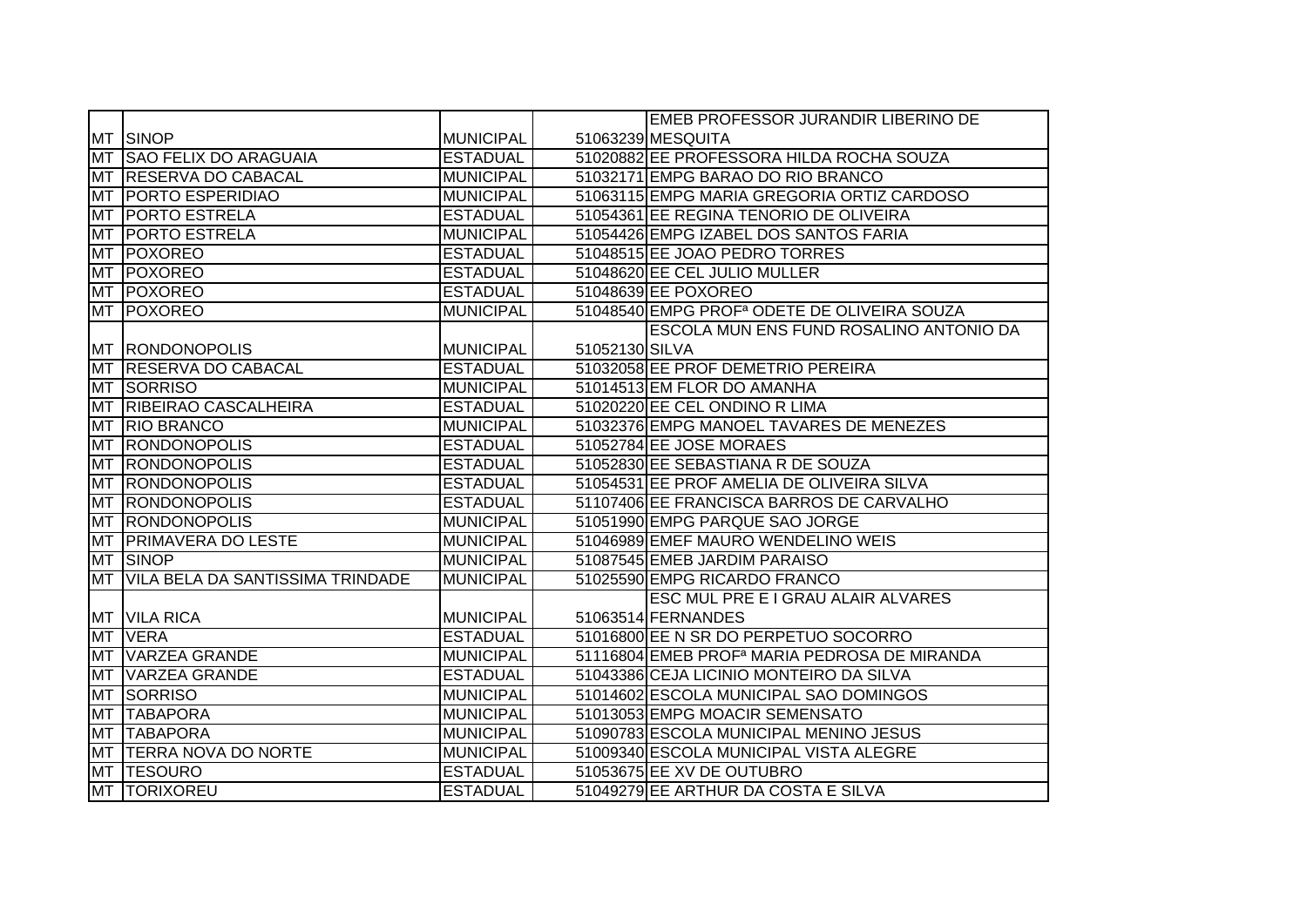|           |                                  |                  |                | <b>EMEB PROFESSOR JURANDIR LIBERINO DE</b>               |
|-----------|----------------------------------|------------------|----------------|----------------------------------------------------------|
|           | MT SINOP                         | MUNICIPAL        |                | 51063239 MESQUITA                                        |
| <b>MT</b> | <b>SAO FELIX DO ARAGUAIA</b>     | <b>ESTADUAL</b>  |                | 51020882 EE PROFESSORA HILDA ROCHA SOUZA                 |
| <b>MT</b> | <b>RESERVA DO CABACAL</b>        | <b>MUNICIPAL</b> |                | 51032171 EMPG BARAO DO RIO BRANCO                        |
| <b>MT</b> | <b>PORTO ESPERIDIAO</b>          | <b>MUNICIPAL</b> |                | 51063115 EMPG MARIA GREGORIA ORTIZ CARDOSO               |
| <b>MT</b> | <b>PORTO ESTRELA</b>             | <b>ESTADUAL</b>  |                | 51054361 EE REGINA TENORIO DE OLIVEIRA                   |
| <b>MT</b> | <b>PORTO ESTRELA</b>             | <b>MUNICIPAL</b> |                | 51054426 EMPG IZABEL DOS SANTOS FARIA                    |
| <b>MT</b> | POXOREO                          | <b>ESTADUAL</b>  |                | 51048515 EE JOAO PEDRO TORRES                            |
| <b>MT</b> | POXOREO                          | <b>ESTADUAL</b>  |                | 51048620 EE CEL JULIO MULLER                             |
| <b>MT</b> | POXOREO                          | <b>ESTADUAL</b>  |                | 51048639 EE POXOREO                                      |
| <b>MT</b> | <b>TPOXOREO</b>                  | <b>MUNICIPAL</b> |                | 51048540 EMPG PROF <sup>a</sup> ODETE DE OLIVEIRA SOUZA  |
|           |                                  |                  |                | ESCOLA MUN ENS FUND ROSALINO ANTONIO DA                  |
| MT        | <b>RONDONOPOLIS</b>              | <b>MUNICIPAL</b> | 51052130 SILVA |                                                          |
| <b>MT</b> | <b>RESERVA DO CABACAL</b>        | <b>ESTADUAL</b>  |                | 51032058 EE PROF DEMETRIO PEREIRA                        |
| <b>MT</b> | SORRISO                          | <b>MUNICIPAL</b> |                | 51014513 EM FLOR DO AMANHA                               |
| <b>MT</b> | RIBEIRAO CASCALHEIRA             | <b>ESTADUAL</b>  |                | 51020220 EE CEL ONDINO R LIMA                            |
| <b>MT</b> | <b>RIO BRANCO</b>                | <b>MUNICIPAL</b> |                | 51032376 EMPG MANOEL TAVARES DE MENEZES                  |
| <b>MT</b> | <b>RONDONOPOLIS</b>              | <b>ESTADUAL</b>  |                | 51052784 EE JOSE MORAES                                  |
| <b>MT</b> | <b>RONDONOPOLIS</b>              | <b>ESTADUAL</b>  |                | 51052830 EE SEBASTIANA R DE SOUZA                        |
| <b>MT</b> | <b>RONDONOPOLIS</b>              | <b>ESTADUAL</b>  |                | 51054531 EE PROF AMELIA DE OLIVEIRA SILVA                |
| <b>MT</b> | <b>RONDONOPOLIS</b>              | <b>ESTADUAL</b>  |                | 51107406 EE FRANCISCA BARROS DE CARVALHO                 |
| <b>MT</b> | <b>RONDONOPOLIS</b>              | <b>MUNICIPAL</b> |                | 51051990 EMPG PARQUE SAO JORGE                           |
| <b>MT</b> | <b>PRIMAVERA DO LESTE</b>        | <b>MUNICIPAL</b> |                | 51046989 EMEF MAURO WENDELINO WEIS                       |
| <b>MT</b> | <b>SINOP</b>                     | <b>MUNICIPAL</b> |                | 51087545 EMEB JARDIM PARAISO                             |
| <b>MT</b> | VILA BELA DA SANTISSIMA TRINDADE | <b>MUNICIPAL</b> |                | 51025590 EMPG RICARDO FRANCO                             |
|           |                                  |                  |                | <b>ESC MUL PRE E I GRAU ALAIR ALVARES</b>                |
|           | MT VILA RICA                     | MUNICIPAL        |                | 51063514 FERNANDES                                       |
| <b>MT</b> | <b>VERA</b>                      | <b>ESTADUAL</b>  |                | 51016800 EE N SR DO PERPETUO SOCORRO                     |
| <b>MT</b> | <b>VARZEA GRANDE</b>             | <b>MUNICIPAL</b> |                | 51116804 EMEB PROF <sup>a</sup> MARIA PEDROSA DE MIRANDA |
| <b>MT</b> | <b>VARZEA GRANDE</b>             | <b>ESTADUAL</b>  |                | 51043386 CEJA LICINIO MONTEIRO DA SILVA                  |
| MT        | SORRISO                          | <b>MUNICIPAL</b> |                | 51014602 ESCOLA MUNICIPAL SAO DOMINGOS                   |
| <b>MT</b> | <b>TABAPORA</b>                  | <b>MUNICIPAL</b> |                | 51013053 EMPG MOACIR SEMENSATO                           |
| <b>MT</b> | <b>TABAPORA</b>                  | <b>MUNICIPAL</b> |                | 51090783 ESCOLA MUNICIPAL MENINO JESUS                   |
| <b>MT</b> | <b>TERRA NOVA DO NORTE</b>       | MUNICIPAL        |                | 51009340 ESCOLA MUNICIPAL VISTA ALEGRE                   |
| MT        | <b>TESOURO</b>                   | <b>ESTADUAL</b>  |                | 51053675 EE XV DE OUTUBRO                                |
|           | MT TORIXOREU                     | <b>ESTADUAL</b>  |                | 51049279 EE ARTHUR DA COSTA E SILVA                      |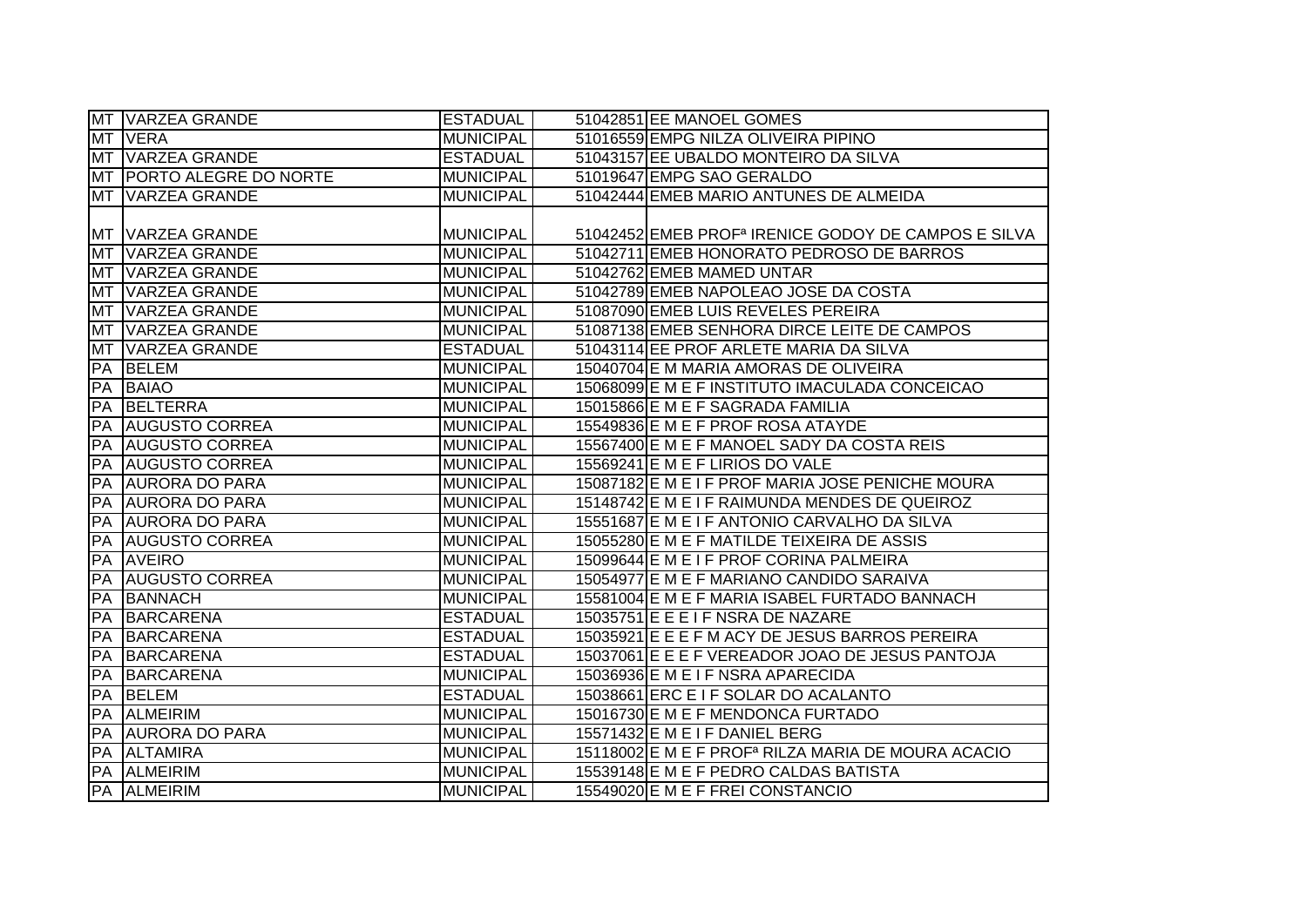|           | MT VARZEA GRANDE              | <b>ESTADUAL</b>  | 51042851 EE MANOEL GOMES                                        |
|-----------|-------------------------------|------------------|-----------------------------------------------------------------|
|           | MT VERA                       | <b>MUNICIPAL</b> | 51016559 EMPG NILZA OLIVEIRA PIPINO                             |
| <b>MT</b> | <b>VARZEA GRANDE</b>          | <b>ESTADUAL</b>  | 51043157 EE UBALDO MONTEIRO DA SILVA                            |
| <b>MT</b> | <b>IPORTO ALEGRE DO NORTE</b> | <b>MUNICIPAL</b> | 51019647 EMPG SAO GERALDO                                       |
| MT        | <b>VARZEA GRANDE</b>          | <b>MUNICIPAL</b> | 51042444 EMEB MARIO ANTUNES DE ALMEIDA                          |
|           |                               |                  |                                                                 |
|           | MT VARZEA GRANDE              | <b>MUNICIPAL</b> | 51042452 EMEB PROF <sup>a</sup> IRENICE GODOY DE CAMPOS E SILVA |
| <b>MT</b> | <b>VARZEA GRANDE</b>          | MUNICIPAL        | 51042711 EMEB HONORATO PEDROSO DE BARROS                        |
| <b>MT</b> | <b>VARZEA GRANDE</b>          | MUNICIPAL        | 51042762 EMEB MAMED UNTAR                                       |
| <b>MT</b> | VARZEA GRANDE                 | <b>MUNICIPAL</b> | 51042789 EMEB NAPOLEAO JOSE DA COSTA                            |
| <b>MT</b> | <b>VARZEA GRANDE</b>          | <b>MUNICIPAL</b> | 51087090 EMEB LUIS REVELES PEREIRA                              |
| <b>MT</b> | VARZEA GRANDE                 | <b>MUNICIPAL</b> | 51087138 EMEB SENHORA DIRCE LEITE DE CAMPOS                     |
| <b>MT</b> | <b>VARZEA GRANDE</b>          | <b>ESTADUAL</b>  | 51043114 EE PROF ARLETE MARIA DA SILVA                          |
| PA        | <b>BELEM</b>                  | <b>MUNICIPAL</b> | 15040704 E M MARIA AMORAS DE OLIVEIRA                           |
| PA        | <b>BAIAO</b>                  | <b>MUNICIPAL</b> | 15068099 E M E F INSTITUTO IMACULADA CONCEICAO                  |
| PA        | BELTERRA                      | <b>MUNICIPAL</b> | 15015866 E M E F SAGRADA FAMILIA                                |
| PA        | <b>AUGUSTO CORREA</b>         | <b>MUNICIPAL</b> | 15549836 E M E F PROF ROSA ATAYDE                               |
| PA        | <b>AUGUSTO CORREA</b>         | <b>MUNICIPAL</b> | 15567400 E M E F MANOEL SADY DA COSTA REIS                      |
| PA        | <b>AUGUSTO CORREA</b>         | <b>MUNICIPAL</b> | 15569241 E M E F LIRIOS DO VALE                                 |
|           | PA AURORA DO PARA             | <b>MUNICIPAL</b> | 15087182 E M E I F PROF MARIA JOSE PENICHE MOURA                |
| PA        | <b>AURORA DO PARA</b>         | MUNICIPAL        | 15148742 E M E I F RAIMUNDA MENDES DE QUEIROZ                   |
|           | <b>PA JAURORA DO PARA</b>     | <b>MUNICIPAL</b> | 15551687 E M E I F ANTONIO CARVALHO DA SILVA                    |
|           | <b>PA AUGUSTO CORREA</b>      | <b>MUNICIPAL</b> | 15055280 E M E F MATILDE TEIXEIRA DE ASSIS                      |
| <b>PA</b> | <b>AVEIRO</b>                 | <b>MUNICIPAL</b> | 15099644 E M E I F PROF CORINA PALMEIRA                         |
| PA        | <b>AUGUSTO CORREA</b>         | <b>MUNICIPAL</b> | 15054977 E M E F MARIANO CANDIDO SARAIVA                        |
| PA        | BANNACH                       | <b>MUNICIPAL</b> | 15581004 E M E F MARIA ISABEL FURTADO BANNACH                   |
| PA        | BARCARENA                     | <b>ESTADUAL</b>  | 15035751 E E E I F NSRA DE NAZARE                               |
| PA        | <b>BARCARENA</b>              | <b>ESTADUAL</b>  | 15035921 E E E F M ACY DE JESUS BARROS PEREIRA                  |
| PA        | BARCARENA                     | <b>ESTADUAL</b>  | 15037061 E E E F VEREADOR JOAO DE JESUS PANTOJA                 |
| PA        | BARCARENA                     | <b>MUNICIPAL</b> | 15036936 E M E I F NSRA APARECIDA                               |
| PA        | <b>BELEM</b>                  | <b>ESTADUAL</b>  | 15038661 ERC E I F SOLAR DO ACALANTO                            |
| PA        | <b>ALMEIRIM</b>               | MUNICIPAL        | 15016730 E M E F MENDONCA FURTADO                               |
| PA        | <b>AURORA DO PARA</b>         | MUNICIPAL        | 15571432 E M E I F DANIEL BERG                                  |
| PA        | <b>ALTAMIRA</b>               | MUNICIPAL        | 15118002 E M E F PROF <sup>a</sup> RILZA MARIA DE MOURA ACACIO  |
|           | PA ALMEIRIM                   | MUNICIPAL        | 15539148 E M E F PEDRO CALDAS BATISTA                           |
|           | PA ALMEIRIM                   | <b>MUNICIPAL</b> | 15549020 E M E F FREI CONSTANCIO                                |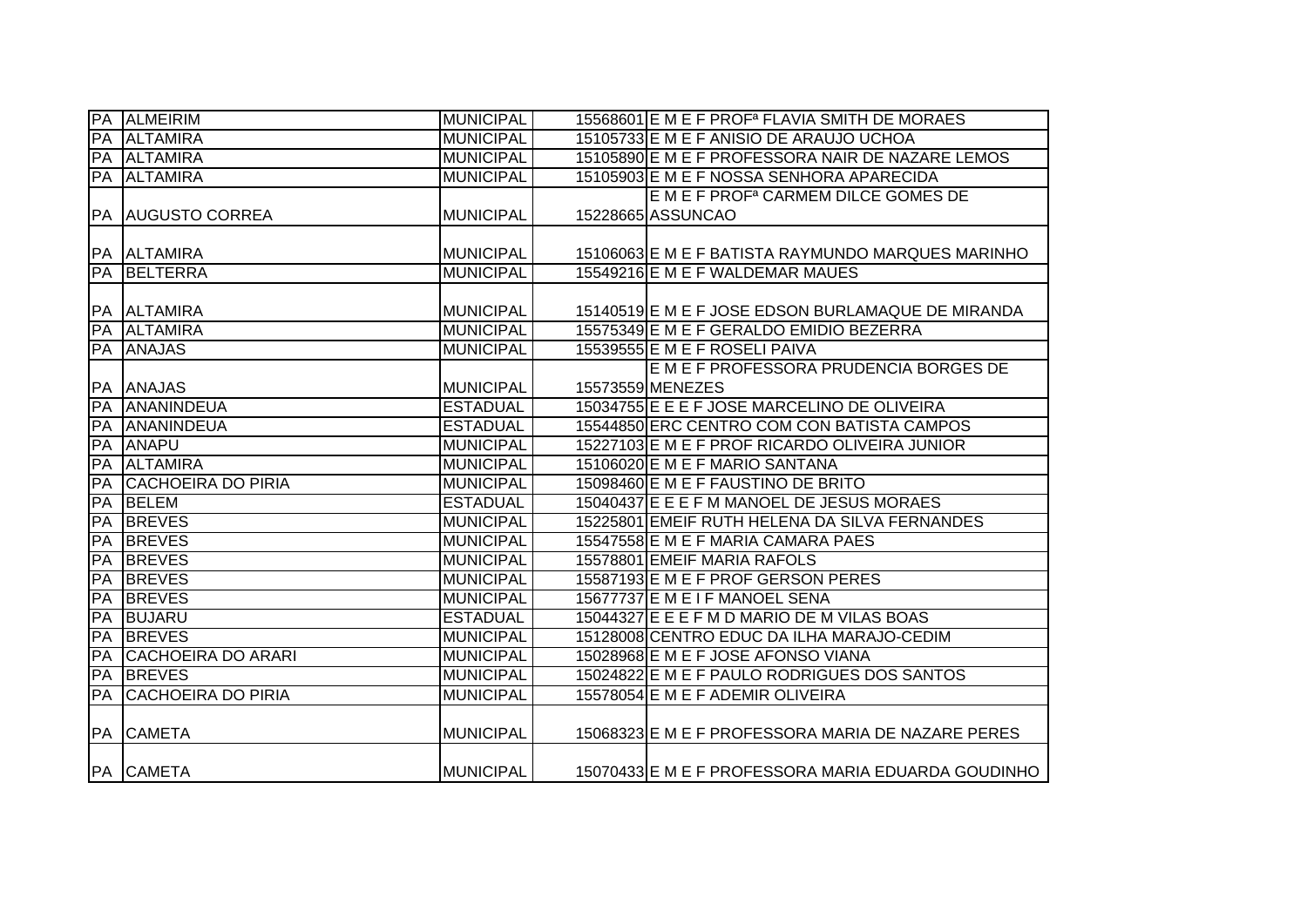|                 | <b>PA ALMEIRIM</b>        | <b>MUNICIPAL</b> | 15568601 E M E F PROF <sup>a</sup> FLAVIA SMITH DE MORAES |
|-----------------|---------------------------|------------------|-----------------------------------------------------------|
|                 | <b>PA ALTAMIRA</b>        | <b>MUNICIPAL</b> | 15105733 E M E F ANISIO DE ARAUJO UCHOA                   |
|                 | PA ALTAMIRA               | <b>MUNICIPAL</b> | 15105890 E M E F PROFESSORA NAIR DE NAZARE LEMOS          |
|                 | PA ALTAMIRA               | <b>MUNICIPAL</b> | 15105903 E M E F NOSSA SENHORA APARECIDA                  |
|                 |                           |                  | E M E F PROF <sup>a</sup> CARMEM DILCE GOMES DE           |
| <b>PA</b>       | <b>AUGUSTO CORREA</b>     | <b>MUNICIPAL</b> | 15228665 ASSUNCAO                                         |
|                 |                           |                  |                                                           |
|                 | PA ALTAMIRA               | <b>MUNICIPAL</b> | 15106063 E M E F BATISTA RAYMUNDO MARQUES MARINHO         |
|                 | PA BELTERRA               | <b>MUNICIPAL</b> | 15549216 E M E F WALDEMAR MAUES                           |
|                 |                           |                  |                                                           |
|                 | PA ALTAMIRA               | <b>MUNICIPAL</b> | 15140519 E M E F JOSE EDSON BURLAMAQUE DE MIRANDA         |
|                 | PA ALTAMIRA               | <b>MUNICIPAL</b> | 15575349 E M E F GERALDO EMIDIO BEZERRA                   |
|                 | PA ANAJAS                 | <b>MUNICIPAL</b> | 15539555 E M E F ROSELI PAIVA                             |
|                 |                           |                  | E M E F PROFESSORA PRUDENCIA BORGES DE                    |
|                 | PA ANAJAS                 | <b>MUNICIPAL</b> | 15573559 MENEZES                                          |
| PA              | ANANINDEUA                | <b>ESTADUAL</b>  | 15034755 E E E F JOSE MARCELINO DE OLIVEIRA               |
| PA              | ANANINDEUA                | <b>ESTADUAL</b>  | 15544850 ERC CENTRO COM CON BATISTA CAMPOS                |
| PA              | <b>ANAPU</b>              | <b>MUNICIPAL</b> | 15227103 E M E F PROF RICARDO OLIVEIRA JUNIOR             |
| PA              | <b>ALTAMIRA</b>           | <b>MUNICIPAL</b> | 15106020 E M E F MARIO SANTANA                            |
| PA              | <b>CACHOEIRA DO PIRIA</b> | <b>MUNICIPAL</b> | 15098460 E M E F FAUSTINO DE BRITO                        |
| PA              | <b>BELEM</b>              | <b>ESTADUAL</b>  | 15040437 E E E F M MANOEL DE JESUS MORAES                 |
| <b>IPA</b>      | <b>BREVES</b>             | <b>MUNICIPAL</b> | 15225801 EMEIF RUTH HELENA DA SILVA FERNANDES             |
| PA              | <b>BREVES</b>             | <b>MUNICIPAL</b> | 15547558 E M E F MARIA CAMARA PAES                        |
| $\overline{PA}$ | <b>BREVES</b>             | <b>MUNICIPAL</b> | 15578801 EMEIF MARIA RAFOLS                               |
| PA              | <b>BREVES</b>             | <b>MUNICIPAL</b> | 15587193 E M E F PROF GERSON PERES                        |
| PA              | <b>BREVES</b>             | <b>MUNICIPAL</b> | 15677737 E M E I F MANOEL SENA                            |
| PA              | <b>BUJARU</b>             | <b>ESTADUAL</b>  | 15044327 E E E F M D MARIO DE M VILAS BOAS                |
| PA              | <b>BREVES</b>             | <b>MUNICIPAL</b> | 15128008 CENTRO EDUC DA ILHA MARAJO-CEDIM                 |
| PA              | <b>CACHOEIRA DO ARARI</b> | <b>MUNICIPAL</b> | 15028968 E M E F JOSE AFONSO VIANA                        |
| PA              | <b>BREVES</b>             | <b>MUNICIPAL</b> | 15024822 E M E F PAULO RODRIGUES DOS SANTOS               |
| PA              | <b>CACHOEIRA DO PIRIA</b> | <b>MUNICIPAL</b> | 15578054 E M E F ADEMIR OLIVEIRA                          |
|                 |                           |                  |                                                           |
|                 | <b>PA CAMETA</b>          | <b>MUNICIPAL</b> | 15068323 E M E F PROFESSORA MARIA DE NAZARE PERES         |
|                 |                           |                  |                                                           |
|                 | PA CAMETA                 | <b>MUNICIPAL</b> | 15070433 E M E F PROFESSORA MARIA EDUARDA GOUDINHO        |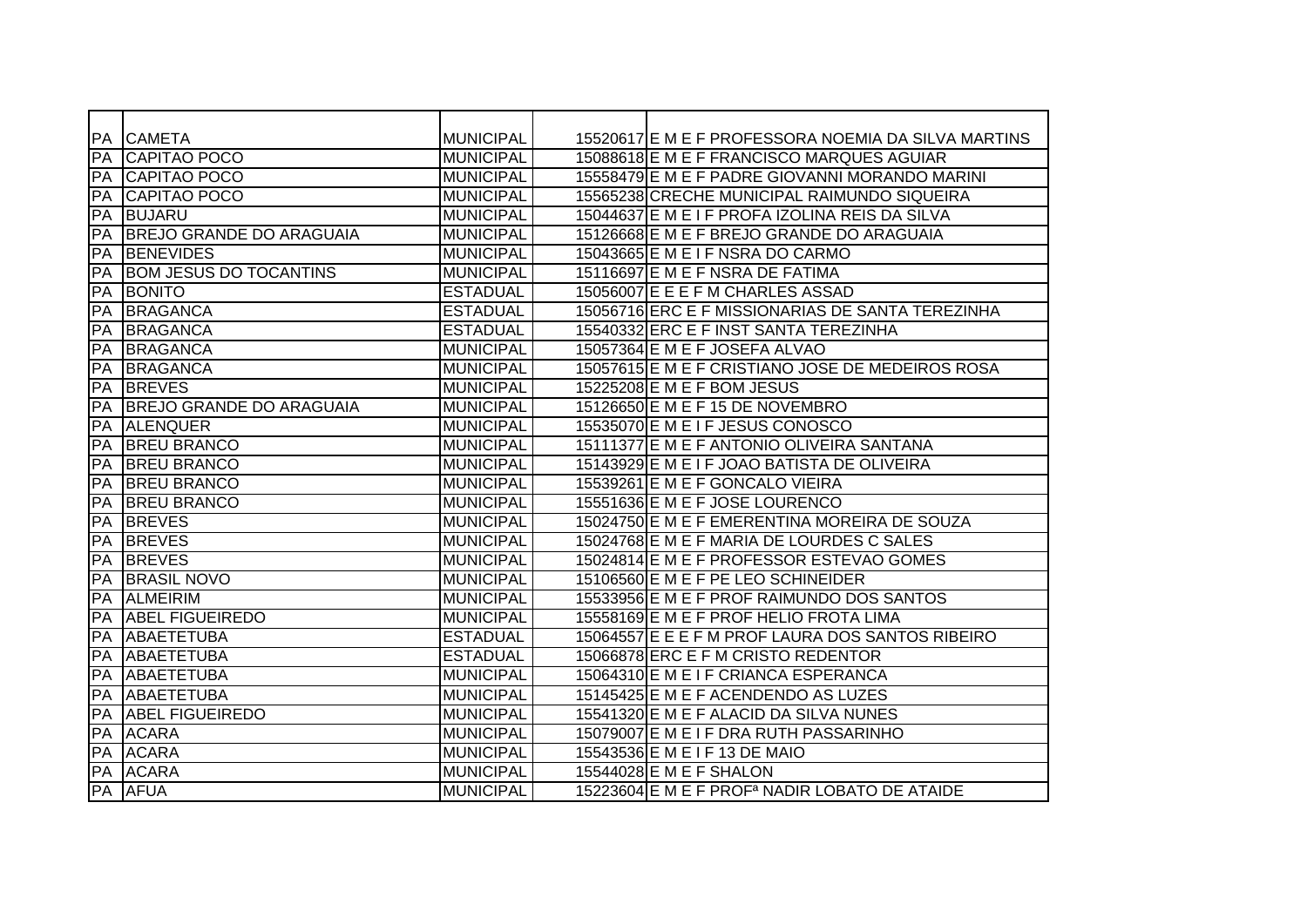|           | <b>PA CAMETA</b>                | <b>MUNICIPAL</b> | 15520617 E M E F PROFESSORA NOEMIA DA SILVA MARTINS       |
|-----------|---------------------------------|------------------|-----------------------------------------------------------|
| PA        | <b>CAPITAO POCO</b>             | <b>MUNICIPAL</b> | 15088618 E M E F FRANCISCO MARQUES AGUIAR                 |
| <b>PA</b> | <b>CAPITAO POCO</b>             | <b>MUNICIPAL</b> | 15558479 E M E F PADRE GIOVANNI MORANDO MARINI            |
| PA        | <b>CAPITAO POCO</b>             | <b>MUNICIPAL</b> | 15565238 CRECHE MUNICIPAL RAIMUNDO SIQUEIRA               |
| PA        | <b>BUJARU</b>                   | <b>MUNICIPAL</b> | 15044637 E M E I F PROFA IZOLINA REIS DA SILVA            |
| PA        | <b>BREJO GRANDE DO ARAGUAIA</b> | <b>MUNICIPAL</b> | 15126668 E M E F BREJO GRANDE DO ARAGUAIA                 |
| PA        | <b>BENEVIDES</b>                | <b>MUNICIPAL</b> | 15043665 E M E I F NSRA DO CARMO                          |
| PA        | <b>BOM JESUS DO TOCANTINS</b>   | <b>MUNICIPAL</b> | 15116697 E M E F NSRA DE FATIMA                           |
| <b>PA</b> | <b>BONITO</b>                   | <b>ESTADUAL</b>  | 15056007 E E E F M CHARLES ASSAD                          |
| <b>PA</b> | <b>BRAGANCA</b>                 | <b>ESTADUAL</b>  | 15056716 ERC E F MISSIONARIAS DE SANTA TEREZINHA          |
| PA        | BRAGANCA                        | <b>ESTADUAL</b>  | 15540332 ERC E F INST SANTA TEREZINHA                     |
| <b>PA</b> | <b>BRAGANCA</b>                 | <b>MUNICIPAL</b> | 15057364 E M E F JOSEFA ALVAO                             |
| PA        | <b>BRAGANCA</b>                 | <b>MUNICIPAL</b> | 15057615 E M E F CRISTIANO JOSE DE MEDEIROS ROSA          |
| <b>PA</b> | <b>BREVES</b>                   | <b>MUNICIPAL</b> | 15225208 E M E F BOM JESUS                                |
| PA        | <b>BREJO GRANDE DO ARAGUAIA</b> | <b>MUNICIPAL</b> | 15126650 E M E F 15 DE NOVEMBRO                           |
| PA        | <b>ALENQUER</b>                 | <b>MUNICIPAL</b> | 15535070 E M E I F JESUS CONOSCO                          |
| PA        | <b>BREU BRANCO</b>              | <b>MUNICIPAL</b> | 15111377 E M E F ANTONIO OLIVEIRA SANTANA                 |
| PA        | <b>BREU BRANCO</b>              | <b>MUNICIPAL</b> | 15143929 E M E I F JOAO BATISTA DE OLIVEIRA               |
| PA        | <b>BREU BRANCO</b>              | <b>MUNICIPAL</b> | 15539261 E M E F GONCALO VIEIRA                           |
| PA        | <b>BREU BRANCO</b>              | <b>MUNICIPAL</b> | 15551636 E M E F JOSE LOURENCO                            |
| PA        | <b>BREVES</b>                   | <b>MUNICIPAL</b> | 15024750 E M E F EMERENTINA MOREIRA DE SOUZA              |
| PA        | <b>BREVES</b>                   | <b>MUNICIPAL</b> | 15024768 E M E F MARIA DE LOURDES C SALES                 |
| PA        | <b>BREVES</b>                   | <b>MUNICIPAL</b> | 15024814 E M E F PROFESSOR ESTEVAO GOMES                  |
| PA        | <b>BRASIL NOVO</b>              | <b>MUNICIPAL</b> | 15106560 E M E F PE LEO SCHINEIDER                        |
| <b>PA</b> | <b>ALMEIRIM</b>                 | <b>MUNICIPAL</b> | 15533956 E M E F PROF RAIMUNDO DOS SANTOS                 |
| PA        | <b>ABEL FIGUEIREDO</b>          | <b>MUNICIPAL</b> | 15558169 E M E F PROF HELIO FROTA LIMA                    |
| PA        | ABAETETUBA                      | <b>ESTADUAL</b>  | 15064557 E E E F M PROF LAURA DOS SANTOS RIBEIRO          |
| <b>PA</b> | <b>ABAETETUBA</b>               | <b>ESTADUAL</b>  | 15066878 ERC E F M CRISTO REDENTOR                        |
| PA        | <b>ABAETETUBA</b>               | <b>MUNICIPAL</b> | 15064310 E M E I F CRIANCA ESPERANCA                      |
| PA        | ABAETETUBA                      | <b>MUNICIPAL</b> | 15145425 E M E F ACENDENDO AS LUZES                       |
| PA        | <b>ABEL FIGUEIREDO</b>          | <b>MUNICIPAL</b> | 15541320 E M E F ALACID DA SILVA NUNES                    |
| <b>PA</b> | <b>ACARA</b>                    | <b>MUNICIPAL</b> | 15079007 E M E I F DRA RUTH PASSARINHO                    |
| PA        | <b>ACARA</b>                    | <b>MUNICIPAL</b> | 15543536 E M E I F 13 DE MAIO                             |
| PA        | <b>ACARA</b>                    | <b>MUNICIPAL</b> | 15544028 E M E F SHALON                                   |
|           | <b>PA AFUA</b>                  | <b>MUNICIPAL</b> | 15223604 E M E F PROF <sup>a</sup> NADIR LOBATO DE ATAIDE |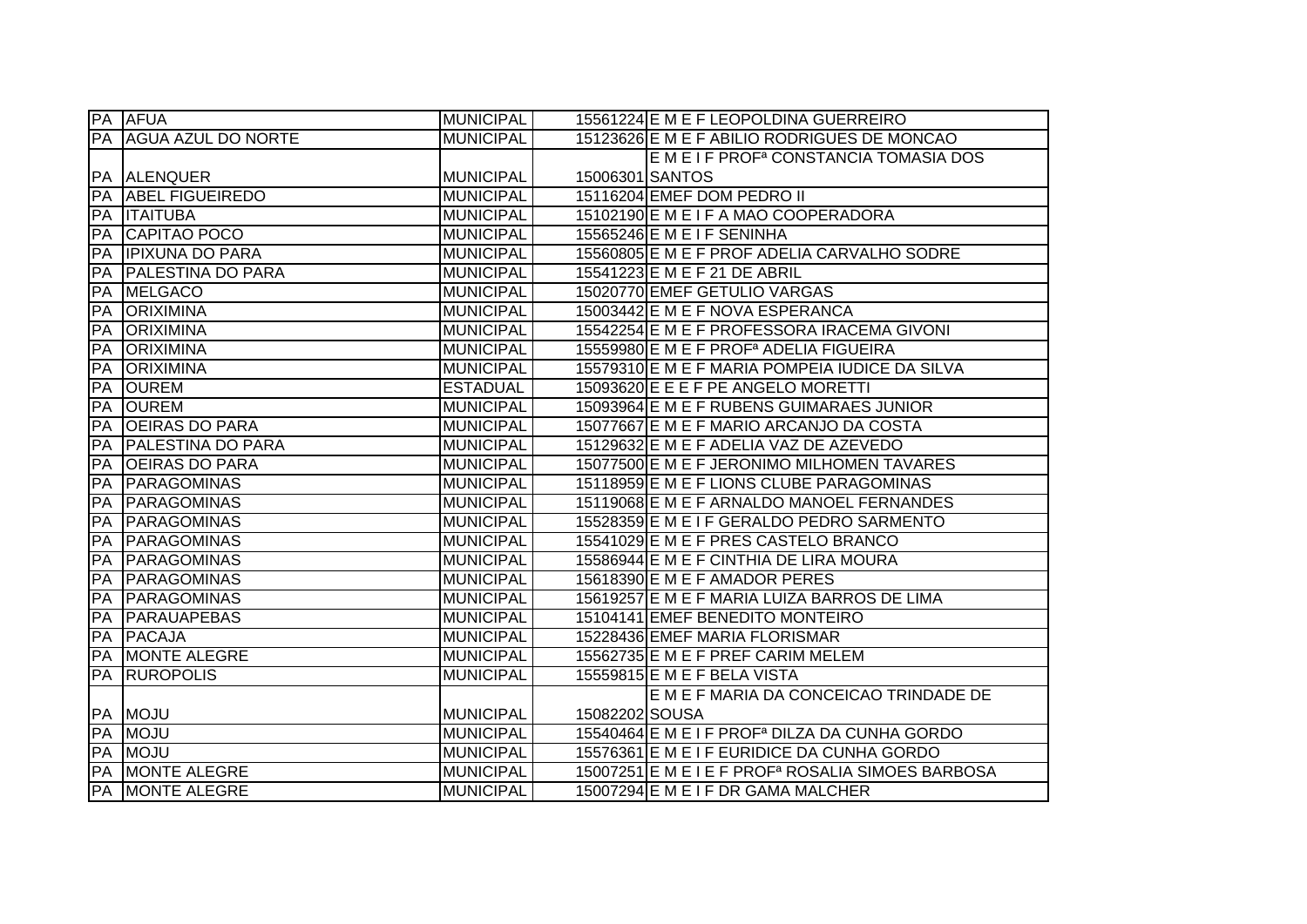|           | <b>PA AFUA</b>            | <b>MUNICIPAL</b> |                 | 15561224 E M E F LEOPOLDINA GUERREIRO                         |
|-----------|---------------------------|------------------|-----------------|---------------------------------------------------------------|
| PA        | <b>AGUA AZUL DO NORTE</b> | <b>MUNICIPAL</b> |                 | 15123626 E M E F ABILIO RODRIGUES DE MONCAO                   |
|           |                           |                  |                 | E M E I F PROF <sup>a</sup> CONSTANCIA TOMASIA DOS            |
|           | PA ALENQUER               | <b>MUNICIPAL</b> | 15006301 SANTOS |                                                               |
| PA        | <b>ABEL FIGUEIREDO</b>    | <b>MUNICIPAL</b> |                 | 15116204 EMEF DOM PEDRO II                                    |
| PA        | <b>ITAITUBA</b>           | <b>MUNICIPAL</b> |                 | 15102190 E M E I F A MAO COOPERADORA                          |
| <b>FA</b> | CAPITAO POCO              | <b>MUNICIPAL</b> |                 | 15565246 E M E I F SENINHA                                    |
| PA        | <b>IPIXUNA DO PARA</b>    | <b>MUNICIPAL</b> |                 | 15560805 E M E F PROF ADELIA CARVALHO SODRE                   |
| PA        | <b>PALESTINA DO PARA</b>  | <b>MUNICIPAL</b> |                 | 15541223 E M E F 21 DE ABRIL                                  |
| PA        | <b>MELGACO</b>            | <b>MUNICIPAL</b> |                 | 15020770 EMEF GETULIO VARGAS                                  |
| <b>PA</b> | <b>ORIXIMINA</b>          | <b>MUNICIPAL</b> |                 | 15003442 E M E F NOVA ESPERANCA                               |
| PA        | <b>ORIXIMINA</b>          | <b>MUNICIPAL</b> |                 | 15542254 E M E F PROFESSORA IRACEMA GIVONI                    |
| PA        | <b>ORIXIMINA</b>          | <b>MUNICIPAL</b> |                 | 15559980 E M E F PROF <sup>a</sup> ADELIA FIGUEIRA            |
| PA        | <b>ORIXIMINA</b>          | <b>MUNICIPAL</b> |                 | 15579310 E M E F MARIA POMPEIA IUDICE DA SILVA                |
| PA        | <b>OUREM</b>              | <b>ESTADUAL</b>  |                 | 15093620 E E E F PE ANGELO MORETTI                            |
| PA        | <b>OUREM</b>              | <b>MUNICIPAL</b> |                 | 15093964 E M E F RUBENS GUIMARAES JUNIOR                      |
| PA        | <b>OEIRAS DO PARA</b>     | <b>MUNICIPAL</b> |                 | 15077667 E M E F MARIO ARCANJO DA COSTA                       |
| PA        | <b>PALESTINA DO PARA</b>  | <b>MUNICIPAL</b> |                 | 15129632 E M E F ADELIA VAZ DE AZEVEDO                        |
| PA        | <b>OEIRAS DO PARA</b>     | <b>MUNICIPAL</b> |                 | 15077500 E M E F JERONIMO MILHOMEN TAVARES                    |
| PA        | PARAGOMINAS               | <b>MUNICIPAL</b> |                 | 15118959 E M E F LIONS CLUBE PARAGOMINAS                      |
| PA        | <b>PARAGOMINAS</b>        | <b>MUNICIPAL</b> |                 | 15119068 E M E F ARNALDO MANOEL FERNANDES                     |
| PA        | <b>PARAGOMINAS</b>        | <b>MUNICIPAL</b> |                 | 15528359 E M E I F GERALDO PEDRO SARMENTO                     |
| PA        | <b>PARAGOMINAS</b>        | <b>MUNICIPAL</b> |                 | 15541029 E M E F PRES CASTELO BRANCO                          |
| PA        | <b>PARAGOMINAS</b>        | <b>MUNICIPAL</b> |                 | 15586944 E M E F CINTHIA DE LIRA MOURA                        |
| PA        | PARAGOMINAS               | <b>MUNICIPAL</b> |                 | 15618390 E M E F AMADOR PERES                                 |
| PA        | <b>PARAGOMINAS</b>        | <b>MUNICIPAL</b> |                 | 15619257 E M E F MARIA LUIZA BARROS DE LIMA                   |
| PA        | PARAUAPEBAS               | <b>MUNICIPAL</b> |                 | 15104141 EMEF BENEDITO MONTEIRO                               |
| PA        | <b>PACAJA</b>             | <b>MUNICIPAL</b> |                 | 15228436 EMEF MARIA FLORISMAR                                 |
| PA        | <b>MONTE ALEGRE</b>       | <b>MUNICIPAL</b> |                 | 15562735 E M E F PREF CARIM MELEM                             |
| PA        | <b>RUROPOLIS</b>          | <b>MUNICIPAL</b> |                 | 15559815 E M E F BELA VISTA                                   |
|           |                           |                  |                 | E M E F MARIA DA CONCEICAO TRINDADE DE                        |
| PA        | <b>MOJU</b>               | <b>MUNICIPAL</b> | 15082202 SOUSA  |                                                               |
| PA        | <b>MOJU</b>               | <b>MUNICIPAL</b> |                 | 15540464 E M E I F PROF <sup>a</sup> DILZA DA CUNHA GORDO     |
| PA        | <b>MOJU</b>               | <b>MUNICIPAL</b> |                 | 15576361 E M E I F EURIDICE DA CUNHA GORDO                    |
| PA        | MONTE ALEGRE              | <b>MUNICIPAL</b> |                 | 15007251 E M E I E F PROF <sup>a</sup> ROSALIA SIMOES BARBOSA |
|           | <b>PA MONTE ALEGRE</b>    | <b>MUNICIPAL</b> |                 | 15007294 E M E I F DR GAMA MALCHER                            |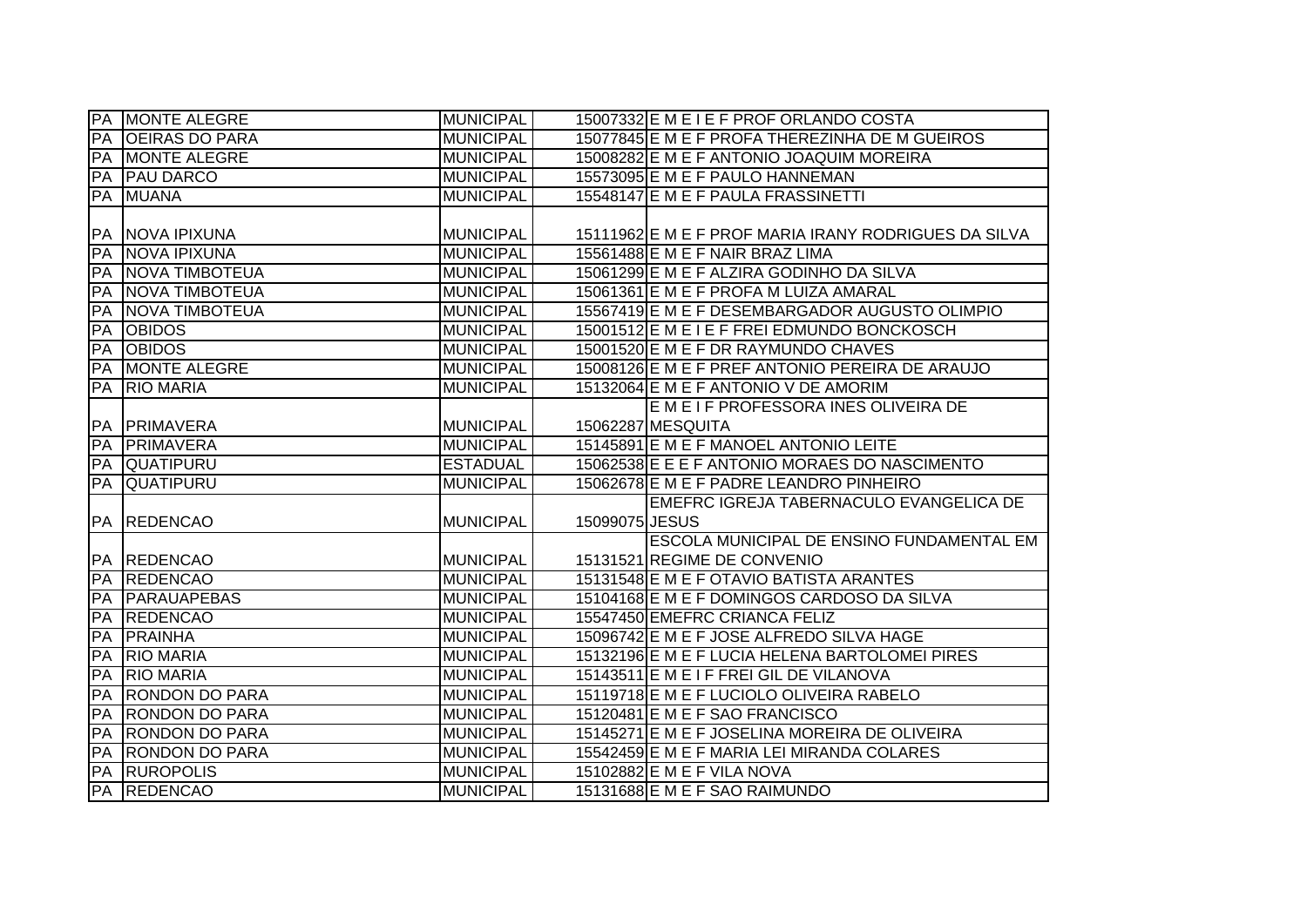| PA          | <b>MONTE ALEGRE</b>   | <b>MUNICIPAL</b> |                | 15007332 E M E I E F PROF ORLANDO COSTA              |
|-------------|-----------------------|------------------|----------------|------------------------------------------------------|
| PA          | <b>OEIRAS DO PARA</b> | <b>MUNICIPAL</b> |                | 15077845 E M E F PROFA THEREZINHA DE M GUEIROS       |
| PA          | <b>MONTE ALEGRE</b>   | <b>MUNICIPAL</b> |                | 15008282 E M E F ANTONIO JOAQUIM MOREIRA             |
| PA          | <b>IPAU DARCO</b>     | <b>MUNICIPAL</b> |                | 15573095 E M E F PAULO HANNEMAN                      |
| PA          | <b>MUANA</b>          | <b>MUNICIPAL</b> |                | 15548147 E M E F PAULA FRASSINETTI                   |
|             |                       |                  |                |                                                      |
| PA          | <b>NOVA IPIXUNA</b>   | <b>MUNICIPAL</b> |                | 15111962 E M E F PROF MARIA IRANY RODRIGUES DA SILVA |
| PA          | <b>NOVA IPIXUNA</b>   | <b>MUNICIPAL</b> |                | 15561488 E M E F NAIR BRAZ LIMA                      |
| <b>PA</b>   | <b>NOVA TIMBOTEUA</b> | <b>MUNICIPAL</b> |                | 15061299 E M E F ALZIRA GODINHO DA SILVA             |
| PA          | <b>NOVA TIMBOTEUA</b> | <b>MUNICIPAL</b> |                | 15061361 E M E F PROFA M LUIZA AMARAL                |
| PA          | <b>NOVA TIMBOTEUA</b> | <b>MUNICIPAL</b> |                | 15567419 E M E F DESEMBARGADOR AUGUSTO OLIMPIO       |
| PA          | <b>OBIDOS</b>         | <b>MUNICIPAL</b> |                | 15001512 E M E I E F FREI EDMUNDO BONCKOSCH          |
| PA          | <b>OBIDOS</b>         | <b>MUNICIPAL</b> |                | 15001520 E M E F DR RAYMUNDO CHAVES                  |
| PA          | MONTE ALEGRE          | <b>MUNICIPAL</b> |                | 15008126 E M E F PREF ANTONIO PEREIRA DE ARAUJO      |
| PA          | <b>RIO MARIA</b>      | <b>MUNICIPAL</b> |                | 15132064 E M E F ANTONIO V DE AMORIM                 |
|             |                       |                  |                | E M E I F PROFESSORA INES OLIVEIRA DE                |
| PA          | <b>PRIMAVERA</b>      | <b>MUNICIPAL</b> |                | 15062287 MESQUITA                                    |
| <b>PA</b>   | <b>PRIMAVERA</b>      | <b>MUNICIPAL</b> |                | 15145891 E M E F MANOEL ANTONIO LEITE                |
| PA          | <b>QUATIPURU</b>      | <b>ESTADUAL</b>  |                | 15062538 E E E F ANTONIO MORAES DO NASCIMENTO        |
| PA          | <b>QUATIPURU</b>      | <b>MUNICIPAL</b> |                | 15062678 E M E F PADRE LEANDRO PINHEIRO              |
|             |                       |                  |                | EMEFRC IGREJA TABERNACULO EVANGELICA DE              |
| PA          | <b>REDENCAO</b>       | <b>MUNICIPAL</b> | 15099075 JESUS |                                                      |
|             |                       |                  |                | ESCOLA MUNICIPAL DE ENSINO FUNDAMENTAL EM            |
|             | <b>PA REDENCAO</b>    | <b>MUNICIPAL</b> |                | 15131521 REGIME DE CONVENIO                          |
| <b>F</b> PA | <b>REDENCAO</b>       | <b>MUNICIPAL</b> |                | 15131548 E M E F OTAVIO BATISTA ARANTES              |
| PA          | <b>PARAUAPEBAS</b>    | <b>MUNICIPAL</b> |                | 15104168 E M E F DOMINGOS CARDOSO DA SILVA           |
| PA          | <b>REDENCAO</b>       | <b>MUNICIPAL</b> |                | 15547450 EMEFRC CRIANCA FELIZ                        |
| PA          | <b>FRAINHA</b>        | <b>MUNICIPAL</b> |                | 15096742 E M E F JOSE ALFREDO SILVA HAGE             |
| PA          | <b>RIO MARIA</b>      | <b>MUNICIPAL</b> |                | 15132196 E M E F LUCIA HELENA BARTOLOMEI PIRES       |
| PA          | <b>RIO MARIA</b>      | <b>MUNICIPAL</b> |                | 15143511 E M E I F FREI GIL DE VILANOVA              |
| PA          | <b>RONDON DO PARA</b> | <b>MUNICIPAL</b> |                | 15119718 E M E F LUCIOLO OLIVEIRA RABELO             |
| PA          | <b>RONDON DO PARA</b> | <b>MUNICIPAL</b> |                | 15120481 E M E F SAO FRANCISCO                       |
| PA          | <b>RONDON DO PARA</b> | <b>MUNICIPAL</b> |                | 15145271 E M E F JOSELINA MOREIRA DE OLIVEIRA        |
| PA          | <b>RONDON DO PARA</b> | <b>MUNICIPAL</b> |                | 15542459 E M E F MARIA LEI MIRANDA COLARES           |
| PA          | <b>RUROPOLIS</b>      | <b>MUNICIPAL</b> |                | 15102882 E M E F VILA NOVA                           |
|             | PA REDENCAO           | <b>MUNICIPAL</b> |                | 15131688 E M E F SAO RAIMUNDO                        |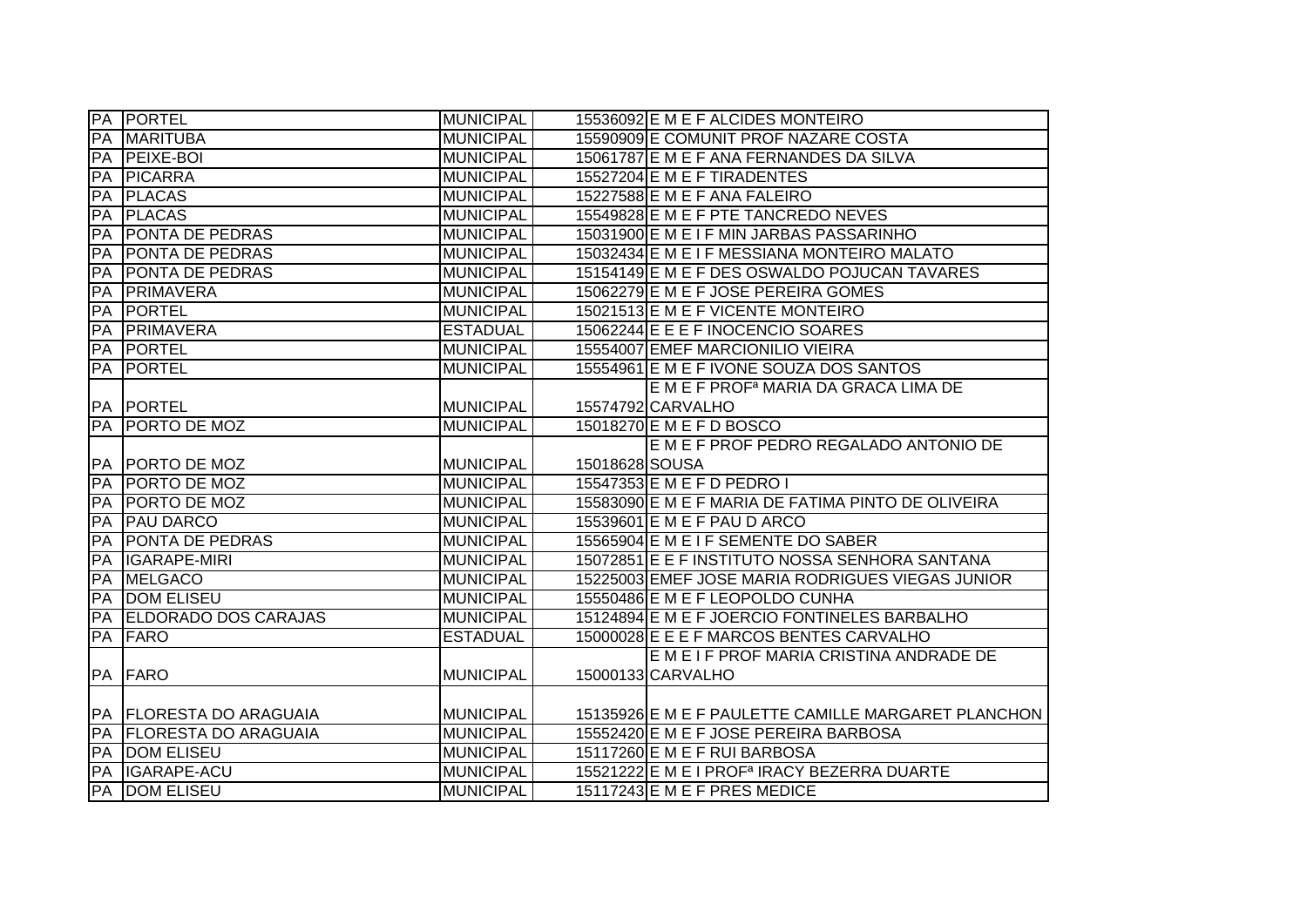|    | <b>PA PORTEL</b>            | <b>MUNICIPAL</b> |                | 15536092 E M E F ALCIDES MONTEIRO                       |
|----|-----------------------------|------------------|----------------|---------------------------------------------------------|
| PA | <b>MARITUBA</b>             | <b>MUNICIPAL</b> |                | 15590909 E COMUNIT PROF NAZARE COSTA                    |
| PA | <b>PEIXE-BOI</b>            | <b>MUNICIPAL</b> |                | 15061787 E M E F ANA FERNANDES DA SILVA                 |
| PA | <b>PICARRA</b>              | <b>MUNICIPAL</b> |                | 15527204 E M E F TIRADENTES                             |
| PA | <b>PLACAS</b>               | <b>MUNICIPAL</b> |                | 15227588 E M E F ANA FALEIRO                            |
| PA | <b>PLACAS</b>               | <b>MUNICIPAL</b> |                | 15549828 E M E F PTE TANCREDO NEVES                     |
| PA | <b>PONTA DE PEDRAS</b>      | <b>MUNICIPAL</b> |                | 15031900 E M E I F MIN JARBAS PASSARINHO                |
| PA | <b>PONTA DE PEDRAS</b>      | <b>MUNICIPAL</b> |                | 15032434 E M E I F MESSIANA MONTEIRO MALATO             |
| PA | <b>PONTA DE PEDRAS</b>      | <b>MUNICIPAL</b> |                | 15154149 E M E F DES OSWALDO POJUCAN TAVARES            |
| PA | PRIMAVERA                   | <b>MUNICIPAL</b> |                | 15062279 E M E F JOSE PEREIRA GOMES                     |
| PA | <b>PORTEL</b>               | <b>MUNICIPAL</b> |                | 15021513 E M E F VICENTE MONTEIRO                       |
| PA | PRIMAVERA                   | <b>ESTADUAL</b>  |                | 15062244 E E E F INOCENCIO SOARES                       |
| PA | <b>PORTEL</b>               | <b>MUNICIPAL</b> |                | 15554007 EMEF MARCIONILIO VIEIRA                        |
| PA | <b>PORTEL</b>               | <b>MUNICIPAL</b> |                | 15554961 E M E F IVONE SOUZA DOS SANTOS                 |
|    |                             |                  |                | E M E F PROFª MARIA DA GRACA LIMA DE                    |
|    | PA PORTEL                   | <b>MUNICIPAL</b> |                | 15574792 CARVALHO                                       |
| PA | <b>PORTO DE MOZ</b>         | <b>MUNICIPAL</b> |                | 15018270 E M E F D BOSCO                                |
|    |                             |                  |                | E M E F PROF PEDRO REGALADO ANTONIO DE                  |
|    | PA   PORTO DE MOZ           | <b>MUNICIPAL</b> | 15018628 SOUSA |                                                         |
| PA | <b>PORTO DE MOZ</b>         | <b>MUNICIPAL</b> |                | 15547353 E M E F D PEDRO I                              |
| PA | <b>PORTO DE MOZ</b>         | <b>MUNICIPAL</b> |                | 15583090 E M E F MARIA DE FATIMA PINTO DE OLIVEIRA      |
| PA | <b>PAU DARCO</b>            | <b>MUNICIPAL</b> |                | 15539601 E M E F PAU D ARCO                             |
| PA | <b>PONTA DE PEDRAS</b>      | <b>MUNICIPAL</b> |                | 15565904 E M E I F SEMENTE DO SABER                     |
| PA | IGARAPE-MIRI                | <b>MUNICIPAL</b> |                | 15072851 E E F INSTITUTO NOSSA SENHORA SANTANA          |
| PA | <b>MELGACO</b>              | <b>MUNICIPAL</b> |                | 15225003 EMEF JOSE MARIA RODRIGUES VIEGAS JUNIOR        |
| PA | <b>DOM ELISEU</b>           | <b>MUNICIPAL</b> |                | 15550486 E M E F LEOPOLDO CUNHA                         |
| PA | <b>ELDORADO DOS CARAJAS</b> | <b>MUNICIPAL</b> |                | 15124894 E M E F JOERCIO FONTINELES BARBALHO            |
| PA | FARO                        | <b>ESTADUAL</b>  |                | 15000028 E E E F MARCOS BENTES CARVALHO                 |
|    |                             |                  |                | E M E I F PROF MARIA CRISTINA ANDRADE DE                |
|    | PA FARO                     | <b>MUNICIPAL</b> |                | 15000133 CARVALHO                                       |
|    |                             |                  |                |                                                         |
|    | PA FLORESTA DO ARAGUAIA     | <b>MUNICIPAL</b> |                | 15135926 E M E F PAULETTE CAMILLE MARGARET PLANCHON     |
| PA | <b>FLORESTA DO ARAGUAIA</b> | <b>MUNICIPAL</b> |                | 15552420 E M E F JOSE PEREIRA BARBOSA                   |
| PA | <b>DOM ELISEU</b>           | <b>MUNICIPAL</b> |                | 15117260 E M E F RUI BARBOSA                            |
| PA | IGARAPE-ACU                 | <b>MUNICIPAL</b> |                | 15521222 E M E I PROF <sup>a</sup> IRACY BEZERRA DUARTE |
| PA | <b>DOM ELISEU</b>           | <b>MUNICIPAL</b> |                | 15117243 E M E F PRES MEDICE                            |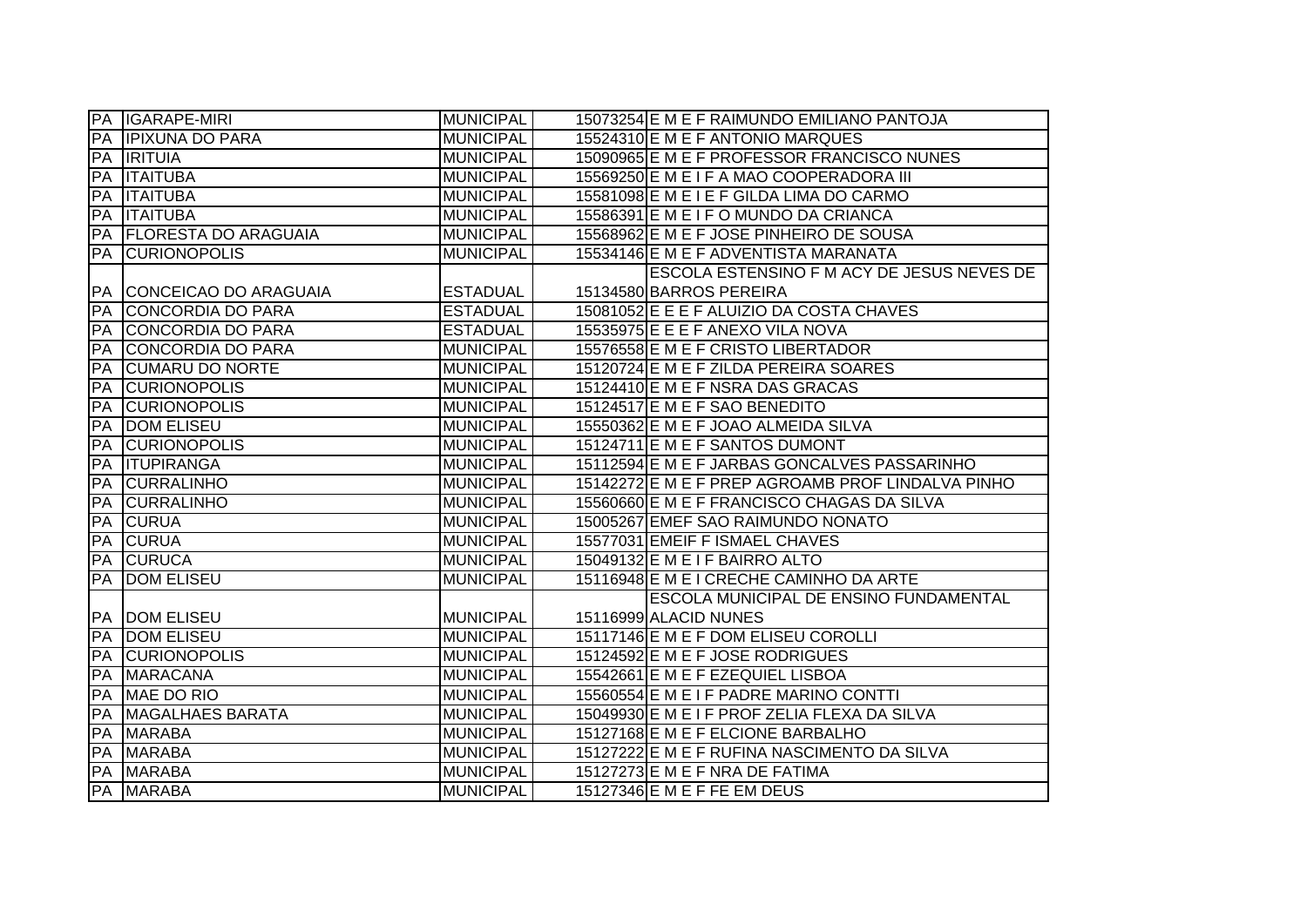|            | PA IGARAPE-MIRI                | <b>MUNICIPAL</b> | 15073254 E M E F RAIMUNDO EMILIANO PANTOJA        |
|------------|--------------------------------|------------------|---------------------------------------------------|
|            | PA IPIXUNA DO PARA             | <b>MUNICIPAL</b> | 15524310 E M E F ANTONIO MARQUES                  |
|            | PA <b>IRITUIA</b>              | <b>MUNICIPAL</b> | 15090965 E M E F PROFESSOR FRANCISCO NUNES        |
| <b>PA</b>  | <b>ITAITUBA</b>                | <b>MUNICIPAL</b> | 15569250 E M E I F A MAO COOPERADORA III          |
| PA         | <b>ITAITUBA</b>                | <b>MUNICIPAL</b> | 15581098 E M E I E F GILDA LIMA DO CARMO          |
| <b>IPA</b> | <b>ITAITUBA</b>                | <b>MUNICIPAL</b> | 15586391 E M E I F O MUNDO DA CRIANCA             |
|            | <b>PA FLORESTA DO ARAGUAIA</b> | <b>MUNICIPAL</b> | 15568962 E M E F JOSE PINHEIRO DE SOUSA           |
| PA         | <b>CURIONOPOLIS</b>            | <b>MUNICIPAL</b> | 15534146 E M E F ADVENTISTA MARANATA              |
|            |                                |                  | ESCOLA ESTENSINO F M ACY DE JESUS NEVES DE        |
| <b>PA</b>  | CONCEICAO DO ARAGUAIA          | <b>ESTADUAL</b>  | 15134580 BARROS PEREIRA                           |
| PA         | CONCORDIA DO PARA              | <b>ESTADUAL</b>  | 15081052 E E E F ALUIZIO DA COSTA CHAVES          |
| PA         | CONCORDIA DO PARA              | <b>ESTADUAL</b>  | 15535975 E E E F ANEXO VILA NOVA                  |
| <b>PA</b>  | CONCORDIA DO PARA              | <b>MUNICIPAL</b> | 15576558 E M E F CRISTO LIBERTADOR                |
| PA         | <b>CUMARU DO NORTE</b>         | <b>MUNICIPAL</b> | 15120724 E M E F ZILDA PEREIRA SOARES             |
| PA         | <b>CURIONOPOLIS</b>            | <b>MUNICIPAL</b> | 15124410 E M E F NSRA DAS GRACAS                  |
| PA         | <b>CURIONOPOLIS</b>            | <b>MUNICIPAL</b> | 15124517 E M E F SAO BENEDITO                     |
| PA         | <b>DOM ELISEU</b>              | <b>MUNICIPAL</b> | 15550362 E M E F JOAO ALMEIDA SILVA               |
| PA         | <b>CURIONOPOLIS</b>            | <b>MUNICIPAL</b> | 15124711 E M E F SANTOS DUMONT                    |
| PA         | <b>ITUPIRANGA</b>              | <b>MUNICIPAL</b> | 15112594 E M E F JARBAS GONCALVES PASSARINHO      |
| PA         | <b>CURRALINHO</b>              | <b>MUNICIPAL</b> | 15142272 E M E F PREP AGROAMB PROF LINDALVA PINHO |
| PA         | <b>CURRALINHO</b>              | <b>MUNICIPAL</b> | 15560660 E M E F FRANCISCO CHAGAS DA SILVA        |
| PA         | <b>CURUA</b>                   | <b>MUNICIPAL</b> | 15005267 EMEF SAO RAIMUNDO NONATO                 |
| PA         | <b>CURUA</b>                   | <b>MUNICIPAL</b> | 15577031 EMEIF F ISMAEL CHAVES                    |
| PA         | <b>CURUCA</b>                  | <b>MUNICIPAL</b> | 15049132 E M E I F BAIRRO ALTO                    |
| PA         | <b>DOM ELISEU</b>              | <b>MUNICIPAL</b> | 15116948 E M E I CRECHE CAMINHO DA ARTE           |
|            |                                |                  | ESCOLA MUNICIPAL DE ENSINO FUNDAMENTAL            |
| <b>PA</b>  | <b>DOM ELISEU</b>              | <b>MUNICIPAL</b> | 15116999 ALACID NUNES                             |
| PA         | <b>DOM ELISEU</b>              | <b>MUNICIPAL</b> | 15117146 E M E F DOM ELISEU COROLLI               |
| PA         | <b>CURIONOPOLIS</b>            | <b>MUNICIPAL</b> | 15124592 E M E F JOSE RODRIGUES                   |
| PA         | <b>MARACANA</b>                | <b>MUNICIPAL</b> | 15542661 E M E F EZEQUIEL LISBOA                  |
| PA         | MAE DO RIO                     | <b>MUNICIPAL</b> | 15560554 E M E I F PADRE MARINO CONTTI            |
| PA         | <b>MAGALHAES BARATA</b>        | <b>MUNICIPAL</b> | 15049930 E M E I F PROF ZELIA FLEXA DA SILVA      |
| PA         | <b>MARABA</b>                  | <b>MUNICIPAL</b> | 15127168 E M E F ELCIONE BARBALHO                 |
|            | <b>PA MARABA</b>               | <b>MUNICIPAL</b> | 15127222 E M E F RUFINA NASCIMENTO DA SILVA       |
|            | PA MARABA                      | <b>MUNICIPAL</b> | 15127273 E M E F NRA DE FATIMA                    |
|            | <b>PA MARABA</b>               | <b>MUNICIPAL</b> | 15127346 E M E F FE EM DEUS                       |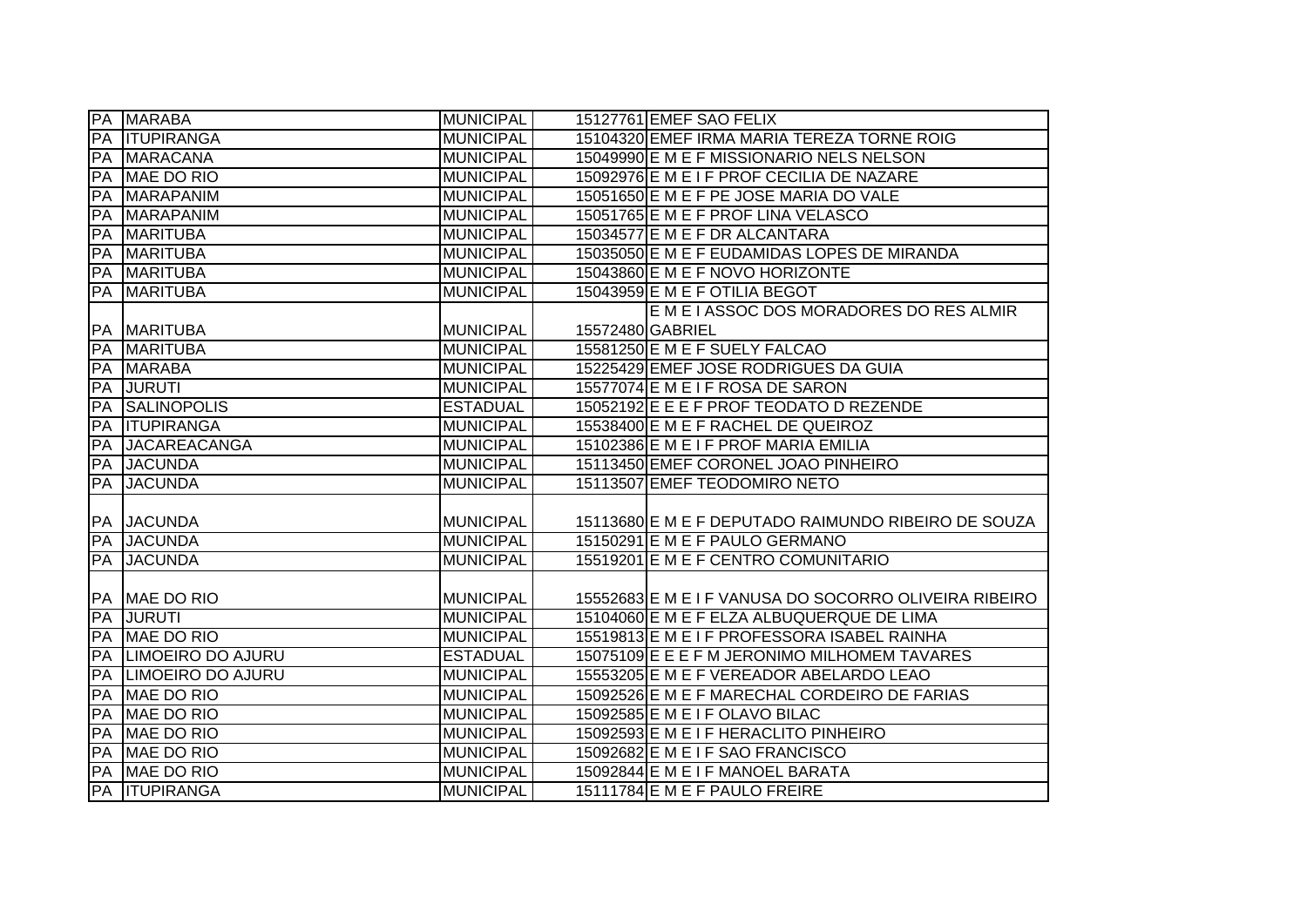|    | <b>PA MARABA</b>         | <b>MUNICIPAL</b> | 15127761 EMEF SAO FELIX                               |
|----|--------------------------|------------------|-------------------------------------------------------|
| PA | <b>ITUPIRANGA</b>        | <b>MUNICIPAL</b> | 15104320 EMEF IRMA MARIA TEREZA TORNE ROIG            |
| PA | <b>MARACANA</b>          | <b>MUNICIPAL</b> | 15049990 E M E F MISSIONARIO NELS NELSON              |
| PA | MAE DO RIO               | <b>MUNICIPAL</b> | 15092976 E M E I F PROF CECILIA DE NAZARE             |
| PA | <b>MARAPANIM</b>         | <b>MUNICIPAL</b> | 15051650 E M E F PE JOSE MARIA DO VALE                |
| PA | <b>MARAPANIM</b>         | <b>MUNICIPAL</b> | 15051765 E M E F PROF LINA VELASCO                    |
| PA | <b>MARITUBA</b>          | <b>MUNICIPAL</b> | 15034577 E M E F DR ALCANTARA                         |
| PA | <b>MARITUBA</b>          | <b>MUNICIPAL</b> | 15035050 E M E F EUDAMIDAS LOPES DE MIRANDA           |
| PA | <b>MARITUBA</b>          | <b>MUNICIPAL</b> | 15043860 E M E F NOVO HORIZONTE                       |
| PA | <b>MARITUBA</b>          | <b>MUNICIPAL</b> | 15043959 E M E F OTILIA BEGOT                         |
|    |                          |                  | E M E I ASSOC DOS MORADORES DO RES ALMIR              |
|    | PA MARITUBA              | <b>MUNICIPAL</b> | 15572480 GABRIEL                                      |
| PA | <b>MARITUBA</b>          | <b>MUNICIPAL</b> | 15581250 E M E F SUELY FALCAO                         |
| PA | <b>MARABA</b>            | <b>MUNICIPAL</b> | 15225429 EMEF JOSE RODRIGUES DA GUIA                  |
| PA | <b>JURUTI</b>            | <b>MUNICIPAL</b> | 15577074 E M E I F ROSA DE SARON                      |
| PA | <b>SALINOPOLIS</b>       | <b>ESTADUAL</b>  | 15052192 E E E F PROF TEODATO D REZENDE               |
| PA | <b>ITUPIRANGA</b>        | <b>MUNICIPAL</b> | 15538400 E M E F RACHEL DE QUEIROZ                    |
| PA | <b>JACAREACANGA</b>      | <b>MUNICIPAL</b> | 15102386 E M E I F PROF MARIA EMILIA                  |
| PA | <b>JACUNDA</b>           | <b>MUNICIPAL</b> | 15113450 EMEF CORONEL JOAO PINHEIRO                   |
| PA | <b>JACUNDA</b>           | <b>MUNICIPAL</b> | 15113507 EMEF TEODOMIRO NETO                          |
|    |                          |                  |                                                       |
|    | <b>PA JACUNDA</b>        | <b>MUNICIPAL</b> | 15113680 E M E F DEPUTADO RAIMUNDO RIBEIRO DE SOUZA   |
| PA | <b>JACUNDA</b>           | <b>MUNICIPAL</b> | 15150291 E M E F PAULO GERMANO                        |
| PA | <b>JACUNDA</b>           | <b>MUNICIPAL</b> | 15519201 E M E F CENTRO COMUNITARIO                   |
|    |                          |                  |                                                       |
|    | PA MAE DO RIO            | <b>MUNICIPAL</b> | 15552683 E M E I F VANUSA DO SOCORRO OLIVEIRA RIBEIRO |
| PA | <b>JURUTI</b>            | <b>MUNICIPAL</b> | 15104060 E M E F ELZA ALBUQUERQUE DE LIMA             |
| PA | MAE DO RIO               | <b>MUNICIPAL</b> | 15519813 E M E I F PROFESSORA ISABEL RAINHA           |
| PA | <b>LIMOEIRO DO AJURU</b> | <b>ESTADUAL</b>  | 15075109 E E E F M JERONIMO MILHOMEM TAVARES          |
| PA | LIMOEIRO DO AJURU        | <b>MUNICIPAL</b> | 15553205 E M E F VEREADOR ABELARDO LEAO               |
| PA | MAE DO RIO               | <b>MUNICIPAL</b> | 15092526 E M E F MARECHAL CORDEIRO DE FARIAS          |
| PA | MAE DO RIO               | <b>MUNICIPAL</b> | 15092585 E M E I F OLAVO BILAC                        |
| PA | MAE DO RIO               | <b>MUNICIPAL</b> | 15092593 E M E I F HERACLITO PINHEIRO                 |
| PA | MAE DO RIO               | <b>MUNICIPAL</b> | 15092682 E M E I F SAO FRANCISCO                      |
|    | PA MAE DO RIO            | <b>MUNICIPAL</b> | 15092844 E M E I F MANOEL BARATA                      |
|    | <b>PA ITUPIRANGA</b>     | <b>MUNICIPAL</b> | 15111784 E M E F PAULO FREIRE                         |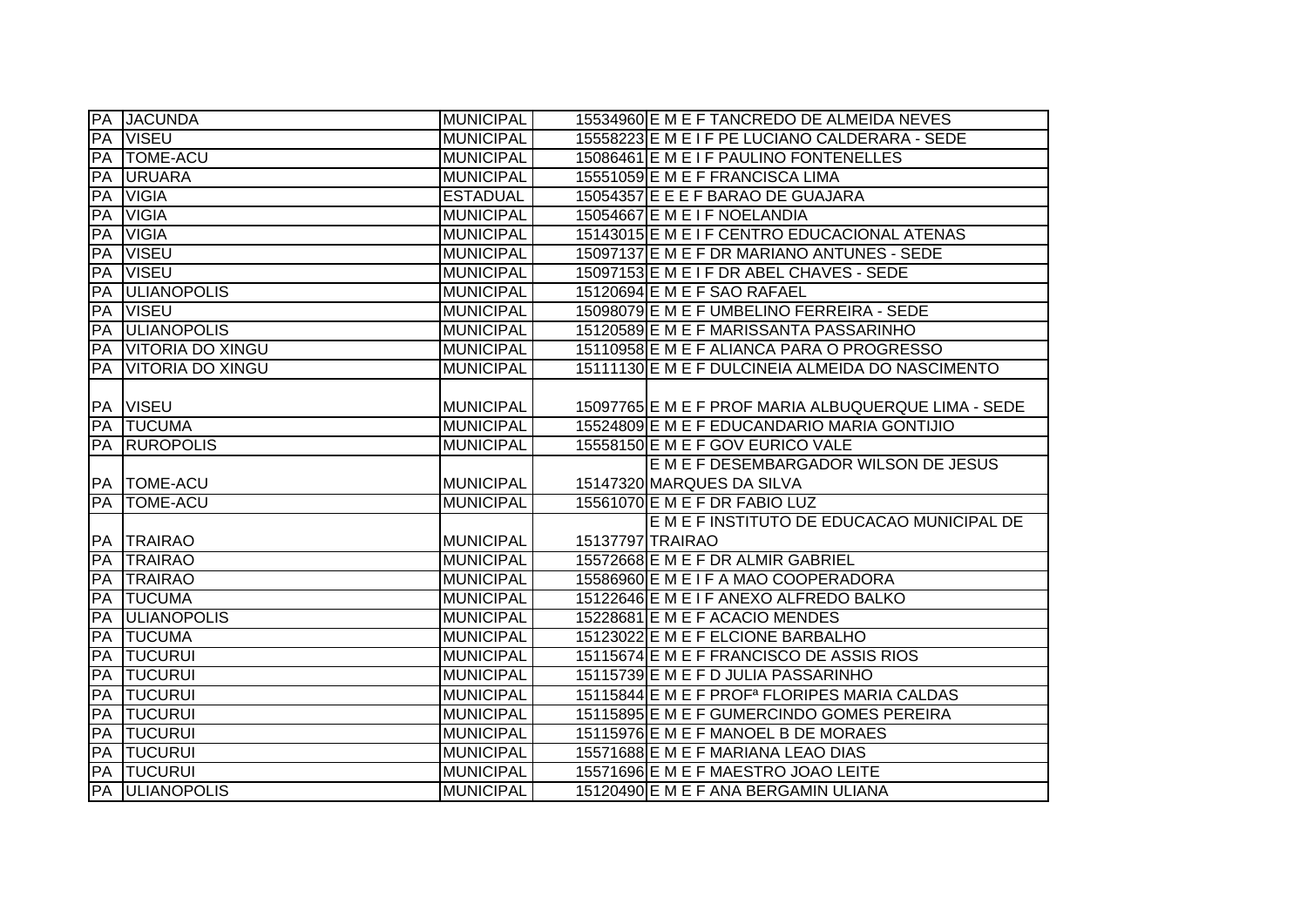|           | <b>PA JACUNDA</b>       | <b>MUNICIPAL</b> | 15534960 E M E F TANCREDO DE ALMEIDA NEVES               |
|-----------|-------------------------|------------------|----------------------------------------------------------|
| PA        | <b>VISEU</b>            | <b>MUNICIPAL</b> | 15558223 E M E I F PE LUCIANO CALDERARA - SEDE           |
| PA        | <b>TOME-ACU</b>         | <b>MUNICIPAL</b> | 15086461 E M E I F PAULINO FONTENELLES                   |
| PA        | <b>URUARA</b>           | <b>MUNICIPAL</b> | 15551059 E M E F FRANCISCA LIMA                          |
| PA        | <b>VIGIA</b>            | <b>ESTADUAL</b>  | 15054357 E E E F BARAO DE GUAJARA                        |
| PA        | <b>VIGIA</b>            | <b>MUNICIPAL</b> | 15054667 E M E I F NOELANDIA                             |
| PA        | <b>VIGIA</b>            | <b>MUNICIPAL</b> | 15143015 E M E I F CENTRO EDUCACIONAL ATENAS             |
| PA        | <b>VISEU</b>            | <b>MUNICIPAL</b> | 15097137 E M E F DR MARIANO ANTUNES - SEDE               |
| PA        | <b>VISEU</b>            | <b>MUNICIPAL</b> | 15097153 E M E I F DR ABEL CHAVES - SEDE                 |
| PA        | <b>ULIANOPOLIS</b>      | <b>MUNICIPAL</b> | 15120694 E M E F SAO RAFAEL                              |
| PA        | <b>VISEU</b>            | <b>MUNICIPAL</b> | 15098079 E M E F UMBELINO FERREIRA - SEDE                |
| PA        | <b>ULIANOPOLIS</b>      | <b>MUNICIPAL</b> | 15120589 E M E F MARISSANTA PASSARINHO                   |
| PA        | <b>VITORIA DO XINGU</b> | <b>MUNICIPAL</b> | 15110958 E M E F ALIANCA PARA O PROGRESSO                |
| PA        | <b>VITORIA DO XINGU</b> | <b>MUNICIPAL</b> | 15111130 E M E F DULCINEIA ALMEIDA DO NASCIMENTO         |
|           |                         |                  |                                                          |
| PA        | <b>VISEU</b>            | <b>MUNICIPAL</b> | 15097765 E M E F PROF MARIA ALBUQUERQUE LIMA - SEDE      |
| PA        | <b>TUCUMA</b>           | <b>MUNICIPAL</b> | 15524809 E M E F EDUCANDARIO MARIA GONTIJIO              |
| PA        | <b>RUROPOLIS</b>        | <b>MUNICIPAL</b> | 15558150 E M E F GOV EURICO VALE                         |
|           |                         |                  | E M E F DESEMBARGADOR WILSON DE JESUS                    |
|           | PA   TOME-ACU           | <b>MUNICIPAL</b> | 15147320 MARQUES DA SILVA                                |
| PA        | <b>TOME-ACU</b>         | <b>MUNICIPAL</b> | 15561070 E M E F DR FABIO LUZ                            |
|           |                         |                  | E M E F INSTITUTO DE EDUCACAO MUNICIPAL DE               |
|           | PA TRAIRAO              | <b>MUNICIPAL</b> | 15137797 TRAIRAO                                         |
| PA        | <b>TRAIRAO</b>          | <b>MUNICIPAL</b> | 15572668 E M E F DR ALMIR GABRIEL                        |
| PA        | <b>TRAIRAO</b>          |                  |                                                          |
| <b>PA</b> |                         | <b>MUNICIPAL</b> | 15586960 E M E I F A MAO COOPERADORA                     |
|           | <b>TUCUMA</b>           | <b>MUNICIPAL</b> | 15122646 E M E I F ANEXO ALFREDO BALKO                   |
| PA        | <b>ULIANOPOLIS</b>      | <b>MUNICIPAL</b> | 15228681 E M E F ACACIO MENDES                           |
| PA        | <b>TUCUMA</b>           | <b>MUNICIPAL</b> | 15123022 E M E F ELCIONE BARBALHO                        |
| PA        | <b>TUCURUI</b>          | <b>MUNICIPAL</b> | 15115674 E M E F FRANCISCO DE ASSIS RIOS                 |
| PA        | <b>TUCURUI</b>          | <b>MUNICIPAL</b> | 15115739 E M E F D JULIA PASSARINHO                      |
| PA        | <b>TUCURUI</b>          | <b>MUNICIPAL</b> | 15115844 E M E F PROF <sup>a</sup> FLORIPES MARIA CALDAS |
| PA        | <b>TUCURUI</b>          | <b>MUNICIPAL</b> | 15115895 E M E F GUMERCINDO GOMES PEREIRA                |
| PA        | <b>TUCURUI</b>          | <b>MUNICIPAL</b> | 15115976 E M E F MANOEL B DE MORAES                      |
| PA        | <b>TUCURUI</b>          | <b>MUNICIPAL</b> | 15571688 E M E F MARIANA LEAO DIAS                       |
| PA<br>PA  | <b>TUCURUI</b>          | <b>MUNICIPAL</b> | 15571696 E M E F MAESTRO JOAO LEITE                      |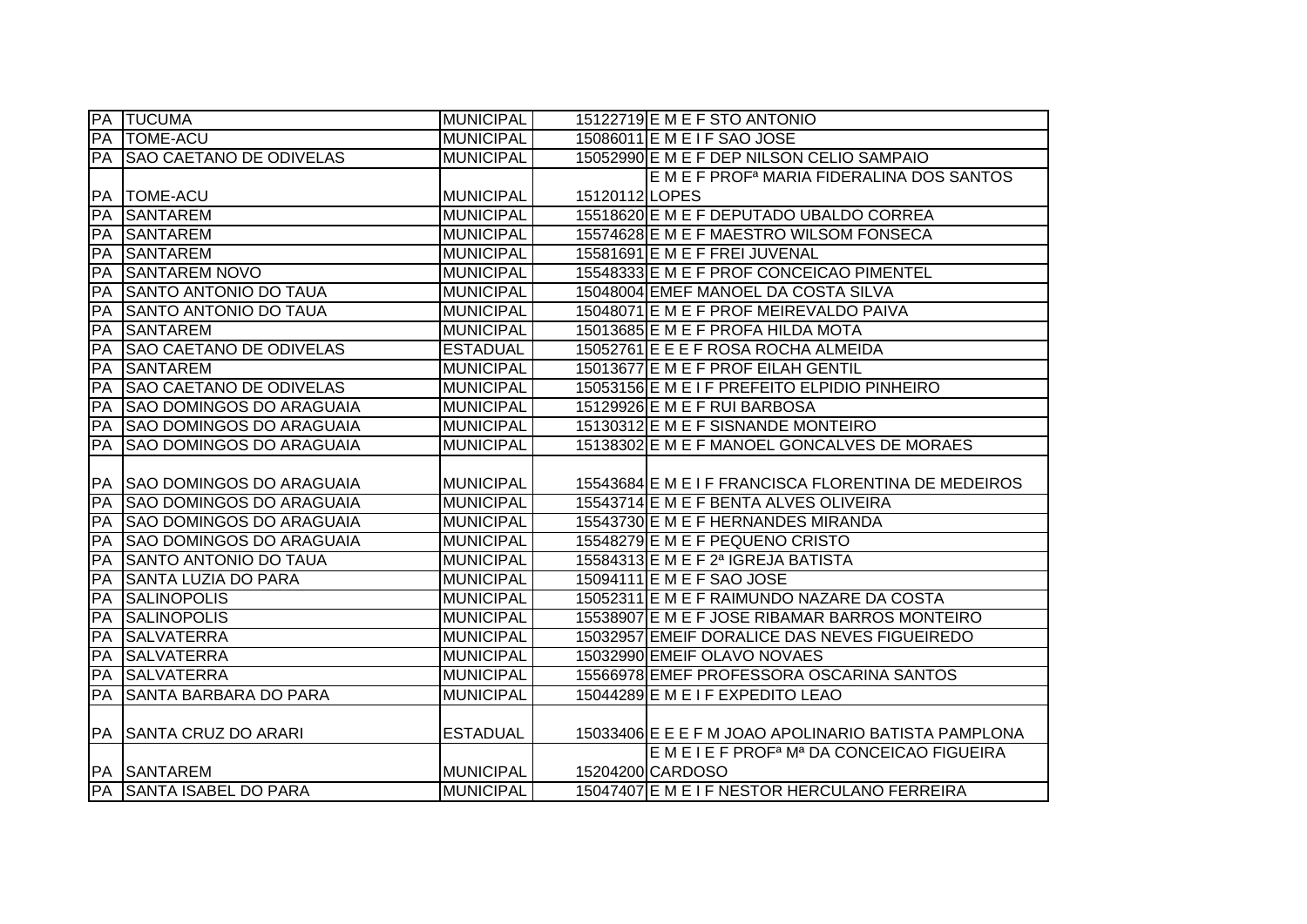| <b>PA</b> | <b>TUCUMA</b>                   | <b>MUNICIPAL</b> |               | 15122719 E M E F STO ANTONIO                                       |
|-----------|---------------------------------|------------------|---------------|--------------------------------------------------------------------|
| PA        | <b>TOME-ACU</b>                 | <b>MUNICIPAL</b> |               | 15086011 E M E I F SAO JOSE                                        |
| PA        | <b>SAO CAETANO DE ODIVELAS</b>  | <b>MUNICIPAL</b> |               | 15052990 E M E F DEP NILSON CELIO SAMPAIO                          |
|           |                                 |                  |               | E M E F PROF <sup>a</sup> MARIA FIDERALINA DOS SANTOS              |
| <b>PA</b> | <b>TOME-ACU</b>                 | <b>MUNICIPAL</b> | 15120112LOPES |                                                                    |
| PA        | <b>SANTAREM</b>                 | <b>MUNICIPAL</b> |               | 15518620 E M E F DEPUTADO UBALDO CORREA                            |
| PA        | <b>SANTAREM</b>                 | <b>MUNICIPAL</b> |               | 15574628 E M E F MAESTRO WILSOM FONSECA                            |
| PA        | <b>SANTAREM</b>                 | <b>MUNICIPAL</b> |               | 15581691 E M E F FREI JUVENAL                                      |
| PA        | <b>SANTAREM NOVO</b>            | <b>MUNICIPAL</b> |               | 15548333 E M E F PROF CONCEICAO PIMENTEL                           |
| PA        | <b>SANTO ANTONIO DO TAUA</b>    | <b>MUNICIPAL</b> |               | 15048004 EMEF MANOEL DA COSTA SILVA                                |
| PA        | <b>SANTO ANTONIO DO TAUA</b>    | <b>MUNICIPAL</b> |               | 15048071 E M E F PROF MEIREVALDO PAIVA                             |
| PA        | <b>SANTAREM</b>                 | <b>MUNICIPAL</b> |               | 15013685 E M E F PROFA HILDA MOTA                                  |
| PA        | <b>SAO CAETANO DE ODIVELAS</b>  | <b>ESTADUAL</b>  |               | 15052761 E E E F ROSA ROCHA ALMEIDA                                |
| PA        | <b>SANTAREM</b>                 | <b>MUNICIPAL</b> |               | 15013677 E M E F PROF EILAH GENTIL                                 |
| PA        | <b>SAO CAETANO DE ODIVELAS</b>  | <b>MUNICIPAL</b> |               | 15053156 E M E I F PREFEITO ELPIDIO PINHEIRO                       |
| PA        | <b>SAO DOMINGOS DO ARAGUAIA</b> | <b>MUNICIPAL</b> |               | 15129926 E M E F RUI BARBOSA                                       |
| PA        | <b>SAO DOMINGOS DO ARAGUAIA</b> | <b>MUNICIPAL</b> |               | 15130312 E M E F SISNANDE MONTEIRO                                 |
| PA        | <b>SAO DOMINGOS DO ARAGUAIA</b> | <b>MUNICIPAL</b> |               | 15138302 E M E F MANOEL GONCALVES DE MORAES                        |
|           |                                 |                  |               |                                                                    |
| PA        | <b>SAO DOMINGOS DO ARAGUAIA</b> | <b>MUNICIPAL</b> |               | 15543684 E M E I F FRANCISCA FLORENTINA DE MEDEIROS                |
| PA        | <b>SAO DOMINGOS DO ARAGUAIA</b> | <b>MUNICIPAL</b> |               | 15543714 E M E F BENTA ALVES OLIVEIRA                              |
| PA        | <b>SAO DOMINGOS DO ARAGUAIA</b> | <b>MUNICIPAL</b> |               | 15543730 E M E F HERNANDES MIRANDA                                 |
| PA        | <b>SAO DOMINGOS DO ARAGUAIA</b> | <b>MUNICIPAL</b> |               | 15548279 E M E F PEQUENO CRISTO                                    |
| PA        | <b>SANTO ANTONIO DO TAUA</b>    | <b>MUNICIPAL</b> |               | 15584313 E M E F 2ª IGREJA BATISTA                                 |
| PA        | <b>SANTA LUZIA DO PARA</b>      | <b>MUNICIPAL</b> |               | 15094111 E M E F SAO JOSE                                          |
| PA        | <b>SALINOPOLIS</b>              | <b>MUNICIPAL</b> |               | 15052311 E M E F RAIMUNDO NAZARE DA COSTA                          |
| PA        | <b>SALINOPOLIS</b>              | <b>MUNICIPAL</b> |               | 15538907 E M E F JOSE RIBAMAR BARROS MONTEIRO                      |
| PA        | <b>SALVATERRA</b>               | <b>MUNICIPAL</b> |               | 15032957 EMEIF DORALICE DAS NEVES FIGUEIREDO                       |
| PA        | <b>SALVATERRA</b>               | <b>MUNICIPAL</b> |               | 15032990 EMEIF OLAVO NOVAES                                        |
| PA        | <b>SALVATERRA</b>               | <b>MUNICIPAL</b> |               | 15566978 EMEF PROFESSORA OSCARINA SANTOS                           |
| PA        | <b>SANTA BARBARA DO PARA</b>    | <b>MUNICIPAL</b> |               | 15044289 E M E I F EXPEDITO LEAO                                   |
|           |                                 |                  |               |                                                                    |
| PA        | <b>SANTA CRUZ DO ARARI</b>      | <b>ESTADUAL</b>  |               | 15033406 E E E F M JOAO APOLINARIO BATISTA PAMPLONA                |
|           |                                 |                  |               | E M E I E F PROF <sup>a</sup> M <sup>a</sup> DA CONCEICAO FIGUEIRA |
|           | PA SANTAREM                     | <b>MUNICIPAL</b> |               | 15204200 CARDOSO                                                   |
| <b>PA</b> | <b>SANTA ISABEL DO PARA</b>     | <b>MUNICIPAL</b> |               | 15047407 E M E I F NESTOR HERCULANO FERREIRA                       |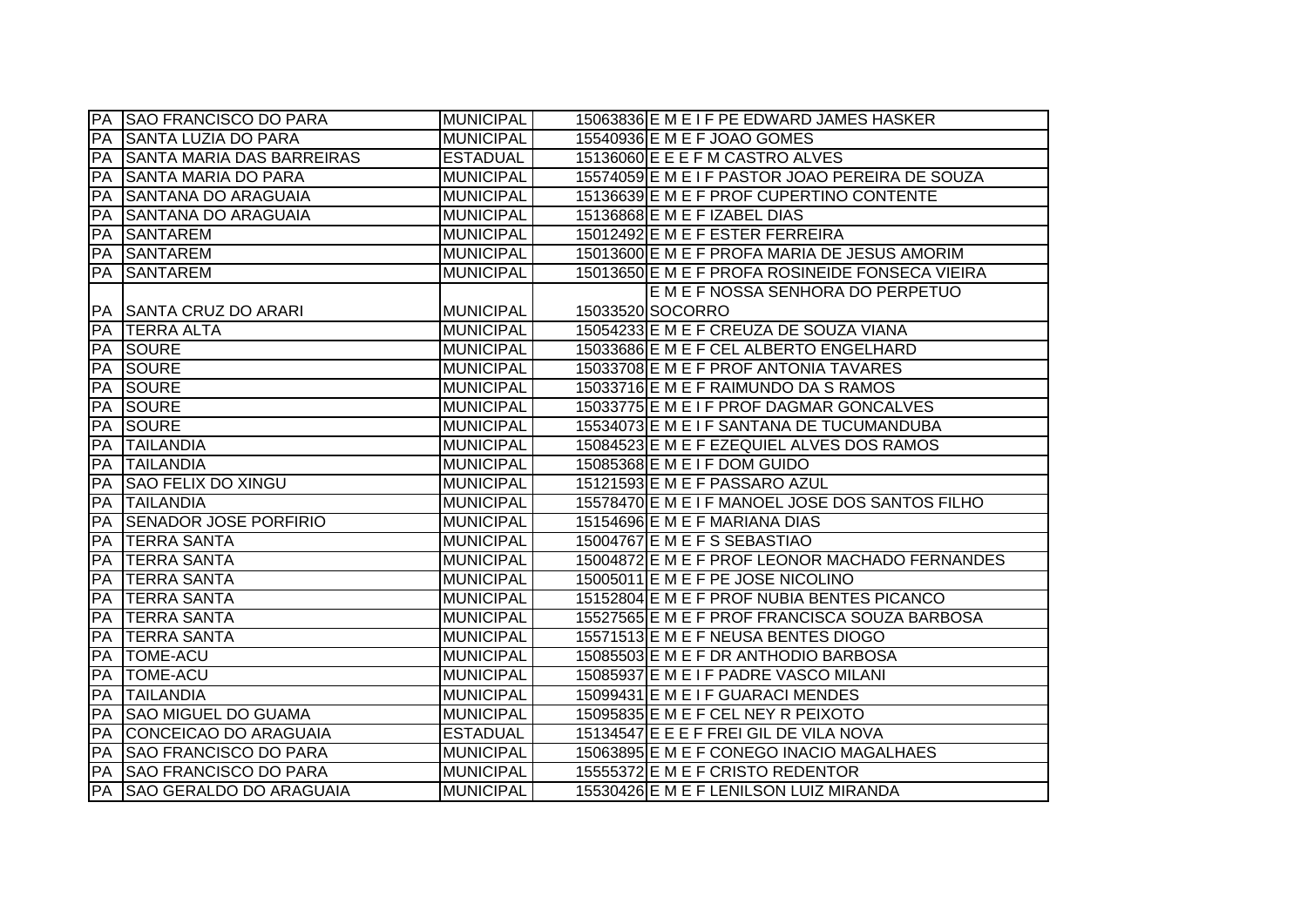|            | <b>PA SAO FRANCISCO DO PARA</b> | <b>MUNICIPAL</b> | 15063836 E M E I F PE EDWARD JAMES HASKER       |
|------------|---------------------------------|------------------|-------------------------------------------------|
| PA         | <b>SANTA LUZIA DO PARA</b>      | <b>MUNICIPAL</b> | 15540936 E M E F JOAO GOMES                     |
| PA         | SANTA MARIA DAS BARREIRAS       | <b>ESTADUAL</b>  | 15136060 E E E F M CASTRO ALVES                 |
| PA         | <b>SANTA MARIA DO PARA</b>      | <b>MUNICIPAL</b> | 15574059 E M E I F PASTOR JOAO PEREIRA DE SOUZA |
| PA         | <b>SANTANA DO ARAGUAIA</b>      | <b>MUNICIPAL</b> | 15136639 E M E F PROF CUPERTINO CONTENTE        |
| <b>PA</b>  | <b>SANTANA DO ARAGUAIA</b>      | <b>MUNICIPAL</b> | 15136868 E M E F IZABEL DIAS                    |
| <b>FPA</b> | <b>SANTAREM</b>                 | <b>MUNICIPAL</b> | 15012492 E M E F ESTER FERREIRA                 |
| PA         | <b>SANTAREM</b>                 | MUNICIPAL        | 15013600 E M E F PROFA MARIA DE JESUS AMORIM    |
| PA         | <b>SANTAREM</b>                 | <b>MUNICIPAL</b> | 15013650 E M E F PROFA ROSINEIDE FONSECA VIEIRA |
|            |                                 |                  | E M E F NOSSA SENHORA DO PERPETUO               |
| PA         | <b>SANTA CRUZ DO ARARI</b>      | <b>MUNICIPAL</b> | 15033520 SOCORRO                                |
| PA         | <b>TERRA ALTA</b>               | <b>MUNICIPAL</b> | 15054233 E M E F CREUZA DE SOUZA VIANA          |
| PA         | <b>SOURE</b>                    | <b>MUNICIPAL</b> | 15033686 E M E F CEL ALBERTO ENGELHARD          |
| PA         | <b>SOURE</b>                    | <b>MUNICIPAL</b> | 15033708 E M E F PROF ANTONIA TAVARES           |
| PA         | <b>SOURE</b>                    | <b>MUNICIPAL</b> | 15033716 E M E F RAIMUNDO DA S RAMOS            |
| PA         | <b>SOURE</b>                    | <b>MUNICIPAL</b> | 15033775 E M E I F PROF DAGMAR GONCALVES        |
| PA         | <b>SOURE</b>                    | <b>MUNICIPAL</b> | 15534073 E M E I F SANTANA DE TUCUMANDUBA       |
| PA         | <b>TAILANDIA</b>                | <b>MUNICIPAL</b> | 15084523 E M E F EZEQUIEL ALVES DOS RAMOS       |
| PA         | <b>TAILANDIA</b>                | <b>MUNICIPAL</b> | 15085368 E M E I F DOM GUIDO                    |
| PA         | <b>SAO FELIX DO XINGU</b>       | MUNICIPAL        | 15121593 E M E F PASSARO AZUL                   |
| PA         | <b>TAILANDIA</b>                | MUNICIPAL        | 15578470 E M E I F MANOEL JOSE DOS SANTOS FILHO |
| PA         | <b>SENADOR JOSE PORFIRIO</b>    | MUNICIPAL        | 15154696 E M E F MARIANA DIAS                   |
| PA         | <b>TERRA SANTA</b>              | <b>MUNICIPAL</b> | 15004767 E M E F S SEBASTIAO                    |
| PA         | <b>TERRA SANTA</b>              | <b>MUNICIPAL</b> | 15004872 E M E F PROF LEONOR MACHADO FERNANDES  |
| PA         | <b>TERRA SANTA</b>              | <b>MUNICIPAL</b> | 15005011 E M E F PE JOSE NICOLINO               |
| PA         | <b>TERRA SANTA</b>              | <b>MUNICIPAL</b> | 15152804 E M E F PROF NUBIA BENTES PICANCO      |
| PA         | <b>TERRA SANTA</b>              | <b>MUNICIPAL</b> | 15527565 E M E F PROF FRANCISCA SOUZA BARBOSA   |
| PA         | <b>TERRA SANTA</b>              | <b>MUNICIPAL</b> | 15571513 E M E F NEUSA BENTES DIOGO             |
| PA         | <b>TOME-ACU</b>                 | <b>MUNICIPAL</b> | 15085503 E M E F DR ANTHODIO BARBOSA            |
| PA         | <b>TOME-ACU</b>                 | <b>MUNICIPAL</b> | 15085937 E M E I F PADRE VASCO MILANI           |
| PA         | <b>TAILANDIA</b>                | <b>MUNICIPAL</b> | 15099431 E M E I F GUARACI MENDES               |
| <b>IPA</b> | <b>SAO MIGUEL DO GUAMA</b>      | MUNICIPAL        | 15095835 E M E F CEL NEY R PEIXOTO              |
| PA         | CONCEICAO DO ARAGUAIA           | <b>ESTADUAL</b>  | 15134547 E E E F FREI GIL DE VILA NOVA          |
| PA         | <b>SAO FRANCISCO DO PARA</b>    | MUNICIPAL        | 15063895 E M E F CONEGO INACIO MAGALHAES        |
| PA         | <b>SAO FRANCISCO DO PARA</b>    | <b>MUNICIPAL</b> | 15555372 E M E F CRISTO REDENTOR                |
|            | PA SAO GERALDO DO ARAGUAIA      | <b>MUNICIPAL</b> | 15530426 E M E F LENILSON LUIZ MIRANDA          |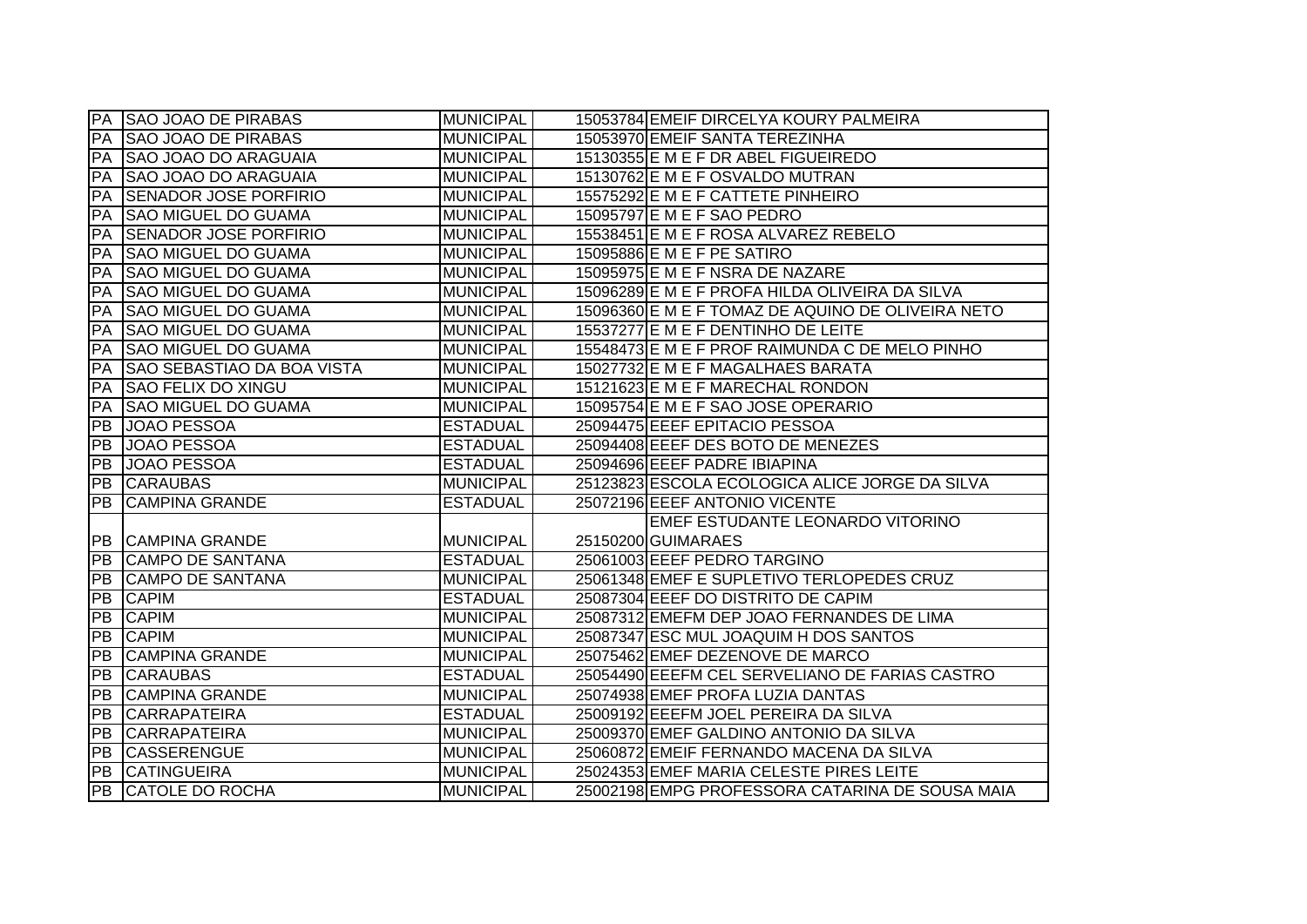|                 | PA SAO JOAO DE PIRABAS            | <b>MUNICIPAL</b> | 15053784 EMEIF DIRCELYA KOURY PALMEIRA            |
|-----------------|-----------------------------------|------------------|---------------------------------------------------|
| PA              | <b>SAO JOAO DE PIRABAS</b>        | <b>MUNICIPAL</b> | 15053970 EMEIF SANTA TEREZINHA                    |
| PA              | <b>SAO JOAO DO ARAGUAIA</b>       | <b>MUNICIPAL</b> | 15130355 E M E F DR ABEL FIGUEIREDO               |
| PA              | <b>SAO JOAO DO ARAGUAIA</b>       | <b>MUNICIPAL</b> | 15130762 E M E F OSVALDO MUTRAN                   |
| PA              | <b>SENADOR JOSE PORFIRIO</b>      | <b>MUNICIPAL</b> | 15575292 E M E F CATTETE PINHEIRO                 |
| PA              | <b>SAO MIGUEL DO GUAMA</b>        | <b>MUNICIPAL</b> | 15095797 E M E F SAO PEDRO                        |
| PA              | <b>SENADOR JOSE PORFIRIO</b>      | <b>MUNICIPAL</b> | 15538451 E M E F ROSA ALVAREZ REBELO              |
| PA              | <b>SAO MIGUEL DO GUAMA</b>        | <b>MUNICIPAL</b> | 15095886 E M E F PE SATIRO                        |
| PA              | <b>SAO MIGUEL DO GUAMA</b>        | <b>MUNICIPAL</b> | 15095975 E M E F NSRA DE NAZARE                   |
| PA              | <b>SAO MIGUEL DO GUAMA</b>        | <b>MUNICIPAL</b> | 15096289 E M E F PROFA HILDA OLIVEIRA DA SILVA    |
| PA              | <b>SAO MIGUEL DO GUAMA</b>        | <b>MUNICIPAL</b> | 15096360 E M E F TOMAZ DE AQUINO DE OLIVEIRA NETO |
| PA              | <b>SAO MIGUEL DO GUAMA</b>        | <b>MUNICIPAL</b> | 15537277 E M E F DENTINHO DE LEITE                |
| PA              | <b>SAO MIGUEL DO GUAMA</b>        | <b>MUNICIPAL</b> | 15548473 E M E F PROF RAIMUNDA C DE MELO PINHO    |
| PA              | <b>SAO SEBASTIAO DA BOA VISTA</b> | <b>MUNICIPAL</b> | 15027732 E M E F MAGALHAES BARATA                 |
| PA              | <b>SAO FELIX DO XINGU</b>         | <b>MUNICIPAL</b> | 15121623 E M E F MARECHAL RONDON                  |
| PA              | <b>SAO MIGUEL DO GUAMA</b>        | <b>MUNICIPAL</b> | 15095754 E M E F SAO JOSE OPERARIO                |
| PB              | <b>JOAO PESSOA</b>                | <b>ESTADUAL</b>  | 25094475 EEEF EPITACIO PESSOA                     |
| PB              | <b>JOAO PESSOA</b>                | <b>ESTADUAL</b>  | 25094408 EEEF DES BOTO DE MENEZES                 |
| <b>PB</b>       | <b>JOAO PESSOA</b>                | <b>ESTADUAL</b>  | 25094696 EEEF PADRE IBIAPINA                      |
| PB              | <b>CARAUBAS</b>                   | <b>MUNICIPAL</b> | 25123823 ESCOLA ECOLOGICA ALICE JORGE DA SILVA    |
| PB              | <b>CAMPINA GRANDE</b>             | <b>ESTADUAL</b>  | 25072196 EEEF ANTONIO VICENTE                     |
|                 |                                   |                  | EMEF ESTUDANTE LEONARDO VITORINO                  |
|                 | PB CAMPINA GRANDE                 | <b>MUNICIPAL</b> | 25150200 GUIMARAES                                |
| PB              | <b>CAMPO DE SANTANA</b>           | <b>ESTADUAL</b>  | 25061003 EEEF PEDRO TARGINO                       |
| PB              | <b>CAMPO DE SANTANA</b>           | <b>MUNICIPAL</b> | 25061348 EMEF E SUPLETIVO TERLOPEDES CRUZ         |
| <b>PB</b>       | <b>CAPIM</b>                      | <b>ESTADUAL</b>  | 25087304 EEEF DO DISTRITO DE CAPIM                |
| PB              | <b>CAPIM</b>                      | <b>MUNICIPAL</b> | 25087312 EMEFM DEP JOAO FERNANDES DE LIMA         |
| PB              | <b>CAPIM</b>                      | <b>MUNICIPAL</b> | 25087347 ESC MUL JOAQUIM H DOS SANTOS             |
| PB              | <b>CAMPINA GRANDE</b>             | <b>MUNICIPAL</b> | 25075462 EMEF DEZENOVE DE MARCO                   |
| PB              | <b>CARAUBAS</b>                   | <b>ESTADUAL</b>  | 25054490 EEEFM CEL SERVELIANO DE FARIAS CASTRO    |
| PB              | <b>CAMPINA GRANDE</b>             | <b>MUNICIPAL</b> | 25074938 EMEF PROFA LUZIA DANTAS                  |
| PB              | <b>CARRAPATEIRA</b>               | <b>ESTADUAL</b>  | 25009192 EEEFM JOEL PEREIRA DA SILVA              |
| PB              | <b>CARRAPATEIRA</b>               | <b>MUNICIPAL</b> | 25009370 EMEF GALDINO ANTONIO DA SILVA            |
| PB              | <b>CASSERENGUE</b>                | <b>MUNICIPAL</b> | 25060872 EMEIF FERNANDO MACENA DA SILVA           |
|                 |                                   |                  |                                                   |
| $\overline{PB}$ | <b>CATINGUEIRA</b>                | <b>MUNICIPAL</b> | 25024353 EMEF MARIA CELESTE PIRES LEITE           |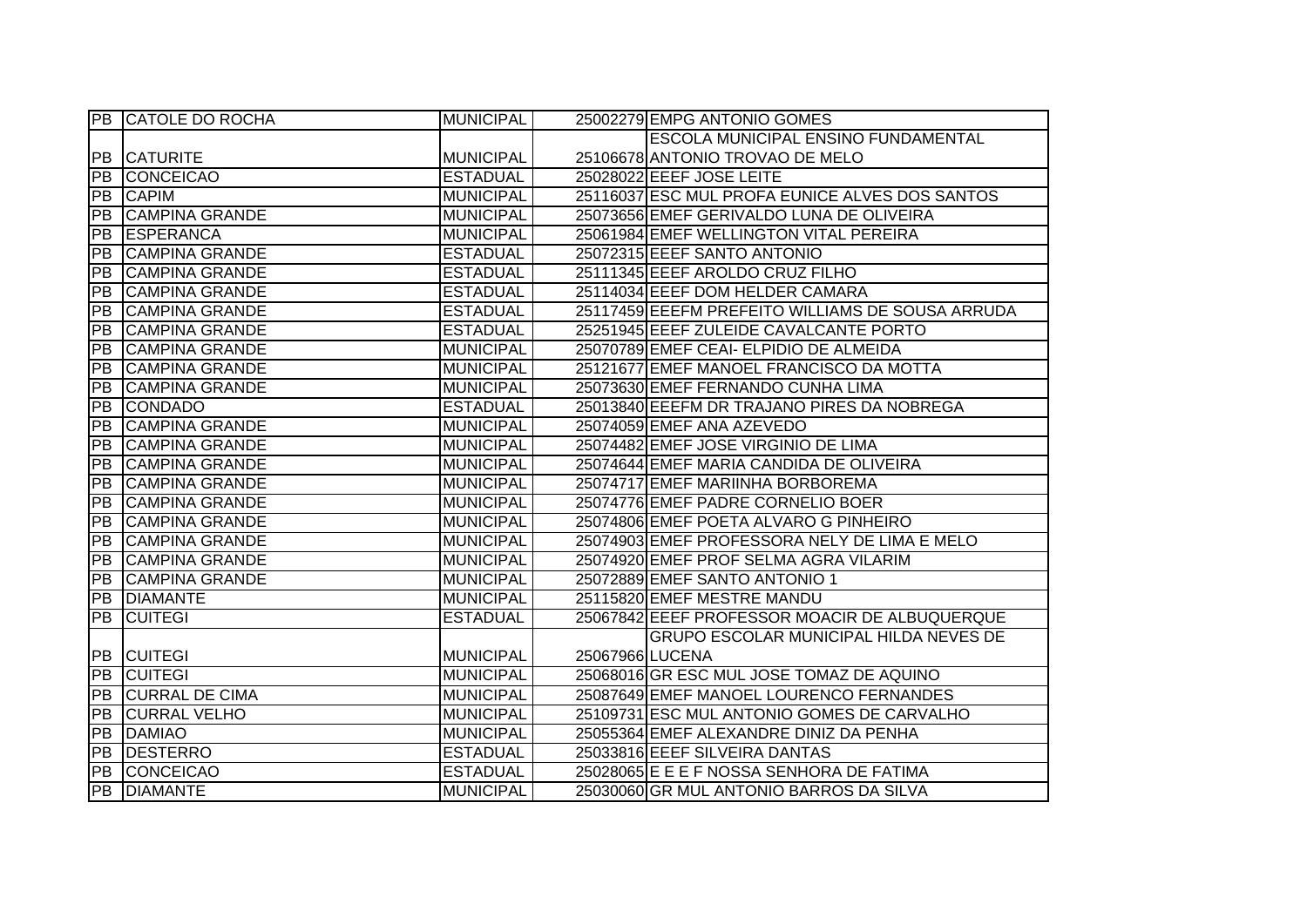|                 | <b>PB CATOLE DO ROCHA</b> | <b>MUNICIPAL</b> |                 | 25002279 EMPG ANTONIO GOMES                      |
|-----------------|---------------------------|------------------|-----------------|--------------------------------------------------|
|                 |                           |                  |                 | ESCOLA MUNICIPAL ENSINO FUNDAMENTAL              |
|                 | PB CATURITE               | <b>MUNICIPAL</b> |                 | 25106678 ANTONIO TROVAO DE MELO                  |
| $\overline{PB}$ | <b>CONCEICAO</b>          | <b>ESTADUAL</b>  |                 | 25028022 EEEF JOSE LEITE                         |
| PB              | <b>CAPIM</b>              | <b>MUNICIPAL</b> |                 | 25116037 ESC MUL PROFA EUNICE ALVES DOS SANTOS   |
| PB              | <b>CAMPINA GRANDE</b>     | <b>MUNICIPAL</b> |                 | 25073656 EMEF GERIVALDO LUNA DE OLIVEIRA         |
| $\overline{PB}$ | <b>ESPERANCA</b>          | <b>MUNICIPAL</b> |                 | 25061984 EMEF WELLINGTON VITAL PEREIRA           |
| PB              | <b>CAMPINA GRANDE</b>     | <b>ESTADUAL</b>  |                 | 25072315 EEEF SANTO ANTONIO                      |
| PB              | <b>CAMPINA GRANDE</b>     | <b>ESTADUAL</b>  |                 | 25111345 EEEF AROLDO CRUZ FILHO                  |
| <b>PB</b>       | <b>CAMPINA GRANDE</b>     | <b>ESTADUAL</b>  |                 | 25114034 EEEF DOM HELDER CAMARA                  |
| PB              | <b>CAMPINA GRANDE</b>     | <b>ESTADUAL</b>  |                 | 25117459 EEEFM PREFEITO WILLIAMS DE SOUSA ARRUDA |
| PB              | <b>CAMPINA GRANDE</b>     | <b>ESTADUAL</b>  |                 | 25251945 EEEF ZULEIDE CAVALCANTE PORTO           |
| <b>PB</b>       | <b>CAMPINA GRANDE</b>     | <b>MUNICIPAL</b> |                 | 25070789 EMEF CEAI- ELPIDIO DE ALMEIDA           |
| PB              | <b>CAMPINA GRANDE</b>     | <b>MUNICIPAL</b> |                 | 25121677 EMEF MANOEL FRANCISCO DA MOTTA          |
| PB              | <b>CAMPINA GRANDE</b>     | <b>MUNICIPAL</b> |                 | 25073630 EMEF FERNANDO CUNHA LIMA                |
| $\overline{PB}$ | <b>CONDADO</b>            | <b>ESTADUAL</b>  |                 | 25013840 EEEFM DR TRAJANO PIRES DA NOBREGA       |
| $\overline{PB}$ | <b>CAMPINA GRANDE</b>     | <b>MUNICIPAL</b> |                 | 25074059 EMEF ANA AZEVEDO                        |
| PB              | <b>CAMPINA GRANDE</b>     | <b>MUNICIPAL</b> |                 | 25074482 EMEF JOSE VIRGINIO DE LIMA              |
| $\overline{PB}$ | <b>CAMPINA GRANDE</b>     | <b>MUNICIPAL</b> |                 | 25074644 EMEF MARIA CANDIDA DE OLIVEIRA          |
| PB              | <b>CAMPINA GRANDE</b>     | <b>MUNICIPAL</b> |                 | 25074717 EMEF MARIINHA BORBOREMA                 |
| PB              | <b>CAMPINA GRANDE</b>     | <b>MUNICIPAL</b> |                 | 25074776 EMEF PADRE CORNELIO BOER                |
| <b>PB</b>       | <b>CAMPINA GRANDE</b>     | <b>MUNICIPAL</b> |                 | 25074806 EMEF POETA ALVARO G PINHEIRO            |
| <b>PB</b>       | <b>CAMPINA GRANDE</b>     | <b>MUNICIPAL</b> |                 | 25074903 EMEF PROFESSORA NELY DE LIMA E MELO     |
| PB              | <b>CAMPINA GRANDE</b>     | <b>MUNICIPAL</b> |                 | 25074920 EMEF PROF SELMA AGRA VILARIM            |
| $\overline{PB}$ | <b>CAMPINA GRANDE</b>     | <b>MUNICIPAL</b> |                 | 25072889 EMEF SANTO ANTONIO 1                    |
| PB              | <b>DIAMANTE</b>           | <b>MUNICIPAL</b> |                 | 25115820 EMEF MESTRE MANDU                       |
| PB              | <b>CUITEGI</b>            | <b>ESTADUAL</b>  |                 | 25067842 EEEF PROFESSOR MOACIR DE ALBUQUERQUE    |
|                 |                           |                  |                 | GRUPO ESCOLAR MUNICIPAL HILDA NEVES DE           |
| PB              | <b>CUITEGI</b>            | <b>MUNICIPAL</b> | 25067966 LUCENA |                                                  |
| PB              | <b>CUITEGI</b>            | <b>MUNICIPAL</b> |                 | 25068016 GR ESC MUL JOSE TOMAZ DE AQUINO         |
|                 | PB CURRAL DE CIMA         | <b>MUNICIPAL</b> |                 | 25087649 EMEF MANOEL LOURENCO FERNANDES          |
| PB              | <b>CURRAL VELHO</b>       | <b>MUNICIPAL</b> |                 | 25109731 ESC MUL ANTONIO GOMES DE CARVALHO       |
| <b>PB</b>       | <b>DAMIAO</b>             | <b>MUNICIPAL</b> |                 | 25055364 EMEF ALEXANDRE DINIZ DA PENHA           |
|                 | PB DESTERRO               | <b>ESTADUAL</b>  |                 | 25033816 EEEF SILVEIRA DANTAS                    |
| $\overline{PB}$ | CONCEICAO                 | <b>ESTADUAL</b>  |                 | 25028065 E E E F NOSSA SENHORA DE FATIMA         |
|                 | <b>PB DIAMANTE</b>        | <b>MUNICIPAL</b> |                 | 25030060 GR MUL ANTONIO BARROS DA SILVA          |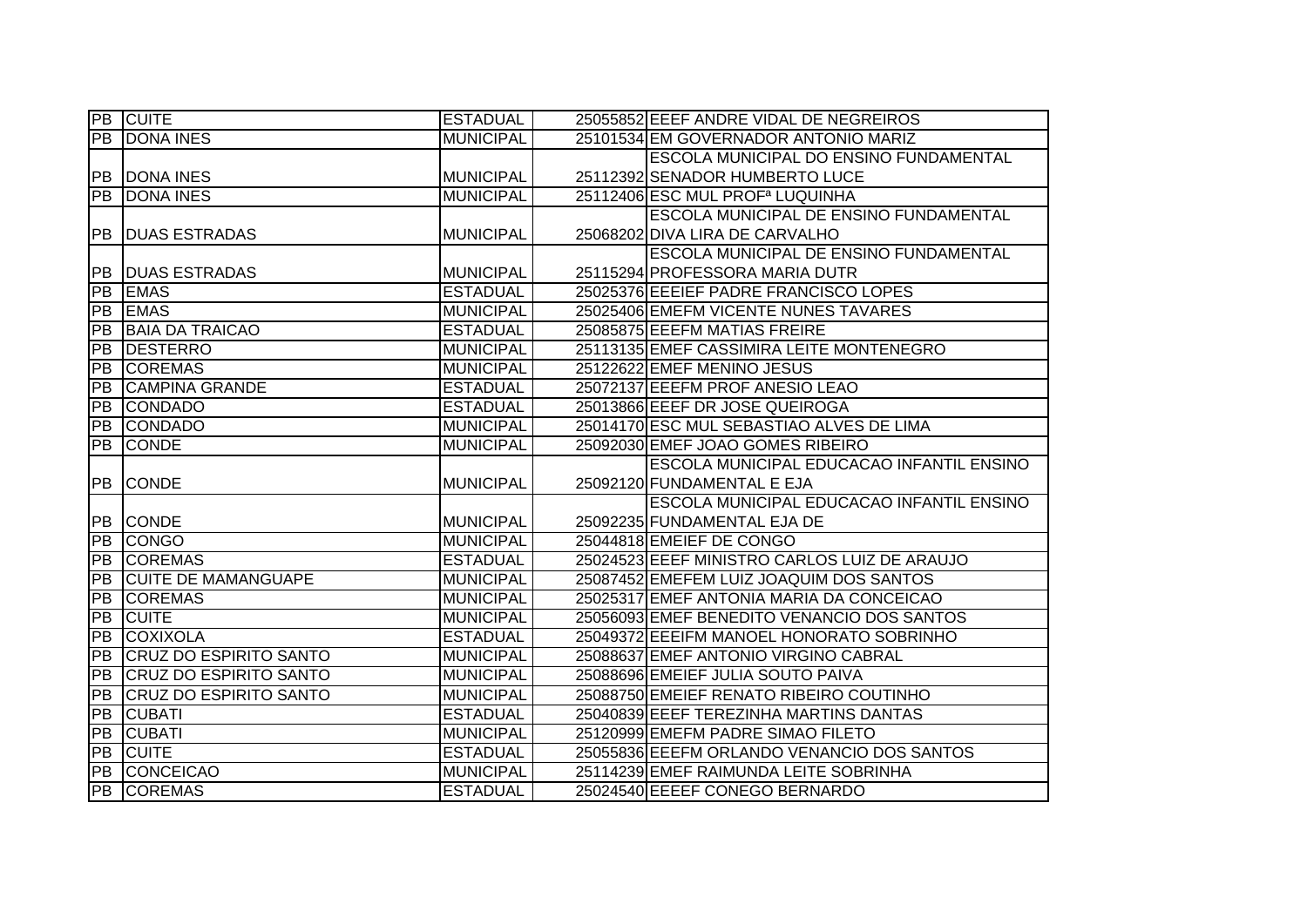|                 | <b>PB</b> CUITE               | <b>ESTADUAL</b>  | 25055852 EEEF ANDRE VIDAL DE NEGREIROS        |
|-----------------|-------------------------------|------------------|-----------------------------------------------|
| PB              | <b>DONA INES</b>              | <b>MUNICIPAL</b> | 25101534 EM GOVERNADOR ANTONIO MARIZ          |
|                 |                               |                  | ESCOLA MUNICIPAL DO ENSINO FUNDAMENTAL        |
| <b>PB</b>       | <b>DONA INES</b>              | <b>MUNICIPAL</b> | 25112392 SENADOR HUMBERTO LUCE                |
| PB              | <b>DONA INES</b>              | <b>MUNICIPAL</b> | 25112406 ESC MUL PROF <sup>a</sup> LUQUINHA   |
|                 |                               |                  | ESCOLA MUNICIPAL DE ENSINO FUNDAMENTAL        |
| PB              | <b>DUAS ESTRADAS</b>          | <b>MUNICIPAL</b> | 25068202 DIVA LIRA DE CARVALHO                |
|                 |                               |                  | <b>ESCOLA MUNICIPAL DE ENSINO FUNDAMENTAL</b> |
| PB              | <b>DUAS ESTRADAS</b>          | <b>MUNICIPAL</b> | 25115294 PROFESSORA MARIA DUTR                |
| <b>PB</b>       | <b>EMAS</b>                   | <b>ESTADUAL</b>  | 25025376 EEEIEF PADRE FRANCISCO LOPES         |
| <b>PB</b>       | <b>EMAS</b>                   | <b>MUNICIPAL</b> | 25025406 EMEFM VICENTE NUNES TAVARES          |
| <b>PB</b>       | <b>BAIA DA TRAICAO</b>        | <b>ESTADUAL</b>  | 25085875 EEEFM MATIAS FREIRE                  |
| PB              | <b>DESTERRO</b>               | <b>MUNICIPAL</b> | 25113135 EMEF CASSIMIRA LEITE MONTENEGRO      |
| <b>PB</b>       | <b>COREMAS</b>                | <b>MUNICIPAL</b> | 25122622 EMEF MENINO JESUS                    |
| <b>PB</b>       | <b>CAMPINA GRANDE</b>         | <b>ESTADUAL</b>  | 25072137 EEEFM PROF ANESIO LEAO               |
| PB              | <b>CONDADO</b>                | <b>ESTADUAL</b>  | 25013866 EEEF DR JOSE QUEIROGA                |
| PB              | <b>CONDADO</b>                | <b>MUNICIPAL</b> | 25014170 ESC MUL SEBASTIAO ALVES DE LIMA      |
| PB              | <b>CONDE</b>                  | <b>MUNICIPAL</b> | 25092030 EMEF JOAO GOMES RIBEIRO              |
|                 |                               |                  | ESCOLA MUNICIPAL EDUCACAO INFANTIL ENSINO     |
| PB              | <b>CONDE</b>                  | <b>MUNICIPAL</b> | 25092120 FUNDAMENTAL E EJA                    |
|                 |                               |                  | ESCOLA MUNICIPAL EDUCACAO INFANTIL ENSINO     |
| PB              | <b>CONDE</b>                  | <b>MUNICIPAL</b> | 25092235 FUNDAMENTAL EJA DE                   |
| PB              | <b>CONGO</b>                  | <b>MUNICIPAL</b> | 25044818 EMEIEF DE CONGO                      |
| PB              | <b>COREMAS</b>                | <b>ESTADUAL</b>  | 25024523 EEEF MINISTRO CARLOS LUIZ DE ARAUJO  |
| ĪРВ             | <b>ICUITE DE MAMANGUAPE</b>   | <b>MUNICIPAL</b> | 25087452 EMEFEM LUIZ JOAQUIM DOS SANTOS       |
| <b>PB</b>       | <b>COREMAS</b>                | <b>MUNICIPAL</b> | 25025317 EMEF ANTONIA MARIA DA CONCEICAO      |
| PB              | <b>CUITE</b>                  | <b>MUNICIPAL</b> | 25056093 EMEF BENEDITO VENANCIO DOS SANTOS    |
| PB              | <b>COXIXOLA</b>               | <b>ESTADUAL</b>  | 25049372 EEEIFM MANOEL HONORATO SOBRINHO      |
| $\overline{PB}$ | <b>CRUZ DO ESPIRITO SANTO</b> | <b>MUNICIPAL</b> | 25088637 EMEF ANTONIO VIRGINO CABRAL          |
| PB              | <b>CRUZ DO ESPIRITO SANTO</b> | <b>MUNICIPAL</b> | 25088696 EMEIEF JULIA SOUTO PAIVA             |
| <b>PB</b>       | <b>CRUZ DO ESPIRITO SANTO</b> | <b>MUNICIPAL</b> | 25088750 EMEIEF RENATO RIBEIRO COUTINHO       |
| PB              | <b>CUBATI</b>                 | <b>ESTADUAL</b>  | 25040839 EEEF TEREZINHA MARTINS DANTAS        |
| PB              | <b>CUBATI</b>                 | <b>MUNICIPAL</b> | 25120999 EMEFM PADRE SIMAO FILETO             |
| PB              | <b>CUITE</b>                  | <b>ESTADUAL</b>  | 25055836 EEEFM ORLANDO VENANCIO DOS SANTOS    |
| PB              | CONCEICAO                     | <b>MUNICIPAL</b> | 25114239 EMEF RAIMUNDA LEITE SOBRINHA         |
| PB              | <b>COREMAS</b>                | <b>ESTADUAL</b>  | 25024540 EEEEF CONEGO BERNARDO                |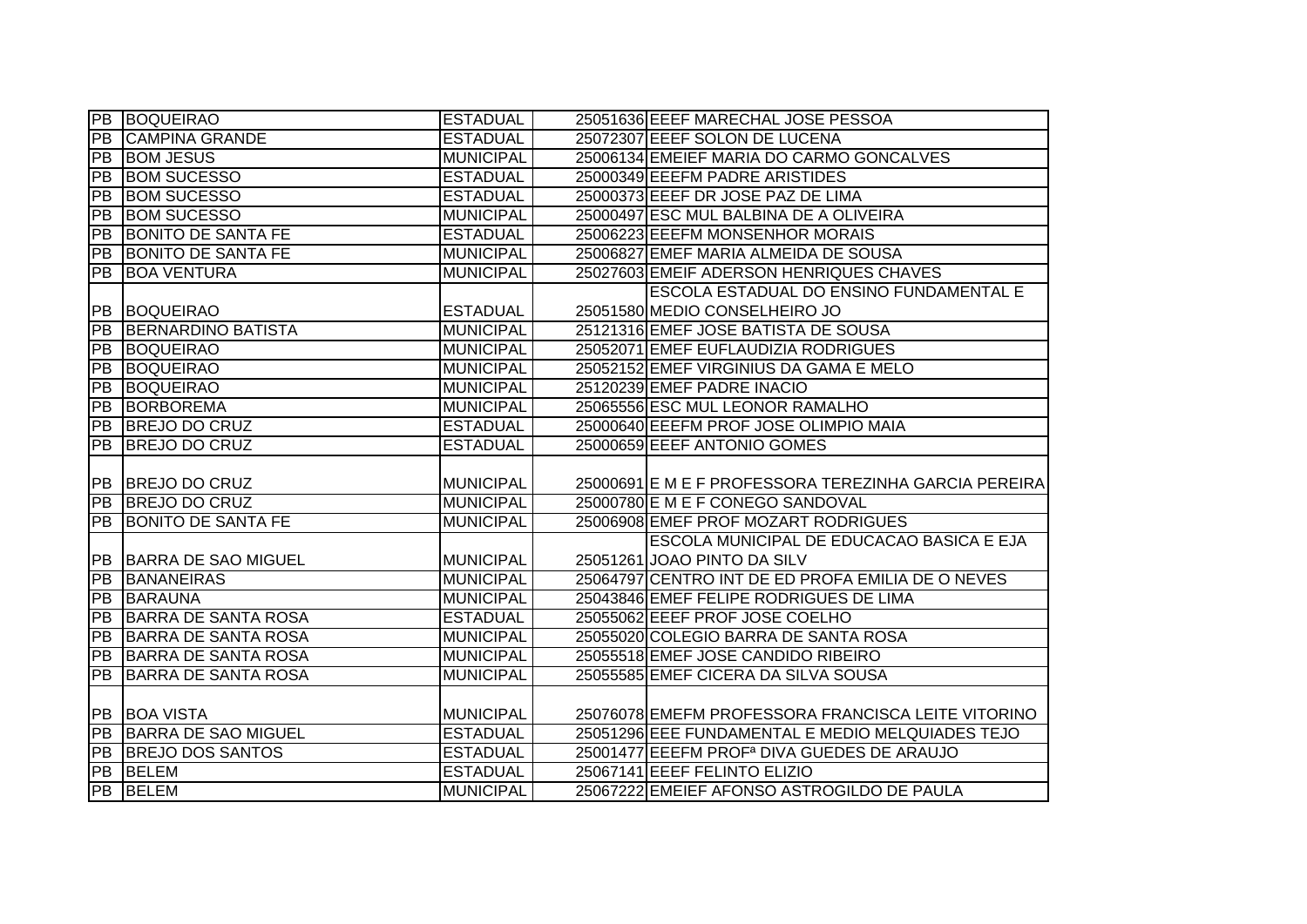|                 | <b>PB BOQUEIRAO</b>        | <b>ESTADUAL</b>  | 25051636 EEEF MARECHAL JOSE PESSOA                     |  |
|-----------------|----------------------------|------------------|--------------------------------------------------------|--|
| ĪРВ             | <b>CAMPINA GRANDE</b>      | <b>ESTADUAL</b>  | 25072307 EEEF SOLON DE LUCENA                          |  |
| PB              | <b>BOM JESUS</b>           | <b>MUNICIPAL</b> | 25006134 EMEIEF MARIA DO CARMO GONCALVES               |  |
| $\overline{PB}$ | <b>BOM SUCESSO</b>         | <b>ESTADUAL</b>  | 25000349 EEEFM PADRE ARISTIDES                         |  |
| $\overline{PB}$ | <b>BOM SUCESSO</b>         | <b>ESTADUAL</b>  | 25000373 EEEF DR JOSE PAZ DE LIMA                      |  |
| $\overline{PB}$ | <b>BOM SUCESSO</b>         | <b>MUNICIPAL</b> | 25000497 ESC MUL BALBINA DE A OLIVEIRA                 |  |
| $\overline{PB}$ | <b>BONITO DE SANTA FE</b>  | <b>ESTADUAL</b>  | 25006223 EEEFM MONSENHOR MORAIS                        |  |
| PB              | <b>BONITO DE SANTA FE</b>  | <b>MUNICIPAL</b> | 25006827 EMEF MARIA ALMEIDA DE SOUSA                   |  |
| PB              | <b>BOA VENTURA</b>         | <b>MUNICIPAL</b> | 25027603 EMEIF ADERSON HENRIQUES CHAVES                |  |
|                 |                            |                  | <b>ESCOLA ESTADUAL DO ENSINO FUNDAMENTAL E</b>         |  |
| PB              | BOQUEIRAO                  | <b>ESTADUAL</b>  | 25051580 MEDIO CONSELHEIRO JO                          |  |
| PB              | BERNARDINO BATISTA         | <b>MUNICIPAL</b> | 25121316 EMEF JOSE BATISTA DE SOUSA                    |  |
| $\overline{PB}$ | BOQUEIRAO                  | <b>MUNICIPAL</b> | 25052071 EMEF EUFLAUDIZIA RODRIGUES                    |  |
| PB              | <b>BOQUEIRAO</b>           | <b>MUNICIPAL</b> | 25052152 EMEF VIRGINIUS DA GAMA E MELO                 |  |
| PB              | <b>BOQUEIRAO</b>           | <b>MUNICIPAL</b> | 25120239 EMEF PADRE INACIO                             |  |
| $\overline{PB}$ | <b>BORBOREMA</b>           | <b>MUNICIPAL</b> | 25065556 ESC MUL LEONOR RAMALHO                        |  |
| $\overline{PB}$ | <b>BREJO DO CRUZ</b>       | <b>ESTADUAL</b>  | 25000640 EEEFM PROF JOSE OLIMPIO MAIA                  |  |
| PB              | <b>BREJO DO CRUZ</b>       | <b>ESTADUAL</b>  | 25000659 EEEF ANTONIO GOMES                            |  |
|                 |                            |                  |                                                        |  |
|                 |                            |                  |                                                        |  |
|                 | PB BREJO DO CRUZ           | <b>MUNICIPAL</b> | 25000691 E M E F PROFESSORA TEREZINHA GARCIA PEREIRA   |  |
| $\overline{PB}$ | BREJO DO CRUZ              | <b>MUNICIPAL</b> | 25000780 E M E F CONEGO SANDOVAL                       |  |
| $\overline{PB}$ | <b>BONITO DE SANTA FE</b>  | <b>MUNICIPAL</b> | 25006908 EMEF PROF MOZART RODRIGUES                    |  |
|                 |                            |                  | ESCOLA MUNICIPAL DE EDUCACAO BASICA E EJA              |  |
|                 | PB BARRA DE SAO MIGUEL     | <b>MUNICIPAL</b> | 25051261 JOAO PINTO DA SILV                            |  |
| PB              | <b>BANANEIRAS</b>          | <b>MUNICIPAL</b> | 25064797 CENTRO INT DE ED PROFA EMILIA DE O NEVES      |  |
| PB              | <b>BARAUNA</b>             | <b>MUNICIPAL</b> | 25043846 EMEF FELIPE RODRIGUES DE LIMA                 |  |
| PB              | BARRA DE SANTA ROSA        | <b>ESTADUAL</b>  | 25055062 EEEF PROF JOSE COELHO                         |  |
| $\overline{PB}$ | <b>BARRA DE SANTA ROSA</b> | <b>MUNICIPAL</b> | 25055020 COLEGIO BARRA DE SANTA ROSA                   |  |
| <b>PB</b>       | <b>BARRA DE SANTA ROSA</b> | <b>MUNICIPAL</b> | 25055518 EMEF JOSE CANDIDO RIBEIRO                     |  |
| PB              | <b>BARRA DE SANTA ROSA</b> | <b>MUNICIPAL</b> | 25055585 EMEF CICERA DA SILVA SOUSA                    |  |
|                 |                            |                  |                                                        |  |
|                 | <b>PB BOA VISTA</b>        | <b>MUNICIPAL</b> | 25076078 EMEFM PROFESSORA FRANCISCA LEITE VITORINO     |  |
| $\overline{PB}$ | <b>BARRA DE SAO MIGUEL</b> | <b>ESTADUAL</b>  | 25051296 EEE FUNDAMENTAL E MEDIO MELQUIADES TEJO       |  |
| PB              | <b>BREJO DOS SANTOS</b>    | <b>ESTADUAL</b>  | 25001477 EEEFM PROF <sup>a</sup> DIVA GUEDES DE ARAUJO |  |
| $\overline{PB}$ | <b>BELEM</b>               | <b>ESTADUAL</b>  | 25067141 EEEF FELINTO ELIZIO                           |  |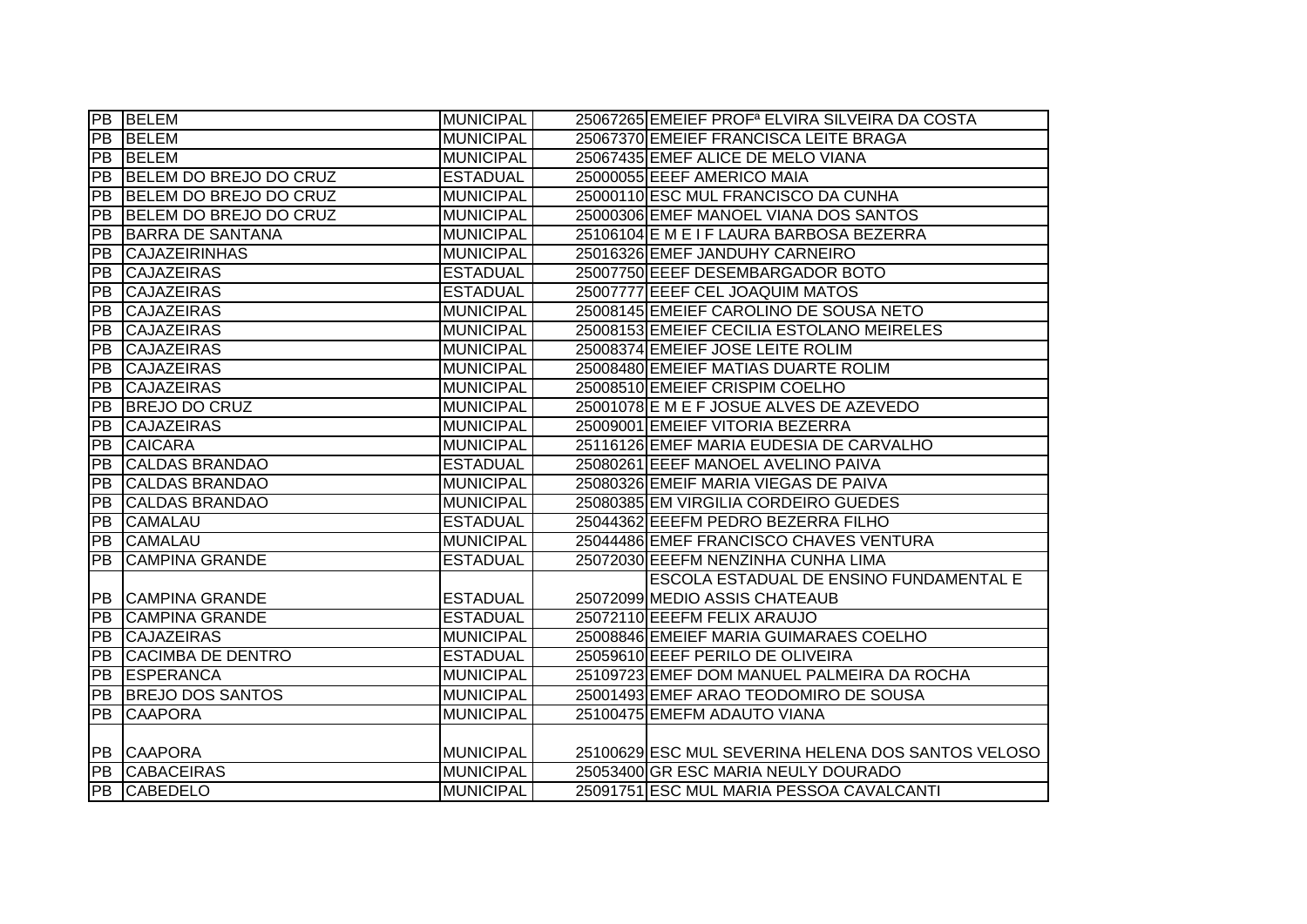|                 | <b>PB BELEM</b>          | <b>MUNICIPAL</b> | 25067265 EMEIEF PROF <sup>a</sup> ELVIRA SILVEIRA DA COSTA |
|-----------------|--------------------------|------------------|------------------------------------------------------------|
| PB              | <b>BELEM</b>             | <b>MUNICIPAL</b> | 25067370 EMEIEF FRANCISCA LEITE BRAGA                      |
| PB              | <b>BELEM</b>             | <b>MUNICIPAL</b> | 25067435 EMEF ALICE DE MELO VIANA                          |
| PB              | BELEM DO BREJO DO CRUZ   | <b>ESTADUAL</b>  | 25000055 EEEF AMERICO MAIA                                 |
| PB              | BELEM DO BREJO DO CRUZ   | <b>MUNICIPAL</b> | 25000110 ESC MUL FRANCISCO DA CUNHA                        |
| <b>PB</b>       | BELEM DO BREJO DO CRUZ   | <b>MUNICIPAL</b> | 25000306 EMEF MANOEL VIANA DOS SANTOS                      |
| PB              | BARRA DE SANTANA         | <b>MUNICIPAL</b> | 25106104 E M E I F LAURA BARBOSA BEZERRA                   |
| PB              | <b>CAJAZEIRINHAS</b>     | <b>MUNICIPAL</b> | 25016326 EMEF JANDUHY CARNEIRO                             |
| PB              | <b>CAJAZEIRAS</b>        | <b>ESTADUAL</b>  | 25007750 EEEF DESEMBARGADOR BOTO                           |
| <b>PB</b>       | <b>CAJAZEIRAS</b>        | <b>ESTADUAL</b>  | 25007777 EEEF CEL JOAQUIM MATOS                            |
| <b>PB</b>       | <b>CAJAZEIRAS</b>        | <b>MUNICIPAL</b> | 25008145 EMEIEF CAROLINO DE SOUSA NETO                     |
| PB              | <b>CAJAZEIRAS</b>        | <b>MUNICIPAL</b> | 25008153 EMEIEF CECILIA ESTOLANO MEIRELES                  |
| PB              | <b>CAJAZEIRAS</b>        | <b>MUNICIPAL</b> | 25008374 EMEIEF JOSE LEITE ROLIM                           |
| <b>PB</b>       | <b>CAJAZEIRAS</b>        | <b>MUNICIPAL</b> | 25008480 EMEIEF MATIAS DUARTE ROLIM                        |
| <b>PB</b>       | <b>CAJAZEIRAS</b>        | <b>MUNICIPAL</b> | 25008510 EMEIEF CRISPIM COELHO                             |
| PB              | <b>BREJO DO CRUZ</b>     | <b>MUNICIPAL</b> | 25001078 E M E F JOSUE ALVES DE AZEVEDO                    |
| PB              | <b>CAJAZEIRAS</b>        | <b>MUNICIPAL</b> | 25009001 EMEIEF VITORIA BEZERRA                            |
| PB              | <b>CAICARA</b>           | <b>MUNICIPAL</b> | 25116126 EMEF MARIA EUDESIA DE CARVALHO                    |
| <b>PB</b>       | <b>CALDAS BRANDAO</b>    | <b>ESTADUAL</b>  | 25080261 EEEF MANOEL AVELINO PAIVA                         |
| PB              | <b>CALDAS BRANDAO</b>    | <b>MUNICIPAL</b> | 25080326 EMEIF MARIA VIEGAS DE PAIVA                       |
| PB              | <b>CALDAS BRANDAO</b>    | <b>MUNICIPAL</b> | 25080385 EM VIRGILIA CORDEIRO GUEDES                       |
| PB              | <b>CAMALAU</b>           | <b>ESTADUAL</b>  | 25044362 EEEFM PEDRO BEZERRA FILHO                         |
| PB              | <b>CAMALAU</b>           | <b>MUNICIPAL</b> | 25044486 EMEF FRANCISCO CHAVES VENTURA                     |
| $\overline{PB}$ | <b>CAMPINA GRANDE</b>    | <b>ESTADUAL</b>  | 25072030 EEEFM NENZINHA CUNHA LIMA                         |
|                 |                          |                  | ESCOLA ESTADUAL DE ENSINO FUNDAMENTAL E                    |
| PB              | <b>CAMPINA GRANDE</b>    | <b>ESTADUAL</b>  | 25072099 MEDIO ASSIS CHATEAUB                              |
| PB              | <b>CAMPINA GRANDE</b>    | <b>ESTADUAL</b>  | 25072110 EEEFM FELIX ARAUJO                                |
| PB              | <b>CAJAZEIRAS</b>        | <b>MUNICIPAL</b> | 25008846 EMEIEF MARIA GUIMARAES COELHO                     |
| PB              | <b>CACIMBA DE DENTRO</b> | <b>ESTADUAL</b>  | 25059610 EEEF PERILO DE OLIVEIRA                           |
| PB              | <b>ESPERANCA</b>         | <b>MUNICIPAL</b> | 25109723 EMEF DOM MANUEL PALMEIRA DA ROCHA                 |
| PB              | <b>BREJO DOS SANTOS</b>  | <b>MUNICIPAL</b> | 25001493 EMEF ARAO TEODOMIRO DE SOUSA                      |
| PB              | <b>CAAPORA</b>           | <b>MUNICIPAL</b> | 25100475 EMEFM ADAUTO VIANA                                |
|                 |                          |                  |                                                            |
|                 | PB CAAPORA               | <b>MUNICIPAL</b> | 25100629 ESC MUL SEVERINA HELENA DOS SANTOS VELOSO         |
|                 | PB CABACEIRAS            | <b>MUNICIPAL</b> | 25053400 GR ESC MARIA NEULY DOURADO                        |
|                 | PB CABEDELO              | <b>MUNICIPAL</b> | 25091751 ESC MUL MARIA PESSOA CAVALCANTI                   |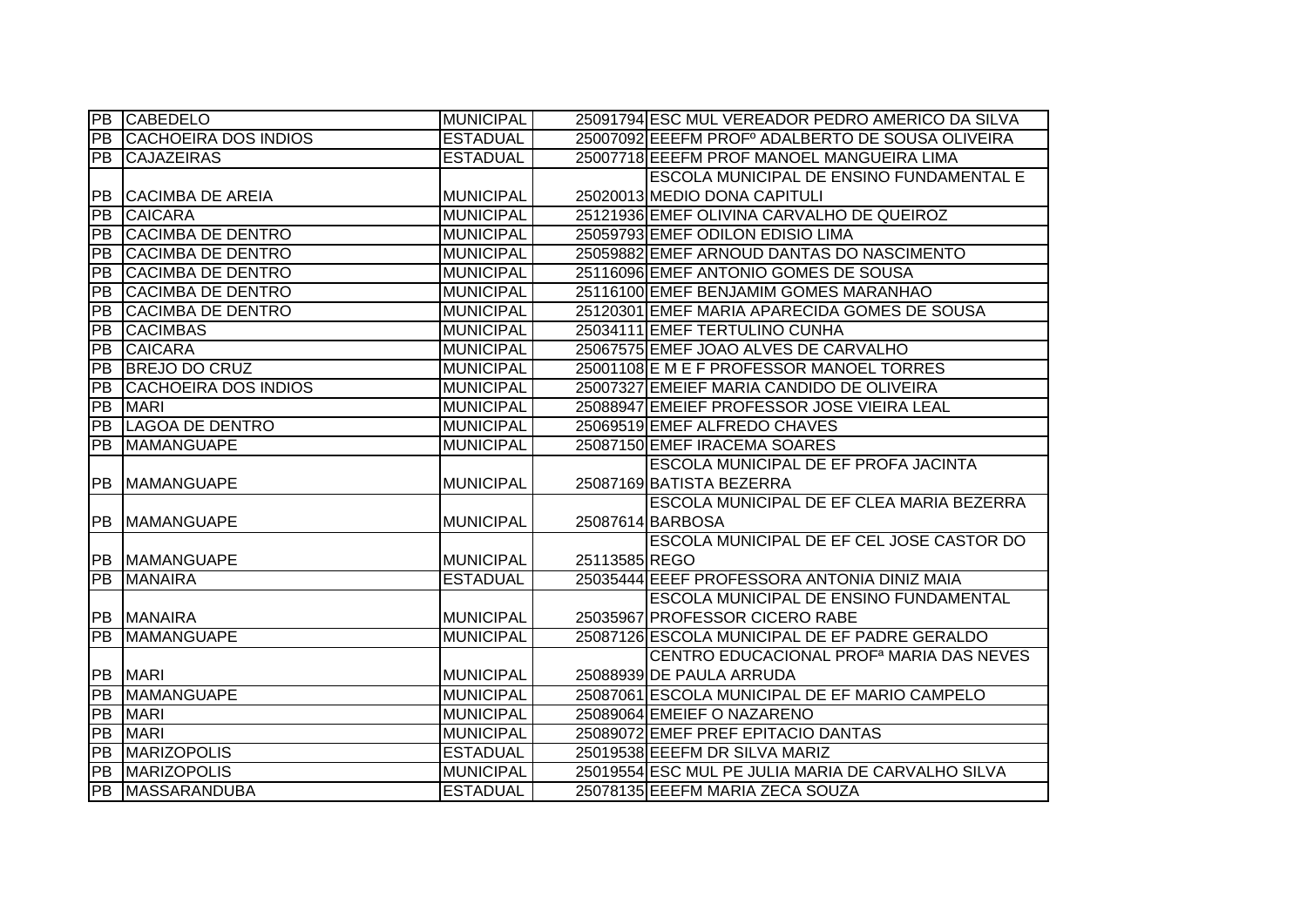|                 | PB CABEDELO                 | <b>MUNICIPAL</b> |               | 25091794 ESC MUL VEREADOR PEDRO AMERICO DA SILVA             |
|-----------------|-----------------------------|------------------|---------------|--------------------------------------------------------------|
| PB              | <b>CACHOEIRA DOS INDIOS</b> | <b>ESTADUAL</b>  |               | 25007092 EEEFM PROF <sup>°</sup> ADALBERTO DE SOUSA OLIVEIRA |
| PB              | <b>CAJAZEIRAS</b>           | <b>ESTADUAL</b>  |               | 25007718 EEEFM PROF MANOEL MANGUEIRA LIMA                    |
|                 |                             |                  |               | ESCOLA MUNICIPAL DE ENSINO FUNDAMENTAL E                     |
|                 | <b>PB CACIMBA DE AREIA</b>  | <b>MUNICIPAL</b> |               | 25020013 MEDIO DONA CAPITULI                                 |
| PB              | <b>CAICARA</b>              | <b>MUNICIPAL</b> |               | 25121936 EMEF OLIVINA CARVALHO DE QUEIROZ                    |
| ĪРВ             | <b>CACIMBA DE DENTRO</b>    | <b>MUNICIPAL</b> |               | 25059793 EMEF ODILON EDISIO LIMA                             |
| PB              | <b>CACIMBA DE DENTRO</b>    | <b>MUNICIPAL</b> |               | 25059882 EMEF ARNOUD DANTAS DO NASCIMENTO                    |
| PB              | <b>CACIMBA DE DENTRO</b>    | <b>MUNICIPAL</b> |               | 25116096 EMEF ANTONIO GOMES DE SOUSA                         |
| PB              | <b>CACIMBA DE DENTRO</b>    | <b>MUNICIPAL</b> |               | 25116100 EMEF BENJAMIM GOMES MARANHAO                        |
| <b>PB</b>       | <b>CACIMBA DE DENTRO</b>    | <b>MUNICIPAL</b> |               | 25120301 EMEF MARIA APARECIDA GOMES DE SOUSA                 |
| PB              | <b>CACIMBAS</b>             | <b>MUNICIPAL</b> |               | 25034111 EMEF TERTULINO CUNHA                                |
| PB              | <b>CAICARA</b>              | <b>MUNICIPAL</b> |               | 25067575 EMEF JOAO ALVES DE CARVALHO                         |
| PB              | <b>BREJO DO CRUZ</b>        | <b>MUNICIPAL</b> |               | 25001108 E M E F PROFESSOR MANOEL TORRES                     |
| $\overline{PB}$ | <b>CACHOEIRA DOS INDIOS</b> | <b>MUNICIPAL</b> |               | 25007327 EMEIEF MARIA CANDIDO DE OLIVEIRA                    |
| PB              | <b>MARI</b>                 | <b>MUNICIPAL</b> |               | 25088947 EMEIEF PROFESSOR JOSE VIEIRA LEAL                   |
| <b>PB</b>       | <b>LAGOA DE DENTRO</b>      | <b>MUNICIPAL</b> |               | 25069519 EMEF ALFREDO CHAVES                                 |
| PB              | MAMANGUAPE                  | <b>MUNICIPAL</b> |               | 25087150 EMEF IRACEMA SOARES                                 |
|                 |                             |                  |               | <b>ESCOLA MUNICIPAL DE EF PROFA JACINTA</b>                  |
|                 | <b>PB MAMANGUAPE</b>        | <b>MUNICIPAL</b> |               | 25087169 BATISTA BEZERRA                                     |
|                 |                             |                  |               | ESCOLA MUNICIPAL DE EF CLEA MARIA BEZERRA                    |
|                 | PB MAMANGUAPE               | <b>MUNICIPAL</b> |               | 25087614 BARBOSA                                             |
|                 |                             |                  |               | <b>ESCOLA MUNICIPAL DE EF CEL JOSE CASTOR DO</b>             |
|                 | PB MAMANGUAPE               | <b>MUNICIPAL</b> | 25113585 REGO |                                                              |
| PB              | <b>MANAIRA</b>              | <b>ESTADUAL</b>  |               | 25035444 EEEF PROFESSORA ANTONIA DINIZ MAIA                  |
|                 |                             |                  |               | <b>ESCOLA MUNICIPAL DE ENSINO FUNDAMENTAL</b>                |
|                 | <b>PB MANAIRA</b>           | <b>MUNICIPAL</b> |               | 25035967 PROFESSOR CICERO RABE                               |
| PB              | <b>MAMANGUAPE</b>           | <b>MUNICIPAL</b> |               | 25087126 ESCOLA MUNICIPAL DE EF PADRE GERALDO                |
|                 |                             |                  |               | CENTRO EDUCACIONAL PROF <sup>a</sup> MARIA DAS NEVES         |
|                 | <b>PB</b> MARI              | <b>MUNICIPAL</b> |               | 25088939 DE PAULA ARRUDA                                     |
|                 | <b>PB MAMANGUAPE</b>        | <b>MUNICIPAL</b> |               | 25087061 ESCOLA MUNICIPAL DE EF MARIO CAMPELO                |
|                 | <b>PB</b> MARI              | <b>MUNICIPAL</b> |               | 25089064 EMEIEF O NAZARENO                                   |
|                 | <b>PB MARI</b>              | <b>MUNICIPAL</b> |               | 25089072 EMEF PREF EPITACIO DANTAS                           |
| PB              | <b>MARIZOPOLIS</b>          | <b>ESTADUAL</b>  |               | 25019538 EEEFM DR SILVA MARIZ                                |
| PB              | <b>MARIZOPOLIS</b>          | <b>MUNICIPAL</b> |               | 25019554 ESC MUL PE JULIA MARIA DE CARVALHO SILVA            |
|                 | PB MASSARANDUBA             | <b>ESTADUAL</b>  |               | 25078135 EEEFM MARIA ZECA SOUZA                              |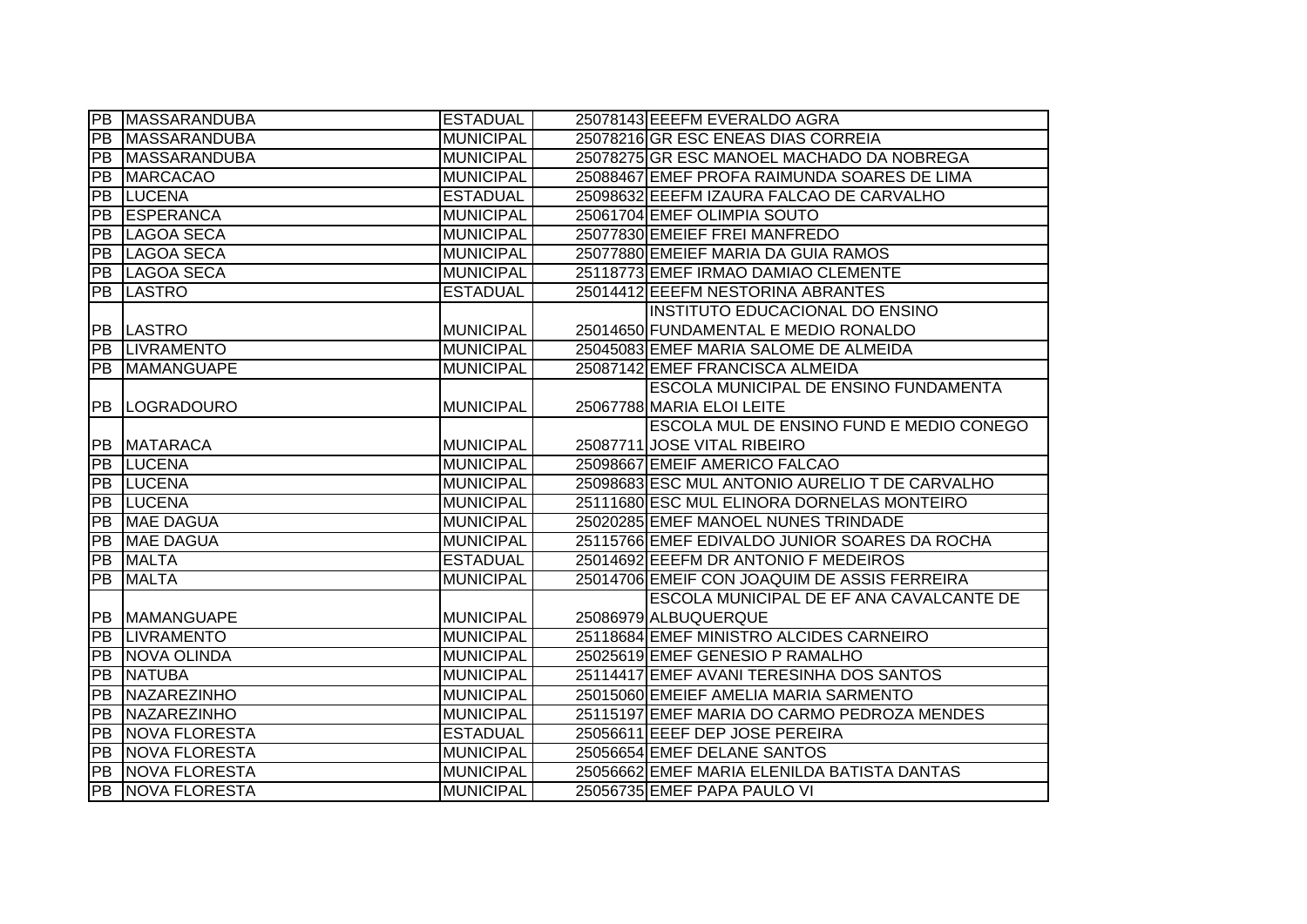|                 | PB MASSARANDUBA         | <b>ESTADUAL</b>  | 25078143 EEEFM EVERALDO AGRA                   |
|-----------------|-------------------------|------------------|------------------------------------------------|
| PB              | <b>MASSARANDUBA</b>     | <b>MUNICIPAL</b> | 25078216 GR ESC ENEAS DIAS CORREIA             |
|                 | PB MASSARANDUBA         | <b>MUNICIPAL</b> | 25078275 GR ESC MANOEL MACHADO DA NOBREGA      |
| <b>PB</b>       | <b>MARCACAO</b>         | <b>MUNICIPAL</b> | 25088467 EMEF PROFA RAIMUNDA SOARES DE LIMA    |
| PB              | <b>LUCENA</b>           | <b>ESTADUAL</b>  | 25098632 EEEFM IZAURA FALCAO DE CARVALHO       |
|                 | <b>PB ESPERANCA</b>     | <b>MUNICIPAL</b> | 25061704 EMEF OLIMPIA SOUTO                    |
|                 | <b>PB LAGOA SECA</b>    | <b>MUNICIPAL</b> | 25077830 EMEIEF FREI MANFREDO                  |
|                 | PB LAGOA SECA           | <b>MUNICIPAL</b> | 25077880 EMEIEF MARIA DA GUIA RAMOS            |
|                 | PB LAGOA SECA           | <b>MUNICIPAL</b> | 25118773 EMEF IRMAO DAMIAO CLEMENTE            |
|                 | <b>PB LASTRO</b>        | <b>ESTADUAL</b>  | 25014412 EEEFM NESTORINA ABRANTES              |
|                 |                         |                  | INSTITUTO EDUCACIONAL DO ENSINO                |
|                 | <b>PB LASTRO</b>        | <b>MUNICIPAL</b> | 25014650 FUNDAMENTAL E MEDIO RONALDO           |
|                 | PB LIVRAMENTO           | <b>MUNICIPAL</b> | 25045083 EMEF MARIA SALOME DE ALMEIDA          |
|                 | <b>PB MAMANGUAPE</b>    | <b>MUNICIPAL</b> | 25087142 EMEF FRANCISCA ALMEIDA                |
|                 |                         |                  | ESCOLA MUNICIPAL DE ENSINO FUNDAMENTA          |
|                 | <b>PB LOGRADOURO</b>    | <b>MUNICIPAL</b> | 25067788 MARIA ELOI LEITE                      |
|                 |                         |                  | ESCOLA MUL DE ENSINO FUND E MEDIO CONEGO       |
|                 | <b>PB MATARACA</b>      | <b>MUNICIPAL</b> | 25087711 JOSE VITAL RIBEIRO                    |
|                 |                         |                  |                                                |
|                 | <b>PB LUCENA</b>        | <b>MUNICIPAL</b> | 25098667 EMEIF AMERICO FALCAO                  |
|                 | <b>PB LUCENA</b>        | <b>MUNICIPAL</b> | 25098683 ESC MUL ANTONIO AURELIO T DE CARVALHO |
|                 | <b>PB LUCENA</b>        | <b>MUNICIPAL</b> | 25111680 ESC MUL ELINORA DORNELAS MONTEIRO     |
|                 | <b>PB</b> MAE DAGUA     | <b>MUNICIPAL</b> | 25020285 EMEF MANOEL NUNES TRINDADE            |
| PB              | <b>MAE DAGUA</b>        | <b>MUNICIPAL</b> | 25115766 EMEF EDIVALDO JUNIOR SOARES DA ROCHA  |
| $\overline{PB}$ | <b>MALTA</b>            | <b>ESTADUAL</b>  | 25014692 EEEFM DR ANTONIO F MEDEIROS           |
| PB              | <b>MALTA</b>            | <b>MUNICIPAL</b> | 25014706 EMEIF CON JOAQUIM DE ASSIS FERREIRA   |
|                 |                         |                  | ESCOLA MUNICIPAL DE EF ANA CAVALCANTE DE       |
| IPB.            | <b>MAMANGUAPE</b>       | <b>MUNICIPAL</b> | 25086979 ALBUQUERQUE                           |
| PB              | <b>LIVRAMENTO</b>       | <b>MUNICIPAL</b> | 25118684 EMEF MINISTRO ALCIDES CARNEIRO        |
| PB              | NOVA OLINDA             | <b>MUNICIPAL</b> | 25025619 EMEF GENESIO P RAMALHO                |
| IPB.            | <b>NATUBA</b>           | <b>MUNICIPAL</b> | 25114417 EMEF AVANI TERESINHA DOS SANTOS       |
| PB              | NAZAREZINHO             | <b>MUNICIPAL</b> | 25015060 EMEIEF AMELIA MARIA SARMENTO          |
|                 | PB NAZAREZINHO          | <b>MUNICIPAL</b> | 25115197 EMEF MARIA DO CARMO PEDROZA MENDES    |
| <b>PB</b>       | NOVA FLORESTA           | <b>ESTADUAL</b>  | 25056611 EEEF DEP JOSE PEREIRA                 |
|                 | <b>PB NOVA FLORESTA</b> | <b>MUNICIPAL</b> | 25056654 EMEF DELANE SANTOS                    |
|                 | <b>PB</b> NOVA FLORESTA | <b>MUNICIPAL</b> | 25056662 EMEF MARIA ELENILDA BATISTA DANTAS    |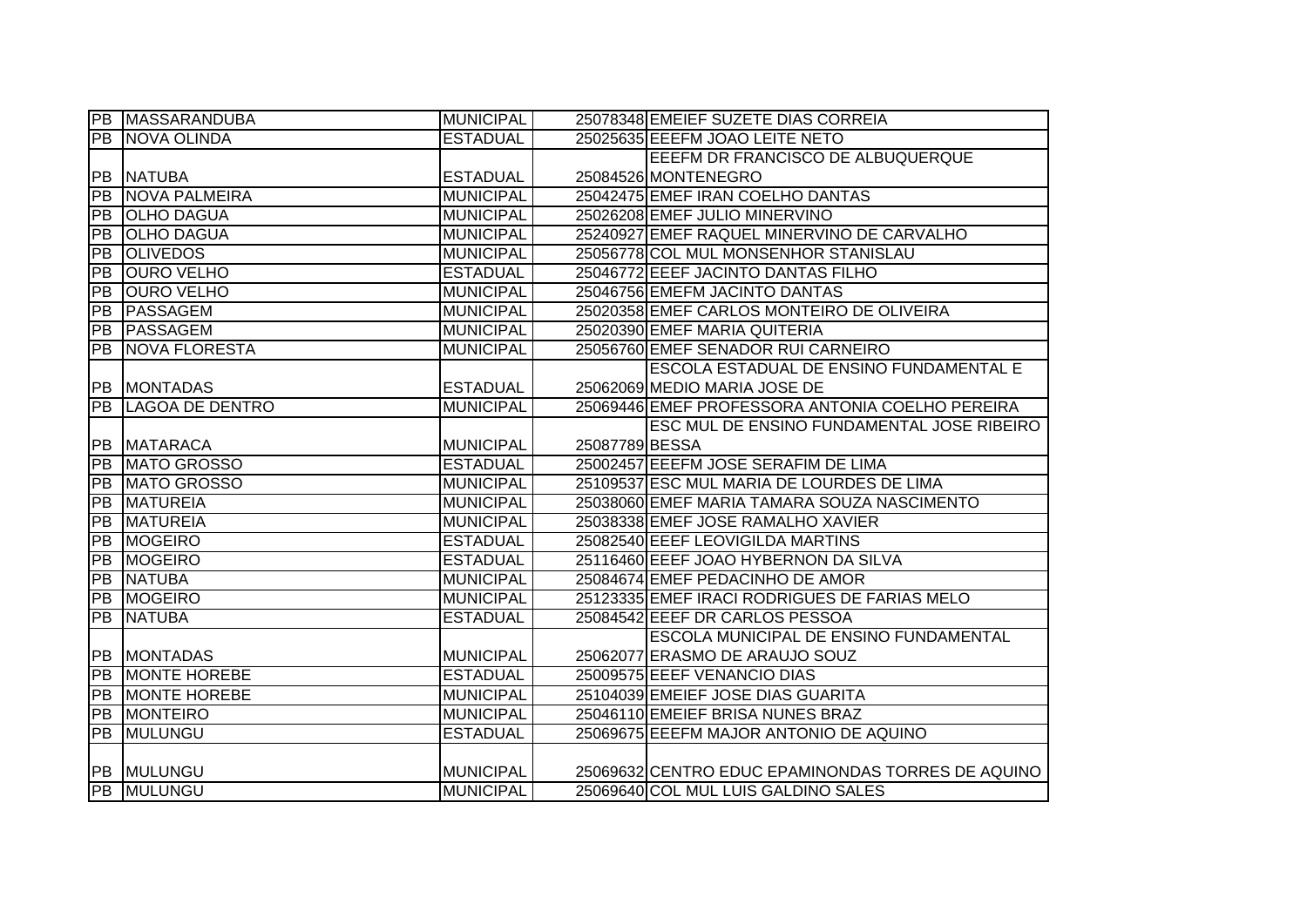|                 | <b>PB MASSARANDUBA</b> | <b>MUNICIPAL</b> |                | 25078348 EMEIEF SUZETE DIAS CORREIA               |
|-----------------|------------------------|------------------|----------------|---------------------------------------------------|
|                 | <b>PB NOVA OLINDA</b>  | <b>ESTADUAL</b>  |                | 25025635 EEEFM JOAO LEITE NETO                    |
|                 |                        |                  |                | EEEFM DR FRANCISCO DE ALBUQUERQUE                 |
|                 | <b>PB INATUBA</b>      | <b>ESTADUAL</b>  |                | 25084526 MONTENEGRO                               |
| $\overline{PB}$ | <b>NOVA PALMEIRA</b>   | <b>MUNICIPAL</b> |                | 25042475 EMEF IRAN COELHO DANTAS                  |
| PB              | <b>OLHO DAGUA</b>      | <b>MUNICIPAL</b> |                | 25026208 EMEF JULIO MINERVINO                     |
| $\overline{PB}$ | <b>OLHO DAGUA</b>      | <b>MUNICIPAL</b> |                | 25240927 EMEF RAQUEL MINERVINO DE CARVALHO        |
| PB              | <b>OLIVEDOS</b>        | <b>MUNICIPAL</b> |                | 25056778 COL MUL MONSENHOR STANISLAU              |
| PB              | <b>OURO VELHO</b>      | <b>ESTADUAL</b>  |                | 25046772 EEEF JACINTO DANTAS FILHO                |
| <b>PB</b>       | <b>OURO VELHO</b>      | <b>MUNICIPAL</b> |                | 25046756 EMEFM JACINTO DANTAS                     |
| PB              | PASSAGEM               | <b>MUNICIPAL</b> |                | 25020358 EMEF CARLOS MONTEIRO DE OLIVEIRA         |
| PB              | PASSAGEM               | <b>MUNICIPAL</b> |                | 25020390 EMEF MARIA QUITERIA                      |
| <b>PB</b>       | <b>NOVA FLORESTA</b>   | <b>MUNICIPAL</b> |                | 25056760 EMEF SENADOR RUI CARNEIRO                |
|                 |                        |                  |                | <b>ESCOLA ESTADUAL DE ENSINO FUNDAMENTAL E</b>    |
|                 | <b>PB MONTADAS</b>     | <b>ESTADUAL</b>  |                | 25062069 MEDIO MARIA JOSE DE                      |
| $\overline{PB}$ | <b>LAGOA DE DENTRO</b> | <b>MUNICIPAL</b> |                | 25069446 EMEF PROFESSORA ANTONIA COELHO PEREIRA   |
|                 |                        |                  |                | ESC MUL DE ENSINO FUNDAMENTAL JOSE RIBEIRO        |
| PB              | <b>MATARACA</b>        | <b>MUNICIPAL</b> | 25087789 BESSA |                                                   |
| PB              | <b>MATO GROSSO</b>     | <b>ESTADUAL</b>  |                | 25002457 EEEFM JOSE SERAFIM DE LIMA               |
| PB              | MATO GROSSO            | <b>MUNICIPAL</b> |                | 25109537 ESC MUL MARIA DE LOURDES DE LIMA         |
| PB              | <b>MATUREIA</b>        | <b>MUNICIPAL</b> |                | 25038060 EMEF MARIA TAMARA SOUZA NASCIMENTO       |
| <b>PB</b>       | <b>MATUREIA</b>        | <b>MUNICIPAL</b> |                | 25038338 EMEF JOSE RAMALHO XAVIER                 |
| PB              | <b>MOGEIRO</b>         | <b>ESTADUAL</b>  |                | 25082540 EEEF LEOVIGILDA MARTINS                  |
| $\overline{PB}$ | <b>MOGEIRO</b>         | <b>ESTADUAL</b>  |                | 25116460 EEEF JOAO HYBERNON DA SILVA              |
| PB              | <b>NATUBA</b>          | <b>MUNICIPAL</b> |                | 25084674 EMEF PEDACINHO DE AMOR                   |
| PB              | <b>IMOGEIRO</b>        | <b>MUNICIPAL</b> |                | 25123335 EMEF IRACI RODRIGUES DE FARIAS MELO      |
| $\overline{PB}$ | <b>NATUBA</b>          | <b>ESTADUAL</b>  |                | 25084542 EEEF DR CARLOS PESSOA                    |
|                 |                        |                  |                | ESCOLA MUNICIPAL DE ENSINO FUNDAMENTAL            |
| PB              | <b>MONTADAS</b>        | <b>MUNICIPAL</b> |                | 25062077 ERASMO DE ARAUJO SOUZ                    |
| $\overline{PB}$ | <b>MONTE HOREBE</b>    | <b>ESTADUAL</b>  |                | 25009575 EEEF VENANCIO DIAS                       |
| PB              | <b>MONTE HOREBE</b>    | <b>MUNICIPAL</b> |                | 25104039 EMEIEF JOSE DIAS GUARITA                 |
| PB              | <b>MONTEIRO</b>        | <b>MUNICIPAL</b> |                | 25046110 EMEIEF BRISA NUNES BRAZ                  |
| $\overline{PB}$ | <b>IMULUNGU</b>        | <b>ESTADUAL</b>  |                | 25069675 EEEFM MAJOR ANTONIO DE AQUINO            |
|                 |                        |                  |                |                                                   |
|                 | <b>PB MULUNGU</b>      | <b>MUNICIPAL</b> |                | 25069632 CENTRO EDUC EPAMINONDAS TORRES DE AQUINO |
|                 | <b>PB</b> MULUNGU      | <b>MUNICIPAL</b> |                | 25069640 COL MUL LUIS GALDINO SALES               |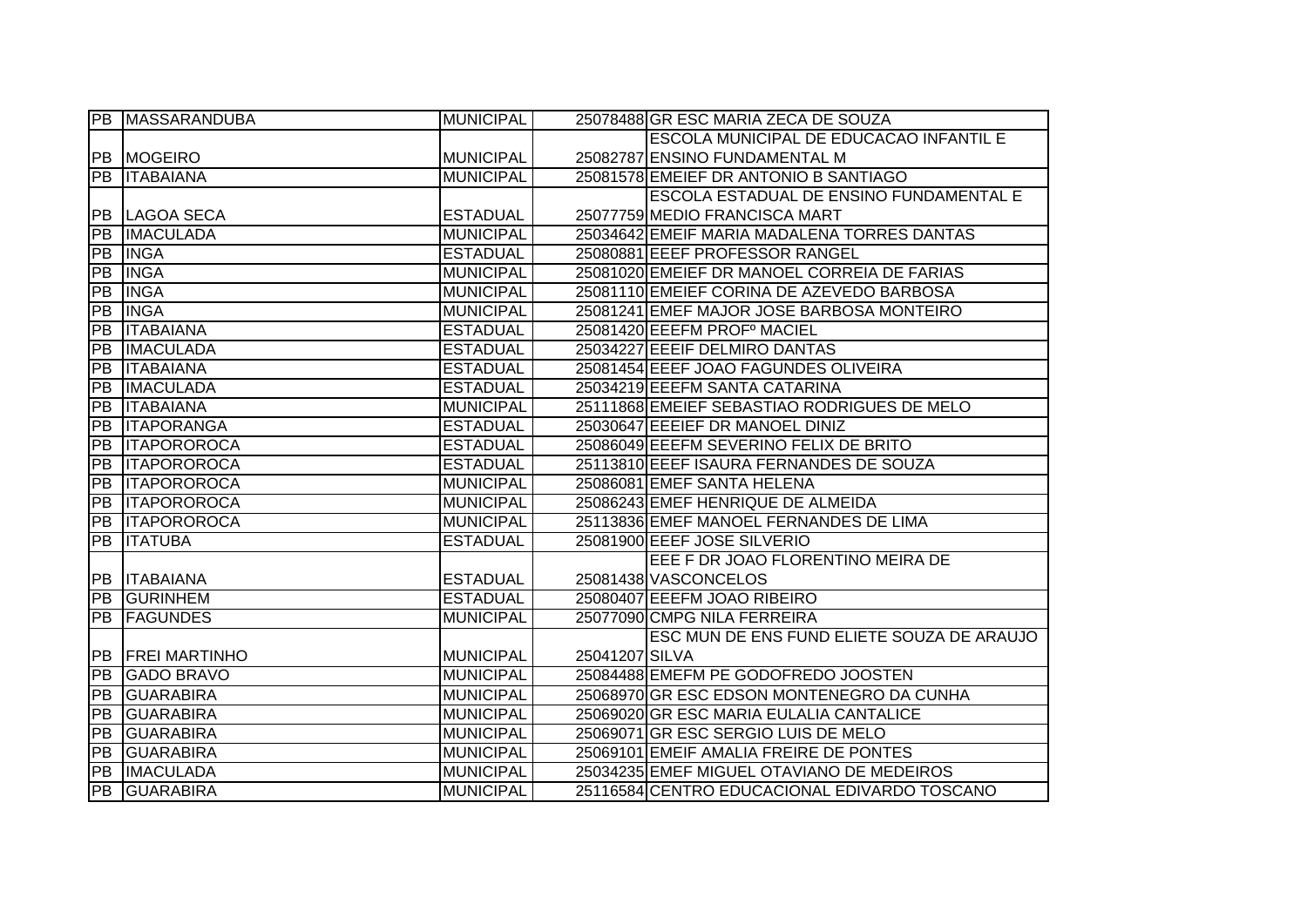|                 | PB MASSARANDUBA       | <b>MUNICIPAL</b> |                | 25078488 GR ESC MARIA ZECA DE SOUZA          |
|-----------------|-----------------------|------------------|----------------|----------------------------------------------|
|                 |                       |                  |                | ESCOLA MUNICIPAL DE EDUCACAO INFANTIL E      |
|                 | <b>PB MOGEIRO</b>     | <b>MUNICIPAL</b> |                | 25082787 ENSINO FUNDAMENTAL M                |
|                 | <b>PB ITABAIANA</b>   | <b>MUNICIPAL</b> |                | 25081578 EMEIEF DR ANTONIO B SANTIAGO        |
|                 |                       |                  |                | ESCOLA ESTADUAL DE ENSINO FUNDAMENTAL E      |
|                 | <b>PB LAGOA SECA</b>  | <b>ESTADUAL</b>  |                | 25077759 MEDIO FRANCISCA MART                |
| PB              | <b>IMACULADA</b>      | <b>MUNICIPAL</b> |                | 25034642 EMEIF MARIA MADALENA TORRES DANTAS  |
| <b>FPB</b>      | <b>INGA</b>           | <b>ESTADUAL</b>  |                | 25080881 EEEF PROFESSOR RANGEL               |
| PB              | <b>INGA</b>           | <b>MUNICIPAL</b> |                | 25081020 EMEIEF DR MANOEL CORREIA DE FARIAS  |
| $\overline{PB}$ | <b>INGA</b>           | <b>MUNICIPAL</b> |                | 25081110 EMEIEF CORINA DE AZEVEDO BARBOSA    |
| [PB             | <b>INGA</b>           | <b>MUNICIPAL</b> |                | 25081241 EMEF MAJOR JOSE BARBOSA MONTEIRO    |
| PB              | <b>ITABAIANA</b>      | <b>ESTADUAL</b>  |                | 25081420 EEEFM PROF <sup>°</sup> MACIEL      |
| PB              | <b>IMACULADA</b>      | <b>ESTADUAL</b>  |                | 25034227 EEEIF DELMIRO DANTAS                |
| PB              | <b>ITABAIANA</b>      | <b>ESTADUAL</b>  |                | 25081454 EEEF JOAO FAGUNDES OLIVEIRA         |
| PB              | <b>IMACULADA</b>      | <b>ESTADUAL</b>  |                | 25034219 EEEFM SANTA CATARINA                |
| PB              | <b>ITABAIANA</b>      | <b>MUNICIPAL</b> |                | 25111868 EMEIEF SEBASTIAO RODRIGUES DE MELO  |
| PB              | <b>ITAPORANGA</b>     | <b>ESTADUAL</b>  |                | 25030647 EEEIEF DR MANOEL DINIZ              |
| PB              | <b>ITAPOROROCA</b>    | <b>ESTADUAL</b>  |                | 25086049 EEEFM SEVERINO FELIX DE BRITO       |
|                 | <b>PB ITAPOROROCA</b> | <b>ESTADUAL</b>  |                | 25113810 EEEF ISAURA FERNANDES DE SOUZA      |
|                 | <b>PB ITAPOROROCA</b> | <b>MUNICIPAL</b> |                | 25086081 EMEF SANTA HELENA                   |
|                 | PB ITAPOROROCA        | <b>MUNICIPAL</b> |                | 25086243 EMEF HENRIQUE DE ALMEIDA            |
|                 | <b>PB ITAPOROROCA</b> | <b>MUNICIPAL</b> |                | 25113836 EMEF MANOEL FERNANDES DE LIMA       |
| $\overline{PB}$ | <b>ITATUBA</b>        | <b>ESTADUAL</b>  |                | 25081900 EEEF JOSE SILVERIO                  |
|                 |                       |                  |                | EEE F DR JOAO FLORENTINO MEIRA DE            |
|                 | <b>PB ITABAIANA</b>   | <b>ESTADUAL</b>  |                | 25081438 VASCONCELOS                         |
| <b>PB</b>       | <b>GURINHEM</b>       | <b>ESTADUAL</b>  |                | 25080407 EEEFM JOAO RIBEIRO                  |
| PB              | <b>FAGUNDES</b>       | <b>MUNICIPAL</b> |                | 25077090 CMPG NILA FERREIRA                  |
|                 |                       |                  |                | ESC MUN DE ENS FUND ELIETE SOUZA DE ARAUJO   |
| <b>PB</b>       | <b>FREI MARTINHO</b>  | <b>MUNICIPAL</b> | 25041207 SILVA |                                              |
| PB              | <b>GADO BRAVO</b>     | <b>MUNICIPAL</b> |                | 25084488 EMEFM PE GODOFREDO JOOSTEN          |
| PB              | <b>GUARABIRA</b>      | <b>MUNICIPAL</b> |                | 25068970 GR ESC EDSON MONTENEGRO DA CUNHA    |
| PB              | <b>GUARABIRA</b>      | <b>MUNICIPAL</b> |                | 25069020 GR ESC MARIA EULALIA CANTALICE      |
| PB              | <b>GUARABIRA</b>      | <b>MUNICIPAL</b> |                | 25069071 GR ESC SERGIO LUIS DE MELO          |
| PB              | <b>GUARABIRA</b>      | <b>MUNICIPAL</b> |                | 25069101 EMEIF AMALIA FREIRE DE PONTES       |
| $\overline{PB}$ | <b>IMACULADA</b>      | <b>MUNICIPAL</b> |                | 25034235 EMEF MIGUEL OTAVIANO DE MEDEIROS    |
|                 | <b>PB GUARABIRA</b>   | <b>MUNICIPAL</b> |                | 25116584 CENTRO EDUCACIONAL EDIVARDO TOSCANO |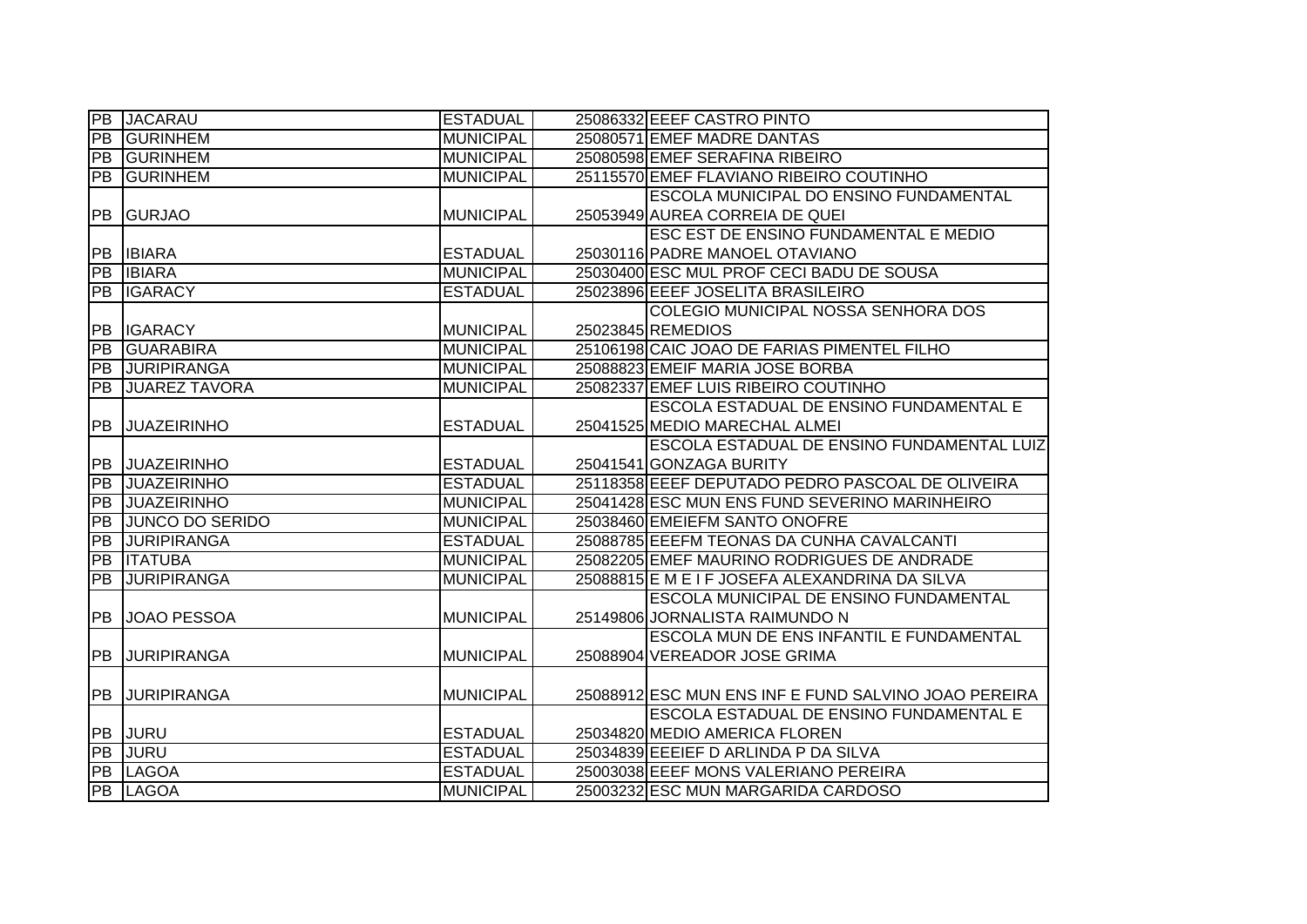| $\overline{PB}$ | <b>JACARAU</b>         | <b>ESTADUAL</b>  | 25086332 EEEF CASTRO PINTO                           |
|-----------------|------------------------|------------------|------------------------------------------------------|
| PB              | <b>GURINHEM</b>        | <b>MUNICIPAL</b> | 25080571 EMEF MADRE DANTAS                           |
| <b>PB</b>       | <b>GURINHEM</b>        | <b>MUNICIPAL</b> | 25080598 EMEF SERAFINA RIBEIRO                       |
| PB              | <b>GURINHEM</b>        | <b>MUNICIPAL</b> | 25115570 EMEF FLAVIANO RIBEIRO COUTINHO              |
|                 |                        |                  | ESCOLA MUNICIPAL DO ENSINO FUNDAMENTAL               |
| <b>PB</b>       | <b>GURJAO</b>          | <b>MUNICIPAL</b> | 25053949 AUREA CORREIA DE QUEI                       |
|                 |                        |                  | ESC EST DE ENSINO FUNDAMENTAL E MEDIO                |
| PB              | <b>IBIARA</b>          | <b>ESTADUAL</b>  | 25030116 PADRE MANOEL OTAVIANO                       |
| PB              | <b>IBIARA</b>          | <b>MUNICIPAL</b> | 25030400 ESC MUL PROF CECI BADU DE SOUSA             |
| $\overline{PB}$ | <b>IGARACY</b>         | <b>ESTADUAL</b>  | 25023896 EEEF JOSELITA BRASILEIRO                    |
|                 |                        |                  | COLEGIO MUNICIPAL NOSSA SENHORA DOS                  |
| <b>PB</b>       | <b>IGARACY</b>         | <b>MUNICIPAL</b> | 25023845 REMEDIOS                                    |
| PB              | <b>GUARABIRA</b>       | <b>MUNICIPAL</b> | 25106198 CAIC JOAO DE FARIAS PIMENTEL FILHO          |
| PB              | <b>JURIPIRANGA</b>     | <b>MUNICIPAL</b> | 25088823 EMEIF MARIA JOSE BORBA                      |
| $\overline{PB}$ | <b>JUAREZ TAVORA</b>   | <b>MUNICIPAL</b> | 25082337 EMEF LUIS RIBEIRO COUTINHO                  |
|                 |                        |                  | ESCOLA ESTADUAL DE ENSINO FUNDAMENTAL E              |
| PB              | <b>JUAZEIRINHO</b>     | <b>ESTADUAL</b>  | 25041525 MEDIO MARECHAL ALMEI                        |
|                 |                        |                  | ESCOLA ESTADUAL DE ENSINO FUNDAMENTAL LUIZ           |
| <b>PB</b>       | <b>JUAZEIRINHO</b>     | <b>ESTADUAL</b>  | 25041541 GONZAGA BURITY                              |
| $\overline{PB}$ | <b>JUAZEIRINHO</b>     | <b>ESTADUAL</b>  | 25118358 EEEF DEPUTADO PEDRO PASCOAL DE OLIVEIRA     |
| $\overline{PB}$ | <b>JUAZEIRINHO</b>     | <b>MUNICIPAL</b> | 25041428 ESC MUN ENS FUND SEVERINO MARINHEIRO        |
| $\overline{PB}$ | <b>JUNCO DO SERIDO</b> | <b>MUNICIPAL</b> | 25038460 EMEIEFM SANTO ONOFRE                        |
| <b>PB</b>       | <b>JURIPIRANGA</b>     | <b>ESTADUAL</b>  | 25088785 EEEFM TEONAS DA CUNHA CAVALCANTI            |
| PB              | <b>ITATUBA</b>         | <b>MUNICIPAL</b> | 25082205 EMEF MAURINO RODRIGUES DE ANDRADE           |
| $\overline{PB}$ | <b>JURIPIRANGA</b>     | <b>MUNICIPAL</b> | 25088815 E M E I F JOSEFA ALEXANDRINA DA SILVA       |
|                 |                        |                  | ESCOLA MUNICIPAL DE ENSINO FUNDAMENTAL               |
| PB              | JOAO PESSOA            | <b>MUNICIPAL</b> | 25149806 JORNALISTA RAIMUNDO N                       |
|                 |                        |                  | ESCOLA MUN DE ENS INFANTIL E FUNDAMENTAL             |
| <b>PB</b>       | <b>JURIPIRANGA</b>     | <b>MUNICIPAL</b> | 25088904 VEREADOR JOSE GRIMA                         |
|                 |                        |                  |                                                      |
| <b>PB</b>       | <b>JURIPIRANGA</b>     | <b>MUNICIPAL</b> | 25088912 ESC MUN ENS INF E FUND SALVINO JOAO PEREIRA |
|                 |                        |                  | ESCOLA ESTADUAL DE ENSINO FUNDAMENTAL E              |
| <b>PB</b>       | <b>JURU</b>            | <b>ESTADUAL</b>  | 25034820 MEDIO AMERICA FLOREN                        |
| PB              | <b>JURU</b>            | <b>ESTADUAL</b>  | 25034839 EEEIEF D ARLINDA P DA SILVA                 |
| PB              | LAGOA                  | <b>ESTADUAL</b>  | 25003038 EEEF MONS VALERIANO PEREIRA                 |
| PB              | LAGOA                  | <b>MUNICIPAL</b> | 25003232 ESC MUN MARGARIDA CARDOSO                   |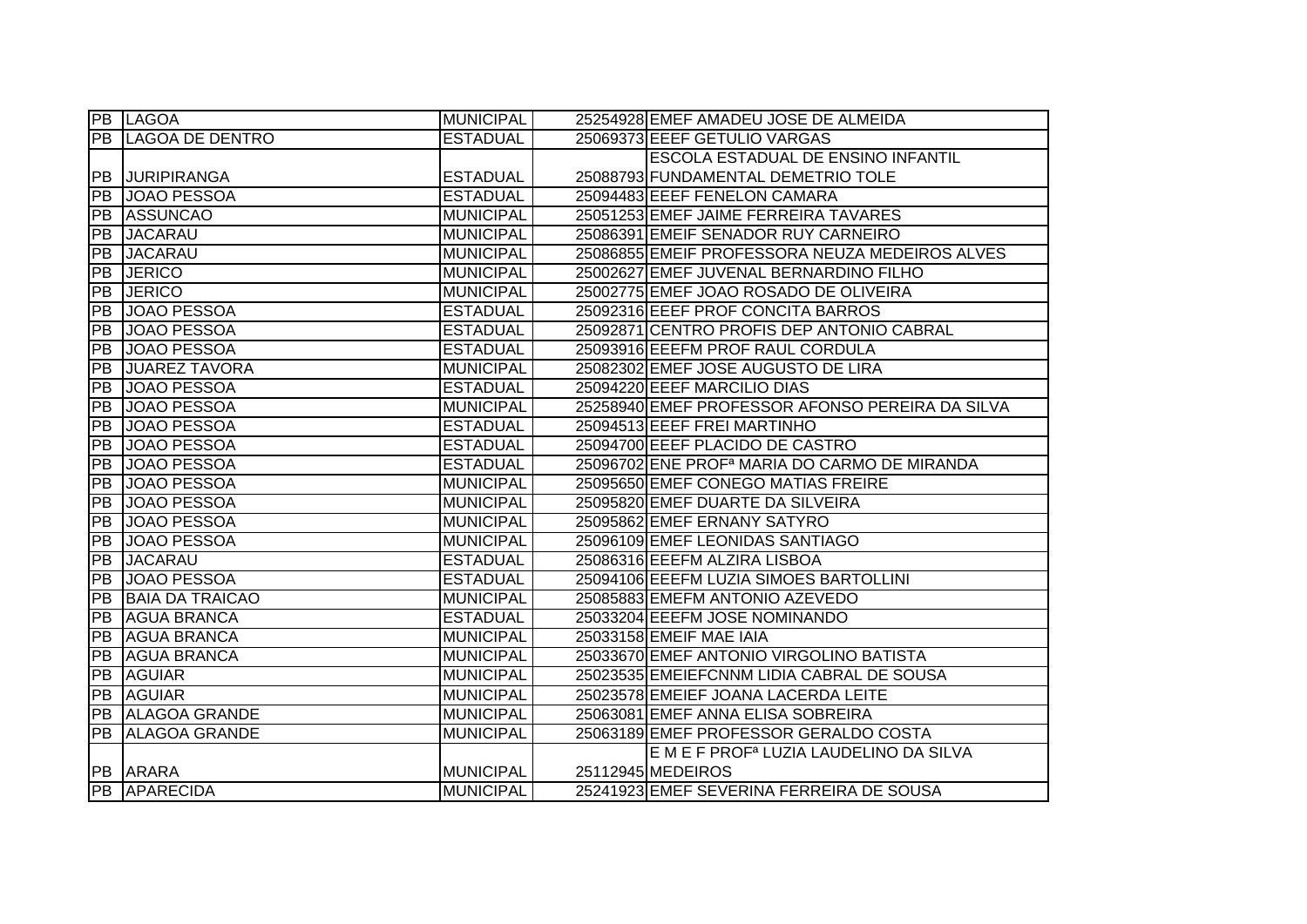|                 | <b>PB LAGOA</b>        | <b>MUNICIPAL</b> | 25254928 EMEF AMADEU JOSE DE ALMEIDA                     |
|-----------------|------------------------|------------------|----------------------------------------------------------|
| PB              | <b>LAGOA DE DENTRO</b> | <b>ESTADUAL</b>  | 25069373 EEEF GETULIO VARGAS                             |
|                 |                        |                  | ESCOLA ESTADUAL DE ENSINO INFANTIL                       |
| <b>PB</b>       | <b>JURIPIRANGA</b>     | <b>ESTADUAL</b>  | 25088793 FUNDAMENTAL DEMETRIO TOLE                       |
| <b>PB</b>       | JOAO PESSOA            | <b>ESTADUAL</b>  | 25094483 EEEF FENELON CAMARA                             |
| PB              | <b>ASSUNCAO</b>        | <b>MUNICIPAL</b> | 25051253 EMEF JAIME FERREIRA TAVARES                     |
| PB              | <b>JACARAU</b>         | <b>MUNICIPAL</b> | 25086391 EMEIF SENADOR RUY CARNEIRO                      |
| <b>PB</b>       | <b>JACARAU</b>         | <b>MUNICIPAL</b> | 25086855 EMEIF PROFESSORA NEUZA MEDEIROS ALVES           |
| PB              | <b>JERICO</b>          | <b>MUNICIPAL</b> | 25002627 EMEF JUVENAL BERNARDINO FILHO                   |
| PB              | <b>JERICO</b>          | <b>MUNICIPAL</b> | 25002775 EMEF JOAO ROSADO DE OLIVEIRA                    |
| <b>PB</b>       | JOAO PESSOA            | <b>ESTADUAL</b>  | 25092316 EEEF PROF CONCITA BARROS                        |
| <b>PB</b>       | JOAO PESSOA            | <b>ESTADUAL</b>  | 25092871 CENTRO PROFIS DEP ANTONIO CABRAL                |
| PB              | JOAO PESSOA            | <b>ESTADUAL</b>  | 25093916 EEEFM PROF RAUL CORDULA                         |
| PB              | <b>JUAREZ TAVORA</b>   | <b>MUNICIPAL</b> | 25082302 EMEF JOSE AUGUSTO DE LIRA                       |
| <b>PB</b>       | JOAO PESSOA            | <b>ESTADUAL</b>  | 25094220 EEEF MARCILIO DIAS                              |
| <b>PB</b>       | <b>JOAO PESSOA</b>     | <b>MUNICIPAL</b> | 25258940 EMEF PROFESSOR AFONSO PEREIRA DA SILVA          |
| PB              | JOAO PESSOA            | <b>ESTADUAL</b>  | 25094513 EEEF FREI MARTINHO                              |
| PB              | JOAO PESSOA            | <b>ESTADUAL</b>  | 25094700 EEEF PLACIDO DE CASTRO                          |
| PB              | JOAO PESSOA            | <b>ESTADUAL</b>  | 25096702 ENE PROF <sup>a</sup> MARIA DO CARMO DE MIRANDA |
| PB              | JOAO PESSOA            | <b>MUNICIPAL</b> | 25095650 EMEF CONEGO MATIAS FREIRE                       |
| <b>PB</b>       | JOAO PESSOA            | <b>MUNICIPAL</b> | 25095820 EMEF DUARTE DA SILVEIRA                         |
| PB              | JOAO PESSOA            | <b>MUNICIPAL</b> | 25095862 EMEF ERNANY SATYRO                              |
| $\overline{PB}$ | JOAO PESSOA            | <b>MUNICIPAL</b> | 25096109 EMEF LEONIDAS SANTIAGO                          |
| ĪРВ             | <b>JACARAU</b>         | <b>ESTADUAL</b>  | 25086316 EEEFM ALZIRA LISBOA                             |
| ĪРВ             | JOAO PESSOA            | <b>ESTADUAL</b>  | 25094106 EEEFM LUZIA SIMOES BARTOLLINI                   |
| <b>PB</b>       | <b>BAIA DA TRAICAO</b> | <b>MUNICIPAL</b> | 25085883 EMEFM ANTONIO AZEVEDO                           |
| PB              | <b>AGUA BRANCA</b>     | <b>ESTADUAL</b>  | 25033204 EEEFM JOSE NOMINANDO                            |
| <b>PB</b>       | <b>AGUA BRANCA</b>     | <b>MUNICIPAL</b> | 25033158 EMEIF MAE IAIA                                  |
| PB              | <b>AGUA BRANCA</b>     | <b>MUNICIPAL</b> | 25033670 EMEF ANTONIO VIRGOLINO BATISTA                  |
| PB              | <b>AGUIAR</b>          | <b>MUNICIPAL</b> | 25023535 EMEIEFCNNM LIDIA CABRAL DE SOUSA                |
| PB              | <b>AGUIAR</b>          | <b>MUNICIPAL</b> | 25023578 EMEIEF JOANA LACERDA LEITE                      |
|                 | PB ALAGOA GRANDE       | <b>MUNICIPAL</b> | 25063081 EMEF ANNA ELISA SOBREIRA                        |
| PB              | <b>ALAGOA GRANDE</b>   | <b>MUNICIPAL</b> | 25063189 EMEF PROFESSOR GERALDO COSTA                    |
|                 |                        |                  | E M E F PROF <sup>a</sup> LUZIA LAUDELINO DA SILVA       |
| <b>PB</b>       | <b>ARARA</b>           | <b>MUNICIPAL</b> | 25112945 MEDEIROS                                        |
|                 | <b>PB APARECIDA</b>    | <b>MUNICIPAL</b> | 25241923 EMEF SEVERINA FERREIRA DE SOUSA                 |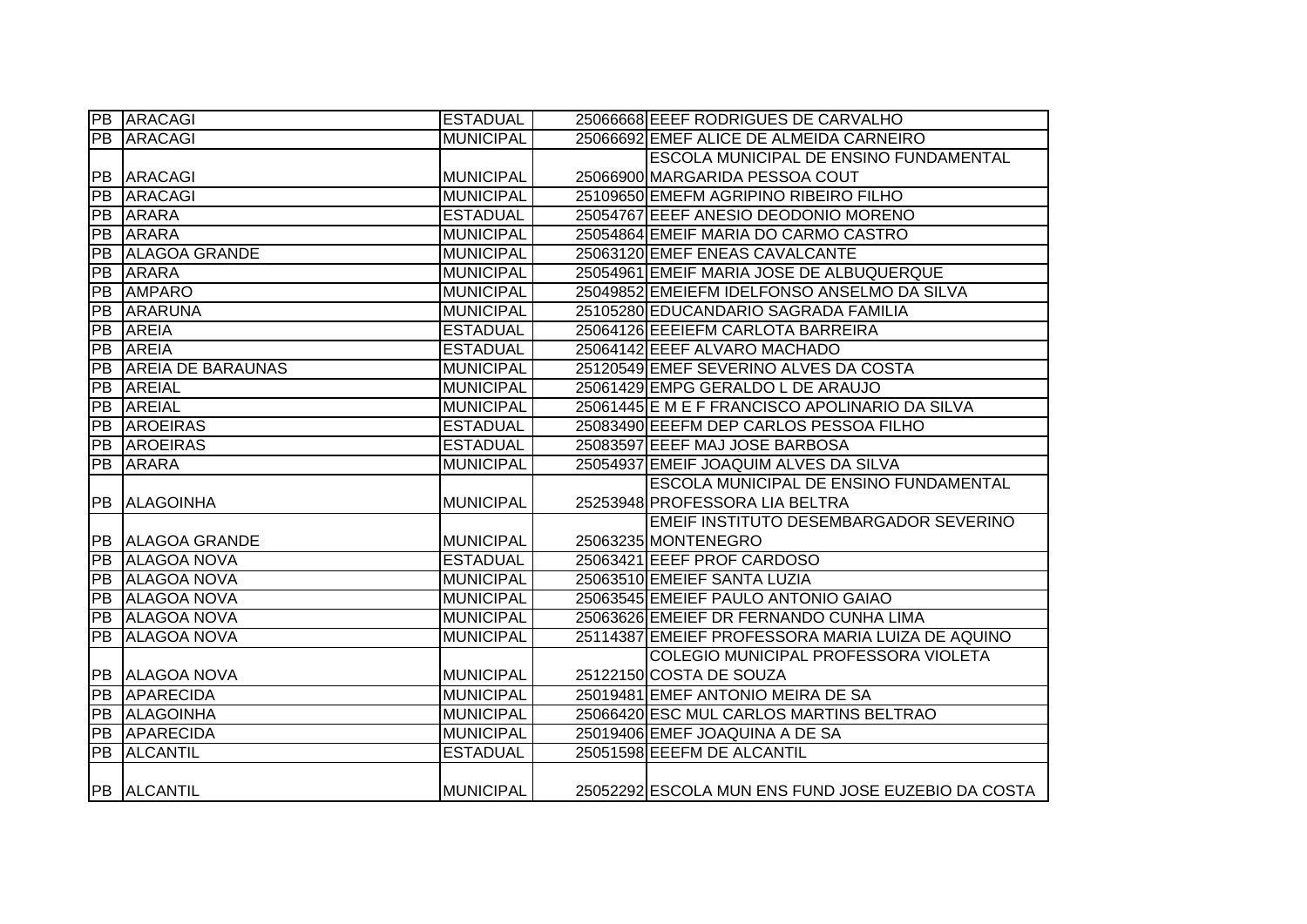|                 | PB ARACAGI               | <b>ESTADUAL</b>  | 25066668 EEEF RODRIGUES DE CARVALHO                |
|-----------------|--------------------------|------------------|----------------------------------------------------|
| PB              | <b>ARACAGI</b>           | <b>MUNICIPAL</b> | 25066692 EMEF ALICE DE ALMEIDA CARNEIRO            |
|                 |                          |                  | <b>ESCOLA MUNICIPAL DE ENSINO FUNDAMENTAL</b>      |
| PB              | <b>ARACAGI</b>           | <b>MUNICIPAL</b> | 25066900 MARGARIDA PESSOA COUT                     |
| PB              | <b>ARACAGI</b>           | <b>MUNICIPAL</b> | 25109650 EMEFM AGRIPINO RIBEIRO FILHO              |
| PB              | <b>ARARA</b>             | <b>ESTADUAL</b>  | 25054767 EEEF ANESIO DEODONIO MORENO               |
| PB              | <b>ARARA</b>             | <b>MUNICIPAL</b> | 25054864 EMEIF MARIA DO CARMO CASTRO               |
| [PB             | <b>ALAGOA GRANDE</b>     | <b>MUNICIPAL</b> | 25063120 EMEF ENEAS CAVALCANTE                     |
| PB              | <b>ARARA</b>             | <b>MUNICIPAL</b> | 25054961 EMEIF MARIA JOSE DE ALBUQUERQUE           |
| PB              | <b>AMPARO</b>            | <b>MUNICIPAL</b> | 25049852 EMEIEFM IDELFONSO ANSELMO DA SILVA        |
| PB              | <b>ARARUNA</b>           | <b>MUNICIPAL</b> | 25105280 EDUCANDARIO SAGRADA FAMILIA               |
| PB              | <b>AREIA</b>             | <b>ESTADUAL</b>  | 25064126 EEEIEFM CARLOTA BARREIRA                  |
| PB              | <b>AREIA</b>             | <b>ESTADUAL</b>  | 25064142 EEEF ALVARO MACHADO                       |
| PB              | <b>AREIA DE BARAUNAS</b> | <b>MUNICIPAL</b> | 25120549 EMEF SEVERINO ALVES DA COSTA              |
| PB              | <b>AREIAL</b>            | <b>MUNICIPAL</b> | 25061429 EMPG GERALDO L DE ARAUJO                  |
| PB              | <b>AREIAL</b>            | <b>MUNICIPAL</b> | 25061445 E M E F FRANCISCO APOLINARIO DA SILVA     |
| PB              | <b>AROEIRAS</b>          | <b>ESTADUAL</b>  | 25083490 EEEFM DEP CARLOS PESSOA FILHO             |
| $\overline{PB}$ | <b>AROEIRAS</b>          | <b>ESTADUAL</b>  | 25083597 EEEF MAJ JOSE BARBOSA                     |
| PB              | <b>ARARA</b>             | <b>MUNICIPAL</b> | 25054937 EMEIF JOAQUIM ALVES DA SILVA              |
|                 |                          |                  | <b>ESCOLA MUNICIPAL DE ENSINO FUNDAMENTAL</b>      |
| PB              | <b>ALAGOINHA</b>         | <b>MUNICIPAL</b> | 25253948 PROFESSORA LIA BELTRA                     |
|                 |                          |                  | EMEIF INSTITUTO DESEMBARGADOR SEVERINO             |
|                 | PB ALAGOA GRANDE         | <b>MUNICIPAL</b> | 25063235 MONTENEGRO                                |
| $\overline{PB}$ | <b>ALAGOA NOVA</b>       | <b>ESTADUAL</b>  | 25063421 EEEF PROF CARDOSO                         |
| $\overline{PB}$ | <b>ALAGOA NOVA</b>       | <b>MUNICIPAL</b> | 25063510 EMEIEF SANTA LUZIA                        |
| PB              | <b>ALAGOA NOVA</b>       | <b>MUNICIPAL</b> | 25063545 EMEIEF PAULO ANTONIO GAIAO                |
| PB              | <b>ALAGOA NOVA</b>       | <b>MUNICIPAL</b> | 25063626 EMEIEF DR FERNANDO CUNHA LIMA             |
| <b>PB</b>       | <b>ALAGOA NOVA</b>       | <b>MUNICIPAL</b> | 25114387 EMEIEF PROFESSORA MARIA LUIZA DE AQUINO   |
|                 |                          |                  | COLEGIO MUNICIPAL PROFESSORA VIOLETA               |
| <b>PB</b>       | <b>ALAGOA NOVA</b>       | <b>MUNICIPAL</b> | 25122150 COSTA DE SOUZA                            |
| PB              | <b>APARECIDA</b>         | <b>MUNICIPAL</b> | 25019481 EMEF ANTONIO MEIRA DE SA                  |
| PB              | <b>ALAGOINHA</b>         | <b>MUNICIPAL</b> | 25066420 ESC MUL CARLOS MARTINS BELTRAO            |
|                 | <b>PB APARECIDA</b>      | <b>MUNICIPAL</b> | 25019406 EMEF JOAQUINA A DE SA                     |
| $\overline{PB}$ | <b>ALCANTIL</b>          | <b>ESTADUAL</b>  | 25051598 EEEFM DE ALCANTIL                         |
|                 |                          |                  |                                                    |
|                 | <b>PB ALCANTIL</b>       | <b>MUNICIPAL</b> | 25052292 ESCOLA MUN ENS FUND JOSE EUZEBIO DA COSTA |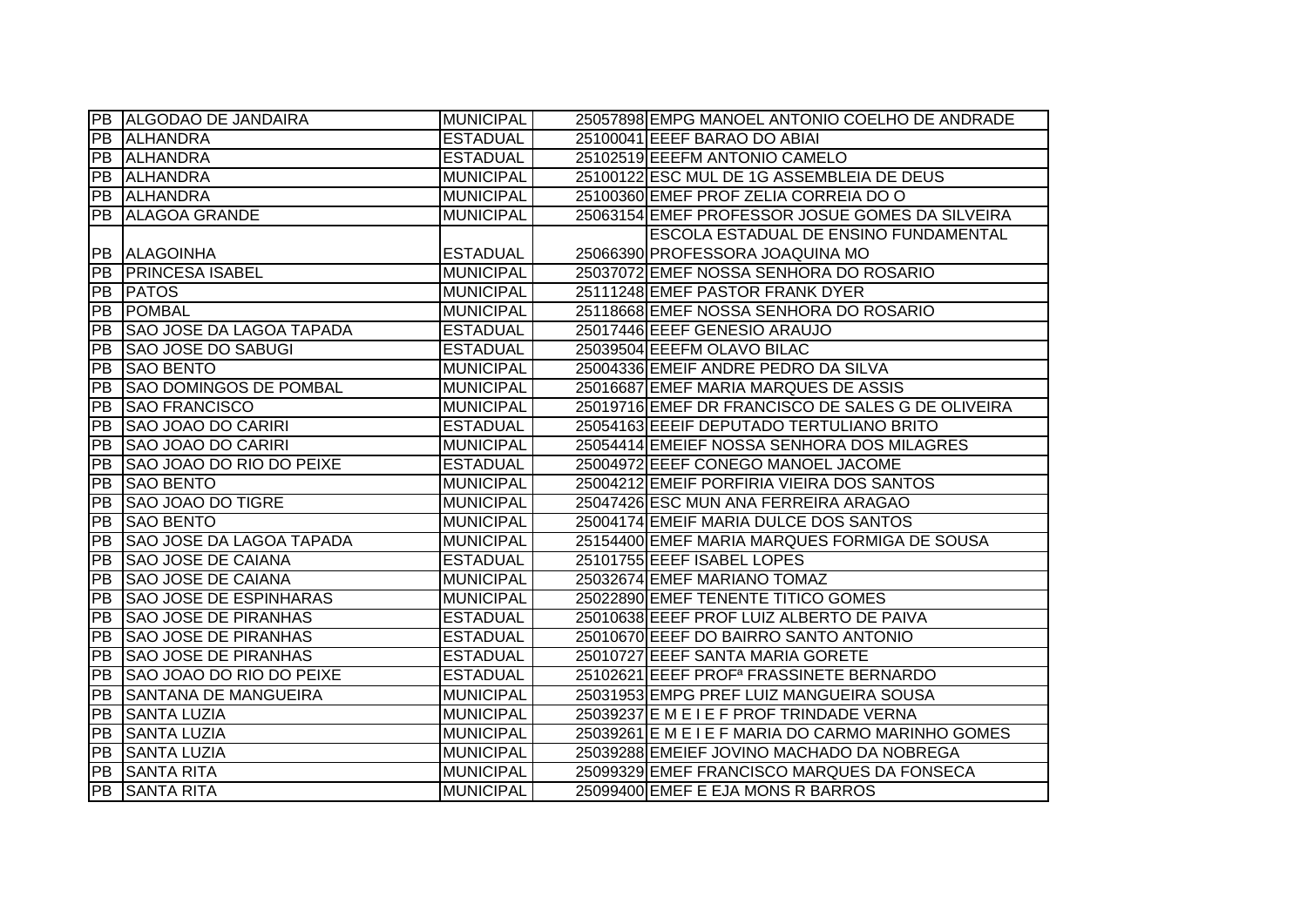|                 | PB ALGODAO DE JANDAIRA          | <b>MUNICIPAL</b> | 25057898 EMPG MANOEL ANTONIO COELHO DE ANDRADE      |
|-----------------|---------------------------------|------------------|-----------------------------------------------------|
|                 | PB ALHANDRA                     | <b>ESTADUAL</b>  | 25100041 EEEF BARAO DO ABIAI                        |
|                 | PB ALHANDRA                     | <b>ESTADUAL</b>  | 25102519 EEEFM ANTONIO CAMELO                       |
| PB.             | <b>ALHANDRA</b>                 | <b>MUNICIPAL</b> | 25100122 ESC MUL DE 1G ASSEMBLEIA DE DEUS           |
| PB              | <b>ALHANDRA</b>                 | <b>MUNICIPAL</b> | 25100360 EMEF PROF ZELIA CORREIA DO O               |
| PB              | <b>ALAGOA GRANDE</b>            | <b>MUNICIPAL</b> | 25063154 EMEF PROFESSOR JOSUE GOMES DA SILVEIRA     |
|                 |                                 |                  | ESCOLA ESTADUAL DE ENSINO FUNDAMENTAL               |
|                 | PB ALAGOINHA                    | <b>ESTADUAL</b>  | 25066390 PROFESSORA JOAQUINA MO                     |
| <b>PB</b>       | <b>PRINCESA ISABEL</b>          | <b>MUNICIPAL</b> | 25037072 EMEF NOSSA SENHORA DO ROSARIO              |
| PB              | <b>PATOS</b>                    | <b>MUNICIPAL</b> | 25111248 EMEF PASTOR FRANK DYER                     |
| PB              | <b>POMBAL</b>                   | <b>MUNICIPAL</b> | 25118668 EMEF NOSSA SENHORA DO ROSARIO              |
| PB              | <b>SAO JOSE DA LAGOA TAPADA</b> | <b>ESTADUAL</b>  | 25017446 EEEF GENESIO ARAUJO                        |
| IPB.            | <b>SAO JOSE DO SABUGI</b>       | <b>ESTADUAL</b>  | 25039504 EEEFM OLAVO BILAC                          |
| PB              | <b>SAO BENTO</b>                | <b>MUNICIPAL</b> | 25004336 EMEIF ANDRE PEDRO DA SILVA                 |
| <b>PB</b>       | <b>SAO DOMINGOS DE POMBAL</b>   | <b>MUNICIPAL</b> | 25016687 EMEF MARIA MARQUES DE ASSIS                |
| PB              | <b>SAO FRANCISCO</b>            | <b>MUNICIPAL</b> | 25019716 EMEF DR FRANCISCO DE SALES G DE OLIVEIRA   |
| PB              | <b>SAO JOAO DO CARIRI</b>       | <b>ESTADUAL</b>  | 25054163 EEEIF DEPUTADO TERTULIANO BRITO            |
| PB              | <b>SAO JOAO DO CARIRI</b>       | <b>MUNICIPAL</b> | 25054414 EMEIEF NOSSA SENHORA DOS MILAGRES          |
| <b>PB</b>       | SAO JOAO DO RIO DO PEIXE        | <b>ESTADUAL</b>  | 25004972 EEEF CONEGO MANOEL JACOME                  |
| PB              | <b>SAO BENTO</b>                | <b>MUNICIPAL</b> | 25004212 EMEIF PORFIRIA VIEIRA DOS SANTOS           |
| <b>PB</b>       | <b>SAO JOAO DO TIGRE</b>        | <b>MUNICIPAL</b> | 25047426 ESC MUN ANA FERREIRA ARAGAO                |
| PB              | <b>SAO BENTO</b>                | <b>MUNICIPAL</b> | 25004174 EMEIF MARIA DULCE DOS SANTOS               |
| PB              | <b>SAO JOSE DA LAGOA TAPADA</b> | <b>MUNICIPAL</b> | 25154400 EMEF MARIA MARQUES FORMIGA DE SOUSA        |
| <b>PB</b>       | <b>SAO JOSE DE CAIANA</b>       | <b>ESTADUAL</b>  | 25101755 EEEF ISABEL LOPES                          |
| <b>PB</b>       | <b>SAO JOSE DE CAIANA</b>       | <b>MUNICIPAL</b> | 25032674 EMEF MARIANO TOMAZ                         |
| <b>PB</b>       | <b>SAO JOSE DE ESPINHARAS</b>   | <b>MUNICIPAL</b> | 25022890 EMEF TENENTE TITICO GOMES                  |
| <b>PB</b>       | <b>SAO JOSE DE PIRANHAS</b>     | <b>ESTADUAL</b>  | 25010638 EEEF PROF LUIZ ALBERTO DE PAIVA            |
| PB              | <b>SAO JOSE DE PIRANHAS</b>     | <b>ESTADUAL</b>  | 25010670 EEEF DO BAIRRO SANTO ANTONIO               |
| PB              | ISAO JOSE DE PIRANHAS           | <b>ESTADUAL</b>  | 25010727 EEEF SANTA MARIA GORETE                    |
| <b>PB</b>       | SAO JOAO DO RIO DO PEIXE        | <b>ESTADUAL</b>  | 25102621 EEEF PROF <sup>a</sup> FRASSINETE BERNARDO |
| PB              | <b>SANTANA DE MANGUEIRA</b>     | <b>MUNICIPAL</b> | 25031953 EMPG PREF LUIZ MANGUEIRA SOUSA             |
| <b>PB</b>       | <b>SANTA LUZIA</b>              | <b>MUNICIPAL</b> | 25039237 E M E I E F PROF TRINDADE VERNA            |
| PB              | <b>SANTA LUZIA</b>              | <b>MUNICIPAL</b> | 25039261 E M E I E F MARIA DO CARMO MARINHO GOMES   |
| $\overline{P}B$ | <b>SANTA LUZIA</b>              | <b>MUNICIPAL</b> | 25039288 EMEIEF JOVINO MACHADO DA NOBREGA           |
| PB              | <b>SANTA RITA</b>               | <b>MUNICIPAL</b> | 25099329 EMEF FRANCISCO MARQUES DA FONSECA          |
|                 | <b>PB</b> SANTA RITA            | <b>MUNICIPAL</b> | 25099400 EMEF E EJA MONS R BARROS                   |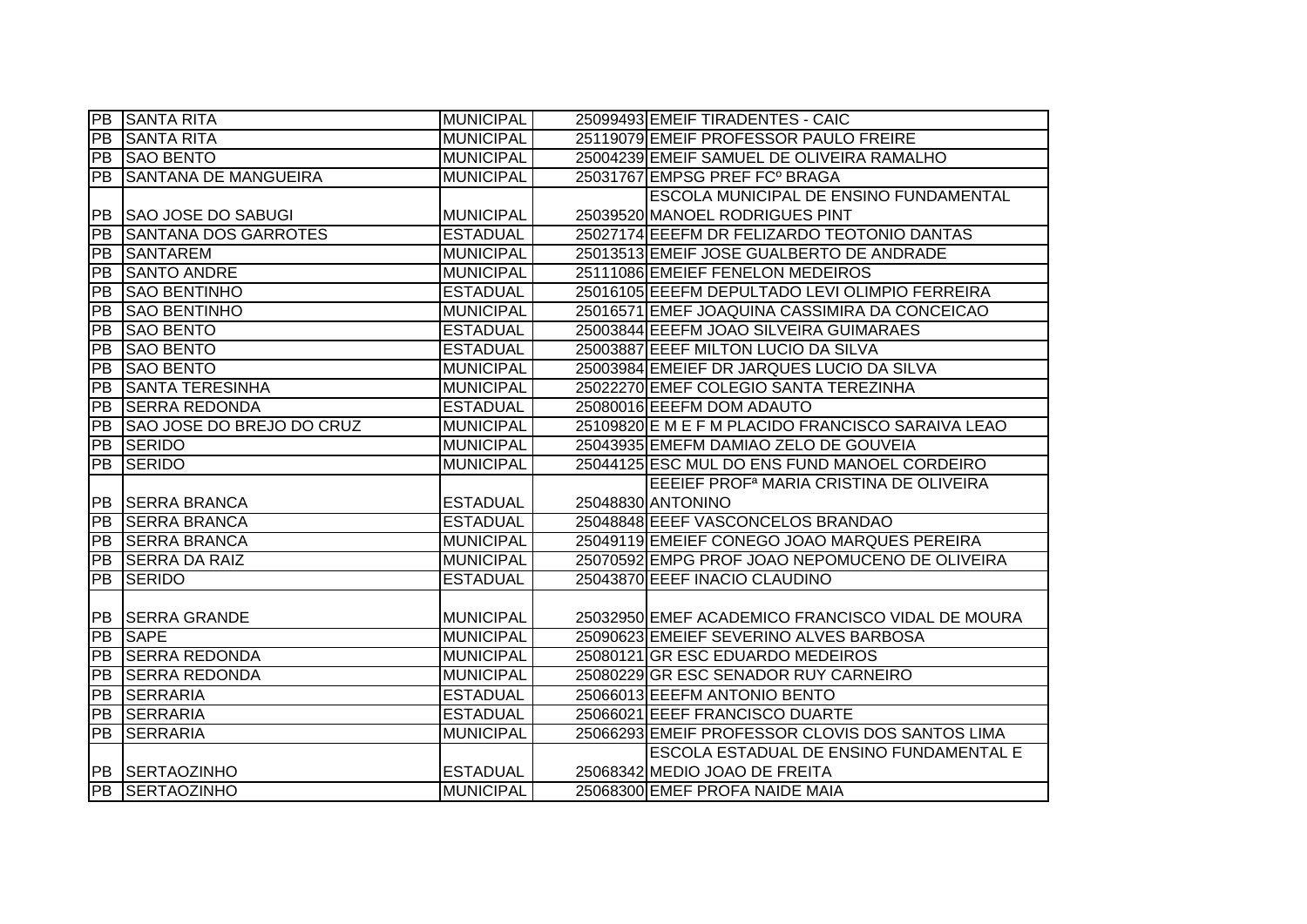| PB              | <b>SANTA RITA</b>           | MUNICIPAL        | 25099493 EMEIF TIRADENTES - CAIC                    |
|-----------------|-----------------------------|------------------|-----------------------------------------------------|
| PB              | <b>SANTA RITA</b>           | <b>MUNICIPAL</b> | 25119079 EMEIF PROFESSOR PAULO FREIRE               |
| PB              | <b>SAO BENTO</b>            | <b>MUNICIPAL</b> | 25004239 EMEIF SAMUEL DE OLIVEIRA RAMALHO           |
| <b>PB</b>       | <b>SANTANA DE MANGUEIRA</b> | <b>MUNICIPAL</b> | 25031767 EMPSG PREF FC° BRAGA                       |
|                 |                             |                  | ESCOLA MUNICIPAL DE ENSINO FUNDAMENTAL              |
| PB              | <b>SAO JOSE DO SABUGI</b>   | <b>MUNICIPAL</b> | 25039520 MANOEL RODRIGUES PINT                      |
| PB              | <b>SANTANA DOS GARROTES</b> | <b>ESTADUAL</b>  | 25027174 EEEFM DR FELIZARDO TEOTONIO DANTAS         |
| PB              | <b>SANTAREM</b>             | <b>MUNICIPAL</b> | 25013513 EMEIF JOSE GUALBERTO DE ANDRADE            |
| <b>PB</b>       | <b>SANTO ANDRE</b>          | <b>MUNICIPAL</b> | 25111086 EMEIEF FENELON MEDEIROS                    |
| PB              | <b>SAO BENTINHO</b>         | <b>ESTADUAL</b>  | 25016105 EEEFM DEPULTADO LEVI OLIMPIO FERREIRA      |
| PB              | <b>SAO BENTINHO</b>         | <b>MUNICIPAL</b> | 25016571 EMEF JOAQUINA CASSIMIRA DA CONCEICAO       |
| <b>PB</b>       | <b>SAO BENTO</b>            | <b>ESTADUAL</b>  | 25003844 EEEFM JOAO SILVEIRA GUIMARAES              |
| <b>PB</b>       | <b>SAO BENTO</b>            | <b>ESTADUAL</b>  | 25003887 EEEF MILTON LUCIO DA SILVA                 |
| PB              | <b>SAO BENTO</b>            | <b>MUNICIPAL</b> | 25003984 EMEIEF DR JARQUES LUCIO DA SILVA           |
| PB              | <b>SANTA TERESINHA</b>      | <b>MUNICIPAL</b> | 25022270 EMEF COLEGIO SANTA TEREZINHA               |
| $\overline{PB}$ | <b>SERRA REDONDA</b>        | <b>ESTADUAL</b>  | 25080016 EEEFM DOM ADAUTO                           |
| <b>PB</b>       | SAO JOSE DO BREJO DO CRUZ   | <b>MUNICIPAL</b> | 25109820 E M E F M PLACIDO FRANCISCO SARAIVA LEAO   |
| PB              | SERIDO                      | <b>MUNICIPAL</b> | 25043935 EMEFM DAMIAO ZELO DE GOUVEIA               |
| $\overline{PB}$ | <b>SERIDO</b>               | <b>MUNICIPAL</b> | 25044125 ESC MUL DO ENS FUND MANOEL CORDEIRO        |
|                 |                             |                  | EEEIEF PROF <sup>a</sup> MARIA CRISTINA DE OLIVEIRA |
|                 | PB SERRA BRANCA             | <b>ESTADUAL</b>  | 25048830 ANTONINO                                   |
| <b>PB</b>       | <b>ISERRA BRANCA</b>        | <b>ESTADUAL</b>  | 25048848 EEEF VASCONCELOS BRANDAO                   |
| $\overline{PB}$ | <b>SERRA BRANCA</b>         | <b>MUNICIPAL</b> | 25049119 EMEIEF CONEGO JOAO MARQUES PEREIRA         |
| $\overline{PB}$ | <b>SERRA DA RAIZ</b>        | <b>MUNICIPAL</b> | 25070592 EMPG PROF JOAO NEPOMUCENO DE OLIVEIRA      |
| <b>PB</b>       | <b>SERIDO</b>               | <b>ESTADUAL</b>  | 25043870 EEEF INACIO CLAUDINO                       |
|                 |                             |                  |                                                     |
| PB              | <b>SERRA GRANDE</b>         | <b>MUNICIPAL</b> | 25032950 EMEF ACADEMICO FRANCISCO VIDAL DE MOURA    |
| $\overline{PB}$ | <b>SAPE</b>                 | <b>MUNICIPAL</b> | 25090623 EMEIEF SEVERINO ALVES BARBOSA              |
| PB              | <b>SERRA REDONDA</b>        | <b>MUNICIPAL</b> | 25080121 GR ESC EDUARDO MEDEIROS                    |
| PB              | <b>SERRA REDONDA</b>        | <b>MUNICIPAL</b> | 25080229 GR ESC SENADOR RUY CARNEIRO                |
| PB              | SERRARIA                    | <b>ESTADUAL</b>  | 25066013 EEEFM ANTONIO BENTO                        |
|                 |                             |                  |                                                     |
|                 | PB SERRARIA                 | <b>ESTADUAL</b>  | 25066021 EEEF FRANCISCO DUARTE                      |
| <b>PB</b>       | <b>SERRARIA</b>             | <b>MUNICIPAL</b> | 25066293 EMEIF PROFESSOR CLOVIS DOS SANTOS LIMA     |
|                 |                             |                  | ESCOLA ESTADUAL DE ENSINO FUNDAMENTAL E             |
|                 | PB SERTAOZINHO              | <b>ESTADUAL</b>  | 25068342 MEDIO JOAO DE FREITA                       |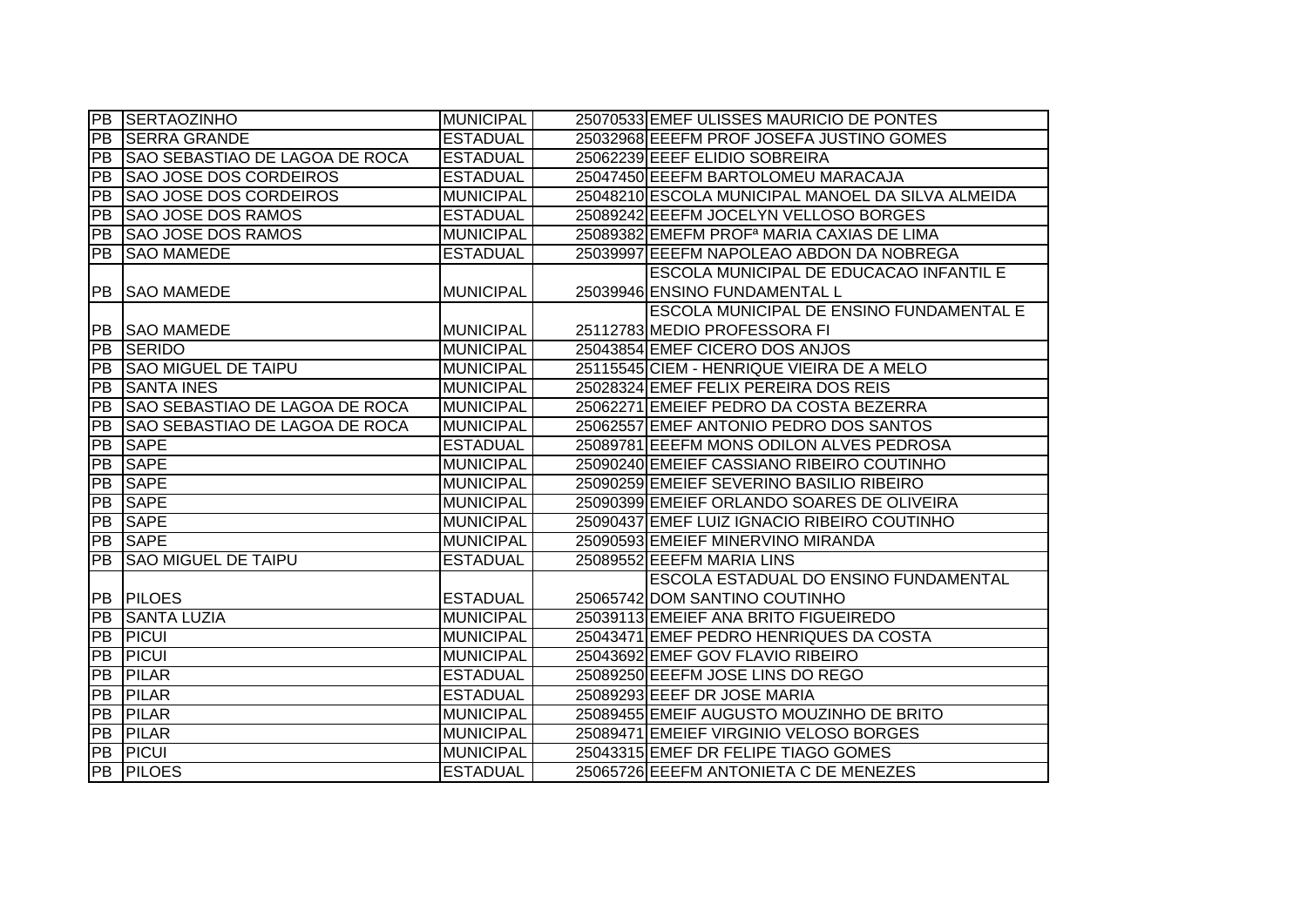|                 | <b>PB SERTAOZINHO</b>                 | <b>MUNICIPAL</b> | 25070533 EMEF ULISSES MAURICIO DE PONTES              |
|-----------------|---------------------------------------|------------------|-------------------------------------------------------|
| <b>PB</b>       | <b>SERRA GRANDE</b>                   | <b>ESTADUAL</b>  | 25032968 EEEFM PROF JOSEFA JUSTINO GOMES              |
| PB              | <b>SAO SEBASTIAO DE LAGOA DE ROCA</b> | <b>ESTADUAL</b>  | 25062239 EEEF ELIDIO SOBREIRA                         |
| PB              | <b>SAO JOSE DOS CORDEIROS</b>         | <b>ESTADUAL</b>  | 25047450 EEEFM BARTOLOMEU MARACAJA                    |
| $\overline{PB}$ | <b>SAO JOSE DOS CORDEIROS</b>         | <b>MUNICIPAL</b> | 25048210 ESCOLA MUNICIPAL MANOEL DA SILVA ALMEIDA     |
| <b>PB</b>       | <b>SAO JOSE DOS RAMOS</b>             | <b>ESTADUAL</b>  | 25089242 EEEFM JOCELYN VELLOSO BORGES                 |
| PB              | <b>SAO JOSE DOS RAMOS</b>             | <b>MUNICIPAL</b> | 25089382 EMEFM PROF <sup>a</sup> MARIA CAXIAS DE LIMA |
| <b>PB</b>       | <b>SAO MAMEDE</b>                     | <b>ESTADUAL</b>  | 25039997 EEEFM NAPOLEAO ABDON DA NOBREGA              |
|                 |                                       |                  | <b>ESCOLA MUNICIPAL DE EDUCACAO INFANTIL E</b>        |
| <b>PB</b>       | <b>SAO MAMEDE</b>                     | <b>MUNICIPAL</b> | 25039946 ENSINO FUNDAMENTAL L                         |
|                 |                                       |                  | <b>ESCOLA MUNICIPAL DE ENSINO FUNDAMENTAL E</b>       |
|                 | <b>PB SAO MAMEDE</b>                  | <b>MUNICIPAL</b> | 25112783 MEDIO PROFESSORA FI                          |
| PB              | <b>SERIDO</b>                         | <b>MUNICIPAL</b> | 25043854 EMEF CICERO DOS ANJOS                        |
| PB              | <b>SAO MIGUEL DE TAIPU</b>            | <b>MUNICIPAL</b> | 25115545 CIEM - HENRIQUE VIEIRA DE A MELO             |
| <b>PB</b>       | <b>SANTA INES</b>                     | <b>MUNICIPAL</b> | 25028324 EMEF FELIX PEREIRA DOS REIS                  |
| PB              | SAO SEBASTIAO DE LAGOA DE ROCA        | <b>MUNICIPAL</b> | 25062271 EMEIEF PEDRO DA COSTA BEZERRA                |
| <b>PB</b>       | <b>SAO SEBASTIAO DE LAGOA DE ROCA</b> | <b>MUNICIPAL</b> | 25062557 EMEF ANTONIO PEDRO DOS SANTOS                |
| PB              | <b>SAPE</b>                           | <b>ESTADUAL</b>  | 25089781 EEEFM MONS ODILON ALVES PEDROSA              |
| PB              | <b>SAPE</b>                           | <b>MUNICIPAL</b> | 25090240 EMEIEF CASSIANO RIBEIRO COUTINHO             |
| $\overline{PB}$ | <b>SAPE</b>                           | <b>MUNICIPAL</b> | 25090259 EMEIEF SEVERINO BASILIO RIBEIRO              |
| $\overline{PB}$ | <b>SAPE</b>                           | <b>MUNICIPAL</b> | 25090399 EMEIEF ORLANDO SOARES DE OLIVEIRA            |
| $\overline{P}B$ | <b>SAPE</b>                           | <b>MUNICIPAL</b> | 25090437 EMEF LUIZ IGNACIO RIBEIRO COUTINHO           |
| PB              | <b>SAPE</b>                           | <b>MUNICIPAL</b> | 25090593 EMEIEF MINERVINO MIRANDA                     |
| <b>PB</b>       | <b>ISAO MIGUEL DE TAIPU</b>           | <b>ESTADUAL</b>  | 25089552 EEEFM MARIA LINS                             |
|                 |                                       |                  | <b>ESCOLA ESTADUAL DO ENSINO FUNDAMENTAL</b>          |
|                 | <b>PB PILOES</b>                      | <b>ESTADUAL</b>  | 25065742 DOM SANTINO COUTINHO                         |
| $\overline{PB}$ | <b>SANTA LUZIA</b>                    | <b>MUNICIPAL</b> | 25039113 EMEIEF ANA BRITO FIGUEIREDO                  |
| PB              | <b>PICUI</b>                          | <b>MUNICIPAL</b> | 25043471 EMEF PEDRO HENRIQUES DA COSTA                |
| PB              | <b>PICUI</b>                          | <b>MUNICIPAL</b> | 25043692 EMEF GOV FLAVIO RIBEIRO                      |
| <b>PB</b>       | <b>PILAR</b>                          | <b>ESTADUAL</b>  | 25089250 EEEFM JOSE LINS DO REGO                      |
| <b>PB</b>       | <b>PILAR</b>                          | <b>ESTADUAL</b>  | 25089293 EEEF DR JOSE MARIA                           |
| PB              | <b>PILAR</b>                          | <b>MUNICIPAL</b> | 25089455 EMEIF AUGUSTO MOUZINHO DE BRITO              |
| PB              | <b>PILAR</b>                          | <b>MUNICIPAL</b> | 25089471 EMEIEF VIRGINIO VELOSO BORGES                |
| PB              | <b>PICUI</b>                          | <b>MUNICIPAL</b> | 25043315 EMEF DR FELIPE TIAGO GOMES                   |
|                 | <b>PB PILOES</b>                      | <b>ESTADUAL</b>  | 25065726 EEEFM ANTONIETA C DE MENEZES                 |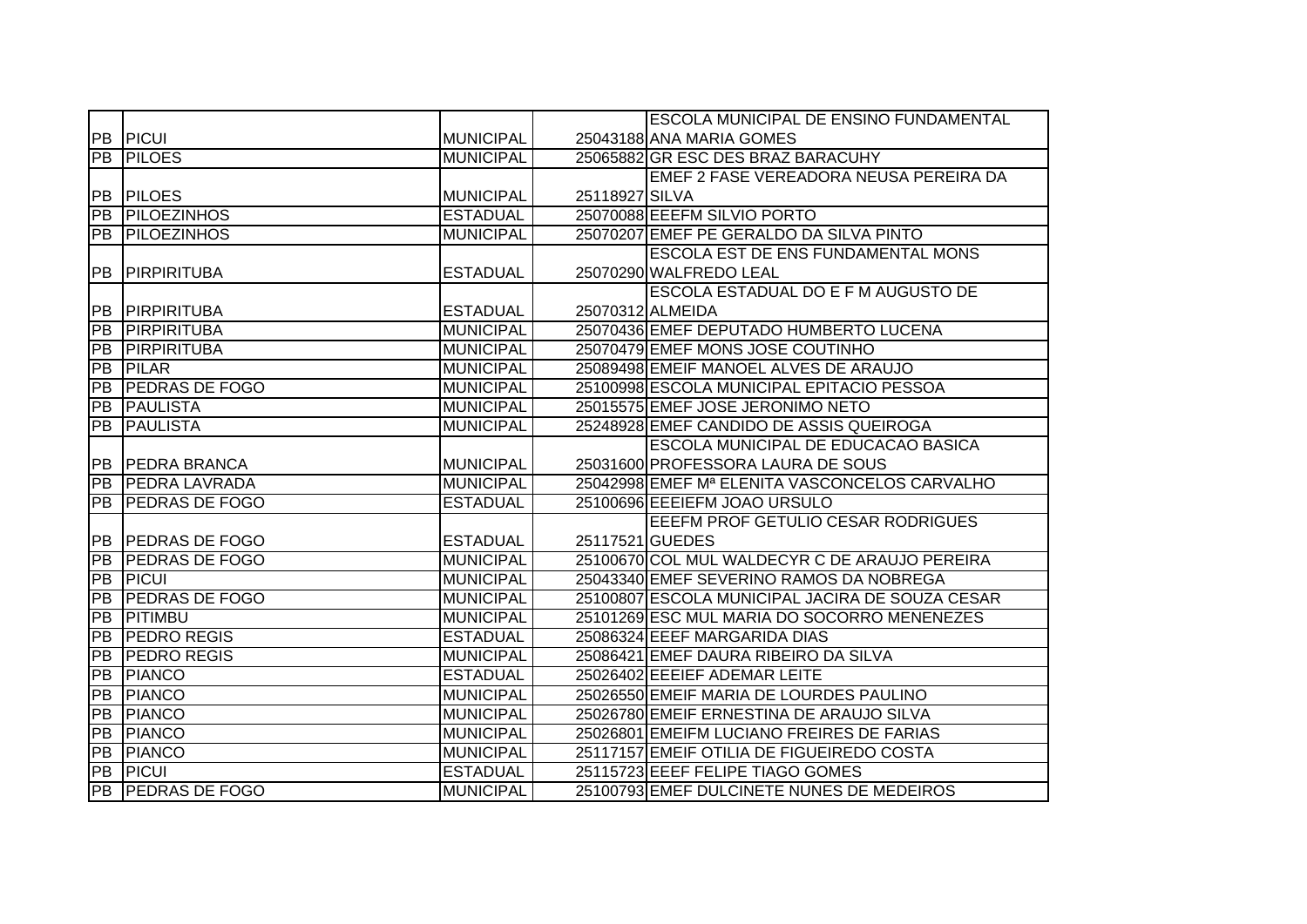|                 |                          |                  |                 | <b>ESCOLA MUNICIPAL DE ENSINO FUNDAMENTAL</b>   |
|-----------------|--------------------------|------------------|-----------------|-------------------------------------------------|
| PB              | PICUI                    | <b>MUNICIPAL</b> |                 | 25043188 ANA MARIA GOMES                        |
| PB              | <b>PILOES</b>            | <b>MUNICIPAL</b> |                 | 25065882 GR ESC DES BRAZ BARACUHY               |
|                 |                          |                  |                 | EMEF 2 FASE VEREADORA NEUSA PEREIRA DA          |
|                 | <b>PB PILOES</b>         | <b>MUNICIPAL</b> | 25118927 SILVA  |                                                 |
| PB              | <b>PILOEZINHOS</b>       | <b>ESTADUAL</b>  |                 | 25070088 EEEFM SILVIO PORTO                     |
| PB              | <b>PILOEZINHOS</b>       | <b>MUNICIPAL</b> |                 | 25070207 EMEF PE GERALDO DA SILVA PINTO         |
|                 |                          |                  |                 | <b>ESCOLA EST DE ENS FUNDAMENTAL MONS</b>       |
| PB              | PIRPIRITUBA              | <b>ESTADUAL</b>  |                 | 25070290 WALFREDO LEAL                          |
|                 |                          |                  |                 | ESCOLA ESTADUAL DO E F M AUGUSTO DE             |
| IPB.            | <b>PIRPIRITUBA</b>       | <b>ESTADUAL</b>  |                 | 25070312 ALMEIDA                                |
| <b>PB</b>       | PIRPIRITUBA              | <b>MUNICIPAL</b> |                 | 25070436 EMEF DEPUTADO HUMBERTO LUCENA          |
| <b>PB</b>       | PIRPIRITUBA              | <b>MUNICIPAL</b> |                 | 25070479 EMEF MONS JOSE COUTINHO                |
| <b>PB</b>       | <b>PILAR</b>             | <b>MUNICIPAL</b> |                 | 25089498 EMEIF MANOEL ALVES DE ARAUJO           |
| <b>PB</b>       | <b>PEDRAS DE FOGO</b>    | <b>MUNICIPAL</b> |                 | 25100998 ESCOLA MUNICIPAL EPITACIO PESSOA       |
| $\overline{PB}$ | <b>PAULISTA</b>          | <b>MUNICIPAL</b> |                 | 25015575 EMEF JOSE JERONIMO NETO                |
| PB              | <b>PAULISTA</b>          | <b>MUNICIPAL</b> |                 | 25248928 EMEF CANDIDO DE ASSIS QUEIROGA         |
|                 |                          |                  |                 | ESCOLA MUNICIPAL DE EDUCACAO BASICA             |
|                 | PB PEDRA BRANCA          | <b>MUNICIPAL</b> |                 | 25031600 PROFESSORA LAURA DE SOUS               |
| PB              | <b>PEDRA LAVRADA</b>     | <b>MUNICIPAL</b> |                 | 25042998 EMEF Mª ELENITA VASCONCELOS CARVALHO   |
| PB              | <b>PEDRAS DE FOGO</b>    | <b>ESTADUAL</b>  |                 | 25100696 EEEIEFM JOAO URSULO                    |
|                 |                          |                  |                 | EEEFM PROF GETULIO CESAR RODRIGUES              |
| <b>PB</b>       | <b>PEDRAS DE FOGO</b>    | <b>ESTADUAL</b>  | 25117521 GUEDES |                                                 |
| PB              | <b>PEDRAS DE FOGO</b>    | <b>MUNICIPAL</b> |                 | 25100670 COL MUL WALDECYR C DE ARAUJO PEREIRA   |
| PB              | <b>PICUI</b>             | <b>MUNICIPAL</b> |                 | 25043340 EMEF SEVERINO RAMOS DA NOBREGA         |
| <b>IPB</b>      | <b>PEDRAS DE FOGO</b>    | <b>MUNICIPAL</b> |                 | 25100807 ESCOLA MUNICIPAL JACIRA DE SOUZA CESAR |
| <b>PB</b>       | PITIMBU                  | <b>MUNICIPAL</b> |                 | 25101269 ESC MUL MARIA DO SOCORRO MENENEZES     |
| <b>PB</b>       | <b>PEDRO REGIS</b>       | <b>ESTADUAL</b>  |                 | 25086324 EEEF MARGARIDA DIAS                    |
| <b>PB</b>       | <b>PEDRO REGIS</b>       | <b>MUNICIPAL</b> |                 | 25086421 EMEF DAURA RIBEIRO DA SILVA            |
| <b>PB</b>       | <b>PIANCO</b>            | <b>ESTADUAL</b>  |                 | 25026402 EEEIEF ADEMAR LEITE                    |
| <b>PB</b>       | <b>TPIANCO</b>           | <b>MUNICIPAL</b> |                 | 25026550 EMEIF MARIA DE LOURDES PAULINO         |
| <b>PB</b>       | <b>TPIANCO</b>           | <b>MUNICIPAL</b> |                 | 25026780 EMEIF ERNESTINA DE ARAUJO SILVA        |
| <b>PB</b>       | <b>PIANCO</b>            | <b>MUNICIPAL</b> |                 | 25026801 EMEIFM LUCIANO FREIRES DE FARIAS       |
| PB              | <b>PIANCO</b>            | <b>MUNICIPAL</b> |                 | 25117157 EMEIF OTILIA DE FIGUEIREDO COSTA       |
| PB              | <b>PICUI</b>             | <b>ESTADUAL</b>  |                 | 25115723 EEEF FELIPE TIAGO GOMES                |
|                 | <b>PB PEDRAS DE FOGO</b> | <b>MUNICIPAL</b> |                 | 25100793 EMEF DULCINETE NUNES DE MEDEIROS       |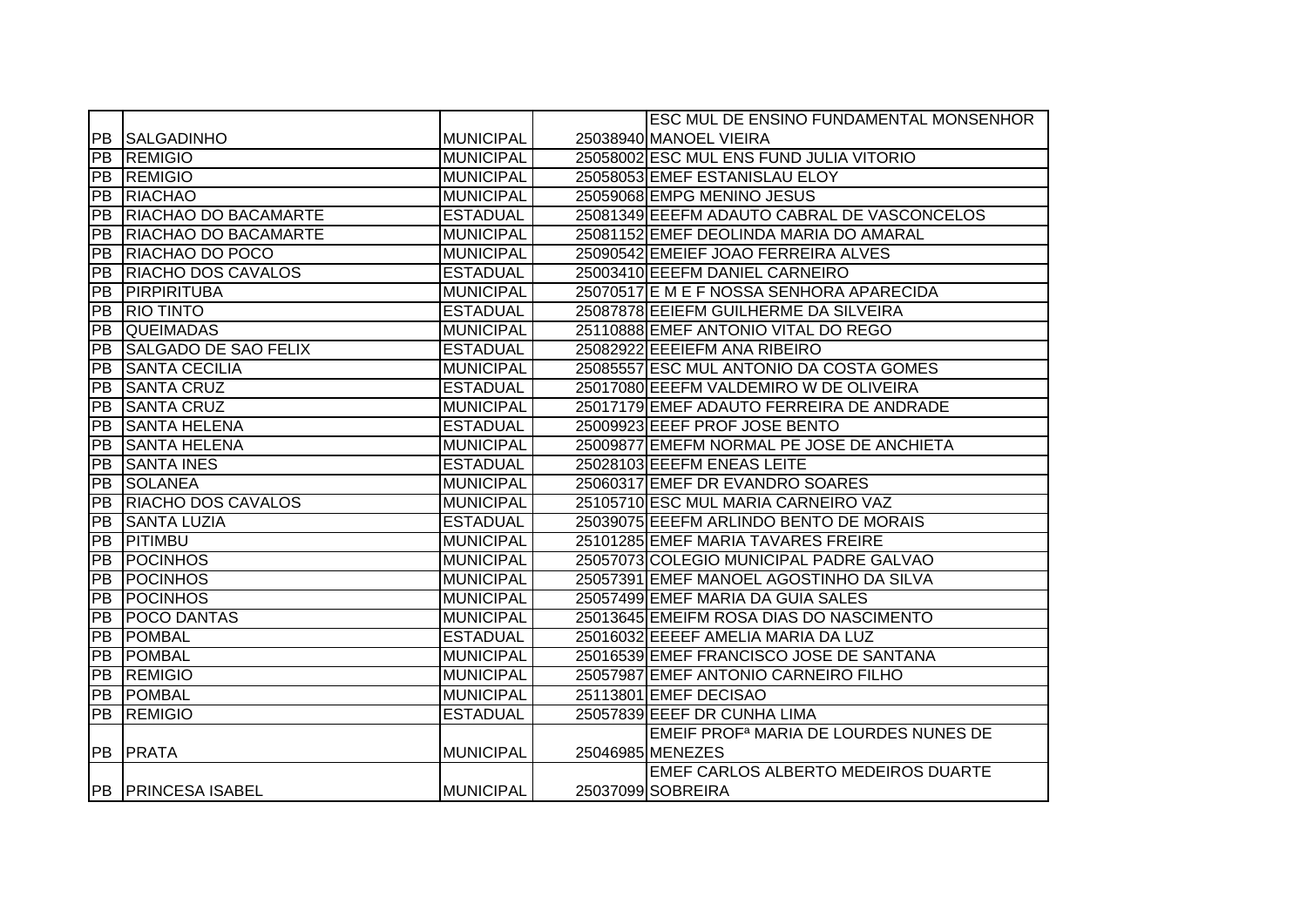|           |                           |                  | <b>ESC MUL DE ENSINO FUNDAMENTAL MONSENHOR</b>    |
|-----------|---------------------------|------------------|---------------------------------------------------|
|           | <b>PB SALGADINHO</b>      | <b>MUNICIPAL</b> | 25038940 MANOEL VIEIRA                            |
|           | <b>PB REMIGIO</b>         | <b>MUNICIPAL</b> | 25058002 ESC MUL ENS FUND JULIA VITORIO           |
|           | <b>PB REMIGIO</b>         | <b>MUNICIPAL</b> | 25058053 EMEF ESTANISLAU ELOY                     |
|           | <b>PB RIACHAO</b>         | <b>MUNICIPAL</b> | 25059068 EMPG MENINO JESUS                        |
|           | PB RIACHAO DO BACAMARTE   | <b>ESTADUAL</b>  | 25081349 EEEFM ADAUTO CABRAL DE VASCONCELOS       |
|           | PB RIACHAO DO BACAMARTE   | <b>MUNICIPAL</b> | 25081152 EMEF DEOLINDA MARIA DO AMARAL            |
|           | PB RIACHAO DO POCO        | <b>MUNICIPAL</b> | 25090542 EMEIEF JOAO FERREIRA ALVES               |
| PB        | <b>RIACHO DOS CAVALOS</b> | <b>ESTADUAL</b>  | 25003410 EEEFM DANIEL CARNEIRO                    |
| <b>PB</b> | PIRPIRITUBA               | <b>MUNICIPAL</b> | 25070517 E M E F NOSSA SENHORA APARECIDA          |
| PB        | <b>RIO TINTO</b>          | <b>ESTADUAL</b>  | 25087878 EEIEFM GUILHERME DA SILVEIRA             |
| PB        | <b>QUEIMADAS</b>          | <b>MUNICIPAL</b> | 25110888 EMEF ANTONIO VITAL DO REGO               |
| PB        | SALGADO DE SAO FELIX      | <b>ESTADUAL</b>  | 25082922 EEEIEFM ANA RIBEIRO                      |
| PB        | <b>SANTA CECILIA</b>      | <b>MUNICIPAL</b> | 25085557 ESC MUL ANTONIO DA COSTA GOMES           |
| PB        | <b>SANTA CRUZ</b>         | <b>ESTADUAL</b>  | 25017080 EEEFM VALDEMIRO W DE OLIVEIRA            |
| PB        | <b>SANTA CRUZ</b>         | <b>MUNICIPAL</b> | 25017179 EMEF ADAUTO FERREIRA DE ANDRADE          |
| PB        | <b>SANTA HELENA</b>       | <b>ESTADUAL</b>  | 25009923 EEEF PROF JOSE BENTO                     |
|           | <b>PB SANTA HELENA</b>    | <b>MUNICIPAL</b> | 25009877 EMEFM NORMAL PE JOSE DE ANCHIETA         |
|           | <b>PB SANTA INES</b>      | <b>ESTADUAL</b>  | 25028103 EEEFM ENEAS LEITE                        |
|           | <b>PB SOLANEA</b>         | <b>MUNICIPAL</b> | 25060317 EMEF DR EVANDRO SOARES                   |
|           | PB RIACHO DOS CAVALOS     | <b>MUNICIPAL</b> | 25105710 ESC MUL MARIA CARNEIRO VAZ               |
| PB        | <b>SANTA LUZIA</b>        | <b>ESTADUAL</b>  | 25039075 EEEFM ARLINDO BENTO DE MORAIS            |
| PB        | PITIMBU                   | <b>MUNICIPAL</b> | 25101285 EMEF MARIA TAVARES FREIRE                |
|           | <b>PB POCINHOS</b>        | <b>MUNICIPAL</b> | 25057073 COLEGIO MUNICIPAL PADRE GALVAO           |
|           | <b>PB POCINHOS</b>        | <b>MUNICIPAL</b> | 25057391 EMEF MANOEL AGOSTINHO DA SILVA           |
|           | <b>PB POCINHOS</b>        | <b>MUNICIPAL</b> | 25057499 EMEF MARIA DA GUIA SALES                 |
| PB        | <b>POCO DANTAS</b>        | <b>MUNICIPAL</b> | 25013645 EMEIFM ROSA DIAS DO NASCIMENTO           |
| PB        | POMBAL                    | <b>ESTADUAL</b>  | 25016032 EEEEF AMELIA MARIA DA LUZ                |
| PB        | <b>POMBAL</b>             | <b>MUNICIPAL</b> | 25016539 EMEF FRANCISCO JOSE DE SANTANA           |
|           | <b>PB REMIGIO</b>         | <b>MUNICIPAL</b> | 25057987 EMEF ANTONIO CARNEIRO FILHO              |
|           | <b>PB POMBAL</b>          | <b>MUNICIPAL</b> | 25113801 EMEF DECISAO                             |
|           | <b>PB REMIGIO</b>         | <b>ESTADUAL</b>  | 25057839 EEEF DR CUNHA LIMA                       |
|           |                           |                  | EMEIF PROF <sup>a</sup> MARIA DE LOURDES NUNES DE |
|           | PB PRATA                  | <b>MUNICIPAL</b> | 25046985 MENEZES                                  |
|           |                           |                  | <b>EMEF CARLOS ALBERTO MEDEIROS DUARTE</b>        |
|           | <b>PB PRINCESA ISABEL</b> | <b>MUNICIPAL</b> | 25037099 SOBREIRA                                 |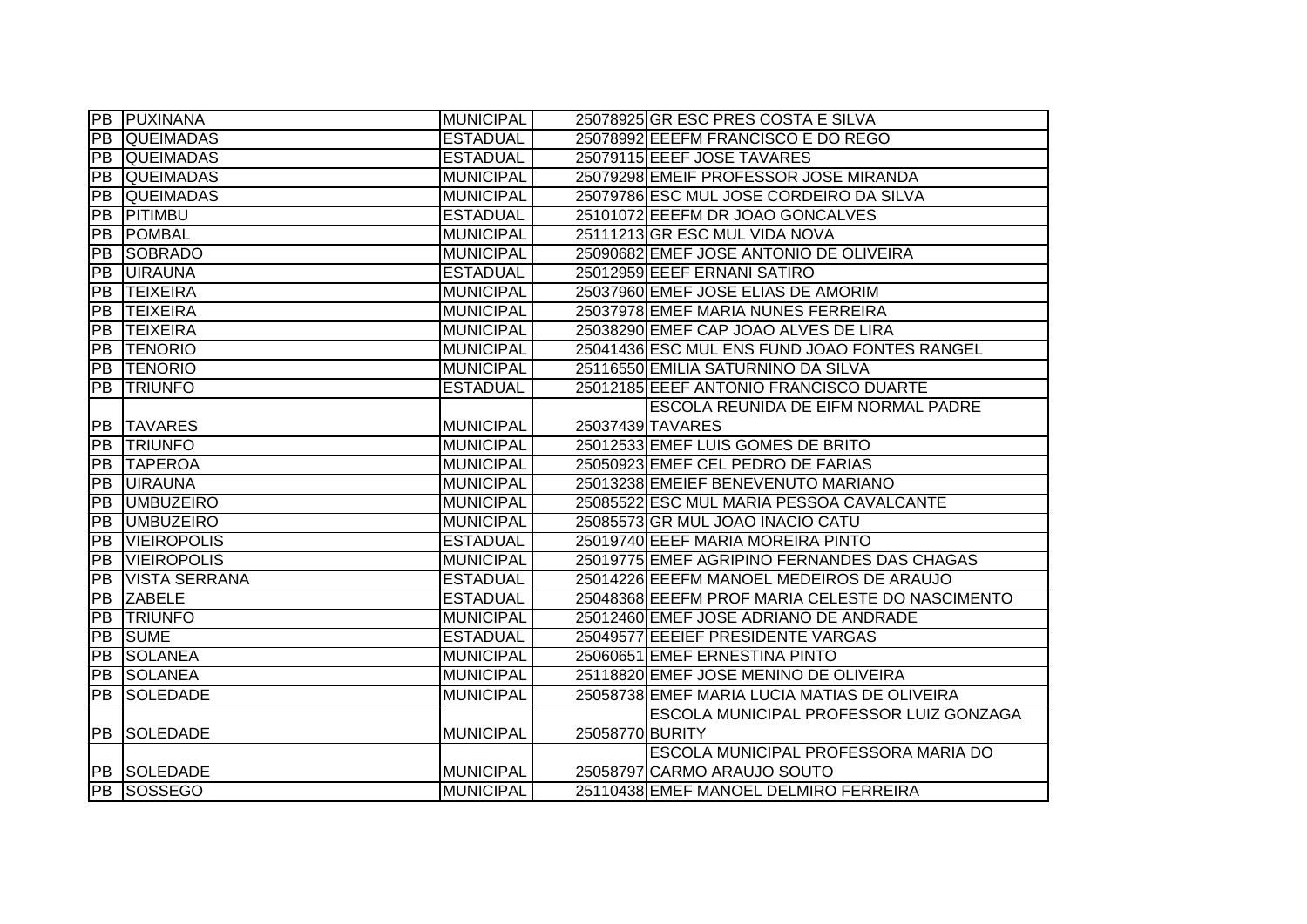|                 | <b>PB PUXINANA</b>   | <b>MUNICIPAL</b> | 25078925 GR ESC PRES COSTA E SILVA              |
|-----------------|----------------------|------------------|-------------------------------------------------|
|                 | <b>PB QUEIMADAS</b>  | <b>ESTADUAL</b>  | 25078992 EEEFM FRANCISCO E DO REGO              |
|                 | <b>PB QUEIMADAS</b>  | <b>ESTADUAL</b>  | 25079115 EEEF JOSE TAVARES                      |
| IPB.            | <b>QUEIMADAS</b>     | <b>MUNICIPAL</b> | 25079298 EMEIF PROFESSOR JOSE MIRANDA           |
| PB              | <b>QUEIMADAS</b>     | <b>MUNICIPAL</b> | 25079786 ESC MUL JOSE CORDEIRO DA SILVA         |
| PB              | PITIMBU              | <b>ESTADUAL</b>  | 25101072 EEEFM DR JOAO GONCALVES                |
|                 | <b>PB POMBAL</b>     | <b>MUNICIPAL</b> | 25111213 GR ESC MUL VIDA NOVA                   |
|                 | <b>PB SOBRADO</b>    | <b>MUNICIPAL</b> | 25090682 EMEF JOSE ANTONIO DE OLIVEIRA          |
|                 | <b>PB UIRAUNA</b>    | <b>ESTADUAL</b>  | 25012959 EEEF ERNANI SATIRO                     |
| PB              | <b>TEIXEIRA</b>      | <b>MUNICIPAL</b> | 25037960 EMEF JOSE ELIAS DE AMORIM              |
| PB              | <b>TEIXEIRA</b>      | <b>MUNICIPAL</b> | 25037978 EMEF MARIA NUNES FERREIRA              |
| <b>PB</b>       | <b>TEIXEIRA</b>      | <b>MUNICIPAL</b> | 25038290 EMEF CAP JOAO ALVES DE LIRA            |
| PB              | <b>TENORIO</b>       | <b>MUNICIPAL</b> | 25041436 ESC MUL ENS FUND JOAO FONTES RANGEL    |
|                 | PB TENORIO           | <b>MUNICIPAL</b> | 25116550 EMILIA SATURNINO DA SILVA              |
| PB              | <b>TRIUNFO</b>       | <b>ESTADUAL</b>  | 25012185 EEEF ANTONIO FRANCISCO DUARTE          |
|                 |                      |                  | ESCOLA REUNIDA DE EIFM NORMAL PADRE             |
|                 | <b>PB TAVARES</b>    | <b>MUNICIPAL</b> | 25037439 TAVARES                                |
|                 | <b>PB TRIUNFO</b>    | <b>MUNICIPAL</b> | 25012533 EMEF LUIS GOMES DE BRITO               |
| PB              | <b>TAPEROA</b>       | <b>MUNICIPAL</b> | 25050923 EMEF CEL PEDRO DE FARIAS               |
|                 | <b>PB UIRAUNA</b>    | <b>MUNICIPAL</b> | 25013238 EMEIEF BENEVENUTO MARIANO              |
|                 | <b>PB</b> UMBUZEIRO  | <b>MUNICIPAL</b> | 25085522 ESC MUL MARIA PESSOA CAVALCANTE        |
| <b>PB</b>       | <b>UMBUZEIRO</b>     | <b>MUNICIPAL</b> | 25085573 GR MUL JOAO INACIO CATU                |
| PB              | <b>VIEIROPOLIS</b>   | <b>ESTADUAL</b>  | 25019740 EEEF MARIA MOREIRA PINTO               |
| $\overline{PB}$ | <b>VIEIROPOLIS</b>   | <b>MUNICIPAL</b> | 25019775 EMEF AGRIPINO FERNANDES DAS CHAGAS     |
| PB              | <b>VISTA SERRANA</b> | <b>ESTADUAL</b>  | 25014226 EEEFM MANOEL MEDEIROS DE ARAUJO        |
| PB              | <b>ZABELE</b>        | <b>ESTADUAL</b>  | 25048368 EEEFM PROF MARIA CELESTE DO NASCIMENTO |
| PB              | <b>TRIUNFO</b>       | <b>MUNICIPAL</b> | 25012460 EMEF JOSE ADRIANO DE ANDRADE           |
| PB              | <b>SUME</b>          | <b>ESTADUAL</b>  | 25049577 EEEIEF PRESIDENTE VARGAS               |
| PB              | <b>SOLANEA</b>       | <b>MUNICIPAL</b> | 25060651 EMEF ERNESTINA PINTO                   |
| <b>PB</b>       | <b>SOLANEA</b>       | <b>MUNICIPAL</b> | 25118820 EMEF JOSE MENINO DE OLIVEIRA           |
| PB              | <b>SOLEDADE</b>      | <b>MUNICIPAL</b> | 25058738 EMEF MARIA LUCIA MATIAS DE OLIVEIRA    |
|                 |                      |                  | ESCOLA MUNICIPAL PROFESSOR LUIZ GONZAGA         |
|                 | <b>PB SOLEDADE</b>   | <b>MUNICIPAL</b> | 25058770 BURITY                                 |
|                 |                      |                  | ESCOLA MUNICIPAL PROFESSORA MARIA DO            |
|                 | <b>PB SOLEDADE</b>   | <b>MUNICIPAL</b> | 25058797 CARMO ARAUJO SOUTO                     |
|                 | <b>PB SOSSEGO</b>    | <b>MUNICIPAL</b> | 25110438 EMEF MANOEL DELMIRO FERREIRA           |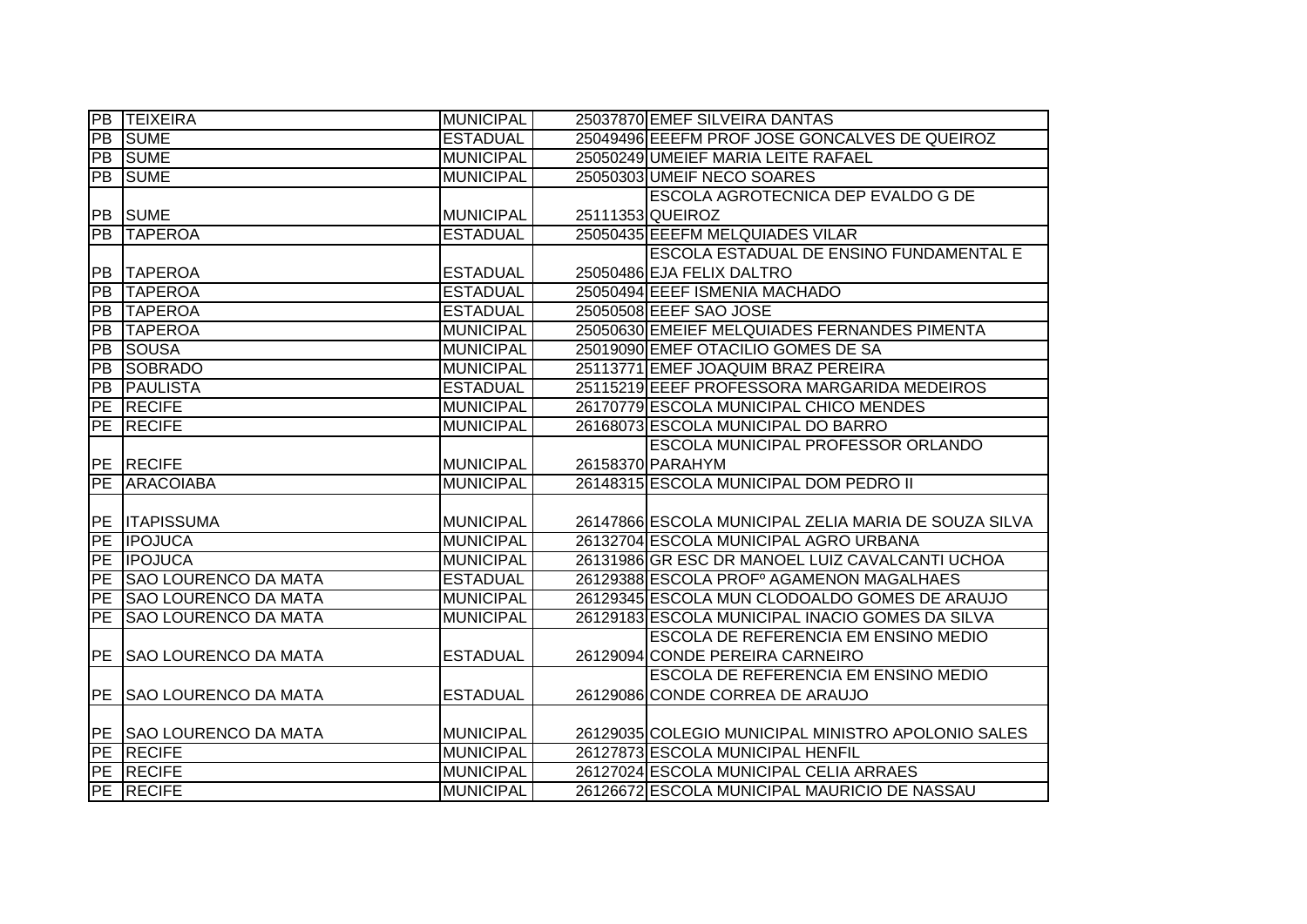|                 | <b>PB TEIXEIRA</b>             | <b>MUNICIPAL</b> | 25037870 EMEF SILVEIRA DANTAS                        |
|-----------------|--------------------------------|------------------|------------------------------------------------------|
| PB              | <b>SUME</b>                    | <b>ESTADUAL</b>  | 25049496 EEEFM PROF JOSE GONCALVES DE QUEIROZ        |
| PB              | <b>SUME</b>                    | <b>MUNICIPAL</b> | 25050249 UMEIEF MARIA LEITE RAFAEL                   |
| PB              | <b>SUME</b>                    | <b>MUNICIPAL</b> | 25050303 UMEIF NECO SOARES                           |
|                 |                                |                  | ESCOLA AGROTECNICA DEP EVALDO G DE                   |
|                 | <b>PB SUME</b>                 | MUNICIPAL        | 25111353 QUEIROZ                                     |
| PB              | <b>ITAPEROA</b>                | <b>ESTADUAL</b>  | 25050435 EEEFM MELQUIADES VILAR                      |
|                 |                                |                  | ESCOLA ESTADUAL DE ENSINO FUNDAMENTAL E              |
| PB              | <b>TAPEROA</b>                 | <b>ESTADUAL</b>  | 25050486 EJA FELIX DALTRO                            |
| <b>PB</b>       | <b>TAPEROA</b>                 | <b>ESTADUAL</b>  | 25050494 EEEF ISMENIA MACHADO                        |
| <b>PB</b>       | <b>TAPEROA</b>                 | <b>ESTADUAL</b>  | 25050508 EEEF SAO JOSE                               |
| PB              | <b>TAPEROA</b>                 | <b>MUNICIPAL</b> | 25050630 EMEIEF MELQUIADES FERNANDES PIMENTA         |
| <b>PB</b>       | <b>SOUSA</b>                   | <b>MUNICIPAL</b> | 25019090 EMEF OTACILIO GOMES DE SA                   |
| PB              | <b>SOBRADO</b>                 | <b>MUNICIPAL</b> | 25113771 EMEF JOAQUIM BRAZ PEREIRA                   |
| $\overline{PB}$ | <b>PAULISTA</b>                | <b>ESTADUAL</b>  | 25115219 EEEF PROFESSORA MARGARIDA MEDEIROS          |
| PE              | <b>RECIFE</b>                  | <b>MUNICIPAL</b> | 26170779 ESCOLA MUNICIPAL CHICO MENDES               |
| PE              | <b>RECIFE</b>                  | <b>MUNICIPAL</b> | 26168073 ESCOLA MUNICIPAL DO BARRO                   |
|                 |                                |                  | ESCOLA MUNICIPAL PROFESSOR ORLANDO                   |
|                 | PE RECIFE                      | <b>MUNICIPAL</b> | 26158370 PARAHYM                                     |
|                 | <b>PE ARACOIABA</b>            | <b>MUNICIPAL</b> | 26148315 ESCOLA MUNICIPAL DOM PEDRO II               |
|                 |                                |                  |                                                      |
|                 | PE ITAPISSUMA                  | <b>MUNICIPAL</b> | 26147866 ESCOLA MUNICIPAL ZELIA MARIA DE SOUZA SILVA |
|                 | PE <b>IPOJUCA</b>              | <b>MUNICIPAL</b> | 26132704 ESCOLA MUNICIPAL AGRO URBANA                |
|                 | PE <b>IPOJUCA</b>              | <b>MUNICIPAL</b> | 26131986 GR ESC DR MANOEL LUIZ CAVALCANTI UCHOA      |
| PE              | <b>SAO LOURENCO DA MATA</b>    | <b>ESTADUAL</b>  | 26129388 ESCOLA PROFº AGAMENON MAGALHAES             |
| <b>PE</b>       | <b>SAO LOURENCO DA MATA</b>    | <b>MUNICIPAL</b> | 26129345 ESCOLA MUN CLODOALDO GOMES DE ARAUJO        |
| PE              | <b>SAO LOURENCO DA MATA</b>    | <b>MUNICIPAL</b> | 26129183 ESCOLA MUNICIPAL INACIO GOMES DA SILVA      |
|                 |                                |                  | <b>ESCOLA DE REFERENCIA EM ENSINO MEDIO</b>          |
| <b>PE</b>       | <b>SAO LOURENCO DA MATA</b>    | <b>ESTADUAL</b>  | 26129094 CONDE PEREIRA CARNEIRO                      |
|                 |                                |                  | <b>ESCOLA DE REFERENCIA EM ENSINO MEDIO</b>          |
|                 | <b>PE SAO LOURENCO DA MATA</b> | <b>ESTADUAL</b>  | 26129086 CONDE CORREA DE ARAUJO                      |
|                 |                                |                  |                                                      |
|                 | <b>PE SAO LOURENCO DA MATA</b> | <b>MUNICIPAL</b> | 26129035 COLEGIO MUNICIPAL MINISTRO APOLONIO SALES   |
|                 | <b>PE RECIFE</b>               | <b>MUNICIPAL</b> | 26127873 ESCOLA MUNICIPAL HENFIL                     |
|                 | <b>PE RECIFE</b>               | <b>MUNICIPAL</b> | 26127024 ESCOLA MUNICIPAL CELIA ARRAES               |
|                 | PE RECIFE                      | <b>MUNICIPAL</b> | 26126672 ESCOLA MUNICIPAL MAURICIO DE NASSAU         |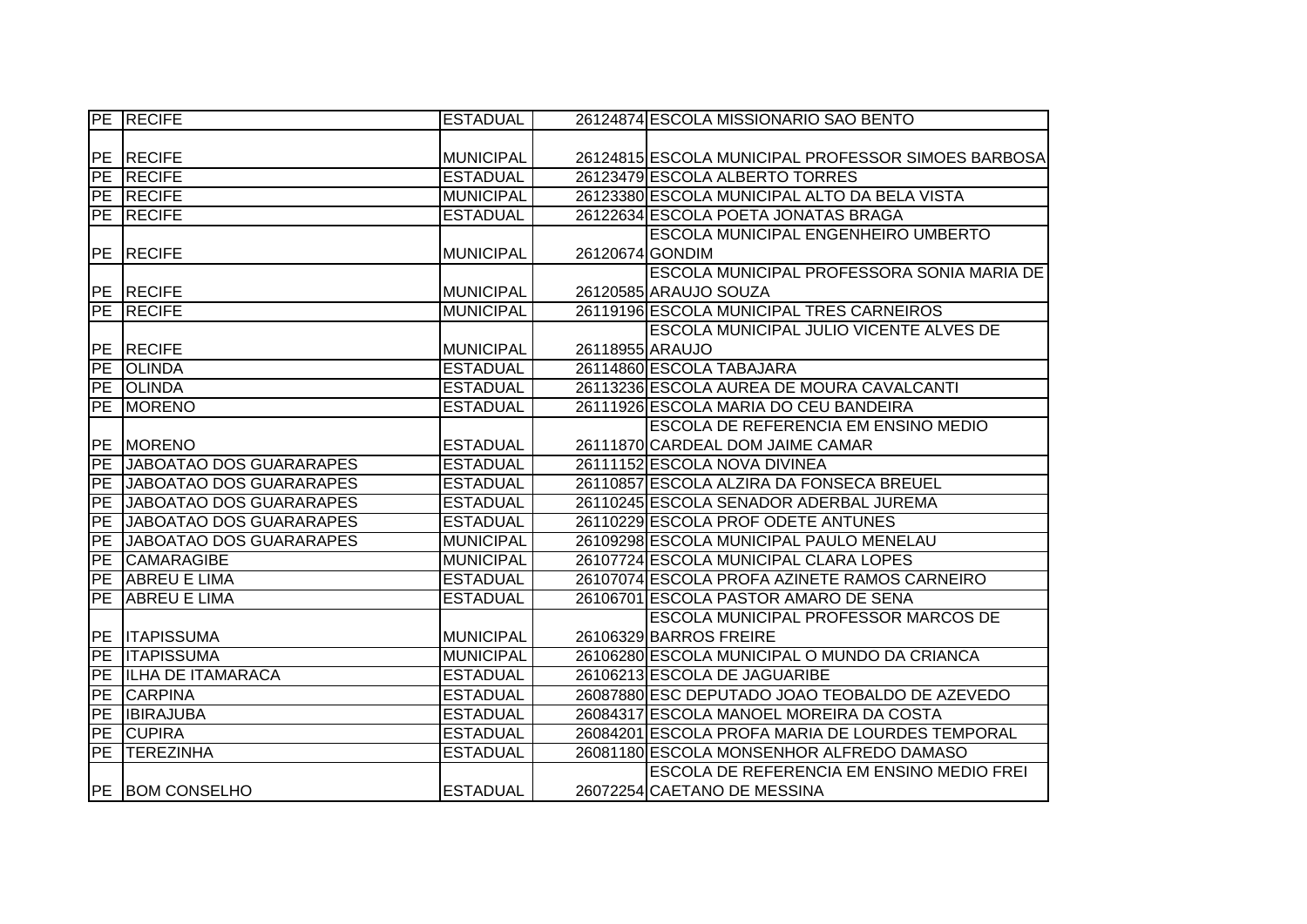|                 | PE RECIFE                      | <b>ESTADUAL</b>  |                 | 26124874 ESCOLA MISSIONARIO SAO BENTO              |
|-----------------|--------------------------------|------------------|-----------------|----------------------------------------------------|
|                 |                                |                  |                 |                                                    |
|                 | PE RECIFE                      | <b>MUNICIPAL</b> |                 | 26124815 ESCOLA MUNICIPAL PROFESSOR SIMOES BARBOSA |
| PE              | <b>RECIFE</b>                  | <b>ESTADUAL</b>  |                 | 26123479 ESCOLA ALBERTO TORRES                     |
|                 | PE RECIFE                      | <b>MUNICIPAL</b> |                 | 26123380 ESCOLA MUNICIPAL ALTO DA BELA VISTA       |
|                 | <b>PE RECIFE</b>               | <b>ESTADUAL</b>  |                 | 26122634 ESCOLA POETA JONATAS BRAGA                |
|                 |                                |                  |                 | ESCOLA MUNICIPAL ENGENHEIRO UMBERTO                |
|                 | PE RECIFE                      | <b>MUNICIPAL</b> | 26120674 GONDIM |                                                    |
|                 |                                |                  |                 | ESCOLA MUNICIPAL PROFESSORA SONIA MARIA DE         |
|                 | PE RECIFE                      | <b>MUNICIPAL</b> |                 | 26120585 ARAUJO SOUZA                              |
| PE              | <b>RECIFE</b>                  | <b>MUNICIPAL</b> |                 | 26119196 ESCOLA MUNICIPAL TRES CARNEIROS           |
|                 |                                |                  |                 | <b>ESCOLA MUNICIPAL JULIO VICENTE ALVES DE</b>     |
| PE              | <b>RECIFE</b>                  | <b>MUNICIPAL</b> | 26118955 ARAUJO |                                                    |
| PE              | <b>OLINDA</b>                  | <b>ESTADUAL</b>  |                 | 26114860 ESCOLA TABAJARA                           |
|                 | PE OLINDA                      | <b>ESTADUAL</b>  |                 | 26113236 ESCOLA AUREA DE MOURA CAVALCANTI          |
| PE              | <b>MORENO</b>                  | <b>ESTADUAL</b>  |                 | 26111926 ESCOLA MARIA DO CEU BANDEIRA              |
|                 |                                |                  |                 | ESCOLA DE REFERENCIA EM ENSINO MEDIO               |
| <b>PE</b>       | <b>MORENO</b>                  | <b>ESTADUAL</b>  |                 | 26111870 CARDEAL DOM JAIME CAMAR                   |
| PE              | <b>JABOATAO DOS GUARARAPES</b> | <b>ESTADUAL</b>  |                 | 26111152 ESCOLA NOVA DIVINEA                       |
| PE              | <b>JABOATAO DOS GUARARAPES</b> | <b>ESTADUAL</b>  |                 | 26110857 ESCOLA ALZIRA DA FONSECA BREUEL           |
| PE              | JABOATAO DOS GUARARAPES        | <b>ESTADUAL</b>  |                 | 26110245 ESCOLA SENADOR ADERBAL JUREMA             |
| <b>PE</b>       | JABOATAO DOS GUARARAPES        | <b>ESTADUAL</b>  |                 | 26110229 ESCOLA PROF ODETE ANTUNES                 |
| $\overline{PE}$ | JABOATAO DOS GUARARAPES        | <b>MUNICIPAL</b> |                 | 26109298 ESCOLA MUNICIPAL PAULO MENELAU            |
| PE              | <b>CAMARAGIBE</b>              | <b>MUNICIPAL</b> |                 | 26107724 ESCOLA MUNICIPAL CLARA LOPES              |
| PE              | <b>ABREU E LIMA</b>            | <b>ESTADUAL</b>  |                 | 26107074 ESCOLA PROFA AZINETE RAMOS CARNEIRO       |
| <b>PE</b>       | <b>ABREU E LIMA</b>            | <b>ESTADUAL</b>  |                 | 26106701 ESCOLA PASTOR AMARO DE SENA               |
|                 |                                |                  |                 | <b>ESCOLA MUNICIPAL PROFESSOR MARCOS DE</b>        |
|                 | PE <b>ITAPISSUMA</b>           | <b>MUNICIPAL</b> |                 | 26106329 BARROS FREIRE                             |
| PE              | <b>ITAPISSUMA</b>              | <b>MUNICIPAL</b> |                 | 26106280 ESCOLA MUNICIPAL O MUNDO DA CRIANCA       |
| PE              | <b>ILHA DE ITAMARACA</b>       | <b>ESTADUAL</b>  |                 | 26106213 ESCOLA DE JAGUARIBE                       |
| PE              | <b>CARPINA</b>                 | <b>ESTADUAL</b>  |                 | 26087880 ESC DEPUTADO JOAO TEOBALDO DE AZEVEDO     |
| PE              | <b>IBIRAJUBA</b>               | <b>ESTADUAL</b>  |                 | 26084317 ESCOLA MANOEL MOREIRA DA COSTA            |
|                 | <b>PE CUPIRA</b>               | <b>ESTADUAL</b>  |                 | 26084201 ESCOLA PROFA MARIA DE LOURDES TEMPORAL    |
|                 | PE TEREZINHA                   | <b>ESTADUAL</b>  |                 | 26081180 ESCOLA MONSENHOR ALFREDO DAMASO           |
|                 |                                |                  |                 | ESCOLA DE REFERENCIA EM ENSINO MEDIO FREI          |
|                 | PE BOM CONSELHO                | <b>ESTADUAL</b>  |                 | 26072254 CAETANO DE MESSINA                        |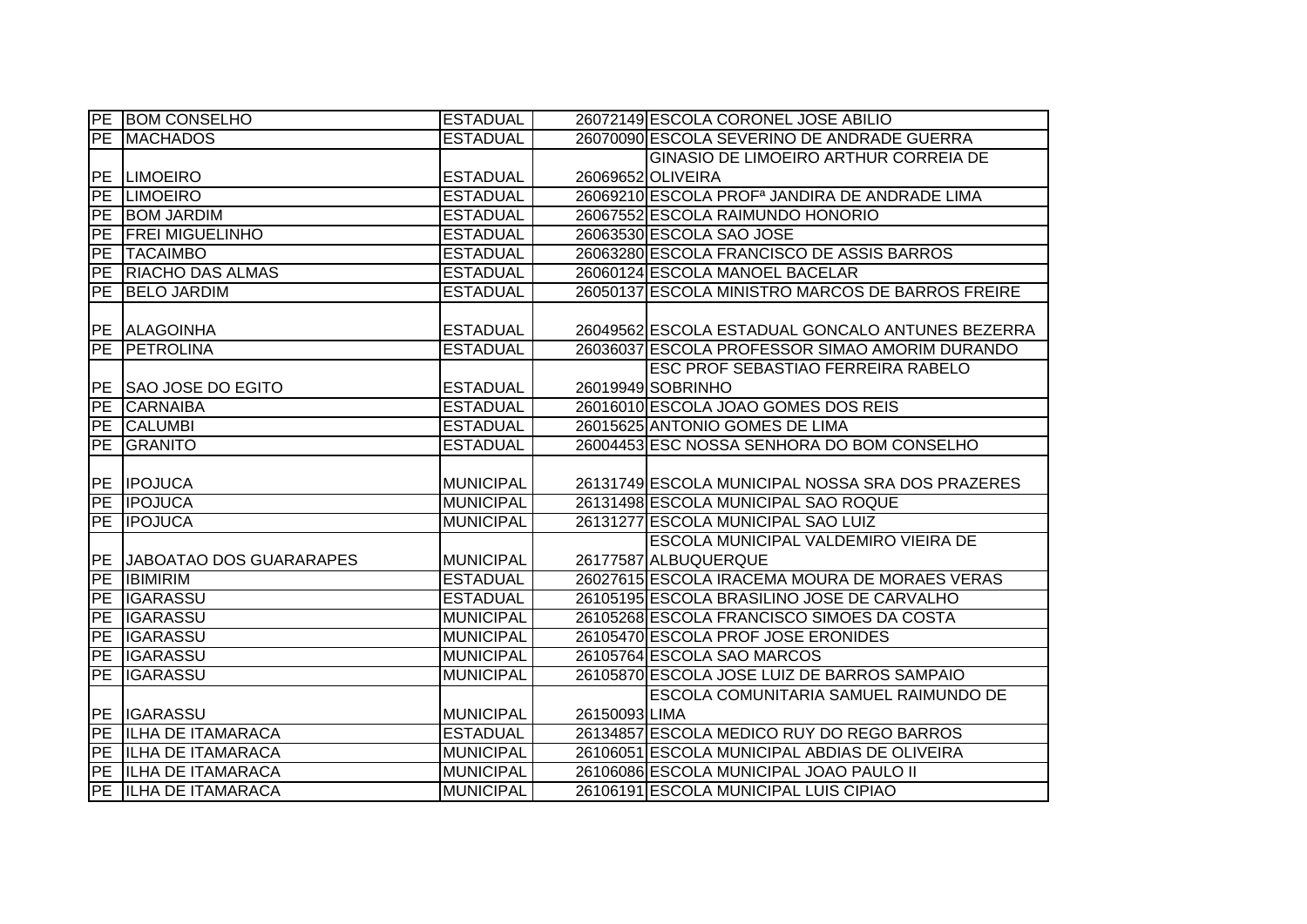|           | <b>PE BOM CONSELHO</b>     | <b>ESTADUAL</b>  |               | 26072149 ESCOLA CORONEL JOSE ABILIO                       |
|-----------|----------------------------|------------------|---------------|-----------------------------------------------------------|
|           | PE MACHADOS                | <b>ESTADUAL</b>  |               | 26070090 ESCOLA SEVERINO DE ANDRADE GUERRA                |
|           |                            |                  |               | GINASIO DE LIMOEIRO ARTHUR CORREIA DE                     |
|           | <b>PE LIMOEIRO</b>         | <b>ESTADUAL</b>  |               | 26069652 OLIVEIRA                                         |
|           | <b>PE LIMOEIRO</b>         | <b>ESTADUAL</b>  |               | 26069210 ESCOLA PROF <sup>a</sup> JANDIRA DE ANDRADE LIMA |
|           | PE BOM JARDIM              | <b>ESTADUAL</b>  |               | 26067552 ESCOLA RAIMUNDO HONORIO                          |
|           | PE FREI MIGUELINHO         | <b>ESTADUAL</b>  |               | 26063530 ESCOLA SAO JOSE                                  |
|           | PE TACAIMBO                | <b>ESTADUAL</b>  |               | 26063280 ESCOLA FRANCISCO DE ASSIS BARROS                 |
|           | PE RIACHO DAS ALMAS        | <b>ESTADUAL</b>  |               | 26060124 ESCOLA MANOEL BACELAR                            |
|           | PE BELO JARDIM             | <b>ESTADUAL</b>  |               | 26050137 ESCOLA MINISTRO MARCOS DE BARROS FREIRE          |
|           |                            |                  |               |                                                           |
|           | PE ALAGOINHA               | <b>ESTADUAL</b>  |               | 26049562 ESCOLA ESTADUAL GONCALO ANTUNES BEZERRA          |
|           | PE PETROLINA               | <b>ESTADUAL</b>  |               | 26036037 ESCOLA PROFESSOR SIMAO AMORIM DURANDO            |
|           |                            |                  |               | <b>ESC PROF SEBASTIAO FERREIRA RABELO</b>                 |
| PE        | SAO JOSE DO EGITO          | <b>ESTADUAL</b>  |               | 26019949 SOBRINHO                                         |
| PE        | <b>CARNAIBA</b>            | <b>ESTADUAL</b>  |               | 26016010 ESCOLA JOAO GOMES DOS REIS                       |
| PE        | <b>CALUMBI</b>             | <b>ESTADUAL</b>  |               | 26015625 ANTONIO GOMES DE LIMA                            |
| PE        | GRANITO                    | <b>ESTADUAL</b>  |               | 26004453 ESC NOSSA SENHORA DO BOM CONSELHO                |
|           |                            |                  |               |                                                           |
|           |                            |                  |               |                                                           |
|           | PE <b>IPOJUCA</b>          | <b>MUNICIPAL</b> |               | 26131749 ESCOLA MUNICIPAL NOSSA SRA DOS PRAZERES          |
|           | <b>PE IPOJUCA</b>          | <b>MUNICIPAL</b> |               | 26131498 ESCOLA MUNICIPAL SAO ROQUE                       |
|           | PE <b>IPOJUCA</b>          | <b>MUNICIPAL</b> |               | 26131277 ESCOLA MUNICIPAL SAO LUIZ                        |
|           |                            |                  |               | ESCOLA MUNICIPAL VALDEMIRO VIEIRA DE                      |
|           | PE JABOATAO DOS GUARARAPES | <b>MUNICIPAL</b> |               | 26177587 ALBUQUERQUE                                      |
| PE        | <b>IBIMIRIM</b>            | <b>ESTADUAL</b>  |               | 26027615 ESCOLA IRACEMA MOURA DE MORAES VERAS             |
|           | PE IGARASSU                | <b>ESTADUAL</b>  |               | 26105195 ESCOLA BRASILINO JOSE DE CARVALHO                |
| <b>PE</b> | <b>IGARASSU</b>            | <b>MUNICIPAL</b> |               | 26105268 ESCOLA FRANCISCO SIMOES DA COSTA                 |
|           | PE IGARASSU                | <b>MUNICIPAL</b> |               | 26105470 ESCOLA PROF JOSE ERONIDES                        |
| <b>PE</b> | <b>IGARASSU</b>            | <b>MUNICIPAL</b> |               | 26105764 ESCOLA SAO MARCOS                                |
| <b>PE</b> | <b>IGARASSU</b>            | <b>MUNICIPAL</b> |               | 26105870 ESCOLA JOSE LUIZ DE BARROS SAMPAIO               |
|           |                            |                  |               | ESCOLA COMUNITARIA SAMUEL RAIMUNDO DE                     |
|           | PE IGARASSU                | <b>MUNICIPAL</b> | 26150093 LIMA |                                                           |
|           | PE ILHA DE ITAMARACA       | <b>ESTADUAL</b>  |               | 26134857 ESCOLA MEDICO RUY DO REGO BARROS                 |
|           | PE ILHA DE ITAMARACA       | <b>MUNICIPAL</b> |               | 26106051 ESCOLA MUNICIPAL ABDIAS DE OLIVEIRA              |
|           | PE ILHA DE ITAMARACA       | <b>MUNICIPAL</b> |               | 26106086 ESCOLA MUNICIPAL JOAO PAULO II                   |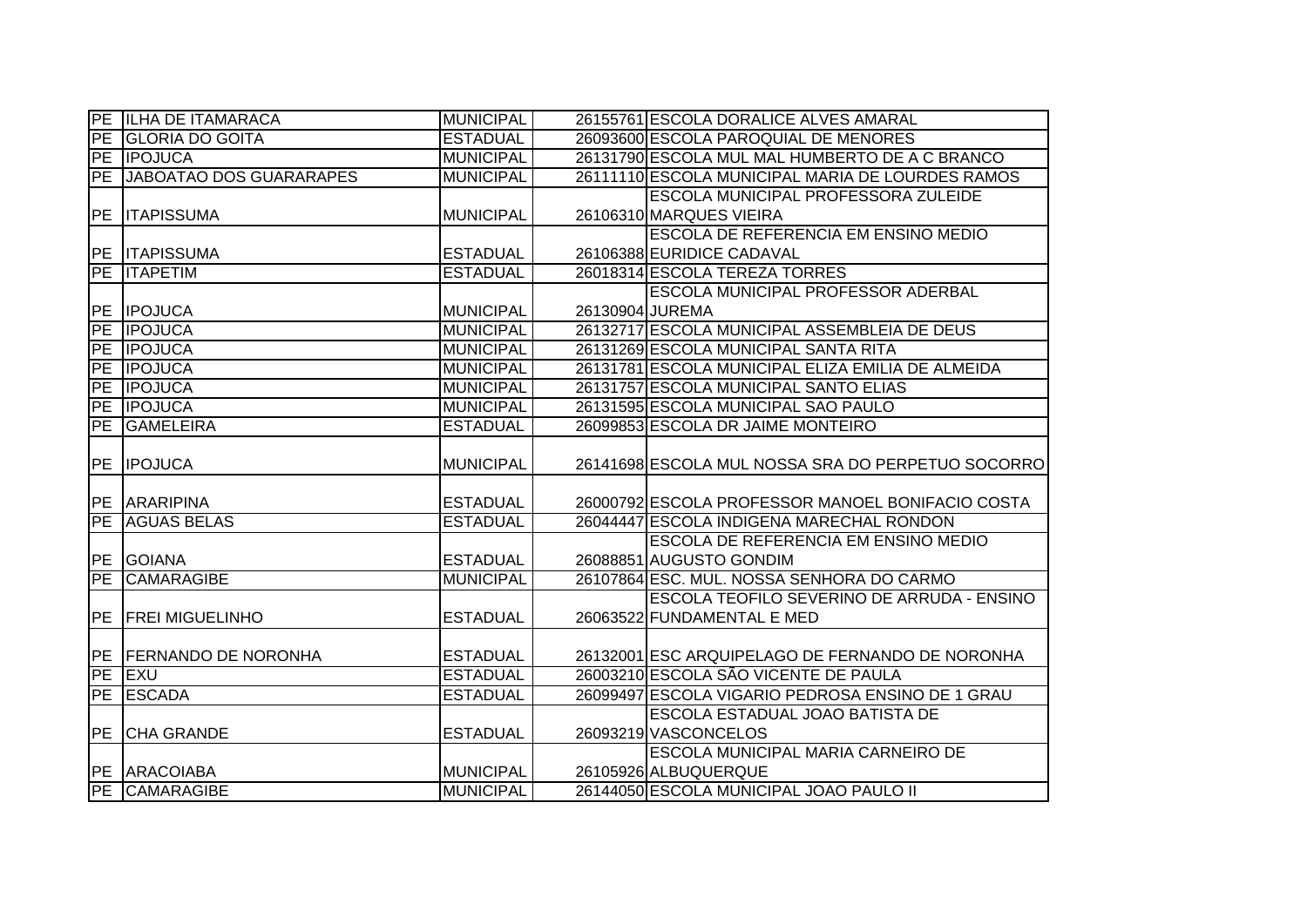|    | PE ILHA DE ITAMARACA       | <b>MUNICIPAL</b> |                 | 26155761 ESCOLA DORALICE ALVES AMARAL             |
|----|----------------------------|------------------|-----------------|---------------------------------------------------|
|    | PE GLORIA DO GOITA         | <b>ESTADUAL</b>  |                 | 26093600 ESCOLA PAROQUIAL DE MENORES              |
|    | <b>PE IPOJUCA</b>          | <b>MUNICIPAL</b> |                 | 26131790 ESCOLA MUL MAL HUMBERTO DE A C BRANCO    |
|    | PE JABOATAO DOS GUARARAPES | <b>MUNICIPAL</b> |                 | 26111110 ESCOLA MUNICIPAL MARIA DE LOURDES RAMOS  |
|    |                            |                  |                 | ESCOLA MUNICIPAL PROFESSORA ZULEIDE               |
|    | <b>PE ITAPISSUMA</b>       | <b>MUNICIPAL</b> |                 | 26106310 MARQUES VIEIRA                           |
|    |                            |                  |                 | ESCOLA DE REFERENCIA EM ENSINO MEDIO              |
|    | <b>PE ITAPISSUMA</b>       | <b>ESTADUAL</b>  |                 | 26106388 EURIDICE CADAVAL                         |
|    | <b>PE ITAPETIM</b>         | <b>ESTADUAL</b>  |                 | 26018314 ESCOLA TEREZA TORRES                     |
|    |                            |                  |                 | ESCOLA MUNICIPAL PROFESSOR ADERBAL                |
|    | PE IPOJUCA                 | <b>MUNICIPAL</b> | 26130904 JUREMA |                                                   |
|    | <b>PE IPOJUCA</b>          | <b>MUNICIPAL</b> |                 | 26132717 ESCOLA MUNICIPAL ASSEMBLEIA DE DEUS      |
|    | PE <b>IPOJUCA</b>          | <b>MUNICIPAL</b> |                 | 26131269 ESCOLA MUNICIPAL SANTA RITA              |
|    | PE IPOJUCA                 | <b>MUNICIPAL</b> |                 | 26131781 ESCOLA MUNICIPAL ELIZA EMILIA DE ALMEIDA |
|    | PE <b>IPOJUCA</b>          | <b>MUNICIPAL</b> |                 | 26131757 ESCOLA MUNICIPAL SANTO ELIAS             |
|    | <b>PE IPOJUCA</b>          | <b>MUNICIPAL</b> |                 | 26131595 ESCOLA MUNICIPAL SAO PAULO               |
| PE | <b>GAMELEIRA</b>           | <b>ESTADUAL</b>  |                 | 26099853 ESCOLA DR JAIME MONTEIRO                 |
|    |                            |                  |                 |                                                   |
|    | <b>PE IPOJUCA</b>          | <b>MUNICIPAL</b> |                 | 26141698 ESCOLA MUL NOSSA SRA DO PERPETUO SOCORRO |
|    |                            |                  |                 |                                                   |
|    | PE ARARIPINA               | <b>ESTADUAL</b>  |                 | 26000792 ESCOLA PROFESSOR MANOEL BONIFACIO COSTA  |
|    | PE AGUAS BELAS             | <b>ESTADUAL</b>  |                 | 26044447 ESCOLA INDIGENA MARECHAL RONDON          |
|    |                            |                  |                 | ESCOLA DE REFERENCIA EM ENSINO MEDIO              |
|    | PE GOIANA                  | <b>ESTADUAL</b>  |                 | 26088851 AUGUSTO GONDIM                           |
| PE | <b>CAMARAGIBE</b>          | <b>MUNICIPAL</b> |                 | 26107864 ESC. MUL, NOSSA SENHORA DO CARMO         |
|    |                            |                  |                 | ESCOLA TEOFILO SEVERINO DE ARRUDA - ENSINO        |
|    | PE   FREI MIGUELINHO       | <b>ESTADUAL</b>  |                 | 26063522 FUNDAMENTAL E MED                        |
|    |                            |                  |                 |                                                   |
|    | PE FERNANDO DE NORONHA     | <b>ESTADUAL</b>  |                 | 26132001 ESC ARQUIPELAGO DE FERNANDO DE NORONHA   |
|    | PE EXU                     | <b>ESTADUAL</b>  |                 | 26003210 ESCOLA SÃO VICENTE DE PAULA              |
|    | PE ESCADA                  | <b>ESTADUAL</b>  |                 | 26099497 ESCOLA VIGARIO PEDROSA ENSINO DE 1 GRAU  |
|    |                            |                  |                 | ESCOLA ESTADUAL JOAO BATISTA DE                   |
|    | PE CHA GRANDE              | <b>ESTADUAL</b>  |                 | 26093219 VASCONCELOS                              |
|    |                            |                  |                 | ESCOLA MUNICIPAL MARIA CARNEIRO DE                |
|    | PE ARACOIABA               | <b>MUNICIPAL</b> |                 | 26105926 ALBUQUERQUE                              |
|    | PE CAMARAGIBE              | <b>MUNICIPAL</b> |                 | 26144050 ESCOLA MUNICIPAL JOAO PAULO II           |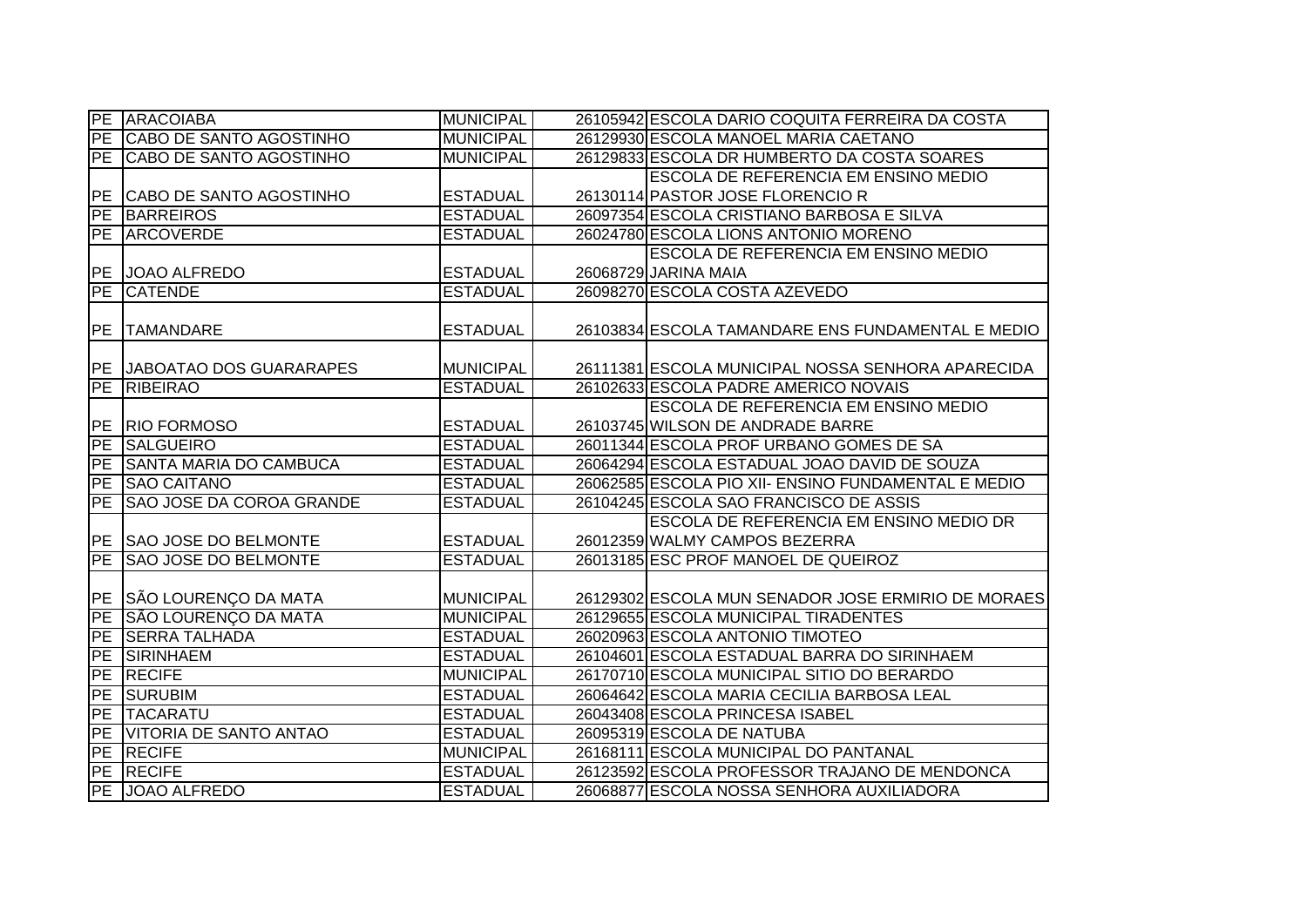|                 | PE ARACOIABA                    | <b>MUNICIPAL</b> | 26105942 ESCOLA DARIO COQUITA FERREIRA DA COSTA     |
|-----------------|---------------------------------|------------------|-----------------------------------------------------|
| PE              | CABO DE SANTO AGOSTINHO         | <b>MUNICIPAL</b> | 26129930 ESCOLA MANOEL MARIA CAETANO                |
| PE              | <b>CABO DE SANTO AGOSTINHO</b>  | <b>MUNICIPAL</b> | 26129833 ESCOLA DR HUMBERTO DA COSTA SOARES         |
|                 |                                 |                  | ESCOLA DE REFERENCIA EM ENSINO MEDIO                |
|                 | PE CABO DE SANTO AGOSTINHO      | <b>ESTADUAL</b>  | 26130114 PASTOR JOSE FLORENCIO R                    |
| PE              | <b>BARREIROS</b>                | <b>ESTADUAL</b>  | 26097354 ESCOLA CRISTIANO BARBOSA E SILVA           |
|                 | PE ARCOVERDE                    | <b>ESTADUAL</b>  | 26024780 ESCOLA LIONS ANTONIO MORENO                |
|                 |                                 |                  | <b>ESCOLA DE REFERENCIA EM ENSINO MEDIO</b>         |
|                 | PE JOAO ALFREDO                 | <b>ESTADUAL</b>  | 26068729 JARINA MAIA                                |
| PE              | <b>CATENDE</b>                  | <b>ESTADUAL</b>  | 26098270 ESCOLA COSTA AZEVEDO                       |
| <b>PE</b>       | <b>TAMANDARE</b>                | <b>ESTADUAL</b>  | 26103834 ESCOLA TAMANDARE ENS FUNDAMENTAL E MEDIO   |
|                 |                                 |                  |                                                     |
|                 | PE JABOATAO DOS GUARARAPES      | <b>MUNICIPAL</b> | 26111381 ESCOLA MUNICIPAL NOSSA SENHORA APARECIDA   |
| PE              | RIBEIRAO                        | <b>ESTADUAL</b>  | 26102633 ESCOLA PADRE AMERICO NOVAIS                |
|                 |                                 |                  | ESCOLA DE REFERENCIA EM ENSINO MEDIO                |
| <b>IPE</b>      | <b>RIO FORMOSO</b>              | <b>ESTADUAL</b>  | 26103745 WILSON DE ANDRADE BARRE                    |
| PE              | <b>SALGUEIRO</b>                | <b>ESTADUAL</b>  | 26011344 ESCOLA PROF URBANO GOMES DE SA             |
| PE              | <b>SANTA MARIA DO CAMBUCA</b>   | <b>ESTADUAL</b>  | 26064294 ESCOLA ESTADUAL JOAO DAVID DE SOUZA        |
| PE              | <b>SAO CAITANO</b>              | <b>ESTADUAL</b>  | 26062585 ESCOLA PIO XII- ENSINO FUNDAMENTAL E MEDIO |
| PE              | <b>SAO JOSE DA COROA GRANDE</b> | <b>ESTADUAL</b>  | 26104245 ESCOLA SAO FRANCISCO DE ASSIS              |
|                 |                                 |                  | ESCOLA DE REFERENCIA EM ENSINO MEDIO DR             |
|                 | PE SAO JOSE DO BELMONTE         | <b>ESTADUAL</b>  | 26012359 WALMY CAMPOS BEZERRA                       |
| PE              | <b>SAO JOSE DO BELMONTE</b>     | <b>ESTADUAL</b>  | 26013185 ESC PROF MANOEL DE QUEIROZ                 |
|                 |                                 |                  |                                                     |
|                 | PE SÃO LOURENÇO DA MATA         | <b>MUNICIPAL</b> | 26129302 ESCOLA MUN SENADOR JOSE ERMIRIO DE MORAES  |
| PE              | SÃO LOURENÇO DA MATA            | <b>MUNICIPAL</b> | 26129655 ESCOLA MUNICIPAL TIRADENTES                |
| $\overline{PE}$ | <b>SERRA TALHADA</b>            | <b>ESTADUAL</b>  | 26020963 ESCOLA ANTONIO TIMOTEO                     |
| PE              | <b>SIRINHAEM</b>                | <b>ESTADUAL</b>  | 26104601 ESCOLA ESTADUAL BARRA DO SIRINHAEM         |
| <b>PE</b>       | <b>RECIFE</b>                   | <b>MUNICIPAL</b> | 26170710 ESCOLA MUNICIPAL SITIO DO BERARDO          |
| <b>PE</b>       | <b>SURUBIM</b>                  | <b>ESTADUAL</b>  | 26064642 ESCOLA MARIA CECILIA BARBOSA LEAL          |
| PE              | <b>TACARATU</b>                 | <b>ESTADUAL</b>  | 26043408 ESCOLA PRINCESA ISABEL                     |
|                 | PE VITORIA DE SANTO ANTAO       | <b>ESTADUAL</b>  | 26095319 ESCOLA DE NATUBA                           |
|                 | PE RECIFE                       | <b>MUNICIPAL</b> | 26168111 ESCOLA MUNICIPAL DO PANTANAL               |
|                 | <b>PE RECIFE</b>                | <b>ESTADUAL</b>  | 26123592 ESCOLA PROFESSOR TRAJANO DE MENDONCA       |
|                 | PE JOAO ALFREDO                 | <b>ESTADUAL</b>  | 26068877 ESCOLA NOSSA SENHORA AUXILIADORA           |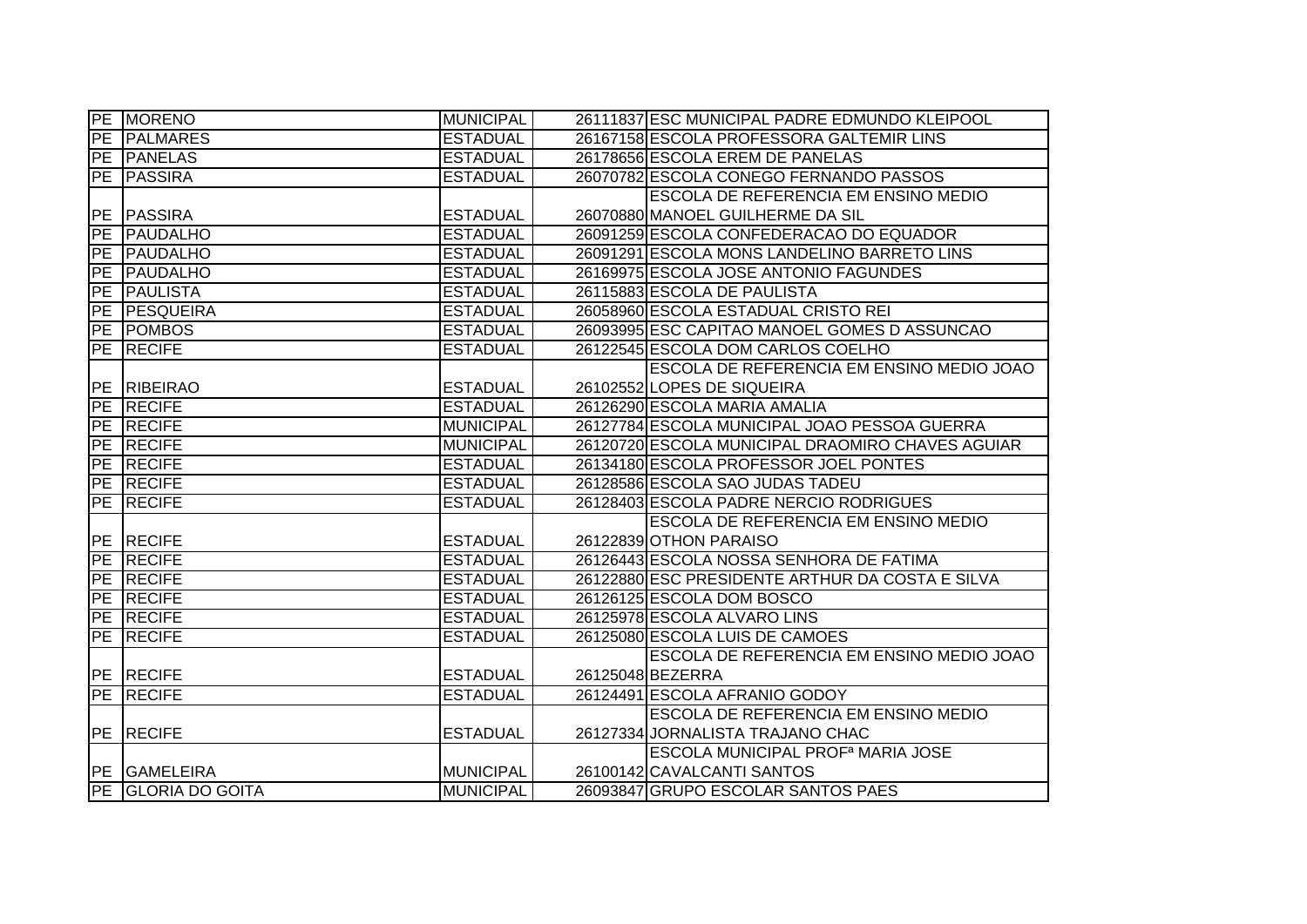|                 | PE MORENO          | <b>MUNICIPAL</b> | 26111837 ESC MUNICIPAL PADRE EDMUNDO KLEIPOOL    |
|-----------------|--------------------|------------------|--------------------------------------------------|
| PE              | <b>PALMARES</b>    | <b>ESTADUAL</b>  | 26167158 ESCOLA PROFESSORA GALTEMIR LINS         |
|                 | PE PANELAS         | <b>ESTADUAL</b>  | 26178656 ESCOLA EREM DE PANELAS                  |
|                 | PE PASSIRA         | <b>ESTADUAL</b>  | 26070782 ESCOLA CONEGO FERNANDO PASSOS           |
|                 |                    |                  | ESCOLA DE REFERENCIA EM ENSINO MEDIO             |
|                 | PE PASSIRA         | <b>ESTADUAL</b>  | 26070880 MANOEL GUILHERME DA SIL                 |
| $\overline{P}E$ | PAUDALHO           | <b>ESTADUAL</b>  | 26091259 ESCOLA CONFEDERACAO DO EQUADOR          |
|                 | PE PAUDALHO        | <b>ESTADUAL</b>  | 26091291 ESCOLA MONS LANDELINO BARRETO LINS      |
|                 | PE PAUDALHO        | <b>ESTADUAL</b>  | 26169975 ESCOLA JOSE ANTONIO FAGUNDES            |
| PE              | PAULISTA           | <b>ESTADUAL</b>  | 26115883 ESCOLA DE PAULISTA                      |
|                 | PE PESQUEIRA       | <b>ESTADUAL</b>  | 26058960 ESCOLA ESTADUAL CRISTO REI              |
|                 | <b>PE POMBOS</b>   | <b>ESTADUAL</b>  | 26093995 ESC CAPITAO MANOEL GOMES D ASSUNCAO     |
|                 | <b>PE RECIFE</b>   | <b>ESTADUAL</b>  | 26122545 ESCOLA DOM CARLOS COELHO                |
|                 |                    |                  | ESCOLA DE REFERENCIA EM ENSINO MEDIO JOAO        |
|                 | PE RIBEIRAO        | <b>ESTADUAL</b>  | 26102552 LOPES DE SIQUEIRA                       |
|                 | PE RECIFE          | <b>ESTADUAL</b>  | 26126290 ESCOLA MARIA AMALIA                     |
|                 | PE RECIFE          | <b>MUNICIPAL</b> | 26127784 ESCOLA MUNICIPAL JOAO PESSOA GUERRA     |
|                 | PE RECIFE          | <b>MUNICIPAL</b> | 26120720 ESCOLA MUNICIPAL DRAOMIRO CHAVES AGUIAR |
|                 | <b>PE RECIFE</b>   | <b>ESTADUAL</b>  | 26134180 ESCOLA PROFESSOR JOEL PONTES            |
|                 | <b>PE RECIFE</b>   | <b>ESTADUAL</b>  | 26128586 ESCOLA SAO JUDAS TADEU                  |
|                 | <b>PE RECIFE</b>   | <b>ESTADUAL</b>  | 26128403 ESCOLA PADRE NERCIO RODRIGUES           |
|                 |                    |                  | ESCOLA DE REFERENCIA EM ENSINO MEDIO             |
|                 | PE RECIFE          | <b>ESTADUAL</b>  | 26122839 OTHON PARAISO                           |
|                 | <b>PE RECIFE</b>   | <b>ESTADUAL</b>  | 26126443 ESCOLA NOSSA SENHORA DE FATIMA          |
|                 | <b>PE RECIFE</b>   | <b>ESTADUAL</b>  | 26122880 ESC PRESIDENTE ARTHUR DA COSTA E SILVA  |
|                 | <b>PE RECIFE</b>   | <b>ESTADUAL</b>  | 26126125 ESCOLA DOM BOSCO                        |
|                 | PE RECIFE          | <b>ESTADUAL</b>  | 26125978 ESCOLA ALVARO LINS                      |
| PE              | <b>RECIFE</b>      | <b>ESTADUAL</b>  | 26125080 ESCOLA LUIS DE CAMOES                   |
|                 |                    |                  | ESCOLA DE REFERENCIA EM ENSINO MEDIO JOAO        |
|                 | <b>PE RECIFE</b>   | <b>ESTADUAL</b>  | 26125048 BEZERRA                                 |
|                 | <b>PE RECIFE</b>   | <b>ESTADUAL</b>  | 26124491 ESCOLA AFRANIO GODOY                    |
|                 |                    |                  | ESCOLA DE REFERENCIA EM ENSINO MEDIO             |
|                 | PE RECIFE          | <b>ESTADUAL</b>  | 26127334 JORNALISTA TRAJANO CHAC                 |
|                 |                    |                  | ESCOLA MUNICIPAL PROF <sup>a</sup> MARIA JOSE    |
|                 | PE GAMELEIRA       | <b>MUNICIPAL</b> | 26100142 CAVALCANTI SANTOS                       |
|                 | PE GLORIA DO GOITA | <b>MUNICIPAL</b> | 26093847 GRUPO ESCOLAR SANTOS PAES               |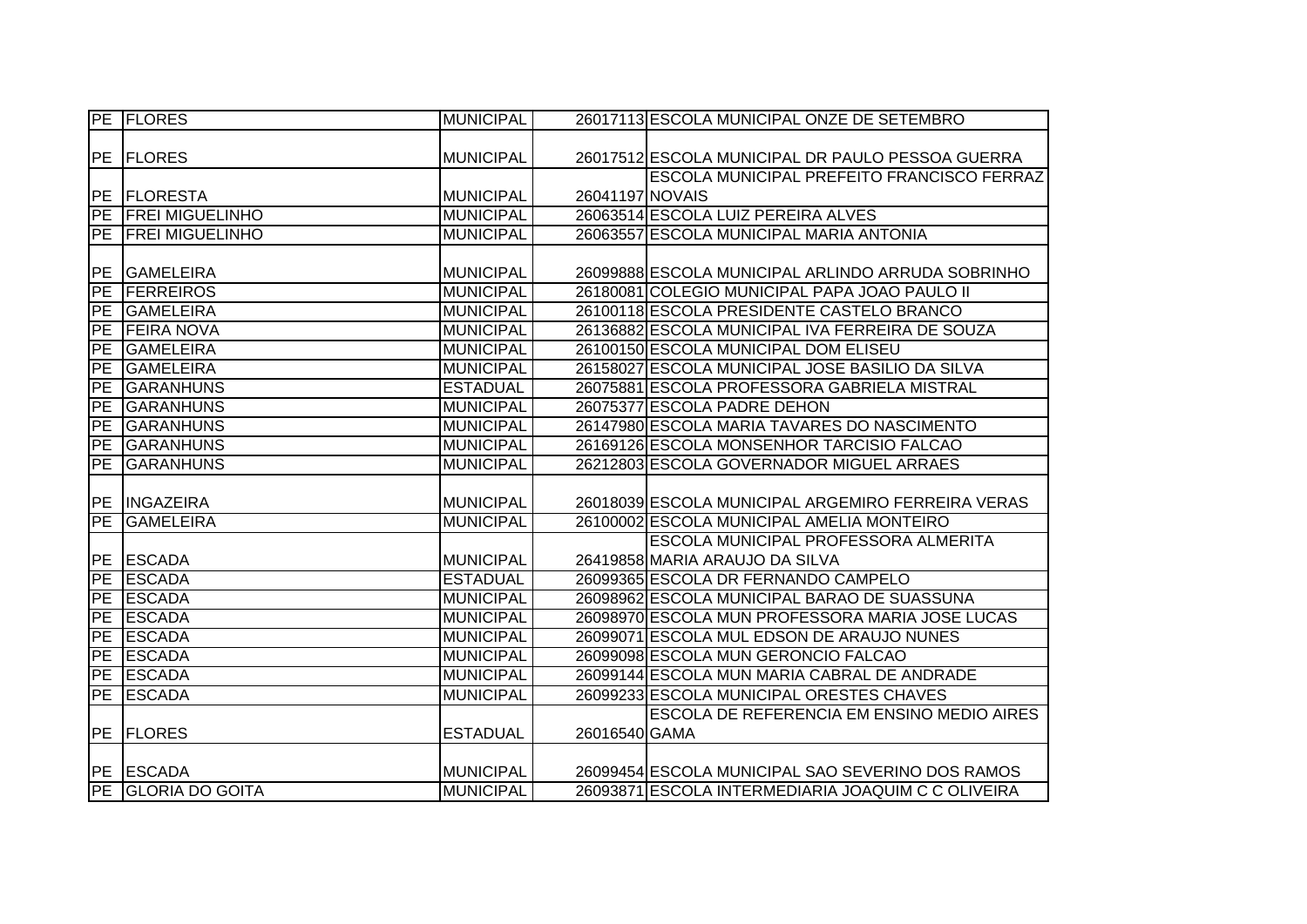|           | <b>PE FLORES</b>   | <b>MUNICIPAL</b> |                 | 26017113 ESCOLA MUNICIPAL ONZE DE SETEMBRO         |
|-----------|--------------------|------------------|-----------------|----------------------------------------------------|
|           |                    |                  |                 |                                                    |
|           | <b>PE FLORES</b>   | <b>MUNICIPAL</b> |                 | 26017512 ESCOLA MUNICIPAL DR PAULO PESSOA GUERRA   |
|           |                    |                  |                 | <b>ESCOLA MUNICIPAL PREFEITO FRANCISCO FERRAZ</b>  |
|           | PE FLORESTA        | <b>MUNICIPAL</b> | 26041197 NOVAIS |                                                    |
|           | PE FREI MIGUELINHO | <b>MUNICIPAL</b> |                 | 26063514 ESCOLA LUIZ PEREIRA ALVES                 |
|           | PE FREI MIGUELINHO | <b>MUNICIPAL</b> |                 | 26063557 ESCOLA MUNICIPAL MARIA ANTONIA            |
|           |                    |                  |                 |                                                    |
| PE        | <b>GAMELEIRA</b>   | <b>MUNICIPAL</b> |                 | 26099888 ESCOLA MUNICIPAL ARLINDO ARRUDA SOBRINHO  |
| PE        | <b>FERREIROS</b>   | <b>MUNICIPAL</b> |                 | 26180081 COLEGIO MUNICIPAL PAPA JOAO PAULO II      |
| PE        | <b>GAMELEIRA</b>   | <b>MUNICIPAL</b> |                 | 26100118 ESCOLA PRESIDENTE CASTELO BRANCO          |
| PE        | <b>FEIRA NOVA</b>  | <b>MUNICIPAL</b> |                 | 26136882 ESCOLA MUNICIPAL IVA FERREIRA DE SOUZA    |
| PE        | <b>GAMELEIRA</b>   | <b>MUNICIPAL</b> |                 | 26100150 ESCOLA MUNICIPAL DOM ELISEU               |
| PE        | <b>GAMELEIRA</b>   | <b>MUNICIPAL</b> |                 | 26158027 ESCOLA MUNICIPAL JOSE BASILIO DA SILVA    |
| PE        | <b>GARANHUNS</b>   | <b>ESTADUAL</b>  |                 | 26075881 ESCOLA PROFESSORA GABRIELA MISTRAL        |
| PE        | <b>GARANHUNS</b>   | <b>MUNICIPAL</b> |                 | 26075377 ESCOLA PADRE DEHON                        |
| PE        | <b>GARANHUNS</b>   | <b>MUNICIPAL</b> |                 | 26147980 ESCOLA MARIA TAVARES DO NASCIMENTO        |
| <b>PE</b> | <b>GARANHUNS</b>   | <b>MUNICIPAL</b> |                 | 26169126 ESCOLA MONSENHOR TARCISIO FALCAO          |
| PE        | <b>GARANHUNS</b>   | <b>MUNICIPAL</b> |                 | 26212803 ESCOLA GOVERNADOR MIGUEL ARRAES           |
|           |                    |                  |                 |                                                    |
|           | PE INGAZEIRA       | <b>MUNICIPAL</b> |                 | 26018039 ESCOLA MUNICIPAL ARGEMIRO FERREIRA VERAS  |
| PE        | <b>GAMELEIRA</b>   | <b>MUNICIPAL</b> |                 | 26100002 ESCOLA MUNICIPAL AMELIA MONTEIRO          |
|           |                    |                  |                 | ESCOLA MUNICIPAL PROFESSORA ALMERITA               |
|           | PE ESCADA          | <b>MUNICIPAL</b> |                 | 26419858 MARIA ARAUJO DA SILVA                     |
|           | PE ESCADA          | <b>ESTADUAL</b>  |                 | 26099365 ESCOLA DR FERNANDO CAMPELO                |
|           | PE ESCADA          | <b>MUNICIPAL</b> |                 | 26098962 ESCOLA MUNICIPAL BARAO DE SUASSUNA        |
| PE        | <b>ESCADA</b>      | <b>MUNICIPAL</b> |                 | 26098970 ESCOLA MUN PROFESSORA MARIA JOSE LUCAS    |
| PE        | <b>ESCADA</b>      | <b>MUNICIPAL</b> |                 | 26099071 ESCOLA MUL EDSON DE ARAUJO NUNES          |
| PE        | <b>ESCADA</b>      | <b>MUNICIPAL</b> |                 | 26099098 ESCOLA MUN GERONCIO FALCAO                |
| PE        | <b>ESCADA</b>      | <b>MUNICIPAL</b> |                 | 26099144 ESCOLA MUN MARIA CABRAL DE ANDRADE        |
|           | <b>PE ESCADA</b>   | <b>MUNICIPAL</b> |                 | 26099233 ESCOLA MUNICIPAL ORESTES CHAVES           |
|           |                    |                  |                 | <b>ESCOLA DE REFERENCIA EM ENSINO MEDIO AIRES</b>  |
|           | <b>PE FLORES</b>   | <b>ESTADUAL</b>  | 26016540 GAMA   |                                                    |
|           |                    |                  |                 |                                                    |
|           | PE ESCADA          | <b>MUNICIPAL</b> |                 | 26099454 ESCOLA MUNICIPAL SAO SEVERINO DOS RAMOS   |
|           | PE GLORIA DO GOITA | <b>MUNICIPAL</b> |                 | 26093871 ESCOLA INTERMEDIARIA JOAQUIM C C OLIVEIRA |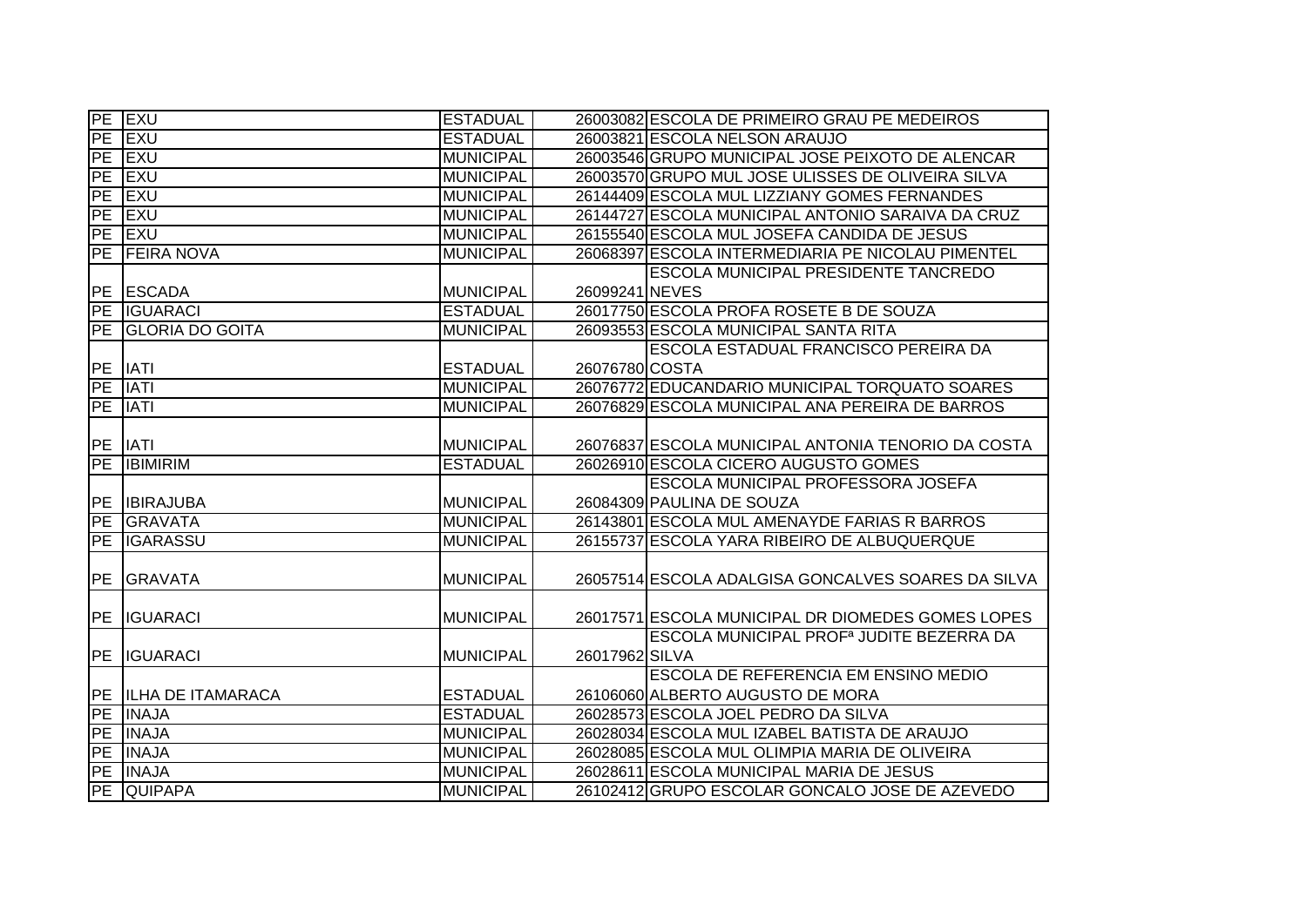|           | PE EXU                   | <b>ESTADUAL</b>  |                | 26003082 ESCOLA DE PRIMEIRO GRAU PE MEDEIROS         |
|-----------|--------------------------|------------------|----------------|------------------------------------------------------|
| PE        | <b>IEXU</b>              | <b>ESTADUAL</b>  |                | 26003821 ESCOLA NELSON ARAUJO                        |
| PE        | <b>EXU</b>               | <b>MUNICIPAL</b> |                | 26003546 GRUPO MUNICIPAL JOSE PEIXOTO DE ALENCAR     |
| PE        | <b>EXU</b>               | <b>MUNICIPAL</b> |                | 26003570 GRUPO MUL JOSE ULISSES DE OLIVEIRA SILVA    |
| PE        | <b>IEXU</b>              | <b>MUNICIPAL</b> |                | 26144409 ESCOLA MUL LIZZIANY GOMES FERNANDES         |
| PE        | <b>EXU</b>               | <b>MUNICIPAL</b> |                | 26144727 ESCOLA MUNICIPAL ANTONIO SARAIVA DA CRUZ    |
| PE        | <b>EXU</b>               | <b>MUNICIPAL</b> |                | 26155540 ESCOLA MUL JOSEFA CANDIDA DE JESUS          |
| PE        | <b>FEIRA NOVA</b>        | <b>MUNICIPAL</b> |                | 26068397 ESCOLA INTERMEDIARIA PE NICOLAU PIMENTEL    |
|           |                          |                  |                | <b>ESCOLA MUNICIPAL PRESIDENTE TANCREDO</b>          |
| PE        | <b>ESCADA</b>            | <b>MUNICIPAL</b> | 26099241 NEVES |                                                      |
| PE        | <b>IGUARACI</b>          | <b>ESTADUAL</b>  |                | 26017750 ESCOLA PROFA ROSETE B DE SOUZA              |
| <b>PE</b> | <b>GLORIA DO GOITA</b>   | <b>MUNICIPAL</b> |                | 26093553 ESCOLA MUNICIPAL SANTA RITA                 |
|           |                          |                  |                | <b>ESCOLA ESTADUAL FRANCISCO PEREIRA DA</b>          |
| <b>PE</b> | <b>IATI</b>              | <b>ESTADUAL</b>  | 26076780 COSTA |                                                      |
| PE        | <b>IATI</b>              | <b>MUNICIPAL</b> |                | 26076772 EDUCANDARIO MUNICIPAL TORQUATO SOARES       |
| PE        | <b>IATI</b>              | <b>MUNICIPAL</b> |                | 26076829 ESCOLA MUNICIPAL ANA PEREIRA DE BARROS      |
|           |                          |                  |                |                                                      |
| PE        | <b>IATI</b>              | <b>MUNICIPAL</b> |                | 26076837 ESCOLA MUNICIPAL ANTONIA TENORIO DA COSTA   |
|           |                          |                  |                |                                                      |
| PE        | <b>IBIMIRIM</b>          | <b>ESTADUAL</b>  |                | 26026910 ESCOLA CICERO AUGUSTO GOMES                 |
|           |                          |                  |                | ESCOLA MUNICIPAL PROFESSORA JOSEFA                   |
| PE        | <b>IBIRAJUBA</b>         | <b>MUNICIPAL</b> |                | 26084309 PAULINA DE SOUZA                            |
| PE        | <b>GRAVATA</b>           | <b>MUNICIPAL</b> |                | 26143801 ESCOLA MUL AMENAYDE FARIAS R BARROS         |
| <b>PE</b> | <b>IGARASSU</b>          | <b>MUNICIPAL</b> |                | 26155737 ESCOLA YARA RIBEIRO DE ALBUQUERQUE          |
|           |                          |                  |                |                                                      |
| PE        | <b>GRAVATA</b>           | <b>MUNICIPAL</b> |                | 26057514 ESCOLA ADALGISA GONCALVES SOARES DA SILVA   |
|           |                          |                  |                |                                                      |
| PE        | <b>IGUARACI</b>          | <b>MUNICIPAL</b> |                | 26017571 ESCOLA MUNICIPAL DR DIOMEDES GOMES LOPES    |
|           |                          |                  |                | ESCOLA MUNICIPAL PROF <sup>a</sup> JUDITE BEZERRA DA |
| PE        | <b>IGUARACI</b>          | <b>MUNICIPAL</b> | 26017962 SILVA |                                                      |
|           |                          |                  |                | ESCOLA DE REFERENCIA EM ENSINO MEDIO                 |
| <b>PE</b> | <b>ILHA DE ITAMARACA</b> | <b>ESTADUAL</b>  |                | 26106060 ALBERTO AUGUSTO DE MORA                     |
| <b>PE</b> | <b>INAJA</b>             | <b>ESTADUAL</b>  |                | 26028573 ESCOLA JOEL PEDRO DA SILVA                  |
| <b>PE</b> | <b>INAJA</b>             | <b>MUNICIPAL</b> |                | 26028034 ESCOLA MUL IZABEL BATISTA DE ARAUJO         |
| PE        | <b>INAJA</b>             | <b>MUNICIPAL</b> |                | 26028085 ESCOLA MUL OLIMPIA MARIA DE OLIVEIRA        |
| PE        | <b>INAJA</b>             | <b>MUNICIPAL</b> |                | 26028611 ESCOLA MUNICIPAL MARIA DE JESUS             |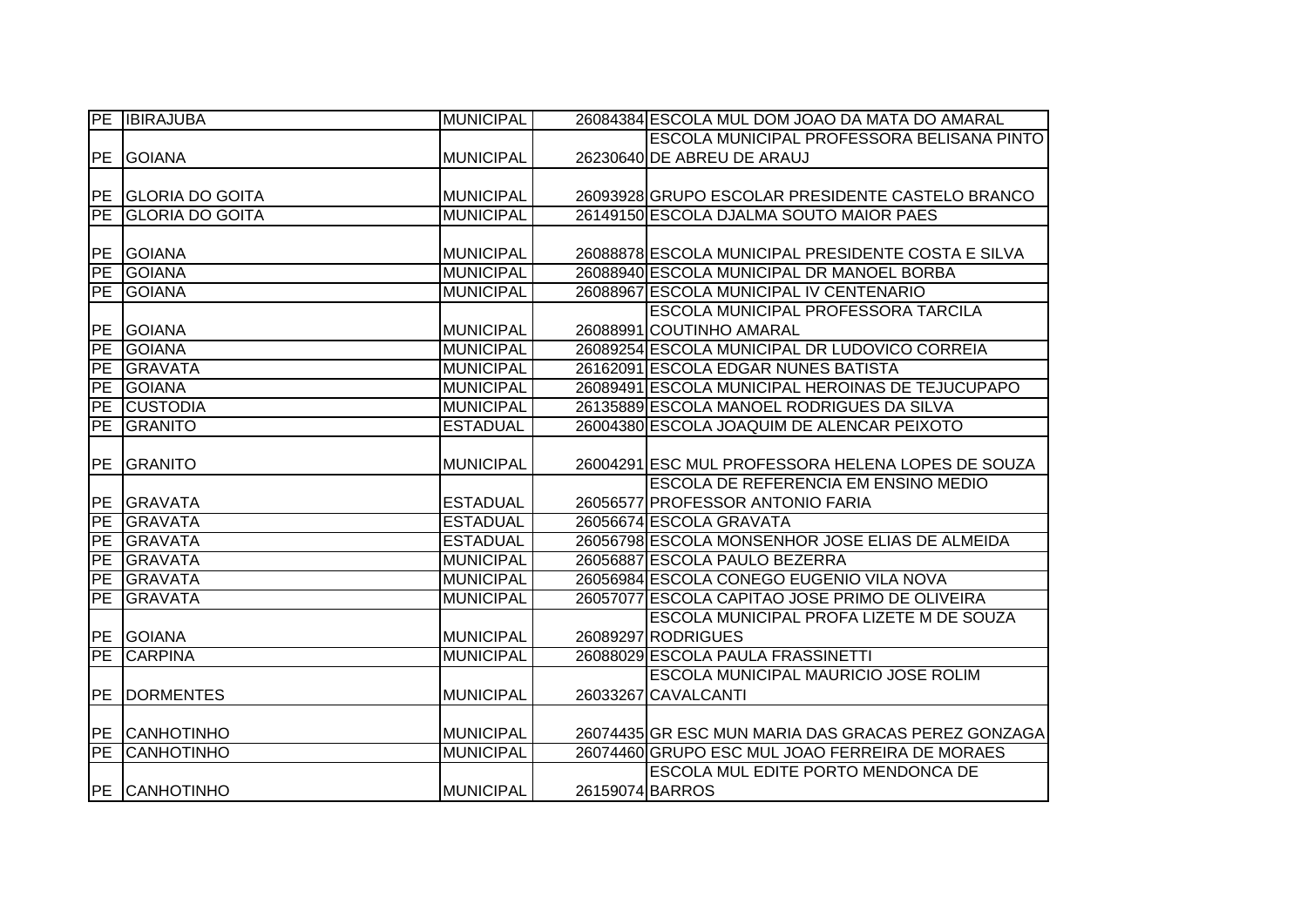|           | PE <b>IBIRAJUBA</b>    | <b>MUNICIPAL</b> |                 | 26084384 ESCOLA MUL DOM JOAO DA MATA DO AMARAL     |
|-----------|------------------------|------------------|-----------------|----------------------------------------------------|
|           |                        |                  |                 | <b>ESCOLA MUNICIPAL PROFESSORA BELISANA PINTO</b>  |
| PE        | <b>GOIANA</b>          | <b>MUNICIPAL</b> |                 | 26230640 DE ABREU DE ARAUJ                         |
|           |                        |                  |                 |                                                    |
|           | PE GLORIA DO GOITA     | <b>MUNICIPAL</b> |                 | 26093928 GRUPO ESCOLAR PRESIDENTE CASTELO BRANCO   |
| PE        | <b>GLORIA DO GOITA</b> | <b>MUNICIPAL</b> |                 | 26149150 ESCOLA DJALMA SOUTO MAIOR PAES            |
|           |                        |                  |                 |                                                    |
| PE        | <b>GOIANA</b>          | <b>MUNICIPAL</b> |                 | 26088878 ESCOLA MUNICIPAL PRESIDENTE COSTA E SILVA |
| PE        | <b>GOIANA</b>          | <b>MUNICIPAL</b> |                 | 26088940 ESCOLA MUNICIPAL DR MANOEL BORBA          |
| PE        | <b>GOIANA</b>          | <b>MUNICIPAL</b> |                 | 26088967 ESCOLA MUNICIPAL IV CENTENARIO            |
|           |                        |                  |                 | <b>ESCOLA MUNICIPAL PROFESSORA TARCILA</b>         |
| PE        | <b>GOIANA</b>          | <b>MUNICIPAL</b> |                 | 26088991 COUTINHO AMARAL                           |
| PE        | <b>GOIANA</b>          | <b>MUNICIPAL</b> |                 | 26089254 ESCOLA MUNICIPAL DR LUDOVICO CORREIA      |
| <b>PE</b> | <b>GRAVATA</b>         | <b>MUNICIPAL</b> |                 | 26162091 ESCOLA EDGAR NUNES BATISTA                |
| PE        | <b>GOIANA</b>          | <b>MUNICIPAL</b> |                 | 26089491 ESCOLA MUNICIPAL HEROINAS DE TEJUCUPAPO   |
| PE        | <b>CUSTODIA</b>        | <b>MUNICIPAL</b> |                 | 26135889 ESCOLA MANOEL RODRIGUES DA SILVA          |
| PE        | GRANITO                | <b>ESTADUAL</b>  |                 | 26004380 ESCOLA JOAQUIM DE ALENCAR PEIXOTO         |
|           |                        |                  |                 |                                                    |
| PE        | GRANITO                | MUNICIPAL        |                 | 26004291 ESC MUL PROFESSORA HELENA LOPES DE SOUZA  |
|           |                        |                  |                 | ESCOLA DE REFERENCIA EM ENSINO MEDIO               |
|           | PE GRAVATA             | <b>ESTADUAL</b>  |                 | 26056577 PROFESSOR ANTONIO FARIA                   |
| PE        | <b>GRAVATA</b>         | <b>ESTADUAL</b>  |                 | 26056674 ESCOLA GRAVATA                            |
| PE        | <b>GRAVATA</b>         | <b>ESTADUAL</b>  |                 | 26056798 ESCOLA MONSENHOR JOSE ELIAS DE ALMEIDA    |
| PE        | <b>GRAVATA</b>         | <b>MUNICIPAL</b> |                 | 26056887 ESCOLA PAULO BEZERRA                      |
| PE        | <b>GRAVATA</b>         | <b>MUNICIPAL</b> |                 | 26056984 ESCOLA CONEGO EUGENIO VILA NOVA           |
| <b>PE</b> | <b>GRAVATA</b>         | <b>MUNICIPAL</b> |                 | 26057077 ESCOLA CAPITAO JOSE PRIMO DE OLIVEIRA     |
|           |                        |                  |                 | ESCOLA MUNICIPAL PROFA LIZETE M DE SOUZA           |
| PE        | <b>GOIANA</b>          | <b>MUNICIPAL</b> |                 | 26089297 RODRIGUES                                 |
| PE        | <b>CARPINA</b>         | <b>MUNICIPAL</b> |                 | 26088029 ESCOLA PAULA FRASSINETTI                  |
|           |                        |                  |                 | <b>ESCOLA MUNICIPAL MAURICIO JOSE ROLIM</b>        |
| <b>PE</b> | <b>DORMENTES</b>       | <b>MUNICIPAL</b> |                 | 26033267 CAVALCANTI                                |
|           |                        |                  |                 |                                                    |
|           | PE CANHOTINHO          | <b>MUNICIPAL</b> |                 | 26074435 GR ESC MUN MARIA DAS GRACAS PEREZ GONZAGA |
| PE        | CANHOTINHO             | <b>MUNICIPAL</b> |                 | 26074460 GRUPO ESC MUL JOAO FERREIRA DE MORAES     |
|           |                        |                  |                 | ESCOLA MUL EDITE PORTO MENDONCA DE                 |
|           | <b>PE CANHOTINHO</b>   | <b>MUNICIPAL</b> | 26159074 BARROS |                                                    |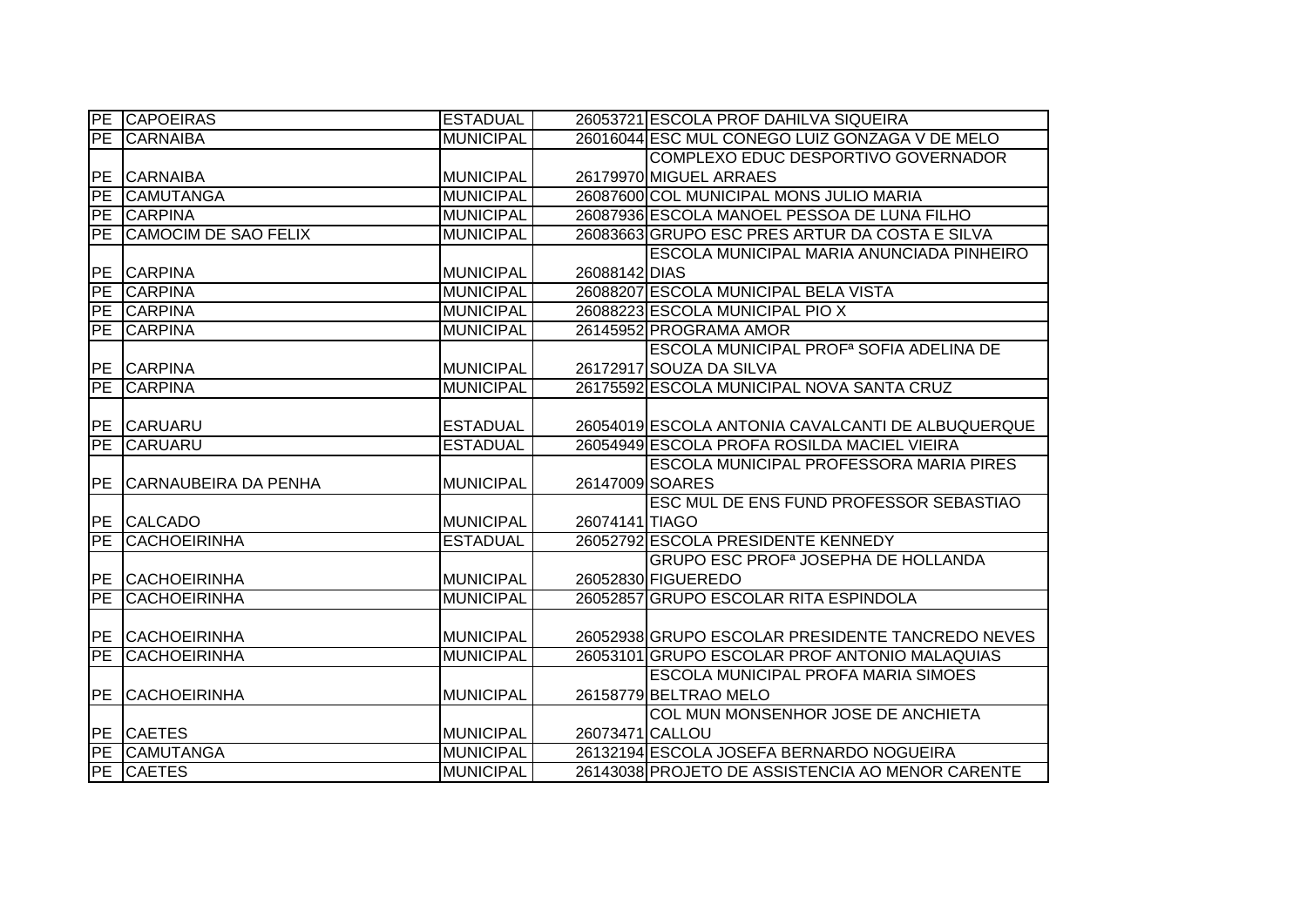|                          | <b>PE CAPOEIRAS</b>         | <b>ESTADUAL</b>  |                 | 26053721 ESCOLA PROF DAHILVA SIQUEIRA                 |
|--------------------------|-----------------------------|------------------|-----------------|-------------------------------------------------------|
| PE                       | <b>CARNAIBA</b>             | <b>MUNICIPAL</b> |                 | 26016044 ESC MUL CONEGO LUIZ GONZAGA V DE MELO        |
|                          |                             |                  |                 | COMPLEXO EDUC DESPORTIVO GOVERNADOR                   |
| PE                       | <b>CARNAIBA</b>             | <b>MUNICIPAL</b> |                 | 26179970 MIGUEL ARRAES                                |
| PE                       | <b>CAMUTANGA</b>            | <b>MUNICIPAL</b> |                 | 26087600 COL MUNICIPAL MONS JULIO MARIA               |
| PE                       | <b>CARPINA</b>              | <b>MUNICIPAL</b> |                 | 26087936 ESCOLA MANOEL PESSOA DE LUNA FILHO           |
| ĪРE                      | <b>CAMOCIM DE SAO FELIX</b> | <b>MUNICIPAL</b> |                 | 26083663 GRUPO ESC PRES ARTUR DA COSTA E SILVA        |
|                          |                             |                  |                 | ESCOLA MUNICIPAL MARIA ANUNCIADA PINHEIRO             |
| <b>PE</b>                | <b>CARPINA</b>              | <b>MUNICIPAL</b> | 26088142 DIAS   |                                                       |
| PE                       | <b>CARPINA</b>              | <b>MUNICIPAL</b> |                 | 26088207 ESCOLA MUNICIPAL BELA VISTA                  |
|                          | PE CARPINA                  | <b>MUNICIPAL</b> |                 | 26088223 ESCOLA MUNICIPAL PIO X                       |
| PE                       | <b>CARPINA</b>              | <b>MUNICIPAL</b> |                 | 26145952 PROGRAMA AMOR                                |
|                          |                             |                  |                 | ESCOLA MUNICIPAL PROF <sup>a</sup> SOFIA ADELINA DE   |
|                          | PE CARPINA                  | <b>MUNICIPAL</b> |                 | 26172917 SOUZA DA SILVA                               |
| $\overline{\mathsf{PE}}$ | <b>CARPINA</b>              | <b>MUNICIPAL</b> |                 | 26175592 ESCOLA MUNICIPAL NOVA SANTA CRUZ             |
|                          |                             |                  |                 |                                                       |
| PE                       | <b>CARUARU</b>              | <b>ESTADUAL</b>  |                 | 26054019 ESCOLA ANTONIA CAVALCANTI DE ALBUQUERQUE     |
| PE                       | <b>CARUARU</b>              | <b>ESTADUAL</b>  |                 | 26054949 ESCOLA PROFA ROSILDA MACIEL VIEIRA           |
|                          |                             |                  |                 | <b>ESCOLA MUNICIPAL PROFESSORA MARIA PIRES</b>        |
| PE                       | CARNAUBEIRA DA PENHA        | <b>MUNICIPAL</b> | 26147009 SOARES |                                                       |
|                          |                             |                  |                 | ESC MUL DE ENS FUND PROFESSOR SEBASTIAO               |
|                          | PE CALCADO                  | <b>MUNICIPAL</b> | 26074141 TIAGO  |                                                       |
| PE                       | <b>CACHOEIRINHA</b>         | <b>ESTADUAL</b>  |                 | 26052792 ESCOLA PRESIDENTE KENNEDY                    |
|                          |                             |                  |                 | <b>GRUPO ESC PROF<sup>a</sup> JOSEPHA DE HOLLANDA</b> |
| PE                       | <b>CACHOEIRINHA</b>         | <b>MUNICIPAL</b> |                 | 26052830 FIGUEREDO                                    |
| PE                       | <b>CACHOEIRINHA</b>         | <b>MUNICIPAL</b> |                 | 26052857 GRUPO ESCOLAR RITA ESPINDOLA                 |
|                          |                             |                  |                 |                                                       |
| PE                       | <b>CACHOEIRINHA</b>         | <b>MUNICIPAL</b> |                 | 26052938 GRUPO ESCOLAR PRESIDENTE TANCREDO NEVES      |
| PE                       | <b>CACHOEIRINHA</b>         | <b>MUNICIPAL</b> |                 | 26053101 GRUPO ESCOLAR PROF ANTONIO MALAQUIAS         |
|                          |                             |                  |                 | <b>ESCOLA MUNICIPAL PROFA MARIA SIMOES</b>            |
| PE                       | <b>CACHOEIRINHA</b>         | <b>MUNICIPAL</b> |                 | 26158779 BELTRAO MELO                                 |
|                          |                             |                  |                 | COL MUN MONSENHOR JOSE DE ANCHIETA                    |
|                          | PE CAETES                   | <b>MUNICIPAL</b> | 26073471 CALLOU |                                                       |
|                          | PE CAMUTANGA                | <b>MUNICIPAL</b> |                 | 26132194 ESCOLA JOSEFA BERNARDO NOGUEIRA              |
|                          | PE CAETES                   | <b>MUNICIPAL</b> |                 | 26143038 PROJETO DE ASSISTENCIA AO MENOR CARENTE      |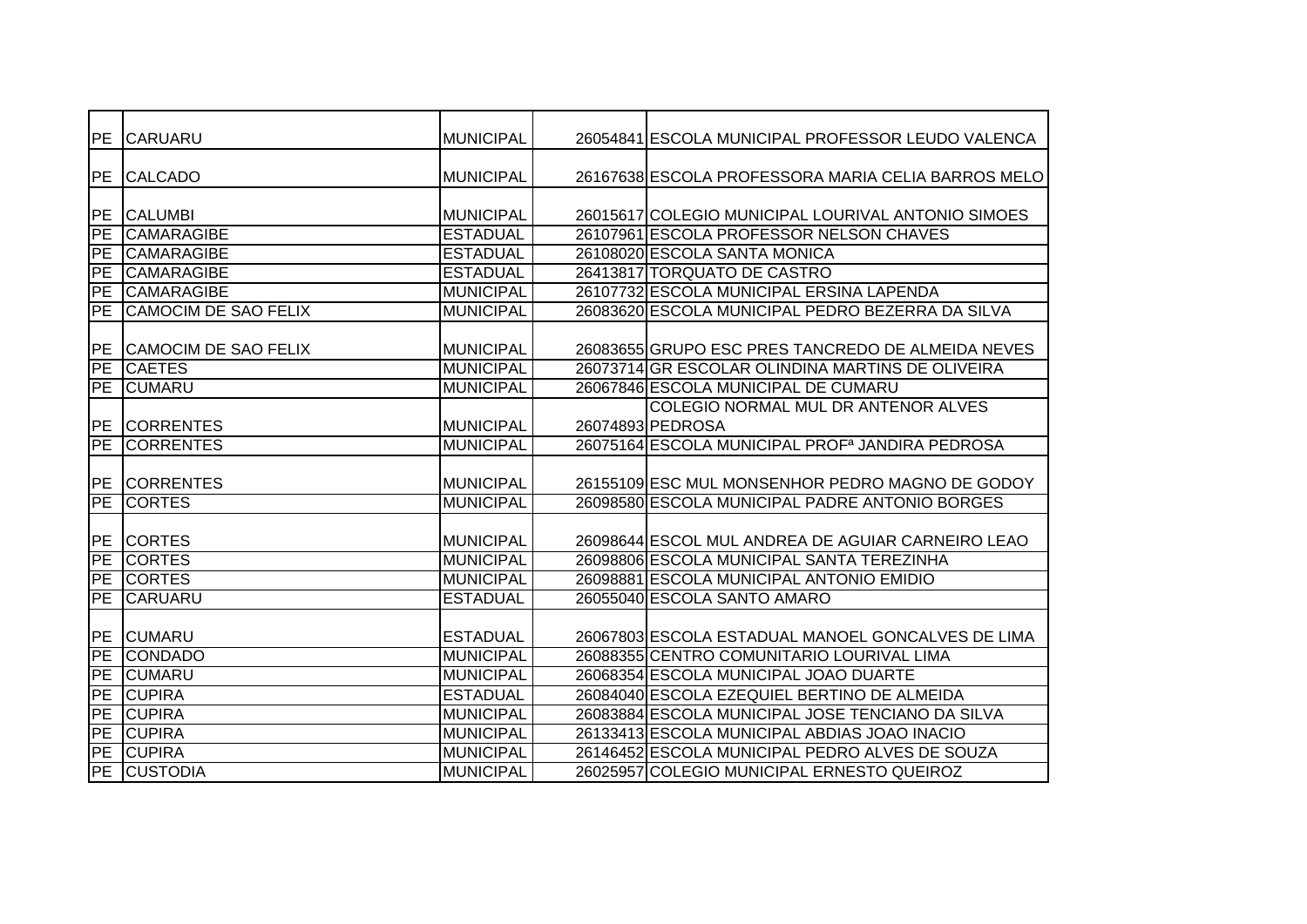| PE        | <b>CARUARU</b>              | <b>MUNICIPAL</b> | 26054841 ESCOLA MUNICIPAL PROFESSOR LEUDO VALENCA           |
|-----------|-----------------------------|------------------|-------------------------------------------------------------|
| PE        | <b>CALCADO</b>              | <b>MUNICIPAL</b> | 26167638 ESCOLA PROFESSORA MARIA CELIA BARROS MELO          |
|           |                             |                  |                                                             |
| PE        | <b>CALUMBI</b>              | <b>MUNICIPAL</b> | 26015617 COLEGIO MUNICIPAL LOURIVAL ANTONIO SIMOES          |
| PE        | <b>CAMARAGIBE</b>           | <b>ESTADUAL</b>  | 26107961 ESCOLA PROFESSOR NELSON CHAVES                     |
| <b>PE</b> | <b>CAMARAGIBE</b>           | <b>ESTADUAL</b>  | 26108020 ESCOLA SANTA MONICA                                |
| PE        | <b>CAMARAGIBE</b>           | <b>ESTADUAL</b>  | 26413817 TORQUATO DE CASTRO                                 |
| PE        | <b>CAMARAGIBE</b>           | <b>MUNICIPAL</b> | 26107732 ESCOLA MUNICIPAL ERSINA LAPENDA                    |
| <b>PE</b> | <b>CAMOCIM DE SAO FELIX</b> | <b>MUNICIPAL</b> | 26083620 ESCOLA MUNICIPAL PEDRO BEZERRA DA SILVA            |
|           |                             |                  |                                                             |
|           | PE CAMOCIM DE SAO FELIX     | <b>MUNICIPAL</b> | 26083655 GRUPO ESC PRES TANCREDO DE ALMEIDA NEVES           |
| PE        | <b>CAETES</b>               | <b>MUNICIPAL</b> | 26073714 GR ESCOLAR OLINDINA MARTINS DE OLIVEIRA            |
| PE        | <b>CUMARU</b>               | <b>MUNICIPAL</b> | 26067846 ESCOLA MUNICIPAL DE CUMARU                         |
|           |                             |                  | COLEGIO NORMAL MUL DR ANTENOR ALVES                         |
| PE        | <b>CORRENTES</b>            | <b>MUNICIPAL</b> | 26074893 PEDROSA                                            |
| PE        | <b>CORRENTES</b>            | <b>MUNICIPAL</b> | 26075164 ESCOLA MUNICIPAL PROF <sup>a</sup> JANDIRA PEDROSA |
|           |                             |                  |                                                             |
|           | PE CORRENTES                | <b>MUNICIPAL</b> | 26155109 ESC MUL MONSENHOR PEDRO MAGNO DE GODOY             |
| PE        | <b>CORTES</b>               | <b>MUNICIPAL</b> | 26098580 ESCOLA MUNICIPAL PADRE ANTONIO BORGES              |
|           |                             |                  |                                                             |
| PE        | <b>CORTES</b>               | <b>MUNICIPAL</b> | 26098644 ESCOL MUL ANDREA DE AGUIAR CARNEIRO LEAO           |
| PE        | <b>CORTES</b>               | <b>MUNICIPAL</b> | 26098806 ESCOLA MUNICIPAL SANTA TEREZINHA                   |
| PE        | <b>CORTES</b>               | <b>MUNICIPAL</b> | 26098881 ESCOLA MUNICIPAL ANTONIO EMIDIO                    |
| PE        | <b>CARUARU</b>              | <b>ESTADUAL</b>  | 26055040 ESCOLA SANTO AMARO                                 |
|           |                             |                  |                                                             |
|           | PE CUMARU                   | <b>ESTADUAL</b>  | 26067803 ESCOLA ESTADUAL MANOEL GONCALVES DE LIMA           |
| PE        | <b>CONDADO</b>              | <b>MUNICIPAL</b> | 26088355 CENTRO COMUNITARIO LOURIVAL LIMA                   |
| <b>PE</b> | <b>CUMARU</b>               | <b>MUNICIPAL</b> | 26068354 ESCOLA MUNICIPAL JOAO DUARTE                       |
| PE        | <b>CUPIRA</b>               | <b>ESTADUAL</b>  | 26084040 ESCOLA EZEQUIEL BERTINO DE ALMEIDA                 |
| PE        | <b>CUPIRA</b>               | <b>MUNICIPAL</b> | 26083884 ESCOLA MUNICIPAL JOSE TENCIANO DA SILVA            |
| PE        | <b>CUPIRA</b>               | <b>MUNICIPAL</b> | 26133413 ESCOLA MUNICIPAL ABDIAS JOAO INACIO                |
| PE        | <b>CUPIRA</b>               | <b>MUNICIPAL</b> | 26146452 ESCOLA MUNICIPAL PEDRO ALVES DE SOUZA              |
|           | PE CUSTODIA                 | <b>MUNICIPAL</b> | 26025957 COLEGIO MUNICIPAL ERNESTO QUEIROZ                  |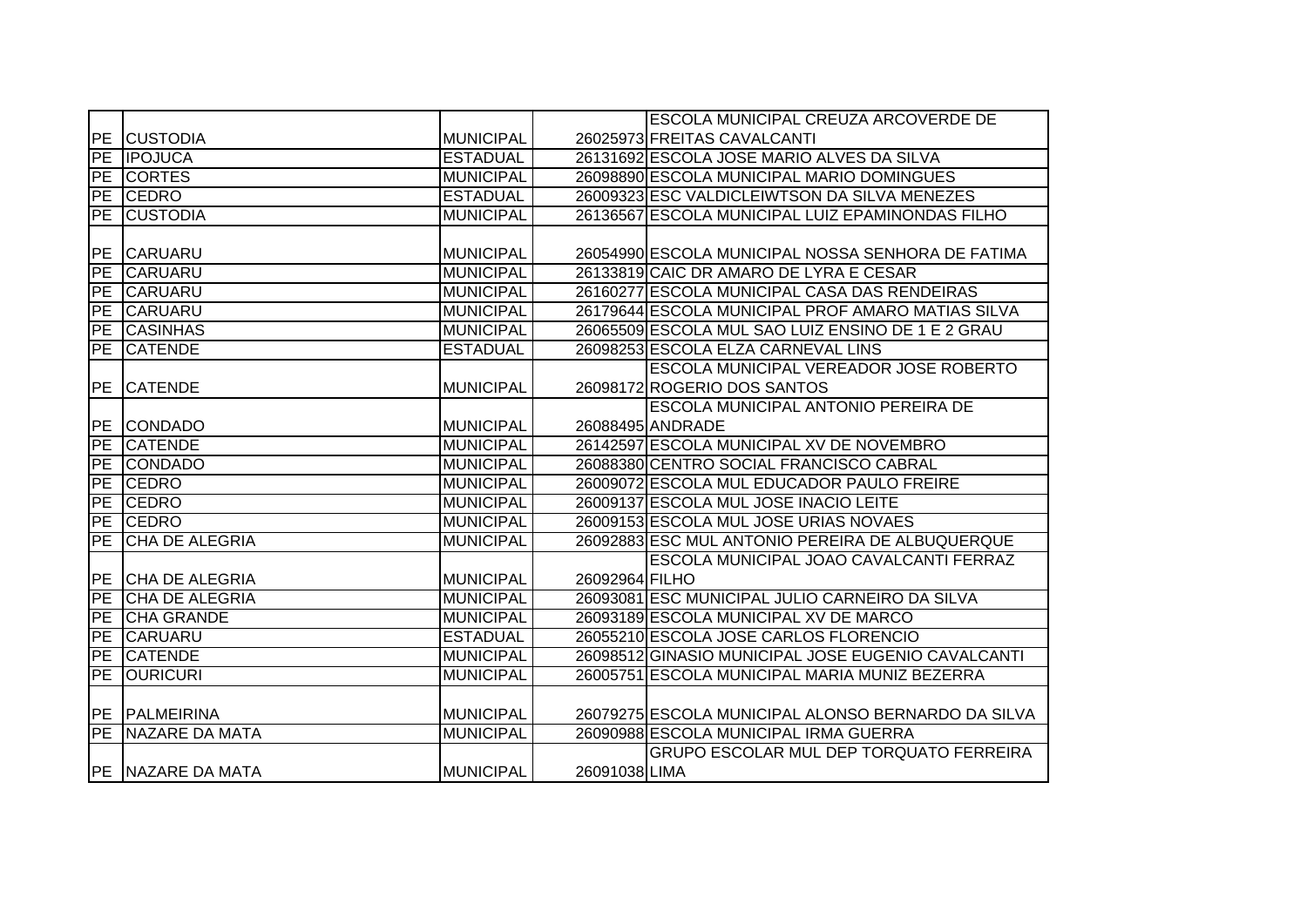|                 |                       |                  |                | <b>ESCOLA MUNICIPAL CREUZA ARCOVERDE DE</b>        |
|-----------------|-----------------------|------------------|----------------|----------------------------------------------------|
|                 | <b>PE CUSTODIA</b>    | <b>MUNICIPAL</b> |                | 26025973 FREITAS CAVALCANTI                        |
|                 | PE <b>IPOJUCA</b>     | <b>ESTADUAL</b>  |                | 26131692 ESCOLA JOSE MARIO ALVES DA SILVA          |
|                 | PE CORTES             | <b>MUNICIPAL</b> |                | 26098890 ESCOLA MUNICIPAL MARIO DOMINGUES          |
| PE              | <b>CEDRO</b>          | <b>ESTADUAL</b>  |                | 26009323 ESC VALDICLEIWTSON DA SILVA MENEZES       |
| PE              | <b>CUSTODIA</b>       | <b>MUNICIPAL</b> |                | 26136567 ESCOLA MUNICIPAL LUIZ EPAMINONDAS FILHO   |
|                 |                       |                  |                |                                                    |
| PE              | <b>CARUARU</b>        | <b>MUNICIPAL</b> |                | 26054990 ESCOLA MUNICIPAL NOSSA SENHORA DE FATIMA  |
| PE              | <b>CARUARU</b>        | <b>MUNICIPAL</b> |                | 26133819 CAIC DR AMARO DE LYRA E CESAR             |
| PE              | <b>CARUARU</b>        | <b>MUNICIPAL</b> |                | 26160277 ESCOLA MUNICIPAL CASA DAS RENDEIRAS       |
| PE              | <b>CARUARU</b>        | <b>MUNICIPAL</b> |                | 26179644 ESCOLA MUNICIPAL PROF AMARO MATIAS SILVA  |
| PE              | <b>CASINHAS</b>       | <b>MUNICIPAL</b> |                | 26065509 ESCOLA MUL SAO LUIZ ENSINO DE 1 E 2 GRAU  |
| <b>PE</b>       | <b>CATENDE</b>        | <b>ESTADUAL</b>  |                | 26098253 ESCOLA ELZA CARNEVAL LINS                 |
|                 |                       |                  |                | <b>ESCOLA MUNICIPAL VEREADOR JOSE ROBERTO</b>      |
| PE              | <b>CATENDE</b>        | <b>MUNICIPAL</b> |                | 26098172 ROGERIO DOS SANTOS                        |
|                 |                       |                  |                | ESCOLA MUNICIPAL ANTONIO PEREIRA DE                |
| <b>PE</b>       | <b>CONDADO</b>        | <b>MUNICIPAL</b> |                | 26088495 ANDRADE                                   |
| PE              | <b>CATENDE</b>        | <b>MUNICIPAL</b> |                | 26142597 ESCOLA MUNICIPAL XV DE NOVEMBRO           |
| PE              | <b>CONDADO</b>        | <b>MUNICIPAL</b> |                | 26088380 CENTRO SOCIAL FRANCISCO CABRAL            |
| $\overline{PE}$ | <b>CEDRO</b>          | <b>MUNICIPAL</b> |                | 26009072 ESCOLA MUL EDUCADOR PAULO FREIRE          |
| PE              | <b>CEDRO</b>          | <b>MUNICIPAL</b> |                | 26009137 ESCOLA MUL JOSE INACIO LEITE              |
| PE              | <b>CEDRO</b>          | <b>MUNICIPAL</b> |                | 26009153 ESCOLA MUL JOSE URIAS NOVAES              |
| PE              | <b>CHA DE ALEGRIA</b> | <b>MUNICIPAL</b> |                | 26092883 ESC MUL ANTONIO PEREIRA DE ALBUQUERQUE    |
|                 |                       |                  |                | ESCOLA MUNICIPAL JOAO CAVALCANTI FERRAZ            |
|                 | PE CHA DE ALEGRIA     | <b>MUNICIPAL</b> | 26092964 FILHO |                                                    |
| PE              | <b>CHA DE ALEGRIA</b> | <b>MUNICIPAL</b> |                | 26093081 ESC MUNICIPAL JULIO CARNEIRO DA SILVA     |
| PE              | <b>CHA GRANDE</b>     | <b>MUNICIPAL</b> |                | 26093189 ESCOLA MUNICIPAL XV DE MARCO              |
| PE              | <b>CARUARU</b>        | <b>ESTADUAL</b>  |                | 26055210 ESCOLA JOSE CARLOS FLORENCIO              |
| PE              | <b>CATENDE</b>        | <b>MUNICIPAL</b> |                | 26098512 GINASIO MUNICIPAL JOSE EUGENIO CAVALCANTI |
| PE              | <b>OURICURI</b>       | <b>MUNICIPAL</b> |                | 26005751 ESCOLA MUNICIPAL MARIA MUNIZ BEZERRA      |
|                 |                       |                  |                |                                                    |
|                 | <b>PE PALMEIRINA</b>  | <b>MUNICIPAL</b> |                | 26079275 ESCOLA MUNICIPAL ALONSO BERNARDO DA SILVA |
|                 | PE NAZARE DA MATA     | <b>MUNICIPAL</b> |                | 26090988 ESCOLA MUNICIPAL IRMA GUERRA              |
|                 |                       |                  |                | <b>GRUPO ESCOLAR MUL DEP TORQUATO FERREIRA</b>     |
|                 | PE NAZARE DA MATA     | <b>MUNICIPAL</b> | 26091038 LIMA  |                                                    |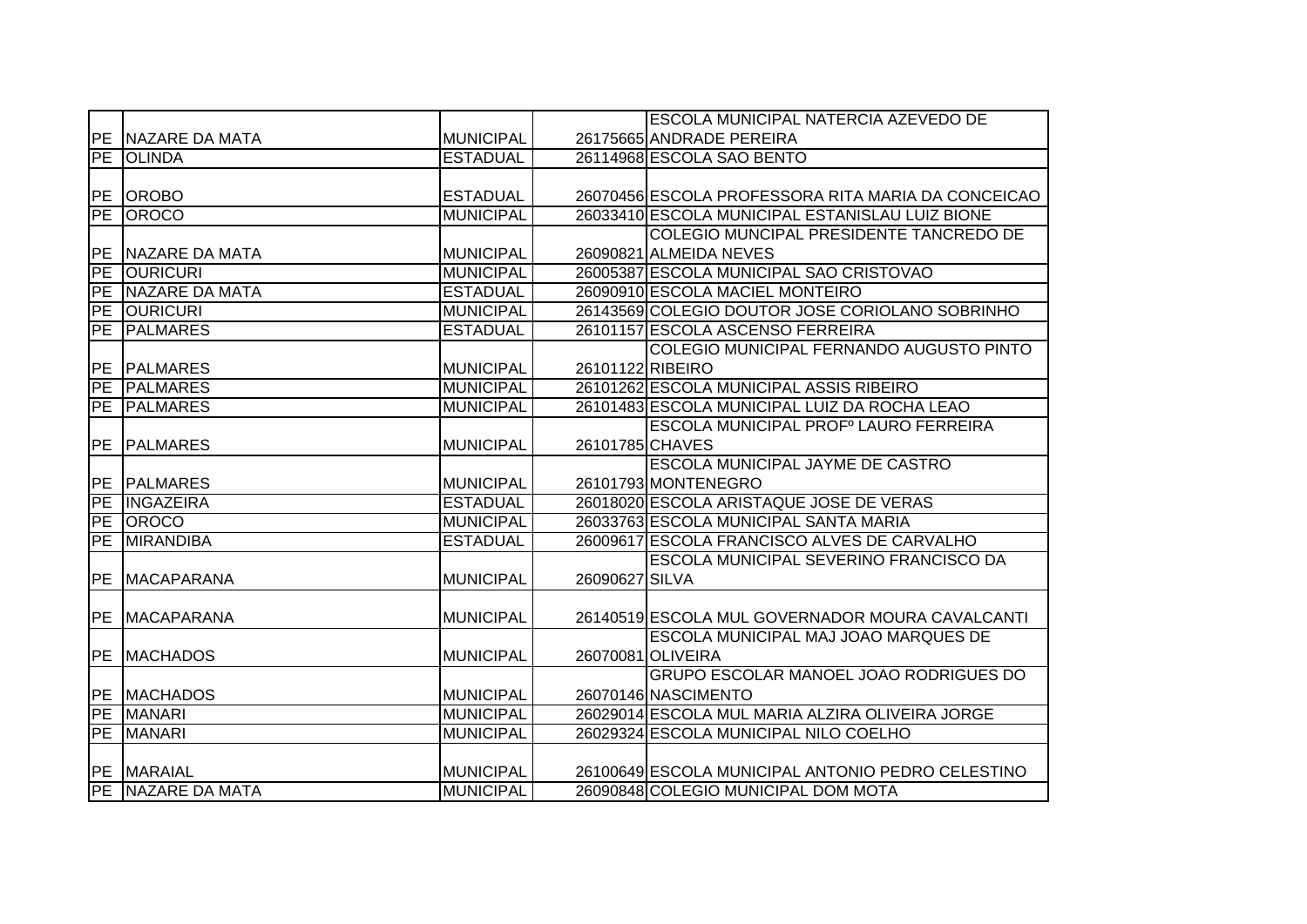|            |                    |                  |                  | ESCOLA MUNICIPAL NATERCIA AZEVEDO DE               |
|------------|--------------------|------------------|------------------|----------------------------------------------------|
|            | PE NAZARE DA MATA  | <b>MUNICIPAL</b> |                  | 26175665 ANDRADE PEREIRA                           |
| PE         | <b>OLINDA</b>      | <b>ESTADUAL</b>  |                  | 26114968 ESCOLA SAO BENTO                          |
|            |                    |                  |                  |                                                    |
|            | PE OROBO           | <b>ESTADUAL</b>  |                  | 26070456 ESCOLA PROFESSORA RITA MARIA DA CONCEICAO |
|            | PE OROCO           | <b>MUNICIPAL</b> |                  | 26033410 ESCOLA MUNICIPAL ESTANISLAU LUIZ BIONE    |
|            |                    |                  |                  | COLEGIO MUNCIPAL PRESIDENTE TANCREDO DE            |
|            | PE NAZARE DA MATA  | <b>MUNICIPAL</b> |                  | 26090821 ALMEIDA NEVES                             |
| PE         | <b>OURICURI</b>    | <b>MUNICIPAL</b> |                  | 26005387 ESCOLA MUNICIPAL SAO CRISTOVAO            |
| PE         | NAZARE DA MATA     | <b>ESTADUAL</b>  |                  | 26090910 ESCOLA MACIEL MONTEIRO                    |
| PE         | <b>OURICURI</b>    | <b>MUNICIPAL</b> |                  | 26143569 COLEGIO DOUTOR JOSE CORIOLANO SOBRINHO    |
| <b>PE</b>  | <b>PALMARES</b>    | <b>ESTADUAL</b>  |                  | 26101157 ESCOLA ASCENSO FERREIRA                   |
|            |                    |                  |                  | COLEGIO MUNICIPAL FERNANDO AUGUSTO PINTO           |
| <b>PE</b>  | <b>PALMARES</b>    | <b>MUNICIPAL</b> | 26101122 RIBEIRO |                                                    |
|            | PE PALMARES        | <b>MUNICIPAL</b> |                  | 26101262 ESCOLA MUNICIPAL ASSIS RIBEIRO            |
| PE         | <b>PALMARES</b>    | <b>MUNICIPAL</b> |                  | 26101483 ESCOLA MUNICIPAL LUIZ DA ROCHA LEAO       |
|            |                    |                  |                  | ESCOLA MUNICIPAL PROFº LAURO FERREIRA              |
| <b>IPE</b> | <b>PALMARES</b>    | <b>MUNICIPAL</b> | 26101785 CHAVES  |                                                    |
|            |                    |                  |                  | <b>ESCOLA MUNICIPAL JAYME DE CASTRO</b>            |
|            | <b>PE PALMARES</b> | <b>MUNICIPAL</b> |                  | 26101793 MONTENEGRO                                |
| PE         | <b>INGAZEIRA</b>   | <b>ESTADUAL</b>  |                  | 26018020 ESCOLA ARISTAQUE JOSE DE VERAS            |
|            | PE OROCO           | <b>MUNICIPAL</b> |                  | 26033763 ESCOLA MUNICIPAL SANTA MARIA              |
| PE         | <b>MIRANDIBA</b>   | <b>ESTADUAL</b>  |                  | 26009617 ESCOLA FRANCISCO ALVES DE CARVALHO        |
|            |                    |                  |                  | ESCOLA MUNICIPAL SEVERINO FRANCISCO DA             |
| PE         | <b>IMACAPARANA</b> | <b>MUNICIPAL</b> | 26090627 SILVA   |                                                    |
|            |                    |                  |                  |                                                    |
|            | PE MACAPARANA      | <b>MUNICIPAL</b> |                  | 26140519 ESCOLA MUL GOVERNADOR MOURA CAVALCANTI    |
|            |                    |                  |                  | ESCOLA MUNICIPAL MAJ JOAO MARQUES DE               |
| PE         | <b>MACHADOS</b>    | <b>MUNICIPAL</b> |                  | 26070081 OLIVEIRA                                  |
|            |                    |                  |                  | GRUPO ESCOLAR MANOEL JOAO RODRIGUES DO             |
|            | <b>PE MACHADOS</b> | <b>MUNICIPAL</b> |                  | 26070146 NASCIMENTO                                |
|            | PE MANARI          | <b>MUNICIPAL</b> |                  | 26029014 ESCOLA MUL MARIA ALZIRA OLIVEIRA JORGE    |
| PE         | <b>MANARI</b>      | <b>MUNICIPAL</b> |                  | 26029324 ESCOLA MUNICIPAL NILO COELHO              |
|            |                    |                  |                  |                                                    |
|            | PE MARAIAL         | <b>MUNICIPAL</b> |                  | 26100649 ESCOLA MUNICIPAL ANTONIO PEDRO CELESTINO  |
|            | PE NAZARE DA MATA  | <b>MUNICIPAL</b> |                  | 26090848 COLEGIO MUNICIPAL DOM MOTA                |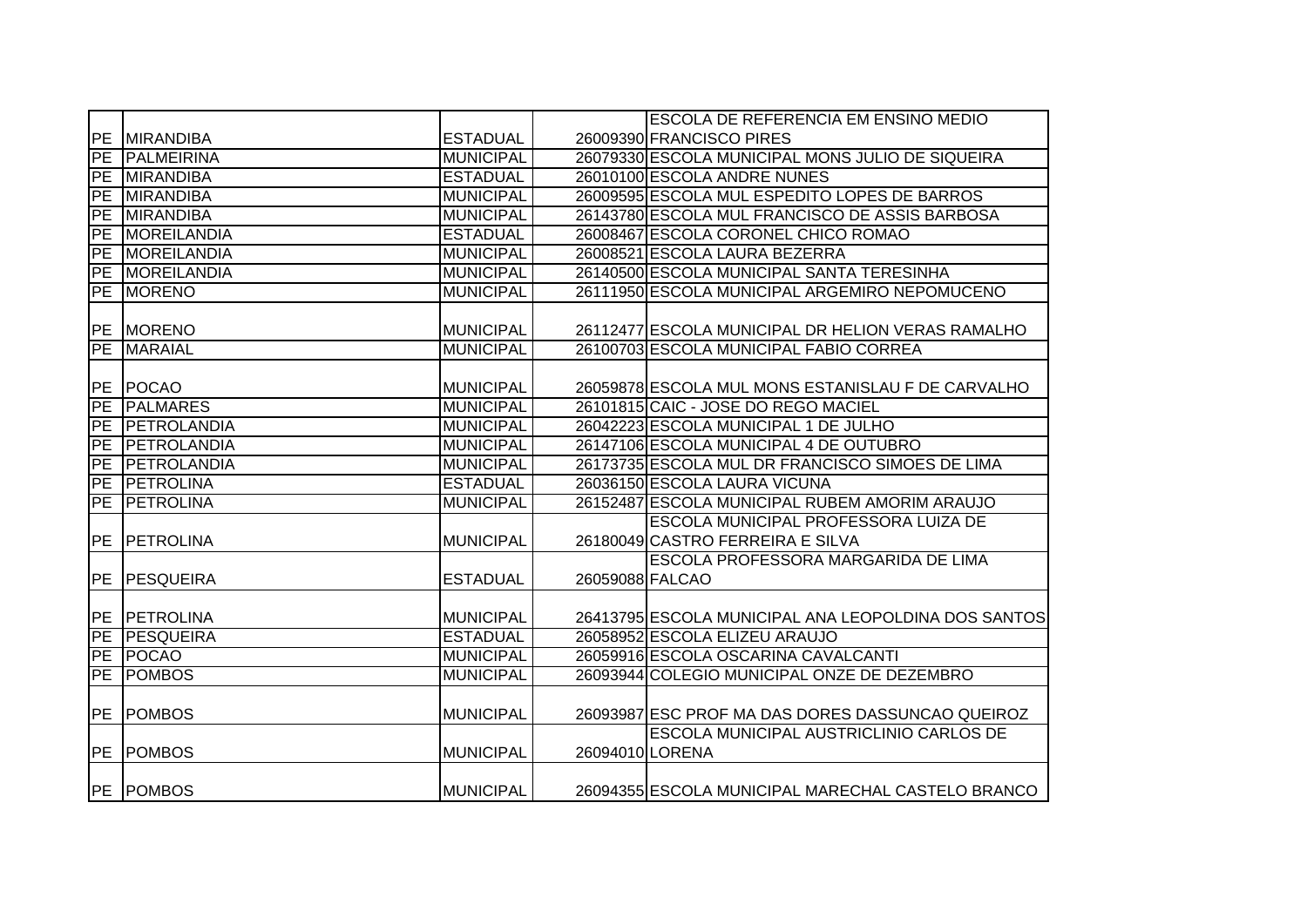|            |                  |                  |                 | <b>ESCOLA DE REFERENCIA EM ENSINO MEDIO</b>         |
|------------|------------------|------------------|-----------------|-----------------------------------------------------|
| <b>PE</b>  | <b>MIRANDIBA</b> | <b>ESTADUAL</b>  |                 | 26009390 FRANCISCO PIRES                            |
| PE         | PALMEIRINA       | <b>MUNICIPAL</b> |                 | 26079330 ESCOLA MUNICIPAL MONS JULIO DE SIQUEIRA    |
| <b>PE</b>  | <b>MIRANDIBA</b> | <b>ESTADUAL</b>  |                 | 26010100 ESCOLA ANDRE NUNES                         |
| <b>PE</b>  | <b>MIRANDIBA</b> | <b>MUNICIPAL</b> |                 | 26009595 ESCOLA MUL ESPEDITO LOPES DE BARROS        |
| PE         | <b>MIRANDIBA</b> | <b>MUNICIPAL</b> |                 | 26143780 ESCOLA MUL FRANCISCO DE ASSIS BARBOSA      |
| PE         | MOREILANDIA      | <b>ESTADUAL</b>  |                 | 26008467 ESCOLA CORONEL CHICO ROMAO                 |
| <b>PE</b>  | MOREILANDIA      | <b>MUNICIPAL</b> |                 | 26008521 ESCOLA LAURA BEZERRA                       |
| PE         | MOREILANDIA      | <b>MUNICIPAL</b> |                 | 26140500 ESCOLA MUNICIPAL SANTA TERESINHA           |
| PE         | <b>MORENO</b>    | <b>MUNICIPAL</b> |                 | 26111950 ESCOLA MUNICIPAL ARGEMIRO NEPOMUCENO       |
|            |                  |                  |                 |                                                     |
|            | PE MORENO        | <b>MUNICIPAL</b> |                 | 26112477 ESCOLA MUNICIPAL DR HELION VERAS RAMALHO   |
| PE         | <b>MARAIAL</b>   | <b>MUNICIPAL</b> |                 | 26100703 ESCOLA MUNICIPAL FABIO CORREA              |
|            |                  |                  |                 |                                                     |
| <b>PE</b>  | <b>POCAO</b>     | <b>MUNICIPAL</b> |                 | 26059878 ESCOLA MUL MONS ESTANISLAU F DE CARVALHO   |
| PE         | <b>PALMARES</b>  | <b>MUNICIPAL</b> |                 | 26101815 CAIC - JOSE DO REGO MACIEL                 |
| <b>PE</b>  | PETROLANDIA      | <b>MUNICIPAL</b> |                 | 26042223 ESCOLA MUNICIPAL 1 DE JULHO                |
| PE         | PETROLANDIA      | <b>MUNICIPAL</b> |                 | 26147106 ESCOLA MUNICIPAL 4 DE OUTUBRO              |
| PE         | PETROLANDIA      | <b>MUNICIPAL</b> |                 | 26173735 ESCOLA MUL DR FRANCISCO SIMOES DE LIMA     |
| PE         | <b>PETROLINA</b> | <b>ESTADUAL</b>  |                 | 26036150 ESCOLA LAURA VICUNA                        |
| PE         | <b>PETROLINA</b> | <b>MUNICIPAL</b> |                 | 26152487 ESCOLA MUNICIPAL RUBEM AMORIM ARAUJO       |
|            |                  |                  |                 | ESCOLA MUNICIPAL PROFESSORA LUIZA DE                |
| PE         | PETROLINA        | <b>MUNICIPAL</b> |                 | 26180049 CASTRO FERREIRA E SILVA                    |
|            |                  |                  |                 | ESCOLA PROFESSORA MARGARIDA DE LIMA                 |
| PE         | <b>PESQUEIRA</b> | <b>ESTADUAL</b>  | 26059088 FALCAO |                                                     |
|            |                  |                  |                 |                                                     |
| <b>IPE</b> | <b>PETROLINA</b> | <b>MUNICIPAL</b> |                 | 26413795 ESCOLA MUNICIPAL ANA LEOPOLDINA DOS SANTOS |
| <b>PE</b>  | <b>PESQUEIRA</b> | <b>ESTADUAL</b>  |                 | 26058952 ESCOLA ELIZEU ARAUJO                       |
| <b>PE</b>  | <b>POCAO</b>     | <b>MUNICIPAL</b> |                 | 26059916 ESCOLA OSCARINA CAVALCANTI                 |
| PE         | <b>POMBOS</b>    | <b>MUNICIPAL</b> |                 | 26093944 COLEGIO MUNICIPAL ONZE DE DEZEMBRO         |
|            |                  |                  |                 |                                                     |
| <b>PE</b>  | <b>POMBOS</b>    | <b>MUNICIPAL</b> |                 | 26093987 ESC PROF MA DAS DORES DASSUNCAO QUEIROZ    |
|            |                  |                  |                 | ESCOLA MUNICIPAL AUSTRICLINIO CARLOS DE             |
| PE         | <b>POMBOS</b>    | <b>MUNICIPAL</b> | 26094010 LORENA |                                                     |
|            |                  |                  |                 |                                                     |
|            | <b>PE POMBOS</b> | <b>MUNICIPAL</b> |                 | 26094355 ESCOLA MUNICIPAL MARECHAL CASTELO BRANCO   |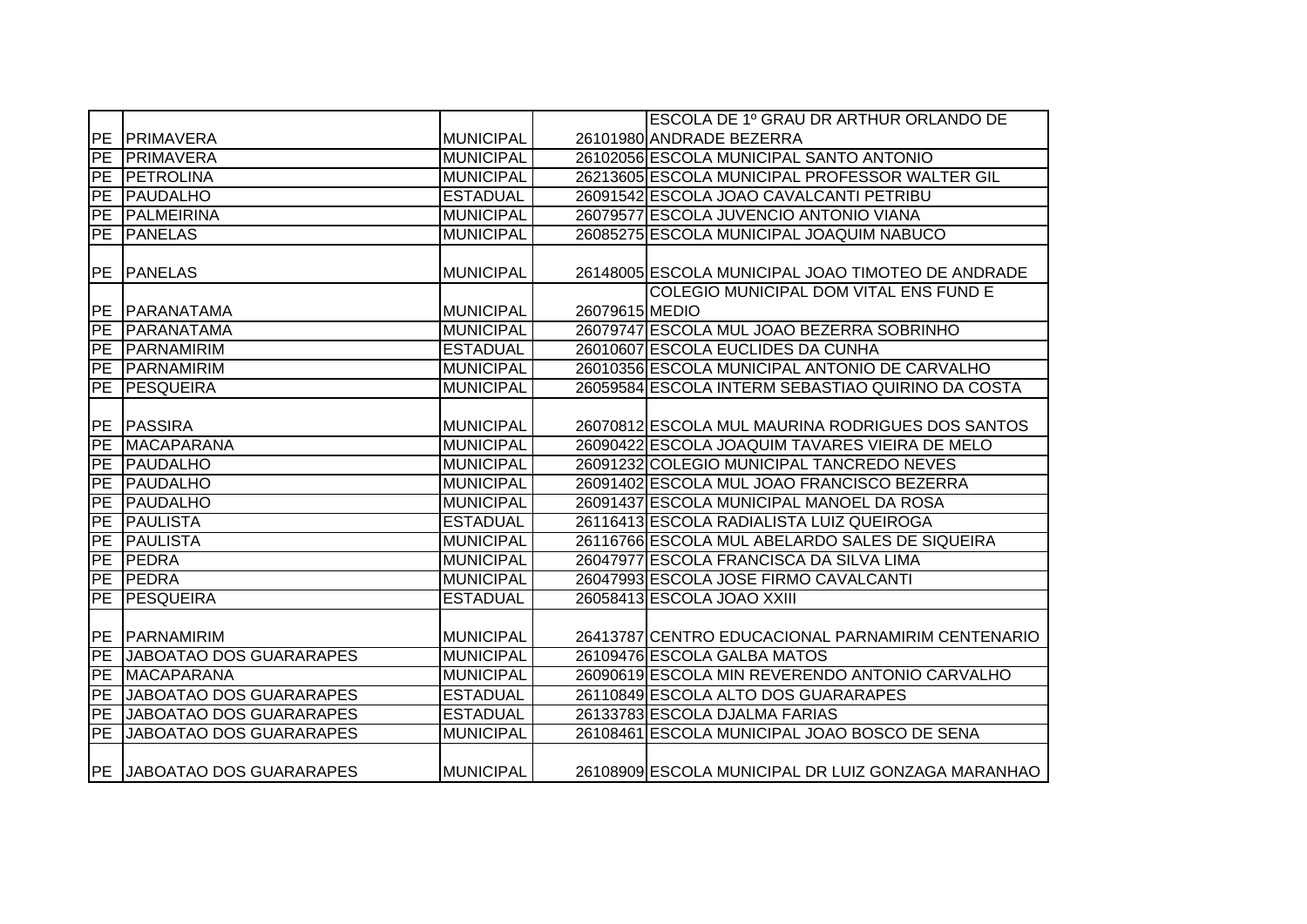|                          |                                |                  |                | ESCOLA DE 1º GRAU DR ARTHUR ORLANDO DE             |
|--------------------------|--------------------------------|------------------|----------------|----------------------------------------------------|
| IPE.                     | <b>PRIMAVERA</b>               | <b>MUNICIPAL</b> |                | 26101980 ANDRADE BEZERRA                           |
| PE                       | <b>PRIMAVERA</b>               | <b>MUNICIPAL</b> |                | 26102056 ESCOLA MUNICIPAL SANTO ANTONIO            |
| $\overline{\mathsf{PE}}$ | <b>IPETROLINA</b>              | <b>MUNICIPAL</b> |                | 26213605 ESCOLA MUNICIPAL PROFESSOR WALTER GIL     |
| $\overline{PE}$          | <b>PAUDALHO</b>                | <b>ESTADUAL</b>  |                | 26091542 ESCOLA JOAO CAVALCANTI PETRIBU            |
| $\overline{PE}$          | PALMEIRINA                     | <b>MUNICIPAL</b> |                | 26079577 ESCOLA JUVENCIO ANTONIO VIANA             |
| <b>PE</b>                | <b>PANELAS</b>                 | <b>MUNICIPAL</b> |                | 26085275 ESCOLA MUNICIPAL JOAQUIM NABUCO           |
|                          |                                |                  |                |                                                    |
| PE                       | <b>PANELAS</b>                 | <b>MUNICIPAL</b> |                | 26148005 ESCOLA MUNICIPAL JOAO TIMOTEO DE ANDRADE  |
|                          |                                |                  |                | COLEGIO MUNICIPAL DOM VITAL ENS FUND E             |
|                          | PE PARANATAMA                  | <b>MUNICIPAL</b> | 26079615 MEDIO |                                                    |
| PE                       | <b>IPARANATAMA</b>             | <b>MUNICIPAL</b> |                | 26079747 ESCOLA MUL JOAO BEZERRA SOBRINHO          |
| <b>PE</b>                | <b>PARNAMIRIM</b>              | <b>ESTADUAL</b>  |                | 26010607 ESCOLA EUCLIDES DA CUNHA                  |
| PE                       | <b>PARNAMIRIM</b>              | <b>MUNICIPAL</b> |                | 26010356 ESCOLA MUNICIPAL ANTONIO DE CARVALHO      |
| <b>PE</b>                | <b>PESQUEIRA</b>               | <b>MUNICIPAL</b> |                | 26059584 ESCOLA INTERM SEBASTIAO QUIRINO DA COSTA  |
|                          |                                |                  |                |                                                    |
| PE                       | PASSIRA                        | <b>MUNICIPAL</b> |                | 26070812 ESCOLA MUL MAURINA RODRIGUES DOS SANTOS   |
| <b>PE</b>                | <b>MACAPARANA</b>              | <b>MUNICIPAL</b> |                | 26090422 ESCOLA JOAQUIM TAVARES VIEIRA DE MELO     |
| PE                       | PAUDALHO                       | <b>MUNICIPAL</b> |                | 26091232 COLEGIO MUNICIPAL TANCREDO NEVES          |
| PE                       | <b>PAUDALHO</b>                | <b>MUNICIPAL</b> |                | 26091402 ESCOLA MUL JOAO FRANCISCO BEZERRA         |
| PE                       | PAUDALHO                       | <b>MUNICIPAL</b> |                | 26091437 ESCOLA MUNICIPAL MANOEL DA ROSA           |
| PE                       | <b>PAULISTA</b>                | <b>ESTADUAL</b>  |                | 26116413 ESCOLA RADIALISTA LUIZ QUEIROGA           |
| PE                       | <b>PAULISTA</b>                | <b>MUNICIPAL</b> |                | 26116766 ESCOLA MUL ABELARDO SALES DE SIQUEIRA     |
| PE                       | <b>PEDRA</b>                   | <b>MUNICIPAL</b> |                | 26047977 ESCOLA FRANCISCA DA SILVA LIMA            |
| PE                       | <b>IPEDRA</b>                  | <b>MUNICIPAL</b> |                | 26047993 ESCOLA JOSE FIRMO CAVALCANTI              |
|                          | PE PESQUEIRA                   | <b>ESTADUAL</b>  |                | 26058413 ESCOLA JOAO XXIII                         |
|                          |                                |                  |                |                                                    |
| PE                       | PARNAMIRIM                     | <b>MUNICIPAL</b> |                | 26413787 CENTRO EDUCACIONAL PARNAMIRIM CENTENARIO  |
| PE                       | <b>JABOATAO DOS GUARARAPES</b> | <b>MUNICIPAL</b> |                | 26109476 ESCOLA GALBA MATOS                        |
| PE                       | <b>MACAPARANA</b>              | <b>MUNICIPAL</b> |                | 26090619 ESCOLA MIN REVERENDO ANTONIO CARVALHO     |
| PE                       | JABOATAO DOS GUARARAPES        | <b>ESTADUAL</b>  |                | 26110849 ESCOLA ALTO DOS GUARARAPES                |
| PE                       | <b>JABOATAO DOS GUARARAPES</b> | <b>ESTADUAL</b>  |                | 26133783 ESCOLA DJALMA FARIAS                      |
| PE                       | <b>JABOATAO DOS GUARARAPES</b> | <b>MUNICIPAL</b> |                | 26108461 ESCOLA MUNICIPAL JOAO BOSCO DE SENA       |
|                          | PE JABOATAO DOS GUARARAPES     | <b>MUNICIPAL</b> |                | 26108909 ESCOLA MUNICIPAL DR LUIZ GONZAGA MARANHAO |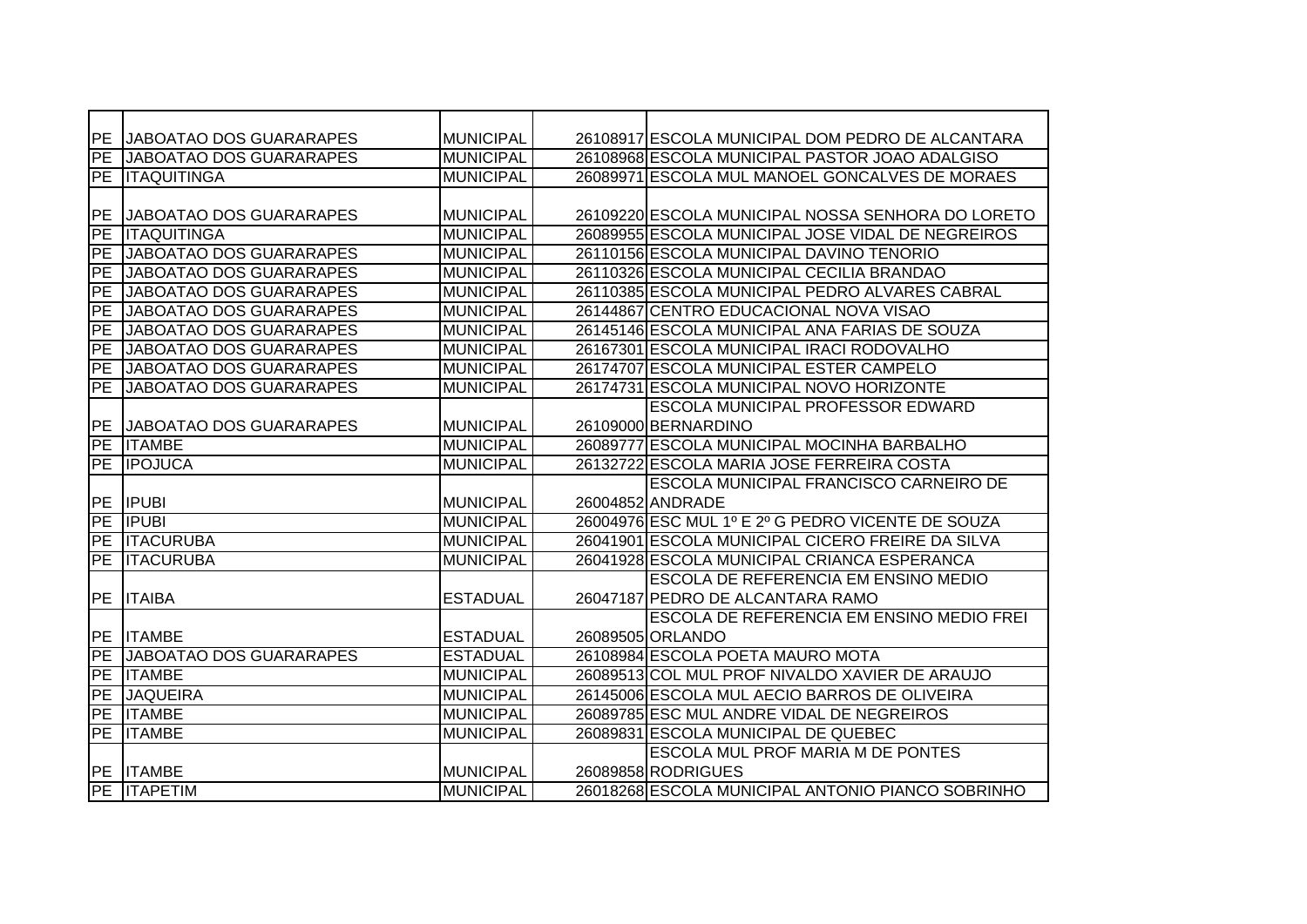| <b>PE</b>  | <b>JABOATAO DOS GUARARAPES</b>  | <b>MUNICIPAL</b> | 26108917 ESCOLA MUNICIPAL DOM PEDRO DE ALCANTARA  |
|------------|---------------------------------|------------------|---------------------------------------------------|
| PE         | <b>JABOATAO DOS GUARARAPES</b>  | <b>MUNICIPAL</b> | 26108968 ESCOLA MUNICIPAL PASTOR JOAO ADALGISO    |
| PE         | <b>ITAQUITINGA</b>              | <b>MUNICIPAL</b> | 26089971 ESCOLA MUL MANOEL GONCALVES DE MORAES    |
|            |                                 |                  |                                                   |
| <b>PE</b>  | JABOATAO DOS GUARARAPES         | <b>MUNICIPAL</b> | 26109220 ESCOLA MUNICIPAL NOSSA SENHORA DO LORETO |
| PE         | <b>ITAQUITINGA</b>              | <b>MUNICIPAL</b> | 26089955 ESCOLA MUNICIPAL JOSE VIDAL DE NEGREIROS |
| PE         | JABOATAO DOS GUARARAPES         | <b>MUNICIPAL</b> | 26110156 ESCOLA MUNICIPAL DAVINO TENORIO          |
| PE         | <b>JABOATAO DOS GUARARAPES</b>  | <b>MUNICIPAL</b> | 26110326 ESCOLA MUNICIPAL CECILIA BRANDAO         |
| PE         | JABOATAO DOS GUARARAPES         | <b>MUNICIPAL</b> | 26110385 ESCOLA MUNICIPAL PEDRO ALVARES CABRAL    |
| PE         | JABOATAO DOS GUARARAPES         | <b>MUNICIPAL</b> | 26144867 CENTRO EDUCACIONAL NOVA VISAO            |
| PE         | <b>JABOATAO DOS GUARARAPES</b>  | <b>MUNICIPAL</b> | 26145146 ESCOLA MUNICIPAL ANA FARIAS DE SOUZA     |
| PE         | JABOATAO DOS GUARARAPES         | <b>MUNICIPAL</b> | 26167301 ESCOLA MUNICIPAL IRACI RODOVALHO         |
| PE         | <b>JABOATAO DOS GUARARAPES</b>  | <b>MUNICIPAL</b> | 26174707 ESCOLA MUNICIPAL ESTER CAMPELO           |
| PE         | <b>JABOATAO DOS GUARARAPES</b>  | <b>MUNICIPAL</b> | 26174731 ESCOLA MUNICIPAL NOVO HORIZONTE          |
|            |                                 |                  | <b>ESCOLA MUNICIPAL PROFESSOR EDWARD</b>          |
| <b>IPE</b> | <b>JJABOATAO DOS GUARARAPES</b> | <b>MUNICIPAL</b> | 26109000 BERNARDINO                               |
|            | <b>PE ITAMBE</b>                | <b>MUNICIPAL</b> | 26089777 ESCOLA MUNICIPAL MOCINHA BARBALHO        |
|            | PE <b>IPOJUCA</b>               | <b>MUNICIPAL</b> | 26132722 ESCOLA MARIA JOSE FERREIRA COSTA         |
|            |                                 |                  | <b>ESCOLA MUNICIPAL FRANCISCO CARNEIRO DE</b>     |
|            | PE IPUBI                        | <b>MUNICIPAL</b> | 26004852 ANDRADE                                  |
| PE         | <b>IPUBI</b>                    | <b>MUNICIPAL</b> | 26004976 ESC MUL 1º E 2º G PEDRO VICENTE DE SOUZA |
| <b>PE</b>  | <b>ITACURUBA</b>                | <b>MUNICIPAL</b> | 26041901 ESCOLA MUNICIPAL CICERO FREIRE DA SILVA  |
| <b>PE</b>  | <b>ITACURUBA</b>                | <b>MUNICIPAL</b> | 26041928 ESCOLA MUNICIPAL CRIANCA ESPERANCA       |
|            |                                 |                  | <b>ESCOLA DE REFERENCIA EM ENSINO MEDIO</b>       |
| <b>IPE</b> | <b>ITAIBA</b>                   | <b>ESTADUAL</b>  | 26047187 PEDRO DE ALCANTARA RAMO                  |
|            |                                 |                  | ESCOLA DE REFERENCIA EM ENSINO MEDIO FREI         |
| <b>IPE</b> | <b>ITAMBE</b>                   | <b>ESTADUAL</b>  | 26089505 ORLANDO                                  |
| PE         | JABOATAO DOS GUARARAPES         | <b>ESTADUAL</b>  | 26108984 ESCOLA POETA MAURO MOTA                  |
| <b>PE</b>  | <b>ITAMBE</b>                   | <b>MUNICIPAL</b> | 26089513 COL MUL PROF NIVALDO XAVIER DE ARAUJO    |
| <b>PE</b>  | <b>JAQUEIRA</b>                 | <b>MUNICIPAL</b> | 26145006 ESCOLA MUL AECIO BARROS DE OLIVEIRA      |
|            | PE ITAMBE                       | <b>MUNICIPAL</b> | 26089785 ESC MUL ANDRE VIDAL DE NEGREIROS         |
| PE         | <b>ITAMBE</b>                   | <b>MUNICIPAL</b> | 26089831 ESCOLA MUNICIPAL DE QUEBEC               |
|            |                                 |                  | <b>ESCOLA MUL PROF MARIA M DE PONTES</b>          |
|            | PE ITAMBE                       | <b>MUNICIPAL</b> | 26089858 RODRIGUES                                |
|            | PE <b>ITAPETIM</b>              | <b>MUNICIPAL</b> | 26018268 ESCOLA MUNICIPAL ANTONIO PIANCO SOBRINHO |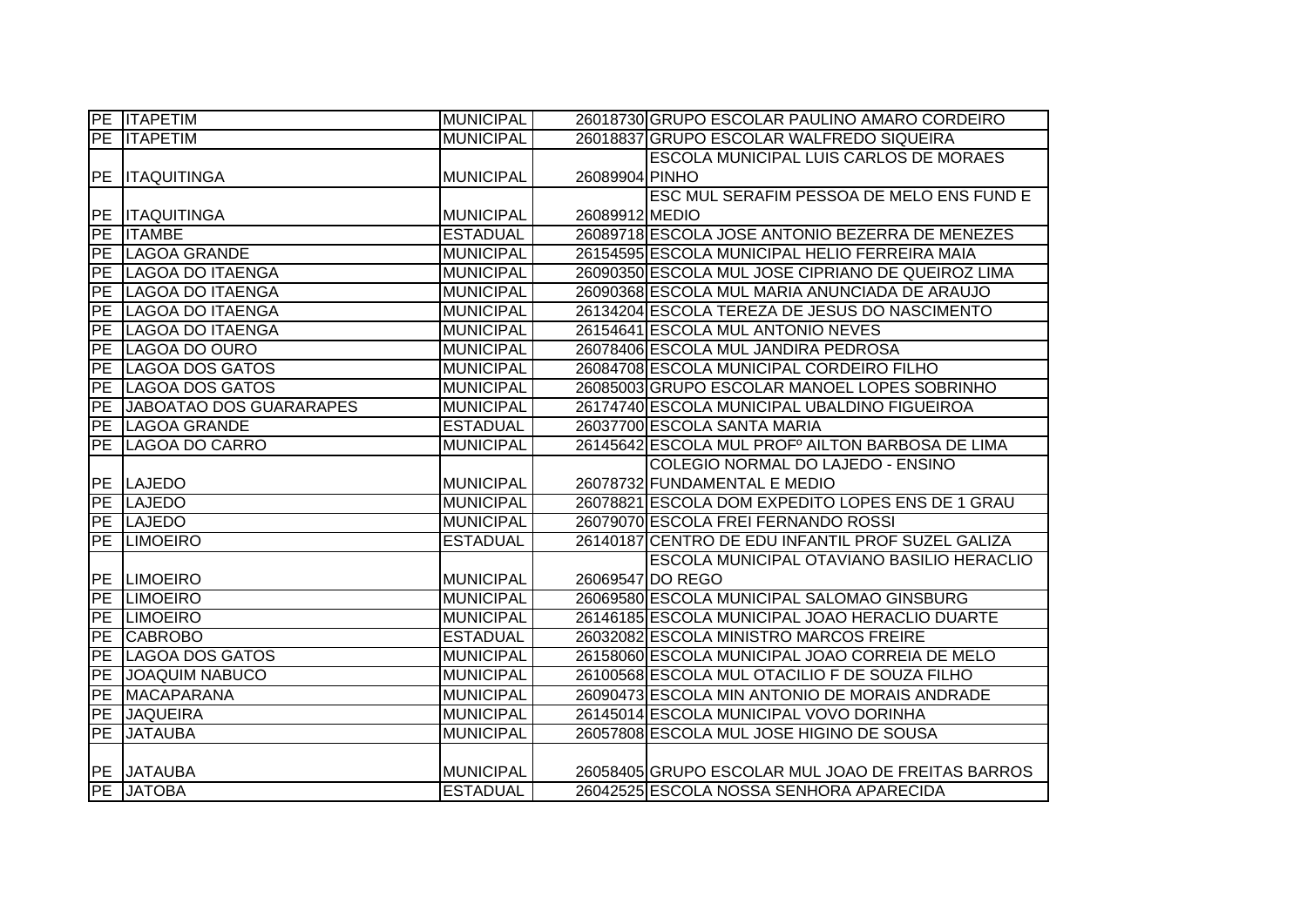|           | <b>PE ITAPETIM</b>             | <b>MUNICIPAL</b> | 26018730 GRUPO ESCOLAR PAULINO AMARO CORDEIRO                                                |
|-----------|--------------------------------|------------------|----------------------------------------------------------------------------------------------|
|           | <b>PE ITAPETIM</b>             | <b>MUNICIPAL</b> | 26018837 GRUPO ESCOLAR WALFREDO SIQUEIRA                                                     |
|           |                                |                  | <b>ESCOLA MUNICIPAL LUIS CARLOS DE MORAES</b>                                                |
|           | PE ITAQUITINGA                 | <b>MUNICIPAL</b> | 26089904 PINHO                                                                               |
|           |                                |                  | ESC MUL SERAFIM PESSOA DE MELO ENS FUND E                                                    |
|           | <b>PE ITAQUITINGA</b>          | <b>MUNICIPAL</b> | 26089912 MEDIO                                                                               |
|           | <b>PE ITAMBE</b>               | <b>ESTADUAL</b>  | 26089718 ESCOLA JOSE ANTONIO BEZERRA DE MENEZES                                              |
|           | PE LAGOA GRANDE                | <b>MUNICIPAL</b> | 26154595 ESCOLA MUNICIPAL HELIO FERREIRA MAIA                                                |
| <b>PE</b> | LAGOA DO ITAENGA               | <b>MUNICIPAL</b> | 26090350 ESCOLA MUL JOSE CIPRIANO DE QUEIROZ LIMA                                            |
| <b>PE</b> | LAGOA DO ITAENGA               | <b>MUNICIPAL</b> | 26090368 ESCOLA MUL MARIA ANUNCIADA DE ARAUJO                                                |
| PE        | <b>LAGOA DO ITAENGA</b>        | <b>MUNICIPAL</b> | 26134204 ESCOLA TEREZA DE JESUS DO NASCIMENTO                                                |
| <b>PE</b> | LAGOA DO ITAENGA               | <b>MUNICIPAL</b> | 26154641 ESCOLA MUL ANTONIO NEVES                                                            |
| PE        | LAGOA DO OURO                  | <b>MUNICIPAL</b> | 26078406 ESCOLA MUL JANDIRA PEDROSA                                                          |
| PE        | LAGOA DOS GATOS                | <b>MUNICIPAL</b> | 26084708 ESCOLA MUNICIPAL CORDEIRO FILHO                                                     |
| PE        | <b>LAGOA DOS GATOS</b>         | <b>MUNICIPAL</b> | 26085003 GRUPO ESCOLAR MANOEL LOPES SOBRINHO                                                 |
| PE        | <b>JABOATAO DOS GUARARAPES</b> | <b>MUNICIPAL</b> | 26174740 ESCOLA MUNICIPAL UBALDINO FIGUEIROA                                                 |
| PE        | LAGOA GRANDE                   | <b>ESTADUAL</b>  | 26037700 ESCOLA SANTA MARIA                                                                  |
| PE        | LAGOA DO CARRO                 | <b>MUNICIPAL</b> | 26145642 ESCOLA MUL PROFº AILTON BARBOSA DE LIMA                                             |
|           |                                |                  |                                                                                              |
|           |                                |                  | COLEGIO NORMAL DO LAJEDO - ENSINO                                                            |
|           | PE LAJEDO                      | <b>MUNICIPAL</b> | 26078732 FUNDAMENTAL E MEDIO                                                                 |
|           | PE LAJEDO                      | <b>MUNICIPAL</b> | 26078821 ESCOLA DOM EXPEDITO LOPES ENS DE 1 GRAU                                             |
|           | PE LAJEDO                      | <b>MUNICIPAL</b> | 26079070 ESCOLA FREI FERNANDO ROSSI                                                          |
|           | PE LIMOEIRO                    | <b>ESTADUAL</b>  | 26140187 CENTRO DE EDU INFANTIL PROF SUZEL GALIZA                                            |
|           |                                |                  | ESCOLA MUNICIPAL OTAVIANO BASILIO HERACLIO                                                   |
|           | PE LIMOEIRO                    | <b>MUNICIPAL</b> | 26069547 DO REGO                                                                             |
|           | <b>PE LIMOEIRO</b>             | <b>MUNICIPAL</b> | 26069580 ESCOLA MUNICIPAL SALOMAO GINSBURG                                                   |
|           | PE LIMOEIRO                    | <b>MUNICIPAL</b> | 26146185 ESCOLA MUNICIPAL JOAO HERACLIO DUARTE                                               |
| <b>PE</b> | <b>CABROBO</b>                 | <b>ESTADUAL</b>  | 26032082 ESCOLA MINISTRO MARCOS FREIRE                                                       |
| PE        | <b>LAGOA DOS GATOS</b>         | <b>MUNICIPAL</b> | 26158060 ESCOLA MUNICIPAL JOAO CORREIA DE MELO                                               |
| PE        | <b>JOAQUIM NABUCO</b>          | <b>MUNICIPAL</b> | 26100568 ESCOLA MUL OTACILIO F DE SOUZA FILHO                                                |
| PE        | <b>MACAPARANA</b>              | <b>MUNICIPAL</b> | 26090473 ESCOLA MIN ANTONIO DE MORAIS ANDRADE                                                |
| <b>PE</b> | <b>JAQUEIRA</b>                | <b>MUNICIPAL</b> | 26145014 ESCOLA MUNICIPAL VOVO DORINHA                                                       |
| PE        | <b>JATAUBA</b>                 | <b>MUNICIPAL</b> | 26057808 ESCOLA MUL JOSE HIGINO DE SOUSA                                                     |
|           |                                |                  |                                                                                              |
|           | PE JATAUBA<br><b>PE JATOBA</b> | <b>MUNICIPAL</b> | 26058405 GRUPO ESCOLAR MUL JOAO DE FREITAS BARROS<br>26042525 ESCOLA NOSSA SENHORA APARECIDA |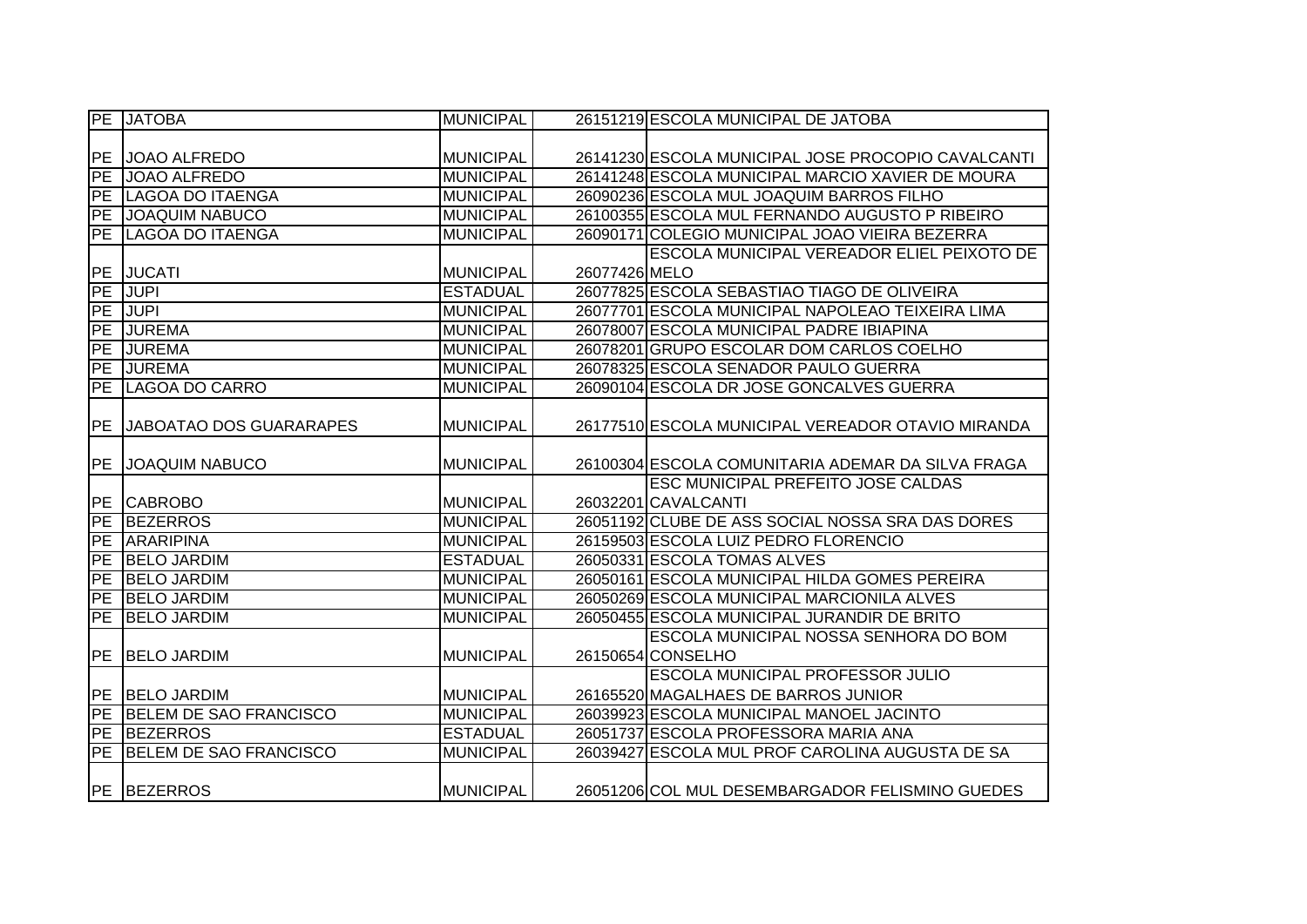|            | PE JATOBA               | <b>MUNICIPAL</b> |               | 26151219 ESCOLA MUNICIPAL DE JATOBA                |
|------------|-------------------------|------------------|---------------|----------------------------------------------------|
|            |                         |                  |               |                                                    |
| <b>PE</b>  | JOAO ALFREDO            | <b>MUNICIPAL</b> |               | 26141230 ESCOLA MUNICIPAL JOSE PROCOPIO CAVALCANTI |
| ĪРE        | <b>JOAO ALFREDO</b>     | <b>MUNICIPAL</b> |               | 26141248 ESCOLA MUNICIPAL MARCIO XAVIER DE MOURA   |
|            | PE LAGOA DO ITAENGA     | <b>MUNICIPAL</b> |               | 26090236 ESCOLA MUL JOAQUIM BARROS FILHO           |
|            | PE JOAQUIM NABUCO       | <b>MUNICIPAL</b> |               | 26100355 ESCOLA MUL FERNANDO AUGUSTO P RIBEIRO     |
|            | PE LAGOA DO ITAENGA     | <b>MUNICIPAL</b> |               | 26090171 COLEGIO MUNICIPAL JOAO VIEIRA BEZERRA     |
|            |                         |                  |               | <b>ESCOLA MUNICIPAL VEREADOR ELIEL PEIXOTO DE</b>  |
| PE         | <b>JUCATI</b>           | <b>MUNICIPAL</b> | 26077426 MELO |                                                    |
| PE         | JUPI                    | <b>ESTADUAL</b>  |               | 26077825 ESCOLA SEBASTIAO TIAGO DE OLIVEIRA        |
| <b>FPE</b> | JUPI                    | <b>MUNICIPAL</b> |               | 26077701 ESCOLA MUNICIPAL NAPOLEAO TEIXEIRA LIMA   |
| <b>PE</b>  | <b>JUREMA</b>           | <b>MUNICIPAL</b> |               | 26078007 ESCOLA MUNICIPAL PADRE IBIAPINA           |
| <b>PE</b>  | <b>JUREMA</b>           | <b>MUNICIPAL</b> |               | 26078201 GRUPO ESCOLAR DOM CARLOS COELHO           |
| PE         | <b>JUREMA</b>           | <b>MUNICIPAL</b> |               | 26078325 ESCOLA SENADOR PAULO GUERRA               |
| PE         | LAGOA DO CARRO          | <b>MUNICIPAL</b> |               | 26090104 ESCOLA DR JOSE GONCALVES GUERRA           |
|            |                         |                  |               |                                                    |
| <b>PE</b>  | JABOATAO DOS GUARARAPES | <b>MUNICIPAL</b> |               | 26177510 ESCOLA MUNICIPAL VEREADOR OTAVIO MIRANDA  |
|            |                         |                  |               |                                                    |
|            | PE JOAQUIM NABUCO       | <b>MUNICIPAL</b> |               | 26100304 ESCOLA COMUNITARIA ADEMAR DA SILVA FRAGA  |
|            |                         |                  |               | <b>ESC MUNICIPAL PREFEITO JOSE CALDAS</b>          |
|            | PE CABROBO              | <b>MUNICIPAL</b> |               | 26032201 CAVALCANTI                                |
|            | PE BEZERROS             | <b>MUNICIPAL</b> |               | 26051192 CLUBE DE ASS SOCIAL NOSSA SRA DAS DORES   |
| PE         | <b>ARARIPINA</b>        | <b>MUNICIPAL</b> |               | 26159503 ESCOLA LUIZ PEDRO FLORENCIO               |
| PE         | <b>BELO JARDIM</b>      | <b>ESTADUAL</b>  |               | 26050331 ESCOLA TOMAS ALVES                        |
| PE         | <b>BELO JARDIM</b>      | <b>MUNICIPAL</b> |               | 26050161 ESCOLA MUNICIPAL HILDA GOMES PEREIRA      |
| PE         | <b>BELO JARDIM</b>      | <b>MUNICIPAL</b> |               | 26050269 ESCOLA MUNICIPAL MARCIONILA ALVES         |
| PE         | <b>BELO JARDIM</b>      | <b>MUNICIPAL</b> |               | 26050455 ESCOLA MUNICIPAL JURANDIR DE BRITO        |
|            |                         |                  |               | ESCOLA MUNICIPAL NOSSA SENHORA DO BOM              |
| <b>IPE</b> | <b>BELO JARDIM</b>      | <b>MUNICIPAL</b> |               | 26150654 CONSELHO                                  |
|            |                         |                  |               | <b>ESCOLA MUNICIPAL PROFESSOR JULIO</b>            |
|            | PE BELO JARDIM          | <b>MUNICIPAL</b> |               | 26165520 MAGALHAES DE BARROS JUNIOR                |
| PE         | BELEM DE SAO FRANCISCO  | <b>MUNICIPAL</b> |               | 26039923 ESCOLA MUNICIPAL MANOEL JACINTO           |
|            | PE BEZERROS             | <b>ESTADUAL</b>  |               | 26051737 ESCOLA PROFESSORA MARIA ANA               |
| PE         | BELEM DE SAO FRANCISCO  | <b>MUNICIPAL</b> |               | 26039427 ESCOLA MUL PROF CAROLINA AUGUSTA DE SA    |
|            |                         |                  |               |                                                    |
|            | <b>PE BEZERROS</b>      | <b>MUNICIPAL</b> |               | 26051206 COL MUL DESEMBARGADOR FELISMINO GUEDES    |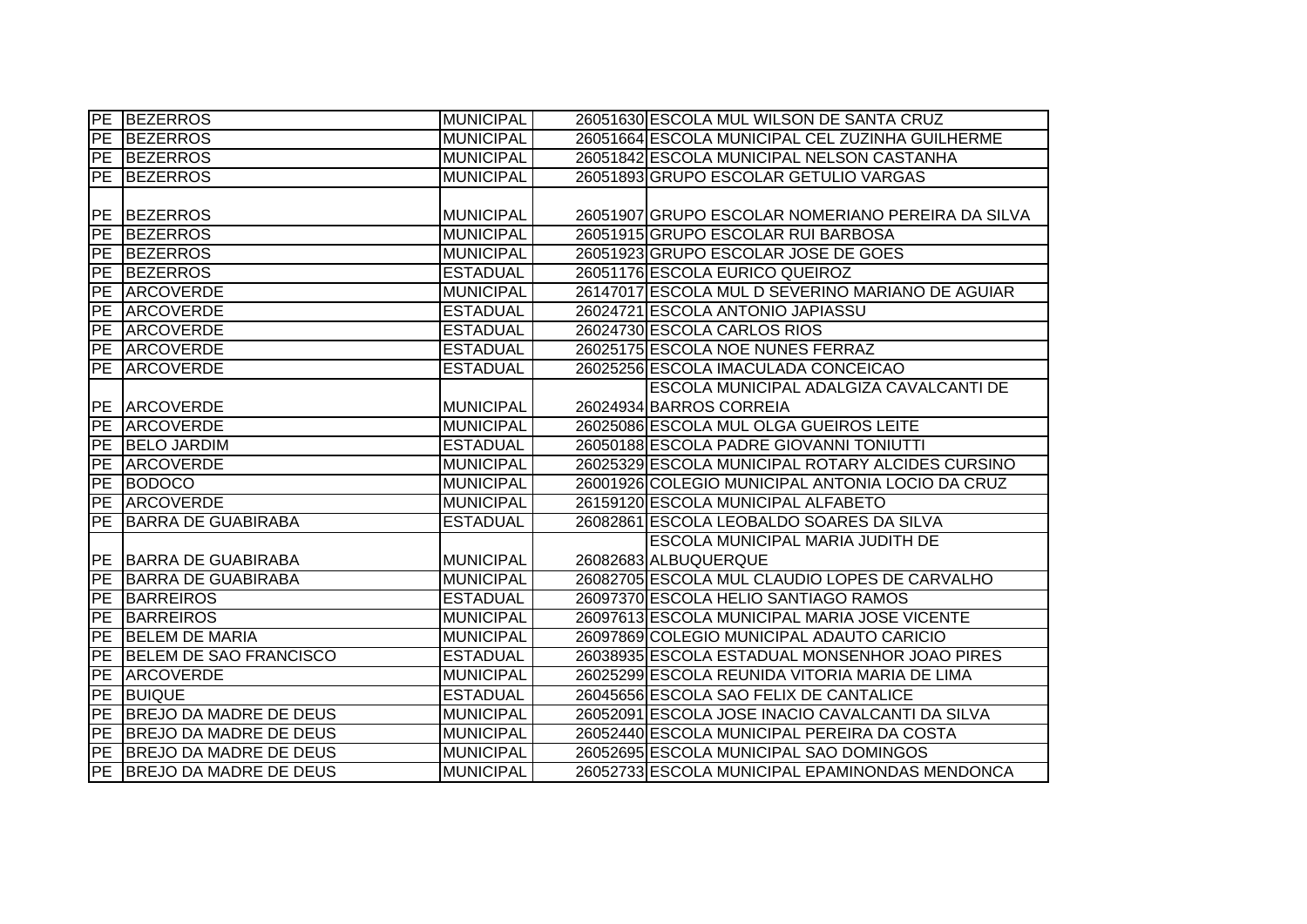|                          | PE BEZERROS                   | <b>MUNICIPAL</b> | 26051630 ESCOLA MUL WILSON DE SANTA CRUZ          |
|--------------------------|-------------------------------|------------------|---------------------------------------------------|
|                          | PE BEZERROS                   | <b>MUNICIPAL</b> | 26051664 ESCOLA MUNICIPAL CEL ZUZINHA GUILHERME   |
|                          | PE BEZERROS                   | <b>MUNICIPAL</b> | 26051842 ESCOLA MUNICIPAL NELSON CASTANHA         |
|                          | PE BEZERROS                   | <b>MUNICIPAL</b> | 26051893 GRUPO ESCOLAR GETULIO VARGAS             |
|                          |                               |                  |                                                   |
| PE                       | <b>BEZERROS</b>               | <b>MUNICIPAL</b> | 26051907 GRUPO ESCOLAR NOMERIANO PEREIRA DA SILVA |
| PE                       | <b>BEZERROS</b>               | <b>MUNICIPAL</b> | 26051915 GRUPO ESCOLAR RUI BARBOSA                |
| PE                       | <b>BEZERROS</b>               | <b>MUNICIPAL</b> | 26051923 GRUPO ESCOLAR JOSE DE GOES               |
|                          | PE BEZERROS                   | <b>ESTADUAL</b>  | 26051176 ESCOLA EURICO QUEIROZ                    |
| PE                       | <b>ARCOVERDE</b>              | <b>MUNICIPAL</b> | 26147017 ESCOLA MUL D SEVERINO MARIANO DE AGUIAR  |
| PE                       | <b>ARCOVERDE</b>              | <b>ESTADUAL</b>  | 26024721 ESCOLA ANTONIO JAPIASSU                  |
| PE                       | ARCOVERDE                     | <b>ESTADUAL</b>  | 26024730 ESCOLA CARLOS RIOS                       |
|                          | PE ARCOVERDE                  | <b>ESTADUAL</b>  | 26025175 ESCOLA NOE NUNES FERRAZ                  |
|                          | PE ARCOVERDE                  | <b>ESTADUAL</b>  | 26025256 ESCOLA IMACULADA CONCEICAO               |
|                          |                               |                  | ESCOLA MUNICIPAL ADALGIZA CAVALCANTI DE           |
|                          | PE ARCOVERDE                  | <b>MUNICIPAL</b> | 26024934 BARROS CORREIA                           |
|                          | PE ARCOVERDE                  | <b>MUNICIPAL</b> | 26025086 ESCOLA MUL OLGA GUEIROS LEITE            |
|                          | PE BELO JARDIM                | <b>ESTADUAL</b>  | 26050188 ESCOLA PADRE GIOVANNI TONIUTTI           |
|                          | PE ARCOVERDE                  | <b>MUNICIPAL</b> | 26025329 ESCOLA MUNICIPAL ROTARY ALCIDES CURSINO  |
|                          | PE BODOCO                     | <b>MUNICIPAL</b> | 26001926 COLEGIO MUNICIPAL ANTONIA LOCIO DA CRUZ  |
|                          | PE ARCOVERDE                  | <b>MUNICIPAL</b> | 26159120 ESCOLA MUNICIPAL ALFABETO                |
| $\overline{\mathsf{PE}}$ | <b>BARRA DE GUABIRABA</b>     | <b>ESTADUAL</b>  | 26082861 ESCOLA LEOBALDO SOARES DA SILVA          |
|                          |                               |                  | <b>ESCOLA MUNICIPAL MARIA JUDITH DE</b>           |
|                          | PE BARRA DE GUABIRABA         | <b>MUNICIPAL</b> | 26082683 ALBUQUERQUE                              |
|                          | PE BARRA DE GUABIRABA         | <b>MUNICIPAL</b> | 26082705 ESCOLA MUL CLAUDIO LOPES DE CARVALHO     |
| PE                       | <b>BARREIROS</b>              | <b>ESTADUAL</b>  | 26097370 ESCOLA HELIO SANTIAGO RAMOS              |
| PE                       | <b>BARREIROS</b>              | <b>MUNICIPAL</b> | 26097613 ESCOLA MUNICIPAL MARIA JOSE VICENTE      |
| PE                       | <b>BELEM DE MARIA</b>         | <b>MUNICIPAL</b> | 26097869 COLEGIO MUNICIPAL ADAUTO CARICIO         |
| <b>PE</b>                | BELEM DE SAO FRANCISCO        | <b>ESTADUAL</b>  | 26038935 ESCOLA ESTADUAL MONSENHOR JOAO PIRES     |
|                          | PE ARCOVERDE                  | <b>MUNICIPAL</b> | 26025299 ESCOLA REUNIDA VITORIA MARIA DE LIMA     |
|                          | PE BUIQUE                     | <b>ESTADUAL</b>  | 26045656 ESCOLA SAO FELIX DE CANTALICE            |
| PE                       | <b>BREJO DA MADRE DE DEUS</b> | <b>MUNICIPAL</b> | 26052091 ESCOLA JOSE INACIO CAVALCANTI DA SILVA   |
|                          | PE BREJO DA MADRE DE DEUS     | <b>MUNICIPAL</b> | 26052440 ESCOLA MUNICIPAL PEREIRA DA COSTA        |
|                          | PE BREJO DA MADRE DE DEUS     | <b>MUNICIPAL</b> | 26052695 ESCOLA MUNICIPAL SAO DOMINGOS            |
|                          | PE BREJO DA MADRE DE DEUS     | <b>MUNICIPAL</b> | 26052733 ESCOLA MUNICIPAL EPAMINONDAS MENDONCA    |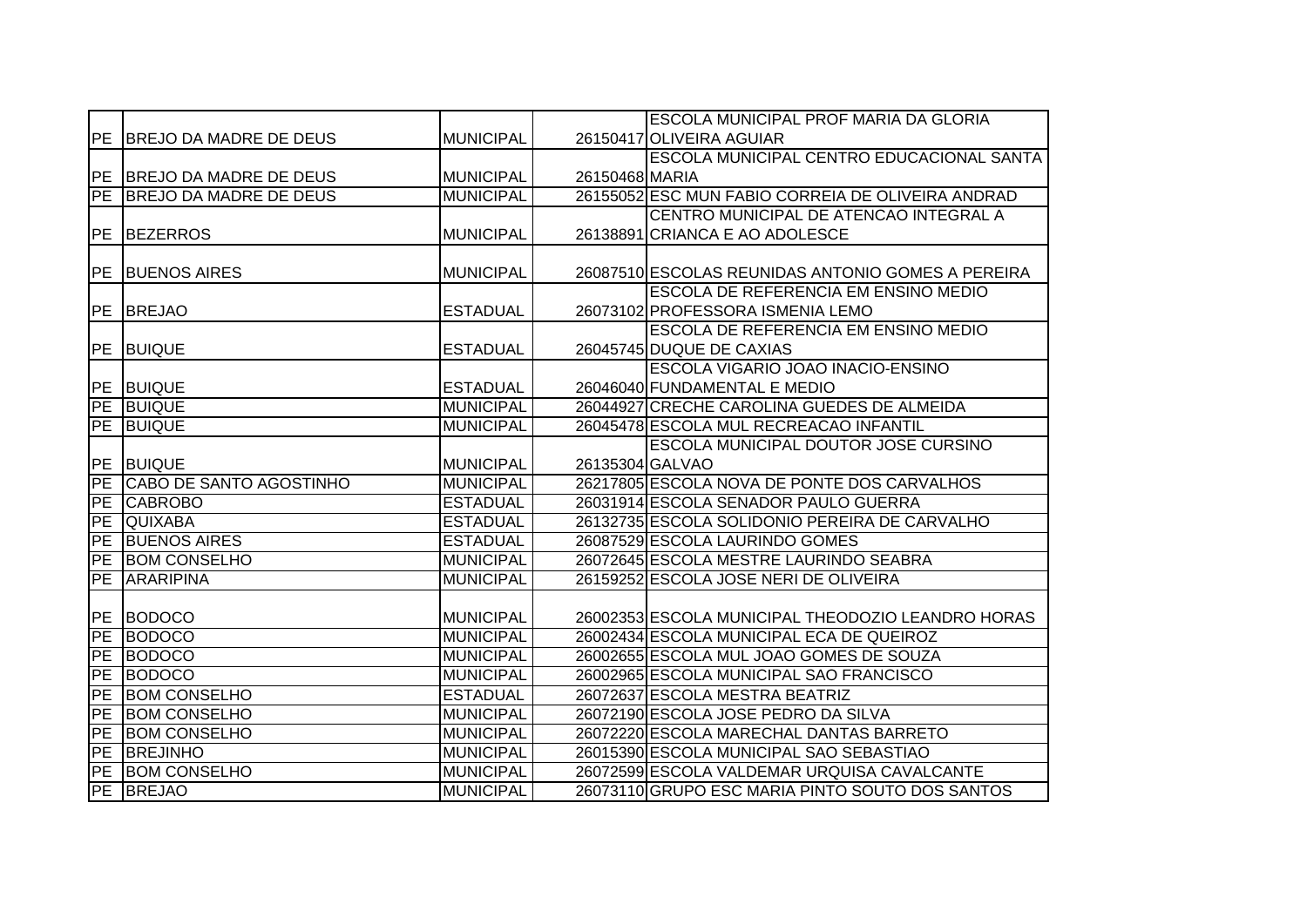|            |                            |                  |                 | ESCOLA MUNICIPAL PROF MARIA DA GLORIA             |
|------------|----------------------------|------------------|-----------------|---------------------------------------------------|
|            | PE BREJO DA MADRE DE DEUS  | <b>MUNICIPAL</b> |                 | 26150417 OLIVEIRA AGUIAR                          |
|            |                            |                  |                 | ESCOLA MUNICIPAL CENTRO EDUCACIONAL SANTA         |
|            | PE BREJO DA MADRE DE DEUS  | <b>MUNICIPAL</b> | 26150468 MARIA  |                                                   |
|            | PE BREJO DA MADRE DE DEUS  | <b>MUNICIPAL</b> |                 | 26155052 ESC MUN FABIO CORREIA DE OLIVEIRA ANDRAD |
|            |                            |                  |                 | CENTRO MUNICIPAL DE ATENCAO INTEGRAL A            |
|            | PE BEZERROS                | <b>MUNICIPAL</b> |                 | 26138891 CRIANCA E AO ADOLESCE                    |
|            |                            |                  |                 |                                                   |
| PE         | <b>BUENOS AIRES</b>        | <b>MUNICIPAL</b> |                 | 26087510 ESCOLAS REUNIDAS ANTONIO GOMES A PEREIRA |
|            |                            |                  |                 | <b>ESCOLA DE REFERENCIA EM ENSINO MEDIO</b>       |
| PE         | <b>BREJAO</b>              | <b>ESTADUAL</b>  |                 | 26073102 PROFESSORA ISMENIA LEMO                  |
|            |                            |                  |                 | <b>ESCOLA DE REFERENCIA EM ENSINO MEDIO</b>       |
| PE         | <b>BUIQUE</b>              | <b>ESTADUAL</b>  |                 | 26045745 DUQUE DE CAXIAS                          |
|            |                            |                  |                 | ESCOLA VIGARIO JOAO INACIO-ENSINO                 |
|            | PE BUIQUE                  | <b>ESTADUAL</b>  |                 | 26046040 FUNDAMENTAL E MEDIO                      |
|            | PE BUIQUE                  | <b>MUNICIPAL</b> |                 | 26044927 CRECHE CAROLINA GUEDES DE ALMEIDA        |
| PE         | <b>BUIQUE</b>              | <b>MUNICIPAL</b> |                 | 26045478 ESCOLA MUL RECREACAO INFANTIL            |
|            |                            |                  |                 | ESCOLA MUNICIPAL DOUTOR JOSE CURSINO              |
|            | PE BUIQUE                  | <b>MUNICIPAL</b> | 26135304 GALVAO |                                                   |
|            | PE CABO DE SANTO AGOSTINHO | <b>MUNICIPAL</b> |                 | 26217805 ESCOLA NOVA DE PONTE DOS CARVALHOS       |
| PE         | <b>CABROBO</b>             | <b>ESTADUAL</b>  |                 | 26031914 ESCOLA SENADOR PAULO GUERRA              |
| <b>PE</b>  | <b>QUIXABA</b>             | <b>ESTADUAL</b>  |                 | 26132735 ESCOLA SOLIDONIO PEREIRA DE CARVALHO     |
| PE         | <b>BUENOS AIRES</b>        | <b>ESTADUAL</b>  |                 | 26087529 ESCOLA LAURINDO GOMES                    |
| PE         | <b>BOM CONSELHO</b>        | <b>MUNICIPAL</b> |                 | 26072645 ESCOLA MESTRE LAURINDO SEABRA            |
| PE         | <b>ARARIPINA</b>           | <b>MUNICIPAL</b> |                 | 26159252 ESCOLA JOSE NERI DE OLIVEIRA             |
|            |                            |                  |                 |                                                   |
| <b>PE</b>  | <b>BODOCO</b>              | <b>MUNICIPAL</b> |                 | 26002353 ESCOLA MUNICIPAL THEODOZIO LEANDRO HORAS |
| PE         | <b>BODOCO</b>              | <b>MUNICIPAL</b> |                 | 26002434 ESCOLA MUNICIPAL ECA DE QUEIROZ          |
| PE         | <b>BODOCO</b>              | <b>MUNICIPAL</b> |                 | 26002655 ESCOLA MUL JOAO GOMES DE SOUZA           |
| PE         | <b>BODOCO</b>              | <b>MUNICIPAL</b> |                 | 26002965 ESCOLA MUNICIPAL SAO FRANCISCO           |
| <b>PE</b>  | <b>BOM CONSELHO</b>        | <b>ESTADUAL</b>  |                 | 26072637 ESCOLA MESTRA BEATRIZ                    |
| <b>PE</b>  | <b>BOM CONSELHO</b>        | <b>MUNICIPAL</b> |                 | 26072190 ESCOLA JOSE PEDRO DA SILVA               |
| <b>IPE</b> | <b>BOM CONSELHO</b>        | <b>MUNICIPAL</b> |                 | 26072220 ESCOLA MARECHAL DANTAS BARRETO           |
| ĪРE        | <b>BREJINHO</b>            | <b>MUNICIPAL</b> |                 | 26015390 ESCOLA MUNICIPAL SAO SEBASTIAO           |
| PE         | <b>BOM CONSELHO</b>        | <b>MUNICIPAL</b> |                 | 26072599 ESCOLA VALDEMAR URQUISA CAVALCANTE       |
|            | PE BREJAO                  | <b>MUNICIPAL</b> |                 | 26073110 GRUPO ESC MARIA PINTO SOUTO DOS SANTOS   |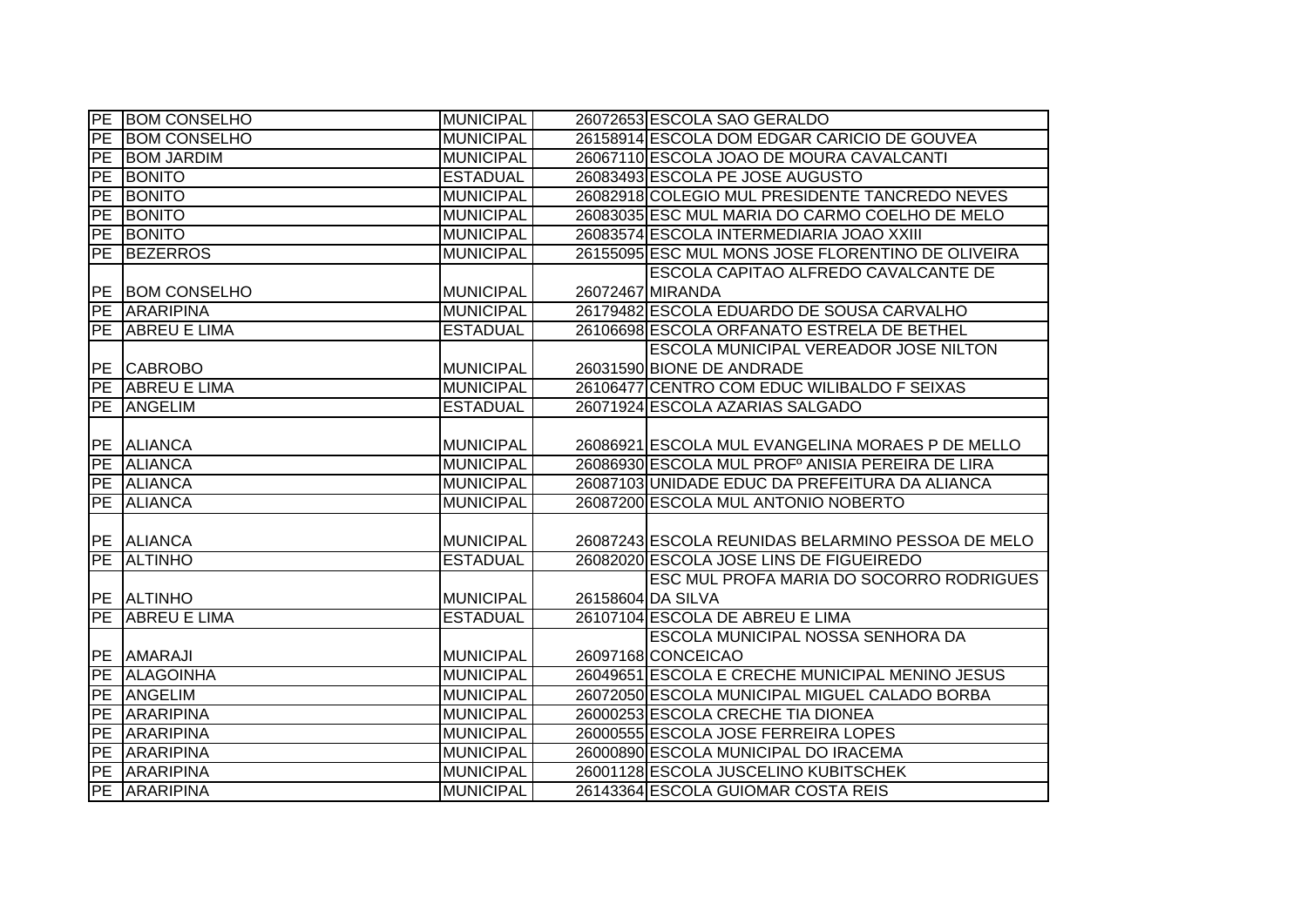|           | PE BOM CONSELHO     | <b>MUNICIPAL</b> | 26072653 ESCOLA SAO GERALDO                       |
|-----------|---------------------|------------------|---------------------------------------------------|
| <b>PE</b> | <b>BOM CONSELHO</b> | <b>MUNICIPAL</b> | 26158914 ESCOLA DOM EDGAR CARICIO DE GOUVEA       |
| PE        | <b>BOM JARDIM</b>   | <b>MUNICIPAL</b> | 26067110 ESCOLA JOAO DE MOURA CAVALCANTI          |
| PE        | <b>BONITO</b>       | <b>ESTADUAL</b>  | 26083493 ESCOLA PE JOSE AUGUSTO                   |
| PE        | BONITO              | <b>MUNICIPAL</b> | 26082918 COLEGIO MUL PRESIDENTE TANCREDO NEVES    |
|           | <b>PE BONITO</b>    | <b>MUNICIPAL</b> | 26083035 ESC MUL MARIA DO CARMO COELHO DE MELO    |
|           | PE BONITO           | <b>MUNICIPAL</b> | 26083574 ESCOLA INTERMEDIARIA JOAO XXIII          |
| PE        | <b>BEZERROS</b>     | <b>MUNICIPAL</b> | 26155095 ESC MUL MONS JOSE FLORENTINO DE OLIVEIRA |
|           |                     |                  | ESCOLA CAPITAO ALFREDO CAVALCANTE DE              |
| PE        | <b>BOM CONSELHO</b> | <b>MUNICIPAL</b> | 26072467 MIRANDA                                  |
| PE        | <b>ARARIPINA</b>    | <b>MUNICIPAL</b> | 26179482 ESCOLA EDUARDO DE SOUSA CARVALHO         |
| PE        | ABREU E LIMA        | <b>ESTADUAL</b>  | 26106698 ESCOLA ORFANATO ESTRELA DE BETHEL        |
|           |                     |                  | ESCOLA MUNICIPAL VEREADOR JOSE NILTON             |
| <b>PE</b> | <b>CABROBO</b>      | <b>MUNICIPAL</b> | 26031590 BIONE DE ANDRADE                         |
| PE        | ABREU E LIMA        | <b>MUNICIPAL</b> | 26106477 CENTRO COM EDUC WILIBALDO F SEIXAS       |
| PE        | ANGELIM             | <b>ESTADUAL</b>  | 26071924 ESCOLA AZARIAS SALGADO                   |
|           |                     |                  |                                                   |
|           | PE ALIANCA          | <b>MUNICIPAL</b> | 26086921 ESCOLA MUL EVANGELINA MORAES P DE MELLO  |
|           | <b>PE ALIANCA</b>   | <b>MUNICIPAL</b> | 26086930 ESCOLA MUL PROFº ANISIA PEREIRA DE LIRA  |
|           | PE ALIANCA          | <b>MUNICIPAL</b> | 26087103 UNIDADE EDUC DA PREFEITURA DA ALIANCA    |
|           | PE ALIANCA          | <b>MUNICIPAL</b> | 26087200 ESCOLA MUL ANTONIO NOBERTO               |
|           |                     |                  |                                                   |
|           | PE ALIANCA          | <b>MUNICIPAL</b> | 26087243 ESCOLA REUNIDAS BELARMINO PESSOA DE MELO |
| PE        | <b>ALTINHO</b>      | <b>ESTADUAL</b>  | 26082020 ESCOLA JOSE LINS DE FIGUEIREDO           |
|           |                     |                  | ESC MUL PROFA MARIA DO SOCORRO RODRIGUES          |
|           | PE ALTINHO          | <b>MUNICIPAL</b> | 26158604 DA SILVA                                 |
| PE        | <b>ABREU E LIMA</b> | <b>ESTADUAL</b>  | 26107104 ESCOLA DE ABREU E LIMA                   |
|           |                     |                  | ESCOLA MUNICIPAL NOSSA SENHORA DA                 |
| <b>PE</b> | <b>AMARAJI</b>      | <b>MUNICIPAL</b> | 26097168 CONCEICAO                                |
| PE        | <b>ALAGOINHA</b>    | <b>MUNICIPAL</b> | 26049651 ESCOLA E CRECHE MUNICIPAL MENINO JESUS   |
| PE        | ANGELIM             | <b>MUNICIPAL</b> | 26072050 ESCOLA MUNICIPAL MIGUEL CALADO BORBA     |
|           | PE ARARIPINA        | <b>MUNICIPAL</b> | 26000253 ESCOLA CRECHE TIA DIONEA                 |
|           | PE ARARIPINA        | <b>MUNICIPAL</b> | 26000555 ESCOLA JOSE FERREIRA LOPES               |
|           | PE ARARIPINA        | <b>MUNICIPAL</b> | 26000890 ESCOLA MUNICIPAL DO IRACEMA              |
|           | PE ARARIPINA        | <b>MUNICIPAL</b> | 26001128 ESCOLA JUSCELINO KUBITSCHEK              |
|           | PE ARARIPINA        | <b>MUNICIPAL</b> | 26143364 ESCOLA GUIOMAR COSTA REIS                |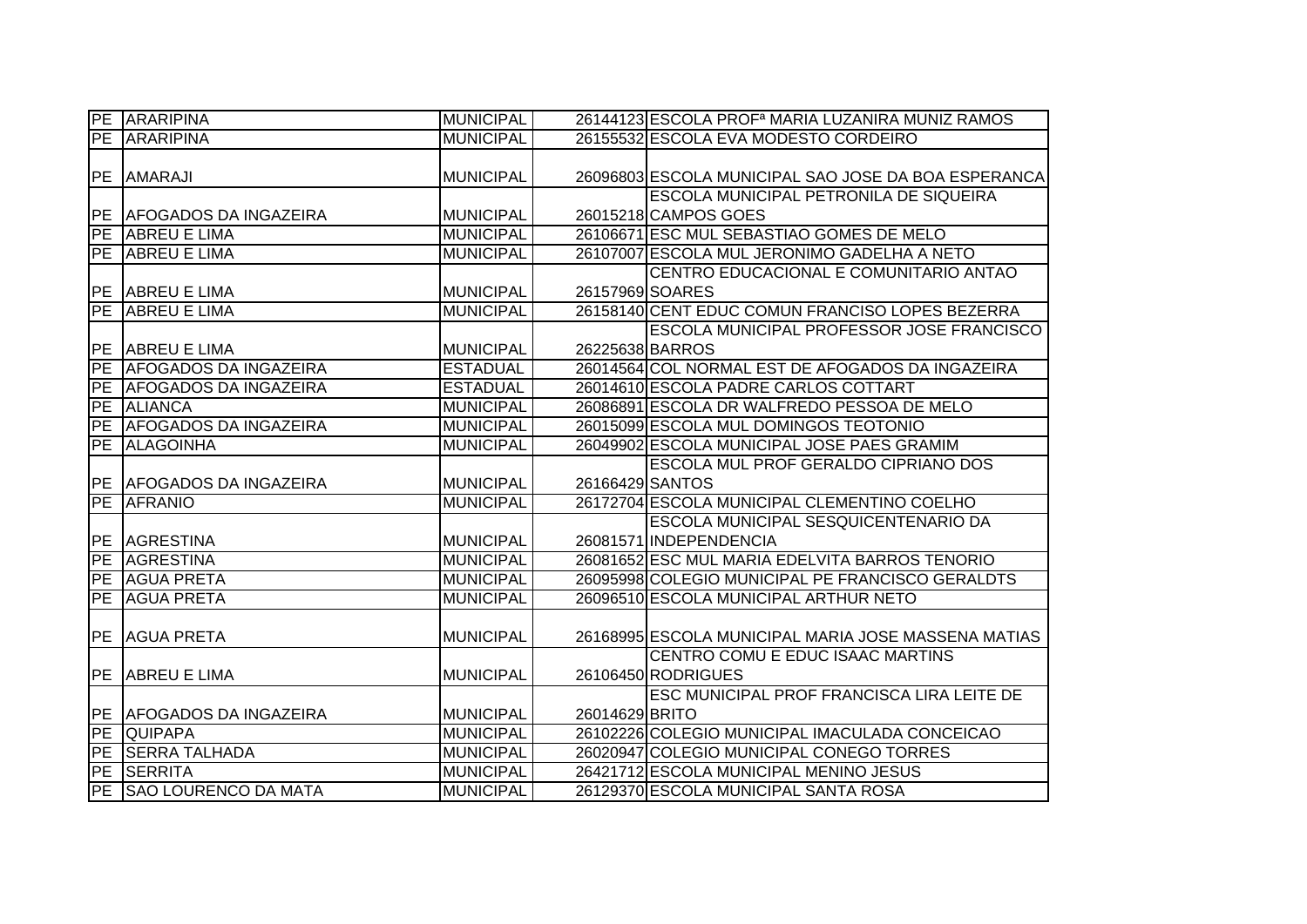|            | <b>PE ARARIPINA</b>          | <b>MUNICIPAL</b> |                 | 26144123 ESCOLA PROF <sup>a</sup> MARIA LUZANIRA MUNIZ RAMOS |
|------------|------------------------------|------------------|-----------------|--------------------------------------------------------------|
| PE         | <b>ARARIPINA</b>             | <b>MUNICIPAL</b> |                 | 26155532 ESCOLA EVA MODESTO CORDEIRO                         |
|            |                              |                  |                 |                                                              |
| PE         | <b>AMARAJI</b>               | <b>MUNICIPAL</b> |                 | 26096803 ESCOLA MUNICIPAL SAO JOSE DA BOA ESPERANCA          |
|            |                              |                  |                 | <b>ESCOLA MUNICIPAL PETRONILA DE SIQUEIRA</b>                |
|            | PE   AFOGADOS DA INGAZEIRA   | <b>MUNICIPAL</b> |                 | 26015218 CAMPOS GOES                                         |
| <b>IPE</b> | <b>ABREU E LIMA</b>          | <b>MUNICIPAL</b> |                 | 26106671 ESC MUL SEBASTIAO GOMES DE MELO                     |
|            | PE ABREU E LIMA              | <b>MUNICIPAL</b> |                 | 26107007 ESCOLA MUL JERONIMO GADELHA A NETO                  |
|            |                              |                  |                 | CENTRO EDUCACIONAL E COMUNITARIO ANTAO                       |
|            | PE ABREU E LIMA              | <b>MUNICIPAL</b> |                 | 26157969 SOARES                                              |
| PE         | <b>ABREU E LIMA</b>          | <b>MUNICIPAL</b> |                 | 26158140 CENT EDUC COMUN FRANCISO LOPES BEZERRA              |
|            |                              |                  |                 | <b>ESCOLA MUNICIPAL PROFESSOR JOSE FRANCISCO</b>             |
| <b>PE</b>  | ABREU E LIMA                 | <b>MUNICIPAL</b> |                 | 26225638 BARROS                                              |
| PE         | <b>AFOGADOS DA INGAZEIRA</b> | <b>ESTADUAL</b>  |                 | 26014564 COL NORMAL EST DE AFOGADOS DA INGAZEIRA             |
| PE         | <b>AFOGADOS DA INGAZEIRA</b> | <b>ESTADUAL</b>  |                 | 26014610 ESCOLA PADRE CARLOS COTTART                         |
| PE         | <b>ALIANCA</b>               | <b>MUNICIPAL</b> |                 | 26086891 ESCOLA DR WALFREDO PESSOA DE MELO                   |
| PE         | <b>AFOGADOS DA INGAZEIRA</b> | <b>MUNICIPAL</b> |                 | 26015099 ESCOLA MUL DOMINGOS TEOTONIO                        |
| PE         | <b>ALAGOINHA</b>             | <b>MUNICIPAL</b> |                 | 26049902 ESCOLA MUNICIPAL JOSE PAES GRAMIM                   |
|            |                              |                  |                 | ESCOLA MUL PROF GERALDO CIPRIANO DOS                         |
|            | PE AFOGADOS DA INGAZEIRA     | <b>MUNICIPAL</b> | 26166429 SANTOS |                                                              |
| PE         | <b>AFRANIO</b>               | <b>MUNICIPAL</b> |                 | 26172704 ESCOLA MUNICIPAL CLEMENTINO COELHO                  |
|            |                              |                  |                 | ESCOLA MUNICIPAL SESQUICENTENARIO DA                         |
| PE         | <b>AGRESTINA</b>             | <b>MUNICIPAL</b> |                 | 26081571 INDEPENDENCIA                                       |
| PE         | <b>AGRESTINA</b>             | <b>MUNICIPAL</b> |                 | 26081652 ESC MUL MARIA EDELVITA BARROS TENORIO               |
| PE         | <b>AGUA PRETA</b>            | <b>MUNICIPAL</b> |                 | 26095998 COLEGIO MUNICIPAL PE FRANCISCO GERALDTS             |
| PE         | <b>AGUA PRETA</b>            | <b>MUNICIPAL</b> |                 | 26096510 ESCOLA MUNICIPAL ARTHUR NETO                        |
|            |                              |                  |                 |                                                              |
| PE         | <b>AGUA PRETA</b>            | <b>MUNICIPAL</b> |                 | 26168995 ESCOLA MUNICIPAL MARIA JOSE MASSENA MATIAS          |
|            |                              |                  |                 | CENTRO COMU E EDUC ISAAC MARTINS                             |
| PE         | <b>ABREU E LIMA</b>          | <b>MUNICIPAL</b> |                 | 26106450 RODRIGUES                                           |
|            |                              |                  |                 | ESC MUNICIPAL PROF FRANCISCA LIRA LEITE DE                   |
| PE         | <b>AFOGADOS DA INGAZEIRA</b> | <b>MUNICIPAL</b> | 26014629 BRITO  |                                                              |
| PE         | <b>QUIPAPA</b>               | <b>MUNICIPAL</b> |                 | 26102226 COLEGIO MUNICIPAL IMACULADA CONCEICAO               |
| PE         | <b>SERRA TALHADA</b>         | <b>MUNICIPAL</b> |                 | 26020947 COLEGIO MUNICIPAL CONEGO TORRES                     |
| PE         | <b>SERRITA</b>               | <b>MUNICIPAL</b> |                 | 26421712 ESCOLA MUNICIPAL MENINO JESUS                       |
| <b>PE</b>  | <b>SAO LOURENCO DA MATA</b>  | <b>MUNICIPAL</b> |                 | 26129370 ESCOLA MUNICIPAL SANTA ROSA                         |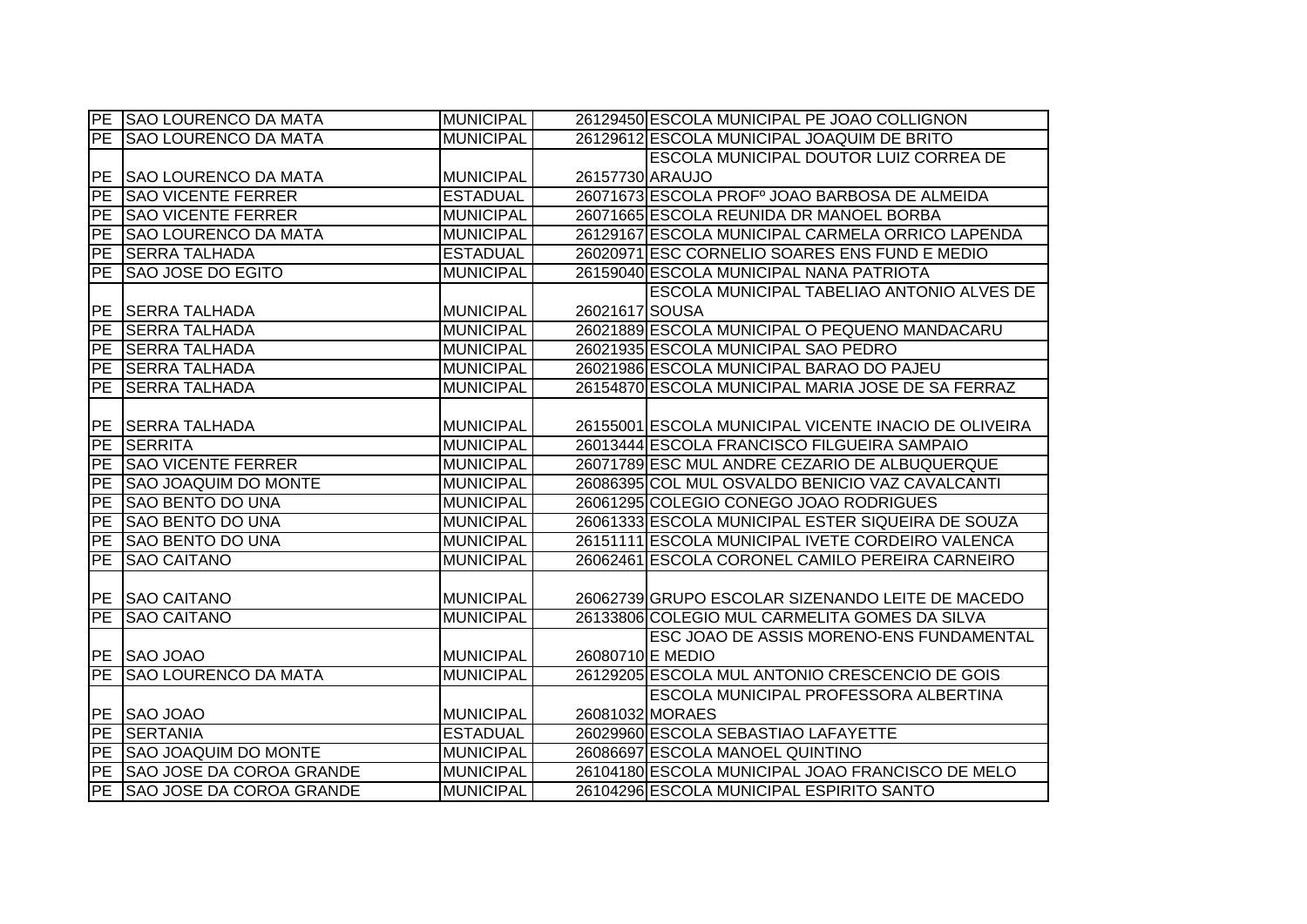|                 | PE SAO LOURENCO DA MATA     | <b>MUNICIPAL</b> |                  | 26129450 ESCOLA MUNICIPAL PE JOAO COLLIGNON          |
|-----------------|-----------------------------|------------------|------------------|------------------------------------------------------|
|                 | PE SAO LOURENCO DA MATA     | <b>MUNICIPAL</b> |                  | 26129612 ESCOLA MUNICIPAL JOAQUIM DE BRITO           |
|                 |                             |                  |                  | ESCOLA MUNICIPAL DOUTOR LUIZ CORREA DE               |
| IPE.            | <b>SAO LOURENCO DA MATA</b> | <b>MUNICIPAL</b> | 26157730 ARAUJO  |                                                      |
| PE              | <b>SAO VICENTE FERRER</b>   | <b>ESTADUAL</b>  |                  | 26071673 ESCOLA PROFº JOAO BARBOSA DE ALMEIDA        |
| PE              | <b>SAO VICENTE FERRER</b>   | <b>MUNICIPAL</b> |                  | 26071665 ESCOLA REUNIDA DR MANOEL BORBA              |
| PE              | <b>SAO LOURENCO DA MATA</b> | <b>MUNICIPAL</b> |                  | 26129167 ESCOLA MUNICIPAL CARMELA ORRICO LAPENDA     |
| PE              | <b>SERRA TALHADA</b>        | <b>ESTADUAL</b>  |                  | 26020971 ESC CORNELIO SOARES ENS FUND E MEDIO        |
| PE              | <b>SAO JOSE DO EGITO</b>    | <b>MUNICIPAL</b> |                  | 26159040 ESCOLA MUNICIPAL NANA PATRIOTA              |
|                 |                             |                  |                  | ESCOLA MUNICIPAL TABELIAO ANTONIO ALVES DE           |
| IPE.            | <b>SERRA TALHADA</b>        | <b>MUNICIPAL</b> | 26021617 SOUSA   |                                                      |
| PE              | <b>SERRA TALHADA</b>        | <b>MUNICIPAL</b> |                  | 26021889 ESCOLA MUNICIPAL O PEQUENO MANDACARU        |
| PE              | <b>SERRA TALHADA</b>        | <b>MUNICIPAL</b> |                  | 26021935 ESCOLA MUNICIPAL SAO PEDRO                  |
| PE              | <b>SERRA TALHADA</b>        | <b>MUNICIPAL</b> |                  | 26021986 ESCOLA MUNICIPAL BARAO DO PAJEU             |
| PE              | <b>SERRA TALHADA</b>        | <b>MUNICIPAL</b> |                  | 26154870 ESCOLA MUNICIPAL MARIA JOSE DE SA FERRAZ    |
|                 |                             |                  |                  |                                                      |
|                 | PE SERRA TALHADA            | <b>MUNICIPAL</b> |                  | 26155001 ESCOLA MUNICIPAL VICENTE INACIO DE OLIVEIRA |
|                 | PE SERRITA                  | <b>MUNICIPAL</b> |                  | 26013444 ESCOLA FRANCISCO FILGUEIRA SAMPAIO          |
|                 | PE SAO VICENTE FERRER       | <b>MUNICIPAL</b> |                  | 26071789 ESC MUL ANDRE CEZARIO DE ALBUQUERQUE        |
| PE              | <b>SAO JOAQUIM DO MONTE</b> | <b>MUNICIPAL</b> |                  | 26086395 COL MUL OSVALDO BENICIO VAZ CAVALCANTI      |
| $\overline{PE}$ | <b>SAO BENTO DO UNA</b>     | <b>MUNICIPAL</b> |                  | 26061295 COLEGIO CONEGO JOAO RODRIGUES               |
| $\overline{PE}$ | <b>SAO BENTO DO UNA</b>     | <b>MUNICIPAL</b> |                  | 26061333 ESCOLA MUNICIPAL ESTER SIQUEIRA DE SOUZA    |
| PE              | <b>SAO BENTO DO UNA</b>     | <b>MUNICIPAL</b> |                  | 26151111 ESCOLA MUNICIPAL IVETE CORDEIRO VALENCA     |
| PE              | <b>SAO CAITANO</b>          | <b>MUNICIPAL</b> |                  | 26062461 ESCOLA CORONEL CAMILO PEREIRA CARNEIRO      |
|                 |                             |                  |                  |                                                      |
|                 | PE SAO CAITANO              | <b>MUNICIPAL</b> |                  | 26062739 GRUPO ESCOLAR SIZENANDO LEITE DE MACEDO     |
| PE              | <b>SAO CAITANO</b>          | <b>MUNICIPAL</b> |                  | 26133806 COLEGIO MUL CARMELITA GOMES DA SILVA        |
|                 |                             |                  |                  | ESC JOAO DE ASSIS MORENO-ENS FUNDAMENTAL             |
|                 | PE SAO JOAO                 | <b>MUNICIPAL</b> | 26080710 E MEDIO |                                                      |
| PE              | <b>SAO LOURENCO DA MATA</b> | <b>MUNICIPAL</b> |                  | 26129205 ESCOLA MUL ANTONIO CRESCENCIO DE GOIS       |
|                 |                             |                  |                  | <b>ESCOLA MUNICIPAL PROFESSORA ALBERTINA</b>         |
|                 | PE SAO JOAO                 | <b>MUNICIPAL</b> |                  | 26081032 MORAES                                      |
|                 | PE SERTANIA                 | <b>ESTADUAL</b>  |                  | 26029960 ESCOLA SEBASTIAO LAFAYETTE                  |
|                 | PE SAO JOAQUIM DO MONTE     | <b>MUNICIPAL</b> |                  | 26086697 ESCOLA MANOEL QUINTINO                      |
|                 | PE SAO JOSE DA COROA GRANDE | <b>MUNICIPAL</b> |                  | 26104180 ESCOLA MUNICIPAL JOAO FRANCISCO DE MELO     |
|                 | PE SAO JOSE DA COROA GRANDE | <b>MUNICIPAL</b> |                  | 26104296 ESCOLA MUNICIPAL ESPIRITO SANTO             |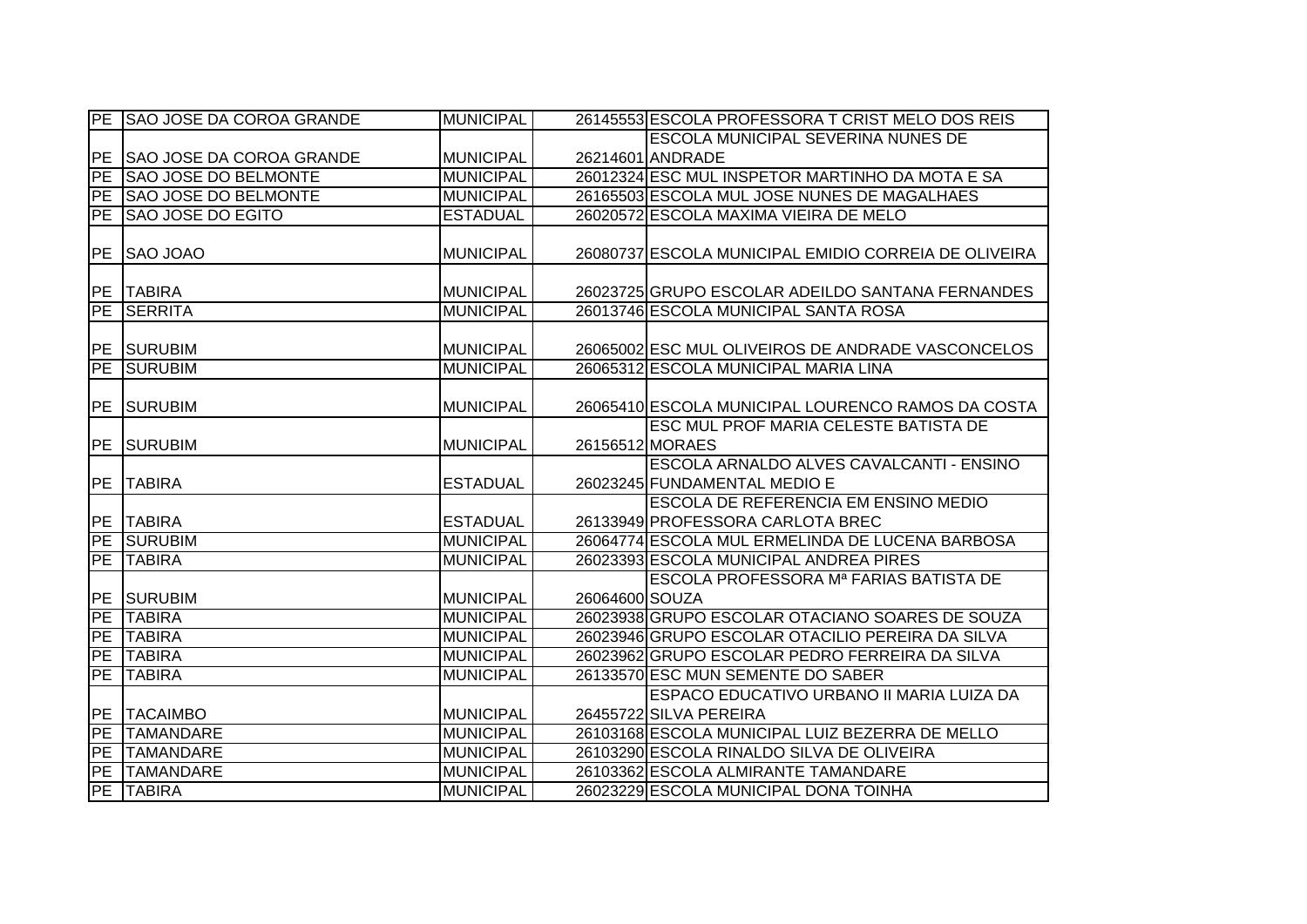|           | PE SAO JOSE DA COROA GRANDE     | <b>MUNICIPAL</b> |                | 26145553 ESCOLA PROFESSORA T CRIST MELO DOS REIS     |
|-----------|---------------------------------|------------------|----------------|------------------------------------------------------|
|           |                                 |                  |                | ESCOLA MUNICIPAL SEVERINA NUNES DE                   |
| <b>PE</b> | <b>SAO JOSE DA COROA GRANDE</b> | <b>MUNICIPAL</b> |                | 26214601 ANDRADE                                     |
| <b>PE</b> | <b>SAO JOSE DO BELMONTE</b>     | <b>MUNICIPAL</b> |                | 26012324 ESC MUL INSPETOR MARTINHO DA MOTA E SA      |
| <b>PE</b> | <b>SAO JOSE DO BELMONTE</b>     | <b>MUNICIPAL</b> |                | 26165503 ESCOLA MUL JOSE NUNES DE MAGALHAES          |
| PE        | <b>SAO JOSE DO EGITO</b>        | <b>ESTADUAL</b>  |                | 26020572 ESCOLA MAXIMA VIEIRA DE MELO                |
|           |                                 |                  |                |                                                      |
| PE        | <b>SAO JOAO</b>                 | <b>MUNICIPAL</b> |                | 26080737 ESCOLA MUNICIPAL EMIDIO CORREIA DE OLIVEIRA |
|           |                                 |                  |                |                                                      |
| PE        | <b>TABIRA</b>                   | <b>MUNICIPAL</b> |                | 26023725 GRUPO ESCOLAR ADEILDO SANTANA FERNANDES     |
| <b>PE</b> | <b>SERRITA</b>                  | <b>MUNICIPAL</b> |                | 26013746 ESCOLA MUNICIPAL SANTA ROSA                 |
|           |                                 |                  |                |                                                      |
| PE        | SURUBIM                         | <b>MUNICIPAL</b> |                | 26065002 ESC MUL OLIVEIROS DE ANDRADE VASCONCELOS    |
| PE        | <b>SURUBIM</b>                  | <b>MUNICIPAL</b> |                | 26065312 ESCOLA MUNICIPAL MARIA LINA                 |
|           |                                 |                  |                |                                                      |
| PE        | <b>SURUBIM</b>                  | <b>MUNICIPAL</b> |                | 26065410 ESCOLA MUNICIPAL LOURENCO RAMOS DA COSTA    |
|           |                                 |                  |                | <b>ESC MUL PROF MARIA CELESTE BATISTA DE</b>         |
| PE        | <b>SURUBIM</b>                  | <b>MUNICIPAL</b> |                | 26156512 MORAES                                      |
|           |                                 |                  |                | ESCOLA ARNALDO ALVES CAVALCANTI - ENSINO             |
| PE        | <b>TABIRA</b>                   | <b>ESTADUAL</b>  |                | 26023245 FUNDAMENTAL MEDIO E                         |
|           |                                 |                  |                | ESCOLA DE REFERENCIA EM ENSINO MEDIO                 |
|           | PE TABIRA                       | <b>ESTADUAL</b>  |                | 26133949 PROFESSORA CARLOTA BREC                     |
| PE        | <b>SURUBIM</b>                  | <b>MUNICIPAL</b> |                | 26064774 ESCOLA MUL ERMELINDA DE LUCENA BARBOSA      |
| PE        | <b>TABIRA</b>                   | <b>MUNICIPAL</b> |                | 26023393 ESCOLA MUNICIPAL ANDREA PIRES               |
|           |                                 |                  |                | <b>ESCOLA PROFESSORA Mª FARIAS BATISTA DE</b>        |
| PE        | <b>SURUBIM</b>                  | <b>MUNICIPAL</b> | 26064600 SOUZA |                                                      |
| PE        | <b>TABIRA</b>                   | <b>MUNICIPAL</b> |                | 26023938 GRUPO ESCOLAR OTACIANO SOARES DE SOUZA      |
| PE        | <b>TABIRA</b>                   | <b>MUNICIPAL</b> |                | 26023946 GRUPO ESCOLAR OTACILIO PEREIRA DA SILVA     |
| PE        | <b>TABIRA</b>                   | <b>MUNICIPAL</b> |                | 26023962 GRUPO ESCOLAR PEDRO FERREIRA DA SILVA       |
| PE        | <b>TABIRA</b>                   | <b>MUNICIPAL</b> |                | 26133570 ESC MUN SEMENTE DO SABER                    |
|           |                                 |                  |                | ESPACO EDUCATIVO URBANO II MARIA LUIZA DA            |
| PE        | <b>TACAIMBO</b>                 | <b>MUNICIPAL</b> |                | 26455722 SILVA PEREIRA                               |
| PE        | <b>TAMANDARE</b>                | <b>MUNICIPAL</b> |                | 26103168 ESCOLA MUNICIPAL LUIZ BEZERRA DE MELLO      |
| <b>PE</b> | <b>TAMANDARE</b>                | <b>MUNICIPAL</b> |                | 26103290 ESCOLA RINALDO SILVA DE OLIVEIRA            |
| PE        | <b>TAMANDARE</b>                | <b>MUNICIPAL</b> |                | 26103362 ESCOLA ALMIRANTE TAMANDARE                  |
|           | PE TABIRA                       | <b>MUNICIPAL</b> |                | 26023229 ESCOLA MUNICIPAL DONA TOINHA                |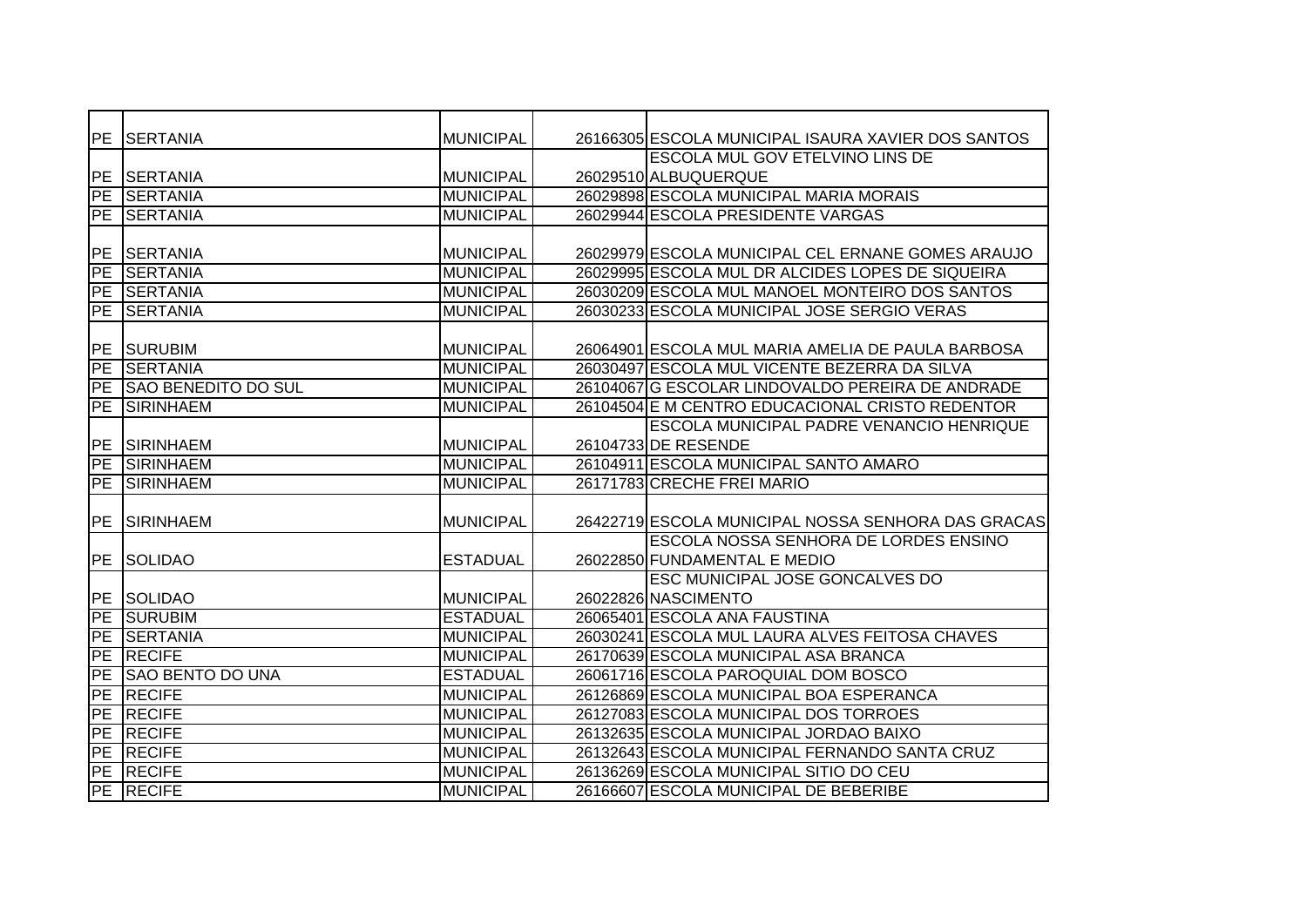| <b>IPE</b> | <b>SERTANIA</b>               | <b>MUNICIPAL</b> | 26166305 ESCOLA MUNICIPAL ISAURA XAVIER DOS SANTOS |
|------------|-------------------------------|------------------|----------------------------------------------------|
|            |                               |                  | <b>ESCOLA MUL GOV ETELVINO LINS DE</b>             |
| IPE.       | <b>SERTANIA</b>               | <b>MUNICIPAL</b> | 26029510 ALBUQUERQUE                               |
|            | PE SERTANIA                   | <b>MUNICIPAL</b> | 26029898 ESCOLA MUNICIPAL MARIA MORAIS             |
|            | PE SERTANIA                   | <b>MUNICIPAL</b> | 26029944 ESCOLA PRESIDENTE VARGAS                  |
|            |                               |                  |                                                    |
| PE         | <b>SERTANIA</b>               | <b>MUNICIPAL</b> | 26029979 ESCOLA MUNICIPAL CEL ERNANE GOMES ARAUJO  |
| <b>PE</b>  | <b>SERTANIA</b>               | <b>MUNICIPAL</b> | 26029995 ESCOLA MUL DR ALCIDES LOPES DE SIQUEIRA   |
| PE         | <b>SERTANIA</b>               | <b>MUNICIPAL</b> | 26030209 ESCOLA MUL MANOEL MONTEIRO DOS SANTOS     |
| <b>PE</b>  | <b>SERTANIA</b>               | <b>MUNICIPAL</b> | 26030233 ESCOLA MUNICIPAL JOSE SERGIO VERAS        |
|            |                               |                  |                                                    |
| <b>PE</b>  | <b>SURUBIM</b>                | <b>MUNICIPAL</b> | 26064901 ESCOLA MUL MARIA AMELIA DE PAULA BARBOSA  |
| <b>IPE</b> | <b>SERTANIA</b>               | <b>MUNICIPAL</b> | 26030497 ESCOLA MUL VICENTE BEZERRA DA SILVA       |
| PE         | <b>SAO BENEDITO DO SUL</b>    | <b>MUNICIPAL</b> | 26104067 G ESCOLAR LINDOVALDO PEREIRA DE ANDRADE   |
| PE         | <b>SIRINHAEM</b>              | <b>MUNICIPAL</b> | 26104504 E M CENTRO EDUCACIONAL CRISTO REDENTOR    |
|            |                               |                  | <b>ESCOLA MUNICIPAL PADRE VENANCIO HENRIQUE</b>    |
| <b>PE</b>  | <b>SIRINHAEM</b>              | <b>MUNICIPAL</b> | 26104733 DE RESENDE                                |
| PE         | <b>SIRINHAEM</b>              | <b>MUNICIPAL</b> | 26104911 ESCOLA MUNICIPAL SANTO AMARO              |
| PE         | <b>SIRINHAEM</b>              | <b>MUNICIPAL</b> | 26171783 CRECHE FREI MARIO                         |
|            |                               |                  |                                                    |
|            |                               |                  |                                                    |
| <b>PE</b>  | <b>SIRINHAEM</b>              | <b>MUNICIPAL</b> | 26422719 ESCOLA MUNICIPAL NOSSA SENHORA DAS GRACAS |
|            |                               |                  | ESCOLA NOSSA SENHORA DE LORDES ENSINO              |
| PE         | <b>SOLIDAO</b>                | <b>ESTADUAL</b>  | 26022850 FUNDAMENTAL E MEDIO                       |
|            |                               |                  | ESC MUNICIPAL JOSE GONCALVES DO                    |
|            | <b>PE SOLIDAO</b>             | <b>MUNICIPAL</b> | 26022826 NASCIMENTO                                |
| <b>PE</b>  | <b>SURUBIM</b>                | <b>ESTADUAL</b>  | 26065401 ESCOLA ANA FAUSTINA                       |
| PE         | <b>SERTANIA</b>               | <b>MUNICIPAL</b> | 26030241 ESCOLA MUL LAURA ALVES FEITOSA CHAVES     |
| <b>PE</b>  | <b>RECIFE</b>                 | <b>MUNICIPAL</b> | 26170639 ESCOLA MUNICIPAL ASA BRANCA               |
| PE         | <b>SAO BENTO DO UNA</b>       | <b>ESTADUAL</b>  | 26061716 ESCOLA PAROQUIAL DOM BOSCO                |
| <b>PE</b>  | <b>RECIFE</b>                 | <b>MUNICIPAL</b> | 26126869 ESCOLA MUNICIPAL BOA ESPERANCA            |
| <b>PE</b>  | <b>RECIFE</b>                 | <b>MUNICIPAL</b> | 26127083 ESCOLA MUNICIPAL DOS TORROES              |
| PE         | <b>RECIFE</b>                 | <b>MUNICIPAL</b> | 26132635 ESCOLA MUNICIPAL JORDAO BAIXO             |
|            | PE RECIFE                     | <b>MUNICIPAL</b> | 26132643 ESCOLA MUNICIPAL FERNANDO SANTA CRUZ      |
|            | PE RECIFE<br><b>PE RECIFE</b> | <b>MUNICIPAL</b> | 26136269 ESCOLA MUNICIPAL SITIO DO CEU             |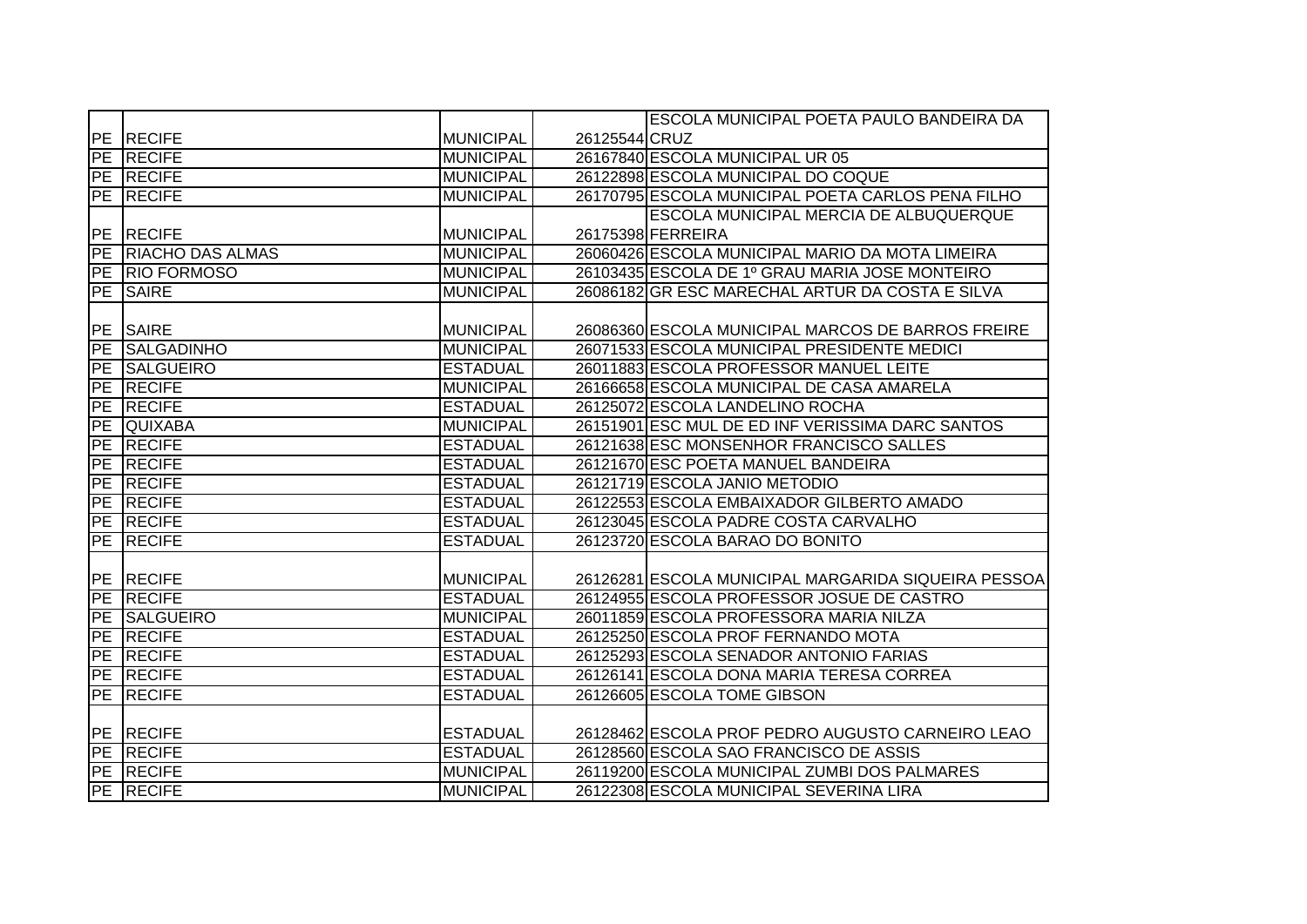|                 |                         |                  |               | ESCOLA MUNICIPAL POETA PAULO BANDEIRA DA            |
|-----------------|-------------------------|------------------|---------------|-----------------------------------------------------|
|                 | PE RECIFE               | <b>MUNICIPAL</b> | 26125544 CRUZ |                                                     |
|                 | PE RECIFE               | <b>MUNICIPAL</b> |               | 26167840 ESCOLA MUNICIPAL UR 05                     |
|                 | PE RECIFE               | <b>MUNICIPAL</b> |               | 26122898 ESCOLA MUNICIPAL DO COQUE                  |
|                 | <b>PE RECIFE</b>        | <b>MUNICIPAL</b> |               | 26170795 ESCOLA MUNICIPAL POETA CARLOS PENA FILHO   |
|                 |                         |                  |               | ESCOLA MUNICIPAL MERCIA DE ALBUQUERQUE              |
|                 | PE RECIFE               | <b>MUNICIPAL</b> |               | 26175398 FERREIRA                                   |
| <b>PE</b>       | <b>RIACHO DAS ALMAS</b> | <b>MUNICIPAL</b> |               | 26060426 ESCOLA MUNICIPAL MARIO DA MOTA LIMEIRA     |
| PE              | <b>RIO FORMOSO</b>      | <b>MUNICIPAL</b> |               | 26103435 ESCOLA DE 1º GRAU MARIA JOSE MONTEIRO      |
| <b>FPE</b>      | <b>SAIRE</b>            | <b>MUNICIPAL</b> |               | 26086182 GR ESC MARECHAL ARTUR DA COSTA E SILVA     |
|                 |                         |                  |               |                                                     |
| <b>PE</b>       | <b>SAIRE</b>            | <b>MUNICIPAL</b> |               | 26086360 ESCOLA MUNICIPAL MARCOS DE BARROS FREIRE   |
| PE              | <b>SALGADINHO</b>       | <b>MUNICIPAL</b> |               | 26071533 ESCOLA MUNICIPAL PRESIDENTE MEDICI         |
| PE              | <b>SALGUEIRO</b>        | <b>ESTADUAL</b>  |               | 26011883 ESCOLA PROFESSOR MANUEL LEITE              |
| <b>PE</b>       | <b>RECIFE</b>           | <b>MUNICIPAL</b> |               | 26166658 ESCOLA MUNICIPAL DE CASA AMARELA           |
| <b>PE</b>       | <b>RECIFE</b>           | <b>ESTADUAL</b>  |               | 26125072 ESCOLA LANDELINO ROCHA                     |
| <b>PE</b>       | <b>QUIXABA</b>          | <b>MUNICIPAL</b> |               | 26151901 ESC MUL DE ED INF VERISSIMA DARC SANTOS    |
|                 | <b>PE RECIFE</b>        | <b>ESTADUAL</b>  |               | 26121638 ESC MONSENHOR FRANCISCO SALLES             |
|                 | <b>PE RECIFE</b>        | <b>ESTADUAL</b>  |               | 26121670 ESC POETA MANUEL BANDEIRA                  |
|                 | PE RECIFE               | <b>ESTADUAL</b>  |               | 26121719 ESCOLA JANIO METODIO                       |
|                 | PE RECIFE               | <b>ESTADUAL</b>  |               | 26122553 ESCOLA EMBAIXADOR GILBERTO AMADO           |
|                 | PE RECIFE               | <b>ESTADUAL</b>  |               | 26123045 ESCOLA PADRE COSTA CARVALHO                |
| PE              | <b>RECIFE</b>           | <b>ESTADUAL</b>  |               | 26123720 ESCOLA BARAO DO BONITO                     |
|                 |                         |                  |               |                                                     |
|                 | PE RECIFE               | <b>MUNICIPAL</b> |               | 26126281 ESCOLA MUNICIPAL MARGARIDA SIQUEIRA PESSOA |
| $\overline{P}E$ | <b>RECIFE</b>           | <b>ESTADUAL</b>  |               | 26124955 ESCOLA PROFESSOR JOSUE DE CASTRO           |
|                 | PE SALGUEIRO            | <b>MUNICIPAL</b> |               | 26011859 ESCOLA PROFESSORA MARIA NILZA              |
|                 | PE RECIFE               | <b>ESTADUAL</b>  |               | 26125250 ESCOLA PROF FERNANDO MOTA                  |
| PE              | <b>RECIFE</b>           | <b>ESTADUAL</b>  |               | 26125293 ESCOLA SENADOR ANTONIO FARIAS              |
|                 | <b>PE RECIFE</b>        | <b>ESTADUAL</b>  |               | 26126141 ESCOLA DONA MARIA TERESA CORREA            |
|                 | PE RECIFE               | <b>ESTADUAL</b>  |               | 26126605 ESCOLA TOME GIBSON                         |
|                 |                         |                  |               |                                                     |
|                 | PE RECIFE               | <b>ESTADUAL</b>  |               | 26128462 ESCOLA PROF PEDRO AUGUSTO CARNEIRO LEAO    |
|                 | PE RECIFE               | <b>ESTADUAL</b>  |               | 26128560 ESCOLA SAO FRANCISCO DE ASSIS              |
|                 | PE RECIFE               | <b>MUNICIPAL</b> |               | 26119200 ESCOLA MUNICIPAL ZUMBI DOS PALMARES        |
|                 | PE RECIFE               | <b>MUNICIPAL</b> |               | 26122308 ESCOLA MUNICIPAL SEVERINA LIRA             |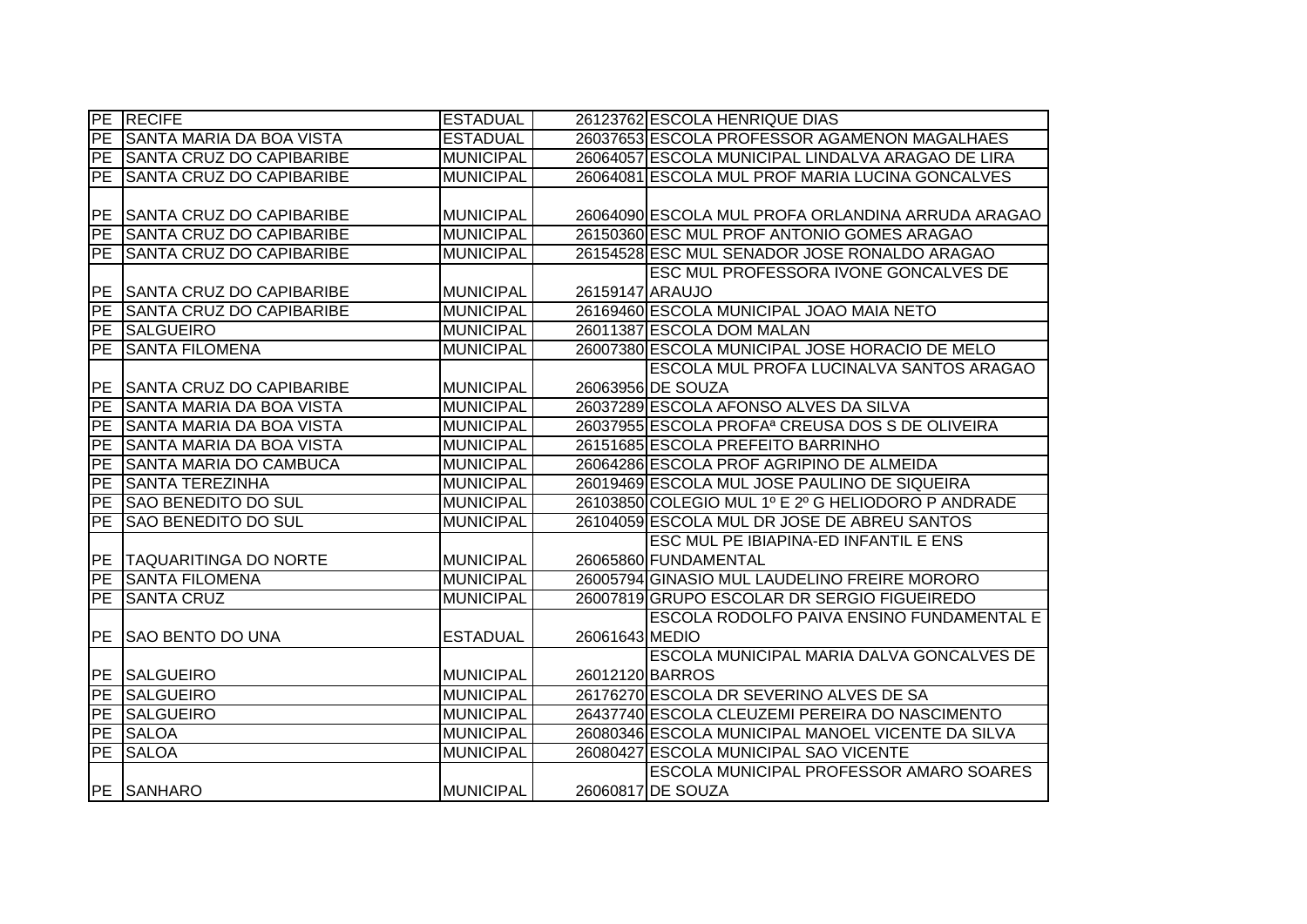| PE        | <b>RECIFE</b>                   | <b>ESTADUAL</b>  |                 | 26123762 ESCOLA HENRIQUE DIAS                               |
|-----------|---------------------------------|------------------|-----------------|-------------------------------------------------------------|
| PE        | <b>SANTA MARIA DA BOA VISTA</b> | <b>ESTADUAL</b>  |                 | 26037653 ESCOLA PROFESSOR AGAMENON MAGALHAES                |
| <b>PE</b> | <b>SANTA CRUZ DO CAPIBARIBE</b> | <b>MUNICIPAL</b> |                 | 26064057 ESCOLA MUNICIPAL LINDALVA ARAGAO DE LIRA           |
| <b>PE</b> | <b>SANTA CRUZ DO CAPIBARIBE</b> | <b>MUNICIPAL</b> |                 | 26064081 ESCOLA MUL PROF MARIA LUCINA GONCALVES             |
|           |                                 |                  |                 |                                                             |
| <b>PE</b> | <b>SANTA CRUZ DO CAPIBARIBE</b> | <b>MUNICIPAL</b> |                 | 26064090 ESCOLA MUL PROFA ORLANDINA ARRUDA ARAGAO           |
| PE        | <b>SANTA CRUZ DO CAPIBARIBE</b> | <b>MUNICIPAL</b> |                 | 26150360 ESC MUL PROF ANTONIO GOMES ARAGAO                  |
| <b>PE</b> | <b>SANTA CRUZ DO CAPIBARIBE</b> | <b>MUNICIPAL</b> |                 | 26154528 ESC MUL SENADOR JOSE RONALDO ARAGAO                |
|           |                                 |                  |                 | <b>ESC MUL PROFESSORA IVONE GONCALVES DE</b>                |
| <b>PE</b> | <b>SANTA CRUZ DO CAPIBARIBE</b> | <b>MUNICIPAL</b> | 26159147 ARAUJO |                                                             |
| <b>PE</b> | <b>SANTA CRUZ DO CAPIBARIBE</b> | <b>MUNICIPAL</b> |                 | 26169460 ESCOLA MUNICIPAL JOAO MAIA NETO                    |
| PE        | <b>SALGUEIRO</b>                | <b>MUNICIPAL</b> |                 | 26011387 ESCOLA DOM MALAN                                   |
| PE        | <b>SANTA FILOMENA</b>           | <b>MUNICIPAL</b> |                 | 26007380 ESCOLA MUNICIPAL JOSE HORACIO DE MELO              |
|           |                                 |                  |                 | <b>ESCOLA MUL PROFA LUCINALVA SANTOS ARAGAO</b>             |
| <b>PE</b> | SANTA CRUZ DO CAPIBARIBE        | <b>MUNICIPAL</b> |                 | 26063956 DE SOUZA                                           |
| <b>PE</b> | <b>SANTA MARIA DA BOA VISTA</b> | <b>MUNICIPAL</b> |                 | 26037289 ESCOLA AFONSO ALVES DA SILVA                       |
| <b>PE</b> | <b>SANTA MARIA DA BOA VISTA</b> | <b>MUNICIPAL</b> |                 | 26037955 ESCOLA PROFA <sup>a</sup> CREUSA DOS S DE OLIVEIRA |
| <b>PE</b> | <b>SANTA MARIA DA BOA VISTA</b> | <b>MUNICIPAL</b> |                 | 26151685 ESCOLA PREFEITO BARRINHO                           |
| PE        | <b>SANTA MARIA DO CAMBUCA</b>   | <b>MUNICIPAL</b> |                 | 26064286 ESCOLA PROF AGRIPINO DE ALMEIDA                    |
| <b>PE</b> | <b>SANTA TEREZINHA</b>          | <b>MUNICIPAL</b> |                 | 26019469 ESCOLA MUL JOSE PAULINO DE SIQUEIRA                |
| PE        | <b>SAO BENEDITO DO SUL</b>      | <b>MUNICIPAL</b> |                 | 26103850 COLEGIO MUL 1º E 2º G HELIODORO P ANDRADE          |
| PE        | <b>SAO BENEDITO DO SUL</b>      | <b>MUNICIPAL</b> |                 | 26104059 ESCOLA MUL DR JOSE DE ABREU SANTOS                 |
|           |                                 |                  |                 | ESC MUL PE IBIAPINA-ED INFANTIL E ENS                       |
| PE        | <b>TAQUARITINGA DO NORTE</b>    | <b>MUNICIPAL</b> |                 | 26065860 FUNDAMENTAL                                        |
| <b>PE</b> | <b>ISANTA FILOMENA</b>          | <b>MUNICIPAL</b> |                 | 26005794 GINASIO MUL LAUDELINO FREIRE MORORO                |
| <b>PE</b> | <b>SANTA CRUZ</b>               | <b>MUNICIPAL</b> |                 | 26007819 GRUPO ESCOLAR DR SERGIO FIGUEIREDO                 |
|           |                                 |                  |                 | <b>ESCOLA RODOLFO PAIVA ENSINO FUNDAMENTAL E</b>            |
| <b>PE</b> | <b>SAO BENTO DO UNA</b>         | <b>ESTADUAL</b>  | 26061643 MEDIO  |                                                             |
|           |                                 |                  |                 | ESCOLA MUNICIPAL MARIA DALVA GONCALVES DE                   |
| PE        | <b>SALGUEIRO</b>                | <b>MUNICIPAL</b> |                 | 26012120 BARROS                                             |
| <b>PE</b> | <b>SALGUEIRO</b>                | <b>MUNICIPAL</b> |                 | 26176270 ESCOLA DR SEVERINO ALVES DE SA                     |
| <b>PE</b> | <b>SALGUEIRO</b>                | <b>MUNICIPAL</b> |                 | 26437740 ESCOLA CLEUZEMI PEREIRA DO NASCIMENTO              |
| <b>PE</b> | <b>SALOA</b>                    | <b>MUNICIPAL</b> |                 | 26080346 ESCOLA MUNICIPAL MANOEL VICENTE DA SILVA           |
| PE        | <b>SALOA</b>                    | <b>MUNICIPAL</b> |                 | 26080427 ESCOLA MUNICIPAL SAO VICENTE                       |
|           |                                 |                  |                 | ESCOLA MUNICIPAL PROFESSOR AMARO SOARES                     |
|           | PE SANHARO                      | <b>MUNICIPAL</b> |                 | 26060817 DE SOUZA                                           |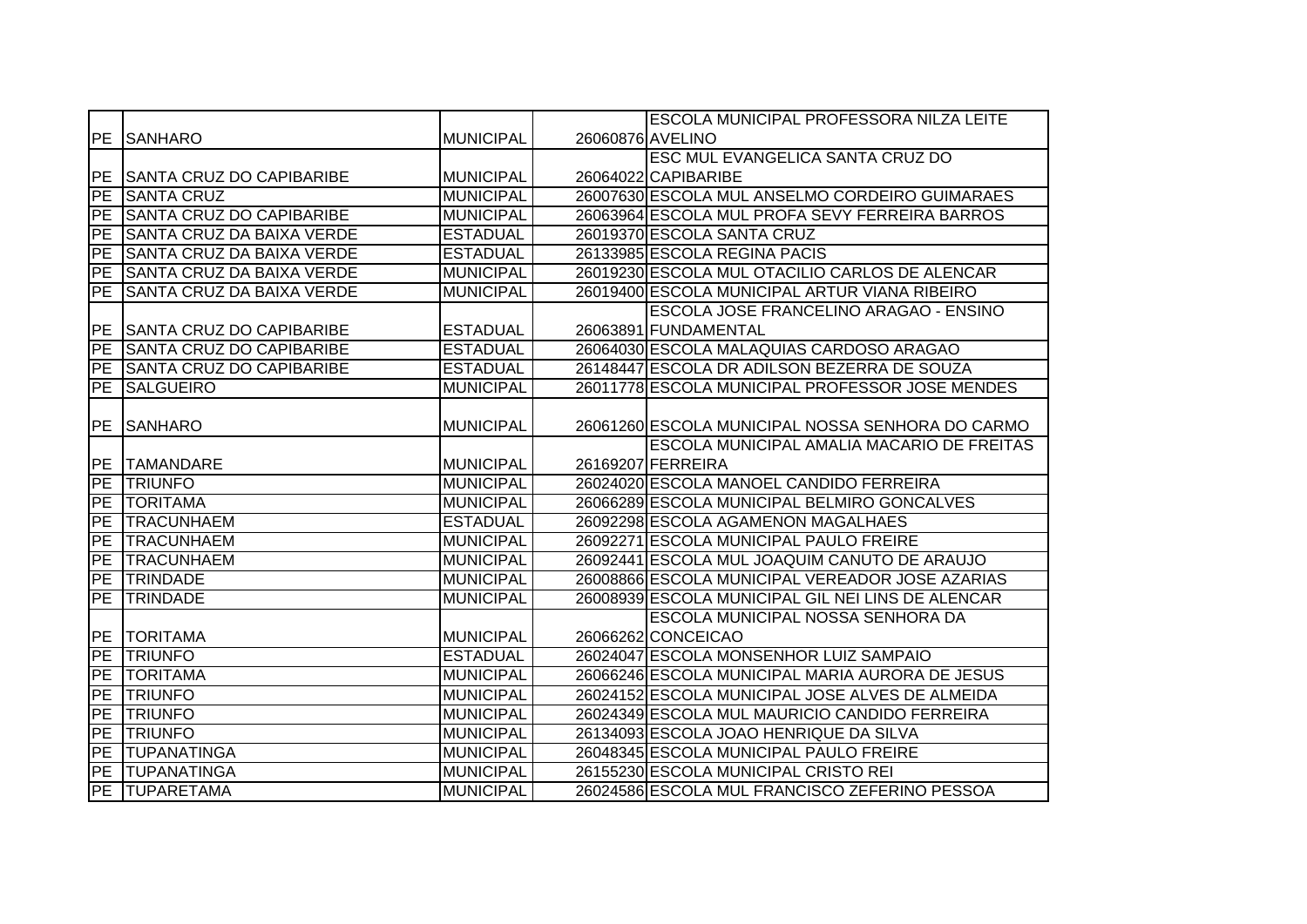|                 |                                  |                  | <b>ESCOLA MUNICIPAL PROFESSORA NILZA LEITE</b>    |
|-----------------|----------------------------------|------------------|---------------------------------------------------|
|                 | <b>PE SANHARO</b>                | <b>MUNICIPAL</b> | 26060876 AVELINO                                  |
|                 |                                  |                  | ESC MUL EVANGELICA SANTA CRUZ DO                  |
|                 | PE SANTA CRUZ DO CAPIBARIBE      | <b>MUNICIPAL</b> | 26064022 CAPIBARIBE                               |
| PE              | <b>SANTA CRUZ</b>                | <b>MUNICIPAL</b> | 26007630 ESCOLA MUL ANSELMO CORDEIRO GUIMARAES    |
| $\overline{P}E$ | <b>SANTA CRUZ DO CAPIBARIBE</b>  | <b>MUNICIPAL</b> | 26063964 ESCOLA MUL PROFA SEVY FERREIRA BARROS    |
| PE              | SANTA CRUZ DA BAIXA VERDE        | <b>ESTADUAL</b>  | 26019370 ESCOLA SANTA CRUZ                        |
| PE              | SANTA CRUZ DA BAIXA VERDE        | <b>ESTADUAL</b>  | 26133985 ESCOLA REGINA PACIS                      |
| PE              | <b>SANTA CRUZ DA BAIXA VERDE</b> | <b>MUNICIPAL</b> | 26019230 ESCOLA MUL OTACILIO CARLOS DE ALENCAR    |
| PE              | <b>SANTA CRUZ DA BAIXA VERDE</b> | <b>MUNICIPAL</b> | 26019400 ESCOLA MUNICIPAL ARTUR VIANA RIBEIRO     |
|                 |                                  |                  | ESCOLA JOSE FRANCELINO ARAGAO - ENSINO            |
| PE              | SANTA CRUZ DO CAPIBARIBE         | <b>ESTADUAL</b>  | 26063891 FUNDAMENTAL                              |
| PE              | SANTA CRUZ DO CAPIBARIBE         | <b>ESTADUAL</b>  | 26064030 ESCOLA MALAQUIAS CARDOSO ARAGAO          |
| PE              | <b>SANTA CRUZ DO CAPIBARIBE</b>  | <b>ESTADUAL</b>  | 26148447 ESCOLA DR ADILSON BEZERRA DE SOUZA       |
| PE              | <b>SALGUEIRO</b>                 | <b>MUNICIPAL</b> | 26011778 ESCOLA MUNICIPAL PROFESSOR JOSE MENDES   |
|                 |                                  |                  |                                                   |
|                 | <b>PE SANHARO</b>                | <b>MUNICIPAL</b> | 26061260 ESCOLA MUNICIPAL NOSSA SENHORA DO CARMO  |
|                 |                                  |                  | <b>ESCOLA MUNICIPAL AMALIA MACARIO DE FREITAS</b> |
|                 | PE TAMANDARE                     | <b>MUNICIPAL</b> | 26169207 FERREIRA                                 |
| PE              | <b>TRIUNFO</b>                   | <b>MUNICIPAL</b> | 26024020 ESCOLA MANOEL CANDIDO FERREIRA           |
| PE              | <b>TORITAMA</b>                  | <b>MUNICIPAL</b> | 26066289 ESCOLA MUNICIPAL BELMIRO GONCALVES       |
| PE              | <b>TRACUNHAEM</b>                | <b>ESTADUAL</b>  | 26092298 ESCOLA AGAMENON MAGALHAES                |
| PE              | <b>TRACUNHAEM</b>                | <b>MUNICIPAL</b> | 26092271 ESCOLA MUNICIPAL PAULO FREIRE            |
| <b>PE</b>       | <b>TRACUNHAEM</b>                | <b>MUNICIPAL</b> | 26092441 ESCOLA MUL JOAQUIM CANUTO DE ARAUJO      |
| PE              | <b>TRINDADE</b>                  | <b>MUNICIPAL</b> | 26008866 ESCOLA MUNICIPAL VEREADOR JOSE AZARIAS   |
| $\overline{PE}$ | <b>TRINDADE</b>                  | <b>MUNICIPAL</b> | 26008939 ESCOLA MUNICIPAL GIL NEI LINS DE ALENCAR |
|                 |                                  |                  | ESCOLA MUNICIPAL NOSSA SENHORA DA                 |
| PE              | <b>TORITAMA</b>                  | <b>MUNICIPAL</b> | 26066262 CONCEICAO                                |
| PE              | <b>TRIUNFO</b>                   | <b>ESTADUAL</b>  | 26024047 ESCOLA MONSENHOR LUIZ SAMPAIO            |
| PE              | <b>TORITAMA</b>                  | <b>MUNICIPAL</b> | 26066246 ESCOLA MUNICIPAL MARIA AURORA DE JESUS   |
| PE              | <b>TRIUNFO</b>                   | <b>MUNICIPAL</b> | 26024152 ESCOLA MUNICIPAL JOSE ALVES DE ALMEIDA   |
| PE              | <b>TRIUNFO</b>                   | <b>MUNICIPAL</b> | 26024349 ESCOLA MUL MAURICIO CANDIDO FERREIRA     |
| PE              | <b>TRIUNFO</b>                   | <b>MUNICIPAL</b> | 26134093 ESCOLA JOAO HENRIQUE DA SILVA            |
| PE              | <b>TUPANATINGA</b>               | <b>MUNICIPAL</b> | 26048345 ESCOLA MUNICIPAL PAULO FREIRE            |
| PE              | <b>TUPANATINGA</b>               | <b>MUNICIPAL</b> | 26155230 ESCOLA MUNICIPAL CRISTO REI              |
|                 | PE TUPARETAMA                    | <b>MUNICIPAL</b> | 26024586 ESCOLA MUL FRANCISCO ZEFERINO PESSOA     |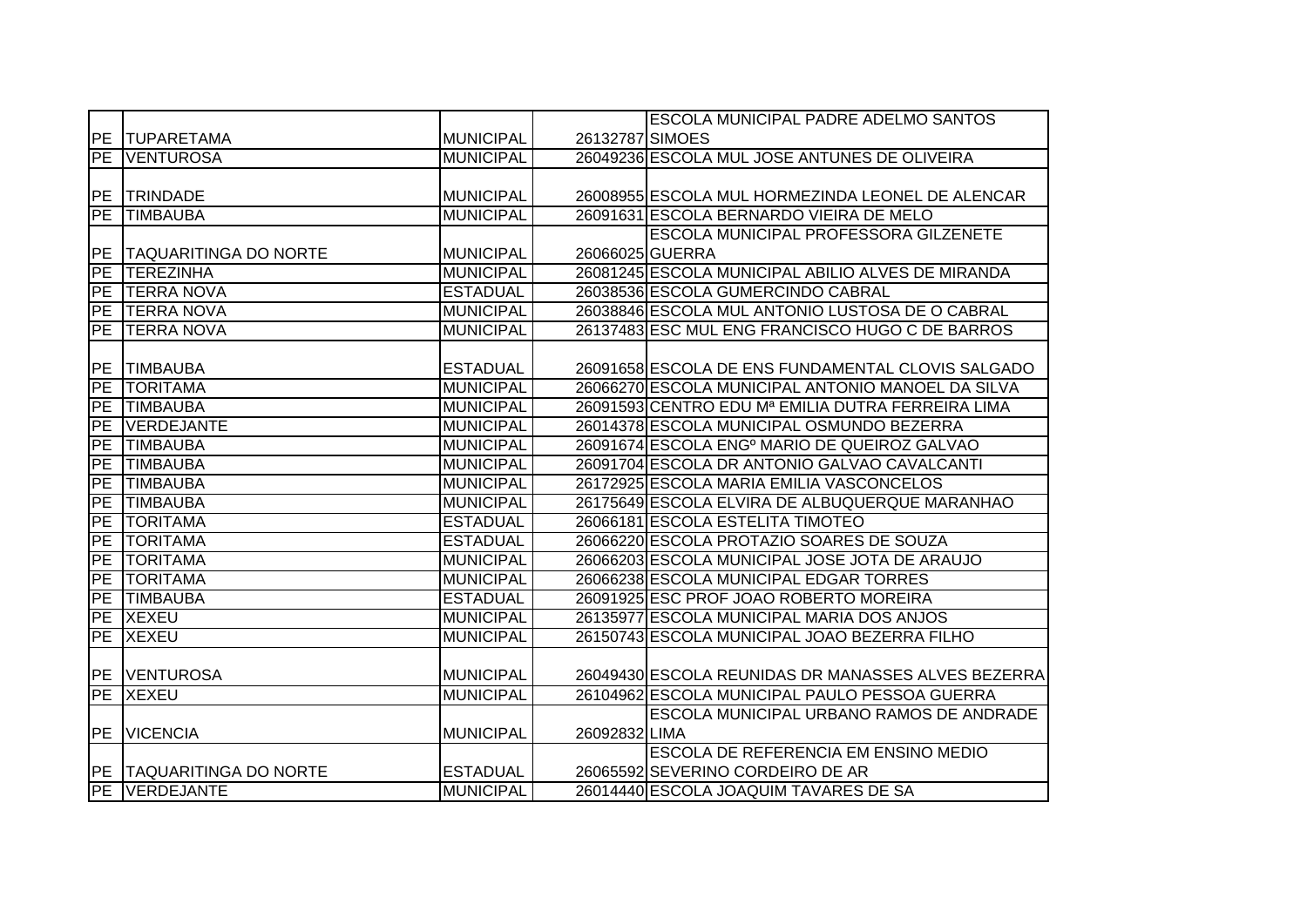|            |                              |                  |                 | <b>ESCOLA MUNICIPAL PADRE ADELMO SANTOS</b>              |
|------------|------------------------------|------------------|-----------------|----------------------------------------------------------|
|            | PE TUPARETAMA                | <b>MUNICIPAL</b> | 26132787 SIMOES |                                                          |
| PE         | <b>VENTUROSA</b>             | <b>MUNICIPAL</b> |                 | 26049236 ESCOLA MUL JOSE ANTUNES DE OLIVEIRA             |
|            |                              |                  |                 |                                                          |
|            | PE TRINDADE                  | <b>MUNICIPAL</b> |                 | 26008955 ESCOLA MUL HORMEZINDA LEONEL DE ALENCAR         |
| PE         | <b>TIMBAUBA</b>              | <b>MUNICIPAL</b> |                 | 26091631 ESCOLA BERNARDO VIEIRA DE MELO                  |
|            |                              |                  |                 | ESCOLA MUNICIPAL PROFESSORA GILZENETE                    |
| <b>PE</b>  | <b>TAQUARITINGA DO NORTE</b> | <b>MUNICIPAL</b> |                 | 26066025 GUERRA                                          |
| <b>PE</b>  | <b>TEREZINHA</b>             | <b>MUNICIPAL</b> |                 | 26081245 ESCOLA MUNICIPAL ABILIO ALVES DE MIRANDA        |
| <b>PE</b>  | <b>ITERRA NOVA</b>           | <b>ESTADUAL</b>  |                 | 26038536 ESCOLA GUMERCINDO CABRAL                        |
| <b>PE</b>  | <b>TERRA NOVA</b>            | <b>MUNICIPAL</b> |                 | 26038846 ESCOLA MUL ANTONIO LUSTOSA DE O CABRAL          |
| <b>PE</b>  | <b>TERRA NOVA</b>            | <b>MUNICIPAL</b> |                 | 26137483 ESC MUL ENG FRANCISCO HUGO C DE BARROS          |
|            |                              |                  |                 |                                                          |
| <b>IPE</b> | <b>TIMBAUBA</b>              | <b>ESTADUAL</b>  |                 | 26091658 ESCOLA DE ENS FUNDAMENTAL CLOVIS SALGADO        |
| PE         | <b>TORITAMA</b>              | <b>MUNICIPAL</b> |                 | 26066270 ESCOLA MUNICIPAL ANTONIO MANOEL DA SILVA        |
| PE         | <b>TIMBAUBA</b>              | <b>MUNICIPAL</b> |                 | 26091593 CENTRO EDU Mª EMILIA DUTRA FERREIRA LIMA        |
| <b>PE</b>  | VERDEJANTE                   | <b>MUNICIPAL</b> |                 | 26014378 ESCOLA MUNICIPAL OSMUNDO BEZERRA                |
| PE         | <b>TIMBAUBA</b>              | <b>MUNICIPAL</b> |                 | 26091674 ESCOLA ENG <sup>o</sup> MARIO DE QUEIROZ GALVAO |
| PE         | <b>TIMBAUBA</b>              | <b>MUNICIPAL</b> |                 | 26091704 ESCOLA DR ANTONIO GALVAO CAVALCANTI             |
| PE         | <b>TIMBAUBA</b>              | <b>MUNICIPAL</b> |                 | 26172925 ESCOLA MARIA EMILIA VASCONCELOS                 |
| PE         | <b>TIMBAUBA</b>              | <b>MUNICIPAL</b> |                 | 26175649 ESCOLA ELVIRA DE ALBUQUERQUE MARANHAO           |
| PE         | <b>TORITAMA</b>              | <b>ESTADUAL</b>  |                 | 26066181 ESCOLA ESTELITA TIMOTEO                         |
| <b>PE</b>  | <b>ITORITAMA</b>             | <b>ESTADUAL</b>  |                 | 26066220 ESCOLA PROTAZIO SOARES DE SOUZA                 |
| <b>PE</b>  | <b>TORITAMA</b>              | <b>MUNICIPAL</b> |                 | 26066203 ESCOLA MUNICIPAL JOSE JOTA DE ARAUJO            |
| PE         | <b>TORITAMA</b>              | <b>MUNICIPAL</b> |                 | 26066238 ESCOLA MUNICIPAL EDGAR TORRES                   |
| <b>PE</b>  | <b>TIMBAUBA</b>              | <b>ESTADUAL</b>  |                 | 26091925 ESC PROF JOAO ROBERTO MOREIRA                   |
|            | PE XEXEU                     | <b>MUNICIPAL</b> |                 | 26135977 ESCOLA MUNICIPAL MARIA DOS ANJOS                |
| PE         | <b>XEXEU</b>                 | <b>MUNICIPAL</b> |                 | 26150743 ESCOLA MUNICIPAL JOAO BEZERRA FILHO             |
|            |                              |                  |                 |                                                          |
|            | <b>PE VENTUROSA</b>          | <b>MUNICIPAL</b> |                 | 26049430 ESCOLA REUNIDAS DR MANASSES ALVES BEZERRA       |
|            | <b>PE XEXEU</b>              | <b>MUNICIPAL</b> |                 | 26104962 ESCOLA MUNICIPAL PAULO PESSOA GUERRA            |
|            |                              |                  |                 | ESCOLA MUNICIPAL URBANO RAMOS DE ANDRADE                 |
|            | PE VICENCIA                  | <b>MUNICIPAL</b> | 26092832 LIMA   |                                                          |
|            |                              |                  |                 | ESCOLA DE REFERENCIA EM ENSINO MEDIO                     |
|            | PE TAQUARITINGA DO NORTE     | <b>ESTADUAL</b>  |                 | 26065592 SEVERINO CORDEIRO DE AR                         |
|            | PE VERDEJANTE                | <b>MUNICIPAL</b> |                 | 26014440 ESCOLA JOAQUIM TAVARES DE SA                    |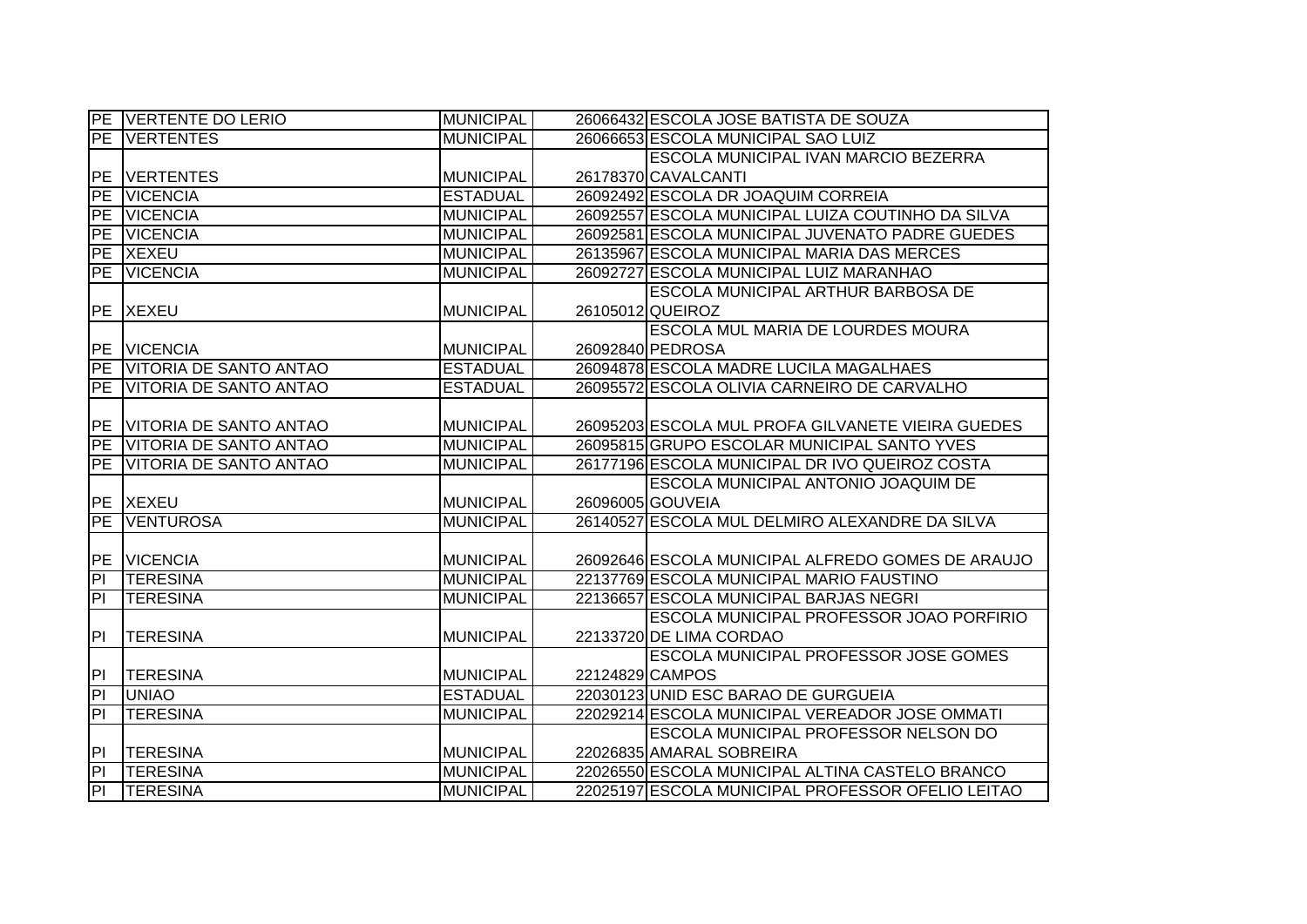|                          | PE VERTENTE DO LERIO   | <b>MUNICIPAL</b> | 26066432 ESCOLA JOSE BATISTA DE SOUZA             |
|--------------------------|------------------------|------------------|---------------------------------------------------|
| PE                       | <b>IVERTENTES</b>      | <b>MUNICIPAL</b> | 26066653 ESCOLA MUNICIPAL SAO LUIZ                |
|                          |                        |                  | ESCOLA MUNICIPAL IVAN MARCIO BEZERRA              |
| <b>IPE</b>               | <b>VERTENTES</b>       | <b>MUNICIPAL</b> | 26178370 CAVALCANTI                               |
| PE                       | <b>VICENCIA</b>        | <b>ESTADUAL</b>  | 26092492 ESCOLA DR JOAQUIM CORREIA                |
| PE                       | <b>VICENCIA</b>        | <b>MUNICIPAL</b> | 26092557 ESCOLA MUNICIPAL LUIZA COUTINHO DA SILVA |
| PE                       | <b>VICENCIA</b>        | <b>MUNICIPAL</b> | 26092581 ESCOLA MUNICIPAL JUVENATO PADRE GUEDES   |
|                          | PE XEXEU               | <b>MUNICIPAL</b> | 26135967 ESCOLA MUNICIPAL MARIA DAS MERCES        |
| PE                       | <b>VICENCIA</b>        | <b>MUNICIPAL</b> | 26092727 ESCOLA MUNICIPAL LUIZ MARANHAO           |
|                          |                        |                  | ESCOLA MUNICIPAL ARTHUR BARBOSA DE                |
| PE                       | <b>XEXEU</b>           | <b>MUNICIPAL</b> | 26105012 QUEIROZ                                  |
|                          |                        |                  | ESCOLA MUL MARIA DE LOURDES MOURA                 |
| PE                       | <b>VICENCIA</b>        | <b>MUNICIPAL</b> | 26092840 PEDROSA                                  |
| PE                       | VITORIA DE SANTO ANTAO | <b>ESTADUAL</b>  | 26094878 ESCOLA MADRE LUCILA MAGALHAES            |
| PE                       | VITORIA DE SANTO ANTAO | <b>ESTADUAL</b>  | 26095572 ESCOLA OLIVIA CARNEIRO DE CARVALHO       |
|                          |                        |                  |                                                   |
| <b>PE</b>                | VITORIA DE SANTO ANTAO | <b>MUNICIPAL</b> | 26095203 ESCOLA MUL PROFA GILVANETE VIEIRA GUEDES |
| PE                       | VITORIA DE SANTO ANTAO | <b>MUNICIPAL</b> | 26095815 GRUPO ESCOLAR MUNICIPAL SANTO YVES       |
| PE                       | VITORIA DE SANTO ANTAO | <b>MUNICIPAL</b> | 26177196 ESCOLA MUNICIPAL DR IVO QUEIROZ COSTA    |
|                          |                        |                  | ESCOLA MUNICIPAL ANTONIO JOAQUIM DE               |
|                          | <b>PE XEXEU</b>        | <b>MUNICIPAL</b> | 26096005 GOUVEIA                                  |
| $\overline{\mathsf{PE}}$ | <b>VENTUROSA</b>       | <b>MUNICIPAL</b> | 26140527 ESCOLA MUL DELMIRO ALEXANDRE DA SILVA    |
|                          |                        |                  |                                                   |
|                          | PE VICENCIA            | <b>MUNICIPAL</b> | 26092646 ESCOLA MUNICIPAL ALFREDO GOMES DE ARAUJO |
| $\overline{P}$           | <b>TERESINA</b>        | <b>MUNICIPAL</b> | 22137769 ESCOLA MUNICIPAL MARIO FAUSTINO          |
| $\overline{\mathsf{d}}$  | <b>ITERESINA</b>       | <b>MUNICIPAL</b> | 22136657 ESCOLA MUNICIPAL BARJAS NEGRI            |
|                          |                        |                  | ESCOLA MUNICIPAL PROFESSOR JOAO PORFIRIO          |
| PI.                      | <b>TERESINA</b>        | MUNICIPAL        | 22133720 DE LIMA CORDAO                           |
|                          |                        |                  | ESCOLA MUNICIPAL PROFESSOR JOSE GOMES             |
| PI                       | <b>TERESINA</b>        | <b>MUNICIPAL</b> | 22124829 CAMPOS                                   |
| $\overline{P}$           | <b>UNIAO</b>           | <b>ESTADUAL</b>  | 22030123 UNID ESC BARAO DE GURGUEIA               |
| $\overline{P}$           | <b>TERESINA</b>        | <b>MUNICIPAL</b> | 22029214 ESCOLA MUNICIPAL VEREADOR JOSE OMMATI    |
|                          |                        |                  | ESCOLA MUNICIPAL PROFESSOR NELSON DO              |
| P                        | <b>TERESINA</b>        | <b>MUNICIPAL</b> | 22026835 AMARAL SOBREIRA                          |
| $\overline{\mathsf{PI}}$ | <b>TERESINA</b>        | <b>MUNICIPAL</b> | 22026550 ESCOLA MUNICIPAL ALTINA CASTELO BRANCO   |
| $\overline{P}$           | <b>TERESINA</b>        | <b>MUNICIPAL</b> | 22025197 ESCOLA MUNICIPAL PROFESSOR OFELIO LEITAO |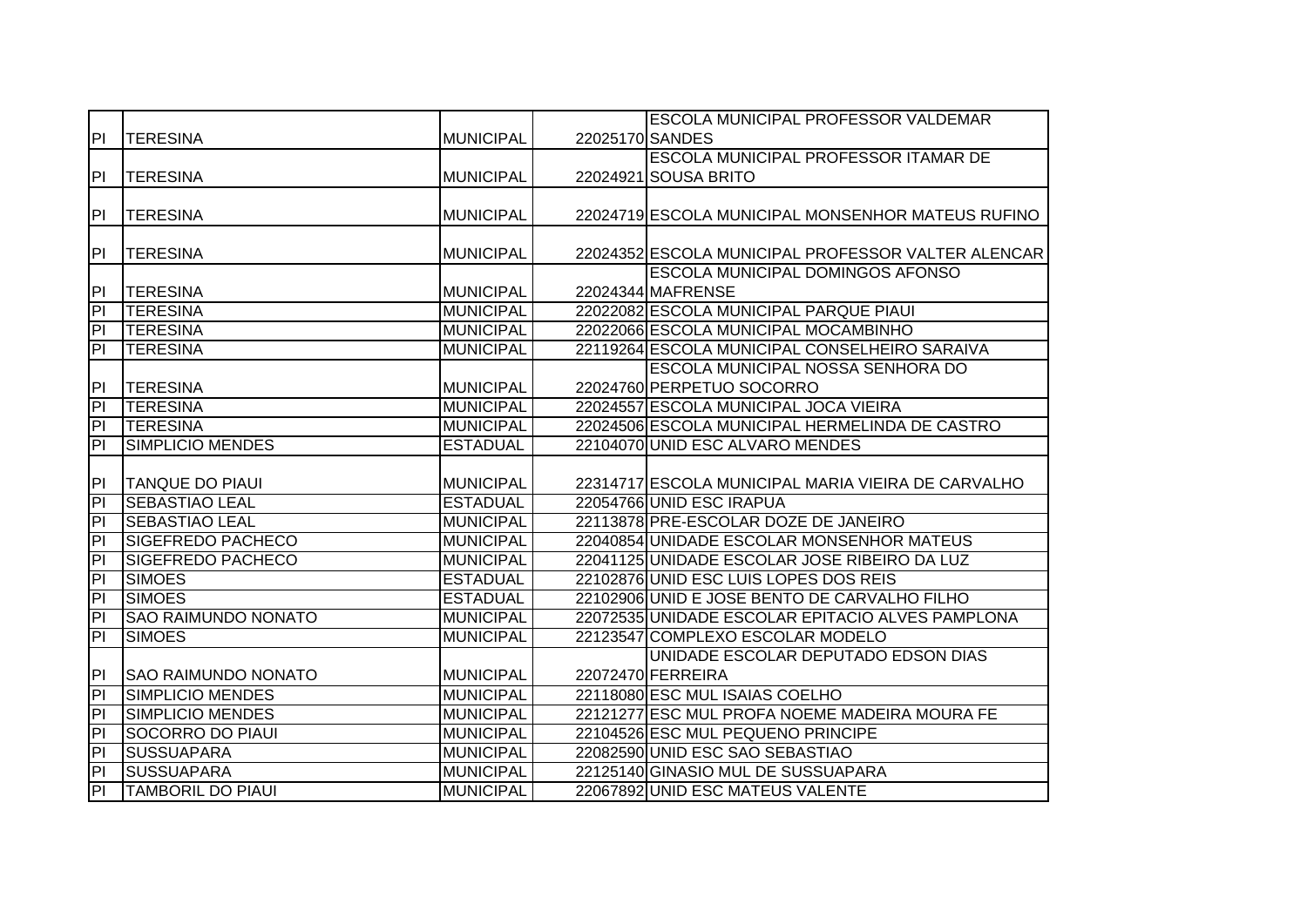|                                  |                            |                  |                 | <b>IESCOLA MUNICIPAL PROFESSOR VALDEMAR</b>                            |
|----------------------------------|----------------------------|------------------|-----------------|------------------------------------------------------------------------|
| P                                | <b>TERESINA</b>            | MUNICIPAL        | 22025170 SANDES |                                                                        |
|                                  |                            |                  |                 | ESCOLA MUNICIPAL PROFESSOR ITAMAR DE                                   |
| P                                | <b>TERESINA</b>            | <b>MUNICIPAL</b> |                 | 22024921 SOUSA BRITO                                                   |
|                                  |                            |                  |                 |                                                                        |
| <b>PI</b>                        | <b>TERESINA</b>            | <b>MUNICIPAL</b> |                 | 22024719 ESCOLA MUNICIPAL MONSENHOR MATEUS RUFINO                      |
|                                  |                            |                  |                 |                                                                        |
| PI                               | <b>TERESINA</b>            | MUNICIPAL        |                 | 22024352 ESCOLA MUNICIPAL PROFESSOR VALTER ALENCAR                     |
|                                  |                            |                  |                 | <b>ESCOLA MUNICIPAL DOMINGOS AFONSO</b>                                |
| PI                               | <b>TERESINA</b>            | MUNICIPAL        |                 | 22024344 MAFRENSE                                                      |
| $\overline{P}$                   | <b>TERESINA</b>            | <b>MUNICIPAL</b> |                 | 22022082 ESCOLA MUNICIPAL PARQUE PIAUI                                 |
| ĪΡI                              | <b>TERESINA</b>            | <b>MUNICIPAL</b> |                 | 22022066 ESCOLA MUNICIPAL MOCAMBINHO                                   |
| Ē                                | <b>TERESINA</b>            | <b>MUNICIPAL</b> |                 | 22119264 ESCOLA MUNICIPAL CONSELHEIRO SARAIVA                          |
|                                  |                            |                  |                 | IESCOLA MUNICIPAL NOSSA SENHORA DO                                     |
| PI                               | <b>TERESINA</b>            | MUNICIPAL        |                 | 22024760 PERPETUO SOCORRO                                              |
| $\overline{P}$                   | <b>TERESINA</b>            | <b>MUNICIPAL</b> |                 | 22024557 ESCOLA MUNICIPAL JOCA VIEIRA                                  |
| $\overline{P}$                   | <b>TERESINA</b>            | <b>MUNICIPAL</b> |                 | 22024506 ESCOLA MUNICIPAL HERMELINDA DE CASTRO                         |
| $\overline{P}$                   | SIMPLICIO MENDES           | <b>ESTADUAL</b>  |                 | 22104070 UNID ESC ALVARO MENDES                                        |
|                                  |                            |                  |                 |                                                                        |
| P                                | <b>TANQUE DO PIAUI</b>     | MUNICIPAL        |                 | 22314717 ESCOLA MUNICIPAL MARIA VIEIRA DE CARVALHO                     |
| $\overline{P}$                   | <b>SEBASTIAO LEAL</b>      | <b>ESTADUAL</b>  |                 | 22054766 UNID ESC IRAPUA                                               |
| $\overline{P}$                   | <b>SEBASTIAO LEAL</b>      | MUNICIPAL        |                 | 22113878 PRE-ESCOLAR DOZE DE JANEIRO                                   |
| $\overline{\mathsf{PI}}$         | <b>SIGEFREDO PACHECO</b>   | <b>MUNICIPAL</b> |                 | 22040854 UNIDADE ESCOLAR MONSENHOR MATEUS                              |
| $\overline{P}$                   |                            |                  |                 |                                                                        |
|                                  | <b>SIGEFREDO PACHECO</b>   | <b>MUNICIPAL</b> |                 | 22041125 UNIDADE ESCOLAR JOSE RIBEIRO DA LUZ                           |
| $\overline{P}$                   | <b>SIMOES</b>              | <b>ESTADUAL</b>  |                 | 22102876 UNID ESC LUIS LOPES DOS REIS                                  |
| $ \mathsf{P} $                   | <b>SIMOES</b>              | <b>ESTADUAL</b>  |                 | 22102906 UNID E JOSE BENTO DE CARVALHO FILHO                           |
| $\overline{\mathsf{PI}}$         | <b>SAO RAIMUNDO NONATO</b> | <b>MUNICIPAL</b> |                 | 22072535 UNIDADE ESCOLAR EPITACIO ALVES PAMPLONA                       |
| $\overline{P}$                   | <b>SIMOES</b>              | <b>MUNICIPAL</b> |                 | 22123547 COMPLEXO ESCOLAR MODELO                                       |
|                                  |                            |                  |                 | UNIDADE ESCOLAR DEPUTADO EDSON DIAS                                    |
| PI                               | <b>SAO RAIMUNDO NONATO</b> | MUNICIPAL        |                 | 22072470 FERREIRA                                                      |
| h                                | SIMPLICIO MENDES           | <b>MUNICIPAL</b> |                 | 22118080 ESC MUL ISAIAS COELHO                                         |
| E                                | SIMPLICIO MENDES           | <b>MUNICIPAL</b> |                 | 22121277 ESC MUL PROFA NOEME MADEIRA MOURA FE                          |
| $\overline{\mathsf{PI}}$         | <b>SOCORRO DO PIAUI</b>    | <b>MUNICIPAL</b> |                 | 22104526 ESC MUL PEQUENO PRINCIPE                                      |
| $\overline{P}$                   | <b>SUSSUAPARA</b>          | <b>MUNICIPAL</b> |                 | 22082590 UNID ESC SAO SEBASTIAO                                        |
| $\overline{P}$<br>$\overline{P}$ | <b>SUSSUAPARA</b>          | <b>MUNICIPAL</b> |                 | 22125140 GINASIO MUL DE SUSSUAPARA<br>22067892 UNID ESC MATEUS VALENTE |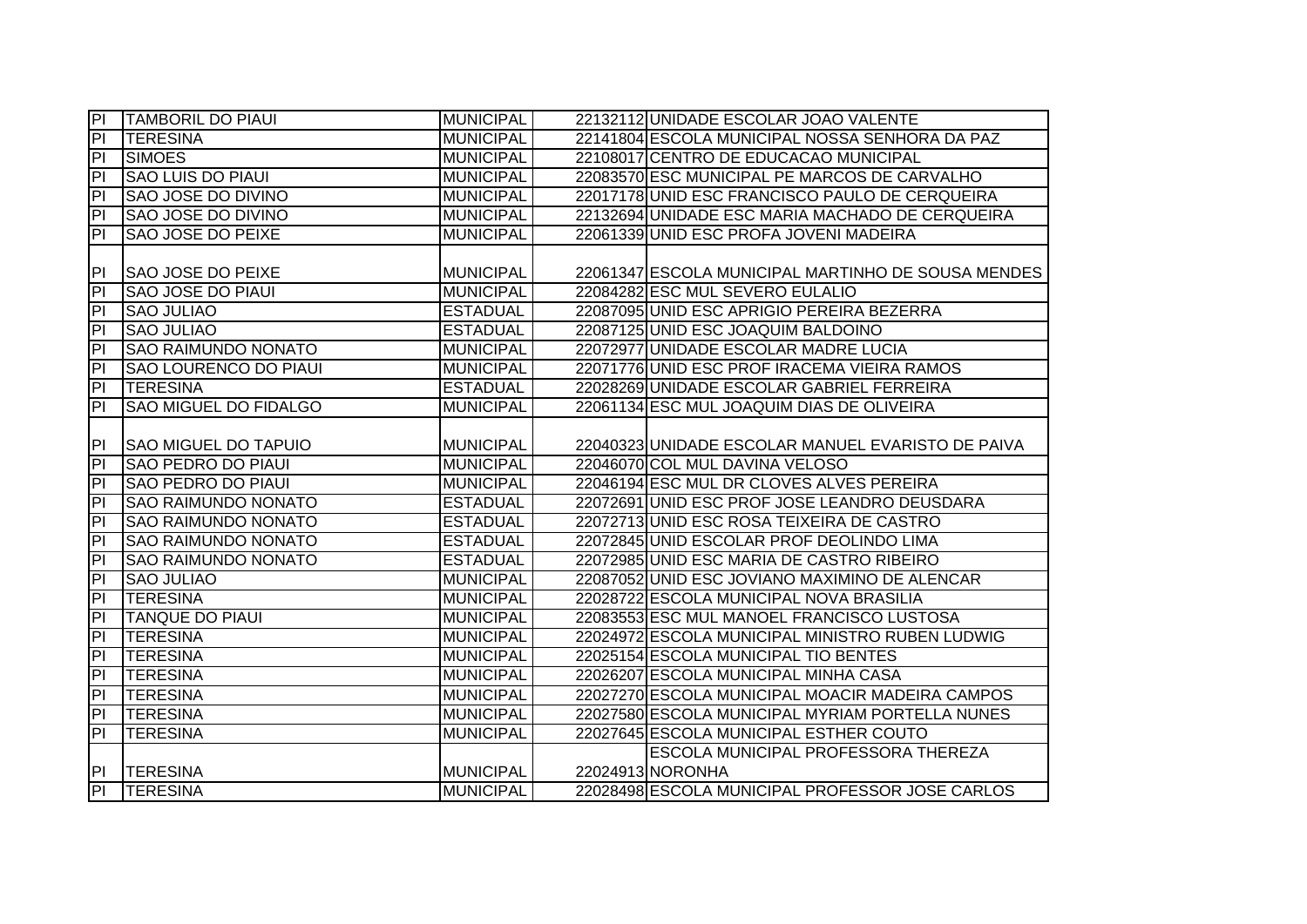| $\overline{P}$          | <b>TAMBORIL DO PIAUI</b>     | <b>MUNICIPAL</b> | 22132112 UNIDADE ESCOLAR JOAO VALENTE              |
|-------------------------|------------------------------|------------------|----------------------------------------------------|
| $\overline{P}$          | <b>TERESINA</b>              | <b>MUNICIPAL</b> | 22141804 ESCOLA MUNICIPAL NOSSA SENHORA DA PAZ     |
| $\overline{a}$          | <b>SIMOES</b>                | <b>MUNICIPAL</b> | 22108017 CENTRO DE EDUCACAO MUNICIPAL              |
| $\overline{\mathsf{d}}$ | <b>SAO LUIS DO PIAUI</b>     | <b>MUNICIPAL</b> | 22083570 ESC MUNICIPAL PE MARCOS DE CARVALHO       |
| $\overline{\mathsf{d}}$ | <b>SAO JOSE DO DIVINO</b>    | <b>MUNICIPAL</b> | 22017178 UNID ESC FRANCISCO PAULO DE CERQUEIRA     |
| $\overline{\mathsf{d}}$ | <b>SAO JOSE DO DIVINO</b>    | <b>MUNICIPAL</b> | 22132694 UNIDADE ESC MARIA MACHADO DE CERQUEIRA    |
| $\overline{\mathsf{d}}$ | <b>SAO JOSE DO PEIXE</b>     | <b>MUNICIPAL</b> | 22061339 UNID ESC PROFA JOVENI MADEIRA             |
|                         |                              |                  |                                                    |
| PI                      | SAO JOSE DO PEIXE            | <b>MUNICIPAL</b> | 22061347 ESCOLA MUNICIPAL MARTINHO DE SOUSA MENDES |
| P                       | SAO JOSE DO PIAUI            | <b>MUNICIPAL</b> | 22084282 ESC MUL SEVERO EULALIO                    |
| P                       | <b>SAO JULIAO</b>            | <b>ESTADUAL</b>  | 22087095 UNID ESC APRIGIO PEREIRA BEZERRA          |
| P <sub>1</sub>          | <b>SAO JULIAO</b>            | <b>ESTADUAL</b>  | 22087125 UNID ESC JOAQUIM BALDOINO                 |
| $\overline{a}$          | <b>SAO RAIMUNDO NONATO</b>   | <b>MUNICIPAL</b> | 22072977 UNIDADE ESCOLAR MADRE LUCIA               |
| $\overline{a}$          | SAO LOURENCO DO PIAUI        | <b>MUNICIPAL</b> | 22071776 UNID ESC PROF IRACEMA VIEIRA RAMOS        |
| PI                      | <b>TERESINA</b>              | <b>ESTADUAL</b>  | 22028269 UNIDADE ESCOLAR GABRIEL FERREIRA          |
| $\overline{P}$          | <b>SAO MIGUEL DO FIDALGO</b> | <b>MUNICIPAL</b> | 22061134 ESC MUL JOAQUIM DIAS DE OLIVEIRA          |
|                         |                              |                  |                                                    |
| PI                      | <b>SAO MIGUEL DO TAPUIO</b>  | <b>MUNICIPAL</b> | 22040323 UNIDADE ESCOLAR MANUEL EVARISTO DE PAIVA  |
| P                       | <b>SAO PEDRO DO PIAUI</b>    | <b>MUNICIPAL</b> | 22046070 COL MUL DAVINA VELOSO                     |
| $\overline{PI}$         | <b>SAO PEDRO DO PIAUI</b>    | <b>MUNICIPAL</b> | 22046194 ESC MUL DR CLOVES ALVES PEREIRA           |
| $\overline{P}$          | <b>SAO RAIMUNDO NONATO</b>   | <b>ESTADUAL</b>  | 22072691 UNID ESC PROF JOSE LEANDRO DEUSDARA       |
| $\overline{P}$          | <b>SAO RAIMUNDO NONATO</b>   | <b>ESTADUAL</b>  | 22072713 UNID ESC ROSA TEIXEIRA DE CASTRO          |
| $\overline{P}$          | <b>SAO RAIMUNDO NONATO</b>   | <b>ESTADUAL</b>  | 22072845 UNID ESCOLAR PROF DEOLINDO LIMA           |
| h                       | <b>SAO RAIMUNDO NONATO</b>   | <b>ESTADUAL</b>  | 22072985 UNID ESC MARIA DE CASTRO RIBEIRO          |
| $\overline{\mathsf{d}}$ | <b>SAO JULIAO</b>            | <b>MUNICIPAL</b> | 22087052 UNID ESC JOVIANO MAXIMINO DE ALENCAR      |
| $\overline{\mathsf{d}}$ | <b>TERESINA</b>              | <b>MUNICIPAL</b> | 22028722 ESCOLA MUNICIPAL NOVA BRASILIA            |
| $\overline{PI}$         | <b>TANQUE DO PIAUI</b>       | <b>MUNICIPAL</b> | 22083553 ESC MUL MANOEL FRANCISCO LUSTOSA          |
| $\overline{a}$          | <b>TERESINA</b>              | <b>MUNICIPAL</b> | 22024972 ESCOLA MUNICIPAL MINISTRO RUBEN LUDWIG    |
| $\overline{a}$          | <b>TERESINA</b>              | <b>MUNICIPAL</b> | 22025154 ESCOLA MUNICIPAL TIO BENTES               |
| $\overline{PI}$         | <b>TERESINA</b>              | <b>MUNICIPAL</b> | 22026207 ESCOLA MUNICIPAL MINHA CASA               |
| $\overline{P}$          | <b>TERESINA</b>              | <b>MUNICIPAL</b> | 22027270 ESCOLA MUNICIPAL MOACIR MADEIRA CAMPOS    |
| $\overline{a}$          | <b>TERESINA</b>              | <b>MUNICIPAL</b> | 22027580 ESCOLA MUNICIPAL MYRIAM PORTELLA NUNES    |
| $\overline{P}$          | <b>TERESINA</b>              | <b>MUNICIPAL</b> | 22027645 ESCOLA MUNICIPAL ESTHER COUTO             |
|                         |                              |                  | ESCOLA MUNICIPAL PROFESSORA THEREZA                |
| P <sub>1</sub>          | <b>TERESINA</b>              | <b>MUNICIPAL</b> | 22024913 NORONHA                                   |
| P                       | <b>TERESINA</b>              | <b>MUNICIPAL</b> | 22028498 ESCOLA MUNICIPAL PROFESSOR JOSE CARLOS    |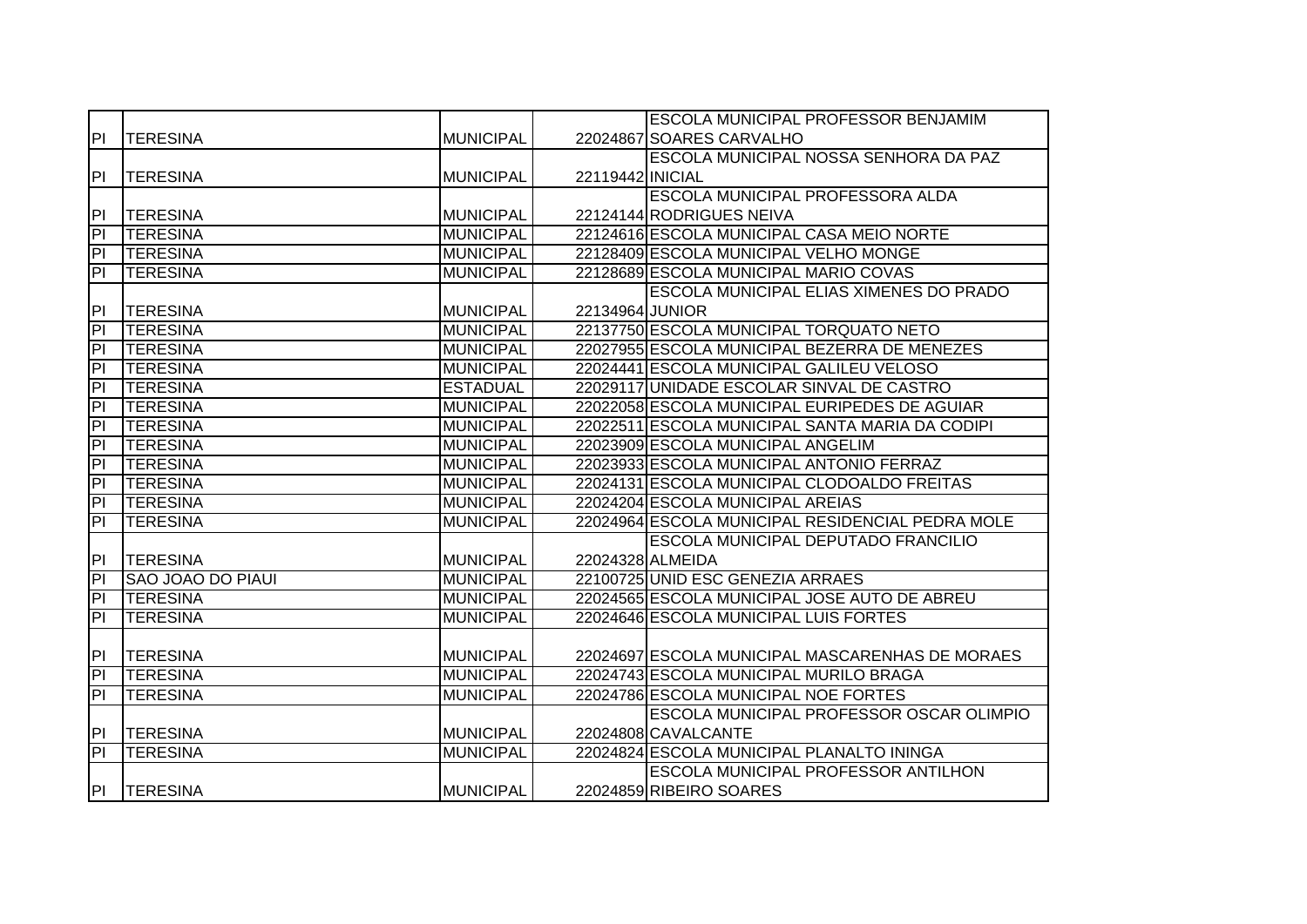|                          |                          |                  |                  | <b>ESCOLA MUNICIPAL PROFESSOR BENJAMIM</b>       |
|--------------------------|--------------------------|------------------|------------------|--------------------------------------------------|
| P                        | <b>TERESINA</b>          | <b>MUNICIPAL</b> |                  | 22024867 SOARES CARVALHO                         |
|                          |                          |                  |                  | ESCOLA MUNICIPAL NOSSA SENHORA DA PAZ            |
| P                        | <b>TERESINA</b>          | <b>MUNICIPAL</b> | 22119442 INICIAL |                                                  |
|                          |                          |                  |                  | ESCOLA MUNICIPAL PROFESSORA ALDA                 |
| P                        | <b>TERESINA</b>          | <b>MUNICIPAL</b> |                  | 22124144 RODRIGUES NEIVA                         |
| $\overline{P}$           | <b>TERESINA</b>          | <b>MUNICIPAL</b> |                  | 22124616 ESCOLA MUNICIPAL CASA MEIO NORTE        |
| $\overline{P}$           | <b>TERESINA</b>          | <b>MUNICIPAL</b> |                  | 22128409 ESCOLA MUNICIPAL VELHO MONGE            |
| $\overline{\mathbf{d}}$  | <b>TERESINA</b>          | <b>MUNICIPAL</b> |                  | 22128689 ESCOLA MUNICIPAL MARIO COVAS            |
|                          |                          |                  |                  | <b>ESCOLA MUNICIPAL ELIAS XIMENES DO PRADO</b>   |
| PI                       | <b>TERESINA</b>          | <b>MUNICIPAL</b> | 22134964 JUNIOR  |                                                  |
| PI                       | <b>TERESINA</b>          | <b>MUNICIPAL</b> |                  | 22137750 ESCOLA MUNICIPAL TORQUATO NETO          |
| $\overline{P}$           | <b>TERESINA</b>          | <b>MUNICIPAL</b> |                  | 22027955 ESCOLA MUNICIPAL BEZERRA DE MENEZES     |
| $\overline{P}$           | <b>TERESINA</b>          | <b>MUNICIPAL</b> |                  | 22024441 ESCOLA MUNICIPAL GALILEU VELOSO         |
| 티                        | <b>TERESINA</b>          | <b>ESTADUAL</b>  |                  | 22029117 UNIDADE ESCOLAR SINVAL DE CASTRO        |
| 티                        | <b>TERESINA</b>          | <b>MUNICIPAL</b> |                  | 22022058 ESCOLA MUNICIPAL EURIPEDES DE AGUIAR    |
| $\overline{P}$           | <b>TERESINA</b>          | <b>MUNICIPAL</b> |                  | 22022511 ESCOLA MUNICIPAL SANTA MARIA DA CODIPI  |
| $\overline{P}$           | <b>TERESINA</b>          | <b>MUNICIPAL</b> |                  | 22023909 ESCOLA MUNICIPAL ANGELIM                |
| $\overline{P}$           | <b>TERESINA</b>          | <b>MUNICIPAL</b> |                  | 22023933 ESCOLA MUNICIPAL ANTONIO FERRAZ         |
| $\overline{P}$           | <b>TERESINA</b>          | <b>MUNICIPAL</b> |                  | 22024131 ESCOLA MUNICIPAL CLODOALDO FREITAS      |
| $\overline{P}$           | <b>TERESINA</b>          | <b>MUNICIPAL</b> |                  | 22024204 ESCOLA MUNICIPAL AREIAS                 |
| $\overline{P}$           | <b>TERESINA</b>          | <b>MUNICIPAL</b> |                  | 22024964 ESCOLA MUNICIPAL RESIDENCIAL PEDRA MOLE |
|                          |                          |                  |                  | ESCOLA MUNICIPAL DEPUTADO FRANCILIO              |
| P                        | <b>TERESINA</b>          | <b>MUNICIPAL</b> |                  | 22024328 ALMEIDA                                 |
| $\overline{P}$           | <b>SAO JOAO DO PIAUI</b> | <b>MUNICIPAL</b> |                  | 22100725 UNID ESC GENEZIA ARRAES                 |
| $\overline{P}$           | <b>TERESINA</b>          | <b>MUNICIPAL</b> |                  | 22024565 ESCOLA MUNICIPAL JOSE AUTO DE ABREU     |
| $\overline{P}$           | <b>TERESINA</b>          | <b>MUNICIPAL</b> |                  | 22024646 ESCOLA MUNICIPAL LUIS FORTES            |
|                          |                          |                  |                  |                                                  |
| <b>PI</b>                | <b>TERESINA</b>          | <b>MUNICIPAL</b> |                  | 22024697 ESCOLA MUNICIPAL MASCARENHAS DE MORAES  |
| $\overline{\mathsf{PI}}$ | <b>TERESINA</b>          | <b>MUNICIPAL</b> |                  | 22024743 ESCOLA MUNICIPAL MURILO BRAGA           |
| $\overline{P}$           | <b>TERESINA</b>          | <b>MUNICIPAL</b> |                  | 22024786 ESCOLA MUNICIPAL NOE FORTES             |
|                          |                          |                  |                  | <b>ESCOLA MUNICIPAL PROFESSOR OSCAR OLIMPIO</b>  |
| P                        | <b>TERESINA</b>          | <b>MUNICIPAL</b> |                  | 22024808 CAVALCANTE                              |
| $\overline{P}$           | <b>TERESINA</b>          | <b>MUNICIPAL</b> |                  | 22024824 ESCOLA MUNICIPAL PLANALTO ININGA        |
|                          |                          |                  |                  | <b>ESCOLA MUNICIPAL PROFESSOR ANTILHON</b>       |
| <b>PI</b>                | <b>TERESINA</b>          | <b>MUNICIPAL</b> |                  | 22024859 RIBEIRO SOARES                          |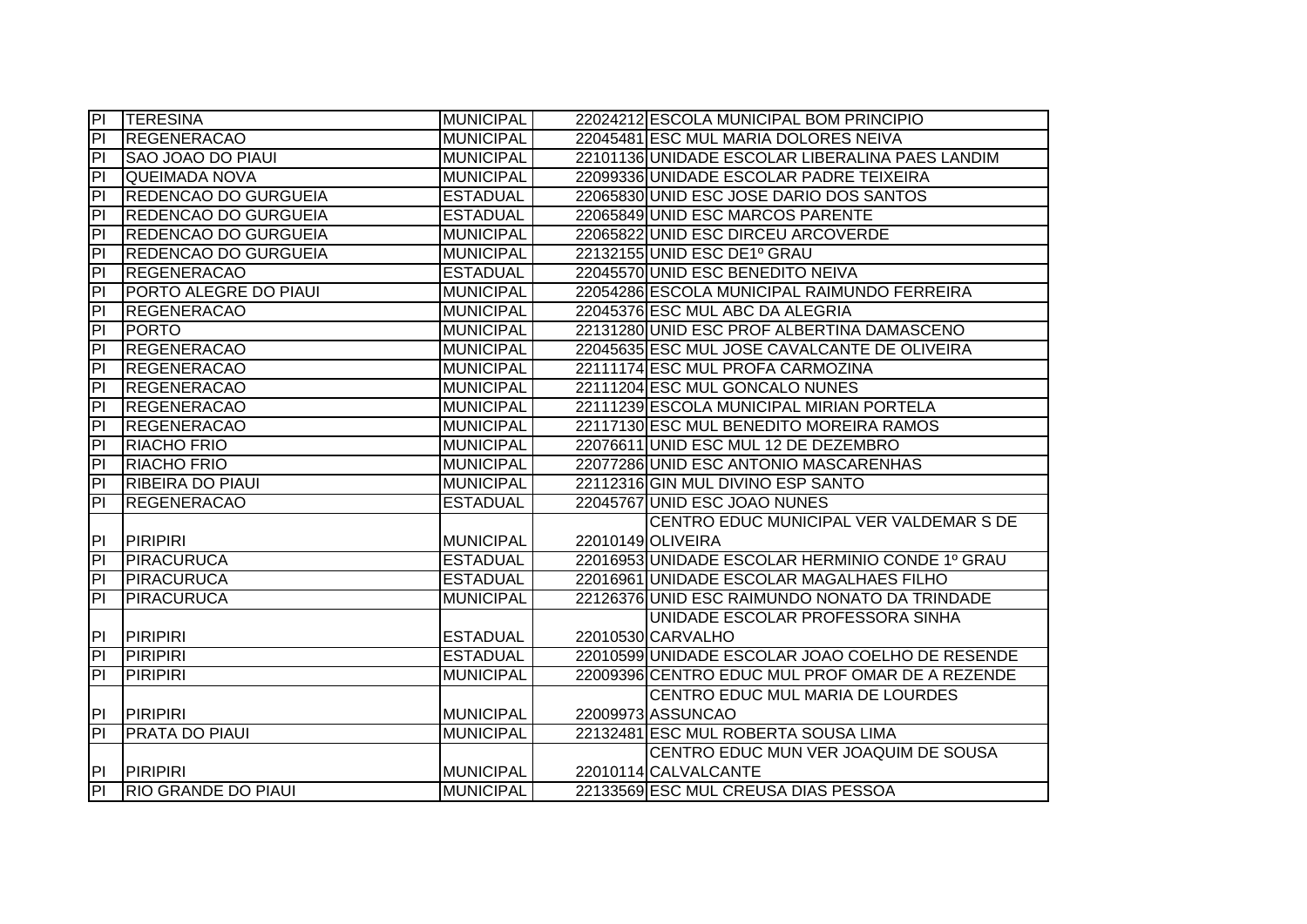| P                       | <b>TERESINA</b>              | <b>MUNICIPAL</b> | 22024212 ESCOLA MUNICIPAL BOM PRINCIPIO         |
|-------------------------|------------------------------|------------------|-------------------------------------------------|
| $\overline{a}$          | <b>REGENERACAO</b>           | <b>MUNICIPAL</b> | 22045481 ESC MUL MARIA DOLORES NEIVA            |
| $\overline{a}$          | <b>SAO JOAO DO PIAUL</b>     | <b>MUNICIPAL</b> | 22101136 UNIDADE ESCOLAR LIBERALINA PAES LANDIM |
| $\overline{\mathsf{d}}$ | <b>QUEIMADA NOVA</b>         | <b>MUNICIPAL</b> | 22099336 UNIDADE ESCOLAR PADRE TEIXEIRA         |
| $\overline{P}$          | <b>REDENCAO DO GURGUEIA</b>  | <b>ESTADUAL</b>  | 22065830 UNID ESC JOSE DARIO DOS SANTOS         |
| $\overline{PI}$         | <b>REDENCAO DO GURGUEIA</b>  | <b>ESTADUAL</b>  | 22065849 UNID ESC MARCOS PARENTE                |
| $\overline{\mathsf{P}}$ | <b>REDENCAO DO GURGUEIA</b>  | <b>MUNICIPAL</b> | 22065822 UNID ESC DIRCEU ARCOVERDE              |
| $\overline{P}$          | <b>REDENCAO DO GURGUEIA</b>  | <b>MUNICIPAL</b> | 22132155 UNID ESC DE1º GRAU                     |
| $\overline{a}$          | <b>REGENERACAO</b>           | <b>ESTADUAL</b>  | 22045570 UNID ESC BENEDITO NEIVA                |
| $\overline{a}$          | <b>PORTO ALEGRE DO PIAUI</b> | <b>MUNICIPAL</b> | 22054286 ESCOLA MUNICIPAL RAIMUNDO FERREIRA     |
| P                       | <b>REGENERACAO</b>           | <b>MUNICIPAL</b> | 22045376 ESC MUL ABC DA ALEGRIA                 |
| PI                      | <b>PORTO</b>                 | <b>MUNICIPAL</b> | 22131280 UNID ESC PROF ALBERTINA DAMASCENO      |
| $\overline{a}$          | <b>REGENERACAO</b>           | <b>MUNICIPAL</b> | 22045635 ESC MUL JOSE CAVALCANTE DE OLIVEIRA    |
| $\overline{a}$          | <b>REGENERACAO</b>           | <b>MUNICIPAL</b> | 22111174 ESC MUL PROFA CARMOZINA                |
| $\overline{\mathsf{d}}$ | <b>REGENERACAO</b>           | <b>MUNICIPAL</b> | 22111204 ESC MUL GONCALO NUNES                  |
| $\overline{\mathsf{d}}$ | <b>REGENERACAO</b>           | <b>MUNICIPAL</b> | 22111239 ESCOLA MUNICIPAL MIRIAN PORTELA        |
| 티                       | <b>REGENERACAO</b>           | <b>MUNICIPAL</b> | 22117130 ESC MUL BENEDITO MOREIRA RAMOS         |
| $\overline{P}$          | <b>RIACHO FRIO</b>           | <b>MUNICIPAL</b> | 22076611 UNID ESC MUL 12 DE DEZEMBRO            |
| $\overline{\mathsf{d}}$ | <b>RIACHO FRIO</b>           | <b>MUNICIPAL</b> | 22077286 UNID ESC ANTONIO MASCARENHAS           |
| $\overline{P}$          | <b>RIBEIRA DO PIAUI</b>      | <b>MUNICIPAL</b> | 22112316 GIN MUL DIVINO ESP SANTO               |
| $\overline{P}$          | <b>REGENERACAO</b>           | <b>ESTADUAL</b>  | 22045767 UNID ESC JOAO NUNES                    |
|                         |                              |                  | CENTRO EDUC MUNICIPAL VER VALDEMAR S DE         |
| P                       | <b>PIRIPIRI</b>              | <b>MUNICIPAL</b> | 22010149 OLIVEIRA                               |
| $\overline{P}$          | PIRACURUCA                   | <b>ESTADUAL</b>  | 22016953 UNIDADE ESCOLAR HERMINIO CONDE 1º GRAU |
| $\overline{P}$          | PIRACURUCA                   | <b>ESTADUAL</b>  | 22016961 UNIDADE ESCOLAR MAGALHAES FILHO        |
| 티                       | PIRACURUCA                   | <b>MUNICIPAL</b> | 22126376 UNID ESC RAIMUNDO NONATO DA TRINDADE   |
|                         |                              |                  | UNIDADE ESCOLAR PROFESSORA SINHA                |
| PI                      | <b>PIRIPIRI</b>              | <b>ESTADUAL</b>  | 22010530 CARVALHO                               |
| $\overline{a}$          | <b>PIRIPIRI</b>              | <b>ESTADUAL</b>  | 22010599 UNIDADE ESCOLAR JOAO COELHO DE RESENDE |
| $\overline{\mathsf{d}}$ | <b>PIRIPIRI</b>              | <b>MUNICIPAL</b> | 22009396 CENTRO EDUC MUL PROF OMAR DE A REZENDE |
|                         |                              |                  | CENTRO EDUC MUL MARIA DE LOURDES                |
| PI                      | <b>PIRIPIRI</b>              | <b>MUNICIPAL</b> | 22009973 ASSUNCAO                               |
| $\overline{P}$          | <b>PRATA DO PIAUI</b>        | <b>MUNICIPAL</b> | 22132481 ESC MUL ROBERTA SOUSA LIMA             |
|                         |                              |                  | CENTRO EDUC MUN VER JOAQUIM DE SOUSA            |
| PI                      | <b>PIRIPIRI</b>              | <b>MUNICIPAL</b> | 22010114 CALVALCANTE                            |
| $\overline{P}$          | <b>RIO GRANDE DO PIAUL</b>   | <b>MUNICIPAL</b> | 22133569 ESC MUL CREUSA DIAS PESSOA             |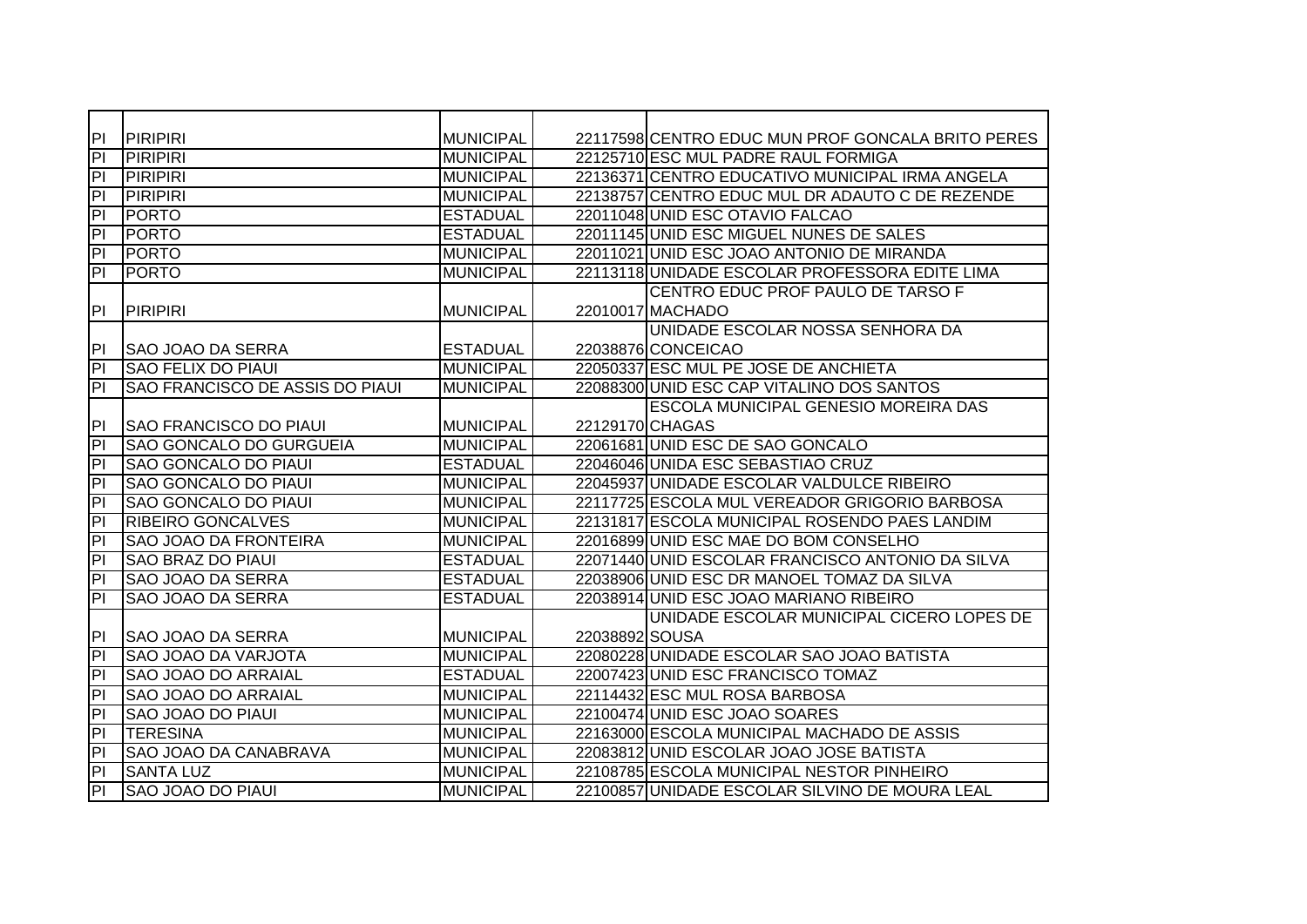| PI                      | <b>PIRIPIRI</b>                        | <b>MUNICIPAL</b> |                | 22117598 CENTRO EDUC MUN PROF GONCALA BRITO PERES |
|-------------------------|----------------------------------------|------------------|----------------|---------------------------------------------------|
| E                       | <b>PIRIPIRI</b>                        | <b>MUNICIPAL</b> |                | 22125710 ESC MUL PADRE RAUL FORMIGA               |
| P                       | <b>PIRIPIRI</b>                        | <b>MUNICIPAL</b> |                | 22136371 CENTRO EDUCATIVO MUNICIPAL IRMA ANGELA   |
| $\overline{P}$          | <b>PIRIPIRI</b>                        | <b>MUNICIPAL</b> |                | 22138757 CENTRO EDUC MUL DR ADAUTO C DE REZENDE   |
| E                       | <b>PORTO</b>                           | <b>ESTADUAL</b>  |                | 22011048 UNID ESC OTAVIO FALCAO                   |
| E                       | <b>PORTO</b>                           | <b>ESTADUAL</b>  |                | 22011145 UNID ESC MIGUEL NUNES DE SALES           |
| P                       | <b>PORTO</b>                           | <b>MUNICIPAL</b> |                | 22011021 UNID ESC JOAO ANTONIO DE MIRANDA         |
| P                       | <b>PORTO</b>                           | <b>MUNICIPAL</b> |                | 22113118 UNIDADE ESCOLAR PROFESSORA EDITE LIMA    |
|                         |                                        |                  |                | CENTRO EDUC PROF PAULO DE TARSO F                 |
| PI                      | <b>PIRIPIRI</b>                        | <b>MUNICIPAL</b> |                | 22010017 MACHADO                                  |
|                         |                                        |                  |                | UNIDADE ESCOLAR NOSSA SENHORA DA                  |
| PI                      | <b>SAO JOAO DA SERRA</b>               | <b>ESTADUAL</b>  |                | 22038876 CONCEICAO                                |
| P <sub>1</sub>          | <b>SAO FELIX DO PIAUI</b>              | <b>MUNICIPAL</b> |                | 22050337 ESC MUL PE JOSE DE ANCHIETA              |
| $\overline{\mathsf{d}}$ | <b>SAO FRANCISCO DE ASSIS DO PIAUL</b> | <b>MUNICIPAL</b> |                | 22088300 UNID ESC CAP VITALINO DOS SANTOS         |
|                         |                                        |                  |                | ESCOLA MUNICIPAL GENESIO MOREIRA DAS              |
| P                       | <b>SAO FRANCISCO DO PIAUI</b>          | <b>MUNICIPAL</b> |                | 22129170 CHAGAS                                   |
| P                       | <b>SAO GONCALO DO GURGUEIA</b>         | <b>MUNICIPAL</b> |                | 22061681 UNID ESC DE SAO GONCALO                  |
| E                       | <b>SAO GONCALO DO PIAUI</b>            | <b>ESTADUAL</b>  |                | 22046046 UNIDA ESC SEBASTIAO CRUZ                 |
| E                       | <b>SAO GONCALO DO PIAUI</b>            | <b>MUNICIPAL</b> |                | 22045937 UNIDADE ESCOLAR VALDULCE RIBEIRO         |
| E                       | <b>SAO GONCALO DO PIAUI</b>            | <b>MUNICIPAL</b> |                | 22117725 ESCOLA MUL VEREADOR GRIGORIO BARBOSA     |
| $\overline{P}$          | <b>RIBEIRO GONCALVES</b>               | <b>MUNICIPAL</b> |                | 22131817 ESCOLA MUNICIPAL ROSENDO PAES LANDIM     |
| $\overline{P}$          | <b>SAO JOAO DA FRONTEIRA</b>           | <b>MUNICIPAL</b> |                | 22016899 UNID ESC MAE DO BOM CONSELHO             |
| h                       | <b>SAO BRAZ DO PIAUI</b>               | <b>ESTADUAL</b>  |                | 22071440 UNID ESCOLAR FRANCISCO ANTONIO DA SILVA  |
| P                       | <b>SAO JOAO DA SERRA</b>               | <b>ESTADUAL</b>  |                | 22038906 UNID ESC DR MANOEL TOMAZ DA SILVA        |
| P                       | <b>SAO JOAO DA SERRA</b>               | <b>ESTADUAL</b>  |                | 22038914 UNID ESC JOAO MARIANO RIBEIRO            |
|                         |                                        |                  |                | UNIDADE ESCOLAR MUNICIPAL CICERO LOPES DE         |
| P                       | SAO JOAO DA SERRA                      | <b>MUNICIPAL</b> | 22038892 SOUSA |                                                   |
| $\overline{\mathsf{d}}$ | <b>SAO JOAO DA VARJOTA</b>             | <b>MUNICIPAL</b> |                | 22080228 UNIDADE ESCOLAR SAO JOAO BATISTA         |
| $\overline{\mathsf{d}}$ | <b>SAO JOAO DO ARRAIAL</b>             | <b>ESTADUAL</b>  |                | 22007423 UNID ESC FRANCISCO TOMAZ                 |
| E                       | SAO JOAO DO ARRAIAL                    | <b>MUNICIPAL</b> |                | 22114432 ESC MUL ROSA BARBOSA                     |
| E                       | <b>SAO JOAO DO PIAUI</b>               | <b>MUNICIPAL</b> |                | 22100474 UNID ESC JOAO SOARES                     |
| $\overline{\mathsf{H}}$ | <b>TERESINA</b>                        | <b>MUNICIPAL</b> |                | 22163000 ESCOLA MUNICIPAL MACHADO DE ASSIS        |
| $\overline{P}$          | <b>SAO JOAO DA CANABRAVA</b>           | <b>MUNICIPAL</b> |                | 22083812 UNID ESCOLAR JOAO JOSE BATISTA           |
| $\overline{P}$          | <b>SANTA LUZ</b>                       | <b>MUNICIPAL</b> |                | 22108785 ESCOLA MUNICIPAL NESTOR PINHEIRO         |
| 티                       | <b>SAO JOAO DO PIAUI</b>               | <b>MUNICIPAL</b> |                | 22100857 UNIDADE ESCOLAR SILVINO DE MOURA LEAL    |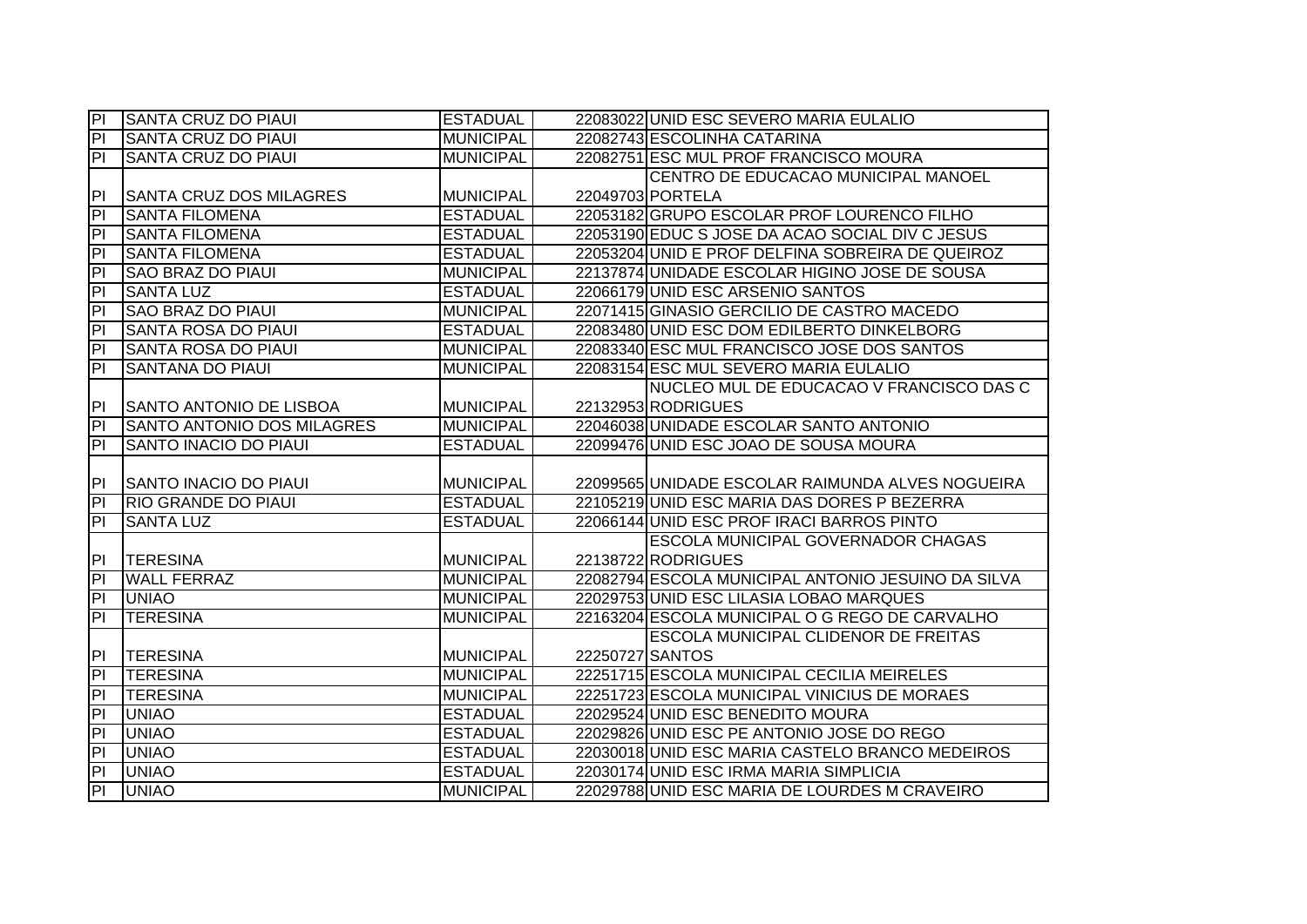| P                       | <b>SANTA CRUZ DO PIAUI</b>     | <b>ESTADUAL</b>  |                 | 22083022 UNID ESC SEVERO MARIA EULALIO             |
|-------------------------|--------------------------------|------------------|-----------------|----------------------------------------------------|
| $\overline{a}$          | <b>SANTA CRUZ DO PIAUL</b>     | <b>MUNICIPAL</b> |                 | 22082743 ESCOLINHA CATARINA                        |
| $\overline{a}$          | <b>SANTA CRUZ DO PIAUL</b>     | <b>MUNICIPAL</b> |                 | 22082751 ESC MUL PROF FRANCISCO MOURA              |
|                         |                                |                  |                 | CENTRO DE EDUCACAO MUNICIPAL MANOEL                |
| PI                      | <b>SANTA CRUZ DOS MILAGRES</b> | <b>MUNICIPAL</b> |                 | 22049703 PORTELA                                   |
| $\overline{P}$          | <b>SANTA FILOMENA</b>          | <b>ESTADUAL</b>  |                 | 22053182 GRUPO ESCOLAR PROF LOURENCO FILHO         |
| $\overline{P}$          | <b>SANTA FILOMENA</b>          | <b>ESTADUAL</b>  |                 | 22053190 EDUC S JOSE DA ACAO SOCIAL DIV C JESUS    |
| $\overline{\mathsf{d}}$ | <b>SANTA FILOMENA</b>          | <b>ESTADUAL</b>  |                 | 22053204 UNID E PROF DELFINA SOBREIRA DE QUEIROZ   |
| $\overline{a}$          | <b>SAO BRAZ DO PIAUI</b>       | <b>MUNICIPAL</b> |                 | 22137874 UNIDADE ESCOLAR HIGINO JOSE DE SOUSA      |
| $\overline{a}$          | <b>SANTA LUZ</b>               | <b>ESTADUAL</b>  |                 | 22066179 UNID ESC ARSENIO SANTOS                   |
| P                       | <b>SAO BRAZ DO PIAUI</b>       | <b>MUNICIPAL</b> |                 | 22071415 GINASIO GERCILIO DE CASTRO MACEDO         |
| P <sub>1</sub>          | <b>SANTA ROSA DO PIAUL</b>     | <b>ESTADUAL</b>  |                 | 22083480 UNID ESC DOM EDILBERTO DINKELBORG         |
| $\overline{a}$          | <b>SANTA ROSA DO PIAUL</b>     | <b>MUNICIPAL</b> |                 | 22083340 ESC MUL FRANCISCO JOSE DOS SANTOS         |
| $\overline{a}$          | <b>SANTANA DO PIAUI</b>        | <b>MUNICIPAL</b> |                 | 22083154 ESC MUL SEVERO MARIA EULALIO              |
|                         |                                |                  |                 | NUCLEO MUL DE EDUCACAO V FRANCISCO DAS C           |
| PI                      | SANTO ANTONIO DE LISBOA        | <b>MUNICIPAL</b> |                 | 22132953 RODRIGUES                                 |
| $\overline{P}$          | SANTO ANTONIO DOS MILAGRES     | <b>MUNICIPAL</b> |                 | 22046038 UNIDADE ESCOLAR SANTO ANTONIO             |
| $\overline{\mathsf{d}}$ | <b>SANTO INACIO DO PIAUI</b>   | <b>ESTADUAL</b>  |                 | 22099476 UNID ESC JOAO DE SOUSA MOURA              |
|                         |                                |                  |                 |                                                    |
|                         |                                |                  |                 |                                                    |
| P                       | SANTO INACIO DO PIAUI          | <b>MUNICIPAL</b> |                 | 22099565 UNIDADE ESCOLAR RAIMUNDA ALVES NOGUEIRA   |
| $\overline{P}$          | <b>RIO GRANDE DO PIAUI</b>     | <b>ESTADUAL</b>  |                 | 22105219 UNID ESC MARIA DAS DORES P BEZERRA        |
| $\overline{P}$          | <b>SANTA LUZ</b>               | <b>ESTADUAL</b>  |                 | 22066144 UNID ESC PROF IRACI BARROS PINTO          |
|                         |                                |                  |                 | ESCOLA MUNICIPAL GOVERNADOR CHAGAS                 |
| PI                      | <b>TERESINA</b>                | <b>MUNICIPAL</b> |                 | 22138722 RODRIGUES                                 |
| PI                      | <b>WALL FERRAZ</b>             | <b>MUNICIPAL</b> |                 | 22082794 ESCOLA MUNICIPAL ANTONIO JESUINO DA SILVA |
| $\overline{a}$          | <b>UNIAO</b>                   | <b>MUNICIPAL</b> |                 | 22029753 UNID ESC LILASIA LOBAO MARQUES            |
| $\overline{a}$          | <b>TERESINA</b>                | <b>MUNICIPAL</b> |                 | 22163204 ESCOLA MUNICIPAL O G REGO DE CARVALHO     |
|                         |                                |                  |                 | ESCOLA MUNICIPAL CLIDENOR DE FREITAS               |
| PI                      | <b>TERESINA</b>                | <b>MUNICIPAL</b> | 22250727 SANTOS |                                                    |
| $\overline{\mathsf{d}}$ | <b>TERESINA</b>                | <b>MUNICIPAL</b> |                 | 22251715 ESCOLA MUNICIPAL CECILIA MEIRELES         |
| $\overline{PI}$         | <b>TERESINA</b>                | <b>MUNICIPAL</b> |                 | 22251723 ESCOLA MUNICIPAL VINICIUS DE MORAES       |
| $\overline{P}$          | <b>UNIAO</b>                   | <b>ESTADUAL</b>  |                 | 22029524 UNID ESC BENEDITO MOURA                   |
| $\overline{P}$          | <b>UNIAO</b>                   | <b>ESTADUAL</b>  |                 | 22029826 UNID ESC PE ANTONIO JOSE DO REGO          |
| PI                      | <b>UNIAO</b>                   | <b>ESTADUAL</b>  |                 | 22030018 UNID ESC MARIA CASTELO BRANCO MEDEIROS    |
| $\overline{P}$          | <b>UNIAO</b>                   | <b>ESTADUAL</b>  |                 | 22030174 UNID ESC IRMA MARIA SIMPLICIA             |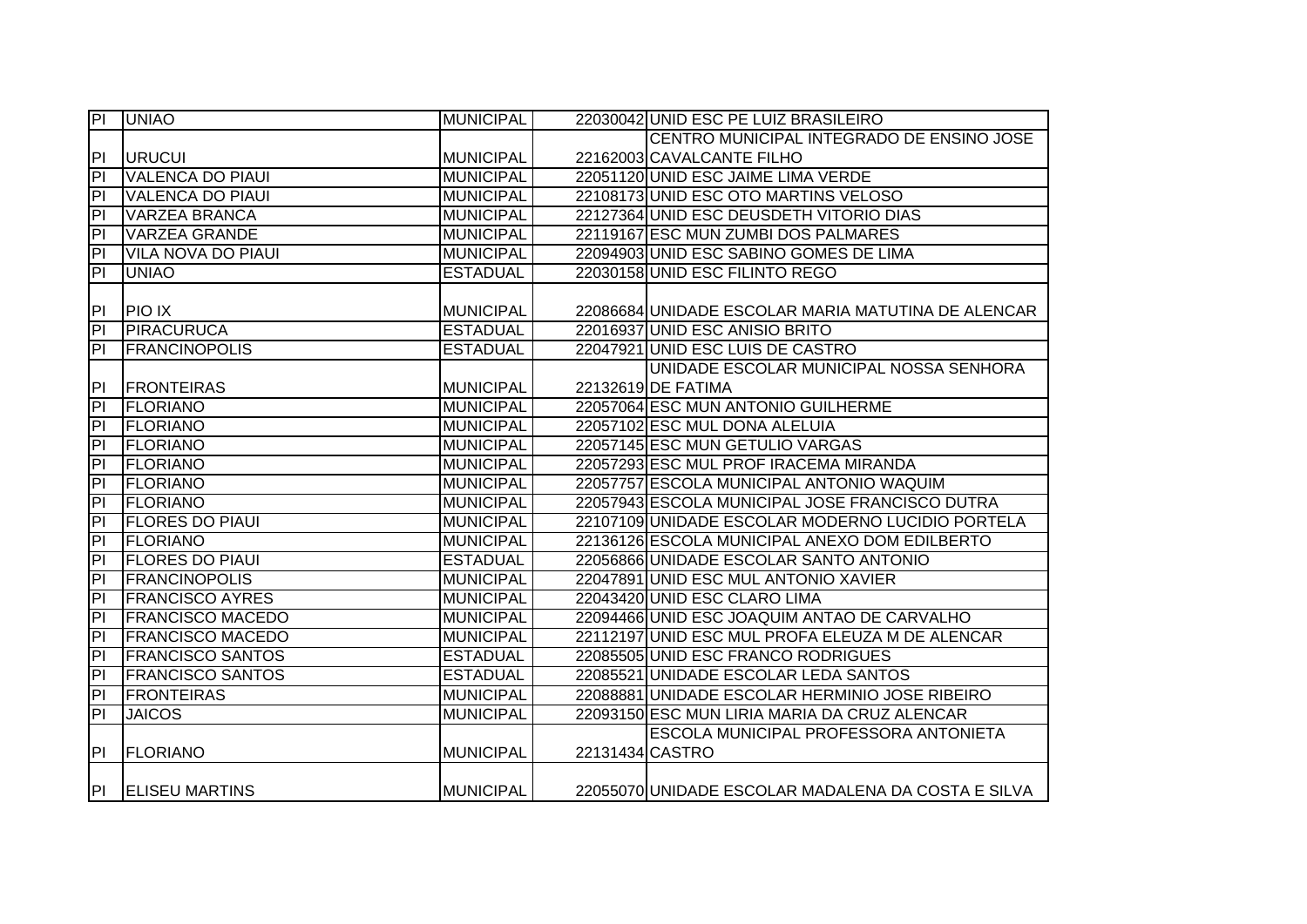| $\overline{P}$          | <b>UNIAO</b>              | <b>MUNICIPAL</b> |                 | 22030042 UNID ESC PE LUIZ BRASILEIRO               |
|-------------------------|---------------------------|------------------|-----------------|----------------------------------------------------|
|                         |                           |                  |                 | CENTRO MUNICIPAL INTEGRADO DE ENSINO JOSE          |
| PI                      | <b>URUCUI</b>             | <b>MUNICIPAL</b> |                 | 22162003 CAVALCANTE FILHO                          |
| h                       | <b>VALENCA DO PIAUI</b>   | <b>MUNICIPAL</b> |                 | 22051120 UNID ESC JAIME LIMA VERDE                 |
| h                       | <b>VALENCA DO PIAUI</b>   | <b>MUNICIPAL</b> |                 | 22108173 UNID ESC OTO MARTINS VELOSO               |
| $\overline{P}$          | <b>VARZEA BRANCA</b>      | <b>MUNICIPAL</b> |                 | 22127364 UNID ESC DEUSDETH VITORIO DIAS            |
| $\overline{P}$          | <b>VARZEA GRANDE</b>      | <b>MUNICIPAL</b> |                 | 22119167 ESC MUN ZUMBI DOS PALMARES                |
| $\overline{a}$          | <b>VILA NOVA DO PIAUI</b> | <b>MUNICIPAL</b> |                 | 22094903 UNID ESC SABINO GOMES DE LIMA             |
| $\overline{P}$          | <b>UNIAO</b>              | <b>ESTADUAL</b>  |                 | 22030158 UNID ESC FILINTO REGO                     |
|                         |                           |                  |                 |                                                    |
| IPI.                    | <b>PIO IX</b>             | <b>MUNICIPAL</b> |                 | 22086684 UNIDADE ESCOLAR MARIA MATUTINA DE ALENCAR |
| $\overline{P}$          | <b>PIRACURUCA</b>         | <b>ESTADUAL</b>  |                 | 22016937 UNID ESC ANISIO BRITO                     |
| $\overline{a}$          | <b>FRANCINOPOLIS</b>      | <b>ESTADUAL</b>  |                 | 22047921 UNID ESC LUIS DE CASTRO                   |
|                         |                           |                  |                 | UNIDADE ESCOLAR MUNICIPAL NOSSA SENHORA            |
| P                       | <b>FRONTEIRAS</b>         | <b>MUNICIPAL</b> |                 | 22132619 DE FATIMA                                 |
| $\overline{P}$          | <b>FLORIANO</b>           | <b>MUNICIPAL</b> |                 | 22057064 ESC MUN ANTONIO GUILHERME                 |
| $\overline{P}$          | <b>FLORIANO</b>           | <b>MUNICIPAL</b> |                 | 22057102 ESC MUL DONA ALELUIA                      |
| $\overline{\mathsf{P}}$ | <b>FLORIANO</b>           | <b>MUNICIPAL</b> |                 | 22057145 ESC MUN GETULIO VARGAS                    |
| h                       | <b>FLORIANO</b>           | <b>MUNICIPAL</b> |                 | 22057293 ESC MUL PROF IRACEMA MIRANDA              |
| h                       | <b>FLORIANO</b>           | <b>MUNICIPAL</b> |                 | 22057757 ESCOLA MUNICIPAL ANTONIO WAQUIM           |
| $\overline{P}$          | <b>FLORIANO</b>           | <b>MUNICIPAL</b> |                 | 22057943 ESCOLA MUNICIPAL JOSE FRANCISCO DUTRA     |
| $\overline{P}$          | <b>FLORES DO PIAUI</b>    | <b>MUNICIPAL</b> |                 | 22107109 UNIDADE ESCOLAR MODERNO LUCIDIO PORTELA   |
| $\overline{P}$          | <b>FLORIANO</b>           | <b>MUNICIPAL</b> |                 | 22136126 ESCOLA MUNICIPAL ANEXO DOM EDILBERTO      |
| h                       | <b>FLORES DO PIAUI</b>    | <b>ESTADUAL</b>  |                 | 22056866 UNIDADE ESCOLAR SANTO ANTONIO             |
| h                       | <b>FRANCINOPOLIS</b>      | <b>MUNICIPAL</b> |                 | 22047891 UNID ESC MUL ANTONIO XAVIER               |
| $\overline{P}$          | <b>FRANCISCO AYRES</b>    | <b>MUNICIPAL</b> |                 | 22043420 UNID ESC CLARO LIMA                       |
| $\overline{\mathsf{d}}$ | <b>FRANCISCO MACEDO</b>   | <b>MUNICIPAL</b> |                 | 22094466 UNID ESC JOAQUIM ANTAO DE CARVALHO        |
| $\overline{\mathsf{d}}$ | <b>FRANCISCO MACEDO</b>   | <b>MUNICIPAL</b> |                 | 22112197 UNID ESC MUL PROFA ELEUZA M DE ALENCAR    |
| $\overline{P}$          | <b>FRANCISCO SANTOS</b>   | <b>ESTADUAL</b>  |                 | 22085505 UNID ESC FRANCO RODRIGUES                 |
| $\overline{\mathsf{d}}$ | <b>FRANCISCO SANTOS</b>   | <b>ESTADUAL</b>  |                 | 22085521 UNIDADE ESCOLAR LEDA SANTOS               |
| P <sub>1</sub>          | <b>FRONTEIRAS</b>         | <b>MUNICIPAL</b> |                 | 22088881 UNIDADE ESCOLAR HERMINIO JOSE RIBEIRO     |
| $\overline{P}$          | <b>JAICOS</b>             | <b>MUNICIPAL</b> |                 | 22093150 ESC MUN LIRIA MARIA DA CRUZ ALENCAR       |
|                         |                           |                  |                 | ESCOLA MUNICIPAL PROFESSORA ANTONIETA              |
| PL                      | <b>FLORIANO</b>           | <b>MUNICIPAL</b> | 22131434 CASTRO |                                                    |
|                         |                           |                  |                 |                                                    |
| P                       | <b>ELISEU MARTINS</b>     | <b>MUNICIPAL</b> |                 | 22055070 UNIDADE ESCOLAR MADALENA DA COSTA E SILVA |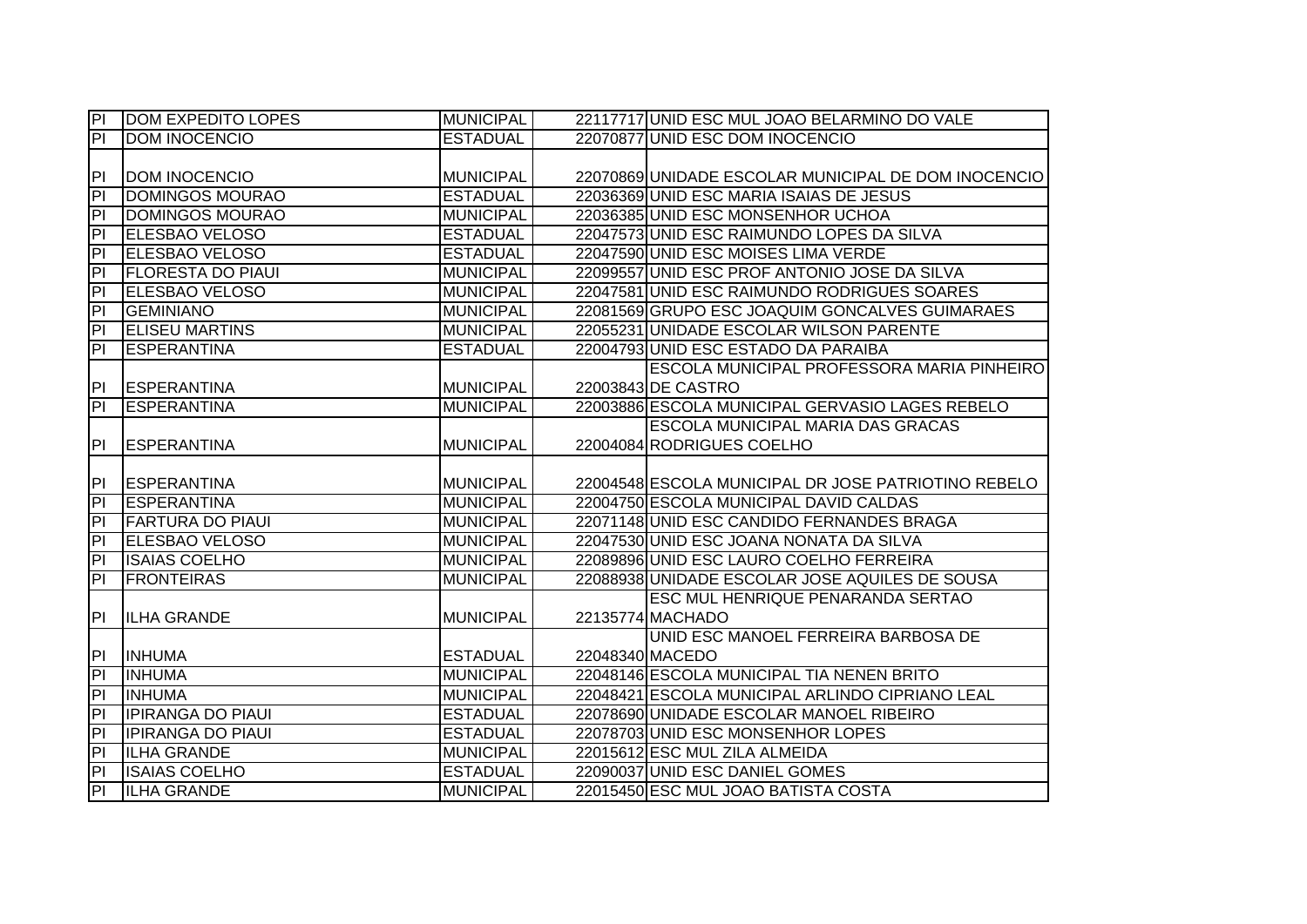| $ \mathsf{P} $           | <b>DOM EXPEDITO LOPES</b> | <b>MUNICIPAL</b> | 22117717 UNID ESC MUL JOAO BELARMINO DO VALE        |
|--------------------------|---------------------------|------------------|-----------------------------------------------------|
| $\overline{P}$           | <b>DOM INOCENCIO</b>      | <b>ESTADUAL</b>  | 22070877 UNID ESC DOM INOCENCIO                     |
|                          |                           |                  |                                                     |
| P                        | <b>DOM INOCENCIO</b>      | <b>MUNICIPAL</b> | 22070869 UNIDADE ESCOLAR MUNICIPAL DE DOM INOCENCIO |
| $\overline{P}$           | <b>DOMINGOS MOURAO</b>    | <b>ESTADUAL</b>  | 22036369 UNID ESC MARIA ISAIAS DE JESUS             |
| $\overline{P}$           | <b>DOMINGOS MOURAO</b>    | <b>MUNICIPAL</b> | 22036385 UNID ESC MONSENHOR UCHOA                   |
| $\overline{P}$           | <b>ELESBAO VELOSO</b>     | <b>ESTADUAL</b>  | 22047573 UNID ESC RAIMUNDO LOPES DA SILVA           |
| $\overline{P}$           | <b>ELESBAO VELOSO</b>     | <b>ESTADUAL</b>  | 22047590 UNID ESC MOISES LIMA VERDE                 |
| $\overline{a}$           | <b>FLORESTA DO PIAUI</b>  | <b>MUNICIPAL</b> | 22099557 UNID ESC PROF ANTONIO JOSE DA SILVA        |
| $\overline{P}$           | <b>ELESBAO VELOSO</b>     | <b>MUNICIPAL</b> | 22047581 UNID ESC RAIMUNDO RODRIGUES SOARES         |
| PI                       | <b>GEMINIANO</b>          | <b>MUNICIPAL</b> | 22081569 GRUPO ESC JOAQUIM GONCALVES GUIMARAES      |
| P                        | <b>ELISEU MARTINS</b>     | <b>MUNICIPAL</b> | 22055231 UNIDADE ESCOLAR WILSON PARENTE             |
| $\overline{a}$           | <b>ESPERANTINA</b>        | <b>ESTADUAL</b>  | 22004793 UNID ESC ESTADO DA PARAIBA                 |
|                          |                           |                  | <b>ESCOLA MUNICIPAL PROFESSORA MARIA PINHEIRO</b>   |
| P                        | <b>ESPERANTINA</b>        | <b>MUNICIPAL</b> | 22003843 DE CASTRO                                  |
| $ \mathsf{P} $           | <b>ESPERANTINA</b>        | <b>MUNICIPAL</b> | 22003886 ESCOLA MUNICIPAL GERVASIO LAGES REBELO     |
|                          |                           |                  | <b>ESCOLA MUNICIPAL MARIA DAS GRACAS</b>            |
| P                        | <b>ESPERANTINA</b>        | <b>MUNICIPAL</b> | 22004084 RODRIGUES COELHO                           |
|                          |                           |                  |                                                     |
|                          |                           |                  |                                                     |
| P                        | <b>ESPERANTINA</b>        | <b>MUNICIPAL</b> | 22004548 ESCOLA MUNICIPAL DR JOSE PATRIOTINO REBELO |
| $\overline{\mathsf{PI}}$ | ESPERANTINA               | <b>MUNICIPAL</b> | 22004750 ESCOLA MUNICIPAL DAVID CALDAS              |
| $\overline{P}$           | <b>FARTURA DO PIAUI</b>   | <b>MUNICIPAL</b> | 22071148 UNID ESC CANDIDO FERNANDES BRAGA           |
| $\overline{P}$           | <b>ELESBAO VELOSO</b>     | <b>MUNICIPAL</b> | 22047530 UNID ESC JOANA NONATA DA SILVA             |
| $\overline{P}$           | <b>ISAIAS COELHO</b>      | <b>MUNICIPAL</b> | 22089896 UNID ESC LAURO COELHO FERREIRA             |
| $\overline{\mathsf{d}}$  | <b>FRONTEIRAS</b>         | <b>MUNICIPAL</b> | 22088938 UNIDADE ESCOLAR JOSE AQUILES DE SOUSA      |
|                          |                           |                  | <b>ESC MUL HENRIQUE PENARANDA SERTAO</b>            |
| PI                       | <b>ILHA GRANDE</b>        | <b>MUNICIPAL</b> | 22135774 MACHADO                                    |
|                          |                           |                  | UNID ESC MANOEL FERREIRA BARBOSA DE                 |
| P                        | <b>INHUMA</b>             | <b>ESTADUAL</b>  | 22048340 MACEDO                                     |
| P                        | <b>INHUMA</b>             | <b>MUNICIPAL</b> | 22048146 ESCOLA MUNICIPAL TIA NENEN BRITO           |
| $\overline{P}$           | <b>INHUMA</b>             | <b>MUNICIPAL</b> | 22048421 ESCOLA MUNICIPAL ARLINDO CIPRIANO LEAL     |
| $\overline{P}$           | <b>IPIRANGA DO PIAUI</b>  | <b>ESTADUAL</b>  | 22078690 UNIDADE ESCOLAR MANOEL RIBEIRO             |
| P                        | <b>IPIRANGA DO PIAUL</b>  | <b>ESTADUAL</b>  | 22078703 UNID ESC MONSENHOR LOPES                   |
| $ \mathsf{P} $           | <b>ILHA GRANDE</b>        | <b>MUNICIPAL</b> | 22015612 ESC MUL ZILA ALMEIDA                       |
| $\overline{P}$           | <b>ISAIAS COELHO</b>      | <b>ESTADUAL</b>  | 22090037 UNID ESC DANIEL GOMES                      |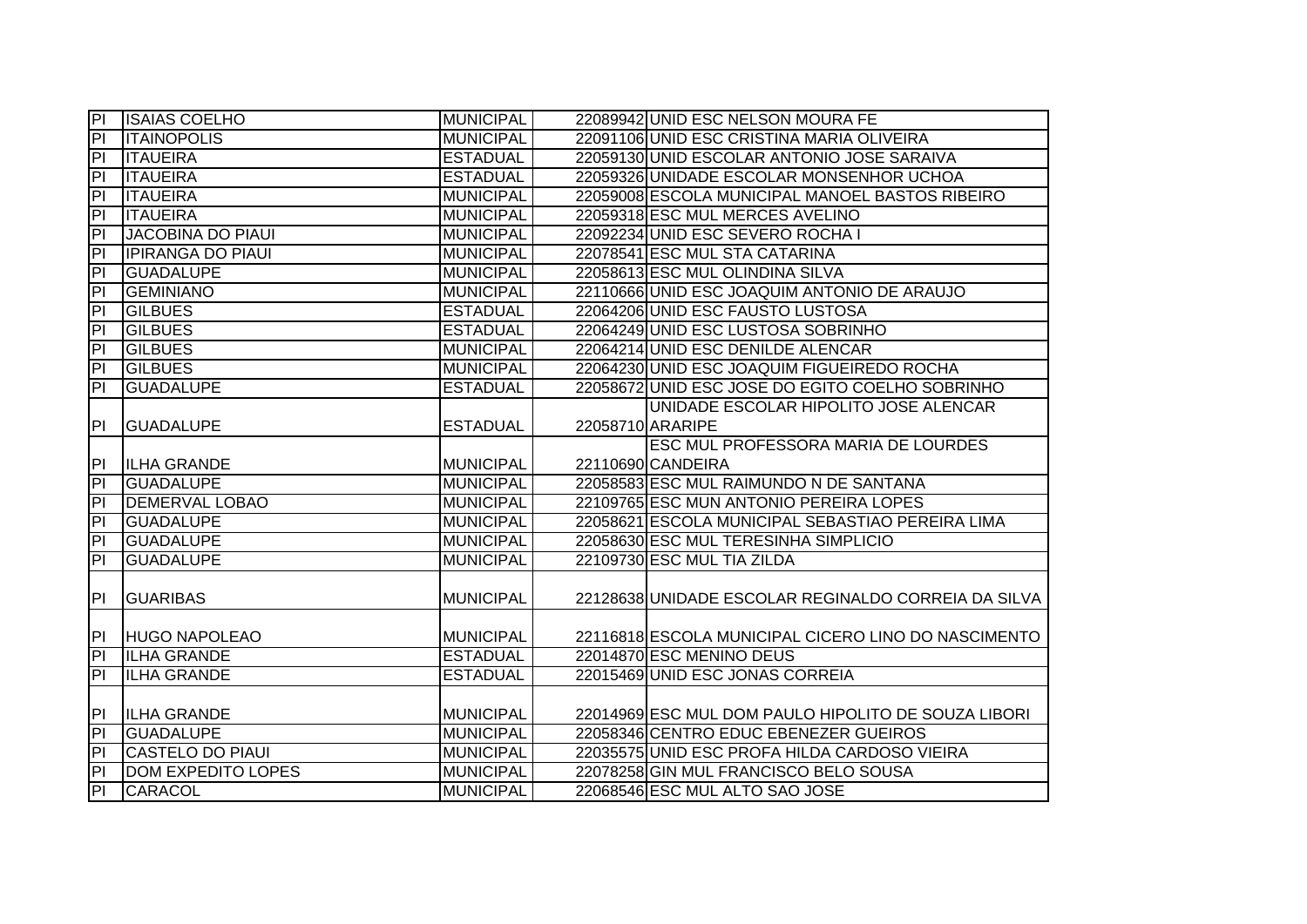| <b>PI</b>               | <b>ISAIAS COELHO</b>      | <b>MUNICIPAL</b> | 22089942 UNID ESC NELSON MOURA FE                   |
|-------------------------|---------------------------|------------------|-----------------------------------------------------|
| $\overline{P}$          | <b>ITAINOPOLIS</b>        | <b>MUNICIPAL</b> | 22091106 UNID ESC CRISTINA MARIA OLIVEIRA           |
| $\overline{a}$          | <b>ITAUEIRA</b>           | <b>ESTADUAL</b>  | 22059130 UNID ESCOLAR ANTONIO JOSE SARAIVA          |
| $\overline{P}$          | <b>ITAUEIRA</b>           | <b>ESTADUAL</b>  | 22059326 UNIDADE ESCOLAR MONSENHOR UCHOA            |
| $\overline{PI}$         | <b>ITAUEIRA</b>           | <b>MUNICIPAL</b> | 22059008 ESCOLA MUNICIPAL MANOEL BASTOS RIBEIRO     |
| $\overline{PI}$         | <b>ITAUEIRA</b>           | <b>MUNICIPAL</b> | 22059318 ESC MUL MERCES AVELINO                     |
| $\overline{PI}$         | <b>JACOBINA DO PIAUI</b>  | <b>MUNICIPAL</b> | 22092234 UNID ESC SEVERO ROCHA I                    |
| $\overline{a}$          | <b>IPIRANGA DO PIAUL</b>  | <b>MUNICIPAL</b> | 22078541 ESC MUL STA CATARINA                       |
| $\overline{P}$          | <b>GUADALUPE</b>          | <b>MUNICIPAL</b> | 22058613 ESC MUL OLINDINA SILVA                     |
| $\overline{a}$          | <b>GEMINIANO</b>          | <b>MUNICIPAL</b> | 22110666 UNID ESC JOAQUIM ANTONIO DE ARAUJO         |
| $\overline{a}$          | <b>GILBUES</b>            | <b>ESTADUAL</b>  | 22064206 UNID ESC FAUSTO LUSTOSA                    |
| $\overline{a}$          | <b>GILBUES</b>            | <b>ESTADUAL</b>  | 22064249 UNID ESC LUSTOSA SOBRINHO                  |
| $\overline{a}$          | <b>GILBUES</b>            | <b>MUNICIPAL</b> | 22064214 UNID ESC DENILDE ALENCAR                   |
| $\overline{P}$          | <b>GILBUES</b>            | <b>MUNICIPAL</b> | 22064230 UNID ESC JOAQUIM FIGUEIREDO ROCHA          |
| $\overline{a}$          | <b>GUADALUPE</b>          | <b>ESTADUAL</b>  | 22058672 UNID ESC JOSE DO EGITO COELHO SOBRINHO     |
|                         |                           |                  | UNIDADE ESCOLAR HIPOLITO JOSE ALENCAR               |
| P <sub>1</sub>          | <b>GUADALUPE</b>          | <b>ESTADUAL</b>  | 22058710 ARARIPE                                    |
|                         |                           |                  | <b>ESC MUL PROFESSORA MARIA DE LOURDES</b>          |
| PI                      | <b>ILHA GRANDE</b>        | <b>MUNICIPAL</b> | 22110690 CANDEIRA                                   |
| $\overline{P}$          | <b>GUADALUPE</b>          | <b>MUNICIPAL</b> | 22058583 ESC MUL RAIMUNDO N DE SANTANA              |
| $\overline{\mathsf{d}}$ | <b>DEMERVAL LOBAO</b>     | <b>MUNICIPAL</b> | 22109765 ESC MUN ANTONIO PEREIRA LOPES              |
| $\overline{P}$          | <b>GUADALUPE</b>          | <b>MUNICIPAL</b> | 22058621 ESCOLA MUNICIPAL SEBASTIAO PEREIRA LIMA    |
| $\overline{P}$          | <b>GUADALUPE</b>          | <b>MUNICIPAL</b> | 22058630 ESC MUL TERESINHA SIMPLICIO                |
| $\overline{P}$          | <b>GUADALUPE</b>          | <b>MUNICIPAL</b> | 22109730 ESC MUL TIA ZILDA                          |
| PI                      | <b>GUARIBAS</b>           | <b>MUNICIPAL</b> | 22128638 UNIDADE ESCOLAR REGINALDO CORREIA DA SILVA |
|                         |                           |                  |                                                     |
| PI                      | <b>HUGO NAPOLEAO</b>      | <b>MUNICIPAL</b> | 22116818 ESCOLA MUNICIPAL CICERO LINO DO NASCIMENTO |
| $\overline{a}$          | <b>ILHA GRANDE</b>        | <b>ESTADUAL</b>  | 22014870 ESC MENINO DEUS                            |
| E                       | <b>ILHA GRANDE</b>        | <b>ESTADUAL</b>  | 22015469 UNID ESC JONAS CORREIA                     |
|                         |                           |                  |                                                     |
| PI                      | <b>ILHA GRANDE</b>        | <b>MUNICIPAL</b> | 22014969 ESC MUL DOM PAULO HIPOLITO DE SOUZA LIBORI |
| P                       | <b>GUADALUPE</b>          | <b>MUNICIPAL</b> | 22058346 CENTRO EDUC EBENEZER GUEIROS               |
| P                       | <b>CASTELO DO PIAUI</b>   | <b>MUNICIPAL</b> | 22035575 UNID ESC PROFA HILDA CARDOSO VIEIRA        |
| $\overline{P}$          | <b>DOM EXPEDITO LOPES</b> | <b>MUNICIPAL</b> | 22078258 GIN MUL FRANCISCO BELO SOUSA               |
| $\overline{P}$          | CARACOL                   | <b>MUNICIPAL</b> | 22068546 ESC MUL ALTO SAO JOSE                      |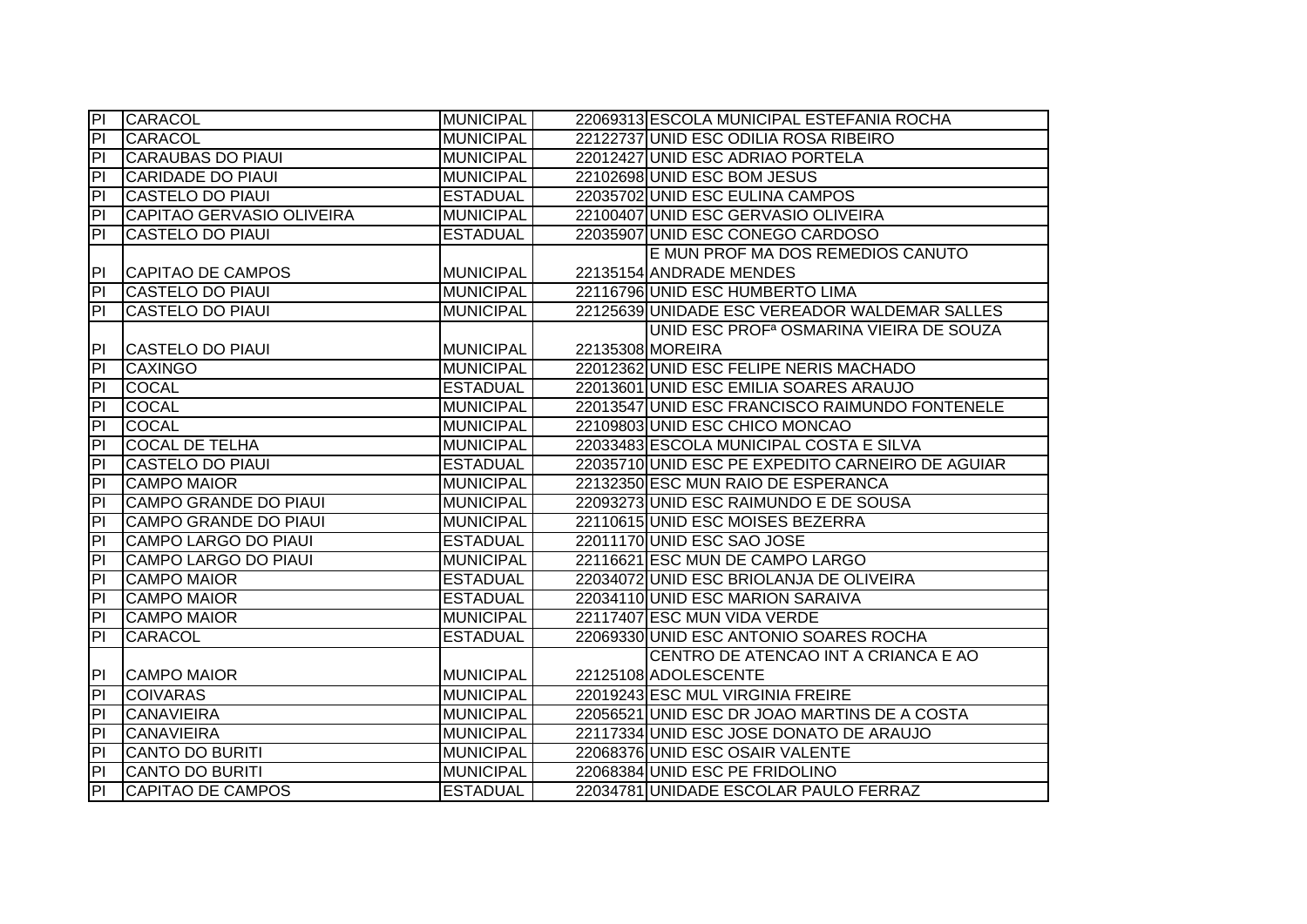| <b>PI</b>               | <b>CARACOL</b>               | <b>MUNICIPAL</b> | 22069313 ESCOLA MUNICIPAL ESTEFANIA ROCHA           |
|-------------------------|------------------------------|------------------|-----------------------------------------------------|
| P                       | CARACOL                      | <b>MUNICIPAL</b> | 22122737 UNID ESC ODILIA ROSA RIBEIRO               |
| ĪΡΙ                     | <b>CARAUBAS DO PIAUI</b>     | <b>MUNICIPAL</b> | 22012427 UNID ESC ADRIAO PORTELA                    |
| $\overline{\mathsf{d}}$ | <b>CARIDADE DO PIAUI</b>     | <b>MUNICIPAL</b> | 22102698 UNID ESC BOM JESUS                         |
| $\overline{\mathsf{d}}$ | <b>CASTELO DO PIAUI</b>      | <b>ESTADUAL</b>  | 22035702 UNID ESC EULINA CAMPOS                     |
| PI                      | CAPITAO GERVASIO OLIVEIRA    | <b>MUNICIPAL</b> | 22100407 UNID ESC GERVASIO OLIVEIRA                 |
| $\overline{P}$          | <b>CASTELO DO PIAUI</b>      | <b>ESTADUAL</b>  | 22035907 UNID ESC CONEGO CARDOSO                    |
|                         |                              |                  | E MUN PROF MA DOS REMEDIOS CANUTO                   |
| P                       | CAPITAO DE CAMPOS            | <b>MUNICIPAL</b> | 22135154 ANDRADE MENDES                             |
| P                       | <b>CASTELO DO PIAUI</b>      | <b>MUNICIPAL</b> | 22116796 UNID ESC HUMBERTO LIMA                     |
| PI                      | CASTELO DO PIAUI             | <b>MUNICIPAL</b> | 22125639 UNIDADE ESC VEREADOR WALDEMAR SALLES       |
|                         |                              |                  | UNID ESC PROF <sup>a</sup> OSMARINA VIEIRA DE SOUZA |
| P                       | <b>CASTELO DO PIAUI</b>      | <b>MUNICIPAL</b> | 22135308 MOREIRA                                    |
| $\overline{P}$          | <b>CAXINGO</b>               | <b>MUNICIPAL</b> | 22012362 UNID ESC FELIPE NERIS MACHADO              |
| $\overline{P}$          | <b>COCAL</b>                 | <b>ESTADUAL</b>  | 22013601 UNID ESC EMILIA SOARES ARAUJO              |
| P                       | <b>COCAL</b>                 | <b>MUNICIPAL</b> | 22013547 UNID ESC FRANCISCO RAIMUNDO FONTENELE      |
| $\overline{P}$          | <b>COCAL</b>                 | <b>MUNICIPAL</b> | 22109803 UNID ESC CHICO MONCAO                      |
| $\overline{P}$          | <b>COCAL DE TELHA</b>        | <b>MUNICIPAL</b> | 22033483 ESCOLA MUNICIPAL COSTA E SILVA             |
| $\overline{P}$          | <b>CASTELO DO PIAUI</b>      | <b>ESTADUAL</b>  | 22035710 UNID ESC PE EXPEDITO CARNEIRO DE AGUIAR    |
| $\overline{P}$          | <b>CAMPO MAIOR</b>           | <b>MUNICIPAL</b> | 22132350 ESC MUN RAIO DE ESPERANCA                  |
| $\overline{P}$          | <b>CAMPO GRANDE DO PIAUI</b> | <b>MUNICIPAL</b> | 22093273 UNID ESC RAIMUNDO E DE SOUSA               |
| $ \mathsf{P} $          | <b>CAMPO GRANDE DO PIAUI</b> | <b>MUNICIPAL</b> | 22110615 UNID ESC MOISES BEZERRA                    |
| $\overline{P}$          | <b>CAMPO LARGO DO PIAUI</b>  | <b>ESTADUAL</b>  | 22011170 UNID ESC SAO JOSE                          |
| $\overline{P}$          | <b>CAMPO LARGO DO PIAUI</b>  | <b>MUNICIPAL</b> | 22116621 ESC MUN DE CAMPO LARGO                     |
| $\overline{P}$          | <b>CAMPO MAIOR</b>           | <b>ESTADUAL</b>  | 22034072 UNID ESC BRIOLANJA DE OLIVEIRA             |
| $\overline{P}$          | <b>CAMPO MAIOR</b>           | <b>ESTADUAL</b>  | 22034110 UNID ESC MARION SARAIVA                    |
| PI                      | <b>CAMPO MAIOR</b>           | <b>MUNICIPAL</b> | 22117407 ESC MUN VIDA VERDE                         |
| P                       | <b>CARACOL</b>               | <b>ESTADUAL</b>  | 22069330 UNID ESC ANTONIO SOARES ROCHA              |
|                         |                              |                  | CENTRO DE ATENCAO INT A CRIANCA E AO                |
| <b>PI</b>               | <b>CAMPO MAIOR</b>           | <b>MUNICIPAL</b> | 22125108 ADOLESCENTE                                |
| P                       | <b>COIVARAS</b>              | <b>MUNICIPAL</b> | 22019243 ESC MUL VIRGINIA FREIRE                    |
| $\overline{P}$          | <b>CANAVIEIRA</b>            | <b>MUNICIPAL</b> | 22056521 UNID ESC DR JOAO MARTINS DE A COSTA        |
| $\overline{P}$          | <b>CANAVIEIRA</b>            | <b>MUNICIPAL</b> | 22117334 UNID ESC JOSE DONATO DE ARAUJO             |
| P                       | CANTO DO BURITI              | <b>MUNICIPAL</b> | 22068376 UNID ESC OSAIR VALENTE                     |
| $ \mathsf{P} $          | <b>CANTO DO BURITI</b>       | <b>MUNICIPAL</b> | 22068384 UNID ESC PE FRIDOLINO                      |
| $ \mathsf{P} $          | <b>CAPITAO DE CAMPOS</b>     | <b>ESTADUAL</b>  | 22034781 UNIDADE ESCOLAR PAULO FERRAZ               |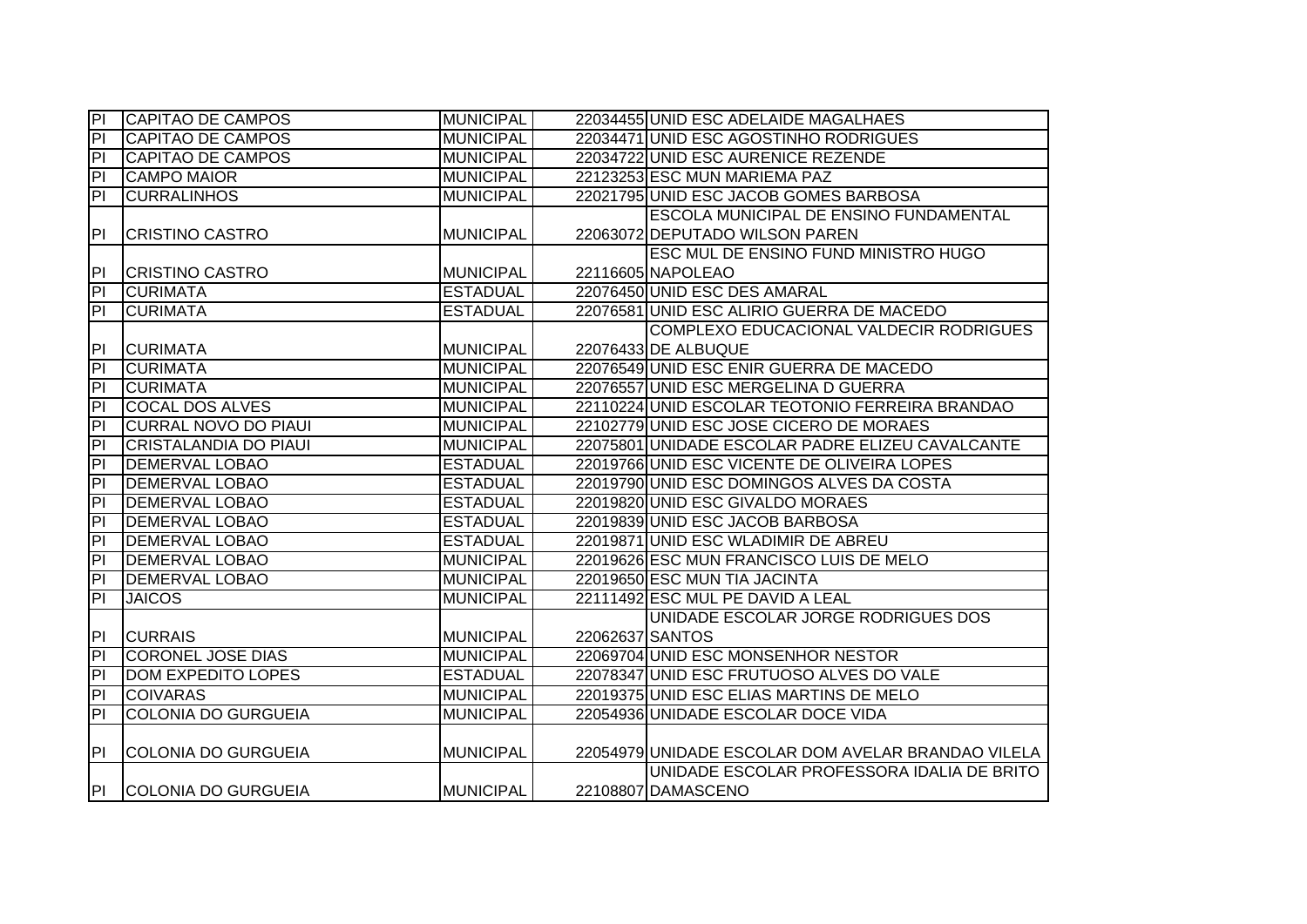| PI                       | <b>CAPITAO DE CAMPOS</b>     | <b>MUNICIPAL</b> |                 | 22034455 UNID ESC ADELAIDE MAGALHAES               |
|--------------------------|------------------------------|------------------|-----------------|----------------------------------------------------|
| $\overline{P}$           | <b>CAPITAO DE CAMPOS</b>     | <b>MUNICIPAL</b> |                 | 22034471 UNID ESC AGOSTINHO RODRIGUES              |
| 티                        | <b>CAPITAO DE CAMPOS</b>     | <b>MUNICIPAL</b> |                 | 22034722 UNID ESC AURENICE REZENDE                 |
| PI                       | <b>CAMPO MAIOR</b>           | <b>MUNICIPAL</b> |                 | 22123253 ESC MUN MARIEMA PAZ                       |
| 티                        | <b>CURRALINHOS</b>           | <b>MUNICIPAL</b> |                 | 22021795 UNID ESC JACOB GOMES BARBOSA              |
|                          |                              |                  |                 | ESCOLA MUNICIPAL DE ENSINO FUNDAMENTAL             |
| PI                       | <b>CRISTINO CASTRO</b>       | <b>MUNICIPAL</b> |                 | 22063072 DEPUTADO WILSON PAREN                     |
|                          |                              |                  |                 | ESC MUL DE ENSINO FUND MINISTRO HUGO               |
| PI                       | <b>CRISTINO CASTRO</b>       | <b>MUNICIPAL</b> |                 | 22116605 NAPOLEAO                                  |
| $\overline{P}$           | <b>CURIMATA</b>              | <b>ESTADUAL</b>  |                 | 22076450 UNID ESC DES AMARAL                       |
| $\overline{P}$           | <b>CURIMATA</b>              | <b>ESTADUAL</b>  |                 | 22076581 UNID ESC ALIRIO GUERRA DE MACEDO          |
|                          |                              |                  |                 | COMPLEXO EDUCACIONAL VALDECIR RODRIGUES            |
| PI                       | <b>CURIMATA</b>              | <b>MUNICIPAL</b> |                 | 22076433 DE ALBUQUE                                |
| PI                       | <b>CURIMATA</b>              | <b>MUNICIPAL</b> |                 | 22076549 UNID ESC ENIR GUERRA DE MACEDO            |
| $\overline{P}$           | <b>CURIMATA</b>              | <b>MUNICIPAL</b> |                 | 22076557 UNID ESC MERGELINA D GUERRA               |
| $\overline{P}$           | <b>COCAL DOS ALVES</b>       | <b>MUNICIPAL</b> |                 | 22110224 UNID ESCOLAR TEOTONIO FERREIRA BRANDAO    |
| $\overline{P}$           | <b>CURRAL NOVO DO PIAUI</b>  | <b>MUNICIPAL</b> |                 | 22102779 UNID ESC JOSE CICERO DE MORAES            |
| $\overline{P}$           | <b>CRISTALANDIA DO PIAUI</b> | <b>MUNICIPAL</b> |                 | 22075801 UNIDADE ESCOLAR PADRE ELIZEU CAVALCANTE   |
| h                        | <b>DEMERVAL LOBAO</b>        | <b>ESTADUAL</b>  |                 | 22019766 UNID ESC VICENTE DE OLIVEIRA LOPES        |
| 티                        | <b>DEMERVAL LOBAO</b>        | <b>ESTADUAL</b>  |                 | 22019790 UNID ESC DOMINGOS ALVES DA COSTA          |
| $\overline{\mathsf{PI}}$ | <b>DEMERVAL LOBAO</b>        | <b>ESTADUAL</b>  |                 | 22019820 UNID ESC GIVALDO MORAES                   |
| $\overline{P}$           | <b>DEMERVAL LOBAO</b>        | <b>ESTADUAL</b>  |                 | 22019839 UNID ESC JACOB BARBOSA                    |
| $\overline{P}$           | <b>DEMERVAL LOBAO</b>        | <b>ESTADUAL</b>  |                 | 22019871 UNID ESC WLADIMIR DE ABREU                |
| $\overline{P}$           | <b>DEMERVAL LOBAO</b>        | <b>MUNICIPAL</b> |                 | 22019626 ESC MUN FRANCISCO LUIS DE MELO            |
| $\overline{P}$           | <b>DEMERVAL LOBAO</b>        | <b>MUNICIPAL</b> |                 | 22019650 ESC MUN TIA JACINTA                       |
| $\overline{P}$           | <b>JAICOS</b>                | <b>MUNICIPAL</b> |                 | 22111492 ESC MUL PE DAVID A LEAL                   |
|                          |                              |                  |                 | UNIDADE ESCOLAR JORGE RODRIGUES DOS                |
| PI                       | <b>CURRAIS</b>               | <b>MUNICIPAL</b> | 22062637 SANTOS |                                                    |
| $\overline{\mathsf{PI}}$ | <b>CORONEL JOSE DIAS</b>     | <b>MUNICIPAL</b> |                 | 22069704 UNID ESC MONSENHOR NESTOR                 |
| $\overline{P}$           | <b>DOM EXPEDITO LOPES</b>    | <b>ESTADUAL</b>  |                 | 22078347 UNID ESC FRUTUOSO ALVES DO VALE           |
| 티                        | <b>COIVARAS</b>              | <b>MUNICIPAL</b> |                 | 22019375 UNID ESC ELIAS MARTINS DE MELO            |
| $\overline{P}$           | <b>COLONIA DO GURGUEIA</b>   | <b>MUNICIPAL</b> |                 | 22054936 UNIDADE ESCOLAR DOCE VIDA                 |
|                          |                              |                  |                 |                                                    |
| P                        | <b>COLONIA DO GURGUEIA</b>   | <b>MUNICIPAL</b> |                 | 22054979 UNIDADE ESCOLAR DOM AVELAR BRANDAO VILELA |
|                          |                              |                  |                 | UNIDADE ESCOLAR PROFESSORA IDALIA DE BRITO         |
| PI -                     | <b>COLONIA DO GURGUEIA</b>   | <b>MUNICIPAL</b> |                 | 22108807 DAMASCENO                                 |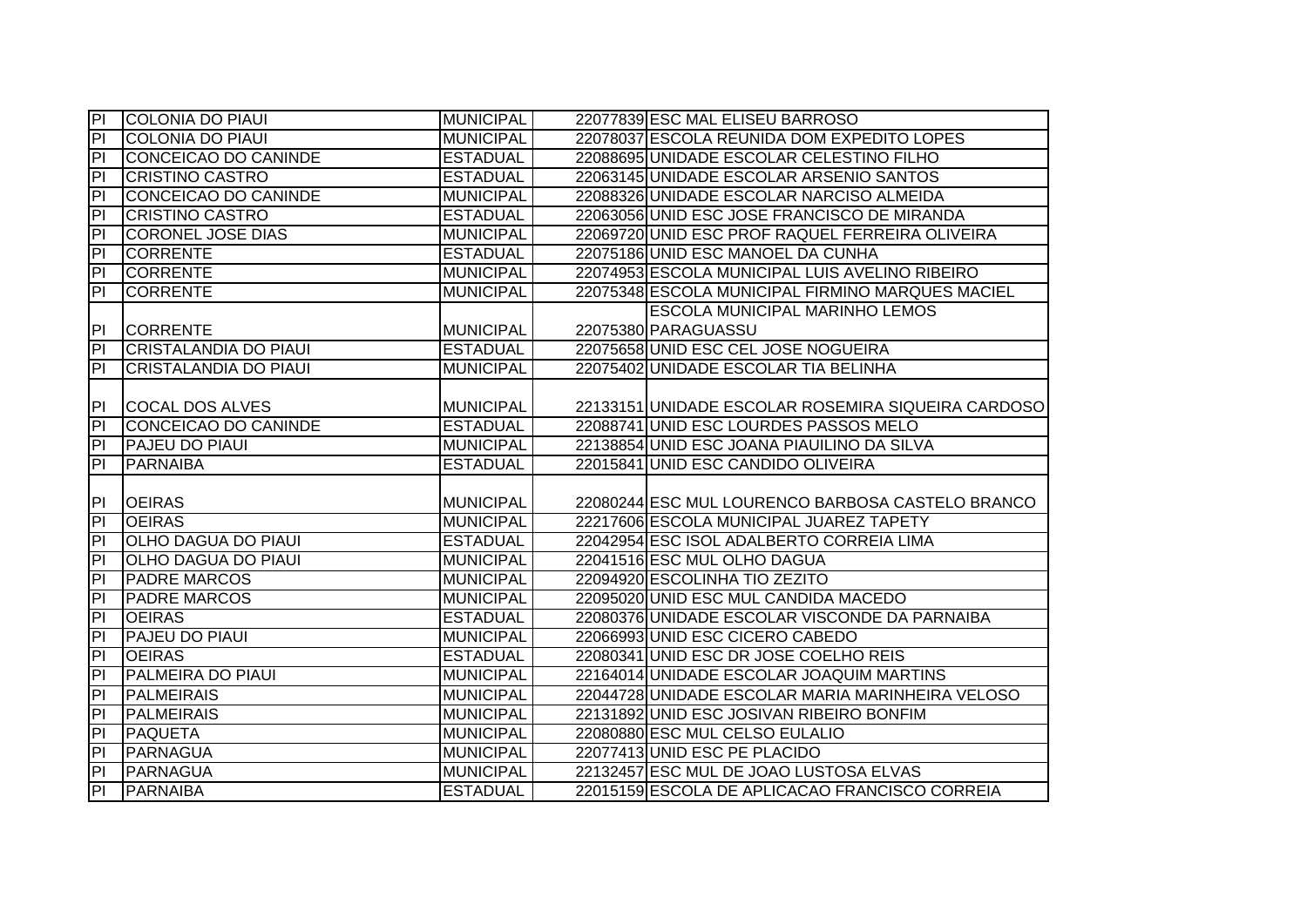| $\overline{P}$          | <b>COLONIA DO PIAUI</b>      | <b>MUNICIPAL</b> | 22077839 ESC MAL ELISEU BARROSO                    |
|-------------------------|------------------------------|------------------|----------------------------------------------------|
| $\overline{P}$          | <b>COLONIA DO PIAUI</b>      | <b>MUNICIPAL</b> | 22078037 ESCOLA REUNIDA DOM EXPEDITO LOPES         |
| 티                       | CONCEICAO DO CANINDE         | <b>ESTADUAL</b>  | 22088695 UNIDADE ESCOLAR CELESTINO FILHO           |
| 티                       | <b>CRISTINO CASTRO</b>       | <b>ESTADUAL</b>  | 22063145 UNIDADE ESCOLAR ARSENIO SANTOS            |
| $\overline{PI}$         | CONCEICAO DO CANINDE         | <b>MUNICIPAL</b> | 22088326 UNIDADE ESCOLAR NARCISO ALMEIDA           |
| $\overline{PI}$         | <b>CRISTINO CASTRO</b>       | <b>ESTADUAL</b>  | 22063056 UNID ESC JOSE FRANCISCO DE MIRANDA        |
| $\overline{P}$          | <b>CORONEL JOSE DIAS</b>     | <b>MUNICIPAL</b> | 22069720 UNID ESC PROF RAQUEL FERREIRA OLIVEIRA    |
| P <sub>1</sub>          | <b>CORRENTE</b>              | <b>ESTADUAL</b>  | 22075186 UNID ESC MANOEL DA CUNHA                  |
| $\overline{a}$          | <b>CORRENTE</b>              | <b>MUNICIPAL</b> | 22074953 ESCOLA MUNICIPAL LUIS AVELINO RIBEIRO     |
| P                       | <b>CORRENTE</b>              | <b>MUNICIPAL</b> | 22075348 ESCOLA MUNICIPAL FIRMINO MARQUES MACIEL   |
|                         |                              |                  | <b>ESCOLA MUNICIPAL MARINHO LEMOS</b>              |
| P <sub>1</sub>          | <b>CORRENTE</b>              | <b>MUNICIPAL</b> | 22075380 PARAGUASSU                                |
| $\overline{a}$          | <b>CRISTALANDIA DO PIAUI</b> | <b>ESTADUAL</b>  | 22075658 UNID ESC CEL JOSE NOGUEIRA                |
| PI                      | <b>CRISTALANDIA DO PIAUI</b> | <b>MUNICIPAL</b> | 22075402 UNIDADE ESCOLAR TIA BELINHA               |
|                         |                              |                  |                                                    |
| PI                      | COCAL DOS ALVES              | <b>MUNICIPAL</b> | 22133151 UNIDADE ESCOLAR ROSEMIRA SIQUEIRA CARDOSO |
| $\overline{P}$          | CONCEICAO DO CANINDE         | <b>ESTADUAL</b>  | 22088741 UNID ESC LOURDES PASSOS MELO              |
| $\overline{P}$          | <b>PAJEU DO PIAUI</b>        | <b>MUNICIPAL</b> | 22138854 UNID ESC JOANA PIAUILINO DA SILVA         |
|                         |                              |                  |                                                    |
| $\overline{a}$          | <b>PARNAIBA</b>              | <b>ESTADUAL</b>  | 22015841 UNID ESC CANDIDO OLIVEIRA                 |
|                         |                              |                  |                                                    |
| P                       | <b>OEIRAS</b>                | <b>MUNICIPAL</b> | 22080244 ESC MUL LOURENCO BARBOSA CASTELO BRANCO   |
| $\overline{P}$          | <b>OEIRAS</b>                | <b>MUNICIPAL</b> | 22217606 ESCOLA MUNICIPAL JUAREZ TAPETY            |
| $\overline{a}$          | <b>OLHO DAGUA DO PIAUI</b>   | <b>ESTADUAL</b>  | 22042954 ESC ISOL ADALBERTO CORREIA LIMA           |
| $\overline{\mathsf{d}}$ | <b>OLHO DAGUA DO PIAUI</b>   | <b>MUNICIPAL</b> | 22041516 ESC MUL OLHO DAGUA                        |
| $\overline{P}$          | <b>PADRE MARCOS</b>          | <b>MUNICIPAL</b> | 22094920 ESCOLINHA TIO ZEZITO                      |
| 티                       | <b>PADRE MARCOS</b>          | <b>MUNICIPAL</b> | 22095020 UNID ESC MUL CANDIDA MACEDO               |
| $\overline{a}$          | <b>OEIRAS</b>                | <b>ESTADUAL</b>  | 22080376 UNIDADE ESCOLAR VISCONDE DA PARNAIBA      |
| $\overline{a}$          | <b>PAJEU DO PIAUI</b>        | <b>MUNICIPAL</b> | 22066993 UNID ESC CICERO CABEDO                    |
| $\overline{P}$          | <b>OEIRAS</b>                | <b>ESTADUAL</b>  | 22080341 UNID ESC DR JOSE COELHO REIS              |
| $\overline{PI}$         | <b>PALMEIRA DO PIAUI</b>     | <b>MUNICIPAL</b> | 22164014 UNIDADE ESCOLAR JOAQUIM MARTINS           |
| $\overline{\mathsf{d}}$ | <b>PALMEIRAIS</b>            | <b>MUNICIPAL</b> | 22044728 UNIDADE ESCOLAR MARIA MARINHEIRA VELOSO   |
| $\overline{P}$          | <b>PALMEIRAIS</b>            | <b>MUNICIPAL</b> | 22131892 UNID ESC JOSIVAN RIBEIRO BONFIM           |
| P                       | <b>PAQUETA</b>               | <b>MUNICIPAL</b> | 22080880 ESC MUL CELSO EULALIO                     |
| $\overline{P}$          | PARNAGUA                     | <b>MUNICIPAL</b> | 22077413 UNID ESC PE PLACIDO                       |
| $\overline{P}$          | <b>PARNAGUA</b>              | <b>MUNICIPAL</b> | 22132457 ESC MUL DE JOAO LUSTOSA ELVAS             |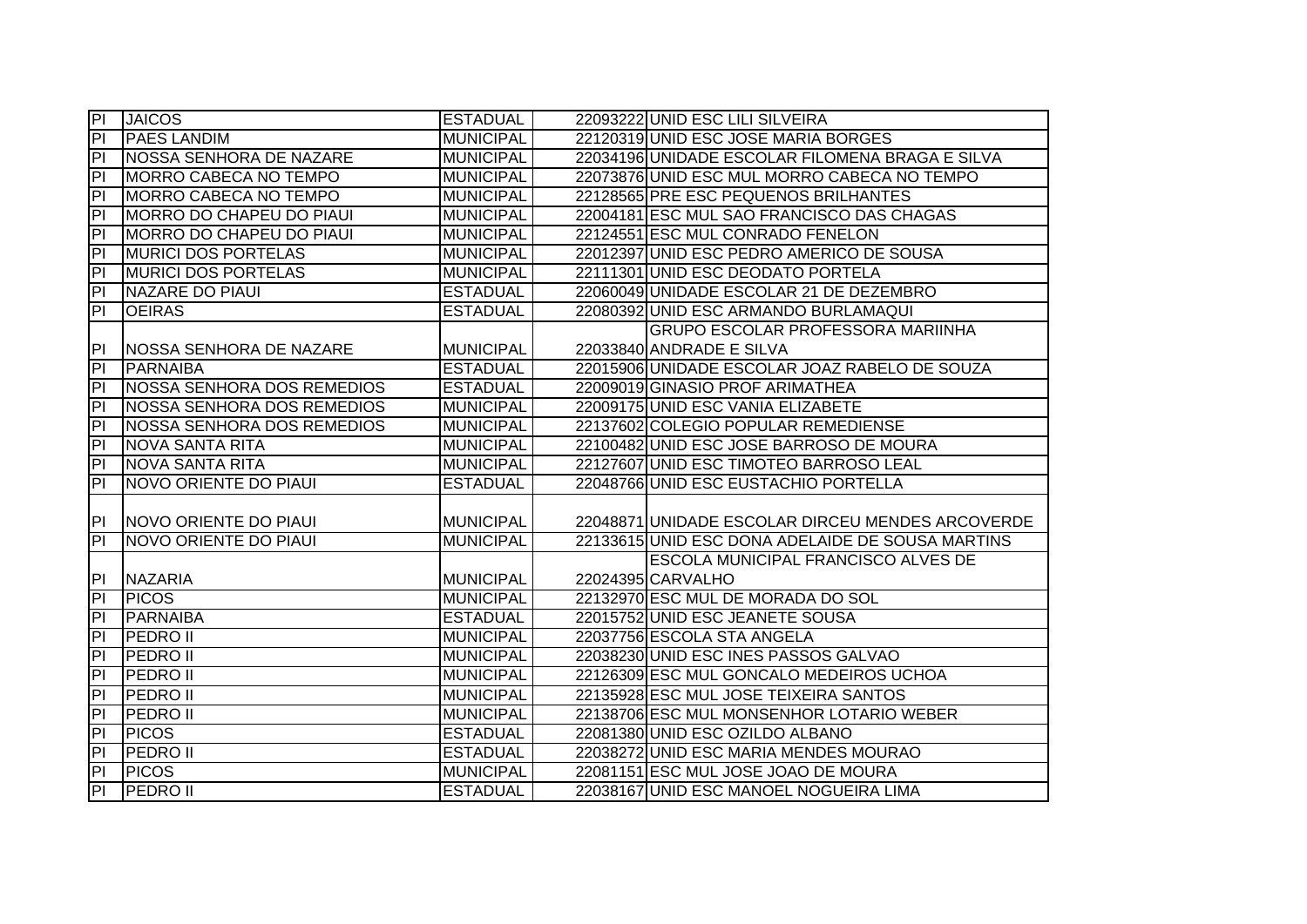| $\overline{P}$                   | <b>JAICOS</b>                     | <b>ESTADUAL</b>  | 22093222 UNID ESC LILI SILVEIRA                  |
|----------------------------------|-----------------------------------|------------------|--------------------------------------------------|
| IPL                              | <b>PAES LANDIM</b>                | <b>MUNICIPAL</b> | 22120319 UNID ESC JOSE MARIA BORGES              |
| $\overline{P}$                   | NOSSA SENHORA DE NAZARE           | <b>MUNICIPAL</b> | 22034196 UNIDADE ESCOLAR FILOMENA BRAGA E SILVA  |
| P <sub>1</sub>                   | <b>MORRO CABECA NO TEMPO</b>      | <b>MUNICIPAL</b> | 22073876 UNID ESC MUL MORRO CABECA NO TEMPO      |
| $\overline{P}$                   | <b>MORRO CABECA NO TEMPO</b>      | <b>MUNICIPAL</b> | 22128565 PRE ESC PEQUENOS BRILHANTES             |
| h                                | MORRO DO CHAPEU DO PIAUI          | <b>MUNICIPAL</b> | 22004181 ESC MUL SAO FRANCISCO DAS CHAGAS        |
| h                                | MORRO DO CHAPEU DO PIAUI          | <b>MUNICIPAL</b> | 22124551 ESC MUL CONRADO FENELON                 |
| PI                               | <b>MURICI DOS PORTELAS</b>        | <b>MUNICIPAL</b> | 22012397 UNID ESC PEDRO AMERICO DE SOUSA         |
| PI                               | <b>MURICI DOS PORTELAS</b>        | <b>MUNICIPAL</b> | 22111301 UNID ESC DEODATO PORTELA                |
| PI                               | NAZARE DO PIAUI                   | <b>ESTADUAL</b>  | 22060049 UNIDADE ESCOLAR 21 DE DEZEMBRO          |
| ΙЫ                               | <b>OEIRAS</b>                     | <b>ESTADUAL</b>  | 22080392 UNID ESC ARMANDO BURLAMAQUI             |
|                                  |                                   |                  | <b>GRUPO ESCOLAR PROFESSORA MARIINHA</b>         |
| P                                | <b>NOSSA SENHORA DE NAZARE</b>    | <b>MUNICIPAL</b> | 22033840 ANDRADE E SILVA                         |
| <b>PI</b>                        | PARNAIBA                          | <b>ESTADUAL</b>  | 22015906 UNIDADE ESCOLAR JOAZ RABELO DE SOUZA    |
| PI                               | <b>NOSSA SENHORA DOS REMEDIOS</b> | <b>ESTADUAL</b>  | 22009019 GINASIO PROF ARIMATHEA                  |
| $\overline{P}$                   | <b>NOSSA SENHORA DOS REMEDIOS</b> | <b>MUNICIPAL</b> | 22009175 UNID ESC VANIA ELIZABETE                |
| $\overline{a}$                   | NOSSA SENHORA DOS REMEDIOS        | <b>MUNICIPAL</b> | 22137602 COLEGIO POPULAR REMEDIENSE              |
| PI                               | <b>NOVA SANTA RITA</b>            | <b>MUNICIPAL</b> | 22100482 UNID ESC JOSE BARROSO DE MOURA          |
| $ \mathsf{P} $                   | <b>NOVA SANTA RITA</b>            | <b>MUNICIPAL</b> | 22127607 UNID ESC TIMOTEO BARROSO LEAL           |
| $ \mathsf{P} $                   | NOVO ORIENTE DO PIAUI             | <b>ESTADUAL</b>  | 22048766 UNID ESC EUSTACHIO PORTELLA             |
|                                  |                                   |                  |                                                  |
| PI -                             | NOVO ORIENTE DO PIAUI             | <b>MUNICIPAL</b> | 22048871 UNIDADE ESCOLAR DIRCEU MENDES ARCOVERDE |
| $\overline{P}$                   | NOVO ORIENTE DO PIAUI             | <b>MUNICIPAL</b> | 22133615 UNID ESC DONA ADELAIDE DE SOUSA MARTINS |
|                                  |                                   |                  | <b>ESCOLA MUNICIPAL FRANCISCO ALVES DE</b>       |
| PI                               | <b>NAZARIA</b>                    | <b>MUNICIPAL</b> | 22024395 CARVALHO                                |
| PI                               | <b>PICOS</b>                      | <b>MUNICIPAL</b> | 22132970 ESC MUL DE MORADA DO SOL                |
| PI                               | PARNAIBA                          | <b>ESTADUAL</b>  | 22015752 UNID ESC JEANETE SOUSA                  |
| PI                               |                                   |                  |                                                  |
| $\overline{a}$                   | <b>PEDRO II</b>                   | <b>MUNICIPAL</b> | 22037756 ESCOLA STA ANGELA                       |
|                                  | <b>PEDRO II</b>                   | <b>MUNICIPAL</b> | 22038230 UNID ESC INES PASSOS GALVAO             |
| $\overline{\mathsf{P}}$          | <b>PEDROII</b>                    | <b>MUNICIPAL</b> | 22126309 ESC MUL GONCALO MEDEIROS UCHOA          |
| $\overline{P}$                   | <b>PEDRO II</b>                   | <b>MUNICIPAL</b> | 22135928 ESC MUL JOSE TEIXEIRA SANTOS            |
| $\overline{a}$                   | <b>PEDRO II</b>                   | <b>MUNICIPAL</b> | 22138706 ESC MUL MONSENHOR LOTARIO WEBER         |
| IPI                              | <b>PICOS</b>                      | <b>ESTADUAL</b>  | 22081380 UNID ESC OZILDO ALBANO                  |
| $ \mathsf{P} $                   | <b>PEDRO II</b>                   | <b>ESTADUAL</b>  | 22038272 UNID ESC MARIA MENDES MOURAO            |
| $\overline{P}$<br>$\overline{P}$ | <b>PICOS</b>                      | <b>MUNICIPAL</b> | 22081151 ESC MUL JOSE JOAO DE MOURA              |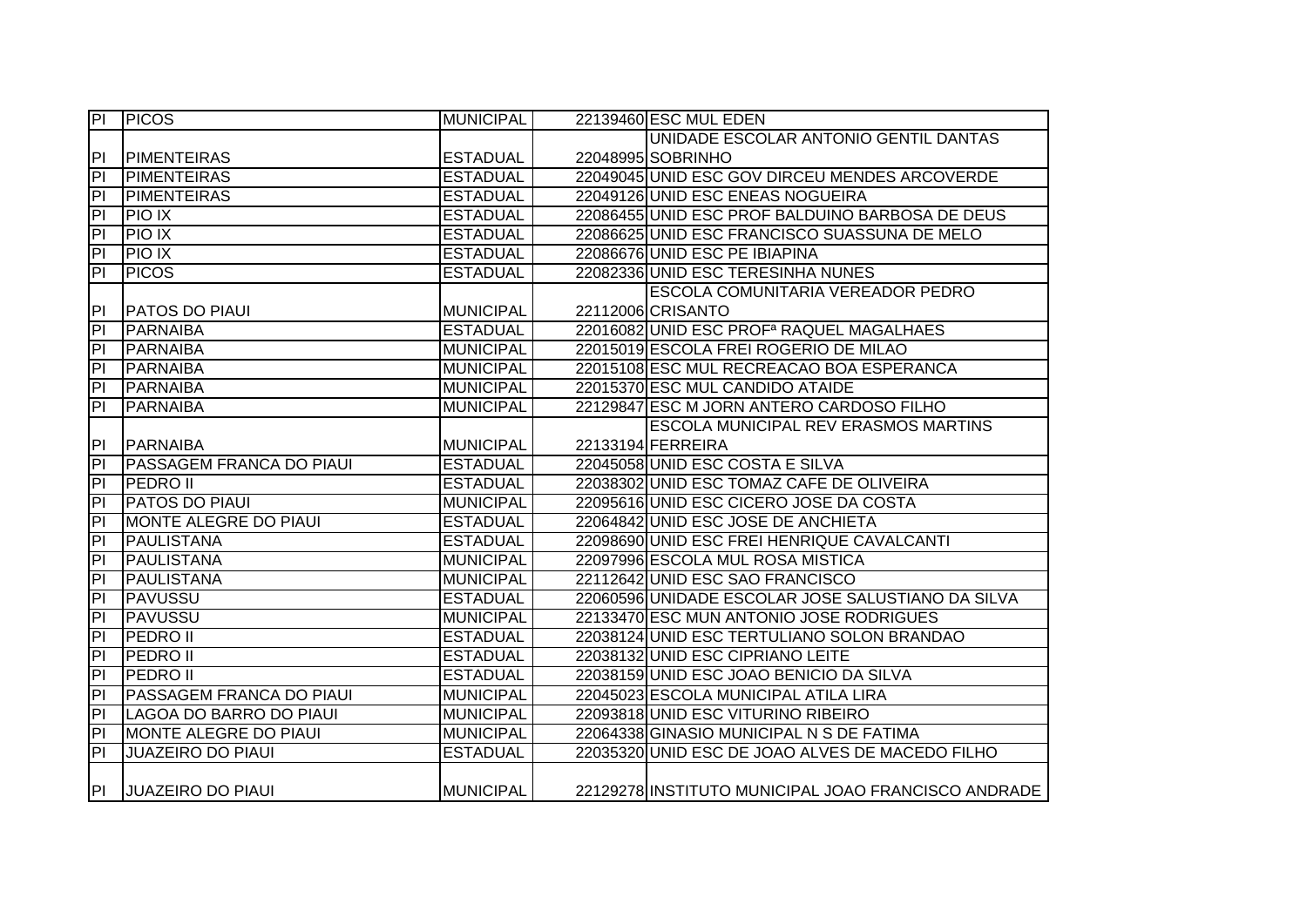| $\overline{P}$          | <b>PICOS</b>                    | <b>MUNICIPAL</b> | 22139460 ESC MUL EDEN                                |
|-------------------------|---------------------------------|------------------|------------------------------------------------------|
|                         |                                 |                  | UNIDADE ESCOLAR ANTONIO GENTIL DANTAS                |
| P                       | <b>PIMENTEIRAS</b>              | <b>ESTADUAL</b>  | 22048995 SOBRINHO                                    |
| $\overline{\mathsf{P}}$ | <b>PIMENTEIRAS</b>              | <b>ESTADUAL</b>  | 22049045 UNID ESC GOV DIRCEU MENDES ARCOVERDE        |
| h                       | <b>PIMENTEIRAS</b>              | <b>ESTADUAL</b>  | 22049126 UNID ESC ENEAS NOGUEIRA                     |
| $\overline{P}$          | <b>PIO IX</b>                   | <b>ESTADUAL</b>  | 22086455 UNID ESC PROF BALDUINO BARBOSA DE DEUS      |
| $\overline{P}$          | <b>PIO IX</b>                   | <b>ESTADUAL</b>  | 22086625 UNID ESC FRANCISCO SUASSUNA DE MELO         |
| $\overline{a}$          | <b>PIO IX</b>                   | <b>ESTADUAL</b>  | 22086676 UNID ESC PE IBIAPINA                        |
| $\overline{a}$          | <b>PICOS</b>                    | <b>ESTADUAL</b>  | 22082336 UNID ESC TERESINHA NUNES                    |
|                         |                                 |                  | <b>ESCOLA COMUNITARIA VEREADOR PEDRO</b>             |
| <b>PI</b>               | <b>PATOS DO PIAUI</b>           | <b>MUNICIPAL</b> | 22112006 CRISANTO                                    |
| PI                      | <b>PARNAIBA</b>                 | <b>ESTADUAL</b>  | 22016082 UNID ESC PROF <sup>a</sup> RAQUEL MAGALHAES |
| PI                      | <b>PARNAIBA</b>                 | <b>MUNICIPAL</b> | 22015019 ESCOLA FREI ROGERIO DE MILAO                |
| PI                      | <b>PARNAIBA</b>                 | <b>MUNICIPAL</b> | 22015108 ESC MUL RECREACAO BOA ESPERANCA             |
| $\overline{a}$          | PARNAIBA                        | <b>MUNICIPAL</b> | 22015370 ESC MUL CANDIDO ATAIDE                      |
| $\overline{\mathsf{d}}$ | <b>PARNAIBA</b>                 | <b>MUNICIPAL</b> | 22129847 ESC M JORN ANTERO CARDOSO FILHO             |
|                         |                                 |                  | ESCOLA MUNICIPAL REV ERASMOS MARTINS                 |
| <b>PI</b>               | PARNAIBA                        | <b>MUNICIPAL</b> | 22133194 FERREIRA                                    |
| $\overline{P}$          | <b>PASSAGEM FRANCA DO PIAUI</b> | <b>ESTADUAL</b>  | 22045058 UNID ESC COSTA E SILVA                      |
| $\overline{\mathsf{d}}$ | <b>PEDRO II</b>                 | <b>ESTADUAL</b>  | 22038302 UNID ESC TOMAZ CAFE DE OLIVEIRA             |
| $\overline{P}$          | <b>PATOS DO PIAUI</b>           | <b>MUNICIPAL</b> | 22095616 UNID ESC CICERO JOSE DA COSTA               |
| $\overline{P}$          | <b>MONTE ALEGRE DO PIAUI</b>    | <b>ESTADUAL</b>  | 22064842 UNID ESC JOSE DE ANCHIETA                   |
| $\overline{P}$          | PAULISTANA                      | <b>ESTADUAL</b>  | 22098690 UNID ESC FREI HENRIQUE CAVALCANTI           |
| $\overline{\mathsf{d}}$ | PAULISTANA                      | <b>MUNICIPAL</b> | 22097996 ESCOLA MUL ROSA MISTICA                     |
| h                       | PAULISTANA                      | <b>MUNICIPAL</b> | 22112642 UNID ESC SAO FRANCISCO                      |
| $\overline{P}$          | <b>PAVUSSU</b>                  | <b>ESTADUAL</b>  | 22060596 UNIDADE ESCOLAR JOSE SALUSTIANO DA SILVA    |
| $\overline{P}$          | <b>PAVUSSU</b>                  | <b>MUNICIPAL</b> | 22133470 ESC MUN ANTONIO JOSE RODRIGUES              |
| $\overline{P}$          | <b>PEDRO II</b>                 | <b>ESTADUAL</b>  | 22038124 UNID ESC TERTULIANO SOLON BRANDAO           |
| P                       | <b>PEDRO II</b>                 | <b>ESTADUAL</b>  | 22038132 UNID ESC CIPRIANO LEITE                     |
| $\overline{\mathsf{d}}$ | <b>PEDRO II</b>                 | <b>ESTADUAL</b>  | 22038159 UNID ESC JOAO BENICIO DA SILVA              |
| $\overline{\mathsf{d}}$ | <b>PASSAGEM FRANCA DO PIAUI</b> | <b>MUNICIPAL</b> | 22045023 ESCOLA MUNICIPAL ATILA LIRA                 |
| $\overline{P}$          | LAGOA DO BARRO DO PIAUI         | <b>MUNICIPAL</b> | 22093818 UNID ESC VITURINO RIBEIRO                   |
| P                       | MONTE ALEGRE DO PIAUI           | <b>MUNICIPAL</b> | 22064338 GINASIO MUNICIPAL N S DE FATIMA             |
| $\overline{P}$          | <b>JUAZEIRO DO PIAUI</b>        | <b>ESTADUAL</b>  | 22035320 UNID ESC DE JOAO ALVES DE MACEDO FILHO      |
| P                       | <b>JUAZEIRO DO PIAUI</b>        | <b>MUNICIPAL</b> | 22129278 INSTITUTO MUNICIPAL JOAO FRANCISCO ANDRADE  |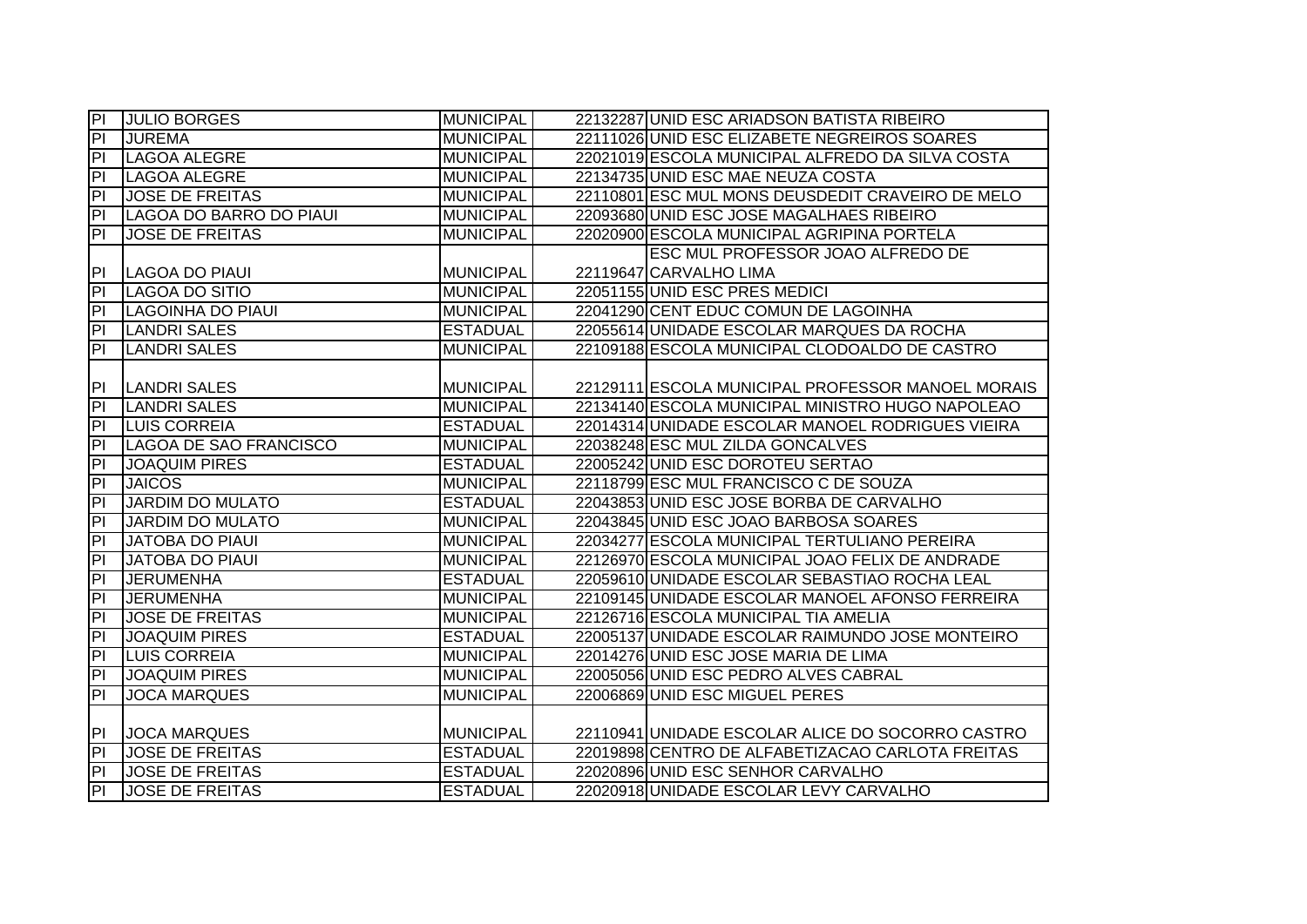| P                       | <b>JULIO BORGES</b>           | <b>MUNICIPAL</b>                   | 22132287 UNID ESC ARIADSON BATISTA RIBEIRO        |
|-------------------------|-------------------------------|------------------------------------|---------------------------------------------------|
| $\overline{P}$          | <b>JUREMA</b>                 | <b>MUNICIPAL</b>                   | 22111026 UNID ESC ELIZABETE NEGREIROS SOARES      |
| $\overline{a}$          | <b>LAGOA ALEGRE</b>           | <b>MUNICIPAL</b>                   | 22021019 ESCOLA MUNICIPAL ALFREDO DA SILVA COSTA  |
| PI                      | <b>LAGOA ALEGRE</b>           | <b>MUNICIPAL</b>                   | 22134735 UNID ESC MAE NEUZA COSTA                 |
| $\overline{\mathsf{d}}$ | <b>JOSE DE FREITAS</b>        | <b>MUNICIPAL</b>                   | 22110801 ESC MUL MONS DEUSDEDIT CRAVEIRO DE MELO  |
| $\overline{\mathsf{d}}$ | LAGOA DO BARRO DO PIAUI       | <b>MUNICIPAL</b>                   | 22093680 UNID ESC JOSE MAGALHAES RIBEIRO          |
| PI                      | <b>JOSE DE FREITAS</b>        | <b>MUNICIPAL</b>                   | 22020900 ESCOLA MUNICIPAL AGRIPINA PORTELA        |
|                         |                               |                                    | ESC MUL PROFESSOR JOAO ALFREDO DE                 |
| PI                      | LAGOA DO PIAUI                | <b>MUNICIPAL</b>                   | 22119647 CARVALHO LIMA                            |
| $\overline{P}$          | <b>LAGOA DO SITIO</b>         | <b>MUNICIPAL</b>                   | 22051155 UNID ESC PRES MEDICI                     |
| PI                      | <b>LAGOINHA DO PIAUI</b>      | <b>MUNICIPAL</b>                   | 22041290 CENT EDUC COMUN DE LAGOINHA              |
| PI                      | <b>LANDRI SALES</b>           | <b>ESTADUAL</b>                    | 22055614 UNIDADE ESCOLAR MARQUES DA ROCHA         |
| PI                      | LANDRI SALES                  | <b>MUNICIPAL</b>                   | 22109188 ESCOLA MUNICIPAL CLODOALDO DE CASTRO     |
|                         |                               |                                    |                                                   |
| PI                      | <b>LANDRI SALES</b>           | <b>MUNICIPAL</b>                   | 22129111 ESCOLA MUNICIPAL PROFESSOR MANOEL MORAIS |
| $\overline{a}$          | <b>LANDRI SALES</b>           | <b>MUNICIPAL</b>                   | 22134140 ESCOLA MUNICIPAL MINISTRO HUGO NAPOLEAO  |
| P                       | <b>LUIS CORREIA</b>           | <b>ESTADUAL</b>                    | 22014314 UNIDADE ESCOLAR MANOEL RODRIGUES VIEIRA  |
| $\overline{\mathsf{d}}$ | <b>LAGOA DE SAO FRANCISCO</b> | <b>MUNICIPAL</b>                   | 22038248 ESC MUL ZILDA GONCALVES                  |
| 티                       | <b>JOAQUIM PIRES</b>          | <b>ESTADUAL</b>                    | 22005242 UNID ESC DOROTEU SERTAO                  |
| $\overline{P}$          | <b>JAICOS</b>                 | <b>MUNICIPAL</b>                   | 22118799 ESC MUL FRANCISCO C DE SOUZA             |
| P                       | <b>JARDIM DO MULATO</b>       | <b>ESTADUAL</b>                    | 22043853 UNID ESC JOSE BORBA DE CARVALHO          |
| P                       | <b>JARDIM DO MULATO</b>       | <b>MUNICIPAL</b>                   | 22043845 UNID ESC JOAO BARBOSA SOARES             |
| $\overline{a}$          | JATOBA DO PIAUI               | <b>MUNICIPAL</b>                   | 22034277 ESCOLA MUNICIPAL TERTULIANO PEREIRA      |
| $\overline{P}$          | <b>JATOBA DO PIAUI</b>        | <b>MUNICIPAL</b>                   | 22126970 ESCOLA MUNICIPAL JOAO FELIX DE ANDRADE   |
| $\overline{P}$          | <b>JERUMENHA</b>              | <b>ESTADUAL</b>                    | 22059610 UNIDADE ESCOLAR SEBASTIAO ROCHA LEAL     |
| $\overline{a}$          | <b>JERUMENHA</b>              | <b>MUNICIPAL</b>                   | 22109145 UNIDADE ESCOLAR MANOEL AFONSO FERREIRA   |
| PI                      | <b>JOSE DE FREITAS</b>        | <b>MUNICIPAL</b>                   | 22126716 ESCOLA MUNICIPAL TIA AMELIA              |
| $\overline{a}$          | <b>JOAQUIM PIRES</b>          | <b>ESTADUAL</b>                    | 22005137 UNIDADE ESCOLAR RAIMUNDO JOSE MONTEIRO   |
| $\overline{a}$          | <b>LUIS CORREIA</b>           | <b>MUNICIPAL</b>                   | 22014276 UNID ESC JOSE MARIA DE LIMA              |
| $\overline{\mathsf{d}}$ | <b>JOAQUIM PIRES</b>          | <b>MUNICIPAL</b>                   | 22005056 UNID ESC PEDRO ALVES CABRAL              |
| E                       | <b>JOCA MARQUES</b>           | <b>MUNICIPAL</b>                   | 22006869 UNID ESC MIGUEL PERES                    |
|                         |                               |                                    |                                                   |
| PI                      | <b>JOCA MARQUES</b>           | <b>MUNICIPAL</b>                   | 22110941 UNIDADE ESCOLAR ALICE DO SOCORRO CASTRO  |
| $\overline{P}$          | <b>JOSE DE FREITAS</b>        | <b>ESTADUAL</b>                    | 22019898 CENTRO DE ALFABETIZACAO CARLOTA FREITAS  |
| $\overline{a}$          |                               |                                    |                                                   |
|                         | <b>JOSE DE FREITAS</b>        | <b>ESTADUAL</b><br><b>ESTADUAL</b> | 22020896 UNID ESC SENHOR CARVALHO                 |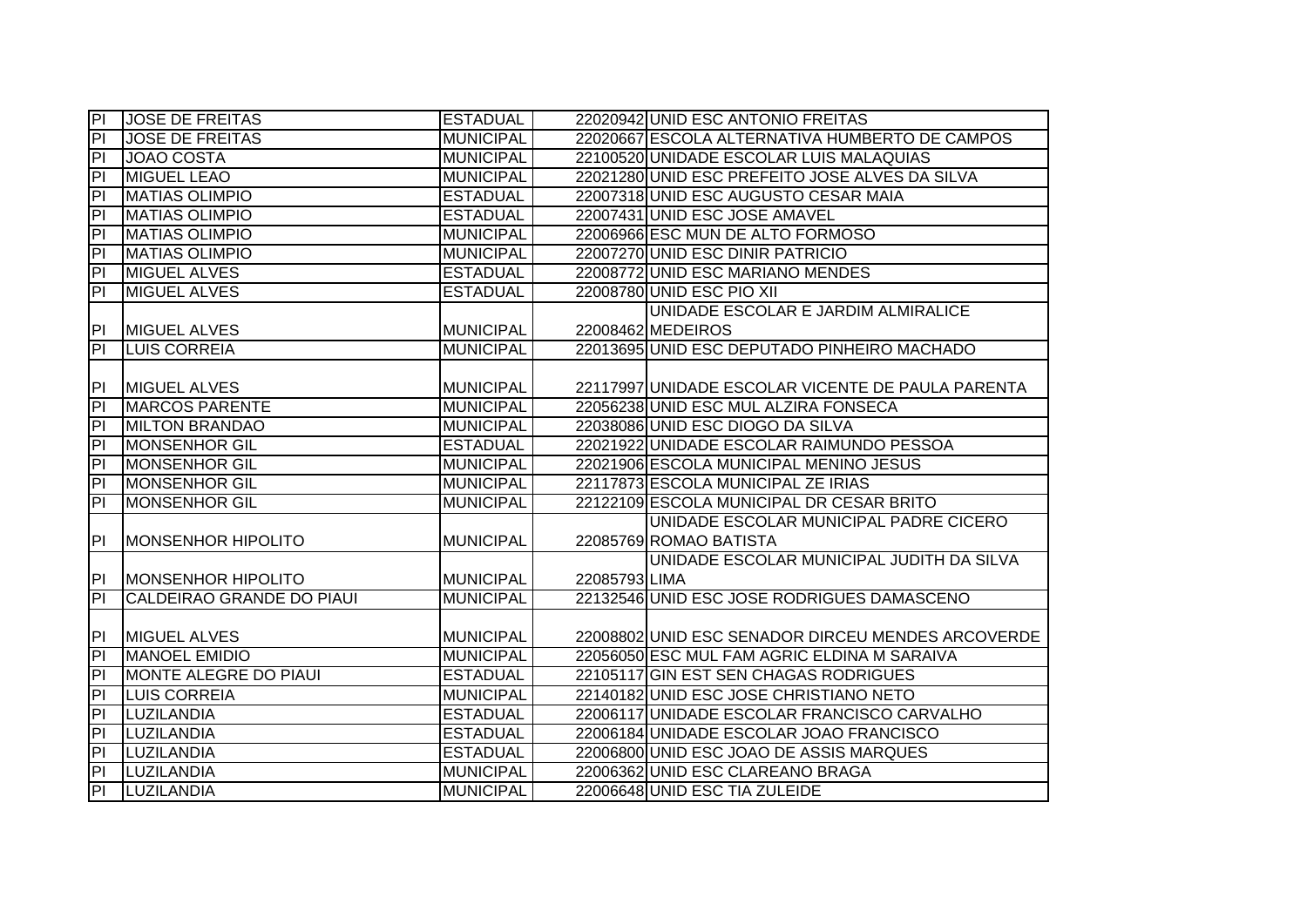| P                       | <b>JOSE DE FREITAS</b>           | <b>ESTADUAL</b>  |               | 22020942 UNID ESC ANTONIO FREITAS                 |
|-------------------------|----------------------------------|------------------|---------------|---------------------------------------------------|
| $\overline{P}$          | <b>JOSE DE FREITAS</b>           | <b>MUNICIPAL</b> |               | 22020667 ESCOLA ALTERNATIVA HUMBERTO DE CAMPOS    |
| $\overline{a}$          | <b>JOAO COSTA</b>                | <b>MUNICIPAL</b> |               | 22100520 UNIDADE ESCOLAR LUIS MALAQUIAS           |
| $\overline{\mathsf{d}}$ | <b>MIGUEL LEAO</b>               | <b>MUNICIPAL</b> |               | 22021280 UNID ESC PREFEITO JOSE ALVES DA SILVA    |
| $\overline{P}$          | <b>MATIAS OLIMPIO</b>            | <b>ESTADUAL</b>  |               | 22007318 UNID ESC AUGUSTO CESAR MAIA              |
| $\overline{PI}$         | <b>MATIAS OLIMPIO</b>            | <b>ESTADUAL</b>  |               | 22007431 UNID ESC JOSE AMAVEL                     |
| h                       | <b>MATIAS OLIMPIO</b>            | <b>MUNICIPAL</b> |               | 22006966 ESC MUN DE ALTO FORMOSO                  |
| $\overline{P}$          | <b>MATIAS OLIMPIO</b>            | <b>MUNICIPAL</b> |               | 22007270 UNID ESC DINIR PATRICIO                  |
| $\overline{a}$          | <b>MIGUEL ALVES</b>              | <b>ESTADUAL</b>  |               | 22008772 UNID ESC MARIANO MENDES                  |
| $\overline{a}$          | <b>MIGUEL ALVES</b>              | <b>ESTADUAL</b>  |               | 22008780 UNID ESC PIO XII                         |
|                         |                                  |                  |               | UNIDADE ESCOLAR E JARDIM ALMIRALICE               |
| PI                      | <b>MIGUEL ALVES</b>              | <b>MUNICIPAL</b> |               | 22008462 MEDEIROS                                 |
| $\overline{P}$          | <b>LUIS CORREIA</b>              | <b>MUNICIPAL</b> |               | 22013695 UNID ESC DEPUTADO PINHEIRO MACHADO       |
|                         |                                  |                  |               |                                                   |
| PI                      | <b>IMIGUEL ALVES</b>             | <b>MUNICIPAL</b> |               | 22117997 UNIDADE ESCOLAR VICENTE DE PAULA PARENTA |
| $\overline{a}$          | <b>MARCOS PARENTE</b>            | <b>MUNICIPAL</b> |               | 22056238 UNID ESC MUL ALZIRA FONSECA              |
| 티                       | <b>MILTON BRANDAO</b>            | <b>MUNICIPAL</b> |               | 22038086 UNID ESC DIOGO DA SILVA                  |
| h                       | <b>MONSENHOR GIL</b>             | <b>ESTADUAL</b>  |               | 22021922 UNIDADE ESCOLAR RAIMUNDO PESSOA          |
| $\overline{P}$          | <b>MONSENHOR GIL</b>             | <b>MUNICIPAL</b> |               | 22021906 ESCOLA MUNICIPAL MENINO JESUS            |
| $\overline{P}$          | <b>MONSENHOR GIL</b>             | <b>MUNICIPAL</b> |               | 22117873 ESCOLA MUNICIPAL ZE IRIAS                |
| $\overline{P}$          | <b>MONSENHOR GIL</b>             | <b>MUNICIPAL</b> |               | 22122109 ESCOLA MUNICIPAL DR CESAR BRITO          |
|                         |                                  |                  |               | UNIDADE ESCOLAR MUNICIPAL PADRE CICERO            |
| P                       | <b>MONSENHOR HIPOLITO</b>        | <b>MUNICIPAL</b> |               | 22085769 ROMAO BATISTA                            |
|                         |                                  |                  |               | UNIDADE ESCOLAR MUNICIPAL JUDITH DA SILVA         |
| PI                      | <b>MONSENHOR HIPOLITO</b>        | <b>MUNICIPAL</b> | 22085793 LIMA |                                                   |
| $\overline{P}$          | <b>CALDEIRAO GRANDE DO PIAUL</b> | <b>MUNICIPAL</b> |               | 22132546 UNID ESC JOSE RODRIGUES DAMASCENO        |
|                         |                                  |                  |               |                                                   |
| PI                      | <b>MIGUEL ALVES</b>              | <b>MUNICIPAL</b> |               | 22008802 UNID ESC SENADOR DIRCEU MENDES ARCOVERDE |
| $\overline{P}$          | <b>MANOEL EMIDIO</b>             | <b>MUNICIPAL</b> |               | 22056050 ESC MUL FAM AGRIC ELDINA M SARAIVA       |
| 티                       | MONTE ALEGRE DO PIAUI            | <b>ESTADUAL</b>  |               | 22105117 GIN EST SEN CHAGAS RODRIGUES             |
| $\overline{PI}$         | <b>LUIS CORREIA</b>              | <b>MUNICIPAL</b> |               | 22140182 UNID ESC JOSE CHRISTIANO NETO            |
| $\overline{\mathsf{d}}$ | LUZILANDIA                       | <b>ESTADUAL</b>  |               | 22006117 UNIDADE ESCOLAR FRANCISCO CARVALHO       |
| $\overline{P}$          | LUZILANDIA                       | <b>ESTADUAL</b>  |               | 22006184 UNIDADE ESCOLAR JOAO FRANCISCO           |
| P                       | LUZILANDIA                       | <b>ESTADUAL</b>  |               | 22006800 UNID ESC JOAO DE ASSIS MARQUES           |
| $\overline{P}$          | LUZILANDIA                       | <b>MUNICIPAL</b> |               | 22006362 UNID ESC CLAREANO BRAGA                  |
| $\overline{P}$          | LUZILANDIA                       | <b>MUNICIPAL</b> |               | 22006648 UNID ESC TIA ZULEIDE                     |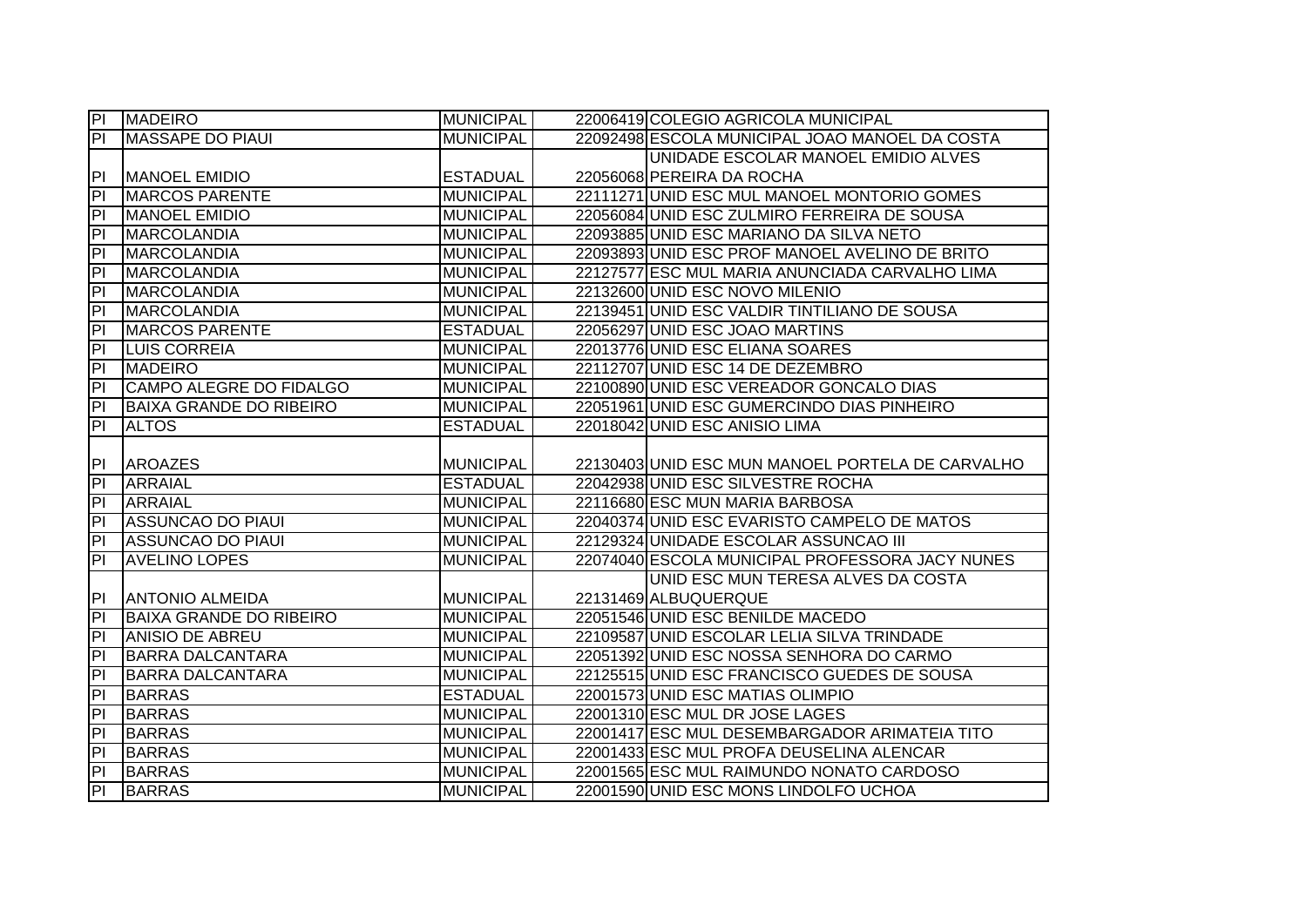| $\overline{P}$          | <b>MADEIRO</b>                 | <b>MUNICIPAL</b> | 22006419 COLEGIO AGRICOLA MUNICIPAL              |
|-------------------------|--------------------------------|------------------|--------------------------------------------------|
| $\overline{P}$          | MASSAPE DO PIAUI               | <b>MUNICIPAL</b> | 22092498 ESCOLA MUNICIPAL JOAO MANOEL DA COSTA   |
|                         |                                |                  | UNIDADE ESCOLAR MANOEL EMIDIO ALVES              |
| P                       | <b>MANOEL EMIDIO</b>           | <b>ESTADUAL</b>  | 22056068 PEREIRA DA ROCHA                        |
| $\overline{P}$          | <b>MARCOS PARENTE</b>          | <b>MUNICIPAL</b> | 22111271 UNID ESC MUL MANOEL MONTORIO GOMES      |
| $\overline{P}$          | <b>MANOEL EMIDIO</b>           | <b>MUNICIPAL</b> | 22056084 UNID ESC ZULMIRO FERREIRA DE SOUSA      |
| $\overline{P}$          | <b>MARCOLANDIA</b>             | <b>MUNICIPAL</b> | 22093885 UNID ESC MARIANO DA SILVA NETO          |
| $\overline{a}$          | <b>MARCOLANDIA</b>             | <b>MUNICIPAL</b> | 22093893 UNID ESC PROF MANOEL AVELINO DE BRITO   |
| P                       | <b>MARCOLANDIA</b>             | <b>MUNICIPAL</b> | 22127577 ESC MUL MARIA ANUNCIADA CARVALHO LIMA   |
| P                       | <b>MARCOLANDIA</b>             | <b>MUNICIPAL</b> | 22132600 UNID ESC NOVO MILENIO                   |
| $\overline{a}$          | <b>MARCOLANDIA</b>             | <b>MUNICIPAL</b> | 22139451 UNID ESC VALDIR TINTILIANO DE SOUSA     |
| PI                      | <b>MARCOS PARENTE</b>          | <b>ESTADUAL</b>  | 22056297 UNID ESC JOAO MARTINS                   |
| PI                      | <b>LUIS CORREIA</b>            | <b>MUNICIPAL</b> | 22013776 UNID ESC ELIANA SOARES                  |
| PI                      | <b>MADEIRO</b>                 | <b>MUNICIPAL</b> | 22112707 UNID ESC 14 DE DEZEMBRO                 |
| $\overline{a}$          | CAMPO ALEGRE DO FIDALGO        | <b>MUNICIPAL</b> | 22100890 UNID ESC VEREADOR GONCALO DIAS          |
| 티                       | <b>BAIXA GRANDE DO RIBEIRO</b> | <b>MUNICIPAL</b> | 22051961 UNID ESC GUMERCINDO DIAS PINHEIRO       |
| $\overline{P}$          | <b>ALTOS</b>                   | <b>ESTADUAL</b>  | 22018042 UNID ESC ANISIO LIMA                    |
|                         |                                |                  |                                                  |
| PI                      | <b>AROAZES</b>                 | <b>MUNICIPAL</b> | 22130403 UNID ESC MUN MANOEL PORTELA DE CARVALHO |
| $\overline{a}$          | <b>ARRAIAL</b>                 | <b>ESTADUAL</b>  | 22042938 UNID ESC SILVESTRE ROCHA                |
| $\overline{P}$          | <b>ARRAIAL</b>                 | <b>MUNICIPAL</b> | 22116680 ESC MUN MARIA BARBOSA                   |
| $\overline{\mathsf{d}}$ | <b>ASSUNCAO DO PIAUI</b>       | <b>MUNICIPAL</b> | 22040374 UNID ESC EVARISTO CAMPELO DE MATOS      |
| $\overline{\mathsf{d}}$ | <b>ASSUNCAO DO PIAUI</b>       | <b>MUNICIPAL</b> | 22129324 UNIDADE ESCOLAR ASSUNCAO III            |
| $\overline{\mathsf{d}}$ | <b>AVELINO LOPES</b>           | <b>MUNICIPAL</b> | 22074040 ESCOLA MUNICIPAL PROFESSORA JACY NUNES  |
|                         |                                |                  | UNID ESC MUN TERESA ALVES DA COSTA               |
| PI                      | <b>ANTONIO ALMEIDA</b>         | <b>MUNICIPAL</b> | 22131469 ALBUQUERQUE                             |
| $\overline{a}$          | <b>BAIXA GRANDE DO RIBEIRO</b> | <b>MUNICIPAL</b> | 22051546 UNID ESC BENILDE MACEDO                 |
| P                       | <b>ANISIO DE ABREU</b>         | <b>MUNICIPAL</b> | 22109587 UNID ESCOLAR LELIA SILVA TRINDADE       |
| $\overline{PI}$         | <b>BARRA DALCANTARA</b>        | <b>MUNICIPAL</b> | 22051392 UNID ESC NOSSA SENHORA DO CARMO         |
| $\overline{P}$          | <b>BARRA DALCANTARA</b>        | <b>MUNICIPAL</b> | 22125515 UNID ESC FRANCISCO GUEDES DE SOUSA      |
| $\overline{P}$          | <b>BARRAS</b>                  | <b>ESTADUAL</b>  | 22001573 UNID ESC MATIAS OLIMPIO                 |
| $\overline{\mathsf{d}}$ | <b>BARRAS</b>                  | <b>MUNICIPAL</b> | 22001310 ESC MUL DR JOSE LAGES                   |
| $\overline{P}$          | <b>BARRAS</b>                  | <b>MUNICIPAL</b> | 22001417 ESC MUL DESEMBARGADOR ARIMATEIA TITO    |
| P                       | <b>BARRAS</b>                  | <b>MUNICIPAL</b> | 22001433 ESC MUL PROFA DEUSELINA ALENCAR         |
| $\overline{a}$          | <b>BARRAS</b>                  | <b>MUNICIPAL</b> | 22001565 ESC MUL RAIMUNDO NONATO CARDOSO         |
| $\overline{P}$          | <b>BARRAS</b>                  | <b>MUNICIPAL</b> | 22001590 UNID ESC MONS LINDOLFO UCHOA            |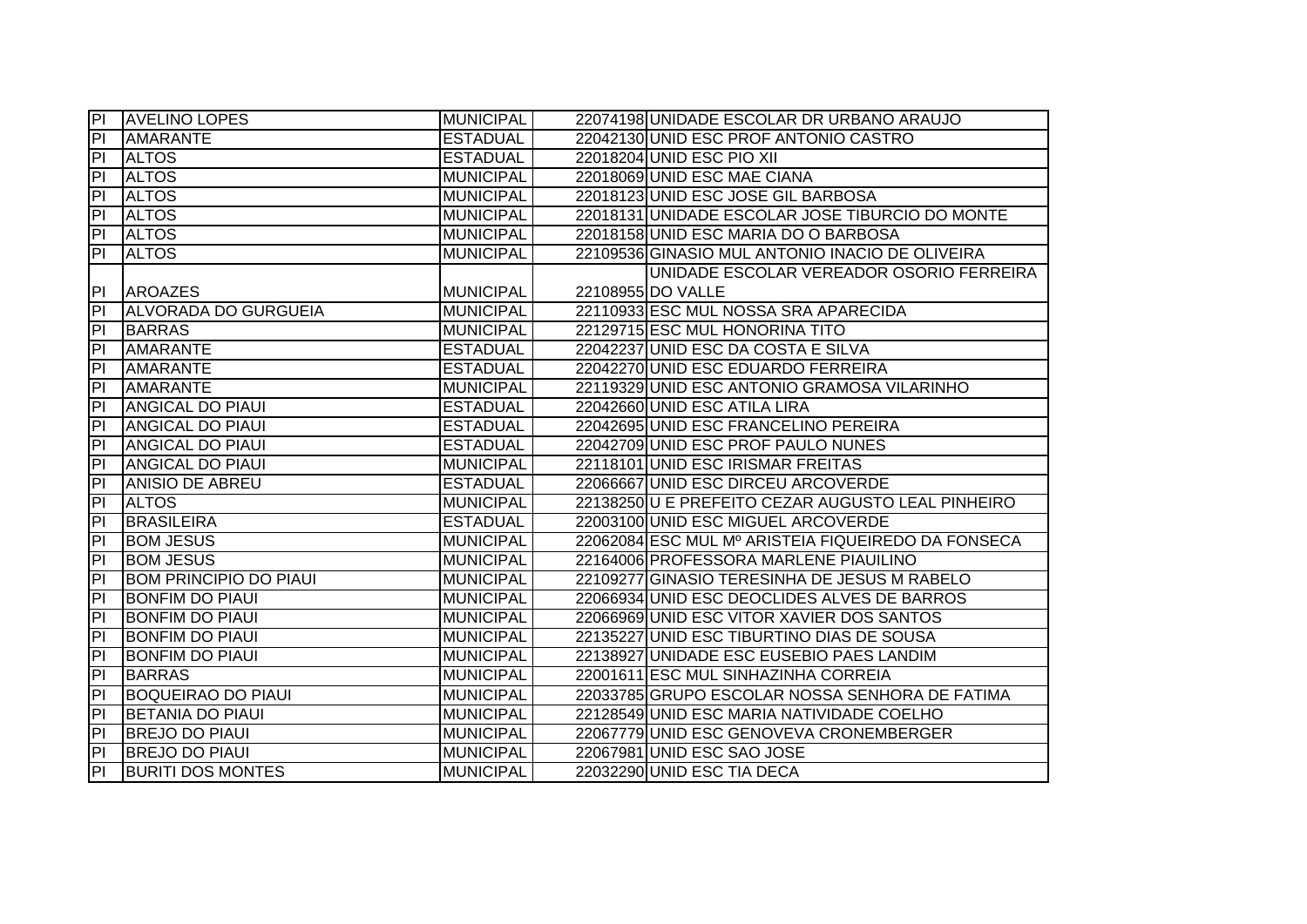| IPL                      | <b>AVELINO LOPES</b>          | <b>MUNICIPAL</b> | 22074198 UNIDADE ESCOLAR DR URBANO ARAUJO          |
|--------------------------|-------------------------------|------------------|----------------------------------------------------|
| P                        | <b>AMARANTE</b>               | <b>ESTADUAL</b>  | 22042130 UNID ESC PROF ANTONIO CASTRO              |
| P                        | <b>ALTOS</b>                  | <b>ESTADUAL</b>  | 22018204 UNID ESC PIO XII                          |
| P                        | <b>ALTOS</b>                  | <b>MUNICIPAL</b> | 22018069 UNID ESC MAE CIANA                        |
| P                        | <b>ALTOS</b>                  | <b>MUNICIPAL</b> | 22018123 UNID ESC JOSE GIL BARBOSA                 |
| PI.                      | <b>ALTOS</b>                  | <b>MUNICIPAL</b> | 22018131 UNIDADE ESCOLAR JOSE TIBURCIO DO MONTE    |
| $ \mathsf{P} $           | <b>ALTOS</b>                  | <b>MUNICIPAL</b> | 22018158 UNID ESC MARIA DO O BARBOSA               |
| PI.                      | <b>ALTOS</b>                  | <b>MUNICIPAL</b> | 22109536 GINASIO MUL ANTONIO INACIO DE OLIVEIRA    |
|                          |                               |                  | UNIDADE ESCOLAR VEREADOR OSORIO FERREIRA           |
| <b>PI</b>                | <b>AROAZES</b>                | <b>MUNICIPAL</b> | 22108955 DO VALLE                                  |
| PI                       | <b>ALVORADA DO GURGUEIA</b>   | <b>MUNICIPAL</b> | 22110933 ESC MUL NOSSA SRA APARECIDA               |
| PI                       | <b>BARRAS</b>                 | <b>MUNICIPAL</b> | 22129715 ESC MUL HONORINA TITO                     |
| P                        | <b>AMARANTE</b>               | <b>ESTADUAL</b>  | 22042237 UNID ESC DA COSTA E SILVA                 |
| P                        | <b>AMARANTE</b>               | <b>ESTADUAL</b>  | 22042270 UNID ESC EDUARDO FERREIRA                 |
| $\overline{P}$           | <b>AMARANTE</b>               | <b>MUNICIPAL</b> | 22119329 UNID ESC ANTONIO GRAMOSA VILARINHO        |
| $\overline{P}$           | <b>ANGICAL DO PIAUI</b>       | <b>ESTADUAL</b>  | 22042660 UNID ESC ATILA LIRA                       |
| P                        | <b>ANGICAL DO PIAUI</b>       | <b>ESTADUAL</b>  | 22042695 UNID ESC FRANCELINO PEREIRA               |
| P                        | <b>ANGICAL DO PIAUI</b>       | <b>ESTADUAL</b>  | 22042709 UNID ESC PROF PAULO NUNES                 |
| P                        | <b>ANGICAL DO PIAUI</b>       | <b>MUNICIPAL</b> | 22118101 UNID ESC IRISMAR FREITAS                  |
| $\overline{P}$           | <b>ANISIO DE ABREU</b>        | <b>ESTADUAL</b>  | 22066667 UNID ESC DIRCEU ARCOVERDE                 |
| $ \mathsf{P} $           | <b>ALTOS</b>                  | <b>MUNICIPAL</b> | 22138250 U E PREFEITO CEZAR AUGUSTO LEAL PINHEIRO  |
| P                        | <b>BRASILEIRA</b>             | <b>ESTADUAL</b>  | 22003100 UNID ESC MIGUEL ARCOVERDE                 |
| $\overline{P}$           | <b>BOM JESUS</b>              | <b>MUNICIPAL</b> | 22062084 ESC MUL Mº ARISTEIA FIQUEIREDO DA FONSECA |
| $\overline{P}$           | <b>BOM JESUS</b>              | <b>MUNICIPAL</b> | 22164006 PROFESSORA MARLENE PIAUILINO              |
| $\overline{P}$           | <b>BOM PRINCIPIO DO PIAUI</b> | <b>MUNICIPAL</b> | 22109277 GINASIO TERESINHA DE JESUS M RABELO       |
| $\overline{P}$           | <b>BONFIM DO PIAUI</b>        | <b>MUNICIPAL</b> | 22066934 UNID ESC DEOCLIDES ALVES DE BARROS        |
| P                        | <b>BONFIM DO PIAUI</b>        | <b>MUNICIPAL</b> | 22066969 UNID ESC VITOR XAVIER DOS SANTOS          |
| $\overline{\mathsf{PI}}$ | <b>BONFIM DO PIAUI</b>        | <b>MUNICIPAL</b> | 22135227 UNID ESC TIBURTINO DIAS DE SOUSA          |
| $\overline{P}$           | <b>BONFIM DO PIAUI</b>        | <b>MUNICIPAL</b> | 22138927 UNIDADE ESC EUSEBIO PAES LANDIM           |
| PI                       | <b>BARRAS</b>                 | <b>MUNICIPAL</b> | 22001611 ESC MUL SINHAZINHA CORREIA                |
| $\overline{P}$           | <b>BOQUEIRAO DO PIAUI</b>     | <b>MUNICIPAL</b> | 22033785 GRUPO ESCOLAR NOSSA SENHORA DE FATIMA     |
| $\overline{P}$           | <b>BETANIA DO PIAUI</b>       | <b>MUNICIPAL</b> | 22128549 UNID ESC MARIA NATIVIDADE COELHO          |
| $ \mathsf{P} $           | <b>BREJO DO PIAUI</b>         | <b>MUNICIPAL</b> | 22067779 UNID ESC GENOVEVA CRONEMBERGER            |
| P                        | <b>BREJO DO PIAUI</b>         | <b>MUNICIPAL</b> | 22067981 UNID ESC SAO JOSE                         |
| $\overline{P}$           | <b>BURITI DOS MONTES</b>      | <b>MUNICIPAL</b> | 22032290 UNID ESC TIA DECA                         |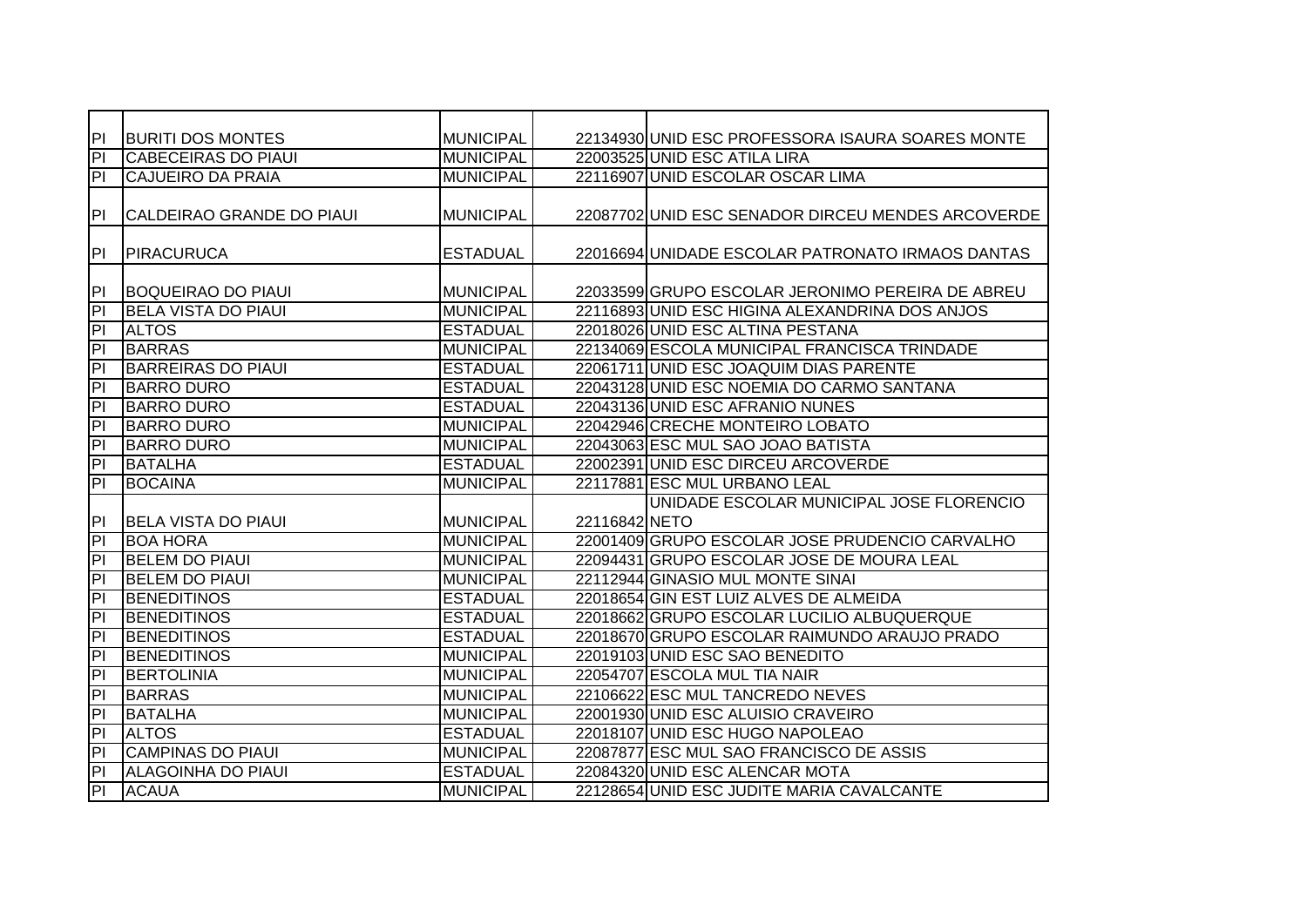| PI                      | <b>BURITI DOS MONTES</b>   | <b>MUNICIPAL</b> |               | 22134930 UNID ESC PROFESSORA ISAURA SOARES MONTE  |
|-------------------------|----------------------------|------------------|---------------|---------------------------------------------------|
| $\overline{PI}$         | <b>CABECEIRAS DO PIAUI</b> | <b>MUNICIPAL</b> |               | 22003525 UNID ESC ATILA LIRA                      |
| P                       | <b>CAJUEIRO DA PRAIA</b>   | <b>MUNICIPAL</b> |               | 22116907 UNID ESCOLAR OSCAR LIMA                  |
| PI                      | CALDEIRAO GRANDE DO PIAUI  | <b>MUNICIPAL</b> |               | 22087702 UNID ESC SENADOR DIRCEU MENDES ARCOVERDE |
| P                       | PIRACURUCA                 | <b>ESTADUAL</b>  |               | 22016694 UNIDADE ESCOLAR PATRONATO IRMAOS DANTAS  |
| P                       | <b>BOQUEIRAO DO PIAUI</b>  | <b>MUNICIPAL</b> |               | 22033599 GRUPO ESCOLAR JERONIMO PEREIRA DE ABREU  |
| P                       | <b>BELA VISTA DO PIAUI</b> | <b>MUNICIPAL</b> |               | 22116893 UNID ESC HIGINA ALEXANDRINA DOS ANJOS    |
| P                       | <b>ALTOS</b>               | <b>ESTADUAL</b>  |               | 22018026 UNID ESC ALTINA PESTANA                  |
| $\overline{P}$          | <b>BARRAS</b>              | <b>MUNICIPAL</b> |               | 22134069 ESCOLA MUNICIPAL FRANCISCA TRINDADE      |
| $\overline{\mathsf{d}}$ | <b>BARREIRAS DO PIAUI</b>  | <b>ESTADUAL</b>  |               | 22061711 UNID ESC JOAQUIM DIAS PARENTE            |
| $\overline{\mathsf{d}}$ | <b>BARRO DURO</b>          | <b>ESTADUAL</b>  |               | 22043128 UNID ESC NOEMIA DO CARMO SANTANA         |
| 티                       | <b>BARRO DURO</b>          | <b>ESTADUAL</b>  |               | 22043136 UNID ESC AFRANIO NUNES                   |
| $\overline{PI}$         | <b>BARRO DURO</b>          | <b>MUNICIPAL</b> |               | 22042946 CRECHE MONTEIRO LOBATO                   |
| $\overline{P}$          | <b>BARRO DURO</b>          | <b>MUNICIPAL</b> |               | 22043063 ESC MUL SAO JOAO BATISTA                 |
| $\overline{P}$          | <b>BATALHA</b>             | <b>ESTADUAL</b>  |               | 22002391 UNID ESC DIRCEU ARCOVERDE                |
| 티                       | <b>BOCAINA</b>             | <b>MUNICIPAL</b> |               | 22117881 ESC MUL URBANO LEAL                      |
|                         |                            |                  |               | UNIDADE ESCOLAR MUNICIPAL JOSE FLORENCIO          |
| PI                      | <b>BELA VISTA DO PIAUI</b> | <b>MUNICIPAL</b> | 22116842 NETO |                                                   |
| h                       | <b>BOA HORA</b>            | <b>MUNICIPAL</b> |               | 22001409 GRUPO ESCOLAR JOSE PRUDENCIO CARVALHO    |
| Ē                       | <b>BELEM DO PIAUI</b>      | <b>MUNICIPAL</b> |               | 22094431 GRUPO ESCOLAR JOSE DE MOURA LEAL         |
| E                       | <b>BELEM DO PIAUI</b>      | <b>MUNICIPAL</b> |               | 22112944 GINASIO MUL MONTE SINAI                  |
| $\overline{PI}$         | <b>BENEDITINOS</b>         | <b>ESTADUAL</b>  |               | 22018654 GIN EST LUIZ ALVES DE ALMEIDA            |
| $\overline{\mathsf{d}}$ | <b>BENEDITINOS</b>         | <b>ESTADUAL</b>  |               | 22018662 GRUPO ESCOLAR LUCILIO ALBUQUERQUE        |
| $\overline{\mathsf{d}}$ | <b>BENEDITINOS</b>         | <b>ESTADUAL</b>  |               | 22018670 GRUPO ESCOLAR RAIMUNDO ARAUJO PRADO      |
| $\overline{P}$          | <b>BENEDITINOS</b>         | <b>MUNICIPAL</b> |               | 22019103 UNID ESC SAO BENEDITO                    |
| E                       | <b>BERTOLINIA</b>          | <b>MUNICIPAL</b> |               | 22054707 ESCOLA MUL TIA NAIR                      |
| E                       | <b>BARRAS</b>              | <b>MUNICIPAL</b> |               | 22106622 ESC MUL TANCREDO NEVES                   |
| $\overline{P}$          | <b>BATALHA</b>             | <b>MUNICIPAL</b> |               | 22001930 UNID ESC ALUISIO CRAVEIRO                |
| $\overline{P}$          | <b>ALTOS</b>               | <b>ESTADUAL</b>  |               | 22018107 UNID ESC HUGO NAPOLEAO                   |
| $\overline{P}$          | <b>CAMPINAS DO PIAUI</b>   | <b>MUNICIPAL</b> |               | 22087877 ESC MUL SAO FRANCISCO DE ASSIS           |
| $\overline{P}$          | <b>ALAGOINHA DO PIAUI</b>  | <b>ESTADUAL</b>  |               | 22084320 UNID ESC ALENCAR MOTA                    |
| 티                       | <b>ACAUA</b>               | <b>MUNICIPAL</b> |               | 22128654 UNID ESC JUDITE MARIA CAVALCANTE         |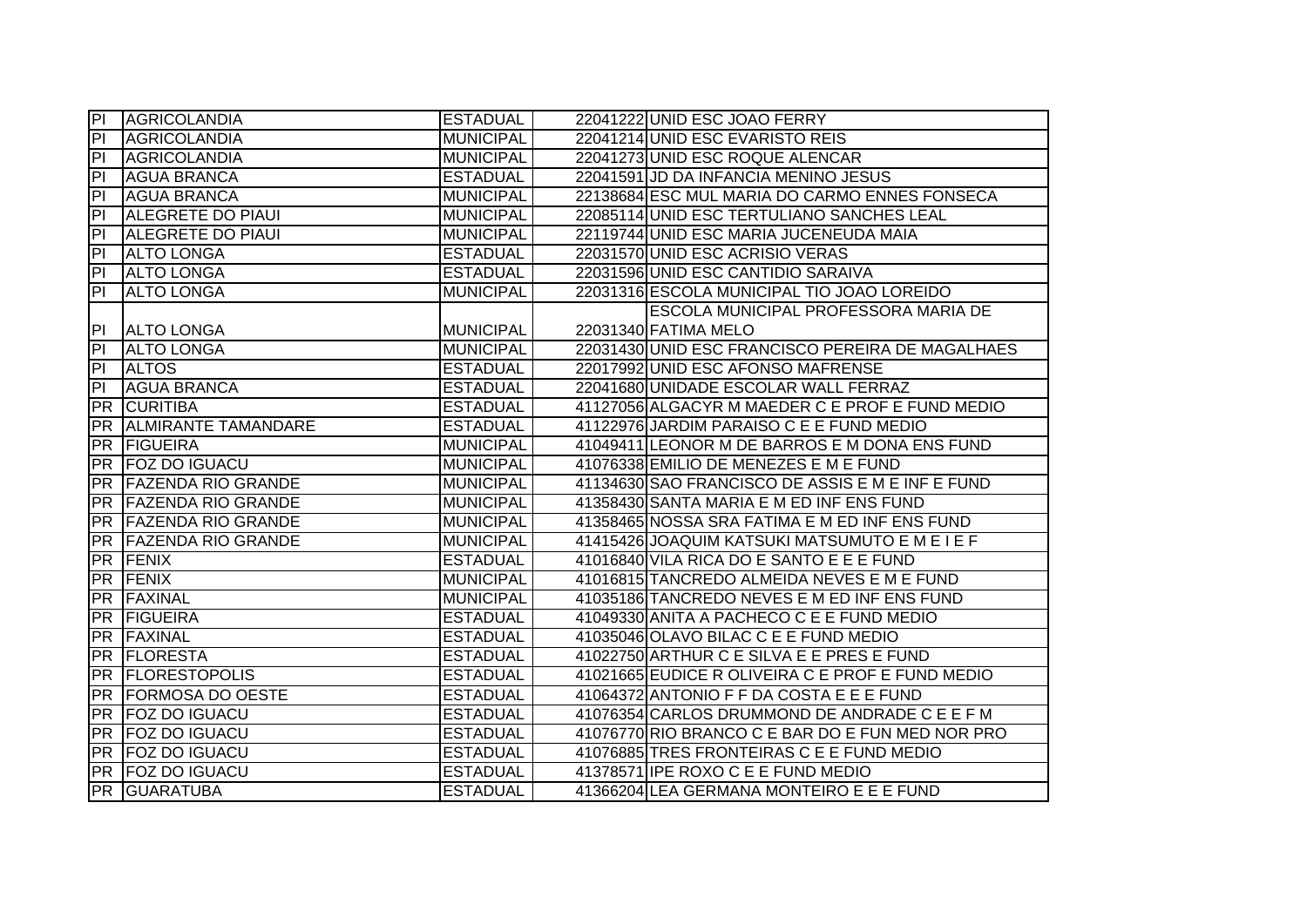| P                       | AGRICOLANDIA                 | <b>ESTADUAL</b>  | 22041222 UNID ESC JOAO FERRY                     |
|-------------------------|------------------------------|------------------|--------------------------------------------------|
| $\overline{P}$          | <b>AGRICOLANDIA</b>          | <b>MUNICIPAL</b> | 22041214 UNID ESC EVARISTO REIS                  |
| PI                      | <b>AGRICOLANDIA</b>          | <b>MUNICIPAL</b> | 22041273 UNID ESC ROQUE ALENCAR                  |
| P                       | <b>AGUA BRANCA</b>           | <b>ESTADUAL</b>  | 22041591 JD DA INFANCIA MENINO JESUS             |
| $\overline{\mathsf{d}}$ | <b>AGUA BRANCA</b>           | <b>MUNICIPAL</b> | 22138684 ESC MUL MARIA DO CARMO ENNES FONSECA    |
| $\overline{\mathsf{d}}$ | <b>ALEGRETE DO PIAUI</b>     | <b>MUNICIPAL</b> | 22085114 UNID ESC TERTULIANO SANCHES LEAL        |
| P                       | <b>ALEGRETE DO PIAUL</b>     | <b>MUNICIPAL</b> | 22119744 UNID ESC MARIA JUCENEUDA MAIA           |
| $\overline{P}$          | <b>ALTO LONGA</b>            | <b>ESTADUAL</b>  | 22031570 UNID ESC ACRISIO VERAS                  |
| PI                      | <b>ALTO LONGA</b>            | <b>ESTADUAL</b>  | 22031596 UNID ESC CANTIDIO SARAIVA               |
| PI                      | <b>ALTO LONGA</b>            | <b>MUNICIPAL</b> | 22031316 ESCOLA MUNICIPAL TIO JOAO LOREIDO       |
|                         |                              |                  | <b>ESCOLA MUNICIPAL PROFESSORA MARIA DE</b>      |
| <b>PI</b>               | <b>ALTO LONGA</b>            | <b>MUNICIPAL</b> | 22031340 FATIMA MELO                             |
| $\overline{P}$          | <b>ALTO LONGA</b>            | <b>MUNICIPAL</b> | 22031430 UNID ESC FRANCISCO PEREIRA DE MAGALHAES |
| P <sub>1</sub>          | <b>ALTOS</b>                 | <b>ESTADUAL</b>  | 22017992 UNID ESC AFONSO MAFRENSE                |
| $\overline{a}$          | <b>AGUA BRANCA</b>           | <b>ESTADUAL</b>  | 22041680 UNIDADE ESCOLAR WALL FERRAZ             |
| PR                      | <b>CURITIBA</b>              | <b>ESTADUAL</b>  | 41127056 ALGACYR M MAEDER C E PROF E FUND MEDIO  |
| <b>PR</b>               | <b>ALMIRANTE TAMANDARE</b>   | <b>ESTADUAL</b>  | 41122976 JARDIM PARAISO C E E FUND MEDIO         |
| <b>PR</b>               | <b>FIGUEIRA</b>              | <b>MUNICIPAL</b> | 41049411 LEONOR M DE BARROS E M DONA ENS FUND    |
| <b>PR</b>               | <b>FOZ DO IGUACU</b>         | <b>MUNICIPAL</b> | 41076338 EMILIO DE MENEZES E M E FUND            |
|                         | <b>PR FAZENDA RIO GRANDE</b> | <b>MUNICIPAL</b> | 41134630 SAO FRANCISCO DE ASSIS E M E INF E FUND |
| PR                      | <b>FAZENDA RIO GRANDE</b>    | <b>MUNICIPAL</b> | 41358430 SANTA MARIA E M ED INF ENS FUND         |
|                         | PR FAZENDA RIO GRANDE        | <b>MUNICIPAL</b> | 41358465 NOSSA SRA FATIMA E M ED INF ENS FUND    |
| <b>PR</b>               | <b>FAZENDA RIO GRANDE</b>    | <b>MUNICIPAL</b> | 41415426 JOAQUIM KATSUKI MATSUMUTO E M E I E F   |
| $\overline{PR}$         | FENIX                        | <b>ESTADUAL</b>  | 41016840 VILA RICA DO E SANTO E E E FUND         |
| <b>PR</b>               | <b>FENIX</b>                 | <b>MUNICIPAL</b> | 41016815 TANCREDO ALMEIDA NEVES E M E FUND       |
| <b>PR</b>               | <b>FAXINAL</b>               | <b>MUNICIPAL</b> | 41035186 TANCREDO NEVES E M ED INF ENS FUND      |
| IPR.                    | <b>FIGUEIRA</b>              | <b>ESTADUAL</b>  | 41049330 ANITA A PACHECO C E E FUND MEDIO        |
| <b>PR</b>               | <b>FAXINAL</b>               | <b>ESTADUAL</b>  | 41035046 OLAVO BILAC C E E FUND MEDIO            |
| PR                      | <b>FLORESTA</b>              | <b>ESTADUAL</b>  | 41022750 ARTHUR C E SILVA E E PRES E FUND        |
| IPR I                   | <b>FLORESTOPOLIS</b>         | <b>ESTADUAL</b>  | 41021665 EUDICE R OLIVEIRA C E PROF E FUND MEDIO |
| PR                      | <b>FORMOSA DO OESTE</b>      | <b>ESTADUAL</b>  | 41064372 ANTONIO F F DA COSTA E E E FUND         |
| PR                      | <b>FOZ DO IGUACU</b>         | <b>ESTADUAL</b>  | 41076354 CARLOS DRUMMOND DE ANDRADE C E E F M    |
| <b>PR</b>               | <b>FOZ DO IGUACU</b>         | <b>ESTADUAL</b>  | 41076770 RIO BRANCO C E BAR DO E FUN MED NOR PRO |
|                         | PR FOZ DO IGUACU             | <b>ESTADUAL</b>  | 41076885 TRES FRONTEIRAS C E E FUND MEDIO        |
|                         |                              |                  |                                                  |
|                         | PR FOZ DO IGUACU             | <b>ESTADUAL</b>  | 41378571 IPE ROXO C E E FUND MEDIO               |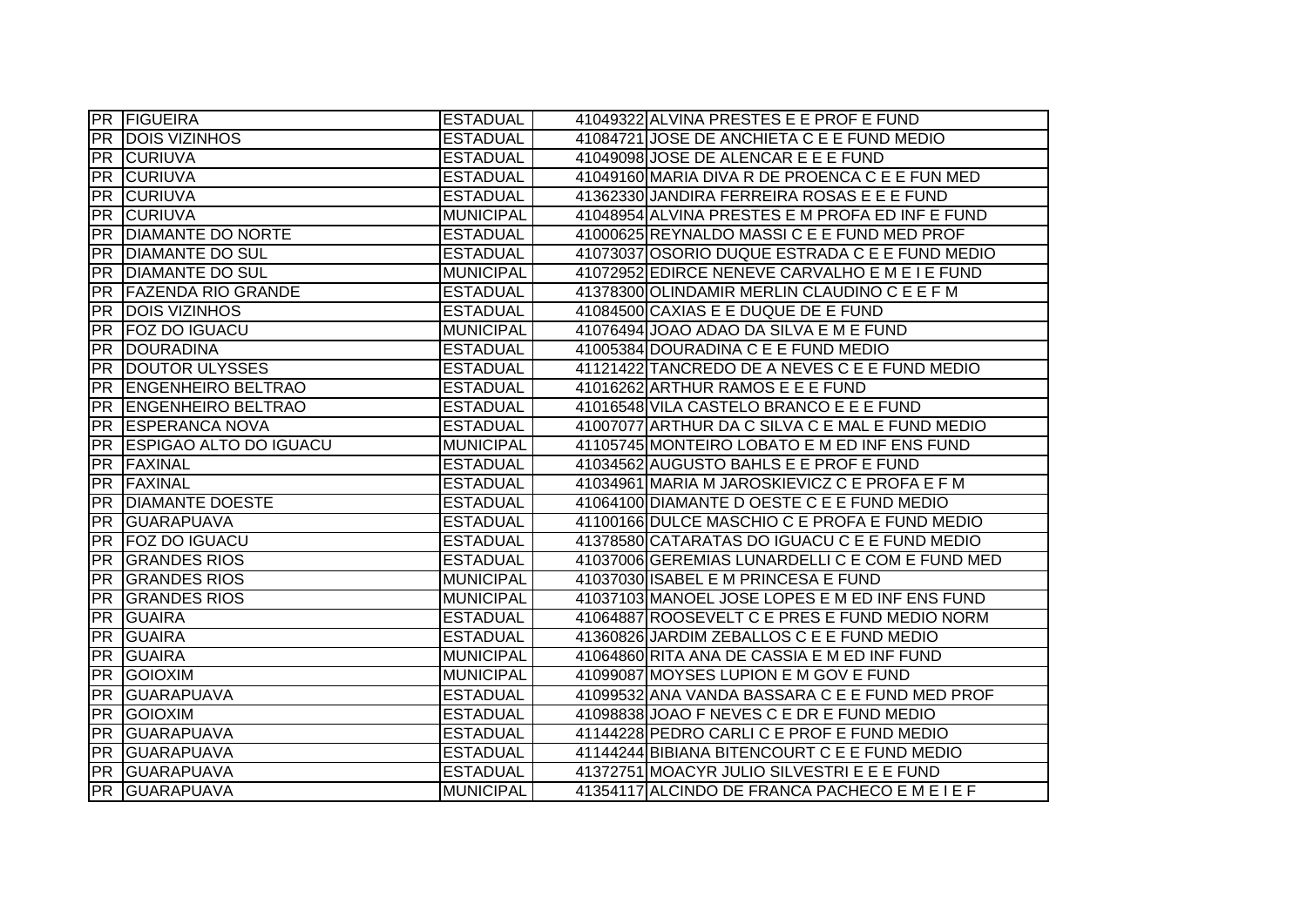|                 | <b>PR FIGUEIRA</b>            | <b>ESTADUAL</b>  | 41049322 ALVINA PRESTES E E PROF E FUND         |
|-----------------|-------------------------------|------------------|-------------------------------------------------|
| <b>PR</b>       | <b>DOIS VIZINHOS</b>          | <b>ESTADUAL</b>  | 41084721 JOSE DE ANCHIETA C E E FUND MEDIO      |
| PR              | <b>ICURIUVA</b>               | <b>ESTADUAL</b>  | 41049098 JOSE DE ALENCAR E E E FUND             |
| <b>PR</b>       | <b>CURIUVA</b>                | <b>ESTADUAL</b>  | 41049160 MARIA DIVA R DE PROENCA C E E FUN MED  |
| <b>PR</b>       | <b>CURIUVA</b>                | <b>ESTADUAL</b>  | 41362330 JANDIRA FERREIRA ROSAS E E E FUND      |
| IPR.            | <b>CURIUVA</b>                | <b>MUNICIPAL</b> | 41048954 ALVINA PRESTES E M PROFA ED INF E FUND |
| <b>PR</b>       | <b>DIAMANTE DO NORTE</b>      | <b>ESTADUAL</b>  | 41000625 REYNALDO MASSI C E E FUND MED PROF     |
| <b>PR</b>       | <b>DIAMANTE DO SUL</b>        | <b>ESTADUAL</b>  | 41073037 OSORIO DUQUE ESTRADA C E E FUND MEDIO  |
| <b>PR</b>       | <b>DIAMANTE DO SUL</b>        | <b>MUNICIPAL</b> | 41072952 EDIRCE NENEVE CARVALHO E M E I E FUND  |
| <b>PR</b>       | <b>FAZENDA RIO GRANDE</b>     | <b>ESTADUAL</b>  | 41378300 OLINDAMIR MERLIN CLAUDINO C E E F M    |
| <b>PR</b>       | <b>DOIS VIZINHOS</b>          | <b>ESTADUAL</b>  | 41084500 CAXIAS E E DUQUE DE E FUND             |
| <b>PR</b>       | <b>FOZ DO IGUACU</b>          | <b>MUNICIPAL</b> | 41076494 JOAO ADAO DA SILVA E M E FUND          |
| <b>PR</b>       | DOURADINA                     | <b>ESTADUAL</b>  | 41005384 DOURADINA C E E FUND MEDIO             |
| <b>PR</b>       | DOUTOR ULYSSES                | <b>ESTADUAL</b>  | 41121422 TANCREDO DE A NEVES C E E FUND MEDIO   |
| <b>PR</b>       | <b>ENGENHEIRO BELTRAO</b>     | <b>ESTADUAL</b>  | 41016262 ARTHUR RAMOS E E E FUND                |
| <b>PR</b>       | <b>ENGENHEIRO BELTRAO</b>     | <b>ESTADUAL</b>  | 41016548 VILA CASTELO BRANCO E E E FUND         |
| <b>PR</b>       | <b>ESPERANCA NOVA</b>         | <b>ESTADUAL</b>  | 41007077 ARTHUR DA C SILVA C E MAL E FUND MEDIO |
| <b>PR</b>       | <b>ESPIGAO ALTO DO IGUACU</b> | <b>MUNICIPAL</b> | 41105745 MONTEIRO LOBATO E M ED INF ENS FUND    |
|                 |                               |                  |                                                 |
| <b>PR</b>       | <b>FAXINAL</b>                | <b>ESTADUAL</b>  | 41034562 AUGUSTO BAHLS E E PROF E FUND          |
| PR              | <b>FAXINAL</b>                | <b>ESTADUAL</b>  | 41034961 MARIA M JAROSKIEVICZ C E PROFA E F M   |
| PR              | <b>DIAMANTE DOESTE</b>        | <b>ESTADUAL</b>  | 41064100 DIAMANTE D OESTE C E E FUND MEDIO      |
| <b>PR</b>       | <b>GUARAPUAVA</b>             | <b>ESTADUAL</b>  | 41100166 DULCE MASCHIO C E PROFA E FUND MEDIO   |
| <b>PR</b>       | <b>FOZ DO IGUACU</b>          | <b>ESTADUAL</b>  | 41378580 CATARATAS DO IGUACU C E E FUND MEDIO   |
| <b>PR</b>       | <b>GRANDES RIOS</b>           | <b>ESTADUAL</b>  | 41037006 GEREMIAS LUNARDELLI C E COM E FUND MED |
| <b>PR</b>       | <b>GRANDES RIOS</b>           | <b>MUNICIPAL</b> | 41037030 ISABEL E M PRINCESA E FUND             |
| <b>PR</b>       | <b>GRANDES RIOS</b>           | <b>MUNICIPAL</b> | 41037103 MANOEL JOSE LOPES E M ED INF ENS FUND  |
| <b>PR</b>       | <b>GUAIRA</b>                 | <b>ESTADUAL</b>  | 41064887 ROOSEVELT C E PRES E FUND MEDIO NORM   |
| <b>PR</b>       | <b>GUAIRA</b>                 | <b>ESTADUAL</b>  | 41360826 JARDIM ZEBALLOS C E E FUND MEDIO       |
| $\overline{PR}$ | <b>GUAIRA</b>                 | <b>MUNICIPAL</b> | 41064860 RITA ANA DE CASSIA E M ED INF FUND     |
| <b>PR</b>       | <b>GOIOXIM</b>                | <b>MUNICIPAL</b> | 41099087 MOYSES LUPION E M GOV E FUND           |
| <b>PR</b>       | <b>GUARAPUAVA</b>             | <b>ESTADUAL</b>  | 41099532 ANA VANDA BASSARA C E E FUND MED PROF  |
| <b>PR</b>       | <b>GOIOXIM</b>                | <b>ESTADUAL</b>  | 41098838 JOAO F NEVES C E DR E FUND MEDIO       |
| <b>PR</b>       | <b>GUARAPUAVA</b>             | <b>ESTADUAL</b>  | 41144228 PEDRO CARLI C E PROF E FUND MEDIO      |
| <b>PR</b>       | <b>GUARAPUAVA</b>             | <b>ESTADUAL</b>  | 41144244 BIBIANA BITENCOURT C E E FUND MEDIO    |
| PR              | GUARAPUAVA                    | <b>ESTADUAL</b>  | 41372751 MOACYR JULIO SILVESTRI E E E FUND      |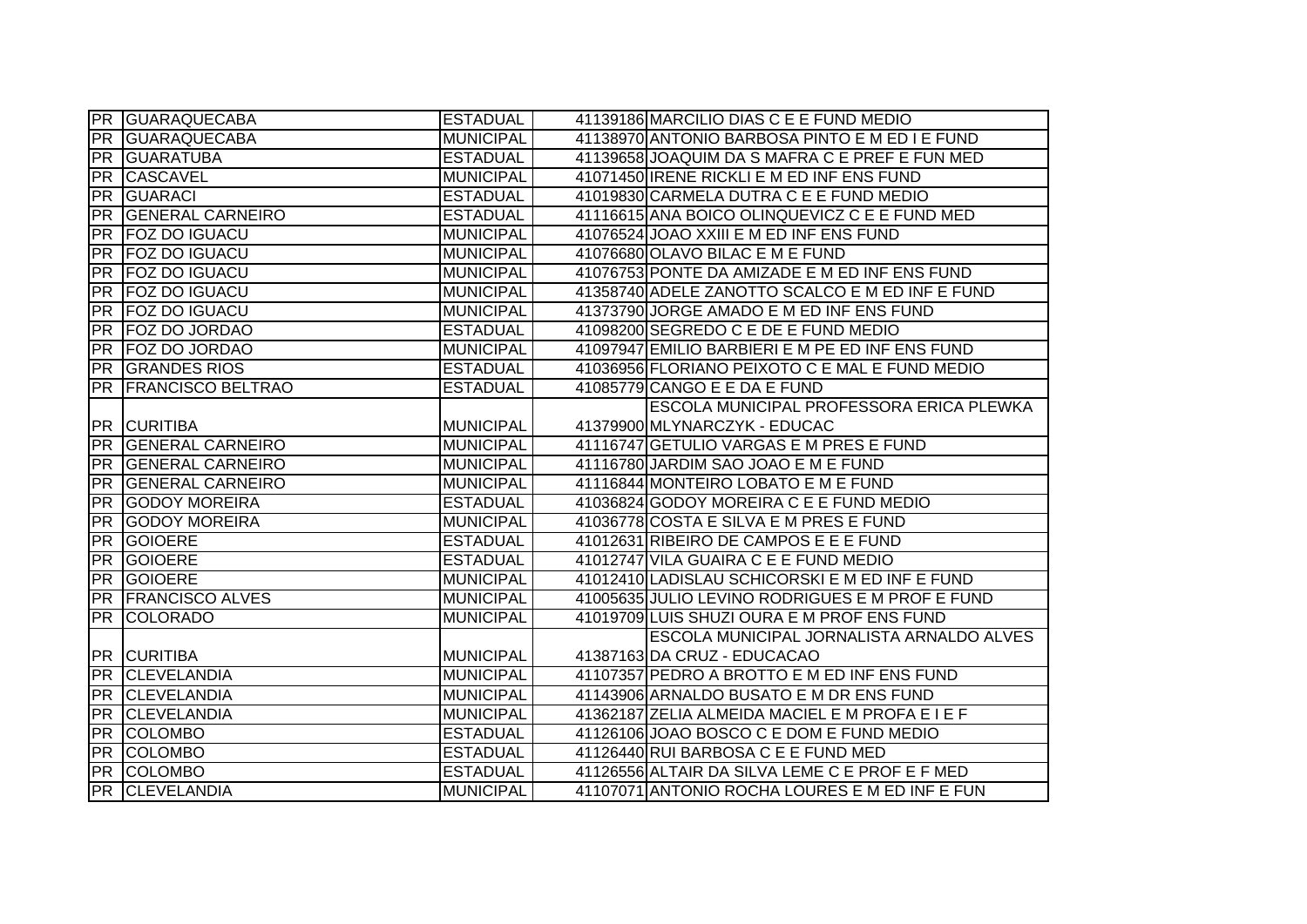|           | <b>PR GUARAQUECABA</b>     | <b>ESTADUAL</b>  | 41139186 MARCILIO DIAS C E E FUND MEDIO         |
|-----------|----------------------------|------------------|-------------------------------------------------|
| <b>PR</b> | <b>GUARAQUECABA</b>        | <b>MUNICIPAL</b> | 41138970 ANTONIO BARBOSA PINTO E M ED I E FUND  |
|           | <b>PR GUARATUBA</b>        | <b>ESTADUAL</b>  | 41139658 JOAQUIM DA S MAFRA C E PREF E FUN MED  |
| PR        | <b>CASCAVEL</b>            | <b>MUNICIPAL</b> | 41071450 IRENE RICKLI E M ED INF ENS FUND       |
| <b>PR</b> | <b>GUARACI</b>             | <b>ESTADUAL</b>  | 41019830 CARMELA DUTRA C E E FUND MEDIO         |
|           | PR GENERAL CARNEIRO        | <b>ESTADUAL</b>  | 41116615 ANA BOICO OLINQUEVICZ C E E FUND MED   |
| PR        | <b>FOZ DO IGUACU</b>       | <b>MUNICIPAL</b> | 41076524 JOAO XXIII E M ED INF ENS FUND         |
| <b>PR</b> | <b>FOZ DO IGUACU</b>       | <b>MUNICIPAL</b> | 41076680 OLAVO BILAC E M E FUND                 |
| <b>PR</b> | <b>FOZ DO IGUACU</b>       | <b>MUNICIPAL</b> | 41076753 PONTE DA AMIZADE E M ED INF ENS FUND   |
| PR        | <b>FOZ DO IGUACU</b>       | <b>MUNICIPAL</b> | 41358740 ADELE ZANOTTO SCALCO E M ED INF E FUND |
| <b>PR</b> | <b>FOZ DO IGUACU</b>       | <b>MUNICIPAL</b> | 41373790 JORGE AMADO E M ED INF ENS FUND        |
| <b>PR</b> | <b>FOZ DO JORDAO</b>       | <b>ESTADUAL</b>  | 41098200 SEGREDO C E DE E FUND MEDIO            |
| <b>PR</b> | <b>FOZ DO JORDAO</b>       | <b>MUNICIPAL</b> | 41097947 EMILIO BARBIERI E M PE ED INF ENS FUND |
| PR        | <b>GRANDES RIOS</b>        | <b>ESTADUAL</b>  | 41036956 FLORIANO PEIXOTO C E MAL E FUND MEDIO  |
| <b>PR</b> | <b>FRANCISCO BELTRAO</b>   | <b>ESTADUAL</b>  | 41085779 CANGO E E DA E FUND                    |
|           |                            |                  | <b>ESCOLA MUNICIPAL PROFESSORA ERICA PLEWKA</b> |
|           | <b>PR CURITIBA</b>         | <b>MUNICIPAL</b> | 41379900 MLYNARCZYK - EDUCAC                    |
|           | <b>PR GENERAL CARNEIRO</b> | <b>MUNICIPAL</b> | 41116747 GETULIO VARGAS E M PRES E FUND         |
|           | PR GENERAL CARNEIRO        | <b>MUNICIPAL</b> | 41116780 JARDIM SAO JOAO E M E FUND             |
|           |                            |                  |                                                 |
|           | PR GENERAL CARNEIRO        | <b>MUNICIPAL</b> | 41116844 MONTEIRO LOBATO E M E FUND             |
| PR        | <b>GODOY MOREIRA</b>       | <b>ESTADUAL</b>  | 41036824 GODOY MOREIRA C E E FUND MEDIO         |
| PR        | <b>GODOY MOREIRA</b>       | <b>MUNICIPAL</b> | 41036778 COSTA E SILVA E M PRES E FUND          |
| PR        | <b>GOIOERE</b>             | <b>ESTADUAL</b>  | 41012631 RIBEIRO DE CAMPOS E E E FUND           |
| <b>PR</b> | <b>GOIOERE</b>             | <b>ESTADUAL</b>  | 41012747 VILA GUAIRA C E E FUND MEDIO           |
| <b>PR</b> | GOIOERE                    | <b>MUNICIPAL</b> | 41012410 LADISLAU SCHICORSKI E M ED INF E FUND  |
| <b>PR</b> | <b>FRANCISCO ALVES</b>     | <b>MUNICIPAL</b> | 41005635 JULIO LEVINO RODRIGUES E M PROF E FUND |
| <b>PR</b> | <b>COLORADO</b>            | <b>MUNICIPAL</b> | 41019709 LUIS SHUZI OURA E M PROF ENS FUND      |
|           |                            |                  | ESCOLA MUNICIPAL JORNALISTA ARNALDO ALVES       |
|           | <b>PR CURITIBA</b>         | <b>MUNICIPAL</b> | 41387163 DA CRUZ - EDUCACAO                     |
|           | PR CLEVELANDIA             | <b>MUNICIPAL</b> | 41107357 PEDRO A BROTTO E M ED INF ENS FUND     |
| PR        | <b>CLEVELANDIA</b>         | <b>MUNICIPAL</b> | 41143906 ARNALDO BUSATO E M DR ENS FUND         |
| PR        | <b>CLEVELANDIA</b>         | <b>MUNICIPAL</b> | 41362187 ZELIA ALMEIDA MACIEL E M PROFA E I E F |
|           | PR COLOMBO                 | <b>ESTADUAL</b>  | 41126106 JOAO BOSCO C E DOM E FUND MEDIO        |
|           | <b>PR</b> COLOMBO          | <b>ESTADUAL</b>  | 41126440 RUI BARBOSA C E E FUND MED             |
|           | PR COLOMBO                 | <b>ESTADUAL</b>  | 41126556 ALTAIR DA SILVA LEME C E PROF E F MED  |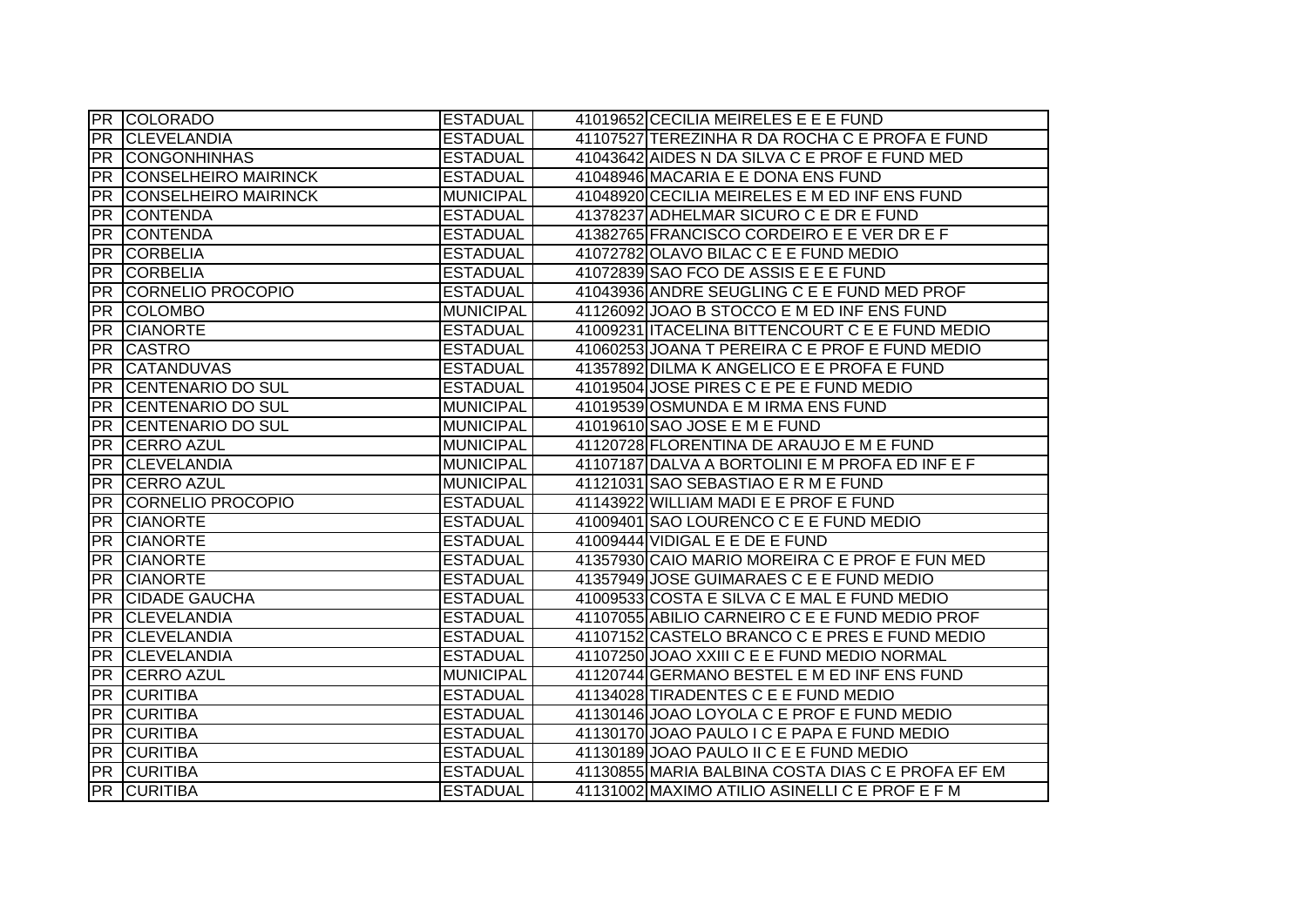|                 | <b>PR COLORADO</b>          | <b>ESTADUAL</b>  | 41019652 CECILIA MEIRELES E E E FUND              |
|-----------------|-----------------------------|------------------|---------------------------------------------------|
| PR              | <b>CLEVELANDIA</b>          | <b>ESTADUAL</b>  | 41107527 TEREZINHA R DA ROCHA C E PROFA E FUND    |
| PR              | <b>CONGONHINHAS</b>         | <b>ESTADUAL</b>  | 41043642 AIDES N DA SILVA C E PROF E FUND MED     |
| IPR.            | <b>CONSELHEIRO MAIRINCK</b> | <b>ESTADUAL</b>  | 41048946 MACARIA E E DONA ENS FUND                |
| <b>PR</b>       | <b>CONSELHEIRO MAIRINCK</b> | <b>MUNICIPAL</b> | 41048920 CECILIA MEIRELES E M ED INF ENS FUND     |
| <b>PR</b>       | <b>CONTENDA</b>             | <b>ESTADUAL</b>  | 41378237 ADHELMAR SICURO C E DR E FUND            |
| <b>PR</b>       | <b>CONTENDA</b>             | <b>ESTADUAL</b>  | 41382765 FRANCISCO CORDEIRO E E VER DR E F        |
| <b>PR</b>       | <b>CORBELIA</b>             | <b>ESTADUAL</b>  | 41072782 OLAVO BILAC C E E FUND MEDIO             |
| <b>PR</b>       | <b>CORBELIA</b>             | <b>ESTADUAL</b>  | 41072839 SAO FCO DE ASSIS E E E FUND              |
| <b>PR</b>       | CORNELIO PROCOPIO           | <b>ESTADUAL</b>  | 41043936 ANDRE SEUGLING C E E FUND MED PROF       |
| IPR.            | <b>COLOMBO</b>              | <b>MUNICIPAL</b> | 41126092 JOAO B STOCCO E M ED INF ENS FUND        |
| <b>PR</b>       | <b>CIANORTE</b>             | <b>ESTADUAL</b>  | 41009231 ITACELINA BITTENCOURT C E E FUND MEDIO   |
| <b>PR</b>       | <b>CASTRO</b>               | <b>ESTADUAL</b>  | 41060253 JOANA T PEREIRA C E PROF E FUND MEDIO    |
| PR              | <b>CATANDUVAS</b>           | <b>ESTADUAL</b>  | 41357892 DILMA K ANGELICO E E PROFA E FUND        |
| <b>PR</b>       | <b>CENTENARIO DO SUL</b>    | <b>ESTADUAL</b>  | 41019504 JOSE PIRES C E PE E FUND MEDIO           |
| <b>PR</b>       | <b>CENTENARIO DO SUL</b>    | <b>MUNICIPAL</b> | 41019539 OSMUNDA E M IRMA ENS FUND                |
| <b>PR</b>       | <b>CENTENARIO DO SUL</b>    | <b>MUNICIPAL</b> | 41019610 SAO JOSE E M E FUND                      |
| <b>PR</b>       | <b>CERRO AZUL</b>           | <b>MUNICIPAL</b> | 41120728 FLORENTINA DE ARAUJO E M E FUND          |
| PR              | <b>CLEVELANDIA</b>          | <b>MUNICIPAL</b> | 41107187 DALVA A BORTOLINI E M PROFA ED INF E F   |
|                 | PR CERRO AZUL               | <b>MUNICIPAL</b> | 41121031 SAO SEBASTIAO E R M E FUND               |
| PR              | CORNELIO PROCOPIO           | <b>ESTADUAL</b>  | 41143922 WILLIAM MADI E E PROF E FUND             |
| <b>PR</b>       | <b>CIANORTE</b>             | <b>ESTADUAL</b>  | 41009401 SAO LOURENCO C E E FUND MEDIO            |
| PR              | <b>CIANORTE</b>             | <b>ESTADUAL</b>  | 41009444 VIDIGAL E E DE E FUND                    |
| <b>PR</b>       | <b>CIANORTE</b>             | <b>ESTADUAL</b>  | 41357930 CAIO MARIO MOREIRA C E PROF E FUN MED    |
| <b>PR</b>       | <b>CIANORTE</b>             | <b>ESTADUAL</b>  | 41357949 JOSE GUIMARAES C E E FUND MEDIO          |
| <b>PR</b>       | <b>CIDADE GAUCHA</b>        | <b>ESTADUAL</b>  | 41009533 COSTA E SILVA C E MAL E FUND MEDIO       |
| <b>PR</b>       | <b>CLEVELANDIA</b>          | <b>ESTADUAL</b>  | 41107055 ABILIO CARNEIRO C E E FUND MEDIO PROF    |
| PR              | <b>CLEVELANDIA</b>          | <b>ESTADUAL</b>  | 41107152 CASTELO BRANCO C E PRES E FUND MEDIO     |
| <b>PR</b>       | <b>CLEVELANDIA</b>          | <b>ESTADUAL</b>  | 41107250 JOAO XXIII C E E FUND MEDIO NORMAL       |
| <b>PR</b>       | <b>CERRO AZUL</b>           | <b>MUNICIPAL</b> | 41120744 GERMANO BESTEL E M ED INF ENS FUND       |
| <b>PR</b>       | <b>CURITIBA</b>             | <b>ESTADUAL</b>  | 41134028 TIRADENTES C E E FUND MEDIO              |
|                 | <b>PR CURITIBA</b>          | <b>ESTADUAL</b>  | 41130146 JOAO LOYOLA C E PROF E FUND MEDIO        |
| <b>PR</b>       | <b>CURITIBA</b>             | <b>ESTADUAL</b>  | 41130170 JOAO PAULO I C E PAPA E FUND MEDIO       |
|                 | <b>PR CURITIBA</b>          | <b>ESTADUAL</b>  | 41130189 JOAO PAULO II C E E FUND MEDIO           |
| PR              | <b>CURITIBA</b>             | <b>ESTADUAL</b>  | 41130855 MARIA BALBINA COSTA DIAS C E PROFA EF EM |
| $\overline{PR}$ | <b>CURITIBA</b>             | <b>ESTADUAL</b>  | 41131002 MAXIMO ATILIO ASINELLI C E PROF E F M    |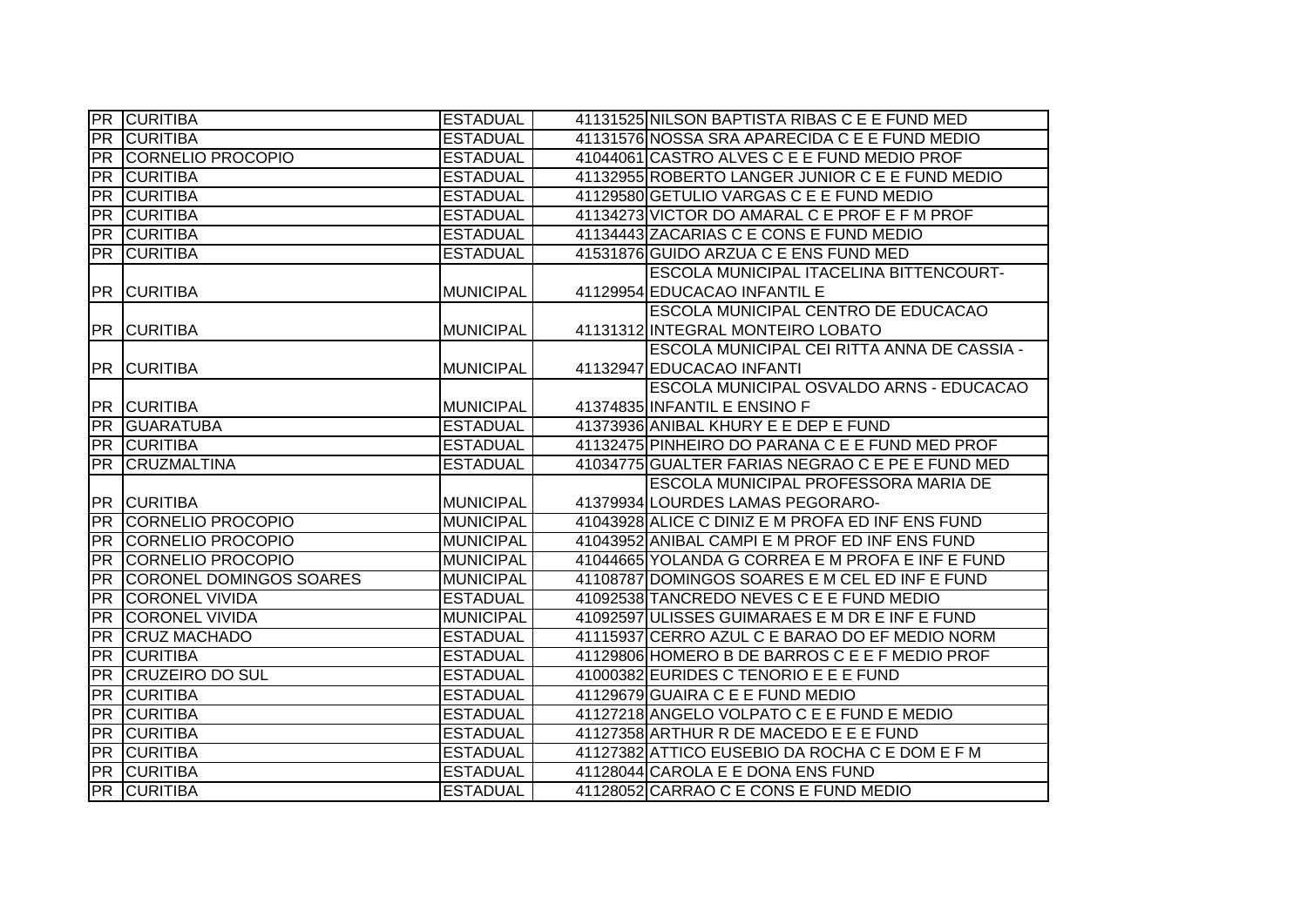|                 | <b>PR CURITIBA</b>                | <b>ESTADUAL</b>  | 41131525 NILSON BAPTISTA RIBAS C E E FUND MED    |
|-----------------|-----------------------------------|------------------|--------------------------------------------------|
|                 | <b>PR CURITIBA</b>                | <b>ESTADUAL</b>  | 41131576 NOSSA SRA APARECIDA C E E FUND MEDIO    |
|                 | <b>PR CORNELIO PROCOPIO</b>       | <b>ESTADUAL</b>  | 41044061 CASTRO ALVES C E E FUND MEDIO PROF      |
|                 | <b>PR CURITIBA</b>                | <b>ESTADUAL</b>  | 41132955 ROBERTO LANGER JUNIOR C E E FUND MEDIO  |
|                 | <b>PR CURITIBA</b>                | <b>ESTADUAL</b>  | 41129580 GETULIO VARGAS C E E FUND MEDIO         |
|                 | <b>PR CURITIBA</b>                | <b>ESTADUAL</b>  | 41134273 VICTOR DO AMARAL C E PROF E F M PROF    |
|                 | <b>PR CURITIBA</b>                | <b>ESTADUAL</b>  | 41134443 ZACARIAS C E CONS E FUND MEDIO          |
|                 | <b>PR CURITIBA</b>                | <b>ESTADUAL</b>  | 41531876 GUIDO ARZUA C E ENS FUND MED            |
|                 |                                   |                  | <b>ESCOLA MUNICIPAL ITACELINA BITTENCOURT-</b>   |
|                 | <b>PR CURITIBA</b>                | <b>MUNICIPAL</b> | 41129954 EDUCACAO INFANTIL E                     |
|                 |                                   |                  | ESCOLA MUNICIPAL CENTRO DE EDUCACAO              |
|                 | <b>PR CURITIBA</b>                | <b>MUNICIPAL</b> | 41131312 INTEGRAL MONTEIRO LOBATO                |
|                 |                                   |                  | ESCOLA MUNICIPAL CEI RITTA ANNA DE CASSIA -      |
|                 | <b>PR CURITIBA</b>                | <b>MUNICIPAL</b> | 41132947 EDUCACAO INFANTI                        |
|                 |                                   |                  | <b>ESCOLA MUNICIPAL OSVALDO ARNS - EDUCACAO</b>  |
|                 | <b>PR CURITIBA</b>                | <b>MUNICIPAL</b> | 41374835 INFANTIL E ENSINO F                     |
|                 | <b>PR GUARATUBA</b>               | <b>ESTADUAL</b>  | 41373936 ANIBAL KHURY E E DEP E FUND             |
|                 | <b>PR CURITIBA</b>                | <b>ESTADUAL</b>  | 41132475 PINHEIRO DO PARANA C E E FUND MED PROF  |
|                 | PR CRUZMALTINA                    | <b>ESTADUAL</b>  | 41034775 GUALTER FARIAS NEGRAO C E PE E FUND MED |
|                 |                                   |                  | <b>ESCOLA MUNICIPAL PROFESSORA MARIA DE</b>      |
|                 | <b>PR CURITIBA</b>                | <b>MUNICIPAL</b> | 41379934 LOURDES LAMAS PEGORARO-                 |
|                 | <b>PR CORNELIO PROCOPIO</b>       | <b>MUNICIPAL</b> | 41043928 ALICE C DINIZ E M PROFA ED INF ENS FUND |
|                 | PR CORNELIO PROCOPIO              | <b>MUNICIPAL</b> | 41043952 ANIBAL CAMPI E M PROF ED INF ENS FUND   |
|                 | <b>PR CORNELIO PROCOPIO</b>       | <b>MUNICIPAL</b> | 41044665 YOLANDA G CORREA E M PROFA E INF E FUND |
|                 | <b>PR CORONEL DOMINGOS SOARES</b> | <b>MUNICIPAL</b> | 41108787 DOMINGOS SOARES E M CEL ED INF E FUND   |
|                 | <b>PR CORONEL VIVIDA</b>          | <b>ESTADUAL</b>  | 41092538 TANCREDO NEVES C E E FUND MEDIO         |
| PR              | <b>CORONEL VIVIDA</b>             | <b>MUNICIPAL</b> | 41092597 ULISSES GUIMARAES E M DR E INF E FUND   |
|                 | PR CRUZ MACHADO                   | <b>ESTADUAL</b>  | 41115937 CERRO AZUL C E BARAO DO EF MEDIO NORM   |
| PR              | <b>CURITIBA</b>                   | <b>ESTADUAL</b>  | 41129806 HOMERO B DE BARROS C E E F MEDIO PROF   |
| $\overline{PR}$ | <b>CRUZEIRO DO SUL</b>            | <b>ESTADUAL</b>  | 41000382 EURIDES C TENORIO E E E FUND            |
|                 | <b>PR CURITIBA</b>                | <b>ESTADUAL</b>  | 41129679 GUAIRA C E E FUND MEDIO                 |
|                 | <b>PR CURITIBA</b>                | <b>ESTADUAL</b>  | 41127218 ANGELO VOLPATO C E E FUND E MEDIO       |
|                 | <b>PR CURITIBA</b>                | <b>ESTADUAL</b>  | 41127358 ARTHUR R DE MACEDO E E E FUND           |
|                 | <b>PR CURITIBA</b>                | <b>ESTADUAL</b>  | 41127382 ATTICO EUSEBIO DA ROCHA C E DOM E F M   |
|                 | <b>PR CURITIBA</b>                | <b>ESTADUAL</b>  | 41128044 CAROLA E E DONA ENS FUND                |
|                 | <b>PR CURITIBA</b>                | <b>ESTADUAL</b>  | 41128052 CARRAO C E CONS E FUND MEDIO            |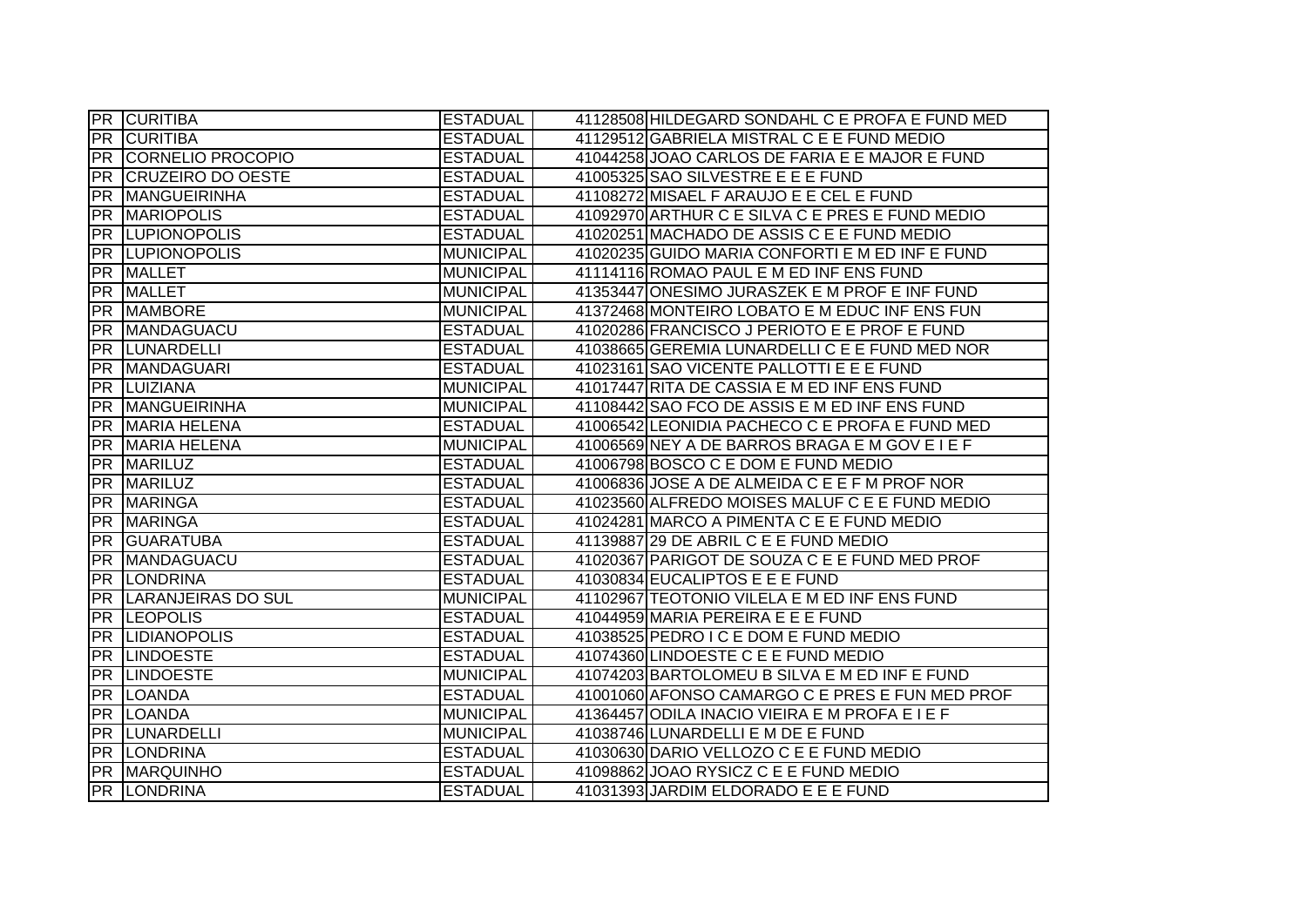|                 | <b>PR CURITIBA</b>          | <b>ESTADUAL</b>  | 41128508 HILDEGARD SONDAHL C E PROFA E FUND MED |
|-----------------|-----------------------------|------------------|-------------------------------------------------|
| <b>PR</b>       | <b>CURITIBA</b>             | <b>ESTADUAL</b>  | 41129512 GABRIELA MISTRAL C E E FUND MEDIO      |
|                 | <b>PR CORNELIO PROCOPIO</b> | <b>ESTADUAL</b>  | 41044258 JOAO CARLOS DE FARIA E E MAJOR E FUND  |
| PR              | <b>CRUZEIRO DO OESTE</b>    | <b>ESTADUAL</b>  | 41005325 SAO SILVESTRE E E E FUND               |
| <b>PR</b>       | <b>MANGUEIRINHA</b>         | <b>ESTADUAL</b>  | 41108272 MISAEL F ARAUJO E E CEL E FUND         |
| <b>PR</b>       | <b>MARIOPOLIS</b>           | <b>ESTADUAL</b>  | 41092970 ARTHUR C E SILVA C E PRES E FUND MEDIO |
|                 | PR LUPIONOPOLIS             | <b>ESTADUAL</b>  | 41020251 MACHADO DE ASSIS C E E FUND MEDIO      |
|                 | <b>PR LUPIONOPOLIS</b>      | <b>MUNICIPAL</b> | 41020235 GUIDO MARIA CONFORTI E M ED INF E FUND |
|                 | PR MALLET                   | <b>MUNICIPAL</b> | 41114116 ROMAO PAUL E M ED INF ENS FUND         |
| <b>PR</b>       | <b>MALLET</b>               | <b>MUNICIPAL</b> | 41353447 ONESIMO JURASZEK E M PROF E INF FUND   |
| <b>PR</b>       | <b>MAMBORE</b>              | <b>MUNICIPAL</b> | 41372468 MONTEIRO LOBATO E M EDUC INF ENS FUN   |
| <b>PR</b>       | MANDAGUACU                  | <b>ESTADUAL</b>  | 41020286 FRANCISCO J PERIOTO E E PROF E FUND    |
| PR              | <b>LUNARDELLI</b>           | <b>ESTADUAL</b>  | 41038665 GEREMIA LUNARDELLI C E E FUND MED NOR  |
| <b>PR</b>       | <b>MANDAGUARI</b>           | <b>ESTADUAL</b>  | 41023161 SAO VICENTE PALLOTTI E E E FUND        |
| PR              | <b>LUIZIANA</b>             | <b>MUNICIPAL</b> | 41017447 RITA DE CASSIA E M ED INF ENS FUND     |
| <b>PR</b>       | MANGUEIRINHA                | <b>MUNICIPAL</b> | 41108442 SAO FCO DE ASSIS E M ED INF ENS FUND   |
| <b>PR</b>       | <b>MARIA HELENA</b>         | <b>ESTADUAL</b>  | 41006542 LEONIDIA PACHECO C E PROFA E FUND MED  |
| <b>PR</b>       | MARIA HELENA                | <b>MUNICIPAL</b> | 41006569 NEY A DE BARROS BRAGA E M GOV E I E F  |
|                 | PR MARILUZ                  | <b>ESTADUAL</b>  | 41006798 BOSCO C E DOM E FUND MEDIO             |
|                 | PR MARILUZ                  | <b>ESTADUAL</b>  | 41006836 JOSE A DE ALMEIDA C E E F M PROF NOR   |
|                 | PR MARINGA                  | <b>ESTADUAL</b>  | 41023560 ALFREDO MOISES MALUF C E E FUND MEDIO  |
| PR              | <b>MARINGA</b>              | <b>ESTADUAL</b>  | 41024281 MARCO A PIMENTA C E E FUND MEDIO       |
| PR              | <b>GUARATUBA</b>            | <b>ESTADUAL</b>  | 41139887 29 DE ABRIL C E E FUND MEDIO           |
| <b>PR</b>       | MANDAGUACU                  | <b>ESTADUAL</b>  | 41020367 PARIGOT DE SOUZA C E E FUND MED PROF   |
| $\overline{PR}$ | <b>LONDRINA</b>             | <b>ESTADUAL</b>  | 41030834 EUCALIPTOS E E E FUND                  |
| <b>PR</b>       | LARANJEIRAS DO SUL          | <b>MUNICIPAL</b> | 41102967 TEOTONIO VILELA E M ED INF ENS FUND    |
| PR              | <b>LEOPOLIS</b>             | <b>ESTADUAL</b>  | 41044959 MARIA PEREIRA E E E FUND               |
| <b>PR</b>       | <b>LIDIANOPOLIS</b>         | <b>ESTADUAL</b>  | 41038525 PEDRO I C E DOM E FUND MEDIO           |
| <b>PR</b>       | <b>LINDOESTE</b>            | <b>ESTADUAL</b>  | 41074360 LINDOESTE C E E FUND MEDIO             |
| PR              | <b>LINDOESTE</b>            | <b>MUNICIPAL</b> | 41074203 BARTOLOMEU B SILVA E M ED INF E FUND   |
|                 | PR LOANDA                   | <b>ESTADUAL</b>  | 41001060 AFONSO CAMARGO C E PRES E FUN MED PROF |
|                 | PR LOANDA                   | <b>MUNICIPAL</b> | 41364457 ODILA INACIO VIEIRA E M PROFA E I E F  |
|                 | <b>PR LUNARDELLI</b>        | <b>MUNICIPAL</b> | 41038746 LUNARDELLI E M DE E FUND               |
|                 | <b>PR LONDRINA</b>          | <b>ESTADUAL</b>  | 41030630 DARIO VELLOZO C E E FUND MEDIO         |
|                 | <b>PR MARQUINHO</b>         | <b>ESTADUAL</b>  | 41098862 JOAO RYSICZ C E E FUND MEDIO           |
|                 | <b>PR LONDRINA</b>          | <b>ESTADUAL</b>  | 41031393 JARDIM ELDORADO E E E FUND             |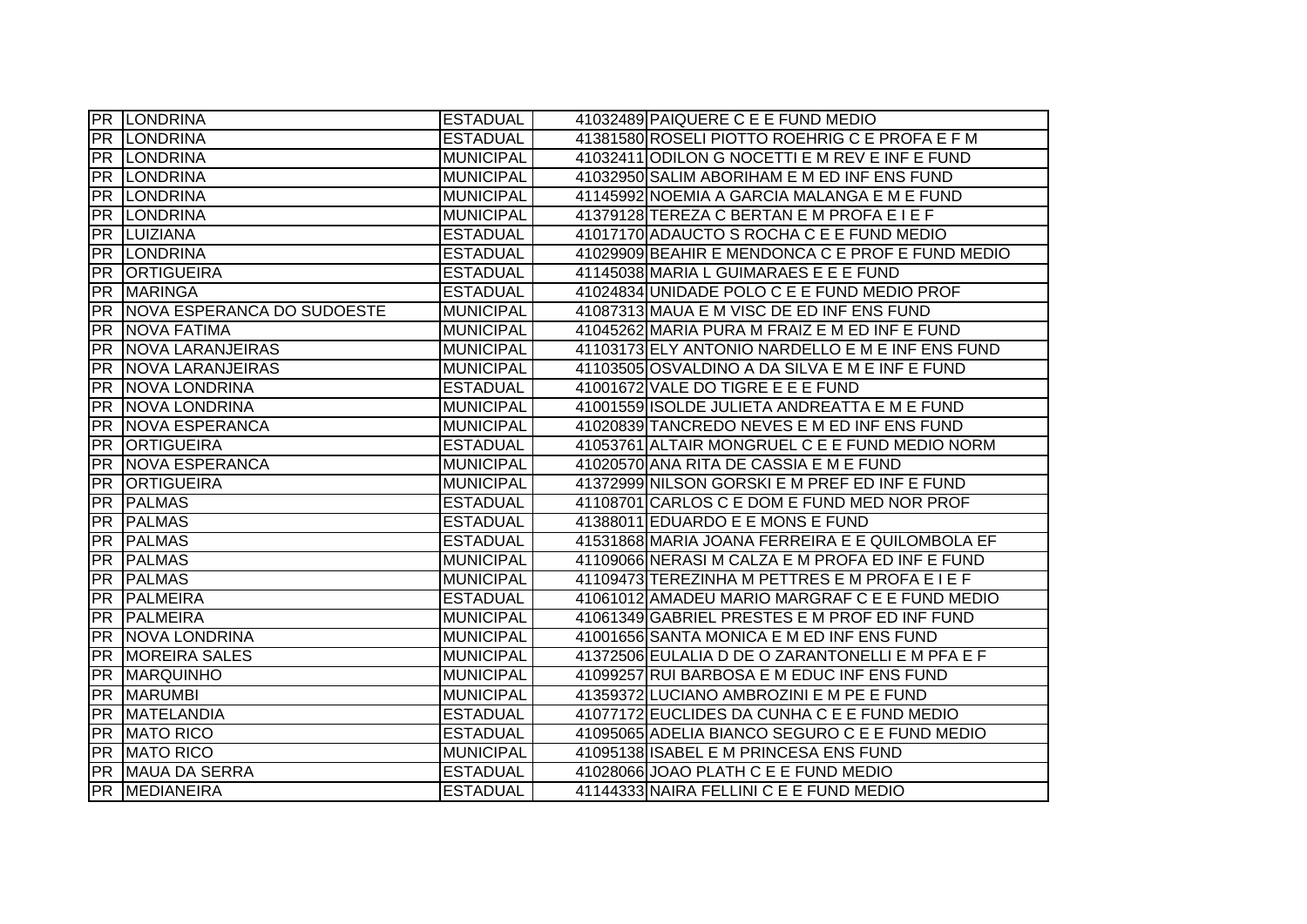|            | <b>PR LONDRINA</b>         | <b>ESTADUAL</b>  | 41032489 PAIQUERE C E E FUND MEDIO               |
|------------|----------------------------|------------------|--------------------------------------------------|
|            | <b>PR LONDRINA</b>         | <b>ESTADUAL</b>  | 41381580 ROSELI PIOTTO ROEHRIG C E PROFA E F M   |
|            | PR LONDRINA                | <b>MUNICIPAL</b> | 41032411 ODILON G NOCETTI E M REV E INF E FUND   |
|            | <b>PR LONDRINA</b>         | <b>MUNICIPAL</b> | 41032950 SALIM ABORIHAM E M ED INF ENS FUND      |
| <b>PR</b>  | <b>LONDRINA</b>            | <b>MUNICIPAL</b> | 41145992 NOEMIA A GARCIA MALANGA E M E FUND      |
|            | PR LONDRINA                | <b>MUNICIPAL</b> | 41379128 TEREZA C BERTAN E M PROFA E I E F       |
|            | PR LUIZIANA                | <b>ESTADUAL</b>  | 41017170 ADAUCTO S ROCHA C E E FUND MEDIO        |
|            | <b>PR LONDRINA</b>         | <b>ESTADUAL</b>  | 41029909 BEAHIR E MENDONCA C E PROF E FUND MEDIO |
| PR         | <b>ORTIGUEIRA</b>          | <b>ESTADUAL</b>  | 41145038 MARIA L GUIMARAES E E E FUND            |
| <b>PR</b>  | <b>MARINGA</b>             | <b>ESTADUAL</b>  | 41024834 UNIDADE POLO C E E FUND MEDIO PROF      |
| <b>PR</b>  | NOVA ESPERANCA DO SUDOESTE | <b>MUNICIPAL</b> | 41087313 MAUA E M VISC DE ED INF ENS FUND        |
| <b>PR</b>  | <b>NOVA FATIMA</b>         | <b>MUNICIPAL</b> | 41045262 MARIA PURA M FRAIZ E M ED INF E FUND    |
| <b>PR</b>  | NOVA LARANJEIRAS           | <b>MUNICIPAL</b> | 41103173 ELY ANTONIO NARDELLO E M E INF ENS FUND |
| <b>PR</b>  | <b>NOVA LARANJEIRAS</b>    | <b>MUNICIPAL</b> | 41103505 OSVALDINO A DA SILVA E M E INF E FUND   |
| <b>PR</b>  | <b>NOVA LONDRINA</b>       | <b>ESTADUAL</b>  | 41001672 VALE DO TIGRE E E E FUND                |
| <b>PR</b>  | <b>NOVA LONDRINA</b>       | <b>MUNICIPAL</b> | 41001559 ISOLDE JULIETA ANDREATTA E M E FUND     |
| <b>PR</b>  | <b>NOVA ESPERANCA</b>      | <b>MUNICIPAL</b> | 41020839 TANCREDO NEVES E M ED INF ENS FUND      |
| <b>PR</b>  | <b>ORTIGUEIRA</b>          | <b>ESTADUAL</b>  | 41053761 ALTAIR MONGRUEL C E E FUND MEDIO NORM   |
| <b>PR</b>  | NOVA ESPERANCA             | <b>MUNICIPAL</b> | 41020570 ANA RITA DE CASSIA E M E FUND           |
|            | <b>PR ORTIGUEIRA</b>       | <b>MUNICIPAL</b> | 41372999 NILSON GORSKI E M PREF ED INF E FUND    |
| <b>PR</b>  | <b>PALMAS</b>              | <b>ESTADUAL</b>  | 41108701 CARLOS C E DOM E FUND MED NOR PROF      |
| <b>PR</b>  | <b>PALMAS</b>              | <b>ESTADUAL</b>  | 41388011 EDUARDO E E MONS E FUND                 |
| PR         | <b>PALMAS</b>              | <b>ESTADUAL</b>  | 41531868 MARIA JOANA FERREIRA E E QUILOMBOLA EF  |
| <b>PR</b>  | <b>PALMAS</b>              | <b>MUNICIPAL</b> | 41109066 NERASI M CALZA E M PROFA ED INF E FUND  |
| <b>PR</b>  | <b>PALMAS</b>              | <b>MUNICIPAL</b> | 41109473 TEREZINHA M PETTRES E M PROFA E I E F   |
| <b>PR</b>  | PALMEIRA                   | <b>ESTADUAL</b>  | 41061012 AMADEU MARIO MARGRAF C E E FUND MEDIO   |
| <b>PR</b>  | PALMEIRA                   | <b>MUNICIPAL</b> | 41061349 GABRIEL PRESTES E M PROF ED INF FUND    |
| <b>PR</b>  | <b>NOVA LONDRINA</b>       | <b>MUNICIPAL</b> | 41001656 SANTA MONICA E M ED INF ENS FUND        |
| <b>PR</b>  | <b>MOREIRA SALES</b>       | <b>MUNICIPAL</b> | 41372506 EULALIA D DE O ZARANTONELLI E M PFA E F |
| PR         | <b>MARQUINHO</b>           | <b>MUNICIPAL</b> | 41099257 RUI BARBOSA E M EDUC INF ENS FUND       |
| <b>IPR</b> | <b>MARUMBI</b>             | <b>MUNICIPAL</b> | 41359372 LUCIANO AMBROZINI E M PE E FUND         |
| PR         | <b>MATELANDIA</b>          | <b>ESTADUAL</b>  | 41077172 EUCLIDES DA CUNHA C E E FUND MEDIO      |
| <b>PR</b>  | <b>MATO RICO</b>           | <b>ESTADUAL</b>  | 41095065 ADELIA BIANCO SEGURO C E E FUND MEDIO   |
|            | <b>PR MATO RICO</b>        | <b>MUNICIPAL</b> | 41095138 ISABEL E M PRINCESA ENS FUND            |
|            | PR MAUA DA SERRA           | <b>ESTADUAL</b>  | 41028066 JOAO PLATH C E E FUND MEDIO             |
|            | <b>PR MEDIANEIRA</b>       | <b>ESTADUAL</b>  | 41144333 NAIRA FELLINI C E E FUND MEDIO          |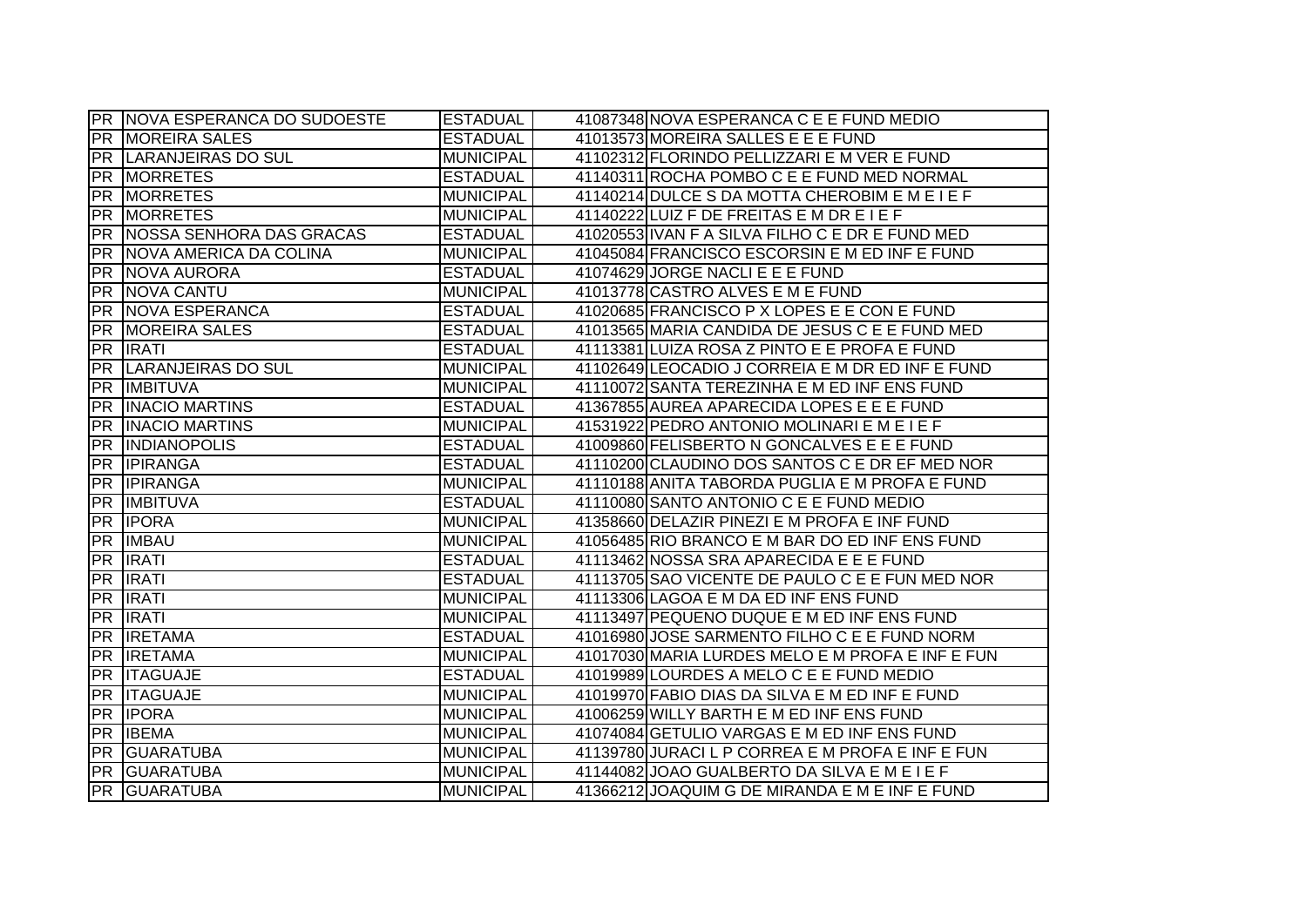|                        | <b>PR NOVA ESPERANCA DO SUDOESTE</b> | <b>ESTADUAL</b>  | 41087348 NOVA ESPERANCA C E E FUND MEDIO         |
|------------------------|--------------------------------------|------------------|--------------------------------------------------|
|                        | <b>PR MOREIRA SALES</b>              | <b>ESTADUAL</b>  | 41013573 MOREIRA SALLES E E E FUND               |
|                        | <b>PR LARANJEIRAS DO SUL</b>         | <b>MUNICIPAL</b> | 41102312 FLORINDO PELLIZZARI E M VER E FUND      |
|                        | <b>PR MORRETES</b>                   | <b>ESTADUAL</b>  | 41140311 ROCHA POMBO C E E FUND MED NORMAL       |
| <b>PR</b>              | <b>MORRETES</b>                      | <b>MUNICIPAL</b> | 41140214 DULCE S DA MOTTA CHEROBIM E M E I E F   |
| <b>PR</b>              | <b>MORRETES</b>                      | <b>MUNICIPAL</b> | 41140222 LUIZ F DE FREITAS E M DR E I E F        |
| <b>PR</b>              | NOSSA SENHORA DAS GRACAS             | <b>ESTADUAL</b>  | 41020553 IVAN F A SILVA FILHO C E DR E FUND MED  |
|                        | <b>PR NOVA AMERICA DA COLINA</b>     | <b>MUNICIPAL</b> | 41045084 FRANCISCO ESCORSIN E M ED INF E FUND    |
|                        | PR NOVA AURORA                       | <b>ESTADUAL</b>  | 41074629 JORGE NACLI E E E FUND                  |
|                        | PR NOVA CANTU                        | <b>MUNICIPAL</b> | 41013778 CASTRO ALVES E M E FUND                 |
|                        | <b>PR NOVA ESPERANCA</b>             | <b>ESTADUAL</b>  | 41020685 FRANCISCO P X LOPES E E CON E FUND      |
| <b>PR</b>              | <b>MOREIRA SALES</b>                 | <b>ESTADUAL</b>  | 41013565 MARIA CANDIDA DE JESUS C E E FUND MED   |
| PR                     | <b>IRATI</b>                         | <b>ESTADUAL</b>  | 41113381 LUIZA ROSA Z PINTO E E PROFA E FUND     |
| PR                     | LARANJEIRAS DO SUL                   | <b>MUNICIPAL</b> | 41102649 LEOCADIO J CORREIA E M DR ED INF E FUND |
| <b>PR</b>              | <b>IMBITUVA</b>                      | <b>MUNICIPAL</b> | 41110072 SANTA TEREZINHA E M ED INF ENS FUND     |
| <b>PR</b>              | <b>INACIO MARTINS</b>                | <b>ESTADUAL</b>  | 41367855 AUREA APARECIDA LOPES E E E FUND        |
| PR                     | <b>INACIO MARTINS</b>                | <b>MUNICIPAL</b> | 41531922 PEDRO ANTONIO MOLINARI E M E I E F      |
| <b>PR</b>              | <b>INDIANOPOLIS</b>                  | <b>ESTADUAL</b>  | 41009860 FELISBERTO N GONCALVES E E E FUND       |
| <b>PR</b>              | <b>IPIRANGA</b>                      | <b>ESTADUAL</b>  | 41110200 CLAUDINO DOS SANTOS C E DR EF MED NOR   |
|                        | <b>PR IPIRANGA</b>                   | <b>MUNICIPAL</b> | 41110188 ANITA TABORDA PUGLIA E M PROFA E FUND   |
| PR                     | <b>IMBITUVA</b>                      | <b>ESTADUAL</b>  | 41110080 SANTO ANTONIO C E E FUND MEDIO          |
|                        | <b>PR IPORA</b>                      | <b>MUNICIPAL</b> | 41358660 DELAZIR PINEZI E M PROFA E INF FUND     |
| PR                     | <b>IMBAU</b>                         | <b>MUNICIPAL</b> | 41056485 RIO BRANCO E M BAR DO ED INF ENS FUND   |
| <b>PR</b>              | <b>IRATI</b>                         | <b>ESTADUAL</b>  | 41113462 NOSSA SRA APARECIDA E E E FUND          |
| PR                     | <b>IRATI</b>                         | <b>ESTADUAL</b>  | 41113705 SAO VICENTE DE PAULO C E E FUN MED NOR  |
| PR                     | <b>IRATI</b>                         | <b>MUNICIPAL</b> | 41113306 LAGOA E M DA ED INF ENS FUND            |
| <b>PR</b>              | <b>IRATI</b>                         | <b>MUNICIPAL</b> | 41113497 PEQUENO DUQUE E M ED INF ENS FUND       |
| <b>PR</b>              | <b>IRETAMA</b>                       | <b>ESTADUAL</b>  | 41016980 JOSE SARMENTO FILHO C E E FUND NORM     |
| <b>PR</b>              | <b>IRETAMA</b>                       | <b>MUNICIPAL</b> | 41017030 MARIA LURDES MELO E M PROFA E INF E FUN |
| <b>PR</b>              | <b>ITAGUAJE</b>                      | <b>ESTADUAL</b>  | 41019989 LOURDES A MELO C E E FUND MEDIO         |
| $\overline{\text{PR}}$ | <b>ITAGUAJE</b>                      | <b>MUNICIPAL</b> | 41019970 FABIO DIAS DA SILVA E M ED INF E FUND   |
|                        | <b>PR IPORA</b>                      | <b>MUNICIPAL</b> | 41006259 WILLY BARTH E M ED INF ENS FUND         |
|                        | PR <b>IBEMA</b>                      | <b>MUNICIPAL</b> | 41074084 GETULIO VARGAS E M ED INF ENS FUND      |
|                        | <b>PR GUARATUBA</b>                  | <b>MUNICIPAL</b> | 41139780 JURACI L P CORREA E M PROFA E INF E FUN |
| $\overline{PR}$        | <b>GUARATUBA</b>                     | <b>MUNICIPAL</b> | 41144082 JOAO GUALBERTO DA SILVA E M E I E F     |
|                        | <b>PR GUARATUBA</b>                  | <b>MUNICIPAL</b> | 41366212 JOAQUIM G DE MIRANDA E M E INF E FUND   |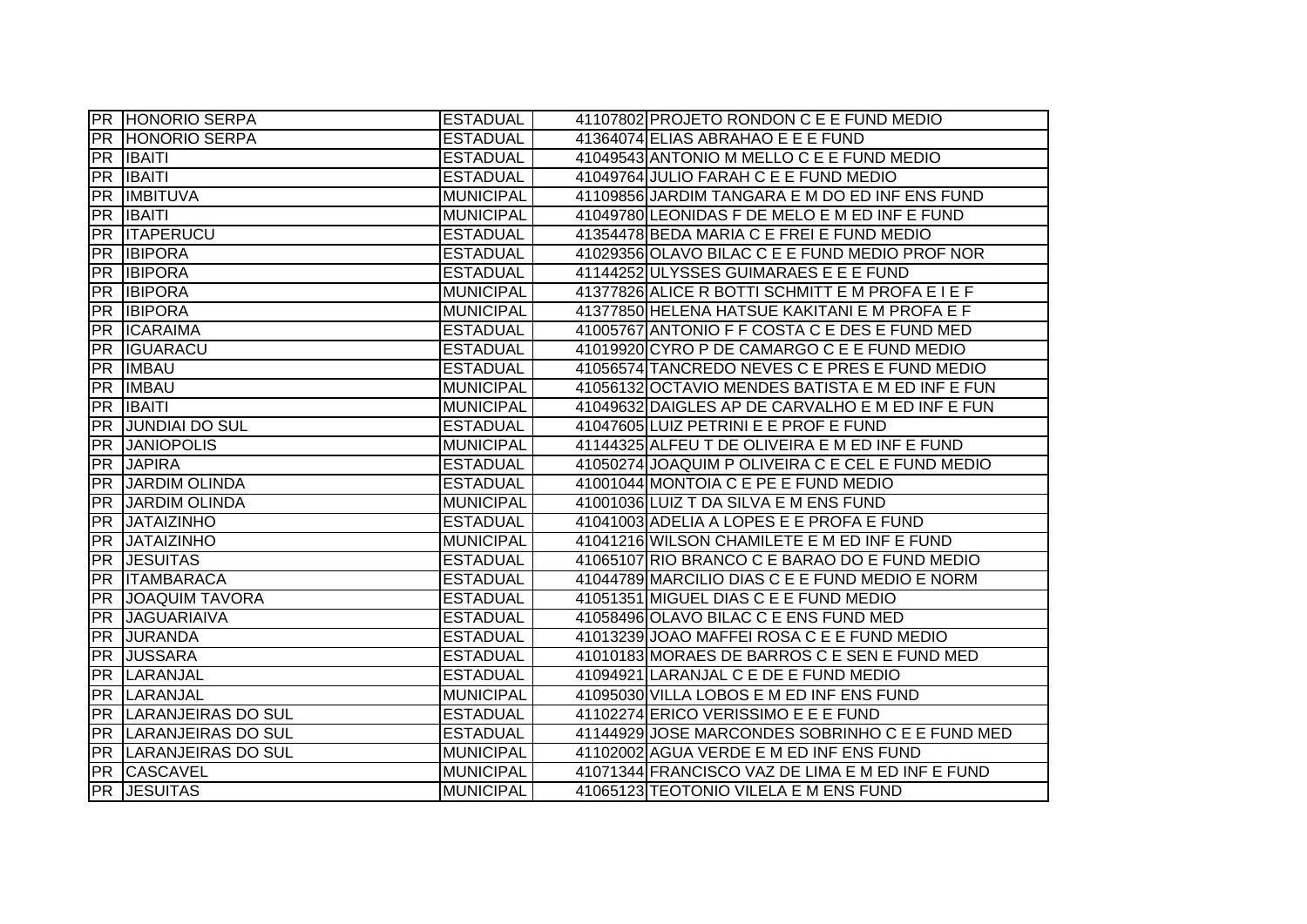|                 | <b>PR HONORIO SERPA</b>      | <b>ESTADUAL</b>  | 41107802 PROJETO RONDON C E E FUND MEDIO         |
|-----------------|------------------------------|------------------|--------------------------------------------------|
|                 | <b>PR HONORIO SERPA</b>      | <b>ESTADUAL</b>  | 41364074 ELIAS ABRAHAO E E E FUND                |
| IPR I           | <b>IBAITI</b>                | <b>ESTADUAL</b>  | 41049543 ANTONIO M MELLO C E E FUND MEDIO        |
| PR              | <b>IBAITI</b>                | <b>ESTADUAL</b>  | 41049764 JULIO FARAH C E E FUND MEDIO            |
| PR              | <b>IMBITUVA</b>              | <b>MUNICIPAL</b> | 41109856 JARDIM TANGARA E M DO ED INF ENS FUND   |
| IPR I           | <b>IBAITI</b>                | <b>MUNICIPAL</b> | 41049780 LEONIDAS F DE MELO E M ED INF E FUND    |
| <b>PR</b>       | <b>ITAPERUCU</b>             | <b>ESTADUAL</b>  | 41354478 BEDA MARIA C E FREI E FUND MEDIO        |
|                 | <b>PR IBIPORA</b>            | <b>ESTADUAL</b>  | 41029356 OLAVO BILAC C E E FUND MEDIO PROF NOR   |
| <b>PR</b>       | <b>IBIPORA</b>               | <b>ESTADUAL</b>  | 41144252 ULYSSES GUIMARAES E E E FUND            |
| <b>PR</b>       | <b>IBIPORA</b>               | <b>MUNICIPAL</b> | 41377826 ALICE R BOTTI SCHMITT E M PROFA E I E F |
|                 | <b>PR IBIPORA</b>            | <b>MUNICIPAL</b> | 41377850 HELENA HATSUE KAKITANI E M PROFA E F    |
| <b>PR</b>       | <b>ICARAIMA</b>              | <b>ESTADUAL</b>  | 41005767 ANTONIO F F COSTA C E DES E FUND MED    |
| <b>PR</b>       | <b>IGUARACU</b>              | <b>ESTADUAL</b>  | 41019920 CYRO P DE CAMARGO C E E FUND MEDIO      |
| <b>PR</b>       | <b>IMBAU</b>                 | <b>ESTADUAL</b>  | 41056574 TANCREDO NEVES C E PRES E FUND MEDIO    |
| <b>PR</b>       | <b>IMBAU</b>                 | <b>MUNICIPAL</b> | 41056132 OCTAVIO MENDES BATISTA E M ED INF E FUN |
| PR              | <b>IBAITI</b>                | <b>MUNICIPAL</b> | 41049632 DAIGLES AP DE CARVALHO E M ED INF E FUN |
| <b>PR</b>       | <b>JUNDIAI DO SUL</b>        | <b>ESTADUAL</b>  | 41047605 LUIZ PETRINI E E PROF E FUND            |
| <b>PR</b>       | <b>JANIOPOLIS</b>            | <b>MUNICIPAL</b> | 41144325 ALFEU T DE OLIVEIRA E M ED INF E FUND   |
| PR              | <b>JAPIRA</b>                | <b>ESTADUAL</b>  | 41050274 JOAQUIM P OLIVEIRA C E CEL E FUND MEDIO |
|                 | <b>PR JARDIM OLINDA</b>      | <b>ESTADUAL</b>  | 41001044 MONTOIA C E PE E FUND MEDIO             |
|                 | PR JARDIM OLINDA             | <b>MUNICIPAL</b> | 41001036 LUIZ T DA SILVA E M ENS FUND            |
| PR              | <b>JATAIZINHO</b>            | <b>ESTADUAL</b>  | 41041003 ADELIA A LOPES E E PROFA E FUND         |
| <b>PR</b>       | <b>JATAIZINHO</b>            | <b>MUNICIPAL</b> | 41041216 WILSON CHAMILETE E M ED INF E FUND      |
| <b>PR</b>       | <b>JESUITAS</b>              | <b>ESTADUAL</b>  | 41065107 RIO BRANCO C E BARAO DO E FUND MEDIO    |
|                 | <b>PR ITAMBARACA</b>         | <b>ESTADUAL</b>  | 41044789 MARCILIO DIAS C E E FUND MEDIO E NORM   |
| $\overline{PR}$ | <b>JOAQUIM TAVORA</b>        | <b>ESTADUAL</b>  | 41051351 MIGUEL DIAS C E E FUND MEDIO            |
| <b>PR</b>       | <b>JAGUARIAIVA</b>           | <b>ESTADUAL</b>  | 41058496 OLAVO BILAC C E ENS FUND MED            |
| <b>PR</b>       | <b>JURANDA</b>               | <b>ESTADUAL</b>  | 41013239 JOAO MAFFEI ROSA C E E FUND MEDIO       |
| <b>PR</b>       | <b>JUSSARA</b>               | <b>ESTADUAL</b>  | 41010183 MORAES DE BARROS C E SEN E FUND MED     |
| <b>PR</b>       | LARANJAL                     | <b>ESTADUAL</b>  | 41094921 LARANJAL C E DE E FUND MEDIO            |
|                 | <b>PR LARANJAL</b>           | <b>MUNICIPAL</b> | 41095030 VILLA LOBOS E M ED INF ENS FUND         |
|                 | <b>PR LARANJEIRAS DO SUL</b> | <b>ESTADUAL</b>  | 41102274 ERICO VERISSIMO E E E FUND              |
|                 | <b>PR LARANJEIRAS DO SUL</b> | <b>ESTADUAL</b>  | 41144929 JOSE MARCONDES SOBRINHO C E E FUND MED  |
|                 | <b>PR LARANJEIRAS DO SUL</b> | <b>MUNICIPAL</b> | 41102002 AGUA VERDE E M ED INF ENS FUND          |
|                 | PR CASCAVEL                  | <b>MUNICIPAL</b> | 41071344 FRANCISCO VAZ DE LIMA E M ED INF E FUND |
|                 | <b>PR JESUITAS</b>           | <b>MUNICIPAL</b> | 41065123 TEOTONIO VILELA E M ENS FUND            |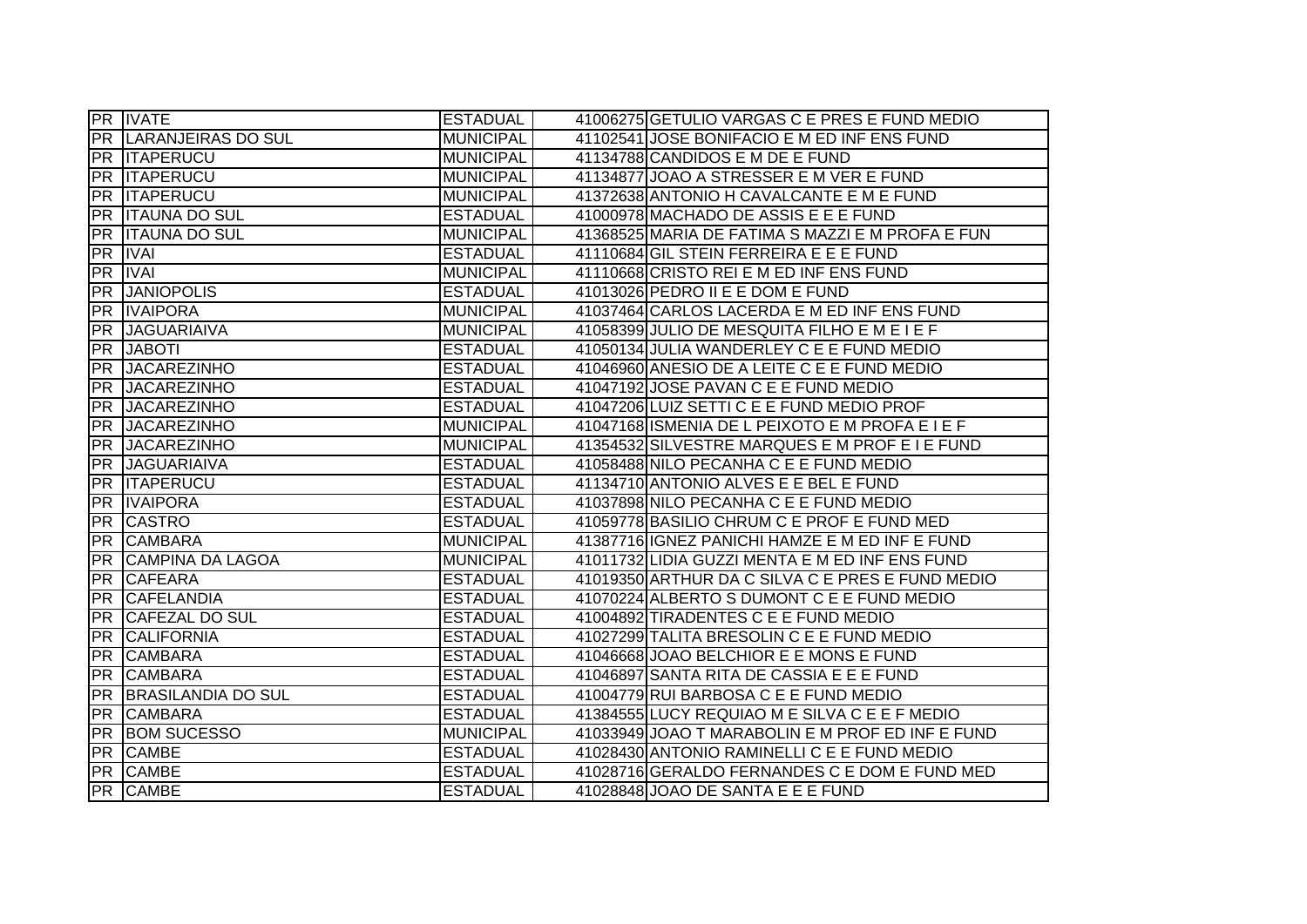|                 | <b>PR IVATE</b>              | <b>ESTADUAL</b>  | 41006275 GETULIO VARGAS C E PRES E FUND MEDIO    |
|-----------------|------------------------------|------------------|--------------------------------------------------|
|                 | <b>PR LARANJEIRAS DO SUL</b> | <b>MUNICIPAL</b> | 41102541 JOSE BONIFACIO E M ED INF ENS FUND      |
|                 | <b>PR ITAPERUCU</b>          | <b>MUNICIPAL</b> | 41134788 CANDIDOS E M DE E FUND                  |
|                 | <b>IPR IITAPERUCU</b>        | <b>MUNICIPAL</b> | 41134877 JOAO A STRESSER E M VER E FUND          |
|                 | <b>PR ITAPERUCU</b>          | <b>MUNICIPAL</b> | 41372638 ANTONIO H CAVALCANTE E M E FUND         |
|                 | <b>PR ITAUNA DO SUL</b>      | <b>ESTADUAL</b>  | 41000978 MACHADO DE ASSIS E E E FUND             |
|                 | <b>PR ITAUNA DO SUL</b>      | <b>MUNICIPAL</b> | 41368525 MARIA DE FATIMA S MAZZI E M PROFA E FUN |
|                 | <b>PR IVAI</b>               | <b>ESTADUAL</b>  | 41110684 GIL STEIN FERREIRA E E E FUND           |
|                 | <b>PR IVAI</b>               | <b>MUNICIPAL</b> | 41110668 CRISTO REI E M ED INF ENS FUND          |
| <b>PR</b>       | <b>JANIOPOLIS</b>            | <b>ESTADUAL</b>  | 41013026 PEDRO II E E DOM E FUND                 |
| IPR.            | <b>IVAIPORA</b>              | <b>MUNICIPAL</b> | 41037464 CARLOS LACERDA E M ED INF ENS FUND      |
| <b>PR</b>       | <b>JAGUARIAIVA</b>           | <b>MUNICIPAL</b> | 41058399 JULIO DE MESQUITA FILHO E M E I E F     |
| <b>PR</b>       | <b>JABOTI</b>                | <b>ESTADUAL</b>  | 41050134 JULIA WANDERLEY C E E FUND MEDIO        |
| <b>PR</b>       | <b>JACAREZINHO</b>           | <b>ESTADUAL</b>  | 41046960 ANESIO DE A LEITE C E E FUND MEDIO      |
| <b>PR</b>       | <b>JACAREZINHO</b>           | <b>ESTADUAL</b>  | 41047192 JOSE PAVAN C E E FUND MEDIO             |
| <b>PR</b>       | <b>JACAREZINHO</b>           | <b>ESTADUAL</b>  | 41047206 LUIZ SETTI C E E FUND MEDIO PROF        |
| <b>PR</b>       | <b>JACAREZINHO</b>           | <b>MUNICIPAL</b> | 41047168 ISMENIA DE L PEIXOTO E M PROFA E I E F  |
| <b>PR</b>       | <b>JACAREZINHO</b>           | <b>MUNICIPAL</b> | 41354532 SILVESTRE MARQUES E M PROF E I E FUND   |
|                 | <b>PR JAGUARIAIVA</b>        | <b>ESTADUAL</b>  | 41058488 NILO PECANHA C E E FUND MEDIO           |
|                 | <b>PR ITAPERUCU</b>          | <b>ESTADUAL</b>  | 41134710 ANTONIO ALVES E E BEL E FUND            |
|                 | <b>PR IVAIPORA</b>           | <b>ESTADUAL</b>  | 41037898 NILO PECANHA C E E FUND MEDIO           |
|                 | <b>PR CASTRO</b>             | <b>ESTADUAL</b>  | 41059778 BASILIO CHRUM C E PROF E FUND MED       |
| $\overline{PR}$ | <b>CAMBARA</b>               | <b>MUNICIPAL</b> | 41387716 IGNEZ PANICHI HAMZE E M ED INF E FUND   |
| <b>PR</b>       | <b>CAMPINA DA LAGOA</b>      | <b>MUNICIPAL</b> | 41011732 LIDIA GUZZI MENTA E M ED INF ENS FUND   |
| <b>PR</b>       | <b>CAFEARA</b>               | <b>ESTADUAL</b>  | 41019350 ARTHUR DA C SILVA C E PRES E FUND MEDIO |
| <b>PR</b>       | <b>CAFELANDIA</b>            | <b>ESTADUAL</b>  | 41070224 ALBERTO S DUMONT C E E FUND MEDIO       |
| <b>PR</b>       | <b>CAFEZAL DO SUL</b>        | <b>ESTADUAL</b>  | 41004892 TIRADENTES C E E FUND MEDIO             |
| <b>PR</b>       | <b>CALIFORNIA</b>            | <b>ESTADUAL</b>  | 41027299 TALITA BRESOLIN C E E FUND MEDIO        |
| PR              | <b>CAMBARA</b>               | <b>ESTADUAL</b>  | 41046668 JOAO BELCHIOR E E MONS E FUND           |
| <b>PR</b>       | <b>CAMBARA</b>               | <b>ESTADUAL</b>  | 41046897 SANTA RITA DE CASSIA E E E FUND         |
|                 | <b>PR BRASILANDIA DO SUL</b> | <b>ESTADUAL</b>  | 41004779 RUI BARBOSA C E E FUND MEDIO            |
|                 | <b>PR CAMBARA</b>            | <b>ESTADUAL</b>  | 41384555 LUCY REQUIAO M E SILVA C E E F MEDIO    |
| <b>FPR</b>      | <b>BOM SUCESSO</b>           | <b>MUNICIPAL</b> | 41033949 JOAO T MARABOLIN E M PROF ED INF E FUND |
|                 | <b>PR CAMBE</b>              | <b>ESTADUAL</b>  | 41028430 ANTONIO RAMINELLI C E E FUND MEDIO      |
|                 | <b>PR CAMBE</b>              | <b>ESTADUAL</b>  | 41028716 GERALDO FERNANDES C E DOM E FUND MED    |
|                 | <b>PR CAMBE</b>              | <b>ESTADUAL</b>  | 41028848 JOAO DE SANTA E E E FUND                |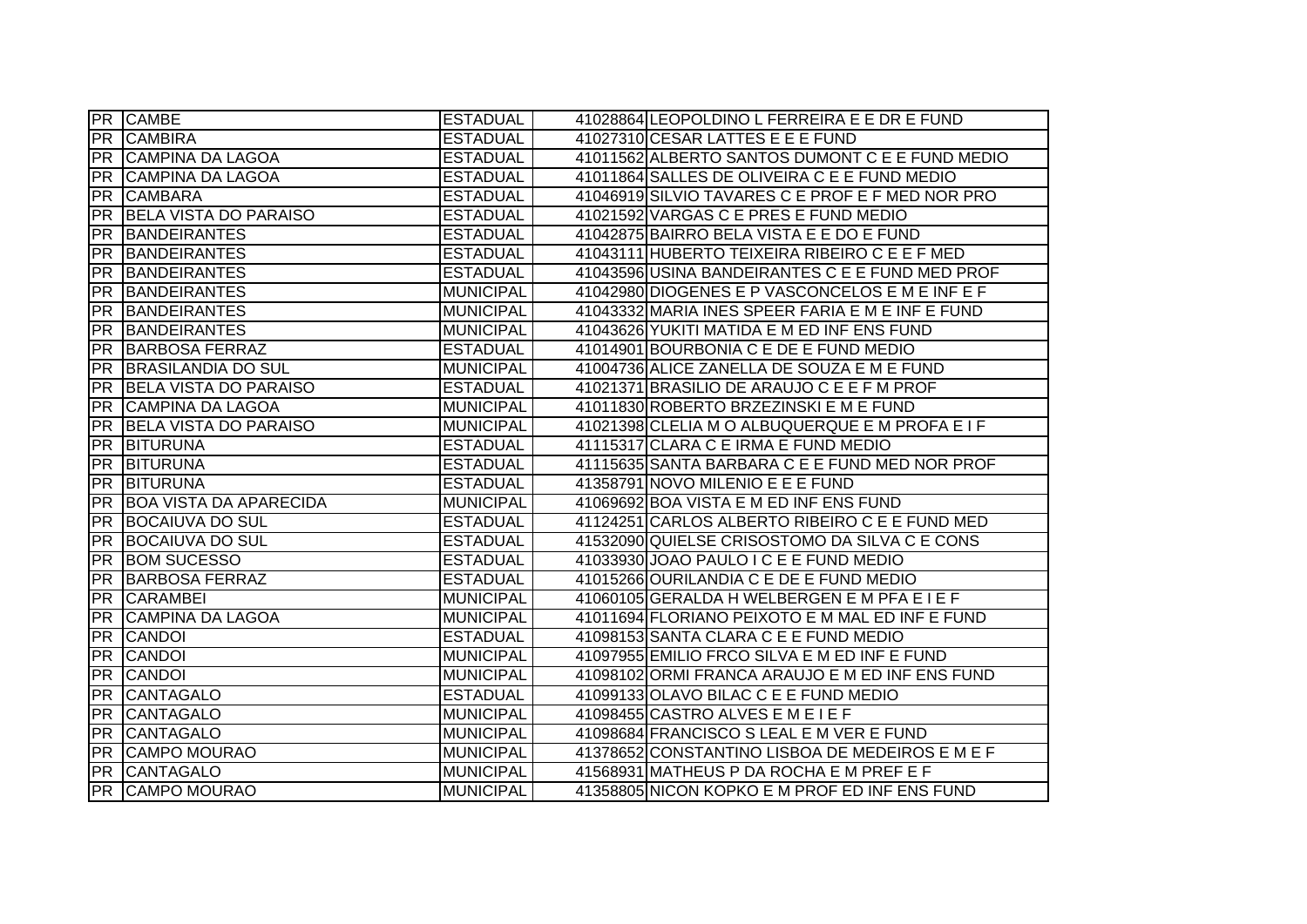|                 | <b>PR CAMBE</b>               | <b>ESTADUAL</b>  | 41028864 LEOPOLDINO L FERREIRA E E DR E FUND     |
|-----------------|-------------------------------|------------------|--------------------------------------------------|
| <b>PR</b>       | <b>CAMBIRA</b>                | <b>ESTADUAL</b>  | 41027310 CESAR LATTES E E E FUND                 |
| <b>PR</b>       | CAMPINA DA LAGOA              | <b>ESTADUAL</b>  | 41011562 ALBERTO SANTOS DUMONT C E E FUND MEDIO  |
| <b>PR</b>       | CAMPINA DA LAGOA              | <b>ESTADUAL</b>  | 41011864 SALLES DE OLIVEIRA C E E FUND MEDIO     |
| PR              | <b>CAMBARA</b>                | <b>ESTADUAL</b>  | 41046919 SILVIO TAVARES C E PROF E F MED NOR PRO |
| <b>PR</b>       | <b>BELA VISTA DO PARAISO</b>  | <b>ESTADUAL</b>  | 41021592 VARGAS C E PRES E FUND MEDIO            |
| <b>PR</b>       | <b>BANDEIRANTES</b>           | <b>ESTADUAL</b>  | 41042875 BAIRRO BELA VISTA E E DO E FUND         |
| <b>PR</b>       | <b>BANDEIRANTES</b>           | <b>ESTADUAL</b>  | 41043111 HUBERTO TEIXEIRA RIBEIRO C E E F MED    |
| <b>PR</b>       | <b>BANDEIRANTES</b>           | <b>ESTADUAL</b>  | 41043596 USINA BANDEIRANTES C E E FUND MED PROF  |
| <b>PR</b>       | <b>BANDEIRANTES</b>           | <b>MUNICIPAL</b> | 41042980 DIOGENES E P VASCONCELOS E M E INF E F  |
| <b>PR</b>       | <b>BANDEIRANTES</b>           | <b>MUNICIPAL</b> | 41043332 MARIA INES SPEER FARIA E M E INF E FUND |
| <b>PR</b>       | <b>BANDEIRANTES</b>           | <b>MUNICIPAL</b> | 41043626 YUKITI MATIDA E M ED INF ENS FUND       |
| <b>PR</b>       | <b>BARBOSA FERRAZ</b>         | <b>ESTADUAL</b>  | 41014901 BOURBONIA C E DE E FUND MEDIO           |
| <b>PR</b>       | <b>BRASILANDIA DO SUL</b>     | <b>MUNICIPAL</b> | 41004736 ALICE ZANELLA DE SOUZA E M E FUND       |
| <b>PR</b>       | <b>BELA VISTA DO PARAISO</b>  | <b>ESTADUAL</b>  | 41021371 BRASILIO DE ARAUJO C E E F M PROF       |
| <b>PR</b>       | CAMPINA DA LAGOA              | <b>MUNICIPAL</b> | 41011830 ROBERTO BRZEZINSKI E M E FUND           |
| IPR.            | <b>BELA VISTA DO PARAISO</b>  | <b>MUNICIPAL</b> | 41021398 CLELIA M O ALBUQUERQUE E M PROFA E I F  |
| <b>PR</b>       | BITURUNA                      | <b>ESTADUAL</b>  | 41115317 CLARA C E IRMA E FUND MEDIO             |
| PR              | BITURUNA                      | <b>ESTADUAL</b>  | 41115635 SANTA BARBARA C E E FUND MED NOR PROF   |
| PR              | <b>BITURUNA</b>               | <b>ESTADUAL</b>  | 41358791 NOVO MILENIO E E E FUND                 |
| <b>PR</b>       | <b>BOA VISTA DA APARECIDA</b> | MUNICIPAL        | 41069692 BOA VISTA E M ED INF ENS FUND           |
| $\overline{PR}$ | <b>BOCAIUVA DO SUL</b>        | <b>ESTADUAL</b>  | 41124251 CARLOS ALBERTO RIBEIRO C E E FUND MED   |
| <b>PR</b>       | <b>BOCAIUVA DO SUL</b>        | <b>ESTADUAL</b>  | 41532090 QUIELSE CRISOSTOMO DA SILVA C E CONS    |
| <b>PR</b>       | <b>BOM SUCESSO</b>            | <b>ESTADUAL</b>  | 41033930 JOAO PAULO I C E E FUND MEDIO           |
| <b>PR</b>       | <b>BARBOSA FERRAZ</b>         | <b>ESTADUAL</b>  | 41015266 OURILANDIA C E DE E FUND MEDIO          |
| <b>IPR</b>      | <b>CARAMBEI</b>               | <b>MUNICIPAL</b> | 41060105 GERALDA H WELBERGEN E M PFA E I E F     |
| <b>PR</b>       | <b>CAMPINA DA LAGOA</b>       | <b>MUNICIPAL</b> | 41011694 FLORIANO PEIXOTO E M MAL ED INF E FUND  |
| <b>PR</b>       | <b>CANDOI</b>                 | <b>ESTADUAL</b>  | 41098153 SANTA CLARA C E E FUND MEDIO            |
| <b>PR</b>       | <b>CANDOI</b>                 | <b>MUNICIPAL</b> | 41097955 EMILIO FRCO SILVA E M ED INF E FUND     |
| <b>PR</b>       | <b>CANDOI</b>                 | <b>MUNICIPAL</b> | 41098102 ORMI FRANCA ARAUJO E M ED INF ENS FUND  |
| <b>PR</b>       | <b>CANTAGALO</b>              | <b>ESTADUAL</b>  | 41099133 OLAVO BILAC C E E FUND MEDIO            |
| <b>PR</b>       | <b>CANTAGALO</b>              | <b>MUNICIPAL</b> | 41098455 CASTRO ALVES EMEIEF                     |
| <b>IPR</b>      | <b>CANTAGALO</b>              | MUNICIPAL        | 41098684 FRANCISCO S LEAL E M VER E FUND         |
| PR              | CAMPO MOURAO                  | MUNICIPAL        | 41378652 CONSTANTINO LISBOA DE MEDEIROS E M E F  |
| PR              | CANTAGALO                     | MUNICIPAL        | 41568931 MATHEUS P DA ROCHA E M PREF E F         |
|                 | <b>PR CAMPO MOURAO</b>        | <b>MUNICIPAL</b> | 41358805 NICON KOPKO E M PROF ED INF ENS FUND    |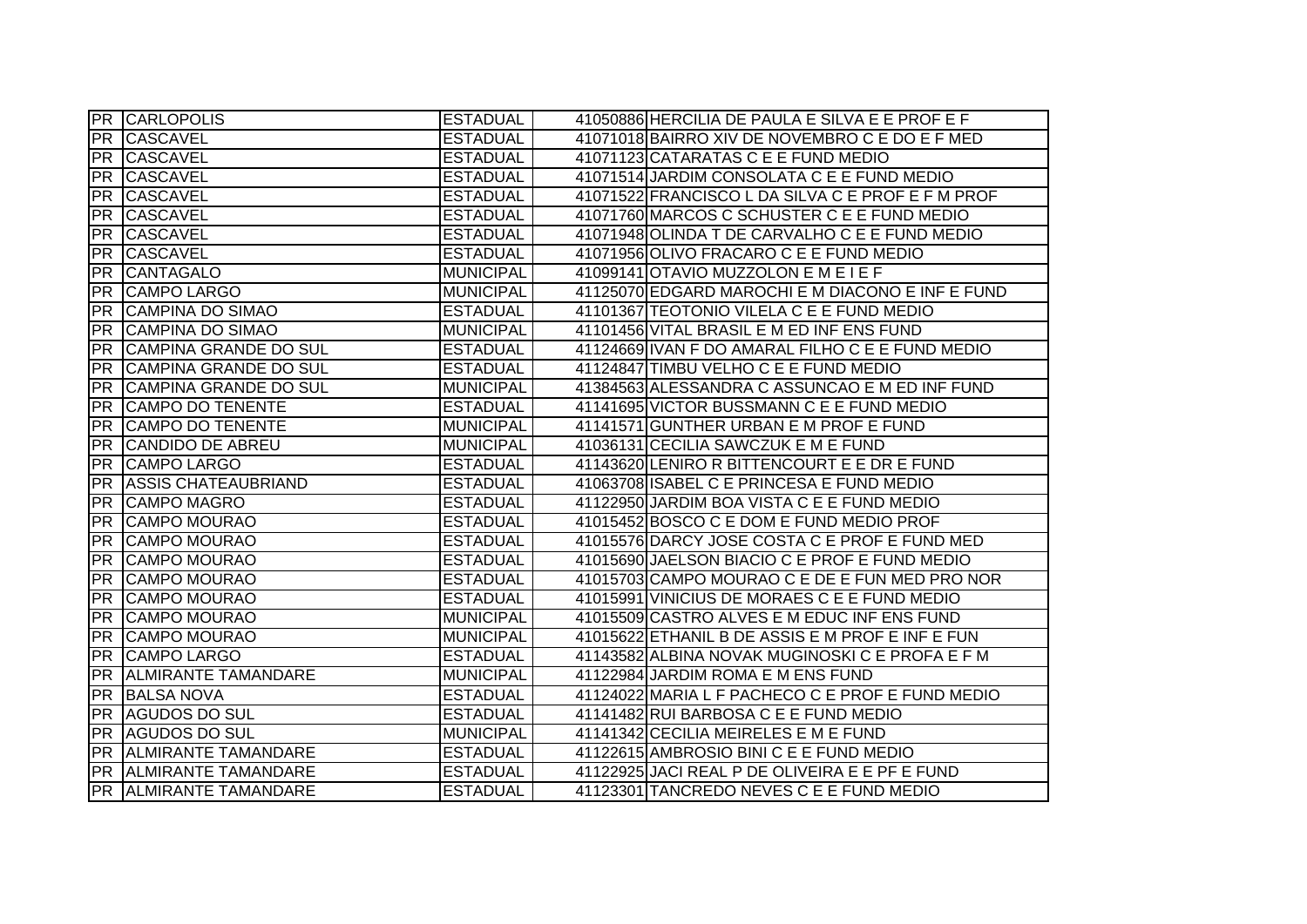|           | <b>PR CARLOPOLIS</b>         | <b>ESTADUAL</b>  | 41050886 HERCILIA DE PAULA E SILVA E E PROF E F   |
|-----------|------------------------------|------------------|---------------------------------------------------|
| <b>PR</b> | <b>CASCAVEL</b>              | <b>ESTADUAL</b>  | 41071018 BAIRRO XIV DE NOVEMBRO C E DO E F MED    |
| <b>PR</b> | <b>CASCAVEL</b>              | <b>ESTADUAL</b>  | 41071123 CATARATAS C E E FUND MEDIO               |
| <b>PR</b> | <b>CASCAVEL</b>              | <b>ESTADUAL</b>  | 41071514 JARDIM CONSOLATA C E E FUND MEDIO        |
| <b>PR</b> | <b>CASCAVEL</b>              | <b>ESTADUAL</b>  | 41071522 FRANCISCO L DA SILVA C E PROF E F M PROF |
| IPR.      | <b>CASCAVEL</b>              | <b>ESTADUAL</b>  | 41071760 MARCOS C SCHUSTER C E E FUND MEDIO       |
| <b>PR</b> | <b>CASCAVEL</b>              | <b>ESTADUAL</b>  | 41071948 OLINDA T DE CARVALHO C E E FUND MEDIO    |
| PR        | <b>CASCAVEL</b>              | <b>ESTADUAL</b>  | 41071956 OLIVO FRACARO C E E FUND MEDIO           |
| IPR I     | <b>CANTAGALO</b>             | <b>MUNICIPAL</b> | 41099141 OTAVIO MUZZOLON E M E I E F              |
| <b>PR</b> | <b>CAMPO LARGO</b>           | <b>MUNICIPAL</b> | 41125070 EDGARD MAROCHI E M DIACONO E INF E FUND  |
| <b>PR</b> | <b>CAMPINA DO SIMAO</b>      | <b>ESTADUAL</b>  | 41101367 TEOTONIO VILELA C E E FUND MEDIO         |
| <b>PR</b> | <b>CAMPINA DO SIMAO</b>      | <b>MUNICIPAL</b> | 41101456 VITAL BRASIL E M ED INF ENS FUND         |
| <b>PR</b> | <b>CAMPINA GRANDE DO SUL</b> | <b>ESTADUAL</b>  | 41124669 IVAN F DO AMARAL FILHO C E E FUND MEDIO  |
| <b>PR</b> | CAMPINA GRANDE DO SUL        | <b>ESTADUAL</b>  | 41124847 TIMBU VELHO C E E FUND MEDIO             |
| <b>PR</b> | <b>CAMPINA GRANDE DO SUL</b> | <b>MUNICIPAL</b> | 41384563 ALESSANDRA C ASSUNCAO E M ED INF FUND    |
| <b>PR</b> | <b>CAMPO DO TENENTE</b>      | <b>ESTADUAL</b>  | 41141695 VICTOR BUSSMANN C E E FUND MEDIO         |
| <b>PR</b> | <b>CAMPO DO TENENTE</b>      | <b>MUNICIPAL</b> | 41141571 GUNTHER URBAN E M PROF E FUND            |
| <b>PR</b> | <b>CANDIDO DE ABREU</b>      | <b>MUNICIPAL</b> | 41036131 CECILIA SAWCZUK E M E FUND               |
| <b>PR</b> | <b>CAMPO LARGO</b>           | <b>ESTADUAL</b>  | 41143620 LENIRO R BITTENCOURT E E DR E FUND       |
| PR        | <b>ASSIS CHATEAUBRIAND</b>   | <b>ESTADUAL</b>  | 41063708 ISABEL C E PRINCESA E FUND MEDIO         |
| <b>PR</b> | <b>CAMPO MAGRO</b>           | <b>ESTADUAL</b>  | 41122950 JARDIM BOA VISTA C E E FUND MEDIO        |
| PR        | <b>CAMPO MOURAO</b>          | <b>ESTADUAL</b>  | 41015452 BOSCO C E DOM E FUND MEDIO PROF          |
| <b>PR</b> | <b>CAMPO MOURAO</b>          | <b>ESTADUAL</b>  | 41015576 DARCY JOSE COSTA C E PROF E FUND MED     |
| <b>PR</b> | <b>CAMPO MOURAO</b>          | <b>ESTADUAL</b>  | 41015690 JAELSON BIACIO C E PROF E FUND MEDIO     |
| <b>PR</b> | <b>CAMPO MOURAO</b>          | <b>ESTADUAL</b>  | 41015703 CAMPO MOURAO C E DE E FUN MED PRO NOR    |
| <b>PR</b> | <b>CAMPO MOURAO</b>          | <b>ESTADUAL</b>  | 41015991 VINICIUS DE MORAES C E E FUND MEDIO      |
| <b>PR</b> | <b>CAMPO MOURAO</b>          | <b>MUNICIPAL</b> | 41015509 CASTRO ALVES E M EDUC INF ENS FUND       |
| <b>PR</b> | <b>CAMPO MOURAO</b>          | <b>MUNICIPAL</b> | 41015622 ETHANIL B DE ASSIS E M PROF E INF E FUN  |
| <b>PR</b> | <b>CAMPO LARGO</b>           | <b>ESTADUAL</b>  | 41143582 ALBINA NOVAK MUGINOSKI C E PROFA E F M   |
| <b>PR</b> | <b>ALMIRANTE TAMANDARE</b>   | <b>MUNICIPAL</b> | 41122984 JARDIM ROMA E M ENS FUND                 |
| IPR I     | <b>BALSA NOVA</b>            | <b>ESTADUAL</b>  | 41124022 MARIA L F PACHECO C E PROF E FUND MEDIO  |
| PR        | <b>AGUDOS DO SUL</b>         | <b>ESTADUAL</b>  | 41141482 RUI BARBOSA C E E FUND MEDIO             |
|           | <b>PR AGUDOS DO SUL</b>      | <b>MUNICIPAL</b> | 41141342 CECILIA MEIRELES E M E FUND              |
|           | PR ALMIRANTE TAMANDARE       | <b>ESTADUAL</b>  | 41122615 AMBROSIO BINI C E E FUND MEDIO           |
|           |                              |                  |                                                   |
|           | PR ALMIRANTE TAMANDARE       | <b>ESTADUAL</b>  | 41122925 JACI REAL P DE OLIVEIRA E E PF E FUND    |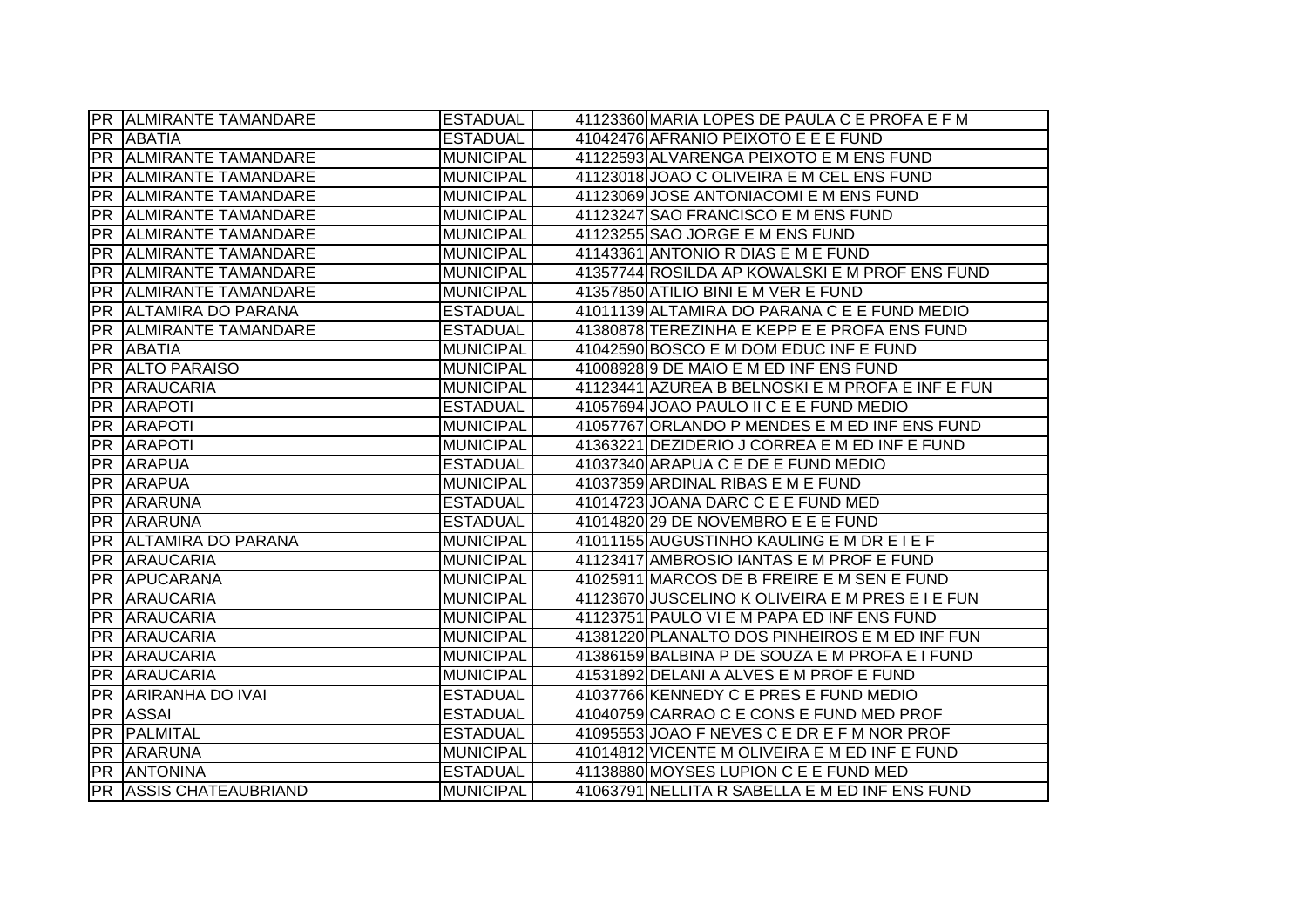|           | <b>PR ALMIRANTE TAMANDARE</b> | <b>ESTADUAL</b>  | 41123360 MARIA LOPES DE PAULA C E PROFA E F M    |
|-----------|-------------------------------|------------------|--------------------------------------------------|
|           | <b>PR ABATIA</b>              | <b>ESTADUAL</b>  | 41042476 AFRANIO PEIXOTO E E E FUND              |
|           | <b>PR ALMIRANTE TAMANDARE</b> | <b>MUNICIPAL</b> | 41122593 ALVARENGA PEIXOTO E M ENS FUND          |
|           | <b>PR ALMIRANTE TAMANDARE</b> | <b>MUNICIPAL</b> | 41123018 JOAO C OLIVEIRA E M CEL ENS FUND        |
| PR        | <b>ALMIRANTE TAMANDARE</b>    | <b>MUNICIPAL</b> | 41123069 JOSE ANTONIACOMI E M ENS FUND           |
| IPR I     | <b>ALMIRANTE TAMANDARE</b>    | <b>MUNICIPAL</b> | 41123247 SAO FRANCISCO E M ENS FUND              |
|           | <b>PR ALMIRANTE TAMANDARE</b> | <b>MUNICIPAL</b> | 41123255 SAO JORGE E M ENS FUND                  |
|           | <b>PR ALMIRANTE TAMANDARE</b> | <b>MUNICIPAL</b> | 41143361 ANTONIO R DIAS E M E FUND               |
|           | PR ALMIRANTE TAMANDARE        | <b>MUNICIPAL</b> | 41357744 ROSILDA AP KOWALSKI E M PROF ENS FUND   |
|           | PR ALMIRANTE TAMANDARE        | <b>MUNICIPAL</b> | 41357850 ATILIO BINI E M VER E FUND              |
| PR        | <b>ALTAMIRA DO PARANA</b>     | <b>ESTADUAL</b>  | 41011139 ALTAMIRA DO PARANA C E E FUND MEDIO     |
| <b>PR</b> | <b>ALMIRANTE TAMANDARE</b>    | <b>ESTADUAL</b>  | 41380878 TEREZINHA E KEPP E E PROFA ENS FUND     |
|           | PR ABATIA                     | <b>MUNICIPAL</b> | 41042590 BOSCO E M DOM EDUC INF E FUND           |
|           | PR ALTO PARAISO               | <b>MUNICIPAL</b> | 410089289 DE MAIO E M ED INF ENS FUND            |
| PR        | <b>ARAUCARIA</b>              | <b>MUNICIPAL</b> | 41123441 AZUREA B BELNOSKI E M PROFA E INF E FUN |
|           | PR ARAPOTI                    | <b>ESTADUAL</b>  | 41057694 JOAO PAULO II C E E FUND MEDIO          |
| <b>PR</b> | <b>ARAPOTI</b>                | <b>MUNICIPAL</b> | 41057767 ORLANDO P MENDES E M ED INF ENS FUND    |
| PR        | <b>ARAPOTI</b>                | <b>MUNICIPAL</b> | 41363221 DEZIDERIO J CORREA E M ED INF E FUND    |
|           |                               |                  |                                                  |
|           | <b>PR ARAPUA</b>              | <b>ESTADUAL</b>  | 41037340 ARAPUA C E DE E FUND MEDIO              |
|           | <b>PR ARAPUA</b>              | <b>MUNICIPAL</b> | 41037359 ARDINAL RIBAS E M E FUND                |
|           | PR ARARUNA                    | <b>ESTADUAL</b>  | 41014723 JOANA DARC C E E FUND MED               |
|           | <b>PR ARARUNA</b>             | <b>ESTADUAL</b>  | 41014820 29 DE NOVEMBRO E E E FUND               |
|           | PR ALTAMIRA DO PARANA         | <b>MUNICIPAL</b> | 41011155 AUGUSTINHO KAULING E M DR E I E F       |
| PR        | <b>ARAUCARIA</b>              | <b>MUNICIPAL</b> | 41123417 AMBROSIO IANTAS E M PROF E FUND         |
|           | <b>PR APUCARANA</b>           | <b>MUNICIPAL</b> | 41025911 MARCOS DE B FREIRE E M SEN E FUND       |
|           | <b>PR ARAUCARIA</b>           | <b>MUNICIPAL</b> | 41123670 JUSCELINO K OLIVEIRA E M PRES E I E FUN |
| PR        | <b>ARAUCARIA</b>              | <b>MUNICIPAL</b> | 41123751 PAULO VI E M PAPA ED INF ENS FUND       |
| PR        | <b>ARAUCARIA</b>              | <b>MUNICIPAL</b> | 41381220 PLANALTO DOS PINHEIROS E M ED INF FUN   |
| <b>PR</b> | <b>ARAUCARIA</b>              | <b>MUNICIPAL</b> | 41386159 BALBINA P DE SOUZA E M PROFA E I FUND   |
| PR        | <b>ARAUCARIA</b>              | <b>MUNICIPAL</b> | 41531892 DELANI A ALVES E M PROF E FUND          |
|           | <b>PR ARIRANHA DO IVAI</b>    | <b>ESTADUAL</b>  | 41037766 KENNEDY C E PRES E FUND MEDIO           |
|           | <b>PR ASSAI</b>               | <b>ESTADUAL</b>  | 41040759 CARRAO C E CONS E FUND MED PROF         |
|           | <b>PR PALMITAL</b>            | <b>ESTADUAL</b>  | 41095553 JOAO F NEVES C E DR E F M NOR PROF      |
|           | <b>PR ARARUNA</b>             | <b>MUNICIPAL</b> | 41014812 VICENTE M OLIVEIRA E M ED INF E FUND    |
|           | PR ANTONINA                   | <b>ESTADUAL</b>  | 41138880 MOYSES LUPION C E E FUND MED            |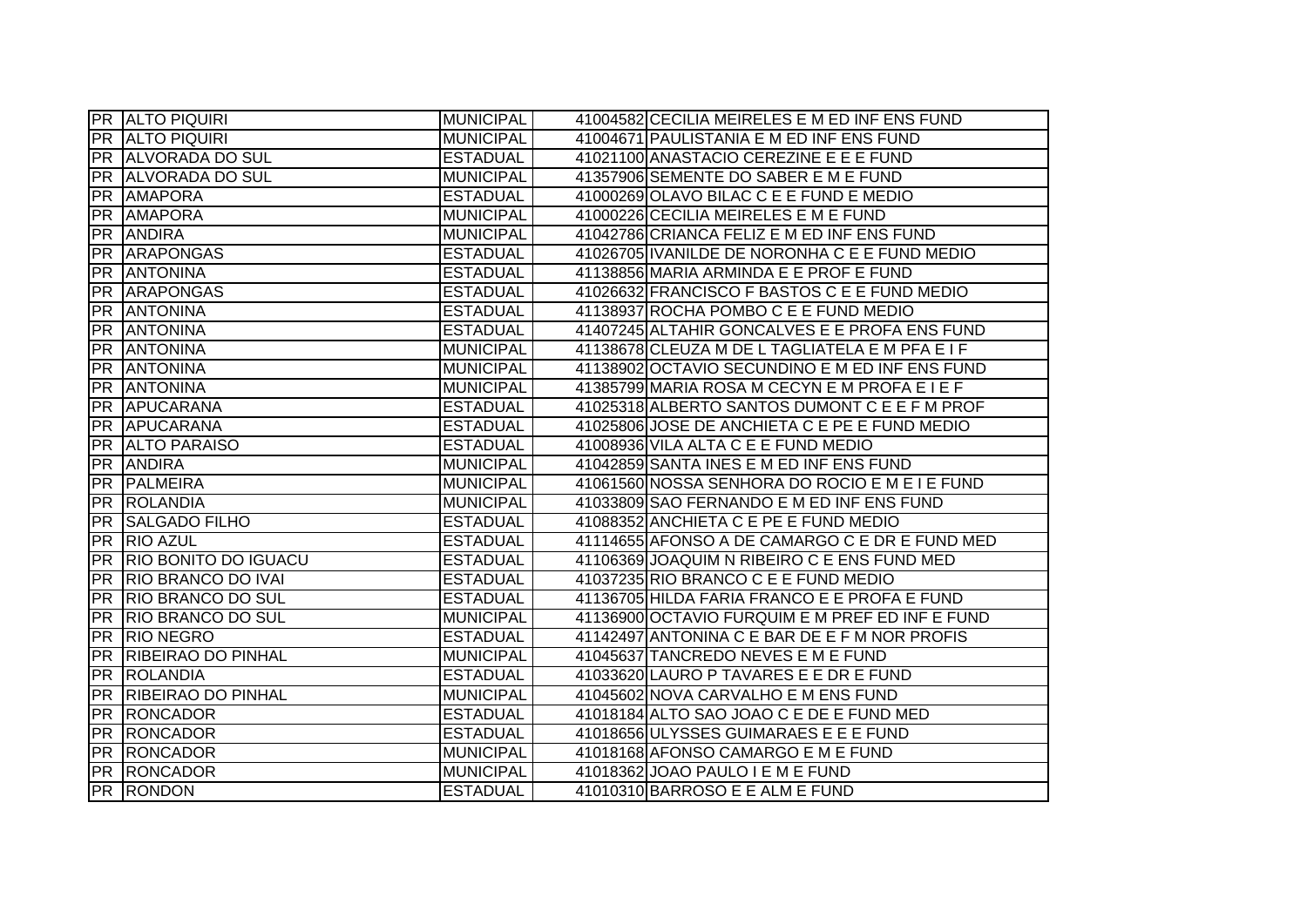|           | <b>PR ALTO PIQUIRI</b>       | <b>MUNICIPAL</b> | 41004582 CECILIA MEIRELES E M ED INF ENS FUND   |
|-----------|------------------------------|------------------|-------------------------------------------------|
|           | <b>PR ALTO PIQUIRI</b>       | <b>MUNICIPAL</b> | 41004671 PAULISTANIA E M ED INF ENS FUND        |
|           | <b>PR ALVORADA DO SUL</b>    | <b>ESTADUAL</b>  | 41021100 ANASTACIO CEREZINE E E E FUND          |
|           | <b>PR ALVORADA DO SUL</b>    | <b>MUNICIPAL</b> | 41357906 SEMENTE DO SABER E M E FUND            |
| <b>PR</b> | <b>AMAPORA</b>               | <b>ESTADUAL</b>  | 41000269 OLAVO BILAC C E E FUND E MEDIO         |
|           | PR AMAPORA                   | <b>MUNICIPAL</b> | 41000226 CECILIA MEIRELES E M E FUND            |
|           | <b>PR ANDIRA</b>             | <b>MUNICIPAL</b> | 41042786 CRIANCA FELIZEM ED INFENS FUND         |
|           | <b>PR ARAPONGAS</b>          | <b>ESTADUAL</b>  | 41026705 IVANILDE DE NORONHA C E E FUND MEDIO   |
|           | <b>PR ANTONINA</b>           | <b>ESTADUAL</b>  | 41138856 MARIA ARMINDA E E PROF E FUND          |
|           | <b>PR ARAPONGAS</b>          | <b>ESTADUAL</b>  | 41026632 FRANCISCO F BASTOS C E E FUND MEDIO    |
| PR        | <b>ANTONINA</b>              | <b>ESTADUAL</b>  | 41138937 ROCHA POMBO C E E FUND MEDIO           |
| PR        | <b>ANTONINA</b>              | <b>ESTADUAL</b>  | 41407245 ALTAHIR GONCALVES E E PROFA ENS FUND   |
| PR        | <b>ANTONINA</b>              | <b>MUNICIPAL</b> | 41138678 CLEUZA M DE L TAGLIATELA E M PFA E I F |
| PR        | <b>ANTONINA</b>              | <b>MUNICIPAL</b> | 41138902 OCTAVIO SECUNDINO E M ED INF ENS FUND  |
| PR        | <b>ANTONINA</b>              | <b>MUNICIPAL</b> | 41385799 MARIA ROSA M CECYN E M PROFA E I E F   |
| PR        | APUCARANA                    | <b>ESTADUAL</b>  | 41025318 ALBERTO SANTOS DUMONT C E E F M PROF   |
| PR        | APUCARANA                    | <b>ESTADUAL</b>  | 41025806 JOSE DE ANCHIETA C E PE E FUND MEDIO   |
| <b>PR</b> | <b>ALTO PARAISO</b>          | <b>ESTADUAL</b>  | 41008936 VILA ALTA C E E FUND MEDIO             |
|           | <b>PR ANDIRA</b>             | <b>MUNICIPAL</b> | 41042859 SANTA INES E M ED INF ENS FUND         |
|           | <b>PR PALMEIRA</b>           | MUNICIPAL        | 41061560 NOSSA SENHORA DO ROCIO E M E I E FUND  |
|           | PR ROLANDIA                  | MUNICIPAL        | 41033809 SAO FERNANDO E M ED INF ENS FUND       |
|           | <b>PR SALGADO FILHO</b>      | <b>ESTADUAL</b>  | 41088352 ANCHIETA C E PE E FUND MEDIO           |
|           | PR RIO AZUL                  | <b>ESTADUAL</b>  | 41114655 AFONSO A DE CAMARGO C E DR E FUND MED  |
| <b>PR</b> | <b>RIO BONITO DO IGUACU</b>  | <b>ESTADUAL</b>  | 41106369 JOAQUIM N RIBEIRO C E ENS FUND MED     |
|           | <b>PR RIO BRANCO DO IVAL</b> | <b>ESTADUAL</b>  | 41037235 RIO BRANCO C E E FUND MEDIO            |
|           | <b>PR RIO BRANCO DO SUL</b>  | <b>ESTADUAL</b>  | 41136705 HILDA FARIA FRANCO E E PROFA E FUND    |
| PR        | <b>RIO BRANCO DO SUL</b>     | <b>MUNICIPAL</b> | 41136900 OCTAVIO FURQUIM E M PREF ED INF E FUND |
| PR        | <b>RIO NEGRO</b>             | <b>ESTADUAL</b>  | 41142497 ANTONINA C E BAR DE E F M NOR PROFIS   |
| <b>PR</b> | <b>RIBEIRAO DO PINHAL</b>    | <b>MUNICIPAL</b> | 41045637 TANCREDO NEVES E M E FUND              |
| PR        | ROLANDIA                     | <b>ESTADUAL</b>  | 41033620 LAURO P TAVARES E E DR E FUND          |
|           | <b>PR RIBEIRAO DO PINHAL</b> | <b>MUNICIPAL</b> | 41045602 NOVA CARVALHO E M ENS FUND             |
|           | <b>PR RONCADOR</b>           | <b>ESTADUAL</b>  | 41018184 ALTO SAO JOAO C E DE E FUND MED        |
|           | <b>PR RONCADOR</b>           | <b>ESTADUAL</b>  | 41018656 ULYSSES GUIMARAES E E E FUND           |
|           | <b>PR RONCADOR</b>           | MUNICIPAL        | 41018168 AFONSO CAMARGO E M E FUND              |
|           | <b>PR RONCADOR</b>           | MUNICIPAL        | 41018362 JOAO PAULO I E M E FUND                |
|           | <b>PR RONDON</b>             | <b>ESTADUAL</b>  | 41010310 BARROSO E E ALM E FUND                 |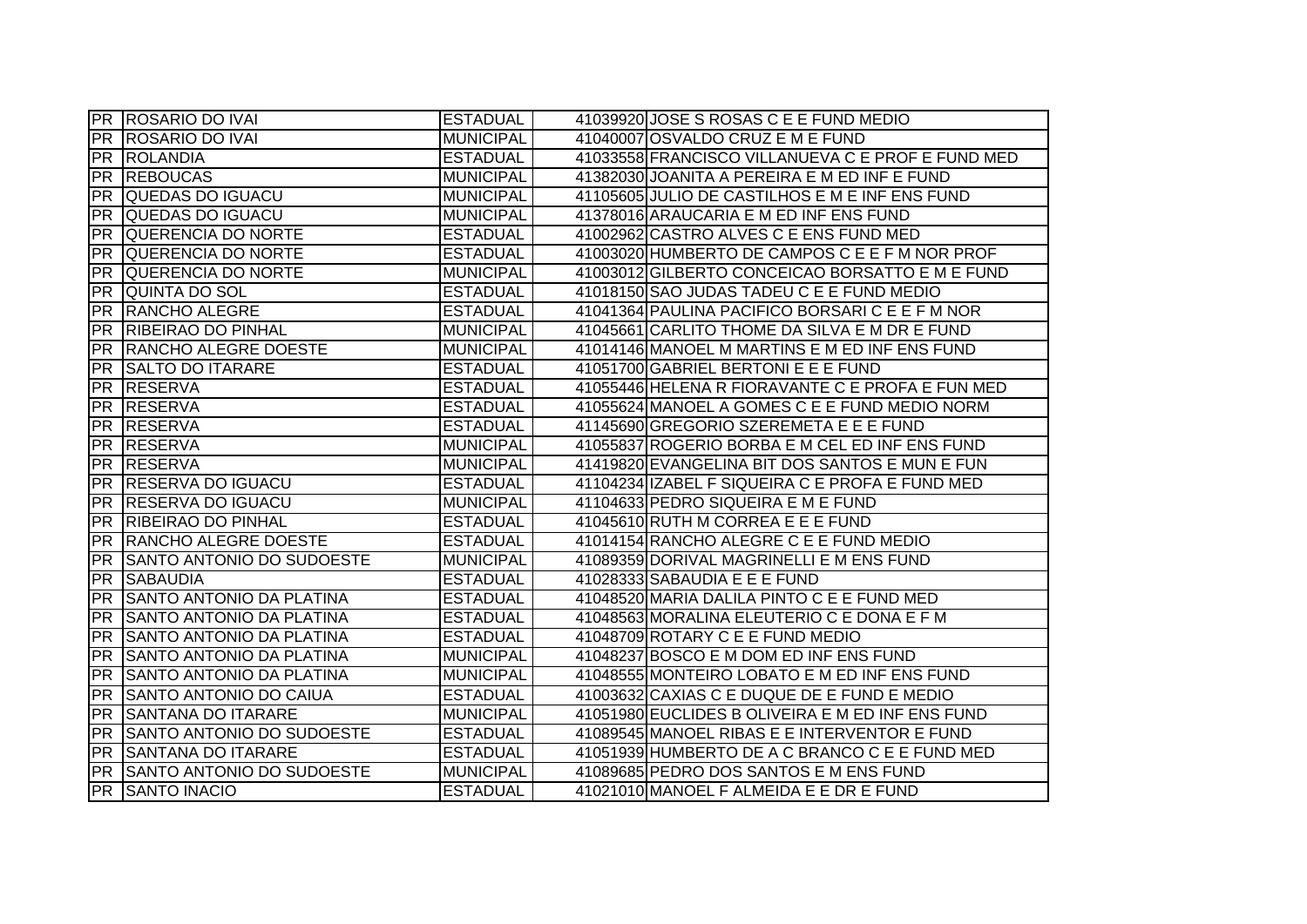|            | <b>PR ROSARIO DO IVAI</b>       | <b>ESTADUAL</b>  | 41039920 JOSE S ROSAS C E E FUND MEDIO            |
|------------|---------------------------------|------------------|---------------------------------------------------|
|            | <b>PR ROSARIO DO IVAI</b>       | <b>MUNICIPAL</b> | 41040007 OSVALDO CRUZ E M E FUND                  |
|            | <b>PR ROLANDIA</b>              | <b>ESTADUAL</b>  | 41033558 FRANCISCO VILLANUEVA C E PROF E FUND MED |
| PR         | <b>REBOUCAS</b>                 | <b>MUNICIPAL</b> | 41382030 JOANITA A PEREIRA E M ED INF E FUND      |
| <b>PR</b>  | QUEDAS DO IGUACU                | <b>MUNICIPAL</b> | 41105605 JULIO DE CASTILHOS E M E INF ENS FUND    |
| PR         | QUEDAS DO IGUACU                | <b>MUNICIPAL</b> | 41378016 ARAUCARIA E M ED INF ENS FUND            |
|            | <b>PR QUERENCIA DO NORTE</b>    | <b>ESTADUAL</b>  | 41002962 CASTRO ALVES C E ENS FUND MED            |
|            | <b>PR QUERENCIA DO NORTE</b>    | <b>ESTADUAL</b>  | 41003020 HUMBERTO DE CAMPOS C E E F M NOR PROF    |
| PR         | <b>QUERENCIA DO NORTE</b>       | <b>MUNICIPAL</b> | 41003012 GILBERTO CONCEICAO BORSATTO E M E FUND   |
| PR         | <b>QUINTA DO SOL</b>            | <b>ESTADUAL</b>  | 41018150 SAO JUDAS TADEU C E E FUND MEDIO         |
| <b>PR</b>  | <b>RANCHO ALEGRE</b>            | <b>ESTADUAL</b>  | 41041364 PAULINA PACIFICO BORSARI C E E F M NOR   |
| <b>PR</b>  | <b>RIBEIRAO DO PINHAL</b>       | <b>MUNICIPAL</b> | 41045661 CARLITO THOME DA SILVA E M DR E FUND     |
| <b>PR</b>  | <b>RANCHO ALEGRE DOESTE</b>     | <b>MUNICIPAL</b> | 41014146 MANOEL M MARTINS E M ED INF ENS FUND     |
| <b>IPR</b> | <b>SALTO DO ITARARE</b>         | <b>ESTADUAL</b>  | 41051700 GABRIEL BERTONI E E E FUND               |
| <b>PR</b>  | <b>RESERVA</b>                  | <b>ESTADUAL</b>  | 41055446 HELENA R FIORAVANTE C E PROFA E FUN MED  |
| PR         | <b>RESERVA</b>                  | <b>ESTADUAL</b>  | 41055624 MANOEL A GOMES C E E FUND MEDIO NORM     |
| PR         | <b>RESERVA</b>                  | <b>ESTADUAL</b>  | 41145690 GREGORIO SZEREMETA E E E FUND            |
| <b>PR</b>  | <b>RESERVA</b>                  | <b>MUNICIPAL</b> | 41055837 ROGERIO BORBA E M CEL ED INF ENS FUND    |
|            | <b>PR RESERVA</b>               | <b>MUNICIPAL</b> | 41419820 EVANGELINA BIT DOS SANTOS E MUN E FUN    |
|            | <b>PR RESERVA DO IGUACU</b>     | <b>ESTADUAL</b>  | 41104234 IZABEL F SIQUEIRA C E PROFA E FUND MED   |
|            | <b>PR RESERVA DO IGUACU</b>     | <b>MUNICIPAL</b> | 41104633 PEDRO SIQUEIRA E M E FUND                |
|            | <b>PR RIBEIRAO DO PINHAL</b>    | <b>ESTADUAL</b>  | 41045610 RUTH M CORREA E E E FUND                 |
|            | <b>PR RANCHO ALEGRE DOESTE</b>  | <b>ESTADUAL</b>  | 41014154 RANCHO ALEGRE C E E FUND MEDIO           |
| <b>PR</b>  | SANTO ANTONIO DO SUDOESTE       | <b>MUNICIPAL</b> | 41089359 DORIVAL MAGRINELLI E M ENS FUND          |
| <b>PR</b>  | <b>SABAUDIA</b>                 | <b>ESTADUAL</b>  | 41028333 SABAUDIA E E E FUND                      |
| <b>PR</b>  | <b>SANTO ANTONIO DA PLATINA</b> | <b>ESTADUAL</b>  | 41048520 MARIA DALILA PINTO C E E FUND MED        |
| <b>PR</b>  | SANTO ANTONIO DA PLATINA        | <b>ESTADUAL</b>  | 41048563 MORALINA ELEUTERIO C E DONA E F M        |
| <b>PR</b>  | SANTO ANTONIO DA PLATINA        | <b>ESTADUAL</b>  | 41048709 ROTARY C E E FUND MEDIO                  |
| <b>PR</b>  | <b>SANTO ANTONIO DA PLATINA</b> | <b>MUNICIPAL</b> | 41048237 BOSCO E M DOM ED INF ENS FUND            |
| <b>PR</b>  | <b>SANTO ANTONIO DA PLATINA</b> | <b>MUNICIPAL</b> | 41048555 MONTEIRO LOBATO E M ED INF ENS FUND      |
| PR         | SANTO ANTONIO DO CAIUA          | <b>ESTADUAL</b>  | 41003632 CAXIAS C E DUQUE DE E FUND E MEDIO       |
| PR         | <b>SANTANA DO ITARARE</b>       | <b>MUNICIPAL</b> | 41051980 EUCLIDES B OLIVEIRA E M ED INF ENS FUND  |
| PR         | SANTO ANTONIO DO SUDOESTE       | <b>ESTADUAL</b>  | 41089545 MANOEL RIBAS E E INTERVENTOR E FUND      |
|            | <b>PR SANTANA DO ITARARE</b>    | <b>ESTADUAL</b>  | 41051939 HUMBERTO DE A C BRANCO C E E FUND MED    |
|            | PR SANTO ANTONIO DO SUDOESTE    | <b>MUNICIPAL</b> | 41089685 PEDRO DOS SANTOS E M ENS FUND            |
|            | <b>PR SANTO INACIO</b>          | <b>ESTADUAL</b>  | 41021010 MANOEL F ALMEIDA E E DR E FUND           |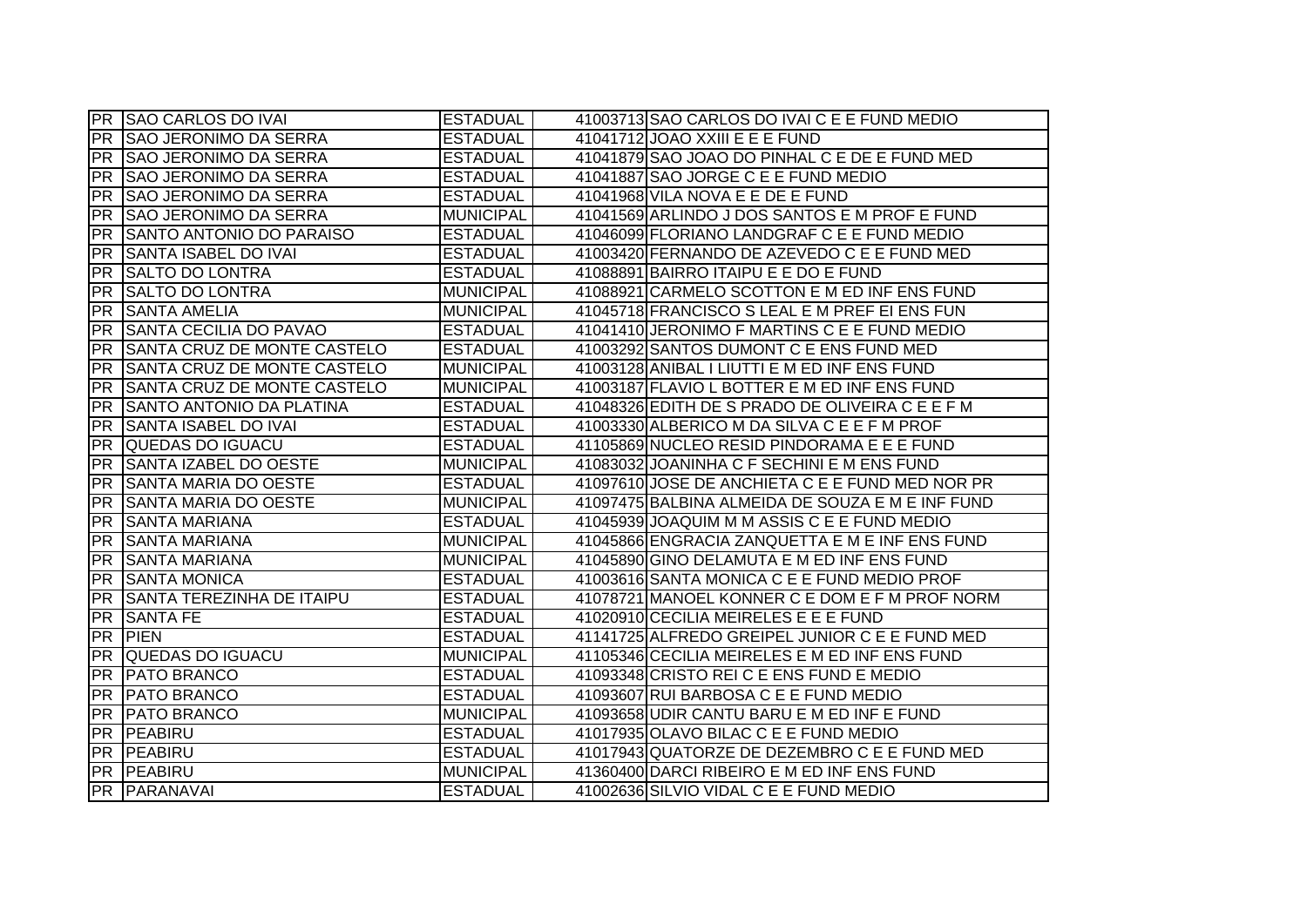|           | <b>PR SAO CARLOS DO IVAI</b>     | <b>ESTADUAL</b>  | 41003713 SAO CARLOS DO IVAI C E E FUND MEDIO     |
|-----------|----------------------------------|------------------|--------------------------------------------------|
| <b>PR</b> | <b>SAO JERONIMO DA SERRA</b>     | <b>ESTADUAL</b>  | 41041712 JOAO XXIII E E E FUND                   |
| PR        | <b>SAO JERONIMO DA SERRA</b>     | <b>ESTADUAL</b>  | 41041879 SAO JOAO DO PINHAL C E DE E FUND MED    |
| <b>PR</b> | <b>SAO JERONIMO DA SERRA</b>     | <b>ESTADUAL</b>  | 41041887 SAO JORGE C E E FUND MEDIO              |
| <b>PR</b> | <b>SAO JERONIMO DA SERRA</b>     | <b>ESTADUAL</b>  | 41041968 VILA NOVA E E DE E FUND                 |
| <b>PR</b> | <b>SAO JERONIMO DA SERRA</b>     | <b>MUNICIPAL</b> | 41041569 ARLINDO J DOS SANTOS E M PROF E FUND    |
|           | PR SANTO ANTONIO DO PARAISO      | <b>ESTADUAL</b>  | 41046099 FLORIANO LANDGRAF C E E FUND MEDIO      |
|           | <b>PR SANTA ISABEL DO IVAI</b>   | <b>ESTADUAL</b>  | 41003420 FERNANDO DE AZEVEDO C E E FUND MED      |
| PR        | <b>SALTO DO LONTRA</b>           | <b>ESTADUAL</b>  | 41088891 BAIRRO ITAIPU E E DO E FUND             |
| <b>PR</b> | <b>SALTO DO LONTRA</b>           | <b>MUNICIPAL</b> | 41088921 CARMELO SCOTTON E M ED INF ENS FUND     |
| <b>PR</b> | <b>SANTA AMELIA</b>              | <b>MUNICIPAL</b> | 41045718 FRANCISCO S LEAL E M PREF EI ENS FUN    |
| <b>PR</b> | <b>SANTA CECILIA DO PAVAO</b>    | <b>ESTADUAL</b>  | 41041410 JERONIMO F MARTINS C E E FUND MEDIO     |
| <b>PR</b> | SANTA CRUZ DE MONTE CASTELO      | <b>ESTADUAL</b>  | 41003292 SANTOS DUMONT C E ENS FUND MED          |
| <b>PR</b> | SANTA CRUZ DE MONTE CASTELO      | <b>MUNICIPAL</b> | 41003128 ANIBAL I LIUTTI E M ED INF ENS FUND     |
| <b>PR</b> | SANTA CRUZ DE MONTE CASTELO      | <b>MUNICIPAL</b> | 41003187 FLAVIO L BOTTER E M ED INF ENS FUND     |
| <b>PR</b> | <b>SANTO ANTONIO DA PLATINA</b>  | <b>ESTADUAL</b>  | 41048326 EDITH DE S PRADO DE OLIVEIRA C E E F M  |
| <b>PR</b> | SANTA ISABEL DO IVAI             | <b>ESTADUAL</b>  | 41003330 ALBERICO M DA SILVA C E E F M PROF      |
| <b>PR</b> | QUEDAS DO IGUACU                 | <b>ESTADUAL</b>  | 41105869 NUCLEO RESID PINDORAMA E E E FUND       |
| <b>PR</b> | <b>SANTA IZABEL DO OESTE</b>     | <b>MUNICIPAL</b> | 41083032 JOANINHA C F SECHINI E M ENS FUND       |
|           | <b>PR SANTA MARIA DO OESTE</b>   | <b>ESTADUAL</b>  | 41097610 JOSE DE ANCHIETA C E E FUND MED NOR PR  |
| PR        | <b>SANTA MARIA DO OESTE</b>      | <b>MUNICIPAL</b> | 41097475 BALBINA ALMEIDA DE SOUZA E M E INF FUND |
|           | <b>PR SANTA MARIANA</b>          | <b>ESTADUAL</b>  | 41045939 JOAQUIM M M ASSIS C E E FUND MEDIO      |
| PR        | <b>SANTA MARIANA</b>             | <b>MUNICIPAL</b> | 41045866 ENGRACIA ZANQUETTA E M E INF ENS FUND   |
| <b>PR</b> | <b>SANTA MARIANA</b>             | <b>MUNICIPAL</b> | 41045890 GINO DELAMUTA E M ED INF ENS FUND       |
| <b>PR</b> | <b>SANTA MONICA</b>              | <b>ESTADUAL</b>  | 41003616 SANTA MONICA C E E FUND MEDIO PROF      |
| <b>PR</b> | <b>SANTA TEREZINHA DE ITAIPU</b> | <b>ESTADUAL</b>  | 41078721 MANOEL KONNER C E DOM E F M PROF NORM   |
| <b>PR</b> | <b>SANTA FE</b>                  | <b>ESTADUAL</b>  | 41020910 CECILIA MEIRELES E E E FUND             |
| PR        | <b>PIEN</b>                      | <b>ESTADUAL</b>  | 41141725 ALFREDO GREIPEL JUNIOR C E E FUND MED   |
| <b>PR</b> | QUEDAS DO IGUACU                 | <b>MUNICIPAL</b> | 41105346 CECILIA MEIRELES E M ED INF ENS FUND    |
| <b>PR</b> | <b>PATO BRANCO</b>               | <b>ESTADUAL</b>  | 41093348 CRISTO REI C E ENS FUND E MEDIO         |
| <b>PR</b> | <b>PATO BRANCO</b>               | <b>ESTADUAL</b>  | 41093607 RUI BARBOSA C E E FUND MEDIO            |
| <b>PR</b> | <b>PATO BRANCO</b>               | <b>MUNICIPAL</b> | 41093658 UDIR CANTU BARU E M ED INF E FUND       |
| <b>PR</b> | PEABIRU                          | <b>ESTADUAL</b>  | 41017935 OLAVO BILAC C E E FUND MEDIO            |
|           | PR PEABIRU                       | <b>ESTADUAL</b>  | 41017943 QUATORZE DE DEZEMBRO C E E FUND MED     |
|           | PR PEABIRU                       | <b>MUNICIPAL</b> | 41360400 DARCI RIBEIRO E M ED INF ENS FUND       |
|           | PR PARANAVAI                     | <b>ESTADUAL</b>  | 41002636 SILVIO VIDAL C E E FUND MEDIO           |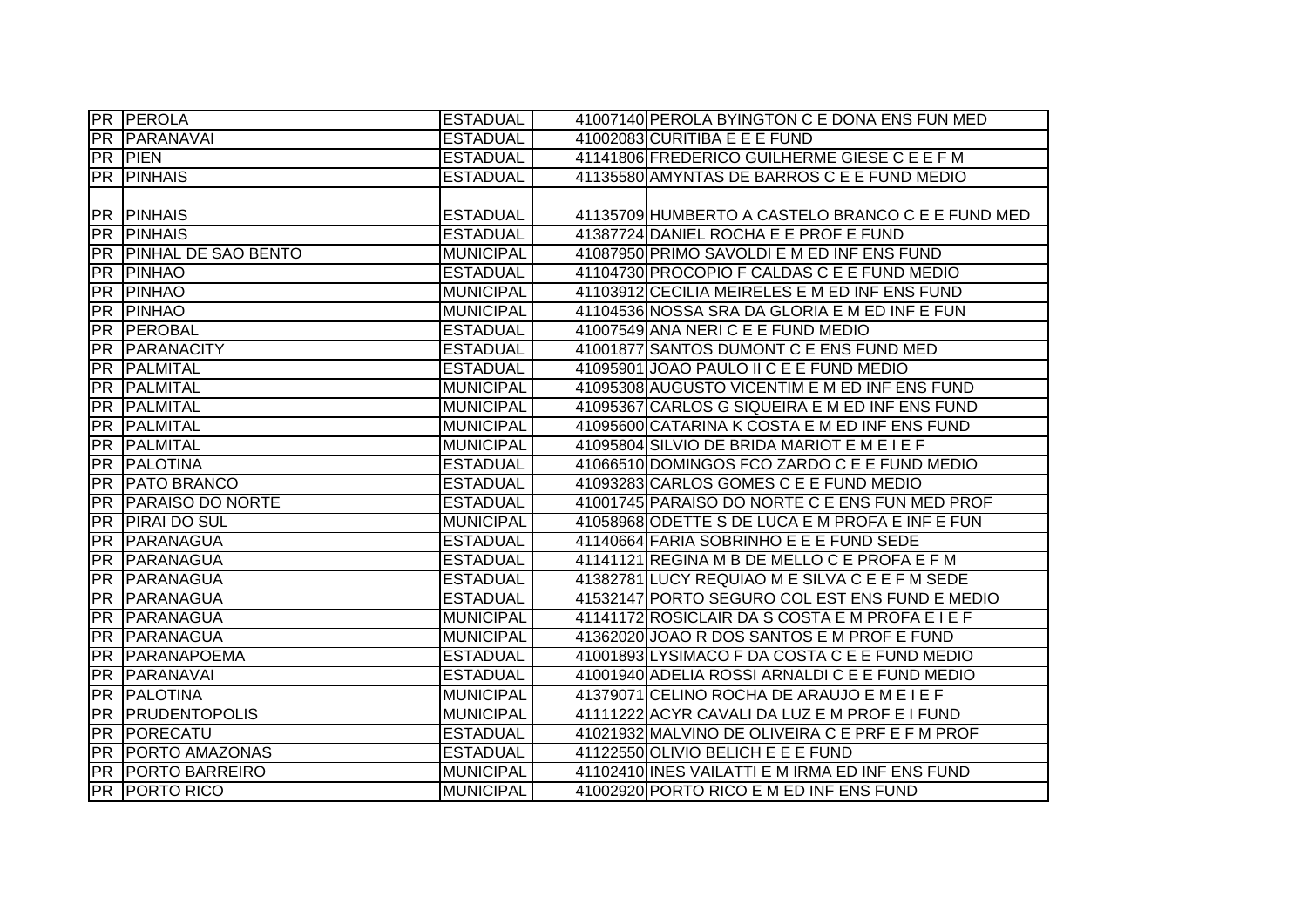|           | <b>PR PEROLA</b>           | <b>ESTADUAL</b>  | 41007140 PEROLA BYINGTON C E DONA ENS FUN MED     |
|-----------|----------------------------|------------------|---------------------------------------------------|
|           | PR PARANAVAI               | <b>ESTADUAL</b>  | 41002083 CURITIBA E E E FUND                      |
|           | <b>PR PIEN</b>             | <b>ESTADUAL</b>  | 41141806 FREDERICO GUILHERME GIESE C E E F M      |
|           | <b>PR PINHAIS</b>          | <b>ESTADUAL</b>  | 41135580 AMYNTAS DE BARROS C E E FUND MEDIO       |
|           |                            |                  |                                                   |
|           | <b>PR PINHAIS</b>          | <b>ESTADUAL</b>  | 41135709 HUMBERTO A CASTELO BRANCO C E E FUND MED |
| <b>PR</b> | <b>PINHAIS</b>             | <b>ESTADUAL</b>  | 41387724 DANIEL ROCHA E E PROF E FUND             |
| <b>PR</b> | <b>PINHAL DE SAO BENTO</b> | <b>MUNICIPAL</b> | 41087950 PRIMO SAVOLDI E M ED INF ENS FUND        |
| PR        | PINHAO                     | <b>ESTADUAL</b>  | 41104730 PROCOPIO F CALDAS C E E FUND MEDIO       |
| <b>PR</b> | <b>PINHAO</b>              | <b>MUNICIPAL</b> | 41103912 CECILIA MEIRELES E M ED INF ENS FUND     |
| IPR.      | <b>PINHAO</b>              | <b>MUNICIPAL</b> | 41104536 NOSSA SRA DA GLORIA E M ED INF E FUN     |
| <b>PR</b> | <b>TPEROBAL</b>            | <b>ESTADUAL</b>  | 41007549 ANA NERICE E FUND MEDIO                  |
| <b>PR</b> | PARANACITY                 | <b>ESTADUAL</b>  | 41001877 SANTOS DUMONT C E ENS FUND MED           |
| <b>PR</b> | PALMITAL                   | <b>ESTADUAL</b>  | 41095901 JOAO PAULO II C E E FUND MEDIO           |
| <b>PR</b> | PALMITAL                   | <b>MUNICIPAL</b> | 41095308 AUGUSTO VICENTIM E M ED INF ENS FUND     |
| <b>PR</b> | PALMITAL                   | <b>MUNICIPAL</b> | 41095367 CARLOS G SIQUEIRA E M ED INF ENS FUND    |
| <b>PR</b> | PALMITAL                   | <b>MUNICIPAL</b> | 41095600 CATARINA K COSTA E M ED INF ENS FUND     |
| <b>PR</b> | PALMITAL                   | <b>MUNICIPAL</b> | 41095804 SILVIO DE BRIDA MARIOT E M E I E F       |
| PR        | <b>PALOTINA</b>            | <b>ESTADUAL</b>  | 41066510 DOMINGOS FCO ZARDO C E E FUND MEDIO      |
| PR        | <b>PATO BRANCO</b>         | <b>ESTADUAL</b>  | 41093283 CARLOS GOMES C E E FUND MEDIO            |
| PR        | <b>PARAISO DO NORTE</b>    | <b>ESTADUAL</b>  | 41001745 PARAISO DO NORTE C E ENS FUN MED PROF    |
|           | <b>PR PIRAI DO SUL</b>     | <b>MUNICIPAL</b> | 41058968 ODETTE S DE LUCA E M PROFA E INF E FUN   |
| <b>PR</b> | PARANAGUA                  | <b>ESTADUAL</b>  | 41140664 FARIA SOBRINHO E E E FUND SEDE           |
| <b>PR</b> | PARANAGUA                  | <b>ESTADUAL</b>  | 41141121 REGINA M B DE MELLO C E PROFA E F M      |
| <b>PR</b> | PARANAGUA                  | <b>ESTADUAL</b>  | 41382781 LUCY REQUIAO M E SILVA C E E F M SEDE    |
| <b>PR</b> | PARANAGUA                  | <b>ESTADUAL</b>  | 41532147 PORTO SEGURO COL EST ENS FUND E MEDIO    |
| <b>PR</b> | PARANAGUA                  | <b>MUNICIPAL</b> | 41141172 ROSICLAIR DA S COSTA E M PROFA E I E F   |
| <b>PR</b> | PARANAGUA                  | <b>MUNICIPAL</b> | 41362020 JOAO R DOS SANTOS E M PROF E FUND        |
| <b>PR</b> | <b>PARANAPOEMA</b>         | <b>ESTADUAL</b>  | 41001893 LYSIMACO F DA COSTA C E E FUND MEDIO     |
| IPR.      | PARANAVAI                  | <b>ESTADUAL</b>  | 41001940 ADELIA ROSSI ARNALDI C E E FUND MEDIO    |
| <b>PR</b> | <b>PALOTINA</b>            | <b>MUNICIPAL</b> | 41379071 CELINO ROCHA DE ARAUJO E M E I E F       |
|           | <b>PR PRUDENTOPOLIS</b>    | <b>MUNICIPAL</b> | 41111222 ACYR CAVALI DA LUZ E M PROF E I FUND     |
| <b>PR</b> | <b>PORECATU</b>            | <b>ESTADUAL</b>  | 41021932 MALVINO DE OLIVEIRA C E PRF E F M PROF   |
|           | <b>PR PORTO AMAZONAS</b>   | <b>ESTADUAL</b>  | 41122550 OLIVIO BELICH E E E FUND                 |
|           | <b>PR PORTO BARREIRO</b>   | <b>MUNICIPAL</b> | 41102410 INES VAILATTI E M IRMA ED INF ENS FUND   |
|           | <b>PR PORTO RICO</b>       | <b>MUNICIPAL</b> | 41002920 PORTO RICO E M ED INF ENS FUND           |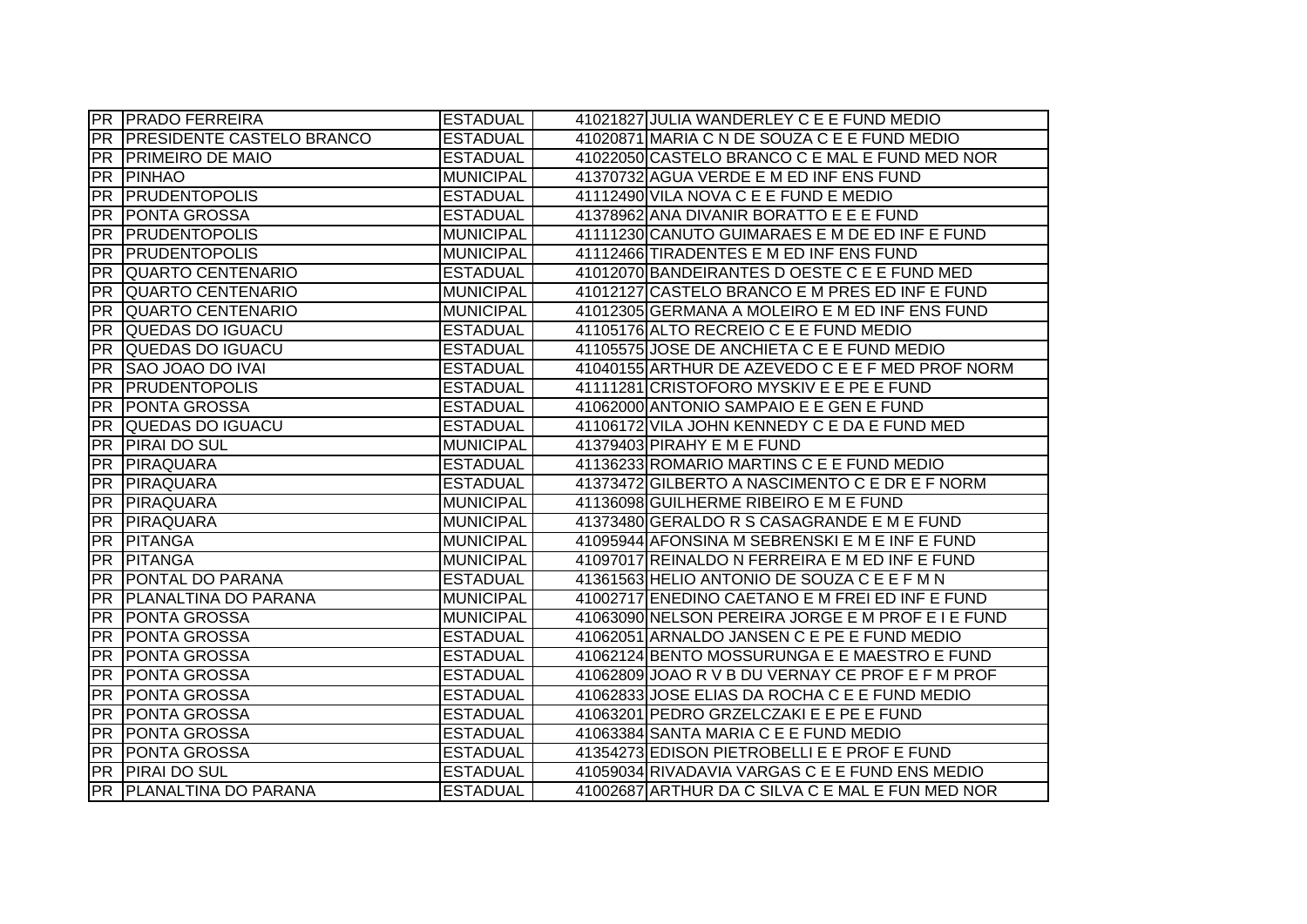|                 | <b>PR PRADO FERREIRA</b>         | <b>ESTADUAL</b>  | 41021827 JULIA WANDERLEY C E E FUND MEDIO                                                          |
|-----------------|----------------------------------|------------------|----------------------------------------------------------------------------------------------------|
| <b>PR</b>       | <b>PRESIDENTE CASTELO BRANCO</b> | <b>ESTADUAL</b>  | 41020871 MARIA C N DE SOUZA C E E FUND MEDIO                                                       |
| PR              | <b>PRIMEIRO DE MAIO</b>          | <b>ESTADUAL</b>  | 41022050 CASTELO BRANCO C E MAL E FUND MED NOR                                                     |
| <b>PR</b>       | <b>PINHAO</b>                    | <b>MUNICIPAL</b> | 41370732 AGUA VERDE E M ED INF ENS FUND                                                            |
| <b>PR</b>       | <b>PRUDENTOPOLIS</b>             | <b>ESTADUAL</b>  | 41112490 VILA NOVA C E E FUND E MEDIO                                                              |
| <b>PR</b>       | <b>PONTA GROSSA</b>              | <b>ESTADUAL</b>  | 41378962 ANA DIVANIR BORATTO E E E FUND                                                            |
| PR              | <b>PRUDENTOPOLIS</b>             | <b>MUNICIPAL</b> | 41111230 CANUTO GUIMARAES E M DE ED INF E FUND                                                     |
| <b>PR</b>       | <b>PRUDENTOPOLIS</b>             | <b>MUNICIPAL</b> | 41112466 TIRADENTES E M ED INF ENS FUND                                                            |
| PR              | <b>QUARTO CENTENARIO</b>         | <b>ESTADUAL</b>  | 41012070 BANDEIRANTES D OESTE C E E FUND MED                                                       |
| <b>PR</b>       | <b>QUARTO CENTENARIO</b>         | <b>MUNICIPAL</b> | 41012127 CASTELO BRANCO E M PRES ED INF E FUND                                                     |
| <b>PR</b>       | <b>QUARTO CENTENARIO</b>         | <b>MUNICIPAL</b> | 41012305 GERMANA A MOLEIRO E M ED INF ENS FUND                                                     |
| <b>PR</b>       | QUEDAS DO IGUACU                 | <b>ESTADUAL</b>  | 41105176 ALTO RECREIO C E E FUND MEDIO                                                             |
| <b>PR</b>       | QUEDAS DO IGUACU                 | <b>ESTADUAL</b>  | 41105575 JOSE DE ANCHIETA C E E FUND MEDIO                                                         |
| PR              | <b>SAO JOAO DO IVAI</b>          | <b>ESTADUAL</b>  | 41040155 ARTHUR DE AZEVEDO C E E F MED PROF NORM                                                   |
| <b>PR</b>       | <b>PRUDENTOPOLIS</b>             | <b>ESTADUAL</b>  | 41111281 CRISTOFORO MYSKIV E E PE E FUND                                                           |
| <b>PR</b>       | <b>PONTA GROSSA</b>              | <b>ESTADUAL</b>  | 41062000 ANTONIO SAMPAIO E E GEN E FUND                                                            |
| <b>PR</b>       | QUEDAS DO IGUACU                 | <b>ESTADUAL</b>  | 41106172 VILA JOHN KENNEDY C E DA E FUND MED                                                       |
| <b>PR</b>       | <b>PIRAI DO SUL</b>              | <b>MUNICIPAL</b> | 41379403 PIRAHY E M E FUND                                                                         |
| <b>PR</b>       | PIRAQUARA                        | <b>ESTADUAL</b>  | 41136233 ROMARIO MARTINS C E E FUND MEDIO                                                          |
| <b>PR</b>       | PIRAQUARA                        | <b>ESTADUAL</b>  | 41373472 GILBERTO A NASCIMENTO C E DR E F NORM                                                     |
| <b>PR</b>       | PIRAQUARA                        | <b>MUNICIPAL</b> | 41136098 GUILHERME RIBEIRO E M E FUND                                                              |
| <b>PR</b>       | PIRAQUARA                        | <b>MUNICIPAL</b> | 41373480 GERALDO R S CASAGRANDE E M E FUND                                                         |
| <b>PR</b>       | PITANGA                          | <b>MUNICIPAL</b> | 41095944 AFONSINA M SEBRENSKI E M E INF E FUND                                                     |
| <b>PR</b>       |                                  |                  |                                                                                                    |
| $\overline{PR}$ | <b>IPITANGA</b>                  | <b>MUNICIPAL</b> | 41097017 REINALDO N FERREIRA E M ED INF E FUND                                                     |
|                 | <b>PONTAL DO PARANA</b>          | <b>ESTADUAL</b>  | 41361563 HELIO ANTONIO DE SOUZA C E E F M N                                                        |
| <b>PR</b>       | <b>PLANALTINA DO PARANA</b>      | <b>MUNICIPAL</b> | 41002717 ENEDINO CAETANO E M FREI ED INF E FUND                                                    |
| <b>PR</b>       | <b>PONTA GROSSA</b>              | <b>MUNICIPAL</b> | 41063090 NELSON PEREIRA JORGE E M PROF E I E FUND                                                  |
| <b>PR</b>       | <b>PONTA GROSSA</b>              | <b>ESTADUAL</b>  | 41062051 ARNALDO JANSEN C E PE E FUND MEDIO                                                        |
| <b>PR</b>       | <b>PONTA GROSSA</b>              | <b>ESTADUAL</b>  | 41062124 BENTO MOSSURUNGA E E MAESTRO E FUND                                                       |
| <b>PR</b>       | <b>PONTA GROSSA</b>              | <b>ESTADUAL</b>  | 41062809 JOAO R V B DU VERNAY CE PROF E F M PROF                                                   |
| <b>PR</b>       | <b>PONTA GROSSA</b>              | <b>ESTADUAL</b>  | 41062833 JOSE ELIAS DA ROCHA C E E FUND MEDIO                                                      |
| <b>PR</b>       | <b>PONTA GROSSA</b>              | <b>ESTADUAL</b>  | 41063201 PEDRO GRZELCZAKI E E PE E FUND                                                            |
| <b>PR</b>       | <b>PONTA GROSSA</b>              | <b>ESTADUAL</b>  | 41063384 SANTA MARIA C E E FUND MEDIO                                                              |
| PR              | <b>PONTA GROSSA</b>              | <b>ESTADUAL</b>  | 41354273 EDISON PIETROBELLI E E PROF E FUND                                                        |
| <b>PR</b>       | <b>PIRAI DO SUL</b>              | <b>ESTADUAL</b>  | 41059034 RIVADAVIA VARGAS C E E FUND ENS MEDIO<br>41002687 ARTHUR DA C SILVA C E MAL E FUN MED NOR |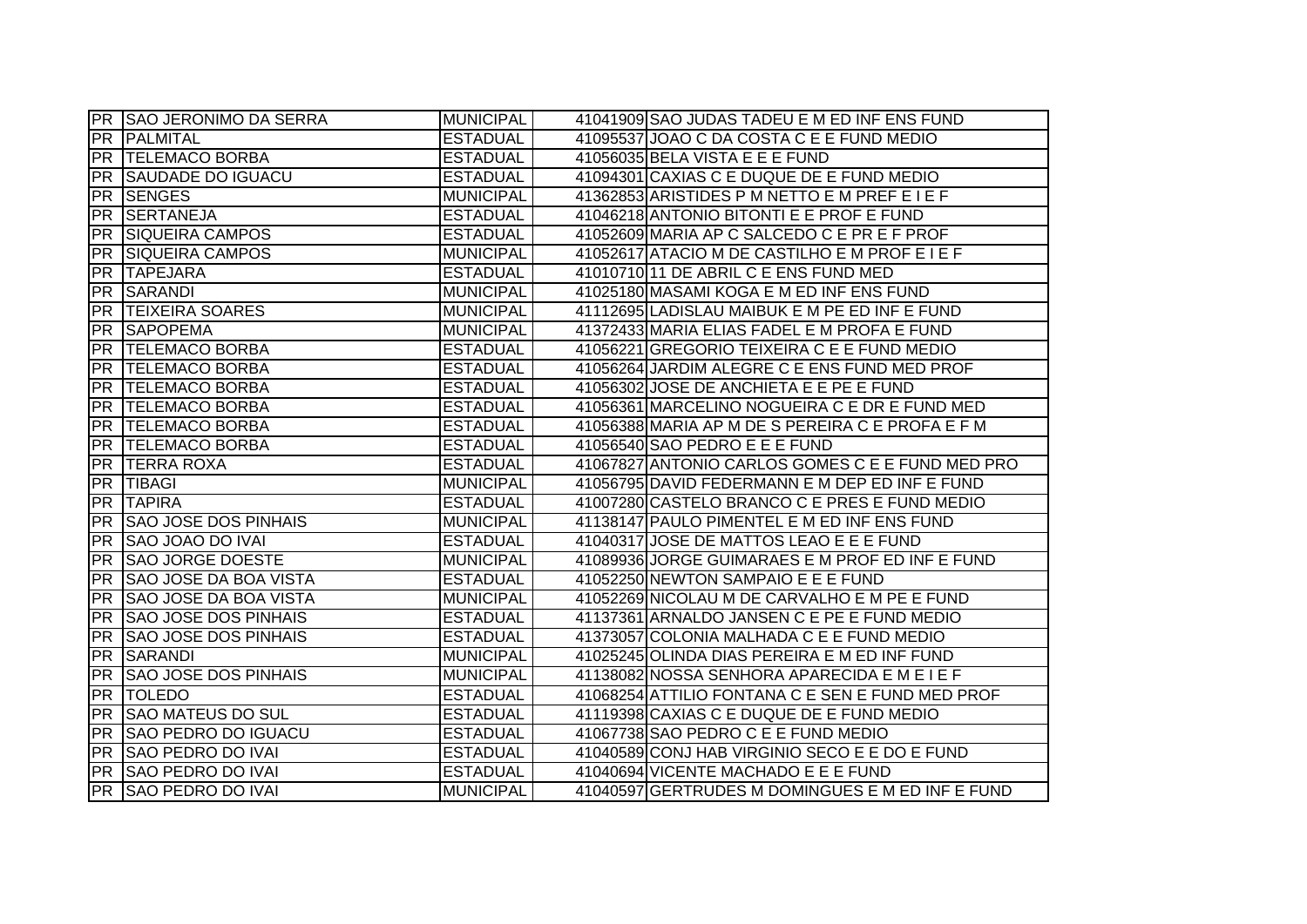|           | PR SAO JERONIMO DA SERRA     | <b>MUNICIPAL</b> | 41041909 SAO JUDAS TADEU E M ED INF ENS FUND     |
|-----------|------------------------------|------------------|--------------------------------------------------|
| PR        | <b>PALMITAL</b>              | <b>ESTADUAL</b>  | 41095537 JOAO C DA COSTA C E E FUND MEDIO        |
| PR        | <b>TELEMACO BORBA</b>        | <b>ESTADUAL</b>  | 41056035 BELA VISTA E E E FUND                   |
|           | <b>PR SAUDADE DO IGUACU</b>  | <b>ESTADUAL</b>  | 41094301 CAXIAS C E DUQUE DE E FUND MEDIO        |
| PR        | <b>SENGES</b>                | <b>MUNICIPAL</b> | 41362853 ARISTIDES P M NETTO E M PREF E I E F    |
|           | PR SERTANEJA                 | <b>ESTADUAL</b>  | 41046218 ANTONIO BITONTI E E PROF E FUND         |
|           | <b>PR SIQUEIRA CAMPOS</b>    | <b>ESTADUAL</b>  | 41052609 MARIA AP C SALCEDO C E PR E F PROF      |
|           | <b>PR SIQUEIRA CAMPOS</b>    | <b>MUNICIPAL</b> | 41052617 ATACIO M DE CASTILHO E M PROF E I E F   |
|           | PR TAPEJARA                  | <b>ESTADUAL</b>  | 41010710 11 DE ABRIL C E ENS FUND MED            |
|           | <b>PR SARANDI</b>            | <b>MUNICIPAL</b> | 41025180 MASAMI KOGA E M ED INF ENS FUND         |
| PR        | <b>TEIXEIRA SOARES</b>       | <b>MUNICIPAL</b> | 41112695 LADISLAU MAIBUK E M PE ED INF E FUND    |
| PR        | <b>SAPOPEMA</b>              | <b>MUNICIPAL</b> | 41372433 MARIA ELIAS FADEL E M PROFA E FUND      |
| <b>PR</b> | <b>TELEMACO BORBA</b>        | <b>ESTADUAL</b>  | 41056221 GREGORIO TEIXEIRA C E E FUND MEDIO      |
| <b>PR</b> | <b>TELEMACO BORBA</b>        | <b>ESTADUAL</b>  | 41056264 JARDIM ALEGRE C E ENS FUND MED PROF     |
| <b>PR</b> | <b>TELEMACO BORBA</b>        | <b>ESTADUAL</b>  | 41056302 JOSE DE ANCHIETA E E PE E FUND          |
| <b>PR</b> | <b>TELEMACO BORBA</b>        | <b>ESTADUAL</b>  | 41056361 MARCELINO NOGUEIRA C E DR E FUND MED    |
| <b>PR</b> | <b>TELEMACO BORBA</b>        | <b>ESTADUAL</b>  | 41056388 MARIA AP M DE S PEREIRA C E PROFA E F M |
| <b>PR</b> | <b>TELEMACO BORBA</b>        | <b>ESTADUAL</b>  | 41056540 SAO PEDRO E E E FUND                    |
| PR        | <b>TERRA ROXA</b>            | <b>ESTADUAL</b>  | 41067827 ANTONIO CARLOS GOMES C E E FUND MED PRO |
|           | <b>PR TIBAGI</b>             | <b>MUNICIPAL</b> | 41056795 DAVID FEDERMANN E M DEP ED INF E FUND   |
|           | <b>PR TAPIRA</b>             | <b>ESTADUAL</b>  | 41007280 CASTELO BRANCO C E PRES E FUND MEDIO    |
| PR        | <b>SAO JOSE DOS PINHAIS</b>  | <b>MUNICIPAL</b> | 41138147 PAULO PIMENTEL E M ED INF ENS FUND      |
| PR        | <b>SAO JOAO DO IVAI</b>      | <b>ESTADUAL</b>  | 41040317 JOSE DE MATTOS LEAO E E E FUND          |
| <b>PR</b> | <b>SAO JORGE DOESTE</b>      | <b>MUNICIPAL</b> | 41089936 JORGE GUIMARAES E M PROF ED INF E FUND  |
| <b>PR</b> | <b>SAO JOSE DA BOA VISTA</b> | <b>ESTADUAL</b>  | 41052250 NEWTON SAMPAIO E E E FUND               |
| <b>PR</b> | <b>SAO JOSE DA BOA VISTA</b> | <b>MUNICIPAL</b> | 41052269 NICOLAU M DE CARVALHO E M PE E FUND     |
| PR        | <b>SAO JOSE DOS PINHAIS</b>  | <b>ESTADUAL</b>  | 41137361 ARNALDO JANSEN C E PE E FUND MEDIO      |
| <b>PR</b> | <b>SAO JOSE DOS PINHAIS</b>  | <b>ESTADUAL</b>  | 41373057 COLONIA MALHADA C E E FUND MEDIO        |
| <b>PR</b> | SARANDI                      | <b>MUNICIPAL</b> | 41025245 OLINDA DIAS PEREIRA E M ED INF FUND     |
| <b>PR</b> | <b>SAO JOSE DOS PINHAIS</b>  | <b>MUNICIPAL</b> | 41138082 NOSSA SENHORA APARECIDA E M E I E F     |
| PR        | <b>TOLEDO</b>                | <b>ESTADUAL</b>  | 41068254 ATTILIO FONTANA C E SEN E FUND MED PROF |
|           | <b>PR SAO MATEUS DO SUL</b>  | <b>ESTADUAL</b>  | 41119398 CAXIAS C E DUQUE DE E FUND MEDIO        |
| PR        | <b>SAO PEDRO DO IGUACU</b>   | <b>ESTADUAL</b>  | 41067738 SAO PEDRO C E E FUND MEDIO              |
|           | <b>PR SAO PEDRO DO IVAI</b>  | <b>ESTADUAL</b>  | 41040589 CONJ HAB VIRGINIO SECO E E DO E FUND    |
|           | PR SAO PEDRO DO IVAI         | <b>ESTADUAL</b>  | 41040694 VICENTE MACHADO E E E FUND              |
|           | PR SAO PEDRO DO IVAI         | <b>MUNICIPAL</b> | 41040597 GERTRUDES M DOMINGUES E M ED INF E FUND |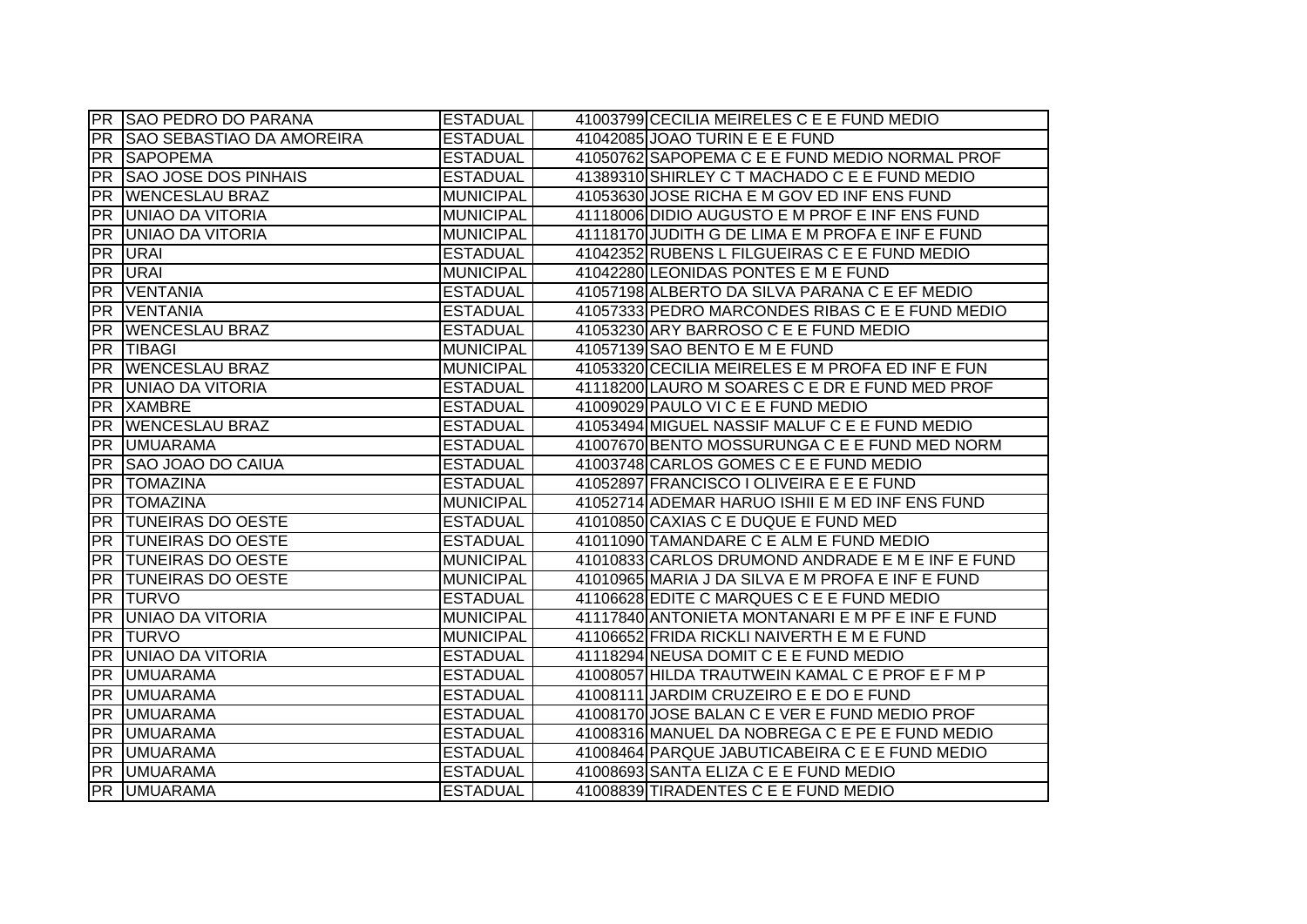|            | <b>PR SAO PEDRO DO PARANA</b>    | <b>ESTADUAL</b>  | 41003799 CECILIA MEIRELES C E E FUND MEDIO       |
|------------|----------------------------------|------------------|--------------------------------------------------|
| PR         | <b>SAO SEBASTIAO DA AMOREIRA</b> | <b>ESTADUAL</b>  | 41042085 JOAO TURIN E E E FUND                   |
|            | <b>PR SAPOPEMA</b>               | <b>ESTADUAL</b>  | 41050762 SAPOPEMA C E E FUND MEDIO NORMAL PROF   |
| <b>PR</b>  | <b>SAO JOSE DOS PINHAIS</b>      | <b>ESTADUAL</b>  | 41389310 SHIRLEY C T MACHADO C E E FUND MEDIO    |
| PR         | <b>WENCESLAU BRAZ</b>            | <b>MUNICIPAL</b> | 41053630 JOSE RICHA E M GOV ED INF ENS FUND      |
|            | <b>PR UNIAO DA VITORIA</b>       | <b>MUNICIPAL</b> | 41118006 DIDIO AUGUSTO E M PROF E INF ENS FUND   |
|            | <b>PR JUNIAO DA VITORIA</b>      | MUNICIPAL        | 41118170 JUDITH G DE LIMA E M PROFA E INF E FUND |
|            | PR URAI                          | <b>ESTADUAL</b>  | 41042352 RUBENS L FILGUEIRAS C E E FUND MEDIO    |
|            | <b>PR URAI</b>                   | <b>MUNICIPAL</b> | 41042280 LEONIDAS PONTES E M E FUND              |
| <b>PR</b>  | VENTANIA                         | <b>ESTADUAL</b>  | 41057198 ALBERTO DA SILVA PARANA C E EF MEDIO    |
| <b>PR</b>  | <b>VENTANIA</b>                  | <b>ESTADUAL</b>  | 41057333 PEDRO MARCONDES RIBAS C E E FUND MEDIO  |
| <b>PR</b>  | <b>WENCESLAU BRAZ</b>            | <b>ESTADUAL</b>  | 41053230 ARY BARROSO C E E FUND MEDIO            |
| <b>IPR</b> | <b>TIBAGI</b>                    | <b>MUNICIPAL</b> | 41057139 SAO BENTO E M E FUND                    |
| PR         | <b>WENCESLAU BRAZ</b>            | <b>MUNICIPAL</b> | 41053320 CECILIA MEIRELES E M PROFA ED INF E FUN |
| <b>PR</b>  | <b>UNIAO DA VITORIA</b>          | <b>ESTADUAL</b>  | 41118200 LAURO M SOARES C E DR E FUND MED PROF   |
| <b>PR</b>  | <b>XAMBRE</b>                    | <b>ESTADUAL</b>  | 41009029 PAULO VI C E E FUND MEDIO               |
| <b>PR</b>  | <b>WENCESLAU BRAZ</b>            | <b>ESTADUAL</b>  | 41053494 MIGUEL NASSIF MALUF C E E FUND MEDIO    |
| <b>PR</b>  | <b>UMUARAMA</b>                  | <b>ESTADUAL</b>  | 41007670 BENTO MOSSURUNGA C E E FUND MED NORM    |
| PR         | <b>SAO JOAO DO CAIUA</b>         | <b>ESTADUAL</b>  | 41003748 CARLOS GOMES C E E FUND MEDIO           |
| <b>PR</b>  | <b>TOMAZINA</b>                  | <b>ESTADUAL</b>  | 41052897 FRANCISCO I OLIVEIRA E E E FUND         |
|            | <b>PR TOMAZINA</b>               | MUNICIPAL        | 41052714 ADEMAR HARUO ISHII E M ED INF ENS FUND  |
|            | <b>PR TUNEIRAS DO OESTE</b>      | <b>ESTADUAL</b>  | 41010850 CAXIAS C E DUQUE E FUND MED             |
|            | <b>PR TUNEIRAS DO OESTE</b>      | <b>ESTADUAL</b>  | 41011090 TAMANDARE C E ALM E FUND MEDIO          |
|            | <b>PR TUNEIRAS DO OESTE</b>      | <b>MUNICIPAL</b> | 41010833 CARLOS DRUMOND ANDRADE E M E INF E FUND |
| PR         | <b>TUNEIRAS DO OESTE</b>         | <b>MUNICIPAL</b> | 41010965 MARIA J DA SILVA E M PROFA E INF E FUND |
|            | <b>PR TURVO</b>                  | <b>ESTADUAL</b>  | 41106628 EDITE C MARQUES C E E FUND MEDIO        |
| PR         | <b>UNIAO DA VITORIA</b>          | <b>MUNICIPAL</b> | 41117840 ANTONIETA MONTANARI E M PF E INF E FUND |
| <b>PR</b>  | <b>TURVO</b>                     | <b>MUNICIPAL</b> | 41106652 FRIDA RICKLI NAIVERTH E M E FUND        |
| <b>PR</b>  | <b>UNIAO DA VITORIA</b>          | <b>ESTADUAL</b>  | 41118294 NEUSA DOMIT C E E FUND MEDIO            |
| <b>PR</b>  | <b>UMUARAMA</b>                  | <b>ESTADUAL</b>  | 41008057 HILDA TRAUTWEIN KAMAL C E PROF E F M P  |
|            | PR UMUARAMA                      | <b>ESTADUAL</b>  | 41008111 JARDIM CRUZEIRO E E DO E FUND           |
|            | PR UMUARAMA                      | <b>ESTADUAL</b>  | 41008170 JOSE BALAN C E VER E FUND MEDIO PROF    |
|            | <b>PR UMUARAMA</b>               | <b>ESTADUAL</b>  | 41008316 MANUEL DA NOBREGA C E PE E FUND MEDIO   |
|            | <b>PR UMUARAMA</b>               | <b>ESTADUAL</b>  | 41008464 PARQUE JABUTICABEIRA C E E FUND MEDIO   |
|            | <b>PR UMUARAMA</b>               | <b>ESTADUAL</b>  | 41008693 SANTA ELIZA C E E FUND MEDIO            |
|            | <b>PR UMUARAMA</b>               | <b>ESTADUAL</b>  | 41008839 TIRADENTES C E E FUND MEDIO             |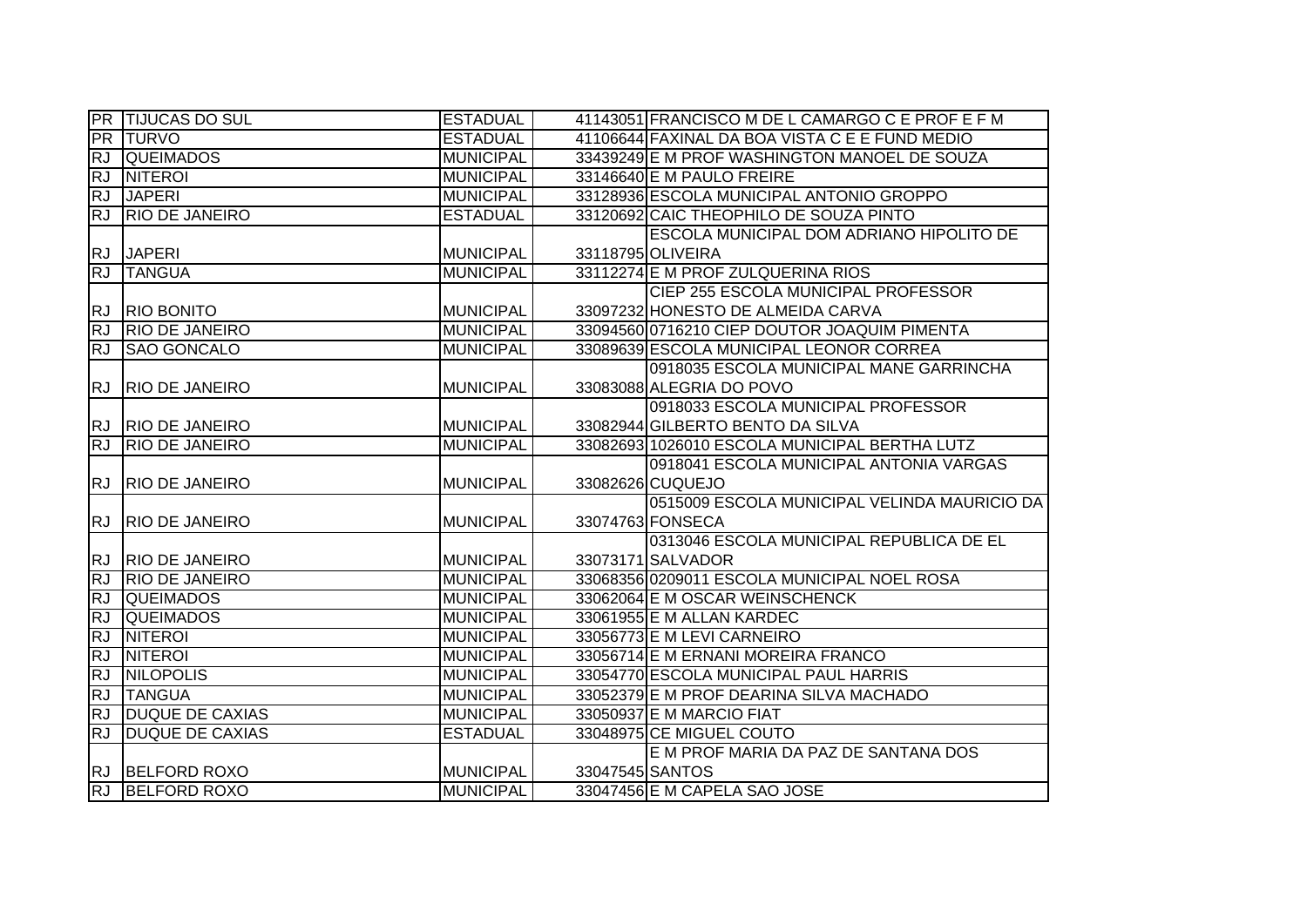|                        | <b>PR</b> TIJUCAS DO SUL | <b>ESTADUAL</b>  |                 | 41143051 FRANCISCO M DE L CAMARGO C E PROF E F M |
|------------------------|--------------------------|------------------|-----------------|--------------------------------------------------|
|                        | <b>PR TURVO</b>          | <b>ESTADUAL</b>  |                 | 41106644 FAXINAL DA BOA VISTA C E E FUND MEDIO   |
| RJ                     | <b>QUEIMADOS</b>         | <b>MUNICIPAL</b> |                 | 33439249 E M PROF WASHINGTON MANOEL DE SOUZA     |
| <b>RJ</b>              | <b>NITEROI</b>           | <b>MUNICIPAL</b> |                 | 33146640 E M PAULO FREIRE                        |
| <b>RJ</b>              | <b>JAPERI</b>            | <b>MUNICIPAL</b> |                 | 33128936 ESCOLA MUNICIPAL ANTONIO GROPPO         |
| RJ                     | <b>RIO DE JANEIRO</b>    | <b>ESTADUAL</b>  |                 | 33120692 CAIC THEOPHILO DE SOUZA PINTO           |
|                        |                          |                  |                 | ESCOLA MUNICIPAL DOM ADRIANO HIPOLITO DE         |
| <b>RJ</b>              | <b>JAPERI</b>            | <b>MUNICIPAL</b> |                 | 33118795 OLIVEIRA                                |
| RJ                     | <b>TANGUA</b>            | <b>MUNICIPAL</b> |                 | 33112274 E M PROF ZULQUERINA RIOS                |
|                        |                          |                  |                 | <b>CIEP 255 ESCOLA MUNICIPAL PROFESSOR</b>       |
| <b>RJ</b>              | <b>RIO BONITO</b>        | <b>MUNICIPAL</b> |                 | 33097232 HONESTO DE ALMEIDA CARVA                |
| <b>RJ</b>              | <b>RIO DE JANEIRO</b>    | <b>MUNICIPAL</b> |                 | 33094560 0716210 CIEP DOUTOR JOAQUIM PIMENTA     |
| <b>IRJ</b>             | <b>SAO GONCALO</b>       | <b>MUNICIPAL</b> |                 | 33089639 ESCOLA MUNICIPAL LEONOR CORREA          |
|                        |                          |                  |                 | 0918035 ESCOLA MUNICIPAL MANE GARRINCHA          |
| <b>RJ</b>              | <b>RIO DE JANEIRO</b>    | <b>MUNICIPAL</b> |                 | 33083088 ALEGRIA DO POVO                         |
|                        |                          |                  |                 | 0918033 ESCOLA MUNICIPAL PROFESSOR               |
|                        | RJ RIO DE JANEIRO        | <b>MUNICIPAL</b> |                 | 33082944 GILBERTO BENTO DA SILVA                 |
| RJ                     | <b>RIO DE JANEIRO</b>    | <b>MUNICIPAL</b> |                 | 33082693 1026010 ESCOLA MUNICIPAL BERTHA LUTZ    |
|                        |                          |                  |                 |                                                  |
|                        |                          |                  |                 | 0918041 ESCOLA MUNICIPAL ANTONIA VARGAS          |
| <b>RJ</b>              | <b>RIO DE JANEIRO</b>    | <b>MUNICIPAL</b> |                 | 33082626 CUQUEJO                                 |
|                        |                          |                  |                 | 0515009 ESCOLA MUNICIPAL VELINDA MAURICIO DA     |
| <b>RJ</b>              | <b>RIO DE JANEIRO</b>    | <b>MUNICIPAL</b> |                 | 33074763 FONSECA                                 |
|                        |                          |                  |                 | 0313046 ESCOLA MUNICIPAL REPUBLICA DE EL         |
| <b>RJ</b>              | <b>RIO DE JANEIRO</b>    | <b>MUNICIPAL</b> |                 | 33073171 SALVADOR                                |
| RJ                     | <b>RIO DE JANEIRO</b>    | <b>MUNICIPAL</b> |                 | 33068356 0209011 ESCOLA MUNICIPAL NOEL ROSA      |
| <b>RJ</b>              | <b>QUEIMADOS</b>         | <b>MUNICIPAL</b> |                 | 33062064 E M OSCAR WEINSCHENCK                   |
| <b>RJ</b>              | <b>QUEIMADOS</b>         | <b>MUNICIPAL</b> |                 | 33061955 E M ALLAN KARDEC                        |
| RJ                     | <b>NITEROI</b>           | <b>MUNICIPAL</b> |                 | 33056773 E M LEVI CARNEIRO                       |
| <b>RJ</b>              | <b>NITEROI</b>           | <b>MUNICIPAL</b> |                 | 33056714 E M ERNANI MOREIRA FRANCO               |
| <b>RJ</b>              | <b>NILOPOLIS</b>         | <b>MUNICIPAL</b> |                 | 33054770 ESCOLA MUNICIPAL PAUL HARRIS            |
| RJ                     | <b>TANGUA</b>            | <b>MUNICIPAL</b> |                 | 33052379 E M PROF DEARINA SILVA MACHADO          |
| <b>RJ</b>              | <b>DUQUE DE CAXIAS</b>   | <b>MUNICIPAL</b> |                 | 33050937 E M MARCIO FIAT                         |
| RJ                     | <b>DUQUE DE CAXIAS</b>   | <b>ESTADUAL</b>  |                 | 33048975 CE MIGUEL COUTO                         |
|                        |                          |                  |                 | E M PROF MARIA DA PAZ DE SANTANA DOS             |
| <b>RJ</b><br><b>RJ</b> | <b>BELFORD ROXO</b>      | <b>MUNICIPAL</b> | 33047545 SANTOS |                                                  |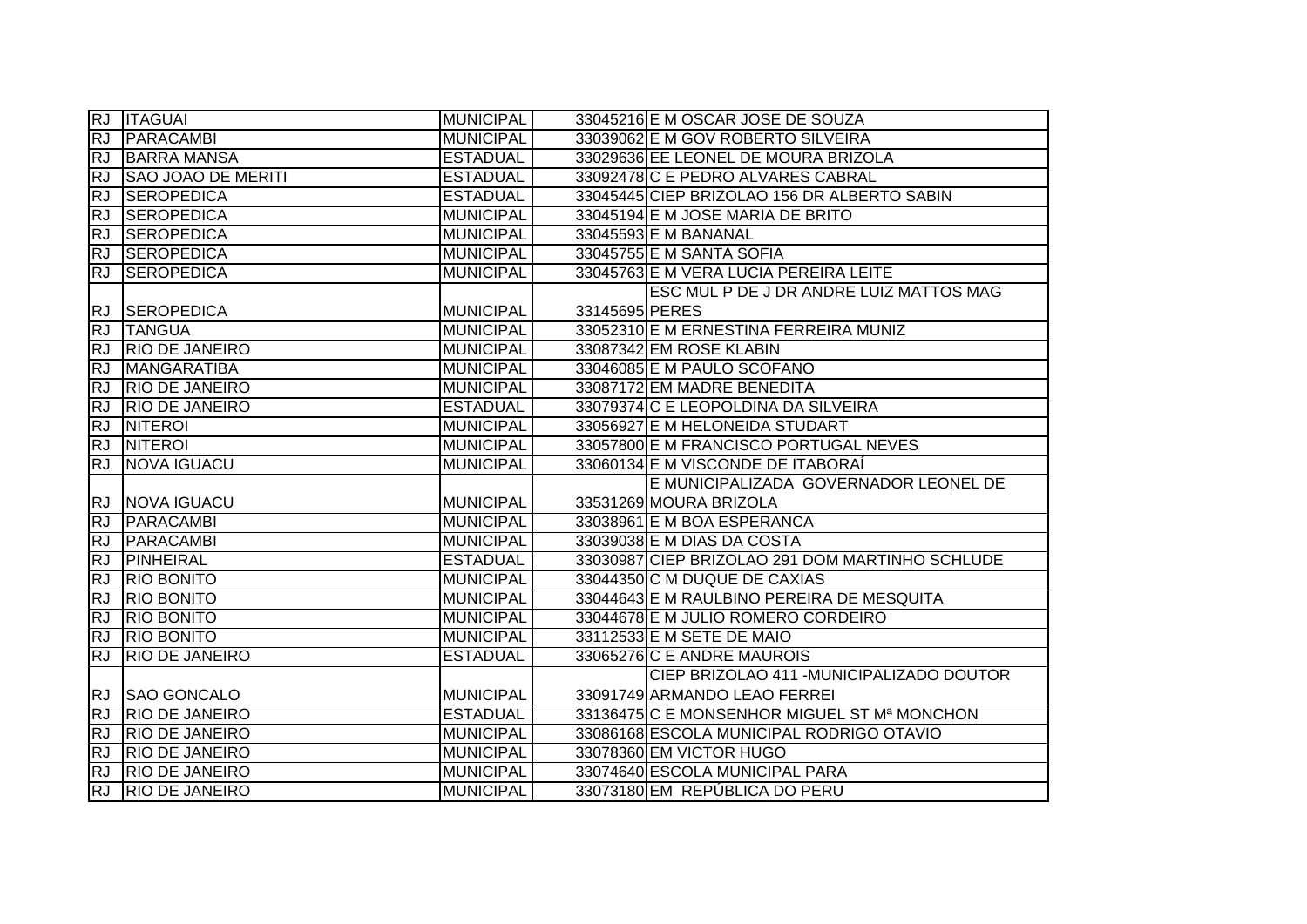|           | RJ <b>ITAGUAI</b>         | MUNICIPAL        |                | 33045216 E M OSCAR JOSE DE SOUZA                |
|-----------|---------------------------|------------------|----------------|-------------------------------------------------|
| <b>RJ</b> | PARACAMBI                 | <b>MUNICIPAL</b> |                | 33039062 E M GOV ROBERTO SILVEIRA               |
| <b>RJ</b> | <b>BARRA MANSA</b>        | <b>ESTADUAL</b>  |                | 33029636 EE LEONEL DE MOURA BRIZOLA             |
| <b>RJ</b> | <b>SAO JOAO DE MERITI</b> | <b>ESTADUAL</b>  |                | 33092478 C E PEDRO ALVARES CABRAL               |
| <b>RJ</b> | <b>SEROPEDICA</b>         | <b>ESTADUAL</b>  |                | 33045445 CIEP BRIZOLAO 156 DR ALBERTO SABIN     |
| RJ        | <b>SEROPEDICA</b>         | <b>MUNICIPAL</b> |                | 33045194 E M JOSE MARIA DE BRITO                |
| RJ        | <b>SEROPEDICA</b>         | <b>MUNICIPAL</b> |                | 33045593 E M BANANAL                            |
| <b>RJ</b> | SEROPEDICA                | <b>MUNICIPAL</b> |                | 33045755 E M SANTA SOFIA                        |
| <b>RJ</b> | <b>SEROPEDICA</b>         | <b>MUNICIPAL</b> |                | 33045763 E M VERA LUCIA PEREIRA LEITE           |
|           |                           |                  |                | ESC MUL P DE J DR ANDRE LUIZ MATTOS MAG         |
| <b>RJ</b> | <b>SEROPEDICA</b>         | <b>MUNICIPAL</b> | 33145695 PERES |                                                 |
| <b>RJ</b> | <b>TANGUA</b>             | <b>MUNICIPAL</b> |                | 33052310 E M ERNESTINA FERREIRA MUNIZ           |
| <b>RJ</b> | <b>RIO DE JANEIRO</b>     | <b>MUNICIPAL</b> |                | 33087342 EM ROSE KLABIN                         |
| <b>RJ</b> | MANGARATIBA               | <b>MUNICIPAL</b> |                | 33046085 E M PAULO SCOFANO                      |
| <b>RJ</b> | <b>RIO DE JANEIRO</b>     | <b>MUNICIPAL</b> |                | 33087172 EM MADRE BENEDITA                      |
| <b>RJ</b> | <b>RIO DE JANEIRO</b>     | <b>ESTADUAL</b>  |                | 33079374 C E LEOPOLDINA DA SILVEIRA             |
| <b>RJ</b> | <b>NITEROI</b>            | <b>MUNICIPAL</b> |                | 33056927 E M HELONEIDA STUDART                  |
| <b>RJ</b> | <b>NITEROI</b>            | <b>MUNICIPAL</b> |                | 33057800 E M FRANCISCO PORTUGAL NEVES           |
| RJ        | NOVA IGUACU               | <b>MUNICIPAL</b> |                | 33060134 E M VISCONDE DE ITABORAÍ               |
|           |                           |                  |                | E MUNICIPALIZADA GOVERNADOR LEONEL DE           |
|           | RJ NOVA IGUACU            | <b>MUNICIPAL</b> |                | 33531269 MOURA BRIZOLA                          |
| RJ        | <b>PARACAMBI</b>          | <b>MUNICIPAL</b> |                | 33038961 E M BOA ESPERANCA                      |
| RJ        | PARACAMBI                 | <b>MUNICIPAL</b> |                | 33039038 E M DIAS DA COSTA                      |
| <b>RJ</b> | PINHEIRAL                 | <b>ESTADUAL</b>  |                | 33030987 CIEP BRIZOLAO 291 DOM MARTINHO SCHLUDE |
| <b>RJ</b> | <b>RIO BONITO</b>         | <b>MUNICIPAL</b> |                | 33044350 C M DUQUE DE CAXIAS                    |
| <b>RJ</b> | <b>RIO BONITO</b>         | <b>MUNICIPAL</b> |                | 33044643 E M RAULBINO PEREIRA DE MESQUITA       |
| <b>RJ</b> | <b>RIO BONITO</b>         | <b>MUNICIPAL</b> |                | 33044678 E M JULIO ROMERO CORDEIRO              |
| <b>RJ</b> | <b>RIO BONITO</b>         | <b>MUNICIPAL</b> |                | 33112533 E M SETE DE MAIO                       |
| <b>RJ</b> | <b>RIO DE JANEIRO</b>     | <b>ESTADUAL</b>  |                | 33065276 C E ANDRE MAUROIS                      |
|           |                           |                  |                | CIEP BRIZOLAO 411 - MUNICIPALIZADO DOUTOR       |
|           | RJ SAO GONCALO            | <b>MUNICIPAL</b> |                | 33091749 ARMANDO LEAO FERREI                    |
| <b>RJ</b> | <b>RIO DE JANEIRO</b>     | <b>ESTADUAL</b>  |                | 33136475 C E MONSENHOR MIGUEL ST Mª MONCHON     |
| <b>RJ</b> | <b>RIO DE JANEIRO</b>     | <b>MUNICIPAL</b> |                | 33086168 ESCOLA MUNICIPAL RODRIGO OTAVIO        |
| <b>RJ</b> | <b>RIO DE JANEIRO</b>     | <b>MUNICIPAL</b> |                | 33078360 EM VICTOR HUGO                         |
| RJ        | <b>RIO DE JANEIRO</b>     | <b>MUNICIPAL</b> |                | 33074640 ESCOLA MUNICIPAL PARA                  |
| <b>RJ</b> | <b>RIO DE JANEIRO</b>     | <b>MUNICIPAL</b> |                | 33073180 EM REPÚBLICA DO PERU                   |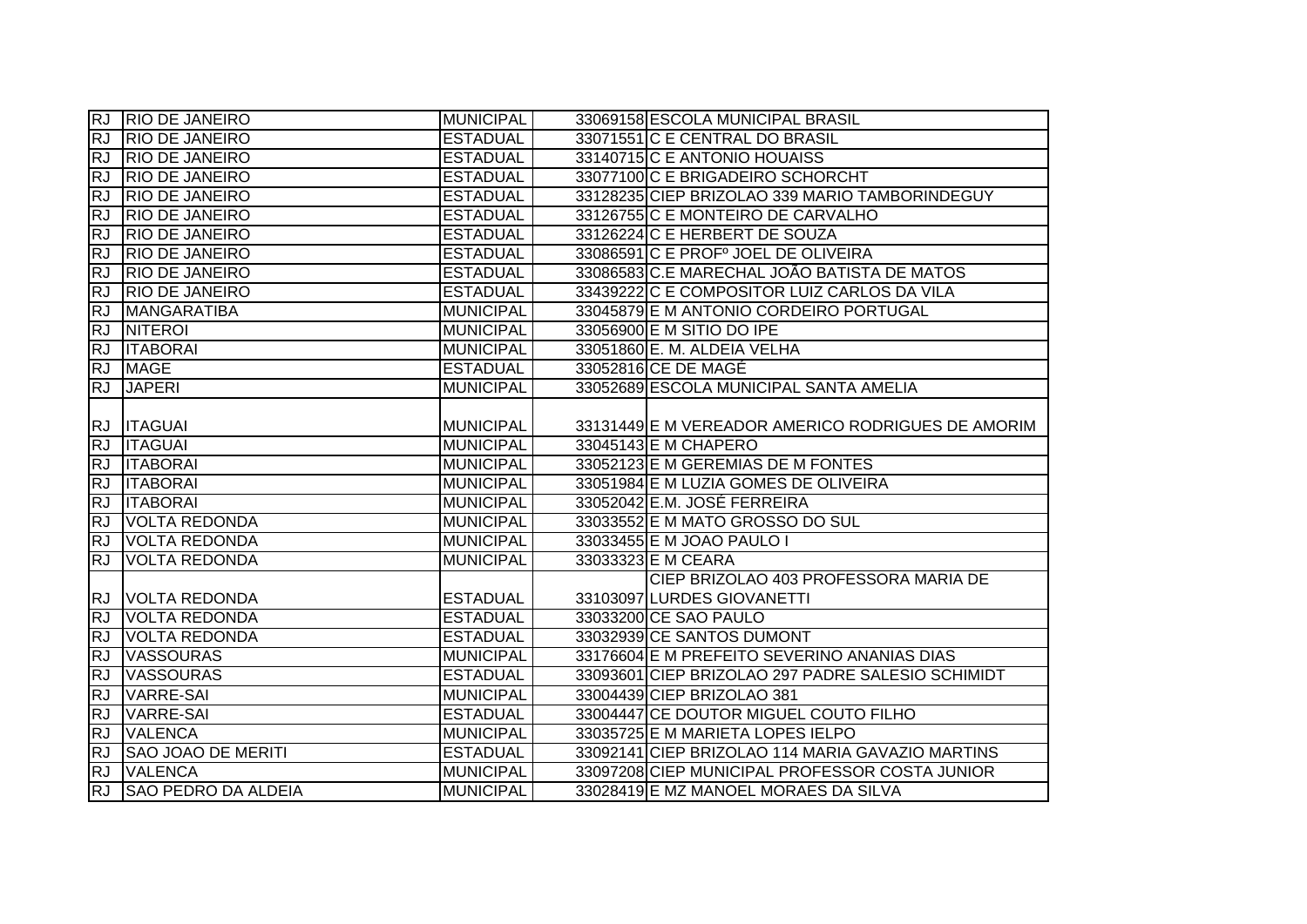|                        | RJ RIO DE JANEIRO         | <b>MUNICIPAL</b> | 33069158 ESCOLA MUNICIPAL BRASIL                  |
|------------------------|---------------------------|------------------|---------------------------------------------------|
| <b>RJ</b>              | <b>RIO DE JANEIRO</b>     | <b>ESTADUAL</b>  | 33071551 C E CENTRAL DO BRASIL                    |
| <b>RJ</b>              | <b>RIO DE JANEIRO</b>     | <b>ESTADUAL</b>  | 33140715 C E ANTONIO HOUAISS                      |
| <b>RJ</b>              | <b>RIO DE JANEIRO</b>     | <b>ESTADUAL</b>  | 33077100 C E BRIGADEIRO SCHORCHT                  |
| <b>RJ</b>              | <b>RIO DE JANEIRO</b>     | <b>ESTADUAL</b>  | 33128235 CIEP BRIZOLAO 339 MARIO TAMBORINDEGUY    |
| <b>RJ</b>              | <b>RIO DE JANEIRO</b>     | <b>ESTADUAL</b>  | 33126755 C E MONTEIRO DE CARVALHO                 |
| <b>RJ</b>              | <b>RIO DE JANEIRO</b>     | <b>ESTADUAL</b>  | 33126224 C E HERBERT DE SOUZA                     |
| <b>RJ</b>              | <b>RIO DE JANEIRO</b>     | <b>ESTADUAL</b>  | 33086591 C E PROFº JOEL DE OLIVEIRA               |
| <b>RJ</b>              | <b>RIO DE JANEIRO</b>     | <b>ESTADUAL</b>  | 33086583 C.E MARECHAL JOÃO BATISTA DE MATOS       |
| <b>RJ</b>              | <b>RIO DE JANEIRO</b>     | <b>ESTADUAL</b>  | 33439222 C E COMPOSITOR LUIZ CARLOS DA VILA       |
| <b>RJ</b>              | <b>MANGARATIBA</b>        | <b>MUNICIPAL</b> | 33045879 E M ANTONIO CORDEIRO PORTUGAL            |
| <b>RJ</b>              | <b>NITEROI</b>            | <b>MUNICIPAL</b> | 33056900 E M SITIO DO IPE                         |
| RJ                     | <b>ITABORAI</b>           | <b>MUNICIPAL</b> | 33051860 E. M. ALDEIA VELHA                       |
| RJ                     | <b>MAGE</b>               | <b>ESTADUAL</b>  | 33052816 CE DE MAGÉ                               |
| <b>RJ</b>              | <b>JAPERI</b>             | <b>MUNICIPAL</b> | 33052689 ESCOLA MUNICIPAL SANTA AMELIA            |
|                        | RJ <b>ITAGUAI</b>         | <b>MUNICIPAL</b> | 33131449 E M VEREADOR AMERICO RODRIGUES DE AMORIM |
| <b>RJ</b>              | <b>ITAGUAI</b>            | <b>MUNICIPAL</b> | 33045143 E M CHAPERO                              |
|                        |                           |                  |                                                   |
| <b>RJ</b>              | <b>ITABORAI</b>           | <b>MUNICIPAL</b> | 33052123 E M GEREMIAS DE M FONTES                 |
|                        | <b>ITABORAI</b>           | <b>MUNICIPAL</b> | 33051984 E M LUZIA GOMES DE OLIVEIRA              |
| <b>RJ</b><br><b>RJ</b> | <b>ITABORAI</b>           | <b>MUNICIPAL</b> | 33052042 E.M. JOSÉ FERREIRA                       |
| <b>RJ</b>              | <b>VOLTA REDONDA</b>      | <b>MUNICIPAL</b> | 33033552 E M MATO GROSSO DO SUL                   |
| <b>RJ</b>              | <b>VOLTA REDONDA</b>      | <b>MUNICIPAL</b> | 33033455 E M JOAO PAULO I                         |
| <b>RJ</b>              | <b>VOLTA REDONDA</b>      | <b>MUNICIPAL</b> | 33033323 E M CEARA                                |
|                        |                           |                  | CIEP BRIZOLAO 403 PROFESSORA MARIA DE             |
|                        | RJ VOLTA REDONDA          | <b>ESTADUAL</b>  | 33103097 LURDES GIOVANETTI                        |
| <b>RJ</b>              | <b>VOLTA REDONDA</b>      | <b>ESTADUAL</b>  | 33033200 CE SAO PAULO                             |
| <b>RJ</b>              | <b>VOLTA REDONDA</b>      | <b>ESTADUAL</b>  | 33032939 CE SANTOS DUMONT                         |
| <b>RJ</b>              | <b>VASSOURAS</b>          | <b>MUNICIPAL</b> | 33176604 E M PREFEITO SEVERINO ANANIAS DIAS       |
| <b>RJ</b>              | <b>VASSOURAS</b>          | <b>ESTADUAL</b>  | 33093601 CIEP BRIZOLAO 297 PADRE SALESIO SCHIMIDT |
| <b>RJ</b>              | <b>VARRE-SAI</b>          | <b>MUNICIPAL</b> | 33004439 CIEP BRIZOLAO 381                        |
| <b>RJ</b>              | <b>VARRE-SAI</b>          | <b>ESTADUAL</b>  | 33004447 CE DOUTOR MIGUEL COUTO FILHO             |
| <b>RJ</b>              | <b>VALENCA</b>            | <b>MUNICIPAL</b> | 33035725 E M MARIETA LOPES IELPO                  |
| <b>RJ</b>              | <b>SAO JOAO DE MERITI</b> | <b>ESTADUAL</b>  | 33092141 CIEP BRIZOLAO 114 MARIA GAVAZIO MARTINS  |
| <b>RJ</b><br><b>RJ</b> | <b>VALENCA</b>            | <b>MUNICIPAL</b> | 33097208 CIEP MUNICIPAL PROFESSOR COSTA JUNIOR    |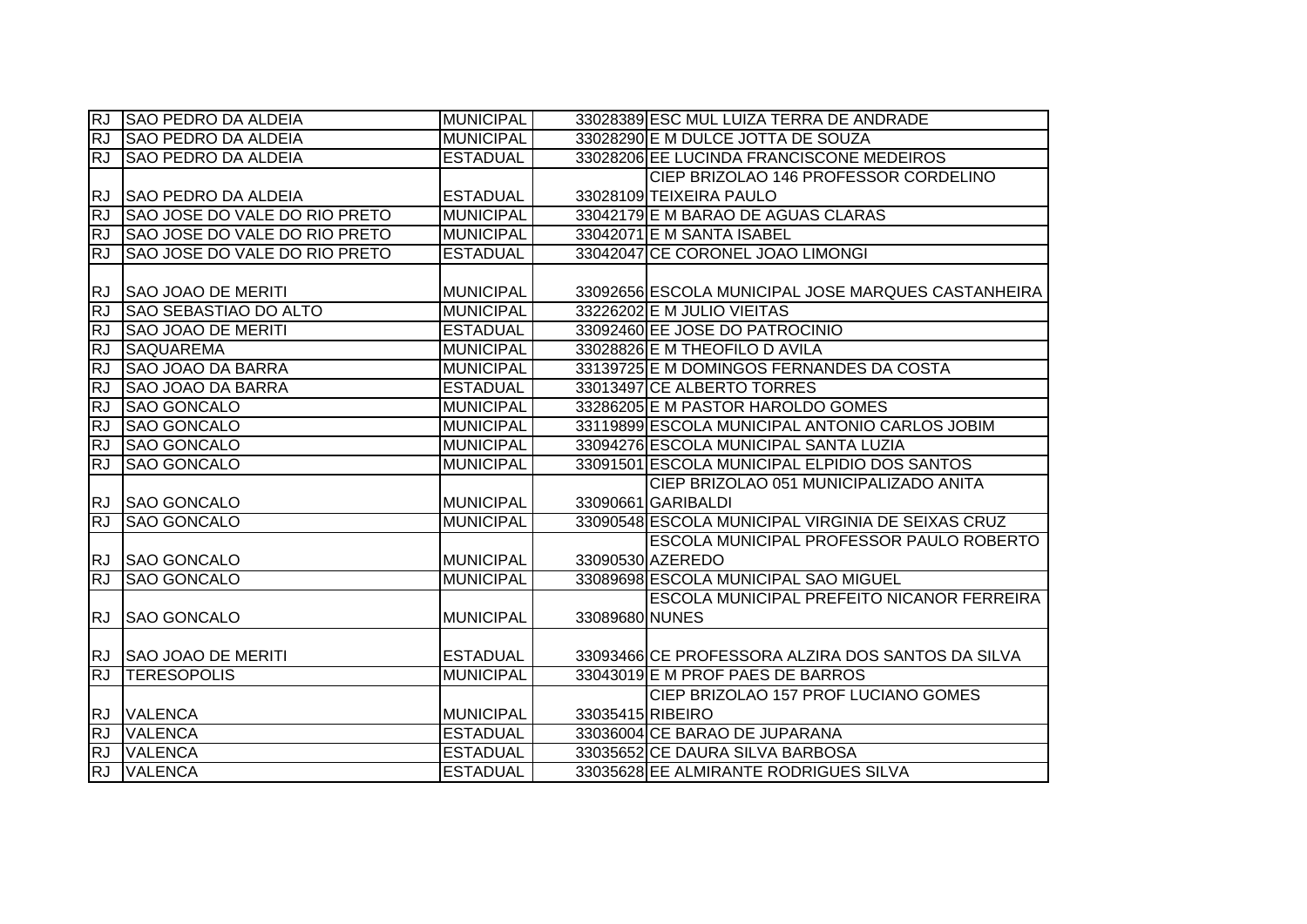| IRJ.      | <b>SAO PEDRO DA ALDEIA</b>    | <b>MUNICIPAL</b> |                  | 33028389 ESC MUL LUIZA TERRA DE ANDRADE            |
|-----------|-------------------------------|------------------|------------------|----------------------------------------------------|
| RJ.       | <b>SAO PEDRO DA ALDEIA</b>    | <b>MUNICIPAL</b> |                  | 33028290 E M DULCE JOTTA DE SOUZA                  |
| RJ.       | <b>SAO PEDRO DA ALDEIA</b>    | <b>ESTADUAL</b>  |                  | 33028206 EE LUCINDA FRANCISCONE MEDEIROS           |
|           |                               |                  |                  | CIEP BRIZOLAO 146 PROFESSOR CORDELINO              |
| <b>RJ</b> | <b>SAO PEDRO DA ALDEIA</b>    | <b>ESTADUAL</b>  |                  | 33028109 TEIXEIRA PAULO                            |
| <b>RJ</b> | SAO JOSE DO VALE DO RIO PRETO | <b>MUNICIPAL</b> |                  | 33042179 E M BARAO DE AGUAS CLARAS                 |
| <b>RJ</b> | SAO JOSE DO VALE DO RIO PRETO | <b>MUNICIPAL</b> |                  | 33042071 E M SANTA ISABEL                          |
| <b>RJ</b> | SAO JOSE DO VALE DO RIO PRETO | <b>ESTADUAL</b>  |                  | 33042047 CE CORONEL JOAO LIMONGI                   |
|           |                               |                  |                  |                                                    |
| <b>RJ</b> | <b>SAO JOAO DE MERITI</b>     | <b>MUNICIPAL</b> |                  | 33092656 ESCOLA MUNICIPAL JOSE MARQUES CASTANHEIRA |
| <b>RJ</b> | SAO SEBASTIAO DO ALTO         | <b>MUNICIPAL</b> |                  | 33226202 E M JULIO VIEITAS                         |
| <b>RJ</b> | <b>SAO JOAO DE MERITI</b>     | <b>ESTADUAL</b>  |                  | 33092460 EE JOSE DO PATROCINIO                     |
| <b>RJ</b> | <b>SAQUAREMA</b>              | <b>MUNICIPAL</b> |                  | 33028826 E M THEOFILO D AVILA                      |
| <b>RJ</b> | <b>SAO JOAO DA BARRA</b>      | <b>MUNICIPAL</b> |                  | 33139725 E M DOMINGOS FERNANDES DA COSTA           |
| RJ        | <b>SAO JOAO DA BARRA</b>      | <b>ESTADUAL</b>  |                  | 33013497 CE ALBERTO TORRES                         |
| <b>RJ</b> | <b>SAO GONCALO</b>            | <b>MUNICIPAL</b> |                  | 33286205 E M PASTOR HAROLDO GOMES                  |
| <b>RJ</b> | <b>SAO GONCALO</b>            | <b>MUNICIPAL</b> |                  | 33119899 ESCOLA MUNICIPAL ANTONIO CARLOS JOBIM     |
| <b>RJ</b> | <b>SAO GONCALO</b>            | <b>MUNICIPAL</b> |                  | 33094276 ESCOLA MUNICIPAL SANTA LUZIA              |
| <b>RJ</b> | <b>SAO GONCALO</b>            | <b>MUNICIPAL</b> |                  | 33091501 ESCOLA MUNICIPAL ELPIDIO DOS SANTOS       |
|           |                               |                  |                  | CIEP BRIZOLAO 051 MUNICIPALIZADO ANITA             |
| RJ.       | <b>SAO GONCALO</b>            | <b>MUNICIPAL</b> |                  | 33090661 GARIBALDI                                 |
| <b>RJ</b> | <b>SAO GONCALO</b>            | <b>MUNICIPAL</b> |                  | 33090548 ESCOLA MUNICIPAL VIRGINIA DE SEIXAS CRUZ  |
|           |                               |                  |                  | <b>ESCOLA MUNICIPAL PROFESSOR PAULO ROBERTO</b>    |
|           | RJ SAO GONCALO                | <b>MUNICIPAL</b> |                  | 33090530 AZEREDO                                   |
| <b>RJ</b> | <b>SAO GONCALO</b>            | <b>MUNICIPAL</b> |                  | 33089698 ESCOLA MUNICIPAL SAO MIGUEL               |
|           |                               |                  |                  | <b>ESCOLA MUNICIPAL PREFEITO NICANOR FERREIRA</b>  |
| <b>RJ</b> | <b>SAO GONCALO</b>            | <b>MUNICIPAL</b> | 33089680 NUNES   |                                                    |
|           |                               |                  |                  |                                                    |
|           | RJ SAO JOAO DE MERITI         | <b>ESTADUAL</b>  |                  | 33093466 CE PROFESSORA ALZIRA DOS SANTOS DA SILVA  |
| RJ        | <b>TERESOPOLIS</b>            | <b>MUNICIPAL</b> |                  | 33043019 E M PROF PAES DE BARROS                   |
|           |                               |                  |                  | CIEP BRIZOLAO 157 PROF LUCIANO GOMES               |
|           | RJ VALENCA                    | <b>MUNICIPAL</b> | 33035415 RIBEIRO |                                                    |
| <b>RJ</b> | <b>VALENCA</b>                | <b>ESTADUAL</b>  |                  | 33036004 CE BARAO DE JUPARANA                      |
| <b>RJ</b> | <b>VALENCA</b>                | <b>ESTADUAL</b>  |                  | 33035652 CE DAURA SILVA BARBOSA                    |
| <b>RJ</b> | <b>VALENCA</b>                | <b>ESTADUAL</b>  |                  | 33035628 EE ALMIRANTE RODRIGUES SILVA              |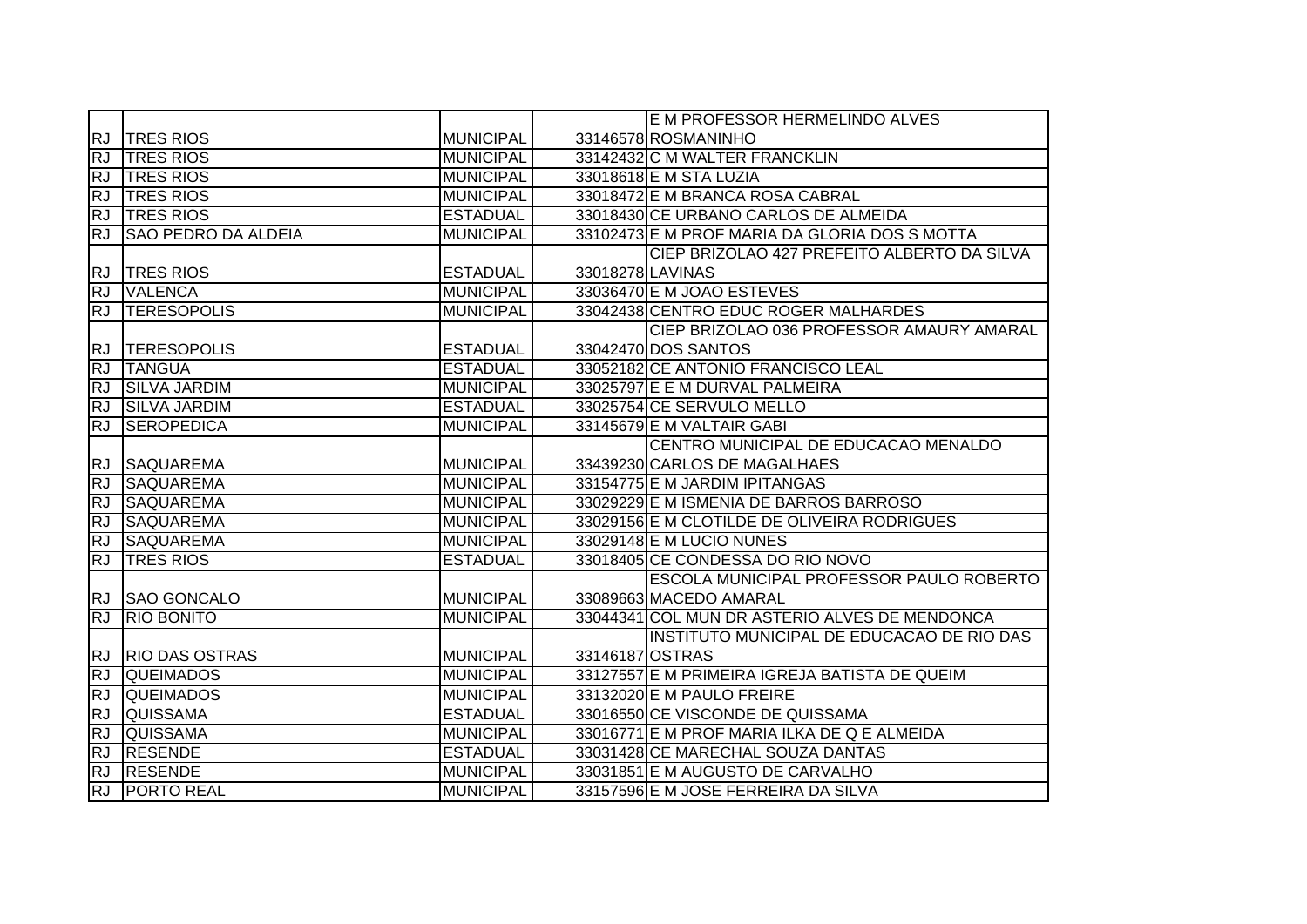|           |                            |                  |                  | E M PROFESSOR HERMELINDO ALVES                |
|-----------|----------------------------|------------------|------------------|-----------------------------------------------|
| <b>RJ</b> | <b>TRES RIOS</b>           | <b>MUNICIPAL</b> |                  | 33146578 ROSMANINHO                           |
| <b>RJ</b> | <b>TRES RIOS</b>           | <b>MUNICIPAL</b> |                  | 33142432 C M WALTER FRANCKLIN                 |
| <b>RJ</b> | <b>TRES RIOS</b>           | <b>MUNICIPAL</b> |                  | 33018618 E M STA LUZIA                        |
| <b>RJ</b> | <b>TRES RIOS</b>           | <b>MUNICIPAL</b> |                  | 33018472 E M BRANCA ROSA CABRAL               |
| <b>RJ</b> | <b>TRES RIOS</b>           | <b>ESTADUAL</b>  |                  | 33018430 CE URBANO CARLOS DE ALMEIDA          |
| RJ        | <b>SAO PEDRO DA ALDEIA</b> | <b>MUNICIPAL</b> |                  | 33102473 E M PROF MARIA DA GLORIA DOS S MOTTA |
|           |                            |                  |                  | CIEP BRIZOLAO 427 PREFEITO ALBERTO DA SILVA   |
| <b>RJ</b> | <b>TRES RIOS</b>           | <b>ESTADUAL</b>  | 33018278 LAVINAS |                                               |
| RJ        | <b>VALENCA</b>             | <b>MUNICIPAL</b> |                  | 33036470 E M JOAO ESTEVES                     |
| <b>RJ</b> | <b>ITERESOPOLIS</b>        | <b>MUNICIPAL</b> |                  | 33042438 CENTRO EDUC ROGER MALHARDES          |
|           |                            |                  |                  | CIEP BRIZOLAO 036 PROFESSOR AMAURY AMARAL     |
| <b>RJ</b> | <b>TERESOPOLIS</b>         | <b>ESTADUAL</b>  |                  | 33042470 DOS SANTOS                           |
| <b>RJ</b> | <b>TANGUA</b>              | <b>ESTADUAL</b>  |                  | 33052182 CE ANTONIO FRANCISCO LEAL            |
| RJ        | <b>SILVA JARDIM</b>        | <b>MUNICIPAL</b> |                  | 33025797 E E M DURVAL PALMEIRA                |
| <b>RJ</b> | <b>SILVA JARDIM</b>        | <b>ESTADUAL</b>  |                  | 33025754 CE SERVULO MELLO                     |
| <b>RJ</b> | <b>SEROPEDICA</b>          | <b>MUNICIPAL</b> |                  | 33145679 E M VALTAIR GABI                     |
|           |                            |                  |                  | CENTRO MUNICIPAL DE EDUCACAO MENALDO          |
|           | RJ SAQUAREMA               | <b>MUNICIPAL</b> |                  | 33439230 CARLOS DE MAGALHAES                  |
| <b>RJ</b> | <b>SAQUAREMA</b>           | <b>MUNICIPAL</b> |                  | 33154775 E M JARDIM IPITANGAS                 |
| <b>RJ</b> | <b>SAQUAREMA</b>           | <b>MUNICIPAL</b> |                  | 33029229 E M ISMENIA DE BARROS BARROSO        |
| <b>RJ</b> | <b>SAQUAREMA</b>           | <b>MUNICIPAL</b> |                  | 33029156 E M CLOTILDE DE OLIVEIRA RODRIGUES   |
| <b>RJ</b> | <b>SAQUAREMA</b>           | <b>MUNICIPAL</b> |                  | 33029148 E M LUCIO NUNES                      |
| <b>RJ</b> | <b>TRES RIOS</b>           | <b>ESTADUAL</b>  |                  | 33018405 CE CONDESSA DO RIO NOVO              |
|           |                            |                  |                  | ESCOLA MUNICIPAL PROFESSOR PAULO ROBERTO      |
| <b>RJ</b> | <b>SAO GONCALO</b>         | <b>MUNICIPAL</b> |                  | 33089663 MACEDO AMARAL                        |
| RJ        | <b>RIO BONITO</b>          | <b>MUNICIPAL</b> |                  | 33044341 COL MUN DR ASTERIO ALVES DE MENDONCA |
|           |                            |                  |                  | INSTITUTO MUNICIPAL DE EDUCACAO DE RIO DAS    |
| <b>RJ</b> | <b>RIO DAS OSTRAS</b>      | <b>MUNICIPAL</b> | 33146187 OSTRAS  |                                               |
| <b>RJ</b> | <b>QUEIMADOS</b>           | <b>MUNICIPAL</b> |                  | 33127557 E M PRIMEIRA IGREJA BATISTA DE QUEIM |
| <b>RJ</b> | <b>QUEIMADOS</b>           | <b>MUNICIPAL</b> |                  | 33132020 E M PAULO FREIRE                     |
| <b>RJ</b> | <b>QUISSAMA</b>            | <b>ESTADUAL</b>  |                  | 33016550 CE VISCONDE DE QUISSAMA              |
| <b>RJ</b> | <b>QUISSAMA</b>            | <b>MUNICIPAL</b> |                  | 33016771 E M PROF MARIA ILKA DE Q E ALMEIDA   |
| RJ        | <b>RESENDE</b>             | <b>ESTADUAL</b>  |                  | 33031428 CE MARECHAL SOUZA DANTAS             |
| RJ        | <b>RESENDE</b>             | <b>MUNICIPAL</b> |                  | 33031851 E M AUGUSTO DE CARVALHO              |
| RJ        | <b>PORTO REAL</b>          | <b>MUNICIPAL</b> |                  | 33157596 E M JOSE FERREIRA DA SILVA           |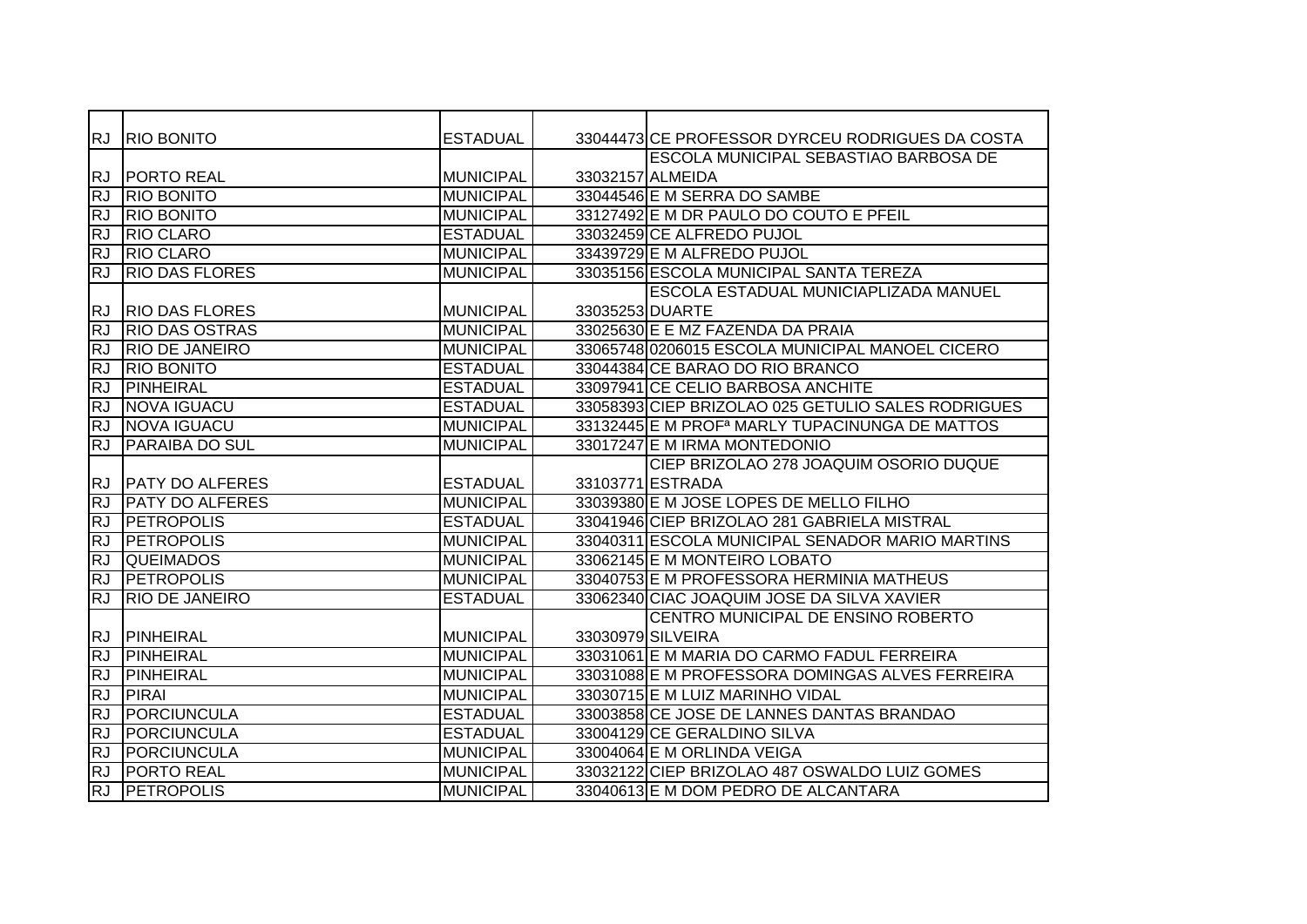| <b>RJ</b> | <b>RIO BONITO</b>      | <b>ESTADUAL</b>  |                  | 33044473 CE PROFESSOR DYRCEU RODRIGUES DA COSTA            |
|-----------|------------------------|------------------|------------------|------------------------------------------------------------|
|           |                        |                  |                  | <b>ESCOLA MUNICIPAL SEBASTIAO BARBOSA DE</b>               |
| <b>RJ</b> | <b>PORTO REAL</b>      | <b>MUNICIPAL</b> | 33032157 ALMEIDA |                                                            |
| <b>RJ</b> | <b>RIO BONITO</b>      | <b>MUNICIPAL</b> |                  | 33044546 E M SERRA DO SAMBE                                |
| <b>RJ</b> | <b>RIO BONITO</b>      | <b>MUNICIPAL</b> |                  | 33127492 E M DR PAULO DO COUTO E PFEIL                     |
| <b>RJ</b> | <b>RIO CLARO</b>       | <b>ESTADUAL</b>  |                  | 33032459 CE ALFREDO PUJOL                                  |
| <b>RJ</b> | <b>RIO CLARO</b>       | <b>MUNICIPAL</b> |                  | 33439729 E M ALFREDO PUJOL                                 |
| <b>RJ</b> | <b>RIO DAS FLORES</b>  | <b>MUNICIPAL</b> |                  | 33035156 ESCOLA MUNICIPAL SANTA TEREZA                     |
|           |                        |                  |                  | <b>ESCOLA ESTADUAL MUNICIAPLIZADA MANUEL</b>               |
| RJ.       | <b>RIO DAS FLORES</b>  | <b>MUNICIPAL</b> | 33035253 DUARTE  |                                                            |
| <b>RJ</b> | <b>RIO DAS OSTRAS</b>  | <b>MUNICIPAL</b> |                  | 33025630 E E MZ FAZENDA DA PRAIA                           |
| <b>RJ</b> | <b>RIO DE JANEIRO</b>  | <b>MUNICIPAL</b> |                  | 33065748 0206015 ESCOLA MUNICIPAL MANOEL CICERO            |
| <b>RJ</b> | <b>RIO BONITO</b>      | <b>ESTADUAL</b>  |                  | 33044384 CE BARAO DO RIO BRANCO                            |
| <b>RJ</b> | PINHEIRAL              | <b>ESTADUAL</b>  |                  | 33097941 CE CELIO BARBOSA ANCHITE                          |
| <b>RJ</b> | <b>NOVA IGUACU</b>     | <b>ESTADUAL</b>  |                  | 33058393 CIEP BRIZOLAO 025 GETULIO SALES RODRIGUES         |
| <b>RJ</b> | <b>NOVA IGUACU</b>     | <b>MUNICIPAL</b> |                  | 33132445 E M PROF <sup>a</sup> MARLY TUPACINUNGA DE MATTOS |
| <b>RJ</b> | <b>PARAIBA DO SUL</b>  | <b>MUNICIPAL</b> |                  | 33017247 E M IRMA MONTEDONIO                               |
|           |                        |                  |                  | CIEP BRIZOLAO 278 JOAQUIM OSORIO DUQUE                     |
| <b>RJ</b> | <b>PATY DO ALFERES</b> | <b>ESTADUAL</b>  |                  | 33103771 ESTRADA                                           |
| <b>RJ</b> | <b>PATY DO ALFERES</b> | <b>MUNICIPAL</b> |                  | 33039380 E M JOSE LOPES DE MELLO FILHO                     |
| <b>RJ</b> | <b>PETROPOLIS</b>      | <b>ESTADUAL</b>  |                  | 33041946 CIEP BRIZOLAO 281 GABRIELA MISTRAL                |
| <b>RJ</b> | <b>PETROPOLIS</b>      | <b>MUNICIPAL</b> |                  | 33040311 ESCOLA MUNICIPAL SENADOR MARIO MARTINS            |
| <b>RJ</b> | <b>QUEIMADOS</b>       | <b>MUNICIPAL</b> |                  | 33062145 E M MONTEIRO LOBATO                               |
| <b>RJ</b> | <b>PETROPOLIS</b>      | <b>MUNICIPAL</b> |                  | 33040753 E M PROFESSORA HERMINIA MATHEUS                   |
| RJ        | <b>RIO DE JANEIRO</b>  | <b>ESTADUAL</b>  |                  | 33062340 CIAC JOAQUIM JOSE DA SILVA XAVIER                 |
|           |                        |                  |                  | CENTRO MUNICIPAL DE ENSINO ROBERTO                         |
| RJ.       | PINHEIRAL              | <b>MUNICIPAL</b> |                  | 33030979 SILVEIRA                                          |
| <b>RJ</b> | <b>PINHEIRAL</b>       | <b>MUNICIPAL</b> |                  | 33031061 E M MARIA DO CARMO FADUL FERREIRA                 |
| <b>RJ</b> | <b>PINHEIRAL</b>       | <b>MUNICIPAL</b> |                  | 33031088 E M PROFESSORA DOMINGAS ALVES FERREIRA            |
| <b>RJ</b> | <b>PIRAI</b>           | <b>MUNICIPAL</b> |                  | 33030715 E M LUIZ MARINHO VIDAL                            |
| <b>RJ</b> | PORCIUNCULA            | <b>ESTADUAL</b>  |                  | 33003858 CE JOSE DE LANNES DANTAS BRANDAO                  |
| <b>RJ</b> | PORCIUNCULA            | <b>ESTADUAL</b>  |                  | 33004129 CE GERALDINO SILVA                                |
| <b>RJ</b> | PORCIUNCULA            | <b>MUNICIPAL</b> |                  | 33004064 E M ORLINDA VEIGA                                 |
| <b>RJ</b> | <b>PORTO REAL</b>      | <b>MUNICIPAL</b> |                  | 33032122 CIEP BRIZOLAO 487 OSWALDO LUIZ GOMES              |
| <b>RJ</b> | <b>PETROPOLIS</b>      | <b>MUNICIPAL</b> |                  | 33040613 E M DOM PEDRO DE ALCANTARA                        |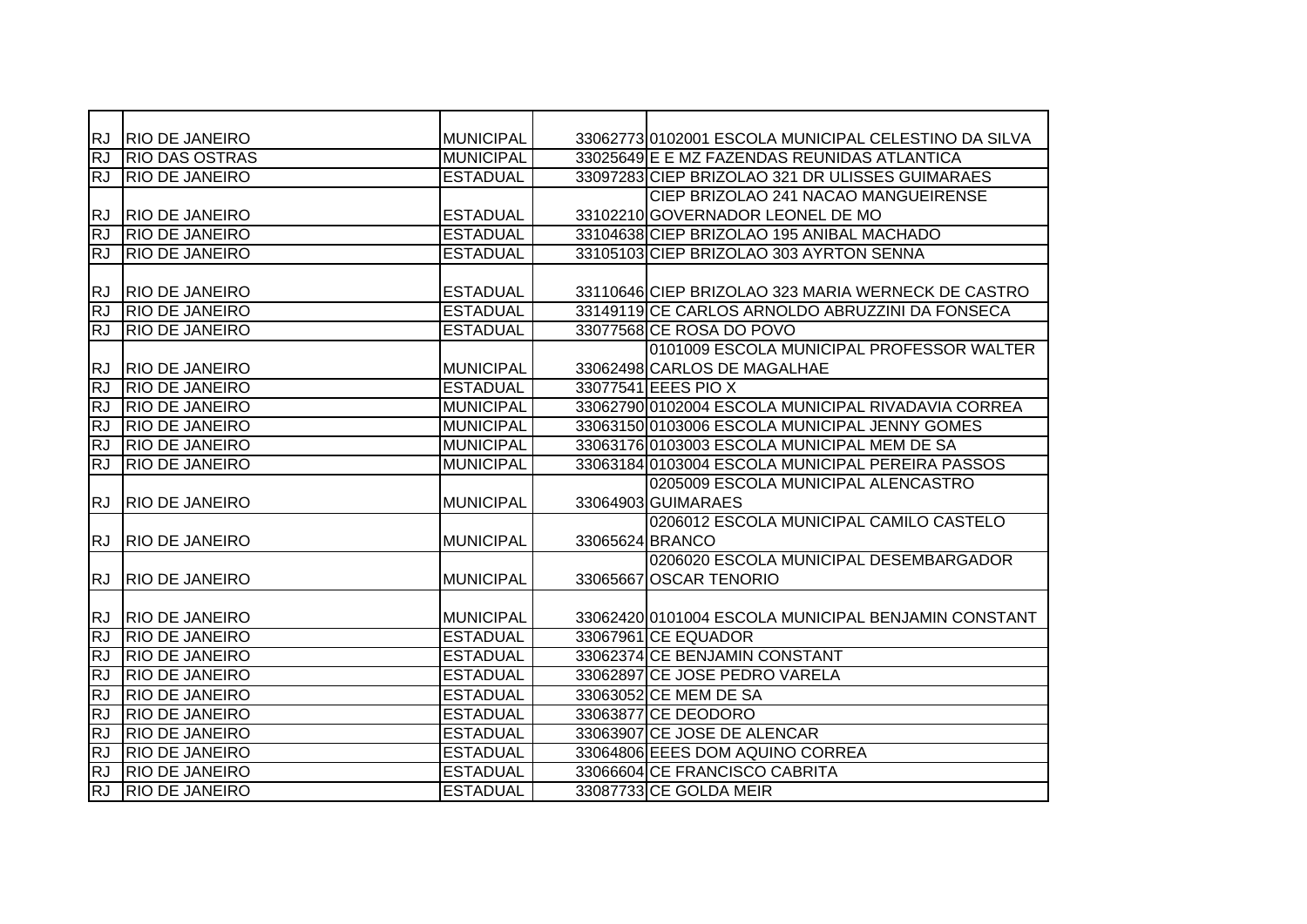| RJ        | <b>RIO DE JANEIRO</b> | <b>MUNICIPAL</b> | 33062773 0102001 ESCOLA MUNICIPAL CELESTINO DA SILVA |
|-----------|-----------------------|------------------|------------------------------------------------------|
| <b>RJ</b> | <b>RIO DAS OSTRAS</b> | <b>MUNICIPAL</b> | 33025649 E E MZ FAZENDAS REUNIDAS ATLANTICA          |
| <b>RJ</b> | <b>RIO DE JANEIRO</b> | <b>ESTADUAL</b>  | 33097283 CIEP BRIZOLAO 321 DR ULISSES GUIMARAES      |
|           |                       |                  | CIEP BRIZOLAO 241 NACAO MANGUEIRENSE                 |
| <b>RJ</b> | <b>RIO DE JANEIRO</b> | <b>ESTADUAL</b>  | 33102210 GOVERNADOR LEONEL DE MO                     |
| RJ        | <b>RIO DE JANEIRO</b> | <b>ESTADUAL</b>  | 33104638 CIEP BRIZOLAO 195 ANIBAL MACHADO            |
| <b>RJ</b> | <b>RIO DE JANEIRO</b> | <b>ESTADUAL</b>  | 33105103 CIEP BRIZOLAO 303 AYRTON SENNA              |
|           |                       |                  |                                                      |
| <b>RJ</b> | <b>RIO DE JANEIRO</b> | <b>ESTADUAL</b>  | 33110646 CIEP BRIZOLAO 323 MARIA WERNECK DE CASTRO   |
| <b>RJ</b> | <b>RIO DE JANEIRO</b> | <b>ESTADUAL</b>  | 33149119 CE CARLOS ARNOLDO ABRUZZINI DA FONSECA      |
| <b>RJ</b> | <b>RIO DE JANEIRO</b> | <b>ESTADUAL</b>  | 33077568 CE ROSA DO POVO                             |
|           |                       |                  | 0101009 ESCOLA MUNICIPAL PROFESSOR WALTER            |
| <b>RJ</b> | <b>RIO DE JANEIRO</b> | <b>MUNICIPAL</b> | 33062498 CARLOS DE MAGALHAE                          |
| <b>RJ</b> | <b>RIO DE JANEIRO</b> | <b>ESTADUAL</b>  | 33077541 EEES PIO X                                  |
| <b>RJ</b> | <b>RIO DE JANEIRO</b> | <b>MUNICIPAL</b> | 33062790 0102004 ESCOLA MUNICIPAL RIVADAVIA CORREA   |
| <b>RJ</b> | <b>RIO DE JANEIRO</b> | <b>MUNICIPAL</b> | 33063150 0103006 ESCOLA MUNICIPAL JENNY GOMES        |
| <b>RJ</b> | <b>RIO DE JANEIRO</b> | <b>MUNICIPAL</b> | 33063176 0103003 ESCOLA MUNICIPAL MEM DE SA          |
| <b>RJ</b> | <b>RIO DE JANEIRO</b> | <b>MUNICIPAL</b> | 33063184 0103004 ESCOLA MUNICIPAL PEREIRA PASSOS     |
|           |                       |                  | 0205009 ESCOLA MUNICIPAL ALENCASTRO                  |
| <b>RJ</b> | <b>RIO DE JANEIRO</b> | <b>MUNICIPAL</b> | 33064903 GUIMARAES                                   |
|           |                       |                  | 0206012 ESCOLA MUNICIPAL CAMILO CASTELO              |
| <b>RJ</b> | <b>RIO DE JANEIRO</b> | <b>MUNICIPAL</b> | 33065624 BRANCO                                      |
|           |                       |                  | 0206020 ESCOLA MUNICIPAL DESEMBARGADOR               |
| <b>RJ</b> | <b>RIO DE JANEIRO</b> | <b>MUNICIPAL</b> | 33065667 OSCAR TENORIO                               |
|           |                       |                  |                                                      |
| <b>RJ</b> | <b>RIO DE JANEIRO</b> | <b>MUNICIPAL</b> | 33062420 0101004 ESCOLA MUNICIPAL BENJAMIN CONSTANT  |
| RJ        | <b>RIO DE JANEIRO</b> | <b>ESTADUAL</b>  | 33067961 CE EQUADOR                                  |
| <b>RJ</b> | <b>RIO DE JANEIRO</b> | <b>ESTADUAL</b>  | 33062374 CE BENJAMIN CONSTANT                        |
| RJ        | <b>RIO DE JANEIRO</b> | <b>ESTADUAL</b>  | 33062897 CE JOSE PEDRO VARELA                        |
| RJ        | <b>RIO DE JANEIRO</b> | <b>ESTADUAL</b>  | 33063052 CE MEM DE SA                                |
| RJ        | <b>RIO DE JANEIRO</b> | <b>ESTADUAL</b>  | 33063877 CE DEODORO                                  |
| <b>RJ</b> | <b>RIO DE JANEIRO</b> | <b>ESTADUAL</b>  | 33063907 CE JOSE DE ALENCAR                          |
| RJ        | <b>RIO DE JANEIRO</b> | <b>ESTADUAL</b>  | 33064806 EEES DOM AQUINO CORREA                      |
| RJ        | <b>RIO DE JANEIRO</b> | <b>ESTADUAL</b>  | 33066604 CE FRANCISCO CABRITA                        |
| <b>RJ</b> | <b>RIO DE JANEIRO</b> | <b>ESTADUAL</b>  | 33087733 CE GOLDA MEIR                               |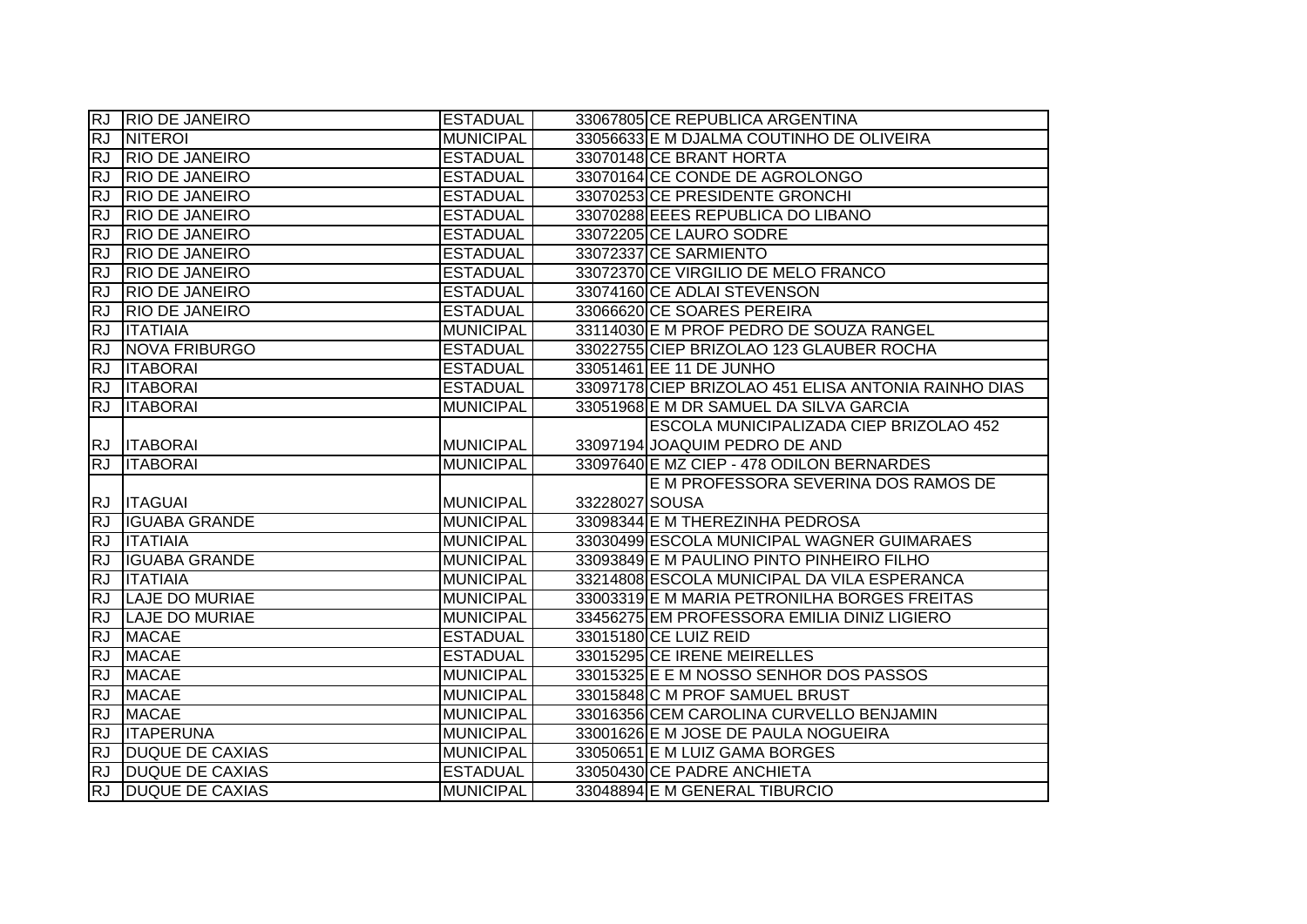|                        | RJ RIO DE JANEIRO      | <b>ESTADUAL</b>  | 33067805 CE REPUBLICA ARGENTINA                             |                                                      |
|------------------------|------------------------|------------------|-------------------------------------------------------------|------------------------------------------------------|
| <b>RJ</b>              | <b>NITEROI</b>         | <b>MUNICIPAL</b> | 33056633 E M DJALMA COUTINHO DE OLIVEIRA                    |                                                      |
| <b>RJ</b>              | <b>RIO DE JANEIRO</b>  | <b>ESTADUAL</b>  | 33070148 CE BRANT HORTA                                     |                                                      |
| <b>RJ</b>              | <b>RIO DE JANEIRO</b>  | <b>ESTADUAL</b>  | 33070164 CE CONDE DE AGROLONGO                              |                                                      |
| <b>RJ</b>              | <b>RIO DE JANEIRO</b>  | <b>ESTADUAL</b>  | 33070253 CE PRESIDENTE GRONCHI                              |                                                      |
| <b>RJ</b>              | <b>RIO DE JANEIRO</b>  | <b>ESTADUAL</b>  | 33070288 EEES REPUBLICA DO LIBANO                           |                                                      |
| <b>RJ</b>              | <b>RIO DE JANEIRO</b>  | <b>ESTADUAL</b>  | 33072205 CE LAURO SODRE                                     |                                                      |
| <b>RJ</b>              | <b>RIO DE JANEIRO</b>  | <b>ESTADUAL</b>  | 33072337 CE SARMIENTO                                       |                                                      |
| <b>RJ</b>              | <b>RIO DE JANEIRO</b>  | <b>ESTADUAL</b>  | 33072370 CE VIRGILIO DE MELO FRANCO                         |                                                      |
| <b>RJ</b>              | <b>RIO DE JANEIRO</b>  | <b>ESTADUAL</b>  | 33074160 CE ADLAI STEVENSON                                 |                                                      |
| <b>RJ</b>              | <b>RIO DE JANEIRO</b>  | <b>ESTADUAL</b>  | 33066620 CE SOARES PEREIRA                                  |                                                      |
| <b>RJ</b>              | <b>ITATIAIA</b>        | <b>MUNICIPAL</b> | 33114030 E M PROF PEDRO DE SOUZA RANGEL                     |                                                      |
| <b>RJ</b>              | <b>NOVA FRIBURGO</b>   | <b>ESTADUAL</b>  | 33022755 CIEP BRIZOLAO 123 GLAUBER ROCHA                    |                                                      |
| <b>RJ</b>              | <b>ITABORAI</b>        | <b>ESTADUAL</b>  | 33051461 EE 11 DE JUNHO                                     |                                                      |
| <b>RJ</b>              | <b>ITABORAI</b>        | <b>ESTADUAL</b>  |                                                             | 33097178 CIEP BRIZOLAO 451 ELISA ANTONIA RAINHO DIAS |
| <b>RJ</b>              | <b>ITABORAI</b>        | <b>MUNICIPAL</b> | 33051968 E M DR SAMUEL DA SILVA GARCIA                      |                                                      |
|                        |                        |                  |                                                             | ESCOLA MUNICIPALIZADA CIEP BRIZOLAO 452              |
|                        | RJ <b>ITABORAI</b>     | <b>MUNICIPAL</b> | 33097194 JOAQUIM PEDRO DE AND                               |                                                      |
|                        |                        |                  |                                                             |                                                      |
| <b>RJ</b>              | <b>ITABORAI</b>        | <b>MUNICIPAL</b> | 33097640 E MZ CIEP - 478 ODILON BERNARDES                   |                                                      |
|                        |                        |                  |                                                             | E M PROFESSORA SEVERINA DOS RAMOS DE                 |
|                        | RJ <b>ITAGUAI</b>      | <b>MUNICIPAL</b> | 33228027 SOUSA                                              |                                                      |
| <b>RJ</b>              | <b>IGUABA GRANDE</b>   | <b>MUNICIPAL</b> | 33098344 E M THEREZINHA PEDROSA                             |                                                      |
| $\overline{RJ}$        | <b>ITATIAIA</b>        | <b>MUNICIPAL</b> | 33030499 ESCOLA MUNICIPAL WAGNER GUIMARAES                  |                                                      |
| <b>RJ</b>              | <b>IGUABA GRANDE</b>   | <b>MUNICIPAL</b> | 33093849 E M PAULINO PINTO PINHEIRO FILHO                   |                                                      |
| <b>RJ</b>              | <b>ITATIAIA</b>        | <b>MUNICIPAL</b> | 33214808 ESCOLA MUNICIPAL DA VILA ESPERANCA                 |                                                      |
| <b>RJ</b>              | <b>LAJE DO MURIAE</b>  | <b>MUNICIPAL</b> | 33003319 E M MARIA PETRONILHA BORGES FREITAS                |                                                      |
| <b>RJ</b>              | <b>LAJE DO MURIAE</b>  | <b>MUNICIPAL</b> | 33456275 EM PROFESSORA EMILIA DINIZ LIGIERO                 |                                                      |
| <b>RJ</b>              | <b>MACAE</b>           | <b>ESTADUAL</b>  | 33015180 CE LUIZ REID                                       |                                                      |
| <b>RJ</b>              | <b>MACAE</b>           | <b>ESTADUAL</b>  | 33015295 CE IRENE MEIRELLES                                 |                                                      |
| <b>RJ</b>              | <b>MACAE</b>           | <b>MUNICIPAL</b> | 33015325 E E M NOSSO SENHOR DOS PASSOS                      |                                                      |
| <b>RJ</b>              | <b>MACAE</b>           | <b>MUNICIPAL</b> | 33015848 C M PROF SAMUEL BRUST                              |                                                      |
| <b>RJ</b>              | <b>MACAE</b>           | <b>MUNICIPAL</b> | 33016356 CEM CAROLINA CURVELLO BENJAMIN                     |                                                      |
| <b>RJ</b>              | <b>ITAPERUNA</b>       | <b>MUNICIPAL</b> | 33001626 E M JOSE DE PAULA NOGUEIRA                         |                                                      |
| <b>RJ</b>              | <b>DUQUE DE CAXIAS</b> | <b>MUNICIPAL</b> | 33050651 E M LUIZ GAMA BORGES                               |                                                      |
| <b>RJ</b><br><b>RJ</b> | <b>DUQUE DE CAXIAS</b> | <b>ESTADUAL</b>  | 33050430 CE PADRE ANCHIETA<br>33048894 E M GENERAL TIBURCIO |                                                      |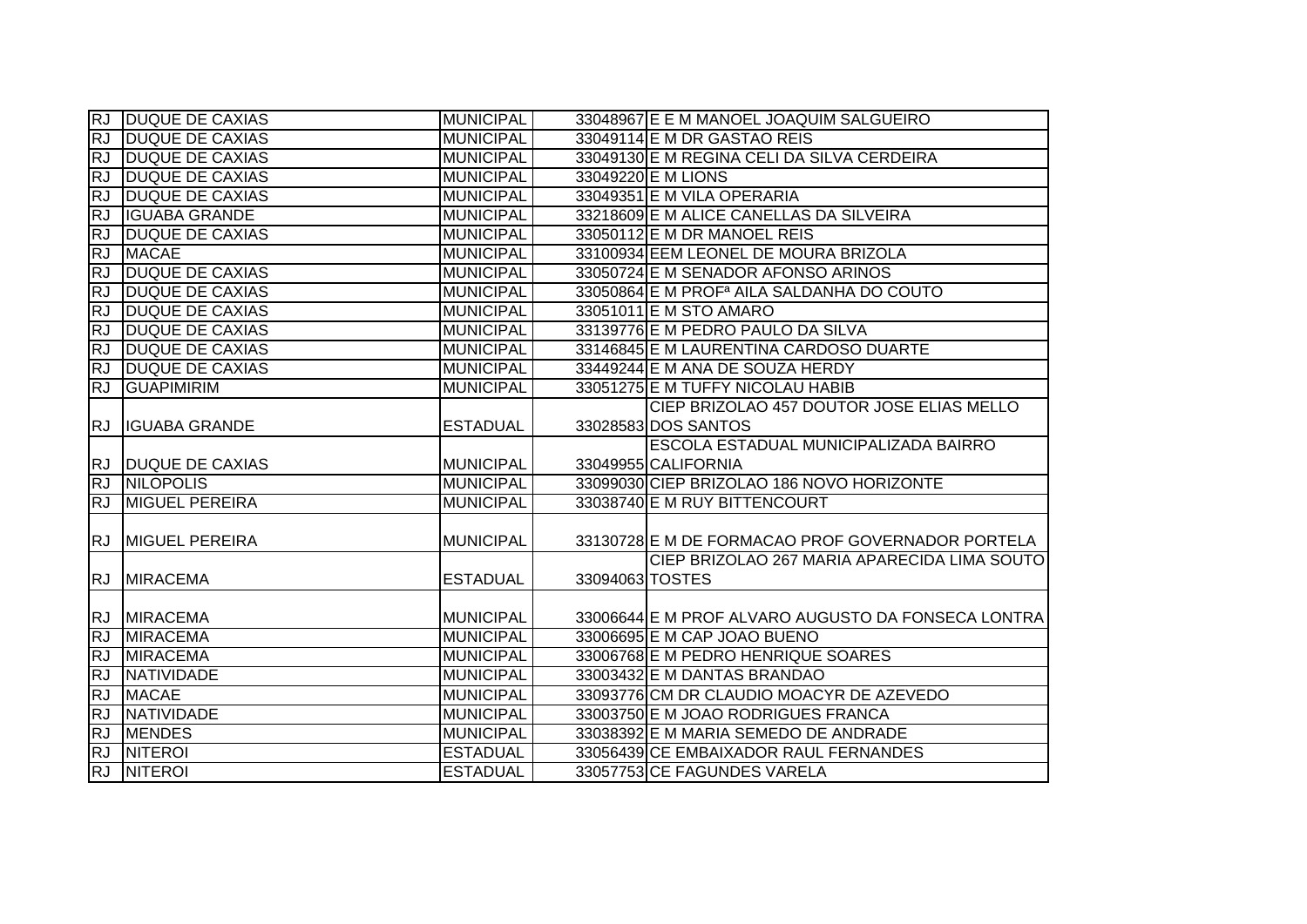|           | <b>RJ DUQUE DE CAXIAS</b> | <b>MUNICIPAL</b> |                 | 33048967 E E M MANOEL JOAQUIM SALGUEIRO               |
|-----------|---------------------------|------------------|-----------------|-------------------------------------------------------|
| <b>RJ</b> | <b>DUQUE DE CAXIAS</b>    | <b>MUNICIPAL</b> |                 | 33049114 E M DR GASTAO REIS                           |
| <b>RJ</b> | <b>DUQUE DE CAXIAS</b>    | <b>MUNICIPAL</b> |                 | 33049130 E M REGINA CELI DA SILVA CERDEIRA            |
| <b>RJ</b> | <b>DUQUE DE CAXIAS</b>    | <b>MUNICIPAL</b> |                 | 33049220 E M LIONS                                    |
| RJ        | <b>DUQUE DE CAXIAS</b>    | <b>MUNICIPAL</b> |                 | 33049351 E M VILA OPERARIA                            |
| <b>RJ</b> | <b>IGUABA GRANDE</b>      | <b>MUNICIPAL</b> |                 | 33218609 E M ALICE CANELLAS DA SILVEIRA               |
| RJ        | <b>DUQUE DE CAXIAS</b>    | <b>MUNICIPAL</b> |                 | 33050112 E M DR MANOEL REIS                           |
| <b>RJ</b> | <b>MACAE</b>              | <b>MUNICIPAL</b> |                 | 33100934 EEM LEONEL DE MOURA BRIZOLA                  |
| <b>RJ</b> | <b>DUQUE DE CAXIAS</b>    | <b>MUNICIPAL</b> |                 | 33050724 E M SENADOR AFONSO ARINOS                    |
| <b>RJ</b> | <b>DUQUE DE CAXIAS</b>    | <b>MUNICIPAL</b> |                 | 33050864 E M PROF <sup>a</sup> AILA SALDANHA DO COUTO |
| <b>RJ</b> | <b>DUQUE DE CAXIAS</b>    | <b>MUNICIPAL</b> |                 | 33051011 E M STO AMARO                                |
| <b>RJ</b> | <b>DUQUE DE CAXIAS</b>    | <b>MUNICIPAL</b> |                 | 33139776 E M PEDRO PAULO DA SILVA                     |
| <b>RJ</b> | <b>DUQUE DE CAXIAS</b>    | MUNICIPAL        |                 | 33146845 E M LAURENTINA CARDOSO DUARTE                |
| <b>RJ</b> | <b>DUQUE DE CAXIAS</b>    | <b>MUNICIPAL</b> |                 | 33449244 E M ANA DE SOUZA HERDY                       |
| <b>RJ</b> | <b>GUAPIMIRIM</b>         | <b>MUNICIPAL</b> |                 | 33051275 E M TUFFY NICOLAU HABIB                      |
|           |                           |                  |                 | CIEP BRIZOLAO 457 DOUTOR JOSE ELIAS MELLO             |
|           | RJ IGUABA GRANDE          | <b>ESTADUAL</b>  |                 | 33028583 DOS SANTOS                                   |
|           |                           |                  |                 | ESCOLA ESTADUAL MUNICIPALIZADA BAIRRO                 |
|           | RJ DUQUE DE CAXIAS        | <b>MUNICIPAL</b> |                 | 33049955 CALIFORNIA                                   |
|           | <b>RJ NILOPOLIS</b>       | <b>MUNICIPAL</b> |                 | 33099030 CIEP BRIZOLAO 186 NOVO HORIZONTE             |
| RJ        | <b>MIGUEL PEREIRA</b>     | <b>MUNICIPAL</b> |                 | 33038740 E M RUY BITTENCOURT                          |
|           |                           |                  |                 |                                                       |
|           | RJ MIGUEL PEREIRA         | <b>MUNICIPAL</b> |                 | 33130728 E M DE FORMACAO PROF GOVERNADOR PORTELA      |
|           |                           |                  |                 | CIEP BRIZOLAO 267 MARIA APARECIDA LIMA SOUTO          |
|           | RJ MIRACEMA               | <b>ESTADUAL</b>  | 33094063 TOSTES |                                                       |
|           |                           |                  |                 |                                                       |
|           | RJ MIRACEMA               | <b>MUNICIPAL</b> |                 | 33006644 E M PROF ALVARO AUGUSTO DA FONSECA LONTRA    |
| RJ        | <b>MIRACEMA</b>           | <b>MUNICIPAL</b> |                 | 33006695 E M CAP JOAO BUENO                           |
| <b>RJ</b> | <b>MIRACEMA</b>           | <b>MUNICIPAL</b> |                 | 33006768 E M PEDRO HENRIQUE SOARES                    |
| <b>RJ</b> | NATIVIDADE                | <b>MUNICIPAL</b> |                 | 33003432 E M DANTAS BRANDAO                           |
| <b>RJ</b> | <b>MACAE</b>              | <b>MUNICIPAL</b> |                 | 33093776 CM DR CLAUDIO MOACYR DE AZEVEDO              |
| <b>RJ</b> | <b>NATIVIDADE</b>         | <b>MUNICIPAL</b> |                 | 33003750 E M JOAO RODRIGUES FRANCA                    |
| RJ        | <b>MENDES</b>             | <b>MUNICIPAL</b> |                 | 33038392 E M MARIA SEMEDO DE ANDRADE                  |
|           | <b>RJ NITEROI</b>         | <b>ESTADUAL</b>  |                 | 33056439 CE EMBAIXADOR RAUL FERNANDES                 |
|           | <b>RJ NITEROI</b>         | <b>ESTADUAL</b>  |                 | 33057753 CE FAGUNDES VARELA                           |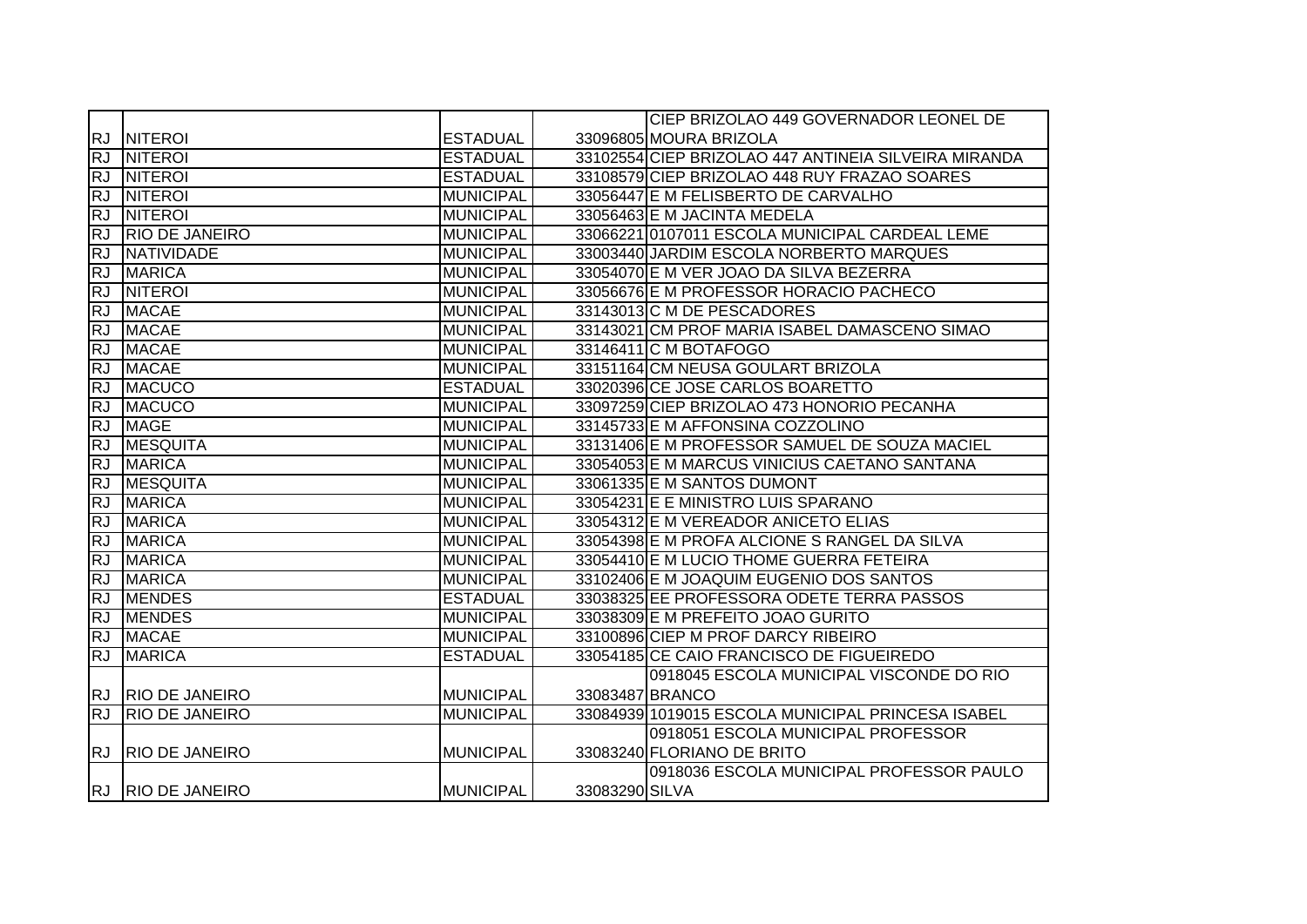|            |                       |                  |                 | CIEP BRIZOLAO 449 GOVERNADOR LEONEL DE               |
|------------|-----------------------|------------------|-----------------|------------------------------------------------------|
|            | RJ NITEROI            | <b>ESTADUAL</b>  |                 | 33096805 MOURA BRIZOLA                               |
| <b>RJ</b>  | <b>NITEROI</b>        | <b>ESTADUAL</b>  |                 | 33102554 CIEP BRIZOLAO 447 ANTINEIA SILVEIRA MIRANDA |
| <b>RJ</b>  | <b>NITEROI</b>        | <b>ESTADUAL</b>  |                 | 33108579 CIEP BRIZOLAO 448 RUY FRAZAO SOARES         |
| <b>RJ</b>  | <b>NITEROI</b>        | MUNICIPAL        |                 | 33056447 E M FELISBERTO DE CARVALHO                  |
| <b>RJ</b>  | <b>INITEROI</b>       | <b>MUNICIPAL</b> |                 | 33056463 E M JACINTA MEDELA                          |
| <b>RJ</b>  | <b>RIO DE JANEIRO</b> | MUNICIPAL        |                 | 33066221 0107011 ESCOLA MUNICIPAL CARDEAL LEME       |
| <b>RJ</b>  | NATIVIDADE            | MUNICIPAL        |                 | 33003440 JARDIM ESCOLA NORBERTO MARQUES              |
| <b>RJ</b>  | <b>MARICA</b>         | MUNICIPAL        |                 | 33054070 E M VER JOAO DA SILVA BEZERRA               |
| <b>RJ</b>  | <b>NITEROI</b>        | <b>MUNICIPAL</b> |                 | 33056676 E M PROFESSOR HORACIO PACHECO               |
| <b>RJ</b>  | <b>MACAE</b>          | MUNICIPAL        |                 | 33143013 C M DE PESCADORES                           |
| <b>IRJ</b> | <b>MACAE</b>          | MUNICIPAL        |                 | 33143021 CM PROF MARIA ISABEL DAMASCENO SIMAO        |
| <b>RJ</b>  | <b>MACAE</b>          | MUNICIPAL        |                 | 33146411 C M BOTAFOGO                                |
| <b>RJ</b>  | <b>MACAE</b>          | <b>MUNICIPAL</b> |                 | 33151164 CM NEUSA GOULART BRIZOLA                    |
| <b>IRJ</b> | <b>MACUCO</b>         | <b>ESTADUAL</b>  |                 | 33020396 CE JOSE CARLOS BOARETTO                     |
| <b>RJ</b>  | <b>MACUCO</b>         | MUNICIPAL        |                 | 33097259 CIEP BRIZOLAO 473 HONORIO PECANHA           |
| <b>RJ</b>  | <b>MAGE</b>           | MUNICIPAL        |                 | 33145733 E M AFFONSINA COZZOLINO                     |
| <b>RJ</b>  | <b>MESQUITA</b>       | MUNICIPAL        |                 | 33131406 E M PROFESSOR SAMUEL DE SOUZA MACIEL        |
| <b>RJ</b>  | <b>MARICA</b>         | <b>MUNICIPAL</b> |                 | 33054053 E M MARCUS VINICIUS CAETANO SANTANA         |
| <b>RJ</b>  | <b>MESQUITA</b>       | MUNICIPAL        |                 | 33061335 E M SANTOS DUMONT                           |
| <b>RJ</b>  | <b>MARICA</b>         | MUNICIPAL        |                 | 33054231 E E MINISTRO LUIS SPARANO                   |
| <b>RJ</b>  | <b>MARICA</b>         | MUNICIPAL        |                 | 33054312 E M VEREADOR ANICETO ELIAS                  |
| <b>RJ</b>  | <b>MARICA</b>         | <b>MUNICIPAL</b> |                 | 33054398 E M PROFA ALCIONE S RANGEL DA SILVA         |
| <b>RJ</b>  | <b>MARICA</b>         | <b>MUNICIPAL</b> |                 | 33054410 E M LUCIO THOME GUERRA FETEIRA              |
| <b>RJ</b>  | <b>MARICA</b>         | <b>MUNICIPAL</b> |                 | 33102406 E M JOAQUIM EUGENIO DOS SANTOS              |
| <b>IRJ</b> | <b>MENDES</b>         | <b>ESTADUAL</b>  |                 | 33038325 EE PROFESSORA ODETE TERRA PASSOS            |
| <b>IRJ</b> | <b>MENDES</b>         | MUNICIPAL        |                 | 33038309 E M PREFEITO JOAO GURITO                    |
| <b>RJ</b>  | <b>MACAE</b>          | <b>MUNICIPAL</b> |                 | 33100896 CIEP M PROF DARCY RIBEIRO                   |
| <b>RJ</b>  | <b>MARICA</b>         | <b>ESTADUAL</b>  |                 | 33054185 CE CAIO FRANCISCO DE FIGUEIREDO             |
|            |                       |                  |                 | 0918045 ESCOLA MUNICIPAL VISCONDE DO RIO             |
|            | RJ RIO DE JANEIRO     | <b>MUNICIPAL</b> | 33083487 BRANCO |                                                      |
| <b>RJ</b>  | <b>RIO DE JANEIRO</b> | <b>MUNICIPAL</b> |                 | 33084939 1019015 ESCOLA MUNICIPAL PRINCESA ISABEL    |
|            |                       |                  |                 | 0918051 ESCOLA MUNICIPAL PROFESSOR                   |
| <b>RJ</b>  | <b>RIO DE JANEIRO</b> | <b>MUNICIPAL</b> |                 | 33083240 FLORIANO DE BRITO                           |
|            |                       |                  |                 | 0918036 ESCOLA MUNICIPAL PROFESSOR PAULO             |
|            | RJ RIO DE JANEIRO     | MUNICIPAL        | 33083290 SILVA  |                                                      |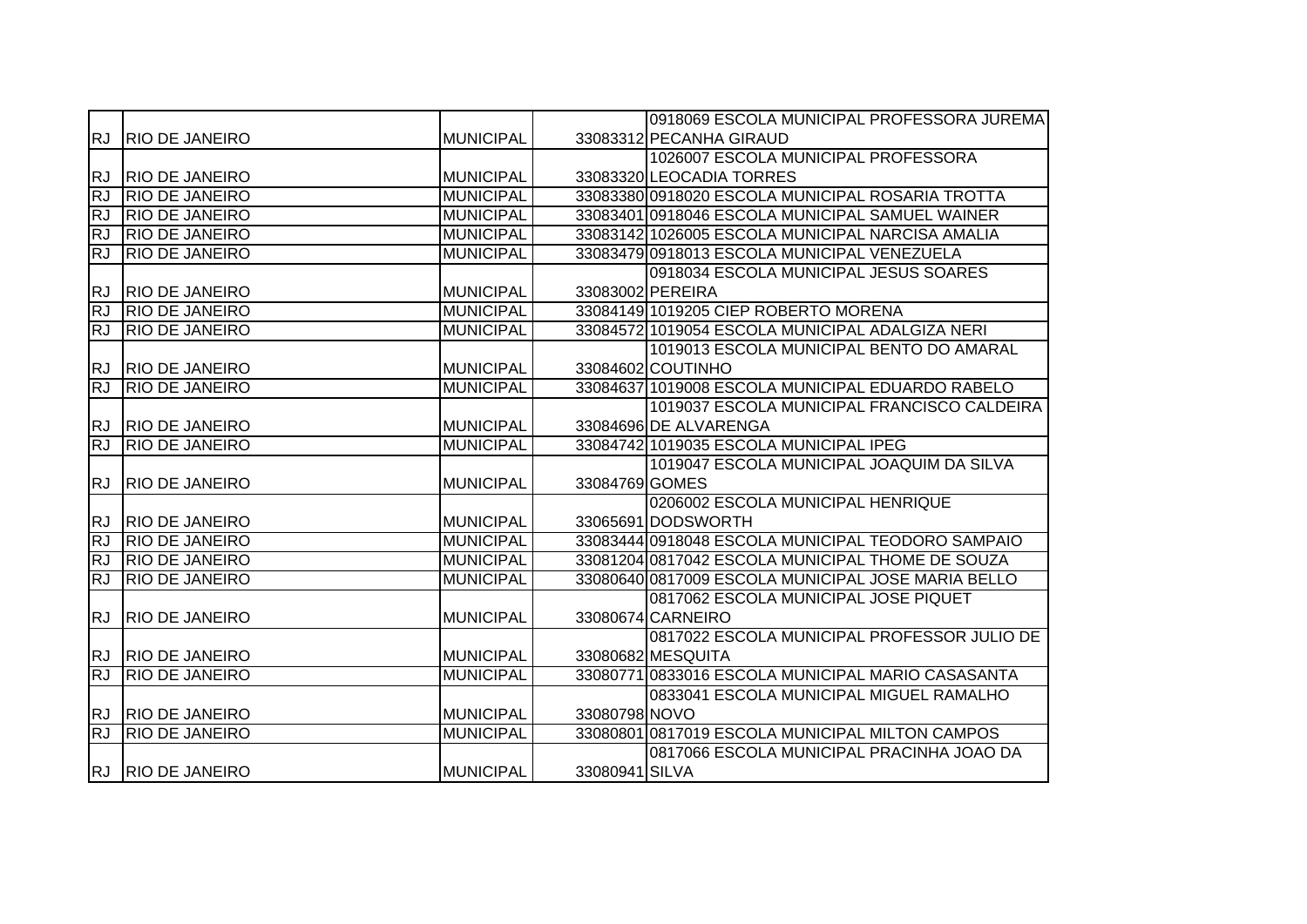|           |                       |                  |                | 0918069 ESCOLA MUNICIPAL PROFESSORA JUREMA         |
|-----------|-----------------------|------------------|----------------|----------------------------------------------------|
| <b>RJ</b> | <b>RIO DE JANEIRO</b> | <b>MUNICIPAL</b> |                | 33083312 PECANHA GIRAUD                            |
|           |                       |                  |                | 1026007 ESCOLA MUNICIPAL PROFESSORA                |
| RJ.       | <b>RIO DE JANEIRO</b> | <b>MUNICIPAL</b> |                | 33083320 LEOCADIA TORRES                           |
| <b>RJ</b> | <b>RIO DE JANEIRO</b> | <b>MUNICIPAL</b> |                | 33083380 0918020 ESCOLA MUNICIPAL ROSARIA TROTTA   |
| <b>RJ</b> | <b>RIO DE JANEIRO</b> | <b>MUNICIPAL</b> |                | 33083401 0918046 ESCOLA MUNICIPAL SAMUEL WAINER    |
| RJ        | <b>RIO DE JANEIRO</b> | <b>MUNICIPAL</b> |                | 33083142 1026005 ESCOLA MUNICIPAL NARCISA AMALIA   |
| <b>RJ</b> | <b>RIO DE JANEIRO</b> | <b>MUNICIPAL</b> |                | 33083479 0918013 ESCOLA MUNICIPAL VENEZUELA        |
|           |                       |                  |                | 0918034 ESCOLA MUNICIPAL JESUS SOARES              |
| <b>RJ</b> | <b>RIO DE JANEIRO</b> | <b>MUNICIPAL</b> |                | 33083002 PEREIRA                                   |
| <b>RJ</b> | <b>RIO DE JANEIRO</b> | <b>MUNICIPAL</b> |                | 33084149 1019205 CIEP ROBERTO MORENA               |
| <b>RJ</b> | <b>RIO DE JANEIRO</b> | <b>MUNICIPAL</b> |                | 33084572 1019054 ESCOLA MUNICIPAL ADALGIZA NERI    |
|           |                       |                  |                | 1019013 ESCOLA MUNICIPAL BENTO DO AMARAL           |
| <b>RJ</b> | <b>RIO DE JANEIRO</b> | <b>MUNICIPAL</b> |                | 33084602 COUTINHO                                  |
| <b>RJ</b> | <b>RIO DE JANEIRO</b> | <b>MUNICIPAL</b> |                | 33084637 1019008 ESCOLA MUNICIPAL EDUARDO RABELO   |
|           |                       |                  |                | 1019037 ESCOLA MUNICIPAL FRANCISCO CALDEIRA        |
| RJ.       | <b>RIO DE JANEIRO</b> | <b>MUNICIPAL</b> |                | 33084696 DE ALVARENGA                              |
| RJ        | <b>RIO DE JANEIRO</b> | <b>MUNICIPAL</b> |                | 33084742 1019035 ESCOLA MUNICIPAL IPEG             |
|           |                       |                  |                | 1019047 ESCOLA MUNICIPAL JOAQUIM DA SILVA          |
| RJ.       | <b>RIO DE JANEIRO</b> | <b>MUNICIPAL</b> | 33084769 GOMES |                                                    |
|           |                       |                  |                | 0206002 ESCOLA MUNICIPAL HENRIQUE                  |
| RJ.       | <b>RIO DE JANEIRO</b> | <b>MUNICIPAL</b> |                | 33065691 DODSWORTH                                 |
| <b>RJ</b> | <b>RIO DE JANEIRO</b> | <b>MUNICIPAL</b> |                | 33083444 0918048 ESCOLA MUNICIPAL TEODORO SAMPAIO  |
| <b>RJ</b> | <b>RIO DE JANEIRO</b> | <b>MUNICIPAL</b> |                | 33081204 0817042 ESCOLA MUNICIPAL THOME DE SOUZA   |
| <b>RJ</b> | <b>RIO DE JANEIRO</b> | <b>MUNICIPAL</b> |                | 33080640 0817009 ESCOLA MUNICIPAL JOSE MARIA BELLO |
|           |                       |                  |                | 0817062 ESCOLA MUNICIPAL JOSE PIQUET               |
| RJ.       | <b>RIO DE JANEIRO</b> | <b>MUNICIPAL</b> |                | 33080674 CARNEIRO                                  |
|           |                       |                  |                | 0817022 ESCOLA MUNICIPAL PROFESSOR JULIO DE        |
|           | RJ RIO DE JANEIRO     | <b>MUNICIPAL</b> |                | 33080682 MESQUITA                                  |
| <b>RJ</b> | <b>RIO DE JANEIRO</b> | <b>MUNICIPAL</b> |                | 33080771 0833016 ESCOLA MUNICIPAL MARIO CASASANTA  |
|           |                       |                  |                | 0833041 ESCOLA MUNICIPAL MIGUEL RAMALHO            |
|           | RJ RIO DE JANEIRO     | <b>MUNICIPAL</b> | 33080798 NOVO  |                                                    |
| <b>RJ</b> | <b>RIO DE JANEIRO</b> | <b>MUNICIPAL</b> |                | 33080801 0817019 ESCOLA MUNICIPAL MILTON CAMPOS    |
|           |                       |                  |                | 0817066 ESCOLA MUNICIPAL PRACINHA JOAO DA          |
|           | RJ RIO DE JANEIRO     | <b>MUNICIPAL</b> | 33080941 SILVA |                                                    |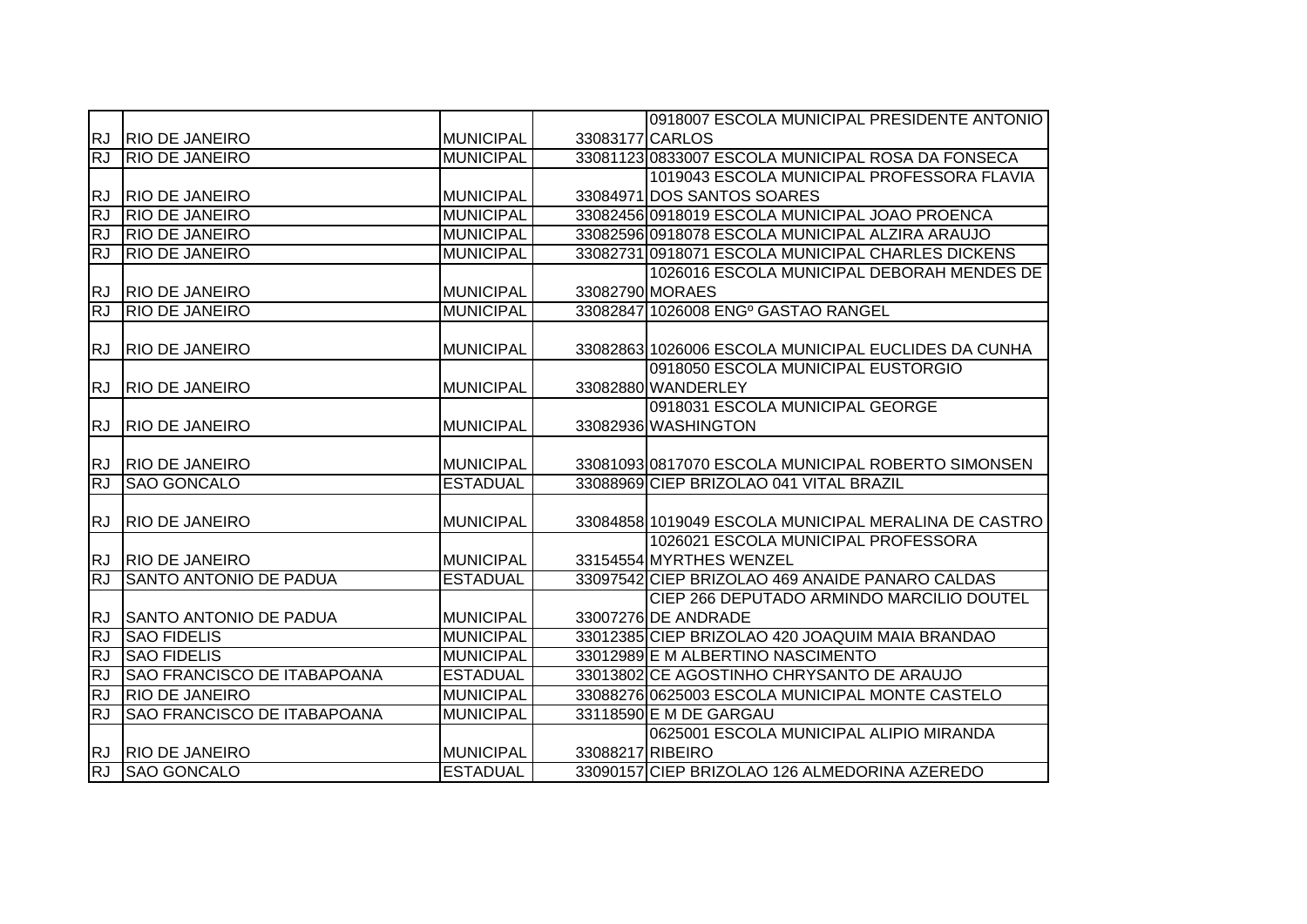|           |                                    |                  | 0918007 ESCOLA MUNICIPAL PRESIDENTE ANTONIO          |
|-----------|------------------------------------|------------------|------------------------------------------------------|
|           | RJ RIO DE JANEIRO                  | <b>MUNICIPAL</b> | 33083177 CARLOS                                      |
| <b>RJ</b> | <b>RIO DE JANEIRO</b>              | <b>MUNICIPAL</b> | 33081123 0833007 ESCOLA MUNICIPAL ROSA DA FONSECA    |
|           |                                    |                  | 1019043 ESCOLA MUNICIPAL PROFESSORA FLAVIA           |
| <b>RJ</b> | <b>RIO DE JANEIRO</b>              | <b>MUNICIPAL</b> | 33084971 DOS SANTOS SOARES                           |
| <b>RJ</b> | <b>RIO DE JANEIRO</b>              | <b>MUNICIPAL</b> | 33082456 0918019 ESCOLA MUNICIPAL JOAO PROENCA       |
| RJ        | <b>RIO DE JANEIRO</b>              | <b>MUNICIPAL</b> | 33082596 0918078 ESCOLA MUNICIPAL ALZIRA ARAUJO      |
| <b>RJ</b> | <b>RIO DE JANEIRO</b>              | <b>MUNICIPAL</b> | 33082731 0918071 ESCOLA MUNICIPAL CHARLES DICKENS    |
|           |                                    |                  | 1026016 ESCOLA MUNICIPAL DEBORAH MENDES DE           |
| <b>RJ</b> | <b>RIO DE JANEIRO</b>              | <b>MUNICIPAL</b> | 33082790 MORAES                                      |
| RJ        | <b>RIO DE JANEIRO</b>              | <b>MUNICIPAL</b> | 33082847 1026008 ENG <sup>o</sup> GASTAO RANGEL      |
|           |                                    |                  |                                                      |
| RJ        | <b>RIO DE JANEIRO</b>              | <b>MUNICIPAL</b> | 33082863 1026006 ESCOLA MUNICIPAL EUCLIDES DA CUNHA  |
|           |                                    |                  | 0918050 ESCOLA MUNICIPAL EUSTORGIO                   |
| <b>RJ</b> | <b>RIO DE JANEIRO</b>              | <b>MUNICIPAL</b> | 33082880 WANDERLEY                                   |
|           |                                    |                  | 0918031 ESCOLA MUNICIPAL GEORGE                      |
| RJ        | <b>RIO DE JANEIRO</b>              | <b>MUNICIPAL</b> | 33082936 WASHINGTON                                  |
|           |                                    |                  |                                                      |
| <b>RJ</b> | <b>RIO DE JANEIRO</b>              | <b>MUNICIPAL</b> | 33081093 0817070 ESCOLA MUNICIPAL ROBERTO SIMONSEN   |
| <b>RJ</b> | <b>SAO GONCALO</b>                 | <b>ESTADUAL</b>  | 33088969 CIEP BRIZOLAO 041 VITAL BRAZIL              |
|           |                                    |                  |                                                      |
| <b>RJ</b> | <b>RIO DE JANEIRO</b>              | <b>MUNICIPAL</b> | 33084858 1019049 ESCOLA MUNICIPAL MERALINA DE CASTRO |
|           |                                    |                  | 1026021 ESCOLA MUNICIPAL PROFESSORA                  |
|           | RJ RIO DE JANEIRO                  | <b>MUNICIPAL</b> | 33154554 MYRTHES WENZEL                              |
| <b>RJ</b> | <b>SANTO ANTONIO DE PADUA</b>      | <b>ESTADUAL</b>  | 33097542 CIEP BRIZOLAO 469 ANAIDE PANARO CALDAS      |
|           |                                    |                  | CIEP 266 DEPUTADO ARMINDO MARCILIO DOUTEL            |
| <b>RJ</b> | <b>SANTO ANTONIO DE PADUA</b>      | <b>MUNICIPAL</b> | 33007276 DE ANDRADE                                  |
| <b>RJ</b> | <b>SAO FIDELIS</b>                 | <b>MUNICIPAL</b> | 33012385 CIEP BRIZOLAO 420 JOAQUIM MAIA BRANDAO      |
| <b>RJ</b> | <b>SAO FIDELIS</b>                 | <b>MUNICIPAL</b> | 33012989 E M ALBERTINO NASCIMENTO                    |
| <b>RJ</b> | <b>SAO FRANCISCO DE ITABAPOANA</b> | <b>ESTADUAL</b>  | 33013802 CE AGOSTINHO CHRYSANTO DE ARAUJO            |
| RJ        | <b>RIO DE JANEIRO</b>              | <b>MUNICIPAL</b> | 33088276 0625003 ESCOLA MUNICIPAL MONTE CASTELO      |
| <b>RJ</b> | <b>SAO FRANCISCO DE ITABAPOANA</b> | <b>MUNICIPAL</b> | 33118590 E M DE GARGAU                               |
|           |                                    |                  | 0625001 ESCOLA MUNICIPAL ALIPIO MIRANDA              |
| <b>RJ</b> | <b>RIO DE JANEIRO</b>              | <b>MUNICIPAL</b> | 33088217 RIBEIRO                                     |
| <b>RJ</b> | <b>SAO GONCALO</b>                 | <b>ESTADUAL</b>  | 33090157 CIEP BRIZOLAO 126 ALMEDORINA AZEREDO        |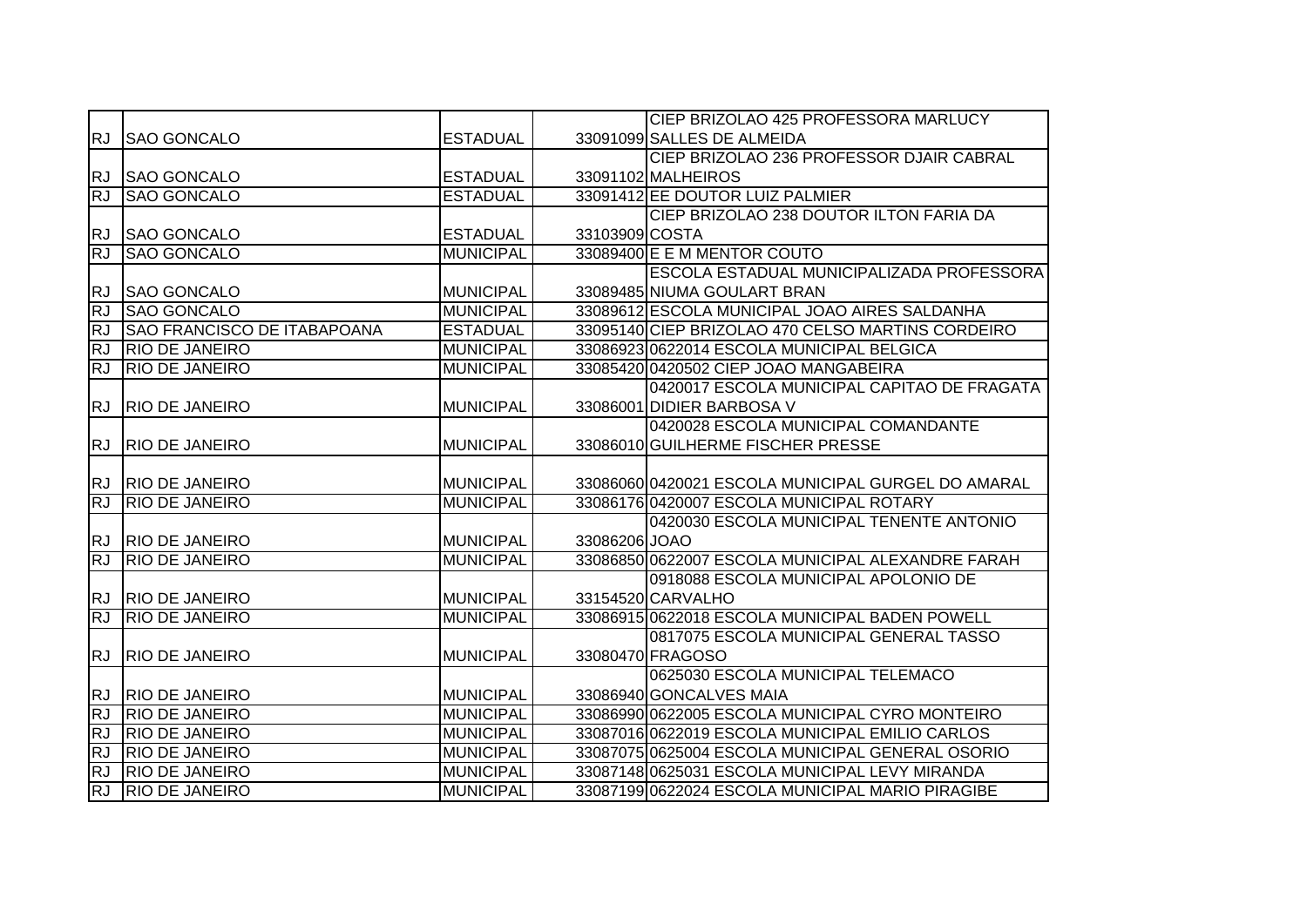|                        |                                                |                  |                | CIEP BRIZOLAO 425 PROFESSORA MARLUCY                                                               |
|------------------------|------------------------------------------------|------------------|----------------|----------------------------------------------------------------------------------------------------|
| <b>RJ</b>              | <b>SAO GONCALO</b>                             | <b>ESTADUAL</b>  |                | 33091099 SALLES DE ALMEIDA                                                                         |
|                        |                                                |                  |                | CIEP BRIZOLAO 236 PROFESSOR DJAIR CABRAL                                                           |
| RJ.                    | <b>SAO GONCALO</b>                             | <b>ESTADUAL</b>  |                | 33091102 MALHEIROS                                                                                 |
| <b>RJ</b>              | <b>SAO GONCALO</b>                             | <b>ESTADUAL</b>  |                | 33091412 EE DOUTOR LUIZ PALMIER                                                                    |
|                        |                                                |                  |                | CIEP BRIZOLAO 238 DOUTOR ILTON FARIA DA                                                            |
| <b>RJ</b>              | <b>SAO GONCALO</b>                             | <b>ESTADUAL</b>  | 33103909 COSTA |                                                                                                    |
| RJ                     | <b>SAO GONCALO</b>                             | <b>MUNICIPAL</b> |                | 33089400 E E M MENTOR COUTO                                                                        |
|                        |                                                |                  |                | ESCOLA ESTADUAL MUNICIPALIZADA PROFESSORA                                                          |
| <b>RJ</b>              | <b>SAO GONCALO</b>                             | <b>MUNICIPAL</b> |                | 33089485 NIUMA GOULART BRAN                                                                        |
| <b>RJ</b>              | <b>SAO GONCALO</b>                             | <b>MUNICIPAL</b> |                | 33089612 ESCOLA MUNICIPAL JOAO AIRES SALDANHA                                                      |
| <b>RJ</b>              | <b>SAO FRANCISCO DE ITABAPOANA</b>             | <b>ESTADUAL</b>  |                | 33095140 CIEP BRIZOLAO 470 CELSO MARTINS CORDEIRO                                                  |
| <b>RJ</b>              | <b>RIO DE JANEIRO</b>                          | <b>MUNICIPAL</b> |                | 33086923 0622014 ESCOLA MUNICIPAL BELGICA                                                          |
| <b>RJ</b>              | <b>RIO DE JANEIRO</b>                          | <b>MUNICIPAL</b> |                | 33085420 0420502 CIEP JOAO MANGABEIRA                                                              |
|                        |                                                |                  |                | 0420017 ESCOLA MUNICIPAL CAPITAO DE FRAGATA                                                        |
| <b>RJ</b>              | <b>RIO DE JANEIRO</b>                          | <b>MUNICIPAL</b> |                | 33086001 DIDIER BARBOSA V                                                                          |
|                        |                                                |                  |                | 0420028 ESCOLA MUNICIPAL COMANDANTE                                                                |
| <b>RJ</b>              | <b>RIO DE JANEIRO</b>                          | <b>MUNICIPAL</b> |                | 33086010 GUILHERME FISCHER PRESSE                                                                  |
|                        |                                                |                  |                |                                                                                                    |
|                        |                                                |                  |                |                                                                                                    |
|                        | RJ RIO DE JANEIRO                              | <b>MUNICIPAL</b> |                | 33086060 0420021 ESCOLA MUNICIPAL GURGEL DO AMARAL                                                 |
| <b>RJ</b>              | <b>RIO DE JANEIRO</b>                          | <b>MUNICIPAL</b> |                | 33086176 0420007 ESCOLA MUNICIPAL ROTARY                                                           |
|                        |                                                |                  |                | 0420030 ESCOLA MUNICIPAL TENENTE ANTONIO                                                           |
| <b>RJ</b>              | <b>RIO DE JANEIRO</b>                          | MUNICIPAL        | 33086206 JOAO  |                                                                                                    |
| <b>RJ</b>              | <b>RIO DE JANEIRO</b>                          | <b>MUNICIPAL</b> |                | 33086850 0622007 ESCOLA MUNICIPAL ALEXANDRE FARAH                                                  |
|                        |                                                |                  |                | 0918088 ESCOLA MUNICIPAL APOLONIO DE                                                               |
| <b>RJ</b>              | <b>RIO DE JANEIRO</b>                          | <b>MUNICIPAL</b> |                | 33154520 CARVALHO                                                                                  |
| <b>RJ</b>              | <b>RIO DE JANEIRO</b>                          | <b>MUNICIPAL</b> |                | 33086915 0622018 ESCOLA MUNICIPAL BADEN POWELL                                                     |
|                        |                                                |                  |                | 0817075 ESCOLA MUNICIPAL GENERAL TASSO                                                             |
| <b>RJ</b>              | <b>RIO DE JANEIRO</b>                          | <b>MUNICIPAL</b> |                | 33080470 FRAGOSO                                                                                   |
|                        |                                                |                  |                | 0625030 ESCOLA MUNICIPAL TELEMACO                                                                  |
| <b>RJ</b>              | <b>RIO DE JANEIRO</b>                          | <b>MUNICIPAL</b> |                | 33086940 GONCALVES MAIA                                                                            |
| <b>RJ</b>              | <b>RIO DE JANEIRO</b>                          | <b>MUNICIPAL</b> |                | 33086990 0622005 ESCOLA MUNICIPAL CYRO MONTEIRO                                                    |
| RJ                     | <b>RIO DE JANEIRO</b>                          | <b>MUNICIPAL</b> |                | 33087016 0622019 ESCOLA MUNICIPAL EMILIO CARLOS                                                    |
| <b>RJ</b>              | <b>RIO DE JANEIRO</b>                          | <b>MUNICIPAL</b> |                | 33087075 0625004 ESCOLA MUNICIPAL GENERAL OSORIO                                                   |
| <b>RJ</b><br><b>RJ</b> | <b>RIO DE JANEIRO</b><br><b>RIO DE JANEIRO</b> | <b>MUNICIPAL</b> |                | 33087148 0625031 ESCOLA MUNICIPAL LEVY MIRANDA<br>33087199 0622024 ESCOLA MUNICIPAL MARIO PIRAGIBE |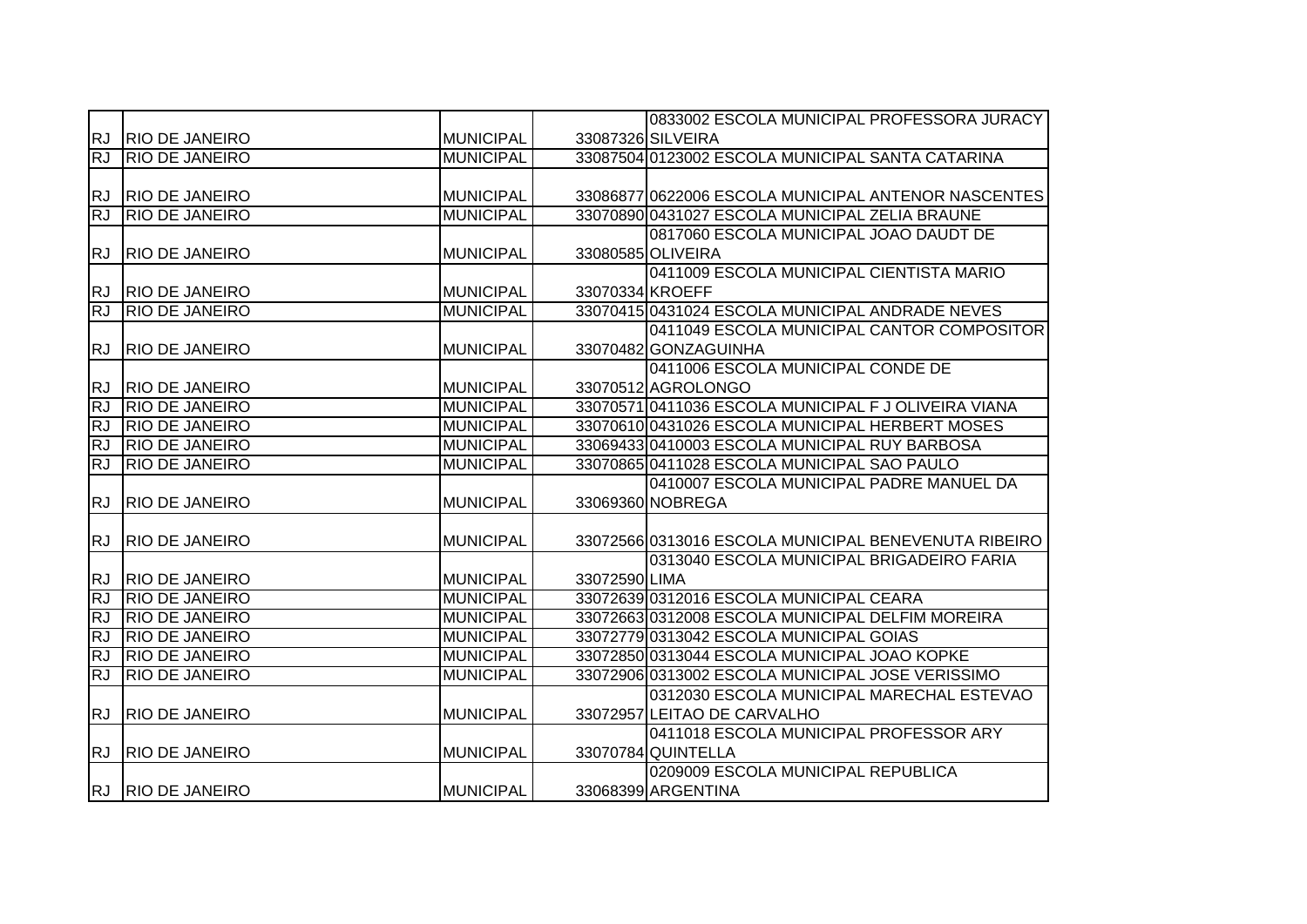|           |                       |                  |                 | 0833002 ESCOLA MUNICIPAL PROFESSORA JURACY           |
|-----------|-----------------------|------------------|-----------------|------------------------------------------------------|
| <b>RJ</b> | <b>RIO DE JANEIRO</b> | <b>MUNICIPAL</b> |                 | 33087326 SILVEIRA                                    |
| RJ        | <b>RIO DE JANEIRO</b> | <b>MUNICIPAL</b> |                 | 33087504 0123002 ESCOLA MUNICIPAL SANTA CATARINA     |
|           |                       |                  |                 |                                                      |
| RJ.       | <b>RIO DE JANEIRO</b> | <b>MUNICIPAL</b> |                 | 33086877 0622006 ESCOLA MUNICIPAL ANTENOR NASCENTES  |
| <b>RJ</b> | <b>RIO DE JANEIRO</b> | <b>MUNICIPAL</b> |                 | 33070890 0431027 ESCOLA MUNICIPAL ZELIA BRAUNE       |
|           |                       |                  |                 | 0817060 ESCOLA MUNICIPAL JOAO DAUDT DE               |
| <b>RJ</b> | <b>RIO DE JANEIRO</b> | <b>MUNICIPAL</b> |                 | 33080585 OLIVEIRA                                    |
|           |                       |                  |                 | 0411009 ESCOLA MUNICIPAL CIENTISTA MARIO             |
| RJ.       | <b>RIO DE JANEIRO</b> | <b>MUNICIPAL</b> | 33070334 KROEFF |                                                      |
| <b>RJ</b> | <b>RIO DE JANEIRO</b> | <b>MUNICIPAL</b> |                 | 33070415 0431024 ESCOLA MUNICIPAL ANDRADE NEVES      |
|           |                       |                  |                 | 0411049 ESCOLA MUNICIPAL CANTOR COMPOSITOR           |
| <b>RJ</b> | <b>RIO DE JANEIRO</b> | <b>MUNICIPAL</b> |                 | 33070482 GONZAGUINHA                                 |
|           |                       |                  |                 | 0411006 ESCOLA MUNICIPAL CONDE DE                    |
| RJ.       | <b>RIO DE JANEIRO</b> | <b>MUNICIPAL</b> |                 | 33070512 AGROLONGO                                   |
| <b>RJ</b> | <b>RIO DE JANEIRO</b> | <b>MUNICIPAL</b> |                 | 33070571 0411036 ESCOLA MUNICIPAL F J OLIVEIRA VIANA |
| <b>RJ</b> | <b>RIO DE JANEIRO</b> | <b>MUNICIPAL</b> |                 | 33070610 0431026 ESCOLA MUNICIPAL HERBERT MOSES      |
| <b>RJ</b> | <b>RIO DE JANEIRO</b> | <b>MUNICIPAL</b> |                 | 33069433 0410003 ESCOLA MUNICIPAL RUY BARBOSA        |
| RJ        | <b>RIO DE JANEIRO</b> | <b>MUNICIPAL</b> |                 | 33070865 0411028 ESCOLA MUNICIPAL SAO PAULO          |
|           |                       |                  |                 | 0410007 ESCOLA MUNICIPAL PADRE MANUEL DA             |
| RJ.       | <b>RIO DE JANEIRO</b> | <b>MUNICIPAL</b> |                 | 33069360 NOBREGA                                     |
|           |                       |                  |                 |                                                      |
| <b>RJ</b> | <b>RIO DE JANEIRO</b> | <b>MUNICIPAL</b> |                 | 33072566 0313016 ESCOLA MUNICIPAL BENEVENUTA RIBEIRO |
|           |                       |                  |                 | 0313040 ESCOLA MUNICIPAL BRIGADEIRO FARIA            |
| <b>RJ</b> | <b>RIO DE JANEIRO</b> | <b>MUNICIPAL</b> | 33072590 LIMA   |                                                      |
| RJ        | <b>RIO DE JANEIRO</b> | <b>MUNICIPAL</b> |                 | 33072639 0312016 ESCOLA MUNICIPAL CEARA              |
| <b>RJ</b> | <b>RIO DE JANEIRO</b> | <b>MUNICIPAL</b> |                 | 33072663 0312008 ESCOLA MUNICIPAL DELFIM MOREIRA     |
| <b>RJ</b> | <b>RIO DE JANEIRO</b> | <b>MUNICIPAL</b> |                 | 33072779 0313042 ESCOLA MUNICIPAL GOIAS              |
| <b>RJ</b> | <b>RIO DE JANEIRO</b> | <b>MUNICIPAL</b> |                 | 33072850 0313044 ESCOLA MUNICIPAL JOAO KOPKE         |
| <b>RJ</b> | <b>RIO DE JANEIRO</b> | <b>MUNICIPAL</b> |                 | 33072906 0313002 ESCOLA MUNICIPAL JOSE VERISSIMO     |
|           |                       |                  |                 | 0312030 ESCOLA MUNICIPAL MARECHAL ESTEVAO            |
| RJ.       | <b>RIO DE JANEIRO</b> | <b>MUNICIPAL</b> |                 | 33072957 LEITAO DE CARVALHO                          |
|           |                       |                  |                 | 0411018 ESCOLA MUNICIPAL PROFESSOR ARY               |
| <b>RJ</b> | <b>RIO DE JANEIRO</b> | <b>MUNICIPAL</b> |                 | 33070784 QUINTELLA                                   |
|           |                       |                  |                 | 0209009 ESCOLA MUNICIPAL REPUBLICA                   |
|           | RJ RIO DE JANEIRO     | <b>MUNICIPAL</b> |                 | 33068399 ARGENTINA                                   |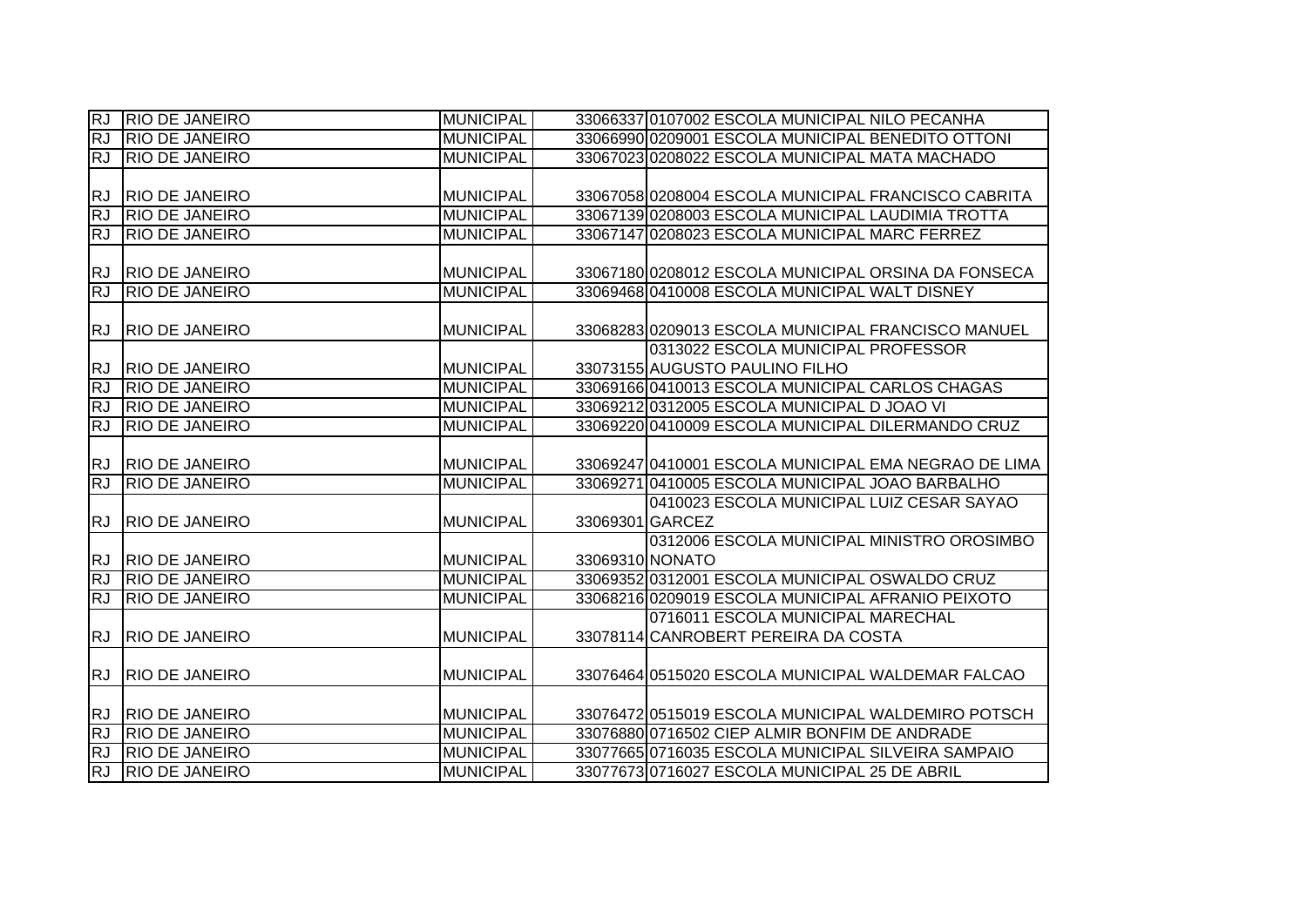| $\overline{\text{RJ}}$ | <b>RIO DE JANEIRO</b> | <b>MUNICIPAL</b> |                 | 33066337 0107002 ESCOLA MUNICIPAL NILO PECANHA       |
|------------------------|-----------------------|------------------|-----------------|------------------------------------------------------|
| <b>RJ</b>              | <b>RIO DE JANEIRO</b> | <b>MUNICIPAL</b> |                 | 33066990 0209001 ESCOLA MUNICIPAL BENEDITO OTTONI    |
| IRJ.                   | <b>RIO DE JANEIRO</b> | <b>MUNICIPAL</b> |                 | 33067023 0208022 ESCOLA MUNICIPAL MATA MACHADO       |
|                        |                       |                  |                 |                                                      |
| <b>RJ</b>              | <b>RIO DE JANEIRO</b> | <b>MUNICIPAL</b> |                 | 33067058 0208004 ESCOLA MUNICIPAL FRANCISCO CABRITA  |
| <b>RJ</b>              | <b>RIO DE JANEIRO</b> | <b>MUNICIPAL</b> |                 | 33067139 0208003 ESCOLA MUNICIPAL LAUDIMIA TROTTA    |
| RJ                     | <b>RIO DE JANEIRO</b> | <b>MUNICIPAL</b> |                 | 33067147 0208023 ESCOLA MUNICIPAL MARC FERREZ        |
|                        |                       |                  |                 |                                                      |
| <b>RJ</b>              | <b>RIO DE JANEIRO</b> | <b>MUNICIPAL</b> |                 | 33067180 0208012 ESCOLA MUNICIPAL ORSINA DA FONSECA  |
| <b>RJ</b>              | <b>RIO DE JANEIRO</b> | <b>MUNICIPAL</b> |                 | 33069468 0410008 ESCOLA MUNICIPAL WALT DISNEY        |
|                        |                       |                  |                 |                                                      |
| <b>RJ</b>              | <b>RIO DE JANEIRO</b> | <b>MUNICIPAL</b> |                 | 33068283 0209013 ESCOLA MUNICIPAL FRANCISCO MANUEL   |
|                        |                       |                  |                 | 0313022 ESCOLA MUNICIPAL PROFESSOR                   |
| IRJ.                   | <b>RIO DE JANEIRO</b> | <b>MUNICIPAL</b> |                 | 33073155 AUGUSTO PAULINO FILHO                       |
| <b>RJ</b>              | <b>RIO DE JANEIRO</b> | <b>MUNICIPAL</b> |                 | 33069166 0410013 ESCOLA MUNICIPAL CARLOS CHAGAS      |
| <b>RJ</b>              | <b>RIO DE JANEIRO</b> | <b>MUNICIPAL</b> |                 | 33069212 0312005 ESCOLA MUNICIPAL D JOAO VI          |
| <b>RJ</b>              | <b>RIO DE JANEIRO</b> | <b>MUNICIPAL</b> |                 | 33069220 0410009 ESCOLA MUNICIPAL DILERMANDO CRUZ    |
|                        |                       |                  |                 |                                                      |
| RJ.                    | <b>RIO DE JANEIRO</b> | <b>MUNICIPAL</b> |                 | 33069247 0410001 ESCOLA MUNICIPAL EMA NEGRAO DE LIMA |
| <b>RJ</b>              | <b>RIO DE JANEIRO</b> | <b>MUNICIPAL</b> |                 | 33069271 0410005 ESCOLA MUNICIPAL JOAO BARBALHO      |
|                        |                       |                  |                 | 0410023 ESCOLA MUNICIPAL LUIZ CESAR SAYAO            |
| RJ.                    | <b>RIO DE JANEIRO</b> | <b>MUNICIPAL</b> | 33069301 GARCEZ |                                                      |
|                        |                       |                  |                 | 0312006 ESCOLA MUNICIPAL MINISTRO OROSIMBO           |
| RJ.                    | <b>RIO DE JANEIRO</b> | <b>MUNICIPAL</b> | 33069310 NONATO |                                                      |
| RJ                     | <b>RIO DE JANEIRO</b> | <b>MUNICIPAL</b> |                 | 33069352 0312001 ESCOLA MUNICIPAL OSWALDO CRUZ       |
| RJ                     | <b>RIO DE JANEIRO</b> | <b>MUNICIPAL</b> |                 | 33068216 0209019 ESCOLA MUNICIPAL AFRANIO PEIXOTO    |
|                        |                       |                  |                 | 0716011 ESCOLA MUNICIPAL MARECHAL                    |
| RJ.                    | <b>RIO DE JANEIRO</b> | <b>MUNICIPAL</b> |                 | 33078114 CANROBERT PEREIRA DA COSTA                  |
|                        |                       |                  |                 |                                                      |
| <b>RJ</b>              | <b>RIO DE JANEIRO</b> | <b>MUNICIPAL</b> |                 | 33076464 0515020 ESCOLA MUNICIPAL WALDEMAR FALCAO    |
|                        |                       |                  |                 |                                                      |
| <b>RJ</b>              | <b>RIO DE JANEIRO</b> | <b>MUNICIPAL</b> |                 | 33076472 0515019 ESCOLA MUNICIPAL WALDEMIRO POTSCH   |
| <b>RJ</b>              | <b>RIO DE JANEIRO</b> | <b>MUNICIPAL</b> |                 | 33076880 0716502 CIEP ALMIR BONFIM DE ANDRADE        |
| <b>RJ</b>              | <b>RIO DE JANEIRO</b> | <b>MUNICIPAL</b> |                 | 33077665 0716035 ESCOLA MUNICIPAL SILVEIRA SAMPAIO   |
| <b>RJ</b>              | <b>RIO DE JANEIRO</b> | <b>MUNICIPAL</b> |                 | 33077673 0716027 ESCOLA MUNICIPAL 25 DE ABRIL        |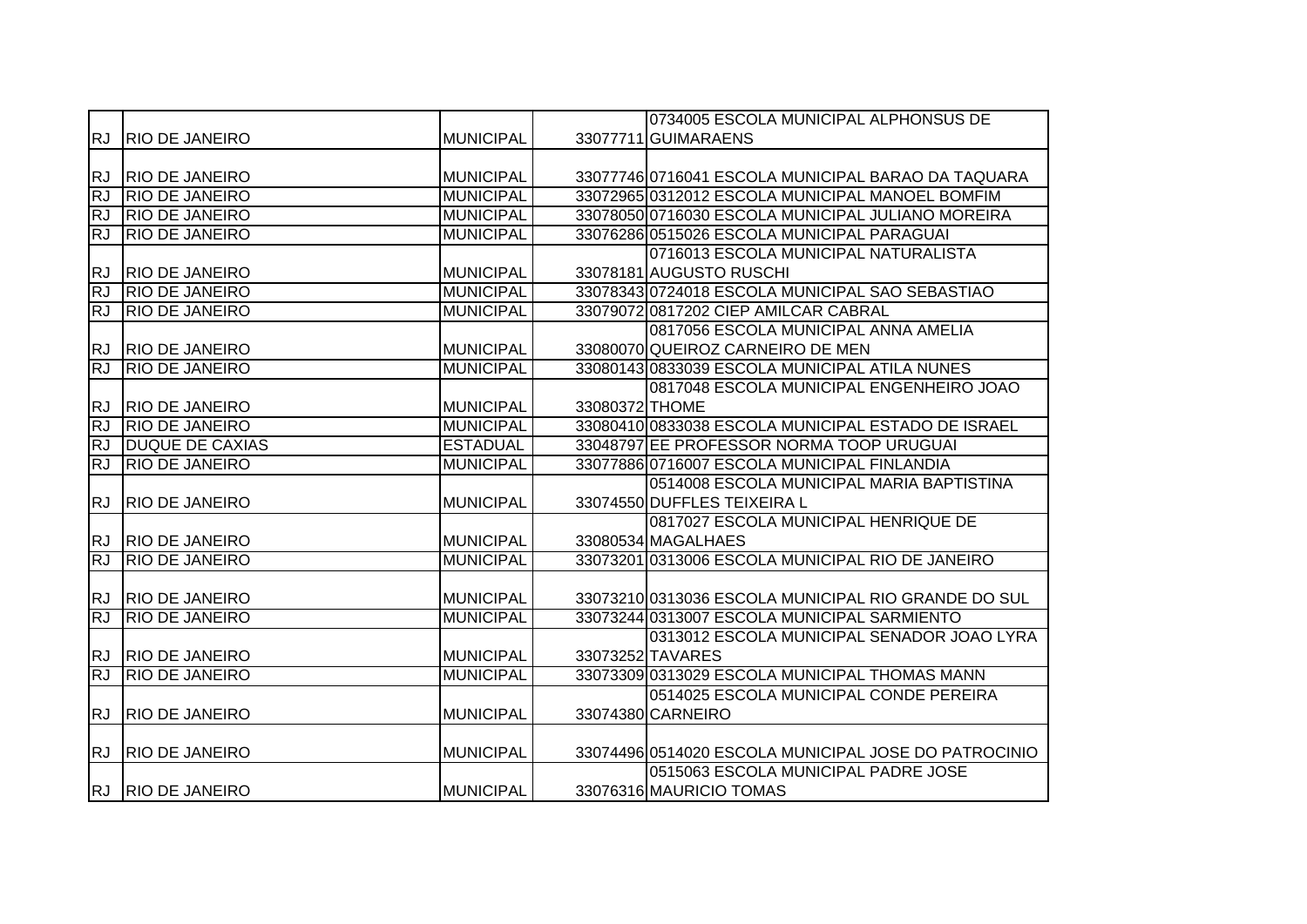|           |                        |                  |                | 0734005 ESCOLA MUNICIPAL ALPHONSUS DE                |
|-----------|------------------------|------------------|----------------|------------------------------------------------------|
|           | RJ RIO DE JANEIRO      | <b>MUNICIPAL</b> |                | 33077711 GUIMARAENS                                  |
|           |                        |                  |                |                                                      |
| <b>RJ</b> | <b>RIO DE JANEIRO</b>  | MUNICIPAL        |                | 33077746 0716041 ESCOLA MUNICIPAL BARAO DA TAQUARA   |
| RJ        | <b>RIO DE JANEIRO</b>  | <b>MUNICIPAL</b> |                | 33072965 0312012 ESCOLA MUNICIPAL MANOEL BOMFIM      |
| <b>RJ</b> | <b>RIO DE JANEIRO</b>  | <b>MUNICIPAL</b> |                | 33078050 0716030 ESCOLA MUNICIPAL JULIANO MOREIRA    |
| <b>RJ</b> | <b>RIO DE JANEIRO</b>  | <b>MUNICIPAL</b> |                | 33076286 0515026 ESCOLA MUNICIPAL PARAGUAI           |
|           |                        |                  |                | 0716013 ESCOLA MUNICIPAL NATURALISTA                 |
| <b>RJ</b> | <b>RIO DE JANEIRO</b>  | <b>MUNICIPAL</b> |                | 33078181 AUGUSTO RUSCHI                              |
| <b>RJ</b> | <b>RIO DE JANEIRO</b>  | <b>MUNICIPAL</b> |                | 33078343 0724018 ESCOLA MUNICIPAL SAO SEBASTIAO      |
| <b>RJ</b> | <b>RIO DE JANEIRO</b>  | <b>MUNICIPAL</b> |                | 33079072 0817202 CIEP AMILCAR CABRAL                 |
|           |                        |                  |                | 0817056 ESCOLA MUNICIPAL ANNA AMELIA                 |
| <b>RJ</b> | <b>RIO DE JANEIRO</b>  | MUNICIPAL        |                | 33080070 QUEIROZ CARNEIRO DE MEN                     |
| <b>RJ</b> | <b>RIO DE JANEIRO</b>  | <b>MUNICIPAL</b> |                | 33080143 0833039 ESCOLA MUNICIPAL ATILA NUNES        |
|           |                        |                  |                | 0817048 ESCOLA MUNICIPAL ENGENHEIRO JOAO             |
| <b>RJ</b> | <b>RIO DE JANEIRO</b>  | <b>MUNICIPAL</b> | 33080372 THOME |                                                      |
| <b>RJ</b> | <b>RIO DE JANEIRO</b>  | <b>MUNICIPAL</b> |                | 33080410 0833038 ESCOLA MUNICIPAL ESTADO DE ISRAEL   |
| <b>RJ</b> | <b>DUQUE DE CAXIAS</b> | <b>ESTADUAL</b>  |                | 33048797 EE PROFESSOR NORMA TOOP URUGUAI             |
| <b>RJ</b> | <b>RIO DE JANEIRO</b>  | <b>MUNICIPAL</b> |                | 33077886 0716007 ESCOLA MUNICIPAL FINLANDIA          |
|           |                        |                  |                | 0514008 ESCOLA MUNICIPAL MARIA BAPTISTINA            |
| <b>RJ</b> | <b>RIO DE JANEIRO</b>  | <b>MUNICIPAL</b> |                | 33074550 DUFFLES TEIXEIRA L                          |
|           |                        |                  |                | 0817027 ESCOLA MUNICIPAL HENRIQUE DE                 |
| <b>RJ</b> | <b>RIO DE JANEIRO</b>  | <b>MUNICIPAL</b> |                | 33080534 MAGALHAES                                   |
| <b>RJ</b> | <b>RIO DE JANEIRO</b>  | <b>MUNICIPAL</b> |                | 33073201 0313006 ESCOLA MUNICIPAL RIO DE JANEIRO     |
|           |                        |                  |                |                                                      |
|           | RJ RIO DE JANEIRO      | <b>MUNICIPAL</b> |                | 33073210 0313036 ESCOLA MUNICIPAL RIO GRANDE DO SUL  |
| RJ        | <b>RIO DE JANEIRO</b>  | <b>MUNICIPAL</b> |                | 33073244 0313007 ESCOLA MUNICIPAL SARMIENTO          |
|           |                        |                  |                | 0313012 ESCOLA MUNICIPAL SENADOR JOAO LYRA           |
| <b>RJ</b> | <b>RIO DE JANEIRO</b>  | <b>MUNICIPAL</b> |                | 33073252 TAVARES                                     |
| <b>RJ</b> | <b>RIO DE JANEIRO</b>  | <b>MUNICIPAL</b> |                | 33073309 0313029 ESCOLA MUNICIPAL THOMAS MANN        |
|           |                        |                  |                | 0514025 ESCOLA MUNICIPAL CONDE PEREIRA               |
| <b>RJ</b> | <b>RIO DE JANEIRO</b>  | <b>MUNICIPAL</b> |                | 33074380 CARNEIRO                                    |
|           |                        |                  |                |                                                      |
| <b>RJ</b> | <b>RIO DE JANEIRO</b>  | <b>MUNICIPAL</b> |                | 33074496 0514020 ESCOLA MUNICIPAL JOSE DO PATROCINIO |
|           |                        |                  |                | 0515063 ESCOLA MUNICIPAL PADRE JOSE                  |
|           | RJ RIO DE JANEIRO      | MUNICIPAL        |                | 33076316 MAURICIO TOMAS                              |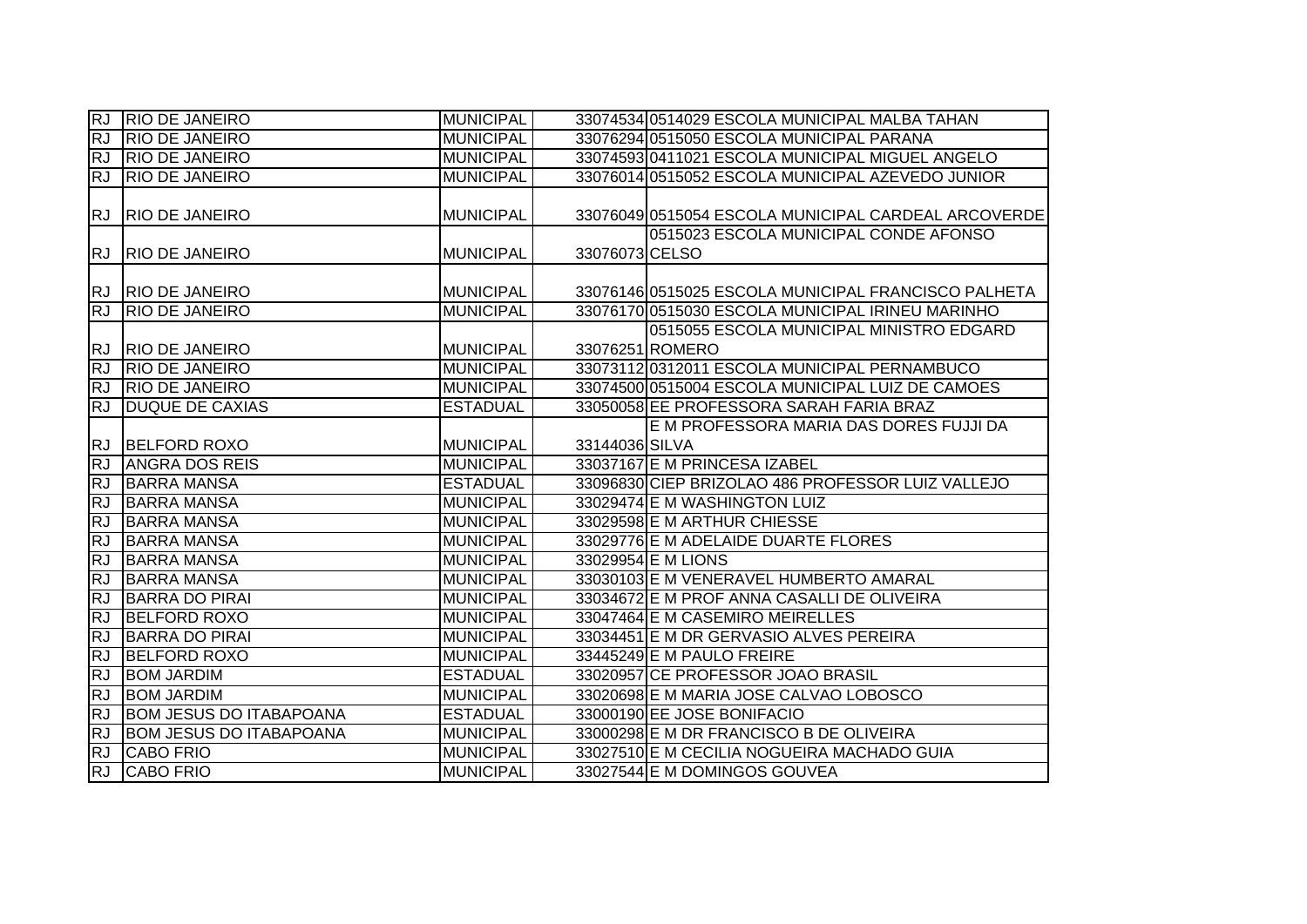| <b>RJ</b> | <b>RIO DE JANEIRO</b>          | MUNICIPAL        |                | 33074534 0514029 ESCOLA MUNICIPAL MALBA TAHAN               |
|-----------|--------------------------------|------------------|----------------|-------------------------------------------------------------|
| <b>RJ</b> | <b>RIO DE JANEIRO</b>          | <b>MUNICIPAL</b> |                | 33076294 0515050 ESCOLA MUNICIPAL PARANA                    |
| <b>RJ</b> | <b>RIO DE JANEIRO</b>          | <b>MUNICIPAL</b> |                | 33074593 0411021 ESCOLA MUNICIPAL MIGUEL ANGELO             |
| RJ        | <b>RIO DE JANEIRO</b>          | <b>MUNICIPAL</b> |                | 33076014 0515052 ESCOLA MUNICIPAL AZEVEDO JUNIOR            |
| <b>RJ</b> | <b>RIO DE JANEIRO</b>          | <b>MUNICIPAL</b> |                | 33076049 0515054 ESCOLA MUNICIPAL CARDEAL ARCOVERDE         |
| <b>RJ</b> | <b>RIO DE JANEIRO</b>          | <b>MUNICIPAL</b> | 33076073 CELSO | 0515023 ESCOLA MUNICIPAL CONDE AFONSO                       |
|           | RJ RIO DE JANEIRO              | <b>MUNICIPAL</b> |                | 33076146 0515025 ESCOLA MUNICIPAL FRANCISCO PALHETA         |
| <b>RJ</b> | <b>RIO DE JANEIRO</b>          | <b>MUNICIPAL</b> |                | 33076170 0515030 ESCOLA MUNICIPAL IRINEU MARINHO            |
| <b>RJ</b> | <b>RIO DE JANEIRO</b>          | <b>MUNICIPAL</b> |                | 0515055 ESCOLA MUNICIPAL MINISTRO EDGARD<br>33076251 ROMERO |
| <b>RJ</b> | <b>RIO DE JANEIRO</b>          | <b>MUNICIPAL</b> |                | 33073112 0312011 ESCOLA MUNICIPAL PERNAMBUCO                |
| <b>RJ</b> | <b>RIO DE JANEIRO</b>          | <b>MUNICIPAL</b> |                | 33074500 0515004 ESCOLA MUNICIPAL LUIZ DE CAMOES            |
| <b>RJ</b> | <b>DUQUE DE CAXIAS</b>         | <b>ESTADUAL</b>  |                | 33050058 EE PROFESSORA SARAH FARIA BRAZ                     |
|           |                                |                  |                | E M PROFESSORA MARIA DAS DORES FUJJI DA                     |
|           | RJ BELFORD ROXO                | <b>MUNICIPAL</b> | 33144036 SILVA |                                                             |
| <b>RJ</b> | <b>ANGRA DOS REIS</b>          | <b>MUNICIPAL</b> |                | 33037167 E M PRINCESA IZABEL                                |
| <b>RJ</b> | <b>BARRA MANSA</b>             | <b>ESTADUAL</b>  |                | 33096830 CIEP BRIZOLAO 486 PROFESSOR LUIZ VALLEJO           |
| <b>RJ</b> | <b>BARRA MANSA</b>             | <b>MUNICIPAL</b> |                | 33029474 E M WASHINGTON LUIZ                                |
| RJ        | <b>BARRA MANSA</b>             | <b>MUNICIPAL</b> |                | 33029598 E M ARTHUR CHIESSE                                 |
| <b>RJ</b> | <b>BARRA MANSA</b>             | <b>MUNICIPAL</b> |                | 33029776 E M ADELAIDE DUARTE FLORES                         |
| RJ        | <b>BARRA MANSA</b>             | <b>MUNICIPAL</b> |                | 33029954 E M LIONS                                          |
| <b>RJ</b> | <b>BARRA MANSA</b>             | <b>MUNICIPAL</b> |                | 33030103 E M VENERAVEL HUMBERTO AMARAL                      |
| RJ        | <b>BARRA DO PIRAI</b>          | <b>MUNICIPAL</b> |                | 33034672 E M PROF ANNA CASALLI DE OLIVEIRA                  |
| RJ        | <b>BELFORD ROXO</b>            | <b>MUNICIPAL</b> |                | 33047464 E M CASEMIRO MEIRELLES                             |
| <b>RJ</b> | <b>BARRA DO PIRAI</b>          | <b>MUNICIPAL</b> |                | 33034451 E M DR GERVASIO ALVES PEREIRA                      |
| RJ        | <b>BELFORD ROXO</b>            | <b>MUNICIPAL</b> |                | 33445249 E M PAULO FREIRE                                   |
| <b>RJ</b> | <b>BOM JARDIM</b>              | <b>ESTADUAL</b>  |                | 33020957 CE PROFESSOR JOAO BRASIL                           |
| <b>RJ</b> | <b>BOM JARDIM</b>              | <b>MUNICIPAL</b> |                | 33020698 E M MARIA JOSE CALVAO LOBOSCO                      |
| <b>RJ</b> | <b>BOM JESUS DO ITABAPOANA</b> | <b>ESTADUAL</b>  |                | 33000190 EE JOSE BONIFACIO                                  |
| RJ        | <b>BOM JESUS DO ITABAPOANA</b> | <b>MUNICIPAL</b> |                | 33000298 E M DR FRANCISCO B DE OLIVEIRA                     |
| <b>RJ</b> | <b>CABO FRIO</b>               | <b>MUNICIPAL</b> |                | 33027510 E M CECILIA NOGUEIRA MACHADO GUIA                  |
| RJ        | <b>CABO FRIO</b>               | <b>MUNICIPAL</b> |                | 33027544 E M DOMINGOS GOUVEA                                |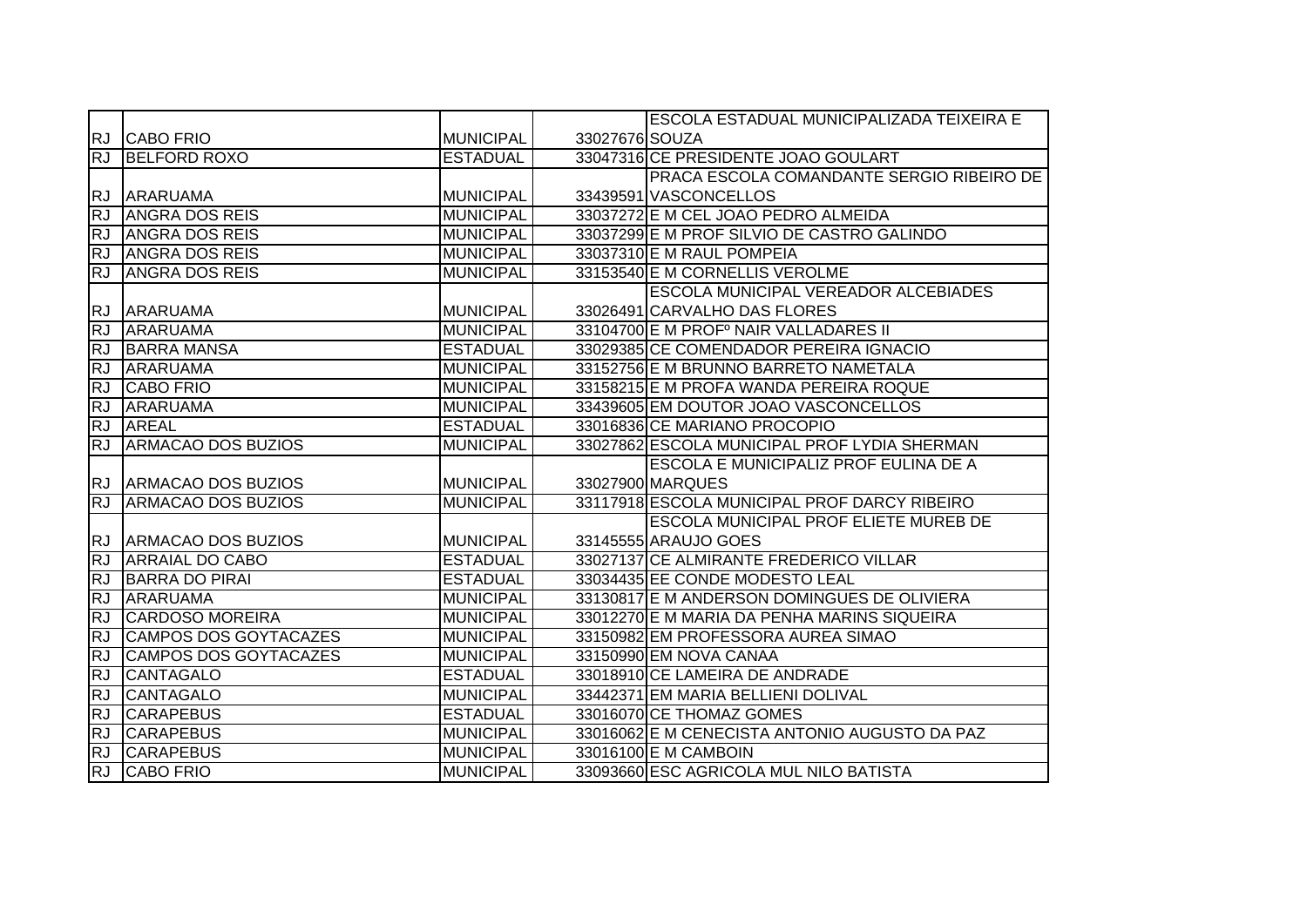|           |                              |                  |                | ESCOLA ESTADUAL MUNICIPALIZADA TEIXEIRA E     |
|-----------|------------------------------|------------------|----------------|-----------------------------------------------|
|           | <b>RJ CABO FRIO</b>          | <b>MUNICIPAL</b> | 33027676 SOUZA |                                               |
| RJ        | <b>BELFORD ROXO</b>          | <b>ESTADUAL</b>  |                | 33047316 CE PRESIDENTE JOAO GOULART           |
|           |                              |                  |                | PRACA ESCOLA COMANDANTE SERGIO RIBEIRO DE     |
| RJ        | <b>ARARUAMA</b>              | <b>MUNICIPAL</b> |                | 33439591 VASCONCELLOS                         |
| RJ        | <b>ANGRA DOS REIS</b>        | <b>MUNICIPAL</b> |                | 33037272 E M CEL JOAO PEDRO ALMEIDA           |
| <b>RJ</b> | <b>ANGRA DOS REIS</b>        | <b>MUNICIPAL</b> |                | 33037299 E M PROF SILVIO DE CASTRO GALINDO    |
| RJ        | <b>ANGRA DOS REIS</b>        | <b>MUNICIPAL</b> |                | 33037310 E M RAUL POMPEIA                     |
| <b>RJ</b> | <b>ANGRA DOS REIS</b>        | <b>MUNICIPAL</b> |                | 33153540 E M CORNELLIS VEROLME                |
|           |                              |                  |                | ESCOLA MUNICIPAL VEREADOR ALCEBIADES          |
|           | RJ ARARUAMA                  | MUNICIPAL        |                | 33026491 CARVALHO DAS FLORES                  |
| <b>RJ</b> | <b>ARARUAMA</b>              | <b>MUNICIPAL</b> |                | 33104700 E M PROFº NAIR VALLADARES II         |
| <b>RJ</b> | <b>BARRA MANSA</b>           | <b>ESTADUAL</b>  |                | 33029385 CE COMENDADOR PEREIRA IGNACIO        |
| <b>RJ</b> | <b>ARARUAMA</b>              | <b>MUNICIPAL</b> |                | 33152756 E M BRUNNO BARRETO NAMETALA          |
| RJ        | <b>CABO FRIO</b>             | <b>MUNICIPAL</b> |                | 33158215 E M PROFA WANDA PEREIRA ROQUE        |
| <b>RJ</b> | ARARUAMA                     | <b>MUNICIPAL</b> |                | 33439605 EM DOUTOR JOAO VASCONCELLOS          |
| <b>RJ</b> | <b>AREAL</b>                 | <b>ESTADUAL</b>  |                | 33016836 CE MARIANO PROCOPIO                  |
| <b>RJ</b> | <b>ARMACAO DOS BUZIOS</b>    | <b>MUNICIPAL</b> |                | 33027862 ESCOLA MUNICIPAL PROF LYDIA SHERMAN  |
|           |                              |                  |                | ESCOLA E MUNICIPALIZ PROF EULINA DE A         |
|           | RJ ARMACAO DOS BUZIOS        | <b>MUNICIPAL</b> |                | 33027900 MARQUES                              |
| RJ        | <b>ARMACAO DOS BUZIOS</b>    | <b>MUNICIPAL</b> |                | 33117918 ESCOLA MUNICIPAL PROF DARCY RIBEIRO  |
|           |                              |                  |                | ESCOLA MUNICIPAL PROF ELIETE MUREB DE         |
|           | RJ ARMACAO DOS BUZIOS        | <b>MUNICIPAL</b> |                | 33145555 ARAUJO GOES                          |
| RJ        | <b>ARRAIAL DO CABO</b>       | <b>ESTADUAL</b>  |                | 33027137 CE ALMIRANTE FREDERICO VILLAR        |
| <b>RJ</b> | <b>BARRA DO PIRAI</b>        | <b>ESTADUAL</b>  |                | 33034435 EE CONDE MODESTO LEAL                |
| <b>RJ</b> | <b>ARARUAMA</b>              | <b>MUNICIPAL</b> |                | 33130817 E M ANDERSON DOMINGUES DE OLIVIERA   |
| <b>RJ</b> | <b>CARDOSO MOREIRA</b>       | <b>MUNICIPAL</b> |                | 33012270 E M MARIA DA PENHA MARINS SIQUEIRA   |
| <b>RJ</b> | <b>CAMPOS DOS GOYTACAZES</b> | <b>MUNICIPAL</b> |                | 33150982 EM PROFESSORA AUREA SIMAO            |
| <b>RJ</b> | <b>CAMPOS DOS GOYTACAZES</b> | <b>MUNICIPAL</b> |                | 33150990 EM NOVA CANAA                        |
| <b>RJ</b> | <b>CANTAGALO</b>             | <b>ESTADUAL</b>  |                | 33018910 CE LAMEIRA DE ANDRADE                |
| RJ        | <b>CANTAGALO</b>             | <b>MUNICIPAL</b> |                | 33442371 EM MARIA BELLIENI DOLIVAL            |
| <b>RJ</b> | <b>CARAPEBUS</b>             | <b>ESTADUAL</b>  |                | 33016070 CE THOMAZ GOMES                      |
| RJ        | <b>CARAPEBUS</b>             | <b>MUNICIPAL</b> |                | 33016062 E M CENECISTA ANTONIO AUGUSTO DA PAZ |
| RJ        | <b>CARAPEBUS</b>             | <b>MUNICIPAL</b> |                | 33016100 E M CAMBOIN                          |
| RJ        | <b>CABO FRIO</b>             | <b>MUNICIPAL</b> |                | 33093660 ESC AGRICOLA MUL NILO BATISTA        |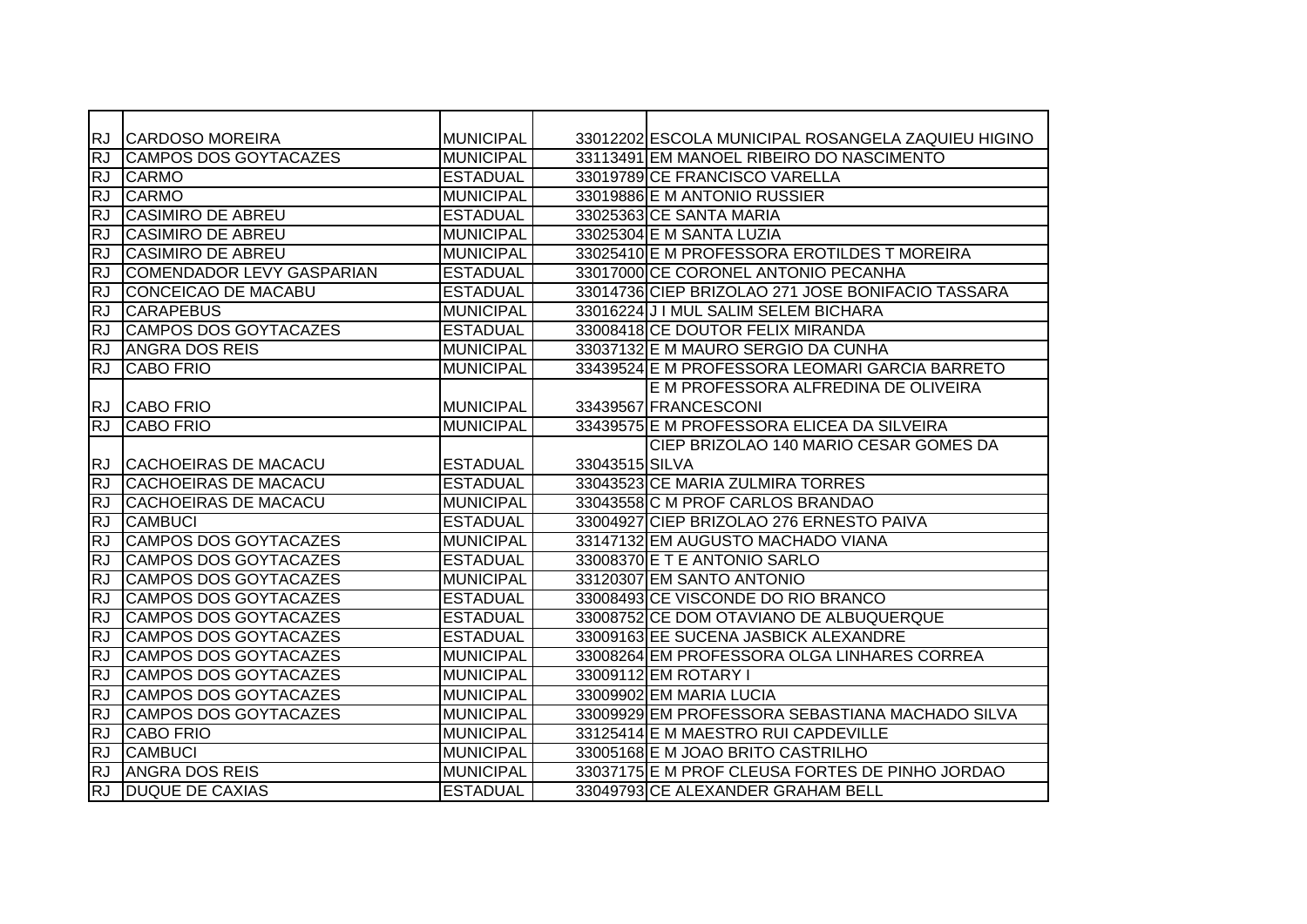| <b>RJ</b>  | <b>CARDOSO MOREIRA</b>       | <b>MUNICIPAL</b> |                | 33012202 ESCOLA MUNICIPAL ROSANGELA ZAQUIEU HIGINO |
|------------|------------------------------|------------------|----------------|----------------------------------------------------|
| <b>RJ</b>  | CAMPOS DOS GOYTACAZES        | <b>MUNICIPAL</b> |                | 33113491 EM MANOEL RIBEIRO DO NASCIMENTO           |
| ĪRJ        | <b>CARMO</b>                 | <b>ESTADUAL</b>  |                | 33019789 CE FRANCISCO VARELLA                      |
| <b>RJ</b>  | <b>CARMO</b>                 | <b>MUNICIPAL</b> |                | 33019886 E M ANTONIO RUSSIER                       |
| <b>RJ</b>  | <b>CASIMIRO DE ABREU</b>     | <b>ESTADUAL</b>  |                | 33025363 CE SANTA MARIA                            |
| <b>RJ</b>  | <b>CASIMIRO DE ABREU</b>     | <b>MUNICIPAL</b> |                | 33025304 E M SANTA LUZIA                           |
| <b>RJ</b>  | <b>CASIMIRO DE ABREU</b>     | <b>MUNICIPAL</b> |                | 33025410 E M PROFESSORA EROTILDES T MOREIRA        |
| <b>RJ</b>  | COMENDADOR LEVY GASPARIAN    | <b>ESTADUAL</b>  |                | 33017000 CE CORONEL ANTONIO PECANHA                |
| <b>RJ</b>  | <b>CONCEICAO DE MACABU</b>   | <b>ESTADUAL</b>  |                | 33014736 CIEP BRIZOLAO 271 JOSE BONIFACIO TASSARA  |
| <b>RJ</b>  | <b>CARAPEBUS</b>             | <b>MUNICIPAL</b> |                | 33016224 J I MUL SALIM SELEM BICHARA               |
| RJ         | <b>CAMPOS DOS GOYTACAZES</b> | <b>ESTADUAL</b>  |                | 33008418 CE DOUTOR FELIX MIRANDA                   |
| <b>RJ</b>  | <b>ANGRA DOS REIS</b>        | <b>MUNICIPAL</b> |                | 33037132 E M MAURO SERGIO DA CUNHA                 |
| <b>IRJ</b> | <b>CABO FRIO</b>             | <b>MUNICIPAL</b> |                | 33439524 E M PROFESSORA LEOMARI GARCIA BARRETO     |
|            |                              |                  |                | E M PROFESSORA ALFREDINA DE OLIVEIRA               |
| <b>RJ</b>  | <b>CABO FRIO</b>             | <b>MUNICIPAL</b> |                | 33439567 FRANCESCONI                               |
| <b>RJ</b>  | ICABO FRIO                   | <b>MUNICIPAL</b> |                | 33439575 E M PROFESSORA ELICEA DA SILVEIRA         |
|            |                              |                  |                | CIEP BRIZOLAO 140 MARIO CESAR GOMES DA             |
| <b>RJ</b>  | CACHOEIRAS DE MACACU         | <b>ESTADUAL</b>  | 33043515 SILVA |                                                    |
| <b>RJ</b>  | <b>CACHOEIRAS DE MACACU</b>  | <b>ESTADUAL</b>  |                | 33043523 CE MARIA ZULMIRA TORRES                   |
| <b>RJ</b>  | <b>CACHOEIRAS DE MACACU</b>  | <b>MUNICIPAL</b> |                | 33043558 C M PROF CARLOS BRANDAO                   |
| <b>RJ</b>  | <b>CAMBUCI</b>               | <b>ESTADUAL</b>  |                | 33004927 CIEP BRIZOLAO 276 ERNESTO PAIVA           |
| <b>RJ</b>  | <b>CAMPOS DOS GOYTACAZES</b> | <b>MUNICIPAL</b> |                | 33147132 EM AUGUSTO MACHADO VIANA                  |
| <b>RJ</b>  | <b>CAMPOS DOS GOYTACAZES</b> | <b>ESTADUAL</b>  |                | 33008370 E T E ANTONIO SARLO                       |
| <b>RJ</b>  | <b>CAMPOS DOS GOYTACAZES</b> | <b>MUNICIPAL</b> |                | 33120307 EM SANTO ANTONIO                          |
| RJ         | CAMPOS DOS GOYTACAZES        | <b>ESTADUAL</b>  |                | 33008493 CE VISCONDE DO RIO BRANCO                 |
| RJ         | CAMPOS DOS GOYTACAZES        | <b>ESTADUAL</b>  |                | 33008752 CE DOM OTAVIANO DE ALBUQUERQUE            |
| <b>RJ</b>  | CAMPOS DOS GOYTACAZES        | <b>ESTADUAL</b>  |                | 33009163 EE SUCENA JASBICK ALEXANDRE               |
| <b>RJ</b>  | CAMPOS DOS GOYTACAZES        | <b>MUNICIPAL</b> |                | 33008264 EM PROFESSORA OLGA LINHARES CORREA        |
| RJ         | CAMPOS DOS GOYTACAZES        | <b>MUNICIPAL</b> |                | 33009112 EM ROTARY I                               |
| <b>RJ</b>  | CAMPOS DOS GOYTACAZES        | <b>MUNICIPAL</b> |                | 33009902 EM MARIA LUCIA                            |
| <b>RJ</b>  | CAMPOS DOS GOYTACAZES        | <b>MUNICIPAL</b> |                | 33009929 EM PROFESSORA SEBASTIANA MACHADO SILVA    |
| <b>RJ</b>  | <b>CABO FRIO</b>             | <b>MUNICIPAL</b> |                | 33125414 E M MAESTRO RUI CAPDEVILLE                |
| <b>RJ</b>  | <b>CAMBUCI</b>               | <b>MUNICIPAL</b> |                | 33005168 E M JOAO BRITO CASTRILHO                  |
| <b>RJ</b>  | <b>ANGRA DOS REIS</b>        | <b>MUNICIPAL</b> |                | 33037175 E M PROF CLEUSA FORTES DE PINHO JORDAO    |
| <b>RJ</b>  | <b>DUQUE DE CAXIAS</b>       | <b>ESTADUAL</b>  |                | 33049793 CE ALEXANDER GRAHAM BELL                  |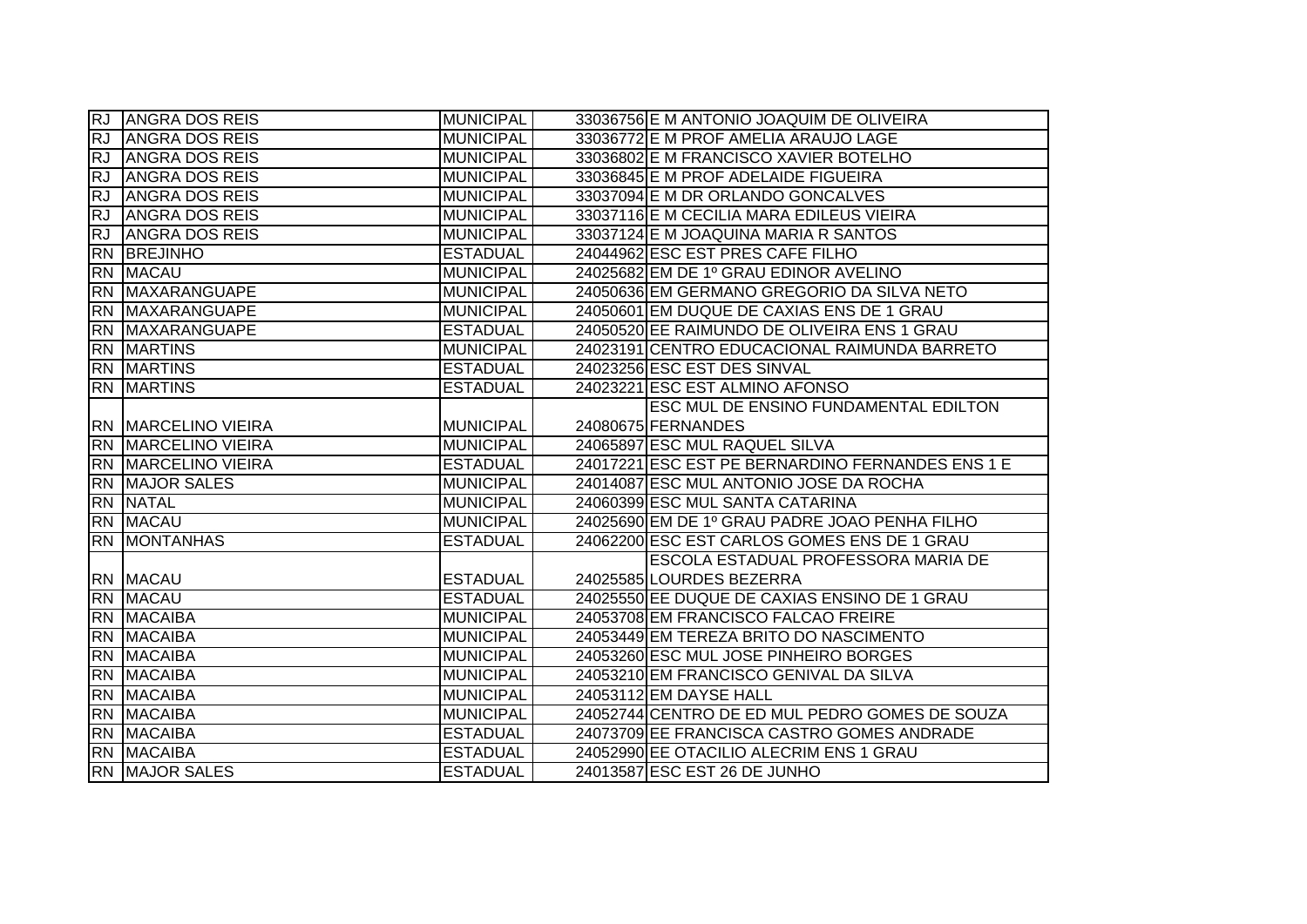| RJ.       | <b>ANGRA DOS REIS</b>       | <b>MUNICIPAL</b> | 33036756 E M ANTONIO JOAQUIM DE OLIVEIRA         |
|-----------|-----------------------------|------------------|--------------------------------------------------|
| <b>RJ</b> | <b>ANGRA DOS REIS</b>       | <b>MUNICIPAL</b> | 33036772 E M PROF AMELIA ARAUJO LAGE             |
| <b>RJ</b> | <b>ANGRA DOS REIS</b>       | <b>MUNICIPAL</b> | 33036802 E M FRANCISCO XAVIER BOTELHO            |
| <b>RJ</b> | <b>ANGRA DOS REIS</b>       | <b>MUNICIPAL</b> | 33036845 E M PROF ADELAIDE FIGUEIRA              |
| RJ        | <b>ANGRA DOS REIS</b>       | <b>MUNICIPAL</b> | 33037094 E M DR ORLANDO GONCALVES                |
| <b>RJ</b> | <b>ANGRA DOS REIS</b>       | <b>MUNICIPAL</b> | 33037116 E M CECILIA MARA EDILEUS VIEIRA         |
| <b>RJ</b> | <b>ANGRA DOS REIS</b>       | <b>MUNICIPAL</b> | 33037124 E M JOAQUINA MARIA R SANTOS             |
|           | RN BREJINHO                 | <b>ESTADUAL</b>  | 24044962 ESC EST PRES CAFE FILHO                 |
|           | <b>RN MACAU</b>             | <b>MUNICIPAL</b> | 24025682 EM DE 1º GRAU EDINOR AVELINO            |
|           | RN MAXARANGUAPE             | <b>MUNICIPAL</b> | 24050636 EM GERMANO GREGORIO DA SILVA NETO       |
|           | <b>RN MAXARANGUAPE</b>      | <b>MUNICIPAL</b> | 24050601 EM DUQUE DE CAXIAS ENS DE 1 GRAU        |
|           | RN MAXARANGUAPE             | <b>ESTADUAL</b>  | 24050520 EE RAIMUNDO DE OLIVEIRA ENS 1 GRAU      |
|           | <b>RN MARTINS</b>           | <b>MUNICIPAL</b> | 24023191 CENTRO EDUCACIONAL RAIMUNDA BARRETO     |
|           | <b>RN MARTINS</b>           | <b>ESTADUAL</b>  | 24023256 ESC EST DES SINVAL                      |
|           | <b>RN MARTINS</b>           | <b>ESTADUAL</b>  | 24023221 ESC EST ALMINO AFONSO                   |
|           |                             |                  | <b>ESC MUL DE ENSINO FUNDAMENTAL EDILTON</b>     |
|           | <b>RN MARCELINO VIEIRA</b>  | <b>MUNICIPAL</b> | 24080675 FERNANDES                               |
|           | <b>RN IMARCELINO VIEIRA</b> | <b>MUNICIPAL</b> | 24065897 ESC MUL RAQUEL SILVA                    |
|           | <b>RN MARCELINO VIEIRA</b>  | <b>ESTADUAL</b>  | 24017221 ESC EST PE BERNARDINO FERNANDES ENS 1 E |
|           | <b>RN MAJOR SALES</b>       | <b>MUNICIPAL</b> | 24014087 ESC MUL ANTONIO JOSE DA ROCHA           |
|           | RN NATAL                    | <b>MUNICIPAL</b> | 24060399 ESC MUL SANTA CATARINA                  |
|           | RN MACAU                    | <b>MUNICIPAL</b> | 24025690 EM DE 1º GRAU PADRE JOAO PENHA FILHO    |
|           | <b>RN MONTANHAS</b>         | <b>ESTADUAL</b>  | 24062200 ESC EST CARLOS GOMES ENS DE 1 GRAU      |
|           |                             |                  | ESCOLA ESTADUAL PROFESSORA MARIA DE              |
|           | RN MACAU                    | <b>ESTADUAL</b>  | 24025585 LOURDES BEZERRA                         |
|           | RN MACAU                    | <b>ESTADUAL</b>  | 24025550 EE DUQUE DE CAXIAS ENSINO DE 1 GRAU     |
|           | RN MACAIBA                  | <b>MUNICIPAL</b> | 24053708 EM FRANCISCO FALCAO FREIRE              |
|           | RN MACAIBA                  | <b>MUNICIPAL</b> | 24053449 EM TEREZA BRITO DO NASCIMENTO           |
|           | <b>RN MACAIBA</b>           | <b>MUNICIPAL</b> | 24053260 ESC MUL JOSE PINHEIRO BORGES            |
|           | RN MACAIBA                  | <b>MUNICIPAL</b> | 24053210 EM FRANCISCO GENIVAL DA SILVA           |
|           | <b>RN MACAIBA</b>           | <b>MUNICIPAL</b> | 24053112 EM DAYSE HALL                           |
|           | RN MACAIBA                  | <b>MUNICIPAL</b> | 24052744 CENTRO DE ED MUL PEDRO GOMES DE SOUZA   |
|           | <b>RN MACAIBA</b>           | <b>ESTADUAL</b>  | 24073709 EE FRANCISCA CASTRO GOMES ANDRADE       |
|           | RN MACAIBA                  | <b>ESTADUAL</b>  | 24052990 EE OTACILIO ALECRIM ENS 1 GRAU          |
|           | <b>RN MAJOR SALES</b>       | <b>ESTADUAL</b>  | 24013587 ESC EST 26 DE JUNHO                     |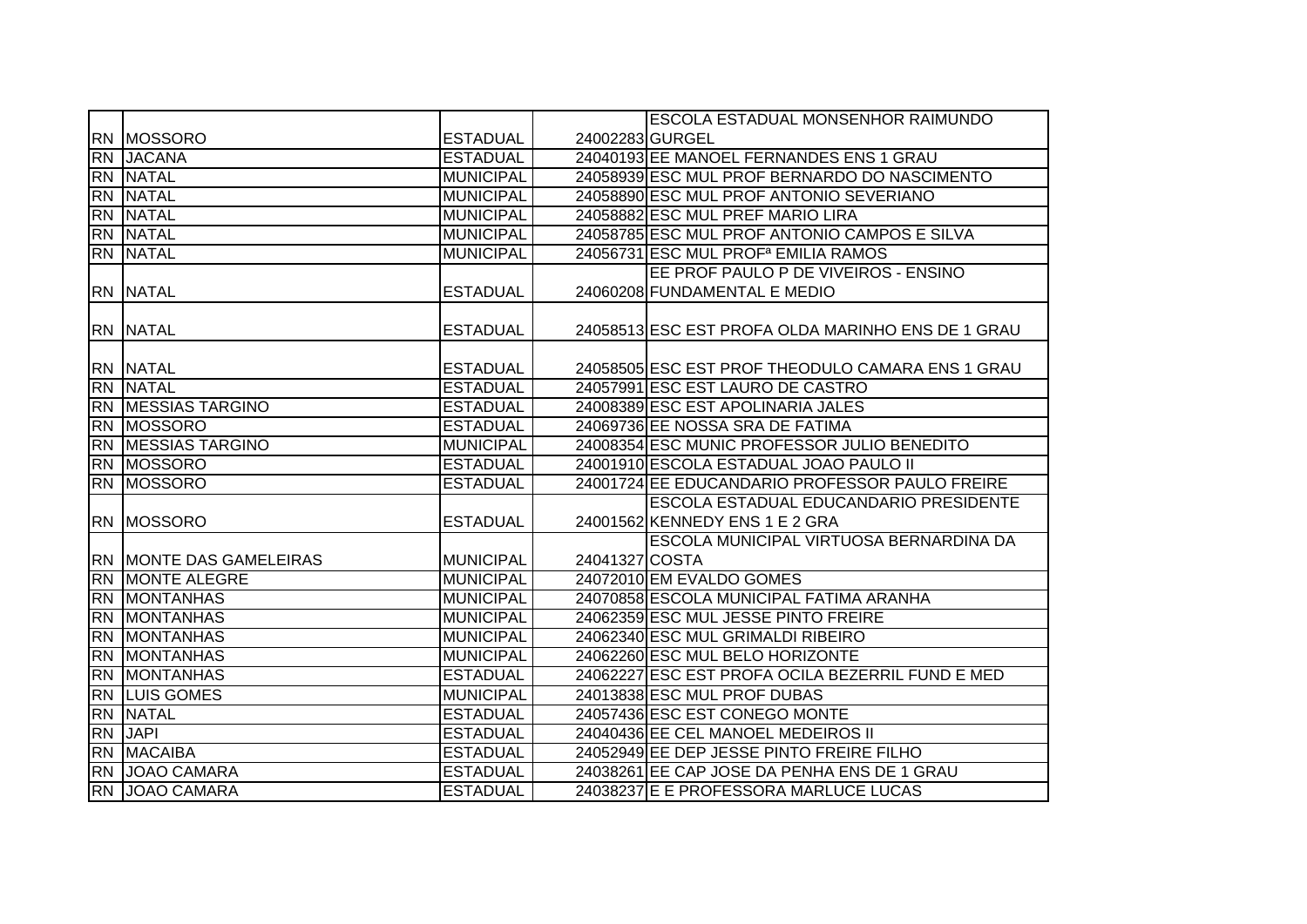|           |                                |                  |                | <b>ESCOLA ESTADUAL MONSENHOR RAIMUNDO</b>         |
|-----------|--------------------------------|------------------|----------------|---------------------------------------------------|
|           | <b>RN MOSSORO</b>              | <b>ESTADUAL</b>  |                | 24002283 GURGEL                                   |
|           | RN JACANA                      | <b>ESTADUAL</b>  |                | 24040193 EE MANOEL FERNANDES ENS 1 GRAU           |
|           | <b>RN NATAL</b>                | <b>MUNICIPAL</b> |                | 24058939 ESC MUL PROF BERNARDO DO NASCIMENTO      |
|           | <b>RN NATAL</b>                | <b>MUNICIPAL</b> |                | 24058890 ESC MUL PROF ANTONIO SEVERIANO           |
|           | <b>RN NATAL</b>                | <b>MUNICIPAL</b> |                | 24058882 ESC MUL PREF MARIO LIRA                  |
|           | <b>RN NATAL</b>                | <b>MUNICIPAL</b> |                | 24058785 ESC MUL PROF ANTONIO CAMPOS E SILVA      |
|           | <b>RN NATAL</b>                | <b>MUNICIPAL</b> |                | 24056731 ESC MUL PROF <sup>a</sup> EMILIA RAMOS   |
|           |                                |                  |                | EE PROF PAULO P DE VIVEIROS - ENSINO              |
|           | RN NATAL                       | <b>ESTADUAL</b>  |                | 24060208 FUNDAMENTAL E MEDIO                      |
|           | <b>RN NATAL</b>                | <b>ESTADUAL</b>  |                | 24058513 ESC EST PROFA OLDA MARINHO ENS DE 1 GRAU |
|           | <b>RN NATAL</b>                | <b>ESTADUAL</b>  |                | 24058505 ESC EST PROF THEODULO CAMARA ENS 1 GRAU  |
|           | <b>RN NATAL</b>                | <b>ESTADUAL</b>  |                | 24057991 ESC EST LAURO DE CASTRO                  |
|           | RN MESSIAS TARGINO             | <b>ESTADUAL</b>  |                | 24008389 ESC EST APOLINARIA JALES                 |
|           | <b>RN MOSSORO</b>              | <b>ESTADUAL</b>  |                | 24069736 EE NOSSA SRA DE FATIMA                   |
|           | RN MESSIAS TARGINO             | <b>MUNICIPAL</b> |                | 24008354 ESC MUNIC PROFESSOR JULIO BENEDITO       |
|           | <b>RN MOSSORO</b>              | <b>ESTADUAL</b>  |                | 24001910 ESCOLA ESTADUAL JOAO PAULO II            |
|           | <b>RN MOSSORO</b>              | <b>ESTADUAL</b>  |                | 24001724 EE EDUCANDARIO PROFESSOR PAULO FREIRE    |
|           |                                |                  |                | ESCOLA ESTADUAL EDUCANDARIO PRESIDENTE            |
|           | <b>RN MOSSORO</b>              | <b>ESTADUAL</b>  |                | 24001562 KENNEDY ENS 1 E 2 GRA                    |
|           |                                |                  |                | ESCOLA MUNICIPAL VIRTUOSA BERNARDINA DA           |
|           | <b>RN MONTE DAS GAMELEIRAS</b> | <b>MUNICIPAL</b> | 24041327 COSTA |                                                   |
|           | <b>RN MONTE ALEGRE</b>         | <b>MUNICIPAL</b> |                | 24072010 EM EVALDO GOMES                          |
|           | <b>RN MONTANHAS</b>            | <b>MUNICIPAL</b> |                | 24070858 ESCOLA MUNICIPAL FATIMA ARANHA           |
| <b>RN</b> | <b>MONTANHAS</b>               | <b>MUNICIPAL</b> |                | 24062359 ESC MUL JESSE PINTO FREIRE               |
| <b>RN</b> | <b>MONTANHAS</b>               | <b>MUNICIPAL</b> |                | 24062340 ESC MUL GRIMALDI RIBEIRO                 |
| <b>RN</b> | <b>MONTANHAS</b>               | <b>MUNICIPAL</b> |                | 24062260 ESC MUL BELO HORIZONTE                   |
| <b>RN</b> | <b>MONTANHAS</b>               | <b>ESTADUAL</b>  |                | 24062227 ESC EST PROFA OCILA BEZERRIL FUND E MED  |
|           | <b>RN LUIS GOMES</b>           | <b>MUNICIPAL</b> |                | 24013838 ESC MUL PROF DUBAS                       |
|           | <b>RN NATAL</b>                | <b>ESTADUAL</b>  |                | 24057436 ESC EST CONEGO MONTE                     |
|           | <b>RN JAPI</b>                 | <b>ESTADUAL</b>  |                | 24040436 EE CEL MANOEL MEDEIROS II                |
|           | <b>RN MACAIBA</b>              | <b>ESTADUAL</b>  |                | 24052949 EE DEP JESSE PINTO FREIRE FILHO          |
|           | RN JOAO CAMARA                 | <b>ESTADUAL</b>  |                | 24038261 EE CAP JOSE DA PENHA ENS DE 1 GRAU       |
|           | RN JOAO CAMARA                 | <b>ESTADUAL</b>  |                | 24038237 E E PROFESSORA MARLUCE LUCAS             |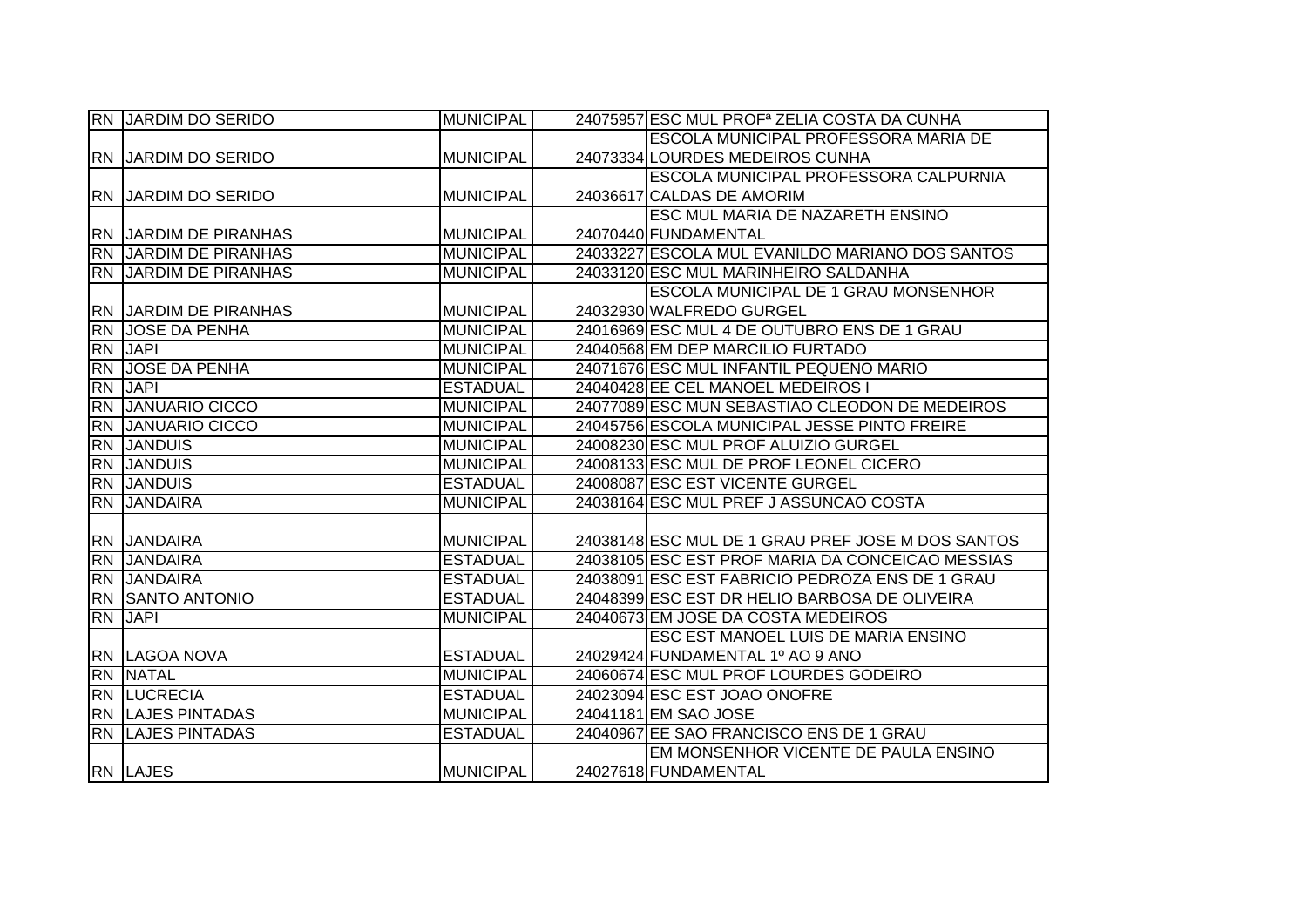| RN JARDIM DO SERIDO          | <b>MUNICIPAL</b> | 24075957 ESC MUL PROF <sup>a</sup> ZELIA COSTA DA CUNHA |
|------------------------------|------------------|---------------------------------------------------------|
|                              |                  | <b>IESCOLA MUNICIPAL PROFESSORA MARIA DE</b>            |
| <b>RN JARDIM DO SERIDO</b>   | <b>MUNICIPAL</b> | 24073334 LOURDES MEDEIROS CUNHA                         |
|                              |                  | <b>ESCOLA MUNICIPAL PROFESSORA CALPURNIA</b>            |
| <b>RN JARDIM DO SERIDO</b>   | <b>MUNICIPAL</b> | 24036617 CALDAS DE AMORIM                               |
|                              |                  | <b>ESC MUL MARIA DE NAZARETH ENSINO</b>                 |
| <b>RN JARDIM DE PIRANHAS</b> | MUNICIPAL        | 24070440 FUNDAMENTAL                                    |
| <b>RN JARDIM DE PIRANHAS</b> | <b>MUNICIPAL</b> | 24033227 ESCOLA MUL EVANILDO MARIANO DOS SANTOS         |
| <b>RN JARDIM DE PIRANHAS</b> | <b>MUNICIPAL</b> | 24033120 ESC MUL MARINHEIRO SALDANHA                    |
|                              |                  | <b>ESCOLA MUNICIPAL DE 1 GRAU MONSENHOR</b>             |
| <b>RN JARDIM DE PIRANHAS</b> | MUNICIPAL        | 24032930 WALFREDO GURGEL                                |
| <b>RN JOSE DA PENHA</b>      | <b>MUNICIPAL</b> | 24016969 ESC MUL 4 DE OUTUBRO ENS DE 1 GRAU             |
| RN JAPI                      | <b>MUNICIPAL</b> | 24040568 EM DEP MARCILIO FURTADO                        |
| <b>RN JOSE DA PENHA</b>      | <b>MUNICIPAL</b> | 24071676 ESC MUL INFANTIL PEQUENO MARIO                 |
| RN JAPI                      | <b>ESTADUAL</b>  | 24040428 EE CEL MANOEL MEDEIROS I                       |
| RN JANUARIO CICCO            | <b>MUNICIPAL</b> | 24077089 ESC MUN SEBASTIAO CLEODON DE MEDEIROS          |
| <b>RN JANUARIO CICCO</b>     | <b>MUNICIPAL</b> | 24045756 ESCOLA MUNICIPAL JESSE PINTO FREIRE            |
| <b>RN JANDUIS</b>            | <b>MUNICIPAL</b> | 24008230 ESC MUL PROF ALUIZIO GURGEL                    |
| <b>RN JANDUIS</b>            | <b>MUNICIPAL</b> | 24008133 ESC MUL DE PROF LEONEL CICERO                  |
| <b>RN JANDUIS</b>            | <b>ESTADUAL</b>  | 24008087 ESC EST VICENTE GURGEL                         |
| <b>RN JANDAIRA</b>           | <b>MUNICIPAL</b> | 24038164 ESC MUL PREF J ASSUNCAO COSTA                  |
|                              |                  |                                                         |
| <b>RN JANDAIRA</b>           | <b>MUNICIPAL</b> | 24038148 ESC MUL DE 1 GRAU PREF JOSE M DOS SANTOS       |
| RN JANDAIRA                  | <b>ESTADUAL</b>  | 24038105 ESC EST PROF MARIA DA CONCEICAO MESSIAS        |
| <b>RN</b> JANDAIRA           | <b>ESTADUAL</b>  | 24038091 ESC EST FABRICIO PEDROZA ENS DE 1 GRAU         |
| RN SANTO ANTONIO             | <b>ESTADUAL</b>  | 24048399 ESC EST DR HELIO BARBOSA DE OLIVEIRA           |
| RN JAPI                      | <b>MUNICIPAL</b> | 24040673 EM JOSE DA COSTA MEDEIROS                      |
|                              |                  | ESC EST MANOEL LUIS DE MARIA ENSINO                     |
| <b>RN LAGOA NOVA</b>         | <b>ESTADUAL</b>  | 24029424 FUNDAMENTAL 1º AO 9 ANO                        |
| RN NATAL                     | <b>MUNICIPAL</b> | 24060674 ESC MUL PROF LOURDES GODEIRO                   |
| <b>RN LUCRECIA</b>           | <b>ESTADUAL</b>  | 24023094 ESC EST JOAO ONOFRE                            |
| <b>RN LAJES PINTADAS</b>     | <b>MUNICIPAL</b> | 24041181 EM SAO JOSE                                    |
| <b>RN LAJES PINTADAS</b>     | <b>ESTADUAL</b>  | 24040967 EE SAO FRANCISCO ENS DE 1 GRAU                 |
|                              |                  | EM MONSENHOR VICENTE DE PAULA ENSINO                    |
| <b>RN LAJES</b>              | <b>MUNICIPAL</b> | 24027618 FUNDAMENTAL                                    |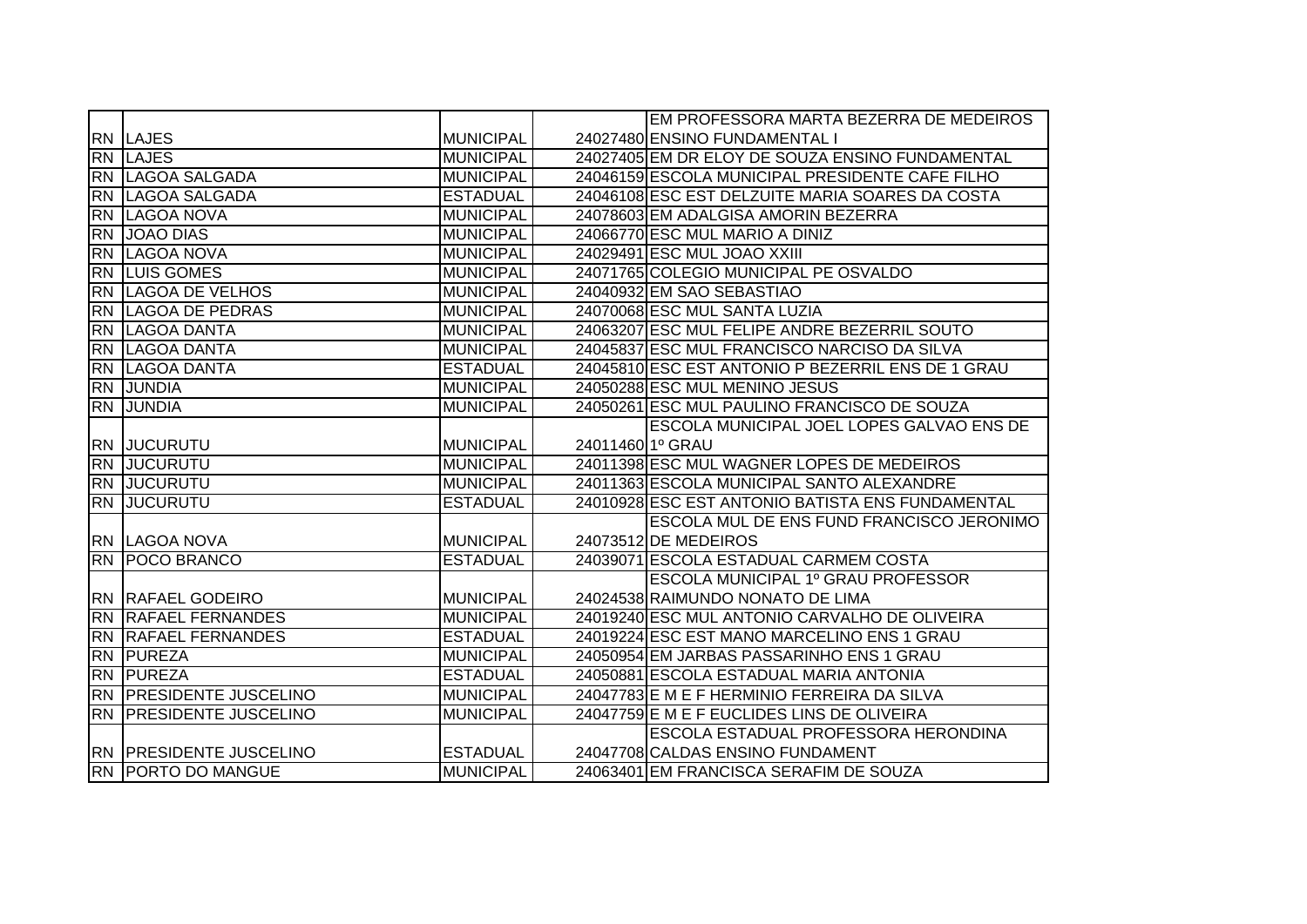|           |                                |                  |                              | EM PROFESSORA MARTA BEZERRA DE MEDEIROS           |
|-----------|--------------------------------|------------------|------------------------------|---------------------------------------------------|
|           | <b>RN LAJES</b>                | <b>MUNICIPAL</b> |                              | 24027480 ENSINO FUNDAMENTAL I                     |
|           | <b>RN LAJES</b>                | <b>MUNICIPAL</b> |                              | 24027405 EM DR ELOY DE SOUZA ENSINO FUNDAMENTAL   |
|           | RN LAGOA SALGADA               | <b>MUNICIPAL</b> |                              | 24046159 ESCOLA MUNICIPAL PRESIDENTE CAFE FILHO   |
| <b>RN</b> | LAGOA SALGADA                  | <b>ESTADUAL</b>  |                              | 24046108 ESC EST DELZUITE MARIA SOARES DA COSTA   |
|           | RN LAGOA NOVA                  | <b>MUNICIPAL</b> |                              | 24078603 EM ADALGISA AMORIN BEZERRA               |
| <b>RN</b> | <b>JOAO DIAS</b>               | <b>MUNICIPAL</b> |                              | 24066770 ESC MUL MARIO A DINIZ                    |
| <b>RN</b> | LAGOA NOVA                     | <b>MUNICIPAL</b> |                              | 24029491 ESC MUL JOAO XXIII                       |
| <b>RN</b> | <b>LUIS GOMES</b>              | <b>MUNICIPAL</b> |                              | 24071765 COLEGIO MUNICIPAL PE OSVALDO             |
|           | <b>RN LAGOA DE VELHOS</b>      | <b>MUNICIPAL</b> |                              | 24040932 EM SAO SEBASTIAO                         |
|           | <b>RN LAGOA DE PEDRAS</b>      | <b>MUNICIPAL</b> |                              | 24070068 ESC MUL SANTA LUZIA                      |
|           | RN LAGOA DANTA                 | <b>MUNICIPAL</b> |                              | 24063207 ESC MUL FELIPE ANDRE BEZERRIL SOUTO      |
|           | <b>RN LAGOA DANTA</b>          | <b>MUNICIPAL</b> |                              | 24045837 ESC MUL FRANCISCO NARCISO DA SILVA       |
|           | <b>RN LAGOA DANTA</b>          | <b>ESTADUAL</b>  |                              | 24045810 ESC EST ANTONIO P BEZERRIL ENS DE 1 GRAU |
|           | RN JUNDIA                      | <b>MUNICIPAL</b> |                              | 24050288 ESC MUL MENINO JESUS                     |
|           | RN JUNDIA                      | <b>MUNICIPAL</b> |                              | 24050261 ESC MUL PAULINO FRANCISCO DE SOUZA       |
|           |                                |                  |                              | ESCOLA MUNICIPAL JOEL LOPES GALVAO ENS DE         |
|           | <b>RN JUCURUTU</b>             | <b>MUNICIPAL</b> | 24011460 1 <sup>°</sup> GRAU |                                                   |
|           | <b>RN JUCURUTU</b>             | MUNICIPAL        |                              | 24011398 ESC MUL WAGNER LOPES DE MEDEIROS         |
|           | <b>RN JUCURUTU</b>             | <b>MUNICIPAL</b> |                              | 24011363 ESCOLA MUNICIPAL SANTO ALEXANDRE         |
| <b>RN</b> | <b>JUCURUTU</b>                | <b>ESTADUAL</b>  |                              | 24010928 ESC EST ANTONIO BATISTA ENS FUNDAMENTAL  |
|           |                                |                  |                              | ESCOLA MUL DE ENS FUND FRANCISCO JERONIMO         |
|           | RN LAGOA NOVA                  | <b>MUNICIPAL</b> |                              | 24073512 DE MEDEIROS                              |
|           | RN POCO BRANCO                 | <b>ESTADUAL</b>  |                              | 24039071 ESCOLA ESTADUAL CARMEM COSTA             |
|           |                                |                  |                              | ESCOLA MUNICIPAL 1º GRAU PROFESSOR                |
|           | <b>RN RAFAEL GODEIRO</b>       | <b>MUNICIPAL</b> |                              | 24024538 RAIMUNDO NONATO DE LIMA                  |
|           | <b>RN RAFAEL FERNANDES</b>     | <b>MUNICIPAL</b> |                              | 24019240 ESC MUL ANTONIO CARVALHO DE OLIVEIRA     |
|           | <b>RN RAFAEL FERNANDES</b>     | <b>ESTADUAL</b>  |                              | 24019224 ESC EST MANO MARCELINO ENS 1 GRAU        |
|           | <b>RN PUREZA</b>               | <b>MUNICIPAL</b> |                              | 24050954 EM JARBAS PASSARINHO ENS 1 GRAU          |
|           | <b>RN PUREZA</b>               | <b>ESTADUAL</b>  |                              | 24050881 ESCOLA ESTADUAL MARIA ANTONIA            |
|           | RN PRESIDENTE JUSCELINO        | <b>MUNICIPAL</b> |                              | 24047783 E M E F HERMINIO FERREIRA DA SILVA       |
|           | <b>RN PRESIDENTE JUSCELINO</b> | <b>MUNICIPAL</b> |                              | 24047759 E M E F EUCLIDES LINS DE OLIVEIRA        |
|           |                                |                  |                              | ESCOLA ESTADUAL PROFESSORA HERONDINA              |
|           | <b>RN PRESIDENTE JUSCELINO</b> | <b>ESTADUAL</b>  |                              | 24047708 CALDAS ENSINO FUNDAMENT                  |
|           | <b>RN PORTO DO MANGUE</b>      | <b>MUNICIPAL</b> |                              | 24063401 EM FRANCISCA SERAFIM DE SOUZA            |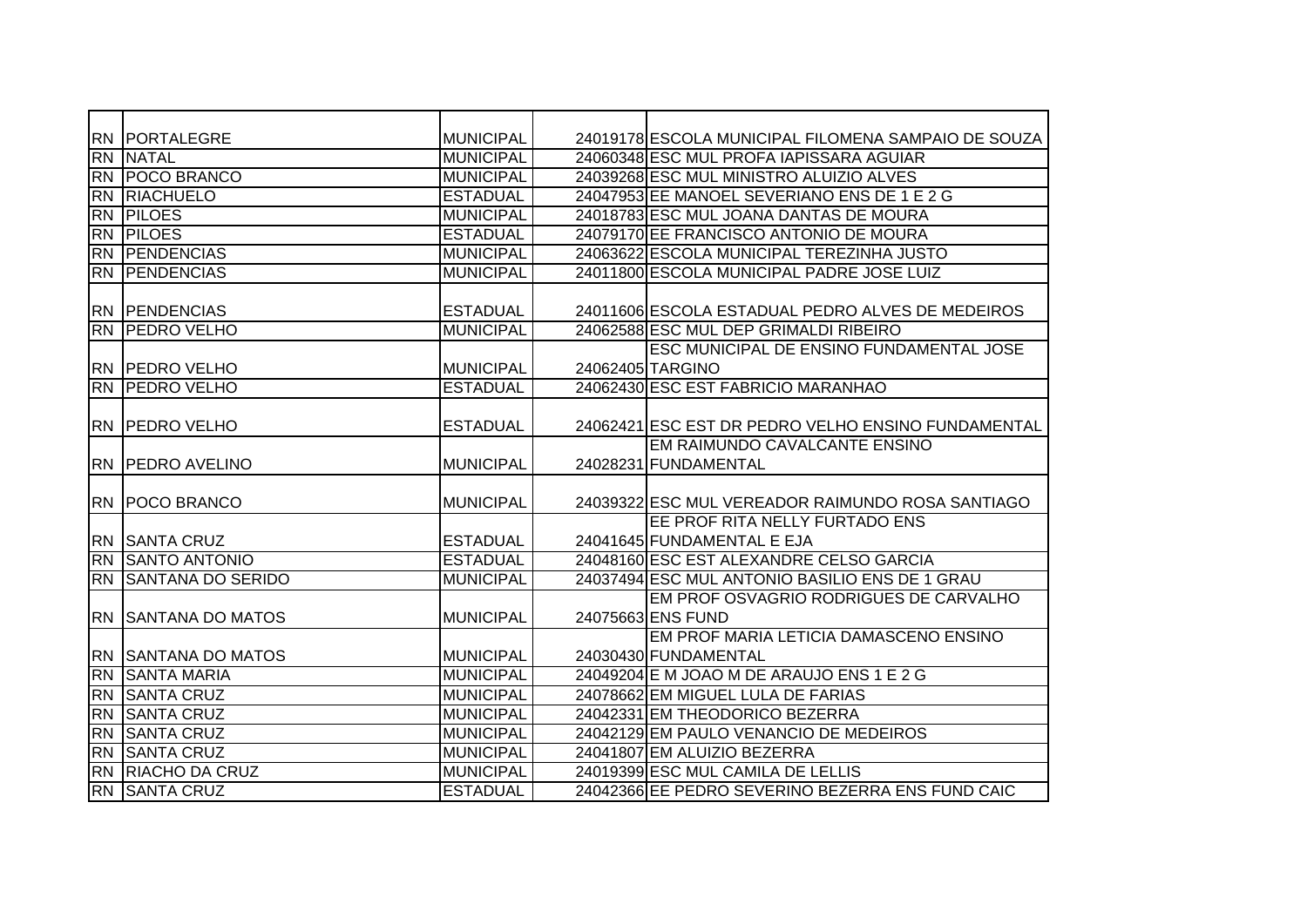|                 | <b>RN PORTALEGRE</b>       | <b>MUNICIPAL</b> | 24019178 ESCOLA MUNICIPAL FILOMENA SAMPAIO DE SOUZA |
|-----------------|----------------------------|------------------|-----------------------------------------------------|
| <b>RN</b>       | <b>NATAL</b>               | <b>MUNICIPAL</b> | 24060348 ESC MUL PROFA IAPISSARA AGUIAR             |
| <b>RN</b>       | <b>POCO BRANCO</b>         | <b>MUNICIPAL</b> | 24039268 ESC MUL MINISTRO ALUIZIO ALVES             |
| <b>RN</b>       | <b>RIACHUELO</b>           | <b>ESTADUAL</b>  | 24047953 EE MANOEL SEVERIANO ENS DE 1 E 2 G         |
| RN              | <b>PILOES</b>              | <b>MUNICIPAL</b> | 24018783 ESC MUL JOANA DANTAS DE MOURA              |
| RN              | <b>PILOES</b>              | <b>ESTADUAL</b>  | 24079170 EE FRANCISCO ANTONIO DE MOURA              |
| <b>RN</b>       | <b>PENDENCIAS</b>          | <b>MUNICIPAL</b> | 24063622 ESCOLA MUNICIPAL TEREZINHA JUSTO           |
| <b>RN</b>       | <b>PENDENCIAS</b>          | <b>MUNICIPAL</b> | 24011800 ESCOLA MUNICIPAL PADRE JOSE LUIZ           |
|                 |                            |                  |                                                     |
| RN.             | <b>PENDENCIAS</b>          | <b>ESTADUAL</b>  | 24011606 ESCOLA ESTADUAL PEDRO ALVES DE MEDEIROS    |
| <b>RN</b>       | <b>PEDRO VELHO</b>         | <b>MUNICIPAL</b> | 24062588 ESC MUL DEP GRIMALDI RIBEIRO               |
|                 |                            |                  | <b>ESC MUNICIPAL DE ENSINO FUNDAMENTAL JOSE</b>     |
|                 | <b>RN PEDRO VELHO</b>      | <b>MUNICIPAL</b> | 24062405 TARGINO                                    |
|                 | <b>RN PEDRO VELHO</b>      | <b>ESTADUAL</b>  | 24062430 ESC EST FABRICIO MARANHAO                  |
|                 |                            |                  |                                                     |
|                 | <b>RN PEDRO VELHO</b>      | <b>ESTADUAL</b>  | 24062421 ESC EST DR PEDRO VELHO ENSINO FUNDAMENTAL  |
|                 |                            |                  | EM RAIMUNDO CAVALCANTE ENSINO                       |
|                 | RN   PEDRO AVELINO         | <b>MUNICIPAL</b> | 24028231 FUNDAMENTAL                                |
|                 |                            |                  |                                                     |
|                 | <b>RN   POCO BRANCO</b>    | <b>MUNICIPAL</b> | 24039322 ESC MUL VEREADOR RAIMUNDO ROSA SANTIAGO    |
|                 |                            |                  | EE PROF RITA NELLY FURTADO ENS                      |
|                 | RN SANTA CRUZ              | <b>ESTADUAL</b>  | 24041645 FUNDAMENTAL E EJA                          |
| RN              | <b>SANTO ANTONIO</b>       | <b>ESTADUAL</b>  | 24048160 ESC EST ALEXANDRE CELSO GARCIA             |
| <b>RN</b>       | <b>SANTANA DO SERIDO</b>   | <b>MUNICIPAL</b> | 24037494 ESC MUL ANTONIO BASILIO ENS DE 1 GRAU      |
|                 |                            |                  | EM PROF OSVAGRIO RODRIGUES DE CARVALHO              |
|                 | <b>RN SANTANA DO MATOS</b> | <b>MUNICIPAL</b> | 24075663 ENS FUND                                   |
|                 |                            |                  | EM PROF MARIA LETICIA DAMASCENO ENSINO              |
|                 | <b>RN SANTANA DO MATOS</b> | <b>MUNICIPAL</b> | 24030430 FUNDAMENTAL                                |
| <b>RN</b>       | <b>SANTA MARIA</b>         | <b>MUNICIPAL</b> | 24049204 E M JOAO M DE ARAUJO ENS 1 E 2 G           |
| <b>RN</b>       | <b>SANTA CRUZ</b>          | <b>MUNICIPAL</b> | 24078662 EM MIGUEL LULA DE FARIAS                   |
| <b>RN</b>       | <b>SANTA CRUZ</b>          | <b>MUNICIPAL</b> | 24042331 EM THEODORICO BEZERRA                      |
| RN              | <b>SANTA CRUZ</b>          | <b>MUNICIPAL</b> | 24042129 EM PAULO VENANCIO DE MEDEIROS              |
| <b>RN</b>       | <b>SANTA CRUZ</b>          | <b>MUNICIPAL</b> | 24041807 EM ALUIZIO BEZERRA                         |
| $\overline{RN}$ | <b>RIACHO DA CRUZ</b>      | <b>MUNICIPAL</b> | 24019399 ESC MUL CAMILA DE LELLIS                   |
|                 | <b>RN SANTA CRUZ</b>       | <b>ESTADUAL</b>  | 24042366 EE PEDRO SEVERINO BEZERRA ENS FUND CAIC    |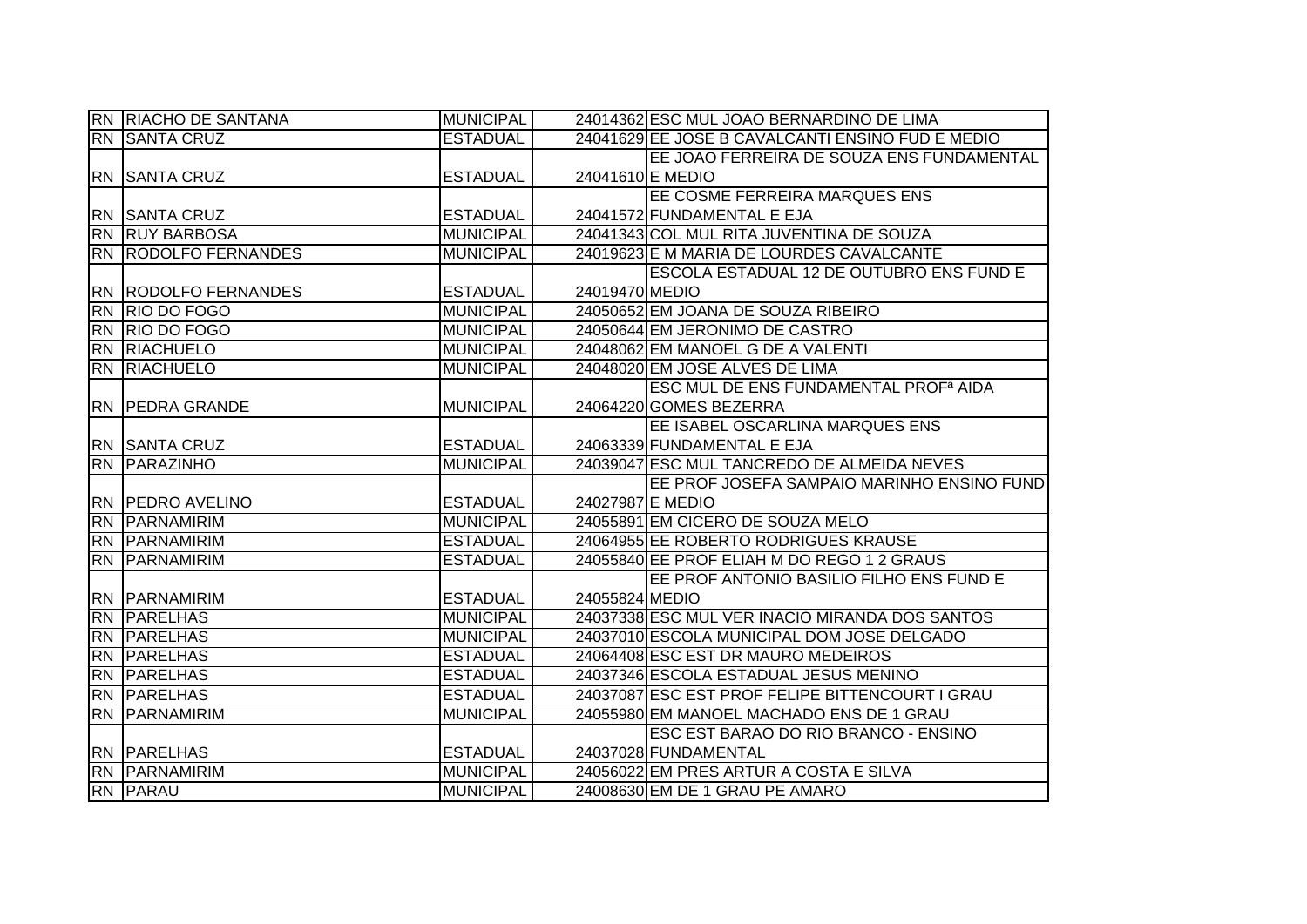|           | <b>RN RIACHO DE SANTANA</b>             | <b>MUNICIPAL</b> |                  | 24014362 ESC MUL JOAO BERNARDINO DE LIMA                |
|-----------|-----------------------------------------|------------------|------------------|---------------------------------------------------------|
|           | <b>RN SANTA CRUZ</b>                    | <b>ESTADUAL</b>  |                  | 24041629 EE JOSE B CAVALCANTI ENSINO FUD E MEDIO        |
|           |                                         |                  |                  | EE JOAO FERREIRA DE SOUZA ENS FUNDAMENTAL               |
|           | <b>RN SANTA CRUZ</b>                    | <b>ESTADUAL</b>  |                  | 24041610 E MEDIO                                        |
|           |                                         |                  |                  | EE COSME FERREIRA MARQUES ENS                           |
|           | <b>RN SANTA CRUZ</b>                    | <b>ESTADUAL</b>  |                  | 24041572 FUNDAMENTAL E EJA                              |
|           | <b>RN RUY BARBOSA</b>                   | <b>MUNICIPAL</b> |                  | 24041343 COL MUL RITA JUVENTINA DE SOUZA                |
|           | <b>RN RODOLFO FERNANDES</b>             | <b>MUNICIPAL</b> |                  | 24019623 E M MARIA DE LOURDES CAVALCANTE                |
|           |                                         |                  |                  | ESCOLA ESTADUAL 12 DE OUTUBRO ENS FUND E                |
|           | <b>RN RODOLFO FERNANDES</b>             | <b>ESTADUAL</b>  | 24019470 MEDIO   |                                                         |
| <b>RN</b> | <b>RIO DO FOGO</b>                      | <b>MUNICIPAL</b> |                  | 24050652 EM JOANA DE SOUZA RIBEIRO                      |
|           | <b>RN RIO DO FOGO</b>                   | <b>MUNICIPAL</b> |                  | 24050644 EM JERONIMO DE CASTRO                          |
|           | <b>RN RIACHUELO</b>                     | <b>MUNICIPAL</b> |                  | 24048062 EM MANOEL G DE A VALENTI                       |
|           | <b>RN RIACHUELO</b>                     | <b>MUNICIPAL</b> |                  | 24048020 EM JOSE ALVES DE LIMA                          |
|           |                                         |                  |                  | <b>ESC MUL DE ENS FUNDAMENTAL PROF<sup>a</sup> AIDA</b> |
|           | <b>RN PEDRA GRANDE</b>                  | <b>MUNICIPAL</b> |                  | 24064220 GOMES BEZERRA                                  |
|           |                                         |                  |                  | EE ISABEL OSCARLINA MARQUES ENS                         |
|           | <b>RN SANTA CRUZ</b>                    | <b>ESTADUAL</b>  |                  | 24063339 FUNDAMENTAL E EJA                              |
|           |                                         |                  |                  |                                                         |
|           | <b>RN PARAZINHO</b>                     | <b>MUNICIPAL</b> |                  | 24039047 ESC MUL TANCREDO DE ALMEIDA NEVES              |
|           |                                         |                  |                  | EE PROF JOSEFA SAMPAIO MARINHO ENSINO FUND              |
|           | <b>RN PEDRO AVELINO</b>                 | <b>ESTADUAL</b>  | 24027987 E MEDIO |                                                         |
|           | <b>RN PARNAMIRIM</b>                    | <b>MUNICIPAL</b> |                  | 24055891 EM CICERO DE SOUZA MELO                        |
|           | <b>RN PARNAMIRIM</b>                    | <b>ESTADUAL</b>  |                  | 24064955 EE ROBERTO RODRIGUES KRAUSE                    |
|           | RN PARNAMIRIM                           | <b>ESTADUAL</b>  |                  | 24055840 EE PROF ELIAH M DO REGO 1 2 GRAUS              |
|           |                                         |                  |                  | EE PROF ANTONIO BASILIO FILHO ENS FUND E                |
|           | <b>RN PARNAMIRIM</b>                    | <b>ESTADUAL</b>  | 24055824 MEDIO   |                                                         |
|           | <b>RN PARELHAS</b>                      | <b>MUNICIPAL</b> |                  | 24037338 ESC MUL VER INACIO MIRANDA DOS SANTOS          |
|           | <b>RN PARELHAS</b>                      | <b>MUNICIPAL</b> |                  | 24037010 ESCOLA MUNICIPAL DOM JOSE DELGADO              |
|           | <b>RN PARELHAS</b>                      | <b>ESTADUAL</b>  |                  | 24064408 ESC EST DR MAURO MEDEIROS                      |
|           | <b>RN PARELHAS</b>                      | <b>ESTADUAL</b>  |                  | 24037346 ESCOLA ESTADUAL JESUS MENINO                   |
|           | <b>RN PARELHAS</b>                      | <b>ESTADUAL</b>  |                  | 24037087 ESC EST PROF FELIPE BITTENCOURT I GRAU         |
|           | <b>RN PARNAMIRIM</b>                    | <b>MUNICIPAL</b> |                  | 24055980 EM MANOEL MACHADO ENS DE 1 GRAU                |
|           |                                         |                  |                  | ESC EST BARAO DO RIO BRANCO - ENSINO                    |
|           | <b>RN PARELHAS</b>                      | <b>ESTADUAL</b>  |                  | 24037028 FUNDAMENTAL                                    |
|           | <b>RN PARNAMIRIM</b><br><b>RN PARAU</b> | <b>MUNICIPAL</b> |                  | 24056022 EM PRES ARTUR A COSTA E SILVA                  |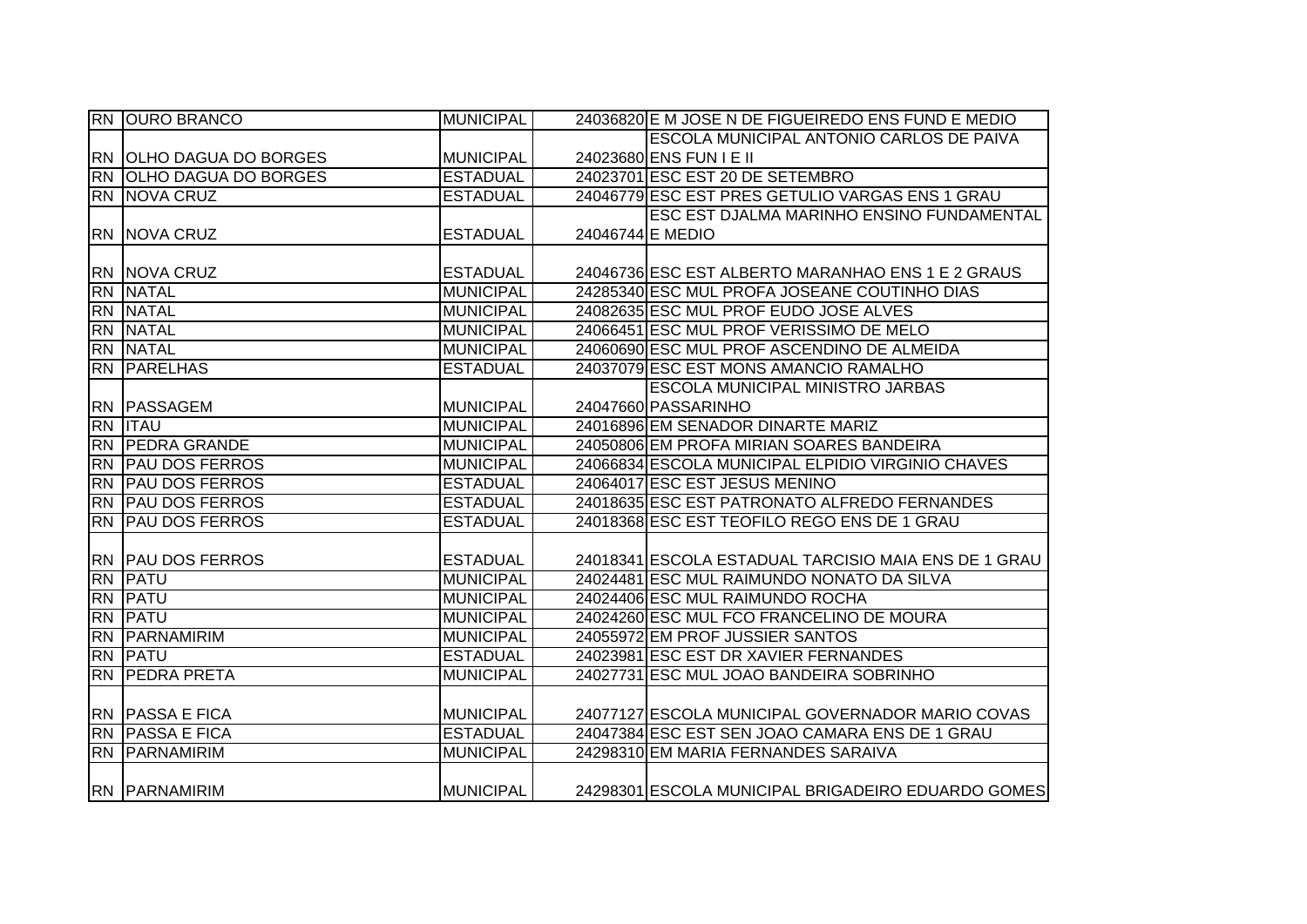|                 | <b>RN OURO BRANCO</b>       | <b>MUNICIPAL</b> |                  | 24036820 E M JOSE N DE FIGUEIREDO ENS FUND E MEDIO   |
|-----------------|-----------------------------|------------------|------------------|------------------------------------------------------|
|                 |                             |                  |                  | ESCOLA MUNICIPAL ANTONIO CARLOS DE PAIVA             |
|                 | RN OLHO DAGUA DO BORGES     | <b>MUNICIPAL</b> |                  | 24023680 ENS FUN I E II                              |
| <b>RN</b>       | <b>OLHO DAGUA DO BORGES</b> | <b>ESTADUAL</b>  |                  | 24023701 ESC EST 20 DE SETEMBRO                      |
|                 | <b>RN NOVA CRUZ</b>         | <b>ESTADUAL</b>  |                  | 24046779 ESC EST PRES GETULIO VARGAS ENS 1 GRAU      |
|                 |                             |                  |                  | ESC EST DJALMA MARINHO ENSINO FUNDAMENTAL            |
|                 | <b>RN NOVA CRUZ</b>         | <b>ESTADUAL</b>  | 24046744 E MEDIO |                                                      |
|                 |                             |                  |                  |                                                      |
|                 | <b>RN NOVA CRUZ</b>         | <b>ESTADUAL</b>  |                  | 24046736 ESC EST ALBERTO MARANHAO ENS 1 E 2 GRAUS    |
|                 | <b>RN NATAL</b>             | <b>MUNICIPAL</b> |                  | 24285340 ESC MUL PROFA JOSEANE COUTINHO DIAS         |
|                 | RN NATAL                    | <b>MUNICIPAL</b> |                  | 24082635 ESC MUL PROF EUDO JOSE ALVES                |
|                 | RN NATAL                    | <b>MUNICIPAL</b> |                  | 24066451 ESC MUL PROF VERISSIMO DE MELO              |
|                 | RN NATAL                    | <b>MUNICIPAL</b> |                  | 24060690 ESC MUL PROF ASCENDINO DE ALMEIDA           |
|                 | <b>RN PARELHAS</b>          | <b>ESTADUAL</b>  |                  | 24037079 ESC EST MONS AMANCIO RAMALHO                |
|                 |                             |                  |                  | ESCOLA MUNICIPAL MINISTRO JARBAS                     |
|                 | <b>RN PASSAGEM</b>          | <b>MUNICIPAL</b> |                  | 24047660 PASSARINHO                                  |
|                 | <b>RN ITAU</b>              | <b>MUNICIPAL</b> |                  | 24016896 EM SENADOR DINARTE MARIZ                    |
|                 | RN PEDRA GRANDE             | <b>MUNICIPAL</b> |                  | 24050806 EM PROFA MIRIAN SOARES BANDEIRA             |
| <b>RN</b>       | <b>PAU DOS FERROS</b>       | <b>MUNICIPAL</b> |                  | 24066834 ESCOLA MUNICIPAL ELPIDIO VIRGINIO CHAVES    |
|                 | <b>RN PAU DOS FERROS</b>    | <b>ESTADUAL</b>  |                  | 24064017 ESC EST JESUS MENINO                        |
| <b>RN</b>       | <b>PAU DOS FERROS</b>       | <b>ESTADUAL</b>  |                  | 24018635 ESC EST PATRONATO ALFREDO FERNANDES         |
| <b>RN</b>       | <b>PAU DOS FERROS</b>       | <b>ESTADUAL</b>  |                  | 24018368 ESC EST TEOFILO REGO ENS DE 1 GRAU          |
|                 |                             |                  |                  |                                                      |
|                 | <b>RN PAU DOS FERROS</b>    | <b>ESTADUAL</b>  |                  | 24018341 ESCOLA ESTADUAL TARCISIO MAIA ENS DE 1 GRAU |
| $\overline{RN}$ | PATU                        | <b>MUNICIPAL</b> |                  | 24024481 ESC MUL RAIMUNDO NONATO DA SILVA            |
|                 | <b>RN PATU</b>              | <b>MUNICIPAL</b> |                  | 24024406 ESC MUL RAIMUNDO ROCHA                      |
| <b>RN</b>       | PATU                        | <b>MUNICIPAL</b> |                  | 24024260 ESC MUL FCO FRANCELINO DE MOURA             |
| <b>RN</b>       | PARNAMIRIM                  | <b>MUNICIPAL</b> |                  | 24055972 EM PROF JUSSIER SANTOS                      |
|                 | <b>RN PATU</b>              | <b>ESTADUAL</b>  |                  | 24023981 ESC EST DR XAVIER FERNANDES                 |
| <b>RN</b>       | <b>PEDRA PRETA</b>          | <b>MUNICIPAL</b> |                  | 24027731 ESC MUL JOAO BANDEIRA SOBRINHO              |
|                 |                             |                  |                  |                                                      |
|                 | <b>RN PASSA E FICA</b>      | <b>MUNICIPAL</b> |                  | 24077127 ESCOLA MUNICIPAL GOVERNADOR MARIO COVAS     |
|                 | <b>RN PASSA E FICA</b>      | <b>ESTADUAL</b>  |                  | 24047384 ESC EST SEN JOAO CAMARA ENS DE 1 GRAU       |
|                 | <b>RN PARNAMIRIM</b>        | <b>MUNICIPAL</b> |                  | 24298310 EM MARIA FERNANDES SARAIVA                  |
|                 | <b>RN PARNAMIRIM</b>        | <b>MUNICIPAL</b> |                  | 24298301 ESCOLA MUNICIPAL BRIGADEIRO EDUARDO GOMES   |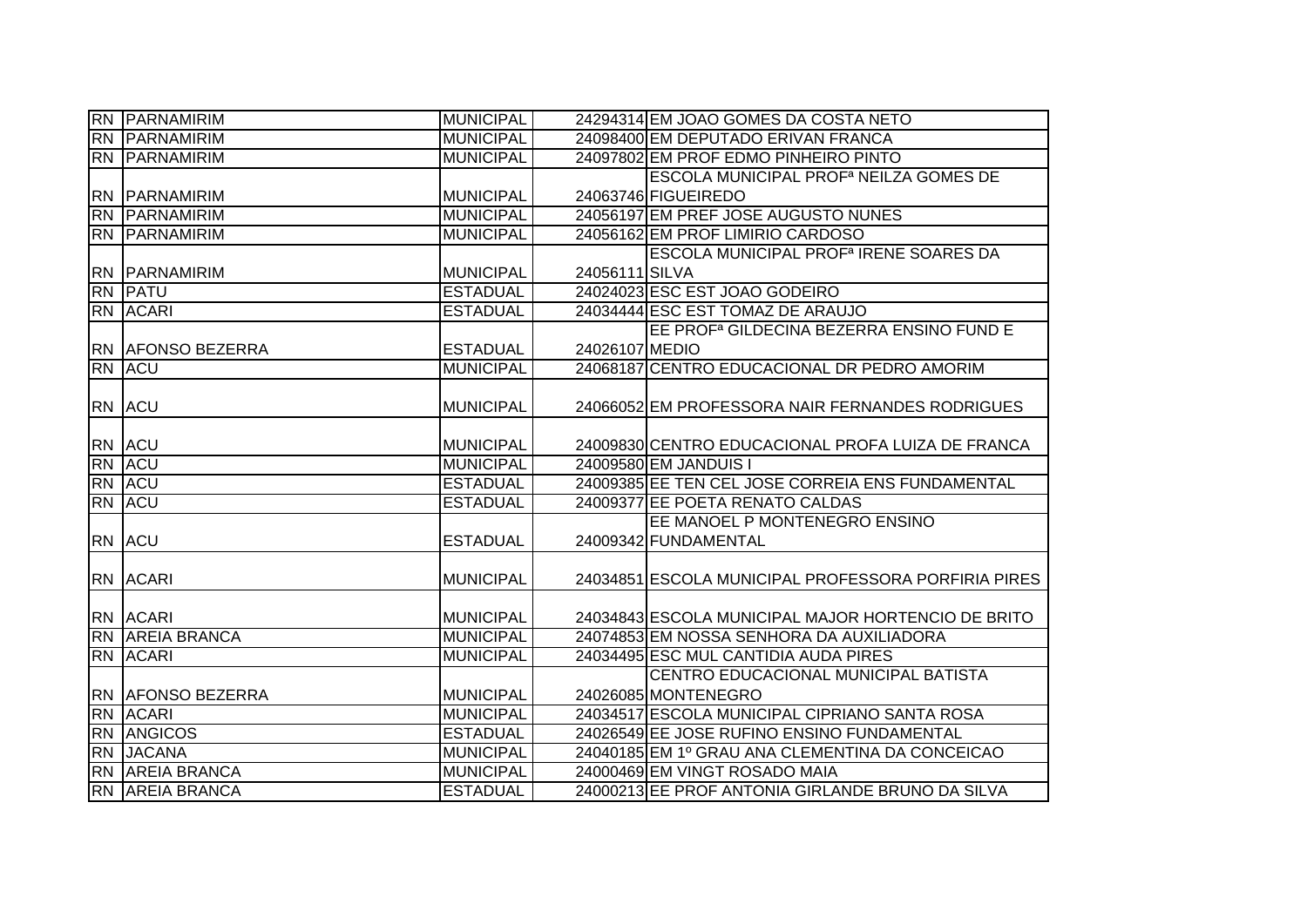|                | <b>RN PARNAMIRIM</b>                          | <b>MUNICIPAL</b>                    |                | 24294314 EM JOAO GOMES DA COSTA NETO                     |
|----------------|-----------------------------------------------|-------------------------------------|----------------|----------------------------------------------------------|
|                | <b>RN PARNAMIRIM</b>                          | <b>MUNICIPAL</b>                    |                | 24098400 EM DEPUTADO ERIVAN FRANCA                       |
|                | <b>RN PARNAMIRIM</b>                          | <b>MUNICIPAL</b>                    |                | 24097802 EM PROF EDMO PINHEIRO PINTO                     |
|                |                                               |                                     |                | ESCOLA MUNICIPAL PROF <sup>a</sup> NEILZA GOMES DE       |
|                | <b>RN PARNAMIRIM</b>                          | <b>MUNICIPAL</b>                    |                | 24063746 FIGUEIREDO                                      |
|                | <b>RN PARNAMIRIM</b>                          | <b>MUNICIPAL</b>                    |                | 24056197 EM PREF JOSE AUGUSTO NUNES                      |
|                | <b>RN PARNAMIRIM</b>                          | <b>MUNICIPAL</b>                    |                | 24056162 EM PROF LIMIRIO CARDOSO                         |
|                |                                               |                                     |                | <b>ESCOLA MUNICIPAL PROF<sup>a</sup> IRENE SOARES DA</b> |
|                | <b>RN PARNAMIRIM</b>                          | <b>MUNICIPAL</b>                    | 24056111 SILVA |                                                          |
| RN             | PATU                                          | <b>ESTADUAL</b>                     |                | 24024023 ESC EST JOAO GODEIRO                            |
|                | RN ACARI                                      | <b>ESTADUAL</b>                     |                | 24034444 ESC EST TOMAZ DE ARAUJO                         |
|                |                                               |                                     |                | EE PROF <sup>a</sup> GILDECINA BEZERRA ENSINO FUND E     |
|                | <b>RN AFONSO BEZERRA</b>                      | <b>ESTADUAL</b>                     | 24026107 MEDIO |                                                          |
| R <sub>N</sub> | <b>ACU</b>                                    | <b>MUNICIPAL</b>                    |                | 24068187 CENTRO EDUCACIONAL DR PEDRO AMORIM              |
|                |                                               |                                     |                |                                                          |
|                | RN ACU                                        | <b>MUNICIPAL</b>                    |                | 24066052 EM PROFESSORA NAIR FERNANDES RODRIGUES          |
|                |                                               |                                     |                |                                                          |
|                | RN ACU                                        | <b>MUNICIPAL</b>                    |                | 24009830 CENTRO EDUCACIONAL PROFA LUIZA DE FRANCA        |
| <b>RN</b>      | <b>ACU</b>                                    | <b>MUNICIPAL</b>                    |                | 24009580 EM JANDUIS I                                    |
| <b>RN</b>      | <b>ACU</b>                                    | <b>ESTADUAL</b>                     |                | 24009385 EE TEN CEL JOSE CORREIA ENS FUNDAMENTAL         |
| <b>RN</b>      | <b>ACU</b>                                    | <b>ESTADUAL</b>                     |                | 24009377 EE POETA RENATO CALDAS                          |
|                |                                               |                                     |                | EE MANOEL P MONTENEGRO ENSINO                            |
|                | RN ACU                                        | <b>ESTADUAL</b>                     |                | 24009342 FUNDAMENTAL                                     |
|                |                                               |                                     |                |                                                          |
|                |                                               |                                     |                |                                                          |
|                | <b>RN ACARI</b>                               | <b>MUNICIPAL</b>                    |                | 24034851 ESCOLA MUNICIPAL PROFESSORA PORFIRIA PIRES      |
|                |                                               |                                     |                |                                                          |
|                | <b>RN ACARI</b>                               | <b>MUNICIPAL</b>                    |                | 24034843 ESCOLA MUNICIPAL MAJOR HORTENCIO DE BRITO       |
| <b>IRN</b>     | <b>AREIA BRANCA</b>                           | <b>MUNICIPAL</b>                    |                | 24074853 EM NOSSA SENHORA DA AUXILIADORA                 |
|                | RN ACARI                                      | <b>MUNICIPAL</b>                    |                | 24034495 ESC MUL CANTIDIA AUDA PIRES                     |
|                |                                               |                                     |                | CENTRO EDUCACIONAL MUNICIPAL BATISTA                     |
|                | <b>RN AFONSO BEZERRA</b>                      | <b>MUNICIPAL</b>                    |                | 24026085 MONTENEGRO                                      |
| <b>RN</b>      | <b>ACARI</b>                                  | <b>MUNICIPAL</b>                    |                | 24034517 ESCOLA MUNICIPAL CIPRIANO SANTA ROSA            |
| <b>RN</b>      | <b>ANGICOS</b>                                | <b>ESTADUAL</b>                     |                | 24026549 EE JOSE RUFINO ENSINO FUNDAMENTAL               |
| RN             | <b>JACANA</b>                                 | <b>MUNICIPAL</b>                    |                | 24040185 EM 1º GRAU ANA CLEMENTINA DA CONCEICAO          |
| <b>RN</b>      | <b>AREIA BRANCA</b><br><b>RN AREIA BRANCA</b> | <b>MUNICIPAL</b><br><b>ESTADUAL</b> |                | 24000469 EM VINGT ROSADO MAIA                            |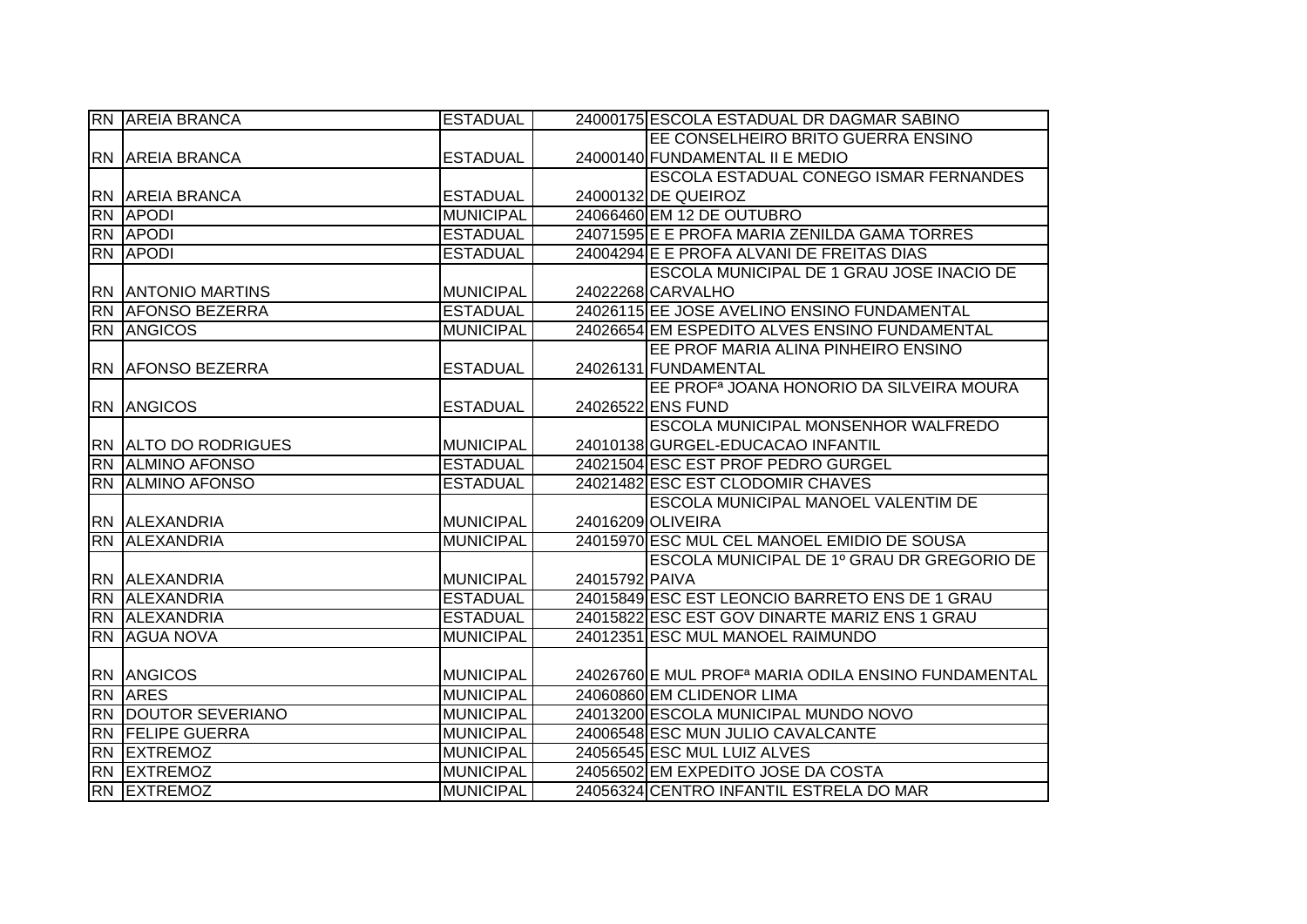| <b>RN AREIA BRANCA</b>      | <b>ESTADUAL</b>  |                | 24000175 ESCOLA ESTADUAL DR DAGMAR SABINO                       |
|-----------------------------|------------------|----------------|-----------------------------------------------------------------|
|                             |                  |                | EE CONSELHEIRO BRITO GUERRA ENSINO                              |
| <b>RN AREIA BRANCA</b>      | <b>ESTADUAL</b>  |                | 24000140 FUNDAMENTAL II E MEDIO                                 |
|                             |                  |                | <b>ESCOLA ESTADUAL CONEGO ISMAR FERNANDES</b>                   |
| <b>RN AREIA BRANCA</b>      | <b>ESTADUAL</b>  |                | 24000132 DE QUEIROZ                                             |
| <b>RN APODI</b>             | <b>MUNICIPAL</b> |                | 24066460 EM 12 DE OUTUBRO                                       |
| <b>RN APODI</b>             | <b>ESTADUAL</b>  |                | 24071595 E E PROFA MARIA ZENILDA GAMA TORRES                    |
| <b>RN APODI</b>             | <b>ESTADUAL</b>  |                | 24004294 E E PROFA ALVANI DE FREITAS DIAS                       |
|                             |                  |                | ESCOLA MUNICIPAL DE 1 GRAU JOSE INACIO DE                       |
| <b>RN ANTONIO MARTINS</b>   | <b>MUNICIPAL</b> |                | 24022268 CARVALHO                                               |
| RN AFONSO BEZERRA           | <b>ESTADUAL</b>  |                | 24026115 EE JOSE AVELINO ENSINO FUNDAMENTAL                     |
| <b>RN ANGICOS</b>           | <b>MUNICIPAL</b> |                | 24026654 EM ESPEDITO ALVES ENSINO FUNDAMENTAL                   |
|                             |                  |                | EE PROF MARIA ALINA PINHEIRO ENSINO                             |
| RN JAFONSO BEZERRA          | <b>ESTADUAL</b>  |                | 24026131 FUNDAMENTAL                                            |
|                             |                  |                | EE PROF <sup>a</sup> JOANA HONORIO DA SILVEIRA MOURA            |
| <b>RN ANGICOS</b>           | <b>ESTADUAL</b>  |                | 24026522 ENS FUND                                               |
|                             |                  |                | <b>ESCOLA MUNICIPAL MONSENHOR WALFREDO</b>                      |
| <b>RN ALTO DO RODRIGUES</b> | <b>MUNICIPAL</b> |                | 24010138 GURGEL-EDUCACAO INFANTIL                               |
| <b>RN ALMINO AFONSO</b>     | <b>ESTADUAL</b>  |                | 24021504 ESC EST PROF PEDRO GURGEL                              |
| <b>RN ALMINO AFONSO</b>     | <b>ESTADUAL</b>  |                | 24021482 ESC EST CLODOMIR CHAVES                                |
|                             |                  |                | <b>ESCOLA MUNICIPAL MANOEL VALENTIM DE</b>                      |
| RN ALEXANDRIA               | <b>MUNICIPAL</b> |                | 24016209 OLIVEIRA                                               |
| RN ALEXANDRIA               | <b>MUNICIPAL</b> |                | 24015970 ESC MUL CEL MANOEL EMIDIO DE SOUSA                     |
|                             |                  |                | ESCOLA MUNICIPAL DE 1º GRAU DR GREGORIO DE                      |
| RN ALEXANDRIA               | <b>MUNICIPAL</b> | 24015792 PAIVA |                                                                 |
| RN ALEXANDRIA               | <b>ESTADUAL</b>  |                | 24015849 ESC EST LEONCIO BARRETO ENS DE 1 GRAU                  |
| <b>RN ALEXANDRIA</b>        | <b>ESTADUAL</b>  |                | 24015822 ESC EST GOV DINARTE MARIZ ENS 1 GRAU                   |
| <b>RN AGUA NOVA</b>         | <b>MUNICIPAL</b> |                | 24012351 ESC MUL MANOEL RAIMUNDO                                |
|                             |                  |                |                                                                 |
| <b>RN ANGICOS</b>           | <b>MUNICIPAL</b> |                | 24026760 E MUL PROF <sup>a</sup> MARIA ODILA ENSINO FUNDAMENTAL |
| <b>RN ARES</b>              | <b>MUNICIPAL</b> |                | 24060860 EM CLIDENOR LIMA                                       |
| RN DOUTOR SEVERIANO         | <b>MUNICIPAL</b> |                | 24013200 ESCOLA MUNICIPAL MUNDO NOVO                            |
| <b>RN FELIPE GUERRA</b>     | <b>MUNICIPAL</b> |                | 24006548 ESC MUN JULIO CAVALCANTE                               |
| <b>RN EXTREMOZ</b>          | <b>MUNICIPAL</b> |                | 24056545 ESC MUL LUIZ ALVES                                     |
| <b>RN EXTREMOZ</b>          | <b>MUNICIPAL</b> |                | 24056502 EM EXPEDITO JOSE DA COSTA                              |
| RN EXTREMOZ                 | <b>MUNICIPAL</b> |                | 24056324 CENTRO INFANTIL ESTRELA DO MAR                         |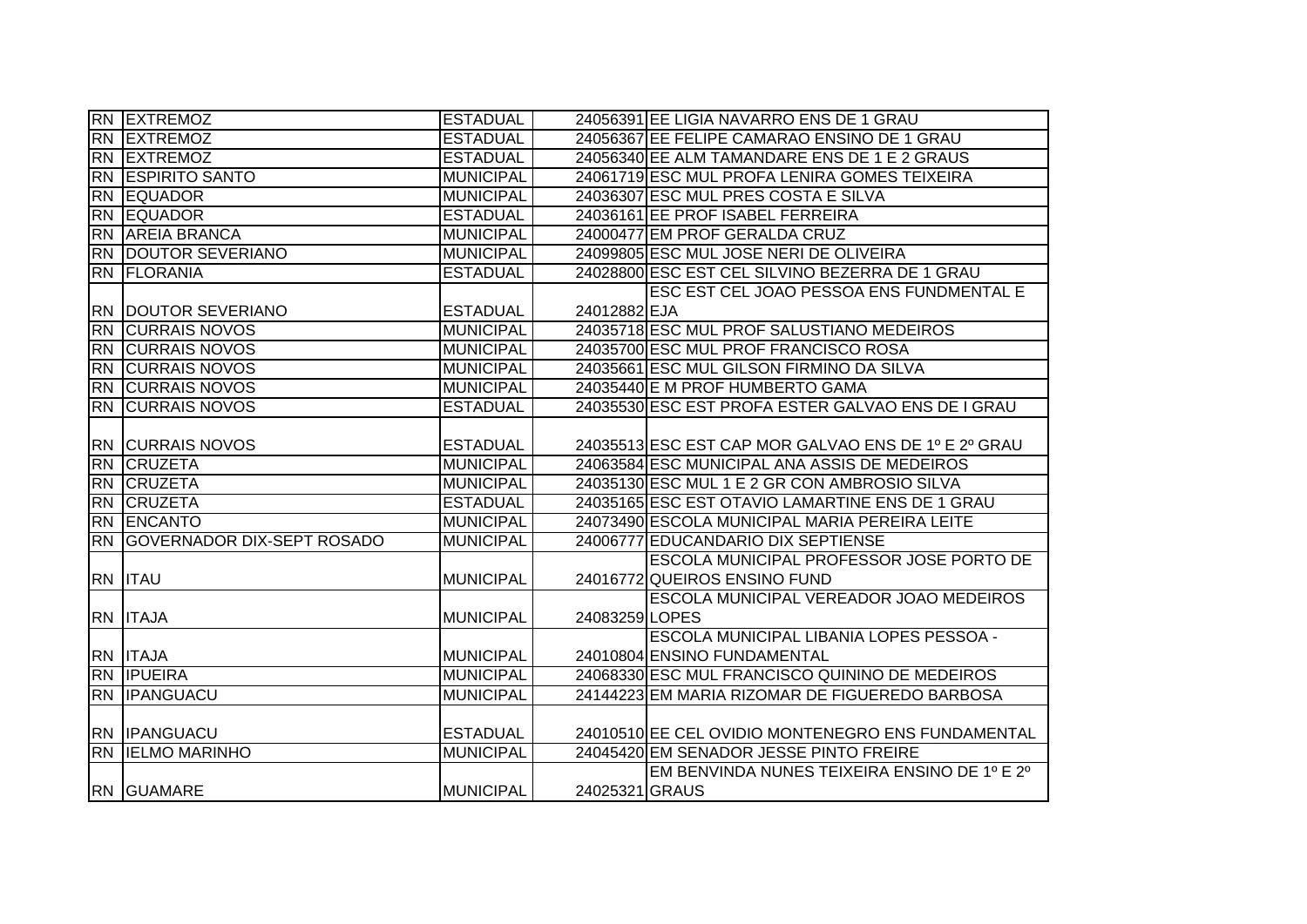|           | <b>RN EXTREMOZ</b>                | <b>ESTADUAL</b>  |                | 24056391 EE LIGIA NAVARRO ENS DE 1 GRAU             |
|-----------|-----------------------------------|------------------|----------------|-----------------------------------------------------|
| <b>RN</b> | <b>EXTREMOZ</b>                   | <b>ESTADUAL</b>  |                | 24056367 EE FELIPE CAMARAO ENSINO DE 1 GRAU         |
|           | <b>RN EXTREMOZ</b>                | <b>ESTADUAL</b>  |                | 24056340 EE ALM TAMANDARE ENS DE 1 E 2 GRAUS        |
|           | <b>RN ESPIRITO SANTO</b>          | <b>MUNICIPAL</b> |                | 24061719 ESC MUL PROFA LENIRA GOMES TEIXEIRA        |
|           | <b>RN EQUADOR</b>                 | <b>MUNICIPAL</b> |                | 24036307 ESC MUL PRES COSTA E SILVA                 |
| <b>RN</b> | <b>EQUADOR</b>                    | <b>ESTADUAL</b>  |                | 24036161 EE PROF ISABEL FERREIRA                    |
|           | RN AREIA BRANCA                   | <b>MUNICIPAL</b> |                | 24000477 EM PROF GERALDA CRUZ                       |
|           | <b>RN DOUTOR SEVERIANO</b>        | MUNICIPAL        |                | 24099805 ESC MUL JOSE NERI DE OLIVEIRA              |
|           | <b>RN FLORANIA</b>                | <b>ESTADUAL</b>  |                | 24028800 ESC EST CEL SILVINO BEZERRA DE 1 GRAU      |
|           |                                   |                  |                | ESC EST CEL JOAO PESSOA ENS FUNDMENTAL E            |
|           | <b>RN DOUTOR SEVERIANO</b>        | <b>ESTADUAL</b>  | 24012882 EJA   |                                                     |
| <b>RN</b> | <b>CURRAIS NOVOS</b>              | <b>MUNICIPAL</b> |                | 24035718 ESC MUL PROF SALUSTIANO MEDEIROS           |
| <b>RN</b> | <b>CURRAIS NOVOS</b>              | <b>MUNICIPAL</b> |                | 24035700 ESC MUL PROF FRANCISCO ROSA                |
| <b>RN</b> | <b>CURRAIS NOVOS</b>              | <b>MUNICIPAL</b> |                | 24035661 ESC MUL GILSON FIRMINO DA SILVA            |
| <b>RN</b> | <b>CURRAIS NOVOS</b>              | <b>MUNICIPAL</b> |                | 24035440 E M PROF HUMBERTO GAMA                     |
|           | <b>RN CURRAIS NOVOS</b>           | <b>ESTADUAL</b>  |                | 24035530 ESC EST PROFA ESTER GALVAO ENS DE I GRAU   |
|           |                                   |                  |                |                                                     |
|           | <b>RN CURRAIS NOVOS</b>           | <b>ESTADUAL</b>  |                | 24035513 ESC EST CAP MOR GALVAO ENS DE 1º E 2º GRAU |
|           | <b>RN CRUZETA</b>                 | <b>MUNICIPAL</b> |                | 24063584 ESC MUNICIPAL ANA ASSIS DE MEDEIROS        |
|           | <b>RN CRUZETA</b>                 | <b>MUNICIPAL</b> |                | 24035130 ESC MUL 1 E 2 GR CON AMBROSIO SILVA        |
| <b>RN</b> | <b>CRUZETA</b>                    | <b>ESTADUAL</b>  |                | 24035165 ESC EST OTAVIO LAMARTINE ENS DE 1 GRAU     |
| RN        | ENCANTO                           | <b>MUNICIPAL</b> |                | 24073490 ESCOLA MUNICIPAL MARIA PEREIRA LEITE       |
| <b>RN</b> | <b>GOVERNADOR DIX-SEPT ROSADO</b> | <b>MUNICIPAL</b> |                | 24006777 EDUCANDARIO DIX SEPTIENSE                  |
|           |                                   |                  |                | ESCOLA MUNICIPAL PROFESSOR JOSE PORTO DE            |
|           | <b>RN ITAU</b>                    | <b>MUNICIPAL</b> |                | 24016772 QUEIROS ENSINO FUND                        |
|           |                                   |                  |                | ESCOLA MUNICIPAL VEREADOR JOAO MEDEIROS             |
|           | RN ITAJA                          | <b>MUNICIPAL</b> | 24083259 LOPES |                                                     |
|           |                                   |                  |                | ESCOLA MUNICIPAL LIBANIA LOPES PESSOA -             |
|           | RN ITAJA                          | <b>MUNICIPAL</b> |                | 24010804 ENSINO FUNDAMENTAL                         |
|           | <b>RN IPUEIRA</b>                 | <b>MUNICIPAL</b> |                | 24068330 ESC MUL FRANCISCO QUININO DE MEDEIROS      |
|           | <b>RN IPANGUACU</b>               | <b>MUNICIPAL</b> |                | 24144223 EM MARIA RIZOMAR DE FIGUEREDO BARBOSA      |
|           |                                   |                  |                |                                                     |
|           | <b>RN IPANGUACU</b>               | <b>ESTADUAL</b>  |                | 24010510 EE CEL OVIDIO MONTENEGRO ENS FUNDAMENTAL   |
|           | <b>RN IELMO MARINHO</b>           | <b>MUNICIPAL</b> |                | 24045420 EM SENADOR JESSE PINTO FREIRE              |
|           |                                   |                  |                | EM BENVINDA NUNES TEIXEIRA ENSINO DE 1º E 2º        |
|           | <b>RN GUAMARE</b>                 | <b>MUNICIPAL</b> | 24025321 GRAUS |                                                     |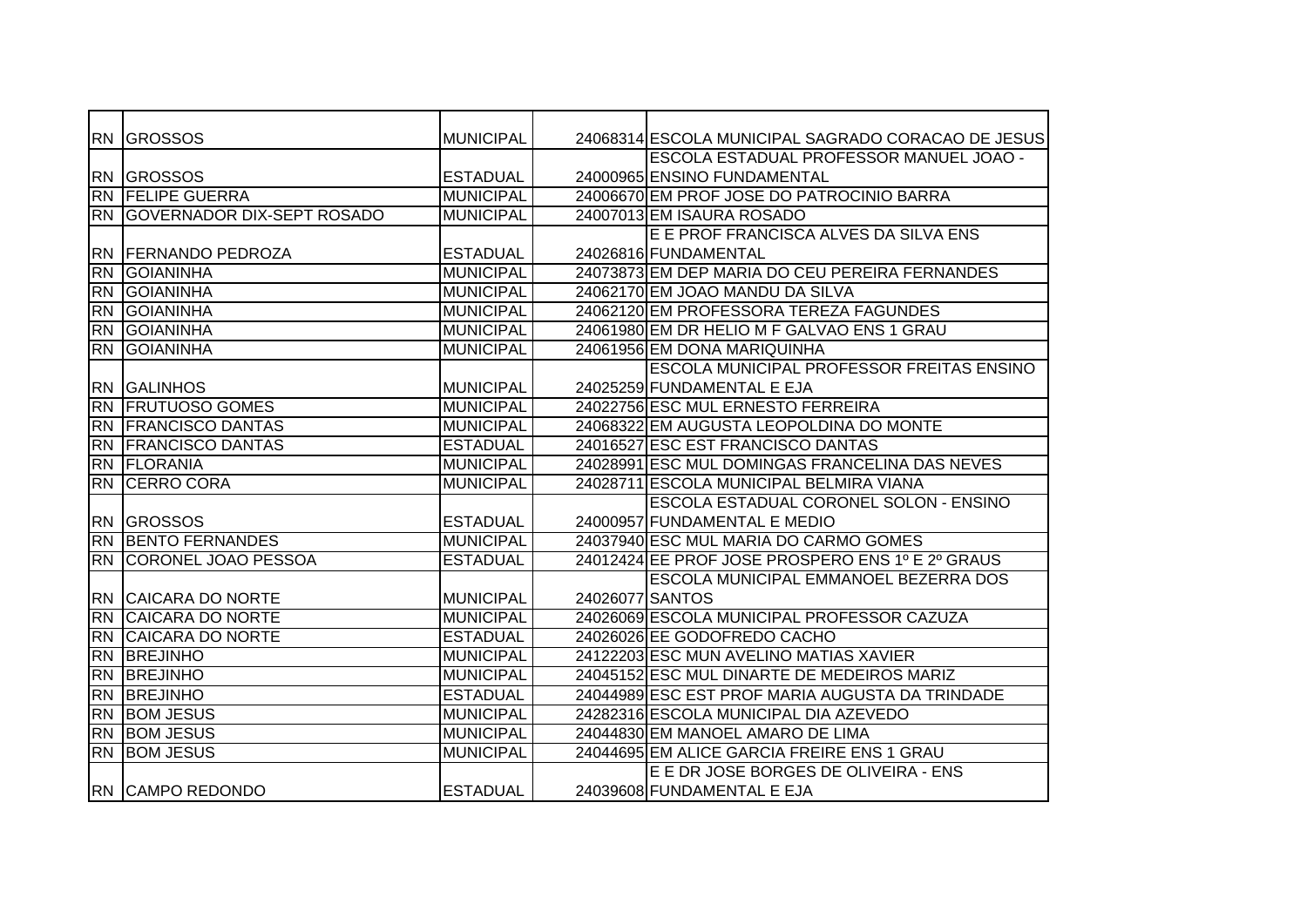|            | <b>RN GROSSOS</b>             | <b>MUNICIPAL</b> |                 | 24068314 ESCOLA MUNICIPAL SAGRADO CORACAO DE JESUS |
|------------|-------------------------------|------------------|-----------------|----------------------------------------------------|
|            |                               |                  |                 | ESCOLA ESTADUAL PROFESSOR MANUEL JOAO -            |
|            | <b>RN GROSSOS</b>             | <b>ESTADUAL</b>  |                 | 24000965 ENSINO FUNDAMENTAL                        |
| <b>RN</b>  | <b>FELIPE GUERRA</b>          | <b>MUNICIPAL</b> |                 | 24006670 EM PROF JOSE DO PATROCINIO BARRA          |
|            | RN GOVERNADOR DIX-SEPT ROSADO | <b>MUNICIPAL</b> |                 | 24007013 EM ISAURA ROSADO                          |
|            |                               |                  |                 | E E PROF FRANCISCA ALVES DA SILVA ENS              |
|            | RN FERNANDO PEDROZA           | <b>ESTADUAL</b>  |                 | 24026816 FUNDAMENTAL                               |
| <b>RN</b>  | <b>GOIANINHA</b>              | <b>MUNICIPAL</b> |                 | 24073873 EM DEP MARIA DO CEU PEREIRA FERNANDES     |
| <b>RN</b>  | <b>GOIANINHA</b>              | <b>MUNICIPAL</b> |                 | 24062170 EM JOAO MANDU DA SILVA                    |
| <b>RN</b>  | <b>GOIANINHA</b>              | <b>MUNICIPAL</b> |                 | 24062120 EM PROFESSORA TEREZA FAGUNDES             |
| <b>RN</b>  | <b>GOIANINHA</b>              | <b>MUNICIPAL</b> |                 | 24061980 EM DR HELIO M F GALVAO ENS 1 GRAU         |
| <b>RN</b>  | <b>GOIANINHA</b>              | <b>MUNICIPAL</b> |                 | 24061956 EM DONA MARIQUINHA                        |
|            |                               |                  |                 | <b>ESCOLA MUNICIPAL PROFESSOR FREITAS ENSINO</b>   |
|            | <b>RN GALINHOS</b>            | <b>MUNICIPAL</b> |                 | 24025259 FUNDAMENTAL E EJA                         |
| <b>IRN</b> | <b>FRUTUOSO GOMES</b>         | <b>MUNICIPAL</b> |                 | 24022756 ESC MUL ERNESTO FERREIRA                  |
| <b>RN</b>  | <b>FRANCISCO DANTAS</b>       | <b>MUNICIPAL</b> |                 | 24068322 EM AUGUSTA LEOPOLDINA DO MONTE            |
| <b>RN</b>  | <b>FRANCISCO DANTAS</b>       | <b>ESTADUAL</b>  |                 | 24016527 ESC EST FRANCISCO DANTAS                  |
| <b>RN</b>  | <b>FLORANIA</b>               | <b>MUNICIPAL</b> |                 | 24028991 ESC MUL DOMINGAS FRANCELINA DAS NEVES     |
|            | <b>RN CERRO CORA</b>          | <b>MUNICIPAL</b> |                 | 24028711 ESCOLA MUNICIPAL BELMIRA VIANA            |
|            |                               |                  |                 | ESCOLA ESTADUAL CORONEL SOLON - ENSINO             |
|            | <b>RN GROSSOS</b>             | <b>ESTADUAL</b>  |                 | 24000957 FUNDAMENTAL E MEDIO                       |
| <b>RN</b>  | <b>BENTO FERNANDES</b>        | <b>MUNICIPAL</b> |                 | 24037940 ESC MUL MARIA DO CARMO GOMES              |
| <b>RN</b>  | <b>CORONEL JOAO PESSOA</b>    | <b>ESTADUAL</b>  |                 | 24012424 EE PROF JOSE PROSPERO ENS 1º E 2º GRAUS   |
|            |                               |                  |                 | <b>ESCOLA MUNICIPAL EMMANOEL BEZERRA DOS</b>       |
|            | RN CAICARA DO NORTE           | <b>MUNICIPAL</b> | 24026077 SANTOS |                                                    |
| <b>RN</b>  | <b>CAICARA DO NORTE</b>       | <b>MUNICIPAL</b> |                 | 24026069 ESCOLA MUNICIPAL PROFESSOR CAZUZA         |
| <b>RN</b>  | <b>CAICARA DO NORTE</b>       | <b>ESTADUAL</b>  |                 | 24026026 EE GODOFREDO CACHO                        |
| <b>RN</b>  | BREJINHO                      | <b>MUNICIPAL</b> |                 | 24122203 ESC MUN AVELINO MATIAS XAVIER             |
| <b>RN</b>  | <b>BREJINHO</b>               | <b>MUNICIPAL</b> |                 | 24045152 ESC MUL DINARTE DE MEDEIROS MARIZ         |
| <b>RN</b>  | <b>BREJINHO</b>               | <b>ESTADUAL</b>  |                 | 24044989 ESC EST PROF MARIA AUGUSTA DA TRINDADE    |
| <b>RN</b>  | <b>BOM JESUS</b>              | <b>MUNICIPAL</b> |                 | 24282316 ESCOLA MUNICIPAL DIA AZEVEDO              |
| IRN        | <b>BOM JESUS</b>              | <b>MUNICIPAL</b> |                 | 24044830 EM MANOEL AMARO DE LIMA                   |
| <b>RN</b>  | <b>BOM JESUS</b>              | <b>MUNICIPAL</b> |                 | 24044695 EM ALICE GARCIA FREIRE ENS 1 GRAU         |
|            |                               |                  |                 | E E DR JOSE BORGES DE OLIVEIRA - ENS               |
|            | <b>RN CAMPO REDONDO</b>       | <b>ESTADUAL</b>  |                 | 24039608 FUNDAMENTAL E EJA                         |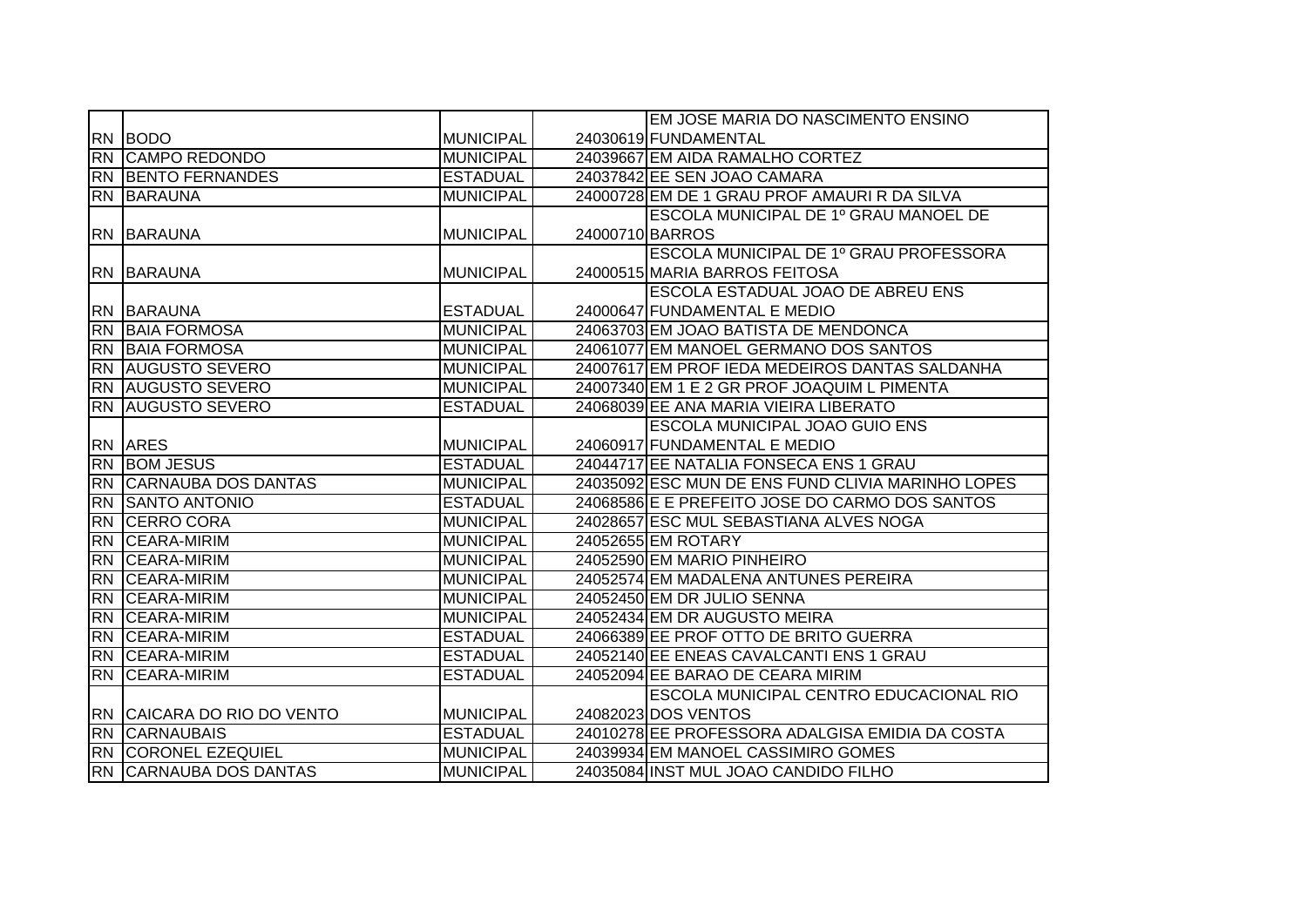|           |                               |                  |                 | EM JOSE MARIA DO NASCIMENTO ENSINO                |
|-----------|-------------------------------|------------------|-----------------|---------------------------------------------------|
|           | RN BODO                       | <b>MUNICIPAL</b> |                 | 24030619 FUNDAMENTAL                              |
|           | <b>RN CAMPO REDONDO</b>       | <b>MUNICIPAL</b> |                 | 24039667 EM AIDA RAMALHO CORTEZ                   |
|           | <b>RN BENTO FERNANDES</b>     | <b>ESTADUAL</b>  |                 | 24037842 EE SEN JOAO CAMARA                       |
|           | RN BARAUNA                    | <b>MUNICIPAL</b> |                 | 24000728 EM DE 1 GRAU PROF AMAURI R DA SILVA      |
|           |                               |                  |                 | ESCOLA MUNICIPAL DE 1º GRAU MANOEL DE             |
|           | IRN IBARAUNA                  | <b>MUNICIPAL</b> | 24000710 BARROS |                                                   |
|           |                               |                  |                 | ESCOLA MUNICIPAL DE 1º GRAU PROFESSORA            |
|           | <b>RN BARAUNA</b>             | <b>MUNICIPAL</b> |                 | 24000515 MARIA BARROS FEITOSA                     |
|           |                               |                  |                 | ESCOLA ESTADUAL JOAO DE ABREU ENS                 |
|           | <b>RN BARAUNA</b>             | <b>ESTADUAL</b>  |                 | 24000647 FUNDAMENTAL E MEDIO                      |
|           | <b>RN BAIA FORMOSA</b>        | <b>MUNICIPAL</b> |                 | 24063703 EM JOAO BATISTA DE MENDONCA              |
|           | <b>RN BAIA FORMOSA</b>        | <b>MUNICIPAL</b> |                 | 24061077 EM MANOEL GERMANO DOS SANTOS             |
|           | <b>RN AUGUSTO SEVERO</b>      | <b>MUNICIPAL</b> |                 | 24007617 EM PROF IEDA MEDEIROS DANTAS SALDANHA    |
|           | <b>RN AUGUSTO SEVERO</b>      | <b>MUNICIPAL</b> |                 | 24007340 EM 1 E 2 GR PROF JOAQUIM L PIMENTA       |
| <b>RN</b> | <b>AUGUSTO SEVERO</b>         | <b>ESTADUAL</b>  |                 | 24068039 EE ANA MARIA VIEIRA LIBERATO             |
|           |                               |                  |                 | <b>ESCOLA MUNICIPAL JOAO GUIO ENS</b>             |
|           | <b>RN ARES</b>                | <b>MUNICIPAL</b> |                 | 24060917 FUNDAMENTAL E MEDIO                      |
|           | <b>RN BOM JESUS</b>           | <b>ESTADUAL</b>  |                 | 24044717 EE NATALIA FONSECA ENS 1 GRAU            |
|           | <b>RN CARNAUBA DOS DANTAS</b> | <b>MUNICIPAL</b> |                 | 24035092 ESC MUN DE ENS FUND CLIVIA MARINHO LOPES |
| <b>RN</b> | <b>SANTO ANTONIO</b>          | <b>ESTADUAL</b>  |                 | 24068586 E E PREFEITO JOSE DO CARMO DOS SANTOS    |
| <b>RN</b> | <b>CERRO CORA</b>             | <b>MUNICIPAL</b> |                 | 24028657 ESC MUL SEBASTIANA ALVES NOGA            |
| <b>RN</b> | <b>CEARA-MIRIM</b>            | <b>MUNICIPAL</b> |                 | 24052655 EM ROTARY                                |
| <b>RN</b> | <b>CEARA-MIRIM</b>            | <b>MUNICIPAL</b> |                 | 24052590 EM MARIO PINHEIRO                        |
| <b>RN</b> | <b>CEARA-MIRIM</b>            | <b>MUNICIPAL</b> |                 | 24052574 EM MADALENA ANTUNES PEREIRA              |
| <b>RN</b> | <b>CEARA-MIRIM</b>            | <b>MUNICIPAL</b> |                 | 24052450 EM DR JULIO SENNA                        |
| <b>RN</b> | <b>CEARA-MIRIM</b>            | <b>MUNICIPAL</b> |                 | 24052434 EM DR AUGUSTO MEIRA                      |
| <b>RN</b> | <b>ICEARA-MIRIM</b>           | <b>ESTADUAL</b>  |                 | 24066389 EE PROF OTTO DE BRITO GUERRA             |
| <b>RN</b> | <b>ICEARA-MIRIM</b>           | <b>ESTADUAL</b>  |                 | 24052140 EE ENEAS CAVALCANTI ENS 1 GRAU           |
| <b>RN</b> | <b>CEARA-MIRIM</b>            | <b>ESTADUAL</b>  |                 | 24052094 EE BARAO DE CEARA MIRIM                  |
|           |                               |                  |                 | <b>ESCOLA MUNICIPAL CENTRO EDUCACIONAL RIO</b>    |
|           | RN CAICARA DO RIO DO VENTO    | <b>MUNICIPAL</b> |                 | 24082023 DOS VENTOS                               |
|           | <b>RN CARNAUBAIS</b>          | <b>ESTADUAL</b>  |                 | 24010278 EE PROFESSORA ADALGISA EMIDIA DA COSTA   |
|           | <b>RN CORONEL EZEQUIEL</b>    | <b>MUNICIPAL</b> |                 | 24039934 EM MANOEL CASSIMIRO GOMES                |
|           | RN CARNAUBA DOS DANTAS        | <b>MUNICIPAL</b> |                 | 24035084 INST MUL JOAO CANDIDO FILHO              |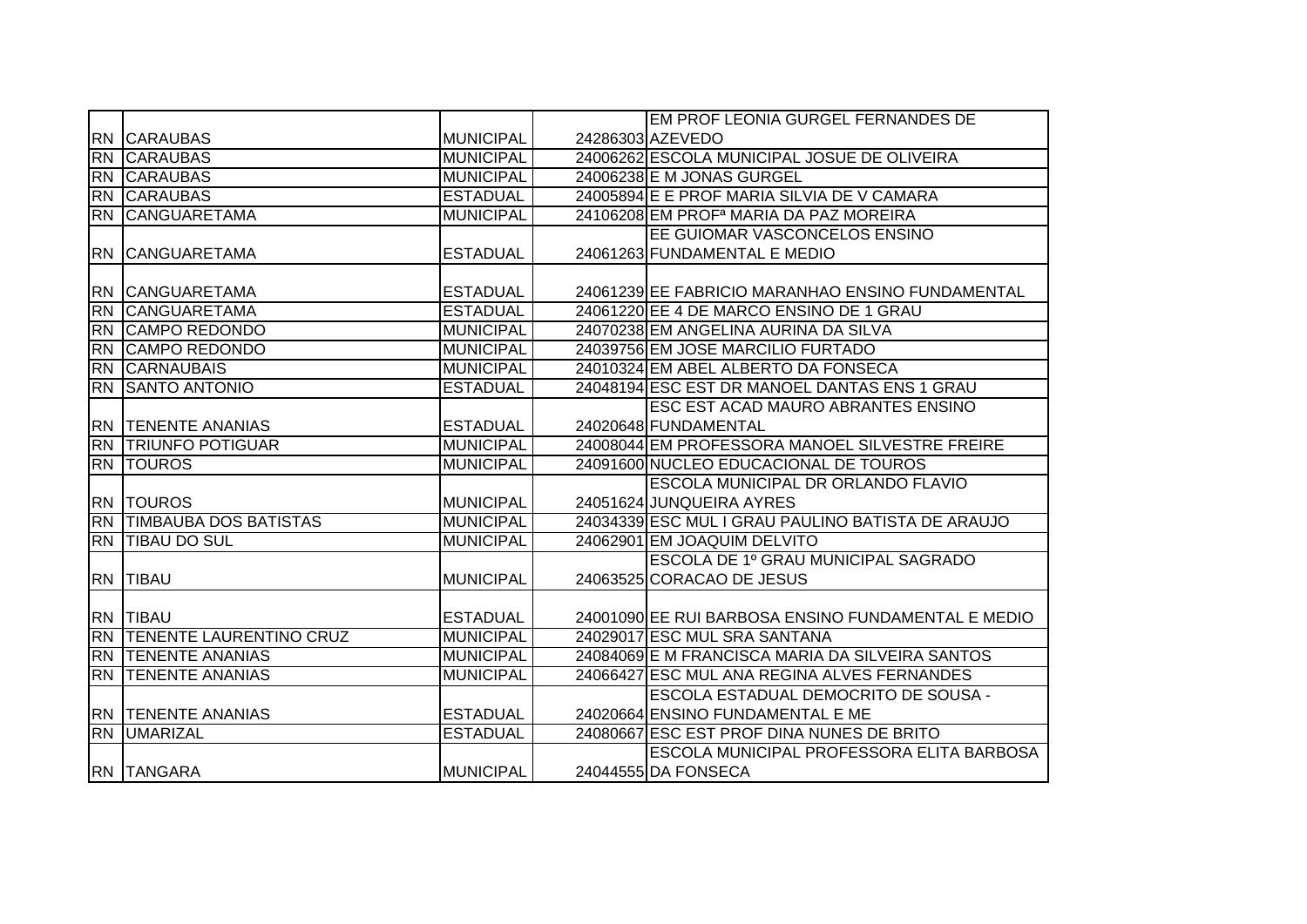|           |                              |                  | EM PROF LEONIA GURGEL FERNANDES DE                 |
|-----------|------------------------------|------------------|----------------------------------------------------|
|           | <b>RN CARAUBAS</b>           | <b>MUNICIPAL</b> | 24286303 AZEVEDO                                   |
| <b>RN</b> | <b>CARAUBAS</b>              | <b>MUNICIPAL</b> | 24006262 ESCOLA MUNICIPAL JOSUE DE OLIVEIRA        |
| <b>RN</b> | <b>CARAUBAS</b>              | <b>MUNICIPAL</b> | 24006238 E M JONAS GURGEL                          |
|           |                              |                  |                                                    |
| RN        | <b>CARAUBAS</b>              | <b>ESTADUAL</b>  | 24005894 E E PROF MARIA SILVIA DE V CAMARA         |
| <b>RN</b> | <b>CANGUARETAMA</b>          | <b>MUNICIPAL</b> | 24106208 EM PROF <sup>a</sup> MARIA DA PAZ MOREIRA |
|           |                              |                  | <b>EE GUIOMAR VASCONCELOS ENSINO</b>               |
|           | <b>RN CANGUARETAMA</b>       | <b>ESTADUAL</b>  | 24061263 FUNDAMENTAL E MEDIO                       |
|           |                              |                  |                                                    |
|           | RN CANGUARETAMA              | <b>ESTADUAL</b>  | 24061239 EE FABRICIO MARANHAO ENSINO FUNDAMENTAL   |
| <b>RN</b> | <b>CANGUARETAMA</b>          | <b>ESTADUAL</b>  | 24061220 EE 4 DE MARCO ENSINO DE 1 GRAU            |
| <b>RN</b> | <b>CAMPO REDONDO</b>         | <b>MUNICIPAL</b> | 24070238 EM ANGELINA AURINA DA SILVA               |
| <b>RN</b> | <b>CAMPO REDONDO</b>         | <b>MUNICIPAL</b> | 24039756 EM JOSE MARCILIO FURTADO                  |
| <b>RN</b> | <b>CARNAUBAIS</b>            | <b>MUNICIPAL</b> | 24010324 EM ABEL ALBERTO DA FONSECA                |
|           | RN SANTO ANTONIO             | <b>ESTADUAL</b>  | 24048194 ESC EST DR MANOEL DANTAS ENS 1 GRAU       |
|           |                              |                  | <b>ESC EST ACAD MAURO ABRANTES ENSINO</b>          |
|           | <b>RN TENENTE ANANIAS</b>    | <b>ESTADUAL</b>  | 24020648 FUNDAMENTAL                               |
|           | <b>RN TRIUNFO POTIGUAR</b>   | <b>MUNICIPAL</b> | 24008044 EM PROFESSORA MANOEL SILVESTRE FREIRE     |
|           | <b>RN TOUROS</b>             | <b>MUNICIPAL</b> | 24091600 NUCLEO EDUCACIONAL DE TOUROS              |
|           |                              |                  | ESCOLA MUNICIPAL DR ORLANDO FLAVIO                 |
|           | <b>RN TOUROS</b>             | <b>MUNICIPAL</b> | 24051624 JUNQUEIRA AYRES                           |
| <b>RN</b> | <b>TIMBAUBA DOS BATISTAS</b> | <b>MUNICIPAL</b> | 24034339 ESC MUL I GRAU PAULINO BATISTA DE ARAUJO  |
|           | <b>RN TIBAU DO SUL</b>       | <b>MUNICIPAL</b> | 24062901 EM JOAQUIM DELVITO                        |
|           |                              |                  | ESCOLA DE 1º GRAU MUNICIPAL SAGRADO                |
|           | <b>RN TIBAU</b>              | <b>MUNICIPAL</b> | 24063525 CORACAO DE JESUS                          |
|           |                              |                  |                                                    |
|           | RN TIBAU                     | <b>ESTADUAL</b>  | 24001090 EE RUI BARBOSA ENSINO FUNDAMENTAL E MEDIO |
|           | RN TENENTE LAURENTINO CRUZ   | <b>MUNICIPAL</b> | 24029017 ESC MUL SRA SANTANA                       |
| <b>RN</b> | <b>TENENTE ANANIAS</b>       | <b>MUNICIPAL</b> | 24084069 E M FRANCISCA MARIA DA SILVEIRA SANTOS    |
| <b>RN</b> | <b>TENENTE ANANIAS</b>       | <b>MUNICIPAL</b> | 24066427 ESC MUL ANA REGINA ALVES FERNANDES        |
|           |                              |                  | ESCOLA ESTADUAL DEMOCRITO DE SOUSA -               |
|           | <b>RN TENENTE ANANIAS</b>    | <b>ESTADUAL</b>  | 24020664 ENSINO FUNDAMENTAL E ME                   |
|           | <b>RN UMARIZAL</b>           | <b>ESTADUAL</b>  | 24080667 ESC EST PROF DINA NUNES DE BRITO          |
|           |                              |                  | ESCOLA MUNICIPAL PROFESSORA ELITA BARBOSA          |
|           |                              |                  |                                                    |
|           | <b>RN TANGARA</b>            | <b>MUNICIPAL</b> | 24044555 DA FONSECA                                |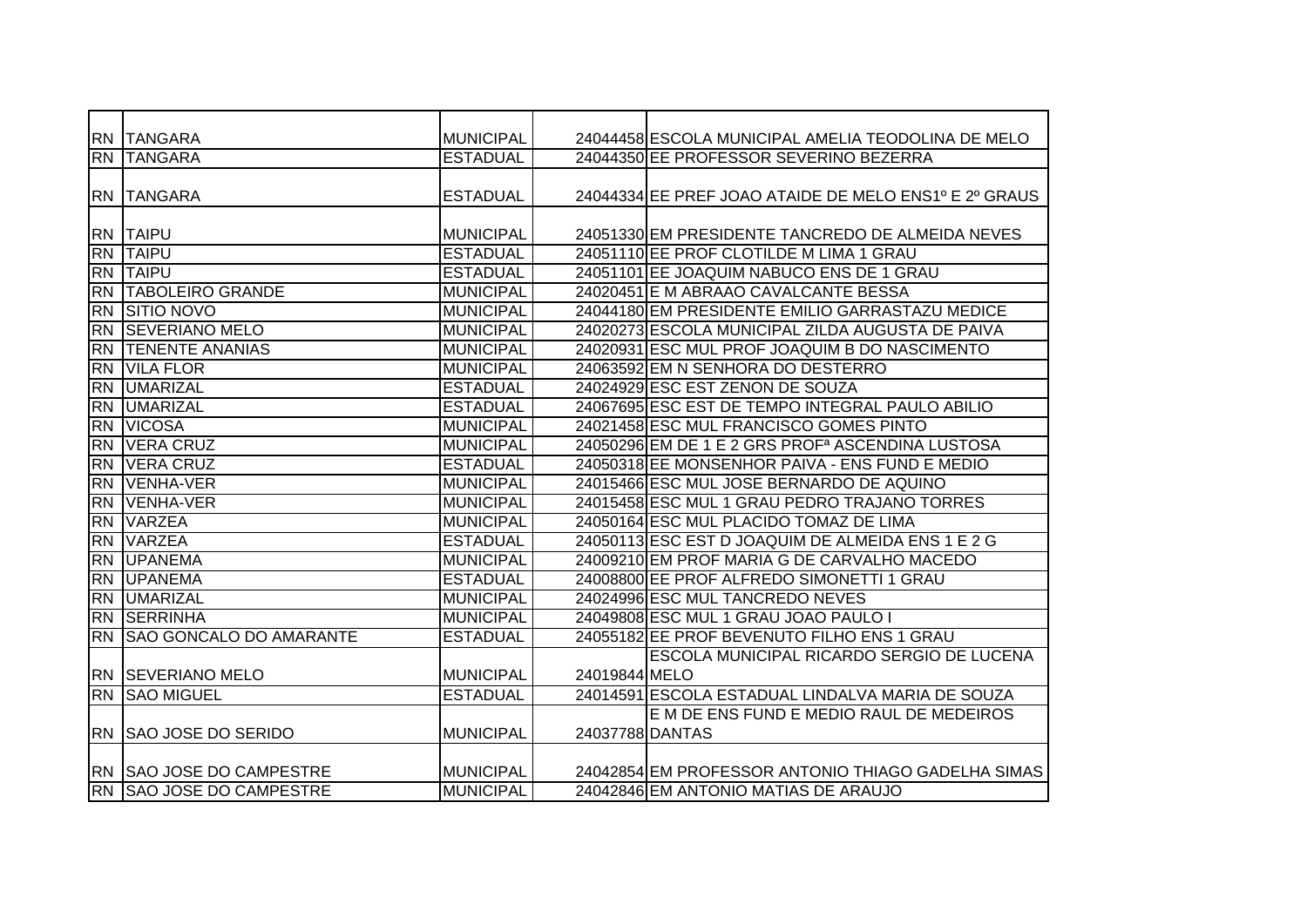|           | RN TANGARA                     | <b>MUNICIPAL</b> |                 | 24044458 ESCOLA MUNICIPAL AMELIA TEODOLINA DE MELO           |
|-----------|--------------------------------|------------------|-----------------|--------------------------------------------------------------|
| <b>RN</b> | <b>TANGARA</b>                 | <b>ESTADUAL</b>  |                 | 24044350 EE PROFESSOR SEVERINO BEZERRA                       |
|           |                                |                  |                 |                                                              |
|           | <b>RN TANGARA</b>              | <b>ESTADUAL</b>  |                 | 24044334 EE PREF JOAO ATAIDE DE MELO ENS1º E 2º GRAUS        |
|           |                                |                  |                 |                                                              |
|           | <b>RN TAIPU</b>                | <b>MUNICIPAL</b> |                 | 24051330 EM PRESIDENTE TANCREDO DE ALMEIDA NEVES             |
| <b>RN</b> | <b>TAIPU</b>                   | <b>ESTADUAL</b>  |                 | 24051110 EE PROF CLOTILDE M LIMA 1 GRAU                      |
| <b>RN</b> | <b>TAIPU</b>                   | <b>ESTADUAL</b>  |                 | 24051101 EE JOAQUIM NABUCO ENS DE 1 GRAU                     |
| <b>RN</b> | <b>TABOLEIRO GRANDE</b>        | <b>MUNICIPAL</b> |                 | 24020451 E M ABRAAO CAVALCANTE BESSA                         |
| <b>RN</b> | <b>SITIO NOVO</b>              | <b>MUNICIPAL</b> |                 | 24044180 EM PRESIDENTE EMILIO GARRASTAZU MEDICE              |
| <b>RN</b> | <b>SEVERIANO MELO</b>          | <b>MUNICIPAL</b> |                 | 24020273 ESCOLA MUNICIPAL ZILDA AUGUSTA DE PAIVA             |
| <b>RN</b> | <b>TENENTE ANANIAS</b>         | <b>MUNICIPAL</b> |                 | 24020931 ESC MUL PROF JOAQUIM B DO NASCIMENTO                |
| <b>RN</b> | <b>VILA FLOR</b>               | <b>MUNICIPAL</b> |                 | 24063592 EM N SENHORA DO DESTERRO                            |
| <b>RN</b> | <b>UMARIZAL</b>                | <b>ESTADUAL</b>  |                 | 24024929 ESC EST ZENON DE SOUZA                              |
| <b>RN</b> | <b>UMARIZAL</b>                | <b>ESTADUAL</b>  |                 | 24067695 ESC EST DE TEMPO INTEGRAL PAULO ABILIO              |
| <b>RN</b> | <b>VICOSA</b>                  | <b>MUNICIPAL</b> |                 | 24021458 ESC MUL FRANCISCO GOMES PINTO                       |
| <b>RN</b> | <b>VERA CRUZ</b>               | <b>MUNICIPAL</b> |                 | 24050296 EM DE 1 E 2 GRS PROF <sup>a</sup> ASCENDINA LUSTOSA |
| <b>RN</b> | <b>VERA CRUZ</b>               | <b>ESTADUAL</b>  |                 | 24050318 EE MONSENHOR PAIVA - ENS FUND E MEDIO               |
| <b>RN</b> | VENHA-VER                      | <b>MUNICIPAL</b> |                 | 24015466 ESC MUL JOSE BERNARDO DE AQUINO                     |
| <b>RN</b> | <b>IVENHA-VER</b>              | <b>MUNICIPAL</b> |                 | 24015458 ESC MUL 1 GRAU PEDRO TRAJANO TORRES                 |
| <b>RN</b> | <b>VARZEA</b>                  | <b>MUNICIPAL</b> |                 | 24050164 ESC MUL PLACIDO TOMAZ DE LIMA                       |
| <b>RN</b> | <b>VARZEA</b>                  | <b>ESTADUAL</b>  |                 | 24050113 ESC EST D JOAQUIM DE ALMEIDA ENS 1 E 2 G            |
| <b>RN</b> | <b>UPANEMA</b>                 | <b>MUNICIPAL</b> |                 | 24009210 EM PROF MARIA G DE CARVALHO MACEDO                  |
| <b>RN</b> | <b>UPANEMA</b>                 | <b>ESTADUAL</b>  |                 | 24008800 EE PROF ALFREDO SIMONETTI 1 GRAU                    |
| <b>RN</b> | <b>UMARIZAL</b>                | <b>MUNICIPAL</b> |                 | 24024996 ESC MUL TANCREDO NEVES                              |
| <b>RN</b> | <b>ISERRINHA</b>               | <b>MUNICIPAL</b> |                 | 24049808 ESC MUL 1 GRAU JOAO PAULO I                         |
| <b>RN</b> | <b>SAO GONCALO DO AMARANTE</b> | <b>ESTADUAL</b>  |                 | 24055182 EE PROF BEVENUTO FILHO ENS 1 GRAU                   |
|           |                                |                  |                 | ESCOLA MUNICIPAL RICARDO SERGIO DE LUCENA                    |
|           | <b>RN SEVERIANO MELO</b>       | <b>MUNICIPAL</b> | 24019844 MELO   |                                                              |
| <b>RN</b> | <b>SAO MIGUEL</b>              | <b>ESTADUAL</b>  |                 | 24014591 ESCOLA ESTADUAL LINDALVA MARIA DE SOUZA             |
|           |                                |                  |                 | E M DE ENS FUND E MEDIO RAUL DE MEDEIROS                     |
|           | RN ISAO JOSE DO SERIDO         | <b>MUNICIPAL</b> | 24037788 DANTAS |                                                              |
|           |                                |                  |                 |                                                              |
|           | RN SAO JOSE DO CAMPESTRE       | <b>MUNICIPAL</b> |                 | 24042854 EM PROFESSOR ANTONIO THIAGO GADELHA SIMAS           |
| RN        | <b>SAO JOSE DO CAMPESTRE</b>   | <b>MUNICIPAL</b> |                 | 24042846 EM ANTONIO MATIAS DE ARAUJO                         |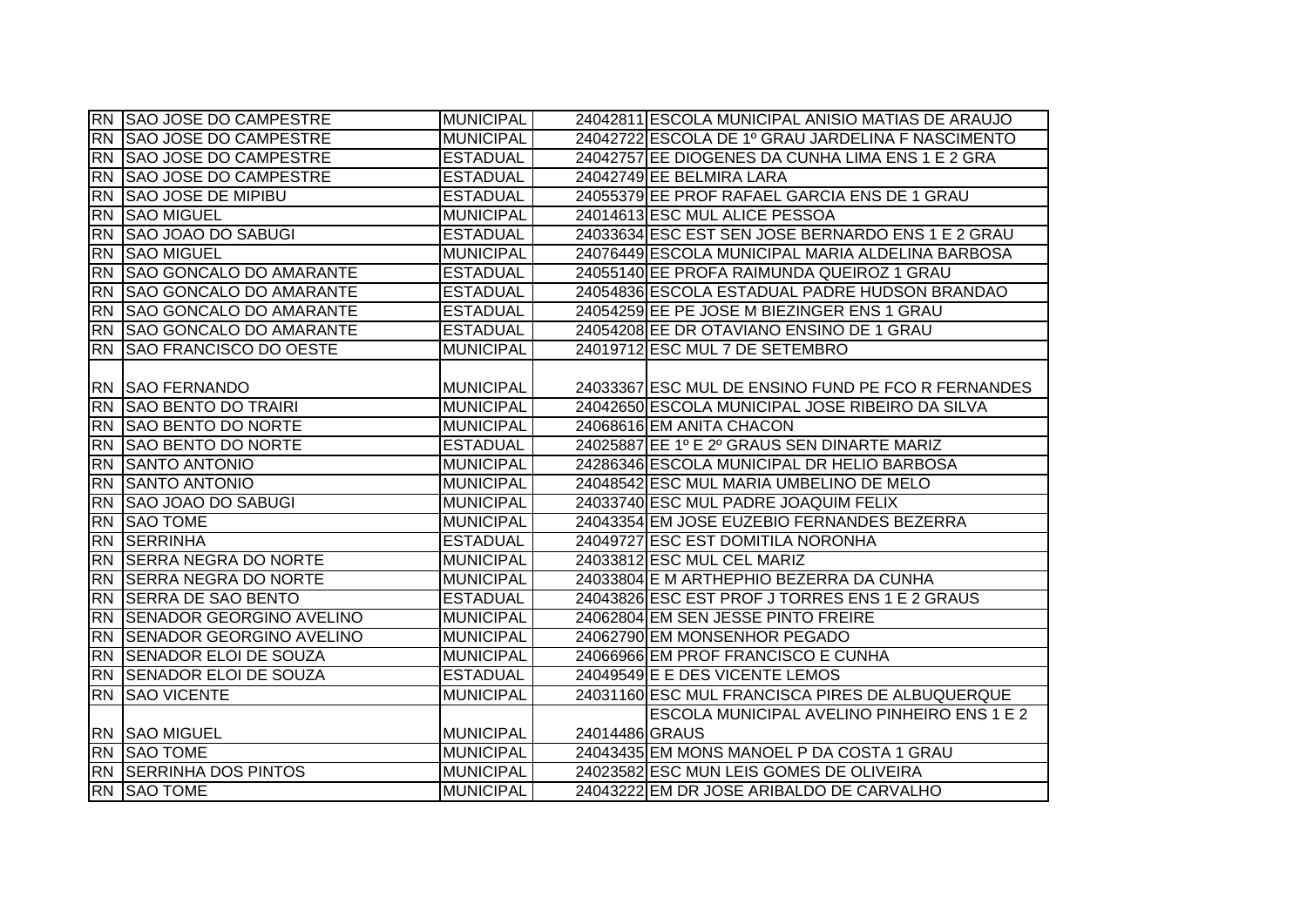|           | RN SAO JOSE DO CAMPESTRE       | <b>MUNICIPAL</b> |                | 24042811 ESCOLA MUNICIPAL ANISIO MATIAS DE ARAUJO  |
|-----------|--------------------------------|------------------|----------------|----------------------------------------------------|
|           | RN SAO JOSE DO CAMPESTRE       | <b>MUNICIPAL</b> |                | 24042722 ESCOLA DE 1º GRAU JARDELINA F NASCIMENTO  |
|           | RN SAO JOSE DO CAMPESTRE       | <b>ESTADUAL</b>  |                | 24042757 EE DIOGENES DA CUNHA LIMA ENS 1 E 2 GRA   |
| <b>RN</b> | <b>SAO JOSE DO CAMPESTRE</b>   | <b>ESTADUAL</b>  |                | 24042749 EE BELMIRA LARA                           |
| <b>RN</b> | <b>SAO JOSE DE MIPIBU</b>      | <b>ESTADUAL</b>  |                | 24055379 EE PROF RAFAEL GARCIA ENS DE 1 GRAU       |
|           | <b>RN SAO MIGUEL</b>           | <b>MUNICIPAL</b> |                | 24014613 ESC MUL ALICE PESSOA                      |
|           | RN SAO JOAO DO SABUGI          | <b>ESTADUAL</b>  |                | 24033634 ESC EST SEN JOSE BERNARDO ENS 1 E 2 GRAU  |
|           | <b>RN</b> SAO MIGUEL           | <b>MUNICIPAL</b> |                | 24076449 ESCOLA MUNICIPAL MARIA ALDELINA BARBOSA   |
|           | RN SAO GONCALO DO AMARANTE     | <b>ESTADUAL</b>  |                | 24055140 EE PROFA RAIMUNDA QUEIROZ 1 GRAU          |
| <b>RN</b> | <b>SAO GONCALO DO AMARANTE</b> | <b>ESTADUAL</b>  |                | 24054836 ESCOLA ESTADUAL PADRE HUDSON BRANDAO      |
|           | RN SAO GONCALO DO AMARANTE     | <b>ESTADUAL</b>  |                | 24054259 EE PE JOSE M BIEZINGER ENS 1 GRAU         |
|           | RN SAO GONCALO DO AMARANTE     | <b>ESTADUAL</b>  |                | 24054208 EE DR OTAVIANO ENSINO DE 1 GRAU           |
|           | RN SAO FRANCISCO DO OESTE      | <b>MUNICIPAL</b> |                | 24019712 ESC MUL 7 DE SETEMBRO                     |
|           |                                |                  |                |                                                    |
|           | <b>RN SAO FERNANDO</b>         | <b>MUNICIPAL</b> |                | 24033367 ESC MUL DE ENSINO FUND PE FCO R FERNANDES |
|           | RN SAO BENTO DO TRAIRI         | <b>MUNICIPAL</b> |                | 24042650 ESCOLA MUNICIPAL JOSE RIBEIRO DA SILVA    |
|           | RN SAO BENTO DO NORTE          | <b>MUNICIPAL</b> |                | 24068616 EM ANITA CHACON                           |
| <b>RN</b> | <b>SAO BENTO DO NORTE</b>      | <b>ESTADUAL</b>  |                | 24025887 EE 1º E 2º GRAUS SEN DINARTE MARIZ        |
|           | RN SANTO ANTONIO               | <b>MUNICIPAL</b> |                | 24286346 ESCOLA MUNICIPAL DR HELIO BARBOSA         |
|           | RN SANTO ANTONIO               | <b>MUNICIPAL</b> |                | 24048542 ESC MUL MARIA UMBELINO DE MELO            |
|           | RN SAO JOAO DO SABUGI          | <b>MUNICIPAL</b> |                | 24033740 ESC MUL PADRE JOAQUIM FELIX               |
|           | <b>RN SAO TOME</b>             | <b>MUNICIPAL</b> |                | 24043354 EM JOSE EUZEBIO FERNANDES BEZERRA         |
|           | <b>RN SERRINHA</b>             | <b>ESTADUAL</b>  |                | 24049727 ESC EST DOMITILA NORONHA                  |
|           | RN SERRA NEGRA DO NORTE        | <b>MUNICIPAL</b> |                | 24033812 ESC MUL CEL MARIZ                         |
|           | RN SERRA NEGRA DO NORTE        | <b>MUNICIPAL</b> |                | 24033804 E M ARTHEPHIO BEZERRA DA CUNHA            |
|           | RN SERRA DE SAO BENTO          | <b>ESTADUAL</b>  |                | 24043826 ESC EST PROF J TORRES ENS 1 E 2 GRAUS     |
|           | RN SENADOR GEORGINO AVELINO    | <b>MUNICIPAL</b> |                | 24062804 EM SEN JESSE PINTO FREIRE                 |
|           | RN SENADOR GEORGINO AVELINO    | <b>MUNICIPAL</b> |                | 24062790 EM MONSENHOR PEGADO                       |
|           | RN SENADOR ELOI DE SOUZA       | <b>MUNICIPAL</b> |                | 24066966 EM PROF FRANCISCO E CUNHA                 |
|           | RN ISENADOR ELOI DE SOUZA      | <b>ESTADUAL</b>  |                | 24049549 E E DES VICENTE LEMOS                     |
|           | <b>RN SAO VICENTE</b>          | <b>MUNICIPAL</b> |                | 24031160 ESC MUL FRANCISCA PIRES DE ALBUQUERQUE    |
|           |                                |                  |                | <b>ESCOLA MUNICIPAL AVELINO PINHEIRO ENS 1 E 2</b> |
|           | RN SAO MIGUEL                  | <b>MUNICIPAL</b> | 24014486 GRAUS |                                                    |
|           | <b>RN SAO TOME</b>             | <b>MUNICIPAL</b> |                | 24043435 EM MONS MANOEL P DA COSTA 1 GRAU          |
|           | <b>RN SERRINHA DOS PINTOS</b>  | <b>MUNICIPAL</b> |                | 24023582 ESC MUN LEIS GOMES DE OLIVEIRA            |
|           | RN SAO TOME                    | <b>MUNICIPAL</b> |                | 24043222 EM DR JOSE ARIBALDO DE CARVALHO           |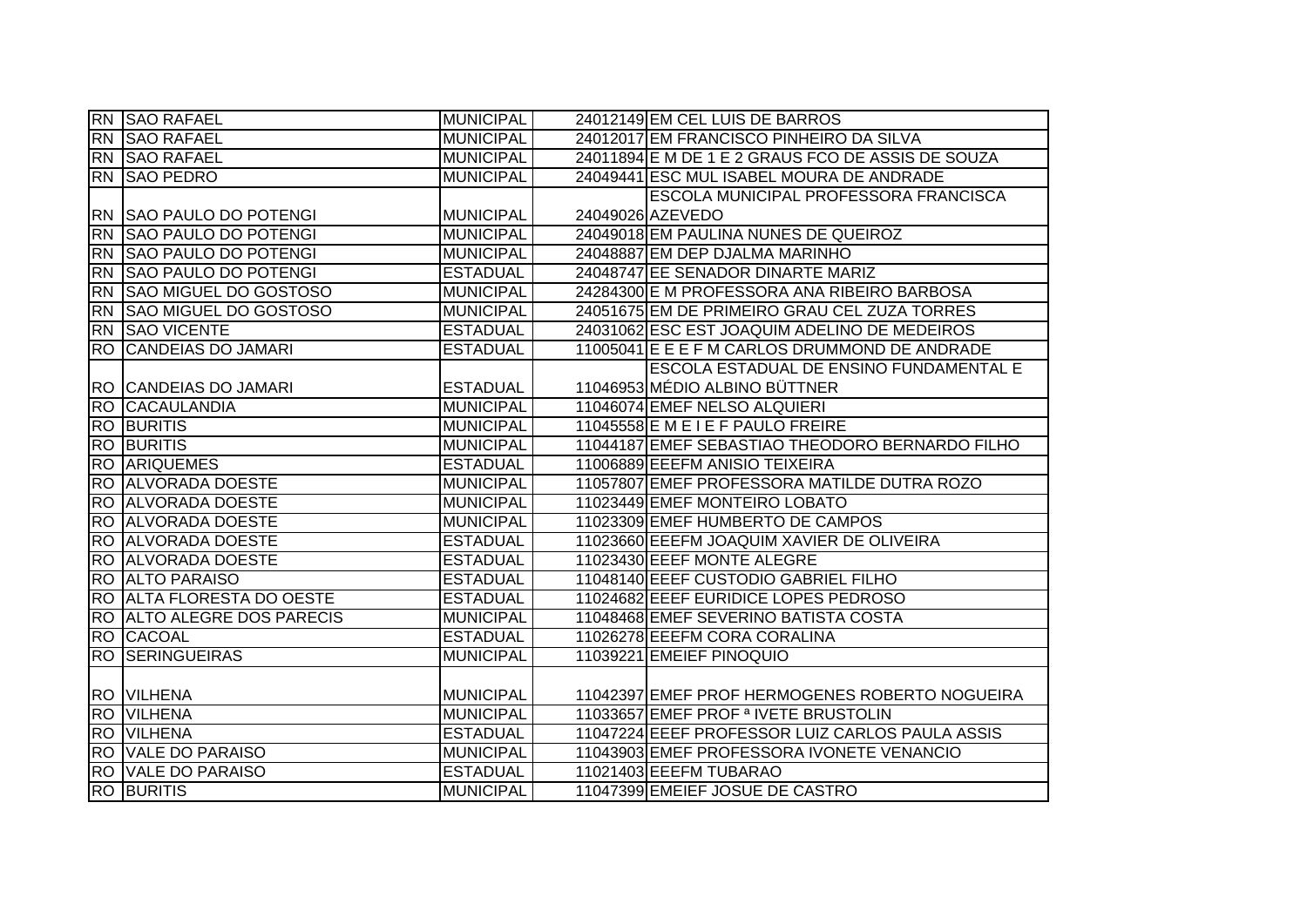|                 | <b>RN</b> SAO RAFAEL           | <b>MUNICIPAL</b> | 24012149 EM CEL LUIS DE BARROS                    |
|-----------------|--------------------------------|------------------|---------------------------------------------------|
| <b>RN</b>       | <b>SAO RAFAEL</b>              | <b>MUNICIPAL</b> | 24012017 EM FRANCISCO PINHEIRO DA SILVA           |
|                 | <b>RN SAO RAFAEL</b>           | <b>MUNICIPAL</b> | 24011894 E M DE 1 E 2 GRAUS FCO DE ASSIS DE SOUZA |
|                 | RN SAO PEDRO                   | <b>MUNICIPAL</b> | 24049441 ESC MUL ISABEL MOURA DE ANDRADE          |
|                 |                                |                  | ESCOLA MUNICIPAL PROFESSORA FRANCISCA             |
|                 | <b>RN SAO PAULO DO POTENGI</b> | <b>MUNICIPAL</b> | 24049026 AZEVEDO                                  |
| $\overline{RN}$ | <b>SAO PAULO DO POTENGI</b>    | <b>MUNICIPAL</b> | 24049018 EM PAULINA NUNES DE QUEIROZ              |
|                 | RN SAO PAULO DO POTENGI        | <b>MUNICIPAL</b> | 24048887 EM DEP DJALMA MARINHO                    |
| <b>RN</b>       | <b>SAO PAULO DO POTENGI</b>    | <b>ESTADUAL</b>  | 24048747 EE SENADOR DINARTE MARIZ                 |
| <b>RN</b>       | SAO MIGUEL DO GOSTOSO          | <b>MUNICIPAL</b> | 24284300 E M PROFESSORA ANA RIBEIRO BARBOSA       |
| <b>RN</b>       | <b>SAO MIGUEL DO GOSTOSO</b>   | <b>MUNICIPAL</b> | 24051675 EM DE PRIMEIRO GRAU CEL ZUZA TORRES      |
| <b>RN</b>       | <b>SAO VICENTE</b>             | <b>ESTADUAL</b>  | 24031062 ESC EST JOAQUIM ADELINO DE MEDEIROS      |
| <b>RO</b>       | <b>CANDEIAS DO JAMARI</b>      | <b>ESTADUAL</b>  | 11005041 E E E F M CARLOS DRUMMOND DE ANDRADE     |
|                 |                                |                  | <b>ESCOLA ESTADUAL DE ENSINO FUNDAMENTAL E</b>    |
|                 | RO CANDEIAS DO JAMARI          | <b>ESTADUAL</b>  | 11046953 MÉDIO ALBINO BÜTTNER                     |
| <b>RO</b>       | <b>CACAULANDIA</b>             | <b>MUNICIPAL</b> | 11046074 EMEF NELSO ALQUIERI                      |
| <b>RO</b>       | <b>BURITIS</b>                 | <b>MUNICIPAL</b> | 11045558 E M E I E F PAULO FREIRE                 |
| <b>RO</b>       | <b>BURITIS</b>                 | <b>MUNICIPAL</b> | 11044187 EMEF SEBASTIAO THEODORO BERNARDO FILHO   |
| $\overline{RO}$ | <b>ARIQUEMES</b>               | <b>ESTADUAL</b>  | 11006889 EEEFM ANISIO TEIXEIRA                    |
|                 | RO ALVORADA DOESTE             | <b>MUNICIPAL</b> | 11057807 EMEF PROFESSORA MATILDE DUTRA ROZO       |
| <b>RO</b>       | <b>ALVORADA DOESTE</b>         | <b>MUNICIPAL</b> | 11023449 EMEF MONTEIRO LOBATO                     |
| <b>RO</b>       | <b>ALVORADA DOESTE</b>         | <b>MUNICIPAL</b> | 11023309 EMEF HUMBERTO DE CAMPOS                  |
| <b>RO</b>       |                                |                  |                                                   |
|                 | <b>ALVORADA DOESTE</b>         | <b>ESTADUAL</b>  | 11023660 EEEFM JOAQUIM XAVIER DE OLIVEIRA         |
|                 | <b>RO ALVORADA DOESTE</b>      | <b>ESTADUAL</b>  | 11023430 EEEF MONTE ALEGRE                        |
| $\overline{RO}$ | <b>ALTO PARAISO</b>            | <b>ESTADUAL</b>  | 11048140 EEEF CUSTODIO GABRIEL FILHO              |
| <b>RO</b>       | <b>ALTA FLORESTA DO OESTE</b>  | <b>ESTADUAL</b>  | 11024682 EEEF EURIDICE LOPES PEDROSO              |
| <b>RO</b>       | <b>ALTO ALEGRE DOS PARECIS</b> | <b>MUNICIPAL</b> | 11048468 EMEF SEVERINO BATISTA COSTA              |
| <b>RO</b>       | <b>CACOAL</b>                  | <b>ESTADUAL</b>  | 11026278 EEEFM CORA CORALINA                      |
| <b>RO</b>       | <b>SERINGUEIRAS</b>            | <b>MUNICIPAL</b> | 11039221 EMEIEF PINOQUIO                          |
|                 |                                |                  |                                                   |
|                 | <b>RO VILHENA</b>              | <b>MUNICIPAL</b> | 11042397 EMEF PROF HERMOGENES ROBERTO NOGUEIRA    |
| $\overline{RO}$ | <b>VILHENA</b>                 | <b>MUNICIPAL</b> | 11033657 EMEF PROF <sup>ª</sup> IVETE BRUSTOLIN   |
| <b>RO</b>       | <b>VILHENA</b>                 | <b>ESTADUAL</b>  | 11047224 EEEF PROFESSOR LUIZ CARLOS PAULA ASSIS   |
| <b>RO</b>       | <b>VALE DO PARAISO</b>         | <b>MUNICIPAL</b> | 11043903 EMEF PROFESSORA IVONETE VENANCIO         |
| $\overline{RO}$ | <b>VALE DO PARAISO</b>         | <b>ESTADUAL</b>  | 11021403 EEEFM TUBARAO                            |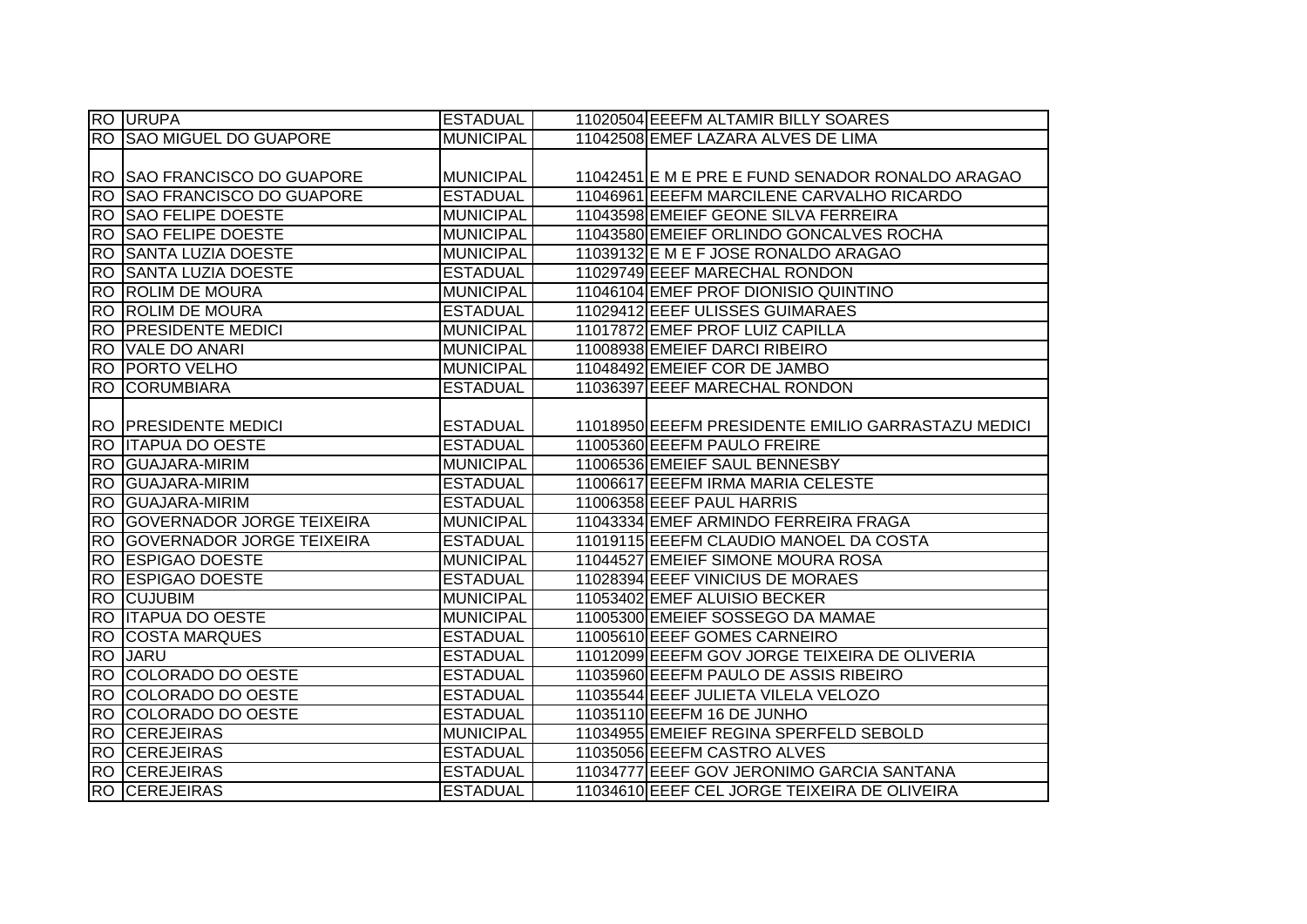|           | <b>RO URUPA</b>                 | <b>ESTADUAL</b>  | 11020504 EEEFM ALTAMIR BILLY SOARES                |
|-----------|---------------------------------|------------------|----------------------------------------------------|
|           | <b>RO SAO MIGUEL DO GUAPORE</b> | <b>MUNICIPAL</b> | 11042508 EMEF LAZARA ALVES DE LIMA                 |
|           |                                 |                  |                                                    |
|           | RO SSAO FRANCISCO DO GUAPORE    | <b>MUNICIPAL</b> | 11042451 E M E PRE E FUND SENADOR RONALDO ARAGAO   |
| <b>RO</b> | <b>SAO FRANCISCO DO GUAPORE</b> | <b>ESTADUAL</b>  | 11046961 EEEFM MARCILENE CARVALHO RICARDO          |
|           | <b>RO SAO FELIPE DOESTE</b>     | <b>MUNICIPAL</b> | 11043598 EMEIEF GEONE SILVA FERREIRA               |
|           | RO SAO FELIPE DOESTE            | <b>MUNICIPAL</b> | 11043580 EMEIEF ORLINDO GONCALVES ROCHA            |
| <b>RO</b> | <b>SANTA LUZIA DOESTE</b>       | <b>MUNICIPAL</b> | 11039132 E M E F JOSE RONALDO ARAGAO               |
| <b>RO</b> | <b>SANTA LUZIA DOESTE</b>       | <b>ESTADUAL</b>  | 11029749 EEEF MARECHAL RONDON                      |
|           | <b>RO ROLIM DE MOURA</b>        | <b>MUNICIPAL</b> | 11046104 EMEF PROF DIONISIO QUINTINO               |
| <b>RO</b> | <b>ROLIM DE MOURA</b>           | <b>ESTADUAL</b>  | 11029412 EEEF ULISSES GUIMARAES                    |
| <b>RO</b> | <b>PRESIDENTE MEDICI</b>        | <b>MUNICIPAL</b> | 11017872 EMEF PROF LUIZ CAPILLA                    |
| <b>RO</b> | VALE DO ANARI                   | <b>MUNICIPAL</b> | 11008938 EMEIEF DARCI RIBEIRO                      |
| IRO.      | <b>PORTO VELHO</b>              | <b>MUNICIPAL</b> | 11048492 EMEIEF COR DE JAMBO                       |
|           | <b>RO CORUMBIARA</b>            | <b>ESTADUAL</b>  | 11036397 EEEF MARECHAL RONDON                      |
|           |                                 |                  |                                                    |
|           | <b>RO PRESIDENTE MEDICI</b>     | <b>ESTADUAL</b>  | 11018950 EEEFM PRESIDENTE EMILIO GARRASTAZU MEDICI |
|           | RO ITAPUA DO OESTE              | <b>ESTADUAL</b>  | 11005360 EEEFM PAULO FREIRE                        |
|           | <b>RO GUAJARA-MIRIM</b>         | <b>MUNICIPAL</b> | 11006536 EMEIEF SAUL BENNESBY                      |
|           | <b>RO GUAJARA-MIRIM</b>         | <b>ESTADUAL</b>  | 11006617 EEEFM IRMA MARIA CELESTE                  |
|           | <b>RO GUAJARA-MIRIM</b>         | <b>ESTADUAL</b>  | 11006358 EEEF PAUL HARRIS                          |
|           | RO GOVERNADOR JORGE TEIXEIRA    | <b>MUNICIPAL</b> | 11043334 EMEF ARMINDO FERREIRA FRAGA               |
|           | RO GOVERNADOR JORGE TEIXEIRA    | <b>ESTADUAL</b>  | 11019115 EEEFM CLAUDIO MANOEL DA COSTA             |
|           | <b>RO ESPIGÃO DOESTE</b>        | <b>MUNICIPAL</b> | 11044527 EMEIEF SIMONE MOURA ROSA                  |
|           | RO ESPIGAO DOESTE               | <b>ESTADUAL</b>  | 11028394 EEEF VINICIUS DE MORAES                   |
|           | <b>RO CUJUBIM</b>               | <b>MUNICIPAL</b> | 11053402 EMEF ALUISIO BECKER                       |
| <b>RO</b> | <b>ITAPUA DO OESTE</b>          | <b>MUNICIPAL</b> | 11005300 EMEIEF SOSSEGO DA MAMAE                   |
|           | <b>RO COSTA MARQUES</b>         | <b>ESTADUAL</b>  | 11005610 EEEF GOMES CARNEIRO                       |
|           | <b>RO JARU</b>                  | <b>ESTADUAL</b>  | 11012099 EEEFM GOV JORGE TEIXEIRA DE OLIVERIA      |
|           | RO COLORADO DO OESTE            | <b>ESTADUAL</b>  | 11035960 EEEFM PAULO DE ASSIS RIBEIRO              |
|           | RO COLORADO DO OESTE            | <b>ESTADUAL</b>  | 11035544 EEEF JULIETA VILELA VELOZO                |
|           | RO COLORADO DO OESTE            | <b>ESTADUAL</b>  | 11035110 EEEFM 16 DE JUNHO                         |
|           | <b>RO CEREJEIRAS</b>            | <b>MUNICIPAL</b> | 11034955 EMEIEF REGINA SPERFELD SEBOLD             |
|           | <b>RO CEREJEIRAS</b>            | <b>ESTADUAL</b>  | 11035056 EEEFM CASTRO ALVES                        |
|           | <b>RO CEREJEIRAS</b>            | <b>ESTADUAL</b>  | 11034777 EEEF GOV JERONIMO GARCIA SANTANA          |
|           | <b>RO CEREJEIRAS</b>            | <b>ESTADUAL</b>  | 11034610 EEEF CEL JORGE TEIXEIRA DE OLIVEIRA       |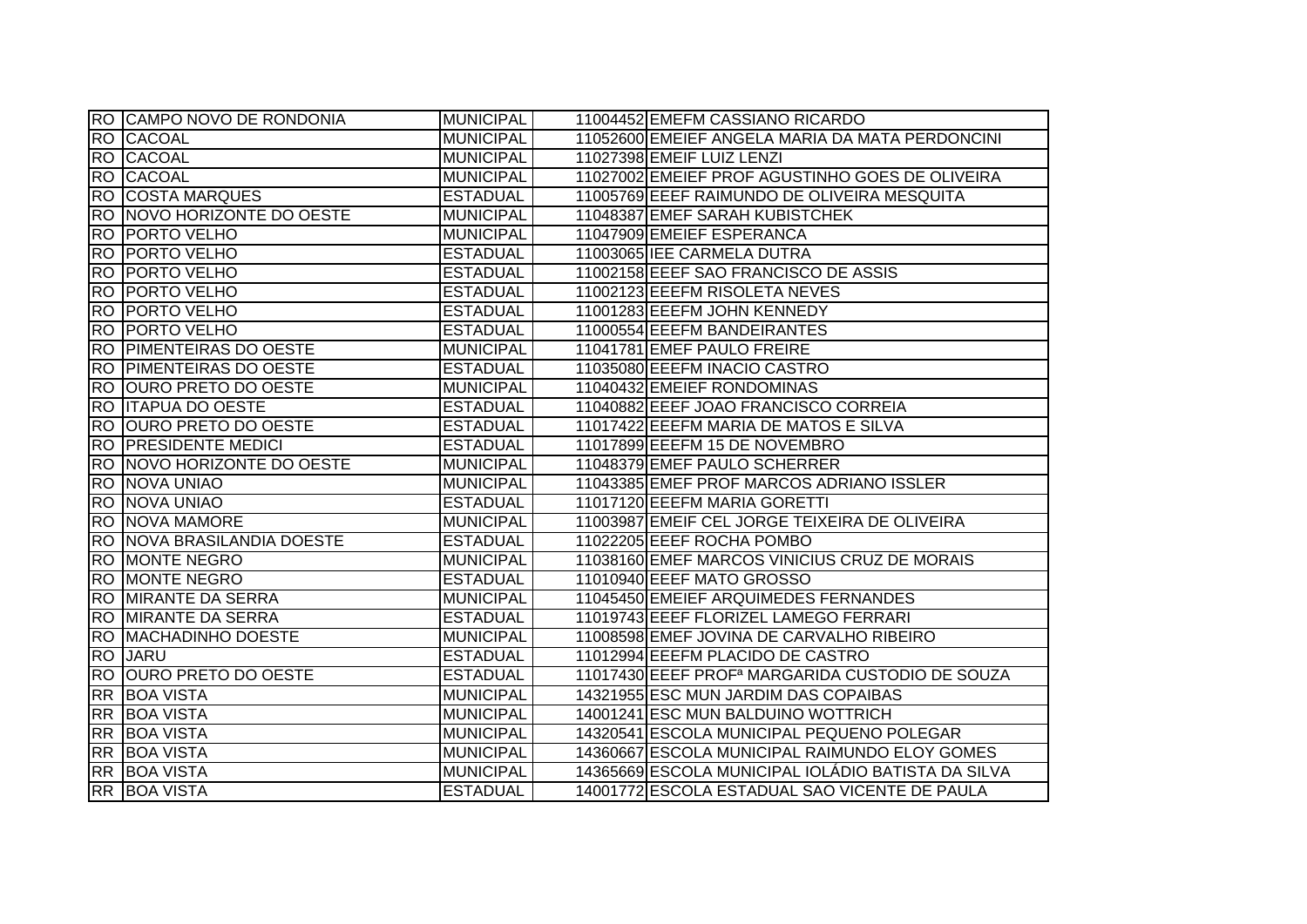|           | RO CAMPO NOVO DE RONDONIA      | <b>MUNICIPAL</b> | 11004452 EMEFM CASSIANO RICARDO                             |
|-----------|--------------------------------|------------------|-------------------------------------------------------------|
|           | <b>RO CACOAL</b>               | <b>MUNICIPAL</b> | 11052600 EMEIEF ANGELA MARIA DA MATA PERDONCINI             |
|           | RO CACOAL                      | <b>MUNICIPAL</b> | 11027398 EMEIF LUIZ LENZI                                   |
|           | <b>RO CACOAL</b>               | <b>MUNICIPAL</b> | 11027002 EMEIEF PROF AGUSTINHO GOES DE OLIVEIRA             |
|           | <b>RO COSTA MARQUES</b>        | <b>ESTADUAL</b>  | 11005769 EEEF RAIMUNDO DE OLIVEIRA MESQUITA                 |
|           | RO NOVO HORIZONTE DO OESTE     | <b>MUNICIPAL</b> | 11048387 EMEF SARAH KUBISTCHEK                              |
|           | <b>RO IPORTO VELHO</b>         | <b>MUNICIPAL</b> | 11047909 EMEIEF ESPERANCA                                   |
|           | <b>RO PORTO VELHO</b>          | <b>ESTADUAL</b>  | 11003065 IEE CARMELA DUTRA                                  |
|           | <b>RO PORTO VELHO</b>          | <b>ESTADUAL</b>  | 11002158 EEEF SAO FRANCISCO DE ASSIS                        |
|           | <b>RO PORTO VELHO</b>          | <b>ESTADUAL</b>  | 11002123 EEEFM RISOLETA NEVES                               |
|           | <b>RO PORTO VELHO</b>          | <b>ESTADUAL</b>  | 11001283 EEEFM JOHN KENNEDY                                 |
|           | <b>RO PORTO VELHO</b>          | <b>ESTADUAL</b>  | 11000554 EEEFM BANDEIRANTES                                 |
|           | <b>RO PIMENTEIRAS DO OESTE</b> | <b>MUNICIPAL</b> | 11041781 EMEF PAULO FREIRE                                  |
|           | <b>RO PIMENTEIRAS DO OESTE</b> | <b>ESTADUAL</b>  | 11035080 EEEFM INACIO CASTRO                                |
|           | RO OURO PRETO DO OESTE         | <b>MUNICIPAL</b> | 11040432 EMEIEF RONDOMINAS                                  |
|           | <b>RO ITAPUA DO OESTE</b>      | <b>ESTADUAL</b>  | 11040882 EEEF JOAO FRANCISCO CORREIA                        |
| <b>RO</b> | <b>OURO PRETO DO OESTE</b>     | <b>ESTADUAL</b>  | 11017422 EEEFM MARIA DE MATOS E SILVA                       |
| <b>RO</b> | <b>PRESIDENTE MEDICI</b>       | <b>ESTADUAL</b>  | 11017899 EEEFM 15 DE NOVEMBRO                               |
|           | RO NOVO HORIZONTE DO OESTE     | <b>MUNICIPAL</b> | 11048379 EMEF PAULO SCHERRER                                |
|           | <b>RO NOVA UNIAO</b>           | <b>MUNICIPAL</b> | 11043385 EMEF PROF MARCOS ADRIANO ISSLER                    |
|           | RO NOVA UNIAO                  | <b>ESTADUAL</b>  | 11017120 EEEFM MARIA GORETTI                                |
|           | <b>RO NOVA MAMORE</b>          | <b>MUNICIPAL</b> | 11003987 EMEIF CEL JORGE TEIXEIRA DE OLIVEIRA               |
|           | RO NOVA BRASILANDIA DOESTE     | <b>ESTADUAL</b>  | 11022205 EEEF ROCHA POMBO                                   |
|           | <b>RO MONTE NEGRO</b>          | <b>MUNICIPAL</b> | 11038160 EMEF MARCOS VINICIUS CRUZ DE MORAIS                |
|           | <b>RO MONTE NEGRO</b>          | <b>ESTADUAL</b>  | 11010940 EEEF MATO GROSSO                                   |
|           | <b>RO MIRANTE DA SERRA</b>     | <b>MUNICIPAL</b> | 11045450 EMEIEF ARQUIMEDES FERNANDES                        |
|           | <b>RO MIRANTE DA SERRA</b>     | <b>ESTADUAL</b>  | 11019743 EEEF FLORIZEL LAMEGO FERRARI                       |
|           | RO MACHADINHO DOESTE           | <b>MUNICIPAL</b> | 11008598 EMEF JOVINA DE CARVALHO RIBEIRO                    |
| <b>RO</b> | <b>JARU</b>                    | <b>ESTADUAL</b>  | 11012994 EEEFM PLACIDO DE CASTRO                            |
| <b>RO</b> | <b>OURO PRETO DO OESTE</b>     | <b>ESTADUAL</b>  | 11017430 EEEF PROF <sup>a</sup> MARGARIDA CUSTODIO DE SOUZA |
|           | <b>RR BOA VISTA</b>            | <b>MUNICIPAL</b> | 14321955 ESC MUN JARDIM DAS COPAIBAS                        |
|           | RR BOA VISTA                   | <b>MUNICIPAL</b> | 14001241 ESC MUN BALDUINO WOTTRICH                          |
|           | <b>RR BOA VISTA</b>            | <b>MUNICIPAL</b> | 14320541 ESCOLA MUNICIPAL PEQUENO POLEGAR                   |
|           | RR BOA VISTA                   | <b>MUNICIPAL</b> | 14360667 ESCOLA MUNICIPAL RAIMUNDO ELOY GOMES               |
|           | RR BOA VISTA                   | <b>MUNICIPAL</b> | 14365669 ESCOLA MUNICIPAL IOLÁDIO BATISTA DA SILVA          |
|           | RR BOA VISTA                   | <b>ESTADUAL</b>  | 14001772 ESCOLA ESTADUAL SAO VICENTE DE PAULA               |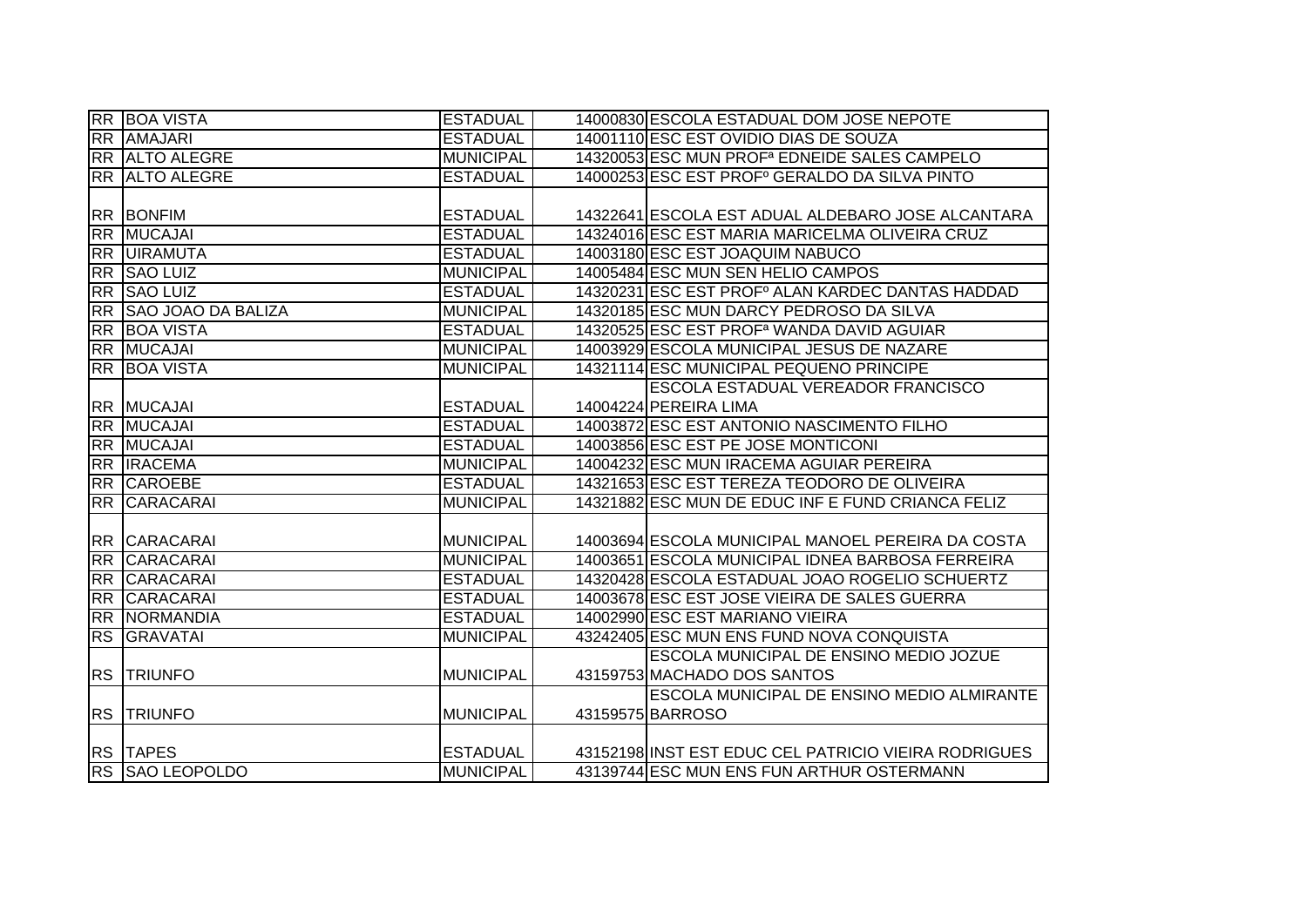|           | <b>RR BOA VISTA</b>   | <b>ESTADUAL</b>  | 14000830 ESCOLA ESTADUAL DOM JOSE NEPOTE                  |
|-----------|-----------------------|------------------|-----------------------------------------------------------|
|           | <b>RR AMAJARI</b>     | <b>ESTADUAL</b>  | 14001110 ESC EST OVIDIO DIAS DE SOUZA                     |
|           | <b>RR ALTO ALEGRE</b> | <b>MUNICIPAL</b> | 14320053 ESC MUN PROF <sup>a</sup> EDNEIDE SALES CAMPELO  |
|           | <b>RR ALTO ALEGRE</b> | <b>ESTADUAL</b>  | 14000253 ESC EST PROF <sup>°</sup> GERALDO DA SILVA PINTO |
|           |                       |                  |                                                           |
|           | <b>RR BONFIM</b>      | <b>ESTADUAL</b>  | 14322641 ESCOLA EST ADUAL ALDEBARO JOSE ALCANTARA         |
|           | RR MUCAJAI            | <b>ESTADUAL</b>  | 14324016 ESC EST MARIA MARICELMA OLIVEIRA CRUZ            |
|           | <b>RR UIRAMUTA</b>    | <b>ESTADUAL</b>  | 14003180 ESC EST JOAQUIM NABUCO                           |
|           | RR SAO LUIZ           | <b>MUNICIPAL</b> | 14005484 ESC MUN SEN HELIO CAMPOS                         |
| <b>RR</b> | <b>SAO LUIZ</b>       | <b>ESTADUAL</b>  | 14320231 ESC EST PROFº ALAN KARDEC DANTAS HADDAD          |
|           | RR SAO JOAO DA BALIZA | <b>MUNICIPAL</b> | 14320185 ESC MUN DARCY PEDROSO DA SILVA                   |
| <b>RR</b> | <b>BOA VISTA</b>      | <b>ESTADUAL</b>  | 14320525 ESC EST PROF <sup>a</sup> WANDA DAVID AGUIAR     |
|           | RR MUCAJAI            | <b>MUNICIPAL</b> | 14003929 ESCOLA MUNICIPAL JESUS DE NAZARE                 |
|           | <b>RR BOA VISTA</b>   | <b>MUNICIPAL</b> | 14321114 ESC MUNICIPAL PEQUENO PRINCIPE                   |
|           |                       |                  | ESCOLA ESTADUAL VEREADOR FRANCISCO                        |
|           | <b>RR MUCAJAI</b>     | <b>ESTADUAL</b>  | 14004224 PEREIRA LIMA                                     |
|           | RR MUCAJAI            | <b>ESTADUAL</b>  | 14003872 ESC EST ANTONIO NASCIMENTO FILHO                 |
|           | <b>RR MUCAJAI</b>     | <b>ESTADUAL</b>  | 14003856 ESC EST PE JOSE MONTICONI                        |
|           | RR <b>IRACEMA</b>     | <b>MUNICIPAL</b> | 14004232 ESC MUN IRACEMA AGUIAR PEREIRA                   |
|           | RR CAROEBE            | <b>ESTADUAL</b>  | 14321653 ESC EST TEREZA TEODORO DE OLIVEIRA               |
| RR        | CARACARAI             | <b>MUNICIPAL</b> | 14321882 ESC MUN DE EDUC INF E FUND CRIANCA FELIZ         |
|           |                       |                  |                                                           |
|           | <b>RR CARACARAI</b>   | <b>MUNICIPAL</b> | 14003694 ESCOLA MUNICIPAL MANOEL PEREIRA DA COSTA         |
|           | RR CARACARAI          | <b>MUNICIPAL</b> | 14003651 ESCOLA MUNICIPAL IDNEA BARBOSA FERREIRA          |
| <b>RR</b> | <b>CARACARAI</b>      | <b>ESTADUAL</b>  | 14320428 ESCOLA ESTADUAL JOAO ROGELIO SCHUERTZ            |
|           | RR CARACARAI          | <b>ESTADUAL</b>  | 14003678 ESC EST JOSE VIEIRA DE SALES GUERRA              |
|           | <b>RR NORMANDIA</b>   | <b>ESTADUAL</b>  | 14002990 ESC EST MARIANO VIEIRA                           |
| <b>RS</b> | <b>GRAVATAI</b>       | <b>MUNICIPAL</b> | 43242405 ESC MUN ENS FUND NOVA CONQUISTA                  |
|           |                       |                  | <b>ESCOLA MUNICIPAL DE ENSINO MEDIO JOZUE</b>             |
| <b>RS</b> | <b>TRIUNFO</b>        | <b>MUNICIPAL</b> | 43159753 MACHADO DOS SANTOS                               |
|           |                       |                  | ESCOLA MUNICIPAL DE ENSINO MEDIO ALMIRANTE                |
| <b>RS</b> | <b>TRIUNFO</b>        | <b>MUNICIPAL</b> | 43159575 BARROSO                                          |
|           |                       |                  |                                                           |
|           | RS TAPES              | <b>ESTADUAL</b>  | 43152198 INST EST EDUC CEL PATRICIO VIEIRA RODRIGUES      |
|           | RS SAO LEOPOLDO       | <b>MUNICIPAL</b> | 43139744 ESC MUN ENS FUN ARTHUR OSTERMANN                 |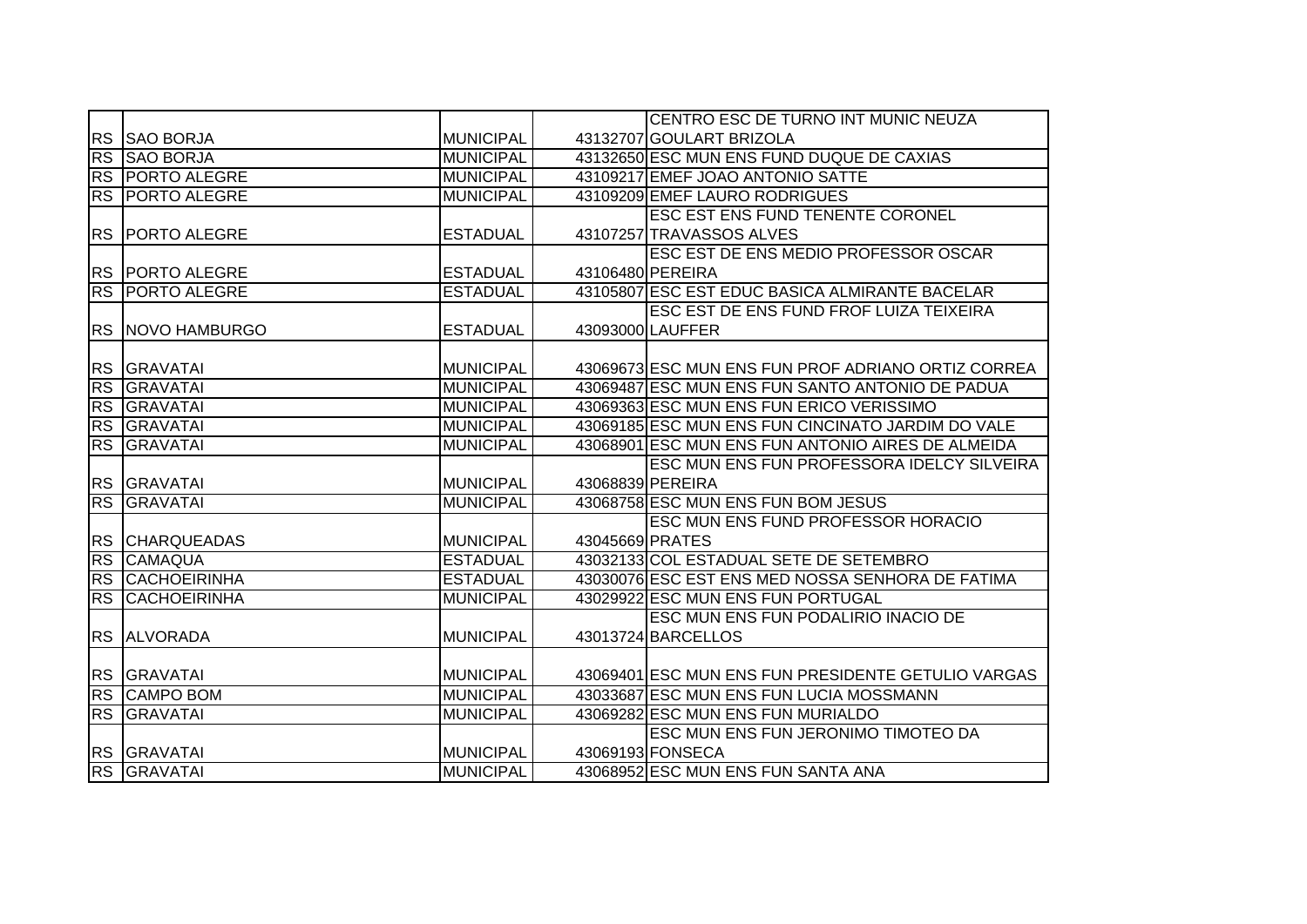|           |                        |                  |                 | CENTRO ESC DE TURNO INT MUNIC NEUZA                |
|-----------|------------------------|------------------|-----------------|----------------------------------------------------|
|           | RS SAO BORJA           | <b>MUNICIPAL</b> |                 | 43132707 GOULART BRIZOLA                           |
|           | RS SAO BORJA           | <b>MUNICIPAL</b> |                 | 43132650 ESC MUN ENS FUND DUQUE DE CAXIAS          |
|           | <b>RS PORTO ALEGRE</b> | <b>MUNICIPAL</b> |                 | 43109217 EMEF JOAO ANTONIO SATTE                   |
| <b>RS</b> | <b>PORTO ALEGRE</b>    | <b>MUNICIPAL</b> |                 | 43109209 EMEF LAURO RODRIGUES                      |
|           |                        |                  |                 | <b>ESC EST ENS FUND TENENTE CORONEL</b>            |
| <b>RS</b> | <b>IPORTO ALEGRE</b>   | <b>ESTADUAL</b>  |                 | 43107257 TRAVASSOS ALVES                           |
|           |                        |                  |                 | <b>ESC EST DE ENS MEDIO PROFESSOR OSCAR</b>        |
|           | RS PORTO ALEGRE        | <b>ESTADUAL</b>  |                 | 43106480 PEREIRA                                   |
|           | <b>RS PORTO ALEGRE</b> | <b>ESTADUAL</b>  |                 | 43105807 ESC EST EDUC BASICA ALMIRANTE BACELAR     |
|           |                        |                  |                 | <b>ESC EST DE ENS FUND FROF LUIZA TEIXEIRA</b>     |
|           | RS NOVO HAMBURGO       | <b>ESTADUAL</b>  |                 | 43093000 LAUFFER                                   |
|           |                        |                  |                 |                                                    |
|           | <b>RS GRAVATAI</b>     | <b>MUNICIPAL</b> |                 | 43069673 ESC MUN ENS FUN PROF ADRIANO ORTIZ CORREA |
| RS        | <b>GRAVATAI</b>        | <b>MUNICIPAL</b> |                 | 43069487 ESC MUN ENS FUN SANTO ANTONIO DE PADUA    |
|           | <b>RS GRAVATAI</b>     | <b>MUNICIPAL</b> |                 | 43069363 ESC MUN ENS FUN ERICO VERISSIMO           |
| <b>RS</b> | <b>GRAVATAI</b>        | <b>MUNICIPAL</b> |                 | 43069185 ESC MUN ENS FUN CINCINATO JARDIM DO VALE  |
| <b>RS</b> | <b>GRAVATAI</b>        | <b>MUNICIPAL</b> |                 | 43068901 ESC MUN ENS FUN ANTONIO AIRES DE ALMEIDA  |
|           |                        |                  |                 | ESC MUN ENS FUN PROFESSORA IDELCY SILVEIRA         |
|           | RS GRAVATAI            | <b>MUNICIPAL</b> |                 | 43068839 PEREIRA                                   |
| RS        | <b>GRAVATAL</b>        | <b>MUNICIPAL</b> |                 | 43068758 ESC MUN ENS FUN BOM JESUS                 |
|           |                        |                  |                 | <b>ESC MUN ENS FUND PROFESSOR HORACIO</b>          |
| <b>RS</b> | <b>CHARQUEADAS</b>     | <b>MUNICIPAL</b> | 43045669 PRATES |                                                    |
| RS        | CAMAQUA                | <b>ESTADUAL</b>  |                 | 43032133 COL ESTADUAL SETE DE SETEMBRO             |
|           | <b>RS CACHOEIRINHA</b> | <b>ESTADUAL</b>  |                 | 43030076 ESC EST ENS MED NOSSA SENHORA DE FATIMA   |
| <b>RS</b> | <b>CACHOEIRINHA</b>    | <b>MUNICIPAL</b> |                 | 43029922 ESC MUN ENS FUN PORTUGAL                  |
|           |                        |                  |                 | ESC MUN ENS FUN PODALIRIO INACIO DE                |
|           | RS ALVORADA            | <b>MUNICIPAL</b> |                 | 43013724 BARCELLOS                                 |
|           |                        |                  |                 |                                                    |
|           | <b>RS GRAVATAI</b>     | <b>MUNICIPAL</b> |                 | 43069401 ESC MUN ENS FUN PRESIDENTE GETULIO VARGAS |
| RS        | <b>CAMPO BOM</b>       | <b>MUNICIPAL</b> |                 | 43033687 ESC MUN ENS FUN LUCIA MOSSMANN            |
| RS        | <b>GRAVATAL</b>        | <b>MUNICIPAL</b> |                 | 43069282 ESC MUN ENS FUN MURIALDO                  |
|           |                        |                  |                 | ESC MUN ENS FUN JERONIMO TIMOTEO DA                |
|           | <b>RS GRAVATAI</b>     | <b>MUNICIPAL</b> |                 | 43069193 FONSECA                                   |
|           | <b>RS GRAVATAI</b>     | <b>MUNICIPAL</b> |                 | 43068952 ESC MUN ENS FUN SANTA ANA                 |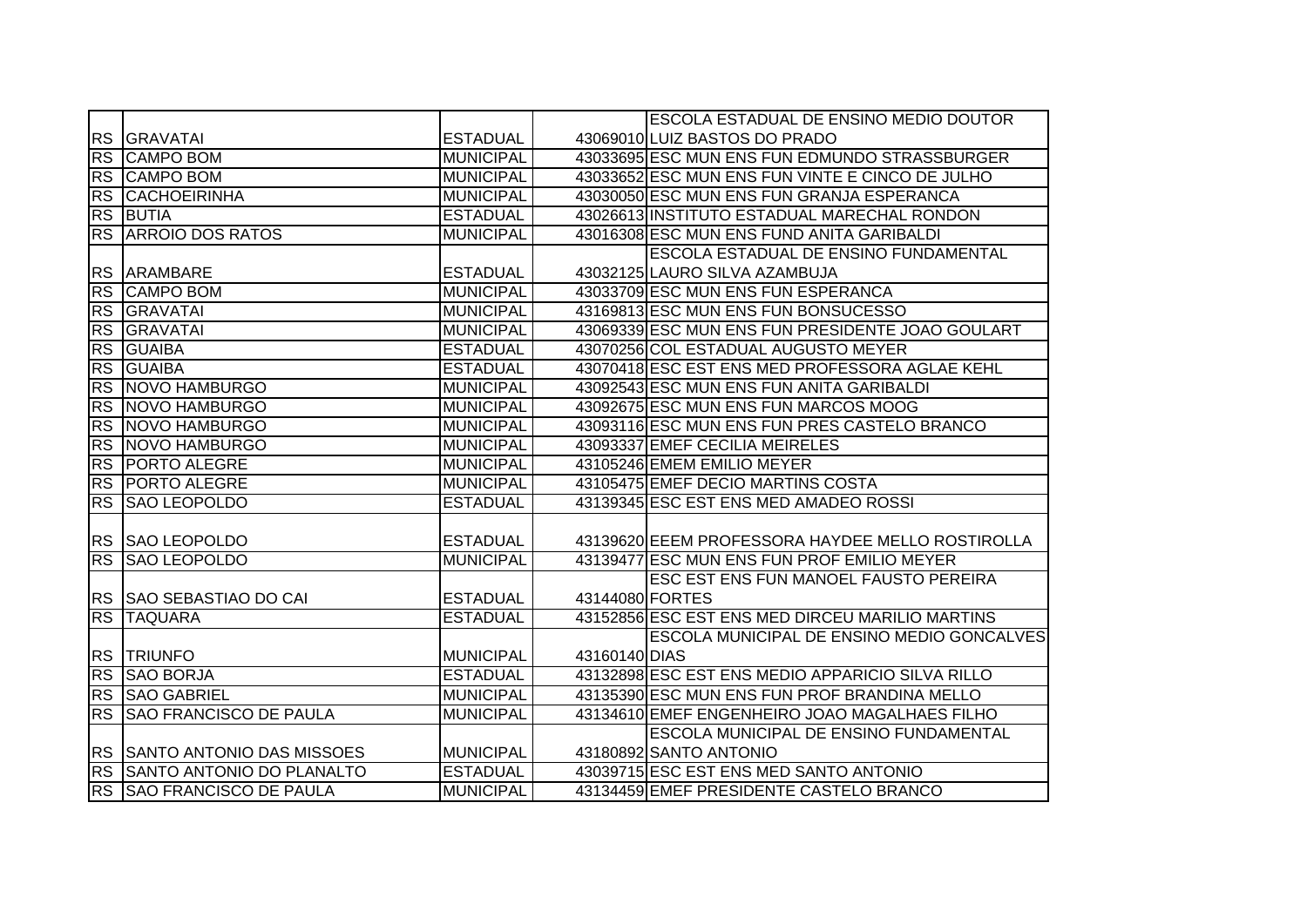|           |                                     |                  |                 | <b>ESCOLA ESTADUAL DE ENSINO MEDIO DOUTOR</b>    |
|-----------|-------------------------------------|------------------|-----------------|--------------------------------------------------|
|           | <b>RS GRAVATAI</b>                  | <b>ESTADUAL</b>  |                 | 43069010 LUIZ BASTOS DO PRADO                    |
| <b>RS</b> | <b>CAMPO BOM</b>                    | <b>MUNICIPAL</b> |                 | 43033695 ESC MUN ENS FUN EDMUNDO STRASSBURGER    |
|           | <b>RS CAMPO BOM</b>                 | <b>MUNICIPAL</b> |                 | 43033652 ESC MUN ENS FUN VINTE E CINCO DE JULHO  |
|           | <b>RS CACHOEIRINHA</b>              | <b>MUNICIPAL</b> |                 | 43030050 ESC MUN ENS FUN GRANJA ESPERANCA        |
|           | <b>RS BUTIA</b>                     | <b>ESTADUAL</b>  |                 | 43026613 INSTITUTO ESTADUAL MARECHAL RONDON      |
|           | <b>RS ARROIO DOS RATOS</b>          | <b>MUNICIPAL</b> |                 | 43016308 ESC MUN ENS FUND ANITA GARIBALDI        |
|           |                                     |                  |                 | <b>ESCOLA ESTADUAL DE ENSINO FUNDAMENTAL</b>     |
| <b>RS</b> | ARAMBARE                            | <b>ESTADUAL</b>  |                 | 43032125 LAURO SILVA AZAMBUJA                    |
| <b>RS</b> | <b>CAMPO BOM</b>                    | <b>MUNICIPAL</b> |                 | 43033709 ESC MUN ENS FUN ESPERANCA               |
| <b>RS</b> | <b>GRAVATAI</b>                     | <b>MUNICIPAL</b> |                 | 43169813 ESC MUN ENS FUN BONSUCESSO              |
| <b>RS</b> | <b>GRAVATAI</b>                     | <b>MUNICIPAL</b> |                 | 43069339 ESC MUN ENS FUN PRESIDENTE JOAO GOULART |
| <b>RS</b> | <b>GUAIBA</b>                       | <b>ESTADUAL</b>  |                 | 43070256 COL ESTADUAL AUGUSTO MEYER              |
| <b>RS</b> | <b>GUAIBA</b>                       | <b>ESTADUAL</b>  |                 | 43070418 ESC EST ENS MED PROFESSORA AGLAE KEHL   |
| <b>RS</b> | NOVO HAMBURGO                       | <b>MUNICIPAL</b> |                 | 43092543 ESC MUN ENS FUN ANITA GARIBALDI         |
| <b>RS</b> | <b>NOVO HAMBURGO</b>                | <b>MUNICIPAL</b> |                 | 43092675 ESC MUN ENS FUN MARCOS MOOG             |
| RS        | NOVO HAMBURGO                       | <b>MUNICIPAL</b> |                 | 43093116 ESC MUN ENS FUN PRES CASTELO BRANCO     |
| <b>RS</b> | NOVO HAMBURGO                       | <b>MUNICIPAL</b> |                 | 43093337 EMEF CECILIA MEIRELES                   |
| <b>RS</b> | <b>PORTO ALEGRE</b>                 | <b>MUNICIPAL</b> |                 | 43105246 EMEM EMILIO MEYER                       |
|           | <b>RS PORTO ALEGRE</b>              | <b>MUNICIPAL</b> |                 | 43105475 EMEF DECIO MARTINS COSTA                |
| <b>RS</b> | <b>SAO LEOPOLDO</b>                 | <b>ESTADUAL</b>  |                 | 43139345 ESC EST ENS MED AMADEO ROSSI            |
|           |                                     |                  |                 |                                                  |
|           | RS SAO LEOPOLDO                     | <b>ESTADUAL</b>  |                 | 43139620 EEEM PROFESSORA HAYDEE MELLO ROSTIROLLA |
| RS        | <b>SAO LEOPOLDO</b>                 | <b>MUNICIPAL</b> |                 | 43139477 ESC MUN ENS FUN PROF EMILIO MEYER       |
|           |                                     |                  |                 | <b>ESC EST ENS FUN MANOEL FAUSTO PEREIRA</b>     |
|           | RS  SAO SEBASTIAO DO CAI            | <b>ESTADUAL</b>  | 43144080 FORTES |                                                  |
| RS        | <b>TAQUARA</b>                      | <b>ESTADUAL</b>  |                 | 43152856 ESC EST ENS MED DIRCEU MARILIO MARTINS  |
|           |                                     |                  |                 | ESCOLA MUNICIPAL DE ENSINO MEDIO GONCALVES       |
| <b>RS</b> | <b>TRIUNFO</b>                      | <b>MUNICIPAL</b> | 43160140 DIAS   |                                                  |
| <b>RS</b> | <b>SAO BORJA</b>                    | <b>ESTADUAL</b>  |                 | 43132898 ESC EST ENS MEDIO APPARICIO SILVA RILLO |
|           | <b>RS SAO GABRIEL</b>               | <b>MUNICIPAL</b> |                 | 43135390 ESC MUN ENS FUN PROF BRANDINA MELLO     |
| RS        | <b>SAO FRANCISCO DE PAULA</b>       | <b>MUNICIPAL</b> |                 | 43134610 EMEF ENGENHEIRO JOAO MAGALHAES FILHO    |
|           |                                     |                  |                 | <b>ESCOLA MUNICIPAL DE ENSINO FUNDAMENTAL</b>    |
|           | <b>RS SANTO ANTONIO DAS MISSOES</b> | <b>MUNICIPAL</b> |                 | 43180892 SANTO ANTONIO                           |
|           | RS SANTO ANTONIO DO PLANALTO        | <b>ESTADUAL</b>  |                 | 43039715 ESC EST ENS MED SANTO ANTONIO           |
|           | RS SAO FRANCISCO DE PAULA           | <b>MUNICIPAL</b> |                 | 43134459 EMEF PRESIDENTE CASTELO BRANCO          |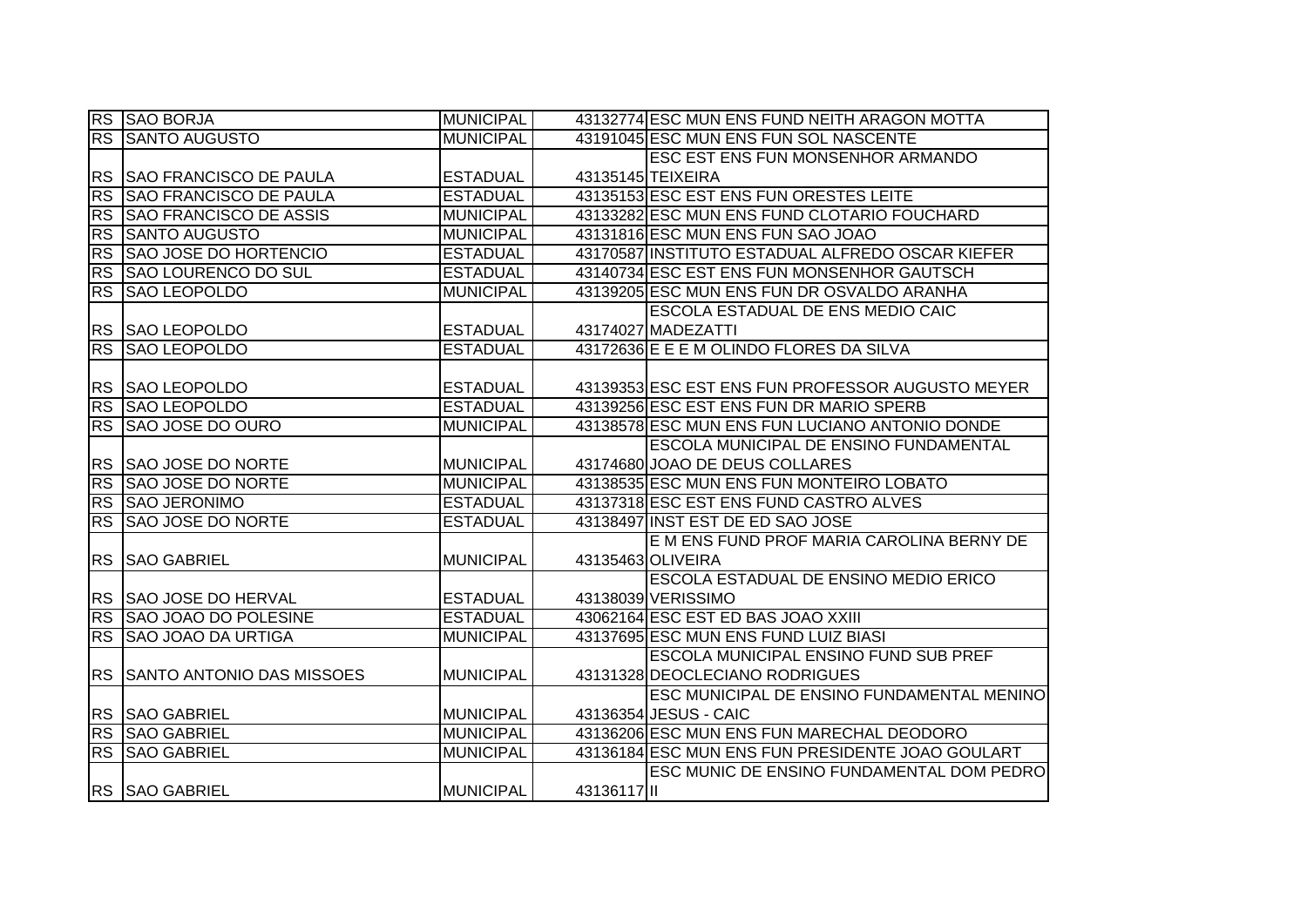|           | RS SAO BORJA                     | <b>MUNICIPAL</b> |          | 43132774 ESC MUN ENS FUND NEITH ARAGON MOTTA     |
|-----------|----------------------------------|------------------|----------|--------------------------------------------------|
| RS        | <b>SANTO AUGUSTO</b>             | <b>MUNICIPAL</b> |          | 43191045 ESC MUN ENS FUN SOL NASCENTE            |
|           |                                  |                  |          | ESC EST ENS FUN MONSENHOR ARMANDO                |
|           | RS SAO FRANCISCO DE PAULA        | <b>ESTADUAL</b>  |          | 43135145 TEIXEIRA                                |
| <b>RS</b> | <b>SAO FRANCISCO DE PAULA</b>    | <b>ESTADUAL</b>  |          | 43135153 ESC EST ENS FUN ORESTES LEITE           |
| <b>RS</b> | <b>SAO FRANCISCO DE ASSIS</b>    | <b>MUNICIPAL</b> |          | 43133282 ESC MUN ENS FUND CLOTARIO FOUCHARD      |
|           | <b>RS SANTO AUGUSTO</b>          | <b>MUNICIPAL</b> |          | 43131816 ESC MUN ENS FUN SAO JOAO                |
|           | RS SAO JOSE DO HORTENCIO         | <b>ESTADUAL</b>  |          | 43170587 INSTITUTO ESTADUAL ALFREDO OSCAR KIEFER |
| <b>RS</b> | SAO LOURENCO DO SUL              | <b>ESTADUAL</b>  |          | 43140734 ESC EST ENS FUN MONSENHOR GAUTSCH       |
| <b>RS</b> | <b>SAO LEOPOLDO</b>              | MUNICIPAL        |          | 43139205 ESC MUN ENS FUN DR OSVALDO ARANHA       |
|           |                                  |                  |          | <b>ESCOLA ESTADUAL DE ENS MEDIO CAIC</b>         |
| <b>RS</b> | <b>SAO LEOPOLDO</b>              | <b>ESTADUAL</b>  |          | 43174027 MADEZATTI                               |
| <b>RS</b> | <b>SAO LEOPOLDO</b>              | <b>ESTADUAL</b>  |          | 43172636 E E E M OLINDO FLORES DA SILVA          |
|           |                                  |                  |          |                                                  |
| <b>RS</b> | <b>SAO LEOPOLDO</b>              | <b>ESTADUAL</b>  |          | 43139353 ESC EST ENS FUN PROFESSOR AUGUSTO MEYER |
| <b>RS</b> | SAO LEOPOLDO                     | <b>ESTADUAL</b>  |          | 43139256 ESC EST ENS FUN DR MARIO SPERB          |
| RS        | <b>SAO JOSE DO OURO</b>          | <b>MUNICIPAL</b> |          | 43138578 ESC MUN ENS FUN LUCIANO ANTONIO DONDE   |
|           |                                  |                  |          | ESCOLA MUNICIPAL DE ENSINO FUNDAMENTAL           |
|           | RS SAO JOSE DO NORTE             | <b>MUNICIPAL</b> |          | 43174680 JOAO DE DEUS COLLARES                   |
| <b>RS</b> | <b>SAO JOSE DO NORTE</b>         | <b>MUNICIPAL</b> |          | 43138535 ESC MUN ENS FUN MONTEIRO LOBATO         |
|           | RS SAO JERONIMO                  | <b>ESTADUAL</b>  |          | 43137318 ESC EST ENS FUND CASTRO ALVES           |
| <b>RS</b> | <b>SAO JOSE DO NORTE</b>         | <b>ESTADUAL</b>  |          | 43138497 INST EST DE ED SAO JOSE                 |
|           |                                  |                  |          | E M ENS FUND PROF MARIA CAROLINA BERNY DE        |
|           | RS SAO GABRIEL                   | <b>MUNICIPAL</b> |          | 43135463 OLIVEIRA                                |
|           |                                  |                  |          | ESCOLA ESTADUAL DE ENSINO MEDIO ERICO            |
|           | RS SAO JOSE DO HERVAL            | <b>ESTADUAL</b>  |          | 43138039 VERISSIMO                               |
| RS        | <b>SAO JOAO DO POLESINE</b>      | <b>ESTADUAL</b>  |          | 43062164 ESC EST ED BAS JOAO XXIII               |
| <b>RS</b> | <b>SAO JOAO DA URTIGA</b>        | <b>MUNICIPAL</b> |          | 43137695 ESC MUN ENS FUND LUIZ BIASI             |
|           |                                  |                  |          | <b>ESCOLA MUNICIPAL ENSINO FUND SUB PREF</b>     |
| <b>RS</b> | <b>SANTO ANTONIO DAS MISSOES</b> | <b>MUNICIPAL</b> |          | 43131328 DEOCLECIANO RODRIGUES                   |
|           |                                  |                  |          | ESC MUNICIPAL DE ENSINO FUNDAMENTAL MENINO       |
|           | RS SAO GABRIEL                   | <b>MUNICIPAL</b> |          | 43136354 JESUS - CAIC                            |
|           | <b>RS SAO GABRIEL</b>            | <b>MUNICIPAL</b> |          | 43136206 ESC MUN ENS FUN MARECHAL DEODORO        |
|           | <b>RS SAO GABRIEL</b>            | <b>MUNICIPAL</b> |          | 43136184 ESC MUN ENS FUN PRESIDENTE JOAO GOULART |
|           |                                  |                  |          | ESC MUNIC DE ENSINO FUNDAMENTAL DOM PEDRO        |
|           | <b>RS SAO GABRIEL</b>            | <b>MUNICIPAL</b> | 43136117 |                                                  |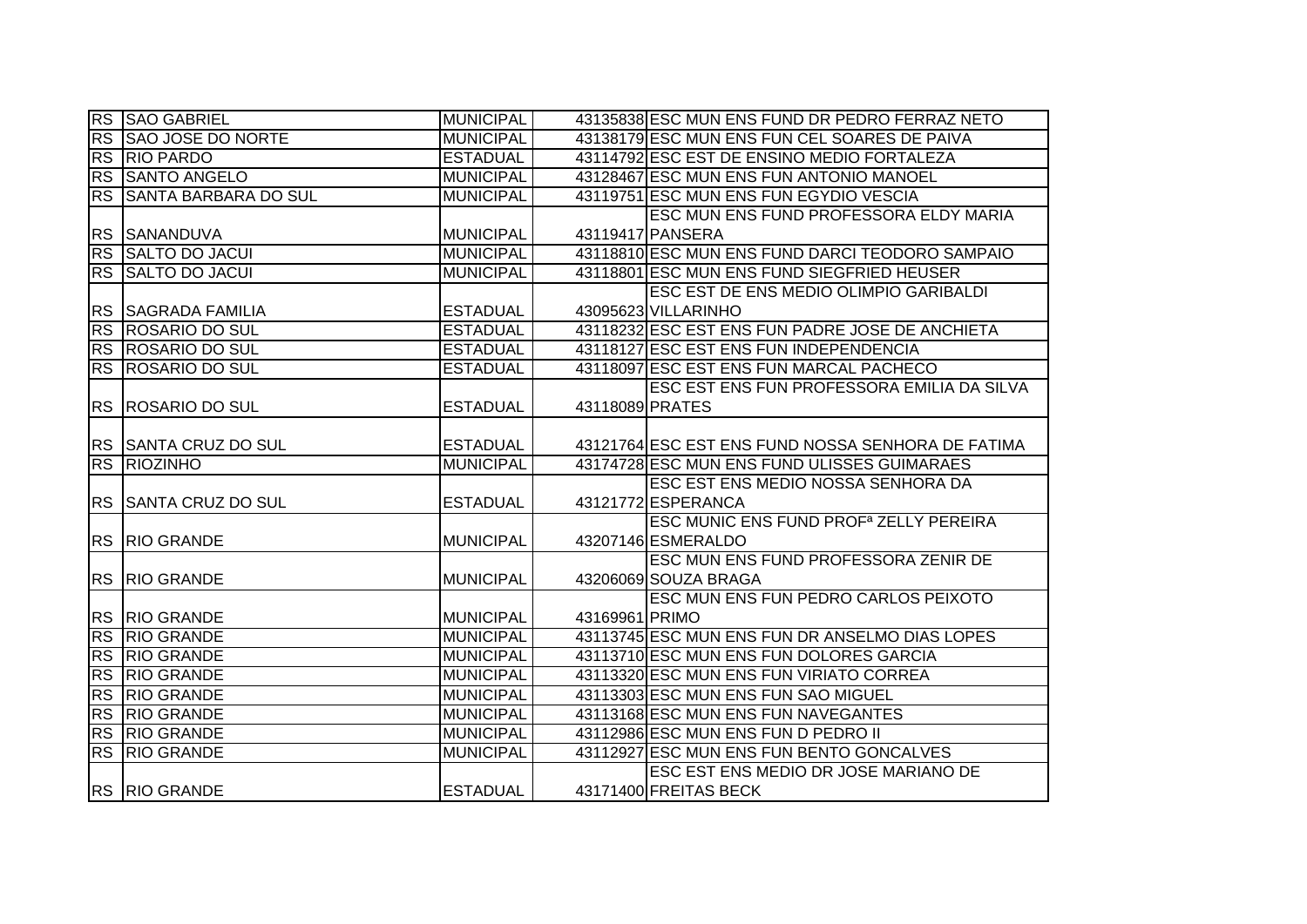|           | <b>RS SAO GABRIEL</b>         | <b>MUNICIPAL</b> |                      | 43135838 ESC MUN ENS FUND DR PEDRO FERRAZ NETO     |
|-----------|-------------------------------|------------------|----------------------|----------------------------------------------------|
|           | <b>RS SAO JOSE DO NORTE</b>   | <b>MUNICIPAL</b> |                      | 43138179 ESC MUN ENS FUN CEL SOARES DE PAIVA       |
|           | <b>RS RIO PARDO</b>           | <b>ESTADUAL</b>  |                      | 43114792 ESC EST DE ENSINO MEDIO FORTALEZA         |
|           | <b>RS SANTO ANGELO</b>        | <b>MUNICIPAL</b> |                      | 43128467 ESC MUN ENS FUN ANTONIO MANOEL            |
|           | RS SANTA BARBARA DO SUL       | <b>MUNICIPAL</b> |                      | 43119751 ESC MUN ENS FUN EGYDIO VESCIA             |
|           |                               |                  |                      | ESC MUN ENS FUND PROFESSORA ELDY MARIA             |
|           | RS SANANDUVA                  | <b>MUNICIPAL</b> | 43119417 PANSERA     |                                                    |
|           | RS SALTO DO JACUI             | <b>MUNICIPAL</b> |                      | 43118810 ESC MUN ENS FUND DARCI TEODORO SAMPAIO    |
|           | RS SALTO DO JACUI             | <b>MUNICIPAL</b> |                      | 43118801 ESC MUN ENS FUND SIEGFRIED HEUSER         |
|           |                               |                  |                      | ESC EST DE ENS MEDIO OLIMPIO GARIBALDI             |
| <b>RS</b> | <b>SAGRADA FAMILIA</b>        | <b>ESTADUAL</b>  | 43095623 VILLARINHO  |                                                    |
|           | <b>RS ROSARIO DO SUL</b>      | <b>ESTADUAL</b>  |                      | 43118232 ESC EST ENS FUN PADRE JOSE DE ANCHIETA    |
|           | RS ROSARIO DO SUL             | <b>ESTADUAL</b>  |                      | 43118127 ESC EST ENS FUN INDEPENDENCIA             |
|           | <b>RS ROSARIO DO SUL</b>      | <b>ESTADUAL</b>  |                      | 43118097 ESC EST ENS FUN MARCAL PACHECO            |
|           |                               |                  |                      | ESC EST ENS FUN PROFESSORA EMILIA DA SILVA         |
|           | <b>RS ROSARIO DO SUL</b>      | <b>ESTADUAL</b>  | 43118089 PRATES      |                                                    |
|           |                               |                  |                      |                                                    |
|           | <b>IRS SSANTA CRUZ DO SUL</b> | <b>ESTADUAL</b>  |                      | 43121764 ESC EST ENS FUND NOSSA SENHORA DE FATIMA  |
|           | <b>RS RIOZINHO</b>            |                  |                      |                                                    |
|           |                               | <b>MUNICIPAL</b> |                      | 43174728 ESC MUN ENS FUND ULISSES GUIMARAES        |
|           |                               |                  |                      | ESC EST ENS MEDIO NOSSA SENHORA DA                 |
|           | RS SANTA CRUZ DO SUL          | <b>ESTADUAL</b>  | 43121772 ESPERANCA   |                                                    |
|           |                               |                  |                      | ESC MUNIC ENS FUND PROF <sup>a</sup> ZELLY PEREIRA |
|           | <b>RS RIO GRANDE</b>          | <b>MUNICIPAL</b> | 43207146 ESMERALDO   |                                                    |
|           |                               |                  |                      | ESC MUN ENS FUND PROFESSORA ZENIR DE               |
|           | RS RIO GRANDE                 | <b>MUNICIPAL</b> | 43206069 SOUZA BRAGA |                                                    |
|           |                               |                  |                      | ESC MUN ENS FUN PEDRO CARLOS PEIXOTO               |
|           | RS RIO GRANDE                 | <b>MUNICIPAL</b> | 43169961 PRIMO       |                                                    |
| RS        | <b>RIO GRANDE</b>             | <b>MUNICIPAL</b> |                      | 43113745 ESC MUN ENS FUN DR ANSELMO DIAS LOPES     |
|           | <b>RS RIO GRANDE</b>          | <b>MUNICIPAL</b> |                      | 43113710 ESC MUN ENS FUN DOLORES GARCIA            |
| <b>RS</b> | <b>RIO GRANDE</b>             | <b>MUNICIPAL</b> |                      | 43113320 ESC MUN ENS FUN VIRIATO CORREA            |
| <b>RS</b> | <b>RIO GRANDE</b>             | <b>MUNICIPAL</b> |                      | 43113303 ESC MUN ENS FUN SAO MIGUEL                |
|           | <b>RS RIO GRANDE</b>          | <b>MUNICIPAL</b> |                      | 43113168 ESC MUN ENS FUN NAVEGANTES                |
|           | <b>RS RIO GRANDE</b>          | <b>MUNICIPAL</b> |                      | 43112986 ESC MUN ENS FUN D PEDRO II                |
|           | <b>RS RIO GRANDE</b>          | <b>MUNICIPAL</b> |                      | 43112927 ESC MUN ENS FUN BENTO GONCALVES           |
|           |                               |                  |                      | ESC EST ENS MEDIO DR JOSE MARIANO DE               |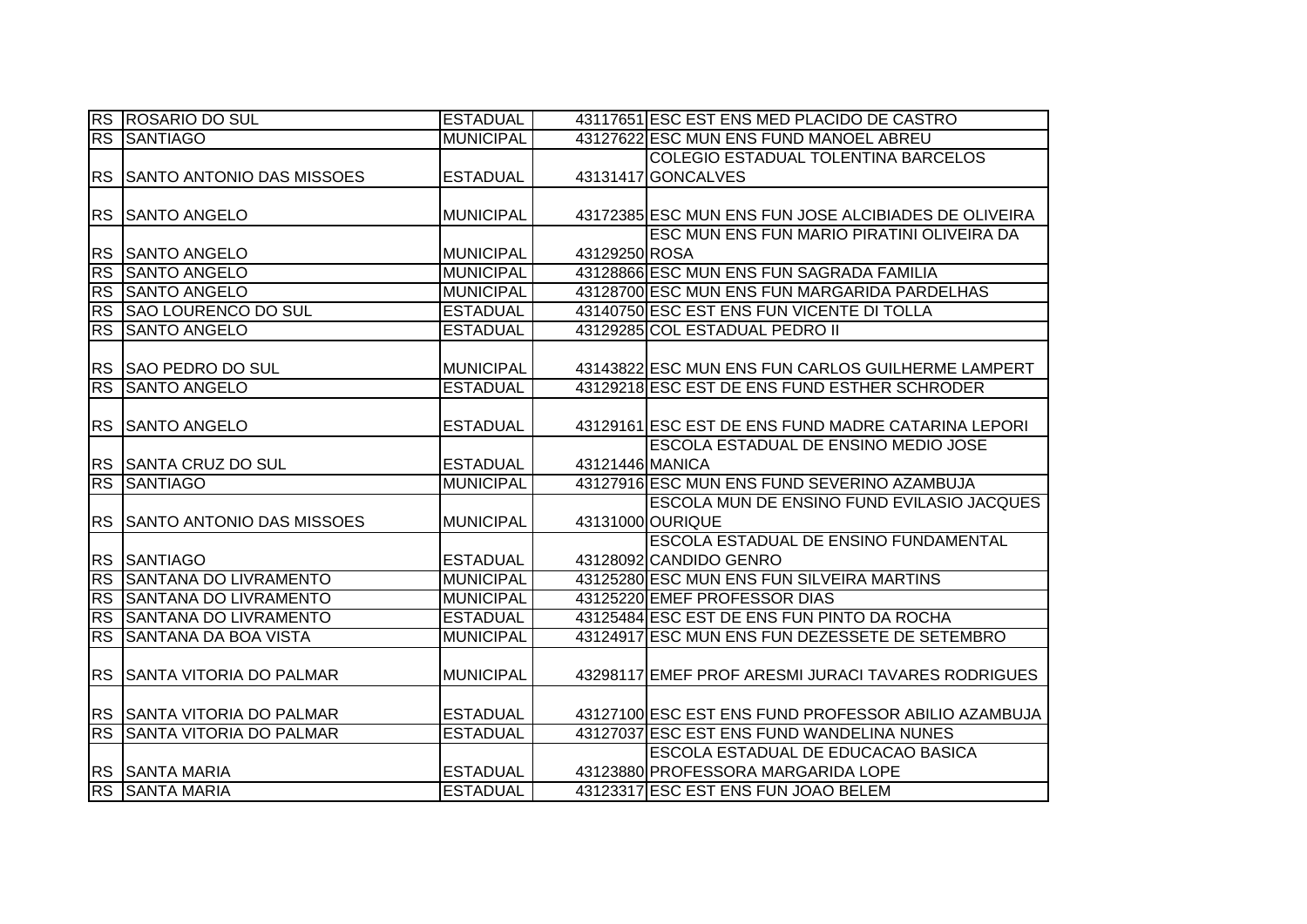|           | RS ROSARIO DO SUL                | <b>ESTADUAL</b>  |                 | 43117651 ESC EST ENS MED PLACIDO DE CASTRO           |
|-----------|----------------------------------|------------------|-----------------|------------------------------------------------------|
|           | <b>RS SANTIAGO</b>               | <b>MUNICIPAL</b> |                 | 43127622 ESC MUN ENS FUND MANOEL ABREU               |
|           |                                  |                  |                 | COLEGIO ESTADUAL TOLENTINA BARCELOS                  |
| <b>RS</b> | <b>SANTO ANTONIO DAS MISSOES</b> | <b>ESTADUAL</b>  |                 | 43131417 GONCALVES                                   |
|           |                                  |                  |                 |                                                      |
|           | RS SANTO ANGELO                  | <b>MUNICIPAL</b> |                 | 43172385 ESC MUN ENS FUN JOSE ALCIBIADES DE OLIVEIRA |
|           |                                  |                  |                 | ESC MUN ENS FUN MARIO PIRATINI OLIVEIRA DA           |
|           | RS SANTO ANGELO                  | <b>MUNICIPAL</b> | 43129250 ROSA   |                                                      |
| <b>RS</b> | <b>SANTO ANGELO</b>              | MUNICIPAL        |                 | 43128866 ESC MUN ENS FUN SAGRADA FAMILIA             |
| <b>RS</b> | <b>SANTO ANGELO</b>              | <b>MUNICIPAL</b> |                 | 43128700 ESC MUN ENS FUN MARGARIDA PARDELHAS         |
| <b>RS</b> | <b>SAO LOURENCO DO SUL</b>       | <b>ESTADUAL</b>  |                 | 43140750 ESC EST ENS FUN VICENTE DI TOLLA            |
| <b>RS</b> | <b>SANTO ANGELO</b>              | <b>ESTADUAL</b>  |                 | 43129285 COL ESTADUAL PEDRO II                       |
|           |                                  |                  |                 |                                                      |
|           | RS SAO PEDRO DO SUL              | <b>MUNICIPAL</b> |                 | 43143822 ESC MUN ENS FUN CARLOS GUILHERME LAMPERT    |
| <b>RS</b> | <b>SANTO ANGELO</b>              | <b>ESTADUAL</b>  |                 | 43129218 ESC EST DE ENS FUND ESTHER SCHRODER         |
|           |                                  |                  |                 |                                                      |
| <b>RS</b> | <b>SANTO ANGELO</b>              | <b>ESTADUAL</b>  |                 | 43129161 ESC EST DE ENS FUND MADRE CATARINA LEPORI   |
|           |                                  |                  |                 | ESCOLA ESTADUAL DE ENSINO MEDIO JOSE                 |
|           | RS SANTA CRUZ DO SUL             | <b>ESTADUAL</b>  | 43121446 MANICA |                                                      |
| <b>RS</b> | <b>SANTIAGO</b>                  | <b>MUNICIPAL</b> |                 | 43127916 ESC MUN ENS FUND SEVERINO AZAMBUJA          |
|           |                                  |                  |                 | <b>ESCOLA MUN DE ENSINO FUND EVILASIO JACQUES</b>    |
|           | RS SANTO ANTONIO DAS MISSOES     | <b>MUNICIPAL</b> |                 | 43131000 OURIQUE                                     |
|           |                                  |                  |                 | ESCOLA ESTADUAL DE ENSINO FUNDAMENTAL                |
|           | RS SANTIAGO                      | <b>ESTADUAL</b>  |                 | 43128092 CANDIDO GENRO                               |
| RS        | SANTANA DO LIVRAMENTO            | <b>MUNICIPAL</b> |                 | 43125280 ESC MUN ENS FUN SILVEIRA MARTINS            |
| <b>RS</b> | <b>SANTANA DO LIVRAMENTO</b>     | <b>MUNICIPAL</b> |                 | 43125220 EMEF PROFESSOR DIAS                         |
| <b>RS</b> | SANTANA DO LIVRAMENTO            | <b>ESTADUAL</b>  |                 | 43125484 ESC EST DE ENS FUN PINTO DA ROCHA           |
| <b>RS</b> | <b>SANTANA DA BOA VISTA</b>      | <b>MUNICIPAL</b> |                 | 43124917 ESC MUN ENS FUN DEZESSETE DE SETEMBRO       |
|           |                                  |                  |                 |                                                      |
| <b>RS</b> | <b>SANTA VITORIA DO PALMAR</b>   | <b>MUNICIPAL</b> |                 | 43298117 EMEF PROF ARESMI JURACI TAVARES RODRIGUES   |
|           |                                  |                  |                 |                                                      |
|           | RS SSANTA VITORIA DO PALMAR      | <b>ESTADUAL</b>  |                 | 43127100 ESC EST ENS FUND PROFESSOR ABILIO AZAMBUJA  |
| <b>RS</b> | <b>SANTA VITORIA DO PALMAR</b>   | <b>ESTADUAL</b>  |                 | 43127037 ESC EST ENS FUND WANDELINA NUNES            |
|           |                                  |                  |                 | <b>ESCOLA ESTADUAL DE EDUCACAO BASICA</b>            |
|           | <b>RS SANTA MARIA</b>            | <b>ESTADUAL</b>  |                 | 43123880 PROFESSORA MARGARIDA LOPE                   |
|           | <b>RS SANTA MARIA</b>            | <b>ESTADUAL</b>  |                 | 43123317 ESC EST ENS FUN JOAO BELEM                  |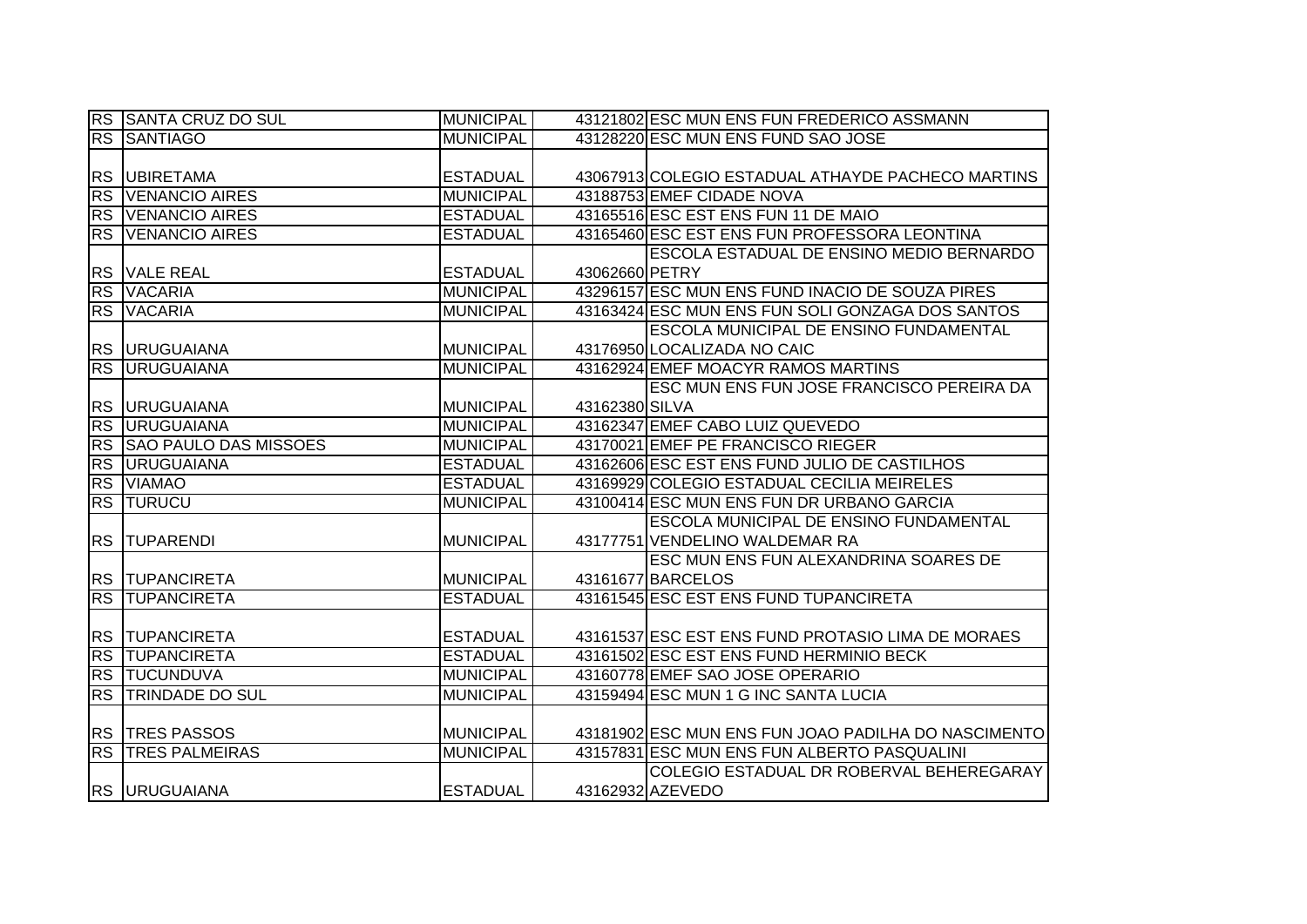|                        | <b>RS SANTA CRUZ DO SUL</b>  | <b>MUNICIPAL</b> |                | 43121802 ESC MUN ENS FUN FREDERICO ASSMANN          |
|------------------------|------------------------------|------------------|----------------|-----------------------------------------------------|
| <b>RS</b>              | <b>SANTIAGO</b>              | <b>MUNICIPAL</b> |                | 43128220 ESC MUN ENS FUND SAO JOSE                  |
|                        |                              |                  |                |                                                     |
|                        | RS UBIRETAMA                 | <b>ESTADUAL</b>  |                | 43067913 COLEGIO ESTADUAL ATHAYDE PACHECO MARTINS   |
| <b>RS</b>              | <b>VENANCIO AIRES</b>        | <b>MUNICIPAL</b> |                | 43188753 EMEF CIDADE NOVA                           |
|                        | <b>RS VENANCIO AIRES</b>     | <b>ESTADUAL</b>  |                | 43165516 ESC EST ENS FUN 11 DE MAIO                 |
|                        | <b>RS VENANCIO AIRES</b>     | <b>ESTADUAL</b>  |                | 43165460 ESC EST ENS FUN PROFESSORA LEONTINA        |
|                        |                              |                  |                | <b>ESCOLA ESTADUAL DE ENSINO MEDIO BERNARDO</b>     |
|                        | RS VALE REAL                 | <b>ESTADUAL</b>  | 43062660 PETRY |                                                     |
|                        | RS VACARIA                   | <b>MUNICIPAL</b> |                | 43296157 ESC MUN ENS FUND INACIO DE SOUZA PIRES     |
|                        | RS VACARIA                   | <b>MUNICIPAL</b> |                | 43163424 ESC MUN ENS FUN SOLI GONZAGA DOS SANTOS    |
|                        |                              |                  |                | <b>ESCOLA MUNICIPAL DE ENSINO FUNDAMENTAL</b>       |
|                        | <b>RS URUGUAIANA</b>         | <b>MUNICIPAL</b> |                | 43176950 LOCALIZADA NO CAIC                         |
| $\overline{\text{RS}}$ | <b>URUGUAIANA</b>            | <b>MUNICIPAL</b> |                | 43162924 EMEF MOACYR RAMOS MARTINS                  |
|                        |                              |                  |                | <b>ESC MUN ENS FUN JOSE FRANCISCO PEREIRA DA</b>    |
|                        | RS URUGUAIANA                | <b>MUNICIPAL</b> | 43162380 SILVA |                                                     |
|                        | <b>RS URUGUAIANA</b>         | <b>MUNICIPAL</b> |                | 43162347 EMEF CABO LUIZ QUEVEDO                     |
| <b>RS</b>              | <b>SAO PAULO DAS MISSOES</b> | <b>MUNICIPAL</b> |                | 43170021 EMEF PE FRANCISCO RIEGER                   |
| RS                     | <b>URUGUAIANA</b>            | <b>ESTADUAL</b>  |                | 43162606 ESC EST ENS FUND JULIO DE CASTILHOS        |
|                        | <b>RS VIAMAO</b>             | <b>ESTADUAL</b>  |                | 43169929 COLEGIO ESTADUAL CECILIA MEIRELES          |
|                        | <b>RS TURUCU</b>             | <b>MUNICIPAL</b> |                | 43100414 ESC MUN ENS FUN DR URBANO GARCIA           |
|                        |                              |                  |                | <b>ESCOLA MUNICIPAL DE ENSINO FUNDAMENTAL</b>       |
|                        | <b>RS TUPARENDI</b>          | <b>MUNICIPAL</b> |                | 43177751 VENDELINO WALDEMAR RA                      |
|                        |                              |                  |                | ESC MUN ENS FUN ALEXANDRINA SOARES DE               |
|                        | <b>RS TUPANCIRETA</b>        | <b>MUNICIPAL</b> |                | 43161677 BARCELOS                                   |
| <b>RS</b>              | <b>TUPANCIRETA</b>           | <b>ESTADUAL</b>  |                | 43161545 ESC EST ENS FUND TUPANCIRETA               |
|                        |                              |                  |                |                                                     |
|                        | <b>RS TUPANCIRETA</b>        | <b>ESTADUAL</b>  |                | 43161537 ESC EST ENS FUND PROTASIO LIMA DE MORAES   |
| <b>RS</b>              | <b>TUPANCIRETA</b>           | <b>ESTADUAL</b>  |                | 43161502 ESC EST ENS FUND HERMINIO BECK             |
|                        | <b>RS TUCUNDUVA</b>          | <b>MUNICIPAL</b> |                | 43160778 EMEF SAO JOSE OPERARIO                     |
| RS                     | <b>TRINDADE DO SUL</b>       | <b>MUNICIPAL</b> |                | 43159494 ESC MUN 1 G INC SANTA LUCIA                |
|                        |                              |                  |                |                                                     |
|                        | <b>RS TRES PASSOS</b>        | <b>MUNICIPAL</b> |                | 43181902 ESC MUN ENS FUN JOAO PADILHA DO NASCIMENTO |
|                        | <b>RS TRES PALMEIRAS</b>     | <b>MUNICIPAL</b> |                | 43157831 ESC MUN ENS FUN ALBERTO PASQUALINI         |
|                        |                              |                  |                | COLEGIO ESTADUAL DR ROBERVAL BEHEREGARAY            |
|                        | <b>RS URUGUAIANA</b>         | <b>ESTADUAL</b>  |                | 43162932 AZEVEDO                                    |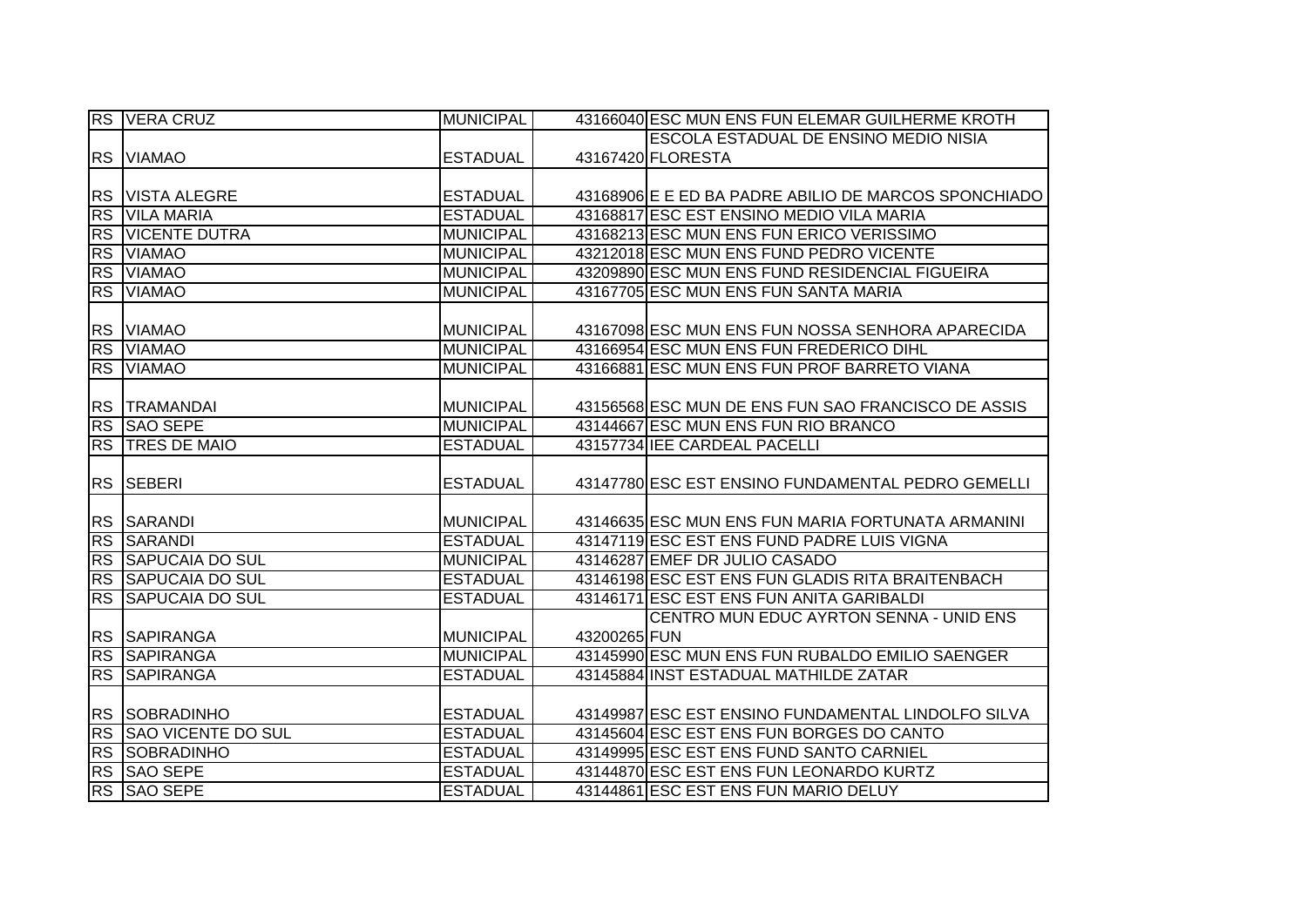|           | <b>RS VERA CRUZ</b>     | <b>MUNICIPAL</b> |              | 43166040 ESC MUN ENS FUN ELEMAR GUILHERME KROTH      |
|-----------|-------------------------|------------------|--------------|------------------------------------------------------|
|           |                         |                  |              | <b>ESCOLA ESTADUAL DE ENSINO MEDIO NISIA</b>         |
|           | RS VIAMAO               | <b>ESTADUAL</b>  |              | 43167420 FLORESTA                                    |
|           |                         |                  |              |                                                      |
|           | <b>RS VISTA ALEGRE</b>  | <b>ESTADUAL</b>  |              | 43168906 E E ED BA PADRE ABILIO DE MARCOS SPONCHIADO |
|           | <b>RS VILA MARIA</b>    | <b>ESTADUAL</b>  |              | 43168817 ESC EST ENSINO MEDIO VILA MARIA             |
|           | <b>RS VICENTE DUTRA</b> | <b>MUNICIPAL</b> |              | 43168213 ESC MUN ENS FUN ERICO VERISSIMO             |
|           | RS VIAMAO               | <b>MUNICIPAL</b> |              | 43212018 ESC MUN ENS FUND PEDRO VICENTE              |
|           | RS VIAMAO               | <b>MUNICIPAL</b> |              | 43209890 ESC MUN ENS FUND RESIDENCIAL FIGUEIRA       |
|           | RS VIAMAO               | <b>MUNICIPAL</b> |              | 43167705 ESC MUN ENS FUN SANTA MARIA                 |
|           |                         |                  |              |                                                      |
|           | RS VIAMAO               | <b>MUNICIPAL</b> |              | 43167098 ESC MUN ENS FUN NOSSA SENHORA APARECIDA     |
|           | RS VIAMAO               | <b>MUNICIPAL</b> |              | 43166954 ESC MUN ENS FUN FREDERICO DIHL              |
|           | RS VIAMAO               | <b>MUNICIPAL</b> |              | 43166881 ESC MUN ENS FUN PROF BARRETO VIANA          |
|           |                         |                  |              |                                                      |
|           | <b>RS TRAMANDAI</b>     | <b>MUNICIPAL</b> |              | 43156568 ESC MUN DE ENS FUN SAO FRANCISCO DE ASSIS   |
|           | <b>RS SAO SEPE</b>      | <b>MUNICIPAL</b> |              | 43144667 ESC MUN ENS FUN RIO BRANCO                  |
|           | <b>RS TRES DE MAIO</b>  | <b>ESTADUAL</b>  |              | 43157734 IEE CARDEAL PACELLI                         |
|           |                         |                  |              |                                                      |
|           | RS SEBERI               | <b>ESTADUAL</b>  |              | 43147780 ESC EST ENSINO FUNDAMENTAL PEDRO GEMELLI    |
|           |                         |                  |              |                                                      |
|           | RS SARANDI              | <b>MUNICIPAL</b> |              | 43146635 ESC MUN ENS FUN MARIA FORTUNATA ARMANINI    |
| RS        | <b>SARANDI</b>          | <b>ESTADUAL</b>  |              | 43147119 ESC EST ENS FUND PADRE LUIS VIGNA           |
|           | RS SAPUCAIA DO SUL      | <b>MUNICIPAL</b> |              | 43146287 EMEF DR JULIO CASADO                        |
| <b>RS</b> | <b>SAPUCAIA DO SUL</b>  | <b>ESTADUAL</b>  |              | 43146198 ESC EST ENS FUN GLADIS RITA BRAITENBACH     |
| <b>RS</b> | <b>SAPUCAIA DO SUL</b>  | <b>ESTADUAL</b>  |              | 43146171 ESC EST ENS FUN ANITA GARIBALDI             |
|           |                         |                  |              | CENTRO MUN EDUC AYRTON SENNA - UNID ENS              |
|           | RS SAPIRANGA            | <b>MUNICIPAL</b> | 43200265 FUN |                                                      |
|           | <b>RS SAPIRANGA</b>     | <b>MUNICIPAL</b> |              | 43145990 ESC MUN ENS FUN RUBALDO EMILIO SAENGER      |
|           | <b>RS SAPIRANGA</b>     | <b>ESTADUAL</b>  |              | 43145884 INST ESTADUAL MATHILDE ZATAR                |
|           |                         |                  |              |                                                      |
|           | <b>RS SOBRADINHO</b>    | <b>ESTADUAL</b>  |              | 43149987 ESC EST ENSINO FUNDAMENTAL LINDOLFO SILVA   |
|           | RS SAO VICENTE DO SUL   | <b>ESTADUAL</b>  |              | 43145604 ESC EST ENS FUN BORGES DO CANTO             |
|           | <b>RS SOBRADINHO</b>    | <b>ESTADUAL</b>  |              | 43149995 ESC EST ENS FUND SANTO CARNIEL              |
| RS        | <b>SAO SEPE</b>         | <b>ESTADUAL</b>  |              | 43144870 ESC EST ENS FUN LEONARDO KURTZ              |
|           | RS SAO SEPE             | <b>ESTADUAL</b>  |              | 43144861 ESC EST ENS FUN MARIO DELUY                 |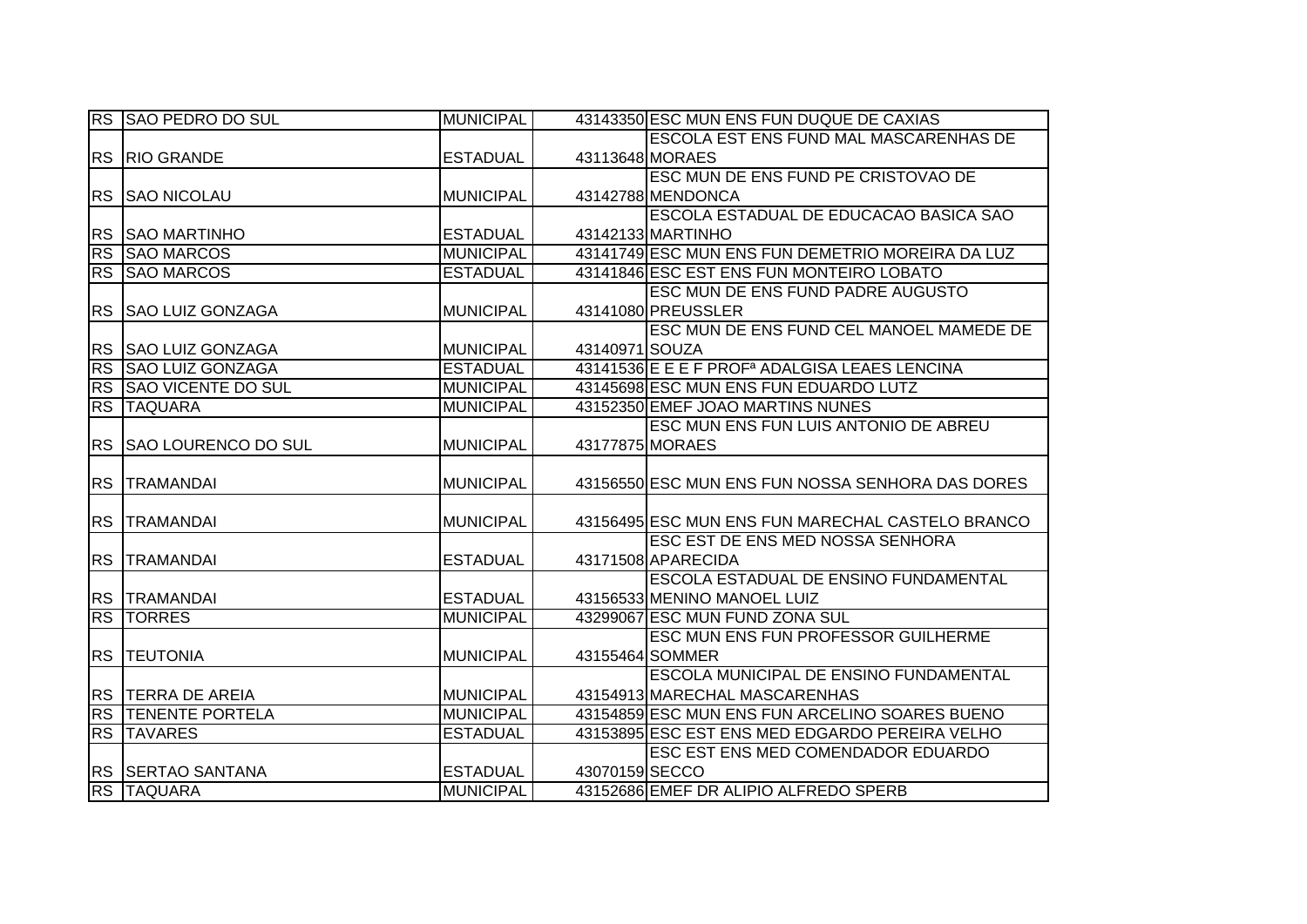|           | RS SAO PEDRO DO SUL                    | <b>MUNICIPAL</b> |                | 43143350 ESC MUN ENS FUN DUQUE DE CAXIAS                  |
|-----------|----------------------------------------|------------------|----------------|-----------------------------------------------------------|
|           |                                        |                  |                | ESCOLA EST ENS FUND MAL MASCARENHAS DE                    |
|           | RS RIO GRANDE                          | <b>ESTADUAL</b>  |                | 43113648 MORAES                                           |
|           |                                        |                  |                | ESC MUN DE ENS FUND PE CRISTOVAO DE                       |
|           | <b>RS SAO NICOLAU</b>                  | <b>MUNICIPAL</b> |                | 43142788 MENDONCA                                         |
|           |                                        |                  |                | ESCOLA ESTADUAL DE EDUCACAO BASICA SAO                    |
|           | <b>RS SAO MARTINHO</b>                 | <b>ESTADUAL</b>  |                | 43142133 MARTINHO                                         |
| <b>RS</b> | <b>SAO MARCOS</b>                      | <b>MUNICIPAL</b> |                | 43141749 ESC MUN ENS FUN DEMETRIO MOREIRA DA LUZ          |
| <b>RS</b> | <b>SAO MARCOS</b>                      | <b>ESTADUAL</b>  |                | 43141846 ESC EST ENS FUN MONTEIRO LOBATO                  |
|           |                                        |                  |                | ESC MUN DE ENS FUND PADRE AUGUSTO                         |
| <b>RS</b> | <b>SAO LUIZ GONZAGA</b>                | MUNICIPAL        |                | 43141080 PREUSSLER                                        |
|           |                                        |                  |                | ESC MUN DE ENS FUND CEL MANOEL MAMEDE DE                  |
|           | RS SAO LUIZ GONZAGA                    | <b>MUNICIPAL</b> | 43140971 SOUZA |                                                           |
| <b>RS</b> | <b>SAO LUIZ GONZAGA</b>                | <b>ESTADUAL</b>  |                | 43141536 E E E F PROF <sup>a</sup> ADALGISA LEAES LENCINA |
| RS        | <b>SAO VICENTE DO SUL</b>              | <b>MUNICIPAL</b> |                | 43145698 ESC MUN ENS FUN EDUARDO LUTZ                     |
| RS        | <b>TAQUARA</b>                         | <b>MUNICIPAL</b> |                | 43152350 EMEF JOAO MARTINS NUNES                          |
|           |                                        |                  |                | ESC MUN ENS FUN LUIS ANTONIO DE ABREU                     |
|           | RS SSAO LOURENCO DO SUL                | <b>MUNICIPAL</b> |                | 43177875 MORAES                                           |
|           |                                        |                  |                |                                                           |
|           |                                        |                  |                |                                                           |
|           | <b>RS TRAMANDAI</b>                    | <b>MUNICIPAL</b> |                | 43156550 ESC MUN ENS FUN NOSSA SENHORA DAS DORES          |
|           |                                        |                  |                |                                                           |
|           | RS TRAMANDAI                           | <b>MUNICIPAL</b> |                | 43156495 ESC MUN ENS FUN MARECHAL CASTELO BRANCO          |
|           |                                        |                  |                | ESC EST DE ENS MED NOSSA SENHORA                          |
|           | RS TRAMANDAI                           | <b>ESTADUAL</b>  |                | 43171508 APARECIDA                                        |
|           |                                        |                  |                | ESCOLA ESTADUAL DE ENSINO FUNDAMENTAL                     |
|           | <b>RS TRAMANDAI</b>                    | <b>ESTADUAL</b>  |                | 43156533 MENINO MANOEL LUIZ                               |
|           | <b>RS TORRES</b>                       | <b>MUNICIPAL</b> |                | 43299067 ESC MUN FUND ZONA SUL                            |
|           |                                        |                  |                | ESC MUN ENS FUN PROFESSOR GUILHERME                       |
|           | <b>RS TEUTONIA</b>                     | <b>MUNICIPAL</b> |                | 43155464 SOMMER                                           |
|           |                                        |                  |                | ESCOLA MUNICIPAL DE ENSINO FUNDAMENTAL                    |
|           | RS TERRA DE AREIA                      | <b>MUNICIPAL</b> |                | 43154913 MARECHAL MASCARENHAS                             |
|           | <b>RS TENENTE PORTELA</b>              | <b>MUNICIPAL</b> |                | 43154859 ESC MUN ENS FUN ARCELINO SOARES BUENO            |
|           | <b>RS TAVARES</b>                      | <b>ESTADUAL</b>  |                | 43153895 ESC EST ENS MED EDGARDO PEREIRA VELHO            |
|           |                                        |                  |                | ESC EST ENS MED COMENDADOR EDUARDO                        |
|           | RS SERTAO SANTANA<br><b>RS TAQUARA</b> | <b>ESTADUAL</b>  | 43070159 SECCO | 43152686 EMEF DR ALIPIO ALFREDO SPERB                     |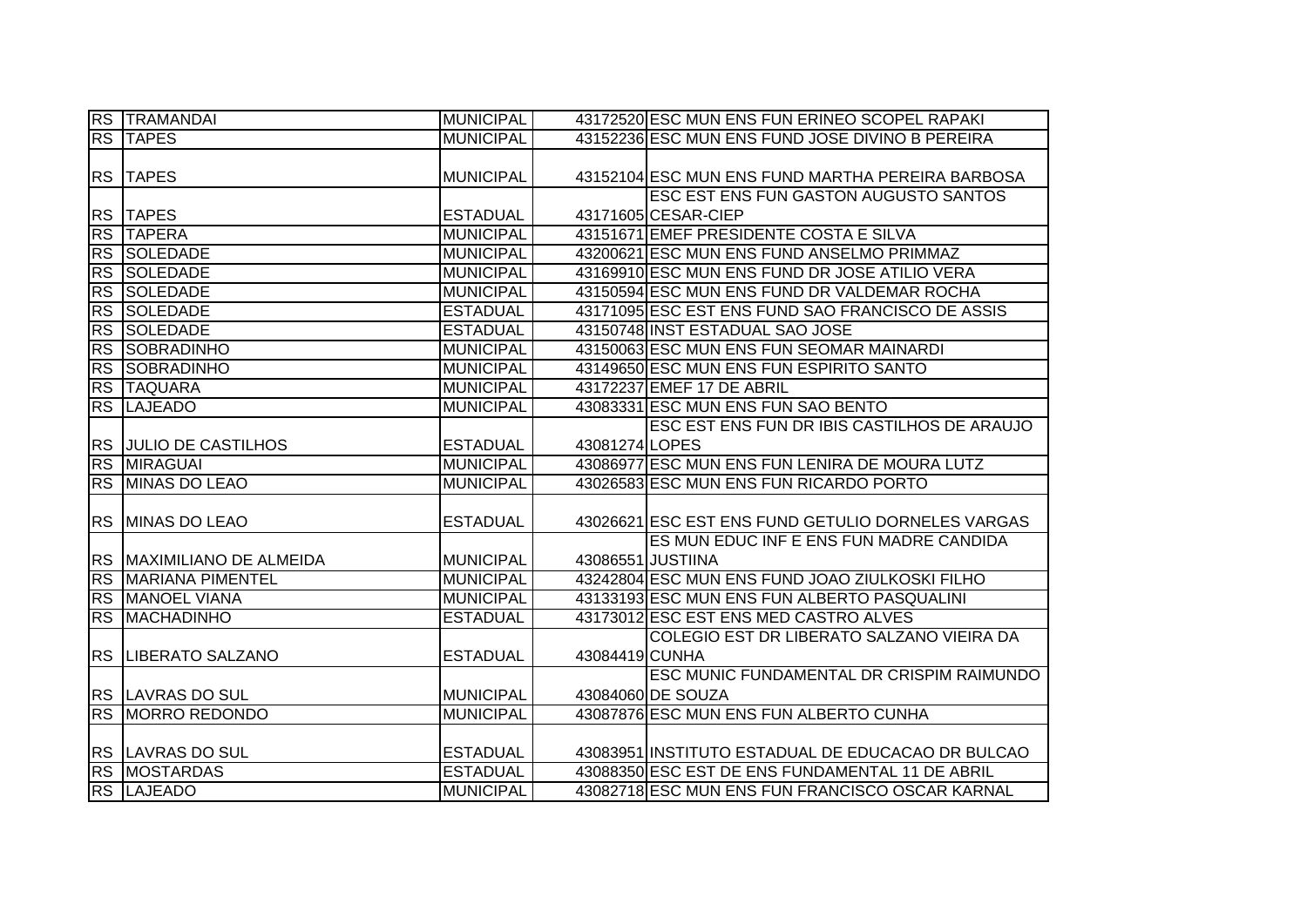|           | <b>RS TRAMANDAI</b>          | <b>MUNICIPAL</b> |                | 43172520 ESC MUN ENS FUN ERINEO SCOPEL RAPAKI      |
|-----------|------------------------------|------------------|----------------|----------------------------------------------------|
|           | <b>RS TAPES</b>              | <b>MUNICIPAL</b> |                | 43152236 ESC MUN ENS FUND JOSE DIVINO B PEREIRA    |
|           |                              |                  |                |                                                    |
|           | <b>RS TAPES</b>              | <b>MUNICIPAL</b> |                | 43152104 ESC MUN ENS FUND MARTHA PEREIRA BARBOSA   |
|           |                              |                  |                | <b>ESC EST ENS FUN GASTON AUGUSTO SANTOS</b>       |
|           | <b>RS TAPES</b>              | <b>ESTADUAL</b>  |                | 43171605 CESAR-CIEP                                |
|           | <b>RS TAPERA</b>             | <b>MUNICIPAL</b> |                | 43151671 EMEF PRESIDENTE COSTA E SILVA             |
|           | RS SOLEDADE                  | <b>MUNICIPAL</b> |                | 43200621 ESC MUN ENS FUND ANSELMO PRIMMAZ          |
|           | RS SOLEDADE                  | <b>MUNICIPAL</b> |                | 43169910 ESC MUN ENS FUND DR JOSE ATILIO VERA      |
| RS        | <b>SOLEDADE</b>              | <b>MUNICIPAL</b> |                | 43150594 ESC MUN ENS FUND DR VALDEMAR ROCHA        |
| <b>RS</b> | <b>SOLEDADE</b>              | <b>ESTADUAL</b>  |                | 43171095 ESC EST ENS FUND SAO FRANCISCO DE ASSIS   |
| <b>RS</b> | <b>SOLEDADE</b>              | <b>ESTADUAL</b>  |                | 43150748 INST ESTADUAL SAO JOSE                    |
| <b>RS</b> | <b>SOBRADINHO</b>            | <b>MUNICIPAL</b> |                | 43150063 ESC MUN ENS FUN SEOMAR MAINARDI           |
| <b>RS</b> | <b>SOBRADINHO</b>            | <b>MUNICIPAL</b> |                | 43149650 ESC MUN ENS FUN ESPIRITO SANTO            |
|           | <b>RS TAQUARA</b>            | <b>MUNICIPAL</b> |                | 43172237 EMEF 17 DE ABRIL                          |
| <b>RS</b> | <b>LAJEADO</b>               | <b>MUNICIPAL</b> |                | 43083331 ESC MUN ENS FUN SAO BENTO                 |
|           |                              |                  |                | <b>ESC EST ENS FUN DR IBIS CASTILHOS DE ARAUJO</b> |
|           | <b>RS JULIO DE CASTILHOS</b> | <b>ESTADUAL</b>  | 43081274 LOPES |                                                    |
|           | RS MIRAGUAI                  | <b>MUNICIPAL</b> |                | 43086977 ESC MUN ENS FUN LENIRA DE MOURA LUTZ      |
|           | RS MINAS DO LEAO             | <b>MUNICIPAL</b> |                | 43026583 ESC MUN ENS FUN RICARDO PORTO             |
|           |                              |                  |                |                                                    |
|           | RS MINAS DO LEAO             | <b>ESTADUAL</b>  |                | 43026621 ESC EST ENS FUND GETULIO DORNELES VARGAS  |
|           |                              |                  |                | ES MUN EDUC INF E ENS FUN MADRE CANDIDA            |
|           | RS  MAXIMILIANO DE ALMEIDA   | <b>MUNICIPAL</b> |                | 43086551 JUSTIINA                                  |
| RS        | <b>MARIANA PIMENTEL</b>      | <b>MUNICIPAL</b> |                | 43242804 ESC MUN ENS FUND JOAO ZIULKOSKI FILHO     |
| <b>RS</b> | <b>MANOEL VIANA</b>          | <b>MUNICIPAL</b> |                | 43133193 ESC MUN ENS FUN ALBERTO PASQUALINI        |
| <b>RS</b> | MACHADINHO                   | <b>ESTADUAL</b>  |                | 43173012 ESC EST ENS MED CASTRO ALVES              |
|           |                              |                  |                | COLEGIO EST DR LIBERATO SALZANO VIEIRA DA          |
|           | RS LIBERATO SALZANO          | <b>ESTADUAL</b>  | 43084419 CUNHA |                                                    |
|           |                              |                  |                | ESC MUNIC FUNDAMENTAL DR CRISPIM RAIMUNDO          |
|           | RS LAVRAS DO SUL             | <b>MUNICIPAL</b> |                | 43084060 DE SOUZA                                  |
|           | <b>RS MORRO REDONDO</b>      | <b>MUNICIPAL</b> |                | 43087876 ESC MUN ENS FUN ALBERTO CUNHA             |
|           |                              |                  |                |                                                    |
|           | <b>RS LAVRAS DO SUL</b>      | <b>ESTADUAL</b>  |                | 43083951 INSTITUTO ESTADUAL DE EDUCACAO DR BULCAO  |
|           | <b>RS MOSTARDAS</b>          | <b>ESTADUAL</b>  |                | 43088350 ESC EST DE ENS FUNDAMENTAL 11 DE ABRIL    |
|           | RS LAJEADO                   | <b>MUNICIPAL</b> |                | 43082718 ESC MUN ENS FUN FRANCISCO OSCAR KARNAL    |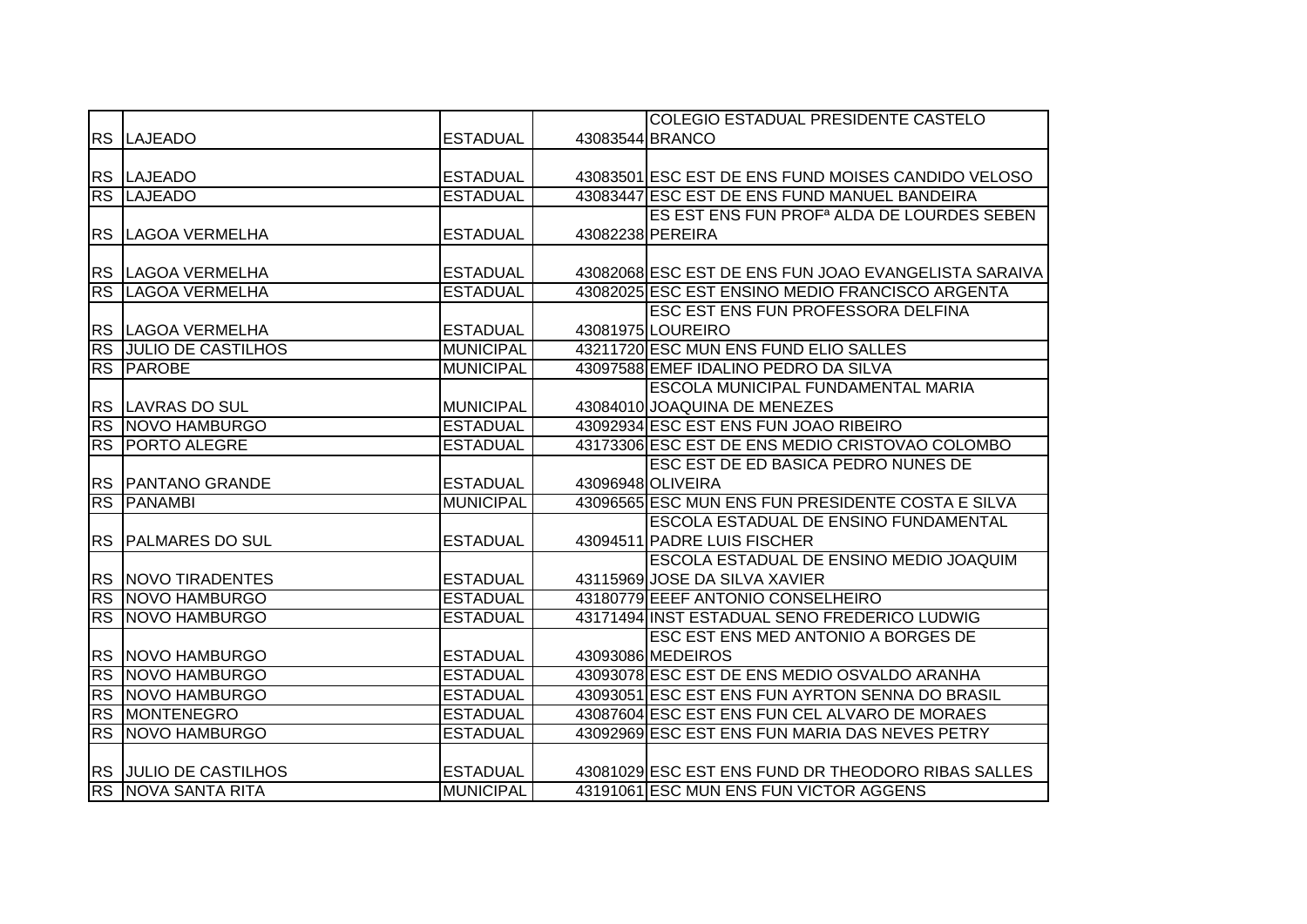|                              |                  | COLEGIO ESTADUAL PRESIDENTE CASTELO                    |
|------------------------------|------------------|--------------------------------------------------------|
| <b>RS LAJEADO</b>            | <b>ESTADUAL</b>  | 43083544 BRANCO                                        |
|                              |                  |                                                        |
| <b>RS LAJEADO</b>            | <b>ESTADUAL</b>  | 43083501 ESC EST DE ENS FUND MOISES CANDIDO VELOSO     |
| <b>RS LAJEADO</b>            | <b>ESTADUAL</b>  | 43083447 ESC EST DE ENS FUND MANUEL BANDEIRA           |
|                              |                  | ES EST ENS FUN PROF <sup>a</sup> ALDA DE LOURDES SEBEN |
| RS LAGOA VERMELHA            | <b>ESTADUAL</b>  | 43082238 PEREIRA                                       |
|                              |                  |                                                        |
| RS LAGOA VERMELHA            | <b>ESTADUAL</b>  | 43082068 ESC EST DE ENS FUN JOAO EVANGELISTA SARAIVA   |
| RS LAGOA VERMELHA            | <b>ESTADUAL</b>  | 43082025 ESC EST ENSINO MEDIO FRANCISCO ARGENTA        |
|                              |                  | <b>ESC EST ENS FUN PROFESSORA DELFINA</b>              |
| RS LAGOA VERMELHA            | <b>ESTADUAL</b>  | 43081975 LOUREIRO                                      |
| <b>RS JULIO DE CASTILHOS</b> | <b>MUNICIPAL</b> | 43211720 ESC MUN ENS FUND ELIO SALLES                  |
| RS PAROBE                    | <b>MUNICIPAL</b> | 43097588 EMEF IDALINO PEDRO DA SILVA                   |
|                              |                  | ESCOLA MUNICIPAL FUNDAMENTAL MARIA                     |
| RS LAVRAS DO SUL             | <b>MUNICIPAL</b> | 43084010 JOAQUINA DE MENEZES                           |
| RS NOVO HAMBURGO             | <b>ESTADUAL</b>  | 43092934 ESC EST ENS FUN JOAO RIBEIRO                  |
| <b>RS PORTO ALEGRE</b>       | <b>ESTADUAL</b>  | 43173306 ESC EST DE ENS MEDIO CRISTOVAO COLOMBO        |
|                              |                  | ESC EST DE ED BASICA PEDRO NUNES DE                    |
| <b>RS PANTANO GRANDE</b>     | <b>ESTADUAL</b>  | 43096948 OLIVEIRA                                      |
| <b>RS PANAMBI</b>            | <b>MUNICIPAL</b> | 43096565 ESC MUN ENS FUN PRESIDENTE COSTA E SILVA      |
|                              |                  | ESCOLA ESTADUAL DE ENSINO FUNDAMENTAL                  |
| RS PALMARES DO SUL           | <b>ESTADUAL</b>  | 43094511 PADRE LUIS FISCHER                            |
|                              |                  | <b>ESCOLA ESTADUAL DE ENSINO MEDIO JOAQUIM</b>         |
| RS NOVO TIRADENTES           | <b>ESTADUAL</b>  | 43115969 JOSE DA SILVA XAVIER                          |
| RS NOVO HAMBURGO             | <b>ESTADUAL</b>  | 43180779 EEEF ANTONIO CONSELHEIRO                      |
| RS NOVO HAMBURGO             | <b>ESTADUAL</b>  | 43171494 INST ESTADUAL SENO FREDERICO LUDWIG           |
|                              |                  | <b>ESC EST ENS MED ANTONIO A BORGES DE</b>             |
| <b>RS NOVO HAMBURGO</b>      | <b>ESTADUAL</b>  | 43093086 MEDEIROS                                      |
| RS NOVO HAMBURGO             | <b>ESTADUAL</b>  | 43093078 ESC EST DE ENS MEDIO OSVALDO ARANHA           |
| RS NOVO HAMBURGO             | <b>ESTADUAL</b>  | 43093051 ESC EST ENS FUN AYRTON SENNA DO BRASIL        |
| <b>RS MONTENEGRO</b>         | <b>ESTADUAL</b>  | 43087604 ESC EST ENS FUN CEL ALVARO DE MORAES          |
| RS NOVO HAMBURGO             | <b>ESTADUAL</b>  | 43092969 ESC EST ENS FUN MARIA DAS NEVES PETRY         |
|                              |                  |                                                        |
| <b>RS JULIO DE CASTILHOS</b> | <b>ESTADUAL</b>  | 43081029 ESC EST ENS FUND DR THEODORO RIBAS SALLES     |
| RS NOVA SANTA RITA           | <b>MUNICIPAL</b> | 43191061 ESC MUN ENS FUN VICTOR AGGENS                 |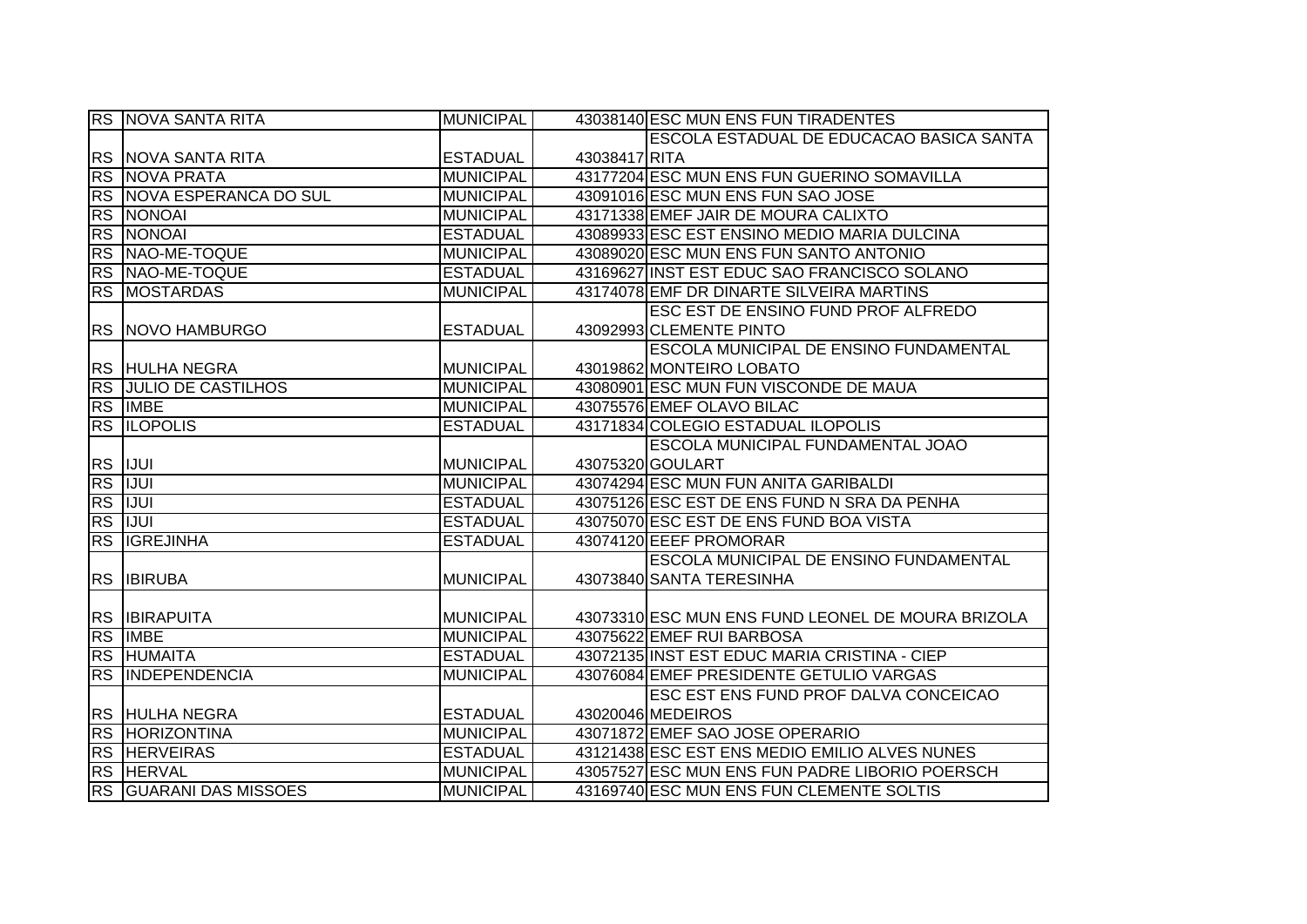|    | RS NOVA SANTA RITA            | <b>MUNICIPAL</b> |               | 43038140 ESC MUN ENS FUN TIRADENTES               |
|----|-------------------------------|------------------|---------------|---------------------------------------------------|
|    |                               |                  |               | ESCOLA ESTADUAL DE EDUCACAO BASICA SANTA          |
|    | RS   NOVA SANTA RITA          | <b>ESTADUAL</b>  | 43038417 RITA |                                                   |
|    | <b>RS NOVA PRATA</b>          | <b>MUNICIPAL</b> |               | 43177204 ESC MUN ENS FUN GUERINO SOMAVILLA        |
|    | RS NOVA ESPERANCA DO SUL      | <b>MUNICIPAL</b> |               | 43091016 ESC MUN ENS FUN SAO JOSE                 |
|    | <b>RS NONOAI</b>              | <b>MUNICIPAL</b> |               | 43171338 EMEF JAIR DE MOURA CALIXTO               |
|    | RS NONOAI                     | <b>ESTADUAL</b>  |               | 43089933 ESC EST ENSINO MEDIO MARIA DULCINA       |
|    | RS NAO-ME-TOQUE               | <b>MUNICIPAL</b> |               | 43089020 ESC MUN ENS FUN SANTO ANTONIO            |
|    | RS NAO-ME-TOQUE               | <b>ESTADUAL</b>  |               | 43169627 INST EST EDUC SAO FRANCISCO SOLANO       |
|    | RS MOSTARDAS                  | <b>MUNICIPAL</b> |               | 43174078 EMF DR DINARTE SILVEIRA MARTINS          |
|    |                               |                  |               | <b>ESC EST DE ENSINO FUND PROF ALFREDO</b>        |
|    | RS NOVO HAMBURGO              | <b>ESTADUAL</b>  |               | 43092993 CLEMENTE PINTO                           |
|    |                               |                  |               | <b>ESCOLA MUNICIPAL DE ENSINO FUNDAMENTAL</b>     |
|    | RS HULHA NEGRA                | <b>MUNICIPAL</b> |               | 43019862 MONTEIRO LOBATO                          |
|    | <b>RS JULIO DE CASTILHOS</b>  | <b>MUNICIPAL</b> |               | 43080901 ESC MUN FUN VISCONDE DE MAUA             |
|    | RS IMBE                       | <b>MUNICIPAL</b> |               | 43075576 EMEF OLAVO BILAC                         |
|    | <b>RS ILOPOLIS</b>            | <b>ESTADUAL</b>  |               | 43171834 COLEGIO ESTADUAL ILOPOLIS                |
|    |                               |                  |               | ESCOLA MUNICIPAL FUNDAMENTAL JOAO                 |
|    | RS IJUI                       | <b>MUNICIPAL</b> |               | 43075320 GOULART                                  |
|    | RS IJUI                       | <b>MUNICIPAL</b> |               | 43074294 ESC MUN FUN ANITA GARIBALDI              |
|    | RS JUUI                       | <b>ESTADUAL</b>  |               | 43075126 ESC EST DE ENS FUND N SRA DA PENHA       |
| RS | <b>IJUI</b>                   | <b>ESTADUAL</b>  |               | 43075070 ESC EST DE ENS FUND BOA VISTA            |
| RS | <b>IGREJINHA</b>              | <b>ESTADUAL</b>  |               | 43074120 EEEF PROMORAR                            |
|    |                               |                  |               | ESCOLA MUNICIPAL DE ENSINO FUNDAMENTAL            |
|    | RS <b>IBIRUBA</b>             | <b>MUNICIPAL</b> |               | 43073840 SANTA TERESINHA                          |
|    |                               |                  |               |                                                   |
|    | <b>RS BIRAPUITA</b>           | <b>MUNICIPAL</b> |               | 43073310 ESC MUN ENS FUND LEONEL DE MOURA BRIZOLA |
|    | RS IMBE                       | <b>MUNICIPAL</b> |               | 43075622 EMEF RUI BARBOSA                         |
|    | <b>RS HUMAITA</b>             | <b>ESTADUAL</b>  |               | 43072135 INST EST EDUC MARIA CRISTINA - CIEP      |
|    | <b>RS INDEPENDENCIA</b>       | <b>MUNICIPAL</b> |               | 43076084 EMEF PRESIDENTE GETULIO VARGAS           |
|    |                               |                  |               | ESC EST ENS FUND PROF DALVA CONCEICAO             |
|    | RS HULHA NEGRA                | <b>ESTADUAL</b>  |               | 43020046 MEDEIROS                                 |
|    | RS HORIZONTINA                | <b>MUNICIPAL</b> |               | 43071872 EMEF SAO JOSE OPERARIO                   |
|    | <b>RS HERVEIRAS</b>           | <b>ESTADUAL</b>  |               | 43121438 ESC EST ENS MEDIO EMILIO ALVES NUNES     |
|    | RS HERVAL                     | <b>MUNICIPAL</b> |               | 43057527 ESC MUN ENS FUN PADRE LIBORIO POERSCH    |
|    | <b>RS GUARANI DAS MISSOES</b> | <b>MUNICIPAL</b> |               | 43169740 ESC MUN ENS FUN CLEMENTE SOLTIS          |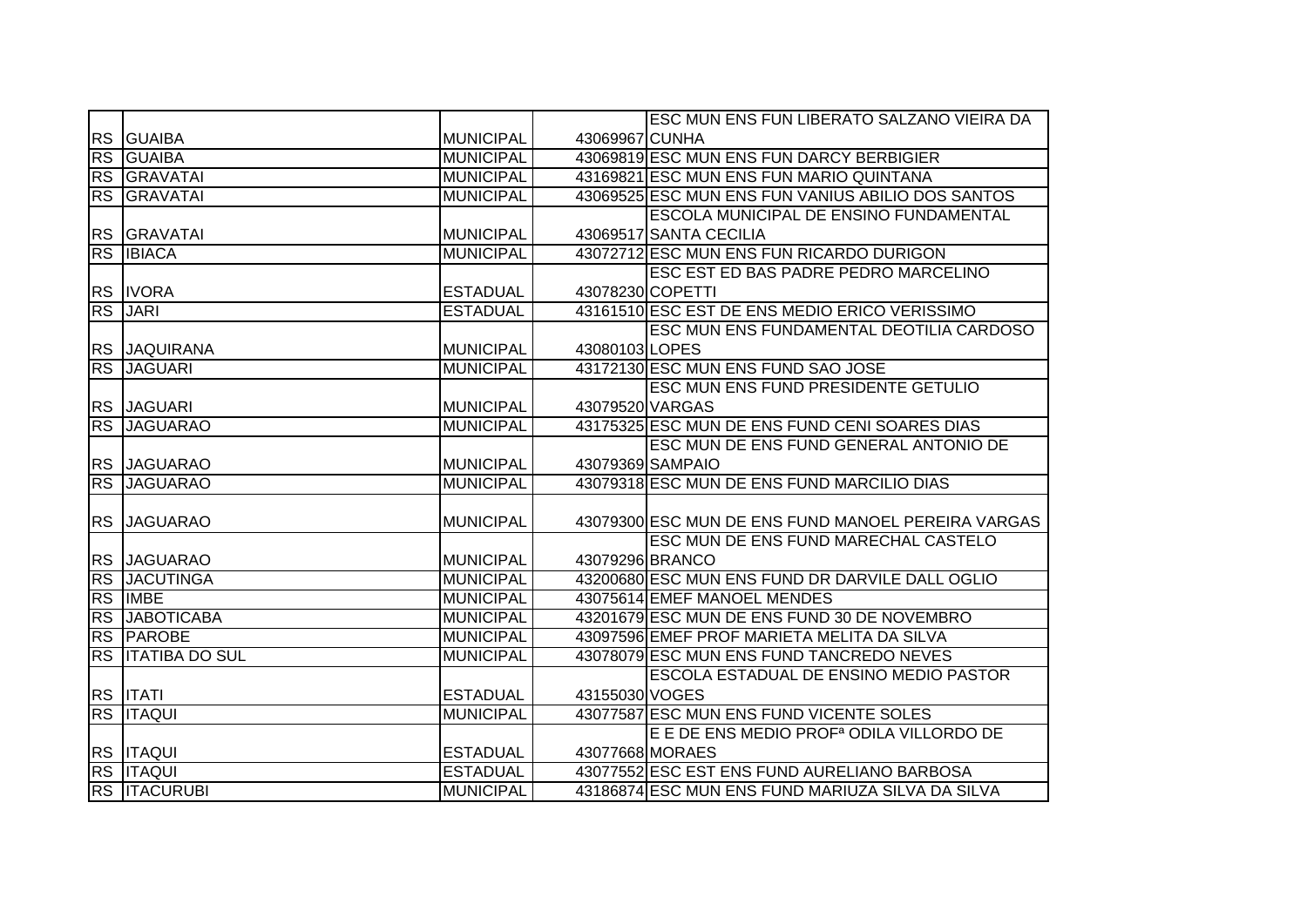|           |                       |                  |                 | ESC MUN ENS FUN LIBERATO SALZANO VIEIRA DA           |
|-----------|-----------------------|------------------|-----------------|------------------------------------------------------|
|           | RS GUAIBA             | <b>MUNICIPAL</b> | 43069967 CUNHA  |                                                      |
|           | <b>RS GUAIBA</b>      | <b>MUNICIPAL</b> |                 | 43069819 ESC MUN ENS FUN DARCY BERBIGIER             |
|           | RS GRAVATAI           | <b>MUNICIPAL</b> |                 | 43169821 ESC MUN ENS FUN MARIO QUINTANA              |
|           | RS GRAVATAI           | <b>MUNICIPAL</b> |                 | 43069525 ESC MUN ENS FUN VANIUS ABILIO DOS SANTOS    |
|           |                       |                  |                 | ESCOLA MUNICIPAL DE ENSINO FUNDAMENTAL               |
|           | RS GRAVATAI           | <b>MUNICIPAL</b> |                 | 43069517 SANTA CECILIA                               |
| <b>RS</b> | <b>IBIACA</b>         | <b>MUNICIPAL</b> |                 | 43072712 ESC MUN ENS FUN RICARDO DURIGON             |
|           |                       |                  |                 | ESC EST ED BAS PADRE PEDRO MARCELINO                 |
|           | <b>RS IVORA</b>       | <b>ESTADUAL</b>  |                 | 43078230 COPETTI                                     |
| <b>RS</b> | <b>JARI</b>           | <b>ESTADUAL</b>  |                 | 43161510 ESC EST DE ENS MEDIO ERICO VERISSIMO        |
|           |                       |                  |                 | <b>ESC MUN ENS FUNDAMENTAL DEOTILIA CARDOSO</b>      |
|           | RS JAQUIRANA          | <b>MUNICIPAL</b> | 43080103 LOPES  |                                                      |
|           | RS JAGUARI            | <b>MUNICIPAL</b> |                 | 43172130 ESC MUN ENS FUND SAO JOSE                   |
|           |                       |                  |                 | <b>ESC MUN ENS FUND PRESIDENTE GETULIO</b>           |
|           | RS JAGUARI            | <b>MUNICIPAL</b> | 43079520 VARGAS |                                                      |
|           | RS JAGUARAO           | <b>MUNICIPAL</b> |                 | 43175325 ESC MUN DE ENS FUND CENI SOARES DIAS        |
|           |                       |                  |                 | ESC MUN DE ENS FUND GENERAL ANTONIO DE               |
|           | <b>RS JAGUARAO</b>    | <b>MUNICIPAL</b> |                 | 43079369 SAMPAIO                                     |
|           | RS JAGUARAO           | <b>MUNICIPAL</b> |                 | 43079318 ESC MUN DE ENS FUND MARCILIO DIAS           |
|           |                       |                  |                 |                                                      |
|           | RS JAGUARAO           | <b>MUNICIPAL</b> |                 | 43079300 ESC MUN DE ENS FUND MANOEL PEREIRA VARGAS   |
|           |                       |                  |                 | <b>ESC MUN DE ENS FUND MARECHAL CASTELO</b>          |
|           | <b>RS JAGUARAO</b>    | <b>MUNICIPAL</b> |                 | 43079296 BRANCO                                      |
| RS        | <b>JACUTINGA</b>      | <b>MUNICIPAL</b> |                 | 43200680 ESC MUN ENS FUND DR DARVILE DALL OGLIO      |
| <b>RS</b> | <b>IMBE</b>           | <b>MUNICIPAL</b> |                 | 43075614 EMEF MANOEL MENDES                          |
| RS        | <b>JABOTICABA</b>     | <b>MUNICIPAL</b> |                 | 43201679 ESC MUN DE ENS FUND 30 DE NOVEMBRO          |
|           | <b>RS PAROBE</b>      | <b>MUNICIPAL</b> |                 | 43097596 EMEF PROF MARIETA MELITA DA SILVA           |
| RS        | <b>ITATIBA DO SUL</b> | <b>MUNICIPAL</b> |                 | 43078079 ESC MUN ENS FUND TANCREDO NEVES             |
|           |                       |                  |                 | <b>ESCOLA ESTADUAL DE ENSINO MEDIO PASTOR</b>        |
|           | RS <b>ITATI</b>       | <b>ESTADUAL</b>  | 43155030 VOGES  |                                                      |
|           | <b>RS ITAQUI</b>      | <b>MUNICIPAL</b> |                 | 43077587 ESC MUN ENS FUND VICENTE SOLES              |
|           |                       |                  |                 | E E DE ENS MEDIO PROF <sup>a</sup> ODILA VILLORDO DE |
|           | RS <b>ITAQUI</b>      | <b>ESTADUAL</b>  |                 | 43077668 MORAES                                      |
|           | <b>RS ITAQUI</b>      | <b>ESTADUAL</b>  |                 | 43077552 ESC EST ENS FUND AURELIANO BARBOSA          |
|           | <b>RS ITACURUBI</b>   | <b>MUNICIPAL</b> |                 | 43186874 ESC MUN ENS FUND MARIUZA SILVA DA SILVA     |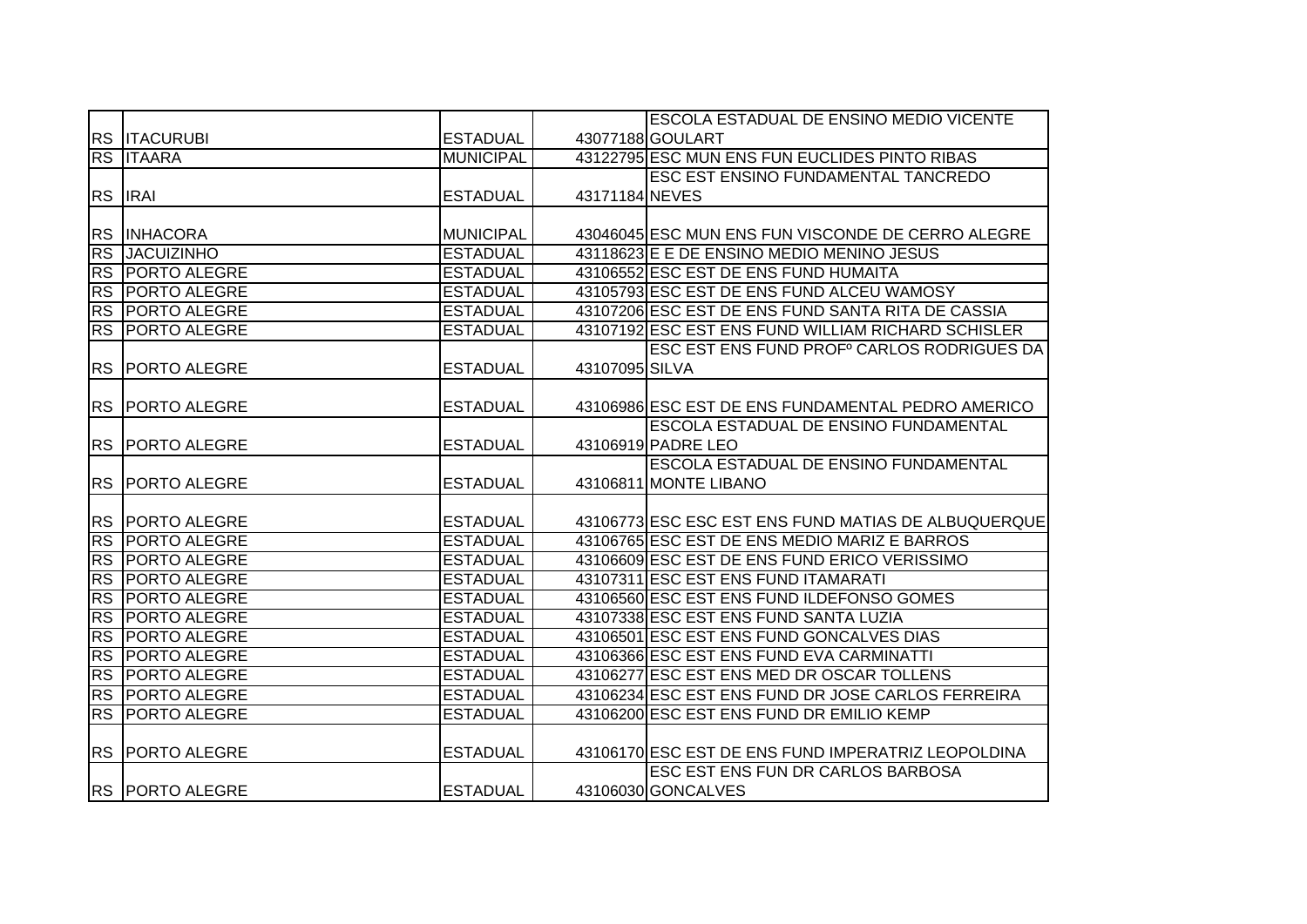|                |                        |                  |                | <b>ESCOLA ESTADUAL DE ENSINO MEDIO VICENTE</b>         |
|----------------|------------------------|------------------|----------------|--------------------------------------------------------|
|                | <b>RS ITACURUBI</b>    | <b>ESTADUAL</b>  |                | 43077188 GOULART                                       |
|                | <b>RS ITAARA</b>       | <b>MUNICIPAL</b> |                | 43122795 ESC MUN ENS FUN EUCLIDES PINTO RIBAS          |
|                |                        |                  |                | ESC EST ENSINO FUNDAMENTAL TANCREDO                    |
|                | RS <b>IRAI</b>         | <b>ESTADUAL</b>  | 43171184 NEVES |                                                        |
|                |                        |                  |                |                                                        |
|                | RS INHACORA            | <b>MUNICIPAL</b> |                | 43046045 ESC MUN ENS FUN VISCONDE DE CERRO ALEGRE      |
| <b>RS</b>      | <b>JACUIZINHO</b>      | <b>ESTADUAL</b>  |                | 43118623 E E DE ENSINO MEDIO MENINO JESUS              |
| <b>RS</b>      | <b>PORTO ALEGRE</b>    | <b>ESTADUAL</b>  |                | 43106552 ESC EST DE ENS FUND HUMAITA                   |
| <b>RS</b>      | <b>PORTO ALEGRE</b>    | <b>ESTADUAL</b>  |                | 43105793 ESC EST DE ENS FUND ALCEU WAMOSY              |
| <b>RS</b>      | <b>PORTO ALEGRE</b>    | <b>ESTADUAL</b>  |                | 43107206 ESC EST DE ENS FUND SANTA RITA DE CASSIA      |
| <b>RS</b>      | <b>PORTO ALEGRE</b>    | <b>ESTADUAL</b>  |                | 43107192 ESC EST ENS FUND WILLIAM RICHARD SCHISLER     |
|                |                        |                  |                | ESC EST ENS FUND PROF <sup>®</sup> CARLOS RODRIGUES DA |
| <b>RS</b>      | <b>PORTO ALEGRE</b>    | <b>ESTADUAL</b>  | 43107095 SILVA |                                                        |
|                |                        |                  |                |                                                        |
| <b>RS</b>      | <b>PORTO ALEGRE</b>    | <b>ESTADUAL</b>  |                | 43106986 ESC EST DE ENS FUNDAMENTAL PEDRO AMERICO      |
|                |                        |                  |                | <b>ESCOLA ESTADUAL DE ENSINO FUNDAMENTAL</b>           |
|                | <b>RS PORTO ALEGRE</b> | <b>ESTADUAL</b>  |                | 43106919 PADRE LEO                                     |
|                |                        |                  |                | <b>ESCOLA ESTADUAL DE ENSINO FUNDAMENTAL</b>           |
|                | <b>RS PORTO ALEGRE</b> | <b>ESTADUAL</b>  |                | 43106811 MONTE LIBANO                                  |
|                |                        |                  |                |                                                        |
|                | RS PORTO ALEGRE        | <b>ESTADUAL</b>  |                | 43106773 ESC ESC EST ENS FUND MATIAS DE ALBUQUERQUE    |
| R <sub>S</sub> | <b>PORTO ALEGRE</b>    | <b>ESTADUAL</b>  |                | 43106765 ESC EST DE ENS MEDIO MARIZ E BARROS           |
| <b>RS</b>      | <b>PORTO ALEGRE</b>    | <b>ESTADUAL</b>  |                | 43106609 ESC EST DE ENS FUND ERICO VERISSIMO           |
| <b>RS</b>      | <b>PORTO ALEGRE</b>    | <b>ESTADUAL</b>  |                | 43107311 ESC EST ENS FUND ITAMARATI                    |
| <b>RS</b>      | <b>PORTO ALEGRE</b>    | <b>ESTADUAL</b>  |                | 43106560 ESC EST ENS FUND ILDEFONSO GOMES              |
| <b>RS</b>      | <b>PORTO ALEGRE</b>    | <b>ESTADUAL</b>  |                | 43107338 ESC EST ENS FUND SANTA LUZIA                  |
| <b>RS</b>      | <b>PORTO ALEGRE</b>    | <b>ESTADUAL</b>  |                | 43106501 ESC EST ENS FUND GONCALVES DIAS               |
| <b>RS</b>      | <b>PORTO ALEGRE</b>    | <b>ESTADUAL</b>  |                | 43106366 ESC EST ENS FUND EVA CARMINATTI               |
| <b>RS</b>      | <b>PORTO ALEGRE</b>    | <b>ESTADUAL</b>  |                | 43106277 ESC EST ENS MED DR OSCAR TOLLENS              |
| <b>RS</b>      | <b>PORTO ALEGRE</b>    | <b>ESTADUAL</b>  |                | 43106234 ESC EST ENS FUND DR JOSE CARLOS FERREIRA      |
| <b>RS</b>      | <b>PORTO ALEGRE</b>    | <b>ESTADUAL</b>  |                | 43106200 ESC EST ENS FUND DR EMILIO KEMP               |
|                |                        |                  |                |                                                        |
|                | <b>RS PORTO ALEGRE</b> | <b>ESTADUAL</b>  |                | 43106170 ESC EST DE ENS FUND IMPERATRIZ LEOPOLDINA     |
|                |                        |                  |                | ESC EST ENS FUN DR CARLOS BARBOSA                      |
|                | <b>RS PORTO ALEGRE</b> | <b>ESTADUAL</b>  |                | 43106030 GONCALVES                                     |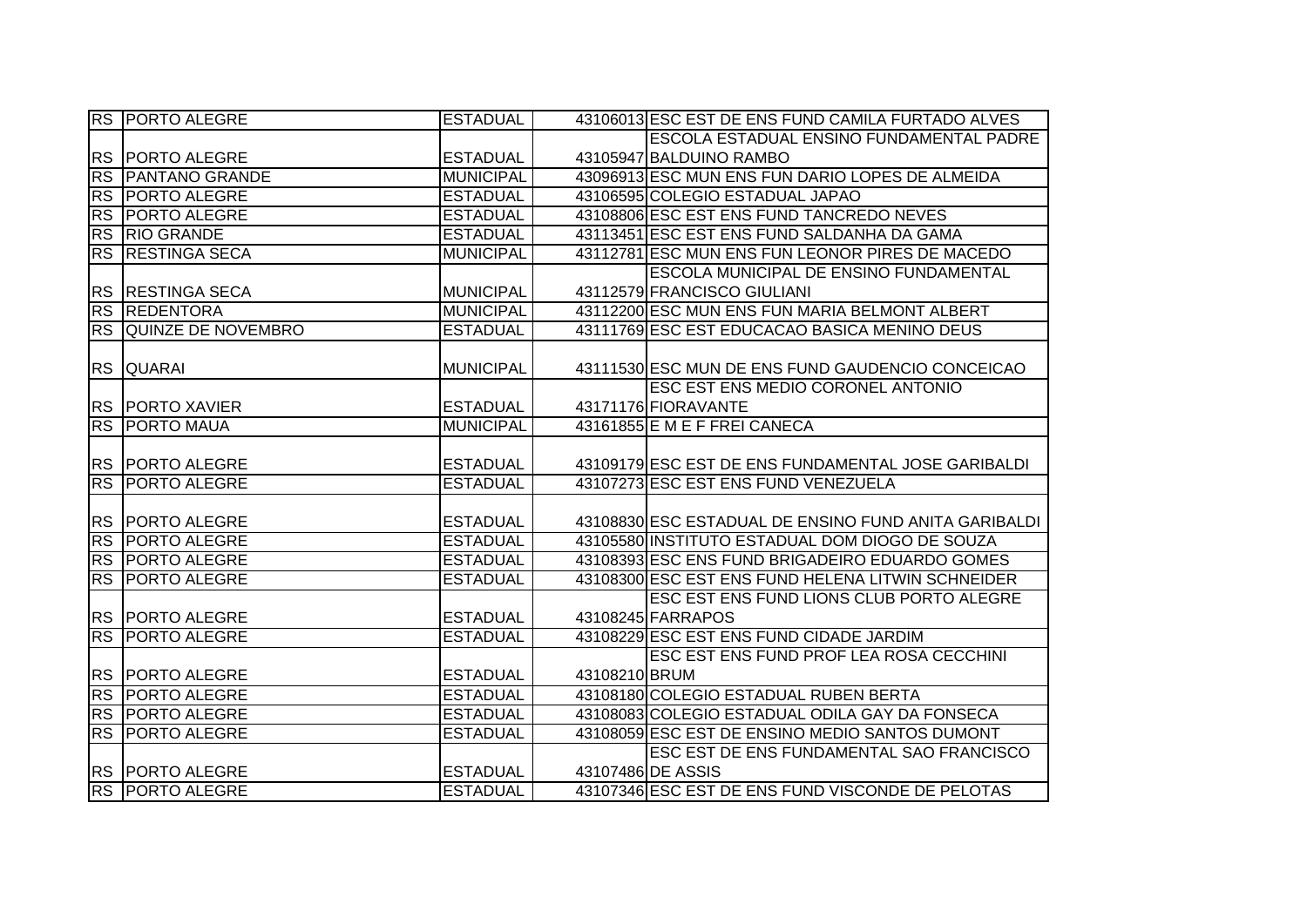|           | <b>RS PORTO ALEGRE</b> | <b>ESTADUAL</b>  |               | 43106013 ESC EST DE ENS FUND CAMILA FURTADO ALVES    |
|-----------|------------------------|------------------|---------------|------------------------------------------------------|
|           |                        |                  |               | ESCOLA ESTADUAL ENSINO FUNDAMENTAL PADRE             |
|           | RS   PORTO ALEGRE      | <b>ESTADUAL</b>  |               | 43105947 BALDUINO RAMBO                              |
| <b>RS</b> | <b>PANTANO GRANDE</b>  | <b>MUNICIPAL</b> |               | 43096913 ESC MUN ENS FUN DARIO LOPES DE ALMEIDA      |
|           | <b>RS PORTO ALEGRE</b> | <b>ESTADUAL</b>  |               | 43106595 COLEGIO ESTADUAL JAPAO                      |
|           | <b>RS PORTO ALEGRE</b> | <b>ESTADUAL</b>  |               | 43108806 ESC EST ENS FUND TANCREDO NEVES             |
|           | RS RIO GRANDE          | <b>ESTADUAL</b>  |               | 43113451 ESC EST ENS FUND SALDANHA DA GAMA           |
| <b>RS</b> | <b>RESTINGA SECA</b>   | <b>MUNICIPAL</b> |               | 43112781 ESC MUN ENS FUN LEONOR PIRES DE MACEDO      |
|           |                        |                  |               | <b>ESCOLA MUNICIPAL DE ENSINO FUNDAMENTAL</b>        |
| <b>RS</b> | <b>RESTINGA SECA</b>   | <b>MUNICIPAL</b> |               | 43112579 FRANCISCO GIULIANI                          |
| <b>RS</b> | <b>REDENTORA</b>       | <b>MUNICIPAL</b> |               | 43112200 ESC MUN ENS FUN MARIA BELMONT ALBERT        |
|           | RS QUINZE DE NOVEMBRO  | <b>ESTADUAL</b>  |               | 43111769 ESC EST EDUCACAO BASICA MENINO DEUS         |
|           |                        |                  |               |                                                      |
| <b>RS</b> | <b>QUARAI</b>          | <b>MUNICIPAL</b> |               | 43111530 ESC MUN DE ENS FUND GAUDENCIO CONCEICAO     |
|           |                        |                  |               | ESC EST ENS MEDIO CORONEL ANTONIO                    |
|           | <b>RS PORTO XAVIER</b> | <b>ESTADUAL</b>  |               | 43171176 FIORAVANTE                                  |
|           | <b>RS PORTO MAUA</b>   | <b>MUNICIPAL</b> |               | 43161855 E M E F FREI CANECA                         |
|           |                        |                  |               |                                                      |
|           | <b>RS PORTO ALEGRE</b> | <b>ESTADUAL</b>  |               | 43109179 ESC EST DE ENS FUNDAMENTAL JOSE GARIBALDI   |
|           | <b>RS PORTO ALEGRE</b> | <b>ESTADUAL</b>  |               | 43107273 ESC EST ENS FUND VENEZUELA                  |
|           |                        |                  |               |                                                      |
|           | RS   PORTO ALEGRE      | <b>ESTADUAL</b>  |               | 43108830 ESC ESTADUAL DE ENSINO FUND ANITA GARIBALDI |
| RS        | <b>PORTO ALEGRE</b>    | <b>ESTADUAL</b>  |               | 43105580 INSTITUTO ESTADUAL DOM DIOGO DE SOUZA       |
| RS        | <b>PORTO ALEGRE</b>    | <b>ESTADUAL</b>  |               | 43108393 ESC ENS FUND BRIGADEIRO EDUARDO GOMES       |
| RS        | <b>PORTO ALEGRE</b>    | <b>ESTADUAL</b>  |               | 43108300 ESC EST ENS FUND HELENA LITWIN SCHNEIDER    |
|           |                        |                  |               | ESC EST ENS FUND LIONS CLUB PORTO ALEGRE             |
|           | RS PORTO ALEGRE        | <b>ESTADUAL</b>  |               | 43108245 FARRAPOS                                    |
| <b>RS</b> | <b>PORTO ALEGRE</b>    | <b>ESTADUAL</b>  |               | 43108229 ESC EST ENS FUND CIDADE JARDIM              |
|           |                        |                  |               | ESC EST ENS FUND PROF LEA ROSA CECCHINI              |
| <b>RS</b> | <b>PORTO ALEGRE</b>    | <b>ESTADUAL</b>  | 43108210 BRUM |                                                      |
| <b>RS</b> | <b>PORTO ALEGRE</b>    | <b>ESTADUAL</b>  |               | 43108180 COLEGIO ESTADUAL RUBEN BERTA                |
|           | <b>RS PORTO ALEGRE</b> | <b>ESTADUAL</b>  |               | 43108083 COLEGIO ESTADUAL ODILA GAY DA FONSECA       |
|           | <b>RS PORTO ALEGRE</b> | <b>ESTADUAL</b>  |               | 43108059 ESC EST DE ENSINO MEDIO SANTOS DUMONT       |
|           |                        |                  |               | ESC EST DE ENS FUNDAMENTAL SAO FRANCISCO             |
|           | <b>RS PORTO ALEGRE</b> | <b>ESTADUAL</b>  |               | 43107486 DE ASSIS                                    |
|           | <b>RS PORTO ALEGRE</b> | <b>ESTADUAL</b>  |               | 43107346 ESC EST DE ENS FUND VISCONDE DE PELOTAS     |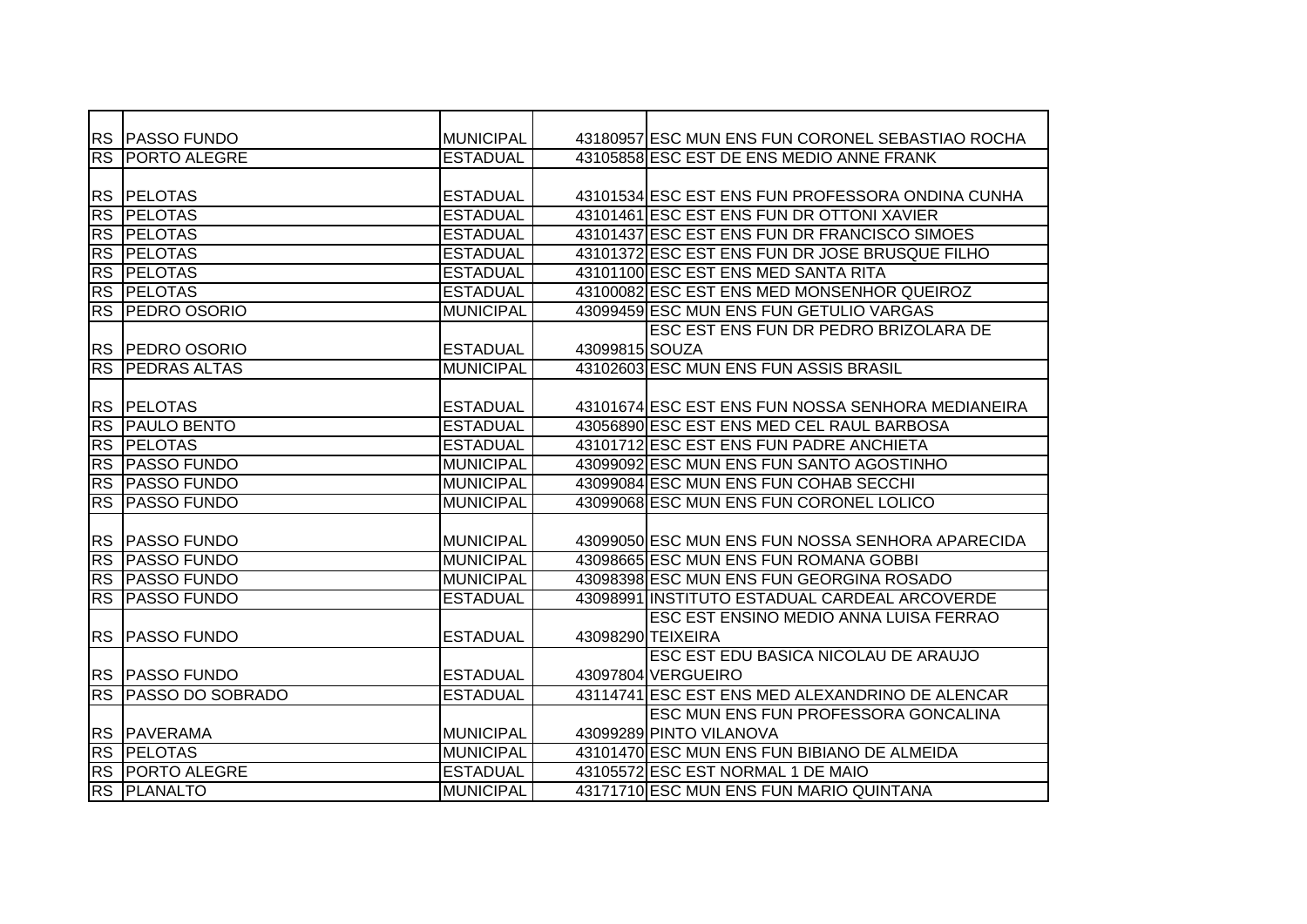|           | <b>RS PASSO FUNDO</b>   | <b>MUNICIPAL</b> |                | 43180957 ESC MUN ENS FUN CORONEL SEBASTIAO ROCHA  |
|-----------|-------------------------|------------------|----------------|---------------------------------------------------|
| <b>RS</b> | <b>PORTO ALEGRE</b>     | <b>ESTADUAL</b>  |                | 43105858 ESC EST DE ENS MEDIO ANNE FRANK          |
|           |                         |                  |                |                                                   |
| <b>RS</b> | <b>PELOTAS</b>          | <b>ESTADUAL</b>  |                | 43101534 ESC EST ENS FUN PROFESSORA ONDINA CUNHA  |
| <b>RS</b> | <b>PELOTAS</b>          | <b>ESTADUAL</b>  |                | 43101461 ESC EST ENS FUN DR OTTONI XAVIER         |
|           | <b>RS PELOTAS</b>       | <b>ESTADUAL</b>  |                | 43101437 ESC EST ENS FUN DR FRANCISCO SIMOES      |
| <b>RS</b> | <b>PELOTAS</b>          | <b>ESTADUAL</b>  |                | 43101372 ESC EST ENS FUN DR JOSE BRUSQUE FILHO    |
| <b>RS</b> | <b>PELOTAS</b>          | <b>ESTADUAL</b>  |                | 43101100 ESC EST ENS MED SANTA RITA               |
| <b>RS</b> | <b>PELOTAS</b>          | <b>ESTADUAL</b>  |                | 43100082 ESC EST ENS MED MONSENHOR QUEIROZ        |
| <b>RS</b> | <b>PEDRO OSORIO</b>     | <b>MUNICIPAL</b> |                | 43099459 ESC MUN ENS FUN GETULIO VARGAS           |
|           |                         |                  |                | ESC EST ENS FUN DR PEDRO BRIZOLARA DE             |
|           | RS PEDRO OSORIO         | <b>ESTADUAL</b>  | 43099815 SOUZA |                                                   |
| <b>RS</b> | <b>PEDRAS ALTAS</b>     | <b>MUNICIPAL</b> |                | 43102603 ESC MUN ENS FUN ASSIS BRASIL             |
|           |                         |                  |                |                                                   |
| <b>RS</b> | <b>PELOTAS</b>          | <b>ESTADUAL</b>  |                | 43101674 ESC EST ENS FUN NOSSA SENHORA MEDIANEIRA |
| RS        | <b>PAULO BENTO</b>      | <b>ESTADUAL</b>  |                | 43056890 ESC EST ENS MED CEL RAUL BARBOSA         |
| RS        | <b>PELOTAS</b>          | <b>ESTADUAL</b>  |                | 43101712 ESC EST ENS FUN PADRE ANCHIETA           |
| RS        | <b>PASSO FUNDO</b>      | <b>MUNICIPAL</b> |                | 43099092 ESC MUN ENS FUN SANTO AGOSTINHO          |
| <b>RS</b> | <b>PASSO FUNDO</b>      | <b>MUNICIPAL</b> |                | 43099084 ESC MUN ENS FUN COHAB SECCHI             |
|           | <b>RS PASSO FUNDO</b>   | <b>MUNICIPAL</b> |                | 43099068 ESC MUN ENS FUN CORONEL LOLICO           |
|           |                         |                  |                |                                                   |
|           | <b>RS PASSO FUNDO</b>   | <b>MUNICIPAL</b> |                | 43099050 ESC MUN ENS FUN NOSSA SENHORA APARECIDA  |
| <b>RS</b> | <b>PASSO FUNDO</b>      | <b>MUNICIPAL</b> |                | 43098665 ESC MUN ENS FUN ROMANA GOBBI             |
| <b>RS</b> | <b>PASSO FUNDO</b>      | <b>MUNICIPAL</b> |                | 43098398 ESC MUN ENS FUN GEORGINA ROSADO          |
| <b>RS</b> | <b>PASSO FUNDO</b>      | <b>ESTADUAL</b>  |                | 43098991 INSTITUTO ESTADUAL CARDEAL ARCOVERDE     |
|           |                         |                  |                | ESC EST ENSINO MEDIO ANNA LUISA FERRAO            |
| <b>RS</b> | <b>PASSO FUNDO</b>      | <b>ESTADUAL</b>  |                | 43098290 TEIXEIRA                                 |
|           |                         |                  |                | ESC EST EDU BASICA NICOLAU DE ARAUJO              |
|           | <b>RS PASSO FUNDO</b>   | <b>ESTADUAL</b>  |                | 43097804 VERGUEIRO                                |
| RS        | <b>PASSO DO SOBRADO</b> | <b>ESTADUAL</b>  |                | 43114741 ESC EST ENS MED ALEXANDRINO DE ALENCAR   |
|           |                         |                  |                | ESC MUN ENS FUN PROFESSORA GONCALINA              |
|           | <b>RS PAVERAMA</b>      | <b>MUNICIPAL</b> |                | 43099289 PINTO VILANOVA                           |
| RS        | <b>PELOTAS</b>          | <b>MUNICIPAL</b> |                | 43101470 ESC MUN ENS FUN BIBIANO DE ALMEIDA       |
| RS        | <b>PORTO ALEGRE</b>     | <b>ESTADUAL</b>  |                | 43105572 ESC EST NORMAL 1 DE MAIO                 |
| RS        | <b>PLANALTO</b>         | <b>MUNICIPAL</b> |                | 43171710 ESC MUN ENS FUN MARIO QUINTANA           |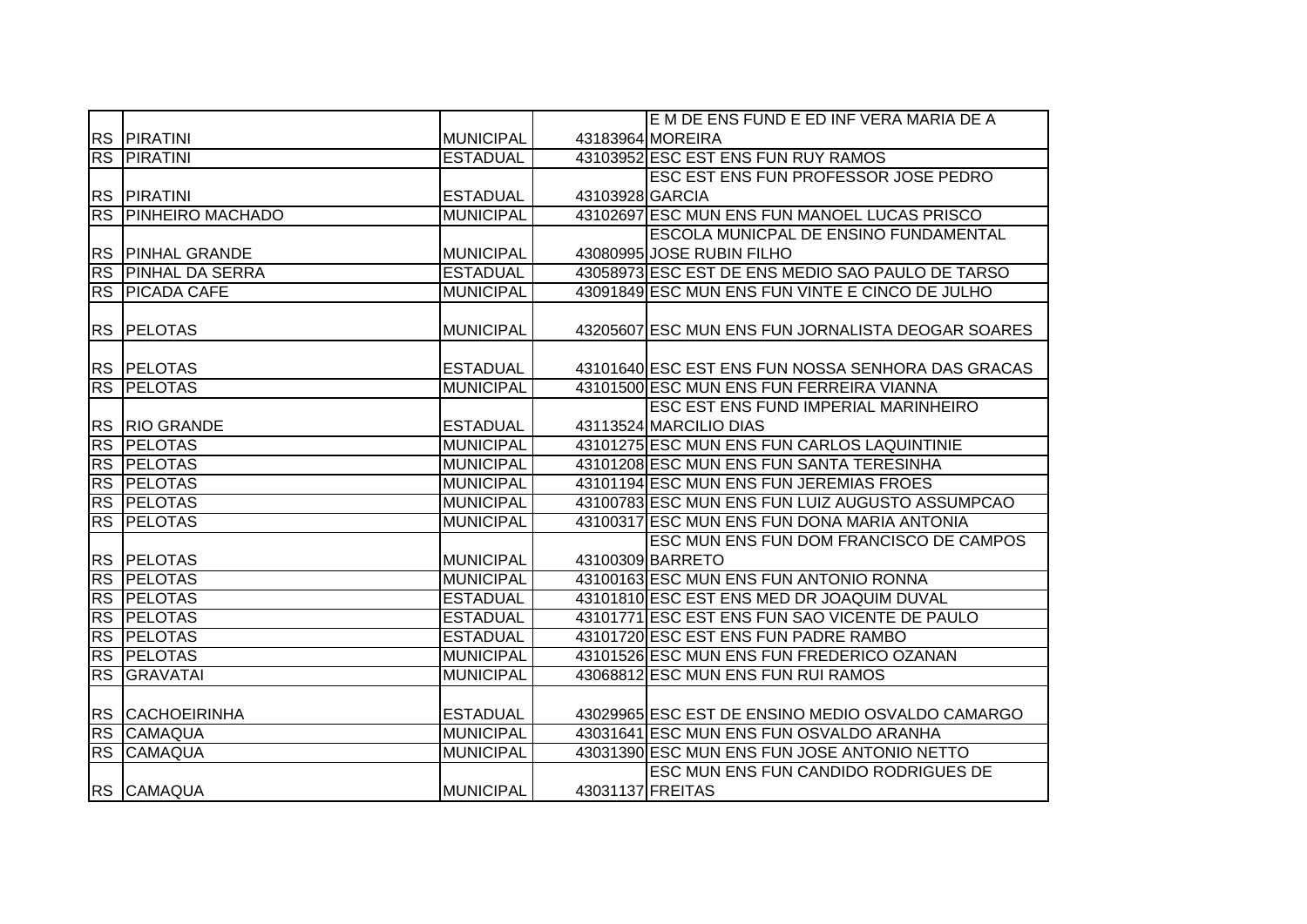|           |                            |                  |                  | E M DE ENS FUND E ED INF VERA MARIA DE A          |
|-----------|----------------------------|------------------|------------------|---------------------------------------------------|
|           | <b>RS PIRATINI</b>         | <b>MUNICIPAL</b> |                  | 43183964 MOREIRA                                  |
|           | <b>RS PIRATINI</b>         | <b>ESTADUAL</b>  |                  | 43103952 ESC EST ENS FUN RUY RAMOS                |
|           |                            |                  |                  | ESC EST ENS FUN PROFESSOR JOSE PEDRO              |
|           | RS PIRATINI                | <b>ESTADUAL</b>  | 43103928 GARCIA  |                                                   |
|           | <b>RS PINHEIRO MACHADO</b> | <b>MUNICIPAL</b> |                  | 43102697 ESC MUN ENS FUN MANOEL LUCAS PRISCO      |
|           |                            |                  |                  | ESCOLA MUNICPAL DE ENSINO FUNDAMENTAL             |
|           | <b>RS PINHAL GRANDE</b>    | <b>MUNICIPAL</b> |                  | 43080995 JOSE RUBIN FILHO                         |
| <b>RS</b> | <b>PINHAL DA SERRA</b>     | <b>ESTADUAL</b>  |                  | 43058973 ESC EST DE ENS MEDIO SAO PAULO DE TARSO  |
|           | <b>RS PICADA CAFE</b>      | <b>MUNICIPAL</b> |                  | 43091849 ESC MUN ENS FUN VINTE E CINCO DE JULHO   |
|           |                            |                  |                  |                                                   |
|           | <b>RS PELOTAS</b>          | <b>MUNICIPAL</b> |                  | 43205607 ESC MUN ENS FUN JORNALISTA DEOGAR SOARES |
|           |                            |                  |                  |                                                   |
|           | RS PELOTAS                 | <b>ESTADUAL</b>  |                  | 43101640 ESC EST ENS FUN NOSSA SENHORA DAS GRACAS |
|           | <b>RS PELOTAS</b>          | <b>MUNICIPAL</b> |                  | 43101500 ESC MUN ENS FUN FERREIRA VIANNA          |
|           |                            |                  |                  | ESC EST ENS FUND IMPERIAL MARINHEIRO              |
|           | <b>RS RIO GRANDE</b>       | <b>ESTADUAL</b>  |                  | 43113524 MARCILIO DIAS                            |
|           | <b>RS PELOTAS</b>          | <b>MUNICIPAL</b> |                  | 43101275 ESC MUN ENS FUN CARLOS LAQUINTINIE       |
|           | <b>RS PELOTAS</b>          | <b>MUNICIPAL</b> |                  | 43101208 ESC MUN ENS FUN SANTA TERESINHA          |
|           | RS PELOTAS                 | <b>MUNICIPAL</b> |                  | 43101194 ESC MUN ENS FUN JEREMIAS FROES           |
|           | RS PELOTAS                 | <b>MUNICIPAL</b> |                  | 43100783 ESC MUN ENS FUN LUIZ AUGUSTO ASSUMPCAO   |
|           | RS PELOTAS                 | <b>MUNICIPAL</b> |                  | 43100317 ESC MUN ENS FUN DONA MARIA ANTONIA       |
|           |                            |                  |                  | ESC MUN ENS FUN DOM FRANCISCO DE CAMPOS           |
|           | <b>RS PELOTAS</b>          | <b>MUNICIPAL</b> |                  | 43100309 BARRETO                                  |
| RS        | <b>PELOTAS</b>             | <b>MUNICIPAL</b> |                  | 43100163 ESC MUN ENS FUN ANTONIO RONNA            |
|           | <b>RS PELOTAS</b>          | <b>ESTADUAL</b>  |                  | 43101810 ESC EST ENS MED DR JOAQUIM DUVAL         |
| RS        | <b>PELOTAS</b>             | <b>ESTADUAL</b>  |                  | 43101771 ESC EST ENS FUN SAO VICENTE DE PAULO     |
| <b>RS</b> | <b>PELOTAS</b>             | <b>ESTADUAL</b>  |                  | 43101720 ESC EST ENS FUN PADRE RAMBO              |
| <b>RS</b> | <b>PELOTAS</b>             | <b>MUNICIPAL</b> |                  | 43101526 ESC MUN ENS FUN FREDERICO OZANAN         |
| <b>RS</b> | <b>GRAVATAI</b>            | <b>MUNICIPAL</b> |                  | 43068812 ESC MUN ENS FUN RUI RAMOS                |
|           |                            |                  |                  |                                                   |
|           | <b>RS CACHOEIRINHA</b>     | <b>ESTADUAL</b>  |                  | 43029965 ESC EST DE ENSINO MEDIO OSVALDO CAMARGO  |
|           | RS CAMAQUA                 | <b>MUNICIPAL</b> |                  | 43031641 ESC MUN ENS FUN OSVALDO ARANHA           |
|           | RS CAMAQUA                 | <b>MUNICIPAL</b> |                  | 43031390 ESC MUN ENS FUN JOSE ANTONIO NETTO       |
|           |                            |                  |                  | ESC MUN ENS FUN CANDIDO RODRIGUES DE              |
|           | RS CAMAQUA                 | <b>MUNICIPAL</b> | 43031137 FREITAS |                                                   |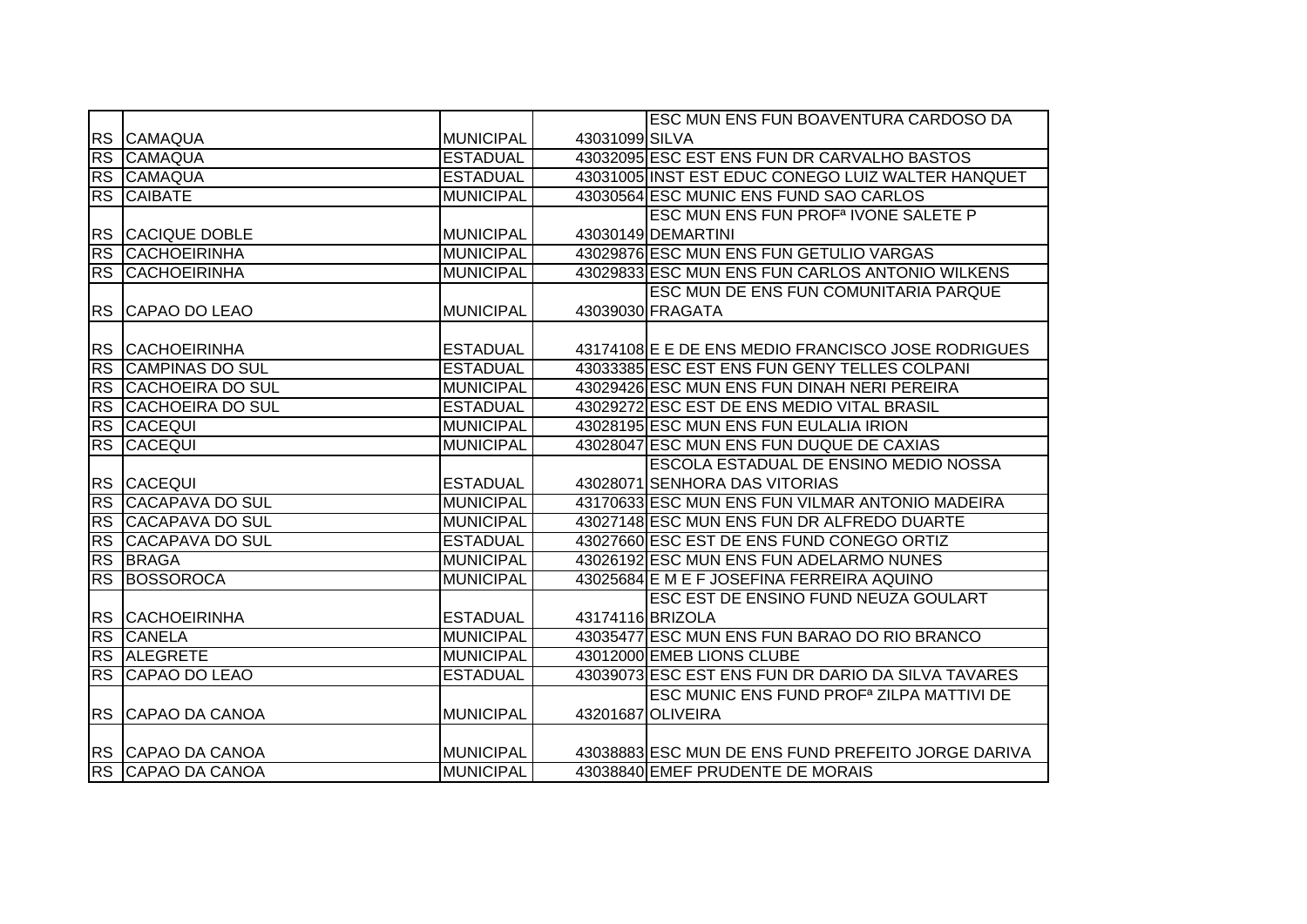|           |                          |                  |                  | ESC MUN ENS FUN BOAVENTURA CARDOSO DA                 |
|-----------|--------------------------|------------------|------------------|-------------------------------------------------------|
|           | RS CAMAQUA               | <b>MUNICIPAL</b> | 43031099 SILVA   |                                                       |
|           | RS CAMAQUA               | <b>ESTADUAL</b>  |                  | 43032095 ESC EST ENS FUN DR CARVALHO BASTOS           |
|           | RS CAMAQUA               | <b>ESTADUAL</b>  |                  | 43031005 INST EST EDUC CONEGO LUIZ WALTER HANQUET     |
|           | <b>RS CAIBATE</b>        | <b>MUNICIPAL</b> |                  | 43030564 ESC MUNIC ENS FUND SAO CARLOS                |
|           |                          |                  |                  | ESC MUN ENS FUN PROF <sup>a</sup> IVONE SALETE P      |
| <b>RS</b> | <b>CACIQUE DOBLE</b>     | <b>MUNICIPAL</b> |                  | 43030149 DEMARTINI                                    |
|           | <b>RS CACHOEIRINHA</b>   | <b>MUNICIPAL</b> |                  | 43029876 ESC MUN ENS FUN GETULIO VARGAS               |
| <b>RS</b> | <b>CACHOEIRINHA</b>      | <b>MUNICIPAL</b> |                  | 43029833 ESC MUN ENS FUN CARLOS ANTONIO WILKENS       |
|           |                          |                  |                  | <b>ESC MUN DE ENS FUN COMUNITARIA PARQUE</b>          |
|           | RS CAPAO DO LEAO         | <b>MUNICIPAL</b> |                  | 43039030 FRAGATA                                      |
|           |                          |                  |                  |                                                       |
|           | <b>RS CACHOEIRINHA</b>   | <b>ESTADUAL</b>  |                  | 43174108 E E DE ENS MEDIO FRANCISCO JOSE RODRIGUES    |
| <b>RS</b> | <b>CAMPINAS DO SUL</b>   | <b>ESTADUAL</b>  |                  | 43033385 ESC EST ENS FUN GENY TELLES COLPANI          |
|           | RS CACHOEIRA DO SUL      | <b>MUNICIPAL</b> |                  | 43029426 ESC MUN ENS FUN DINAH NERI PEREIRA           |
|           | RS CACHOEIRA DO SUL      | <b>ESTADUAL</b>  |                  | 43029272 ESC EST DE ENS MEDIO VITAL BRASIL            |
|           | <b>RS CACEQUI</b>        | <b>MUNICIPAL</b> |                  | 43028195 ESC MUN ENS FUN EULALIA IRION                |
|           | <b>RS CACEQUI</b>        | <b>MUNICIPAL</b> |                  | 43028047 ESC MUN ENS FUN DUQUE DE CAXIAS              |
|           |                          |                  |                  | ESCOLA ESTADUAL DE ENSINO MEDIO NOSSA                 |
|           | RS CACEQUI               | <b>ESTADUAL</b>  |                  | 43028071 SENHORA DAS VITORIAS                         |
| RS        | <b>CACAPAVA DO SUL</b>   | <b>MUNICIPAL</b> |                  | 43170633 ESC MUN ENS FUN VILMAR ANTONIO MADEIRA       |
| <b>RS</b> | <b>CACAPAVA DO SUL</b>   | <b>MUNICIPAL</b> |                  | 43027148 ESC MUN ENS FUN DR ALFREDO DUARTE            |
| <b>RS</b> | <b>CACAPAVA DO SUL</b>   | <b>ESTADUAL</b>  |                  | 43027660 ESC EST DE ENS FUND CONEGO ORTIZ             |
|           | RS BRAGA                 | <b>MUNICIPAL</b> |                  | 43026192 ESC MUN ENS FUN ADELARMO NUNES               |
|           | RS BOSSOROCA             | <b>MUNICIPAL</b> |                  | 43025684 E M E F JOSEFINA FERREIRA AQUINO             |
|           |                          |                  |                  | ESC EST DE ENSINO FUND NEUZA GOULART                  |
|           | <b>RS CACHOEIRINHA</b>   | <b>ESTADUAL</b>  | 43174116 BRIZOLA |                                                       |
| RS        | <b>CANELA</b>            | <b>MUNICIPAL</b> |                  | 43035477 ESC MUN ENS FUN BARAO DO RIO BRANCO          |
|           | RS ALEGRETE              | <b>MUNICIPAL</b> |                  | 43012000 EMEB LIONS CLUBE                             |
|           | RS CAPAO DO LEAO         | <b>ESTADUAL</b>  |                  | 43039073 ESC EST ENS FUN DR DARIO DA SILVA TAVARES    |
|           |                          |                  |                  | ESC MUNIC ENS FUND PROF <sup>a</sup> ZILPA MATTIVI DE |
|           | <b>RS CAPAO DA CANOA</b> | <b>MUNICIPAL</b> |                  | 43201687 OLIVEIRA                                     |
|           |                          |                  |                  |                                                       |
|           | RS CAPAO DA CANOA        | <b>MUNICIPAL</b> |                  | 43038883 ESC MUN DE ENS FUND PREFEITO JORGE DARIVA    |
|           | RS CAPAO DA CANOA        | <b>MUNICIPAL</b> |                  | 43038840 EMEF PRUDENTE DE MORAIS                      |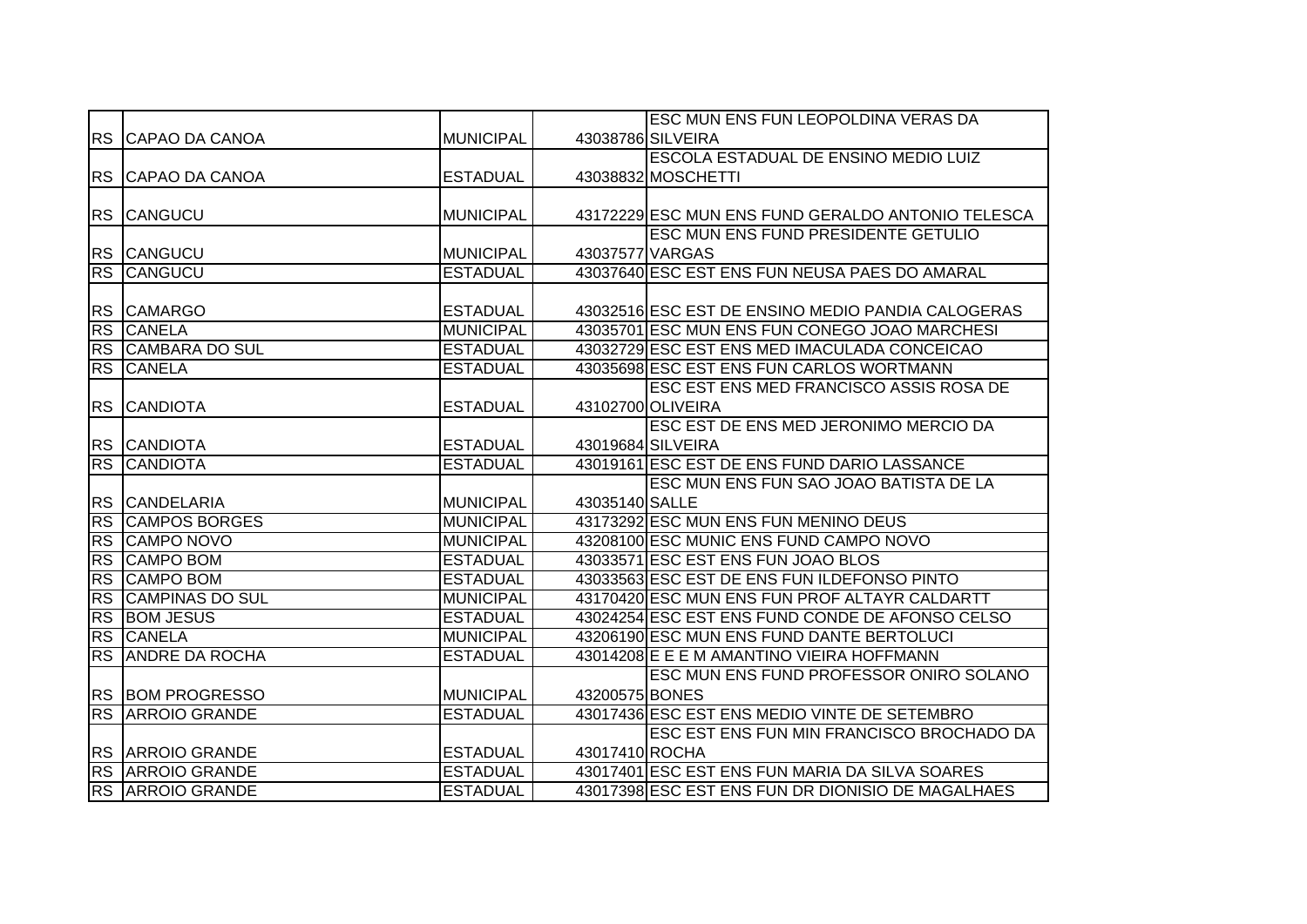|           |                         |                  |                 | ESC MUN ENS FUN LEOPOLDINA VERAS DA               |
|-----------|-------------------------|------------------|-----------------|---------------------------------------------------|
|           | RS CAPAO DA CANOA       | <b>MUNICIPAL</b> |                 | 43038786 SILVEIRA                                 |
|           |                         |                  |                 | ESCOLA ESTADUAL DE ENSINO MEDIO LUIZ              |
|           | RS CAPAO DA CANOA       | <b>ESTADUAL</b>  |                 | 43038832 MOSCHETTI                                |
|           |                         |                  |                 |                                                   |
|           | RS CANGUCU              | <b>MUNICIPAL</b> |                 | 43172229 ESC MUN ENS FUND GERALDO ANTONIO TELESCA |
|           |                         |                  |                 | ESC MUN ENS FUND PRESIDENTE GETULIO               |
|           | RS CANGUCU              | <b>MUNICIPAL</b> | 43037577 VARGAS |                                                   |
| RS        | <b>CANGUCU</b>          | <b>ESTADUAL</b>  |                 | 43037640 ESC EST ENS FUN NEUSA PAES DO AMARAL     |
|           |                         |                  |                 |                                                   |
| <b>RS</b> | <b>CAMARGO</b>          | <b>ESTADUAL</b>  |                 | 43032516 ESC EST DE ENSINO MEDIO PANDIA CALOGERAS |
| <b>RS</b> | <b>CANELA</b>           | <b>MUNICIPAL</b> |                 | 43035701 ESC MUN ENS FUN CONEGO JOAO MARCHESI     |
| <b>RS</b> | CAMBARA DO SUL          | <b>ESTADUAL</b>  |                 | 43032729 ESC EST ENS MED IMACULADA CONCEICAO      |
| <b>RS</b> | <b>CANELA</b>           | <b>ESTADUAL</b>  |                 | 43035698 ESC EST ENS FUN CARLOS WORTMANN          |
|           |                         |                  |                 | ESC EST ENS MED FRANCISCO ASSIS ROSA DE           |
| <b>RS</b> | <b>CANDIOTA</b>         | <b>ESTADUAL</b>  |                 | 43102700 OLIVEIRA                                 |
|           |                         |                  |                 | ESC EST DE ENS MED JERONIMO MERCIO DA             |
|           | RS CANDIOTA             | <b>ESTADUAL</b>  |                 | 43019684 SILVEIRA                                 |
|           | RS CANDIOTA             | <b>ESTADUAL</b>  |                 | 43019161 ESC EST DE ENS FUND DARIO LASSANCE       |
|           |                         |                  |                 | ESC MUN ENS FUN SAO JOAO BATISTA DE LA            |
|           | RS CANDELARIA           | <b>MUNICIPAL</b> | 43035140 SALLE  |                                                   |
| RS        | <b>CAMPOS BORGES</b>    | <b>MUNICIPAL</b> |                 | 43173292 ESC MUN ENS FUN MENINO DEUS              |
| RS        | <b>CAMPO NOVO</b>       | <b>MUNICIPAL</b> |                 | 43208100 ESC MUNIC ENS FUND CAMPO NOVO            |
| RS        | <b>CAMPO BOM</b>        | <b>ESTADUAL</b>  |                 | 43033571 ESC EST ENS FUN JOAO BLOS                |
| RS        | <b>CAMPO BOM</b>        | <b>ESTADUAL</b>  |                 | 43033563 ESC EST DE ENS FUN ILDEFONSO PINTO       |
| RS        | <b>CAMPINAS DO SUL</b>  | <b>MUNICIPAL</b> |                 | 43170420 ESC MUN ENS FUN PROF ALTAYR CALDARTT     |
| <b>RS</b> | <b>BOM JESUS</b>        | <b>ESTADUAL</b>  |                 | 43024254 ESC EST ENS FUND CONDE DE AFONSO CELSO   |
| RS        | <b>CANELA</b>           | <b>MUNICIPAL</b> |                 | 43206190 ESC MUN ENS FUND DANTE BERTOLUCI         |
| RS        | <b>ANDRE DA ROCHA</b>   | <b>ESTADUAL</b>  |                 | 43014208 E E E M AMANTINO VIEIRA HOFFMANN         |
|           |                         |                  |                 | ESC MUN ENS FUND PROFESSOR ONIRO SOLANO           |
|           | <b>RS BOM PROGRESSO</b> | <b>MUNICIPAL</b> | 43200575 BONES  |                                                   |
|           | <b>RS ARROIO GRANDE</b> | <b>ESTADUAL</b>  |                 | 43017436 ESC EST ENS MEDIO VINTE DE SETEMBRO      |
|           |                         |                  |                 | ESC EST ENS FUN MIN FRANCISCO BROCHADO DA         |
|           | <b>RS ARROIO GRANDE</b> | <b>ESTADUAL</b>  | 43017410 ROCHA  |                                                   |
|           | <b>RS ARROIO GRANDE</b> | <b>ESTADUAL</b>  |                 | 43017401 ESC EST ENS FUN MARIA DA SILVA SOARES    |
|           | <b>RS ARROIO GRANDE</b> | <b>ESTADUAL</b>  |                 | 43017398 ESC EST ENS FUN DR DIONISIO DE MAGALHAES |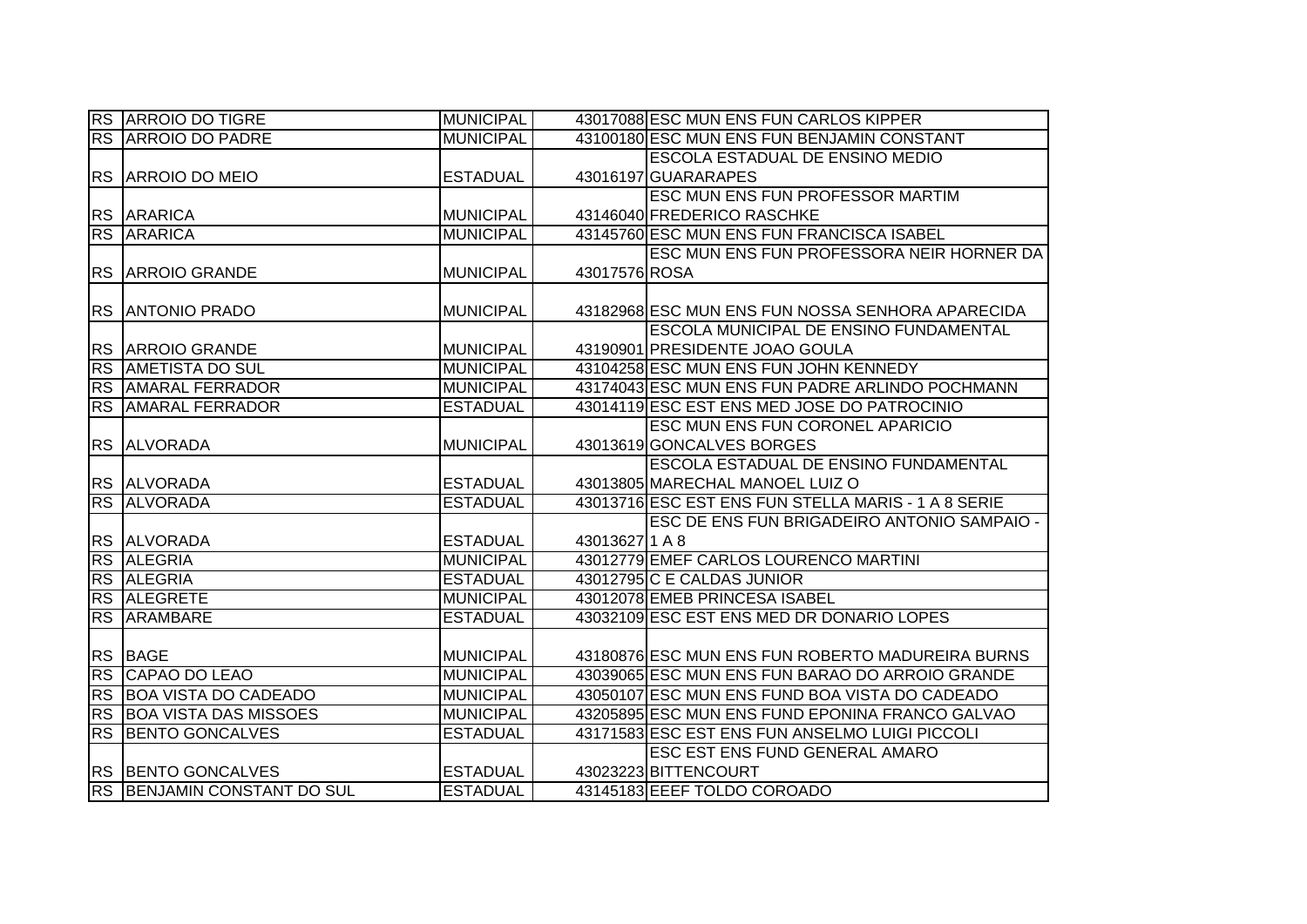|           | <b>RS ARROIO DO TIGRE</b>       | <b>MUNICIPAL</b> |               | 43017088 ESC MUN ENS FUN CARLOS KIPPER              |
|-----------|---------------------------------|------------------|---------------|-----------------------------------------------------|
|           | <b>RS ARROIO DO PADRE</b>       | <b>MUNICIPAL</b> |               | 43100180 ESC MUN ENS FUN BENJAMIN CONSTANT          |
|           |                                 |                  |               | ESCOLA ESTADUAL DE ENSINO MEDIO                     |
|           | RS ARROIO DO MEIO               | <b>ESTADUAL</b>  |               | 43016197 GUARARAPES                                 |
|           |                                 |                  |               | ESC MUN ENS FUN PROFESSOR MARTIM                    |
|           | <b>RS ARARICA</b>               | <b>MUNICIPAL</b> |               | 43146040 FREDERICO RASCHKE                          |
|           | <b>RS ARARICA</b>               | <b>MUNICIPAL</b> |               | 43145760 ESC MUN ENS FUN FRANCISCA ISABEL           |
|           |                                 |                  |               | ESC MUN ENS FUN PROFESSORA NEIR HORNER DA           |
|           | RS ARROIO GRANDE                | <b>MUNICIPAL</b> | 43017576 ROSA |                                                     |
|           |                                 |                  |               |                                                     |
| <b>RS</b> | <b>JANTONIO PRADO</b>           | <b>MUNICIPAL</b> |               | 43182968 ESC MUN ENS FUN NOSSA SENHORA APARECIDA    |
|           |                                 |                  |               | ESCOLA MUNICIPAL DE ENSINO FUNDAMENTAL              |
| <b>RS</b> | <b>ARROIO GRANDE</b>            | <b>MUNICIPAL</b> |               | 43190901 PRESIDENTE JOAO GOULA                      |
| <b>RS</b> | <b>AMETISTA DO SUL</b>          | <b>MUNICIPAL</b> |               | 43104258 ESC MUN ENS FUN JOHN KENNEDY               |
| <b>RS</b> | <b>AMARAL FERRADOR</b>          | <b>MUNICIPAL</b> |               | 43174043 ESC MUN ENS FUN PADRE ARLINDO POCHMANN     |
| <b>RS</b> | <b>AMARAL FERRADOR</b>          | <b>ESTADUAL</b>  |               | 43014119 ESC EST ENS MED JOSE DO PATROCINIO         |
|           |                                 |                  |               | ESC MUN ENS FUN CORONEL APARICIO                    |
|           | RS ALVORADA                     | <b>MUNICIPAL</b> |               | 43013619 GONCALVES BORGES                           |
|           |                                 |                  |               | ESCOLA ESTADUAL DE ENSINO FUNDAMENTAL               |
|           | RS ALVORADA                     | <b>ESTADUAL</b>  |               | 43013805 MARECHAL MANOEL LUIZ O                     |
|           | <b>RS ALVORADA</b>              | <b>ESTADUAL</b>  |               | 43013716 ESC EST ENS FUN STELLA MARIS - 1 A 8 SERIE |
|           |                                 |                  |               | ESC DE ENS FUN BRIGADEIRO ANTONIO SAMPAIO -         |
|           | RS ALVORADA                     | <b>ESTADUAL</b>  | 430136271 A 8 |                                                     |
| RS        | <b>ALEGRIA</b>                  | <b>MUNICIPAL</b> |               | 43012779 EMEF CARLOS LOURENCO MARTINI               |
|           | RS ALEGRIA                      | <b>ESTADUAL</b>  |               | 43012795 C E CALDAS JUNIOR                          |
| <b>RS</b> | <b>ALEGRETE</b>                 | <b>MUNICIPAL</b> |               | 43012078 EMEB PRINCESA ISABEL                       |
| <b>RS</b> | ARAMBARE                        | <b>ESTADUAL</b>  |               | 43032109 ESC EST ENS MED DR DONARIO LOPES           |
|           |                                 |                  |               |                                                     |
|           | RS BAGE                         | <b>MUNICIPAL</b> |               | 43180876 ESC MUN ENS FUN ROBERTO MADUREIRA BURNS    |
| RS        | CAPAO DO LEAO                   | <b>MUNICIPAL</b> |               | 43039065 ESC MUN ENS FUN BARAO DO ARROIO GRANDE     |
|           | RS BOA VISTA DO CADEADO         | <b>MUNICIPAL</b> |               | 43050107 ESC MUN ENS FUND BOA VISTA DO CADEADO      |
|           | <b>RS BOA VISTA DAS MISSOES</b> | <b>MUNICIPAL</b> |               | 43205895 ESC MUN ENS FUND EPONINA FRANCO GALVAO     |
| <b>RS</b> | <b>BENTO GONCALVES</b>          | <b>ESTADUAL</b>  |               | 43171583 ESC EST ENS FUN ANSELMO LUIGI PICCOLI      |
|           |                                 |                  |               | <b>ESC EST ENS FUND GENERAL AMARO</b>               |
|           | RS BENTO GONCALVES              | <b>ESTADUAL</b>  |               | 43023223 BITTENCOURT                                |
|           | RS BENJAMIN CONSTANT DO SUL     | <b>ESTADUAL</b>  |               | 43145183 EEEF TOLDO COROADO                         |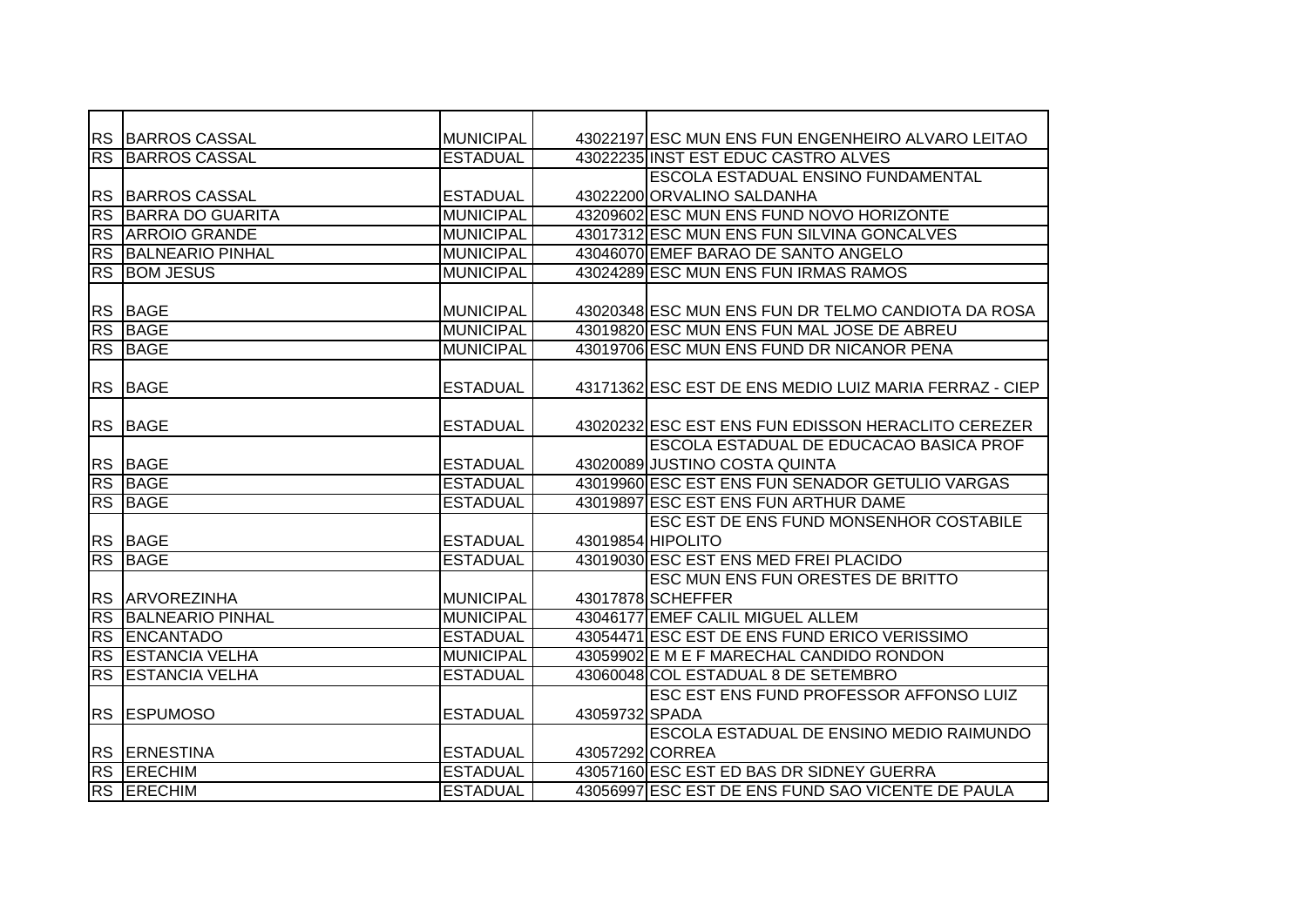|                        | <b>RS BARROS CASSAL</b> | <b>MUNICIPAL</b> |                 | 43022197 ESC MUN ENS FUN ENGENHEIRO ALVARO LEITAO      |
|------------------------|-------------------------|------------------|-----------------|--------------------------------------------------------|
|                        | <b>RS BARROS CASSAL</b> | <b>ESTADUAL</b>  |                 | 43022235 INST EST EDUC CASTRO ALVES                    |
|                        |                         |                  |                 | ESCOLA ESTADUAL ENSINO FUNDAMENTAL                     |
| <b>RS</b>              | <b>BARROS CASSAL</b>    | <b>ESTADUAL</b>  |                 | 43022200 ORVALINO SALDANHA                             |
| <b>RS</b>              | <b>BARRA DO GUARITA</b> | <b>MUNICIPAL</b> |                 | 43209602 ESC MUN ENS FUND NOVO HORIZONTE               |
| <b>RS</b>              | <b>ARROIO GRANDE</b>    | <b>MUNICIPAL</b> |                 | 43017312 ESC MUN ENS FUN SILVINA GONCALVES             |
| <b>RS</b>              | <b>BALNEARIO PINHAL</b> | <b>MUNICIPAL</b> |                 | 43046070 EMEF BARAO DE SANTO ANGELO                    |
| <b>RS</b>              | <b>BOM JESUS</b>        | <b>MUNICIPAL</b> |                 | 43024289 ESC MUN ENS FUN IRMAS RAMOS                   |
|                        |                         |                  |                 |                                                        |
| <b>RS</b>              | <b>BAGE</b>             | <b>MUNICIPAL</b> |                 | 43020348 ESC MUN ENS FUN DR TELMO CANDIOTA DA ROSA     |
| <b>RS</b>              | <b>BAGE</b>             | <b>MUNICIPAL</b> |                 | 43019820 ESC MUN ENS FUN MAL JOSE DE ABREU             |
|                        | <b>RS BAGE</b>          | <b>MUNICIPAL</b> |                 | 43019706 ESC MUN ENS FUND DR NICANOR PENA              |
|                        |                         |                  |                 |                                                        |
| <b>RS</b>              | <b>BAGE</b>             | <b>ESTADUAL</b>  |                 | 43171362 ESC EST DE ENS MEDIO LUIZ MARIA FERRAZ - CIEP |
|                        |                         |                  |                 |                                                        |
| <b>RS</b>              | <b>BAGE</b>             | <b>ESTADUAL</b>  |                 | 43020232 ESC EST ENS FUN EDISSON HERACLITO CEREZER     |
|                        |                         |                  |                 | <b>ESCOLA ESTADUAL DE EDUCACAO BASICA PROF</b>         |
|                        | RS BAGE                 | <b>ESTADUAL</b>  |                 | 43020089 JUSTINO COSTA QUINTA                          |
|                        | RS BAGE                 | <b>ESTADUAL</b>  |                 | 43019960 ESC EST ENS FUN SENADOR GETULIO VARGAS        |
|                        | <b>RS BAGE</b>          | <b>ESTADUAL</b>  |                 | 43019897 ESC EST ENS FUN ARTHUR DAME                   |
|                        |                         |                  |                 | ESC EST DE ENS FUND MONSENHOR COSTABILE                |
|                        | RS BAGE                 | <b>ESTADUAL</b>  |                 | 43019854 HIPOLITO                                      |
| $\overline{\text{RS}}$ | <b>BAGE</b>             | <b>ESTADUAL</b>  |                 | 43019030 ESC EST ENS MED FREI PLACIDO                  |
|                        |                         |                  |                 | <b>ESC MUN ENS FUN ORESTES DE BRITTO</b>               |
|                        | RS ARVOREZINHA          | <b>MUNICIPAL</b> |                 | 43017878 SCHEFFER                                      |
| <b>RS</b>              | <b>BALNEARIO PINHAL</b> | <b>MUNICIPAL</b> |                 | 43046177 EMEF CALIL MIGUEL ALLEM                       |
| <b>RS</b>              | <b>ENCANTADO</b>        | <b>ESTADUAL</b>  |                 | 43054471 ESC EST DE ENS FUND ERICO VERISSIMO           |
| <b>RS</b>              | <b>ESTANCIA VELHA</b>   | <b>MUNICIPAL</b> |                 | 43059902 E M E F MARECHAL CANDIDO RONDON               |
| <b>RS</b>              | <b>ESTANCIA VELHA</b>   | <b>ESTADUAL</b>  |                 | 43060048 COL ESTADUAL 8 DE SETEMBRO                    |
|                        |                         |                  |                 | ESC EST ENS FUND PROFESSOR AFFONSO LUIZ                |
| <b>RS</b>              | <b>ESPUMOSO</b>         | <b>ESTADUAL</b>  | 43059732 SPADA  |                                                        |
|                        |                         |                  |                 | ESCOLA ESTADUAL DE ENSINO MEDIO RAIMUNDO               |
|                        | RS ERNESTINA            | <b>ESTADUAL</b>  | 43057292 CORREA |                                                        |
|                        | <b>RS ERECHIM</b>       | <b>ESTADUAL</b>  |                 | 43057160 ESC EST ED BAS DR SIDNEY GUERRA               |
|                        | RS ERECHIM              | <b>ESTADUAL</b>  |                 | 43056997 ESC EST DE ENS FUND SAO VICENTE DE PAULA      |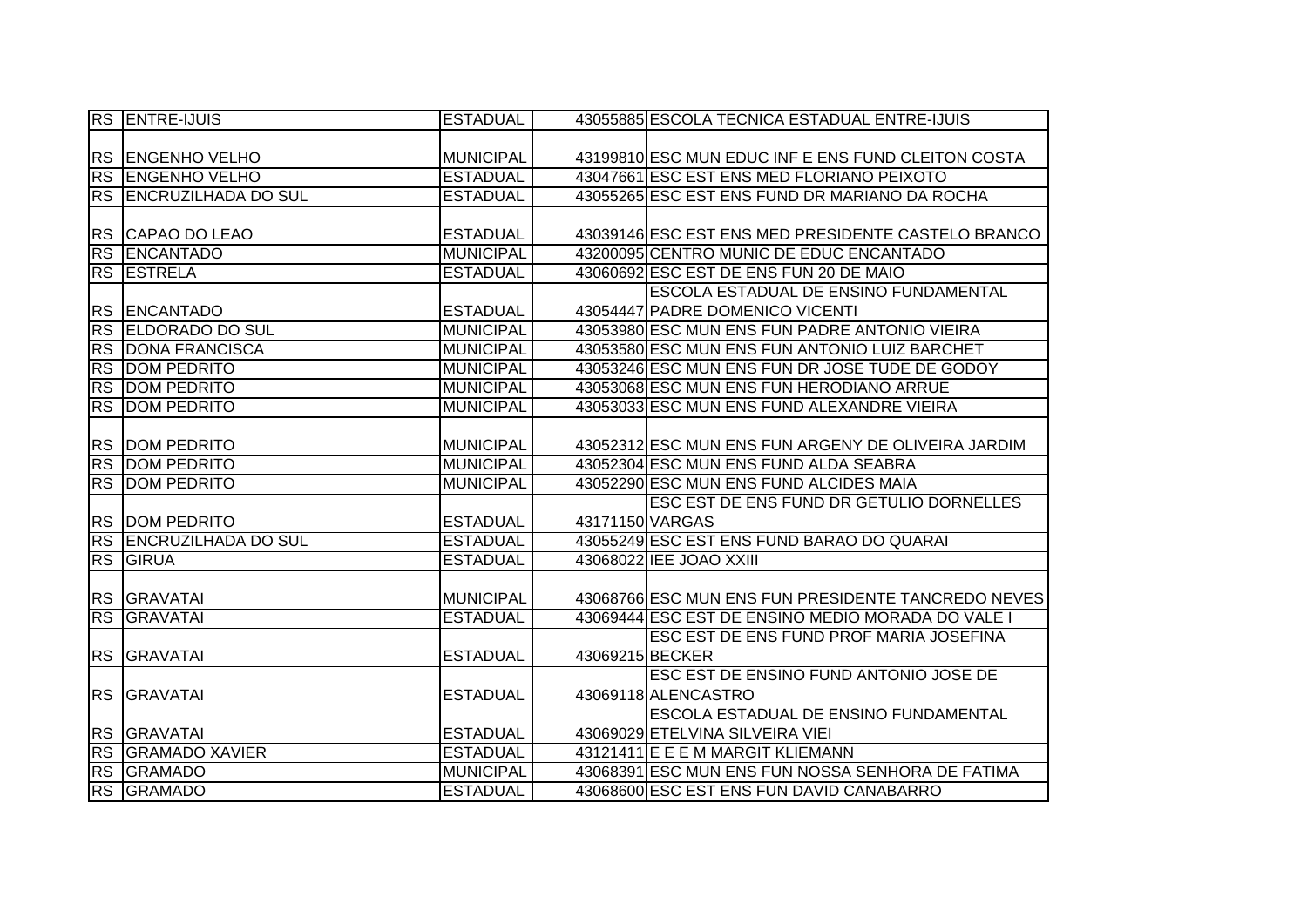|           | <b>RS ENTRE-IJUIS</b>      | <b>ESTADUAL</b>  | 43055885 ESCOLA TECNICA ESTADUAL ENTRE-IJUIS       |
|-----------|----------------------------|------------------|----------------------------------------------------|
|           |                            |                  |                                                    |
|           | RS ENGENHO VELHO           | <b>MUNICIPAL</b> | 43199810 ESC MUN EDUC INF E ENS FUND CLEITON COSTA |
|           | RS ENGENHO VELHO           | <b>ESTADUAL</b>  | 43047661 ESC EST ENS MED FLORIANO PEIXOTO          |
|           | RS ENCRUZILHADA DO SUL     | <b>ESTADUAL</b>  | 43055265 ESC EST ENS FUND DR MARIANO DA ROCHA      |
|           |                            |                  |                                                    |
|           | RS CAPAO DO LEAO           | <b>ESTADUAL</b>  | 43039146 ESC EST ENS MED PRESIDENTE CASTELO BRANCO |
|           | RS ENCANTADO               | <b>MUNICIPAL</b> | 43200095 CENTRO MUNIC DE EDUC ENCANTADO            |
|           | <b>RS ESTRELA</b>          | <b>ESTADUAL</b>  | 43060692 ESC EST DE ENS FUN 20 DE MAIO             |
|           |                            |                  | <b>ESCOLA ESTADUAL DE ENSINO FUNDAMENTAL</b>       |
| <b>RS</b> | <b>ENCANTADO</b>           | <b>ESTADUAL</b>  | 43054447 PADRE DOMENICO VICENTI                    |
| <b>RS</b> | <b>ELDORADO DO SUL</b>     | <b>MUNICIPAL</b> | 43053980 ESC MUN ENS FUN PADRE ANTONIO VIEIRA      |
| <b>RS</b> | <b>DONA FRANCISCA</b>      | <b>MUNICIPAL</b> | 43053580 ESC MUN ENS FUN ANTONIO LUIZ BARCHET      |
| <b>RS</b> | <b>DOM PEDRITO</b>         | <b>MUNICIPAL</b> | 43053246 ESC MUN ENS FUN DR JOSE TUDE DE GODOY     |
| RS        | <b>DOM PEDRITO</b>         | <b>MUNICIPAL</b> | 43053068 ESC MUN ENS FUN HERODIANO ARRUE           |
| <b>RS</b> | <b>DOM PEDRITO</b>         | <b>MUNICIPAL</b> | 43053033 ESC MUN ENS FUND ALEXANDRE VIEIRA         |
|           |                            |                  |                                                    |
|           | <b>RS DOM PEDRITO</b>      | <b>MUNICIPAL</b> | 43052312 ESC MUN ENS FUN ARGENY DE OLIVEIRA JARDIM |
|           | <b>RS DOM PEDRITO</b>      | <b>MUNICIPAL</b> | 43052304 ESC MUN ENS FUND ALDA SEABRA              |
|           | <b>RS DOM PEDRITO</b>      | <b>MUNICIPAL</b> | 43052290 ESC MUN ENS FUND ALCIDES MAIA             |
|           |                            |                  | ESC EST DE ENS FUND DR GETULIO DORNELLES           |
|           | <b>RS DOM PEDRITO</b>      | <b>ESTADUAL</b>  | 43171150 VARGAS                                    |
| RS        | <b>ENCRUZILHADA DO SUL</b> | <b>ESTADUAL</b>  | 43055249 ESC EST ENS FUND BARAO DO QUARAI          |
| <b>RS</b> | GIRUA                      | <b>ESTADUAL</b>  | 43068022 IEE JOAO XXIII                            |
|           |                            |                  |                                                    |
|           | RS GRAVATAI                | <b>MUNICIPAL</b> | 43068766 ESC MUN ENS FUN PRESIDENTE TANCREDO NEVES |
| <b>RS</b> | GRAVATAI                   | <b>ESTADUAL</b>  | 43069444 ESC EST DE ENSINO MEDIO MORADA DO VALE I  |
|           |                            |                  | ESC EST DE ENS FUND PROF MARIA JOSEFINA            |
|           | RS GRAVATAI                | <b>ESTADUAL</b>  | 43069215 BECKER                                    |
|           |                            |                  | ESC EST DE ENSINO FUND ANTONIO JOSE DE             |
|           | RS GRAVATAI                | <b>ESTADUAL</b>  | 43069118 ALENCASTRO                                |
|           |                            |                  | <b>ESCOLA ESTADUAL DE ENSINO FUNDAMENTAL</b>       |
|           | RS GRAVATAI                | <b>ESTADUAL</b>  | 43069029 ETELVINA SILVEIRA VIEI                    |
|           | <b>RS GRAMADO XAVIER</b>   | <b>ESTADUAL</b>  | 43121411 E E E M MARGIT KLIEMANN                   |
| RS        | <b>GRAMADO</b>             | <b>MUNICIPAL</b> | 43068391 ESC MUN ENS FUN NOSSA SENHORA DE FATIMA   |
|           | RS GRAMADO                 | <b>ESTADUAL</b>  | 43068600 ESC EST ENS FUN DAVID CANABARRO           |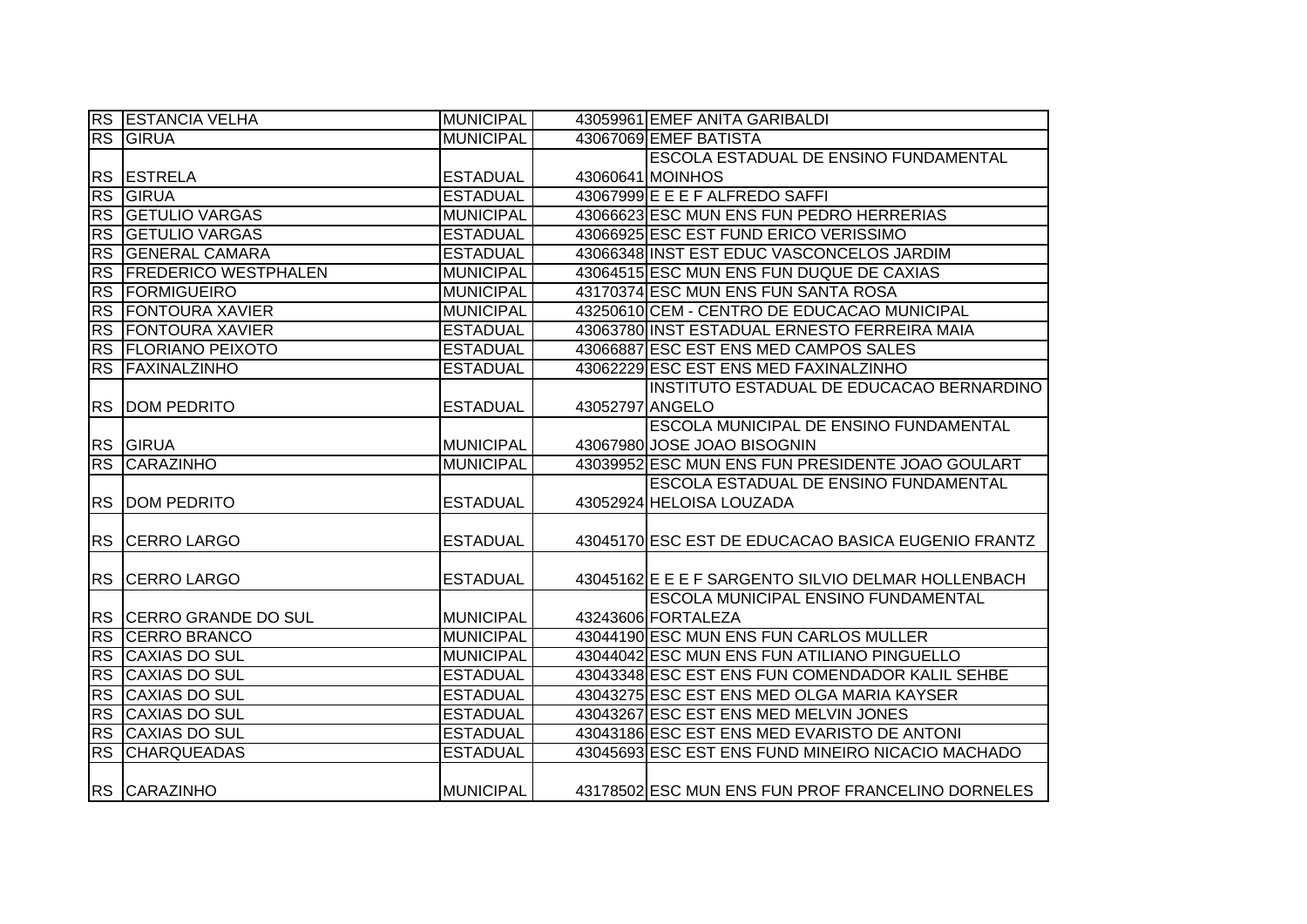|           | <b>RS ESTANCIA VELHA</b>    | <b>MUNICIPAL</b> |                 | 43059961 EMEF ANITA GARIBALDI                      |
|-----------|-----------------------------|------------------|-----------------|----------------------------------------------------|
| RS        | GIRUA                       | <b>MUNICIPAL</b> |                 | 43067069 EMEF BATISTA                              |
|           |                             |                  |                 | ESCOLA ESTADUAL DE ENSINO FUNDAMENTAL              |
|           | RS ESTRELA                  | <b>ESTADUAL</b>  |                 | 43060641 MOINHOS                                   |
| <b>RS</b> | GIRUA                       | <b>ESTADUAL</b>  |                 | 43067999 E E E F ALFREDO SAFFI                     |
|           | <b>RS GETULIO VARGAS</b>    | <b>MUNICIPAL</b> |                 | 43066623 ESC MUN ENS FUN PEDRO HERRERIAS           |
|           | <b>RS GETULIO VARGAS</b>    | <b>ESTADUAL</b>  |                 | 43066925 ESC EST FUND ERICO VERISSIMO              |
|           | RS GENERAL CAMARA           | <b>ESTADUAL</b>  |                 | 43066348 INST EST EDUC VASCONCELOS JARDIM          |
| <b>RS</b> | <b>FREDERICO WESTPHALEN</b> | <b>MUNICIPAL</b> |                 | 43064515 ESC MUN ENS FUN DUQUE DE CAXIAS           |
| <b>RS</b> | FORMIGUEIRO                 | <b>MUNICIPAL</b> |                 | 43170374 ESC MUN ENS FUN SANTA ROSA                |
| RS        | <b>FONTOURA XAVIER</b>      | <b>MUNICIPAL</b> |                 | 43250610 CEM - CENTRO DE EDUCACAO MUNICIPAL        |
| <b>RS</b> | <b>FONTOURA XAVIER</b>      | <b>ESTADUAL</b>  |                 | 43063780 INST ESTADUAL ERNESTO FERREIRA MAIA       |
|           | RS FLORIANO PEIXOTO         | <b>ESTADUAL</b>  |                 | 43066887 ESC EST ENS MED CAMPOS SALES              |
|           | RS FAXINALZINHO             | <b>ESTADUAL</b>  |                 | 43062229 ESC EST ENS MED FAXINALZINHO              |
|           |                             |                  |                 | INSTITUTO ESTADUAL DE EDUCACAO BERNARDINO          |
| <b>RS</b> | <b>DOM PEDRITO</b>          | <b>ESTADUAL</b>  | 43052797 ANGELO |                                                    |
|           |                             |                  |                 | ESCOLA MUNICIPAL DE ENSINO FUNDAMENTAL             |
|           | RS GIRUA                    | <b>MUNICIPAL</b> |                 | 43067980 JOSE JOAO BISOGNIN                        |
| RS        | <b>CARAZINHO</b>            | <b>MUNICIPAL</b> |                 | 43039952 ESC MUN ENS FUN PRESIDENTE JOAO GOULART   |
|           |                             |                  |                 | ESCOLA ESTADUAL DE ENSINO FUNDAMENTAL              |
|           | <b>RS DOM PEDRITO</b>       | <b>ESTADUAL</b>  |                 | 43052924 HELOISA LOUZADA                           |
|           |                             |                  |                 |                                                    |
|           | RS CERRO LARGO              | <b>ESTADUAL</b>  |                 | 43045170 ESC EST DE EDUCACAO BASICA EUGENIO FRANTZ |
|           |                             |                  |                 |                                                    |
| <b>RS</b> | <b>CERRO LARGO</b>          | <b>ESTADUAL</b>  |                 | 43045162 E E F SARGENTO SILVIO DELMAR HOLLENBACH   |
|           |                             |                  |                 | ESCOLA MUNICIPAL ENSINO FUNDAMENTAL                |
|           | RS CERRO GRANDE DO SUL      | <b>MUNICIPAL</b> |                 | 43243606 FORTALEZA                                 |
| <b>RS</b> | <b>CERRO BRANCO</b>         | <b>MUNICIPAL</b> |                 | 43044190 ESC MUN ENS FUN CARLOS MULLER             |
| <b>RS</b> | <b>CAXIAS DO SUL</b>        | <b>MUNICIPAL</b> |                 | 43044042 ESC MUN ENS FUN ATILIANO PINGUELLO        |
| <b>RS</b> | <b>CAXIAS DO SUL</b>        | <b>ESTADUAL</b>  |                 | 43043348 ESC EST ENS FUN COMENDADOR KALIL SEHBE    |
| <b>RS</b> | <b>CAXIAS DO SUL</b>        | <b>ESTADUAL</b>  |                 | 43043275 ESC EST ENS MED OLGA MARIA KAYSER         |
| <b>RS</b> | <b>CAXIAS DO SUL</b>        | <b>ESTADUAL</b>  |                 | 43043267 ESC EST ENS MED MELVIN JONES              |
| <b>RS</b> | <b>CAXIAS DO SUL</b>        | <b>ESTADUAL</b>  |                 | 43043186 ESC EST ENS MED EVARISTO DE ANTONI        |
|           | <b>RS CHARQUEADAS</b>       | <b>ESTADUAL</b>  |                 | 43045693 ESC EST ENS FUND MINEIRO NICACIO MACHADO  |
|           | RS CARAZINHO                | <b>MUNICIPAL</b> |                 | 43178502 ESC MUN ENS FUN PROF FRANCELINO DORNELES  |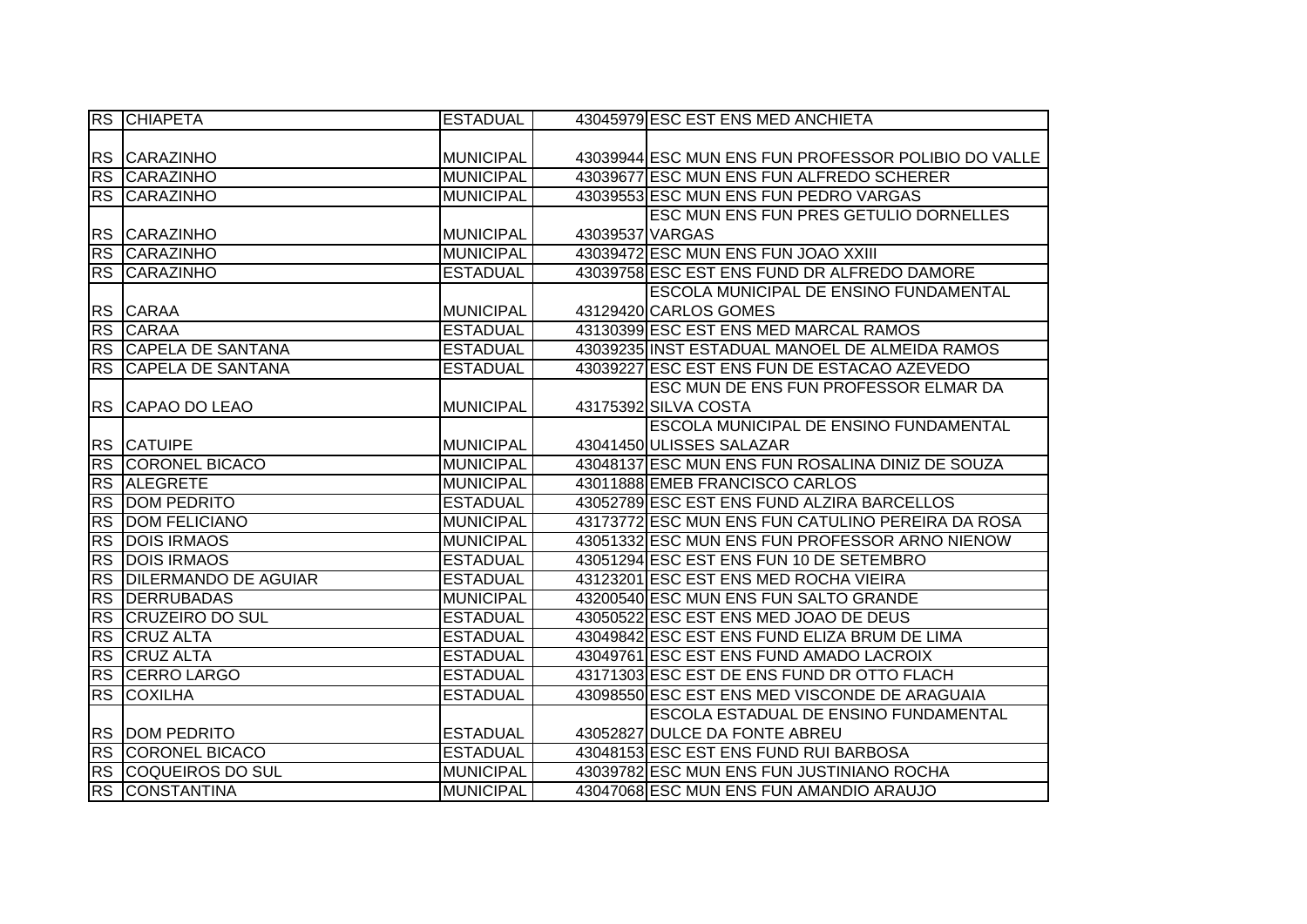|           | <b>RS CHIAPETA</b>          | <b>ESTADUAL</b>  | 43045979 ESC EST ENS MED ANCHIETA                   |
|-----------|-----------------------------|------------------|-----------------------------------------------------|
|           |                             |                  |                                                     |
|           | RS CARAZINHO                | <b>MUNICIPAL</b> | 43039944 ESC MUN ENS FUN PROFESSOR POLIBIO DO VALLE |
|           | <b>RS CARAZINHO</b>         | <b>MUNICIPAL</b> | 43039677 ESC MUN ENS FUN ALFREDO SCHERER            |
|           | <b>RS CARAZINHO</b>         | <b>MUNICIPAL</b> | 43039553 ESC MUN ENS FUN PEDRO VARGAS               |
|           |                             |                  | <b>ESC MUN ENS FUN PRES GETULIO DORNELLES</b>       |
|           | RS CARAZINHO                | <b>MUNICIPAL</b> | 43039537 VARGAS                                     |
|           | <b>RS CARAZINHO</b>         | <b>MUNICIPAL</b> | 43039472 ESC MUN ENS FUN JOAO XXIII                 |
|           | RS CARAZINHO                | <b>ESTADUAL</b>  | 43039758 ESC EST ENS FUND DR ALFREDO DAMORE         |
|           |                             |                  | <b>ESCOLA MUNICIPAL DE ENSINO FUNDAMENTAL</b>       |
|           | RS CARAA                    | <b>MUNICIPAL</b> | 43129420 CARLOS GOMES                               |
|           | <b>RS CARAA</b>             | <b>ESTADUAL</b>  | 43130399 ESC EST ENS MED MARCAL RAMOS               |
|           | RS CAPELA DE SANTANA        | <b>ESTADUAL</b>  | 43039235 INST ESTADUAL MANOEL DE ALMEIDA RAMOS      |
| <b>RS</b> | <b>CAPELA DE SANTANA</b>    | <b>ESTADUAL</b>  | 43039227 ESC EST ENS FUN DE ESTACAO AZEVEDO         |
|           |                             |                  | ESC MUN DE ENS FUN PROFESSOR ELMAR DA               |
|           | RS CAPAO DO LEAO            | <b>MUNICIPAL</b> | 43175392 SILVA COSTA                                |
|           |                             |                  | <b>ESCOLA MUNICIPAL DE ENSINO FUNDAMENTAL</b>       |
|           | RS CATUIPE                  | <b>MUNICIPAL</b> | 43041450 ULISSES SALAZAR                            |
|           | <b>RS CORONEL BICACO</b>    | <b>MUNICIPAL</b> | 43048137 ESC MUN ENS FUN ROSALINA DINIZ DE SOUZA    |
|           | RS ALEGRETE                 | <b>MUNICIPAL</b> | 43011888 EMEB FRANCISCO CARLOS                      |
|           | <b>RS DOM PEDRITO</b>       | <b>ESTADUAL</b>  | 43052789 ESC EST ENS FUND ALZIRA BARCELLOS          |
|           | RS DOM FELICIANO            | <b>MUNICIPAL</b> | 43173772 ESC MUN ENS FUN CATULINO PEREIRA DA ROSA   |
| RS        | <b>DOIS IRMAOS</b>          | <b>MUNICIPAL</b> | 43051332 ESC MUN ENS FUN PROFESSOR ARNO NIENOW      |
| RS        | <b>DOIS IRMAOS</b>          | <b>ESTADUAL</b>  | 43051294 ESC EST ENS FUN 10 DE SETEMBRO             |
| RS        | <b>DILERMANDO DE AGUIAR</b> | <b>ESTADUAL</b>  | 43123201 ESC EST ENS MED ROCHA VIEIRA               |
| <b>RS</b> | <b>DERRUBADAS</b>           | <b>MUNICIPAL</b> | 43200540 ESC MUN ENS FUN SALTO GRANDE               |
| RS        | <b>CRUZEIRO DO SUL</b>      | <b>ESTADUAL</b>  | 43050522 ESC EST ENS MED JOAO DE DEUS               |
| RS        | <b>CRUZ ALTA</b>            | <b>ESTADUAL</b>  | 43049842 ESC EST ENS FUND ELIZA BRUM DE LIMA        |
| RS        | <b>CRUZ ALTA</b>            | <b>ESTADUAL</b>  | 43049761 ESC EST ENS FUND AMADO LACROIX             |
|           | <b>RS CERRO LARGO</b>       | <b>ESTADUAL</b>  | 43171303 ESC EST DE ENS FUND DR OTTO FLACH          |
|           | <b>RS COXILHA</b>           | <b>ESTADUAL</b>  | 43098550 ESC EST ENS MED VISCONDE DE ARAGUAIA       |
|           |                             |                  | ESCOLA ESTADUAL DE ENSINO FUNDAMENTAL               |
|           | <b>RS DOM PEDRITO</b>       | <b>ESTADUAL</b>  | 43052827 DULCE DA FONTE ABREU                       |
|           | RS CORONEL BICACO           | <b>ESTADUAL</b>  | 43048153 ESC EST ENS FUND RUI BARBOSA               |
|           | RS COQUEIROS DO SUL         | <b>MUNICIPAL</b> | 43039782 ESC MUN ENS FUN JUSTINIANO ROCHA           |
|           | RS CONSTANTINA              | <b>MUNICIPAL</b> | 43047068 ESC MUN ENS FUN AMANDIO ARAUJO             |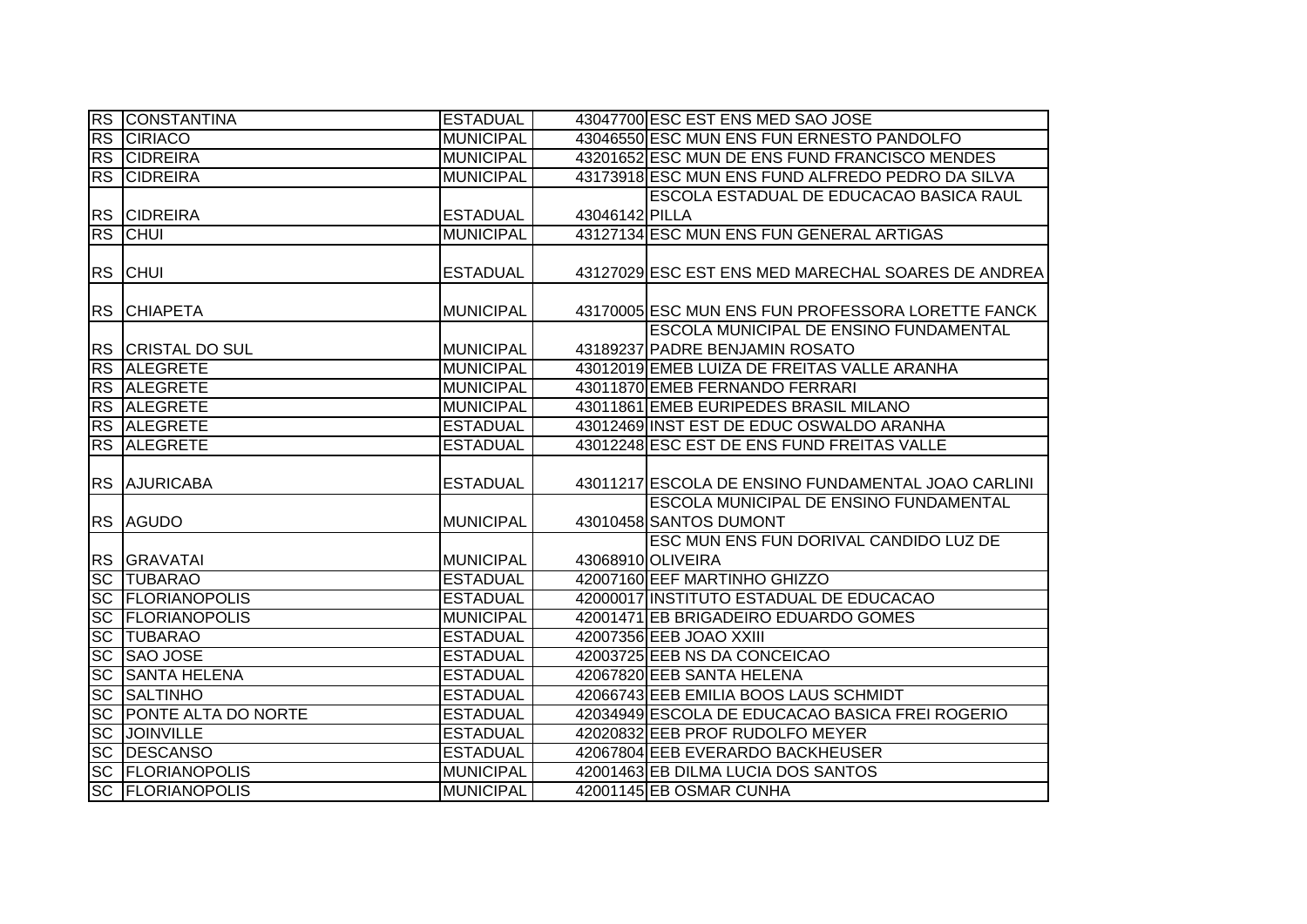|                   | <b>RS CONSTANTINA</b>                              | <b>ESTADUAL</b>  |                | 43047700 ESC EST ENS MED SAO JOSE                  |
|-------------------|----------------------------------------------------|------------------|----------------|----------------------------------------------------|
|                   | <b>RS CIRIACO</b>                                  | <b>MUNICIPAL</b> |                | 43046550 ESC MUN ENS FUN ERNESTO PANDOLFO          |
|                   | <b>RS CIDREIRA</b>                                 | <b>MUNICIPAL</b> |                | 43201652 ESC MUN DE ENS FUND FRANCISCO MENDES      |
|                   | <b>RS CIDREIRA</b>                                 | <b>MUNICIPAL</b> |                | 43173918 ESC MUN ENS FUND ALFREDO PEDRO DA SILVA   |
|                   |                                                    |                  |                | ESCOLA ESTADUAL DE EDUCACAO BASICA RAUL            |
|                   | <b>RS CIDREIRA</b>                                 | <b>ESTADUAL</b>  | 43046142 PILLA |                                                    |
|                   | <b>RS CHUI</b>                                     | <b>MUNICIPAL</b> |                | 43127134 ESC MUN ENS FUN GENERAL ARTIGAS           |
|                   |                                                    |                  |                |                                                    |
|                   | <b>RS CHUI</b>                                     | <b>ESTADUAL</b>  |                | 43127029 ESC EST ENS MED MARECHAL SOARES DE ANDREA |
|                   |                                                    |                  |                |                                                    |
|                   | <b>RS CHIAPETA</b>                                 | <b>MUNICIPAL</b> |                | 43170005 ESC MUN ENS FUN PROFESSORA LORETTE FANCK  |
|                   |                                                    |                  |                | ESCOLA MUNICIPAL DE ENSINO FUNDAMENTAL             |
|                   | <b>RS CRISTAL DO SUL</b>                           | <b>MUNICIPAL</b> |                | 43189237 PADRE BENJAMIN ROSATO                     |
|                   | RS ALEGRETE                                        | <b>MUNICIPAL</b> |                | 43012019 EMEB LUIZA DE FREITAS VALLE ARANHA        |
|                   | <b>RS ALEGRETE</b>                                 | <b>MUNICIPAL</b> |                | 43011870 EMEB FERNANDO FERRARI                     |
|                   | <b>RS ALEGRETE</b>                                 | <b>MUNICIPAL</b> |                | 43011861 EMEB EURIPEDES BRASIL MILANO              |
|                   | <b>RS ALEGRETE</b>                                 | <b>ESTADUAL</b>  |                | 43012469 INST EST DE EDUC OSWALDO ARANHA           |
|                   | RS ALEGRETE                                        | <b>ESTADUAL</b>  |                | 43012248 ESC EST DE ENS FUND FREITAS VALLE         |
|                   |                                                    |                  |                |                                                    |
|                   |                                                    |                  |                |                                                    |
|                   | <b>RS AJURICABA</b>                                | <b>ESTADUAL</b>  |                | 43011217 ESCOLA DE ENSINO FUNDAMENTAL JOAO CARLINI |
|                   |                                                    |                  |                | ESCOLA MUNICIPAL DE ENSINO FUNDAMENTAL             |
|                   | <b>RS AGUDO</b>                                    | <b>MUNICIPAL</b> |                | 43010458 SANTOS DUMONT                             |
|                   |                                                    |                  |                | ESC MUN ENS FUN DORIVAL CANDIDO LUZ DE             |
|                   | RS GRAVATAI                                        | <b>MUNICIPAL</b> |                | 43068910 OLIVEIRA                                  |
|                   | <b>SC TUBARAO</b>                                  | <b>ESTADUAL</b>  |                | 42007160 EEF MARTINHO GHIZZO                       |
|                   | <b>SC FLORIANOPOLIS</b>                            | <b>ESTADUAL</b>  |                | 42000017 INSTITUTO ESTADUAL DE EDUCACAO            |
| <b>SC</b>         | <b>FLORIANOPOLIS</b>                               | <b>MUNICIPAL</b> |                | 42001471 EB BRIGADEIRO EDUARDO GOMES               |
| SC                | <b>TUBARAO</b>                                     | <b>ESTADUAL</b>  |                | 42007356 EEB JOAO XXIII                            |
| SC                | <b>SAO JOSE</b>                                    | <b>ESTADUAL</b>  |                | 42003725 EEB NS DA CONCEICAO                       |
| <b>SC</b>         | <b>SANTA HELENA</b>                                | <b>ESTADUAL</b>  |                | 42067820 EEB SANTA HELENA                          |
| SC                | <b>SALTINHO</b>                                    | <b>ESTADUAL</b>  |                | 42066743 EEB EMILIA BOOS LAUS SCHMIDT              |
| $ \overline{SC} $ | <b>PONTE ALTA DO NORTE</b>                         | <b>ESTADUAL</b>  |                | 42034949 ESCOLA DE EDUCACAO BASICA FREI ROGERIO    |
|                   | <b>SC JOINVILLE</b>                                | <b>ESTADUAL</b>  |                | 42020832 EEB PROF RUDOLFO MEYER                    |
|                   | <b>SC DESCANSO</b>                                 | <b>ESTADUAL</b>  |                | 42067804 EEB EVERARDO BACKHEUSER                   |
|                   | <b>SC FLORIANOPOLIS</b><br><b>SC FLORIANOPOLIS</b> | <b>MUNICIPAL</b> |                | 42001463 EB DILMA LUCIA DOS SANTOS                 |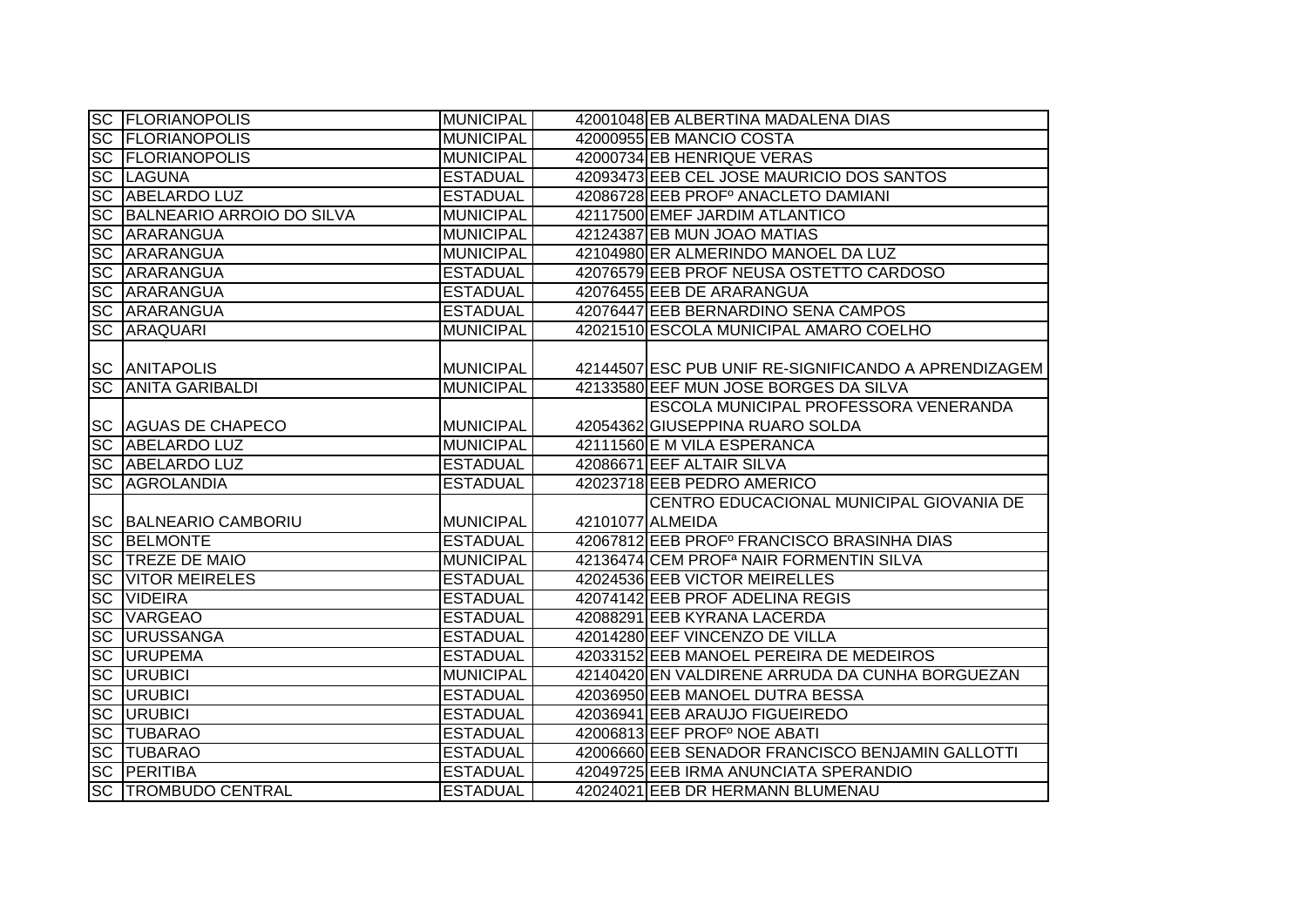|           | <b>SC FLORIANOPOLIS</b>      | <b>MUNICIPAL</b> | 42001048 EB ALBERTINA MADALENA DIAS                  |
|-----------|------------------------------|------------------|------------------------------------------------------|
|           | <b>SC FLORIANOPOLIS</b>      | <b>MUNICIPAL</b> | 42000955 EB MANCIO COSTA                             |
|           | <b>SC FLORIANOPOLIS</b>      | <b>MUNICIPAL</b> | 42000734 EB HENRIQUE VERAS                           |
|           | <b>SC LAGUNA</b>             | <b>ESTADUAL</b>  | 42093473 EEB CEL JOSE MAURICIO DOS SANTOS            |
|           | <b>SC ABELARDO LUZ</b>       | <b>ESTADUAL</b>  | 42086728 EEB PROFº ANACLETO DAMIANI                  |
|           | SC BALNEARIO ARROIO DO SILVA | <b>MUNICIPAL</b> | 42117500 EMEF JARDIM ATLANTICO                       |
|           | <b>SC ARARANGUA</b>          | <b>MUNICIPAL</b> | 42124387 EB MUN JOAO MATIAS                          |
|           | <b>SC ARARANGUA</b>          | <b>MUNICIPAL</b> | 42104980 ER ALMERINDO MANOEL DA LUZ                  |
|           | <b>SC ARARANGUA</b>          | <b>ESTADUAL</b>  | 42076579 EEB PROF NEUSA OSTETTO CARDOSO              |
|           | <b>SC ARARANGUA</b>          | <b>ESTADUAL</b>  | 42076455 EEB DE ARARANGUA                            |
|           | <b>SC ARARANGUA</b>          | <b>ESTADUAL</b>  | 42076447 EEB BERNARDINO SENA CAMPOS                  |
|           | <b>SC ARAQUARI</b>           | <b>MUNICIPAL</b> | 42021510 ESCOLA MUNICIPAL AMARO COELHO               |
|           | <b>SC ANITAPOLIS</b>         | <b>MUNICIPAL</b> | 42144507 ESC PUB UNIF RE-SIGNIFICANDO A APRENDIZAGEM |
|           | <b>SC ANITA GARIBALDI</b>    | <b>MUNICIPAL</b> | 42133580 EEF MUN JOSE BORGES DA SILVA                |
|           |                              |                  | ESCOLA MUNICIPAL PROFESSORA VENERANDA                |
|           | <b>SC AGUAS DE CHAPECO</b>   | <b>MUNICIPAL</b> | 42054362 GIUSEPPINA RUARO SOLDA                      |
|           | SC ABELARDO LUZ              | <b>MUNICIPAL</b> | 42111560 E M VILA ESPERANCA                          |
|           | <b>SC ABELARDO LUZ</b>       | <b>ESTADUAL</b>  | 42086671 EEF ALTAIR SILVA                            |
|           | <b>SC AGROLANDIA</b>         | <b>ESTADUAL</b>  | 42023718 EEB PEDRO AMERICO                           |
|           |                              |                  | CENTRO EDUCACIONAL MUNICIPAL GIOVANIA DE             |
|           | <b>SC BALNEARIO CAMBORIU</b> | <b>MUNICIPAL</b> | 42101077 ALMEIDA                                     |
|           | <b>SC BELMONTE</b>           | <b>ESTADUAL</b>  | 42067812 EEB PROFº FRANCISCO BRASINHA DIAS           |
|           | SC TREZE DE MAIO             | <b>MUNICIPAL</b> | 42136474 CEM PROF <sup>a</sup> NAIR FORMENTIN SILVA  |
|           | <b>SC VITOR MEIRELES</b>     | <b>ESTADUAL</b>  | 42024536 EEB VICTOR MEIRELLES                        |
| <b>SC</b> | <b>VIDEIRA</b>               | <b>ESTADUAL</b>  | 42074142 EEB PROF ADELINA REGIS                      |
| <b>SC</b> | <b>VARGEAO</b>               | <b>ESTADUAL</b>  | 42088291 EEB KYRANA LACERDA                          |
| <b>SC</b> | <b>URUSSANGA</b>             | <b>ESTADUAL</b>  | 42014280 EEF VINCENZO DE VILLA                       |
| <b>SC</b> | <b>URUPEMA</b>               | <b>ESTADUAL</b>  | 42033152 EEB MANOEL PEREIRA DE MEDEIROS              |
| <b>SC</b> | <b>URUBICI</b>               | <b>MUNICIPAL</b> | 42140420 EN VALDIRENE ARRUDA DA CUNHA BORGUEZAN      |
| <b>SC</b> | <b>URUBICI</b>               | <b>ESTADUAL</b>  | 42036950 EEB MANOEL DUTRA BESSA                      |
|           | <b>SC URUBICI</b>            | <b>ESTADUAL</b>  | 42036941 EEB ARAUJO FIGUEIREDO                       |
|           | <b>SC TUBARAO</b>            | <b>ESTADUAL</b>  | 42006813 EEF PROFº NOE ABATI                         |
|           | <b>SC TUBARAO</b>            | <b>ESTADUAL</b>  | 42006660 EEB SENADOR FRANCISCO BENJAMIN GALLOTTI     |
|           | <b>SC PERITIBA</b>           | <b>ESTADUAL</b>  | 42049725 EEB IRMA ANUNCIATA SPERANDIO                |
|           | <b>SC TROMBUDO CENTRAL</b>   | <b>ESTADUAL</b>  | 42024021 EEB DR HERMANN BLUMENAU                     |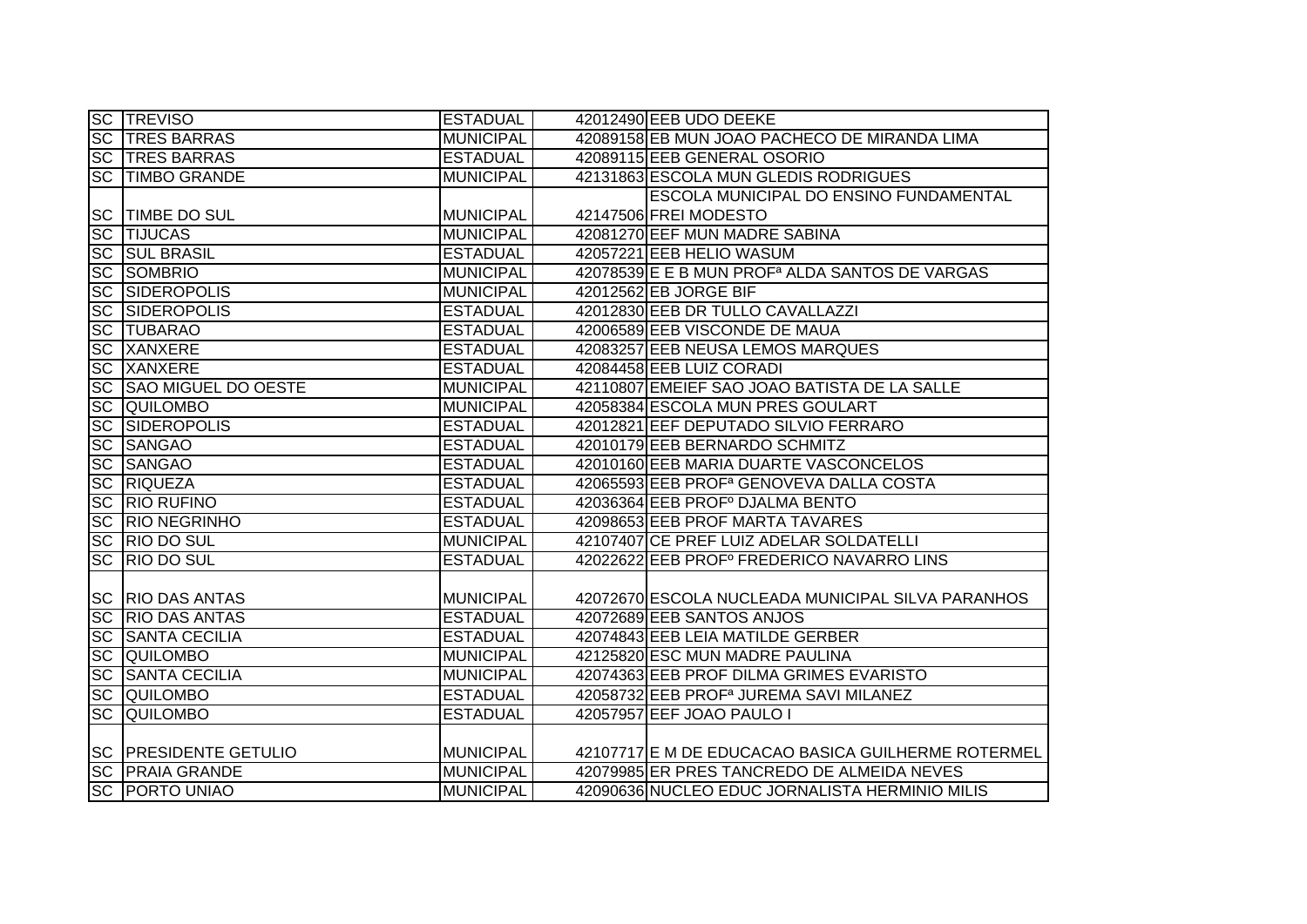|                        | <b>SC TREVISO</b>            | <b>ESTADUAL</b>  | 42012490 EEB UDO DEEKE                                     |
|------------------------|------------------------------|------------------|------------------------------------------------------------|
|                        | <b>SC TRES BARRAS</b>        | <b>MUNICIPAL</b> | 42089158 EB MUN JOAO PACHECO DE MIRANDA LIMA               |
|                        | <b>SC TRES BARRAS</b>        | <b>ESTADUAL</b>  | 42089115 EEB GENERAL OSORIO                                |
| $\overline{SC}$        | <b>TIMBO GRANDE</b>          | <b>MUNICIPAL</b> | 42131863 ESCOLA MUN GLEDIS RODRIGUES                       |
|                        |                              |                  | <b>ESCOLA MUNICIPAL DO ENSINO FUNDAMENTAL</b>              |
|                        | <b>SC TIMBE DO SUL</b>       | <b>MUNICIPAL</b> | 42147506 FREI MODESTO                                      |
|                        | <b>SC TIJUCAS</b>            | <b>MUNICIPAL</b> | 42081270 EEF MUN MADRE SABINA                              |
|                        | <b>SC SUL BRASIL</b>         | <b>ESTADUAL</b>  | 42057221 EEB HELIO WASUM                                   |
|                        | SC SOMBRIO                   | <b>MUNICIPAL</b> | 42078539 E E B MUN PROF <sup>a</sup> ALDA SANTOS DE VARGAS |
|                        | SC SIDEROPOLIS               | <b>MUNICIPAL</b> | 42012562 EB JORGE BIF                                      |
| <b>SC</b>              | <b>SIDEROPOLIS</b>           | <b>ESTADUAL</b>  | 42012830 EEB DR TULLO CAVALLAZZI                           |
| <b>SC</b>              | <b>TUBARAO</b>               | <b>ESTADUAL</b>  | 42006589 EEB VISCONDE DE MAUA                              |
| $\overline{\text{SC}}$ | <b>XANXERE</b>               | <b>ESTADUAL</b>  | 42083257 EEB NEUSA LEMOS MARQUES                           |
|                        | <b>SC XANXERE</b>            | <b>ESTADUAL</b>  | 42084458 EEB LUIZ CORADI                                   |
| <b>SC</b>              | <b>SAO MIGUEL DO OESTE</b>   | <b>MUNICIPAL</b> | 42110807 EMEIEF SAO JOAO BATISTA DE LA SALLE               |
|                        | <b>SC QUILOMBO</b>           | <b>MUNICIPAL</b> | 42058384 ESCOLA MUN PRES GOULART                           |
|                        | <b>SC SIDEROPOLIS</b>        | <b>ESTADUAL</b>  | 42012821 EEF DEPUTADO SILVIO FERRARO                       |
| <b>SC</b>              | <b>SANGAO</b>                | <b>ESTADUAL</b>  | 42010179 EEB BERNARDO SCHMITZ                              |
| SC                     | <b>SANGAO</b>                | <b>ESTADUAL</b>  | 42010160 EEB MARIA DUARTE VASCONCELOS                      |
|                        | <b>SC RIQUEZA</b>            | <b>ESTADUAL</b>  | 42065593 EEB PROF <sup>a</sup> GENOVEVA DALLA COSTA        |
|                        | <b>SC RIO RUFINO</b>         | <b>ESTADUAL</b>  | 42036364 EEB PROFº DJALMA BENTO                            |
|                        | <b>SC RIO NEGRINHO</b>       | <b>ESTADUAL</b>  | 42098653 EEB PROF MARTA TAVARES                            |
|                        | SC RIO DO SUL                | <b>MUNICIPAL</b> | 42107407 CE PREF LUIZ ADELAR SOLDATELLI                    |
|                        | SC RIO DO SUL                | <b>ESTADUAL</b>  | 42022622 EEB PROFº FREDERICO NAVARRO LINS                  |
|                        |                              |                  |                                                            |
|                        | <b>SC RIO DAS ANTAS</b>      | <b>MUNICIPAL</b> | 42072670 ESCOLA NUCLEADA MUNICIPAL SILVA PARANHOS          |
|                        | <b>SC RIO DAS ANTAS</b>      | <b>ESTADUAL</b>  | 42072689 EEB SANTOS ANJOS                                  |
| <b>SC</b>              | <b>SANTA CECILIA</b>         | <b>ESTADUAL</b>  | 42074843 EEB LEIA MATILDE GERBER                           |
|                        | <b>SC QUILOMBO</b>           | <b>MUNICIPAL</b> | 42125820 ESC MUN MADRE PAULINA                             |
| SC                     | <b>SANTA CECILIA</b>         | <b>MUNICIPAL</b> | 42074363 EEB PROF DILMA GRIMES EVARISTO                    |
|                        | <b>SC QUILOMBO</b>           | <b>ESTADUAL</b>  | 42058732 EEB PROF <sup>a</sup> JUREMA SAVI MILANEZ         |
| $\overline{SC}$        | <b>QUILOMBO</b>              | <b>ESTADUAL</b>  | 42057957 EEF JOAO PAULO I                                  |
|                        |                              |                  |                                                            |
|                        | <b>SC PRESIDENTE GETULIO</b> | <b>MUNICIPAL</b> | 42107717 E M DE EDUCACAO BASICA GUILHERME ROTERMEL         |
|                        | <b>SC PRAIA GRANDE</b>       | <b>MUNICIPAL</b> | 42079985 ER PRES TANCREDO DE ALMEIDA NEVES                 |
|                        | <b>SC PORTO UNIAO</b>        | <b>MUNICIPAL</b> | 42090636 NUCLEO EDUC JORNALISTA HERMINIO MILIS             |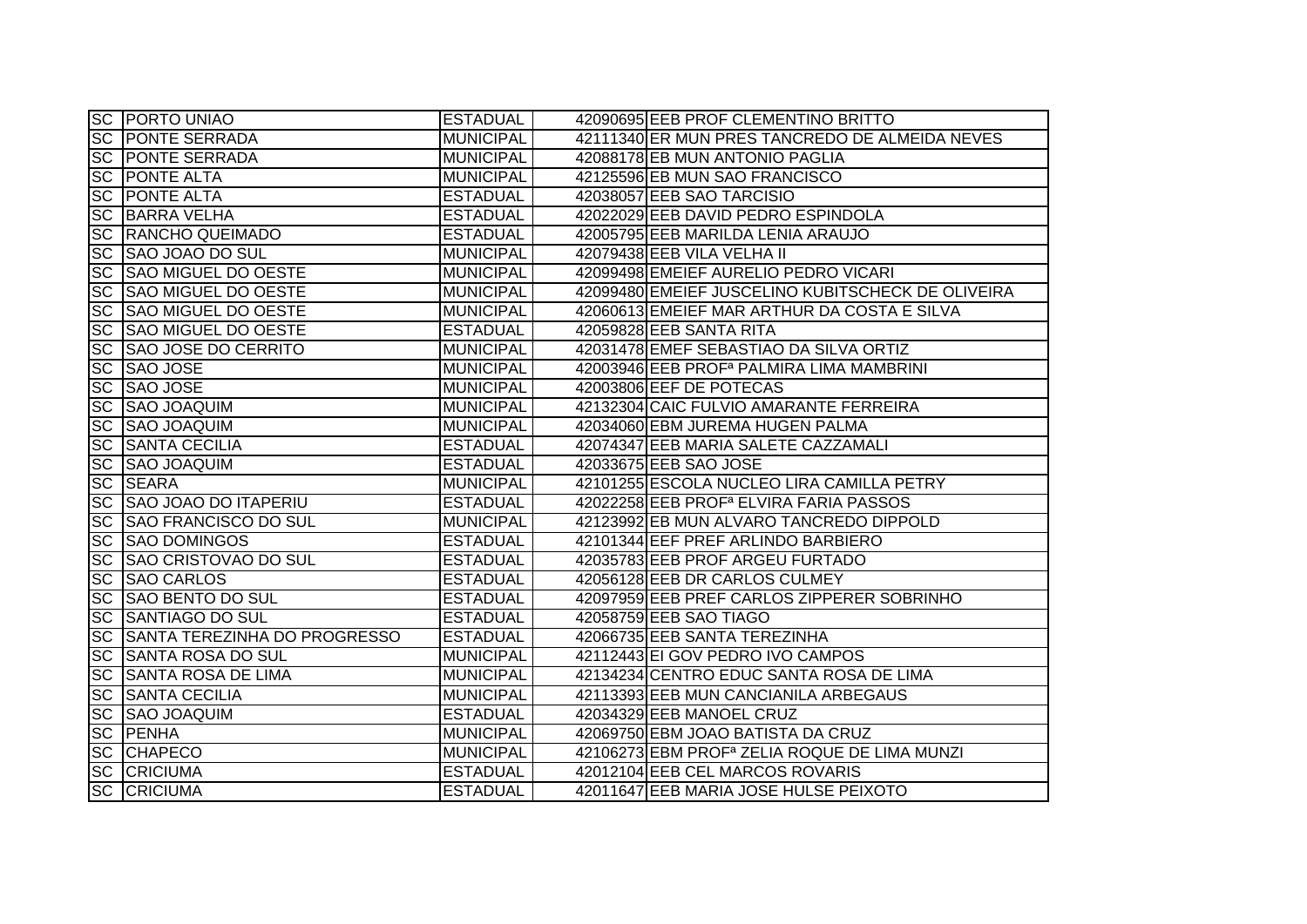|                 | <b>SC PORTO UNIAO</b>        | <b>ESTADUAL</b>  | 42090695 EEB PROF CLEMENTINO BRITTO                      |
|-----------------|------------------------------|------------------|----------------------------------------------------------|
|                 | <b>SC PONTE SERRADA</b>      | <b>MUNICIPAL</b> | 42111340 ER MUN PRES TANCREDO DE ALMEIDA NEVES           |
|                 | <b>SC PONTE SERRADA</b>      | <b>MUNICIPAL</b> | 42088178 EB MUN ANTONIO PAGLIA                           |
|                 | <b>SC PONTE ALTA</b>         | <b>MUNICIPAL</b> | 42125596 EB MUN SAO FRANCISCO                            |
| <b>SC</b>       | <b>PONTE ALTA</b>            | <b>ESTADUAL</b>  | 42038057 EEB SAO TARCISIO                                |
| $\overline{SC}$ | <b>BARRA VELHA</b>           | <b>ESTADUAL</b>  | 42022029 EEB DAVID PEDRO ESPINDOLA                       |
| <b>SC</b>       | <b>RANCHO QUEIMADO</b>       | <b>ESTADUAL</b>  | 42005795 EEB MARILDA LENIA ARAUJO                        |
|                 | SC SAO JOAO DO SUL           | <b>MUNICIPAL</b> | 42079438 EEB VILA VELHA II                               |
| <b>SC</b>       | <b>SAO MIGUEL DO OESTE</b>   | <b>MUNICIPAL</b> | 42099498 EMEIEF AURELIO PEDRO VICARI                     |
| <b>SC</b>       | <b>SAO MIGUEL DO OESTE</b>   | <b>MUNICIPAL</b> | 42099480 EMEIEF JUSCELINO KUBITSCHECK DE OLIVEIRA        |
| <b>SC</b>       | <b>SAO MIGUEL DO OESTE</b>   | <b>MUNICIPAL</b> | 42060613 EMEIEF MAR ARTHUR DA COSTA E SILVA              |
| <b>SC</b>       | <b>SAO MIGUEL DO OESTE</b>   | <b>ESTADUAL</b>  | 42059828 EEB SANTA RITA                                  |
| <b>SC</b>       | <b>SAO JOSE DO CERRITO</b>   | <b>MUNICIPAL</b> | 42031478 EMEF SEBASTIAO DA SILVA ORTIZ                   |
| <b>SC</b>       | <b>SAO JOSE</b>              | <b>MUNICIPAL</b> | 42003946 EEB PROF <sup>a</sup> PALMIRA LIMA MAMBRINI     |
| <b>SC</b>       | SAO JOSE                     | <b>MUNICIPAL</b> | 42003806 EEF DE POTECAS                                  |
| <b>SC</b>       | SAO JOAQUIM                  | <b>MUNICIPAL</b> | 42132304 CAIC FULVIO AMARANTE FERREIRA                   |
| <b>SC</b>       | <b>SAO JOAQUIM</b>           | <b>MUNICIPAL</b> | 42034060 EBM JUREMA HUGEN PALMA                          |
| <b>SC</b>       | <b>SANTA CECILIA</b>         | <b>ESTADUAL</b>  | 42074347 EEB MARIA SALETE CAZZAMALI                      |
| <b>SC</b>       | <b>SAO JOAQUIM</b>           | <b>ESTADUAL</b>  | 42033675 EEB SAO JOSE                                    |
| <b>SC</b>       | <b>SEARA</b>                 | <b>MUNICIPAL</b> | 42101255 ESCOLA NUCLEO LIRA CAMILLA PETRY                |
| <b>SC</b>       | <b>SAO JOAO DO ITAPERIU</b>  | <b>ESTADUAL</b>  | 42022258 EEB PROF <sup>a</sup> ELVIRA FARIA PASSOS       |
| <b>SC</b>       | <b>SAO FRANCISCO DO SUL</b>  | <b>MUNICIPAL</b> | 42123992 EB MUN ALVARO TANCREDO DIPPOLD                  |
| <b>SC</b>       | <b>SAO DOMINGOS</b>          | <b>ESTADUAL</b>  | 42101344 EEF PREF ARLINDO BARBIERO                       |
| <b>SC</b>       | <b>SAO CRISTOVAO DO SUL</b>  | <b>ESTADUAL</b>  | 42035783 EEB PROF ARGEU FURTADO                          |
| <b>SC</b>       | <b>SAO CARLOS</b>            | <b>ESTADUAL</b>  | 42056128 EEB DR CARLOS CULMEY                            |
| <b>SC</b>       | <b>SAO BENTO DO SUL</b>      | <b>ESTADUAL</b>  | 42097959 EEB PREF CARLOS ZIPPERER SOBRINHO               |
| <b>SC</b>       | <b>SANTIAGO DO SUL</b>       | <b>ESTADUAL</b>  | 42058759 EEB SAO TIAGO                                   |
| $\overline{SC}$ | SANTA TEREZINHA DO PROGRESSO | <b>ESTADUAL</b>  | 42066735 EEB SANTA TEREZINHA                             |
| <b>SC</b>       | SANTA ROSA DO SUL            | <b>MUNICIPAL</b> | 42112443 EI GOV PEDRO IVO CAMPOS                         |
| <b>SC</b>       | <b>SANTA ROSA DE LIMA</b>    | <b>MUNICIPAL</b> | 42134234 CENTRO EDUC SANTA ROSA DE LIMA                  |
| <b>SC</b>       | <b>SANTA CECILIA</b>         | <b>MUNICIPAL</b> | 42113393 EEB MUN CANCIANILA ARBEGAUS                     |
| <b>SC</b>       | <b>SAO JOAQUIM</b>           | <b>ESTADUAL</b>  | 42034329 EEB MANOEL CRUZ                                 |
| SC              | <b>TPENHA</b>                | <b>MUNICIPAL</b> | 42069750 EBM JOAO BATISTA DA CRUZ                        |
|                 | <b>SC CHAPECO</b>            | <b>MUNICIPAL</b> | 42106273 EBM PROF <sup>a</sup> ZELIA ROQUE DE LIMA MUNZI |
|                 | <b>SC CRICIUMA</b>           | <b>ESTADUAL</b>  | 42012104 EEB CEL MARCOS ROVARIS                          |
| <b>SC</b>       | <b>CRICIUMA</b>              | <b>ESTADUAL</b>  | 42011647 EEB MARIA JOSE HULSE PEIXOTO                    |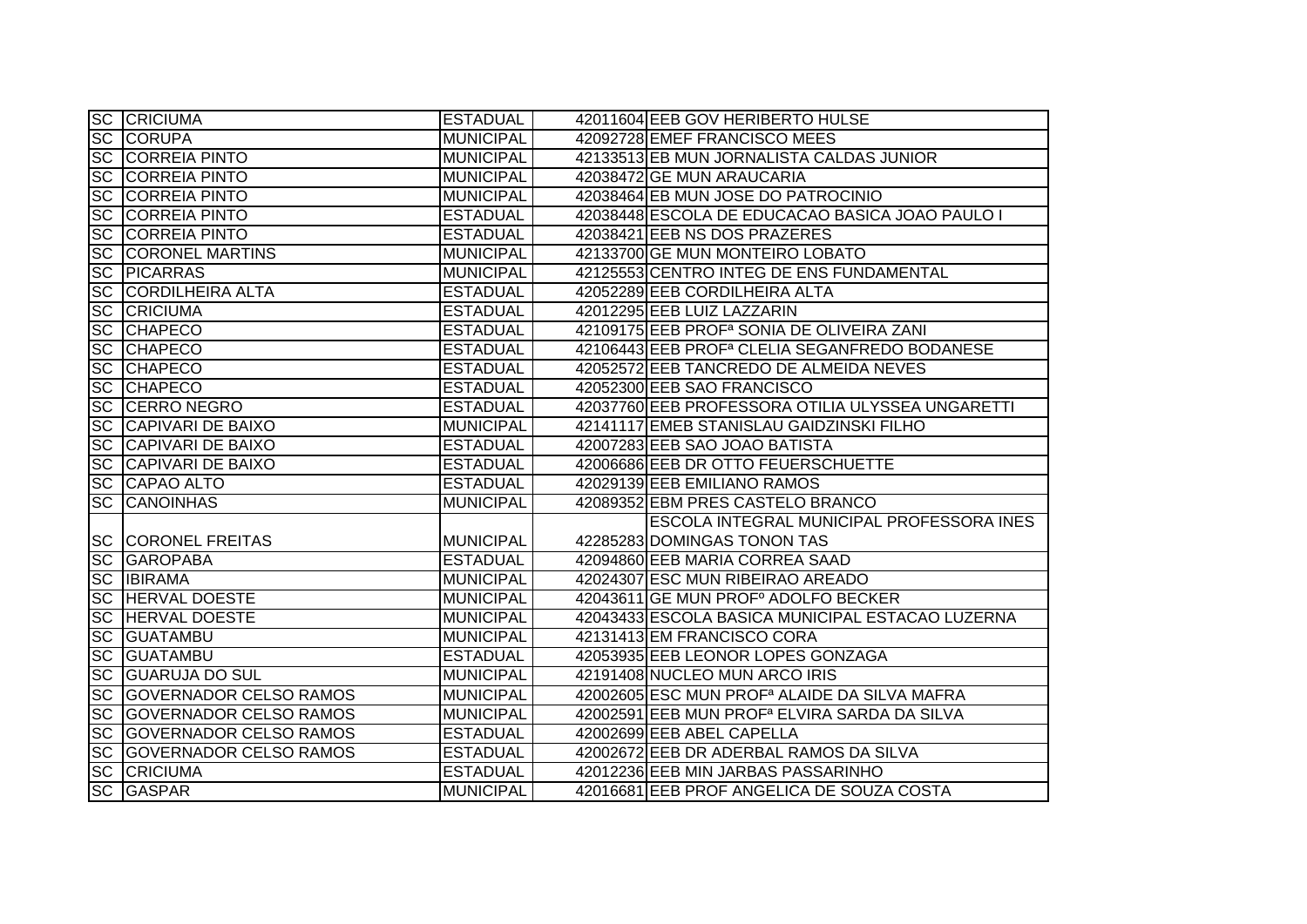|           | <b>SC CRICIUMA</b>               | <b>ESTADUAL</b>  | 42011604 EEB GOV HERIBERTO HULSE                          |
|-----------|----------------------------------|------------------|-----------------------------------------------------------|
|           | <b>SC CORUPA</b>                 | <b>MUNICIPAL</b> | 42092728 EMEF FRANCISCO MEES                              |
|           | <b>SC CORREIA PINTO</b>          | <b>MUNICIPAL</b> | 42133513 EB MUN JORNALISTA CALDAS JUNIOR                  |
| <b>SC</b> | <b>CORREIA PINTO</b>             | <b>MUNICIPAL</b> | 42038472 GE MUN ARAUCARIA                                 |
| <b>SC</b> | <b>CORREIA PINTO</b>             | <b>MUNICIPAL</b> | 42038464 EB MUN JOSE DO PATROCINIO                        |
| <b>SC</b> | <b>CORREIA PINTO</b>             | <b>ESTADUAL</b>  | 42038448 ESCOLA DE EDUCACAO BASICA JOAO PAULO I           |
|           | <b>SC CORREIA PINTO</b>          | <b>ESTADUAL</b>  | 42038421 EEB NS DOS PRAZERES                              |
|           | <b>SC CORONEL MARTINS</b>        | <b>MUNICIPAL</b> | 42133700 GE MUN MONTEIRO LOBATO                           |
|           | <b>SC PICARRAS</b>               | <b>MUNICIPAL</b> | 42125553 CENTRO INTEG DE ENS FUNDAMENTAL                  |
| <b>SC</b> | <b>CORDILHEIRA ALTA</b>          | <b>ESTADUAL</b>  | 42052289 EEB CORDILHEIRA ALTA                             |
| <b>SC</b> | <b>CRICIUMA</b>                  | <b>ESTADUAL</b>  | 42012295 EEB LUIZ LAZZARIN                                |
| <b>SC</b> | <b>CHAPECO</b>                   | <b>ESTADUAL</b>  | 42109175 EEB PROF <sup>a</sup> SONIA DE OLIVEIRA ZANI     |
| SC        | <b>CHAPECO</b>                   | <b>ESTADUAL</b>  | 42106443 EEB PROF <sup>a</sup> CLELIA SEGANFREDO BODANESE |
| <b>SC</b> | <b>CHAPECO</b>                   | <b>ESTADUAL</b>  | 42052572 EEB TANCREDO DE ALMEIDA NEVES                    |
| <b>SC</b> | <b>CHAPECO</b>                   | <b>ESTADUAL</b>  | 42052300 EEB SAO FRANCISCO                                |
| <b>SC</b> | CERRO NEGRO                      | <b>ESTADUAL</b>  | 42037760 EEB PROFESSORA OTILIA ULYSSEA UNGARETTI          |
| <b>SC</b> | <b>CAPIVARI DE BAIXO</b>         | <b>MUNICIPAL</b> | 42141117 EMEB STANISLAU GAIDZINSKI FILHO                  |
|           | <b>SC CAPIVARI DE BAIXO</b>      | <b>ESTADUAL</b>  | 42007283 EEB SAO JOAO BATISTA                             |
|           | <b>SC CAPIVARI DE BAIXO</b>      | <b>ESTADUAL</b>  | 42006686 EEB DR OTTO FEUERSCHUETTE                        |
|           | <b>SC CAPAO ALTO</b>             | <b>ESTADUAL</b>  | 42029139 EEB EMILIANO RAMOS                               |
| <b>SC</b> | <b>CANOINHAS</b>                 | <b>MUNICIPAL</b> | 42089352 EBM PRES CASTELO BRANCO                          |
|           |                                  |                  | ESCOLA INTEGRAL MUNICIPAL PROFESSORA INES                 |
|           | <b>SC CORONEL FREITAS</b>        | <b>MUNICIPAL</b> | 42285283 DOMINGAS TONON TAS                               |
| <b>SC</b> | <b>GAROPABA</b>                  | <b>ESTADUAL</b>  | 42094860 EEB MARIA CORREA SAAD                            |
| <b>SC</b> | <b>IBIRAMA</b>                   | <b>MUNICIPAL</b> | 42024307 ESC MUN RIBEIRAO AREADO                          |
| <b>SC</b> | <b>HERVAL DOESTE</b>             | <b>MUNICIPAL</b> | 42043611 GE MUN PROFº ADOLFO BECKER                       |
| <b>SC</b> | <b>HERVAL DOESTE</b>             | <b>MUNICIPAL</b> | 42043433 ESCOLA BASICA MUNICIPAL ESTACAO LUZERNA          |
|           | <b>SC GUATAMBU</b>               | <b>MUNICIPAL</b> | 42131413 EM FRANCISCO CORA                                |
| <b>SC</b> | <b>GUATAMBU</b>                  | <b>ESTADUAL</b>  | 42053935 EEB LEONOR LOPES GONZAGA                         |
| <b>SC</b> | <b>GUARUJA DO SUL</b>            | <b>MUNICIPAL</b> | 42191408 NUCLEO MUN ARCO IRIS                             |
| <b>SC</b> | <b>GOVERNADOR CELSO RAMOS</b>    | <b>MUNICIPAL</b> | 42002605 ESC MUN PROF <sup>a</sup> ALAIDE DA SILVA MAFRA  |
| <b>SC</b> | <b>GOVERNADOR CELSO RAMOS</b>    | <b>MUNICIPAL</b> | 42002591 EEB MUN PROF <sup>a</sup> ELVIRA SARDA DA SILVA  |
|           | <b>SC GOVERNADOR CELSO RAMOS</b> | <b>ESTADUAL</b>  | 42002699 EEB ABEL CAPELLA                                 |
|           | <b>SC GOVERNADOR CELSO RAMOS</b> | <b>ESTADUAL</b>  | 42002672 EEB DR ADERBAL RAMOS DA SILVA                    |
| <b>SC</b> | <b>CRICIUMA</b>                  | <b>ESTADUAL</b>  | 42012236 EEB MIN JARBAS PASSARINHO                        |
| <b>SC</b> | <b>GASPAR</b>                    | <b>MUNICIPAL</b> | 42016681 EEB PROF ANGELICA DE SOUZA COSTA                 |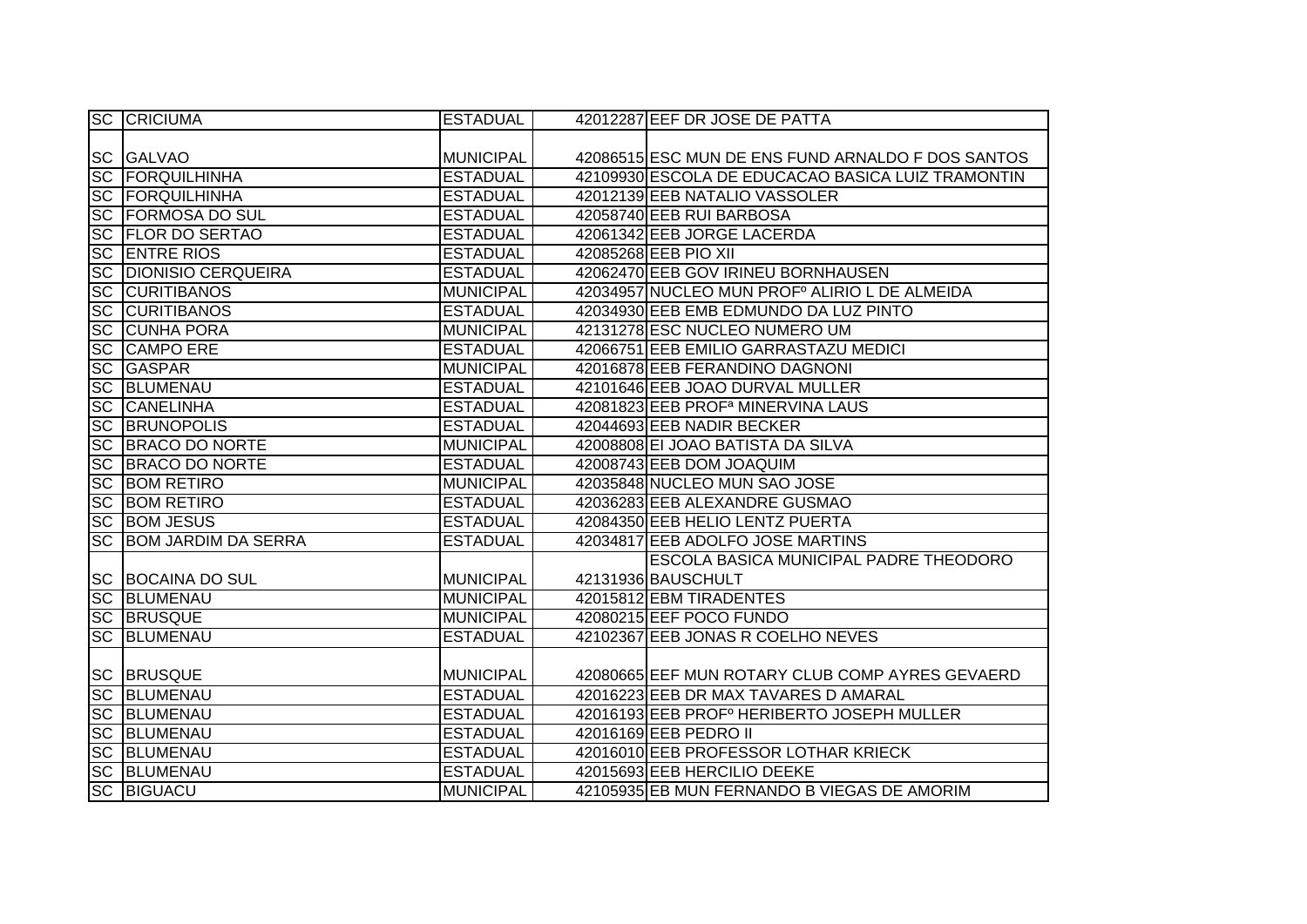|           | <b>SC CRICIUMA</b>           | <b>ESTADUAL</b>  | 42012287 EEF DR JOSE DE PATTA                          |
|-----------|------------------------------|------------------|--------------------------------------------------------|
|           |                              |                  |                                                        |
|           | <b>SC GALVAO</b>             | <b>MUNICIPAL</b> | 42086515 ESC MUN DE ENS FUND ARNALDO F DOS SANTOS      |
|           | <b>SC FORQUILHINHA</b>       | <b>ESTADUAL</b>  | 42109930 ESCOLA DE EDUCACAO BASICA LUIZ TRAMONTIN      |
|           | <b>SC FORQUILHINHA</b>       | <b>ESTADUAL</b>  | 42012139 EEB NATALIO VASSOLER                          |
|           | <b>SC FORMOSA DO SUL</b>     | <b>ESTADUAL</b>  | 42058740 EEB RUI BARBOSA                               |
|           | <b>SC FLOR DO SERTAO</b>     | <b>ESTADUAL</b>  | 42061342 EEB JORGE LACERDA                             |
|           | <b>SC ENTRE RIOS</b>         | <b>ESTADUAL</b>  | 42085268 EEB PIO XII                                   |
|           | <b>SC DIONISIO CERQUEIRA</b> | <b>ESTADUAL</b>  | 42062470 EEB GOV IRINEU BORNHAUSEN                     |
|           | <b>SC CURITIBANOS</b>        | <b>MUNICIPAL</b> | 42034957 NUCLEO MUN PROFº ALIRIO L DE ALMEIDA          |
| SC        | <b>CURITIBANOS</b>           | <b>ESTADUAL</b>  | 42034930 EEB EMB EDMUNDO DA LUZ PINTO                  |
|           | <b>SC CUNHA PORA</b>         | <b>MUNICIPAL</b> | 42131278 ESC NUCLEO NUMERO UM                          |
| <b>SC</b> | <b>CAMPO ERE</b>             | <b>ESTADUAL</b>  | 42066751 EEB EMILIO GARRASTAZU MEDICI                  |
| <b>SC</b> | <b>GASPAR</b>                | <b>MUNICIPAL</b> | 42016878 EEB FERANDINO DAGNONI                         |
| <b>SC</b> | BLUMENAU                     | <b>ESTADUAL</b>  | 42101646 EEB JOAO DURVAL MULLER                        |
| <b>SC</b> | <b>CANELINHA</b>             | <b>ESTADUAL</b>  | 42081823 EEB PROF <sup>a</sup> MINERVINA LAUS          |
| <b>SC</b> | <b>BRUNOPOLIS</b>            | <b>ESTADUAL</b>  | 42044693 EEB NADIR BECKER                              |
|           | <b>SC BRACO DO NORTE</b>     | <b>MUNICIPAL</b> | 42008808 EI JOAO BATISTA DA SILVA                      |
| <b>SC</b> | <b>BRACO DO NORTE</b>        | <b>ESTADUAL</b>  | 42008743 EEB DOM JOAQUIM                               |
| <b>SC</b> | <b>BOM RETIRO</b>            | <b>MUNICIPAL</b> | 42035848 NUCLEO MUN SAO JOSE                           |
|           | <b>SC BOM RETIRO</b>         | <b>ESTADUAL</b>  | 42036283 EEB ALEXANDRE GUSMAO                          |
|           | <b>SC BOM JESUS</b>          | <b>ESTADUAL</b>  | 42084350 EEB HELIO LENTZ PUERTA                        |
| <b>SC</b> | <b>BOM JARDIM DA SERRA</b>   | <b>ESTADUAL</b>  | 42034817 EEB ADOLFO JOSE MARTINS                       |
|           |                              |                  | ESCOLA BASICA MUNICIPAL PADRE THEODORO                 |
|           | SC BOCAINA DO SUL            | <b>MUNICIPAL</b> | 42131936 BAUSCHULT                                     |
|           | <b>SC BLUMENAU</b>           | <b>MUNICIPAL</b> | 42015812 EBM TIRADENTES                                |
|           | <b>SC BRUSQUE</b>            | <b>MUNICIPAL</b> | 42080215 EEF POCO FUNDO                                |
| <b>SC</b> | BLUMENAU                     | <b>ESTADUAL</b>  | 42102367 EEB JONAS R COELHO NEVES                      |
|           |                              |                  |                                                        |
|           | <b>SC BRUSQUE</b>            | <b>MUNICIPAL</b> | 42080665 EEF MUN ROTARY CLUB COMP AYRES GEVAERD        |
|           | <b>SC BLUMENAU</b>           | <b>ESTADUAL</b>  | 42016223 EEB DR MAX TAVARES D AMARAL                   |
|           | <b>SC BLUMENAU</b>           | <b>ESTADUAL</b>  | 42016193 EEB PROF <sup>°</sup> HERIBERTO JOSEPH MULLER |
|           | <b>SC BLUMENAU</b>           | <b>ESTADUAL</b>  | 42016169 EEB PEDRO II                                  |
|           | <b>SC BLUMENAU</b>           | <b>ESTADUAL</b>  | 42016010 EEB PROFESSOR LOTHAR KRIECK                   |
|           | <b>SC BLUMENAU</b>           | <b>ESTADUAL</b>  | 42015693 EEB HERCILIO DEEKE                            |
|           | <b>SC BIGUACU</b>            | <b>MUNICIPAL</b> | 42105935 EB MUN FERNANDO B VIEGAS DE AMORIM            |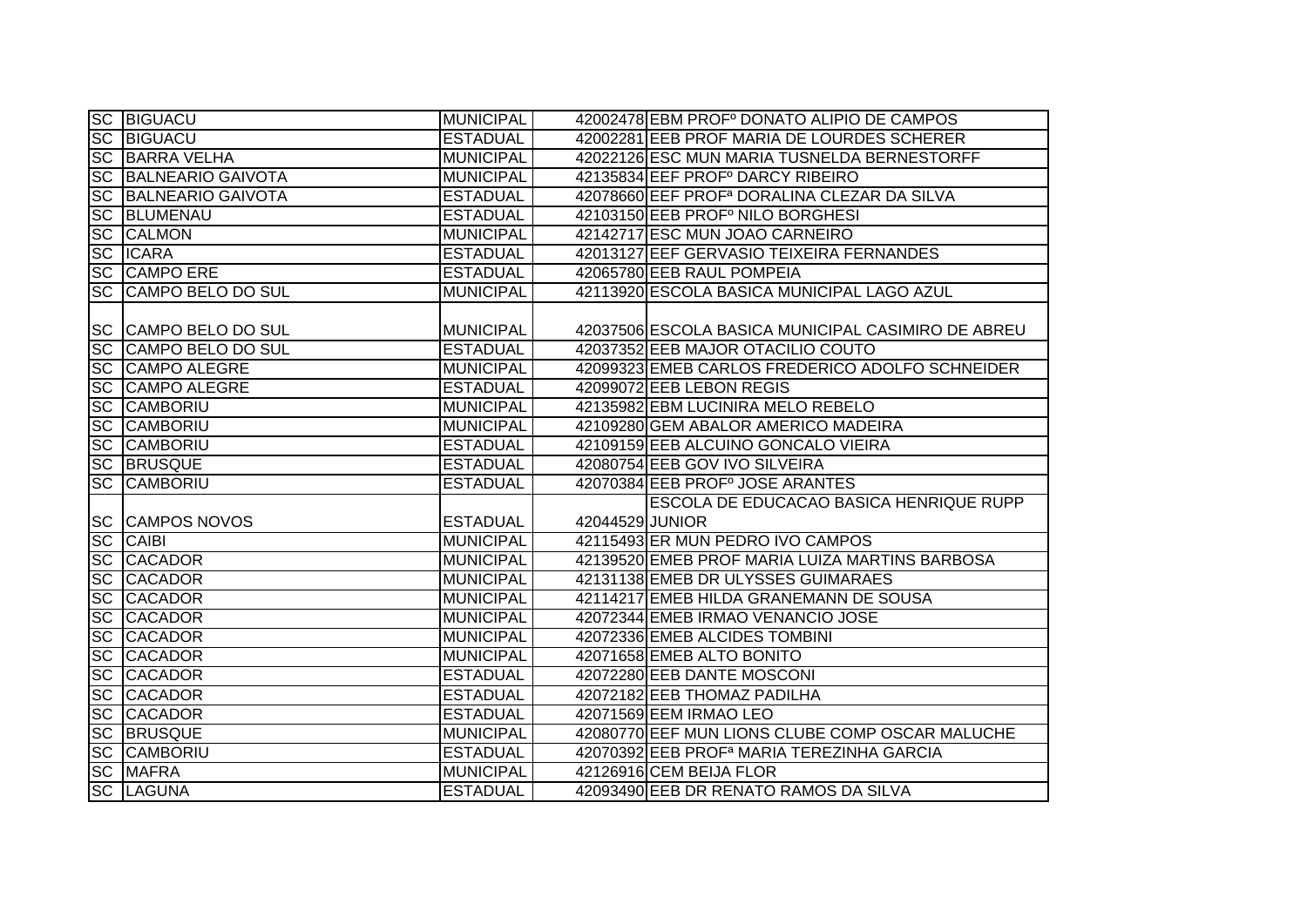|           | <b>SC BIGUACU</b>           | <b>MUNICIPAL</b> |                 | 42002478 EBM PROFº DONATO ALIPIO DE CAMPOS              |
|-----------|-----------------------------|------------------|-----------------|---------------------------------------------------------|
|           |                             |                  |                 |                                                         |
|           | <b>SC BIGUACU</b>           | <b>ESTADUAL</b>  |                 | 42002281 EEB PROF MARIA DE LOURDES SCHERER              |
|           | <b>SC BARRA VELHA</b>       | <b>MUNICIPAL</b> |                 | 42022126 ESC MUN MARIA TUSNELDA BERNESTORFF             |
|           | <b>SC BALNEARIO GAIVOTA</b> | <b>MUNICIPAL</b> |                 | 42135834 EEF PROFº DARCY RIBEIRO                        |
| <b>SC</b> | <b>BALNEARIO GAIVOTA</b>    | <b>ESTADUAL</b>  |                 | 42078660 EEF PROF <sup>a</sup> DORALINA CLEZAR DA SILVA |
| <b>SC</b> | BLUMENAU                    | <b>ESTADUAL</b>  |                 | 42103150 EEB PROFº NILO BORGHESI                        |
|           | <b>SC CALMON</b>            | <b>MUNICIPAL</b> |                 | 42142717 ESC MUN JOAO CARNEIRO                          |
|           | <b>SC ICARA</b>             | <b>ESTADUAL</b>  |                 | 42013127 EEF GERVASIO TEIXEIRA FERNANDES                |
| <b>SC</b> | <b>CAMPO ERE</b>            | <b>ESTADUAL</b>  |                 | 42065780 EEB RAUL POMPEIA                               |
| <b>SC</b> | <b>CAMPO BELO DO SUL</b>    | <b>MUNICIPAL</b> |                 | 42113920 ESCOLA BASICA MUNICIPAL LAGO AZUL              |
|           |                             |                  |                 |                                                         |
|           | SC CAMPO BELO DO SUL        | <b>MUNICIPAL</b> |                 | 42037506 ESCOLA BASICA MUNICIPAL CASIMIRO DE ABREU      |
| SC        | CAMPO BELO DO SUL           | <b>ESTADUAL</b>  |                 | 42037352 EEB MAJOR OTACILIO COUTO                       |
|           | SC CAMPO ALEGRE             | <b>MUNICIPAL</b> |                 | 42099323 EMEB CARLOS FREDERICO ADOLFO SCHNEIDER         |
|           | <b>SC CAMPO ALEGRE</b>      | <b>ESTADUAL</b>  |                 | 42099072 EEB LEBON REGIS                                |
| <b>SC</b> | <b>CAMBORIU</b>             | <b>MUNICIPAL</b> |                 | 42135982 EBM LUCINIRA MELO REBELO                       |
| <b>SC</b> | <b>CAMBORIU</b>             | <b>MUNICIPAL</b> |                 | 42109280 GEM ABALOR AMERICO MADEIRA                     |
| <b>SC</b> | <b>CAMBORIU</b>             | <b>ESTADUAL</b>  |                 | 42109159 EEB ALCUINO GONCALO VIEIRA                     |
| <b>SC</b> | <b>BRUSQUE</b>              | <b>ESTADUAL</b>  |                 | 42080754 EEB GOV IVO SILVEIRA                           |
| <b>SC</b> | <b>CAMBORIU</b>             | <b>ESTADUAL</b>  |                 | 42070384 EEB PROFº JOSE ARANTES                         |
|           |                             |                  |                 | ESCOLA DE EDUCACAO BASICA HENRIQUE RUPP                 |
|           | <b>SC CAMPOS NOVOS</b>      | <b>ESTADUAL</b>  | 42044529 JUNIOR |                                                         |
| <b>SC</b> | <b>CAIBI</b>                | <b>MUNICIPAL</b> |                 | 42115493 ER MUN PEDRO IVO CAMPOS                        |
| <b>SC</b> | <b>CACADOR</b>              | <b>MUNICIPAL</b> |                 | 42139520 EMEB PROF MARIA LUIZA MARTINS BARBOSA          |
| <b>SC</b> | <b>CACADOR</b>              | <b>MUNICIPAL</b> |                 | 42131138 EMEB DR ULYSSES GUIMARAES                      |
| <b>SC</b> | <b>CACADOR</b>              | <b>MUNICIPAL</b> |                 | 42114217 EMEB HILDA GRANEMANN DE SOUSA                  |
| <b>SC</b> | <b>CACADOR</b>              | <b>MUNICIPAL</b> |                 | 42072344 EMEB IRMAO VENANCIO JOSE                       |
| <b>SC</b> | <b>CACADOR</b>              | <b>MUNICIPAL</b> |                 | 42072336 EMEB ALCIDES TOMBINI                           |
| <b>SC</b> | <b>CACADOR</b>              | <b>MUNICIPAL</b> |                 | 42071658 EMEB ALTO BONITO                               |
| <b>SC</b> | <b>CACADOR</b>              | <b>ESTADUAL</b>  |                 | 42072280 EEB DANTE MOSCONI                              |
| <b>SC</b> | <b>CACADOR</b>              | <b>ESTADUAL</b>  |                 | 42072182 EEB THOMAZ PADILHA                             |
| <b>SC</b> | <b>CACADOR</b>              | <b>ESTADUAL</b>  |                 | 42071569 EEM IRMAO LEO                                  |
| SC        | <b>BRUSQUE</b>              | <b>MUNICIPAL</b> |                 | 42080770 EEF MUN LIONS CLUBE COMP OSCAR MALUCHE         |
|           | <b>SC CAMBORIU</b>          | <b>ESTADUAL</b>  |                 | 42070392 EEB PROF <sup>a</sup> MARIA TEREZINHA GARCIA   |
| <b>SC</b> | <b>MAFRA</b>                | <b>MUNICIPAL</b> |                 | 42126916 CEM BEIJA FLOR                                 |
|           | <b>SC LAGUNA</b>            | <b>ESTADUAL</b>  |                 | 42093490 EEB DR RENATO RAMOS DA SILVA                   |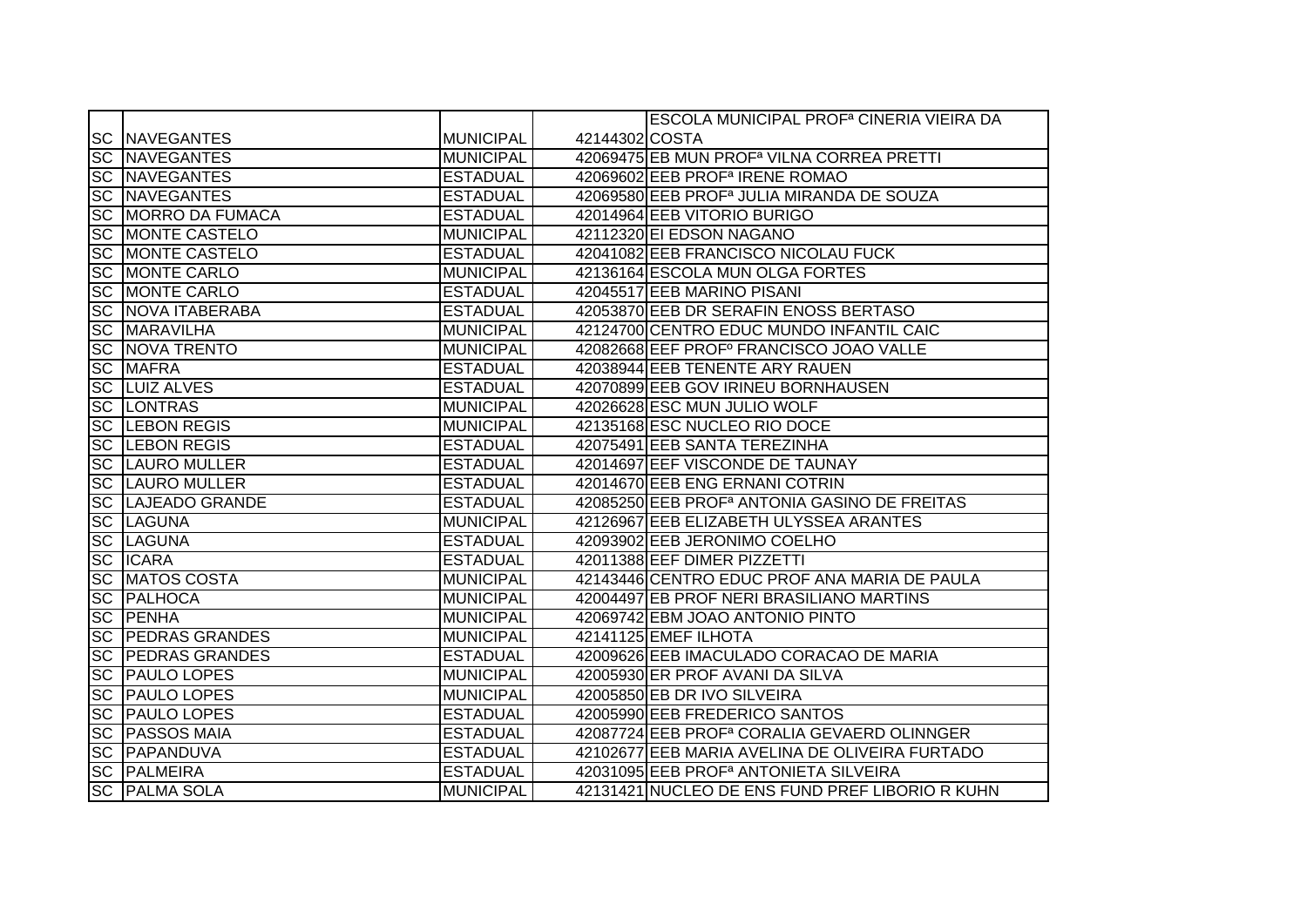|                   |                           |                  |                | ESCOLA MUNICIPAL PROF <sup>a</sup> CINERIA VIEIRA DA     |
|-------------------|---------------------------|------------------|----------------|----------------------------------------------------------|
|                   | <b>SC NAVEGANTES</b>      | <b>MUNICIPAL</b> | 42144302 COSTA |                                                          |
|                   | <b>SC NAVEGANTES</b>      | <b>MUNICIPAL</b> |                | 42069475 EB MUN PROF <sup>a</sup> VILNA CORREA PRETTI    |
|                   | <b>SC NAVEGANTES</b>      | <b>ESTADUAL</b>  |                | 42069602 EEB PROF <sup>a</sup> IRENE ROMAO               |
|                   | <b>SC NAVEGANTES</b>      | <b>ESTADUAL</b>  |                | 42069580 EEB PROF <sup>a</sup> JULIA MIRANDA DE SOUZA    |
|                   | <b>SC MORRO DA FUMACA</b> | <b>ESTADUAL</b>  |                | 42014964 EEB VITORIO BURIGO                              |
|                   | <b>SC MONTE CASTELO</b>   | <b>MUNICIPAL</b> |                | 42112320 EI EDSON NAGANO                                 |
|                   | <b>SC MONTE CASTELO</b>   | <b>ESTADUAL</b>  |                | 42041082 EEB FRANCISCO NICOLAU FUCK                      |
|                   | <b>SC MONTE CARLO</b>     | <b>MUNICIPAL</b> |                | 42136164 ESCOLA MUN OLGA FORTES                          |
|                   | <b>SC MONTE CARLO</b>     | <b>ESTADUAL</b>  |                | 42045517 EEB MARINO PISANI                               |
|                   | <b>SC NOVA ITABERABA</b>  | <b>ESTADUAL</b>  |                | 42053870 EEB DR SERAFIN ENOSS BERTASO                    |
|                   | <b>SC MARAVILHA</b>       | <b>MUNICIPAL</b> |                | 42124700 CENTRO EDUC MUNDO INFANTIL CAIC                 |
|                   | <b>SC NOVA TRENTO</b>     | <b>MUNICIPAL</b> |                | 42082668 EEF PROFº FRANCISCO JOAO VALLE                  |
| <b>SC</b>         | <b>MAFRA</b>              | <b>ESTADUAL</b>  |                | 42038944 EEB TENENTE ARY RAUEN                           |
| SC                | <b>LUIZ ALVES</b>         | <b>ESTADUAL</b>  |                | 42070899 EEB GOV IRINEU BORNHAUSEN                       |
|                   | <b>SC LONTRAS</b>         | <b>MUNICIPAL</b> |                | 42026628 ESC MUN JULIO WOLF                              |
|                   | <b>SC LEBON REGIS</b>     | <b>MUNICIPAL</b> |                | 42135168 ESC NUCLEO RIO DOCE                             |
|                   | <b>SC LEBON REGIS</b>     | <b>ESTADUAL</b>  |                | 42075491 EEB SANTA TEREZINHA                             |
|                   | <b>SC LAURO MULLER</b>    | <b>ESTADUAL</b>  |                | 42014697 EEF VISCONDE DE TAUNAY                          |
|                   | <b>SC LAURO MULLER</b>    | <b>ESTADUAL</b>  |                | 42014670 EEB ENG ERNANI COTRIN                           |
|                   | <b>SC LAJEADO GRANDE</b>  | <b>ESTADUAL</b>  |                | 42085250 EEB PROF <sup>a</sup> ANTONIA GASINO DE FREITAS |
|                   | <b>SC LAGUNA</b>          | <b>MUNICIPAL</b> |                | 42126967 EEB ELIZABETH ULYSSEA ARANTES                   |
|                   | <b>SC LAGUNA</b>          | <b>ESTADUAL</b>  |                | 42093902 EEB JERONIMO COELHO                             |
| <b>SC</b>         | <b>ICARA</b>              | <b>ESTADUAL</b>  |                | 42011388 EEF DIMER PIZZETTI                              |
| <b>SC</b>         | <b>MATOS COSTA</b>        | <b>MUNICIPAL</b> |                | 42143446 CENTRO EDUC PROF ANA MARIA DE PAULA             |
| <b>SC</b>         | <b>PALHOCA</b>            | <b>MUNICIPAL</b> |                | 42004497 EB PROF NERI BRASILIANO MARTINS                 |
| <b>SC</b>         | PENHA                     | <b>MUNICIPAL</b> |                | 42069742 EBM JOAO ANTONIO PINTO                          |
| SC                | <b>PEDRAS GRANDES</b>     | <b>MUNICIPAL</b> |                | 42141125 EMEF ILHOTA                                     |
| $ \overline{SC} $ | <b>PEDRAS GRANDES</b>     | <b>ESTADUAL</b>  |                | 42009626 EEB IMACULADO CORACAO DE MARIA                  |
| $ \overline{SC} $ | <b>PAULO LOPES</b>        | <b>MUNICIPAL</b> |                | 42005930 ER PROF AVANI DA SILVA                          |
|                   | <b>SC PAULO LOPES</b>     | <b>MUNICIPAL</b> |                | 42005850 EB DR IVO SILVEIRA                              |
|                   | <b>SC PAULO LOPES</b>     | <b>ESTADUAL</b>  |                | 42005990 EEB FREDERICO SANTOS                            |
|                   | <b>SC PASSOS MAIA</b>     | <b>ESTADUAL</b>  |                | 42087724 EEB PROF <sup>a</sup> CORALIA GEVAERD OLINNGER  |
|                   | <b>SC PAPANDUVA</b>       | <b>ESTADUAL</b>  |                | 42102677 EEB MARIA AVELINA DE OLIVEIRA FURTADO           |
|                   | <b>SC PALMEIRA</b>        | <b>ESTADUAL</b>  |                | 42031095 EEB PROF <sup>a</sup> ANTONIETA SILVEIRA        |
|                   | <b>SC PALMA SOLA</b>      | <b>MUNICIPAL</b> |                | 42131421 NUCLEO DE ENS FUND PREF LIBORIO R KUHN          |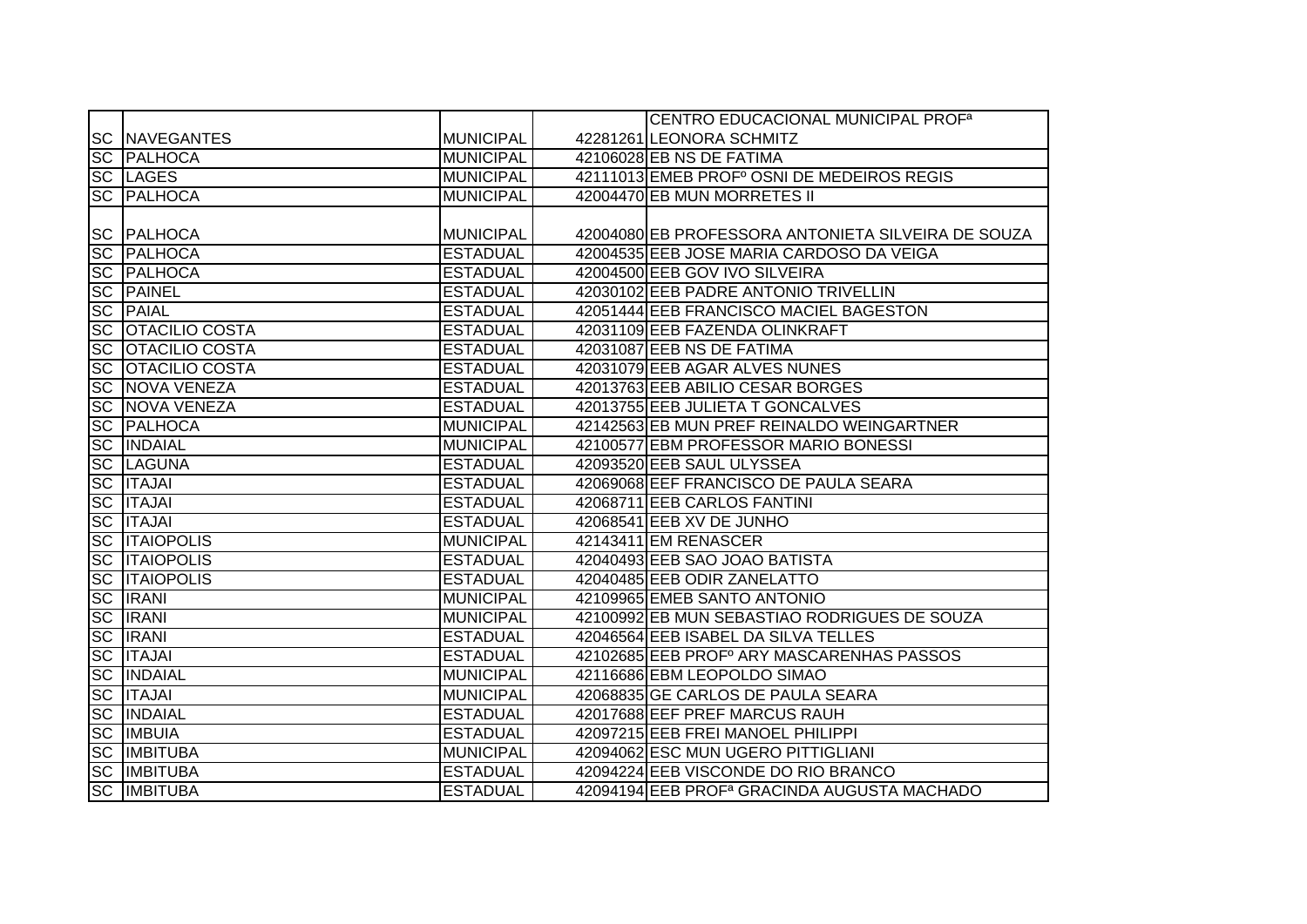|           |                       |                  | CENTRO EDUCACIONAL MUNICIPAL PROF <sup>a</sup>          |
|-----------|-----------------------|------------------|---------------------------------------------------------|
|           | <b>SC INAVEGANTES</b> | MUNICIPAL        | 42281261 LEONORA SCHMITZ                                |
| <b>SC</b> | <b>PALHOCA</b>        | <b>MUNICIPAL</b> | 42106028 EB NS DE FATIMA                                |
|           | <b>SC LAGES</b>       | MUNICIPAL        | 42111013 EMEB PROF <sup>°</sup> OSNI DE MEDEIROS REGIS  |
|           | <b>SC PALHOCA</b>     | <b>MUNICIPAL</b> | 42004470 EB MUN MORRETES II                             |
|           |                       |                  |                                                         |
|           | <b>SC PALHOCA</b>     | MUNICIPAL        | 42004080 EB PROFESSORA ANTONIETA SILVEIRA DE SOUZA      |
| <b>SC</b> | <b>PALHOCA</b>        | <b>ESTADUAL</b>  | 42004535 EEB JOSE MARIA CARDOSO DA VEIGA                |
| SC        | PALHOCA               | <b>ESTADUAL</b>  | 42004500 EEB GOV IVO SILVEIRA                           |
| <b>SC</b> | <b>PAINEL</b>         | <b>ESTADUAL</b>  | 42030102 EEB PADRE ANTONIO TRIVELLIN                    |
| <b>SC</b> | <b>PAIAL</b>          | <b>ESTADUAL</b>  | 42051444 EEB FRANCISCO MACIEL BAGESTON                  |
| <b>SC</b> | <b>OTACILIO COSTA</b> | <b>ESTADUAL</b>  | 42031109 EEB FAZENDA OLINKRAFT                          |
| <b>SC</b> | <b>OTACILIO COSTA</b> | <b>ESTADUAL</b>  | 42031087 EEB NS DE FATIMA                               |
| <b>SC</b> | <b>OTACILIO COSTA</b> | <b>ESTADUAL</b>  | 42031079 EEB AGAR ALVES NUNES                           |
| <b>SC</b> | NOVA VENEZA           | <b>ESTADUAL</b>  | 42013763 EEB ABILIO CESAR BORGES                        |
| <b>SC</b> | NOVA VENEZA           | <b>ESTADUAL</b>  | 42013755 EEB JULIETA T GONCALVES                        |
| <b>SC</b> | PALHOCA               | <b>MUNICIPAL</b> | 42142563 EB MUN PREF REINALDO WEINGARTNER               |
| <b>SC</b> | <b>INDAIAL</b>        | <b>MUNICIPAL</b> | 42100577 EBM PROFESSOR MARIO BONESSI                    |
| <b>SC</b> | <b>LAGUNA</b>         | <b>ESTADUAL</b>  | 42093520 EEB SAUL ULYSSEA                               |
| <b>SC</b> | <b>ITAJAI</b>         | <b>ESTADUAL</b>  | 42069068 EEF FRANCISCO DE PAULA SEARA                   |
| <b>SC</b> | <b>ITAJAI</b>         | <b>ESTADUAL</b>  | 42068711 EEB CARLOS FANTINI                             |
| <b>SC</b> | <b>ITAJAI</b>         | <b>ESTADUAL</b>  | 42068541 EEB XV DE JUNHO                                |
| <b>SC</b> | <b>ITAIOPOLIS</b>     | <b>MUNICIPAL</b> | 42143411 EM RENASCER                                    |
| <b>SC</b> | <b>ITAIOPOLIS</b>     | <b>ESTADUAL</b>  | 42040493 EEB SAO JOAO BATISTA                           |
| <b>SC</b> | <b>ITAIOPOLIS</b>     | <b>ESTADUAL</b>  | 42040485 EEB ODIR ZANELATTO                             |
| <b>SC</b> | <b>IRANI</b>          | <b>MUNICIPAL</b> | 42109965 EMEB SANTO ANTONIO                             |
| <b>SC</b> | <b>IRANI</b>          | <b>MUNICIPAL</b> | 42100992 EB MUN SEBASTIAO RODRIGUES DE SOUZA            |
| <b>SC</b> | <b>IRANI</b>          | <b>ESTADUAL</b>  | 42046564 EEB ISABEL DA SILVA TELLES                     |
| <b>SC</b> | <b>ITAJAI</b>         | <b>ESTADUAL</b>  | 42102685 EEB PROF ARY MASCARENHAS PASSOS                |
| <b>SC</b> | <b>INDAIAL</b>        | <b>MUNICIPAL</b> | 42116686 EBM LEOPOLDO SIMAO                             |
| <b>SC</b> | <b>ITAJAI</b>         | <b>MUNICIPAL</b> | 42068835 GE CARLOS DE PAULA SEARA                       |
| <b>SC</b> | <b>INDAIAL</b>        | <b>ESTADUAL</b>  | 42017688 EEF PREF MARCUS RAUH                           |
|           | <b>SC IMBUIA</b>      | <b>ESTADUAL</b>  | 42097215 EEB FREI MANOEL PHILIPPI                       |
| <b>SC</b> | <b>IMBITUBA</b>       | <b>MUNICIPAL</b> | 42094062 ESC MUN UGERO PITTIGLIANI                      |
| <b>SC</b> | <b>IMBITUBA</b>       | <b>ESTADUAL</b>  | 42094224 EEB VISCONDE DO RIO BRANCO                     |
|           | <b>SC IMBITUBA</b>    | <b>ESTADUAL</b>  | 42094194 EEB PROF <sup>a</sup> GRACINDA AUGUSTA MACHADO |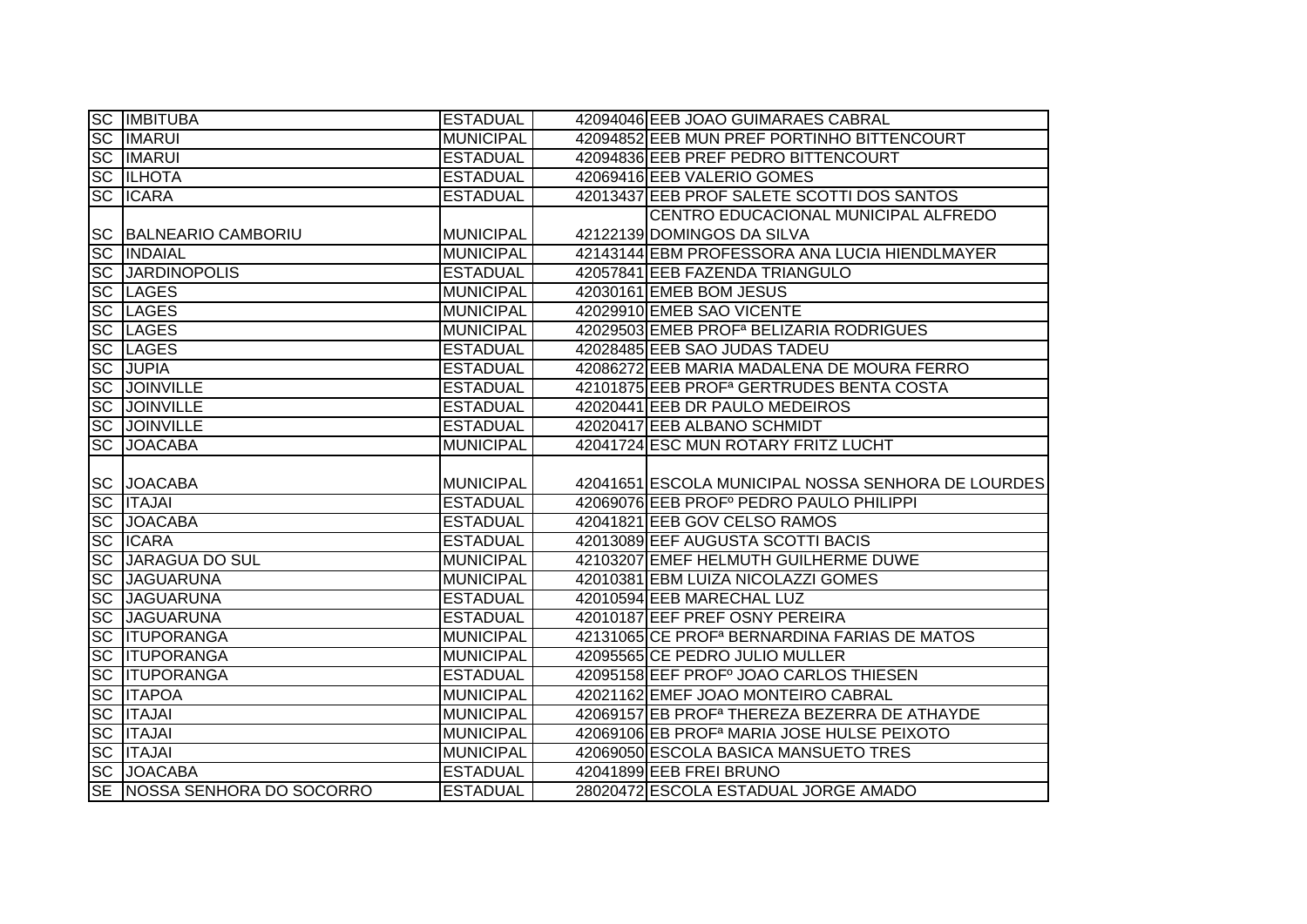|                                                               | <b>SC IMBITUBA</b>                               | <b>ESTADUAL</b>                    | 42094046 EEB JOAO GUIMARAES CABRAL                       |
|---------------------------------------------------------------|--------------------------------------------------|------------------------------------|----------------------------------------------------------|
|                                                               | <b>SC IMARUI</b>                                 | <b>MUNICIPAL</b>                   | 42094852 EEB MUN PREF PORTINHO BITTENCOURT               |
|                                                               | <b>SC IMARUI</b>                                 | <b>ESTADUAL</b>                    | 42094836 EEB PREF PEDRO BITTENCOURT                      |
|                                                               | <b>SC ILHOTA</b>                                 | <b>ESTADUAL</b>                    | 42069416 EEB VALERIO GOMES                               |
| <b>SC</b>                                                     | <b>ICARA</b>                                     | <b>ESTADUAL</b>                    | 42013437 EEB PROF SALETE SCOTTI DOS SANTOS               |
|                                                               |                                                  |                                    | CENTRO EDUCACIONAL MUNICIPAL ALFREDO                     |
|                                                               | SC BALNEARIO CAMBORIU                            | <b>MUNICIPAL</b>                   | 42122139 DOMINGOS DA SILVA                               |
|                                                               | <b>SC INDAIAL</b>                                | <b>MUNICIPAL</b>                   | 42143144 EBM PROFESSORA ANA LUCIA HIENDLMAYER            |
|                                                               | <b>SC JARDINOPOLIS</b>                           | <b>ESTADUAL</b>                    | 42057841 EEB FAZENDA TRIANGULO                           |
|                                                               | <b>SC LAGES</b>                                  | <b>MUNICIPAL</b>                   | 42030161 EMEB BOM JESUS                                  |
| <b>SC</b>                                                     | LAGES                                            | <b>MUNICIPAL</b>                   | 42029910 EMEB SAO VICENTE                                |
| <b>SC</b>                                                     | <b>LAGES</b>                                     | <b>MUNICIPAL</b>                   | 42029503 EMEB PROF <sup>a</sup> BELIZARIA RODRIGUES      |
|                                                               | <b>SC LAGES</b>                                  | <b>ESTADUAL</b>                    | 42028485 EEB SAO JUDAS TADEU                             |
| SC                                                            | <b>JUPIA</b>                                     | <b>ESTADUAL</b>                    | 42086272 EEB MARIA MADALENA DE MOURA FERRO               |
| <b>SC</b>                                                     | <b>JOINVILLE</b>                                 | <b>ESTADUAL</b>                    | 42101875 EEB PROF <sup>a</sup> GERTRUDES BENTA COSTA     |
| SC                                                            | <b>JOINVILLE</b>                                 | <b>ESTADUAL</b>                    | 42020441 EEB DR PAULO MEDEIROS                           |
|                                                               | <b>SC JOINVILLE</b>                              | <b>ESTADUAL</b>                    | 42020417 EEB ALBANO SCHMIDT                              |
| <b>SC</b>                                                     | <b>JOACABA</b>                                   | <b>MUNICIPAL</b>                   | 42041724 ESC MUN ROTARY FRITZ LUCHT                      |
|                                                               |                                                  |                                    |                                                          |
|                                                               | <b>SC JOACABA</b>                                | <b>MUNICIPAL</b>                   | 42041651 ESCOLA MUNICIPAL NOSSA SENHORA DE LOURDES       |
|                                                               | <b>SC ITAJAI</b>                                 | <b>ESTADUAL</b>                    | 42069076 EEB PROFº PEDRO PAULO PHILIPPI                  |
|                                                               | <b>SC JOACABA</b>                                | <b>ESTADUAL</b>                    | 42041821 EEB GOV CELSO RAMOS                             |
| <b>SC</b>                                                     | <b>ICARA</b>                                     | <b>ESTADUAL</b>                    | 42013089 EEF AUGUSTA SCOTTI BACIS                        |
| <b>SC</b>                                                     | <b>JARAGUA DO SUL</b>                            | <b>MUNICIPAL</b>                   | 42103207 EMEF HELMUTH GUILHERME DUWE                     |
|                                                               | <b>JAGUARUNA</b>                                 | <b>MUNICIPAL</b>                   | 42010381 EBM LUIZA NICOLAZZI GOMES                       |
|                                                               | <b>JAGUARUNA</b>                                 | <b>ESTADUAL</b>                    | 42010594 EEB MARECHAL LUZ                                |
| <b>SC</b><br><b>SC</b>                                        | <b>SC JAGUARUNA</b>                              | <b>ESTADUAL</b>                    | 42010187 EEF PREF OSNY PEREIRA                           |
|                                                               | <b>ITUPORANGA</b>                                | <b>MUNICIPAL</b>                   | 42131065 CE PROF <sup>a</sup> BERNARDINA FARIAS DE MATOS |
|                                                               | <b>ITUPORANGA</b>                                | <b>MUNICIPAL</b>                   | 42095565 CE PEDRO JULIO MULLER                           |
|                                                               | <b>SC ITUPORANGA</b>                             | <b>ESTADUAL</b>                    | 42095158 EEF PROFº JOAO CARLOS THIESEN                   |
|                                                               | <b>ITAPOA</b>                                    | <b>MUNICIPAL</b>                   | 42021162 EMEF JOAO MONTEIRO CABRAL                       |
|                                                               | <b>ITAJAI</b>                                    | <b>MUNICIPAL</b>                   | 42069157 EB PROF <sup>a</sup> THEREZA BEZERRA DE ATHAYDE |
|                                                               | <b>ITAJAI</b>                                    | <b>MUNICIPAL</b>                   | 42069106 EB PROF <sup>a</sup> MARIA JOSE HULSE PEIXOTO   |
| <b>SC</b><br><b>SC</b><br><b>SC</b><br><b>SC</b><br><b>SC</b> | <b>SC ITAJAI</b>                                 | <b>MUNICIPAL</b>                   | 42069050 ESCOLA BASICA MANSUETO TRES                     |
|                                                               | <b>SC JOACABA</b><br>SE NOSSA SENHORA DO SOCORRO | <b>ESTADUAL</b><br><b>ESTADUAL</b> | 42041899 EEB FREI BRUNO                                  |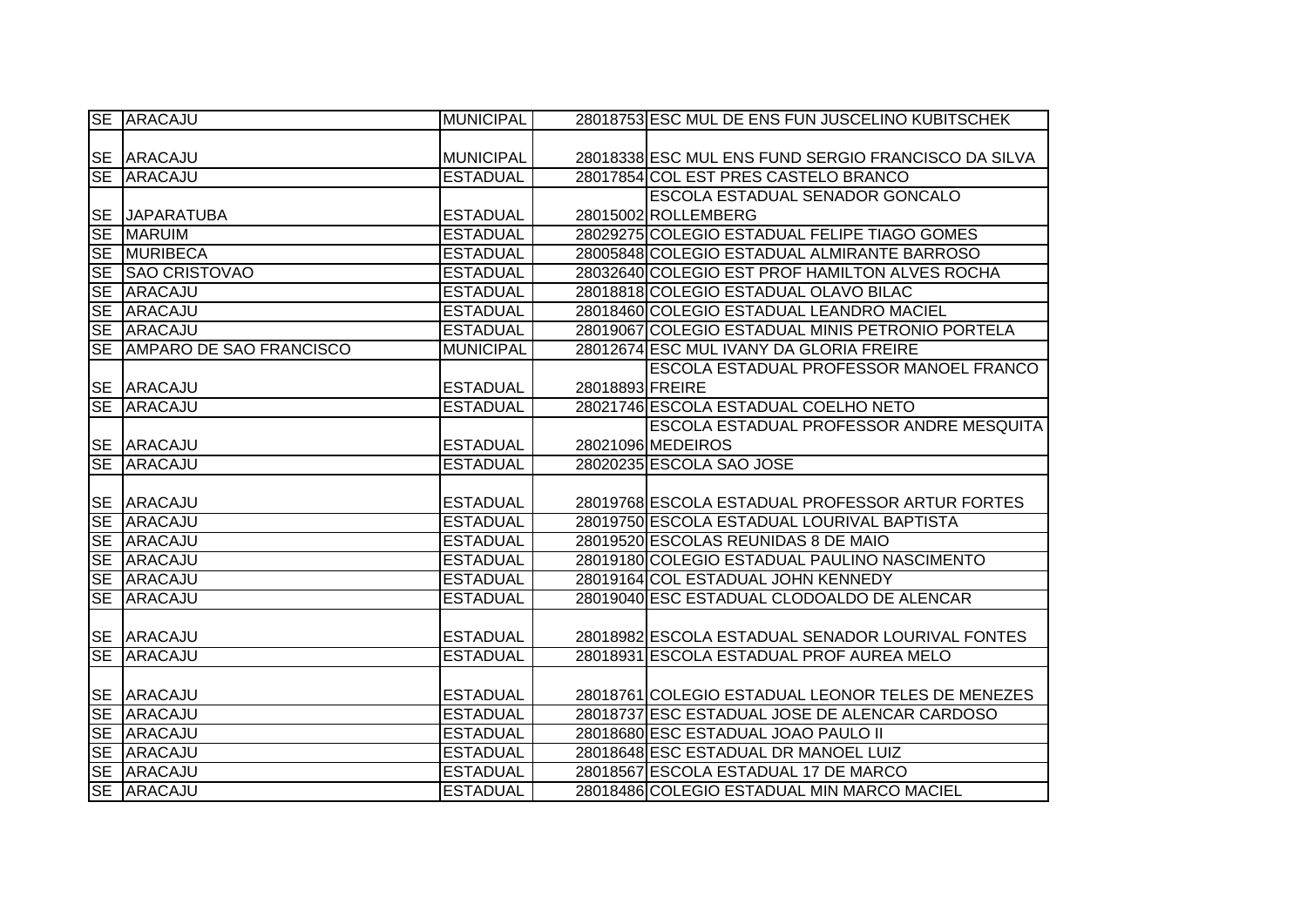| <b>SE ARACAJU</b>          | <b>MUNICIPAL</b>                   |                 | 28018753 ESC MUL DE ENS FUN JUSCELINO KUBITSCHEK    |
|----------------------------|------------------------------------|-----------------|-----------------------------------------------------|
|                            |                                    |                 |                                                     |
| SE ARACAJU                 | <b>MUNICIPAL</b>                   |                 | 28018338 ESC MUL ENS FUND SERGIO FRANCISCO DA SILVA |
| SE ARACAJU                 | <b>ESTADUAL</b>                    |                 | 28017854 COL EST PRES CASTELO BRANCO                |
|                            |                                    |                 | ESCOLA ESTADUAL SENADOR GONCALO                     |
| <b>SE JAPARATUBA</b>       | <b>ESTADUAL</b>                    |                 | 28015002 ROLLEMBERG                                 |
| <b>SE MARUIM</b>           | <b>ESTADUAL</b>                    |                 | 28029275 COLEGIO ESTADUAL FELIPE TIAGO GOMES        |
| SE MURIBECA                | <b>ESTADUAL</b>                    |                 | 28005848 COLEGIO ESTADUAL ALMIRANTE BARROSO         |
| SE SAO CRISTOVAO           | <b>ESTADUAL</b>                    |                 | 28032640 COLEGIO EST PROF HAMILTON ALVES ROCHA      |
| SE ARACAJU                 | <b>ESTADUAL</b>                    |                 | 28018818 COLEGIO ESTADUAL OLAVO BILAC               |
| SE ARACAJU                 | <b>ESTADUAL</b>                    |                 | 28018460 COLEGIO ESTADUAL LEANDRO MACIEL            |
| SE ARACAJU                 | <b>ESTADUAL</b>                    |                 | 28019067 COLEGIO ESTADUAL MINIS PETRONIO PORTELA    |
| SE AMPARO DE SAO FRANCISCO | <b>MUNICIPAL</b>                   |                 | 28012674 ESC MUL IVANY DA GLORIA FREIRE             |
|                            |                                    |                 | ESCOLA ESTADUAL PROFESSOR MANOEL FRANCO             |
| SE ARACAJU                 | <b>ESTADUAL</b>                    | 28018893 FREIRE |                                                     |
| SE ARACAJU                 | <b>ESTADUAL</b>                    |                 | 28021746 ESCOLA ESTADUAL COELHO NETO                |
|                            |                                    |                 | ESCOLA ESTADUAL PROFESSOR ANDRE MESQUITA            |
| SE ARACAJU                 | <b>ESTADUAL</b>                    |                 | 28021096 MEDEIROS                                   |
|                            |                                    |                 |                                                     |
| SE ARACAJU                 | <b>ESTADUAL</b>                    |                 | 28020235 ESCOLA SAO JOSE                            |
|                            |                                    |                 |                                                     |
| SE ARACAJU                 | <b>ESTADUAL</b>                    |                 | 28019768 ESCOLA ESTADUAL PROFESSOR ARTUR FORTES     |
| SE ARACAJU                 | <b>ESTADUAL</b>                    |                 | 28019750 ESCOLA ESTADUAL LOURIVAL BAPTISTA          |
| SE ARACAJU                 | <b>ESTADUAL</b>                    |                 | 28019520 ESCOLAS REUNIDAS 8 DE MAIO                 |
| SE ARACAJU                 | <b>ESTADUAL</b>                    |                 | 28019180 COLEGIO ESTADUAL PAULINO NASCIMENTO        |
| SE ARACAJU                 | <b>ESTADUAL</b>                    |                 | 28019164 COL ESTADUAL JOHN KENNEDY                  |
| SE ARACAJU                 | <b>ESTADUAL</b>                    |                 | 28019040 ESC ESTADUAL CLODOALDO DE ALENCAR          |
|                            |                                    |                 |                                                     |
| SE ARACAJU                 | <b>ESTADUAL</b>                    |                 | 28018982 ESCOLA ESTADUAL SENADOR LOURIVAL FONTES    |
| SE ARACAJU                 | <b>ESTADUAL</b>                    |                 | 28018931 ESCOLA ESTADUAL PROF AUREA MELO            |
|                            |                                    |                 |                                                     |
| SE ARACAJU                 | <b>ESTADUAL</b>                    |                 | 28018761 COLEGIO ESTADUAL LEONOR TELES DE MENEZES   |
| SE ARACAJU                 | <b>ESTADUAL</b>                    |                 | 28018737 ESC ESTADUAL JOSE DE ALENCAR CARDOSO       |
| SE ARACAJU                 | <b>ESTADUAL</b>                    |                 | 28018680 ESC ESTADUAL JOAO PAULO II                 |
| SE ARACAJU                 | <b>ESTADUAL</b>                    |                 | 28018648 ESC ESTADUAL DR MANOEL LUIZ                |
| SE ARACAJU                 | <b>ESTADUAL</b><br><b>ESTADUAL</b> |                 | 28018567 ESCOLA ESTADUAL 17 DE MARCO                |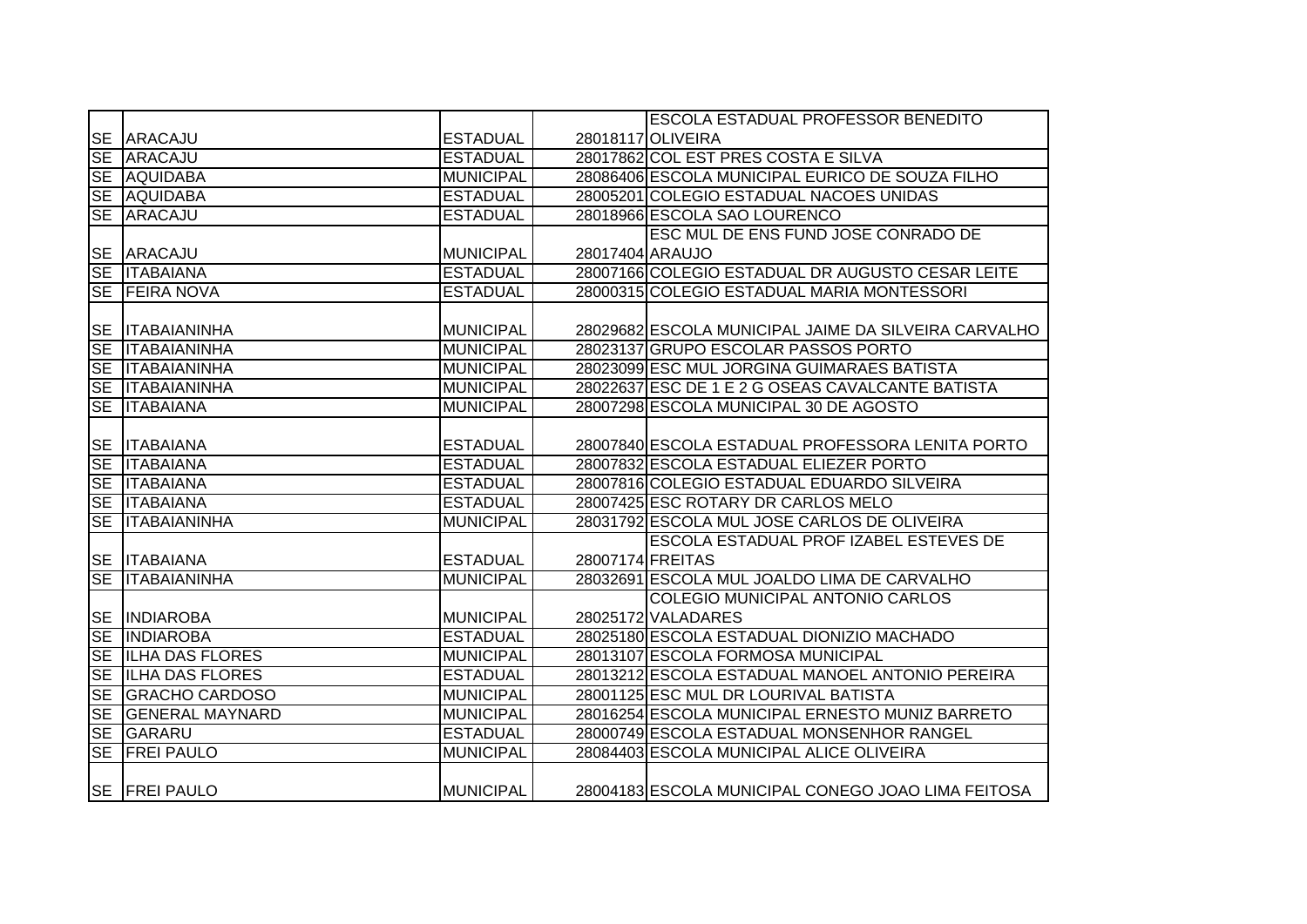|                        |                        |                  |                  | <b>ESCOLA ESTADUAL PROFESSOR BENEDITO</b>            |
|------------------------|------------------------|------------------|------------------|------------------------------------------------------|
|                        | SE ARACAJU             | <b>ESTADUAL</b>  |                  | 28018117 OLIVEIRA                                    |
|                        | SE ARACAJU             | <b>ESTADUAL</b>  |                  | 28017862 COL EST PRES COSTA E SILVA                  |
|                        | SE AQUIDABA            | <b>MUNICIPAL</b> |                  | 28086406 ESCOLA MUNICIPAL EURICO DE SOUZA FILHO      |
|                        | SE AQUIDABA            | <b>ESTADUAL</b>  |                  | 28005201 COLEGIO ESTADUAL NACOES UNIDAS              |
|                        | SE ARACAJU             | <b>ESTADUAL</b>  |                  | 28018966 ESCOLA SAO LOURENCO                         |
|                        |                        |                  |                  | ESC MUL DE ENS FUND JOSE CONRADO DE                  |
|                        | SE ARACAJU             | <b>MUNICIPAL</b> | 28017404 ARAUJO  |                                                      |
|                        | SE <b>ITABAIANA</b>    | <b>ESTADUAL</b>  |                  | 28007166 COLEGIO ESTADUAL DR AUGUSTO CESAR LEITE     |
|                        | SE FEIRA NOVA          | <b>ESTADUAL</b>  |                  | 28000315 COLEGIO ESTADUAL MARIA MONTESSORI           |
|                        |                        |                  |                  |                                                      |
| <b>SE</b>              | <b>ITABAIANINHA</b>    | <b>MUNICIPAL</b> |                  | 28029682 ESCOLA MUNICIPAL JAIME DA SILVEIRA CARVALHO |
| <b>SE</b>              | <b>ITABAIANINHA</b>    | <b>MUNICIPAL</b> |                  | 28023137 GRUPO ESCOLAR PASSOS PORTO                  |
|                        | SE ITABAIANINHA        | <b>MUNICIPAL</b> |                  | 28023099 ESC MUL JORGINA GUIMARAES BATISTA           |
|                        | SE ITABAIANINHA        | <b>MUNICIPAL</b> |                  | 28022637 ESC DE 1 E 2 G OSEAS CAVALCANTE BATISTA     |
| SE                     | <b>ITABAIANA</b>       | <b>MUNICIPAL</b> |                  | 28007298 ESCOLA MUNICIPAL 30 DE AGOSTO               |
|                        |                        |                  |                  |                                                      |
|                        | SE <b>ITABAIANA</b>    | <b>ESTADUAL</b>  |                  | 28007840 ESCOLA ESTADUAL PROFESSORA LENITA PORTO     |
|                        | SE <b>ITABAIANA</b>    | <b>ESTADUAL</b>  |                  | 28007832 ESCOLA ESTADUAL ELIEZER PORTO               |
|                        | SE <b>ITABAIANA</b>    | <b>ESTADUAL</b>  |                  | 28007816 COLEGIO ESTADUAL EDUARDO SILVEIRA           |
|                        | SE <b>ITABAIANA</b>    | <b>ESTADUAL</b>  |                  | 28007425 ESC ROTARY DR CARLOS MELO                   |
|                        | SE <b>ITABAIANINHA</b> | <b>MUNICIPAL</b> |                  | 28031792 ESCOLA MUL JOSE CARLOS DE OLIVEIRA          |
|                        |                        |                  |                  | <b>ESCOLA ESTADUAL PROF IZABEL ESTEVES DE</b>        |
|                        | <b>SE ITABAIANA</b>    | <b>ESTADUAL</b>  | 28007174 FREITAS |                                                      |
| <b>SE</b>              | <b>ITABAIANINHA</b>    | <b>MUNICIPAL</b> |                  | 28032691 ESCOLA MUL JOALDO LIMA DE CARVALHO          |
|                        |                        |                  |                  | <b>COLEGIO MUNICIPAL ANTONIO CARLOS</b>              |
|                        | SE INDIAROBA           | <b>MUNICIPAL</b> |                  | 28025172 VALADARES                                   |
|                        | SE INDIAROBA           | <b>ESTADUAL</b>  |                  | 28025180 ESCOLA ESTADUAL DIONIZIO MACHADO            |
|                        | SE ILHA DAS FLORES     | <b>MUNICIPAL</b> |                  | 28013107 ESCOLA FORMOSA MUNICIPAL                    |
| $\overline{\text{SE}}$ | <b>ILHA DAS FLORES</b> | <b>ESTADUAL</b>  |                  | 28013212 ESCOLA ESTADUAL MANOEL ANTONIO PEREIRA      |
| SE                     | <b>GRACHO CARDOSO</b>  | <b>MUNICIPAL</b> |                  | 28001125 ESC MUL DR LOURIVAL BATISTA                 |
| SE                     | <b>GENERAL MAYNARD</b> | <b>MUNICIPAL</b> |                  | 28016254 ESCOLA MUNICIPAL ERNESTO MUNIZ BARRETO      |
|                        | SE GARARU              | <b>ESTADUAL</b>  |                  | 28000749 ESCOLA ESTADUAL MONSENHOR RANGEL            |
|                        | SE FREI PAULO          | <b>MUNICIPAL</b> |                  | 28084403 ESCOLA MUNICIPAL ALICE OLIVEIRA             |
|                        |                        |                  |                  |                                                      |
|                        | SE   FREI PAULO        | <b>MUNICIPAL</b> |                  | 28004183 ESCOLA MUNICIPAL CONEGO JOAO LIMA FEITOSA   |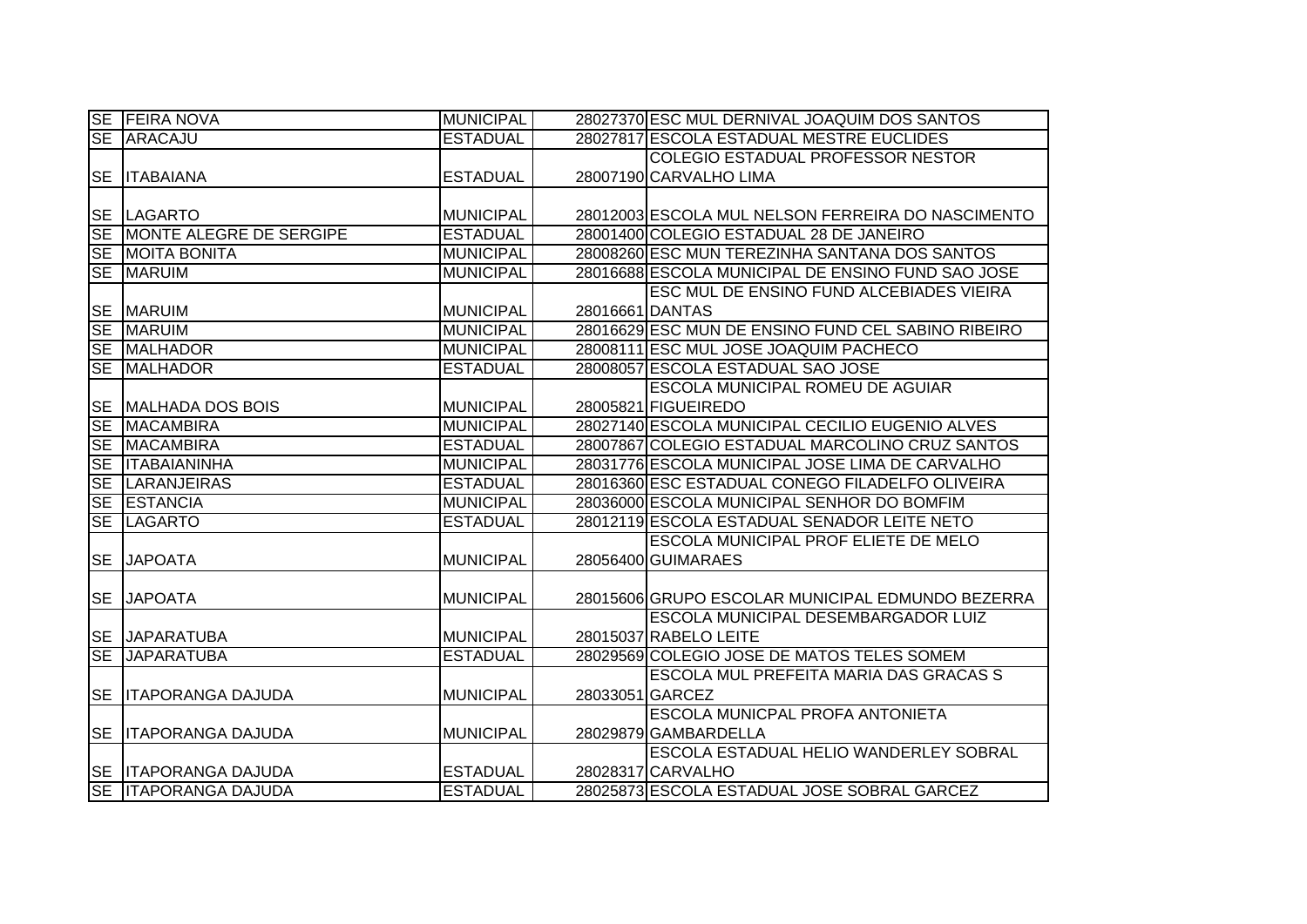|           | <b>SE FEIRA NOVA</b>        | <b>MUNICIPAL</b> |                 | 28027370 ESC MUL DERNIVAL JOAQUIM DOS SANTOS       |
|-----------|-----------------------------|------------------|-----------------|----------------------------------------------------|
|           | SE ARACAJU                  | <b>ESTADUAL</b>  |                 | 28027817 ESCOLA ESTADUAL MESTRE EUCLIDES           |
|           |                             |                  |                 | <b>COLEGIO ESTADUAL PROFESSOR NESTOR</b>           |
| <b>SE</b> | <b>ITABAIANA</b>            | <b>ESTADUAL</b>  |                 | 28007190 CARVALHO LIMA                             |
|           |                             |                  |                 |                                                    |
|           | <b>SE LAGARTO</b>           | <b>MUNICIPAL</b> |                 | 28012003 ESCOLA MUL NELSON FERREIRA DO NASCIMENTO  |
|           | SE MONTE ALEGRE DE SERGIPE  | <b>ESTADUAL</b>  |                 | 28001400 COLEGIO ESTADUAL 28 DE JANEIRO            |
|           | SE MOITA BONITA             | <b>MUNICIPAL</b> |                 | 28008260 ESC MUN TEREZINHA SANTANA DOS SANTOS      |
|           | <b>SE MARUIM</b>            | <b>MUNICIPAL</b> |                 | 28016688 ESCOLA MUNICIPAL DE ENSINO FUND SAO JOSE  |
|           |                             |                  |                 | ESC MUL DE ENSINO FUND ALCEBIADES VIEIRA           |
| <b>SE</b> | <b>MARUIM</b>               | <b>MUNICIPAL</b> | 28016661 DANTAS |                                                    |
| SE        | <b>MARUIM</b>               | <b>MUNICIPAL</b> |                 | 28016629 ESC MUN DE ENSINO FUND CEL SABINO RIBEIRO |
|           | SE MALHADOR                 | <b>MUNICIPAL</b> |                 | 28008111 ESC MUL JOSE JOAQUIM PACHECO              |
| <b>SE</b> | <b>MALHADOR</b>             | <b>ESTADUAL</b>  |                 | 28008057 ESCOLA ESTADUAL SAO JOSE                  |
|           |                             |                  |                 | <b>ESCOLA MUNICIPAL ROMEU DE AGUIAR</b>            |
|           | SE MALHADA DOS BOIS         | <b>MUNICIPAL</b> |                 | 28005821 FIGUEIREDO                                |
| SE        | <b>MACAMBIRA</b>            | <b>MUNICIPAL</b> |                 | 28027140 ESCOLA MUNICIPAL CECILIO EUGENIO ALVES    |
| <b>SE</b> | <b>MACAMBIRA</b>            | <b>ESTADUAL</b>  |                 | 28007867 COLEGIO ESTADUAL MARCOLINO CRUZ SANTOS    |
| $S_{E}$   | <b>ITABAIANINHA</b>         | <b>MUNICIPAL</b> |                 | 28031776 ESCOLA MUNICIPAL JOSE LIMA DE CARVALHO    |
| $S_{E}$   | <b>LARANJEIRAS</b>          | <b>ESTADUAL</b>  |                 | 28016360 ESC ESTADUAL CONEGO FILADELFO OLIVEIRA    |
|           | SE ESTANCIA                 | <b>MUNICIPAL</b> |                 | 28036000 ESCOLA MUNICIPAL SENHOR DO BOMFIM         |
|           | SE LAGARTO                  | <b>ESTADUAL</b>  |                 | 28012119 ESCOLA ESTADUAL SENADOR LEITE NETO        |
|           |                             |                  |                 | ESCOLA MUNICIPAL PROF ELIETE DE MELO               |
| <b>SE</b> | <b>JAPOATA</b>              | <b>MUNICIPAL</b> |                 | 28056400 GUIMARAES                                 |
|           |                             |                  |                 |                                                    |
|           | SE JAPOATA                  | <b>MUNICIPAL</b> |                 | 28015606 GRUPO ESCOLAR MUNICIPAL EDMUNDO BEZERRA   |
|           |                             |                  |                 | <b>ESCOLA MUNICIPAL DESEMBARGADOR LUIZ</b>         |
|           | SE JAPARATUBA               | <b>MUNICIPAL</b> |                 | 28015037 RABELO LEITE                              |
| <b>SE</b> | <b>JAPARATUBA</b>           | <b>ESTADUAL</b>  |                 | 28029569 COLEGIO JOSE DE MATOS TELES SOMEM         |
|           |                             |                  |                 | <b>ESCOLA MUL PREFEITA MARIA DAS GRACAS S</b>      |
| <b>SE</b> | <b>ITAPORANGA DAJUDA</b>    | <b>MUNICIPAL</b> |                 | 28033051 GARCEZ                                    |
|           |                             |                  |                 | <b>ESCOLA MUNICPAL PROFA ANTONIETA</b>             |
|           | <b>SE ITAPORANGA DAJUDA</b> | <b>MUNICIPAL</b> |                 | 28029879 GAMBARDELLA                               |
|           |                             |                  |                 | ESCOLA ESTADUAL HELIO WANDERLEY SOBRAL             |
|           | SE ITAPORANGA DAJUDA        | <b>ESTADUAL</b>  |                 | 28028317 CARVALHO                                  |
|           | SE ITAPORANGA DAJUDA        | <b>ESTADUAL</b>  |                 | 28025873 ESCOLA ESTADUAL JOSE SOBRAL GARCEZ        |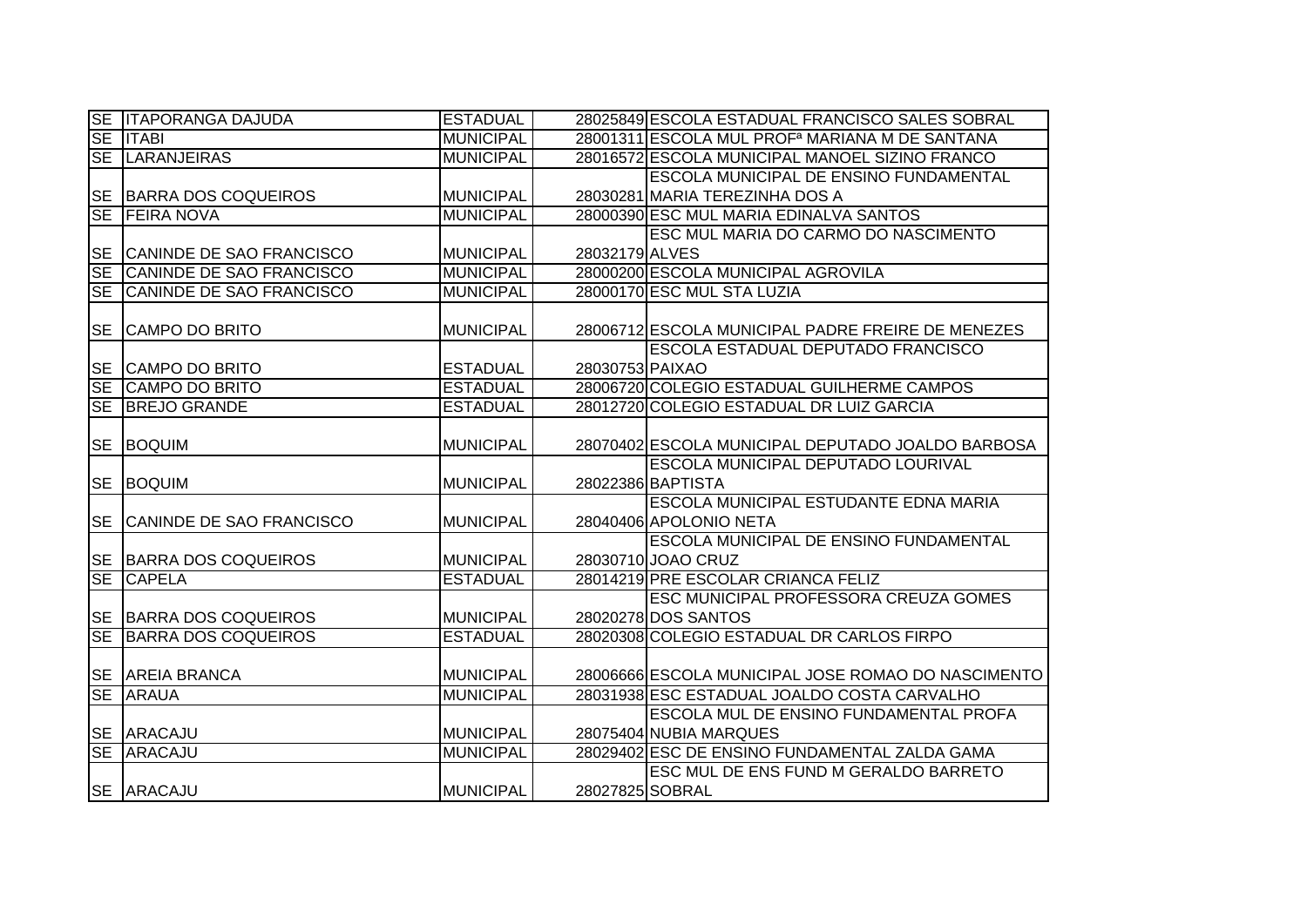|           | <b>SE ITAPORANGA DAJUDA</b> | <b>ESTADUAL</b>  |                 | 28025849 ESCOLA ESTADUAL FRANCISCO SALES SOBRAL            |
|-----------|-----------------------------|------------------|-----------------|------------------------------------------------------------|
|           | <b>SE ITABI</b>             | <b>MUNICIPAL</b> |                 | 28001311 ESCOLA MUL PROF <sup>a</sup> MARIANA M DE SANTANA |
| <b>SE</b> | <b>LARANJEIRAS</b>          | <b>MUNICIPAL</b> |                 | 28016572 ESCOLA MUNICIPAL MANOEL SIZINO FRANCO             |
|           |                             |                  |                 | <b>ESCOLA MUNICIPAL DE ENSINO FUNDAMENTAL</b>              |
|           | SE BARRA DOS COQUEIROS      | <b>MUNICIPAL</b> |                 | 28030281 MARIA TEREZINHA DOS A                             |
|           | SE FEIRA NOVA               | <b>MUNICIPAL</b> |                 | 28000390 ESC MUL MARIA EDINALVA SANTOS                     |
|           |                             |                  |                 | ESC MUL MARIA DO CARMO DO NASCIMENTO                       |
|           | SE CANINDE DE SAO FRANCISCO | <b>MUNICIPAL</b> | 28032179 ALVES  |                                                            |
| <b>SE</b> | CANINDE DE SAO FRANCISCO    | <b>MUNICIPAL</b> |                 | 28000200 ESCOLA MUNICIPAL AGROVILA                         |
| <b>SE</b> | CANINDE DE SAO FRANCISCO    | <b>MUNICIPAL</b> |                 | 28000170 ESC MUL STA LUZIA                                 |
|           |                             |                  |                 |                                                            |
| <b>SE</b> | <b>CAMPO DO BRITO</b>       | <b>MUNICIPAL</b> |                 | 28006712 ESCOLA MUNICIPAL PADRE FREIRE DE MENEZES          |
|           |                             |                  |                 | <b>ESCOLA ESTADUAL DEPUTADO FRANCISCO</b>                  |
|           | SE CAMPO DO BRITO           | <b>ESTADUAL</b>  | 28030753 PAIXAO |                                                            |
| SE        | <b>CAMPO DO BRITO</b>       | <b>ESTADUAL</b>  |                 | 28006720 COLEGIO ESTADUAL GUILHERME CAMPOS                 |
| <b>SE</b> | <b>BREJO GRANDE</b>         | <b>ESTADUAL</b>  |                 | 28012720 COLEGIO ESTADUAL DR LUIZ GARCIA                   |
|           |                             |                  |                 |                                                            |
| <b>SE</b> | <b>BOQUIM</b>               | <b>MUNICIPAL</b> |                 | 28070402 ESCOLA MUNICIPAL DEPUTADO JOALDO BARBOSA          |
|           |                             |                  |                 | <b>ESCOLA MUNICIPAL DEPUTADO LOURIVAL</b>                  |
| <b>SE</b> | <b>BOQUIM</b>               | <b>MUNICIPAL</b> |                 | 28022386 BAPTISTA                                          |
|           |                             |                  |                 | ESCOLA MUNICIPAL ESTUDANTE EDNA MARIA                      |
|           | SE CANINDE DE SAO FRANCISCO | <b>MUNICIPAL</b> |                 | 28040406 APOLONIO NETA                                     |
|           |                             |                  |                 | <b>ESCOLA MUNICIPAL DE ENSINO FUNDAMENTAL</b>              |
|           | SE BARRA DOS COQUEIROS      | <b>MUNICIPAL</b> |                 | 28030710 JOAO CRUZ                                         |
| <b>SE</b> | <b>CAPELA</b>               | <b>ESTADUAL</b>  |                 | 28014219 PRE ESCOLAR CRIANCA FELIZ                         |
|           |                             |                  |                 | ESC MUNICIPAL PROFESSORA CREUZA GOMES                      |
|           | SE BARRA DOS COQUEIROS      | <b>MUNICIPAL</b> |                 | 28020278 DOS SANTOS                                        |
| <b>SE</b> | <b>BARRA DOS COQUEIROS</b>  | <b>ESTADUAL</b>  |                 | 28020308 COLEGIO ESTADUAL DR CARLOS FIRPO                  |
|           |                             |                  |                 |                                                            |
|           | SE AREIA BRANCA             | <b>MUNICIPAL</b> |                 | 28006666 ESCOLA MUNICIPAL JOSE ROMAO DO NASCIMENTO         |
| <b>SE</b> | <b>ARAUA</b>                | <b>MUNICIPAL</b> |                 | 28031938 ESC ESTADUAL JOALDO COSTA CARVALHO                |
|           |                             |                  |                 | ESCOLA MUL DE ENSINO FUNDAMENTAL PROFA                     |
|           | <b>SE ARACAJU</b>           | <b>MUNICIPAL</b> |                 | 28075404 NUBIA MARQUES                                     |
|           | SE ARACAJU                  | <b>MUNICIPAL</b> |                 | 28029402 ESC DE ENSINO FUNDAMENTAL ZALDA GAMA              |
|           |                             |                  |                 | ESC MUL DE ENS FUND M GERALDO BARRETO                      |
|           | <b>SE ARACAJU</b>           | <b>MUNICIPAL</b> | 28027825 SOBRAL |                                                            |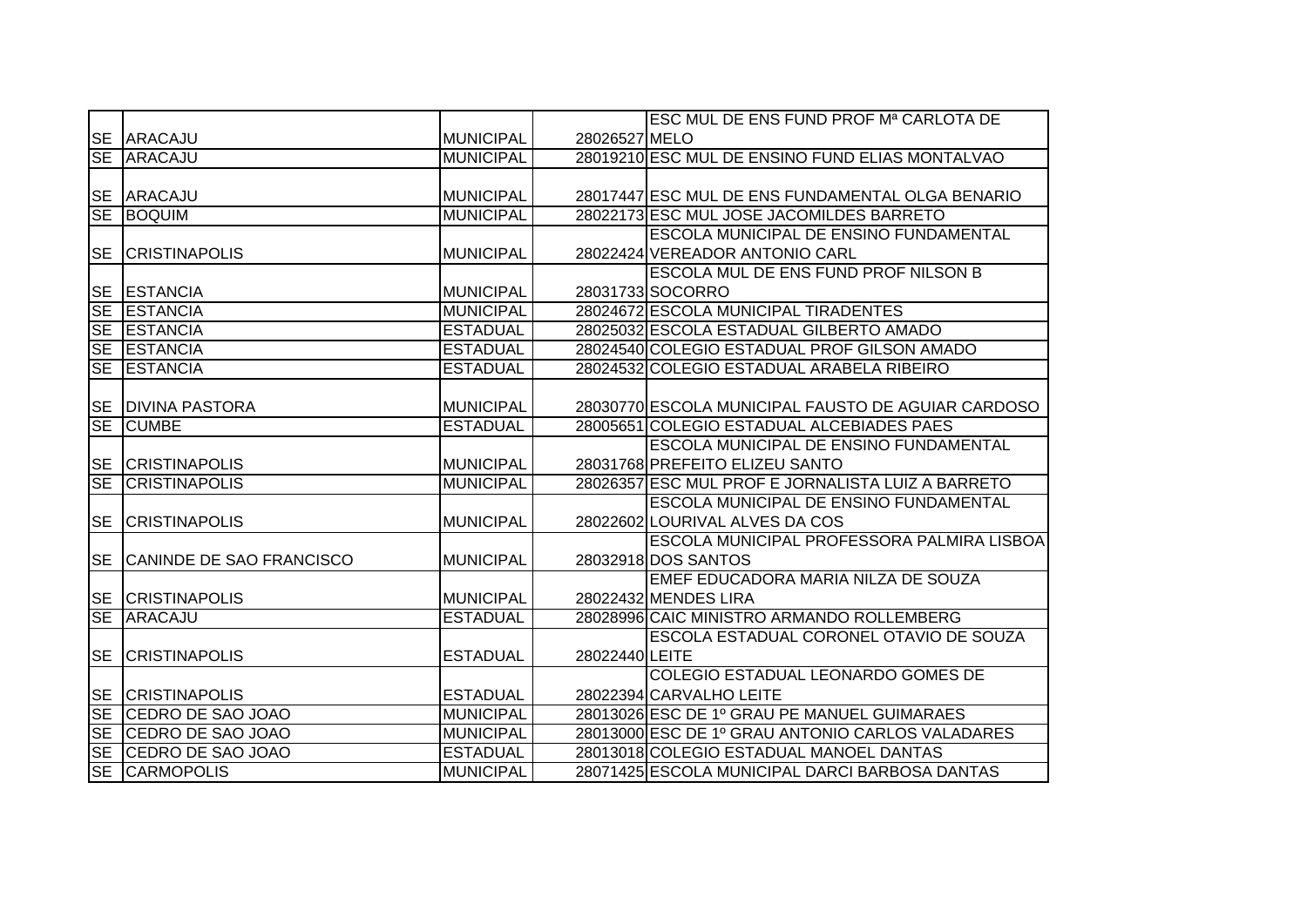|           |                          |                  |                | ESC MUL DE ENS FUND PROF Mª CARLOTA DE             |
|-----------|--------------------------|------------------|----------------|----------------------------------------------------|
|           | <b>SE ARACAJU</b>        | <b>MUNICIPAL</b> | 28026527 MELO  |                                                    |
|           | SE ARACAJU               | <b>MUNICIPAL</b> |                | 28019210 ESC MUL DE ENSINO FUND ELIAS MONTALVAO    |
|           |                          |                  |                |                                                    |
| <b>SE</b> | ARACAJU                  | <b>MUNICIPAL</b> |                | 28017447 ESC MUL DE ENS FUNDAMENTAL OLGA BENARIO   |
| <b>SE</b> | <b>BOQUIM</b>            | <b>MUNICIPAL</b> |                | 28022173 ESC MUL JOSE JACOMILDES BARRETO           |
|           |                          |                  |                | <b>ESCOLA MUNICIPAL DE ENSINO FUNDAMENTAL</b>      |
| <b>SE</b> | <b>CRISTINAPOLIS</b>     | <b>MUNICIPAL</b> |                | 28022424 VEREADOR ANTONIO CARL                     |
|           |                          |                  |                | <b>ESCOLA MUL DE ENS FUND PROF NILSON B</b>        |
|           | <b>SE ESTANCIA</b>       | <b>MUNICIPAL</b> |                | 28031733 SOCORRO                                   |
| <b>SE</b> | <b>ESTANCIA</b>          | <b>MUNICIPAL</b> |                | 28024672 ESCOLA MUNICIPAL TIRADENTES               |
| <b>SE</b> | <b>ESTANCIA</b>          | <b>ESTADUAL</b>  |                | 28025032 ESCOLA ESTADUAL GILBERTO AMADO            |
| <b>SE</b> | <b>ESTANCIA</b>          | <b>ESTADUAL</b>  |                | 28024540 COLEGIO ESTADUAL PROF GILSON AMADO        |
| <b>SE</b> | <b>ESTANCIA</b>          | <b>ESTADUAL</b>  |                | 28024532 COLEGIO ESTADUAL ARABELA RIBEIRO          |
|           |                          |                  |                |                                                    |
| <b>SE</b> | <b>DIVINA PASTORA</b>    | <b>MUNICIPAL</b> |                | 28030770 ESCOLA MUNICIPAL FAUSTO DE AGUIAR CARDOSO |
| <b>SE</b> | <b>CUMBE</b>             | <b>ESTADUAL</b>  |                | 28005651 COLEGIO ESTADUAL ALCEBIADES PAES          |
|           |                          |                  |                | <b>ESCOLA MUNICIPAL DE ENSINO FUNDAMENTAL</b>      |
|           | <b>SE CRISTINAPOLIS</b>  | <b>MUNICIPAL</b> |                | 28031768 PREFEITO ELIZEU SANTO                     |
| <b>SE</b> | <b>CRISTINAPOLIS</b>     | <b>MUNICIPAL</b> |                | 28026357 ESC MUL PROF E JORNALISTA LUIZ A BARRETO  |
|           |                          |                  |                | <b>ESCOLA MUNICIPAL DE ENSINO FUNDAMENTAL</b>      |
| <b>SE</b> | <b>CRISTINAPOLIS</b>     | <b>MUNICIPAL</b> |                | 28022602 LOURIVAL ALVES DA COS                     |
|           |                          |                  |                | <b>ESCOLA MUNICIPAL PROFESSORA PALMIRA LISBOA</b>  |
| <b>SE</b> | CANINDE DE SAO FRANCISCO | <b>MUNICIPAL</b> |                | 28032918 DOS SANTOS                                |
|           |                          |                  |                | EMEF EDUCADORA MARIA NILZA DE SOUZA                |
|           | <b>SE CRISTINAPOLIS</b>  | <b>MUNICIPAL</b> |                | 28022432 MENDES LIRA                               |
| <b>SE</b> | ARACAJU                  | <b>ESTADUAL</b>  |                | 28028996 CAIC MINISTRO ARMANDO ROLLEMBERG          |
|           |                          |                  |                | ESCOLA ESTADUAL CORONEL OTAVIO DE SOUZA            |
| <b>SE</b> | <b>ICRISTINAPOLIS</b>    | <b>ESTADUAL</b>  | 28022440 LEITE |                                                    |
|           |                          |                  |                | COLEGIO ESTADUAL LEONARDO GOMES DE                 |
| <b>SE</b> | <b>CRISTINAPOLIS</b>     | <b>ESTADUAL</b>  |                | 28022394 CARVALHO LEITE                            |
| SE        | <b>CEDRO DE SAO JOAO</b> | <b>MUNICIPAL</b> |                | 28013026 ESC DE 1º GRAU PE MANUEL GUIMARAES        |
|           | SE CEDRO DE SAO JOAO     | <b>MUNICIPAL</b> |                | 28013000 ESC DE 1º GRAU ANTONIO CARLOS VALADARES   |
|           | SE CEDRO DE SAO JOAO     | <b>ESTADUAL</b>  |                | 28013018 COLEGIO ESTADUAL MANOEL DANTAS            |
|           | <b>SE CARMOPOLIS</b>     | <b>MUNICIPAL</b> |                | 28071425 ESCOLA MUNICIPAL DARCI BARBOSA DANTAS     |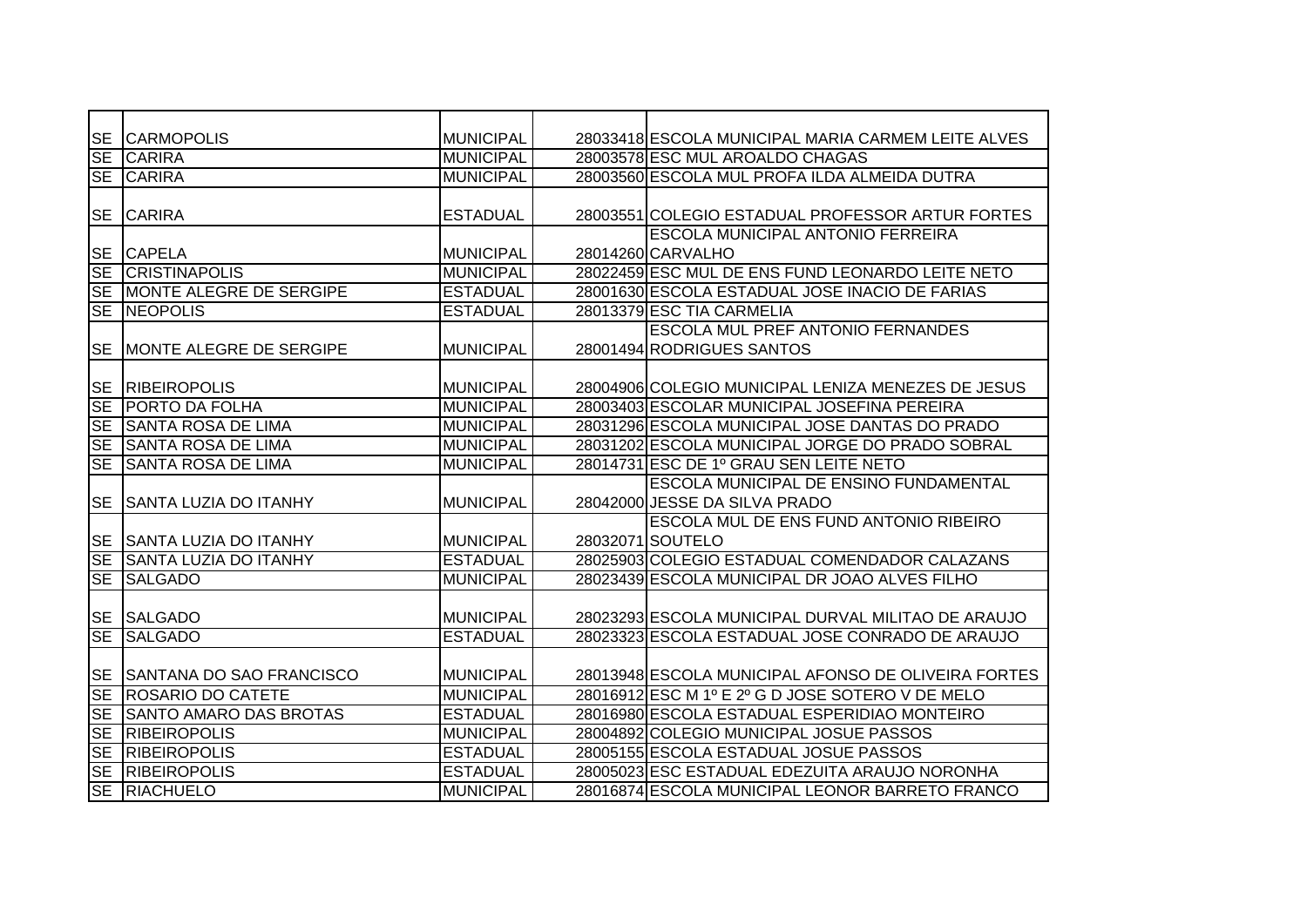| <b>SE</b> | <b>CARMOPOLIS</b>              | <b>MUNICIPAL</b> | 28033418 ESCOLA MUNICIPAL MARIA CARMEM LEITE ALVES  |
|-----------|--------------------------------|------------------|-----------------------------------------------------|
| <b>SE</b> | <b>CARIRA</b>                  | <b>MUNICIPAL</b> | 28003578 ESC MUL AROALDO CHAGAS                     |
| <b>SE</b> | <b>CARIRA</b>                  | <b>MUNICIPAL</b> | 28003560 ESCOLA MUL PROFA ILDA ALMEIDA DUTRA        |
|           |                                |                  |                                                     |
| <b>SE</b> | <b>CARIRA</b>                  | <b>ESTADUAL</b>  | 28003551 COLEGIO ESTADUAL PROFESSOR ARTUR FORTES    |
|           |                                |                  | <b>ESCOLA MUNICIPAL ANTONIO FERREIRA</b>            |
|           | <b>SE CAPELA</b>               | <b>MUNICIPAL</b> | 28014260 CARVALHO                                   |
| <b>SE</b> | <b>CRISTINAPOLIS</b>           | <b>MUNICIPAL</b> | 28022459 ESC MUL DE ENS FUND LEONARDO LEITE NETO    |
| <b>SE</b> | MONTE ALEGRE DE SERGIPE        | <b>ESTADUAL</b>  | 28001630 ESCOLA ESTADUAL JOSE INACIO DE FARIAS      |
| <b>SE</b> | <b>NEOPOLIS</b>                | <b>ESTADUAL</b>  | 28013379 ESC TIA CARMELIA                           |
|           |                                |                  | <b>ESCOLA MUL PREF ANTONIO FERNANDES</b>            |
| <b>SE</b> | <b>MONTE ALEGRE DE SERGIPE</b> | <b>MUNICIPAL</b> | 28001494 RODRIGUES SANTOS                           |
|           |                                |                  |                                                     |
| <b>SE</b> | <b>RIBEIROPOLIS</b>            | <b>MUNICIPAL</b> | 28004906 COLEGIO MUNICIPAL LENIZA MENEZES DE JESUS  |
| <b>SE</b> | <b>PORTO DA FOLHA</b>          | <b>MUNICIPAL</b> | 28003403 ESCOLAR MUNICIPAL JOSEFINA PEREIRA         |
| <b>SE</b> | <b>SANTA ROSA DE LIMA</b>      | <b>MUNICIPAL</b> | 28031296 ESCOLA MUNICIPAL JOSE DANTAS DO PRADO      |
| <b>SE</b> | <b>SANTA ROSA DE LIMA</b>      | <b>MUNICIPAL</b> | 28031202 ESCOLA MUNICIPAL JORGE DO PRADO SOBRAL     |
| SE        | <b>SANTA ROSA DE LIMA</b>      | <b>MUNICIPAL</b> | 28014731 ESC DE 1º GRAU SEN LEITE NETO              |
|           |                                |                  | <b>ESCOLA MUNICIPAL DE ENSINO FUNDAMENTAL</b>       |
| <b>SE</b> | <b>SANTA LUZIA DO ITANHY</b>   | <b>MUNICIPAL</b> | 28042000 JESSE DA SILVA PRADO                       |
|           |                                |                  | ESCOLA MUL DE ENS FUND ANTONIO RIBEIRO              |
| <b>SE</b> | <b>SANTA LUZIA DO ITANHY</b>   | <b>MUNICIPAL</b> | 28032071 SOUTELO                                    |
| <b>SE</b> | <b>SANTA LUZIA DO ITANHY</b>   | <b>ESTADUAL</b>  | 28025903 COLEGIO ESTADUAL COMENDADOR CALAZANS       |
| SE        | <b>SALGADO</b>                 | <b>MUNICIPAL</b> | 28023439 ESCOLA MUNICIPAL DR JOAO ALVES FILHO       |
|           |                                |                  |                                                     |
| <b>SE</b> | <b>SALGADO</b>                 | <b>MUNICIPAL</b> | 28023293 ESCOLA MUNICIPAL DURVAL MILITAO DE ARAUJO  |
| <b>SE</b> | <b>SALGADO</b>                 | <b>ESTADUAL</b>  | 28023323 ESCOLA ESTADUAL JOSE CONRADO DE ARAUJO     |
|           |                                |                  |                                                     |
| <b>SE</b> | SANTANA DO SAO FRANCISCO       | <b>MUNICIPAL</b> | 28013948 ESCOLA MUNICIPAL AFONSO DE OLIVEIRA FORTES |
| $S_{E}$   | <b>ROSARIO DO CATETE</b>       | <b>MUNICIPAL</b> | 28016912 ESC M 1º E 2º G D JOSE SOTERO V DE MELO    |
| SE        | <b>SANTO AMARO DAS BROTAS</b>  | <b>ESTADUAL</b>  | 28016980 ESCOLA ESTADUAL ESPERIDIAO MONTEIRO        |
| SE        | <b>RIBEIROPOLIS</b>            | <b>MUNICIPAL</b> | 28004892 COLEGIO MUNICIPAL JOSUE PASSOS             |
| $S_{E}$   | <b>RIBEIROPOLIS</b>            | <b>ESTADUAL</b>  | 28005155 ESCOLA ESTADUAL JOSUE PASSOS               |
| $S_{E}$   | <b>RIBEIROPOLIS</b>            | <b>ESTADUAL</b>  | 28005023 ESC ESTADUAL EDEZUITA ARAUJO NORONHA       |
| SE        | <b>RIACHUELO</b>               | <b>MUNICIPAL</b> | 28016874 ESCOLA MUNICIPAL LEONOR BARRETO FRANCO     |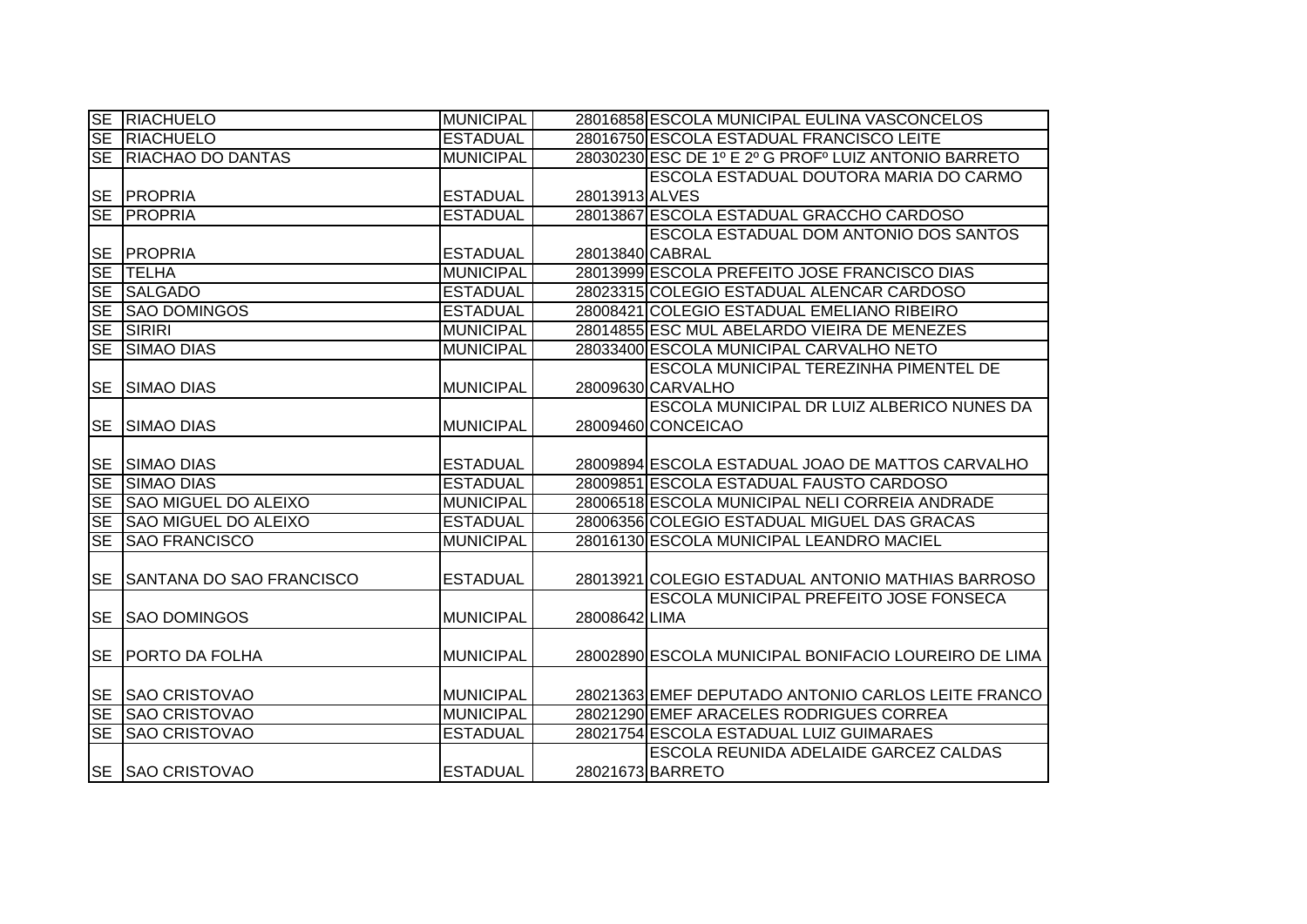|           | <b>SE RIACHUELO</b>             | <b>MUNICIPAL</b> |                 | 28016858 ESCOLA MUNICIPAL EULINA VASCONCELOS         |
|-----------|---------------------------------|------------------|-----------------|------------------------------------------------------|
| <b>SE</b> | RIACHUELO                       | <b>ESTADUAL</b>  |                 | 28016750 ESCOLA ESTADUAL FRANCISCO LEITE             |
| SE        | <b>RIACHAO DO DANTAS</b>        | <b>MUNICIPAL</b> |                 | 28030230 ESC DE 1º E 2º G PROFº LUIZ ANTONIO BARRETO |
|           |                                 |                  |                 | ESCOLA ESTADUAL DOUTORA MARIA DO CARMO               |
|           | <b>SE PROPRIA</b>               | <b>ESTADUAL</b>  | 28013913 ALVES  |                                                      |
| <b>SE</b> | <b>PROPRIA</b>                  | <b>ESTADUAL</b>  |                 | 28013867 ESCOLA ESTADUAL GRACCHO CARDOSO             |
|           |                                 |                  |                 | <b>ESCOLA ESTADUAL DOM ANTONIO DOS SANTOS</b>        |
| <b>SE</b> | <b>PROPRIA</b>                  | <b>ESTADUAL</b>  | 28013840 CABRAL |                                                      |
| <b>SE</b> | <b>TELHA</b>                    | <b>MUNICIPAL</b> |                 | 28013999 ESCOLA PREFEITO JOSE FRANCISCO DIAS         |
| SE        | <b>SALGADO</b>                  | <b>ESTADUAL</b>  |                 | 28023315 COLEGIO ESTADUAL ALENCAR CARDOSO            |
| <b>SE</b> | <b>SAO DOMINGOS</b>             | <b>ESTADUAL</b>  |                 | 28008421 COLEGIO ESTADUAL EMELIANO RIBEIRO           |
| SE        | SIRIRI                          | <b>MUNICIPAL</b> |                 | 28014855 ESC MUL ABELARDO VIEIRA DE MENEZES          |
| <b>SE</b> | <b>SIMAO DIAS</b>               | <b>MUNICIPAL</b> |                 | 28033400 ESCOLA MUNICIPAL CARVALHO NETO              |
|           |                                 |                  |                 | ESCOLA MUNICIPAL TEREZINHA PIMENTEL DE               |
| <b>SE</b> | <b>SIMAO DIAS</b>               | <b>MUNICIPAL</b> |                 | 28009630 CARVALHO                                    |
|           |                                 |                  |                 | ESCOLA MUNICIPAL DR LUIZ ALBERICO NUNES DA           |
| <b>SE</b> | <b>SIMAO DIAS</b>               | <b>MUNICIPAL</b> |                 | 28009460 CONCEICAO                                   |
|           |                                 |                  |                 |                                                      |
| <b>SE</b> | <b>SIMAO DIAS</b>               | <b>ESTADUAL</b>  |                 | 28009894 ESCOLA ESTADUAL JOAO DE MATTOS CARVALHO     |
| <b>SE</b> | <b>SIMAO DIAS</b>               | <b>ESTADUAL</b>  |                 | 28009851 ESCOLA ESTADUAL FAUSTO CARDOSO              |
| <b>SE</b> | <b>SAO MIGUEL DO ALEIXO</b>     | <b>MUNICIPAL</b> |                 | 28006518 ESCOLA MUNICIPAL NELI CORREIA ANDRADE       |
| <b>SE</b> | <b>SAO MIGUEL DO ALEIXO</b>     | <b>ESTADUAL</b>  |                 | 28006356 COLEGIO ESTADUAL MIGUEL DAS GRACAS          |
| <b>SE</b> | <b>SAO FRANCISCO</b>            | <b>MUNICIPAL</b> |                 | 28016130 ESCOLA MUNICIPAL LEANDRO MACIEL             |
|           |                                 |                  |                 |                                                      |
| <b>SE</b> | <b>SANTANA DO SAO FRANCISCO</b> | <b>ESTADUAL</b>  |                 | 28013921 COLEGIO ESTADUAL ANTONIO MATHIAS BARROSO    |
|           |                                 |                  |                 | <b>ESCOLA MUNICIPAL PREFEITO JOSE FONSECA</b>        |
| <b>SE</b> | <b>SAO DOMINGOS</b>             | <b>MUNICIPAL</b> | 28008642 LIMA   |                                                      |
|           |                                 |                  |                 |                                                      |
| <b>SE</b> | <b>PORTO DA FOLHA</b>           | <b>MUNICIPAL</b> |                 | 28002890 ESCOLA MUNICIPAL BONIFACIO LOUREIRO DE LIMA |
|           |                                 |                  |                 |                                                      |
| <b>SE</b> | <b>SAO CRISTOVAO</b>            | <b>MUNICIPAL</b> |                 | 28021363 EMEF DEPUTADO ANTONIO CARLOS LEITE FRANCO   |
| SE        | <b>SAO CRISTOVAO</b>            | <b>MUNICIPAL</b> |                 | 28021290 EMEF ARACELES RODRIGUES CORREA              |
| <b>SE</b> | <b>SAO CRISTOVAO</b>            | <b>ESTADUAL</b>  |                 | 28021754 ESCOLA ESTADUAL LUIZ GUIMARAES              |
|           |                                 |                  |                 | ESCOLA REUNIDA ADELAIDE GARCEZ CALDAS                |
|           | <b>SE SAO CRISTOVAO</b>         | <b>ESTADUAL</b>  |                 | 28021673 BARRETO                                     |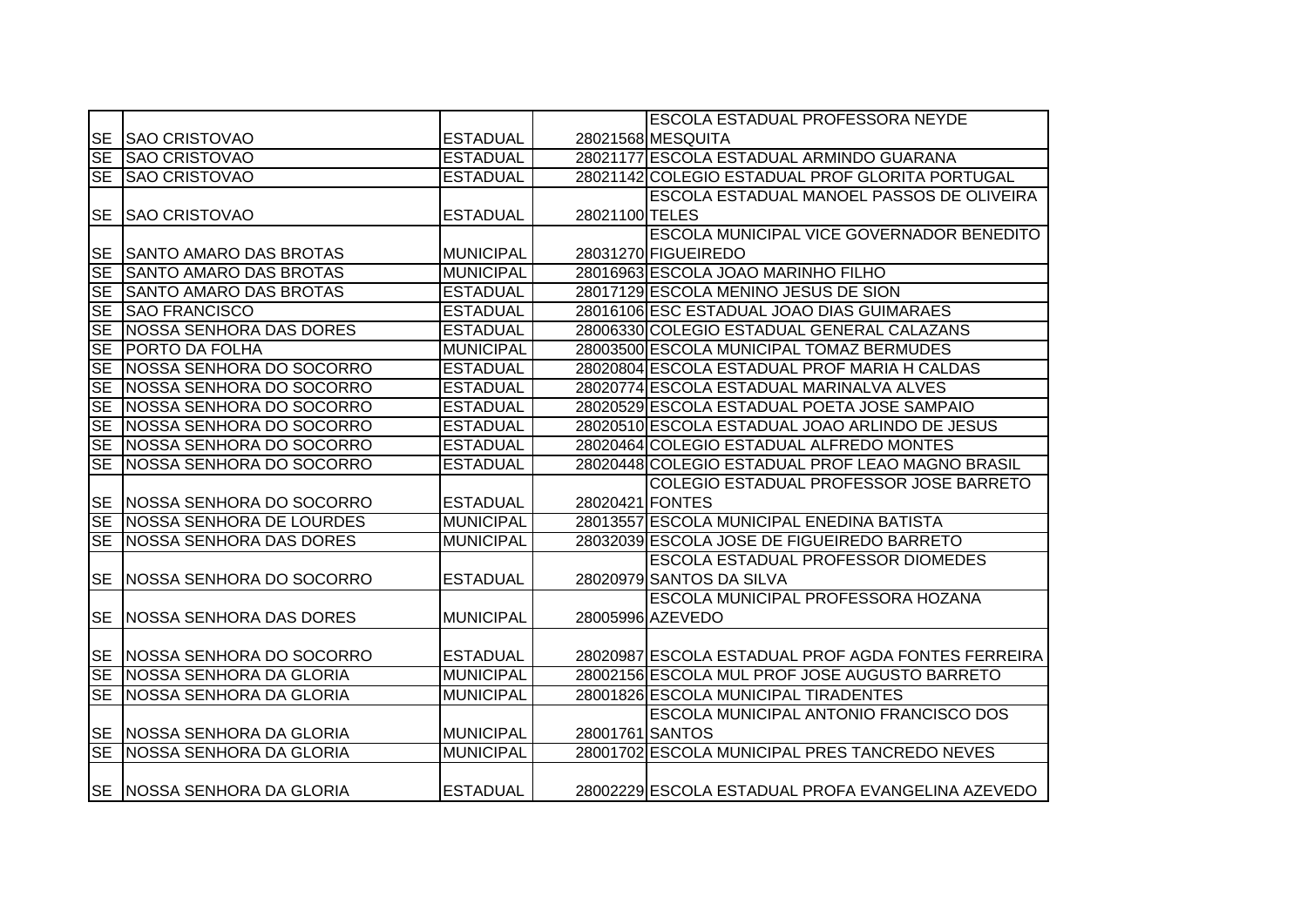|                        |                                 |                  |                 | <b>ESCOLA ESTADUAL PROFESSORA NEYDE</b>            |
|------------------------|---------------------------------|------------------|-----------------|----------------------------------------------------|
| <b>SE</b>              | <b>SAO CRISTOVAO</b>            | <b>ESTADUAL</b>  |                 | 28021568 MESQUITA                                  |
| SE                     | <b>SAO CRISTOVAO</b>            | <b>ESTADUAL</b>  |                 | 28021177 ESCOLA ESTADUAL ARMINDO GUARANA           |
| <b>SE</b>              | <b>SAO CRISTOVAO</b>            | <b>ESTADUAL</b>  |                 | 28021142 COLEGIO ESTADUAL PROF GLORITA PORTUGAL    |
|                        |                                 |                  |                 | <b>ESCOLA ESTADUAL MANOEL PASSOS DE OLIVEIRA</b>   |
| <b>SE</b>              | <b>SAO CRISTOVAO</b>            | <b>ESTADUAL</b>  | 28021100 TELES  |                                                    |
|                        |                                 |                  |                 | ESCOLA MUNICIPAL VICE GOVERNADOR BENEDITO          |
| <b>SE</b>              | <b>SANTO AMARO DAS BROTAS</b>   | <b>MUNICIPAL</b> |                 | 28031270 FIGUEIREDO                                |
| <b>SE</b>              | <b>SANTO AMARO DAS BROTAS</b>   | <b>MUNICIPAL</b> |                 | 28016963 ESCOLA JOAO MARINHO FILHO                 |
| <b>SE</b>              | <b>SANTO AMARO DAS BROTAS</b>   | <b>ESTADUAL</b>  |                 | 28017129 ESCOLA MENINO JESUS DE SION               |
| <b>SE</b>              | <b>SAO FRANCISCO</b>            | <b>ESTADUAL</b>  |                 | 28016106 ESC ESTADUAL JOAO DIAS GUIMARAES          |
| <b>SE</b>              | <b>INOSSA SENHORA DAS DORES</b> | <b>ESTADUAL</b>  |                 | 28006330 COLEGIO ESTADUAL GENERAL CALAZANS         |
| $\overline{\text{SE}}$ | <b>PORTO DA FOLHA</b>           | <b>MUNICIPAL</b> |                 | 28003500 ESCOLA MUNICIPAL TOMAZ BERMUDES           |
| <b>SE</b>              | NOSSA SENHORA DO SOCORRO        | <b>ESTADUAL</b>  |                 | 28020804 ESCOLA ESTADUAL PROF MARIA H CALDAS       |
| $\overline{\text{SE}}$ | NOSSA SENHORA DO SOCORRO        | <b>ESTADUAL</b>  |                 | 28020774 ESCOLA ESTADUAL MARINALVA ALVES           |
| SE                     | NOSSA SENHORA DO SOCORRO        | <b>ESTADUAL</b>  |                 | 28020529 ESCOLA ESTADUAL POETA JOSE SAMPAIO        |
| SE                     | NOSSA SENHORA DO SOCORRO        | <b>ESTADUAL</b>  |                 | 28020510 ESCOLA ESTADUAL JOAO ARLINDO DE JESUS     |
| <b>SE</b>              | NOSSA SENHORA DO SOCORRO        | <b>ESTADUAL</b>  |                 | 28020464 COLEGIO ESTADUAL ALFREDO MONTES           |
| SE                     | NOSSA SENHORA DO SOCORRO        | <b>ESTADUAL</b>  |                 | 28020448 COLEGIO ESTADUAL PROF LEAO MAGNO BRASIL   |
|                        |                                 |                  |                 | COLEGIO ESTADUAL PROFESSOR JOSE BARRETO            |
|                        | SE   NOSSA SENHORA DO SOCORRO   | <b>ESTADUAL</b>  | 28020421 FONTES |                                                    |
| SE                     | NOSSA SENHORA DE LOURDES        | <b>MUNICIPAL</b> |                 | 28013557 ESCOLA MUNICIPAL ENEDINA BATISTA          |
| <b>SE</b>              | NOSSA SENHORA DAS DORES         | <b>MUNICIPAL</b> |                 | 28032039 ESCOLA JOSE DE FIGUEIREDO BARRETO         |
|                        |                                 |                  |                 | <b>ESCOLA ESTADUAL PROFESSOR DIOMEDES</b>          |
|                        | SE   NOSSA SENHORA DO SOCORRO   | <b>ESTADUAL</b>  |                 | 28020979 SANTOS DA SILVA                           |
|                        |                                 |                  |                 | ESCOLA MUNICIPAL PROFESSORA HOZANA                 |
| <b>SE</b>              | <b>INOSSA SENHORA DAS DORES</b> | <b>MUNICIPAL</b> |                 | 28005996 AZEVEDO                                   |
|                        |                                 |                  |                 |                                                    |
|                        | SE   NOSSA SENHORA DO SOCORRO   | <b>ESTADUAL</b>  |                 | 28020987 ESCOLA ESTADUAL PROF AGDA FONTES FERREIRA |
| <b>SE</b>              | NOSSA SENHORA DA GLORIA         | <b>MUNICIPAL</b> |                 | 28002156 ESCOLA MUL PROF JOSE AUGUSTO BARRETO      |
| $\overline{\text{SE}}$ | <b>NOSSA SENHORA DA GLORIA</b>  | <b>MUNICIPAL</b> |                 | 28001826 ESCOLA MUNICIPAL TIRADENTES               |
|                        |                                 |                  |                 | <b>ESCOLA MUNICIPAL ANTONIO FRANCISCO DOS</b>      |
|                        | SE NOSSA SENHORA DA GLORIA      | <b>MUNICIPAL</b> | 28001761 SANTOS |                                                    |
| SE                     | NOSSA SENHORA DA GLORIA         | <b>MUNICIPAL</b> |                 | 28001702 ESCOLA MUNICIPAL PRES TANCREDO NEVES      |
|                        |                                 |                  |                 |                                                    |
|                        | SE NOSSA SENHORA DA GLORIA      | <b>ESTADUAL</b>  |                 | 28002229 ESCOLA ESTADUAL PROFA EVANGELINA AZEVEDO  |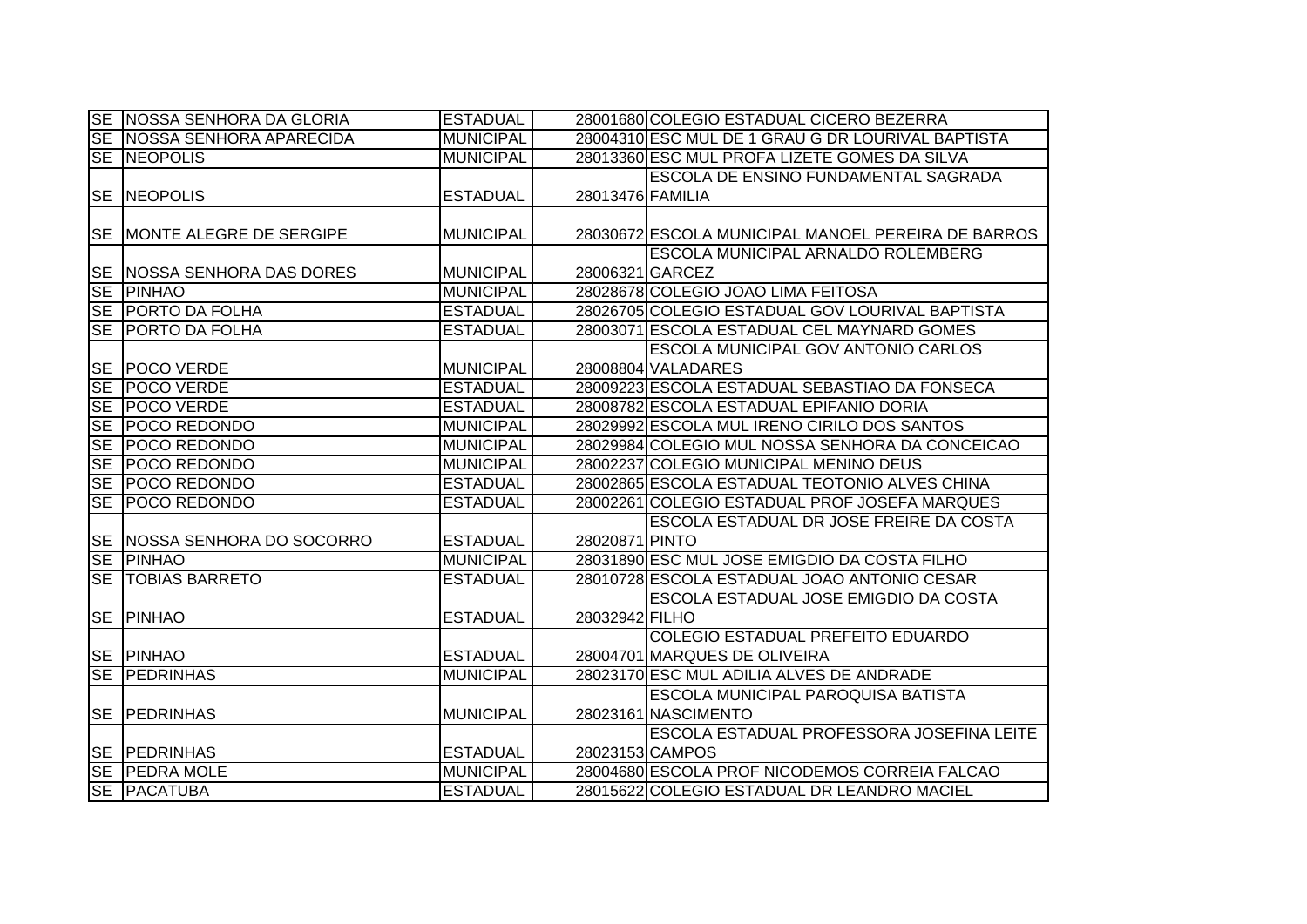|           | SE NOSSA SENHORA DA GLORIA    | <b>ESTADUAL</b>  |                  | 28001680 COLEGIO ESTADUAL CICERO BEZERRA           |
|-----------|-------------------------------|------------------|------------------|----------------------------------------------------|
|           | SE NOSSA SENHORA APARECIDA    | <b>MUNICIPAL</b> |                  | 28004310 ESC MUL DE 1 GRAU G DR LOURIVAL BAPTISTA  |
|           | SE NEOPOLIS                   | <b>MUNICIPAL</b> |                  | 28013360 ESC MUL PROFA LIZETE GOMES DA SILVA       |
|           |                               |                  |                  | ESCOLA DE ENSINO FUNDAMENTAL SAGRADA               |
|           | <b>SE NEOPOLIS</b>            | <b>ESTADUAL</b>  | 28013476 FAMILIA |                                                    |
|           |                               |                  |                  |                                                    |
|           | SE MONTE ALEGRE DE SERGIPE    | <b>MUNICIPAL</b> |                  | 28030672 ESCOLA MUNICIPAL MANOEL PEREIRA DE BARROS |
|           |                               |                  |                  | <b>ESCOLA MUNICIPAL ARNALDO ROLEMBERG</b>          |
| <b>SE</b> | NOSSA SENHORA DAS DORES       | <b>MUNICIPAL</b> |                  | 28006321 GARCEZ                                    |
| <b>SE</b> | <b>PINHAO</b>                 | <b>MUNICIPAL</b> |                  | 28028678 COLEGIO JOAO LIMA FEITOSA                 |
| <b>SE</b> | <b>PORTO DA FOLHA</b>         | <b>ESTADUAL</b>  |                  | 28026705 COLEGIO ESTADUAL GOV LOURIVAL BAPTISTA    |
| <b>SE</b> | <b>PORTO DA FOLHA</b>         | <b>ESTADUAL</b>  |                  | 28003071 ESCOLA ESTADUAL CEL MAYNARD GOMES         |
|           |                               |                  |                  | <b>ESCOLA MUNICIPAL GOV ANTONIO CARLOS</b>         |
| <b>SE</b> | <b>POCO VERDE</b>             | <b>MUNICIPAL</b> |                  | 28008804 VALADARES                                 |
| <b>SE</b> | <b>POCO VERDE</b>             | <b>ESTADUAL</b>  |                  | 28009223 ESCOLA ESTADUAL SEBASTIAO DA FONSECA      |
| SE        | <b>POCO VERDE</b>             | <b>ESTADUAL</b>  |                  | 28008782 ESCOLA ESTADUAL EPIFANIO DORIA            |
| <b>SE</b> | <b>POCO REDONDO</b>           | <b>MUNICIPAL</b> |                  | 28029992 ESCOLA MUL IRENO CIRILO DOS SANTOS        |
| <b>SE</b> | <b>POCO REDONDO</b>           | <b>MUNICIPAL</b> |                  | 28029984 COLEGIO MUL NOSSA SENHORA DA CONCEICAO    |
| $S_{E}$   | <b>POCO REDONDO</b>           | <b>MUNICIPAL</b> |                  | 28002237 COLEGIO MUNICIPAL MENINO DEUS             |
| <b>SE</b> | <b>POCO REDONDO</b>           | <b>ESTADUAL</b>  |                  | 28002865 ESCOLA ESTADUAL TEOTONIO ALVES CHINA      |
| <b>SE</b> | <b>POCO REDONDO</b>           | <b>ESTADUAL</b>  |                  | 28002261 COLEGIO ESTADUAL PROF JOSEFA MARQUES      |
|           |                               |                  |                  | ESCOLA ESTADUAL DR JOSE FREIRE DA COSTA            |
|           | SE   NOSSA SENHORA DO SOCORRO | <b>ESTADUAL</b>  | 28020871 PINTO   |                                                    |
| SE        | <b>PINHAO</b>                 | <b>MUNICIPAL</b> |                  | 28031890 ESC MUL JOSE EMIGDIO DA COSTA FILHO       |
| <b>SE</b> | <b>TOBIAS BARRETO</b>         | <b>ESTADUAL</b>  |                  | 28010728 ESCOLA ESTADUAL JOAO ANTONIO CESAR        |
|           |                               |                  |                  | IESCOLA ESTADUAL JOSE EMIGDIO DA COSTA             |
| <b>SE</b> | <b>PINHAO</b>                 | <b>ESTADUAL</b>  | 28032942 FILHO   |                                                    |
|           |                               |                  |                  | COLEGIO ESTADUAL PREFEITO EDUARDO                  |
|           | <b>SE PINHAO</b>              | <b>ESTADUAL</b>  |                  | 28004701 MARQUES DE OLIVEIRA                       |
| SE        | <b>PEDRINHAS</b>              | <b>MUNICIPAL</b> |                  | 28023170 ESC MUL ADILIA ALVES DE ANDRADE           |
|           |                               |                  |                  | <b>ESCOLA MUNICIPAL PAROQUISA BATISTA</b>          |
| <b>SE</b> | <b>PEDRINHAS</b>              | <b>MUNICIPAL</b> |                  | 28023161 NASCIMENTO                                |
|           |                               |                  |                  | ESCOLA ESTADUAL PROFESSORA JOSEFINA LEITE          |
|           | <b>SE PEDRINHAS</b>           | <b>ESTADUAL</b>  |                  | 28023153 CAMPOS                                    |
|           | SE PEDRA MOLE                 | <b>MUNICIPAL</b> |                  | 28004680 ESCOLA PROF NICODEMOS CORREIA FALCAO      |
|           | <b>SE PACATUBA</b>            | <b>ESTADUAL</b>  |                  | 28015622 COLEGIO ESTADUAL DR LEANDRO MACIEL        |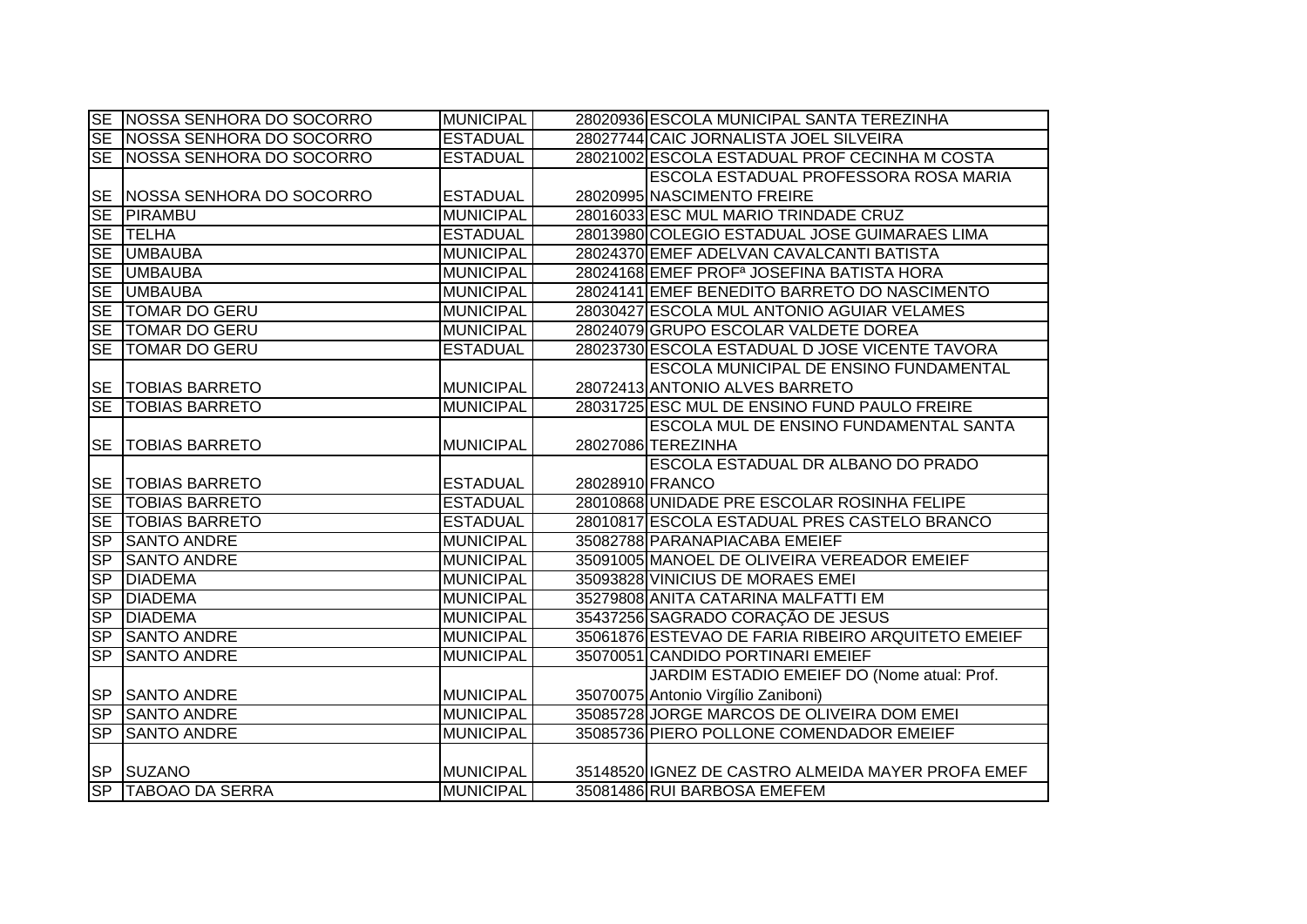|           | SE NOSSA SENHORA DO SOCORRO     | <b>MUNICIPAL</b> |                 | 28020936 ESCOLA MUNICIPAL SANTA TEREZINHA             |
|-----------|---------------------------------|------------------|-----------------|-------------------------------------------------------|
|           | SE NOSSA SENHORA DO SOCORRO     | <b>ESTADUAL</b>  |                 | 28027744 CAIC JORNALISTA JOEL SILVEIRA                |
|           | SE   NOSSA SENHORA DO SOCORRO   | <b>ESTADUAL</b>  |                 | 28021002 ESCOLA ESTADUAL PROF CECINHA M COSTA         |
|           |                                 |                  |                 | ESCOLA ESTADUAL PROFESSORA ROSA MARIA                 |
|           | SE   NOSSA SENHORA DO SOCORRO   | <b>ESTADUAL</b>  |                 | 28020995 NASCIMENTO FREIRE                            |
|           | SE PIRAMBU                      | <b>MUNICIPAL</b> |                 | 28016033 ESC MUL MARIO TRINDADE CRUZ                  |
|           | SE TELHA                        | <b>ESTADUAL</b>  |                 | 28013980 COLEGIO ESTADUAL JOSE GUIMARAES LIMA         |
|           | SE UMBAUBA                      | <b>MUNICIPAL</b> |                 | 28024370 EMEF ADELVAN CAVALCANTI BATISTA              |
|           | SE UMBAUBA                      | <b>MUNICIPAL</b> |                 | 28024168 EMEF PROF <sup>a</sup> JOSEFINA BATISTA HORA |
|           | SE UMBAUBA                      | <b>MUNICIPAL</b> |                 | 28024141 EMEF BENEDITO BARRETO DO NASCIMENTO          |
|           | SE TOMAR DO GERU                | <b>MUNICIPAL</b> |                 | 28030427 ESCOLA MUL ANTONIO AGUIAR VELAMES            |
|           | SE TOMAR DO GERU                | <b>MUNICIPAL</b> |                 | 28024079 GRUPO ESCOLAR VALDETE DOREA                  |
|           | SE TOMAR DO GERU                | <b>ESTADUAL</b>  |                 | 28023730 ESCOLA ESTADUAL D JOSE VICENTE TAVORA        |
|           |                                 |                  |                 | <b>ESCOLA MUNICIPAL DE ENSINO FUNDAMENTAL</b>         |
|           | <b>SE   TOBIAS BARRETO</b>      | <b>MUNICIPAL</b> |                 | 28072413 ANTONIO ALVES BARRETO                        |
|           | <b>SE TOBIAS BARRETO</b>        | <b>MUNICIPAL</b> |                 | 28031725 ESC MUL DE ENSINO FUND PAULO FREIRE          |
|           |                                 |                  |                 | ESCOLA MUL DE ENSINO FUNDAMENTAL SANTA                |
| <b>SE</b> | <b>TOBIAS BARRETO</b>           | <b>MUNICIPAL</b> |                 | 28027086 TEREZINHA                                    |
|           |                                 |                  |                 |                                                       |
|           |                                 |                  |                 | ESCOLA ESTADUAL DR ALBANO DO PRADO                    |
|           | <b>SE   TOBIAS BARRETO</b>      | <b>ESTADUAL</b>  | 28028910 FRANCO |                                                       |
|           | <b>SE TOBIAS BARRETO</b>        | <b>ESTADUAL</b>  |                 | 28010868 UNIDADE PRE ESCOLAR ROSINHA FELIPE           |
|           | SE TOBIAS BARRETO               | <b>ESTADUAL</b>  |                 | 28010817 ESCOLA ESTADUAL PRES CASTELO BRANCO          |
|           | <b>SP SANTO ANDRE</b>           | <b>MUNICIPAL</b> |                 | 35082788 PARANAPIACABA EMEIEF                         |
| SP        | <b>SANTO ANDRE</b>              | <b>MUNICIPAL</b> |                 | 35091005 MANOEL DE OLIVEIRA VEREADOR EMEIEF           |
| SP        | <b>DIADEMA</b>                  | <b>MUNICIPAL</b> |                 | 35093828 VINICIUS DE MORAES EMEI                      |
| SP        | <b>DIADEMA</b>                  | <b>MUNICIPAL</b> |                 | 35279808 ANITA CATARINA MALFATTI EM                   |
| SP        | <b>DIADEMA</b>                  | <b>MUNICIPAL</b> |                 | 35437256 SAGRADO CORAÇÃO DE JESUS                     |
| SP        | <b>SANTO ANDRE</b>              | <b>MUNICIPAL</b> |                 | 35061876 ESTEVAO DE FARIA RIBEIRO ARQUITETO EMEIEF    |
| SP        | <b>SANTO ANDRE</b>              | <b>MUNICIPAL</b> |                 | 35070051 CANDIDO PORTINARI EMEIEF                     |
|           |                                 |                  |                 | JARDIM ESTADIO EMEIEF DO (Nome atual: Prof.           |
|           | <b>SP SANTO ANDRE</b>           | <b>MUNICIPAL</b> |                 | 35070075 Antonio Virgílio Zaniboni)                   |
|           | SP SANTO ANDRE                  | <b>MUNICIPAL</b> |                 | 35085728 JORGE MARCOS DE OLIVEIRA DOM EMEI            |
| SP        | <b>SANTO ANDRE</b>              | <b>MUNICIPAL</b> |                 | 35085736 PIERO POLLONE COMENDADOR EMEIEF              |
|           |                                 |                  |                 |                                                       |
|           | SP SUZANO<br>SP TABOAO DA SERRA | <b>MUNICIPAL</b> |                 | 35148520 IGNEZ DE CASTRO ALMEIDA MAYER PROFA EMEF     |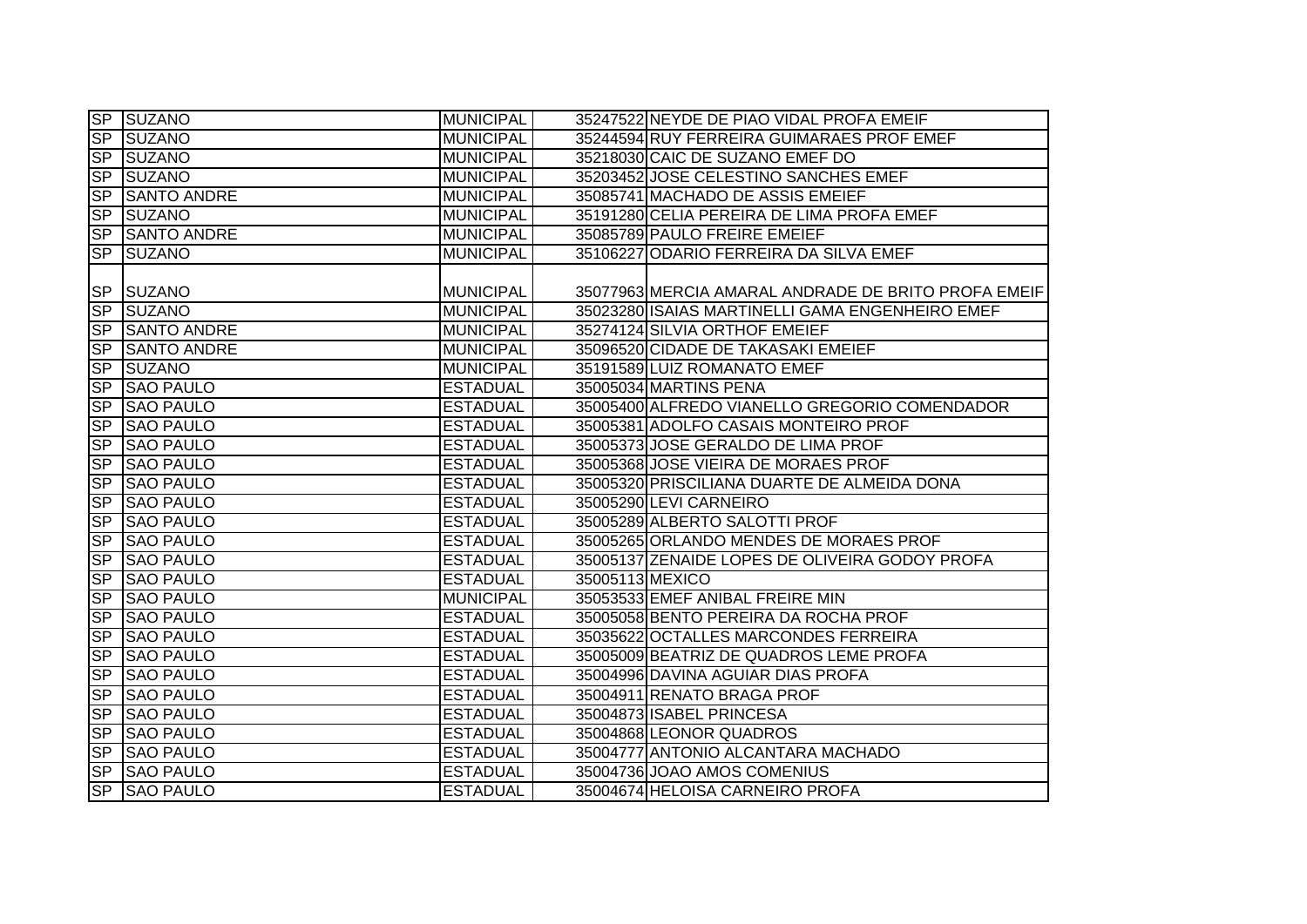|                  | SP SUZANO             | <b>MUNICIPAL</b> | 35247522 NEYDE DE PIAO VIDAL PROFA EMEIF            |
|------------------|-----------------------|------------------|-----------------------------------------------------|
| $S_{\mathsf{P}}$ | <b>SUZANO</b>         | <b>MUNICIPAL</b> | 35244594 RUY FERREIRA GUIMARAES PROF EMEF           |
|                  | SP SUZANO             | <b>MUNICIPAL</b> | 35218030 CAIC DE SUZANO EMEF DO                     |
| <b>SP</b>        | SUZANO                | <b>MUNICIPAL</b> | 35203452 JOSE CELESTINO SANCHES EMEF                |
| $S_{\mathsf{P}}$ | <b>SANTO ANDRE</b>    | <b>MUNICIPAL</b> | 35085741 MACHADO DE ASSIS EMEIEF                    |
| <b>SP</b>        | <b>SUZANO</b>         | <b>MUNICIPAL</b> | 35191280 CELIA PEREIRA DE LIMA PROFA EMEF           |
|                  | <b>SP SANTO ANDRE</b> | <b>MUNICIPAL</b> | 35085789 PAULO FREIRE EMEIEF                        |
| SP               | <b>SUZANO</b>         | <b>MUNICIPAL</b> | 35106227 ODARIO FERREIRA DA SILVA EMEF              |
|                  |                       |                  |                                                     |
| <b>SP</b>        | <b>SUZANO</b>         | <b>MUNICIPAL</b> | 35077963 MERCIA AMARAL ANDRADE DE BRITO PROFA EMEIF |
| <b>SP</b>        | <b>SUZANO</b>         | <b>MUNICIPAL</b> | 35023280 ISAIAS MARTINELLI GAMA ENGENHEIRO EMEF     |
| <b>SP</b>        | <b>SANTO ANDRE</b>    | <b>MUNICIPAL</b> | 35274124 SILVIA ORTHOF EMEIEF                       |
| SP               | <b>SANTO ANDRE</b>    | <b>MUNICIPAL</b> | 35096520 CIDADE DE TAKASAKI EMEIEF                  |
| SP               | <b>SUZANO</b>         | <b>MUNICIPAL</b> | 35191589 LUIZ ROMANATO EMEF                         |
| SP               | <b>SAO PAULO</b>      | <b>ESTADUAL</b>  | 35005034 MARTINS PENA                               |
| SP               | <b>SAO PAULO</b>      | <b>ESTADUAL</b>  | 35005400 ALFREDO VIANELLO GREGORIO COMENDADOR       |
| <b>SP</b>        | <b>SAO PAULO</b>      | <b>ESTADUAL</b>  | 35005381 ADOLFO CASAIS MONTEIRO PROF                |
| $S_{\mathsf{P}}$ | <b>SAO PAULO</b>      | <b>ESTADUAL</b>  | 35005373 JOSE GERALDO DE LIMA PROF                  |
| SP               | <b>SAO PAULO</b>      | <b>ESTADUAL</b>  | 35005368 JOSE VIEIRA DE MORAES PROF                 |
| SP               | <b>SAO PAULO</b>      | <b>ESTADUAL</b>  | 35005320 PRISCILIANA DUARTE DE ALMEIDA DONA         |
| <b>SP</b>        | <b>SAO PAULO</b>      | <b>ESTADUAL</b>  | 35005290 LEVI CARNEIRO                              |
| SP               | <b>SAO PAULO</b>      | <b>ESTADUAL</b>  | 35005289 ALBERTO SALOTTI PROF                       |
| SP               | <b>SAO PAULO</b>      | <b>ESTADUAL</b>  | 35005265 ORLANDO MENDES DE MORAES PROF              |
| <b>SP</b>        | <b>SAO PAULO</b>      | <b>ESTADUAL</b>  | 35005137 ZENAIDE LOPES DE OLIVEIRA GODOY PROFA      |
| SP               | <b>SAO PAULO</b>      | <b>ESTADUAL</b>  | 35005113 MEXICO                                     |
| SP               | <b>SAO PAULO</b>      | <b>MUNICIPAL</b> | 35053533 EMEF ANIBAL FREIRE MIN                     |
| S <sub>P</sub>   | <b>SAO PAULO</b>      | <b>ESTADUAL</b>  | 35005058 BENTO PEREIRA DA ROCHA PROF                |
| SP               | <b>SAO PAULO</b>      | <b>ESTADUAL</b>  | 35035622 OCTALLES MARCONDES FERREIRA                |
| SP               | <b>SAO PAULO</b>      | <b>ESTADUAL</b>  | 35005009 BEATRIZ DE QUADROS LEME PROFA              |
| <b>SP</b>        | <b>SAO PAULO</b>      | <b>ESTADUAL</b>  | 35004996 DAVINA AGUIAR DIAS PROFA                   |
| $S_{\mathsf{P}}$ | <b>SAO PAULO</b>      | <b>ESTADUAL</b>  | 35004911 RENATO BRAGA PROF                          |
| SP               | <b>SAO PAULO</b>      | <b>ESTADUAL</b>  | 35004873 ISABEL PRINCESA                            |
| $S_{\mathsf{P}}$ | <b>SAO PAULO</b>      | <b>ESTADUAL</b>  | 35004868 LEONOR QUADROS                             |
| SP               | <b>SAO PAULO</b>      | <b>ESTADUAL</b>  | 35004777 ANTONIO ALCANTARA MACHADO                  |
| SP               | <b>SAO PAULO</b>      | <b>ESTADUAL</b>  | 35004736 JOAO AMOS COMENIUS                         |
| <b>SP</b>        | <b>SAO PAULO</b>      | <b>ESTADUAL</b>  | 35004674 HELOISA CARNEIRO PROFA                     |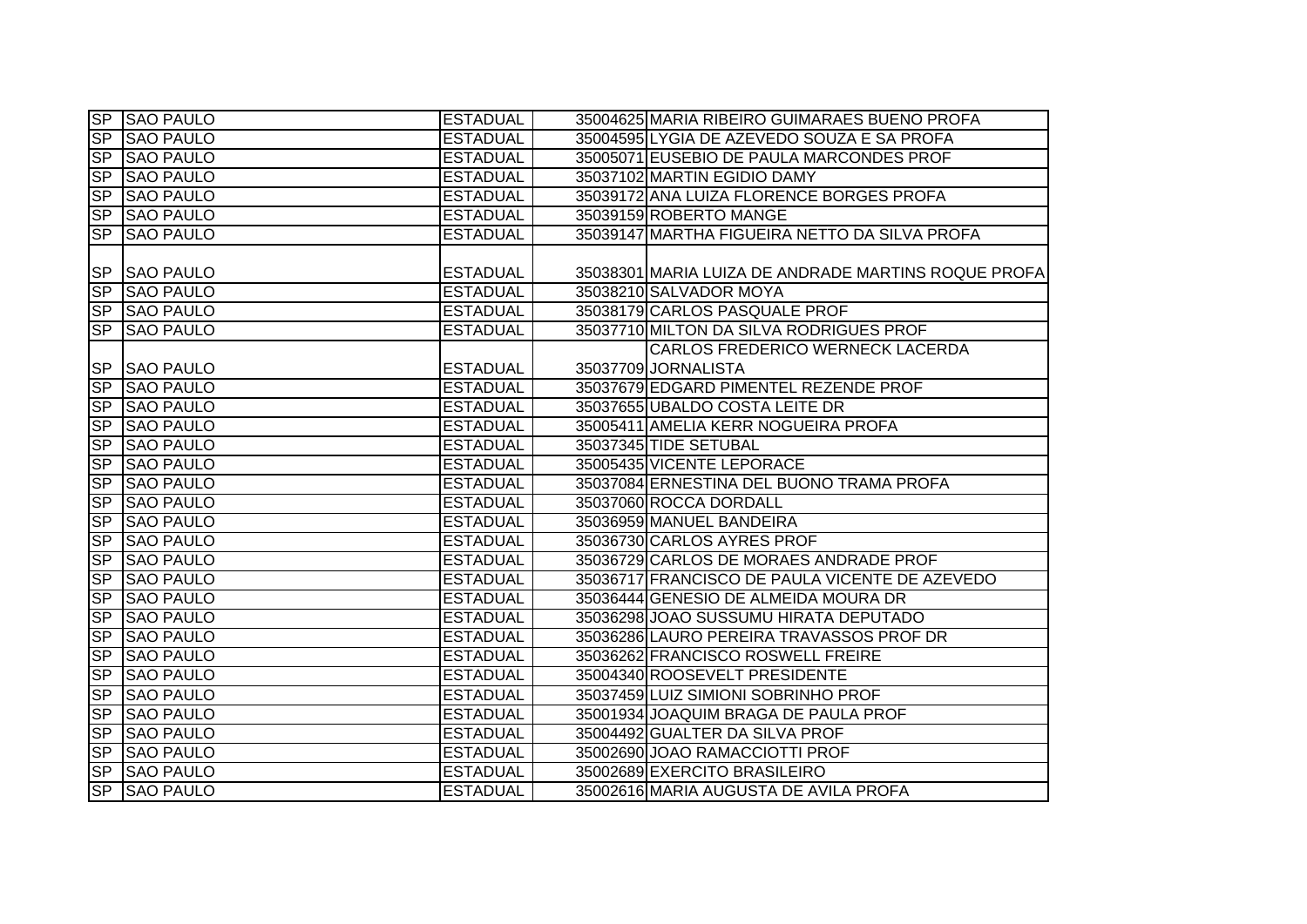|                  | SP SAO PAULO     | <b>ESTADUAL</b> | 35004625 MARIA RIBEIRO GUIMARAES BUENO PROFA        |
|------------------|------------------|-----------------|-----------------------------------------------------|
| SP               | <b>SAO PAULO</b> | <b>ESTADUAL</b> | 35004595 LYGIA DE AZEVEDO SOUZA E SA PROFA          |
|                  | SP SAO PAULO     | <b>ESTADUAL</b> | 35005071 EUSEBIO DE PAULA MARCONDES PROF            |
| <b>SP</b>        | <b>SAO PAULO</b> | <b>ESTADUAL</b> | 35037102 MARTIN EGIDIO DAMY                         |
| $S_{\mathsf{P}}$ | <b>SAO PAULO</b> | <b>ESTADUAL</b> | 35039172 ANA LUIZA FLORENCE BORGES PROFA            |
| SP               | <b>SAO PAULO</b> | <b>ESTADUAL</b> | 35039159 ROBERTO MANGE                              |
| <b>SP</b>        | <b>SAO PAULO</b> | <b>ESTADUAL</b> | 35039147 MARTHA FIGUEIRA NETTO DA SILVA PROFA       |
|                  |                  |                 |                                                     |
| <b>SP</b>        | <b>SAO PAULO</b> | <b>ESTADUAL</b> | 35038301 MARIA LUIZA DE ANDRADE MARTINS ROQUE PROFA |
| SP               | <b>SAO PAULO</b> | <b>ESTADUAL</b> | 35038210 SALVADOR MOYA                              |
| <b>SP</b>        | <b>SAO PAULO</b> | <b>ESTADUAL</b> | 35038179 CARLOS PASQUALE PROF                       |
| <b>SP</b>        | <b>SAO PAULO</b> | <b>ESTADUAL</b> | 35037710 MILTON DA SILVA RODRIGUES PROF             |
|                  |                  |                 | CARLOS FREDERICO WERNECK LACERDA                    |
| <b>SP</b>        | <b>SAO PAULO</b> | <b>ESTADUAL</b> | 35037709 JORNALISTA                                 |
| SP               | <b>SAO PAULO</b> | <b>ESTADUAL</b> | 35037679 EDGARD PIMENTEL REZENDE PROF               |
| <b>SP</b>        | <b>SAO PAULO</b> | <b>ESTADUAL</b> | 35037655 UBALDO COSTA LEITE DR                      |
| <b>SP</b>        | <b>SAO PAULO</b> | <b>ESTADUAL</b> | 35005411 AMELIA KERR NOGUEIRA PROFA                 |
| S <sub>P</sub>   | <b>SAO PAULO</b> | <b>ESTADUAL</b> | 35037345 TIDE SETUBAL                               |
| SP               | <b>SAO PAULO</b> | <b>ESTADUAL</b> | 35005435 VICENTE LEPORACE                           |
| <b>SP</b>        | <b>SAO PAULO</b> | <b>ESTADUAL</b> | 35037084 ERNESTINA DEL BUONO TRAMA PROFA            |
| SP               | <b>SAO PAULO</b> | <b>ESTADUAL</b> | 35037060 ROCCA DORDALL                              |
| SP               | <b>SAO PAULO</b> | <b>ESTADUAL</b> | 35036959 MANUEL BANDEIRA                            |
| SP               | <b>SAO PAULO</b> | <b>ESTADUAL</b> | 35036730 CARLOS AYRES PROF                          |
| S <sub>P</sub>   | <b>SAO PAULO</b> | <b>ESTADUAL</b> | 35036729 CARLOS DE MORAES ANDRADE PROF              |
| S <sub>P</sub>   | <b>SAO PAULO</b> | <b>ESTADUAL</b> | 35036717 FRANCISCO DE PAULA VICENTE DE AZEVEDO      |
| SP               | <b>SAO PAULO</b> | <b>ESTADUAL</b> | 35036444 GENESIO DE ALMEIDA MOURA DR                |
| S <sub>P</sub>   | <b>SAO PAULO</b> | <b>ESTADUAL</b> | 35036298 JOAO SUSSUMU HIRATA DEPUTADO               |
| SP               | <b>SAO PAULO</b> | <b>ESTADUAL</b> | 35036286 LAURO PEREIRA TRAVASSOS PROF DR            |
| SP               | <b>SAO PAULO</b> | <b>ESTADUAL</b> | 35036262 FRANCISCO ROSWELL FREIRE                   |
| <b>SP</b>        | <b>SAO PAULO</b> | <b>ESTADUAL</b> | 35004340 ROOSEVELT PRESIDENTE                       |
| <b>SP</b>        | <b>SAO PAULO</b> | <b>ESTADUAL</b> | 35037459 LUIZ SIMIONI SOBRINHO PROF                 |
| SP               | <b>SAO PAULO</b> | <b>ESTADUAL</b> | 35001934 JOAQUIM BRAGA DE PAULA PROF                |
| SP               | <b>SAO PAULO</b> | <b>ESTADUAL</b> | 35004492 GUALTER DA SILVA PROF                      |
| SP               | <b>SAO PAULO</b> | <b>ESTADUAL</b> | 35002690 JOAO RAMACCIOTTI PROF                      |
| SP               | <b>SAO PAULO</b> | <b>ESTADUAL</b> | 35002689 EXERCITO BRASILEIRO                        |
| SP               | <b>SAO PAULO</b> | <b>ESTADUAL</b> | 35002616 MARIA AUGUSTA DE AVILA PROFA               |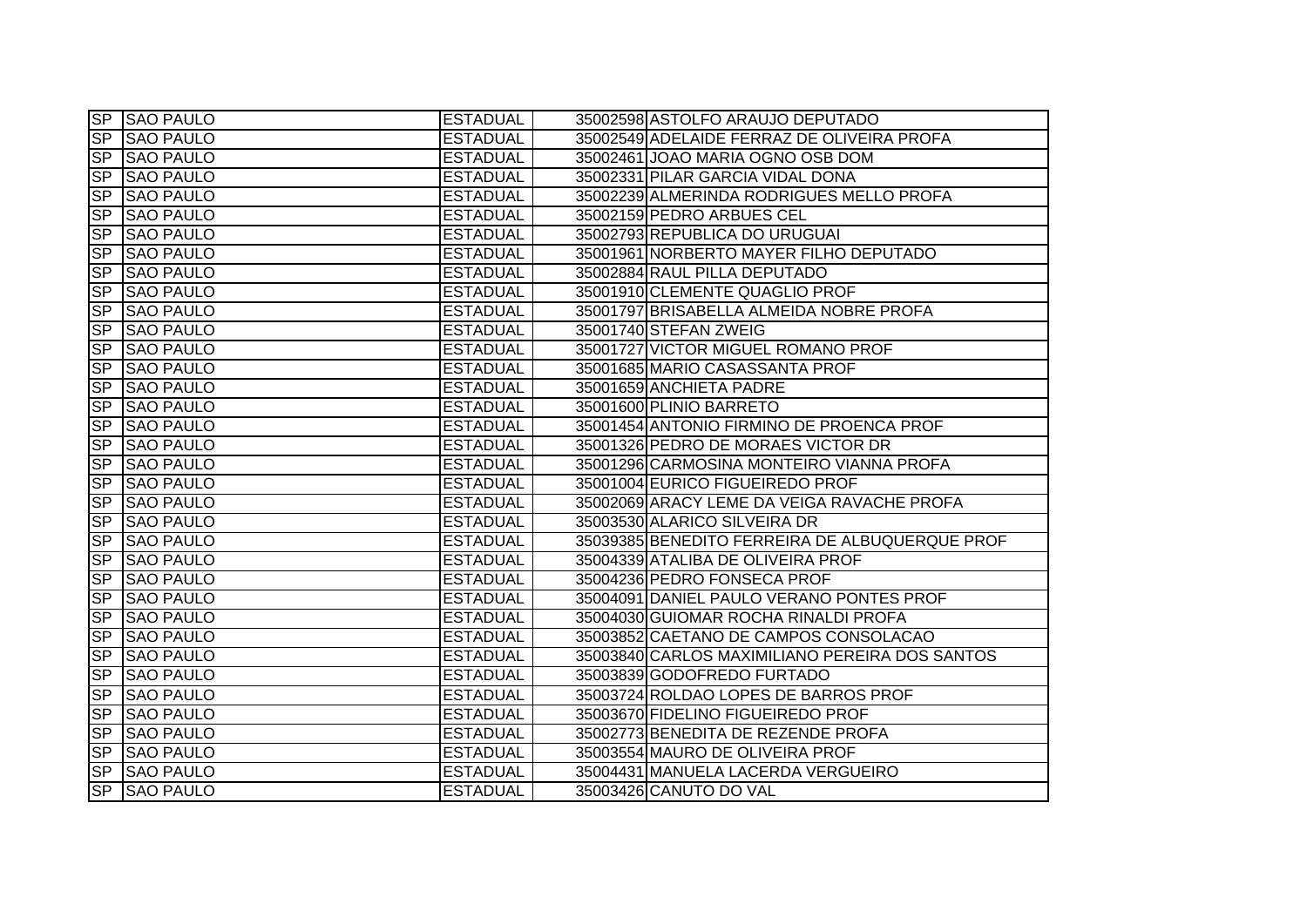|                          | <b>SP SAO PAULO</b> | <b>ESTADUAL</b> | 35002598 ASTOLFO ARAUJO DEPUTADO               |
|--------------------------|---------------------|-----------------|------------------------------------------------|
|                          | SP SAO PAULO        | <b>ESTADUAL</b> | 35002549 ADELAIDE FERRAZ DE OLIVEIRA PROFA     |
|                          | SP SAO PAULO        | <b>ESTADUAL</b> | 35002461 JOAO MARIA OGNO OSB DOM               |
| SP                       | <b>SAO PAULO</b>    | <b>ESTADUAL</b> | 35002331 PILAR GARCIA VIDAL DONA               |
| <b>SP</b>                | <b>SAO PAULO</b>    | <b>ESTADUAL</b> | 35002239 ALMERINDA RODRIGUES MELLO PROFA       |
| $\overline{\mathsf{SP}}$ | <b>SAO PAULO</b>    | <b>ESTADUAL</b> | 35002159 PEDRO ARBUES CEL                      |
| SP                       | <b>SAO PAULO</b>    | <b>ESTADUAL</b> | 35002793 REPUBLICA DO URUGUAI                  |
|                          | SP SAO PAULO        | <b>ESTADUAL</b> | 35001961 NORBERTO MAYER FILHO DEPUTADO         |
| SP                       | <b>SAO PAULO</b>    | <b>ESTADUAL</b> | 35002884 RAUL PILLA DEPUTADO                   |
| <b>SP</b>                | <b>SAO PAULO</b>    | <b>ESTADUAL</b> | 35001910 CLEMENTE QUAGLIO PROF                 |
| <b>SP</b>                | <b>SAO PAULO</b>    | <b>ESTADUAL</b> | 35001797 BRISABELLA ALMEIDA NOBRE PROFA        |
| <b>SP</b>                | <b>SAO PAULO</b>    | <b>ESTADUAL</b> | 35001740 STEFAN ZWEIG                          |
| <b>SP</b>                | <b>SAO PAULO</b>    | <b>ESTADUAL</b> | 35001727 VICTOR MIGUEL ROMANO PROF             |
| <b>SP</b>                | <b>SAO PAULO</b>    | <b>ESTADUAL</b> | 35001685 MARIO CASASSANTA PROF                 |
| SP                       | <b>SAO PAULO</b>    | <b>ESTADUAL</b> | 35001659 ANCHIETA PADRE                        |
| <b>SP</b>                | <b>SAO PAULO</b>    | <b>ESTADUAL</b> | 35001600 PLINIO BARRETO                        |
| $\overline{\mathsf{SP}}$ | <b>SAO PAULO</b>    | <b>ESTADUAL</b> | 35001454 ANTONIO FIRMINO DE PROENCA PROF       |
| <b>SP</b>                | <b>SAO PAULO</b>    | <b>ESTADUAL</b> | 35001326 PEDRO DE MORAES VICTOR DR             |
| $\overline{SP}$          | <b>SAO PAULO</b>    | <b>ESTADUAL</b> | 35001296 CARMOSINA MONTEIRO VIANNA PROFA       |
| <b>SP</b>                | <b>SAO PAULO</b>    | <b>ESTADUAL</b> | 35001004 EURICO FIGUEIREDO PROF                |
|                          | SP SAO PAULO        | <b>ESTADUAL</b> | 35002069 ARACY LEME DA VEIGA RAVACHE PROFA     |
| SP                       | <b>SAO PAULO</b>    | <b>ESTADUAL</b> | 35003530 ALARICO SILVEIRA DR                   |
| SP                       | <b>SAO PAULO</b>    | <b>ESTADUAL</b> | 35039385 BENEDITO FERREIRA DE ALBUQUERQUE PROF |
| <b>SP</b>                | <b>SAO PAULO</b>    | <b>ESTADUAL</b> | 35004339 ATALIBA DE OLIVEIRA PROF              |
| <b>SP</b>                | <b>SAO PAULO</b>    | <b>ESTADUAL</b> | 35004236 PEDRO FONSECA PROF                    |
| <b>SP</b>                | <b>SAO PAULO</b>    | <b>ESTADUAL</b> | 35004091 DANIEL PAULO VERANO PONTES PROF       |
| <b>SP</b>                | <b>SAO PAULO</b>    | <b>ESTADUAL</b> | 35004030 GUIOMAR ROCHA RINALDI PROFA           |
| S <sub>P</sub>           | <b>SAO PAULO</b>    | <b>ESTADUAL</b> | 35003852 CAETANO DE CAMPOS CONSOLACAO          |
| <b>SP</b>                | <b>SAO PAULO</b>    | <b>ESTADUAL</b> | 35003840 CARLOS MAXIMILIANO PEREIRA DOS SANTOS |
| <b>SP</b>                | <b>SAO PAULO</b>    | <b>ESTADUAL</b> | 35003839 GODOFREDO FURTADO                     |
| SP                       | <b>SAO PAULO</b>    | <b>ESTADUAL</b> | 35003724 ROLDAO LOPES DE BARROS PROF           |
|                          | SP SAO PAULO        | <b>ESTADUAL</b> | 35003670 FIDELINO FIGUEIREDO PROF              |
|                          | SP SAO PAULO        | <b>ESTADUAL</b> | 35002773 BENEDITA DE REZENDE PROFA             |
|                          | SP SAO PAULO        | <b>ESTADUAL</b> | 35003554 MAURO DE OLIVEIRA PROF                |
|                          | SP SAO PAULO        | <b>ESTADUAL</b> | 35004431 MANUELA LACERDA VERGUEIRO             |
|                          | SP SAO PAULO        | <b>ESTADUAL</b> | 35003426 CANUTO DO VAL                         |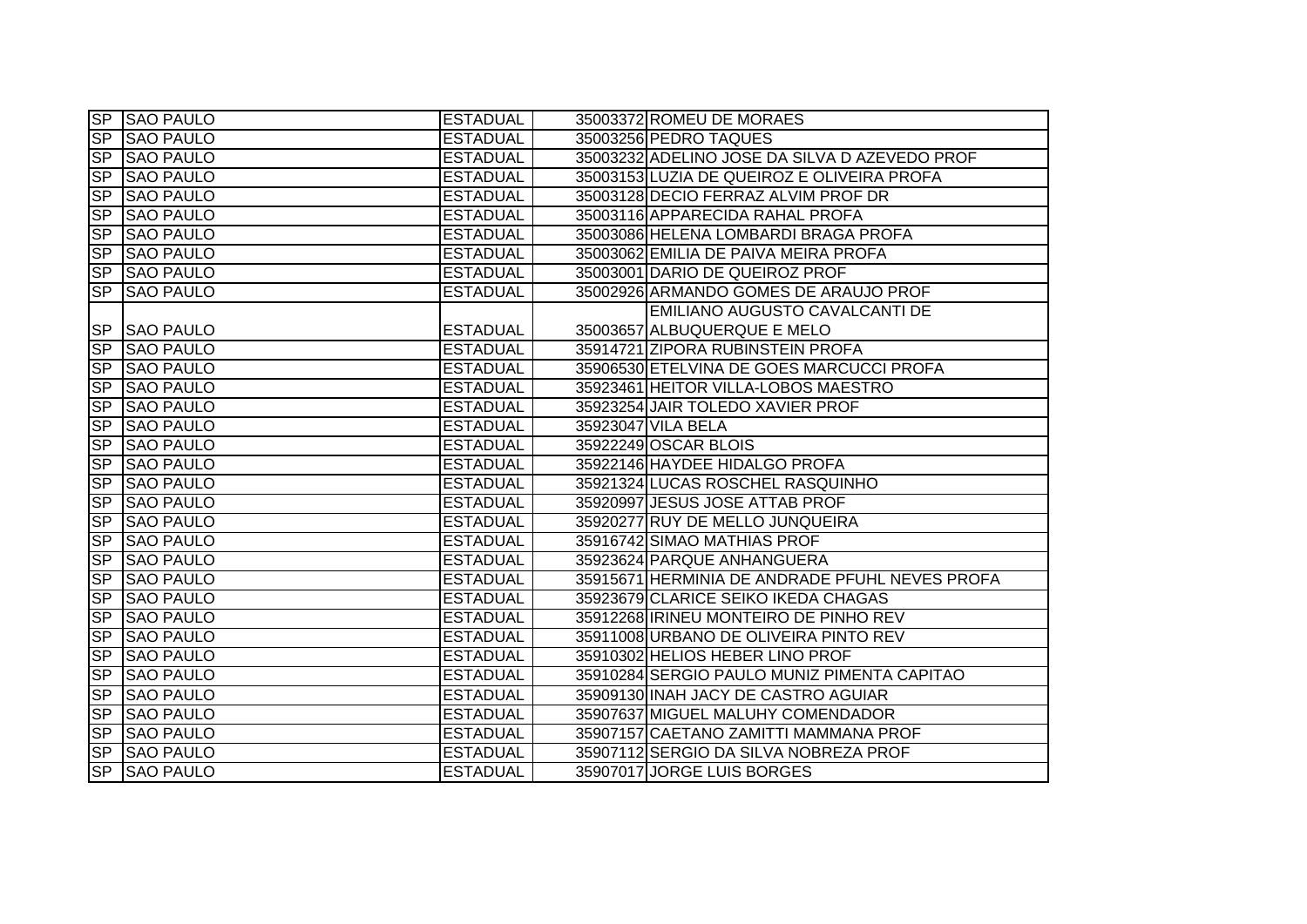|                          | <b>SP SAO PAULO</b> | <b>ESTADUAL</b> | 35003372 ROMEU DE MORAES                       |
|--------------------------|---------------------|-----------------|------------------------------------------------|
| $\overline{\mathsf{SP}}$ | <b>SAO PAULO</b>    | <b>ESTADUAL</b> | 35003256 PEDRO TAQUES                          |
| SP                       | <b>SAO PAULO</b>    | <b>ESTADUAL</b> | 35003232 ADELINO JOSE DA SILVA D AZEVEDO PROF  |
|                          | SP SAO PAULO        | <b>ESTADUAL</b> | 35003153 LUZIA DE QUEIROZ E OLIVEIRA PROFA     |
| <b>SP</b>                | <b>SAO PAULO</b>    | <b>ESTADUAL</b> | 35003128 DECIO FERRAZ ALVIM PROF DR            |
| <b>SP</b>                | <b>SAO PAULO</b>    | <b>ESTADUAL</b> | 35003116 APPARECIDA RAHAL PROFA                |
| <b>SP</b>                | <b>SAO PAULO</b>    | <b>ESTADUAL</b> | 35003086 HELENA LOMBARDI BRAGA PROFA           |
| <b>SP</b>                | <b>SAO PAULO</b>    | <b>ESTADUAL</b> | 35003062 EMILIA DE PAIVA MEIRA PROFA           |
| <b>SP</b>                | <b>SAO PAULO</b>    | <b>ESTADUAL</b> | 35003001 DARIO DE QUEIROZ PROF                 |
| S <sub>P</sub>           | <b>SAO PAULO</b>    | <b>ESTADUAL</b> | 35002926 ARMANDO GOMES DE ARAUJO PROF          |
|                          |                     |                 | EMILIANO AUGUSTO CAVALCANTI DE                 |
|                          | SP SAO PAULO        | <b>ESTADUAL</b> | 35003657 ALBUQUERQUE E MELO                    |
| SP                       | <b>SAO PAULO</b>    | <b>ESTADUAL</b> | 35914721 ZIPORA RUBINSTEIN PROFA               |
| <b>SP</b>                | <b>SAO PAULO</b>    | <b>ESTADUAL</b> | 35906530 ETELVINA DE GOES MARCUCCI PROFA       |
| <b>SP</b>                | <b>SAO PAULO</b>    | <b>ESTADUAL</b> | 35923461 HEITOR VILLA-LOBOS MAESTRO            |
| <b>SP</b>                | <b>SAO PAULO</b>    | <b>ESTADUAL</b> | 35923254 JAIR TOLEDO XAVIER PROF               |
| $\overline{\mathsf{SP}}$ | <b>SAO PAULO</b>    | <b>ESTADUAL</b> | 35923047 VILA BELA                             |
| <b>SP</b>                | <b>SAO PAULO</b>    | <b>ESTADUAL</b> | 35922249 OSCAR BLOIS                           |
| <b>SP</b>                | <b>SAO PAULO</b>    | <b>ESTADUAL</b> | 35922146 HAYDEE HIDALGO PROFA                  |
| <b>SP</b>                | <b>SAO PAULO</b>    | <b>ESTADUAL</b> | 35921324 LUCAS ROSCHEL RASQUINHO               |
| <b>SP</b>                | <b>SAO PAULO</b>    | <b>ESTADUAL</b> | 35920997 JESUS JOSE ATTAB PROF                 |
| <b>SP</b>                | <b>SAO PAULO</b>    | <b>ESTADUAL</b> | 35920277 RUY DE MELLO JUNQUEIRA                |
| <b>SP</b>                | <b>SAO PAULO</b>    | <b>ESTADUAL</b> | 35916742 SIMAO MATHIAS PROF                    |
| <b>SP</b>                | <b>SAO PAULO</b>    | <b>ESTADUAL</b> | 35923624 PARQUE ANHANGUERA                     |
| <b>SP</b>                | <b>SAO PAULO</b>    | <b>ESTADUAL</b> | 35915671 HERMINIA DE ANDRADE PFUHL NEVES PROFA |
| <b>SP</b>                | <b>SAO PAULO</b>    | <b>ESTADUAL</b> | 35923679 CLARICE SEIKO IKEDA CHAGAS            |
| <b>SP</b>                | <b>SAO PAULO</b>    | <b>ESTADUAL</b> | 35912268 IRINEU MONTEIRO DE PINHO REV          |
| <b>SP</b>                | <b>SAO PAULO</b>    | <b>ESTADUAL</b> | 35911008 URBANO DE OLIVEIRA PINTO REV          |
| <b>SP</b>                | <b>SAO PAULO</b>    | <b>ESTADUAL</b> | 35910302 HELIOS HEBER LINO PROF                |
| <b>SP</b>                | <b>SAO PAULO</b>    | <b>ESTADUAL</b> | 35910284 SERGIO PAULO MUNIZ PIMENTA CAPITAO    |
| <b>SP</b>                | <b>SAO PAULO</b>    | <b>ESTADUAL</b> | 35909130 INAH JACY DE CASTRO AGUIAR            |
| <b>SP</b>                | <b>SAO PAULO</b>    | <b>ESTADUAL</b> | 35907637 MIGUEL MALUHY COMENDADOR              |
|                          | SP SAO PAULO        | <b>ESTADUAL</b> | 35907157 CAETANO ZAMITTI MAMMANA PROF          |
| <b>SP</b>                | <b>SAO PAULO</b>    | <b>ESTADUAL</b> | 35907112 SERGIO DA SILVA NOBREZA PROF          |
| <b>SP</b>                | <b>SAO PAULO</b>    | <b>ESTADUAL</b> | 35907017 JORGE LUIS BORGES                     |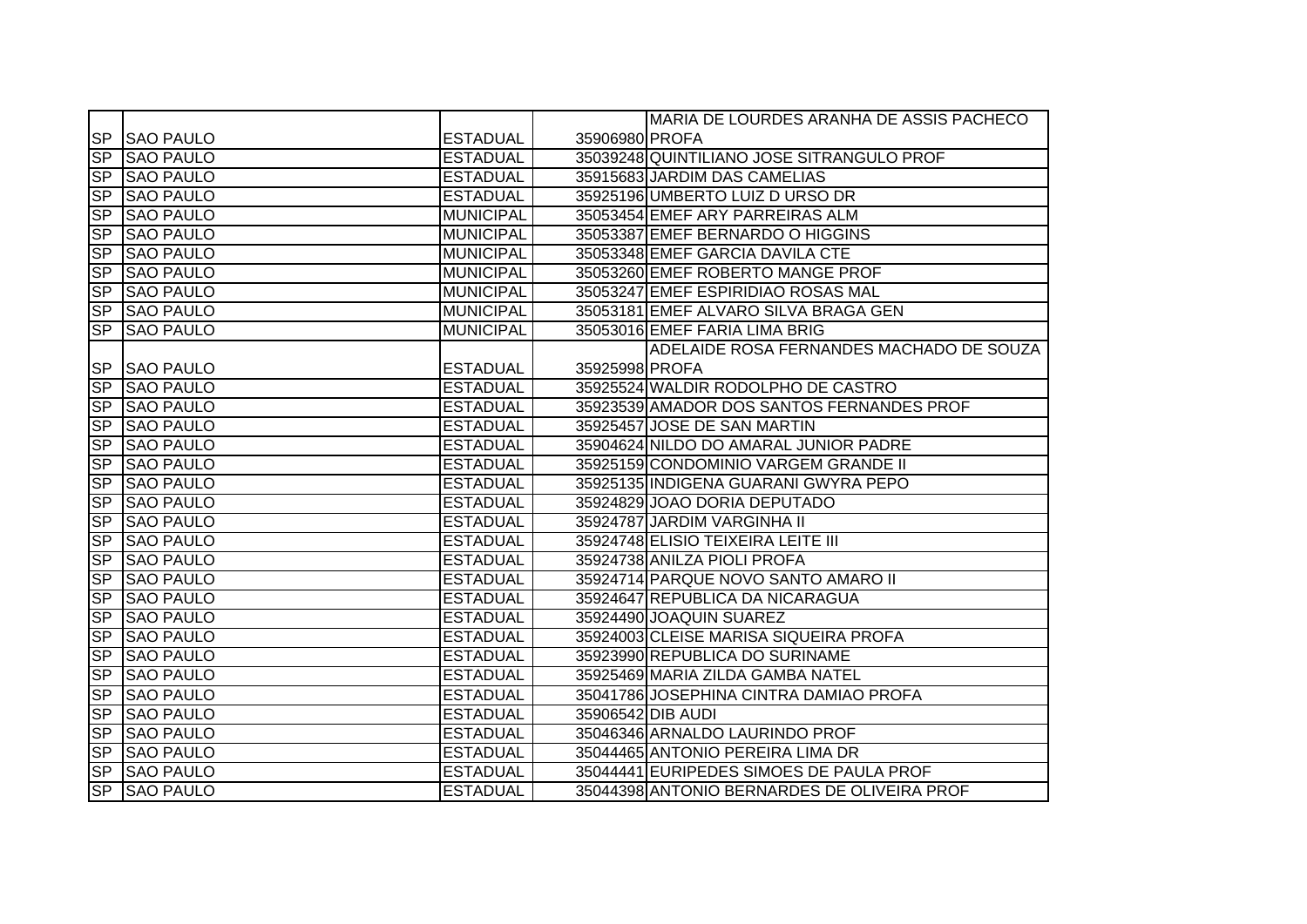|                |                  |                  |                | MARIA DE LOURDES ARANHA DE ASSIS PACHECO    |
|----------------|------------------|------------------|----------------|---------------------------------------------|
|                | SP SAO PAULO     | <b>ESTADUAL</b>  | 35906980 PROFA |                                             |
|                | SP SAO PAULO     | <b>ESTADUAL</b>  |                | 35039248 QUINTILIANO JOSE SITRANGULO PROF   |
| SP             | <b>SAO PAULO</b> | <b>ESTADUAL</b>  |                | 35915683 JARDIM DAS CAMELIAS                |
| SP             | <b>SAO PAULO</b> | <b>ESTADUAL</b>  |                | 35925196 UMBERTO LUIZ D URSO DR             |
| SP             | <b>SAO PAULO</b> | <b>MUNICIPAL</b> |                | 35053454 EMEF ARY PARREIRAS ALM             |
|                | SP SAO PAULO     | <b>MUNICIPAL</b> |                | 35053387 EMEF BERNARDO O HIGGINS            |
| SP             | <b>SAO PAULO</b> | <b>MUNICIPAL</b> |                | 35053348 EMEF GARCIA DAVILA CTE             |
| S <sub>P</sub> | <b>SAO PAULO</b> | <b>MUNICIPAL</b> |                | 35053260 EMEF ROBERTO MANGE PROF            |
| SP             | <b>SAO PAULO</b> | <b>MUNICIPAL</b> |                | 35053247 EMEF ESPIRIDIAO ROSAS MAL          |
| SP             | <b>SAO PAULO</b> | <b>MUNICIPAL</b> |                | 35053181 EMEF ALVARO SILVA BRAGA GEN        |
| <b>SP</b>      | <b>SAO PAULO</b> | <b>MUNICIPAL</b> |                | 35053016 EMEF FARIA LIMA BRIG               |
|                |                  |                  |                | ADELAIDE ROSA FERNANDES MACHADO DE SOUZA    |
|                | SP SAO PAULO     | <b>ESTADUAL</b>  | 35925998 PROFA |                                             |
|                | SP SAO PAULO     | <b>ESTADUAL</b>  |                | 35925524 WALDIR RODOLPHO DE CASTRO          |
|                | SP SAO PAULO     | <b>ESTADUAL</b>  |                | 35923539 AMADOR DOS SANTOS FERNANDES PROF   |
| SP             | <b>SAO PAULO</b> | <b>ESTADUAL</b>  |                | 35925457 JOSE DE SAN MARTIN                 |
| SP             | <b>SAO PAULO</b> | <b>ESTADUAL</b>  |                | 35904624 NILDO DO AMARAL JUNIOR PADRE       |
| <b>SP</b>      | <b>SAO PAULO</b> | <b>ESTADUAL</b>  |                | 35925159 CONDOMINIO VARGEM GRANDE II        |
|                | SP SAO PAULO     | <b>ESTADUAL</b>  |                | 35925135 INDIGENA GUARANI GWYRA PEPO        |
| SP             | <b>SAO PAULO</b> | <b>ESTADUAL</b>  |                | 35924829 JOAO DORIA DEPUTADO                |
| <b>SP</b>      | <b>SAO PAULO</b> | <b>ESTADUAL</b>  |                | 35924787 JARDIM VARGINHA II                 |
| <b>SP</b>      | <b>SAO PAULO</b> | <b>ESTADUAL</b>  |                | 35924748 ELISIO TEIXEIRA LEITE III          |
| <b>SP</b>      | <b>SAO PAULO</b> | <b>ESTADUAL</b>  |                | 35924738 ANILZA PIOLI PROFA                 |
| <b>SP</b>      | <b>SAO PAULO</b> | <b>ESTADUAL</b>  |                | 35924714 PARQUE NOVO SANTO AMARO II         |
| <b>SP</b>      | <b>SAO PAULO</b> | <b>ESTADUAL</b>  |                | 35924647 REPUBLICA DA NICARAGUA             |
| S <sub>P</sub> | <b>SAO PAULO</b> | <b>ESTADUAL</b>  |                | 35924490 JOAQUIN SUAREZ                     |
| <b>SP</b>      | <b>SAO PAULO</b> | <b>ESTADUAL</b>  |                | 35924003 CLEISE MARISA SIQUEIRA PROFA       |
| <b>SP</b>      | <b>SAO PAULO</b> | <b>ESTADUAL</b>  |                | 35923990 REPUBLICA DO SURINAME              |
| SP             | <b>SAO PAULO</b> | <b>ESTADUAL</b>  |                | 35925469 MARIA ZILDA GAMBA NATEL            |
|                | SP SAO PAULO     | <b>ESTADUAL</b>  |                | 35041786 JOSEPHINA CINTRA DAMIAO PROFA      |
|                | SP SAO PAULO     | <b>ESTADUAL</b>  |                | 35906542 DIB AUDI                           |
|                | SP SAO PAULO     | <b>ESTADUAL</b>  |                | 35046346 ARNALDO LAURINDO PROF              |
|                | SP SAO PAULO     | <b>ESTADUAL</b>  |                | 35044465 ANTONIO PEREIRA LIMA DR            |
| SP             | <b>SAO PAULO</b> | <b>ESTADUAL</b>  |                | 35044441 EURIPEDES SIMOES DE PAULA PROF     |
|                | SP SAO PAULO     | <b>ESTADUAL</b>  |                | 35044398 ANTONIO BERNARDES DE OLIVEIRA PROF |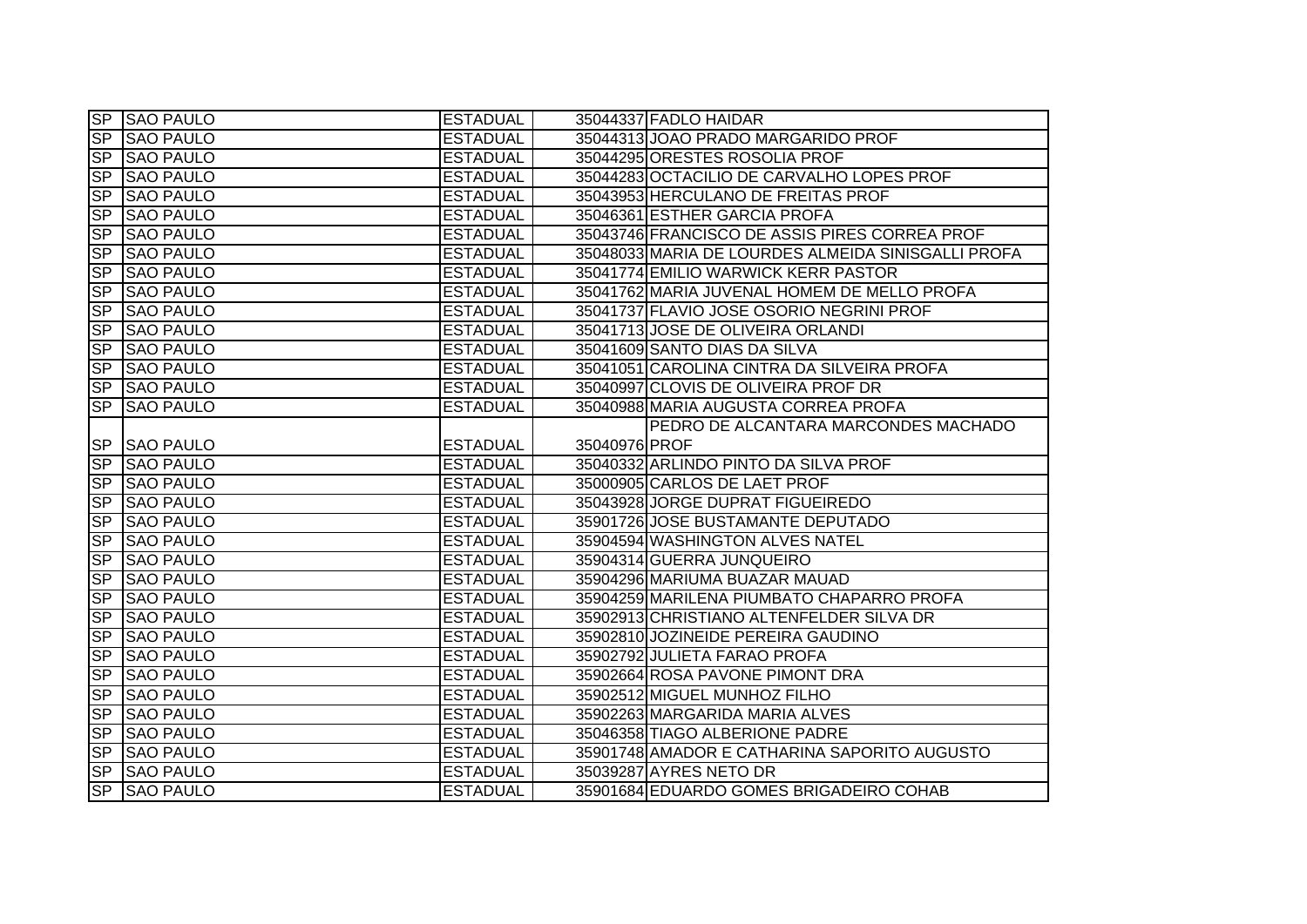|                          | SP SAO PAULO     | <b>ESTADUAL</b> |               | 35044337 FADLO HAIDAR                              |
|--------------------------|------------------|-----------------|---------------|----------------------------------------------------|
|                          | SP SAO PAULO     | <b>ESTADUAL</b> |               | 35044313 JOAO PRADO MARGARIDO PROF                 |
| SP                       | <b>SAO PAULO</b> | <b>ESTADUAL</b> |               | 35044295 ORESTES ROSOLIA PROF                      |
| SP                       | <b>SAO PAULO</b> | <b>ESTADUAL</b> |               | 35044283 OCTACILIO DE CARVALHO LOPES PROF          |
| <b>SP</b>                | <b>SAO PAULO</b> | <b>ESTADUAL</b> |               | 35043953 HERCULANO DE FREITAS PROF                 |
| $\overline{SP}$          | <b>SAO PAULO</b> | <b>ESTADUAL</b> |               | 35046361 ESTHER GARCIA PROFA                       |
| <b>SP</b>                | <b>SAO PAULO</b> | <b>ESTADUAL</b> |               | 35043746 FRANCISCO DE ASSIS PIRES CORREA PROF      |
| SP                       | <b>SAO PAULO</b> | <b>ESTADUAL</b> |               | 35048033 MARIA DE LOURDES ALMEIDA SINISGALLI PROFA |
| <b>SP</b>                | <b>SAO PAULO</b> | <b>ESTADUAL</b> |               | 35041774 EMILIO WARWICK KERR PASTOR                |
| S <sub>P</sub>           | <b>SAO PAULO</b> | <b>ESTADUAL</b> |               | 35041762 MARIA JUVENAL HOMEM DE MELLO PROFA        |
| <b>SP</b>                | <b>SAO PAULO</b> | <b>ESTADUAL</b> |               | 35041737 FLAVIO JOSE OSORIO NEGRINI PROF           |
| <b>SP</b>                | <b>SAO PAULO</b> | <b>ESTADUAL</b> |               | 35041713 JOSE DE OLIVEIRA ORLANDI                  |
| S <sub>P</sub>           | <b>SAO PAULO</b> | <b>ESTADUAL</b> |               | 35041609 SANTO DIAS DA SILVA                       |
| <b>SP</b>                | <b>SAO PAULO</b> | <b>ESTADUAL</b> |               | 35041051 CAROLINA CINTRA DA SILVEIRA PROFA         |
|                          | SP SAO PAULO     | <b>ESTADUAL</b> |               | 35040997 CLOVIS DE OLIVEIRA PROF DR                |
| $\overline{\mathsf{SP}}$ | <b>SAO PAULO</b> | <b>ESTADUAL</b> |               | 35040988 MARIA AUGUSTA CORREA PROFA                |
|                          |                  |                 |               | PEDRO DE ALCANTARA MARCONDES MACHADO               |
|                          | SP SAO PAULO     | <b>ESTADUAL</b> | 35040976 PROF |                                                    |
|                          | SP SAO PAULO     | <b>ESTADUAL</b> |               | 35040332 ARLINDO PINTO DA SILVA PROF               |
|                          | SP SAO PAULO     | <b>ESTADUAL</b> |               | 35000905 CARLOS DE LAET PROF                       |
| SP                       | <b>SAO PAULO</b> | <b>ESTADUAL</b> |               | 35043928 JORGE DUPRAT FIGUEIREDO                   |
| <b>SP</b>                | <b>SAO PAULO</b> | <b>ESTADUAL</b> |               | 35901726 JOSE BUSTAMANTE DEPUTADO                  |
| <b>SP</b>                | <b>SAO PAULO</b> | <b>ESTADUAL</b> |               | 35904594 WASHINGTON ALVES NATEL                    |
| <b>SP</b>                | <b>SAO PAULO</b> | <b>ESTADUAL</b> |               | 35904314 GUERRA JUNQUEIRO                          |
| <b>SP</b>                | <b>SAO PAULO</b> | <b>ESTADUAL</b> |               | 35904296 MARIUMA BUAZAR MAUAD                      |
| <b>SP</b>                | <b>SAO PAULO</b> | <b>ESTADUAL</b> |               | 35904259 MARILENA PIUMBATO CHAPARRO PROFA          |
| <b>SP</b>                | <b>SAO PAULO</b> | <b>ESTADUAL</b> |               | 35902913 CHRISTIANO ALTENFELDER SILVA DR           |
| <b>SP</b>                | <b>SAO PAULO</b> | <b>ESTADUAL</b> |               | 35902810 JOZINEIDE PEREIRA GAUDINO                 |
| <b>SP</b>                | <b>SAO PAULO</b> | <b>ESTADUAL</b> |               | 35902792 JULIETA FARAO PROFA                       |
| $\overline{SP}$          | <b>SAO PAULO</b> | <b>ESTADUAL</b> |               | 35902664 ROSA PAVONE PIMONT DRA                    |
| <b>SP</b>                | <b>SAO PAULO</b> | <b>ESTADUAL</b> |               | 35902512 MIGUEL MUNHOZ FILHO                       |
|                          | SP SAO PAULO     | <b>ESTADUAL</b> |               | 35902263 MARGARIDA MARIA ALVES                     |
|                          | SP SAO PAULO     | <b>ESTADUAL</b> |               | 35046358 TIAGO ALBERIONE PADRE                     |
|                          | SP SAO PAULO     | <b>ESTADUAL</b> |               | 35901748 AMADOR E CATHARINA SAPORITO AUGUSTO       |
| SP                       | <b>SAO PAULO</b> | <b>ESTADUAL</b> |               | 35039287 AYRES NETO DR                             |
|                          | SP SAO PAULO     | <b>ESTADUAL</b> |               | 35901684 EDUARDO GOMES BRIGADEIRO COHAB            |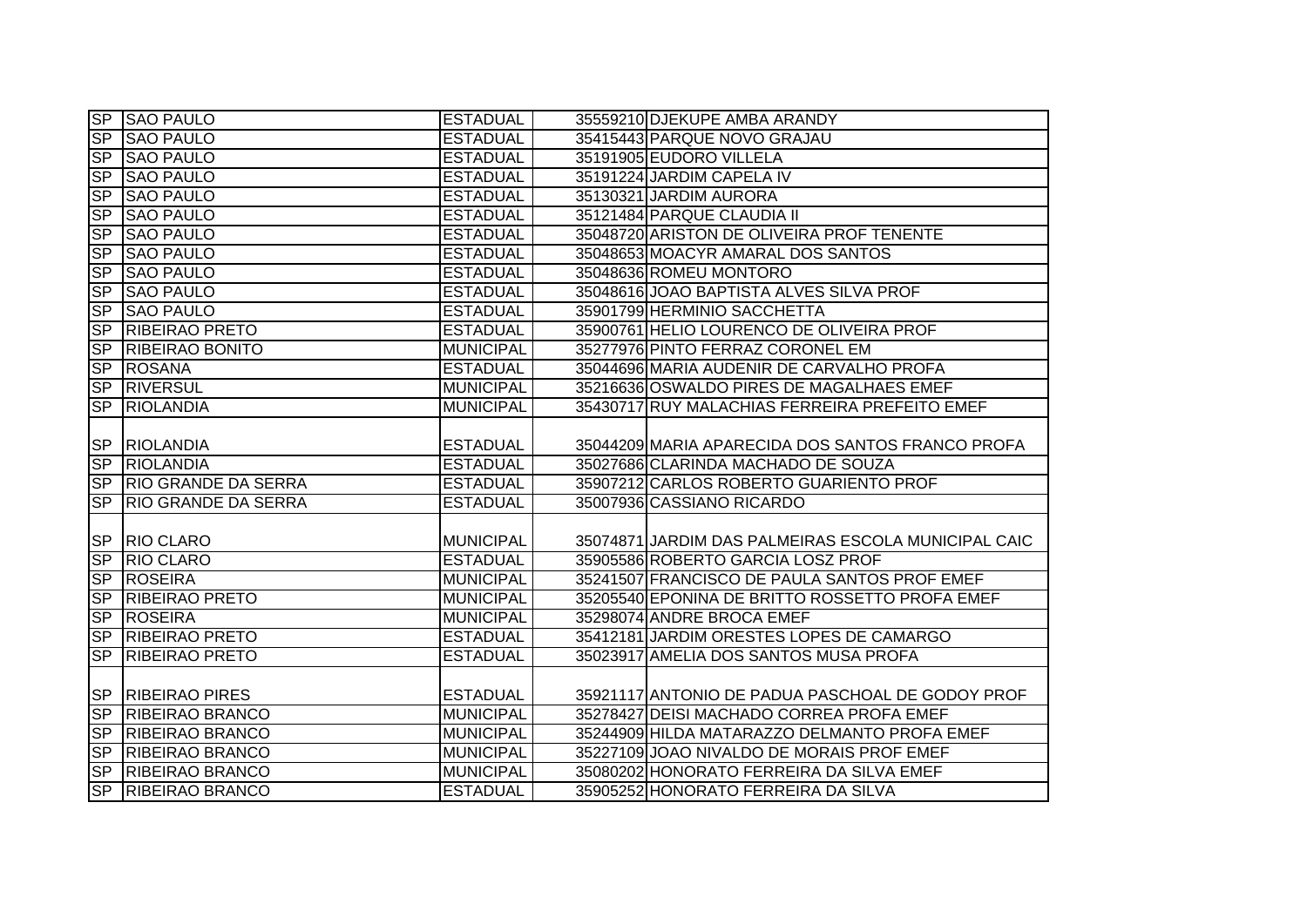|                 | SP SAO PAULO                                     | <b>ESTADUAL</b>                     | 35559210 DJEKUPE AMBA ARANDY                                                    |
|-----------------|--------------------------------------------------|-------------------------------------|---------------------------------------------------------------------------------|
| <b>SP</b>       | <b>SAO PAULO</b>                                 | <b>ESTADUAL</b>                     | 35415443 PARQUE NOVO GRAJAU                                                     |
| <b>SP</b>       | <b>SAO PAULO</b>                                 | <b>ESTADUAL</b>                     | 35191905 EUDORO VILLELA                                                         |
| <b>SP</b>       | <b>SAO PAULO</b>                                 | <b>ESTADUAL</b>                     | 35191224 JARDIM CAPELA IV                                                       |
| <b>SP</b>       | <b>SAO PAULO</b>                                 | <b>ESTADUAL</b>                     | 35130321 JARDIM AURORA                                                          |
|                 | SP SAO PAULO                                     | <b>ESTADUAL</b>                     | 35121484 PARQUE CLAUDIA II                                                      |
| SP              | <b>SAO PAULO</b>                                 | <b>ESTADUAL</b>                     | 35048720 ARISTON DE OLIVEIRA PROF TENENTE                                       |
| <b>SP</b>       | <b>SAO PAULO</b>                                 | <b>ESTADUAL</b>                     | 35048653 MOACYR AMARAL DOS SANTOS                                               |
| <b>SP</b>       | <b>SAO PAULO</b>                                 | <b>ESTADUAL</b>                     | 35048636 ROMEU MONTORO                                                          |
| <b>SP</b>       | <b>SAO PAULO</b>                                 | <b>ESTADUAL</b>                     | 35048616 JOAO BAPTISTA ALVES SILVA PROF                                         |
| <b>SP</b>       | <b>SAO PAULO</b>                                 | <b>ESTADUAL</b>                     | 35901799 HERMINIO SACCHETTA                                                     |
| <b>SP</b>       | <b>RIBEIRAO PRETO</b>                            | <b>ESTADUAL</b>                     | 35900761 HELIO LOURENCO DE OLIVEIRA PROF                                        |
| <b>SP</b>       | <b>RIBEIRAO BONITO</b>                           | <b>MUNICIPAL</b>                    | 35277976 PINTO FERRAZ CORONEL EM                                                |
| SP              | <b>ROSANA</b>                                    | <b>ESTADUAL</b>                     | 35044696 MARIA AUDENIR DE CARVALHO PROFA                                        |
| <b>SP</b>       | <b>RIVERSUL</b>                                  | <b>MUNICIPAL</b>                    | 35216636 OSWALDO PIRES DE MAGALHAES EMEF                                        |
| SP              | <b>RIOLANDIA</b>                                 | <b>MUNICIPAL</b>                    | 35430717 RUY MALACHIAS FERREIRA PREFEITO EMEF                                   |
|                 | SP RIOLANDIA                                     | <b>ESTADUAL</b>                     | 35044209 MARIA APARECIDA DOS SANTOS FRANCO PROFA                                |
|                 |                                                  |                                     |                                                                                 |
|                 | SP RIOLANDIA                                     | <b>ESTADUAL</b>                     | 35027686 CLARINDA MACHADO DE SOUZA                                              |
|                 | SP RIO GRANDE DA SERRA                           | <b>ESTADUAL</b>                     | 35907212 CARLOS ROBERTO GUARIENTO PROF                                          |
| <b>SP</b>       | <b>RIO GRANDE DA SERRA</b>                       | <b>ESTADUAL</b>                     | 35007936 CASSIANO RICARDO                                                       |
|                 | SP RIO CLARO                                     | <b>MUNICIPAL</b>                    | 35074871 JARDIM DAS PALMEIRAS ESCOLA MUNICIPAL CAIC                             |
| SP              | <b>RIO CLARO</b>                                 | <b>ESTADUAL</b>                     | 35905586 ROBERTO GARCIA LOSZ PROF                                               |
| <b>SP</b>       | <b>ROSEIRA</b>                                   | <b>MUNICIPAL</b>                    | 35241507 FRANCISCO DE PAULA SANTOS PROF EMEF                                    |
| <b>SP</b>       | <b>RIBEIRAO PRETO</b>                            | <b>MUNICIPAL</b>                    | 35205540 EPONINA DE BRITTO ROSSETTO PROFA EMEF                                  |
| SP              | <b>ROSEIRA</b>                                   | <b>MUNICIPAL</b>                    | 35298074 ANDRE BROCA EMEF                                                       |
| <b>SP</b>       | <b>RIBEIRAO PRETO</b>                            | <b>ESTADUAL</b>                     | 35412181 JARDIM ORESTES LOPES DE CAMARGO                                        |
| <b>SP</b>       | <b>RIBEIRAO PRETO</b>                            | <b>ESTADUAL</b>                     | 35023917 AMELIA DOS SANTOS MUSA PROFA                                           |
|                 | <b>SP RIBEIRAO PIRES</b>                         | <b>ESTADUAL</b>                     | 35921117 ANTONIO DE PADUA PASCHOAL DE GODOY PROF                                |
| SP              | <b>RIBEIRAO BRANCO</b>                           | <b>MUNICIPAL</b>                    | 35278427 DEISI MACHADO CORREA PROFA EMEF                                        |
|                 | SP RIBEIRAO BRANCO                               | <b>MUNICIPAL</b>                    | 35244909 HILDA MATARAZZO DELMANTO PROFA EMEF                                    |
|                 | SP RIBEIRAO BRANCO                               | <b>MUNICIPAL</b>                    | 35227109 JOAO NIVALDO DE MORAIS PROF EMEF                                       |
| SP<br><b>SP</b> | <b>RIBEIRAO BRANCO</b><br><b>RIBEIRAO BRANCO</b> | <b>MUNICIPAL</b><br><b>ESTADUAL</b> | 35080202 HONORATO FERREIRA DA SILVA EMEF<br>35905252 HONORATO FERREIRA DA SILVA |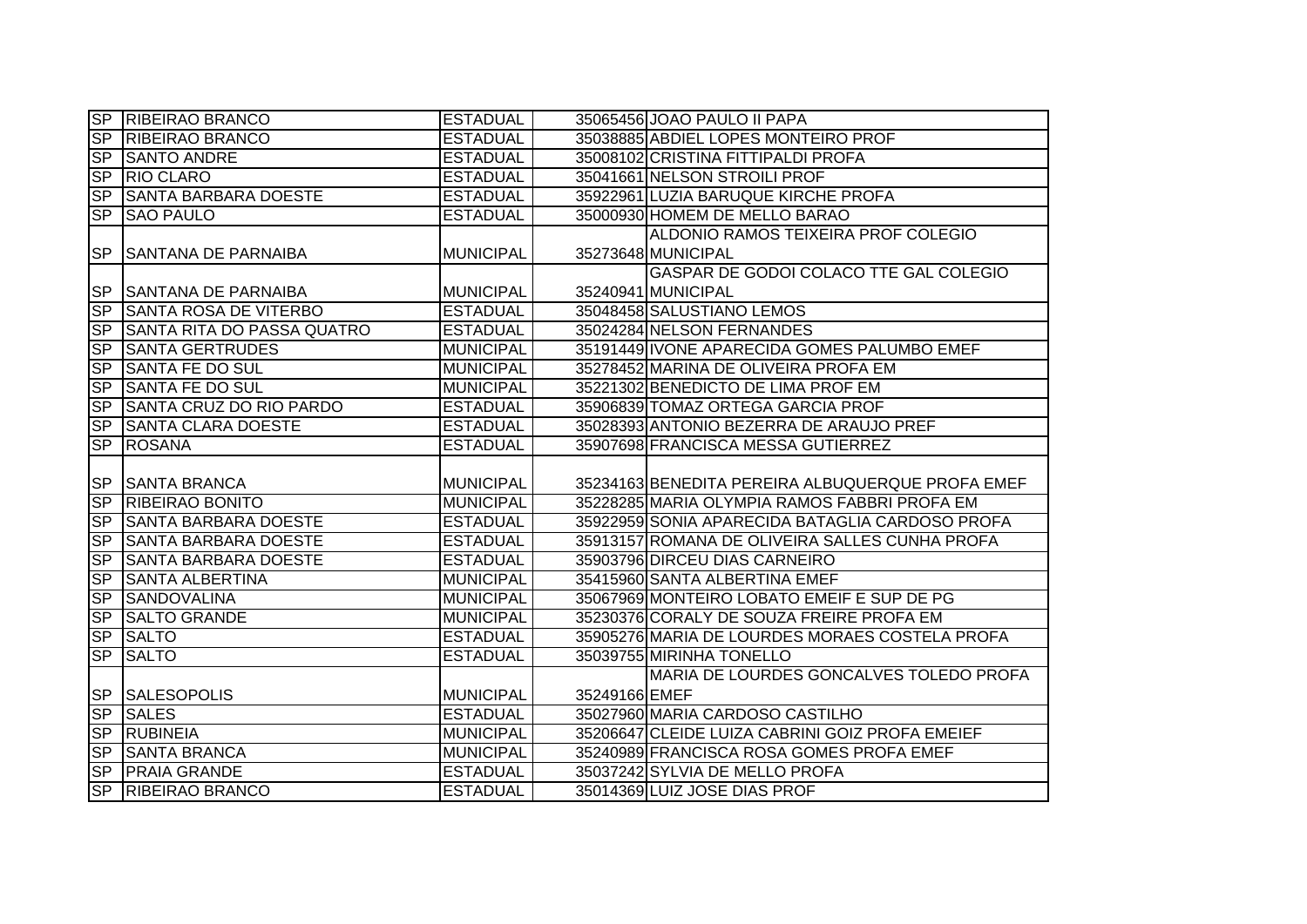|                        | SP RIBEIRAO BRANCO                | <b>ESTADUAL</b>  |               | 35065456 JOAO PAULO II PAPA                      |
|------------------------|-----------------------------------|------------------|---------------|--------------------------------------------------|
| SP                     | <b>RIBEIRAO BRANCO</b>            | <b>ESTADUAL</b>  |               | 35038885 ABDIEL LOPES MONTEIRO PROF              |
| SP                     | <b>SANTO ANDRE</b>                | <b>ESTADUAL</b>  |               | 35008102 CRISTINA FITTIPALDI PROFA               |
| S <sub>P</sub>         | <b>RIO CLARO</b>                  | <b>ESTADUAL</b>  |               | 35041661 NELSON STROILI PROF                     |
| S <sub>P</sub>         | <b>SANTA BARBARA DOESTE</b>       | <b>ESTADUAL</b>  |               | 35922961 LUZIA BARUQUE KIRCHE PROFA              |
| <b>SP</b>              | <b>SAO PAULO</b>                  | <b>ESTADUAL</b>  |               | 35000930 HOMEM DE MELLO BARAO                    |
|                        |                                   |                  |               | ALDONIO RAMOS TEIXEIRA PROF COLEGIO              |
| <b>SP</b>              | <b>SANTANA DE PARNAIBA</b>        | <b>MUNICIPAL</b> |               | 35273648 MUNICIPAL                               |
|                        |                                   |                  |               | GASPAR DE GODOI COLACO TTE GAL COLEGIO           |
| <b>SP</b>              | <b>SANTANA DE PARNAIBA</b>        | <b>MUNICIPAL</b> |               | 35240941 MUNICIPAL                               |
| <b>SP</b>              | <b>SANTA ROSA DE VITERBO</b>      | <b>ESTADUAL</b>  |               | 35048458 SALUSTIANO LEMOS                        |
| <b>SP</b>              | <b>SANTA RITA DO PASSA QUATRO</b> | <b>ESTADUAL</b>  |               | 35024284 NELSON FERNANDES                        |
| SP                     | <b>SANTA GERTRUDES</b>            | <b>MUNICIPAL</b> |               | 35191449 IVONE APARECIDA GOMES PALUMBO EMEF      |
| <b>SP</b>              | <b>SANTA FE DO SUL</b>            | <b>MUNICIPAL</b> |               | 35278452 MARINA DE OLIVEIRA PROFA EM             |
| SP                     | SANTA FE DO SUL                   | <b>MUNICIPAL</b> |               | 35221302 BENEDICTO DE LIMA PROF EM               |
| <b>SP</b>              | <b>SANTA CRUZ DO RIO PARDO</b>    | <b>ESTADUAL</b>  |               | 35906839 TOMAZ ORTEGA GARCIA PROF                |
| $\overline{\text{SP}}$ | <b>SANTA CLARA DOESTE</b>         | <b>ESTADUAL</b>  |               | 35028393 ANTONIO BEZERRA DE ARAUJO PREF          |
| <b>SP</b>              | <b>ROSANA</b>                     | <b>ESTADUAL</b>  |               | 35907698 FRANCISCA MESSA GUTIERREZ               |
|                        |                                   |                  |               |                                                  |
|                        |                                   |                  |               |                                                  |
|                        | SP SANTA BRANCA                   | <b>MUNICIPAL</b> |               | 35234163 BENEDITA PEREIRA ALBUQUERQUE PROFA EMEF |
| SP                     | <b>RIBEIRAO BONITO</b>            | <b>MUNICIPAL</b> |               | 35228285 MARIA OLYMPIA RAMOS FABBRI PROFA EM     |
| SP                     | <b>SANTA BARBARA DOESTE</b>       | <b>ESTADUAL</b>  |               | 35922959 SONIA APARECIDA BATAGLIA CARDOSO PROFA  |
| SP                     | <b>SANTA BARBARA DOESTE</b>       | <b>ESTADUAL</b>  |               | 35913157 ROMANA DE OLIVEIRA SALLES CUNHA PROFA   |
| <b>SP</b>              | <b>SANTA BARBARA DOESTE</b>       | <b>ESTADUAL</b>  |               | 35903796 DIRCEU DIAS CARNEIRO                    |
| <b>SP</b>              | <b>SANTA ALBERTINA</b>            | <b>MUNICIPAL</b> |               | 35415960 SANTA ALBERTINA EMEF                    |
| SP                     | <b>SANDOVALINA</b>                | <b>MUNICIPAL</b> |               | 35067969 MONTEIRO LOBATO EMEIF E SUP DE PG       |
| SP                     | <b>SALTO GRANDE</b>               | <b>MUNICIPAL</b> |               | 35230376 CORALY DE SOUZA FREIRE PROFA EM         |
| SP                     | <b>SALTO</b>                      | <b>ESTADUAL</b>  |               | 35905276 MARIA DE LOURDES MORAES COSTELA PROFA   |
| $\overline{\text{SP}}$ | <b>SALTO</b>                      | <b>ESTADUAL</b>  |               | 35039755 MIRINHA TONELLO                         |
|                        |                                   |                  |               | MARIA DE LOURDES GONCALVES TOLEDO PROFA          |
|                        | <b>SP SALESOPOLIS</b>             | <b>MUNICIPAL</b> | 35249166 EMEF |                                                  |
| SP                     | <b>SALES</b>                      | <b>ESTADUAL</b>  |               | 35027960 MARIA CARDOSO CASTILHO                  |
| SP                     | <b>RUBINEIA</b>                   | <b>MUNICIPAL</b> |               | 35206647 CLEIDE LUIZA CABRINI GOIZ PROFA EMEIEF  |
| SP                     | <b>SANTA BRANCA</b>               | <b>MUNICIPAL</b> |               | 35240989 FRANCISCA ROSA GOMES PROFA EMEF         |
| SP                     | <b>PRAIA GRANDE</b>               | <b>ESTADUAL</b>  |               | 35037242 SYLVIA DE MELLO PROFA                   |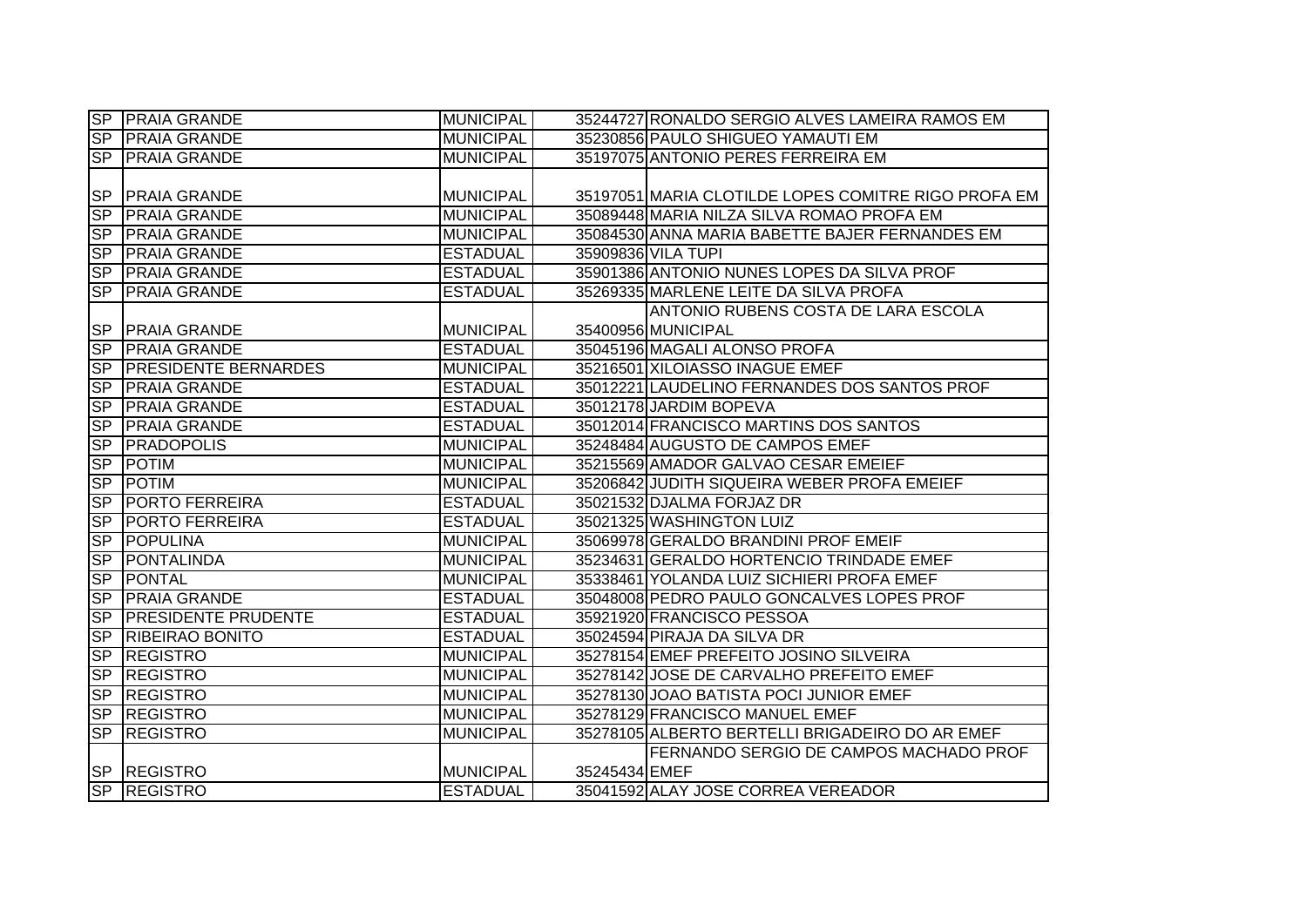|                          | <b>SP PRAIA GRANDE</b>      | <b>MUNICIPAL</b> |               | 35244727 RONALDO SERGIO ALVES LAMEIRA RAMOS EM      |
|--------------------------|-----------------------------|------------------|---------------|-----------------------------------------------------|
| SP                       | <b>PRAIA GRANDE</b>         | <b>MUNICIPAL</b> |               | 35230856 PAULO SHIGUEO YAMAUTI EM                   |
| <b>SP</b>                | <b>PRAIA GRANDE</b>         | <b>MUNICIPAL</b> |               | 35197075 ANTONIO PERES FERREIRA EM                  |
|                          |                             |                  |               |                                                     |
| <b>SP</b>                | <b>PRAIA GRANDE</b>         | <b>MUNICIPAL</b> |               | 35197051 MARIA CLOTILDE LOPES COMITRE RIGO PROFA EM |
| <b>SP</b>                | <b>PRAIA GRANDE</b>         | <b>MUNICIPAL</b> |               | 35089448 MARIA NILZA SILVA ROMAO PROFA EM           |
| SP                       | <b>PRAIA GRANDE</b>         | <b>MUNICIPAL</b> |               | 35084530 ANNA MARIA BABETTE BAJER FERNANDES EM      |
| <b>SP</b>                | <b>PRAIA GRANDE</b>         | <b>ESTADUAL</b>  |               | 35909836 VILA TUPI                                  |
| <b>SP</b>                | <b>PRAIA GRANDE</b>         | <b>ESTADUAL</b>  |               | 35901386 ANTONIO NUNES LOPES DA SILVA PROF          |
| <b>SP</b>                | <b>PRAIA GRANDE</b>         | <b>ESTADUAL</b>  |               | 35269335 MARLENE LEITE DA SILVA PROFA               |
|                          |                             |                  |               | <b>ANTONIO RUBENS COSTA DE LARA ESCOLA</b>          |
| <b>SP</b>                | <b>PRAIA GRANDE</b>         | <b>MUNICIPAL</b> |               | 35400956 MUNICIPAL                                  |
| <b>SP</b>                | <b>PRAIA GRANDE</b>         | <b>ESTADUAL</b>  |               | 35045196 MAGALI ALONSO PROFA                        |
| <b>SP</b>                | <b>PRESIDENTE BERNARDES</b> | <b>MUNICIPAL</b> |               | 35216501 XILOIASSO INAGUE EMEF                      |
| <b>SP</b>                | <b>PRAIA GRANDE</b>         | <b>ESTADUAL</b>  |               | 35012221 LAUDELINO FERNANDES DOS SANTOS PROF        |
| S <sub>P</sub>           | <b>PRAIA GRANDE</b>         | <b>ESTADUAL</b>  |               | 35012178 JARDIM BOPEVA                              |
| $\overline{\mathsf{SP}}$ | <b>PRAIA GRANDE</b>         | <b>ESTADUAL</b>  |               | 35012014 FRANCISCO MARTINS DOS SANTOS               |
| $\overline{\mathsf{SP}}$ | <b>PRADOPOLIS</b>           | <b>MUNICIPAL</b> |               | 35248484 AUGUSTO DE CAMPOS EMEF                     |
| S <sub>P</sub>           | POTIM                       | <b>MUNICIPAL</b> |               | 35215569 AMADOR GALVAO CESAR EMEIEF                 |
| S <sub>P</sub>           | <b>POTIM</b>                | <b>MUNICIPAL</b> |               | 35206842 JUDITH SIQUEIRA WEBER PROFA EMEIEF         |
| S <sub>P</sub>           | <b>PORTO FERREIRA</b>       | <b>ESTADUAL</b>  |               | 35021532 DJALMA FORJAZ DR                           |
| SP                       | <b>PORTO FERREIRA</b>       | <b>ESTADUAL</b>  |               | 35021325 WASHINGTON LUIZ                            |
| SP                       | <b>POPULINA</b>             | <b>MUNICIPAL</b> |               | 35069978 GERALDO BRANDINI PROF EMEIF                |
| $\overline{\mathsf{SP}}$ | <b>PONTALINDA</b>           | <b>MUNICIPAL</b> |               | 35234631 GERALDO HORTENCIO TRINDADE EMEF            |
| S <sub>P</sub>           | <b>PONTAL</b>               | <b>MUNICIPAL</b> |               | 35338461 YOLANDA LUIZ SICHIERI PROFA EMEF           |
| S <sub>P</sub>           | <b>PRAIA GRANDE</b>         | <b>ESTADUAL</b>  |               | 35048008 PEDRO PAULO GONCALVES LOPES PROF           |
| $\overline{\text{SP}}$   | <b>PRESIDENTE PRUDENTE</b>  | <b>ESTADUAL</b>  |               | 35921920 FRANCISCO PESSOA                           |
| S <sub>P</sub>           | <b>RIBEIRAO BONITO</b>      | <b>ESTADUAL</b>  |               | 35024594 PIRAJA DA SILVA DR                         |
| S <sub>P</sub>           | <b>REGISTRO</b>             | <b>MUNICIPAL</b> |               | 35278154 EMEF PREFEITO JOSINO SILVEIRA              |
| S <sub>P</sub>           | <b>REGISTRO</b>             | <b>MUNICIPAL</b> |               | 35278142 JOSE DE CARVALHO PREFEITO EMEF             |
| $S_{\mathsf{P}}$         | <b>REGISTRO</b>             | <b>MUNICIPAL</b> |               | 35278130 JOAO BATISTA POCI JUNIOR EMEF              |
|                          | SP REGISTRO                 | <b>MUNICIPAL</b> |               | 35278129 FRANCISCO MANUEL EMEF                      |
| S <sub>P</sub>           | <b>REGISTRO</b>             | <b>MUNICIPAL</b> |               | 35278105 ALBERTO BERTELLI BRIGADEIRO DO AR EMEF     |
|                          |                             |                  |               | FERNANDO SERGIO DE CAMPOS MACHADO PROF              |
| <b>SP</b>                | <b>REGISTRO</b>             | <b>MUNICIPAL</b> | 35245434 EMEF |                                                     |
|                          | SP REGISTRO                 | <b>ESTADUAL</b>  |               | 35041592 ALAY JOSE CORREA VEREADOR                  |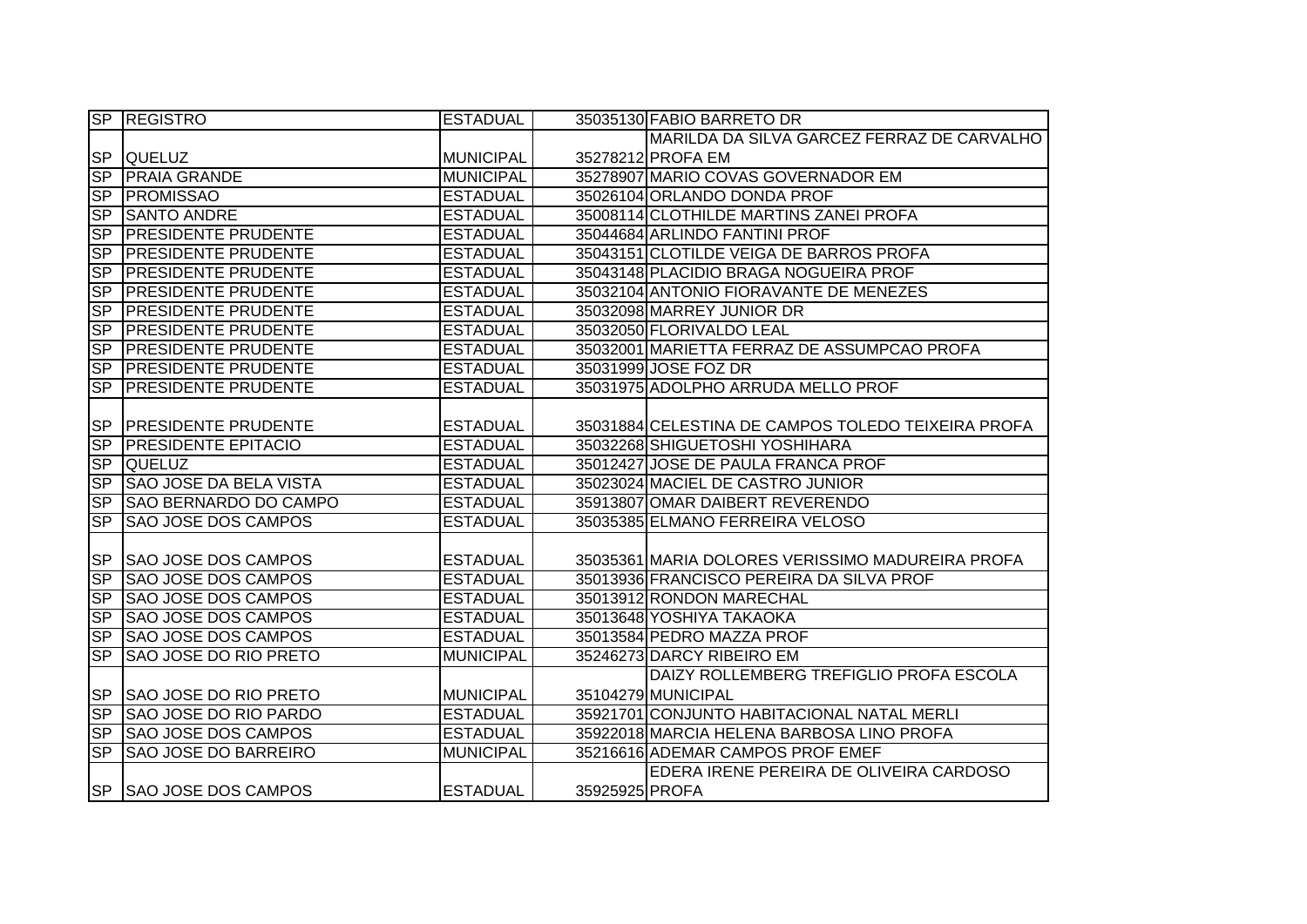|                          | <b>SP REGISTRO</b>           | <b>ESTADUAL</b>  |                | 35035130 FABIO BARRETO DR                          |
|--------------------------|------------------------------|------------------|----------------|----------------------------------------------------|
|                          |                              |                  |                | MARILDA DA SILVA GARCEZ FERRAZ DE CARVALHO         |
|                          | SP QUELUZ                    | <b>MUNICIPAL</b> |                | 35278212 PROFA EM                                  |
| SP                       | <b>PRAIA GRANDE</b>          | <b>MUNICIPAL</b> |                | 35278907 MARIO COVAS GOVERNADOR EM                 |
|                          | SP PROMISSAO                 | <b>ESTADUAL</b>  |                | 35026104 ORLANDO DONDA PROF                        |
| SP                       | <b>SANTO ANDRE</b>           | <b>ESTADUAL</b>  |                | 35008114 CLOTHILDE MARTINS ZANEI PROFA             |
| SP                       | <b>PRESIDENTE PRUDENTE</b>   | <b>ESTADUAL</b>  |                | 35044684 ARLINDO FANTINI PROF                      |
| S <sub>P</sub>           | <b>PRESIDENTE PRUDENTE</b>   | <b>ESTADUAL</b>  |                | 35043151 CLOTILDE VEIGA DE BARROS PROFA            |
| S <sub>P</sub>           | <b>PRESIDENTE PRUDENTE</b>   | <b>ESTADUAL</b>  |                | 35043148 PLACIDIO BRAGA NOGUEIRA PROF              |
| <b>SP</b>                | <b>PRESIDENTE PRUDENTE</b>   | <b>ESTADUAL</b>  |                | 35032104 ANTONIO FIORAVANTE DE MENEZES             |
| <b>SP</b>                | <b>PRESIDENTE PRUDENTE</b>   | <b>ESTADUAL</b>  |                | 35032098 MARREY JUNIOR DR                          |
| <b>SP</b>                | <b>PRESIDENTE PRUDENTE</b>   | <b>ESTADUAL</b>  |                | 35032050 FLORIVALDO LEAL                           |
| <b>SP</b>                | <b>PRESIDENTE PRUDENTE</b>   | <b>ESTADUAL</b>  |                | 35032001 MARIETTA FERRAZ DE ASSUMPCAO PROFA        |
| <b>SP</b>                | <b>PRESIDENTE PRUDENTE</b>   | <b>ESTADUAL</b>  |                | 35031999 JOSE FOZ DR                               |
| $\overline{\text{SP}}$   | <b>PRESIDENTE PRUDENTE</b>   | <b>ESTADUAL</b>  |                | 35031975 ADOLPHO ARRUDA MELLO PROF                 |
|                          |                              |                  |                |                                                    |
| <b>SP</b>                | <b>PRESIDENTE PRUDENTE</b>   | <b>ESTADUAL</b>  |                | 35031884 CELESTINA DE CAMPOS TOLEDO TEIXEIRA PROFA |
| SP                       | <b>PRESIDENTE EPITACIO</b>   | <b>ESTADUAL</b>  |                | 35032268 SHIGUETOSHI YOSHIHARA                     |
| SP                       | <b>QUELUZ</b>                | <b>ESTADUAL</b>  |                | 35012427 JOSE DE PAULA FRANCA PROF                 |
| SP                       | SAO JOSE DA BELA VISTA       | <b>ESTADUAL</b>  |                | 35023024 MACIEL DE CASTRO JUNIOR                   |
| S <sub>P</sub>           | SAO BERNARDO DO CAMPO        | <b>ESTADUAL</b>  |                | 35913807 OMAR DAIBERT REVERENDO                    |
| <b>SP</b>                | <b>SAO JOSE DOS CAMPOS</b>   | <b>ESTADUAL</b>  |                | 35035385 ELMANO FERREIRA VELOSO                    |
|                          |                              |                  |                |                                                    |
| <b>SP</b>                | <b>SAO JOSE DOS CAMPOS</b>   | <b>ESTADUAL</b>  |                | 35035361 MARIA DOLORES VERISSIMO MADUREIRA PROFA   |
| S <sub>P</sub>           | <b>SAO JOSE DOS CAMPOS</b>   | <b>ESTADUAL</b>  |                | 35013936 FRANCISCO PEREIRA DA SILVA PROF           |
| S <sub>P</sub>           | <b>SAO JOSE DOS CAMPOS</b>   | <b>ESTADUAL</b>  |                | 35013912 RONDON MARECHAL                           |
| SP                       | <b>SAO JOSE DOS CAMPOS</b>   | <b>ESTADUAL</b>  |                | 35013648 YOSHIYA TAKAOKA                           |
| $\overline{\text{SP}}$   | <b>SAO JOSE DOS CAMPOS</b>   | <b>ESTADUAL</b>  |                | 35013584 PEDRO MAZZA PROF                          |
| $\overline{\mathsf{SP}}$ | SAO JOSE DO RIO PRETO        | <b>MUNICIPAL</b> |                | 35246273 DARCY RIBEIRO EM                          |
|                          |                              |                  |                | DAIZY ROLLEMBERG TREFIGLIO PROFA ESCOLA            |
| <b>SP</b>                | SAO JOSE DO RIO PRETO        | <b>MUNICIPAL</b> |                | 35104279 MUNICIPAL                                 |
| S <sub>P</sub>           | <b>SAO JOSE DO RIO PARDO</b> | <b>ESTADUAL</b>  |                | 35921701 CONJUNTO HABITACIONAL NATAL MERLI         |
|                          | SP SAO JOSE DOS CAMPOS       | <b>ESTADUAL</b>  |                | 35922018 MARCIA HELENA BARBOSA LINO PROFA          |
| SP                       | <b>SAO JOSE DO BARREIRO</b>  | <b>MUNICIPAL</b> |                | 35216616 ADEMAR CAMPOS PROF EMEF                   |
|                          |                              |                  |                | EDERA IRENE PEREIRA DE OLIVEIRA CARDOSO            |
|                          | SP SAO JOSE DOS CAMPOS       | <b>ESTADUAL</b>  | 35925925 PROFA |                                                    |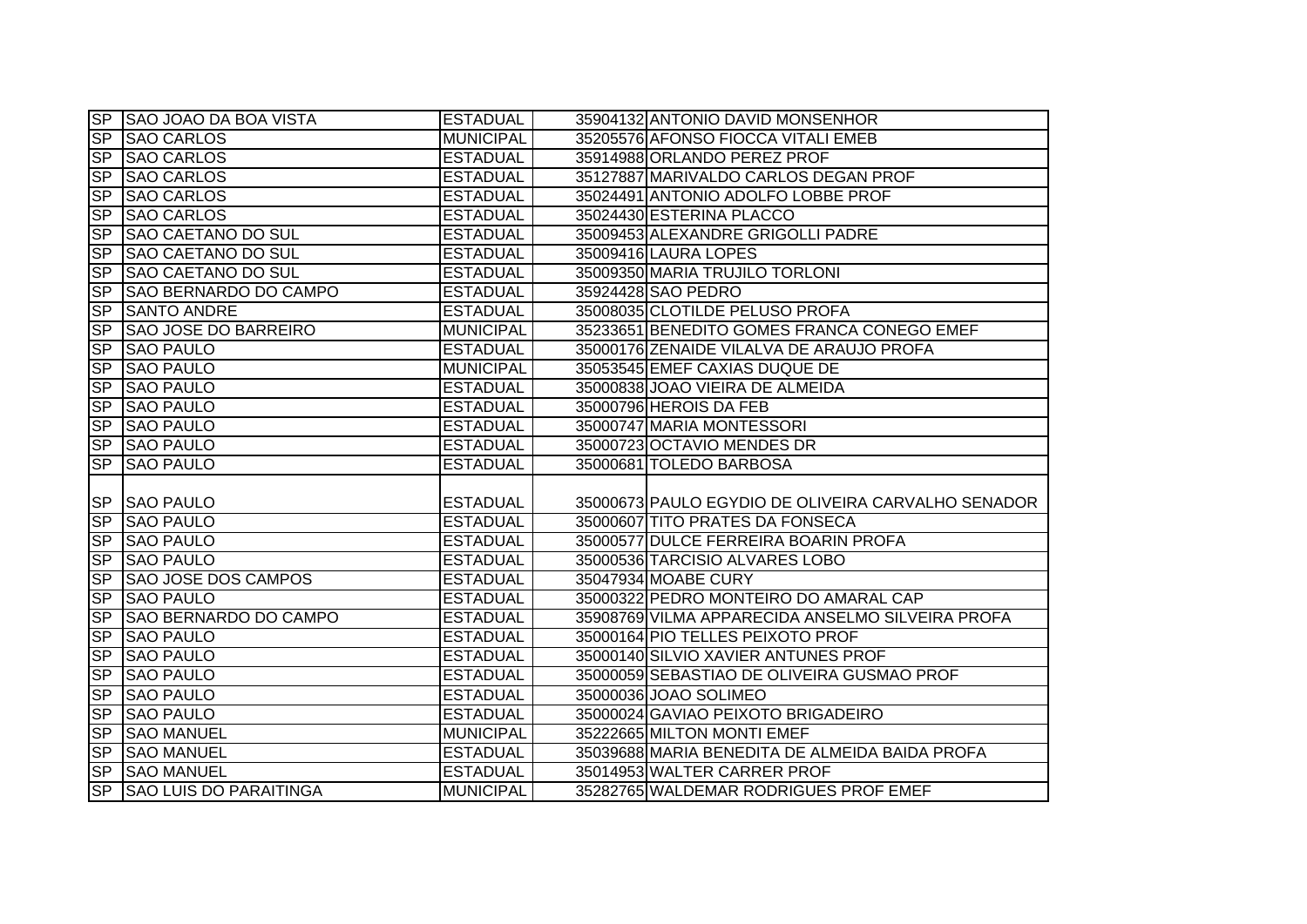|           | SP SAO JOAO DA BOA VISTA                       | <b>ESTADUAL</b>  | 35904132 ANTONIO DAVID MONSENHOR                   |
|-----------|------------------------------------------------|------------------|----------------------------------------------------|
|           | SP SAO CARLOS                                  | <b>MUNICIPAL</b> | 35205576 AFONSO FIOCCA VITALI EMEB                 |
| <b>SP</b> | <b>SAO CARLOS</b>                              | <b>ESTADUAL</b>  | 35914988 ORLANDO PEREZ PROF                        |
| <b>SP</b> | <b>SAO CARLOS</b>                              | <b>ESTADUAL</b>  | 35127887 MARIVALDO CARLOS DEGAN PROF               |
| <b>SP</b> | <b>SAO CARLOS</b>                              | <b>ESTADUAL</b>  | 35024491 ANTONIO ADOLFO LOBBE PROF                 |
| <b>SP</b> | <b>SAO CARLOS</b>                              | <b>ESTADUAL</b>  | 35024430 ESTERINA PLACCO                           |
| <b>SP</b> | <b>SAO CAETANO DO SUL</b>                      | <b>ESTADUAL</b>  | 35009453 ALEXANDRE GRIGOLLI PADRE                  |
|           | SP SAO CAETANO DO SUL                          | <b>ESTADUAL</b>  | 35009416 LAURA LOPES                               |
| SP        | <b>SAO CAETANO DO SUL</b>                      | <b>ESTADUAL</b>  | 35009350 MARIA TRUJILO TORLONI                     |
| <b>SP</b> | SAO BERNARDO DO CAMPO                          | <b>ESTADUAL</b>  | 35924428 SAO PEDRO                                 |
| <b>SP</b> | <b>SANTO ANDRE</b>                             | <b>ESTADUAL</b>  | 35008035 CLOTILDE PELUSO PROFA                     |
| SP        | <b>SAO JOSE DO BARREIRO</b>                    | <b>MUNICIPAL</b> | 35233651 BENEDITO GOMES FRANCA CONEGO EMEF         |
| <b>SP</b> | <b>SAO PAULO</b>                               | <b>ESTADUAL</b>  | 35000176 ZENAIDE VILALVA DE ARAUJO PROFA           |
| <b>SP</b> | <b>SAO PAULO</b>                               | <b>MUNICIPAL</b> | 35053545 EMEF CAXIAS DUQUE DE                      |
| <b>SP</b> | <b>SAO PAULO</b>                               | <b>ESTADUAL</b>  | 35000838 JOAO VIEIRA DE ALMEIDA                    |
| <b>SP</b> | <b>SAO PAULO</b>                               | <b>ESTADUAL</b>  | 35000796 HEROIS DA FEB                             |
| <b>SP</b> | <b>SAO PAULO</b>                               | <b>ESTADUAL</b>  | 35000747 MARIA MONTESSORI                          |
| <b>SP</b> | <b>SAO PAULO</b>                               | <b>ESTADUAL</b>  | 35000723 OCTAVIO MENDES DR                         |
|           |                                                |                  |                                                    |
| <b>SP</b> | <b>SAO PAULO</b>                               | <b>ESTADUAL</b>  | 35000681 TOLEDO BARBOSA                            |
|           |                                                |                  |                                                    |
|           | <b>SP SAO PAULO</b>                            | <b>ESTADUAL</b>  | 35000673 PAULO EGYDIO DE OLIVEIRA CARVALHO SENADOR |
|           | SP SAO PAULO                                   | <b>ESTADUAL</b>  | 35000607 TITO PRATES DA FONSECA                    |
| SP        | <b>SAO PAULO</b>                               | <b>ESTADUAL</b>  | 35000577 DULCE FERREIRA BOARIN PROFA               |
| <b>SP</b> | <b>SAO PAULO</b>                               | <b>ESTADUAL</b>  | 35000536 TARCISIO ALVARES LOBO                     |
| <b>SP</b> | <b>SAO JOSE DOS CAMPOS</b>                     | <b>ESTADUAL</b>  | 35047934 MOABE CURY                                |
| SP        | <b>SAO PAULO</b>                               | <b>ESTADUAL</b>  | 35000322 PEDRO MONTEIRO DO AMARAL CAP              |
| <b>SP</b> | <b>SAO BERNARDO DO CAMPO</b>                   | <b>ESTADUAL</b>  | 35908769 VILMA APPARECIDA ANSELMO SILVEIRA PROFA   |
| <b>SP</b> | <b>SAO PAULO</b>                               | <b>ESTADUAL</b>  | 35000164 PIO TELLES PEIXOTO PROF                   |
| <b>SP</b> | <b>SAO PAULO</b>                               | <b>ESTADUAL</b>  | 35000140 SILVIO XAVIER ANTUNES PROF                |
| <b>SP</b> | <b>SAO PAULO</b>                               | <b>ESTADUAL</b>  | 35000059 SEBASTIAO DE OLIVEIRA GUSMAO PROF         |
| <b>SP</b> | <b>SAO PAULO</b>                               | <b>ESTADUAL</b>  | 35000036 JOAO SOLIMEO                              |
|           | SP SAO PAULO                                   | <b>ESTADUAL</b>  | 35000024 GAVIAO PEIXOTO BRIGADEIRO                 |
| SP        | <b>SAO MANUEL</b>                              | <b>MUNICIPAL</b> | 35222665 MILTON MONTI EMEF                         |
| <b>SP</b> | <b>SAO MANUEL</b>                              | <b>ESTADUAL</b>  | 35039688 MARIA BENEDITA DE ALMEIDA BAIDA PROFA     |
| SP        | <b>SAO MANUEL</b><br>SP SAO LUIS DO PARAITINGA | <b>ESTADUAL</b>  | 35014953 WALTER CARRER PROF                        |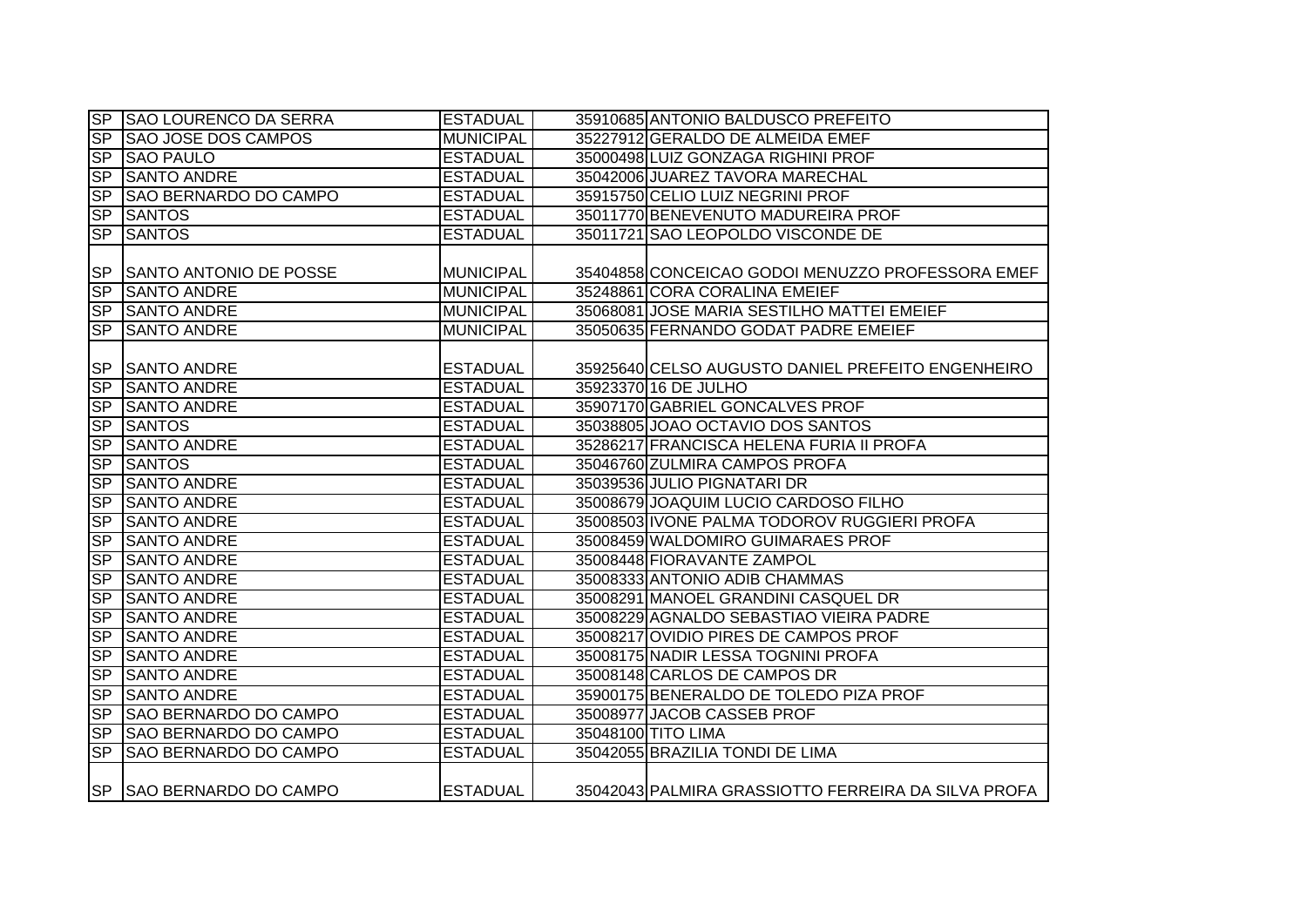|                        | SP SAO LOURENCO DA SERRA     | <b>ESTADUAL</b>  | 35910685 ANTONIO BALDUSCO PREFEITO                  |
|------------------------|------------------------------|------------------|-----------------------------------------------------|
| <b>SP</b>              | <b>SAO JOSE DOS CAMPOS</b>   | <b>MUNICIPAL</b> | 35227912 GERALDO DE ALMEIDA EMEF                    |
| SP                     | <b>SAO PAULO</b>             | <b>ESTADUAL</b>  | 35000498 LUIZ GONZAGA RIGHINI PROF                  |
| S <sub>P</sub>         | <b>SANTO ANDRE</b>           | <b>ESTADUAL</b>  | 35042006 JUAREZ TAVORA MARECHAL                     |
| <b>SP</b>              | <b>SAO BERNARDO DO CAMPO</b> | <b>ESTADUAL</b>  | 35915750 CELIO LUIZ NEGRINI PROF                    |
| SP                     | <b>SANTOS</b>                | <b>ESTADUAL</b>  | 35011770 BENEVENUTO MADUREIRA PROF                  |
| SP                     | <b>SANTOS</b>                | <b>ESTADUAL</b>  | 35011721 SAO LEOPOLDO VISCONDE DE                   |
|                        |                              |                  |                                                     |
| <b>SP</b>              | SANTO ANTONIO DE POSSE       | <b>MUNICIPAL</b> | 35404858 CONCEICAO GODOI MENUZZO PROFESSORA EMEF    |
| <b>SP</b>              | <b>SANTO ANDRE</b>           | <b>MUNICIPAL</b> | 35248861 CORA CORALINA EMEIEF                       |
| <b>SP</b>              | <b>SANTO ANDRE</b>           | <b>MUNICIPAL</b> | 35068081 JOSE MARIA SESTILHO MATTEI EMEIEF          |
| <b>SP</b>              | <b>SANTO ANDRE</b>           | <b>MUNICIPAL</b> | 35050635 FERNANDO GODAT PADRE EMEIEF                |
|                        |                              |                  |                                                     |
| <b>SP</b>              | <b>SANTO ANDRE</b>           | <b>ESTADUAL</b>  | 35925640 CELSO AUGUSTO DANIEL PREFEITO ENGENHEIRO   |
| SP                     | <b>SANTO ANDRE</b>           | <b>ESTADUAL</b>  | 35923370 16 DE JULHO                                |
| <b>SP</b>              | <b>SANTO ANDRE</b>           | <b>ESTADUAL</b>  | 35907170 GABRIEL GONCALVES PROF                     |
| SP                     | <b>SANTOS</b>                | <b>ESTADUAL</b>  | 35038805 JOAO OCTAVIO DOS SANTOS                    |
| SP                     | <b>SANTO ANDRE</b>           | <b>ESTADUAL</b>  | 35286217 FRANCISCA HELENA FURIA II PROFA            |
| SP                     | <b>SANTOS</b>                | <b>ESTADUAL</b>  | 35046760 ZULMIRA CAMPOS PROFA                       |
| SP                     | <b>SANTO ANDRE</b>           | <b>ESTADUAL</b>  | 35039536 JULIO PIGNATARI DR                         |
| <b>SP</b>              | <b>SANTO ANDRE</b>           | <b>ESTADUAL</b>  | 35008679 JOAQUIM LUCIO CARDOSO FILHO                |
| SP                     | <b>SANTO ANDRE</b>           | <b>ESTADUAL</b>  | 35008503 IVONE PALMA TODOROV RUGGIERI PROFA         |
| SP                     | <b>SANTO ANDRE</b>           | <b>ESTADUAL</b>  | 35008459 WALDOMIRO GUIMARAES PROF                   |
| SP                     | <b>SANTO ANDRE</b>           | <b>ESTADUAL</b>  | 35008448 FIORAVANTE ZAMPOL                          |
| SP                     | <b>SANTO ANDRE</b>           | <b>ESTADUAL</b>  | 35008333 ANTONIO ADIB CHAMMAS                       |
| <b>SP</b>              | <b>SANTO ANDRE</b>           | <b>ESTADUAL</b>  | 35008291 MANOEL GRANDINI CASQUEL DR                 |
| SP                     | <b>SANTO ANDRE</b>           | <b>ESTADUAL</b>  | 35008229 AGNALDO SEBASTIAO VIEIRA PADRE             |
| SP                     | <b>SANTO ANDRE</b>           | <b>ESTADUAL</b>  | 35008217 OVIDIO PIRES DE CAMPOS PROF                |
| $\overline{\text{SP}}$ | <b>SANTO ANDRE</b>           | <b>ESTADUAL</b>  | 35008175 NADIR LESSA TOGNINI PROFA                  |
| SP                     | <b>SANTO ANDRE</b>           | <b>ESTADUAL</b>  | 35008148 CARLOS DE CAMPOS DR                        |
| SP                     | <b>SANTO ANDRE</b>           | <b>ESTADUAL</b>  | 35900175 BENERALDO DE TOLEDO PIZA PROF              |
| S <sub>P</sub>         | <b>SAO BERNARDO DO CAMPO</b> | <b>ESTADUAL</b>  | 35008977 JACOB CASSEB PROF                          |
| <b>SP</b>              | SAO BERNARDO DO CAMPO        | <b>ESTADUAL</b>  | 35048100 TITO LIMA                                  |
| SP                     | SAO BERNARDO DO CAMPO        | <b>ESTADUAL</b>  | 35042055 BRAZILIA TONDI DE LIMA                     |
|                        | SP SAO BERNARDO DO CAMPO     | <b>ESTADUAL</b>  | 35042043 PALMIRA GRASSIOTTO FERREIRA DA SILVA PROFA |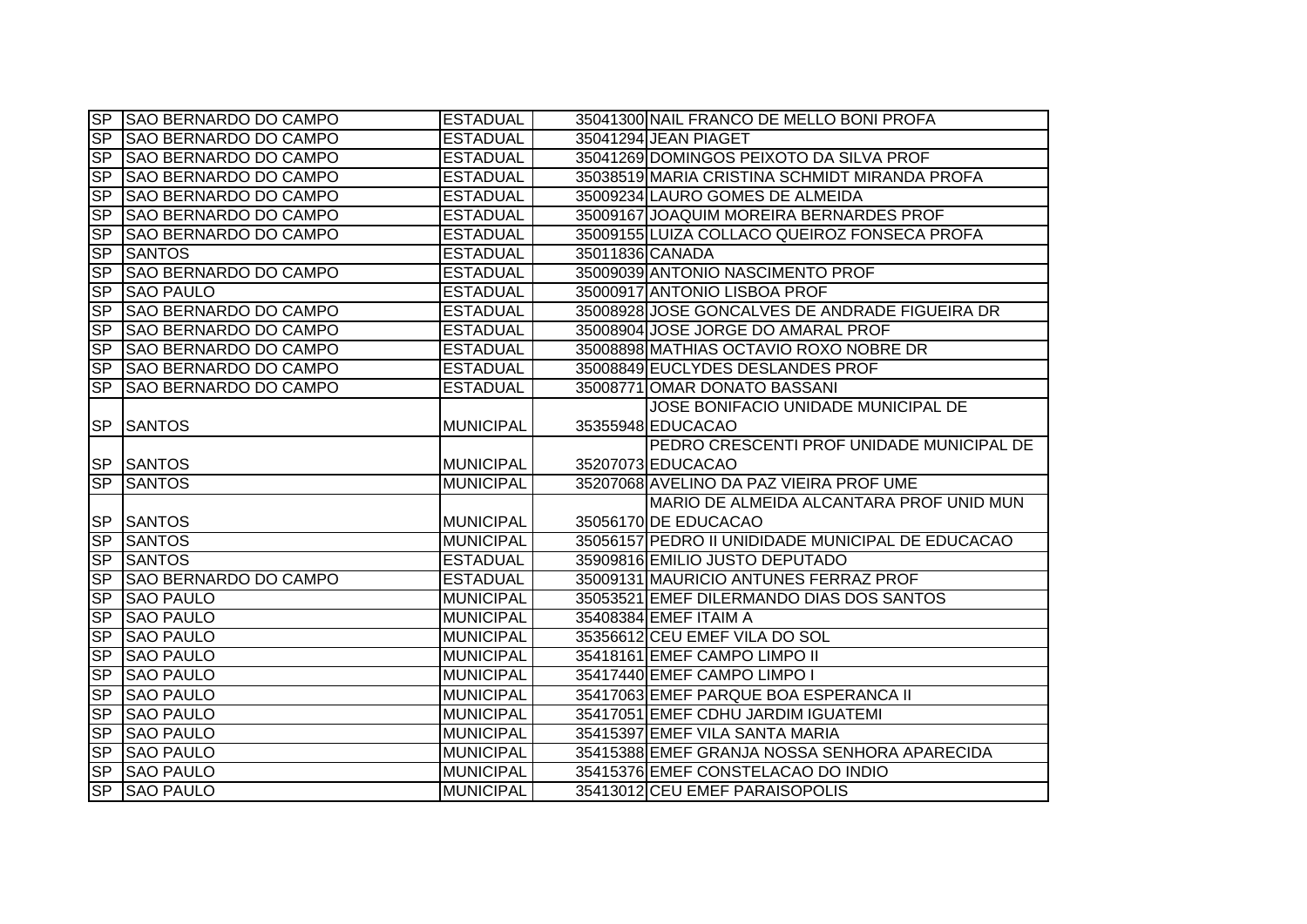|                  | SP SAO BERNARDO DO CAMPO     | <b>ESTADUAL</b>  | 35041300 NAIL FRANCO DE MELLO BONI PROFA          |
|------------------|------------------------------|------------------|---------------------------------------------------|
| SP               | <b>SAO BERNARDO DO CAMPO</b> | <b>ESTADUAL</b>  | 35041294 JEAN PIAGET                              |
| <b>SP</b>        | <b>SAO BERNARDO DO CAMPO</b> | <b>ESTADUAL</b>  | 35041269 DOMINGOS PEIXOTO DA SILVA PROF           |
| <b>SP</b>        | <b>SAO BERNARDO DO CAMPO</b> | <b>ESTADUAL</b>  | 35038519 MARIA CRISTINA SCHMIDT MIRANDA PROFA     |
| SP               | <b>SAO BERNARDO DO CAMPO</b> | <b>ESTADUAL</b>  | 35009234 LAURO GOMES DE ALMEIDA                   |
| <b>SP</b>        | SAO BERNARDO DO CAMPO        | <b>ESTADUAL</b>  | 35009167 JOAQUIM MOREIRA BERNARDES PROF           |
| <b>SP</b>        | <b>SAO BERNARDO DO CAMPO</b> | <b>ESTADUAL</b>  | 35009155 LUIZA COLLACO QUEIROZ FONSECA PROFA      |
| <b>SP</b>        | <b>SANTOS</b>                | <b>ESTADUAL</b>  | 35011836 CANADA                                   |
| <b>SP</b>        | <b>SAO BERNARDO DO CAMPO</b> | <b>ESTADUAL</b>  | 35009039 ANTONIO NASCIMENTO PROF                  |
| <b>SP</b>        | <b>SAO PAULO</b>             | <b>ESTADUAL</b>  | 35000917 ANTONIO LISBOA PROF                      |
| S <sub>P</sub>   | <b>SAO BERNARDO DO CAMPO</b> | <b>ESTADUAL</b>  | 35008928 JOSE GONCALVES DE ANDRADE FIGUEIRA DR    |
| <b>SP</b>        | <b>SAO BERNARDO DO CAMPO</b> | <b>ESTADUAL</b>  | 35008904 JOSE JORGE DO AMARAL PROF                |
| <b>SP</b>        | <b>SAO BERNARDO DO CAMPO</b> | <b>ESTADUAL</b>  | 35008898 MATHIAS OCTAVIO ROXO NOBRE DR            |
| <b>SP</b>        | SAO BERNARDO DO CAMPO        | <b>ESTADUAL</b>  | 35008849 EUCLYDES DESLANDES PROF                  |
| $S_{\mathsf{P}}$ | <b>SAO BERNARDO DO CAMPO</b> | <b>ESTADUAL</b>  | 35008771 OMAR DONATO BASSANI                      |
|                  |                              |                  | JOSE BONIFACIO UNIDADE MUNICIPAL DE               |
| <b>SP</b>        | <b>ISANTOS</b>               | <b>MUNICIPAL</b> | 35355948 EDUCACAO                                 |
|                  |                              |                  | PEDRO CRESCENTI PROF UNIDADE MUNICIPAL DE         |
|                  | <b>SP SANTOS</b>             | <b>MUNICIPAL</b> | 35207073 EDUCACAO                                 |
|                  | <b>SP SANTOS</b>             | <b>MUNICIPAL</b> | 35207068 AVELINO DA PAZ VIEIRA PROF UME           |
|                  |                              |                  | MARIO DE ALMEIDA ALCANTARA PROF UNID MUN          |
|                  | <b>SP SANTOS</b>             | MUNICIPAL        | 35056170 DE EDUCACAO                              |
| SP               | <b>SANTOS</b>                | MUNICIPAL        | 35056157 PEDRO II UNIDIDADE MUNICIPAL DE EDUCACAO |
| SP               | <b>SANTOS</b>                | <b>ESTADUAL</b>  | 35909816 EMILIO JUSTO DEPUTADO                    |
| $S_{\mathsf{P}}$ | <b>SAO BERNARDO DO CAMPO</b> | <b>ESTADUAL</b>  | 35009131 MAURICIO ANTUNES FERRAZ PROF             |
| S <sub>P</sub>   | <b>SAO PAULO</b>             | <b>MUNICIPAL</b> | 35053521 EMEF DILERMANDO DIAS DOS SANTOS          |
| <b>SP</b>        | <b>SAO PAULO</b>             | <b>MUNICIPAL</b> | 35408384 EMEF ITAIM A                             |
| S <sub>P</sub>   | <b>SAO PAULO</b>             | <b>MUNICIPAL</b> | 35356612 CEU EMEF VILA DO SOL                     |
| S <sub>P</sub>   | <b>SAO PAULO</b>             | <b>MUNICIPAL</b> | 35418161 EMEF CAMPO LIMPO II                      |
| <b>SP</b>        | <b>SAO PAULO</b>             | <b>MUNICIPAL</b> | 35417440 EMEF CAMPO LIMPO I                       |
| SP               | <b>SAO PAULO</b>             | <b>MUNICIPAL</b> | 35417063 EMEF PARQUE BOA ESPERANCA II             |
| <b>SP</b>        | <b>SAO PAULO</b>             | MUNICIPAL        | 35417051 EMEF CDHU JARDIM IGUATEMI                |
| SP               | <b>SAO PAULO</b>             | <b>MUNICIPAL</b> | 35415397 EMEF VILA SANTA MARIA                    |
| SP               | <b>SAO PAULO</b>             | MUNICIPAL        | 35415388 EMEF GRANJA NOSSA SENHORA APARECIDA      |
| <b>SP</b>        | <b>SAO PAULO</b>             | MUNICIPAL        | 35415376 EMEF CONSTELACAO DO INDIO                |
| <b>SP</b>        | <b>SAO PAULO</b>             | MUNICIPAL        | 35413012 CEU EMEF PARAISOPOLIS                    |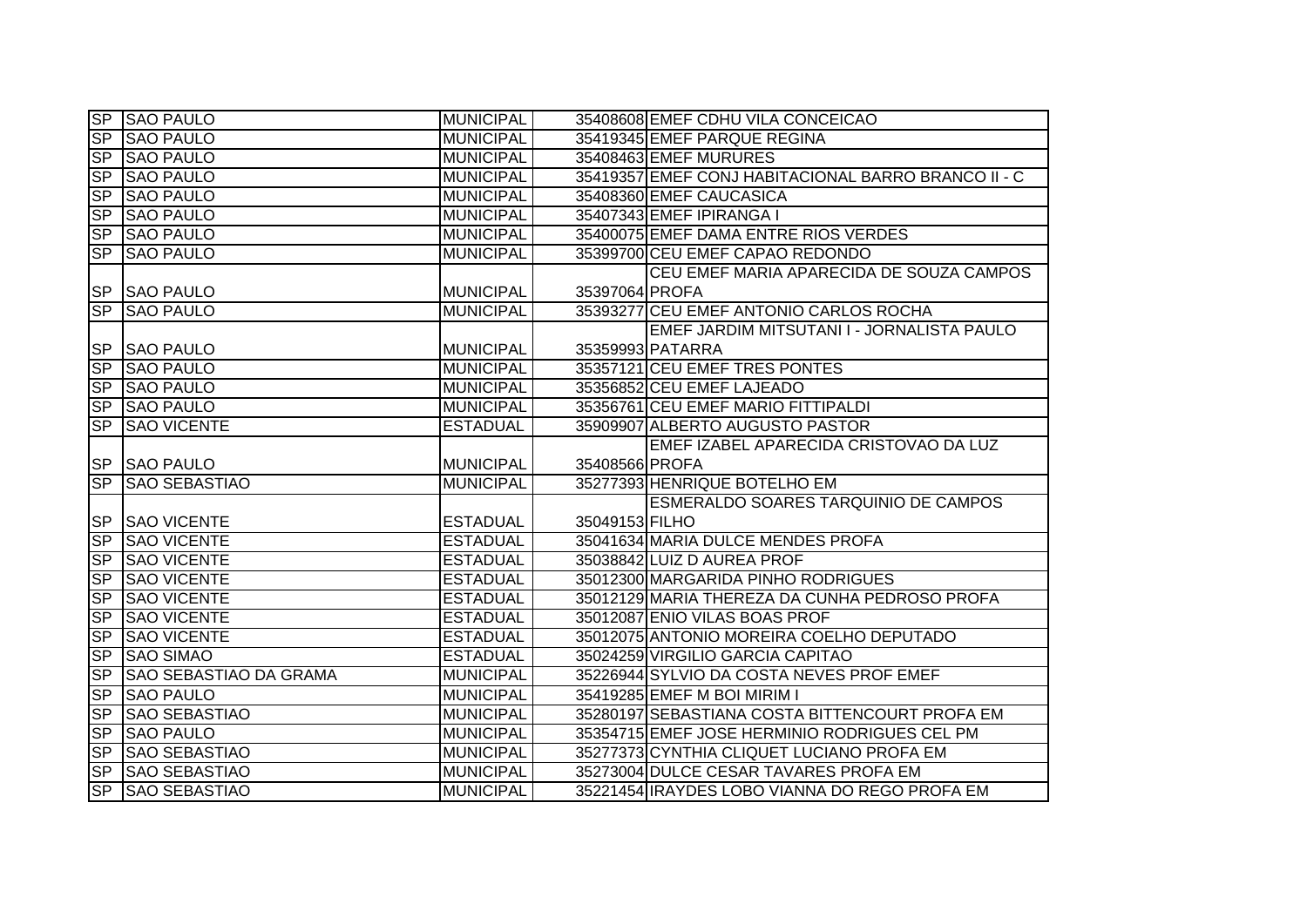|                        | SP SAO PAULO                  | MUNICIPAL        |                | 35408608 EMEF CDHU VILA CONCEICAO                                                      |
|------------------------|-------------------------------|------------------|----------------|----------------------------------------------------------------------------------------|
| SP                     | <b>SAO PAULO</b>              | <b>MUNICIPAL</b> |                | 35419345 EMEF PARQUE REGINA                                                            |
|                        | SP SAO PAULO                  | <b>MUNICIPAL</b> |                | 35408463 EMEF MURURES                                                                  |
| SP                     | <b>SAO PAULO</b>              | <b>MUNICIPAL</b> |                | 35419357 EMEF CONJ HABITACIONAL BARRO BRANCO II - C                                    |
| S <sub>P</sub>         | <b>SAO PAULO</b>              | <b>MUNICIPAL</b> |                | 35408360 EMEF CAUCASICA                                                                |
| $S_{\mathsf{P}}$       | <b>SAO PAULO</b>              | <b>MUNICIPAL</b> |                | 35407343 EMEF IPIRANGA I                                                               |
| $S_{\mathsf{P}}$       | <b>SAO PAULO</b>              | <b>MUNICIPAL</b> |                | 35400075 EMEF DAMA ENTRE RIOS VERDES                                                   |
| SP                     | <b>SAO PAULO</b>              | <b>MUNICIPAL</b> |                | 35399700 CEU EMEF CAPAO REDONDO                                                        |
|                        |                               |                  |                | CEU EMEF MARIA APARECIDA DE SOUZA CAMPOS                                               |
|                        | SP SAO PAULO                  | <b>MUNICIPAL</b> | 35397064 PROFA |                                                                                        |
| <b>SP</b>              | <b>SAO PAULO</b>              | <b>MUNICIPAL</b> |                | 35393277 CEU EMEF ANTONIO CARLOS ROCHA                                                 |
|                        |                               |                  |                | EMEF JARDIM MITSUTANI I - JORNALISTA PAULO                                             |
| <b>SP</b>              | <b>SAO PAULO</b>              | <b>MUNICIPAL</b> |                | 35359993 PATARRA                                                                       |
| SP                     | <b>SAO PAULO</b>              | <b>MUNICIPAL</b> |                | 35357121 CEU EMEF TRES PONTES                                                          |
| SP                     | <b>SAO PAULO</b>              | <b>MUNICIPAL</b> |                | 35356852 CEU EMEF LAJEADO                                                              |
| $S_{\mathsf{P}}$       | <b>SAO PAULO</b>              | <b>MUNICIPAL</b> |                | 35356761 CEU EMEF MARIO FITTIPALDI                                                     |
| $\overline{\text{SP}}$ | <b>SAO VICENTE</b>            | <b>ESTADUAL</b>  |                | 35909907 ALBERTO AUGUSTO PASTOR                                                        |
|                        |                               |                  |                | EMEF IZABEL APARECIDA CRISTOVAO DA LUZ                                                 |
|                        | <b>SP SAO PAULO</b>           | <b>MUNICIPAL</b> | 35408566 PROFA |                                                                                        |
| SP                     | <b>SAO SEBASTIAO</b>          | <b>MUNICIPAL</b> |                | 35277393 HENRIQUE BOTELHO EM                                                           |
|                        |                               |                  |                | ESMERALDO SOARES TARQUINIO DE CAMPOS                                                   |
|                        | <b>SP SAO VICENTE</b>         | <b>ESTADUAL</b>  | 35049153 FILHO |                                                                                        |
| SP                     | <b>SAO VICENTE</b>            | <b>ESTADUAL</b>  |                | 35041634 MARIA DULCE MENDES PROFA                                                      |
| SP                     | <b>SAO VICENTE</b>            | <b>ESTADUAL</b>  |                | 35038842 LUIZ D AUREA PROF                                                             |
| SP                     | <b>SAO VICENTE</b>            | <b>ESTADUAL</b>  |                | 35012300 MARGARIDA PINHO RODRIGUES                                                     |
| SP                     | <b>SAO VICENTE</b>            | <b>ESTADUAL</b>  |                | 35012129 MARIA THEREZA DA CUNHA PEDROSO PROFA                                          |
| SP                     | <b>SAO VICENTE</b>            | <b>ESTADUAL</b>  |                | 35012087 ENIO VILAS BOAS PROF                                                          |
| SP                     | <b>SAO VICENTE</b>            | <b>ESTADUAL</b>  |                | 35012075 ANTONIO MOREIRA COELHO DEPUTADO                                               |
| SP                     | <b>SAO SIMAO</b>              |                  |                |                                                                                        |
| <b>SP</b>              |                               | <b>ESTADUAL</b>  |                | 35024259 VIRGILIO GARCIA CAPITAO                                                       |
|                        | <b>SAO SEBASTIAO DA GRAMA</b> | <b>MUNICIPAL</b> |                | 35226944 SYLVIO DA COSTA NEVES PROF EMEF                                               |
| SP                     | <b>SAO PAULO</b>              | <b>MUNICIPAL</b> |                | 35419285 EMEF M BOI MIRIM I                                                            |
| SP                     | <b>SAO SEBASTIAO</b>          | <b>MUNICIPAL</b> |                | 35280197 SEBASTIANA COSTA BITTENCOURT PROFA EM                                         |
| SP                     | <b>SAO PAULO</b>              | <b>MUNICIPAL</b> |                | 35354715 EMEF JOSE HERMINIO RODRIGUES CEL PM                                           |
| SP                     | <b>SAO SEBASTIAO</b>          | <b>MUNICIPAL</b> |                | 35277373 CYNTHIA CLIQUET LUCIANO PROFA EM                                              |
| SP                     | <b>SAO SEBASTIAO</b>          | <b>MUNICIPAL</b> |                | 35273004 DULCE CESAR TAVARES PROFA EM<br>35221454 IRAYDES LOBO VIANNA DO REGO PROFA EM |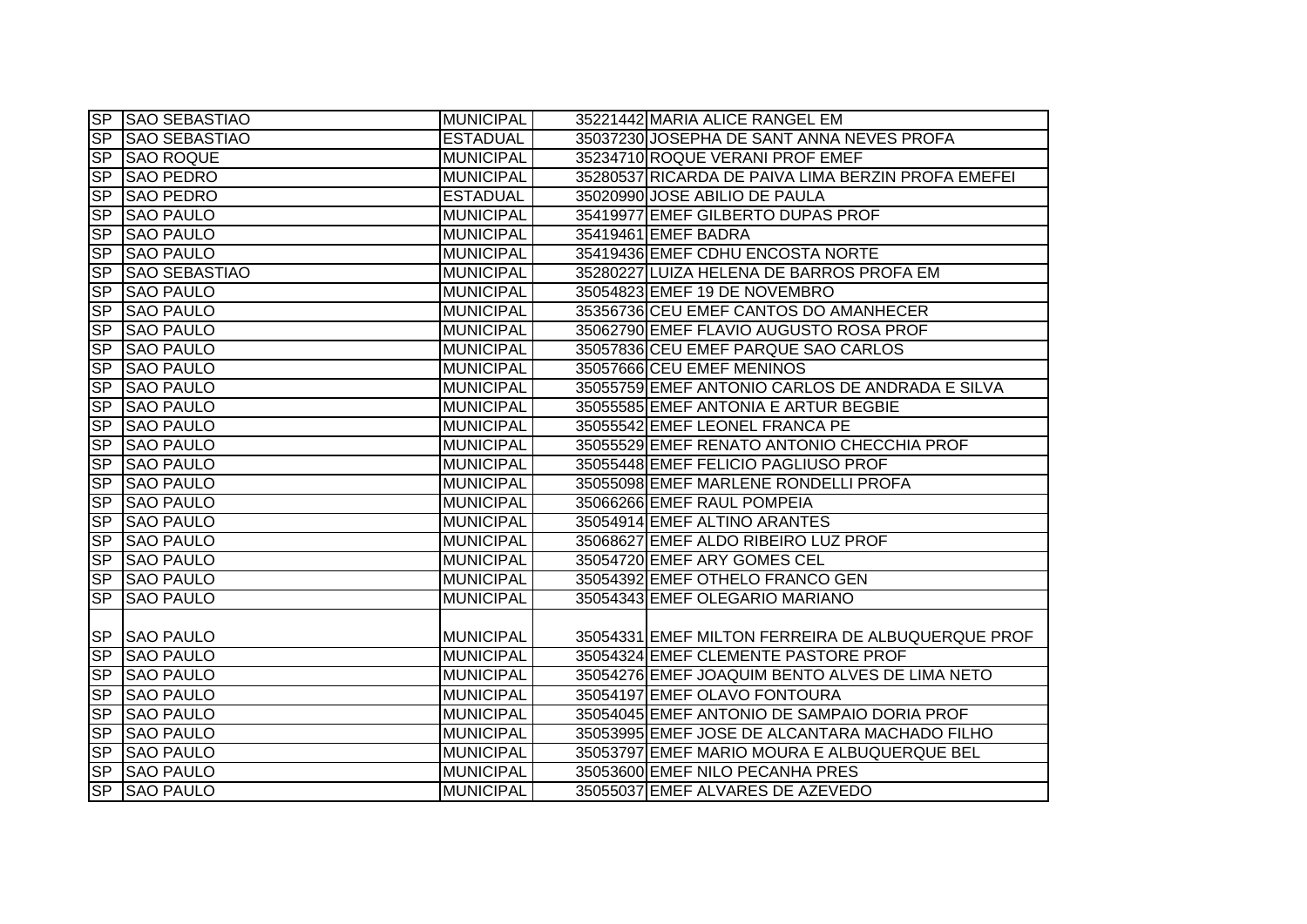|                          | <b>SP SAO SEBASTIAO</b> | <b>MUNICIPAL</b> | 35221442 MARIA ALICE RANGEL EM                     |
|--------------------------|-------------------------|------------------|----------------------------------------------------|
|                          | SP SAO SEBASTIAO        | <b>ESTADUAL</b>  | 35037230 JOSEPHA DE SANT ANNA NEVES PROFA          |
|                          | SP SAO ROQUE            | <b>MUNICIPAL</b> | 35234710 ROQUE VERANI PROF EMEF                    |
| SP                       | <b>SAO PEDRO</b>        | <b>MUNICIPAL</b> | 35280537 RICARDA DE PAIVA LIMA BERZIN PROFA EMEFEI |
| $\overline{\mathsf{SP}}$ | <b>SAO PEDRO</b>        | <b>ESTADUAL</b>  | 35020990 JOSE ABILIO DE PAULA                      |
| SP                       | <b>SAO PAULO</b>        | <b>MUNICIPAL</b> | 35419977 EMEF GILBERTO DUPAS PROF                  |
| <b>SP</b>                | <b>SAO PAULO</b>        | <b>MUNICIPAL</b> | 35419461 EMEF BADRA                                |
|                          | SP SAO PAULO            | <b>MUNICIPAL</b> | 35419436 EMEF CDHU ENCOSTA NORTE                   |
| SP                       | <b>SAO SEBASTIAO</b>    | <b>MUNICIPAL</b> | 35280227 LUIZA HELENA DE BARROS PROFA EM           |
| <b>SP</b>                | <b>SAO PAULO</b>        | <b>MUNICIPAL</b> | 35054823 EMEF 19 DE NOVEMBRO                       |
| S <sub>P</sub>           | <b>SAO PAULO</b>        | <b>MUNICIPAL</b> | 35356736 CEU EMEF CANTOS DO AMANHECER              |
| <b>SP</b>                | <b>SAO PAULO</b>        | <b>MUNICIPAL</b> | 35062790 EMEF FLAVIO AUGUSTO ROSA PROF             |
| S <sub>P</sub>           | <b>SAO PAULO</b>        | <b>MUNICIPAL</b> | 35057836 CEU EMEF PARQUE SAO CARLOS                |
| <b>SP</b>                | <b>SAO PAULO</b>        | <b>MUNICIPAL</b> | 35057666 CEU EMEF MENINOS                          |
| <b>SP</b>                | <b>SAO PAULO</b>        | <b>MUNICIPAL</b> | 35055759 EMEF ANTONIO CARLOS DE ANDRADA E SILVA    |
| <b>SP</b>                | <b>SAO PAULO</b>        | <b>MUNICIPAL</b> | 35055585 EMEF ANTONIA E ARTUR BEGBIE               |
| <b>SP</b>                | <b>SAO PAULO</b>        | <b>MUNICIPAL</b> | 35055542 EMEF LEONEL FRANCA PE                     |
| S <sub>P</sub>           | <b>SAO PAULO</b>        | <b>MUNICIPAL</b> | 35055529 EMEF RENATO ANTONIO CHECCHIA PROF         |
| <b>SP</b>                | <b>SAO PAULO</b>        | <b>MUNICIPAL</b> | 35055448 EMEF FELICIO PAGLIUSO PROF                |
| SP                       | <b>SAO PAULO</b>        | <b>MUNICIPAL</b> | 35055098 EMEF MARLENE RONDELLI PROFA               |
| SP                       | <b>SAO PAULO</b>        | <b>MUNICIPAL</b> | 35066266 EMEF RAUL POMPEIA                         |
| <b>SP</b>                | <b>SAO PAULO</b>        | <b>MUNICIPAL</b> | 35054914 EMEF ALTINO ARANTES                       |
| <b>SP</b>                | <b>SAO PAULO</b>        | <b>MUNICIPAL</b> | 35068627 EMEF ALDO RIBEIRO LUZ PROF                |
| <b>SP</b>                | <b>SAO PAULO</b>        | <b>MUNICIPAL</b> | 35054720 EMEF ARY GOMES CEL                        |
| SP                       | <b>SAO PAULO</b>        | <b>MUNICIPAL</b> | 35054392 EMEF OTHELO FRANCO GEN                    |
| SP                       | <b>SAO PAULO</b>        | <b>MUNICIPAL</b> | 35054343 EMEF OLEGARIO MARIANO                     |
|                          |                         |                  |                                                    |
|                          | SP SAO PAULO            | <b>MUNICIPAL</b> | 35054331 EMEF MILTON FERREIRA DE ALBUQUERQUE PROF  |
| $S_{\mathsf{P}}$         | <b>SAO PAULO</b>        | <b>MUNICIPAL</b> | 35054324 EMEF CLEMENTE PASTORE PROF                |
| $S_{\mathsf{P}}$         | <b>SAO PAULO</b>        | <b>MUNICIPAL</b> | 35054276 EMEF JOAQUIM BENTO ALVES DE LIMA NETO     |
|                          | SP SAO PAULO            | <b>MUNICIPAL</b> | 35054197 EMEF OLAVO FONTOURA                       |
|                          | SP SAO PAULO            | <b>MUNICIPAL</b> | 35054045 EMEF ANTONIO DE SAMPAIO DORIA PROF        |
| SP                       | <b>SAO PAULO</b>        | <b>MUNICIPAL</b> | 35053995 EMEF JOSE DE ALCANTARA MACHADO FILHO      |
|                          | SP SAO PAULO            | <b>MUNICIPAL</b> | 35053797 EMEF MARIO MOURA E ALBUQUERQUE BEL        |
| <b>SP</b>                | <b>SAO PAULO</b>        | <b>MUNICIPAL</b> | 35053600 EMEF NILO PECANHA PRES                    |
|                          | SP SAO PAULO            | <b>MUNICIPAL</b> | 35055037 EMEF ALVARES DE AZEVEDO                   |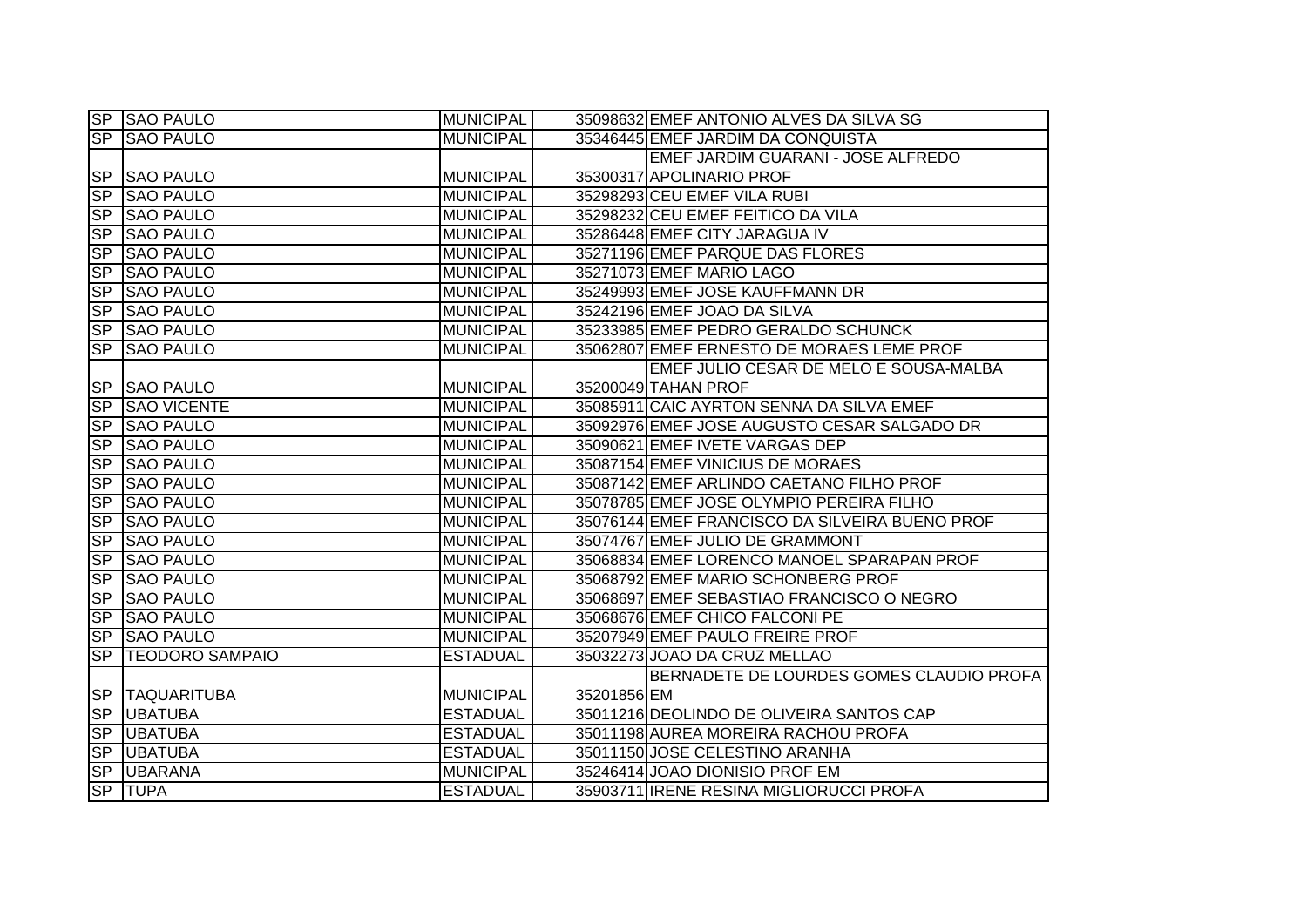|                | SP SAO PAULO           | <b>MUNICIPAL</b> |             | 35098632 EMEF ANTONIO ALVES DA SILVA SG        |
|----------------|------------------------|------------------|-------------|------------------------------------------------|
| SP             | <b>SAO PAULO</b>       | <b>MUNICIPAL</b> |             | 35346445 EMEF JARDIM DA CONQUISTA              |
|                |                        |                  |             | EMEF JARDIM GUARANI - JOSE ALFREDO             |
| <b>SP</b>      | <b>SAO PAULO</b>       | <b>MUNICIPAL</b> |             | 35300317 APOLINARIO PROF                       |
| S <sub>P</sub> | <b>SAO PAULO</b>       | <b>MUNICIPAL</b> |             | 35298293 CEU EMEF VILA RUBI                    |
| <b>SP</b>      | <b>SAO PAULO</b>       | <b>MUNICIPAL</b> |             | 35298232 CEU EMEF FEITICO DA VILA              |
| SP             | <b>SAO PAULO</b>       | <b>MUNICIPAL</b> |             | 35286448 EMEF CITY JARAGUA IV                  |
| <b>SP</b>      | <b>SAO PAULO</b>       | <b>MUNICIPAL</b> |             | 35271196 EMEF PARQUE DAS FLORES                |
| <b>SP</b>      | <b>SAO PAULO</b>       | <b>MUNICIPAL</b> |             | 35271073 EMEF MARIO LAGO                       |
| <b>SP</b>      | <b>SAO PAULO</b>       | <b>MUNICIPAL</b> |             | 35249993 EMEF JOSE KAUFFMANN DR                |
| <b>SP</b>      | <b>SAO PAULO</b>       | <b>MUNICIPAL</b> |             | 35242196 EMEF JOAO DA SILVA                    |
| <b>SP</b>      | <b>SAO PAULO</b>       | <b>MUNICIPAL</b> |             | 35233985 EMEF PEDRO GERALDO SCHUNCK            |
| SP             | <b>SAO PAULO</b>       | <b>MUNICIPAL</b> |             | 35062807 EMEF ERNESTO DE MORAES LEME PROF      |
|                |                        |                  |             | EMEF JULIO CESAR DE MELO E SOUSA-MALBA         |
| <b>SP</b>      | <b>SAO PAULO</b>       | <b>MUNICIPAL</b> |             | 35200049 TAHAN PROF                            |
| SP             | <b>SAO VICENTE</b>     | <b>MUNICIPAL</b> |             | 35085911 CAIC AYRTON SENNA DA SILVA EMEF       |
| SP             | <b>SAO PAULO</b>       | <b>MUNICIPAL</b> |             | 35092976 EMEF JOSE AUGUSTO CESAR SALGADO DR    |
| SP             | <b>SAO PAULO</b>       | <b>MUNICIPAL</b> |             | 35090621 EMEF IVETE VARGAS DEP                 |
| S <sub>P</sub> | <b>SAO PAULO</b>       | <b>MUNICIPAL</b> |             | 35087154 EMEF VINICIUS DE MORAES               |
| SP             | <b>SAO PAULO</b>       | <b>MUNICIPAL</b> |             | 35087142 EMEF ARLINDO CAETANO FILHO PROF       |
| SP             | <b>SAO PAULO</b>       | <b>MUNICIPAL</b> |             | 35078785 EMEF JOSE OLYMPIO PEREIRA FILHO       |
| S <sub>P</sub> | <b>SAO PAULO</b>       | <b>MUNICIPAL</b> |             | 35076144 EMEF FRANCISCO DA SILVEIRA BUENO PROF |
| SP             | <b>SAO PAULO</b>       | <b>MUNICIPAL</b> |             | 35074767 EMEF JULIO DE GRAMMONT                |
| SP             | <b>SAO PAULO</b>       | <b>MUNICIPAL</b> |             | 35068834 EMEF LORENCO MANOEL SPARAPAN PROF     |
| SP             | <b>SAO PAULO</b>       | <b>MUNICIPAL</b> |             | 35068792 EMEF MARIO SCHONBERG PROF             |
| S <sub>P</sub> | <b>SAO PAULO</b>       | <b>MUNICIPAL</b> |             | 35068697 EMEF SEBASTIAO FRANCISCO O NEGRO      |
| SP             | <b>SAO PAULO</b>       | <b>MUNICIPAL</b> |             | 35068676 EMEF CHICO FALCONI PE                 |
| SP             | <b>SAO PAULO</b>       | <b>MUNICIPAL</b> |             | 35207949 EMEF PAULO FREIRE PROF                |
| S <sub>P</sub> | <b>TEODORO SAMPAIO</b> | <b>ESTADUAL</b>  |             | 35032273 JOAO DA CRUZ MELLAO                   |
|                |                        |                  |             | BERNADETE DE LOURDES GOMES CLAUDIO PROFA       |
| <b>SP</b>      | <b>TAQUARITUBA</b>     | <b>MUNICIPAL</b> | 35201856 EM |                                                |
| SP             | <b>UBATUBA</b>         | <b>ESTADUAL</b>  |             | 35011216 DEOLINDO DE OLIVEIRA SANTOS CAP       |
| <b>SP</b>      | <b>UBATUBA</b>         | <b>ESTADUAL</b>  |             | 35011198 AUREA MOREIRA RACHOU PROFA            |
| SP             | <b>UBATUBA</b>         | <b>ESTADUAL</b>  |             | 35011150 JOSE CELESTINO ARANHA                 |
| SP             | <b>UBARANA</b>         | <b>MUNICIPAL</b> |             | 35246414 JOAO DIONISIO PROF EM                 |
| SP             | <b>TUPA</b>            | <b>ESTADUAL</b>  |             | 35903711 IRENE RESINA MIGLIORUCCI PROFA        |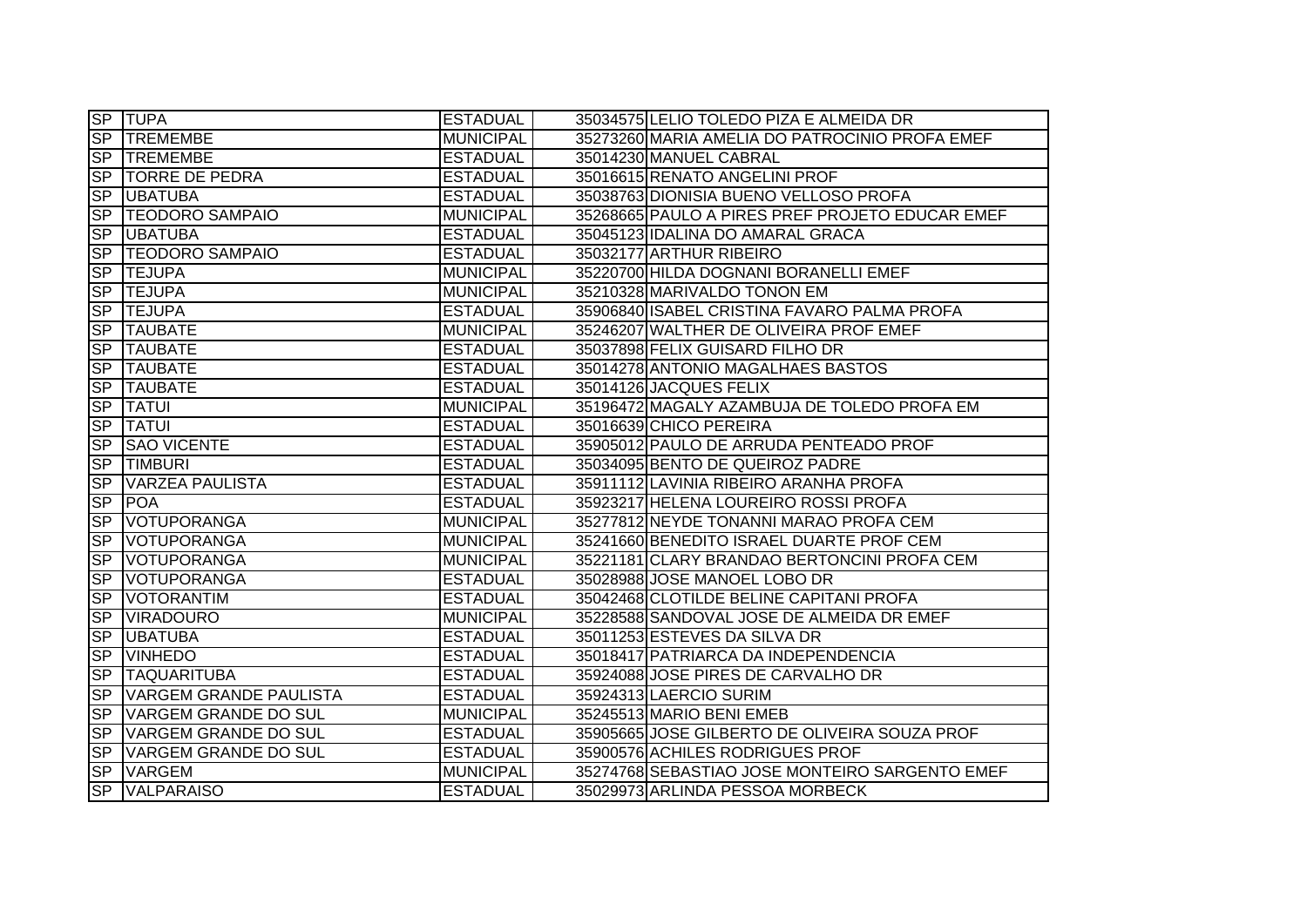|                        | <b>SP TUPA</b>              | <b>ESTADUAL</b>  | 35034575 LELIO TOLEDO PIZA E ALMEIDA DR         |
|------------------------|-----------------------------|------------------|-------------------------------------------------|
|                        | SP TREMEMBE                 | <b>MUNICIPAL</b> | 35273260 MARIA AMELIA DO PATROCINIO PROFA EMEF  |
|                        | SP TREMEMBE                 | <b>ESTADUAL</b>  | 35014230 MANUEL CABRAL                          |
| SP                     | <b>TORRE DE PEDRA</b>       | <b>ESTADUAL</b>  | 35016615 RENATO ANGELINI PROF                   |
|                        | SP UBATUBA                  | <b>ESTADUAL</b>  | 35038763 DIONISIA BUENO VELLOSO PROFA           |
|                        | <b>SP TEODORO SAMPAIO</b>   | <b>MUNICIPAL</b> | 35268665 PAULO A PIRES PREF PROJETO EDUCAR EMEF |
| <b>SP</b>              | <b>UBATUBA</b>              | <b>ESTADUAL</b>  | 35045123 IDALINA DO AMARAL GRACA                |
| SP                     | <b>TEODORO SAMPAIO</b>      | <b>ESTADUAL</b>  | 35032177 ARTHUR RIBEIRO                         |
| <b>SP</b>              | <b>TEJUPA</b>               | <b>MUNICIPAL</b> | 35220700 HILDA DOGNANI BORANELLI EMEF           |
| <b>SP</b>              | <b>TEJUPA</b>               | <b>MUNICIPAL</b> | 35210328 MARIVALDO TONON EM                     |
| SP                     | <b>ITEJUPA</b>              | <b>ESTADUAL</b>  | 35906840 ISABEL CRISTINA FAVARO PALMA PROFA     |
| <b>SP</b>              | <b>TAUBATE</b>              | <b>MUNICIPAL</b> | 35246207 WALTHER DE OLIVEIRA PROF EMEF          |
| <b>SP</b>              | <b>TAUBATE</b>              | <b>ESTADUAL</b>  | 35037898 FELIX GUISARD FILHO DR                 |
| <b>SP</b>              | <b>TAUBATE</b>              | <b>ESTADUAL</b>  | 35014278 ANTONIO MAGALHAES BASTOS               |
| SP                     | <b>TAUBATE</b>              | <b>ESTADUAL</b>  | 35014126 JACQUES FELIX                          |
| <b>SP</b>              | <b>TATUI</b>                | <b>MUNICIPAL</b> | 35196472 MAGALY AZAMBUJA DE TOLEDO PROFA EM     |
| $\overline{\text{SP}}$ | <b>TATUI</b>                | <b>ESTADUAL</b>  | 35016639 CHICO PEREIRA                          |
| <b>SP</b>              | <b>SAO VICENTE</b>          | <b>ESTADUAL</b>  | 35905012 PAULO DE ARRUDA PENTEADO PROF          |
| SP                     | <b>TIMBURI</b>              | <b>ESTADUAL</b>  | 35034095 BENTO DE QUEIROZ PADRE                 |
| <b>SP</b>              | <b>VARZEA PAULISTA</b>      | <b>ESTADUAL</b>  | 35911112 LAVINIA RIBEIRO ARANHA PROFA           |
| <b>SP</b>              | <b>POA</b>                  | <b>ESTADUAL</b>  | 35923217 HELENA LOUREIRO ROSSI PROFA            |
| <b>SP</b>              | <b>VOTUPORANGA</b>          | <b>MUNICIPAL</b> | 35277812 NEYDE TONANNI MARAO PROFA CEM          |
| <b>SP</b>              | <b>VOTUPORANGA</b>          | <b>MUNICIPAL</b> | 35241660 BENEDITO ISRAEL DUARTE PROF CEM        |
| <b>SP</b>              | <b>VOTUPORANGA</b>          | <b>MUNICIPAL</b> | 35221181 CLARY BRANDAO BERTONCINI PROFA CEM     |
| <b>SP</b>              | <b>VOTUPORANGA</b>          | <b>ESTADUAL</b>  | 35028988 JOSE MANOEL LOBO DR                    |
| <b>SP</b>              | <b>VOTORANTIM</b>           | <b>ESTADUAL</b>  | 35042468 CLOTILDE BELINE CAPITANI PROFA         |
| <b>SP</b>              | <b>VIRADOURO</b>            | <b>MUNICIPAL</b> | 35228588 SANDOVAL JOSE DE ALMEIDA DR EMEF       |
| <b>SP</b>              | <b>UBATUBA</b>              | <b>ESTADUAL</b>  | 35011253 ESTEVES DA SILVA DR                    |
| SP                     | <b>VINHEDO</b>              | <b>ESTADUAL</b>  | 35018417 PATRIARCA DA INDEPENDENCIA             |
| <b>SP</b>              | <b>TAQUARITUBA</b>          | <b>ESTADUAL</b>  | 35924088 JOSE PIRES DE CARVALHO DR              |
| <b>SP</b>              | VARGEM GRANDE PAULISTA      | <b>ESTADUAL</b>  | 35924313 LAERCIO SURIM                          |
|                        | SP VARGEM GRANDE DO SUL     | <b>MUNICIPAL</b> | 35245513 MARIO BENI EMEB                        |
| SP                     | VARGEM GRANDE DO SUL        | <b>ESTADUAL</b>  | 35905665 JOSE GILBERTO DE OLIVEIRA SOUZA PROF   |
| <b>SP</b>              | <b>VARGEM GRANDE DO SUL</b> | <b>ESTADUAL</b>  | 35900576 ACHILES RODRIGUES PROF                 |
| <b>SP</b>              | <b>VARGEM</b>               | <b>MUNICIPAL</b> | 35274768 SEBASTIAO JOSE MONTEIRO SARGENTO EMEF  |
| <b>SP</b>              | <b>VALPARAISO</b>           | <b>ESTADUAL</b>  | 35029973 ARLINDA PESSOA MORBECK                 |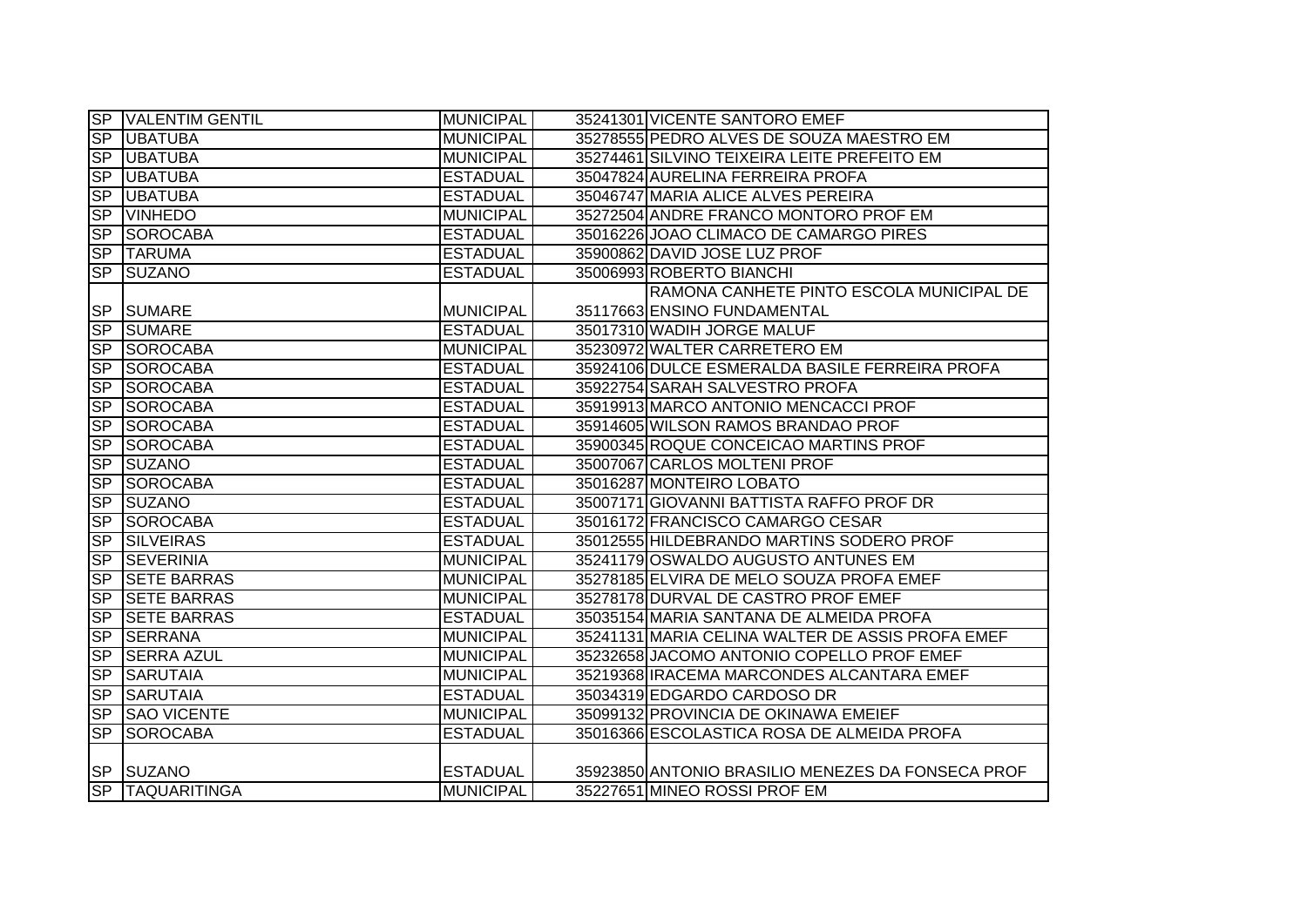|                        | <b>SP VALENTIM GENTIL</b> | <b>MUNICIPAL</b> | 35241301 VICENTE SANTORO EMEF                     |
|------------------------|---------------------------|------------------|---------------------------------------------------|
|                        | <b>SP UBATUBA</b>         | <b>MUNICIPAL</b> | 35278555 PEDRO ALVES DE SOUZA MAESTRO EM          |
|                        | <b>SP UBATUBA</b>         | <b>MUNICIPAL</b> | 35274461 SILVINO TEIXEIRA LEITE PREFEITO EM       |
| <b>SP</b>              | <b>UBATUBA</b>            | <b>ESTADUAL</b>  | 35047824 AURELINA FERREIRA PROFA                  |
| <b>SP</b>              | <b>UBATUBA</b>            | <b>ESTADUAL</b>  | 35046747 MARIA ALICE ALVES PEREIRA                |
| <b>SP</b>              | <b>VINHEDO</b>            | <b>MUNICIPAL</b> | 35272504 ANDRE FRANCO MONTORO PROF EM             |
|                        | SP SOROCABA               | <b>ESTADUAL</b>  | 35016226 JOAO CLIMACO DE CAMARGO PIRES            |
|                        | SP TARUMA                 | <b>ESTADUAL</b>  | 35900862 DAVID JOSE LUZ PROF                      |
| SP                     | <b>SUZANO</b>             | <b>ESTADUAL</b>  | 35006993 ROBERTO BIANCHI                          |
|                        |                           |                  | RAMONA CANHETE PINTO ESCOLA MUNICIPAL DE          |
|                        | <b>SP SUMARE</b>          | MUNICIPAL        | 35117663 ENSINO FUNDAMENTAL                       |
|                        | SP SUMARE                 | <b>ESTADUAL</b>  | 35017310 WADIH JORGE MALUF                        |
|                        | SP SOROCABA               | <b>MUNICIPAL</b> | 35230972 WALTER CARRETERO EM                      |
|                        | SP SOROCABA               | <b>ESTADUAL</b>  | 35924106 DULCE ESMERALDA BASILE FERREIRA PROFA    |
| <b>SP</b>              | SOROCABA                  | <b>ESTADUAL</b>  | 35922754 SARAH SALVESTRO PROFA                    |
| <b>SP</b>              | <b>SOROCABA</b>           | <b>ESTADUAL</b>  | 35919913 MARCO ANTONIO MENCACCI PROF              |
| $\overline{\text{SP}}$ | <b>SOROCABA</b>           | <b>ESTADUAL</b>  | 35914605 WILSON RAMOS BRANDAO PROF                |
| <b>SP</b>              | <b>SOROCABA</b>           | <b>ESTADUAL</b>  | 35900345 ROQUE CONCEICAO MARTINS PROF             |
| SP                     | <b>SUZANO</b>             | <b>ESTADUAL</b>  | 35007067 CARLOS MOLTENI PROF                      |
| <b>SP</b>              | <b>SOROCABA</b>           | <b>ESTADUAL</b>  | 35016287 MONTEIRO LOBATO                          |
|                        | SP SUZANO                 | <b>ESTADUAL</b>  | 35007171 GIOVANNI BATTISTA RAFFO PROF DR          |
|                        | SP SOROCABA               | <b>ESTADUAL</b>  | 35016172 FRANCISCO CAMARGO CESAR                  |
| <b>SP</b>              | <b>SILVEIRAS</b>          | <b>ESTADUAL</b>  | 35012555 HILDEBRANDO MARTINS SODERO PROF          |
| SP                     | <b>SEVERINIA</b>          | <b>MUNICIPAL</b> | 35241179 OSWALDO AUGUSTO ANTUNES EM               |
| <b>SP</b>              | <b>SETE BARRAS</b>        | <b>MUNICIPAL</b> | 35278185 ELVIRA DE MELO SOUZA PROFA EMEF          |
| <b>SP</b>              | <b>SETE BARRAS</b>        | <b>MUNICIPAL</b> | 35278178 DURVAL DE CASTRO PROF EMEF               |
| <b>SP</b>              | <b>SETE BARRAS</b>        | <b>ESTADUAL</b>  | 35035154 MARIA SANTANA DE ALMEIDA PROFA           |
| <b>SP</b>              | <b>SERRANA</b>            | <b>MUNICIPAL</b> | 35241131 MARIA CELINA WALTER DE ASSIS PROFA EMEF  |
| <b>SP</b>              | <b>SERRA AZUL</b>         | <b>MUNICIPAL</b> | 35232658 JACOMO ANTONIO COPELLO PROF EMEF         |
| <b>SP</b>              | <b>SARUTAIA</b>           | <b>MUNICIPAL</b> | 35219368 IRACEMA MARCONDES ALCANTARA EMEF         |
| <b>SP</b>              | <b>SARUTAIA</b>           | <b>ESTADUAL</b>  | 35034319 EDGARDO CARDOSO DR                       |
|                        | <b>SP SAO VICENTE</b>     | <b>MUNICIPAL</b> | 35099132 PROVINCIA DE OKINAWA EMEIEF              |
| <b>SP</b>              | <b>SOROCABA</b>           | <b>ESTADUAL</b>  | 35016366 ESCOLASTICA ROSA DE ALMEIDA PROFA        |
|                        |                           |                  |                                                   |
|                        | SP SUZANO                 | <b>ESTADUAL</b>  | 35923850 ANTONIO BRASILIO MENEZES DA FONSECA PROF |
|                        | SP TAQUARITINGA           | MUNICIPAL        | 35227651 MINEO ROSSI PROF EM                      |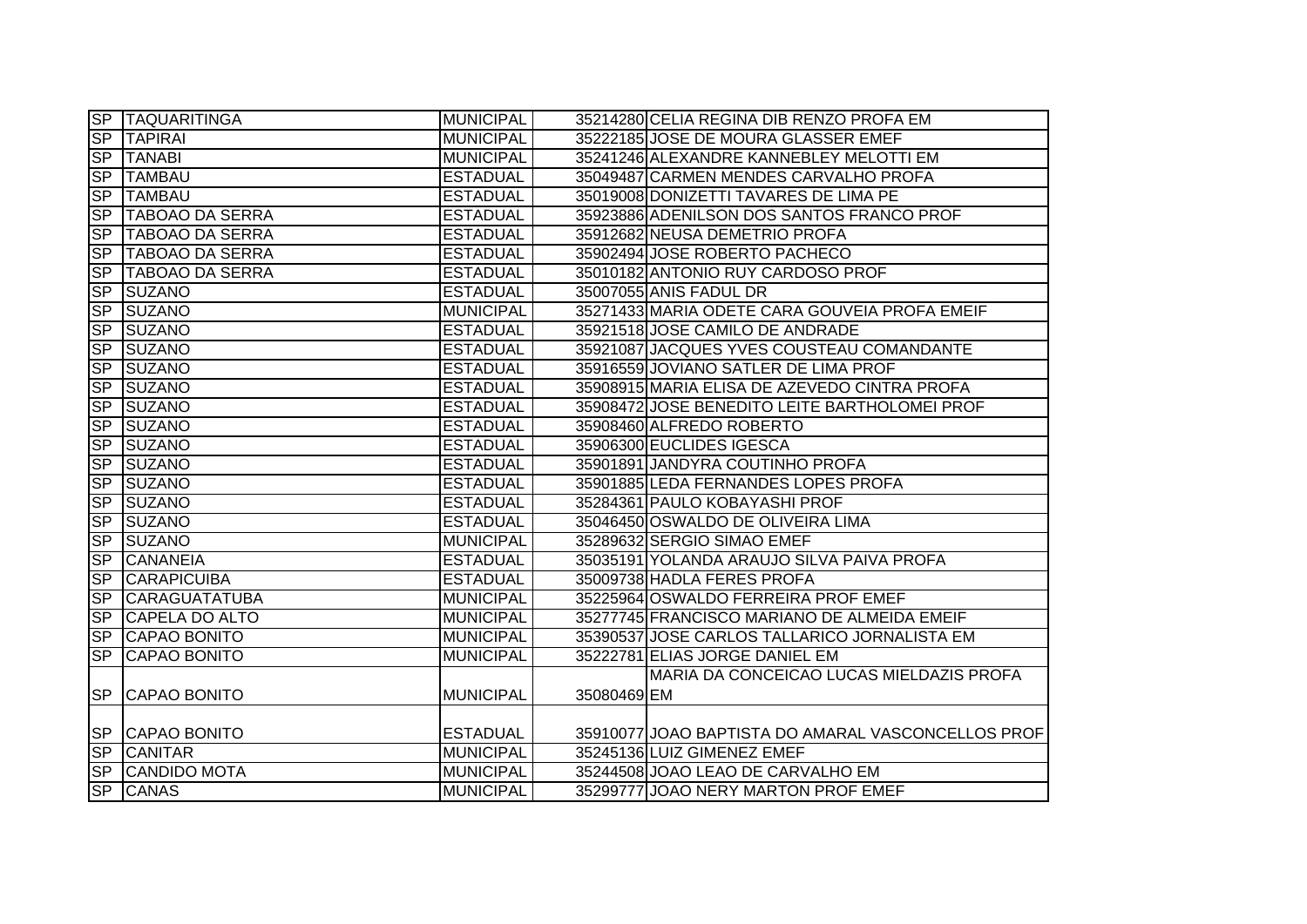|           | SP TAQUARITINGA     | <b>MUNICIPAL</b> |             | 35214280 CELIA REGINA DIB RENZO PROFA EM           |
|-----------|---------------------|------------------|-------------|----------------------------------------------------|
|           | SP TAPIRAI          | <b>MUNICIPAL</b> |             | 35222185 JOSE DE MOURA GLASSER EMEF                |
|           | SP TANABI           | <b>MUNICIPAL</b> |             | 35241246 ALEXANDRE KANNEBLEY MELOTTI EM            |
|           | SP TAMBAU           | <b>ESTADUAL</b>  |             | 35049487 CARMEN MENDES CARVALHO PROFA              |
| SP        | <b>TAMBAU</b>       | <b>ESTADUAL</b>  |             | 35019008 DONIZETTI TAVARES DE LIMA PE              |
|           | SP TABOAO DA SERRA  | <b>ESTADUAL</b>  |             | 35923886 ADENILSON DOS SANTOS FRANCO PROF          |
|           | SP TABOAO DA SERRA  | <b>ESTADUAL</b>  |             | 35912682 NEUSA DEMETRIO PROFA                      |
|           | SP TABOAO DA SERRA  | <b>ESTADUAL</b>  |             | 35902494 JOSE ROBERTO PACHECO                      |
|           | SP TABOAO DA SERRA  | <b>ESTADUAL</b>  |             | 35010182 ANTONIO RUY CARDOSO PROF                  |
|           | SP SUZANO           | <b>ESTADUAL</b>  |             | 35007055 ANIS FADUL DR                             |
| <b>SP</b> | <b>SUZANO</b>       | <b>MUNICIPAL</b> |             | 35271433 MARIA ODETE CARA GOUVEIA PROFA EMEIF      |
| SP        | <b>SUZANO</b>       | <b>ESTADUAL</b>  |             | 35921518 JOSE CAMILO DE ANDRADE                    |
| SP        | <b>ISUZANO</b>      | <b>ESTADUAL</b>  |             | 35921087 JACQUES YVES COUSTEAU COMANDANTE          |
|           | SP SUZANO           | <b>ESTADUAL</b>  |             | 35916559 JOVIANO SATLER DE LIMA PROF               |
|           | SP SUZANO           | <b>ESTADUAL</b>  |             | 35908915 MARIA ELISA DE AZEVEDO CINTRA PROFA       |
|           | SP SUZANO           | <b>ESTADUAL</b>  |             | 35908472 JOSE BENEDITO LEITE BARTHOLOMEI PROF      |
| SP        | <b>SUZANO</b>       | <b>ESTADUAL</b>  |             | 35908460 ALFREDO ROBERTO                           |
| SP        | <b>SUZANO</b>       | <b>ESTADUAL</b>  |             | 35906300 EUCLIDES IGESCA                           |
| SP        | <b>SUZANO</b>       | <b>ESTADUAL</b>  |             | 35901891 JANDYRA COUTINHO PROFA                    |
|           | SP SUZANO           | <b>ESTADUAL</b>  |             | 35901885 LEDA FERNANDES LOPES PROFA                |
|           | SP SUZANO           | <b>ESTADUAL</b>  |             | 35284361 PAULO KOBAYASHI PROF                      |
|           | SP SUZANO           | <b>ESTADUAL</b>  |             | 35046450 OSWALDO DE OLIVEIRA LIMA                  |
|           | SP SUZANO           | <b>MUNICIPAL</b> |             | 35289632 SERGIO SIMAO EMEF                         |
| SP        | <b>CANANEIA</b>     | <b>ESTADUAL</b>  |             | 35035191 YOLANDA ARAUJO SILVA PAIVA PROFA          |
| <b>SP</b> | <b>CARAPICUIBA</b>  | <b>ESTADUAL</b>  |             | 35009738 HADLA FERES PROFA                         |
|           | SP CARAGUATATUBA    | <b>MUNICIPAL</b> |             | 35225964 OSWALDO FERREIRA PROF EMEF                |
|           | SP CAPELA DO ALTO   | <b>MUNICIPAL</b> |             | 35277745 FRANCISCO MARIANO DE ALMEIDA EMEIF        |
|           | SP CAPAO BONITO     | <b>MUNICIPAL</b> |             | 35390537 JOSE CARLOS TALLARICO JORNALISTA EM       |
| SP        | <b>CAPAO BONITO</b> | <b>MUNICIPAL</b> |             | 35222781 ELIAS JORGE DANIEL EM                     |
|           |                     |                  |             | MARIA DA CONCEICAO LUCAS MIELDAZIS PROFA           |
|           | SP CAPAO BONITO     | <b>MUNICIPAL</b> | 35080469 EM |                                                    |
|           |                     |                  |             |                                                    |
|           | SP CAPAO BONITO     | <b>ESTADUAL</b>  |             | 35910077 JOAO BAPTISTA DO AMARAL VASCONCELLOS PROF |
|           | SP CANITAR          | <b>MUNICIPAL</b> |             | 35245136 LUIZ GIMENEZ EMEF                         |
|           | SP CANDIDO MOTA     | <b>MUNICIPAL</b> |             | 35244508 JOAO LEAO DE CARVALHO EM                  |
|           | SP CANAS            | <b>MUNICIPAL</b> |             | 35299777 JOAO NERY MARTON PROF EMEF                |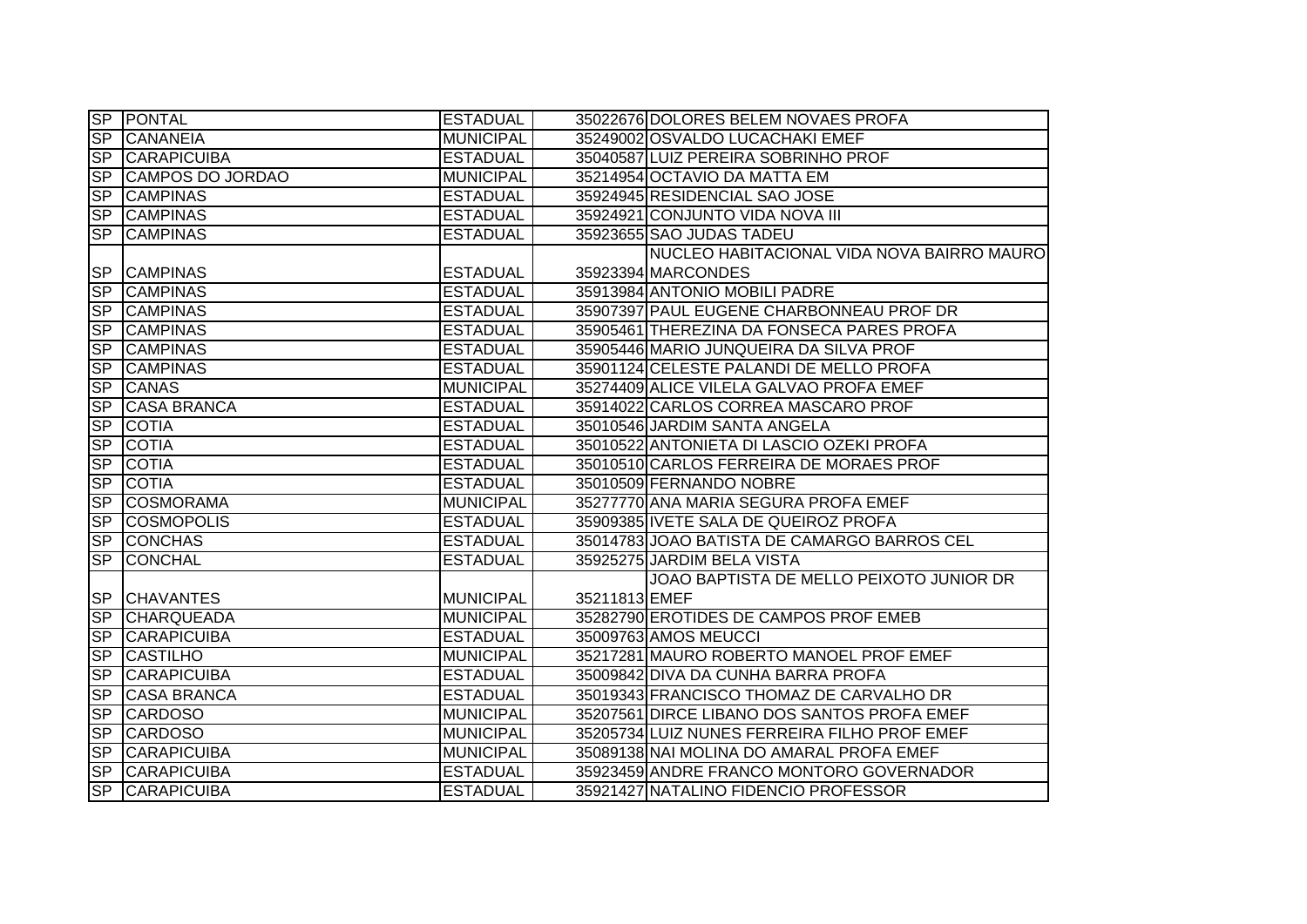|                  | <b>SP PONTAL</b>      | <b>ESTADUAL</b>  |               | 35022676 DOLORES BELEM NOVAES PROFA          |
|------------------|-----------------------|------------------|---------------|----------------------------------------------|
| $\overline{SP}$  | <b>CANANEIA</b>       | <b>MUNICIPAL</b> |               | 35249002 OSVALDO LUCACHAKI EMEF              |
|                  | <b>SP CARAPICUIBA</b> | <b>ESTADUAL</b>  |               | 35040587 LUIZ PEREIRA SOBRINHO PROF          |
| <b>SP</b>        | CAMPOS DO JORDAO      | <b>MUNICIPAL</b> |               | 35214954 OCTAVIO DA MATTA EM                 |
| SP               | <b>CAMPINAS</b>       | <b>ESTADUAL</b>  |               | 35924945 RESIDENCIAL SAO JOSE                |
|                  | SP CAMPINAS           | <b>ESTADUAL</b>  |               | 35924921 CONJUNTO VIDA NOVA III              |
|                  | SP CAMPINAS           | <b>ESTADUAL</b>  |               | 35923655 SAO JUDAS TADEU                     |
|                  |                       |                  |               | NUCLEO HABITACIONAL VIDA NOVA BAIRRO MAURO   |
| <b>SP</b>        | <b>CAMPINAS</b>       | <b>ESTADUAL</b>  |               | 35923394 MARCONDES                           |
| <b>SP</b>        | <b>CAMPINAS</b>       | <b>ESTADUAL</b>  |               | 35913984 ANTONIO MOBILI PADRE                |
| <b>SP</b>        | <b>CAMPINAS</b>       | <b>ESTADUAL</b>  |               | 35907397 PAUL EUGENE CHARBONNEAU PROF DR     |
| <b>SP</b>        | <b>CAMPINAS</b>       | <b>ESTADUAL</b>  |               | 35905461 THEREZINA DA FONSECA PARES PROFA    |
| <b>SP</b>        | <b>CAMPINAS</b>       | <b>ESTADUAL</b>  |               | 35905446 MARIO JUNQUEIRA DA SILVA PROF       |
| <b>SP</b>        | <b>CAMPINAS</b>       | <b>ESTADUAL</b>  |               | 35901124 CELESTE PALANDI DE MELLO PROFA      |
| S <sub>P</sub>   | <b>CANAS</b>          | <b>MUNICIPAL</b> |               | 35274409 ALICE VILELA GALVAO PROFA EMEF      |
| <b>SP</b>        | <b>CASA BRANCA</b>    | <b>ESTADUAL</b>  |               | 35914022 CARLOS CORREA MASCARO PROF          |
| <b>SP</b>        | <b>COTIA</b>          | <b>ESTADUAL</b>  |               | 35010546 JARDIM SANTA ANGELA                 |
| S <sub>P</sub>   | <b>COTIA</b>          | <b>ESTADUAL</b>  |               | 35010522 ANTONIETA DI LASCIO OZEKI PROFA     |
| $\overline{SP}$  | <b>COTIA</b>          | <b>ESTADUAL</b>  |               | 35010510 CARLOS FERREIRA DE MORAES PROF      |
| $S_{\mathsf{P}}$ | <b>COTIA</b>          | <b>ESTADUAL</b>  |               | 35010509 FERNANDO NOBRE                      |
| SP               | <b>COSMORAMA</b>      | <b>MUNICIPAL</b> |               | 35277770 ANA MARIA SEGURA PROFA EMEF         |
| SP               | <b>COSMOPOLIS</b>     | <b>ESTADUAL</b>  |               | 35909385 IVETE SALA DE QUEIROZ PROFA         |
| SP               | <b>CONCHAS</b>        | <b>ESTADUAL</b>  |               | 35014783 JOAO BATISTA DE CAMARGO BARROS CEL  |
| SP               | <b>CONCHAL</b>        | <b>ESTADUAL</b>  |               | 35925275 JARDIM BELA VISTA                   |
|                  |                       |                  |               | JOAO BAPTISTA DE MELLO PEIXOTO JUNIOR DR     |
| <b>SP</b>        | <b>CHAVANTES</b>      | MUNICIPAL        | 35211813 EMEF |                                              |
| <b>SP</b>        | <b>CHARQUEADA</b>     | <b>MUNICIPAL</b> |               | 35282790 EROTIDES DE CAMPOS PROF EMEB        |
| <b>SP</b>        | <b>CARAPICUIBA</b>    | <b>ESTADUAL</b>  |               | 35009763 AMOS MEUCCI                         |
| SP               | <b>CASTILHO</b>       | <b>MUNICIPAL</b> |               | 35217281 MAURO ROBERTO MANOEL PROF EMEF      |
| <b>SP</b>        | <b>CARAPICUIBA</b>    | <b>ESTADUAL</b>  |               | 35009842 DIVA DA CUNHA BARRA PROFA           |
| $S_{\mathsf{P}}$ | <b>CASA BRANCA</b>    | <b>ESTADUAL</b>  |               | 35019343 FRANCISCO THOMAZ DE CARVALHO DR     |
| $S_{\mathsf{P}}$ | <b>CARDOSO</b>        | <b>MUNICIPAL</b> |               | 35207561 DIRCE LIBANO DOS SANTOS PROFA EMEF  |
| <b>SP</b>        | <b>CARDOSO</b>        | <b>MUNICIPAL</b> |               | 35205734 LUIZ NUNES FERREIRA FILHO PROF EMEF |
| SP               | <b>CARAPICUIBA</b>    | <b>MUNICIPAL</b> |               | 35089138 NAI MOLINA DO AMARAL PROFA EMEF     |
| SP               | <b>CARAPICUIBA</b>    | <b>ESTADUAL</b>  |               | 35923459 ANDRE FRANCO MONTORO GOVERNADOR     |
|                  | <b>SP CARAPICUIBA</b> | <b>ESTADUAL</b>  |               | 35921427 NATALINO FIDENCIO PROFESSOR         |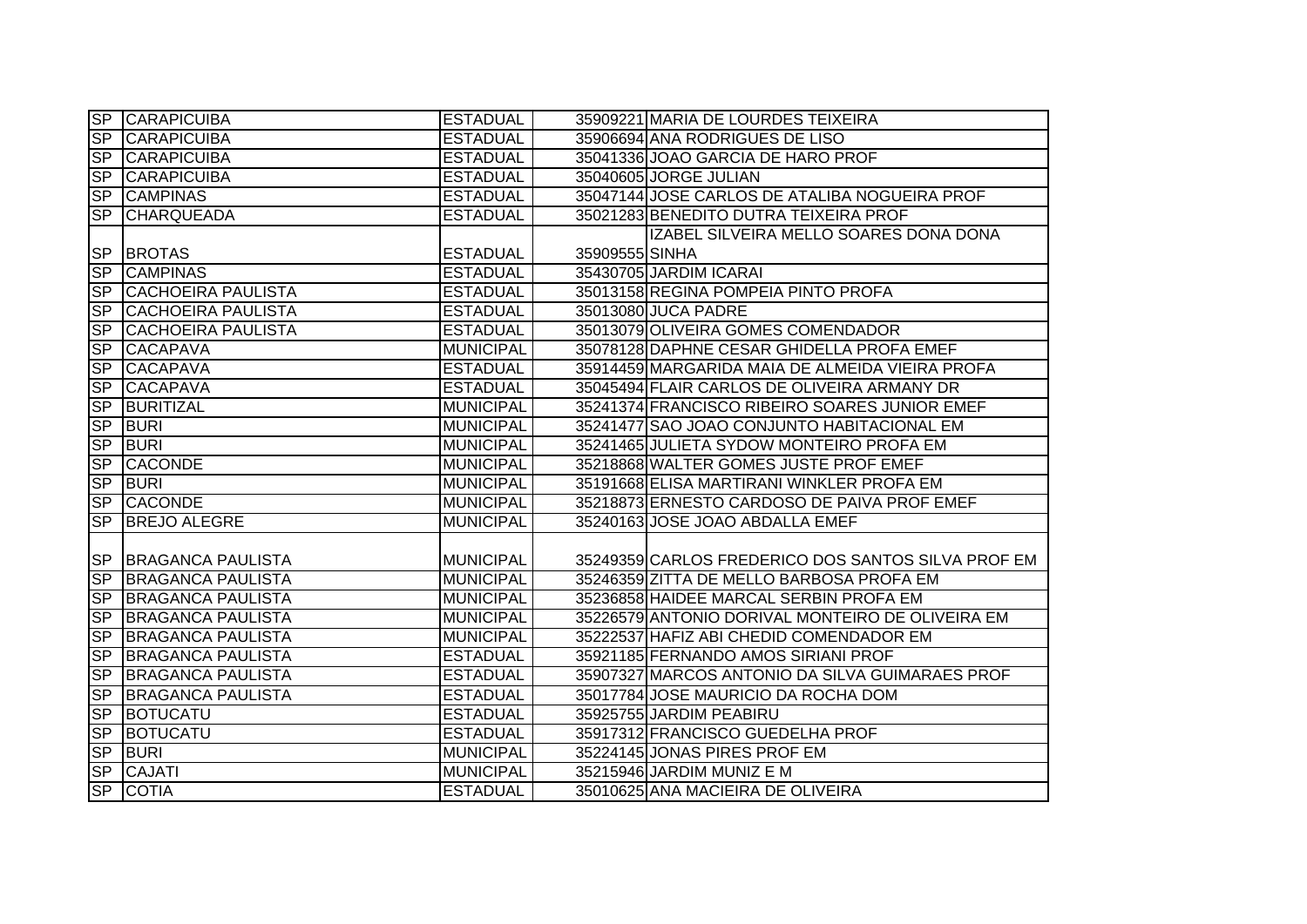| $S_{\mathsf{P}}$         | CARAPICUIBA               | <b>ESTADUAL</b>  | 35909221 MARIA DE LOURDES TEIXEIRA                 |  |
|--------------------------|---------------------------|------------------|----------------------------------------------------|--|
| S <sub>P</sub>           | <b>CARAPICUIBA</b>        | <b>ESTADUAL</b>  | 35906694 ANA RODRIGUES DE LISO                     |  |
| <b>SP</b>                | <b>CARAPICUIBA</b>        | <b>ESTADUAL</b>  | 35041336 JOAO GARCIA DE HARO PROF                  |  |
| S <sub>P</sub>           | <b>CARAPICUIBA</b>        | <b>ESTADUAL</b>  | 35040605 JORGE JULIAN                              |  |
| S <sub>P</sub>           | <b>CAMPINAS</b>           | <b>ESTADUAL</b>  | 35047144 JOSE CARLOS DE ATALIBA NOGUEIRA PROF      |  |
| <b>SP</b>                | <b>CHARQUEADA</b>         | <b>ESTADUAL</b>  | 35021283 BENEDITO DUTRA TEIXEIRA PROF              |  |
|                          |                           |                  | IZABEL SILVEIRA MELLO SOARES DONA DONA             |  |
| <b>SP</b>                | <b>BROTAS</b>             | <b>ESTADUAL</b>  | 35909555 SINHA                                     |  |
| <b>SP</b>                | <b>CAMPINAS</b>           | <b>ESTADUAL</b>  | 35430705 JARDIM ICARAI                             |  |
| SP                       | <b>CACHOEIRA PAULISTA</b> | <b>ESTADUAL</b>  | 35013158 REGINA POMPEIA PINTO PROFA                |  |
| <b>SP</b>                | <b>CACHOEIRA PAULISTA</b> | <b>ESTADUAL</b>  | 35013080 JUCA PADRE                                |  |
| <b>SP</b>                | <b>CACHOEIRA PAULISTA</b> | <b>ESTADUAL</b>  | 35013079 OLIVEIRA GOMES COMENDADOR                 |  |
| <b>SP</b>                | <b>CACAPAVA</b>           | <b>MUNICIPAL</b> | 35078128 DAPHNE CESAR GHIDELLA PROFA EMEF          |  |
| <b>SP</b>                | <b>CACAPAVA</b>           | <b>ESTADUAL</b>  | 35914459 MARGARIDA MAIA DE ALMEIDA VIEIRA PROFA    |  |
| SP                       | <b>CACAPAVA</b>           | <b>ESTADUAL</b>  | 35045494 FLAIR CARLOS DE OLIVEIRA ARMANY DR        |  |
| <b>SP</b>                | <b>BURITIZAL</b>          | <b>MUNICIPAL</b> | 35241374 FRANCISCO RIBEIRO SOARES JUNIOR EMEF      |  |
| <b>SP</b>                | <b>BURI</b>               | <b>MUNICIPAL</b> | 35241477 SAO JOAO CONJUNTO HABITACIONAL EM         |  |
| SP                       | <b>BURI</b>               | <b>MUNICIPAL</b> | 35241465 JULIETA SYDOW MONTEIRO PROFA EM           |  |
| <b>SP</b>                | <b>CACONDE</b>            | <b>MUNICIPAL</b> | 35218868 WALTER GOMES JUSTE PROF EMEF              |  |
| S <sub>P</sub>           | <b>BURI</b>               | <b>MUNICIPAL</b> | 35191668 ELISA MARTIRANI WINKLER PROFA EM          |  |
| S <sub>P</sub>           | <b>CACONDE</b>            | <b>MUNICIPAL</b> | 35218873 ERNESTO CARDOSO DE PAIVA PROF EMEF        |  |
| <b>SP</b>                | <b>BREJO ALEGRE</b>       | <b>MUNICIPAL</b> | 35240163 JOSE JOAO ABDALLA EMEF                    |  |
|                          |                           |                  |                                                    |  |
|                          | SP BRAGANCA PAULISTA      | <b>MUNICIPAL</b> | 35249359 CARLOS FREDERICO DOS SANTOS SILVA PROF EM |  |
| SP                       | <b>BRAGANCA PAULISTA</b>  | <b>MUNICIPAL</b> | 35246359 ZITTA DE MELLO BARBOSA PROFA EM           |  |
| SP                       | <b>BRAGANCA PAULISTA</b>  | <b>MUNICIPAL</b> | 35236858 HAIDEE MARCAL SERBIN PROFA EM             |  |
| SP                       | <b>BRAGANCA PAULISTA</b>  | <b>MUNICIPAL</b> | 35226579 ANTONIO DORIVAL MONTEIRO DE OLIVEIRA EM   |  |
| $\overline{\mathsf{SP}}$ | <b>BRAGANCA PAULISTA</b>  | <b>MUNICIPAL</b> | 35222537 HAFIZ ABI CHEDID COMENDADOR EM            |  |
| $\overline{\mathsf{SP}}$ | <b>BRAGANCA PAULISTA</b>  | <b>ESTADUAL</b>  | 35921185 FERNANDO AMOS SIRIANI PROF                |  |
| <b>SP</b>                | <b>BRAGANCA PAULISTA</b>  | <b>ESTADUAL</b>  | 35907327 MARCOS ANTONIO DA SILVA GUIMARAES PROF    |  |
| S <sub>P</sub>           | <b>BRAGANCA PAULISTA</b>  | <b>ESTADUAL</b>  | 35017784 JOSE MAURICIO DA ROCHA DOM                |  |
| S <sub>P</sub>           | <b>BOTUCATU</b>           | <b>ESTADUAL</b>  | 35925755 JARDIM PEABIRU                            |  |
| S <sub>P</sub>           | <b>BOTUCATU</b>           | <b>ESTADUAL</b>  | 35917312 FRANCISCO GUEDELHA PROF                   |  |
| SP                       | <b>BURI</b>               | <b>MUNICIPAL</b> | 35224145 JONAS PIRES PROF EM                       |  |
| <b>SP</b>                | <b>CAJATI</b>             | <b>MUNICIPAL</b> | 35215946 JARDIM MUNIZ E M                          |  |
| <b>SP</b>                | <b>COTIA</b>              | <b>ESTADUAL</b>  | 35010625 ANA MACIEIRA DE OLIVEIRA                  |  |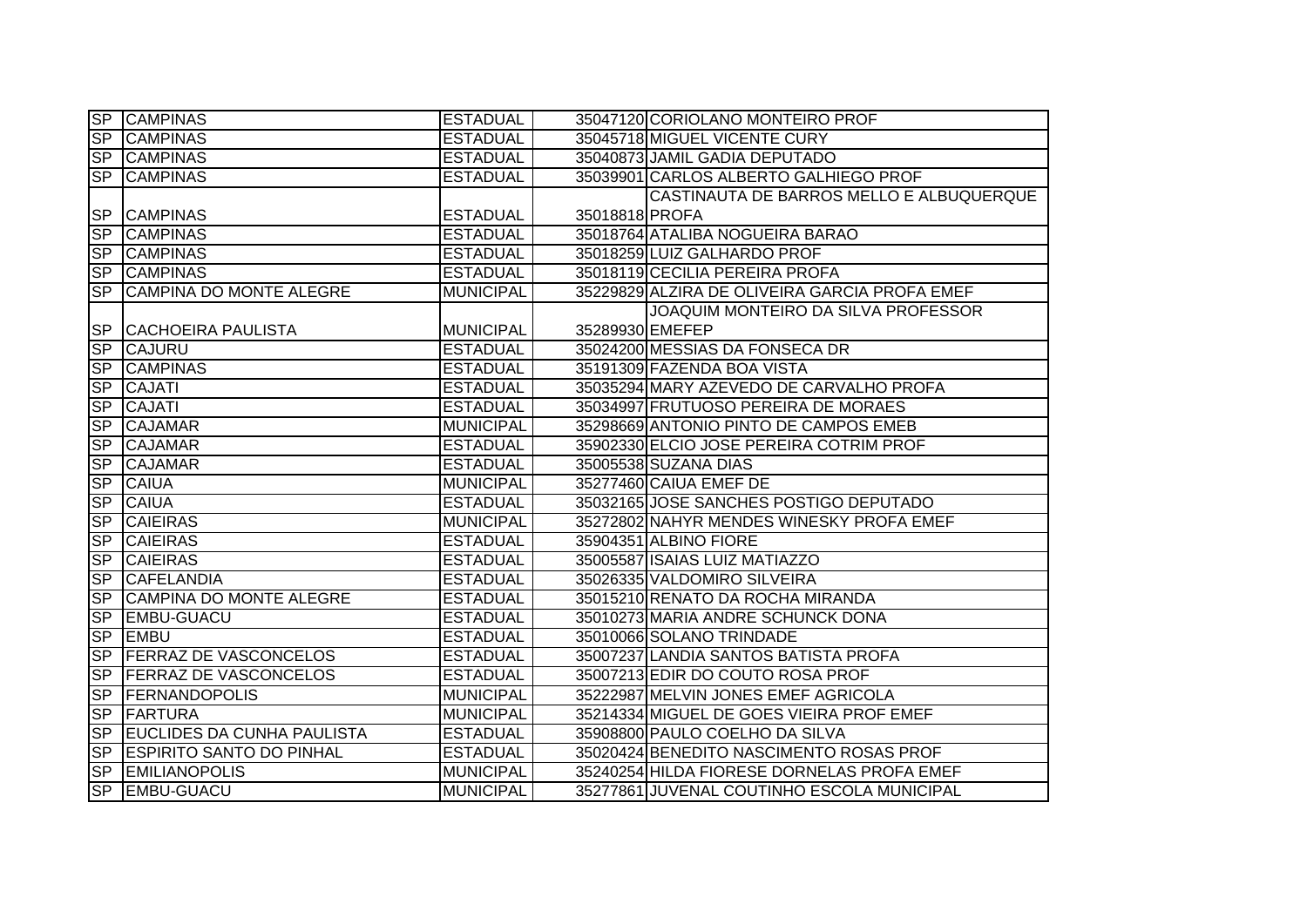| SP             | <b>CAMPINAS</b>                   | <b>ESTADUAL</b>  | 35047120 CORIOLANO MONTEIRO PROF         |                                               |
|----------------|-----------------------------------|------------------|------------------------------------------|-----------------------------------------------|
| S <sub>P</sub> | <b>CAMPINAS</b>                   | <b>ESTADUAL</b>  | 35045718 MIGUEL VICENTE CURY             |                                               |
| SP             | <b>CAMPINAS</b>                   | <b>ESTADUAL</b>  | 35040873 JAMIL GADIA DEPUTADO            |                                               |
| S <sub>P</sub> | <b>CAMPINAS</b>                   | <b>ESTADUAL</b>  | 35039901 CARLOS ALBERTO GALHIEGO PROF    |                                               |
|                |                                   |                  |                                          | CASTINAUTA DE BARROS MELLO E ALBUQUERQUE      |
|                | SP CAMPINAS                       | <b>ESTADUAL</b>  | 35018818 PROFA                           |                                               |
| SP             | <b>CAMPINAS</b>                   | <b>ESTADUAL</b>  | 35018764 ATALIBA NOGUEIRA BARAO          |                                               |
| <b>SP</b>      | <b>CAMPINAS</b>                   | <b>ESTADUAL</b>  | 35018259 LUIZ GALHARDO PROF              |                                               |
| <b>SP</b>      | <b>CAMPINAS</b>                   | <b>ESTADUAL</b>  | 35018119 CECILIA PEREIRA PROFA           |                                               |
| SP             | CAMPINA DO MONTE ALEGRE           | <b>MUNICIPAL</b> |                                          | 35229829 ALZIRA DE OLIVEIRA GARCIA PROFA EMEF |
|                |                                   |                  |                                          | JOAQUIM MONTEIRO DA SILVA PROFESSOR           |
| <b>SP</b>      | <b>CACHOEIRA PAULISTA</b>         | <b>MUNICIPAL</b> | 35289930 EMEFEP                          |                                               |
| SP             | <b>CAJURU</b>                     | <b>ESTADUAL</b>  | 35024200 MESSIAS DA FONSECA DR           |                                               |
| <b>SP</b>      | <b>CAMPINAS</b>                   | <b>ESTADUAL</b>  | 35191309 FAZENDA BOA VISTA               |                                               |
| SP             | <b>CAJATI</b>                     | <b>ESTADUAL</b>  | 35035294 MARY AZEVEDO DE CARVALHO PROFA  |                                               |
| SP             | <b>CAJATI</b>                     | <b>ESTADUAL</b>  | 35034997 FRUTUOSO PEREIRA DE MORAES      |                                               |
| SP             | <b>CAJAMAR</b>                    | <b>MUNICIPAL</b> | 35298669 ANTONIO PINTO DE CAMPOS EMEB    |                                               |
| <b>SP</b>      | <b>CAJAMAR</b>                    | <b>ESTADUAL</b>  | 35902330 ELCIO JOSE PEREIRA COTRIM PROF  |                                               |
| S <sub>P</sub> | <b>CAJAMAR</b>                    | <b>ESTADUAL</b>  | 35005538 SUZANA DIAS                     |                                               |
| S <sub>P</sub> | <b>CAIUA</b>                      | <b>MUNICIPAL</b> | 35277460 CAIUA EMEF DE                   |                                               |
| SP             | <b>CAIUA</b>                      | <b>ESTADUAL</b>  | 35032165 JOSE SANCHES POSTIGO DEPUTADO   |                                               |
| SP             | <b>CAIEIRAS</b>                   | <b>MUNICIPAL</b> |                                          | 35272802 NAHYR MENDES WINESKY PROFA EMEF      |
| SP             | <b>CAIEIRAS</b>                   | <b>ESTADUAL</b>  | 35904351 ALBINO FIORE                    |                                               |
| SP             | <b>CAIEIRAS</b>                   | <b>ESTADUAL</b>  | 35005587 ISAIAS LUIZ MATIAZZO            |                                               |
| SP             | <b>CAFELANDIA</b>                 | <b>ESTADUAL</b>  | 35026335 VALDOMIRO SILVEIRA              |                                               |
| SP             | <b>CAMPINA DO MONTE ALEGRE</b>    | <b>ESTADUAL</b>  | 35015210 RENATO DA ROCHA MIRANDA         |                                               |
| SP             | <b>EMBU-GUACU</b>                 | <b>ESTADUAL</b>  | 35010273 MARIA ANDRE SCHUNCK DONA        |                                               |
| SP             | <b>EMBU</b>                       | <b>ESTADUAL</b>  | 35010066 SOLANO TRINDADE                 |                                               |
| S <sub>P</sub> | <b>FERRAZ DE VASCONCELOS</b>      | <b>ESTADUAL</b>  | 35007237 LANDIA SANTOS BATISTA PROFA     |                                               |
| <b>SP</b>      | <b>FERRAZ DE VASCONCELOS</b>      | <b>ESTADUAL</b>  | 35007213 EDIR DO COUTO ROSA PROF         |                                               |
|                | SP FERNANDOPOLIS                  | <b>MUNICIPAL</b> | 35222987 MELVIN JONES EMEF AGRICOLA      |                                               |
| SP             | FARTURA                           | <b>MUNICIPAL</b> | 35214334 MIGUEL DE GOES VIEIRA PROF EMEF |                                               |
| SP             | <b>EUCLIDES DA CUNHA PAULISTA</b> | <b>ESTADUAL</b>  | 35908800 PAULO COELHO DA SILVA           |                                               |
| SP             | <b>ESPIRITO SANTO DO PINHAL</b>   | <b>ESTADUAL</b>  | 35020424 BENEDITO NASCIMENTO ROSAS PROF  |                                               |
| SP             | <b>EMILIANOPOLIS</b>              | <b>MUNICIPAL</b> |                                          | 35240254 HILDA FIORESE DORNELAS PROFA EMEF    |
|                | SP EMBU-GUACU                     | <b>MUNICIPAL</b> |                                          | 35277861 JUVENAL COUTINHO ESCOLA MUNICIPAL    |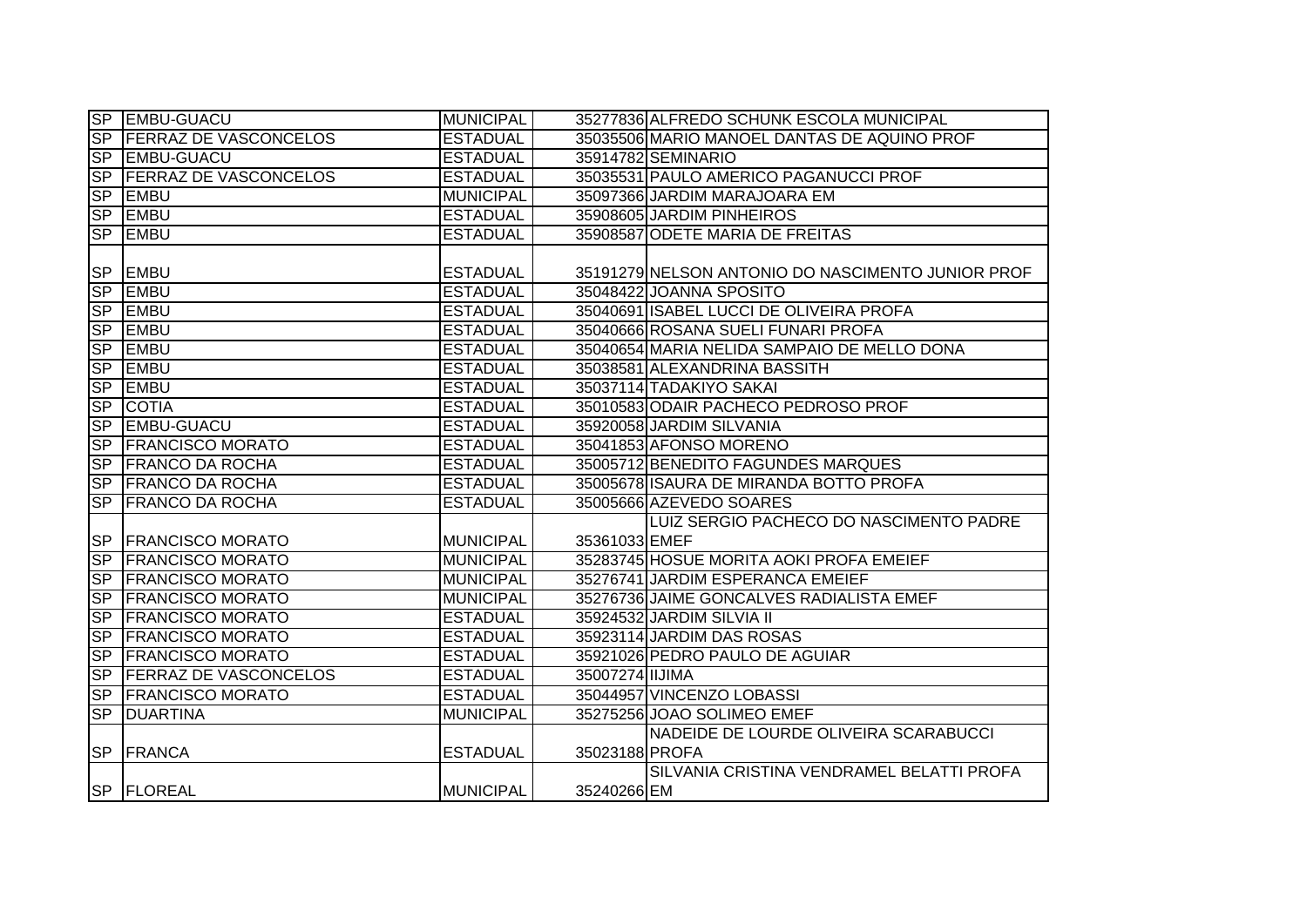|                  | SP EMBU-GUACU                | MUNICIPAL        | 35277836 ALFREDO SCHUNK ESCOLA MUNICIPAL          |
|------------------|------------------------------|------------------|---------------------------------------------------|
| SP               | <b>FERRAZ DE VASCONCELOS</b> | <b>ESTADUAL</b>  | 35035506 MARIO MANOEL DANTAS DE AQUINO PROF       |
| SP               | <b>EMBU-GUACU</b>            | <b>ESTADUAL</b>  | 35914782 SEMINARIO                                |
| SP               | <b>FERRAZ DE VASCONCELOS</b> | <b>ESTADUAL</b>  | 35035531 PAULO AMERICO PAGANUCCI PROF             |
| SP               | <b>EMBU</b>                  | <b>MUNICIPAL</b> | 35097366 JARDIM MARAJOARA EM                      |
| SP               | <b>EMBU</b>                  | <b>ESTADUAL</b>  | 35908605 JARDIM PINHEIROS                         |
| SP               | <b>EMBU</b>                  | <b>ESTADUAL</b>  | 35908587 ODETE MARIA DE FREITAS                   |
|                  |                              |                  |                                                   |
| <b>SP</b>        | <b>EMBU</b>                  | <b>ESTADUAL</b>  | 35191279 NELSON ANTONIO DO NASCIMENTO JUNIOR PROF |
| <b>SP</b>        | <b>EMBU</b>                  | <b>ESTADUAL</b>  | 35048422 JOANNA SPOSITO                           |
| SP               | <b>EMBU</b>                  | <b>ESTADUAL</b>  | 35040691 ISABEL LUCCI DE OLIVEIRA PROFA           |
| <b>SP</b>        | <b>EMBU</b>                  | <b>ESTADUAL</b>  | 35040666 ROSANA SUELI FUNARI PROFA                |
| SP               | <b>EMBU</b>                  | <b>ESTADUAL</b>  | 35040654 MARIA NELIDA SAMPAIO DE MELLO DONA       |
| <b>SP</b>        | <b>EMBU</b>                  | <b>ESTADUAL</b>  | 35038581 ALEXANDRINA BASSITH                      |
| SP               | <b>EMBU</b>                  | <b>ESTADUAL</b>  | 35037114 TADAKIYO SAKAI                           |
| SP               | <b>COTIA</b>                 | <b>ESTADUAL</b>  | 35010583 ODAIR PACHECO PEDROSO PROF               |
| <b>SP</b>        | <b>EMBU-GUACU</b>            | <b>ESTADUAL</b>  | 35920058 JARDIM SILVANIA                          |
| SP               | <b>FRANCISCO MORATO</b>      | <b>ESTADUAL</b>  | 35041853 AFONSO MORENO                            |
|                  | SP FRANCO DA ROCHA           | <b>ESTADUAL</b>  | 35005712 BENEDITO FAGUNDES MARQUES                |
|                  | <b>SP FRANCO DA ROCHA</b>    | <b>ESTADUAL</b>  | 35005678 ISAURA DE MIRANDA BOTTO PROFA            |
| <b>SP</b>        | <b>FRANCO DA ROCHA</b>       | <b>ESTADUAL</b>  | 35005666 AZEVEDO SOARES                           |
|                  |                              |                  | LUIZ SERGIO PACHECO DO NASCIMENTO PADRE           |
|                  | SP FRANCISCO MORATO          | <b>MUNICIPAL</b> | 35361033 EMEF                                     |
| SP               | <b>FRANCISCO MORATO</b>      | <b>MUNICIPAL</b> | 35283745 HOSUE MORITA AOKI PROFA EMEIEF           |
| SP               | <b>FRANCISCO MORATO</b>      | <b>MUNICIPAL</b> | 35276741 JARDIM ESPERANCA EMEIEF                  |
| S <sub>P</sub>   | <b>IFRANCISCO MORATO</b>     | <b>MUNICIPAL</b> | 35276736 JAIME GONCALVES RADIALISTA EMEF          |
| S <sub>P</sub>   | <b>FRANCISCO MORATO</b>      | <b>ESTADUAL</b>  | 35924532 JARDIM SILVIA II                         |
| S <sub>P</sub>   | <b>FRANCISCO MORATO</b>      | <b>ESTADUAL</b>  | 35923114 JARDIM DAS ROSAS                         |
| S <sub>P</sub>   | <b>FRANCISCO MORATO</b>      | <b>ESTADUAL</b>  | 35921026 PEDRO PAULO DE AGUIAR                    |
| S <sub>P</sub>   | <b>FERRAZ DE VASCONCELOS</b> | <b>ESTADUAL</b>  | 35007274 IIJIMA                                   |
| <b>SP</b>        | <b>FRANCISCO MORATO</b>      | <b>ESTADUAL</b>  | 35044957 VINCENZO LOBASSI                         |
| $S_{\mathsf{P}}$ | <b>DUARTINA</b>              | <b>MUNICIPAL</b> | 35275256 JOAO SOLIMEO EMEF                        |
|                  |                              |                  | NADEIDE DE LOURDE OLIVEIRA SCARABUCCI             |
| <b>SP</b>        | FRANCA                       | <b>ESTADUAL</b>  | 35023188 PROFA                                    |
|                  |                              |                  | SILVANIA CRISTINA VENDRAMEL BELATTI PROFA         |
|                  | SP FLOREAL                   | <b>MUNICIPAL</b> | 35240266 EM                                       |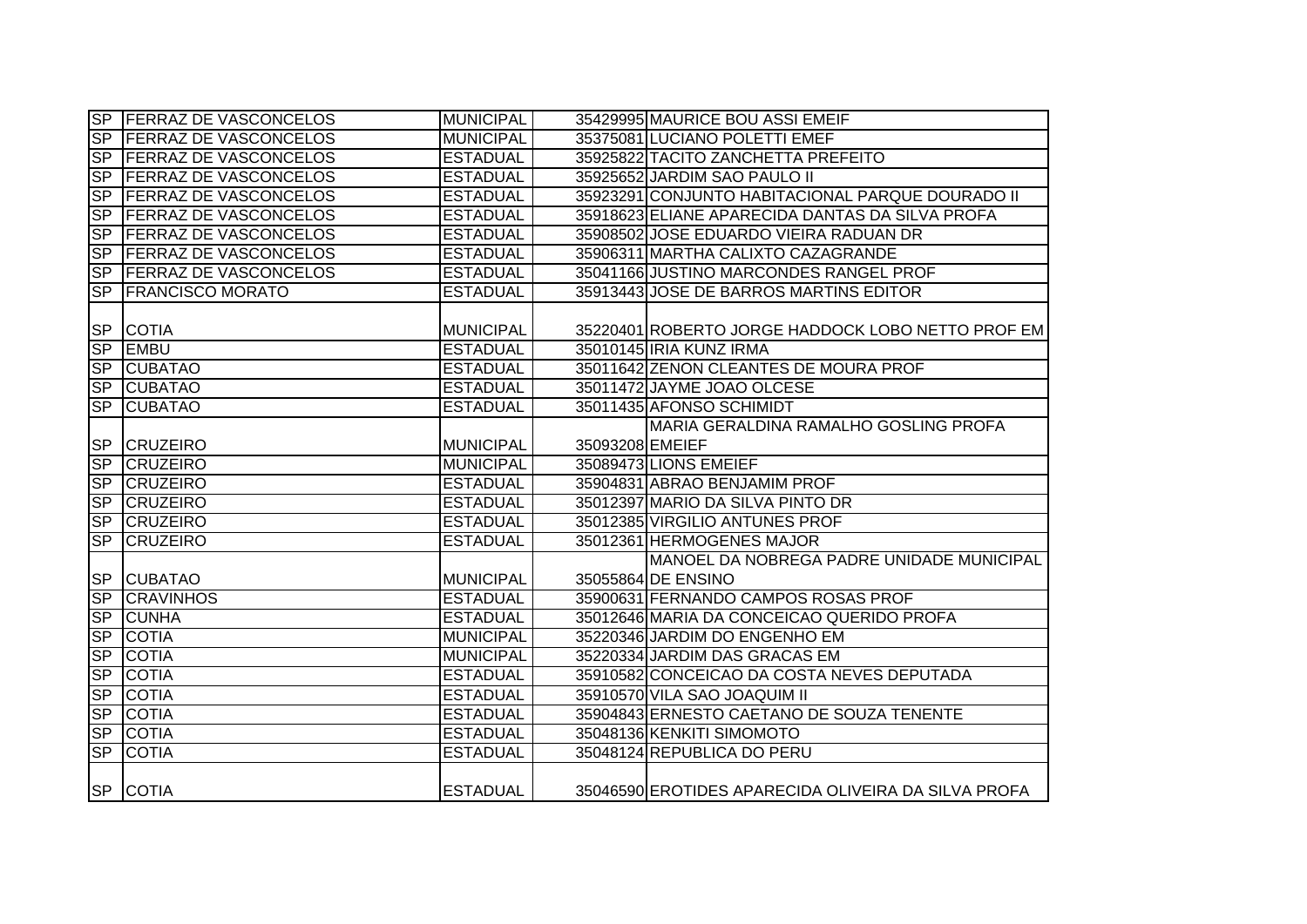|                        | SP FERRAZ DE VASCONCELOS     | <b>MUNICIPAL</b> |                 | 35429995 MAURICE BOU ASSI EMEIF                     |
|------------------------|------------------------------|------------------|-----------------|-----------------------------------------------------|
|                        | SP FERRAZ DE VASCONCELOS     | <b>MUNICIPAL</b> |                 | 35375081 LUCIANO POLETTI EMEF                       |
|                        | SP FERRAZ DE VASCONCELOS     | <b>ESTADUAL</b>  |                 | 35925822 TACITO ZANCHETTA PREFEITO                  |
|                        | SP FERRAZ DE VASCONCELOS     | <b>ESTADUAL</b>  |                 | 35925652 JARDIM SAO PAULO II                        |
|                        | SP FERRAZ DE VASCONCELOS     | <b>ESTADUAL</b>  |                 | 35923291 CONJUNTO HABITACIONAL PARQUE DOURADO II    |
| $S_{\mathsf{P}}$       | <b>FERRAZ DE VASCONCELOS</b> | <b>ESTADUAL</b>  |                 | 35918623 ELIANE APARECIDA DANTAS DA SILVA PROFA     |
| SP                     | <b>FERRAZ DE VASCONCELOS</b> | <b>ESTADUAL</b>  |                 | 35908502 JOSE EDUARDO VIEIRA RADUAN DR              |
| <b>SP</b>              | <b>FERRAZ DE VASCONCELOS</b> | <b>ESTADUAL</b>  |                 | 35906311 MARTHA CALIXTO CAZAGRANDE                  |
| SP                     | <b>FERRAZ DE VASCONCELOS</b> | <b>ESTADUAL</b>  |                 | 35041166 JUSTINO MARCONDES RANGEL PROF              |
| <b>SP</b>              | <b>FRANCISCO MORATO</b>      | <b>ESTADUAL</b>  |                 | 35913443 JOSE DE BARROS MARTINS EDITOR              |
|                        |                              |                  |                 |                                                     |
| <b>SP</b>              | <b>COTIA</b>                 | <b>MUNICIPAL</b> |                 | 35220401 ROBERTO JORGE HADDOCK LOBO NETTO PROF EM   |
| SP                     | <b>EMBU</b>                  | <b>ESTADUAL</b>  |                 | 35010145 IRIA KUNZ IRMA                             |
| <b>SP</b>              | <b>CUBATAO</b>               | <b>ESTADUAL</b>  |                 | 35011642 ZENON CLEANTES DE MOURA PROF               |
| SP                     | <b>CUBATAO</b>               | <b>ESTADUAL</b>  |                 | 35011472 JAYME JOAO OLCESE                          |
| SP                     | <b>CUBATAO</b>               | <b>ESTADUAL</b>  |                 | 35011435 AFONSO SCHIMIDT                            |
|                        |                              |                  |                 | MARIA GERALDINA RAMALHO GOSLING PROFA               |
|                        | SP CRUZEIRO                  | <b>MUNICIPAL</b> | 35093208 EMEIEF |                                                     |
|                        | SP CRUZEIRO                  | <b>MUNICIPAL</b> |                 | 35089473 LIONS EMEIEF                               |
| SP                     | <b>CRUZEIRO</b>              | <b>ESTADUAL</b>  |                 | 35904831 ABRAO BENJAMIM PROF                        |
| $\overline{\text{SP}}$ | <b>CRUZEIRO</b>              | <b>ESTADUAL</b>  |                 | 35012397 MARIO DA SILVA PINTO DR                    |
| SP                     | <b>CRUZEIRO</b>              | <b>ESTADUAL</b>  |                 | 35012385 VIRGILIO ANTUNES PROF                      |
| S <sub>P</sub>         | <b>CRUZEIRO</b>              | <b>ESTADUAL</b>  |                 | 35012361 HERMOGENES MAJOR                           |
|                        |                              |                  |                 | MANOEL DA NOBREGA PADRE UNIDADE MUNICIPAL           |
|                        | SP CUBATAO                   | <b>MUNICIPAL</b> |                 | 35055864 DE ENSINO                                  |
| SP                     | <b>CRAVINHOS</b>             | <b>ESTADUAL</b>  |                 | 35900631 FERNANDO CAMPOS ROSAS PROF                 |
| $\overline{\text{SP}}$ | <b>CUNHA</b>                 | <b>ESTADUAL</b>  |                 | 35012646 MARIA DA CONCEICAO QUERIDO PROFA           |
| SP                     | <b>COTIA</b>                 | <b>MUNICIPAL</b> |                 | 35220346 JARDIM DO ENGENHO EM                       |
| <b>SP</b>              | <b>COTIA</b>                 | <b>MUNICIPAL</b> |                 | 35220334 JARDIM DAS GRACAS EM                       |
| <b>SP</b>              | <b>COTIA</b>                 | <b>ESTADUAL</b>  |                 | 35910582 CONCEICAO DA COSTA NEVES DEPUTADA          |
| S <sub>P</sub>         | <b>COTIA</b>                 | <b>ESTADUAL</b>  |                 | 35910570 VILA SAO JOAQUIM II                        |
| SP                     | <b>COTIA</b>                 | <b>ESTADUAL</b>  |                 | 35904843 ERNESTO CAETANO DE SOUZA TENENTE           |
| SP                     | <b>COTIA</b>                 | <b>ESTADUAL</b>  |                 | 35048136 KENKITI SIMOMOTO                           |
| SP                     | <b>COTIA</b>                 | <b>ESTADUAL</b>  |                 | 35048124 REPUBLICA DO PERU                          |
|                        | SP COTIA                     | <b>ESTADUAL</b>  |                 | 35046590 EROTIDES APARECIDA OLIVEIRA DA SILVA PROFA |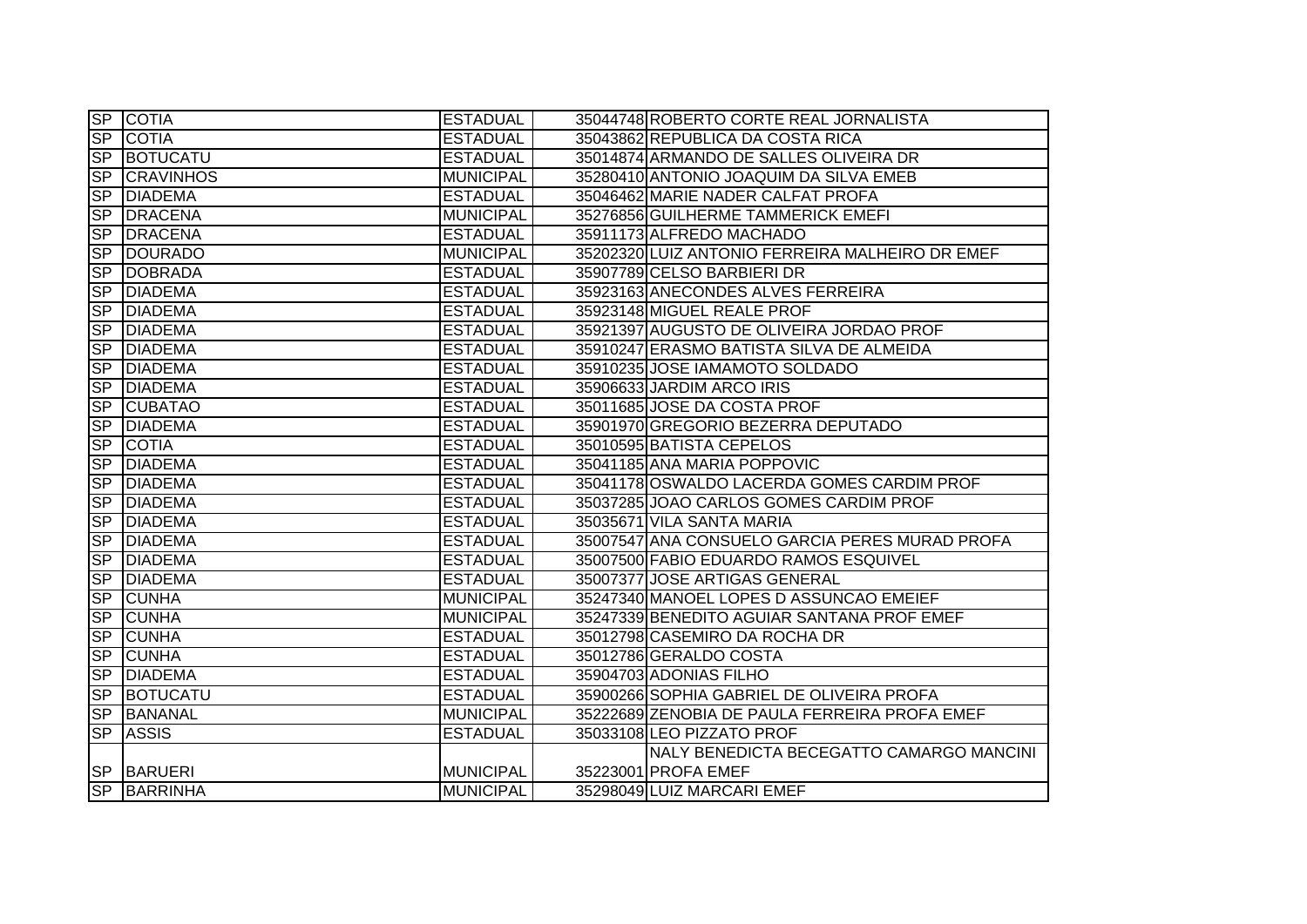|           | SP COTIA           | <b>ESTADUAL</b>  | 35044748 ROBERTO CORTE REAL JORNALISTA          |
|-----------|--------------------|------------------|-------------------------------------------------|
| SP        | <b>COTIA</b>       | <b>ESTADUAL</b>  | 35043862 REPUBLICA DA COSTA RICA                |
|           | <b>SP BOTUCATU</b> | <b>ESTADUAL</b>  | 35014874 ARMANDO DE SALLES OLIVEIRA DR          |
| <b>SP</b> | <b>CRAVINHOS</b>   | <b>MUNICIPAL</b> | 35280410 ANTONIO JOAQUIM DA SILVA EMEB          |
| <b>SP</b> | <b>DIADEMA</b>     | <b>ESTADUAL</b>  | 35046462 MARIE NADER CALFAT PROFA               |
| <b>SP</b> | <b>DRACENA</b>     | <b>MUNICIPAL</b> | 35276856 GUILHERME TAMMERICK EMEFI              |
|           | <b>SP DRACENA</b>  | <b>ESTADUAL</b>  | 35911173 ALFREDO MACHADO                        |
| SP        | DOURADO            | <b>MUNICIPAL</b> | 35202320 LUIZ ANTONIO FERREIRA MALHEIRO DR EMEF |
| SP        | <b>DOBRADA</b>     | <b>ESTADUAL</b>  | 35907789 CELSO BARBIERI DR                      |
| <b>SP</b> | <b>DIADEMA</b>     | <b>ESTADUAL</b>  | 35923163 ANECONDES ALVES FERREIRA               |
| <b>SP</b> | <b>DIADEMA</b>     | <b>ESTADUAL</b>  | 35923148 MIGUEL REALE PROF                      |
| <b>SP</b> | <b>DIADEMA</b>     | <b>ESTADUAL</b>  | 35921397 AUGUSTO DE OLIVEIRA JORDAO PROF        |
| SP        | <b>DIADEMA</b>     | <b>ESTADUAL</b>  | 35910247 ERASMO BATISTA SILVA DE ALMEIDA        |
| <b>SP</b> | <b>DIADEMA</b>     | <b>ESTADUAL</b>  | 35910235 JOSE IAMAMOTO SOLDADO                  |
| <b>SP</b> | <b>DIADEMA</b>     | <b>ESTADUAL</b>  | 35906633 JARDIM ARCO IRIS                       |
| <b>SP</b> | <b>CUBATAO</b>     | <b>ESTADUAL</b>  | 35011685 JOSE DA COSTA PROF                     |
| <b>SP</b> | <b>DIADEMA</b>     | <b>ESTADUAL</b>  | 35901970 GREGORIO BEZERRA DEPUTADO              |
| <b>SP</b> | <b>COTIA</b>       | <b>ESTADUAL</b>  | 35010595 BATISTA CEPELOS                        |
| <b>SP</b> | <b>DIADEMA</b>     | <b>ESTADUAL</b>  | 35041185 ANA MARIA POPPOVIC                     |
|           | <b>SP DIADEMA</b>  | <b>ESTADUAL</b>  | 35041178 OSWALDO LACERDA GOMES CARDIM PROF      |
| <b>SP</b> | <b>DIADEMA</b>     | <b>ESTADUAL</b>  | 35037285 JOAO CARLOS GOMES CARDIM PROF          |
| <b>SP</b> | <b>DIADEMA</b>     | <b>ESTADUAL</b>  | 35035671 VILA SANTA MARIA                       |
| <b>SP</b> | <b>DIADEMA</b>     | <b>ESTADUAL</b>  | 35007547 ANA CONSUELO GARCIA PERES MURAD PROFA  |
| <b>SP</b> | <b>DIADEMA</b>     | <b>ESTADUAL</b>  | 35007500 FABIO EDUARDO RAMOS ESQUIVEL           |
| <b>SP</b> | <b>DIADEMA</b>     | <b>ESTADUAL</b>  | 35007377 JOSE ARTIGAS GENERAL                   |
| <b>SP</b> | <b>CUNHA</b>       | <b>MUNICIPAL</b> | 35247340 MANOEL LOPES D ASSUNCAO EMEIEF         |
| <b>SP</b> | <b>CUNHA</b>       | <b>MUNICIPAL</b> | 35247339 BENEDITO AGUIAR SANTANA PROF EMEF      |
| <b>SP</b> | <b>CUNHA</b>       | <b>ESTADUAL</b>  | 35012798 CASEMIRO DA ROCHA DR                   |
| <b>SP</b> | <b>CUNHA</b>       | <b>ESTADUAL</b>  | 35012786 GERALDO COSTA                          |
| <b>SP</b> | <b>DIADEMA</b>     | <b>ESTADUAL</b>  | 35904703 ADONIAS FILHO                          |
| <b>SP</b> | <b>BOTUCATU</b>    | <b>ESTADUAL</b>  | 35900266 SOPHIA GABRIEL DE OLIVEIRA PROFA       |
| <b>SP</b> | BANANAL            | <b>MUNICIPAL</b> | 35222689 ZENOBIA DE PAULA FERREIRA PROFA EMEF   |
| SP        | <b>ASSIS</b>       | <b>ESTADUAL</b>  | 35033108 LEO PIZZATO PROF                       |
|           |                    |                  | NALY BENEDICTA BECEGATTO CAMARGO MANCINI        |
|           | <b>SP BARUERI</b>  | <b>MUNICIPAL</b> | 35223001 PROFA EMEF                             |
|           | SP BARRINHA        | MUNICIPAL        | 35298049 LUIZ MARCARI EMEF                      |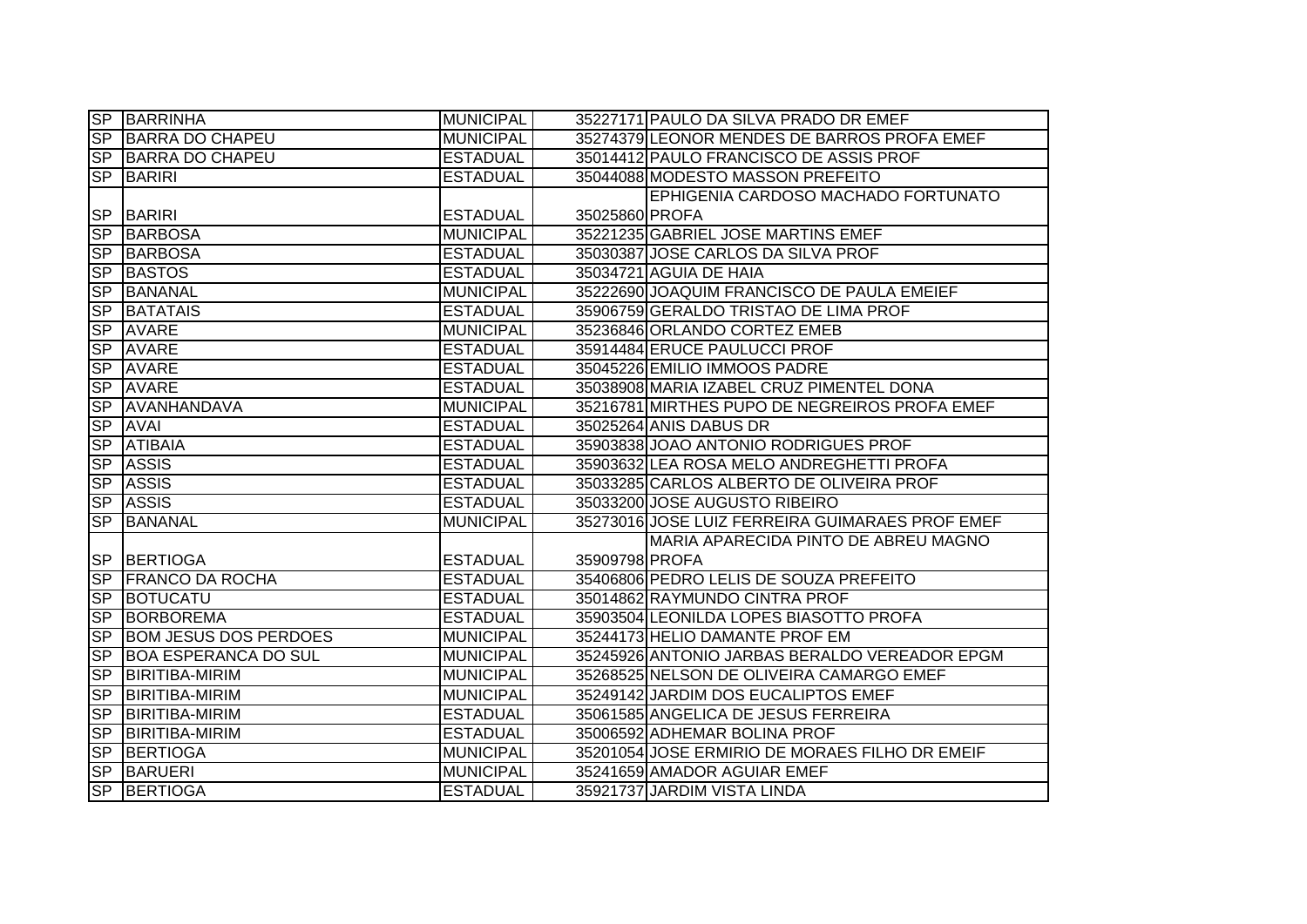|                  | <b>SP BARRINHA</b>           | <b>MUNICIPAL</b> |                | 35227171 PAULO DA SILVA PRADO DR EMEF           |
|------------------|------------------------------|------------------|----------------|-------------------------------------------------|
| SP               | <b>BARRA DO CHAPEU</b>       | <b>MUNICIPAL</b> |                | 35274379 LEONOR MENDES DE BARROS PROFA EMEF     |
|                  | SP BARRA DO CHAPEU           | <b>ESTADUAL</b>  |                | 35014412 PAULO FRANCISCO DE ASSIS PROF          |
| <b>SP</b>        | <b>BARIRI</b>                | <b>ESTADUAL</b>  |                | 35044088 MODESTO MASSON PREFEITO                |
|                  |                              |                  |                | EPHIGENIA CARDOSO MACHADO FORTUNATO             |
|                  | <b>SP BARIRI</b>             | <b>ESTADUAL</b>  | 35025860 PROFA |                                                 |
| <b>SP</b>        | <b>BARBOSA</b>               | <b>MUNICIPAL</b> |                | 35221235 GABRIEL JOSE MARTINS EMEF              |
| <b>SP</b>        | <b>BARBOSA</b>               | <b>ESTADUAL</b>  |                | 35030387 JOSE CARLOS DA SILVA PROF              |
| <b>SP</b>        | <b>BASTOS</b>                | <b>ESTADUAL</b>  |                | 35034721 AGUIA DE HAIA                          |
| <b>SP</b>        | <b>BANANAL</b>               | <b>MUNICIPAL</b> |                | 35222690 JOAQUIM FRANCISCO DE PAULA EMEIEF      |
| <b>SP</b>        | <b>BATATAIS</b>              | <b>ESTADUAL</b>  |                | 35906759 GERALDO TRISTAO DE LIMA PROF           |
| <b>SP</b>        | <b>AVARE</b>                 | <b>MUNICIPAL</b> |                | 35236846 ORLANDO CORTEZ EMEB                    |
| SP               | <b>AVARE</b>                 | <b>ESTADUAL</b>  |                | 35914484 ERUCE PAULUCCI PROF                    |
| SP               | <b>AVARE</b>                 | <b>ESTADUAL</b>  |                | 35045226 EMILIO IMMOOS PADRE                    |
| SP               | <b>AVARE</b>                 | <b>ESTADUAL</b>  |                | 35038908 MARIA IZABEL CRUZ PIMENTEL DONA        |
| SP               | AVANHANDAVA                  | <b>MUNICIPAL</b> |                | 35216781 MIRTHES PUPO DE NEGREIROS PROFA EMEF   |
| <b>SP</b>        | <b>AVAI</b>                  | <b>ESTADUAL</b>  |                | 35025264 ANIS DABUS DR                          |
| SP               | <b>ATIBAIA</b>               | <b>ESTADUAL</b>  |                | 35903838 JOAO ANTONIO RODRIGUES PROF            |
|                  | SP ASSIS                     | <b>ESTADUAL</b>  |                | 35903632 LEA ROSA MELO ANDREGHETTI PROFA        |
| <b>SP</b>        | <b>ASSIS</b>                 | <b>ESTADUAL</b>  |                | 35033285 CARLOS ALBERTO DE OLIVEIRA PROF        |
| SP               | <b>ASSIS</b>                 | <b>ESTADUAL</b>  |                | 35033200 JOSE AUGUSTO RIBEIRO                   |
| SP               | <b>BANANAL</b>               | <b>MUNICIPAL</b> |                | 35273016 JOSE LUIZ FERREIRA GUIMARAES PROF EMEF |
|                  |                              |                  |                | MARIA APARECIDA PINTO DE ABREU MAGNO            |
|                  | SP BERTIOGA                  | <b>ESTADUAL</b>  | 35909798 PROFA |                                                 |
| SP               | <b>FRANCO DA ROCHA</b>       | <b>ESTADUAL</b>  |                | 35406806 PEDRO LELIS DE SOUZA PREFEITO          |
| SP               | BOTUCATU                     | <b>ESTADUAL</b>  |                | 35014862 RAYMUNDO CINTRA PROF                   |
| S <sub>P</sub>   | <b>BORBOREMA</b>             | <b>ESTADUAL</b>  |                | 35903504 LEONILDA LOPES BIASOTTO PROFA          |
| SP               | <b>BOM JESUS DOS PERDOES</b> | <b>MUNICIPAL</b> |                | 35244173 HELIO DAMANTE PROF EM                  |
| SP               | <b>BOA ESPERANCA DO SUL</b>  | <b>MUNICIPAL</b> |                | 35245926 ANTONIO JARBAS BERALDO VEREADOR EPGM   |
| <b>SP</b>        | <b>BIRITIBA-MIRIM</b>        | <b>MUNICIPAL</b> |                | 35268525 NELSON DE OLIVEIRA CAMARGO EMEF        |
| S <sub>P</sub>   | <b>BIRITIBA-MIRIM</b>        | <b>MUNICIPAL</b> |                | 35249142 JARDIM DOS EUCALIPTOS EMEF             |
| SP               | <b>BIRITIBA-MIRIM</b>        | <b>ESTADUAL</b>  |                | 35061585 ANGELICA DE JESUS FERREIRA             |
| $S_{\mathsf{P}}$ | <b>BIRITIBA-MIRIM</b>        | <b>ESTADUAL</b>  |                | 35006592 ADHEMAR BOLINA PROF                    |
| SP               | BERTIOGA                     | <b>MUNICIPAL</b> |                | 35201054 JOSE ERMIRIO DE MORAES FILHO DR EMEIF  |
| SP               | <b>BARUERI</b>               | <b>MUNICIPAL</b> |                | 35241659 AMADOR AGUIAR EMEF                     |
| S <sub>P</sub>   | <b>BERTIOGA</b>              | <b>ESTADUAL</b>  |                | 35921737 JARDIM VISTA LINDA                     |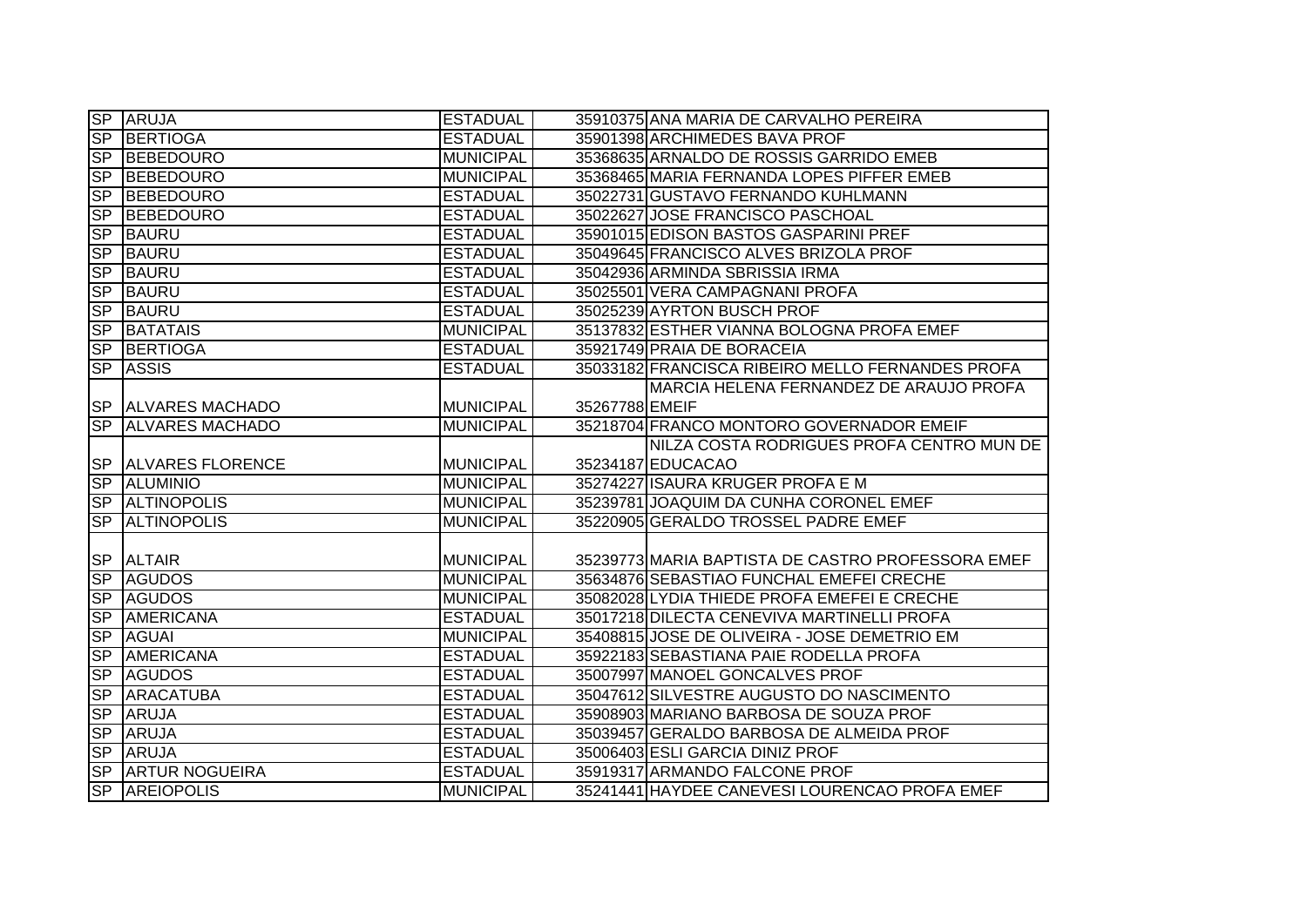|                  | SP ARUJA                   | <b>ESTADUAL</b>  |                | 35910375 ANA MARIA DE CARVALHO PEREIRA            |
|------------------|----------------------------|------------------|----------------|---------------------------------------------------|
|                  | SP BERTIOGA                | <b>ESTADUAL</b>  |                | 35901398 ARCHIMEDES BAVA PROF                     |
|                  | SP BEBEDOURO               | <b>MUNICIPAL</b> |                | 35368635 ARNALDO DE ROSSIS GARRIDO EMEB           |
| SP               | <b>BEBEDOURO</b>           | <b>MUNICIPAL</b> |                | 35368465 MARIA FERNANDA LOPES PIFFER EMEB         |
|                  | <b>SP BEBEDOURO</b>        | <b>ESTADUAL</b>  |                | 35022731 GUSTAVO FERNANDO KUHLMANN                |
|                  | SP BEBEDOURO               | <b>ESTADUAL</b>  |                | 35022627 JOSE FRANCISCO PASCHOAL                  |
|                  | SP BAURU                   | <b>ESTADUAL</b>  |                | 35901015 EDISON BASTOS GASPARINI PREF             |
| <b>SP</b>        | <b>BAURU</b>               | <b>ESTADUAL</b>  |                | 35049645 FRANCISCO ALVES BRIZOLA PROF             |
| <b>SP</b>        | <b>BAURU</b>               | <b>ESTADUAL</b>  |                | 35042936 ARMINDA SBRISSIA IRMA                    |
| SP               | <b>BAURU</b>               | <b>ESTADUAL</b>  |                | 35025501 VERA CAMPAGNANI PROFA                    |
| <b>SP</b>        | <b>BAURU</b>               | <b>ESTADUAL</b>  |                | 35025239 AYRTON BUSCH PROF                        |
| <b>SP</b>        | <b>BATATAIS</b>            | <b>MUNICIPAL</b> |                | 35137832 ESTHER VIANNA BOLOGNA PROFA EMEF         |
| <b>SP</b>        | BERTIOGA                   | <b>ESTADUAL</b>  |                | 35921749 PRAIA DE BORACEIA                        |
| <b>SP</b>        | <b>ASSIS</b>               | <b>ESTADUAL</b>  |                | 35033182 FRANCISCA RIBEIRO MELLO FERNANDES PROFA  |
|                  |                            |                  |                | MARCIA HELENA FERNANDEZ DE ARAUJO PROFA           |
|                  | SP ALVARES MACHADO         | <b>MUNICIPAL</b> | 35267788 EMEIF |                                                   |
|                  | SP ALVARES MACHADO         | <b>MUNICIPAL</b> |                | 35218704 FRANCO MONTORO GOVERNADOR EMEIF          |
|                  |                            |                  |                | NILZA COSTA RODRIGUES PROFA CENTRO MUN DE         |
|                  | <b>SP ALVARES FLORENCE</b> | <b>MUNICIPAL</b> |                | 35234187 EDUCACAO                                 |
|                  | SP ALUMINIO                | <b>MUNICIPAL</b> |                | 35274227 ISAURA KRUGER PROFA E M                  |
|                  | SP ALTINOPOLIS             | <b>MUNICIPAL</b> |                | 35239781 JOAQUIM DA CUNHA CORONEL EMEF            |
| $S_{\mathsf{P}}$ | <b>ALTINOPOLIS</b>         | <b>MUNICIPAL</b> |                | 35220905 GERALDO TROSSEL PADRE EMEF               |
|                  |                            |                  |                |                                                   |
|                  | SP ALTAIR                  | <b>MUNICIPAL</b> |                | 35239773 MARIA BAPTISTA DE CASTRO PROFESSORA EMEF |
|                  | SP AGUDOS                  | <b>MUNICIPAL</b> |                | 35634876 SEBASTIAO FUNCHAL EMEFEI CRECHE          |
|                  | SP AGUDOS                  | <b>MUNICIPAL</b> |                | 35082028 LYDIA THIEDE PROFA EMEFEI E CRECHE       |
| SP               | <b>AMERICANA</b>           | <b>ESTADUAL</b>  |                | 35017218 DILECTA CENEVIVA MARTINELLI PROFA        |
| SP               | <b>AGUAI</b>               | <b>MUNICIPAL</b> |                | 35408815 JOSE DE OLIVEIRA - JOSE DEMETRIO EM      |
| S <sub>P</sub>   | <b>AMERICANA</b>           | <b>ESTADUAL</b>  |                | 35922183 SEBASTIANA PAIE RODELLA PROFA            |
| S <sub>P</sub>   | <b>AGUDOS</b>              | <b>ESTADUAL</b>  |                | 35007997 MANOEL GONCALVES PROF                    |
| S <sub>P</sub>   | <b>ARACATUBA</b>           | <b>ESTADUAL</b>  |                | 35047612 SILVESTRE AUGUSTO DO NASCIMENTO          |
| <b>SP</b>        | <b>ARUJA</b>               | <b>ESTADUAL</b>  |                | 35908903 MARIANO BARBOSA DE SOUZA PROF            |
|                  | SP ARUJA                   | <b>ESTADUAL</b>  |                | 35039457 GERALDO BARBOSA DE ALMEIDA PROF          |
|                  | SP ARUJA                   | <b>ESTADUAL</b>  |                | 35006403 ESLI GARCIA DINIZ PROF                   |
|                  | SP ARTUR NOGUEIRA          | <b>ESTADUAL</b>  |                | 35919317 ARMANDO FALCONE PROF                     |
|                  | SP AREIOPOLIS              | <b>MUNICIPAL</b> |                | 35241441 HAYDEE CANEVESI LOURENCAO PROFA EMEF     |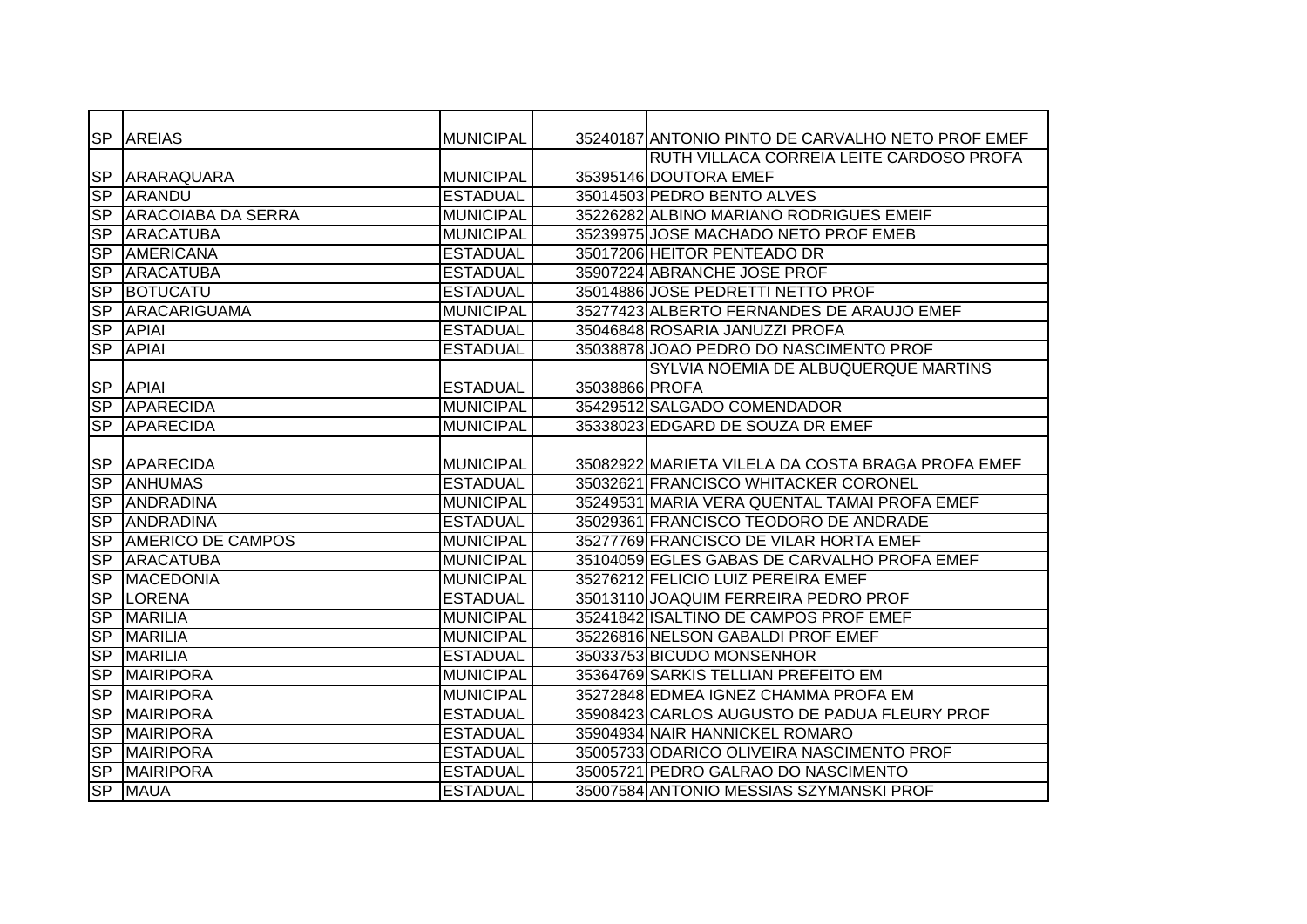|                          | SP AREIAS                    | <b>MUNICIPAL</b> |                | 35240187 ANTONIO PINTO DE CARVALHO NETO PROF EMEF |
|--------------------------|------------------------------|------------------|----------------|---------------------------------------------------|
|                          |                              |                  |                | RUTH VILLACA CORREIA LEITE CARDOSO PROFA          |
| <b>SP</b>                | <b>ARARAQUARA</b>            | <b>MUNICIPAL</b> |                | 35395146 DOUTORA EMEF                             |
| SP                       | ARANDU                       | <b>ESTADUAL</b>  |                | 35014503 PEDRO BENTO ALVES                        |
|                          | <b>SP ARACOIABA DA SERRA</b> | <b>MUNICIPAL</b> |                | 35226282 ALBINO MARIANO RODRIGUES EMEIF           |
| SP                       | <b>ARACATUBA</b>             | <b>MUNICIPAL</b> |                | 35239975 JOSE MACHADO NETO PROF EMEB              |
| <b>SP</b>                | <b>AMERICANA</b>             | <b>ESTADUAL</b>  |                | 35017206 HEITOR PENTEADO DR                       |
| <b>SP</b>                | <b>ARACATUBA</b>             | <b>ESTADUAL</b>  |                | 35907224 ABRANCHE JOSE PROF                       |
| S <sub>P</sub>           | <b>BOTUCATU</b>              | <b>ESTADUAL</b>  |                | 35014886 JOSE PEDRETTI NETTO PROF                 |
| <b>SP</b>                | ARACARIGUAMA                 | <b>MUNICIPAL</b> |                | 35277423 ALBERTO FERNANDES DE ARAUJO EMEF         |
| <b>SP</b>                | <b>APIAI</b>                 | <b>ESTADUAL</b>  |                | 35046848 ROSARIA JANUZZI PROFA                    |
| $\overline{\text{SP}}$   | <b>APIAI</b>                 | <b>ESTADUAL</b>  |                | 35038878 JOAO PEDRO DO NASCIMENTO PROF            |
|                          |                              |                  |                | SYLVIA NOEMIA DE ALBUQUERQUE MARTINS              |
| <b>SP</b>                | <b>APIAI</b>                 | <b>ESTADUAL</b>  | 35038866 PROFA |                                                   |
|                          | SP APARECIDA                 | <b>MUNICIPAL</b> |                | 35429512 SALGADO COMENDADOR                       |
| SP                       | <b>APARECIDA</b>             | <b>MUNICIPAL</b> |                | 35338023 EDGARD DE SOUZA DR EMEF                  |
|                          |                              |                  |                |                                                   |
|                          | SP APARECIDA                 | <b>MUNICIPAL</b> |                | 35082922 MARIETA VILELA DA COSTA BRAGA PROFA EMEF |
|                          | <b>SP ANHUMAS</b>            | <b>ESTADUAL</b>  |                | 35032621 FRANCISCO WHITACKER CORONEL              |
| SP                       | <b>ANDRADINA</b>             | <b>MUNICIPAL</b> |                | 35249531 MARIA VERA QUENTAL TAMAI PROFA EMEF      |
| SP                       | <b>ANDRADINA</b>             | <b>ESTADUAL</b>  |                | 35029361 FRANCISCO TEODORO DE ANDRADE             |
| $\overline{\text{SP}}$   | <b>AMERICO DE CAMPOS</b>     | <b>MUNICIPAL</b> |                | 35277769 FRANCISCO DE VILAR HORTA EMEF            |
| S <sub>P</sub>           | <b>ARACATUBA</b>             | <b>MUNICIPAL</b> |                | 35104059 EGLES GABAS DE CARVALHO PROFA EMEF       |
| <b>SP</b>                | <b>MACEDONIA</b>             | <b>MUNICIPAL</b> |                | 35276212 FELICIO LUIZ PEREIRA EMEF                |
| SP                       | <b>LORENA</b>                | <b>ESTADUAL</b>  |                | 35013110 JOAQUIM FERREIRA PEDRO PROF              |
| $\overline{\mathsf{SP}}$ | <b>MARILIA</b>               | <b>MUNICIPAL</b> |                | 35241842 ISALTINO DE CAMPOS PROF EMEF             |
| S <sub>P</sub>           | <b>MARILIA</b>               | <b>MUNICIPAL</b> |                | 35226816 NELSON GABALDI PROF EMEF                 |
| S <sub>P</sub>           | <b>MARILIA</b>               | <b>ESTADUAL</b>  |                | 35033753 BICUDO MONSENHOR                         |
| <b>SP</b>                | MAIRIPORA                    | <b>MUNICIPAL</b> |                | 35364769 SARKIS TELLIAN PREFEITO EM               |
| S <sub>P</sub>           | <b>MAIRIPORA</b>             | <b>MUNICIPAL</b> |                | 35272848 EDMEA IGNEZ CHAMMA PROFA EM              |
| S <sub>P</sub>           | <b>MAIRIPORA</b>             | <b>ESTADUAL</b>  |                | 35908423 CARLOS AUGUSTO DE PADUA FLEURY PROF      |
| S <sub>P</sub>           | <b>MAIRIPORA</b>             | <b>ESTADUAL</b>  |                | 35904934 NAIR HANNICKEL ROMARO                    |
| SP                       | <b>MAIRIPORA</b>             | <b>ESTADUAL</b>  |                | 35005733 ODARICO OLIVEIRA NASCIMENTO PROF         |
| S <sub>P</sub>           | <b>MAIRIPORA</b>             | <b>ESTADUAL</b>  |                | 35005721 PEDRO GALRAO DO NASCIMENTO               |
|                          | SP MAUA                      | <b>ESTADUAL</b>  |                | 35007584 ANTONIO MESSIAS SZYMANSKI PROF           |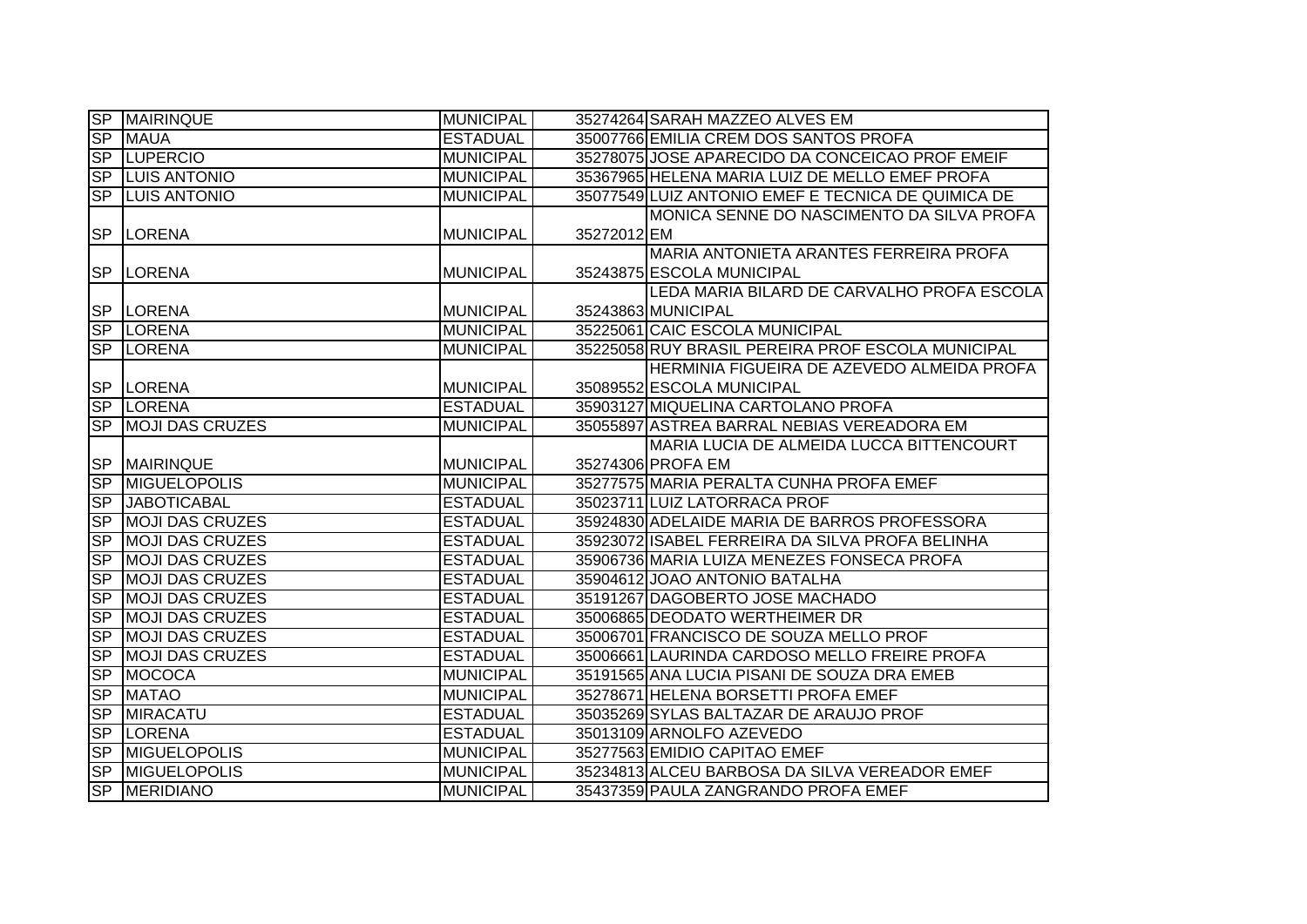|                          | <b>SP MAIRINQUE</b>     | <b>MUNICIPAL</b> |             | 35274264 SARAH MAZZEO ALVES EM                     |
|--------------------------|-------------------------|------------------|-------------|----------------------------------------------------|
| <b>SP</b>                | <b>MAUA</b>             | <b>ESTADUAL</b>  |             | 35007766 EMILIA CREM DOS SANTOS PROFA              |
| SP                       | <b>LUPERCIO</b>         | <b>MUNICIPAL</b> |             | 35278075 JOSE APARECIDO DA CONCEICAO PROF EMEIF    |
|                          | <b>SP LUIS ANTONIO</b>  | <b>MUNICIPAL</b> |             | 35367965 HELENA MARIA LUIZ DE MELLO EMEF PROFA     |
|                          | <b>SP LUIS ANTONIO</b>  | <b>MUNICIPAL</b> |             | 35077549 LUIZ ANTONIO EMEF E TECNICA DE QUIMICA DE |
|                          |                         |                  |             | MONICA SENNE DO NASCIMENTO DA SILVA PROFA          |
|                          | SP LORENA               | <b>MUNICIPAL</b> | 35272012 EM |                                                    |
|                          |                         |                  |             | MARIA ANTONIETA ARANTES FERREIRA PROFA             |
|                          | SP LORENA               | <b>MUNICIPAL</b> |             | 35243875 ESCOLA MUNICIPAL                          |
|                          |                         |                  |             | LEDA MARIA BILARD DE CARVALHO PROFA ESCOLA         |
|                          | SP LORENA               | <b>MUNICIPAL</b> |             | 35243863 MUNICIPAL                                 |
|                          | SP LORENA               | <b>MUNICIPAL</b> |             | 35225061 CAIC ESCOLA MUNICIPAL                     |
|                          | SP LORENA               | <b>MUNICIPAL</b> |             | 35225058 RUY BRASIL PEREIRA PROF ESCOLA MUNICIPAL  |
|                          |                         |                  |             | HERMINIA FIGUEIRA DE AZEVEDO ALMEIDA PROFA         |
|                          | SP LORENA               | <b>MUNICIPAL</b> |             | 35089552 ESCOLA MUNICIPAL                          |
|                          | SP LORENA               | <b>ESTADUAL</b>  |             | 35903127 MIQUELINA CARTOLANO PROFA                 |
| <b>SP</b>                | <b>IMOJI DAS CRUZES</b> | <b>MUNICIPAL</b> |             | 35055897 ASTREA BARRAL NEBIAS VEREADORA EM         |
|                          |                         |                  |             | MARIA LUCIA DE ALMEIDA LUCCA BITTENCOURT           |
|                          | <b>SP MAIRINQUE</b>     | <b>MUNICIPAL</b> |             | 35274306 PROFA EM                                  |
| <b>SP</b>                | <b>MIGUELOPOLIS</b>     | <b>MUNICIPAL</b> |             | 35277575 MARIA PERALTA CUNHA PROFA EMEF            |
| SP                       | <b>JABOTICABAL</b>      | <b>ESTADUAL</b>  |             | 35023711 LUIZ LATORRACA PROF                       |
| $S_{\mathsf{P}}$         | <b>MOJI DAS CRUZES</b>  | <b>ESTADUAL</b>  |             | 35924830 ADELAIDE MARIA DE BARROS PROFESSORA       |
| S <sub>P</sub>           | <b>MOJI DAS CRUZES</b>  | <b>ESTADUAL</b>  |             | 35923072 ISABEL FERREIRA DA SILVA PROFA BELINHA    |
| $S_{\mathsf{P}}$         | <b>MOJI DAS CRUZES</b>  | <b>ESTADUAL</b>  |             | 35906736 MARIA LUIZA MENEZES FONSECA PROFA         |
| <b>SP</b>                | <b>MOJI DAS CRUZES</b>  | <b>ESTADUAL</b>  |             | 35904612 JOAO ANTONIO BATALHA                      |
| <b>SP</b>                | <b>MOJI DAS CRUZES</b>  | <b>ESTADUAL</b>  |             | 35191267 DAGOBERTO JOSE MACHADO                    |
| <b>SP</b>                | <b>MOJI DAS CRUZES</b>  | <b>ESTADUAL</b>  |             | 35006865 DEODATO WERTHEIMER DR                     |
| $S_{\mathsf{P}}$         | <b>MOJI DAS CRUZES</b>  | <b>ESTADUAL</b>  |             | 35006701 FRANCISCO DE SOUZA MELLO PROF             |
| $S_{\mathsf{P}}$         | <b>MOJI DAS CRUZES</b>  | <b>ESTADUAL</b>  |             | 35006661 LAURINDA CARDOSO MELLO FREIRE PROFA       |
| <b>SP</b>                | <b>MOCOCA</b>           | <b>MUNICIPAL</b> |             | 35191565 ANA LUCIA PISANI DE SOUZA DRA EMEB        |
| SP                       | <b>MATAO</b>            | <b>MUNICIPAL</b> |             | 35278671 HELENA BORSETTI PROFA EMEF                |
| SP                       | <b>MIRACATU</b>         | <b>ESTADUAL</b>  |             | 35035269 SYLAS BALTAZAR DE ARAUJO PROF             |
| <b>SP</b>                | <b>LORENA</b>           | <b>ESTADUAL</b>  |             | 35013109 ARNOLFO AZEVEDO                           |
| <b>SP</b>                | <b>MIGUELOPOLIS</b>     | <b>MUNICIPAL</b> |             | 35277563 EMIDIO CAPITAO EMEF                       |
| $\overline{\mathsf{SP}}$ | <b>MIGUELOPOLIS</b>     | <b>MUNICIPAL</b> |             | 35234813 ALCEU BARBOSA DA SILVA VEREADOR EMEF      |
|                          | SP MERIDIANO            | <b>MUNICIPAL</b> |             | 35437359 PAULA ZANGRANDO PROFA EMEF                |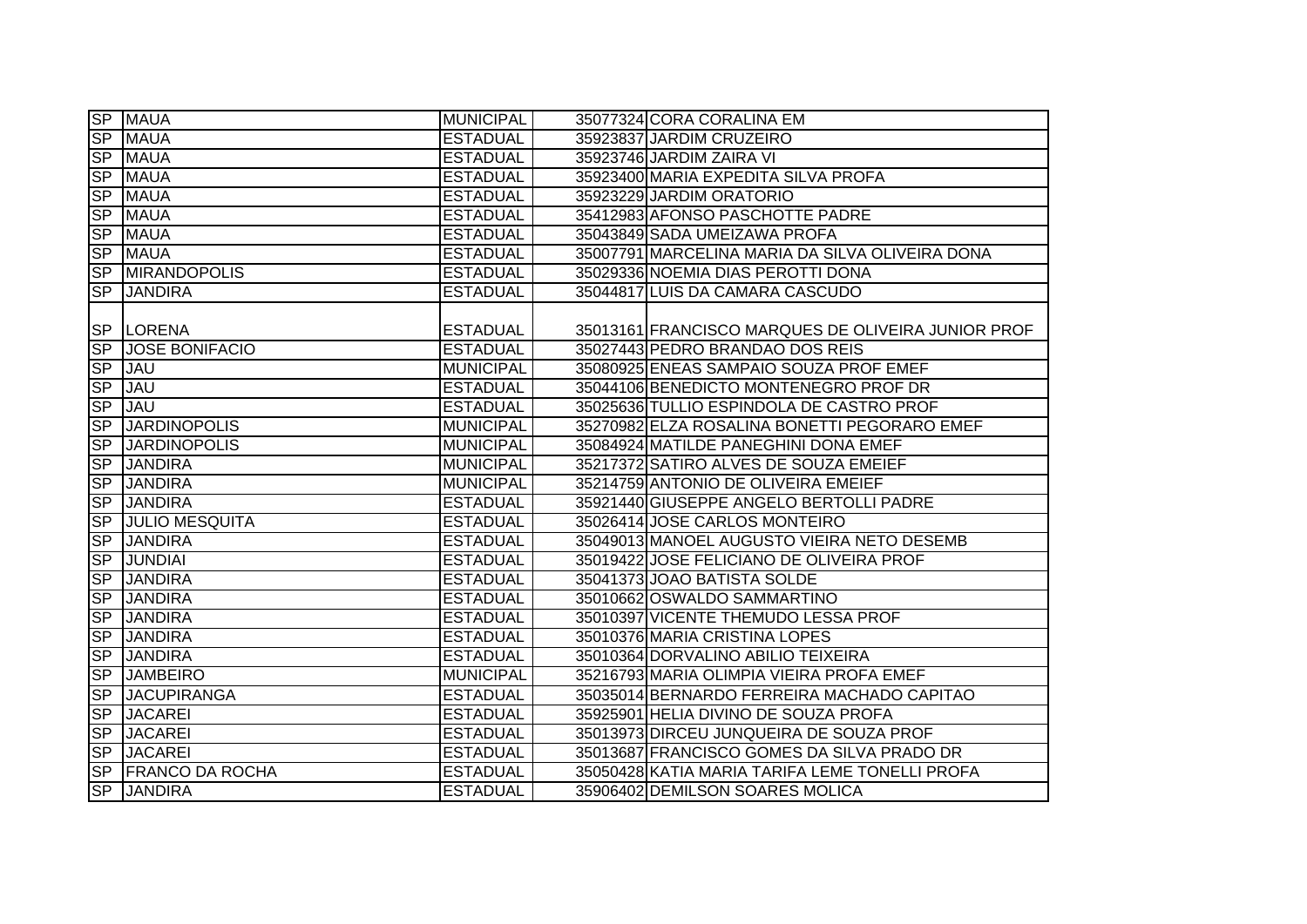|                          | <b>SP MAUA</b>         | <b>MUNICIPAL</b> | 35077324 CORA CORALINA EM                          |
|--------------------------|------------------------|------------------|----------------------------------------------------|
| $\overline{SP}$          | <b>MAUA</b>            | <b>ESTADUAL</b>  | 35923837 JARDIM CRUZEIRO                           |
| $\overline{\mathsf{SP}}$ | <b>MAUA</b>            | <b>ESTADUAL</b>  | 35923746 JARDIM ZAIRA VI                           |
| <b>SP</b>                | <b>MAUA</b>            | <b>ESTADUAL</b>  | 35923400 MARIA EXPEDITA SILVA PROFA                |
| <b>SP</b>                | <b>MAUA</b>            | <b>ESTADUAL</b>  | 35923229 JARDIM ORATORIO                           |
| $\overline{\mathsf{SP}}$ | <b>MAUA</b>            | <b>ESTADUAL</b>  | 35412983 AFONSO PASCHOTTE PADRE                    |
| <b>SP</b>                | <b>MAUA</b>            | <b>ESTADUAL</b>  | 35043849 SADA UMEIZAWA PROFA                       |
| <b>SP</b>                | <b>MAUA</b>            | <b>ESTADUAL</b>  | 35007791 MARCELINA MARIA DA SILVA OLIVEIRA DONA    |
|                          | <b>SP MIRANDOPOLIS</b> | <b>ESTADUAL</b>  | 35029336 NOEMIA DIAS PEROTTI DONA                  |
| <b>SP</b>                | <b>JANDIRA</b>         | <b>ESTADUAL</b>  | 35044817 LUIS DA CAMARA CASCUDO                    |
|                          | SP LORENA              | <b>ESTADUAL</b>  | 35013161 FRANCISCO MARQUES DE OLIVEIRA JUNIOR PROF |
| <b>SP</b>                | <b>JOSE BONIFACIO</b>  | <b>ESTADUAL</b>  | 35027443 PEDRO BRANDAO DOS REIS                    |
| <b>SP</b>                | <b>JAU</b>             | <b>MUNICIPAL</b> | 35080925 ENEAS SAMPAIO SOUZA PROF EMEF             |
| <b>SP</b>                | <b>JAU</b>             | <b>ESTADUAL</b>  | 35044106 BENEDICTO MONTENEGRO PROF DR              |
| SP                       | <b>JAU</b>             | <b>ESTADUAL</b>  | 35025636 TULLIO ESPINDOLA DE CASTRO PROF           |
| S <sub>P</sub>           | <b>JARDINOPOLIS</b>    | <b>MUNICIPAL</b> | 35270982 ELZA ROSALINA BONETTI PEGORARO EMEF       |
| $\overline{\mathsf{SP}}$ | <b>JARDINOPOLIS</b>    | <b>MUNICIPAL</b> | 35084924 MATILDE PANEGHINI DONA EMEF               |
| $\overline{\mathsf{SP}}$ | <b>JANDIRA</b>         | <b>MUNICIPAL</b> | 35217372 SATIRO ALVES DE SOUZA EMEIEF              |
| $\overline{\mathsf{SP}}$ | <b>JANDIRA</b>         | <b>MUNICIPAL</b> | 35214759 ANTONIO DE OLIVEIRA EMEIEF                |
| $\overline{\mathsf{SP}}$ | <b>JANDIRA</b>         | <b>ESTADUAL</b>  | 35921440 GIUSEPPE ANGELO BERTOLLI PADRE            |
| S <sub>P</sub>           | <b>JULIO MESQUITA</b>  | <b>ESTADUAL</b>  | 35026414 JOSE CARLOS MONTEIRO                      |
| SP                       | <b>JANDIRA</b>         | <b>ESTADUAL</b>  | 35049013 MANOEL AUGUSTO VIEIRA NETO DESEMB         |
| SP                       | <b>JUNDIAI</b>         | <b>ESTADUAL</b>  | 35019422 JOSE FELICIANO DE OLIVEIRA PROF           |
| S <sub>P</sub>           | <b>JANDIRA</b>         | <b>ESTADUAL</b>  | 35041373 JOAO BATISTA SOLDE                        |
| <b>SP</b>                | <b>JANDIRA</b>         | <b>ESTADUAL</b>  | 35010662 OSWALDO SAMMARTINO                        |
| S <sub>P</sub>           | <b>JANDIRA</b>         | <b>ESTADUAL</b>  | 35010397 VICENTE THEMUDO LESSA PROF                |
| S <sub>P</sub>           | <b>JANDIRA</b>         | <b>ESTADUAL</b>  | 35010376 MARIA CRISTINA LOPES                      |
| S <sub>P</sub>           | <b>JANDIRA</b>         | <b>ESTADUAL</b>  | 35010364 DORVALINO ABILIO TEIXEIRA                 |
| S <sub>P</sub>           | <b>JAMBEIRO</b>        | <b>MUNICIPAL</b> | 35216793 MARIA OLIMPIA VIEIRA PROFA EMEF           |
| $\overline{\mathsf{SP}}$ | <b>JACUPIRANGA</b>     | <b>ESTADUAL</b>  | 35035014 BERNARDO FERREIRA MACHADO CAPITAO         |
| <b>SP</b>                | <b>JACAREI</b>         | <b>ESTADUAL</b>  | 35925901 HELIA DIVINO DE SOUZA PROFA               |
| <b>SP</b>                | <b>JACAREI</b>         | <b>ESTADUAL</b>  | 35013973 DIRCEU JUNQUEIRA DE SOUZA PROF            |
| $S_{\mathsf{P}}$         | <b>JACAREI</b>         | <b>ESTADUAL</b>  | 35013687 FRANCISCO GOMES DA SILVA PRADO DR         |
| SP                       | <b>FRANCO DA ROCHA</b> | <b>ESTADUAL</b>  | 35050428 KATIA MARIA TARIFA LEME TONELLI PROFA     |
| <b>SP</b>                | <b>JANDIRA</b>         | <b>ESTADUAL</b>  | 35906402 DEMILSON SOARES MOLICA                    |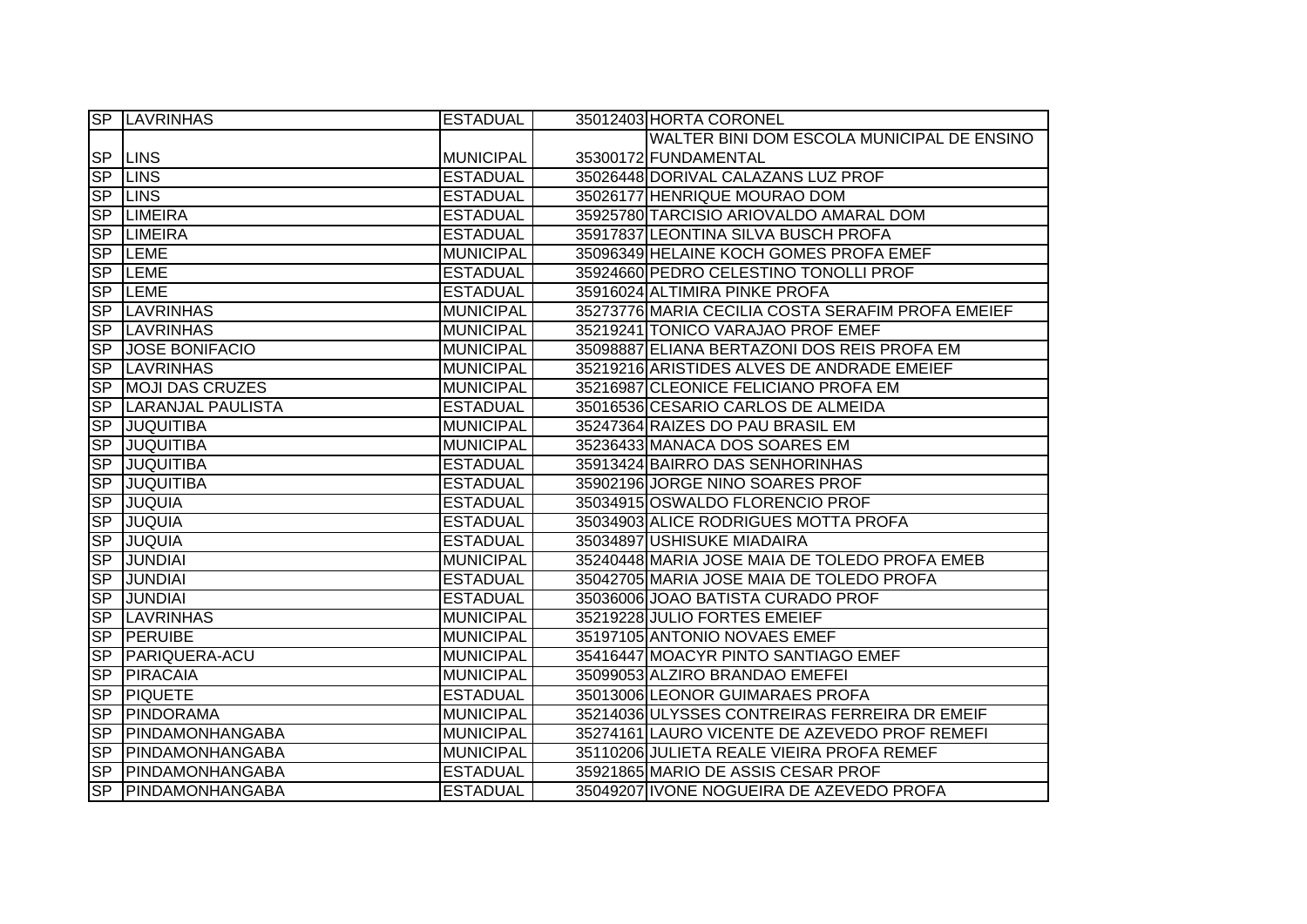|                          | <b>SP LAVRINHAS</b>      | <b>ESTADUAL</b>  | 35012403 HORTA CORONEL                            |
|--------------------------|--------------------------|------------------|---------------------------------------------------|
|                          |                          |                  | WALTER BINI DOM ESCOLA MUNICIPAL DE ENSINO        |
|                          | <b>SP LINS</b>           | <b>MUNICIPAL</b> | 35300172 FUNDAMENTAL                              |
|                          | <b>SP LINS</b>           | <b>ESTADUAL</b>  | 35026448 DORIVAL CALAZANS LUZ PROF                |
|                          | <b>SP LINS</b>           | <b>ESTADUAL</b>  | 35026177 HENRIQUE MOURAO DOM                      |
| <b>SP</b>                | <b>LIMEIRA</b>           | <b>ESTADUAL</b>  | 35925780 TARCISIO ARIOVALDO AMARAL DOM            |
| $\overline{SP}$          | <b>LIMEIRA</b>           | <b>ESTADUAL</b>  | 35917837 LEONTINA SILVA BUSCH PROFA               |
|                          | SP LEME                  | <b>MUNICIPAL</b> | 35096349 HELAINE KOCH GOMES PROFA EMEF            |
| <b>SP</b>                | <b>LEME</b>              | <b>ESTADUAL</b>  | 35924660 PEDRO CELESTINO TONOLLI PROF             |
| <b>SP</b>                | LEME                     | <b>ESTADUAL</b>  | 35916024 ALTIMIRA PINKE PROFA                     |
| <b>SP</b>                | <b>LAVRINHAS</b>         | <b>MUNICIPAL</b> | 35273776 MARIA CECILIA COSTA SERAFIM PROFA EMEIEF |
| <b>SP</b>                | <b>LAVRINHAS</b>         | <b>MUNICIPAL</b> | 35219241 TONICO VARAJAO PROF EMEF                 |
| <b>SP</b>                | <b>JOSE BONIFACIO</b>    | <b>MUNICIPAL</b> | 35098887 ELIANA BERTAZONI DOS REIS PROFA EM       |
| <b>SP</b>                | <b>LAVRINHAS</b>         | <b>MUNICIPAL</b> | 35219216 ARISTIDES ALVES DE ANDRADE EMEIEF        |
| S <sub>P</sub>           | <b>MOJI DAS CRUZES</b>   | <b>MUNICIPAL</b> | 35216987 CLEONICE FELICIANO PROFA EM              |
| S <sub>P</sub>           | <b>LARANJAL PAULISTA</b> | <b>ESTADUAL</b>  | 35016536 CESARIO CARLOS DE ALMEIDA                |
| <b>SP</b>                | <b>JUQUITIBA</b>         | <b>MUNICIPAL</b> | 35247364 RAIZES DO PAU BRASIL EM                  |
| S <sub>P</sub>           | JUQUITIBA                | <b>MUNICIPAL</b> | 35236433 MANACA DOS SOARES EM                     |
| S <sub>P</sub>           | <b>JUQUITIBA</b>         | <b>ESTADUAL</b>  | 35913424 BAIRRO DAS SENHORINHAS                   |
| <b>SP</b>                | <b>JUQUITIBA</b>         | <b>ESTADUAL</b>  | 35902196 JORGE NINO SOARES PROF                   |
| SP                       | <b>JUQUIA</b>            | <b>ESTADUAL</b>  | 35034915 OSWALDO FLORENCIO PROF                   |
| SP                       | <b>JUQUIA</b>            | <b>ESTADUAL</b>  | 35034903 ALICE RODRIGUES MOTTA PROFA              |
| S <sub>P</sub>           | <b>JUQUIA</b>            | <b>ESTADUAL</b>  | 35034897 USHISUKE MIADAIRA                        |
| SP                       | <b>JUNDIAI</b>           | <b>MUNICIPAL</b> | 35240448 MARIA JOSE MAIA DE TOLEDO PROFA EMEB     |
| SP                       | <b>JUNDIAI</b>           | <b>ESTADUAL</b>  | 35042705 MARIA JOSE MAIA DE TOLEDO PROFA          |
| S <sub>P</sub>           | <b>JUNDIAI</b>           | <b>ESTADUAL</b>  | 35036006 JOAO BATISTA CURADO PROF                 |
| SP                       | <b>LAVRINHAS</b>         | <b>MUNICIPAL</b> | 35219228 JULIO FORTES EMEIEF                      |
| <b>SP</b>                | <b>PERUIBE</b>           | <b>MUNICIPAL</b> | 35197105 ANTONIO NOVAES EMEF                      |
| S <sub>P</sub>           | <b>PARIQUERA-ACU</b>     | <b>MUNICIPAL</b> | 35416447 MOACYR PINTO SANTIAGO EMEF               |
| $\overline{\mathsf{SP}}$ | PIRACAIA                 | <b>MUNICIPAL</b> | 35099053 ALZIRO BRANDAO EMEFEI                    |
| <b>SP</b>                | <b>PIQUETE</b>           | <b>ESTADUAL</b>  | 35013006 LEONOR GUIMARAES PROFA                   |
|                          | SP PINDORAMA             | <b>MUNICIPAL</b> | 35214036 ULYSSES CONTREIRAS FERREIRA DR EMEIF     |
| $S_{\mathsf{P}}$         | PINDAMONHANGABA          | <b>MUNICIPAL</b> | 35274161 LAURO VICENTE DE AZEVEDO PROF REMEFI     |
| <b>SP</b>                | <b>PINDAMONHANGABA</b>   | <b>MUNICIPAL</b> | 35110206 JULIETA REALE VIEIRA PROFA REMEF         |
| SP                       | PINDAMONHANGABA          | <b>ESTADUAL</b>  | 35921865 MARIO DE ASSIS CESAR PROF                |
|                          | SP PINDAMONHANGABA       | <b>ESTADUAL</b>  | 35049207 IVONE NOGUEIRA DE AZEVEDO PROFA          |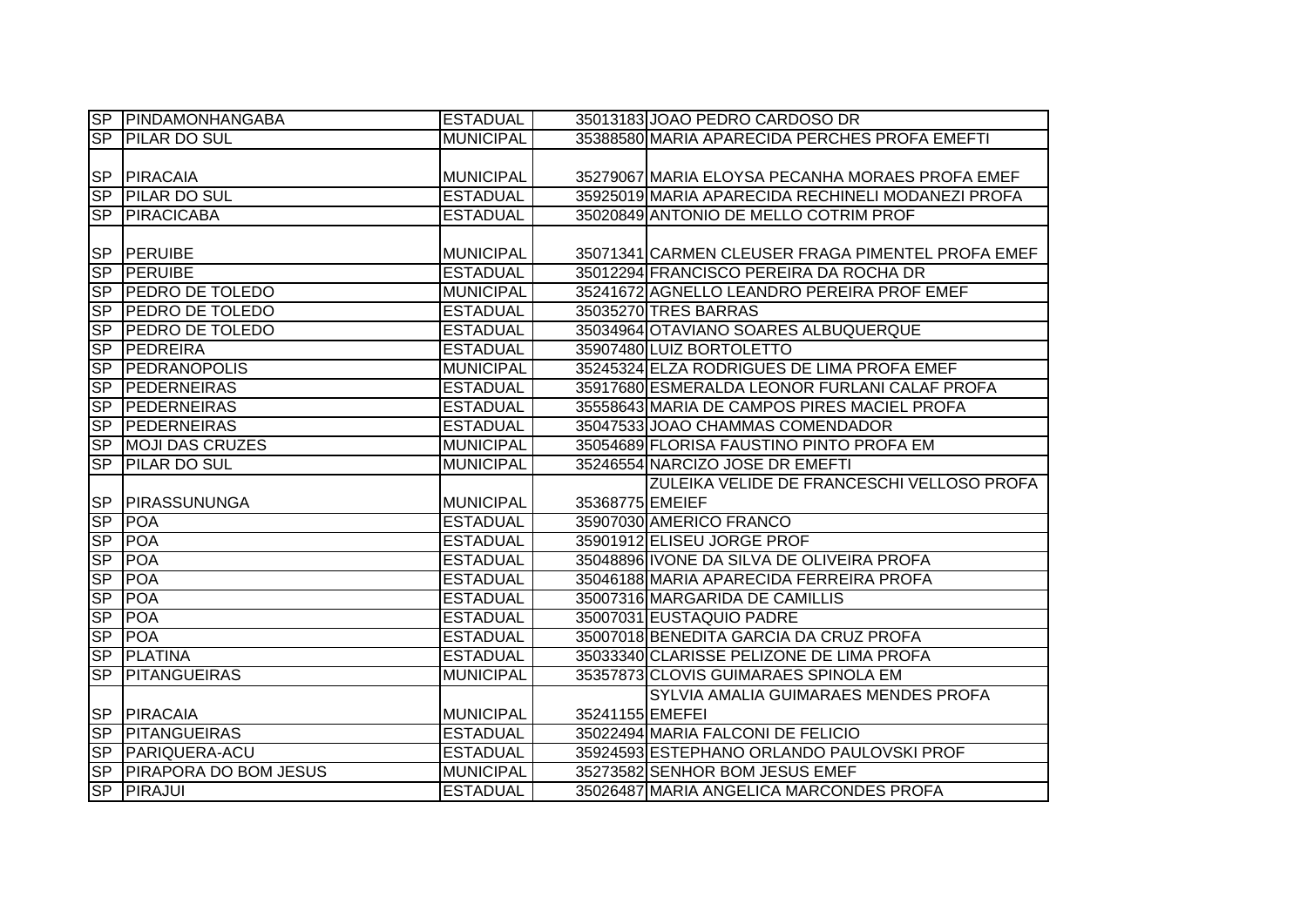| SP             | PINDAMONHANGABA              | <b>ESTADUAL</b>  |                 | 35013183 JOAO PEDRO CARDOSO DR                    |
|----------------|------------------------------|------------------|-----------------|---------------------------------------------------|
| SP             | <b>PILAR DO SUL</b>          | <b>MUNICIPAL</b> |                 | 35388580 MARIA APARECIDA PERCHES PROFA EMEFTI     |
|                |                              |                  |                 |                                                   |
| <b>SP</b>      | <b>PIRACAIA</b>              | <b>MUNICIPAL</b> |                 | 35279067 MARIA ELOYSA PECANHA MORAES PROFA EMEF   |
| <b>SP</b>      | <b>PILAR DO SUL</b>          | <b>ESTADUAL</b>  |                 | 35925019 MARIA APARECIDA RECHINELI MODANEZI PROFA |
| <b>SP</b>      | <b>PIRACICABA</b>            | <b>ESTADUAL</b>  |                 | 35020849 ANTONIO DE MELLO COTRIM PROF             |
|                |                              |                  |                 |                                                   |
| <b>SP</b>      | PERUIBE                      | <b>MUNICIPAL</b> |                 | 35071341 CARMEN CLEUSER FRAGA PIMENTEL PROFA EMEF |
| <b>SP</b>      | <b>PERUIBE</b>               | <b>ESTADUAL</b>  |                 | 35012294 FRANCISCO PEREIRA DA ROCHA DR            |
| S <sub>P</sub> | <b>PEDRO DE TOLEDO</b>       | <b>MUNICIPAL</b> |                 | 35241672 AGNELLO LEANDRO PEREIRA PROF EMEF        |
| S <sub>P</sub> | <b>PEDRO DE TOLEDO</b>       | <b>ESTADUAL</b>  |                 | 35035270 TRES BARRAS                              |
| <b>SP</b>      | <b>PEDRO DE TOLEDO</b>       | <b>ESTADUAL</b>  |                 | 35034964 OTAVIANO SOARES ALBUQUERQUE              |
| <b>SP</b>      | PEDREIRA                     | <b>ESTADUAL</b>  |                 | 35907480 LUIZ BORTOLETTO                          |
| <b>SP</b>      | <b>PEDRANOPOLIS</b>          | <b>MUNICIPAL</b> |                 | 35245324 ELZA RODRIGUES DE LIMA PROFA EMEF        |
| <b>SP</b>      | PEDERNEIRAS                  | <b>ESTADUAL</b>  |                 | 35917680 ESMERALDA LEONOR FURLANI CALAF PROFA     |
| <b>SP</b>      | PEDERNEIRAS                  | <b>ESTADUAL</b>  |                 | 35558643 MARIA DE CAMPOS PIRES MACIEL PROFA       |
| S <sub>P</sub> | <b>PEDERNEIRAS</b>           | <b>ESTADUAL</b>  |                 | 35047533 JOAO CHAMMAS COMENDADOR                  |
| S <sub>P</sub> | <b>MOJI DAS CRUZES</b>       | <b>MUNICIPAL</b> |                 | 35054689 FLORISA FAUSTINO PINTO PROFA EM          |
| SP             | <b>PILAR DO SUL</b>          | <b>MUNICIPAL</b> |                 | 35246554 NARCIZO JOSE DR EMEFTI                   |
|                |                              |                  |                 | ZULEIKA VELIDE DE FRANCESCHI VELLOSO PROFA        |
| <b>SP</b>      | <b>PIRASSUNUNGA</b>          | <b>MUNICIPAL</b> | 35368775 EMEIEF |                                                   |
| <b>SP</b>      | <b>POA</b>                   | <b>ESTADUAL</b>  |                 | 35907030 AMERICO FRANCO                           |
| <b>SP</b>      | <b>POA</b>                   | <b>ESTADUAL</b>  |                 | 35901912 ELISEU JORGE PROF                        |
| <b>SP</b>      | <b>POA</b>                   | <b>ESTADUAL</b>  |                 | 35048896 IVONE DA SILVA DE OLIVEIRA PROFA         |
| <b>SP</b>      | <b>POA</b>                   | <b>ESTADUAL</b>  |                 | 35046188 MARIA APARECIDA FERREIRA PROFA           |
| S <sub>P</sub> | POA                          | <b>ESTADUAL</b>  |                 | 35007316 MARGARIDA DE CAMILLIS                    |
| S <sub>P</sub> | <b>POA</b>                   | <b>ESTADUAL</b>  |                 | 35007031 EUSTAQUIO PADRE                          |
| <b>SP</b>      | <b>POA</b>                   | <b>ESTADUAL</b>  |                 | 35007018 BENEDITA GARCIA DA CRUZ PROFA            |
| <b>SP</b>      | <b>PLATINA</b>               | <b>ESTADUAL</b>  |                 | 35033340 CLARISSE PELIZONE DE LIMA PROFA          |
| S <sub>P</sub> | <b>PITANGUEIRAS</b>          | <b>MUNICIPAL</b> |                 | 35357873 CLOVIS GUIMARAES SPINOLA EM              |
|                |                              |                  |                 | SYLVIA AMALIA GUIMARAES MENDES PROFA              |
| <b>SP</b>      | <b>PIRACAIA</b>              | <b>MUNICIPAL</b> | 35241155 EMEFEI |                                                   |
| SP             | <b>PITANGUEIRAS</b>          | <b>ESTADUAL</b>  |                 | 35022494 MARIA FALCONI DE FELICIO                 |
| <b>SP</b>      | <b>PARIQUERA-ACU</b>         | <b>ESTADUAL</b>  |                 | 35924593 ESTEPHANO ORLANDO PAULOVSKI PROF         |
| <b>SP</b>      | <b>PIRAPORA DO BOM JESUS</b> | <b>MUNICIPAL</b> |                 | 35273582 SENHOR BOM JESUS EMEF                    |
| <b>SP</b>      | PIRAJUI                      | <b>ESTADUAL</b>  |                 | 35026487 MARIA ANGELICA MARCONDES PROFA           |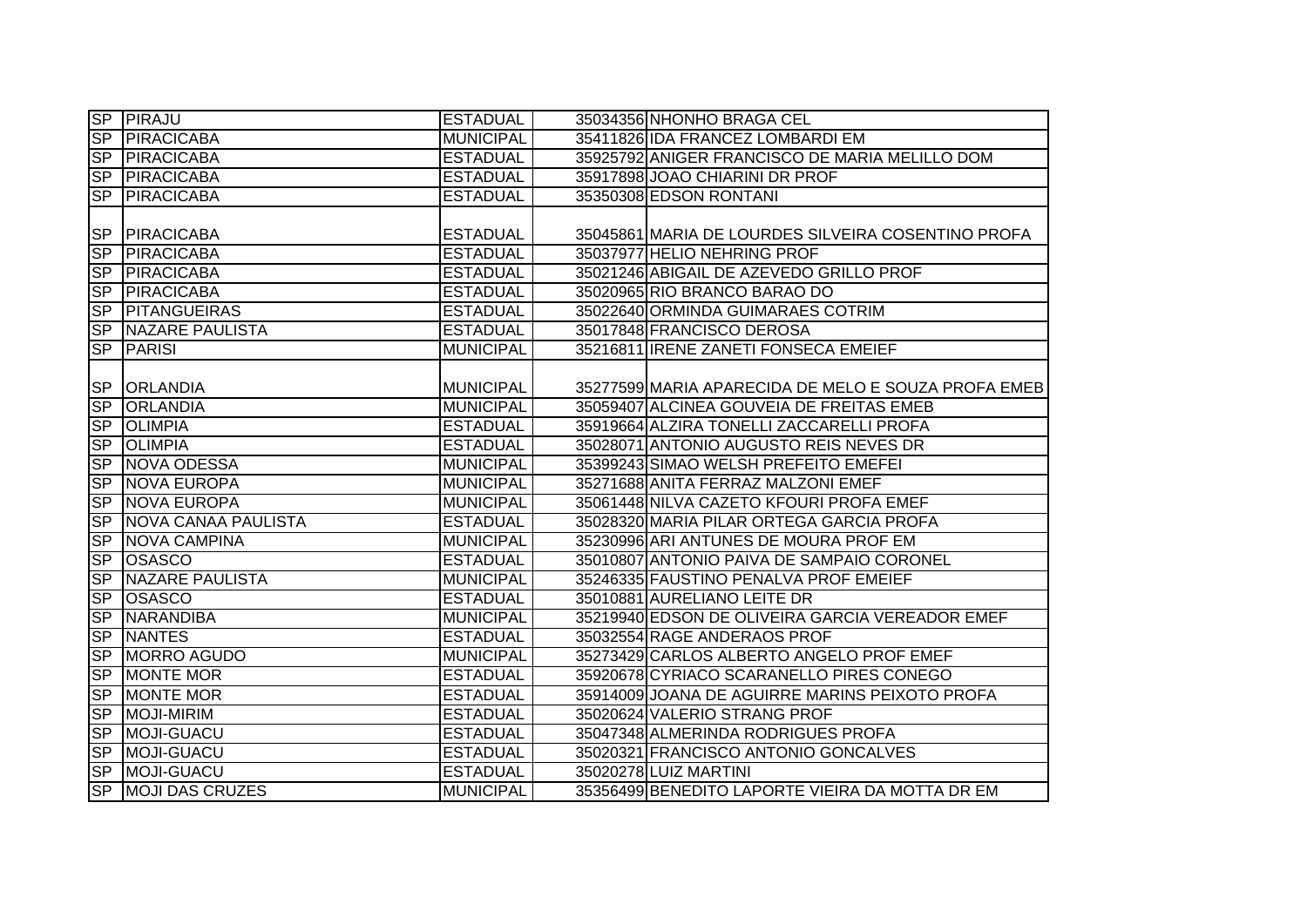|                | <b>SP PIRAJU</b>          | <b>ESTADUAL</b>  | 35034356 NHONHO BRAGA CEL                           |
|----------------|---------------------------|------------------|-----------------------------------------------------|
| SP             | PIRACICABA                | <b>MUNICIPAL</b> | 35411826 IDA FRANCEZ LOMBARDI EM                    |
| SP             | PIRACICABA                | <b>ESTADUAL</b>  | 35925792 ANIGER FRANCISCO DE MARIA MELILLO DOM      |
| S <sub>P</sub> | PIRACICABA                | <b>ESTADUAL</b>  | 35917898 JOAO CHIARINI DR PROF                      |
| S <sub>P</sub> | PIRACICABA                | <b>ESTADUAL</b>  | 35350308 EDSON RONTANI                              |
|                |                           |                  |                                                     |
| <b>SP</b>      | PIRACICABA                | <b>ESTADUAL</b>  | 35045861 MARIA DE LOURDES SILVEIRA COSENTINO PROFA  |
| S <sub>P</sub> | PIRACICABA                | <b>ESTADUAL</b>  | 35037977 HELIO NEHRING PROF                         |
| <b>SP</b>      | PIRACICABA                | <b>ESTADUAL</b>  | 35021246 ABIGAIL DE AZEVEDO GRILLO PROF             |
| S <sub>P</sub> | PIRACICABA                | <b>ESTADUAL</b>  | 35020965 RIO BRANCO BARAO DO                        |
| <b>SP</b>      | <b>PITANGUEIRAS</b>       | <b>ESTADUAL</b>  | 35022640 ORMINDA GUIMARAES COTRIM                   |
|                | <b>SP NAZARE PAULISTA</b> | <b>ESTADUAL</b>  | 35017848 FRANCISCO DEROSA                           |
| S <sub>P</sub> | PARISI                    | <b>MUNICIPAL</b> | 35216811 IRENE ZANETI FONSECA EMEIEF                |
|                |                           |                  |                                                     |
| <b>SP</b>      | <b>ORLANDIA</b>           | <b>MUNICIPAL</b> | 35277599 MARIA APARECIDA DE MELO E SOUZA PROFA EMEB |
| SP             | <b>ORLANDIA</b>           | <b>MUNICIPAL</b> | 35059407 ALCINEA GOUVEIA DE FREITAS EMEB            |
| SP             | <b>OLIMPIA</b>            | <b>ESTADUAL</b>  | 35919664 ALZIRA TONELLI ZACCARELLI PROFA            |
| SP             | <b>OLIMPIA</b>            | <b>ESTADUAL</b>  | 35028071 ANTONIO AUGUSTO REIS NEVES DR              |
| SP             | NOVA ODESSA               | <b>MUNICIPAL</b> | 35399243 SIMAO WELSH PREFEITO EMEFEI                |
| SP             | <b>NOVA EUROPA</b>        | <b>MUNICIPAL</b> | 35271688 ANITA FERRAZ MALZONI EMEF                  |
| SP             | NOVA EUROPA               | <b>MUNICIPAL</b> | 35061448 NILVA CAZETO KFOURI PROFA EMEF             |
| SP             | NOVA CANAA PAULISTA       | <b>ESTADUAL</b>  | 35028320 MARIA PILAR ORTEGA GARCIA PROFA            |
| SP             | <b>NOVA CAMPINA</b>       | <b>MUNICIPAL</b> | 35230996 ARI ANTUNES DE MOURA PROF EM               |
| SP             | <b>OSASCO</b>             | <b>ESTADUAL</b>  | 35010807 ANTONIO PAIVA DE SAMPAIO CORONEL           |
| SP             | <b>NAZARE PAULISTA</b>    | <b>MUNICIPAL</b> | 35246335 FAUSTINO PENALVA PROF EMEIEF               |
| SP             | <b>OSASCO</b>             | <b>ESTADUAL</b>  | 35010881 AURELIANO LEITE DR                         |
| SP             | NARANDIBA                 | <b>MUNICIPAL</b> | 35219940 EDSON DE OLIVEIRA GARCIA VEREADOR EMEF     |
| SP             | <b>NANTES</b>             | <b>ESTADUAL</b>  | 35032554 RAGE ANDERAOS PROF                         |
| S <sub>P</sub> | MORRO AGUDO               | <b>MUNICIPAL</b> | 35273429 CARLOS ALBERTO ANGELO PROF EMEF            |
| <b>SP</b>      | <b>MONTE MOR</b>          | <b>ESTADUAL</b>  | 35920678 CYRIACO SCARANELLO PIRES CONEGO            |
| SP             | <b>MONTE MOR</b>          | <b>ESTADUAL</b>  | 35914009 JOANA DE AGUIRRE MARINS PEIXOTO PROFA      |
| SP             | <b>MOJI-MIRIM</b>         | <b>ESTADUAL</b>  | 35020624 VALERIO STRANG PROF                        |
| SP             | MOJI-GUACU                | <b>ESTADUAL</b>  | 35047348 ALMERINDA RODRIGUES PROFA                  |
| SP             | MOJI-GUACU                | <b>ESTADUAL</b>  | 35020321 FRANCISCO ANTONIO GONCALVES                |
| SP             | MOJI-GUACU                | <b>ESTADUAL</b>  | 35020278 LUIZ MARTINI                               |
|                | <b>SP MOJI DAS CRUZES</b> | <b>MUNICIPAL</b> | 35356499 BENEDITO LAPORTE VIEIRA DA MOTTA DR EM     |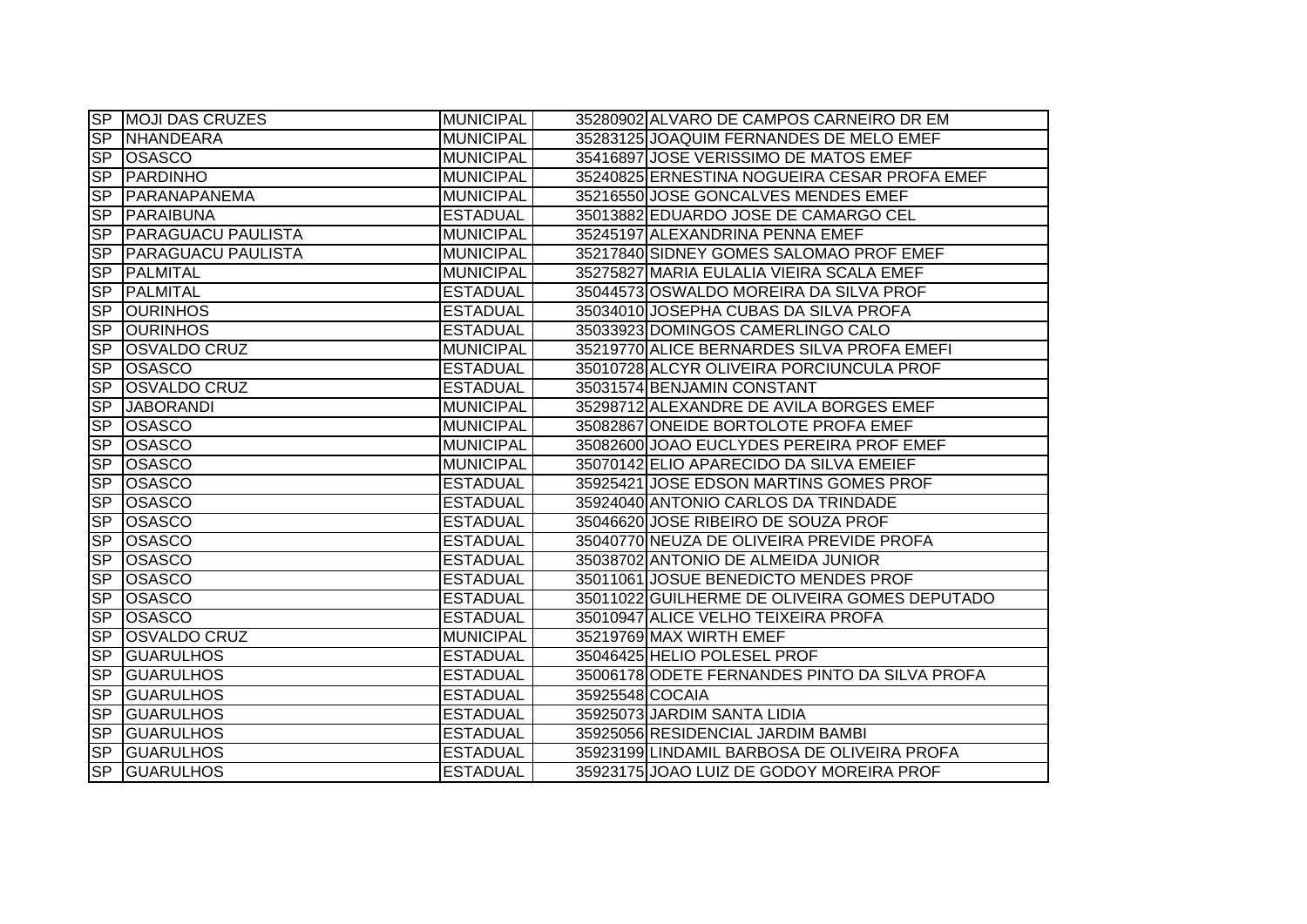|                          | <b>SP MOJI DAS CRUZES</b> | <b>MUNICIPAL</b> |                 | 35280902 ALVARO DE CAMPOS CARNEIRO DR EM      |
|--------------------------|---------------------------|------------------|-----------------|-----------------------------------------------|
|                          | SP NHANDEARA              | <b>MUNICIPAL</b> |                 | 35283125 JOAQUIM FERNANDES DE MELO EMEF       |
|                          | SP OSASCO                 | <b>MUNICIPAL</b> |                 | 35416897 JOSE VERISSIMO DE MATOS EMEF         |
| SP                       | PARDINHO                  | <b>MUNICIPAL</b> |                 | 35240825 ERNESTINA NOGUEIRA CESAR PROFA EMEF  |
|                          | SP PARANAPANEMA           | <b>MUNICIPAL</b> |                 | 35216550 JOSE GONCALVES MENDES EMEF           |
|                          | SP PARAIBUNA              | <b>ESTADUAL</b>  |                 | 35013882 EDUARDO JOSE DE CAMARGO CEL          |
| SP                       | <b>PARAGUACU PAULISTA</b> | <b>MUNICIPAL</b> |                 | 35245197 ALEXANDRINA PENNA EMEF               |
|                          | SP PARAGUACU PAULISTA     | <b>MUNICIPAL</b> |                 | 35217840 SIDNEY GOMES SALOMAO PROF EMEF       |
| <b>SP</b>                | PALMITAL                  | <b>MUNICIPAL</b> |                 | 35275827 MARIA EULALIA VIEIRA SCALA EMEF      |
| SP                       | PALMITAL                  | <b>ESTADUAL</b>  |                 | 35044573 OSWALDO MOREIRA DA SILVA PROF        |
| S <sub>P</sub>           | <b>JOURINHOS</b>          | <b>ESTADUAL</b>  |                 | 35034010 JOSEPHA CUBAS DA SILVA PROFA         |
|                          | SP OURINHOS               | <b>ESTADUAL</b>  |                 | 35033923 DOMINGOS CAMERLINGO CALO             |
| <b>SP</b>                | <b>OSVALDO CRUZ</b>       | <b>MUNICIPAL</b> |                 | 35219770 ALICE BERNARDES SILVA PROFA EMEFI    |
| SP                       | <b>OSASCO</b>             | <b>ESTADUAL</b>  |                 | 35010728 ALCYR OLIVEIRA PORCIUNCULA PROF      |
| <b>SP</b>                | <b>OSVALDO CRUZ</b>       | <b>ESTADUAL</b>  |                 | 35031574 BENJAMIN CONSTANT                    |
| <b>SP</b>                | <b>JABORANDI</b>          | <b>MUNICIPAL</b> |                 | 35298712 ALEXANDRE DE AVILA BORGES EMEF       |
|                          | SP OSASCO                 | <b>MUNICIPAL</b> |                 | 35082867 ONEIDE BORTOLOTE PROFA EMEF          |
| SP                       | <b>OSASCO</b>             | <b>MUNICIPAL</b> |                 | 35082600 JOAO EUCLYDES PEREIRA PROF EMEF      |
|                          | SP OSASCO                 | <b>MUNICIPAL</b> |                 | 35070142 ELIO APARECIDO DA SILVA EMEIEF       |
|                          | SP OSASCO                 | <b>ESTADUAL</b>  |                 | 35925421 JOSE EDSON MARTINS GOMES PROF        |
|                          | SP OSASCO                 | <b>ESTADUAL</b>  |                 | 35924040 ANTONIO CARLOS DA TRINDADE           |
| SP                       | <b>OSASCO</b>             | <b>ESTADUAL</b>  |                 | 35046620 JOSE RIBEIRO DE SOUZA PROF           |
| SP                       | <b>OSASCO</b>             | <b>ESTADUAL</b>  |                 | 35040770 NEUZA DE OLIVEIRA PREVIDE PROFA      |
| $\overline{\mathsf{SP}}$ | <b>OSASCO</b>             | <b>ESTADUAL</b>  |                 | 35038702 ANTONIO DE ALMEIDA JUNIOR            |
| SP                       | <b>OSASCO</b>             | <b>ESTADUAL</b>  |                 | 35011061 JOSUE BENEDICTO MENDES PROF          |
| SP                       | <b>OSASCO</b>             | <b>ESTADUAL</b>  |                 | 35011022 GUILHERME DE OLIVEIRA GOMES DEPUTADO |
| <b>SP</b>                | <b>OSASCO</b>             | <b>ESTADUAL</b>  |                 | 35010947 ALICE VELHO TEIXEIRA PROFA           |
| <b>SP</b>                | <b>OSVALDO CRUZ</b>       | <b>MUNICIPAL</b> |                 | 35219769 MAX WIRTH EMEF                       |
| <b>SP</b>                | <b>GUARULHOS</b>          | <b>ESTADUAL</b>  |                 | 35046425 HELIO POLESEL PROF                   |
| <b>SP</b>                | <b>GUARULHOS</b>          | <b>ESTADUAL</b>  |                 | 35006178 ODETE FERNANDES PINTO DA SILVA PROFA |
| SP                       | <b>GUARULHOS</b>          | <b>ESTADUAL</b>  | 35925548 COCAIA |                                               |
| S <sub>P</sub>           | <b>GUARULHOS</b>          | <b>ESTADUAL</b>  |                 | 35925073 JARDIM SANTA LIDIA                   |
|                          | SP GUARULHOS              | <b>ESTADUAL</b>  |                 | 35925056 RESIDENCIAL JARDIM BAMBI             |
| SP                       | <b>GUARULHOS</b>          | <b>ESTADUAL</b>  |                 | 35923199 LINDAMIL BARBOSA DE OLIVEIRA PROFA   |
|                          | SP GUARULHOS              | <b>ESTADUAL</b>  |                 | 35923175 JOAO LUIZ DE GODOY MOREIRA PROF      |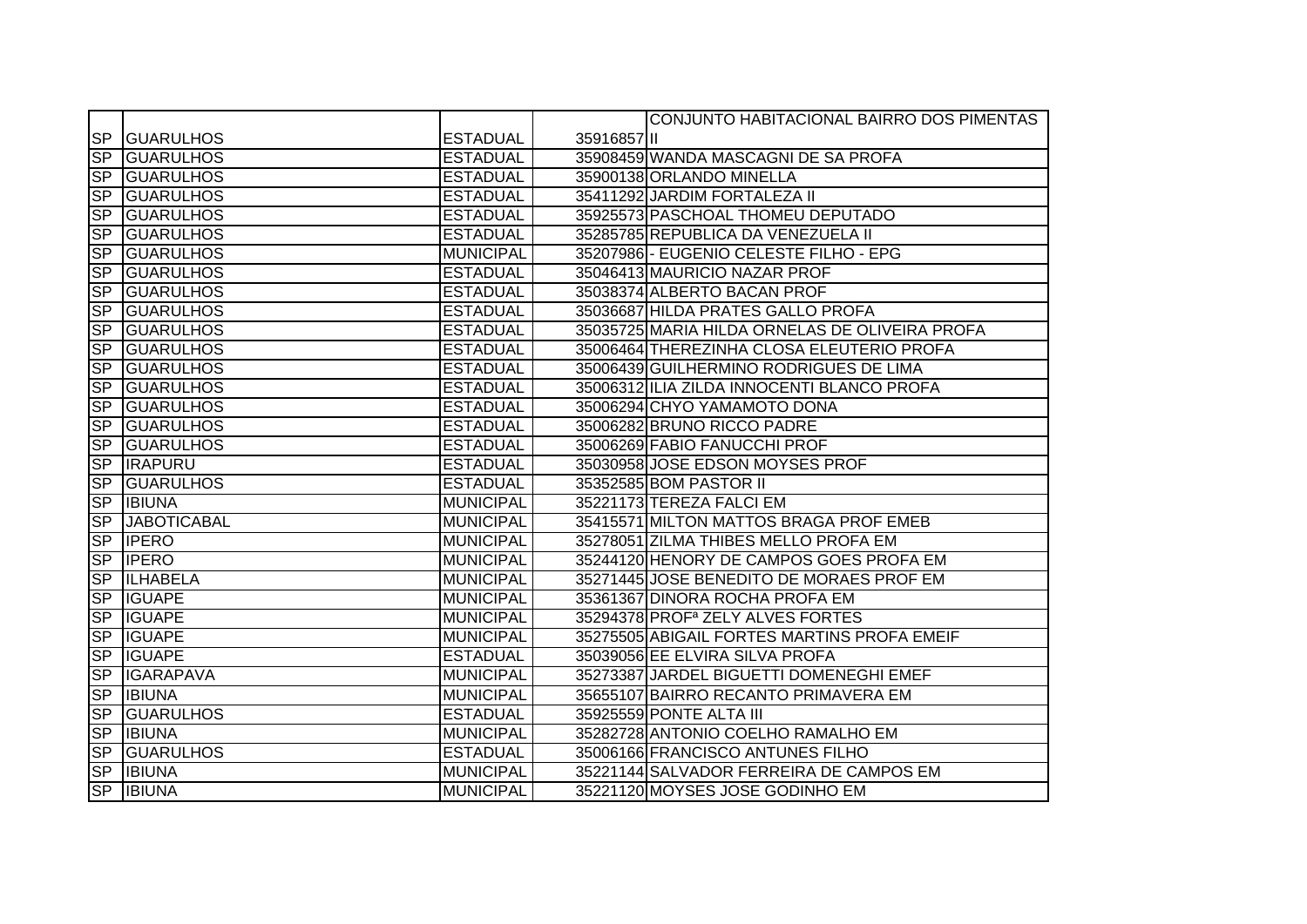|                          |                     |                  |             | CONJUNTO HABITACIONAL BAIRRO DOS PIMENTAS      |
|--------------------------|---------------------|------------------|-------------|------------------------------------------------|
| <b>SP</b>                | <b>GUARULHOS</b>    | <b>ESTADUAL</b>  | 35916857 II |                                                |
| $\overline{\text{SP}}$   | <b>GUARULHOS</b>    | <b>ESTADUAL</b>  |             | 35908459 WANDA MASCAGNI DE SA PROFA            |
| SP                       | <b>GUARULHOS</b>    | <b>ESTADUAL</b>  |             | 35900138 ORLANDO MINELLA                       |
| SP                       | <b>GUARULHOS</b>    | <b>ESTADUAL</b>  |             | 35411292 JARDIM FORTALEZA II                   |
| SP                       | <b>GUARULHOS</b>    | <b>ESTADUAL</b>  |             | 35925573 PASCHOAL THOMEU DEPUTADO              |
|                          | <b>SP GUARULHOS</b> | <b>ESTADUAL</b>  |             | 35285785 REPUBLICA DA VENEZUELA II             |
| SP                       | <b>GUARULHOS</b>    | <b>MUNICIPAL</b> |             | 35207986 - EUGENIO CELESTE FILHO - EPG         |
| <b>SP</b>                | <b>GUARULHOS</b>    | <b>ESTADUAL</b>  |             | 35046413 MAURICIO NAZAR PROF                   |
| $\overline{\text{SP}}$   | <b>GUARULHOS</b>    | <b>ESTADUAL</b>  |             | 35038374 ALBERTO BACAN PROF                    |
| <b>SP</b>                | <b>GUARULHOS</b>    | <b>ESTADUAL</b>  |             | 35036687 HILDA PRATES GALLO PROFA              |
| <b>SP</b>                | <b>GUARULHOS</b>    | <b>ESTADUAL</b>  |             | 35035725 MARIA HILDA ORNELAS DE OLIVEIRA PROFA |
| $\overline{\text{SP}}$   | <b>GUARULHOS</b>    | <b>ESTADUAL</b>  |             | 35006464 THEREZINHA CLOSA ELEUTERIO PROFA      |
| <b>SP</b>                | <b>GUARULHOS</b>    | <b>ESTADUAL</b>  |             | 35006439 GUILHERMINO RODRIGUES DE LIMA         |
| SP                       | <b>GUARULHOS</b>    | <b>ESTADUAL</b>  |             | 35006312 ILIA ZILDA INNOCENTI BLANCO PROFA     |
| $\overline{\mathsf{SP}}$ | <b>GUARULHOS</b>    | <b>ESTADUAL</b>  |             | 35006294 CHYO YAMAMOTO DONA                    |
| SP                       | <b>GUARULHOS</b>    | <b>ESTADUAL</b>  |             | 35006282 BRUNO RICCO PADRE                     |
| <b>SP</b>                | <b>GUARULHOS</b>    | <b>ESTADUAL</b>  |             | 35006269 FABIO FANUCCHI PROF                   |
|                          | <b>SP IRAPURU</b>   | <b>ESTADUAL</b>  |             | 35030958 JOSE EDSON MOYSES PROF                |
| $\overline{\text{SP}}$   | <b>GUARULHOS</b>    | <b>ESTADUAL</b>  |             | 35352585 BOM PASTOR II                         |
| SP                       | <b>IBIUNA</b>       | <b>MUNICIPAL</b> |             | 35221173 TEREZA FALCI EM                       |
| SP                       | <b>JABOTICABAL</b>  | <b>MUNICIPAL</b> |             | 35415571 MILTON MATTOS BRAGA PROF EMEB         |
| $\overline{\text{SP}}$   | <b>IPERO</b>        | <b>MUNICIPAL</b> |             | 35278051 ZILMA THIBES MELLO PROFA EM           |
| SP                       | <b>IPERO</b>        | <b>MUNICIPAL</b> |             | 35244120 HENORY DE CAMPOS GOES PROFA EM        |
| $\overline{\text{SP}}$   | <b>ILHABELA</b>     | <b>MUNICIPAL</b> |             | 35271445 JOSE BENEDITO DE MORAES PROF EM       |
| $\overline{\mathsf{SP}}$ | <b>IGUAPE</b>       | <b>MUNICIPAL</b> |             | 35361367 DINORA ROCHA PROFA EM                 |
| SP                       | <b>IGUAPE</b>       | <b>MUNICIPAL</b> |             | 35294378 PROF <sup>a</sup> ZELY ALVES FORTES   |
| $\overline{\text{SP}}$   | <b>IGUAPE</b>       | <b>MUNICIPAL</b> |             | 35275505 ABIGAIL FORTES MARTINS PROFA EMEIF    |
| S <sub>P</sub>           | <b>IGUAPE</b>       | <b>ESTADUAL</b>  |             | 35039056 EE ELVIRA SILVA PROFA                 |
| SP                       | <b>IGARAPAVA</b>    | <b>MUNICIPAL</b> |             | 35273387 JARDEL BIGUETTI DOMENEGHI EMEF        |
| SP                       | <b>IBIUNA</b>       | <b>MUNICIPAL</b> |             | 35655107 BAIRRO RECANTO PRIMAVERA EM           |
| $\overline{\text{SP}}$   | <b>GUARULHOS</b>    | <b>ESTADUAL</b>  |             | 35925559 PONTE ALTA III                        |
| SP                       | <b>IBIUNA</b>       | <b>MUNICIPAL</b> |             | 35282728 ANTONIO COELHO RAMALHO EM             |
| SP                       | <b>GUARULHOS</b>    | <b>ESTADUAL</b>  |             | 35006166 FRANCISCO ANTUNES FILHO               |
| SP                       | <b>IBIUNA</b>       | <b>MUNICIPAL</b> |             | 35221144 SALVADOR FERREIRA DE CAMPOS EM        |
| SP                       | <b>IBIUNA</b>       | <b>MUNICIPAL</b> |             | 35221120 MOYSES JOSE GODINHO EM                |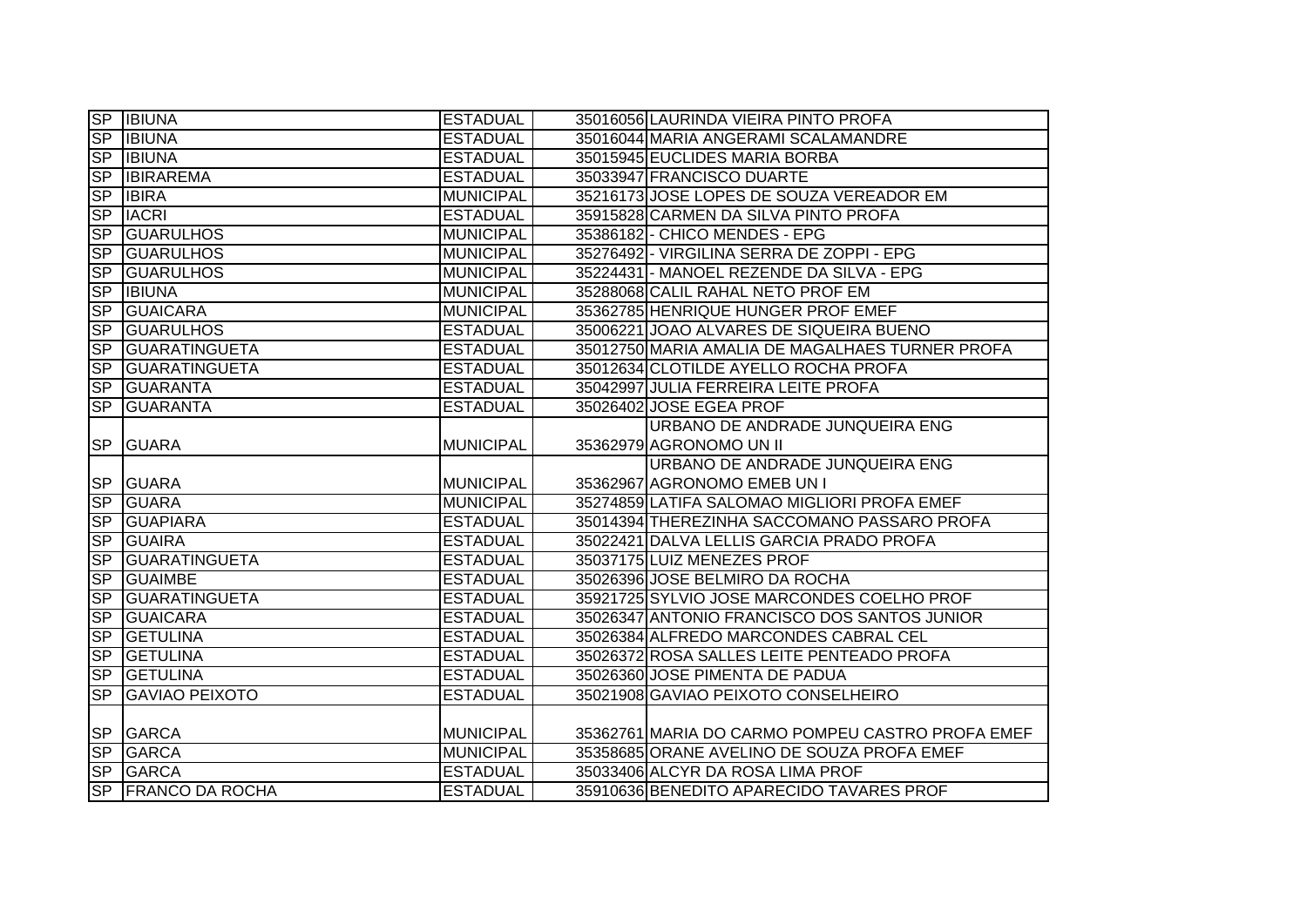|                          | <b>SP BIUNA</b>       | <b>ESTADUAL</b>  | 35016056 LAURINDA VIEIRA PINTO PROFA             |
|--------------------------|-----------------------|------------------|--------------------------------------------------|
| SP                       | <b>IBIUNA</b>         | <b>ESTADUAL</b>  | 35016044 MARIA ANGERAMI SCALAMANDRE              |
|                          | SP IBIUNA             | <b>ESTADUAL</b>  | 35015945 EUCLIDES MARIA BORBA                    |
| <b>SP</b>                | <b>IBIRAREMA</b>      | <b>ESTADUAL</b>  | 35033947 FRANCISCO DUARTE                        |
| S <sub>P</sub>           | <b>IBIRA</b>          | <b>MUNICIPAL</b> | 35216173 JOSE LOPES DE SOUZA VEREADOR EM         |
| S <sub>P</sub>           | <b>IACRI</b>          | <b>ESTADUAL</b>  | 35915828 CARMEN DA SILVA PINTO PROFA             |
| SP                       | <b>GUARULHOS</b>      | <b>MUNICIPAL</b> | 35386182 - CHICO MENDES - EPG                    |
| <b>SP</b>                | <b>GUARULHOS</b>      | <b>MUNICIPAL</b> | 35276492 - VIRGILINA SERRA DE ZOPPI - EPG        |
| S <sub>P</sub>           | <b>GUARULHOS</b>      | <b>MUNICIPAL</b> | 35224431 - MANOEL REZENDE DA SILVA - EPG         |
| <b>SP</b>                | <b>IBIUNA</b>         | <b>MUNICIPAL</b> | 35288068 CALIL RAHAL NETO PROF EM                |
| <b>SP</b>                | <b>GUAICARA</b>       | <b>MUNICIPAL</b> | 35362785 HENRIQUE HUNGER PROF EMEF               |
| <b>SP</b>                | <b>GUARULHOS</b>      | <b>ESTADUAL</b>  | 35006221 JOAO ALVARES DE SIQUEIRA BUENO          |
| <b>SP</b>                | <b>GUARATINGUETA</b>  | <b>ESTADUAL</b>  | 35012750 MARIA AMALIA DE MAGALHAES TURNER PROFA  |
| <b>SP</b>                | <b>GUARATINGUETA</b>  | <b>ESTADUAL</b>  | 35012634 CLOTILDE AYELLO ROCHA PROFA             |
| <b>SP</b>                | <b>IGUARANTA</b>      | <b>ESTADUAL</b>  | 35042997 JULIA FERREIRA LEITE PROFA              |
| $\overline{\text{SP}}$   | <b>GUARANTA</b>       | <b>ESTADUAL</b>  | 35026402 JOSE EGEA PROF                          |
|                          |                       |                  | URBANO DE ANDRADE JUNQUEIRA ENG                  |
| <b>SP</b>                | <b>GUARA</b>          | <b>MUNICIPAL</b> | 35362979 AGRONOMO UN II                          |
|                          |                       |                  |                                                  |
|                          |                       |                  | URBANO DE ANDRADE JUNQUEIRA ENG                  |
|                          | SP GUARA              | <b>MUNICIPAL</b> | 35362967 AGRONOMO EMEB UN I                      |
| SP                       | <b>GUARA</b>          | <b>MUNICIPAL</b> | 35274859 LATIFA SALOMAO MIGLIORI PROFA EMEF      |
| $\overline{\text{SP}}$   | <b>GUAPIARA</b>       | <b>ESTADUAL</b>  | 35014394 THEREZINHA SACCOMANO PASSARO PROFA      |
| SP                       | <b>GUAIRA</b>         | <b>ESTADUAL</b>  | 35022421 DALVA LELLIS GARCIA PRADO PROFA         |
| SP                       | <b>GUARATINGUETA</b>  | <b>ESTADUAL</b>  | 35037175 LUIZ MENEZES PROF                       |
| SP                       | <b>GUAIMBE</b>        | <b>ESTADUAL</b>  | 35026396 JOSE BELMIRO DA ROCHA                   |
| <b>SP</b>                | <b>GUARATINGUETA</b>  | <b>ESTADUAL</b>  | 35921725 SYLVIO JOSE MARCONDES COELHO PROF       |
| SP                       | <b>GUAICARA</b>       | <b>ESTADUAL</b>  | 35026347 ANTONIO FRANCISCO DOS SANTOS JUNIOR     |
| $\overline{\mathsf{SP}}$ | <b>GETULINA</b>       | <b>ESTADUAL</b>  | 35026384 ALFREDO MARCONDES CABRAL CEL            |
| SP                       | <b>GETULINA</b>       | <b>ESTADUAL</b>  | 35026372 ROSA SALLES LEITE PENTEADO PROFA        |
| S <sub>P</sub>           | <b>GETULINA</b>       | <b>ESTADUAL</b>  | 35026360 JOSE PIMENTA DE PADUA                   |
| S <sub>P</sub>           | <b>GAVIAO PEIXOTO</b> | <b>ESTADUAL</b>  | 35021908 GAVIAO PEIXOTO CONSELHEIRO              |
|                          |                       |                  |                                                  |
|                          | SP GARCA              | <b>MUNICIPAL</b> | 35362761 MARIA DO CARMO POMPEU CASTRO PROFA EMEF |
| SP                       | <b>GARCA</b>          | <b>MUNICIPAL</b> | 35358685 ORANE AVELINO DE SOUZA PROFA EMEF       |
| SP                       | <b>GARCA</b>          | <b>ESTADUAL</b>  | 35033406 ALCYR DA ROSA LIMA PROF                 |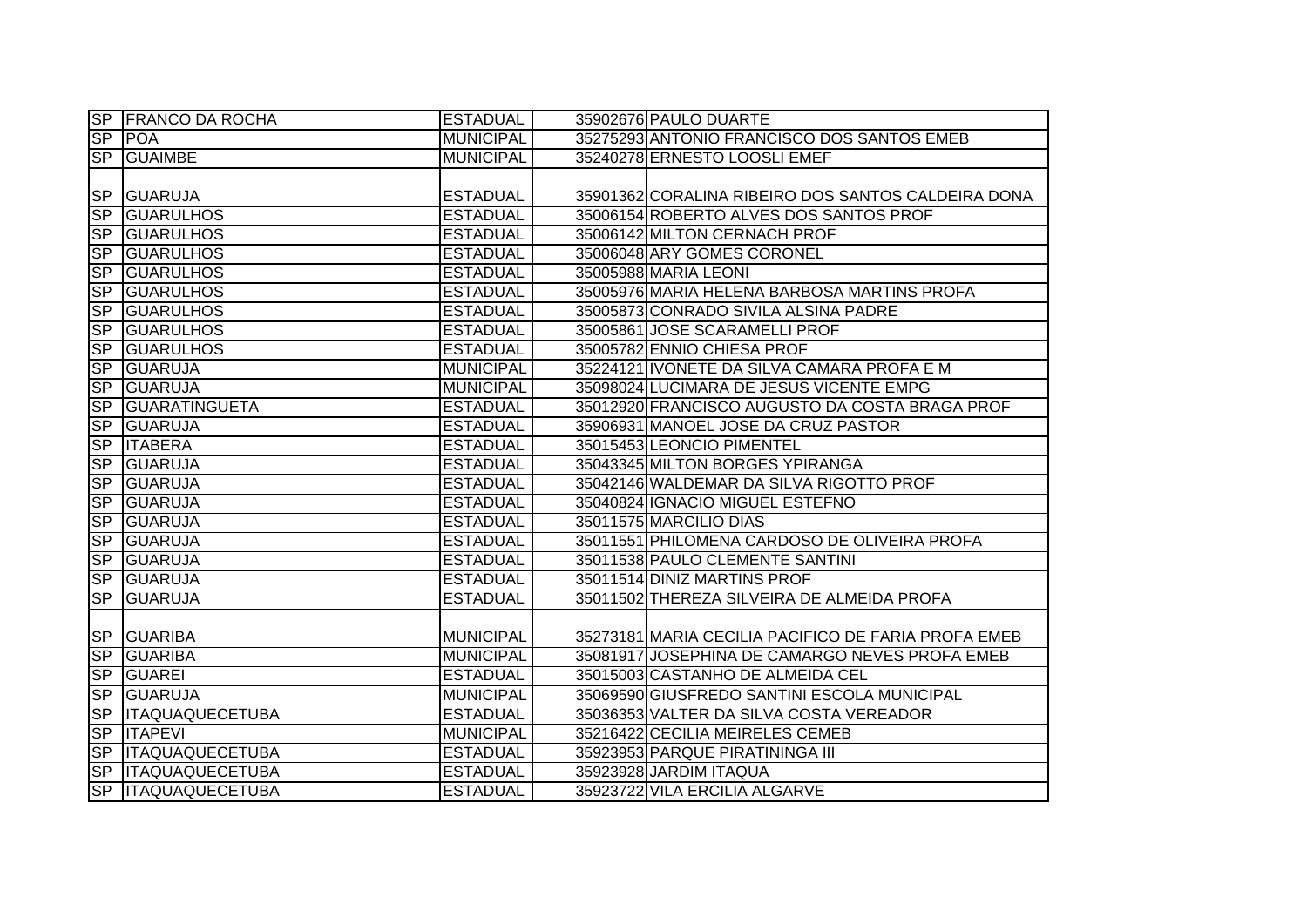|                 | SP FRANCO DA ROCHA     | <b>ESTADUAL</b>  | 35902676 PAULO DUARTE                               |
|-----------------|------------------------|------------------|-----------------------------------------------------|
| $\overline{SP}$ | <b>POA</b>             | <b>MUNICIPAL</b> | 35275293 ANTONIO FRANCISCO DOS SANTOS EMEB          |
| SP              | <b>GUAIMBE</b>         | <b>MUNICIPAL</b> | 35240278 ERNESTO LOOSLI EMEF                        |
|                 |                        |                  |                                                     |
| <b>SP</b>       | <b>GUARUJA</b>         | <b>ESTADUAL</b>  | 35901362 CORALINA RIBEIRO DOS SANTOS CALDEIRA DONA  |
| SP              | <b>GUARULHOS</b>       | <b>ESTADUAL</b>  | 35006154 ROBERTO ALVES DOS SANTOS PROF              |
| SP              | <b>GUARULHOS</b>       | <b>ESTADUAL</b>  | 35006142 MILTON CERNACH PROF                        |
| SP              | <b>GUARULHOS</b>       | <b>ESTADUAL</b>  | 35006048 ARY GOMES CORONEL                          |
| <b>SP</b>       | <b>GUARULHOS</b>       | <b>ESTADUAL</b>  | 35005988 MARIA LEONI                                |
| SP              | <b>GUARULHOS</b>       | <b>ESTADUAL</b>  | 35005976 MARIA HELENA BARBOSA MARTINS PROFA         |
| <b>SP</b>       | <b>GUARULHOS</b>       | <b>ESTADUAL</b>  | 35005873 CONRADO SIVILA ALSINA PADRE                |
| <b>SP</b>       | <b>GUARULHOS</b>       | <b>ESTADUAL</b>  | 35005861 JOSE SCARAMELLI PROF                       |
| SP              | <b>GUARULHOS</b>       | <b>ESTADUAL</b>  | 35005782 ENNIO CHIESA PROF                          |
| SP              | <b>GUARUJA</b>         | <b>MUNICIPAL</b> | 35224121 IVONETE DA SILVA CAMARA PROFA E M          |
| SP              | <b>GUARUJA</b>         | <b>MUNICIPAL</b> | 35098024 LUCIMARA DE JESUS VICENTE EMPG             |
| <b>SP</b>       | <b>GUARATINGUETA</b>   | <b>ESTADUAL</b>  | 35012920 FRANCISCO AUGUSTO DA COSTA BRAGA PROF      |
| SP              | <b>GUARUJA</b>         | <b>ESTADUAL</b>  | 35906931 MANOEL JOSE DA CRUZ PASTOR                 |
| SP              | <b>ITABERA</b>         | <b>ESTADUAL</b>  | 35015453 LEONCIO PIMENTEL                           |
| SP              | GUARUJA                | <b>ESTADUAL</b>  | 35043345 MILTON BORGES YPIRANGA                     |
| SP              | GUARUJA                | <b>ESTADUAL</b>  | 35042146 WALDEMAR DA SILVA RIGOTTO PROF             |
| SP              | <b>GUARUJA</b>         | <b>ESTADUAL</b>  | 35040824 IGNACIO MIGUEL ESTEFNO                     |
| SP              | <b>GUARUJA</b>         | <b>ESTADUAL</b>  | 35011575 MARCILIO DIAS                              |
| SP              | <b>GUARUJA</b>         | <b>ESTADUAL</b>  | 35011551 PHILOMENA CARDOSO DE OLIVEIRA PROFA        |
| SP              | <b>GUARUJA</b>         | <b>ESTADUAL</b>  | 35011538 PAULO CLEMENTE SANTINI                     |
| SP              | <b>GUARUJA</b>         | <b>ESTADUAL</b>  | 35011514 DINIZ MARTINS PROF                         |
| SP              | <b>GUARUJA</b>         | <b>ESTADUAL</b>  | 35011502 THEREZA SILVEIRA DE ALMEIDA PROFA          |
|                 |                        |                  |                                                     |
| <b>SP</b>       | <b>GUARIBA</b>         | <b>MUNICIPAL</b> | 35273181 MARIA CECILIA PACIFICO DE FARIA PROFA EMEB |
| SP              | <b>GUARIBA</b>         | <b>MUNICIPAL</b> | 35081917 JOSEPHINA DE CAMARGO NEVES PROFA EMEB      |
| <b>SP</b>       | GUAREI                 | <b>ESTADUAL</b>  | 35015003 CASTANHO DE ALMEIDA CEL                    |
| SP              | <b>GUARUJA</b>         | <b>MUNICIPAL</b> | 35069590 GIUSFREDO SANTINI ESCOLA MUNICIPAL         |
| S <sub>P</sub>  | <b>ITAQUAQUECETUBA</b> | <b>ESTADUAL</b>  | 35036353 VALTER DA SILVA COSTA VEREADOR             |
| SP              | <b>ITAPEVI</b>         | <b>MUNICIPAL</b> | 35216422 CECILIA MEIRELES CEMEB                     |
| SP              | <b>ITAQUAQUECETUBA</b> | <b>ESTADUAL</b>  | 35923953 PARQUE PIRATININGA III                     |
| SP              | <b>ITAQUAQUECETUBA</b> | <b>ESTADUAL</b>  | 35923928 JARDIM ITAQUA                              |
|                 | SP ITAQUAQUECETUBA     | <b>ESTADUAL</b>  | 35923722 VILA ERCILIA ALGARVE                       |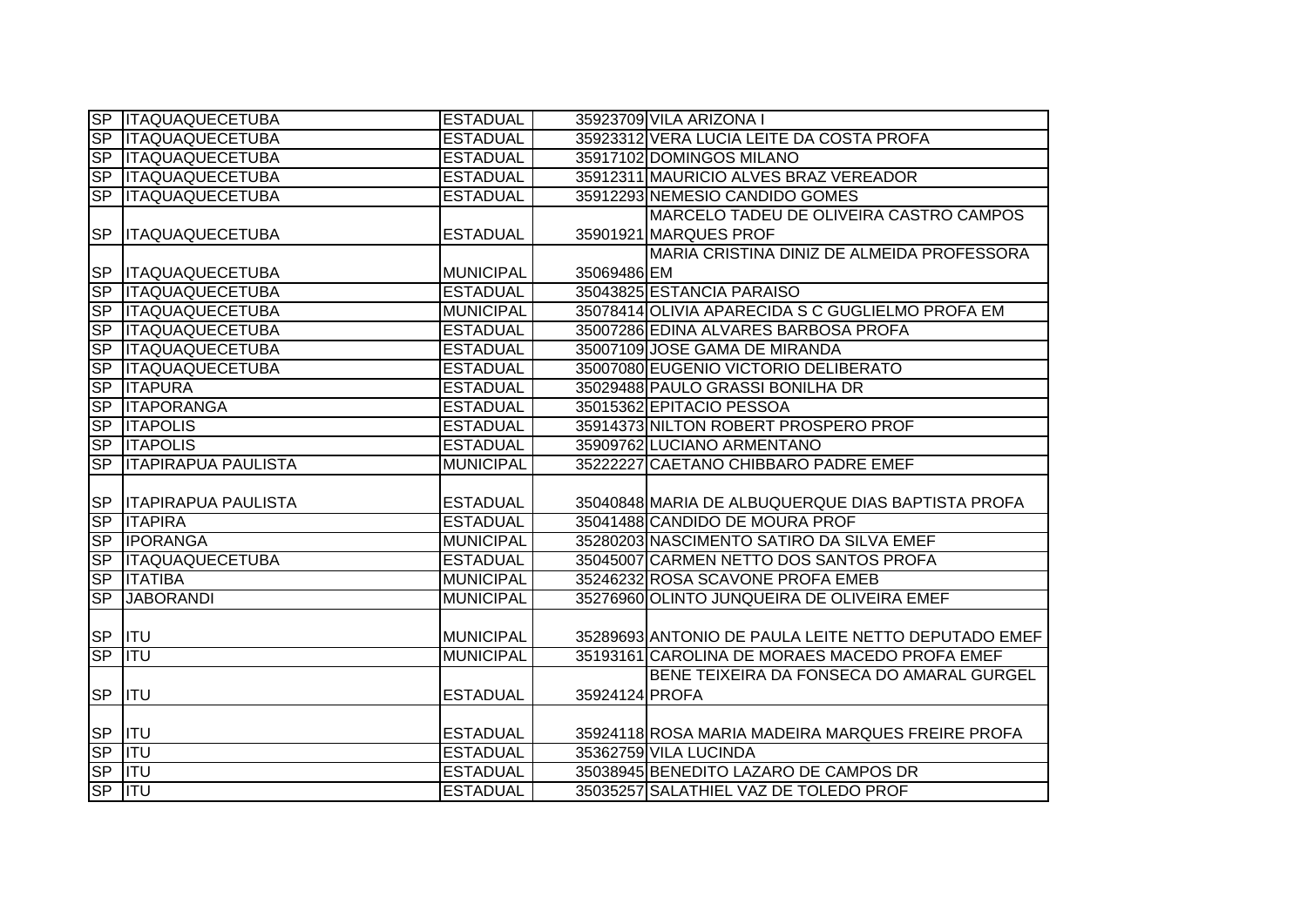|                | <b>SP ITAQUAQUECETUBA</b>     | <b>ESTADUAL</b>  |                | 35923709 VILA ARIZONA I                             |
|----------------|-------------------------------|------------------|----------------|-----------------------------------------------------|
| SP             | <b>ITAQUAQUECETUBA</b>        | <b>ESTADUAL</b>  |                | 35923312 VERA LUCIA LEITE DA COSTA PROFA            |
| <b>SP</b>      | <b>ITAQUAQUECETUBA</b>        | <b>ESTADUAL</b>  |                | 35917102 DOMINGOS MILANO                            |
| S <sub>P</sub> | <b>ITAQUAQUECETUBA</b>        | <b>ESTADUAL</b>  |                | 35912311 MAURICIO ALVES BRAZ VEREADOR               |
| <b>SP</b>      | <b>ITAQUAQUECETUBA</b>        | <b>ESTADUAL</b>  |                | 35912293 NEMESIO CANDIDO GOMES                      |
|                |                               |                  |                | MARCELO TADEU DE OLIVEIRA CASTRO CAMPOS             |
|                | SP  ITAQUAQUECETUBA           | <b>ESTADUAL</b>  |                | 35901921 MARQUES PROF                               |
|                |                               |                  |                | MARIA CRISTINA DINIZ DE ALMEIDA PROFESSORA          |
| <b>SP</b>      | <b>ITAQUAQUECETUBA</b>        | <b>MUNICIPAL</b> | 35069486 EM    |                                                     |
| SP             | <b>ITAQUAQUECETUBA</b>        | <b>ESTADUAL</b>  |                | 35043825 ESTANCIA PARAISO                           |
| SP             | <b>ITAQUAQUECETUBA</b>        | <b>MUNICIPAL</b> |                | 35078414 OLIVIA APARECIDA S C GUGLIELMO PROFA EM    |
| <b>SP</b>      | <b>ITAQUAQUECETUBA</b>        | <b>ESTADUAL</b>  |                | 35007286 EDINA ALVARES BARBOSA PROFA                |
| <b>SP</b>      | <b>ITAQUAQUECETUBA</b>        | <b>ESTADUAL</b>  |                | 35007109 JOSE GAMA DE MIRANDA                       |
| <b>SP</b>      | <b>ITAQUAQUECETUBA</b>        | <b>ESTADUAL</b>  |                | 35007080 EUGENIO VICTORIO DELIBERATO                |
| SP             | <b>ITAPURA</b>                | <b>ESTADUAL</b>  |                | 35029488 PAULO GRASSI BONILHA DR                    |
| S <sub>P</sub> | <b>ITAPORANGA</b>             | <b>ESTADUAL</b>  |                | 35015362 EPITACIO PESSOA                            |
| S <sub>P</sub> | <b>ITAPOLIS</b>               | <b>ESTADUAL</b>  |                | 35914373 NILTON ROBERT PROSPERO PROF                |
| SP             | <b>ITAPOLIS</b>               | <b>ESTADUAL</b>  |                | 35909762 LUCIANO ARMENTANO                          |
|                | <b>SP ITAPIRAPUA PAULISTA</b> | <b>MUNICIPAL</b> |                | 35222227 CAETANO CHIBBARO PADRE EMEF                |
|                |                               |                  |                |                                                     |
|                | SP   ITAPIRAPUA PAULISTA      | <b>ESTADUAL</b>  |                | 35040848 MARIA DE ALBUQUERQUE DIAS BAPTISTA PROFA   |
| SP             | <b>ITAPIRA</b>                | <b>ESTADUAL</b>  |                | 35041488 CANDIDO DE MOURA PROF                      |
| SP             | <b>IPORANGA</b>               | <b>MUNICIPAL</b> |                | 35280203 NASCIMENTO SATIRO DA SILVA EMEF            |
| S <sub>P</sub> | <b>ITAQUAQUECETUBA</b>        | <b>ESTADUAL</b>  |                | 35045007 CARMEN NETTO DOS SANTOS PROFA              |
| <b>SP</b>      | <b>ITATIBA</b>                | <b>MUNICIPAL</b> |                | 35246232 ROSA SCAVONE PROFA EMEB                    |
| <b>SP</b>      | <b>JABORANDI</b>              | <b>MUNICIPAL</b> |                | 35276960 OLINTO JUNQUEIRA DE OLIVEIRA EMEF          |
|                |                               |                  |                |                                                     |
|                | SP ITU                        | <b>MUNICIPAL</b> |                | 35289693 ANTONIO DE PAULA LEITE NETTO DEPUTADO EMEF |
| SP             | $\overline{\mathsf{ITU}}$     | <b>MUNICIPAL</b> |                | 35193161 CAROLINA DE MORAES MACEDO PROFA EMEF       |
|                |                               |                  |                | BENE TEIXEIRA DA FONSECA DO AMARAL GURGEL           |
| <b>SP</b>      | <b>I</b> ITU                  | <b>ESTADUAL</b>  | 35924124 PROFA |                                                     |
|                |                               |                  |                |                                                     |
|                | SP ITU                        | <b>ESTADUAL</b>  |                | 35924118 ROSA MARIA MADEIRA MARQUES FREIRE PROFA    |
|                | SP ITU                        | <b>ESTADUAL</b>  |                | 35362759 VILA LUCINDA                               |
| <b>SP</b>      | $\overline{\text{ITU}}$       | <b>ESTADUAL</b>  |                | 35038945 BENEDITO LAZARO DE CAMPOS DR               |
| <b>SP</b>      | $\overline{\mathsf{ITU}}$     | <b>ESTADUAL</b>  |                | 35035257 SALATHIEL VAZ DE TOLEDO PROF               |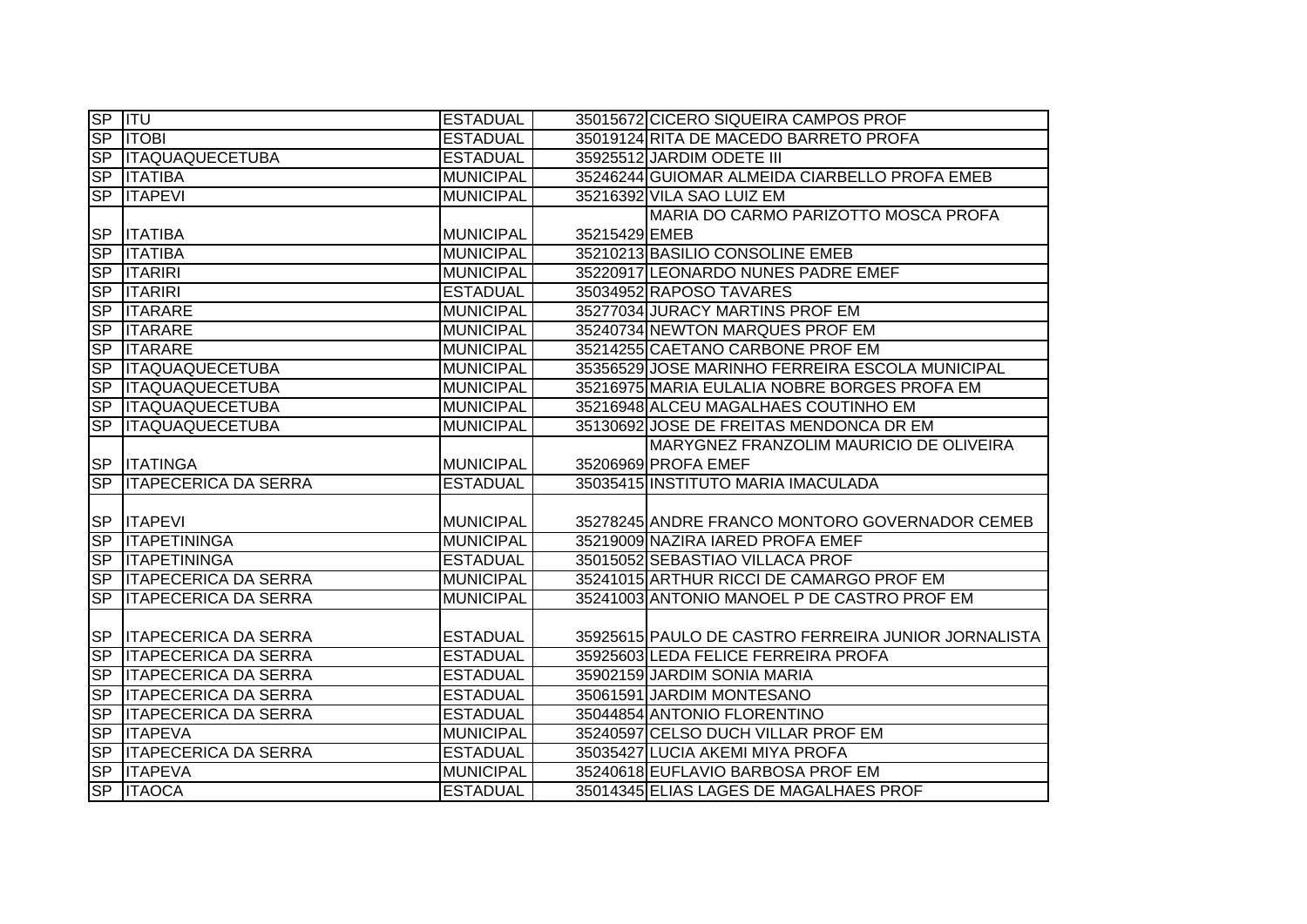| SP ITU         |                                | <b>ESTADUAL</b>  | 35015672 CICERO SIQUEIRA CAMPOS PROF                |
|----------------|--------------------------------|------------------|-----------------------------------------------------|
|                | SP   ITOBI                     | <b>ESTADUAL</b>  | 35019124 RITA DE MACEDO BARRETO PROFA               |
|                | SP ITAQUAQUECETUBA             | <b>ESTADUAL</b>  | 35925512 JARDIM ODETE III                           |
|                | <b>SP ITATIBA</b>              | <b>MUNICIPAL</b> | 35246244 GUIOMAR ALMEIDA CIARBELLO PROFA EMEB       |
|                | <b>SP ITAPEVI</b>              | <b>MUNICIPAL</b> | 35216392 VILA SAO LUIZ EM                           |
|                |                                |                  | MARIA DO CARMO PARIZOTTO MOSCA PROFA                |
|                | SP  ITATIBA                    | MUNICIPAL        | 35215429 EMEB                                       |
|                | SP <b>ITATIBA</b>              | MUNICIPAL        | 35210213 BASILIO CONSOLINE EMEB                     |
|                | SP  ITARIRI                    | MUNICIPAL        | 35220917 LEONARDO NUNES PADRE EMEF                  |
| S <sub>P</sub> | <b>ITARIRI</b>                 | <b>ESTADUAL</b>  | 35034952 RAPOSO TAVARES                             |
| S <sub>P</sub> | <b>ITARARE</b>                 | <b>MUNICIPAL</b> | 35277034 JURACY MARTINS PROF EM                     |
| <b>SP</b>      | <b>ITARARE</b>                 | <b>MUNICIPAL</b> | 35240734 NEWTON MARQUES PROF EM                     |
| <b>SP</b>      | <b>ITARARE</b>                 | <b>MUNICIPAL</b> | 35214255 CAETANO CARBONE PROF EM                    |
| <b>SP</b>      | <b>ITAQUAQUECETUBA</b>         | <b>MUNICIPAL</b> | 35356529 JOSE MARINHO FERREIRA ESCOLA MUNICIPAL     |
| SP             | <b>ITAQUAQUECETUBA</b>         | MUNICIPAL        | 35216975 MARIA EULALIA NOBRE BORGES PROFA EM        |
| S <sub>P</sub> | <b>ITAQUAQUECETUBA</b>         | MUNICIPAL        | 35216948 ALCEU MAGALHAES COUTINHO EM                |
| <b>SP</b>      | <b>ITAQUAQUECETUBA</b>         | <b>MUNICIPAL</b> | 35130692 JOSE DE FREITAS MENDONCA DR EM             |
|                |                                |                  | MARYGNEZ FRANZOLIM MAURICIO DE OLIVEIRA             |
|                | <b>SP ITATINGA</b>             | MUNICIPAL        | 35206969 PROFA EMEF                                 |
|                | SP ITAPECERICA DA SERRA        | <b>ESTADUAL</b>  | 35035415 INSTITUTO MARIA IMACULADA                  |
|                |                                |                  |                                                     |
|                | <b>SP ITAPEVI</b>              | MUNICIPAL        | 35278245 ANDRE FRANCO MONTORO GOVERNADOR CEMEB      |
|                | SP ITAPETININGA                | <b>MUNICIPAL</b> | 35219009 NAZIRA IARED PROFA EMEF                    |
|                | SP ITAPETININGA                | <b>ESTADUAL</b>  | 35015052 SEBASTIAO VILLACA PROF                     |
|                | SP   ITAPECERICA DA SERRA      | <b>MUNICIPAL</b> | 35241015 ARTHUR RICCI DE CAMARGO PROF EM            |
|                | <b>SP ITAPECERICA DA SERRA</b> | <b>MUNICIPAL</b> | 35241003 ANTONIO MANOEL P DE CASTRO PROF EM         |
|                |                                |                  |                                                     |
|                | SP ITAPECERICA DA SERRA        | <b>ESTADUAL</b>  | 35925615 PAULO DE CASTRO FERREIRA JUNIOR JORNALISTA |
|                | SP   ITAPECERICA DA SERRA      | <b>ESTADUAL</b>  | 35925603 LEDA FELICE FERREIRA PROFA                 |
|                | <b>SP ITAPECERICA DA SERRA</b> | <b>ESTADUAL</b>  | 35902159 JARDIM SONIA MARIA                         |
|                | <b>SP ITAPECERICA DA SERRA</b> | <b>ESTADUAL</b>  | 35061591 JARDIM MONTESANO                           |
|                | <b>SP ITAPECERICA DA SERRA</b> | <b>ESTADUAL</b>  | 35044854 ANTONIO FLORENTINO                         |
|                | SP <b>ITAPEVA</b>              | <b>MUNICIPAL</b> | 35240597 CELSO DUCH VILLAR PROF EM                  |
|                | <b>SP ITAPECERICA DA SERRA</b> | <b>ESTADUAL</b>  | 35035427 LUCIA AKEMI MIYA PROFA                     |
|                | SP <b>ITAPEVA</b>              | MUNICIPAL        | 35240618 EUFLAVIO BARBOSA PROF EM                   |
|                | SP   ITAOCA                    | <b>ESTADUAL</b>  | 35014345 ELIAS LAGES DE MAGALHAES PROF              |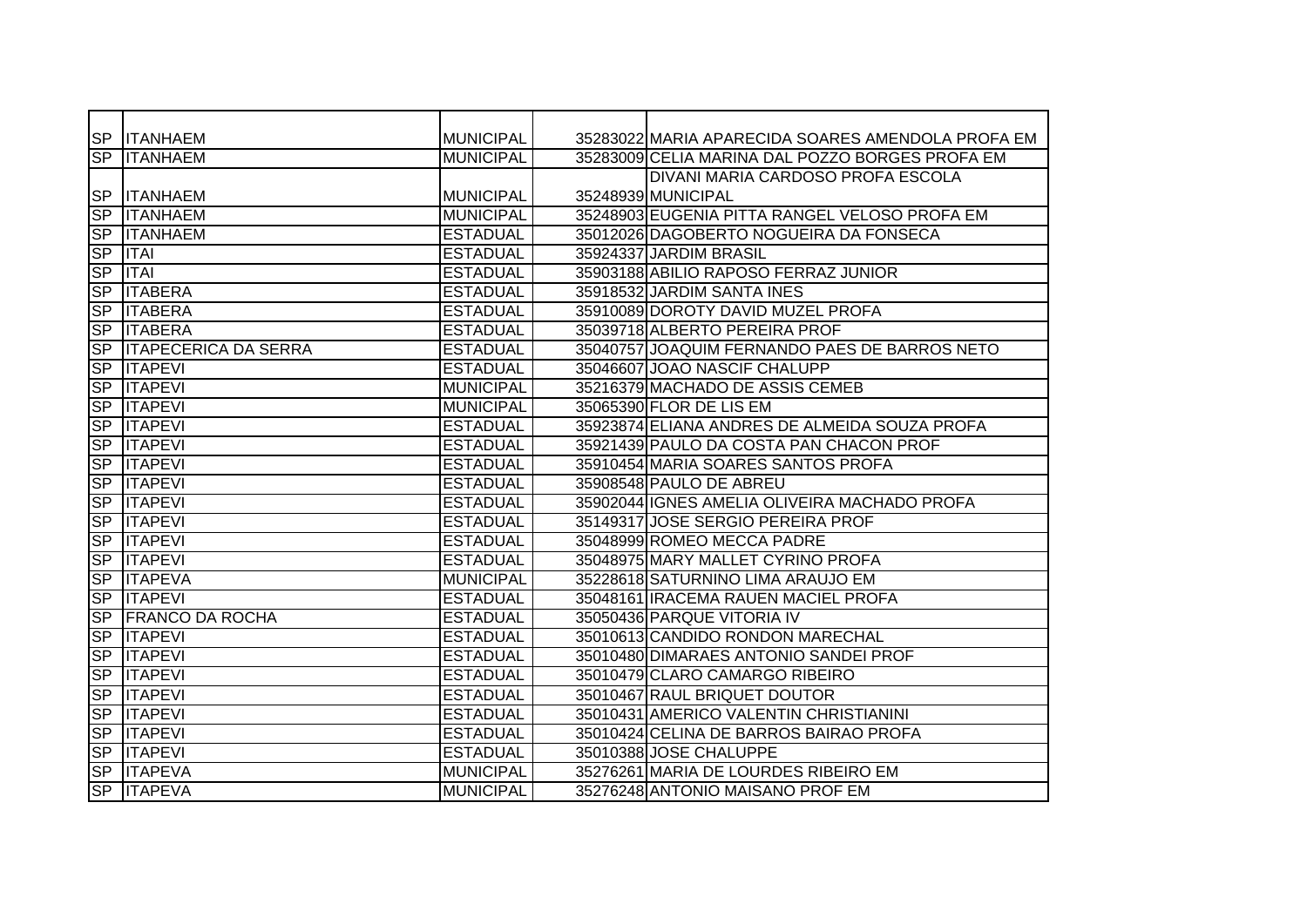|                  | SP  ITANHAEM                | <b>MUNICIPAL</b> | 35283022 MARIA APARECIDA SOARES AMENDOLA PROFA EM |
|------------------|-----------------------------|------------------|---------------------------------------------------|
|                  | <b>SP ITANHAEM</b>          | <b>MUNICIPAL</b> | 35283009 CELIA MARINA DAL POZZO BORGES PROFA EM   |
|                  |                             |                  | DIVANI MARIA CARDOSO PROFA ESCOLA                 |
|                  | SP  ITANHAEM                | <b>MUNICIPAL</b> | 35248939 MUNICIPAL                                |
|                  | <b>SP ITANHAEM</b>          | <b>MUNICIPAL</b> | 35248903 EUGENIA PITTA RANGEL VELOSO PROFA EM     |
|                  | <b>SP ITANHAEM</b>          | <b>ESTADUAL</b>  | 35012026 DAGOBERTO NOGUEIRA DA FONSECA            |
|                  | SP  ITAI                    | <b>ESTADUAL</b>  | 35924337 JARDIM BRASIL                            |
| <b>SP</b>        | <b>ITAI</b>                 | <b>ESTADUAL</b>  | 35903188 ABILIO RAPOSO FERRAZ JUNIOR              |
| <b>SP</b>        | <b>ITABERA</b>              | <b>ESTADUAL</b>  | 35918532 JARDIM SANTA INES                        |
| <b>SP</b>        | <b>ITABERA</b>              | <b>ESTADUAL</b>  | 35910089 DOROTY DAVID MUZEL PROFA                 |
| <b>SP</b>        | <b>ITABERA</b>              | <b>ESTADUAL</b>  | 35039718 ALBERTO PEREIRA PROF                     |
| <b>SP</b>        | <b>ITAPECERICA DA SERRA</b> | <b>ESTADUAL</b>  | 35040757 JOAQUIM FERNANDO PAES DE BARROS NETO     |
|                  | <b>SP ITAPEVI</b>           | <b>ESTADUAL</b>  | 35046607 JOAO NASCIF CHALUPP                      |
|                  | <b>SP ITAPEVI</b>           | <b>MUNICIPAL</b> | 35216379 MACHADO DE ASSIS CEMEB                   |
| S <sub>P</sub>   | <b>ITAPEVI</b>              | <b>MUNICIPAL</b> | 35065390 FLOR DE LIS EM                           |
| <b>SP</b>        | <b>ITAPEVI</b>              | <b>ESTADUAL</b>  | 35923874 ELIANA ANDRES DE ALMEIDA SOUZA PROFA     |
|                  | SP <b>ITAPEVI</b>           | <b>ESTADUAL</b>  | 35921439 PAULO DA COSTA PAN CHACON PROF           |
|                  | <b>SP ITAPEVI</b>           | <b>ESTADUAL</b>  | 35910454 MARIA SOARES SANTOS PROFA                |
|                  | <b>SP ITAPEVI</b>           | <b>ESTADUAL</b>  | 35908548 PAULO DE ABREU                           |
|                  | <b>SP ITAPEVI</b>           | <b>ESTADUAL</b>  | 35902044 IGNES AMELIA OLIVEIRA MACHADO PROFA      |
|                  | <b>SP ITAPEVI</b>           | <b>ESTADUAL</b>  | 35149317 JOSE SERGIO PEREIRA PROF                 |
| $S_{\mathsf{P}}$ | <b>IITAPEVI</b>             | <b>ESTADUAL</b>  | 35048999 ROMEO MECCA PADRE                        |
|                  | <b>SP ITAPEVI</b>           | <b>ESTADUAL</b>  | 35048975 MARY MALLET CYRINO PROFA                 |
|                  | SP <b>ITAPEVA</b>           | <b>MUNICIPAL</b> | 35228618 SATURNINO LIMA ARAUJO EM                 |
| SP               | <b>ITAPEVI</b>              | <b>ESTADUAL</b>  | 35048161 IRACEMA RAUEN MACIEL PROFA               |
| <b>SP</b>        | <b>FRANCO DA ROCHA</b>      | <b>ESTADUAL</b>  | 35050436 PARQUE VITORIA IV                        |
| <b>SP</b>        | <b>ITAPEVI</b>              | <b>ESTADUAL</b>  | 35010613 CANDIDO RONDON MARECHAL                  |
|                  | <b>SP ITAPEVI</b>           | <b>ESTADUAL</b>  | 35010480 DIMARAES ANTONIO SANDEI PROF             |
|                  | <b>SP ITAPEVI</b>           | <b>ESTADUAL</b>  | 35010479 CLARO CAMARGO RIBEIRO                    |
|                  | <b>SP ITAPEVI</b>           | <b>ESTADUAL</b>  | 35010467 RAUL BRIQUET DOUTOR                      |
|                  | <b>SP ITAPEVI</b>           | <b>ESTADUAL</b>  | 35010431 AMERICO VALENTIN CHRISTIANINI            |
|                  | <b>SP ITAPEVI</b>           | <b>ESTADUAL</b>  | 35010424 CELINA DE BARROS BAIRAO PROFA            |
|                  | <b>SP ITAPEVI</b>           | <b>ESTADUAL</b>  | 35010388 JOSE CHALUPPE                            |
| $S_{\mathsf{P}}$ | <b>ITAPEVA</b>              | <b>MUNICIPAL</b> | 35276261 MARIA DE LOURDES RIBEIRO EM              |
|                  | SP <b>ITAPEVA</b>           | <b>MUNICIPAL</b> | 35276248 ANTONIO MAISANO PROF EM                  |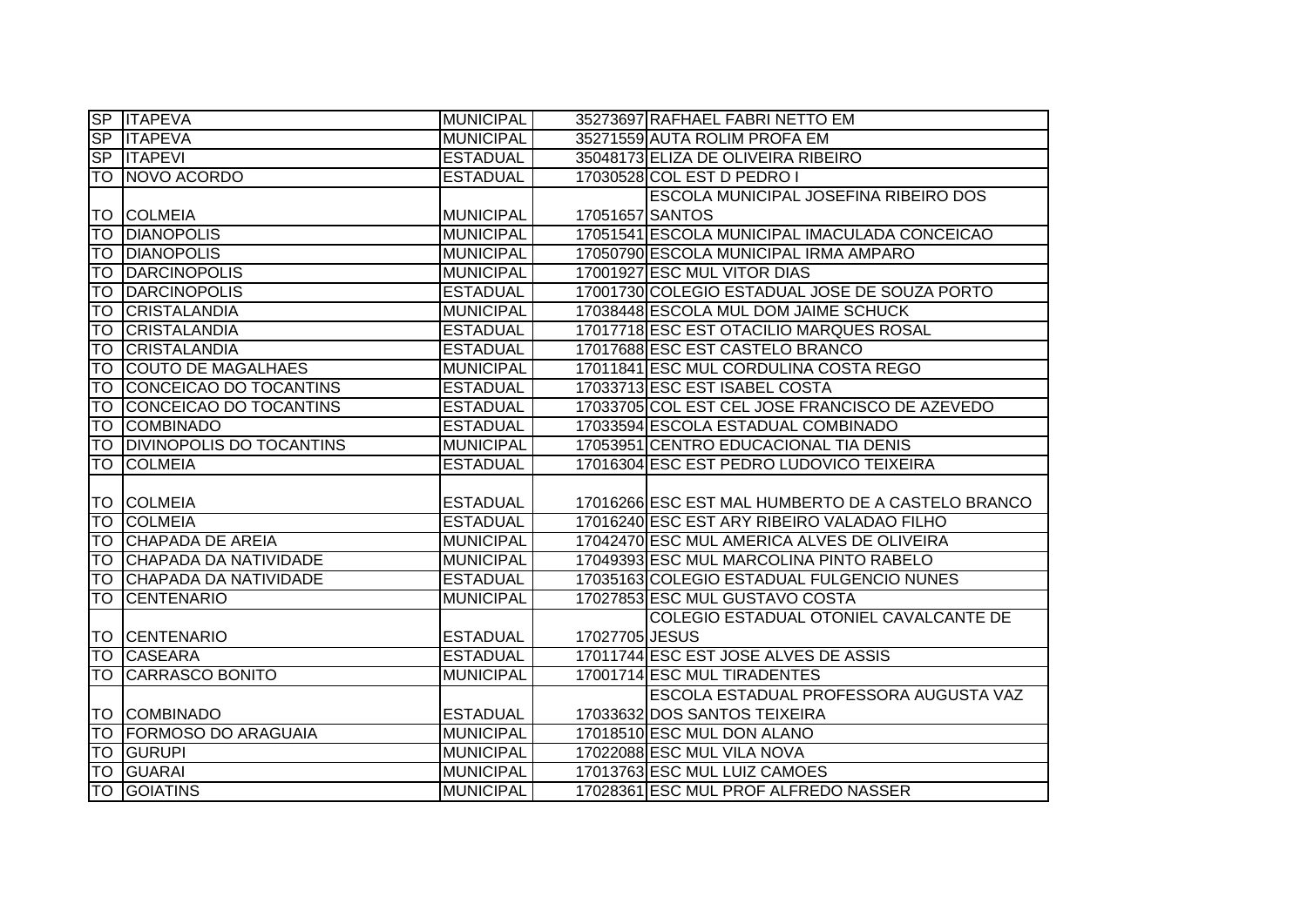|                 | SP <b>ITAPEVA</b>               | <b>MUNICIPAL</b> |                 | 35273697 RAFHAEL FABRI NETTO EM                   |
|-----------------|---------------------------------|------------------|-----------------|---------------------------------------------------|
|                 | SP ITAPEVA                      | <b>MUNICIPAL</b> |                 | 35271559 AUTA ROLIM PROFA EM                      |
|                 | SP <b>ITAPEVI</b>               | <b>ESTADUAL</b>  |                 | 35048173 ELIZA DE OLIVEIRA RIBEIRO                |
|                 | <b>TO NOVO ACORDO</b>           | <b>ESTADUAL</b>  |                 | 17030528 COL EST D PEDRO I                        |
|                 |                                 |                  |                 | ESCOLA MUNICIPAL JOSEFINA RIBEIRO DOS             |
|                 | <b>TO COLMEIA</b>               | <b>MUNICIPAL</b> | 17051657 SANTOS |                                                   |
|                 | <b>TO DIANOPOLIS</b>            | <b>MUNICIPAL</b> |                 | 17051541 ESCOLA MUNICIPAL IMACULADA CONCEICAO     |
| <b>TO</b>       | <b>DIANOPOLIS</b>               | <b>MUNICIPAL</b> |                 | 17050790 ESCOLA MUNICIPAL IRMA AMPARO             |
| <b>TO</b>       | <b>DARCINOPOLIS</b>             | <b>MUNICIPAL</b> |                 | 17001927 ESC MUL VITOR DIAS                       |
| <b>TO</b>       | <b>DARCINOPOLIS</b>             | <b>ESTADUAL</b>  |                 | 17001730 COLEGIO ESTADUAL JOSE DE SOUZA PORTO     |
| <b>TO</b>       | <b>CRISTALANDIA</b>             | <b>MUNICIPAL</b> |                 | 17038448 ESCOLA MUL DOM JAIME SCHUCK              |
| <b>TO</b>       | <b>CRISTALANDIA</b>             | <b>ESTADUAL</b>  |                 | 17017718 ESC EST OTACILIO MARQUES ROSAL           |
| <b>TO</b>       | <b>CRISTALANDIA</b>             | <b>ESTADUAL</b>  |                 | 17017688 ESC EST CASTELO BRANCO                   |
| <b>TO</b>       | <b>COUTO DE MAGALHAES</b>       | <b>MUNICIPAL</b> |                 | 17011841 ESC MUL CORDULINA COSTA REGO             |
| ΙŤΟ             | CONCEICAO DO TOCANTINS          | <b>ESTADUAL</b>  |                 | 17033713 ESC EST ISABEL COSTA                     |
| ГO              | CONCEICAO DO TOCANTINS          | <b>ESTADUAL</b>  |                 | 17033705 COL EST CEL JOSE FRANCISCO DE AZEVEDO    |
| <b>TO</b>       | <b>COMBINADO</b>                | <b>ESTADUAL</b>  |                 | 17033594 ESCOLA ESTADUAL COMBINADO                |
| ГO              | <b>DIVINOPOLIS DO TOCANTINS</b> | <b>MUNICIPAL</b> |                 | 17053951 CENTRO EDUCACIONAL TIA DENIS             |
|                 |                                 |                  |                 |                                                   |
| ГO              | <b>COLMEIA</b>                  | <b>ESTADUAL</b>  |                 | 17016304 ESC EST PEDRO LUDOVICO TEIXEIRA          |
|                 |                                 |                  |                 |                                                   |
|                 | <b>TO COLMEIA</b>               | <b>ESTADUAL</b>  |                 | 17016266 ESC EST MAL HUMBERTO DE A CASTELO BRANCO |
| TO              | <b>COLMEIA</b>                  | <b>ESTADUAL</b>  |                 | 17016240 ESC EST ARY RIBEIRO VALADAO FILHO        |
| TO              | <b>CHAPADA DE AREIA</b>         | <b>MUNICIPAL</b> |                 | 17042470 ESC MUL AMERICA ALVES DE OLIVEIRA        |
| $\overline{10}$ | CHAPADA DA NATIVIDADE           | <b>MUNICIPAL</b> |                 | 17049393 ESC MUL MARCOLINA PINTO RABELO           |
| ТO              | CHAPADA DA NATIVIDADE           | <b>ESTADUAL</b>  |                 | 17035163 COLEGIO ESTADUAL FULGENCIO NUNES         |
| <b>TO</b>       | <b>CENTENARIO</b>               | <b>MUNICIPAL</b> |                 | 17027853 ESC MUL GUSTAVO COSTA                    |
|                 |                                 |                  |                 | COLEGIO ESTADUAL OTONIEL CAVALCANTE DE            |
|                 | <b>TO CENTENARIO</b>            | <b>ESTADUAL</b>  | 17027705 JESUS  |                                                   |
| <b>TO</b>       | <b>CASEARA</b>                  | <b>ESTADUAL</b>  |                 | 17011744 ESC EST JOSE ALVES DE ASSIS              |
| ĪΤΟ             | <b>CARRASCO BONITO</b>          | <b>MUNICIPAL</b> |                 | 17001714 ESC MUL TIRADENTES                       |
|                 |                                 |                  |                 | ESCOLA ESTADUAL PROFESSORA AUGUSTA VAZ            |
|                 | <b>TO COMBINADO</b>             | <b>ESTADUAL</b>  |                 | 17033632 DOS SANTOS TEIXEIRA                      |
| ۱To             | <b>FORMOSO DO ARAGUAIA</b>      | <b>MUNICIPAL</b> |                 | 17018510 ESC MUL DON ALANO                        |
|                 | <b>TO GURUPI</b>                | <b>MUNICIPAL</b> |                 | 17022088 ESC MUL VILA NOVA                        |
| TO              | <b>GUARAI</b>                   | <b>MUNICIPAL</b> |                 | 17013763 ESC MUL LUIZ CAMOES                      |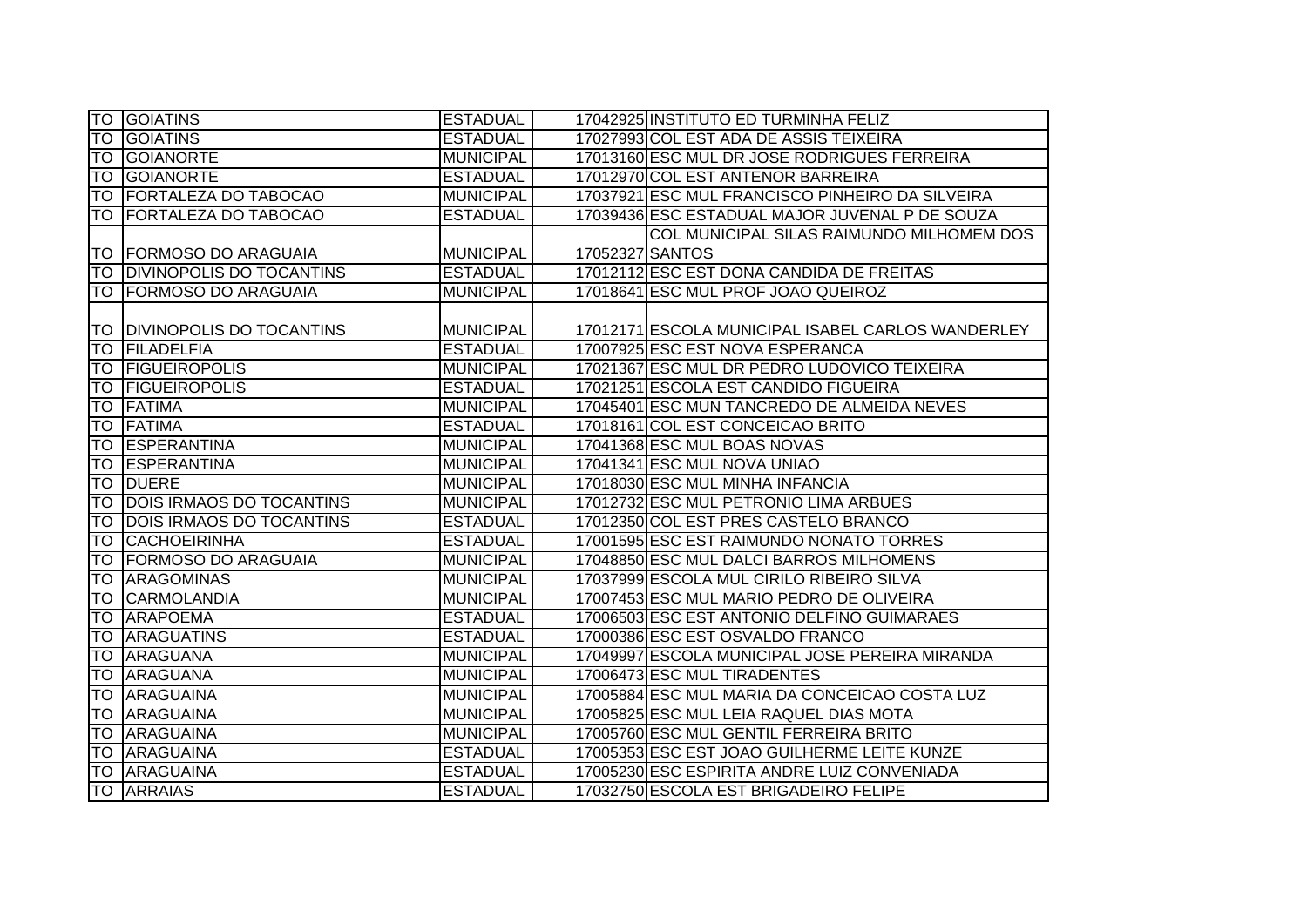|           | <b>TO GOIATINS</b>              | <b>ESTADUAL</b>  |                 | 17042925 INSTITUTO ED TURMINHA FELIZ              |
|-----------|---------------------------------|------------------|-----------------|---------------------------------------------------|
| <b>TO</b> | <b>GOIATINS</b>                 | <b>ESTADUAL</b>  |                 | 17027993 COL EST ADA DE ASSIS TEIXEIRA            |
|           | <b>TO GOIANORTE</b>             | <b>MUNICIPAL</b> |                 | 17013160 ESC MUL DR JOSE RODRIGUES FERREIRA       |
| <b>TO</b> | <b>GOIANORTE</b>                | <b>ESTADUAL</b>  |                 | 17012970 COL EST ANTENOR BARREIRA                 |
|           | TO FORTALEZA DO TABOCAO         | <b>MUNICIPAL</b> |                 | 17037921 ESC MUL FRANCISCO PINHEIRO DA SILVEIRA   |
|           | TO FORTALEZA DO TABOCAO         | <b>ESTADUAL</b>  |                 | 17039436 ESC ESTADUAL MAJOR JUVENAL P DE SOUZA    |
|           |                                 |                  |                 | COL MUNICIPAL SILAS RAIMUNDO MILHOMEM DOS         |
|           | TO FORMOSO DO ARAGUAIA          | <b>MUNICIPAL</b> | 17052327 SANTOS |                                                   |
| <b>TO</b> | <b>DIVINOPOLIS DO TOCANTINS</b> | <b>ESTADUAL</b>  |                 | 17012112 ESC EST DONA CANDIDA DE FREITAS          |
| <b>TO</b> | <b>FORMOSO DO ARAGUAIA</b>      | <b>MUNICIPAL</b> |                 | 17018641 ESC MUL PROF JOAO QUEIROZ                |
|           |                                 |                  |                 |                                                   |
|           | TO IDIVINOPOLIS DO TOCANTINS    | <b>MUNICIPAL</b> |                 | 17012171 ESCOLA MUNICIPAL ISABEL CARLOS WANDERLEY |
| <b>TO</b> | FILADELFIA                      | <b>ESTADUAL</b>  |                 | 17007925 ESC EST NOVA ESPERANCA                   |
| <b>TO</b> | <b>FIGUEIROPOLIS</b>            | <b>MUNICIPAL</b> |                 | 17021367 ESC MUL DR PEDRO LUDOVICO TEIXEIRA       |
| <b>TO</b> | <b>FIGUEIROPOLIS</b>            | <b>ESTADUAL</b>  |                 | 17021251 ESCOLA EST CANDIDO FIGUEIRA              |
| <b>TO</b> | <b>FATIMA</b>                   | <b>MUNICIPAL</b> |                 | 17045401 ESC MUN TANCREDO DE ALMEIDA NEVES        |
| lТO       | <b>FATIMA</b>                   | <b>ESTADUAL</b>  |                 | 17018161 COL EST CONCEICAO BRITO                  |
|           | <b>TO ESPERANTINA</b>           | <b>MUNICIPAL</b> |                 | 17041368 ESC MUL BOAS NOVAS                       |
| <b>TO</b> | <b>ESPERANTINA</b>              | <b>MUNICIPAL</b> |                 | 17041341 ESC MUL NOVA UNIAO                       |
| <b>TO</b> | <b>DUERE</b>                    | <b>MUNICIPAL</b> |                 | 17018030 ESC MUL MINHA INFANCIA                   |
| <b>TO</b> | <b>DOIS IRMAOS DO TOCANTINS</b> | <b>MUNICIPAL</b> |                 | 17012732 ESC MUL PETRONIO LIMA ARBUES             |
| ГO        | <b>DOIS IRMAOS DO TOCANTINS</b> | <b>ESTADUAL</b>  |                 | 17012350 COL EST PRES CASTELO BRANCO              |
| TO        | CACHOEIRINHA                    | <b>ESTADUAL</b>  |                 | 17001595 ESC EST RAIMUNDO NONATO TORRES           |
| <b>TO</b> | <b>FORMOSO DO ARAGUAIA</b>      | <b>MUNICIPAL</b> |                 | 17048850 ESC MUL DALCI BARROS MILHOMENS           |
| <b>TO</b> | <b>ARAGOMINAS</b>               | <b>MUNICIPAL</b> |                 | 17037999 ESCOLA MUL CIRILO RIBEIRO SILVA          |
| <b>TO</b> | <b>CARMOLANDIA</b>              | <b>MUNICIPAL</b> |                 | 17007453 ESC MUL MARIO PEDRO DE OLIVEIRA          |
| <b>TO</b> | <b>ARAPOEMA</b>                 | <b>ESTADUAL</b>  |                 | 17006503 ESC EST ANTONIO DELFINO GUIMARAES        |
| <b>TO</b> | <b>ARAGUATINS</b>               | <b>ESTADUAL</b>  |                 | 17000386 ESC EST OSVALDO FRANCO                   |
| <b>TO</b> | ARAGUANA                        | <b>MUNICIPAL</b> |                 | 17049997 ESCOLA MUNICIPAL JOSE PEREIRA MIRANDA    |
| ITO I     | ARAGUANA                        | <b>MUNICIPAL</b> |                 | 17006473 ESC MUL TIRADENTES                       |
|           | <b>TO ARAGUAINA</b>             | <b>MUNICIPAL</b> |                 | 17005884 ESC MUL MARIA DA CONCEICAO COSTA LUZ     |
|           | <b>TO ARAGUAINA</b>             | <b>MUNICIPAL</b> |                 | 17005825 ESC MUL LEIA RAQUEL DIAS MOTA            |
|           | <b>TO ARAGUAINA</b>             | <b>MUNICIPAL</b> |                 | 17005760 ESC MUL GENTIL FERREIRA BRITO            |
|           | <b>TO ARAGUAINA</b>             | <b>ESTADUAL</b>  |                 | 17005353 ESC EST JOAO GUILHERME LEITE KUNZE       |
|           | <b>TO ARAGUAINA</b>             | <b>ESTADUAL</b>  |                 | 17005230 ESC ESPIRITA ANDRE LUIZ CONVENIADA       |
|           | <b>TO ARRAIAS</b>               | <b>ESTADUAL</b>  |                 | 17032750 ESCOLA EST BRIGADEIRO FELIPE             |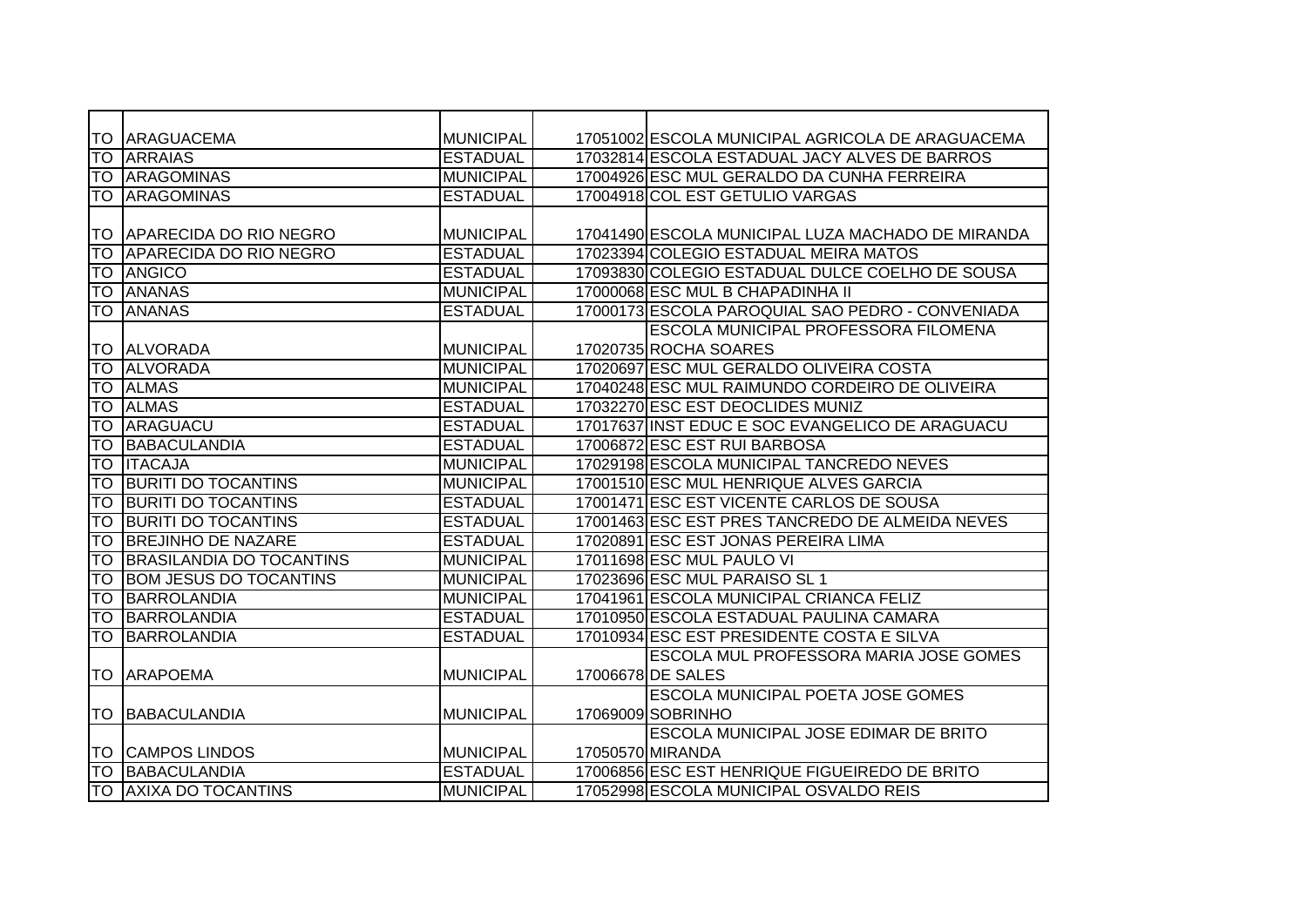| ITO I     | <b>ARAGUACEMA</b>               | <b>MUNICIPAL</b> | 17051002 ESCOLA MUNICIPAL AGRICOLA DE ARAGUACEMA  |
|-----------|---------------------------------|------------------|---------------------------------------------------|
| TO        | <b>ARRAIAS</b>                  | <b>ESTADUAL</b>  | 17032814 ESCOLA ESTADUAL JACY ALVES DE BARROS     |
|           | <b>TO ARAGOMINAS</b>            | <b>MUNICIPAL</b> | 17004926 ESC MUL GERALDO DA CUNHA FERREIRA        |
|           | <b>TO ARAGOMINAS</b>            | <b>ESTADUAL</b>  | 17004918 COL EST GETULIO VARGAS                   |
|           |                                 |                  |                                                   |
|           | TO APARECIDA DO RIO NEGRO       | <b>MUNICIPAL</b> | 17041490 ESCOLA MUNICIPAL LUZA MACHADO DE MIRANDA |
| TO        | APARECIDA DO RIO NEGRO          | <b>ESTADUAL</b>  | 17023394 COLEGIO ESTADUAL MEIRA MATOS             |
| <b>TO</b> | ANGICO                          | <b>ESTADUAL</b>  | 17093830 COLEGIO ESTADUAL DULCE COELHO DE SOUSA   |
| TO        | <b>ANANAS</b>                   | <b>MUNICIPAL</b> | 17000068 ESC MUL B CHAPADINHA II                  |
| TO.       | <b>JANANAS</b>                  | <b>ESTADUAL</b>  | 17000173 ESCOLA PAROQUIAL SAO PEDRO - CONVENIADA  |
|           |                                 |                  | <b>ESCOLA MUNICIPAL PROFESSORA FILOMENA</b>       |
| ITO I     | <b>ALVORADA</b>                 | <b>MUNICIPAL</b> | 17020735 ROCHA SOARES                             |
| <b>TO</b> | <b>ALVORADA</b>                 | <b>MUNICIPAL</b> | 17020697 ESC MUL GERALDO OLIVEIRA COSTA           |
| TO        | <b>ALMAS</b>                    | <b>MUNICIPAL</b> | 17040248 ESC MUL RAIMUNDO CORDEIRO DE OLIVEIRA    |
| TO        | <b>ALMAS</b>                    | <b>ESTADUAL</b>  | 17032270 ESC EST DEOCLIDES MUNIZ                  |
| TO        | ARAGUACU                        | <b>ESTADUAL</b>  | 17017637 INST EDUC E SOC EVANGELICO DE ARAGUACU   |
| <b>TO</b> | <b>BABACULANDIA</b>             | <b>ESTADUAL</b>  | 17006872 ESC EST RUI BARBOSA                      |
| <b>TO</b> | <b>ITACAJA</b>                  | <b>MUNICIPAL</b> | 17029198 ESCOLA MUNICIPAL TANCREDO NEVES          |
| <b>TO</b> | <b>BURITI DO TOCANTINS</b>      | <b>MUNICIPAL</b> | 17001510 ESC MUL HENRIQUE ALVES GARCIA            |
| lto       | <b>BURITI DO TOCANTINS</b>      | <b>ESTADUAL</b>  | 17001471 ESC EST VICENTE CARLOS DE SOUSA          |
| <b>TO</b> | <b>BURITI DO TOCANTINS</b>      | <b>ESTADUAL</b>  | 17001463 ESC EST PRES TANCREDO DE ALMEIDA NEVES   |
| TO        | <b>BREJINHO DE NAZARE</b>       | <b>ESTADUAL</b>  | 17020891 ESC EST JONAS PEREIRA LIMA               |
| <b>TO</b> | <b>BRASILANDIA DO TOCANTINS</b> | <b>MUNICIPAL</b> | 17011698 ESC MUL PAULO VI                         |
| <b>TO</b> | <b>BOM JESUS DO TOCANTINS</b>   | <b>MUNICIPAL</b> | 17023696 ESC MUL PARAISO SL 1                     |
| TO        | <b>BARROLANDIA</b>              | <b>MUNICIPAL</b> | 17041961 ESCOLA MUNICIPAL CRIANCA FELIZ           |
| <b>TO</b> | <b>BARROLANDIA</b>              | <b>ESTADUAL</b>  | 17010950 ESCOLA ESTADUAL PAULINA CAMARA           |
| <b>TO</b> | <b>BARROLANDIA</b>              | <b>ESTADUAL</b>  | 17010934 ESC EST PRESIDENTE COSTA E SILVA         |
|           |                                 |                  | ESCOLA MUL PROFESSORA MARIA JOSE GOMES            |
| TO        | <b>ARAPOEMA</b>                 | <b>MUNICIPAL</b> | 17006678 DE SALES                                 |
|           |                                 |                  | ESCOLA MUNICIPAL POETA JOSE GOMES                 |
| <b>TO</b> | BABACULANDIA                    | <b>MUNICIPAL</b> | 17069009 SOBRINHO                                 |
|           |                                 |                  | <b>ESCOLA MUNICIPAL JOSE EDIMAR DE BRITO</b>      |
|           | <b>TO CAMPOS LINDOS</b>         | <b>MUNICIPAL</b> | 17050570 MIRANDA                                  |
| lTO.      | BABACULANDIA                    | <b>ESTADUAL</b>  | 17006856 ESC EST HENRIQUE FIGUEIREDO DE BRITO     |
| TO.       | <b>AXIXA DO TOCANTINS</b>       | <b>MUNICIPAL</b> | 17052998 ESCOLA MUNICIPAL OSVALDO REIS            |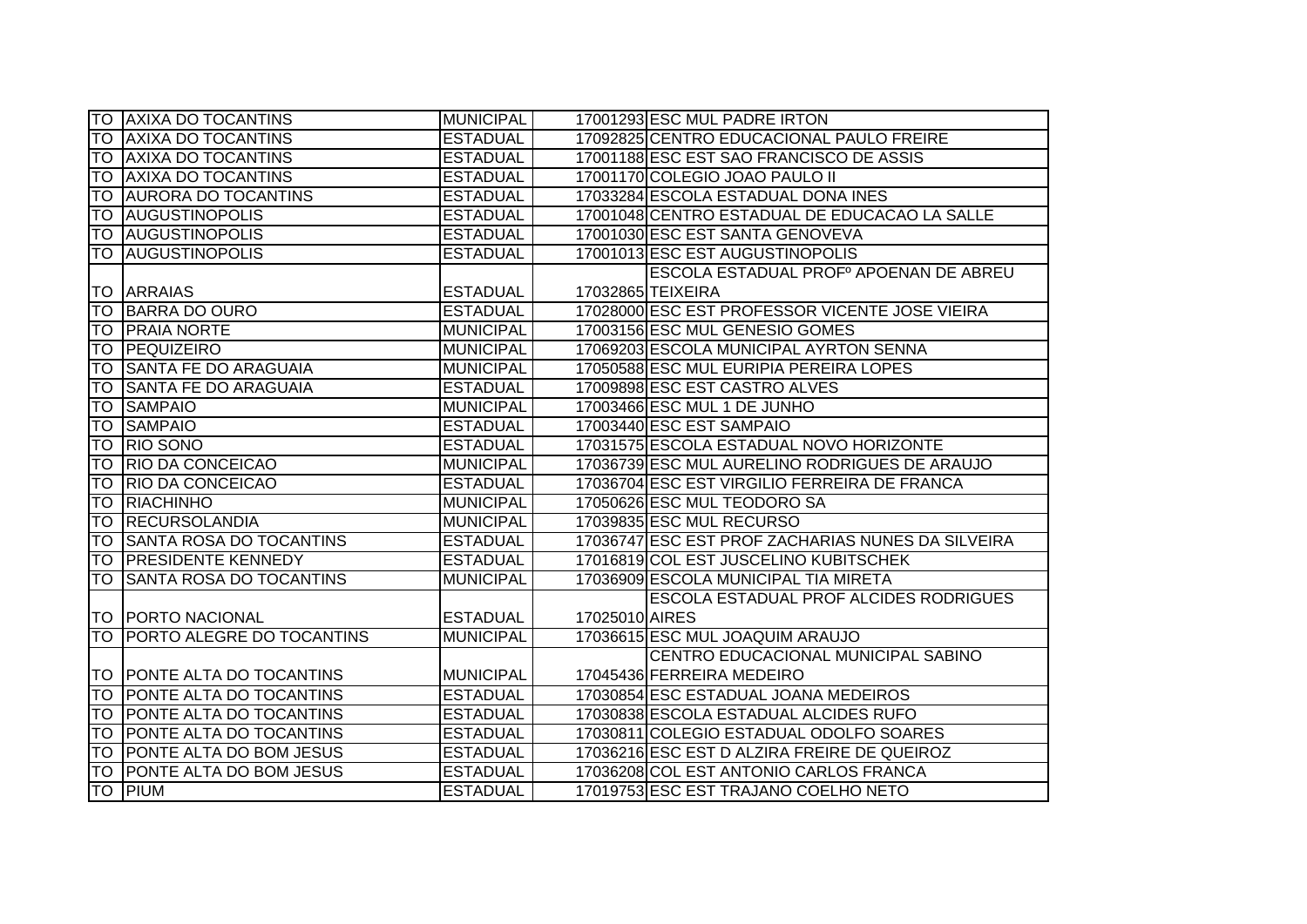|           | <b>TO AXIXA DO TOCANTINS</b>     | <b>MUNICIPAL</b> | 17001293 ESC MUL PADRE IRTON                      |
|-----------|----------------------------------|------------------|---------------------------------------------------|
|           | TO AXIXA DO TOCANTINS            | <b>ESTADUAL</b>  | 17092825 CENTRO EDUCACIONAL PAULO FREIRE          |
|           | TO AXIXA DO TOCANTINS            | <b>ESTADUAL</b>  | 17001188 ESC EST SAO FRANCISCO DE ASSIS           |
| ITO I     | <b>AXIXA DO TOCANTINS</b>        | <b>ESTADUAL</b>  | 17001170 COLEGIO JOAO PAULO II                    |
| <b>TO</b> | <b>AURORA DO TOCANTINS</b>       | <b>ESTADUAL</b>  | 17033284 ESCOLA ESTADUAL DONA INES                |
|           | <b>TO AUGUSTINOPOLIS</b>         | <b>ESTADUAL</b>  | 17001048 CENTRO ESTADUAL DE EDUCACAO LA SALLE     |
|           | <b>TO AUGUSTINOPOLIS</b>         | <b>ESTADUAL</b>  | 17001030 ESC EST SANTA GENOVEVA                   |
|           | <b>TO AUGUSTINOPOLIS</b>         | <b>ESTADUAL</b>  | 17001013 ESC EST AUGUSTINOPOLIS                   |
|           |                                  |                  | ESCOLA ESTADUAL PROFº APOENAN DE ABREU            |
| <b>TO</b> | <b>ARRAIAS</b>                   | <b>ESTADUAL</b>  | 17032865 TEIXEIRA                                 |
| <b>TO</b> | <b>BARRA DO OURO</b>             | <b>ESTADUAL</b>  | 17028000 ESC EST PROFESSOR VICENTE JOSE VIEIRA    |
| <b>TO</b> | <b>PRAIA NORTE</b>               | <b>MUNICIPAL</b> | 17003156 ESC MUL GENESIO GOMES                    |
| <b>TO</b> | PEQUIZEIRO                       | <b>MUNICIPAL</b> | 17069203 ESCOLA MUNICIPAL AYRTON SENNA            |
| <b>TO</b> | <b>SANTA FE DO ARAGUAIA</b>      | <b>MUNICIPAL</b> | 17050588 ESC MUL EURIPIA PEREIRA LOPES            |
| <b>TO</b> | <b>SANTA FE DO ARAGUAIA</b>      | <b>ESTADUAL</b>  | 17009898 ESC EST CASTRO ALVES                     |
| <b>TO</b> | <b>SAMPAIO</b>                   | <b>MUNICIPAL</b> | 17003466 ESC MUL 1 DE JUNHO                       |
| <b>TO</b> | <b>SAMPAIO</b>                   | <b>ESTADUAL</b>  | 17003440 ESC EST SAMPAIO                          |
| ГO        | <b>RIO SONO</b>                  | <b>ESTADUAL</b>  | 17031575 ESCOLA ESTADUAL NOVO HORIZONTE           |
| <b>TO</b> | <b>RIO DA CONCEICAO</b>          | <b>MUNICIPAL</b> | 17036739 ESC MUL AURELINO RODRIGUES DE ARAUJO     |
| <b>TO</b> | <b>RIO DA CONCEICAO</b>          | <b>ESTADUAL</b>  | 17036704 ESC EST VIRGILIO FERREIRA DE FRANCA      |
| <b>TO</b> | RIACHINHO                        | <b>MUNICIPAL</b> | 17050626 ESC MUL TEODORO SA                       |
| ГO        | <b>RECURSOLANDIA</b>             | <b>MUNICIPAL</b> | 17039835 ESC MUL RECURSO                          |
| <b>TO</b> | <b>SANTA ROSA DO TOCANTINS</b>   | <b>ESTADUAL</b>  | 17036747 ESC EST PROF ZACHARIAS NUNES DA SILVEIRA |
| <b>TO</b> | <b>PRESIDENTE KENNEDY</b>        | <b>ESTADUAL</b>  | 17016819 COL EST JUSCELINO KUBITSCHEK             |
| <b>TO</b> | <b>SANTA ROSA DO TOCANTINS</b>   | <b>MUNICIPAL</b> | 17036909 ESCOLA MUNICIPAL TIA MIRETA              |
|           |                                  |                  | ESCOLA ESTADUAL PROF ALCIDES RODRIGUES            |
|           | <b>TO PORTO NACIONAL</b>         | <b>ESTADUAL</b>  | 17025010 AIRES                                    |
| ГO        | <b>PORTO ALEGRE DO TOCANTINS</b> | <b>MUNICIPAL</b> | 17036615 ESC MUL JOAQUIM ARAUJO                   |
|           |                                  |                  | CENTRO EDUCACIONAL MUNICIPAL SABINO               |
|           | TO POONTE ALTA DO TOCANTINS      | <b>MUNICIPAL</b> | 17045436 FERREIRA MEDEIRO                         |
| <b>TO</b> | <b>PONTE ALTA DO TOCANTINS</b>   | <b>ESTADUAL</b>  | 17030854 ESC ESTADUAL JOANA MEDEIROS              |
|           | TO PONTE ALTA DO TOCANTINS       | <b>ESTADUAL</b>  | 17030838 ESCOLA ESTADUAL ALCIDES RUFO             |
| <b>TO</b> | <b>PONTE ALTA DO TOCANTINS</b>   | <b>ESTADUAL</b>  | 17030811 COLEGIO ESTADUAL ODOLFO SOARES           |
| <b>TO</b> | <b>PONTE ALTA DO BOM JESUS</b>   | <b>ESTADUAL</b>  | 17036216 ESC EST D ALZIRA FREIRE DE QUEIROZ       |
| TO        | <b>PONTE ALTA DO BOM JESUS</b>   | <b>ESTADUAL</b>  | 17036208 COL EST ANTONIO CARLOS FRANCA            |
|           | <b>TO PIUM</b>                   | <b>ESTADUAL</b>  | 17019753 ESC EST TRAJANO COELHO NETO              |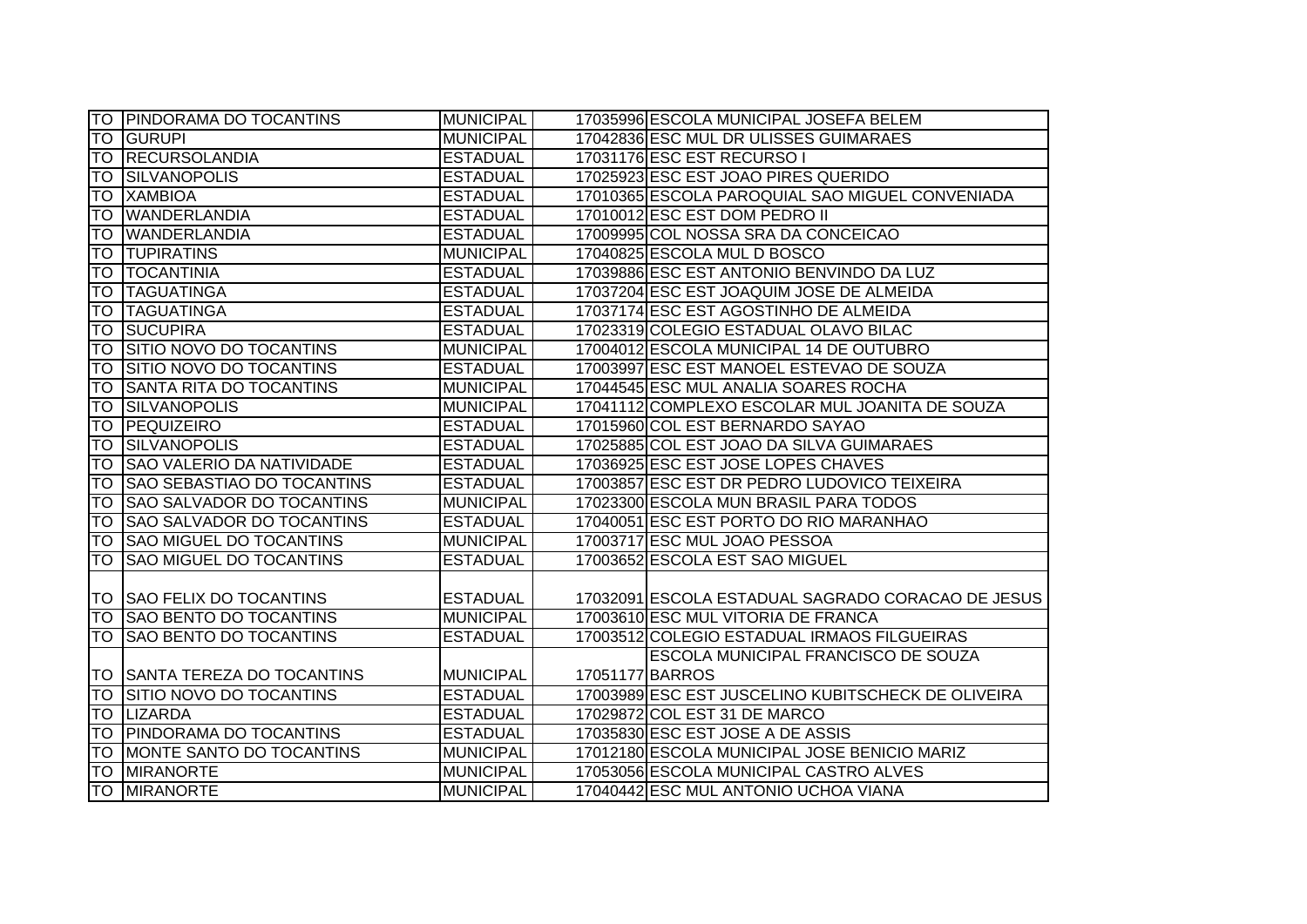|           | ITO IPINDORAMA DO TOCANTINS       | <b>MUNICIPAL</b> | 17035996 ESCOLA MUNICIPAL JOSEFA BELEM             |
|-----------|-----------------------------------|------------------|----------------------------------------------------|
| TO        | <b>GURUPI</b>                     | <b>MUNICIPAL</b> | 17042836 ESC MUL DR ULISSES GUIMARAES              |
| <b>TO</b> | <b>RECURSOLANDIA</b>              | <b>ESTADUAL</b>  | 17031176 ESC EST RECURSO I                         |
| ITO.      | <b>SILVANOPOLIS</b>               | <b>ESTADUAL</b>  | 17025923 ESC EST JOAO PIRES QUERIDO                |
| <b>TO</b> | <b>XAMBIOA</b>                    | <b>ESTADUAL</b>  | 17010365 ESCOLA PAROQUIAL SAO MIGUEL CONVENIADA    |
| <b>TO</b> | <b>WANDERLANDIA</b>               | <b>ESTADUAL</b>  | 17010012 ESC EST DOM PEDRO II                      |
| <b>TO</b> | <b>WANDERLANDIA</b>               | <b>ESTADUAL</b>  | 17009995 COL NOSSA SRA DA CONCEICAO                |
| <b>TO</b> | <b>TUPIRATINS</b>                 | <b>MUNICIPAL</b> | 17040825 ESCOLA MUL D BOSCO                        |
| <b>TO</b> | <b>TOCANTINIA</b>                 | <b>ESTADUAL</b>  | 17039886 ESC EST ANTONIO BENVINDO DA LUZ           |
| <b>TO</b> | <b>TAGUATINGA</b>                 | <b>ESTADUAL</b>  | 17037204 ESC EST JOAQUIM JOSE DE ALMEIDA           |
| <b>TO</b> | <b>TAGUATINGA</b>                 | <b>ESTADUAL</b>  | 17037174 ESC EST AGOSTINHO DE ALMEIDA              |
| <b>TO</b> | <b>SUCUPIRA</b>                   | <b>ESTADUAL</b>  | 17023319 COLEGIO ESTADUAL OLAVO BILAC              |
| <b>TO</b> | SITIO NOVO DO TOCANTINS           | <b>MUNICIPAL</b> | 17004012 ESCOLA MUNICIPAL 14 DE OUTUBRO            |
| <b>TO</b> | <b>SITIO NOVO DO TOCANTINS</b>    | <b>ESTADUAL</b>  | 17003997 ESC EST MANOEL ESTEVAO DE SOUZA           |
| <b>TO</b> | <b>SANTA RITA DO TOCANTINS</b>    | <b>MUNICIPAL</b> | 17044545 ESC MUL ANALIA SOARES ROCHA               |
| <b>TO</b> | <b>SILVANOPOLIS</b>               | <b>MUNICIPAL</b> | 17041112 COMPLEXO ESCOLAR MUL JOANITA DE SOUZA     |
| <b>TO</b> | PEQUIZEIRO                        | <b>ESTADUAL</b>  | 17015960 COL EST BERNARDO SAYAO                    |
| ГO        | <b>SILVANOPOLIS</b>               | <b>ESTADUAL</b>  | 17025885 COL EST JOAO DA SILVA GUIMARAES           |
| <b>TO</b> | <b>SAO VALERIO DA NATIVIDADE</b>  | <b>ESTADUAL</b>  | 17036925 ESC EST JOSE LOPES CHAVES                 |
| <b>TO</b> | <b>SAO SEBASTIAO DO TOCANTINS</b> | <b>ESTADUAL</b>  | 17003857 ESC EST DR PEDRO LUDOVICO TEIXEIRA        |
| <b>TO</b> | <b>SAO SALVADOR DO TOCANTINS</b>  | <b>MUNICIPAL</b> | 17023300 ESCOLA MUN BRASIL PARA TODOS              |
| ГO        | <b>SAO SALVADOR DO TOCANTINS</b>  | <b>ESTADUAL</b>  | 17040051 ESC EST PORTO DO RIO MARANHAO             |
| <b>TO</b> | <b>SAO MIGUEL DO TOCANTINS</b>    | <b>MUNICIPAL</b> | 17003717 ESC MUL JOAO PESSOA                       |
| <b>TO</b> | <b>SAO MIGUEL DO TOCANTINS</b>    | <b>ESTADUAL</b>  | 17003652 ESCOLA EST SAO MIGUEL                     |
|           |                                   |                  |                                                    |
|           | TO SAO FELIX DO TOCANTINS         | <b>ESTADUAL</b>  | 17032091 ESCOLA ESTADUAL SAGRADO CORACAO DE JESUS  |
| TO        | <b>SAO BENTO DO TOCANTINS</b>     | <b>MUNICIPAL</b> | 17003610 ESC MUL VITORIA DE FRANCA                 |
| <b>TO</b> | <b>SAO BENTO DO TOCANTINS</b>     | <b>ESTADUAL</b>  | 17003512 COLEGIO ESTADUAL IRMAOS FILGUEIRAS        |
|           |                                   |                  | <b>ESCOLA MUNICIPAL FRANCISCO DE SOUZA</b>         |
|           | TO  SANTA TEREZA DO TOCANTINS     | <b>MUNICIPAL</b> | 17051177 BARROS                                    |
| <b>TO</b> | <b>SITIO NOVO DO TOCANTINS</b>    | <b>ESTADUAL</b>  | 17003989 ESC EST JUSCELINO KUBITSCHECK DE OLIVEIRA |
| <b>TO</b> | LIZARDA                           | <b>ESTADUAL</b>  | 17029872 COL EST 31 DE MARCO                       |
|           | TO PINDORAMA DO TOCANTINS         | <b>ESTADUAL</b>  | 17035830 ESC EST JOSE A DE ASSIS                   |
| <b>TO</b> | MONTE SANTO DO TOCANTINS          | <b>MUNICIPAL</b> | 17012180 ESCOLA MUNICIPAL JOSE BENICIO MARIZ       |
|           | <b>TO MIRANORTE</b>               | <b>MUNICIPAL</b> | 17053056 ESCOLA MUNICIPAL CASTRO ALVES             |
|           | TO MIRANORTE                      | <b>MUNICIPAL</b> | 17040442 ESC MUL ANTONIO UCHOA VIANA               |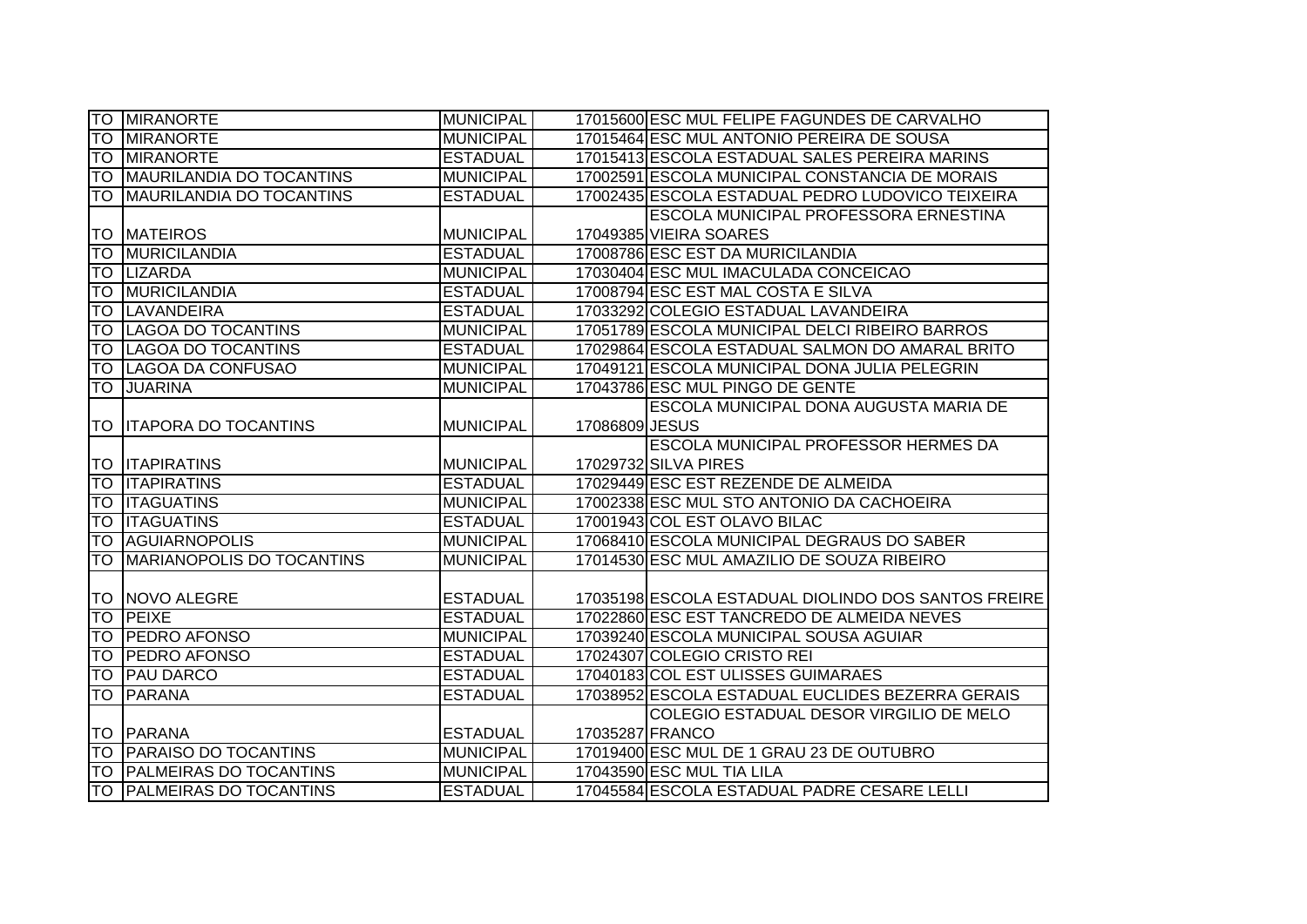|           | <b>TO MIRANORTE</b>            | <b>MUNICIPAL</b> |                | 17015600 ESC MUL FELIPE FAGUNDES DE CARVALHO        |
|-----------|--------------------------------|------------------|----------------|-----------------------------------------------------|
| <b>TO</b> | <b>MIRANORTE</b>               | <b>MUNICIPAL</b> |                | 17015464 ESC MUL ANTONIO PEREIRA DE SOUSA           |
|           | <b>TO MIRANORTE</b>            | <b>ESTADUAL</b>  |                | 17015413 ESCOLA ESTADUAL SALES PEREIRA MARINS       |
| <b>TO</b> | MAURILANDIA DO TOCANTINS       | <b>MUNICIPAL</b> |                | 17002591 ESCOLA MUNICIPAL CONSTANCIA DE MORAIS      |
| <b>TO</b> | MAURILANDIA DO TOCANTINS       | <b>ESTADUAL</b>  |                | 17002435 ESCOLA ESTADUAL PEDRO LUDOVICO TEIXEIRA    |
|           |                                |                  |                | ESCOLA MUNICIPAL PROFESSORA ERNESTINA               |
|           | <b>TO MATEIROS</b>             | <b>MUNICIPAL</b> |                | 17049385 VIEIRA SOARES                              |
| <b>TO</b> | <b>MURICILANDIA</b>            | <b>ESTADUAL</b>  |                | 17008786 ESC EST DA MURICILANDIA                    |
|           | <b>TO LIZARDA</b>              | <b>MUNICIPAL</b> |                | 17030404 ESC MUL IMACULADA CONCEICAO                |
| Ю         | MURICILANDIA                   | <b>ESTADUAL</b>  |                | 17008794 ESC EST MAL COSTA E SILVA                  |
| <b>TO</b> | <b>ILAVANDEIRA</b>             | <b>ESTADUAL</b>  |                | 17033292 COLEGIO ESTADUAL LAVANDEIRA                |
| <b>TO</b> | LAGOA DO TOCANTINS             | <b>MUNICIPAL</b> |                | 17051789 ESCOLA MUNICIPAL DELCI RIBEIRO BARROS      |
| ГO        | LAGOA DO TOCANTINS             | <b>ESTADUAL</b>  |                | 17029864 ESCOLA ESTADUAL SALMON DO AMARAL BRITO     |
| TO        | LAGOA DA CONFUSAO              | <b>MUNICIPAL</b> |                | 17049121 ESCOLA MUNICIPAL DONA JULIA PELEGRIN       |
| <b>TO</b> | <b>JUARINA</b>                 | <b>MUNICIPAL</b> |                | 17043786 ESC MUL PINGO DE GENTE                     |
|           |                                |                  |                | ESCOLA MUNICIPAL DONA AUGUSTA MARIA DE              |
|           | <b>TO ITAPORA DO TOCANTINS</b> | <b>MUNICIPAL</b> | 17086809 JESUS |                                                     |
|           |                                |                  |                | ESCOLA MUNICIPAL PROFESSOR HERMES DA                |
|           | <b>TO ITAPIRATINS</b>          | <b>MUNICIPAL</b> |                | 17029732 SILVA PIRES                                |
|           | <b>TO ITAPIRATINS</b>          | <b>ESTADUAL</b>  |                | 17029449 ESC EST REZENDE DE ALMEIDA                 |
|           | <b>TO ITAGUATINS</b>           | <b>MUNICIPAL</b> |                | 17002338 ESC MUL STO ANTONIO DA CACHOEIRA           |
|           | <b>TO ITAGUATINS</b>           | <b>ESTADUAL</b>  |                | 17001943 COL EST OLAVO BILAC                        |
| <b>TO</b> | <b>AGUIARNOPOLIS</b>           | <b>MUNICIPAL</b> |                | 17068410 ESCOLA MUNICIPAL DEGRAUS DO SABER          |
| ГO        | MARIANOPOLIS DO TOCANTINS      | <b>MUNICIPAL</b> |                | 17014530 ESC MUL AMAZILIO DE SOUZA RIBEIRO          |
|           |                                |                  |                |                                                     |
|           | TO INOVO ALEGRE                | <b>ESTADUAL</b>  |                | 17035198 ESCOLA ESTADUAL DIOLINDO DOS SANTOS FREIRE |
| lТO       | <b>PEIXE</b>                   | <b>ESTADUAL</b>  |                | 17022860 ESC EST TANCREDO DE ALMEIDA NEVES          |
| <b>TO</b> | <b>PEDRO AFONSO</b>            | <b>MUNICIPAL</b> |                | 17039240 ESCOLA MUNICIPAL SOUSA AGUIAR              |
| <b>TO</b> | <b>PEDRO AFONSO</b>            | <b>ESTADUAL</b>  |                | 17024307 COLEGIO CRISTO REI                         |
| <b>TO</b> | <b>PAU DARCO</b>               | <b>ESTADUAL</b>  |                | 17040183 COL EST ULISSES GUIMARAES                  |
| ГO        | PARANA                         | <b>ESTADUAL</b>  |                | 17038952 ESCOLA ESTADUAL EUCLIDES BEZERRA GERAIS    |
|           |                                |                  |                | COLEGIO ESTADUAL DESOR VIRGILIO DE MELO             |
|           | ITO IPARANA                    | <b>ESTADUAL</b>  |                | 17035287 FRANCO                                     |
|           | TO PARAISO DO TOCANTINS        | <b>MUNICIPAL</b> |                | 17019400 ESC MUL DE 1 GRAU 23 DE OUTUBRO            |
|           | TO PALMEIRAS DO TOCANTINS      | <b>MUNICIPAL</b> |                | 17043590 ESC MUL TIA LILA                           |
|           | TO PALMEIRAS DO TOCANTINS      | <b>ESTADUAL</b>  |                | 17045584 ESCOLA ESTADUAL PADRE CESARE LELLI         |